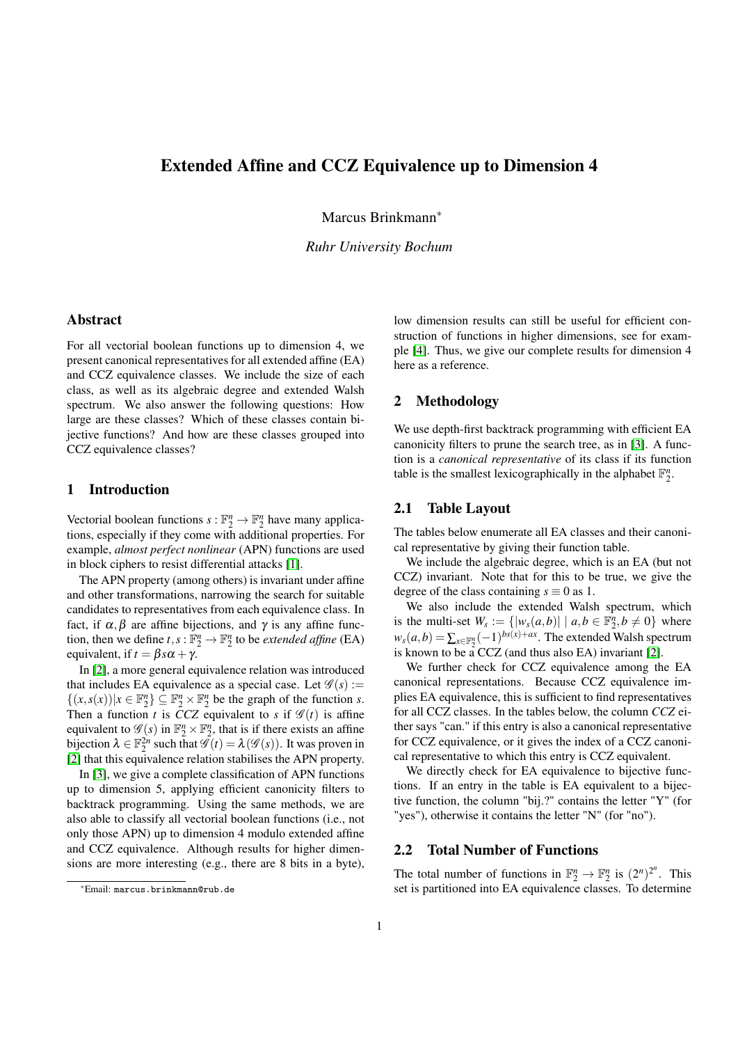## Extended Affine and CCZ Equivalence up to Dimension 4

Marcus Brinkmann<sup>∗</sup>

*Ruhr University Bochum*

#### Abstract

For all vectorial boolean functions up to dimension 4, we present canonical representatives for all extended affine (EA) and CCZ equivalence classes. We include the size of each class, as well as its algebraic degree and extended Walsh spectrum. We also answer the following questions: How large are these classes? Which of these classes contain bijective functions? And how are these classes grouped into CCZ equivalence classes?

#### 1 Introduction

Vectorial boolean functions  $s : \mathbb{F}_2^n \to \mathbb{F}_2^n$  have many applications, especially if they come with additional properties. For example, *almost perfect nonlinear* (APN) functions are used in block ciphers to resist differential attacks [\[1\]](#page-1-0).

The APN property (among others) is invariant under affine and other transformations, narrowing the search for suitable candidates to representatives from each equivalence class. In fact, if  $\alpha, \beta$  are affine bijections, and  $\gamma$  is any affine function, then we define  $t, s : \mathbb{F}_2^n \to \mathbb{F}_2^n$  to be *extended affine* (EA) equivalent, if  $t = \beta s \alpha + \gamma$ .

In [\[2\]](#page-1-1), a more general equivalence relation was introduced that includes EA equivalence as a special case. Let  $\mathscr{G}(s) :=$  $\{(x, s(x)) | x \in \mathbb{F}_2^n\} \subseteq \mathbb{F}_2^n \times \mathbb{F}_2^n$  be the graph of the function *s*. Then a function *t* is  $\overline{CCZ}$  equivalent to *s* if  $\mathscr{G}(t)$  is affine equivalent to  $\mathscr{G}(s)$  in  $\mathbb{F}_2^n \times \mathbb{F}_2^n$ , that is if there exists an affine bijection  $\lambda \in \mathbb{F}_2^{2n}$  such that  $\mathscr{G}(t) = \lambda(\mathscr{G}(s))$ . It was proven in [\[2\]](#page-1-1) that this equivalence relation stabilises the APN property.

In [\[3\]](#page-1-2), we give a complete classification of APN functions up to dimension 5, applying efficient canonicity filters to backtrack programming. Using the same methods, we are also able to classify all vectorial boolean functions (i.e., not only those APN) up to dimension 4 modulo extended affine and CCZ equivalence. Although results for higher dimensions are more interesting (e.g., there are 8 bits in a byte), low dimension results can still be useful for efficient construction of functions in higher dimensions, see for example [\[4\]](#page-1-3). Thus, we give our complete results for dimension 4 here as a reference.

### 2 Methodology

We use depth-first backtrack programming with efficient EA canonicity filters to prune the search tree, as in [\[3\]](#page-1-2). A function is a *canonical representative* of its class if its function table is the smallest lexicographically in the alphabet  $\mathbb{F}_2^n$ .

#### 2.1 Table Layout

The tables below enumerate all EA classes and their canonical representative by giving their function table.

We include the algebraic degree, which is an EA (but not CCZ) invariant. Note that for this to be true, we give the degree of the class containing  $s \equiv 0$  as 1.

We also include the extended Walsh spectrum, which is the multi-set  $W_s := \{ |w_s(a,b)| \mid a,b \in \mathbb{F}_2^n, b \neq 0 \}$  where  $w_s(a,b) = \sum_{x \in \mathbb{F}_2^n} (-1)^{bs(x)+ax}$ . The extended Walsh spectrum is known to be a CCZ (and thus also EA) invariant [\[2\]](#page-1-1).

We further check for CCZ equivalence among the EA canonical representations. Because CCZ equivalence implies EA equivalence, this is sufficient to find representatives for all CCZ classes. In the tables below, the column *CCZ* either says "can." if this entry is also a canonical representative for CCZ equivalence, or it gives the index of a CCZ canonical representative to which this entry is CCZ equivalent.

We directly check for EA equivalence to bijective functions. If an entry in the table is EA equivalent to a bijective function, the column "bij.?" contains the letter "Y" (for "yes"), otherwise it contains the letter "N" (for "no").

#### 2.2 Total Number of Functions

The total number of functions in  $\mathbb{F}_2^n \to \mathbb{F}_2^n$  is  $(2^n)^{2^n}$ . This set is partitioned into EA equivalence classes. To determine

<sup>∗</sup>Email: marcus.brinkmann@rub.de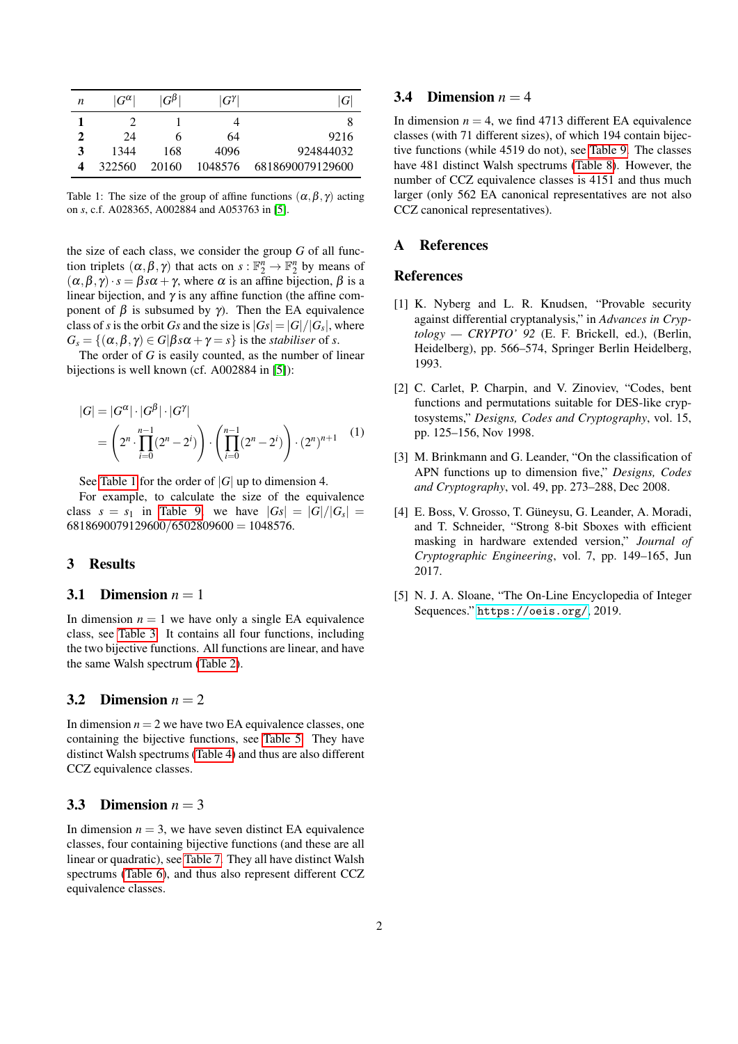<span id="page-1-5"></span>

| n | $ G^{\alpha} $ | $G^{\beta}$ | $ G^{\gamma} $ | G                |
|---|----------------|-------------|----------------|------------------|
|   |                |             |                |                  |
| 2 | 24             | h           | 64             | 9216             |
| 3 | 1344           | 168         | 4096           | 924844032        |
| 4 | 322560         | 20160       | 1048576        | 6818690079129600 |

Table 1: The size of the group of affine functions  $(\alpha, \beta, \gamma)$  acting on *s*, c.f. A028365, A002884 and A053763 in [\[5\]](#page-1-4).

the size of each class, we consider the group *G* of all function triplets  $(\alpha, \beta, \gamma)$  that acts on  $s : \mathbb{F}_2^n \to \mathbb{F}_2^n$  by means of  $(\alpha, \beta, \gamma) \cdot s = \beta s \alpha + \gamma$ , where  $\alpha$  is an affine bijection,  $\beta$  is a linear bijection, and  $\gamma$  is any affine function (the affine component of  $\beta$  is subsumed by γ). Then the EA equivalence class of *s* is the orbit *Gs* and the size is  $|Gs| = |G|/|G_s|$ , where  $G_s = \{(\alpha, \beta, \gamma) \in G | \beta s \alpha + \gamma = s \}$  is the *stabiliser* of *s*.

The order of *G* is easily counted, as the number of linear bijections is well known (cf. A002884 in [\[5\]](#page-1-4)):

$$
|G| = |G^{\alpha}| \cdot |G^{\beta}| \cdot |G^{\gamma}|
$$
  
=  $\left(2^n \cdot \prod_{i=0}^{n-1} (2^n - 2^i)\right) \cdot \left(\prod_{i=0}^{n-1} (2^n - 2^i)\right) \cdot (2^n)^{n+1}$  (1)

See [Table 1](#page-1-5) for the order of |*G*| up to dimension 4.

For example, to calculate the size of the equivalence class  $s = s_1$  in [Table 9,](#page-14-0) we have  $|Gs| = |G|/|G_s|$  $6818690079129600/6502809600 = 1048576.$ 

### 3 Results

#### 3.1 Dimension  $n = 1$

In dimension  $n = 1$  we have only a single EA equivalence class, see [Table 3.](#page-2-0) It contains all four functions, including the two bijective functions. All functions are linear, and have the same Walsh spectrum [\(Table 2\)](#page-2-1).

### 3.2 Dimension  $n = 2$

In dimension  $n = 2$  we have two EA equivalence classes, one containing the bijective functions, see [Table 5.](#page-2-2) They have distinct Walsh spectrums [\(Table 4\)](#page-2-3) and thus are also different CCZ equivalence classes.

#### 3.3 Dimension  $n = 3$

In dimension  $n = 3$ , we have seven distinct EA equivalence classes, four containing bijective functions (and these are all linear or quadratic), see [Table 7.](#page-3-0) They all have distinct Walsh spectrums [\(Table 6\)](#page-3-1), and thus also represent different CCZ equivalence classes.

#### 3.4 Dimension  $n = 4$

In dimension  $n = 4$ , we find 4713 different EA equivalence classes (with 71 different sizes), of which 194 contain bijective functions (while 4519 do not), see [Table 9.](#page-14-0) The classes have 481 distinct Walsh spectrums [\(Table 8\)](#page-4-0). However, the number of CCZ equivalence classes is 4151 and thus much larger (only 562 EA canonical representatives are not also CCZ canonical representatives).

#### A References

#### References

- <span id="page-1-0"></span>[1] K. Nyberg and L. R. Knudsen, "Provable security against differential cryptanalysis," in *Advances in Cryptology — CRYPTO' 92* (E. F. Brickell, ed.), (Berlin, Heidelberg), pp. 566–574, Springer Berlin Heidelberg, 1993.
- <span id="page-1-1"></span>[2] C. Carlet, P. Charpin, and V. Zinoviev, "Codes, bent functions and permutations suitable for DES-like cryptosystems," *Designs, Codes and Cryptography*, vol. 15, pp. 125–156, Nov 1998.
- <span id="page-1-2"></span>[3] M. Brinkmann and G. Leander, "On the classification of APN functions up to dimension five," *Designs, Codes and Cryptography*, vol. 49, pp. 273–288, Dec 2008.
- <span id="page-1-3"></span>[4] E. Boss, V. Grosso, T. Güneysu, G. Leander, A. Moradi, and T. Schneider, "Strong 8-bit Sboxes with efficient masking in hardware extended version," *Journal of Cryptographic Engineering*, vol. 7, pp. 149–165, Jun 2017.
- <span id="page-1-4"></span>[5] N. J. A. Sloane, "The On-Line Encyclopedia of Integer Sequences." <https://oeis.org/>, 2019.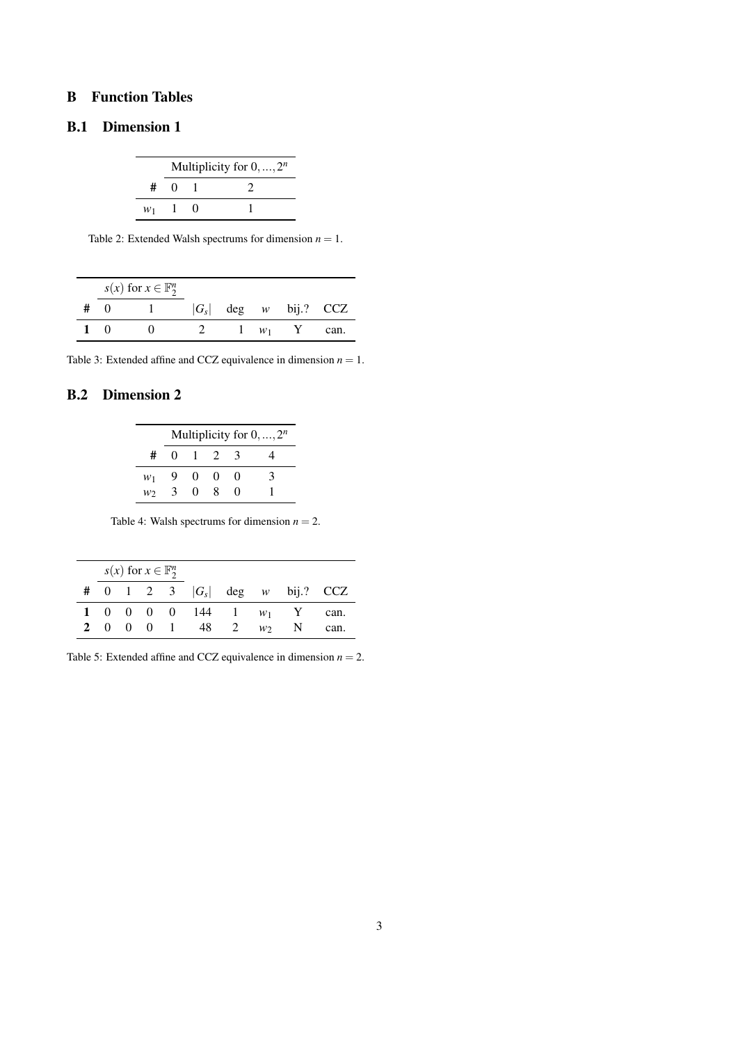## B Function Tables

## <span id="page-2-1"></span>B.1 Dimension 1

|    |                   | Multiplicity for $0, , 2^n$ |
|----|-------------------|-----------------------------|
| #  | $\mathbf{\Omega}$ |                             |
| W1 |                   |                             |

Table 2: Extended Walsh spectrums for dimension  $n = 1$ .

<span id="page-2-0"></span>

|       | $s(x)$ for $x \in \mathbb{F}_2^n$ |         |       |                    |      |
|-------|-----------------------------------|---------|-------|--------------------|------|
| - ( ) |                                   | $ G_s $ |       | $\deg$ w bij.? CCZ |      |
|       |                                   |         | $W_1$ |                    | can. |

Table 3: Extended affine and CCZ equivalence in dimension  $n = 1$ .

## <span id="page-2-3"></span>B.2 Dimension 2

|       |          |              |                   |                   | Multiplicity for $0, , 2^n$ |
|-------|----------|--------------|-------------------|-------------------|-----------------------------|
| #     | $\Omega$ | $\mathbf{L}$ |                   |                   |                             |
| $w_1$ | 9        | $^{(1)}$     | $\mathbf{\Omega}$ | $\mathbf{0}$      | ′ }                         |
| W٦    | 3        | 0            | ×                 | $\mathbf{\Omega}$ |                             |

Table 4: Walsh spectrums for dimension  $n = 2$ .

<span id="page-2-2"></span>

|  | $s(x)$ for $x \in \mathbb{F}_2^n$ |  |                         |                |      |
|--|-----------------------------------|--|-------------------------|----------------|------|
|  | # 0 1 2 3 $ G_s $ deg w bij.? CCZ |  |                         |                |      |
|  |                                   |  | 1 0 0 0 0 144 1 $w_1$ Y |                | can. |
|  |                                   |  | 2 0 0 0 1 48 2          | W <sub>2</sub> | can. |

Table 5: Extended affine and CCZ equivalence in dimension  $n = 2$ .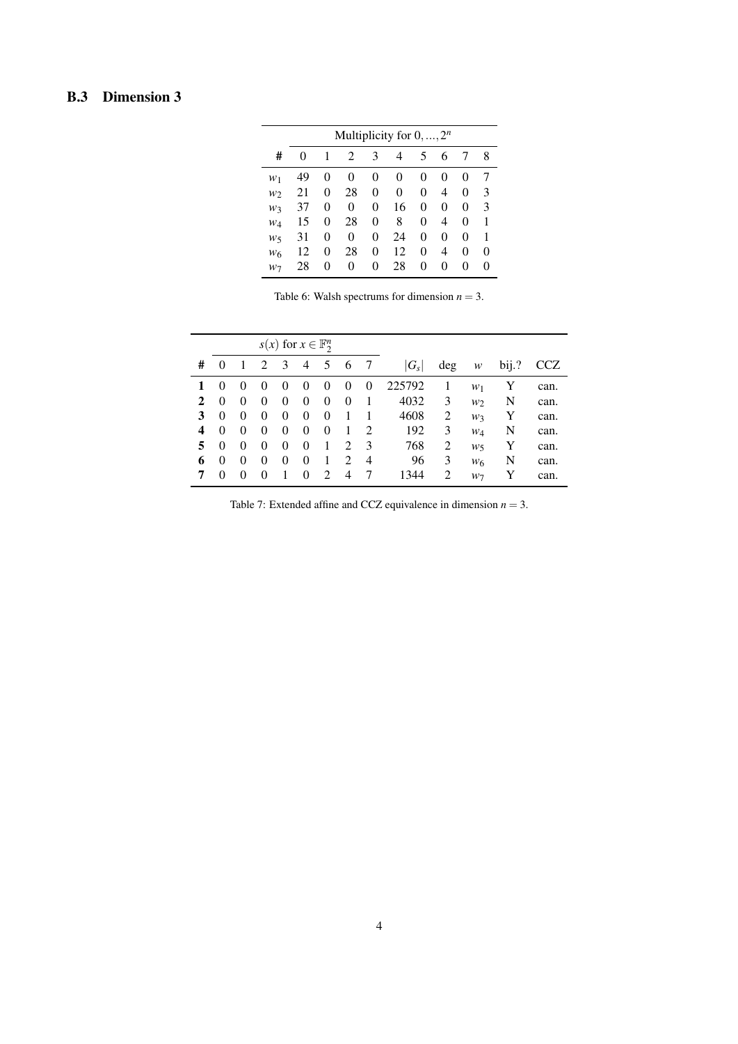## <span id="page-3-1"></span>B.3 Dimension 3

|       | Multiplicity for $0, , 2^n$ |          |          |   |    |          |   |        |          |  |  |  |  |  |  |
|-------|-----------------------------|----------|----------|---|----|----------|---|--------|----------|--|--|--|--|--|--|
| #     | $\theta$                    | 1        | 2        | 3 | 4  | 5        | 6 | 7      | 8        |  |  |  |  |  |  |
| $W_1$ | 49                          | $\theta$ | 0        | 0 | 0  | $\theta$ | 0 | 0      |          |  |  |  |  |  |  |
| $W_2$ | 21                          | 0        | 28       | 0 | 0  | 0        | 4 | 0      | 3        |  |  |  |  |  |  |
| w3    | 37                          | 0        | 0        | 0 | 16 | 0        | 0 | 0      | 3        |  |  |  |  |  |  |
| $W_4$ | 15                          | 0        | 28       | 0 | 8  | 0        | 4 | 0      |          |  |  |  |  |  |  |
| w5    | 31                          | 0        | 0        | 0 | 24 | 0        | 0 | 0      |          |  |  |  |  |  |  |
| $W_6$ | 12                          | 0        | 28       | 0 | 12 | 0        | 4 | 0      | $\Omega$ |  |  |  |  |  |  |
| W٦    | 28                          | $\theta$ | $\Omega$ | 0 | 28 | 0        | 0 | $_{0}$ | $\theta$ |  |  |  |  |  |  |

Table 6: Walsh spectrums for dimension  $n = 3$ .

<span id="page-3-0"></span>

|              |          |          |          | $s(x)$ for $x \in \mathbb{F}_2^n$ |          |                             |                |                             |         |     |                |          |      |
|--------------|----------|----------|----------|-----------------------------------|----------|-----------------------------|----------------|-----------------------------|---------|-----|----------------|----------|------|
| #            | $\theta$ |          | 2        | $\overline{3}$                    | 4        | 5                           | 6              | -7                          | $ G_s $ | deg | w              | $b$ ij.? | CCZ  |
| 1            | $\theta$ | $\theta$ | $\theta$ | $\theta$                          | $\theta$ | $\theta$                    | $\theta$       | $\theta$                    | 225792  |     | $W_1$          | Y        | can. |
| $\mathbf{2}$ | 0        | $\theta$ | $\theta$ | $\theta$                          | 0        | $\overline{0}$              | $\Omega$       |                             | 4032    | 3   | W <sub>2</sub> | N        | can. |
| 3            | 0        | $\theta$ | $\theta$ | $\theta$                          | 0        | 0                           |                |                             | 4608    | 2   | W3             | Y        | can. |
| 4            | $\theta$ | $\theta$ | $\theta$ | $\theta$                          | $\theta$ | 0                           |                | $\mathcal{D}_{\mathcal{L}}$ | 192     | 3   | $W_4$          | N        | can. |
| 5            | $\theta$ | $\theta$ | $\theta$ | $\theta$                          | 0        | 1                           | $\mathfrak{D}$ | 3                           | 768     | 2   | $W_5$          | Y        | can. |
| 6            | 0        | $\theta$ | 0        | 0                                 | 0        | 1                           | 2              | 4                           | 96      | 3   | $W_6$          | N        | can. |
| 7            | $\theta$ | $\theta$ | $\theta$ |                                   | 0        | $\mathcal{D}_{\mathcal{L}}$ | 4              |                             | 1344    | 2   | $W_7$          | Y        | can. |

Table 7: Extended affine and CCZ equivalence in dimension  $n = 3$ .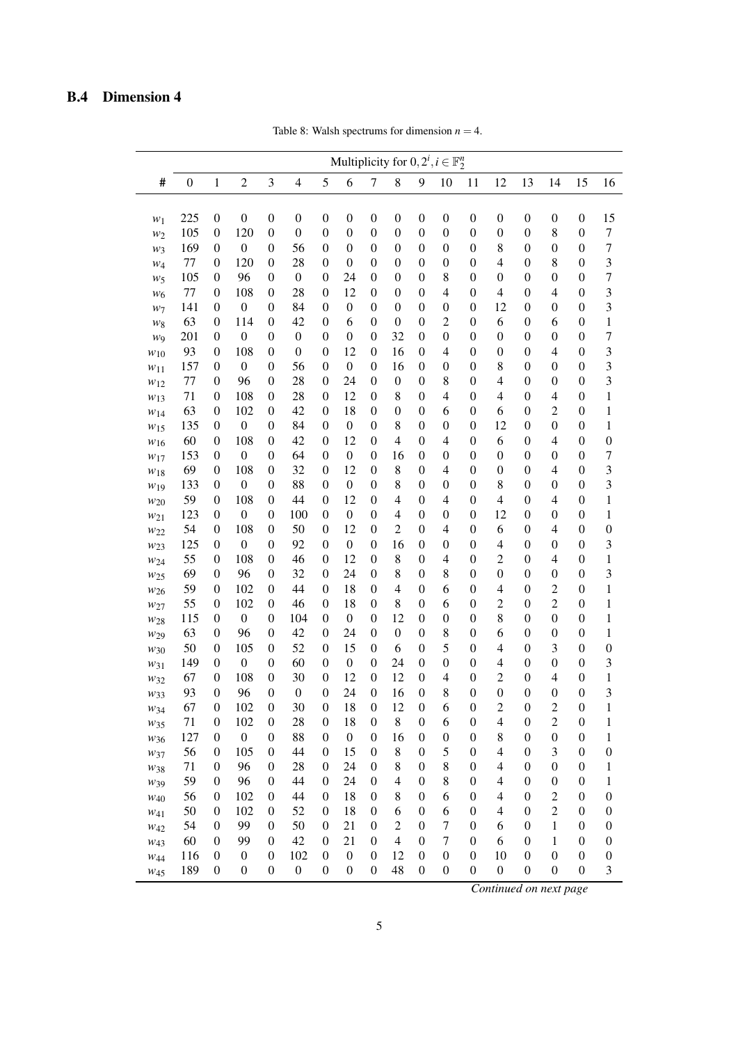# <span id="page-4-0"></span>B.4 Dimension 4

|                                    |                  |                                      |                         |                                      |                  |                                      |                        |                                      |                     |                                      | Multiplicity for $0, 2^i, i \in \mathbb{F}_2^n$ |                                      |                  |                                      |                       |                                      |                       |
|------------------------------------|------------------|--------------------------------------|-------------------------|--------------------------------------|------------------|--------------------------------------|------------------------|--------------------------------------|---------------------|--------------------------------------|-------------------------------------------------|--------------------------------------|------------------|--------------------------------------|-----------------------|--------------------------------------|-----------------------|
| #                                  | $\boldsymbol{0}$ | $\mathbf{1}$                         | $\overline{c}$          | 3                                    | $\overline{4}$   | 5                                    | 6                      | 7                                    | 8                   | 9                                    | 10                                              | 11                                   | 12               | 13                                   | 14                    | 15                                   | 16                    |
| $w_1$                              | 225              | $\boldsymbol{0}$                     | $\boldsymbol{0}$        | $\boldsymbol{0}$                     | $\boldsymbol{0}$ | $\boldsymbol{0}$                     | $\boldsymbol{0}$       | $\boldsymbol{0}$                     | $\boldsymbol{0}$    | $\boldsymbol{0}$                     | $\boldsymbol{0}$                                | $\boldsymbol{0}$                     | $\boldsymbol{0}$ | $\boldsymbol{0}$                     | $\boldsymbol{0}$      | $\boldsymbol{0}$                     | 15                    |
| $w_2$                              | 105              | $\boldsymbol{0}$                     | 120                     | $\boldsymbol{0}$                     | $\boldsymbol{0}$ | $\boldsymbol{0}$                     | $\boldsymbol{0}$       | $\boldsymbol{0}$                     | $\boldsymbol{0}$    | $\boldsymbol{0}$                     | $\boldsymbol{0}$                                | $\boldsymbol{0}$                     | $\boldsymbol{0}$ | $\boldsymbol{0}$                     | 8                     | $\boldsymbol{0}$                     | $\sqrt{ }$            |
| $w_3$                              | 169              | $\boldsymbol{0}$                     | $\boldsymbol{0}$        | $\boldsymbol{0}$                     | 56               | $\boldsymbol{0}$                     | $\boldsymbol{0}$       | $\boldsymbol{0}$                     | $\boldsymbol{0}$    | $\boldsymbol{0}$                     | $\boldsymbol{0}$                                | $\boldsymbol{0}$                     | 8                | $\boldsymbol{0}$                     | $\boldsymbol{0}$      | $\boldsymbol{0}$                     | $\overline{7}$        |
| $W_4$                              | 77               | $\boldsymbol{0}$                     | 120                     | $\boldsymbol{0}$                     | 28               | $\theta$                             | $\boldsymbol{0}$       | $\boldsymbol{0}$                     | $\boldsymbol{0}$    | $\boldsymbol{0}$                     | $\boldsymbol{0}$                                | $\boldsymbol{0}$                     | $\overline{4}$   | $\boldsymbol{0}$                     | 8                     | $\boldsymbol{0}$                     | 3                     |
| $W_5$                              | 105              | $\boldsymbol{0}$                     | 96                      | $\boldsymbol{0}$                     | $\boldsymbol{0}$ | $\boldsymbol{0}$                     | 24                     | $\boldsymbol{0}$                     | $\boldsymbol{0}$    | $\boldsymbol{0}$                     | 8                                               | $\boldsymbol{0}$                     | $\boldsymbol{0}$ | $\boldsymbol{0}$                     | $\boldsymbol{0}$      | $\boldsymbol{0}$                     | $\overline{7}$        |
| $W_6$                              | 77               | $\boldsymbol{0}$                     | 108                     | $\boldsymbol{0}$                     | 28               | $\boldsymbol{0}$                     | 12                     | $\boldsymbol{0}$                     | $\boldsymbol{0}$    | $\boldsymbol{0}$                     | $\overline{4}$                                  | $\boldsymbol{0}$                     | $\overline{4}$   | $\boldsymbol{0}$                     | 4                     | $\boldsymbol{0}$                     | 3                     |
| $w_7$                              | 141              | $\boldsymbol{0}$                     | $\boldsymbol{0}$        | $\boldsymbol{0}$                     | 84               | $\theta$                             | $\boldsymbol{0}$       | $\boldsymbol{0}$                     | $\boldsymbol{0}$    | $\boldsymbol{0}$                     | $\boldsymbol{0}$                                | $\boldsymbol{0}$                     | 12               | $\boldsymbol{0}$                     | $\boldsymbol{0}$      | $\boldsymbol{0}$                     | 3                     |
| $w_{8}$                            | 63               | $\boldsymbol{0}$                     | 114                     | $\boldsymbol{0}$                     | 42               | $\boldsymbol{0}$                     | 6                      | $\boldsymbol{0}$                     | $\boldsymbol{0}$    | $\boldsymbol{0}$                     | $\overline{2}$                                  | $\boldsymbol{0}$                     | 6                | $\boldsymbol{0}$                     | 6                     | $\boldsymbol{0}$                     | $\,1$                 |
| WQ                                 | 201              | $\boldsymbol{0}$                     | $\boldsymbol{0}$        | $\boldsymbol{0}$                     | $\boldsymbol{0}$ | $\boldsymbol{0}$                     | $\boldsymbol{0}$       | $\boldsymbol{0}$                     | 32                  | $\boldsymbol{0}$                     | $\boldsymbol{0}$                                | $\boldsymbol{0}$                     | $\boldsymbol{0}$ | $\boldsymbol{0}$                     | $\boldsymbol{0}$      | $\boldsymbol{0}$                     | 7                     |
| $w_{10}$                           | 93               | $\boldsymbol{0}$                     | 108                     | $\boldsymbol{0}$                     | $\boldsymbol{0}$ | $\boldsymbol{0}$                     | 12                     | $\boldsymbol{0}$                     | 16                  | $\boldsymbol{0}$                     | $\overline{4}$                                  | $\boldsymbol{0}$                     | $\boldsymbol{0}$ | $\boldsymbol{0}$                     | 4                     | $\boldsymbol{0}$                     | 3                     |
| $w_{11}$                           | 157              | $\boldsymbol{0}$                     | $\boldsymbol{0}$        | $\boldsymbol{0}$                     | 56               | $\boldsymbol{0}$                     | $\boldsymbol{0}$       | $\boldsymbol{0}$                     | 16                  | $\boldsymbol{0}$                     | $\boldsymbol{0}$                                | $\boldsymbol{0}$                     | 8                | $\boldsymbol{0}$                     | $\boldsymbol{0}$      | $\boldsymbol{0}$                     | 3                     |
| $w_{12}$                           | 77               | $\boldsymbol{0}$                     | 96                      | $\boldsymbol{0}$                     | 28               | $\boldsymbol{0}$                     | 24                     | $\boldsymbol{0}$                     | $\boldsymbol{0}$    | $\boldsymbol{0}$                     | 8                                               | $\boldsymbol{0}$                     | $\overline{4}$   | $\boldsymbol{0}$                     | $\boldsymbol{0}$      | $\boldsymbol{0}$                     | 3                     |
| $w_{13}$                           | 71               | $\boldsymbol{0}$                     | 108                     | $\boldsymbol{0}$                     | 28               | $\boldsymbol{0}$                     | 12                     | $\boldsymbol{0}$                     | 8                   | $\boldsymbol{0}$                     | $\overline{4}$                                  | $\boldsymbol{0}$                     | $\overline{4}$   | $\boldsymbol{0}$                     | 4                     | $\boldsymbol{0}$                     | $\,1$                 |
| W <sub>14</sub>                    | 63               | $\boldsymbol{0}$                     | 102                     | $\boldsymbol{0}$                     | 42               | $\boldsymbol{0}$                     | 18                     | $\boldsymbol{0}$                     | $\boldsymbol{0}$    | $\boldsymbol{0}$                     | 6                                               | $\boldsymbol{0}$                     | 6                | $\boldsymbol{0}$                     | $\overline{c}$        | $\boldsymbol{0}$                     | $\mathbf{1}$          |
| W <sub>15</sub>                    | 135              | $\boldsymbol{0}$                     | $\boldsymbol{0}$        | $\boldsymbol{0}$                     | 84               | $\theta$                             | $\boldsymbol{0}$       | $\boldsymbol{0}$                     | 8                   | $\boldsymbol{0}$                     | $\boldsymbol{0}$                                | $\boldsymbol{0}$                     | 12               | $\boldsymbol{0}$                     | $\boldsymbol{0}$      | $\boldsymbol{0}$                     | $\,1$                 |
| $W_{16}$                           | 60               | $\boldsymbol{0}$                     | 108                     | $\boldsymbol{0}$                     | 42               | $\boldsymbol{0}$                     | 12                     | $\boldsymbol{0}$                     | $\overline{4}$      | $\boldsymbol{0}$                     | $\overline{4}$                                  | $\boldsymbol{0}$                     | 6                | $\boldsymbol{0}$                     | 4                     | $\boldsymbol{0}$                     | $\boldsymbol{0}$      |
| $w_{17}$                           | 153              | $\boldsymbol{0}$                     | $\boldsymbol{0}$        | $\boldsymbol{0}$                     | 64               | $\boldsymbol{0}$                     | $\boldsymbol{0}$       | $\boldsymbol{0}$                     | 16                  | $\boldsymbol{0}$                     | $\boldsymbol{0}$                                | $\boldsymbol{0}$                     | $\boldsymbol{0}$ | $\boldsymbol{0}$                     | $\boldsymbol{0}$      | $\boldsymbol{0}$                     | $\overline{7}$        |
| $W_{18}$                           | 69               | $\boldsymbol{0}$                     | 108                     | $\boldsymbol{0}$                     | 32               | $\boldsymbol{0}$                     | 12                     | $\boldsymbol{0}$                     | 8                   | $\boldsymbol{0}$                     | $\overline{4}$                                  | $\boldsymbol{0}$                     | $\boldsymbol{0}$ | $\boldsymbol{0}$                     | 4                     | $\boldsymbol{0}$                     | 3                     |
| W <sub>19</sub>                    | 133              | $\boldsymbol{0}$                     | $\boldsymbol{0}$        | $\boldsymbol{0}$                     | 88               | $\theta$                             | $\boldsymbol{0}$       | $\boldsymbol{0}$                     | 8                   | $\boldsymbol{0}$                     | $\boldsymbol{0}$                                | $\boldsymbol{0}$                     | 8                | $\boldsymbol{0}$                     | $\boldsymbol{0}$      | $\boldsymbol{0}$                     | 3                     |
| $w_{20}$                           | 59               | $\boldsymbol{0}$                     | 108                     | $\boldsymbol{0}$                     | 44               | $\boldsymbol{0}$                     | 12                     | $\boldsymbol{0}$                     | $\overline{4}$      | $\boldsymbol{0}$                     | $\overline{4}$                                  | $\boldsymbol{0}$                     | $\overline{4}$   | $\boldsymbol{0}$                     | 4                     | $\boldsymbol{0}$                     | $\mathbf{1}$          |
| W <sub>21</sub>                    | 123<br>54        | $\boldsymbol{0}$                     | $\boldsymbol{0}$        | $\boldsymbol{0}$                     | 100              | $\boldsymbol{0}$                     | $\boldsymbol{0}$<br>12 | $\boldsymbol{0}$                     | 4<br>$\overline{c}$ | $\boldsymbol{0}$                     | $\boldsymbol{0}$<br>$\overline{4}$              | $\boldsymbol{0}$<br>$\boldsymbol{0}$ | 12               | $\boldsymbol{0}$                     | $\boldsymbol{0}$      | $\boldsymbol{0}$                     | $\mathbf{1}$          |
| W <sub>22</sub>                    | 125              | $\boldsymbol{0}$<br>$\boldsymbol{0}$ | 108<br>$\boldsymbol{0}$ | $\boldsymbol{0}$<br>$\boldsymbol{0}$ | 50<br>92         | $\boldsymbol{0}$<br>$\boldsymbol{0}$ | $\boldsymbol{0}$       | $\boldsymbol{0}$<br>$\boldsymbol{0}$ | 16                  | $\boldsymbol{0}$<br>$\boldsymbol{0}$ | $\boldsymbol{0}$                                | $\boldsymbol{0}$                     | 6<br>4           | $\boldsymbol{0}$<br>$\boldsymbol{0}$ | 4<br>$\boldsymbol{0}$ | $\boldsymbol{0}$<br>$\boldsymbol{0}$ | $\boldsymbol{0}$<br>3 |
| W <sub>23</sub>                    | 55               | $\boldsymbol{0}$                     | 108                     | $\boldsymbol{0}$                     | 46               | $\boldsymbol{0}$                     | 12                     | $\boldsymbol{0}$                     | 8                   | $\boldsymbol{0}$                     | $\overline{4}$                                  | $\boldsymbol{0}$                     | 2                | $\boldsymbol{0}$                     | 4                     | $\boldsymbol{0}$                     | $\mathbf{1}$          |
| W <sub>24</sub>                    | 69               | $\boldsymbol{0}$                     | 96                      | $\boldsymbol{0}$                     | 32               | $\boldsymbol{0}$                     | 24                     | $\boldsymbol{0}$                     | 8                   | $\boldsymbol{0}$                     | 8                                               | $\boldsymbol{0}$                     | $\boldsymbol{0}$ | $\boldsymbol{0}$                     | $\boldsymbol{0}$      | $\boldsymbol{0}$                     | 3                     |
| W <sub>25</sub><br>W <sub>26</sub> | 59               | $\boldsymbol{0}$                     | 102                     | $\boldsymbol{0}$                     | 44               | $\boldsymbol{0}$                     | 18                     | $\boldsymbol{0}$                     | $\overline{4}$      | $\boldsymbol{0}$                     | 6                                               | $\boldsymbol{0}$                     | 4                | $\boldsymbol{0}$                     | $\overline{c}$        | $\boldsymbol{0}$                     | $\mathbf{1}$          |
| W27                                | 55               | $\boldsymbol{0}$                     | 102                     | $\boldsymbol{0}$                     | 46               | $\boldsymbol{0}$                     | 18                     | $\boldsymbol{0}$                     | 8                   | $\boldsymbol{0}$                     | 6                                               | $\boldsymbol{0}$                     | 2                | $\boldsymbol{0}$                     | $\overline{c}$        | $\boldsymbol{0}$                     | $\mathbf{1}$          |
| W <sub>28</sub>                    | 115              | $\boldsymbol{0}$                     | $\boldsymbol{0}$        | $\boldsymbol{0}$                     | 104              | $\boldsymbol{0}$                     | $\boldsymbol{0}$       | $\boldsymbol{0}$                     | 12                  | $\boldsymbol{0}$                     | $\boldsymbol{0}$                                | $\boldsymbol{0}$                     | 8                | $\boldsymbol{0}$                     | $\boldsymbol{0}$      | $\boldsymbol{0}$                     | $\mathbf{1}$          |
| W <sub>29</sub>                    | 63               | $\boldsymbol{0}$                     | 96                      | $\boldsymbol{0}$                     | 42               | $\boldsymbol{0}$                     | 24                     | $\boldsymbol{0}$                     | $\boldsymbol{0}$    | $\boldsymbol{0}$                     | 8                                               | $\boldsymbol{0}$                     | 6                | $\boldsymbol{0}$                     | $\boldsymbol{0}$      | $\boldsymbol{0}$                     | $\mathbf{1}$          |
| $W_30$                             | 50               | $\boldsymbol{0}$                     | 105                     | $\boldsymbol{0}$                     | 52               | $\boldsymbol{0}$                     | 15                     | $\boldsymbol{0}$                     | 6                   | $\boldsymbol{0}$                     | 5                                               | $\boldsymbol{0}$                     | $\overline{4}$   | $\boldsymbol{0}$                     | 3                     | $\boldsymbol{0}$                     | $\boldsymbol{0}$      |
| $W_31$                             | 149              | $\boldsymbol{0}$                     | $\boldsymbol{0}$        | $\boldsymbol{0}$                     | 60               | $\theta$                             | $\boldsymbol{0}$       | $\boldsymbol{0}$                     | 24                  | $\boldsymbol{0}$                     | $\boldsymbol{0}$                                | $\boldsymbol{0}$                     | $\overline{4}$   | $\boldsymbol{0}$                     | $\boldsymbol{0}$      | $\boldsymbol{0}$                     | 3                     |
| W32                                | 67               | $\boldsymbol{0}$                     | 108                     | $\boldsymbol{0}$                     | 30               | $\theta$                             | 12                     | $\boldsymbol{0}$                     | 12                  | $\boldsymbol{0}$                     | $\overline{4}$                                  | $\boldsymbol{0}$                     | $\overline{c}$   | $\boldsymbol{0}$                     | 4                     | $\boldsymbol{0}$                     | $\mathbf{1}$          |
| W33                                | 93               | $\boldsymbol{0}$                     | 96                      | $\boldsymbol{0}$                     | $\boldsymbol{0}$ | $\theta$                             | 24                     | $\boldsymbol{0}$                     | 16                  | $\boldsymbol{0}$                     | 8                                               | $\boldsymbol{0}$                     | $\mathbf{0}$     | $\boldsymbol{0}$                     | $\boldsymbol{0}$      | $\boldsymbol{0}$                     | 3                     |
| W34                                | 67               | $\boldsymbol{0}$                     | 102                     | $\boldsymbol{0}$                     | 30               | $\boldsymbol{0}$                     | 18                     | $\boldsymbol{0}$                     | 12                  | $\boldsymbol{0}$                     | 6                                               | $\boldsymbol{0}$                     | $\overline{c}$   | $\boldsymbol{0}$                     | $\overline{c}$        | $\boldsymbol{0}$                     | 1                     |
| W35                                | 71               | $\boldsymbol{0}$                     | 102                     | $\boldsymbol{0}$                     | 28               | $\boldsymbol{0}$                     | 18                     | $\boldsymbol{0}$                     | 8                   | $\boldsymbol{0}$                     | 6                                               | $\boldsymbol{0}$                     | $\overline{4}$   | $\boldsymbol{0}$                     | $\overline{c}$        | $\boldsymbol{0}$                     | 1                     |
| W36                                | 127              | $\boldsymbol{0}$                     | $\boldsymbol{0}$        | $\boldsymbol{0}$                     | 88               | $\boldsymbol{0}$                     | $\boldsymbol{0}$       | $\boldsymbol{0}$                     | 16                  | $\boldsymbol{0}$                     | $\boldsymbol{0}$                                | $\boldsymbol{0}$                     | $\,8$            | $\boldsymbol{0}$                     | $\boldsymbol{0}$      | $\boldsymbol{0}$                     | 1                     |
| W37                                | 56               | 0                                    | 105                     | $\boldsymbol{0}$                     | 44               | $\boldsymbol{0}$                     | 15                     | $\boldsymbol{0}$                     | 8                   | $\boldsymbol{0}$                     | 5                                               | $\boldsymbol{0}$                     | $\overline{4}$   | $\boldsymbol{0}$                     | 3                     | $\boldsymbol{0}$                     | $\boldsymbol{0}$      |
| W38                                | 71               | $\boldsymbol{0}$                     | 96                      | $\boldsymbol{0}$                     | 28               | $\boldsymbol{0}$                     | 24                     | $\boldsymbol{0}$                     | 8                   | $\boldsymbol{0}$                     | 8                                               | $\boldsymbol{0}$                     | $\overline{4}$   | $\boldsymbol{0}$                     | $\boldsymbol{0}$      | $\boldsymbol{0}$                     | 1                     |
| $W_39$                             | 59               | $\boldsymbol{0}$                     | 96                      | $\boldsymbol{0}$                     | 44               | $\boldsymbol{0}$                     | 24                     | $\boldsymbol{0}$                     | $\overline{4}$      | $\boldsymbol{0}$                     | 8                                               | $\boldsymbol{0}$                     | $\overline{4}$   | $\boldsymbol{0}$                     | $\boldsymbol{0}$      | $\boldsymbol{0}$                     | 1                     |
| $W_{40}$                           | 56               | 0                                    | 102                     | $\boldsymbol{0}$                     | 44               | $\boldsymbol{0}$                     | 18                     | $\boldsymbol{0}$                     | 8                   | $\boldsymbol{0}$                     | 6                                               | $\boldsymbol{0}$                     | $\overline{4}$   | $\boldsymbol{0}$                     | $\overline{c}$        | $\boldsymbol{0}$                     | $\boldsymbol{0}$      |
| $W_{41}$                           | 50               | $\boldsymbol{0}$                     | 102                     | $\boldsymbol{0}$                     | 52               | $\boldsymbol{0}$                     | 18                     | $\boldsymbol{0}$                     | 6                   | $\boldsymbol{0}$                     | 6                                               | $\boldsymbol{0}$                     | $\overline{4}$   | $\boldsymbol{0}$                     | $\overline{c}$        | $\boldsymbol{0}$                     | $\boldsymbol{0}$      |
| W <sub>42</sub>                    | 54               | $\boldsymbol{0}$                     | 99                      | $\boldsymbol{0}$                     | 50               | $\boldsymbol{0}$                     | 21                     | $\boldsymbol{0}$                     | $\overline{c}$      | $\boldsymbol{0}$                     | $\tau$                                          | $\boldsymbol{0}$                     | 6                | $\boldsymbol{0}$                     | 1                     | $\boldsymbol{0}$                     | $\boldsymbol{0}$      |
| W <sub>43</sub>                    | 60               | $\boldsymbol{0}$                     | 99                      | $\boldsymbol{0}$                     | 42               | $\boldsymbol{0}$                     | 21                     | $\boldsymbol{0}$                     | $\overline{4}$      | $\boldsymbol{0}$                     | $\tau$                                          | $\boldsymbol{0}$                     | 6                | $\boldsymbol{0}$                     | 1                     | $\boldsymbol{0}$                     | $\boldsymbol{0}$      |
| $W_{44}$                           | 116              | $\boldsymbol{0}$                     | $\boldsymbol{0}$        | $\boldsymbol{0}$                     | 102              | $\boldsymbol{0}$                     | $\boldsymbol{0}$       | $\boldsymbol{0}$                     | 12                  | $\boldsymbol{0}$                     | $\boldsymbol{0}$                                | $\boldsymbol{0}$                     | 10               | $\boldsymbol{0}$                     | $\boldsymbol{0}$      | $\boldsymbol{0}$                     | $\boldsymbol{0}$      |
| W <sub>45</sub>                    | 189              | $\boldsymbol{0}$                     | $\boldsymbol{0}$        | $\boldsymbol{0}$                     | $\boldsymbol{0}$ | $\boldsymbol{0}$                     | $\boldsymbol{0}$       | $\boldsymbol{0}$                     | 48                  | $\boldsymbol{0}$                     | $\boldsymbol{0}$                                | $\boldsymbol{0}$                     | $\boldsymbol{0}$ | $\boldsymbol{0}$                     | $\boldsymbol{0}$      | $\boldsymbol{0}$                     | 3                     |

Table 8: Walsh spectrums for dimension  $n = 4$ .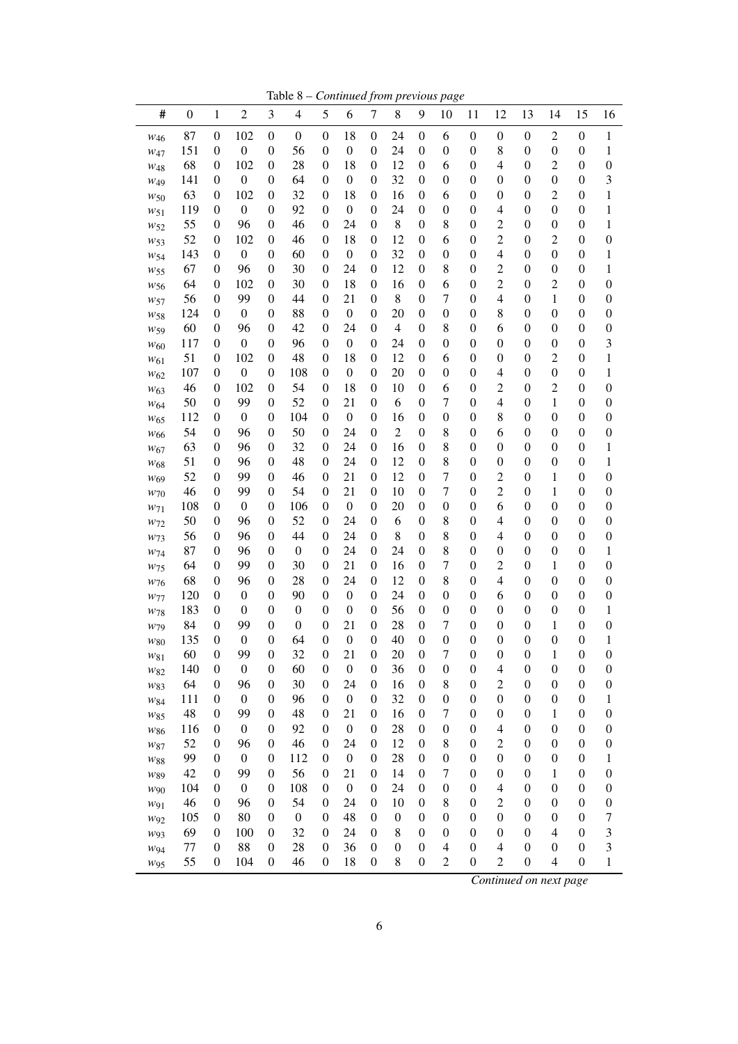Table 8 – *Continued from previous page*

|                                    |                  |                                      |                         |                  | rabie o                |                                      |                        |                                      |                        |                                      | Continued from previous page |                                      |                                    |                                      |                                      |                                      |                       |
|------------------------------------|------------------|--------------------------------------|-------------------------|------------------|------------------------|--------------------------------------|------------------------|--------------------------------------|------------------------|--------------------------------------|------------------------------|--------------------------------------|------------------------------------|--------------------------------------|--------------------------------------|--------------------------------------|-----------------------|
| #                                  | $\boldsymbol{0}$ | $\mathbf{1}$                         | $\overline{c}$          | 3                | $\overline{4}$         | 5                                    | 6                      | $\tau$                               | 8                      | 9                                    | 10                           | 11                                   | 12                                 | 13                                   | 14                                   | 15                                   | 16                    |
| $W_{46}$                           | 87               | $\boldsymbol{0}$                     | 102                     | $\boldsymbol{0}$ | $\boldsymbol{0}$       | $\boldsymbol{0}$                     | 18                     | $\boldsymbol{0}$                     | 24                     | $\boldsymbol{0}$                     | 6                            | $\boldsymbol{0}$                     | $\boldsymbol{0}$                   | $\boldsymbol{0}$                     | $\overline{c}$                       | $\boldsymbol{0}$                     | $\mathbf{1}$          |
| W <sub>47</sub>                    | 151              | $\boldsymbol{0}$                     | $\boldsymbol{0}$        | $\boldsymbol{0}$ | 56                     | $\boldsymbol{0}$                     | $\boldsymbol{0}$       | $\boldsymbol{0}$                     | 24                     | $\boldsymbol{0}$                     | $\boldsymbol{0}$             | $\boldsymbol{0}$                     | 8                                  | $\boldsymbol{0}$                     | $\boldsymbol{0}$                     | $\boldsymbol{0}$                     | 1                     |
| $W_{48}$                           | 68               | $\boldsymbol{0}$                     | 102                     | 0                | 28                     | $\boldsymbol{0}$                     | 18                     | $\boldsymbol{0}$                     | 12                     | $\boldsymbol{0}$                     | 6                            | $\boldsymbol{0}$                     | 4                                  | $\boldsymbol{0}$                     | 2                                    | $\boldsymbol{0}$                     | $\boldsymbol{0}$      |
| W <sub>49</sub>                    | 141              | $\boldsymbol{0}$                     | $\boldsymbol{0}$        | $\boldsymbol{0}$ | 64                     | $\boldsymbol{0}$                     | $\boldsymbol{0}$       | $\boldsymbol{0}$                     | 32                     | $\boldsymbol{0}$                     | $\boldsymbol{0}$             | $\boldsymbol{0}$                     | 0                                  | $\boldsymbol{0}$                     | $\boldsymbol{0}$                     | $\boldsymbol{0}$                     | 3                     |
| $W$ 50                             | 63               | $\boldsymbol{0}$                     | 102                     | 0                | 32                     | $\boldsymbol{0}$                     | 18                     | 0                                    | 16                     | $\boldsymbol{0}$                     | 6                            | $\boldsymbol{0}$                     | $\boldsymbol{0}$                   | $\boldsymbol{0}$                     | $\overline{c}$                       | $\boldsymbol{0}$                     | 1                     |
| W51                                | 119              | $\boldsymbol{0}$                     | $\boldsymbol{0}$        | $\boldsymbol{0}$ | 92                     | $\boldsymbol{0}$                     | $\boldsymbol{0}$       | 0                                    | 24                     | $\boldsymbol{0}$                     | $\boldsymbol{0}$             | $\boldsymbol{0}$                     | 4                                  | $\boldsymbol{0}$                     | $\boldsymbol{0}$                     | $\boldsymbol{0}$                     | 1                     |
| $w_{52}$                           | 55               | $\boldsymbol{0}$                     | 96                      | 0                | 46                     | $\boldsymbol{0}$                     | 24                     | 0                                    | 8                      | $\boldsymbol{0}$                     | 8                            | $\boldsymbol{0}$                     | $\overline{c}$                     | $\boldsymbol{0}$                     | $\boldsymbol{0}$                     | $\boldsymbol{0}$                     | 1                     |
| $W_{53}$                           | 52               | 0                                    | 102                     | $\boldsymbol{0}$ | 46                     | $\boldsymbol{0}$                     | 18                     | 0                                    | 12                     | $\boldsymbol{0}$                     | 6                            | $\boldsymbol{0}$                     | $\overline{c}$                     | 0                                    | $\overline{c}$                       | $\boldsymbol{0}$                     | $\boldsymbol{0}$      |
| $W_{54}$                           | 143              | 0                                    | $\boldsymbol{0}$        | $\boldsymbol{0}$ | 60                     | $\boldsymbol{0}$                     | $\boldsymbol{0}$       | 0                                    | 32                     | $\boldsymbol{0}$                     | $\boldsymbol{0}$             | $\boldsymbol{0}$                     | 4                                  | $\boldsymbol{0}$                     | $\boldsymbol{0}$                     | $\boldsymbol{0}$                     | 1                     |
| $W$ 55                             | 67               | $\boldsymbol{0}$                     | 96                      | 0                | 30                     | $\boldsymbol{0}$                     | 24                     | 0                                    | 12                     | $\boldsymbol{0}$                     | 8                            | $\boldsymbol{0}$                     | $\overline{c}$                     | $\boldsymbol{0}$                     | $\boldsymbol{0}$                     | $\boldsymbol{0}$                     | 1                     |
| $W$ 56                             | 64               | 0                                    | 102                     | 0                | 30                     | $\boldsymbol{0}$                     | 18                     | 0                                    | 16                     | $\boldsymbol{0}$                     | 6                            | $\boldsymbol{0}$                     | $\overline{c}$                     | $\boldsymbol{0}$                     | $\overline{c}$                       | $\boldsymbol{0}$                     | $\boldsymbol{0}$      |
| W57                                | 56               | $\boldsymbol{0}$                     | 99                      | 0                | 44                     | $\boldsymbol{0}$                     | 21                     | $\boldsymbol{0}$                     | 8                      | $\boldsymbol{0}$                     | $\tau$                       | $\boldsymbol{0}$                     | 4                                  | $\boldsymbol{0}$                     | 1                                    | $\boldsymbol{0}$                     | $\boldsymbol{0}$      |
| $W_{58}$                           | 124              | $\boldsymbol{0}$                     | $\boldsymbol{0}$        | $\boldsymbol{0}$ | 88                     | $\boldsymbol{0}$                     | $\boldsymbol{0}$       | 0                                    | 20                     | $\boldsymbol{0}$                     | $\boldsymbol{0}$             | $\boldsymbol{0}$                     | 8                                  | $\boldsymbol{0}$                     | $\boldsymbol{0}$                     | $\boldsymbol{0}$                     | $\boldsymbol{0}$      |
| W <sub>59</sub>                    | 60               | 0                                    | 96                      | $\boldsymbol{0}$ | 42                     | $\boldsymbol{0}$                     | 24                     | $\boldsymbol{0}$                     | $\overline{4}$         | $\boldsymbol{0}$                     | 8                            | $\boldsymbol{0}$                     | 6                                  | $\boldsymbol{0}$                     | $\boldsymbol{0}$                     | $\boldsymbol{0}$                     | $\boldsymbol{0}$      |
| $W_{60}$                           | 117              | $\boldsymbol{0}$                     | $\boldsymbol{0}$        | 0                | 96<br>48               | $\boldsymbol{0}$                     | $\boldsymbol{0}$       | 0                                    | 24                     | $\boldsymbol{0}$                     | $\boldsymbol{0}$             | $\boldsymbol{0}$                     | 0                                  | $\boldsymbol{0}$                     | $\boldsymbol{0}$                     | $\boldsymbol{0}$                     | 3                     |
| $W_{61}$                           | 51<br>107        | $\boldsymbol{0}$<br>$\boldsymbol{0}$ | 102<br>$\boldsymbol{0}$ | 0<br>0           | 108                    | $\boldsymbol{0}$<br>$\boldsymbol{0}$ | 18<br>$\boldsymbol{0}$ | 0<br>0                               | 12<br>20               | $\boldsymbol{0}$<br>$\boldsymbol{0}$ | 6<br>$\boldsymbol{0}$        | $\boldsymbol{0}$<br>$\boldsymbol{0}$ | $\boldsymbol{0}$<br>4              | $\boldsymbol{0}$<br>$\boldsymbol{0}$ | $\overline{c}$<br>$\boldsymbol{0}$   | $\boldsymbol{0}$<br>$\boldsymbol{0}$ | $\mathbf{1}$<br>1     |
| $w_{62}$                           | 46               | $\boldsymbol{0}$                     | 102                     | $\boldsymbol{0}$ | 54                     | $\boldsymbol{0}$                     | 18                     | 0                                    | 10                     | $\boldsymbol{0}$                     | 6                            | $\boldsymbol{0}$                     | $\overline{c}$                     | $\boldsymbol{0}$                     | $\overline{c}$                       | $\boldsymbol{0}$                     | $\boldsymbol{0}$      |
| $W_{63}$                           | 50               | $\mathbf{0}$                         | 99                      | $\boldsymbol{0}$ | 52                     | $\boldsymbol{0}$                     | 21                     | 0                                    | 6                      | $\boldsymbol{0}$                     | 7                            | $\boldsymbol{0}$                     | 4                                  | $\boldsymbol{0}$                     | 1                                    | $\boldsymbol{0}$                     | $\boldsymbol{0}$      |
| W <sub>64</sub>                    | 112              | $\boldsymbol{0}$                     | $\boldsymbol{0}$        | 0                | 104                    | $\boldsymbol{0}$                     | $\boldsymbol{0}$       | 0                                    | 16                     | $\boldsymbol{0}$                     | $\boldsymbol{0}$             | $\boldsymbol{0}$                     | 8                                  | $\boldsymbol{0}$                     | $\boldsymbol{0}$                     | $\boldsymbol{0}$                     | $\boldsymbol{0}$      |
| W <sub>65</sub><br>W <sub>66</sub> | 54               | $\boldsymbol{0}$                     | 96                      | $\boldsymbol{0}$ | 50                     | $\boldsymbol{0}$                     | 24                     | 0                                    | $\mathfrak{2}$         | $\boldsymbol{0}$                     | 8                            | $\boldsymbol{0}$                     | 6                                  | $\boldsymbol{0}$                     | $\boldsymbol{0}$                     | $\boldsymbol{0}$                     | $\boldsymbol{0}$      |
| W <sub>67</sub>                    | 63               | $\boldsymbol{0}$                     | 96                      | $\boldsymbol{0}$ | 32                     | $\boldsymbol{0}$                     | 24                     | 0                                    | 16                     | $\boldsymbol{0}$                     | 8                            | $\boldsymbol{0}$                     | $\boldsymbol{0}$                   | $\boldsymbol{0}$                     | $\boldsymbol{0}$                     | $\boldsymbol{0}$                     | 1                     |
| $W_{68}$                           | 51               | $\boldsymbol{0}$                     | 96                      | $\boldsymbol{0}$ | 48                     | $\boldsymbol{0}$                     | 24                     | 0                                    | 12                     | $\boldsymbol{0}$                     | 8                            | $\boldsymbol{0}$                     | $\boldsymbol{0}$                   | $\boldsymbol{0}$                     | $\boldsymbol{0}$                     | $\boldsymbol{0}$                     | 1                     |
| W <sub>69</sub>                    | 52               | $\boldsymbol{0}$                     | 99                      | $\boldsymbol{0}$ | 46                     | $\boldsymbol{0}$                     | 21                     | 0                                    | 12                     | $\boldsymbol{0}$                     | $\boldsymbol{7}$             | $\boldsymbol{0}$                     | $\overline{c}$                     | $\boldsymbol{0}$                     | 1                                    | $\boldsymbol{0}$                     | $\boldsymbol{0}$      |
| $W$ 70                             | 46               | $\boldsymbol{0}$                     | 99                      | $\boldsymbol{0}$ | 54                     | $\boldsymbol{0}$                     | 21                     | 0                                    | 10                     | $\boldsymbol{0}$                     | $\boldsymbol{7}$             | $\boldsymbol{0}$                     | $\overline{c}$                     | $\boldsymbol{0}$                     | 1                                    | $\boldsymbol{0}$                     | $\boldsymbol{0}$      |
| $W_71$                             | 108              | $\boldsymbol{0}$                     | $\boldsymbol{0}$        | $\boldsymbol{0}$ | 106                    | $\boldsymbol{0}$                     | $\boldsymbol{0}$       | $\boldsymbol{0}$                     | 20                     | $\boldsymbol{0}$                     | $\boldsymbol{0}$             | $\boldsymbol{0}$                     | 6                                  | $\boldsymbol{0}$                     | $\boldsymbol{0}$                     | $\boldsymbol{0}$                     | $\boldsymbol{0}$      |
| W <sub>72</sub>                    | 50               | $\boldsymbol{0}$                     | 96                      | $\boldsymbol{0}$ | 52                     | $\boldsymbol{0}$                     | 24                     | $\boldsymbol{0}$                     | 6                      | $\boldsymbol{0}$                     | 8                            | $\boldsymbol{0}$                     | 4                                  | $\boldsymbol{0}$                     | $\boldsymbol{0}$                     | $\boldsymbol{0}$                     | $\boldsymbol{0}$      |
| W <sub>73</sub>                    | 56               | $\boldsymbol{0}$                     | 96                      | $\boldsymbol{0}$ | 44                     | $\boldsymbol{0}$                     | 24                     | $\boldsymbol{0}$                     | 8                      | $\boldsymbol{0}$                     | 8                            | $\boldsymbol{0}$                     | 4                                  | $\boldsymbol{0}$                     | $\boldsymbol{0}$                     | $\boldsymbol{0}$                     | $\boldsymbol{0}$      |
| W74                                | 87               | $\boldsymbol{0}$                     | 96                      | $\boldsymbol{0}$ | $\boldsymbol{0}$       | $\boldsymbol{0}$                     | 24                     | $\boldsymbol{0}$                     | 24                     | $\boldsymbol{0}$                     | 8                            | $\boldsymbol{0}$                     | $\boldsymbol{0}$                   | $\boldsymbol{0}$                     | $\boldsymbol{0}$                     | $\boldsymbol{0}$                     | 1                     |
| W <sub>75</sub>                    | 64               | $\boldsymbol{0}$                     | 99                      | $\boldsymbol{0}$ | 30                     | $\boldsymbol{0}$                     | 21                     | $\boldsymbol{0}$                     | 16                     | $\boldsymbol{0}$                     | $\tau$                       | $\boldsymbol{0}$                     | $\overline{c}$                     | $\boldsymbol{0}$                     | 1                                    | $\boldsymbol{0}$                     | $\boldsymbol{0}$      |
| $W$ 76                             | 68               | $\boldsymbol{0}$                     | 96                      | $\boldsymbol{0}$ | 28                     | $\boldsymbol{0}$                     | 24                     | $\boldsymbol{0}$                     | 12                     | $\boldsymbol{0}$                     | 8                            | $\boldsymbol{0}$                     | $\overline{\mathcal{L}}$           | $\boldsymbol{0}$                     | $\boldsymbol{0}$                     | $\boldsymbol{0}$                     | $\boldsymbol{0}$      |
| W77                                | 120              | $\boldsymbol{0}$                     | $\boldsymbol{0}$        | $\boldsymbol{0}$ | 90                     | $\boldsymbol{0}$                     | $\boldsymbol{0}$       | $\boldsymbol{0}$                     | 24                     | $\boldsymbol{0}$                     | $\boldsymbol{0}$             | $\boldsymbol{0}$                     | 6                                  | $\boldsymbol{0}$                     | $\boldsymbol{0}$                     | $\boldsymbol{0}$                     | $\boldsymbol{0}$      |
| W <sub>78</sub>                    | 183              | $\boldsymbol{0}$                     | $\boldsymbol{0}$        | $\boldsymbol{0}$ | $\boldsymbol{0}$       | $\boldsymbol{0}$                     | $\boldsymbol{0}$       | $\boldsymbol{0}$                     | 56                     | $\boldsymbol{0}$                     | $\boldsymbol{0}$             | $\boldsymbol{0}$                     | 0                                  | $\boldsymbol{0}$                     | $\boldsymbol{0}$                     | $\boldsymbol{0}$                     | 1                     |
| W79                                | 84               | 0                                    | 99                      | $\boldsymbol{0}$ | $\boldsymbol{0}$       | $\boldsymbol{0}$                     | 21                     | $\boldsymbol{0}$                     | 28                     | $\boldsymbol{0}$                     | 7                            | $\boldsymbol{0}$                     | $\boldsymbol{0}$                   | $\boldsymbol{0}$                     | 1                                    | $\boldsymbol{0}$                     | $\boldsymbol{0}$      |
| $W_{80}$                           | 135              | 0                                    | $\boldsymbol{0}$        | $\boldsymbol{0}$ | 64                     | $\boldsymbol{0}$                     | $\boldsymbol{0}$       | $\boldsymbol{0}$                     | 40                     | $\boldsymbol{0}$                     | $\boldsymbol{0}$             | $\boldsymbol{0}$                     | $\boldsymbol{0}$                   | $\boldsymbol{0}$                     | $\boldsymbol{0}$                     | $\boldsymbol{0}$                     | 1                     |
| W81                                | 60               | $\boldsymbol{0}$                     | 99                      | $\boldsymbol{0}$ | 32                     | $\boldsymbol{0}$                     | 21                     | $\boldsymbol{0}$                     | 20                     | $\boldsymbol{0}$                     | 7                            | $\boldsymbol{0}$                     | $\boldsymbol{0}$                   | $\boldsymbol{0}$                     | 1                                    | $\boldsymbol{0}$                     | $\boldsymbol{0}$      |
| W82                                | 140              | 0                                    | $\boldsymbol{0}$        | $\boldsymbol{0}$ | 60                     | $\boldsymbol{0}$                     | $\boldsymbol{0}$       | $\boldsymbol{0}$                     | 36                     | $\boldsymbol{0}$                     | $\boldsymbol{0}$             | $\boldsymbol{0}$                     | 4                                  | $\boldsymbol{0}$                     | $\boldsymbol{0}$                     | $\boldsymbol{0}$                     | $\boldsymbol{0}$      |
| $W83$                              | 64               | 0                                    | 96                      | $\boldsymbol{0}$ | 30                     | $\boldsymbol{0}$                     | 24                     | $\boldsymbol{0}$                     | 16                     | $\boldsymbol{0}$                     | 8                            | $\boldsymbol{0}$                     | $\overline{c}$                     | $\boldsymbol{0}$                     | $\boldsymbol{0}$                     | $\boldsymbol{0}$                     | $\boldsymbol{0}$      |
| $W84$                              | 111              | $\boldsymbol{0}$                     | $\boldsymbol{0}$        | 0                | 96                     | $\boldsymbol{0}$                     | $\boldsymbol{0}$       | $\boldsymbol{0}$                     | 32                     | $\boldsymbol{0}$                     | $\boldsymbol{0}$             | $\boldsymbol{0}$                     | 0                                  | $\boldsymbol{0}$                     | $\boldsymbol{0}$                     | $\boldsymbol{0}$                     | 1                     |
| $W85$                              | 48               | $\overline{0}$                       | 99                      | $\boldsymbol{0}$ | 48                     | $\boldsymbol{0}$                     | 21                     | $\boldsymbol{0}$                     | 16                     | $\boldsymbol{0}$                     | 7                            | $\boldsymbol{0}$                     | 0                                  | $\boldsymbol{0}$                     | 1                                    | $\boldsymbol{0}$                     | $\boldsymbol{0}$      |
| W86                                | 116              | 0                                    | $\boldsymbol{0}$        | $\boldsymbol{0}$ | 92                     | $\boldsymbol{0}$                     | $\boldsymbol{0}$       | $\boldsymbol{0}$                     | 28                     | $\boldsymbol{0}$                     | $\boldsymbol{0}$             | $\boldsymbol{0}$                     | $\overline{4}$                     | $\boldsymbol{0}$                     | $\boldsymbol{0}$                     | $\boldsymbol{0}$                     | $\boldsymbol{0}$      |
| $W87$                              | 52               | 0                                    | 96                      | $\boldsymbol{0}$ | 46                     | $\boldsymbol{0}$                     | 24                     | $\boldsymbol{0}$                     | 12                     | $\boldsymbol{0}$                     | 8                            | $\boldsymbol{0}$                     | $\overline{c}$                     | $\boldsymbol{0}$                     | $\boldsymbol{0}$                     | $\boldsymbol{0}$                     | $\boldsymbol{0}$      |
| $W88$                              | 99               | 0                                    | $\boldsymbol{0}$        | 0                | 112                    | $\boldsymbol{0}$                     | $\boldsymbol{0}$       | $\boldsymbol{0}$                     | 28                     | $\boldsymbol{0}$                     | $\boldsymbol{0}$             | $\boldsymbol{0}$                     | $\boldsymbol{0}$                   | $\boldsymbol{0}$                     | $\boldsymbol{0}$                     | $\boldsymbol{0}$                     | 1                     |
| W89                                | 42               | 0                                    | 99                      | $\boldsymbol{0}$ | 56                     | $\boldsymbol{0}$                     | 21                     | $\boldsymbol{0}$                     | 14                     | $\boldsymbol{0}$                     | 7                            | $\boldsymbol{0}$                     | 0                                  | $\boldsymbol{0}$                     | 1                                    | $\boldsymbol{0}$                     | $\boldsymbol{0}$      |
| $W$ 90                             | 104              | $\boldsymbol{0}$                     | $\boldsymbol{0}$        | 0                | 108                    | $\boldsymbol{0}$                     | $\boldsymbol{0}$       | $\boldsymbol{0}$                     | 24                     | $\boldsymbol{0}$                     | $\boldsymbol{0}$             | $\boldsymbol{0}$                     | $\overline{\mathcal{L}}$           | $\boldsymbol{0}$                     | $\boldsymbol{0}$                     | $\boldsymbol{0}$                     | $\boldsymbol{0}$      |
| W91                                | 46               | 0<br>0                               | 96<br>80                | 0<br>0           | 54<br>$\boldsymbol{0}$ | $\boldsymbol{0}$<br>$\boldsymbol{0}$ | 24<br>48               | $\boldsymbol{0}$<br>$\boldsymbol{0}$ | 10<br>$\boldsymbol{0}$ | $\boldsymbol{0}$<br>$\boldsymbol{0}$ | 8<br>$\boldsymbol{0}$        | $\boldsymbol{0}$<br>$\boldsymbol{0}$ | $\overline{c}$<br>$\boldsymbol{0}$ | $\boldsymbol{0}$<br>$\boldsymbol{0}$ | $\boldsymbol{0}$<br>$\boldsymbol{0}$ | $\boldsymbol{0}$<br>$\boldsymbol{0}$ | $\boldsymbol{0}$<br>7 |
| W <sub>92</sub>                    | 105<br>69        | 0                                    | 100                     | $\boldsymbol{0}$ | 32                     | $\boldsymbol{0}$                     | 24                     | $\boldsymbol{0}$                     | 8                      | $\boldsymbol{0}$                     | $\boldsymbol{0}$             | $\boldsymbol{0}$                     | 0                                  | $\boldsymbol{0}$                     | $\overline{4}$                       | $\boldsymbol{0}$                     | 3                     |
| W <sub>93</sub>                    | 77               | $\boldsymbol{0}$                     | 88                      | $\boldsymbol{0}$ | 28                     | $\boldsymbol{0}$                     | 36                     | $\boldsymbol{0}$                     | $\overline{0}$         | $\boldsymbol{0}$                     | 4                            | $\boldsymbol{0}$                     | 4                                  | $\boldsymbol{0}$                     | $\boldsymbol{0}$                     | $\boldsymbol{0}$                     | 3                     |
| W94                                | 55               | $\boldsymbol{0}$                     | 104                     | $\boldsymbol{0}$ | 46                     | $\boldsymbol{0}$                     | 18                     | $\boldsymbol{0}$                     | 8                      | $\boldsymbol{0}$                     | $\overline{2}$               | $\boldsymbol{0}$                     | $\overline{c}$                     | $\boldsymbol{0}$                     | $\overline{4}$                       | $\boldsymbol{0}$                     | 1                     |
| W95                                |                  |                                      |                         |                  |                        |                                      |                        |                                      |                        |                                      |                              |                                      |                                    |                                      |                                      |                                      |                       |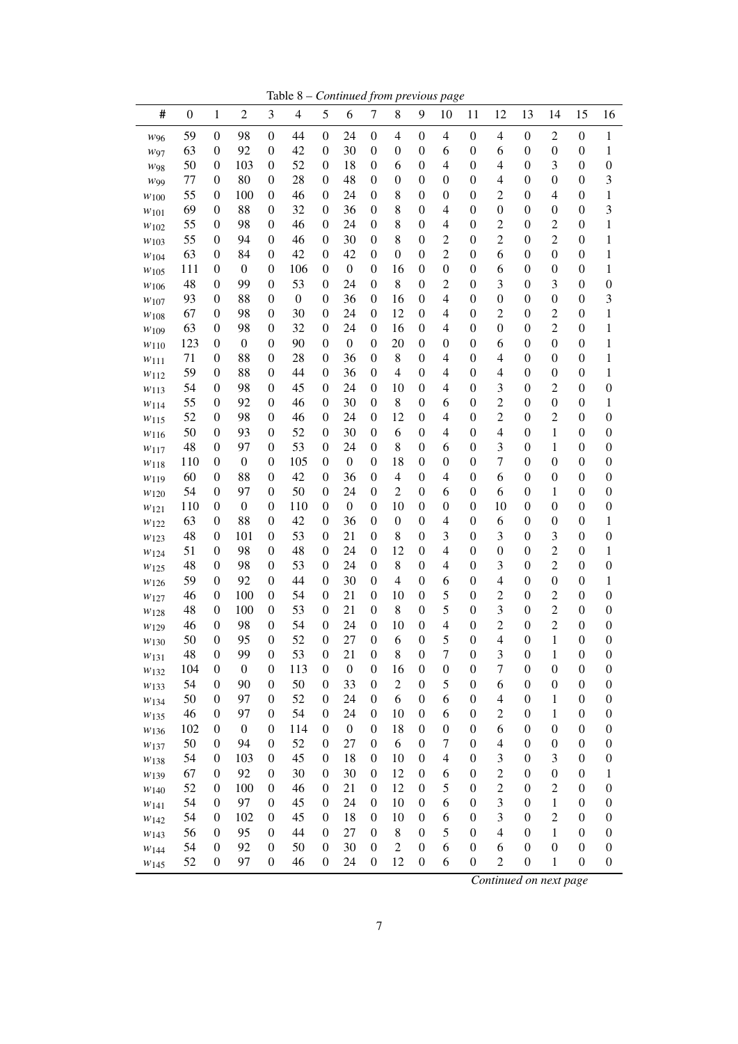Table 8 – *Continued from previous page*

| 59<br>98<br>$\boldsymbol{0}$<br>$\boldsymbol{0}$<br>$\boldsymbol{0}$<br>$\boldsymbol{0}$<br>44<br>$\boldsymbol{0}$<br>24<br>$\boldsymbol{0}$<br>4<br>4<br>$\boldsymbol{0}$<br>$\overline{\mathcal{A}}$<br>$\boldsymbol{0}$<br>2<br>W96<br>63<br>92<br>42<br>30<br>$\boldsymbol{0}$<br>$\boldsymbol{0}$<br>$\theta$<br>$\boldsymbol{0}$<br>$\boldsymbol{0}$<br>$\boldsymbol{0}$<br>6<br>$\boldsymbol{0}$<br>6<br>$\boldsymbol{0}$<br>$\boldsymbol{0}$<br>$\boldsymbol{0}$<br>W97<br>50<br>52<br>3<br>$\boldsymbol{0}$<br>103<br>$\boldsymbol{0}$<br>$\theta$<br>18<br>$\boldsymbol{0}$<br>6<br>$\boldsymbol{0}$<br>4<br>$\boldsymbol{0}$<br>4<br>$\boldsymbol{0}$<br>$\boldsymbol{0}$<br>W98<br>80<br>28<br>48<br>77<br>$\boldsymbol{0}$<br>$\boldsymbol{0}$<br>$\theta$<br>$\boldsymbol{0}$<br>$\boldsymbol{0}$<br>$\boldsymbol{0}$<br>$\boldsymbol{0}$<br>$\boldsymbol{0}$<br>4<br>$\boldsymbol{0}$<br>$\boldsymbol{0}$<br>$\boldsymbol{0}$<br>W99<br>55<br>46<br>$\overline{c}$<br>$\boldsymbol{0}$<br>100<br>$\boldsymbol{0}$<br>$\theta$<br>24<br>$\boldsymbol{0}$<br>8<br>$\boldsymbol{0}$<br>$\boldsymbol{0}$<br>$\boldsymbol{0}$<br>$\boldsymbol{0}$<br>4<br>$\boldsymbol{0}$<br>W100<br>88<br>32<br>8<br>69<br>$\boldsymbol{0}$<br>$\boldsymbol{0}$<br>$\theta$<br>36<br>$\boldsymbol{0}$<br>$\boldsymbol{0}$<br>4<br>$\boldsymbol{0}$<br>$\boldsymbol{0}$<br>$\boldsymbol{0}$<br>$\boldsymbol{0}$<br>$\boldsymbol{0}$<br>W101<br>55<br>46<br>8<br>$\boldsymbol{0}$<br>$\overline{c}$<br>$\overline{c}$<br>$\boldsymbol{0}$<br>98<br>$\boldsymbol{0}$<br>24<br>0<br>$\boldsymbol{0}$<br>4<br>$\boldsymbol{0}$<br>$\boldsymbol{0}$<br>0<br>W102<br>$\overline{c}$<br>55<br>30<br>8<br>$\overline{c}$<br>$\boldsymbol{0}$<br>$\overline{c}$<br>$\boldsymbol{0}$<br>94<br>$\boldsymbol{0}$<br>46<br>$\boldsymbol{0}$<br>$\boldsymbol{0}$<br>$\boldsymbol{0}$<br>$\boldsymbol{0}$<br>0<br>W <sub>103</sub><br>63<br>42<br>42<br>$\overline{c}$<br>$\boldsymbol{0}$<br>6<br>$\boldsymbol{0}$<br>84<br>$\boldsymbol{0}$<br>0<br>$\boldsymbol{0}$<br>$\boldsymbol{0}$<br>$\boldsymbol{0}$<br>$\boldsymbol{0}$<br>$\boldsymbol{0}$<br>0<br>W104<br>111<br>$\boldsymbol{0}$<br>$\boldsymbol{0}$<br>$\boldsymbol{0}$<br>106<br>$\boldsymbol{0}$<br>0<br>16<br>$\boldsymbol{0}$<br>$\boldsymbol{0}$<br>$\boldsymbol{0}$<br>6<br>$\boldsymbol{0}$<br>$\boldsymbol{0}$<br>$\boldsymbol{0}$<br>0<br>W105<br>99<br>53<br>8<br>$\overline{c}$<br>3<br>3<br>48<br>$\boldsymbol{0}$<br>$\boldsymbol{0}$<br>24<br>$\boldsymbol{0}$<br>$\boldsymbol{0}$<br>$\boldsymbol{0}$<br>$\boldsymbol{0}$<br>$\boldsymbol{0}$<br>0<br>W106<br>88<br>36<br>$\boldsymbol{0}$<br>$\boldsymbol{0}$<br>93<br>$\boldsymbol{0}$<br>$\boldsymbol{0}$<br>$\boldsymbol{0}$<br>0<br>16<br>$\boldsymbol{0}$<br>4<br>$\boldsymbol{0}$<br>$\boldsymbol{0}$<br>$\boldsymbol{0}$<br>0<br>W107<br>67<br>30<br>24<br>12<br>$\overline{c}$<br>$\overline{c}$<br>$\boldsymbol{0}$<br>98<br>$\boldsymbol{0}$<br>0<br>$\boldsymbol{0}$<br>4<br>$\boldsymbol{0}$<br>$\boldsymbol{0}$<br>$\boldsymbol{0}$<br>0<br>W <sub>108</sub><br>63<br>32<br>$\boldsymbol{0}$<br>$\overline{c}$<br>$\boldsymbol{0}$<br>98<br>$\boldsymbol{0}$<br>24<br>0<br>16<br>$\boldsymbol{0}$<br>4<br>$\boldsymbol{0}$<br>$\boldsymbol{0}$<br>$\boldsymbol{0}$<br>0<br>W109<br>123<br>$\boldsymbol{0}$<br>$\boldsymbol{0}$<br>$\boldsymbol{0}$<br>90<br>$\boldsymbol{0}$<br>0<br>20<br>$\boldsymbol{0}$<br>$\boldsymbol{0}$<br>$\boldsymbol{0}$<br>6<br>$\boldsymbol{0}$<br>$\boldsymbol{0}$<br>$\boldsymbol{0}$<br>0<br>W110 | # | $\boldsymbol{0}$ | $\mathbf{1}$ | $\sqrt{2}$ | 3 | $\overline{4}$ | 5 | 6 | $\boldsymbol{7}$ | 8 | 9 | 10 | 11 | 12 | 13 | 14 | 15 | 16                                   |
|-----------------------------------------------------------------------------------------------------------------------------------------------------------------------------------------------------------------------------------------------------------------------------------------------------------------------------------------------------------------------------------------------------------------------------------------------------------------------------------------------------------------------------------------------------------------------------------------------------------------------------------------------------------------------------------------------------------------------------------------------------------------------------------------------------------------------------------------------------------------------------------------------------------------------------------------------------------------------------------------------------------------------------------------------------------------------------------------------------------------------------------------------------------------------------------------------------------------------------------------------------------------------------------------------------------------------------------------------------------------------------------------------------------------------------------------------------------------------------------------------------------------------------------------------------------------------------------------------------------------------------------------------------------------------------------------------------------------------------------------------------------------------------------------------------------------------------------------------------------------------------------------------------------------------------------------------------------------------------------------------------------------------------------------------------------------------------------------------------------------------------------------------------------------------------------------------------------------------------------------------------------------------------------------------------------------------------------------------------------------------------------------------------------------------------------------------------------------------------------------------------------------------------------------------------------------------------------------------------------------------------------------------------------------------------------------------------------------------------------------------------------------------------------------------------------------------------------------------------------------------------------------------------------------------------------------------------------------------------------------------------------------------------------------------------------------------------------------------------------------------------------------------------------------------------------------------------------------------------------------------------------------------------------------------------------------------------------------------------------------------------------------------------------------------------------------------------------------------------------------------------------------------------------------------------------|---|------------------|--------------|------------|---|----------------|---|---|------------------|---|---|----|----|----|----|----|----|--------------------------------------|
|                                                                                                                                                                                                                                                                                                                                                                                                                                                                                                                                                                                                                                                                                                                                                                                                                                                                                                                                                                                                                                                                                                                                                                                                                                                                                                                                                                                                                                                                                                                                                                                                                                                                                                                                                                                                                                                                                                                                                                                                                                                                                                                                                                                                                                                                                                                                                                                                                                                                                                                                                                                                                                                                                                                                                                                                                                                                                                                                                                                                                                                                                                                                                                                                                                                                                                                                                                                                                                                                                                                                                           |   |                  |              |            |   |                |   |   |                  |   |   |    |    |    |    |    |    | 1                                    |
|                                                                                                                                                                                                                                                                                                                                                                                                                                                                                                                                                                                                                                                                                                                                                                                                                                                                                                                                                                                                                                                                                                                                                                                                                                                                                                                                                                                                                                                                                                                                                                                                                                                                                                                                                                                                                                                                                                                                                                                                                                                                                                                                                                                                                                                                                                                                                                                                                                                                                                                                                                                                                                                                                                                                                                                                                                                                                                                                                                                                                                                                                                                                                                                                                                                                                                                                                                                                                                                                                                                                                           |   |                  |              |            |   |                |   |   |                  |   |   |    |    |    |    |    |    | 1                                    |
|                                                                                                                                                                                                                                                                                                                                                                                                                                                                                                                                                                                                                                                                                                                                                                                                                                                                                                                                                                                                                                                                                                                                                                                                                                                                                                                                                                                                                                                                                                                                                                                                                                                                                                                                                                                                                                                                                                                                                                                                                                                                                                                                                                                                                                                                                                                                                                                                                                                                                                                                                                                                                                                                                                                                                                                                                                                                                                                                                                                                                                                                                                                                                                                                                                                                                                                                                                                                                                                                                                                                                           |   |                  |              |            |   |                |   |   |                  |   |   |    |    |    |    |    |    | $\boldsymbol{0}$                     |
|                                                                                                                                                                                                                                                                                                                                                                                                                                                                                                                                                                                                                                                                                                                                                                                                                                                                                                                                                                                                                                                                                                                                                                                                                                                                                                                                                                                                                                                                                                                                                                                                                                                                                                                                                                                                                                                                                                                                                                                                                                                                                                                                                                                                                                                                                                                                                                                                                                                                                                                                                                                                                                                                                                                                                                                                                                                                                                                                                                                                                                                                                                                                                                                                                                                                                                                                                                                                                                                                                                                                                           |   |                  |              |            |   |                |   |   |                  |   |   |    |    |    |    |    |    | 3                                    |
|                                                                                                                                                                                                                                                                                                                                                                                                                                                                                                                                                                                                                                                                                                                                                                                                                                                                                                                                                                                                                                                                                                                                                                                                                                                                                                                                                                                                                                                                                                                                                                                                                                                                                                                                                                                                                                                                                                                                                                                                                                                                                                                                                                                                                                                                                                                                                                                                                                                                                                                                                                                                                                                                                                                                                                                                                                                                                                                                                                                                                                                                                                                                                                                                                                                                                                                                                                                                                                                                                                                                                           |   |                  |              |            |   |                |   |   |                  |   |   |    |    |    |    |    |    | $\mathbf{1}$                         |
|                                                                                                                                                                                                                                                                                                                                                                                                                                                                                                                                                                                                                                                                                                                                                                                                                                                                                                                                                                                                                                                                                                                                                                                                                                                                                                                                                                                                                                                                                                                                                                                                                                                                                                                                                                                                                                                                                                                                                                                                                                                                                                                                                                                                                                                                                                                                                                                                                                                                                                                                                                                                                                                                                                                                                                                                                                                                                                                                                                                                                                                                                                                                                                                                                                                                                                                                                                                                                                                                                                                                                           |   |                  |              |            |   |                |   |   |                  |   |   |    |    |    |    |    |    | 3                                    |
|                                                                                                                                                                                                                                                                                                                                                                                                                                                                                                                                                                                                                                                                                                                                                                                                                                                                                                                                                                                                                                                                                                                                                                                                                                                                                                                                                                                                                                                                                                                                                                                                                                                                                                                                                                                                                                                                                                                                                                                                                                                                                                                                                                                                                                                                                                                                                                                                                                                                                                                                                                                                                                                                                                                                                                                                                                                                                                                                                                                                                                                                                                                                                                                                                                                                                                                                                                                                                                                                                                                                                           |   |                  |              |            |   |                |   |   |                  |   |   |    |    |    |    |    |    | 1                                    |
|                                                                                                                                                                                                                                                                                                                                                                                                                                                                                                                                                                                                                                                                                                                                                                                                                                                                                                                                                                                                                                                                                                                                                                                                                                                                                                                                                                                                                                                                                                                                                                                                                                                                                                                                                                                                                                                                                                                                                                                                                                                                                                                                                                                                                                                                                                                                                                                                                                                                                                                                                                                                                                                                                                                                                                                                                                                                                                                                                                                                                                                                                                                                                                                                                                                                                                                                                                                                                                                                                                                                                           |   |                  |              |            |   |                |   |   |                  |   |   |    |    |    |    |    |    | 1                                    |
|                                                                                                                                                                                                                                                                                                                                                                                                                                                                                                                                                                                                                                                                                                                                                                                                                                                                                                                                                                                                                                                                                                                                                                                                                                                                                                                                                                                                                                                                                                                                                                                                                                                                                                                                                                                                                                                                                                                                                                                                                                                                                                                                                                                                                                                                                                                                                                                                                                                                                                                                                                                                                                                                                                                                                                                                                                                                                                                                                                                                                                                                                                                                                                                                                                                                                                                                                                                                                                                                                                                                                           |   |                  |              |            |   |                |   |   |                  |   |   |    |    |    |    |    |    | 1                                    |
|                                                                                                                                                                                                                                                                                                                                                                                                                                                                                                                                                                                                                                                                                                                                                                                                                                                                                                                                                                                                                                                                                                                                                                                                                                                                                                                                                                                                                                                                                                                                                                                                                                                                                                                                                                                                                                                                                                                                                                                                                                                                                                                                                                                                                                                                                                                                                                                                                                                                                                                                                                                                                                                                                                                                                                                                                                                                                                                                                                                                                                                                                                                                                                                                                                                                                                                                                                                                                                                                                                                                                           |   |                  |              |            |   |                |   |   |                  |   |   |    |    |    |    |    |    | 1                                    |
|                                                                                                                                                                                                                                                                                                                                                                                                                                                                                                                                                                                                                                                                                                                                                                                                                                                                                                                                                                                                                                                                                                                                                                                                                                                                                                                                                                                                                                                                                                                                                                                                                                                                                                                                                                                                                                                                                                                                                                                                                                                                                                                                                                                                                                                                                                                                                                                                                                                                                                                                                                                                                                                                                                                                                                                                                                                                                                                                                                                                                                                                                                                                                                                                                                                                                                                                                                                                                                                                                                                                                           |   |                  |              |            |   |                |   |   |                  |   |   |    |    |    |    |    |    | $\boldsymbol{0}$                     |
|                                                                                                                                                                                                                                                                                                                                                                                                                                                                                                                                                                                                                                                                                                                                                                                                                                                                                                                                                                                                                                                                                                                                                                                                                                                                                                                                                                                                                                                                                                                                                                                                                                                                                                                                                                                                                                                                                                                                                                                                                                                                                                                                                                                                                                                                                                                                                                                                                                                                                                                                                                                                                                                                                                                                                                                                                                                                                                                                                                                                                                                                                                                                                                                                                                                                                                                                                                                                                                                                                                                                                           |   |                  |              |            |   |                |   |   |                  |   |   |    |    |    |    |    |    | 3                                    |
|                                                                                                                                                                                                                                                                                                                                                                                                                                                                                                                                                                                                                                                                                                                                                                                                                                                                                                                                                                                                                                                                                                                                                                                                                                                                                                                                                                                                                                                                                                                                                                                                                                                                                                                                                                                                                                                                                                                                                                                                                                                                                                                                                                                                                                                                                                                                                                                                                                                                                                                                                                                                                                                                                                                                                                                                                                                                                                                                                                                                                                                                                                                                                                                                                                                                                                                                                                                                                                                                                                                                                           |   |                  |              |            |   |                |   |   |                  |   |   |    |    |    |    |    |    | 1                                    |
|                                                                                                                                                                                                                                                                                                                                                                                                                                                                                                                                                                                                                                                                                                                                                                                                                                                                                                                                                                                                                                                                                                                                                                                                                                                                                                                                                                                                                                                                                                                                                                                                                                                                                                                                                                                                                                                                                                                                                                                                                                                                                                                                                                                                                                                                                                                                                                                                                                                                                                                                                                                                                                                                                                                                                                                                                                                                                                                                                                                                                                                                                                                                                                                                                                                                                                                                                                                                                                                                                                                                                           |   |                  |              |            |   |                |   |   |                  |   |   |    |    |    |    |    |    | 1                                    |
|                                                                                                                                                                                                                                                                                                                                                                                                                                                                                                                                                                                                                                                                                                                                                                                                                                                                                                                                                                                                                                                                                                                                                                                                                                                                                                                                                                                                                                                                                                                                                                                                                                                                                                                                                                                                                                                                                                                                                                                                                                                                                                                                                                                                                                                                                                                                                                                                                                                                                                                                                                                                                                                                                                                                                                                                                                                                                                                                                                                                                                                                                                                                                                                                                                                                                                                                                                                                                                                                                                                                                           |   |                  |              |            |   |                |   |   |                  |   |   |    |    |    |    |    |    | 1                                    |
| 88<br>28<br>8<br>71<br>$\boldsymbol{0}$<br>$\boldsymbol{0}$<br>$\theta$<br>36<br>$\boldsymbol{0}$<br>$\boldsymbol{0}$<br>4<br>$\boldsymbol{0}$<br>4<br>$\boldsymbol{0}$<br>$\boldsymbol{0}$<br>$\boldsymbol{0}$<br>W111                                                                                                                                                                                                                                                                                                                                                                                                                                                                                                                                                                                                                                                                                                                                                                                                                                                                                                                                                                                                                                                                                                                                                                                                                                                                                                                                                                                                                                                                                                                                                                                                                                                                                                                                                                                                                                                                                                                                                                                                                                                                                                                                                                                                                                                                                                                                                                                                                                                                                                                                                                                                                                                                                                                                                                                                                                                                                                                                                                                                                                                                                                                                                                                                                                                                                                                                   |   |                  |              |            |   |                |   |   |                  |   |   |    |    |    |    |    |    | 1                                    |
| 59<br>88<br>44<br>36<br>$\overline{4}$<br>$\overline{4}$<br>$\boldsymbol{0}$<br>$\overline{4}$<br>$\boldsymbol{0}$<br>$\boldsymbol{0}$<br>$\boldsymbol{0}$<br>$\boldsymbol{0}$<br>$\boldsymbol{0}$<br>$\boldsymbol{0}$<br>$\boldsymbol{0}$<br>0<br>$w_{112}$                                                                                                                                                                                                                                                                                                                                                                                                                                                                                                                                                                                                                                                                                                                                                                                                                                                                                                                                                                                                                                                                                                                                                                                                                                                                                                                                                                                                                                                                                                                                                                                                                                                                                                                                                                                                                                                                                                                                                                                                                                                                                                                                                                                                                                                                                                                                                                                                                                                                                                                                                                                                                                                                                                                                                                                                                                                                                                                                                                                                                                                                                                                                                                                                                                                                                              |   |                  |              |            |   |                |   |   |                  |   |   |    |    |    |    |    |    | 1                                    |
| 54<br>45<br>$\boldsymbol{0}$<br>10<br>$\overline{4}$<br>$\boldsymbol{0}$<br>3<br>$\overline{c}$<br>$\boldsymbol{0}$<br>98<br>$\boldsymbol{0}$<br>24<br>$\boldsymbol{0}$<br>$\boldsymbol{0}$<br>$\boldsymbol{0}$<br>0<br>W113                                                                                                                                                                                                                                                                                                                                                                                                                                                                                                                                                                                                                                                                                                                                                                                                                                                                                                                                                                                                                                                                                                                                                                                                                                                                                                                                                                                                                                                                                                                                                                                                                                                                                                                                                                                                                                                                                                                                                                                                                                                                                                                                                                                                                                                                                                                                                                                                                                                                                                                                                                                                                                                                                                                                                                                                                                                                                                                                                                                                                                                                                                                                                                                                                                                                                                                              |   |                  |              |            |   |                |   |   |                  |   |   |    |    |    |    |    |    | $\boldsymbol{0}$                     |
| $\overline{c}$<br>55<br>46<br>30<br>8<br>$\boldsymbol{0}$<br>92<br>$\boldsymbol{0}$<br>$\boldsymbol{0}$<br>$\boldsymbol{0}$<br>6<br>$\boldsymbol{0}$<br>$\boldsymbol{0}$<br>$\boldsymbol{0}$<br>$\boldsymbol{0}$<br>0<br>W114                                                                                                                                                                                                                                                                                                                                                                                                                                                                                                                                                                                                                                                                                                                                                                                                                                                                                                                                                                                                                                                                                                                                                                                                                                                                                                                                                                                                                                                                                                                                                                                                                                                                                                                                                                                                                                                                                                                                                                                                                                                                                                                                                                                                                                                                                                                                                                                                                                                                                                                                                                                                                                                                                                                                                                                                                                                                                                                                                                                                                                                                                                                                                                                                                                                                                                                             |   |                  |              |            |   |                |   |   |                  |   |   |    |    |    |    |    |    | 1                                    |
| 52<br>98<br>46<br>12<br>$\overline{4}$<br>$\boldsymbol{0}$<br>$\overline{c}$<br>$\overline{c}$<br>$\boldsymbol{0}$<br>$\boldsymbol{0}$<br>24<br>$\boldsymbol{0}$<br>$\boldsymbol{0}$<br>$\boldsymbol{0}$<br>$\boldsymbol{0}$<br>0<br>W115                                                                                                                                                                                                                                                                                                                                                                                                                                                                                                                                                                                                                                                                                                                                                                                                                                                                                                                                                                                                                                                                                                                                                                                                                                                                                                                                                                                                                                                                                                                                                                                                                                                                                                                                                                                                                                                                                                                                                                                                                                                                                                                                                                                                                                                                                                                                                                                                                                                                                                                                                                                                                                                                                                                                                                                                                                                                                                                                                                                                                                                                                                                                                                                                                                                                                                                 |   |                  |              |            |   |                |   |   |                  |   |   |    |    |    |    |    |    | $\boldsymbol{0}$                     |
| 50<br>52<br>30<br>6<br>$\overline{4}$<br>$\boldsymbol{0}$<br>$\overline{\mathcal{L}}$<br>$\mathbf{1}$<br>$\boldsymbol{0}$<br>93<br>$\boldsymbol{0}$<br>$\boldsymbol{0}$<br>$\boldsymbol{0}$<br>$\boldsymbol{0}$<br>$\boldsymbol{0}$<br>0<br>W116                                                                                                                                                                                                                                                                                                                                                                                                                                                                                                                                                                                                                                                                                                                                                                                                                                                                                                                                                                                                                                                                                                                                                                                                                                                                                                                                                                                                                                                                                                                                                                                                                                                                                                                                                                                                                                                                                                                                                                                                                                                                                                                                                                                                                                                                                                                                                                                                                                                                                                                                                                                                                                                                                                                                                                                                                                                                                                                                                                                                                                                                                                                                                                                                                                                                                                          |   |                  |              |            |   |                |   |   |                  |   |   |    |    |    |    |    |    | $\boldsymbol{0}$                     |
| 8<br>48<br>53<br>$\boldsymbol{0}$<br>3<br>$\mathbf{1}$<br>$\boldsymbol{0}$<br>97<br>$\boldsymbol{0}$<br>24<br>$\boldsymbol{0}$<br>$\boldsymbol{0}$<br>6<br>$\boldsymbol{0}$<br>$\boldsymbol{0}$<br>0<br>$w_{117}$                                                                                                                                                                                                                                                                                                                                                                                                                                                                                                                                                                                                                                                                                                                                                                                                                                                                                                                                                                                                                                                                                                                                                                                                                                                                                                                                                                                                                                                                                                                                                                                                                                                                                                                                                                                                                                                                                                                                                                                                                                                                                                                                                                                                                                                                                                                                                                                                                                                                                                                                                                                                                                                                                                                                                                                                                                                                                                                                                                                                                                                                                                                                                                                                                                                                                                                                         |   |                  |              |            |   |                |   |   |                  |   |   |    |    |    |    |    |    | $\boldsymbol{0}$                     |
| $\boldsymbol{7}$<br>105<br>18<br>$\boldsymbol{0}$<br>110<br>$\boldsymbol{0}$<br>$\boldsymbol{0}$<br>$\boldsymbol{0}$<br>$\boldsymbol{0}$<br>$\boldsymbol{0}$<br>$\boldsymbol{0}$<br>$\boldsymbol{0}$<br>$\boldsymbol{0}$<br>$\boldsymbol{0}$<br>$\boldsymbol{0}$<br>0<br>W118                                                                                                                                                                                                                                                                                                                                                                                                                                                                                                                                                                                                                                                                                                                                                                                                                                                                                                                                                                                                                                                                                                                                                                                                                                                                                                                                                                                                                                                                                                                                                                                                                                                                                                                                                                                                                                                                                                                                                                                                                                                                                                                                                                                                                                                                                                                                                                                                                                                                                                                                                                                                                                                                                                                                                                                                                                                                                                                                                                                                                                                                                                                                                                                                                                                                             |   |                  |              |            |   |                |   |   |                  |   |   |    |    |    |    |    |    | $\boldsymbol{0}$                     |
| 88<br>42<br>36<br>$\overline{4}$<br>$\overline{4}$<br>$\boldsymbol{0}$<br>6<br>$\boldsymbol{0}$<br>60<br>$\boldsymbol{0}$<br>$\boldsymbol{0}$<br>$\boldsymbol{0}$<br>$\boldsymbol{0}$<br>$\boldsymbol{0}$<br>$\boldsymbol{0}$<br>0<br>W119                                                                                                                                                                                                                                                                                                                                                                                                                                                                                                                                                                                                                                                                                                                                                                                                                                                                                                                                                                                                                                                                                                                                                                                                                                                                                                                                                                                                                                                                                                                                                                                                                                                                                                                                                                                                                                                                                                                                                                                                                                                                                                                                                                                                                                                                                                                                                                                                                                                                                                                                                                                                                                                                                                                                                                                                                                                                                                                                                                                                                                                                                                                                                                                                                                                                                                                |   |                  |              |            |   |                |   |   |                  |   |   |    |    |    |    |    |    | $\boldsymbol{0}$                     |
| $\overline{c}$<br>54<br>50<br>24<br>6<br>$\boldsymbol{0}$<br>97<br>$\boldsymbol{0}$<br>$\boldsymbol{0}$<br>$\boldsymbol{0}$<br>6<br>$\boldsymbol{0}$<br>$\boldsymbol{0}$<br>1<br>$\boldsymbol{0}$<br>0<br>W120                                                                                                                                                                                                                                                                                                                                                                                                                                                                                                                                                                                                                                                                                                                                                                                                                                                                                                                                                                                                                                                                                                                                                                                                                                                                                                                                                                                                                                                                                                                                                                                                                                                                                                                                                                                                                                                                                                                                                                                                                                                                                                                                                                                                                                                                                                                                                                                                                                                                                                                                                                                                                                                                                                                                                                                                                                                                                                                                                                                                                                                                                                                                                                                                                                                                                                                                            |   |                  |              |            |   |                |   |   |                  |   |   |    |    |    |    |    |    | $\boldsymbol{0}$                     |
| 110<br>$\boldsymbol{0}$<br>$\boldsymbol{0}$<br>10<br>$\boldsymbol{0}$<br>$\boldsymbol{0}$<br>10<br>$\boldsymbol{0}$<br>110<br>$\boldsymbol{0}$<br>$\boldsymbol{0}$<br>$\boldsymbol{0}$<br>$\boldsymbol{0}$<br>$\boldsymbol{0}$<br>$\boldsymbol{0}$<br>0<br>$w_{121}$                                                                                                                                                                                                                                                                                                                                                                                                                                                                                                                                                                                                                                                                                                                                                                                                                                                                                                                                                                                                                                                                                                                                                                                                                                                                                                                                                                                                                                                                                                                                                                                                                                                                                                                                                                                                                                                                                                                                                                                                                                                                                                                                                                                                                                                                                                                                                                                                                                                                                                                                                                                                                                                                                                                                                                                                                                                                                                                                                                                                                                                                                                                                                                                                                                                                                      |   |                  |              |            |   |                |   |   |                  |   |   |    |    |    |    |    |    | $\boldsymbol{0}$                     |
| 63<br>88<br>42<br>36<br>$\boldsymbol{0}$<br>$\boldsymbol{0}$<br>$\boldsymbol{0}$<br>$\overline{4}$<br>$\boldsymbol{0}$<br>$\boldsymbol{0}$<br>$\boldsymbol{0}$<br>$\boldsymbol{0}$<br>6<br>$\boldsymbol{0}$<br>$\boldsymbol{0}$<br>0<br>W <sub>122</sub>                                                                                                                                                                                                                                                                                                                                                                                                                                                                                                                                                                                                                                                                                                                                                                                                                                                                                                                                                                                                                                                                                                                                                                                                                                                                                                                                                                                                                                                                                                                                                                                                                                                                                                                                                                                                                                                                                                                                                                                                                                                                                                                                                                                                                                                                                                                                                                                                                                                                                                                                                                                                                                                                                                                                                                                                                                                                                                                                                                                                                                                                                                                                                                                                                                                                                                  |   |                  |              |            |   |                |   |   |                  |   |   |    |    |    |    |    |    | 1                                    |
| 53<br>3<br>48<br>21<br>$\boldsymbol{0}$<br>8<br>$\boldsymbol{0}$<br>$\boldsymbol{0}$<br>3<br>$\boldsymbol{0}$<br>3<br>$\boldsymbol{0}$<br>$\boldsymbol{0}$<br>101<br>$\boldsymbol{0}$<br>0<br>W <sub>123</sub>                                                                                                                                                                                                                                                                                                                                                                                                                                                                                                                                                                                                                                                                                                                                                                                                                                                                                                                                                                                                                                                                                                                                                                                                                                                                                                                                                                                                                                                                                                                                                                                                                                                                                                                                                                                                                                                                                                                                                                                                                                                                                                                                                                                                                                                                                                                                                                                                                                                                                                                                                                                                                                                                                                                                                                                                                                                                                                                                                                                                                                                                                                                                                                                                                                                                                                                                            |   |                  |              |            |   |                |   |   |                  |   |   |    |    |    |    |    |    | $\boldsymbol{0}$                     |
| 48<br>$\overline{4}$<br>$\overline{c}$<br>51<br>98<br>24<br>$\boldsymbol{0}$<br>12<br>$\boldsymbol{0}$<br>$\boldsymbol{0}$<br>$\boldsymbol{0}$<br>$\boldsymbol{0}$<br>$\boldsymbol{0}$<br>$\boldsymbol{0}$<br>$\theta$<br>$\boldsymbol{0}$<br>W <sub>124</sub>                                                                                                                                                                                                                                                                                                                                                                                                                                                                                                                                                                                                                                                                                                                                                                                                                                                                                                                                                                                                                                                                                                                                                                                                                                                                                                                                                                                                                                                                                                                                                                                                                                                                                                                                                                                                                                                                                                                                                                                                                                                                                                                                                                                                                                                                                                                                                                                                                                                                                                                                                                                                                                                                                                                                                                                                                                                                                                                                                                                                                                                                                                                                                                                                                                                                                            |   |                  |              |            |   |                |   |   |                  |   |   |    |    |    |    |    |    | 1                                    |
| 8<br>$\overline{4}$<br>$\overline{c}$<br>48<br>98<br>53<br>24<br>$\boldsymbol{0}$<br>$\boldsymbol{0}$<br>$\boldsymbol{0}$<br>3<br>$\boldsymbol{0}$<br>$\boldsymbol{0}$<br>$\boldsymbol{0}$<br>$\theta$<br>$\boldsymbol{0}$<br>W <sub>125</sub>                                                                                                                                                                                                                                                                                                                                                                                                                                                                                                                                                                                                                                                                                                                                                                                                                                                                                                                                                                                                                                                                                                                                                                                                                                                                                                                                                                                                                                                                                                                                                                                                                                                                                                                                                                                                                                                                                                                                                                                                                                                                                                                                                                                                                                                                                                                                                                                                                                                                                                                                                                                                                                                                                                                                                                                                                                                                                                                                                                                                                                                                                                                                                                                                                                                                                                            |   |                  |              |            |   |                |   |   |                  |   |   |    |    |    |    |    |    | $\boldsymbol{0}$                     |
| 59<br>92<br>$\boldsymbol{0}$<br>44<br>30<br>$\boldsymbol{0}$<br>$\overline{4}$<br>$\boldsymbol{0}$<br>$\boldsymbol{0}$<br>$\overline{4}$<br>$\boldsymbol{0}$<br>$\boldsymbol{0}$<br>$\boldsymbol{0}$<br>$\theta$<br>6<br>$\boldsymbol{0}$<br>W <sub>126</sub>                                                                                                                                                                                                                                                                                                                                                                                                                                                                                                                                                                                                                                                                                                                                                                                                                                                                                                                                                                                                                                                                                                                                                                                                                                                                                                                                                                                                                                                                                                                                                                                                                                                                                                                                                                                                                                                                                                                                                                                                                                                                                                                                                                                                                                                                                                                                                                                                                                                                                                                                                                                                                                                                                                                                                                                                                                                                                                                                                                                                                                                                                                                                                                                                                                                                                             |   |                  |              |            |   |                |   |   |                  |   |   |    |    |    |    |    |    | 1                                    |
| 5<br>100<br>54<br>21<br>$\boldsymbol{0}$<br>10<br>$\boldsymbol{0}$<br>$\boldsymbol{0}$<br>$\overline{c}$<br>$\boldsymbol{0}$<br>$\overline{c}$<br>46<br>$\boldsymbol{0}$<br>$\boldsymbol{0}$<br>$\theta$<br>$\boldsymbol{0}$<br>W <sub>127</sub>                                                                                                                                                                                                                                                                                                                                                                                                                                                                                                                                                                                                                                                                                                                                                                                                                                                                                                                                                                                                                                                                                                                                                                                                                                                                                                                                                                                                                                                                                                                                                                                                                                                                                                                                                                                                                                                                                                                                                                                                                                                                                                                                                                                                                                                                                                                                                                                                                                                                                                                                                                                                                                                                                                                                                                                                                                                                                                                                                                                                                                                                                                                                                                                                                                                                                                          |   |                  |              |            |   |                |   |   |                  |   |   |    |    |    |    |    |    | $\boldsymbol{0}$                     |
| 8<br>5<br>3<br>$\overline{c}$<br>48<br>100<br>53<br>21<br>$\boldsymbol{0}$<br>$\boldsymbol{0}$<br>$\boldsymbol{0}$<br>$\boldsymbol{0}$<br>$\boldsymbol{0}$<br>$\boldsymbol{0}$<br>$\theta$<br>$\boldsymbol{0}$<br>W <sub>128</sub>                                                                                                                                                                                                                                                                                                                                                                                                                                                                                                                                                                                                                                                                                                                                                                                                                                                                                                                                                                                                                                                                                                                                                                                                                                                                                                                                                                                                                                                                                                                                                                                                                                                                                                                                                                                                                                                                                                                                                                                                                                                                                                                                                                                                                                                                                                                                                                                                                                                                                                                                                                                                                                                                                                                                                                                                                                                                                                                                                                                                                                                                                                                                                                                                                                                                                                                        |   |                  |              |            |   |                |   |   |                  |   |   |    |    |    |    |    |    | $\boldsymbol{0}$                     |
| $\overline{4}$<br>$\overline{c}$<br>$\overline{c}$<br>98<br>54<br>24<br>10<br>$\boldsymbol{0}$<br>$\boldsymbol{0}$<br>46<br>$\boldsymbol{0}$<br>$\boldsymbol{0}$<br>$\overline{0}$<br>$\boldsymbol{0}$<br>$\boldsymbol{0}$<br>$\boldsymbol{0}$<br>W <sub>129</sub>                                                                                                                                                                                                                                                                                                                                                                                                                                                                                                                                                                                                                                                                                                                                                                                                                                                                                                                                                                                                                                                                                                                                                                                                                                                                                                                                                                                                                                                                                                                                                                                                                                                                                                                                                                                                                                                                                                                                                                                                                                                                                                                                                                                                                                                                                                                                                                                                                                                                                                                                                                                                                                                                                                                                                                                                                                                                                                                                                                                                                                                                                                                                                                                                                                                                                        |   |                  |              |            |   |                |   |   |                  |   |   |    |    |    |    |    |    | $\boldsymbol{0}$                     |
| 5<br>52<br>$\overline{4}$<br>$\mathbf{1}$<br>50<br>$\boldsymbol{0}$<br>27<br>$\boldsymbol{0}$<br>6<br>$\boldsymbol{0}$<br>$\boldsymbol{0}$<br>$\boldsymbol{0}$<br>$\boldsymbol{0}$<br>$\boldsymbol{0}$<br>95<br>$\overline{0}$<br>W <sub>130</sub><br>99                                                                                                                                                                                                                                                                                                                                                                                                                                                                                                                                                                                                                                                                                                                                                                                                                                                                                                                                                                                                                                                                                                                                                                                                                                                                                                                                                                                                                                                                                                                                                                                                                                                                                                                                                                                                                                                                                                                                                                                                                                                                                                                                                                                                                                                                                                                                                                                                                                                                                                                                                                                                                                                                                                                                                                                                                                                                                                                                                                                                                                                                                                                                                                                                                                                                                                  |   |                  |              |            |   |                |   |   |                  |   |   |    |    |    |    |    |    | 0                                    |
| 7<br>$\mathbf{0}$<br>53<br>21<br>8<br>$\boldsymbol{0}$<br>3<br>$\boldsymbol{0}$<br>$\mathbf{1}$<br>48<br>0<br>$\overline{0}$<br>$\overline{0}$<br>$\theta$<br>$\theta$<br>W <sub>131</sub>                                                                                                                                                                                                                                                                                                                                                                                                                                                                                                                                                                                                                                                                                                                                                                                                                                                                                                                                                                                                                                                                                                                                                                                                                                                                                                                                                                                                                                                                                                                                                                                                                                                                                                                                                                                                                                                                                                                                                                                                                                                                                                                                                                                                                                                                                                                                                                                                                                                                                                                                                                                                                                                                                                                                                                                                                                                                                                                                                                                                                                                                                                                                                                                                                                                                                                                                                                |   |                  |              |            |   |                |   |   |                  |   |   |    |    |    |    |    |    | $\boldsymbol{0}$                     |
| 113<br>104<br>$\boldsymbol{0}$<br>$\boldsymbol{0}$<br>$\boldsymbol{0}$<br>$\boldsymbol{0}$<br>$\boldsymbol{0}$<br>16<br>$\boldsymbol{0}$<br>$\boldsymbol{0}$<br>$\boldsymbol{0}$<br>7<br>$\boldsymbol{0}$<br>$\boldsymbol{0}$<br>$\boldsymbol{0}$<br>$\boldsymbol{0}$<br>W <sub>132</sub><br>$\overline{c}$<br>54<br>50<br>6                                                                                                                                                                                                                                                                                                                                                                                                                                                                                                                                                                                                                                                                                                                                                                                                                                                                                                                                                                                                                                                                                                                                                                                                                                                                                                                                                                                                                                                                                                                                                                                                                                                                                                                                                                                                                                                                                                                                                                                                                                                                                                                                                                                                                                                                                                                                                                                                                                                                                                                                                                                                                                                                                                                                                                                                                                                                                                                                                                                                                                                                                                                                                                                                                              |   |                  |              |            |   |                |   |   |                  |   |   |    |    |    |    |    |    | $\boldsymbol{0}$                     |
| 5<br>90<br>33<br>$\boldsymbol{0}$<br>$\boldsymbol{0}$<br>$\boldsymbol{0}$<br>$\boldsymbol{0}$<br>$\boldsymbol{0}$<br>$\boldsymbol{0}$<br>$\boldsymbol{0}$<br>$\boldsymbol{0}$<br>$\boldsymbol{0}$<br>W <sub>133</sub><br>50<br>52<br>24<br>6<br>6<br>$\overline{\mathcal{L}}$                                                                                                                                                                                                                                                                                                                                                                                                                                                                                                                                                                                                                                                                                                                                                                                                                                                                                                                                                                                                                                                                                                                                                                                                                                                                                                                                                                                                                                                                                                                                                                                                                                                                                                                                                                                                                                                                                                                                                                                                                                                                                                                                                                                                                                                                                                                                                                                                                                                                                                                                                                                                                                                                                                                                                                                                                                                                                                                                                                                                                                                                                                                                                                                                                                                                             |   |                  |              |            |   |                |   |   |                  |   |   |    |    |    |    |    |    | $\boldsymbol{0}$                     |
| 97<br>$\boldsymbol{0}$<br>$\boldsymbol{0}$<br>$\boldsymbol{0}$<br>$\boldsymbol{0}$<br>$\boldsymbol{0}$<br>$\boldsymbol{0}$<br>$\boldsymbol{0}$<br>$\boldsymbol{0}$<br>1<br>W134<br>54<br>10<br>$\overline{c}$                                                                                                                                                                                                                                                                                                                                                                                                                                                                                                                                                                                                                                                                                                                                                                                                                                                                                                                                                                                                                                                                                                                                                                                                                                                                                                                                                                                                                                                                                                                                                                                                                                                                                                                                                                                                                                                                                                                                                                                                                                                                                                                                                                                                                                                                                                                                                                                                                                                                                                                                                                                                                                                                                                                                                                                                                                                                                                                                                                                                                                                                                                                                                                                                                                                                                                                                             |   |                  |              |            |   |                |   |   |                  |   |   |    |    |    |    |    |    | $\boldsymbol{0}$                     |
| 46<br>97<br>24<br>$\boldsymbol{0}$<br>$\boldsymbol{0}$<br>6<br>$\boldsymbol{0}$<br>$\boldsymbol{0}$<br>1<br>$\boldsymbol{0}$<br>$\boldsymbol{0}$<br>$\boldsymbol{0}$<br>$\boldsymbol{0}$<br>W <sub>135</sub><br>18                                                                                                                                                                                                                                                                                                                                                                                                                                                                                                                                                                                                                                                                                                                                                                                                                                                                                                                                                                                                                                                                                                                                                                                                                                                                                                                                                                                                                                                                                                                                                                                                                                                                                                                                                                                                                                                                                                                                                                                                                                                                                                                                                                                                                                                                                                                                                                                                                                                                                                                                                                                                                                                                                                                                                                                                                                                                                                                                                                                                                                                                                                                                                                                                                                                                                                                                        |   |                  |              |            |   |                |   |   |                  |   |   |    |    |    |    |    |    | $\boldsymbol{0}$                     |
| 102<br>$\boldsymbol{0}$<br>114<br>$\boldsymbol{0}$<br>$\boldsymbol{0}$<br>$\boldsymbol{0}$<br>$\boldsymbol{0}$<br>$\boldsymbol{0}$<br>6<br>$\boldsymbol{0}$<br>$\boldsymbol{0}$<br>$\boldsymbol{0}$<br>$\boldsymbol{0}$<br>$\boldsymbol{0}$<br>0<br>W <sub>136</sub><br>6                                                                                                                                                                                                                                                                                                                                                                                                                                                                                                                                                                                                                                                                                                                                                                                                                                                                                                                                                                                                                                                                                                                                                                                                                                                                                                                                                                                                                                                                                                                                                                                                                                                                                                                                                                                                                                                                                                                                                                                                                                                                                                                                                                                                                                                                                                                                                                                                                                                                                                                                                                                                                                                                                                                                                                                                                                                                                                                                                                                                                                                                                                                                                                                                                                                                                 |   |                  |              |            |   |                |   |   |                  |   |   |    |    |    |    |    |    | $\boldsymbol{0}$                     |
| 52<br>$\boldsymbol{7}$<br>$\overline{\mathcal{L}}$<br>50<br>94<br>27<br>$\boldsymbol{0}$<br>$\boldsymbol{0}$<br>$\boldsymbol{0}$<br>$\boldsymbol{0}$<br>$\boldsymbol{0}$<br>$\boldsymbol{0}$<br>$\boldsymbol{0}$<br>$\boldsymbol{0}$<br>0<br>W <sub>137</sub><br>45<br>10<br>$\overline{4}$<br>3                                                                                                                                                                                                                                                                                                                                                                                                                                                                                                                                                                                                                                                                                                                                                                                                                                                                                                                                                                                                                                                                                                                                                                                                                                                                                                                                                                                                                                                                                                                                                                                                                                                                                                                                                                                                                                                                                                                                                                                                                                                                                                                                                                                                                                                                                                                                                                                                                                                                                                                                                                                                                                                                                                                                                                                                                                                                                                                                                                                                                                                                                                                                                                                                                                                          |   |                  |              |            |   |                |   |   |                  |   |   |    |    |    |    |    |    | $\boldsymbol{0}$                     |
| $\mathfrak{Z}$<br>54<br>103<br>18<br>$\boldsymbol{0}$<br>$\boldsymbol{0}$<br>$\boldsymbol{0}$<br>$\boldsymbol{0}$<br>$\boldsymbol{0}$<br>$\boldsymbol{0}$<br>$\boldsymbol{0}$<br>$\boldsymbol{0}$<br>W138<br>$\overline{c}$<br>92<br>30<br>30<br>12                                                                                                                                                                                                                                                                                                                                                                                                                                                                                                                                                                                                                                                                                                                                                                                                                                                                                                                                                                                                                                                                                                                                                                                                                                                                                                                                                                                                                                                                                                                                                                                                                                                                                                                                                                                                                                                                                                                                                                                                                                                                                                                                                                                                                                                                                                                                                                                                                                                                                                                                                                                                                                                                                                                                                                                                                                                                                                                                                                                                                                                                                                                                                                                                                                                                                                       |   |                  |              |            |   |                |   |   |                  |   |   |    |    |    |    |    |    | $\boldsymbol{0}$                     |
| 67<br>$\boldsymbol{0}$<br>$\boldsymbol{0}$<br>6<br>$\boldsymbol{0}$<br>$\boldsymbol{0}$<br>$\boldsymbol{0}$<br>$\boldsymbol{0}$<br>$\boldsymbol{0}$<br>$\boldsymbol{0}$<br>$\boldsymbol{0}$<br>W <sub>139</sub><br>5<br>$\overline{c}$<br>46<br>21<br>12<br>$\overline{c}$<br>52<br>100<br>$\boldsymbol{0}$<br>$\boldsymbol{0}$<br>$\boldsymbol{0}$<br>$\boldsymbol{0}$                                                                                                                                                                                                                                                                                                                                                                                                                                                                                                                                                                                                                                                                                                                                                                                                                                                                                                                                                                                                                                                                                                                                                                                                                                                                                                                                                                                                                                                                                                                                                                                                                                                                                                                                                                                                                                                                                                                                                                                                                                                                                                                                                                                                                                                                                                                                                                                                                                                                                                                                                                                                                                                                                                                                                                                                                                                                                                                                                                                                                                                                                                                                                                                   |   |                  |              |            |   |                |   |   |                  |   |   |    |    |    |    |    |    | 1                                    |
| $\boldsymbol{0}$<br>$\boldsymbol{0}$<br>0<br>0<br>W140<br>3<br>97<br>45<br>10<br>6<br>$\,1\,$<br>54<br>24<br>$\boldsymbol{0}$<br>$\boldsymbol{0}$<br>$\boldsymbol{0}$<br>$\boldsymbol{0}$                                                                                                                                                                                                                                                                                                                                                                                                                                                                                                                                                                                                                                                                                                                                                                                                                                                                                                                                                                                                                                                                                                                                                                                                                                                                                                                                                                                                                                                                                                                                                                                                                                                                                                                                                                                                                                                                                                                                                                                                                                                                                                                                                                                                                                                                                                                                                                                                                                                                                                                                                                                                                                                                                                                                                                                                                                                                                                                                                                                                                                                                                                                                                                                                                                                                                                                                                                 |   |                  |              |            |   |                |   |   |                  |   |   |    |    |    |    |    |    | $\boldsymbol{0}$                     |
| $\boldsymbol{0}$<br>$\boldsymbol{0}$<br>0<br>0<br>W141<br>3<br>$\overline{c}$<br>102<br>45<br>10<br>6<br>54<br>18<br>$\boldsymbol{0}$<br>$\boldsymbol{0}$<br>$\boldsymbol{0}$<br>$\boldsymbol{0}$<br>0                                                                                                                                                                                                                                                                                                                                                                                                                                                                                                                                                                                                                                                                                                                                                                                                                                                                                                                                                                                                                                                                                                                                                                                                                                                                                                                                                                                                                                                                                                                                                                                                                                                                                                                                                                                                                                                                                                                                                                                                                                                                                                                                                                                                                                                                                                                                                                                                                                                                                                                                                                                                                                                                                                                                                                                                                                                                                                                                                                                                                                                                                                                                                                                                                                                                                                                                                    |   |                  |              |            |   |                |   |   |                  |   |   |    |    |    |    |    |    | $\boldsymbol{0}$                     |
| $\boldsymbol{0}$<br>$\boldsymbol{0}$<br>0<br>W <sub>142</sub><br>5<br>$\overline{4}$<br>44<br>8<br>95<br>27<br>$\boldsymbol{0}$<br>$\boldsymbol{0}$<br>$\boldsymbol{0}$<br>$\mathbf{1}$<br>$\boldsymbol{0}$<br>$\boldsymbol{0}$<br>0<br>$\boldsymbol{0}$                                                                                                                                                                                                                                                                                                                                                                                                                                                                                                                                                                                                                                                                                                                                                                                                                                                                                                                                                                                                                                                                                                                                                                                                                                                                                                                                                                                                                                                                                                                                                                                                                                                                                                                                                                                                                                                                                                                                                                                                                                                                                                                                                                                                                                                                                                                                                                                                                                                                                                                                                                                                                                                                                                                                                                                                                                                                                                                                                                                                                                                                                                                                                                                                                                                                                                  |   |                  |              |            |   |                |   |   |                  |   |   |    |    |    |    |    |    | $\boldsymbol{0}$                     |
| 56<br>$\boldsymbol{0}$<br>W <sub>143</sub><br>$\overline{c}$<br>92<br>50<br>30<br>6<br>54<br>$\boldsymbol{0}$<br>$\boldsymbol{0}$<br>$\boldsymbol{0}$<br>6<br>$\boldsymbol{0}$<br>$\boldsymbol{0}$<br>$\boldsymbol{0}$<br>$\boldsymbol{0}$<br>$\boldsymbol{0}$<br>$\boldsymbol{0}$                                                                                                                                                                                                                                                                                                                                                                                                                                                                                                                                                                                                                                                                                                                                                                                                                                                                                                                                                                                                                                                                                                                                                                                                                                                                                                                                                                                                                                                                                                                                                                                                                                                                                                                                                                                                                                                                                                                                                                                                                                                                                                                                                                                                                                                                                                                                                                                                                                                                                                                                                                                                                                                                                                                                                                                                                                                                                                                                                                                                                                                                                                                                                                                                                                                                        |   |                  |              |            |   |                |   |   |                  |   |   |    |    |    |    |    |    | $\boldsymbol{0}$<br>$\boldsymbol{0}$ |
| $W$ 144<br>12<br>$\overline{c}$<br>52<br>97<br>46<br>24<br>$\boldsymbol{0}$<br>6<br>$\boldsymbol{0}$<br>$\boldsymbol{0}$<br>1<br>$\boldsymbol{0}$<br>$\boldsymbol{0}$<br>$\boldsymbol{0}$<br>0<br>0<br>W <sub>145</sub>                                                                                                                                                                                                                                                                                                                                                                                                                                                                                                                                                                                                                                                                                                                                                                                                                                                                                                                                                                                                                                                                                                                                                                                                                                                                                                                                                                                                                                                                                                                                                                                                                                                                                                                                                                                                                                                                                                                                                                                                                                                                                                                                                                                                                                                                                                                                                                                                                                                                                                                                                                                                                                                                                                                                                                                                                                                                                                                                                                                                                                                                                                                                                                                                                                                                                                                                   |   |                  |              |            |   |                |   |   |                  |   |   |    |    |    |    |    |    | $\boldsymbol{0}$                     |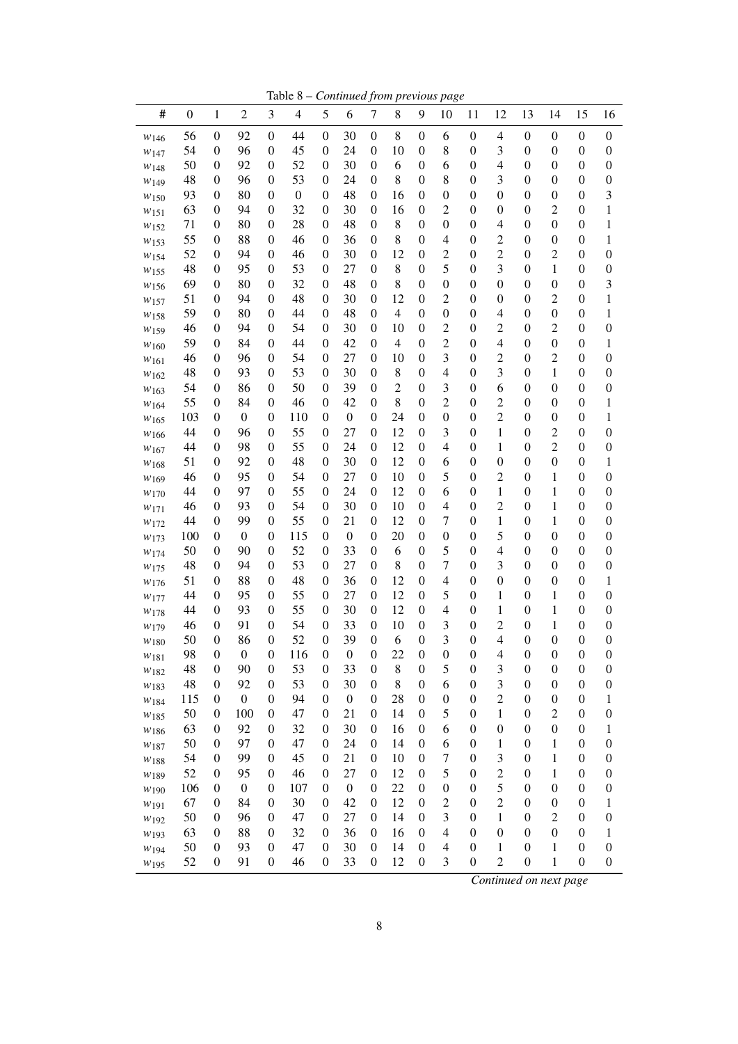Table 8 – *Continued from previous page*

| #                | $\boldsymbol{0}$ | $\mathbf{1}$                         | $\sqrt{2}$             | 3                     | $\overline{4}$   | 5                   | 6                | $\boldsymbol{7}$                     | 8              | 9                                    | 10               | 11                                   | 12                               | 13                                   | 14                              | 15                                   | 16                                   |
|------------------|------------------|--------------------------------------|------------------------|-----------------------|------------------|---------------------|------------------|--------------------------------------|----------------|--------------------------------------|------------------|--------------------------------------|----------------------------------|--------------------------------------|---------------------------------|--------------------------------------|--------------------------------------|
| W <sub>146</sub> | 56               | $\boldsymbol{0}$                     | 92                     | $\boldsymbol{0}$      | 44               | $\boldsymbol{0}$    | 30               | $\boldsymbol{0}$                     | 8              | $\boldsymbol{0}$                     | 6                | $\boldsymbol{0}$                     | $\overline{\mathcal{A}}$         | $\boldsymbol{0}$                     | 0                               | $\boldsymbol{0}$                     | $\boldsymbol{0}$                     |
| W <sub>147</sub> | 54               | $\boldsymbol{0}$                     | 96                     | $\boldsymbol{0}$      | 45               | $\theta$            | 24               | $\boldsymbol{0}$                     | 10             | $\boldsymbol{0}$                     | 8                | $\boldsymbol{0}$                     | 3                                | $\boldsymbol{0}$                     | $\boldsymbol{0}$                | $\boldsymbol{0}$                     | $\boldsymbol{0}$                     |
| W <sub>148</sub> | 50               | $\boldsymbol{0}$                     | 92                     | $\boldsymbol{0}$      | 52               | 0                   | 30               | $\boldsymbol{0}$                     | 6              | $\boldsymbol{0}$                     | 6                | $\boldsymbol{0}$                     | 4                                | $\boldsymbol{0}$                     | $\boldsymbol{0}$                | $\boldsymbol{0}$                     | $\boldsymbol{0}$                     |
| W <sub>149</sub> | 48               | $\boldsymbol{0}$                     | 96                     | $\boldsymbol{0}$      | 53               | $\theta$            | 24               | $\boldsymbol{0}$                     | 8              | $\boldsymbol{0}$                     | 8                | $\boldsymbol{0}$                     | 3                                | $\boldsymbol{0}$                     | $\boldsymbol{0}$                | $\boldsymbol{0}$                     | $\boldsymbol{0}$                     |
| W150             | 93               | $\boldsymbol{0}$                     | 80                     | $\boldsymbol{0}$      | $\boldsymbol{0}$ | $\theta$            | 48               | $\boldsymbol{0}$                     | 16             | $\boldsymbol{0}$                     | $\boldsymbol{0}$ | $\boldsymbol{0}$                     | $\boldsymbol{0}$                 | $\boldsymbol{0}$                     | $\boldsymbol{0}$                | $\boldsymbol{0}$                     | 3                                    |
| W151             | 63               | $\boldsymbol{0}$                     | 94                     | $\boldsymbol{0}$      | 32               | $\theta$            | 30               | $\boldsymbol{0}$                     | 16             | $\boldsymbol{0}$                     | $\overline{c}$   | $\boldsymbol{0}$                     | $\boldsymbol{0}$                 | $\boldsymbol{0}$                     | $\overline{c}$                  | $\boldsymbol{0}$                     | 1                                    |
| W <sub>152</sub> | 71               | $\boldsymbol{0}$                     | 80                     | $\boldsymbol{0}$      | 28               | 0                   | 48               | $\boldsymbol{0}$                     | 8              | $\boldsymbol{0}$                     | $\boldsymbol{0}$ | $\boldsymbol{0}$                     | 4                                | $\boldsymbol{0}$                     | $\boldsymbol{0}$                | $\boldsymbol{0}$                     | 1                                    |
| W <sub>153</sub> | 55               | $\boldsymbol{0}$                     | 88                     | $\boldsymbol{0}$      | 46               | 0                   | 36               | $\boldsymbol{0}$                     | 8              | $\boldsymbol{0}$                     | 4                | $\boldsymbol{0}$                     | $\overline{c}$                   | $\boldsymbol{0}$                     | $\boldsymbol{0}$                | $\boldsymbol{0}$                     | 1                                    |
| W <sub>154</sub> | 52               | $\boldsymbol{0}$                     | 94                     | $\boldsymbol{0}$      | 46               | 0                   | 30               | 0                                    | 12             | $\boldsymbol{0}$                     | $\overline{c}$   | $\boldsymbol{0}$                     | $\overline{c}$                   | $\boldsymbol{0}$                     | $\overline{c}$                  | $\boldsymbol{0}$                     | $\boldsymbol{0}$                     |
| W155             | 48               | $\boldsymbol{0}$                     | 95                     | $\boldsymbol{0}$      | 53               | 0                   | 27               | $\boldsymbol{0}$                     | 8              | $\boldsymbol{0}$                     | 5                | $\boldsymbol{0}$                     | 3                                | $\boldsymbol{0}$                     | 1                               | $\boldsymbol{0}$                     | $\boldsymbol{0}$                     |
| W156             | 69               | $\boldsymbol{0}$                     | 80                     | $\boldsymbol{0}$      | 32               | 0                   | 48               | $\boldsymbol{0}$                     | 8              | $\boldsymbol{0}$                     | $\boldsymbol{0}$ | $\boldsymbol{0}$                     | $\boldsymbol{0}$                 | $\boldsymbol{0}$                     | $\boldsymbol{0}$                | $\boldsymbol{0}$                     | 3                                    |
| W157             | 51               | $\boldsymbol{0}$                     | 94                     | $\boldsymbol{0}$      | 48               | 0                   | 30               | 0                                    | 12             | $\boldsymbol{0}$                     | $\overline{c}$   | $\boldsymbol{0}$                     | $\boldsymbol{0}$                 | $\boldsymbol{0}$                     | $\overline{c}$                  | $\boldsymbol{0}$                     | 1                                    |
| $w_{158}$        | 59               | $\boldsymbol{0}$                     | 80                     | $\boldsymbol{0}$      | 44               | $\theta$            | 48               | $\boldsymbol{0}$                     | $\overline{4}$ | $\boldsymbol{0}$                     | $\boldsymbol{0}$ | $\boldsymbol{0}$                     | 4                                | $\boldsymbol{0}$                     | $\boldsymbol{0}$                | $\boldsymbol{0}$                     | 1                                    |
| W <sub>159</sub> | 46               | $\boldsymbol{0}$                     | 94                     | $\boldsymbol{0}$      | 54               | 0                   | 30               | 0                                    | 10             | $\boldsymbol{0}$                     | $\overline{c}$   | $\boldsymbol{0}$                     | $\overline{c}$                   | $\boldsymbol{0}$                     | $\overline{c}$                  | $\boldsymbol{0}$                     | $\boldsymbol{0}$                     |
| W160             | 59               | $\boldsymbol{0}$                     | 84                     | $\boldsymbol{0}$      | 44               | 0                   | 42               | $\boldsymbol{0}$                     | 4              | $\boldsymbol{0}$                     | $\overline{c}$   | $\boldsymbol{0}$                     | $\overline{4}$                   | $\boldsymbol{0}$                     | $\boldsymbol{0}$                | $\boldsymbol{0}$                     | 1                                    |
| W <sub>161</sub> | 46               | $\boldsymbol{0}$                     | 96                     | $\boldsymbol{0}$      | 54               | 0                   | 27               | $\boldsymbol{0}$                     | 10             | $\boldsymbol{0}$                     | 3                | $\boldsymbol{0}$                     | $\overline{c}$                   | $\boldsymbol{0}$                     | $\overline{c}$                  | $\boldsymbol{0}$                     | $\boldsymbol{0}$                     |
| W <sub>162</sub> | 48               | $\boldsymbol{0}$                     | 93                     | $\boldsymbol{0}$      | 53               | 0                   | 30               | $\boldsymbol{0}$                     | 8              | $\boldsymbol{0}$                     | 4                | $\boldsymbol{0}$                     | 3                                | $\boldsymbol{0}$                     | 1                               | $\boldsymbol{0}$                     | $\boldsymbol{0}$                     |
| W <sub>163</sub> | 54               | $\boldsymbol{0}$                     | 86                     | $\boldsymbol{0}$      | 50               | 0                   | 39               | $\boldsymbol{0}$                     | $\overline{c}$ | $\boldsymbol{0}$                     | 3                | $\boldsymbol{0}$                     | 6                                | $\boldsymbol{0}$                     | $\boldsymbol{0}$                | $\boldsymbol{0}$                     | $\boldsymbol{0}$                     |
| W164             | 55               | $\boldsymbol{0}$                     | 84                     | $\boldsymbol{0}$      | 46               | 0                   | 42               | $\boldsymbol{0}$                     | 8              | $\boldsymbol{0}$                     | $\overline{c}$   | $\boldsymbol{0}$                     | $\overline{c}$                   | $\boldsymbol{0}$                     | $\boldsymbol{0}$                | $\boldsymbol{0}$                     | 1                                    |
| W165             | 103              | $\boldsymbol{0}$                     | $\boldsymbol{0}$       | $\boldsymbol{0}$      | 110              | 0                   | $\boldsymbol{0}$ | $\boldsymbol{0}$                     | 24             | $\boldsymbol{0}$                     | $\boldsymbol{0}$ | $\boldsymbol{0}$                     | $\overline{c}$                   | $\boldsymbol{0}$                     | $\boldsymbol{0}$                | $\boldsymbol{0}$                     | 1                                    |
| W166             | 44               | $\boldsymbol{0}$                     | 96                     | $\boldsymbol{0}$      | 55               | 0                   | 27               | $\boldsymbol{0}$                     | 12             | $\boldsymbol{0}$                     | 3                | $\boldsymbol{0}$                     | 1                                | $\boldsymbol{0}$                     | $\overline{c}$                  | $\boldsymbol{0}$                     | $\boldsymbol{0}$                     |
| W167             | 44               | $\boldsymbol{0}$                     | 98                     | $\boldsymbol{0}$      | 55               | 0                   | 24               | $\boldsymbol{0}$                     | 12             | $\boldsymbol{0}$                     | $\overline{4}$   | $\boldsymbol{0}$                     | 1                                | $\boldsymbol{0}$                     | $\overline{c}$                  | $\boldsymbol{0}$                     | $\boldsymbol{0}$                     |
| W168             | 51               | $\boldsymbol{0}$                     | 92                     | $\boldsymbol{0}$      | 48               | 0                   | 30               | $\boldsymbol{0}$                     | 12             | $\boldsymbol{0}$                     | 6                | $\boldsymbol{0}$                     | $\boldsymbol{0}$                 | $\boldsymbol{0}$                     | $\boldsymbol{0}$                | $\boldsymbol{0}$                     | 1                                    |
| W169             | 46               | $\boldsymbol{0}$                     | 95                     | $\boldsymbol{0}$      | 54               | 0                   | 27               | $\boldsymbol{0}$                     | 10             | $\boldsymbol{0}$                     | 5                | $\boldsymbol{0}$                     | $\overline{c}$                   | $\boldsymbol{0}$                     | $\mathbf{1}$                    | $\boldsymbol{0}$                     | $\boldsymbol{0}$                     |
| W170             | 44               | $\boldsymbol{0}$                     | 97                     | $\boldsymbol{0}$      | 55               | 0                   | 24               | $\boldsymbol{0}$                     | 12             | $\boldsymbol{0}$                     | 6                | $\boldsymbol{0}$                     | 1                                | $\boldsymbol{0}$                     | 1                               | $\boldsymbol{0}$                     | $\boldsymbol{0}$                     |
| W <sub>171</sub> | 46               | $\boldsymbol{0}$                     | 93                     | $\boldsymbol{0}$      | 54               | 0                   | 30               | $\boldsymbol{0}$                     | 10             | $\boldsymbol{0}$                     | $\overline{4}$   | $\boldsymbol{0}$                     | $\overline{c}$                   | $\boldsymbol{0}$                     | 1                               | $\boldsymbol{0}$                     | $\boldsymbol{0}$                     |
| W172             | 44               | $\boldsymbol{0}$                     | 99                     | $\boldsymbol{0}$      | 55               | $\boldsymbol{0}$    | 21               | $\boldsymbol{0}$                     | 12             | $\boldsymbol{0}$                     | 7                | $\boldsymbol{0}$                     | 1                                | $\boldsymbol{0}$                     | $\mathbf{1}$                    | $\boldsymbol{0}$                     | $\boldsymbol{0}$                     |
| W173             | 100              | $\boldsymbol{0}$                     | $\boldsymbol{0}$       | $\boldsymbol{0}$      | 115              | $\boldsymbol{0}$    | $\boldsymbol{0}$ | $\boldsymbol{0}$                     | 20             | $\boldsymbol{0}$                     | $\boldsymbol{0}$ | $\boldsymbol{0}$                     | 5                                | $\boldsymbol{0}$                     | $\boldsymbol{0}$                | $\boldsymbol{0}$                     | $\boldsymbol{0}$                     |
| W174             | 50               | $\boldsymbol{0}$                     | 90                     | $\boldsymbol{0}$      | 52               | $\boldsymbol{0}$    | 33               | $\boldsymbol{0}$                     | 6              | $\boldsymbol{0}$                     | 5                | $\boldsymbol{0}$                     | $\overline{4}$                   | $\boldsymbol{0}$                     | $\boldsymbol{0}$                | $\boldsymbol{0}$                     | $\boldsymbol{0}$                     |
| W175             | 48               | $\boldsymbol{0}$                     | 94                     | $\boldsymbol{0}$      | 53               | 0                   | 27               | $\boldsymbol{0}$                     | 8              | $\boldsymbol{0}$                     | $\overline{7}$   | $\boldsymbol{0}$                     | 3                                | $\boldsymbol{0}$                     | $\boldsymbol{0}$                | $\boldsymbol{0}$                     | $\boldsymbol{0}$                     |
| W <sub>176</sub> | 51               | $\boldsymbol{0}$                     | 88                     | $\boldsymbol{0}$      | 48               | 0                   | 36               | $\boldsymbol{0}$                     | 12             | $\boldsymbol{0}$                     | $\overline{4}$   | $\boldsymbol{0}$                     | $\boldsymbol{0}$                 | $\boldsymbol{0}$                     | $\boldsymbol{0}$                | $\boldsymbol{0}$                     | 1                                    |
| W177             | 44               | $\boldsymbol{0}$                     | 95                     | $\boldsymbol{0}$      | 55               | 0                   | 27               | $\boldsymbol{0}$                     | 12             | $\boldsymbol{0}$                     | 5                | $\boldsymbol{0}$                     | 1                                | $\boldsymbol{0}$                     | $\mathbf{1}$                    | $\boldsymbol{0}$                     | $\boldsymbol{0}$                     |
| W178             | 44               | $\boldsymbol{0}$                     | 93                     | $\boldsymbol{0}$      | 55               | 0                   | 30               | $\boldsymbol{0}$                     | 12             | $\boldsymbol{0}$                     | $\overline{4}$   | $\boldsymbol{0}$                     | 1                                | $\boldsymbol{0}$                     | 1                               | $\boldsymbol{0}$                     | $\boldsymbol{0}$                     |
| W179             | 46               | $\boldsymbol{0}$                     | 91                     | $\boldsymbol{0}$      | 54<br>52         | 0<br>$\overline{0}$ | 33<br>39         | $\boldsymbol{0}$<br>$\boldsymbol{0}$ | 10<br>6        | $\boldsymbol{0}$<br>$\boldsymbol{0}$ | 3<br>3           | $\boldsymbol{0}$<br>$\boldsymbol{0}$ | $\overline{c}$<br>$\overline{4}$ | $\boldsymbol{0}$<br>$\boldsymbol{0}$ | $\mathbf 1$<br>$\boldsymbol{0}$ | $\boldsymbol{0}$                     | $\boldsymbol{0}$                     |
| W <sub>180</sub> | 50               | $\boldsymbol{0}$<br>$\boldsymbol{0}$ | 86<br>$\boldsymbol{0}$ | $\boldsymbol{0}$<br>0 |                  | $\overline{0}$      | $\boldsymbol{0}$ | $\boldsymbol{0}$                     | 22             | $\overline{0}$                       | $\mathbf{0}$     | $\boldsymbol{0}$                     | $\overline{4}$                   | $\boldsymbol{0}$                     | $\boldsymbol{0}$                | $\boldsymbol{0}$<br>$\boldsymbol{0}$ | $\boldsymbol{0}$<br>$\boldsymbol{0}$ |
| $W_{181}$        | 98<br>48         | $\boldsymbol{0}$                     | 90                     | $\boldsymbol{0}$      | 116<br>53        | $\mathbf{0}$        | 33               | $\boldsymbol{0}$                     | 8              | $\boldsymbol{0}$                     | 5                | $\boldsymbol{0}$                     | 3                                | $\boldsymbol{0}$                     | $\boldsymbol{0}$                | $\boldsymbol{0}$                     | $\boldsymbol{0}$                     |
| W182             | 48               | $\boldsymbol{0}$                     | 92                     | $\boldsymbol{0}$      | 53               | $\boldsymbol{0}$    | 30               | $\boldsymbol{0}$                     | 8              | $\boldsymbol{0}$                     | 6                | $\boldsymbol{0}$                     | 3                                | $\boldsymbol{0}$                     | $\boldsymbol{0}$                | $\boldsymbol{0}$                     | $\boldsymbol{0}$                     |
| $W$ 183          | 115              | $\boldsymbol{0}$                     | $\boldsymbol{0}$       | $\boldsymbol{0}$      | 94               | 0                   | $\boldsymbol{0}$ | $\boldsymbol{0}$                     | 28             | $\boldsymbol{0}$                     | $\boldsymbol{0}$ | $\boldsymbol{0}$                     | $\overline{c}$                   | $\boldsymbol{0}$                     | 0                               | $\boldsymbol{0}$                     | 1                                    |
| W184             | 50               | $\boldsymbol{0}$                     | 100                    | $\boldsymbol{0}$      | 47               | 0                   | 21               | $\boldsymbol{0}$                     | 14             | $\boldsymbol{0}$                     | 5                | $\boldsymbol{0}$                     | 1                                | $\boldsymbol{0}$                     | $\overline{c}$                  | $\boldsymbol{0}$                     | $\boldsymbol{0}$                     |
| W185             | 63               | $\boldsymbol{0}$                     | 92                     | $\boldsymbol{0}$      | 32               | 0                   | 30               | $\boldsymbol{0}$                     | 16             | $\boldsymbol{0}$                     | 6                | $\boldsymbol{0}$                     | $\boldsymbol{0}$                 | $\boldsymbol{0}$                     | $\boldsymbol{0}$                | $\boldsymbol{0}$                     | 1                                    |
| W186             | 50               | $\boldsymbol{0}$                     | 97                     | $\boldsymbol{0}$      | 47               | 0                   | 24               | $\boldsymbol{0}$                     | 14             | $\boldsymbol{0}$                     | 6                | $\boldsymbol{0}$                     | 1                                | $\boldsymbol{0}$                     | $\mathbf{1}$                    | $\boldsymbol{0}$                     | $\boldsymbol{0}$                     |
| W187<br>W188     | 54               | $\boldsymbol{0}$                     | 99                     | $\boldsymbol{0}$      | 45               | 0                   | 21               | $\boldsymbol{0}$                     | 10             | $\boldsymbol{0}$                     | $\overline{7}$   | $\boldsymbol{0}$                     | $\mathfrak{Z}$                   | $\boldsymbol{0}$                     | $\mathbf{1}$                    | $\boldsymbol{0}$                     | $\boldsymbol{0}$                     |
| W <sub>189</sub> | 52               | $\boldsymbol{0}$                     | 95                     | $\boldsymbol{0}$      | 46               | $\mathbf{0}$        | 27               | $\boldsymbol{0}$                     | 12             | $\boldsymbol{0}$                     | 5                | $\boldsymbol{0}$                     | $\overline{c}$                   | $\boldsymbol{0}$                     | $\mathbf{1}$                    | $\boldsymbol{0}$                     | $\boldsymbol{0}$                     |
| W190             | 106              | $\boldsymbol{0}$                     | $\boldsymbol{0}$       | $\boldsymbol{0}$      | 107              | 0                   | $\boldsymbol{0}$ | $\boldsymbol{0}$                     | 22             | $\boldsymbol{0}$                     | $\boldsymbol{0}$ | $\boldsymbol{0}$                     | 5                                | $\boldsymbol{0}$                     | $\boldsymbol{0}$                | $\boldsymbol{0}$                     | $\boldsymbol{0}$                     |
| W <sub>191</sub> | 67               | $\boldsymbol{0}$                     | 84                     | $\boldsymbol{0}$      | 30               | 0                   | 42               | $\boldsymbol{0}$                     | 12             | $\boldsymbol{0}$                     | $\overline{c}$   | $\boldsymbol{0}$                     | $\overline{c}$                   | $\boldsymbol{0}$                     | $\boldsymbol{0}$                | $\boldsymbol{0}$                     | 1                                    |
| W192             | 50               | $\boldsymbol{0}$                     | 96                     | $\boldsymbol{0}$      | 47               | 0                   | 27               | 0                                    | 14             | $\boldsymbol{0}$                     | 3                | $\boldsymbol{0}$                     | $\mathbf{1}$                     | $\boldsymbol{0}$                     | $\overline{c}$                  | $\boldsymbol{0}$                     | $\boldsymbol{0}$                     |
| W <sub>193</sub> | 63               | $\boldsymbol{0}$                     | 88                     | $\boldsymbol{0}$      | 32               | 0                   | 36               | 0                                    | 16             | $\boldsymbol{0}$                     | $\overline{4}$   | $\boldsymbol{0}$                     | $\boldsymbol{0}$                 | $\boldsymbol{0}$                     | $\boldsymbol{0}$                | $\boldsymbol{0}$                     | 1                                    |
| W194             | 50               | $\boldsymbol{0}$                     | 93                     | $\boldsymbol{0}$      | 47               | 0                   | 30               | $\boldsymbol{0}$                     | 14             | $\boldsymbol{0}$                     | $\overline{4}$   | $\boldsymbol{0}$                     | 1                                | $\boldsymbol{0}$                     | $\mathbf{1}$                    | $\boldsymbol{0}$                     | $\boldsymbol{0}$                     |
| W <sub>195</sub> | 52               | $\boldsymbol{0}$                     | 91                     | $\boldsymbol{0}$      | 46               | $\mathbf{0}$        | 33               | 0                                    | 12             | $\boldsymbol{0}$                     | 3                | $\boldsymbol{0}$                     | $\overline{c}$                   | $\boldsymbol{0}$                     | $\mathbf{1}$                    | $\boldsymbol{0}$                     | $\boldsymbol{0}$                     |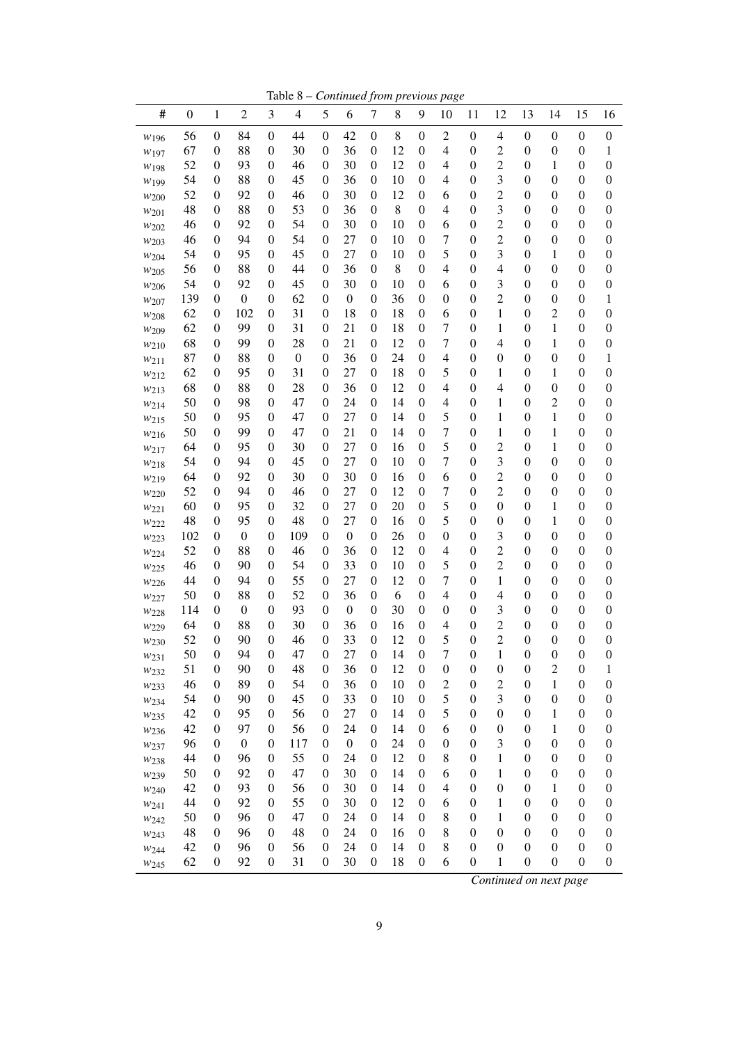Table 8 – *Continued from previous page*

| #                | $\boldsymbol{0}$ | $\mathbf{1}$                         | $\overline{2}$   | 3                                    | $\overline{4}$   | 5                | 6                | $\boldsymbol{7}$                     | 8        | 9                                    | 10               | 11                                   | 12               | 13                                   | 14                                 | 15                                   | 16                                   |
|------------------|------------------|--------------------------------------|------------------|--------------------------------------|------------------|------------------|------------------|--------------------------------------|----------|--------------------------------------|------------------|--------------------------------------|------------------|--------------------------------------|------------------------------------|--------------------------------------|--------------------------------------|
| W <sub>196</sub> | 56               | $\boldsymbol{0}$                     | 84               | $\boldsymbol{0}$                     | 44               | $\boldsymbol{0}$ | 42               | $\boldsymbol{0}$                     | 8        | $\boldsymbol{0}$                     | $\overline{c}$   | $\boldsymbol{0}$                     | 4                | $\boldsymbol{0}$                     | $\boldsymbol{0}$                   | $\boldsymbol{0}$                     | $\boldsymbol{0}$                     |
| W <sub>197</sub> | 67               | $\boldsymbol{0}$                     | 88               | $\boldsymbol{0}$                     | 30               | 0                | 36               | $\boldsymbol{0}$                     | 12       | $\boldsymbol{0}$                     | 4                | $\boldsymbol{0}$                     | $\overline{c}$   | $\boldsymbol{0}$                     | $\boldsymbol{0}$                   | $\boldsymbol{0}$                     | 1                                    |
| W <sub>198</sub> | 52               | $\boldsymbol{0}$                     | 93               | $\boldsymbol{0}$                     | 46               | 0                | 30               | $\boldsymbol{0}$                     | 12       | $\boldsymbol{0}$                     | 4                | $\boldsymbol{0}$                     | $\overline{c}$   | $\boldsymbol{0}$                     | 1                                  | $\boldsymbol{0}$                     | $\boldsymbol{0}$                     |
| W <sub>199</sub> | 54               | $\boldsymbol{0}$                     | 88               | $\boldsymbol{0}$                     | 45               | 0                | 36               | $\boldsymbol{0}$                     | 10       | $\boldsymbol{0}$                     | 4                | $\boldsymbol{0}$                     | 3                | $\boldsymbol{0}$                     | $\boldsymbol{0}$                   | $\boldsymbol{0}$                     | $\boldsymbol{0}$                     |
| W <sub>200</sub> | 52               | $\boldsymbol{0}$                     | 92               | $\boldsymbol{0}$                     | 46               | 0                | 30               | $\boldsymbol{0}$                     | 12       | $\boldsymbol{0}$                     | 6                | $\boldsymbol{0}$                     | $\overline{c}$   | $\boldsymbol{0}$                     | $\boldsymbol{0}$                   | $\boldsymbol{0}$                     | $\boldsymbol{0}$                     |
| W201             | 48               | $\boldsymbol{0}$                     | 88               | $\boldsymbol{0}$                     | 53               | 0                | 36               | $\boldsymbol{0}$                     | 8        | $\boldsymbol{0}$                     | 4                | $\boldsymbol{0}$                     | 3                | $\boldsymbol{0}$                     | $\boldsymbol{0}$                   | $\boldsymbol{0}$                     | $\boldsymbol{0}$                     |
| W202             | 46               | 0                                    | 92               | $\boldsymbol{0}$                     | 54               | 0                | 30               | $\boldsymbol{0}$                     | 10       | $\boldsymbol{0}$                     | 6                | $\boldsymbol{0}$                     | $\overline{c}$   | $\boldsymbol{0}$                     | $\boldsymbol{0}$                   | $\boldsymbol{0}$                     | $\boldsymbol{0}$                     |
| W203             | 46               | 0                                    | 94               | $\boldsymbol{0}$                     | 54               | 0                | 27               | $\boldsymbol{0}$                     | 10       | $\boldsymbol{0}$                     | 7                | $\boldsymbol{0}$                     | $\overline{c}$   | $\boldsymbol{0}$                     | $\boldsymbol{0}$                   | $\boldsymbol{0}$                     | $\boldsymbol{0}$                     |
| W204             | 54               | $\boldsymbol{0}$                     | 95               | $\boldsymbol{0}$                     | 45               | 0                | 27               | $\boldsymbol{0}$                     | 10       | $\boldsymbol{0}$                     | 5                | $\boldsymbol{0}$                     | 3                | $\boldsymbol{0}$                     | 1                                  | $\boldsymbol{0}$                     | $\boldsymbol{0}$                     |
| W <sub>205</sub> | 56               | 0                                    | 88               | $\boldsymbol{0}$                     | 44               | 0                | 36               | $\boldsymbol{0}$                     | 8        | $\boldsymbol{0}$                     | 4                | $\boldsymbol{0}$                     | $\overline{4}$   | $\boldsymbol{0}$                     | $\boldsymbol{0}$                   | $\boldsymbol{0}$                     | 0                                    |
| W <sub>206</sub> | 54               | 0                                    | 92               | $\boldsymbol{0}$                     | 45               | 0                | 30               | $\boldsymbol{0}$                     | 10       | $\boldsymbol{0}$                     | 6                | $\boldsymbol{0}$                     | 3                | $\boldsymbol{0}$                     | $\boldsymbol{0}$                   | $\boldsymbol{0}$                     | $\boldsymbol{0}$                     |
| W207             | 139              | 0                                    | $\boldsymbol{0}$ | $\boldsymbol{0}$                     | 62               | 0                | $\boldsymbol{0}$ | $\boldsymbol{0}$                     | 36       | $\boldsymbol{0}$                     | $\boldsymbol{0}$ | $\boldsymbol{0}$                     | $\overline{c}$   | $\boldsymbol{0}$                     | $\boldsymbol{0}$                   | $\boldsymbol{0}$                     | 1                                    |
| W <sub>208</sub> | 62               | 0                                    | 102              | $\boldsymbol{0}$                     | 31               | 0                | 18               | $\boldsymbol{0}$                     | 18       | $\boldsymbol{0}$                     | 6                | $\boldsymbol{0}$                     | 1                | $\boldsymbol{0}$                     | $\overline{c}$                     | $\boldsymbol{0}$                     | 0                                    |
| W209             | 62               | $\boldsymbol{0}$                     | 99               | $\boldsymbol{0}$                     | 31               | 0                | 21               | $\boldsymbol{0}$                     | 18       | $\boldsymbol{0}$                     | $\overline{7}$   | $\boldsymbol{0}$                     | 1                | $\boldsymbol{0}$                     | 1                                  | $\boldsymbol{0}$                     | $\boldsymbol{0}$                     |
| W <sub>210</sub> | 68               | $\boldsymbol{0}$                     | 99               | $\boldsymbol{0}$                     | 28               | 0                | 21               | $\boldsymbol{0}$                     | 12       | $\boldsymbol{0}$                     | 7                | $\boldsymbol{0}$                     | 4                | $\boldsymbol{0}$                     | 1                                  | $\boldsymbol{0}$                     | $\boldsymbol{0}$                     |
| W211             | 87               | 0                                    | 88               | $\boldsymbol{0}$                     | $\boldsymbol{0}$ | 0                | 36               | $\boldsymbol{0}$                     | 24       | $\boldsymbol{0}$                     | 4                | $\boldsymbol{0}$                     | $\boldsymbol{0}$ | $\boldsymbol{0}$                     | $\boldsymbol{0}$                   | $\boldsymbol{0}$                     | 1                                    |
| W212             | 62               | $\boldsymbol{0}$                     | 95               | $\boldsymbol{0}$                     | 31               | 0                | 27               | $\boldsymbol{0}$                     | 18       | 0                                    | 5                | $\boldsymbol{0}$                     | 1                | $\boldsymbol{0}$                     | 1                                  | $\boldsymbol{0}$                     | $\boldsymbol{0}$                     |
| W213             | 68               | $\boldsymbol{0}$                     | 88               | $\boldsymbol{0}$                     | 28<br>47         | 0                | 36               | $\boldsymbol{0}$                     | 12       | $\boldsymbol{0}$                     | 4                | $\boldsymbol{0}$                     | 4                | $\boldsymbol{0}$                     | $\boldsymbol{0}$<br>$\overline{c}$ | $\boldsymbol{0}$                     | $\boldsymbol{0}$                     |
| W214             | 50<br>50         | $\boldsymbol{0}$<br>$\boldsymbol{0}$ | 98<br>95         | $\boldsymbol{0}$<br>$\boldsymbol{0}$ | 47               | 0<br>0           | 24<br>27         | $\boldsymbol{0}$<br>$\boldsymbol{0}$ | 14<br>14 | $\boldsymbol{0}$<br>$\boldsymbol{0}$ | 4<br>5           | $\boldsymbol{0}$<br>$\boldsymbol{0}$ | 1<br>1           | $\boldsymbol{0}$<br>$\boldsymbol{0}$ | 1                                  | $\boldsymbol{0}$<br>$\boldsymbol{0}$ | $\boldsymbol{0}$<br>$\boldsymbol{0}$ |
| W <sub>215</sub> | 50               | $\boldsymbol{0}$                     | 99               | $\boldsymbol{0}$                     | 47               | 0                | 21               | $\boldsymbol{0}$                     | 14       | $\boldsymbol{0}$                     | 7                | $\boldsymbol{0}$                     | 1                | $\boldsymbol{0}$                     | 1                                  | $\boldsymbol{0}$                     | $\boldsymbol{0}$                     |
| W <sub>216</sub> | 64               | $\boldsymbol{0}$                     | 95               | $\boldsymbol{0}$                     | 30               | 0                | 27               | $\boldsymbol{0}$                     | 16       | $\boldsymbol{0}$                     | 5                | $\boldsymbol{0}$                     | $\overline{c}$   | $\boldsymbol{0}$                     | 1                                  | $\boldsymbol{0}$                     | $\boldsymbol{0}$                     |
| W217             | 54               | $\boldsymbol{0}$                     | 94               | $\boldsymbol{0}$                     | 45               | 0                | 27               | $\boldsymbol{0}$                     | 10       | $\boldsymbol{0}$                     | 7                | $\boldsymbol{0}$                     | 3                | $\boldsymbol{0}$                     | $\boldsymbol{0}$                   | $\boldsymbol{0}$                     | $\boldsymbol{0}$                     |
| W218             | 64               | $\boldsymbol{0}$                     | 92               | $\boldsymbol{0}$                     | 30               | 0                | 30               | $\boldsymbol{0}$                     | 16       | $\boldsymbol{0}$                     | 6                | $\boldsymbol{0}$                     | $\overline{c}$   | $\boldsymbol{0}$                     | $\boldsymbol{0}$                   | $\boldsymbol{0}$                     | $\boldsymbol{0}$                     |
| W219<br>W220     | 52               | $\boldsymbol{0}$                     | 94               | $\boldsymbol{0}$                     | 46               | 0                | 27               | $\boldsymbol{0}$                     | 12       | $\boldsymbol{0}$                     | 7                | $\boldsymbol{0}$                     | $\overline{c}$   | $\boldsymbol{0}$                     | $\boldsymbol{0}$                   | $\boldsymbol{0}$                     | $\boldsymbol{0}$                     |
| W221             | 60               | $\boldsymbol{0}$                     | 95               | $\boldsymbol{0}$                     | 32               | 0                | 27               | $\boldsymbol{0}$                     | 20       | $\boldsymbol{0}$                     | 5                | $\boldsymbol{0}$                     | $\boldsymbol{0}$ | $\boldsymbol{0}$                     | 1                                  | $\boldsymbol{0}$                     | $\boldsymbol{0}$                     |
| W222             | 48               | $\boldsymbol{0}$                     | 95               | $\boldsymbol{0}$                     | 48               | 0                | 27               | $\boldsymbol{0}$                     | 16       | $\boldsymbol{0}$                     | 5                | $\boldsymbol{0}$                     | $\boldsymbol{0}$ | $\boldsymbol{0}$                     | 1                                  | $\boldsymbol{0}$                     | $\boldsymbol{0}$                     |
| W223             | 102              | $\boldsymbol{0}$                     | $\boldsymbol{0}$ | $\boldsymbol{0}$                     | 109              | $\theta$         | $\boldsymbol{0}$ | $\boldsymbol{0}$                     | 26       | $\boldsymbol{0}$                     | $\boldsymbol{0}$ | $\boldsymbol{0}$                     | 3                | $\boldsymbol{0}$                     | $\boldsymbol{0}$                   | $\boldsymbol{0}$                     | $\boldsymbol{0}$                     |
| W224             | 52               | $\boldsymbol{0}$                     | 88               | $\boldsymbol{0}$                     | 46               | $\theta$         | 36               | $\boldsymbol{0}$                     | 12       | $\boldsymbol{0}$                     | $\overline{4}$   | $\boldsymbol{0}$                     | $\overline{c}$   | $\boldsymbol{0}$                     | $\boldsymbol{0}$                   | $\boldsymbol{0}$                     | $\boldsymbol{0}$                     |
| W225             | 46               | $\boldsymbol{0}$                     | 90               | $\boldsymbol{0}$                     | 54               | $\theta$         | 33               | $\boldsymbol{0}$                     | 10       | $\boldsymbol{0}$                     | 5                | $\boldsymbol{0}$                     | $\overline{c}$   | $\boldsymbol{0}$                     | $\boldsymbol{0}$                   | $\boldsymbol{0}$                     | $\boldsymbol{0}$                     |
| W <sub>226</sub> | 44               | $\boldsymbol{0}$                     | 94               | $\boldsymbol{0}$                     | 55               | $\theta$         | 27               | $\boldsymbol{0}$                     | 12       | $\boldsymbol{0}$                     | $\tau$           | $\boldsymbol{0}$                     | 1                | $\boldsymbol{0}$                     | $\boldsymbol{0}$                   | $\boldsymbol{0}$                     | $\boldsymbol{0}$                     |
| W227             | 50               | $\boldsymbol{0}$                     | 88               | $\boldsymbol{0}$                     | 52               | 0                | 36               | $\boldsymbol{0}$                     | 6        | $\boldsymbol{0}$                     | $\overline{4}$   | $\boldsymbol{0}$                     | $\overline{4}$   | $\boldsymbol{0}$                     | $\boldsymbol{0}$                   | $\boldsymbol{0}$                     | $\boldsymbol{0}$                     |
| W228             | 114              | $\boldsymbol{0}$                     | $\boldsymbol{0}$ | $\boldsymbol{0}$                     | 93               | $\theta$         | $\boldsymbol{0}$ | $\boldsymbol{0}$                     | 30       | $\boldsymbol{0}$                     | $\boldsymbol{0}$ | $\boldsymbol{0}$                     | 3                | $\boldsymbol{0}$                     | $\boldsymbol{0}$                   | $\boldsymbol{0}$                     | $\boldsymbol{0}$                     |
| W229             | 64               | 0                                    | 88               | $\boldsymbol{0}$                     | 30               | $\overline{0}$   | 36               | $\boldsymbol{0}$                     | 16       | $\boldsymbol{0}$                     | $\overline{4}$   | $\boldsymbol{0}$                     | $\overline{c}$   | $\boldsymbol{0}$                     | $\boldsymbol{0}$                   | $\boldsymbol{0}$                     | 0                                    |
| W <sub>230</sub> | 52               | $\boldsymbol{0}$                     | 90               | $\boldsymbol{0}$                     | 46               | $\overline{0}$   | 33               | $\boldsymbol{0}$                     | 12       | $\boldsymbol{0}$                     | 5                | $\boldsymbol{0}$                     | $\overline{c}$   | $\boldsymbol{0}$                     | $\boldsymbol{0}$                   | $\boldsymbol{0}$                     | $\boldsymbol{0}$                     |
| W <sub>231</sub> | 50               | $\overline{0}$                       | 94               | $\theta$                             | 47               | $\overline{0}$   | 27               | $\overline{0}$                       | 14       | 0                                    | 7                | $\boldsymbol{0}$                     | 1                | $\boldsymbol{0}$                     | $\boldsymbol{0}$                   | $\boldsymbol{0}$                     | $\boldsymbol{0}$                     |
| W <sub>232</sub> | 51               | $\boldsymbol{0}$                     | 90               | $\boldsymbol{0}$                     | 48               | $\boldsymbol{0}$ | 36               | $\boldsymbol{0}$                     | 12       | $\boldsymbol{0}$                     | $\boldsymbol{0}$ | $\boldsymbol{0}$                     | $\boldsymbol{0}$ | $\boldsymbol{0}$                     | $\overline{c}$                     | $\boldsymbol{0}$                     | 1                                    |
| W <sub>233</sub> | 46               | $\boldsymbol{0}$                     | 89               | $\boldsymbol{0}$                     | 54               | $\boldsymbol{0}$ | 36               | $\boldsymbol{0}$                     | 10       | $\boldsymbol{0}$                     | $\boldsymbol{2}$ | $\boldsymbol{0}$                     | $\overline{c}$   | $\boldsymbol{0}$                     | $\mathbf{1}$                       | $\boldsymbol{0}$                     | $\boldsymbol{0}$                     |
| W <sub>234</sub> | 54               | $\boldsymbol{0}$                     | 90               | $\boldsymbol{0}$                     | 45               | 0                | 33               | $\boldsymbol{0}$                     | 10       | $\boldsymbol{0}$                     | 5                | $\boldsymbol{0}$                     | 3                | $\boldsymbol{0}$                     | $\boldsymbol{0}$                   | $\boldsymbol{0}$                     | $\boldsymbol{0}$                     |
| W <sub>235</sub> | 42               | $\boldsymbol{0}$                     | 95               | $\boldsymbol{0}$                     | 56               | 0                | 27               | $\boldsymbol{0}$                     | 14       | $\boldsymbol{0}$                     | 5                | $\boldsymbol{0}$                     | $\boldsymbol{0}$ | $\boldsymbol{0}$                     | 1                                  | $\boldsymbol{0}$                     | $\boldsymbol{0}$                     |
| W <sub>236</sub> | 42               | 0                                    | 97               | $\boldsymbol{0}$                     | 56               | 0                | 24               | $\boldsymbol{0}$                     | 14       | $\boldsymbol{0}$                     | 6                | $\boldsymbol{0}$                     | $\boldsymbol{0}$ | $\boldsymbol{0}$                     | $\mathbf{1}$                       | $\boldsymbol{0}$                     | $\boldsymbol{0}$                     |
| W237             | 96               | $\boldsymbol{0}$                     | $\boldsymbol{0}$ | $\boldsymbol{0}$                     | 117              | 0                | $\boldsymbol{0}$ | $\mathbf{0}$                         | 24       | $\boldsymbol{0}$                     | $\boldsymbol{0}$ | $\boldsymbol{0}$                     | 3                | $\boldsymbol{0}$                     | $\boldsymbol{0}$                   | $\boldsymbol{0}$                     | $\boldsymbol{0}$                     |
| W <sub>238</sub> | 44               | $\boldsymbol{0}$                     | 96               | $\boldsymbol{0}$                     | 55               | 0                | 24               | $\boldsymbol{0}$                     | 12       | $\boldsymbol{0}$                     | 8                | $\boldsymbol{0}$                     | 1                | $\boldsymbol{0}$                     | $\boldsymbol{0}$                   | $\boldsymbol{0}$                     | $\boldsymbol{0}$                     |
| W <sub>239</sub> | 50               | $\boldsymbol{0}$                     | 92               | $\boldsymbol{0}$                     | 47               | $\boldsymbol{0}$ | 30               | $\boldsymbol{0}$                     | 14       | $\boldsymbol{0}$                     | 6                | $\boldsymbol{0}$                     | $\mathbf{1}$     | $\boldsymbol{0}$                     | $\boldsymbol{0}$                   | $\boldsymbol{0}$                     | $\boldsymbol{0}$                     |
| W <sub>240</sub> | 42               | 0                                    | 93               | $\boldsymbol{0}$                     | 56               | 0                | 30               | 0                                    | 14       | $\boldsymbol{0}$                     | $\overline{4}$   | $\boldsymbol{0}$                     | $\boldsymbol{0}$ | $\boldsymbol{0}$                     | 1                                  | $\boldsymbol{0}$                     | $\boldsymbol{0}$                     |
| W241             | 44               | $\boldsymbol{0}$                     | 92               | $\boldsymbol{0}$                     | 55               | 0                | 30               | $\boldsymbol{0}$                     | 12       | $\boldsymbol{0}$                     | 6                | $\boldsymbol{0}$                     | 1                | $\boldsymbol{0}$                     | $\boldsymbol{0}$                   | $\boldsymbol{0}$                     | $\boldsymbol{0}$                     |
| W <sub>242</sub> | 50               | $\boldsymbol{0}$                     | 96               | $\mathbf{0}$                         | 47               | 0                | 24               | $\boldsymbol{0}$                     | 14       | $\boldsymbol{0}$                     | 8                | $\boldsymbol{0}$                     | $\mathbf{1}$     | $\boldsymbol{0}$                     | $\boldsymbol{0}$                   | $\boldsymbol{0}$                     | $\boldsymbol{0}$                     |
| W243             | 48               | $\boldsymbol{0}$                     | 96               | $\boldsymbol{0}$                     | 48               | 0                | 24               | $\boldsymbol{0}$                     | 16       | $\boldsymbol{0}$                     | 8                | $\boldsymbol{0}$                     | $\boldsymbol{0}$ | $\boldsymbol{0}$                     | $\boldsymbol{0}$                   | $\boldsymbol{0}$                     | $\boldsymbol{0}$                     |
| W244             | 42               | $\boldsymbol{0}$                     | 96               | $\boldsymbol{0}$                     | 56               | 0                | 24               | $\boldsymbol{0}$                     | 14       | $\boldsymbol{0}$                     | 8                | $\boldsymbol{0}$                     | $\boldsymbol{0}$ | $\boldsymbol{0}$                     | $\boldsymbol{0}$                   | $\boldsymbol{0}$                     | $\boldsymbol{0}$                     |
| W <sub>245</sub> | 62               | $\boldsymbol{0}$                     | 92               | $\boldsymbol{0}$                     | 31               | $\boldsymbol{0}$ | 30               | $\boldsymbol{0}$                     | 18       | $\boldsymbol{0}$                     | 6                | $\boldsymbol{0}$                     | 1                | $\boldsymbol{0}$                     | $\boldsymbol{0}$                   | $\boldsymbol{0}$                     | $\boldsymbol{0}$                     |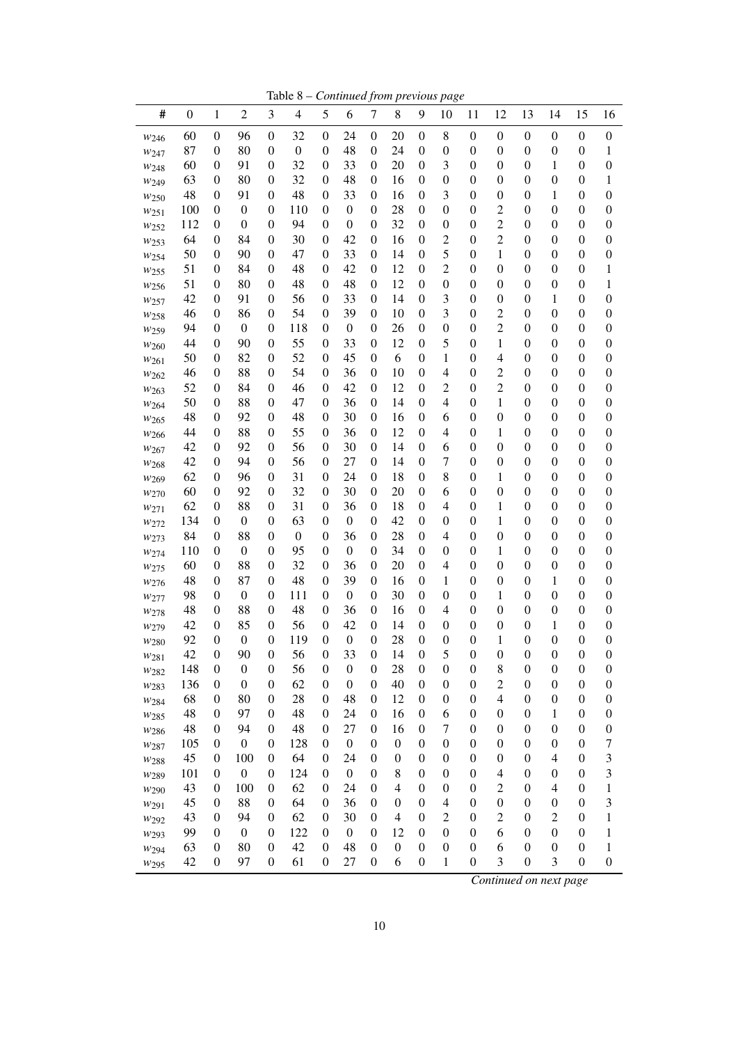Table 8 – *Continued from previous page*

| #                        | $\boldsymbol{0}$ | $\mathbf{1}$                         | $\overline{2}$                       | 3                                    | $\overline{4}$   | 5                                    | 6                                    | $\boldsymbol{7}$                     | 8                | 9                                    | 10                                   | 11                                   | 12                                   | 13                                   | 14                                   | 15                                   | 16                                   |
|--------------------------|------------------|--------------------------------------|--------------------------------------|--------------------------------------|------------------|--------------------------------------|--------------------------------------|--------------------------------------|------------------|--------------------------------------|--------------------------------------|--------------------------------------|--------------------------------------|--------------------------------------|--------------------------------------|--------------------------------------|--------------------------------------|
| W <sub>246</sub>         | 60               | $\boldsymbol{0}$                     | 96                                   | $\boldsymbol{0}$                     | 32               | $\boldsymbol{0}$                     | 24                                   | $\boldsymbol{0}$                     | 20               | $\boldsymbol{0}$                     | 8                                    | $\boldsymbol{0}$                     | $\boldsymbol{0}$                     | $\boldsymbol{0}$                     | $\boldsymbol{0}$                     | $\boldsymbol{0}$                     | $\boldsymbol{0}$                     |
| W247                     | 87               | $\boldsymbol{0}$                     | 80                                   | $\boldsymbol{0}$                     | $\boldsymbol{0}$ | $\theta$                             | 48                                   | $\boldsymbol{0}$                     | 24               | $\boldsymbol{0}$                     | $\boldsymbol{0}$                     | $\boldsymbol{0}$                     | $\boldsymbol{0}$                     | $\boldsymbol{0}$                     | $\boldsymbol{0}$                     | $\boldsymbol{0}$                     | 1                                    |
| W248                     | 60               | $\boldsymbol{0}$                     | 91                                   | $\boldsymbol{0}$                     | 32               | 0                                    | 33                                   | $\boldsymbol{0}$                     | 20               | $\boldsymbol{0}$                     | 3                                    | $\boldsymbol{0}$                     | $\boldsymbol{0}$                     | $\boldsymbol{0}$                     | 1                                    | $\boldsymbol{0}$                     | $\boldsymbol{0}$                     |
| W <sub>249</sub>         | 63               | $\boldsymbol{0}$                     | 80                                   | $\boldsymbol{0}$                     | 32               | 0                                    | 48                                   | $\boldsymbol{0}$                     | 16               | $\boldsymbol{0}$                     | $\boldsymbol{0}$                     | $\boldsymbol{0}$                     | $\boldsymbol{0}$                     | $\boldsymbol{0}$                     | $\boldsymbol{0}$                     | $\boldsymbol{0}$                     | 1                                    |
| W <sub>250</sub>         | 48               | $\boldsymbol{0}$                     | 91                                   | $\boldsymbol{0}$                     | 48               | 0                                    | 33                                   | $\boldsymbol{0}$                     | 16               | $\boldsymbol{0}$                     | 3                                    | $\boldsymbol{0}$                     | $\boldsymbol{0}$                     | $\boldsymbol{0}$                     | 1                                    | $\boldsymbol{0}$                     | $\boldsymbol{0}$                     |
| W251                     | 100              | $\boldsymbol{0}$                     | $\boldsymbol{0}$                     | $\boldsymbol{0}$                     | 110              | 0                                    | $\boldsymbol{0}$                     | $\boldsymbol{0}$                     | 28               | $\boldsymbol{0}$                     | $\boldsymbol{0}$                     | $\boldsymbol{0}$                     | $\overline{c}$                       | $\boldsymbol{0}$                     | $\boldsymbol{0}$                     | $\boldsymbol{0}$                     | $\boldsymbol{0}$                     |
| $w_{252}$                | 112              | 0                                    | $\boldsymbol{0}$                     | $\boldsymbol{0}$                     | 94               | 0                                    | $\boldsymbol{0}$                     | $\boldsymbol{0}$                     | 32               | $\boldsymbol{0}$                     | $\boldsymbol{0}$                     | $\boldsymbol{0}$                     | $\overline{c}$                       | $\boldsymbol{0}$                     | $\boldsymbol{0}$                     | $\boldsymbol{0}$                     | $\boldsymbol{0}$                     |
| W <sub>253</sub>         | 64               | 0                                    | 84                                   | $\boldsymbol{0}$                     | 30               | 0                                    | 42                                   | $\boldsymbol{0}$                     | 16               | $\boldsymbol{0}$                     | $\overline{c}$                       | $\boldsymbol{0}$                     | $\overline{c}$                       | $\boldsymbol{0}$                     | $\boldsymbol{0}$                     | $\boldsymbol{0}$                     | 0                                    |
| W <sub>254</sub>         | 50               | 0                                    | 90                                   | $\boldsymbol{0}$                     | 47               | 0                                    | 33                                   | $\boldsymbol{0}$                     | 14               | $\boldsymbol{0}$                     | 5                                    | $\boldsymbol{0}$                     | 1                                    | $\boldsymbol{0}$                     | $\boldsymbol{0}$                     | $\boldsymbol{0}$                     | $\boldsymbol{0}$                     |
| W <sub>255</sub>         | 51               | 0                                    | 84                                   | $\boldsymbol{0}$                     | 48               | 0                                    | 42                                   | $\boldsymbol{0}$                     | 12               | $\boldsymbol{0}$                     | $\overline{c}$                       | $\boldsymbol{0}$                     | $\boldsymbol{0}$                     | $\boldsymbol{0}$                     | $\boldsymbol{0}$                     | $\boldsymbol{0}$                     | 1                                    |
| W <sub>256</sub>         | 51               | 0                                    | 80                                   | $\boldsymbol{0}$                     | 48               | 0                                    | 48                                   | $\boldsymbol{0}$                     | 12               | $\boldsymbol{0}$                     | $\boldsymbol{0}$                     | $\boldsymbol{0}$                     | $\boldsymbol{0}$                     | $\boldsymbol{0}$                     | $\boldsymbol{0}$                     | $\boldsymbol{0}$                     | 1                                    |
| W257                     | 42               | 0                                    | 91                                   | $\boldsymbol{0}$                     | 56               | 0                                    | 33                                   | $\boldsymbol{0}$                     | 14               | $\boldsymbol{0}$                     | 3                                    | $\boldsymbol{0}$                     | $\boldsymbol{0}$                     | $\boldsymbol{0}$                     | 1                                    | $\boldsymbol{0}$                     | 0                                    |
| W <sub>258</sub>         | 46               | 0                                    | 86                                   | $\boldsymbol{0}$                     | 54               | 0                                    | 39                                   | $\boldsymbol{0}$                     | 10               | $\boldsymbol{0}$                     | 3                                    | $\boldsymbol{0}$                     | $\overline{c}$                       | $\boldsymbol{0}$                     | $\boldsymbol{0}$                     | $\boldsymbol{0}$                     | $\boldsymbol{0}$                     |
| W <sub>259</sub>         | 94               | 0                                    | $\boldsymbol{0}$                     | $\boldsymbol{0}$                     | 118              | 0                                    | $\boldsymbol{0}$                     | $\boldsymbol{0}$                     | 26               | $\boldsymbol{0}$                     | $\boldsymbol{0}$                     | $\boldsymbol{0}$                     | $\overline{c}$                       | $\boldsymbol{0}$                     | $\boldsymbol{0}$                     | $\boldsymbol{0}$                     | $\boldsymbol{0}$                     |
| W <sub>260</sub>         | 44               | 0                                    | 90                                   | $\boldsymbol{0}$                     | 55               | 0                                    | 33                                   | $\boldsymbol{0}$                     | 12               | $\boldsymbol{0}$                     | 5                                    | $\boldsymbol{0}$                     | 1                                    | $\boldsymbol{0}$                     | $\boldsymbol{0}$                     | $\boldsymbol{0}$                     | $\boldsymbol{0}$                     |
| W261                     | 50               | 0                                    | 82                                   | $\boldsymbol{0}$                     | 52               | 0                                    | 45                                   | $\boldsymbol{0}$                     | 6                | $\boldsymbol{0}$                     | 1                                    | $\boldsymbol{0}$                     | 4                                    | $\boldsymbol{0}$                     | $\boldsymbol{0}$                     | $\boldsymbol{0}$                     | $\boldsymbol{0}$                     |
| $W_{262}$                | 46               | 0                                    | 88                                   | $\boldsymbol{0}$                     | 54               | 0                                    | 36                                   | $\boldsymbol{0}$                     | 10               | $\boldsymbol{0}$                     | 4                                    | $\boldsymbol{0}$                     | $\overline{c}$                       | $\boldsymbol{0}$                     | $\boldsymbol{0}$                     | $\boldsymbol{0}$                     | $\boldsymbol{0}$                     |
| W <sub>263</sub>         | 52               | $\boldsymbol{0}$                     | 84                                   | $\boldsymbol{0}$                     | 46               | 0                                    | 42                                   | $\boldsymbol{0}$                     | 12               | $\boldsymbol{0}$                     | $\overline{c}$                       | $\boldsymbol{0}$                     | $\overline{c}$                       | $\boldsymbol{0}$                     | $\boldsymbol{0}$                     | $\boldsymbol{0}$                     | $\boldsymbol{0}$                     |
| W264                     | 50               | 0                                    | 88                                   | $\boldsymbol{0}$                     | 47               | 0                                    | 36                                   | $\boldsymbol{0}$                     | 14               | $\boldsymbol{0}$                     | 4                                    | $\boldsymbol{0}$                     | 1                                    | $\boldsymbol{0}$                     | $\boldsymbol{0}$                     | $\boldsymbol{0}$                     | $\boldsymbol{0}$                     |
| W <sub>265</sub>         | 48               | 0                                    | 92                                   | $\boldsymbol{0}$                     | 48               | 0                                    | 30                                   | $\boldsymbol{0}$                     | 16               | $\boldsymbol{0}$                     | 6                                    | $\boldsymbol{0}$                     | $\boldsymbol{0}$                     | $\boldsymbol{0}$                     | $\boldsymbol{0}$                     | $\boldsymbol{0}$                     | $\boldsymbol{0}$                     |
| W266                     | 44               | $\boldsymbol{0}$                     | 88                                   | $\boldsymbol{0}$                     | 55               | 0                                    | 36                                   | $\boldsymbol{0}$                     | 12               | $\boldsymbol{0}$                     | $\overline{4}$                       | $\boldsymbol{0}$                     | 1                                    | $\boldsymbol{0}$                     | $\boldsymbol{0}$                     | $\boldsymbol{0}$                     | $\boldsymbol{0}$                     |
| W267                     | 42               | 0                                    | 92                                   | $\boldsymbol{0}$                     | 56               | 0                                    | 30                                   | $\boldsymbol{0}$                     | 14               | $\boldsymbol{0}$                     | 6                                    | $\boldsymbol{0}$                     | $\boldsymbol{0}$                     | $\boldsymbol{0}$                     | $\boldsymbol{0}$                     | $\boldsymbol{0}$                     | $\boldsymbol{0}$                     |
| W <sub>268</sub>         | 42               | $\boldsymbol{0}$                     | 94                                   | $\boldsymbol{0}$                     | 56               | 0                                    | 27                                   | $\boldsymbol{0}$                     | 14               | $\boldsymbol{0}$                     | 7                                    | $\boldsymbol{0}$                     | $\boldsymbol{0}$                     | $\boldsymbol{0}$                     | $\boldsymbol{0}$                     | $\boldsymbol{0}$                     | $\boldsymbol{0}$                     |
| W269                     | 62               | $\boldsymbol{0}$                     | 96                                   | $\boldsymbol{0}$                     | 31               | 0                                    | 24                                   | $\boldsymbol{0}$                     | 18               | $\boldsymbol{0}$                     | 8                                    | $\boldsymbol{0}$                     | 1                                    | $\boldsymbol{0}$                     | $\boldsymbol{0}$                     | $\boldsymbol{0}$                     | $\boldsymbol{0}$                     |
| W270                     | 60               | $\boldsymbol{0}$                     | 92                                   | $\boldsymbol{0}$                     | 32               | 0                                    | 30                                   | $\boldsymbol{0}$                     | 20               | $\boldsymbol{0}$                     | 6                                    | $\boldsymbol{0}$                     | $\boldsymbol{0}$                     | $\boldsymbol{0}$                     | $\boldsymbol{0}$                     | $\boldsymbol{0}$                     | $\boldsymbol{0}$                     |
| W271                     | 62               | $\boldsymbol{0}$                     | 88                                   | $\boldsymbol{0}$                     | 31               | 0                                    | 36                                   | $\boldsymbol{0}$                     | 18               | $\boldsymbol{0}$                     | $\overline{4}$                       | $\boldsymbol{0}$                     | 1                                    | $\boldsymbol{0}$                     | $\boldsymbol{0}$                     | $\boldsymbol{0}$                     | $\boldsymbol{0}$                     |
| W272                     | 134              | $\boldsymbol{0}$                     | $\boldsymbol{0}$                     | $\boldsymbol{0}$                     | 63               | $\theta$                             | $\boldsymbol{0}$                     | $\boldsymbol{0}$                     | 42               | $\boldsymbol{0}$                     | $\boldsymbol{0}$                     | $\boldsymbol{0}$                     | 1                                    | $\boldsymbol{0}$                     | $\boldsymbol{0}$                     | $\boldsymbol{0}$                     | $\boldsymbol{0}$                     |
| W273                     | 84               | $\boldsymbol{0}$                     | 88                                   | $\boldsymbol{0}$                     | $\boldsymbol{0}$ | $\boldsymbol{0}$                     | 36                                   | $\boldsymbol{0}$                     | 28               | $\boldsymbol{0}$                     | $\overline{4}$                       | $\boldsymbol{0}$                     | $\boldsymbol{0}$                     | $\boldsymbol{0}$                     | $\boldsymbol{0}$                     | $\boldsymbol{0}$                     | $\boldsymbol{0}$                     |
| W274                     | 110              | 0                                    | $\boldsymbol{0}$                     | $\boldsymbol{0}$                     | 95               | $\theta$                             | $\boldsymbol{0}$                     | $\boldsymbol{0}$                     | 34               | $\boldsymbol{0}$                     | $\boldsymbol{0}$                     | $\boldsymbol{0}$                     | 1                                    | $\boldsymbol{0}$                     | $\boldsymbol{0}$                     | $\boldsymbol{0}$                     | $\boldsymbol{0}$                     |
| W275                     | 60               | $\boldsymbol{0}$                     | 88                                   | $\boldsymbol{0}$                     | 32               | 0                                    | 36                                   | $\boldsymbol{0}$                     | 20               | $\boldsymbol{0}$                     | $\overline{4}$                       | $\boldsymbol{0}$                     | $\boldsymbol{0}$                     | $\boldsymbol{0}$                     | $\boldsymbol{0}$                     | $\boldsymbol{0}$                     | $\boldsymbol{0}$                     |
| W276                     | 48               | $\boldsymbol{0}$                     | 87                                   | $\boldsymbol{0}$                     | 48               | $\overline{0}$                       | 39                                   | $\boldsymbol{0}$                     | 16               | $\boldsymbol{0}$                     | 1                                    | $\boldsymbol{0}$                     | $\boldsymbol{0}$                     | $\boldsymbol{0}$                     | 1                                    | $\boldsymbol{0}$                     | $\boldsymbol{0}$                     |
| W277                     | 98               | $\boldsymbol{0}$                     | $\boldsymbol{0}$                     | $\boldsymbol{0}$                     | 111              | $\theta$                             | $\boldsymbol{0}$                     | $\boldsymbol{0}$                     | 30               | $\boldsymbol{0}$                     | $\boldsymbol{0}$                     | $\boldsymbol{0}$                     | 1                                    | $\boldsymbol{0}$                     | $\boldsymbol{0}$                     | $\boldsymbol{0}$                     | $\boldsymbol{0}$                     |
| W278                     | 48               | $\boldsymbol{0}$                     | 88                                   | $\boldsymbol{0}$                     | 48               | $\overline{0}$                       | 36                                   | $\boldsymbol{0}$                     | 16               | $\boldsymbol{0}$                     | $\overline{4}$                       | $\boldsymbol{0}$                     | $\boldsymbol{0}$                     | $\boldsymbol{0}$                     | $\boldsymbol{0}$                     | $\boldsymbol{0}$                     | $\boldsymbol{0}$                     |
| W279                     | 42               | $\boldsymbol{0}$                     | 85                                   | $\boldsymbol{0}$                     | 56               | 0                                    | 42                                   | $\boldsymbol{0}$                     | 14               | $\boldsymbol{0}$                     | $\boldsymbol{0}$                     | $\boldsymbol{0}$                     | $\boldsymbol{0}$                     | $\boldsymbol{0}$                     | 1                                    | $\boldsymbol{0}$                     | 0                                    |
| W <sub>280</sub>         | 92               | $\boldsymbol{0}$<br>$\overline{0}$   | $\boldsymbol{0}$<br>90               | $\boldsymbol{0}$                     | 119              | $\overline{0}$<br>$\overline{0}$     | $\boldsymbol{0}$                     | $\boldsymbol{0}$<br>$\overline{0}$   | 28               | $\boldsymbol{0}$                     | $\boldsymbol{0}$<br>5                | $\boldsymbol{0}$<br>$\overline{0}$   | 1<br>$\boldsymbol{0}$                | $\boldsymbol{0}$                     | $\boldsymbol{0}$                     | $\boldsymbol{0}$                     | $\boldsymbol{0}$                     |
| $W_{281}$                | 42               |                                      |                                      | $\boldsymbol{0}$                     | 56               |                                      | 33                                   |                                      | 14               | 0                                    |                                      |                                      |                                      | $\boldsymbol{0}$                     | $\boldsymbol{0}$                     | $\boldsymbol{0}$                     | $\boldsymbol{0}$                     |
| W <sub>282</sub>         | 148<br>136       | $\boldsymbol{0}$<br>$\boldsymbol{0}$ | $\boldsymbol{0}$<br>$\boldsymbol{0}$ | $\boldsymbol{0}$<br>$\mathbf{0}$     | 56<br>62         | $\boldsymbol{0}$<br>$\boldsymbol{0}$ | $\boldsymbol{0}$<br>$\boldsymbol{0}$ | $\boldsymbol{0}$<br>$\boldsymbol{0}$ | 28<br>40         | $\boldsymbol{0}$<br>$\boldsymbol{0}$ | $\boldsymbol{0}$<br>$\boldsymbol{0}$ | $\boldsymbol{0}$<br>$\boldsymbol{0}$ | 8<br>$\overline{c}$                  | $\boldsymbol{0}$<br>$\boldsymbol{0}$ | $\boldsymbol{0}$<br>$\boldsymbol{0}$ | $\boldsymbol{0}$<br>$\boldsymbol{0}$ | $\boldsymbol{0}$<br>$\boldsymbol{0}$ |
| W283                     | 68               | $\boldsymbol{0}$                     | 80                                   | $\boldsymbol{0}$                     | 28               | 0                                    | 48                                   | 0                                    | 12               | $\boldsymbol{0}$                     | $\boldsymbol{0}$                     | $\boldsymbol{0}$                     | $\overline{4}$                       | $\boldsymbol{0}$                     | $\boldsymbol{0}$                     | $\boldsymbol{0}$                     | $\boldsymbol{0}$                     |
| W <sub>284</sub>         | 48               | 0                                    | 97                                   | $\boldsymbol{0}$                     | 48               |                                      | 24                                   | 0                                    | 16               | $\boldsymbol{0}$                     | 6                                    | $\boldsymbol{0}$                     | $\boldsymbol{0}$                     | $\boldsymbol{0}$                     | 1                                    | $\boldsymbol{0}$                     |                                      |
| W <sub>285</sub>         | 48               | 0                                    | 94                                   | $\boldsymbol{0}$                     | 48               | 0<br>0                               | 27                                   | $\boldsymbol{0}$                     | 16               | $\boldsymbol{0}$                     | $\tau$                               | $\boldsymbol{0}$                     | $\boldsymbol{0}$                     | $\boldsymbol{0}$                     | $\boldsymbol{0}$                     | $\boldsymbol{0}$                     | $\boldsymbol{0}$                     |
| W <sub>286</sub>         |                  |                                      |                                      |                                      |                  |                                      |                                      |                                      | $\boldsymbol{0}$ |                                      | $\boldsymbol{0}$                     |                                      |                                      |                                      |                                      |                                      | $\boldsymbol{0}$                     |
| W287                     | 105<br>45        | $\boldsymbol{0}$<br>0                | $\boldsymbol{0}$<br>100              | $\boldsymbol{0}$<br>$\boldsymbol{0}$ | 128<br>64        | 0<br>0                               | $\boldsymbol{0}$<br>24               | $\boldsymbol{0}$<br>$\boldsymbol{0}$ | $\boldsymbol{0}$ | $\boldsymbol{0}$<br>$\boldsymbol{0}$ | $\boldsymbol{0}$                     | $\boldsymbol{0}$<br>$\boldsymbol{0}$ | $\boldsymbol{0}$<br>$\boldsymbol{0}$ | $\boldsymbol{0}$<br>$\boldsymbol{0}$ | $\boldsymbol{0}$<br>$\overline{4}$   | $\boldsymbol{0}$<br>$\boldsymbol{0}$ | 7<br>3                               |
| W <sub>288</sub>         | 101              | $\boldsymbol{0}$                     | $\boldsymbol{0}$                     | $\boldsymbol{0}$                     | 124              |                                      | $\boldsymbol{0}$                     | $\boldsymbol{0}$                     | 8                | $\boldsymbol{0}$                     | $\boldsymbol{0}$                     | $\boldsymbol{0}$                     | $\overline{4}$                       | $\boldsymbol{0}$                     | $\boldsymbol{0}$                     | $\boldsymbol{0}$                     | 3                                    |
| W <sub>289</sub>         | 43               | $\boldsymbol{0}$                     | 100                                  | $\boldsymbol{0}$                     | 62               | 0<br>0                               | 24                                   | $\boldsymbol{0}$                     | $\overline{4}$   | $\boldsymbol{0}$                     | $\boldsymbol{0}$                     | $\boldsymbol{0}$                     | $\overline{c}$                       | $\boldsymbol{0}$                     | $\overline{4}$                       | $\boldsymbol{0}$                     | 1                                    |
| W290                     | 45               | $\boldsymbol{0}$                     | 88                                   | $\boldsymbol{0}$                     | 64               | 0                                    | 36                                   | $\boldsymbol{0}$                     | $\boldsymbol{0}$ | $\boldsymbol{0}$                     | $\overline{4}$                       | $\boldsymbol{0}$                     | $\boldsymbol{0}$                     | $\boldsymbol{0}$                     | $\boldsymbol{0}$                     | $\boldsymbol{0}$                     | 3                                    |
| W291                     | 43               | 0                                    | 94                                   | $\boldsymbol{0}$                     | 62               | 0                                    | 30                                   | $\boldsymbol{0}$                     | $\overline{4}$   | $\boldsymbol{0}$                     | $\mathfrak 2$                        | $\boldsymbol{0}$                     | $\overline{c}$                       | $\boldsymbol{0}$                     | $\overline{c}$                       | $\boldsymbol{0}$                     | 1                                    |
| W292                     | 99               | $\boldsymbol{0}$                     | $\boldsymbol{0}$                     | $\boldsymbol{0}$                     | 122              | 0                                    | $\boldsymbol{0}$                     | 0                                    | 12               | $\boldsymbol{0}$                     | $\boldsymbol{0}$                     | $\boldsymbol{0}$                     | 6                                    | $\boldsymbol{0}$                     | $\boldsymbol{0}$                     | $\boldsymbol{0}$                     | 1                                    |
| W293                     | 63               | $\boldsymbol{0}$                     | 80                                   | $\boldsymbol{0}$                     | 42               | 0                                    | 48                                   | $\boldsymbol{0}$                     | $\boldsymbol{0}$ | $\boldsymbol{0}$                     | $\boldsymbol{0}$                     | $\boldsymbol{0}$                     | 6                                    | $\boldsymbol{0}$                     | $\boldsymbol{0}$                     | $\boldsymbol{0}$                     | 1                                    |
| W294<br>W <sub>295</sub> | 42               | $\boldsymbol{0}$                     | 97                                   | $\boldsymbol{0}$                     | 61               | 0                                    | 27                                   | $\boldsymbol{0}$                     | 6                | $\boldsymbol{0}$                     | 1                                    | $\boldsymbol{0}$                     | 3                                    | $\boldsymbol{0}$                     | 3                                    | $\boldsymbol{0}$                     | $\boldsymbol{0}$                     |
|                          |                  |                                      |                                      |                                      |                  |                                      |                                      |                                      |                  |                                      |                                      |                                      |                                      |                                      |                                      |                                      |                                      |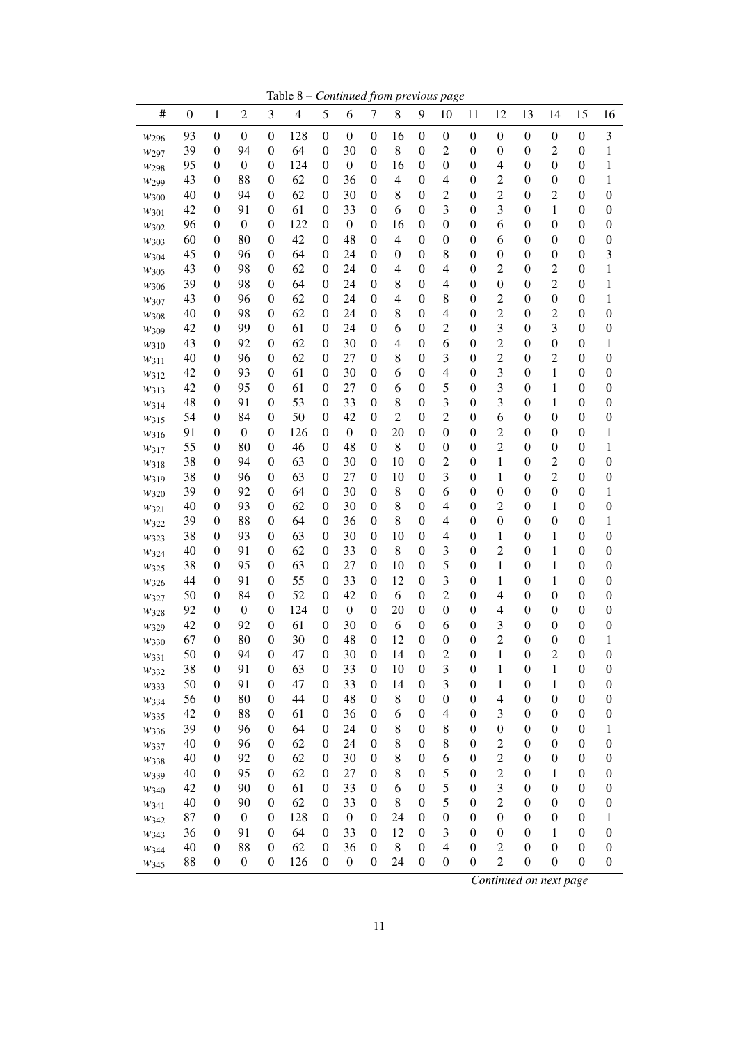Table 8 – *Continued from previous page*

| #         | $\boldsymbol{0}$ | $\mathbf{1}$                         | $\sqrt{2}$             | 3                                    | $\overline{\mathcal{L}}$ | 5                                    | 6                      | $\boldsymbol{7}$ | 8                | 9                                    | 10                                 | 11                                   | 12                                 | 13                                   | 14                    | 15                                   | 16                    |
|-----------|------------------|--------------------------------------|------------------------|--------------------------------------|--------------------------|--------------------------------------|------------------------|------------------|------------------|--------------------------------------|------------------------------------|--------------------------------------|------------------------------------|--------------------------------------|-----------------------|--------------------------------------|-----------------------|
| W296      | 93               | $\boldsymbol{0}$                     | $\boldsymbol{0}$       | $\boldsymbol{0}$                     | 128                      | $\boldsymbol{0}$                     | $\boldsymbol{0}$       | $\boldsymbol{0}$ | 16               | $\boldsymbol{0}$                     | $\boldsymbol{0}$                   | $\boldsymbol{0}$                     | $\boldsymbol{0}$                   | $\boldsymbol{0}$                     | $\boldsymbol{0}$      | $\boldsymbol{0}$                     | $\mathfrak{Z}$        |
| W297      | 39               | $\boldsymbol{0}$                     | 94                     | $\boldsymbol{0}$                     | 64                       | $\mathbf{0}$                         | 30                     | $\boldsymbol{0}$ | 8                | $\boldsymbol{0}$                     | $\overline{c}$                     | $\boldsymbol{0}$                     | $\boldsymbol{0}$                   | $\boldsymbol{0}$                     | $\overline{c}$        | $\boldsymbol{0}$                     | 1                     |
| W298      | 95               | $\boldsymbol{0}$                     | $\boldsymbol{0}$       | $\boldsymbol{0}$                     | 124                      | $\mathbf{0}$                         | $\boldsymbol{0}$       | $\boldsymbol{0}$ | 16               | $\boldsymbol{0}$                     | $\boldsymbol{0}$                   | $\boldsymbol{0}$                     | 4                                  | $\boldsymbol{0}$                     | $\boldsymbol{0}$      | $\boldsymbol{0}$                     | 1                     |
| W299      | 43               | $\boldsymbol{0}$                     | 88                     | $\boldsymbol{0}$                     | 62                       | 0                                    | 36                     | $\boldsymbol{0}$ | 4                | $\boldsymbol{0}$                     | 4                                  | $\boldsymbol{0}$                     | $\overline{c}$                     | $\boldsymbol{0}$                     | $\boldsymbol{0}$      | $\boldsymbol{0}$                     | 1                     |
| W300      | 40               | $\boldsymbol{0}$                     | 94                     | $\boldsymbol{0}$                     | 62                       | $\theta$                             | 30                     | $\boldsymbol{0}$ | 8                | $\boldsymbol{0}$                     | $\overline{c}$                     | $\boldsymbol{0}$                     | $\overline{c}$                     | $\boldsymbol{0}$                     | $\overline{c}$        | $\boldsymbol{0}$                     | $\boldsymbol{0}$      |
| W301      | 42               | $\boldsymbol{0}$                     | 91                     | $\boldsymbol{0}$                     | 61                       | $\theta$                             | 33                     | $\boldsymbol{0}$ | 6                | $\boldsymbol{0}$                     | 3                                  | $\boldsymbol{0}$                     | 3                                  | $\boldsymbol{0}$                     | 1                     | $\boldsymbol{0}$                     | $\boldsymbol{0}$      |
| W302      | 96               | $\boldsymbol{0}$                     | $\boldsymbol{0}$       | $\boldsymbol{0}$                     | 122                      | $\boldsymbol{0}$                     | $\boldsymbol{0}$       | 0                | 16               | $\boldsymbol{0}$                     | $\boldsymbol{0}$                   | $\boldsymbol{0}$                     | 6                                  | $\boldsymbol{0}$                     | $\boldsymbol{0}$      | $\boldsymbol{0}$                     | $\boldsymbol{0}$      |
| W303      | 60               | $\boldsymbol{0}$                     | 80                     | 0                                    | 42                       | 0                                    | 48                     | 0                | 4                | $\boldsymbol{0}$                     | $\boldsymbol{0}$                   | $\boldsymbol{0}$                     | 6                                  | $\boldsymbol{0}$                     | $\boldsymbol{0}$      | $\boldsymbol{0}$                     | $\boldsymbol{0}$      |
| W304      | 45               | $\boldsymbol{0}$                     | 96                     | $\boldsymbol{0}$                     | 64                       | 0                                    | 24                     | 0                | $\boldsymbol{0}$ | $\boldsymbol{0}$                     | 8                                  | $\boldsymbol{0}$                     | $\boldsymbol{0}$                   | $\boldsymbol{0}$                     | $\boldsymbol{0}$      | $\boldsymbol{0}$                     | 3                     |
| W305      | 43               | $\boldsymbol{0}$                     | 98                     | $\boldsymbol{0}$                     | 62                       | 0                                    | 24                     | 0                | 4                | $\boldsymbol{0}$                     | 4                                  | $\boldsymbol{0}$                     | $\overline{c}$                     | $\boldsymbol{0}$                     | $\overline{c}$        | $\boldsymbol{0}$                     | 1                     |
| W306      | 39               | $\boldsymbol{0}$                     | 98                     | $\boldsymbol{0}$                     | 64                       | 0                                    | 24                     | 0                | 8                | $\boldsymbol{0}$                     | 4                                  | $\boldsymbol{0}$                     | $\boldsymbol{0}$                   | $\boldsymbol{0}$                     | $\overline{c}$        | $\boldsymbol{0}$                     | 1                     |
| W307      | 43               | $\boldsymbol{0}$                     | 96                     | $\boldsymbol{0}$                     | 62                       | 0                                    | 24                     | 0                | 4                | $\boldsymbol{0}$                     | 8                                  | $\boldsymbol{0}$                     | $\overline{c}$                     | $\boldsymbol{0}$                     | $\boldsymbol{0}$      | $\boldsymbol{0}$                     | 1                     |
| W308      | 40               | $\boldsymbol{0}$                     | 98                     | $\boldsymbol{0}$                     | 62                       | 0                                    | 24                     | 0                | 8                | $\boldsymbol{0}$                     | 4                                  | $\boldsymbol{0}$                     | $\overline{c}$                     | $\boldsymbol{0}$                     | $\overline{c}$        | $\boldsymbol{0}$                     | $\boldsymbol{0}$      |
| W309      | 42               | $\boldsymbol{0}$                     | 99                     | $\boldsymbol{0}$                     | 61                       | 0                                    | 24                     | 0                | 6                | $\boldsymbol{0}$                     | $\overline{c}$                     | $\boldsymbol{0}$                     | 3                                  | $\boldsymbol{0}$                     | 3                     | $\boldsymbol{0}$                     | $\boldsymbol{0}$      |
| W310      | 43               | $\boldsymbol{0}$                     | 92                     | $\boldsymbol{0}$                     | 62                       | 0                                    | 30                     | 0                | 4                | $\boldsymbol{0}$                     | 6                                  | $\boldsymbol{0}$                     | $\overline{c}$                     | $\boldsymbol{0}$                     | $\boldsymbol{0}$      | $\boldsymbol{0}$                     | 1                     |
| W311      | 40               | $\boldsymbol{0}$                     | 96                     | $\boldsymbol{0}$                     | 62                       | $\theta$                             | 27                     | $\boldsymbol{0}$ | 8                | $\boldsymbol{0}$                     | 3                                  | $\boldsymbol{0}$                     | $\overline{c}$                     | $\boldsymbol{0}$                     | $\overline{c}$        | $\boldsymbol{0}$                     | $\boldsymbol{0}$      |
| $w_{312}$ | 42               | $\boldsymbol{0}$                     | 93                     | $\boldsymbol{0}$                     | 61                       | 0                                    | 30                     | $\boldsymbol{0}$ | 6                | $\boldsymbol{0}$                     | 4                                  | $\boldsymbol{0}$                     | 3                                  | $\boldsymbol{0}$                     | 1                     | $\boldsymbol{0}$                     | $\boldsymbol{0}$      |
| W313      | 42               | $\boldsymbol{0}$                     | 95                     | $\boldsymbol{0}$                     | 61                       | 0                                    | 27                     | $\boldsymbol{0}$ | 6                | $\boldsymbol{0}$                     | 5                                  | $\boldsymbol{0}$                     | 3                                  | $\boldsymbol{0}$                     | 1                     | $\boldsymbol{0}$                     | $\boldsymbol{0}$      |
| W314      | 48               | $\boldsymbol{0}$                     | 91                     | $\boldsymbol{0}$                     | 53                       | 0                                    | 33                     | $\boldsymbol{0}$ | 8                | $\boldsymbol{0}$                     | 3                                  | $\boldsymbol{0}$                     | 3                                  | $\boldsymbol{0}$                     | 1                     | $\boldsymbol{0}$                     | $\boldsymbol{0}$      |
| W315      | 54               | $\boldsymbol{0}$                     | 84                     | $\boldsymbol{0}$                     | 50                       | 0                                    | 42                     | $\boldsymbol{0}$ | $\overline{2}$   | $\boldsymbol{0}$                     | $\overline{c}$                     | $\boldsymbol{0}$                     | 6                                  | $\boldsymbol{0}$                     | $\boldsymbol{0}$      | $\boldsymbol{0}$                     | $\boldsymbol{0}$      |
| W316      | 91               | $\boldsymbol{0}$                     | $\boldsymbol{0}$       | $\boldsymbol{0}$                     | 126                      | 0                                    | $\boldsymbol{0}$       | 0                | 20               | $\boldsymbol{0}$                     | $\boldsymbol{0}$                   | $\boldsymbol{0}$                     | $\overline{c}$                     | $\boldsymbol{0}$                     | $\boldsymbol{0}$      | $\boldsymbol{0}$                     | 1                     |
| $w_{317}$ | 55               | $\boldsymbol{0}$                     | 80                     | $\boldsymbol{0}$                     | 46                       | 0                                    | 48                     | $\boldsymbol{0}$ | 8                | $\boldsymbol{0}$                     | $\boldsymbol{0}$                   | $\boldsymbol{0}$                     | $\overline{c}$                     | $\boldsymbol{0}$                     | $\boldsymbol{0}$      | $\boldsymbol{0}$                     | 1                     |
| W318      | 38               | $\boldsymbol{0}$                     | 94                     | $\boldsymbol{0}$                     | 63                       | 0                                    | 30                     | $\boldsymbol{0}$ | 10               | $\boldsymbol{0}$                     | $\overline{c}$                     | $\boldsymbol{0}$                     | 1                                  | $\boldsymbol{0}$                     | $\overline{c}$        | $\boldsymbol{0}$                     | $\boldsymbol{0}$      |
| W319      | 38               | $\boldsymbol{0}$                     | 96                     | $\boldsymbol{0}$                     | 63                       | 0                                    | 27                     | $\boldsymbol{0}$ | 10               | $\boldsymbol{0}$                     | 3                                  | $\boldsymbol{0}$                     | 1                                  | $\boldsymbol{0}$                     | $\overline{c}$        | $\boldsymbol{0}$                     | $\boldsymbol{0}$      |
| W320      | 39               | $\boldsymbol{0}$                     | 92                     | $\boldsymbol{0}$                     | 64                       | $\theta$                             | 30                     | $\boldsymbol{0}$ | 8                | $\boldsymbol{0}$                     | 6                                  | $\boldsymbol{0}$                     | $\boldsymbol{0}$                   | $\boldsymbol{0}$                     | $\boldsymbol{0}$      | $\boldsymbol{0}$                     | 1                     |
| W321      | 40               | $\boldsymbol{0}$                     | 93                     | $\boldsymbol{0}$                     | 62                       | $\theta$                             | 30                     | $\boldsymbol{0}$ | 8                | $\boldsymbol{0}$                     | $\overline{4}$                     | $\boldsymbol{0}$                     | $\overline{c}$                     | $\boldsymbol{0}$                     | 1                     | $\boldsymbol{0}$                     | 0                     |
| W322      | 39               | $\boldsymbol{0}$                     | 88                     | $\boldsymbol{0}$                     | 64                       | $\theta$                             | 36                     | $\boldsymbol{0}$ | 8                | $\boldsymbol{0}$                     | 4                                  | $\boldsymbol{0}$                     | $\boldsymbol{0}$                   | $\boldsymbol{0}$                     | $\boldsymbol{0}$      | $\boldsymbol{0}$                     | 1                     |
| W323      | 38               | $\boldsymbol{0}$                     | 93                     | $\boldsymbol{0}$                     | 63                       | $\theta$                             | 30                     | $\boldsymbol{0}$ | 10               | $\boldsymbol{0}$                     | $\overline{4}$                     | $\boldsymbol{0}$                     | 1                                  | $\boldsymbol{0}$                     | 1                     | $\boldsymbol{0}$                     | $\boldsymbol{0}$      |
| W324      | 40               | $\boldsymbol{0}$                     | 91                     | $\boldsymbol{0}$                     | 62                       | $\theta$                             | 33                     | $\boldsymbol{0}$ | 8                | $\boldsymbol{0}$                     | 3                                  | $\boldsymbol{0}$                     | $\overline{c}$                     | $\boldsymbol{0}$                     | 1                     | $\boldsymbol{0}$                     | $\boldsymbol{0}$      |
| W325      | 38               | $\boldsymbol{0}$                     | 95                     | $\boldsymbol{0}$                     | 63                       | $\theta$                             | 27                     | $\boldsymbol{0}$ | 10               | $\boldsymbol{0}$                     | 5                                  | $\boldsymbol{0}$                     | 1                                  | $\boldsymbol{0}$                     | 1                     | $\boldsymbol{0}$                     | $\boldsymbol{0}$      |
| W326      | 44               | $\boldsymbol{0}$                     | 91                     | $\boldsymbol{0}$                     | 55                       | $\theta$                             | 33                     | $\boldsymbol{0}$ | 12               | $\boldsymbol{0}$                     | 3                                  | $\boldsymbol{0}$                     | 1                                  | $\boldsymbol{0}$                     | 1                     | $\boldsymbol{0}$                     | $\boldsymbol{0}$      |
| $w_{327}$ | 50               | $\boldsymbol{0}$                     | 84                     | $\boldsymbol{0}$                     | 52                       | 0                                    | 42                     | $\boldsymbol{0}$ | 6                | $\boldsymbol{0}$                     | $\overline{c}$                     | $\boldsymbol{0}$                     | $\overline{4}$                     | $\boldsymbol{0}$                     | $\boldsymbol{0}$      | $\boldsymbol{0}$                     | $\boldsymbol{0}$      |
| W328      | 92               | $\boldsymbol{0}$                     | $\boldsymbol{0}$       | $\boldsymbol{0}$                     | 124                      | $\mathbf{0}$                         | $\boldsymbol{0}$       | $\boldsymbol{0}$ | 20               | $\boldsymbol{0}$                     | $\boldsymbol{0}$                   | $\boldsymbol{0}$                     | $\overline{4}$                     | $\boldsymbol{0}$                     | $\boldsymbol{0}$      | $\boldsymbol{0}$                     | $\boldsymbol{0}$      |
| W329      | 42               | $\boldsymbol{0}$                     | 92                     | $\boldsymbol{0}$                     | 61                       | 0                                    | 30                     | $\boldsymbol{0}$ | 6                | $\boldsymbol{0}$                     | 6                                  | $\boldsymbol{0}$                     | 3                                  | $\boldsymbol{0}$                     | $\boldsymbol{0}$      | $\boldsymbol{0}$                     | $\boldsymbol{0}$      |
| $w_{330}$ | 67               | $\boldsymbol{0}$                     | 80                     | $\boldsymbol{0}$                     | 30                       | $\overline{0}$                       | 48                     | $\boldsymbol{0}$ | 12               | $\boldsymbol{0}$                     | $\boldsymbol{0}$                   | $\boldsymbol{0}$                     | $\overline{2}$                     | $\boldsymbol{0}$                     | $\boldsymbol{0}$      | $\boldsymbol{0}$                     | 1                     |
| W331      | 50               | $\mathbf{0}$                         | 94                     | $\boldsymbol{0}$                     | 47                       | $\overline{0}$                       | 30                     | $\overline{0}$   | 14               | $\overline{0}$                       | $\overline{c}$                     | $\overline{0}$                       | 1                                  | $\boldsymbol{0}$                     | $\overline{c}$        | $\theta$                             | $\boldsymbol{0}$      |
| W332      | 38               | $\boldsymbol{0}$                     | 91                     | $\boldsymbol{0}$                     | 63                       | $\boldsymbol{0}$                     | 33                     | $\boldsymbol{0}$ | 10               | $\boldsymbol{0}$                     | $\mathfrak{Z}$                     | $\boldsymbol{0}$                     | 1                                  | $\boldsymbol{0}$                     | $\mathbf{1}$          | $\boldsymbol{0}$                     | $\boldsymbol{0}$      |
| W333      | 50               | $\boldsymbol{0}$                     | 91<br>80               | $\boldsymbol{0}$                     | 47<br>44                 | $\boldsymbol{0}$                     | 33                     | $\boldsymbol{0}$ | 14               | $\boldsymbol{0}$                     | 3                                  | $\boldsymbol{0}$                     | $\mathbf{1}$                       | $\boldsymbol{0}$                     | $\mathbf{1}$          | $\boldsymbol{0}$                     | $\boldsymbol{0}$      |
| W334      | 56               | $\boldsymbol{0}$                     | 88                     | $\boldsymbol{0}$                     |                          | $\boldsymbol{0}$                     | 48<br>36               | $\boldsymbol{0}$ | 8<br>6           | $\boldsymbol{0}$                     | $\boldsymbol{0}$<br>$\overline{4}$ | $\boldsymbol{0}$                     | $\overline{4}$                     | $\boldsymbol{0}$                     | $\boldsymbol{0}$      | $\boldsymbol{0}$                     | $\boldsymbol{0}$      |
| W335      | 42               | $\boldsymbol{0}$                     |                        | $\boldsymbol{0}$                     | 61                       | 0                                    |                        | $\boldsymbol{0}$ |                  | $\boldsymbol{0}$                     |                                    | $\boldsymbol{0}$                     | 3                                  | $\boldsymbol{0}$                     | $\boldsymbol{0}$      | $\boldsymbol{0}$                     | $\boldsymbol{0}$      |
| W336      | 39               | $\boldsymbol{0}$                     | 96                     | $\boldsymbol{0}$                     | 64                       | 0                                    | 24                     | $\boldsymbol{0}$ | 8                | $\boldsymbol{0}$                     | 8                                  | $\boldsymbol{0}$                     | $\boldsymbol{0}$                   | $\boldsymbol{0}$                     | $\boldsymbol{0}$      | $\boldsymbol{0}$                     | 1                     |
| W337      | 40               | $\boldsymbol{0}$                     | 96                     | $\boldsymbol{0}$                     | 62                       | $\boldsymbol{0}$                     | 24                     | $\boldsymbol{0}$ | 8                | $\boldsymbol{0}$                     | 8                                  | $\boldsymbol{0}$                     | $\overline{c}$                     | $\boldsymbol{0}$                     | $\boldsymbol{0}$      | $\boldsymbol{0}$                     | $\boldsymbol{0}$      |
| W338      | 40               | $\boldsymbol{0}$                     | 92                     | $\boldsymbol{0}$                     | 62                       | $\boldsymbol{0}$                     | 30                     | $\boldsymbol{0}$ | 8                | $\boldsymbol{0}$                     | 6                                  | $\boldsymbol{0}$                     | $\overline{c}$                     | $\boldsymbol{0}$                     | $\boldsymbol{0}$      | $\boldsymbol{0}$                     | $\boldsymbol{0}$      |
| W339      | 40               | $\boldsymbol{0}$                     | 95                     | $\boldsymbol{0}$                     | 62<br>61                 | $\boldsymbol{0}$                     | 27<br>33               | $\boldsymbol{0}$ | 8<br>6           | $\boldsymbol{0}$                     | 5<br>5                             | $\boldsymbol{0}$                     | $\overline{c}$<br>3                | $\boldsymbol{0}$                     | $\mathbf{1}$          | $\boldsymbol{0}$                     | $\boldsymbol{0}$      |
| W340      | 42               | $\boldsymbol{0}$                     | 90                     | $\boldsymbol{0}$                     |                          | $\boldsymbol{0}$                     |                        | $\boldsymbol{0}$ | 8                | $\boldsymbol{0}$                     | 5                                  | $\boldsymbol{0}$                     |                                    | $\boldsymbol{0}$                     | $\boldsymbol{0}$      | $\boldsymbol{0}$                     | $\boldsymbol{0}$      |
| W341      | 40               | $\boldsymbol{0}$                     | 90                     | $\boldsymbol{0}$                     | 62                       | 0                                    | 33<br>$\boldsymbol{0}$ | $\boldsymbol{0}$ | 24               | $\boldsymbol{0}$                     | $\boldsymbol{0}$                   | $\boldsymbol{0}$                     | $\overline{c}$<br>$\boldsymbol{0}$ | $\boldsymbol{0}$                     | $\boldsymbol{0}$      | $\boldsymbol{0}$                     | $\boldsymbol{0}$      |
| W342      | 87               | $\boldsymbol{0}$                     | $\boldsymbol{0}$<br>91 | $\boldsymbol{0}$<br>$\boldsymbol{0}$ | 128<br>64                | $\boldsymbol{0}$<br>$\boldsymbol{0}$ | 33                     | 0<br>0           | 12               | $\boldsymbol{0}$<br>$\boldsymbol{0}$ | 3                                  | $\boldsymbol{0}$<br>$\boldsymbol{0}$ | $\boldsymbol{0}$                   | $\boldsymbol{0}$<br>$\boldsymbol{0}$ | $\boldsymbol{0}$<br>1 | $\boldsymbol{0}$<br>$\boldsymbol{0}$ | 1<br>$\boldsymbol{0}$ |
| W343      | 36<br>40         | $\boldsymbol{0}$<br>$\boldsymbol{0}$ | 88                     | $\boldsymbol{0}$                     | 62                       | $\boldsymbol{0}$                     | 36                     | $\boldsymbol{0}$ | 8                | $\boldsymbol{0}$                     | $\overline{4}$                     | $\boldsymbol{0}$                     | $\overline{c}$                     | $\boldsymbol{0}$                     | $\boldsymbol{0}$      | $\boldsymbol{0}$                     | $\boldsymbol{0}$      |
| W344      | 88               | $\boldsymbol{0}$                     | $\boldsymbol{0}$       | $\boldsymbol{0}$                     | 126                      | $\boldsymbol{0}$                     | $\boldsymbol{0}$       | $\boldsymbol{0}$ | 24               | $\boldsymbol{0}$                     | $\boldsymbol{0}$                   | $\boldsymbol{0}$                     | $\overline{c}$                     | $\boldsymbol{0}$                     | $\boldsymbol{0}$      | $\boldsymbol{0}$                     | $\boldsymbol{0}$      |
| W345      |                  |                                      |                        |                                      |                          |                                      |                        |                  |                  |                                      |                                    |                                      |                                    |                                      |                       |                                      |                       |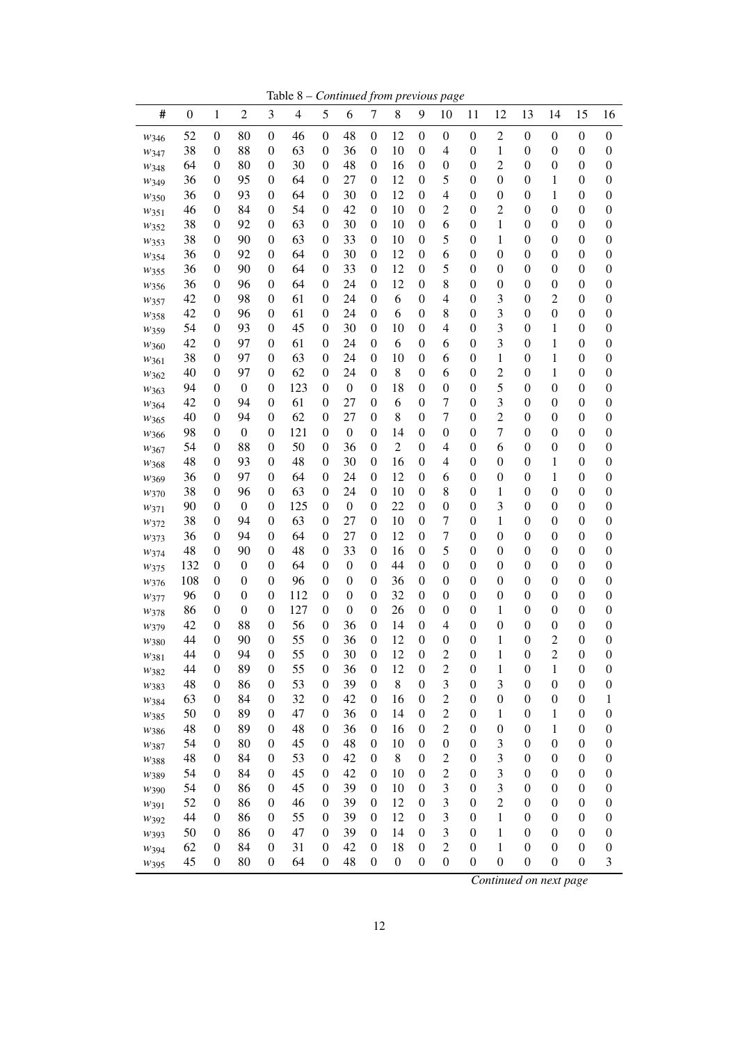Table 8 – *Continued from previous page*

| #            | $\boldsymbol{0}$ | $\mathbf{1}$                         | $\overline{2}$                       | 3                                    | $\overline{4}$ | 5                          | 6                                    | $\tau$                               | 8                | 9                                    | 10                                 | 11                                   | 12                    | 13                                   | 14                                 | 15                                   | 16                                   |
|--------------|------------------|--------------------------------------|--------------------------------------|--------------------------------------|----------------|----------------------------|--------------------------------------|--------------------------------------|------------------|--------------------------------------|------------------------------------|--------------------------------------|-----------------------|--------------------------------------|------------------------------------|--------------------------------------|--------------------------------------|
| W346         | 52               | $\boldsymbol{0}$                     | 80                                   | $\boldsymbol{0}$                     | 46             | $\boldsymbol{0}$           | 48                                   | $\boldsymbol{0}$                     | 12               | $\boldsymbol{0}$                     | $\boldsymbol{0}$                   | $\boldsymbol{0}$                     | $\overline{c}$        | $\boldsymbol{0}$                     | $\boldsymbol{0}$                   | $\boldsymbol{0}$                     | $\boldsymbol{0}$                     |
| W347         | 38               | $\boldsymbol{0}$                     | 88                                   | $\boldsymbol{0}$                     | 63             | 0                          | 36                                   | $\boldsymbol{0}$                     | 10               | $\boldsymbol{0}$                     | 4                                  | $\boldsymbol{0}$                     | 1                     | $\boldsymbol{0}$                     | $\boldsymbol{0}$                   | $\boldsymbol{0}$                     | $\boldsymbol{0}$                     |
| W348         | 64               | $\boldsymbol{0}$                     | 80                                   | $\boldsymbol{0}$                     | 30             | 0                          | 48                                   | $\boldsymbol{0}$                     | 16               | $\boldsymbol{0}$                     | $\boldsymbol{0}$                   | $\boldsymbol{0}$                     | $\overline{c}$        | $\boldsymbol{0}$                     | $\boldsymbol{0}$                   | $\boldsymbol{0}$                     | 0                                    |
| W349         | 36               | $\boldsymbol{0}$                     | 95                                   | $\boldsymbol{0}$                     | 64             | 0                          | 27                                   | $\boldsymbol{0}$                     | 12               | $\boldsymbol{0}$                     | 5                                  | $\boldsymbol{0}$                     | $\boldsymbol{0}$      | $\boldsymbol{0}$                     | 1                                  | $\boldsymbol{0}$                     | 0                                    |
| W350         | 36               | $\boldsymbol{0}$                     | 93                                   | $\boldsymbol{0}$                     | 64             | 0                          | 30                                   | $\boldsymbol{0}$                     | 12               | $\boldsymbol{0}$                     | 4                                  | $\boldsymbol{0}$                     | $\boldsymbol{0}$      | $\boldsymbol{0}$                     | 1                                  | $\boldsymbol{0}$                     | 0                                    |
| W351         | 46               | $\boldsymbol{0}$                     | 84                                   | $\boldsymbol{0}$                     | 54             | 0                          | 42                                   | $\boldsymbol{0}$                     | 10               | $\boldsymbol{0}$                     | $\overline{c}$                     | $\boldsymbol{0}$                     | $\overline{c}$        | $\boldsymbol{0}$                     | $\boldsymbol{0}$                   | $\boldsymbol{0}$                     | $\boldsymbol{0}$                     |
| W352         | 38               | $\boldsymbol{0}$                     | 92                                   | $\boldsymbol{0}$                     | 63             | 0                          | 30                                   | $\boldsymbol{0}$                     | 10               | $\boldsymbol{0}$                     | 6                                  | $\boldsymbol{0}$                     | 1                     | $\boldsymbol{0}$                     | $\boldsymbol{0}$                   | $\boldsymbol{0}$                     | $\boldsymbol{0}$                     |
| W353         | 38               | $\boldsymbol{0}$                     | 90                                   | $\boldsymbol{0}$                     | 63             | 0                          | 33                                   | $\boldsymbol{0}$                     | 10               | $\boldsymbol{0}$                     | 5                                  | $\boldsymbol{0}$                     | 1                     | $\boldsymbol{0}$                     | $\boldsymbol{0}$                   | $\boldsymbol{0}$                     | $\boldsymbol{0}$                     |
| W354         | 36               | $\boldsymbol{0}$                     | 92                                   | $\boldsymbol{0}$                     | 64             | 0                          | 30                                   | $\boldsymbol{0}$                     | 12               | $\boldsymbol{0}$                     | 6                                  | $\boldsymbol{0}$                     | $\boldsymbol{0}$      | $\boldsymbol{0}$                     | $\boldsymbol{0}$                   | $\boldsymbol{0}$                     | $\boldsymbol{0}$                     |
| W355         | 36               | $\boldsymbol{0}$                     | 90                                   | $\boldsymbol{0}$                     | 64             | 0                          | 33                                   | $\boldsymbol{0}$                     | 12               | $\boldsymbol{0}$                     | 5                                  | $\boldsymbol{0}$                     | $\boldsymbol{0}$      | $\boldsymbol{0}$                     | $\boldsymbol{0}$                   | $\boldsymbol{0}$                     | $\boldsymbol{0}$                     |
| W356         | 36               | $\boldsymbol{0}$                     | 96                                   | $\boldsymbol{0}$                     | 64             | 0                          | 24                                   | $\boldsymbol{0}$                     | 12               | $\boldsymbol{0}$                     | 8                                  | $\boldsymbol{0}$                     | $\boldsymbol{0}$      | $\boldsymbol{0}$                     | $\boldsymbol{0}$                   | $\boldsymbol{0}$                     | $\boldsymbol{0}$                     |
| W357         | 42               | $\boldsymbol{0}$                     | 98                                   | $\boldsymbol{0}$                     | 61             | 0                          | 24                                   | $\boldsymbol{0}$                     | 6                | $\boldsymbol{0}$                     | $\overline{4}$                     | $\boldsymbol{0}$                     | 3                     | $\boldsymbol{0}$                     | $\overline{c}$                     | $\boldsymbol{0}$                     | $\boldsymbol{0}$                     |
| W358         | 42               | $\boldsymbol{0}$                     | 96                                   | $\boldsymbol{0}$                     | 61             | 0                          | 24                                   | $\boldsymbol{0}$                     | 6                | $\boldsymbol{0}$                     | 8                                  | $\boldsymbol{0}$                     | 3                     | $\boldsymbol{0}$                     | $\boldsymbol{0}$                   | $\boldsymbol{0}$                     | $\boldsymbol{0}$                     |
| W359         | 54               | $\boldsymbol{0}$                     | 93                                   | $\boldsymbol{0}$                     | 45             | 0                          | 30                                   | $\boldsymbol{0}$                     | 10               | $\boldsymbol{0}$                     | $\overline{4}$                     | $\boldsymbol{0}$                     | 3                     | $\boldsymbol{0}$                     | 1                                  | $\boldsymbol{0}$                     | $\boldsymbol{0}$                     |
| W360         | 42               | $\boldsymbol{0}$                     | 97                                   | $\boldsymbol{0}$                     | 61             | 0                          | 24                                   | $\boldsymbol{0}$                     | 6                | $\boldsymbol{0}$                     | 6                                  | $\boldsymbol{0}$                     | 3                     | $\boldsymbol{0}$                     | 1                                  | $\boldsymbol{0}$                     | $\boldsymbol{0}$                     |
| W361         | 38               | $\boldsymbol{0}$                     | 97                                   | $\boldsymbol{0}$                     | 63             | 0                          | 24                                   | $\boldsymbol{0}$                     | 10               | $\boldsymbol{0}$                     | 6                                  | $\boldsymbol{0}$                     | 1                     | $\boldsymbol{0}$                     | 1                                  | $\boldsymbol{0}$                     | $\boldsymbol{0}$                     |
| $w_{362}$    | 40               | $\boldsymbol{0}$                     | 97                                   | $\boldsymbol{0}$                     | 62             | $\overline{0}$             | 24                                   | $\boldsymbol{0}$                     | 8                | $\boldsymbol{0}$                     | 6                                  | $\boldsymbol{0}$                     | $\overline{c}$        | $\boldsymbol{0}$                     | 1                                  | $\boldsymbol{0}$                     | $\boldsymbol{0}$                     |
| W363         | 94               | $\boldsymbol{0}$                     | $\boldsymbol{0}$                     | $\boldsymbol{0}$                     | 123            | $\theta$                   | $\boldsymbol{0}$                     | $\boldsymbol{0}$                     | 18               | $\boldsymbol{0}$                     | $\boldsymbol{0}$                   | $\boldsymbol{0}$                     | 5                     | $\boldsymbol{0}$                     | $\boldsymbol{0}$                   | $\boldsymbol{0}$                     | $\boldsymbol{0}$                     |
| W364         | 42               | $\boldsymbol{0}$                     | 94                                   | $\boldsymbol{0}$                     | 61             | $\overline{0}$             | 27                                   | $\boldsymbol{0}$                     | 6                | $\boldsymbol{0}$                     | $\boldsymbol{7}$                   | $\boldsymbol{0}$                     | 3                     | $\boldsymbol{0}$                     | $\boldsymbol{0}$                   | $\boldsymbol{0}$                     | $\boldsymbol{0}$                     |
| W365         | 40               | $\boldsymbol{0}$                     | 94                                   | $\boldsymbol{0}$                     | 62             | 0                          | 27                                   | $\boldsymbol{0}$                     | 8                | $\boldsymbol{0}$                     | $\overline{7}$                     | $\boldsymbol{0}$                     | $\overline{c}$        | $\boldsymbol{0}$                     | $\boldsymbol{0}$                   | $\boldsymbol{0}$                     | $\boldsymbol{0}$                     |
| W366         | 98               | $\boldsymbol{0}$                     | $\boldsymbol{0}$                     | $\boldsymbol{0}$                     | 121            | $\theta$                   | $\boldsymbol{0}$                     | $\boldsymbol{0}$                     | 14               | $\boldsymbol{0}$                     | $\boldsymbol{0}$                   | $\boldsymbol{0}$                     | $\overline{7}$        | $\boldsymbol{0}$                     | $\boldsymbol{0}$                   | $\boldsymbol{0}$                     | $\boldsymbol{0}$                     |
| W367         | 54               | $\boldsymbol{0}$                     | 88                                   | $\boldsymbol{0}$                     | 50             | $\overline{0}$             | 36                                   | $\boldsymbol{0}$                     | $\overline{c}$   | $\boldsymbol{0}$                     | $\overline{4}$                     | $\boldsymbol{0}$                     | 6                     | $\boldsymbol{0}$                     | $\boldsymbol{0}$                   | $\boldsymbol{0}$                     | $\boldsymbol{0}$                     |
| W368         | 48               | $\boldsymbol{0}$                     | 93                                   | $\boldsymbol{0}$                     | 48             | $\overline{0}$             | 30                                   | $\boldsymbol{0}$                     | 16               | $\boldsymbol{0}$                     | $\overline{4}$                     | $\boldsymbol{0}$                     | $\boldsymbol{0}$      | $\boldsymbol{0}$                     | 1                                  | $\boldsymbol{0}$                     | $\boldsymbol{0}$                     |
| W369         | 36               | $\boldsymbol{0}$                     | 97                                   | $\boldsymbol{0}$                     | 64             | $\overline{0}$             | 24                                   | $\boldsymbol{0}$                     | 12               | $\boldsymbol{0}$                     | 6                                  | $\boldsymbol{0}$                     | $\boldsymbol{0}$      | $\boldsymbol{0}$                     | 1                                  | $\boldsymbol{0}$                     | $\boldsymbol{0}$                     |
| W370         | 38               | $\boldsymbol{0}$                     | 96                                   | $\boldsymbol{0}$                     | 63             | $\overline{0}$             | 24                                   | $\boldsymbol{0}$                     | 10               | $\boldsymbol{0}$                     | 8                                  | $\boldsymbol{0}$                     | 1                     | $\boldsymbol{0}$                     | $\boldsymbol{0}$                   | $\boldsymbol{0}$                     | $\boldsymbol{0}$                     |
| $w_{371}$    | 90               | $\boldsymbol{0}$                     | $\boldsymbol{0}$                     | $\boldsymbol{0}$                     | 125            | 0                          | $\boldsymbol{0}$                     | $\boldsymbol{0}$                     | 22               | $\boldsymbol{0}$                     | $\boldsymbol{0}$                   | $\boldsymbol{0}$                     | 3                     | $\boldsymbol{0}$                     | $\boldsymbol{0}$                   | $\boldsymbol{0}$                     | $\boldsymbol{0}$                     |
| W372         | 38               | $\boldsymbol{0}$                     | 94                                   | $\boldsymbol{0}$                     | 63             | 0                          | 27                                   | $\boldsymbol{0}$                     | 10               | $\boldsymbol{0}$                     | $\tau$                             | $\boldsymbol{0}$                     | 1                     | $\boldsymbol{0}$                     | $\boldsymbol{0}$                   | $\boldsymbol{0}$                     | $\boldsymbol{0}$                     |
| W373         | 36               | $\boldsymbol{0}$                     | 94                                   | $\boldsymbol{0}$                     | 64             | $\overline{0}$             | 27                                   | $\boldsymbol{0}$                     | 12               | $\boldsymbol{0}$                     | $\tau$                             | $\boldsymbol{0}$                     | $\boldsymbol{0}$      | $\boldsymbol{0}$                     | $\boldsymbol{0}$                   | $\boldsymbol{0}$                     | $\boldsymbol{0}$                     |
| W374         | 48               | $\boldsymbol{0}$                     | 90                                   | $\boldsymbol{0}$                     | 48             | $\overline{0}$             | 33                                   | $\boldsymbol{0}$                     | 16               | $\boldsymbol{0}$                     | 5                                  | $\boldsymbol{0}$                     | $\boldsymbol{0}$      | $\boldsymbol{0}$                     | $\boldsymbol{0}$                   | $\boldsymbol{0}$                     | $\boldsymbol{0}$                     |
| W375         | 132              | $\boldsymbol{0}$                     | $\boldsymbol{0}$                     | $\boldsymbol{0}$                     | 64             | $\overline{0}$             | $\boldsymbol{0}$                     | $\boldsymbol{0}$                     | 44               | $\boldsymbol{0}$                     | $\boldsymbol{0}$                   | $\boldsymbol{0}$                     | $\boldsymbol{0}$      | $\boldsymbol{0}$                     | $\boldsymbol{0}$                   | $\boldsymbol{0}$                     | $\boldsymbol{0}$                     |
| W376         | 108              | $\boldsymbol{0}$                     | $\boldsymbol{0}$                     | $\boldsymbol{0}$                     | 96<br>112      | $\overline{0}$<br>$\theta$ | $\boldsymbol{0}$                     | $\boldsymbol{0}$                     | 36<br>32         | $\boldsymbol{0}$                     | $\boldsymbol{0}$                   | $\boldsymbol{0}$                     | $\boldsymbol{0}$      | $\boldsymbol{0}$                     | $\boldsymbol{0}$                   | $\boldsymbol{0}$                     | $\boldsymbol{0}$                     |
| W377         | 96               | $\boldsymbol{0}$                     | $\boldsymbol{0}$<br>$\boldsymbol{0}$ | $\boldsymbol{0}$                     | 127            | $\overline{0}$             | $\boldsymbol{0}$<br>$\boldsymbol{0}$ | $\boldsymbol{0}$                     | 26               | $\boldsymbol{0}$                     | $\boldsymbol{0}$                   | $\boldsymbol{0}$                     | $\boldsymbol{0}$      | $\boldsymbol{0}$                     | $\boldsymbol{0}$                   | $\boldsymbol{0}$                     | $\boldsymbol{0}$                     |
| W378         | 86               | $\boldsymbol{0}$                     | 88                                   | $\boldsymbol{0}$                     | 56             | $\overline{0}$             | 36                                   | $\boldsymbol{0}$                     |                  | $\boldsymbol{0}$                     | $\boldsymbol{0}$<br>$\overline{4}$ | $\boldsymbol{0}$                     | 1<br>$\boldsymbol{0}$ | $\boldsymbol{0}$<br>$\boldsymbol{0}$ | $\boldsymbol{0}$                   | $\boldsymbol{0}$                     | $\boldsymbol{0}$                     |
| W379         | 42<br>44         | $\boldsymbol{0}$<br>$\boldsymbol{0}$ | 90                                   | $\boldsymbol{0}$<br>$\boldsymbol{0}$ | 55             | $\overline{0}$             | 36                                   | $\boldsymbol{0}$<br>$\boldsymbol{0}$ | 14<br>12         | $\boldsymbol{0}$<br>$\boldsymbol{0}$ | $\boldsymbol{0}$                   | $\boldsymbol{0}$<br>$\boldsymbol{0}$ | 1                     | $\boldsymbol{0}$                     | $\boldsymbol{0}$<br>$\overline{c}$ | $\boldsymbol{0}$<br>$\boldsymbol{0}$ | $\boldsymbol{0}$<br>$\boldsymbol{0}$ |
| $w_{380}$    | 44               | $\mathbf{0}$                         | 94                                   | $\theta$                             | 55             | $\overline{0}$             | 30                                   | $\overline{0}$                       | 12               | $\overline{0}$                       | $\overline{c}$                     | $\overline{0}$                       | 1                     | $\boldsymbol{0}$                     | $\overline{2}$                     | $\mathbf{0}$                         | $\overline{0}$                       |
| W381         | 44               | $\boldsymbol{0}$                     | 89                                   | $\mathbf{0}$                         | 55             | $\boldsymbol{0}$           | 36                                   | $\boldsymbol{0}$                     | 12               | $\boldsymbol{0}$                     | $\overline{c}$                     | $\boldsymbol{0}$                     | 1                     | $\boldsymbol{0}$                     | 1                                  | $\boldsymbol{0}$                     | $\boldsymbol{0}$                     |
| W382         | 48               | $\boldsymbol{0}$                     | 86                                   | 0                                    | 53             | $\boldsymbol{0}$           | 39                                   | $\boldsymbol{0}$                     | 8                | $\boldsymbol{0}$                     | 3                                  | $\boldsymbol{0}$                     | 3                     | $\boldsymbol{0}$                     | $\boldsymbol{0}$                   | $\boldsymbol{0}$                     | $\boldsymbol{0}$                     |
| W383         | 63               | $\boldsymbol{0}$                     | 84                                   | $\boldsymbol{0}$                     | 32             | 0                          | 42                                   | $\boldsymbol{0}$                     | 16               | $\boldsymbol{0}$                     | $\overline{c}$                     | $\boldsymbol{0}$                     | $\boldsymbol{0}$      | $\boldsymbol{0}$                     | $\boldsymbol{0}$                   | $\boldsymbol{0}$                     | 1                                    |
| W384         | 50               | 0                                    | 89                                   | $\boldsymbol{0}$                     | 47             | 0                          | 36                                   | $\boldsymbol{0}$                     | 14               | $\boldsymbol{0}$                     | $\overline{c}$                     | $\boldsymbol{0}$                     | 1                     | $\boldsymbol{0}$                     | 1                                  | $\boldsymbol{0}$                     | $\boldsymbol{0}$                     |
| W385<br>W386 | 48               | 0                                    | 89                                   | $\boldsymbol{0}$                     | 48             | 0                          | 36                                   | $\boldsymbol{0}$                     | 16               | $\boldsymbol{0}$                     | $\overline{c}$                     | $\boldsymbol{0}$                     | $\boldsymbol{0}$      | $\boldsymbol{0}$                     | 1                                  | $\boldsymbol{0}$                     | $\boldsymbol{0}$                     |
| W387         | 54               | $\boldsymbol{0}$                     | 80                                   | $\boldsymbol{0}$                     | 45             | 0                          | 48                                   | $\boldsymbol{0}$                     | 10               | $\boldsymbol{0}$                     | $\boldsymbol{0}$                   | $\boldsymbol{0}$                     | 3                     | $\boldsymbol{0}$                     | $\boldsymbol{0}$                   | $\boldsymbol{0}$                     | $\boldsymbol{0}$                     |
|              | 48               | 0                                    | 84                                   | $\boldsymbol{0}$                     | 53             | 0                          | 42                                   | $\boldsymbol{0}$                     | 8                | $\boldsymbol{0}$                     | $\overline{c}$                     | $\boldsymbol{0}$                     | 3                     | $\boldsymbol{0}$                     | $\boldsymbol{0}$                   | $\boldsymbol{0}$                     | $\boldsymbol{0}$                     |
| W388<br>W389 | 54               | $\boldsymbol{0}$                     | 84                                   | $\boldsymbol{0}$                     | 45             | 0                          | 42                                   | $\boldsymbol{0}$                     | 10               | $\boldsymbol{0}$                     | $\overline{c}$                     | $\boldsymbol{0}$                     | 3                     | $\boldsymbol{0}$                     | $\boldsymbol{0}$                   | $\boldsymbol{0}$                     | $\boldsymbol{0}$                     |
| W390         | 54               | $\boldsymbol{0}$                     | 86                                   | $\boldsymbol{0}$                     | 45             | 0                          | 39                                   | $\boldsymbol{0}$                     | 10               | $\boldsymbol{0}$                     | 3                                  | $\boldsymbol{0}$                     | 3                     | $\boldsymbol{0}$                     | $\boldsymbol{0}$                   | $\boldsymbol{0}$                     | $\boldsymbol{0}$                     |
| W391         | 52               | $\boldsymbol{0}$                     | 86                                   | $\boldsymbol{0}$                     | 46             | 0                          | 39                                   | $\boldsymbol{0}$                     | 12               | $\boldsymbol{0}$                     | 3                                  | $\boldsymbol{0}$                     | $\overline{c}$        | $\boldsymbol{0}$                     | $\boldsymbol{0}$                   | $\boldsymbol{0}$                     | $\boldsymbol{0}$                     |
| W392         | 44               | $\boldsymbol{0}$                     | 86                                   | $\boldsymbol{0}$                     | 55             | 0                          | 39                                   | $\boldsymbol{0}$                     | 12               | $\boldsymbol{0}$                     | 3                                  | $\boldsymbol{0}$                     | $\mathbf{1}$          | $\boldsymbol{0}$                     | $\boldsymbol{0}$                   | $\boldsymbol{0}$                     | $\boldsymbol{0}$                     |
| W393         | 50               | $\boldsymbol{0}$                     | 86                                   | $\boldsymbol{0}$                     | 47             | 0                          | 39                                   | $\boldsymbol{0}$                     | 14               | $\boldsymbol{0}$                     | 3                                  | $\boldsymbol{0}$                     | $\mathbf{1}$          | $\boldsymbol{0}$                     | $\boldsymbol{0}$                   | $\boldsymbol{0}$                     | $\boldsymbol{0}$                     |
| W394         | 62               | $\boldsymbol{0}$                     | 84                                   | $\boldsymbol{0}$                     | 31             | 0                          | 42                                   | $\boldsymbol{0}$                     | 18               | $\boldsymbol{0}$                     | $\overline{2}$                     | $\boldsymbol{0}$                     | $\mathbf{1}$          | $\boldsymbol{0}$                     | $\boldsymbol{0}$                   | $\boldsymbol{0}$                     | $\boldsymbol{0}$                     |
| W395         | 45               | $\boldsymbol{0}$                     | 80                                   | $\boldsymbol{0}$                     | 64             | 0                          | 48                                   | $\boldsymbol{0}$                     | $\boldsymbol{0}$ | $\boldsymbol{0}$                     | $\boldsymbol{0}$                   | 0                                    | $\boldsymbol{0}$      | $\boldsymbol{0}$                     | $\boldsymbol{0}$                   | $\boldsymbol{0}$                     | 3                                    |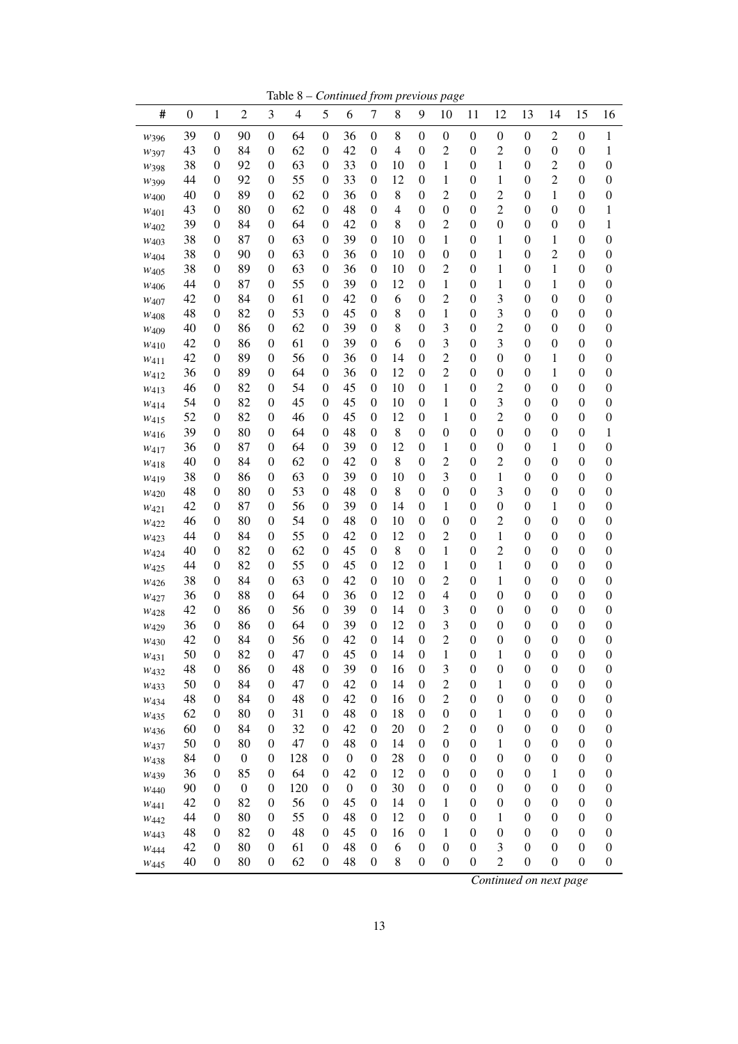Table 8 – *Continued from previous page*

| #                        | $\boldsymbol{0}$ | $\mathbf{1}$                       | $\overline{2}$   | 3                            | $\overline{4}$ | 5                          | 6                | $\tau$                             | 8              | 9                                    | 10                  | 11                                   | 12                                   | 13                                   | 14                                   | 15                           | 16                                 |
|--------------------------|------------------|------------------------------------|------------------|------------------------------|----------------|----------------------------|------------------|------------------------------------|----------------|--------------------------------------|---------------------|--------------------------------------|--------------------------------------|--------------------------------------|--------------------------------------|------------------------------|------------------------------------|
| W396                     | 39               | $\boldsymbol{0}$                   | 90               | $\boldsymbol{0}$             | 64             | $\boldsymbol{0}$           | 36               | $\boldsymbol{0}$                   | 8              | $\boldsymbol{0}$                     | $\boldsymbol{0}$    | $\boldsymbol{0}$                     | $\boldsymbol{0}$                     | $\boldsymbol{0}$                     | $\overline{c}$                       | $\boldsymbol{0}$             | 1                                  |
| W397                     | 43               | $\boldsymbol{0}$                   | 84               | $\boldsymbol{0}$             | 62             | $\theta$                   | 42               | $\boldsymbol{0}$                   | $\overline{4}$ | $\boldsymbol{0}$                     | $\overline{c}$      | $\boldsymbol{0}$                     | $\overline{c}$                       | $\boldsymbol{0}$                     | $\boldsymbol{0}$                     | $\boldsymbol{0}$             | 1                                  |
| W398                     | 38               | $\boldsymbol{0}$                   | 92               | $\boldsymbol{0}$             | 63             | 0                          | 33               | $\boldsymbol{0}$                   | 10             | $\boldsymbol{0}$                     | 1                   | $\boldsymbol{0}$                     | 1                                    | $\boldsymbol{0}$                     | $\overline{c}$                       | $\boldsymbol{0}$             | 0                                  |
| W399                     | 44               | $\boldsymbol{0}$                   | 92               | $\boldsymbol{0}$             | 55             | 0                          | 33               | $\boldsymbol{0}$                   | 12             | $\boldsymbol{0}$                     | 1                   | $\boldsymbol{0}$                     | 1                                    | $\boldsymbol{0}$                     | $\overline{c}$                       | $\boldsymbol{0}$             | 0                                  |
| W400                     | 40               | $\boldsymbol{0}$                   | 89               | $\boldsymbol{0}$             | 62             | 0                          | 36               | $\boldsymbol{0}$                   | 8              | $\boldsymbol{0}$                     | $\overline{c}$      | $\boldsymbol{0}$                     | $\overline{c}$                       | $\boldsymbol{0}$                     | 1                                    | $\boldsymbol{0}$             | $\boldsymbol{0}$                   |
| W401                     | 43               | $\boldsymbol{0}$                   | 80               | $\boldsymbol{0}$             | 62             | $\theta$                   | 48               | $\boldsymbol{0}$                   | $\overline{4}$ | $\boldsymbol{0}$                     | $\boldsymbol{0}$    | $\boldsymbol{0}$                     | $\overline{c}$                       | $\boldsymbol{0}$                     | $\boldsymbol{0}$                     | $\boldsymbol{0}$             | 1                                  |
| W402                     | 39               | $\boldsymbol{0}$                   | 84               | $\boldsymbol{0}$             | 64             | 0                          | 42               | $\boldsymbol{0}$                   | 8              | $\boldsymbol{0}$                     | $\overline{c}$      | $\boldsymbol{0}$                     | $\boldsymbol{0}$                     | $\boldsymbol{0}$                     | $\boldsymbol{0}$                     | $\boldsymbol{0}$             | 1                                  |
| W403                     | 38               | $\boldsymbol{0}$                   | 87               | $\boldsymbol{0}$             | 63             | 0                          | 39               | $\boldsymbol{0}$                   | 10             | $\boldsymbol{0}$                     | 1                   | $\boldsymbol{0}$                     | 1                                    | $\boldsymbol{0}$                     | 1                                    | $\boldsymbol{0}$             | $\boldsymbol{0}$                   |
| W404                     | 38               | $\boldsymbol{0}$                   | 90               | $\boldsymbol{0}$             | 63             | 0                          | 36               | $\boldsymbol{0}$                   | 10             | $\boldsymbol{0}$                     | $\boldsymbol{0}$    | $\boldsymbol{0}$                     | 1                                    | $\boldsymbol{0}$                     | $\overline{c}$                       | $\boldsymbol{0}$             | 0                                  |
| W405                     | 38               | $\boldsymbol{0}$                   | 89               | $\boldsymbol{0}$             | 63             | 0                          | 36               | $\boldsymbol{0}$                   | 10             | $\boldsymbol{0}$                     | $\overline{c}$      | $\boldsymbol{0}$                     | 1                                    | $\boldsymbol{0}$                     | 1                                    | $\boldsymbol{0}$             | 0                                  |
| W406                     | 44               | $\boldsymbol{0}$                   | 87               | $\boldsymbol{0}$             | 55             | 0                          | 39               | $\boldsymbol{0}$                   | 12             | $\boldsymbol{0}$                     | 1                   | $\boldsymbol{0}$                     | 1                                    | $\boldsymbol{0}$                     | 1                                    | $\boldsymbol{0}$             | 0                                  |
| W407                     | 42               | $\boldsymbol{0}$                   | 84               | $\boldsymbol{0}$             | 61             | 0                          | 42               | $\boldsymbol{0}$                   | 6              | $\boldsymbol{0}$                     | $\overline{c}$      | $\boldsymbol{0}$                     | 3                                    | $\boldsymbol{0}$                     | $\boldsymbol{0}$                     | $\boldsymbol{0}$             | 0                                  |
| W <sub>408</sub>         | 48               | $\boldsymbol{0}$                   | 82               | $\boldsymbol{0}$             | 53             | 0                          | 45               | $\boldsymbol{0}$                   | 8              | $\boldsymbol{0}$                     | 1                   | $\boldsymbol{0}$                     | 3                                    | $\boldsymbol{0}$                     | $\boldsymbol{0}$                     | $\boldsymbol{0}$             | 0                                  |
| W409                     | 40               | $\boldsymbol{0}$                   | 86               | $\boldsymbol{0}$             | 62             | 0                          | 39               | $\boldsymbol{0}$                   | 8              | $\boldsymbol{0}$                     | 3                   | $\boldsymbol{0}$                     | $\overline{c}$                       | $\boldsymbol{0}$                     | $\boldsymbol{0}$                     | $\boldsymbol{0}$             | 0                                  |
| W410                     | 42               | $\boldsymbol{0}$                   | 86               | $\boldsymbol{0}$             | 61             | 0                          | 39               | $\boldsymbol{0}$                   | 6              | $\boldsymbol{0}$                     | 3                   | $\boldsymbol{0}$                     | 3                                    | $\boldsymbol{0}$                     | $\boldsymbol{0}$                     | $\boldsymbol{0}$             | 0                                  |
| W411                     | 42               | $\boldsymbol{0}$                   | 89               | $\boldsymbol{0}$             | 56             | 0                          | 36               | $\boldsymbol{0}$                   | 14             | $\boldsymbol{0}$                     | $\overline{c}$      | $\boldsymbol{0}$                     | $\boldsymbol{0}$                     | $\boldsymbol{0}$                     | 1                                    | $\boldsymbol{0}$             | 0                                  |
| W412                     | 36               | $\boldsymbol{0}$                   | 89               | $\boldsymbol{0}$             | 64             | $\boldsymbol{0}$           | 36               | $\boldsymbol{0}$                   | 12             | $\boldsymbol{0}$                     | $\overline{c}$      | $\boldsymbol{0}$                     | $\boldsymbol{0}$                     | $\boldsymbol{0}$                     | 1                                    | $\boldsymbol{0}$             | 0                                  |
| W <sub>413</sub>         | 46               | $\boldsymbol{0}$                   | 82               | $\boldsymbol{0}$             | 54             | 0                          | 45               | $\boldsymbol{0}$                   | 10             | $\boldsymbol{0}$                     | 1                   | $\boldsymbol{0}$                     | $\overline{c}$                       | $\boldsymbol{0}$                     | $\boldsymbol{0}$                     | $\boldsymbol{0}$             | 0                                  |
| W414                     | 54               | $\boldsymbol{0}$                   | 82               | $\boldsymbol{0}$             | 45             | 0                          | 45               | $\boldsymbol{0}$                   | 10             | $\boldsymbol{0}$                     | 1                   | $\boldsymbol{0}$                     | 3                                    | $\boldsymbol{0}$                     | $\boldsymbol{0}$                     | $\boldsymbol{0}$             | 0                                  |
| W415                     | 52               | $\boldsymbol{0}$                   | 82               | $\boldsymbol{0}$             | 46             | 0                          | 45               | $\boldsymbol{0}$                   | 12             | $\boldsymbol{0}$                     | 1                   | $\boldsymbol{0}$                     | $\overline{c}$                       | $\boldsymbol{0}$                     | $\boldsymbol{0}$                     | $\boldsymbol{0}$             | $\boldsymbol{0}$                   |
| W416                     | 39               | $\boldsymbol{0}$                   | 80               | $\boldsymbol{0}$             | 64             | 0                          | 48               | $\boldsymbol{0}$                   | 8              | $\boldsymbol{0}$                     | $\boldsymbol{0}$    | $\boldsymbol{0}$                     | $\boldsymbol{0}$                     | $\boldsymbol{0}$                     | $\boldsymbol{0}$                     | $\boldsymbol{0}$             | 1                                  |
| W417                     | 36               | $\boldsymbol{0}$                   | 87               | $\boldsymbol{0}$             | 64             | $\boldsymbol{0}$           | 39               | $\boldsymbol{0}$                   | 12             | $\boldsymbol{0}$                     | 1                   | $\boldsymbol{0}$                     | $\boldsymbol{0}$                     | $\boldsymbol{0}$                     | 1                                    | $\boldsymbol{0}$             | $\boldsymbol{0}$                   |
| W418                     | 40               | $\boldsymbol{0}$                   | 84               | $\boldsymbol{0}$             | 62             | $\boldsymbol{0}$           | 42               | $\boldsymbol{0}$                   | 8              | $\boldsymbol{0}$                     | $\overline{c}$      | $\boldsymbol{0}$                     | $\overline{c}$                       | $\boldsymbol{0}$                     | $\boldsymbol{0}$                     | $\boldsymbol{0}$             | 0                                  |
| W <sub>419</sub>         | 38               | $\boldsymbol{0}$                   | 86               | $\boldsymbol{0}$             | 63             | $\boldsymbol{0}$           | 39               | $\boldsymbol{0}$                   | 10             | $\boldsymbol{0}$                     | 3                   | $\boldsymbol{0}$                     | 1                                    | $\boldsymbol{0}$                     | $\boldsymbol{0}$                     | $\boldsymbol{0}$             | 0                                  |
| W420                     | 48               | $\boldsymbol{0}$                   | 80               | $\boldsymbol{0}$             | 53             | $\theta$                   | 48               | $\boldsymbol{0}$                   | 8              | $\boldsymbol{0}$                     | $\boldsymbol{0}$    | $\boldsymbol{0}$                     | 3                                    | $\boldsymbol{0}$                     | $\boldsymbol{0}$                     | $\boldsymbol{0}$             | $\boldsymbol{0}$                   |
| W <sub>421</sub>         | 42               | $\boldsymbol{0}$                   | 87               | $\boldsymbol{0}$             | 56             | $\theta$                   | 39               | $\boldsymbol{0}$                   | 14             | $\boldsymbol{0}$                     | 1                   | $\boldsymbol{0}$                     | $\boldsymbol{0}$                     | $\boldsymbol{0}$                     | 1                                    | $\boldsymbol{0}$             | $\boldsymbol{0}$                   |
| W422                     | 46               | $\boldsymbol{0}$                   | 80               | $\boldsymbol{0}$             | 54             | $\theta$                   | 48               | $\boldsymbol{0}$                   | 10             | $\boldsymbol{0}$                     | $\boldsymbol{0}$    | $\boldsymbol{0}$                     | $\overline{c}$                       | $\boldsymbol{0}$                     | $\boldsymbol{0}$                     | $\boldsymbol{0}$             | $\boldsymbol{0}$                   |
| W <sub>423</sub>         | 44               | $\boldsymbol{0}$                   | 84               | $\boldsymbol{0}$             | 55             | $\theta$                   | 42               | $\boldsymbol{0}$                   | 12             | $\boldsymbol{0}$                     | $\overline{c}$      | $\boldsymbol{0}$                     | 1                                    | $\boldsymbol{0}$                     | $\boldsymbol{0}$                     | $\boldsymbol{0}$             | $\boldsymbol{0}$                   |
| W <sub>424</sub>         | 40               | $\boldsymbol{0}$                   | 82               | $\boldsymbol{0}$             | 62             | $\theta$                   | 45               | $\boldsymbol{0}$                   | 8              | $\boldsymbol{0}$                     | 1                   | $\boldsymbol{0}$                     | $\overline{c}$                       | $\boldsymbol{0}$                     | $\boldsymbol{0}$                     | $\boldsymbol{0}$             | $\boldsymbol{0}$                   |
| W <sub>425</sub>         | 44               | $\boldsymbol{0}$                   | 82               | $\boldsymbol{0}$             | 55             | $\theta$                   | 45               | $\boldsymbol{0}$                   | 12             | $\boldsymbol{0}$                     | 1                   | $\boldsymbol{0}$                     | 1                                    | $\boldsymbol{0}$                     | $\boldsymbol{0}$                     | $\boldsymbol{0}$             | $\boldsymbol{0}$                   |
| W <sub>426</sub>         | 38               | $\boldsymbol{0}$                   | 84               | $\boldsymbol{0}$             | 63             | $\theta$                   | 42               | $\boldsymbol{0}$                   | 10             | $\boldsymbol{0}$                     | $\overline{c}$      | $\boldsymbol{0}$                     | 1                                    | $\boldsymbol{0}$                     | $\boldsymbol{0}$                     | $\boldsymbol{0}$             | $\boldsymbol{0}$                   |
| W427                     | 36               | $\boldsymbol{0}$                   | 88               | $\boldsymbol{0}$             | 64             | $\theta$                   | 36               | $\boldsymbol{0}$                   | 12             | $\boldsymbol{0}$                     | 4                   | $\boldsymbol{0}$                     | $\boldsymbol{0}$                     | $\boldsymbol{0}$                     | $\boldsymbol{0}$                     | $\boldsymbol{0}$             | $\boldsymbol{0}$                   |
| W428                     | 42               | $\boldsymbol{0}$                   | 86               | $\boldsymbol{0}$             | 56<br>64       | $\theta$                   | 39               | $\overline{0}$                     | 14             | $\boldsymbol{0}$                     | 3                   | $\boldsymbol{0}$                     | $\boldsymbol{0}$                     | $\boldsymbol{0}$                     | $\boldsymbol{0}$                     | $\boldsymbol{0}$             | $\boldsymbol{0}$                   |
| W <sub>429</sub>         | 36<br>42         | $\boldsymbol{0}$                   | 86<br>84         | $\boldsymbol{0}$             | 56             | $\theta$<br>$\overline{0}$ | 39<br>42         | $\overline{0}$<br>$\boldsymbol{0}$ | 12<br>14       | $\boldsymbol{0}$<br>$\boldsymbol{0}$ | 3<br>$\overline{c}$ | $\boldsymbol{0}$<br>$\boldsymbol{0}$ | $\boldsymbol{0}$<br>$\boldsymbol{0}$ | $\boldsymbol{0}$<br>$\boldsymbol{0}$ | $\boldsymbol{0}$<br>$\boldsymbol{0}$ | $\boldsymbol{0}$             | $\boldsymbol{0}$                   |
| W <sub>430</sub>         |                  | $\boldsymbol{0}$<br>$\overline{0}$ |                  | $\boldsymbol{0}$<br>$\theta$ | 47             | $\overline{0}$             | 45               | $\overline{0}$                     | 14             | $\overline{0}$                       | 1                   |                                      | 1                                    | $\boldsymbol{0}$                     |                                      | $\boldsymbol{0}$<br>$\theta$ | $\boldsymbol{0}$<br>$\overline{0}$ |
| $W_{431}$                | 50<br>48         | $\boldsymbol{0}$                   | 82<br>86         | $\boldsymbol{0}$             | 48             | $\boldsymbol{0}$           | 39               | $\boldsymbol{0}$                   | 16             | $\boldsymbol{0}$                     | $\mathfrak{Z}$      | $\boldsymbol{0}$<br>$\boldsymbol{0}$ | $\boldsymbol{0}$                     | $\boldsymbol{0}$                     | $\boldsymbol{0}$<br>$\boldsymbol{0}$ | $\boldsymbol{0}$             | $\boldsymbol{0}$                   |
| W432                     | 50               | $\boldsymbol{0}$                   | 84               | 0                            | 47             | $\mathbf{0}$               | 42               | $\boldsymbol{0}$                   | 14             | $\boldsymbol{0}$                     | $\overline{c}$      | $\boldsymbol{0}$                     | $\mathbf{1}$                         | $\boldsymbol{0}$                     | $\boldsymbol{0}$                     | $\boldsymbol{0}$             | $\boldsymbol{0}$                   |
| W433                     | 48               | 0                                  | 84               | $\boldsymbol{0}$             | 48             | $\theta$                   | 42               | $\boldsymbol{0}$                   | 16             | $\boldsymbol{0}$                     | $\overline{c}$      | $\boldsymbol{0}$                     | $\boldsymbol{0}$                     | $\boldsymbol{0}$                     | $\boldsymbol{0}$                     | $\boldsymbol{0}$             | $\boldsymbol{0}$                   |
| W <sub>434</sub>         | 62               | 0                                  | 80               | $\bf{0}$                     | 31             | $\mathbf{0}$               | 48               | $\boldsymbol{0}$                   | 18             | $\boldsymbol{0}$                     | $\boldsymbol{0}$    | $\boldsymbol{0}$                     | 1                                    | $\boldsymbol{0}$                     | $\boldsymbol{0}$                     | $\boldsymbol{0}$             | 0                                  |
| W <sub>435</sub>         | 60               | 0                                  | 84               | $\mathbf{0}$                 | 32             | $\theta$                   | 42               | $\boldsymbol{0}$                   | 20             | $\boldsymbol{0}$                     | $\overline{c}$      | $\boldsymbol{0}$                     | $\boldsymbol{0}$                     | $\boldsymbol{0}$                     | $\boldsymbol{0}$                     | $\boldsymbol{0}$             | $\boldsymbol{0}$                   |
| W <sub>436</sub>         | 50               | 0                                  | 80               | $\mathbf{0}$                 | 47             | $\theta$                   | 48               | $\boldsymbol{0}$                   | 14             | $\boldsymbol{0}$                     | $\boldsymbol{0}$    | $\boldsymbol{0}$                     | 1                                    | $\boldsymbol{0}$                     | $\boldsymbol{0}$                     | $\boldsymbol{0}$             | $\boldsymbol{0}$                   |
| W437                     | 84               | 0                                  | $\boldsymbol{0}$ | $\mathbf{0}$                 | 128            | $\theta$                   | $\boldsymbol{0}$ | 0                                  | 28             | $\boldsymbol{0}$                     | $\boldsymbol{0}$    | $\boldsymbol{0}$                     | $\boldsymbol{0}$                     | $\boldsymbol{0}$                     | $\boldsymbol{0}$                     | $\boldsymbol{0}$             | $\boldsymbol{0}$                   |
| W <sub>438</sub><br>W439 | 36               | 0                                  | 85               | $\mathbf{0}$                 | 64             | $\boldsymbol{0}$           | 42               | $\boldsymbol{0}$                   | 12             | $\boldsymbol{0}$                     | $\boldsymbol{0}$    | $\boldsymbol{0}$                     | $\boldsymbol{0}$                     | $\boldsymbol{0}$                     | $\mathbf{1}$                         | $\boldsymbol{0}$             | 0                                  |
| W440                     | 90               | 0                                  | $\boldsymbol{0}$ | $\boldsymbol{0}$             | 120            | $\boldsymbol{0}$           | $\boldsymbol{0}$ | $\boldsymbol{0}$                   | 30             | $\boldsymbol{0}$                     | $\boldsymbol{0}$    | $\boldsymbol{0}$                     | $\boldsymbol{0}$                     | $\boldsymbol{0}$                     | $\boldsymbol{0}$                     | $\boldsymbol{0}$             | 0                                  |
| W441                     | 42               | $\boldsymbol{0}$                   | 82               | $\boldsymbol{0}$             | 56             | $\boldsymbol{0}$           | 45               | 0                                  | 14             | $\boldsymbol{0}$                     | 1                   | $\boldsymbol{0}$                     | $\boldsymbol{0}$                     | $\boldsymbol{0}$                     | $\boldsymbol{0}$                     | $\boldsymbol{0}$             | 0                                  |
| W442                     | 44               | 0                                  | 80               | $\mathbf{0}$                 | 55             | $\theta$                   | 48               | 0                                  | 12             | $\boldsymbol{0}$                     | $\boldsymbol{0}$    | $\boldsymbol{0}$                     | 1                                    | $\boldsymbol{0}$                     | $\boldsymbol{0}$                     | $\boldsymbol{0}$             | 0                                  |
| W443                     | 48               | 0                                  | 82               | $\mathbf{0}$                 | 48             | $\theta$                   | 45               | 0                                  | 16             | $\boldsymbol{0}$                     | 1                   | $\boldsymbol{0}$                     | $\boldsymbol{0}$                     | $\boldsymbol{0}$                     | $\boldsymbol{0}$                     | $\boldsymbol{0}$             | 0                                  |
| W444                     | 42               | $\boldsymbol{0}$                   | 80               | $\mathbf{0}$                 | 61             | 0                          | 48               | $\boldsymbol{0}$                   | 6              | $\boldsymbol{0}$                     | $\boldsymbol{0}$    | $\boldsymbol{0}$                     | 3                                    | $\boldsymbol{0}$                     | $\boldsymbol{0}$                     | $\boldsymbol{0}$             | 0                                  |
| W445                     | 40               | 0                                  | 80               | $\mathbf{0}$                 | 62             | 0                          | 48               | $\boldsymbol{0}$                   | 8              | $\boldsymbol{0}$                     | $\boldsymbol{0}$    | $\boldsymbol{0}$                     | $\overline{c}$                       | $\boldsymbol{0}$                     | $\boldsymbol{0}$                     | $\boldsymbol{0}$             | 0                                  |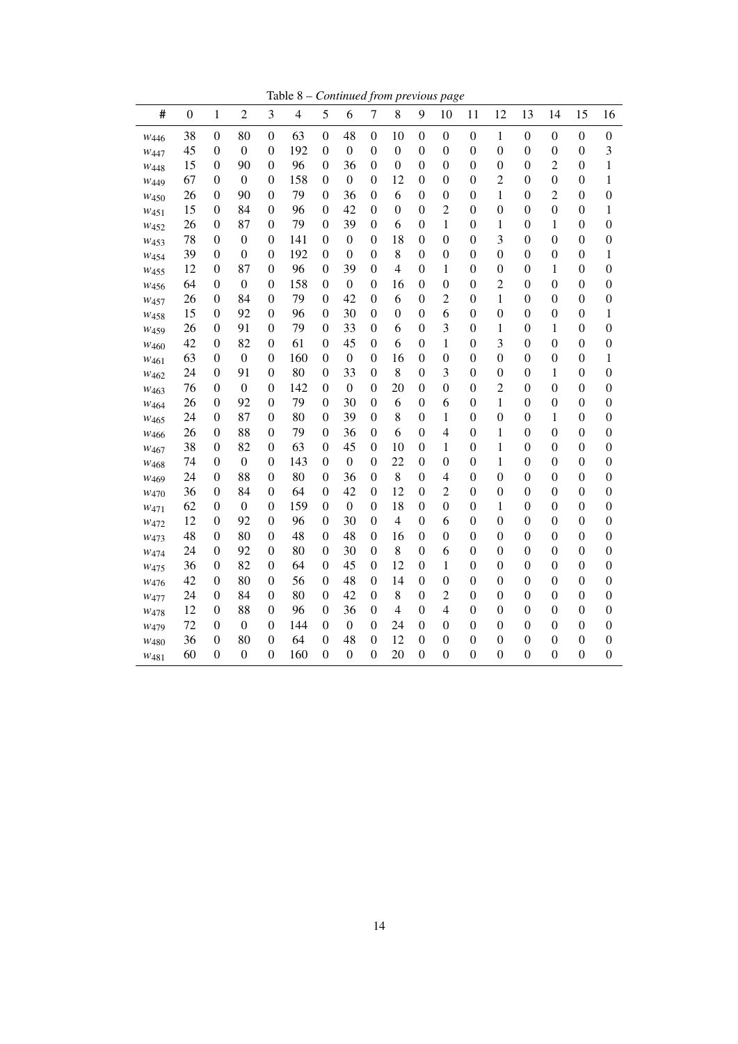Table 8 – *Continued from previous page*

| #                | $\mathbf{0}$ | $\mathbf{1}$     | $\overline{c}$   | 3                | $\overline{4}$ | 5                | 6                | $\tau$           | 8                | 9                | 10               | 11               | 12               | 13               | 14               | 15               | 16               |
|------------------|--------------|------------------|------------------|------------------|----------------|------------------|------------------|------------------|------------------|------------------|------------------|------------------|------------------|------------------|------------------|------------------|------------------|
| W446             | 38           | $\boldsymbol{0}$ | 80               | $\boldsymbol{0}$ | 63             | $\boldsymbol{0}$ | 48               | $\boldsymbol{0}$ | 10               | $\boldsymbol{0}$ | $\boldsymbol{0}$ | $\boldsymbol{0}$ | 1                | $\boldsymbol{0}$ | $\boldsymbol{0}$ | $\boldsymbol{0}$ | $\boldsymbol{0}$ |
| W447             | 45           | $\boldsymbol{0}$ | $\boldsymbol{0}$ | $\boldsymbol{0}$ | 192            | $\theta$         | $\boldsymbol{0}$ | $\boldsymbol{0}$ | $\boldsymbol{0}$ | $\boldsymbol{0}$ | $\mathbf{0}$     | $\boldsymbol{0}$ | $\overline{0}$   | $\boldsymbol{0}$ | $\boldsymbol{0}$ | $\boldsymbol{0}$ | 3                |
| W <sub>448</sub> | 15           | $\boldsymbol{0}$ | 90               | $\boldsymbol{0}$ | 96             | 0                | 36               | $\boldsymbol{0}$ | $\boldsymbol{0}$ | $\boldsymbol{0}$ | $\boldsymbol{0}$ | $\boldsymbol{0}$ | $\boldsymbol{0}$ | $\boldsymbol{0}$ | $\overline{c}$   | $\boldsymbol{0}$ | $\mathbf{1}$     |
| W449             | 67           | $\boldsymbol{0}$ | $\boldsymbol{0}$ | $\boldsymbol{0}$ | 158            | $\theta$         | $\boldsymbol{0}$ | $\mathbf{0}$     | 12               | $\boldsymbol{0}$ | $\overline{0}$   | $\boldsymbol{0}$ | $\overline{c}$   | $\boldsymbol{0}$ | $\boldsymbol{0}$ | $\boldsymbol{0}$ | 1                |
| W <sub>450</sub> | 26           | $\mathbf{0}$     | 90               | $\boldsymbol{0}$ | 79             | $\theta$         | 36               | $\mathbf{0}$     | 6                | $\boldsymbol{0}$ | $\mathbf{0}$     | $\overline{0}$   | $\mathbf{1}$     | $\overline{0}$   | $\overline{2}$   | $\boldsymbol{0}$ | $\overline{0}$   |
| W <sub>451</sub> | 15           | $\boldsymbol{0}$ | 84               | $\theta$         | 96             | $\theta$         | 42               | $\mathbf{0}$     | $\boldsymbol{0}$ | $\boldsymbol{0}$ | 2                | $\boldsymbol{0}$ | $\boldsymbol{0}$ | $\boldsymbol{0}$ | $\boldsymbol{0}$ | $\boldsymbol{0}$ | 1                |
| W <sub>452</sub> | 26           | $\boldsymbol{0}$ | 87               | $\boldsymbol{0}$ | 79             | $\theta$         | 39               | $\overline{0}$   | 6                | $\boldsymbol{0}$ | 1                | $\boldsymbol{0}$ | 1                | $\boldsymbol{0}$ | 1                | $\boldsymbol{0}$ | $\boldsymbol{0}$ |
| $W_{453}$        | 78           | $\boldsymbol{0}$ | $\boldsymbol{0}$ | $\boldsymbol{0}$ | 141            | 0                | $\boldsymbol{0}$ | $\boldsymbol{0}$ | 18               | $\boldsymbol{0}$ | $\boldsymbol{0}$ | $\boldsymbol{0}$ | 3                | $\boldsymbol{0}$ | $\boldsymbol{0}$ | $\boldsymbol{0}$ | $\boldsymbol{0}$ |
| W <sub>454</sub> | 39           | $\boldsymbol{0}$ | $\boldsymbol{0}$ | $\boldsymbol{0}$ | 192            | $\theta$         | $\boldsymbol{0}$ | $\mathbf{0}$     | 8                | $\boldsymbol{0}$ | $\boldsymbol{0}$ | $\boldsymbol{0}$ | $\overline{0}$   | $\boldsymbol{0}$ | $\boldsymbol{0}$ | $\boldsymbol{0}$ | 1                |
| W <sub>455</sub> | 12           | $\boldsymbol{0}$ | 87               | $\boldsymbol{0}$ | 96             | $\boldsymbol{0}$ | 39               | $\boldsymbol{0}$ | $\overline{4}$   | $\boldsymbol{0}$ | $\mathbf{1}$     | $\boldsymbol{0}$ | $\boldsymbol{0}$ | $\boldsymbol{0}$ | 1                | $\boldsymbol{0}$ | $\boldsymbol{0}$ |
| W <sub>456</sub> | 64           | $\boldsymbol{0}$ | $\boldsymbol{0}$ | $\boldsymbol{0}$ | 158            | $\theta$         | $\boldsymbol{0}$ | $\boldsymbol{0}$ | 16               | $\boldsymbol{0}$ | $\mathbf{0}$     | $\boldsymbol{0}$ | $\overline{c}$   | $\boldsymbol{0}$ | $\boldsymbol{0}$ | $\boldsymbol{0}$ | $\boldsymbol{0}$ |
| W <sub>457</sub> | 26           | $\boldsymbol{0}$ | 84               | $\boldsymbol{0}$ | 79             | $\boldsymbol{0}$ | 42               | $\boldsymbol{0}$ | 6                | $\boldsymbol{0}$ | $\overline{c}$   | $\overline{0}$   | $\mathbf{1}$     | $\boldsymbol{0}$ | $\boldsymbol{0}$ | $\boldsymbol{0}$ | $\boldsymbol{0}$ |
| W <sub>458</sub> | 15           | $\boldsymbol{0}$ | 92               | $\theta$         | 96             | $\theta$         | 30               | $\boldsymbol{0}$ | $\boldsymbol{0}$ | $\boldsymbol{0}$ | 6                | $\boldsymbol{0}$ | $\overline{0}$   | $\boldsymbol{0}$ | $\boldsymbol{0}$ | $\boldsymbol{0}$ | 1                |
| W <sub>459</sub> | 26           | $\mathbf{0}$     | 91               | $\boldsymbol{0}$ | 79             | $\theta$         | 33               | $\boldsymbol{0}$ | 6                | $\mathbf{0}$     | 3                | $\mathbf{0}$     | $\mathbf{1}$     | $\boldsymbol{0}$ | 1                | $\mathbf{0}$     | $\boldsymbol{0}$ |
| W460             | 42           | $\boldsymbol{0}$ | 82               | $\boldsymbol{0}$ | 61             | $\theta$         | 45               | $\boldsymbol{0}$ | 6                | $\boldsymbol{0}$ | 1                | $\boldsymbol{0}$ | 3                | $\boldsymbol{0}$ | $\boldsymbol{0}$ | $\boldsymbol{0}$ | $\boldsymbol{0}$ |
| W461             | 63           | $\boldsymbol{0}$ | $\mathbf{0}$     | $\boldsymbol{0}$ | 160            | $\theta$         | $\boldsymbol{0}$ | $\mathbf{0}$     | 16               | $\boldsymbol{0}$ | $\mathbf{0}$     | $\mathbf{0}$     | $\overline{0}$   | $\boldsymbol{0}$ | $\boldsymbol{0}$ | $\mathbf{0}$     | 1                |
| $W_{462}$        | 24           | $\boldsymbol{0}$ | 91               | $\boldsymbol{0}$ | 80             | $\boldsymbol{0}$ | 33               | $\mathbf{0}$     | 8                | $\overline{0}$   | 3                | $\boldsymbol{0}$ | $\overline{0}$   | $\boldsymbol{0}$ | $\mathbf{1}$     | $\boldsymbol{0}$ | $\boldsymbol{0}$ |
| W <sub>463</sub> | 76           | $\boldsymbol{0}$ | $\mathbf{0}$     | $\theta$         | 142            | $\theta$         | $\boldsymbol{0}$ | $\mathbf{0}$     | 20               | $\mathbf{0}$     | $\mathbf{0}$     | $\mathbf{0}$     | $\overline{c}$   | $\mathbf{0}$     | $\mathbf{0}$     | $\mathbf{0}$     | $\boldsymbol{0}$ |
| W464             | 26           | $\boldsymbol{0}$ | 92               | $\boldsymbol{0}$ | 79             | $\boldsymbol{0}$ | 30               | $\mathbf{0}$     | 6                | $\boldsymbol{0}$ | 6                | $\overline{0}$   | $\mathbf{1}$     | $\overline{0}$   | $\boldsymbol{0}$ | $\boldsymbol{0}$ | $\boldsymbol{0}$ |
| W <sub>465</sub> | 24           | $\mathbf{0}$     | 87               | $\theta$         | 80             | $\theta$         | 39               | $\mathbf{0}$     | 8                | $\mathbf{0}$     | 1                | $\mathbf{0}$     | $\boldsymbol{0}$ | $\mathbf{0}$     | 1                | $\mathbf{0}$     | $\boldsymbol{0}$ |
| W <sub>466</sub> | 26           | $\boldsymbol{0}$ | 88               | $\boldsymbol{0}$ | 79             | $\boldsymbol{0}$ | 36               | $\mathbf{0}$     | 6                | $\boldsymbol{0}$ | $\overline{4}$   | $\boldsymbol{0}$ | 1                | $\boldsymbol{0}$ | $\boldsymbol{0}$ | $\boldsymbol{0}$ | $\boldsymbol{0}$ |
| W467             | 38           | $\boldsymbol{0}$ | 82               | $\theta$         | 63             | $\theta$         | 45               | $\overline{0}$   | 10               | $\boldsymbol{0}$ | 1                | $\boldsymbol{0}$ | 1                | $\boldsymbol{0}$ | $\boldsymbol{0}$ | $\boldsymbol{0}$ | $\boldsymbol{0}$ |
| W <sub>468</sub> | 74           | $\overline{0}$   | $\mathbf{0}$     | $\boldsymbol{0}$ | 143            | $\theta$         | $\boldsymbol{0}$ | $\boldsymbol{0}$ | 22               | $\mathbf{0}$     | $\mathbf{0}$     | $\mathbf{0}$     | 1                | $\mathbf{0}$     | $\mathbf{0}$     | $\mathbf{0}$     | $\mathbf{0}$     |
| W <sub>469</sub> | 24           | $\boldsymbol{0}$ | 88               | $\theta$         | 80             | $\theta$         | 36               | $\theta$         | $\,8\,$          | $\boldsymbol{0}$ | $\overline{4}$   | $\boldsymbol{0}$ | $\boldsymbol{0}$ | $\boldsymbol{0}$ | $\boldsymbol{0}$ | $\boldsymbol{0}$ | $\boldsymbol{0}$ |
| W470             | 36           | $\boldsymbol{0}$ | 84               | $\theta$         | 64             | $\theta$         | 42               | $\boldsymbol{0}$ | 12               | $\boldsymbol{0}$ | $\overline{2}$   | $\mathbf{0}$     | $\overline{0}$   | $\boldsymbol{0}$ | $\boldsymbol{0}$ | $\boldsymbol{0}$ | $\boldsymbol{0}$ |
| W471             | 62           | $\boldsymbol{0}$ | $\boldsymbol{0}$ | $\boldsymbol{0}$ | 159            | 0                | $\boldsymbol{0}$ | $\boldsymbol{0}$ | 18               | $\boldsymbol{0}$ | $\boldsymbol{0}$ | $\boldsymbol{0}$ | $\mathbf{1}$     | $\boldsymbol{0}$ | $\boldsymbol{0}$ | $\boldsymbol{0}$ | 0                |
| W472             | 12           | $\boldsymbol{0}$ | 92               | $\theta$         | 96             | $\theta$         | 30               | $\boldsymbol{0}$ | $\overline{4}$   | $\mathbf{0}$     | 6                | $\mathbf{0}$     | $\boldsymbol{0}$ | $\boldsymbol{0}$ | $\mathbf{0}$     | $\boldsymbol{0}$ | $\boldsymbol{0}$ |
| W473             | 48           | $\boldsymbol{0}$ | 80               | $\theta$         | 48             | 0                | 48               | $\boldsymbol{0}$ | 16               | $\boldsymbol{0}$ | $\boldsymbol{0}$ | $\boldsymbol{0}$ | $\boldsymbol{0}$ | $\boldsymbol{0}$ | $\boldsymbol{0}$ | $\boldsymbol{0}$ | $\boldsymbol{0}$ |
| W474             | 24           | $\boldsymbol{0}$ | 92               | $\theta$         | 80             | $\theta$         | 30               | $\theta$         | 8                | $\boldsymbol{0}$ | 6                | $\boldsymbol{0}$ | $\boldsymbol{0}$ | $\boldsymbol{0}$ | $\boldsymbol{0}$ | $\boldsymbol{0}$ | $\boldsymbol{0}$ |
| W475             | 36           | $\boldsymbol{0}$ | 82               | $\boldsymbol{0}$ | 64             | 0                | 45               | $\boldsymbol{0}$ | 12               | $\boldsymbol{0}$ | 1                | $\boldsymbol{0}$ | $\boldsymbol{0}$ | $\boldsymbol{0}$ | $\boldsymbol{0}$ | $\boldsymbol{0}$ | $\boldsymbol{0}$ |
| W476             | 42           | $\boldsymbol{0}$ | 80               | $\theta$         | 56             | $\theta$         | 48               | $\theta$         | 14               | $\boldsymbol{0}$ | $\boldsymbol{0}$ | $\boldsymbol{0}$ | $\boldsymbol{0}$ | $\boldsymbol{0}$ | $\boldsymbol{0}$ | $\boldsymbol{0}$ | $\boldsymbol{0}$ |
| W <sub>477</sub> | 24           | $\mathbf{0}$     | 84               | $\theta$         | 80             | $\theta$         | 42               | $\mathbf{0}$     | 8                | $\mathbf{0}$     | $\overline{2}$   | $\mathbf{0}$     | $\overline{0}$   | $\boldsymbol{0}$ | $\mathbf{0}$     | $\mathbf{0}$     | $\overline{0}$   |
| W <sub>478</sub> | 12           | $\boldsymbol{0}$ | 88               | $\theta$         | 96             | 0                | 36               | $\overline{0}$   | $\overline{4}$   | $\boldsymbol{0}$ | 4                | $\mathbf{0}$     | $\boldsymbol{0}$ | $\boldsymbol{0}$ | $\boldsymbol{0}$ | $\boldsymbol{0}$ | $\boldsymbol{0}$ |
| W <sub>479</sub> | 72           | $\mathbf{0}$     | $\boldsymbol{0}$ | $\theta$         | 144            | $\theta$         | $\Omega$         | $\theta$         | 24               | $\overline{0}$   | $\mathbf{0}$     | $\mathbf{0}$     | $\overline{0}$   | $\mathbf{0}$     | $\mathbf{0}$     | $\mathbf{0}$     | $\mathbf{0}$     |
| $W_{480}$        | 36           | $\boldsymbol{0}$ | 80               | $\theta$         | 64             | $\overline{0}$   | 48               | $\overline{0}$   | 12               | $\boldsymbol{0}$ | $\boldsymbol{0}$ | $\boldsymbol{0}$ | $\boldsymbol{0}$ | $\boldsymbol{0}$ | $\boldsymbol{0}$ | $\boldsymbol{0}$ | $\boldsymbol{0}$ |
| W481             | 60           | $\boldsymbol{0}$ | $\mathbf{0}$     | $\boldsymbol{0}$ | 160            | $\theta$         | $\mathbf{0}$     | $\mathbf{0}$     | 20               | $\overline{0}$   | $\mathbf{0}$     | $\mathbf{0}$     | $\overline{0}$   | $\overline{0}$   | $\mathbf{0}$     | $\overline{0}$   | $\mathbf{0}$     |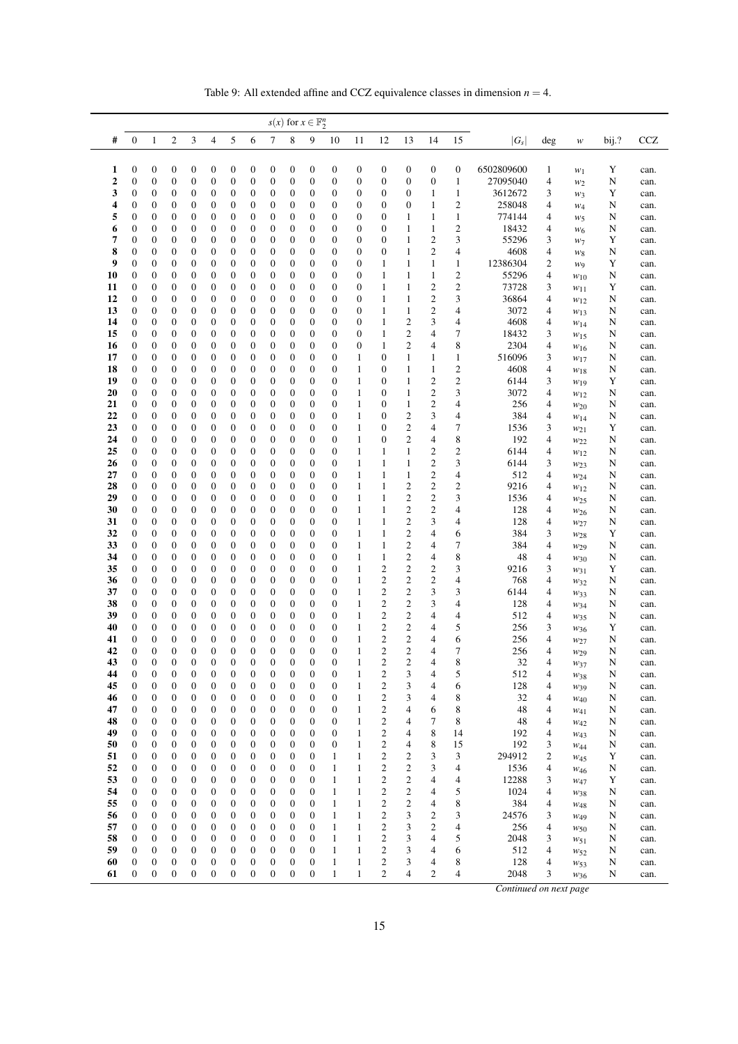| Table 9: All extended affine and CCZ equivalence classes in dimension $n = 4$ . |  |
|---------------------------------------------------------------------------------|--|
|---------------------------------------------------------------------------------|--|

<span id="page-14-0"></span>

|          |                                      |                                      |                                      |                                      |                                      |                                      |                                      |                                      |                                      | $s(x)$ for $x \in \mathbb{F}_2^n$    |                                      |                                  |                  |                                  |                                    |                              |                   |              |                             |             |              |
|----------|--------------------------------------|--------------------------------------|--------------------------------------|--------------------------------------|--------------------------------------|--------------------------------------|--------------------------------------|--------------------------------------|--------------------------------------|--------------------------------------|--------------------------------------|----------------------------------|------------------|----------------------------------|------------------------------------|------------------------------|-------------------|--------------|-----------------------------|-------------|--------------|
| #        | $\mathbf{0}$                         | $\mathbf{1}$                         | 2                                    | 3                                    | 4                                    | 5                                    | 6                                    | 7                                    | 8                                    | 9                                    | 10                                   | 11                               | 12               | 13                               | 14                                 | 15                           | $ G_s $           | deg          | $\boldsymbol{\mathcal{W}}$  | bij.?       | <b>CCZ</b>   |
|          |                                      |                                      |                                      |                                      |                                      |                                      |                                      |                                      |                                      |                                      |                                      |                                  |                  |                                  |                                    |                              |                   |              |                             |             |              |
| 1        | $\mathbf{0}$                         | $\boldsymbol{0}$                     | 0                                    | $\boldsymbol{0}$                     | $\boldsymbol{0}$                     | $\boldsymbol{0}$                     | 0                                    | $\boldsymbol{0}$                     | $\mathbf{0}$                         | $\boldsymbol{0}$                     | $\boldsymbol{0}$                     | $\boldsymbol{0}$                 | 0                | $\boldsymbol{0}$                 | $\boldsymbol{0}$                   | $\boldsymbol{0}$             | 6502809600        | $\mathbf{1}$ | $W_1$                       | $\mathbf Y$ | can.         |
| 2        | $\mathbf{0}$                         | $\mathbf{0}$                         | $\boldsymbol{0}$                     | $\boldsymbol{0}$                     | $\mathbf{0}$                         | $\boldsymbol{0}$                     | $\boldsymbol{0}$                     | $\boldsymbol{0}$                     | $\mathbf{0}$                         | $\boldsymbol{0}$                     | $\boldsymbol{0}$                     | $\boldsymbol{0}$                 | $\boldsymbol{0}$ | $\mathbf{0}$                     | $\boldsymbol{0}$                   | 1                            | 27095040          | 4            | $w_2$                       | N           | can.         |
| 3<br>4   | $\mathbf{0}$<br>$\mathbf{0}$         | $\boldsymbol{0}$<br>$\boldsymbol{0}$ | 0<br>0                               | $\boldsymbol{0}$<br>$\boldsymbol{0}$ | $\mathbf{0}$<br>$\boldsymbol{0}$     | $\boldsymbol{0}$<br>0                | 0<br>0                               | $\boldsymbol{0}$<br>$\boldsymbol{0}$ | $\mathbf{0}$<br>$\boldsymbol{0}$     | 0<br>0                               | $\boldsymbol{0}$<br>$\boldsymbol{0}$ | 0<br>$\boldsymbol{0}$            | 0<br>0           | $\mathbf{0}$<br>$\mathbf{0}$     | $\mathbf{1}$<br>$\mathbf{1}$       | 1<br>$\overline{c}$          | 3612672<br>258048 | 3<br>4       | $w_3$                       | Y<br>N      | can.<br>can. |
| 5        | $\mathbf{0}$                         | $\boldsymbol{0}$                     | 0                                    | $\boldsymbol{0}$                     | $\mathbf{0}$                         | $\boldsymbol{0}$                     | 0                                    | $\boldsymbol{0}$                     | $\mathbf{0}$                         | $\boldsymbol{0}$                     | $\boldsymbol{0}$                     | $\boldsymbol{0}$                 | 0                | 1                                | 1                                  | 1                            | 774144            | 4            | $W_4$<br>$w_5$              | N           | can.         |
| 6        | $\mathbf{0}$                         | 0                                    | 0                                    | $\boldsymbol{0}$                     | $\mathbf{0}$                         | 0                                    | 0                                    | $\boldsymbol{0}$                     | $\mathbf{0}$                         | 0                                    | $\boldsymbol{0}$                     | 0                                | 0                | 1                                | 1                                  | $\overline{\mathbf{c}}$      | 18432             | 4            | $W_6$                       | N           | can.         |
| 7        | $\mathbf{0}$                         | 0                                    | 0                                    | $\boldsymbol{0}$                     | $\mathbf{0}$                         | $\boldsymbol{0}$                     | 0                                    | $\boldsymbol{0}$                     | $\mathbf{0}$                         | 0                                    | $\boldsymbol{0}$                     | $\mathbf{0}$                     | 0                | 1                                | $\mathbf{2}$                       | 3                            | 55296             | 3            | $W_7$                       | Y           | can.         |
| 8        | $\mathbf{0}$                         | $\mathbf{0}$                         | 0                                    | $\boldsymbol{0}$                     | $\mathbf{0}$                         | $\boldsymbol{0}$                     | 0                                    | $\boldsymbol{0}$                     | $\mathbf{0}$                         | $\mathbf{0}$                         | $\boldsymbol{0}$                     | $\mathbf{0}$                     | 0                | 1                                | $\overline{c}$                     | 4                            | 4608              | 4            | $W_8$                       | N           | can.         |
| 9        | $\mathbf{0}$                         | $\boldsymbol{0}$                     | 0                                    | $\boldsymbol{0}$                     | $\mathbf{0}$                         | $\boldsymbol{0}$                     | 0                                    | $\boldsymbol{0}$                     | $\mathbf{0}$                         | 0                                    | $\boldsymbol{0}$                     | 0                                | 1                | 1                                | 1                                  | 1                            | 12386304          | 2            | W <sub>9</sub>              | Y           | can.         |
| 10       | $\mathbf{0}$                         | $\boldsymbol{0}$                     | $\boldsymbol{0}$                     | $\boldsymbol{0}$                     | $\mathbf{0}$                         | $\boldsymbol{0}$                     | 0                                    | $\boldsymbol{0}$                     | $\mathbf{0}$                         | 0                                    | $\boldsymbol{0}$                     | $\boldsymbol{0}$                 | 1                | 1                                | $\mathbf{1}$                       | $\boldsymbol{2}$             | 55296             | 4            | $W_{10}$                    | N           | can.         |
| 11       | $\boldsymbol{0}$                     | $\boldsymbol{0}$                     | 0                                    | $\boldsymbol{0}$                     | $\mathbf{0}$                         | $\boldsymbol{0}$                     | 0                                    | $\boldsymbol{0}$                     | $\mathbf{0}$                         | 0                                    | 0                                    | $\boldsymbol{0}$                 | 1                | 1                                | $\overline{c}$                     | $\overline{c}$               | 73728             | 3            | $w_{11}$                    | Y           | can.         |
| 12       | $\mathbf{0}$                         | $\boldsymbol{0}$                     | 0                                    | $\boldsymbol{0}$                     | $\boldsymbol{0}$                     | $\boldsymbol{0}$                     | 0                                    | $\boldsymbol{0}$                     | $\mathbf{0}$                         | 0                                    | $\boldsymbol{0}$                     | $\mathbf{0}$                     | 1                | 1                                | $\mathbf{2}$                       | 3                            | 36864             | 4            | $w_{12}$                    | N           | can.         |
| 13       | $\mathbf{0}$                         | 0                                    | 0                                    | $\boldsymbol{0}$                     | $\mathbf{0}$                         | 0                                    | 0                                    | $\boldsymbol{0}$                     | $\mathbf{0}$                         | 0                                    | $\boldsymbol{0}$                     | 0                                | 1                | 1                                | $\mathbf{2}$                       | 4                            | 3072              | 4            | $w_{13}$                    | N           | can.         |
| 14<br>15 | $\mathbf{0}$<br>$\mathbf{0}$         | $\mathbf{0}$<br>$\boldsymbol{0}$     | 0<br>$\boldsymbol{0}$                | $\boldsymbol{0}$<br>$\boldsymbol{0}$ | $\mathbf{0}$<br>$\mathbf{0}$         | $\boldsymbol{0}$<br>$\boldsymbol{0}$ | 0<br>$\boldsymbol{0}$                | $\boldsymbol{0}$<br>$\boldsymbol{0}$ | $\mathbf{0}$<br>$\mathbf{0}$         | 0<br>0                               | $\boldsymbol{0}$<br>$\boldsymbol{0}$ | $\boldsymbol{0}$<br>$\mathbf{0}$ | 1<br>1           | $\overline{c}$<br>$\overline{c}$ | 3<br>4                             | 4<br>7                       | 4608<br>18432     | 4<br>3       | W <sub>14</sub>             | N<br>N      | can.         |
| 16       | $\boldsymbol{0}$                     | 0                                    | 0                                    | $\boldsymbol{0}$                     | $\mathbf{0}$                         | 0                                    | 0                                    | $\boldsymbol{0}$                     | $\mathbf{0}$                         | 0                                    | $\boldsymbol{0}$                     | $\boldsymbol{0}$                 | 1                | $\overline{c}$                   | 4                                  | 8                            | 2304              | 4            | W <sub>15</sub><br>$W_{16}$ | N           | can.<br>can. |
| 17       | $\mathbf{0}$                         | $\boldsymbol{0}$                     | $\boldsymbol{0}$                     | $\boldsymbol{0}$                     | $\boldsymbol{0}$                     | $\boldsymbol{0}$                     | 0                                    | $\boldsymbol{0}$                     | $\mathbf{0}$                         | $\boldsymbol{0}$                     | $\boldsymbol{0}$                     | $\mathbf{1}$                     | 0                | 1                                | 1                                  | $\mathbf{1}$                 | 516096            | 3            | $w_{17}$                    | N           | can.         |
| 18       | $\mathbf{0}$                         | $\boldsymbol{0}$                     | 0                                    | $\boldsymbol{0}$                     | $\mathbf{0}$                         | $\boldsymbol{0}$                     | 0                                    | $\boldsymbol{0}$                     | $\mathbf{0}$                         | 0                                    | $\boldsymbol{0}$                     | $\mathbf{1}$                     | 0                | 1                                | 1                                  | $\overline{c}$               | 4608              | 4            | W18                         | N           | can.         |
| 19       | $\mathbf{0}$                         | 0                                    | 0                                    | $\boldsymbol{0}$                     | $\mathbf{0}$                         | $\boldsymbol{0}$                     | 0                                    | $\boldsymbol{0}$                     | $\mathbf{0}$                         | 0                                    | $\boldsymbol{0}$                     | $\mathbf{1}$                     | 0                | 1                                | $\boldsymbol{2}$                   | $\boldsymbol{2}$             | 6144              | 3            | $w_{19}$                    | Y           | can.         |
| 20       | $\mathbf{0}$                         | 0                                    | $\boldsymbol{0}$                     | $\boldsymbol{0}$                     | $\mathbf{0}$                         | $\boldsymbol{0}$                     | 0                                    | $\boldsymbol{0}$                     | $\mathbf{0}$                         | 0                                    | $\boldsymbol{0}$                     | $\mathbf{1}$                     | 0                | 1                                | $\boldsymbol{2}$                   | 3                            | 3072              | 4            | $w_{12}$                    | N           | can.         |
| 21       | $\boldsymbol{0}$                     | $\mathbf{0}$                         | 0                                    | $\boldsymbol{0}$                     | $\mathbf{0}$                         | $\boldsymbol{0}$                     | 0                                    | $\boldsymbol{0}$                     | $\mathbf{0}$                         | 0                                    | $\boldsymbol{0}$                     | $\mathbf{1}$                     | 0                | 1                                | $\overline{c}$                     | 4                            | 256               | 4            | $w_{20}$                    | N           | can.         |
| 22       | $\mathbf{0}$                         | 0                                    | 0                                    | $\boldsymbol{0}$                     | $\mathbf{0}$                         | 0                                    | 0                                    | $\boldsymbol{0}$                     | $\mathbf{0}$                         | 0                                    | $\boldsymbol{0}$                     | $\mathbf{1}$                     | 0                | $\mathbf{2}$                     | 3                                  | 4                            | 384               | 4            | W14                         | N           | can.         |
| 23       | $\boldsymbol{0}$                     | $\boldsymbol{0}$                     | $\boldsymbol{0}$                     | $\boldsymbol{0}$                     | $\boldsymbol{0}$                     | 0                                    | 0                                    | $\boldsymbol{0}$                     | $\boldsymbol{0}$                     | 0                                    | $\boldsymbol{0}$                     | $\mathbf{1}$                     | 0                | $\overline{c}$                   | 4                                  | 7                            | 1536              | 3            | W21                         | Y           | can.         |
| 24       | $\mathbf{0}$                         | $\mathbf{0}$                         | 0                                    | $\boldsymbol{0}$                     | $\mathbf{0}$                         | $\boldsymbol{0}$                     | 0                                    | $\boldsymbol{0}$                     | $\mathbf{0}$                         | 0                                    | $\boldsymbol{0}$                     | $\mathbf{1}$                     | 0                | $\overline{c}$                   | 4                                  | 8                            | 192               | 4            | W22                         | N           | can.         |
| 25<br>26 | $\mathbf{0}$<br>$\mathbf{0}$         | $\boldsymbol{0}$<br>0                | $\boldsymbol{0}$                     | $\boldsymbol{0}$                     | $\mathbf{0}$<br>$\mathbf{0}$         | $\boldsymbol{0}$<br>$\boldsymbol{0}$ | 0                                    | $\boldsymbol{0}$<br>$\boldsymbol{0}$ | $\mathbf{0}$<br>$\mathbf{0}$         | 0<br>0                               | $\boldsymbol{0}$<br>$\boldsymbol{0}$ | $\mathbf{1}$<br>$\mathbf{1}$     | 1<br>1           | 1<br>1                           | $\overline{c}$<br>$\boldsymbol{2}$ | $\overline{\mathbf{c}}$<br>3 | 6144              | 4            | $w_{12}$                    | N           | can.         |
| 27       | $\mathbf{0}$                         | $\boldsymbol{0}$                     | 0<br>0                               | $\boldsymbol{0}$<br>$\boldsymbol{0}$ | $\mathbf{0}$                         | $\boldsymbol{0}$                     | 0<br>0                               | $\boldsymbol{0}$                     | $\mathbf{0}$                         | $\mathbf{0}$                         | $\boldsymbol{0}$                     | $\mathbf{1}$                     | 1                | 1                                | $\mathbf{2}$                       | 4                            | 6144<br>512       | 3<br>4       | W <sub>23</sub>             | N<br>N      | can.<br>can. |
| 28       | $\mathbf{0}$                         | 0                                    | 0                                    | $\boldsymbol{0}$                     | $\mathbf{0}$                         | 0                                    | 0                                    | $\boldsymbol{0}$                     | $\mathbf{0}$                         | 0                                    | $\boldsymbol{0}$                     | $\mathbf{1}$                     | 1                | $\overline{c}$                   | $\boldsymbol{2}$                   | 2                            | 9216              | 4            | W <sub>24</sub><br>$w_{12}$ | N           | can.         |
| 29       | $\mathbf{0}$                         | $\boldsymbol{0}$                     | 0                                    | $\boldsymbol{0}$                     | $\mathbf{0}$                         | $\boldsymbol{0}$                     | 0                                    | $\boldsymbol{0}$                     | $\mathbf{0}$                         | 0                                    | $\boldsymbol{0}$                     | $\mathbf{1}$                     | 1                | $\overline{\mathbf{c}}$          | $\mathfrak{2}$                     | 3                            | 1536              | 4            | W <sub>25</sub>             | N           | can.         |
| 30       | $\mathbf{0}$                         | $\boldsymbol{0}$                     | 0                                    | $\boldsymbol{0}$                     | $\mathbf{0}$                         | $\boldsymbol{0}$                     | 0                                    | $\boldsymbol{0}$                     | $\boldsymbol{0}$                     | 0                                    | $\boldsymbol{0}$                     | $\mathbf{1}$                     | 1                | $\overline{c}$                   | $\mathbf{2}$                       | 4                            | 128               | 4            | W <sub>26</sub>             | N           | can.         |
| 31       | $\mathbf{0}$                         | $\boldsymbol{0}$                     | 0                                    | $\boldsymbol{0}$                     | $\mathbf{0}$                         | $\boldsymbol{0}$                     | 0                                    | $\boldsymbol{0}$                     | $\mathbf{0}$                         | $\boldsymbol{0}$                     | $\boldsymbol{0}$                     | $\mathbf{1}$                     | 1                | $\overline{c}$                   | 3                                  | 4                            | 128               | 4            | W27                         | N           | can.         |
| 32       | $\mathbf{0}$                         | 0                                    | 0                                    | $\boldsymbol{0}$                     | $\mathbf{0}$                         | 0                                    | 0                                    | $\boldsymbol{0}$                     | $\mathbf{0}$                         | 0                                    | $\boldsymbol{0}$                     | $\mathbf{1}$                     | 1                | $\overline{c}$                   | 4                                  | 6                            | 384               | 3            | W <sub>28</sub>             | Y           | can.         |
| 33       | $\mathbf{0}$                         | 0                                    | 0                                    | $\boldsymbol{0}$                     | $\mathbf{0}$                         | $\boldsymbol{0}$                     | 0                                    | $\boldsymbol{0}$                     | $\mathbf{0}$                         | 0                                    | $\boldsymbol{0}$                     | $\mathbf{1}$                     | 1                | $\overline{c}$                   | 4                                  | 7                            | 384               | 4            | W <sub>29</sub>             | N           | can.         |
| 34       | $\mathbf{0}$                         | $\boldsymbol{0}$                     | $\boldsymbol{0}$                     | $\boldsymbol{0}$                     | $\mathbf{0}$                         | $\boldsymbol{0}$                     | 0                                    | $\boldsymbol{0}$                     | $\mathbf{0}$                         | 0                                    | $\boldsymbol{0}$                     | $\mathbf{1}$                     | 1                | $\overline{c}$                   | 4                                  | $\,$ 8 $\,$                  | 48                | 4            | W30                         | N           | can.         |
| 35       | $\mathbf{0}$                         | 0                                    | 0                                    | $\boldsymbol{0}$                     | $\mathbf{0}$                         | 0                                    | 0                                    | $\boldsymbol{0}$                     | $\mathbf{0}$                         | 0                                    | $\boldsymbol{0}$                     | $\mathbf{1}$                     | 2                | $\boldsymbol{2}$                 | $\boldsymbol{2}$                   | 3                            | 9216              | 3            | $W_31$                      | Y           | can.         |
| 36       | $\boldsymbol{0}$                     | $\boldsymbol{0}$                     | $\boldsymbol{0}$                     | $\boldsymbol{0}$<br>$\boldsymbol{0}$ | $\boldsymbol{0}$                     | $\boldsymbol{0}$                     | 0                                    | $\boldsymbol{0}$                     | $\boldsymbol{0}$                     | 0                                    | $\boldsymbol{0}$                     | $\mathbf{1}$<br>$\mathbf{1}$     | 2                | $\mathbf{2}$<br>$\overline{c}$   | $\boldsymbol{2}$                   | 4                            | 768               | 4            | W32                         | N           | can.         |
| 37<br>38 | $\mathbf{0}$<br>$\mathbf{0}$         | $\boldsymbol{0}$<br>0                | 0<br>0                               | $\boldsymbol{0}$                     | $\mathbf{0}$<br>$\mathbf{0}$         | $\boldsymbol{0}$<br>0                | 0<br>0                               | $\boldsymbol{0}$<br>$\boldsymbol{0}$ | $\boldsymbol{0}$<br>$\mathbf{0}$     | 0<br>0                               | $\boldsymbol{0}$<br>$\boldsymbol{0}$ | 1                                | 2<br>2           | $\boldsymbol{2}$                 | 3<br>3                             | 3<br>4                       | 6144<br>128       | 4<br>4       | $w_{33}$                    | N<br>N      | can.         |
| 39       | $\mathbf{0}$                         | 0                                    | 0                                    | $\boldsymbol{0}$                     | $\mathbf{0}$                         | $\boldsymbol{0}$                     | $\boldsymbol{0}$                     | $\boldsymbol{0}$                     | $\mathbf{0}$                         | 0                                    | $\boldsymbol{0}$                     | $\mathbf{1}$                     | 2                | $\mathbf{2}$                     | 4                                  | 4                            | 512               | 4            | W34<br>W35                  | N           | can.<br>can. |
| 40       | $\mathbf{0}$                         | $\mathbf{0}$                         | 0                                    | $\boldsymbol{0}$                     | $\mathbf{0}$                         | $\boldsymbol{0}$                     | 0                                    | $\boldsymbol{0}$                     | $\mathbf{0}$                         | 0                                    | $\boldsymbol{0}$                     | $\mathbf{1}$                     | $\overline{c}$   | $\overline{c}$                   | 4                                  | 5                            | 256               | 3            | $w_{36}$                    | Y           | can.         |
| 41       | $\mathbf{0}$                         | $\mathbf{0}$                         | 0                                    | $\boldsymbol{0}$                     | $\mathbf{0}$                         | $\boldsymbol{0}$                     | $\boldsymbol{0}$                     | $\boldsymbol{0}$                     | $\mathbf{0}$                         | 0                                    | $\boldsymbol{0}$                     | $\mathbf{1}$                     | 2                | $\overline{c}$                   | 4                                  | 6                            | 256               | 4            | $w_{27}$                    | N           | can.         |
| 42       | $\overline{0}$                       | $\mathbf{0}$                         | $\boldsymbol{0}$                     | $\boldsymbol{0}$                     | $\mathbf{0}$                         | 0                                    | $\boldsymbol{0}$                     | $\boldsymbol{0}$                     | $\mathbf{0}$                         | $\mathbf{0}$                         | $\boldsymbol{0}$                     | $\mathbf{1}$                     | 2                | $\overline{c}$                   | 4                                  | 7                            | 256               | 4            | W <sub>29</sub>             | N           | can.         |
| 43       | $\overline{0}$                       | $\theta$                             | $\overline{0}$                       | $\theta$                             | $\theta$                             | $\theta$                             | 0                                    | $\overline{0}$                       | $\theta$                             | $\theta$                             | $\overline{0}$                       | $\mathbf{1}$                     | $\overline{c}$   | $\overline{2}$                   | 4                                  | 8                            | 32                | 4            | W37                         | N           | can.         |
| 44       | $\boldsymbol{0}$                     | $\boldsymbol{0}$                     | 0                                    | $\boldsymbol{0}$                     | $\boldsymbol{0}$                     | $\boldsymbol{0}$                     | 0                                    | $\boldsymbol{0}$                     | $\boldsymbol{0}$                     | $\boldsymbol{0}$                     | $\boldsymbol{0}$                     | 1                                | $\mathfrak{2}$   | 3                                | 4                                  | 5                            | 512               | 4            | W38                         | N           | can.         |
| 45       | $\boldsymbol{0}$                     | $\boldsymbol{0}$                     | $\boldsymbol{0}$                     | $\boldsymbol{0}$                     | $\mathbf{0}$                         | $\boldsymbol{0}$                     | 0                                    | $\boldsymbol{0}$                     | $\boldsymbol{0}$                     | $\boldsymbol{0}$                     | $\boldsymbol{0}$                     | $\mathbf{1}$                     | 2                | 3                                | 4                                  | 6                            | 128               | 4            | $W_39$                      | N           | can.         |
| 46       | $\boldsymbol{0}$                     | $\boldsymbol{0}$                     | $\boldsymbol{0}$                     | $\boldsymbol{0}$                     | $\boldsymbol{0}$                     | $\boldsymbol{0}$                     | $\boldsymbol{0}$                     | $\boldsymbol{0}$                     | $\boldsymbol{0}$                     | $\boldsymbol{0}$                     | $\boldsymbol{0}$                     | $\mathbf{1}$                     | $\overline{c}$   | 3                                | 4                                  | 8                            | 32                | 4            | $W_{40}$                    | N           | can.         |
| 47       | 0                                    | $\boldsymbol{0}$                     | $\boldsymbol{0}$                     | $\boldsymbol{0}$                     | $\boldsymbol{0}$                     | $\boldsymbol{0}$                     | 0                                    | $\boldsymbol{0}$                     | $\boldsymbol{0}$                     | $\boldsymbol{0}$                     | $\boldsymbol{0}$                     | $\mathbf{1}$                     | 2                | 4                                | 6                                  | 8                            | 48                | 4            | $W_{41}$                    | N           | can.         |
| 48<br>49 | $\boldsymbol{0}$<br>$\boldsymbol{0}$ | $\boldsymbol{0}$<br>$\boldsymbol{0}$ | $\boldsymbol{0}$<br>$\boldsymbol{0}$ | $\boldsymbol{0}$<br>$\boldsymbol{0}$ | $\boldsymbol{0}$<br>$\boldsymbol{0}$ | $\boldsymbol{0}$<br>$\boldsymbol{0}$ | $\boldsymbol{0}$<br>$\boldsymbol{0}$ | $\boldsymbol{0}$<br>$\boldsymbol{0}$ | $\boldsymbol{0}$<br>$\boldsymbol{0}$ | $\boldsymbol{0}$<br>$\boldsymbol{0}$ | $\boldsymbol{0}$<br>$\boldsymbol{0}$ | $\mathbf{1}$<br>$\,1\,$          | 2<br>2           | 4<br>4                           | 7<br>8                             | 8<br>14                      | 48<br>192         | 4<br>4       | W <sub>42</sub>             | N<br>N      | can.         |
| 50       | $\boldsymbol{0}$                     | $\boldsymbol{0}$                     | $\boldsymbol{0}$                     | $\boldsymbol{0}$                     | $\boldsymbol{0}$                     | $\boldsymbol{0}$                     | $\boldsymbol{0}$                     | $\boldsymbol{0}$                     | $\boldsymbol{0}$                     | $\boldsymbol{0}$                     | $\boldsymbol{0}$                     | $\mathbf{1}$                     | 2                | 4                                | 8                                  | 15                           | 192               | 3            | $W_{43}$                    | N           | can.         |
| 51       | $\boldsymbol{0}$                     | $\boldsymbol{0}$                     | $\boldsymbol{0}$                     | $\boldsymbol{0}$                     | $\boldsymbol{0}$                     | $\boldsymbol{0}$                     | 0                                    | $\boldsymbol{0}$                     | $\mathbf{0}$                         | $\boldsymbol{0}$                     | $\mathbf{1}$                         | $\mathbf{1}$                     | 2                | $\mathfrak{2}$                   | 3                                  | 3                            | 294912            | 2            | W44<br>W <sub>45</sub>      | Y           | can.<br>can. |
| 52       | $\boldsymbol{0}$                     | $\boldsymbol{0}$                     | 0                                    | $\boldsymbol{0}$                     | $\boldsymbol{0}$                     | $\boldsymbol{0}$                     | $\boldsymbol{0}$                     | $\boldsymbol{0}$                     | $\overline{0}$                       | $\boldsymbol{0}$                     | $\mathbf{1}$                         | $\mathbf{1}$                     | 2                | $\mathfrak{2}$                   | 3                                  | 4                            | 1536              | 4            | $W_{46}$                    | N           | can.         |
| 53       | $\boldsymbol{0}$                     | $\boldsymbol{0}$                     | $\boldsymbol{0}$                     | $\boldsymbol{0}$                     | $\boldsymbol{0}$                     | $\boldsymbol{0}$                     | $\boldsymbol{0}$                     | $\boldsymbol{0}$                     | $\boldsymbol{0}$                     | $\boldsymbol{0}$                     | $\,1$                                | $\mathbf{1}$                     | $\overline{c}$   | $\mathfrak{2}$                   | 4                                  | 4                            | 12288             | 3            | $W_{47}$                    | Y           | can.         |
| 54       | $\boldsymbol{0}$                     | $\boldsymbol{0}$                     | $\boldsymbol{0}$                     | $\boldsymbol{0}$                     | $\boldsymbol{0}$                     | $\boldsymbol{0}$                     | 0                                    | $\boldsymbol{0}$                     | $\boldsymbol{0}$                     | $\boldsymbol{0}$                     | $\,1$                                | $\mathbf{1}$                     | 2                | $\boldsymbol{2}$                 | 4                                  | 5                            | 1024              | 4            | W38                         | N           | can.         |
| 55       | $\boldsymbol{0}$                     | $\boldsymbol{0}$                     | $\boldsymbol{0}$                     | $\boldsymbol{0}$                     | $\boldsymbol{0}$                     | $\boldsymbol{0}$                     | $\boldsymbol{0}$                     | $\boldsymbol{0}$                     | $\boldsymbol{0}$                     | $\boldsymbol{0}$                     | $\,1$                                | $\mathbf{1}$                     | 2                | $\boldsymbol{2}$                 | 4                                  | 8                            | 384               | 4            | W48                         | N           | can.         |
| 56       | $\boldsymbol{0}$                     | $\boldsymbol{0}$                     | $\boldsymbol{0}$                     | $\boldsymbol{0}$                     | $\boldsymbol{0}$                     | $\boldsymbol{0}$                     | 0                                    | $\boldsymbol{0}$                     | $\boldsymbol{0}$                     | $\boldsymbol{0}$                     | 1                                    | $\,1\,$                          | $\overline{c}$   | 3                                | $\mathbf{2}$                       | 3                            | 24576             | 3            | W49                         | N           | can.         |
| 57       | $\boldsymbol{0}$                     | $\boldsymbol{0}$                     | $\boldsymbol{0}$                     | $\boldsymbol{0}$                     | $\boldsymbol{0}$                     | $\boldsymbol{0}$                     | $\boldsymbol{0}$                     | $\boldsymbol{0}$                     | $\mathbf{0}$                         | $\boldsymbol{0}$                     | $\,1$                                | $\mathbf{1}$                     | 2                | 3                                | $\overline{c}$                     | 4                            | 256               | 4            | $W_{50}$                    | N           | can.         |
| 58       | $\boldsymbol{0}$                     | 0                                    | $\boldsymbol{0}$                     | $\boldsymbol{0}$                     | $\boldsymbol{0}$                     | $\boldsymbol{0}$                     | $\boldsymbol{0}$                     | $\boldsymbol{0}$                     | $\mathbf{0}$                         | $\boldsymbol{0}$                     | $\mathbf{1}$                         | $\mathbf{1}$                     | $\overline{c}$   | 3                                | 4                                  | 5                            | 2048              | 3            | W51                         | N           | can.         |
| 59       | $\boldsymbol{0}$                     | $\boldsymbol{0}$                     | $\boldsymbol{0}$                     | $\boldsymbol{0}$                     | $\boldsymbol{0}$                     | $\boldsymbol{0}$                     | $\boldsymbol{0}$                     | $\boldsymbol{0}$                     | $\boldsymbol{0}$                     | $\boldsymbol{0}$                     | $\,1$                                | $\mathbf{1}$                     | $\mathfrak{2}$   | 3                                | 4                                  | 6                            | 512               | 4            | W <sub>52</sub>             | N           | can.         |
| 60       | $\boldsymbol{0}$                     | $\boldsymbol{0}$                     | $\boldsymbol{0}$                     | $\boldsymbol{0}$                     | $\mathbf{0}$                         | $\boldsymbol{0}$                     | $\boldsymbol{0}$                     | $\boldsymbol{0}$                     | $\boldsymbol{0}$                     | $\boldsymbol{0}$                     | $\mathbf{1}$                         | $\,1$                            | 2                | 3                                | 4                                  | 8                            | 128               | 4            | $W_{53}$                    | N           | can.         |
| 61       | $\boldsymbol{0}$                     | $\boldsymbol{0}$                     | 0                                    | $\boldsymbol{0}$                     | $\boldsymbol{0}$                     | $\boldsymbol{0}$                     | $\boldsymbol{0}$                     | $\boldsymbol{0}$                     | $\boldsymbol{0}$                     | $\boldsymbol{0}$                     | $\,1$                                | $\mathbf{1}$                     | 2                | 4                                | $\mathfrak{2}$                     | 4                            | 2048              | 3            | $W_{36}$                    | N           | can.         |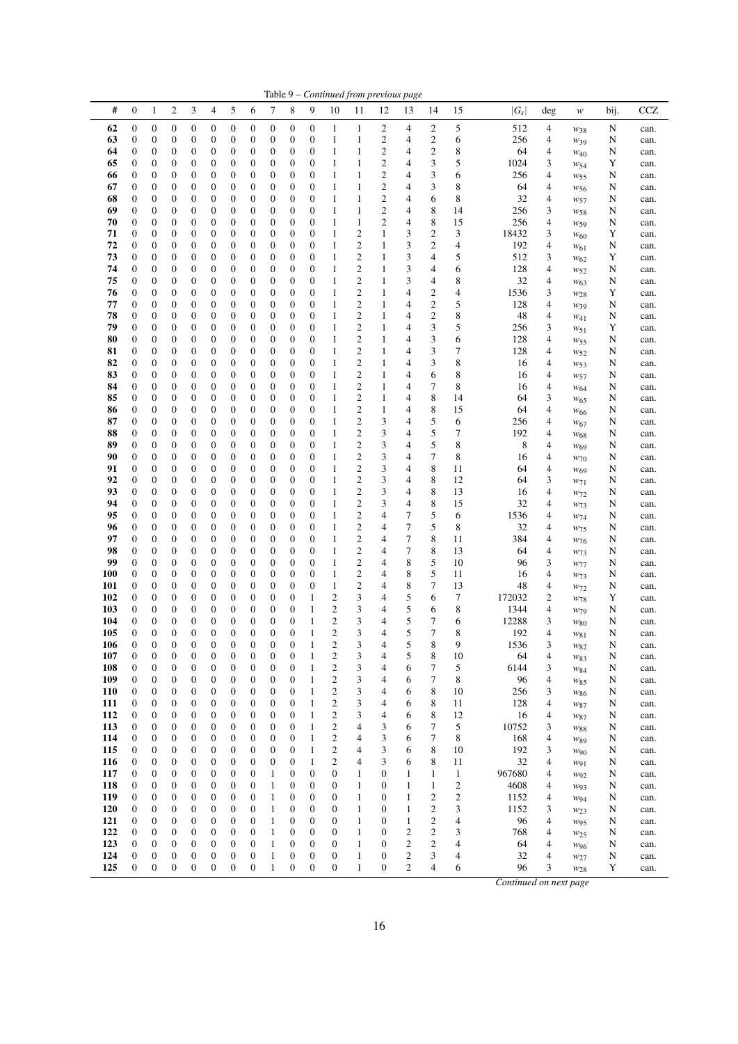|                   |                                  |                                      |                       |                                      |                                      |                                      |                                      |                                      |                                      |                   |                                      |                                    | Table 9 - Continued from previous page |                                |                                      |                                         |                |        |                                    |        |              |
|-------------------|----------------------------------|--------------------------------------|-----------------------|--------------------------------------|--------------------------------------|--------------------------------------|--------------------------------------|--------------------------------------|--------------------------------------|-------------------|--------------------------------------|------------------------------------|----------------------------------------|--------------------------------|--------------------------------------|-----------------------------------------|----------------|--------|------------------------------------|--------|--------------|
| #                 | $\boldsymbol{0}$                 | 1                                    | 2                     | 3                                    | 4                                    | 5                                    | 6                                    | $\tau$                               | 8                                    | 9                 | 10                                   | 11                                 | 12                                     | 13                             | 14                                   | 15                                      | $ G_{S} $      | deg    | $\boldsymbol{W}$                   | bij.   | <b>CCZ</b>   |
| 62                | $\mathbf{0}$                     | $\boldsymbol{0}$                     | 0                     | 0                                    | $\boldsymbol{0}$                     | $\boldsymbol{0}$                     | $\mathbf{0}$                         | $\boldsymbol{0}$                     | 0                                    | 0                 | 1                                    | 1                                  | 2                                      | 4                              | 2                                    | 5                                       | 512            | 4      | $W_{38}$                           | N      | can.         |
| 63                | $\boldsymbol{0}$                 | $\boldsymbol{0}$                     | 0                     | $\boldsymbol{0}$                     | $\boldsymbol{0}$                     | $\boldsymbol{0}$                     | $\boldsymbol{0}$                     | $\boldsymbol{0}$                     | $\boldsymbol{0}$                     | 0                 | $\mathbf{1}$                         | $\mathbf{1}$                       | $\overline{c}$                         | 4                              | 2                                    | 6                                       | 256            | 4      | $W_39$                             | N      | can.         |
| 64                | $\boldsymbol{0}$                 | $\boldsymbol{0}$                     | 0                     | 0                                    | $\boldsymbol{0}$                     | $\boldsymbol{0}$                     | $\boldsymbol{0}$                     | $\boldsymbol{0}$                     | 0                                    | 0                 | 1                                    | 1                                  | $\overline{c}$                         | 4                              | $\boldsymbol{2}$<br>3                | 8                                       | 64             | 4      | $W_{40}$                           | N      | can.         |
| 65<br>66          | $\mathbf{0}$<br>0                | $\boldsymbol{0}$<br>0                | 0<br>0                | $\boldsymbol{0}$<br>$\boldsymbol{0}$ | $\boldsymbol{0}$<br>0                | $\boldsymbol{0}$<br>$\boldsymbol{0}$ | $\boldsymbol{0}$<br>$\boldsymbol{0}$ | $\boldsymbol{0}$<br>$\boldsymbol{0}$ | $\mathbf{0}$<br>0                    | 0<br>0            | $\mathbf{1}$<br>$\mathbf{1}$         | 1<br>$\mathbf{1}$                  | $\overline{c}$<br>$\overline{c}$       | 4<br>4                         | 3                                    | 5<br>6                                  | 1024<br>256    | 3<br>4 | W <sub>54</sub><br>$W_{55}$        | Y<br>N | can.<br>can. |
| 67                | $\mathbf{0}$                     | $\boldsymbol{0}$                     | 0                     | $\boldsymbol{0}$                     | 0                                    | $\boldsymbol{0}$                     | $\boldsymbol{0}$                     | $\boldsymbol{0}$                     | $\boldsymbol{0}$                     | 0                 | $\mathbf{1}$                         | 1                                  | $\overline{c}$                         | 4                              | 3                                    | 8                                       | 64             | 4      | $W_{56}$                           | N      | can.         |
| 68                | 0                                | 0                                    | 0                     | $\boldsymbol{0}$                     | $\boldsymbol{0}$                     | $\boldsymbol{0}$                     | $\boldsymbol{0}$                     | $\boldsymbol{0}$                     | 0                                    | 0                 | 1                                    | $\mathbf{1}$                       | $\overline{\mathbf{c}}$                | 4                              | 6                                    | 8                                       | 32             | 4      | W57                                | N      | can.         |
| 69                | $\boldsymbol{0}$                 | $\boldsymbol{0}$                     | 0                     | $\boldsymbol{0}$                     | $\boldsymbol{0}$                     | $\boldsymbol{0}$                     | $\boldsymbol{0}$                     | $\boldsymbol{0}$                     | $\mathbf{0}$                         | 0                 | $\mathbf{1}$                         | $\mathbf{1}$                       | $\overline{c}$                         | 4                              | 8                                    | 14                                      | 256            | 3      | W58                                | N      | can.         |
| 70                | $\boldsymbol{0}$                 | $\boldsymbol{0}$                     | 0                     | $\boldsymbol{0}$                     | $\boldsymbol{0}$                     | $\boldsymbol{0}$                     | $\boldsymbol{0}$                     | $\boldsymbol{0}$                     | $\mathbf{0}$                         | 0                 | $\mathbf{1}$                         | $\mathbf{1}$                       | $\overline{c}$                         | 4                              | 8                                    | 15                                      | 256            | 4      | W <sub>59</sub>                    | N      | can.         |
| 71<br>72          | $\boldsymbol{0}$<br>$\mathbf{0}$ | $\boldsymbol{0}$<br>$\boldsymbol{0}$ | 0<br>0                | $\boldsymbol{0}$<br>$\boldsymbol{0}$ | $\boldsymbol{0}$<br>$\boldsymbol{0}$ | $\boldsymbol{0}$<br>$\boldsymbol{0}$ | $\boldsymbol{0}$<br>$\boldsymbol{0}$ | $\boldsymbol{0}$<br>$\boldsymbol{0}$ | 0<br>$\mathbf{0}$                    | 0<br>0            | $\mathbf{1}$<br>$\mathbf{1}$         | $\mathfrak{2}$<br>$\mathfrak{2}$   | 1<br>1                                 | 3<br>3                         | $\boldsymbol{2}$<br>$\boldsymbol{2}$ | 3<br>4                                  | 18432<br>192   | 3<br>4 | $W_{60}$                           | Y<br>N | can.<br>can. |
| 73                | $\boldsymbol{0}$                 | $\boldsymbol{0}$                     | 0                     | $\boldsymbol{0}$                     | $\boldsymbol{0}$                     | $\boldsymbol{0}$                     | $\boldsymbol{0}$                     | $\boldsymbol{0}$                     | $\boldsymbol{0}$                     | 0                 | $\mathbf{1}$                         | 2                                  | 1                                      | 3                              | 4                                    | 5                                       | 512            | 3      | W <sub>61</sub><br>W <sub>62</sub> | Y      | can.         |
| 74                | $\mathbf{0}$                     | 0                                    | 0                     | $\boldsymbol{0}$                     | 0                                    | $\boldsymbol{0}$                     | $\boldsymbol{0}$                     | $\boldsymbol{0}$                     | $\mathbf{0}$                         | 0                 | 1                                    | $\boldsymbol{2}$                   | 1                                      | 3                              | 4                                    | 6                                       | 128            | 4      | $w_{52}$                           | N      | can.         |
| 75                | 0                                | 0                                    | 0                     | $\boldsymbol{0}$                     | 0                                    | $\boldsymbol{0}$                     | $\boldsymbol{0}$                     | $\boldsymbol{0}$                     | 0                                    | 0                 | 1                                    | 2                                  | 1                                      | 3                              | 4                                    | 8                                       | 32             | 4      | $W_{63}$                           | N      | can.         |
| 76                | $\boldsymbol{0}$                 | $\boldsymbol{0}$                     | 0                     | $\boldsymbol{0}$                     | $\boldsymbol{0}$                     | $\boldsymbol{0}$                     | $\boldsymbol{0}$                     | $\boldsymbol{0}$                     | $\mathbf{0}$                         | 0                 | 1                                    | 2                                  | 1                                      | 4                              | 2                                    | 4                                       | 1536           | 3      | W <sub>28</sub>                    | Y      | can.         |
| 77                | $\mathbf{0}$                     | $\boldsymbol{0}$                     | 0                     | $\boldsymbol{0}$                     | $\boldsymbol{0}$                     | $\boldsymbol{0}$                     | $\boldsymbol{0}$                     | $\boldsymbol{0}$                     | $\mathbf{0}$                         | 0                 | 1                                    | $\mathfrak{2}$<br>$\boldsymbol{2}$ | 1                                      | 4                              | $\boldsymbol{2}$                     | 5                                       | 128            | 4      | $W_39$                             | N      | can.         |
| 78<br>79          | 0<br>$\boldsymbol{0}$            | $\boldsymbol{0}$<br>$\boldsymbol{0}$ | 0<br>0                | $\boldsymbol{0}$<br>$\boldsymbol{0}$ | $\boldsymbol{0}$<br>0                | $\boldsymbol{0}$<br>$\boldsymbol{0}$ | $\mathbf{0}$<br>$\boldsymbol{0}$     | $\boldsymbol{0}$<br>$\boldsymbol{0}$ | 0<br>$\boldsymbol{0}$                | 0<br>0            | 1<br>$\mathbf{1}$                    | $\boldsymbol{2}$                   | 1<br>1                                 | 4<br>4                         | 2<br>3                               | 8<br>5                                  | 48<br>256      | 4<br>3 | $W_{41}$<br>$w_{51}$               | N<br>Y | can.<br>can. |
| 80                | $\boldsymbol{0}$                 | 0                                    | 0                     | $\boldsymbol{0}$                     | 0                                    | $\boldsymbol{0}$                     | $\boldsymbol{0}$                     | $\boldsymbol{0}$                     | 0                                    | 0                 | 1                                    | $\mathfrak{2}$                     | 1                                      | 4                              | 3                                    | 6                                       | 128            | 4      | W <sub>55</sub>                    | N      | can.         |
| 81                | $\mathbf{0}$                     | $\boldsymbol{0}$                     | 0                     | $\boldsymbol{0}$                     | 0                                    | $\boldsymbol{0}$                     | $\boldsymbol{0}$                     | $\boldsymbol{0}$                     | $\boldsymbol{0}$                     | 0                 | 1                                    | 2                                  | 1                                      | 4                              | 3                                    | 7                                       | 128            | 4      | W <sub>52</sub>                    | N      | can.         |
| 82                | $\boldsymbol{0}$                 | 0                                    | 0                     | $\boldsymbol{0}$                     | $\boldsymbol{0}$                     | $\boldsymbol{0}$                     | $\boldsymbol{0}$                     | $\boldsymbol{0}$                     | $\boldsymbol{0}$                     | 0                 | 1                                    | 2                                  | 1                                      | 4                              | 3                                    | 8                                       | 16             | 4      | $W_{53}$                           | N      | can.         |
| 83                | $\boldsymbol{0}$                 | $\boldsymbol{0}$                     | 0                     | $\boldsymbol{0}$                     | $\boldsymbol{0}$                     | $\boldsymbol{0}$                     | $\boldsymbol{0}$                     | $\boldsymbol{0}$                     | $\boldsymbol{0}$                     | 0                 | $\mathbf{1}$                         | 2                                  | 1                                      | 4                              | 6                                    | 8                                       | 16             | 4      | $W_{57}$                           | N      | can.         |
| 84                | $\boldsymbol{0}$                 | $\boldsymbol{0}$                     | 0                     | $\boldsymbol{0}$                     | 0                                    | $\boldsymbol{0}$                     | $\boldsymbol{0}$                     | $\boldsymbol{0}$                     | $\mathbf{0}$                         | 0                 | $\mathbf{1}$                         | $\mathfrak{2}$                     | 1                                      | 4                              | 7                                    | 8                                       | 16             | 4      | W <sub>64</sub>                    | N      | can.         |
| 85<br>86          | 0<br>$\mathbf{0}$                | $\boldsymbol{0}$<br>$\boldsymbol{0}$ | 0<br>0                | $\boldsymbol{0}$<br>$\boldsymbol{0}$ | 0<br>0                               | $\boldsymbol{0}$<br>$\boldsymbol{0}$ | $\boldsymbol{0}$<br>$\boldsymbol{0}$ | $\boldsymbol{0}$<br>$\boldsymbol{0}$ | 0<br>$\mathbf{0}$                    | 0<br>0            | $\mathbf{1}$<br>$\mathbf{1}$         | $\boldsymbol{2}$<br>$\mathfrak{2}$ | 1<br>1                                 | 4<br>4                         | 8<br>8                               | 14<br>15                                | 64<br>64       | 3<br>4 | W <sub>65</sub>                    | N<br>N | can.<br>can. |
| 87                | $\mathbf{0}$                     | $\boldsymbol{0}$                     | 0                     | $\boldsymbol{0}$                     | $\boldsymbol{0}$                     | $\boldsymbol{0}$                     | $\boldsymbol{0}$                     | $\boldsymbol{0}$                     | 0                                    | 0                 | 1                                    | $\mathfrak{2}$                     | 3                                      | 4                              | 5                                    | 6                                       | 256            | 4      | $W_{66}$<br>$W_{67}$               | N      | can.         |
| 88                | $\boldsymbol{0}$                 | $\boldsymbol{0}$                     | 0                     | $\boldsymbol{0}$                     | 0                                    | $\boldsymbol{0}$                     | $\boldsymbol{0}$                     | $\boldsymbol{0}$                     | $\mathbf{0}$                         | 0                 | 1                                    | 2                                  | 3                                      | 4                              | 5                                    | 7                                       | 192            | 4      | W <sub>68</sub>                    | N      | can.         |
| 89                | $\boldsymbol{0}$                 | $\boldsymbol{0}$                     | 0                     | $\boldsymbol{0}$                     | $\boldsymbol{0}$                     | $\boldsymbol{0}$                     | $\boldsymbol{0}$                     | $\boldsymbol{0}$                     | $\mathbf{0}$                         | 0                 | $\mathbf{1}$                         | 2                                  | 3                                      | 4                              | 5                                    | 8                                       | 8              | 4      | W <sub>69</sub>                    | N      | can.         |
| 90                | $\boldsymbol{0}$                 | $\boldsymbol{0}$                     | 0                     | $\boldsymbol{0}$                     | $\boldsymbol{0}$                     | $\boldsymbol{0}$                     | $\boldsymbol{0}$                     | $\boldsymbol{0}$                     | 0                                    | 0                 | 1                                    | 2                                  | 3                                      | 4                              | 7                                    | 8                                       | 16             | 4      | $W$ 70                             | N      | can.         |
| 91                | $\mathbf{0}$                     | $\boldsymbol{0}$                     | 0                     | $\boldsymbol{0}$                     | $\boldsymbol{0}$                     | $\boldsymbol{0}$                     | $\boldsymbol{0}$                     | $\boldsymbol{0}$                     | 0                                    | 0                 | $\mathbf{1}$                         | $\mathfrak{2}$                     | 3                                      | 4                              | 8                                    | 11                                      | 64             | 4      | W <sub>69</sub>                    | N      | can.         |
| 92<br>93          | $\boldsymbol{0}$<br>$\mathbf{0}$ | $\boldsymbol{0}$<br>0                | 0<br>0                | $\boldsymbol{0}$<br>$\boldsymbol{0}$ | 0<br>0                               | $\boldsymbol{0}$<br>$\boldsymbol{0}$ | $\boldsymbol{0}$<br>$\boldsymbol{0}$ | $\mathbf{0}$<br>$\boldsymbol{0}$     | $\boldsymbol{0}$<br>$\mathbf{0}$     | 0<br>0            | $\mathbf{1}$<br>$\mathbf{1}$         | $\mathfrak{2}$<br>$\boldsymbol{2}$ | 3<br>3                                 | 4<br>4                         | 8<br>8                               | 12<br>13                                | 64<br>16       | 3<br>4 | $W_71$<br>W <sub>72</sub>          | N<br>N | can.<br>can. |
| 94                | $\mathbf{0}$                     | 0                                    | 0                     | $\boldsymbol{0}$                     | 0                                    | $\boldsymbol{0}$                     | $\boldsymbol{0}$                     | $\boldsymbol{0}$                     | 0                                    | 0                 | 1                                    | $\boldsymbol{2}$                   | 3                                      | $\overline{4}$                 | 8                                    | 15                                      | 32             | 4      | W <sub>73</sub>                    | N      | can.         |
| 95                | $\boldsymbol{0}$                 | $\boldsymbol{0}$                     | 0                     | $\boldsymbol{0}$                     | 0                                    | $\boldsymbol{0}$                     | $\boldsymbol{0}$                     | $\boldsymbol{0}$                     | $\mathbf{0}$                         | 0                 | 1                                    | 2                                  | 4                                      | 7                              | 5                                    | 6                                       | 1536           | 4      | $W_{74}$                           | N      | can.         |
| 96                | $\boldsymbol{0}$                 | $\boldsymbol{0}$                     | $\boldsymbol{0}$      | $\boldsymbol{0}$                     | $\boldsymbol{0}$                     | $\boldsymbol{0}$                     | $\boldsymbol{0}$                     | $\boldsymbol{0}$                     | $\mathbf{0}$                         | 0                 | 1                                    | $\overline{\mathbf{c}}$            | 4                                      | 7                              | 5                                    | 8                                       | 32             | 4      | W <sub>75</sub>                    | N      | can.         |
| 97                | $\boldsymbol{0}$                 | $\boldsymbol{0}$                     | 0                     | $\boldsymbol{0}$                     | $\boldsymbol{0}$                     | $\boldsymbol{0}$                     | $\boldsymbol{0}$                     | $\boldsymbol{0}$                     | 0                                    | 0                 | 1                                    | 2                                  | 4                                      | 7                              | 8                                    | 11                                      | 384            | 4      | W76                                | N      | can.         |
| 98<br>99          | 0<br>$\mathbf{0}$                | $\boldsymbol{0}$<br>$\boldsymbol{0}$ | 0<br>0                | $\boldsymbol{0}$<br>$\boldsymbol{0}$ | 0<br>0                               | $\boldsymbol{0}$<br>$\boldsymbol{0}$ | $\boldsymbol{0}$<br>$\boldsymbol{0}$ | $\boldsymbol{0}$<br>$\mathbf{0}$     | $\mathbf{0}$<br>$\boldsymbol{0}$     | 0<br>0            | $\mathbf{1}$<br>$\mathbf{1}$         | 2<br>$\boldsymbol{2}$              | 4<br>4                                 | 7<br>8                         | 8<br>5                               | 13<br>10                                | 64<br>96       | 4<br>3 | W <sub>73</sub><br>$W_{77}$        | N<br>N | can.<br>can. |
| <b>100</b>        | $\mathbf{0}$                     | $\boldsymbol{0}$                     | 0                     | $\boldsymbol{0}$                     | $\boldsymbol{0}$                     | $\boldsymbol{0}$                     | $\boldsymbol{0}$                     | $\boldsymbol{0}$                     | $\boldsymbol{0}$                     | 0                 | 1                                    | $\boldsymbol{2}$                   | 4                                      | 8                              | 5                                    | 11                                      | 16             | 4      | W <sub>73</sub>                    | N      | can.         |
| 101               | $\boldsymbol{0}$                 | $\boldsymbol{0}$                     | 0                     | $\boldsymbol{0}$                     | 0                                    | $\boldsymbol{0}$                     | $\boldsymbol{0}$                     | $\boldsymbol{0}$                     | $\boldsymbol{0}$                     | 0                 | 1                                    | 2                                  | 4                                      | 8                              | 7                                    | 13                                      | 48             | 4      | W <sub>72</sub>                    | N      | can.         |
| 102               | $\boldsymbol{0}$                 | $\boldsymbol{0}$                     | 0                     | $\boldsymbol{0}$                     | $\boldsymbol{0}$                     | $\boldsymbol{0}$                     | $\boldsymbol{0}$                     | $\boldsymbol{0}$                     | $\boldsymbol{0}$                     | 1                 | $\boldsymbol{2}$                     | 3                                  | 4                                      | 5                              | 6                                    | 7                                       | 172032         | 2      | W78                                | Y      | can.         |
| 103               | $\boldsymbol{0}$                 | $\boldsymbol{0}$                     | 0                     | $\boldsymbol{0}$                     | $\boldsymbol{0}$                     | $\boldsymbol{0}$                     | $\boldsymbol{0}$                     | $\boldsymbol{0}$                     | $\mathbf{0}$                         | 1                 | $\boldsymbol{2}$                     | 3                                  | 4                                      | 5                              | 6                                    | 8                                       | 1344           | 4      | $W_{79}$                           | N      | can.         |
| 104<br>105        | $\boldsymbol{0}$<br>$\mathbf{0}$ | 0<br>$\mathbf{0}$                    | 0<br>$\overline{0}$   | $\boldsymbol{0}$<br>$\mathbf{0}$     | 0<br>$\boldsymbol{0}$                | $\boldsymbol{0}$<br>$\mathbf{0}$     | $\boldsymbol{0}$<br>$\mathbf{0}$     | $\boldsymbol{0}$<br>$\overline{0}$   | $\boldsymbol{0}$<br>$\overline{0}$   | 1<br>1            | $\boldsymbol{2}$<br>$\overline{c}$   | 3<br>3                             | 4<br>4                                 | 5<br>5                         | 7<br>7                               | 6<br>8                                  | 12288<br>192   | 3<br>4 | W80                                | N<br>N | can.         |
| 106               | 0                                | 0                                    | 0                     | 0                                    | $\boldsymbol{0}$                     | 0                                    | $\boldsymbol{0}$                     | $\boldsymbol{0}$                     | 0                                    | 1                 | $\mathbf{2}$                         | 3                                  | 4                                      | 5                              | 8                                    | 9                                       | 1536           | 3      | W81<br>W82                         | N      | can.<br>can. |
| 107               | $\boldsymbol{0}$                 | $\boldsymbol{0}$                     | $\boldsymbol{0}$      | $\boldsymbol{0}$                     | $\boldsymbol{0}$                     | $\boldsymbol{0}$                     | $\boldsymbol{0}$                     | $\mathbf{0}$                         | $\boldsymbol{0}$                     | 1                 | $\boldsymbol{2}$                     | 3                                  | 4                                      | 5                              | 8                                    | 10                                      | 64             | 4      | $W_{83}$                           | N      | can.         |
| 108               | $\boldsymbol{0}$                 | $\boldsymbol{0}$                     | 0                     | $\boldsymbol{0}$                     | $\boldsymbol{0}$                     | $\boldsymbol{0}$                     | $\boldsymbol{0}$                     | $\boldsymbol{0}$                     | $\boldsymbol{0}$                     | $\mathbf{1}$      | $\mathbf{2}$                         | 3                                  | 4                                      | 6                              | 7                                    | 5                                       | 6144           | 3      | W84                                | N      | can.         |
| 109               | 0                                | $\boldsymbol{0}$                     | $\boldsymbol{0}$      | $\boldsymbol{0}$                     | $\boldsymbol{0}$                     | $\boldsymbol{0}$                     | $\boldsymbol{0}$                     | $\boldsymbol{0}$                     | $\boldsymbol{0}$                     | 1                 | $\overline{c}$                       | 3                                  | 4                                      | 6                              | $\tau$                               | 8                                       | 96             | 4      | W85                                | N      | can.         |
| <b>110</b><br>111 | $\boldsymbol{0}$<br>0            | $\boldsymbol{0}$<br>$\boldsymbol{0}$ | 0<br>0                | $\boldsymbol{0}$<br>$\boldsymbol{0}$ | $\boldsymbol{0}$<br>0                | $\boldsymbol{0}$<br>$\boldsymbol{0}$ | $\boldsymbol{0}$<br>$\boldsymbol{0}$ | $\boldsymbol{0}$<br>$\boldsymbol{0}$ | 0<br>0                               | 1<br>$\mathbf{1}$ | $\mathbf{2}$<br>$\overline{c}$       | 3<br>3                             | 4<br>4                                 | 6<br>6                         | 8<br>8                               | 10<br>11                                | 256<br>128     | 3<br>4 | $W_{86}$                           | N<br>N | can.         |
| 112               | $\boldsymbol{0}$                 | $\boldsymbol{0}$                     | 0                     | $\boldsymbol{0}$                     | $\boldsymbol{0}$                     | $\boldsymbol{0}$                     | $\boldsymbol{0}$                     | $\boldsymbol{0}$                     | $\boldsymbol{0}$                     | 1                 | $\sqrt{2}$                           | 3                                  | 4                                      | 6                              | 8                                    | 12                                      | 16             | 4      | W87<br>W87                         | N      | can.<br>can. |
| 113               | $\boldsymbol{0}$                 | $\boldsymbol{0}$                     | 0                     | $\boldsymbol{0}$                     | $\boldsymbol{0}$                     | $\boldsymbol{0}$                     | $\boldsymbol{0}$                     | $\boldsymbol{0}$                     | 0                                    | 1                 | $\overline{c}$                       | 4                                  | 3                                      | 6                              | 7                                    | 5                                       | 10752          | 3      | W88                                | N      | can.         |
| 114               | $\boldsymbol{0}$                 | $\boldsymbol{0}$                     | 0                     | $\boldsymbol{0}$                     | $\boldsymbol{0}$                     | $\boldsymbol{0}$                     | $\boldsymbol{0}$                     | $\boldsymbol{0}$                     | 0                                    | 1                 | $\overline{c}$                       | 4                                  | 3                                      | 6                              | 7                                    | 8                                       | 168            | 4      | W89                                | N      | can.         |
| 115               | $\boldsymbol{0}$                 | $\boldsymbol{0}$                     | 0                     | $\boldsymbol{0}$                     | $\boldsymbol{0}$                     | $\boldsymbol{0}$                     | $\boldsymbol{0}$                     | $\boldsymbol{0}$                     | $\boldsymbol{0}$                     | $\mathbf{1}$      | $\overline{c}$                       | 4                                  | 3                                      | 6                              | 8                                    | 10                                      | 192            | 3      | $w_{90}$                           | N      | can.         |
| 116               | 0                                | $\boldsymbol{0}$                     | 0                     | $\boldsymbol{0}$                     | $\boldsymbol{0}$                     | $\boldsymbol{0}$                     | $\boldsymbol{0}$                     | $\boldsymbol{0}$                     | $\boldsymbol{0}$                     | 1                 | $\boldsymbol{2}$                     | 4                                  | 3                                      | 6                              | 8                                    | 11                                      | 32             | 4      | W91                                | N      | can.         |
| 117<br>118        | $\mathbf{0}$<br>0                | $\boldsymbol{0}$<br>$\boldsymbol{0}$ | 0<br>0                | $\boldsymbol{0}$<br>$\boldsymbol{0}$ | $\boldsymbol{0}$<br>$\boldsymbol{0}$ | $\boldsymbol{0}$<br>$\boldsymbol{0}$ | $\boldsymbol{0}$<br>$\boldsymbol{0}$ | $\mathbf{1}$<br>$\mathbf{1}$         | $\boldsymbol{0}$<br>0                | 0<br>0            | $\boldsymbol{0}$<br>$\boldsymbol{0}$ | $\mathbf{1}$<br>$\mathbf{1}$       | $\mathbf{0}$<br>0                      | $\mathbf{1}$<br>$\mathbf{1}$   | 1<br>$\mathbf{1}$                    | $\mathbf{1}$<br>$\overline{\mathbf{c}}$ | 967680<br>4608 | 4<br>4 | W92<br>W93                         | N<br>N | can.<br>can. |
| 119               | 0                                | $\boldsymbol{0}$                     | $\boldsymbol{0}$      | $\boldsymbol{0}$                     | $\boldsymbol{0}$                     | $\boldsymbol{0}$                     | $\boldsymbol{0}$                     | $\mathbf{1}$                         | $\boldsymbol{0}$                     | 0                 | $\boldsymbol{0}$                     | $\mathbf{1}$                       | 0                                      | $\mathbf{1}$                   | $\boldsymbol{2}$                     | $\overline{\mathbf{c}}$                 | 1152           | 4      | W94                                | N      | can.         |
| 120               | 0                                | $\boldsymbol{0}$                     | 0                     | $\boldsymbol{0}$                     | $\boldsymbol{0}$                     | $\boldsymbol{0}$                     | $\boldsymbol{0}$                     | $\mathbf{1}$                         | 0                                    | 0                 | $\boldsymbol{0}$                     | $\mathbf{1}$                       | 0                                      | $\mathbf{1}$                   | $\boldsymbol{2}$                     | 3                                       | 1152           | 3      | W <sub>23</sub>                    | N      | can.         |
| 121               | $\mathbf{0}$                     | $\boldsymbol{0}$                     | 0                     | $\boldsymbol{0}$                     | $\boldsymbol{0}$                     | $\boldsymbol{0}$                     | $\boldsymbol{0}$                     | $\mathbf{1}$                         | 0                                    | 0                 | $\boldsymbol{0}$                     | $\mathbf{1}$                       | $\mathbf{0}$                           | $\mathbf{1}$                   | $\boldsymbol{2}$                     | 4                                       | 96             | 4      | W95                                | N      | can.         |
| 122               | $\mathbf{0}$                     | $\boldsymbol{0}$                     | $\boldsymbol{0}$      | $\boldsymbol{0}$                     | $\boldsymbol{0}$                     | $\boldsymbol{0}$                     | $\boldsymbol{0}$                     | $\mathbf{1}$                         | $\boldsymbol{0}$                     | 0                 | $\boldsymbol{0}$                     | $\mathbf{1}$                       | 0                                      | $\overline{2}$                 | $\boldsymbol{2}$                     | 3                                       | 768            | 4      | W <sub>25</sub>                    | N      | can.         |
| 123               | 0                                | $\boldsymbol{0}$                     | 0                     | $\boldsymbol{0}$                     | $\boldsymbol{0}$                     | $\boldsymbol{0}$                     | $\boldsymbol{0}$                     | 1                                    | 0                                    | 0                 | $\boldsymbol{0}$                     | $\mathbf{1}$                       | $\mathbf{0}$                           | $\mathfrak{2}$                 | 2                                    | 4                                       | 64             | 4      | $W_{96}$                           | N      | can.         |
| 124<br>125        | $\mathbf{0}$<br>$\boldsymbol{0}$ | $\boldsymbol{0}$<br>$\boldsymbol{0}$ | 0<br>$\boldsymbol{0}$ | $\boldsymbol{0}$<br>$\boldsymbol{0}$ | $\boldsymbol{0}$<br>$\boldsymbol{0}$ | $\boldsymbol{0}$<br>$\boldsymbol{0}$ | $\boldsymbol{0}$<br>$\boldsymbol{0}$ | $\mathbf{1}$<br>$\mathbf{1}$         | $\boldsymbol{0}$<br>$\boldsymbol{0}$ | 0<br>0            | $\boldsymbol{0}$<br>$\boldsymbol{0}$ | 1<br>$\mathbf{1}$                  | 0<br>0                                 | $\boldsymbol{2}$<br>$\sqrt{2}$ | 3<br>4                               | 4<br>6                                  | 32<br>96       | 4<br>3 | $w_{27}$                           | N<br>Y | can.         |
|                   |                                  |                                      |                       |                                      |                                      |                                      |                                      |                                      |                                      |                   |                                      |                                    |                                        |                                |                                      |                                         |                |        | W <sub>28</sub>                    |        | can.         |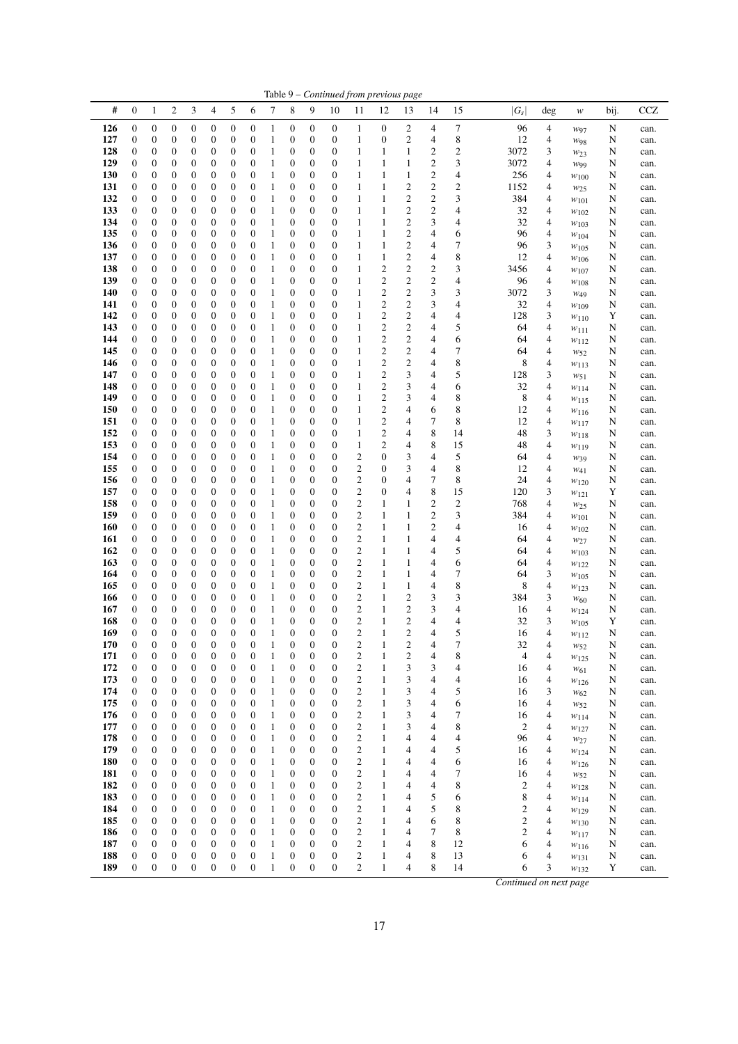|            |                                      |                                      |                                      |                                      |                                      |                                      |                                      |                              |                                      |                                      |                                      |                                                    |                                  | Table 9 – Continued from previous page      |                                                    |                                        |                                |                                            |                              |             |              |
|------------|--------------------------------------|--------------------------------------|--------------------------------------|--------------------------------------|--------------------------------------|--------------------------------------|--------------------------------------|------------------------------|--------------------------------------|--------------------------------------|--------------------------------------|----------------------------------------------------|----------------------------------|---------------------------------------------|----------------------------------------------------|----------------------------------------|--------------------------------|--------------------------------------------|------------------------------|-------------|--------------|
| #          | $\boldsymbol{0}$                     | $\mathbf{1}$                         | $\sqrt{2}$                           | 3                                    | $\overline{4}$                       | 5                                    | 6                                    | 7                            | 8                                    | 9                                    | 10                                   | 11                                                 | 12                               | 13                                          | 14                                                 | 15                                     | $ G_s $                        | deg                                        | w                            | bij.        | <b>CCZ</b>   |
| 126        | $\boldsymbol{0}$                     | $\boldsymbol{0}$                     | $\boldsymbol{0}$                     | $\boldsymbol{0}$                     | $\boldsymbol{0}$                     | $\boldsymbol{0}$                     | $\boldsymbol{0}$                     | $\mathbf{1}$                 | $\boldsymbol{0}$                     | $\boldsymbol{0}$                     | $\boldsymbol{0}$                     | $\mathbf{1}$                                       | $\boldsymbol{0}$                 | 2                                           | 4                                                  | 7                                      | 96                             | $\overline{4}$                             | W <sub>97</sub>              | N           | can.         |
| 127<br>128 | $\boldsymbol{0}$<br>$\boldsymbol{0}$ | $\boldsymbol{0}$<br>$\boldsymbol{0}$ | $\boldsymbol{0}$<br>$\boldsymbol{0}$ | $\boldsymbol{0}$<br>$\boldsymbol{0}$ | $\boldsymbol{0}$<br>$\boldsymbol{0}$ | $\boldsymbol{0}$<br>$\boldsymbol{0}$ | $\boldsymbol{0}$<br>$\boldsymbol{0}$ | $\mathbf{1}$<br>$\mathbf{1}$ | $\boldsymbol{0}$<br>$\boldsymbol{0}$ | $\boldsymbol{0}$<br>$\boldsymbol{0}$ | $\boldsymbol{0}$<br>$\boldsymbol{0}$ | $\mathbf{1}$<br>$\mathbf{1}$                       | $\boldsymbol{0}$<br>$\mathbf{1}$ | $\overline{c}$<br>$\mathbf{1}$              | 4<br>$\overline{\mathbf{c}}$                       | $\,$ 8 $\,$<br>$\overline{\mathbf{c}}$ | 12<br>3072                     | $\overline{4}$<br>3                        | W98                          | N<br>N      | can.<br>can. |
| 129        | $\boldsymbol{0}$                     | $\boldsymbol{0}$                     | $\boldsymbol{0}$                     | $\boldsymbol{0}$                     | $\boldsymbol{0}$                     | $\boldsymbol{0}$                     | $\boldsymbol{0}$                     | $\mathbf{1}$                 | $\boldsymbol{0}$                     | $\boldsymbol{0}$                     | $\boldsymbol{0}$                     | $\mathbf{1}$                                       | $\mathbf{1}$                     | $\mathbf{1}$                                | 2                                                  | 3                                      | 3072                           | $\overline{4}$                             | $w_{23}$<br>W99              | N           | can.         |
| 130        | $\boldsymbol{0}$                     | $\boldsymbol{0}$                     | $\boldsymbol{0}$                     | $\boldsymbol{0}$                     | $\boldsymbol{0}$                     | $\boldsymbol{0}$                     | $\boldsymbol{0}$                     | $\mathbf{1}$                 | $\mathbf{0}$                         | 0                                    | $\boldsymbol{0}$                     | $\mathbf{1}$                                       | $\mathbf{1}$                     | $\mathbf{1}$                                | $\overline{c}$                                     | 4                                      | 256                            | $\overline{4}$                             | $w_{100}$                    | N           | can.         |
| 131        | $\boldsymbol{0}$                     | $\boldsymbol{0}$                     | $\boldsymbol{0}$                     | $\boldsymbol{0}$                     | $\boldsymbol{0}$                     | $\boldsymbol{0}$                     | $\boldsymbol{0}$                     | 1                            | $\boldsymbol{0}$                     | $\boldsymbol{0}$                     | $\boldsymbol{0}$                     | $\mathbf{1}$                                       | 1                                | $\overline{c}$                              | 2                                                  | $\overline{c}$                         | 1152                           | 4                                          | $w_{25}$                     | N           | can.         |
| 132<br>133 | $\mathbf{0}$<br>$\mathbf{0}$         | $\boldsymbol{0}$<br>$\boldsymbol{0}$ | $\boldsymbol{0}$<br>$\boldsymbol{0}$ | $\boldsymbol{0}$<br>$\boldsymbol{0}$ | $\mathbf{0}$<br>$\boldsymbol{0}$     | $\boldsymbol{0}$<br>$\boldsymbol{0}$ | $\boldsymbol{0}$<br>$\boldsymbol{0}$ | $\mathbf{1}$<br>$\mathbf{1}$ | $\mathbf{0}$<br>$\boldsymbol{0}$     | $\mathbf{0}$<br>$\boldsymbol{0}$     | $\boldsymbol{0}$<br>$\mathbf{0}$     | $\mathbf{1}$<br>$\mathbf{1}$                       | $\mathbf{1}$<br>$\mathbf{1}$     | $\overline{c}$<br>$\overline{c}$            | $\overline{\mathbf{c}}$<br>$\overline{\mathbf{c}}$ | 3<br>4                                 | 384<br>32                      | $\overline{4}$<br>$\overline{4}$           | W101<br>W102                 | N<br>N      | can.<br>can. |
| 134        | $\boldsymbol{0}$                     | $\boldsymbol{0}$                     | $\boldsymbol{0}$                     | $\boldsymbol{0}$                     | $\boldsymbol{0}$                     | $\boldsymbol{0}$                     | $\boldsymbol{0}$                     | $\mathbf{1}$                 | $\boldsymbol{0}$                     | $\boldsymbol{0}$                     | $\boldsymbol{0}$                     | $\mathbf{1}$                                       | $\mathbf{1}$                     | $\overline{c}$                              | 3                                                  | 4                                      | 32                             | $\overline{4}$                             | $w_{103}$                    | N           | can.         |
| 135        | $\boldsymbol{0}$                     | $\boldsymbol{0}$                     | $\boldsymbol{0}$                     | $\boldsymbol{0}$                     | $\boldsymbol{0}$                     | $\boldsymbol{0}$                     | $\boldsymbol{0}$                     | $\mathbf{1}$                 | $\boldsymbol{0}$                     | 0                                    | 0                                    | $\mathbf{1}$                                       | $\mathbf{1}$                     | $\mathfrak{2}$                              | 4                                                  | 6                                      | 96                             | $\overline{4}$                             | $w_{104}$                    | N           | can.         |
| 136        | $\boldsymbol{0}$                     | $\boldsymbol{0}$                     | $\boldsymbol{0}$                     | $\boldsymbol{0}$                     | $\boldsymbol{0}$                     | $\boldsymbol{0}$                     | $\boldsymbol{0}$                     | $\mathbf{1}$                 | $\boldsymbol{0}$                     | $\boldsymbol{0}$                     | $\boldsymbol{0}$                     | $\mathbf{1}$                                       | $\mathbf{1}$                     | $\overline{c}$                              | 4                                                  | $\tau$                                 | 96                             | 3                                          | W105                         | N           | can.         |
| 137<br>138 | $\boldsymbol{0}$<br>$\boldsymbol{0}$ | $\boldsymbol{0}$<br>$\boldsymbol{0}$ | $\boldsymbol{0}$<br>$\boldsymbol{0}$ | $\boldsymbol{0}$<br>$\boldsymbol{0}$ | $\mathbf{0}$<br>$\boldsymbol{0}$     | $\boldsymbol{0}$<br>$\boldsymbol{0}$ | $\boldsymbol{0}$<br>$\boldsymbol{0}$ | $\mathbf{1}$<br>$\mathbf{1}$ | $\mathbf{0}$<br>$\boldsymbol{0}$     | $\boldsymbol{0}$<br>$\boldsymbol{0}$ | $\boldsymbol{0}$<br>$\boldsymbol{0}$ | $\mathbf{1}$<br>$\mathbf{1}$                       | $\mathbf{1}$<br>$\overline{c}$   | $\overline{c}$<br>$\overline{c}$            | 4<br>$\overline{\mathbf{c}}$                       | 8<br>3                                 | 12<br>3456                     | $\overline{4}$<br>$\overline{4}$           | W106<br>$w_{107}$            | N<br>N      | can.<br>can. |
| 139        | $\mathbf{0}$                         | $\boldsymbol{0}$                     | $\boldsymbol{0}$                     | $\boldsymbol{0}$                     | $\boldsymbol{0}$                     | $\boldsymbol{0}$                     | $\boldsymbol{0}$                     | $\mathbf{1}$                 | $\mathbf{0}$                         | $\boldsymbol{0}$                     | $\boldsymbol{0}$                     | $\mathbf{1}$                                       | $\overline{c}$                   | $\overline{c}$                              | $\overline{c}$                                     | 4                                      | 96                             | $\overline{4}$                             | $w_{108}$                    | N           | can.         |
| 140        | $\boldsymbol{0}$                     | $\boldsymbol{0}$                     | $\boldsymbol{0}$                     | $\boldsymbol{0}$                     | $\boldsymbol{0}$                     | $\boldsymbol{0}$                     | $\boldsymbol{0}$                     | $\mathbf{1}$                 | $\mathbf{0}$                         | $\boldsymbol{0}$                     | $\mathbf{0}$                         | $\mathbf{1}$                                       | $\overline{c}$                   | $\overline{c}$                              | 3                                                  | 3                                      | 3072                           | 3                                          | W <sub>49</sub>              | N           | can.         |
| 141        | $\boldsymbol{0}$                     | $\boldsymbol{0}$                     | $\boldsymbol{0}$                     | $\boldsymbol{0}$                     | $\boldsymbol{0}$                     | $\boldsymbol{0}$                     | $\boldsymbol{0}$                     | $\mathbf{1}$                 | $\boldsymbol{0}$                     | $\boldsymbol{0}$                     | $\boldsymbol{0}$                     | $\mathbf{1}$                                       | $\overline{c}$                   | $\mathbf{2}$                                | 3                                                  | 4                                      | 32                             | $\overline{4}$                             | W109                         | N           | can.         |
| 142<br>143 | $\boldsymbol{0}$<br>$\boldsymbol{0}$ | $\boldsymbol{0}$<br>$\boldsymbol{0}$ | $\boldsymbol{0}$<br>$\boldsymbol{0}$ | $\boldsymbol{0}$<br>$\boldsymbol{0}$ | $\boldsymbol{0}$<br>$\boldsymbol{0}$ | $\boldsymbol{0}$<br>$\boldsymbol{0}$ | $\boldsymbol{0}$<br>$\boldsymbol{0}$ | $\mathbf{1}$<br>$\mathbf{1}$ | $\mathbf{0}$<br>$\boldsymbol{0}$     | 0<br>$\boldsymbol{0}$                | $\boldsymbol{0}$<br>$\boldsymbol{0}$ | $\mathbf{1}$<br>$\mathbf{1}$                       | $\overline{c}$<br>$\overline{c}$ | $\overline{c}$<br>$\overline{\mathbf{c}}$   | 4<br>4                                             | 4<br>5                                 | 128<br>64                      | 3<br>$\overline{4}$                        | $w_{110}$<br>$w_{111}$       | Y<br>N      | can.<br>can. |
| 144        | $\mathbf{0}$                         | $\boldsymbol{0}$                     | $\boldsymbol{0}$                     | $\boldsymbol{0}$                     | $\boldsymbol{0}$                     | $\boldsymbol{0}$                     | $\boldsymbol{0}$                     | $\mathbf{1}$                 | $\mathbf{0}$                         | $\boldsymbol{0}$                     | $\mathbf{0}$                         | $\mathbf{1}$                                       | $\overline{c}$                   | $\overline{c}$                              | 4                                                  | 6                                      | 64                             | 4                                          | $w_{112}$                    | N           | can.         |
| 145        | $\boldsymbol{0}$                     | $\boldsymbol{0}$                     | $\boldsymbol{0}$                     | $\boldsymbol{0}$                     | $\boldsymbol{0}$                     | $\boldsymbol{0}$                     | $\boldsymbol{0}$                     | $\mathbf{1}$                 | $\boldsymbol{0}$                     | $\boldsymbol{0}$                     | $\boldsymbol{0}$                     | $\mathbf{1}$                                       | $\overline{\mathbf{c}}$          | $\overline{\mathbf{c}}$                     | 4                                                  | 7                                      | 64                             | $\overline{4}$                             | W <sub>52</sub>              | N           | can.         |
| 146        | $\mathbf{0}$                         | $\boldsymbol{0}$                     | $\boldsymbol{0}$                     | $\boldsymbol{0}$                     | $\mathbf{0}$                         | $\boldsymbol{0}$                     | $\boldsymbol{0}$                     | $\mathbf{1}$                 | $\boldsymbol{0}$                     | $\mathbf{0}$                         | $\mathbf{0}$                         | $\mathbf{1}$                                       | $\overline{c}$                   | $\overline{c}$                              | 4                                                  | 8                                      | 8                              | $\overline{4}$                             | $w_{113}$                    | N           | can.         |
| 147<br>148 | $\boldsymbol{0}$<br>$\boldsymbol{0}$ | $\boldsymbol{0}$<br>$\boldsymbol{0}$ | $\boldsymbol{0}$<br>$\boldsymbol{0}$ | $\boldsymbol{0}$<br>$\boldsymbol{0}$ | $\boldsymbol{0}$<br>$\boldsymbol{0}$ | $\boldsymbol{0}$<br>$\boldsymbol{0}$ | $\boldsymbol{0}$<br>$\boldsymbol{0}$ | $\mathbf{1}$<br>$\mathbf{1}$ | $\mathbf{0}$<br>$\boldsymbol{0}$     | $\boldsymbol{0}$<br>$\boldsymbol{0}$ | $\boldsymbol{0}$<br>$\boldsymbol{0}$ | $\mathbf{1}$<br>$\mathbf{1}$                       | $\overline{c}$<br>$\overline{c}$ | 3<br>3                                      | 4<br>4                                             | 5<br>6                                 | 128<br>32                      | 3<br>$\overline{4}$                        | $w_{51}$<br>W114             | N<br>N      | can.<br>can. |
| 149        | $\mathbf{0}$                         | $\boldsymbol{0}$                     | $\boldsymbol{0}$                     | $\boldsymbol{0}$                     | $\boldsymbol{0}$                     | $\boldsymbol{0}$                     | $\boldsymbol{0}$                     | $\mathbf{1}$                 | $\mathbf{0}$                         | 0                                    | $\boldsymbol{0}$                     | $\mathbf{1}$                                       | $\overline{c}$                   | 3                                           | 4                                                  | 8                                      | 8                              | $\overline{4}$                             | $W$ 115                      | N           | can.         |
| 150        | $\boldsymbol{0}$                     | $\boldsymbol{0}$                     | $\boldsymbol{0}$                     | $\boldsymbol{0}$                     | $\boldsymbol{0}$                     | $\boldsymbol{0}$                     | $\boldsymbol{0}$                     | 1                            | $\boldsymbol{0}$                     | $\boldsymbol{0}$                     | $\boldsymbol{0}$                     | $\mathbf{1}$                                       | $\overline{c}$                   | 4                                           | 6                                                  | 8                                      | 12                             | $\overline{4}$                             | $w_{116}$                    | N           | can.         |
| 151        | $\mathbf{0}$                         | $\boldsymbol{0}$                     | $\boldsymbol{0}$                     | $\boldsymbol{0}$                     | $\mathbf{0}$                         | $\boldsymbol{0}$                     | $\boldsymbol{0}$                     | $\mathbf{1}$                 | $\mathbf{0}$                         | 0                                    | $\mathbf{0}$                         | $\mathbf{1}$                                       | $\overline{c}$                   | $\overline{4}$                              | 7                                                  | 8                                      | 12                             | $\overline{4}$                             | $w_{117}$                    | N           | can.         |
| 152<br>153 | $\mathbf{0}$<br>$\boldsymbol{0}$     | $\boldsymbol{0}$<br>$\boldsymbol{0}$ | $\boldsymbol{0}$<br>$\boldsymbol{0}$ | $\boldsymbol{0}$<br>$\boldsymbol{0}$ | $\boldsymbol{0}$<br>$\boldsymbol{0}$ | $\boldsymbol{0}$<br>$\boldsymbol{0}$ | $\boldsymbol{0}$<br>$\boldsymbol{0}$ | $\mathbf{1}$<br>$\mathbf{1}$ | $\boldsymbol{0}$<br>$\boldsymbol{0}$ | 0<br>$\boldsymbol{0}$                | $\mathbf{0}$<br>$\mathbf{0}$         | $\mathbf{1}$<br>$\mathbf{1}$                       | $\overline{c}$<br>$\overline{c}$ | 4<br>$\overline{4}$                         | 8<br>8                                             | 14<br>15                               | 48<br>48                       | 3<br>$\overline{4}$                        | W118<br>W119                 | N<br>N      | can.<br>can. |
| 154        | $\boldsymbol{0}$                     | $\boldsymbol{0}$                     | $\boldsymbol{0}$                     | $\boldsymbol{0}$                     | $\boldsymbol{0}$                     | $\boldsymbol{0}$                     | $\boldsymbol{0}$                     | $\mathbf{1}$                 | $\boldsymbol{0}$                     | 0                                    | 0                                    | $\overline{\mathbf{c}}$                            | 0                                | 3                                           | 4                                                  | 5                                      | 64                             | $\overline{4}$                             | W39                          | N           | can.         |
| 155        | $\boldsymbol{0}$                     | $\boldsymbol{0}$                     | $\boldsymbol{0}$                     | $\boldsymbol{0}$                     | $\boldsymbol{0}$                     | $\boldsymbol{0}$                     | $\boldsymbol{0}$                     | $\mathbf{1}$                 | $\boldsymbol{0}$                     | $\boldsymbol{0}$                     | $\boldsymbol{0}$                     | $\mathbf{2}$                                       | 0                                | 3                                           | 4                                                  | 8                                      | 12                             | $\overline{4}$                             | $w_{41}$                     | N           | can.         |
| 156        | $\mathbf{0}$                         | $\boldsymbol{0}$                     | $\boldsymbol{0}$                     | $\boldsymbol{0}$                     | $\mathbf{0}$                         | $\boldsymbol{0}$                     | $\boldsymbol{0}$                     | $\mathbf{1}$                 | $\mathbf{0}$                         | $\boldsymbol{0}$                     | $\mathbf{0}$<br>$\boldsymbol{0}$     | $\mathbf{2}$                                       | $\mathbf{0}$<br>$\mathbf{0}$     | 4<br>4                                      | 7                                                  | 8<br>15                                | 24                             | $\overline{4}$<br>3                        | W120                         | N           | can.         |
| 157<br>158 | $\boldsymbol{0}$<br>$\boldsymbol{0}$ | $\boldsymbol{0}$<br>$\boldsymbol{0}$ | $\boldsymbol{0}$<br>$\boldsymbol{0}$ | $\boldsymbol{0}$<br>$\boldsymbol{0}$ | $\boldsymbol{0}$<br>$\boldsymbol{0}$ | $\boldsymbol{0}$<br>$\boldsymbol{0}$ | $\boldsymbol{0}$<br>$\boldsymbol{0}$ | $\mathbf{1}$<br>$\mathbf{1}$ | $\boldsymbol{0}$<br>$\mathbf{0}$     | $\boldsymbol{0}$<br>0                | $\boldsymbol{0}$                     | $\overline{\mathbf{c}}$<br>$\mathbf{2}$            | $\mathbf{1}$                     | $\mathbf{1}$                                | 8<br>$\overline{c}$                                | $\boldsymbol{2}$                       | 120<br>768                     | $\overline{4}$                             | $w_{121}$<br>W <sub>25</sub> | Y<br>N      | can.<br>can. |
| 159        | $\mathbf{0}$                         | $\boldsymbol{0}$                     | $\boldsymbol{0}$                     | $\boldsymbol{0}$                     | $\boldsymbol{0}$                     | $\boldsymbol{0}$                     | $\boldsymbol{0}$                     | $\mathbf{1}$                 | $\boldsymbol{0}$                     | $\boldsymbol{0}$                     | $\mathbf{0}$                         | $\mathbf{2}$                                       | 1                                | 1                                           | $\overline{c}$                                     | 3                                      | 384                            | $\overline{4}$                             | $w_{101}$                    | N           | can.         |
| 160        | $\boldsymbol{0}$                     | $\boldsymbol{0}$                     | $\boldsymbol{0}$                     | $\boldsymbol{0}$                     | $\boldsymbol{0}$                     | $\boldsymbol{0}$                     | $\boldsymbol{0}$                     | $\mathbf{1}$                 | $\boldsymbol{0}$                     | $\boldsymbol{0}$                     | $\boldsymbol{0}$                     | $\overline{\mathbf{c}}$                            | 1                                | $\mathbf{1}$                                | $\overline{c}$                                     | 4                                      | 16                             | $\overline{4}$                             | W102                         | N           | can.         |
| 161<br>162 | $\boldsymbol{0}$<br>$\boldsymbol{0}$ | $\boldsymbol{0}$<br>$\boldsymbol{0}$ | $\boldsymbol{0}$<br>$\boldsymbol{0}$ | $\boldsymbol{0}$<br>$\boldsymbol{0}$ | $\boldsymbol{0}$<br>$\boldsymbol{0}$ | $\boldsymbol{0}$<br>$\boldsymbol{0}$ | $\boldsymbol{0}$<br>$\boldsymbol{0}$ | $\mathbf{1}$<br>$\mathbf{1}$ | $\mathbf{0}$<br>$\boldsymbol{0}$     | 0<br>$\boldsymbol{0}$                | $\boldsymbol{0}$<br>$\boldsymbol{0}$ | $\mathbf{2}$<br>$\mathbf{2}$                       | $\mathbf{1}$<br>$\mathbf{1}$     | 1<br>1                                      | 4<br>4                                             | 4<br>5                                 | 64<br>64                       | $\overline{4}$<br>$\overline{4}$           | W27<br>W103                  | N<br>N      | can.<br>can. |
| 163        | $\mathbf{0}$                         | $\boldsymbol{0}$                     | $\mathbf{0}$                         | $\boldsymbol{0}$                     | $\mathbf{0}$                         | $\boldsymbol{0}$                     | $\boldsymbol{0}$                     | 1                            | $\mathbf{0}$                         | $\boldsymbol{0}$                     | $\mathbf{0}$                         | $\overline{2}$                                     | 1                                | $\mathbf{1}$                                | 4                                                  | 6                                      | 64                             | $\overline{4}$                             | $w_{122}$                    | N           | can.         |
| 164        | $\boldsymbol{0}$                     | $\boldsymbol{0}$                     | $\boldsymbol{0}$                     | $\boldsymbol{0}$                     | $\boldsymbol{0}$                     | $\boldsymbol{0}$                     | $\boldsymbol{0}$                     | $\mathbf{1}$                 | $\boldsymbol{0}$                     | 0                                    | $\mathbf{0}$                         | $\overline{\mathbf{c}}$                            | 1                                | 1                                           | 4                                                  | 7                                      | 64                             | 3                                          | W105                         | N           | can.         |
| 165        | $\mathbf{0}$                         | $\boldsymbol{0}$                     | $\mathbf{0}$                         | $\boldsymbol{0}$                     | $\boldsymbol{0}$                     | $\boldsymbol{0}$                     | $\boldsymbol{0}$                     | $\mathbf{1}$                 | $\boldsymbol{0}$                     | $\mathbf{0}$                         | $\mathbf{0}$                         | $\mathbf{2}$                                       | $\mathbf{1}$                     | $\mathbf{1}$                                | 4                                                  | $\,$ 8 $\,$                            | 8                              | $\overline{4}$                             | W123                         | N           | can.         |
| 166<br>167 | $\boldsymbol{0}$<br>$\boldsymbol{0}$ | $\boldsymbol{0}$<br>$\boldsymbol{0}$ | $\boldsymbol{0}$<br>$\boldsymbol{0}$ | $\boldsymbol{0}$<br>$\boldsymbol{0}$ | $\boldsymbol{0}$<br>$\boldsymbol{0}$ | $\boldsymbol{0}$<br>$\boldsymbol{0}$ | $\boldsymbol{0}$<br>$\boldsymbol{0}$ | $\mathbf{1}$<br>$\mathbf{1}$ | $\boldsymbol{0}$<br>$\boldsymbol{0}$ | $\boldsymbol{0}$<br>$\boldsymbol{0}$ | $\boldsymbol{0}$<br>$\boldsymbol{0}$ | $\overline{\mathbf{c}}$<br>$\overline{\mathbf{c}}$ | $\mathbf{1}$<br>1                | $\overline{\mathbf{c}}$<br>$\boldsymbol{2}$ | 3<br>3                                             | 3<br>4                                 | 384<br>16                      | 3<br>4                                     | $W_{60}$<br>$w_{124}$        | N<br>N      | can.<br>can. |
| 168        | $\boldsymbol{0}$                     | $\boldsymbol{0}$                     | $\boldsymbol{0}$                     | $\boldsymbol{0}$                     | $\mathbf{0}$                         | $\boldsymbol{0}$                     | $\boldsymbol{0}$                     | $\mathbf{1}$                 | $\mathbf{0}$                         | $\boldsymbol{0}$                     | $\overline{0}$                       | $\mathbf{2}$                                       | $\mathbf{1}$                     | $\overline{c}$                              | 4                                                  | 4                                      | 32                             | 3                                          | W105                         | Y           | can.         |
| 169        | $\overline{0}$                       | $\theta$                             | $\overline{0}$                       | $\theta$                             | $\theta$                             | $\theta$                             | $\mathbf{0}$                         | 1                            | $\overline{0}$                       | $\theta$                             | $\theta$                             | $\overline{2}$                                     | 1                                | $\overline{c}$                              | 4                                                  | 5                                      | 16                             | 4                                          | $w_{112}$                    | N           | can.         |
| 170        | $\boldsymbol{0}$                     | $\boldsymbol{0}$                     | $\boldsymbol{0}$                     | $\boldsymbol{0}$                     | $\boldsymbol{0}$                     | $\boldsymbol{0}$                     | $\boldsymbol{0}$                     | $\mathbf{1}$                 | $\boldsymbol{0}$                     | $\boldsymbol{0}$                     | $\boldsymbol{0}$                     | $\overline{\mathbf{c}}$                            | 1                                | $\overline{\mathbf{c}}$                     | 4                                                  | 7                                      | 32                             | $\overline{4}$                             | $w_{52}$                     | N           | can.         |
| 171<br>172 | $\boldsymbol{0}$<br>$\boldsymbol{0}$ | $\boldsymbol{0}$<br>$\boldsymbol{0}$ | $\boldsymbol{0}$<br>$\boldsymbol{0}$ | $\boldsymbol{0}$<br>$\boldsymbol{0}$ | $\boldsymbol{0}$<br>$\boldsymbol{0}$ | $\boldsymbol{0}$<br>$\boldsymbol{0}$ | $\boldsymbol{0}$<br>$\boldsymbol{0}$ | $\mathbf{1}$<br>$\mathbf{1}$ | $\boldsymbol{0}$<br>$\boldsymbol{0}$ | $\boldsymbol{0}$<br>$\boldsymbol{0}$ | $\boldsymbol{0}$<br>$\boldsymbol{0}$ | $\boldsymbol{2}$<br>$\boldsymbol{2}$               | 1<br>$\mathbf{1}$                | $\overline{\mathbf{c}}$<br>3                | 4<br>3                                             | 8<br>4                                 | $\overline{\mathcal{A}}$<br>16 | $\overline{4}$<br>$\overline{\mathcal{A}}$ | $w_{125}$<br>W61             | N<br>N      | can.<br>can. |
| 173        | $\boldsymbol{0}$                     | $\boldsymbol{0}$                     | $\boldsymbol{0}$                     | $\boldsymbol{0}$                     | $\boldsymbol{0}$                     | $\boldsymbol{0}$                     | $\boldsymbol{0}$                     | $\mathbf{1}$                 | $\boldsymbol{0}$                     | $\boldsymbol{0}$                     | $\boldsymbol{0}$                     | $\sqrt{2}$                                         | $\mathbf{1}$                     | 3                                           | 4                                                  | 4                                      | 16                             | $\overline{4}$                             | W126                         | N           | can.         |
| 174        | $\boldsymbol{0}$                     | $\boldsymbol{0}$                     | $\boldsymbol{0}$                     | $\boldsymbol{0}$                     | $\boldsymbol{0}$                     | $\boldsymbol{0}$                     | $\boldsymbol{0}$                     | $\mathbf{1}$                 | $\boldsymbol{0}$                     | $\boldsymbol{0}$                     | $\boldsymbol{0}$                     | $\sqrt{2}$                                         | $\mathbf{1}$                     | 3                                           | 4                                                  | 5                                      | 16                             | 3                                          | $w_{62}$                     | N           | can.         |
| 175        | $\boldsymbol{0}$                     | $\boldsymbol{0}$                     | $\boldsymbol{0}$                     | $\boldsymbol{0}$                     | $\boldsymbol{0}$                     | $\boldsymbol{0}$                     | $\boldsymbol{0}$                     | $\,1\,$                      | $\boldsymbol{0}$                     | $\boldsymbol{0}$                     | $\boldsymbol{0}$                     | $\overline{c}$                                     | $\mathbf{1}$                     | 3                                           | 4                                                  | 6                                      | 16                             | $\overline{4}$                             | $w_{52}$                     | N           | can.         |
| 176<br>177 | $\boldsymbol{0}$<br>$\boldsymbol{0}$ | $\boldsymbol{0}$<br>$\boldsymbol{0}$ | $\boldsymbol{0}$<br>$\boldsymbol{0}$ | $\boldsymbol{0}$<br>$\boldsymbol{0}$ | $\boldsymbol{0}$<br>$\boldsymbol{0}$ | $\boldsymbol{0}$<br>$\boldsymbol{0}$ | $\boldsymbol{0}$<br>$\boldsymbol{0}$ | $\mathbf{1}$<br>$\mathbf{1}$ | $\boldsymbol{0}$<br>$\boldsymbol{0}$ | $\boldsymbol{0}$<br>$\boldsymbol{0}$ | $\boldsymbol{0}$<br>$\boldsymbol{0}$ | $\boldsymbol{2}$<br>$\overline{\mathbf{c}}$        | $\mathbf{1}$<br>$\mathbf{1}$     | 3<br>3                                      | 4<br>4                                             | 7<br>8                                 | 16<br>$\boldsymbol{2}$         | $\overline{4}$<br>4                        | W114<br>W127                 | N<br>N      | can.<br>can. |
| 178        | $\boldsymbol{0}$                     | $\boldsymbol{0}$                     | $\boldsymbol{0}$                     | $\boldsymbol{0}$                     | $\boldsymbol{0}$                     | $\boldsymbol{0}$                     | $\boldsymbol{0}$                     | $\,1\,$                      | $\boldsymbol{0}$                     | $\boldsymbol{0}$                     | $\boldsymbol{0}$                     | $\overline{\mathbf{c}}$                            | 1                                | 4                                           | 4                                                  | 4                                      | 96                             | $\overline{4}$                             | $w_{27}$                     | N           | can.         |
| 179        | $\boldsymbol{0}$                     | $\boldsymbol{0}$                     | $\boldsymbol{0}$                     | $\boldsymbol{0}$                     | $\boldsymbol{0}$                     | $\boldsymbol{0}$                     | $\boldsymbol{0}$                     | $\mathbf{1}$                 | $\boldsymbol{0}$                     | $\boldsymbol{0}$                     | $\boldsymbol{0}$                     | $\overline{c}$                                     | 1                                | 4                                           | 4                                                  | 5                                      | 16                             | $\overline{4}$                             | $w_{124}$                    | N           | can.         |
| 180        | $\boldsymbol{0}$                     | $\boldsymbol{0}$                     | $\boldsymbol{0}$                     | $\boldsymbol{0}$                     | $\boldsymbol{0}$                     | $\boldsymbol{0}$                     | $\boldsymbol{0}$                     | $\,1\,$                      | $\boldsymbol{0}$                     | $\boldsymbol{0}$                     | $\boldsymbol{0}$                     | $\sqrt{2}$                                         | $\,1$                            | 4                                           | 4                                                  | 6                                      | 16                             | $\overline{4}$                             | W126                         | N           | can.         |
| 181<br>182 | $\boldsymbol{0}$<br>$\boldsymbol{0}$ | $\boldsymbol{0}$<br>$\boldsymbol{0}$ | $\boldsymbol{0}$<br>$\boldsymbol{0}$ | $\boldsymbol{0}$<br>$\boldsymbol{0}$ | $\boldsymbol{0}$<br>$\boldsymbol{0}$ | $\boldsymbol{0}$<br>$\boldsymbol{0}$ | $\boldsymbol{0}$<br>$\boldsymbol{0}$ | $\mathbf{1}$<br>$\,1\,$      | $\boldsymbol{0}$<br>$\boldsymbol{0}$ | $\boldsymbol{0}$<br>$\boldsymbol{0}$ | $\boldsymbol{0}$<br>$\boldsymbol{0}$ | $\overline{c}$<br>$\overline{c}$                   | $\mathbf{1}$<br>$\mathbf{1}$     | 4<br>$\overline{4}$                         | 4<br>4                                             | 7<br>8                                 | 16<br>2                        | $\overline{4}$<br>$\overline{4}$           | W <sub>52</sub><br>W128      | N<br>N      | can.<br>can. |
| 183        | $\boldsymbol{0}$                     | $\boldsymbol{0}$                     | $\boldsymbol{0}$                     | $\boldsymbol{0}$                     | $\boldsymbol{0}$                     | $\boldsymbol{0}$                     | $\boldsymbol{0}$                     | $\mathbf{1}$                 | $\boldsymbol{0}$                     | $\boldsymbol{0}$                     | $\boldsymbol{0}$                     | $\boldsymbol{2}$                                   | 1                                | 4                                           | 5                                                  | 6                                      | 8                              | $\overline{4}$                             | $w_{114}$                    | N           | can.         |
| 184        | $\boldsymbol{0}$                     | $\boldsymbol{0}$                     | $\boldsymbol{0}$                     | $\boldsymbol{0}$                     | $\boldsymbol{0}$                     | $\boldsymbol{0}$                     | $\boldsymbol{0}$                     | $\mathbf{1}$                 | $\boldsymbol{0}$                     | $\boldsymbol{0}$                     | $\boldsymbol{0}$                     | $\overline{c}$                                     | $\mathbf{1}$                     | 4                                           | 5                                                  | 8                                      | $\boldsymbol{2}$               | $\overline{4}$                             | W129                         | N           | can.         |
| 185        | $\boldsymbol{0}$                     | $\boldsymbol{0}$                     | $\boldsymbol{0}$                     | $\boldsymbol{0}$                     | $\boldsymbol{0}$                     | $\boldsymbol{0}$                     | $\boldsymbol{0}$                     | $\,1\,$                      | $\boldsymbol{0}$                     | $\boldsymbol{0}$                     | $\boldsymbol{0}$                     | $\overline{\mathbf{c}}$                            | 1<br>$\mathbf{1}$                | 4<br>4                                      | 6                                                  | 8                                      | $\overline{\mathbf{c}}$        | $\overline{4}$                             | $w_{130}$                    | N           | can.         |
| 186<br>187 | $\boldsymbol{0}$<br>$\boldsymbol{0}$ | $\boldsymbol{0}$<br>$\boldsymbol{0}$ | $\boldsymbol{0}$<br>$\boldsymbol{0}$ | $\boldsymbol{0}$<br>$\boldsymbol{0}$ | $\boldsymbol{0}$<br>$\boldsymbol{0}$ | $\boldsymbol{0}$<br>$\boldsymbol{0}$ | $\boldsymbol{0}$<br>$\boldsymbol{0}$ | $\mathbf{1}$<br>$\,1\,$      | $\boldsymbol{0}$<br>$\boldsymbol{0}$ | $\boldsymbol{0}$<br>$\boldsymbol{0}$ | $\boldsymbol{0}$<br>$\boldsymbol{0}$ | $\sqrt{2}$<br>$\sqrt{2}$                           | $\,1$                            | 4                                           | 7<br>8                                             | 8<br>12                                | $\mathfrak{2}$<br>6            | $\overline{\mathcal{A}}$<br>$\overline{4}$ | $w_{117}$<br>$w_{116}$       | N<br>N      | can.<br>can. |
| 188        | $\boldsymbol{0}$                     | $\boldsymbol{0}$                     | $\boldsymbol{0}$                     | $\boldsymbol{0}$                     | $\boldsymbol{0}$                     | $\boldsymbol{0}$                     | $\boldsymbol{0}$                     | $\mathbf{1}$                 | $\boldsymbol{0}$                     | $\boldsymbol{0}$                     | $\boldsymbol{0}$                     | $\sqrt{2}$                                         | 1                                | 4                                           | 8                                                  | 13                                     | 6                              | $\overline{4}$                             | $w_{131}$                    | N           | can.         |
| 189        | $\boldsymbol{0}$                     | $\boldsymbol{0}$                     | $\boldsymbol{0}$                     | $\boldsymbol{0}$                     | $\boldsymbol{0}$                     | $\boldsymbol{0}$                     | $\boldsymbol{0}$                     | $\mathbf{1}$                 | $\boldsymbol{0}$                     | $\boldsymbol{0}$                     | $\mathbf{0}$                         | $\sqrt{2}$                                         | $\mathbf{1}$                     | 4                                           | 8                                                  | 14                                     | 6                              | 3                                          | $w_{132}$                    | $\mathbf Y$ | can.         |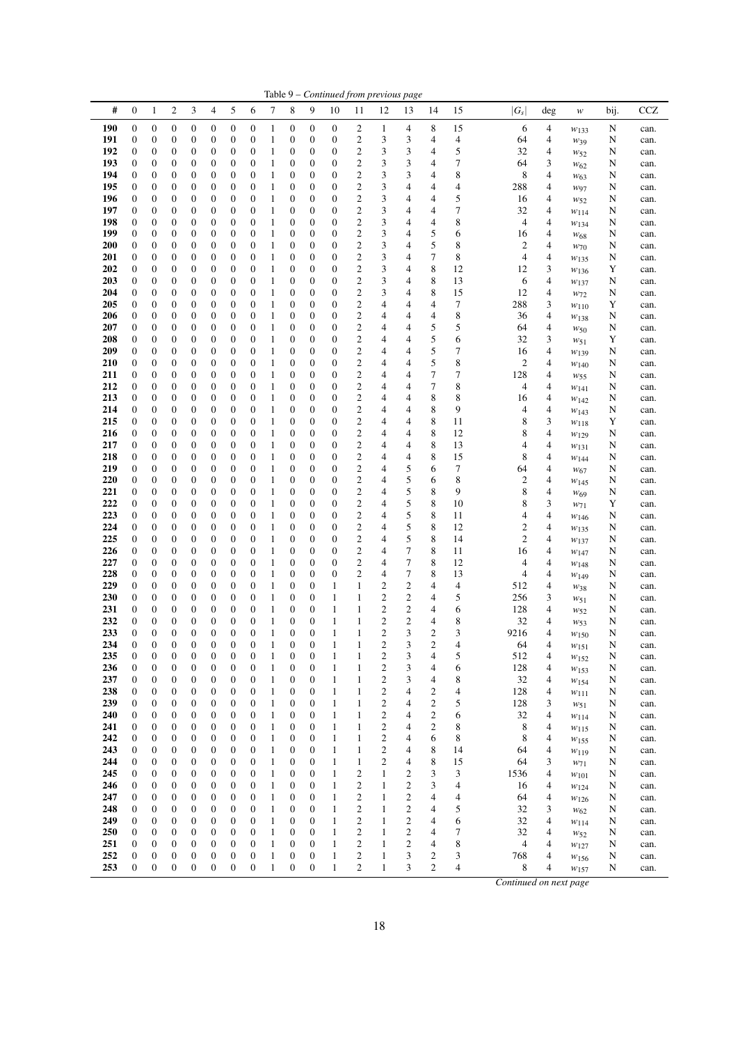|            |                                      |                                      |                                      |                                      |                                      |                                      |                                      |                              |                                      |                                      |                              |                                                    | Table 9 - Continued from previous page    |                                      |                                           |          |                                |                          |                                    |        |              |
|------------|--------------------------------------|--------------------------------------|--------------------------------------|--------------------------------------|--------------------------------------|--------------------------------------|--------------------------------------|------------------------------|--------------------------------------|--------------------------------------|------------------------------|----------------------------------------------------|-------------------------------------------|--------------------------------------|-------------------------------------------|----------|--------------------------------|--------------------------|------------------------------------|--------|--------------|
| #          | 0                                    | $\mathbf{1}$                         | $\boldsymbol{2}$                     | 3                                    | 4                                    | 5                                    | 6                                    | $\tau$                       | 8                                    | 9                                    | 10                           | 11                                                 | 12                                        | 13                                   | 14                                        | 15       | $ G_{S} $                      | deg                      | $\ensuremath{W}$                   | bij.   | CCZ          |
| 190        | 0                                    | $\boldsymbol{0}$                     | $\boldsymbol{0}$                     | $\boldsymbol{0}$                     | 0                                    | $\boldsymbol{0}$                     | $\boldsymbol{0}$                     | 1                            | 0                                    | $\boldsymbol{0}$                     | 0                            | $\overline{\mathbf{c}}$                            | 1                                         | 4                                    | 8                                         | 15       | 6                              | 4                        | $W_{133}$                          | N      | can.         |
| 191        | $\boldsymbol{0}$                     | $\boldsymbol{0}$                     | $\boldsymbol{0}$                     | $\boldsymbol{0}$                     | $\boldsymbol{0}$                     | $\boldsymbol{0}$                     | $\boldsymbol{0}$                     | $\mathbf{1}$                 | $\boldsymbol{0}$                     | $\boldsymbol{0}$                     | 0                            | $\mathfrak{2}$                                     | 3                                         | 3                                    | 4                                         | 4        | 64                             | 4                        | $W_39$                             | N      | can.         |
| 192<br>193 | 0<br>0                               | 0<br>0                               | $\boldsymbol{0}$<br>$\boldsymbol{0}$ | $\boldsymbol{0}$<br>$\boldsymbol{0}$ | $\boldsymbol{0}$<br>0                | $\boldsymbol{0}$<br>$\boldsymbol{0}$ | 0<br>0                               | 1<br>$\mathbf{1}$            | 0<br>0                               | $\boldsymbol{0}$<br>0                | 0<br>0                       | $\overline{\mathbf{c}}$<br>$\overline{\mathbf{c}}$ | 3<br>3                                    | 3<br>3                               | 4<br>4                                    | 5<br>7   | 32<br>64                       | 4<br>3                   | $w_{52}$                           | N<br>N | can.<br>can. |
| 194        | 0                                    | 0                                    | $\boldsymbol{0}$                     | $\boldsymbol{0}$                     | 0                                    | $\boldsymbol{0}$                     | 0                                    | $\mathbf{1}$                 | 0                                    | $\boldsymbol{0}$                     | 0                            | $\overline{\mathbf{c}}$                            | 3                                         | 3                                    | 4                                         | 8        | 8                              | 4                        | W <sub>62</sub><br>W <sub>63</sub> | N      | can.         |
| 195        | 0                                    | $\boldsymbol{0}$                     | $\boldsymbol{0}$                     | $\boldsymbol{0}$                     | $\boldsymbol{0}$                     | $\boldsymbol{0}$                     | $\mathbf{0}$                         | $\mathbf{1}$                 | 0                                    | $\boldsymbol{0}$                     | $\boldsymbol{0}$             | $\overline{\mathbf{c}}$                            | $\sqrt{3}$                                | 4                                    | 4                                         | 4        | 288                            | $\overline{4}$           | $w_{97}$                           | N      | can.         |
| 196        | 0                                    | $\boldsymbol{0}$                     | $\boldsymbol{0}$                     | $\boldsymbol{0}$                     | $\boldsymbol{0}$                     | $\boldsymbol{0}$                     | $\boldsymbol{0}$                     | 1                            | 0                                    | $\boldsymbol{0}$                     | 0                            | $\overline{\mathbf{c}}$                            | 3                                         | 4                                    | 4                                         | 5        | 16                             | 4                        | W <sub>52</sub>                    | N      | can.         |
| 197        | $\boldsymbol{0}$                     | $\boldsymbol{0}$                     | $\boldsymbol{0}$                     | $\boldsymbol{0}$                     | $\boldsymbol{0}$                     | $\boldsymbol{0}$                     | $\mathbf{0}$                         | $\mathbf{1}$                 | 0                                    | $\boldsymbol{0}$                     | $\boldsymbol{0}$             | $\overline{\mathbf{c}}$                            | $\sqrt{3}$                                | 4                                    | 4                                         | 7        | 32                             | 4                        | W114                               | N      | can.         |
| 198<br>199 | 0<br>0                               | $\boldsymbol{0}$<br>$\boldsymbol{0}$ | $\boldsymbol{0}$<br>$\boldsymbol{0}$ | $\boldsymbol{0}$<br>$\boldsymbol{0}$ | 0<br>$\boldsymbol{0}$                | $\boldsymbol{0}$<br>$\boldsymbol{0}$ | $\boldsymbol{0}$<br>0                | 1<br>$\mathbf{1}$            | $\boldsymbol{0}$<br>$\boldsymbol{0}$ | $\boldsymbol{0}$<br>$\boldsymbol{0}$ | 0<br>0                       | $\overline{\mathbf{c}}$<br>$\overline{\mathbf{c}}$ | 3<br>$\sqrt{3}$                           | 4<br>4                               | 4<br>5                                    | 8<br>6   | 4<br>16                        | $\overline{4}$<br>4      | $W_{134}$                          | N<br>N | can.         |
| 200        | 0                                    | $\boldsymbol{0}$                     | $\boldsymbol{0}$                     | $\boldsymbol{0}$                     | 0                                    | $\boldsymbol{0}$                     | $\mathbf{0}$                         | $\mathbf{1}$                 | 0                                    | $\boldsymbol{0}$                     | 0                            | $\overline{c}$                                     | $\sqrt{3}$                                | 4                                    | 5                                         | 8        | 2                              | $\overline{4}$           | $W_{68}$<br>$W$ 70                 | N      | can.<br>can. |
| 201        | $\boldsymbol{0}$                     | $\boldsymbol{0}$                     | $\boldsymbol{0}$                     | $\boldsymbol{0}$                     | $\boldsymbol{0}$                     | $\boldsymbol{0}$                     | $\boldsymbol{0}$                     | 1                            | 0                                    | $\boldsymbol{0}$                     | $\boldsymbol{0}$             | $\overline{\mathbf{c}}$                            | 3                                         | 4                                    | 7                                         | 8        | 4                              | $\overline{4}$           | W135                               | N      | can.         |
| 202        | $\boldsymbol{0}$                     | $\boldsymbol{0}$                     | $\boldsymbol{0}$                     | $\boldsymbol{0}$                     | 0                                    | $\boldsymbol{0}$                     | $\mathbf{0}$                         | 1                            | 0                                    | 0                                    | 0                            | $\overline{\mathbf{c}}$                            | $\sqrt{3}$                                | 4                                    | 8                                         | 12       | 12                             | 3                        | $w_{136}$                          | Y      | can.         |
| 203        | $\boldsymbol{0}$                     | $\boldsymbol{0}$                     | $\boldsymbol{0}$                     | $\boldsymbol{0}$                     | $\boldsymbol{0}$                     | $\boldsymbol{0}$                     | $\boldsymbol{0}$                     | 1                            | 0                                    | $\boldsymbol{0}$                     | 0                            | $\overline{\mathbf{c}}$                            | 3                                         | 4                                    | 8                                         | 13       | 6                              | 4                        | $w_{137}$                          | N      | can.         |
| 204        | $\boldsymbol{0}$                     | $\boldsymbol{0}$                     | $\boldsymbol{0}$                     | $\boldsymbol{0}$                     | $\boldsymbol{0}$                     | $\boldsymbol{0}$                     | 0                                    | $\mathbf{1}$                 | $\boldsymbol{0}$                     | $\boldsymbol{0}$                     | $\boldsymbol{0}$             | $\overline{\mathbf{c}}$                            | 3                                         | 4                                    | 8                                         | 15       | 12                             | $\overline{4}$           | W <sub>72</sub>                    | N      | can.         |
| 205<br>206 | 0<br>0                               | $\boldsymbol{0}$<br>0                | $\boldsymbol{0}$<br>$\boldsymbol{0}$ | $\boldsymbol{0}$<br>$\boldsymbol{0}$ | $\boldsymbol{0}$<br>$\boldsymbol{0}$ | $\boldsymbol{0}$<br>$\boldsymbol{0}$ | 0<br>0                               | $\mathbf{1}$<br>1            | $\mathbf{0}$<br>0                    | $\boldsymbol{0}$<br>$\boldsymbol{0}$ | 0<br>0                       | $\overline{\mathbf{c}}$<br>$\overline{\mathbf{c}}$ | 4<br>4                                    | 4<br>4                               | 4<br>4                                    | 7<br>8   | 288<br>36                      | 3<br>4                   | $w_{110}$                          | Y<br>N | can.         |
| 207        | 0                                    | $\boldsymbol{0}$                     | $\boldsymbol{0}$                     | $\boldsymbol{0}$                     | 0                                    | $\boldsymbol{0}$                     | $\mathbf{0}$                         | $\mathbf{1}$                 | 0                                    | $\boldsymbol{0}$                     | 0                            | $\overline{\mathbf{c}}$                            | 4                                         | 4                                    | 5                                         | 5        | 64                             | $\overline{4}$           | $W_{138}$<br>$w_{50}$              | N      | can.<br>can. |
| 208        | 0                                    | $\boldsymbol{0}$                     | $\boldsymbol{0}$                     | $\boldsymbol{0}$                     | 0                                    | $\boldsymbol{0}$                     | $\mathbf{0}$                         | 1                            | 0                                    | $\boldsymbol{0}$                     | 0                            | $\overline{\mathbf{c}}$                            | 4                                         | 4                                    | 5                                         | 6        | 32                             | 3                        | $w_{51}$                           | Y      | can.         |
| 209        | $\boldsymbol{0}$                     | $\boldsymbol{0}$                     | $\boldsymbol{0}$                     | $\boldsymbol{0}$                     | $\boldsymbol{0}$                     | $\boldsymbol{0}$                     | $\mathbf{0}$                         | $\mathbf{1}$                 | 0                                    | $\boldsymbol{0}$                     | $\boldsymbol{0}$             | $\overline{\mathbf{c}}$                            | 4                                         | 4                                    | 5                                         | 7        | 16                             | 4                        | W139                               | N      | can.         |
| 210        | $\boldsymbol{0}$                     | $\boldsymbol{0}$                     | $\boldsymbol{0}$                     | $\boldsymbol{0}$                     | 0                                    | $\boldsymbol{0}$                     | $\boldsymbol{0}$                     | 1                            | 0                                    | $\boldsymbol{0}$                     | 0                            | $\overline{\mathbf{c}}$                            | $\overline{\mathcal{A}}$                  | 4                                    | 5                                         | 8        | 2                              | $\overline{4}$           | $w_{140}$                          | N      | can.         |
| 211        | $\boldsymbol{0}$                     | $\boldsymbol{0}$                     | $\boldsymbol{0}$                     | $\boldsymbol{0}$                     | $\boldsymbol{0}$                     | $\boldsymbol{0}$                     | $\boldsymbol{0}$                     | $\mathbf{1}$                 | $\boldsymbol{0}$                     | $\boldsymbol{0}$                     | $\boldsymbol{0}$             | $\overline{\mathbf{c}}$                            | 4                                         | 4                                    | 7                                         | 7        | 128                            | 4                        | $w_{55}$                           | N      | can.         |
| 212<br>213 | $\boldsymbol{0}$<br>0                | $\boldsymbol{0}$<br>0                | $\boldsymbol{0}$<br>$\boldsymbol{0}$ | $\boldsymbol{0}$<br>$\boldsymbol{0}$ | 0<br>0                               | $\boldsymbol{0}$<br>$\boldsymbol{0}$ | 0<br>0                               | $\mathbf{1}$<br>$\mathbf{1}$ | 0<br>0                               | $\boldsymbol{0}$<br>$\boldsymbol{0}$ | 0<br>0                       | $\overline{c}$<br>$\overline{\mathbf{c}}$          | 4<br>4                                    | 4<br>4                               | $\tau$<br>8                               | 8<br>8   | $\overline{\mathcal{A}}$<br>16 | 4<br>4                   | W141                               | N<br>N | can.<br>can. |
| 214        | $\mathbf{0}$                         | $\boldsymbol{0}$                     | $\boldsymbol{0}$                     | $\boldsymbol{0}$                     | $\boldsymbol{0}$                     | $\boldsymbol{0}$                     | 0                                    | $\mathbf{1}$                 | 0                                    | $\boldsymbol{0}$                     | 0                            | $\overline{\mathbf{c}}$                            | 4                                         | 4                                    | 8                                         | 9        | 4                              | 4                        | W142<br>$W_{143}$                  | N      | can.         |
| 215        | $\boldsymbol{0}$                     | $\boldsymbol{0}$                     | $\boldsymbol{0}$                     | $\boldsymbol{0}$                     | 0                                    | $\boldsymbol{0}$                     | $\boldsymbol{0}$                     | 1                            | 0                                    | $\boldsymbol{0}$                     | 0                            | $\overline{\mathbf{c}}$                            | 4                                         | 4                                    | 8                                         | 11       | 8                              | 3                        | $w_{118}$                          | Y      | can.         |
| 216        | $\boldsymbol{0}$                     | $\boldsymbol{0}$                     | $\boldsymbol{0}$                     | $\boldsymbol{0}$                     | 0                                    | $\boldsymbol{0}$                     | $\boldsymbol{0}$                     | $\mathbf{1}$                 | 0                                    | $\boldsymbol{0}$                     | $\boldsymbol{0}$             | $\overline{\mathbf{c}}$                            | 4                                         | 4                                    | 8                                         | 12       | 8                              | 4                        | W129                               | N      | can.         |
| 217        | $\boldsymbol{0}$                     | $\boldsymbol{0}$                     | $\boldsymbol{0}$                     | $\boldsymbol{0}$                     | $\boldsymbol{0}$                     | $\boldsymbol{0}$                     | $\boldsymbol{0}$                     | $\mathbf{1}$                 | $\boldsymbol{0}$                     | $\boldsymbol{0}$                     | $\boldsymbol{0}$             | $\overline{\mathbf{c}}$                            | 4                                         | 4                                    | 8                                         | 13       | 4                              | $\overline{4}$           | $w_{131}$                          | N      | can.         |
| 218        | 0                                    | 0                                    | $\boldsymbol{0}$                     | $\boldsymbol{0}$                     | $\boldsymbol{0}$                     | $\boldsymbol{0}$                     | 0                                    | $\mathbf{1}$                 | $\boldsymbol{0}$                     | $\boldsymbol{0}$                     | 0                            | $\overline{\mathbf{c}}$                            | 4                                         | 4                                    | 8                                         | 15       | 8                              | $\overline{4}$           | $W_{144}$                          | N      | can.         |
| 219<br>220 | 0<br>$\boldsymbol{0}$                | $\boldsymbol{0}$<br>$\boldsymbol{0}$ | $\boldsymbol{0}$<br>$\boldsymbol{0}$ | $\boldsymbol{0}$<br>$\boldsymbol{0}$ | $\boldsymbol{0}$<br>0                | $\boldsymbol{0}$<br>$\boldsymbol{0}$ | 0<br>0                               | $\mathbf{1}$<br>1            | 0<br>$\boldsymbol{0}$                | $\boldsymbol{0}$<br>$\boldsymbol{0}$ | 0<br>0                       | $\overline{\mathbf{c}}$<br>$\overline{\mathbf{c}}$ | 4<br>4                                    | 5<br>5                               | 6<br>6                                    | 7<br>8   | 64<br>2                        | $\overline{4}$<br>4      | $W_{67}$                           | N<br>N | can.<br>can. |
| 221        | $\boldsymbol{0}$                     | $\boldsymbol{0}$                     | $\boldsymbol{0}$                     | $\boldsymbol{0}$                     | 0                                    | $\boldsymbol{0}$                     | $\mathbf{0}$                         | $\mathbf{1}$                 | 0                                    | $\boldsymbol{0}$                     | $\boldsymbol{0}$             | $\overline{\mathbf{c}}$                            | 4                                         | 5                                    | 8                                         | 9        | 8                              | $\overline{4}$           | $W_{145}$<br>W <sub>69</sub>       | N      | can.         |
| 222        | $\boldsymbol{0}$                     | $\boldsymbol{0}$                     | $\boldsymbol{0}$                     | $\boldsymbol{0}$                     | 0                                    | $\boldsymbol{0}$                     | $\boldsymbol{0}$                     | 1                            | 0                                    | 0                                    | 0                            | $\overline{\mathbf{c}}$                            | $\overline{\mathcal{A}}$                  | 5                                    | 8                                         | 10       | 8                              | 3                        | $W_71$                             | Y      | can.         |
| 223        | $\boldsymbol{0}$                     | $\boldsymbol{0}$                     | $\boldsymbol{0}$                     | $\boldsymbol{0}$                     | $\boldsymbol{0}$                     | $\boldsymbol{0}$                     | $\boldsymbol{0}$                     | $\mathbf{1}$                 | 0                                    | $\boldsymbol{0}$                     | $\boldsymbol{0}$             | $\overline{\mathbf{c}}$                            | 4                                         | 5                                    | 8                                         | 11       | 4                              | 4                        | $W_{146}$                          | N      | can.         |
| 224        | $\boldsymbol{0}$                     | $\boldsymbol{0}$                     | $\boldsymbol{0}$                     | $\boldsymbol{0}$                     | 0                                    | $\boldsymbol{0}$                     | $\boldsymbol{0}$                     | $\mathbf{1}$                 | 0                                    | $\boldsymbol{0}$                     | 0                            | $\overline{\mathbf{c}}$                            | 4                                         | 5                                    | 8                                         | 12       | $\boldsymbol{2}$               | $\overline{4}$           | W135                               | N      | can.         |
| 225<br>226 | 0                                    | 0                                    | $\boldsymbol{0}$                     | $\boldsymbol{0}$                     | $\mathbf{0}$                         | $\boldsymbol{0}$                     | $\boldsymbol{0}$                     | $\mathbf{1}$                 | 0                                    | $\boldsymbol{0}$                     | 0                            | $\overline{\mathbf{c}}$<br>$\overline{c}$          | 4                                         | 5<br>7                               | 8<br>8                                    | 14       | 2                              | 4                        | $w_{137}$                          | N      | can.         |
| 227        | 0<br>0                               | $\boldsymbol{0}$<br>0                | $\boldsymbol{0}$<br>$\boldsymbol{0}$ | $\boldsymbol{0}$<br>$\boldsymbol{0}$ | 0<br>0                               | $\boldsymbol{0}$<br>$\boldsymbol{0}$ | 0<br>0                               | $\mathbf{1}$<br>1            | 0<br>$\boldsymbol{0}$                | $\boldsymbol{0}$<br>$\boldsymbol{0}$ | 0<br>0                       | $\overline{\mathbf{c}}$                            | 4<br>4                                    | 7                                    | 8                                         | 11<br>12 | 16<br>4                        | 4<br>4                   | W147<br>$w_{148}$                  | N<br>N | can.<br>can. |
| 228        | $\boldsymbol{0}$                     | $\boldsymbol{0}$                     | $\boldsymbol{0}$                     | $\boldsymbol{0}$                     | $\mathbf{0}$                         | $\boldsymbol{0}$                     | 0                                    | $\mathbf{1}$                 | 0                                    | $\mathbf{0}$                         | $\boldsymbol{0}$             | $\overline{c}$                                     | 4                                         | 7                                    | 8                                         | 13       | 4                              | 4                        | $W_{149}$                          | N      | can.         |
| 229        | $\boldsymbol{0}$                     | $\boldsymbol{0}$                     | $\boldsymbol{0}$                     | $\boldsymbol{0}$                     | $\boldsymbol{0}$                     | $\boldsymbol{0}$                     | $\boldsymbol{0}$                     | 1                            | 0                                    | $\boldsymbol{0}$                     | 1                            | $\mathbf{1}$                                       | $\overline{\mathbf{c}}$                   | $\overline{c}$                       | 4                                         | 4        | 512                            | $\overline{4}$           | W38                                | N      | can.         |
| 230        | 0                                    | $\boldsymbol{0}$                     | $\boldsymbol{0}$                     | $\boldsymbol{0}$                     | $\boldsymbol{0}$                     | $\boldsymbol{0}$                     | 0                                    | $\mathbf{1}$                 | 0                                    | $\boldsymbol{0}$                     | 1                            | $\,1$                                              | $\overline{\mathbf{c}}$                   | $\overline{c}$                       | 4                                         | 5        | 256                            | 3                        | $w_{51}$                           | N      | can.         |
| 231        | $\mathbf{0}$                         | $\boldsymbol{0}$                     | $\boldsymbol{0}$                     | $\boldsymbol{0}$                     | 0                                    | $\boldsymbol{0}$                     | 0                                    | $\mathbf{1}$                 | 0                                    | $\boldsymbol{0}$                     | 1                            | 1                                                  | $\mathbf{2}$                              | $\boldsymbol{2}$                     | 4                                         | 6        | 128                            | $\overline{4}$           | $w_{52}$                           | N      | can.         |
| 232<br>233 | $\mathbf{0}$<br>$\mathbf{0}$         | $\boldsymbol{0}$<br>$\boldsymbol{0}$ | $\boldsymbol{0}$<br>$\mathbf{0}$     | 0<br>$\mathbf{0}$                    | 0<br>$\overline{0}$                  | $\boldsymbol{0}$<br>$\mathbf{0}$     | $\boldsymbol{0}$<br>$\overline{0}$   | 1<br>1                       | 0<br>$\overline{0}$                  | $\boldsymbol{0}$<br>$\overline{0}$   | $\mathbf{1}$<br>$\mathbf{1}$ | $\mathbf{1}$<br>$\mathbf{1}$                       | $\overline{\mathbf{c}}$<br>$\overline{2}$ | $\overline{c}$<br>3                  | 4<br>$\overline{c}$                       | 8<br>3   | 32<br>9216                     | $\overline{4}$<br>4      | W <sub>53</sub>                    | N<br>N | can.         |
| 234        | 0                                    | 0                                    | $\boldsymbol{0}$                     | $\boldsymbol{0}$                     | 0                                    | 0                                    | $\boldsymbol{0}$                     | 1                            | $\boldsymbol{0}$                     | $\boldsymbol{0}$                     | 1                            | 1                                                  | $\sqrt{2}$                                | 3                                    | $\mathbf{2}$                              | 4        | 64                             | 4                        | W150<br>$w_{151}$                  | N      | can.<br>can. |
| 235        | $\boldsymbol{0}$                     | $\boldsymbol{0}$                     | $\boldsymbol{0}$                     | $\mathbf{0}$                         | $\boldsymbol{0}$                     | $\boldsymbol{0}$                     | $\boldsymbol{0}$                     | 1                            | $\boldsymbol{0}$                     | $\boldsymbol{0}$                     | $\mathbf{1}$                 | $\mathbf{1}$                                       | $\sqrt{2}$                                | 3                                    | 4                                         | 5        | 512                            | $\overline{\mathcal{L}}$ | $w_{152}$                          | N      | can.         |
| 236        | $\boldsymbol{0}$                     | $\boldsymbol{0}$                     | $\boldsymbol{0}$                     | $\boldsymbol{0}$                     | $\boldsymbol{0}$                     | $\boldsymbol{0}$                     | $\boldsymbol{0}$                     | $\mathbf{1}$                 | $\boldsymbol{0}$                     | $\boldsymbol{0}$                     | $\mathbf{1}$                 | $\mathbf{1}$                                       | $\sqrt{2}$                                | 3                                    | 4                                         | 6        | 128                            | 4                        | W153                               | N      | can.         |
| 237        | 0                                    | $\boldsymbol{0}$                     | $\boldsymbol{0}$                     | $\boldsymbol{0}$                     | $\boldsymbol{0}$                     | $\boldsymbol{0}$                     | $\boldsymbol{0}$                     | 1                            | $\boldsymbol{0}$                     | $\boldsymbol{0}$                     | $\mathbf{1}$                 | $\mathbf{1}$                                       | $\sqrt{2}$                                | 3                                    | 4                                         | 8        | 32                             | 4                        | W154                               | N      | can.         |
| 238<br>239 | 0                                    | $\boldsymbol{0}$                     | $\boldsymbol{0}$                     | $\boldsymbol{0}$                     | $\boldsymbol{0}$                     | $\boldsymbol{0}$                     | $\boldsymbol{0}$                     | $\mathbf{1}$                 | 0                                    | $\boldsymbol{0}$                     | $\mathbf{1}$                 | $\mathbf{1}$                                       | $\sqrt{2}$                                | 4<br>4                               | $\overline{\mathbf{c}}$                   | 4        | 128                            | $\overline{\mathcal{A}}$ | $w_{111}$                          | N      | can.         |
| 240        | 0<br>0                               | $\boldsymbol{0}$<br>$\boldsymbol{0}$ | $\boldsymbol{0}$<br>$\boldsymbol{0}$ | $\boldsymbol{0}$<br>$\mathbf{0}$     | 0<br>0                               | $\boldsymbol{0}$<br>$\boldsymbol{0}$ | $\boldsymbol{0}$<br>$\boldsymbol{0}$ | $\mathbf{1}$<br>$\mathbf{1}$ | 0<br>$\boldsymbol{0}$                | 0<br>$\boldsymbol{0}$                | $\mathbf{1}$<br>$\mathbf{1}$ | $\mathbf{1}$<br>$\mathbf{1}$                       | $\overline{c}$<br>$\overline{c}$          | 4                                    | $\overline{\mathbf{c}}$<br>$\overline{c}$ | 5<br>6   | 128<br>32                      | 3<br>$\overline{4}$      | $w_{51}$<br>W114                   | N<br>N | can.<br>can. |
| 241        | 0                                    | $\boldsymbol{0}$                     | $\boldsymbol{0}$                     | $\boldsymbol{0}$                     | $\boldsymbol{0}$                     | $\boldsymbol{0}$                     | $\boldsymbol{0}$                     | $\mathbf{1}$                 | 0                                    | $\boldsymbol{0}$                     | $\mathbf{1}$                 | $\mathbf{1}$                                       | $\boldsymbol{2}$                          | 4                                    | $\boldsymbol{2}$                          | 8        | 8                              | 4                        | W115                               | N      | can.         |
| 242        | 0                                    | $\boldsymbol{0}$                     | $\boldsymbol{0}$                     | $\boldsymbol{0}$                     | $\boldsymbol{0}$                     | $\boldsymbol{0}$                     | 0                                    | $\mathbf{1}$                 | 0                                    | $\boldsymbol{0}$                     | $\mathbf{1}$                 | $\mathbf{1}$                                       | $\overline{c}$                            | 4                                    | 6                                         | 8        | 8                              | 4                        | $w_{155}$                          | N      | can.         |
| 243        | 0                                    | $\boldsymbol{0}$                     | $\boldsymbol{0}$                     | $\boldsymbol{0}$                     | 0                                    | $\boldsymbol{0}$                     | $\boldsymbol{0}$                     | $\mathbf{1}$                 | 0                                    | $\boldsymbol{0}$                     | $\mathbf{1}$                 | $\mathbf{1}$                                       | $\sqrt{2}$                                | 4                                    | 8                                         | 14       | 64                             | $\overline{4}$           | $w_{119}$                          | N      | can.         |
| 244        | 0                                    | $\boldsymbol{0}$                     | $\boldsymbol{0}$                     | $\boldsymbol{0}$                     | $\boldsymbol{0}$                     | $\boldsymbol{0}$                     | $\boldsymbol{0}$                     | $\mathbf{1}$                 | 0                                    | $\boldsymbol{0}$                     | $\mathbf{1}$                 | $\mathbf{1}$                                       | $\overline{c}$                            | 4                                    | 8                                         | 15       | 64                             | 3                        | $W_71$                             | N      | can.         |
| 245<br>246 | 0<br>0                               | $\boldsymbol{0}$<br>$\boldsymbol{0}$ | $\boldsymbol{0}$<br>$\boldsymbol{0}$ | $\boldsymbol{0}$<br>$\boldsymbol{0}$ | 0<br>$\boldsymbol{0}$                | $\boldsymbol{0}$<br>$\boldsymbol{0}$ | $\mathbf{0}$<br>$\boldsymbol{0}$     | $\mathbf{1}$<br>1            | 0<br>$\boldsymbol{0}$                | 0<br>0                               | $\mathbf{1}$<br>1            | $\overline{c}$<br>$\mathfrak{2}$                   | $\mathbf{1}$<br>$\mathbf{1}$              | $\boldsymbol{2}$<br>$\boldsymbol{2}$ | 3<br>3                                    | 3<br>4   | 1536<br>16                     | 4<br>4                   | $w_{101}$                          | N<br>N | can.         |
| 247        | 0                                    | $\boldsymbol{0}$                     | $\boldsymbol{0}$                     | $\boldsymbol{0}$                     | 0                                    | $\boldsymbol{0}$                     | $\boldsymbol{0}$                     | $\mathbf{1}$                 | $\boldsymbol{0}$                     | $\boldsymbol{0}$                     | $\mathbf{1}$                 | $\overline{c}$                                     | $\mathbf{1}$                              | $\boldsymbol{2}$                     | 4                                         | 4        | 64                             | $\overline{\mathcal{A}}$ | W124<br>$w_{126}$                  | N      | can.<br>can. |
| 248        | 0                                    | $\boldsymbol{0}$                     | $\boldsymbol{0}$                     | $\boldsymbol{0}$                     | 0                                    | $\boldsymbol{0}$                     | $\boldsymbol{0}$                     | $\mathbf{1}$                 | 0                                    | $\boldsymbol{0}$                     | $\mathbf{1}$                 | $\overline{\mathbf{c}}$                            | $\mathbf{1}$                              | $\overline{\mathbf{c}}$              | 4                                         | 5        | 32                             | 3                        | W <sub>62</sub>                    | N      | can.         |
| 249        | 0                                    | $\boldsymbol{0}$                     | $\boldsymbol{0}$                     | $\boldsymbol{0}$                     | 0                                    | $\boldsymbol{0}$                     | $\boldsymbol{0}$                     | 1                            | $\boldsymbol{0}$                     | $\boldsymbol{0}$                     | 1                            | $\overline{c}$                                     | $\mathbf{1}$                              | $\overline{c}$                       | 4                                         | 6        | 32                             | 4                        | W114                               | N      | can.         |
| 250        | 0                                    | $\boldsymbol{0}$                     | $\boldsymbol{0}$                     | $\boldsymbol{0}$                     | $\boldsymbol{0}$                     | $\boldsymbol{0}$                     | $\boldsymbol{0}$                     | $\mathbf{1}$                 | 0                                    | $\boldsymbol{0}$                     | 1                            | $\overline{c}$                                     | $\mathbf{1}$                              | $\boldsymbol{2}$                     | 4                                         | 7        | 32                             | 4                        | $w_{52}$                           | N      | can.         |
| 251        | 0                                    | $\boldsymbol{0}$                     | $\boldsymbol{0}$                     | $\boldsymbol{0}$                     | $\boldsymbol{0}$                     | $\boldsymbol{0}$                     | $\boldsymbol{0}$                     | 1                            | 0                                    | $\boldsymbol{0}$                     | $\mathbf{1}$                 | $\overline{\mathbf{c}}$                            | $\mathbf{1}$                              | $\overline{c}$                       | 4                                         | 8        | 4                              | 4                        | $w_{127}$                          | N      | can.         |
| 252<br>253 | $\boldsymbol{0}$<br>$\boldsymbol{0}$ | $\boldsymbol{0}$                     | $\boldsymbol{0}$                     | $\mathbf{0}$<br>$\boldsymbol{0}$     | 0<br>$\boldsymbol{0}$                | $\boldsymbol{0}$                     | $\mathbf{0}$                         | $\mathbf{1}$<br>$\mathbf{1}$ | $\boldsymbol{0}$                     | $\boldsymbol{0}$                     | $\mathbf{1}$                 | $\overline{c}$<br>$\overline{c}$                   | $\mathbf{1}$                              | 3                                    | $\boldsymbol{2}$<br>$\mathfrak{2}$        | 3        | 768                            | $\overline{4}$           | W156                               | N      | can.         |
|            |                                      | $\boldsymbol{0}$                     | $\boldsymbol{0}$                     |                                      |                                      | $\boldsymbol{0}$                     | $\boldsymbol{0}$                     |                              | 0                                    | $\boldsymbol{0}$                     | $\mathbf{1}$                 |                                                    | $\mathbf{1}$                              | 3                                    |                                           | 4        | 8                              | 4                        | W157                               | N      | can.         |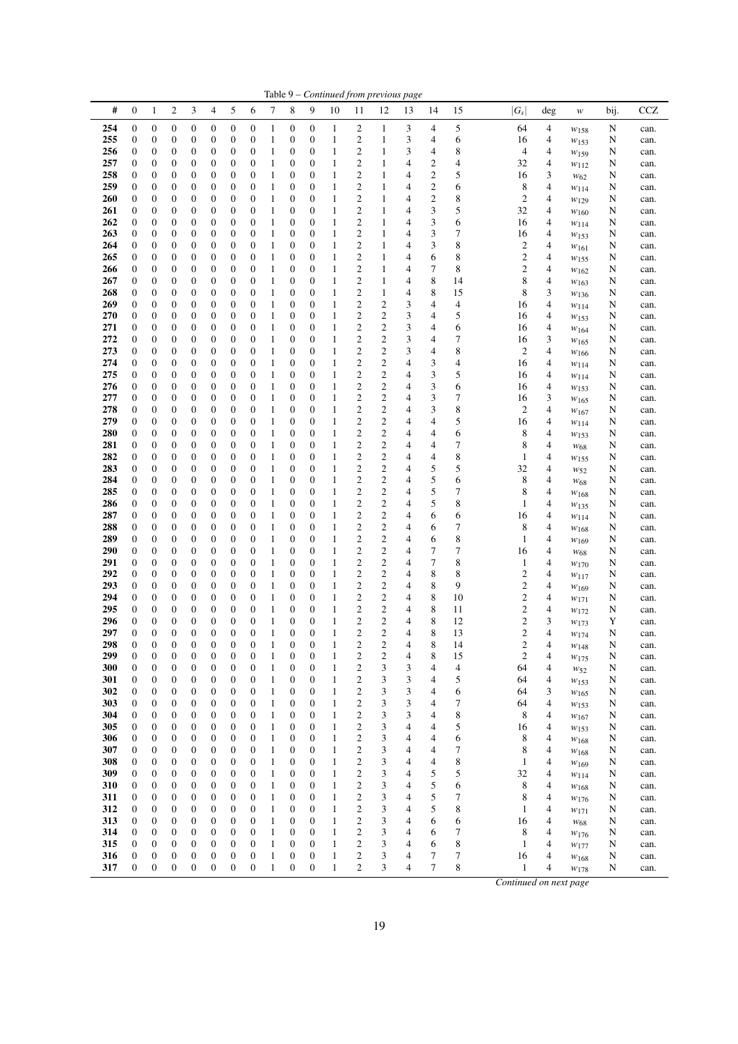| #          | $\boldsymbol{0}$      | $\mathbf{1}$                         | $\overline{c}$                       | 3                     | 4                                    | 5                                    | 6                                    | 7                 | 8                                    | 9                     | 10                           | 11                                                 | 12                                          | 13     | 14                      | 15             | $ G_{\scriptscriptstyle S} $ | deg    | $\boldsymbol{W}$       | bij.   | <b>CCZ</b>   |
|------------|-----------------------|--------------------------------------|--------------------------------------|-----------------------|--------------------------------------|--------------------------------------|--------------------------------------|-------------------|--------------------------------------|-----------------------|------------------------------|----------------------------------------------------|---------------------------------------------|--------|-------------------------|----------------|------------------------------|--------|------------------------|--------|--------------|
| 254        | 0                     | $\boldsymbol{0}$                     | $\boldsymbol{0}$                     | $\boldsymbol{0}$      | 0                                    | $\boldsymbol{0}$                     | $\boldsymbol{0}$                     | 1                 | 0                                    | 0                     | 1                            | $\mathbf{2}$                                       | $\mathbf{1}$                                | 3      | 4                       | 5              | 64                           | 4      | $w_{158}$              | N      | can.         |
| 255        | 0                     | $\boldsymbol{0}$                     | $\boldsymbol{0}$                     | 0                     | 0                                    | $\boldsymbol{0}$                     | $\boldsymbol{0}$                     | 1                 | 0                                    | 0                     | $\mathbf{1}$                 | $\overline{\mathbf{c}}$                            | $\mathbf{1}$                                | 3      | 4                       | 6              | 16                           | 4      | $w_{153}$              | N      | can.         |
| 256        | 0                     | $\boldsymbol{0}$                     | $\boldsymbol{0}$                     | 0                     | 0                                    | $\boldsymbol{0}$                     | $\boldsymbol{0}$                     | 1                 | $\boldsymbol{0}$                     | 0                     | 1                            | $\overline{c}$                                     | $\mathbf{1}$                                | 3      | 4                       | 8              | 4                            | 4      | W159                   | N      | can.         |
| 257        | 0                     | $\boldsymbol{0}$                     | $\boldsymbol{0}$                     | 0                     | 0                                    | $\boldsymbol{0}$                     | $\boldsymbol{0}$                     | 1                 | 0                                    | 0                     | 1                            | $\overline{\mathbf{c}}$                            | $\mathbf{1}$                                | 4      | $\overline{\mathbf{c}}$ | 4              | 32                           | 4      | $w_{112}$              | N      | can.         |
| 258        | 0                     | $\boldsymbol{0}$                     | $\boldsymbol{0}$                     | 0                     | $\boldsymbol{0}$                     | $\boldsymbol{0}$                     | $\boldsymbol{0}$                     | 1                 | 0                                    | 0                     | 1                            | $\overline{\mathbf{c}}$                            | $\mathbf{1}$                                | 4      | $\overline{\mathbf{c}}$ | 5              | 16                           | 3      | $w_{62}$               | N      | can.         |
| 259        | 0                     | $\boldsymbol{0}$                     | $\boldsymbol{0}$                     | 0                     | $\boldsymbol{0}$                     | $\boldsymbol{0}$                     | $\boldsymbol{0}$                     | 1                 | $\boldsymbol{0}$                     | 0                     | $\mathbf{1}$                 | $\overline{\mathbf{c}}$                            | $\mathbf{1}$                                | 4      | $\overline{c}$          | 6              | 8                            | 4      | $w_{114}$              | N      | can.         |
| 260<br>261 | 0<br>0                | $\boldsymbol{0}$<br>$\boldsymbol{0}$ | $\boldsymbol{0}$<br>$\boldsymbol{0}$ | 0<br>0                | 0<br>0                               | $\boldsymbol{0}$<br>$\boldsymbol{0}$ | $\boldsymbol{0}$<br>$\boldsymbol{0}$ | 1<br>1            | 0<br>0                               | 0<br>0                | 1<br>$\mathbf{1}$            | $\overline{\mathbf{c}}$<br>$\overline{\mathbf{c}}$ | $\mathbf{1}$<br>$\mathbf{1}$                | 4<br>4 | $\overline{c}$<br>3     | 8<br>5         | 2<br>32                      | 4<br>4 | W129                   | N      | can.         |
| 262        | 0                     | $\boldsymbol{0}$                     | $\boldsymbol{0}$                     | 0                     | $\boldsymbol{0}$                     | $\boldsymbol{0}$                     | $\boldsymbol{0}$                     | 1                 | $\boldsymbol{0}$                     | 0                     | 1                            | $\overline{\mathbf{c}}$                            | $\,1$                                       | 4      | 3                       | 6              | 16                           | 4      | W160                   | N<br>N | can.<br>can. |
| 263        | $\boldsymbol{0}$      | $\boldsymbol{0}$                     | $\boldsymbol{0}$                     | $\boldsymbol{0}$      | 0                                    | $\boldsymbol{0}$                     | $\boldsymbol{0}$                     | 1                 | $\boldsymbol{0}$                     | 0                     | 1                            | $\overline{\mathbf{c}}$                            | $\mathbf{1}$                                | 4      | 3                       | 7              | 16                           | 4      | $w_{114}$<br>$w_{153}$ | N      | can.         |
| 264        | 0                     | $\boldsymbol{0}$                     | $\boldsymbol{0}$                     | 0                     | $\boldsymbol{0}$                     | $\boldsymbol{0}$                     | $\boldsymbol{0}$                     | 1                 | 0                                    | 0                     | 1                            | $\overline{\mathbf{c}}$                            | $\mathbf{1}$                                | 4      | 3                       | 8              | 2                            | 4      | $w_{161}$              | N      | can.         |
| 265        | 0                     | $\boldsymbol{0}$                     | $\boldsymbol{0}$                     | $\boldsymbol{0}$      | $\boldsymbol{0}$                     | $\boldsymbol{0}$                     | $\boldsymbol{0}$                     | 1                 | 0                                    | 0                     | 1                            | $\overline{\mathbf{c}}$                            | $\mathbf{1}$                                | 4      | 6                       | 8              | 2                            | 4      | $w_{155}$              | N      | can.         |
| 266        | 0                     | $\boldsymbol{0}$                     | $\boldsymbol{0}$                     | $\boldsymbol{0}$      | $\boldsymbol{0}$                     | $\boldsymbol{0}$                     | $\boldsymbol{0}$                     | 1                 | 0                                    | 0                     | $\mathbf{1}$                 | $\overline{\mathbf{c}}$                            | $\mathbf{1}$                                | 4      | 7                       | 8              | $\mathfrak{2}$               | 4      | $w_{162}$              | N      | can.         |
| 267        | 0                     | $\boldsymbol{0}$                     | $\boldsymbol{0}$                     | 0                     | 0                                    | $\boldsymbol{0}$                     | $\boldsymbol{0}$                     | 1                 | 0                                    | 0                     | 1                            | $\overline{c}$                                     | $\mathbf{1}$                                | 4      | 8                       | 14             | 8                            | 4      | $W_{163}$              | N      | can.         |
| 268        | $\boldsymbol{0}$      | $\boldsymbol{0}$                     | $\boldsymbol{0}$                     | $\boldsymbol{0}$      | $\boldsymbol{0}$                     | $\boldsymbol{0}$                     | $\boldsymbol{0}$                     | 1                 | $\mathbf{0}$                         | 0                     | 1                            | $\overline{c}$                                     | $\mathbf{1}$                                | 4      | 8                       | 15             | 8                            | 3      | W136                   | N      | can.         |
| 269        | $\boldsymbol{0}$      | $\boldsymbol{0}$                     | 0                                    | $\boldsymbol{0}$      | $\boldsymbol{0}$                     | $\boldsymbol{0}$                     | $\boldsymbol{0}$                     | 1                 | $\boldsymbol{0}$                     | 0                     | 1                            | $\overline{\mathbf{c}}$                            | $\overline{\mathbf{c}}$                     | 3      | 4                       | $\overline{4}$ | 16                           | 4      | W114                   | N      | can.         |
| 270        | 0                     | $\boldsymbol{0}$                     | $\boldsymbol{0}$                     | $\boldsymbol{0}$      | 0                                    | $\boldsymbol{0}$                     | $\boldsymbol{0}$                     | 1                 | $\boldsymbol{0}$                     | 0                     | 1                            | $\overline{c}$                                     | $\overline{c}$                              | 3      | 4                       | 5              | 16                           | 4      | $w_{153}$              | N      | can.         |
| 271        | 0                     | $\boldsymbol{0}$                     | $\boldsymbol{0}$                     | 0                     | $\boldsymbol{0}$                     | $\boldsymbol{0}$                     | $\boldsymbol{0}$                     | 1                 | 0                                    | 0                     | $\mathbf{1}$                 | $\overline{\mathbf{c}}$                            | $\boldsymbol{2}$                            | 3      | 4                       | 6              | 16                           | 4      | $w_{\rm 164}$          | N      | can.         |
| 272<br>273 | 0                     | $\boldsymbol{0}$                     | $\boldsymbol{0}$                     | $\boldsymbol{0}$      | $\boldsymbol{0}$<br>0                | $\boldsymbol{0}$                     | $\boldsymbol{0}$<br>$\boldsymbol{0}$ | 1<br>1            | $\boldsymbol{0}$<br>$\boldsymbol{0}$ | 0<br>0                | 1<br>1                       | $\overline{c}$<br>$\overline{c}$                   | $\overline{c}$<br>$\overline{c}$            | 3<br>3 | 4<br>4                  | 7              | 16<br>2                      | 3<br>4 | W165                   | N      | can.         |
| 274        | 0<br>0                | $\boldsymbol{0}$<br>$\boldsymbol{0}$ | $\boldsymbol{0}$<br>$\boldsymbol{0}$ | 0<br>0                | 0                                    | $\boldsymbol{0}$<br>$\boldsymbol{0}$ | $\boldsymbol{0}$                     | 1                 | 0                                    | 0                     | 1                            | $\overline{c}$                                     | $\mathfrak{2}$                              | 4      | 3                       | 8<br>4         | 16                           | 4      | W166                   | N<br>N | can.<br>can. |
| 275        | 0                     | $\boldsymbol{0}$                     | $\boldsymbol{0}$                     | $\boldsymbol{0}$      | 0                                    | $\boldsymbol{0}$                     | $\boldsymbol{0}$                     | 1                 | $\boldsymbol{0}$                     | 0                     | $\mathbf{1}$                 | $\overline{c}$                                     | $\overline{c}$                              | 4      | 3                       | 5              | 16                           | 4      | $w_{114}$<br>$w_{114}$ | N      | can.         |
| 276        | 0                     | $\boldsymbol{0}$                     | 0                                    | 0                     | $\boldsymbol{0}$                     | $\boldsymbol{0}$                     | $\boldsymbol{0}$                     | 1                 | $\boldsymbol{0}$                     | 0                     | 1                            | $\overline{c}$                                     | $\overline{c}$                              | 4      | 3                       | 6              | 16                           | 4      | W153                   | N      | can.         |
| 277        | 0                     | $\boldsymbol{0}$                     | $\boldsymbol{0}$                     | $\boldsymbol{0}$      | 0                                    | $\boldsymbol{0}$                     | $\boldsymbol{0}$                     | 1                 | $\boldsymbol{0}$                     | 0                     | 1                            | $\overline{c}$                                     | $\mathfrak{2}$                              | 4      | 3                       | 7              | 16                           | 3      | W165                   | N      | can.         |
| 278        | 0                     | $\boldsymbol{0}$                     | $\boldsymbol{0}$                     | 0                     | $\boldsymbol{0}$                     | $\boldsymbol{0}$                     | $\boldsymbol{0}$                     | 1                 | $\boldsymbol{0}$                     | 0                     | $\mathbf{1}$                 | $\overline{c}$                                     | $\mathfrak{2}$                              | 4      | 3                       | 8              | $\mathfrak{2}$               | 4      | $W_{167}$              | N      | can.         |
| 279        | 0                     | $\boldsymbol{0}$                     | $\boldsymbol{0}$                     | $\boldsymbol{0}$      | $\boldsymbol{0}$                     | $\boldsymbol{0}$                     | $\boldsymbol{0}$                     | 1                 | 0                                    | 0                     | 1                            | $\overline{c}$                                     | $\overline{c}$                              | 4      | 4                       | 5              | 16                           | 4      | $w_{114}$              | N      | can.         |
| 280        | 0                     | $\boldsymbol{0}$                     | $\boldsymbol{0}$                     | 0                     | 0                                    | $\boldsymbol{0}$                     | $\boldsymbol{0}$                     | 1                 | 0                                    | 0                     | 1                            | $\overline{c}$                                     | $\mathbf{2}$                                | 4      | 4                       | 6              | 8                            | 4      | $w_{153}$              | N      | can.         |
| 281        | 0                     | $\boldsymbol{0}$                     | $\boldsymbol{0}$                     | $\boldsymbol{0}$      | $\boldsymbol{0}$                     | $\boldsymbol{0}$                     | $\boldsymbol{0}$                     | 1                 | $\mathbf{0}$                         | 0                     | 1                            | $\overline{c}$                                     | $\overline{c}$                              | 4      | 4                       | 7              | 8                            | 4      | W <sub>68</sub>        | N      | can.         |
| 282        | 0                     | $\boldsymbol{0}$                     | 0                                    | $\boldsymbol{0}$      | 0                                    | $\boldsymbol{0}$                     | $\boldsymbol{0}$                     | 1                 | $\boldsymbol{0}$                     | 0                     | 1                            | $\overline{c}$                                     | $\overline{c}$                              | 4      | 4                       | 8              | 1                            | 4      | $w_{155}$              | N      | can.         |
| 283        | 0                     | $\boldsymbol{0}$                     | $\boldsymbol{0}$                     | 0                     | 0                                    | $\boldsymbol{0}$                     | $\boldsymbol{0}$                     | 1                 | 0                                    | 0                     | 1                            | $\overline{c}$                                     | $\boldsymbol{2}$                            | 4      | 5                       | 5              | 32                           | 4      | $w_{52}$               | N      | can.         |
| 284<br>285 | 0                     | $\boldsymbol{0}$                     | $\boldsymbol{0}$                     | $\boldsymbol{0}$      | $\boldsymbol{0}$                     | $\boldsymbol{0}$                     | $\boldsymbol{0}$                     | 1                 | 0                                    | 0                     | $\mathbf{1}$                 | $\overline{c}$<br>$\overline{c}$                   | $\mathbf{2}$<br>$\overline{c}$              | 4      | 5<br>5                  | 6<br>7         | 8                            | 4      | W <sub>68</sub>        | N      | can.         |
| 286        | 0<br>0                | $\boldsymbol{0}$<br>$\boldsymbol{0}$ | $\boldsymbol{0}$<br>$\boldsymbol{0}$ | 0<br>0                | $\boldsymbol{0}$<br>0                | $\boldsymbol{0}$<br>$\boldsymbol{0}$ | $\boldsymbol{0}$<br>$\boldsymbol{0}$ | 1<br>1            | $\boldsymbol{0}$<br>0                | 0<br>0                | $\mathbf{1}$<br>1            | $\overline{c}$                                     | $\mathbf{2}$                                | 4<br>4 | 5                       | 8              | 8<br>1                       | 4<br>4 | W168                   | N<br>N | can.         |
| 287        | 0                     | $\boldsymbol{0}$                     | 0                                    | 0                     | 0                                    | $\boldsymbol{0}$                     | $\boldsymbol{0}$                     | 1                 | 0                                    | 0                     | $\mathbf{1}$                 | $\boldsymbol{2}$                                   | $\boldsymbol{2}$                            | 4      | 6                       | 6              | 16                           | 4      | $w_{135}$<br>$w_{114}$ | N      | can.<br>can. |
| 288        | 0                     | $\boldsymbol{0}$                     | 0                                    | 0                     | $\boldsymbol{0}$                     | $\boldsymbol{0}$                     | $\boldsymbol{0}$                     | 1                 | $\boldsymbol{0}$                     | 0                     | 1                            | $\overline{\mathbf{c}}$                            | $\overline{\mathbf{c}}$                     | 4      | 6                       | 7              | 8                            | 4      | W168                   | N      | can.         |
| 289        | 0                     | $\boldsymbol{0}$                     | $\boldsymbol{0}$                     | $\boldsymbol{0}$      | 0                                    | $\boldsymbol{0}$                     | $\boldsymbol{0}$                     | 1                 | 0                                    | 0                     | $\mathbf{1}$                 | $\overline{\mathbf{c}}$                            | $\overline{\mathbf{c}}$                     | 4      | 6                       | 8              | 1                            | 4      | W169                   | N      | can.         |
| 290        | 0                     | $\boldsymbol{0}$                     | $\boldsymbol{0}$                     | 0                     | $\boldsymbol{0}$                     | $\boldsymbol{0}$                     | $\boldsymbol{0}$                     | 1                 | 0                                    | 0                     | 1                            | $\overline{\mathbf{c}}$                            | $\boldsymbol{2}$                            | 4      | 7                       | 7              | 16                           | 4      | $W_{68}$               | N      | can.         |
| 291        | 0                     | $\boldsymbol{0}$                     | $\boldsymbol{0}$                     | $\boldsymbol{0}$      | $\boldsymbol{0}$                     | $\boldsymbol{0}$                     | $\boldsymbol{0}$                     | 1                 | 0                                    | 0                     | 1                            | $\overline{c}$                                     | $\mathbf{2}$                                | 4      | 7                       | 8              | 1                            | 4      | $w_{170}$              | N      | can.         |
| 292        | 0                     | $\boldsymbol{0}$                     | $\boldsymbol{0}$                     | 0                     | 0                                    | $\boldsymbol{0}$                     | $\boldsymbol{0}$                     | 1                 | $\boldsymbol{0}$                     | 0                     | $\mathbf{1}$                 | $\overline{\mathbf{c}}$                            | $\overline{\mathbf{c}}$                     | 4      | 8                       | 8              | 2                            | 4      | $w_{117}$              | N      | can.         |
| 293        | 0                     | $\boldsymbol{0}$                     | $\boldsymbol{0}$                     | 0                     | 0                                    | $\boldsymbol{0}$                     | $\boldsymbol{0}$                     | 1                 | 0                                    | 0                     | $\mathbf{1}$                 | $\overline{\mathbf{c}}$                            | $\boldsymbol{2}$                            | 4      | 8                       | 9              | 2                            | 4      | W169                   | N      | can.         |
| 294        | 0                     | $\boldsymbol{0}$                     | $\boldsymbol{0}$                     | $\boldsymbol{0}$      | 0                                    | $\boldsymbol{0}$                     | $\boldsymbol{0}$                     | 1                 | $\boldsymbol{0}$                     | 0                     | $\mathbf{1}$                 | $\overline{\mathbf{c}}$                            | $\overline{\mathbf{c}}$                     | 4      | 8                       | 10             | 2                            | 4      | $w_{171}$              | N      | can.         |
| 295<br>296 | 0                     | $\boldsymbol{0}$                     | 0                                    | 0                     | $\boldsymbol{0}$<br>$\boldsymbol{0}$ | $\boldsymbol{0}$                     | $\boldsymbol{0}$                     | 1<br>1            | $\boldsymbol{0}$<br>$\boldsymbol{0}$ | 0                     | 1                            | $\overline{\mathbf{c}}$                            | $\overline{\mathbf{c}}$                     | 4      | 8                       | 11<br>12       | 2                            | 4<br>3 | $w_{172}$              | N      | can.         |
| 297        | 0<br>$\boldsymbol{0}$ | $\boldsymbol{0}$<br>$\boldsymbol{0}$ | $\boldsymbol{0}$<br>$\boldsymbol{0}$ | 0<br>$\boldsymbol{0}$ | $\boldsymbol{0}$                     | $\boldsymbol{0}$<br>$\boldsymbol{0}$ | $\boldsymbol{0}$<br>$\boldsymbol{0}$ | 1                 | $\boldsymbol{0}$                     | 0<br>$\boldsymbol{0}$ | 1<br>$\mathbf{1}$            | $\overline{\mathbf{c}}$<br>$\overline{\mathbf{c}}$ | $\boldsymbol{2}$<br>$\overline{\mathbf{c}}$ | 4<br>4 | 8<br>8                  | 13             | 2<br>$\overline{c}$          | 4      | W173                   | Y<br>N | can.<br>can. |
| 298        | 0                     | $\boldsymbol{0}$                     | $\mathbf{0}$                         | $\mathbf{0}$          | $\boldsymbol{0}$                     | $\mathbf{0}$                         | $\boldsymbol{0}$                     | 1                 | 0                                    | 0                     | 1                            | $\overline{c}$                                     | $\overline{c}$                              | 4      | 8                       | 14             | 2                            | 4      | W174<br>W148           | N      | can.         |
| 299        | 0                     | $\boldsymbol{0}$                     | $\mathbf{0}$                         | 0                     | $\mathbf{0}$                         | $\boldsymbol{0}$                     | $\mathbf{0}$                         | 1                 | $\Omega$                             | 0                     | 1                            | $\overline{\mathbf{c}}$                            | 2                                           | 4      | 8                       | 15             | 2                            | 4      | $w_{175}$              | N      | can.         |
| 300        | $\boldsymbol{0}$      | $\boldsymbol{0}$                     | $\boldsymbol{0}$                     | $\boldsymbol{0}$      | $\boldsymbol{0}$                     | $\boldsymbol{0}$                     | $\boldsymbol{0}$                     | 1                 | 0                                    | $\boldsymbol{0}$      | $\mathbf{1}$                 | $\boldsymbol{2}$                                   | 3                                           | 3      | 4                       | $\overline{4}$ | 64                           | 4      | $w_{52}$               | N      | can.         |
| 301        | $\boldsymbol{0}$      | $\boldsymbol{0}$                     | $\boldsymbol{0}$                     | $\boldsymbol{0}$      | 0                                    | $\boldsymbol{0}$                     | $\boldsymbol{0}$                     | $\mathbf{1}$      | 0                                    | $\boldsymbol{0}$      | $\mathbf{1}$                 | $\overline{\mathbf{c}}$                            | 3                                           | 3      | 4                       | 5              | 64                           | 4      | W153                   | N      | can.         |
| 302        | 0                     | $\boldsymbol{0}$                     | $\boldsymbol{0}$                     | 0                     | 0                                    | $\boldsymbol{0}$                     | $\boldsymbol{0}$                     | $\mathbf{1}$      | 0                                    | $\boldsymbol{0}$      | 1                            | $\boldsymbol{2}$                                   | 3                                           | 3      | 4                       | 6              | 64                           | 3      | $w_{165}$              | N      | can.         |
| 303        | $\boldsymbol{0}$      | $\boldsymbol{0}$                     | $\boldsymbol{0}$                     | $\boldsymbol{0}$      | 0                                    | $\boldsymbol{0}$                     | $\boldsymbol{0}$                     | $\mathbf{1}$      | 0                                    | 0                     | $\mathbf{1}$                 | $\boldsymbol{2}$                                   | 3                                           | 3      | 4                       | 7              | 64                           | 4      | $w_{153}$              | N      | can.         |
| 304        | 0                     | $\boldsymbol{0}$                     | $\boldsymbol{0}$                     | $\boldsymbol{0}$      | 0                                    | $\boldsymbol{0}$                     | $\boldsymbol{0}$                     | $\mathbf{1}$      | 0                                    | 0                     | 1                            | $\overline{\mathbf{c}}$                            | 3                                           | 3      | 4                       | 8              | 8                            | 4      | $w_{167}$              | N      | can.         |
| 305        | 0                     | $\boldsymbol{0}$                     | $\boldsymbol{0}$                     | 0                     | 0                                    | $\boldsymbol{0}$                     | $\boldsymbol{0}$                     | $\mathbf{1}$      | 0                                    | 0                     | $\mathbf{1}$                 | $\boldsymbol{2}$                                   | 3                                           | 4      | 4                       | 5              | 16                           | 4      | W153                   | N      | can.         |
| 306        | 0                     | $\boldsymbol{0}$                     | $\boldsymbol{0}$                     | 0                     | 0                                    | $\boldsymbol{0}$                     | $\boldsymbol{0}$                     | $\mathbf{1}$      | 0                                    | 0                     | 1                            | $\boldsymbol{2}$                                   | 3                                           | 4      | 4                       | 6              | 8                            | 4      | W <sub>168</sub>       | N      | can.         |
| 307<br>308 | 0<br>0                | $\boldsymbol{0}$<br>$\boldsymbol{0}$ | $\boldsymbol{0}$<br>$\boldsymbol{0}$ | 0<br>$\boldsymbol{0}$ | 0<br>$\boldsymbol{0}$                | $\boldsymbol{0}$<br>$\boldsymbol{0}$ | $\boldsymbol{0}$<br>$\boldsymbol{0}$ | 1<br>$\mathbf{1}$ | 0<br>0                               | 0<br>0                | $\mathbf{1}$<br>$\mathbf{1}$ | $\boldsymbol{2}$<br>$\overline{\mathbf{c}}$        | 3<br>3                                      | 4<br>4 | 4<br>4                  | 7<br>8         | 8<br>$\mathbf{1}$            | 4<br>4 | $w_{168}$              | N<br>N | can.         |
| 309        | 0                     | $\boldsymbol{0}$                     | $\boldsymbol{0}$                     | 0                     | $\boldsymbol{0}$                     | $\boldsymbol{0}$                     | $\boldsymbol{0}$                     | $\mathbf{1}$      | 0                                    | 0                     | 1                            | $\boldsymbol{2}$                                   | 3                                           | 4      | 5                       | 5              | 32                           | 4      | W169<br>$w_{114}$      | N      | can.<br>can. |
| 310        | 0                     | $\boldsymbol{0}$                     | $\boldsymbol{0}$                     | $\boldsymbol{0}$      | $\boldsymbol{0}$                     | $\boldsymbol{0}$                     | $\boldsymbol{0}$                     | $\mathbf{1}$      | 0                                    | 0                     | $\mathbf{1}$                 | $\boldsymbol{2}$                                   | 3                                           | 4      | 5                       | 6              | 8                            | 4      | $w_{168}$              | N      | can.         |
| 311        | 0                     | $\boldsymbol{0}$                     | $\boldsymbol{0}$                     | $\boldsymbol{0}$      | 0                                    | $\boldsymbol{0}$                     | $\boldsymbol{0}$                     | $\mathbf{1}$      | 0                                    | 0                     | 1                            | $\overline{\mathbf{c}}$                            | 3                                           | 4      | 5                       | 7              | 8                            | 4      | $w_{176}$              | N      | can.         |
| 312        | 0                     | $\boldsymbol{0}$                     | $\boldsymbol{0}$                     | 0                     | 0                                    | $\boldsymbol{0}$                     | $\boldsymbol{0}$                     | 1                 | 0                                    | 0                     | $\mathbf{1}$                 | $\overline{\mathbf{c}}$                            | 3                                           | 4      | 5                       | 8              | 1                            | 4      | $w_{171}$              | N      | can.         |
| 313        | 0                     | $\boldsymbol{0}$                     | $\boldsymbol{0}$                     | $\boldsymbol{0}$      | 0                                    | $\boldsymbol{0}$                     | $\boldsymbol{0}$                     | $\mathbf{1}$      | 0                                    | 0                     | 1                            | $\overline{\mathbf{c}}$                            | 3                                           | 4      | 6                       | 6              | 16                           | 4      | $w_{68}$               | N      | can.         |
| 314        | 0                     | $\boldsymbol{0}$                     | $\boldsymbol{0}$                     | 0                     | 0                                    | $\boldsymbol{0}$                     | $\boldsymbol{0}$                     | $\mathbf{1}$      | 0                                    | 0                     | 1                            | $\overline{\mathbf{c}}$                            | 3                                           | 4      | 6                       | 7              | 8                            | 4      | $w_{176}$              | N      | can.         |
| 315        | 0                     | $\boldsymbol{0}$                     | $\boldsymbol{0}$                     | $\boldsymbol{0}$      | 0                                    | $\boldsymbol{0}$                     | $\boldsymbol{0}$                     | $\mathbf{1}$      | 0                                    | $\boldsymbol{0}$      | $\mathbf{1}$                 | $\overline{\mathbf{c}}$                            | 3                                           | 4      | 6                       | 8              | $\mathbf{1}$                 | 4      | $w_{177}$              | N      | can.         |
| 316        | $\boldsymbol{0}$      | $\boldsymbol{0}$                     | $\boldsymbol{0}$                     | $\boldsymbol{0}$      | $\boldsymbol{0}$                     | $\boldsymbol{0}$                     | $\boldsymbol{0}$                     | $\mathbf{1}$      | $\boldsymbol{0}$                     | $\boldsymbol{0}$      | $\mathbf{1}$                 | $\mathbf{2}$                                       | 3                                           | 4      | 7                       | 7              | 16                           | 4      | $w_{\rm 168}$          | N      | can.         |

Table 9 – *Continued from previous page*

*Continued on next page*

0 0 0 0 0 0 0 1 0 0 1 2 3 4 7 8 1 4 *w*<sup>178</sup> N can.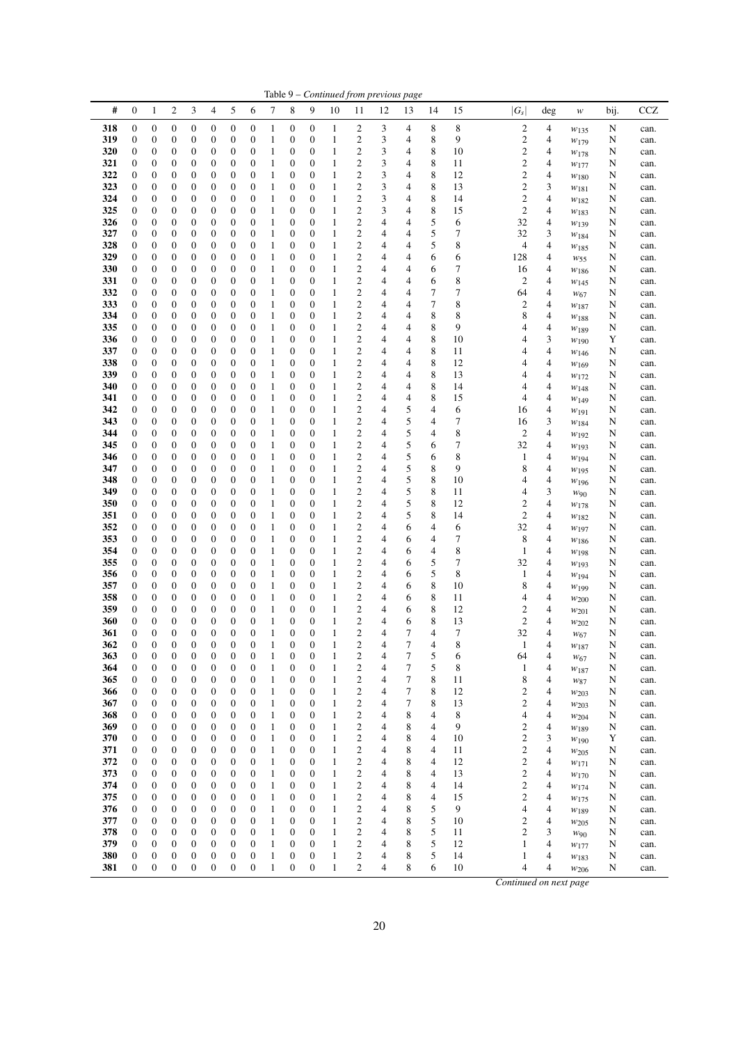|            |                                      |                                      |                                      |                                      |                                      |                                      |                                      |                              |                                      |                                      |                              |                                                    |                                  | Table 9 – Continued from previous page |                            |          |         |                                           |                              |                         |        |              |
|------------|--------------------------------------|--------------------------------------|--------------------------------------|--------------------------------------|--------------------------------------|--------------------------------------|--------------------------------------|------------------------------|--------------------------------------|--------------------------------------|------------------------------|----------------------------------------------------|----------------------------------|----------------------------------------|----------------------------|----------|---------|-------------------------------------------|------------------------------|-------------------------|--------|--------------|
| #          | $\boldsymbol{0}$                     | 1                                    | $\mathbf{2}$                         | 3                                    | 4                                    | 5                                    | 6                                    | 7                            | 8                                    | 9                                    | 10                           | 11                                                 | 12                               | 13                                     | 14                         | 15       | $ G_s $ |                                           | deg                          | $\boldsymbol{W}$        | bij.   | <b>CCZ</b>   |
| 318        | 0                                    | $\boldsymbol{0}$                     | $\boldsymbol{0}$                     | $\boldsymbol{0}$                     | 0                                    | $\boldsymbol{0}$                     | 0                                    | $\mathbf{1}$                 | $\boldsymbol{0}$                     | $\boldsymbol{0}$                     | $\mathbf{1}$                 | 2                                                  | 3                                | 4                                      | 8                          | 8        |         | $\overline{c}$                            | 4                            | $w_{135}$               | N      | can.         |
| 319<br>320 | 0<br>0                               | 0<br>0                               | $\boldsymbol{0}$<br>$\boldsymbol{0}$ | $\boldsymbol{0}$<br>$\boldsymbol{0}$ | 0<br>0                               | $\boldsymbol{0}$<br>0                | 0<br>0                               | $\mathbf{1}$<br>$\mathbf{1}$ | 0<br>0                               | $\boldsymbol{0}$<br>0                | $\mathbf{1}$<br>$\mathbf{1}$ | $\overline{c}$<br>$\boldsymbol{2}$                 | 3<br>3                           | 4<br>4                                 | 8<br>8                     | 9<br>10  |         | $\overline{c}$<br>$\overline{\mathbf{c}}$ | 4<br>4                       | W <sub>179</sub>        | N<br>N | can.<br>can. |
| 321        | $\boldsymbol{0}$                     | 0                                    | 0                                    | $\boldsymbol{0}$                     | 0                                    | $\boldsymbol{0}$                     | 0                                    | $\mathbf{1}$                 | $\boldsymbol{0}$                     | $\boldsymbol{0}$                     | $\mathbf{1}$                 | $\overline{\mathbf{c}}$                            | 3                                | 4                                      | $\,$ 8 $\,$                | 11       |         | $\mathfrak{2}$                            | 4                            | W178<br>W177            | N      | can.         |
| 322        | 0                                    | 0                                    | 0                                    | $\boldsymbol{0}$                     | 0                                    | 0                                    | $\boldsymbol{0}$                     | $\mathbf{1}$                 | $\boldsymbol{0}$                     | $\boldsymbol{0}$                     | $\mathbf{1}$                 | $\overline{c}$                                     | 3                                | 4                                      | 8                          | 12       |         | $\overline{c}$                            | $\overline{\mathbf{4}}$      | $w_{180}$               | N      | can.         |
| 323        | 0                                    | 0                                    | 0                                    | $\boldsymbol{0}$                     | 0                                    | $\boldsymbol{0}$                     | 0                                    | $\mathbf{1}$                 | 0                                    | $\boldsymbol{0}$                     | $\mathbf{1}$                 | $\overline{c}$                                     | 3                                | 4                                      | 8                          | 13       |         | $\overline{c}$                            | 3                            | $w_{181}$               | N      | can.         |
| 324<br>325 | 0<br>0                               | $\boldsymbol{0}$<br>0                | 0<br>$\boldsymbol{0}$                | $\boldsymbol{0}$<br>$\boldsymbol{0}$ | 0<br>$\boldsymbol{0}$                | $\boldsymbol{0}$<br>0                | $\boldsymbol{0}$<br>$\boldsymbol{0}$ | $\mathbf{1}$<br>$\mathbf{1}$ | $\boldsymbol{0}$<br>0                | $\boldsymbol{0}$<br>0                | $\mathbf{1}$<br>$\mathbf{1}$ | $\overline{c}$<br>$\overline{\mathbf{c}}$          | 3<br>3                           | 4<br>4                                 | $\,$ 8 $\,$<br>$\,$ 8 $\,$ | 14<br>15 |         | $\mathbf{2}$<br>$\mathbf{2}$              | $\overline{\mathbf{4}}$<br>4 | W182<br>W183            | N<br>N | can.<br>can. |
| 326        | 0                                    | $\boldsymbol{0}$                     | $\boldsymbol{0}$                     | $\boldsymbol{0}$                     | $\boldsymbol{0}$                     | $\boldsymbol{0}$                     | 0                                    | $\mathbf{1}$                 | 0                                    | $\boldsymbol{0}$                     | $\mathbf{1}$                 | $\overline{c}$                                     | $\overline{4}$                   | 4                                      | 5                          | 6        |         | 32                                        | $\overline{\mathcal{L}}$     | $w_{139}$               | N      | can.         |
| 327        | 0                                    | 0                                    | 0                                    | $\boldsymbol{0}$                     | 0                                    | 0                                    | 0                                    | $\mathbf{1}$                 | 0                                    | 0                                    | $\mathbf{1}$                 | $\overline{\mathbf{c}}$                            | 4                                | 4                                      | 5                          | 7        |         | 32                                        | 3                            | $w_{184}$               | N      | can.         |
| 328        | 0                                    | 0                                    | 0                                    | $\boldsymbol{0}$                     | 0                                    | $\boldsymbol{0}$                     | 0                                    | $\mathbf{1}$                 | 0                                    | $\boldsymbol{0}$                     | $\mathbf{1}$                 | $\overline{c}$                                     | 4                                | 4                                      | 5                          | 8        |         | $\overline{4}$                            | 4                            | W185                    | N      | can.         |
| 329<br>330 | 0<br>0                               | $\boldsymbol{0}$<br>0                | $\boldsymbol{0}$<br>0                | $\boldsymbol{0}$<br>$\boldsymbol{0}$ | 0<br>0                               | $\boldsymbol{0}$<br>0                | $\boldsymbol{0}$<br>0                | $\mathbf{1}$<br>$\mathbf{1}$ | $\boldsymbol{0}$<br>0                | $\boldsymbol{0}$<br>0                | $\mathbf{1}$<br>$\mathbf{1}$ | $\overline{c}$<br>$\overline{\mathbf{c}}$          | 4<br>4                           | 4<br>4                                 | 6<br>6                     | 6<br>7   | 128     | 16                                        | 4<br>4                       | W55<br>W <sub>186</sub> | N<br>N | can.<br>can. |
| 331        | 0                                    | $\boldsymbol{0}$                     | 0                                    | $\boldsymbol{0}$                     | 0                                    | $\boldsymbol{0}$                     | $\boldsymbol{0}$                     | $\mathbf{1}$                 | $\boldsymbol{0}$                     | $\boldsymbol{0}$                     | $\mathbf{1}$                 | $\overline{c}$                                     | 4                                | 4                                      | 6                          | 8        |         | $\overline{c}$                            | 4                            | $w_{145}$               | N      | can.         |
| 332        | 0                                    | 0                                    | $\boldsymbol{0}$                     | $\boldsymbol{0}$                     | 0                                    | 0                                    | $\boldsymbol{0}$                     | $\mathbf{1}$                 | 0                                    | $\boldsymbol{0}$                     | $\mathbf{1}$                 | $\overline{\mathbf{c}}$                            | 4                                | 4                                      | 7                          | 7        | 64      |                                           | 4                            | W <sub>67</sub>         | N      | can.         |
| 333        | 0                                    | 0                                    | $\boldsymbol{0}$                     | $\boldsymbol{0}$                     | 0                                    | $\boldsymbol{0}$                     | 0                                    | $\mathbf{1}$                 | 0                                    | $\boldsymbol{0}$                     | $\mathbf{1}$                 | $\overline{\mathbf{c}}$                            | 4                                | 4                                      | $\boldsymbol{7}$           | 8        |         | $\boldsymbol{2}$                          | 4                            | W187                    | N      | can.         |
| 334<br>335 | 0<br>0                               | $\boldsymbol{0}$<br>$\boldsymbol{0}$ | $\boldsymbol{0}$<br>$\boldsymbol{0}$ | $\boldsymbol{0}$<br>$\boldsymbol{0}$ | 0<br>0                               | 0<br>$\boldsymbol{0}$                | $\boldsymbol{0}$<br>0                | $\mathbf{1}$<br>1            | 0<br>$\boldsymbol{0}$                | $\boldsymbol{0}$<br>$\boldsymbol{0}$ | $\mathbf{1}$<br>$\mathbf{1}$ | $\overline{\mathbf{c}}$<br>$\overline{c}$          | 4<br>4                           | 4<br>4                                 | 8<br>8                     | 8<br>9   |         | 8<br>4                                    | 4<br>4                       | $w_{188}$<br>$W$ 189    | N<br>N | can.<br>can. |
| 336        | 0                                    | 0                                    | 0                                    | $\boldsymbol{0}$                     | 0                                    | 0                                    | 0                                    | $\mathbf{1}$                 | 0                                    | $\boldsymbol{0}$                     | $\mathbf{1}$                 | $\overline{\mathbf{c}}$                            | 4                                | 4                                      | 8                          | 10       |         | 4                                         | 3                            | W190                    | Y      | can.         |
| 337        | 0                                    | 0                                    | $\boldsymbol{0}$                     | $\boldsymbol{0}$                     | 0                                    | 0                                    | $\boldsymbol{0}$                     | 1                            | 0                                    | $\boldsymbol{0}$                     | $\mathbf{1}$                 | $\overline{c}$                                     | 4                                | 4                                      | 8                          | 11       |         | 4                                         | 4                            | W146                    | N      | can.         |
| 338        | 0                                    | $\boldsymbol{0}$                     | $\boldsymbol{0}$                     | $\boldsymbol{0}$                     | $\boldsymbol{0}$                     | $\boldsymbol{0}$                     | $\boldsymbol{0}$                     | $\mathbf{1}$                 | $\boldsymbol{0}$                     | $\boldsymbol{0}$                     | $\mathbf{1}$                 | $\overline{\mathbf{c}}$                            | 4                                | 4                                      | $\,$ 8 $\,$                | 12       |         | 4                                         | $\overline{\mathbf{4}}$      | W <sub>169</sub>        | N      | can.         |
| 339<br>340 | 0<br>0                               | 0<br>$\boldsymbol{0}$                | 0<br>$\boldsymbol{0}$                | $\boldsymbol{0}$<br>$\boldsymbol{0}$ | 0<br>0                               | 0<br>$\boldsymbol{0}$                | $\boldsymbol{0}$<br>0                | $\mathbf{1}$<br>$\mathbf{1}$ | 0<br>0                               | $\boldsymbol{0}$<br>$\boldsymbol{0}$ | $\mathbf{1}$<br>$\mathbf{1}$ | $\overline{c}$<br>$\overline{\mathbf{c}}$          | 4<br>4                           | 4<br>4                                 | 8<br>$\,$ 8 $\,$           | 13<br>14 |         | 4<br>4                                    | 4<br>4                       | $w_{172}$               | N<br>N | can.         |
| 341        | 0                                    | 0                                    | $\boldsymbol{0}$                     | $\boldsymbol{0}$                     | 0                                    | $\boldsymbol{0}$                     | $\boldsymbol{0}$                     | $\mathbf{1}$                 | 0                                    | $\boldsymbol{0}$                     | $\mathbf{1}$                 | $\overline{c}$                                     | 4                                | 4                                      | 8                          | 15       |         | 4                                         | $\overline{4}$               | W148<br>W149            | N      | can.<br>can. |
| 342        | 0                                    | 0                                    | $\boldsymbol{0}$                     | $\boldsymbol{0}$                     | 0                                    | 0                                    | $\boldsymbol{0}$                     | $\mathbf{1}$                 | 0                                    | $\boldsymbol{0}$                     | $\mathbf{1}$                 | $\overline{c}$                                     | 4                                | 5                                      | 4                          | 6        |         | 16                                        | 4                            | W191                    | N      | can.         |
| 343        | 0                                    | 0                                    | 0                                    | $\boldsymbol{0}$                     | 0                                    | 0                                    | 0                                    | $\mathbf{1}$                 | $\boldsymbol{0}$                     | $\boldsymbol{0}$                     | $\mathbf{1}$                 | $\overline{c}$                                     | 4                                | 5                                      | 4                          | 7        |         | 16                                        | 3                            | $w_{184}$               | N      | can.         |
| 344        | 0                                    | 0<br>$\boldsymbol{0}$                | $\boldsymbol{0}$<br>$\boldsymbol{0}$ | $\boldsymbol{0}$                     | $\boldsymbol{0}$<br>$\boldsymbol{0}$ | 0<br>$\boldsymbol{0}$                | $\boldsymbol{0}$                     | $\mathbf{1}$                 | 0<br>0                               | 0                                    | $\mathbf{1}$                 | $\overline{c}$                                     | 4<br>$\overline{4}$              | 5<br>5                                 | 4                          | 8<br>7   |         | $\overline{c}$                            | $\overline{4}$<br>4          | W192                    | N      | can.         |
| 345<br>346 | 0<br>0                               | 0                                    | 0                                    | $\boldsymbol{0}$<br>$\boldsymbol{0}$ | 0                                    | 0                                    | 0<br>0                               | $\mathbf{1}$<br>$\mathbf{1}$ | 0                                    | $\boldsymbol{0}$<br>$\boldsymbol{0}$ | $\mathbf{1}$<br>$\mathbf{1}$ | $\overline{\mathbf{c}}$<br>$\overline{\mathbf{c}}$ | 4                                | 5                                      | 6<br>6                     | 8        |         | 32<br>$\mathbf{1}$                        | 4                            | W193<br>W194            | N<br>N | can.<br>can. |
| 347        | 0                                    | $\boldsymbol{0}$                     | $\boldsymbol{0}$                     | $\boldsymbol{0}$                     | 0                                    | $\boldsymbol{0}$                     | 0                                    | $\mathbf{1}$                 | 0                                    | $\boldsymbol{0}$                     | $\mathbf{1}$                 | $\overline{\mathbf{c}}$                            | 4                                | 5                                      | 8                          | 9        |         | 8                                         | 4                            | W <sub>195</sub>        | N      | can.         |
| 348        | 0                                    | 0                                    | 0                                    | $\boldsymbol{0}$                     | 0                                    | 0                                    | $\boldsymbol{0}$                     | 1                            | $\boldsymbol{0}$                     | $\boldsymbol{0}$                     | $\mathbf{1}$                 | $\overline{c}$                                     | $\overline{4}$                   | 5                                      | $\,$ 8 $\,$                | 10       |         | 4                                         | $\overline{4}$               | W196                    | N      | can.         |
| 349<br>350 | 0<br>0                               | 0<br>$\boldsymbol{0}$                | 0<br>0                               | $\boldsymbol{0}$<br>$\boldsymbol{0}$ | 0<br>0                               | 0<br>$\boldsymbol{0}$                | 0<br>0                               | $\mathbf{1}$<br>1            | 0<br>$\boldsymbol{0}$                | 0<br>$\boldsymbol{0}$                | $\mathbf{1}$<br>$\mathbf{1}$ | $\overline{\mathbf{c}}$<br>$\overline{c}$          | 4<br>4                           | 5<br>5                                 | 8<br>$\,$ 8 $\,$           | 11<br>12 |         | 4<br>$\mathbf{2}$                         | 3<br>$\overline{4}$          | W90                     | N<br>N | can.         |
| 351        | 0                                    | 0                                    | $\boldsymbol{0}$                     | $\boldsymbol{0}$                     | $\boldsymbol{0}$                     | 0                                    | $\boldsymbol{0}$                     | $\mathbf{1}$                 | 0                                    | $\boldsymbol{0}$                     | $\mathbf{1}$                 | $\overline{\mathbf{c}}$                            | 4                                | 5                                      | $\,$ 8 $\,$                | 14       |         | $\overline{c}$                            | 4                            | W178<br>$w_{182}$       | N      | can.<br>can. |
| 352        | 0                                    | 0                                    | 0                                    | $\boldsymbol{0}$                     | 0                                    | $\boldsymbol{0}$                     | 0                                    | $\mathbf{1}$                 | 0                                    | $\boldsymbol{0}$                     | $\mathbf{1}$                 | $\overline{\mathbf{c}}$                            | 4                                | 6                                      | 4                          | 6        |         | 32                                        | 4                            | W197                    | N      | can.         |
| 353        | 0                                    | $\boldsymbol{0}$                     | $\boldsymbol{0}$                     | $\boldsymbol{0}$                     | 0                                    | $\boldsymbol{0}$                     | $\boldsymbol{0}$                     | $\mathbf{1}$                 | $\boldsymbol{0}$                     | $\boldsymbol{0}$                     | $\mathbf{1}$                 | $\overline{c}$                                     | $\overline{4}$                   | 6                                      | $\overline{4}$             | 7        |         | 8                                         | 4                            | W186                    | N      | can.         |
| 354<br>355 | 0<br>$\boldsymbol{0}$                | 0<br>0                               | $\boldsymbol{0}$<br>0                | $\boldsymbol{0}$<br>$\boldsymbol{0}$ | 0<br>0                               | $\boldsymbol{0}$<br>$\boldsymbol{0}$ | 0<br>$\boldsymbol{0}$                | $\mathbf{1}$<br>1            | 0<br>$\boldsymbol{0}$                | $\boldsymbol{0}$<br>$\boldsymbol{0}$ | $\mathbf{1}$<br>$\mathbf{1}$ | $\overline{\mathbf{c}}$<br>$\overline{c}$          | 4<br>4                           | 6<br>6                                 | 4<br>5                     | 8<br>7   |         | 1<br>32                                   | 4<br>$\overline{4}$          | W <sub>198</sub>        | N<br>N | can.         |
| 356        | 0                                    | 0                                    | $\boldsymbol{0}$                     | $\boldsymbol{0}$                     | 0                                    | 0                                    | 0                                    | $\mathbf{1}$                 | 0                                    | $\boldsymbol{0}$                     | $\mathbf{1}$                 | $\boldsymbol{2}$                                   | 4                                | 6                                      | 5                          | 8        |         | 1                                         | 4                            | $w_{193}$<br>W194       | N      | can.<br>can. |
| 357        | 0                                    | $\boldsymbol{0}$                     | $\boldsymbol{0}$                     | $\boldsymbol{0}$                     | $\boldsymbol{0}$                     | $\boldsymbol{0}$                     | $\boldsymbol{0}$                     | $\mathbf{1}$                 | $\boldsymbol{0}$                     | $\boldsymbol{0}$                     | $\mathbf{1}$                 | $\overline{c}$                                     | $\overline{4}$                   | 6                                      | 8                          | 10       |         | 8                                         | 4                            | W199                    | N      | can.         |
| 358        | 0                                    | 0                                    | 0                                    | $\boldsymbol{0}$                     | 0                                    | 0                                    | $\boldsymbol{0}$                     | $\mathbf{1}$                 | $\boldsymbol{0}$                     | $\boldsymbol{0}$                     | $\mathbf{1}$                 | $\overline{\mathbf{c}}$                            | 4                                | 6                                      | 8                          | 11       |         | 4                                         | 4                            | W200                    | N      | can.         |
| 359<br>360 | $\boldsymbol{0}$<br>$\boldsymbol{0}$ | $\boldsymbol{0}$<br>$\boldsymbol{0}$ | $\boldsymbol{0}$<br>$\boldsymbol{0}$ | $\boldsymbol{0}$<br>$\boldsymbol{0}$ | $\boldsymbol{0}$<br>$\boldsymbol{0}$ | $\boldsymbol{0}$<br>$\boldsymbol{0}$ | $\boldsymbol{0}$<br>$\boldsymbol{0}$ | $\mathbf{1}$<br>$\mathbf{1}$ | $\boldsymbol{0}$<br>$\boldsymbol{0}$ | $\boldsymbol{0}$<br>$\boldsymbol{0}$ | $\mathbf{1}$<br>$\mathbf{1}$ | $\overline{\mathbf{c}}$<br>$\overline{c}$          | 4<br>$\overline{4}$              | 6<br>6                                 | $\,$ 8 $\,$<br>8           | 12<br>13 |         | $\overline{\mathbf{c}}$<br>$\overline{c}$ | 4<br>$\overline{4}$          | $w_{201}$               | N<br>N | can.         |
| 361        | $\overline{0}$                       | $\theta$                             | $\overline{0}$                       | $\theta$                             | $\theta$                             | $\overline{0}$                       | $\overline{0}$                       | $\mathbf{1}$                 | $\overline{0}$                       | $\overline{0}$                       | 1                            | $\overline{2}$                                     | 4                                | 7                                      | 4                          | 7        |         | 32                                        | 4                            | W202<br>W <sub>67</sub> | N      | can.<br>can. |
| 362        | $\boldsymbol{0}$                     | $\boldsymbol{0}$                     | 0                                    | $\boldsymbol{0}$                     | 0                                    | $\boldsymbol{0}$                     | 0                                    | $\mathbf{1}$                 | 0                                    | $\boldsymbol{0}$                     | $\mathbf{1}$                 | $\boldsymbol{2}$                                   | 4                                | 7                                      | 4                          | 8        |         | $\mathbf{1}$                              | 4                            | W187                    | N      | can.         |
| 363        | 0                                    | $\boldsymbol{0}$                     | $\boldsymbol{0}$                     | $\boldsymbol{0}$                     | $\boldsymbol{0}$                     | $\boldsymbol{0}$                     | $\boldsymbol{0}$                     | $\mathbf{1}$                 | $\boldsymbol{0}$                     | $\boldsymbol{0}$                     | $\mathbf{1}$                 | $\boldsymbol{2}$                                   | 4                                | 7                                      | 5                          | 6        | 64      |                                           | 4                            | W <sub>67</sub>         | N      | can.         |
| 364<br>365 | $\boldsymbol{0}$<br>$\boldsymbol{0}$ | $\boldsymbol{0}$<br>0                | $\boldsymbol{0}$<br>$\boldsymbol{0}$ | $\boldsymbol{0}$<br>$\boldsymbol{0}$ | $\boldsymbol{0}$<br>0                | $\boldsymbol{0}$<br>$\boldsymbol{0}$ | $\boldsymbol{0}$<br>$\boldsymbol{0}$ | $\mathbf{1}$<br>$\mathbf{1}$ | $\boldsymbol{0}$<br>$\boldsymbol{0}$ | $\boldsymbol{0}$<br>$\boldsymbol{0}$ | $\mathbf{1}$<br>$\mathbf{1}$ | $\overline{\mathbf{c}}$<br>$\boldsymbol{2}$        | $\overline{4}$<br>4              | 7<br>7                                 | 5<br>8                     | 8<br>11  |         | 1<br>8                                    | 4<br>4                       | W187                    | N<br>N | can.<br>can. |
| 366        | $\boldsymbol{0}$                     | $\boldsymbol{0}$                     | $\boldsymbol{0}$                     | $\boldsymbol{0}$                     | $\boldsymbol{0}$                     | $\boldsymbol{0}$                     | $\boldsymbol{0}$                     | $\mathbf{1}$                 | $\boldsymbol{0}$                     | $\boldsymbol{0}$                     | $\mathbf{1}$                 | $\overline{\mathbf{c}}$                            | $\overline{4}$                   | 7                                      | 8                          | 12       |         | $\mathbf{2}$                              | 4                            | W87<br>W203             | N      | can.         |
| 367        | $\boldsymbol{0}$                     | $\boldsymbol{0}$                     | $\boldsymbol{0}$                     | $\boldsymbol{0}$                     | $\boldsymbol{0}$                     | $\boldsymbol{0}$                     | $\boldsymbol{0}$                     | $\mathbf{1}$                 | $\boldsymbol{0}$                     | $\boldsymbol{0}$                     | $\mathbf{1}$                 | $\overline{\mathbf{c}}$                            | $\overline{4}$                   | $\tau$                                 | 8                          | 13       |         | $\overline{c}$                            | $\overline{\mathbf{4}}$      | $w_{203}$               | N      | can.         |
| 368        | 0                                    | $\boldsymbol{0}$                     | $\boldsymbol{0}$                     | $\boldsymbol{0}$                     | 0                                    | $\boldsymbol{0}$                     | $\boldsymbol{0}$                     | $\mathbf{1}$                 | $\boldsymbol{0}$                     | $\boldsymbol{0}$                     | $\mathbf{1}$                 | $\overline{\mathbf{c}}$                            | 4                                | 8                                      | 4                          | 8        |         | 4                                         | 4                            | W204                    | N      | can.         |
| 369<br>370 | 0<br>0                               | $\boldsymbol{0}$<br>$\boldsymbol{0}$ | $\boldsymbol{0}$<br>$\boldsymbol{0}$ | $\boldsymbol{0}$<br>$\boldsymbol{0}$ | $\boldsymbol{0}$<br>$\boldsymbol{0}$ | $\boldsymbol{0}$<br>$\boldsymbol{0}$ | $\boldsymbol{0}$<br>$\boldsymbol{0}$ | $\mathbf{1}$<br>$\mathbf{1}$ | 0<br>$\boldsymbol{0}$                | $\boldsymbol{0}$<br>$\boldsymbol{0}$ | $\mathbf{1}$<br>$\mathbf{1}$ | $\overline{\mathbf{c}}$<br>$\boldsymbol{2}$        | 4<br>4                           | 8<br>8                                 | 4<br>4                     | 9<br>10  |         | $\boldsymbol{2}$<br>$\overline{c}$        | $\overline{\mathbf{4}}$<br>3 | W189                    | N<br>Y | can.<br>can. |
| 371        | 0                                    | $\boldsymbol{0}$                     | $\boldsymbol{0}$                     | $\boldsymbol{0}$                     | $\boldsymbol{0}$                     | $\boldsymbol{0}$                     | $\boldsymbol{0}$                     | $\mathbf{1}$                 | $\boldsymbol{0}$                     | $\boldsymbol{0}$                     | $\mathbf{1}$                 | $\overline{\mathbf{c}}$                            | 4                                | 8                                      | 4                          | 11       |         | 2                                         | $\overline{\mathcal{L}}$     | W190<br>$w_{205}$       | N      | can.         |
| 372        | 0                                    | $\boldsymbol{0}$                     | $\boldsymbol{0}$                     | $\boldsymbol{0}$                     | $\boldsymbol{0}$                     | $\boldsymbol{0}$                     | $\boldsymbol{0}$                     | $\,1\,$                      | $\boldsymbol{0}$                     | $\boldsymbol{0}$                     | $\mathbf{1}$                 | $\boldsymbol{2}$                                   | $\overline{4}$                   | 8                                      | 4                          | 12       |         | $\mathbf{2}$                              | 4                            | W171                    | N      | can.         |
| 373        | 0                                    | $\boldsymbol{0}$                     | $\boldsymbol{0}$                     | $\boldsymbol{0}$                     | $\boldsymbol{0}$                     | $\boldsymbol{0}$                     | $\boldsymbol{0}$                     | $\,1\,$                      | $\boldsymbol{0}$                     | $\boldsymbol{0}$                     | $\mathbf{1}$                 | $\boldsymbol{2}$                                   | $\overline{4}$                   | 8                                      | 4                          | 13       |         | $\mathbf{2}$                              | 4                            | $w_{170}$               | N      | can.         |
| 374<br>375 | 0<br>0                               | $\boldsymbol{0}$<br>$\boldsymbol{0}$ | $\boldsymbol{0}$<br>$\boldsymbol{0}$ | $\boldsymbol{0}$<br>$\boldsymbol{0}$ | 0<br>0                               | $\boldsymbol{0}$<br>$\boldsymbol{0}$ | $\boldsymbol{0}$<br>$\boldsymbol{0}$ | $\mathbf{1}$<br>$\mathbf{1}$ | $\boldsymbol{0}$<br>$\boldsymbol{0}$ | $\boldsymbol{0}$<br>$\boldsymbol{0}$ | $\mathbf{1}$<br>$\mathbf{1}$ | $\overline{c}$<br>$\boldsymbol{2}$                 | $\overline{4}$<br>$\overline{4}$ | 8<br>8                                 | 4<br>4                     | 14<br>15 |         | $\boldsymbol{2}$<br>$\boldsymbol{2}$      | $\overline{4}$<br>4          | W174                    | N<br>N | can.<br>can. |
| 376        | 0                                    | $\boldsymbol{0}$                     | $\boldsymbol{0}$                     | $\boldsymbol{0}$                     | $\boldsymbol{0}$                     | $\boldsymbol{0}$                     | $\boldsymbol{0}$                     | $\mathbf{1}$                 | 0                                    | $\boldsymbol{0}$                     | $\mathbf{1}$                 | $\overline{\mathbf{c}}$                            | 4                                | 8                                      | 5                          | 9        |         | 4                                         | $\overline{4}$               | $w_{175}$<br>W189       | N      | can.         |
| 377        | 0                                    | $\boldsymbol{0}$                     | $\boldsymbol{0}$                     | $\boldsymbol{0}$                     | $\boldsymbol{0}$                     | $\boldsymbol{0}$                     | $\boldsymbol{0}$                     | $\mathbf{1}$                 | $\boldsymbol{0}$                     | $\boldsymbol{0}$                     | $\mathbf{1}$                 | $\overline{\mathbf{c}}$                            | 4                                | 8                                      | 5                          | 10       |         | $\boldsymbol{2}$                          | $\overline{\mathbf{4}}$      | W205                    | N      | can.         |
| 378        | 0                                    | $\boldsymbol{0}$                     | $\boldsymbol{0}$                     | $\boldsymbol{0}$                     | $\boldsymbol{0}$                     | $\boldsymbol{0}$                     | $\boldsymbol{0}$                     | $\mathbf{1}$                 | $\boldsymbol{0}$                     | $\boldsymbol{0}$                     | $\mathbf{1}$                 | $\overline{\mathbf{c}}$                            | 4                                | 8                                      | 5                          | 11       |         | $\boldsymbol{2}$                          | $\mathfrak{Z}$               | $W$ 90                  | N      | can.         |
| 379<br>380 | 0<br>0                               | $\boldsymbol{0}$<br>$\boldsymbol{0}$ | $\boldsymbol{0}$<br>$\boldsymbol{0}$ | $\boldsymbol{0}$<br>$\boldsymbol{0}$ | $\boldsymbol{0}$<br>$\boldsymbol{0}$ | $\boldsymbol{0}$<br>$\boldsymbol{0}$ | $\boldsymbol{0}$<br>$\boldsymbol{0}$ | $\,1\,$<br>$\,1\,$           | $\boldsymbol{0}$<br>$\boldsymbol{0}$ | $\boldsymbol{0}$<br>$\boldsymbol{0}$ | $\mathbf{1}$<br>$\mathbf{1}$ | $\mathfrak{2}$<br>2                                | 4<br>4                           | 8<br>8                                 | 5<br>5                     | 12<br>14 |         | 1<br>1                                    | 4<br>4                       | $w_{177}$               | N      | can.         |
| 381        | $\boldsymbol{0}$                     | $\boldsymbol{0}$                     | $\boldsymbol{0}$                     | $\boldsymbol{0}$                     | $\boldsymbol{0}$                     | $\boldsymbol{0}$                     | $\boldsymbol{0}$                     | $\mathbf{1}$                 | $\boldsymbol{0}$                     | $\boldsymbol{0}$                     | $\mathbf{1}$                 | $\overline{c}$                                     | $\overline{4}$                   | 8                                      | 6                          | 10       |         | 4                                         | 4                            | W183<br>W206            | N<br>N | can.<br>can. |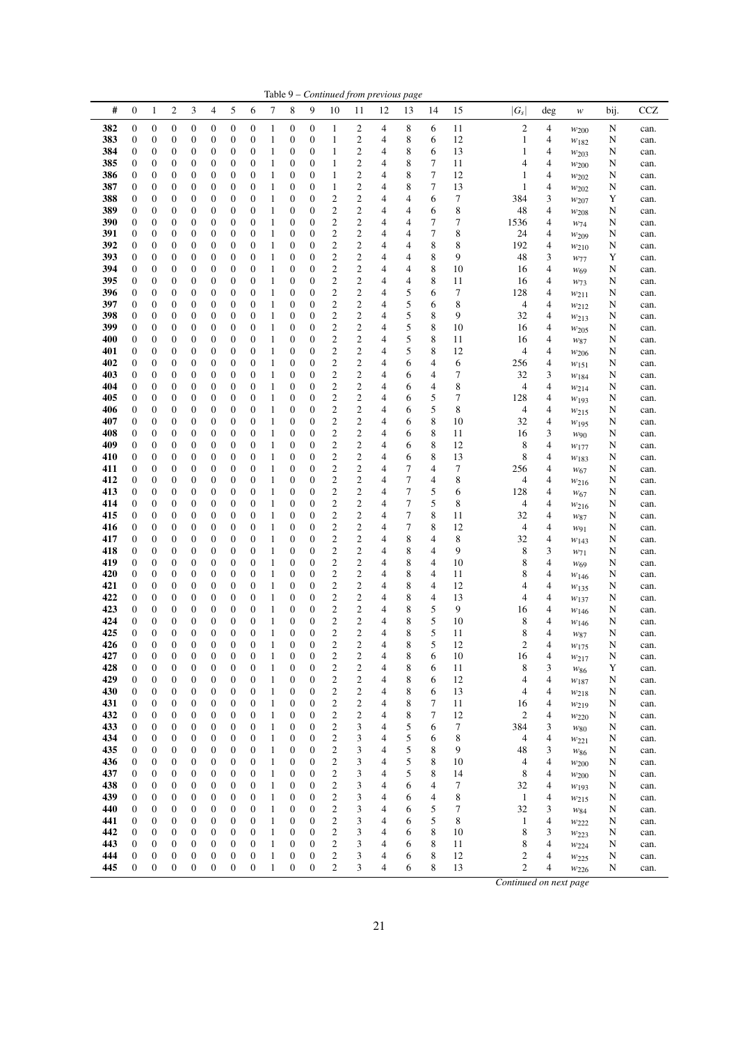|            |                       |                                      |                                      |                                      |                                      |                                      |                                      |                              |                                      |                                      |                                                    |                                                    |                                  | Table 9 – Continued from previous page |                            |          |                              |                     |                              |        |              |
|------------|-----------------------|--------------------------------------|--------------------------------------|--------------------------------------|--------------------------------------|--------------------------------------|--------------------------------------|------------------------------|--------------------------------------|--------------------------------------|----------------------------------------------------|----------------------------------------------------|----------------------------------|----------------------------------------|----------------------------|----------|------------------------------|---------------------|------------------------------|--------|--------------|
| #          | $\boldsymbol{0}$      | 1                                    | $\mathbf{2}$                         | 3                                    | 4                                    | 5                                    | 6                                    | 7                            | 8                                    | 9                                    | 10                                                 | 11                                                 | 12                               | 13                                     | 14                         | 15       | $ G_s $                      | deg                 | $\boldsymbol{W}$             | bij.   | <b>CCZ</b>   |
| 382        | 0                     | $\boldsymbol{0}$                     | $\boldsymbol{0}$                     | $\boldsymbol{0}$                     | 0                                    | $\boldsymbol{0}$                     | 0                                    | $\mathbf{1}$                 | $\boldsymbol{0}$                     | $\boldsymbol{0}$                     | $\mathbf{1}$                                       | 2                                                  | 4                                | 8                                      | 6                          | 11       | $\overline{c}$               | 4                   | $w_{200}$                    | N      | can.         |
| 383<br>384 | 0<br>0                | 0<br>0                               | $\boldsymbol{0}$<br>0                | $\boldsymbol{0}$<br>$\boldsymbol{0}$ | 0<br>0                               | $\boldsymbol{0}$<br>0                | 0<br>0                               | $\mathbf{1}$<br>$\mathbf{1}$ | $\boldsymbol{0}$<br>0                | $\boldsymbol{0}$<br>$\boldsymbol{0}$ | $\mathbf{1}$<br>$\mathbf{1}$                       | $\overline{c}$<br>$\boldsymbol{2}$                 | 4<br>4                           | 8<br>8                                 | 6<br>6                     | 12<br>13 | $\mathbf{1}$<br>$\mathbf{1}$ | 4<br>4              | $w_{182}$<br>W203            | N<br>N | can.<br>can. |
| 385        | 0                     | 0                                    | 0                                    | $\boldsymbol{0}$                     | 0                                    | $\boldsymbol{0}$                     | 0                                    | $\mathbf{1}$                 | $\boldsymbol{0}$                     | $\boldsymbol{0}$                     | $\mathbf{1}$                                       | $\overline{\mathbf{c}}$                            | 4                                | 8                                      | 7                          | 11       | 4                            | 4                   | W200                         | N      | can.         |
| 386        | 0                     | 0                                    | 0                                    | $\boldsymbol{0}$                     | 0                                    | $\boldsymbol{0}$                     | $\boldsymbol{0}$                     | $\mathbf{1}$                 | $\boldsymbol{0}$                     | $\boldsymbol{0}$                     | $\mathbf{1}$                                       | $\overline{c}$                                     | 4                                | 8                                      | $\tau$                     | 12       | 1                            | $\overline{4}$      | $w_{202}$                    | N      | can.         |
| 387        | 0                     | 0<br>$\boldsymbol{0}$                | 0                                    | $\boldsymbol{0}$<br>$\boldsymbol{0}$ | 0                                    | $\boldsymbol{0}$<br>$\boldsymbol{0}$ | 0<br>$\boldsymbol{0}$                | $\mathbf{1}$<br>$\mathbf{1}$ | 0<br>$\boldsymbol{0}$                | $\boldsymbol{0}$<br>$\boldsymbol{0}$ | $\mathbf{1}$<br>$\boldsymbol{2}$                   | $\overline{c}$                                     | 4<br>4                           | 8                                      | 7<br>6                     | 13<br>7  | 1<br>384                     | 4<br>3              | $w_{202}$                    | N<br>Y | can.         |
| 388<br>389 | 0<br>0                | $\boldsymbol{0}$                     | 0<br>$\boldsymbol{0}$                | $\boldsymbol{0}$                     | 0<br>$\boldsymbol{0}$                | 0                                    | $\boldsymbol{0}$                     | $\mathbf{1}$                 | 0                                    | $\boldsymbol{0}$                     | $\boldsymbol{2}$                                   | $\overline{\mathbf{c}}$<br>$\overline{\mathbf{c}}$ | 4                                | 4<br>4                                 | 6                          | 8        | 48                           | 4                   | W207<br>W208                 | N      | can.<br>can. |
| 390        | 0                     | $\boldsymbol{0}$                     | $\boldsymbol{0}$                     | $\boldsymbol{0}$                     | $\boldsymbol{0}$                     | $\boldsymbol{0}$                     | $\boldsymbol{0}$                     | 1                            | 0                                    | $\boldsymbol{0}$                     | $\overline{c}$                                     | $\overline{c}$                                     | $\overline{4}$                   | 4                                      | $\tau$                     | 7        | 1536                         | 4                   | $W_{74}$                     | N      | can.         |
| 391        | $\boldsymbol{0}$      | 0                                    | 0                                    | $\boldsymbol{0}$                     | 0                                    | 0                                    | 0                                    | $\mathbf{1}$                 | 0                                    | $\boldsymbol{0}$                     | $\boldsymbol{2}$                                   | $\overline{\mathbf{c}}$                            | 4                                | 4                                      | 7                          | 8        | 24                           | 4                   | W <sub>209</sub>             | N      | can.         |
| 392<br>393 | 0<br>0                | $\boldsymbol{0}$<br>$\boldsymbol{0}$ | $\boldsymbol{0}$<br>$\boldsymbol{0}$ | $\boldsymbol{0}$<br>$\boldsymbol{0}$ | 0<br>0                               | $\boldsymbol{0}$<br>$\boldsymbol{0}$ | 0<br>$\boldsymbol{0}$                | 1<br>$\mathbf{1}$            | $\boldsymbol{0}$<br>$\boldsymbol{0}$ | $\boldsymbol{0}$<br>$\boldsymbol{0}$ | $\mathbf{2}$<br>$\overline{c}$                     | $\overline{c}$<br>$\overline{\mathbf{c}}$          | 4<br>4                           | 4<br>4                                 | 8<br>$\,$ 8 $\,$           | 8<br>9   | 192<br>48                    | 4<br>3              | W210                         | N<br>Y | can.         |
| 394        | 0                     | 0                                    | 0                                    | $\boldsymbol{0}$                     | 0                                    | 0                                    | 0                                    | $\mathbf{1}$                 | 0                                    | 0                                    | $\boldsymbol{2}$                                   | $\overline{\mathbf{c}}$                            | 4                                | 4                                      | 8                          | 10       | 16                           | 4                   | W77<br>W <sub>69</sub>       | N      | can.<br>can. |
| 395        | 0                     | $\boldsymbol{0}$                     | 0                                    | $\boldsymbol{0}$                     | 0                                    | $\boldsymbol{0}$                     | $\boldsymbol{0}$                     | $\mathbf{1}$                 | $\boldsymbol{0}$                     | $\boldsymbol{0}$                     | $\boldsymbol{2}$                                   | $\overline{\mathbf{c}}$                            | 4                                | 4                                      | $\,$ 8 $\,$                | 11       | 16                           | 4                   | $W_{73}$                     | N      | can.         |
| 396        | 0                     | 0                                    | $\boldsymbol{0}$                     | $\boldsymbol{0}$                     | $\boldsymbol{0}$                     | 0                                    | $\boldsymbol{0}$                     | $\mathbf{1}$                 | 0                                    | $\boldsymbol{0}$                     | $\mathbf{2}$                                       | $\overline{\mathbf{c}}$                            | 4                                | 5                                      | 6                          | 7        | 128                          | 4                   | W211                         | N      | can.         |
| 397<br>398 | 0<br>0                | 0<br>$\boldsymbol{0}$                | $\boldsymbol{0}$<br>$\boldsymbol{0}$ | $\boldsymbol{0}$<br>$\boldsymbol{0}$ | 0<br>0                               | $\boldsymbol{0}$<br>$\boldsymbol{0}$ | 0<br>$\boldsymbol{0}$                | $\mathbf{1}$<br>$\mathbf{1}$ | 0<br>0                               | $\boldsymbol{0}$<br>$\boldsymbol{0}$ | $\boldsymbol{2}$<br>$\overline{\mathbf{c}}$        | $\overline{\mathbf{c}}$<br>$\overline{\mathbf{c}}$ | $\overline{4}$<br>4              | 5<br>5                                 | 6<br>8                     | 8<br>9   | 4<br>32                      | 4<br>4              | $w_{212}$                    | N      | can.         |
| 399        | 0                     | $\boldsymbol{0}$                     | $\boldsymbol{0}$                     | $\boldsymbol{0}$                     | $\boldsymbol{0}$                     | $\boldsymbol{0}$                     | $\boldsymbol{0}$                     | $\mathbf{1}$                 | $\boldsymbol{0}$                     | $\boldsymbol{0}$                     | $\mathbf{2}$                                       | $\overline{c}$                                     | $\overline{4}$                   | 5                                      | 8                          | 10       | 16                           | 4                   | $w_{213}$<br>$w_{205}$       | N<br>N | can.<br>can. |
| 400        | 0                     | 0                                    | 0                                    | $\boldsymbol{0}$                     | 0                                    | 0                                    | 0                                    | $\mathbf{1}$                 | 0                                    | $\boldsymbol{0}$                     | $\boldsymbol{2}$                                   | $\overline{\mathbf{c}}$                            | 4                                | 5                                      | 8                          | 11       | 16                           | $\overline{4}$      | W87                          | N      | can.         |
| 401        | 0                     | 0                                    | $\boldsymbol{0}$                     | $\boldsymbol{0}$                     | 0                                    | 0                                    | $\boldsymbol{0}$                     | $\mathbf{1}$                 | 0                                    | $\boldsymbol{0}$                     | $\mathbf{2}$                                       | $\mathfrak{2}$                                     | 4                                | 5                                      | 8                          | 12       | 4                            | 4                   | W206                         | N      | can.         |
| 402        | 0                     | $\boldsymbol{0}$                     | $\boldsymbol{0}$                     | $\boldsymbol{0}$                     | $\boldsymbol{0}$                     | $\boldsymbol{0}$                     | $\boldsymbol{0}$                     | $\mathbf{1}$                 | $\boldsymbol{0}$                     | $\boldsymbol{0}$                     | $\overline{\mathbf{c}}$                            | $\overline{\mathbf{c}}$<br>$\mathfrak{2}$          | $\overline{4}$                   | 6                                      | 4                          | 6        | 256                          | 4                   | $w_{151}$                    | N      | can.         |
| 403<br>404 | 0<br>$\boldsymbol{0}$ | 0<br>$\boldsymbol{0}$                | $\boldsymbol{0}$<br>$\boldsymbol{0}$ | $\boldsymbol{0}$<br>$\boldsymbol{0}$ | 0<br>$\boldsymbol{0}$                | 0<br>$\boldsymbol{0}$                | $\boldsymbol{0}$<br>0                | $\mathbf{1}$<br>$\mathbf{1}$ | $\boldsymbol{0}$<br>$\boldsymbol{0}$ | 0<br>$\boldsymbol{0}$                | $\overline{c}$<br>$\overline{\mathbf{c}}$          | $\overline{\mathbf{c}}$                            | 4<br>$\overline{4}$              | 6<br>6                                 | 4<br>4                     | 7<br>8   | 32<br>4                      | 3<br>4              | $w_{184}$<br>$w_{214}$       | N<br>N | can.<br>can. |
| 405        | 0                     | 0                                    | $\boldsymbol{0}$                     | $\boldsymbol{0}$                     | 0                                    | $\boldsymbol{0}$                     | $\boldsymbol{0}$                     | $\mathbf{1}$                 | $\boldsymbol{0}$                     | $\boldsymbol{0}$                     | $\overline{c}$                                     | $\overline{c}$                                     | 4                                | 6                                      | 5                          | 7        | 128                          | $\overline{4}$      | W193                         | N      | can.         |
| 406        | 0                     | 0                                    | $\boldsymbol{0}$                     | $\boldsymbol{0}$                     | 0                                    | $\boldsymbol{0}$                     | $\boldsymbol{0}$                     | $\mathbf{1}$                 | 0                                    | $\boldsymbol{0}$                     | $\overline{c}$                                     | $\mathfrak{2}$                                     | 4                                | 6                                      | 5                          | 8        | $\overline{4}$               | 4                   | $w_{215}$                    | N      | can.         |
| 407        | 0                     | 0                                    | 0                                    | $\boldsymbol{0}$                     | 0                                    | $\boldsymbol{0}$                     | 0                                    | $\mathbf{1}$                 | $\boldsymbol{0}$                     | $\boldsymbol{0}$                     | $\boldsymbol{2}$                                   | $\boldsymbol{2}$                                   | 4                                | 6                                      | 8                          | 10       | 32                           | 4                   | $w_{195}$                    | N      | can.         |
| 408<br>409 | 0<br>0                | 0<br>$\boldsymbol{0}$                | $\boldsymbol{0}$<br>$\boldsymbol{0}$ | $\boldsymbol{0}$<br>$\boldsymbol{0}$ | $\boldsymbol{0}$<br>$\boldsymbol{0}$ | 0<br>$\boldsymbol{0}$                | $\boldsymbol{0}$<br>0                | $\mathbf{1}$<br>$\mathbf{1}$ | 0<br>0                               | $\boldsymbol{0}$<br>$\boldsymbol{0}$ | $\mathbf{2}$<br>$\overline{c}$                     | $\overline{\mathbf{c}}$<br>$\overline{\mathbf{c}}$ | 4<br>4                           | 6<br>6                                 | $\,$ 8 $\,$<br>$\,$ 8 $\,$ | 11<br>12 | 16<br>8                      | 3<br>4              | W90<br>W177                  | N<br>N | can.<br>can. |
| 410        | $\boldsymbol{0}$      | 0                                    | 0                                    | $\boldsymbol{0}$                     | 0                                    | 0                                    | 0                                    | $\mathbf{1}$                 | 0                                    | 0                                    | $\boldsymbol{2}$                                   | 2                                                  | 4                                | 6                                      | 8                          | 13       | 8                            | 4                   | W183                         | N      | can.         |
| 411        | $\boldsymbol{0}$      | $\boldsymbol{0}$                     | $\boldsymbol{0}$                     | $\boldsymbol{0}$                     | 0                                    | $\boldsymbol{0}$                     | $\boldsymbol{0}$                     | $\mathbf{1}$                 | 0                                    | $\boldsymbol{0}$                     | $\overline{\mathbf{c}}$                            | $\overline{\mathbf{c}}$                            | $\overline{4}$                   | 7                                      | 4                          | 7        | 256                          | 4                   | W <sub>67</sub>              | N      | can.         |
| 412        | 0                     | 0                                    | 0                                    | $\boldsymbol{0}$                     | 0                                    | $\boldsymbol{0}$                     | $\boldsymbol{0}$                     | $\mathbf{1}$                 | $\boldsymbol{0}$                     | $\boldsymbol{0}$                     | $\overline{c}$                                     | $\overline{c}$                                     | $\overline{4}$                   | $\tau$                                 | 4                          | 8        | $\overline{4}$               | $\overline{4}$      | W216                         | N      | can.         |
| 413<br>414 | 0<br>0                | 0<br>$\boldsymbol{0}$                | 0<br>0                               | $\boldsymbol{0}$<br>$\boldsymbol{0}$ | 0<br>0                               | 0<br>$\boldsymbol{0}$                | 0<br>0                               | $\mathbf{1}$<br>$\mathbf{1}$ | 0<br>$\boldsymbol{0}$                | 0<br>$\boldsymbol{0}$                | $\boldsymbol{2}$<br>$\mathbf{2}$                   | $\overline{\mathbf{c}}$<br>$\mathfrak{2}$          | 4<br>4                           | 7<br>7                                 | 5<br>5                     | 6<br>8   | 128<br>4                     | 4<br>$\overline{4}$ | W <sub>67</sub><br>$w_{216}$ | N<br>N | can.<br>can. |
| 415        | 0                     | 0                                    | $\boldsymbol{0}$                     | $\boldsymbol{0}$                     | $\boldsymbol{0}$                     | 0                                    | $\boldsymbol{0}$                     | $\mathbf{1}$                 | 0                                    | $\boldsymbol{0}$                     | $\boldsymbol{2}$                                   | $\overline{\mathbf{c}}$                            | 4                                | $\boldsymbol{7}$                       | 8                          | 11       | 32                           | $\overline{4}$      | W87                          | N      | can.         |
| 416        | 0                     | 0                                    | 0                                    | $\boldsymbol{0}$                     | 0                                    | $\boldsymbol{0}$                     | 0                                    | $\mathbf{1}$                 | 0                                    | $\boldsymbol{0}$                     | $\overline{\mathbf{c}}$                            | $\boldsymbol{2}$                                   | 4                                | 7                                      | 8                          | 12       | 4                            | 4                   | W91                          | N      | can.         |
| 417<br>418 | 0<br>0                | $\boldsymbol{0}$<br>$\boldsymbol{0}$ | $\boldsymbol{0}$<br>$\boldsymbol{0}$ | $\boldsymbol{0}$<br>$\boldsymbol{0}$ | 0<br>0                               | $\boldsymbol{0}$<br>$\boldsymbol{0}$ | $\boldsymbol{0}$<br>0                | $\mathbf{1}$<br>$\mathbf{1}$ | $\boldsymbol{0}$<br>$\boldsymbol{0}$ | $\boldsymbol{0}$<br>$\boldsymbol{0}$ | $\overline{\mathbf{c}}$<br>$\mathbf{2}$            | $\overline{\mathbf{c}}$<br>$\overline{c}$          | 4<br>4                           | 8<br>8                                 | 4<br>4                     | 8<br>9   | 32<br>8                      | 4<br>3              | $W$ 143                      | N      | can.         |
| 419        | 0                     | $\boldsymbol{0}$                     | 0                                    | $\boldsymbol{0}$                     | 0                                    | $\boldsymbol{0}$                     | $\boldsymbol{0}$                     | 1                            | $\boldsymbol{0}$                     | $\boldsymbol{0}$                     | $\overline{c}$                                     | $\overline{c}$                                     | 4                                | 8                                      | 4                          | 10       | 8                            | $\overline{4}$      | W71<br>W <sub>69</sub>       | N<br>N | can.<br>can. |
| 420        | 0                     | 0                                    | $\boldsymbol{0}$                     | $\boldsymbol{0}$                     | 0                                    | 0                                    | $\boldsymbol{0}$                     | $\mathbf{1}$                 | 0                                    | $\boldsymbol{0}$                     | $\boldsymbol{2}$                                   | $\boldsymbol{2}$                                   | 4                                | 8                                      | 4                          | 11       | 8                            | 4                   | W146                         | N      | can.         |
| 421        | 0                     | $\boldsymbol{0}$                     | $\boldsymbol{0}$                     | $\boldsymbol{0}$                     | $\boldsymbol{0}$                     | $\boldsymbol{0}$                     | $\boldsymbol{0}$                     | 1                            | $\boldsymbol{0}$                     | $\boldsymbol{0}$                     | $\overline{c}$                                     | $\overline{c}$                                     | $\overline{4}$                   | 8                                      | 4                          | 12       | 4                            | $\overline{4}$      | W135                         | N      | can.         |
| 422<br>423 | 0<br>$\boldsymbol{0}$ | 0<br>$\boldsymbol{0}$                | $\boldsymbol{0}$<br>$\boldsymbol{0}$ | $\boldsymbol{0}$<br>$\boldsymbol{0}$ | 0<br>$\boldsymbol{0}$                | 0<br>$\boldsymbol{0}$                | $\boldsymbol{0}$<br>$\boldsymbol{0}$ | $\mathbf{1}$<br>$\mathbf{1}$ | $\boldsymbol{0}$<br>$\boldsymbol{0}$ | 0<br>$\boldsymbol{0}$                | $\overline{\mathbf{c}}$<br>$\overline{\mathbf{c}}$ | $\overline{\mathbf{c}}$<br>$\overline{\mathbf{c}}$ | 4<br>4                           | 8<br>8                                 | 4<br>5                     | 13<br>9  | 4<br>16                      | 4<br>4              | W137                         | N      | can.         |
| 424        | $\boldsymbol{0}$      | $\boldsymbol{0}$                     | $\boldsymbol{0}$                     | $\boldsymbol{0}$                     | $\boldsymbol{0}$                     | $\boldsymbol{0}$                     | $\boldsymbol{0}$                     | $\mathbf{1}$                 | $\boldsymbol{0}$                     | $\boldsymbol{0}$                     | $\overline{c}$                                     | $\overline{c}$                                     | $\overline{4}$                   | 8                                      | 5                          | 10       | 8                            | $\overline{4}$      | $w_{146}$<br>W146            | N<br>N | can.<br>can. |
| 425        | $\overline{0}$        | $\theta$                             | $\overline{0}$                       | $\theta$                             | $\theta$                             | $\overline{0}$                       | $\overline{0}$                       | $\mathbf{1}$                 | $\overline{0}$                       | $\overline{0}$                       | $\overline{c}$                                     | $\overline{c}$                                     | 4                                | 8                                      | 5                          | 11       | 8                            | 4                   | W87                          | N      | can.         |
| 426        | $\boldsymbol{0}$      | $\boldsymbol{0}$                     | 0                                    | $\boldsymbol{0}$                     | 0                                    | $\boldsymbol{0}$                     | 0                                    | $\mathbf{1}$                 | $\boldsymbol{0}$                     | $\boldsymbol{0}$                     | $\overline{\mathbf{c}}$                            | $\boldsymbol{2}$                                   | 4                                | 8                                      | 5                          | 12       | $\overline{\mathbf{c}}$      | 4                   | $w_{175}$                    | N      | can.         |
| 427<br>428 | $\boldsymbol{0}$      | $\boldsymbol{0}$<br>$\boldsymbol{0}$ | $\boldsymbol{0}$<br>$\boldsymbol{0}$ | $\boldsymbol{0}$<br>$\boldsymbol{0}$ | $\boldsymbol{0}$<br>$\boldsymbol{0}$ | $\boldsymbol{0}$<br>$\boldsymbol{0}$ | $\boldsymbol{0}$<br>$\boldsymbol{0}$ | $\mathbf{1}$<br>$\mathbf{1}$ | $\boldsymbol{0}$<br>$\boldsymbol{0}$ | $\boldsymbol{0}$<br>$\boldsymbol{0}$ | $\boldsymbol{2}$<br>$\overline{\mathbf{c}}$        | $\boldsymbol{2}$<br>$\overline{\mathbf{c}}$        | 4<br>$\overline{4}$              | 8<br>8                                 | 6                          | 10       | 16                           | 4                   | $w_{217}$                    | N      | can.         |
| 429        | 0<br>0                | 0                                    | $\boldsymbol{0}$                     | $\boldsymbol{0}$                     | 0                                    | $\boldsymbol{0}$                     | $\boldsymbol{0}$                     | $\mathbf{1}$                 | $\boldsymbol{0}$                     | $\boldsymbol{0}$                     | $\boldsymbol{2}$                                   | 2                                                  | 4                                | 8                                      | 6<br>6                     | 11<br>12 | 8<br>4                       | 3<br>4              | W86<br>W187                  | Y<br>N | can.<br>can. |
| 430        | 0                     | $\boldsymbol{0}$                     | $\boldsymbol{0}$                     | $\boldsymbol{0}$                     | $\boldsymbol{0}$                     | $\boldsymbol{0}$                     | $\boldsymbol{0}$                     | $\mathbf{1}$                 | $\boldsymbol{0}$                     | $\boldsymbol{0}$                     | $\boldsymbol{2}$                                   | $\boldsymbol{2}$                                   | 4                                | 8                                      | 6                          | 13       | 4                            | 4                   | W218                         | N      | can.         |
| 431        | $\boldsymbol{0}$      | $\boldsymbol{0}$                     | $\boldsymbol{0}$                     | $\boldsymbol{0}$                     | $\boldsymbol{0}$                     | $\boldsymbol{0}$                     | $\boldsymbol{0}$                     | $\,1\,$                      | $\boldsymbol{0}$                     | $\boldsymbol{0}$                     | $\overline{\mathbf{c}}$                            | $\boldsymbol{2}$                                   | $\overline{4}$                   | 8                                      | 7                          | 11       | 16                           | 4                   | $w_{219}$                    | N      | can.         |
| 432<br>433 | 0<br>$\boldsymbol{0}$ | $\boldsymbol{0}$<br>$\boldsymbol{0}$ | $\boldsymbol{0}$<br>$\boldsymbol{0}$ | $\boldsymbol{0}$<br>$\boldsymbol{0}$ | 0<br>$\boldsymbol{0}$                | $\boldsymbol{0}$<br>$\boldsymbol{0}$ | $\boldsymbol{0}$<br>$\boldsymbol{0}$ | $\mathbf{1}$<br>$\mathbf{1}$ | $\boldsymbol{0}$<br>0                | $\boldsymbol{0}$<br>$\boldsymbol{0}$ | $\overline{\mathbf{c}}$<br>$\boldsymbol{2}$        | $\overline{\mathbf{c}}$<br>3                       | 4<br>4                           | 8<br>5                                 | 7<br>6                     | 12<br>7  | 2<br>384                     | 4<br>3              | $w_{220}$                    | N      | can.         |
| 434        | 0                     | $\boldsymbol{0}$                     | $\boldsymbol{0}$                     | $\boldsymbol{0}$                     | $\boldsymbol{0}$                     | $\boldsymbol{0}$                     | $\boldsymbol{0}$                     | $\,1\,$                      | $\boldsymbol{0}$                     | $\boldsymbol{0}$                     | $\sqrt{2}$                                         | 3                                                  | 4                                | 5                                      | 6                          | 8        | 4                            | 4                   | $w_{80}$<br>W221             | N<br>N | can.<br>can. |
| 435        | $\boldsymbol{0}$      | $\boldsymbol{0}$                     | $\boldsymbol{0}$                     | $\boldsymbol{0}$                     | $\boldsymbol{0}$                     | $\boldsymbol{0}$                     | $\boldsymbol{0}$                     | $\,1\,$                      | $\boldsymbol{0}$                     | $\boldsymbol{0}$                     | $\sqrt{2}$                                         | 3                                                  | $\overline{4}$                   | 5                                      | 8                          | 9        | 48                           | 3                   | $W_{86}$                     | N      | can.         |
| 436        | 0                     | $\boldsymbol{0}$                     | $\boldsymbol{0}$                     | $\boldsymbol{0}$                     | $\boldsymbol{0}$                     | $\boldsymbol{0}$                     | $\boldsymbol{0}$                     | $\,1\,$                      | $\boldsymbol{0}$                     | $\boldsymbol{0}$                     | $\sqrt{2}$                                         | 3                                                  | 4                                | 5                                      | 8                          | 10       | 4                            | 4                   | $w_{200}$                    | N      | can.         |
| 437        | 0                     | $\boldsymbol{0}$                     | $\boldsymbol{0}$<br>$\boldsymbol{0}$ | $\boldsymbol{0}$                     | $\boldsymbol{0}$<br>$\boldsymbol{0}$ | $\boldsymbol{0}$                     | $\boldsymbol{0}$<br>$\boldsymbol{0}$ | $\mathbf{1}$<br>$\mathbf{1}$ | $\boldsymbol{0}$<br>$\boldsymbol{0}$ | $\boldsymbol{0}$<br>$\boldsymbol{0}$ | $\overline{\mathbf{c}}$<br>$\overline{c}$          | 3                                                  | $\overline{4}$<br>$\overline{4}$ | 5                                      | 8<br>4                     | 14<br>7  | 8                            | 4<br>$\overline{4}$ | W200                         | N      | can.         |
| 438<br>439 | 0<br>0                | $\boldsymbol{0}$<br>$\boldsymbol{0}$ | $\boldsymbol{0}$                     | $\boldsymbol{0}$<br>$\boldsymbol{0}$ | 0                                    | $\boldsymbol{0}$<br>$\boldsymbol{0}$ | $\boldsymbol{0}$                     | $\mathbf{1}$                 | $\boldsymbol{0}$                     | $\boldsymbol{0}$                     | $\overline{c}$                                     | 3<br>3                                             | 4                                | 6<br>6                                 | 4                          | 8        | 32<br>$\mathbf{1}$           | 4                   | W193<br>$w_{215}$            | N<br>N | can.<br>can. |
| 440        | 0                     | $\boldsymbol{0}$                     | $\boldsymbol{0}$                     | $\boldsymbol{0}$                     | $\boldsymbol{0}$                     | $\boldsymbol{0}$                     | $\boldsymbol{0}$                     | $\mathbf{1}$                 | 0                                    | $\boldsymbol{0}$                     | $\sqrt{2}$                                         | 3                                                  | $\overline{4}$                   | 6                                      | 5                          | 7        | 32                           | 3                   | W84                          | N      | can.         |
| 441        | 0                     | $\boldsymbol{0}$                     | $\boldsymbol{0}$                     | $\boldsymbol{0}$                     | $\boldsymbol{0}$                     | $\boldsymbol{0}$                     | $\boldsymbol{0}$                     | $\,1\,$                      | $\boldsymbol{0}$                     | $\boldsymbol{0}$                     | $\sqrt{2}$                                         | 3                                                  | 4                                | 6                                      | 5                          | 8        | 1                            | 4                   | W222                         | N      | can.         |
| 442<br>443 | 0<br>0                | $\boldsymbol{0}$<br>$\boldsymbol{0}$ | $\boldsymbol{0}$<br>$\boldsymbol{0}$ | $\boldsymbol{0}$<br>$\boldsymbol{0}$ | $\boldsymbol{0}$<br>$\boldsymbol{0}$ | $\boldsymbol{0}$<br>$\boldsymbol{0}$ | $\boldsymbol{0}$<br>$\boldsymbol{0}$ | $\mathbf{1}$<br>$\,1\,$      | $\boldsymbol{0}$<br>$\boldsymbol{0}$ | $\boldsymbol{0}$<br>$\boldsymbol{0}$ | $\boldsymbol{2}$<br>$\boldsymbol{2}$               | 3<br>3                                             | 4<br>4                           | 6<br>6                                 | 8<br>8                     | 10<br>11 | 8<br>8                       | 3<br>4              | W223                         | N      | can.         |
| 444        | $\boldsymbol{0}$      | $\boldsymbol{0}$                     | $\boldsymbol{0}$                     | $\boldsymbol{0}$                     | $\boldsymbol{0}$                     | $\boldsymbol{0}$                     | $\boldsymbol{0}$                     | $\,1\,$                      | $\boldsymbol{0}$                     | $\boldsymbol{0}$                     | $\overline{\mathbf{c}}$                            | 3                                                  | 4                                | 6                                      | 8                          | 12       | 2                            | 4                   | $w_{224}$<br>W225            | N<br>N | can.<br>can. |
| 445        | $\boldsymbol{0}$      | $\boldsymbol{0}$                     | $\boldsymbol{0}$                     | $\boldsymbol{0}$                     | $\boldsymbol{0}$                     | $\boldsymbol{0}$                     | $\boldsymbol{0}$                     | $\mathbf{1}$                 | $\boldsymbol{0}$                     | $\boldsymbol{0}$                     | $\mathbf{c}$                                       | 3                                                  | 4                                | 6                                      | 8                          | 13       | $\overline{c}$               | 4                   | W226                         | N      | can.         |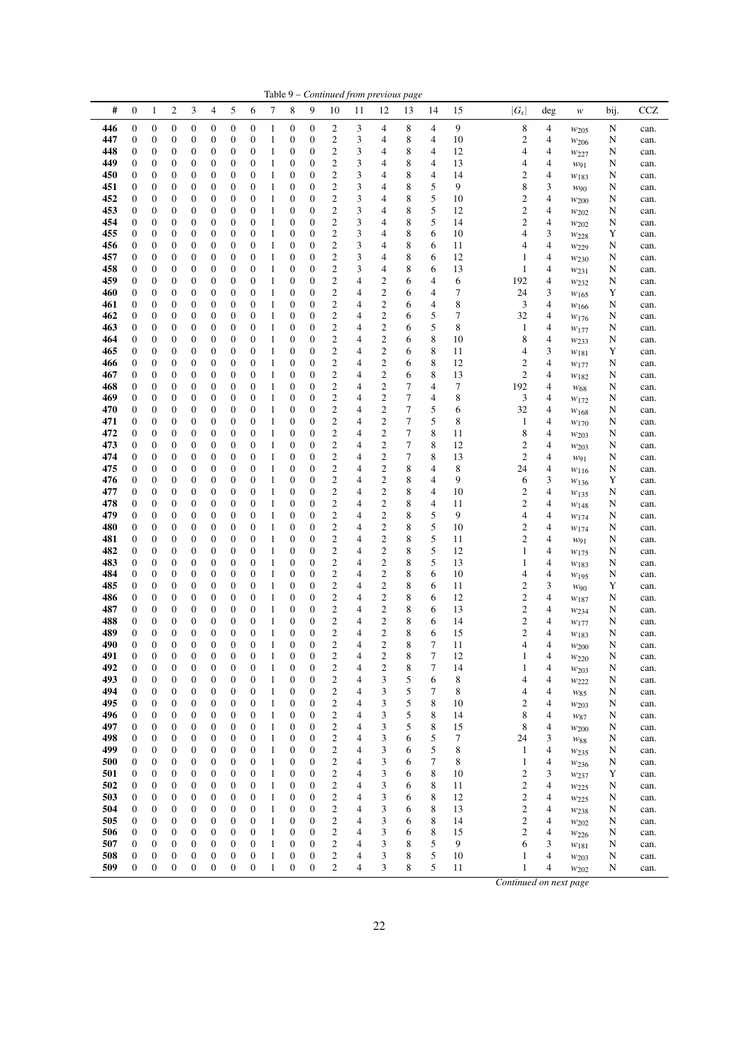|            |                       |                                      |                                      |                                      |                                      |                                      |                                      |                              |                                      |                                      |                                                    |                                  |                                       | Table 9 – Continued from previous page |                  |          |                                           |                               |                        |        |              |
|------------|-----------------------|--------------------------------------|--------------------------------------|--------------------------------------|--------------------------------------|--------------------------------------|--------------------------------------|------------------------------|--------------------------------------|--------------------------------------|----------------------------------------------------|----------------------------------|---------------------------------------|----------------------------------------|------------------|----------|-------------------------------------------|-------------------------------|------------------------|--------|--------------|
| #          | $\boldsymbol{0}$      | 1                                    | $\mathbf{2}$                         | 3                                    | 4                                    | 5                                    | 6                                    | 7                            | 8                                    | 9                                    | 10                                                 | 11                               | 12                                    | 13                                     | 14               | 15       | $ G_s $                                   | deg                           | $\boldsymbol{W}$       | bij.   | <b>CCZ</b>   |
| 446        | 0                     | $\boldsymbol{0}$                     | $\boldsymbol{0}$                     | $\boldsymbol{0}$                     | 0                                    | $\boldsymbol{0}$                     | 0                                    | $\mathbf{1}$                 | $\boldsymbol{0}$                     | $\boldsymbol{0}$                     | 2                                                  | 3                                | 4                                     | 8                                      | 4                | 9        | 8                                         | 4                             | $w_{205}$              | N      | can.         |
| 447<br>448 | 0<br>0                | 0<br>0                               | 0<br>$\boldsymbol{0}$                | $\boldsymbol{0}$<br>$\boldsymbol{0}$ | 0<br>0                               | $\boldsymbol{0}$<br>0                | 0<br>0                               | $\mathbf{1}$<br>$\mathbf{1}$ | 0<br>0                               | $\boldsymbol{0}$<br>0                | $\mathfrak{2}$<br>$\overline{\mathbf{c}}$          | 3<br>3                           | 4<br>4                                | 8<br>8                                 | 4<br>4           | 10<br>12 | $\mathfrak{2}$<br>4                       | 4<br>4                        | $w_{206}$              | N<br>N | can.<br>can. |
| 449        | 0                     | $\boldsymbol{0}$                     | 0                                    | $\boldsymbol{0}$                     | 0                                    | $\boldsymbol{0}$                     | 0                                    | $\mathbf{1}$                 | $\boldsymbol{0}$                     | $\boldsymbol{0}$                     | $\mathfrak{2}$                                     | 3                                | $\overline{4}$                        | 8                                      | 4                | 13       | 4                                         | 4                             | W227<br>W91            | N      | can.         |
| 450        | 0                     | 0                                    | 0                                    | $\boldsymbol{0}$                     | 0                                    | 0                                    | $\boldsymbol{0}$                     | $\mathbf{1}$                 | 0                                    | $\boldsymbol{0}$                     | $\boldsymbol{2}$                                   | 3                                | 4                                     | 8                                      | 4                | 14       | $\overline{c}$                            | $\overline{4}$                | $w_{183}$              | N      | can.         |
| 451        | $\boldsymbol{0}$      | 0                                    | 0                                    | $\boldsymbol{0}$                     | 0                                    | $\boldsymbol{0}$                     | 0                                    | $\mathbf{1}$                 | 0                                    | $\boldsymbol{0}$                     | $\mathbf{2}$                                       | 3                                | 4                                     | 8                                      | 5                | 9        | 8                                         | 3                             | $W_{90}$               | N      | can.         |
| 452<br>453 | 0<br>0                | $\boldsymbol{0}$<br>0                | 0<br>$\boldsymbol{0}$                | $\boldsymbol{0}$<br>$\boldsymbol{0}$ | 0<br>$\boldsymbol{0}$                | $\boldsymbol{0}$<br>0                | $\boldsymbol{0}$<br>$\boldsymbol{0}$ | $\mathbf{1}$<br>$\mathbf{1}$ | $\boldsymbol{0}$<br>0                | $\boldsymbol{0}$<br>$\boldsymbol{0}$ | $\mathbf{2}$<br>$\boldsymbol{2}$                   | 3<br>3                           | 4<br>4                                | 8<br>8                                 | 5<br>5           | 10<br>12 | $\overline{c}$<br>$\overline{c}$          | $\overline{4}$<br>4           | W200<br>W202           | N<br>N | can.<br>can. |
| 454        | 0                     | $\boldsymbol{0}$                     | $\boldsymbol{0}$                     | $\boldsymbol{0}$                     | $\boldsymbol{0}$                     | $\boldsymbol{0}$                     | 0                                    | $\mathbf{1}$                 | 0                                    | $\boldsymbol{0}$                     | $\overline{c}$                                     | 3                                | $\overline{4}$                        | 8                                      | 5                | 14       | $\mathfrak{2}$                            | $\overline{4}$                | $w_{202}$              | N      | can.         |
| 455        | 0                     | 0                                    | 0                                    | $\boldsymbol{0}$                     | 0                                    | 0                                    | 0                                    | $\mathbf{1}$                 | 0                                    | 0                                    | $\boldsymbol{2}$                                   | 3                                | 4                                     | 8                                      | 6                | 10       | 4                                         | 3                             | $w_{228}$              | Y      | can.         |
| 456        | 0                     | 0                                    | 0                                    | $\boldsymbol{0}$                     | 0                                    | $\boldsymbol{0}$                     | 0                                    | $\mathbf{1}$                 | 0                                    | $\boldsymbol{0}$                     | $\mathbf{2}$                                       | 3                                | 4                                     | 8                                      | 6                | 11       | 4                                         | $\overline{\mathbf{4}}$       | W229                   | N      | can.         |
| 457<br>458 | 0<br>0                | $\boldsymbol{0}$<br>0                | $\boldsymbol{0}$<br>0                | $\boldsymbol{0}$<br>$\boldsymbol{0}$ | 0<br>0                               | $\boldsymbol{0}$<br>0                | $\boldsymbol{0}$<br>0                | $\mathbf{1}$<br>$\mathbf{1}$ | $\boldsymbol{0}$<br>0                | $\boldsymbol{0}$<br>0                | $\overline{\mathbf{c}}$<br>$\boldsymbol{2}$        | 3<br>3                           | 4<br>4                                | 8<br>8                                 | 6<br>6           | 12<br>13 | 1<br>1                                    | $\overline{4}$<br>4           | W230<br>$w_{231}$      | N<br>N | can.<br>can. |
| 459        | 0                     | $\boldsymbol{0}$                     | 0                                    | $\boldsymbol{0}$                     | 0                                    | $\boldsymbol{0}$                     | 0                                    | $\mathbf{1}$                 | $\boldsymbol{0}$                     | $\boldsymbol{0}$                     | $\boldsymbol{2}$                                   | 4                                | $\sqrt{2}$                            | 6                                      | 4                | 6        | 192                                       | 4                             | $w_{232}$              | N      | can.         |
| 460        | 0                     | 0                                    | $\boldsymbol{0}$                     | $\boldsymbol{0}$                     | 0                                    | 0                                    | $\boldsymbol{0}$                     | $\mathbf{1}$                 | 0                                    | $\boldsymbol{0}$                     | $\overline{\mathbf{c}}$                            | 4                                | $\mathbf{2}$                          | 6                                      | 4                | 7        | 24                                        | 3                             | W165                   | Y      | can.         |
| 461        | $\boldsymbol{0}$      | 0                                    | $\boldsymbol{0}$                     | $\boldsymbol{0}$                     | 0                                    | $\boldsymbol{0}$                     | 0                                    | $\mathbf{1}$                 | 0                                    | $\boldsymbol{0}$                     | $\boldsymbol{2}$                                   | 4                                | $\mathbf{2}$                          | 6                                      | 4                | 8        | 3                                         | 4                             | W166                   | N      | can.         |
| 462<br>463 | 0<br>0                | $\boldsymbol{0}$<br>$\boldsymbol{0}$ | $\boldsymbol{0}$<br>$\boldsymbol{0}$ | $\boldsymbol{0}$<br>$\boldsymbol{0}$ | 0<br>0                               | $\boldsymbol{0}$<br>$\boldsymbol{0}$ | $\boldsymbol{0}$<br>0                | $\mathbf{1}$<br>$\mathbf{1}$ | 0<br>$\boldsymbol{0}$                | $\boldsymbol{0}$<br>$\boldsymbol{0}$ | $\overline{\mathbf{c}}$<br>$\mathbf{2}$            | 4<br>$\overline{4}$              | $\sqrt{2}$<br>$\sqrt{2}$              | 6<br>6                                 | 5<br>5           | 7<br>8   | 32<br>1                                   | 4<br>4                        | $W_{176}$<br>$w_{177}$ | N<br>N | can.<br>can. |
| 464        | 0                     | 0                                    | 0                                    | $\boldsymbol{0}$                     | 0                                    | 0                                    | 0                                    | $\mathbf{1}$                 | 0                                    | $\boldsymbol{0}$                     | $\overline{\mathbf{c}}$                            | 4                                | $\sqrt{2}$                            | 6                                      | 8                | 10       | 8                                         | $\overline{4}$                | W233                   | N      | can.         |
| 465        | 0                     | 0                                    | $\boldsymbol{0}$                     | $\boldsymbol{0}$                     | 0                                    | 0                                    | $\boldsymbol{0}$                     | $\mathbf{1}$                 | 0                                    | $\boldsymbol{0}$                     | $\mathbf{2}$                                       | 4                                | $\sqrt{2}$                            | 6                                      | 8                | 11       | 4                                         | 3                             | W181                   | Y      | can.         |
| 466        | 0                     | $\boldsymbol{0}$                     | $\boldsymbol{0}$                     | $\boldsymbol{0}$                     | $\boldsymbol{0}$                     | $\boldsymbol{0}$                     | $\boldsymbol{0}$                     | $\mathbf{1}$                 | $\boldsymbol{0}$                     | $\boldsymbol{0}$                     | $\overline{\mathbf{c}}$                            | 4                                | $\overline{c}$                        | 6                                      | $\,$ 8 $\,$      | 12       | $\overline{c}$                            | $\overline{\mathbf{4}}$       | $w_{177}$              | N      | can.         |
| 467<br>468 | 0<br>$\boldsymbol{0}$ | 0<br>$\boldsymbol{0}$                | 0<br>$\boldsymbol{0}$                | $\boldsymbol{0}$<br>$\boldsymbol{0}$ | 0<br>0                               | 0<br>$\boldsymbol{0}$                | $\boldsymbol{0}$<br>0                | $\mathbf{1}$<br>$\mathbf{1}$ | 0<br>0                               | 0<br>$\boldsymbol{0}$                | $\boldsymbol{2}$<br>$\boldsymbol{2}$               | 4<br>4                           | $\sqrt{2}$<br>$\mathbf{2}$            | 6<br>7                                 | 8<br>4           | 13<br>7  | $\overline{c}$<br>192                     | 4<br>4                        | $w_{182}$<br>W68       | N<br>N | can.<br>can. |
| 469        | 0                     | 0                                    | 0                                    | $\boldsymbol{0}$                     | 0                                    | $\boldsymbol{0}$                     | $\boldsymbol{0}$                     | $\mathbf{1}$                 | $\boldsymbol{0}$                     | $\boldsymbol{0}$                     | $\overline{c}$                                     | 4                                | $\sqrt{2}$                            | $\tau$                                 | 4                | 8        | 3                                         | $\overline{4}$                | W172                   | N      | can.         |
| 470        | 0                     | 0                                    | $\boldsymbol{0}$                     | $\boldsymbol{0}$                     | 0                                    | 0                                    | $\boldsymbol{0}$                     | $\mathbf{1}$                 | 0                                    | $\boldsymbol{0}$                     | $\mathbf{2}$                                       | 4                                | $\sqrt{2}$                            | 7                                      | 5                | 6        | 32                                        | 4                             | W <sub>168</sub>       | N      | can.         |
| 471        | 0                     | 0                                    | 0                                    | $\boldsymbol{0}$                     | 0                                    | 0                                    | 0                                    | $\mathbf{1}$                 | 0                                    | $\boldsymbol{0}$                     | $\overline{\mathbf{c}}$                            | 4                                | $\sqrt{2}$                            | 7                                      | 5                | 8        | $\mathbf{1}$                              | $\overline{4}$                | $w_{170}$              | N      | can.         |
| 472<br>473 | 0<br>0                | 0<br>$\boldsymbol{0}$                | $\boldsymbol{0}$<br>$\boldsymbol{0}$ | $\boldsymbol{0}$<br>$\boldsymbol{0}$ | $\boldsymbol{0}$<br>0                | 0<br>$\boldsymbol{0}$                | $\boldsymbol{0}$<br>0                | $\mathbf{1}$<br>$\mathbf{1}$ | 0<br>0                               | $\boldsymbol{0}$<br>$\boldsymbol{0}$ | $\boldsymbol{2}$<br>$\overline{\mathbf{c}}$        | 4<br>4                           | $\sqrt{2}$<br>$\overline{c}$          | $\boldsymbol{7}$<br>7                  | 8<br>$\,$ 8 $\,$ | 11<br>12 | 8<br>$\boldsymbol{2}$                     | 4<br>4                        | W203<br>W203           | N<br>N | can.<br>can. |
| 474        | $\boldsymbol{0}$      | 0                                    | 0                                    | $\boldsymbol{0}$                     | 0                                    | 0                                    | 0                                    | $\mathbf{1}$                 | 0                                    | 0                                    | $\overline{\mathbf{c}}$                            | 4                                | $\boldsymbol{2}$                      | 7                                      | 8                | 13       | $\mathbf{2}$                              | 4                             | W91                    | N      | can.         |
| 475        | 0                     | $\boldsymbol{0}$                     | $\boldsymbol{0}$                     | $\boldsymbol{0}$                     | 0                                    | $\boldsymbol{0}$                     | 0                                    | $\mathbf{1}$                 | 0                                    | $\boldsymbol{0}$                     | $\boldsymbol{2}$                                   | 4                                | $\sqrt{2}$                            | 8                                      | 4                | 8        | 24                                        | 4                             | $w_{116}$              | N      | can.         |
| 476        | 0                     | 0                                    | 0                                    | $\boldsymbol{0}$                     | 0                                    | $\boldsymbol{0}$                     | $\boldsymbol{0}$                     | $\mathbf{1}$                 | $\boldsymbol{0}$                     | $\boldsymbol{0}$                     | $\mathbf{2}$                                       | $\overline{4}$                   | $\overline{c}$                        | 8                                      | $\overline{4}$   | 9        | 6                                         | 3                             | W136                   | Y      | can.         |
| 477<br>478 | $\boldsymbol{0}$<br>0 | 0<br>$\boldsymbol{0}$                | 0<br>0                               | $\boldsymbol{0}$<br>$\boldsymbol{0}$ | 0<br>0                               | 0<br>$\boldsymbol{0}$                | 0<br>0                               | $\mathbf{1}$<br>$\mathbf{1}$ | 0<br>$\boldsymbol{0}$                | 0<br>$\boldsymbol{0}$                | $\overline{\mathbf{c}}$<br>$\mathbf{2}$            | 4<br>4                           | $\overline{\mathbf{c}}$<br>$\sqrt{2}$ | 8<br>8                                 | 4<br>4           | 10<br>11 | 2<br>$\mathfrak{2}$                       | 4<br>$\overline{4}$           | W135<br>W148           | N<br>N | can.<br>can. |
| 479        | 0                     | 0                                    | $\boldsymbol{0}$                     | $\boldsymbol{0}$                     | $\boldsymbol{0}$                     | 0                                    | $\boldsymbol{0}$                     | $\mathbf{1}$                 | 0                                    | $\boldsymbol{0}$                     | $\boldsymbol{2}$                                   | $\overline{4}$                   | $\boldsymbol{2}$                      | 8                                      | 5                | 9        | 4                                         | 4                             | $w_{174}$              | N      | can.         |
| 480        | 0                     | 0                                    | 0                                    | $\boldsymbol{0}$                     | 0                                    | $\boldsymbol{0}$                     | 0                                    | $\mathbf{1}$                 | 0                                    | $\boldsymbol{0}$                     | $\overline{\mathbf{c}}$                            | 4                                | $\mathbf{2}$                          | 8                                      | $\mathfrak s$    | 10       | 2                                         | 4                             | W174                   | N      | can.         |
| 481<br>482 | $\boldsymbol{0}$<br>0 | $\boldsymbol{0}$<br>0                | $\boldsymbol{0}$<br>$\boldsymbol{0}$ | $\boldsymbol{0}$<br>$\boldsymbol{0}$ | 0<br>0                               | $\boldsymbol{0}$<br>$\boldsymbol{0}$ | $\boldsymbol{0}$<br>0                | $\mathbf{1}$<br>$\mathbf{1}$ | $\boldsymbol{0}$<br>0                | $\boldsymbol{0}$<br>$\boldsymbol{0}$ | $\overline{\mathbf{c}}$<br>$\boldsymbol{2}$        | 4<br>$\overline{4}$              | $\mathbf{2}$<br>$\sqrt{2}$            | 8<br>8                                 | 5<br>5           | 11<br>12 | $\overline{c}$<br>1                       | 4<br>4                        | W91                    | N<br>N | can.<br>can. |
| 483        | 0                     | 0                                    | 0                                    | $\boldsymbol{0}$                     | 0                                    | $\boldsymbol{0}$                     | $\boldsymbol{0}$                     | $\mathbf{1}$                 | $\boldsymbol{0}$                     | $\boldsymbol{0}$                     | $\overline{c}$                                     | $\overline{4}$                   | $\overline{c}$                        | 8                                      | 5                | 13       | 1                                         | $\overline{4}$                | $w_{175}$<br>$w_{183}$ | N      | can.         |
| 484        | 0                     | 0                                    | $\boldsymbol{0}$                     | $\boldsymbol{0}$                     | 0                                    | 0                                    | $\boldsymbol{0}$                     | $\mathbf{1}$                 | 0                                    | 0                                    | $\overline{\mathbf{c}}$                            | 4                                | $\overline{\mathbf{c}}$               | 8                                      | 6                | 10       | 4                                         | 4                             | W195                   | N      | can.         |
| 485        | 0                     | $\boldsymbol{0}$                     | $\boldsymbol{0}$                     | $\boldsymbol{0}$                     | $\boldsymbol{0}$                     | $\boldsymbol{0}$                     | $\boldsymbol{0}$                     | 1                            | $\boldsymbol{0}$                     | $\boldsymbol{0}$                     | $\overline{c}$                                     | 4                                | $\sqrt{2}$                            | 8                                      | 6                | 11       | $\overline{c}$                            | 3                             | W90                    | Y      | can.         |
| 486<br>487 | 0<br>0                | 0<br>$\boldsymbol{0}$                | 0<br>$\boldsymbol{0}$                | $\boldsymbol{0}$<br>$\boldsymbol{0}$ | 0<br>0                               | 0<br>$\boldsymbol{0}$                | $\boldsymbol{0}$<br>$\boldsymbol{0}$ | $\mathbf{1}$<br>$\mathbf{1}$ | 0<br>$\boldsymbol{0}$                | 0<br>$\boldsymbol{0}$                | $\overline{\mathbf{c}}$<br>$\overline{\mathbf{c}}$ | 4<br>4                           | $\boldsymbol{2}$<br>$\sqrt{2}$        | 8<br>8                                 | 6<br>6           | 12<br>13 | $\overline{c}$<br>$\overline{\mathbf{c}}$ | 4<br>4                        | W187<br>$w_{234}$      | N<br>N | can.<br>can. |
| 488        | $\boldsymbol{0}$      | $\boldsymbol{0}$                     | $\boldsymbol{0}$                     | $\boldsymbol{0}$                     | $\boldsymbol{0}$                     | $\boldsymbol{0}$                     | $\boldsymbol{0}$                     | $\,1\,$                      | $\boldsymbol{0}$                     | $\boldsymbol{0}$                     | $\overline{c}$                                     | 4                                | $\sqrt{2}$                            | 8                                      | 6                | 14       | $\overline{c}$                            | $\overline{4}$                | W177                   | N      | can.         |
| 489        | $\overline{0}$        | $\theta$                             | $\overline{0}$                       | $\theta$                             | $\theta$                             | $\overline{0}$                       | $\overline{0}$                       | $\mathbf{1}$                 | $\overline{0}$                       | $\overline{0}$                       | $\overline{c}$                                     | 4                                | $\overline{2}$                        | 8                                      | 6                | 15       | $\overline{2}$                            | 4                             | W183                   | N      | can.         |
| 490        | $\boldsymbol{0}$      | $\boldsymbol{0}$                     | 0                                    | $\boldsymbol{0}$                     | 0                                    | $\boldsymbol{0}$                     | 0                                    | $\mathbf{1}$                 | 0                                    | $\boldsymbol{0}$                     | $\overline{\mathbf{c}}$                            | 4                                | $\overline{\mathbf{c}}$               | 8                                      | $\boldsymbol{7}$ | 11       | 4                                         | 4                             | W200                   | N      | can.         |
| 491<br>492 | $\boldsymbol{0}$<br>0 | $\boldsymbol{0}$<br>$\boldsymbol{0}$ | $\boldsymbol{0}$<br>$\boldsymbol{0}$ | $\boldsymbol{0}$<br>$\boldsymbol{0}$ | $\boldsymbol{0}$<br>$\boldsymbol{0}$ | $\boldsymbol{0}$<br>$\boldsymbol{0}$ | $\boldsymbol{0}$<br>$\boldsymbol{0}$ | $\mathbf{1}$<br>$\mathbf{1}$ | $\boldsymbol{0}$<br>$\boldsymbol{0}$ | $\boldsymbol{0}$<br>$\boldsymbol{0}$ | $\boldsymbol{2}$<br>$\overline{c}$                 | 4<br>4                           | $\sqrt{2}$<br>$\sqrt{2}$              | 8<br>8                                 | 7<br>$\tau$      | 12<br>14 | 1<br>1                                    | $\overline{4}$<br>4           | $w_{220}$<br>W203      | N<br>N | can.<br>can. |
| 493        | 0                     | 0                                    | $\boldsymbol{0}$                     | $\boldsymbol{0}$                     | 0                                    | $\boldsymbol{0}$                     | $\boldsymbol{0}$                     | $\mathbf{1}$                 | $\boldsymbol{0}$                     | $\boldsymbol{0}$                     | $\overline{\mathbf{c}}$                            | 4                                | 3                                     | 5                                      | 6                | 8        | 4                                         | 4                             | W222                   | N      | can.         |
| 494        | 0                     | $\boldsymbol{0}$                     | $\boldsymbol{0}$                     | $\boldsymbol{0}$                     | $\boldsymbol{0}$                     | $\boldsymbol{0}$                     | $\boldsymbol{0}$                     | $\mathbf{1}$                 | $\boldsymbol{0}$                     | $\boldsymbol{0}$                     | $\boldsymbol{2}$                                   | 4                                | 3                                     | 5                                      | 7                | 8        | 4                                         | 4                             | W85                    | N      | can.         |
| 495        | 0                     | $\boldsymbol{0}$                     | $\boldsymbol{0}$                     | $\boldsymbol{0}$                     | $\boldsymbol{0}$                     | $\boldsymbol{0}$                     | $\boldsymbol{0}$                     | $\mathbf{1}$                 | $\boldsymbol{0}$                     | $\boldsymbol{0}$                     | $\overline{c}$                                     | $\overline{4}$                   | 3                                     | 5                                      | 8                | 10       | $\overline{c}$                            | $\overline{\mathcal{L}}$      | $w_{203}$              | N      | can.         |
| 496<br>497 | 0<br>$\boldsymbol{0}$ | $\boldsymbol{0}$<br>$\mathbf{0}$     | $\boldsymbol{0}$<br>$\boldsymbol{0}$ | $\boldsymbol{0}$<br>$\boldsymbol{0}$ | 0<br>$\boldsymbol{0}$                | $\boldsymbol{0}$<br>$\boldsymbol{0}$ | $\boldsymbol{0}$<br>$\boldsymbol{0}$ | $\mathbf{1}$<br>$\mathbf{1}$ | $\boldsymbol{0}$<br>0                | $\boldsymbol{0}$<br>$\boldsymbol{0}$ | $\overline{c}$<br>$\overline{\mathbf{c}}$          | 4<br>4                           | 3<br>3                                | 5<br>5                                 | 8<br>8           | 14<br>15 | 8<br>8                                    | 4<br>$\overline{\mathcal{L}}$ | W87<br>W200            | N<br>N | can.<br>can. |
| 498        | 0                     | $\boldsymbol{0}$                     | $\boldsymbol{0}$                     | $\boldsymbol{0}$                     | $\boldsymbol{0}$                     | $\boldsymbol{0}$                     | $\boldsymbol{0}$                     | $\mathbf{1}$                 | $\boldsymbol{0}$                     | $\boldsymbol{0}$                     | $\overline{c}$                                     | 4                                | 3                                     | 6                                      | 5                | 7        | 24                                        | 3                             | $W88$                  | N      | can.         |
| 499        | 0                     | $\boldsymbol{0}$                     | $\boldsymbol{0}$                     | $\boldsymbol{0}$                     | $\boldsymbol{0}$                     | $\boldsymbol{0}$                     | $\boldsymbol{0}$                     | $\mathbf{1}$                 | $\boldsymbol{0}$                     | $\boldsymbol{0}$                     | $\overline{c}$                                     | $\overline{4}$                   | 3                                     | 6                                      | 5                | 8        | 1                                         | $\overline{\mathcal{L}}$      | $w_{235}$              | N      | can.         |
| 500        | 0                     | $\boldsymbol{0}$                     | $\boldsymbol{0}$                     | $\boldsymbol{0}$                     | $\boldsymbol{0}$                     | $\boldsymbol{0}$                     | $\boldsymbol{0}$                     | $\mathbf{1}$                 | $\boldsymbol{0}$                     | $\boldsymbol{0}$                     | $\boldsymbol{2}$                                   | 4                                | 3                                     | 6                                      | 7                | 8        | $\mathbf{1}$                              | $\overline{4}$                | W <sub>236</sub>       | N      | can.         |
| 501<br>502 | 0<br>0                | $\boldsymbol{0}$<br>$\boldsymbol{0}$ | $\boldsymbol{0}$<br>$\boldsymbol{0}$ | $\boldsymbol{0}$<br>$\boldsymbol{0}$ | $\boldsymbol{0}$<br>0                | $\boldsymbol{0}$<br>$\boldsymbol{0}$ | $\boldsymbol{0}$<br>$\boldsymbol{0}$ | $\mathbf{1}$<br>$\mathbf{1}$ | $\boldsymbol{0}$<br>$\boldsymbol{0}$ | $\boldsymbol{0}$<br>$\boldsymbol{0}$ | $\overline{\mathbf{c}}$<br>$\overline{\mathbf{c}}$ | $\overline{4}$<br>$\overline{4}$ | 3<br>3                                | 6<br>6                                 | 8<br>8           | 10<br>11 | $\overline{c}$<br>$\overline{c}$          | 3<br>$\overline{4}$           | W237<br>$w_{225}$      | Y<br>N | can.<br>can. |
| 503        | 0                     | 0                                    | $\boldsymbol{0}$                     | $\boldsymbol{0}$                     | 0                                    | $\boldsymbol{0}$                     | $\boldsymbol{0}$                     | $\mathbf{1}$                 | $\boldsymbol{0}$                     | $\boldsymbol{0}$                     | $\sqrt{2}$                                         | 4                                | 3                                     | 6                                      | 8                | 12       | $\boldsymbol{2}$                          | 4                             | $w_{225}$              | N      | can.         |
| 504        | 0                     | $\boldsymbol{0}$                     | $\boldsymbol{0}$                     | $\boldsymbol{0}$                     | $\boldsymbol{0}$                     | $\boldsymbol{0}$                     | $\boldsymbol{0}$                     | $\mathbf{1}$                 | 0                                    | $\boldsymbol{0}$                     | $\overline{c}$                                     | 4                                | 3                                     | 6                                      | 8                | 13       | $\mathfrak{2}$                            | $\overline{4}$                | W <sub>238</sub>       | N      | can.         |
| 505        | 0                     | $\boldsymbol{0}$                     | $\boldsymbol{0}$                     | $\boldsymbol{0}$                     | $\boldsymbol{0}$                     | $\boldsymbol{0}$                     | $\boldsymbol{0}$                     | $\mathbf{1}$                 | $\boldsymbol{0}$                     | $\boldsymbol{0}$                     | $\overline{c}$<br>$\overline{c}$                   | $\overline{4}$<br>$\overline{4}$ | 3                                     | 6                                      | 8                | 14       | $\boldsymbol{2}$                          | 4                             | W202                   | N      | can.         |
| 506<br>507 | 0<br>$\boldsymbol{0}$ | $\boldsymbol{0}$<br>$\boldsymbol{0}$ | $\boldsymbol{0}$<br>$\boldsymbol{0}$ | $\boldsymbol{0}$<br>$\boldsymbol{0}$ | 0<br>$\boldsymbol{0}$                | $\boldsymbol{0}$<br>$\boldsymbol{0}$ | $\boldsymbol{0}$<br>$\boldsymbol{0}$ | $\mathbf{1}$<br>$\mathbf{1}$ | 0<br>$\boldsymbol{0}$                | $\boldsymbol{0}$<br>$\boldsymbol{0}$ | $\boldsymbol{2}$                                   | 4                                | 3<br>3                                | 6<br>8                                 | 8<br>5           | 15<br>9  | $\boldsymbol{2}$<br>6                     | 4<br>3                        | $w_{226}$<br>$w_{181}$ | N<br>N | can.<br>can. |
| 508        | 0                     | $\boldsymbol{0}$                     | $\boldsymbol{0}$                     | $\boldsymbol{0}$                     | $\boldsymbol{0}$                     | $\boldsymbol{0}$                     | $\boldsymbol{0}$                     | $\mathbf{1}$                 | $\boldsymbol{0}$                     | $\boldsymbol{0}$                     | $\overline{\mathbf{c}}$                            | 4                                | 3                                     | 8                                      | 5                | 10       | 1                                         | 4                             | W203                   | N      | can.         |
| 509        | $\boldsymbol{0}$      | $\boldsymbol{0}$                     | $\boldsymbol{0}$                     | $\boldsymbol{0}$                     | $\boldsymbol{0}$                     | $\boldsymbol{0}$                     | $\boldsymbol{0}$                     | $\mathbf{1}$                 | $\boldsymbol{0}$                     | $\boldsymbol{0}$                     | $\mathbf{c}$                                       | $\overline{4}$                   | 3                                     | 8                                      | 5                | 11       | 1                                         | 4                             | $w_{202}$              | N      | can.         |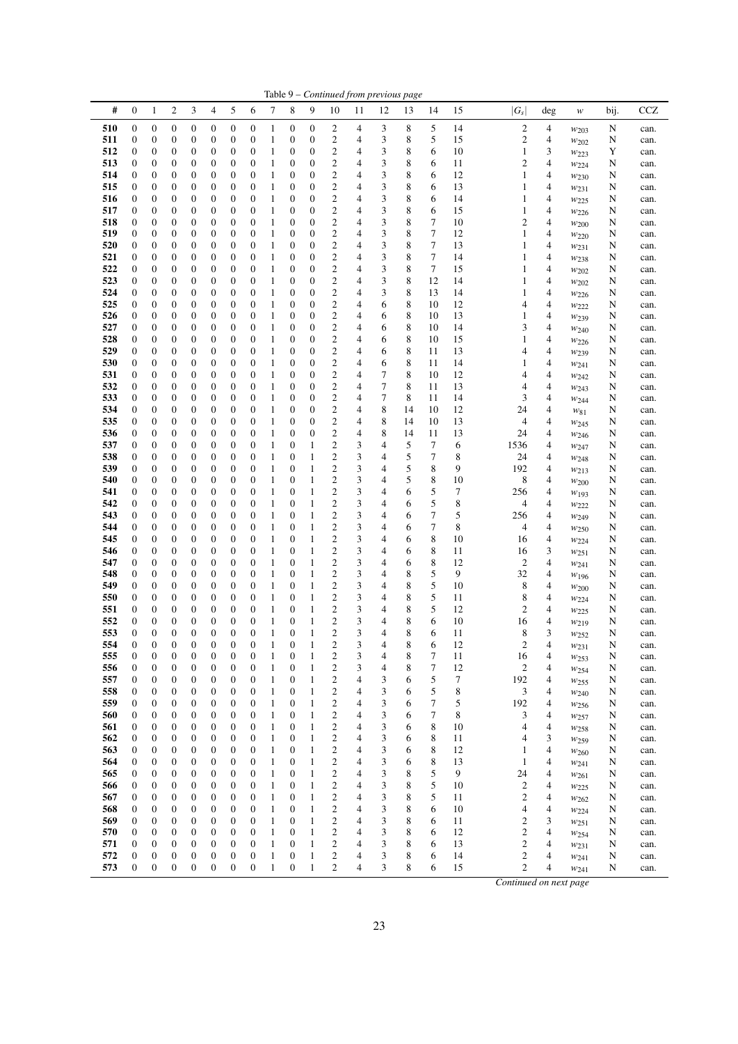|            |                       |                                      |                                      |                                      |                                      |                                      |                                      |                              |                                      |                                      |                                                    |                                  |                                  | Table 9 – Continued from previous page |                            |          |                                    |                               |                               |        |              |
|------------|-----------------------|--------------------------------------|--------------------------------------|--------------------------------------|--------------------------------------|--------------------------------------|--------------------------------------|------------------------------|--------------------------------------|--------------------------------------|----------------------------------------------------|----------------------------------|----------------------------------|----------------------------------------|----------------------------|----------|------------------------------------|-------------------------------|-------------------------------|--------|--------------|
| #          | $\boldsymbol{0}$      | 1                                    | $\overline{c}$                       | 3                                    | 4                                    | 5                                    | 6                                    | 7                            | 8                                    | 9                                    | 10                                                 | 11                               | 12                               | 13                                     | 14                         | 15       | $ G_s $                            | deg                           | $\boldsymbol{W}$              | bij.   | <b>CCZ</b>   |
| 510        | 0                     | $\boldsymbol{0}$                     | $\boldsymbol{0}$                     | $\boldsymbol{0}$                     | 0                                    | $\boldsymbol{0}$                     | 0                                    | $\mathbf{1}$                 | $\boldsymbol{0}$                     | $\boldsymbol{0}$                     | 2                                                  | 4                                | 3                                | 8                                      | 5                          | 14       | $\overline{c}$                     | 4                             | $w_{203}$                     | N      | can.         |
| 511<br>512 | 0<br>0                | $\boldsymbol{0}$<br>0                | 0<br>$\boldsymbol{0}$                | $\boldsymbol{0}$<br>$\boldsymbol{0}$ | 0<br>0                               | $\boldsymbol{0}$<br>0                | 0<br>0                               | $\mathbf{1}$<br>$\mathbf{1}$ | 0<br>0                               | $\boldsymbol{0}$<br>0                | $\mathbf{2}$<br>$\boldsymbol{2}$                   | 4<br>4                           | $\sqrt{3}$<br>3                  | 8<br>8                                 | 5<br>6                     | 15<br>10 | $\overline{c}$<br>$\mathbf{1}$     | 4<br>3                        | $w_{202}$<br>W223             | N<br>Y | can.<br>can. |
| 513        | $\boldsymbol{0}$      | 0                                    | 0                                    | $\boldsymbol{0}$                     | 0                                    | $\boldsymbol{0}$                     | 0                                    | $\mathbf{1}$                 | $\boldsymbol{0}$                     | $\boldsymbol{0}$                     | $\mathbf{2}$                                       | 4                                | 3                                | 8                                      | 6                          | 11       | $\mathfrak{2}$                     | 4                             | W224                          | N      | can.         |
| 514        | 0                     | 0                                    | 0                                    | $\boldsymbol{0}$                     | 0                                    | $\boldsymbol{0}$                     | $\boldsymbol{0}$                     | $\mathbf{1}$                 | $\boldsymbol{0}$                     | $\boldsymbol{0}$                     | $\overline{\mathbf{c}}$                            | 4                                | 3                                | 8                                      | 6                          | 12       | 1                                  | $\overline{4}$                | $w_{230}$                     | N      | can.         |
| 515<br>516 | 0<br>$\boldsymbol{0}$ | 0<br>$\boldsymbol{0}$                | 0                                    | $\boldsymbol{0}$                     | 0                                    | $\boldsymbol{0}$<br>$\boldsymbol{0}$ | 0<br>$\boldsymbol{0}$                | $\mathbf{1}$<br>$\mathbf{1}$ | 0<br>$\boldsymbol{0}$                | $\boldsymbol{0}$<br>$\boldsymbol{0}$ | $\mathbf{2}$<br>$\mathbf{2}$                       | 4<br>4                           | 3<br>3                           | 8<br>8                                 | 6<br>6                     | 13<br>14 | 1<br>1                             | 4<br>$\overline{4}$           | $w_{231}$                     | N      | can.         |
| 517        | $\boldsymbol{0}$      | 0                                    | 0<br>$\boldsymbol{0}$                | $\boldsymbol{0}$<br>$\boldsymbol{0}$ | 0<br>$\boldsymbol{0}$                | 0                                    | $\boldsymbol{0}$                     | $\mathbf{1}$                 | 0                                    | $\boldsymbol{0}$                     | $\boldsymbol{2}$                                   | 4                                | 3                                | 8                                      | 6                          | 15       | 1                                  | 4                             | W225<br>W226                  | N<br>N | can.<br>can. |
| 518        | 0                     | $\boldsymbol{0}$                     | $\boldsymbol{0}$                     | $\boldsymbol{0}$                     | $\boldsymbol{0}$                     | $\boldsymbol{0}$                     | 0                                    | $\mathbf{1}$                 | 0                                    | $\boldsymbol{0}$                     | $\mathbf{2}$                                       | 4                                | 3                                | 8                                      | $\tau$                     | 10       | $\mathfrak{2}$                     | 4                             | $w_{200}$                     | N      | can.         |
| 519        | 0                     | 0                                    | 0                                    | $\boldsymbol{0}$                     | 0                                    | 0                                    | 0                                    | $\mathbf{1}$                 | 0                                    | 0                                    | $\overline{\mathbf{c}}$                            | 4                                | 3                                | 8                                      | $\tau$                     | 12       | $\mathbf{1}$                       | 4                             | $w_{220}$                     | N      | can.         |
| 520<br>521 | 0<br>0                | 0<br>0                               | 0<br>0                               | $\boldsymbol{0}$<br>$\boldsymbol{0}$ | 0<br>0                               | $\boldsymbol{0}$<br>$\boldsymbol{0}$ | 0<br>$\boldsymbol{0}$                | $\mathbf{1}$<br>$\mathbf{1}$ | 0<br>$\boldsymbol{0}$                | $\boldsymbol{0}$<br>$\boldsymbol{0}$ | $\mathbf{2}$<br>$\overline{\mathbf{c}}$            | $\overline{4}$<br>$\overline{4}$ | 3<br>3                           | 8<br>8                                 | 7<br>$\boldsymbol{7}$      | 13<br>14 | 1<br>1                             | 4<br>$\overline{4}$           | W <sub>231</sub>              | N      | can.         |
| 522        | 0                     | 0                                    | 0                                    | $\boldsymbol{0}$                     | 0                                    | 0                                    | 0                                    | $\mathbf{1}$                 | 0                                    | 0                                    | $\boldsymbol{2}$                                   | 4                                | 3                                | 8                                      | 7                          | 15       | 1                                  | 4                             | W <sub>238</sub><br>$w_{202}$ | N<br>N | can.<br>can. |
| 523        | 0                     | $\boldsymbol{0}$                     | 0                                    | $\boldsymbol{0}$                     | 0                                    | $\boldsymbol{0}$                     | $\boldsymbol{0}$                     | $\mathbf{1}$                 | $\boldsymbol{0}$                     | $\boldsymbol{0}$                     | $\boldsymbol{2}$                                   | 4                                | 3                                | 8                                      | 12                         | 14       | 1                                  | 4                             | $w_{202}$                     | N      | can.         |
| 524        | 0                     | 0                                    | $\boldsymbol{0}$                     | $\boldsymbol{0}$                     | 0                                    | 0                                    | $\boldsymbol{0}$                     | $\mathbf{1}$                 | 0                                    | $\boldsymbol{0}$                     | $\mathbf{2}$                                       | 4                                | 3                                | 8                                      | 13                         | 14       | 1                                  | 4                             | W226                          | N      | can.         |
| 525<br>526 | 0                     | 0                                    | $\boldsymbol{0}$                     | $\boldsymbol{0}$                     | 0                                    | $\boldsymbol{0}$                     | 0                                    | $\mathbf{1}$                 | 0                                    | $\boldsymbol{0}$                     | $\boldsymbol{2}$                                   | 4                                | 6                                | 8                                      | 10                         | 12<br>13 | 4<br>1                             | 4                             | W222                          | N      | can.         |
| 527        | 0<br>0                | 0<br>0                               | $\boldsymbol{0}$<br>$\boldsymbol{0}$ | $\boldsymbol{0}$<br>$\boldsymbol{0}$ | 0<br>0                               | $\boldsymbol{0}$<br>$\boldsymbol{0}$ | $\boldsymbol{0}$<br>$\boldsymbol{0}$ | $\mathbf{1}$<br>$\mathbf{1}$ | 0<br>$\boldsymbol{0}$                | $\boldsymbol{0}$<br>$\boldsymbol{0}$ | $\overline{\mathbf{c}}$<br>$\mathbf{2}$            | 4<br>$\overline{4}$              | 6<br>6                           | 8<br>8                                 | 10<br>10                   | 14       | 3                                  | 4<br>4                        | W <sub>239</sub><br>$w_{240}$ | N<br>N | can.<br>can. |
| 528        | 0                     | 0                                    | 0                                    | $\boldsymbol{0}$                     | 0                                    | 0                                    | 0                                    | $\mathbf{1}$                 | 0                                    | $\boldsymbol{0}$                     | $\boldsymbol{2}$                                   | 4                                | 6                                | 8                                      | 10                         | 15       | 1                                  | $\overline{4}$                | W226                          | N      | can.         |
| 529        | 0                     | 0                                    | $\boldsymbol{0}$                     | $\boldsymbol{0}$                     | 0                                    | 0                                    | $\boldsymbol{0}$                     | $\mathbf{1}$                 | 0                                    | $\boldsymbol{0}$                     | $\mathbf{2}$                                       | 4                                | 6                                | 8                                      | 11                         | 13       | 4                                  | $\overline{4}$                | W <sub>239</sub>              | N      | can.         |
| 530        | 0                     | $\boldsymbol{0}$                     | $\boldsymbol{0}$                     | $\boldsymbol{0}$                     | $\boldsymbol{0}$                     | $\boldsymbol{0}$                     | $\boldsymbol{0}$                     | $\mathbf{1}$                 | $\boldsymbol{0}$                     | $\boldsymbol{0}$                     | $\overline{\mathbf{c}}$                            | 4                                | 6                                | 8                                      | 11                         | 14       | 1                                  | $\overline{\mathbf{4}}$       | $w_{241}$                     | N      | can.         |
| 531<br>532 | 0<br>0                | 0<br>$\boldsymbol{0}$                | 0<br>$\boldsymbol{0}$                | $\boldsymbol{0}$<br>$\boldsymbol{0}$ | 0<br>0                               | 0<br>$\boldsymbol{0}$                | $\boldsymbol{0}$<br>0                | $\mathbf{1}$<br>$\mathbf{1}$ | 0<br>0                               | 0<br>$\boldsymbol{0}$                | $\boldsymbol{2}$<br>$\boldsymbol{2}$               | 4<br>4                           | 7<br>$\tau$                      | 8<br>8                                 | 10<br>11                   | 12<br>13 | 4<br>4                             | $\overline{4}$<br>4           | $w_{242}$<br>W243             | N<br>N | can.<br>can. |
| 533        | 0                     | 0                                    | $\boldsymbol{0}$                     | $\boldsymbol{0}$                     | 0                                    | $\boldsymbol{0}$                     | $\boldsymbol{0}$                     | $\mathbf{1}$                 | $\boldsymbol{0}$                     | $\boldsymbol{0}$                     | $\mathbf{2}$                                       | 4                                | $\tau$                           | 8                                      | 11                         | 14       | 3                                  | $\overline{4}$                | W244                          | N      | can.         |
| 534        | 0                     | 0                                    | $\boldsymbol{0}$                     | $\boldsymbol{0}$                     | 0                                    | 0                                    | $\boldsymbol{0}$                     | $\mathbf{1}$                 | 0                                    | $\boldsymbol{0}$                     | $\mathbf{2}$                                       | 4                                | 8                                | 14                                     | 10                         | 12       | 24                                 | 4                             | $w_{81}$                      | N      | can.         |
| 535        | $\boldsymbol{0}$      | 0                                    | 0                                    | $\boldsymbol{0}$                     | 0                                    | 0                                    | 0                                    | $\mathbf{1}$                 | $\boldsymbol{0}$                     | $\boldsymbol{0}$                     | $\overline{c}$                                     | 4                                | 8                                | 14                                     | 10                         | 13       | 4                                  | $\overline{4}$                | $w_{245}$                     | N      | can.         |
| 536<br>537 | 0<br>0                | 0<br>$\boldsymbol{0}$                | $\boldsymbol{0}$<br>$\boldsymbol{0}$ | $\boldsymbol{0}$<br>$\boldsymbol{0}$ | $\boldsymbol{0}$<br>$\boldsymbol{0}$ | 0<br>$\boldsymbol{0}$                | $\boldsymbol{0}$<br>0                | $\mathbf{1}$<br>$\mathbf{1}$ | 0<br>0                               | $\boldsymbol{0}$<br>$\mathbf{1}$     | $\mathbf{2}$<br>$\overline{c}$                     | 4<br>3                           | 8<br>$\overline{4}$              | 14<br>5                                | 11<br>7                    | 13<br>6  | 24<br>1536                         | 4<br>4                        | W <sub>246</sub>              | N<br>N | can.<br>can. |
| 538        | 0                     | 0                                    | 0                                    | $\boldsymbol{0}$                     | 0                                    | 0                                    | 0                                    | $\mathbf{1}$                 | 0                                    | $\mathbf{1}$                         | $\overline{\mathbf{c}}$                            | 3                                | 4                                | 5                                      | 7                          | 8        | 24                                 | 4                             | W247<br>W248                  | N      | can.         |
| 539        | 0                     | $\boldsymbol{0}$                     | $\boldsymbol{0}$                     | $\boldsymbol{0}$                     | 0                                    | $\boldsymbol{0}$                     | $\boldsymbol{0}$                     | $\mathbf{1}$                 | 0                                    | $\mathbf{1}$                         | $\overline{\mathbf{c}}$                            | 3                                | $\overline{4}$                   | 5                                      | 8                          | 9        | 192                                | 4                             | $w_{213}$                     | N      | can.         |
| 540        | 0                     | 0                                    | 0                                    | $\boldsymbol{0}$                     | 0                                    | $\boldsymbol{0}$                     | $\boldsymbol{0}$                     | $\mathbf{1}$                 | 0                                    | $\mathbf{1}$                         | $\overline{c}$                                     | 3                                | $\overline{4}$                   | 5                                      | 8                          | 10       | 8                                  | $\overline{4}$                | W200                          | N      | can.         |
| 541<br>542 | 0<br>0                | 0<br>$\boldsymbol{0}$                | 0<br>0                               | $\boldsymbol{0}$<br>$\boldsymbol{0}$ | 0<br>0                               | 0<br>$\boldsymbol{0}$                | 0<br>0                               | $\mathbf{1}$<br>$\mathbf{1}$ | 0<br>$\boldsymbol{0}$                | $\mathbf{1}$<br>$\mathbf{1}$         | $\boldsymbol{2}$<br>$\overline{c}$                 | 3<br>3                           | 4<br>4                           | 6<br>6                                 | 5<br>5                     | 7<br>8   | 256<br>4                           | 4<br>$\overline{4}$           | W193                          | N<br>N | can.<br>can. |
| 543        | 0                     | 0                                    | $\boldsymbol{0}$                     | $\boldsymbol{0}$                     | $\boldsymbol{0}$                     | 0                                    | $\boldsymbol{0}$                     | $\mathbf{1}$                 | 0                                    | $\mathbf{1}$                         | $\overline{c}$                                     | 3                                | 4                                | 6                                      | $\tau$                     | 5        | 256                                | 4                             | W222<br>$w_{249}$             | N      | can.         |
| 544        | 0                     | 0                                    | 0                                    | $\boldsymbol{0}$                     | 0                                    | $\boldsymbol{0}$                     | 0                                    | $\mathbf{1}$                 | 0                                    | 1                                    | $\overline{\mathbf{c}}$                            | 3                                | $\overline{4}$                   | 6                                      | 7                          | 8        | 4                                  | 4                             | W <sub>250</sub>              | N      | can.         |
| 545        | 0                     | $\boldsymbol{0}$                     | $\boldsymbol{0}$                     | $\boldsymbol{0}$                     | 0                                    | $\boldsymbol{0}$                     | $\boldsymbol{0}$                     | $\mathbf{1}$                 | $\boldsymbol{0}$                     | $\mathbf{1}$                         | $\overline{c}$                                     | 3                                | 4                                | 6                                      | $\,$ 8 $\,$                | 10       | 16                                 | 4                             | W224                          | N      | can.         |
| 546<br>547 | 0<br>$\boldsymbol{0}$ | 0<br>0                               | $\boldsymbol{0}$<br>0                | $\boldsymbol{0}$<br>$\boldsymbol{0}$ | 0<br>$\boldsymbol{0}$                | $\boldsymbol{0}$<br>$\boldsymbol{0}$ | 0<br>$\boldsymbol{0}$                | $\mathbf{1}$<br>1            | 0<br>0                               | 1<br>$\mathbf{1}$                    | $\mathfrak{2}$<br>$\overline{c}$                   | 3<br>3                           | 4<br>4                           | 6<br>6                                 | $\,$ 8 $\,$<br>$\,$ 8 $\,$ | 11<br>12 | 16<br>2                            | 3<br>$\overline{4}$           | $w_{251}$                     | N<br>N | can.<br>can. |
| 548        | 0                     | 0                                    | $\boldsymbol{0}$                     | $\boldsymbol{0}$                     | 0                                    | 0                                    | $\boldsymbol{0}$                     | $\mathbf{1}$                 | 0                                    | $\mathbf{1}$                         | $\boldsymbol{2}$                                   | 3                                | 4                                | 8                                      | 5                          | 9        | 32                                 | $\overline{4}$                | $w_{241}$<br>W196             | N      | can.         |
| 549        | 0                     | $\boldsymbol{0}$                     | $\boldsymbol{0}$                     | $\boldsymbol{0}$                     | $\boldsymbol{0}$                     | $\boldsymbol{0}$                     | $\boldsymbol{0}$                     | 1                            | 0                                    | $\mathbf{1}$                         | $\overline{c}$                                     | 3                                | $\overline{4}$                   | 8                                      | 5                          | 10       | 8                                  | 4                             | W200                          | N      | can.         |
| 550        | 0                     | 0                                    | 0                                    | $\boldsymbol{0}$                     | 0                                    | 0                                    | $\boldsymbol{0}$                     | $\mathbf{1}$                 | $\boldsymbol{0}$                     | $\mathbf{1}$                         | $\overline{\mathbf{c}}$                            | 3                                | 4                                | 8                                      | 5                          | 11       | 8                                  | 4                             | W224                          | N      | can.         |
| 551<br>552 | 0<br>$\boldsymbol{0}$ | $\boldsymbol{0}$<br>$\boldsymbol{0}$ | $\boldsymbol{0}$<br>$\boldsymbol{0}$ | $\boldsymbol{0}$<br>$\boldsymbol{0}$ | 0<br>$\boldsymbol{0}$                | $\boldsymbol{0}$<br>$\boldsymbol{0}$ | $\boldsymbol{0}$<br>$\boldsymbol{0}$ | $\mathbf{1}$<br>$\mathbf{1}$ | $\boldsymbol{0}$<br>$\boldsymbol{0}$ | $\mathbf{1}$<br>$\mathbf{1}$         | $\overline{\mathbf{c}}$<br>$\overline{c}$          | 3<br>3                           | $\overline{4}$<br>$\overline{4}$ | 8<br>8                                 | 5<br>6                     | 12<br>10 | 2<br>16                            | 4<br>4                        | $w_{225}$                     | N<br>N | can.<br>can. |
| 553        | $\overline{0}$        | $\theta$                             | $\overline{0}$                       | $\theta$                             | $\theta$                             | $\overline{0}$                       | $\overline{0}$                       | 1                            | $\overline{0}$                       | $\mathbf{1}$                         | $\overline{c}$                                     | 3                                | 4                                | 8                                      | 6                          | 11       | 8                                  | 3                             | W219<br>W <sub>252</sub>      | N      | can.         |
| 554        | $\boldsymbol{0}$      | $\boldsymbol{0}$                     | 0                                    | $\boldsymbol{0}$                     | 0                                    | $\boldsymbol{0}$                     | 0                                    | $\mathbf{1}$                 | $\boldsymbol{0}$                     | $\mathbf{1}$                         | $\overline{\mathbf{c}}$                            | 3                                | 4                                | 8                                      | 6                          | 12       | $\overline{c}$                     | 4                             | W231                          | N      | can.         |
| 555        | 0                     | $\boldsymbol{0}$                     | $\boldsymbol{0}$                     | $\boldsymbol{0}$                     | $\boldsymbol{0}$                     | $\boldsymbol{0}$                     | $\boldsymbol{0}$                     | $\mathbf{1}$                 | $\boldsymbol{0}$                     | $\mathbf{1}$                         | $\boldsymbol{2}$                                   | 3                                | 4                                | 8                                      | 7                          | 11       | 16                                 | 4                             | $w_{253}$                     | N      | can.         |
| 556<br>557 | 0<br>0                | $\boldsymbol{0}$<br>0                | $\boldsymbol{0}$<br>$\boldsymbol{0}$ | $\boldsymbol{0}$<br>$\boldsymbol{0}$ | $\boldsymbol{0}$<br>0                | $\boldsymbol{0}$<br>$\boldsymbol{0}$ | $\boldsymbol{0}$<br>$\boldsymbol{0}$ | $\mathbf{1}$<br>$\mathbf{1}$ | 0<br>$\boldsymbol{0}$                | $\mathbf{1}$<br>$\mathbf{1}$         | $\overline{\mathbf{c}}$<br>$\overline{\mathbf{c}}$ | 3<br>4                           | $\overline{4}$<br>3              | 8<br>6                                 | $\boldsymbol{7}$<br>5      | 12<br>7  | $\boldsymbol{2}$<br>192            | 4<br>4                        | W254<br>W <sub>255</sub>      | N<br>N | can.<br>can. |
| 558        | 0                     | $\boldsymbol{0}$                     | $\boldsymbol{0}$                     | $\boldsymbol{0}$                     | 0                                    | $\boldsymbol{0}$                     | $\boldsymbol{0}$                     | $\mathbf{1}$                 | $\boldsymbol{0}$                     | $\mathbf{1}$                         | $\boldsymbol{2}$                                   | $\overline{4}$                   | $\sqrt{3}$                       | 6                                      | 5                          | 8        | 3                                  | 4                             | W240                          | N      | can.         |
| 559        | 0                     | $\boldsymbol{0}$                     | $\boldsymbol{0}$                     | $\boldsymbol{0}$                     | 0                                    | $\boldsymbol{0}$                     | $\boldsymbol{0}$                     | $\mathbf{1}$                 | $\boldsymbol{0}$                     | $\mathbf{1}$                         | $\overline{\mathbf{c}}$                            | 4                                | 3                                | 6                                      | $\boldsymbol{7}$           | 5        | 192                                | 4                             | $w_{256}$                     | N      | can.         |
| 560        | 0                     | $\boldsymbol{0}$                     | $\boldsymbol{0}$                     | $\boldsymbol{0}$                     | 0                                    | $\boldsymbol{0}$                     | $\boldsymbol{0}$                     | $\mathbf{1}$                 | $\boldsymbol{0}$                     | $\mathbf{1}$                         | $\boldsymbol{2}$                                   | 4                                | 3                                | 6                                      | 7                          | 8        | 3                                  | 4                             | W257                          | N      | can.         |
| 561<br>562 | 0<br>0                | $\boldsymbol{0}$<br>$\boldsymbol{0}$ | $\boldsymbol{0}$<br>$\boldsymbol{0}$ | $\boldsymbol{0}$<br>$\boldsymbol{0}$ | 0<br>$\boldsymbol{0}$                | $\boldsymbol{0}$<br>$\boldsymbol{0}$ | $\boldsymbol{0}$<br>$\boldsymbol{0}$ | $\mathbf{1}$<br>$\mathbf{1}$ | 0<br>$\boldsymbol{0}$                | $\mathbf{1}$<br>$\mathbf{1}$         | $\overline{\mathbf{c}}$<br>$\overline{c}$          | 4<br>4                           | 3<br>3                           | 6<br>6                                 | 8<br>8                     | 10<br>11 | 4<br>4                             | $\overline{\mathcal{L}}$<br>3 | W <sub>258</sub>              | N<br>N | can.<br>can. |
| 563        | 0                     | $\boldsymbol{0}$                     | $\boldsymbol{0}$                     | $\boldsymbol{0}$                     | $\boldsymbol{0}$                     | $\boldsymbol{0}$                     | $\boldsymbol{0}$                     | $\,1\,$                      | $\boldsymbol{0}$                     | $\mathbf{1}$                         | $\overline{\mathbf{c}}$                            | 4                                | 3                                | 6                                      | $\,$ 8 $\,$                | 12       | 1                                  | $\overline{\mathcal{A}}$      | $w_{259}$<br>$w_{260}$        | N      | can.         |
| 564        | 0                     | $\boldsymbol{0}$                     | $\boldsymbol{0}$                     | $\boldsymbol{0}$                     | $\boldsymbol{0}$                     | $\boldsymbol{0}$                     | $\boldsymbol{0}$                     | $\mathbf{1}$                 | $\boldsymbol{0}$                     | $\mathbf{1}$                         | $\overline{\mathbf{c}}$                            | 4                                | 3                                | 6                                      | 8                          | 13       | $\mathbf{1}$                       | 4                             | $w_{241}$                     | N      | can.         |
| 565        | 0                     | $\boldsymbol{0}$                     | $\boldsymbol{0}$                     | $\boldsymbol{0}$                     | $\boldsymbol{0}$                     | $\boldsymbol{0}$                     | $\boldsymbol{0}$                     | $\mathbf{1}$                 | $\boldsymbol{0}$                     | $\mathbf{1}$                         | $\overline{\mathbf{c}}$                            | 4                                | 3                                | 8                                      | 5                          | 9        | 24                                 | 4                             | W261                          | N      | can.         |
| 566<br>567 | 0<br>0                | $\boldsymbol{0}$<br>0                | $\boldsymbol{0}$<br>$\boldsymbol{0}$ | $\boldsymbol{0}$<br>$\boldsymbol{0}$ | 0<br>0                               | $\boldsymbol{0}$<br>$\boldsymbol{0}$ | $\boldsymbol{0}$<br>$\boldsymbol{0}$ | $\mathbf{1}$<br>$\mathbf{1}$ | $\boldsymbol{0}$<br>$\boldsymbol{0}$ | $\mathbf{1}$<br>$\mathbf{1}$         | $\overline{c}$<br>$\boldsymbol{2}$                 | 4<br>4                           | 3<br>3                           | 8<br>8                                 | 5<br>5                     | 10<br>11 | $\mathfrak{2}$<br>$\boldsymbol{2}$ | 4<br>4                        | $w_{225}$                     | N<br>N | can.<br>can. |
| 568        | 0                     | $\boldsymbol{0}$                     | $\boldsymbol{0}$                     | $\boldsymbol{0}$                     | $\boldsymbol{0}$                     | $\boldsymbol{0}$                     | $\boldsymbol{0}$                     | $\mathbf{1}$                 | 0                                    | $\mathbf{1}$                         | $\overline{c}$                                     | 4                                | 3                                | 8                                      | 6                          | 10       | 4                                  | $\overline{\mathbf{4}}$       | $w_{262}$<br>W224             | N      | can.         |
| 569        | 0                     | $\boldsymbol{0}$                     | $\boldsymbol{0}$                     | $\boldsymbol{0}$                     | $\boldsymbol{0}$                     | $\boldsymbol{0}$                     | $\boldsymbol{0}$                     | $\mathbf{1}$                 | $\boldsymbol{0}$                     | $\,1\,$                              | $\overline{\mathbf{c}}$                            | 4                                | 3                                | 8                                      | 6                          | 11       | $\boldsymbol{2}$                   | 3                             | W251                          | N      | can.         |
| 570        | 0                     | $\boldsymbol{0}$                     | $\boldsymbol{0}$                     | $\boldsymbol{0}$                     | 0                                    | $\boldsymbol{0}$                     | $\boldsymbol{0}$                     | $\mathbf{1}$                 | 0                                    | $\mathbf{1}$                         | $\overline{\mathbf{c}}$                            | 4                                | 3                                | 8                                      | 6                          | 12       | $\boldsymbol{2}$                   | 4                             | $w_{254}$                     | N      | can.         |
| 571<br>572 | $\boldsymbol{0}$<br>0 | $\boldsymbol{0}$<br>$\boldsymbol{0}$ | $\boldsymbol{0}$<br>$\boldsymbol{0}$ | $\boldsymbol{0}$<br>$\boldsymbol{0}$ | 0<br>$\boldsymbol{0}$                | $\boldsymbol{0}$<br>$\boldsymbol{0}$ | $\boldsymbol{0}$<br>$\boldsymbol{0}$ | $\mathbf{1}$<br>$\mathbf{1}$ | $\boldsymbol{0}$<br>$\boldsymbol{0}$ | $\mathbf{1}$<br>$\mathbf{1}$         | $\overline{\mathbf{c}}$<br>$\overline{\mathbf{c}}$ | 4<br>4                           | 3<br>3                           | 8<br>8                                 | 6<br>6                     | 13<br>14 | $\mathbf{2}$<br>2                  | 4<br>4                        | $w_{231}$                     | N<br>N | can.<br>can. |
| 573        | $\boldsymbol{0}$      | $\boldsymbol{0}$                     | $\boldsymbol{0}$                     | $\boldsymbol{0}$                     | $\boldsymbol{0}$                     | $\boldsymbol{0}$                     | $\boldsymbol{0}$                     | $\mathbf{1}$                 | $\boldsymbol{0}$                     | $\mathbf{1}$                         | $\mathbf{c}$                                       | 4                                | 3                                | 8                                      | 6                          | 15       | $\overline{c}$                     | 4                             | $w_{241}$<br>W241             | N      | can.         |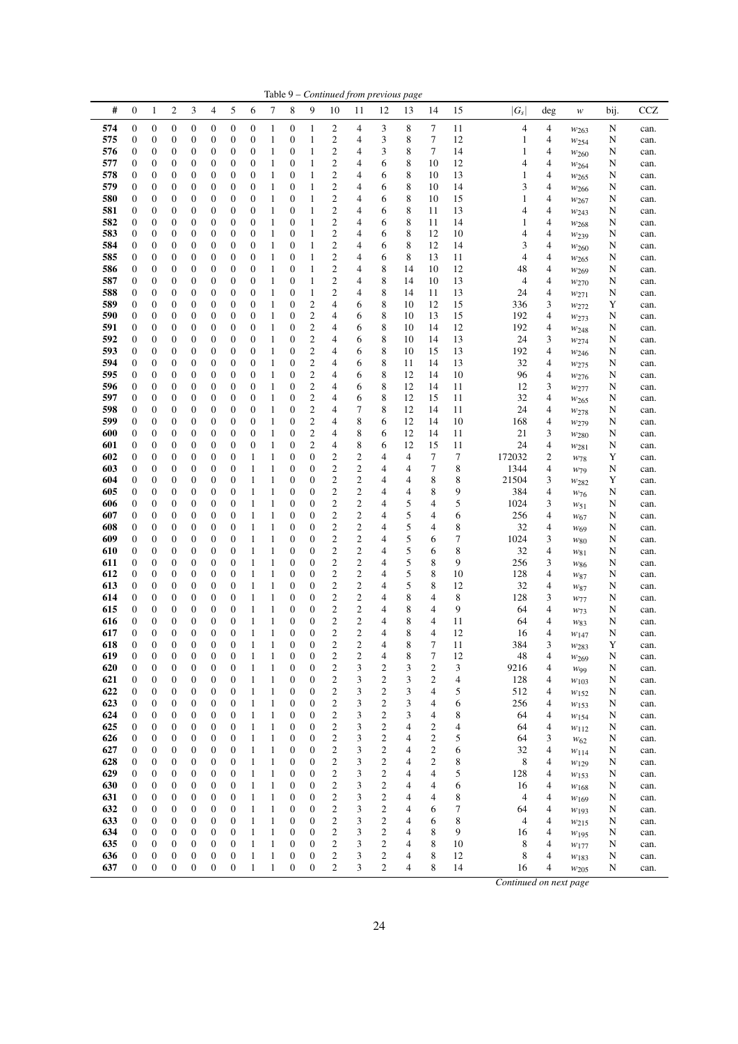|            |                                      |                                      |                                      |                                      |                                      |                                      |                                      |                              |                                      |                                      |                                             |                                  |                | Table 9 – Continued from previous page |                              |          |              |                |                                    |        |              |  |
|------------|--------------------------------------|--------------------------------------|--------------------------------------|--------------------------------------|--------------------------------------|--------------------------------------|--------------------------------------|------------------------------|--------------------------------------|--------------------------------------|---------------------------------------------|----------------------------------|----------------|----------------------------------------|------------------------------|----------|--------------|----------------|------------------------------------|--------|--------------|--|
| #          | $\boldsymbol{0}$                     | $\mathbf{1}$                         | $\overline{c}$                       | 3                                    | 4                                    | 5                                    | 6                                    | 7                            | 8                                    | 9                                    | 10                                          | 11                               | 12             | 13                                     | 14                           | 15       | $ G_s $      | deg            | $\ensuremath{W}$                   | bij.   | <b>CCZ</b>   |  |
| 574        | 0                                    | $\boldsymbol{0}$                     | $\boldsymbol{0}$                     | $\boldsymbol{0}$                     | 0                                    | $\boldsymbol{0}$                     | $\boldsymbol{0}$                     | 1                            | $\boldsymbol{0}$                     | $\mathbf{1}$                         | 2                                           | 4                                | 3              | 8                                      | 7                            | 11       | 4            | 4              | W <sub>263</sub>                   | N      | can.         |  |
| 575        | 0                                    | $\boldsymbol{0}$                     | $\mathbf{0}$                         | $\boldsymbol{0}$                     | 0                                    | $\boldsymbol{0}$                     | $\boldsymbol{0}$                     | $\mathbf{1}$                 | 0                                    | $\mathbf{1}$                         | 2                                           | 4                                | 3              | 8                                      | 7                            | 12       | 1            | 4              | W <sub>254</sub>                   | N      | can.         |  |
| 576        | 0                                    | 0                                    | $\boldsymbol{0}$                     | $\boldsymbol{0}$                     | 0                                    | $\boldsymbol{0}$                     | $\boldsymbol{0}$                     | $\mathbf{1}$                 | 0                                    | $\mathbf{1}$                         | $\overline{c}$                              | 4                                | 3              | 8                                      | 7                            | 14       | 1            | 4              | W260                               | N      | can.         |  |
| 577        | 0                                    | 0                                    | $\mathbf{0}$                         | $\boldsymbol{0}$                     | 0                                    | $\boldsymbol{0}$                     | $\boldsymbol{0}$                     | $\mathbf{1}$                 | 0                                    | 1                                    | 2                                           | 4                                | 6              | 8                                      | 10                           | 12       | 4            | 4              | W264                               | N      | can.         |  |
| 578        | $\boldsymbol{0}$                     | 0                                    | $\mathbf{0}$                         | $\boldsymbol{0}$                     | 0                                    | 0                                    | $\boldsymbol{0}$                     | $\mathbf{1}$                 | 0                                    | $\mathbf{1}$                         | $\boldsymbol{2}$                            | 4                                | 6              | 8                                      | 10                           | 13       | 1            | 4              | $w_{265}$                          | N      | can.         |  |
| 579        | $\boldsymbol{0}$                     | 0                                    | $\mathbf{0}$                         | $\boldsymbol{0}$                     | 0                                    | $\boldsymbol{0}$                     | $\boldsymbol{0}$                     | 1                            | 0                                    | $\mathbf{1}$                         | $\boldsymbol{2}$                            | 4                                | 6              | 8                                      | 10                           | 14       | 3            | 4              | W <sub>266</sub>                   | N      | can.         |  |
| 580        | $\boldsymbol{0}$                     | 0                                    | $\mathbf{0}$                         | $\boldsymbol{0}$                     | 0                                    | $\boldsymbol{0}$                     | $\mathbf{0}$                         | 1                            | $\boldsymbol{0}$                     | 1                                    | $\overline{c}$                              | 4                                | 6              | 8                                      | 10                           | 15       | 1            | 4              | W267                               | N      | can.         |  |
| 581<br>582 | 0<br>$\boldsymbol{0}$                | 0<br>$\boldsymbol{0}$                | $\boldsymbol{0}$<br>$\boldsymbol{0}$ | $\boldsymbol{0}$<br>$\boldsymbol{0}$ | 0<br>$\boldsymbol{0}$                | $\boldsymbol{0}$<br>$\boldsymbol{0}$ | $\boldsymbol{0}$<br>$\boldsymbol{0}$ | $\mathbf{1}$<br>$\mathbf{1}$ | 0<br>0                               | $\mathbf{1}$                         | $\boldsymbol{2}$<br>$\overline{\mathbf{c}}$ | 4                                | 6              | 8<br>8                                 | 11<br>11                     | 13<br>14 | 4            | 4<br>4         | W243                               | N      | can.         |  |
| 583        | $\boldsymbol{0}$                     | 0                                    | $\boldsymbol{0}$                     | $\boldsymbol{0}$                     | $\boldsymbol{0}$                     | $\boldsymbol{0}$                     | $\boldsymbol{0}$                     | $\mathbf{1}$                 | 0                                    | $\mathbf{1}$<br>1                    | $\mathfrak{2}$                              | 4<br>4                           | 6<br>6         | 8                                      | 12                           | 10       | 1<br>4       | 4              | W <sub>268</sub>                   | N<br>N | can.<br>can. |  |
| 584        | 0                                    | 0                                    | $\boldsymbol{0}$                     | $\boldsymbol{0}$                     | 0                                    | 0                                    | $\boldsymbol{0}$                     | 1                            | 0                                    | 1                                    | $\boldsymbol{2}$                            | 4                                | 6              | 8                                      | 12                           | 14       | 3            | 4              | W <sub>239</sub>                   | N      | can.         |  |
| 585        | $\boldsymbol{0}$                     | $\boldsymbol{0}$                     | $\boldsymbol{0}$                     | $\boldsymbol{0}$                     | 0                                    | $\boldsymbol{0}$                     | $\mathbf{0}$                         | $\mathbf{1}$                 | 0                                    | $\mathbf{1}$                         | $\boldsymbol{2}$                            | 4                                | 6              | 8                                      | 13                           | 11       | 4            | 4              | W260<br>W265                       | N      | can.         |  |
| 586        | 0                                    | 0                                    | $\boldsymbol{0}$                     | $\boldsymbol{0}$                     | $\boldsymbol{0}$                     | $\boldsymbol{0}$                     | $\boldsymbol{0}$                     | 1                            | 0                                    | $\mathbf{1}$                         | $\boldsymbol{2}$                            | 4                                | 8              | 14                                     | 10                           | 12       | 48           | 4              | W <sub>269</sub>                   | N      | can.         |  |
| 587        | $\boldsymbol{0}$                     | $\boldsymbol{0}$                     | $\mathbf{0}$                         | $\boldsymbol{0}$                     | 0                                    | $\boldsymbol{0}$                     | $\mathbf{0}$                         | 1                            | $\boldsymbol{0}$                     | $\mathbf{1}$                         | $\overline{\mathbf{c}}$                     | 4                                | 8              | 14                                     | 10                           | 13       | 4            | 4              | $w_{270}$                          | N      | can.         |  |
| 588        | $\boldsymbol{0}$                     | 0                                    | $\boldsymbol{0}$                     | $\boldsymbol{0}$                     | $\boldsymbol{0}$                     | $\boldsymbol{0}$                     | $\boldsymbol{0}$                     | $\mathbf{1}$                 | 0                                    | $\mathbf{1}$                         | $\overline{\mathbf{c}}$                     | 4                                | 8              | 14                                     | 11                           | 13       | 24           | 4              | W271                               | N      | can.         |  |
| 589        | 0                                    | 0                                    | $\mathbf{0}$                         | $\boldsymbol{0}$                     | 0                                    | $\boldsymbol{0}$                     | $\boldsymbol{0}$                     | $\mathbf{1}$                 | 0                                    | $\mathbf{2}$                         | 4                                           | 6                                | 8              | 10                                     | 12                           | 15       | 336          | 3              | W272                               | Y      | can.         |  |
| 590        | $\boldsymbol{0}$                     | 0                                    | $\boldsymbol{0}$                     | $\boldsymbol{0}$                     | 0                                    | 0                                    | $\boldsymbol{0}$                     | $\mathbf{1}$                 | 0                                    | $\mathbf{2}$                         | 4                                           | 6                                | 8              | 10                                     | 13                           | 15       | 192          | 4              | $w_{273}$                          | N      | can.         |  |
| 591        | 0                                    | 0                                    | $\boldsymbol{0}$                     | $\boldsymbol{0}$                     | 0                                    | $\boldsymbol{0}$                     | $\boldsymbol{0}$                     | $\mathbf{1}$                 | 0                                    | $\boldsymbol{2}$                     | 4                                           | 6                                | 8              | 10                                     | 14                           | 12       | 192          | 4              | W <sub>248</sub>                   | N      | can.         |  |
| 592        | $\boldsymbol{0}$                     | $\boldsymbol{0}$                     | $\mathbf{0}$                         | $\boldsymbol{0}$                     | 0                                    | $\mathbf{0}$                         | $\mathbf{0}$                         | 1                            | $\boldsymbol{0}$                     | $\overline{c}$                       | 4                                           | 6                                | 8              | 10                                     | 14                           | 13       | 24           | 3              | W274                               | N      | can.         |  |
| 593        | 0                                    | 0                                    | $\mathbf{0}$                         | $\boldsymbol{0}$                     | 0                                    | $\boldsymbol{0}$                     | $\boldsymbol{0}$                     | 1                            | 0                                    | 2                                    | 4                                           | 6                                | 8              | 10                                     | 15                           | 13       | 192          | 4              | W246                               | N      | can.         |  |
| 594        | 0                                    | $\boldsymbol{0}$                     | $\mathbf{0}$                         | $\boldsymbol{0}$                     | 0                                    | $\boldsymbol{0}$                     | $\boldsymbol{0}$                     | $\mathbf{1}$                 | 0                                    | $\boldsymbol{2}$                     | 4                                           | 6                                | 8              | 11                                     | 14                           | 13       | 32           | 4              | $w_{275}$                          | N      | can.         |  |
| 595        | $\boldsymbol{0}$                     | $\boldsymbol{0}$                     | $\boldsymbol{0}$                     | $\boldsymbol{0}$                     | $\boldsymbol{0}$                     | $\boldsymbol{0}$                     | $\boldsymbol{0}$                     | 1                            | 0                                    | $\boldsymbol{2}$                     | 4                                           | 6                                | 8              | 12                                     | 14                           | 10       | 96           | 4              | $w_{276}$                          | N      | can.         |  |
| 596        | 0                                    | 0                                    | $\boldsymbol{0}$                     | $\boldsymbol{0}$                     | 0                                    | $\boldsymbol{0}$                     | $\boldsymbol{0}$                     | 1                            | $\boldsymbol{0}$                     | $\boldsymbol{2}$                     | 4                                           | 6                                | 8              | 12                                     | 14                           | 11       | 12           | 3              | W277                               | N      | can.         |  |
| 597        | $\boldsymbol{0}$                     | 0                                    | $\boldsymbol{0}$                     | $\boldsymbol{0}$                     | 0                                    | 0                                    | $\boldsymbol{0}$                     | $\mathbf{1}$                 | 0                                    | $\boldsymbol{2}$                     | 4                                           | 6                                | 8              | 12                                     | 15                           | 11       | 32           | 4              | W265                               | N      | can.         |  |
| 598        | 0                                    | 0                                    | $\boldsymbol{0}$                     | $\boldsymbol{0}$                     | 0                                    | $\boldsymbol{0}$                     | $\boldsymbol{0}$                     | 1                            | 0                                    | $\boldsymbol{2}$                     | 4                                           | 7                                | 8              | 12                                     | 14                           | 11       | 24           | 4              | W278                               | N      | can.         |  |
| 599        | $\boldsymbol{0}$                     | 0                                    | $\mathbf{0}$                         | $\boldsymbol{0}$                     | 0                                    | $\boldsymbol{0}$                     | $\mathbf{0}$                         | $\mathbf{1}$                 | 0                                    | $\overline{\mathbf{c}}$              | 4                                           | 8                                | 6              | 12                                     | 14                           | 10       | 168          | 4              | W279                               | N      | can.         |  |
| 600        | 0                                    | $\boldsymbol{0}$                     | $\boldsymbol{0}$                     | $\boldsymbol{0}$                     | 0                                    | $\boldsymbol{0}$                     | $\boldsymbol{0}$                     | $\mathbf{1}$                 | 0                                    | 2                                    | 4                                           | 8                                | 6              | 12                                     | 14                           | 11       | 21           | 3              | W <sub>280</sub>                   | N      | can.         |  |
| 601        | 0                                    | $\boldsymbol{0}$                     | $\boldsymbol{0}$                     | $\boldsymbol{0}$                     | $\boldsymbol{0}$                     | $\boldsymbol{0}$                     | $\boldsymbol{0}$                     | $\mathbf{1}$                 | 0                                    | $\mathfrak{2}$                       | 4                                           | 8                                | 6              | 12                                     | 15                           | 11       | 24           | 4              | W281                               | N      | can.         |  |
| 602        | $\boldsymbol{0}$                     | 0                                    | $\boldsymbol{0}$                     | $\boldsymbol{0}$                     | $\boldsymbol{0}$                     | $\boldsymbol{0}$                     | 1                                    | $\mathbf{1}$                 | 0                                    | $\boldsymbol{0}$                     | $\boldsymbol{2}$                            | $\overline{c}$                   | 4              | 4                                      | 7                            | 7        | 172032       | $\overline{c}$ | W78                                | Y      | can.         |  |
| 603        | 0                                    | 0                                    | $\mathbf{0}$                         | $\boldsymbol{0}$                     | 0                                    | $\boldsymbol{0}$                     | 1                                    | $\mathbf{1}$                 | 0                                    | $\boldsymbol{0}$                     | 2                                           | 2                                | 4              | 4                                      | 7                            | 8        | 1344         | 4              | $W_{79}$                           | N      | can.         |  |
| 604        | $\boldsymbol{0}$<br>$\boldsymbol{0}$ | 0                                    | $\boldsymbol{0}$                     | $\boldsymbol{0}$                     | 0<br>$\boldsymbol{0}$                | $\boldsymbol{0}$                     | 1                                    | $\mathbf{1}$                 | $\boldsymbol{0}$                     | $\boldsymbol{0}$<br>$\boldsymbol{0}$ | $\boldsymbol{2}$<br>$\mathfrak{2}$          | $\overline{c}$<br>$\overline{c}$ | 4              | 4                                      | 8<br>8                       | 8<br>9   | 21504<br>384 | 3<br>4         | W <sub>282</sub>                   | Y      | can.         |  |
| 605<br>606 | $\boldsymbol{0}$                     | $\boldsymbol{0}$<br>$\boldsymbol{0}$ | $\boldsymbol{0}$<br>$\mathbf{0}$     | $\boldsymbol{0}$<br>$\boldsymbol{0}$ | 0                                    | $\boldsymbol{0}$<br>$\boldsymbol{0}$ | 1<br>1                               | $\mathbf{1}$<br>1            | 0<br>$\boldsymbol{0}$                | $\boldsymbol{0}$                     | $\overline{c}$                              | $\overline{c}$                   | 4<br>4         | 4<br>5                                 | 4                            | 5        | 1024         | 3              | W76                                | N      | can.         |  |
| 607        | 0                                    | 0                                    | $\boldsymbol{0}$                     | $\boldsymbol{0}$                     | 0                                    | $\boldsymbol{0}$                     | 1                                    | $\mathbf{1}$                 | 0                                    | $\boldsymbol{0}$                     | $\overline{\mathbf{c}}$                     | $\overline{\mathbf{c}}$          | 4              | 5                                      | 4                            | 6        | 256          | 4              | $w_{51}$                           | N<br>N | can.<br>can. |  |
| 608        | 0                                    | $\boldsymbol{0}$                     | $\boldsymbol{0}$                     | $\boldsymbol{0}$                     | 0                                    | $\boldsymbol{0}$                     | 1                                    | 1                            | 0                                    | $\boldsymbol{0}$                     | $\mathbf{2}$                                | $\overline{c}$                   | 4              | 5                                      | 4                            | 8        | 32           | 4              | W <sub>67</sub><br>W <sub>69</sub> | N      | can.         |  |
| 609        | $\boldsymbol{0}$                     | 0                                    | $\boldsymbol{0}$                     | $\boldsymbol{0}$                     | 0                                    | 0                                    | 1                                    | $\mathbf{1}$                 | 0                                    | $\boldsymbol{0}$                     | $\overline{c}$                              | $\overline{c}$                   | 4              | 5                                      | 6                            | 7        | 1024         | 3              | W80                                | N      | can.         |  |
| 610        | 0                                    | 0                                    | $\boldsymbol{0}$                     | $\boldsymbol{0}$                     | 0                                    | $\boldsymbol{0}$                     | 1                                    | $\mathbf{1}$                 | $\boldsymbol{0}$                     | $\boldsymbol{0}$                     | $\overline{\mathbf{c}}$                     | $\overline{\mathbf{c}}$          | 4              | 5                                      | 6                            | 8        | 32           | 4              | W81                                | N      | can.         |  |
| 611        | $\boldsymbol{0}$                     | $\boldsymbol{0}$                     | $\mathbf{0}$                         | $\boldsymbol{0}$                     | 0                                    | $\boldsymbol{0}$                     | 1                                    | 1                            | $\boldsymbol{0}$                     | $\boldsymbol{0}$                     | $\overline{c}$                              | $\mathbf{2}$                     | 4              | 5                                      | 8                            | 9        | 256          | 3              | $W_{86}$                           | N      | can.         |  |
| 612        | 0                                    | 0                                    | $\mathbf{0}$                         | $\boldsymbol{0}$                     | 0                                    | $\boldsymbol{0}$                     | 1                                    | $\mathbf{1}$                 | 0                                    | $\boldsymbol{0}$                     | $\overline{\mathbf{c}}$                     | $\overline{c}$                   | 4              | 5                                      | 8                            | 10       | 128          | 4              | W87                                | N      | can.         |  |
| 613        | 0                                    | $\boldsymbol{0}$                     | $\mathbf{0}$                         | $\boldsymbol{0}$                     | 0                                    | $\boldsymbol{0}$                     | 1                                    | $\mathbf{1}$                 | 0                                    | $\boldsymbol{0}$                     | $\overline{c}$                              | $\overline{c}$                   | 4              | 5                                      | 8                            | 12       | 32           | 4              | W87                                | N      | can.         |  |
| 614        | $\boldsymbol{0}$                     | $\boldsymbol{0}$                     | $\boldsymbol{0}$                     | $\boldsymbol{0}$                     | $\boldsymbol{0}$                     | $\boldsymbol{0}$                     | 1                                    | $\mathbf{1}$                 | 0                                    | $\boldsymbol{0}$                     | $\overline{c}$                              | $\overline{c}$                   | 4              | 8                                      | 4                            | 8        | 128          | 3              | W77                                | N      | can.         |  |
| 615        | 0                                    | 0                                    | $\boldsymbol{0}$                     | $\boldsymbol{0}$                     | $\boldsymbol{0}$                     | $\boldsymbol{0}$                     | 1                                    | $\mathbf{1}$                 | 0                                    | $\boldsymbol{0}$                     | $\boldsymbol{2}$                            | $\overline{c}$                   | 4              | 8                                      | 4                            | 9        | 64           | 4              | $w_{73}$                           | N      | can.         |  |
| 616        | $\boldsymbol{0}$                     | 0                                    | $\boldsymbol{0}$                     | $\boldsymbol{0}$                     | $\boldsymbol{0}$                     | $\boldsymbol{0}$                     | 1                                    | $\mathbf{1}$                 | $\boldsymbol{0}$                     | $\boldsymbol{0}$                     | $\mathfrak{2}$                              | $\overline{c}$                   | 4              | 8                                      | 4                            | 11       | 64           | 4              | W83                                | N      | can.         |  |
| 617        | $\boldsymbol{0}$                     | $\overline{0}$                       | $\overline{0}$                       | $\mathbf{0}$                         | $\boldsymbol{0}$                     | $\mathbf{0}$                         | 1                                    | $\mathbf{1}$                 | $\overline{0}$                       | $\overline{0}$                       | $\overline{c}$                              | $\overline{c}$                   | 4              | 8                                      | 4                            | 12       | 16           | 4              | W147                               | N      | can.         |  |
| 618        | $\boldsymbol{0}$                     | $\boldsymbol{0}$                     | $\boldsymbol{0}$                     | $\boldsymbol{0}$                     | $\boldsymbol{0}$                     | $\boldsymbol{0}$                     | 1                                    | 1                            | $\boldsymbol{0}$                     | $\boldsymbol{0}$                     | $\overline{\mathbf{c}}$                     | $\overline{c}$                   |                | 8                                      | 7                            | 11       | 384          | 3              | W283                               | Y      | can.         |  |
| 619        | 0                                    | $\boldsymbol{0}$                     | $\boldsymbol{0}$                     | $\boldsymbol{0}$                     | $\boldsymbol{0}$                     | $\boldsymbol{0}$                     | 1                                    | 1                            | $\boldsymbol{0}$                     | $\boldsymbol{0}$                     | 2                                           | $\boldsymbol{2}$                 | 4              | 8                                      | 7                            | 12       | 48           | 4              | W <sub>269</sub>                   | N      | can.         |  |
| 620        | $\boldsymbol{0}$                     | $\boldsymbol{0}$                     | $\boldsymbol{0}$                     | $\boldsymbol{0}$                     | $\boldsymbol{0}$                     | $\boldsymbol{0}$                     | 1                                    | $\mathbf{1}$                 | $\boldsymbol{0}$                     | $\boldsymbol{0}$                     | $\overline{c}$                              | 3                                | 2              | 3                                      | 2                            | 3        | 9216         | 4              | W99                                | N      | can.         |  |
| 621        | $\boldsymbol{0}$                     | $\boldsymbol{0}$                     | $\boldsymbol{0}$                     | $\boldsymbol{0}$                     | $\boldsymbol{0}$                     | $\boldsymbol{0}$                     | $\mathbf{1}$                         | $\mathbf{1}$                 | $\boldsymbol{0}$                     | $\boldsymbol{0}$                     | $\overline{c}$                              | 3                                | 2              | 3                                      | 2                            | 4        | 128          | 4              | W103                               | N      | can.         |  |
| 622        | 0                                    | 0                                    | $\boldsymbol{0}$                     | $\boldsymbol{0}$                     | 0                                    | 0                                    | $\mathbf{1}$                         | $\mathbf{1}$                 | 0                                    | $\boldsymbol{0}$                     | $\overline{\mathbf{c}}$                     | 3                                | 2              | 3                                      | 4                            | 5        | 512          | 4              | $w_{152}$                          | N      | can.         |  |
| 623        | $\boldsymbol{0}$                     | 0                                    | $\boldsymbol{0}$                     | $\boldsymbol{0}$                     | $\boldsymbol{0}$                     | $\boldsymbol{0}$                     | 1                                    | $\mathbf{1}$                 | 0                                    | $\boldsymbol{0}$                     | $\overline{c}$                              | 3                                | 2              | 3                                      | 4                            | 6        | 256          | 4              | $w_{153}$                          | N      | can.         |  |
| 624        | 0                                    | 0                                    | $\boldsymbol{0}$                     | $\boldsymbol{0}$                     | $\boldsymbol{0}$                     | $\boldsymbol{0}$                     | $\mathbf{1}$                         | $\mathbf{1}$                 | $\boldsymbol{0}$                     | $\boldsymbol{0}$                     | $\overline{\mathbf{c}}$                     | 3                                | 2              | 3                                      | 4                            | 8        | 64           | 4              | W154                               | N      | can.         |  |
| 625        | $\boldsymbol{0}$                     | $\boldsymbol{0}$                     | $\mathbf{0}$                         | $\boldsymbol{0}$                     | $\boldsymbol{0}$                     | $\boldsymbol{0}$                     | 1                                    | $\mathbf{1}$                 | $\boldsymbol{0}$                     | $\boldsymbol{0}$                     | $\overline{c}$                              | 3                                | 2              | 4                                      | 2                            | 4        | 64           | 4              | $w_{112}$                          | N      | can.         |  |
| 626        | $\boldsymbol{0}$                     | 0                                    | $\boldsymbol{0}$<br>$\boldsymbol{0}$ | $\boldsymbol{0}$<br>$\boldsymbol{0}$ | $\boldsymbol{0}$<br>$\boldsymbol{0}$ | $\boldsymbol{0}$                     | $\mathbf{1}$                         | $\mathbf{1}$<br>$\mathbf{1}$ | $\boldsymbol{0}$<br>$\boldsymbol{0}$ | $\boldsymbol{0}$<br>$\boldsymbol{0}$ | $\overline{\mathbf{c}}$                     | 3<br>3                           | 2<br>2         | 4<br>4                                 | $\overline{\mathbf{c}}$<br>2 | 5<br>6   | 64           | 3              | $w_{62}$                           | N      | can.         |  |
| 627<br>628 | 0<br>0                               | $\boldsymbol{0}$<br>$\boldsymbol{0}$ | $\boldsymbol{0}$                     | $\boldsymbol{0}$                     | $\boldsymbol{0}$                     | $\boldsymbol{0}$<br>$\boldsymbol{0}$ | $\mathbf{1}$<br>$\mathbf{1}$         | $\mathbf{1}$                 | $\boldsymbol{0}$                     | $\boldsymbol{0}$                     | $\sqrt{2}$<br>$\overline{c}$                | 3                                | 2              | 4                                      | 2                            | 8        | 32<br>8      | 4<br>4         | $w_{114}$                          | N<br>N | can.         |  |
| 629        | 0                                    | $\boldsymbol{0}$                     | $\boldsymbol{0}$                     | $\boldsymbol{0}$                     | $\boldsymbol{0}$                     | $\boldsymbol{0}$                     | $\mathbf{1}$                         | $\mathbf{1}$                 | 0                                    | $\boldsymbol{0}$                     | $\overline{\mathbf{c}}$                     | 3                                | 2              | 4                                      | 4                            | 5        | 128          | 4              | W129                               | N      | can.         |  |
| 630        | $\boldsymbol{0}$                     | $\boldsymbol{0}$                     | $\boldsymbol{0}$                     | $\boldsymbol{0}$                     | $\boldsymbol{0}$                     | $\boldsymbol{0}$                     | $\mathbf{1}$                         | $\mathbf{1}$                 | $\boldsymbol{0}$                     | $\boldsymbol{0}$                     | $\overline{\mathbf{c}}$                     | 3                                | 2              | 4                                      | 4                            | 6        | 16           | 4              | W153                               | N      | can.<br>can. |  |
| 631        | 0                                    | $\boldsymbol{0}$                     | $\boldsymbol{0}$                     | $\boldsymbol{0}$                     | $\boldsymbol{0}$                     | $\boldsymbol{0}$                     | $\mathbf{1}$                         | $\,1$                        | $\boldsymbol{0}$                     | $\boldsymbol{0}$                     | $\overline{\mathbf{c}}$                     | 3                                | 2              | 4                                      | 4                            | 8        | 4            | 4              | W <sub>168</sub>                   | N      | can.         |  |
| 632        | 0                                    | $\boldsymbol{0}$                     | $\mathbf{0}$                         | $\boldsymbol{0}$                     | $\boldsymbol{0}$                     | $\boldsymbol{0}$                     | $\mathbf{1}$                         | $\mathbf{1}$                 | $\boldsymbol{0}$                     | $\boldsymbol{0}$                     | $\boldsymbol{2}$                            | 3                                | 2              | 4                                      | 6                            | 7        | 64           | 4              | W <sub>169</sub><br>W193           | N      | can.         |  |
| 633        | 0                                    | $\boldsymbol{0}$                     | $\boldsymbol{0}$                     | $\boldsymbol{0}$                     | $\boldsymbol{0}$                     | $\boldsymbol{0}$                     | $\mathbf{1}$                         | $\mathbf{1}$                 | 0                                    | $\boldsymbol{0}$                     | $\sqrt{2}$                                  | 3                                | 2              | 4                                      | 6                            | 8        | 4            | 4              | W215                               | N      | can.         |  |
| 634        | 0                                    | 0                                    | $\boldsymbol{0}$                     | $\boldsymbol{0}$                     | $\boldsymbol{0}$                     | $\boldsymbol{0}$                     | 1                                    | $\mathbf{1}$                 | 0                                    | $\boldsymbol{0}$                     | $\mathbf{2}$                                | 3                                | 2              | 4                                      | 8                            | 9        | 16           | 4              | $w_{195}$                          | N      | can.         |  |
| 635        | $\boldsymbol{0}$                     | $\boldsymbol{0}$                     | $\mathbf{0}$                         | $\boldsymbol{0}$                     | $\boldsymbol{0}$                     | $\boldsymbol{0}$                     | $\mathbf{1}$                         | $\mathbf{1}$                 | $\boldsymbol{0}$                     | $\boldsymbol{0}$                     | $\overline{c}$                              | 3                                | 2              | 4                                      | 8                            | 10       | 8            | 4              | $w_{177}$                          | N      | can.         |  |
| 636        | 0                                    | $\boldsymbol{0}$                     | $\boldsymbol{0}$                     | $\boldsymbol{0}$                     | $\boldsymbol{0}$                     | $\boldsymbol{0}$                     | $\,1$                                | $\,1$                        | $\boldsymbol{0}$                     | $\boldsymbol{0}$                     | $\overline{c}$                              | 3                                | 2              | 4                                      | 8                            | 12       | 8            | 4              | W183                               | N      | can.         |  |
| 637        | $\boldsymbol{0}$                     | $\boldsymbol{0}$                     | $\boldsymbol{0}$                     | $\boldsymbol{0}$                     | $\boldsymbol{0}$                     | $\boldsymbol{0}$                     | $\mathbf{1}$                         | $\mathbf{1}$                 | $\boldsymbol{0}$                     | $\boldsymbol{0}$                     | $\overline{c}$                              | 3                                | $\overline{c}$ | 4                                      | 8                            | 14       | 16           | 4              | W205                               | N      | can.         |  |
|            |                                      |                                      |                                      |                                      |                                      |                                      |                                      |                              |                                      |                                      |                                             |                                  |                |                                        |                              |          |              |                |                                    |        |              |  |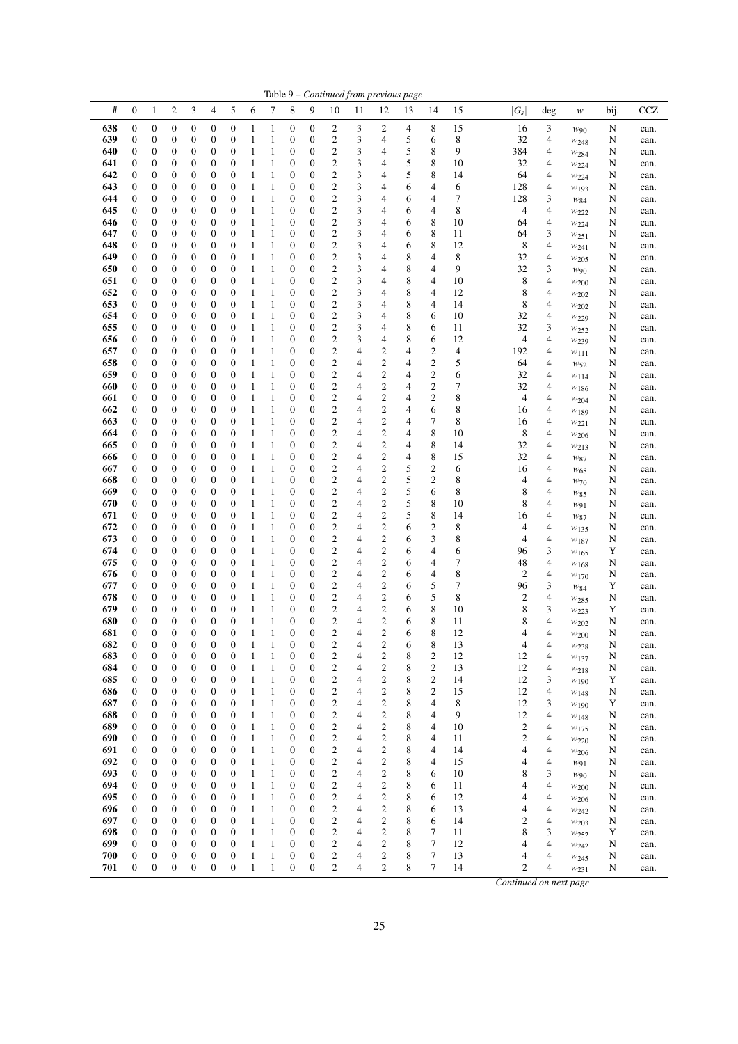|            |                                      |                                      |                                      |                                      |                                      |                                      |                              |                              |                                      |                       |                                             |                | Table 9 - Continued from previous page |        |                         |          |                |                     |                               |        |              |
|------------|--------------------------------------|--------------------------------------|--------------------------------------|--------------------------------------|--------------------------------------|--------------------------------------|------------------------------|------------------------------|--------------------------------------|-----------------------|---------------------------------------------|----------------|----------------------------------------|--------|-------------------------|----------|----------------|---------------------|-------------------------------|--------|--------------|
| #          | 0                                    | 1                                    | 2                                    | 3                                    | 4                                    | 5                                    | 6                            | 7                            | 8                                    | 9                     | 10                                          | 11             | 12                                     | 13     | 14                      | 15       | $ G_s $        | deg                 | $\boldsymbol{W}$              | bij.   | CCZ          |
| 638        | $\boldsymbol{0}$                     | $\boldsymbol{0}$                     | $\boldsymbol{0}$                     | $\boldsymbol{0}$                     | $\boldsymbol{0}$                     | $\boldsymbol{0}$                     | 1                            | $\mathbf{1}$                 | $\boldsymbol{0}$                     | 0                     | $\overline{c}$                              | 3              | 2                                      | 4      | 8                       | 15       | 16             | 3                   | $w_{90}$                      | N      | can.         |
| 639        | $\boldsymbol{0}$                     | $\boldsymbol{0}$                     | 0                                    | 0                                    | $\boldsymbol{0}$                     | 0                                    | $\mathbf{1}$                 | 1                            | $\boldsymbol{0}$                     | 0                     | $\overline{\mathbf{c}}$                     | 3              | 4                                      | 5      | 6                       | 8        | 32             | 4                   | W <sub>248</sub>              | N      | can.         |
| 640<br>641 | 0<br>$\boldsymbol{0}$                | $\boldsymbol{0}$<br>$\boldsymbol{0}$ | 0<br>$\boldsymbol{0}$                | 0<br>0                               | $\boldsymbol{0}$<br>$\boldsymbol{0}$ | 0<br>0                               | 1<br>$\mathbf{1}$            | 1<br>$\mathbf{1}$            | $\mathbf{0}$<br>$\boldsymbol{0}$     | 0<br>0                | $\boldsymbol{2}$<br>$\overline{\mathbf{c}}$ | 3<br>3         | 4<br>4                                 | 5<br>5 | 8<br>8                  | 9<br>10  | 384<br>32      | 4<br>4              | W284<br>W224                  | N<br>N | can.<br>can. |
| 642        | $\mathbf{0}$                         | $\boldsymbol{0}$                     | $\mathbf{0}$                         | 0                                    | $\boldsymbol{0}$                     | 0                                    | 1                            | 1                            | $\mathbf{0}$                         | 0                     | $\mathbf{2}$                                | 3              | 4                                      | 5      | 8                       | 14       | 64             | 4                   | $w_{224}$                     | N      | can.         |
| 643        | $\mathbf{0}$                         | $\boldsymbol{0}$                     | 0                                    | 0                                    | $\boldsymbol{0}$                     | 0                                    | $\mathbf{1}$                 | 1                            | $\boldsymbol{0}$                     | 0                     | $\overline{c}$                              | 3              | 4                                      | 6      | 4                       | 6        | 128            | 4                   | $w_{193}$                     | N      | can.         |
| 644        | $\boldsymbol{0}$                     | $\boldsymbol{0}$                     | 0                                    | $\boldsymbol{0}$                     | $\boldsymbol{0}$                     | $\boldsymbol{0}$                     | 1                            | $\mathbf{1}$                 | $\boldsymbol{0}$                     | 0                     | $\boldsymbol{2}$                            | 3              | 4                                      | 6      | 4                       | 7        | 128            | 3                   | W84                           | N      | can.         |
| 645        | $\mathbf{0}$                         | $\boldsymbol{0}$                     | $\boldsymbol{0}$                     | 0                                    | $\boldsymbol{0}$                     | 0                                    | 1                            | $\mathbf{1}$                 | 0                                    | 0                     | $\mathbf{2}$                                | 3              | 4                                      | 6      | 4                       | 8        | 4              | $\overline{4}$      | W222                          | N      | can.         |
| 646<br>647 | 0<br>0                               | $\boldsymbol{0}$<br>$\boldsymbol{0}$ | 0<br>0                               | 0<br>0                               | $\boldsymbol{0}$<br>$\boldsymbol{0}$ | 0<br>0                               | $\mathbf{1}$<br>1            | $\mathbf{1}$<br>1            | $\boldsymbol{0}$<br>$\mathbf{0}$     | 0<br>0                | $\boldsymbol{2}$<br>$\overline{c}$          | 3<br>3         | 4<br>4                                 | 6<br>6 | 8<br>8                  | 10<br>11 | 64<br>64       | $\overline{4}$<br>3 | $w_{224}$<br>$w_{251}$        | N<br>N | can.<br>can. |
| 648        | 0                                    | $\boldsymbol{0}$                     | $\mathbf{0}$                         | 0                                    | $\boldsymbol{0}$                     | 0                                    | $\mathbf{1}$                 | $\mathbf{1}$                 | $\boldsymbol{0}$                     | 0                     | $\overline{c}$                              | 3              | 4                                      | 6      | 8                       | 12       | 8              | 4                   | W241                          | N      | can.         |
| 649        | $\mathbf{0}$                         | $\boldsymbol{0}$                     | 0                                    | $\boldsymbol{0}$                     | $\boldsymbol{0}$                     | 0                                    | $\mathbf{1}$                 | 1                            | $\boldsymbol{0}$                     | 0                     | $\overline{c}$                              | 3              | 4                                      | 8      | 4                       | 8        | 32             | 4                   | W205                          | N      | can.         |
| 650        | $\boldsymbol{0}$                     | 0                                    | 0                                    | 0                                    | $\boldsymbol{0}$                     | 0                                    | 1                            | 1                            | 0                                    | 0                     | $\overline{\mathbf{c}}$                     | 3              | 4                                      | 8      | 4                       | 9        | 32             | 3                   | $W_{90}$                      | N      | can.         |
| 651        | $\boldsymbol{0}$                     | $\boldsymbol{0}$                     | 0                                    | $\boldsymbol{0}$                     | $\boldsymbol{0}$                     | $\boldsymbol{0}$                     | $\mathbf{1}$                 | $\mathbf{1}$                 | $\boldsymbol{0}$                     | 0                     | $\overline{c}$                              | 3              | 4                                      | 8      | 4                       | 10       | 8              | 4                   | $w_{200}$                     | N      | can.         |
| 652<br>653 | $\mathbf{0}$<br>0                    | $\boldsymbol{0}$<br>0                | $\mathbf{0}$<br>0                    | 0<br>0                               | $\boldsymbol{0}$<br>$\boldsymbol{0}$ | 0<br>0                               | 1<br>1                       | 1<br>$\mathbf{1}$            | $\mathbf{0}$<br>$\boldsymbol{0}$     | 0<br>0                | $\overline{2}$<br>$\overline{\mathbf{c}}$   | 3<br>3         | 4<br>4                                 | 8<br>8 | 4<br>4                  | 12<br>14 | 8<br>8         | $\overline{4}$<br>4 | W202<br>W202                  | N<br>N | can.<br>can. |
| 654        | $\mathbf{0}$                         | $\boldsymbol{0}$                     | $\mathbf{0}$                         | 0                                    | $\boldsymbol{0}$                     | 0                                    | $\mathbf{1}$                 | 1                            | $\mathbf{0}$                         | 0                     | $\overline{c}$                              | 3              | 4                                      | 8      | 6                       | 10       | 32             | 4                   | W <sub>229</sub>              | N      | can.         |
| 655        | $\mathbf{0}$                         | $\boldsymbol{0}$                     | $\mathbf{0}$                         | 0                                    | $\boldsymbol{0}$                     | 0                                    | 1                            | $\mathbf{1}$                 | $\boldsymbol{0}$                     | 0                     | $\overline{\mathbf{c}}$                     | 3              | 4                                      | 8      | 6                       | 11       | 32             | 3                   | $w_{252}$                     | N      | can.         |
| 656        | $\boldsymbol{0}$                     | $\boldsymbol{0}$                     | 0                                    | 0                                    | $\boldsymbol{0}$                     | 0                                    | $\mathbf{1}$                 | $\mathbf{1}$                 | $\boldsymbol{0}$                     | 0                     | $\boldsymbol{2}$                            | 3              | 4                                      | 8      | 6                       | 12       |                | 4<br>4              | W <sub>239</sub>              | N      | can.         |
| 657        | $\mathbf{0}$                         | $\boldsymbol{0}$                     | 0                                    | 0                                    | $\boldsymbol{0}$                     | $\boldsymbol{0}$                     | $\mathbf{1}$                 | $\mathbf{1}$                 | $\boldsymbol{0}$                     | 0                     | $\boldsymbol{2}$                            | 4              | $\overline{c}$                         | 4      | 2                       | 4        | 192            | $\overline{4}$      | $w_{111}$                     | N      | can.         |
| 658<br>659 | 0<br>$\mathbf{0}$                    | $\boldsymbol{0}$<br>$\boldsymbol{0}$ | 0<br>$\boldsymbol{0}$                | 0<br>0                               | $\boldsymbol{0}$<br>$\boldsymbol{0}$ | $\boldsymbol{0}$<br>0                | 1<br>$\mathbf{1}$            | 1<br>1                       | $\boldsymbol{0}$<br>$\boldsymbol{0}$ | 0<br>0                | $\boldsymbol{2}$<br>$\boldsymbol{2}$        | 4<br>4         | $\overline{c}$<br>$\overline{c}$       | 4<br>4 | 2<br>2                  | 5<br>6   | 64<br>32       | 4<br>$\overline{4}$ | $W_{52}$<br>$w_{114}$         | N<br>N | can.<br>can. |
| 660        | $\boldsymbol{0}$                     | $\boldsymbol{0}$                     | $\mathbf{0}$                         | 0                                    | $\boldsymbol{0}$                     | 0                                    | 1                            | $\mathbf{1}$                 | $\boldsymbol{0}$                     | 0                     | $\boldsymbol{2}$                            | 4              | $\overline{\mathbf{c}}$                | 4      | 2                       | 7        | 32             | 4                   | W186                          | N      | can.         |
| 661        | $\mathbf{0}$                         | $\boldsymbol{0}$                     | $\mathbf{0}$                         | 0                                    | $\boldsymbol{0}$                     | 0                                    | 1                            | 1                            | $\mathbf{0}$                         | 0                     | $\mathbf{2}$                                | 4              | $\mathbf{2}$                           | 4      | $\overline{c}$          | 8        | 4              | 4                   | W204                          | N      | can.         |
| 662        | $\mathbf{0}$                         | $\boldsymbol{0}$                     | 0                                    | 0                                    | $\boldsymbol{0}$                     | 0                                    | $\mathbf{1}$                 | $\mathbf{1}$                 | 0                                    | 0                     | $\boldsymbol{2}$                            | 4              | $\overline{\mathbf{c}}$                | 4      | 6                       | 8        | 16             | 4                   | $W$ 189                       | N      | can.         |
| 663        | $\boldsymbol{0}$                     | $\boldsymbol{0}$                     | 0                                    | $\boldsymbol{0}$                     | $\boldsymbol{0}$                     | 0                                    | 1                            | 1                            | $\boldsymbol{0}$                     | 0                     | $\overline{\mathbf{c}}$                     | 4              | $\overline{\mathbf{c}}$                | 4      | 7                       | 8        | 16             | 4                   | $w_{221}$                     | N      | can.         |
| 664<br>665 | $\mathbf{0}$<br>$\mathbf{0}$         | $\boldsymbol{0}$<br>$\mathbf{0}$     | $\mathbf{0}$<br>$\boldsymbol{0}$     | 0<br>0                               | $\boldsymbol{0}$<br>$\boldsymbol{0}$ | 0<br>$\boldsymbol{0}$                | 1<br>1                       | 1<br>$\mathbf{1}$            | $\boldsymbol{0}$<br>$\boldsymbol{0}$ | 0<br>0                | $\mathbf{2}$<br>$\overline{c}$              | 4<br>4         | $\mathbf{2}$<br>$\mathbf{2}$           | 4<br>4 | 8<br>8                  | 10<br>14 | 8<br>32        | $\overline{4}$<br>4 | W206<br>W213                  | N<br>N | can.<br>can. |
| 666        | 0                                    | 0                                    | 0                                    | 0                                    | $\boldsymbol{0}$                     | 0                                    | 1                            | 1                            | $\mathbf{0}$                         | 0                     | $\overline{c}$                              | 4              | $\mathbf{2}$                           | 4      | 8                       | 15       | 32             | 4                   | W87                           | N      | can.         |
| 667        | 0                                    | $\boldsymbol{0}$                     | $\boldsymbol{0}$                     | 0                                    | $\boldsymbol{0}$                     | 0                                    | 1                            | $\mathbf{1}$                 | $\mathbf{0}$                         | 0                     | $\overline{\mathbf{c}}$                     | 4              | $\overline{\mathbf{c}}$                | 5      | 2                       | 6        | 16             | 4                   | $W_{68}$                      | N      | can.         |
| 668        | $\mathbf{0}$                         | $\boldsymbol{0}$                     | 0                                    | 0                                    | $\boldsymbol{0}$                     | 0                                    | $\mathbf{1}$                 | $\mathbf{1}$                 | $\boldsymbol{0}$                     | 0                     | $\boldsymbol{2}$                            | 4              | $\boldsymbol{2}$                       | 5      | 2                       | 8        | 4              | $\overline{4}$      | $W$ 70                        | N      | can.         |
| 669        | $\boldsymbol{0}$                     | $\boldsymbol{0}$                     | 0                                    | 0                                    | $\boldsymbol{0}$                     | 0                                    | $\mathbf{1}$                 | $\mathbf{1}$                 | $\boldsymbol{0}$                     | 0                     | $\overline{\mathbf{c}}$                     | 4              | $\overline{\mathbf{c}}$                | 5      | 6                       | 8        | 8              | $\overline{4}$      | W85                           | N      | can.         |
| 670<br>671 | $\boldsymbol{0}$<br>$\mathbf{0}$     | $\boldsymbol{0}$<br>$\boldsymbol{0}$ | 0<br>$\boldsymbol{0}$                | $\boldsymbol{0}$<br>0                | $\boldsymbol{0}$<br>$\boldsymbol{0}$ | $\boldsymbol{0}$<br>0                | $\mathbf{1}$<br>1            | $\mathbf{1}$<br>1            | $\boldsymbol{0}$<br>$\boldsymbol{0}$ | 0<br>0                | $\overline{c}$<br>$\mathbf{2}$              | 4<br>4         | $\mathbf{2}$<br>$\sqrt{2}$             | 5<br>5 | 8<br>8                  | 10<br>14 | 8<br>16        | 4<br>4              | W91<br>W87                    | N<br>N | can.<br>can. |
| 672        | 0                                    | 0                                    | 0                                    | 0                                    | $\boldsymbol{0}$                     | 0                                    | $\mathbf{1}$                 | $\mathbf{1}$                 | $\boldsymbol{0}$                     | 0                     | $\boldsymbol{2}$                            | 4              | $\overline{\mathbf{c}}$                | 6      | $\overline{\mathbf{c}}$ | 8        | 4              | 4                   | W135                          | N      | can.         |
| 673        | $\mathbf{0}$                         | $\boldsymbol{0}$                     | $\mathbf{0}$                         | 0                                    | $\boldsymbol{0}$                     | 0                                    | 1                            | 1                            | $\mathbf{0}$                         | 0                     | $\boldsymbol{2}$                            | 4              | $\mathbf{2}$                           | 6      | 3                       | 8        | 4              | $\overline{4}$      | W187                          | N      | can.         |
| 674        | $\mathbf{0}$                         | 0                                    | $\mathbf{0}$                         | 0                                    | $\boldsymbol{0}$                     | 0                                    | 1                            | $\mathbf{1}$                 | $\boldsymbol{0}$                     | 0                     | $\mathbf{2}$                                | 4              | $\mathbf{2}$                           | 6      | 4                       | 6        | 96             | 3                   | W <sub>165</sub>              | Y      | can.         |
| 675        | 0                                    | $\boldsymbol{0}$                     | $\boldsymbol{0}$<br>0                | 0                                    | $\boldsymbol{0}$                     | 0                                    | 1                            | 1                            | $\boldsymbol{0}$                     | 0                     | $\boldsymbol{2}$<br>$\boldsymbol{2}$        | 4              | $\overline{c}$<br>$\overline{c}$       | 6      | 4                       | 7<br>8   | 48<br>2        | 4<br>$\overline{4}$ | W <sub>168</sub>              | N      | can.         |
| 676<br>677 | $\boldsymbol{0}$<br>0                | $\boldsymbol{0}$<br>$\boldsymbol{0}$ | 0                                    | $\boldsymbol{0}$<br>0                | $\boldsymbol{0}$<br>$\boldsymbol{0}$ | $\boldsymbol{0}$<br>$\boldsymbol{0}$ | $\mathbf{1}$<br>1            | $\mathbf{1}$<br>1            | $\boldsymbol{0}$<br>$\boldsymbol{0}$ | 0<br>0                | $\boldsymbol{2}$                            | 4<br>4         | $\overline{c}$                         | 6<br>6 | 4<br>5                  | 7        | 96             | 3                   | W170<br>W84                   | N<br>Y | can.<br>can. |
| 678        | $\mathbf{0}$                         | $\boldsymbol{0}$                     | $\boldsymbol{0}$                     | 0                                    | $\boldsymbol{0}$                     | 0                                    | 1                            | 1                            | $\boldsymbol{0}$                     | 0                     | $\boldsymbol{2}$                            | 4              | $\overline{c}$                         | 6      | 5                       | 8        | 2              | $\overline{4}$      | $w_{285}$                     | N      | can.         |
| 679        | 0                                    | $\boldsymbol{0}$                     | 0                                    | 0                                    | $\boldsymbol{0}$                     | 0                                    | 1                            | $\mathbf{1}$                 | $\boldsymbol{0}$                     | 0                     | $\overline{\mathbf{c}}$                     | 4              | $\mathbf{2}$                           | 6      | 8                       | 10       | 8              | 3                   | $w_{223}$                     | Y      | can.         |
| 680        | $\mathbf{0}$                         | $\boldsymbol{0}$                     | $\mathbf{0}$                         | 0                                    | $\boldsymbol{0}$                     | 0                                    | 1                            | $\mathbf{1}$                 | $\mathbf{0}$                         | $\boldsymbol{0}$      | $\mathbf{2}$                                | 4              | $\mathbf{2}$                           | 6      | 8                       | 11       | 8              | $\overline{4}$      | W202                          | N      | can.         |
| 681        | $\mathbf{0}$<br>$\boldsymbol{0}$     | $\boldsymbol{0}$<br>$\boldsymbol{0}$ | 0<br>0                               | 0<br>$\boldsymbol{0}$                | $\boldsymbol{0}$                     | $\overline{0}$<br>0                  | 1                            | $\mathbf{1}$                 | $\mathbf{0}$<br>$\mathbf{0}$         | $\boldsymbol{0}$<br>0 | $\overline{2}$<br>2                         | 4              | $\overline{2}$<br>2                    | 6<br>6 | 8<br>8                  | 12       | 4              | 4                   | W200                          | N      | can.         |
| 682<br>683 | $\boldsymbol{0}$                     | $\boldsymbol{0}$                     | $\boldsymbol{0}$                     | $\boldsymbol{0}$                     | $\mathbf{0}$<br>$\boldsymbol{0}$     | $\boldsymbol{0}$                     | 1<br>$\mathbf{1}$            | I<br>$\mathbf{1}$            | $\boldsymbol{0}$                     | 0                     | $\overline{c}$                              | 4<br>4         | $\boldsymbol{2}$                       | 8      | $\mathfrak{2}$          | 13<br>12 | 4<br>12        | 4<br>4              | W <sub>238</sub><br>$w_{137}$ | N<br>N | can.<br>can. |
| 684        | 0                                    | $\boldsymbol{0}$                     | $\boldsymbol{0}$                     | $\boldsymbol{0}$                     | $\mathbf{0}$                         | $\boldsymbol{0}$                     | $\mathbf{1}$                 | $\mathbf{1}$                 | $\boldsymbol{0}$                     | 0                     | $\overline{c}$                              | 4              | $\mathfrak{2}$                         | 8      | $\overline{c}$          | 13       | 12             | 4                   | $w_{218}$                     | N      | can.         |
| 685        | $\boldsymbol{0}$                     | $\boldsymbol{0}$                     | 0                                    | $\boldsymbol{0}$                     | $\mathbf{0}$                         | 0                                    | $\mathbf{1}$                 | $\mathbf{1}$                 | $\boldsymbol{0}$                     | 0                     | $\overline{c}$                              | 4              | $\boldsymbol{2}$                       | 8      | $\mathfrak{2}$          | 14       | 12             | 3                   | W190                          | Y      | can.         |
| 686        | 0                                    | $\boldsymbol{0}$                     | 0                                    | $\boldsymbol{0}$                     | $\boldsymbol{0}$                     | 0                                    | $\mathbf{1}$                 | $\,1$                        | $\boldsymbol{0}$                     | 0                     | $\overline{c}$                              | 4              | $\overline{c}$                         | 8      | $\overline{c}$          | 15       | 12             | 4                   | W148                          | N      | can.         |
| 687<br>688 | 0<br>$\boldsymbol{0}$                | $\boldsymbol{0}$<br>$\boldsymbol{0}$ | $\boldsymbol{0}$<br>0                | $\boldsymbol{0}$<br>$\boldsymbol{0}$ | $\mathbf{0}$<br>$\mathbf{0}$         | $\boldsymbol{0}$<br>$\boldsymbol{0}$ | $\mathbf{1}$<br>$\mathbf{1}$ | $\mathbf{1}$<br>$\mathbf{1}$ | $\boldsymbol{0}$<br>$\boldsymbol{0}$ | $\boldsymbol{0}$<br>0 | $\sqrt{2}$<br>$\sqrt{2}$                    | 4<br>4         | $\sqrt{2}$<br>$\overline{c}$           | 8<br>8 | 4<br>4                  | 8<br>9   | 12<br>12       | 3<br>$\overline{4}$ | $w_{190}$<br>W148             | Y<br>N | can.<br>can. |
| 689        | $\boldsymbol{0}$                     | $\boldsymbol{0}$                     | $\boldsymbol{0}$                     | $\boldsymbol{0}$                     | $\boldsymbol{0}$                     | 0                                    | $\mathbf{1}$                 | $\mathbf{1}$                 | $\boldsymbol{0}$                     | 0                     | $\mathbf{2}$                                | 4              | $\boldsymbol{2}$                       | 8      | 4                       | 10       | $\mathfrak{2}$ | 4                   | W175                          | N      | can.         |
| 690        | $\boldsymbol{0}$                     | $\boldsymbol{0}$                     | $\boldsymbol{0}$                     | $\boldsymbol{0}$                     | $\boldsymbol{0}$                     | 0                                    | $\mathbf{1}$                 | $\mathbf{1}$                 | $\boldsymbol{0}$                     | 0                     | $\boldsymbol{2}$                            | 4              | $\mathfrak{2}$                         | 8      | 4                       | 11       | 2              | 4                   | $w_{220}$                     | N      | can.         |
| 691        | $\boldsymbol{0}$                     | $\boldsymbol{0}$                     | 0                                    | $\boldsymbol{0}$                     | $\boldsymbol{0}$                     | 0                                    | $\mathbf{1}$                 | $\mathbf{1}$                 | $\boldsymbol{0}$                     | 0                     | $\sqrt{2}$                                  | 4              | $\overline{c}$                         | 8      | 4                       | 14       | 4              | 4                   | $w_{206}$                     | N      | can.         |
| 692<br>693 | $\boldsymbol{0}$                     | $\boldsymbol{0}$                     | $\boldsymbol{0}$<br>$\boldsymbol{0}$ | $\boldsymbol{0}$                     | $\boldsymbol{0}$                     | $\boldsymbol{0}$                     | $\mathbf{1}$                 | $\mathbf{1}$                 | $\boldsymbol{0}$                     | $\boldsymbol{0}$      | $\mathbf{2}$                                | 4<br>4         | $\mathfrak{2}$<br>$\mathfrak{2}$       | 8      | 4                       | 15       | 4              | 4                   | W91                           | N      | can.         |
| 694        | 0<br>$\boldsymbol{0}$                | $\boldsymbol{0}$<br>$\boldsymbol{0}$ | 0                                    | $\boldsymbol{0}$<br>$\boldsymbol{0}$ | $\boldsymbol{0}$<br>$\boldsymbol{0}$ | $\boldsymbol{0}$<br>0                | $\mathbf{1}$<br>$\mathbf{1}$ | $\mathbf{1}$<br>$\mathbf{1}$ | $\boldsymbol{0}$<br>$\boldsymbol{0}$ | 0<br>0                | $\sqrt{2}$<br>$\sqrt{2}$                    | 4              | $\sqrt{2}$                             | 8<br>8 | 6<br>6                  | 10<br>11 | 8              | 3<br>4<br>4         | W90<br>W200                   | N<br>N | can.<br>can. |
| 695        | $\boldsymbol{0}$                     | $\boldsymbol{0}$                     | 0                                    | $\boldsymbol{0}$                     | $\boldsymbol{0}$                     | 0                                    | $\mathbf{1}$                 | $\mathbf{1}$                 | 0                                    | 0                     | $\sqrt{2}$                                  | 4              | $\overline{c}$                         | 8      | 6                       | 12       | 4              | $\overline{4}$      | $w_{206}$                     | N      | can.         |
| 696        | $\boldsymbol{0}$                     | $\boldsymbol{0}$                     | $\boldsymbol{0}$                     | $\boldsymbol{0}$                     | $\boldsymbol{0}$                     | 0                                    | $\mathbf{1}$                 | $\mathbf{1}$                 | $\boldsymbol{0}$                     | $\boldsymbol{0}$      | $\boldsymbol{2}$                            | 4              | $\mathfrak{2}$                         | 8      | 6                       | 13       | 4              | 4                   | W242                          | N      | can.         |
| 697        | $\boldsymbol{0}$                     | $\boldsymbol{0}$                     | 0                                    | $\boldsymbol{0}$                     | $\boldsymbol{0}$                     | $\boldsymbol{0}$                     | $\mathbf{1}$                 | $\mathbf{1}$                 | $\boldsymbol{0}$                     | 0                     | $\sqrt{2}$                                  | 4              | $\overline{c}$                         | 8      | 6                       | 14       | 2              | $\overline{4}$      | $w_{203}$                     | N      | can.         |
| 698        | 0                                    | $\boldsymbol{0}$                     | 0                                    | 0                                    | $\boldsymbol{0}$                     | 0                                    | $\mathbf{1}$                 | $\mathbf{1}$                 | 0                                    | 0                     | $\overline{c}$                              | 4              | $\boldsymbol{2}$                       | 8      | 7                       | 11       | 8              | 3                   | $w_{252}$                     | Y      | can.         |
| 699<br>700 | $\boldsymbol{0}$<br>$\boldsymbol{0}$ | $\boldsymbol{0}$<br>$\boldsymbol{0}$ | $\boldsymbol{0}$<br>0                | $\boldsymbol{0}$<br>$\boldsymbol{0}$ | $\boldsymbol{0}$<br>$\boldsymbol{0}$ | 0<br>$\boldsymbol{0}$                | $\mathbf{1}$<br>$\mathbf{1}$ | $\mathbf{1}$<br>$\,1\,$      | $\boldsymbol{0}$<br>$\boldsymbol{0}$ | 0<br>0                | $\overline{c}$<br>$\overline{c}$            | 4<br>4         | $\boldsymbol{2}$<br>$\overline{c}$     | 8<br>8 | 7<br>7                  | 12<br>13 | 4              | 4<br>4<br>4         | $w_{242}$                     | N<br>N | can.<br>can. |
| 701        | $\boldsymbol{0}$                     | $\mathbf{0}$                         | $\boldsymbol{0}$                     | $\boldsymbol{0}$                     | $\boldsymbol{0}$                     | 0                                    | $\mathbf{1}$                 | $\mathbf{1}$                 | $\boldsymbol{0}$                     | $\boldsymbol{0}$      | $\overline{c}$                              | $\overline{4}$ | $\overline{c}$                         | 8      | 7                       | 14       |                | 2<br>$\overline{4}$ | $w_{245}$<br>$w_{231}$        | N      | can.         |
|            |                                      |                                      |                                      |                                      |                                      |                                      |                              |                              |                                      |                       |                                             |                |                                        |        |                         |          |                |                     |                               |        |              |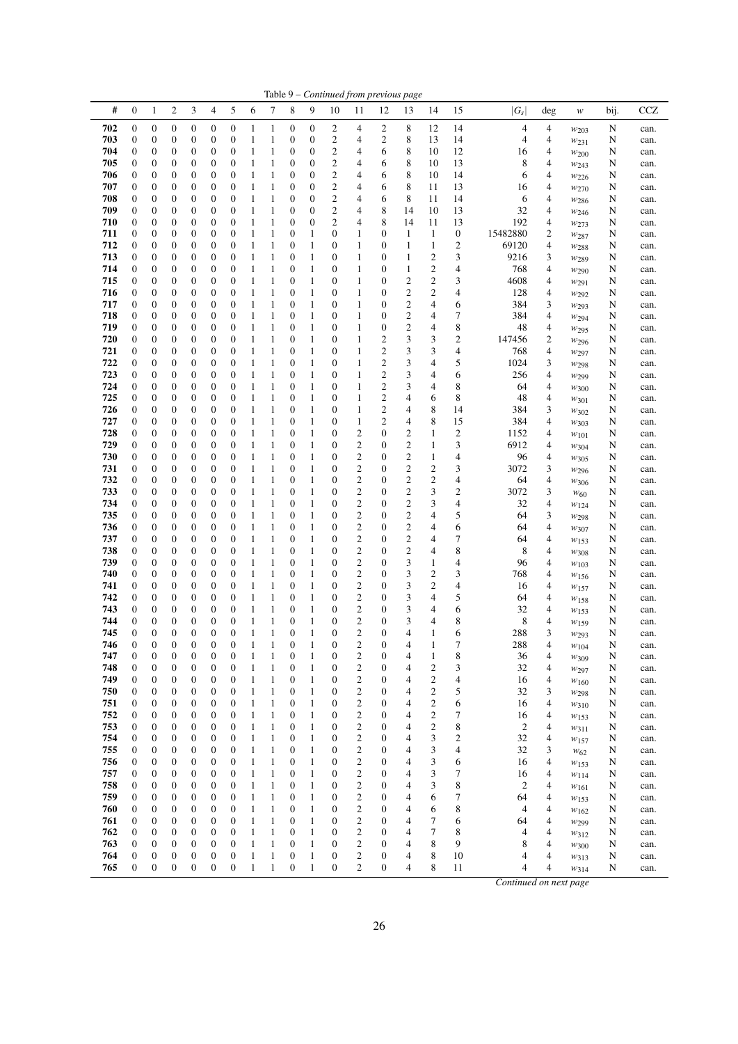|            |                                      |                                      |                  |                                      |                                      |                                      |                   |                              |                       |                                      |                                      |                                             | Table 9 - Continued from previous page |                                    |                                  |                  |                        |                  |                          |        |              |
|------------|--------------------------------------|--------------------------------------|------------------|--------------------------------------|--------------------------------------|--------------------------------------|-------------------|------------------------------|-----------------------|--------------------------------------|--------------------------------------|---------------------------------------------|----------------------------------------|------------------------------------|----------------------------------|------------------|------------------------|------------------|--------------------------|--------|--------------|
| #          | $\mathbf{0}$                         | 1                                    | $\overline{c}$   | 3                                    | $\overline{\mathcal{A}}$             | 5                                    | 6                 | 7                            | 8                     | 9                                    | 10                                   | 11                                          | 12                                     | 13                                 | 14                               | 15               | $ G_s $                | deg              | w                        | bij.   | <b>CCZ</b>   |
| 702        | $\boldsymbol{0}$                     | $\boldsymbol{0}$                     | 0                | $\boldsymbol{0}$                     | $\boldsymbol{0}$                     | $\boldsymbol{0}$                     | 1                 | $\mathbf{1}$                 | 0                     | $\boldsymbol{0}$                     | 2                                    | 4                                           | 2                                      | 8                                  | 12                               | 14               | 4                      | 4                | $w_{203}$                | N      | can.         |
| 703        | $\boldsymbol{0}$                     | $\boldsymbol{0}$                     | 0                | 0                                    | $\boldsymbol{0}$                     | $\boldsymbol{0}$                     | 1                 | 1                            | 0                     | $\boldsymbol{0}$                     | 2                                    | 4                                           | $\boldsymbol{2}$                       | 8                                  | 13                               | 14               | 4                      | 4                | $w_{231}$                | N      | can.         |
| 704<br>705 | $\boldsymbol{0}$                     | $\boldsymbol{0}$<br>$\boldsymbol{0}$ | 0                | 0<br>0                               | $\boldsymbol{0}$<br>$\boldsymbol{0}$ | $\boldsymbol{0}$<br>$\boldsymbol{0}$ | 1<br>1            | 1                            | 0                     | $\boldsymbol{0}$<br>$\boldsymbol{0}$ | 2                                    | 4<br>4                                      | 6                                      | 8<br>8                             | 10<br>10                         | 12<br>13         | 16                     | 4<br>4           | W200                     | N      | can.         |
| 706        | $\boldsymbol{0}$<br>$\boldsymbol{0}$ | 0                                    | 0<br>0           | 0                                    | $\boldsymbol{0}$                     | $\boldsymbol{0}$                     | 1                 | 1<br>1                       | 0<br>0                | $\boldsymbol{0}$                     | 2<br>2                               | 4                                           | 6<br>6                                 | 8                                  | 10                               | 14               | 8<br>6                 | 4                | W243<br>$w_{226}$        | N<br>N | can.<br>can. |
| 707        | $\boldsymbol{0}$                     | 0                                    | 0                | 0                                    | $\mathbf{0}$                         | $\boldsymbol{0}$                     | 1                 | 1                            | $\boldsymbol{0}$      | $\boldsymbol{0}$                     | 2                                    | 4                                           | 6                                      | 8                                  | 11                               | 13               | 16                     | 4                | $w_{270}$                | N      | can.         |
| 708        | $\mathbf{0}$                         | 0                                    | $\boldsymbol{0}$ | 0                                    | $\boldsymbol{0}$                     | $\boldsymbol{0}$                     | 1                 | 1                            | $\boldsymbol{0}$      | $\boldsymbol{0}$                     | 2                                    | 4                                           | 6                                      | $\,$ 8 $\,$                        | 11                               | 14               | 6                      | 4                | W <sub>286</sub>         | N      | can.         |
| 709        | $\boldsymbol{0}$                     | 0                                    | 0                | 0                                    | $\boldsymbol{0}$                     | $\boldsymbol{0}$                     | 1                 | $\mathbf{1}$                 | $\boldsymbol{0}$      | $\boldsymbol{0}$                     | 2                                    | 4                                           | 8                                      | 14                                 | 10                               | 13               | 32                     | 4                | W246                     | N      | can.         |
| 710        | $\mathbf{0}$                         | $\boldsymbol{0}$                     | 0                | 0                                    | $\boldsymbol{0}$                     | $\boldsymbol{0}$                     | 1                 | 1                            | $\boldsymbol{0}$      | $\boldsymbol{0}$                     | 2                                    | 4                                           | 8                                      | 14                                 | 11                               | 13               | 192                    | 4                | $w_{273}$                | N      | can.         |
| 711        | $\boldsymbol{0}$                     | $\boldsymbol{0}$                     | 0                | 0                                    | $\boldsymbol{0}$                     | $\boldsymbol{0}$                     | 1                 | 1                            | $\boldsymbol{0}$      | 1                                    | 0                                    | 1                                           | $\boldsymbol{0}$                       | $\mathbf{1}$                       | $\mathbf{1}$                     | $\boldsymbol{0}$ | 15482880               | $\boldsymbol{2}$ | $w_{287}$                | N      | can.         |
| 712<br>713 | $\boldsymbol{0}$<br>$\mathbf{0}$     | 0<br>$\boldsymbol{0}$                | 0<br>0           | 0<br>0                               | $\boldsymbol{0}$<br>$\boldsymbol{0}$ | $\boldsymbol{0}$<br>$\boldsymbol{0}$ | 1<br>1            | 1<br>1                       | 0<br>$\mathbf{0}$     | $\mathbf{1}$<br>$\mathbf{1}$         | $\boldsymbol{0}$<br>0                | 1<br>$\mathbf{1}$                           | $\boldsymbol{0}$<br>$\boldsymbol{0}$   | $\mathbf{1}$<br>$\mathbf{1}$       | $\mathbf{1}$<br>$\mathfrak{2}$   | 2<br>3           | 69120<br>9216          | 4<br>3           | W288                     | N<br>N | can.<br>can. |
| 714        | 0                                    | 0                                    | 0                | 0                                    | $\boldsymbol{0}$                     | $\boldsymbol{0}$                     | 1                 | 1                            | $\mathbf{0}$          | 1                                    | 0                                    | 1                                           | $\boldsymbol{0}$                       | $\mathbf{1}$                       | $\mathbf{2}$                     | 4                | 768                    | 4                | W289<br>$w_{290}$        | N      | can.         |
| 715        | $\mathbf{0}$                         | $\boldsymbol{0}$                     | 0                | 0                                    | $\boldsymbol{0}$                     | $\boldsymbol{0}$                     | 1                 | 1                            | $\boldsymbol{0}$      | 1                                    | $\boldsymbol{0}$                     | 1                                           | $\boldsymbol{0}$                       | 2                                  | 2                                | 3                | 4608                   | 4                | $w_{291}$                | N      | can.         |
| 716        | $\boldsymbol{0}$                     | $\boldsymbol{0}$                     | 0                | 0                                    | $\boldsymbol{0}$                     | $\boldsymbol{0}$                     | 1                 | $\mathbf{1}$                 | 0                     | $\mathbf{1}$                         | $\boldsymbol{0}$                     | 1                                           | $\boldsymbol{0}$                       | $\boldsymbol{2}$                   | $\mathfrak{2}$                   | 4                | 128                    | 4                | W <sub>292</sub>         | N      | can.         |
| 717        | $\mathbf{0}$                         | $\boldsymbol{0}$                     | 0                | 0                                    | $\boldsymbol{0}$                     | $\boldsymbol{0}$                     | 1                 | $\mathbf{1}$                 | 0                     | $\mathbf{1}$                         | 0                                    | 1                                           | $\boldsymbol{0}$                       | $\boldsymbol{2}$                   | 4                                | 6                | 384                    | 3                | W293                     | N      | can.         |
| 718        | $\boldsymbol{0}$                     | $\boldsymbol{0}$                     | 0                | 0                                    | $\mathbf{0}$                         | $\boldsymbol{0}$                     | 1                 | 1                            | 0                     | $\mathbf{1}$                         | 0                                    | 1                                           | $\boldsymbol{0}$                       | $\mathfrak{2}$                     | 4                                | 7                | 384                    | 4                | $w_{294}$                | N      | can.         |
| 719        | 0                                    | 0                                    | 0                | 0                                    | $\boldsymbol{0}$                     | $\boldsymbol{0}$                     | 1                 | 1                            | 0                     | $\mathbf{1}$                         | 0                                    | 1                                           | $\boldsymbol{0}$                       | $\overline{c}$                     | 4                                | 8                | 48                     | 4                | W <sub>295</sub>         | N      | can.         |
| 720<br>721 | $\mathbf{0}$<br>$\mathbf{0}$         | 0<br>0                               | 0<br>0           | 0<br>0                               | $\boldsymbol{0}$<br>$\boldsymbol{0}$ | $\boldsymbol{0}$<br>$\boldsymbol{0}$ | 1<br>1            | 1<br>1                       | $\boldsymbol{0}$<br>0 | $\mathbf{1}$<br>1                    | 0<br>0                               | $\mathbf{1}$<br>$\mathbf{1}$                | 2<br>$\mathfrak{2}$                    | 3<br>3                             | 3<br>3                           | 2<br>4           | 147456<br>768          | 2<br>4           | W296                     | N<br>N | can.         |
| 722        | $\boldsymbol{0}$                     | 0                                    | 0                | 0                                    | $\boldsymbol{0}$                     | $\boldsymbol{0}$                     | 1                 | $\mathbf{1}$                 | $\boldsymbol{0}$      | $\mathbf{1}$                         | $\boldsymbol{0}$                     | $\mathbf{1}$                                | $\boldsymbol{2}$                       | 3                                  | 4                                | 5                | 1024                   | 3                | W297<br>W <sub>298</sub> | N      | can.<br>can. |
| 723        | $\boldsymbol{0}$                     | $\boldsymbol{0}$                     | 0                | 0                                    | $\boldsymbol{0}$                     | $\boldsymbol{0}$                     | 1                 | $\mathbf{1}$                 | 0                     | $\mathbf{1}$                         | 0                                    | $\mathbf{1}$                                | $\mathfrak{2}$                         | 3                                  | 4                                | 6                | 256                    | 4                | W <sub>299</sub>         | N      | can.         |
| 724        | $\boldsymbol{0}$                     | $\boldsymbol{0}$                     | 0                | 0                                    | $\boldsymbol{0}$                     | $\boldsymbol{0}$                     | 1                 | $\mathbf{1}$                 | 0                     | $\mathbf{1}$                         | 0                                    | 1                                           | $\boldsymbol{2}$                       | 3                                  | 4                                | 8                | 64                     | 4                | W300                     | N      | can.         |
| 725        | $\boldsymbol{0}$                     | 0                                    | 0                | 0                                    | $\boldsymbol{0}$                     | $\boldsymbol{0}$                     | 1                 | 1                            | $\mathbf{0}$          | $\mathbf{1}$                         | $\boldsymbol{0}$                     | $\mathbf{1}$                                | $\mathfrak{2}$                         | 4                                  | 6                                | 8                | 48                     | 4                | W301                     | N      | can.         |
| 726        | $\boldsymbol{0}$                     | 0                                    | 0                | 0                                    | $\boldsymbol{0}$                     | $\boldsymbol{0}$                     | 1                 | 1                            | $\boldsymbol{0}$      | $\mathbf{1}$                         | $\boldsymbol{0}$                     | 1                                           | $\boldsymbol{2}$                       | 4                                  | 8                                | 14               | 384                    | 3                | $w_{302}$                | N      | can.         |
| 727        | $\boldsymbol{0}$                     | 0                                    | 0                | 0                                    | $\boldsymbol{0}$                     | $\boldsymbol{0}$                     | 1                 | 1                            | $\boldsymbol{0}$      | $\mathbf{1}$                         | $\boldsymbol{0}$                     | $\mathbf{1}$                                | $\boldsymbol{2}$                       | 4                                  | 8                                | 15               | 384                    | 4                | $w_{303}$                | N      | can.         |
| 728<br>729 | $\boldsymbol{0}$<br>$\mathbf{0}$     | 0<br>$\boldsymbol{0}$                | 0<br>0           | 0<br>0                               | $\boldsymbol{0}$<br>$\boldsymbol{0}$ | $\boldsymbol{0}$<br>$\boldsymbol{0}$ | 1<br>1            | $\mathbf{1}$<br>1            | 0<br>$\boldsymbol{0}$ | $\mathbf{1}$<br>$\mathbf{1}$         | 0<br>$\boldsymbol{0}$                | $\boldsymbol{2}$<br>$\overline{\mathbf{c}}$ | $\boldsymbol{0}$<br>$\boldsymbol{0}$   | $\overline{c}$<br>$\boldsymbol{2}$ | $\mathbf{1}$<br>$\mathbf{1}$     | 2<br>3           | 1152<br>6912           | 4<br>4           | $w_{101}$                | N<br>N | can.         |
| 730        | $\mathbf{0}$                         | $\boldsymbol{0}$                     | 0                | 0                                    | $\boldsymbol{0}$                     | $\boldsymbol{0}$                     | 1                 | $\mathbf{1}$                 | $\boldsymbol{0}$      | $\mathbf{1}$                         | 0                                    | $\overline{c}$                              | $\boldsymbol{0}$                       | $\mathfrak{2}$                     | 1                                | 4                | 96                     | 4                | W304<br>$w_{305}$        | N      | can.<br>can. |
| 731        | $\boldsymbol{0}$                     | $\boldsymbol{0}$                     | 0                | 0                                    | $\boldsymbol{0}$                     | $\boldsymbol{0}$                     | 1                 | 1                            | 0                     | 1                                    | 0                                    | $\mathfrak{2}$                              | $\boldsymbol{0}$                       | $\mathfrak{2}$                     | $\mathfrak{2}$                   | 3                | 3072                   | 3                | $w_{296}$                | N      | can.         |
| 732        | $\mathbf{0}$                         | 0                                    | 0                | 0                                    | $\boldsymbol{0}$                     | $\boldsymbol{0}$                     | 1                 | 1                            | $\boldsymbol{0}$      | $\mathbf{1}$                         | 0                                    | $\mathbf{2}$                                | $\boldsymbol{0}$                       | $\mathfrak{2}$                     | $\mathfrak{2}$                   | 4                | 64                     | 4                | W306                     | N      | can.         |
| 733        | $\mathbf{0}$                         | 0                                    | 0                | 0                                    | $\boldsymbol{0}$                     | $\boldsymbol{0}$                     | 1                 | 1                            | $\mathbf{0}$          | 1                                    | 0                                    | $\overline{c}$                              | $\boldsymbol{0}$                       | $\mathfrak{2}$                     | 3                                | 2                | 3072                   | 3                | W <sub>60</sub>          | N      | can.         |
| 734        | $\mathbf{0}$                         | $\boldsymbol{0}$                     | 0                | 0                                    | $\boldsymbol{0}$                     | $\boldsymbol{0}$                     | 1                 | 1                            | $\boldsymbol{0}$      | 1                                    | $\boldsymbol{0}$                     | $\mathfrak{2}$                              | $\boldsymbol{0}$                       | $\overline{c}$                     | 3                                | 4                | 32                     | 4                | W124                     | N      | can.         |
| 735        | $\boldsymbol{0}$                     | 0                                    | 0                | 0                                    | $\boldsymbol{0}$                     | $\boldsymbol{0}$                     | 1                 | $\mathbf{1}$                 | 0                     | $\mathbf{1}$                         | $\boldsymbol{0}$                     | $\mathfrak{2}$                              | $\boldsymbol{0}$                       | $\overline{c}$                     | 4                                | 5                | 64                     | 3                | $w_{298}$                | N      | can.         |
| 736<br>737 | $\boldsymbol{0}$<br>$\mathbf{0}$     | $\boldsymbol{0}$<br>$\boldsymbol{0}$ | 0<br>0           | 0<br>0                               | $\boldsymbol{0}$<br>$\mathbf{0}$     | $\boldsymbol{0}$<br>$\boldsymbol{0}$ | 1<br>1            | $\mathbf{1}$<br>1            | 0<br>$\boldsymbol{0}$ | $\mathbf{1}$<br>$\mathbf{1}$         | $\boldsymbol{0}$<br>0                | $\overline{c}$<br>$\overline{c}$            | $\boldsymbol{0}$<br>$\boldsymbol{0}$   | $\boldsymbol{2}$<br>$\mathfrak{2}$ | 4<br>4                           | 6<br>7           | 64<br>64               | 4<br>4           | W307                     | N<br>N | can.<br>can. |
| 738        | $\boldsymbol{0}$                     | 0                                    | 0                | 0                                    | $\boldsymbol{0}$                     | $\boldsymbol{0}$                     | 1                 | 1                            | 0                     | $\mathbf{1}$                         | 0                                    | $\boldsymbol{2}$                            | $\boldsymbol{0}$                       | $\boldsymbol{2}$                   | 4                                | 8                | 8                      | 4                | W153<br>W308             | N      | can.         |
| 739        | $\mathbf{0}$                         | 0                                    | 0                | 0                                    | $\boldsymbol{0}$                     | $\boldsymbol{0}$                     | 1                 | 1                            | $\mathbf{0}$          | $\mathbf{1}$                         | $\boldsymbol{0}$                     | $\mathbf{2}$                                | $\boldsymbol{0}$                       | 3                                  | 1                                | 4                | 96                     | 4                | $w_{103}$                | N      | can.         |
| 740        | $\mathbf{0}$                         | 0                                    | 0                | 0                                    | $\mathbf{0}$                         | $\boldsymbol{0}$                     | 1                 | 1                            | 0                     | 1                                    | 0                                    | $\boldsymbol{2}$                            | $\boldsymbol{0}$                       | 3                                  | $\boldsymbol{2}$                 | 3                | 768                    | 4                | W156                     | N      | can.         |
| 741        | $\boldsymbol{0}$                     | 0                                    | 0                | 0                                    | $\boldsymbol{0}$                     | $\boldsymbol{0}$                     | 1                 | $\mathbf{1}$                 | 0                     | $\mathbf{1}$                         | $\boldsymbol{0}$                     | 2                                           | $\boldsymbol{0}$                       | 3                                  | $\boldsymbol{2}$                 | 4                | 16                     | 4                | W157                     | N      | can.         |
| 742        | $\boldsymbol{0}$                     | $\boldsymbol{0}$                     | 0                | 0                                    | $\boldsymbol{0}$                     | $\boldsymbol{0}$                     | 1                 | $\mathbf{1}$                 | 0                     | 1                                    | $\boldsymbol{0}$                     | $\boldsymbol{2}$                            | $\boldsymbol{0}$                       | 3                                  | 4                                | 5                | 64                     | 4                | $w_{158}$                | N      | can.         |
| 743<br>744 | $\boldsymbol{0}$<br>$\mathbf{0}$     | $\boldsymbol{0}$<br>$\mathbf{0}$     | 0<br>0           | 0<br>$\boldsymbol{0}$                | $\boldsymbol{0}$<br>$\boldsymbol{0}$ | $\boldsymbol{0}$<br>$\mathbf{0}$     | 1<br>1            | 1<br>1                       | 0<br>$\boldsymbol{0}$ | 1<br>$\mathbf{1}$                    | 0<br>$\boldsymbol{0}$                | $\mathbf{2}$<br>$\mathfrak{2}$              | $\boldsymbol{0}$<br>$\boldsymbol{0}$   | 3<br>3                             | 4<br>4                           | 6<br>8           | 32<br>8                | 4<br>4           | $w_{153}$                | N      | can.         |
| 745        | $\mathbf{0}$                         | $\overline{0}$                       | 0                | $\boldsymbol{0}$                     | $\boldsymbol{0}$                     | $\mathbf{0}$                         | 1                 | $\mathbf{1}$                 | $\mathbf{0}$          | $\mathbf{1}$                         | $\mathbf{0}$                         | $\overline{c}$                              | $\mathbf{0}$                           | 4                                  | $\mathbf{1}$                     | 6                | 288                    | 3                | W159<br>W293             | N<br>N | can.<br>can. |
| 746        | $\boldsymbol{0}$                     | $\mathbf{0}$                         | $\boldsymbol{0}$ | $\boldsymbol{0}$                     | $\boldsymbol{0}$                     | $\mathbf{0}$                         | 1                 |                              | $\boldsymbol{0}$      | $\mathbf{1}$                         | $\boldsymbol{0}$                     | 2                                           | 0                                      | 4                                  | $\mathbf{1}$                     | 7                | 288                    | 4                | $w_{104}$                | N      | can.         |
| 747        | $\boldsymbol{0}$                     | $\boldsymbol{0}$                     | 0                | $\boldsymbol{0}$                     | $\boldsymbol{0}$                     | $\boldsymbol{0}$                     | 1                 | 1                            | $\boldsymbol{0}$      | 1                                    | 0                                    | 2                                           | $\boldsymbol{0}$                       | 4                                  | 1                                | 8                | 36                     | 4                | $w_{309}$                | N      | can.         |
| 748        | $\boldsymbol{0}$                     | $\boldsymbol{0}$                     | $\boldsymbol{0}$ | $\boldsymbol{0}$                     | $\boldsymbol{0}$                     | $\boldsymbol{0}$                     | 1                 | $\mathbf{1}$                 | $\boldsymbol{0}$      | $\mathbf{1}$                         | $\boldsymbol{0}$                     | 2                                           | $\boldsymbol{0}$                       | 4                                  | $\boldsymbol{2}$                 | 3                | 32                     | 4                | W <sub>297</sub>         | N      | can.         |
| 749        | $\boldsymbol{0}$                     | $\boldsymbol{0}$                     | 0                | $\boldsymbol{0}$                     | $\boldsymbol{0}$                     | $\mathbf{0}$                         | 1                 | $\mathbf{1}$                 | $\boldsymbol{0}$      | 1                                    | $\boldsymbol{0}$                     | $\mathbf{2}$                                | $\boldsymbol{0}$                       | 4                                  | $\mathfrak{2}$                   | 4                | 16                     | 4                | W160                     | N      | can.         |
| 750        | $\boldsymbol{0}$                     | $\boldsymbol{0}$<br>$\boldsymbol{0}$ | 0                | $\boldsymbol{0}$<br>$\boldsymbol{0}$ | $\boldsymbol{0}$<br>$\boldsymbol{0}$ | $\boldsymbol{0}$<br>$\boldsymbol{0}$ | 1<br>$\mathbf{1}$ | $\mathbf{1}$<br>$\mathbf{1}$ | $\boldsymbol{0}$<br>0 | 1<br>$\mathbf{1}$                    | $\boldsymbol{0}$<br>$\boldsymbol{0}$ | $\boldsymbol{2}$<br>$\overline{c}$          | $\boldsymbol{0}$<br>$\boldsymbol{0}$   | 4<br>4                             | $\overline{c}$<br>$\overline{c}$ | 5                | 32                     | 3<br>4           | W298                     | N      | can.         |
| 751<br>752 | $\boldsymbol{0}$<br>$\boldsymbol{0}$ | $\boldsymbol{0}$                     | 0<br>0           | 0                                    | $\boldsymbol{0}$                     | $\boldsymbol{0}$                     | $\mathbf{1}$      | $\mathbf{1}$                 | $\boldsymbol{0}$      | 1                                    | $\boldsymbol{0}$                     | $\overline{c}$                              | $\boldsymbol{0}$                       | 4                                  | $\mathbf{2}$                     | 6<br>7           | 16<br>16               | 4                | $w_{310}$                | N<br>N | can.<br>can. |
| 753        | $\boldsymbol{0}$                     | $\boldsymbol{0}$                     | 0                | $\boldsymbol{0}$                     | $\boldsymbol{0}$                     | $\boldsymbol{0}$                     | $\mathbf{1}$      | $\mathbf{1}$                 | 0                     | $\mathbf{1}$                         | $\boldsymbol{0}$                     | $\overline{c}$                              | $\boldsymbol{0}$                       | 4                                  | $\overline{c}$                   | 8                | $\overline{c}$         | 4                | W153<br>$w_{311}$        | N      | can.         |
| 754        | $\boldsymbol{0}$                     | $\boldsymbol{0}$                     | 0                | $\boldsymbol{0}$                     | $\boldsymbol{0}$                     | $\boldsymbol{0}$                     | $\mathbf{1}$      | $\mathbf{1}$                 | 0                     | $\mathbf{1}$                         | $\boldsymbol{0}$                     | 2                                           | $\boldsymbol{0}$                       | 4                                  | 3                                | 2                | 32                     | 4                | $w_{157}$                | N      | can.         |
| 755        | $\boldsymbol{0}$                     | $\boldsymbol{0}$                     | $\boldsymbol{0}$ | $\boldsymbol{0}$                     | $\boldsymbol{0}$                     | $\boldsymbol{0}$                     | 1                 | $\mathbf{1}$                 | 0                     | $\mathbf{1}$                         | $\boldsymbol{0}$                     | $\overline{c}$                              | $\boldsymbol{0}$                       | 4                                  | 3                                | 4                | 32                     | 3                | $w_{62}$                 | N      | can.         |
| 756        | $\boldsymbol{0}$                     | $\boldsymbol{0}$                     | 0                | $\boldsymbol{0}$                     | $\boldsymbol{0}$                     | $\boldsymbol{0}$                     | $\mathbf{1}$      | $\mathbf{1}$                 | 0                     | 1                                    | $\boldsymbol{0}$                     | $\overline{c}$                              | $\boldsymbol{0}$                       | 4                                  | 3                                | 6                | 16                     | 4                | W153                     | N      | can.         |
| 757        | $\boldsymbol{0}$                     | $\boldsymbol{0}$                     | 0                | 0                                    | $\boldsymbol{0}$                     | $\boldsymbol{0}$                     | $\mathbf{1}$      | $\mathbf{1}$                 | $\boldsymbol{0}$      | 1                                    | $\boldsymbol{0}$                     | 2                                           | $\boldsymbol{0}$                       | 4                                  | 3                                | 7                | 16                     | 4                | $w_{114}$                | N      | can.         |
| 758<br>759 | $\boldsymbol{0}$                     | $\boldsymbol{0}$<br>$\boldsymbol{0}$ | 0<br>0           | 0<br>$\boldsymbol{0}$                | $\boldsymbol{0}$<br>$\boldsymbol{0}$ | $\boldsymbol{0}$<br>$\boldsymbol{0}$ | $\mathbf{1}$      | $\mathbf{1}$<br>$\mathbf{1}$ | 0<br>0                | $\mathbf{1}$                         | $\boldsymbol{0}$<br>$\boldsymbol{0}$ | $\boldsymbol{2}$<br>$\overline{\mathbf{c}}$ | $\boldsymbol{0}$<br>0                  | 4<br>4                             | 3<br>6                           | 8<br>7           | $\boldsymbol{2}$<br>64 | 4<br>4           | $w_{161}$                | N      | can.         |
| 760        | 0<br>$\boldsymbol{0}$                | $\boldsymbol{0}$                     | 0                | $\boldsymbol{0}$                     | $\boldsymbol{0}$                     | $\boldsymbol{0}$                     | 1<br>1            | $\mathbf{1}$                 | 0                     | 1<br>$\mathbf{1}$                    | $\boldsymbol{0}$                     | $\boldsymbol{2}$                            | $\boldsymbol{0}$                       | 4                                  | 6                                | 8                | 4                      | 4                | $w_{153}$<br>W162        | N<br>N | can.<br>can. |
| 761        | $\boldsymbol{0}$                     | $\boldsymbol{0}$                     | 0                | $\boldsymbol{0}$                     | $\boldsymbol{0}$                     | $\boldsymbol{0}$                     | $\mathbf{1}$      | $\mathbf{1}$                 | $\boldsymbol{0}$      | 1                                    | $\boldsymbol{0}$                     | $\overline{c}$                              | $\boldsymbol{0}$                       | 4                                  | 7                                | 6                | 64                     | 4                | W299                     | N      | can.         |
| 762        | $\boldsymbol{0}$                     | $\boldsymbol{0}$                     | 0                | $\boldsymbol{0}$                     | $\boldsymbol{0}$                     | $\boldsymbol{0}$                     | 1                 | $\mathbf{1}$                 | 0                     | 1                                    | $\boldsymbol{0}$                     | $\mathfrak{2}$                              | $\boldsymbol{0}$                       | 4                                  | 7                                | 8                | 4                      | 4                | W312                     | N      | can.         |
| 763        | $\boldsymbol{0}$                     | $\boldsymbol{0}$                     | 0                | $\boldsymbol{0}$                     | $\boldsymbol{0}$                     | $\boldsymbol{0}$                     | $\mathbf{1}$      | $\mathbf{1}$                 | 0                     | 1                                    | $\boldsymbol{0}$                     | $\overline{c}$                              | $\boldsymbol{0}$                       | 4                                  | 8                                | 9                | 8                      | 4                | $w_{300}$                | N      | can.         |
| 764        | $\boldsymbol{0}$                     | $\boldsymbol{0}$                     | 0                | $\boldsymbol{0}$                     | $\boldsymbol{0}$                     | $\boldsymbol{0}$                     | $\mathbf{1}$      | $\mathbf{1}$                 | 0                     | 1                                    | $\boldsymbol{0}$                     | $\boldsymbol{2}$                            | 0                                      | 4                                  | 8                                | 10               | 4                      | 4                | W313                     | N      | can.         |
| 765        | $\boldsymbol{0}$                     | $\boldsymbol{0}$                     | $\boldsymbol{0}$ | $\boldsymbol{0}$                     | $\mathbf{0}$                         | $\mathbf{0}$                         | $\mathbf{1}$      | $\mathbf{1}$                 | $\boldsymbol{0}$      | $\mathbf{1}$                         | $\boldsymbol{0}$                     | $\overline{c}$                              | $\mathbf{0}$                           | 4                                  | 8                                | 11               | 4                      | 4                | W314                     | N      | can.         |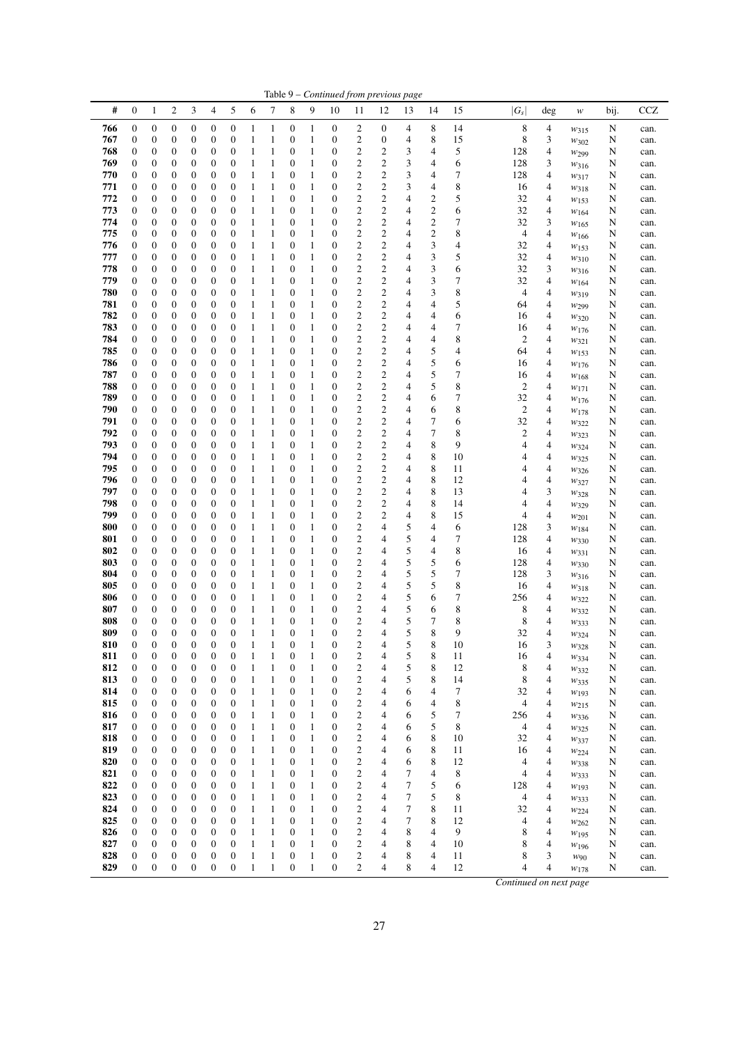|            |                                      |                                      |                                      |                                      |                                      |                                      |                         |                       |                                      |                       |                                      |                                           |                                           | Table 9 – Continued from previous page |                                           |          |                         |                               |                          |        |              |
|------------|--------------------------------------|--------------------------------------|--------------------------------------|--------------------------------------|--------------------------------------|--------------------------------------|-------------------------|-----------------------|--------------------------------------|-----------------------|--------------------------------------|-------------------------------------------|-------------------------------------------|----------------------------------------|-------------------------------------------|----------|-------------------------|-------------------------------|--------------------------|--------|--------------|
| #          | 0                                    | 1                                    | 2                                    | 3                                    | 4                                    | 5                                    | 6                       | 7                     | 8                                    | 9                     | 10                                   | 11                                        | 12                                        | 13                                     | 14                                        | 15       | $ G_s $                 | deg                           | $\boldsymbol{W}$         | bij.   | <b>CCZ</b>   |
| 766        | 0                                    | $\boldsymbol{0}$                     | 0                                    | 0                                    | 0                                    | 0                                    | 1                       | 1                     | 0                                    | 1                     | $\boldsymbol{0}$                     | $\overline{c}$                            | $\boldsymbol{0}$                          | 4                                      | 8                                         | 14       | 8                       | 4                             | W315                     | N      | can.         |
| 767        | $\mathbf{0}$                         | 0                                    | 0                                    | 0                                    | 0                                    | 0                                    | 1                       | 1                     | $\boldsymbol{0}$                     | 1                     | $\boldsymbol{0}$                     | $\mathfrak{2}$                            | $\boldsymbol{0}$                          | 4                                      | 8                                         | 15       | 8                       | 3                             | W302                     | N      | can.         |
| 768<br>769 | 0<br>$\boldsymbol{0}$                | 0<br>0                               | 0<br>$\boldsymbol{0}$                | 0<br>0                               | 0<br>$\boldsymbol{0}$                | 0<br>0                               | $\mathbf{1}$<br>1       | 1<br>1                | 0<br>$\boldsymbol{0}$                | 1<br>1                | $\boldsymbol{0}$<br>$\boldsymbol{0}$ | $\boldsymbol{2}$<br>$\overline{c}$        | $\overline{\mathbf{c}}$<br>$\mathbf{2}$   | 3<br>3                                 | 4<br>4                                    | 5<br>6   | 128<br>128              | 4<br>3                        | W299                     | N<br>N | can.         |
| 770        | 0                                    | 0                                    | $\boldsymbol{0}$                     | 0                                    | $\mathbf{0}$                         | 0                                    | 1                       | 1                     | $\boldsymbol{0}$                     | 1                     | $\boldsymbol{0}$                     | $\overline{c}$                            | $\sqrt{2}$                                | 3                                      | 4                                         | 7        | 128                     | 4                             | W316<br>$w_{317}$        | N      | can.<br>can. |
| 771        | 0                                    | 0                                    | 0                                    | 0                                    | $\boldsymbol{0}$                     | 0                                    | 1                       | 1                     | $\boldsymbol{0}$                     | 1                     | $\boldsymbol{0}$                     | $\boldsymbol{2}$                          | $\boldsymbol{2}$                          | 3                                      | 4                                         | 8        | 16                      | 4                             | $w_{318}$                | N      | can.         |
| 772        | $\boldsymbol{0}$                     | $\boldsymbol{0}$                     | $\boldsymbol{0}$                     | $\boldsymbol{0}$                     | $\boldsymbol{0}$                     | 0                                    | 1                       | $\mathbf{1}$          | $\boldsymbol{0}$                     | $\mathbf{1}$          | $\boldsymbol{0}$                     | $\mathfrak{2}$                            | $\overline{c}$                            | 4                                      | $\mathbf{2}$                              | 5        | 32                      | 4                             | W153                     | N      | can.         |
| 773        | $\boldsymbol{0}$                     | $\boldsymbol{0}$                     | $\boldsymbol{0}$                     | 0                                    | 0                                    | 0                                    | $\mathbf{1}$            | 1                     | 0                                    | 1                     | $\boldsymbol{0}$                     | $\overline{c}$                            | $\mathbf{2}$                              | 4                                      | $\mathbf{2}$                              | 6        | 32                      | 4                             | W164                     | N      | can.         |
| 774<br>775 | $\boldsymbol{0}$                     | 0<br>$\boldsymbol{0}$                | $\boldsymbol{0}$<br>$\boldsymbol{0}$ | 0<br>0                               | $\boldsymbol{0}$<br>$\boldsymbol{0}$ | 0<br>0                               | 1<br>$\mathbf{1}$       | 1<br>1                | $\boldsymbol{0}$                     | 1<br>1                | $\boldsymbol{0}$<br>$\boldsymbol{0}$ | $\overline{c}$<br>$\boldsymbol{2}$        | $\overline{2}$<br>$\overline{\mathbf{c}}$ | 4                                      | $\overline{c}$<br>$\overline{\mathbf{c}}$ | 7<br>8   | 32                      | 3<br>4                        | $w_{165}$                | N      | can.         |
| 776        | 0<br>0                               | 0                                    | $\boldsymbol{0}$                     | 0                                    | $\boldsymbol{0}$                     | $\mathbf{0}$                         | 1                       | 1                     | 0<br>$\boldsymbol{0}$                | 1                     | $\boldsymbol{0}$                     | $\overline{c}$                            | $\sqrt{2}$                                | 4<br>4                                 | 3                                         | 4        | $\overline{4}$<br>32    | 4                             | W <sub>166</sub><br>W153 | N<br>N | can.<br>can. |
| 777        | 0                                    | 0                                    | $\mathbf{0}$                         | 0                                    | $\mathbf{0}$                         | 0                                    | $\mathbf{1}$            | 1                     | $\boldsymbol{0}$                     | 1                     | $\boldsymbol{0}$                     | $\overline{\mathbf{c}}$                   | $\overline{\mathbf{c}}$                   | 4                                      | 3                                         | 5        | 32                      | 4                             | W310                     | N      | can.         |
| 778        | $\boldsymbol{0}$                     | $\boldsymbol{0}$                     | $\boldsymbol{0}$                     | $\boldsymbol{0}$                     | $\mathbf{0}$                         | 0                                    | 1                       | 1                     | $\boldsymbol{0}$                     | 1                     | $\boldsymbol{0}$                     | $\mathbf{2}$                              | $\overline{c}$                            | 4                                      | 3                                         | 6        | 32                      | 3                             | W316                     | N      | can.         |
| 779        | $\boldsymbol{0}$                     | $\boldsymbol{0}$                     | $\boldsymbol{0}$                     | 0                                    | $\boldsymbol{0}$                     | 0                                    | 1                       | $\mathbf{1}$          | $\boldsymbol{0}$                     | $\mathbf{1}$          | $\boldsymbol{0}$                     | $\overline{c}$                            | $\overline{c}$                            | 4                                      | 3                                         | 7        | 32                      | 4                             | $W_{164}$                | N      | can.         |
| 780        | 0                                    | 0                                    | 0                                    | 0                                    | $\boldsymbol{0}$                     | 0                                    | 1                       | 1                     | 0                                    | 1                     | $\boldsymbol{0}$                     | $\mathbf{2}$                              | $\overline{2}$                            | 4                                      | 3                                         | 8        | 4                       | 4                             | W319                     | N      | can.         |
| 781<br>782 | $\mathbf{0}$<br>0                    | 0<br>0                               | 0<br>$\boldsymbol{0}$                | 0<br>0                               | $\mathbf{0}$<br>$\boldsymbol{0}$     | 0<br>0                               | 1<br>1                  | 1<br>1                | $\boldsymbol{0}$<br>0                | 1<br>1                | $\boldsymbol{0}$<br>$\boldsymbol{0}$ | $\mathfrak{2}$<br>$\mathfrak{2}$          | $\mathbf{2}$<br>$\mathbf{2}$              | 4<br>4                                 | 4<br>4                                    | 5<br>6   | 64<br>16                | 4<br>4                        | W299                     | N      | can.         |
| 783        | $\boldsymbol{0}$                     | $\boldsymbol{0}$                     | 0                                    | $\mathbf{0}$                         | $\boldsymbol{0}$                     | 0                                    | 1                       | 1                     | $\boldsymbol{0}$                     | 1                     | $\boldsymbol{0}$                     | $\overline{c}$                            | $\mathbf{2}$                              | 4                                      | $\overline{4}$                            | 7        | 16                      | 4                             | $w_{320}$<br>$w_{176}$   | N<br>N | can.<br>can. |
| 784        | $\boldsymbol{0}$                     | $\boldsymbol{0}$                     | $\boldsymbol{0}$                     | $\boldsymbol{0}$                     | $\boldsymbol{0}$                     | 0                                    | $\mathbf{1}$            | 1                     | 0                                    | 1                     | $\boldsymbol{0}$                     | $\mathfrak{2}$                            | $\overline{c}$                            | 4                                      | 4                                         | 8        | $\overline{2}$          | 4                             | W321                     | N      | can.         |
| 785        | 0                                    | $\boldsymbol{0}$                     | $\boldsymbol{0}$                     | $\boldsymbol{0}$                     | $\boldsymbol{0}$                     | $\boldsymbol{0}$                     | 1                       | 1                     | 0                                    | 1                     | $\boldsymbol{0}$                     | $\overline{c}$                            | $\mathbf{2}$                              | 4                                      | 5                                         | 4        | 64                      | 4                             | W153                     | N      | can.         |
| 786        | 0                                    | 0                                    | 0                                    | 0                                    | 0                                    | 0                                    | 1                       | 1                     | $\boldsymbol{0}$                     | 1                     | $\boldsymbol{0}$                     | $\overline{c}$                            | $\sqrt{2}$                                | 4                                      | 5                                         | 6        | 16                      | $\overline{4}$                | $w_{176}$                | N      | can.         |
| 787        | 0                                    | 0                                    | $\boldsymbol{0}$                     | 0                                    | 0                                    | 0                                    | 1                       | 1                     | 0                                    | 1                     | $\boldsymbol{0}$                     | $\mathbf{2}$                              | $\overline{2}$                            | 4                                      | 5                                         | 7        | 16                      | 4                             | W <sub>168</sub>         | N      | can.         |
| 788<br>789 | 0<br>0                               | 0<br>0                               | $\boldsymbol{0}$<br>$\boldsymbol{0}$ | 0<br>0                               | $\boldsymbol{0}$<br>$\mathbf{0}$     | 0<br>0                               | 1<br>$\mathbf{1}$       | 1<br>1                | 0<br>$\boldsymbol{0}$                | 1<br>1                | $\boldsymbol{0}$<br>$\boldsymbol{0}$ | $\overline{c}$<br>$\overline{c}$          | $\mathbf{2}$<br>$\mathbf{2}$              | 4<br>4                                 | 5                                         | 8<br>7   | $\overline{c}$<br>32    | 4<br>4                        | $w_{171}$                | N      | can.         |
| 790        | 0                                    | 0                                    | $\boldsymbol{0}$                     | 0                                    | $\boldsymbol{0}$                     | 0                                    | 1                       | 1                     | $\boldsymbol{0}$                     | 1                     | $\boldsymbol{0}$                     | $\overline{\mathbf{c}}$                   | $\boldsymbol{2}$                          | 4                                      | 6<br>6                                    | 8        | $\overline{\mathbf{c}}$ | 4                             | W176<br>W <sub>178</sub> | N<br>N | can.<br>can. |
| 791        | $\boldsymbol{0}$                     | $\boldsymbol{0}$                     | $\boldsymbol{0}$                     | $\boldsymbol{0}$                     | $\boldsymbol{0}$                     | 0                                    | $\mathbf{1}$            | $\mathbf{1}$          | $\boldsymbol{0}$                     | $\mathbf{1}$          | $\boldsymbol{0}$                     | $\mathbf{2}$                              | $\overline{c}$                            | 4                                      | 7                                         | 6        | 32                      | 4                             | W322                     | N      | can.         |
| 792        | $\boldsymbol{0}$                     | $\boldsymbol{0}$                     | $\boldsymbol{0}$                     | $\boldsymbol{0}$                     | 0                                    | 0                                    | 1                       | 1                     | 0                                    | 1                     | $\boldsymbol{0}$                     | $\overline{c}$                            | $\mathbf{2}$                              | 4                                      | 7                                         | 8        | $\mathbf{2}$            | 4                             | W323                     | N      | can.         |
| 793        | $\boldsymbol{0}$                     | 0                                    | $\boldsymbol{0}$                     | 0                                    | $\boldsymbol{0}$                     | 0                                    | 1                       | 1                     | $\boldsymbol{0}$                     | 1                     | $\boldsymbol{0}$                     | $\overline{c}$                            | $\overline{2}$                            | 4                                      | 8                                         | 9        | 4                       | 4                             | W324                     | N      | can.         |
| 794        | 0                                    | $\boldsymbol{0}$                     | $\boldsymbol{0}$                     | 0                                    | $\boldsymbol{0}$                     | 0                                    | $\mathbf{1}$            | 1                     | 0                                    | 1                     | $\boldsymbol{0}$                     | $\boldsymbol{2}$                          | $\overline{\mathbf{c}}$                   | 4                                      | 8                                         | 10       | 4                       | 4                             | W325                     | N      | can.         |
| 795<br>796 | 0                                    | 0                                    | $\boldsymbol{0}$                     | 0                                    | $\boldsymbol{0}$<br>$\mathbf{0}$     | 0                                    | $\mathbf{1}$            | 1                     | $\boldsymbol{0}$<br>$\boldsymbol{0}$ | 1                     | $\boldsymbol{0}$<br>$\boldsymbol{0}$ | $\mathfrak{2}$                            | $\mathbf{2}$                              | 4                                      | 8                                         | 11       | 4<br>4                  | 4                             | $w_{326}$                | N      | can.         |
| 797        | 0<br>$\boldsymbol{0}$                | 0<br>$\boldsymbol{0}$                | $\boldsymbol{0}$<br>$\boldsymbol{0}$ | $\boldsymbol{0}$<br>$\boldsymbol{0}$ | $\mathbf{0}$                         | 0<br>0                               | $\mathbf{1}$<br>1       | 1<br>1                | $\boldsymbol{0}$                     | 1<br>1                | $\boldsymbol{0}$                     | $\overline{\mathbf{c}}$<br>$\mathfrak{2}$ | $\overline{\mathbf{c}}$<br>$\mathbf{2}$   | 4<br>4                                 | 8<br>8                                    | 12<br>13 | 4                       | 4<br>3                        | W327<br>W328             | N<br>N | can.<br>can. |
| 798        | 0                                    | $\boldsymbol{0}$                     | $\boldsymbol{0}$                     | 0                                    | $\boldsymbol{0}$                     | 0                                    | 1                       | $\mathbf{1}$          | $\boldsymbol{0}$                     | $\mathbf{1}$          | $\boldsymbol{0}$                     | $\overline{c}$                            | $\mathbf{2}$                              | 4                                      | 8                                         | 14       | 4                       | 4                             | W329                     | N      | can.         |
| 799        | 0                                    | $\boldsymbol{0}$                     | 0                                    | 0                                    | $\boldsymbol{0}$                     | 0                                    | 1                       | 1                     | 0                                    | 1                     | $\boldsymbol{0}$                     | $\mathfrak{2}$                            | $\mathbf{2}$                              | 4                                      | 8                                         | 15       | 4                       | 4                             | $w_{201}$                | N      | can.         |
| 800        | 0                                    | 0                                    | $\boldsymbol{0}$                     | 0                                    | $\mathbf{0}$                         | 0                                    | $\mathbf{1}$            | 1                     | $\boldsymbol{0}$                     | 1                     | $\boldsymbol{0}$                     | $\boldsymbol{2}$                          | $\overline{4}$                            | 5                                      | 4                                         | 6        | 128                     | 3                             | W184                     | N      | can.         |
| 801        | 0                                    | 0                                    | $\mathbf{0}$                         | 0                                    | $\mathbf{0}$                         | 0                                    | 1                       | 1                     | $\boldsymbol{0}$                     | 1                     | $\boldsymbol{0}$                     | $\mathfrak{2}$                            | 4                                         | 5                                      | 4                                         | 7        | 128                     | 4                             | W330                     | N      | can.         |
| 802<br>803 | $\boldsymbol{0}$<br>0                | $\boldsymbol{0}$<br>0                | 0<br>$\boldsymbol{0}$                | 0<br>0                               | $\boldsymbol{0}$<br>$\mathbf{0}$     | 0<br>0                               | 1<br>1                  | 1<br>1                | $\boldsymbol{0}$<br>$\boldsymbol{0}$ | 1<br>1                | $\boldsymbol{0}$<br>$\boldsymbol{0}$ | $\overline{\mathbf{c}}$<br>$\mathfrak{2}$ | $\overline{4}$<br>4                       | 5<br>5                                 | 4<br>5                                    | 8<br>6   | 16<br>128               | 4<br>4                        | W331                     | N<br>N | can.<br>can. |
| 804        | $\boldsymbol{0}$                     | $\boldsymbol{0}$                     | $\boldsymbol{0}$                     | $\boldsymbol{0}$                     | $\mathbf{0}$                         | $\mathbf{0}$                         | $\mathbf{1}$            | 1                     | $\boldsymbol{0}$                     | 1                     | $\boldsymbol{0}$                     | $\overline{c}$                            | 4                                         | 5                                      | 5                                         | 7        | 128                     | 3                             | $w_{330}$<br>W316        | N      | can.         |
| 805        | 0                                    | 0                                    | 0                                    | 0                                    | 0                                    | 0                                    | 1                       | 1                     | $\boldsymbol{0}$                     | 1                     | $\boldsymbol{0}$                     | $\overline{c}$                            | 4                                         | 5                                      | 5                                         | 8        | 16                      | 4                             | W318                     | N      | can.         |
| 806        | 0                                    | 0                                    | $\boldsymbol{0}$                     | 0                                    | $\mathbf{0}$                         | 0                                    | 1                       | 1                     | 0                                    | 1                     | $\boldsymbol{0}$                     | $\overline{c}$                            | 4                                         | 5                                      | 6                                         | 7        | 256                     | 4                             | W322                     | N      | can.         |
| 807        | 0                                    | 0                                    | $\boldsymbol{0}$                     | 0                                    | 0                                    | 0                                    | 1                       | 1                     | $\boldsymbol{0}$                     | 1                     | $\boldsymbol{0}$                     | $\boldsymbol{2}$                          | 4                                         | 5                                      | 6                                         | 8        | 8                       | 4                             | $w_{332}$                | N      | can.         |
| 808<br>809 | $\mathbf{0}$<br>$\mathbf{0}$         | 0<br>$\overline{0}$                  | $\mathbf{0}$<br>$\overline{0}$       | 0<br>$\overline{0}$                  | $\mathbf{0}$<br>$\overline{0}$       | 0<br>$\overline{0}$                  | 1<br>1                  | 1<br>1                | $\boldsymbol{0}$<br>$\mathbf{0}$     | 1<br>1                | $\boldsymbol{0}$<br>$\mathbf{0}$     | $\overline{c}$<br>$\overline{2}$          | 4<br>$\overline{4}$                       | 5<br>5                                 | 7<br>8                                    | 8<br>9   | 8<br>32                 | 4<br>4                        | W333                     | N<br>N | can.         |
| 810        | $\boldsymbol{0}$                     | $\boldsymbol{0}$                     | 0                                    | $\boldsymbol{0}$                     | 0                                    | 0                                    | 1                       | 1                     | 0                                    | 1                     | $\boldsymbol{0}$                     | $\overline{\mathbf{c}}$                   | 4                                         | 5                                      | 8                                         | 10       | 16                      | 3                             | W324<br>W328             | N      | can.<br>can. |
| 811        | $\boldsymbol{0}$                     | $\boldsymbol{0}$                     | $\boldsymbol{0}$                     | $\mathbf{0}$                         | $\boldsymbol{0}$                     | $\mathbf{0}$                         | 1                       | $\mathbf{1}$          | $\boldsymbol{0}$                     | $\,1$                 | $\boldsymbol{0}$                     | $\boldsymbol{2}$                          | $\overline{4}$                            | 5                                      | 8                                         | 11       | 16                      | 4                             | $W_{334}$                | N      | can.         |
| 812        | $\boldsymbol{0}$                     | $\boldsymbol{0}$                     | $\boldsymbol{0}$                     | $\boldsymbol{0}$                     | $\boldsymbol{0}$                     | $\boldsymbol{0}$                     | $\mathbf{1}$            | $\mathbf{1}$          | $\boldsymbol{0}$                     | $\mathbf{1}$          | $\boldsymbol{0}$                     | $\overline{c}$                            | $\overline{4}$                            | 5                                      | 8                                         | 12       | 8                       | 4                             | W332                     | N      | can.         |
| 813        | 0                                    | 0                                    | $\boldsymbol{0}$                     | $\boldsymbol{0}$                     | $\boldsymbol{0}$                     | $\boldsymbol{0}$                     | $\mathbf{1}$            | $\,1$                 | $\boldsymbol{0}$                     | $\,1$                 | $\boldsymbol{0}$                     | $\overline{\mathbf{c}}$                   | 4                                         | 5                                      | 8                                         | 14       | 8                       | 4                             | W335                     | N      | can.         |
| 814        | $\boldsymbol{0}$                     | $\boldsymbol{0}$                     | $\boldsymbol{0}$                     | $\boldsymbol{0}$                     | $\boldsymbol{0}$                     | $\boldsymbol{0}$                     | $\mathbf{1}$            | $\mathbf{1}$          | $\boldsymbol{0}$                     | $\mathbf{1}$          | $\boldsymbol{0}$                     | $\overline{\mathbf{c}}$                   | $\overline{4}$                            | 6                                      | 4                                         | 7        | 32                      | 4                             | W <sub>193</sub>         | N      | can.         |
| 815<br>816 | $\boldsymbol{0}$<br>0                | $\boldsymbol{0}$<br>$\boldsymbol{0}$ | $\boldsymbol{0}$<br>$\boldsymbol{0}$ | $\boldsymbol{0}$<br>$\boldsymbol{0}$ | $\boldsymbol{0}$<br>$\boldsymbol{0}$ | $\boldsymbol{0}$<br>$\boldsymbol{0}$ | $\,1$<br>$\mathbf{1}$   | $\,1\,$<br>$\,1$      | $\boldsymbol{0}$<br>$\boldsymbol{0}$ | $\mathbf{1}$<br>$\,1$ | $\boldsymbol{0}$<br>$\boldsymbol{0}$ | $\overline{\mathbf{c}}$<br>$\overline{c}$ | $\overline{4}$<br>$\overline{4}$          | 6<br>6                                 | 4<br>5                                    | 8<br>7   | 4<br>256                | 4<br>4                        | $w_{215}$                | N<br>N | can.<br>can. |
| 817        | $\boldsymbol{0}$                     | $\boldsymbol{0}$                     | $\boldsymbol{0}$                     | $\boldsymbol{0}$                     | $\boldsymbol{0}$                     | $\boldsymbol{0}$                     | $\,1\,$                 | $\,1$                 | $\boldsymbol{0}$                     | $\,1$                 | $\boldsymbol{0}$                     | $\overline{c}$                            | $\overline{4}$                            | 6                                      | 5                                         | 8        | $\overline{4}$          | 4                             | W336<br>W325             | N      | can.         |
| 818        | 0                                    | $\boldsymbol{0}$                     | $\boldsymbol{0}$                     | $\boldsymbol{0}$                     | $\boldsymbol{0}$                     | $\boldsymbol{0}$                     | $\mathbf{1}$            | $\,1$                 | $\boldsymbol{0}$                     | $\,1$                 | $\boldsymbol{0}$                     | $\overline{\mathbf{c}}$                   | $\overline{4}$                            | 6                                      | 8                                         | 10       | 32                      | $\overline{4}$                | W337                     | N      | can.         |
| 819        | $\boldsymbol{0}$                     | $\boldsymbol{0}$                     | $\boldsymbol{0}$                     | $\boldsymbol{0}$                     | $\boldsymbol{0}$                     | $\boldsymbol{0}$                     | $\mathbf{1}$            | $\,1$                 | $\boldsymbol{0}$                     | $\,1$                 | $\boldsymbol{0}$                     | $\overline{\mathbf{c}}$                   | $\overline{4}$                            | 6                                      | 8                                         | 11       | 16                      | $\overline{4}$                | $w_{224}$                | N      | can.         |
| 820        | 0                                    | $\boldsymbol{0}$                     | $\boldsymbol{0}$                     | $\boldsymbol{0}$                     | $\boldsymbol{0}$                     | $\boldsymbol{0}$                     | $\,1\,$                 | $\,1$                 | $\boldsymbol{0}$                     | $\,1$                 | $\boldsymbol{0}$                     | $\overline{\mathbf{c}}$                   | 4                                         | 6                                      | 8                                         | 12       | 4                       | 4                             | W338                     | N      | can.         |
| 821<br>822 | $\boldsymbol{0}$<br>$\boldsymbol{0}$ | $\boldsymbol{0}$<br>$\boldsymbol{0}$ | $\boldsymbol{0}$<br>$\boldsymbol{0}$ | $\boldsymbol{0}$<br>0                | $\boldsymbol{0}$<br>$\boldsymbol{0}$ | $\boldsymbol{0}$<br>$\boldsymbol{0}$ | $\,1\,$<br>$\,1\,$      | $\,1$<br>$\,1\,$      | $\boldsymbol{0}$<br>$\boldsymbol{0}$ | $\,1$<br>$\,1\,$      | $\mathbf{0}$<br>$\boldsymbol{0}$     | $\overline{c}$<br>$\overline{\mathbf{c}}$ | $\overline{4}$<br>4                       | 7<br>7                                 | $\overline{\mathbf{4}}$<br>5              | 8<br>6   | 4<br>128                | $\overline{\mathcal{L}}$<br>4 | W333                     | N<br>N | can.         |
| 823        | $\boldsymbol{0}$                     | $\boldsymbol{0}$                     | $\boldsymbol{0}$                     | $\boldsymbol{0}$                     | $\boldsymbol{0}$                     | $\boldsymbol{0}$                     | $\mathbf{1}$            | $\,1$                 | $\boldsymbol{0}$                     | $\,1$                 | $\boldsymbol{0}$                     | $\overline{\mathbf{c}}$                   | $\overline{4}$                            | 7                                      | 5                                         | 8        | $\overline{4}$          | 4                             | W193<br>W333             | N      | can.<br>can. |
| 824        | $\boldsymbol{0}$                     | $\boldsymbol{0}$                     | $\boldsymbol{0}$                     | $\boldsymbol{0}$                     | $\boldsymbol{0}$                     | $\boldsymbol{0}$                     | $\mathbf{1}$            | $\,1$                 | $\boldsymbol{0}$                     | $\,1$                 | $\boldsymbol{0}$                     | $\overline{\mathbf{c}}$                   | $\overline{4}$                            | 7                                      | 8                                         | 11       | 32                      | $\overline{4}$                | W224                     | N      | can.         |
| 825        | $\boldsymbol{0}$                     | $\boldsymbol{0}$                     | $\boldsymbol{0}$                     | $\boldsymbol{0}$                     | $\boldsymbol{0}$                     | $\boldsymbol{0}$                     | $\mathbf{1}$            | $\,1$                 | $\boldsymbol{0}$                     | $\mathbf{1}$          | $\boldsymbol{0}$                     | $\overline{\mathbf{c}}$                   | 4                                         | 7                                      | 8                                         | 12       | $\overline{4}$          | 4                             | W262                     | N      | can.         |
| 826        | $\boldsymbol{0}$                     | $\boldsymbol{0}$                     | $\boldsymbol{0}$                     | $\boldsymbol{0}$                     | $\boldsymbol{0}$                     | $\boldsymbol{0}$                     | $\mathbf{1}$            | $\,1$                 | $\boldsymbol{0}$                     | $\,1$                 | $\boldsymbol{0}$                     | $\overline{c}$                            | $\overline{4}$                            | 8                                      | $\overline{4}$                            | 9        | 8                       | $\overline{4}$                | $w_{195}$                | N      | can.         |
| 827        | $\boldsymbol{0}$                     | $\boldsymbol{0}$                     | $\boldsymbol{0}$                     | $\boldsymbol{0}$                     | $\boldsymbol{0}$                     | $\boldsymbol{0}$                     | $\,1\,$                 | $\,1$                 | $\boldsymbol{0}$                     | $\mathbf{1}$          | $\boldsymbol{0}$                     | $\boldsymbol{2}$                          | 4                                         | 8                                      | 4                                         | 10       | 8                       | 4                             | $w_{196}$                | N      | can.         |
| 828<br>829 | $\boldsymbol{0}$<br>$\boldsymbol{0}$ | $\boldsymbol{0}$<br>$\mathbf{0}$     | $\boldsymbol{0}$<br>$\boldsymbol{0}$ | $\boldsymbol{0}$<br>$\mathbf{0}$     | $\boldsymbol{0}$<br>$\boldsymbol{0}$ | $\boldsymbol{0}$<br>$\mathbf{0}$     | $\,1\,$<br>$\mathbf{1}$ | $\,1$<br>$\mathbf{1}$ | $\boldsymbol{0}$<br>$\boldsymbol{0}$ | $\,1$<br>$\mathbf{1}$ | $\boldsymbol{0}$<br>$\mathbf{0}$     | $\overline{\mathbf{c}}$<br>$\overline{c}$ | $\overline{4}$<br>$\overline{4}$          | 8<br>8                                 | 4<br>4                                    | 11<br>12 | 8<br>4                  | 3<br>$\overline{4}$           | $W$ 90                   | N<br>N | can.         |
|            |                                      |                                      |                                      |                                      |                                      |                                      |                         |                       |                                      |                       |                                      |                                           |                                           |                                        |                                           |          |                         |                               | W178                     |        | can.         |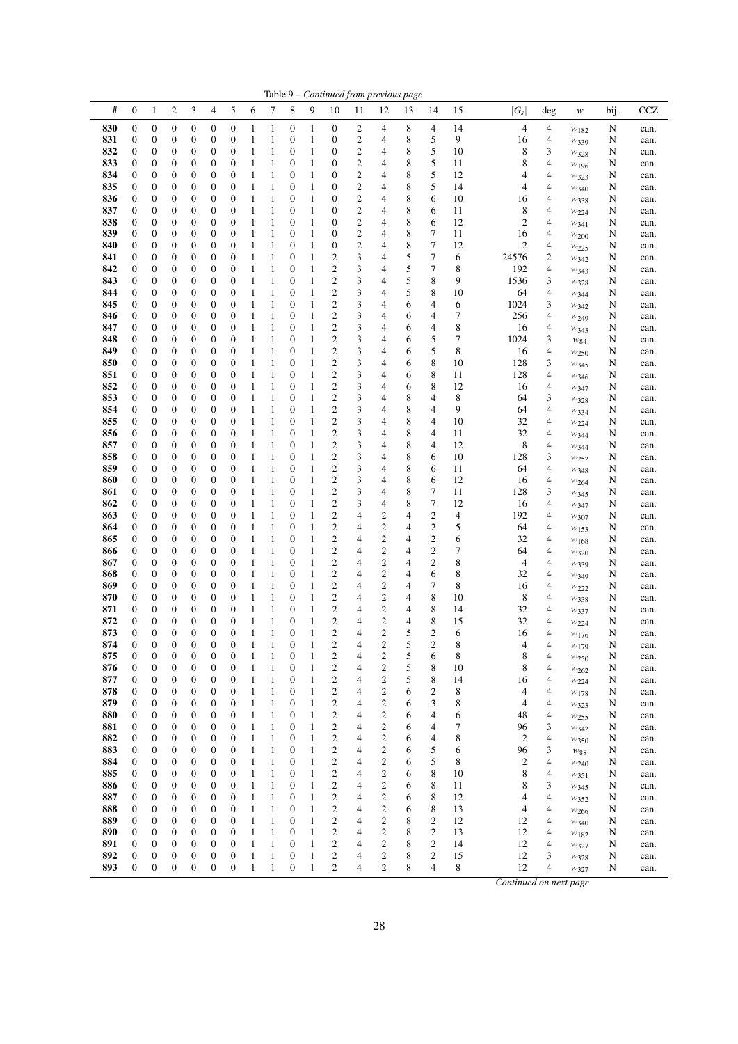|            |                                      |                                      |                                      |                       |                                      |                                      |                   |                              |                                      |                   |                                                    |                         | Table 9 - Continued from previous page    |        |                                      |          |                        |                     |                          |        |              |
|------------|--------------------------------------|--------------------------------------|--------------------------------------|-----------------------|--------------------------------------|--------------------------------------|-------------------|------------------------------|--------------------------------------|-------------------|----------------------------------------------------|-------------------------|-------------------------------------------|--------|--------------------------------------|----------|------------------------|---------------------|--------------------------|--------|--------------|
| #          | $\boldsymbol{0}$                     | $\mathbf{1}$                         | $\overline{c}$                       | 3                     | $\overline{4}$                       | 5                                    | 6                 | 7                            | 8                                    | 9                 | 10                                                 | 11                      | 12                                        | 13     | 14                                   | 15       | $ G_{S} $              | deg                 | $\boldsymbol{W}$         | bij.   | <b>CCZ</b>   |
| 830        | $\boldsymbol{0}$                     | $\boldsymbol{0}$                     | $\boldsymbol{0}$                     | 0                     | $\boldsymbol{0}$                     | $\boldsymbol{0}$                     | 1                 | $\mathbf{1}$                 | $\boldsymbol{0}$                     | $\mathbf{1}$      | $\boldsymbol{0}$                                   | 2                       | 4                                         | 8      | 4                                    | 14       | $\overline{4}$         | 4                   | $w_{182}$                | N      | can.         |
| 831        | $\boldsymbol{0}$                     | $\boldsymbol{0}$                     | 0                                    | $\boldsymbol{0}$      | $\boldsymbol{0}$                     | $\boldsymbol{0}$                     | 1                 | $\mathbf{1}$                 | $\boldsymbol{0}$                     | 1                 | 0                                                  | 2                       | 4                                         | 8      | 5                                    | 9        | 16                     | 4                   | W339                     | N      | can.         |
| 832        | $\boldsymbol{0}$                     | $\boldsymbol{0}$                     | $\boldsymbol{0}$                     | 0                     | $\boldsymbol{0}$<br>$\boldsymbol{0}$ | $\boldsymbol{0}$<br>$\boldsymbol{0}$ | 1                 | 1<br>1                       | $\boldsymbol{0}$<br>$\mathbf{0}$     | 1<br>1            | 0<br>0                                             | 2                       | 4<br>4                                    | 8<br>8 | 5<br>5                               | 10       | 8<br>8                 | 3                   | W328                     | N      | can.         |
| 833<br>834 | $\boldsymbol{0}$<br>$\boldsymbol{0}$ | $\boldsymbol{0}$<br>$\boldsymbol{0}$ | 0<br>$\boldsymbol{0}$                | 0<br>0                | $\boldsymbol{0}$                     | $\mathbf{0}$                         | 1<br>1            | 1                            | $\mathbf{0}$                         | 1                 | 0                                                  | 2<br>2                  | 4                                         | 8      | 5                                    | 11<br>12 | 4                      | 4<br>4              | W196<br>W323             | N<br>N | can.<br>can. |
| 835        | $\boldsymbol{0}$                     | 0                                    | $\mathbf{0}$                         | 0                     | $\boldsymbol{0}$                     | $\boldsymbol{0}$                     | 1                 | $\mathbf{1}$                 | $\boldsymbol{0}$                     | 1                 | 0                                                  | 2                       | 4                                         | 8      | 5                                    | 14       | 4                      | 4                   | W340                     | N      | can.         |
| 836        | $\boldsymbol{0}$                     | $\boldsymbol{0}$                     | $\boldsymbol{0}$                     | 0                     | $\boldsymbol{0}$                     | 0                                    | 1                 | $\mathbf{1}$                 | $\boldsymbol{0}$                     | 1                 | 0                                                  | $\overline{\mathbf{c}}$ | 4                                         | 8      | 6                                    | 10       | 16                     | 4                   | W338                     | N      | can.         |
| 837        | $\boldsymbol{0}$                     | $\boldsymbol{0}$                     | 0                                    | 0                     | $\boldsymbol{0}$                     | $\boldsymbol{0}$                     | 1                 | $\mathbf{1}$                 | $\boldsymbol{0}$                     | $\mathbf{1}$      | 0                                                  | 2                       | 4                                         | 8      | 6                                    | 11       | 8                      | 4                   | W224                     | N      | can.         |
| 838<br>839 | $\boldsymbol{0}$<br>$\boldsymbol{0}$ | $\boldsymbol{0}$<br>0                | $\boldsymbol{0}$<br>0                | 0<br>0                | $\boldsymbol{0}$<br>$\boldsymbol{0}$ | $\boldsymbol{0}$<br>$\boldsymbol{0}$ | 1<br>1            | $\mathbf{1}$<br>1            | $\boldsymbol{0}$<br>$\boldsymbol{0}$ | 1<br>$\mathbf{1}$ | 0<br>0                                             | 2<br>2                  | 4<br>4                                    | 8<br>8 | 6<br>$\tau$                          | 12<br>11 | 2<br>16                | 4<br>4              | $w_{341}$                | N<br>N | can.         |
| 840        | $\boldsymbol{0}$                     | 0                                    | 0                                    | 0                     | $\boldsymbol{0}$                     | $\boldsymbol{0}$                     | 1                 | $\mathbf{1}$                 | $\boldsymbol{0}$                     | $\mathbf{1}$      | 0                                                  | 2                       | 4                                         | 8      | 7                                    | 12       | 2                      | 4                   | $W_{200}$<br>W225        | N      | can.<br>can. |
| 841        | $\boldsymbol{0}$                     | $\boldsymbol{0}$                     | $\mathbf{0}$                         | 0                     | $\boldsymbol{0}$                     | $\mathbf{0}$                         | 1                 | $\mathbf{1}$                 | $\mathbf{0}$                         | $\mathbf{1}$      | $\overline{\mathbf{c}}$                            | 3                       | 4                                         | 5      | $\tau$                               | 6        | 24576                  | $\mathbf{2}$        | W342                     | N      | can.         |
| 842        | $\boldsymbol{0}$                     | 0                                    | $\boldsymbol{0}$                     | 0                     | $\boldsymbol{0}$                     | $\mathbf{0}$                         | 1                 | $\mathbf{1}$                 | $\mathbf{0}$                         | 1                 | $\overline{c}$                                     | 3                       | 4                                         | 5      | 7                                    | 8        | 192                    | 4                   | W343                     | N      | can.         |
| 843        | $\boldsymbol{0}$                     | $\boldsymbol{0}$                     | $\boldsymbol{0}$                     | $\boldsymbol{0}$      | $\boldsymbol{0}$                     | $\boldsymbol{0}$                     | 1                 | $\mathbf{1}$                 | $\mathbf{0}$                         | 1                 | $\overline{\mathbf{c}}$                            | 3                       | 4                                         | 5      | 8                                    | 9        | 1536                   | 3                   | W328                     | N      | can.         |
| 844<br>845 | $\boldsymbol{0}$<br>$\boldsymbol{0}$ | $\boldsymbol{0}$<br>$\boldsymbol{0}$ | $\boldsymbol{0}$<br>0                | 0<br>0                | $\boldsymbol{0}$<br>$\boldsymbol{0}$ | $\boldsymbol{0}$<br>$\boldsymbol{0}$ | 1<br>1            | $\mathbf{1}$<br>$\mathbf{1}$ | $\boldsymbol{0}$<br>$\boldsymbol{0}$ | $\mathbf{1}$<br>1 | $\overline{\mathbf{c}}$<br>$\overline{c}$          | 3<br>3                  | 4<br>4                                    | 5<br>6 | 8<br>4                               | 10<br>6  | 64<br>1024             | 4<br>3              | W344                     | N<br>N | can.         |
| 846        | $\boldsymbol{0}$                     | 0                                    | $\boldsymbol{0}$                     | 0                     | $\boldsymbol{0}$                     | $\mathbf{0}$                         | $\mathbf{1}$      | $\mathbf{1}$                 | $\mathbf{0}$                         | 1                 | $\overline{\mathbf{c}}$                            | 3                       | 4                                         | 6      | 4                                    | 7        | 256                    | 4                   | W342<br>W <sub>249</sub> | N      | can.<br>can. |
| 847        | $\boldsymbol{0}$                     | 0                                    | 0                                    | 0                     | $\boldsymbol{0}$                     | $\boldsymbol{0}$                     | 1                 | $\mathbf{1}$                 | $\boldsymbol{0}$                     | $\mathbf{1}$      | $\boldsymbol{2}$                                   | 3                       | 4                                         | 6      | 4                                    | 8        | 16                     | 4                   | W343                     | N      | can.         |
| 848        | $\boldsymbol{0}$                     | $\boldsymbol{0}$                     | $\boldsymbol{0}$                     | 0                     | $\boldsymbol{0}$                     | $\mathbf{0}$                         | $\mathbf{1}$      | $\mathbf{1}$                 | $\mathbf{0}$                         | 1                 | $\overline{\mathbf{c}}$                            | 3                       | $\overline{4}$                            | 6      | 5                                    | $\tau$   | 1024                   | 3                   | W84                      | N      | can.         |
| 849        | $\boldsymbol{0}$                     | $\boldsymbol{0}$                     | $\boldsymbol{0}$                     | 0                     | $\boldsymbol{0}$                     | $\mathbf{0}$                         | 1                 | $\mathbf{1}$                 | $\boldsymbol{0}$                     | 1                 | $\overline{\mathbf{c}}$                            | 3                       | 4                                         | 6      | 5                                    | 8        | 16                     | 4                   | W250                     | N      | can.         |
| 850        | $\mathbf{0}$                         | $\boldsymbol{0}$                     | $\boldsymbol{0}$                     | $\boldsymbol{0}$      | $\boldsymbol{0}$                     | $\boldsymbol{0}$                     | 1                 | $\mathbf{1}$                 | $\boldsymbol{0}$                     | 1                 | $\overline{\mathbf{c}}$                            | 3                       | 4                                         | 6      | 8                                    | 10       | 128                    | 3                   | W345                     | N      | can.         |
| 851<br>852 | $\boldsymbol{0}$<br>$\boldsymbol{0}$ | $\boldsymbol{0}$<br>$\boldsymbol{0}$ | $\boldsymbol{0}$<br>$\boldsymbol{0}$ | 0<br>0                | $\boldsymbol{0}$<br>$\boldsymbol{0}$ | $\boldsymbol{0}$<br>$\boldsymbol{0}$ | 1<br>1            | $\mathbf{1}$<br>$\mathbf{1}$ | $\boldsymbol{0}$<br>$\mathbf{0}$     | 1<br>1            | $\overline{c}$<br>$\overline{\mathbf{c}}$          | 3<br>3                  | 4<br>4                                    | 6<br>6 | 8<br>8                               | 11<br>12 | 128<br>16              | 4<br>4              | W346                     | N<br>N | can.         |
| 853        | $\boldsymbol{0}$                     | $\boldsymbol{0}$                     | $\boldsymbol{0}$                     | 0                     | $\boldsymbol{0}$                     | $\mathbf{0}$                         | 1                 | $\mathbf{1}$                 | $\mathbf{0}$                         | 1                 | $\overline{\mathbf{c}}$                            | 3                       | 4                                         | 8      | 4                                    | 8        | 64                     | 3                   | W347<br>W328             | N      | can.<br>can. |
| 854        | $\boldsymbol{0}$                     | 0                                    | $\boldsymbol{0}$                     | 0                     | $\boldsymbol{0}$                     | $\boldsymbol{0}$                     | 1                 | $\mathbf{1}$                 | $\boldsymbol{0}$                     | $\,1$             | $\overline{\mathbf{c}}$                            | 3                       | 4                                         | 8      | 4                                    | 9        | 64                     | 4                   | W334                     | N      | can.         |
| 855        | $\boldsymbol{0}$                     | $\boldsymbol{0}$                     | $\boldsymbol{0}$                     | 0                     | $\boldsymbol{0}$                     | $\mathbf{0}$                         | 1                 | $\mathbf{1}$                 | $\boldsymbol{0}$                     | 1                 | $\overline{\mathbf{c}}$                            | 3                       | 4                                         | 8      | 4                                    | 10       | 32                     | 4                   | $w_{224}$                | N      | can.         |
| 856        | $\boldsymbol{0}$                     | $\boldsymbol{0}$                     | 0                                    | 0                     | $\boldsymbol{0}$                     | $\boldsymbol{0}$                     | 1                 | $\mathbf{1}$                 | $\boldsymbol{0}$                     | $\mathbf{1}$      | $\overline{\mathbf{c}}$                            | 3                       | 4                                         | 8      | $\overline{4}$                       | 11       | 32                     | 4                   | W344                     | N      | can.         |
| 857        | $\boldsymbol{0}$                     | $\boldsymbol{0}$                     | $\boldsymbol{0}$                     | 0                     | $\boldsymbol{0}$                     | $\boldsymbol{0}$                     | 1                 | $\mathbf{1}$                 | $\boldsymbol{0}$                     | 1                 | $\overline{\mathbf{c}}$                            | 3                       | 4                                         | 8      | 4                                    | 12       | 8                      | 4                   | W344                     | N      | can.         |
| 858<br>859 | $\boldsymbol{0}$<br>$\boldsymbol{0}$ | 0<br>0                               | $\boldsymbol{0}$<br>0                | 0<br>0                | $\boldsymbol{0}$<br>$\boldsymbol{0}$ | $\boldsymbol{0}$<br>$\boldsymbol{0}$ | $\mathbf{1}$<br>1 | $\mathbf{1}$<br>$\mathbf{1}$ | $\boldsymbol{0}$<br>$\boldsymbol{0}$ | 1<br>1            | $\overline{c}$<br>$\overline{c}$                   | 3<br>3                  | 4<br>4                                    | 8<br>8 | 6<br>6                               | 10<br>11 | 128<br>64              | 3<br>$\overline{4}$ | W <sub>252</sub><br>W348 | N<br>N | can.<br>can. |
| 860        | $\boldsymbol{0}$                     | $\boldsymbol{0}$                     | $\mathbf{0}$                         | 0                     | $\boldsymbol{0}$                     | $\mathbf{0}$                         | 1                 | $\mathbf{1}$                 | $\mathbf{0}$                         | $\mathbf{1}$      | $\overline{c}$                                     | 3                       | 4                                         | 8      | 6                                    | 12       | 16                     | 4                   | W264                     | N      | can.         |
| 861        | $\boldsymbol{0}$                     | $\boldsymbol{0}$                     | $\boldsymbol{0}$                     | 0                     | $\boldsymbol{0}$                     | $\mathbf{0}$                         | 1                 | $\mathbf{1}$                 | $\mathbf{0}$                         | 1                 | $\overline{\mathbf{c}}$                            | 3                       | 4                                         | 8      | 7                                    | 11       | 128                    | 3                   | W345                     | N      | can.         |
| 862        | $\boldsymbol{0}$                     | $\boldsymbol{0}$                     | $\boldsymbol{0}$                     | 0                     | $\boldsymbol{0}$                     | $\mathbf{0}$                         | 1                 | $\mathbf{1}$                 | $\mathbf{0}$                         | 1                 | $\overline{\mathbf{c}}$                            | 3                       | 4                                         | 8      | $\tau$                               | 12       | 16                     | 4                   | W347                     | N      | can.         |
| 863        | $\boldsymbol{0}$                     | $\boldsymbol{0}$                     | 0                                    | 0                     | $\boldsymbol{0}$                     | $\boldsymbol{0}$                     | 1                 | $\mathbf{1}$                 | $\boldsymbol{0}$                     | $\mathbf{1}$      | $\overline{\mathbf{c}}$                            | 4                       | $\boldsymbol{2}$                          | 4      | $\overline{c}$                       | 4        | 192                    | 4                   | W307                     | N      | can.         |
| 864<br>865 | $\boldsymbol{0}$<br>$\boldsymbol{0}$ | 0<br>$\boldsymbol{0}$                | 0<br>$\boldsymbol{0}$                | 0<br>0                | $\boldsymbol{0}$<br>$\boldsymbol{0}$ | $\boldsymbol{0}$<br>$\boldsymbol{0}$ | 1<br>$\mathbf{1}$ | $\mathbf{1}$<br>$\mathbf{1}$ | $\boldsymbol{0}$<br>$\mathbf{0}$     | $\mathbf{1}$<br>1 | $\overline{\mathbf{c}}$<br>$\overline{\mathbf{c}}$ | 4<br>4                  | $\overline{c}$<br>$\overline{c}$          | 4<br>4 | $\boldsymbol{2}$<br>$\boldsymbol{2}$ | 5<br>6   | 64<br>32               | 4<br>$\overline{4}$ | W153                     | N<br>N | can.         |
| 866        | $\boldsymbol{0}$                     | 0                                    | 0                                    | 0                     | $\boldsymbol{0}$                     | $\boldsymbol{0}$                     | 1                 | $\mathbf{1}$                 | $\boldsymbol{0}$                     | $\mathbf{1}$      | $\overline{\mathbf{c}}$                            | 4                       | $\boldsymbol{2}$                          | 4      | $\boldsymbol{2}$                     | 7        | 64                     | 4                   | W168<br>W320             | N      | can.<br>can. |
| 867        | $\boldsymbol{0}$                     | $\boldsymbol{0}$                     | $\mathbf{0}$                         | 0                     | $\boldsymbol{0}$                     | $\mathbf{0}$                         | 1                 | $\mathbf{1}$                 | $\mathbf{0}$                         | $\mathbf{1}$      | $\overline{c}$                                     | 4                       | $\overline{c}$                            | 4      | $\overline{c}$                       | 8        | 4                      | 4                   | W339                     | N      | can.         |
| 868        | $\boldsymbol{0}$                     | $\boldsymbol{0}$                     | $\boldsymbol{0}$                     | 0                     | $\boldsymbol{0}$                     | $\mathbf{0}$                         | 1                 | $\mathbf{1}$                 | $\boldsymbol{0}$                     | 1                 | $\overline{c}$                                     | 4                       | $\overline{c}$                            | 4      | 6                                    | 8        | 32                     | 4                   | W349                     | N      | can.         |
| 869        | $\boldsymbol{0}$                     | $\boldsymbol{0}$                     | $\boldsymbol{0}$                     | 0                     | $\boldsymbol{0}$                     | $\boldsymbol{0}$                     | 1                 | $\mathbf{1}$                 | $\boldsymbol{0}$                     | 1                 | $\overline{\mathbf{c}}$                            | 4                       | $\mathbf{2}$                              | 4      | 7                                    | 8        | 16                     | 4                   | W222                     | N      | can.         |
| 870        | $\boldsymbol{0}$                     | $\boldsymbol{0}$                     | $\boldsymbol{0}$                     | 0                     | $\boldsymbol{0}$                     | $\boldsymbol{0}$                     | 1                 | $\mathbf{1}$                 | $\boldsymbol{0}$                     | $\mathbf{1}$      | $\overline{\mathbf{c}}$                            | 4                       | $\mathbf{2}$                              | 4      | 8                                    | 10       | 8                      | 4                   | W338                     | N      | can.         |
| 871<br>872 | $\mathbf{0}$<br>$\boldsymbol{0}$     | $\boldsymbol{0}$<br>$\mathbf{0}$     | 0<br>$\boldsymbol{0}$                | 0<br>0                | $\boldsymbol{0}$<br>$\boldsymbol{0}$ | $\boldsymbol{0}$<br>$\mathbf{0}$     | 1<br>$\mathbf{1}$ | $\mathbf{1}$<br>$\mathbf{1}$ | $\boldsymbol{0}$<br>$\mathbf{0}$     | $\mathbf{1}$<br>1 | $\overline{\mathbf{c}}$<br>$\overline{\mathbf{c}}$ | 4<br>4                  | $\overline{c}$<br>$\overline{\mathbf{c}}$ | 4<br>4 | 8<br>8                               | 14<br>15 | 32<br>32               | 4<br>4              | $w_{337}$                | N<br>N | can.<br>can. |
| 873        | $\boldsymbol{0}$                     | $\overline{0}$                       | $\overline{0}$                       | $\boldsymbol{0}$      | $\boldsymbol{0}$                     | $\overline{0}$                       | $\mathbf{1}$      | $\mathbf{1}$                 | $\boldsymbol{0}$                     | $\mathbf{1}$      | $\overline{c}$                                     | 4                       | $\overline{c}$                            | 5      | $\overline{c}$                       | 6        | 16                     | 4                   | W224<br>W176             | N      | can.         |
| 874        | $\boldsymbol{0}$                     | $\boldsymbol{0}$                     | $\boldsymbol{0}$                     | $\boldsymbol{0}$      | $\boldsymbol{0}$                     | $\overline{0}$                       | $\mathbf{1}$      | $\mathbf{1}$                 | $\boldsymbol{0}$                     | $\mathbf{1}$      | $\overline{c}$                                     | 4                       | $\mathbf{2}$                              | 5      | $\mathbf{2}$                         | 8        |                        | 4                   | W179                     | N      | can.         |
| 875        | $\boldsymbol{0}$                     | $\boldsymbol{0}$                     | $\boldsymbol{0}$                     | $\boldsymbol{0}$      | $\boldsymbol{0}$                     | $\boldsymbol{0}$                     | 1                 | 1                            | $\boldsymbol{0}$                     | 1                 | 2                                                  | 4                       | $\mathbf{2}$                              | 5      | 6                                    | 8        | 8                      | $\overline{4}$      | $w_{250}$                | N      | can.         |
| 876        | $\boldsymbol{0}$                     | $\mathbf{0}$                         | $\boldsymbol{0}$                     | $\boldsymbol{0}$      | $\boldsymbol{0}$                     | $\mathbf{0}$                         | 1                 | $\mathbf{1}$                 | $\boldsymbol{0}$                     | 1                 | $\overline{c}$                                     | 4                       | $\mathfrak{2}$                            | 5      | $\,$ 8 $\,$                          | 10       | 8                      | 4                   | W262                     | N      | can.         |
| 877<br>878 | $\boldsymbol{0}$<br>$\boldsymbol{0}$ | $\boldsymbol{0}$<br>0                | 0<br>0                               | $\boldsymbol{0}$<br>0 | $\boldsymbol{0}$<br>$\boldsymbol{0}$ | $\boldsymbol{0}$<br>$\boldsymbol{0}$ | 1<br>1            | 1<br>$\mathbf{1}$            | $\boldsymbol{0}$<br>$\boldsymbol{0}$ | 1<br>1            | $\overline{c}$<br>2                                | 4<br>4                  | $\mathfrak{2}$<br>2                       | 5<br>6 | 8<br>$\mathfrak{2}$                  | 14<br>8  | 16<br>4                | 4<br>$\overline{4}$ | W224                     | N<br>N | can.         |
| 879        | $\mathbf{0}$                         | $\boldsymbol{0}$                     | 0                                    | 0                     | $\boldsymbol{0}$                     | $\boldsymbol{0}$                     | 1                 | 1                            | $\boldsymbol{0}$                     | 1                 | $\overline{c}$                                     | 4                       | $\boldsymbol{2}$                          | 6      | 3                                    | 8        | 4                      | 4                   | W178<br>$w_{323}$        | N      | can.<br>can. |
| 880        | $\boldsymbol{0}$                     | 0                                    | 0                                    | 0                     | $\boldsymbol{0}$                     | $\mathbf{0}$                         | 1                 | $\mathbf{1}$                 | $\boldsymbol{0}$                     | 1                 | $\overline{\mathbf{c}}$                            | 4                       | $\boldsymbol{2}$                          | 6      | 4                                    | 6        | 48                     | 4                   | W <sub>255</sub>         | N      | can.         |
| 881        | $\boldsymbol{0}$                     | $\boldsymbol{0}$                     | $\boldsymbol{0}$                     | $\boldsymbol{0}$      | $\boldsymbol{0}$                     | $\boldsymbol{0}$                     | 1                 | 1                            | $\boldsymbol{0}$                     | 1                 | $\overline{\mathbf{c}}$                            | 4                       | $\boldsymbol{2}$                          | 6      | 4                                    | 7        | 96                     | 3                   | W342                     | N      | can.         |
| 882        | $\boldsymbol{0}$                     | $\boldsymbol{0}$                     | 0                                    | $\boldsymbol{0}$      | $\boldsymbol{0}$                     | $\boldsymbol{0}$                     | 1                 | $\mathbf{1}$                 | $\boldsymbol{0}$                     | 1                 | $\overline{\mathbf{c}}$                            | 4                       | $\boldsymbol{2}$                          | 6      | 4                                    | 8        | 2                      | 4                   | $w_{350}$                | N      | can.         |
| 883        | $\boldsymbol{0}$                     | $\boldsymbol{0}$                     | 0                                    | $\boldsymbol{0}$      | $\boldsymbol{0}$                     | $\boldsymbol{0}$                     | 1                 | $\mathbf{1}$                 | $\boldsymbol{0}$                     | 1                 | $\overline{\mathbf{c}}$                            | 4                       | $\boldsymbol{2}$<br>$\overline{c}$        | 6      | 5<br>5                               | 6        | 96                     | 3                   | $W_{88}$                 | N      | can.         |
| 884<br>885 | $\mathbf{0}$<br>$\boldsymbol{0}$     | $\boldsymbol{0}$<br>0                | 0<br>0                               | $\boldsymbol{0}$<br>0 | $\boldsymbol{0}$<br>$\boldsymbol{0}$ | $\boldsymbol{0}$<br>0                | 1<br>1            | 1<br>$\mathbf{1}$            | $\boldsymbol{0}$<br>$\boldsymbol{0}$ | 1<br>1            | $\overline{c}$<br>$\overline{\mathbf{c}}$          | 4<br>4                  | $\boldsymbol{2}$                          | 6<br>6 | 8                                    | 8<br>10  | 2<br>8                 | $\overline{4}$<br>4 | W240                     | N<br>N | can.         |
| 886        | $\boldsymbol{0}$                     | $\boldsymbol{0}$                     | $\boldsymbol{0}$                     | $\boldsymbol{0}$      | $\boldsymbol{0}$                     | $\boldsymbol{0}$                     | 1                 | $\mathbf{1}$                 | $\boldsymbol{0}$                     | 1                 | $\overline{c}$                                     | 4                       | $\overline{c}$                            | 6      | 8                                    | 11       | 8                      | 3                   | W351<br>W345             | N      | can.<br>can. |
| 887        | $\boldsymbol{0}$                     | 0                                    | 0                                    | 0                     | $\boldsymbol{0}$                     | $\boldsymbol{0}$                     | 1                 | $\mathbf{1}$                 | $\boldsymbol{0}$                     | 1                 | $\overline{\mathbf{c}}$                            | 4                       | $\boldsymbol{2}$                          | 6      | 8                                    | 12       | 4                      | 4                   | $w_{352}$                | N      | can.         |
| 888        | $\mathbf{0}$                         | $\boldsymbol{0}$                     | 0                                    | $\boldsymbol{0}$      | $\boldsymbol{0}$                     | $\boldsymbol{0}$                     | 1                 | 1                            | $\boldsymbol{0}$                     | 1                 | $\overline{\mathbf{c}}$                            | 4                       | $\boldsymbol{2}$                          | 6      | 8                                    | 13       | 4                      | 4                   | W266                     | N      | can.         |
| 889        | $\boldsymbol{0}$                     | $\boldsymbol{0}$                     | 0                                    | $\boldsymbol{0}$      | $\boldsymbol{0}$                     | $\boldsymbol{0}$                     | 1                 | 1                            | $\boldsymbol{0}$                     | 1                 | $\overline{\mathbf{c}}$                            | 4                       | $\boldsymbol{2}$                          | 8      | $\boldsymbol{2}$                     | 12       | 12                     | 4                   | W340                     | N      | can.         |
| 890        | $\mathbf{0}$                         | 0                                    | $\boldsymbol{0}$                     | 0                     | $\boldsymbol{0}$                     | $\boldsymbol{0}$                     | 1                 | $\mathbf{1}$                 | $\boldsymbol{0}$                     | 1                 | $\overline{\mathbf{c}}$                            | 4                       | $\boldsymbol{2}$                          | 8      | $\sqrt{2}$                           | 13       | 12                     | 4                   | W182                     | N      | can.         |
| 891<br>892 | $\boldsymbol{0}$<br>$\boldsymbol{0}$ | $\boldsymbol{0}$<br>$\boldsymbol{0}$ | $\boldsymbol{0}$<br>$\boldsymbol{0}$ | $\boldsymbol{0}$<br>0 | $\boldsymbol{0}$<br>$\boldsymbol{0}$ | $\boldsymbol{0}$<br>$\boldsymbol{0}$ | 1<br>1            | 1<br>$\mathbf{1}$            | $\boldsymbol{0}$<br>$\boldsymbol{0}$ | 1<br>1            | $\overline{c}$<br>$\overline{\mathbf{c}}$          | 4<br>4                  | $\boldsymbol{2}$<br>$\boldsymbol{2}$      | 8<br>8 | $\overline{2}$<br>$\boldsymbol{2}$   | 14<br>15 | 12<br>12               | 4<br>3              | $w_{327}$                | N<br>N | can.<br>can. |
| 893        | $\boldsymbol{0}$                     | $\boldsymbol{0}$                     | $\boldsymbol{0}$                     | $\boldsymbol{0}$      | $\boldsymbol{0}$                     | $\mathbf{0}$                         | 1                 | $\mathbf{1}$                 | $\boldsymbol{0}$                     | 1                 | $\overline{c}$                                     | 4                       | $\overline{c}$                            | 8      | 4                                    | 8        | 12                     | 4                   | W328<br>W327             | N      | can.         |
|            |                                      |                                      |                                      |                       |                                      |                                      |                   |                              |                                      |                   |                                                    |                         |                                           |        |                                      |          | Continued on next page |                     |                          |        |              |
|            |                                      |                                      |                                      |                       |                                      |                                      |                   |                              |                                      |                   |                                                    |                         |                                           |        |                                      |          |                        |                     |                          |        |              |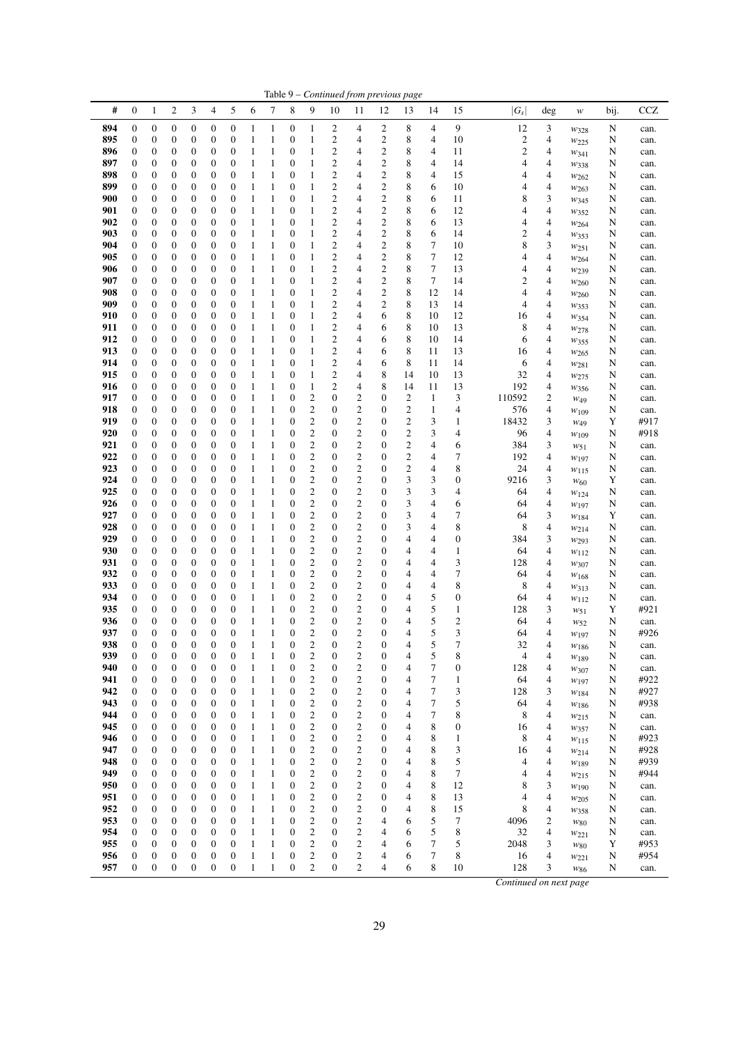|            |                                      |                                      |                                      |                                      |                                      |                                      |                              |                              |                                      |                                      |                                                    |                                           | Table 9 – Continued from previous page  |                         |                   |                         |                       |                |                         |        |              |
|------------|--------------------------------------|--------------------------------------|--------------------------------------|--------------------------------------|--------------------------------------|--------------------------------------|------------------------------|------------------------------|--------------------------------------|--------------------------------------|----------------------------------------------------|-------------------------------------------|-----------------------------------------|-------------------------|-------------------|-------------------------|-----------------------|----------------|-------------------------|--------|--------------|
| #          | $\boldsymbol{0}$                     | $\mathbf{1}$                         | $\overline{c}$                       | 3                                    | 4                                    | 5                                    | 6                            | 7                            | 8                                    | 9                                    | 10                                                 | 11                                        | 12                                      | 13                      | 14                | 15                      | $ G_{S} $             | deg            | w                       | bij.   | CCZ          |
| 894        | $\boldsymbol{0}$                     | $\boldsymbol{0}$                     | $\boldsymbol{0}$                     | 0                                    | $\boldsymbol{0}$                     | $\boldsymbol{0}$                     | 1                            | 1                            | $\boldsymbol{0}$                     | 1                                    | 2                                                  | 4                                         | 2                                       | 8                       | 4                 | 9                       | 12                    | 3              | $w_{328}$               | N      | can.         |
| 895        | 0                                    | $\boldsymbol{0}$                     | $\boldsymbol{0}$                     | 0                                    | $\boldsymbol{0}$                     | $\boldsymbol{0}$                     | 1                            | $\mathbf{1}$                 | $\boldsymbol{0}$                     | 1                                    | $\boldsymbol{2}$                                   | 4                                         | $\mathbf{2}$                            | 8                       | 4                 | 10                      | $\overline{c}$        | 4              | W <sub>225</sub>        | N      | can.         |
| 896<br>897 | 0<br>$\boldsymbol{0}$                | $\boldsymbol{0}$<br>$\boldsymbol{0}$ | $\boldsymbol{0}$<br>$\mathbf{0}$     | 0<br>0                               | 0<br>$\mathbf{0}$                    | $\boldsymbol{0}$<br>$\boldsymbol{0}$ | 1<br>$\mathbf{1}$            | $\mathbf{1}$<br>1            | $\boldsymbol{0}$<br>$\boldsymbol{0}$ | 1<br>1                               | $\mathbf{2}$<br>$\overline{\mathbf{c}}$            | 4<br>4                                    | $\mathbf{2}$<br>$\overline{c}$          | 8<br>8                  | 4<br>4            | 11<br>14                | $\overline{c}$<br>4   | 4<br>4         | W341<br>W338            | N<br>N | can.<br>can. |
| 898        | 0                                    | 0                                    | $\mathbf{0}$                         | 0                                    | $\mathbf{0}$                         | $\boldsymbol{0}$                     | 1                            | 1                            | $\boldsymbol{0}$                     | 1                                    | $\boldsymbol{2}$                                   | 4                                         | $\boldsymbol{2}$                        | 8                       | 4                 | 15                      | 4                     | 4              | $w_{262}$               | N      | can.         |
| 899        | $\boldsymbol{0}$                     | $\boldsymbol{0}$                     | $\mathbf{0}$                         | 0                                    | $\mathbf{0}$                         | $\boldsymbol{0}$                     | 1                            | $\mathbf{1}$                 | $\boldsymbol{0}$                     | 1                                    | $\overline{2}$                                     | 4                                         | $\overline{c}$                          | 8                       | 6                 | 10                      | 4                     | 4              | W <sub>263</sub>        | N      | can.         |
| 900        | $\boldsymbol{0}$                     | $\boldsymbol{0}$                     | $\mathbf{0}$                         | 0                                    | $\mathbf{0}$                         | $\boldsymbol{0}$                     | 1                            | $\mathbf{1}$                 | $\boldsymbol{0}$                     | 1                                    | $\overline{\mathbf{c}}$                            | 4                                         | $\overline{\mathbf{c}}$                 | 8                       | 6                 | 11                      | 8                     | 3              | W345                    | N      | can.         |
| 901<br>902 | 0                                    | $\boldsymbol{0}$                     | $\mathbf{0}$                         | 0                                    | $\mathbf{0}$                         | $\boldsymbol{0}$                     | 1                            | $\mathbf{1}$                 | $\boldsymbol{0}$                     | 1                                    | $\overline{\mathbf{c}}$<br>$\overline{c}$          | 4<br>4                                    | $\overline{\mathbf{c}}$<br>$\mathbf{2}$ | 8<br>8                  | 6<br>6            | 12                      | 4                     | 4              | W352                    | N      | can.         |
| 903        | $\boldsymbol{0}$<br>0                | $\boldsymbol{0}$<br>$\boldsymbol{0}$ | $\boldsymbol{0}$<br>$\mathbf{0}$     | 0<br>0                               | $\boldsymbol{0}$<br>$\mathbf{0}$     | $\boldsymbol{0}$<br>$\boldsymbol{0}$ | 1<br>1                       | $\mathbf{1}$<br>1            | $\boldsymbol{0}$<br>$\boldsymbol{0}$ | 1<br>1                               | $\overline{c}$                                     | 4                                         | $\overline{c}$                          | 8                       | 6                 | 13<br>14                | 4<br>$\overline{c}$   | 4<br>4         | $W_{264}$<br>W353       | N<br>N | can.<br>can. |
| 904        | 0                                    | $\boldsymbol{0}$                     | $\mathbf{0}$                         | 0                                    | $\mathbf{0}$                         | $\boldsymbol{0}$                     | 1                            | 1                            | $\boldsymbol{0}$                     | 1                                    | $\overline{c}$                                     | 4                                         | $\overline{c}$                          | 8                       | 7                 | 10                      | 8                     | 3              | W251                    | N      | can.         |
| 905        | 0                                    | $\boldsymbol{0}$                     | $\mathbf{0}$                         | 0                                    | $\mathbf{0}$                         | $\boldsymbol{0}$                     | 1                            | $\mathbf{1}$                 | $\mathbf{0}$                         | 1                                    | $\overline{\mathbf{c}}$                            | 4                                         | $\boldsymbol{2}$                        | 8                       | 7                 | 12                      | 4                     | 4              | W264                    | N      | can.         |
| 906        | $\boldsymbol{0}$                     | $\boldsymbol{0}$                     | $\mathbf{0}$                         | 0                                    | $\mathbf{0}$                         | $\boldsymbol{0}$                     | 1                            | 1                            | $\boldsymbol{0}$                     | 1                                    | $\overline{c}$                                     | 4                                         | $\overline{c}$                          | 8                       | 7                 | 13                      | 4                     | 4              | W <sub>239</sub>        | N      | can.         |
| 907<br>908 | $\boldsymbol{0}$<br>0                | $\boldsymbol{0}$<br>$\boldsymbol{0}$ | $\mathbf{0}$<br>$\mathbf{0}$         | 0<br>0                               | $\mathbf{0}$<br>$\mathbf{0}$         | $\boldsymbol{0}$<br>$\boldsymbol{0}$ | 1<br>1                       | $\mathbf{1}$<br>$\mathbf{1}$ | $\boldsymbol{0}$<br>$\boldsymbol{0}$ | 1<br>1                               | $\overline{\mathbf{c}}$<br>$\mathbf{2}$            | $\overline{4}$<br>4                       | $\mathbf{2}$<br>$\mathbf{2}$            | 8<br>8                  | 7<br>12           | 14<br>14                | 2<br>4                | 4<br>4         | W <sub>260</sub>        | N<br>N | can.<br>can. |
| 909        | $\boldsymbol{0}$                     | $\boldsymbol{0}$                     | $\mathbf{0}$                         | 0                                    | $\mathbf{0}$                         | $\boldsymbol{0}$                     | 1                            | 1                            | $\boldsymbol{0}$                     | 1                                    | $\mathbf{2}$                                       | 4                                         | $\overline{c}$                          | 8                       | 13                | 14                      | 4                     | 4              | W260<br>W353            | N      | can.         |
| 910        | 0                                    | $\boldsymbol{0}$                     | $\mathbf{0}$                         | 0                                    | 0                                    | $\boldsymbol{0}$                     | 1                            | $\mathbf{1}$                 | $\boldsymbol{0}$                     | 1                                    | $\overline{c}$                                     | 4                                         | 6                                       | 8                       | 10                | 12                      | 16                    | 4              | W354                    | N      | can.         |
| 911        | $\boldsymbol{0}$                     | $\boldsymbol{0}$                     | $\mathbf{0}$                         | 0                                    | $\mathbf{0}$                         | $\boldsymbol{0}$                     | 1                            | 1                            | $\boldsymbol{0}$                     | 1                                    | $\mathbf{2}$                                       | 4                                         | 6                                       | 8                       | 10                | 13                      | 8                     | 4              | W278                    | N      | can.         |
| 912<br>913 | 0<br>$\boldsymbol{0}$                | $\boldsymbol{0}$                     | $\mathbf{0}$<br>$\mathbf{0}$         | 0                                    | $\mathbf{0}$<br>$\mathbf{0}$         | $\boldsymbol{0}$<br>$\boldsymbol{0}$ | 1                            | $\mathbf{1}$<br>1            | $\boldsymbol{0}$<br>$\boldsymbol{0}$ | 1                                    | $\mathbf{2}$                                       | 4<br>4                                    | 6                                       | 8<br>8                  | 10                | 14                      | 6                     | 4              | W355                    | N      | can.         |
| 914        | $\boldsymbol{0}$                     | $\boldsymbol{0}$<br>$\boldsymbol{0}$ | $\boldsymbol{0}$                     | 0<br>0                               | $\mathbf{0}$                         | $\boldsymbol{0}$                     | 1<br>1                       | $\mathbf{1}$                 | $\boldsymbol{0}$                     | 1<br>1                               | $\overline{\mathbf{c}}$<br>$\overline{\mathbf{c}}$ | 4                                         | 6<br>6                                  | 8                       | 11<br>11          | 13<br>14                | 16<br>6               | 4<br>4         | W265<br>$w_{281}$       | N<br>N | can.<br>can. |
| 915        | $\boldsymbol{0}$                     | $\boldsymbol{0}$                     | $\boldsymbol{0}$                     | 0                                    | $\mathbf{0}$                         | $\boldsymbol{0}$                     | 1                            | $\mathbf{1}$                 | $\boldsymbol{0}$                     | 1                                    | $\mathbf{2}$                                       | 4                                         | 8                                       | 14                      | 10                | 13                      | 32                    | 4              | $w_{275}$               | N      | can.         |
| 916        | $\boldsymbol{0}$                     | $\boldsymbol{0}$                     | $\mathbf{0}$                         | 0                                    | $\mathbf{0}$                         | $\boldsymbol{0}$                     | 1                            | 1                            | $\boldsymbol{0}$                     | 1                                    | $\overline{2}$                                     | 4                                         | 8                                       | 14                      | 11                | 13                      | 192                   | 4              | W356                    | N      | can.         |
| 917        | 0                                    | $\boldsymbol{0}$                     | $\mathbf{0}$                         | 0                                    | $\mathbf{0}$                         | $\boldsymbol{0}$                     | 1                            | $\mathbf{1}$                 | $\boldsymbol{0}$                     | 2                                    | $\boldsymbol{0}$                                   | $\overline{\mathbf{c}}$                   | 0                                       | 2                       | $\mathbf{1}$      | 3                       | 110592                | 2              | $W_49$                  | N      | can.         |
| 918<br>919 | 0<br>$\boldsymbol{0}$                | $\boldsymbol{0}$<br>$\boldsymbol{0}$ | $\mathbf{0}$<br>$\mathbf{0}$         | 0<br>0                               | $\mathbf{0}$<br>$\mathbf{0}$         | $\boldsymbol{0}$<br>$\boldsymbol{0}$ | 1<br>1                       | $\mathbf{1}$<br>$\mathbf{1}$ | $\boldsymbol{0}$<br>$\boldsymbol{0}$ | $\mathfrak{2}$<br>$\mathfrak{2}$     | $\boldsymbol{0}$<br>$\boldsymbol{0}$               | $\mathbf{2}$<br>$\overline{c}$            | 0<br>$\boldsymbol{0}$                   | 2<br>$\overline{c}$     | $\mathbf{1}$<br>3 | 4<br>1                  | 576<br>18432          | 4<br>3         | $W_{109}$               | N<br>Y | can.<br>#917 |
| 920        | 0                                    | $\boldsymbol{0}$                     | $\mathbf{0}$                         | 0                                    | $\mathbf{0}$                         | $\boldsymbol{0}$                     | 1                            | 1                            | $\boldsymbol{0}$                     | $\mathfrak{2}$                       | $\boldsymbol{0}$                                   | $\mathbf{2}$                              | $\boldsymbol{0}$                        | 2                       | 3                 | 4                       | 96                    | 4              | W <sub>49</sub><br>W109 | N      | #918         |
| 921        | $\boldsymbol{0}$                     | $\boldsymbol{0}$                     | $\boldsymbol{0}$                     | 0                                    | $\boldsymbol{0}$                     | $\boldsymbol{0}$                     | 1                            | 1                            | 0                                    | $\boldsymbol{2}$                     | $\boldsymbol{0}$                                   | $\mathfrak{2}$                            | $\boldsymbol{0}$                        | $\overline{\mathbf{c}}$ | 4                 | 6                       | 384                   | 3              | W51                     | N      | can.         |
| 922        | 0                                    | $\boldsymbol{0}$                     | $\mathbf{0}$                         | 0                                    | 0                                    | $\boldsymbol{0}$                     | 1                            | $\mathbf{1}$                 | $\boldsymbol{0}$                     | $\boldsymbol{2}$                     | $\boldsymbol{0}$                                   | $\mathbf{2}$                              | $\boldsymbol{0}$                        | $\overline{\mathbf{c}}$ | 4                 | 7                       | 192                   | 4              | W197                    | N      | can.         |
| 923        | $\boldsymbol{0}$                     | $\boldsymbol{0}$                     | $\mathbf{0}$                         | 0                                    | $\mathbf{0}$                         | $\boldsymbol{0}$                     | 1<br>1                       | 1<br>$\mathbf{1}$            | $\boldsymbol{0}$                     | $\mathfrak{2}$                       | $\boldsymbol{0}$                                   | $\mathfrak{2}$                            | 0                                       | 2                       | 4                 | 8                       | 24                    | 4              | $w_{115}$               | N      | can.         |
| 924<br>925 | 0<br>$\boldsymbol{0}$                | $\boldsymbol{0}$<br>$\boldsymbol{0}$ | $\mathbf{0}$<br>$\mathbf{0}$         | 0<br>0                               | $\mathbf{0}$<br>$\mathbf{0}$         | $\boldsymbol{0}$<br>$\boldsymbol{0}$ | 1                            | 1                            | $\boldsymbol{0}$<br>$\boldsymbol{0}$ | $\boldsymbol{2}$<br>$\overline{c}$   | $\boldsymbol{0}$<br>$\boldsymbol{0}$               | $\mathbf{2}$<br>$\overline{c}$            | $\boldsymbol{0}$<br>0                   | 3<br>3                  | 3<br>3            | 0<br>4                  | 9216<br>64            | 3<br>4         | W <sub>60</sub><br>W124 | Y<br>N | can.<br>can. |
| 926        | 0                                    | $\boldsymbol{0}$                     | $\mathbf{0}$                         | 0                                    | $\mathbf{0}$                         | $\boldsymbol{0}$                     | 1                            | $\mathbf{1}$                 | $\boldsymbol{0}$                     | 2                                    | $\boldsymbol{0}$                                   | $\mathfrak{2}$                            | $\boldsymbol{0}$                        | 3                       | 4                 | 6                       | 64                    | 4              | W197                    | N      | can.         |
| 927        | 0                                    | $\boldsymbol{0}$                     | $\mathbf{0}$                         | 0                                    | $\mathbf{0}$                         | $\boldsymbol{0}$                     | 1                            | 1                            | $\boldsymbol{0}$                     | $\boldsymbol{2}$                     | $\boldsymbol{0}$                                   | $\overline{c}$                            | $\boldsymbol{0}$                        | 3                       | 4                 | 7                       | 64                    | 3              | $W_{184}$               | Y      | can.         |
| 928        | $\boldsymbol{0}$                     | $\boldsymbol{0}$                     | $\mathbf{0}$                         | 0                                    | $\mathbf{0}$                         | $\boldsymbol{0}$                     | 1                            | 1                            | $\boldsymbol{0}$                     | $\overline{c}$                       | $\boldsymbol{0}$                                   | $\mathbf{2}$                              | $\boldsymbol{0}$                        | 3                       | 4                 | 8                       | 8                     | 4              | W214                    | N      | can.         |
| 929<br>930 | 0<br>0                               | $\boldsymbol{0}$<br>$\boldsymbol{0}$ | $\mathbf{0}$<br>$\mathbf{0}$         | 0<br>0                               | 0<br>$\mathbf{0}$                    | $\boldsymbol{0}$<br>$\boldsymbol{0}$ | 1<br>$\mathbf{1}$            | $\mathbf{1}$<br>1            | $\boldsymbol{0}$<br>0                | $\boldsymbol{2}$<br>$\boldsymbol{2}$ | $\boldsymbol{0}$<br>$\boldsymbol{0}$               | $\mathfrak{2}$<br>$\mathbf{2}$            | $\boldsymbol{0}$<br>0                   | 4<br>4                  | 4<br>4            | 0<br>$\mathbf{1}$       | 384<br>64             | 3<br>4         | W293<br>$w_{112}$       | N<br>N | can.<br>can. |
| 931        | 0                                    | $\boldsymbol{0}$                     | $\mathbf{0}$                         | 0                                    | $\mathbf{0}$                         | $\boldsymbol{0}$                     | 1                            | $\mathbf{1}$                 | $\boldsymbol{0}$                     | $\boldsymbol{2}$                     | $\boldsymbol{0}$                                   | $\mathbf{2}$                              | $\boldsymbol{0}$                        | 4                       | 4                 | 3                       | 128                   | 4              | $w_{307}$               | N      | can.         |
| 932        | $\boldsymbol{0}$                     | $\boldsymbol{0}$                     | $\mathbf{0}$                         | 0                                    | $\mathbf{0}$                         | $\boldsymbol{0}$                     | 1                            | 1                            | $\boldsymbol{0}$                     | $\overline{c}$                       | $\boldsymbol{0}$                                   | $\overline{c}$                            | $\mathbf{0}$                            | 4                       | 4                 | 7                       | 64                    | 4              | W168                    | N      | can.         |
| 933        | 0                                    | $\boldsymbol{0}$                     | $\mathbf{0}$                         | 0                                    | $\mathbf{0}$                         | $\boldsymbol{0}$                     | 1                            | $\mathbf{1}$                 | 0                                    | $\boldsymbol{2}$                     | $\boldsymbol{0}$                                   | $\mathbf{2}$                              | 0                                       | 4                       | 4                 | 8                       | 8                     | 4              | W313                    | N      | can.         |
| 934<br>935 | 0<br>$\boldsymbol{0}$                | $\boldsymbol{0}$<br>$\boldsymbol{0}$ | $\boldsymbol{0}$<br>$\mathbf{0}$     | 0<br>0                               | $\boldsymbol{0}$<br>$\mathbf{0}$     | $\boldsymbol{0}$<br>$\boldsymbol{0}$ | 1<br>1                       | $\mathbf{1}$<br>$\mathbf{1}$ | $\boldsymbol{0}$<br>$\boldsymbol{0}$ | 2<br>$\mathbf{2}$                    | $\boldsymbol{0}$<br>$\boldsymbol{0}$               | $\overline{\mathbf{c}}$<br>$\overline{c}$ | $\boldsymbol{0}$<br>0                   | 4<br>4                  | 5<br>5            | 0<br>1                  | 64<br>128             | 4<br>3         | $w_{112}$<br>$w_{51}$   | N<br>Y | can.<br>#921 |
| 936        | 0                                    | $\boldsymbol{0}$                     | $\mathbf{0}$                         | 0                                    | $\mathbf{0}$                         | $\boldsymbol{0}$                     | 1                            | $\mathbf{1}$                 | $\boldsymbol{0}$                     | $\mathbf{2}$                         | $\boldsymbol{0}$                                   | $\mathbf{2}$                              | $\mathbf{0}$                            | 4                       | 5                 | $\overline{\mathbf{c}}$ | 64                    | 4              | W <sub>52</sub>         | N      | can.         |
| 937        | $\overline{0}$                       | $\mathbf{0}$                         | $\overline{0}$                       | $\overline{0}$                       | $\overline{0}$                       | $\overline{0}$                       | 1                            | $\mathbf{1}$                 | $\overline{0}$                       | $\overline{2}$                       | $\mathbf{0}$                                       | $\overline{2}$                            | $\overline{0}$                          | 4                       | 5                 | 3                       | 64                    | 4              | W197                    | N      | #926         |
| 938        | 0                                    | $\mathbf{0}$                         | $\boldsymbol{0}$                     | 0                                    | $\boldsymbol{0}$                     | $\boldsymbol{0}$                     | 1                            | 1                            | 0                                    | $\overline{\mathbf{c}}$              | 0                                                  | 2                                         | $\boldsymbol{0}$                        | 4                       | 5                 | 7                       | 32                    | 4              | $w_{186}$               | N      | can.         |
| 939<br>940 | $\boldsymbol{0}$<br>0                | $\boldsymbol{0}$<br>$\boldsymbol{0}$ | $\mathbf{0}$<br>$\mathbf{0}$         | $\boldsymbol{0}$<br>$\boldsymbol{0}$ | $\boldsymbol{0}$<br>$\boldsymbol{0}$ | $\mathbf{0}$<br>$\boldsymbol{0}$     | $\mathbf{1}$<br>$\mathbf{1}$ | $\mathbf{1}$<br>$\mathbf{1}$ | $\boldsymbol{0}$<br>$\boldsymbol{0}$ | $\mathfrak{2}$<br>$\mathfrak{2}$     | $\boldsymbol{0}$<br>$\boldsymbol{0}$               | $\sqrt{2}$<br>$\sqrt{2}$                  | $\boldsymbol{0}$<br>$\mathbf{0}$        | 4<br>4                  | 5<br>7            | 8<br>$\boldsymbol{0}$   | $\overline{4}$<br>128 | 4<br>4         | $w_{189}$<br>W307       | N<br>N | can.<br>can. |
| 941        | $\boldsymbol{0}$                     | $\boldsymbol{0}$                     | $\boldsymbol{0}$                     | $\boldsymbol{0}$                     | $\boldsymbol{0}$                     | $\boldsymbol{0}$                     | $\mathbf{1}$                 | $\mathbf{1}$                 | $\boldsymbol{0}$                     | 2                                    | $\boldsymbol{0}$                                   | $\sqrt{2}$                                | $\mathbf{0}$                            | 4                       | 7                 | $\mathbf{1}$            | 64                    | 4              | W197                    | N      | #922         |
| 942        | $\boldsymbol{0}$                     | $\boldsymbol{0}$                     | $\boldsymbol{0}$                     | $\boldsymbol{0}$                     | 0                                    | $\boldsymbol{0}$                     | $\mathbf{1}$                 | $\mathbf{1}$                 | $\boldsymbol{0}$                     | $\boldsymbol{2}$                     | $\boldsymbol{0}$                                   | $\sqrt{2}$                                | $\boldsymbol{0}$                        | 4                       | 7                 | 3                       | 128                   | 3              | W184                    | N      | #927         |
| 943        | 0                                    | $\boldsymbol{0}$                     | $\boldsymbol{0}$                     | 0                                    | $\boldsymbol{0}$                     | $\boldsymbol{0}$                     | $\mathbf{1}$                 | $\,1\,$                      | $\boldsymbol{0}$                     | 2                                    | $\boldsymbol{0}$                                   | $\overline{c}$                            | $\boldsymbol{0}$                        | 4                       | 7                 | 5                       | 64                    | 4              | $w_{186}$               | N      | #938         |
| 944<br>945 | $\boldsymbol{0}$<br>$\boldsymbol{0}$ | $\boldsymbol{0}$<br>$\boldsymbol{0}$ | $\boldsymbol{0}$<br>$\boldsymbol{0}$ | $\boldsymbol{0}$<br>0                | $\boldsymbol{0}$<br>$\boldsymbol{0}$ | $\mathbf{0}$<br>$\boldsymbol{0}$     | $\mathbf{1}$<br>$\mathbf{1}$ | $\mathbf{1}$<br>$\,1\,$      | $\boldsymbol{0}$<br>$\boldsymbol{0}$ | $\overline{c}$<br>$\boldsymbol{2}$   | $\boldsymbol{0}$<br>$\boldsymbol{0}$               | $\sqrt{2}$<br>$\sqrt{2}$                  | $\mathbf{0}$<br>$\boldsymbol{0}$        | 4<br>4                  | 7<br>8            | 8<br>0                  | 8<br>16               | 4<br>4         | $w_{215}$               | N<br>N | can.         |
| 946        | 0                                    | $\boldsymbol{0}$                     | $\boldsymbol{0}$                     | $\boldsymbol{0}$                     | $\boldsymbol{0}$                     | $\boldsymbol{0}$                     | $\mathbf{1}$                 | $\mathbf{1}$                 | $\boldsymbol{0}$                     | $\boldsymbol{2}$                     | $\boldsymbol{0}$                                   | $\overline{c}$                            | $\boldsymbol{0}$                        | 4                       | 8                 | 1                       | 8                     | 4              | W357<br>$w_{115}$       | N      | can.<br>#923 |
| 947        | $\boldsymbol{0}$                     | $\boldsymbol{0}$                     | $\boldsymbol{0}$                     | 0                                    | $\boldsymbol{0}$                     | $\boldsymbol{0}$                     | 1                            | $\,1\,$                      | 0                                    | $\boldsymbol{2}$                     | $\boldsymbol{0}$                                   | $\sqrt{2}$                                | $\boldsymbol{0}$                        | 4                       | 8                 | 3                       | 16                    | 4              | $w_{214}$               | N      | #928         |
| 948        | $\boldsymbol{0}$                     | $\boldsymbol{0}$                     | $\boldsymbol{0}$                     | 0                                    | 0                                    | $\boldsymbol{0}$                     | $\mathbf{1}$                 | $\mathbf{1}$                 | $\boldsymbol{0}$                     | $\overline{c}$                       | $\boldsymbol{0}$                                   | $\sqrt{2}$                                | $\mathbf{0}$                            | 4                       | 8                 | 5                       | 4                     | 4              | W189                    | N      | #939         |
| 949        | $\boldsymbol{0}$                     | $\boldsymbol{0}$                     | $\boldsymbol{0}$                     | 0                                    | $\boldsymbol{0}$                     | $\boldsymbol{0}$                     | $\mathbf{1}$                 | $\mathbf{1}$                 | $\boldsymbol{0}$                     | $\mathfrak{2}$                       | $\boldsymbol{0}$                                   | $\sqrt{2}$                                | $\mathbf{0}$                            | 4                       | 8                 | 7                       | 4                     | $\overline{4}$ | $w_{215}$               | N      | #944         |
| 950<br>951 | 0<br>0                               | $\boldsymbol{0}$<br>$\boldsymbol{0}$ | $\boldsymbol{0}$<br>$\mathbf{0}$     | 0<br>$\boldsymbol{0}$                | $\boldsymbol{0}$<br>$\boldsymbol{0}$ | $\boldsymbol{0}$<br>$\boldsymbol{0}$ | $\mathbf{1}$<br>$\mathbf{1}$ | $\,1\,$<br>$\,1\,$           | 0<br>$\boldsymbol{0}$                | $\boldsymbol{2}$<br>$\boldsymbol{2}$ | $\boldsymbol{0}$<br>$\boldsymbol{0}$               | $\sqrt{2}$<br>$\sqrt{2}$                  | $\boldsymbol{0}$<br>$\mathbf{0}$        | 4<br>4                  | 8<br>8            | 12<br>13                | 8<br>4                | 3<br>4         | W190<br>$w_{205}$       | N<br>N | can.<br>can. |
| 952        | 0                                    | $\boldsymbol{0}$                     | $\boldsymbol{0}$                     | 0                                    | 0                                    | $\boldsymbol{0}$                     | $\mathbf{1}$                 | $\,1\,$                      | $\boldsymbol{0}$                     | $\sqrt{2}$                           | $\boldsymbol{0}$                                   | $\sqrt{2}$                                | $\boldsymbol{0}$                        | 4                       | 8                 | 15                      | 8                     | 4              | W358                    | N      | can.         |
| 953        | $\boldsymbol{0}$                     | $\boldsymbol{0}$                     | $\boldsymbol{0}$                     | $\boldsymbol{0}$                     | $\boldsymbol{0}$                     | $\boldsymbol{0}$                     | $\mathbf{1}$                 | $\,1\,$                      | $\boldsymbol{0}$                     | $\overline{c}$                       | $\boldsymbol{0}$                                   | $\sqrt{2}$                                | $\overline{4}$                          | 6                       | 5                 | 7                       | 4096                  | $\mathfrak{2}$ | $w_{\rm 80}$            | N      | can.         |
| 954        | $\boldsymbol{0}$                     | $\boldsymbol{0}$                     | $\boldsymbol{0}$                     | $\boldsymbol{0}$                     | $\boldsymbol{0}$                     | $\boldsymbol{0}$                     | 1                            | $\mathbf{1}$                 | $\boldsymbol{0}$                     | $\boldsymbol{2}$                     | $\boldsymbol{0}$                                   | $\sqrt{2}$                                | $\overline{4}$                          | 6                       | 5                 | 8                       | 32                    | 4              | W221                    | N      | can.         |
| 955<br>956 | $\boldsymbol{0}$<br>0                | $\boldsymbol{0}$<br>$\boldsymbol{0}$ | $\boldsymbol{0}$<br>$\boldsymbol{0}$ | $\boldsymbol{0}$<br>$\boldsymbol{0}$ | $\boldsymbol{0}$<br>$\boldsymbol{0}$ | $\boldsymbol{0}$<br>$\boldsymbol{0}$ | $\mathbf{1}$<br>$\mathbf{1}$ | $\,1\,$<br>$\,1\,$           | $\boldsymbol{0}$<br>$\boldsymbol{0}$ | 2<br>$\overline{c}$                  | $\boldsymbol{0}$<br>$\boldsymbol{0}$               | $\boldsymbol{2}$<br>$\sqrt{2}$            | 4<br>4                                  | 6<br>6                  | 7<br>7            | 5<br>8                  | 2048<br>16            | 3<br>4         | $w_{\rm 80}$            | Y<br>N | #953<br>#954 |
| 957        | $\boldsymbol{0}$                     | $\boldsymbol{0}$                     | $\boldsymbol{0}$                     | $\boldsymbol{0}$                     | $\boldsymbol{0}$                     | $\boldsymbol{0}$                     | $\mathbf{1}$                 | $\mathbf{1}$                 | $\boldsymbol{0}$                     | $\overline{c}$                       | $\mathbf{0}$                                       | $\overline{c}$                            | $\overline{4}$                          | 6                       | 8                 | 10                      | 128                   | 3              | W221<br>W86             | N      | can.         |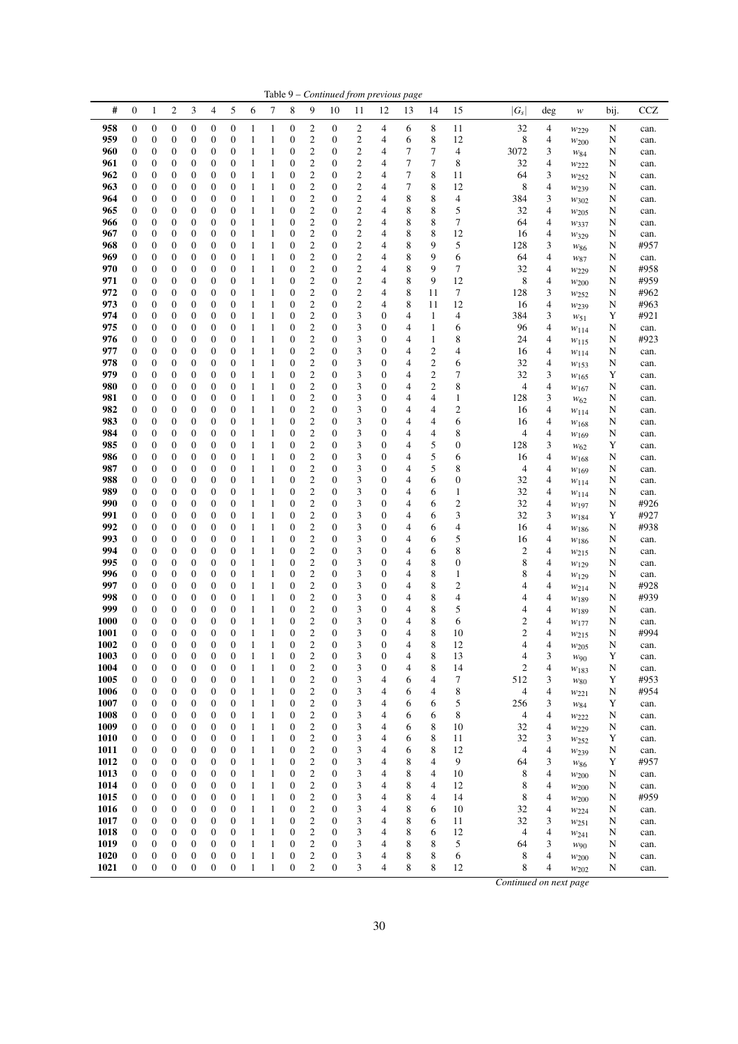|              |                                      |                                      |                                      |                                      |                                      |                                      |                              |                              |                                      |                                             |                                      | Table 9 – Continued from previous page    |                                  |                  |                              |                                  |                |                                                      |                        |        |              |
|--------------|--------------------------------------|--------------------------------------|--------------------------------------|--------------------------------------|--------------------------------------|--------------------------------------|------------------------------|------------------------------|--------------------------------------|---------------------------------------------|--------------------------------------|-------------------------------------------|----------------------------------|------------------|------------------------------|----------------------------------|----------------|------------------------------------------------------|------------------------|--------|--------------|
| #            | $\boldsymbol{0}$                     | $\mathbf{1}$                         | $\overline{2}$                       | 3                                    | $\overline{4}$                       | 5                                    | 6                            | 7                            | 8                                    | 9                                           | 10                                   | 11                                        | 12                               | 13               | 14                           | 15                               | $ G_s $        | deg                                                  | $\boldsymbol{W}$       | bij.   | <b>CCZ</b>   |
| 958          | $\boldsymbol{0}$                     | $\boldsymbol{0}$                     | $\boldsymbol{0}$                     | $\boldsymbol{0}$                     | $\boldsymbol{0}$                     | $\boldsymbol{0}$                     | 1                            | 1                            | $\boldsymbol{0}$                     | $\overline{c}$                              | $\boldsymbol{0}$                     | 2                                         | 4                                | 6                | 8                            | 11                               | 32             | 4                                                    | $w_{229}$              | N      | can.         |
| 959          | $\boldsymbol{0}$                     | $\boldsymbol{0}$                     | $\boldsymbol{0}$                     | $\boldsymbol{0}$                     | $\mathbf{0}$                         | $\boldsymbol{0}$                     | $\mathbf{1}$                 | 1                            | $\boldsymbol{0}$                     | $\overline{2}$                              | $\boldsymbol{0}$                     | $\mathbf{2}$                              | 4                                | 6                | 8                            | 12                               | 8              | 4                                                    | $w_{200}$              | N      | can.         |
| 960<br>961   | $\boldsymbol{0}$<br>$\boldsymbol{0}$ | $\boldsymbol{0}$<br>$\boldsymbol{0}$ | $\boldsymbol{0}$<br>$\boldsymbol{0}$ | $\boldsymbol{0}$<br>$\boldsymbol{0}$ | $\boldsymbol{0}$<br>$\mathbf{0}$     | $\boldsymbol{0}$<br>$\mathbf{0}$     | $\mathbf{1}$<br>$\mathbf{1}$ | $\mathbf{1}$<br>$\mathbf{1}$ | $\boldsymbol{0}$<br>$\mathbf{0}$     | $\overline{\mathbf{c}}$<br>$\mathbf{2}$     | $\boldsymbol{0}$<br>$\boldsymbol{0}$ | $\overline{\mathbf{c}}$<br>$\mathfrak{2}$ | 4<br>4                           | 7<br>7           | 7<br>7                       | 4<br>8                           | 3072<br>32     | 3<br>4                                               | W84                    | N<br>N | can.<br>can. |
| 962          | $\boldsymbol{0}$                     | $\boldsymbol{0}$                     | $\boldsymbol{0}$                     | $\boldsymbol{0}$                     | $\boldsymbol{0}$                     | $\boldsymbol{0}$                     | $\mathbf{1}$                 | $\mathbf{1}$                 | $\boldsymbol{0}$                     | $\boldsymbol{2}$                            | $\boldsymbol{0}$                     | $\overline{\mathbf{c}}$                   | 4                                | $\boldsymbol{7}$ | 8                            | 11                               | 64             | 3                                                    | W222<br>$w_{252}$      | N      | can.         |
| 963          | $\boldsymbol{0}$                     | $\boldsymbol{0}$                     | $\boldsymbol{0}$                     | $\boldsymbol{0}$                     | $\boldsymbol{0}$                     | $\mathbf{0}$                         | $\mathbf{1}$                 | 1                            | $\boldsymbol{0}$                     | $\mathbf{2}$                                | $\boldsymbol{0}$                     | $\overline{\mathbf{c}}$                   | 4                                | 7                | 8                            | 12                               | 8              | 4                                                    | $w_{239}$              | N      | can.         |
| 964          | $\boldsymbol{0}$                     | $\boldsymbol{0}$                     | $\boldsymbol{0}$                     | $\boldsymbol{0}$                     | $\boldsymbol{0}$                     | $\boldsymbol{0}$                     | $\mathbf{1}$                 | $\mathbf{1}$                 | $\boldsymbol{0}$                     | $\overline{c}$                              | $\boldsymbol{0}$                     | $\overline{\mathbf{c}}$                   | 4                                | 8                | 8                            | 4                                | 384            | 3                                                    | W302                   | N      | can.         |
| 965          | $\boldsymbol{0}$                     | $\boldsymbol{0}$                     | $\boldsymbol{0}$                     | $\boldsymbol{0}$                     | $\boldsymbol{0}$                     | $\boldsymbol{0}$                     | 1                            | $\mathbf{1}$                 | $\boldsymbol{0}$                     | $\mathbf{2}$                                | $\boldsymbol{0}$                     | $\mathbf{2}$                              | 4                                | 8                | 8                            | 5                                | 32             | 4                                                    | W205                   | N      | can.         |
| 966<br>967   | $\boldsymbol{0}$                     | $\boldsymbol{0}$                     | $\boldsymbol{0}$                     | $\boldsymbol{0}$                     | $\mathbf{0}$                         | $\boldsymbol{0}$                     | $\mathbf{1}$<br>1            | $\mathbf{1}$<br>$\mathbf{1}$ | $\mathbf{0}$                         | $\overline{2}$<br>$\mathbf{2}$              | $\boldsymbol{0}$<br>$\boldsymbol{0}$ | $\overline{\mathbf{c}}$                   | 4                                | 8<br>8           | 8<br>8                       | 7<br>12                          | 64             | 4<br>4                                               | W337                   | N      | can.         |
| 968          | $\boldsymbol{0}$<br>$\boldsymbol{0}$ | $\boldsymbol{0}$<br>$\boldsymbol{0}$ | $\boldsymbol{0}$<br>$\boldsymbol{0}$ | $\boldsymbol{0}$<br>$\boldsymbol{0}$ | $\boldsymbol{0}$<br>$\boldsymbol{0}$ | $\boldsymbol{0}$<br>$\mathbf{0}$     | $\mathbf{1}$                 | 1                            | $\boldsymbol{0}$<br>$\mathbf{0}$     | $\mathbf{2}$                                | $\boldsymbol{0}$                     | 2<br>$\overline{\mathbf{c}}$              | 4<br>4                           | 8                | 9                            | 5                                | 16<br>128      | 3                                                    | $w_{329}$              | N<br>N | can.<br>#957 |
| 969          | $\boldsymbol{0}$                     | $\boldsymbol{0}$                     | $\boldsymbol{0}$                     | $\boldsymbol{0}$                     | $\boldsymbol{0}$                     | $\boldsymbol{0}$                     | $\mathbf{1}$                 | 1                            | $\boldsymbol{0}$                     | $\overline{c}$                              | $\boldsymbol{0}$                     | $\overline{\mathbf{c}}$                   | 4                                | 8                | 9                            | 6                                | 64             | 4                                                    | W86<br>W87             | N      | can.         |
| 970          | $\boldsymbol{0}$                     | $\boldsymbol{0}$                     | $\boldsymbol{0}$                     | $\boldsymbol{0}$                     | $\boldsymbol{0}$                     | $\boldsymbol{0}$                     | $\mathbf{1}$                 | $\mathbf{1}$                 | $\boldsymbol{0}$                     | $\overline{\mathbf{c}}$                     | $\boldsymbol{0}$                     | $\overline{\mathbf{c}}$                   | 4                                | 8                | 9                            | 7                                | 32             | 4                                                    | W <sub>229</sub>       | N      | #958         |
| 971          | $\boldsymbol{0}$                     | $\boldsymbol{0}$                     | $\boldsymbol{0}$                     | $\boldsymbol{0}$                     | $\boldsymbol{0}$                     | $\boldsymbol{0}$                     | $\mathbf{1}$                 | $\mathbf{1}$                 | $\boldsymbol{0}$                     | $\mathbf{2}$                                | $\boldsymbol{0}$                     | $\mathfrak{2}$                            | 4                                | 8                | 9                            | 12                               | 8              | 4                                                    | $w_{200}$              | N      | #959         |
| 972          | $\boldsymbol{0}$                     | $\boldsymbol{0}$                     | $\boldsymbol{0}$                     | $\boldsymbol{0}$                     | $\boldsymbol{0}$                     | $\boldsymbol{0}$                     | $\mathbf{1}$                 | $\mathbf{1}$                 | $\boldsymbol{0}$                     | $\mathbf{2}$                                | $\boldsymbol{0}$                     | $\boldsymbol{2}$                          | 4                                | 8                | 11                           | 7                                | 128            | 3                                                    | W <sub>252</sub>       | N      | #962         |
| 973          | $\boldsymbol{0}$                     | $\boldsymbol{0}$                     | $\boldsymbol{0}$                     | $\boldsymbol{0}$                     | $\mathbf{0}$                         | $\boldsymbol{0}$                     | 1                            | $\mathbf{1}$                 | $\mathbf{0}$                         | $\mathbf{2}$                                | $\boldsymbol{0}$                     | $\boldsymbol{2}$                          | 4                                | 8                | 11                           | 12                               | 16             | 4                                                    | W <sub>239</sub>       | N      | #963         |
| 974<br>975   | $\boldsymbol{0}$<br>$\boldsymbol{0}$ | $\boldsymbol{0}$<br>$\boldsymbol{0}$ | $\boldsymbol{0}$<br>$\boldsymbol{0}$ | $\boldsymbol{0}$<br>$\boldsymbol{0}$ | $\boldsymbol{0}$<br>$\boldsymbol{0}$ | $\boldsymbol{0}$<br>$\mathbf{0}$     | $\mathbf{1}$<br>1            | $\mathbf{1}$<br>1            | $\boldsymbol{0}$<br>$\mathbf{0}$     | $\overline{\mathbf{c}}$<br>$\mathbf{2}$     | $\boldsymbol{0}$<br>$\boldsymbol{0}$ | 3<br>3                                    | $\mathbf{0}$<br>$\mathbf{0}$     | 4<br>4           | $\mathbf{1}$<br>$\mathbf{1}$ | 4<br>6                           | 384<br>96      | 3<br>4                                               | $w_{51}$               | Y<br>N | #921<br>can. |
| 976          | $\boldsymbol{0}$                     | $\boldsymbol{0}$                     | $\boldsymbol{0}$                     | $\boldsymbol{0}$                     | $\boldsymbol{0}$                     | $\boldsymbol{0}$                     | $\mathbf{1}$                 | $\mathbf{1}$                 | $\boldsymbol{0}$                     | $\overline{\mathbf{c}}$                     | $\boldsymbol{0}$                     | 3                                         | $\boldsymbol{0}$                 | 4                | $\mathbf{1}$                 | 8                                | 24             | 4                                                    | $w_{114}$<br>$w_{115}$ | N      | #923         |
| 977          | $\boldsymbol{0}$                     | $\boldsymbol{0}$                     | $\boldsymbol{0}$                     | $\boldsymbol{0}$                     | $\boldsymbol{0}$                     | $\boldsymbol{0}$                     | $\mathbf{1}$                 | $\mathbf{1}$                 | $\boldsymbol{0}$                     | $\overline{c}$                              | $\boldsymbol{0}$                     | 3                                         | $\mathbf{0}$                     | 4                | $\mathbf{2}$                 | 4                                | 16             | 4                                                    | $w_{114}$              | N      | can.         |
| 978          | $\boldsymbol{0}$                     | $\boldsymbol{0}$                     | $\boldsymbol{0}$                     | $\boldsymbol{0}$                     | $\boldsymbol{0}$                     | $\boldsymbol{0}$                     | $\mathbf{1}$                 | $\mathbf{1}$                 | $\mathbf{0}$                         | $\mathbf{2}$                                | $\boldsymbol{0}$                     | 3                                         | $\boldsymbol{0}$                 | 4                | $\overline{c}$               | 6                                | 32             | 4                                                    | $w_{153}$              | N      | can.         |
| 979          | $\boldsymbol{0}$                     | $\boldsymbol{0}$                     | $\boldsymbol{0}$                     | $\boldsymbol{0}$                     | $\boldsymbol{0}$                     | $\boldsymbol{0}$                     | $\mathbf{1}$                 | $\mathbf{1}$                 | $\boldsymbol{0}$                     | $\mathbf{2}$                                | $\boldsymbol{0}$                     | 3                                         | $\mathbf{0}$                     | 4                | $\mathbf{2}$                 | 7                                | 32             | 3                                                    | $w_{165}$              | Y      | can.         |
| 980          | $\boldsymbol{0}$                     | $\boldsymbol{0}$                     | $\boldsymbol{0}$                     | $\boldsymbol{0}$                     | $\boldsymbol{0}$                     | $\mathbf{0}$                         | $\mathbf{1}$                 | $\mathbf{1}$                 | $\boldsymbol{0}$                     | $\mathbf{2}$                                | $\boldsymbol{0}$                     | 3                                         | $\mathbf{0}$                     | 4                | $\overline{c}$               | 8                                | $\overline{4}$ | $\overline{\mathcal{L}}$                             | W167                   | N      | can.         |
| 981<br>982   | $\boldsymbol{0}$<br>$\boldsymbol{0}$ | $\boldsymbol{0}$<br>$\boldsymbol{0}$ | $\boldsymbol{0}$<br>$\boldsymbol{0}$ | $\boldsymbol{0}$<br>$\boldsymbol{0}$ | $\boldsymbol{0}$<br>$\boldsymbol{0}$ | $\boldsymbol{0}$<br>$\mathbf{0}$     | $\mathbf{1}$<br>$\mathbf{1}$ | $\mathbf{1}$<br>1            | $\boldsymbol{0}$<br>$\mathbf{0}$     | $\mathbf{2}$<br>$\mathbf{2}$                | $\boldsymbol{0}$<br>$\boldsymbol{0}$ | 3<br>3                                    | $\boldsymbol{0}$<br>$\mathbf{0}$ | 4<br>4           | 4<br>4                       | $\mathbf{1}$<br>$\overline{c}$   | 128<br>16      | 3<br>4                                               | W <sub>62</sub>        | N<br>N | can.         |
| 983          | $\boldsymbol{0}$                     | $\boldsymbol{0}$                     | $\boldsymbol{0}$                     | $\boldsymbol{0}$                     | $\boldsymbol{0}$                     | $\boldsymbol{0}$                     | $\mathbf{1}$                 | $\mathbf{1}$                 | $\boldsymbol{0}$                     | $\overline{c}$                              | $\boldsymbol{0}$                     | 3                                         | $\boldsymbol{0}$                 | 4                | 4                            | 6                                | 16             | 4                                                    | W114<br>$w_{\rm 168}$  | N      | can.<br>can. |
| 984          | $\boldsymbol{0}$                     | $\boldsymbol{0}$                     | $\boldsymbol{0}$                     | $\boldsymbol{0}$                     | $\boldsymbol{0}$                     | $\boldsymbol{0}$                     | 1                            | $\mathbf{1}$                 | $\boldsymbol{0}$                     | $\mathbf{2}$                                | $\mathbf{0}$                         | 3                                         | $\mathbf{0}$                     | 4                | 4                            | 8                                | 4              | 4                                                    | W169                   | N      | can.         |
| 985          | $\mathbf{0}$                         | $\boldsymbol{0}$                     | $\mathbf{0}$                         | $\boldsymbol{0}$                     | $\mathbf{0}$                         | $\boldsymbol{0}$                     | $\mathbf{1}$                 | $\mathbf{1}$                 | $\mathbf{0}$                         | $\overline{2}$                              | $\boldsymbol{0}$                     | 3                                         | $\boldsymbol{0}$                 | 4                | 5                            | $\boldsymbol{0}$                 | 128            | 3                                                    | $w_{62}$               | Y      | can.         |
| 986          | $\boldsymbol{0}$                     | $\boldsymbol{0}$                     | $\boldsymbol{0}$                     | $\boldsymbol{0}$                     | $\boldsymbol{0}$                     | $\boldsymbol{0}$                     | $\mathbf{1}$                 | $\mathbf{1}$                 | $\boldsymbol{0}$                     | $\mathbf{2}$                                | $\boldsymbol{0}$                     | 3                                         | $\boldsymbol{0}$                 | 4                | 5                            | 6                                | 16             | 4                                                    | $w_{168}$              | N      | can.         |
| 987          | $\boldsymbol{0}$                     | $\boldsymbol{0}$                     | $\boldsymbol{0}$                     | $\boldsymbol{0}$                     | $\boldsymbol{0}$                     | $\mathbf{0}$                         | $\mathbf{1}$                 | $\mathbf{1}$                 | $\mathbf{0}$                         | $\mathbf{2}$                                | $\boldsymbol{0}$                     | 3                                         | $\mathbf{0}$                     | 4                | 5                            | 8                                | 4              | 4                                                    | $W_{169}$              | N      | can.         |
| 988<br>989   | $\boldsymbol{0}$<br>$\boldsymbol{0}$ | $\boldsymbol{0}$<br>$\boldsymbol{0}$ | $\boldsymbol{0}$<br>$\boldsymbol{0}$ | $\boldsymbol{0}$<br>$\boldsymbol{0}$ | $\boldsymbol{0}$<br>$\boldsymbol{0}$ | $\boldsymbol{0}$<br>$\boldsymbol{0}$ | $\mathbf{1}$                 | 1                            | $\boldsymbol{0}$<br>$\boldsymbol{0}$ | $\boldsymbol{2}$<br>$\overline{\mathbf{c}}$ | $\boldsymbol{0}$<br>$\boldsymbol{0}$ | 3<br>3                                    | $\mathbf{0}$<br>$\mathbf{0}$     | 4<br>4           | 6<br>6                       | $\boldsymbol{0}$<br>$\mathbf{1}$ | 32<br>32       | $\overline{4}$<br>4                                  | W114                   | N      | can.         |
| 990          | $\boldsymbol{0}$                     | $\boldsymbol{0}$                     | $\boldsymbol{0}$                     | $\boldsymbol{0}$                     | $\boldsymbol{0}$                     | $\boldsymbol{0}$                     | $\mathbf{1}$<br>$\mathbf{1}$ | $\mathbf{1}$<br>$\mathbf{1}$ | $\boldsymbol{0}$                     | $\mathbf{2}$                                | $\boldsymbol{0}$                     | 3                                         | $\boldsymbol{0}$                 | 4                | 6                            | $\overline{c}$                   | 32             | 4                                                    | $w_{114}$<br>W197      | N<br>N | can.<br>#926 |
| 991          | $\boldsymbol{0}$                     | $\boldsymbol{0}$                     | $\boldsymbol{0}$                     | $\boldsymbol{0}$                     | $\boldsymbol{0}$                     | $\boldsymbol{0}$                     | 1                            | $\mathbf{1}$                 | $\boldsymbol{0}$                     | $\mathbf{2}$                                | $\boldsymbol{0}$                     | 3                                         | $\mathbf{0}$                     | 4                | 6                            | 3                                | 32             | 3                                                    | $W_{184}$              | Y      | #927         |
| 992          | $\boldsymbol{0}$                     | $\boldsymbol{0}$                     | $\boldsymbol{0}$                     | $\boldsymbol{0}$                     | $\boldsymbol{0}$                     | $\mathbf{0}$                         | $\mathbf{1}$                 | $\mathbf{1}$                 | $\mathbf{0}$                         | $\mathbf{2}$                                | $\boldsymbol{0}$                     | 3                                         | $\boldsymbol{0}$                 | 4                | 6                            | $\overline{4}$                   | 16             | 4                                                    | W186                   | N      | #938         |
| 993          | $\boldsymbol{0}$                     | $\boldsymbol{0}$                     | $\boldsymbol{0}$                     | $\boldsymbol{0}$                     | $\boldsymbol{0}$                     | $\boldsymbol{0}$                     | $\mathbf{1}$                 | $\mathbf{1}$                 | $\boldsymbol{0}$                     | $\overline{\mathbf{c}}$                     | $\boldsymbol{0}$                     | 3                                         | $\mathbf{0}$                     | 4                | 6                            | 5                                | 16             | 4                                                    | W186                   | N      | can.         |
| 994          | $\boldsymbol{0}$                     | $\boldsymbol{0}$                     | $\boldsymbol{0}$                     | $\boldsymbol{0}$                     | $\mathbf{0}$                         | $\mathbf{0}$                         | 1                            | 1                            | $\mathbf{0}$                         | $\mathbf{2}$                                | $\boldsymbol{0}$                     | 3                                         | $\mathbf{0}$                     | 4                | 6                            | 8                                | $\mathfrak{2}$ | 4                                                    | $w_{215}$              | N      | can.         |
| 995<br>996   | $\boldsymbol{0}$<br>$\boldsymbol{0}$ | $\boldsymbol{0}$<br>$\boldsymbol{0}$ | $\boldsymbol{0}$<br>$\boldsymbol{0}$ | $\boldsymbol{0}$<br>$\boldsymbol{0}$ | $\boldsymbol{0}$<br>$\boldsymbol{0}$ | $\boldsymbol{0}$<br>$\boldsymbol{0}$ | $\mathbf{1}$<br>$\mathbf{1}$ | $\mathbf{1}$<br>1            | $\boldsymbol{0}$<br>$\boldsymbol{0}$ | $\overline{\mathbf{c}}$<br>$\mathbf{2}$     | $\boldsymbol{0}$<br>$\mathbf{0}$     | 3<br>3                                    | $\boldsymbol{0}$<br>$\mathbf{0}$ | 4<br>4           | 8<br>8                       | $\boldsymbol{0}$<br>$\mathbf{1}$ | 8<br>8         | 4<br>4                                               | $w_{129}$              | N      | can.         |
| 997          | $\mathbf{0}$                         | $\boldsymbol{0}$                     | $\boldsymbol{0}$                     | $\boldsymbol{0}$                     | $\mathbf{0}$                         | $\boldsymbol{0}$                     | $\mathbf{1}$                 | $\mathbf{1}$                 | $\mathbf{0}$                         | $\mathbf{2}$                                | $\boldsymbol{0}$                     | 3                                         | $\boldsymbol{0}$                 | 4                | 8                            | $\overline{c}$                   | 4              | 4                                                    | W129<br>W214           | N<br>N | can.<br>#928 |
| 998          | $\boldsymbol{0}$                     | $\boldsymbol{0}$                     | $\boldsymbol{0}$                     | $\boldsymbol{0}$                     | $\boldsymbol{0}$                     | $\boldsymbol{0}$                     | 1                            | $\mathbf{1}$                 | $\boldsymbol{0}$                     | $\mathbf{2}$                                | $\boldsymbol{0}$                     | 3                                         | $\mathbf{0}$                     | 4                | 8                            | $\overline{4}$                   | 4              | 4                                                    | W189                   | N      | #939         |
| 999          | $\boldsymbol{0}$                     | $\boldsymbol{0}$                     | $\boldsymbol{0}$                     | $\boldsymbol{0}$                     | $\boldsymbol{0}$                     | $\boldsymbol{0}$                     | $\mathbf{1}$                 | $\mathbf{1}$                 | $\boldsymbol{0}$                     | $\overline{c}$                              | $\boldsymbol{0}$                     | 3                                         | $\boldsymbol{0}$                 | 4                | 8                            | 5                                | 4              | 4                                                    | $w_{189}$              | N      | can.         |
| 1000         | $\boldsymbol{0}$                     | $\boldsymbol{0}$                     | $\boldsymbol{0}$                     | $\boldsymbol{0}$                     | $\mathbf{0}$                         | $\boldsymbol{0}$                     | $\mathbf{1}$                 | $\mathbf{1}$                 | $\boldsymbol{0}$                     | $\mathbf{2}$                                | $\boldsymbol{0}$                     | 3                                         | $\mathbf{0}$                     | 4                | 8                            | 6                                | $\overline{c}$ | 4                                                    | W177                   | N      | can.         |
| 1001         | $\mathbf{0}$                         | $\overline{0}$                       | $\overline{0}$                       | $\overline{0}$                       | $\overline{0}$                       | $\overline{0}$                       | 1                            | 1                            | $\mathbf{0}$                         | $\overline{2}$                              | $\overline{0}$                       | 3                                         | $\overline{0}$                   | 4                | 8                            | 10                               | $\overline{c}$ | $\overline{4}$                                       | W <sub>215</sub>       | N      | #994         |
| 1002<br>1003 | $\boldsymbol{0}$<br>$\boldsymbol{0}$ | $\boldsymbol{0}$<br>$\boldsymbol{0}$ | $\boldsymbol{0}$<br>$\boldsymbol{0}$ | $\boldsymbol{0}$<br>$\boldsymbol{0}$ | $\boldsymbol{0}$<br>$\boldsymbol{0}$ | $\boldsymbol{0}$<br>$\boldsymbol{0}$ | $\mathbf{1}$<br>$\mathbf{1}$ | 1<br>$\mathbf{1}$            | $\boldsymbol{0}$<br>$\boldsymbol{0}$ | 2<br>$\mathbf{2}$                           | $\boldsymbol{0}$<br>$\mathbf{0}$     | 3<br>3                                    | $\mathbf{0}$<br>$\mathbf{0}$     | 4<br>4           | 8<br>8                       | 12<br>13                         | 4<br>4         | 4<br>3                                               | $w_{205}$<br>$W_{90}$  | N<br>Y | can.<br>can. |
| 1004         | $\boldsymbol{0}$                     | $\boldsymbol{0}$                     | $\mathbf{0}$                         | $\boldsymbol{0}$                     | $\mathbf{0}$                         | $\mathbf{0}$                         | $\mathbf{1}$                 | $\mathbf{1}$                 | $\boldsymbol{0}$                     | $\sqrt{2}$                                  | $\boldsymbol{0}$                     | 3                                         | $\mathbf{0}$                     | 4                | 8                            | 14                               | $\mathfrak{2}$ | $\overline{4}$                                       | W183                   | N      | can.         |
| 1005         | $\boldsymbol{0}$                     | $\boldsymbol{0}$                     | $\boldsymbol{0}$                     | $\boldsymbol{0}$                     | $\boldsymbol{0}$                     | $\boldsymbol{0}$                     | $\mathbf{1}$                 | $\mathbf{1}$                 | $\boldsymbol{0}$                     | $\boldsymbol{2}$                            | $\boldsymbol{0}$                     | 3                                         | 4                                | 6                | 4                            | 7                                | 512            | $\mathfrak{Z}$                                       | W80                    | Y      | #953         |
| 1006         | $\boldsymbol{0}$                     | $\boldsymbol{0}$                     | $\boldsymbol{0}$                     | $\boldsymbol{0}$                     | $\boldsymbol{0}$                     | $\mathbf{0}$                         | $\mathbf{1}$                 | $\mathbf{1}$                 | $\boldsymbol{0}$                     | $\overline{c}$                              | $\boldsymbol{0}$                     | 3                                         | 4                                | 6                | 4                            | 8                                | 4              | $\overline{\mathbf{4}}$                              | W221                   | N      | #954         |
| 1007         | $\boldsymbol{0}$                     | $\boldsymbol{0}$                     | $\boldsymbol{0}$                     | $\boldsymbol{0}$                     | $\boldsymbol{0}$                     | $\boldsymbol{0}$                     | $\mathbf{1}$                 | $\mathbf{1}$                 | $\boldsymbol{0}$                     | $\overline{\mathbf{c}}$                     | $\boldsymbol{0}$                     | 3                                         | 4                                | 6                | 6                            | 5                                | 256            | $\mathfrak{Z}$                                       | $W_{84}$               | Y      | can.         |
| 1008<br>1009 | $\boldsymbol{0}$                     | $\boldsymbol{0}$                     | $\boldsymbol{0}$<br>$\boldsymbol{0}$ | $\boldsymbol{0}$                     | $\boldsymbol{0}$                     | $\boldsymbol{0}$<br>$\boldsymbol{0}$ | $\mathbf{1}$                 | $\mathbf{1}$                 | $\boldsymbol{0}$<br>$\boldsymbol{0}$ | $\overline{c}$<br>$\overline{c}$            | $\boldsymbol{0}$<br>$\boldsymbol{0}$ | 3                                         | $\overline{4}$                   | 6                | 6                            | 8                                | 4<br>32        | $\overline{\mathcal{L}}$<br>$\overline{\mathcal{L}}$ | $w_{222}$              | N      | can.         |
| 1010         | $\boldsymbol{0}$<br>$\boldsymbol{0}$ | $\boldsymbol{0}$<br>$\boldsymbol{0}$ | $\boldsymbol{0}$                     | $\boldsymbol{0}$<br>$\boldsymbol{0}$ | $\boldsymbol{0}$<br>$\boldsymbol{0}$ | $\boldsymbol{0}$                     | $\mathbf{1}$<br>$\mathbf{1}$ | $\,1\,$<br>$\mathbf{1}$      | $\boldsymbol{0}$                     | $\sqrt{2}$                                  | $\mathbf{0}$                         | 3<br>3                                    | 4<br>4                           | 6<br>6           | 8<br>8                       | 10<br>11                         | 32             | 3                                                    | W229<br>$w_{252}$      | N<br>Y | can.<br>can. |
| 1011         | $\boldsymbol{0}$                     | $\boldsymbol{0}$                     | $\boldsymbol{0}$                     | $\boldsymbol{0}$                     | $\boldsymbol{0}$                     | $\boldsymbol{0}$                     | $\mathbf{1}$                 | $\mathbf{1}$                 | $\boldsymbol{0}$                     | $\overline{c}$                              | $\boldsymbol{0}$                     | 3                                         | 4                                | 6                | 8                            | 12                               | 4              | $\overline{\mathbf{4}}$                              | $w_{239}$              | N      | can.         |
| 1012         | $\boldsymbol{0}$                     | $\boldsymbol{0}$                     | $\boldsymbol{0}$                     | $\boldsymbol{0}$                     | $\boldsymbol{0}$                     | $\boldsymbol{0}$                     | $\mathbf{1}$                 | $\mathbf{1}$                 | $\boldsymbol{0}$                     | $\overline{c}$                              | $\boldsymbol{0}$                     | 3                                         | 4                                | 8                | $\overline{4}$               | 9                                | 64             | 3                                                    | W86                    | Y      | #957         |
| 1013         | $\mathbf{0}$                         | $\boldsymbol{0}$                     | $\boldsymbol{0}$                     | $\boldsymbol{0}$                     | $\boldsymbol{0}$                     | $\boldsymbol{0}$                     | $\mathbf{1}$                 | $\mathbf{1}$                 | $\boldsymbol{0}$                     | $\overline{c}$                              | $\boldsymbol{0}$                     | 3                                         | $\overline{4}$                   | 8                | 4                            | 10                               | 8              | $\overline{\mathbf{4}}$                              | W200                   | N      | can.         |
| 1014         | $\boldsymbol{0}$                     | $\boldsymbol{0}$                     | $\boldsymbol{0}$                     | $\boldsymbol{0}$                     | $\boldsymbol{0}$                     | $\boldsymbol{0}$                     | $\mathbf{1}$                 | $\mathbf{1}$                 | $\boldsymbol{0}$                     | $\overline{c}$                              | $\boldsymbol{0}$                     | 3                                         | 4                                | 8                | 4                            | 12                               | 8              | $\overline{4}$                                       | W200                   | N      | can.         |
| 1015         | $\boldsymbol{0}$                     | $\boldsymbol{0}$                     | $\boldsymbol{0}$                     | $\boldsymbol{0}$                     | $\boldsymbol{0}$                     | $\boldsymbol{0}$                     | $\mathbf{1}$                 | $\mathbf{1}$                 | $\boldsymbol{0}$                     | $\overline{c}$                              | $\boldsymbol{0}$                     | 3                                         | $\overline{4}$                   | 8                | 4                            | 14                               | 8              | $\overline{\mathbf{4}}$                              | $w_{200}$              | N      | #959         |
| 1016<br>1017 | $\boldsymbol{0}$<br>$\boldsymbol{0}$ | $\boldsymbol{0}$<br>$\boldsymbol{0}$ | $\boldsymbol{0}$<br>$\boldsymbol{0}$ | $\boldsymbol{0}$<br>$\boldsymbol{0}$ | $\boldsymbol{0}$<br>$\boldsymbol{0}$ | $\boldsymbol{0}$<br>$\boldsymbol{0}$ | $\mathbf{1}$<br>$\mathbf{1}$ | $\mathbf{1}$<br>$\mathbf{1}$ | $\boldsymbol{0}$<br>$\boldsymbol{0}$ | $\sqrt{2}$<br>$\overline{c}$                | $\boldsymbol{0}$<br>$\boldsymbol{0}$ | 3<br>3                                    | 4<br>4                           | 8<br>8           | 6<br>6                       | 10<br>11                         | 32<br>32       | $\overline{4}$<br>3                                  | W224                   | N<br>N | can.<br>can. |
| 1018         | $\mathbf{0}$                         | $\boldsymbol{0}$                     | $\boldsymbol{0}$                     | $\boldsymbol{0}$                     | $\mathbf{0}$                         | $\boldsymbol{0}$                     | $\mathbf{1}$                 | $\mathbf{1}$                 | $\boldsymbol{0}$                     | $\overline{c}$                              | $\boldsymbol{0}$                     | 3                                         | 4                                | 8                | 6                            | 12                               | 4              | $\overline{4}$                                       | W251<br>W241           | N      | can.         |
| 1019         | $\boldsymbol{0}$                     | $\boldsymbol{0}$                     | $\boldsymbol{0}$                     | $\boldsymbol{0}$                     | $\boldsymbol{0}$                     | $\boldsymbol{0}$                     | $\mathbf{1}$                 | $\,1\,$                      | $\boldsymbol{0}$                     | $\overline{\mathbf{c}}$                     | $\boldsymbol{0}$                     | 3                                         | 4                                | 8                | 8                            | 5                                | 64             | 3                                                    | $w_{90}$               | N      | can.         |
| 1020         | $\boldsymbol{0}$                     | $\boldsymbol{0}$                     | $\boldsymbol{0}$                     | $\boldsymbol{0}$                     | $\boldsymbol{0}$                     | $\boldsymbol{0}$                     | $\mathbf{1}$                 | $\mathbf{1}$                 | $\boldsymbol{0}$                     | $\overline{c}$                              | $\boldsymbol{0}$                     | 3                                         | 4                                | 8                | 8                            | 6                                | 8              | $\overline{4}$                                       | W200                   | N      | can.         |
| 1021         | $\boldsymbol{0}$                     | $\boldsymbol{0}$                     | $\boldsymbol{0}$                     | $\boldsymbol{0}$                     | $\mathbf{0}$                         | $\boldsymbol{0}$                     | $\mathbf{1}$                 | $\,1\,$                      | $\boldsymbol{0}$                     | $\overline{c}$                              | $\boldsymbol{0}$                     | 3                                         | 4                                | 8                | 8                            | 12                               | 8              | $\overline{4}$                                       | $w_{202}$              | N      | can.         |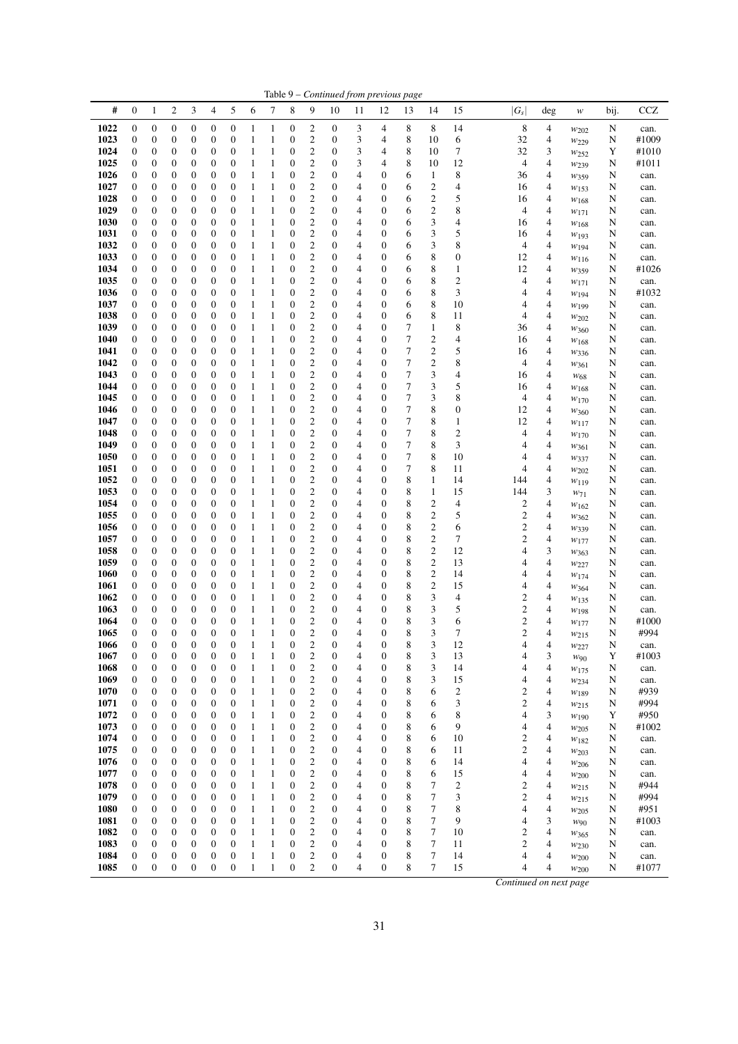|             |                  |                       |                                  |                                      |                  |                                      |                   |              |                                  |                         |                       |    |                                      | Table 9 – Continued from previous page |                         |                          |                         |        |                  |      |              |
|-------------|------------------|-----------------------|----------------------------------|--------------------------------------|------------------|--------------------------------------|-------------------|--------------|----------------------------------|-------------------------|-----------------------|----|--------------------------------------|----------------------------------------|-------------------------|--------------------------|-------------------------|--------|------------------|------|--------------|
| #           | $\boldsymbol{0}$ | 1                     | $\boldsymbol{2}$                 | 3                                    | 4                | 5                                    | 6                 | 7            | 8                                | 9                       | 10                    | 11 | 12                                   | 13                                     | 14                      | 15                       | $ G_s $                 | $\deg$ | $\ensuremath{W}$ | bij. | $_{\rm CCZ}$ |
| 1022        | $\boldsymbol{0}$ | $\boldsymbol{0}$      | $\boldsymbol{0}$                 | $\boldsymbol{0}$                     | 0                | $\boldsymbol{0}$                     | $\mathbf{1}$      | $\mathbf{1}$ | $\boldsymbol{0}$                 | $\overline{c}$          | $\boldsymbol{0}$      | 3  | 4                                    | 8                                      | 8                       | 14                       | 8                       | 4      | $w_{202}$        | N    | can.         |
| 1023        | $\boldsymbol{0}$ | $\boldsymbol{0}$      | $\boldsymbol{0}$                 | $\boldsymbol{0}$                     | 0                | $\boldsymbol{0}$                     | 1                 | $\mathbf{1}$ | $\boldsymbol{0}$                 | 2                       | 0                     | 3  | 4                                    | 8                                      | 10                      | 6                        | 32                      | 4      | $w_{229}$        | N    | #1009        |
| 1024        | $\boldsymbol{0}$ | $\boldsymbol{0}$      | $\mathbf{0}$                     | $\boldsymbol{0}$                     | 0                | $\boldsymbol{0}$                     | $\mathbf{1}$      | 1            | $\boldsymbol{0}$                 | $\mathfrak{2}$          | $\boldsymbol{0}$      | 3  | 4                                    | 8                                      | 10                      | 7                        | 32                      | 3      | W <sub>252</sub> | Y    | #1010        |
| 1025        | $\boldsymbol{0}$ | $\boldsymbol{0}$      | $\boldsymbol{0}$                 | $\boldsymbol{0}$                     | 0                | $\boldsymbol{0}$                     | $\mathbf{1}$      | $\mathbf{1}$ | $\boldsymbol{0}$                 | 2                       | $\boldsymbol{0}$      | 3  | 4                                    | 8                                      | 10                      | 12                       | 4                       | 4      | W <sub>239</sub> | N    | #1011        |
| 1026        | $\boldsymbol{0}$ | $\boldsymbol{0}$      | $\mathbf{0}$                     | $\boldsymbol{0}$                     | $\boldsymbol{0}$ | $\boldsymbol{0}$                     | 1                 | 1            | $\mathbf{0}$                     | $\overline{c}$          | $\boldsymbol{0}$      | 4  | $\boldsymbol{0}$                     | 6                                      | $\mathbf{1}$            | 8                        | 36                      | 4      | $w_{359}$        | N    | can.         |
| 1027        | $\boldsymbol{0}$ | $\boldsymbol{0}$      | $\boldsymbol{0}$                 | $\boldsymbol{0}$                     | 0                | $\boldsymbol{0}$                     | $\mathbf{1}$      | $\mathbf{1}$ | $\boldsymbol{0}$                 | 2                       | $\boldsymbol{0}$      | 4  | $\boldsymbol{0}$                     | 6                                      | 2                       | $\overline{4}$           | 16                      | 4      | $w_{153}$        | N    | can.         |
| 1028        | $\boldsymbol{0}$ | $\boldsymbol{0}$      | $\boldsymbol{0}$                 | $\boldsymbol{0}$                     | 0                | $\boldsymbol{0}$                     | $\mathbf{1}$      | 1            | $\boldsymbol{0}$                 | 2                       | $\boldsymbol{0}$      | 4  | $\boldsymbol{0}$                     | 6                                      | $\overline{\mathbf{c}}$ | 5                        | 16                      | 4      | W168             | N    | can.         |
| 1029        | $\boldsymbol{0}$ | $\boldsymbol{0}$      | $\mathbf{0}$                     | $\boldsymbol{0}$                     | 0                | $\boldsymbol{0}$                     | $\mathbf{1}$      | $\mathbf{1}$ | $\boldsymbol{0}$                 | $\boldsymbol{2}$        | $\boldsymbol{0}$      | 4  | $\boldsymbol{0}$                     | 6                                      | $\overline{\mathbf{c}}$ | 8                        | 4                       | 4      | $w_{171}$        | N    | can.         |
| 1030        | $\boldsymbol{0}$ | 0                     | $\boldsymbol{0}$                 | $\boldsymbol{0}$                     | 0                | $\boldsymbol{0}$                     | $\mathbf{1}$      | $\mathbf{1}$ | $\boldsymbol{0}$                 | 2                       | 0                     | 4  | $\boldsymbol{0}$                     | 6                                      | 3                       | $\overline{4}$           | 16                      | 4      | $W_{168}$        | N    | can.         |
| 1031        | $\boldsymbol{0}$ | 0                     | $\boldsymbol{0}$                 | $\boldsymbol{0}$                     | 0                | $\boldsymbol{0}$                     | $\mathbf{1}$      | 1            | $\boldsymbol{0}$                 | $\boldsymbol{2}$        | $\boldsymbol{0}$      | 4  | $\boldsymbol{0}$                     | 6                                      | 3                       | 5                        | 16                      | 4      | $w_{193}$        | N    | can.         |
| 1032        | $\boldsymbol{0}$ | 0                     | $\boldsymbol{0}$                 | $\boldsymbol{0}$                     | $\boldsymbol{0}$ | $\boldsymbol{0}$                     | $\mathbf{1}$      | 1            | $\boldsymbol{0}$                 | 2                       | $\boldsymbol{0}$      | 4  | $\boldsymbol{0}$                     | 6                                      | 3                       | 8                        | 4                       | 4      | W194             | N    | can.         |
| 1033        | $\boldsymbol{0}$ | $\boldsymbol{0}$      | $\mathbf{0}$                     | $\boldsymbol{0}$                     | 0                | $\boldsymbol{0}$                     | $\mathbf{1}$      | $\mathbf{1}$ | $\boldsymbol{0}$                 | $\mathbf{2}$            | $\boldsymbol{0}$      | 4  | $\boldsymbol{0}$                     | 6                                      | 8                       | $\boldsymbol{0}$         | 12                      | 4      | W116             | N    | can.         |
| 1034        | $\boldsymbol{0}$ | $\boldsymbol{0}$      | $\boldsymbol{0}$                 | $\boldsymbol{0}$                     | 0                | $\boldsymbol{0}$                     | $\mathbf{1}$      | $\mathbf{1}$ | $\boldsymbol{0}$                 | 2                       | $\boldsymbol{0}$      | 4  | $\boldsymbol{0}$                     | 6                                      | 8                       | $\mathbf{1}$             | 12                      | 4      | W359             | N    | #1026        |
| 1035        | $\boldsymbol{0}$ | $\boldsymbol{0}$      | $\boldsymbol{0}$                 | $\boldsymbol{0}$                     | 0                | $\boldsymbol{0}$                     | $\mathbf{1}$      | 1            | $\boldsymbol{0}$                 | $\mathfrak{2}$          | $\boldsymbol{0}$      | 4  | $\boldsymbol{0}$                     | 6                                      | 8                       | $\overline{c}$           | 4                       | 4      | $w_{171}$        | N    | can.         |
| 1036        | $\boldsymbol{0}$ | $\boldsymbol{0}$      | $\mathbf{0}$                     | $\boldsymbol{0}$                     | 0                | $\boldsymbol{0}$                     | $\mathbf{1}$      | 1            | $\boldsymbol{0}$                 | $\mathfrak{2}$          | $\boldsymbol{0}$      | 4  | $\boldsymbol{0}$                     | 6                                      | 8                       | 3                        | 4                       | 4      | W194             | N    | #1032        |
| 1037        | $\boldsymbol{0}$ | $\boldsymbol{0}$      | $\boldsymbol{0}$                 | $\boldsymbol{0}$                     | 0                | $\boldsymbol{0}$                     | $\mathbf{1}$      | $\mathbf{1}$ | $\boldsymbol{0}$                 | 2                       | 0                     | 4  | $\boldsymbol{0}$                     | 6                                      | 8                       | 10                       | 4                       | 4      | W199             | N    | can.         |
| 1038        | $\boldsymbol{0}$ | $\boldsymbol{0}$      | $\boldsymbol{0}$                 | $\boldsymbol{0}$                     | $\boldsymbol{0}$ | $\boldsymbol{0}$                     | $\mathbf{1}$      | 1            | $\boldsymbol{0}$                 | $\mathfrak{2}$          | $\boldsymbol{0}$      | 4  | $\boldsymbol{0}$                     | 6                                      | 8                       | 11                       | 4                       | 4      | $w_{202}$        | N    | can.         |
| 1039        | $\boldsymbol{0}$ | 0                     | $\boldsymbol{0}$                 | $\boldsymbol{0}$                     | 0                | $\boldsymbol{0}$                     | $\mathbf{1}$      | $\mathbf{1}$ | $\boldsymbol{0}$                 | 2                       | $\boldsymbol{0}$      | 4  | $\boldsymbol{0}$                     | 7                                      | 1                       | 8                        | 36                      | 4      | W360             | N    | can.         |
| 1040        | 0                | $\boldsymbol{0}$      | $\boldsymbol{0}$                 | $\boldsymbol{0}$                     | 0                | $\boldsymbol{0}$                     | $\mathbf{1}$      | 1            | $\boldsymbol{0}$                 | 2                       | $\boldsymbol{0}$      | 4  | $\boldsymbol{0}$                     | $\overline{7}$                         | $\overline{c}$          | $\overline{4}$           | 16                      | 4      | W168             | N    | can.         |
| 1041        | $\boldsymbol{0}$ | $\boldsymbol{0}$      | $\boldsymbol{0}$                 | $\boldsymbol{0}$                     | 0                | $\boldsymbol{0}$                     | $\mathbf{1}$      | $\mathbf{1}$ | $\boldsymbol{0}$                 | 2                       | $\boldsymbol{0}$      | 4  | $\boldsymbol{0}$                     | 7                                      | $\overline{\mathbf{c}}$ | 5                        | 16                      | 4      | W336             | N    | can.         |
| 1042        | $\boldsymbol{0}$ | 0                     | $\boldsymbol{0}$                 | $\boldsymbol{0}$                     | 0                | $\boldsymbol{0}$                     | $\mathbf{1}$      | 1            | $\boldsymbol{0}$                 | 2                       | $\boldsymbol{0}$      | 4  | $\boldsymbol{0}$                     | $\boldsymbol{7}$                       | $\overline{\mathbf{c}}$ | 8                        | 4                       | 4      | $w_{361}$        | N    | can.         |
| 1043        | $\boldsymbol{0}$ | 0                     | $\mathbf{0}$                     | $\boldsymbol{0}$                     | 0                | $\boldsymbol{0}$                     | $\mathbf{1}$      | 1            | $\boldsymbol{0}$                 | $\mathfrak{2}$          | 0                     | 4  | $\boldsymbol{0}$                     | 7                                      | 3                       | $\overline{4}$           | 16                      | 4      | $W_{68}$         | N    | can.         |
| 1044        | $\boldsymbol{0}$ | $\boldsymbol{0}$      | $\boldsymbol{0}$                 | $\boldsymbol{0}$                     | $\boldsymbol{0}$ | $\boldsymbol{0}$                     | $\mathbf{1}$      | $\mathbf{1}$ | $\boldsymbol{0}$                 | 2                       | $\boldsymbol{0}$      | 4  | $\boldsymbol{0}$                     | 7                                      | 3                       | 5                        | 16                      | 4      | W168             | N    | can.         |
| 1045        | $\boldsymbol{0}$ | $\boldsymbol{0}$      | $\mathbf{0}$                     | $\boldsymbol{0}$                     | $\boldsymbol{0}$ | $\boldsymbol{0}$                     | $\mathbf{1}$      | 1            | $\mathbf{0}$                     | $\overline{c}$          | $\boldsymbol{0}$      | 4  | $\boldsymbol{0}$                     | 7                                      | 3                       | 8                        | 4                       | 4      | W170             | N    | can.         |
| 1046        | $\boldsymbol{0}$ | 0                     | $\boldsymbol{0}$                 | $\boldsymbol{0}$                     | 0                | $\boldsymbol{0}$                     | $\mathbf{1}$      | $\mathbf{1}$ | $\boldsymbol{0}$                 | $\overline{\mathbf{c}}$ | $\boldsymbol{0}$      | 4  | $\boldsymbol{0}$                     | 7                                      | 8                       | $\boldsymbol{0}$         | 12                      | 4      | $w_{360}$        | N    | can.         |
| 1047        | $\boldsymbol{0}$ | $\boldsymbol{0}$      | $\boldsymbol{0}$                 | $\boldsymbol{0}$                     | 0                | $\boldsymbol{0}$                     | $\mathbf{1}$      | $\mathbf{1}$ | $\boldsymbol{0}$                 | $\boldsymbol{2}$        | $\boldsymbol{0}$      | 4  | $\boldsymbol{0}$                     | 7                                      | 8                       | $\mathbf{1}$             | 12                      | 4      | $w_{117}$        | N    | can.         |
| 1048        | $\boldsymbol{0}$ | $\boldsymbol{0}$      | $\mathbf{0}$                     | $\boldsymbol{0}$                     | 0                | $\boldsymbol{0}$                     | $\mathbf{1}$      | $\mathbf{1}$ | $\boldsymbol{0}$                 | $\mathbf{2}$            | $\boldsymbol{0}$      | 4  | $\boldsymbol{0}$                     | $\overline{7}$                         | 8                       | $\mathbf{2}$             | 4                       | 4      | W170             | N    | can.         |
| 1049        | $\boldsymbol{0}$ | $\boldsymbol{0}$      | $\boldsymbol{0}$                 | $\boldsymbol{0}$                     | 0                | $\boldsymbol{0}$                     | $\mathbf{1}$      | 1            | $\boldsymbol{0}$                 | 2                       | 0                     | 4  | $\boldsymbol{0}$                     | 7                                      | 8                       | 3                        | 4                       | 4      | W361             | N    | can.         |
| 1050        | $\boldsymbol{0}$ | $\boldsymbol{0}$      | $\boldsymbol{0}$                 | $\boldsymbol{0}$                     | 0                | $\boldsymbol{0}$                     | $\mathbf{1}$      | $\mathbf{1}$ | $\boldsymbol{0}$                 | $\mathbf{2}$            | $\boldsymbol{0}$      | 4  | $\boldsymbol{0}$                     | $\overline{7}$                         | 8                       | 10                       | 4                       | 4      | W337             | N    | can.         |
| 1051        | $\boldsymbol{0}$ | $\boldsymbol{0}$      | $\boldsymbol{0}$                 | $\boldsymbol{0}$                     | $\boldsymbol{0}$ | $\boldsymbol{0}$                     | $\mathbf{1}$      | $\mathbf{1}$ | $\boldsymbol{0}$                 | 2                       | $\boldsymbol{0}$      | 4  | $\boldsymbol{0}$                     | 7                                      | 8                       | 11                       | 4                       | 4      | $w_{202}$        | N    | can.         |
| 1052        | $\boldsymbol{0}$ | $\boldsymbol{0}$      | $\mathbf{0}$                     | $\boldsymbol{0}$                     | 0                | $\boldsymbol{0}$                     | $\mathbf{1}$      | 1            | $\boldsymbol{0}$                 | $\boldsymbol{2}$        | $\boldsymbol{0}$      | 4  | $\boldsymbol{0}$                     | 8                                      | $\mathbf{1}$            | 14                       | 144                     | 4      | W119             | N    | can.         |
| 1053        | $\boldsymbol{0}$ | $\boldsymbol{0}$      | $\boldsymbol{0}$                 | $\boldsymbol{0}$                     | 0                | $\boldsymbol{0}$                     | $\mathbf{1}$      | $\mathbf{1}$ | $\boldsymbol{0}$                 | 2                       | $\boldsymbol{0}$      | 4  | $\boldsymbol{0}$                     | 8                                      | 1                       | 15                       | 144                     | 3      | $W_71$           | N    | can.         |
| 1054        | $\boldsymbol{0}$ | $\boldsymbol{0}$      | $\boldsymbol{0}$                 | $\boldsymbol{0}$                     | 0                | $\boldsymbol{0}$                     | $\mathbf{1}$      | 1            | $\boldsymbol{0}$                 | 2                       | $\boldsymbol{0}$      | 4  | $\boldsymbol{0}$                     | 8                                      | $\overline{\mathbf{c}}$ | $\overline{\mathcal{A}}$ | $\overline{\mathbf{c}}$ | 4      | $w_{162}$        | N    | can.         |
| 1055        | $\boldsymbol{0}$ | $\boldsymbol{0}$      | $\mathbf{0}$                     | $\boldsymbol{0}$                     | 0                | $\boldsymbol{0}$                     | $\mathbf{1}$      | $\mathbf{1}$ | $\boldsymbol{0}$                 | $\boldsymbol{2}$        | $\boldsymbol{0}$      | 4  | $\boldsymbol{0}$                     | 8                                      | $\overline{c}$          | 5                        | $\mathbf{2}$            | 4      | $w_{362}$        | N    | can.         |
| 1056        | 0                | 0                     | $\boldsymbol{0}$                 | $\boldsymbol{0}$                     | 0                | $\boldsymbol{0}$                     | 1                 | $\mathbf{1}$ | $\boldsymbol{0}$                 | 2                       | $\boldsymbol{0}$      | 4  | $\boldsymbol{0}$                     | 8                                      | $\overline{\mathbf{c}}$ | 6                        | $\boldsymbol{2}$        | 4      | W339             | N    | can.         |
| 1057        | $\boldsymbol{0}$ | $\boldsymbol{0}$      | $\mathbf{0}$                     | $\boldsymbol{0}$                     | $\boldsymbol{0}$ | $\boldsymbol{0}$                     | $\mathbf{1}$      | 1            | $\boldsymbol{0}$                 | $\mathbf{2}$            | $\boldsymbol{0}$      | 4  | $\boldsymbol{0}$                     | 8                                      | $\boldsymbol{2}$        | 7                        | $\mathbf{2}$            | 4      | W177             | N    | can.         |
| 1058        | 0                | 0                     | $\boldsymbol{0}$                 | $\boldsymbol{0}$                     | 0                | $\boldsymbol{0}$                     | $\mathbf{1}$      | 1            | $\boldsymbol{0}$                 | $\overline{\mathbf{c}}$ | $\boldsymbol{0}$      | 4  | $\boldsymbol{0}$                     | 8                                      | $\overline{c}$          | 12                       | 4                       | 3      | W363             | N    | can.         |
| 1059        | $\boldsymbol{0}$ | $\boldsymbol{0}$      | $\mathbf{0}$                     | $\boldsymbol{0}$                     | 0                | $\boldsymbol{0}$                     | $\mathbf{1}$      | $\mathbf{1}$ | $\boldsymbol{0}$                 | $\mathbf{2}$            | $\boldsymbol{0}$      | 4  | $\boldsymbol{0}$                     | 8                                      | $\overline{c}$          | 13                       | 4                       | 4      | $w_{227}$        | N    | can.         |
| 1060        | $\boldsymbol{0}$ | $\boldsymbol{0}$      | $\boldsymbol{0}$                 | $\boldsymbol{0}$                     | 0                | $\boldsymbol{0}$                     | $\mathbf{1}$      | 1            | $\boldsymbol{0}$                 | 2                       | $\boldsymbol{0}$      | 4  | $\boldsymbol{0}$                     | 8                                      | $\overline{\mathbf{c}}$ | 14                       | 4                       | 4      | W174             | N    | can.         |
| 1061        | $\boldsymbol{0}$ | $\boldsymbol{0}$      | $\mathbf{0}$                     | $\boldsymbol{0}$                     | 0                | $\boldsymbol{0}$                     | $\mathbf{1}$      | $\mathbf{1}$ | $\boldsymbol{0}$                 | $\boldsymbol{2}$        | $\boldsymbol{0}$      | 4  | $\boldsymbol{0}$                     | 8                                      | $\overline{c}$          | 15                       | 4                       | 4      | W364             | N    | can.         |
| 1062        | $\boldsymbol{0}$ | 0                     | $\mathbf{0}$                     | $\boldsymbol{0}$                     | 0                | $\boldsymbol{0}$                     | $\mathbf{1}$      | $\mathbf{1}$ | $\boldsymbol{0}$                 | 2                       | 0                     | 4  | $\boldsymbol{0}$                     | 8                                      | 3                       | $\overline{4}$           | $\mathfrak{2}$          | 4      | $w_{135}$        | N    | can.         |
| 1063        | 0                | 0                     | $\boldsymbol{0}$                 | $\boldsymbol{0}$                     | 0                | $\boldsymbol{0}$                     | $\mathbf{1}$      | $\mathbf{1}$ | $\boldsymbol{0}$                 | 2                       | 0                     | 4  | $\boldsymbol{0}$                     | 8                                      | 3                       | 5                        | $\mathfrak{2}$          | 4      | W <sub>198</sub> | N    | can.         |
| 1064        | $\mathbf{0}$     | $\boldsymbol{0}$      | $\mathbf{0}$                     | $\boldsymbol{0}$                     | $\boldsymbol{0}$ | $\boldsymbol{0}$                     | $\mathbf{1}$      | 1            | $\mathbf{0}$                     | $\overline{c}$          | $\boldsymbol{0}$      | 4  | $\boldsymbol{0}$                     | 8                                      | 3                       | 6                        | $\overline{c}$          | 4      | W177             | N    | #1000        |
| 1065        | $\boldsymbol{0}$ | $\boldsymbol{0}$      | $\mathbf{0}$                     | $\boldsymbol{0}$                     | 0                | $\boldsymbol{0}$                     | 1                 | $\mathbf{1}$ | $\mathbf{0}$                     | $\mathfrak{2}$          | $\boldsymbol{0}$      | 4  | $\boldsymbol{0}$                     | 8                                      | 3                       | 7                        | 2                       | 4      | W215             | N    | #994         |
| <b>1066</b> | $\boldsymbol{0}$ | $\boldsymbol{0}$      | 0                                | $\boldsymbol{0}$                     | $\boldsymbol{0}$ | $\boldsymbol{0}$                     | 1                 | 1            | $\boldsymbol{0}$                 | 2                       | $\boldsymbol{0}$      | 4  | $\boldsymbol{0}$                     | 8                                      | 3                       | 12                       | 4                       | 4      | W227             | N    | can.         |
| 1067        | $\boldsymbol{0}$ | $\boldsymbol{0}$      | $\mathbf{0}$                     | $\boldsymbol{0}$                     | 0                | $\boldsymbol{0}$                     | $\mathbf{1}$      | $\mathbf{1}$ | $\boldsymbol{0}$                 | $\boldsymbol{2}$        | $\boldsymbol{0}$      | 4  | $\boldsymbol{0}$                     | 8                                      | 3                       | 13                       | 4                       | 3      | $w_{90}$         | Y    | #1003        |
| 1068        | $\boldsymbol{0}$ | 0                     | $\boldsymbol{0}$                 | $\boldsymbol{0}$                     | 0                | $\boldsymbol{0}$                     | $\mathbf{1}$      | 1            | $\boldsymbol{0}$                 | 2                       | $\boldsymbol{0}$      | 4  | $\boldsymbol{0}$                     | 8                                      | 3                       | 14                       | 4                       | 4      | W175             | N    | can.         |
| 1069        | $\boldsymbol{0}$ | 0                     | $\mathbf{0}$                     | $\boldsymbol{0}$                     | 0                | $\boldsymbol{0}$                     | $\mathbf{1}$      | $\mathbf{1}$ | $\boldsymbol{0}$                 | $\mathfrak{2}$          | $\boldsymbol{0}$      | 4  | $\boldsymbol{0}$                     | 8                                      | 3                       | 15                       | 4                       | 4      | W234             | N    | can.         |
| 1070        | 0                | 0                     | $\mathbf{0}$                     | $\boldsymbol{0}$                     | 0                | $\boldsymbol{0}$                     | 1                 | $\mathbf{1}$ | $\boldsymbol{0}$                 | 2                       | $\boldsymbol{0}$      | 4  | $\boldsymbol{0}$                     | 8                                      | 6                       | $\overline{c}$           | 2                       | 4      | W189             | N    | #939         |
| 1071        | $\boldsymbol{0}$ | 0                     | $\mathbf{0}$                     | $\boldsymbol{0}$                     | $\boldsymbol{0}$ | $\boldsymbol{0}$                     | 1                 | 1            | $\mathbf{0}$                     | $\mathfrak{2}$          | $\boldsymbol{0}$      | 4  | $\boldsymbol{0}$                     | 8                                      | 6                       | 3                        | $\overline{c}$          | 4      | $w_{215}$        | N    | #994         |
| 1072        | $\boldsymbol{0}$ | 0                     | $\mathbf{0}$                     | $\boldsymbol{0}$                     | 0                | $\boldsymbol{0}$                     | 1                 | $\mathbf{1}$ | $\boldsymbol{0}$                 | 2                       | $\boldsymbol{0}$      | 4  | $\boldsymbol{0}$                     | 8                                      | 6                       | 8                        | 4                       | 3      | W190             | Y    | #950         |
| 1073        | $\boldsymbol{0}$ | $\boldsymbol{0}$      | $\mathbf{0}$                     | $\boldsymbol{0}$                     | $\boldsymbol{0}$ | $\boldsymbol{0}$                     | 1                 | $\mathbf{1}$ | $\boldsymbol{0}$                 | $\boldsymbol{2}$        | $\boldsymbol{0}$      | 4  | $\boldsymbol{0}$                     | 8                                      | 6                       | 9                        | 4                       | 4      | $w_{205}$        | N    | #1002        |
| 1074        | $\boldsymbol{0}$ | 0                     | $\mathbf{0}$                     | $\boldsymbol{0}$                     | 0                | $\boldsymbol{0}$                     | 1                 | 1            | $\boldsymbol{0}$                 | $\boldsymbol{2}$        | 0                     | 4  | $\boldsymbol{0}$                     | 8                                      | 6                       | 10                       | $\overline{\mathbf{c}}$ | 4      |                  | N    | can.         |
| 1075        | 0                | 0                     | $\boldsymbol{0}$                 | $\boldsymbol{0}$                     | 0                | $\boldsymbol{0}$                     | 1                 | 1            | $\boldsymbol{0}$                 | 2                       | 0                     | 4  | $\boldsymbol{0}$                     | 8                                      | 6                       | 11                       | $\mathbf{2}$            | 4      | W182             | N    | can.         |
| 1076        | $\boldsymbol{0}$ | 0                     | $\mathbf{0}$                     | $\boldsymbol{0}$                     | $\boldsymbol{0}$ | $\boldsymbol{0}$                     | 1                 | 1            | $\mathbf{0}$                     | $\mathbf{2}$            | $\boldsymbol{0}$      | 4  | $\boldsymbol{0}$                     | 8                                      | 6                       | 14                       | 4                       | 4      | $w_{203}$        | N    | can.         |
| 1077        | 0                | 0                     | $\mathbf{0}$                     | $\boldsymbol{0}$                     | $\boldsymbol{0}$ | $\boldsymbol{0}$                     | 1                 | $\mathbf{1}$ | $\mathbf{0}$                     | $\boldsymbol{2}$        | $\boldsymbol{0}$      | 4  | $\boldsymbol{0}$                     | 8                                      | 6                       | 15                       | 4                       | 4      | W206             | N    |              |
| 1078        | $\boldsymbol{0}$ | 0                     | $\mathbf{0}$                     | $\boldsymbol{0}$                     | 0                | $\boldsymbol{0}$                     | 1                 | 1            | $\boldsymbol{0}$                 | $\mathfrak{2}$          | $\boldsymbol{0}$      | 4  | $\boldsymbol{0}$                     | 8                                      | 7                       | $\boldsymbol{2}$         | $\boldsymbol{2}$        | 4      | W200             | N    | can.<br>#944 |
| 1079        | $\boldsymbol{0}$ | 0                     | $\mathbf{0}$                     | $\boldsymbol{0}$                     | 0                | $\boldsymbol{0}$                     | $\mathbf{1}$      | $\mathbf{1}$ | $\boldsymbol{0}$                 | $\boldsymbol{2}$        | $\boldsymbol{0}$      | 4  | $\boldsymbol{0}$                     | 8                                      | 7                       | 3                        | $\mathfrak{2}$          | 4      | $w_{215}$        | N    | #994         |
|             |                  |                       | $\mathbf{0}$                     |                                      |                  |                                      |                   |              |                                  | $\boldsymbol{2}$        | $\boldsymbol{0}$      |    | $\boldsymbol{0}$                     |                                        | 7                       | 8                        | 4                       |        | $w_{215}$        |      |              |
| 1080        | 0                | 0<br>$\boldsymbol{0}$ | $\mathbf{0}$                     | $\boldsymbol{0}$<br>$\boldsymbol{0}$ | 0                | $\boldsymbol{0}$<br>$\boldsymbol{0}$ | 1<br>1            | 1<br>1       | $\boldsymbol{0}$<br>$\mathbf{0}$ | $\mathfrak{2}$          | $\boldsymbol{0}$      | 4  |                                      | 8                                      | 7                       | 9                        | 4                       | 4<br>3 | W205             | N    | #951         |
| 1081        | $\boldsymbol{0}$ |                       |                                  |                                      | 0                |                                      |                   | $\mathbf{1}$ |                                  |                         |                       | 4  | $\boldsymbol{0}$                     | 8                                      |                         |                          |                         |        | W90              | N    | #1003        |
| 1082        | 0                | 0<br>$\boldsymbol{0}$ | $\boldsymbol{0}$<br>$\mathbf{0}$ | $\boldsymbol{0}$<br>$\boldsymbol{0}$ | 0<br>0           | $\boldsymbol{0}$<br>$\boldsymbol{0}$ | 1<br>$\mathbf{1}$ | $\mathbf{1}$ | $\boldsymbol{0}$<br>$\mathbf{0}$ | 2<br>$\boldsymbol{2}$   | 0<br>$\boldsymbol{0}$ | 4  | $\boldsymbol{0}$<br>$\boldsymbol{0}$ | 8<br>8                                 | 7<br>7                  | 10                       | 2<br>$\mathfrak{2}$     | 4      | $w_{365}$        | N    | can.         |
| 1083        | $\boldsymbol{0}$ |                       |                                  |                                      |                  |                                      |                   |              |                                  |                         |                       | 4  |                                      |                                        |                         | 11                       |                         | 4      | $w_{230}$        | N    | can.         |
| 1084        | 0                | 0                     | $\boldsymbol{0}$                 | $\boldsymbol{0}$                     | 0                | $\boldsymbol{0}$                     | $\mathbf{1}$      | $\mathbf{1}$ | $\boldsymbol{0}$                 | $\boldsymbol{2}$        | $\boldsymbol{0}$      | 4  | $\boldsymbol{0}$                     | 8                                      | 7                       | 14                       | 4                       | 4      | W200             | N    | can.         |
| 1085        | $\boldsymbol{0}$ | $\boldsymbol{0}$      | $\boldsymbol{0}$                 | $\boldsymbol{0}$                     | $\boldsymbol{0}$ | $\boldsymbol{0}$                     | $\mathbf{1}$      | $\mathbf{1}$ | $\boldsymbol{0}$                 | $\mathfrak{2}$          | $\boldsymbol{0}$      | 4  | $\boldsymbol{0}$                     | 8                                      | 7                       | 15                       | 4                       | 4      | $w_{200}$        | N    | #1077        |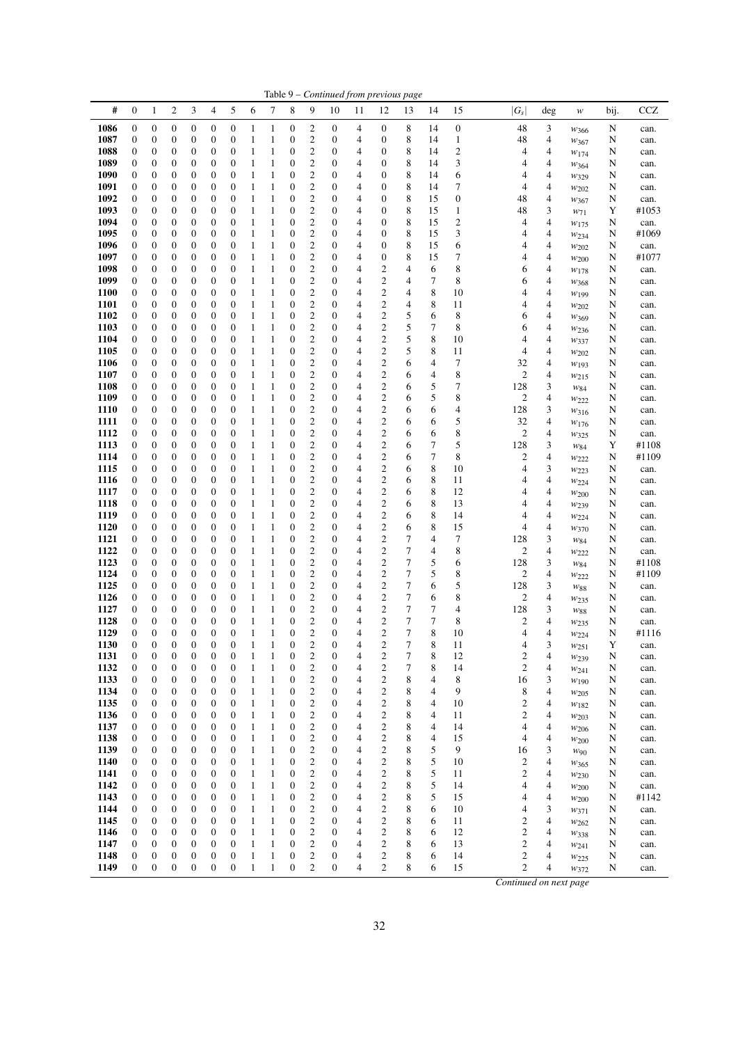| #<br>$\boldsymbol{0}$<br>2<br>3<br>4<br>5<br>6<br>7<br>8<br>9<br>$ G_{\mathcal{S}} $<br>CCZ<br>1<br>10<br>11<br>12<br>13<br>14<br>15<br>deg<br>bij.<br>w<br>1086<br>8<br>48<br>$\boldsymbol{0}$<br>$\boldsymbol{0}$<br>0<br>$\boldsymbol{0}$<br>0<br>$\boldsymbol{0}$<br>$\boldsymbol{0}$<br>2<br>$\boldsymbol{0}$<br>4<br>$\boldsymbol{0}$<br>14<br>$\boldsymbol{0}$<br>3<br>1<br>1<br>N<br>can.<br>W366<br>$\boldsymbol{2}$<br>1087<br>$\boldsymbol{0}$<br>1<br>4<br>$\boldsymbol{0}$<br>8<br>48<br>$\boldsymbol{0}$<br>0<br>0<br>0<br>$\boldsymbol{0}$<br>1<br>0<br>0<br>14<br>1<br>4<br>N<br>can.<br>W367<br>$\overline{c}$<br>8<br>$\overline{\mathbf{c}}$<br>1088<br>$\boldsymbol{0}$<br>0<br>0<br>$\boldsymbol{0}$<br>$\boldsymbol{0}$<br>1<br>1<br>$\boldsymbol{0}$<br>4<br>$\boldsymbol{0}$<br>14<br>4<br>0<br>0<br>4<br>N<br>can.<br>W174<br>$\overline{c}$<br>8<br>1089<br>$\boldsymbol{0}$<br>0<br>0<br>$\boldsymbol{0}$<br>$\boldsymbol{0}$<br>1<br>1<br>0<br>0<br>4<br>$\boldsymbol{0}$<br>3<br>0<br>14<br>4<br>4<br>N<br>can.<br>W364<br>$\overline{c}$<br>8<br>1090<br>$\boldsymbol{0}$<br>0<br>0<br>0<br>$\boldsymbol{0}$<br>$\boldsymbol{0}$<br>$\boldsymbol{0}$<br>$\boldsymbol{0}$<br>4<br>$\boldsymbol{0}$<br>6<br>1<br>1<br>14<br>4<br>4<br>N<br>can.<br>$w_{329}$<br>$\overline{c}$<br>1091<br>0<br>0<br>$\boldsymbol{0}$<br>$\boldsymbol{0}$<br>$\boldsymbol{0}$<br>$\mathbf{1}$<br>1<br>0<br>4<br>$\boldsymbol{0}$<br>8<br>7<br>4<br>$\mathbf{0}$<br>0<br>14<br>4<br>N<br>can.<br>$w_{202}$<br>$\overline{c}$<br>8<br>1092<br>$\boldsymbol{0}$<br>$\boldsymbol{0}$<br>$\boldsymbol{0}$<br>$\boldsymbol{0}$<br>$\boldsymbol{0}$<br>$\boldsymbol{0}$<br>1<br>0<br>$\boldsymbol{0}$<br>4<br>$\boldsymbol{0}$<br>15<br>$\boldsymbol{0}$<br>48<br>4<br>1<br>N<br>can.<br>W367<br>$\overline{c}$<br>8<br>3<br>1093<br>$\boldsymbol{0}$<br>$\boldsymbol{0}$<br>0<br>$\boldsymbol{0}$<br>$\boldsymbol{0}$<br>$\mathbf{0}$<br>1<br>1<br>0<br>4<br>$\boldsymbol{0}$<br>Y<br>0<br>15<br>1<br>48<br>#1053<br>W71<br>$\overline{c}$<br>0<br>$\boldsymbol{0}$<br>$\boldsymbol{0}$<br>$\boldsymbol{0}$<br>1<br>4<br>$\boldsymbol{0}$<br>8<br>2<br>1094<br>$\boldsymbol{0}$<br>0<br>1<br>0<br>0<br>15<br>4<br>4<br>N<br>can.<br>$w_{175}$<br>$\overline{\mathbf{c}}$<br>8<br>1095<br>$\boldsymbol{0}$<br>0<br>0<br>0<br>$\boldsymbol{0}$<br>$\mathbf{0}$<br>1<br>1<br>$\boldsymbol{0}$<br>4<br>$\boldsymbol{0}$<br>15<br>3<br>0<br>4<br>4<br>#1069<br>N<br>W <sub>234</sub><br>$\overline{c}$<br>8<br>15<br>1096<br>0<br>$\boldsymbol{0}$<br>$\boldsymbol{0}$<br>$\mathbf{0}$<br>1<br>1<br>0<br>$\boldsymbol{0}$<br>$\boldsymbol{0}$<br>0<br>0<br>4<br>6<br>4<br>4<br>N<br>can.<br>W202<br>$\overline{c}$<br>8<br>1097<br>$\mathbf{0}$<br>0<br>0<br>$\boldsymbol{0}$<br>$\boldsymbol{0}$<br>$\mathbf{0}$<br>1<br>0<br>$\boldsymbol{0}$<br>4<br>$\boldsymbol{0}$<br>15<br>7<br>4<br>#1077<br>1<br>4<br>N<br>W200<br>$\overline{\mathbf{c}}$<br>$\overline{c}$<br>1098<br>0<br>0<br>$\boldsymbol{0}$<br>$\boldsymbol{0}$<br>$\boldsymbol{0}$<br>$\mathbf{1}$<br>$\mathbf{1}$<br>0<br>4<br>4<br>6<br>8<br>4<br>$\boldsymbol{0}$<br>0<br>6<br>N<br>can.<br>W <sub>178</sub><br>$\overline{c}$<br>$\mathbf{2}$<br>7<br>8<br>1099<br>$\boldsymbol{0}$<br>$\boldsymbol{0}$<br>0<br>$\boldsymbol{0}$<br>$\boldsymbol{0}$<br>$\boldsymbol{0}$<br>1<br>0<br>0<br>4<br>4<br>1<br>6<br>4<br>N<br>can.<br>W368<br>$\sqrt{2}$<br>$\overline{c}$<br>8<br>0<br>$\boldsymbol{0}$<br>$\boldsymbol{0}$<br>$\boldsymbol{0}$<br>1<br>1<br>$\boldsymbol{0}$<br>0<br>4<br>4<br>4<br><b>1100</b><br>$\mathbf{0}$<br>0<br>10<br>4<br>N<br>can.<br>W199<br>$\overline{\mathbf{c}}$<br>$\overline{\mathbf{c}}$<br>0<br>0<br>0<br>$\boldsymbol{0}$<br>$\boldsymbol{0}$<br>1<br>1<br>0<br>8<br><b>1101</b><br>$\boldsymbol{0}$<br>0<br>4<br>4<br>11<br>4<br>4<br>N<br>can.<br>W202<br>$\sqrt{2}$<br>$\overline{c}$<br>5<br>6<br>8<br>1102<br>$\boldsymbol{0}$<br>0<br>0<br>0<br>$\boldsymbol{0}$<br>$\boldsymbol{0}$<br>1<br>1<br>0<br>0<br>4<br>4<br>6<br>N<br>can.<br>W369<br>$\overline{\mathbf{c}}$<br>$\mathbf{2}$<br>5<br>7<br>1103<br>0<br>$\boldsymbol{0}$<br>$\boldsymbol{0}$<br>$\boldsymbol{0}$<br>$\mathbf{1}$<br>0<br>4<br>8<br>$\boldsymbol{0}$<br>0<br>1<br>0<br>6<br>4<br>N<br>can.<br>W <sub>236</sub><br>$\overline{\mathbf{c}}$<br>$\boldsymbol{2}$<br>5<br>8<br>1104<br>$\boldsymbol{0}$<br>0<br>0<br>$\boldsymbol{0}$<br>$\boldsymbol{0}$<br>$\boldsymbol{0}$<br>1<br>0<br>0<br>4<br>10<br>4<br>1<br>4<br>N<br>can.<br>W337<br>$\overline{\mathbf{c}}$<br>$\boldsymbol{2}$<br>5<br>8<br>1105<br>$\boldsymbol{0}$<br>$\boldsymbol{0}$<br>0<br>$\boldsymbol{0}$<br>$\boldsymbol{0}$<br>$\boldsymbol{0}$<br>$\mathbf{1}$<br>1<br>0<br>0<br>4<br>11<br>4<br>4<br>N<br>can.<br>W202<br>$\sqrt{2}$<br>$\overline{\mathbf{c}}$<br>7<br>$\boldsymbol{0}$<br>0<br>$\boldsymbol{0}$<br>$\boldsymbol{0}$<br>$\boldsymbol{0}$<br>4<br>4<br>1106<br>$\boldsymbol{0}$<br>1<br>1<br>0<br>0<br>6<br>32<br>4<br>N<br>can.<br>W <sub>193</sub><br>$\sqrt{2}$<br>$\mathfrak{2}$<br>0<br>$\boldsymbol{0}$<br>$\mathbf{0}$<br>1<br>0<br>4<br>4<br>8<br>2<br>4<br>1107<br>$\boldsymbol{0}$<br>0<br>0<br>1<br>0<br>6<br>N<br>can.<br>$w_{215}$<br>$\overline{\mathbf{c}}$<br>$\overline{\mathbf{c}}$<br>7<br>1108<br>0<br>0<br>$\boldsymbol{0}$<br>$\boldsymbol{0}$<br>1<br>1<br>0<br>0<br>5<br>128<br>3<br>$\boldsymbol{0}$<br>0<br>4<br>6<br>N<br>can.<br>W84<br>$\overline{\mathbf{c}}$<br>$\sqrt{2}$<br>5<br>8<br>$\mathbf{0}$<br>0<br>0<br>0<br>$\boldsymbol{0}$<br>$\mathbf{0}$<br>0<br>$\boldsymbol{0}$<br>4<br>2<br>4<br>1109<br>1<br>1<br>6<br>N<br>can.<br>W222<br>$\overline{\mathbf{c}}$<br>$\overline{\mathbf{c}}$<br>0<br>0<br>$\boldsymbol{0}$<br>$\boldsymbol{0}$<br>$\boldsymbol{0}$<br>$\mathbf{1}$<br>$\mathbf{1}$<br>0<br>4<br>6<br>128<br>3<br><b>1110</b><br>$\boldsymbol{0}$<br>0<br>6<br>4<br>N<br>can.<br>$w_{316}$<br>$\overline{\mathbf{c}}$<br>$\overline{\mathbf{c}}$<br>1111<br>$\boldsymbol{0}$<br>0<br>0<br>$\boldsymbol{0}$<br>$\boldsymbol{0}$<br>$\boldsymbol{0}$<br>$\mathbf{1}$<br>0<br>0<br>4<br>6<br>5<br>32<br>4<br>1<br>6<br>N<br>can.<br>W <sub>176</sub><br>$\sqrt{2}$<br>$\overline{c}$<br>8<br>$\mathfrak{2}$<br>$\boldsymbol{0}$<br>0<br>$\boldsymbol{0}$<br>$\boldsymbol{0}$<br>$\boldsymbol{0}$<br>1<br>0<br>4<br>6<br>4<br>1112<br>0<br>1<br>0<br>6<br>N<br>can.<br>W325<br>$\overline{c}$<br>$\mathfrak{2}$<br>7<br>0<br>$\boldsymbol{0}$<br>$\boldsymbol{0}$<br>$\boldsymbol{0}$<br>$\mathbf{1}$<br>4<br>5<br>128<br>3<br>1113<br>$\boldsymbol{0}$<br>0<br>1<br>0<br>0<br>6<br>Y<br>#1108<br>W84<br>$\overline{c}$<br>$\overline{c}$<br>7<br>0<br>0<br>0<br>0<br>$\boldsymbol{0}$<br>$\mathbf{0}$<br>1<br>1<br>0<br>4<br>6<br>8<br>2<br>4<br>1114<br>0<br>N<br>#1109<br>W222<br>$\overline{c}$<br>$\overline{c}$<br>8<br>1115<br>0<br>0<br>0<br>$\boldsymbol{0}$<br>$\boldsymbol{0}$<br>1<br>1<br>0<br>4<br>10<br>3<br>$\boldsymbol{0}$<br>0<br>6<br>4<br>N<br>can.<br>W <sub>223</sub><br>$\boldsymbol{2}$<br>$\overline{c}$<br>8<br>1116<br>$\boldsymbol{0}$<br>0<br>0<br>$\boldsymbol{0}$<br>$\boldsymbol{0}$<br>$\boldsymbol{0}$<br>1<br>0<br>$\boldsymbol{0}$<br>4<br>11<br>4<br>1<br>6<br>4<br>N<br>can.<br>W224<br>$\overline{c}$<br>$\overline{c}$<br>8<br>1117<br>$\boldsymbol{0}$<br>0<br>$\boldsymbol{0}$<br>$\boldsymbol{0}$<br>$\boldsymbol{0}$<br>$\mathbf{1}$<br>$\mathbf{1}$<br>0<br>0<br>4<br>12<br>4<br>0<br>6<br>4<br>N<br>can.<br>W200<br>$\overline{\mathbf{c}}$<br>$\boldsymbol{2}$<br>8<br>$\boldsymbol{0}$<br>0<br>$\boldsymbol{0}$<br>$\boldsymbol{0}$<br>$\boldsymbol{0}$<br>1<br>0<br>4<br>13<br>1118<br>$\boldsymbol{0}$<br>1<br>0<br>6<br>4<br>4<br>N<br>can.<br>W <sub>239</sub><br>$\boldsymbol{2}$<br>$\sqrt{2}$<br>8<br>$\boldsymbol{0}$<br>0<br>$\boldsymbol{0}$<br>$\boldsymbol{0}$<br>$\boldsymbol{0}$<br>1<br>0<br>4<br>6<br>4<br>1119<br>$\boldsymbol{0}$<br>1<br>0<br>14<br>4<br>N<br>can.<br>W <sub>224</sub><br>$\overline{\mathbf{c}}$<br>$\overline{c}$<br>8<br>1120<br>0<br>0<br>0<br>$\boldsymbol{0}$<br>$\boldsymbol{0}$<br>1<br>$\mathbf{1}$<br>0<br>$\boldsymbol{0}$<br>0<br>4<br>6<br>15<br>4<br>4<br>N<br>can.<br>W370<br>$\sqrt{2}$<br>$\overline{\mathbf{c}}$<br>7<br>7<br>1121<br>$\boldsymbol{0}$<br>0<br>0<br>0<br>$\boldsymbol{0}$<br>$\boldsymbol{0}$<br>1<br>1<br>0<br>0<br>4<br>4<br>128<br>3<br>N<br>can.<br>W84<br>$\overline{\mathbf{c}}$<br>$\overline{c}$<br>7<br>1122<br>0<br>$\boldsymbol{0}$<br>$\boldsymbol{0}$<br>$\boldsymbol{0}$<br>$\mathbf{1}$<br>0<br>4<br>8<br>2<br>4<br>$\boldsymbol{0}$<br>0<br>1<br>0<br>4<br>N<br>can.<br>W222<br>$\boldsymbol{2}$<br>$\overline{\mathbf{c}}$<br>7<br>1123<br>$\boldsymbol{0}$<br>$\boldsymbol{0}$<br>0<br>$\boldsymbol{0}$<br>$\boldsymbol{0}$<br>$\boldsymbol{0}$<br>1<br>0<br>$\boldsymbol{0}$<br>4<br>5<br>128<br>3<br>1<br>6<br>#1108<br>N<br>$W_{84}$<br>$\overline{\mathbf{c}}$<br>$\boldsymbol{2}$<br>7<br>5<br>8<br>1124<br>$\boldsymbol{0}$<br>$\boldsymbol{0}$<br>0<br>$\boldsymbol{0}$<br>$\boldsymbol{0}$<br>$\boldsymbol{0}$<br>$\mathbf{1}$<br>$\mathbf{1}$<br>0<br>0<br>4<br>2<br>4<br>#1109<br>N<br>W222<br>$\overline{\mathbf{c}}$<br>$\boldsymbol{2}$<br>7<br>5<br>1125<br>$\boldsymbol{0}$<br>0<br>$\boldsymbol{0}$<br>$\boldsymbol{0}$<br>$\boldsymbol{0}$<br>4<br>6<br>128<br>3<br>$\boldsymbol{0}$<br>1<br>1<br>0<br>0<br>N<br>can.<br>W88<br>$\boldsymbol{2}$<br>$\sqrt{2}$<br>7<br>1126<br>$\boldsymbol{0}$<br>$\boldsymbol{0}$<br>$\boldsymbol{0}$<br>$\boldsymbol{0}$<br>1<br>0<br>4<br>6<br>8<br>2<br>4<br>0<br>0<br>1<br>0<br>N<br>can.<br>$w_{235}$<br>$\overline{\mathbf{c}}$<br>$\overline{c}$<br>1127<br>0<br>0<br>$\boldsymbol{0}$<br>$\boldsymbol{0}$<br>$\mathbf{1}$<br>0<br>7<br>7<br>128<br>3<br>$\boldsymbol{0}$<br>0<br>1<br>0<br>4<br>4<br>N<br>can.<br>$W_{88}$<br>$\overline{c}$<br>$\boldsymbol{2}$<br>7<br>$\boldsymbol{0}$<br>$\boldsymbol{0}$<br>$\boldsymbol{0}$<br>$\boldsymbol{0}$<br>$\boldsymbol{0}$<br>$\mathbf{0}$<br>$\boldsymbol{0}$<br>$\boldsymbol{0}$<br>4<br>7<br>8<br>4<br>1128<br>1<br>1<br>2<br>N<br>can.<br>W <sub>235</sub><br>$\overline{c}$<br>$\mathbf{0}$<br>$\mathbf{0}$<br>$\mathbf{0}$<br>$\mathbf{0}$<br>$\boldsymbol{0}$<br>4<br>$\mathfrak{2}$<br>7<br>8<br>1129<br>$\boldsymbol{0}$<br>$\boldsymbol{0}$<br>1<br>1<br>0<br>10<br>4<br>4<br>N<br>#1116<br>W224<br>$\boldsymbol{0}$<br>0<br>$\boldsymbol{0}$<br>$\boldsymbol{0}$<br>$\boldsymbol{0}$<br>0<br>$\overline{c}$<br>8<br>$\boldsymbol{0}$<br>0<br>2<br>7<br>3<br>4<br>4<br>1130<br>1<br>1<br>11<br>$w_{251}$<br>Y<br>can.<br>1131<br>$\boldsymbol{0}$<br>$\boldsymbol{0}$<br>$\boldsymbol{0}$<br>$\boldsymbol{0}$<br>$\overline{c}$<br>$\boldsymbol{2}$<br>7<br>8<br>12<br>$\mathbf{2}$<br>$\boldsymbol{0}$<br>$\mathbf{0}$<br>1<br>$\mathbf{1}$<br>0<br>$\boldsymbol{0}$<br>4<br>4<br>N<br>can.<br>W <sub>239</sub><br>8<br>2<br>$\boldsymbol{2}$<br>7<br>1132<br>$\boldsymbol{0}$<br>$\boldsymbol{0}$<br>0<br>$\boldsymbol{0}$<br>$\boldsymbol{0}$<br>$\boldsymbol{0}$<br>1<br>$\mathbf{1}$<br>0<br>$\boldsymbol{0}$<br>4<br>14<br>2<br>4<br>N<br>W241<br>can.<br>$\sqrt{2}$<br>$\sqrt{2}$<br>1133<br>$\boldsymbol{0}$<br>8<br>$\boldsymbol{0}$<br>$\boldsymbol{0}$<br>0<br>$\boldsymbol{0}$<br>$\boldsymbol{0}$<br>$\mathbf{1}$<br>1<br>$\boldsymbol{0}$<br>$\boldsymbol{0}$<br>4<br>4<br>8<br>16<br>3<br>N<br>W190<br>can.<br>1134<br>$\overline{c}$<br>$\overline{c}$<br>8<br>9<br>$\mathbf{0}$<br>0<br>0<br>0<br>$\boldsymbol{0}$<br>$\mathbf{0}$<br>1<br>$\mathbf{1}$<br>0<br>0<br>4<br>4<br>8<br>4<br>N<br>can.<br>$w_{205}$<br>$\boldsymbol{2}$<br>$\sqrt{2}$<br>8<br>1135<br>$\boldsymbol{0}$<br>$\boldsymbol{0}$<br>4<br>$\boldsymbol{2}$<br>$\mathbf{0}$<br>$\boldsymbol{0}$<br>$\boldsymbol{0}$<br>$\mathbf{0}$<br>1<br>1<br>0<br>$\boldsymbol{0}$<br>4<br>10<br>4<br>N<br>can.<br>$w_{182}$<br>$\sqrt{2}$<br>1136<br>$\boldsymbol{0}$<br>$\overline{c}$<br>8<br>$\mathfrak{2}$<br>$\boldsymbol{0}$<br>$\boldsymbol{0}$<br>0<br>$\boldsymbol{0}$<br>0<br>1<br>$\mathbf{1}$<br>0<br>$\boldsymbol{0}$<br>4<br>4<br>4<br>11<br>N<br>$w_{203}$<br>can.<br>$\mathfrak{2}$<br>$\boldsymbol{0}$<br>$\boldsymbol{0}$<br>$\boldsymbol{2}$<br>4<br>8<br>$\overline{4}$<br>1137<br>$\mathbf{0}$<br>$\boldsymbol{0}$<br>0<br>$\mathbf{0}$<br>$\mathbf{1}$<br>1<br>0<br>$\boldsymbol{0}$<br>4<br>14<br>4<br>N<br>can.<br>W206<br>$\boldsymbol{2}$<br>$\mathfrak{2}$<br>$\boldsymbol{0}$<br>8<br>4<br>1138<br>$\mathbf{0}$<br>$\boldsymbol{0}$<br>0<br>$\boldsymbol{0}$<br>$\mathbf{0}$<br>$\mathbf{1}$<br>$\mathbf{1}$<br>0<br>$\boldsymbol{0}$<br>4<br>15<br>4<br>4<br>N<br>can.<br>W200<br>$\mathfrak{2}$<br>$\overline{c}$<br>8<br>5<br>1139<br>$\boldsymbol{0}$<br>0<br>$\boldsymbol{0}$<br>$\boldsymbol{0}$<br>$\mathbf{0}$<br>$\mathbf{1}$<br>$\mathbf{1}$<br>0<br>$\boldsymbol{0}$<br>4<br>9<br>3<br>0<br>16<br>N<br>can.<br>$w_{90}$<br>$\sqrt{2}$<br>$\sqrt{2}$<br>8<br>5<br>$\boldsymbol{0}$<br>$\mathbf{1}$<br>$\boldsymbol{0}$<br>4<br>$\boldsymbol{2}$<br>1140<br>$\mathbf{0}$<br>0<br>0<br>$\boldsymbol{0}$<br>$\mathbf{0}$<br>1<br>$\boldsymbol{0}$<br>10<br>4<br>N<br>can.<br>W365<br>$\overline{\mathbf{c}}$<br>$\sqrt{2}$<br>5<br>$\boldsymbol{0}$<br>8<br>$\boldsymbol{2}$<br>1141<br>0<br>0<br>$\boldsymbol{0}$<br>$\boldsymbol{0}$<br>1<br>$\mathbf{1}$<br>0<br>$\boldsymbol{0}$<br>4<br>4<br>0<br>11<br>N<br>can.<br>W230<br>$\,2$<br>$\mathbf{2}$<br>8<br>5<br>$\boldsymbol{0}$<br>$\boldsymbol{0}$<br>$\boldsymbol{0}$<br>$\boldsymbol{0}$<br>4<br>4<br>1142<br>$\mathbf{0}$<br>$\mathbf{0}$<br>$\mathbf{1}$<br>1<br>$\boldsymbol{0}$<br>$\boldsymbol{0}$<br>14<br>4<br>N<br>can.<br>W200<br>$\sqrt{2}$<br>1143<br>$\overline{c}$<br>8<br>5<br>$\boldsymbol{0}$<br>$\boldsymbol{0}$<br>0<br>$\boldsymbol{0}$<br>0<br>$\boldsymbol{0}$<br>$\mathbf{1}$<br>$\mathbf{1}$<br>0<br>$\boldsymbol{0}$<br>4<br>15<br>4<br>4<br>#1142<br>N<br>$w_{200}$<br>$\sqrt{2}$<br>$\mathfrak{2}$<br>$\boldsymbol{0}$<br>8<br>6<br>1144<br>$\mathbf{0}$<br>$\boldsymbol{0}$<br>0<br>$\boldsymbol{0}$<br>$\boldsymbol{0}$<br>1<br>0<br>$\boldsymbol{0}$<br>4<br>10<br>4<br>3<br>1<br>N<br>can.<br>W371<br>$\mathfrak{2}$<br>$\mathfrak{2}$<br>8<br>1145<br>$\mathbf{0}$<br>$\boldsymbol{0}$<br>0<br>$\boldsymbol{0}$<br>$\boldsymbol{0}$<br>$\boldsymbol{0}$<br>$\mathbf{1}$<br>1<br>0<br>$\boldsymbol{0}$<br>4<br>6<br>2<br>4<br>11<br>N<br>W262<br>can.<br>$\overline{c}$<br>$\boldsymbol{2}$<br>8<br>$\mathfrak{2}$<br>1146<br>0<br>0<br>$\boldsymbol{0}$<br>$\boldsymbol{0}$<br>$\mathbf{0}$<br>$\mathbf{1}$<br>$\mathbf{1}$<br>0<br>$\boldsymbol{0}$<br>4<br>6<br>12<br>0<br>4<br>N<br>W338<br>can.<br>$\sqrt{2}$<br>$\mathfrak{2}$<br>$\boldsymbol{0}$<br>$\mathbf{1}$<br>$\mathbf{1}$<br>4<br>8<br>6<br>$\boldsymbol{2}$<br>1147<br>0<br>$\boldsymbol{0}$<br>0<br>$\boldsymbol{0}$<br>$\theta$<br>$\boldsymbol{0}$<br>$\boldsymbol{0}$<br>13<br>4<br>N<br>can.<br>$w_{241}$<br>$\boldsymbol{2}$<br>$\boldsymbol{2}$<br>1148<br>$\mathbf{0}$<br>0<br>0<br>$\boldsymbol{0}$<br>0<br>$\boldsymbol{0}$<br>$\mathbf{1}$<br>$\mathbf{1}$<br>0<br>$\boldsymbol{0}$<br>4<br>8<br>6<br>14<br>2<br>4<br>N<br>can.<br>W225<br>1149<br>$\mathbf{0}$<br>$\boldsymbol{0}$<br>$\boldsymbol{0}$<br>$\boldsymbol{0}$<br>$\boldsymbol{0}$<br>$\mathbf{0}$<br>$\mathbf{1}$<br>$\boldsymbol{0}$<br>$\mathfrak{2}$<br>$\boldsymbol{0}$<br>4<br>2<br>8<br>6<br>$\mathfrak{2}$<br>1<br>15<br>4<br>N<br>$w_{372}$<br>can.<br>Continued on next page |  |  |  |  |  |  | Table 9 – Continued from previous page |  |  |  |  |
|------------------------------------------------------------------------------------------------------------------------------------------------------------------------------------------------------------------------------------------------------------------------------------------------------------------------------------------------------------------------------------------------------------------------------------------------------------------------------------------------------------------------------------------------------------------------------------------------------------------------------------------------------------------------------------------------------------------------------------------------------------------------------------------------------------------------------------------------------------------------------------------------------------------------------------------------------------------------------------------------------------------------------------------------------------------------------------------------------------------------------------------------------------------------------------------------------------------------------------------------------------------------------------------------------------------------------------------------------------------------------------------------------------------------------------------------------------------------------------------------------------------------------------------------------------------------------------------------------------------------------------------------------------------------------------------------------------------------------------------------------------------------------------------------------------------------------------------------------------------------------------------------------------------------------------------------------------------------------------------------------------------------------------------------------------------------------------------------------------------------------------------------------------------------------------------------------------------------------------------------------------------------------------------------------------------------------------------------------------------------------------------------------------------------------------------------------------------------------------------------------------------------------------------------------------------------------------------------------------------------------------------------------------------------------------------------------------------------------------------------------------------------------------------------------------------------------------------------------------------------------------------------------------------------------------------------------------------------------------------------------------------------------------------------------------------------------------------------------------------------------------------------------------------------------------------------------------------------------------------------------------------------------------------------------------------------------------------------------------------------------------------------------------------------------------------------------------------------------------------------------------------------------------------------------------------------------------------------------------------------------------------------------------------------------------------------------------------------------------------------------------------------------------------------------------------------------------------------------------------------------------------------------------------------------------------------------------------------------------------------------------------------------------------------------------------------------------------------------------------------------------------------------------------------------------------------------------------------------------------------------------------------------------------------------------------------------------------------------------------------------------------------------------------------------------------------------------------------------------------------------------------------------------------------------------------------------------------------------------------------------------------------------------------------------------------------------------------------------------------------------------------------------------------------------------------------------------------------------------------------------------------------------------------------------------------------------------------------------------------------------------------------------------------------------------------------------------------------------------------------------------------------------------------------------------------------------------------------------------------------------------------------------------------------------------------------------------------------------------------------------------------------------------------------------------------------------------------------------------------------------------------------------------------------------------------------------------------------------------------------------------------------------------------------------------------------------------------------------------------------------------------------------------------------------------------------------------------------------------------------------------------------------------------------------------------------------------------------------------------------------------------------------------------------------------------------------------------------------------------------------------------------------------------------------------------------------------------------------------------------------------------------------------------------------------------------------------------------------------------------------------------------------------------------------------------------------------------------------------------------------------------------------------------------------------------------------------------------------------------------------------------------------------------------------------------------------------------------------------------------------------------------------------------------------------------------------------------------------------------------------------------------------------------------------------------------------------------------------------------------------------------------------------------------------------------------------------------------------------------------------------------------------------------------------------------------------------------------------------------------------------------------------------------------------------------------------------------------------------------------------------------------------------------------------------------------------------------------------------------------------------------------------------------------------------------------------------------------------------------------------------------------------------------------------------------------------------------------------------------------------------------------------------------------------------------------------------------------------------------------------------------------------------------------------------------------------------------------------------------------------------------------------------------------------------------------------------------------------------------------------------------------------------------------------------------------------------------------------------------------------------------------------------------------------------------------------------------------------------------------------------------------------------------------------------------------------------------------------------------------------------------------------------------------------------------------------------------------------------------------------------------------------------------------------------------------------------------------------------------------------------------------------------------------------------------------------------------------------------------------------------------------------------------------------------------------------------------------------------------------------------------------------------------------------------------------------------------------------------------------------------------------------------------------------------------------------------------------------------------------------------------------------------------------------------------------------------------------------------------------------------------------------------------------------------------------------------------------------------------------------------------------------------------------------------------------------------------------------------------------------------------------------------------------------------------------------------------------------------------------------------------------------------------------------------------------------------------------------------------------------------------------------------------------------------------------------------------------------------------------------------------------------------------------------------------------------------------------------------------------------------------------------------------------------------------------------------------------------------------------------------------------------------------------------------------------------------------------------------------------------------------------------------------------------------------------------------------------------------------------------------------------------------------------------------------------------------------------------------------------------------------------------------------------------------------------------------------------------------------------------------------------------------------------------------------------------------------------------------------------------------------------------------------------------------------------------------------------------------------------------------------------------------------------------------------------------------------------------------------------------------------------------------------------------------------------------------------------------------------------------------------------------------------------------------------------------------------------------------------------------------------------------------------------------------------------------------------------------------------------------------------------------------------------------------------------------------------------------------------------------------------------------------------------------------------------------------------------------------------------------------------------------------------------------------------------------------------------------------------------------------------------------------------------------------------------------------------------------------------------------------------------------------------------------------------------------------------------------------------------------------------------------------------------------------------------------------------------------------------------------------------------------------------------------------------------------------------------------------------------------------------------------------------------------------------------------------------------------------------------------------------------------------------------------------------------------------------------------------------------------------------------------------------------------------------------------------------------------------------------------------------------------------------------------------------------------------------------------------------------------------------------------------------------------------------------------------------------------------------------------------------------------------------------------------------------------------------------------------------------------------------------------------------------------------------------------------------------------------------------------------------------------------------------------------------------------------------------------------------------------------------------------------------------------------------------------------------------------------------------------------------------------------------------------------------------------------------------------------------------------------------------------------------------------------------------------------------------------------------------------------------------------------------------------------------------------------------------------------------------------------------------------------------------------------------------------------------------------------------------------------------------------------------------------------------------------------------------------------------------------------------------------------------------------------------------------------------------------------------------------------------------------------------------------------------------------------------------------------------------------------------------------------------------------------------------------------------------------------------------------------------------------------------------------------------------------------------------------------------------------------------------------------------------------------------------------------------------------------------------------------------------------------------------------------------------------------------------------------------------------------------------------------------------------------------------------------------------------------------------------------------------------------------------------------------------------------------------------------------------------------------------------------------------------------------------------------------------------------------------------------------------------------------------------------------------------------------------------------------------------------------------------------------------------------------------------------------------------------------------------------------------|--|--|--|--|--|--|----------------------------------------|--|--|--|--|
|                                                                                                                                                                                                                                                                                                                                                                                                                                                                                                                                                                                                                                                                                                                                                                                                                                                                                                                                                                                                                                                                                                                                                                                                                                                                                                                                                                                                                                                                                                                                                                                                                                                                                                                                                                                                                                                                                                                                                                                                                                                                                                                                                                                                                                                                                                                                                                                                                                                                                                                                                                                                                                                                                                                                                                                                                                                                                                                                                                                                                                                                                                                                                                                                                                                                                                                                                                                                                                                                                                                                                                                                                                                                                                                                                                                                                                                                                                                                                                                                                                                                                                                                                                                                                                                                                                                                                                                                                                                                                                                                                                                                                                                                                                                                                                                                                                                                                                                                                                                                                                                                                                                                                                                                                                                                                                                                                                                                                                                                                                                                                                                                                                                                                                                                                                                                                                                                                                                                                                                                                                                                                                                                                                                                                                                                                                                                                                                                                                                                                                                                                                                                                                                                                                                                                                                                                                                                                                                                                                                                                                                                                                                                                                                                                                                                                                                                                                                                                                                                                                                                                                                                                                                                                                                                                                                                                                                                                                                                                                                                                                                                                                                                                                                                                                                                                                                                                                                                                                                                                                                                                                                                                                                                                                                                                                                                                                                                                                                                                                                                                                                                                                                                                                                                                                                                                                                                                                                                                                                                                                                                                                                                                                                                                                                                                                                                                                                                                                                                                                                                                                                                                                                                                                                                                                                                                                                                                                                                                                                                                                                                                                                                                                                                                                                                                                                                                                                                                                                                                                                                                                                                                                                                                                                                                                                                                                                                                                                                                                                                                                                                                                                                                                                                                                                                                                                                                                                                                                                                                                                                                                                                                                                                                                                                                                                                                                                                                                                                                                                                                                                                                                                                                                                                                                                                                                                                                                                                                                                                                                                                                                                                                                                                                                                                                                                                                                                                                                                                                                                                                                                                                                                                                                                                                                                                                                                                                                                                                                                                                                                                                                                                                                                                                                                                                                                                                                                                                                                                                                                                                                                                                                                                                                                                                                                                                                                                                                                                                                                                                                                                                                                                                                                                                                                                                                                                                                                                                                                                                                                                                                                        |  |  |  |  |  |  |                                        |  |  |  |  |
|                                                                                                                                                                                                                                                                                                                                                                                                                                                                                                                                                                                                                                                                                                                                                                                                                                                                                                                                                                                                                                                                                                                                                                                                                                                                                                                                                                                                                                                                                                                                                                                                                                                                                                                                                                                                                                                                                                                                                                                                                                                                                                                                                                                                                                                                                                                                                                                                                                                                                                                                                                                                                                                                                                                                                                                                                                                                                                                                                                                                                                                                                                                                                                                                                                                                                                                                                                                                                                                                                                                                                                                                                                                                                                                                                                                                                                                                                                                                                                                                                                                                                                                                                                                                                                                                                                                                                                                                                                                                                                                                                                                                                                                                                                                                                                                                                                                                                                                                                                                                                                                                                                                                                                                                                                                                                                                                                                                                                                                                                                                                                                                                                                                                                                                                                                                                                                                                                                                                                                                                                                                                                                                                                                                                                                                                                                                                                                                                                                                                                                                                                                                                                                                                                                                                                                                                                                                                                                                                                                                                                                                                                                                                                                                                                                                                                                                                                                                                                                                                                                                                                                                                                                                                                                                                                                                                                                                                                                                                                                                                                                                                                                                                                                                                                                                                                                                                                                                                                                                                                                                                                                                                                                                                                                                                                                                                                                                                                                                                                                                                                                                                                                                                                                                                                                                                                                                                                                                                                                                                                                                                                                                                                                                                                                                                                                                                                                                                                                                                                                                                                                                                                                                                                                                                                                                                                                                                                                                                                                                                                                                                                                                                                                                                                                                                                                                                                                                                                                                                                                                                                                                                                                                                                                                                                                                                                                                                                                                                                                                                                                                                                                                                                                                                                                                                                                                                                                                                                                                                                                                                                                                                                                                                                                                                                                                                                                                                                                                                                                                                                                                                                                                                                                                                                                                                                                                                                                                                                                                                                                                                                                                                                                                                                                                                                                                                                                                                                                                                                                                                                                                                                                                                                                                                                                                                                                                                                                                                                                                                                                                                                                                                                                                                                                                                                                                                                                                                                                                                                                                                                                                                                                                                                                                                                                                                                                                                                                                                                                                                                                                                                                                                                                                                                                                                                                                                                                                                                                                                                                                                                                                        |  |  |  |  |  |  |                                        |  |  |  |  |
|                                                                                                                                                                                                                                                                                                                                                                                                                                                                                                                                                                                                                                                                                                                                                                                                                                                                                                                                                                                                                                                                                                                                                                                                                                                                                                                                                                                                                                                                                                                                                                                                                                                                                                                                                                                                                                                                                                                                                                                                                                                                                                                                                                                                                                                                                                                                                                                                                                                                                                                                                                                                                                                                                                                                                                                                                                                                                                                                                                                                                                                                                                                                                                                                                                                                                                                                                                                                                                                                                                                                                                                                                                                                                                                                                                                                                                                                                                                                                                                                                                                                                                                                                                                                                                                                                                                                                                                                                                                                                                                                                                                                                                                                                                                                                                                                                                                                                                                                                                                                                                                                                                                                                                                                                                                                                                                                                                                                                                                                                                                                                                                                                                                                                                                                                                                                                                                                                                                                                                                                                                                                                                                                                                                                                                                                                                                                                                                                                                                                                                                                                                                                                                                                                                                                                                                                                                                                                                                                                                                                                                                                                                                                                                                                                                                                                                                                                                                                                                                                                                                                                                                                                                                                                                                                                                                                                                                                                                                                                                                                                                                                                                                                                                                                                                                                                                                                                                                                                                                                                                                                                                                                                                                                                                                                                                                                                                                                                                                                                                                                                                                                                                                                                                                                                                                                                                                                                                                                                                                                                                                                                                                                                                                                                                                                                                                                                                                                                                                                                                                                                                                                                                                                                                                                                                                                                                                                                                                                                                                                                                                                                                                                                                                                                                                                                                                                                                                                                                                                                                                                                                                                                                                                                                                                                                                                                                                                                                                                                                                                                                                                                                                                                                                                                                                                                                                                                                                                                                                                                                                                                                                                                                                                                                                                                                                                                                                                                                                                                                                                                                                                                                                                                                                                                                                                                                                                                                                                                                                                                                                                                                                                                                                                                                                                                                                                                                                                                                                                                                                                                                                                                                                                                                                                                                                                                                                                                                                                                                                                                                                                                                                                                                                                                                                                                                                                                                                                                                                                                                                                                                                                                                                                                                                                                                                                                                                                                                                                                                                                                                                                                                                                                                                                                                                                                                                                                                                                                                                                                                                                                                                        |  |  |  |  |  |  |                                        |  |  |  |  |
|                                                                                                                                                                                                                                                                                                                                                                                                                                                                                                                                                                                                                                                                                                                                                                                                                                                                                                                                                                                                                                                                                                                                                                                                                                                                                                                                                                                                                                                                                                                                                                                                                                                                                                                                                                                                                                                                                                                                                                                                                                                                                                                                                                                                                                                                                                                                                                                                                                                                                                                                                                                                                                                                                                                                                                                                                                                                                                                                                                                                                                                                                                                                                                                                                                                                                                                                                                                                                                                                                                                                                                                                                                                                                                                                                                                                                                                                                                                                                                                                                                                                                                                                                                                                                                                                                                                                                                                                                                                                                                                                                                                                                                                                                                                                                                                                                                                                                                                                                                                                                                                                                                                                                                                                                                                                                                                                                                                                                                                                                                                                                                                                                                                                                                                                                                                                                                                                                                                                                                                                                                                                                                                                                                                                                                                                                                                                                                                                                                                                                                                                                                                                                                                                                                                                                                                                                                                                                                                                                                                                                                                                                                                                                                                                                                                                                                                                                                                                                                                                                                                                                                                                                                                                                                                                                                                                                                                                                                                                                                                                                                                                                                                                                                                                                                                                                                                                                                                                                                                                                                                                                                                                                                                                                                                                                                                                                                                                                                                                                                                                                                                                                                                                                                                                                                                                                                                                                                                                                                                                                                                                                                                                                                                                                                                                                                                                                                                                                                                                                                                                                                                                                                                                                                                                                                                                                                                                                                                                                                                                                                                                                                                                                                                                                                                                                                                                                                                                                                                                                                                                                                                                                                                                                                                                                                                                                                                                                                                                                                                                                                                                                                                                                                                                                                                                                                                                                                                                                                                                                                                                                                                                                                                                                                                                                                                                                                                                                                                                                                                                                                                                                                                                                                                                                                                                                                                                                                                                                                                                                                                                                                                                                                                                                                                                                                                                                                                                                                                                                                                                                                                                                                                                                                                                                                                                                                                                                                                                                                                                                                                                                                                                                                                                                                                                                                                                                                                                                                                                                                                                                                                                                                                                                                                                                                                                                                                                                                                                                                                                                                                                                                                                                                                                                                                                                                                                                                                                                                                                                                                                                                                        |  |  |  |  |  |  |                                        |  |  |  |  |
|                                                                                                                                                                                                                                                                                                                                                                                                                                                                                                                                                                                                                                                                                                                                                                                                                                                                                                                                                                                                                                                                                                                                                                                                                                                                                                                                                                                                                                                                                                                                                                                                                                                                                                                                                                                                                                                                                                                                                                                                                                                                                                                                                                                                                                                                                                                                                                                                                                                                                                                                                                                                                                                                                                                                                                                                                                                                                                                                                                                                                                                                                                                                                                                                                                                                                                                                                                                                                                                                                                                                                                                                                                                                                                                                                                                                                                                                                                                                                                                                                                                                                                                                                                                                                                                                                                                                                                                                                                                                                                                                                                                                                                                                                                                                                                                                                                                                                                                                                                                                                                                                                                                                                                                                                                                                                                                                                                                                                                                                                                                                                                                                                                                                                                                                                                                                                                                                                                                                                                                                                                                                                                                                                                                                                                                                                                                                                                                                                                                                                                                                                                                                                                                                                                                                                                                                                                                                                                                                                                                                                                                                                                                                                                                                                                                                                                                                                                                                                                                                                                                                                                                                                                                                                                                                                                                                                                                                                                                                                                                                                                                                                                                                                                                                                                                                                                                                                                                                                                                                                                                                                                                                                                                                                                                                                                                                                                                                                                                                                                                                                                                                                                                                                                                                                                                                                                                                                                                                                                                                                                                                                                                                                                                                                                                                                                                                                                                                                                                                                                                                                                                                                                                                                                                                                                                                                                                                                                                                                                                                                                                                                                                                                                                                                                                                                                                                                                                                                                                                                                                                                                                                                                                                                                                                                                                                                                                                                                                                                                                                                                                                                                                                                                                                                                                                                                                                                                                                                                                                                                                                                                                                                                                                                                                                                                                                                                                                                                                                                                                                                                                                                                                                                                                                                                                                                                                                                                                                                                                                                                                                                                                                                                                                                                                                                                                                                                                                                                                                                                                                                                                                                                                                                                                                                                                                                                                                                                                                                                                                                                                                                                                                                                                                                                                                                                                                                                                                                                                                                                                                                                                                                                                                                                                                                                                                                                                                                                                                                                                                                                                                                                                                                                                                                                                                                                                                                                                                                                                                                                                                                                                        |  |  |  |  |  |  |                                        |  |  |  |  |
|                                                                                                                                                                                                                                                                                                                                                                                                                                                                                                                                                                                                                                                                                                                                                                                                                                                                                                                                                                                                                                                                                                                                                                                                                                                                                                                                                                                                                                                                                                                                                                                                                                                                                                                                                                                                                                                                                                                                                                                                                                                                                                                                                                                                                                                                                                                                                                                                                                                                                                                                                                                                                                                                                                                                                                                                                                                                                                                                                                                                                                                                                                                                                                                                                                                                                                                                                                                                                                                                                                                                                                                                                                                                                                                                                                                                                                                                                                                                                                                                                                                                                                                                                                                                                                                                                                                                                                                                                                                                                                                                                                                                                                                                                                                                                                                                                                                                                                                                                                                                                                                                                                                                                                                                                                                                                                                                                                                                                                                                                                                                                                                                                                                                                                                                                                                                                                                                                                                                                                                                                                                                                                                                                                                                                                                                                                                                                                                                                                                                                                                                                                                                                                                                                                                                                                                                                                                                                                                                                                                                                                                                                                                                                                                                                                                                                                                                                                                                                                                                                                                                                                                                                                                                                                                                                                                                                                                                                                                                                                                                                                                                                                                                                                                                                                                                                                                                                                                                                                                                                                                                                                                                                                                                                                                                                                                                                                                                                                                                                                                                                                                                                                                                                                                                                                                                                                                                                                                                                                                                                                                                                                                                                                                                                                                                                                                                                                                                                                                                                                                                                                                                                                                                                                                                                                                                                                                                                                                                                                                                                                                                                                                                                                                                                                                                                                                                                                                                                                                                                                                                                                                                                                                                                                                                                                                                                                                                                                                                                                                                                                                                                                                                                                                                                                                                                                                                                                                                                                                                                                                                                                                                                                                                                                                                                                                                                                                                                                                                                                                                                                                                                                                                                                                                                                                                                                                                                                                                                                                                                                                                                                                                                                                                                                                                                                                                                                                                                                                                                                                                                                                                                                                                                                                                                                                                                                                                                                                                                                                                                                                                                                                                                                                                                                                                                                                                                                                                                                                                                                                                                                                                                                                                                                                                                                                                                                                                                                                                                                                                                                                                                                                                                                                                                                                                                                                                                                                                                                                                                                                                                                                        |  |  |  |  |  |  |                                        |  |  |  |  |
|                                                                                                                                                                                                                                                                                                                                                                                                                                                                                                                                                                                                                                                                                                                                                                                                                                                                                                                                                                                                                                                                                                                                                                                                                                                                                                                                                                                                                                                                                                                                                                                                                                                                                                                                                                                                                                                                                                                                                                                                                                                                                                                                                                                                                                                                                                                                                                                                                                                                                                                                                                                                                                                                                                                                                                                                                                                                                                                                                                                                                                                                                                                                                                                                                                                                                                                                                                                                                                                                                                                                                                                                                                                                                                                                                                                                                                                                                                                                                                                                                                                                                                                                                                                                                                                                                                                                                                                                                                                                                                                                                                                                                                                                                                                                                                                                                                                                                                                                                                                                                                                                                                                                                                                                                                                                                                                                                                                                                                                                                                                                                                                                                                                                                                                                                                                                                                                                                                                                                                                                                                                                                                                                                                                                                                                                                                                                                                                                                                                                                                                                                                                                                                                                                                                                                                                                                                                                                                                                                                                                                                                                                                                                                                                                                                                                                                                                                                                                                                                                                                                                                                                                                                                                                                                                                                                                                                                                                                                                                                                                                                                                                                                                                                                                                                                                                                                                                                                                                                                                                                                                                                                                                                                                                                                                                                                                                                                                                                                                                                                                                                                                                                                                                                                                                                                                                                                                                                                                                                                                                                                                                                                                                                                                                                                                                                                                                                                                                                                                                                                                                                                                                                                                                                                                                                                                                                                                                                                                                                                                                                                                                                                                                                                                                                                                                                                                                                                                                                                                                                                                                                                                                                                                                                                                                                                                                                                                                                                                                                                                                                                                                                                                                                                                                                                                                                                                                                                                                                                                                                                                                                                                                                                                                                                                                                                                                                                                                                                                                                                                                                                                                                                                                                                                                                                                                                                                                                                                                                                                                                                                                                                                                                                                                                                                                                                                                                                                                                                                                                                                                                                                                                                                                                                                                                                                                                                                                                                                                                                                                                                                                                                                                                                                                                                                                                                                                                                                                                                                                                                                                                                                                                                                                                                                                                                                                                                                                                                                                                                                                                                                                                                                                                                                                                                                                                                                                                                                                                                                                                                                                                                        |  |  |  |  |  |  |                                        |  |  |  |  |
|                                                                                                                                                                                                                                                                                                                                                                                                                                                                                                                                                                                                                                                                                                                                                                                                                                                                                                                                                                                                                                                                                                                                                                                                                                                                                                                                                                                                                                                                                                                                                                                                                                                                                                                                                                                                                                                                                                                                                                                                                                                                                                                                                                                                                                                                                                                                                                                                                                                                                                                                                                                                                                                                                                                                                                                                                                                                                                                                                                                                                                                                                                                                                                                                                                                                                                                                                                                                                                                                                                                                                                                                                                                                                                                                                                                                                                                                                                                                                                                                                                                                                                                                                                                                                                                                                                                                                                                                                                                                                                                                                                                                                                                                                                                                                                                                                                                                                                                                                                                                                                                                                                                                                                                                                                                                                                                                                                                                                                                                                                                                                                                                                                                                                                                                                                                                                                                                                                                                                                                                                                                                                                                                                                                                                                                                                                                                                                                                                                                                                                                                                                                                                                                                                                                                                                                                                                                                                                                                                                                                                                                                                                                                                                                                                                                                                                                                                                                                                                                                                                                                                                                                                                                                                                                                                                                                                                                                                                                                                                                                                                                                                                                                                                                                                                                                                                                                                                                                                                                                                                                                                                                                                                                                                                                                                                                                                                                                                                                                                                                                                                                                                                                                                                                                                                                                                                                                                                                                                                                                                                                                                                                                                                                                                                                                                                                                                                                                                                                                                                                                                                                                                                                                                                                                                                                                                                                                                                                                                                                                                                                                                                                                                                                                                                                                                                                                                                                                                                                                                                                                                                                                                                                                                                                                                                                                                                                                                                                                                                                                                                                                                                                                                                                                                                                                                                                                                                                                                                                                                                                                                                                                                                                                                                                                                                                                                                                                                                                                                                                                                                                                                                                                                                                                                                                                                                                                                                                                                                                                                                                                                                                                                                                                                                                                                                                                                                                                                                                                                                                                                                                                                                                                                                                                                                                                                                                                                                                                                                                                                                                                                                                                                                                                                                                                                                                                                                                                                                                                                                                                                                                                                                                                                                                                                                                                                                                                                                                                                                                                                                                                                                                                                                                                                                                                                                                                                                                                                                                                                                                                                                                        |  |  |  |  |  |  |                                        |  |  |  |  |
|                                                                                                                                                                                                                                                                                                                                                                                                                                                                                                                                                                                                                                                                                                                                                                                                                                                                                                                                                                                                                                                                                                                                                                                                                                                                                                                                                                                                                                                                                                                                                                                                                                                                                                                                                                                                                                                                                                                                                                                                                                                                                                                                                                                                                                                                                                                                                                                                                                                                                                                                                                                                                                                                                                                                                                                                                                                                                                                                                                                                                                                                                                                                                                                                                                                                                                                                                                                                                                                                                                                                                                                                                                                                                                                                                                                                                                                                                                                                                                                                                                                                                                                                                                                                                                                                                                                                                                                                                                                                                                                                                                                                                                                                                                                                                                                                                                                                                                                                                                                                                                                                                                                                                                                                                                                                                                                                                                                                                                                                                                                                                                                                                                                                                                                                                                                                                                                                                                                                                                                                                                                                                                                                                                                                                                                                                                                                                                                                                                                                                                                                                                                                                                                                                                                                                                                                                                                                                                                                                                                                                                                                                                                                                                                                                                                                                                                                                                                                                                                                                                                                                                                                                                                                                                                                                                                                                                                                                                                                                                                                                                                                                                                                                                                                                                                                                                                                                                                                                                                                                                                                                                                                                                                                                                                                                                                                                                                                                                                                                                                                                                                                                                                                                                                                                                                                                                                                                                                                                                                                                                                                                                                                                                                                                                                                                                                                                                                                                                                                                                                                                                                                                                                                                                                                                                                                                                                                                                                                                                                                                                                                                                                                                                                                                                                                                                                                                                                                                                                                                                                                                                                                                                                                                                                                                                                                                                                                                                                                                                                                                                                                                                                                                                                                                                                                                                                                                                                                                                                                                                                                                                                                                                                                                                                                                                                                                                                                                                                                                                                                                                                                                                                                                                                                                                                                                                                                                                                                                                                                                                                                                                                                                                                                                                                                                                                                                                                                                                                                                                                                                                                                                                                                                                                                                                                                                                                                                                                                                                                                                                                                                                                                                                                                                                                                                                                                                                                                                                                                                                                                                                                                                                                                                                                                                                                                                                                                                                                                                                                                                                                                                                                                                                                                                                                                                                                                                                                                                                                                                                                                                                                        |  |  |  |  |  |  |                                        |  |  |  |  |
|                                                                                                                                                                                                                                                                                                                                                                                                                                                                                                                                                                                                                                                                                                                                                                                                                                                                                                                                                                                                                                                                                                                                                                                                                                                                                                                                                                                                                                                                                                                                                                                                                                                                                                                                                                                                                                                                                                                                                                                                                                                                                                                                                                                                                                                                                                                                                                                                                                                                                                                                                                                                                                                                                                                                                                                                                                                                                                                                                                                                                                                                                                                                                                                                                                                                                                                                                                                                                                                                                                                                                                                                                                                                                                                                                                                                                                                                                                                                                                                                                                                                                                                                                                                                                                                                                                                                                                                                                                                                                                                                                                                                                                                                                                                                                                                                                                                                                                                                                                                                                                                                                                                                                                                                                                                                                                                                                                                                                                                                                                                                                                                                                                                                                                                                                                                                                                                                                                                                                                                                                                                                                                                                                                                                                                                                                                                                                                                                                                                                                                                                                                                                                                                                                                                                                                                                                                                                                                                                                                                                                                                                                                                                                                                                                                                                                                                                                                                                                                                                                                                                                                                                                                                                                                                                                                                                                                                                                                                                                                                                                                                                                                                                                                                                                                                                                                                                                                                                                                                                                                                                                                                                                                                                                                                                                                                                                                                                                                                                                                                                                                                                                                                                                                                                                                                                                                                                                                                                                                                                                                                                                                                                                                                                                                                                                                                                                                                                                                                                                                                                                                                                                                                                                                                                                                                                                                                                                                                                                                                                                                                                                                                                                                                                                                                                                                                                                                                                                                                                                                                                                                                                                                                                                                                                                                                                                                                                                                                                                                                                                                                                                                                                                                                                                                                                                                                                                                                                                                                                                                                                                                                                                                                                                                                                                                                                                                                                                                                                                                                                                                                                                                                                                                                                                                                                                                                                                                                                                                                                                                                                                                                                                                                                                                                                                                                                                                                                                                                                                                                                                                                                                                                                                                                                                                                                                                                                                                                                                                                                                                                                                                                                                                                                                                                                                                                                                                                                                                                                                                                                                                                                                                                                                                                                                                                                                                                                                                                                                                                                                                                                                                                                                                                                                                                                                                                                                                                                                                                                                                                                                                                        |  |  |  |  |  |  |                                        |  |  |  |  |
|                                                                                                                                                                                                                                                                                                                                                                                                                                                                                                                                                                                                                                                                                                                                                                                                                                                                                                                                                                                                                                                                                                                                                                                                                                                                                                                                                                                                                                                                                                                                                                                                                                                                                                                                                                                                                                                                                                                                                                                                                                                                                                                                                                                                                                                                                                                                                                                                                                                                                                                                                                                                                                                                                                                                                                                                                                                                                                                                                                                                                                                                                                                                                                                                                                                                                                                                                                                                                                                                                                                                                                                                                                                                                                                                                                                                                                                                                                                                                                                                                                                                                                                                                                                                                                                                                                                                                                                                                                                                                                                                                                                                                                                                                                                                                                                                                                                                                                                                                                                                                                                                                                                                                                                                                                                                                                                                                                                                                                                                                                                                                                                                                                                                                                                                                                                                                                                                                                                                                                                                                                                                                                                                                                                                                                                                                                                                                                                                                                                                                                                                                                                                                                                                                                                                                                                                                                                                                                                                                                                                                                                                                                                                                                                                                                                                                                                                                                                                                                                                                                                                                                                                                                                                                                                                                                                                                                                                                                                                                                                                                                                                                                                                                                                                                                                                                                                                                                                                                                                                                                                                                                                                                                                                                                                                                                                                                                                                                                                                                                                                                                                                                                                                                                                                                                                                                                                                                                                                                                                                                                                                                                                                                                                                                                                                                                                                                                                                                                                                                                                                                                                                                                                                                                                                                                                                                                                                                                                                                                                                                                                                                                                                                                                                                                                                                                                                                                                                                                                                                                                                                                                                                                                                                                                                                                                                                                                                                                                                                                                                                                                                                                                                                                                                                                                                                                                                                                                                                                                                                                                                                                                                                                                                                                                                                                                                                                                                                                                                                                                                                                                                                                                                                                                                                                                                                                                                                                                                                                                                                                                                                                                                                                                                                                                                                                                                                                                                                                                                                                                                                                                                                                                                                                                                                                                                                                                                                                                                                                                                                                                                                                                                                                                                                                                                                                                                                                                                                                                                                                                                                                                                                                                                                                                                                                                                                                                                                                                                                                                                                                                                                                                                                                                                                                                                                                                                                                                                                                                                                                                                                                                        |  |  |  |  |  |  |                                        |  |  |  |  |
|                                                                                                                                                                                                                                                                                                                                                                                                                                                                                                                                                                                                                                                                                                                                                                                                                                                                                                                                                                                                                                                                                                                                                                                                                                                                                                                                                                                                                                                                                                                                                                                                                                                                                                                                                                                                                                                                                                                                                                                                                                                                                                                                                                                                                                                                                                                                                                                                                                                                                                                                                                                                                                                                                                                                                                                                                                                                                                                                                                                                                                                                                                                                                                                                                                                                                                                                                                                                                                                                                                                                                                                                                                                                                                                                                                                                                                                                                                                                                                                                                                                                                                                                                                                                                                                                                                                                                                                                                                                                                                                                                                                                                                                                                                                                                                                                                                                                                                                                                                                                                                                                                                                                                                                                                                                                                                                                                                                                                                                                                                                                                                                                                                                                                                                                                                                                                                                                                                                                                                                                                                                                                                                                                                                                                                                                                                                                                                                                                                                                                                                                                                                                                                                                                                                                                                                                                                                                                                                                                                                                                                                                                                                                                                                                                                                                                                                                                                                                                                                                                                                                                                                                                                                                                                                                                                                                                                                                                                                                                                                                                                                                                                                                                                                                                                                                                                                                                                                                                                                                                                                                                                                                                                                                                                                                                                                                                                                                                                                                                                                                                                                                                                                                                                                                                                                                                                                                                                                                                                                                                                                                                                                                                                                                                                                                                                                                                                                                                                                                                                                                                                                                                                                                                                                                                                                                                                                                                                                                                                                                                                                                                                                                                                                                                                                                                                                                                                                                                                                                                                                                                                                                                                                                                                                                                                                                                                                                                                                                                                                                                                                                                                                                                                                                                                                                                                                                                                                                                                                                                                                                                                                                                                                                                                                                                                                                                                                                                                                                                                                                                                                                                                                                                                                                                                                                                                                                                                                                                                                                                                                                                                                                                                                                                                                                                                                                                                                                                                                                                                                                                                                                                                                                                                                                                                                                                                                                                                                                                                                                                                                                                                                                                                                                                                                                                                                                                                                                                                                                                                                                                                                                                                                                                                                                                                                                                                                                                                                                                                                                                                                                                                                                                                                                                                                                                                                                                                                                                                                                                                                                                                                        |  |  |  |  |  |  |                                        |  |  |  |  |
|                                                                                                                                                                                                                                                                                                                                                                                                                                                                                                                                                                                                                                                                                                                                                                                                                                                                                                                                                                                                                                                                                                                                                                                                                                                                                                                                                                                                                                                                                                                                                                                                                                                                                                                                                                                                                                                                                                                                                                                                                                                                                                                                                                                                                                                                                                                                                                                                                                                                                                                                                                                                                                                                                                                                                                                                                                                                                                                                                                                                                                                                                                                                                                                                                                                                                                                                                                                                                                                                                                                                                                                                                                                                                                                                                                                                                                                                                                                                                                                                                                                                                                                                                                                                                                                                                                                                                                                                                                                                                                                                                                                                                                                                                                                                                                                                                                                                                                                                                                                                                                                                                                                                                                                                                                                                                                                                                                                                                                                                                                                                                                                                                                                                                                                                                                                                                                                                                                                                                                                                                                                                                                                                                                                                                                                                                                                                                                                                                                                                                                                                                                                                                                                                                                                                                                                                                                                                                                                                                                                                                                                                                                                                                                                                                                                                                                                                                                                                                                                                                                                                                                                                                                                                                                                                                                                                                                                                                                                                                                                                                                                                                                                                                                                                                                                                                                                                                                                                                                                                                                                                                                                                                                                                                                                                                                                                                                                                                                                                                                                                                                                                                                                                                                                                                                                                                                                                                                                                                                                                                                                                                                                                                                                                                                                                                                                                                                                                                                                                                                                                                                                                                                                                                                                                                                                                                                                                                                                                                                                                                                                                                                                                                                                                                                                                                                                                                                                                                                                                                                                                                                                                                                                                                                                                                                                                                                                                                                                                                                                                                                                                                                                                                                                                                                                                                                                                                                                                                                                                                                                                                                                                                                                                                                                                                                                                                                                                                                                                                                                                                                                                                                                                                                                                                                                                                                                                                                                                                                                                                                                                                                                                                                                                                                                                                                                                                                                                                                                                                                                                                                                                                                                                                                                                                                                                                                                                                                                                                                                                                                                                                                                                                                                                                                                                                                                                                                                                                                                                                                                                                                                                                                                                                                                                                                                                                                                                                                                                                                                                                                                                                                                                                                                                                                                                                                                                                                                                                                                                                                                                                                                        |  |  |  |  |  |  |                                        |  |  |  |  |
|                                                                                                                                                                                                                                                                                                                                                                                                                                                                                                                                                                                                                                                                                                                                                                                                                                                                                                                                                                                                                                                                                                                                                                                                                                                                                                                                                                                                                                                                                                                                                                                                                                                                                                                                                                                                                                                                                                                                                                                                                                                                                                                                                                                                                                                                                                                                                                                                                                                                                                                                                                                                                                                                                                                                                                                                                                                                                                                                                                                                                                                                                                                                                                                                                                                                                                                                                                                                                                                                                                                                                                                                                                                                                                                                                                                                                                                                                                                                                                                                                                                                                                                                                                                                                                                                                                                                                                                                                                                                                                                                                                                                                                                                                                                                                                                                                                                                                                                                                                                                                                                                                                                                                                                                                                                                                                                                                                                                                                                                                                                                                                                                                                                                                                                                                                                                                                                                                                                                                                                                                                                                                                                                                                                                                                                                                                                                                                                                                                                                                                                                                                                                                                                                                                                                                                                                                                                                                                                                                                                                                                                                                                                                                                                                                                                                                                                                                                                                                                                                                                                                                                                                                                                                                                                                                                                                                                                                                                                                                                                                                                                                                                                                                                                                                                                                                                                                                                                                                                                                                                                                                                                                                                                                                                                                                                                                                                                                                                                                                                                                                                                                                                                                                                                                                                                                                                                                                                                                                                                                                                                                                                                                                                                                                                                                                                                                                                                                                                                                                                                                                                                                                                                                                                                                                                                                                                                                                                                                                                                                                                                                                                                                                                                                                                                                                                                                                                                                                                                                                                                                                                                                                                                                                                                                                                                                                                                                                                                                                                                                                                                                                                                                                                                                                                                                                                                                                                                                                                                                                                                                                                                                                                                                                                                                                                                                                                                                                                                                                                                                                                                                                                                                                                                                                                                                                                                                                                                                                                                                                                                                                                                                                                                                                                                                                                                                                                                                                                                                                                                                                                                                                                                                                                                                                                                                                                                                                                                                                                                                                                                                                                                                                                                                                                                                                                                                                                                                                                                                                                                                                                                                                                                                                                                                                                                                                                                                                                                                                                                                                                                                                                                                                                                                                                                                                                                                                                                                                                                                                                                                                                                        |  |  |  |  |  |  |                                        |  |  |  |  |
|                                                                                                                                                                                                                                                                                                                                                                                                                                                                                                                                                                                                                                                                                                                                                                                                                                                                                                                                                                                                                                                                                                                                                                                                                                                                                                                                                                                                                                                                                                                                                                                                                                                                                                                                                                                                                                                                                                                                                                                                                                                                                                                                                                                                                                                                                                                                                                                                                                                                                                                                                                                                                                                                                                                                                                                                                                                                                                                                                                                                                                                                                                                                                                                                                                                                                                                                                                                                                                                                                                                                                                                                                                                                                                                                                                                                                                                                                                                                                                                                                                                                                                                                                                                                                                                                                                                                                                                                                                                                                                                                                                                                                                                                                                                                                                                                                                                                                                                                                                                                                                                                                                                                                                                                                                                                                                                                                                                                                                                                                                                                                                                                                                                                                                                                                                                                                                                                                                                                                                                                                                                                                                                                                                                                                                                                                                                                                                                                                                                                                                                                                                                                                                                                                                                                                                                                                                                                                                                                                                                                                                                                                                                                                                                                                                                                                                                                                                                                                                                                                                                                                                                                                                                                                                                                                                                                                                                                                                                                                                                                                                                                                                                                                                                                                                                                                                                                                                                                                                                                                                                                                                                                                                                                                                                                                                                                                                                                                                                                                                                                                                                                                                                                                                                                                                                                                                                                                                                                                                                                                                                                                                                                                                                                                                                                                                                                                                                                                                                                                                                                                                                                                                                                                                                                                                                                                                                                                                                                                                                                                                                                                                                                                                                                                                                                                                                                                                                                                                                                                                                                                                                                                                                                                                                                                                                                                                                                                                                                                                                                                                                                                                                                                                                                                                                                                                                                                                                                                                                                                                                                                                                                                                                                                                                                                                                                                                                                                                                                                                                                                                                                                                                                                                                                                                                                                                                                                                                                                                                                                                                                                                                                                                                                                                                                                                                                                                                                                                                                                                                                                                                                                                                                                                                                                                                                                                                                                                                                                                                                                                                                                                                                                                                                                                                                                                                                                                                                                                                                                                                                                                                                                                                                                                                                                                                                                                                                                                                                                                                                                                                                                                                                                                                                                                                                                                                                                                                                                                                                                                                                                                                        |  |  |  |  |  |  |                                        |  |  |  |  |
|                                                                                                                                                                                                                                                                                                                                                                                                                                                                                                                                                                                                                                                                                                                                                                                                                                                                                                                                                                                                                                                                                                                                                                                                                                                                                                                                                                                                                                                                                                                                                                                                                                                                                                                                                                                                                                                                                                                                                                                                                                                                                                                                                                                                                                                                                                                                                                                                                                                                                                                                                                                                                                                                                                                                                                                                                                                                                                                                                                                                                                                                                                                                                                                                                                                                                                                                                                                                                                                                                                                                                                                                                                                                                                                                                                                                                                                                                                                                                                                                                                                                                                                                                                                                                                                                                                                                                                                                                                                                                                                                                                                                                                                                                                                                                                                                                                                                                                                                                                                                                                                                                                                                                                                                                                                                                                                                                                                                                                                                                                                                                                                                                                                                                                                                                                                                                                                                                                                                                                                                                                                                                                                                                                                                                                                                                                                                                                                                                                                                                                                                                                                                                                                                                                                                                                                                                                                                                                                                                                                                                                                                                                                                                                                                                                                                                                                                                                                                                                                                                                                                                                                                                                                                                                                                                                                                                                                                                                                                                                                                                                                                                                                                                                                                                                                                                                                                                                                                                                                                                                                                                                                                                                                                                                                                                                                                                                                                                                                                                                                                                                                                                                                                                                                                                                                                                                                                                                                                                                                                                                                                                                                                                                                                                                                                                                                                                                                                                                                                                                                                                                                                                                                                                                                                                                                                                                                                                                                                                                                                                                                                                                                                                                                                                                                                                                                                                                                                                                                                                                                                                                                                                                                                                                                                                                                                                                                                                                                                                                                                                                                                                                                                                                                                                                                                                                                                                                                                                                                                                                                                                                                                                                                                                                                                                                                                                                                                                                                                                                                                                                                                                                                                                                                                                                                                                                                                                                                                                                                                                                                                                                                                                                                                                                                                                                                                                                                                                                                                                                                                                                                                                                                                                                                                                                                                                                                                                                                                                                                                                                                                                                                                                                                                                                                                                                                                                                                                                                                                                                                                                                                                                                                                                                                                                                                                                                                                                                                                                                                                                                                                                                                                                                                                                                                                                                                                                                                                                                                                                                                                                                                        |  |  |  |  |  |  |                                        |  |  |  |  |
|                                                                                                                                                                                                                                                                                                                                                                                                                                                                                                                                                                                                                                                                                                                                                                                                                                                                                                                                                                                                                                                                                                                                                                                                                                                                                                                                                                                                                                                                                                                                                                                                                                                                                                                                                                                                                                                                                                                                                                                                                                                                                                                                                                                                                                                                                                                                                                                                                                                                                                                                                                                                                                                                                                                                                                                                                                                                                                                                                                                                                                                                                                                                                                                                                                                                                                                                                                                                                                                                                                                                                                                                                                                                                                                                                                                                                                                                                                                                                                                                                                                                                                                                                                                                                                                                                                                                                                                                                                                                                                                                                                                                                                                                                                                                                                                                                                                                                                                                                                                                                                                                                                                                                                                                                                                                                                                                                                                                                                                                                                                                                                                                                                                                                                                                                                                                                                                                                                                                                                                                                                                                                                                                                                                                                                                                                                                                                                                                                                                                                                                                                                                                                                                                                                                                                                                                                                                                                                                                                                                                                                                                                                                                                                                                                                                                                                                                                                                                                                                                                                                                                                                                                                                                                                                                                                                                                                                                                                                                                                                                                                                                                                                                                                                                                                                                                                                                                                                                                                                                                                                                                                                                                                                                                                                                                                                                                                                                                                                                                                                                                                                                                                                                                                                                                                                                                                                                                                                                                                                                                                                                                                                                                                                                                                                                                                                                                                                                                                                                                                                                                                                                                                                                                                                                                                                                                                                                                                                                                                                                                                                                                                                                                                                                                                                                                                                                                                                                                                                                                                                                                                                                                                                                                                                                                                                                                                                                                                                                                                                                                                                                                                                                                                                                                                                                                                                                                                                                                                                                                                                                                                                                                                                                                                                                                                                                                                                                                                                                                                                                                                                                                                                                                                                                                                                                                                                                                                                                                                                                                                                                                                                                                                                                                                                                                                                                                                                                                                                                                                                                                                                                                                                                                                                                                                                                                                                                                                                                                                                                                                                                                                                                                                                                                                                                                                                                                                                                                                                                                                                                                                                                                                                                                                                                                                                                                                                                                                                                                                                                                                                                                                                                                                                                                                                                                                                                                                                                                                                                                                                                                                                        |  |  |  |  |  |  |                                        |  |  |  |  |
|                                                                                                                                                                                                                                                                                                                                                                                                                                                                                                                                                                                                                                                                                                                                                                                                                                                                                                                                                                                                                                                                                                                                                                                                                                                                                                                                                                                                                                                                                                                                                                                                                                                                                                                                                                                                                                                                                                                                                                                                                                                                                                                                                                                                                                                                                                                                                                                                                                                                                                                                                                                                                                                                                                                                                                                                                                                                                                                                                                                                                                                                                                                                                                                                                                                                                                                                                                                                                                                                                                                                                                                                                                                                                                                                                                                                                                                                                                                                                                                                                                                                                                                                                                                                                                                                                                                                                                                                                                                                                                                                                                                                                                                                                                                                                                                                                                                                                                                                                                                                                                                                                                                                                                                                                                                                                                                                                                                                                                                                                                                                                                                                                                                                                                                                                                                                                                                                                                                                                                                                                                                                                                                                                                                                                                                                                                                                                                                                                                                                                                                                                                                                                                                                                                                                                                                                                                                                                                                                                                                                                                                                                                                                                                                                                                                                                                                                                                                                                                                                                                                                                                                                                                                                                                                                                                                                                                                                                                                                                                                                                                                                                                                                                                                                                                                                                                                                                                                                                                                                                                                                                                                                                                                                                                                                                                                                                                                                                                                                                                                                                                                                                                                                                                                                                                                                                                                                                                                                                                                                                                                                                                                                                                                                                                                                                                                                                                                                                                                                                                                                                                                                                                                                                                                                                                                                                                                                                                                                                                                                                                                                                                                                                                                                                                                                                                                                                                                                                                                                                                                                                                                                                                                                                                                                                                                                                                                                                                                                                                                                                                                                                                                                                                                                                                                                                                                                                                                                                                                                                                                                                                                                                                                                                                                                                                                                                                                                                                                                                                                                                                                                                                                                                                                                                                                                                                                                                                                                                                                                                                                                                                                                                                                                                                                                                                                                                                                                                                                                                                                                                                                                                                                                                                                                                                                                                                                                                                                                                                                                                                                                                                                                                                                                                                                                                                                                                                                                                                                                                                                                                                                                                                                                                                                                                                                                                                                                                                                                                                                                                                                                                                                                                                                                                                                                                                                                                                                                                                                                                                                                                                                        |  |  |  |  |  |  |                                        |  |  |  |  |
|                                                                                                                                                                                                                                                                                                                                                                                                                                                                                                                                                                                                                                                                                                                                                                                                                                                                                                                                                                                                                                                                                                                                                                                                                                                                                                                                                                                                                                                                                                                                                                                                                                                                                                                                                                                                                                                                                                                                                                                                                                                                                                                                                                                                                                                                                                                                                                                                                                                                                                                                                                                                                                                                                                                                                                                                                                                                                                                                                                                                                                                                                                                                                                                                                                                                                                                                                                                                                                                                                                                                                                                                                                                                                                                                                                                                                                                                                                                                                                                                                                                                                                                                                                                                                                                                                                                                                                                                                                                                                                                                                                                                                                                                                                                                                                                                                                                                                                                                                                                                                                                                                                                                                                                                                                                                                                                                                                                                                                                                                                                                                                                                                                                                                                                                                                                                                                                                                                                                                                                                                                                                                                                                                                                                                                                                                                                                                                                                                                                                                                                                                                                                                                                                                                                                                                                                                                                                                                                                                                                                                                                                                                                                                                                                                                                                                                                                                                                                                                                                                                                                                                                                                                                                                                                                                                                                                                                                                                                                                                                                                                                                                                                                                                                                                                                                                                                                                                                                                                                                                                                                                                                                                                                                                                                                                                                                                                                                                                                                                                                                                                                                                                                                                                                                                                                                                                                                                                                                                                                                                                                                                                                                                                                                                                                                                                                                                                                                                                                                                                                                                                                                                                                                                                                                                                                                                                                                                                                                                                                                                                                                                                                                                                                                                                                                                                                                                                                                                                                                                                                                                                                                                                                                                                                                                                                                                                                                                                                                                                                                                                                                                                                                                                                                                                                                                                                                                                                                                                                                                                                                                                                                                                                                                                                                                                                                                                                                                                                                                                                                                                                                                                                                                                                                                                                                                                                                                                                                                                                                                                                                                                                                                                                                                                                                                                                                                                                                                                                                                                                                                                                                                                                                                                                                                                                                                                                                                                                                                                                                                                                                                                                                                                                                                                                                                                                                                                                                                                                                                                                                                                                                                                                                                                                                                                                                                                                                                                                                                                                                                                                                                                                                                                                                                                                                                                                                                                                                                                                                                                                                                                                        |  |  |  |  |  |  |                                        |  |  |  |  |
|                                                                                                                                                                                                                                                                                                                                                                                                                                                                                                                                                                                                                                                                                                                                                                                                                                                                                                                                                                                                                                                                                                                                                                                                                                                                                                                                                                                                                                                                                                                                                                                                                                                                                                                                                                                                                                                                                                                                                                                                                                                                                                                                                                                                                                                                                                                                                                                                                                                                                                                                                                                                                                                                                                                                                                                                                                                                                                                                                                                                                                                                                                                                                                                                                                                                                                                                                                                                                                                                                                                                                                                                                                                                                                                                                                                                                                                                                                                                                                                                                                                                                                                                                                                                                                                                                                                                                                                                                                                                                                                                                                                                                                                                                                                                                                                                                                                                                                                                                                                                                                                                                                                                                                                                                                                                                                                                                                                                                                                                                                                                                                                                                                                                                                                                                                                                                                                                                                                                                                                                                                                                                                                                                                                                                                                                                                                                                                                                                                                                                                                                                                                                                                                                                                                                                                                                                                                                                                                                                                                                                                                                                                                                                                                                                                                                                                                                                                                                                                                                                                                                                                                                                                                                                                                                                                                                                                                                                                                                                                                                                                                                                                                                                                                                                                                                                                                                                                                                                                                                                                                                                                                                                                                                                                                                                                                                                                                                                                                                                                                                                                                                                                                                                                                                                                                                                                                                                                                                                                                                                                                                                                                                                                                                                                                                                                                                                                                                                                                                                                                                                                                                                                                                                                                                                                                                                                                                                                                                                                                                                                                                                                                                                                                                                                                                                                                                                                                                                                                                                                                                                                                                                                                                                                                                                                                                                                                                                                                                                                                                                                                                                                                                                                                                                                                                                                                                                                                                                                                                                                                                                                                                                                                                                                                                                                                                                                                                                                                                                                                                                                                                                                                                                                                                                                                                                                                                                                                                                                                                                                                                                                                                                                                                                                                                                                                                                                                                                                                                                                                                                                                                                                                                                                                                                                                                                                                                                                                                                                                                                                                                                                                                                                                                                                                                                                                                                                                                                                                                                                                                                                                                                                                                                                                                                                                                                                                                                                                                                                                                                                                                                                                                                                                                                                                                                                                                                                                                                                                                                                                                                                                        |  |  |  |  |  |  |                                        |  |  |  |  |
|                                                                                                                                                                                                                                                                                                                                                                                                                                                                                                                                                                                                                                                                                                                                                                                                                                                                                                                                                                                                                                                                                                                                                                                                                                                                                                                                                                                                                                                                                                                                                                                                                                                                                                                                                                                                                                                                                                                                                                                                                                                                                                                                                                                                                                                                                                                                                                                                                                                                                                                                                                                                                                                                                                                                                                                                                                                                                                                                                                                                                                                                                                                                                                                                                                                                                                                                                                                                                                                                                                                                                                                                                                                                                                                                                                                                                                                                                                                                                                                                                                                                                                                                                                                                                                                                                                                                                                                                                                                                                                                                                                                                                                                                                                                                                                                                                                                                                                                                                                                                                                                                                                                                                                                                                                                                                                                                                                                                                                                                                                                                                                                                                                                                                                                                                                                                                                                                                                                                                                                                                                                                                                                                                                                                                                                                                                                                                                                                                                                                                                                                                                                                                                                                                                                                                                                                                                                                                                                                                                                                                                                                                                                                                                                                                                                                                                                                                                                                                                                                                                                                                                                                                                                                                                                                                                                                                                                                                                                                                                                                                                                                                                                                                                                                                                                                                                                                                                                                                                                                                                                                                                                                                                                                                                                                                                                                                                                                                                                                                                                                                                                                                                                                                                                                                                                                                                                                                                                                                                                                                                                                                                                                                                                                                                                                                                                                                                                                                                                                                                                                                                                                                                                                                                                                                                                                                                                                                                                                                                                                                                                                                                                                                                                                                                                                                                                                                                                                                                                                                                                                                                                                                                                                                                                                                                                                                                                                                                                                                                                                                                                                                                                                                                                                                                                                                                                                                                                                                                                                                                                                                                                                                                                                                                                                                                                                                                                                                                                                                                                                                                                                                                                                                                                                                                                                                                                                                                                                                                                                                                                                                                                                                                                                                                                                                                                                                                                                                                                                                                                                                                                                                                                                                                                                                                                                                                                                                                                                                                                                                                                                                                                                                                                                                                                                                                                                                                                                                                                                                                                                                                                                                                                                                                                                                                                                                                                                                                                                                                                                                                                                                                                                                                                                                                                                                                                                                                                                                                                                                                                                                                                        |  |  |  |  |  |  |                                        |  |  |  |  |
|                                                                                                                                                                                                                                                                                                                                                                                                                                                                                                                                                                                                                                                                                                                                                                                                                                                                                                                                                                                                                                                                                                                                                                                                                                                                                                                                                                                                                                                                                                                                                                                                                                                                                                                                                                                                                                                                                                                                                                                                                                                                                                                                                                                                                                                                                                                                                                                                                                                                                                                                                                                                                                                                                                                                                                                                                                                                                                                                                                                                                                                                                                                                                                                                                                                                                                                                                                                                                                                                                                                                                                                                                                                                                                                                                                                                                                                                                                                                                                                                                                                                                                                                                                                                                                                                                                                                                                                                                                                                                                                                                                                                                                                                                                                                                                                                                                                                                                                                                                                                                                                                                                                                                                                                                                                                                                                                                                                                                                                                                                                                                                                                                                                                                                                                                                                                                                                                                                                                                                                                                                                                                                                                                                                                                                                                                                                                                                                                                                                                                                                                                                                                                                                                                                                                                                                                                                                                                                                                                                                                                                                                                                                                                                                                                                                                                                                                                                                                                                                                                                                                                                                                                                                                                                                                                                                                                                                                                                                                                                                                                                                                                                                                                                                                                                                                                                                                                                                                                                                                                                                                                                                                                                                                                                                                                                                                                                                                                                                                                                                                                                                                                                                                                                                                                                                                                                                                                                                                                                                                                                                                                                                                                                                                                                                                                                                                                                                                                                                                                                                                                                                                                                                                                                                                                                                                                                                                                                                                                                                                                                                                                                                                                                                                                                                                                                                                                                                                                                                                                                                                                                                                                                                                                                                                                                                                                                                                                                                                                                                                                                                                                                                                                                                                                                                                                                                                                                                                                                                                                                                                                                                                                                                                                                                                                                                                                                                                                                                                                                                                                                                                                                                                                                                                                                                                                                                                                                                                                                                                                                                                                                                                                                                                                                                                                                                                                                                                                                                                                                                                                                                                                                                                                                                                                                                                                                                                                                                                                                                                                                                                                                                                                                                                                                                                                                                                                                                                                                                                                                                                                                                                                                                                                                                                                                                                                                                                                                                                                                                                                                                                                                                                                                                                                                                                                                                                                                                                                                                                                                                                                                                        |  |  |  |  |  |  |                                        |  |  |  |  |
|                                                                                                                                                                                                                                                                                                                                                                                                                                                                                                                                                                                                                                                                                                                                                                                                                                                                                                                                                                                                                                                                                                                                                                                                                                                                                                                                                                                                                                                                                                                                                                                                                                                                                                                                                                                                                                                                                                                                                                                                                                                                                                                                                                                                                                                                                                                                                                                                                                                                                                                                                                                                                                                                                                                                                                                                                                                                                                                                                                                                                                                                                                                                                                                                                                                                                                                                                                                                                                                                                                                                                                                                                                                                                                                                                                                                                                                                                                                                                                                                                                                                                                                                                                                                                                                                                                                                                                                                                                                                                                                                                                                                                                                                                                                                                                                                                                                                                                                                                                                                                                                                                                                                                                                                                                                                                                                                                                                                                                                                                                                                                                                                                                                                                                                                                                                                                                                                                                                                                                                                                                                                                                                                                                                                                                                                                                                                                                                                                                                                                                                                                                                                                                                                                                                                                                                                                                                                                                                                                                                                                                                                                                                                                                                                                                                                                                                                                                                                                                                                                                                                                                                                                                                                                                                                                                                                                                                                                                                                                                                                                                                                                                                                                                                                                                                                                                                                                                                                                                                                                                                                                                                                                                                                                                                                                                                                                                                                                                                                                                                                                                                                                                                                                                                                                                                                                                                                                                                                                                                                                                                                                                                                                                                                                                                                                                                                                                                                                                                                                                                                                                                                                                                                                                                                                                                                                                                                                                                                                                                                                                                                                                                                                                                                                                                                                                                                                                                                                                                                                                                                                                                                                                                                                                                                                                                                                                                                                                                                                                                                                                                                                                                                                                                                                                                                                                                                                                                                                                                                                                                                                                                                                                                                                                                                                                                                                                                                                                                                                                                                                                                                                                                                                                                                                                                                                                                                                                                                                                                                                                                                                                                                                                                                                                                                                                                                                                                                                                                                                                                                                                                                                                                                                                                                                                                                                                                                                                                                                                                                                                                                                                                                                                                                                                                                                                                                                                                                                                                                                                                                                                                                                                                                                                                                                                                                                                                                                                                                                                                                                                                                                                                                                                                                                                                                                                                                                                                                                                                                                                                                                                                        |  |  |  |  |  |  |                                        |  |  |  |  |
|                                                                                                                                                                                                                                                                                                                                                                                                                                                                                                                                                                                                                                                                                                                                                                                                                                                                                                                                                                                                                                                                                                                                                                                                                                                                                                                                                                                                                                                                                                                                                                                                                                                                                                                                                                                                                                                                                                                                                                                                                                                                                                                                                                                                                                                                                                                                                                                                                                                                                                                                                                                                                                                                                                                                                                                                                                                                                                                                                                                                                                                                                                                                                                                                                                                                                                                                                                                                                                                                                                                                                                                                                                                                                                                                                                                                                                                                                                                                                                                                                                                                                                                                                                                                                                                                                                                                                                                                                                                                                                                                                                                                                                                                                                                                                                                                                                                                                                                                                                                                                                                                                                                                                                                                                                                                                                                                                                                                                                                                                                                                                                                                                                                                                                                                                                                                                                                                                                                                                                                                                                                                                                                                                                                                                                                                                                                                                                                                                                                                                                                                                                                                                                                                                                                                                                                                                                                                                                                                                                                                                                                                                                                                                                                                                                                                                                                                                                                                                                                                                                                                                                                                                                                                                                                                                                                                                                                                                                                                                                                                                                                                                                                                                                                                                                                                                                                                                                                                                                                                                                                                                                                                                                                                                                                                                                                                                                                                                                                                                                                                                                                                                                                                                                                                                                                                                                                                                                                                                                                                                                                                                                                                                                                                                                                                                                                                                                                                                                                                                                                                                                                                                                                                                                                                                                                                                                                                                                                                                                                                                                                                                                                                                                                                                                                                                                                                                                                                                                                                                                                                                                                                                                                                                                                                                                                                                                                                                                                                                                                                                                                                                                                                                                                                                                                                                                                                                                                                                                                                                                                                                                                                                                                                                                                                                                                                                                                                                                                                                                                                                                                                                                                                                                                                                                                                                                                                                                                                                                                                                                                                                                                                                                                                                                                                                                                                                                                                                                                                                                                                                                                                                                                                                                                                                                                                                                                                                                                                                                                                                                                                                                                                                                                                                                                                                                                                                                                                                                                                                                                                                                                                                                                                                                                                                                                                                                                                                                                                                                                                                                                                                                                                                                                                                                                                                                                                                                                                                                                                                                                                                                                        |  |  |  |  |  |  |                                        |  |  |  |  |
|                                                                                                                                                                                                                                                                                                                                                                                                                                                                                                                                                                                                                                                                                                                                                                                                                                                                                                                                                                                                                                                                                                                                                                                                                                                                                                                                                                                                                                                                                                                                                                                                                                                                                                                                                                                                                                                                                                                                                                                                                                                                                                                                                                                                                                                                                                                                                                                                                                                                                                                                                                                                                                                                                                                                                                                                                                                                                                                                                                                                                                                                                                                                                                                                                                                                                                                                                                                                                                                                                                                                                                                                                                                                                                                                                                                                                                                                                                                                                                                                                                                                                                                                                                                                                                                                                                                                                                                                                                                                                                                                                                                                                                                                                                                                                                                                                                                                                                                                                                                                                                                                                                                                                                                                                                                                                                                                                                                                                                                                                                                                                                                                                                                                                                                                                                                                                                                                                                                                                                                                                                                                                                                                                                                                                                                                                                                                                                                                                                                                                                                                                                                                                                                                                                                                                                                                                                                                                                                                                                                                                                                                                                                                                                                                                                                                                                                                                                                                                                                                                                                                                                                                                                                                                                                                                                                                                                                                                                                                                                                                                                                                                                                                                                                                                                                                                                                                                                                                                                                                                                                                                                                                                                                                                                                                                                                                                                                                                                                                                                                                                                                                                                                                                                                                                                                                                                                                                                                                                                                                                                                                                                                                                                                                                                                                                                                                                                                                                                                                                                                                                                                                                                                                                                                                                                                                                                                                                                                                                                                                                                                                                                                                                                                                                                                                                                                                                                                                                                                                                                                                                                                                                                                                                                                                                                                                                                                                                                                                                                                                                                                                                                                                                                                                                                                                                                                                                                                                                                                                                                                                                                                                                                                                                                                                                                                                                                                                                                                                                                                                                                                                                                                                                                                                                                                                                                                                                                                                                                                                                                                                                                                                                                                                                                                                                                                                                                                                                                                                                                                                                                                                                                                                                                                                                                                                                                                                                                                                                                                                                                                                                                                                                                                                                                                                                                                                                                                                                                                                                                                                                                                                                                                                                                                                                                                                                                                                                                                                                                                                                                                                                                                                                                                                                                                                                                                                                                                                                                                                                                                                                                                        |  |  |  |  |  |  |                                        |  |  |  |  |
|                                                                                                                                                                                                                                                                                                                                                                                                                                                                                                                                                                                                                                                                                                                                                                                                                                                                                                                                                                                                                                                                                                                                                                                                                                                                                                                                                                                                                                                                                                                                                                                                                                                                                                                                                                                                                                                                                                                                                                                                                                                                                                                                                                                                                                                                                                                                                                                                                                                                                                                                                                                                                                                                                                                                                                                                                                                                                                                                                                                                                                                                                                                                                                                                                                                                                                                                                                                                                                                                                                                                                                                                                                                                                                                                                                                                                                                                                                                                                                                                                                                                                                                                                                                                                                                                                                                                                                                                                                                                                                                                                                                                                                                                                                                                                                                                                                                                                                                                                                                                                                                                                                                                                                                                                                                                                                                                                                                                                                                                                                                                                                                                                                                                                                                                                                                                                                                                                                                                                                                                                                                                                                                                                                                                                                                                                                                                                                                                                                                                                                                                                                                                                                                                                                                                                                                                                                                                                                                                                                                                                                                                                                                                                                                                                                                                                                                                                                                                                                                                                                                                                                                                                                                                                                                                                                                                                                                                                                                                                                                                                                                                                                                                                                                                                                                                                                                                                                                                                                                                                                                                                                                                                                                                                                                                                                                                                                                                                                                                                                                                                                                                                                                                                                                                                                                                                                                                                                                                                                                                                                                                                                                                                                                                                                                                                                                                                                                                                                                                                                                                                                                                                                                                                                                                                                                                                                                                                                                                                                                                                                                                                                                                                                                                                                                                                                                                                                                                                                                                                                                                                                                                                                                                                                                                                                                                                                                                                                                                                                                                                                                                                                                                                                                                                                                                                                                                                                                                                                                                                                                                                                                                                                                                                                                                                                                                                                                                                                                                                                                                                                                                                                                                                                                                                                                                                                                                                                                                                                                                                                                                                                                                                                                                                                                                                                                                                                                                                                                                                                                                                                                                                                                                                                                                                                                                                                                                                                                                                                                                                                                                                                                                                                                                                                                                                                                                                                                                                                                                                                                                                                                                                                                                                                                                                                                                                                                                                                                                                                                                                                                                                                                                                                                                                                                                                                                                                                                                                                                                                                                                                                                        |  |  |  |  |  |  |                                        |  |  |  |  |
|                                                                                                                                                                                                                                                                                                                                                                                                                                                                                                                                                                                                                                                                                                                                                                                                                                                                                                                                                                                                                                                                                                                                                                                                                                                                                                                                                                                                                                                                                                                                                                                                                                                                                                                                                                                                                                                                                                                                                                                                                                                                                                                                                                                                                                                                                                                                                                                                                                                                                                                                                                                                                                                                                                                                                                                                                                                                                                                                                                                                                                                                                                                                                                                                                                                                                                                                                                                                                                                                                                                                                                                                                                                                                                                                                                                                                                                                                                                                                                                                                                                                                                                                                                                                                                                                                                                                                                                                                                                                                                                                                                                                                                                                                                                                                                                                                                                                                                                                                                                                                                                                                                                                                                                                                                                                                                                                                                                                                                                                                                                                                                                                                                                                                                                                                                                                                                                                                                                                                                                                                                                                                                                                                                                                                                                                                                                                                                                                                                                                                                                                                                                                                                                                                                                                                                                                                                                                                                                                                                                                                                                                                                                                                                                                                                                                                                                                                                                                                                                                                                                                                                                                                                                                                                                                                                                                                                                                                                                                                                                                                                                                                                                                                                                                                                                                                                                                                                                                                                                                                                                                                                                                                                                                                                                                                                                                                                                                                                                                                                                                                                                                                                                                                                                                                                                                                                                                                                                                                                                                                                                                                                                                                                                                                                                                                                                                                                                                                                                                                                                                                                                                                                                                                                                                                                                                                                                                                                                                                                                                                                                                                                                                                                                                                                                                                                                                                                                                                                                                                                                                                                                                                                                                                                                                                                                                                                                                                                                                                                                                                                                                                                                                                                                                                                                                                                                                                                                                                                                                                                                                                                                                                                                                                                                                                                                                                                                                                                                                                                                                                                                                                                                                                                                                                                                                                                                                                                                                                                                                                                                                                                                                                                                                                                                                                                                                                                                                                                                                                                                                                                                                                                                                                                                                                                                                                                                                                                                                                                                                                                                                                                                                                                                                                                                                                                                                                                                                                                                                                                                                                                                                                                                                                                                                                                                                                                                                                                                                                                                                                                                                                                                                                                                                                                                                                                                                                                                                                                                                                                                                                                                        |  |  |  |  |  |  |                                        |  |  |  |  |
|                                                                                                                                                                                                                                                                                                                                                                                                                                                                                                                                                                                                                                                                                                                                                                                                                                                                                                                                                                                                                                                                                                                                                                                                                                                                                                                                                                                                                                                                                                                                                                                                                                                                                                                                                                                                                                                                                                                                                                                                                                                                                                                                                                                                                                                                                                                                                                                                                                                                                                                                                                                                                                                                                                                                                                                                                                                                                                                                                                                                                                                                                                                                                                                                                                                                                                                                                                                                                                                                                                                                                                                                                                                                                                                                                                                                                                                                                                                                                                                                                                                                                                                                                                                                                                                                                                                                                                                                                                                                                                                                                                                                                                                                                                                                                                                                                                                                                                                                                                                                                                                                                                                                                                                                                                                                                                                                                                                                                                                                                                                                                                                                                                                                                                                                                                                                                                                                                                                                                                                                                                                                                                                                                                                                                                                                                                                                                                                                                                                                                                                                                                                                                                                                                                                                                                                                                                                                                                                                                                                                                                                                                                                                                                                                                                                                                                                                                                                                                                                                                                                                                                                                                                                                                                                                                                                                                                                                                                                                                                                                                                                                                                                                                                                                                                                                                                                                                                                                                                                                                                                                                                                                                                                                                                                                                                                                                                                                                                                                                                                                                                                                                                                                                                                                                                                                                                                                                                                                                                                                                                                                                                                                                                                                                                                                                                                                                                                                                                                                                                                                                                                                                                                                                                                                                                                                                                                                                                                                                                                                                                                                                                                                                                                                                                                                                                                                                                                                                                                                                                                                                                                                                                                                                                                                                                                                                                                                                                                                                                                                                                                                                                                                                                                                                                                                                                                                                                                                                                                                                                                                                                                                                                                                                                                                                                                                                                                                                                                                                                                                                                                                                                                                                                                                                                                                                                                                                                                                                                                                                                                                                                                                                                                                                                                                                                                                                                                                                                                                                                                                                                                                                                                                                                                                                                                                                                                                                                                                                                                                                                                                                                                                                                                                                                                                                                                                                                                                                                                                                                                                                                                                                                                                                                                                                                                                                                                                                                                                                                                                                                                                                                                                                                                                                                                                                                                                                                                                                                                                                                                                                                                        |  |  |  |  |  |  |                                        |  |  |  |  |
|                                                                                                                                                                                                                                                                                                                                                                                                                                                                                                                                                                                                                                                                                                                                                                                                                                                                                                                                                                                                                                                                                                                                                                                                                                                                                                                                                                                                                                                                                                                                                                                                                                                                                                                                                                                                                                                                                                                                                                                                                                                                                                                                                                                                                                                                                                                                                                                                                                                                                                                                                                                                                                                                                                                                                                                                                                                                                                                                                                                                                                                                                                                                                                                                                                                                                                                                                                                                                                                                                                                                                                                                                                                                                                                                                                                                                                                                                                                                                                                                                                                                                                                                                                                                                                                                                                                                                                                                                                                                                                                                                                                                                                                                                                                                                                                                                                                                                                                                                                                                                                                                                                                                                                                                                                                                                                                                                                                                                                                                                                                                                                                                                                                                                                                                                                                                                                                                                                                                                                                                                                                                                                                                                                                                                                                                                                                                                                                                                                                                                                                                                                                                                                                                                                                                                                                                                                                                                                                                                                                                                                                                                                                                                                                                                                                                                                                                                                                                                                                                                                                                                                                                                                                                                                                                                                                                                                                                                                                                                                                                                                                                                                                                                                                                                                                                                                                                                                                                                                                                                                                                                                                                                                                                                                                                                                                                                                                                                                                                                                                                                                                                                                                                                                                                                                                                                                                                                                                                                                                                                                                                                                                                                                                                                                                                                                                                                                                                                                                                                                                                                                                                                                                                                                                                                                                                                                                                                                                                                                                                                                                                                                                                                                                                                                                                                                                                                                                                                                                                                                                                                                                                                                                                                                                                                                                                                                                                                                                                                                                                                                                                                                                                                                                                                                                                                                                                                                                                                                                                                                                                                                                                                                                                                                                                                                                                                                                                                                                                                                                                                                                                                                                                                                                                                                                                                                                                                                                                                                                                                                                                                                                                                                                                                                                                                                                                                                                                                                                                                                                                                                                                                                                                                                                                                                                                                                                                                                                                                                                                                                                                                                                                                                                                                                                                                                                                                                                                                                                                                                                                                                                                                                                                                                                                                                                                                                                                                                                                                                                                                                                                                                                                                                                                                                                                                                                                                                                                                                                                                                                                                                                        |  |  |  |  |  |  |                                        |  |  |  |  |
|                                                                                                                                                                                                                                                                                                                                                                                                                                                                                                                                                                                                                                                                                                                                                                                                                                                                                                                                                                                                                                                                                                                                                                                                                                                                                                                                                                                                                                                                                                                                                                                                                                                                                                                                                                                                                                                                                                                                                                                                                                                                                                                                                                                                                                                                                                                                                                                                                                                                                                                                                                                                                                                                                                                                                                                                                                                                                                                                                                                                                                                                                                                                                                                                                                                                                                                                                                                                                                                                                                                                                                                                                                                                                                                                                                                                                                                                                                                                                                                                                                                                                                                                                                                                                                                                                                                                                                                                                                                                                                                                                                                                                                                                                                                                                                                                                                                                                                                                                                                                                                                                                                                                                                                                                                                                                                                                                                                                                                                                                                                                                                                                                                                                                                                                                                                                                                                                                                                                                                                                                                                                                                                                                                                                                                                                                                                                                                                                                                                                                                                                                                                                                                                                                                                                                                                                                                                                                                                                                                                                                                                                                                                                                                                                                                                                                                                                                                                                                                                                                                                                                                                                                                                                                                                                                                                                                                                                                                                                                                                                                                                                                                                                                                                                                                                                                                                                                                                                                                                                                                                                                                                                                                                                                                                                                                                                                                                                                                                                                                                                                                                                                                                                                                                                                                                                                                                                                                                                                                                                                                                                                                                                                                                                                                                                                                                                                                                                                                                                                                                                                                                                                                                                                                                                                                                                                                                                                                                                                                                                                                                                                                                                                                                                                                                                                                                                                                                                                                                                                                                                                                                                                                                                                                                                                                                                                                                                                                                                                                                                                                                                                                                                                                                                                                                                                                                                                                                                                                                                                                                                                                                                                                                                                                                                                                                                                                                                                                                                                                                                                                                                                                                                                                                                                                                                                                                                                                                                                                                                                                                                                                                                                                                                                                                                                                                                                                                                                                                                                                                                                                                                                                                                                                                                                                                                                                                                                                                                                                                                                                                                                                                                                                                                                                                                                                                                                                                                                                                                                                                                                                                                                                                                                                                                                                                                                                                                                                                                                                                                                                                                                                                                                                                                                                                                                                                                                                                                                                                                                                                                                                                        |  |  |  |  |  |  |                                        |  |  |  |  |
|                                                                                                                                                                                                                                                                                                                                                                                                                                                                                                                                                                                                                                                                                                                                                                                                                                                                                                                                                                                                                                                                                                                                                                                                                                                                                                                                                                                                                                                                                                                                                                                                                                                                                                                                                                                                                                                                                                                                                                                                                                                                                                                                                                                                                                                                                                                                                                                                                                                                                                                                                                                                                                                                                                                                                                                                                                                                                                                                                                                                                                                                                                                                                                                                                                                                                                                                                                                                                                                                                                                                                                                                                                                                                                                                                                                                                                                                                                                                                                                                                                                                                                                                                                                                                                                                                                                                                                                                                                                                                                                                                                                                                                                                                                                                                                                                                                                                                                                                                                                                                                                                                                                                                                                                                                                                                                                                                                                                                                                                                                                                                                                                                                                                                                                                                                                                                                                                                                                                                                                                                                                                                                                                                                                                                                                                                                                                                                                                                                                                                                                                                                                                                                                                                                                                                                                                                                                                                                                                                                                                                                                                                                                                                                                                                                                                                                                                                                                                                                                                                                                                                                                                                                                                                                                                                                                                                                                                                                                                                                                                                                                                                                                                                                                                                                                                                                                                                                                                                                                                                                                                                                                                                                                                                                                                                                                                                                                                                                                                                                                                                                                                                                                                                                                                                                                                                                                                                                                                                                                                                                                                                                                                                                                                                                                                                                                                                                                                                                                                                                                                                                                                                                                                                                                                                                                                                                                                                                                                                                                                                                                                                                                                                                                                                                                                                                                                                                                                                                                                                                                                                                                                                                                                                                                                                                                                                                                                                                                                                                                                                                                                                                                                                                                                                                                                                                                                                                                                                                                                                                                                                                                                                                                                                                                                                                                                                                                                                                                                                                                                                                                                                                                                                                                                                                                                                                                                                                                                                                                                                                                                                                                                                                                                                                                                                                                                                                                                                                                                                                                                                                                                                                                                                                                                                                                                                                                                                                                                                                                                                                                                                                                                                                                                                                                                                                                                                                                                                                                                                                                                                                                                                                                                                                                                                                                                                                                                                                                                                                                                                                                                                                                                                                                                                                                                                                                                                                                                                                                                                                                                                                                        |  |  |  |  |  |  |                                        |  |  |  |  |
|                                                                                                                                                                                                                                                                                                                                                                                                                                                                                                                                                                                                                                                                                                                                                                                                                                                                                                                                                                                                                                                                                                                                                                                                                                                                                                                                                                                                                                                                                                                                                                                                                                                                                                                                                                                                                                                                                                                                                                                                                                                                                                                                                                                                                                                                                                                                                                                                                                                                                                                                                                                                                                                                                                                                                                                                                                                                                                                                                                                                                                                                                                                                                                                                                                                                                                                                                                                                                                                                                                                                                                                                                                                                                                                                                                                                                                                                                                                                                                                                                                                                                                                                                                                                                                                                                                                                                                                                                                                                                                                                                                                                                                                                                                                                                                                                                                                                                                                                                                                                                                                                                                                                                                                                                                                                                                                                                                                                                                                                                                                                                                                                                                                                                                                                                                                                                                                                                                                                                                                                                                                                                                                                                                                                                                                                                                                                                                                                                                                                                                                                                                                                                                                                                                                                                                                                                                                                                                                                                                                                                                                                                                                                                                                                                                                                                                                                                                                                                                                                                                                                                                                                                                                                                                                                                                                                                                                                                                                                                                                                                                                                                                                                                                                                                                                                                                                                                                                                                                                                                                                                                                                                                                                                                                                                                                                                                                                                                                                                                                                                                                                                                                                                                                                                                                                                                                                                                                                                                                                                                                                                                                                                                                                                                                                                                                                                                                                                                                                                                                                                                                                                                                                                                                                                                                                                                                                                                                                                                                                                                                                                                                                                                                                                                                                                                                                                                                                                                                                                                                                                                                                                                                                                                                                                                                                                                                                                                                                                                                                                                                                                                                                                                                                                                                                                                                                                                                                                                                                                                                                                                                                                                                                                                                                                                                                                                                                                                                                                                                                                                                                                                                                                                                                                                                                                                                                                                                                                                                                                                                                                                                                                                                                                                                                                                                                                                                                                                                                                                                                                                                                                                                                                                                                                                                                                                                                                                                                                                                                                                                                                                                                                                                                                                                                                                                                                                                                                                                                                                                                                                                                                                                                                                                                                                                                                                                                                                                                                                                                                                                                                                                                                                                                                                                                                                                                                                                                                                                                                                                                                                                                        |  |  |  |  |  |  |                                        |  |  |  |  |
|                                                                                                                                                                                                                                                                                                                                                                                                                                                                                                                                                                                                                                                                                                                                                                                                                                                                                                                                                                                                                                                                                                                                                                                                                                                                                                                                                                                                                                                                                                                                                                                                                                                                                                                                                                                                                                                                                                                                                                                                                                                                                                                                                                                                                                                                                                                                                                                                                                                                                                                                                                                                                                                                                                                                                                                                                                                                                                                                                                                                                                                                                                                                                                                                                                                                                                                                                                                                                                                                                                                                                                                                                                                                                                                                                                                                                                                                                                                                                                                                                                                                                                                                                                                                                                                                                                                                                                                                                                                                                                                                                                                                                                                                                                                                                                                                                                                                                                                                                                                                                                                                                                                                                                                                                                                                                                                                                                                                                                                                                                                                                                                                                                                                                                                                                                                                                                                                                                                                                                                                                                                                                                                                                                                                                                                                                                                                                                                                                                                                                                                                                                                                                                                                                                                                                                                                                                                                                                                                                                                                                                                                                                                                                                                                                                                                                                                                                                                                                                                                                                                                                                                                                                                                                                                                                                                                                                                                                                                                                                                                                                                                                                                                                                                                                                                                                                                                                                                                                                                                                                                                                                                                                                                                                                                                                                                                                                                                                                                                                                                                                                                                                                                                                                                                                                                                                                                                                                                                                                                                                                                                                                                                                                                                                                                                                                                                                                                                                                                                                                                                                                                                                                                                                                                                                                                                                                                                                                                                                                                                                                                                                                                                                                                                                                                                                                                                                                                                                                                                                                                                                                                                                                                                                                                                                                                                                                                                                                                                                                                                                                                                                                                                                                                                                                                                                                                                                                                                                                                                                                                                                                                                                                                                                                                                                                                                                                                                                                                                                                                                                                                                                                                                                                                                                                                                                                                                                                                                                                                                                                                                                                                                                                                                                                                                                                                                                                                                                                                                                                                                                                                                                                                                                                                                                                                                                                                                                                                                                                                                                                                                                                                                                                                                                                                                                                                                                                                                                                                                                                                                                                                                                                                                                                                                                                                                                                                                                                                                                                                                                                                                                                                                                                                                                                                                                                                                                                                                                                                                                                                                                                                        |  |  |  |  |  |  |                                        |  |  |  |  |
|                                                                                                                                                                                                                                                                                                                                                                                                                                                                                                                                                                                                                                                                                                                                                                                                                                                                                                                                                                                                                                                                                                                                                                                                                                                                                                                                                                                                                                                                                                                                                                                                                                                                                                                                                                                                                                                                                                                                                                                                                                                                                                                                                                                                                                                                                                                                                                                                                                                                                                                                                                                                                                                                                                                                                                                                                                                                                                                                                                                                                                                                                                                                                                                                                                                                                                                                                                                                                                                                                                                                                                                                                                                                                                                                                                                                                                                                                                                                                                                                                                                                                                                                                                                                                                                                                                                                                                                                                                                                                                                                                                                                                                                                                                                                                                                                                                                                                                                                                                                                                                                                                                                                                                                                                                                                                                                                                                                                                                                                                                                                                                                                                                                                                                                                                                                                                                                                                                                                                                                                                                                                                                                                                                                                                                                                                                                                                                                                                                                                                                                                                                                                                                                                                                                                                                                                                                                                                                                                                                                                                                                                                                                                                                                                                                                                                                                                                                                                                                                                                                                                                                                                                                                                                                                                                                                                                                                                                                                                                                                                                                                                                                                                                                                                                                                                                                                                                                                                                                                                                                                                                                                                                                                                                                                                                                                                                                                                                                                                                                                                                                                                                                                                                                                                                                                                                                                                                                                                                                                                                                                                                                                                                                                                                                                                                                                                                                                                                                                                                                                                                                                                                                                                                                                                                                                                                                                                                                                                                                                                                                                                                                                                                                                                                                                                                                                                                                                                                                                                                                                                                                                                                                                                                                                                                                                                                                                                                                                                                                                                                                                                                                                                                                                                                                                                                                                                                                                                                                                                                                                                                                                                                                                                                                                                                                                                                                                                                                                                                                                                                                                                                                                                                                                                                                                                                                                                                                                                                                                                                                                                                                                                                                                                                                                                                                                                                                                                                                                                                                                                                                                                                                                                                                                                                                                                                                                                                                                                                                                                                                                                                                                                                                                                                                                                                                                                                                                                                                                                                                                                                                                                                                                                                                                                                                                                                                                                                                                                                                                                                                                                                                                                                                                                                                                                                                                                                                                                                                                                                                                                                                                        |  |  |  |  |  |  |                                        |  |  |  |  |
|                                                                                                                                                                                                                                                                                                                                                                                                                                                                                                                                                                                                                                                                                                                                                                                                                                                                                                                                                                                                                                                                                                                                                                                                                                                                                                                                                                                                                                                                                                                                                                                                                                                                                                                                                                                                                                                                                                                                                                                                                                                                                                                                                                                                                                                                                                                                                                                                                                                                                                                                                                                                                                                                                                                                                                                                                                                                                                                                                                                                                                                                                                                                                                                                                                                                                                                                                                                                                                                                                                                                                                                                                                                                                                                                                                                                                                                                                                                                                                                                                                                                                                                                                                                                                                                                                                                                                                                                                                                                                                                                                                                                                                                                                                                                                                                                                                                                                                                                                                                                                                                                                                                                                                                                                                                                                                                                                                                                                                                                                                                                                                                                                                                                                                                                                                                                                                                                                                                                                                                                                                                                                                                                                                                                                                                                                                                                                                                                                                                                                                                                                                                                                                                                                                                                                                                                                                                                                                                                                                                                                                                                                                                                                                                                                                                                                                                                                                                                                                                                                                                                                                                                                                                                                                                                                                                                                                                                                                                                                                                                                                                                                                                                                                                                                                                                                                                                                                                                                                                                                                                                                                                                                                                                                                                                                                                                                                                                                                                                                                                                                                                                                                                                                                                                                                                                                                                                                                                                                                                                                                                                                                                                                                                                                                                                                                                                                                                                                                                                                                                                                                                                                                                                                                                                                                                                                                                                                                                                                                                                                                                                                                                                                                                                                                                                                                                                                                                                                                                                                                                                                                                                                                                                                                                                                                                                                                                                                                                                                                                                                                                                                                                                                                                                                                                                                                                                                                                                                                                                                                                                                                                                                                                                                                                                                                                                                                                                                                                                                                                                                                                                                                                                                                                                                                                                                                                                                                                                                                                                                                                                                                                                                                                                                                                                                                                                                                                                                                                                                                                                                                                                                                                                                                                                                                                                                                                                                                                                                                                                                                                                                                                                                                                                                                                                                                                                                                                                                                                                                                                                                                                                                                                                                                                                                                                                                                                                                                                                                                                                                                                                                                                                                                                                                                                                                                                                                                                                                                                                                                                                                                                        |  |  |  |  |  |  |                                        |  |  |  |  |
|                                                                                                                                                                                                                                                                                                                                                                                                                                                                                                                                                                                                                                                                                                                                                                                                                                                                                                                                                                                                                                                                                                                                                                                                                                                                                                                                                                                                                                                                                                                                                                                                                                                                                                                                                                                                                                                                                                                                                                                                                                                                                                                                                                                                                                                                                                                                                                                                                                                                                                                                                                                                                                                                                                                                                                                                                                                                                                                                                                                                                                                                                                                                                                                                                                                                                                                                                                                                                                                                                                                                                                                                                                                                                                                                                                                                                                                                                                                                                                                                                                                                                                                                                                                                                                                                                                                                                                                                                                                                                                                                                                                                                                                                                                                                                                                                                                                                                                                                                                                                                                                                                                                                                                                                                                                                                                                                                                                                                                                                                                                                                                                                                                                                                                                                                                                                                                                                                                                                                                                                                                                                                                                                                                                                                                                                                                                                                                                                                                                                                                                                                                                                                                                                                                                                                                                                                                                                                                                                                                                                                                                                                                                                                                                                                                                                                                                                                                                                                                                                                                                                                                                                                                                                                                                                                                                                                                                                                                                                                                                                                                                                                                                                                                                                                                                                                                                                                                                                                                                                                                                                                                                                                                                                                                                                                                                                                                                                                                                                                                                                                                                                                                                                                                                                                                                                                                                                                                                                                                                                                                                                                                                                                                                                                                                                                                                                                                                                                                                                                                                                                                                                                                                                                                                                                                                                                                                                                                                                                                                                                                                                                                                                                                                                                                                                                                                                                                                                                                                                                                                                                                                                                                                                                                                                                                                                                                                                                                                                                                                                                                                                                                                                                                                                                                                                                                                                                                                                                                                                                                                                                                                                                                                                                                                                                                                                                                                                                                                                                                                                                                                                                                                                                                                                                                                                                                                                                                                                                                                                                                                                                                                                                                                                                                                                                                                                                                                                                                                                                                                                                                                                                                                                                                                                                                                                                                                                                                                                                                                                                                                                                                                                                                                                                                                                                                                                                                                                                                                                                                                                                                                                                                                                                                                                                                                                                                                                                                                                                                                                                                                                                                                                                                                                                                                                                                                                                                                                                                                                                                                                                                                        |  |  |  |  |  |  |                                        |  |  |  |  |
|                                                                                                                                                                                                                                                                                                                                                                                                                                                                                                                                                                                                                                                                                                                                                                                                                                                                                                                                                                                                                                                                                                                                                                                                                                                                                                                                                                                                                                                                                                                                                                                                                                                                                                                                                                                                                                                                                                                                                                                                                                                                                                                                                                                                                                                                                                                                                                                                                                                                                                                                                                                                                                                                                                                                                                                                                                                                                                                                                                                                                                                                                                                                                                                                                                                                                                                                                                                                                                                                                                                                                                                                                                                                                                                                                                                                                                                                                                                                                                                                                                                                                                                                                                                                                                                                                                                                                                                                                                                                                                                                                                                                                                                                                                                                                                                                                                                                                                                                                                                                                                                                                                                                                                                                                                                                                                                                                                                                                                                                                                                                                                                                                                                                                                                                                                                                                                                                                                                                                                                                                                                                                                                                                                                                                                                                                                                                                                                                                                                                                                                                                                                                                                                                                                                                                                                                                                                                                                                                                                                                                                                                                                                                                                                                                                                                                                                                                                                                                                                                                                                                                                                                                                                                                                                                                                                                                                                                                                                                                                                                                                                                                                                                                                                                                                                                                                                                                                                                                                                                                                                                                                                                                                                                                                                                                                                                                                                                                                                                                                                                                                                                                                                                                                                                                                                                                                                                                                                                                                                                                                                                                                                                                                                                                                                                                                                                                                                                                                                                                                                                                                                                                                                                                                                                                                                                                                                                                                                                                                                                                                                                                                                                                                                                                                                                                                                                                                                                                                                                                                                                                                                                                                                                                                                                                                                                                                                                                                                                                                                                                                                                                                                                                                                                                                                                                                                                                                                                                                                                                                                                                                                                                                                                                                                                                                                                                                                                                                                                                                                                                                                                                                                                                                                                                                                                                                                                                                                                                                                                                                                                                                                                                                                                                                                                                                                                                                                                                                                                                                                                                                                                                                                                                                                                                                                                                                                                                                                                                                                                                                                                                                                                                                                                                                                                                                                                                                                                                                                                                                                                                                                                                                                                                                                                                                                                                                                                                                                                                                                                                                                                                                                                                                                                                                                                                                                                                                                                                                                                                                                                                                                        |  |  |  |  |  |  |                                        |  |  |  |  |
|                                                                                                                                                                                                                                                                                                                                                                                                                                                                                                                                                                                                                                                                                                                                                                                                                                                                                                                                                                                                                                                                                                                                                                                                                                                                                                                                                                                                                                                                                                                                                                                                                                                                                                                                                                                                                                                                                                                                                                                                                                                                                                                                                                                                                                                                                                                                                                                                                                                                                                                                                                                                                                                                                                                                                                                                                                                                                                                                                                                                                                                                                                                                                                                                                                                                                                                                                                                                                                                                                                                                                                                                                                                                                                                                                                                                                                                                                                                                                                                                                                                                                                                                                                                                                                                                                                                                                                                                                                                                                                                                                                                                                                                                                                                                                                                                                                                                                                                                                                                                                                                                                                                                                                                                                                                                                                                                                                                                                                                                                                                                                                                                                                                                                                                                                                                                                                                                                                                                                                                                                                                                                                                                                                                                                                                                                                                                                                                                                                                                                                                                                                                                                                                                                                                                                                                                                                                                                                                                                                                                                                                                                                                                                                                                                                                                                                                                                                                                                                                                                                                                                                                                                                                                                                                                                                                                                                                                                                                                                                                                                                                                                                                                                                                                                                                                                                                                                                                                                                                                                                                                                                                                                                                                                                                                                                                                                                                                                                                                                                                                                                                                                                                                                                                                                                                                                                                                                                                                                                                                                                                                                                                                                                                                                                                                                                                                                                                                                                                                                                                                                                                                                                                                                                                                                                                                                                                                                                                                                                                                                                                                                                                                                                                                                                                                                                                                                                                                                                                                                                                                                                                                                                                                                                                                                                                                                                                                                                                                                                                                                                                                                                                                                                                                                                                                                                                                                                                                                                                                                                                                                                                                                                                                                                                                                                                                                                                                                                                                                                                                                                                                                                                                                                                                                                                                                                                                                                                                                                                                                                                                                                                                                                                                                                                                                                                                                                                                                                                                                                                                                                                                                                                                                                                                                                                                                                                                                                                                                                                                                                                                                                                                                                                                                                                                                                                                                                                                                                                                                                                                                                                                                                                                                                                                                                                                                                                                                                                                                                                                                                                                                                                                                                                                                                                                                                                                                                                                                                                                                                                                                                                        |  |  |  |  |  |  |                                        |  |  |  |  |
|                                                                                                                                                                                                                                                                                                                                                                                                                                                                                                                                                                                                                                                                                                                                                                                                                                                                                                                                                                                                                                                                                                                                                                                                                                                                                                                                                                                                                                                                                                                                                                                                                                                                                                                                                                                                                                                                                                                                                                                                                                                                                                                                                                                                                                                                                                                                                                                                                                                                                                                                                                                                                                                                                                                                                                                                                                                                                                                                                                                                                                                                                                                                                                                                                                                                                                                                                                                                                                                                                                                                                                                                                                                                                                                                                                                                                                                                                                                                                                                                                                                                                                                                                                                                                                                                                                                                                                                                                                                                                                                                                                                                                                                                                                                                                                                                                                                                                                                                                                                                                                                                                                                                                                                                                                                                                                                                                                                                                                                                                                                                                                                                                                                                                                                                                                                                                                                                                                                                                                                                                                                                                                                                                                                                                                                                                                                                                                                                                                                                                                                                                                                                                                                                                                                                                                                                                                                                                                                                                                                                                                                                                                                                                                                                                                                                                                                                                                                                                                                                                                                                                                                                                                                                                                                                                                                                                                                                                                                                                                                                                                                                                                                                                                                                                                                                                                                                                                                                                                                                                                                                                                                                                                                                                                                                                                                                                                                                                                                                                                                                                                                                                                                                                                                                                                                                                                                                                                                                                                                                                                                                                                                                                                                                                                                                                                                                                                                                                                                                                                                                                                                                                                                                                                                                                                                                                                                                                                                                                                                                                                                                                                                                                                                                                                                                                                                                                                                                                                                                                                                                                                                                                                                                                                                                                                                                                                                                                                                                                                                                                                                                                                                                                                                                                                                                                                                                                                                                                                                                                                                                                                                                                                                                                                                                                                                                                                                                                                                                                                                                                                                                                                                                                                                                                                                                                                                                                                                                                                                                                                                                                                                                                                                                                                                                                                                                                                                                                                                                                                                                                                                                                                                                                                                                                                                                                                                                                                                                                                                                                                                                                                                                                                                                                                                                                                                                                                                                                                                                                                                                                                                                                                                                                                                                                                                                                                                                                                                                                                                                                                                                                                                                                                                                                                                                                                                                                                                                                                                                                                                                                                                        |  |  |  |  |  |  |                                        |  |  |  |  |
|                                                                                                                                                                                                                                                                                                                                                                                                                                                                                                                                                                                                                                                                                                                                                                                                                                                                                                                                                                                                                                                                                                                                                                                                                                                                                                                                                                                                                                                                                                                                                                                                                                                                                                                                                                                                                                                                                                                                                                                                                                                                                                                                                                                                                                                                                                                                                                                                                                                                                                                                                                                                                                                                                                                                                                                                                                                                                                                                                                                                                                                                                                                                                                                                                                                                                                                                                                                                                                                                                                                                                                                                                                                                                                                                                                                                                                                                                                                                                                                                                                                                                                                                                                                                                                                                                                                                                                                                                                                                                                                                                                                                                                                                                                                                                                                                                                                                                                                                                                                                                                                                                                                                                                                                                                                                                                                                                                                                                                                                                                                                                                                                                                                                                                                                                                                                                                                                                                                                                                                                                                                                                                                                                                                                                                                                                                                                                                                                                                                                                                                                                                                                                                                                                                                                                                                                                                                                                                                                                                                                                                                                                                                                                                                                                                                                                                                                                                                                                                                                                                                                                                                                                                                                                                                                                                                                                                                                                                                                                                                                                                                                                                                                                                                                                                                                                                                                                                                                                                                                                                                                                                                                                                                                                                                                                                                                                                                                                                                                                                                                                                                                                                                                                                                                                                                                                                                                                                                                                                                                                                                                                                                                                                                                                                                                                                                                                                                                                                                                                                                                                                                                                                                                                                                                                                                                                                                                                                                                                                                                                                                                                                                                                                                                                                                                                                                                                                                                                                                                                                                                                                                                                                                                                                                                                                                                                                                                                                                                                                                                                                                                                                                                                                                                                                                                                                                                                                                                                                                                                                                                                                                                                                                                                                                                                                                                                                                                                                                                                                                                                                                                                                                                                                                                                                                                                                                                                                                                                                                                                                                                                                                                                                                                                                                                                                                                                                                                                                                                                                                                                                                                                                                                                                                                                                                                                                                                                                                                                                                                                                                                                                                                                                                                                                                                                                                                                                                                                                                                                                                                                                                                                                                                                                                                                                                                                                                                                                                                                                                                                                                                                                                                                                                                                                                                                                                                                                                                                                                                                                                                                                                        |  |  |  |  |  |  |                                        |  |  |  |  |
|                                                                                                                                                                                                                                                                                                                                                                                                                                                                                                                                                                                                                                                                                                                                                                                                                                                                                                                                                                                                                                                                                                                                                                                                                                                                                                                                                                                                                                                                                                                                                                                                                                                                                                                                                                                                                                                                                                                                                                                                                                                                                                                                                                                                                                                                                                                                                                                                                                                                                                                                                                                                                                                                                                                                                                                                                                                                                                                                                                                                                                                                                                                                                                                                                                                                                                                                                                                                                                                                                                                                                                                                                                                                                                                                                                                                                                                                                                                                                                                                                                                                                                                                                                                                                                                                                                                                                                                                                                                                                                                                                                                                                                                                                                                                                                                                                                                                                                                                                                                                                                                                                                                                                                                                                                                                                                                                                                                                                                                                                                                                                                                                                                                                                                                                                                                                                                                                                                                                                                                                                                                                                                                                                                                                                                                                                                                                                                                                                                                                                                                                                                                                                                                                                                                                                                                                                                                                                                                                                                                                                                                                                                                                                                                                                                                                                                                                                                                                                                                                                                                                                                                                                                                                                                                                                                                                                                                                                                                                                                                                                                                                                                                                                                                                                                                                                                                                                                                                                                                                                                                                                                                                                                                                                                                                                                                                                                                                                                                                                                                                                                                                                                                                                                                                                                                                                                                                                                                                                                                                                                                                                                                                                                                                                                                                                                                                                                                                                                                                                                                                                                                                                                                                                                                                                                                                                                                                                                                                                                                                                                                                                                                                                                                                                                                                                                                                                                                                                                                                                                                                                                                                                                                                                                                                                                                                                                                                                                                                                                                                                                                                                                                                                                                                                                                                                                                                                                                                                                                                                                                                                                                                                                                                                                                                                                                                                                                                                                                                                                                                                                                                                                                                                                                                                                                                                                                                                                                                                                                                                                                                                                                                                                                                                                                                                                                                                                                                                                                                                                                                                                                                                                                                                                                                                                                                                                                                                                                                                                                                                                                                                                                                                                                                                                                                                                                                                                                                                                                                                                                                                                                                                                                                                                                                                                                                                                                                                                                                                                                                                                                                                                                                                                                                                                                                                                                                                                                                                                                                                                                                                                                        |  |  |  |  |  |  |                                        |  |  |  |  |
|                                                                                                                                                                                                                                                                                                                                                                                                                                                                                                                                                                                                                                                                                                                                                                                                                                                                                                                                                                                                                                                                                                                                                                                                                                                                                                                                                                                                                                                                                                                                                                                                                                                                                                                                                                                                                                                                                                                                                                                                                                                                                                                                                                                                                                                                                                                                                                                                                                                                                                                                                                                                                                                                                                                                                                                                                                                                                                                                                                                                                                                                                                                                                                                                                                                                                                                                                                                                                                                                                                                                                                                                                                                                                                                                                                                                                                                                                                                                                                                                                                                                                                                                                                                                                                                                                                                                                                                                                                                                                                                                                                                                                                                                                                                                                                                                                                                                                                                                                                                                                                                                                                                                                                                                                                                                                                                                                                                                                                                                                                                                                                                                                                                                                                                                                                                                                                                                                                                                                                                                                                                                                                                                                                                                                                                                                                                                                                                                                                                                                                                                                                                                                                                                                                                                                                                                                                                                                                                                                                                                                                                                                                                                                                                                                                                                                                                                                                                                                                                                                                                                                                                                                                                                                                                                                                                                                                                                                                                                                                                                                                                                                                                                                                                                                                                                                                                                                                                                                                                                                                                                                                                                                                                                                                                                                                                                                                                                                                                                                                                                                                                                                                                                                                                                                                                                                                                                                                                                                                                                                                                                                                                                                                                                                                                                                                                                                                                                                                                                                                                                                                                                                                                                                                                                                                                                                                                                                                                                                                                                                                                                                                                                                                                                                                                                                                                                                                                                                                                                                                                                                                                                                                                                                                                                                                                                                                                                                                                                                                                                                                                                                                                                                                                                                                                                                                                                                                                                                                                                                                                                                                                                                                                                                                                                                                                                                                                                                                                                                                                                                                                                                                                                                                                                                                                                                                                                                                                                                                                                                                                                                                                                                                                                                                                                                                                                                                                                                                                                                                                                                                                                                                                                                                                                                                                                                                                                                                                                                                                                                                                                                                                                                                                                                                                                                                                                                                                                                                                                                                                                                                                                                                                                                                                                                                                                                                                                                                                                                                                                                                                                                                                                                                                                                                                                                                                                                                                                                                                                                                                                                                                        |  |  |  |  |  |  |                                        |  |  |  |  |
|                                                                                                                                                                                                                                                                                                                                                                                                                                                                                                                                                                                                                                                                                                                                                                                                                                                                                                                                                                                                                                                                                                                                                                                                                                                                                                                                                                                                                                                                                                                                                                                                                                                                                                                                                                                                                                                                                                                                                                                                                                                                                                                                                                                                                                                                                                                                                                                                                                                                                                                                                                                                                                                                                                                                                                                                                                                                                                                                                                                                                                                                                                                                                                                                                                                                                                                                                                                                                                                                                                                                                                                                                                                                                                                                                                                                                                                                                                                                                                                                                                                                                                                                                                                                                                                                                                                                                                                                                                                                                                                                                                                                                                                                                                                                                                                                                                                                                                                                                                                                                                                                                                                                                                                                                                                                                                                                                                                                                                                                                                                                                                                                                                                                                                                                                                                                                                                                                                                                                                                                                                                                                                                                                                                                                                                                                                                                                                                                                                                                                                                                                                                                                                                                                                                                                                                                                                                                                                                                                                                                                                                                                                                                                                                                                                                                                                                                                                                                                                                                                                                                                                                                                                                                                                                                                                                                                                                                                                                                                                                                                                                                                                                                                                                                                                                                                                                                                                                                                                                                                                                                                                                                                                                                                                                                                                                                                                                                                                                                                                                                                                                                                                                                                                                                                                                                                                                                                                                                                                                                                                                                                                                                                                                                                                                                                                                                                                                                                                                                                                                                                                                                                                                                                                                                                                                                                                                                                                                                                                                                                                                                                                                                                                                                                                                                                                                                                                                                                                                                                                                                                                                                                                                                                                                                                                                                                                                                                                                                                                                                                                                                                                                                                                                                                                                                                                                                                                                                                                                                                                                                                                                                                                                                                                                                                                                                                                                                                                                                                                                                                                                                                                                                                                                                                                                                                                                                                                                                                                                                                                                                                                                                                                                                                                                                                                                                                                                                                                                                                                                                                                                                                                                                                                                                                                                                                                                                                                                                                                                                                                                                                                                                                                                                                                                                                                                                                                                                                                                                                                                                                                                                                                                                                                                                                                                                                                                                                                                                                                                                                                                                                                                                                                                                                                                                                                                                                                                                                                                                                                                                                                                        |  |  |  |  |  |  |                                        |  |  |  |  |
|                                                                                                                                                                                                                                                                                                                                                                                                                                                                                                                                                                                                                                                                                                                                                                                                                                                                                                                                                                                                                                                                                                                                                                                                                                                                                                                                                                                                                                                                                                                                                                                                                                                                                                                                                                                                                                                                                                                                                                                                                                                                                                                                                                                                                                                                                                                                                                                                                                                                                                                                                                                                                                                                                                                                                                                                                                                                                                                                                                                                                                                                                                                                                                                                                                                                                                                                                                                                                                                                                                                                                                                                                                                                                                                                                                                                                                                                                                                                                                                                                                                                                                                                                                                                                                                                                                                                                                                                                                                                                                                                                                                                                                                                                                                                                                                                                                                                                                                                                                                                                                                                                                                                                                                                                                                                                                                                                                                                                                                                                                                                                                                                                                                                                                                                                                                                                                                                                                                                                                                                                                                                                                                                                                                                                                                                                                                                                                                                                                                                                                                                                                                                                                                                                                                                                                                                                                                                                                                                                                                                                                                                                                                                                                                                                                                                                                                                                                                                                                                                                                                                                                                                                                                                                                                                                                                                                                                                                                                                                                                                                                                                                                                                                                                                                                                                                                                                                                                                                                                                                                                                                                                                                                                                                                                                                                                                                                                                                                                                                                                                                                                                                                                                                                                                                                                                                                                                                                                                                                                                                                                                                                                                                                                                                                                                                                                                                                                                                                                                                                                                                                                                                                                                                                                                                                                                                                                                                                                                                                                                                                                                                                                                                                                                                                                                                                                                                                                                                                                                                                                                                                                                                                                                                                                                                                                                                                                                                                                                                                                                                                                                                                                                                                                                                                                                                                                                                                                                                                                                                                                                                                                                                                                                                                                                                                                                                                                                                                                                                                                                                                                                                                                                                                                                                                                                                                                                                                                                                                                                                                                                                                                                                                                                                                                                                                                                                                                                                                                                                                                                                                                                                                                                                                                                                                                                                                                                                                                                                                                                                                                                                                                                                                                                                                                                                                                                                                                                                                                                                                                                                                                                                                                                                                                                                                                                                                                                                                                                                                                                                                                                                                                                                                                                                                                                                                                                                                                                                                                                                                                                                                                        |  |  |  |  |  |  |                                        |  |  |  |  |
|                                                                                                                                                                                                                                                                                                                                                                                                                                                                                                                                                                                                                                                                                                                                                                                                                                                                                                                                                                                                                                                                                                                                                                                                                                                                                                                                                                                                                                                                                                                                                                                                                                                                                                                                                                                                                                                                                                                                                                                                                                                                                                                                                                                                                                                                                                                                                                                                                                                                                                                                                                                                                                                                                                                                                                                                                                                                                                                                                                                                                                                                                                                                                                                                                                                                                                                                                                                                                                                                                                                                                                                                                                                                                                                                                                                                                                                                                                                                                                                                                                                                                                                                                                                                                                                                                                                                                                                                                                                                                                                                                                                                                                                                                                                                                                                                                                                                                                                                                                                                                                                                                                                                                                                                                                                                                                                                                                                                                                                                                                                                                                                                                                                                                                                                                                                                                                                                                                                                                                                                                                                                                                                                                                                                                                                                                                                                                                                                                                                                                                                                                                                                                                                                                                                                                                                                                                                                                                                                                                                                                                                                                                                                                                                                                                                                                                                                                                                                                                                                                                                                                                                                                                                                                                                                                                                                                                                                                                                                                                                                                                                                                                                                                                                                                                                                                                                                                                                                                                                                                                                                                                                                                                                                                                                                                                                                                                                                                                                                                                                                                                                                                                                                                                                                                                                                                                                                                                                                                                                                                                                                                                                                                                                                                                                                                                                                                                                                                                                                                                                                                                                                                                                                                                                                                                                                                                                                                                                                                                                                                                                                                                                                                                                                                                                                                                                                                                                                                                                                                                                                                                                                                                                                                                                                                                                                                                                                                                                                                                                                                                                                                                                                                                                                                                                                                                                                                                                                                                                                                                                                                                                                                                                                                                                                                                                                                                                                                                                                                                                                                                                                                                                                                                                                                                                                                                                                                                                                                                                                                                                                                                                                                                                                                                                                                                                                                                                                                                                                                                                                                                                                                                                                                                                                                                                                                                                                                                                                                                                                                                                                                                                                                                                                                                                                                                                                                                                                                                                                                                                                                                                                                                                                                                                                                                                                                                                                                                                                                                                                                                                                                                                                                                                                                                                                                                                                                                                                                                                                                                                                                                                        |  |  |  |  |  |  |                                        |  |  |  |  |
|                                                                                                                                                                                                                                                                                                                                                                                                                                                                                                                                                                                                                                                                                                                                                                                                                                                                                                                                                                                                                                                                                                                                                                                                                                                                                                                                                                                                                                                                                                                                                                                                                                                                                                                                                                                                                                                                                                                                                                                                                                                                                                                                                                                                                                                                                                                                                                                                                                                                                                                                                                                                                                                                                                                                                                                                                                                                                                                                                                                                                                                                                                                                                                                                                                                                                                                                                                                                                                                                                                                                                                                                                                                                                                                                                                                                                                                                                                                                                                                                                                                                                                                                                                                                                                                                                                                                                                                                                                                                                                                                                                                                                                                                                                                                                                                                                                                                                                                                                                                                                                                                                                                                                                                                                                                                                                                                                                                                                                                                                                                                                                                                                                                                                                                                                                                                                                                                                                                                                                                                                                                                                                                                                                                                                                                                                                                                                                                                                                                                                                                                                                                                                                                                                                                                                                                                                                                                                                                                                                                                                                                                                                                                                                                                                                                                                                                                                                                                                                                                                                                                                                                                                                                                                                                                                                                                                                                                                                                                                                                                                                                                                                                                                                                                                                                                                                                                                                                                                                                                                                                                                                                                                                                                                                                                                                                                                                                                                                                                                                                                                                                                                                                                                                                                                                                                                                                                                                                                                                                                                                                                                                                                                                                                                                                                                                                                                                                                                                                                                                                                                                                                                                                                                                                                                                                                                                                                                                                                                                                                                                                                                                                                                                                                                                                                                                                                                                                                                                                                                                                                                                                                                                                                                                                                                                                                                                                                                                                                                                                                                                                                                                                                                                                                                                                                                                                                                                                                                                                                                                                                                                                                                                                                                                                                                                                                                                                                                                                                                                                                                                                                                                                                                                                                                                                                                                                                                                                                                                                                                                                                                                                                                                                                                                                                                                                                                                                                                                                                                                                                                                                                                                                                                                                                                                                                                                                                                                                                                                                                                                                                                                                                                                                                                                                                                                                                                                                                                                                                                                                                                                                                                                                                                                                                                                                                                                                                                                                                                                                                                                                                                                                                                                                                                                                                                                                                                                                                                                                                                                                                                                                        |  |  |  |  |  |  |                                        |  |  |  |  |
|                                                                                                                                                                                                                                                                                                                                                                                                                                                                                                                                                                                                                                                                                                                                                                                                                                                                                                                                                                                                                                                                                                                                                                                                                                                                                                                                                                                                                                                                                                                                                                                                                                                                                                                                                                                                                                                                                                                                                                                                                                                                                                                                                                                                                                                                                                                                                                                                                                                                                                                                                                                                                                                                                                                                                                                                                                                                                                                                                                                                                                                                                                                                                                                                                                                                                                                                                                                                                                                                                                                                                                                                                                                                                                                                                                                                                                                                                                                                                                                                                                                                                                                                                                                                                                                                                                                                                                                                                                                                                                                                                                                                                                                                                                                                                                                                                                                                                                                                                                                                                                                                                                                                                                                                                                                                                                                                                                                                                                                                                                                                                                                                                                                                                                                                                                                                                                                                                                                                                                                                                                                                                                                                                                                                                                                                                                                                                                                                                                                                                                                                                                                                                                                                                                                                                                                                                                                                                                                                                                                                                                                                                                                                                                                                                                                                                                                                                                                                                                                                                                                                                                                                                                                                                                                                                                                                                                                                                                                                                                                                                                                                                                                                                                                                                                                                                                                                                                                                                                                                                                                                                                                                                                                                                                                                                                                                                                                                                                                                                                                                                                                                                                                                                                                                                                                                                                                                                                                                                                                                                                                                                                                                                                                                                                                                                                                                                                                                                                                                                                                                                                                                                                                                                                                                                                                                                                                                                                                                                                                                                                                                                                                                                                                                                                                                                                                                                                                                                                                                                                                                                                                                                                                                                                                                                                                                                                                                                                                                                                                                                                                                                                                                                                                                                                                                                                                                                                                                                                                                                                                                                                                                                                                                                                                                                                                                                                                                                                                                                                                                                                                                                                                                                                                                                                                                                                                                                                                                                                                                                                                                                                                                                                                                                                                                                                                                                                                                                                                                                                                                                                                                                                                                                                                                                                                                                                                                                                                                                                                                                                                                                                                                                                                                                                                                                                                                                                                                                                                                                                                                                                                                                                                                                                                                                                                                                                                                                                                                                                                                                                                                                                                                                                                                                                                                                                                                                                                                                                                                                                                                                                                        |  |  |  |  |  |  |                                        |  |  |  |  |
|                                                                                                                                                                                                                                                                                                                                                                                                                                                                                                                                                                                                                                                                                                                                                                                                                                                                                                                                                                                                                                                                                                                                                                                                                                                                                                                                                                                                                                                                                                                                                                                                                                                                                                                                                                                                                                                                                                                                                                                                                                                                                                                                                                                                                                                                                                                                                                                                                                                                                                                                                                                                                                                                                                                                                                                                                                                                                                                                                                                                                                                                                                                                                                                                                                                                                                                                                                                                                                                                                                                                                                                                                                                                                                                                                                                                                                                                                                                                                                                                                                                                                                                                                                                                                                                                                                                                                                                                                                                                                                                                                                                                                                                                                                                                                                                                                                                                                                                                                                                                                                                                                                                                                                                                                                                                                                                                                                                                                                                                                                                                                                                                                                                                                                                                                                                                                                                                                                                                                                                                                                                                                                                                                                                                                                                                                                                                                                                                                                                                                                                                                                                                                                                                                                                                                                                                                                                                                                                                                                                                                                                                                                                                                                                                                                                                                                                                                                                                                                                                                                                                                                                                                                                                                                                                                                                                                                                                                                                                                                                                                                                                                                                                                                                                                                                                                                                                                                                                                                                                                                                                                                                                                                                                                                                                                                                                                                                                                                                                                                                                                                                                                                                                                                                                                                                                                                                                                                                                                                                                                                                                                                                                                                                                                                                                                                                                                                                                                                                                                                                                                                                                                                                                                                                                                                                                                                                                                                                                                                                                                                                                                                                                                                                                                                                                                                                                                                                                                                                                                                                                                                                                                                                                                                                                                                                                                                                                                                                                                                                                                                                                                                                                                                                                                                                                                                                                                                                                                                                                                                                                                                                                                                                                                                                                                                                                                                                                                                                                                                                                                                                                                                                                                                                                                                                                                                                                                                                                                                                                                                                                                                                                                                                                                                                                                                                                                                                                                                                                                                                                                                                                                                                                                                                                                                                                                                                                                                                                                                                                                                                                                                                                                                                                                                                                                                                                                                                                                                                                                                                                                                                                                                                                                                                                                                                                                                                                                                                                                                                                                                                                                                                                                                                                                                                                                                                                                                                                                                                                                                                                                                                        |  |  |  |  |  |  |                                        |  |  |  |  |
|                                                                                                                                                                                                                                                                                                                                                                                                                                                                                                                                                                                                                                                                                                                                                                                                                                                                                                                                                                                                                                                                                                                                                                                                                                                                                                                                                                                                                                                                                                                                                                                                                                                                                                                                                                                                                                                                                                                                                                                                                                                                                                                                                                                                                                                                                                                                                                                                                                                                                                                                                                                                                                                                                                                                                                                                                                                                                                                                                                                                                                                                                                                                                                                                                                                                                                                                                                                                                                                                                                                                                                                                                                                                                                                                                                                                                                                                                                                                                                                                                                                                                                                                                                                                                                                                                                                                                                                                                                                                                                                                                                                                                                                                                                                                                                                                                                                                                                                                                                                                                                                                                                                                                                                                                                                                                                                                                                                                                                                                                                                                                                                                                                                                                                                                                                                                                                                                                                                                                                                                                                                                                                                                                                                                                                                                                                                                                                                                                                                                                                                                                                                                                                                                                                                                                                                                                                                                                                                                                                                                                                                                                                                                                                                                                                                                                                                                                                                                                                                                                                                                                                                                                                                                                                                                                                                                                                                                                                                                                                                                                                                                                                                                                                                                                                                                                                                                                                                                                                                                                                                                                                                                                                                                                                                                                                                                                                                                                                                                                                                                                                                                                                                                                                                                                                                                                                                                                                                                                                                                                                                                                                                                                                                                                                                                                                                                                                                                                                                                                                                                                                                                                                                                                                                                                                                                                                                                                                                                                                                                                                                                                                                                                                                                                                                                                                                                                                                                                                                                                                                                                                                                                                                                                                                                                                                                                                                                                                                                                                                                                                                                                                                                                                                                                                                                                                                                                                                                                                                                                                                                                                                                                                                                                                                                                                                                                                                                                                                                                                                                                                                                                                                                                                                                                                                                                                                                                                                                                                                                                                                                                                                                                                                                                                                                                                                                                                                                                                                                                                                                                                                                                                                                                                                                                                                                                                                                                                                                                                                                                                                                                                                                                                                                                                                                                                                                                                                                                                                                                                                                                                                                                                                                                                                                                                                                                                                                                                                                                                                                                                                                                                                                                                                                                                                                                                                                                                                                                                                                                                                                                                                        |  |  |  |  |  |  |                                        |  |  |  |  |
|                                                                                                                                                                                                                                                                                                                                                                                                                                                                                                                                                                                                                                                                                                                                                                                                                                                                                                                                                                                                                                                                                                                                                                                                                                                                                                                                                                                                                                                                                                                                                                                                                                                                                                                                                                                                                                                                                                                                                                                                                                                                                                                                                                                                                                                                                                                                                                                                                                                                                                                                                                                                                                                                                                                                                                                                                                                                                                                                                                                                                                                                                                                                                                                                                                                                                                                                                                                                                                                                                                                                                                                                                                                                                                                                                                                                                                                                                                                                                                                                                                                                                                                                                                                                                                                                                                                                                                                                                                                                                                                                                                                                                                                                                                                                                                                                                                                                                                                                                                                                                                                                                                                                                                                                                                                                                                                                                                                                                                                                                                                                                                                                                                                                                                                                                                                                                                                                                                                                                                                                                                                                                                                                                                                                                                                                                                                                                                                                                                                                                                                                                                                                                                                                                                                                                                                                                                                                                                                                                                                                                                                                                                                                                                                                                                                                                                                                                                                                                                                                                                                                                                                                                                                                                                                                                                                                                                                                                                                                                                                                                                                                                                                                                                                                                                                                                                                                                                                                                                                                                                                                                                                                                                                                                                                                                                                                                                                                                                                                                                                                                                                                                                                                                                                                                                                                                                                                                                                                                                                                                                                                                                                                                                                                                                                                                                                                                                                                                                                                                                                                                                                                                                                                                                                                                                                                                                                                                                                                                                                                                                                                                                                                                                                                                                                                                                                                                                                                                                                                                                                                                                                                                                                                                                                                                                                                                                                                                                                                                                                                                                                                                                                                                                                                                                                                                                                                                                                                                                                                                                                                                                                                                                                                                                                                                                                                                                                                                                                                                                                                                                                                                                                                                                                                                                                                                                                                                                                                                                                                                                                                                                                                                                                                                                                                                                                                                                                                                                                                                                                                                                                                                                                                                                                                                                                                                                                                                                                                                                                                                                                                                                                                                                                                                                                                                                                                                                                                                                                                                                                                                                                                                                                                                                                                                                                                                                                                                                                                                                                                                                                                                                                                                                                                                                                                                                                                                                                                                                                                                                                                                                                        |  |  |  |  |  |  |                                        |  |  |  |  |
|                                                                                                                                                                                                                                                                                                                                                                                                                                                                                                                                                                                                                                                                                                                                                                                                                                                                                                                                                                                                                                                                                                                                                                                                                                                                                                                                                                                                                                                                                                                                                                                                                                                                                                                                                                                                                                                                                                                                                                                                                                                                                                                                                                                                                                                                                                                                                                                                                                                                                                                                                                                                                                                                                                                                                                                                                                                                                                                                                                                                                                                                                                                                                                                                                                                                                                                                                                                                                                                                                                                                                                                                                                                                                                                                                                                                                                                                                                                                                                                                                                                                                                                                                                                                                                                                                                                                                                                                                                                                                                                                                                                                                                                                                                                                                                                                                                                                                                                                                                                                                                                                                                                                                                                                                                                                                                                                                                                                                                                                                                                                                                                                                                                                                                                                                                                                                                                                                                                                                                                                                                                                                                                                                                                                                                                                                                                                                                                                                                                                                                                                                                                                                                                                                                                                                                                                                                                                                                                                                                                                                                                                                                                                                                                                                                                                                                                                                                                                                                                                                                                                                                                                                                                                                                                                                                                                                                                                                                                                                                                                                                                                                                                                                                                                                                                                                                                                                                                                                                                                                                                                                                                                                                                                                                                                                                                                                                                                                                                                                                                                                                                                                                                                                                                                                                                                                                                                                                                                                                                                                                                                                                                                                                                                                                                                                                                                                                                                                                                                                                                                                                                                                                                                                                                                                                                                                                                                                                                                                                                                                                                                                                                                                                                                                                                                                                                                                                                                                                                                                                                                                                                                                                                                                                                                                                                                                                                                                                                                                                                                                                                                                                                                                                                                                                                                                                                                                                                                                                                                                                                                                                                                                                                                                                                                                                                                                                                                                                                                                                                                                                                                                                                                                                                                                                                                                                                                                                                                                                                                                                                                                                                                                                                                                                                                                                                                                                                                                                                                                                                                                                                                                                                                                                                                                                                                                                                                                                                                                                                                                                                                                                                                                                                                                                                                                                                                                                                                                                                                                                                                                                                                                                                                                                                                                                                                                                                                                                                                                                                                                                                                                                                                                                                                                                                                                                                                                                                                                                                                                                                                                                                        |  |  |  |  |  |  |                                        |  |  |  |  |
|                                                                                                                                                                                                                                                                                                                                                                                                                                                                                                                                                                                                                                                                                                                                                                                                                                                                                                                                                                                                                                                                                                                                                                                                                                                                                                                                                                                                                                                                                                                                                                                                                                                                                                                                                                                                                                                                                                                                                                                                                                                                                                                                                                                                                                                                                                                                                                                                                                                                                                                                                                                                                                                                                                                                                                                                                                                                                                                                                                                                                                                                                                                                                                                                                                                                                                                                                                                                                                                                                                                                                                                                                                                                                                                                                                                                                                                                                                                                                                                                                                                                                                                                                                                                                                                                                                                                                                                                                                                                                                                                                                                                                                                                                                                                                                                                                                                                                                                                                                                                                                                                                                                                                                                                                                                                                                                                                                                                                                                                                                                                                                                                                                                                                                                                                                                                                                                                                                                                                                                                                                                                                                                                                                                                                                                                                                                                                                                                                                                                                                                                                                                                                                                                                                                                                                                                                                                                                                                                                                                                                                                                                                                                                                                                                                                                                                                                                                                                                                                                                                                                                                                                                                                                                                                                                                                                                                                                                                                                                                                                                                                                                                                                                                                                                                                                                                                                                                                                                                                                                                                                                                                                                                                                                                                                                                                                                                                                                                                                                                                                                                                                                                                                                                                                                                                                                                                                                                                                                                                                                                                                                                                                                                                                                                                                                                                                                                                                                                                                                                                                                                                                                                                                                                                                                                                                                                                                                                                                                                                                                                                                                                                                                                                                                                                                                                                                                                                                                                                                                                                                                                                                                                                                                                                                                                                                                                                                                                                                                                                                                                                                                                                                                                                                                                                                                                                                                                                                                                                                                                                                                                                                                                                                                                                                                                                                                                                                                                                                                                                                                                                                                                                                                                                                                                                                                                                                                                                                                                                                                                                                                                                                                                                                                                                                                                                                                                                                                                                                                                                                                                                                                                                                                                                                                                                                                                                                                                                                                                                                                                                                                                                                                                                                                                                                                                                                                                                                                                                                                                                                                                                                                                                                                                                                                                                                                                                                                                                                                                                                                                                                                                                                                                                                                                                                                                                                                                                                                                                                                                                                                                                        |  |  |  |  |  |  |                                        |  |  |  |  |
|                                                                                                                                                                                                                                                                                                                                                                                                                                                                                                                                                                                                                                                                                                                                                                                                                                                                                                                                                                                                                                                                                                                                                                                                                                                                                                                                                                                                                                                                                                                                                                                                                                                                                                                                                                                                                                                                                                                                                                                                                                                                                                                                                                                                                                                                                                                                                                                                                                                                                                                                                                                                                                                                                                                                                                                                                                                                                                                                                                                                                                                                                                                                                                                                                                                                                                                                                                                                                                                                                                                                                                                                                                                                                                                                                                                                                                                                                                                                                                                                                                                                                                                                                                                                                                                                                                                                                                                                                                                                                                                                                                                                                                                                                                                                                                                                                                                                                                                                                                                                                                                                                                                                                                                                                                                                                                                                                                                                                                                                                                                                                                                                                                                                                                                                                                                                                                                                                                                                                                                                                                                                                                                                                                                                                                                                                                                                                                                                                                                                                                                                                                                                                                                                                                                                                                                                                                                                                                                                                                                                                                                                                                                                                                                                                                                                                                                                                                                                                                                                                                                                                                                                                                                                                                                                                                                                                                                                                                                                                                                                                                                                                                                                                                                                                                                                                                                                                                                                                                                                                                                                                                                                                                                                                                                                                                                                                                                                                                                                                                                                                                                                                                                                                                                                                                                                                                                                                                                                                                                                                                                                                                                                                                                                                                                                                                                                                                                                                                                                                                                                                                                                                                                                                                                                                                                                                                                                                                                                                                                                                                                                                                                                                                                                                                                                                                                                                                                                                                                                                                                                                                                                                                                                                                                                                                                                                                                                                                                                                                                                                                                                                                                                                                                                                                                                                                                                                                                                                                                                                                                                                                                                                                                                                                                                                                                                                                                                                                                                                                                                                                                                                                                                                                                                                                                                                                                                                                                                                                                                                                                                                                                                                                                                                                                                                                                                                                                                                                                                                                                                                                                                                                                                                                                                                                                                                                                                                                                                                                                                                                                                                                                                                                                                                                                                                                                                                                                                                                                                                                                                                                                                                                                                                                                                                                                                                                                                                                                                                                                                                                                                                                                                                                                                                                                                                                                                                                                                                                                                                                                                                                                        |  |  |  |  |  |  |                                        |  |  |  |  |
|                                                                                                                                                                                                                                                                                                                                                                                                                                                                                                                                                                                                                                                                                                                                                                                                                                                                                                                                                                                                                                                                                                                                                                                                                                                                                                                                                                                                                                                                                                                                                                                                                                                                                                                                                                                                                                                                                                                                                                                                                                                                                                                                                                                                                                                                                                                                                                                                                                                                                                                                                                                                                                                                                                                                                                                                                                                                                                                                                                                                                                                                                                                                                                                                                                                                                                                                                                                                                                                                                                                                                                                                                                                                                                                                                                                                                                                                                                                                                                                                                                                                                                                                                                                                                                                                                                                                                                                                                                                                                                                                                                                                                                                                                                                                                                                                                                                                                                                                                                                                                                                                                                                                                                                                                                                                                                                                                                                                                                                                                                                                                                                                                                                                                                                                                                                                                                                                                                                                                                                                                                                                                                                                                                                                                                                                                                                                                                                                                                                                                                                                                                                                                                                                                                                                                                                                                                                                                                                                                                                                                                                                                                                                                                                                                                                                                                                                                                                                                                                                                                                                                                                                                                                                                                                                                                                                                                                                                                                                                                                                                                                                                                                                                                                                                                                                                                                                                                                                                                                                                                                                                                                                                                                                                                                                                                                                                                                                                                                                                                                                                                                                                                                                                                                                                                                                                                                                                                                                                                                                                                                                                                                                                                                                                                                                                                                                                                                                                                                                                                                                                                                                                                                                                                                                                                                                                                                                                                                                                                                                                                                                                                                                                                                                                                                                                                                                                                                                                                                                                                                                                                                                                                                                                                                                                                                                                                                                                                                                                                                                                                                                                                                                                                                                                                                                                                                                                                                                                                                                                                                                                                                                                                                                                                                                                                                                                                                                                                                                                                                                                                                                                                                                                                                                                                                                                                                                                                                                                                                                                                                                                                                                                                                                                                                                                                                                                                                                                                                                                                                                                                                                                                                                                                                                                                                                                                                                                                                                                                                                                                                                                                                                                                                                                                                                                                                                                                                                                                                                                                                                                                                                                                                                                                                                                                                                                                                                                                                                                                                                                                                                                                                                                                                                                                                                                                                                                                                                                                                                                                                                                                                        |  |  |  |  |  |  |                                        |  |  |  |  |
|                                                                                                                                                                                                                                                                                                                                                                                                                                                                                                                                                                                                                                                                                                                                                                                                                                                                                                                                                                                                                                                                                                                                                                                                                                                                                                                                                                                                                                                                                                                                                                                                                                                                                                                                                                                                                                                                                                                                                                                                                                                                                                                                                                                                                                                                                                                                                                                                                                                                                                                                                                                                                                                                                                                                                                                                                                                                                                                                                                                                                                                                                                                                                                                                                                                                                                                                                                                                                                                                                                                                                                                                                                                                                                                                                                                                                                                                                                                                                                                                                                                                                                                                                                                                                                                                                                                                                                                                                                                                                                                                                                                                                                                                                                                                                                                                                                                                                                                                                                                                                                                                                                                                                                                                                                                                                                                                                                                                                                                                                                                                                                                                                                                                                                                                                                                                                                                                                                                                                                                                                                                                                                                                                                                                                                                                                                                                                                                                                                                                                                                                                                                                                                                                                                                                                                                                                                                                                                                                                                                                                                                                                                                                                                                                                                                                                                                                                                                                                                                                                                                                                                                                                                                                                                                                                                                                                                                                                                                                                                                                                                                                                                                                                                                                                                                                                                                                                                                                                                                                                                                                                                                                                                                                                                                                                                                                                                                                                                                                                                                                                                                                                                                                                                                                                                                                                                                                                                                                                                                                                                                                                                                                                                                                                                                                                                                                                                                                                                                                                                                                                                                                                                                                                                                                                                                                                                                                                                                                                                                                                                                                                                                                                                                                                                                                                                                                                                                                                                                                                                                                                                                                                                                                                                                                                                                                                                                                                                                                                                                                                                                                                                                                                                                                                                                                                                                                                                                                                                                                                                                                                                                                                                                                                                                                                                                                                                                                                                                                                                                                                                                                                                                                                                                                                                                                                                                                                                                                                                                                                                                                                                                                                                                                                                                                                                                                                                                                                                                                                                                                                                                                                                                                                                                                                                                                                                                                                                                                                                                                                                                                                                                                                                                                                                                                                                                                                                                                                                                                                                                                                                                                                                                                                                                                                                                                                                                                                                                                                                                                                                                                                                                                                                                                                                                                                                                                                                                                                                                                                                                                                                                        |  |  |  |  |  |  |                                        |  |  |  |  |
|                                                                                                                                                                                                                                                                                                                                                                                                                                                                                                                                                                                                                                                                                                                                                                                                                                                                                                                                                                                                                                                                                                                                                                                                                                                                                                                                                                                                                                                                                                                                                                                                                                                                                                                                                                                                                                                                                                                                                                                                                                                                                                                                                                                                                                                                                                                                                                                                                                                                                                                                                                                                                                                                                                                                                                                                                                                                                                                                                                                                                                                                                                                                                                                                                                                                                                                                                                                                                                                                                                                                                                                                                                                                                                                                                                                                                                                                                                                                                                                                                                                                                                                                                                                                                                                                                                                                                                                                                                                                                                                                                                                                                                                                                                                                                                                                                                                                                                                                                                                                                                                                                                                                                                                                                                                                                                                                                                                                                                                                                                                                                                                                                                                                                                                                                                                                                                                                                                                                                                                                                                                                                                                                                                                                                                                                                                                                                                                                                                                                                                                                                                                                                                                                                                                                                                                                                                                                                                                                                                                                                                                                                                                                                                                                                                                                                                                                                                                                                                                                                                                                                                                                                                                                                                                                                                                                                                                                                                                                                                                                                                                                                                                                                                                                                                                                                                                                                                                                                                                                                                                                                                                                                                                                                                                                                                                                                                                                                                                                                                                                                                                                                                                                                                                                                                                                                                                                                                                                                                                                                                                                                                                                                                                                                                                                                                                                                                                                                                                                                                                                                                                                                                                                                                                                                                                                                                                                                                                                                                                                                                                                                                                                                                                                                                                                                                                                                                                                                                                                                                                                                                                                                                                                                                                                                                                                                                                                                                                                                                                                                                                                                                                                                                                                                                                                                                                                                                                                                                                                                                                                                                                                                                                                                                                                                                                                                                                                                                                                                                                                                                                                                                                                                                                                                                                                                                                                                                                                                                                                                                                                                                                                                                                                                                                                                                                                                                                                                                                                                                                                                                                                                                                                                                                                                                                                                                                                                                                                                                                                                                                                                                                                                                                                                                                                                                                                                                                                                                                                                                                                                                                                                                                                                                                                                                                                                                                                                                                                                                                                                                                                                                                                                                                                                                                                                                                                                                                                                                                                                                                                                                                        |  |  |  |  |  |  |                                        |  |  |  |  |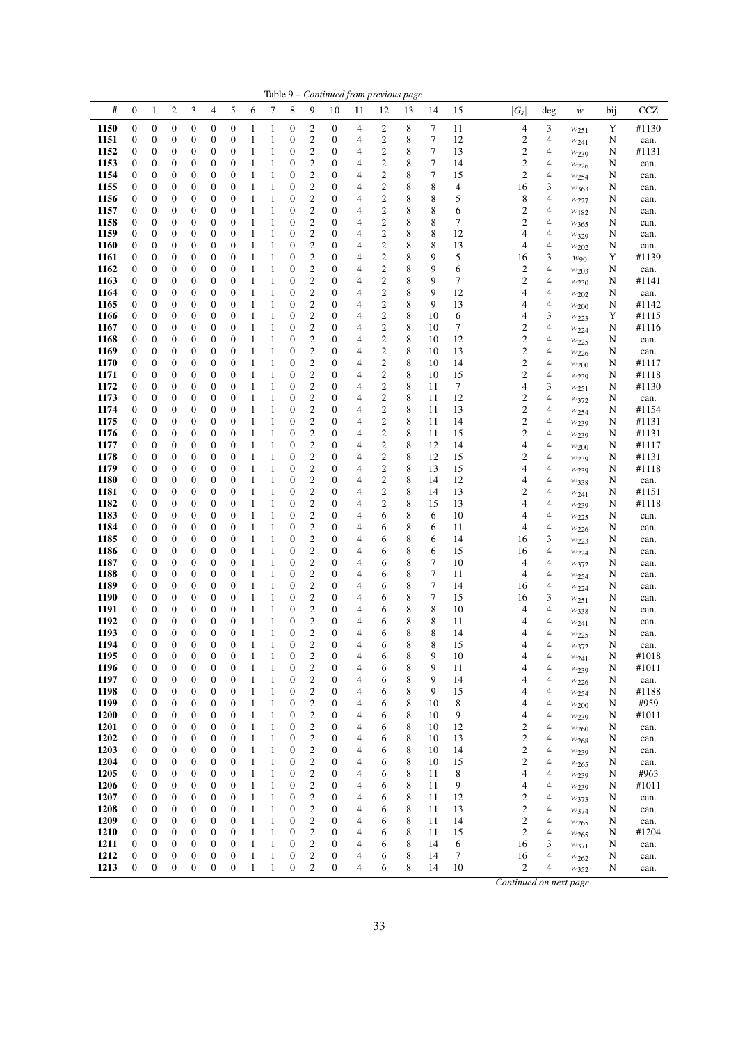| Table 9 - Continued from previous page |                                      |                                      |                                      |                                      |                                      |                                      |                              |                              |                                      |                                             |                                      |                                  |                                    |        |                  |          |                                           |        |                               |        |                |
|----------------------------------------|--------------------------------------|--------------------------------------|--------------------------------------|--------------------------------------|--------------------------------------|--------------------------------------|------------------------------|------------------------------|--------------------------------------|---------------------------------------------|--------------------------------------|----------------------------------|------------------------------------|--------|------------------|----------|-------------------------------------------|--------|-------------------------------|--------|----------------|
| #                                      | $\boldsymbol{0}$                     | $\mathbf{1}$                         | $\boldsymbol{2}$                     | 3                                    | 4                                    | 5                                    | 6                            | 7                            | 8                                    | 9                                           | 10                                   | 11                               | 12                                 | 13     | 14               | 15       | $ G_s $                                   | deg    | $\boldsymbol{W}$              | bij.   | CCZ            |
| 1150                                   | $\boldsymbol{0}$                     | $\boldsymbol{0}$                     | 0                                    | $\boldsymbol{0}$                     | 0                                    | $\boldsymbol{0}$                     | 1                            | $\mathbf{1}$                 | $\boldsymbol{0}$                     | 2                                           | $\boldsymbol{0}$                     | 4                                | 2                                  | 8      | 7                | 11       | 4                                         | 3      | $w_{251}$                     | Y      | #1130          |
| 1151                                   | $\boldsymbol{0}$                     | $\boldsymbol{0}$                     | 0                                    | $\boldsymbol{0}$                     | 0                                    | $\boldsymbol{0}$                     | $\mathbf{1}$                 | 1                            | $\boldsymbol{0}$                     | 2                                           | $\boldsymbol{0}$                     | $\overline{4}$                   | 2                                  | 8      | 7                | 12       | $\boldsymbol{2}$                          | 4      | $w_{241}$                     | N      | can.           |
| 1152                                   | 0                                    | $\boldsymbol{0}$                     | $\boldsymbol{0}$                     | $\boldsymbol{0}$<br>$\boldsymbol{0}$ | $\boldsymbol{0}$                     | $\boldsymbol{0}$<br>$\boldsymbol{0}$ | 1<br>$\mathbf{1}$            | 1<br>1                       | $\boldsymbol{0}$<br>$\mathbf{0}$     | $\mathfrak{2}$<br>$\mathbf{2}$              | $\boldsymbol{0}$                     | 4<br>4                           | $\boldsymbol{2}$<br>$\mathfrak{2}$ | 8<br>8 | $\tau$<br>$\tau$ | 13<br>14 | $\overline{c}$<br>$\mathfrak{2}$          | 4<br>4 | W <sub>239</sub>              | N      | #1131          |
| 1153<br>1154                           | 0<br>0                               | $\boldsymbol{0}$<br>0                | 0<br>0                               | 0                                    | $\boldsymbol{0}$<br>$\boldsymbol{0}$ | $\boldsymbol{0}$                     | $\mathbf{1}$                 | 1                            | $\boldsymbol{0}$                     | 2                                           | $\boldsymbol{0}$<br>$\boldsymbol{0}$ | 4                                | 2                                  | 8      | 7                | 15       | $\mathbf{2}$                              | 4      | W226<br>W <sub>254</sub>      | N<br>N | can.<br>can.   |
| 1155                                   | $\boldsymbol{0}$                     | $\boldsymbol{0}$                     | 0                                    | 0                                    | $\boldsymbol{0}$                     | $\boldsymbol{0}$                     | 1                            | $\mathbf{1}$                 | $\mathbf{0}$                         | $\overline{\mathbf{c}}$                     | $\boldsymbol{0}$                     | 4                                | $\boldsymbol{2}$                   | 8      | 8                | 4        | 16                                        | 3      | $w_{363}$                     | N      | can.           |
| 1156                                   | $\boldsymbol{0}$                     | $\boldsymbol{0}$                     | 0                                    | $\boldsymbol{0}$                     | $\boldsymbol{0}$                     | $\boldsymbol{0}$                     | 1                            | $\mathbf{1}$                 | $\mathbf{0}$                         | $\overline{\mathbf{c}}$                     | $\boldsymbol{0}$                     | 4                                | 2                                  | 8      | 8                | 5        | 8                                         | 4      | W227                          | N      | can.           |
| 1157                                   | 0                                    | $\boldsymbol{0}$                     | $\boldsymbol{0}$                     | $\boldsymbol{0}$                     | $\boldsymbol{0}$                     | $\boldsymbol{0}$                     | 1                            | 1                            | $\boldsymbol{0}$                     | 2                                           | $\boldsymbol{0}$                     | $\overline{4}$                   | 2                                  | 8      | 8                | 6        | $\mathfrak{2}$                            | 4      | W182                          | N      | can.           |
| 1158<br>1159                           | 0<br>0                               | $\boldsymbol{0}$<br>$\boldsymbol{0}$ | 0<br>$\boldsymbol{0}$                | $\boldsymbol{0}$<br>$\boldsymbol{0}$ | $\boldsymbol{0}$<br>$\boldsymbol{0}$ | $\boldsymbol{0}$<br>$\boldsymbol{0}$ | 1<br>1                       | 1<br>$\mathbf{1}$            | $\boldsymbol{0}$<br>$\boldsymbol{0}$ | $\mathfrak{2}$<br>$\boldsymbol{2}$          | $\boldsymbol{0}$<br>$\boldsymbol{0}$ | $\overline{4}$<br>4              | 2<br>2                             | 8<br>8 | 8<br>8           | 7<br>12  | $\overline{c}$<br>4                       | 4<br>4 | $w_{365}$                     | N<br>N | can.<br>can.   |
| 1160                                   | $\boldsymbol{0}$                     | 0                                    | 0                                    | 0                                    | $\boldsymbol{0}$                     | $\boldsymbol{0}$                     | $\mathbf{1}$                 | 1                            | $\boldsymbol{0}$                     | 2                                           | $\boldsymbol{0}$                     | 4                                | $\overline{\mathbf{c}}$            | 8      | 8                | 13       | 4                                         | 4      | $w_{329}$<br>W202             | N      | can.           |
| 1161                                   | $\boldsymbol{0}$                     | 0                                    | 0                                    | 0                                    | $\boldsymbol{0}$                     | $\boldsymbol{0}$                     | 1                            | $\mathbf{1}$                 | $\boldsymbol{0}$                     | $\overline{\mathbf{c}}$                     | $\boldsymbol{0}$                     | 4                                | $\boldsymbol{2}$                   | 8      | 9                | 5        | 16                                        | 3      | W90                           | Y      | #1139          |
| 1162                                   | $\boldsymbol{0}$                     | 0                                    | $\boldsymbol{0}$                     | $\boldsymbol{0}$                     | $\boldsymbol{0}$                     | $\boldsymbol{0}$                     | 1                            | $\mathbf{1}$                 | $\mathbf{0}$                         | $\overline{c}$                              | $\boldsymbol{0}$                     | $\overline{4}$                   | $\mathbf{2}$                       | 8      | 9                | 6        | $\mathbf{2}$                              | 4      | $w_{203}$                     | N      | can.           |
| 1163                                   | 0                                    | $\boldsymbol{0}$                     | 0                                    | $\boldsymbol{0}$                     | $\boldsymbol{0}$                     | $\boldsymbol{0}$                     | 1                            | $\mathbf{1}$                 | $\boldsymbol{0}$                     | $\boldsymbol{2}$                            | $\boldsymbol{0}$                     | 4                                | 2                                  | 8      | 9                | 7        | $\overline{c}$                            | 4      | $w_{230}$                     | N      | #1141          |
| 1164<br>1165                           | 0<br>$\boldsymbol{0}$                | $\boldsymbol{0}$<br>$\boldsymbol{0}$ | $\boldsymbol{0}$<br>$\boldsymbol{0}$ | $\boldsymbol{0}$<br>$\boldsymbol{0}$ | $\boldsymbol{0}$<br>$\boldsymbol{0}$ | $\boldsymbol{0}$<br>$\boldsymbol{0}$ | 1<br>1                       | $\mathbf{1}$<br>1            | $\boldsymbol{0}$<br>$\boldsymbol{0}$ | $\boldsymbol{2}$<br>$\overline{\mathbf{c}}$ | $\boldsymbol{0}$<br>$\boldsymbol{0}$ | $\overline{4}$<br>$\overline{4}$ | 2<br>$\overline{\mathbf{c}}$       | 8<br>8 | 9<br>9           | 12<br>13 | 4<br>4                                    | 4<br>4 | W202<br>W200                  | N<br>N | can.<br>#1142  |
| 1166                                   | 0                                    | $\boldsymbol{0}$                     | 0                                    | $\boldsymbol{0}$                     | $\boldsymbol{0}$                     | $\boldsymbol{0}$                     | 1                            | 1                            | $\boldsymbol{0}$                     | $\mathfrak{2}$                              | $\boldsymbol{0}$                     | 4                                | $\boldsymbol{2}$                   | 8      | 10               | 6        | 4                                         | 3      | $w_{223}$                     | Y      | #1115          |
| 1167                                   | $\boldsymbol{0}$                     | 0                                    | 0                                    | 0                                    | $\boldsymbol{0}$                     | $\boldsymbol{0}$                     | 1                            | 1                            | $\boldsymbol{0}$                     | $\mathfrak{2}$                              | $\boldsymbol{0}$                     | 4                                | $\boldsymbol{2}$                   | 8      | 10               | 7        | $\mathfrak{2}$                            | 4      | $w_{224}$                     | N      | #1116          |
| 1168                                   | $\boldsymbol{0}$                     | 0                                    | 0                                    | $\boldsymbol{0}$                     | $\boldsymbol{0}$                     | $\boldsymbol{0}$                     | 1                            | $\mathbf{1}$                 | $\boldsymbol{0}$                     | $\overline{\mathbf{c}}$                     | $\boldsymbol{0}$                     | 4                                | $\boldsymbol{2}$                   | 8      | 10               | 12       | $\mathbf{2}$                              | 4      | W225                          | N      | can.           |
| 1169<br>1170                           | $\boldsymbol{0}$<br>0                | $\boldsymbol{0}$<br>0                | 0<br>0                               | $\boldsymbol{0}$<br>$\boldsymbol{0}$ | $\boldsymbol{0}$<br>$\boldsymbol{0}$ | $\boldsymbol{0}$<br>$\boldsymbol{0}$ | 1<br>$\mathbf{1}$            | 1<br>1                       | $\mathbf{0}$<br>$\boldsymbol{0}$     | $\overline{\mathbf{c}}$<br>2                | $\boldsymbol{0}$<br>$\boldsymbol{0}$ | 4<br>4                           | 2<br>2                             | 8<br>8 | 10<br>10         | 13<br>14 | $\overline{c}$<br>$\overline{\mathbf{c}}$ | 4<br>4 | W226                          | N      | can.<br>#1117  |
| 1171                                   | 0                                    | $\boldsymbol{0}$                     | $\boldsymbol{0}$                     | $\boldsymbol{0}$                     | $\boldsymbol{0}$                     | $\boldsymbol{0}$                     | 1                            | $\mathbf{1}$                 | $\boldsymbol{0}$                     | $\overline{c}$                              | $\boldsymbol{0}$                     | $\overline{4}$                   | $\boldsymbol{2}$                   | 8      | 10               | 15       | $\overline{c}$                            | 4      | $w_{200}$<br>W <sub>239</sub> | N<br>N | #1118          |
| 1172                                   | $\boldsymbol{0}$                     | $\boldsymbol{0}$                     | 0                                    | $\boldsymbol{0}$                     | $\boldsymbol{0}$                     | $\boldsymbol{0}$                     | $\mathbf{1}$                 | $\mathbf{1}$                 | $\mathbf{0}$                         | $\overline{c}$                              | $\boldsymbol{0}$                     | $\overline{4}$                   | $\mathbf{2}$                       | 8      | 11               | $\tau$   | 4                                         | 3      | W251                          | N      | #1130          |
| 1173                                   | 0                                    | 0                                    | 0                                    | 0                                    | $\boldsymbol{0}$                     | $\boldsymbol{0}$                     | 1                            | $\mathbf{1}$                 | $\boldsymbol{0}$                     | $\boldsymbol{2}$                            | $\boldsymbol{0}$                     | 4                                | 2                                  | 8      | 11               | 12       | $\boldsymbol{2}$                          | 4      | W372                          | N      | can.           |
| 1174                                   | $\boldsymbol{0}$                     | 0                                    | 0                                    | 0                                    | $\boldsymbol{0}$                     | $\boldsymbol{0}$                     | 1                            | $\mathbf{1}$                 | $\mathbf{0}$                         | $\overline{\mathbf{c}}$                     | $\boldsymbol{0}$                     | 4                                | $\overline{\mathbf{c}}$            | 8      | 11               | 13       | $\mathbf{2}$                              | 4      | $w_{254}$                     | N      | #1154          |
| 1175<br>1176                           | $\boldsymbol{0}$<br>0                | $\boldsymbol{0}$<br>$\boldsymbol{0}$ | 0<br>$\boldsymbol{0}$                | $\boldsymbol{0}$<br>$\boldsymbol{0}$ | $\boldsymbol{0}$<br>$\boldsymbol{0}$ | $\boldsymbol{0}$<br>$\boldsymbol{0}$ | 1<br>1                       | $\mathbf{1}$<br>1            | $\boldsymbol{0}$<br>$\boldsymbol{0}$ | $\overline{\mathbf{c}}$<br>2                | $\boldsymbol{0}$<br>$\boldsymbol{0}$ | 4<br>$\overline{4}$              | $\boldsymbol{2}$<br>2              | 8<br>8 | 11<br>11         | 14<br>15 | $\overline{\mathbf{c}}$<br>$\overline{c}$ | 4<br>4 | $w_{239}$                     | N<br>N | #1131<br>#1131 |
| 1177                                   | 0                                    | $\boldsymbol{0}$                     | 0                                    | $\boldsymbol{0}$                     | $\boldsymbol{0}$                     | $\boldsymbol{0}$                     | 1                            | 1                            | $\boldsymbol{0}$                     | $\mathbf{2}$                                | $\boldsymbol{0}$                     | $\overline{4}$                   | $\boldsymbol{2}$                   | 8      | 12               | 14       | 4                                         | 4      | W <sub>239</sub><br>W200      | N      | #1117          |
| 1178                                   | 0                                    | $\boldsymbol{0}$                     | $\boldsymbol{0}$                     | $\boldsymbol{0}$                     | $\boldsymbol{0}$                     | $\boldsymbol{0}$                     | 1                            | $\mathbf{1}$                 | $\boldsymbol{0}$                     | $\mathbf{2}$                                | $\boldsymbol{0}$                     | 4                                | $\boldsymbol{2}$                   | 8      | 12               | 15       | $\overline{c}$                            | 4      | W <sub>239</sub>              | N      | #1131          |
| 1179                                   | $\boldsymbol{0}$                     | $\boldsymbol{0}$                     | 0                                    | $\boldsymbol{0}$                     | $\boldsymbol{0}$                     | $\boldsymbol{0}$                     | $\mathbf{1}$                 | 1                            | $\mathbf{0}$                         | 2                                           | $\boldsymbol{0}$                     | 4                                | 2                                  | 8      | 13               | 15       | 4                                         | 4      | $w_{239}$                     | N      | #1118          |
| 1180<br>1181                           | $\boldsymbol{0}$<br>$\boldsymbol{0}$ | 0                                    | 0                                    | 0                                    | $\boldsymbol{0}$                     | $\boldsymbol{0}$                     | 1                            | $\mathbf{1}$<br>$\mathbf{1}$ | $\boldsymbol{0}$<br>$\mathbf{0}$     | $\overline{\mathbf{c}}$<br>$\overline{c}$   | $\boldsymbol{0}$<br>$\boldsymbol{0}$ | 4                                | 2<br>$\mathbf{2}$                  | 8<br>8 | 14               | 12<br>13 | 4                                         | 4      | W338                          | N      | can.           |
| 1182                                   | $\boldsymbol{0}$                     | 0<br>0                               | $\boldsymbol{0}$<br>0                | $\boldsymbol{0}$<br>$\boldsymbol{0}$ | $\boldsymbol{0}$<br>$\boldsymbol{0}$ | $\boldsymbol{0}$<br>$\boldsymbol{0}$ | 1<br>1                       | $\mathbf{1}$                 | $\mathbf{0}$                         | $\mathbf{2}$                                | $\boldsymbol{0}$                     | $\overline{4}$<br>4              | $\boldsymbol{2}$                   | 8      | 14<br>15         | 13       | $\overline{c}$<br>4                       | 4<br>4 | $w_{241}$<br>W <sub>239</sub> | N<br>N | #1151<br>#1118 |
| 1183                                   | 0                                    | $\boldsymbol{0}$                     | 0                                    | $\boldsymbol{0}$                     | $\boldsymbol{0}$                     | $\boldsymbol{0}$                     | 1                            | $\mathbf{1}$                 | $\boldsymbol{0}$                     | 2                                           | $\boldsymbol{0}$                     | 4                                | 6                                  | 8      | 6                | 10       | 4                                         | 4      | $w_{225}$                     | N      | can.           |
| 1184                                   | $\boldsymbol{0}$                     | $\boldsymbol{0}$                     | 0                                    | $\boldsymbol{0}$                     | $\boldsymbol{0}$                     | $\boldsymbol{0}$                     | $\mathbf{1}$                 | 1                            | $\boldsymbol{0}$                     | $\overline{\mathbf{c}}$                     | $\boldsymbol{0}$                     | 4                                | 6                                  | 8      | 6                | 11       | 4                                         | 4      | W226                          | N      | can.           |
| 1185                                   | 0                                    | $\boldsymbol{0}$                     | 0                                    | $\boldsymbol{0}$                     | $\boldsymbol{0}$                     | $\boldsymbol{0}$                     | 1                            | 1                            | $\boldsymbol{0}$                     | 2                                           | $\boldsymbol{0}$                     | 4                                | 6                                  | 8      | 6                | 14       | 16                                        | 3      | W223                          | N      | can.           |
| 1186<br>1187                           | 0<br>$\boldsymbol{0}$                | 0<br>0                               | 0<br>0                               | 0<br>0                               | $\boldsymbol{0}$<br>$\boldsymbol{0}$ | $\boldsymbol{0}$<br>$\boldsymbol{0}$ | 1<br>1                       | 1<br>$\mathbf{1}$            | $\boldsymbol{0}$<br>$\boldsymbol{0}$ | $\mathfrak{2}$<br>$\mathbf{2}$              | $\boldsymbol{0}$<br>$\boldsymbol{0}$ | 4<br>4                           | 6<br>6                             | 8<br>8 | 6<br>7           | 15<br>10 | 16<br>4                                   | 4<br>4 | W224<br>$w_{372}$             | N<br>N | can.<br>can.   |
| 1188                                   | $\boldsymbol{0}$                     | $\boldsymbol{0}$                     | $\boldsymbol{0}$                     | $\boldsymbol{0}$                     | $\boldsymbol{0}$                     | $\boldsymbol{0}$                     | 1                            | 1                            | $\mathbf{0}$                         | $\overline{c}$                              | $\boldsymbol{0}$                     | $\overline{4}$                   | 6                                  | 8      | $\tau$           | 11       | 4                                         | 4      | W254                          | N      | can.           |
| 1189                                   | 0                                    | 0                                    | 0                                    | $\boldsymbol{0}$                     | $\boldsymbol{0}$                     | $\boldsymbol{0}$                     | $\mathbf{1}$                 | 1                            | $\boldsymbol{0}$                     | 2                                           | $\boldsymbol{0}$                     | 4                                | 6                                  | 8      | 7                | 14       | 16                                        | 4      | W224                          | N      | can.           |
| 1190                                   | 0                                    | $\boldsymbol{0}$                     | $\boldsymbol{0}$                     | $\boldsymbol{0}$                     | $\boldsymbol{0}$                     | $\boldsymbol{0}$                     | 1                            | $\mathbf{1}$                 | $\boldsymbol{0}$                     | $\boldsymbol{2}$                            | $\boldsymbol{0}$                     | 4                                | 6                                  | 8      | 7                | 15       | 16                                        | 3      | $w_{251}$                     | N      | can.           |
| 1191<br>1192                           | 0<br>$\boldsymbol{0}$                | 0<br>0                               | 0<br>0                               | $\boldsymbol{0}$<br>$\boldsymbol{0}$ | $\boldsymbol{0}$<br>$\boldsymbol{0}$ | $\boldsymbol{0}$<br>$\mathbf{0}$     | 1<br>1                       | 1<br>1                       | $\boldsymbol{0}$<br>$\boldsymbol{0}$ | $\overline{c}$<br>$\overline{c}$            | $\boldsymbol{0}$<br>$\boldsymbol{0}$ | 4<br>4                           | 6<br>6                             | 8<br>8 | 8<br>8           | 10<br>11 | 4<br>4                                    | 4<br>4 | $w_{338}$                     | N<br>N | can.           |
| 1193                                   | $\boldsymbol{0}$                     | $\boldsymbol{0}$                     | $\overline{0}$                       | $\overline{0}$                       | $\overline{0}$                       | $\overline{0}$                       | 1                            | 1                            | $\overline{0}$                       | $\overline{2}$                              | $\overline{0}$                       | $\overline{4}$                   | 6                                  | 8      | 8                | 14       | 4                                         | 4      | W241<br>W225                  | N      | can.<br>can.   |
| 1194                                   | 0                                    | $\boldsymbol{0}$                     | 0                                    | 0                                    | 0                                    | $\boldsymbol{0}$                     | 1                            | 1                            | 0                                    | $\overline{\mathbf{c}}$                     | 0                                    | $\overline{\mathcal{A}}$         | 6                                  | 8      | 8                | 15       | 4                                         | 4      | W372                          | N      | can.           |
| 1195                                   | $\boldsymbol{0}$                     | $\boldsymbol{0}$                     | $\boldsymbol{0}$                     | $\boldsymbol{0}$                     | $\boldsymbol{0}$                     | $\mathbf{0}$                         | $\mathbf{1}$                 | 1                            | $\boldsymbol{0}$                     | $\overline{\mathbf{c}}$                     | $\boldsymbol{0}$                     | $\overline{4}$                   | 6                                  | 8      | 9                | 10       | 4                                         | 4      | $w_{241}$                     | N      | #1018          |
| 1196                                   | $\boldsymbol{0}$                     | $\boldsymbol{0}$                     | $\boldsymbol{0}$<br>$\boldsymbol{0}$ | $\boldsymbol{0}$<br>$\boldsymbol{0}$ | $\boldsymbol{0}$<br>$\boldsymbol{0}$ | $\boldsymbol{0}$                     | $\mathbf{1}$                 | $\mathbf{1}$<br>$\mathbf{1}$ | $\boldsymbol{0}$                     | $\overline{\mathbf{c}}$                     | $\boldsymbol{0}$                     | $\overline{4}$<br>$\overline{4}$ | 6                                  | 8<br>8 | 9<br>9           | 11       | 4                                         | 4      | W <sub>239</sub>              | N      | #1011          |
| 1197<br>1198                           | $\boldsymbol{0}$<br>0                | $\boldsymbol{0}$<br>$\boldsymbol{0}$ | $\boldsymbol{0}$                     | $\boldsymbol{0}$                     | 0                                    | $\boldsymbol{0}$<br>$\boldsymbol{0}$ | $\mathbf{1}$<br>$\mathbf{1}$ | $\mathbf{1}$                 | $\boldsymbol{0}$<br>0                | $\boldsymbol{2}$<br>$\overline{\mathbf{c}}$ | $\boldsymbol{0}$<br>$\boldsymbol{0}$ | $\overline{4}$                   | 6<br>6                             | 8      | 9                | 14<br>15 | 4<br>4                                    | 4<br>4 | W226<br>$w_{254}$             | N<br>N | can.<br>#1188  |
| 1199                                   | 0                                    | 0                                    | $\boldsymbol{0}$                     | 0                                    | $\boldsymbol{0}$                     | $\boldsymbol{0}$                     | $\mathbf{1}$                 | $\mathbf{1}$                 | $\boldsymbol{0}$                     | $\overline{\mathbf{c}}$                     | $\boldsymbol{0}$                     | 4                                | 6                                  | 8      | 10               | 8        | 4                                         | 4      | $w_{200}$                     | N      | #959           |
| 1200                                   | $\boldsymbol{0}$                     | $\boldsymbol{0}$                     | $\boldsymbol{0}$                     | $\boldsymbol{0}$                     | $\boldsymbol{0}$                     | $\boldsymbol{0}$                     | $\mathbf{1}$                 | $\mathbf{1}$                 | $\boldsymbol{0}$                     | $\overline{\mathbf{c}}$                     | $\boldsymbol{0}$                     | $\overline{4}$                   | 6                                  | 8      | 10               | 9        | 4                                         | 4      | W <sub>239</sub>              | N      | #1011          |
| 1201                                   | 0                                    | $\boldsymbol{0}$                     | 0                                    | $\boldsymbol{0}$                     | $\boldsymbol{0}$                     | $\boldsymbol{0}$                     | $\mathbf{1}$                 | $\mathbf{1}$                 | $\boldsymbol{0}$                     | $\overline{\mathbf{c}}$                     | $\boldsymbol{0}$                     | $\overline{4}$                   | 6                                  | 8      | 10               | 12       | $\boldsymbol{2}$                          | 4      | W <sub>260</sub>              | N      | can.           |
| 1202<br>1203                           | $\boldsymbol{0}$<br>$\boldsymbol{0}$ | $\boldsymbol{0}$<br>$\boldsymbol{0}$ | $\boldsymbol{0}$<br>$\boldsymbol{0}$ | $\boldsymbol{0}$<br>$\boldsymbol{0}$ | $\boldsymbol{0}$<br>$\boldsymbol{0}$ | $\boldsymbol{0}$<br>$\boldsymbol{0}$ | $\mathbf{1}$<br>$\mathbf{1}$ | $\mathbf{1}$<br>$\mathbf{1}$ | $\boldsymbol{0}$<br>$\boldsymbol{0}$ | $\boldsymbol{2}$<br>$\boldsymbol{2}$        | $\boldsymbol{0}$<br>$\boldsymbol{0}$ | $\overline{4}$<br>$\overline{4}$ | 6<br>6                             | 8<br>8 | 10<br>10         | 13<br>14 | $\boldsymbol{2}$<br>$\boldsymbol{2}$      | 4<br>4 | $w_{268}$<br>$w_{239}$        | N<br>N | can.<br>can.   |
| 1204                                   | 0                                    | $\boldsymbol{0}$                     | $\boldsymbol{0}$                     | $\boldsymbol{0}$                     | $\boldsymbol{0}$                     | $\boldsymbol{0}$                     | $\mathbf{1}$                 | $\mathbf{1}$                 | $\boldsymbol{0}$                     | $\overline{\mathbf{c}}$                     | $\boldsymbol{0}$                     | $\overline{4}$                   | 6                                  | 8      | 10               | 15       | $\overline{\mathbf{c}}$                   | 4      | W <sub>265</sub>              | N      | can.           |
| 1205                                   | 0                                    | 0                                    | 0                                    | $\boldsymbol{0}$                     | $\boldsymbol{0}$                     | $\boldsymbol{0}$                     | $\mathbf{1}$                 | $\mathbf{1}$                 | $\boldsymbol{0}$                     | $\overline{\mathbf{c}}$                     | $\boldsymbol{0}$                     | $\overline{4}$                   | 6                                  | 8      | 11               | 8        | 4                                         | 4      | W <sub>239</sub>              | N      | #963           |
| 1206                                   | 0                                    | 0                                    | 0                                    | $\boldsymbol{0}$                     | $\boldsymbol{0}$                     | $\boldsymbol{0}$                     | $\mathbf{1}$                 | $\mathbf{1}$                 | $\boldsymbol{0}$                     | $\overline{\mathbf{c}}$                     | $\boldsymbol{0}$                     | 4                                | 6                                  | 8      | 11               | 9        | 4                                         | 4      | W <sub>239</sub>              | N      | #1011          |
| 1207<br>1208                           | $\boldsymbol{0}$<br>0                | $\boldsymbol{0}$<br>0                | $\boldsymbol{0}$<br>$\boldsymbol{0}$ | $\boldsymbol{0}$<br>$\boldsymbol{0}$ | $\boldsymbol{0}$<br>$\boldsymbol{0}$ | $\boldsymbol{0}$<br>$\boldsymbol{0}$ | $\mathbf{1}$<br>$\mathbf{1}$ | $\mathbf{1}$<br>$\mathbf{1}$ | $\boldsymbol{0}$<br>$\boldsymbol{0}$ | $\overline{c}$<br>$\overline{\mathbf{c}}$   | $\boldsymbol{0}$<br>$\boldsymbol{0}$ | $\overline{4}$<br>$\overline{4}$ | 6<br>6                             | 8<br>8 | 11<br>11         | 12<br>13 | $\boldsymbol{2}$<br>$\boldsymbol{2}$      | 4<br>4 | $w_{373}$                     | N<br>N | can.<br>can.   |
| 1209                                   | 0                                    | $\boldsymbol{0}$                     | $\boldsymbol{0}$                     | $\boldsymbol{0}$                     | $\boldsymbol{0}$                     | $\boldsymbol{0}$                     | $\mathbf{1}$                 | $\mathbf{1}$                 | $\boldsymbol{0}$                     | $\overline{\mathbf{c}}$                     | $\boldsymbol{0}$                     | $\overline{4}$                   | 6                                  | 8      | 11               | 14       | $\boldsymbol{2}$                          | 4      | W374<br>W <sub>265</sub>      | N      | can.           |
| 1210                                   | 0                                    | $\boldsymbol{0}$                     | $\boldsymbol{0}$                     | $\boldsymbol{0}$                     | $\boldsymbol{0}$                     | $\boldsymbol{0}$                     | $\mathbf{1}$                 | $\mathbf{1}$                 | $\boldsymbol{0}$                     | $\overline{\mathbf{c}}$                     | $\boldsymbol{0}$                     | $\overline{4}$                   | 6                                  | 8      | 11               | 15       | $\boldsymbol{2}$                          | 4      | $w_{265}$                     | N      | #1204          |
| 1211                                   | 0                                    | $\boldsymbol{0}$                     | $\boldsymbol{0}$                     | $\boldsymbol{0}$                     | $\boldsymbol{0}$                     | $\boldsymbol{0}$                     | $\mathbf{1}$                 | $\mathbf{1}$                 | $\boldsymbol{0}$                     | 2                                           | $\boldsymbol{0}$                     | 4                                | 6                                  | 8      | 14               | 6        | 16                                        | 3      | $w_{371}$                     | N      | can.           |
| 1212                                   | $\boldsymbol{0}$                     | $\boldsymbol{0}$                     | 0                                    | $\boldsymbol{0}$                     | $\boldsymbol{0}$                     | $\boldsymbol{0}$                     | $\mathbf{1}$                 | $\mathbf{1}$                 | $\boldsymbol{0}$                     | $\boldsymbol{2}$                            | $\boldsymbol{0}$                     | $\overline{\mathcal{A}}$         | 6                                  | 8      | 14               | 7        | 16                                        | 4      | W262                          | N      | can.           |
| 1213                                   | $\boldsymbol{0}$                     | $\boldsymbol{0}$                     | $\mathbf{0}$                         | $\boldsymbol{0}$                     | $\boldsymbol{0}$                     | $\boldsymbol{0}$                     | $\mathbf{1}$                 | $\mathbf{1}$                 | $\boldsymbol{0}$                     | $\mathbf{2}$                                | $\boldsymbol{0}$                     | $\overline{4}$                   | 6                                  | 8      | 14               | 10       | $\overline{\mathbf{c}}$                   | 4      | W352                          | N      | can.           |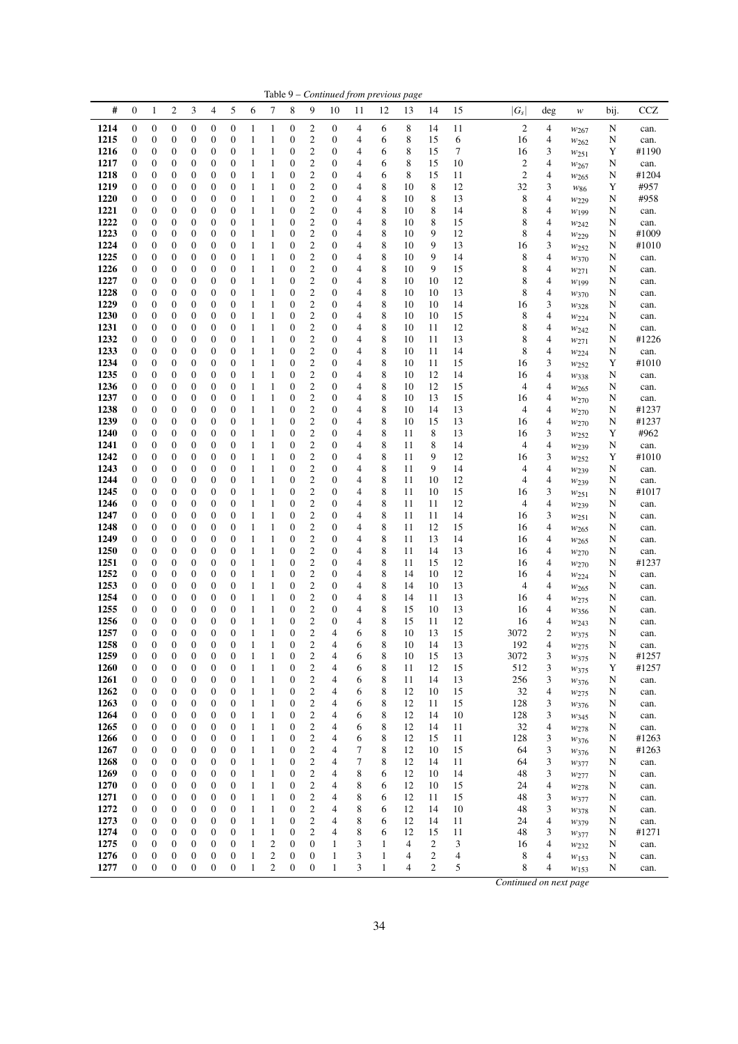| #<br><b>CCZ</b><br>$\boldsymbol{0}$<br>2<br>3<br>4<br>5<br>6<br>7<br>8<br>9<br>$ G_{\scriptscriptstyle S} $<br>1<br>10<br>11<br>12<br>13<br>14<br>15<br>deg<br>bij.<br>w<br>1214<br>$\boldsymbol{0}$<br>8<br>$\overline{2}$<br>$\boldsymbol{0}$<br>$\boldsymbol{0}$<br>0<br>$\boldsymbol{0}$<br>0<br>$\mathbf{1}$<br>$\boldsymbol{0}$<br>2<br>$\boldsymbol{0}$<br>4<br>14<br>11<br>4<br>1<br>6<br>N<br>can.<br>W <sub>267</sub><br>$\boldsymbol{2}$<br>1215<br>$\boldsymbol{0}$<br>0<br>$\boldsymbol{0}$<br>$\boldsymbol{0}$<br>$\boldsymbol{0}$<br>4<br>8<br>15<br>4<br>$\boldsymbol{0}$<br>1<br>1<br>0<br>0<br>6<br>6<br>16<br>N<br>can.<br>$w_{262}$<br>$\overline{c}$<br>8<br>3<br>1216<br>$\boldsymbol{0}$<br>0<br>0<br>0<br>$\mathbf{0}$<br>$\mathbf{0}$<br>1<br>1<br>$\boldsymbol{0}$<br>0<br>4<br>15<br>7<br>Y<br>#1190<br>6<br>16<br>W251<br>$\overline{c}$<br>8<br>15<br>1217<br>$\boldsymbol{0}$<br>0<br>0<br>0<br>$\mathbf{0}$<br>$\mathbf{0}$<br>1<br>1<br>$\boldsymbol{0}$<br>0<br>4<br>10<br>2<br>4<br>6<br>N<br>can.<br>W267<br>$\overline{c}$<br>6<br>8<br>$\mathfrak{2}$<br>1218<br>$\boldsymbol{0}$<br>0<br>$\boldsymbol{0}$<br>0<br>$\mathbf{0}$<br>$\mathbf{0}$<br>$\boldsymbol{0}$<br>$\boldsymbol{0}$<br>4<br>15<br>4<br>#1204<br>1<br>1<br>11<br>N<br>$w_{265}$<br>$\overline{c}$<br>1219<br>0<br>0<br>$\boldsymbol{0}$<br>$\boldsymbol{0}$<br>$\mathbf{0}$<br>1<br>1<br>0<br>0<br>4<br>8<br>10<br>8<br>12<br>32<br>3<br>Y<br>#957<br>0<br>$W_{86}$<br>1220<br>$\overline{c}$<br>8<br>8<br>$\boldsymbol{0}$<br>$\boldsymbol{0}$<br>$\boldsymbol{0}$<br>$\boldsymbol{0}$<br>$\boldsymbol{0}$<br>$\boldsymbol{0}$<br>1<br>0<br>$\boldsymbol{0}$<br>4<br>10<br>13<br>8<br>4<br>#958<br>1<br>N<br>W229<br>$\overline{c}$<br>8<br>8<br>8<br>1221<br>$\boldsymbol{0}$<br>$\boldsymbol{0}$<br>0<br>0<br>$\boldsymbol{0}$<br>$\mathbf{0}$<br>1<br>1<br>0<br>$\boldsymbol{0}$<br>4<br>14<br>4<br>10<br>N<br>can.<br>W199<br>$\overline{c}$<br>1222<br>0<br>0<br>0<br>$\mathbf{0}$<br>$\mathbf{0}$<br>1<br>$\boldsymbol{0}$<br>4<br>8<br>8<br>8<br>$\boldsymbol{0}$<br>1<br>0<br>10<br>15<br>4<br>N<br>can.<br>$w_{242}$<br>$\overline{c}$<br>8<br>9<br>1223<br>$\boldsymbol{0}$<br>0<br>0<br>0<br>$\boldsymbol{0}$<br>$\mathbf{0}$<br>1<br>1<br>$\boldsymbol{0}$<br>0<br>4<br>10<br>12<br>8<br>4<br>#1009<br>N<br>W <sub>229</sub><br>$\overline{c}$<br>8<br>9<br>1224<br>$\boldsymbol{0}$<br>0<br>0<br>0<br>$\boldsymbol{0}$<br>$\mathbf{0}$<br>1<br>1<br>$\boldsymbol{0}$<br>$\boldsymbol{0}$<br>4<br>13<br>3<br>#1010<br>10<br>16<br>N<br>W252<br>$\overline{c}$<br>8<br>9<br>1225<br>$\boldsymbol{0}$<br>0<br>$\boldsymbol{0}$<br>$\boldsymbol{0}$<br>$\boldsymbol{0}$<br>$\boldsymbol{0}$<br>$\boldsymbol{0}$<br>$\boldsymbol{0}$<br>4<br>10<br>14<br>8<br>4<br>1<br>1<br>N<br>can.<br>W370<br>$\overline{c}$<br>8<br>1226<br>$\boldsymbol{0}$<br>$\boldsymbol{0}$<br>0<br>0<br>$\boldsymbol{0}$<br>$\boldsymbol{0}$<br>$\mathbf{1}$<br>1<br>0<br>0<br>4<br>10<br>9<br>15<br>8<br>4<br>N<br>can.<br>$w_{271}$<br>$\overline{c}$<br>8<br>8<br>1227<br>$\boldsymbol{0}$<br>$\boldsymbol{0}$<br>0<br>$\boldsymbol{0}$<br>$\boldsymbol{0}$<br>$\boldsymbol{0}$<br>1<br>0<br>0<br>4<br>10<br>10<br>12<br>4<br>1<br>N<br>can.<br>W <sub>199</sub><br>$\overline{c}$<br>8<br>1228<br>$\boldsymbol{0}$<br>$\boldsymbol{0}$<br>0<br>0<br>$\mathbf{0}$<br>$\boldsymbol{0}$<br>1<br>1<br>$\boldsymbol{0}$<br>0<br>4<br>10<br>13<br>8<br>4<br>10<br>N<br>can.<br>W370<br>$\overline{c}$<br>1229<br>$\boldsymbol{0}$<br>0<br>0<br>0<br>$\boldsymbol{0}$<br>$\boldsymbol{0}$<br>1<br>1<br>0<br>0<br>8<br>10<br>10<br>3<br>4<br>14<br>16<br>N<br>can.<br>W328<br>$\overline{c}$<br>8<br>1230<br>$\boldsymbol{0}$<br>0<br>$\boldsymbol{0}$<br>0<br>$\boldsymbol{0}$<br>$\boldsymbol{0}$<br>1<br>1<br>$\boldsymbol{0}$<br>0<br>4<br>10<br>15<br>8<br>4<br>10<br>N<br>can.<br>$w_{224}$<br>$\overline{\mathbf{c}}$<br>1231<br>$\boldsymbol{0}$<br>0<br>0<br>$\boldsymbol{0}$<br>$\boldsymbol{0}$<br>1<br>0<br>4<br>8<br>12<br>8<br>4<br>0<br>1<br>0<br>10<br>11<br>N<br>can.<br>$w_{242}$<br>$\overline{\mathbf{c}}$<br>8<br>8<br>1232<br>$\boldsymbol{0}$<br>0<br>0<br>$\boldsymbol{0}$<br>$\boldsymbol{0}$<br>$\boldsymbol{0}$<br>0<br>0<br>4<br>10<br>13<br>4<br>#1226<br>1<br>1<br>11<br>N<br>W271<br>1233<br>$\overline{\mathbf{c}}$<br>8<br>8<br>$\boldsymbol{0}$<br>$\boldsymbol{0}$<br>0<br>$\boldsymbol{0}$<br>$\boldsymbol{0}$<br>$\boldsymbol{0}$<br>1<br>1<br>0<br>0<br>4<br>10<br>11<br>14<br>4<br>N<br>can.<br>W224<br>$\overline{\mathbf{c}}$<br>8<br>1234<br>$\boldsymbol{0}$<br>0<br>$\boldsymbol{0}$<br>$\boldsymbol{0}$<br>$\boldsymbol{0}$<br>1<br>4<br>3<br>$\boldsymbol{0}$<br>1<br>0<br>0<br>10<br>11<br>15<br>Y<br>#1010<br>16<br>$w_{252}$<br>$\overline{c}$<br>8<br>1235<br>$\boldsymbol{0}$<br>0<br>0<br>0<br>$\boldsymbol{0}$<br>$\mathbf{0}$<br>1<br>0<br>0<br>4<br>10<br>4<br>1<br>12<br>14<br>N<br>16<br>can.<br>W338<br>$\overline{\mathbf{c}}$<br>1236<br>$\boldsymbol{0}$<br>0<br>0<br>0<br>$\boldsymbol{0}$<br>$\mathbf{0}$<br>1<br>1<br>0<br>0<br>8<br>12<br>15<br>4<br>4<br>10<br>4<br>N<br>can.<br>W265<br>$\overline{\mathbf{c}}$<br>$\boldsymbol{0}$<br>8<br>1237<br>$\boldsymbol{0}$<br>0<br>0<br>0<br>$\mathbf{0}$<br>0<br>$\boldsymbol{0}$<br>4<br>10<br>13<br>15<br>4<br>1<br>1<br>16<br>N<br>can.<br>W270<br>$\overline{\mathbf{c}}$<br>1238<br>0<br>0<br>$\boldsymbol{0}$<br>$\boldsymbol{0}$<br>$\boldsymbol{0}$<br>$\mathbf{1}$<br>1<br>0<br>0<br>4<br>8<br>14<br>13<br>4<br>#1237<br>0<br>10<br>4<br>N<br>W270<br>1239<br>$\overline{\mathbf{c}}$<br>8<br>$\boldsymbol{0}$<br>$\boldsymbol{0}$<br>0<br>$\boldsymbol{0}$<br>$\boldsymbol{0}$<br>$\boldsymbol{0}$<br>1<br>0<br>$\boldsymbol{0}$<br>4<br>10<br>15<br>13<br>4<br>#1237<br>1<br>16<br>N<br>$w_{270}$<br>$\overline{\mathbf{c}}$<br>8<br>8<br>3<br>1240<br>$\boldsymbol{0}$<br>$\boldsymbol{0}$<br>0<br>0<br>$\boldsymbol{0}$<br>$\mathbf{0}$<br>1<br>0<br>4<br>13<br>Y<br>#962<br>1<br>0<br>11<br>16<br>W252<br>$\overline{\mathbf{c}}$<br>1241<br>$\boldsymbol{0}$<br>0<br>0<br>$\boldsymbol{0}$<br>$\mathbf{0}$<br>$\boldsymbol{0}$<br>1<br>4<br>8<br>8<br>4<br>1<br>0<br>0<br>11<br>14<br>4<br>N<br>can.<br>W <sub>239</sub><br>$\overline{\mathbf{c}}$<br>8<br>1242<br>$\boldsymbol{0}$<br>0<br>0<br>0<br>$\boldsymbol{0}$<br>$\boldsymbol{0}$<br>1<br>1<br>$\boldsymbol{0}$<br>0<br>4<br>11<br>9<br>12<br>3<br>Y<br>#1010<br>16<br>$w_{252}$<br>$\overline{\mathbf{c}}$<br>1243<br>$\boldsymbol{0}$<br>0<br>0<br>0<br>$\boldsymbol{0}$<br>$\boldsymbol{0}$<br>1<br>1<br>0<br>0<br>4<br>8<br>11<br>9<br>14<br>4<br>4<br>N<br>can.<br>W <sub>239</sub><br>$\overline{\mathbf{c}}$<br>8<br>1244<br>$\boldsymbol{0}$<br>0<br>0<br>$\boldsymbol{0}$<br>$\boldsymbol{0}$<br>$\boldsymbol{0}$<br>1<br>0<br>$\boldsymbol{0}$<br>4<br>11<br>10<br>12<br>4<br>4<br>1<br>N<br>can.<br>W <sub>239</sub><br>$\overline{\mathbf{c}}$<br>1245<br>$\boldsymbol{0}$<br>$\boldsymbol{0}$<br>0<br>0<br>$\boldsymbol{0}$<br>$\boldsymbol{0}$<br>$\mathbf{1}$<br>$\mathbf{1}$<br>0<br>0<br>4<br>8<br>10<br>15<br>3<br>#1017<br>11<br>N<br>16<br>W251<br>$\overline{\mathbf{c}}$<br>8<br>1246<br>$\boldsymbol{0}$<br>$\boldsymbol{0}$<br>0<br>$\boldsymbol{0}$<br>$\boldsymbol{0}$<br>$\boldsymbol{0}$<br>1<br>0<br>0<br>4<br>11<br>12<br>4<br>1<br>11<br>4<br>N<br>can.<br>W239<br>$\overline{\mathbf{c}}$<br>8<br>3<br>1247<br>$\boldsymbol{0}$<br>$\boldsymbol{0}$<br>0<br>$\boldsymbol{0}$<br>$\boldsymbol{0}$<br>$\boldsymbol{0}$<br>1<br>0<br>$\boldsymbol{0}$<br>4<br>1<br>11<br>11<br>14<br>N<br>16<br>can.<br>$w_{251}$<br>$\overline{\mathbf{c}}$<br>1248<br>0<br>0<br>0<br>$\boldsymbol{0}$<br>$\boldsymbol{0}$<br>1<br>1<br>0<br>0<br>8<br>11<br>12<br>4<br>$\boldsymbol{0}$<br>4<br>15<br>16<br>N<br>can.<br>W265<br>$\overline{\mathbf{c}}$<br>8<br>1249<br>$\boldsymbol{0}$<br>0<br>$\boldsymbol{0}$<br>0<br>$\boldsymbol{0}$<br>$\boldsymbol{0}$<br>1<br>1<br>$\boldsymbol{0}$<br>0<br>4<br>11<br>13<br>14<br>4<br>16<br>N<br>can.<br>W265<br>$\overline{\mathbf{c}}$<br>1250<br>0<br>0<br>$\boldsymbol{0}$<br>$\boldsymbol{0}$<br>0<br>$\boldsymbol{0}$<br>4<br>8<br>13<br>$\mathbf{0}$<br>0<br>1<br>1<br>11<br>14<br>16<br>4<br>N<br>can.<br>W270<br>$\overline{\mathbf{c}}$<br>8<br>1251<br>$\boldsymbol{0}$<br>0<br>0<br>$\boldsymbol{0}$<br>$\boldsymbol{0}$<br>$\boldsymbol{0}$<br>0<br>$\boldsymbol{0}$<br>4<br>11<br>12<br>1<br>1<br>15<br>4<br>#1237<br>16<br>N<br>$w_{270}$<br>1252<br>$\overline{\mathbf{c}}$<br>8<br>$\boldsymbol{0}$<br>$\boldsymbol{0}$<br>0<br>$\boldsymbol{0}$<br>$\boldsymbol{0}$<br>$\boldsymbol{0}$<br>$\mathbf{1}$<br>1<br>0<br>0<br>4<br>10<br>12<br>4<br>14<br>16<br>N<br>can.<br>W224<br>$\overline{\mathbf{c}}$<br>8<br>1253<br>$\boldsymbol{0}$<br>$\boldsymbol{0}$<br>0<br>$\boldsymbol{0}$<br>$\boldsymbol{0}$<br>$\boldsymbol{0}$<br>0<br>$\boldsymbol{0}$<br>4<br>13<br>1<br>1<br>14<br>10<br>4<br>4<br>N<br>can.<br>W265<br>$\boldsymbol{2}$<br>1254<br>$\boldsymbol{0}$<br>$\boldsymbol{0}$<br>$\boldsymbol{0}$<br>$\boldsymbol{0}$<br>$\boldsymbol{0}$<br>1<br>0<br>$\boldsymbol{0}$<br>4<br>8<br>4<br>0<br>1<br>14<br>11<br>13<br>16<br>N<br>can.<br>$w_{275}$<br>$\overline{\mathbf{c}}$<br>1255<br>0<br>0<br>$\boldsymbol{0}$<br>$\boldsymbol{0}$<br>$\mathbf{1}$<br>0<br>0<br>8<br>13<br>$\boldsymbol{0}$<br>0<br>1<br>4<br>15<br>10<br>16<br>4<br>N<br>can.<br>W356<br>$\overline{c}$<br>8<br>1256<br>$\boldsymbol{0}$<br>$\mathbf{0}$<br>$\boldsymbol{0}$<br>$\mathbf{0}$<br>$\boldsymbol{0}$<br>$\mathbf{0}$<br>$\boldsymbol{0}$<br>$\boldsymbol{0}$<br>4<br>1<br>1<br>15<br>12<br>16<br>4<br>11<br>N<br>can.<br>W243<br>$\overline{c}$<br>$\mathbf{0}$<br>$\mathbf{0}$<br>$\mathbf{0}$<br>$\mathbf{0}$<br>$\boldsymbol{0}$<br>8<br>3072<br>1257<br>$\boldsymbol{0}$<br>$\boldsymbol{0}$<br>1<br>1<br>4<br>6<br>10<br>13<br>15<br>2<br>N<br>can.<br>W375<br>$\boldsymbol{0}$<br>$\boldsymbol{0}$<br>0<br>$\boldsymbol{0}$<br>$\boldsymbol{0}$<br>$\boldsymbol{0}$<br>$\overline{c}$<br>6<br>8<br>10<br>0<br>14<br>1258<br>1<br>1<br>4<br>13<br>192<br>4<br>$w_{275}$<br>N<br>can.<br>1259<br>$\boldsymbol{0}$<br>$\boldsymbol{0}$<br>$\boldsymbol{0}$<br>$\overline{c}$<br>8<br>3072<br>3<br>$\boldsymbol{0}$<br>$\boldsymbol{0}$<br>$\boldsymbol{0}$<br>1<br>$\mathbf{1}$<br>0<br>6<br>10<br>15<br>13<br>#1257<br>4<br>N<br>$w_{375}$<br>2<br>1260<br>$\boldsymbol{0}$<br>$\boldsymbol{0}$<br>0<br>$\boldsymbol{0}$<br>$\mathbf{0}$<br>$\boldsymbol{0}$<br>1<br>$\mathbf{1}$<br>0<br>6<br>8<br>11<br>12<br>15<br>512<br>3<br>Y<br>#1257<br>4<br>W375<br>$\overline{c}$<br>8<br>256<br>3<br>1261<br>$\boldsymbol{0}$<br>0<br>0<br>$\boldsymbol{0}$<br>$\boldsymbol{0}$<br>$\boldsymbol{0}$<br>$\mathbf{1}$<br>1<br>$\boldsymbol{0}$<br>4<br>6<br>11<br>14<br>13<br>N<br>W376<br>can.<br>2<br>32<br>1262<br>$\mathbf{0}$<br>0<br>0<br>$\boldsymbol{0}$<br>$\boldsymbol{0}$<br>1<br>$\mathbf{1}$<br>0<br>6<br>8<br>12<br>10<br>15<br>4<br>0<br>4<br>N<br>can.<br>$w_{275}$<br>$\boldsymbol{2}$<br>$\boldsymbol{0}$<br>$\boldsymbol{0}$<br>6<br>8<br>12<br>1263<br>$\mathbf{0}$<br>$\boldsymbol{0}$<br>0<br>$\boldsymbol{0}$<br>$\boldsymbol{0}$<br>1<br>1<br>4<br>15<br>128<br>3<br>11<br>N<br>can.<br>$w_{376}$<br>1264<br>$\boldsymbol{0}$<br>$\overline{c}$<br>8<br>12<br>128<br>3<br>$\mathbf{0}$<br>$\boldsymbol{0}$<br>0<br>$\boldsymbol{0}$<br>0<br>$\boldsymbol{0}$<br>$\mathbf{1}$<br>$\mathbf{1}$<br>4<br>6<br>14<br>10<br>N<br>W345<br>can.<br>1265<br>$\boldsymbol{0}$<br>$\boldsymbol{0}$<br>2<br>8<br>12<br>11<br>32<br>$\boldsymbol{0}$<br>$\boldsymbol{0}$<br>0<br>$\boldsymbol{0}$<br>$\mathbf{1}$<br>$\mathbf{1}$<br>0<br>4<br>6<br>14<br>4<br>N<br>can.<br>W278<br>$\boldsymbol{2}$<br>6<br>8<br>3<br>1266<br>$\boldsymbol{0}$<br>$\boldsymbol{0}$<br>0<br>$\boldsymbol{0}$<br>0<br>$\boldsymbol{0}$<br>$\mathbf{1}$<br>$\mathbf{1}$<br>0<br>4<br>12<br>15<br>11<br>128<br>N<br>#1263<br>$w_{376}$<br>$\boldsymbol{2}$<br>7<br>1267<br>$\boldsymbol{0}$<br>0<br>$\boldsymbol{0}$<br>$\boldsymbol{0}$<br>$\boldsymbol{0}$<br>$\mathbf{1}$<br>$\mathbf{1}$<br>0<br>4<br>8<br>12<br>15<br>64<br>3<br>0<br>10<br>N<br>#1263<br>$w_{376}$<br>$\sqrt{2}$<br>$\tau$<br>$\boldsymbol{0}$<br>$\mathbf{1}$<br>$\boldsymbol{0}$<br>8<br>12<br>3<br>1268<br>0<br>$\boldsymbol{0}$<br>0<br>0<br>$\boldsymbol{0}$<br>1<br>4<br>14<br>11<br>64<br>N<br>W377<br>can.<br>$\boldsymbol{2}$<br>$\boldsymbol{0}$<br>8<br>12<br>1269<br>0<br>0<br>0<br>$\boldsymbol{0}$<br>$\boldsymbol{0}$<br>1<br>$\mathbf{1}$<br>4<br>6<br>10<br>14<br>48<br>3<br>0<br>N<br>W277<br>can.<br>$\overline{\mathbf{c}}$<br>$\boldsymbol{0}$<br>$\boldsymbol{0}$<br>$\boldsymbol{0}$<br>8<br>12<br>1270<br>$\mathbf{0}$<br>0<br>$\boldsymbol{0}$<br>$\mathbf{1}$<br>1<br>$\boldsymbol{0}$<br>4<br>6<br>10<br>15<br>24<br>4<br>N<br>W278<br>can.<br>1271<br>$\boldsymbol{0}$<br>2<br>12<br>3<br>$\boldsymbol{0}$<br>$\boldsymbol{0}$<br>0<br>$\boldsymbol{0}$<br>0<br>$\boldsymbol{0}$<br>$\mathbf{1}$<br>$\mathbf{1}$<br>4<br>8<br>11<br>15<br>48<br>6<br>N<br>$w_{377}$<br>can.<br>$\overline{\mathbf{c}}$<br>1272<br>8<br>$\boldsymbol{0}$<br>$\boldsymbol{0}$<br>0<br>$\boldsymbol{0}$<br>$\boldsymbol{0}$<br>$\boldsymbol{0}$<br>$\mathbf{1}$<br>0<br>4<br>6<br>12<br>14<br>10<br>3<br>1<br>48<br>N<br>W378<br>can.<br>$\boldsymbol{2}$<br>8<br>1273<br>$\mathbf{0}$<br>$\boldsymbol{0}$<br>0<br>$\boldsymbol{0}$<br>$\boldsymbol{0}$<br>$\boldsymbol{0}$<br>$\mathbf{1}$<br>1<br>0<br>4<br>6<br>12<br>14<br>11<br>24<br>4<br>N<br>W379<br>can.<br>2<br>8<br>1274<br>0<br>$\boldsymbol{0}$<br>$\boldsymbol{0}$<br>$\boldsymbol{0}$<br>$\mathbf{1}$<br>1<br>0<br>4<br>12<br>15<br>11<br>48<br>3<br>#1271<br>0<br>0<br>6<br>N<br>W377<br>1275<br>$\boldsymbol{0}$<br>2<br>$\boldsymbol{0}$<br>3<br>$\mathbf{1}$<br>$\overline{c}$<br>$\mathbf{0}$<br>$\boldsymbol{0}$<br>0<br>$\boldsymbol{0}$<br>$\boldsymbol{0}$<br>$\mathbf{1}$<br>$\boldsymbol{0}$<br>$\mathbf{1}$<br>4<br>3<br>4<br>16<br>N<br>can.<br>$w_{232}$<br>1276<br>2<br>$\overline{\mathbf{c}}$<br>$\mathbf{0}$<br>0<br>$\boldsymbol{0}$<br>0<br>$\boldsymbol{0}$<br>$\boldsymbol{0}$<br>$\boldsymbol{0}$<br>3<br>4<br>4<br>8<br>0<br>1<br>1<br>$\mathbf{1}$<br>4<br>N<br>can.<br>W153<br>1277<br>$\mathbf{0}$<br>$\boldsymbol{0}$<br>$\boldsymbol{0}$<br>$\boldsymbol{0}$<br>$\boldsymbol{0}$<br>$\mathbf{0}$<br>2<br>$\boldsymbol{0}$<br>$\boldsymbol{0}$<br>3<br>4<br>$\overline{c}$<br>5<br>8<br>$\mathbf{1}$<br>$\mathbf{1}$<br>$\mathbf{1}$<br>4<br>N<br>$w_{153}$<br>can.<br>Continued on next page | Table 9 – Continued from previous page |  |  |  |  |  |  |  |  |  |  |  |  |  |  |  |  |  |
|--------------------------------------------------------------------------------------------------------------------------------------------------------------------------------------------------------------------------------------------------------------------------------------------------------------------------------------------------------------------------------------------------------------------------------------------------------------------------------------------------------------------------------------------------------------------------------------------------------------------------------------------------------------------------------------------------------------------------------------------------------------------------------------------------------------------------------------------------------------------------------------------------------------------------------------------------------------------------------------------------------------------------------------------------------------------------------------------------------------------------------------------------------------------------------------------------------------------------------------------------------------------------------------------------------------------------------------------------------------------------------------------------------------------------------------------------------------------------------------------------------------------------------------------------------------------------------------------------------------------------------------------------------------------------------------------------------------------------------------------------------------------------------------------------------------------------------------------------------------------------------------------------------------------------------------------------------------------------------------------------------------------------------------------------------------------------------------------------------------------------------------------------------------------------------------------------------------------------------------------------------------------------------------------------------------------------------------------------------------------------------------------------------------------------------------------------------------------------------------------------------------------------------------------------------------------------------------------------------------------------------------------------------------------------------------------------------------------------------------------------------------------------------------------------------------------------------------------------------------------------------------------------------------------------------------------------------------------------------------------------------------------------------------------------------------------------------------------------------------------------------------------------------------------------------------------------------------------------------------------------------------------------------------------------------------------------------------------------------------------------------------------------------------------------------------------------------------------------------------------------------------------------------------------------------------------------------------------------------------------------------------------------------------------------------------------------------------------------------------------------------------------------------------------------------------------------------------------------------------------------------------------------------------------------------------------------------------------------------------------------------------------------------------------------------------------------------------------------------------------------------------------------------------------------------------------------------------------------------------------------------------------------------------------------------------------------------------------------------------------------------------------------------------------------------------------------------------------------------------------------------------------------------------------------------------------------------------------------------------------------------------------------------------------------------------------------------------------------------------------------------------------------------------------------------------------------------------------------------------------------------------------------------------------------------------------------------------------------------------------------------------------------------------------------------------------------------------------------------------------------------------------------------------------------------------------------------------------------------------------------------------------------------------------------------------------------------------------------------------------------------------------------------------------------------------------------------------------------------------------------------------------------------------------------------------------------------------------------------------------------------------------------------------------------------------------------------------------------------------------------------------------------------------------------------------------------------------------------------------------------------------------------------------------------------------------------------------------------------------------------------------------------------------------------------------------------------------------------------------------------------------------------------------------------------------------------------------------------------------------------------------------------------------------------------------------------------------------------------------------------------------------------------------------------------------------------------------------------------------------------------------------------------------------------------------------------------------------------------------------------------------------------------------------------------------------------------------------------------------------------------------------------------------------------------------------------------------------------------------------------------------------------------------------------------------------------------------------------------------------------------------------------------------------------------------------------------------------------------------------------------------------------------------------------------------------------------------------------------------------------------------------------------------------------------------------------------------------------------------------------------------------------------------------------------------------------------------------------------------------------------------------------------------------------------------------------------------------------------------------------------------------------------------------------------------------------------------------------------------------------------------------------------------------------------------------------------------------------------------------------------------------------------------------------------------------------------------------------------------------------------------------------------------------------------------------------------------------------------------------------------------------------------------------------------------------------------------------------------------------------------------------------------------------------------------------------------------------------------------------------------------------------------------------------------------------------------------------------------------------------------------------------------------------------------------------------------------------------------------------------------------------------------------------------------------------------------------------------------------------------------------------------------------------------------------------------------------------------------------------------------------------------------------------------------------------------------------------------------------------------------------------------------------------------------------------------------------------------------------------------------------------------------------------------------------------------------------------------------------------------------------------------------------------------------------------------------------------------------------------------------------------------------------------------------------------------------------------------------------------------------------------------------------------------------------------------------------------------------------------------------------------------------------------------------------------------------------------------------------------------------------------------------------------------------------------------------------------------------------------------------------------------------------------------------------------------------------------------------------------------------------------------------------------------------------------------------------------------------------------------------------------------------------------------------------------------------------------------------------------------------------------------------------------------------------------------------------------------------------------------------------------------------------------------------------------------------------------------------------------------------------------------------------------------------------------------------------------------------------------------------------------------------------------------------------------------------------------------------------------------------------------------------------------------------------------------------------------------------------------------------------------------------------------------------------------------------------------------------------------------------------------------------------------------------------------------------------------------------------------------------------------------------------------------------------------------------------------------------------------------------------------------------------------------------------------------------------------------------------------------------------------------------------------------------------------------------------------------------------------------------------------------------------------------------------------------------------------------------------------------------------------------------------------------------------------------------------------------------------------------------------------------------------------------------------------------------------------------------------------------------------------------------------------------------------------------------------------------------------------------------------------------------------------------------------------------------------------------------------------------------------------------------------------------------------------------------------------------------------------------------------------------------------------------------------------------------------------------------------------------------------------------------------------------------------------------------------------------------------------------------------------------------------------------------------------------------------------------------------------------------------------------------------------------------------------------------------------------------------------------------------------------------------------------------------------------------------------------------------------------------------------------------------------------------------------------------------------------------------------------------------------------------------------------------------------------------------------------------------------------------------------------------------------------------------------------------------------------------------------------------------------------------------------------------------------------------------------------------------------------------------------------------------------------------------------------------------------------------------------------------------------------------------------------------------------------------------------------------------------------------------------------------------------------------------------------------------------------------------------------------------------------------------------------------------------------------------------------------------------------------------------------------------------------------------------------------------------------------------------------------------------------------------------------------------------------------------------------------------------------------------------------------------------------------------------------------------------------------------------------------------------------------------------------------------------------------------------------------------------------------------------------------------------------------------------------------------------------------------------------------------------------------------------------------------------------------------------------------------------------|----------------------------------------|--|--|--|--|--|--|--|--|--|--|--|--|--|--|--|--|--|
|                                                                                                                                                                                                                                                                                                                                                                                                                                                                                                                                                                                                                                                                                                                                                                                                                                                                                                                                                                                                                                                                                                                                                                                                                                                                                                                                                                                                                                                                                                                                                                                                                                                                                                                                                                                                                                                                                                                                                                                                                                                                                                                                                                                                                                                                                                                                                                                                                                                                                                                                                                                                                                                                                                                                                                                                                                                                                                                                                                                                                                                                                                                                                                                                                                                                                                                                                                                                                                                                                                                                                                                                                                                                                                                                                                                                                                                                                                                                                                                                                                                                                                                                                                                                                                                                                                                                                                                                                                                                                                                                                                                                                                                                                                                                                                                                                                                                                                                                                                                                                                                                                                                                                                                                                                                                                                                                                                                                                                                                                                                                                                                                                                                                                                                                                                                                                                                                                                                                                                                                                                                                                                                                                                                                                                                                                                                                                                                                                                                                                                                                                                                                                                                                                                                                                                                                                                                                                                                                                                                                                                                                                                                                                                                                                                                                                                                                                                                                                                                                                                                                                                                                                                                                                                                                                                                                                                                                                                                                                                                                                                                                                                                                                                                                                                                                                                                                                                                                                                                                                                                                                                                                                                                                                                                                                                                                                                                                                                                                                                                                                                                                                                                                                                                                                                                                                                                                                                                                                                                                                                                                                                                                                                                                                                                                                                                                                                                                                                                                                                                                                                                                                                                                                                                                                                                                                                                                                                                                                                                                                                                                                                                                                                                                                                                                                                                                                                                                                                                                                                                                                                                                                                                                                                                                                                                                                                                                                                                                                                                                                                                                                                                                                                                                                                                                                                                                                                                                                                                                                                                                                                                                                                                                                                                                                                                                                                                                                                                                                                                                                                                                                                                                                                                                                                                                                                                                                                                                                                                                                                                                                                                                                                                                                                                                                                                                                                                                                                                                                                                                                                                                                                                                                                                                                                                                                                                                                                                                                                                                                                                                                                                                                                                                                                                                                                                                                                                                                                                                                                                                                                                                                                                                                          |                                        |  |  |  |  |  |  |  |  |  |  |  |  |  |  |  |  |  |
|                                                                                                                                                                                                                                                                                                                                                                                                                                                                                                                                                                                                                                                                                                                                                                                                                                                                                                                                                                                                                                                                                                                                                                                                                                                                                                                                                                                                                                                                                                                                                                                                                                                                                                                                                                                                                                                                                                                                                                                                                                                                                                                                                                                                                                                                                                                                                                                                                                                                                                                                                                                                                                                                                                                                                                                                                                                                                                                                                                                                                                                                                                                                                                                                                                                                                                                                                                                                                                                                                                                                                                                                                                                                                                                                                                                                                                                                                                                                                                                                                                                                                                                                                                                                                                                                                                                                                                                                                                                                                                                                                                                                                                                                                                                                                                                                                                                                                                                                                                                                                                                                                                                                                                                                                                                                                                                                                                                                                                                                                                                                                                                                                                                                                                                                                                                                                                                                                                                                                                                                                                                                                                                                                                                                                                                                                                                                                                                                                                                                                                                                                                                                                                                                                                                                                                                                                                                                                                                                                                                                                                                                                                                                                                                                                                                                                                                                                                                                                                                                                                                                                                                                                                                                                                                                                                                                                                                                                                                                                                                                                                                                                                                                                                                                                                                                                                                                                                                                                                                                                                                                                                                                                                                                                                                                                                                                                                                                                                                                                                                                                                                                                                                                                                                                                                                                                                                                                                                                                                                                                                                                                                                                                                                                                                                                                                                                                                                                                                                                                                                                                                                                                                                                                                                                                                                                                                                                                                                                                                                                                                                                                                                                                                                                                                                                                                                                                                                                                                                                                                                                                                                                                                                                                                                                                                                                                                                                                                                                                                                                                                                                                                                                                                                                                                                                                                                                                                                                                                                                                                                                                                                                                                                                                                                                                                                                                                                                                                                                                                                                                                                                                                                                                                                                                                                                                                                                                                                                                                                                                                                                                                                                                                                                                                                                                                                                                                                                                                                                                                                                                                                                                                                                                                                                                                                                                                                                                                                                                                                                                                                                                                                                                                                                                                                                                                                                                                                                                                                                                                                                                                                                                                                                                          |                                        |  |  |  |  |  |  |  |  |  |  |  |  |  |  |  |  |  |
|                                                                                                                                                                                                                                                                                                                                                                                                                                                                                                                                                                                                                                                                                                                                                                                                                                                                                                                                                                                                                                                                                                                                                                                                                                                                                                                                                                                                                                                                                                                                                                                                                                                                                                                                                                                                                                                                                                                                                                                                                                                                                                                                                                                                                                                                                                                                                                                                                                                                                                                                                                                                                                                                                                                                                                                                                                                                                                                                                                                                                                                                                                                                                                                                                                                                                                                                                                                                                                                                                                                                                                                                                                                                                                                                                                                                                                                                                                                                                                                                                                                                                                                                                                                                                                                                                                                                                                                                                                                                                                                                                                                                                                                                                                                                                                                                                                                                                                                                                                                                                                                                                                                                                                                                                                                                                                                                                                                                                                                                                                                                                                                                                                                                                                                                                                                                                                                                                                                                                                                                                                                                                                                                                                                                                                                                                                                                                                                                                                                                                                                                                                                                                                                                                                                                                                                                                                                                                                                                                                                                                                                                                                                                                                                                                                                                                                                                                                                                                                                                                                                                                                                                                                                                                                                                                                                                                                                                                                                                                                                                                                                                                                                                                                                                                                                                                                                                                                                                                                                                                                                                                                                                                                                                                                                                                                                                                                                                                                                                                                                                                                                                                                                                                                                                                                                                                                                                                                                                                                                                                                                                                                                                                                                                                                                                                                                                                                                                                                                                                                                                                                                                                                                                                                                                                                                                                                                                                                                                                                                                                                                                                                                                                                                                                                                                                                                                                                                                                                                                                                                                                                                                                                                                                                                                                                                                                                                                                                                                                                                                                                                                                                                                                                                                                                                                                                                                                                                                                                                                                                                                                                                                                                                                                                                                                                                                                                                                                                                                                                                                                                                                                                                                                                                                                                                                                                                                                                                                                                                                                                                                                                                                                                                                                                                                                                                                                                                                                                                                                                                                                                                                                                                                                                                                                                                                                                                                                                                                                                                                                                                                                                                                                                                                                                                                                                                                                                                                                                                                                                                                                                                                                                                                                          |                                        |  |  |  |  |  |  |  |  |  |  |  |  |  |  |  |  |  |
|                                                                                                                                                                                                                                                                                                                                                                                                                                                                                                                                                                                                                                                                                                                                                                                                                                                                                                                                                                                                                                                                                                                                                                                                                                                                                                                                                                                                                                                                                                                                                                                                                                                                                                                                                                                                                                                                                                                                                                                                                                                                                                                                                                                                                                                                                                                                                                                                                                                                                                                                                                                                                                                                                                                                                                                                                                                                                                                                                                                                                                                                                                                                                                                                                                                                                                                                                                                                                                                                                                                                                                                                                                                                                                                                                                                                                                                                                                                                                                                                                                                                                                                                                                                                                                                                                                                                                                                                                                                                                                                                                                                                                                                                                                                                                                                                                                                                                                                                                                                                                                                                                                                                                                                                                                                                                                                                                                                                                                                                                                                                                                                                                                                                                                                                                                                                                                                                                                                                                                                                                                                                                                                                                                                                                                                                                                                                                                                                                                                                                                                                                                                                                                                                                                                                                                                                                                                                                                                                                                                                                                                                                                                                                                                                                                                                                                                                                                                                                                                                                                                                                                                                                                                                                                                                                                                                                                                                                                                                                                                                                                                                                                                                                                                                                                                                                                                                                                                                                                                                                                                                                                                                                                                                                                                                                                                                                                                                                                                                                                                                                                                                                                                                                                                                                                                                                                                                                                                                                                                                                                                                                                                                                                                                                                                                                                                                                                                                                                                                                                                                                                                                                                                                                                                                                                                                                                                                                                                                                                                                                                                                                                                                                                                                                                                                                                                                                                                                                                                                                                                                                                                                                                                                                                                                                                                                                                                                                                                                                                                                                                                                                                                                                                                                                                                                                                                                                                                                                                                                                                                                                                                                                                                                                                                                                                                                                                                                                                                                                                                                                                                                                                                                                                                                                                                                                                                                                                                                                                                                                                                                                                                                                                                                                                                                                                                                                                                                                                                                                                                                                                                                                                                                                                                                                                                                                                                                                                                                                                                                                                                                                                                                                                                                                                                                                                                                                                                                                                                                                                                                                                                                                                                                                          |                                        |  |  |  |  |  |  |  |  |  |  |  |  |  |  |  |  |  |
|                                                                                                                                                                                                                                                                                                                                                                                                                                                                                                                                                                                                                                                                                                                                                                                                                                                                                                                                                                                                                                                                                                                                                                                                                                                                                                                                                                                                                                                                                                                                                                                                                                                                                                                                                                                                                                                                                                                                                                                                                                                                                                                                                                                                                                                                                                                                                                                                                                                                                                                                                                                                                                                                                                                                                                                                                                                                                                                                                                                                                                                                                                                                                                                                                                                                                                                                                                                                                                                                                                                                                                                                                                                                                                                                                                                                                                                                                                                                                                                                                                                                                                                                                                                                                                                                                                                                                                                                                                                                                                                                                                                                                                                                                                                                                                                                                                                                                                                                                                                                                                                                                                                                                                                                                                                                                                                                                                                                                                                                                                                                                                                                                                                                                                                                                                                                                                                                                                                                                                                                                                                                                                                                                                                                                                                                                                                                                                                                                                                                                                                                                                                                                                                                                                                                                                                                                                                                                                                                                                                                                                                                                                                                                                                                                                                                                                                                                                                                                                                                                                                                                                                                                                                                                                                                                                                                                                                                                                                                                                                                                                                                                                                                                                                                                                                                                                                                                                                                                                                                                                                                                                                                                                                                                                                                                                                                                                                                                                                                                                                                                                                                                                                                                                                                                                                                                                                                                                                                                                                                                                                                                                                                                                                                                                                                                                                                                                                                                                                                                                                                                                                                                                                                                                                                                                                                                                                                                                                                                                                                                                                                                                                                                                                                                                                                                                                                                                                                                                                                                                                                                                                                                                                                                                                                                                                                                                                                                                                                                                                                                                                                                                                                                                                                                                                                                                                                                                                                                                                                                                                                                                                                                                                                                                                                                                                                                                                                                                                                                                                                                                                                                                                                                                                                                                                                                                                                                                                                                                                                                                                                                                                                                                                                                                                                                                                                                                                                                                                                                                                                                                                                                                                                                                                                                                                                                                                                                                                                                                                                                                                                                                                                                                                                                                                                                                                                                                                                                                                                                                                                                                                                                                                                                          |                                        |  |  |  |  |  |  |  |  |  |  |  |  |  |  |  |  |  |
|                                                                                                                                                                                                                                                                                                                                                                                                                                                                                                                                                                                                                                                                                                                                                                                                                                                                                                                                                                                                                                                                                                                                                                                                                                                                                                                                                                                                                                                                                                                                                                                                                                                                                                                                                                                                                                                                                                                                                                                                                                                                                                                                                                                                                                                                                                                                                                                                                                                                                                                                                                                                                                                                                                                                                                                                                                                                                                                                                                                                                                                                                                                                                                                                                                                                                                                                                                                                                                                                                                                                                                                                                                                                                                                                                                                                                                                                                                                                                                                                                                                                                                                                                                                                                                                                                                                                                                                                                                                                                                                                                                                                                                                                                                                                                                                                                                                                                                                                                                                                                                                                                                                                                                                                                                                                                                                                                                                                                                                                                                                                                                                                                                                                                                                                                                                                                                                                                                                                                                                                                                                                                                                                                                                                                                                                                                                                                                                                                                                                                                                                                                                                                                                                                                                                                                                                                                                                                                                                                                                                                                                                                                                                                                                                                                                                                                                                                                                                                                                                                                                                                                                                                                                                                                                                                                                                                                                                                                                                                                                                                                                                                                                                                                                                                                                                                                                                                                                                                                                                                                                                                                                                                                                                                                                                                                                                                                                                                                                                                                                                                                                                                                                                                                                                                                                                                                                                                                                                                                                                                                                                                                                                                                                                                                                                                                                                                                                                                                                                                                                                                                                                                                                                                                                                                                                                                                                                                                                                                                                                                                                                                                                                                                                                                                                                                                                                                                                                                                                                                                                                                                                                                                                                                                                                                                                                                                                                                                                                                                                                                                                                                                                                                                                                                                                                                                                                                                                                                                                                                                                                                                                                                                                                                                                                                                                                                                                                                                                                                                                                                                                                                                                                                                                                                                                                                                                                                                                                                                                                                                                                                                                                                                                                                                                                                                                                                                                                                                                                                                                                                                                                                                                                                                                                                                                                                                                                                                                                                                                                                                                                                                                                                                                                                                                                                                                                                                                                                                                                                                                                                                                                                                                                                          |                                        |  |  |  |  |  |  |  |  |  |  |  |  |  |  |  |  |  |
|                                                                                                                                                                                                                                                                                                                                                                                                                                                                                                                                                                                                                                                                                                                                                                                                                                                                                                                                                                                                                                                                                                                                                                                                                                                                                                                                                                                                                                                                                                                                                                                                                                                                                                                                                                                                                                                                                                                                                                                                                                                                                                                                                                                                                                                                                                                                                                                                                                                                                                                                                                                                                                                                                                                                                                                                                                                                                                                                                                                                                                                                                                                                                                                                                                                                                                                                                                                                                                                                                                                                                                                                                                                                                                                                                                                                                                                                                                                                                                                                                                                                                                                                                                                                                                                                                                                                                                                                                                                                                                                                                                                                                                                                                                                                                                                                                                                                                                                                                                                                                                                                                                                                                                                                                                                                                                                                                                                                                                                                                                                                                                                                                                                                                                                                                                                                                                                                                                                                                                                                                                                                                                                                                                                                                                                                                                                                                                                                                                                                                                                                                                                                                                                                                                                                                                                                                                                                                                                                                                                                                                                                                                                                                                                                                                                                                                                                                                                                                                                                                                                                                                                                                                                                                                                                                                                                                                                                                                                                                                                                                                                                                                                                                                                                                                                                                                                                                                                                                                                                                                                                                                                                                                                                                                                                                                                                                                                                                                                                                                                                                                                                                                                                                                                                                                                                                                                                                                                                                                                                                                                                                                                                                                                                                                                                                                                                                                                                                                                                                                                                                                                                                                                                                                                                                                                                                                                                                                                                                                                                                                                                                                                                                                                                                                                                                                                                                                                                                                                                                                                                                                                                                                                                                                                                                                                                                                                                                                                                                                                                                                                                                                                                                                                                                                                                                                                                                                                                                                                                                                                                                                                                                                                                                                                                                                                                                                                                                                                                                                                                                                                                                                                                                                                                                                                                                                                                                                                                                                                                                                                                                                                                                                                                                                                                                                                                                                                                                                                                                                                                                                                                                                                                                                                                                                                                                                                                                                                                                                                                                                                                                                                                                                                                                                                                                                                                                                                                                                                                                                                                                                                                                                                                                          |                                        |  |  |  |  |  |  |  |  |  |  |  |  |  |  |  |  |  |
|                                                                                                                                                                                                                                                                                                                                                                                                                                                                                                                                                                                                                                                                                                                                                                                                                                                                                                                                                                                                                                                                                                                                                                                                                                                                                                                                                                                                                                                                                                                                                                                                                                                                                                                                                                                                                                                                                                                                                                                                                                                                                                                                                                                                                                                                                                                                                                                                                                                                                                                                                                                                                                                                                                                                                                                                                                                                                                                                                                                                                                                                                                                                                                                                                                                                                                                                                                                                                                                                                                                                                                                                                                                                                                                                                                                                                                                                                                                                                                                                                                                                                                                                                                                                                                                                                                                                                                                                                                                                                                                                                                                                                                                                                                                                                                                                                                                                                                                                                                                                                                                                                                                                                                                                                                                                                                                                                                                                                                                                                                                                                                                                                                                                                                                                                                                                                                                                                                                                                                                                                                                                                                                                                                                                                                                                                                                                                                                                                                                                                                                                                                                                                                                                                                                                                                                                                                                                                                                                                                                                                                                                                                                                                                                                                                                                                                                                                                                                                                                                                                                                                                                                                                                                                                                                                                                                                                                                                                                                                                                                                                                                                                                                                                                                                                                                                                                                                                                                                                                                                                                                                                                                                                                                                                                                                                                                                                                                                                                                                                                                                                                                                                                                                                                                                                                                                                                                                                                                                                                                                                                                                                                                                                                                                                                                                                                                                                                                                                                                                                                                                                                                                                                                                                                                                                                                                                                                                                                                                                                                                                                                                                                                                                                                                                                                                                                                                                                                                                                                                                                                                                                                                                                                                                                                                                                                                                                                                                                                                                                                                                                                                                                                                                                                                                                                                                                                                                                                                                                                                                                                                                                                                                                                                                                                                                                                                                                                                                                                                                                                                                                                                                                                                                                                                                                                                                                                                                                                                                                                                                                                                                                                                                                                                                                                                                                                                                                                                                                                                                                                                                                                                                                                                                                                                                                                                                                                                                                                                                                                                                                                                                                                                                                                                                                                                                                                                                                                                                                                                                                                                                                                                                                                                          |                                        |  |  |  |  |  |  |  |  |  |  |  |  |  |  |  |  |  |
|                                                                                                                                                                                                                                                                                                                                                                                                                                                                                                                                                                                                                                                                                                                                                                                                                                                                                                                                                                                                                                                                                                                                                                                                                                                                                                                                                                                                                                                                                                                                                                                                                                                                                                                                                                                                                                                                                                                                                                                                                                                                                                                                                                                                                                                                                                                                                                                                                                                                                                                                                                                                                                                                                                                                                                                                                                                                                                                                                                                                                                                                                                                                                                                                                                                                                                                                                                                                                                                                                                                                                                                                                                                                                                                                                                                                                                                                                                                                                                                                                                                                                                                                                                                                                                                                                                                                                                                                                                                                                                                                                                                                                                                                                                                                                                                                                                                                                                                                                                                                                                                                                                                                                                                                                                                                                                                                                                                                                                                                                                                                                                                                                                                                                                                                                                                                                                                                                                                                                                                                                                                                                                                                                                                                                                                                                                                                                                                                                                                                                                                                                                                                                                                                                                                                                                                                                                                                                                                                                                                                                                                                                                                                                                                                                                                                                                                                                                                                                                                                                                                                                                                                                                                                                                                                                                                                                                                                                                                                                                                                                                                                                                                                                                                                                                                                                                                                                                                                                                                                                                                                                                                                                                                                                                                                                                                                                                                                                                                                                                                                                                                                                                                                                                                                                                                                                                                                                                                                                                                                                                                                                                                                                                                                                                                                                                                                                                                                                                                                                                                                                                                                                                                                                                                                                                                                                                                                                                                                                                                                                                                                                                                                                                                                                                                                                                                                                                                                                                                                                                                                                                                                                                                                                                                                                                                                                                                                                                                                                                                                                                                                                                                                                                                                                                                                                                                                                                                                                                                                                                                                                                                                                                                                                                                                                                                                                                                                                                                                                                                                                                                                                                                                                                                                                                                                                                                                                                                                                                                                                                                                                                                                                                                                                                                                                                                                                                                                                                                                                                                                                                                                                                                                                                                                                                                                                                                                                                                                                                                                                                                                                                                                                                                                                                                                                                                                                                                                                                                                                                                                                                                                                                                                                          |                                        |  |  |  |  |  |  |  |  |  |  |  |  |  |  |  |  |  |
|                                                                                                                                                                                                                                                                                                                                                                                                                                                                                                                                                                                                                                                                                                                                                                                                                                                                                                                                                                                                                                                                                                                                                                                                                                                                                                                                                                                                                                                                                                                                                                                                                                                                                                                                                                                                                                                                                                                                                                                                                                                                                                                                                                                                                                                                                                                                                                                                                                                                                                                                                                                                                                                                                                                                                                                                                                                                                                                                                                                                                                                                                                                                                                                                                                                                                                                                                                                                                                                                                                                                                                                                                                                                                                                                                                                                                                                                                                                                                                                                                                                                                                                                                                                                                                                                                                                                                                                                                                                                                                                                                                                                                                                                                                                                                                                                                                                                                                                                                                                                                                                                                                                                                                                                                                                                                                                                                                                                                                                                                                                                                                                                                                                                                                                                                                                                                                                                                                                                                                                                                                                                                                                                                                                                                                                                                                                                                                                                                                                                                                                                                                                                                                                                                                                                                                                                                                                                                                                                                                                                                                                                                                                                                                                                                                                                                                                                                                                                                                                                                                                                                                                                                                                                                                                                                                                                                                                                                                                                                                                                                                                                                                                                                                                                                                                                                                                                                                                                                                                                                                                                                                                                                                                                                                                                                                                                                                                                                                                                                                                                                                                                                                                                                                                                                                                                                                                                                                                                                                                                                                                                                                                                                                                                                                                                                                                                                                                                                                                                                                                                                                                                                                                                                                                                                                                                                                                                                                                                                                                                                                                                                                                                                                                                                                                                                                                                                                                                                                                                                                                                                                                                                                                                                                                                                                                                                                                                                                                                                                                                                                                                                                                                                                                                                                                                                                                                                                                                                                                                                                                                                                                                                                                                                                                                                                                                                                                                                                                                                                                                                                                                                                                                                                                                                                                                                                                                                                                                                                                                                                                                                                                                                                                                                                                                                                                                                                                                                                                                                                                                                                                                                                                                                                                                                                                                                                                                                                                                                                                                                                                                                                                                                                                                                                                                                                                                                                                                                                                                                                                                                                                                                                                                                          |                                        |  |  |  |  |  |  |  |  |  |  |  |  |  |  |  |  |  |
|                                                                                                                                                                                                                                                                                                                                                                                                                                                                                                                                                                                                                                                                                                                                                                                                                                                                                                                                                                                                                                                                                                                                                                                                                                                                                                                                                                                                                                                                                                                                                                                                                                                                                                                                                                                                                                                                                                                                                                                                                                                                                                                                                                                                                                                                                                                                                                                                                                                                                                                                                                                                                                                                                                                                                                                                                                                                                                                                                                                                                                                                                                                                                                                                                                                                                                                                                                                                                                                                                                                                                                                                                                                                                                                                                                                                                                                                                                                                                                                                                                                                                                                                                                                                                                                                                                                                                                                                                                                                                                                                                                                                                                                                                                                                                                                                                                                                                                                                                                                                                                                                                                                                                                                                                                                                                                                                                                                                                                                                                                                                                                                                                                                                                                                                                                                                                                                                                                                                                                                                                                                                                                                                                                                                                                                                                                                                                                                                                                                                                                                                                                                                                                                                                                                                                                                                                                                                                                                                                                                                                                                                                                                                                                                                                                                                                                                                                                                                                                                                                                                                                                                                                                                                                                                                                                                                                                                                                                                                                                                                                                                                                                                                                                                                                                                                                                                                                                                                                                                                                                                                                                                                                                                                                                                                                                                                                                                                                                                                                                                                                                                                                                                                                                                                                                                                                                                                                                                                                                                                                                                                                                                                                                                                                                                                                                                                                                                                                                                                                                                                                                                                                                                                                                                                                                                                                                                                                                                                                                                                                                                                                                                                                                                                                                                                                                                                                                                                                                                                                                                                                                                                                                                                                                                                                                                                                                                                                                                                                                                                                                                                                                                                                                                                                                                                                                                                                                                                                                                                                                                                                                                                                                                                                                                                                                                                                                                                                                                                                                                                                                                                                                                                                                                                                                                                                                                                                                                                                                                                                                                                                                                                                                                                                                                                                                                                                                                                                                                                                                                                                                                                                                                                                                                                                                                                                                                                                                                                                                                                                                                                                                                                                                                                                                                                                                                                                                                                                                                                                                                                                                                                                                                                                          |                                        |  |  |  |  |  |  |  |  |  |  |  |  |  |  |  |  |  |
|                                                                                                                                                                                                                                                                                                                                                                                                                                                                                                                                                                                                                                                                                                                                                                                                                                                                                                                                                                                                                                                                                                                                                                                                                                                                                                                                                                                                                                                                                                                                                                                                                                                                                                                                                                                                                                                                                                                                                                                                                                                                                                                                                                                                                                                                                                                                                                                                                                                                                                                                                                                                                                                                                                                                                                                                                                                                                                                                                                                                                                                                                                                                                                                                                                                                                                                                                                                                                                                                                                                                                                                                                                                                                                                                                                                                                                                                                                                                                                                                                                                                                                                                                                                                                                                                                                                                                                                                                                                                                                                                                                                                                                                                                                                                                                                                                                                                                                                                                                                                                                                                                                                                                                                                                                                                                                                                                                                                                                                                                                                                                                                                                                                                                                                                                                                                                                                                                                                                                                                                                                                                                                                                                                                                                                                                                                                                                                                                                                                                                                                                                                                                                                                                                                                                                                                                                                                                                                                                                                                                                                                                                                                                                                                                                                                                                                                                                                                                                                                                                                                                                                                                                                                                                                                                                                                                                                                                                                                                                                                                                                                                                                                                                                                                                                                                                                                                                                                                                                                                                                                                                                                                                                                                                                                                                                                                                                                                                                                                                                                                                                                                                                                                                                                                                                                                                                                                                                                                                                                                                                                                                                                                                                                                                                                                                                                                                                                                                                                                                                                                                                                                                                                                                                                                                                                                                                                                                                                                                                                                                                                                                                                                                                                                                                                                                                                                                                                                                                                                                                                                                                                                                                                                                                                                                                                                                                                                                                                                                                                                                                                                                                                                                                                                                                                                                                                                                                                                                                                                                                                                                                                                                                                                                                                                                                                                                                                                                                                                                                                                                                                                                                                                                                                                                                                                                                                                                                                                                                                                                                                                                                                                                                                                                                                                                                                                                                                                                                                                                                                                                                                                                                                                                                                                                                                                                                                                                                                                                                                                                                                                                                                                                                                                                                                                                                                                                                                                                                                                                                                                                                                                                                                                                          |                                        |  |  |  |  |  |  |  |  |  |  |  |  |  |  |  |  |  |
|                                                                                                                                                                                                                                                                                                                                                                                                                                                                                                                                                                                                                                                                                                                                                                                                                                                                                                                                                                                                                                                                                                                                                                                                                                                                                                                                                                                                                                                                                                                                                                                                                                                                                                                                                                                                                                                                                                                                                                                                                                                                                                                                                                                                                                                                                                                                                                                                                                                                                                                                                                                                                                                                                                                                                                                                                                                                                                                                                                                                                                                                                                                                                                                                                                                                                                                                                                                                                                                                                                                                                                                                                                                                                                                                                                                                                                                                                                                                                                                                                                                                                                                                                                                                                                                                                                                                                                                                                                                                                                                                                                                                                                                                                                                                                                                                                                                                                                                                                                                                                                                                                                                                                                                                                                                                                                                                                                                                                                                                                                                                                                                                                                                                                                                                                                                                                                                                                                                                                                                                                                                                                                                                                                                                                                                                                                                                                                                                                                                                                                                                                                                                                                                                                                                                                                                                                                                                                                                                                                                                                                                                                                                                                                                                                                                                                                                                                                                                                                                                                                                                                                                                                                                                                                                                                                                                                                                                                                                                                                                                                                                                                                                                                                                                                                                                                                                                                                                                                                                                                                                                                                                                                                                                                                                                                                                                                                                                                                                                                                                                                                                                                                                                                                                                                                                                                                                                                                                                                                                                                                                                                                                                                                                                                                                                                                                                                                                                                                                                                                                                                                                                                                                                                                                                                                                                                                                                                                                                                                                                                                                                                                                                                                                                                                                                                                                                                                                                                                                                                                                                                                                                                                                                                                                                                                                                                                                                                                                                                                                                                                                                                                                                                                                                                                                                                                                                                                                                                                                                                                                                                                                                                                                                                                                                                                                                                                                                                                                                                                                                                                                                                                                                                                                                                                                                                                                                                                                                                                                                                                                                                                                                                                                                                                                                                                                                                                                                                                                                                                                                                                                                                                                                                                                                                                                                                                                                                                                                                                                                                                                                                                                                                                                                                                                                                                                                                                                                                                                                                                                                                                                                                                                                                          |                                        |  |  |  |  |  |  |  |  |  |  |  |  |  |  |  |  |  |
|                                                                                                                                                                                                                                                                                                                                                                                                                                                                                                                                                                                                                                                                                                                                                                                                                                                                                                                                                                                                                                                                                                                                                                                                                                                                                                                                                                                                                                                                                                                                                                                                                                                                                                                                                                                                                                                                                                                                                                                                                                                                                                                                                                                                                                                                                                                                                                                                                                                                                                                                                                                                                                                                                                                                                                                                                                                                                                                                                                                                                                                                                                                                                                                                                                                                                                                                                                                                                                                                                                                                                                                                                                                                                                                                                                                                                                                                                                                                                                                                                                                                                                                                                                                                                                                                                                                                                                                                                                                                                                                                                                                                                                                                                                                                                                                                                                                                                                                                                                                                                                                                                                                                                                                                                                                                                                                                                                                                                                                                                                                                                                                                                                                                                                                                                                                                                                                                                                                                                                                                                                                                                                                                                                                                                                                                                                                                                                                                                                                                                                                                                                                                                                                                                                                                                                                                                                                                                                                                                                                                                                                                                                                                                                                                                                                                                                                                                                                                                                                                                                                                                                                                                                                                                                                                                                                                                                                                                                                                                                                                                                                                                                                                                                                                                                                                                                                                                                                                                                                                                                                                                                                                                                                                                                                                                                                                                                                                                                                                                                                                                                                                                                                                                                                                                                                                                                                                                                                                                                                                                                                                                                                                                                                                                                                                                                                                                                                                                                                                                                                                                                                                                                                                                                                                                                                                                                                                                                                                                                                                                                                                                                                                                                                                                                                                                                                                                                                                                                                                                                                                                                                                                                                                                                                                                                                                                                                                                                                                                                                                                                                                                                                                                                                                                                                                                                                                                                                                                                                                                                                                                                                                                                                                                                                                                                                                                                                                                                                                                                                                                                                                                                                                                                                                                                                                                                                                                                                                                                                                                                                                                                                                                                                                                                                                                                                                                                                                                                                                                                                                                                                                                                                                                                                                                                                                                                                                                                                                                                                                                                                                                                                                                                                                                                                                                                                                                                                                                                                                                                                                                                                                                                                                                          |                                        |  |  |  |  |  |  |  |  |  |  |  |  |  |  |  |  |  |
|                                                                                                                                                                                                                                                                                                                                                                                                                                                                                                                                                                                                                                                                                                                                                                                                                                                                                                                                                                                                                                                                                                                                                                                                                                                                                                                                                                                                                                                                                                                                                                                                                                                                                                                                                                                                                                                                                                                                                                                                                                                                                                                                                                                                                                                                                                                                                                                                                                                                                                                                                                                                                                                                                                                                                                                                                                                                                                                                                                                                                                                                                                                                                                                                                                                                                                                                                                                                                                                                                                                                                                                                                                                                                                                                                                                                                                                                                                                                                                                                                                                                                                                                                                                                                                                                                                                                                                                                                                                                                                                                                                                                                                                                                                                                                                                                                                                                                                                                                                                                                                                                                                                                                                                                                                                                                                                                                                                                                                                                                                                                                                                                                                                                                                                                                                                                                                                                                                                                                                                                                                                                                                                                                                                                                                                                                                                                                                                                                                                                                                                                                                                                                                                                                                                                                                                                                                                                                                                                                                                                                                                                                                                                                                                                                                                                                                                                                                                                                                                                                                                                                                                                                                                                                                                                                                                                                                                                                                                                                                                                                                                                                                                                                                                                                                                                                                                                                                                                                                                                                                                                                                                                                                                                                                                                                                                                                                                                                                                                                                                                                                                                                                                                                                                                                                                                                                                                                                                                                                                                                                                                                                                                                                                                                                                                                                                                                                                                                                                                                                                                                                                                                                                                                                                                                                                                                                                                                                                                                                                                                                                                                                                                                                                                                                                                                                                                                                                                                                                                                                                                                                                                                                                                                                                                                                                                                                                                                                                                                                                                                                                                                                                                                                                                                                                                                                                                                                                                                                                                                                                                                                                                                                                                                                                                                                                                                                                                                                                                                                                                                                                                                                                                                                                                                                                                                                                                                                                                                                                                                                                                                                                                                                                                                                                                                                                                                                                                                                                                                                                                                                                                                                                                                                                                                                                                                                                                                                                                                                                                                                                                                                                                                                                                                                                                                                                                                                                                                                                                                                                                                                                                                                                                                          |                                        |  |  |  |  |  |  |  |  |  |  |  |  |  |  |  |  |  |
|                                                                                                                                                                                                                                                                                                                                                                                                                                                                                                                                                                                                                                                                                                                                                                                                                                                                                                                                                                                                                                                                                                                                                                                                                                                                                                                                                                                                                                                                                                                                                                                                                                                                                                                                                                                                                                                                                                                                                                                                                                                                                                                                                                                                                                                                                                                                                                                                                                                                                                                                                                                                                                                                                                                                                                                                                                                                                                                                                                                                                                                                                                                                                                                                                                                                                                                                                                                                                                                                                                                                                                                                                                                                                                                                                                                                                                                                                                                                                                                                                                                                                                                                                                                                                                                                                                                                                                                                                                                                                                                                                                                                                                                                                                                                                                                                                                                                                                                                                                                                                                                                                                                                                                                                                                                                                                                                                                                                                                                                                                                                                                                                                                                                                                                                                                                                                                                                                                                                                                                                                                                                                                                                                                                                                                                                                                                                                                                                                                                                                                                                                                                                                                                                                                                                                                                                                                                                                                                                                                                                                                                                                                                                                                                                                                                                                                                                                                                                                                                                                                                                                                                                                                                                                                                                                                                                                                                                                                                                                                                                                                                                                                                                                                                                                                                                                                                                                                                                                                                                                                                                                                                                                                                                                                                                                                                                                                                                                                                                                                                                                                                                                                                                                                                                                                                                                                                                                                                                                                                                                                                                                                                                                                                                                                                                                                                                                                                                                                                                                                                                                                                                                                                                                                                                                                                                                                                                                                                                                                                                                                                                                                                                                                                                                                                                                                                                                                                                                                                                                                                                                                                                                                                                                                                                                                                                                                                                                                                                                                                                                                                                                                                                                                                                                                                                                                                                                                                                                                                                                                                                                                                                                                                                                                                                                                                                                                                                                                                                                                                                                                                                                                                                                                                                                                                                                                                                                                                                                                                                                                                                                                                                                                                                                                                                                                                                                                                                                                                                                                                                                                                                                                                                                                                                                                                                                                                                                                                                                                                                                                                                                                                                                                                                                                                                                                                                                                                                                                                                                                                                                                                                                                                                                          |                                        |  |  |  |  |  |  |  |  |  |  |  |  |  |  |  |  |  |
|                                                                                                                                                                                                                                                                                                                                                                                                                                                                                                                                                                                                                                                                                                                                                                                                                                                                                                                                                                                                                                                                                                                                                                                                                                                                                                                                                                                                                                                                                                                                                                                                                                                                                                                                                                                                                                                                                                                                                                                                                                                                                                                                                                                                                                                                                                                                                                                                                                                                                                                                                                                                                                                                                                                                                                                                                                                                                                                                                                                                                                                                                                                                                                                                                                                                                                                                                                                                                                                                                                                                                                                                                                                                                                                                                                                                                                                                                                                                                                                                                                                                                                                                                                                                                                                                                                                                                                                                                                                                                                                                                                                                                                                                                                                                                                                                                                                                                                                                                                                                                                                                                                                                                                                                                                                                                                                                                                                                                                                                                                                                                                                                                                                                                                                                                                                                                                                                                                                                                                                                                                                                                                                                                                                                                                                                                                                                                                                                                                                                                                                                                                                                                                                                                                                                                                                                                                                                                                                                                                                                                                                                                                                                                                                                                                                                                                                                                                                                                                                                                                                                                                                                                                                                                                                                                                                                                                                                                                                                                                                                                                                                                                                                                                                                                                                                                                                                                                                                                                                                                                                                                                                                                                                                                                                                                                                                                                                                                                                                                                                                                                                                                                                                                                                                                                                                                                                                                                                                                                                                                                                                                                                                                                                                                                                                                                                                                                                                                                                                                                                                                                                                                                                                                                                                                                                                                                                                                                                                                                                                                                                                                                                                                                                                                                                                                                                                                                                                                                                                                                                                                                                                                                                                                                                                                                                                                                                                                                                                                                                                                                                                                                                                                                                                                                                                                                                                                                                                                                                                                                                                                                                                                                                                                                                                                                                                                                                                                                                                                                                                                                                                                                                                                                                                                                                                                                                                                                                                                                                                                                                                                                                                                                                                                                                                                                                                                                                                                                                                                                                                                                                                                                                                                                                                                                                                                                                                                                                                                                                                                                                                                                                                                                                                                                                                                                                                                                                                                                                                                                                                                                                                                                                                                          |                                        |  |  |  |  |  |  |  |  |  |  |  |  |  |  |  |  |  |
|                                                                                                                                                                                                                                                                                                                                                                                                                                                                                                                                                                                                                                                                                                                                                                                                                                                                                                                                                                                                                                                                                                                                                                                                                                                                                                                                                                                                                                                                                                                                                                                                                                                                                                                                                                                                                                                                                                                                                                                                                                                                                                                                                                                                                                                                                                                                                                                                                                                                                                                                                                                                                                                                                                                                                                                                                                                                                                                                                                                                                                                                                                                                                                                                                                                                                                                                                                                                                                                                                                                                                                                                                                                                                                                                                                                                                                                                                                                                                                                                                                                                                                                                                                                                                                                                                                                                                                                                                                                                                                                                                                                                                                                                                                                                                                                                                                                                                                                                                                                                                                                                                                                                                                                                                                                                                                                                                                                                                                                                                                                                                                                                                                                                                                                                                                                                                                                                                                                                                                                                                                                                                                                                                                                                                                                                                                                                                                                                                                                                                                                                                                                                                                                                                                                                                                                                                                                                                                                                                                                                                                                                                                                                                                                                                                                                                                                                                                                                                                                                                                                                                                                                                                                                                                                                                                                                                                                                                                                                                                                                                                                                                                                                                                                                                                                                                                                                                                                                                                                                                                                                                                                                                                                                                                                                                                                                                                                                                                                                                                                                                                                                                                                                                                                                                                                                                                                                                                                                                                                                                                                                                                                                                                                                                                                                                                                                                                                                                                                                                                                                                                                                                                                                                                                                                                                                                                                                                                                                                                                                                                                                                                                                                                                                                                                                                                                                                                                                                                                                                                                                                                                                                                                                                                                                                                                                                                                                                                                                                                                                                                                                                                                                                                                                                                                                                                                                                                                                                                                                                                                                                                                                                                                                                                                                                                                                                                                                                                                                                                                                                                                                                                                                                                                                                                                                                                                                                                                                                                                                                                                                                                                                                                                                                                                                                                                                                                                                                                                                                                                                                                                                                                                                                                                                                                                                                                                                                                                                                                                                                                                                                                                                                                                                                                                                                                                                                                                                                                                                                                                                                                                                                                                                                          |                                        |  |  |  |  |  |  |  |  |  |  |  |  |  |  |  |  |  |
|                                                                                                                                                                                                                                                                                                                                                                                                                                                                                                                                                                                                                                                                                                                                                                                                                                                                                                                                                                                                                                                                                                                                                                                                                                                                                                                                                                                                                                                                                                                                                                                                                                                                                                                                                                                                                                                                                                                                                                                                                                                                                                                                                                                                                                                                                                                                                                                                                                                                                                                                                                                                                                                                                                                                                                                                                                                                                                                                                                                                                                                                                                                                                                                                                                                                                                                                                                                                                                                                                                                                                                                                                                                                                                                                                                                                                                                                                                                                                                                                                                                                                                                                                                                                                                                                                                                                                                                                                                                                                                                                                                                                                                                                                                                                                                                                                                                                                                                                                                                                                                                                                                                                                                                                                                                                                                                                                                                                                                                                                                                                                                                                                                                                                                                                                                                                                                                                                                                                                                                                                                                                                                                                                                                                                                                                                                                                                                                                                                                                                                                                                                                                                                                                                                                                                                                                                                                                                                                                                                                                                                                                                                                                                                                                                                                                                                                                                                                                                                                                                                                                                                                                                                                                                                                                                                                                                                                                                                                                                                                                                                                                                                                                                                                                                                                                                                                                                                                                                                                                                                                                                                                                                                                                                                                                                                                                                                                                                                                                                                                                                                                                                                                                                                                                                                                                                                                                                                                                                                                                                                                                                                                                                                                                                                                                                                                                                                                                                                                                                                                                                                                                                                                                                                                                                                                                                                                                                                                                                                                                                                                                                                                                                                                                                                                                                                                                                                                                                                                                                                                                                                                                                                                                                                                                                                                                                                                                                                                                                                                                                                                                                                                                                                                                                                                                                                                                                                                                                                                                                                                                                                                                                                                                                                                                                                                                                                                                                                                                                                                                                                                                                                                                                                                                                                                                                                                                                                                                                                                                                                                                                                                                                                                                                                                                                                                                                                                                                                                                                                                                                                                                                                                                                                                                                                                                                                                                                                                                                                                                                                                                                                                                                                                                                                                                                                                                                                                                                                                                                                                                                                                                                                                                                          |                                        |  |  |  |  |  |  |  |  |  |  |  |  |  |  |  |  |  |
|                                                                                                                                                                                                                                                                                                                                                                                                                                                                                                                                                                                                                                                                                                                                                                                                                                                                                                                                                                                                                                                                                                                                                                                                                                                                                                                                                                                                                                                                                                                                                                                                                                                                                                                                                                                                                                                                                                                                                                                                                                                                                                                                                                                                                                                                                                                                                                                                                                                                                                                                                                                                                                                                                                                                                                                                                                                                                                                                                                                                                                                                                                                                                                                                                                                                                                                                                                                                                                                                                                                                                                                                                                                                                                                                                                                                                                                                                                                                                                                                                                                                                                                                                                                                                                                                                                                                                                                                                                                                                                                                                                                                                                                                                                                                                                                                                                                                                                                                                                                                                                                                                                                                                                                                                                                                                                                                                                                                                                                                                                                                                                                                                                                                                                                                                                                                                                                                                                                                                                                                                                                                                                                                                                                                                                                                                                                                                                                                                                                                                                                                                                                                                                                                                                                                                                                                                                                                                                                                                                                                                                                                                                                                                                                                                                                                                                                                                                                                                                                                                                                                                                                                                                                                                                                                                                                                                                                                                                                                                                                                                                                                                                                                                                                                                                                                                                                                                                                                                                                                                                                                                                                                                                                                                                                                                                                                                                                                                                                                                                                                                                                                                                                                                                                                                                                                                                                                                                                                                                                                                                                                                                                                                                                                                                                                                                                                                                                                                                                                                                                                                                                                                                                                                                                                                                                                                                                                                                                                                                                                                                                                                                                                                                                                                                                                                                                                                                                                                                                                                                                                                                                                                                                                                                                                                                                                                                                                                                                                                                                                                                                                                                                                                                                                                                                                                                                                                                                                                                                                                                                                                                                                                                                                                                                                                                                                                                                                                                                                                                                                                                                                                                                                                                                                                                                                                                                                                                                                                                                                                                                                                                                                                                                                                                                                                                                                                                                                                                                                                                                                                                                                                                                                                                                                                                                                                                                                                                                                                                                                                                                                                                                                                                                                                                                                                                                                                                                                                                                                                                                                                                                                                                                                                          |                                        |  |  |  |  |  |  |  |  |  |  |  |  |  |  |  |  |  |
|                                                                                                                                                                                                                                                                                                                                                                                                                                                                                                                                                                                                                                                                                                                                                                                                                                                                                                                                                                                                                                                                                                                                                                                                                                                                                                                                                                                                                                                                                                                                                                                                                                                                                                                                                                                                                                                                                                                                                                                                                                                                                                                                                                                                                                                                                                                                                                                                                                                                                                                                                                                                                                                                                                                                                                                                                                                                                                                                                                                                                                                                                                                                                                                                                                                                                                                                                                                                                                                                                                                                                                                                                                                                                                                                                                                                                                                                                                                                                                                                                                                                                                                                                                                                                                                                                                                                                                                                                                                                                                                                                                                                                                                                                                                                                                                                                                                                                                                                                                                                                                                                                                                                                                                                                                                                                                                                                                                                                                                                                                                                                                                                                                                                                                                                                                                                                                                                                                                                                                                                                                                                                                                                                                                                                                                                                                                                                                                                                                                                                                                                                                                                                                                                                                                                                                                                                                                                                                                                                                                                                                                                                                                                                                                                                                                                                                                                                                                                                                                                                                                                                                                                                                                                                                                                                                                                                                                                                                                                                                                                                                                                                                                                                                                                                                                                                                                                                                                                                                                                                                                                                                                                                                                                                                                                                                                                                                                                                                                                                                                                                                                                                                                                                                                                                                                                                                                                                                                                                                                                                                                                                                                                                                                                                                                                                                                                                                                                                                                                                                                                                                                                                                                                                                                                                                                                                                                                                                                                                                                                                                                                                                                                                                                                                                                                                                                                                                                                                                                                                                                                                                                                                                                                                                                                                                                                                                                                                                                                                                                                                                                                                                                                                                                                                                                                                                                                                                                                                                                                                                                                                                                                                                                                                                                                                                                                                                                                                                                                                                                                                                                                                                                                                                                                                                                                                                                                                                                                                                                                                                                                                                                                                                                                                                                                                                                                                                                                                                                                                                                                                                                                                                                                                                                                                                                                                                                                                                                                                                                                                                                                                                                                                                                                                                                                                                                                                                                                                                                                                                                                                                                                                                                                                          |                                        |  |  |  |  |  |  |  |  |  |  |  |  |  |  |  |  |  |
|                                                                                                                                                                                                                                                                                                                                                                                                                                                                                                                                                                                                                                                                                                                                                                                                                                                                                                                                                                                                                                                                                                                                                                                                                                                                                                                                                                                                                                                                                                                                                                                                                                                                                                                                                                                                                                                                                                                                                                                                                                                                                                                                                                                                                                                                                                                                                                                                                                                                                                                                                                                                                                                                                                                                                                                                                                                                                                                                                                                                                                                                                                                                                                                                                                                                                                                                                                                                                                                                                                                                                                                                                                                                                                                                                                                                                                                                                                                                                                                                                                                                                                                                                                                                                                                                                                                                                                                                                                                                                                                                                                                                                                                                                                                                                                                                                                                                                                                                                                                                                                                                                                                                                                                                                                                                                                                                                                                                                                                                                                                                                                                                                                                                                                                                                                                                                                                                                                                                                                                                                                                                                                                                                                                                                                                                                                                                                                                                                                                                                                                                                                                                                                                                                                                                                                                                                                                                                                                                                                                                                                                                                                                                                                                                                                                                                                                                                                                                                                                                                                                                                                                                                                                                                                                                                                                                                                                                                                                                                                                                                                                                                                                                                                                                                                                                                                                                                                                                                                                                                                                                                                                                                                                                                                                                                                                                                                                                                                                                                                                                                                                                                                                                                                                                                                                                                                                                                                                                                                                                                                                                                                                                                                                                                                                                                                                                                                                                                                                                                                                                                                                                                                                                                                                                                                                                                                                                                                                                                                                                                                                                                                                                                                                                                                                                                                                                                                                                                                                                                                                                                                                                                                                                                                                                                                                                                                                                                                                                                                                                                                                                                                                                                                                                                                                                                                                                                                                                                                                                                                                                                                                                                                                                                                                                                                                                                                                                                                                                                                                                                                                                                                                                                                                                                                                                                                                                                                                                                                                                                                                                                                                                                                                                                                                                                                                                                                                                                                                                                                                                                                                                                                                                                                                                                                                                                                                                                                                                                                                                                                                                                                                                                                                                                                                                                                                                                                                                                                                                                                                                                                                                                                                                                          |                                        |  |  |  |  |  |  |  |  |  |  |  |  |  |  |  |  |  |
|                                                                                                                                                                                                                                                                                                                                                                                                                                                                                                                                                                                                                                                                                                                                                                                                                                                                                                                                                                                                                                                                                                                                                                                                                                                                                                                                                                                                                                                                                                                                                                                                                                                                                                                                                                                                                                                                                                                                                                                                                                                                                                                                                                                                                                                                                                                                                                                                                                                                                                                                                                                                                                                                                                                                                                                                                                                                                                                                                                                                                                                                                                                                                                                                                                                                                                                                                                                                                                                                                                                                                                                                                                                                                                                                                                                                                                                                                                                                                                                                                                                                                                                                                                                                                                                                                                                                                                                                                                                                                                                                                                                                                                                                                                                                                                                                                                                                                                                                                                                                                                                                                                                                                                                                                                                                                                                                                                                                                                                                                                                                                                                                                                                                                                                                                                                                                                                                                                                                                                                                                                                                                                                                                                                                                                                                                                                                                                                                                                                                                                                                                                                                                                                                                                                                                                                                                                                                                                                                                                                                                                                                                                                                                                                                                                                                                                                                                                                                                                                                                                                                                                                                                                                                                                                                                                                                                                                                                                                                                                                                                                                                                                                                                                                                                                                                                                                                                                                                                                                                                                                                                                                                                                                                                                                                                                                                                                                                                                                                                                                                                                                                                                                                                                                                                                                                                                                                                                                                                                                                                                                                                                                                                                                                                                                                                                                                                                                                                                                                                                                                                                                                                                                                                                                                                                                                                                                                                                                                                                                                                                                                                                                                                                                                                                                                                                                                                                                                                                                                                                                                                                                                                                                                                                                                                                                                                                                                                                                                                                                                                                                                                                                                                                                                                                                                                                                                                                                                                                                                                                                                                                                                                                                                                                                                                                                                                                                                                                                                                                                                                                                                                                                                                                                                                                                                                                                                                                                                                                                                                                                                                                                                                                                                                                                                                                                                                                                                                                                                                                                                                                                                                                                                                                                                                                                                                                                                                                                                                                                                                                                                                                                                                                                                                                                                                                                                                                                                                                                                                                                                                                                                                                                                                          |                                        |  |  |  |  |  |  |  |  |  |  |  |  |  |  |  |  |  |
|                                                                                                                                                                                                                                                                                                                                                                                                                                                                                                                                                                                                                                                                                                                                                                                                                                                                                                                                                                                                                                                                                                                                                                                                                                                                                                                                                                                                                                                                                                                                                                                                                                                                                                                                                                                                                                                                                                                                                                                                                                                                                                                                                                                                                                                                                                                                                                                                                                                                                                                                                                                                                                                                                                                                                                                                                                                                                                                                                                                                                                                                                                                                                                                                                                                                                                                                                                                                                                                                                                                                                                                                                                                                                                                                                                                                                                                                                                                                                                                                                                                                                                                                                                                                                                                                                                                                                                                                                                                                                                                                                                                                                                                                                                                                                                                                                                                                                                                                                                                                                                                                                                                                                                                                                                                                                                                                                                                                                                                                                                                                                                                                                                                                                                                                                                                                                                                                                                                                                                                                                                                                                                                                                                                                                                                                                                                                                                                                                                                                                                                                                                                                                                                                                                                                                                                                                                                                                                                                                                                                                                                                                                                                                                                                                                                                                                                                                                                                                                                                                                                                                                                                                                                                                                                                                                                                                                                                                                                                                                                                                                                                                                                                                                                                                                                                                                                                                                                                                                                                                                                                                                                                                                                                                                                                                                                                                                                                                                                                                                                                                                                                                                                                                                                                                                                                                                                                                                                                                                                                                                                                                                                                                                                                                                                                                                                                                                                                                                                                                                                                                                                                                                                                                                                                                                                                                                                                                                                                                                                                                                                                                                                                                                                                                                                                                                                                                                                                                                                                                                                                                                                                                                                                                                                                                                                                                                                                                                                                                                                                                                                                                                                                                                                                                                                                                                                                                                                                                                                                                                                                                                                                                                                                                                                                                                                                                                                                                                                                                                                                                                                                                                                                                                                                                                                                                                                                                                                                                                                                                                                                                                                                                                                                                                                                                                                                                                                                                                                                                                                                                                                                                                                                                                                                                                                                                                                                                                                                                                                                                                                                                                                                                                                                                                                                                                                                                                                                                                                                                                                                                                                                                                                                                          |                                        |  |  |  |  |  |  |  |  |  |  |  |  |  |  |  |  |  |
|                                                                                                                                                                                                                                                                                                                                                                                                                                                                                                                                                                                                                                                                                                                                                                                                                                                                                                                                                                                                                                                                                                                                                                                                                                                                                                                                                                                                                                                                                                                                                                                                                                                                                                                                                                                                                                                                                                                                                                                                                                                                                                                                                                                                                                                                                                                                                                                                                                                                                                                                                                                                                                                                                                                                                                                                                                                                                                                                                                                                                                                                                                                                                                                                                                                                                                                                                                                                                                                                                                                                                                                                                                                                                                                                                                                                                                                                                                                                                                                                                                                                                                                                                                                                                                                                                                                                                                                                                                                                                                                                                                                                                                                                                                                                                                                                                                                                                                                                                                                                                                                                                                                                                                                                                                                                                                                                                                                                                                                                                                                                                                                                                                                                                                                                                                                                                                                                                                                                                                                                                                                                                                                                                                                                                                                                                                                                                                                                                                                                                                                                                                                                                                                                                                                                                                                                                                                                                                                                                                                                                                                                                                                                                                                                                                                                                                                                                                                                                                                                                                                                                                                                                                                                                                                                                                                                                                                                                                                                                                                                                                                                                                                                                                                                                                                                                                                                                                                                                                                                                                                                                                                                                                                                                                                                                                                                                                                                                                                                                                                                                                                                                                                                                                                                                                                                                                                                                                                                                                                                                                                                                                                                                                                                                                                                                                                                                                                                                                                                                                                                                                                                                                                                                                                                                                                                                                                                                                                                                                                                                                                                                                                                                                                                                                                                                                                                                                                                                                                                                                                                                                                                                                                                                                                                                                                                                                                                                                                                                                                                                                                                                                                                                                                                                                                                                                                                                                                                                                                                                                                                                                                                                                                                                                                                                                                                                                                                                                                                                                                                                                                                                                                                                                                                                                                                                                                                                                                                                                                                                                                                                                                                                                                                                                                                                                                                                                                                                                                                                                                                                                                                                                                                                                                                                                                                                                                                                                                                                                                                                                                                                                                                                                                                                                                                                                                                                                                                                                                                                                                                                                                                                                                                                          |                                        |  |  |  |  |  |  |  |  |  |  |  |  |  |  |  |  |  |
|                                                                                                                                                                                                                                                                                                                                                                                                                                                                                                                                                                                                                                                                                                                                                                                                                                                                                                                                                                                                                                                                                                                                                                                                                                                                                                                                                                                                                                                                                                                                                                                                                                                                                                                                                                                                                                                                                                                                                                                                                                                                                                                                                                                                                                                                                                                                                                                                                                                                                                                                                                                                                                                                                                                                                                                                                                                                                                                                                                                                                                                                                                                                                                                                                                                                                                                                                                                                                                                                                                                                                                                                                                                                                                                                                                                                                                                                                                                                                                                                                                                                                                                                                                                                                                                                                                                                                                                                                                                                                                                                                                                                                                                                                                                                                                                                                                                                                                                                                                                                                                                                                                                                                                                                                                                                                                                                                                                                                                                                                                                                                                                                                                                                                                                                                                                                                                                                                                                                                                                                                                                                                                                                                                                                                                                                                                                                                                                                                                                                                                                                                                                                                                                                                                                                                                                                                                                                                                                                                                                                                                                                                                                                                                                                                                                                                                                                                                                                                                                                                                                                                                                                                                                                                                                                                                                                                                                                                                                                                                                                                                                                                                                                                                                                                                                                                                                                                                                                                                                                                                                                                                                                                                                                                                                                                                                                                                                                                                                                                                                                                                                                                                                                                                                                                                                                                                                                                                                                                                                                                                                                                                                                                                                                                                                                                                                                                                                                                                                                                                                                                                                                                                                                                                                                                                                                                                                                                                                                                                                                                                                                                                                                                                                                                                                                                                                                                                                                                                                                                                                                                                                                                                                                                                                                                                                                                                                                                                                                                                                                                                                                                                                                                                                                                                                                                                                                                                                                                                                                                                                                                                                                                                                                                                                                                                                                                                                                                                                                                                                                                                                                                                                                                                                                                                                                                                                                                                                                                                                                                                                                                                                                                                                                                                                                                                                                                                                                                                                                                                                                                                                                                                                                                                                                                                                                                                                                                                                                                                                                                                                                                                                                                                                                                                                                                                                                                                                                                                                                                                                                                                                                                                                                                          |                                        |  |  |  |  |  |  |  |  |  |  |  |  |  |  |  |  |  |
|                                                                                                                                                                                                                                                                                                                                                                                                                                                                                                                                                                                                                                                                                                                                                                                                                                                                                                                                                                                                                                                                                                                                                                                                                                                                                                                                                                                                                                                                                                                                                                                                                                                                                                                                                                                                                                                                                                                                                                                                                                                                                                                                                                                                                                                                                                                                                                                                                                                                                                                                                                                                                                                                                                                                                                                                                                                                                                                                                                                                                                                                                                                                                                                                                                                                                                                                                                                                                                                                                                                                                                                                                                                                                                                                                                                                                                                                                                                                                                                                                                                                                                                                                                                                                                                                                                                                                                                                                                                                                                                                                                                                                                                                                                                                                                                                                                                                                                                                                                                                                                                                                                                                                                                                                                                                                                                                                                                                                                                                                                                                                                                                                                                                                                                                                                                                                                                                                                                                                                                                                                                                                                                                                                                                                                                                                                                                                                                                                                                                                                                                                                                                                                                                                                                                                                                                                                                                                                                                                                                                                                                                                                                                                                                                                                                                                                                                                                                                                                                                                                                                                                                                                                                                                                                                                                                                                                                                                                                                                                                                                                                                                                                                                                                                                                                                                                                                                                                                                                                                                                                                                                                                                                                                                                                                                                                                                                                                                                                                                                                                                                                                                                                                                                                                                                                                                                                                                                                                                                                                                                                                                                                                                                                                                                                                                                                                                                                                                                                                                                                                                                                                                                                                                                                                                                                                                                                                                                                                                                                                                                                                                                                                                                                                                                                                                                                                                                                                                                                                                                                                                                                                                                                                                                                                                                                                                                                                                                                                                                                                                                                                                                                                                                                                                                                                                                                                                                                                                                                                                                                                                                                                                                                                                                                                                                                                                                                                                                                                                                                                                                                                                                                                                                                                                                                                                                                                                                                                                                                                                                                                                                                                                                                                                                                                                                                                                                                                                                                                                                                                                                                                                                                                                                                                                                                                                                                                                                                                                                                                                                                                                                                                                                                                                                                                                                                                                                                                                                                                                                                                                                                                                                                                                          |                                        |  |  |  |  |  |  |  |  |  |  |  |  |  |  |  |  |  |
|                                                                                                                                                                                                                                                                                                                                                                                                                                                                                                                                                                                                                                                                                                                                                                                                                                                                                                                                                                                                                                                                                                                                                                                                                                                                                                                                                                                                                                                                                                                                                                                                                                                                                                                                                                                                                                                                                                                                                                                                                                                                                                                                                                                                                                                                                                                                                                                                                                                                                                                                                                                                                                                                                                                                                                                                                                                                                                                                                                                                                                                                                                                                                                                                                                                                                                                                                                                                                                                                                                                                                                                                                                                                                                                                                                                                                                                                                                                                                                                                                                                                                                                                                                                                                                                                                                                                                                                                                                                                                                                                                                                                                                                                                                                                                                                                                                                                                                                                                                                                                                                                                                                                                                                                                                                                                                                                                                                                                                                                                                                                                                                                                                                                                                                                                                                                                                                                                                                                                                                                                                                                                                                                                                                                                                                                                                                                                                                                                                                                                                                                                                                                                                                                                                                                                                                                                                                                                                                                                                                                                                                                                                                                                                                                                                                                                                                                                                                                                                                                                                                                                                                                                                                                                                                                                                                                                                                                                                                                                                                                                                                                                                                                                                                                                                                                                                                                                                                                                                                                                                                                                                                                                                                                                                                                                                                                                                                                                                                                                                                                                                                                                                                                                                                                                                                                                                                                                                                                                                                                                                                                                                                                                                                                                                                                                                                                                                                                                                                                                                                                                                                                                                                                                                                                                                                                                                                                                                                                                                                                                                                                                                                                                                                                                                                                                                                                                                                                                                                                                                                                                                                                                                                                                                                                                                                                                                                                                                                                                                                                                                                                                                                                                                                                                                                                                                                                                                                                                                                                                                                                                                                                                                                                                                                                                                                                                                                                                                                                                                                                                                                                                                                                                                                                                                                                                                                                                                                                                                                                                                                                                                                                                                                                                                                                                                                                                                                                                                                                                                                                                                                                                                                                                                                                                                                                                                                                                                                                                                                                                                                                                                                                                                                                                                                                                                                                                                                                                                                                                                                                                                                                                                                                                          |                                        |  |  |  |  |  |  |  |  |  |  |  |  |  |  |  |  |  |
|                                                                                                                                                                                                                                                                                                                                                                                                                                                                                                                                                                                                                                                                                                                                                                                                                                                                                                                                                                                                                                                                                                                                                                                                                                                                                                                                                                                                                                                                                                                                                                                                                                                                                                                                                                                                                                                                                                                                                                                                                                                                                                                                                                                                                                                                                                                                                                                                                                                                                                                                                                                                                                                                                                                                                                                                                                                                                                                                                                                                                                                                                                                                                                                                                                                                                                                                                                                                                                                                                                                                                                                                                                                                                                                                                                                                                                                                                                                                                                                                                                                                                                                                                                                                                                                                                                                                                                                                                                                                                                                                                                                                                                                                                                                                                                                                                                                                                                                                                                                                                                                                                                                                                                                                                                                                                                                                                                                                                                                                                                                                                                                                                                                                                                                                                                                                                                                                                                                                                                                                                                                                                                                                                                                                                                                                                                                                                                                                                                                                                                                                                                                                                                                                                                                                                                                                                                                                                                                                                                                                                                                                                                                                                                                                                                                                                                                                                                                                                                                                                                                                                                                                                                                                                                                                                                                                                                                                                                                                                                                                                                                                                                                                                                                                                                                                                                                                                                                                                                                                                                                                                                                                                                                                                                                                                                                                                                                                                                                                                                                                                                                                                                                                                                                                                                                                                                                                                                                                                                                                                                                                                                                                                                                                                                                                                                                                                                                                                                                                                                                                                                                                                                                                                                                                                                                                                                                                                                                                                                                                                                                                                                                                                                                                                                                                                                                                                                                                                                                                                                                                                                                                                                                                                                                                                                                                                                                                                                                                                                                                                                                                                                                                                                                                                                                                                                                                                                                                                                                                                                                                                                                                                                                                                                                                                                                                                                                                                                                                                                                                                                                                                                                                                                                                                                                                                                                                                                                                                                                                                                                                                                                                                                                                                                                                                                                                                                                                                                                                                                                                                                                                                                                                                                                                                                                                                                                                                                                                                                                                                                                                                                                                                                                                                                                                                                                                                                                                                                                                                                                                                                                                                                                                                          |                                        |  |  |  |  |  |  |  |  |  |  |  |  |  |  |  |  |  |
|                                                                                                                                                                                                                                                                                                                                                                                                                                                                                                                                                                                                                                                                                                                                                                                                                                                                                                                                                                                                                                                                                                                                                                                                                                                                                                                                                                                                                                                                                                                                                                                                                                                                                                                                                                                                                                                                                                                                                                                                                                                                                                                                                                                                                                                                                                                                                                                                                                                                                                                                                                                                                                                                                                                                                                                                                                                                                                                                                                                                                                                                                                                                                                                                                                                                                                                                                                                                                                                                                                                                                                                                                                                                                                                                                                                                                                                                                                                                                                                                                                                                                                                                                                                                                                                                                                                                                                                                                                                                                                                                                                                                                                                                                                                                                                                                                                                                                                                                                                                                                                                                                                                                                                                                                                                                                                                                                                                                                                                                                                                                                                                                                                                                                                                                                                                                                                                                                                                                                                                                                                                                                                                                                                                                                                                                                                                                                                                                                                                                                                                                                                                                                                                                                                                                                                                                                                                                                                                                                                                                                                                                                                                                                                                                                                                                                                                                                                                                                                                                                                                                                                                                                                                                                                                                                                                                                                                                                                                                                                                                                                                                                                                                                                                                                                                                                                                                                                                                                                                                                                                                                                                                                                                                                                                                                                                                                                                                                                                                                                                                                                                                                                                                                                                                                                                                                                                                                                                                                                                                                                                                                                                                                                                                                                                                                                                                                                                                                                                                                                                                                                                                                                                                                                                                                                                                                                                                                                                                                                                                                                                                                                                                                                                                                                                                                                                                                                                                                                                                                                                                                                                                                                                                                                                                                                                                                                                                                                                                                                                                                                                                                                                                                                                                                                                                                                                                                                                                                                                                                                                                                                                                                                                                                                                                                                                                                                                                                                                                                                                                                                                                                                                                                                                                                                                                                                                                                                                                                                                                                                                                                                                                                                                                                                                                                                                                                                                                                                                                                                                                                                                                                                                                                                                                                                                                                                                                                                                                                                                                                                                                                                                                                                                                                                                                                                                                                                                                                                                                                                                                                                                                                                                                                          |                                        |  |  |  |  |  |  |  |  |  |  |  |  |  |  |  |  |  |
|                                                                                                                                                                                                                                                                                                                                                                                                                                                                                                                                                                                                                                                                                                                                                                                                                                                                                                                                                                                                                                                                                                                                                                                                                                                                                                                                                                                                                                                                                                                                                                                                                                                                                                                                                                                                                                                                                                                                                                                                                                                                                                                                                                                                                                                                                                                                                                                                                                                                                                                                                                                                                                                                                                                                                                                                                                                                                                                                                                                                                                                                                                                                                                                                                                                                                                                                                                                                                                                                                                                                                                                                                                                                                                                                                                                                                                                                                                                                                                                                                                                                                                                                                                                                                                                                                                                                                                                                                                                                                                                                                                                                                                                                                                                                                                                                                                                                                                                                                                                                                                                                                                                                                                                                                                                                                                                                                                                                                                                                                                                                                                                                                                                                                                                                                                                                                                                                                                                                                                                                                                                                                                                                                                                                                                                                                                                                                                                                                                                                                                                                                                                                                                                                                                                                                                                                                                                                                                                                                                                                                                                                                                                                                                                                                                                                                                                                                                                                                                                                                                                                                                                                                                                                                                                                                                                                                                                                                                                                                                                                                                                                                                                                                                                                                                                                                                                                                                                                                                                                                                                                                                                                                                                                                                                                                                                                                                                                                                                                                                                                                                                                                                                                                                                                                                                                                                                                                                                                                                                                                                                                                                                                                                                                                                                                                                                                                                                                                                                                                                                                                                                                                                                                                                                                                                                                                                                                                                                                                                                                                                                                                                                                                                                                                                                                                                                                                                                                                                                                                                                                                                                                                                                                                                                                                                                                                                                                                                                                                                                                                                                                                                                                                                                                                                                                                                                                                                                                                                                                                                                                                                                                                                                                                                                                                                                                                                                                                                                                                                                                                                                                                                                                                                                                                                                                                                                                                                                                                                                                                                                                                                                                                                                                                                                                                                                                                                                                                                                                                                                                                                                                                                                                                                                                                                                                                                                                                                                                                                                                                                                                                                                                                                                                                                                                                                                                                                                                                                                                                                                                                                                                                                                                                          |                                        |  |  |  |  |  |  |  |  |  |  |  |  |  |  |  |  |  |
|                                                                                                                                                                                                                                                                                                                                                                                                                                                                                                                                                                                                                                                                                                                                                                                                                                                                                                                                                                                                                                                                                                                                                                                                                                                                                                                                                                                                                                                                                                                                                                                                                                                                                                                                                                                                                                                                                                                                                                                                                                                                                                                                                                                                                                                                                                                                                                                                                                                                                                                                                                                                                                                                                                                                                                                                                                                                                                                                                                                                                                                                                                                                                                                                                                                                                                                                                                                                                                                                                                                                                                                                                                                                                                                                                                                                                                                                                                                                                                                                                                                                                                                                                                                                                                                                                                                                                                                                                                                                                                                                                                                                                                                                                                                                                                                                                                                                                                                                                                                                                                                                                                                                                                                                                                                                                                                                                                                                                                                                                                                                                                                                                                                                                                                                                                                                                                                                                                                                                                                                                                                                                                                                                                                                                                                                                                                                                                                                                                                                                                                                                                                                                                                                                                                                                                                                                                                                                                                                                                                                                                                                                                                                                                                                                                                                                                                                                                                                                                                                                                                                                                                                                                                                                                                                                                                                                                                                                                                                                                                                                                                                                                                                                                                                                                                                                                                                                                                                                                                                                                                                                                                                                                                                                                                                                                                                                                                                                                                                                                                                                                                                                                                                                                                                                                                                                                                                                                                                                                                                                                                                                                                                                                                                                                                                                                                                                                                                                                                                                                                                                                                                                                                                                                                                                                                                                                                                                                                                                                                                                                                                                                                                                                                                                                                                                                                                                                                                                                                                                                                                                                                                                                                                                                                                                                                                                                                                                                                                                                                                                                                                                                                                                                                                                                                                                                                                                                                                                                                                                                                                                                                                                                                                                                                                                                                                                                                                                                                                                                                                                                                                                                                                                                                                                                                                                                                                                                                                                                                                                                                                                                                                                                                                                                                                                                                                                                                                                                                                                                                                                                                                                                                                                                                                                                                                                                                                                                                                                                                                                                                                                                                                                                                                                                                                                                                                                                                                                                                                                                                                                                                                                                                                                          |                                        |  |  |  |  |  |  |  |  |  |  |  |  |  |  |  |  |  |
|                                                                                                                                                                                                                                                                                                                                                                                                                                                                                                                                                                                                                                                                                                                                                                                                                                                                                                                                                                                                                                                                                                                                                                                                                                                                                                                                                                                                                                                                                                                                                                                                                                                                                                                                                                                                                                                                                                                                                                                                                                                                                                                                                                                                                                                                                                                                                                                                                                                                                                                                                                                                                                                                                                                                                                                                                                                                                                                                                                                                                                                                                                                                                                                                                                                                                                                                                                                                                                                                                                                                                                                                                                                                                                                                                                                                                                                                                                                                                                                                                                                                                                                                                                                                                                                                                                                                                                                                                                                                                                                                                                                                                                                                                                                                                                                                                                                                                                                                                                                                                                                                                                                                                                                                                                                                                                                                                                                                                                                                                                                                                                                                                                                                                                                                                                                                                                                                                                                                                                                                                                                                                                                                                                                                                                                                                                                                                                                                                                                                                                                                                                                                                                                                                                                                                                                                                                                                                                                                                                                                                                                                                                                                                                                                                                                                                                                                                                                                                                                                                                                                                                                                                                                                                                                                                                                                                                                                                                                                                                                                                                                                                                                                                                                                                                                                                                                                                                                                                                                                                                                                                                                                                                                                                                                                                                                                                                                                                                                                                                                                                                                                                                                                                                                                                                                                                                                                                                                                                                                                                                                                                                                                                                                                                                                                                                                                                                                                                                                                                                                                                                                                                                                                                                                                                                                                                                                                                                                                                                                                                                                                                                                                                                                                                                                                                                                                                                                                                                                                                                                                                                                                                                                                                                                                                                                                                                                                                                                                                                                                                                                                                                                                                                                                                                                                                                                                                                                                                                                                                                                                                                                                                                                                                                                                                                                                                                                                                                                                                                                                                                                                                                                                                                                                                                                                                                                                                                                                                                                                                                                                                                                                                                                                                                                                                                                                                                                                                                                                                                                                                                                                                                                                                                                                                                                                                                                                                                                                                                                                                                                                                                                                                                                                                                                                                                                                                                                                                                                                                                                                                                                                                                                                                          |                                        |  |  |  |  |  |  |  |  |  |  |  |  |  |  |  |  |  |
|                                                                                                                                                                                                                                                                                                                                                                                                                                                                                                                                                                                                                                                                                                                                                                                                                                                                                                                                                                                                                                                                                                                                                                                                                                                                                                                                                                                                                                                                                                                                                                                                                                                                                                                                                                                                                                                                                                                                                                                                                                                                                                                                                                                                                                                                                                                                                                                                                                                                                                                                                                                                                                                                                                                                                                                                                                                                                                                                                                                                                                                                                                                                                                                                                                                                                                                                                                                                                                                                                                                                                                                                                                                                                                                                                                                                                                                                                                                                                                                                                                                                                                                                                                                                                                                                                                                                                                                                                                                                                                                                                                                                                                                                                                                                                                                                                                                                                                                                                                                                                                                                                                                                                                                                                                                                                                                                                                                                                                                                                                                                                                                                                                                                                                                                                                                                                                                                                                                                                                                                                                                                                                                                                                                                                                                                                                                                                                                                                                                                                                                                                                                                                                                                                                                                                                                                                                                                                                                                                                                                                                                                                                                                                                                                                                                                                                                                                                                                                                                                                                                                                                                                                                                                                                                                                                                                                                                                                                                                                                                                                                                                                                                                                                                                                                                                                                                                                                                                                                                                                                                                                                                                                                                                                                                                                                                                                                                                                                                                                                                                                                                                                                                                                                                                                                                                                                                                                                                                                                                                                                                                                                                                                                                                                                                                                                                                                                                                                                                                                                                                                                                                                                                                                                                                                                                                                                                                                                                                                                                                                                                                                                                                                                                                                                                                                                                                                                                                                                                                                                                                                                                                                                                                                                                                                                                                                                                                                                                                                                                                                                                                                                                                                                                                                                                                                                                                                                                                                                                                                                                                                                                                                                                                                                                                                                                                                                                                                                                                                                                                                                                                                                                                                                                                                                                                                                                                                                                                                                                                                                                                                                                                                                                                                                                                                                                                                                                                                                                                                                                                                                                                                                                                                                                                                                                                                                                                                                                                                                                                                                                                                                                                                                                                                                                                                                                                                                                                                                                                                                                                                                                                                                                                                          |                                        |  |  |  |  |  |  |  |  |  |  |  |  |  |  |  |  |  |
|                                                                                                                                                                                                                                                                                                                                                                                                                                                                                                                                                                                                                                                                                                                                                                                                                                                                                                                                                                                                                                                                                                                                                                                                                                                                                                                                                                                                                                                                                                                                                                                                                                                                                                                                                                                                                                                                                                                                                                                                                                                                                                                                                                                                                                                                                                                                                                                                                                                                                                                                                                                                                                                                                                                                                                                                                                                                                                                                                                                                                                                                                                                                                                                                                                                                                                                                                                                                                                                                                                                                                                                                                                                                                                                                                                                                                                                                                                                                                                                                                                                                                                                                                                                                                                                                                                                                                                                                                                                                                                                                                                                                                                                                                                                                                                                                                                                                                                                                                                                                                                                                                                                                                                                                                                                                                                                                                                                                                                                                                                                                                                                                                                                                                                                                                                                                                                                                                                                                                                                                                                                                                                                                                                                                                                                                                                                                                                                                                                                                                                                                                                                                                                                                                                                                                                                                                                                                                                                                                                                                                                                                                                                                                                                                                                                                                                                                                                                                                                                                                                                                                                                                                                                                                                                                                                                                                                                                                                                                                                                                                                                                                                                                                                                                                                                                                                                                                                                                                                                                                                                                                                                                                                                                                                                                                                                                                                                                                                                                                                                                                                                                                                                                                                                                                                                                                                                                                                                                                                                                                                                                                                                                                                                                                                                                                                                                                                                                                                                                                                                                                                                                                                                                                                                                                                                                                                                                                                                                                                                                                                                                                                                                                                                                                                                                                                                                                                                                                                                                                                                                                                                                                                                                                                                                                                                                                                                                                                                                                                                                                                                                                                                                                                                                                                                                                                                                                                                                                                                                                                                                                                                                                                                                                                                                                                                                                                                                                                                                                                                                                                                                                                                                                                                                                                                                                                                                                                                                                                                                                                                                                                                                                                                                                                                                                                                                                                                                                                                                                                                                                                                                                                                                                                                                                                                                                                                                                                                                                                                                                                                                                                                                                                                                                                                                                                                                                                                                                                                                                                                                                                                                                                                                                          |                                        |  |  |  |  |  |  |  |  |  |  |  |  |  |  |  |  |  |
|                                                                                                                                                                                                                                                                                                                                                                                                                                                                                                                                                                                                                                                                                                                                                                                                                                                                                                                                                                                                                                                                                                                                                                                                                                                                                                                                                                                                                                                                                                                                                                                                                                                                                                                                                                                                                                                                                                                                                                                                                                                                                                                                                                                                                                                                                                                                                                                                                                                                                                                                                                                                                                                                                                                                                                                                                                                                                                                                                                                                                                                                                                                                                                                                                                                                                                                                                                                                                                                                                                                                                                                                                                                                                                                                                                                                                                                                                                                                                                                                                                                                                                                                                                                                                                                                                                                                                                                                                                                                                                                                                                                                                                                                                                                                                                                                                                                                                                                                                                                                                                                                                                                                                                                                                                                                                                                                                                                                                                                                                                                                                                                                                                                                                                                                                                                                                                                                                                                                                                                                                                                                                                                                                                                                                                                                                                                                                                                                                                                                                                                                                                                                                                                                                                                                                                                                                                                                                                                                                                                                                                                                                                                                                                                                                                                                                                                                                                                                                                                                                                                                                                                                                                                                                                                                                                                                                                                                                                                                                                                                                                                                                                                                                                                                                                                                                                                                                                                                                                                                                                                                                                                                                                                                                                                                                                                                                                                                                                                                                                                                                                                                                                                                                                                                                                                                                                                                                                                                                                                                                                                                                                                                                                                                                                                                                                                                                                                                                                                                                                                                                                                                                                                                                                                                                                                                                                                                                                                                                                                                                                                                                                                                                                                                                                                                                                                                                                                                                                                                                                                                                                                                                                                                                                                                                                                                                                                                                                                                                                                                                                                                                                                                                                                                                                                                                                                                                                                                                                                                                                                                                                                                                                                                                                                                                                                                                                                                                                                                                                                                                                                                                                                                                                                                                                                                                                                                                                                                                                                                                                                                                                                                                                                                                                                                                                                                                                                                                                                                                                                                                                                                                                                                                                                                                                                                                                                                                                                                                                                                                                                                                                                                                                                                                                                                                                                                                                                                                                                                                                                                                                                                                                                                                          |                                        |  |  |  |  |  |  |  |  |  |  |  |  |  |  |  |  |  |
|                                                                                                                                                                                                                                                                                                                                                                                                                                                                                                                                                                                                                                                                                                                                                                                                                                                                                                                                                                                                                                                                                                                                                                                                                                                                                                                                                                                                                                                                                                                                                                                                                                                                                                                                                                                                                                                                                                                                                                                                                                                                                                                                                                                                                                                                                                                                                                                                                                                                                                                                                                                                                                                                                                                                                                                                                                                                                                                                                                                                                                                                                                                                                                                                                                                                                                                                                                                                                                                                                                                                                                                                                                                                                                                                                                                                                                                                                                                                                                                                                                                                                                                                                                                                                                                                                                                                                                                                                                                                                                                                                                                                                                                                                                                                                                                                                                                                                                                                                                                                                                                                                                                                                                                                                                                                                                                                                                                                                                                                                                                                                                                                                                                                                                                                                                                                                                                                                                                                                                                                                                                                                                                                                                                                                                                                                                                                                                                                                                                                                                                                                                                                                                                                                                                                                                                                                                                                                                                                                                                                                                                                                                                                                                                                                                                                                                                                                                                                                                                                                                                                                                                                                                                                                                                                                                                                                                                                                                                                                                                                                                                                                                                                                                                                                                                                                                                                                                                                                                                                                                                                                                                                                                                                                                                                                                                                                                                                                                                                                                                                                                                                                                                                                                                                                                                                                                                                                                                                                                                                                                                                                                                                                                                                                                                                                                                                                                                                                                                                                                                                                                                                                                                                                                                                                                                                                                                                                                                                                                                                                                                                                                                                                                                                                                                                                                                                                                                                                                                                                                                                                                                                                                                                                                                                                                                                                                                                                                                                                                                                                                                                                                                                                                                                                                                                                                                                                                                                                                                                                                                                                                                                                                                                                                                                                                                                                                                                                                                                                                                                                                                                                                                                                                                                                                                                                                                                                                                                                                                                                                                                                                                                                                                                                                                                                                                                                                                                                                                                                                                                                                                                                                                                                                                                                                                                                                                                                                                                                                                                                                                                                                                                                                                                                                                                                                                                                                                                                                                                                                                                                                                                                                                                                          |                                        |  |  |  |  |  |  |  |  |  |  |  |  |  |  |  |  |  |
|                                                                                                                                                                                                                                                                                                                                                                                                                                                                                                                                                                                                                                                                                                                                                                                                                                                                                                                                                                                                                                                                                                                                                                                                                                                                                                                                                                                                                                                                                                                                                                                                                                                                                                                                                                                                                                                                                                                                                                                                                                                                                                                                                                                                                                                                                                                                                                                                                                                                                                                                                                                                                                                                                                                                                                                                                                                                                                                                                                                                                                                                                                                                                                                                                                                                                                                                                                                                                                                                                                                                                                                                                                                                                                                                                                                                                                                                                                                                                                                                                                                                                                                                                                                                                                                                                                                                                                                                                                                                                                                                                                                                                                                                                                                                                                                                                                                                                                                                                                                                                                                                                                                                                                                                                                                                                                                                                                                                                                                                                                                                                                                                                                                                                                                                                                                                                                                                                                                                                                                                                                                                                                                                                                                                                                                                                                                                                                                                                                                                                                                                                                                                                                                                                                                                                                                                                                                                                                                                                                                                                                                                                                                                                                                                                                                                                                                                                                                                                                                                                                                                                                                                                                                                                                                                                                                                                                                                                                                                                                                                                                                                                                                                                                                                                                                                                                                                                                                                                                                                                                                                                                                                                                                                                                                                                                                                                                                                                                                                                                                                                                                                                                                                                                                                                                                                                                                                                                                                                                                                                                                                                                                                                                                                                                                                                                                                                                                                                                                                                                                                                                                                                                                                                                                                                                                                                                                                                                                                                                                                                                                                                                                                                                                                                                                                                                                                                                                                                                                                                                                                                                                                                                                                                                                                                                                                                                                                                                                                                                                                                                                                                                                                                                                                                                                                                                                                                                                                                                                                                                                                                                                                                                                                                                                                                                                                                                                                                                                                                                                                                                                                                                                                                                                                                                                                                                                                                                                                                                                                                                                                                                                                                                                                                                                                                                                                                                                                                                                                                                                                                                                                                                                                                                                                                                                                                                                                                                                                                                                                                                                                                                                                                                                                                                                                                                                                                                                                                                                                                                                                                                                                                                                                                          |                                        |  |  |  |  |  |  |  |  |  |  |  |  |  |  |  |  |  |
|                                                                                                                                                                                                                                                                                                                                                                                                                                                                                                                                                                                                                                                                                                                                                                                                                                                                                                                                                                                                                                                                                                                                                                                                                                                                                                                                                                                                                                                                                                                                                                                                                                                                                                                                                                                                                                                                                                                                                                                                                                                                                                                                                                                                                                                                                                                                                                                                                                                                                                                                                                                                                                                                                                                                                                                                                                                                                                                                                                                                                                                                                                                                                                                                                                                                                                                                                                                                                                                                                                                                                                                                                                                                                                                                                                                                                                                                                                                                                                                                                                                                                                                                                                                                                                                                                                                                                                                                                                                                                                                                                                                                                                                                                                                                                                                                                                                                                                                                                                                                                                                                                                                                                                                                                                                                                                                                                                                                                                                                                                                                                                                                                                                                                                                                                                                                                                                                                                                                                                                                                                                                                                                                                                                                                                                                                                                                                                                                                                                                                                                                                                                                                                                                                                                                                                                                                                                                                                                                                                                                                                                                                                                                                                                                                                                                                                                                                                                                                                                                                                                                                                                                                                                                                                                                                                                                                                                                                                                                                                                                                                                                                                                                                                                                                                                                                                                                                                                                                                                                                                                                                                                                                                                                                                                                                                                                                                                                                                                                                                                                                                                                                                                                                                                                                                                                                                                                                                                                                                                                                                                                                                                                                                                                                                                                                                                                                                                                                                                                                                                                                                                                                                                                                                                                                                                                                                                                                                                                                                                                                                                                                                                                                                                                                                                                                                                                                                                                                                                                                                                                                                                                                                                                                                                                                                                                                                                                                                                                                                                                                                                                                                                                                                                                                                                                                                                                                                                                                                                                                                                                                                                                                                                                                                                                                                                                                                                                                                                                                                                                                                                                                                                                                                                                                                                                                                                                                                                                                                                                                                                                                                                                                                                                                                                                                                                                                                                                                                                                                                                                                                                                                                                                                                                                                                                                                                                                                                                                                                                                                                                                                                                                                                                                                                                                                                                                                                                                                                                                                                                                                                                                                                                                                          |                                        |  |  |  |  |  |  |  |  |  |  |  |  |  |  |  |  |  |
|                                                                                                                                                                                                                                                                                                                                                                                                                                                                                                                                                                                                                                                                                                                                                                                                                                                                                                                                                                                                                                                                                                                                                                                                                                                                                                                                                                                                                                                                                                                                                                                                                                                                                                                                                                                                                                                                                                                                                                                                                                                                                                                                                                                                                                                                                                                                                                                                                                                                                                                                                                                                                                                                                                                                                                                                                                                                                                                                                                                                                                                                                                                                                                                                                                                                                                                                                                                                                                                                                                                                                                                                                                                                                                                                                                                                                                                                                                                                                                                                                                                                                                                                                                                                                                                                                                                                                                                                                                                                                                                                                                                                                                                                                                                                                                                                                                                                                                                                                                                                                                                                                                                                                                                                                                                                                                                                                                                                                                                                                                                                                                                                                                                                                                                                                                                                                                                                                                                                                                                                                                                                                                                                                                                                                                                                                                                                                                                                                                                                                                                                                                                                                                                                                                                                                                                                                                                                                                                                                                                                                                                                                                                                                                                                                                                                                                                                                                                                                                                                                                                                                                                                                                                                                                                                                                                                                                                                                                                                                                                                                                                                                                                                                                                                                                                                                                                                                                                                                                                                                                                                                                                                                                                                                                                                                                                                                                                                                                                                                                                                                                                                                                                                                                                                                                                                                                                                                                                                                                                                                                                                                                                                                                                                                                                                                                                                                                                                                                                                                                                                                                                                                                                                                                                                                                                                                                                                                                                                                                                                                                                                                                                                                                                                                                                                                                                                                                                                                                                                                                                                                                                                                                                                                                                                                                                                                                                                                                                                                                                                                                                                                                                                                                                                                                                                                                                                                                                                                                                                                                                                                                                                                                                                                                                                                                                                                                                                                                                                                                                                                                                                                                                                                                                                                                                                                                                                                                                                                                                                                                                                                                                                                                                                                                                                                                                                                                                                                                                                                                                                                                                                                                                                                                                                                                                                                                                                                                                                                                                                                                                                                                                                                                                                                                                                                                                                                                                                                                                                                                                                                                                                                                                                                          |                                        |  |  |  |  |  |  |  |  |  |  |  |  |  |  |  |  |  |
|                                                                                                                                                                                                                                                                                                                                                                                                                                                                                                                                                                                                                                                                                                                                                                                                                                                                                                                                                                                                                                                                                                                                                                                                                                                                                                                                                                                                                                                                                                                                                                                                                                                                                                                                                                                                                                                                                                                                                                                                                                                                                                                                                                                                                                                                                                                                                                                                                                                                                                                                                                                                                                                                                                                                                                                                                                                                                                                                                                                                                                                                                                                                                                                                                                                                                                                                                                                                                                                                                                                                                                                                                                                                                                                                                                                                                                                                                                                                                                                                                                                                                                                                                                                                                                                                                                                                                                                                                                                                                                                                                                                                                                                                                                                                                                                                                                                                                                                                                                                                                                                                                                                                                                                                                                                                                                                                                                                                                                                                                                                                                                                                                                                                                                                                                                                                                                                                                                                                                                                                                                                                                                                                                                                                                                                                                                                                                                                                                                                                                                                                                                                                                                                                                                                                                                                                                                                                                                                                                                                                                                                                                                                                                                                                                                                                                                                                                                                                                                                                                                                                                                                                                                                                                                                                                                                                                                                                                                                                                                                                                                                                                                                                                                                                                                                                                                                                                                                                                                                                                                                                                                                                                                                                                                                                                                                                                                                                                                                                                                                                                                                                                                                                                                                                                                                                                                                                                                                                                                                                                                                                                                                                                                                                                                                                                                                                                                                                                                                                                                                                                                                                                                                                                                                                                                                                                                                                                                                                                                                                                                                                                                                                                                                                                                                                                                                                                                                                                                                                                                                                                                                                                                                                                                                                                                                                                                                                                                                                                                                                                                                                                                                                                                                                                                                                                                                                                                                                                                                                                                                                                                                                                                                                                                                                                                                                                                                                                                                                                                                                                                                                                                                                                                                                                                                                                                                                                                                                                                                                                                                                                                                                                                                                                                                                                                                                                                                                                                                                                                                                                                                                                                                                                                                                                                                                                                                                                                                                                                                                                                                                                                                                                                                                                                                                                                                                                                                                                                                                                                                                                                                                                                                                                          |                                        |  |  |  |  |  |  |  |  |  |  |  |  |  |  |  |  |  |
|                                                                                                                                                                                                                                                                                                                                                                                                                                                                                                                                                                                                                                                                                                                                                                                                                                                                                                                                                                                                                                                                                                                                                                                                                                                                                                                                                                                                                                                                                                                                                                                                                                                                                                                                                                                                                                                                                                                                                                                                                                                                                                                                                                                                                                                                                                                                                                                                                                                                                                                                                                                                                                                                                                                                                                                                                                                                                                                                                                                                                                                                                                                                                                                                                                                                                                                                                                                                                                                                                                                                                                                                                                                                                                                                                                                                                                                                                                                                                                                                                                                                                                                                                                                                                                                                                                                                                                                                                                                                                                                                                                                                                                                                                                                                                                                                                                                                                                                                                                                                                                                                                                                                                                                                                                                                                                                                                                                                                                                                                                                                                                                                                                                                                                                                                                                                                                                                                                                                                                                                                                                                                                                                                                                                                                                                                                                                                                                                                                                                                                                                                                                                                                                                                                                                                                                                                                                                                                                                                                                                                                                                                                                                                                                                                                                                                                                                                                                                                                                                                                                                                                                                                                                                                                                                                                                                                                                                                                                                                                                                                                                                                                                                                                                                                                                                                                                                                                                                                                                                                                                                                                                                                                                                                                                                                                                                                                                                                                                                                                                                                                                                                                                                                                                                                                                                                                                                                                                                                                                                                                                                                                                                                                                                                                                                                                                                                                                                                                                                                                                                                                                                                                                                                                                                                                                                                                                                                                                                                                                                                                                                                                                                                                                                                                                                                                                                                                                                                                                                                                                                                                                                                                                                                                                                                                                                                                                                                                                                                                                                                                                                                                                                                                                                                                                                                                                                                                                                                                                                                                                                                                                                                                                                                                                                                                                                                                                                                                                                                                                                                                                                                                                                                                                                                                                                                                                                                                                                                                                                                                                                                                                                                                                                                                                                                                                                                                                                                                                                                                                                                                                                                                                                                                                                                                                                                                                                                                                                                                                                                                                                                                                                                                                                                                                                                                                                                                                                                                                                                                                                                                                                                                                                                          |                                        |  |  |  |  |  |  |  |  |  |  |  |  |  |  |  |  |  |
|                                                                                                                                                                                                                                                                                                                                                                                                                                                                                                                                                                                                                                                                                                                                                                                                                                                                                                                                                                                                                                                                                                                                                                                                                                                                                                                                                                                                                                                                                                                                                                                                                                                                                                                                                                                                                                                                                                                                                                                                                                                                                                                                                                                                                                                                                                                                                                                                                                                                                                                                                                                                                                                                                                                                                                                                                                                                                                                                                                                                                                                                                                                                                                                                                                                                                                                                                                                                                                                                                                                                                                                                                                                                                                                                                                                                                                                                                                                                                                                                                                                                                                                                                                                                                                                                                                                                                                                                                                                                                                                                                                                                                                                                                                                                                                                                                                                                                                                                                                                                                                                                                                                                                                                                                                                                                                                                                                                                                                                                                                                                                                                                                                                                                                                                                                                                                                                                                                                                                                                                                                                                                                                                                                                                                                                                                                                                                                                                                                                                                                                                                                                                                                                                                                                                                                                                                                                                                                                                                                                                                                                                                                                                                                                                                                                                                                                                                                                                                                                                                                                                                                                                                                                                                                                                                                                                                                                                                                                                                                                                                                                                                                                                                                                                                                                                                                                                                                                                                                                                                                                                                                                                                                                                                                                                                                                                                                                                                                                                                                                                                                                                                                                                                                                                                                                                                                                                                                                                                                                                                                                                                                                                                                                                                                                                                                                                                                                                                                                                                                                                                                                                                                                                                                                                                                                                                                                                                                                                                                                                                                                                                                                                                                                                                                                                                                                                                                                                                                                                                                                                                                                                                                                                                                                                                                                                                                                                                                                                                                                                                                                                                                                                                                                                                                                                                                                                                                                                                                                                                                                                                                                                                                                                                                                                                                                                                                                                                                                                                                                                                                                                                                                                                                                                                                                                                                                                                                                                                                                                                                                                                                                                                                                                                                                                                                                                                                                                                                                                                                                                                                                                                                                                                                                                                                                                                                                                                                                                                                                                                                                                                                                                                                                                                                                                                                                                                                                                                                                                                                                                                                                                                                                                                          |                                        |  |  |  |  |  |  |  |  |  |  |  |  |  |  |  |  |  |
|                                                                                                                                                                                                                                                                                                                                                                                                                                                                                                                                                                                                                                                                                                                                                                                                                                                                                                                                                                                                                                                                                                                                                                                                                                                                                                                                                                                                                                                                                                                                                                                                                                                                                                                                                                                                                                                                                                                                                                                                                                                                                                                                                                                                                                                                                                                                                                                                                                                                                                                                                                                                                                                                                                                                                                                                                                                                                                                                                                                                                                                                                                                                                                                                                                                                                                                                                                                                                                                                                                                                                                                                                                                                                                                                                                                                                                                                                                                                                                                                                                                                                                                                                                                                                                                                                                                                                                                                                                                                                                                                                                                                                                                                                                                                                                                                                                                                                                                                                                                                                                                                                                                                                                                                                                                                                                                                                                                                                                                                                                                                                                                                                                                                                                                                                                                                                                                                                                                                                                                                                                                                                                                                                                                                                                                                                                                                                                                                                                                                                                                                                                                                                                                                                                                                                                                                                                                                                                                                                                                                                                                                                                                                                                                                                                                                                                                                                                                                                                                                                                                                                                                                                                                                                                                                                                                                                                                                                                                                                                                                                                                                                                                                                                                                                                                                                                                                                                                                                                                                                                                                                                                                                                                                                                                                                                                                                                                                                                                                                                                                                                                                                                                                                                                                                                                                                                                                                                                                                                                                                                                                                                                                                                                                                                                                                                                                                                                                                                                                                                                                                                                                                                                                                                                                                                                                                                                                                                                                                                                                                                                                                                                                                                                                                                                                                                                                                                                                                                                                                                                                                                                                                                                                                                                                                                                                                                                                                                                                                                                                                                                                                                                                                                                                                                                                                                                                                                                                                                                                                                                                                                                                                                                                                                                                                                                                                                                                                                                                                                                                                                                                                                                                                                                                                                                                                                                                                                                                                                                                                                                                                                                                                                                                                                                                                                                                                                                                                                                                                                                                                                                                                                                                                                                                                                                                                                                                                                                                                                                                                                                                                                                                                                                                                                                                                                                                                                                                                                                                                                                                                                                                                                                                                          |                                        |  |  |  |  |  |  |  |  |  |  |  |  |  |  |  |  |  |
|                                                                                                                                                                                                                                                                                                                                                                                                                                                                                                                                                                                                                                                                                                                                                                                                                                                                                                                                                                                                                                                                                                                                                                                                                                                                                                                                                                                                                                                                                                                                                                                                                                                                                                                                                                                                                                                                                                                                                                                                                                                                                                                                                                                                                                                                                                                                                                                                                                                                                                                                                                                                                                                                                                                                                                                                                                                                                                                                                                                                                                                                                                                                                                                                                                                                                                                                                                                                                                                                                                                                                                                                                                                                                                                                                                                                                                                                                                                                                                                                                                                                                                                                                                                                                                                                                                                                                                                                                                                                                                                                                                                                                                                                                                                                                                                                                                                                                                                                                                                                                                                                                                                                                                                                                                                                                                                                                                                                                                                                                                                                                                                                                                                                                                                                                                                                                                                                                                                                                                                                                                                                                                                                                                                                                                                                                                                                                                                                                                                                                                                                                                                                                                                                                                                                                                                                                                                                                                                                                                                                                                                                                                                                                                                                                                                                                                                                                                                                                                                                                                                                                                                                                                                                                                                                                                                                                                                                                                                                                                                                                                                                                                                                                                                                                                                                                                                                                                                                                                                                                                                                                                                                                                                                                                                                                                                                                                                                                                                                                                                                                                                                                                                                                                                                                                                                                                                                                                                                                                                                                                                                                                                                                                                                                                                                                                                                                                                                                                                                                                                                                                                                                                                                                                                                                                                                                                                                                                                                                                                                                                                                                                                                                                                                                                                                                                                                                                                                                                                                                                                                                                                                                                                                                                                                                                                                                                                                                                                                                                                                                                                                                                                                                                                                                                                                                                                                                                                                                                                                                                                                                                                                                                                                                                                                                                                                                                                                                                                                                                                                                                                                                                                                                                                                                                                                                                                                                                                                                                                                                                                                                                                                                                                                                                                                                                                                                                                                                                                                                                                                                                                                                                                                                                                                                                                                                                                                                                                                                                                                                                                                                                                                                                                                                                                                                                                                                                                                                                                                                                                                                                                                                                                                                          |                                        |  |  |  |  |  |  |  |  |  |  |  |  |  |  |  |  |  |
|                                                                                                                                                                                                                                                                                                                                                                                                                                                                                                                                                                                                                                                                                                                                                                                                                                                                                                                                                                                                                                                                                                                                                                                                                                                                                                                                                                                                                                                                                                                                                                                                                                                                                                                                                                                                                                                                                                                                                                                                                                                                                                                                                                                                                                                                                                                                                                                                                                                                                                                                                                                                                                                                                                                                                                                                                                                                                                                                                                                                                                                                                                                                                                                                                                                                                                                                                                                                                                                                                                                                                                                                                                                                                                                                                                                                                                                                                                                                                                                                                                                                                                                                                                                                                                                                                                                                                                                                                                                                                                                                                                                                                                                                                                                                                                                                                                                                                                                                                                                                                                                                                                                                                                                                                                                                                                                                                                                                                                                                                                                                                                                                                                                                                                                                                                                                                                                                                                                                                                                                                                                                                                                                                                                                                                                                                                                                                                                                                                                                                                                                                                                                                                                                                                                                                                                                                                                                                                                                                                                                                                                                                                                                                                                                                                                                                                                                                                                                                                                                                                                                                                                                                                                                                                                                                                                                                                                                                                                                                                                                                                                                                                                                                                                                                                                                                                                                                                                                                                                                                                                                                                                                                                                                                                                                                                                                                                                                                                                                                                                                                                                                                                                                                                                                                                                                                                                                                                                                                                                                                                                                                                                                                                                                                                                                                                                                                                                                                                                                                                                                                                                                                                                                                                                                                                                                                                                                                                                                                                                                                                                                                                                                                                                                                                                                                                                                                                                                                                                                                                                                                                                                                                                                                                                                                                                                                                                                                                                                                                                                                                                                                                                                                                                                                                                                                                                                                                                                                                                                                                                                                                                                                                                                                                                                                                                                                                                                                                                                                                                                                                                                                                                                                                                                                                                                                                                                                                                                                                                                                                                                                                                                                                                                                                                                                                                                                                                                                                                                                                                                                                                                                                                                                                                                                                                                                                                                                                                                                                                                                                                                                                                                                                                                                                                                                                                                                                                                                                                                                                                                                                                                                                                                                          |                                        |  |  |  |  |  |  |  |  |  |  |  |  |  |  |  |  |  |
|                                                                                                                                                                                                                                                                                                                                                                                                                                                                                                                                                                                                                                                                                                                                                                                                                                                                                                                                                                                                                                                                                                                                                                                                                                                                                                                                                                                                                                                                                                                                                                                                                                                                                                                                                                                                                                                                                                                                                                                                                                                                                                                                                                                                                                                                                                                                                                                                                                                                                                                                                                                                                                                                                                                                                                                                                                                                                                                                                                                                                                                                                                                                                                                                                                                                                                                                                                                                                                                                                                                                                                                                                                                                                                                                                                                                                                                                                                                                                                                                                                                                                                                                                                                                                                                                                                                                                                                                                                                                                                                                                                                                                                                                                                                                                                                                                                                                                                                                                                                                                                                                                                                                                                                                                                                                                                                                                                                                                                                                                                                                                                                                                                                                                                                                                                                                                                                                                                                                                                                                                                                                                                                                                                                                                                                                                                                                                                                                                                                                                                                                                                                                                                                                                                                                                                                                                                                                                                                                                                                                                                                                                                                                                                                                                                                                                                                                                                                                                                                                                                                                                                                                                                                                                                                                                                                                                                                                                                                                                                                                                                                                                                                                                                                                                                                                                                                                                                                                                                                                                                                                                                                                                                                                                                                                                                                                                                                                                                                                                                                                                                                                                                                                                                                                                                                                                                                                                                                                                                                                                                                                                                                                                                                                                                                                                                                                                                                                                                                                                                                                                                                                                                                                                                                                                                                                                                                                                                                                                                                                                                                                                                                                                                                                                                                                                                                                                                                                                                                                                                                                                                                                                                                                                                                                                                                                                                                                                                                                                                                                                                                                                                                                                                                                                                                                                                                                                                                                                                                                                                                                                                                                                                                                                                                                                                                                                                                                                                                                                                                                                                                                                                                                                                                                                                                                                                                                                                                                                                                                                                                                                                                                                                                                                                                                                                                                                                                                                                                                                                                                                                                                                                                                                                                                                                                                                                                                                                                                                                                                                                                                                                                                                                                                                                                                                                                                                                                                                                                                                                                                                                                                                                                                                          |                                        |  |  |  |  |  |  |  |  |  |  |  |  |  |  |  |  |  |
|                                                                                                                                                                                                                                                                                                                                                                                                                                                                                                                                                                                                                                                                                                                                                                                                                                                                                                                                                                                                                                                                                                                                                                                                                                                                                                                                                                                                                                                                                                                                                                                                                                                                                                                                                                                                                                                                                                                                                                                                                                                                                                                                                                                                                                                                                                                                                                                                                                                                                                                                                                                                                                                                                                                                                                                                                                                                                                                                                                                                                                                                                                                                                                                                                                                                                                                                                                                                                                                                                                                                                                                                                                                                                                                                                                                                                                                                                                                                                                                                                                                                                                                                                                                                                                                                                                                                                                                                                                                                                                                                                                                                                                                                                                                                                                                                                                                                                                                                                                                                                                                                                                                                                                                                                                                                                                                                                                                                                                                                                                                                                                                                                                                                                                                                                                                                                                                                                                                                                                                                                                                                                                                                                                                                                                                                                                                                                                                                                                                                                                                                                                                                                                                                                                                                                                                                                                                                                                                                                                                                                                                                                                                                                                                                                                                                                                                                                                                                                                                                                                                                                                                                                                                                                                                                                                                                                                                                                                                                                                                                                                                                                                                                                                                                                                                                                                                                                                                                                                                                                                                                                                                                                                                                                                                                                                                                                                                                                                                                                                                                                                                                                                                                                                                                                                                                                                                                                                                                                                                                                                                                                                                                                                                                                                                                                                                                                                                                                                                                                                                                                                                                                                                                                                                                                                                                                                                                                                                                                                                                                                                                                                                                                                                                                                                                                                                                                                                                                                                                                                                                                                                                                                                                                                                                                                                                                                                                                                                                                                                                                                                                                                                                                                                                                                                                                                                                                                                                                                                                                                                                                                                                                                                                                                                                                                                                                                                                                                                                                                                                                                                                                                                                                                                                                                                                                                                                                                                                                                                                                                                                                                                                                                                                                                                                                                                                                                                                                                                                                                                                                                                                                                                                                                                                                                                                                                                                                                                                                                                                                                                                                                                                                                                                                                                                                                                                                                                                                                                                                                                                                                                                                                                                                          |                                        |  |  |  |  |  |  |  |  |  |  |  |  |  |  |  |  |  |
|                                                                                                                                                                                                                                                                                                                                                                                                                                                                                                                                                                                                                                                                                                                                                                                                                                                                                                                                                                                                                                                                                                                                                                                                                                                                                                                                                                                                                                                                                                                                                                                                                                                                                                                                                                                                                                                                                                                                                                                                                                                                                                                                                                                                                                                                                                                                                                                                                                                                                                                                                                                                                                                                                                                                                                                                                                                                                                                                                                                                                                                                                                                                                                                                                                                                                                                                                                                                                                                                                                                                                                                                                                                                                                                                                                                                                                                                                                                                                                                                                                                                                                                                                                                                                                                                                                                                                                                                                                                                                                                                                                                                                                                                                                                                                                                                                                                                                                                                                                                                                                                                                                                                                                                                                                                                                                                                                                                                                                                                                                                                                                                                                                                                                                                                                                                                                                                                                                                                                                                                                                                                                                                                                                                                                                                                                                                                                                                                                                                                                                                                                                                                                                                                                                                                                                                                                                                                                                                                                                                                                                                                                                                                                                                                                                                                                                                                                                                                                                                                                                                                                                                                                                                                                                                                                                                                                                                                                                                                                                                                                                                                                                                                                                                                                                                                                                                                                                                                                                                                                                                                                                                                                                                                                                                                                                                                                                                                                                                                                                                                                                                                                                                                                                                                                                                                                                                                                                                                                                                                                                                                                                                                                                                                                                                                                                                                                                                                                                                                                                                                                                                                                                                                                                                                                                                                                                                                                                                                                                                                                                                                                                                                                                                                                                                                                                                                                                                                                                                                                                                                                                                                                                                                                                                                                                                                                                                                                                                                                                                                                                                                                                                                                                                                                                                                                                                                                                                                                                                                                                                                                                                                                                                                                                                                                                                                                                                                                                                                                                                                                                                                                                                                                                                                                                                                                                                                                                                                                                                                                                                                                                                                                                                                                                                                                                                                                                                                                                                                                                                                                                                                                                                                                                                                                                                                                                                                                                                                                                                                                                                                                                                                                                                                                                                                                                                                                                                                                                                                                                                                                                                                                                                                                          |                                        |  |  |  |  |  |  |  |  |  |  |  |  |  |  |  |  |  |
|                                                                                                                                                                                                                                                                                                                                                                                                                                                                                                                                                                                                                                                                                                                                                                                                                                                                                                                                                                                                                                                                                                                                                                                                                                                                                                                                                                                                                                                                                                                                                                                                                                                                                                                                                                                                                                                                                                                                                                                                                                                                                                                                                                                                                                                                                                                                                                                                                                                                                                                                                                                                                                                                                                                                                                                                                                                                                                                                                                                                                                                                                                                                                                                                                                                                                                                                                                                                                                                                                                                                                                                                                                                                                                                                                                                                                                                                                                                                                                                                                                                                                                                                                                                                                                                                                                                                                                                                                                                                                                                                                                                                                                                                                                                                                                                                                                                                                                                                                                                                                                                                                                                                                                                                                                                                                                                                                                                                                                                                                                                                                                                                                                                                                                                                                                                                                                                                                                                                                                                                                                                                                                                                                                                                                                                                                                                                                                                                                                                                                                                                                                                                                                                                                                                                                                                                                                                                                                                                                                                                                                                                                                                                                                                                                                                                                                                                                                                                                                                                                                                                                                                                                                                                                                                                                                                                                                                                                                                                                                                                                                                                                                                                                                                                                                                                                                                                                                                                                                                                                                                                                                                                                                                                                                                                                                                                                                                                                                                                                                                                                                                                                                                                                                                                                                                                                                                                                                                                                                                                                                                                                                                                                                                                                                                                                                                                                                                                                                                                                                                                                                                                                                                                                                                                                                                                                                                                                                                                                                                                                                                                                                                                                                                                                                                                                                                                                                                                                                                                                                                                                                                                                                                                                                                                                                                                                                                                                                                                                                                                                                                                                                                                                                                                                                                                                                                                                                                                                                                                                                                                                                                                                                                                                                                                                                                                                                                                                                                                                                                                                                                                                                                                                                                                                                                                                                                                                                                                                                                                                                                                                                                                                                                                                                                                                                                                                                                                                                                                                                                                                                                                                                                                                                                                                                                                                                                                                                                                                                                                                                                                                                                                                                                                                                                                                                                                                                                                                                                                                                                                                                                                                                                                                          |                                        |  |  |  |  |  |  |  |  |  |  |  |  |  |  |  |  |  |
|                                                                                                                                                                                                                                                                                                                                                                                                                                                                                                                                                                                                                                                                                                                                                                                                                                                                                                                                                                                                                                                                                                                                                                                                                                                                                                                                                                                                                                                                                                                                                                                                                                                                                                                                                                                                                                                                                                                                                                                                                                                                                                                                                                                                                                                                                                                                                                                                                                                                                                                                                                                                                                                                                                                                                                                                                                                                                                                                                                                                                                                                                                                                                                                                                                                                                                                                                                                                                                                                                                                                                                                                                                                                                                                                                                                                                                                                                                                                                                                                                                                                                                                                                                                                                                                                                                                                                                                                                                                                                                                                                                                                                                                                                                                                                                                                                                                                                                                                                                                                                                                                                                                                                                                                                                                                                                                                                                                                                                                                                                                                                                                                                                                                                                                                                                                                                                                                                                                                                                                                                                                                                                                                                                                                                                                                                                                                                                                                                                                                                                                                                                                                                                                                                                                                                                                                                                                                                                                                                                                                                                                                                                                                                                                                                                                                                                                                                                                                                                                                                                                                                                                                                                                                                                                                                                                                                                                                                                                                                                                                                                                                                                                                                                                                                                                                                                                                                                                                                                                                                                                                                                                                                                                                                                                                                                                                                                                                                                                                                                                                                                                                                                                                                                                                                                                                                                                                                                                                                                                                                                                                                                                                                                                                                                                                                                                                                                                                                                                                                                                                                                                                                                                                                                                                                                                                                                                                                                                                                                                                                                                                                                                                                                                                                                                                                                                                                                                                                                                                                                                                                                                                                                                                                                                                                                                                                                                                                                                                                                                                                                                                                                                                                                                                                                                                                                                                                                                                                                                                                                                                                                                                                                                                                                                                                                                                                                                                                                                                                                                                                                                                                                                                                                                                                                                                                                                                                                                                                                                                                                                                                                                                                                                                                                                                                                                                                                                                                                                                                                                                                                                                                                                                                                                                                                                                                                                                                                                                                                                                                                                                                                                                                                                                                                                                                                                                                                                                                                                                                                                                                                                                                                                                                          |                                        |  |  |  |  |  |  |  |  |  |  |  |  |  |  |  |  |  |
|                                                                                                                                                                                                                                                                                                                                                                                                                                                                                                                                                                                                                                                                                                                                                                                                                                                                                                                                                                                                                                                                                                                                                                                                                                                                                                                                                                                                                                                                                                                                                                                                                                                                                                                                                                                                                                                                                                                                                                                                                                                                                                                                                                                                                                                                                                                                                                                                                                                                                                                                                                                                                                                                                                                                                                                                                                                                                                                                                                                                                                                                                                                                                                                                                                                                                                                                                                                                                                                                                                                                                                                                                                                                                                                                                                                                                                                                                                                                                                                                                                                                                                                                                                                                                                                                                                                                                                                                                                                                                                                                                                                                                                                                                                                                                                                                                                                                                                                                                                                                                                                                                                                                                                                                                                                                                                                                                                                                                                                                                                                                                                                                                                                                                                                                                                                                                                                                                                                                                                                                                                                                                                                                                                                                                                                                                                                                                                                                                                                                                                                                                                                                                                                                                                                                                                                                                                                                                                                                                                                                                                                                                                                                                                                                                                                                                                                                                                                                                                                                                                                                                                                                                                                                                                                                                                                                                                                                                                                                                                                                                                                                                                                                                                                                                                                                                                                                                                                                                                                                                                                                                                                                                                                                                                                                                                                                                                                                                                                                                                                                                                                                                                                                                                                                                                                                                                                                                                                                                                                                                                                                                                                                                                                                                                                                                                                                                                                                                                                                                                                                                                                                                                                                                                                                                                                                                                                                                                                                                                                                                                                                                                                                                                                                                                                                                                                                                                                                                                                                                                                                                                                                                                                                                                                                                                                                                                                                                                                                                                                                                                                                                                                                                                                                                                                                                                                                                                                                                                                                                                                                                                                                                                                                                                                                                                                                                                                                                                                                                                                                                                                                                                                                                                                                                                                                                                                                                                                                                                                                                                                                                                                                                                                                                                                                                                                                                                                                                                                                                                                                                                                                                                                                                                                                                                                                                                                                                                                                                                                                                                                                                                                                                                                                                                                                                                                                                                                                                                                                                                                                                                                                                                                                                          |                                        |  |  |  |  |  |  |  |  |  |  |  |  |  |  |  |  |  |
|                                                                                                                                                                                                                                                                                                                                                                                                                                                                                                                                                                                                                                                                                                                                                                                                                                                                                                                                                                                                                                                                                                                                                                                                                                                                                                                                                                                                                                                                                                                                                                                                                                                                                                                                                                                                                                                                                                                                                                                                                                                                                                                                                                                                                                                                                                                                                                                                                                                                                                                                                                                                                                                                                                                                                                                                                                                                                                                                                                                                                                                                                                                                                                                                                                                                                                                                                                                                                                                                                                                                                                                                                                                                                                                                                                                                                                                                                                                                                                                                                                                                                                                                                                                                                                                                                                                                                                                                                                                                                                                                                                                                                                                                                                                                                                                                                                                                                                                                                                                                                                                                                                                                                                                                                                                                                                                                                                                                                                                                                                                                                                                                                                                                                                                                                                                                                                                                                                                                                                                                                                                                                                                                                                                                                                                                                                                                                                                                                                                                                                                                                                                                                                                                                                                                                                                                                                                                                                                                                                                                                                                                                                                                                                                                                                                                                                                                                                                                                                                                                                                                                                                                                                                                                                                                                                                                                                                                                                                                                                                                                                                                                                                                                                                                                                                                                                                                                                                                                                                                                                                                                                                                                                                                                                                                                                                                                                                                                                                                                                                                                                                                                                                                                                                                                                                                                                                                                                                                                                                                                                                                                                                                                                                                                                                                                                                                                                                                                                                                                                                                                                                                                                                                                                                                                                                                                                                                                                                                                                                                                                                                                                                                                                                                                                                                                                                                                                                                                                                                                                                                                                                                                                                                                                                                                                                                                                                                                                                                                                                                                                                                                                                                                                                                                                                                                                                                                                                                                                                                                                                                                                                                                                                                                                                                                                                                                                                                                                                                                                                                                                                                                                                                                                                                                                                                                                                                                                                                                                                                                                                                                                                                                                                                                                                                                                                                                                                                                                                                                                                                                                                                                                                                                                                                                                                                                                                                                                                                                                                                                                                                                                                                                                                                                                                                                                                                                                                                                                                                                                                                                                                                                                                                                          |                                        |  |  |  |  |  |  |  |  |  |  |  |  |  |  |  |  |  |
|                                                                                                                                                                                                                                                                                                                                                                                                                                                                                                                                                                                                                                                                                                                                                                                                                                                                                                                                                                                                                                                                                                                                                                                                                                                                                                                                                                                                                                                                                                                                                                                                                                                                                                                                                                                                                                                                                                                                                                                                                                                                                                                                                                                                                                                                                                                                                                                                                                                                                                                                                                                                                                                                                                                                                                                                                                                                                                                                                                                                                                                                                                                                                                                                                                                                                                                                                                                                                                                                                                                                                                                                                                                                                                                                                                                                                                                                                                                                                                                                                                                                                                                                                                                                                                                                                                                                                                                                                                                                                                                                                                                                                                                                                                                                                                                                                                                                                                                                                                                                                                                                                                                                                                                                                                                                                                                                                                                                                                                                                                                                                                                                                                                                                                                                                                                                                                                                                                                                                                                                                                                                                                                                                                                                                                                                                                                                                                                                                                                                                                                                                                                                                                                                                                                                                                                                                                                                                                                                                                                                                                                                                                                                                                                                                                                                                                                                                                                                                                                                                                                                                                                                                                                                                                                                                                                                                                                                                                                                                                                                                                                                                                                                                                                                                                                                                                                                                                                                                                                                                                                                                                                                                                                                                                                                                                                                                                                                                                                                                                                                                                                                                                                                                                                                                                                                                                                                                                                                                                                                                                                                                                                                                                                                                                                                                                                                                                                                                                                                                                                                                                                                                                                                                                                                                                                                                                                                                                                                                                                                                                                                                                                                                                                                                                                                                                                                                                                                                                                                                                                                                                                                                                                                                                                                                                                                                                                                                                                                                                                                                                                                                                                                                                                                                                                                                                                                                                                                                                                                                                                                                                                                                                                                                                                                                                                                                                                                                                                                                                                                                                                                                                                                                                                                                                                                                                                                                                                                                                                                                                                                                                                                                                                                                                                                                                                                                                                                                                                                                                                                                                                                                                                                                                                                                                                                                                                                                                                                                                                                                                                                                                                                                                                                                                                                                                                                                                                                                                                                                                                                                                                                                                                                                          |                                        |  |  |  |  |  |  |  |  |  |  |  |  |  |  |  |  |  |
|                                                                                                                                                                                                                                                                                                                                                                                                                                                                                                                                                                                                                                                                                                                                                                                                                                                                                                                                                                                                                                                                                                                                                                                                                                                                                                                                                                                                                                                                                                                                                                                                                                                                                                                                                                                                                                                                                                                                                                                                                                                                                                                                                                                                                                                                                                                                                                                                                                                                                                                                                                                                                                                                                                                                                                                                                                                                                                                                                                                                                                                                                                                                                                                                                                                                                                                                                                                                                                                                                                                                                                                                                                                                                                                                                                                                                                                                                                                                                                                                                                                                                                                                                                                                                                                                                                                                                                                                                                                                                                                                                                                                                                                                                                                                                                                                                                                                                                                                                                                                                                                                                                                                                                                                                                                                                                                                                                                                                                                                                                                                                                                                                                                                                                                                                                                                                                                                                                                                                                                                                                                                                                                                                                                                                                                                                                                                                                                                                                                                                                                                                                                                                                                                                                                                                                                                                                                                                                                                                                                                                                                                                                                                                                                                                                                                                                                                                                                                                                                                                                                                                                                                                                                                                                                                                                                                                                                                                                                                                                                                                                                                                                                                                                                                                                                                                                                                                                                                                                                                                                                                                                                                                                                                                                                                                                                                                                                                                                                                                                                                                                                                                                                                                                                                                                                                                                                                                                                                                                                                                                                                                                                                                                                                                                                                                                                                                                                                                                                                                                                                                                                                                                                                                                                                                                                                                                                                                                                                                                                                                                                                                                                                                                                                                                                                                                                                                                                                                                                                                                                                                                                                                                                                                                                                                                                                                                                                                                                                                                                                                                                                                                                                                                                                                                                                                                                                                                                                                                                                                                                                                                                                                                                                                                                                                                                                                                                                                                                                                                                                                                                                                                                                                                                                                                                                                                                                                                                                                                                                                                                                                                                                                                                                                                                                                                                                                                                                                                                                                                                                                                                                                                                                                                                                                                                                                                                                                                                                                                                                                                                                                                                                                                                                                                                                                                                                                                                                                                                                                                                                                                                                                                                                                          |                                        |  |  |  |  |  |  |  |  |  |  |  |  |  |  |  |  |  |
|                                                                                                                                                                                                                                                                                                                                                                                                                                                                                                                                                                                                                                                                                                                                                                                                                                                                                                                                                                                                                                                                                                                                                                                                                                                                                                                                                                                                                                                                                                                                                                                                                                                                                                                                                                                                                                                                                                                                                                                                                                                                                                                                                                                                                                                                                                                                                                                                                                                                                                                                                                                                                                                                                                                                                                                                                                                                                                                                                                                                                                                                                                                                                                                                                                                                                                                                                                                                                                                                                                                                                                                                                                                                                                                                                                                                                                                                                                                                                                                                                                                                                                                                                                                                                                                                                                                                                                                                                                                                                                                                                                                                                                                                                                                                                                                                                                                                                                                                                                                                                                                                                                                                                                                                                                                                                                                                                                                                                                                                                                                                                                                                                                                                                                                                                                                                                                                                                                                                                                                                                                                                                                                                                                                                                                                                                                                                                                                                                                                                                                                                                                                                                                                                                                                                                                                                                                                                                                                                                                                                                                                                                                                                                                                                                                                                                                                                                                                                                                                                                                                                                                                                                                                                                                                                                                                                                                                                                                                                                                                                                                                                                                                                                                                                                                                                                                                                                                                                                                                                                                                                                                                                                                                                                                                                                                                                                                                                                                                                                                                                                                                                                                                                                                                                                                                                                                                                                                                                                                                                                                                                                                                                                                                                                                                                                                                                                                                                                                                                                                                                                                                                                                                                                                                                                                                                                                                                                                                                                                                                                                                                                                                                                                                                                                                                                                                                                                                                                                                                                                                                                                                                                                                                                                                                                                                                                                                                                                                                                                                                                                                                                                                                                                                                                                                                                                                                                                                                                                                                                                                                                                                                                                                                                                                                                                                                                                                                                                                                                                                                                                                                                                                                                                                                                                                                                                                                                                                                                                                                                                                                                                                                                                                                                                                                                                                                                                                                                                                                                                                                                                                                                                                                                                                                                                                                                                                                                                                                                                                                                                                                                                                                                                                                                                                                                                                                                                                                                                                                                                                                                                                                                                                                                          |                                        |  |  |  |  |  |  |  |  |  |  |  |  |  |  |  |  |  |
|                                                                                                                                                                                                                                                                                                                                                                                                                                                                                                                                                                                                                                                                                                                                                                                                                                                                                                                                                                                                                                                                                                                                                                                                                                                                                                                                                                                                                                                                                                                                                                                                                                                                                                                                                                                                                                                                                                                                                                                                                                                                                                                                                                                                                                                                                                                                                                                                                                                                                                                                                                                                                                                                                                                                                                                                                                                                                                                                                                                                                                                                                                                                                                                                                                                                                                                                                                                                                                                                                                                                                                                                                                                                                                                                                                                                                                                                                                                                                                                                                                                                                                                                                                                                                                                                                                                                                                                                                                                                                                                                                                                                                                                                                                                                                                                                                                                                                                                                                                                                                                                                                                                                                                                                                                                                                                                                                                                                                                                                                                                                                                                                                                                                                                                                                                                                                                                                                                                                                                                                                                                                                                                                                                                                                                                                                                                                                                                                                                                                                                                                                                                                                                                                                                                                                                                                                                                                                                                                                                                                                                                                                                                                                                                                                                                                                                                                                                                                                                                                                                                                                                                                                                                                                                                                                                                                                                                                                                                                                                                                                                                                                                                                                                                                                                                                                                                                                                                                                                                                                                                                                                                                                                                                                                                                                                                                                                                                                                                                                                                                                                                                                                                                                                                                                                                                                                                                                                                                                                                                                                                                                                                                                                                                                                                                                                                                                                                                                                                                                                                                                                                                                                                                                                                                                                                                                                                                                                                                                                                                                                                                                                                                                                                                                                                                                                                                                                                                                                                                                                                                                                                                                                                                                                                                                                                                                                                                                                                                                                                                                                                                                                                                                                                                                                                                                                                                                                                                                                                                                                                                                                                                                                                                                                                                                                                                                                                                                                                                                                                                                                                                                                                                                                                                                                                                                                                                                                                                                                                                                                                                                                                                                                                                                                                                                                                                                                                                                                                                                                                                                                                                                                                                                                                                                                                                                                                                                                                                                                                                                                                                                                                                                                                                                                                                                                                                                                                                                                                                                                                                                                                                                                                                                          |                                        |  |  |  |  |  |  |  |  |  |  |  |  |  |  |  |  |  |
|                                                                                                                                                                                                                                                                                                                                                                                                                                                                                                                                                                                                                                                                                                                                                                                                                                                                                                                                                                                                                                                                                                                                                                                                                                                                                                                                                                                                                                                                                                                                                                                                                                                                                                                                                                                                                                                                                                                                                                                                                                                                                                                                                                                                                                                                                                                                                                                                                                                                                                                                                                                                                                                                                                                                                                                                                                                                                                                                                                                                                                                                                                                                                                                                                                                                                                                                                                                                                                                                                                                                                                                                                                                                                                                                                                                                                                                                                                                                                                                                                                                                                                                                                                                                                                                                                                                                                                                                                                                                                                                                                                                                                                                                                                                                                                                                                                                                                                                                                                                                                                                                                                                                                                                                                                                                                                                                                                                                                                                                                                                                                                                                                                                                                                                                                                                                                                                                                                                                                                                                                                                                                                                                                                                                                                                                                                                                                                                                                                                                                                                                                                                                                                                                                                                                                                                                                                                                                                                                                                                                                                                                                                                                                                                                                                                                                                                                                                                                                                                                                                                                                                                                                                                                                                                                                                                                                                                                                                                                                                                                                                                                                                                                                                                                                                                                                                                                                                                                                                                                                                                                                                                                                                                                                                                                                                                                                                                                                                                                                                                                                                                                                                                                                                                                                                                                                                                                                                                                                                                                                                                                                                                                                                                                                                                                                                                                                                                                                                                                                                                                                                                                                                                                                                                                                                                                                                                                                                                                                                                                                                                                                                                                                                                                                                                                                                                                                                                                                                                                                                                                                                                                                                                                                                                                                                                                                                                                                                                                                                                                                                                                                                                                                                                                                                                                                                                                                                                                                                                                                                                                                                                                                                                                                                                                                                                                                                                                                                                                                                                                                                                                                                                                                                                                                                                                                                                                                                                                                                                                                                                                                                                                                                                                                                                                                                                                                                                                                                                                                                                                                                                                                                                                                                                                                                                                                                                                                                                                                                                                                                                                                                                                                                                                                                                                                                                                                                                                                                                                                                                                                                                                                                                                                          |                                        |  |  |  |  |  |  |  |  |  |  |  |  |  |  |  |  |  |
|                                                                                                                                                                                                                                                                                                                                                                                                                                                                                                                                                                                                                                                                                                                                                                                                                                                                                                                                                                                                                                                                                                                                                                                                                                                                                                                                                                                                                                                                                                                                                                                                                                                                                                                                                                                                                                                                                                                                                                                                                                                                                                                                                                                                                                                                                                                                                                                                                                                                                                                                                                                                                                                                                                                                                                                                                                                                                                                                                                                                                                                                                                                                                                                                                                                                                                                                                                                                                                                                                                                                                                                                                                                                                                                                                                                                                                                                                                                                                                                                                                                                                                                                                                                                                                                                                                                                                                                                                                                                                                                                                                                                                                                                                                                                                                                                                                                                                                                                                                                                                                                                                                                                                                                                                                                                                                                                                                                                                                                                                                                                                                                                                                                                                                                                                                                                                                                                                                                                                                                                                                                                                                                                                                                                                                                                                                                                                                                                                                                                                                                                                                                                                                                                                                                                                                                                                                                                                                                                                                                                                                                                                                                                                                                                                                                                                                                                                                                                                                                                                                                                                                                                                                                                                                                                                                                                                                                                                                                                                                                                                                                                                                                                                                                                                                                                                                                                                                                                                                                                                                                                                                                                                                                                                                                                                                                                                                                                                                                                                                                                                                                                                                                                                                                                                                                                                                                                                                                                                                                                                                                                                                                                                                                                                                                                                                                                                                                                                                                                                                                                                                                                                                                                                                                                                                                                                                                                                                                                                                                                                                                                                                                                                                                                                                                                                                                                                                                                                                                                                                                                                                                                                                                                                                                                                                                                                                                                                                                                                                                                                                                                                                                                                                                                                                                                                                                                                                                                                                                                                                                                                                                                                                                                                                                                                                                                                                                                                                                                                                                                                                                                                                                                                                                                                                                                                                                                                                                                                                                                                                                                                                                                                                                                                                                                                                                                                                                                                                                                                                                                                                                                                                                                                                                                                                                                                                                                                                                                                                                                                                                                                                                                                                                                                                                                                                                                                                                                                                                                                                                                                                                                                                                                                          |                                        |  |  |  |  |  |  |  |  |  |  |  |  |  |  |  |  |  |
|                                                                                                                                                                                                                                                                                                                                                                                                                                                                                                                                                                                                                                                                                                                                                                                                                                                                                                                                                                                                                                                                                                                                                                                                                                                                                                                                                                                                                                                                                                                                                                                                                                                                                                                                                                                                                                                                                                                                                                                                                                                                                                                                                                                                                                                                                                                                                                                                                                                                                                                                                                                                                                                                                                                                                                                                                                                                                                                                                                                                                                                                                                                                                                                                                                                                                                                                                                                                                                                                                                                                                                                                                                                                                                                                                                                                                                                                                                                                                                                                                                                                                                                                                                                                                                                                                                                                                                                                                                                                                                                                                                                                                                                                                                                                                                                                                                                                                                                                                                                                                                                                                                                                                                                                                                                                                                                                                                                                                                                                                                                                                                                                                                                                                                                                                                                                                                                                                                                                                                                                                                                                                                                                                                                                                                                                                                                                                                                                                                                                                                                                                                                                                                                                                                                                                                                                                                                                                                                                                                                                                                                                                                                                                                                                                                                                                                                                                                                                                                                                                                                                                                                                                                                                                                                                                                                                                                                                                                                                                                                                                                                                                                                                                                                                                                                                                                                                                                                                                                                                                                                                                                                                                                                                                                                                                                                                                                                                                                                                                                                                                                                                                                                                                                                                                                                                                                                                                                                                                                                                                                                                                                                                                                                                                                                                                                                                                                                                                                                                                                                                                                                                                                                                                                                                                                                                                                                                                                                                                                                                                                                                                                                                                                                                                                                                                                                                                                                                                                                                                                                                                                                                                                                                                                                                                                                                                                                                                                                                                                                                                                                                                                                                                                                                                                                                                                                                                                                                                                                                                                                                                                                                                                                                                                                                                                                                                                                                                                                                                                                                                                                                                                                                                                                                                                                                                                                                                                                                                                                                                                                                                                                                                                                                                                                                                                                                                                                                                                                                                                                                                                                                                                                                                                                                                                                                                                                                                                                                                                                                                                                                                                                                                                                                                                                                                                                                                                                                                                                                                                                                                                                                                                                                                          |                                        |  |  |  |  |  |  |  |  |  |  |  |  |  |  |  |  |  |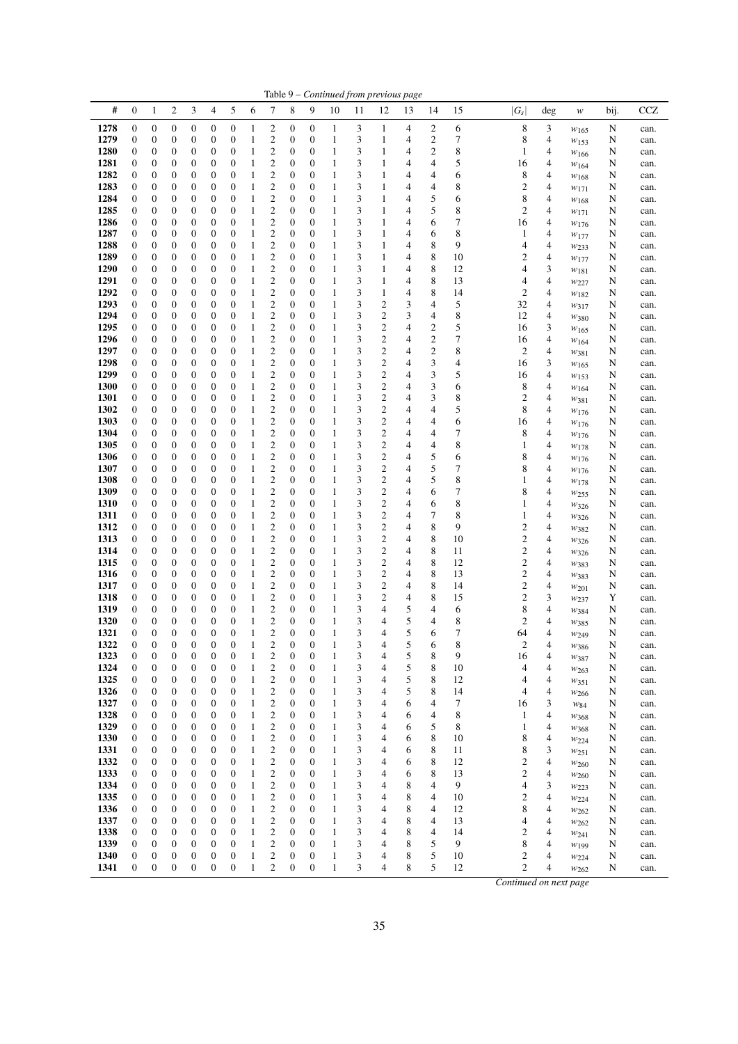| Table 9 – Continued from previous page |                       |                                      |                                      |                                      |                                      |                                      |                   |                                                    |                                      |                                      |        |        |                         |        |                          |                  |                                             |                |                               |        |              |
|----------------------------------------|-----------------------|--------------------------------------|--------------------------------------|--------------------------------------|--------------------------------------|--------------------------------------|-------------------|----------------------------------------------------|--------------------------------------|--------------------------------------|--------|--------|-------------------------|--------|--------------------------|------------------|---------------------------------------------|----------------|-------------------------------|--------|--------------|
| #                                      | $\boldsymbol{0}$      | 1                                    | 2                                    | 3                                    | $\overline{4}$                       | 5                                    | 6                 | 7                                                  | 8                                    | 9                                    | 10     | 11     | 12                      | 13     | 14                       | 15               | $ G_s $                                     | $\deg$         | w                             | bij.   | CCZ          |
| 1278                                   | $\boldsymbol{0}$      | $\boldsymbol{0}$                     | $\boldsymbol{0}$                     | $\boldsymbol{0}$                     | $\boldsymbol{0}$                     | $\boldsymbol{0}$                     | 1                 | $\overline{\mathbf{c}}$                            | $\boldsymbol{0}$                     | $\boldsymbol{0}$                     | 1      | 3      | 1                       | 4      | 2                        | 6                | 8                                           | 3              | $w_{165}$                     | N      | can.         |
| 1279                                   | $\boldsymbol{0}$      | $\boldsymbol{0}$                     | $\boldsymbol{0}$                     | $\boldsymbol{0}$                     | $\boldsymbol{0}$                     | $\boldsymbol{0}$                     | 1                 | $\overline{c}$                                     | $\boldsymbol{0}$                     | $\boldsymbol{0}$                     | 1      | 3      | 1                       | 4      | $\boldsymbol{2}$         | 7                | 8                                           | 4              | $w_{153}$                     | N      | can.         |
| 1280                                   | 0                     | 0                                    | $\boldsymbol{0}$                     | $\boldsymbol{0}$                     | $\boldsymbol{0}$                     | $\boldsymbol{0}$                     | $\mathbf{1}$      | $\overline{\mathbf{c}}$                            | $\boldsymbol{0}$                     | $\boldsymbol{0}$                     | 1      | 3      | 1                       | 4      | $\overline{c}$           | 8                | 1                                           | 4              | W166                          | N      | can.         |
| 1281<br>1282                           | $\boldsymbol{0}$<br>0 | $\boldsymbol{0}$<br>$\boldsymbol{0}$ | $\boldsymbol{0}$<br>$\boldsymbol{0}$ | $\boldsymbol{0}$<br>$\boldsymbol{0}$ | $\boldsymbol{0}$<br>$\boldsymbol{0}$ | $\boldsymbol{0}$<br>$\boldsymbol{0}$ | 1<br>1            | $\mathbf{2}$<br>$\overline{\mathbf{c}}$            | $\boldsymbol{0}$<br>$\boldsymbol{0}$ | 0<br>$\boldsymbol{0}$                | 1<br>1 | 3<br>3 | 1<br>1                  | 4<br>4 | 4<br>4                   | 5<br>6           | 16<br>8                                     | 4<br>4         | W164                          | N<br>N | can.         |
| 1283                                   | 0                     | $\boldsymbol{0}$                     | $\boldsymbol{0}$                     | $\boldsymbol{0}$                     | $\boldsymbol{0}$                     | $\boldsymbol{0}$                     | 1                 | $\overline{c}$                                     | $\boldsymbol{0}$                     | $\boldsymbol{0}$                     | 1      | 3      | 1                       | 4      | 4                        | 8                | $\boldsymbol{2}$                            | 4              | $w_{168}$                     | N      | can.<br>can. |
| 1284                                   | $\boldsymbol{0}$      | $\boldsymbol{0}$                     | $\boldsymbol{0}$                     | $\boldsymbol{0}$                     | $\boldsymbol{0}$                     | $\boldsymbol{0}$                     | $\mathbf{1}$      | $\mathbf{2}$                                       | $\boldsymbol{0}$                     | $\boldsymbol{0}$                     | 1      | 3      | 1                       | 4      | 5                        | 6                | 8                                           | 4              | $w_{171}$<br>W168             | N      | can.         |
| 1285                                   | 0                     | $\boldsymbol{0}$                     | $\boldsymbol{0}$                     | $\boldsymbol{0}$                     | $\boldsymbol{0}$                     | $\boldsymbol{0}$                     | 1                 | $\overline{\mathbf{c}}$                            | $\boldsymbol{0}$                     | $\boldsymbol{0}$                     | 1      | 3      | 1                       | 4      | 5                        | 8                | $\mathfrak{2}$                              | 4              | $w_{171}$                     | N      | can.         |
| 1286                                   | 0                     | $\boldsymbol{0}$                     | $\boldsymbol{0}$                     | $\boldsymbol{0}$                     | $\boldsymbol{0}$                     | $\boldsymbol{0}$                     | $\mathbf{1}$      | $\overline{c}$                                     | $\boldsymbol{0}$                     | $\boldsymbol{0}$                     | 1      | 3      | $\mathbf{1}$            | 4      | 6                        | 7                | 16                                          | 4              | $w_{176}$                     | N      | can.         |
| 1287                                   | 0                     | $\boldsymbol{0}$                     | $\boldsymbol{0}$                     | $\boldsymbol{0}$                     | $\boldsymbol{0}$                     | $\boldsymbol{0}$                     | $\mathbf{1}$      | $\boldsymbol{2}$                                   | $\boldsymbol{0}$                     | $\boldsymbol{0}$                     | 1      | 3      | 1                       | 4      | 6                        | 8                | 1                                           | 4              | $w_{177}$                     | N      | can.         |
| 1288                                   | $\boldsymbol{0}$      | $\boldsymbol{0}$                     | $\boldsymbol{0}$                     | $\boldsymbol{0}$                     | 0                                    | $\boldsymbol{0}$                     | 1                 | $\overline{c}$                                     | $\boldsymbol{0}$                     | $\boldsymbol{0}$                     | 1      | 3      | 1                       | 4      | $\,$ 8 $\,$              | 9                | 4                                           | 4              | W <sub>233</sub>              | N      | can.         |
| 1289                                   | 0                     | $\boldsymbol{0}$                     | $\boldsymbol{0}$                     | $\boldsymbol{0}$                     | $\boldsymbol{0}$                     | $\boldsymbol{0}$                     | 1                 | $\overline{\mathbf{c}}$                            | $\boldsymbol{0}$                     | $\boldsymbol{0}$                     | 1      | 3      | 1                       | 4      | 8                        | 10               | $\boldsymbol{2}$                            | 4              | W177                          | N      | can.         |
| 1290                                   | 0                     | $\boldsymbol{0}$                     | $\boldsymbol{0}$                     | $\boldsymbol{0}$                     | $\boldsymbol{0}$                     | $\boldsymbol{0}$                     | 1                 | $\overline{\mathbf{c}}$                            | $\boldsymbol{0}$                     | $\boldsymbol{0}$                     | 1      | 3      | 1                       | 4      | 8                        | 12               | 4                                           | 3              | $w_{181}$                     | N      | can.         |
| 1291                                   | 0                     | $\boldsymbol{0}$                     | $\boldsymbol{0}$                     | $\boldsymbol{0}$                     | $\boldsymbol{0}$                     | $\boldsymbol{0}$                     | $\mathbf{1}$      | $\overline{c}$                                     | $\boldsymbol{0}$                     | $\boldsymbol{0}$                     | 1      | 3      | $\mathbf{1}$            | 4      | 8                        | 13               | $\overline{4}$                              | 4              | $w_{227}$                     | N      | can.         |
| 1292                                   | 0                     | $\boldsymbol{0}$                     | $\boldsymbol{0}$                     | $\boldsymbol{0}$                     | $\boldsymbol{0}$                     | $\boldsymbol{0}$                     | 1                 | $\overline{\mathbf{c}}$                            | $\boldsymbol{0}$                     | $\boldsymbol{0}$                     | 1      | 3      | 1                       | 4      | 8                        | 14               | $\mathbf{2}$                                | 4              | W182                          | N      | can.         |
| 1293                                   | $\boldsymbol{0}$      | $\boldsymbol{0}$                     | $\boldsymbol{0}$                     | $\boldsymbol{0}$                     | $\boldsymbol{0}$                     | $\boldsymbol{0}$                     | $\mathbf{1}$      | $\overline{\mathbf{c}}$                            | $\boldsymbol{0}$                     | $\boldsymbol{0}$                     | 1      | 3      | 2                       | 3      | 4                        | 5                | 32<br>12                                    | 4              | W317                          | N      | can.         |
| 1294<br>1295                           | 0<br>$\boldsymbol{0}$ | $\boldsymbol{0}$<br>$\boldsymbol{0}$ | $\boldsymbol{0}$<br>$\boldsymbol{0}$ | $\boldsymbol{0}$<br>$\boldsymbol{0}$ | $\boldsymbol{0}$<br>$\boldsymbol{0}$ | $\boldsymbol{0}$<br>$\boldsymbol{0}$ | 1<br>1            | $\boldsymbol{2}$<br>$\overline{c}$                 | $\boldsymbol{0}$<br>$\boldsymbol{0}$ | $\boldsymbol{0}$<br>$\boldsymbol{0}$ | 1<br>1 | 3<br>3 | 2<br>$\mathfrak{2}$     | 3<br>4 | 4<br>$\boldsymbol{2}$    | 8<br>5           | 16                                          | 4<br>3         | $w_{380}$                     | N<br>N | can.<br>can. |
| 1296                                   | 0                     | $\boldsymbol{0}$                     | $\boldsymbol{0}$                     | $\boldsymbol{0}$                     | $\boldsymbol{0}$                     | $\boldsymbol{0}$                     | 1                 | $\boldsymbol{2}$                                   | $\boldsymbol{0}$                     | $\boldsymbol{0}$                     | 1      | 3      | 2                       | 4      | $\boldsymbol{2}$         | 7                | 16                                          | 4              | $w_{165}$<br>W164             | N      | can.         |
| 1297                                   | 0                     | $\boldsymbol{0}$                     | $\boldsymbol{0}$                     | $\boldsymbol{0}$                     | $\boldsymbol{0}$                     | $\boldsymbol{0}$                     | 1                 | $\boldsymbol{2}$                                   | $\boldsymbol{0}$                     | $\boldsymbol{0}$                     | 1      | 3      | 2                       | 4      | $\overline{c}$           | 8                | $\boldsymbol{2}$                            | 4              | W381                          | N      | can.         |
| 1298                                   | 0                     | $\boldsymbol{0}$                     | $\boldsymbol{0}$                     | $\boldsymbol{0}$                     | $\boldsymbol{0}$                     | $\boldsymbol{0}$                     | 1                 | $\overline{\mathbf{c}}$                            | $\boldsymbol{0}$                     | $\boldsymbol{0}$                     | 1      | 3      | 2                       | 4      | 3                        | $\overline{4}$   | 16                                          | 3              | $w_{165}$                     | N      | can.         |
| 1299                                   | 0                     | $\boldsymbol{0}$                     | $\boldsymbol{0}$                     | $\boldsymbol{0}$                     | $\boldsymbol{0}$                     | $\boldsymbol{0}$                     | 1                 | $\overline{\mathbf{c}}$                            | $\boldsymbol{0}$                     | $\boldsymbol{0}$                     | 1      | 3      | 2                       | 4      | 3                        | 5                | 16                                          | 4              | $w_{153}$                     | N      | can.         |
| 1300                                   | $\boldsymbol{0}$      | $\boldsymbol{0}$                     | $\boldsymbol{0}$                     | $\boldsymbol{0}$                     | $\boldsymbol{0}$                     | $\boldsymbol{0}$                     | 1                 | $\overline{c}$                                     | $\boldsymbol{0}$                     | 0                                    | 1      | 3      | $\mathfrak{2}$          | 4      | 3                        | 6                | 8                                           | 4              | W164                          | N      | can.         |
| 1301                                   | 0                     | $\boldsymbol{0}$                     | $\boldsymbol{0}$                     | $\boldsymbol{0}$                     | $\boldsymbol{0}$                     | $\boldsymbol{0}$                     | 1                 | $\overline{\mathbf{c}}$                            | $\boldsymbol{0}$                     | $\boldsymbol{0}$                     | 1      | 3      | $\overline{\mathbf{c}}$ | 4      | 3                        | 8                | $\boldsymbol{2}$                            | 4              | W381                          | N      | can.         |
| 1302                                   | $\boldsymbol{0}$      | $\boldsymbol{0}$                     | $\boldsymbol{0}$                     | $\boldsymbol{0}$                     | $\boldsymbol{0}$                     | $\boldsymbol{0}$                     | 1                 | $\overline{\mathbf{c}}$                            | $\boldsymbol{0}$                     | $\boldsymbol{0}$                     | 1      | 3      | 2                       | 4      | 4                        | 5                | 8                                           | 4              | $w_{176}$                     | N      | can.         |
| 1303                                   | 0                     | $\boldsymbol{0}$                     | $\boldsymbol{0}$                     | $\boldsymbol{0}$                     | $\boldsymbol{0}$                     | $\boldsymbol{0}$                     | $\mathbf{1}$      | $\boldsymbol{2}$                                   | $\boldsymbol{0}$                     | $\boldsymbol{0}$                     | 1      | 3      | 2                       | 4      | 4                        | 6                | 16                                          | 4              | $w_{176}$                     | N      | can.         |
| 1304                                   | 0                     | $\boldsymbol{0}$                     | $\boldsymbol{0}$                     | $\boldsymbol{0}$                     | $\boldsymbol{0}$                     | $\boldsymbol{0}$                     | 1                 | $\overline{\mathbf{c}}$                            | $\boldsymbol{0}$                     | $\boldsymbol{0}$                     | 1      | 3      | $\boldsymbol{2}$        | 4      | 4                        | 7                | 8                                           | 4              | W176                          | N      | can.         |
| 1305                                   | 0                     | $\boldsymbol{0}$                     | $\boldsymbol{0}$                     | $\boldsymbol{0}$                     | $\boldsymbol{0}$                     | $\boldsymbol{0}$                     | $\mathbf{1}$      | $\overline{c}$                                     | $\boldsymbol{0}$                     | $\boldsymbol{0}$                     | 1<br>1 | 3<br>3 | 2                       | 4      | 4                        | 8                | $\mathbf{1}$                                | $\overline{4}$ | W178                          | N      | can.         |
| 1306<br>1307                           | 0<br>$\boldsymbol{0}$ | $\boldsymbol{0}$<br>$\boldsymbol{0}$ | $\boldsymbol{0}$<br>$\boldsymbol{0}$ | $\boldsymbol{0}$<br>$\boldsymbol{0}$ | $\boldsymbol{0}$<br>$\boldsymbol{0}$ | $\boldsymbol{0}$<br>$\boldsymbol{0}$ | $\mathbf{1}$<br>1 | $\boldsymbol{2}$<br>$\overline{c}$                 | $\boldsymbol{0}$<br>$\boldsymbol{0}$ | 0<br>$\mathbf{0}$                    | 1      | 3      | 2<br>$\mathfrak{2}$     | 4<br>4 | 5<br>5                   | 6<br>7           | 8<br>8                                      | 4<br>4         | $w_{176}$                     | N<br>N | can.<br>can. |
| 1308                                   | 0                     | $\boldsymbol{0}$                     | $\boldsymbol{0}$                     | $\boldsymbol{0}$                     | $\boldsymbol{0}$                     | $\boldsymbol{0}$                     | 1                 | $\overline{\mathbf{c}}$                            | $\boldsymbol{0}$                     | $\boldsymbol{0}$                     | 1      | 3      | 2                       | 4      | 5                        | 8                | $\mathbf{1}$                                | 4              | $w_{176}$<br>W178             | N      | can.         |
| 1309                                   | 0                     | $\boldsymbol{0}$                     | $\boldsymbol{0}$                     | $\boldsymbol{0}$                     | $\boldsymbol{0}$                     | $\boldsymbol{0}$                     | 1                 | $\overline{\mathbf{c}}$                            | $\boldsymbol{0}$                     | $\boldsymbol{0}$                     | 1      | 3      | 2                       | 4      | 6                        | 7                | 8                                           | 4              | W <sub>255</sub>              | N      | can.         |
| 1310                                   | 0                     | $\boldsymbol{0}$                     | $\boldsymbol{0}$                     | $\boldsymbol{0}$                     | $\boldsymbol{0}$                     | $\boldsymbol{0}$                     | $\mathbf{1}$      | $\overline{\mathbf{c}}$                            | $\boldsymbol{0}$                     | $\boldsymbol{0}$                     | 1      | 3      | 2                       | 4      | 6                        | 8                | $\mathbf{1}$                                | 4              | $w_{326}$                     | N      | can.         |
| 1311                                   | 0                     | $\boldsymbol{0}$                     | $\boldsymbol{0}$                     | $\boldsymbol{0}$                     | $\boldsymbol{0}$                     | $\boldsymbol{0}$                     | 1                 | $\overline{\mathbf{c}}$                            | $\boldsymbol{0}$                     | $\boldsymbol{0}$                     | 1      | 3      | $\boldsymbol{2}$        | 4      | 7                        | 8                | 1                                           | 4              | $w_{326}$                     | N      | can.         |
| 1312                                   | $\boldsymbol{0}$      | $\boldsymbol{0}$                     | $\boldsymbol{0}$                     | $\boldsymbol{0}$                     | $\boldsymbol{0}$                     | $\boldsymbol{0}$                     | 1                 | $\overline{c}$                                     | $\boldsymbol{0}$                     | $\boldsymbol{0}$                     | 1      | 3      | 2                       | 4      | 8                        | 9                | $\boldsymbol{2}$                            | 4              | W382                          | N      | can.         |
| 1313                                   | 0                     | $\boldsymbol{0}$                     | $\boldsymbol{0}$                     | $\boldsymbol{0}$                     | $\boldsymbol{0}$                     | $\boldsymbol{0}$                     | 1                 | $\boldsymbol{2}$                                   | $\boldsymbol{0}$                     | $\boldsymbol{0}$                     | 1      | 3      | $\overline{\mathbf{c}}$ | 4      | 8                        | 10               | $\overline{\mathbf{c}}$                     | 4              | W326                          | N      | can.         |
| 1314                                   | $\boldsymbol{0}$      | $\boldsymbol{0}$                     | $\boldsymbol{0}$                     | $\boldsymbol{0}$                     | $\boldsymbol{0}$                     | $\boldsymbol{0}$                     | 1                 | $\overline{\mathbf{c}}$                            | $\boldsymbol{0}$                     | $\boldsymbol{0}$                     | 1      | 3      | $\overline{\mathbf{c}}$ | 4      | $\,$ 8 $\,$              | 11               | $\overline{\mathbf{c}}$                     | 4              | $w_{326}$                     | N      | can.         |
| 1315                                   | 0                     | $\boldsymbol{0}$                     | $\boldsymbol{0}$                     | $\boldsymbol{0}$                     | $\boldsymbol{0}$                     | $\boldsymbol{0}$                     | $\mathbf{1}$      | $\overline{c}$                                     | $\boldsymbol{0}$                     | $\boldsymbol{0}$                     | 1      | 3      | 2                       | 4      | 8                        | 12               | $\overline{\mathbf{c}}$                     | 4              | $w_{383}$                     | N      | can.         |
| 1316                                   | 0                     | $\boldsymbol{0}$                     | $\boldsymbol{0}$                     | $\boldsymbol{0}$                     | $\boldsymbol{0}$                     | $\boldsymbol{0}$                     | 1                 | $\overline{\mathbf{c}}$                            | $\boldsymbol{0}$                     | $\boldsymbol{0}$                     | 1      | 3      | 2                       | 4      | 8                        | 13               | $\overline{\mathbf{c}}$                     | 4              | W383                          | N      | can.         |
| 1317<br>1318                           | 0<br>0                | $\boldsymbol{0}$<br>$\boldsymbol{0}$ | $\boldsymbol{0}$<br>$\boldsymbol{0}$ | $\boldsymbol{0}$<br>$\boldsymbol{0}$ | $\boldsymbol{0}$<br>$\boldsymbol{0}$ | $\boldsymbol{0}$<br>$\boldsymbol{0}$ | 1<br>$\mathbf{1}$ | $\overline{\mathbf{c}}$<br>$\overline{\mathbf{c}}$ | $\boldsymbol{0}$<br>$\boldsymbol{0}$ | $\boldsymbol{0}$<br>$\boldsymbol{0}$ | 1<br>1 | 3<br>3 | $\boldsymbol{2}$<br>2   | 4<br>4 | 8<br>8                   | 14<br>15         | $\overline{\mathbf{c}}$<br>$\boldsymbol{2}$ | 4<br>3         | $w_{201}$                     | N<br>Y | can.<br>can. |
| 1319                                   | $\boldsymbol{0}$      | 0                                    | $\boldsymbol{0}$                     | $\boldsymbol{0}$                     | 0                                    | $\boldsymbol{0}$                     | 1                 | $\overline{c}$                                     | $\boldsymbol{0}$                     | $\boldsymbol{0}$                     | 1      | 3      | 4                       | 5      | 4                        | 6                | 8                                           | 4              | W <sub>237</sub><br>$w_{384}$ | N      | can.         |
| 1320                                   | $\boldsymbol{0}$      | $\boldsymbol{0}$                     | $\boldsymbol{0}$                     | $\boldsymbol{0}$                     | 0                                    | $\boldsymbol{0}$                     | 1                 | $\overline{\mathbf{c}}$                            | $\boldsymbol{0}$                     | $\boldsymbol{0}$                     | 1      | 3      | 4                       | 5      | 4                        | 8                | $\overline{c}$                              | 4              | W385                          | N      | can.         |
| 1321                                   | $\mathbf{0}$          | $\mathbf{0}$                         | $\mathbf{0}$                         | $\mathbf{0}$                         | $\overline{0}$                       | $\mathbf{0}$                         | 1                 | $\overline{c}$                                     | $\boldsymbol{0}$                     | $\overline{0}$                       | 1      | 3      | 4                       | 5      | 6                        | 7                | 64                                          | 4              | W249                          | N      | can.         |
| 1322                                   | $\boldsymbol{0}$      | $\mathbf{0}$                         | $\boldsymbol{0}$                     | $\boldsymbol{0}$                     | $\boldsymbol{0}$                     | $\boldsymbol{0}$                     | 1                 | 2                                                  | $\boldsymbol{0}$                     | $\boldsymbol{0}$                     | 1      | 3      | 4                       | 5      | 6                        | 8                | 2                                           | 4              | $w_{386}$                     | N      | can.         |
| 1323                                   | $\boldsymbol{0}$      | $\boldsymbol{0}$                     | $\boldsymbol{0}$                     | $\boldsymbol{0}$                     | $\boldsymbol{0}$                     | $\boldsymbol{0}$                     | 1                 | $\overline{c}$                                     | $\boldsymbol{0}$                     | $\boldsymbol{0}$                     | 1      | 3      | $\overline{4}$          | 5      | 8                        | 9                | 16                                          | 4              | $w_{387}$                     | N      | can.         |
| 1324                                   | $\boldsymbol{0}$      | $\boldsymbol{0}$                     | $\boldsymbol{0}$                     | $\boldsymbol{0}$                     | $\boldsymbol{0}$                     | $\boldsymbol{0}$                     | 1                 | $\overline{c}$                                     | $\boldsymbol{0}$                     | $\boldsymbol{0}$                     | 1      | 3      | 4                       | 5      | $\,$ 8 $\,$              | 10               | $\overline{4}$                              | 4              | W263                          | N      | can.         |
| 1325                                   | 0                     | $\boldsymbol{0}$                     | $\boldsymbol{0}$                     | $\boldsymbol{0}$                     | $\boldsymbol{0}$                     | $\boldsymbol{0}$                     | 1                 | $\overline{\mathbf{c}}$                            | $\boldsymbol{0}$                     | $\boldsymbol{0}$                     | 1      | 3      | 4                       | 5      | 8                        | 12               | 4                                           | 4              | W351                          | N      | can.         |
| 1326                                   | $\boldsymbol{0}$      | $\boldsymbol{0}$                     | $\boldsymbol{0}$                     | $\boldsymbol{0}$                     | $\boldsymbol{0}$                     | $\boldsymbol{0}$                     | 1                 | $\overline{\mathbf{c}}$                            | $\boldsymbol{0}$                     | $\boldsymbol{0}$                     | 1      | 3      | $\overline{4}$          | 5      | $\,$ 8 $\,$              | 14               | 4                                           | 4              | $w_{266}$                     | N      | can.         |
| 1327<br>1328                           | 0                     | $\boldsymbol{0}$                     | $\boldsymbol{0}$<br>$\boldsymbol{0}$ | $\boldsymbol{0}$                     | $\boldsymbol{0}$<br>$\boldsymbol{0}$ | $\boldsymbol{0}$                     | 1                 | $\overline{\mathbf{c}}$<br>$\overline{c}$          | $\boldsymbol{0}$                     | $\boldsymbol{0}$<br>$\boldsymbol{0}$ | 1<br>1 | 3      | 4<br>$\overline{4}$     | 6      | 4                        | 7                | 16                                          | 3<br>4         | $W_{84}$                      | N      | can.         |
| 1329                                   | 0<br>$\boldsymbol{0}$ | $\boldsymbol{0}$<br>$\boldsymbol{0}$ | $\boldsymbol{0}$                     | $\boldsymbol{0}$<br>$\boldsymbol{0}$ | $\boldsymbol{0}$                     | $\boldsymbol{0}$<br>$\boldsymbol{0}$ | 1<br>$\mathbf{1}$ | $\overline{\mathbf{c}}$                            | $\boldsymbol{0}$<br>$\boldsymbol{0}$ | $\boldsymbol{0}$                     | 1      | 3<br>3 | 4                       | 6<br>6 | 4<br>5                   | $\,$ 8 $\,$<br>8 | $\mathbf{1}$<br>$\mathbf{1}$                | 4              | W368                          | N<br>N | can.<br>can. |
| 1330                                   | 0                     | $\boldsymbol{0}$                     | $\boldsymbol{0}$                     | $\boldsymbol{0}$                     | $\boldsymbol{0}$                     | $\boldsymbol{0}$                     | 1                 | $\overline{\mathbf{c}}$                            | $\boldsymbol{0}$                     | $\boldsymbol{0}$                     | 1      | 3      | 4                       | 6      | $\,$ 8 $\,$              | 10               | 8                                           | 4              | W368<br>W224                  | N      | can.         |
| 1331                                   | 0                     | $\boldsymbol{0}$                     | $\boldsymbol{0}$                     | $\boldsymbol{0}$                     | $\boldsymbol{0}$                     | $\boldsymbol{0}$                     | 1                 | $\overline{c}$                                     | $\boldsymbol{0}$                     | $\boldsymbol{0}$                     | 1      | 3      | $\overline{4}$          | 6      | $\,$ 8 $\,$              | 11               | 8                                           | 3              | $w_{251}$                     | N      | can.         |
| 1332                                   | 0                     | $\boldsymbol{0}$                     | $\boldsymbol{0}$                     | $\boldsymbol{0}$                     | $\boldsymbol{0}$                     | $\boldsymbol{0}$                     | 1                 | $\overline{\mathbf{c}}$                            | $\boldsymbol{0}$                     | $\boldsymbol{0}$                     | 1      | 3      | 4                       | 6      | 8                        | 12               | 2                                           | 4              | W <sub>260</sub>              | N      | can.         |
| 1333                                   | $\boldsymbol{0}$      | $\boldsymbol{0}$                     | $\boldsymbol{0}$                     | $\boldsymbol{0}$                     | $\boldsymbol{0}$                     | $\boldsymbol{0}$                     | 1                 | $\overline{\mathbf{c}}$                            | $\boldsymbol{0}$                     | $\boldsymbol{0}$                     | 1      | 3      | $\overline{4}$          | 6      | $\,$ 8 $\,$              | 13               | $\overline{\mathbf{c}}$                     | 4              | W <sub>260</sub>              | N      | can.         |
| 1334                                   | 0                     | $\boldsymbol{0}$                     | $\boldsymbol{0}$                     | $\boldsymbol{0}$                     | $\boldsymbol{0}$                     | $\boldsymbol{0}$                     | 1                 | $\overline{\mathbf{c}}$                            | $\boldsymbol{0}$                     | $\boldsymbol{0}$                     | 1      | 3      | $\overline{4}$          | 8      | $\overline{\mathcal{A}}$ | 9                | $\overline{4}$                              | 3              | W223                          | N      | can.         |
| 1335                                   | 0                     | $\boldsymbol{0}$                     | $\boldsymbol{0}$                     | $\boldsymbol{0}$                     | $\boldsymbol{0}$                     | $\boldsymbol{0}$                     | 1                 | $\overline{c}$                                     | $\boldsymbol{0}$                     | $\boldsymbol{0}$                     | 1      | 3      | $\overline{4}$          | 8      | $\overline{4}$           | 10               | $\mathbf{2}$                                | 4              | $w_{224}$                     | N      | can.         |
| 1336                                   | $\boldsymbol{0}$      | $\boldsymbol{0}$                     | $\boldsymbol{0}$                     | $\boldsymbol{0}$                     | $\boldsymbol{0}$                     | $\boldsymbol{0}$                     | 1                 | $\overline{c}$                                     | $\boldsymbol{0}$                     | $\mathbf{0}$                         | 1      | 3      | 4                       | 8      | $\overline{4}$           | 12               | 8                                           | $\overline{4}$ | W262                          | N      | can.         |
| 1337                                   | 0                     | $\boldsymbol{0}$                     | $\boldsymbol{0}$                     | $\boldsymbol{0}$                     | $\boldsymbol{0}$                     | $\boldsymbol{0}$                     | $\mathbf{1}$      | $\overline{\mathbf{c}}$                            | $\boldsymbol{0}$                     | $\boldsymbol{0}$                     | 1      | 3      | 4                       | 8      | 4                        | 13               | 4                                           | 4              | W262                          | N      | can.         |
| 1338                                   | $\boldsymbol{0}$      | $\boldsymbol{0}$                     | $\boldsymbol{0}$                     | $\boldsymbol{0}$                     | $\boldsymbol{0}$                     | $\boldsymbol{0}$                     | 1                 | $\overline{c}$                                     | $\boldsymbol{0}$                     | $\boldsymbol{0}$                     | 1      | 3      | 4                       | 8      | $\overline{4}$           | 14               | $\mathfrak{2}$                              | 4              | W241                          | N      | can.         |
| 1339                                   | $\boldsymbol{0}$      | $\boldsymbol{0}$                     | $\boldsymbol{0}$                     | $\boldsymbol{0}$                     | $\boldsymbol{0}$                     | $\boldsymbol{0}$                     | 1                 | $\overline{\mathbf{c}}$                            | $\boldsymbol{0}$                     | $\boldsymbol{0}$                     | 1      | 3      | 4                       | 8      | 5                        | 9                | 8                                           | 4              | $w_{199}$                     | N      | can.         |
| 1340                                   | $\boldsymbol{0}$      | $\boldsymbol{0}$                     | $\boldsymbol{0}$                     | $\boldsymbol{0}$                     | $\boldsymbol{0}$                     | $\boldsymbol{0}$                     | 1                 | $\overline{c}$<br>$\overline{c}$                   | $\boldsymbol{0}$                     | $\boldsymbol{0}$                     | 1      | 3      | $\overline{4}$          | 8      | 5                        | 10               | 2                                           | 4              | W224                          | N      | can.         |
| 1341                                   | $\boldsymbol{0}$      | $\boldsymbol{0}$                     | $\boldsymbol{0}$                     | $\boldsymbol{0}$                     | $\boldsymbol{0}$                     | $\mathbf{0}$                         | 1                 |                                                    | $\boldsymbol{0}$                     | $\boldsymbol{0}$                     | 1      | 3      | 4                       | 8      | 5                        | 12               | $\overline{c}$                              | 4              | W262                          | N      | can.         |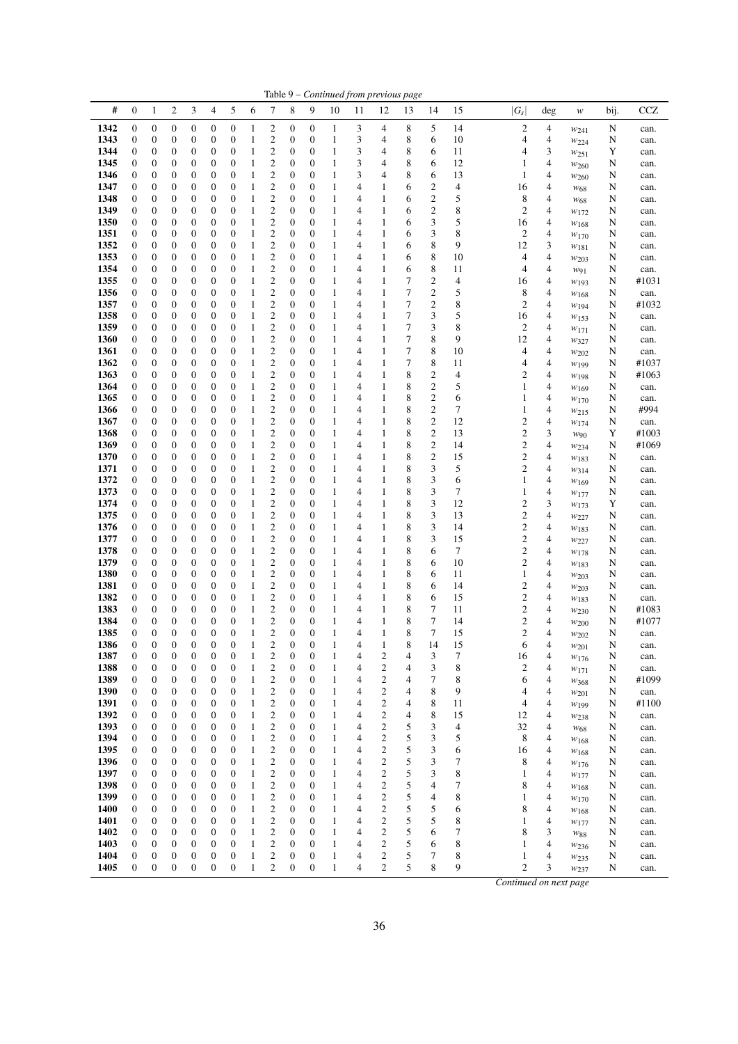|              | Table 9 - Continued from previous page |                                      |                       |                                      |                                      |                                      |              |                                    |                                      |                                      |                   |                |                              |                       |                                  |          |                         |        |                       |        |               |
|--------------|----------------------------------------|--------------------------------------|-----------------------|--------------------------------------|--------------------------------------|--------------------------------------|--------------|------------------------------------|--------------------------------------|--------------------------------------|-------------------|----------------|------------------------------|-----------------------|----------------------------------|----------|-------------------------|--------|-----------------------|--------|---------------|
| #            | $\boldsymbol{0}$                       | $\mathbf{1}$                         | $\overline{c}$        | 3                                    | $\overline{4}$                       | 5                                    | 6            | 7                                  | 8                                    | 9                                    | 10                | 11             | 12                           | 13                    | 14                               | 15       | $ G_s $                 | deg    | w                     | bij.   | <b>CCZ</b>    |
| 1342         | $\boldsymbol{0}$                       | $\boldsymbol{0}$                     | 0                     | $\boldsymbol{0}$                     | $\boldsymbol{0}$                     | $\boldsymbol{0}$                     | 1            | 2                                  | 0                                    | $\boldsymbol{0}$                     | 1                 | 3              | 4                            | 8                     | 5                                | 14       | $\overline{\mathbf{c}}$ | 4      | $w_{241}$             | N      | can.          |
| 1343         | $\boldsymbol{0}$                       | 0                                    | 0                     | 0                                    | $\boldsymbol{0}$                     | $\boldsymbol{0}$                     | 1            | 2                                  | 0                                    | $\boldsymbol{0}$                     | 1                 | 3              | 4                            | 8                     | 6                                | 10       | 4                       | 4      | $w_{224}$             | N      | can.          |
| 1344         | $\boldsymbol{0}$                       | 0                                    | 0                     | 0                                    | $\boldsymbol{0}$                     | $\boldsymbol{0}$                     | 1            | 2                                  | 0                                    | $\boldsymbol{0}$                     | 1                 | 3              | 4                            | 8                     | 6                                | 11       | 4                       | 3      | W251                  | Y      | can.          |
| 1345<br>1346 | $\boldsymbol{0}$<br>$\boldsymbol{0}$   | $\boldsymbol{0}$<br>0                | 0<br>0                | 0<br>0                               | $\boldsymbol{0}$<br>$\boldsymbol{0}$ | $\boldsymbol{0}$<br>$\boldsymbol{0}$ | 1<br>1       | 2<br>2                             | 0<br>0                               | $\mathbf{0}$<br>$\boldsymbol{0}$     | 1<br>1            | 3<br>3         | 4<br>4                       | 8<br>8                | 6<br>6                           | 12<br>13 | 1<br>1                  | 4<br>4 | W <sub>260</sub>      | N<br>N | can.<br>can.  |
| 1347         | $\boldsymbol{0}$                       | 0                                    | 0                     | 0                                    | $\boldsymbol{0}$                     | $\boldsymbol{0}$                     | 1            | 2                                  | $\mathbf{0}$                         | $\boldsymbol{0}$                     | $\mathbf{1}$      | 4              | $\mathbf{1}$                 | 6                     | $\overline{\mathbf{c}}$          | 4        | 16                      | 4      | $w_{260}$<br>$W_{68}$ | N      | can.          |
| 1348         | $\boldsymbol{0}$                       | 0                                    | 0                     | 0                                    | $\boldsymbol{0}$                     | $\boldsymbol{0}$                     | 1            | $\mathfrak{2}$                     | $\boldsymbol{0}$                     | $\boldsymbol{0}$                     | 1                 | 4              | $\mathbf{1}$                 | 6                     | $\boldsymbol{2}$                 | 5        | 8                       | 4      | W68                   | N      | can.          |
| 1349         | $\boldsymbol{0}$                       | 0                                    | 0                     | 0                                    | $\boldsymbol{0}$                     | $\boldsymbol{0}$                     | 1            | 2                                  | $\boldsymbol{0}$                     | $\boldsymbol{0}$                     | 1                 | 4              | $\mathbf{1}$                 | 6                     | $\boldsymbol{2}$                 | 8        | $\mathbf{2}$            | 4      | W172                  | N      | can.          |
| 1350         | $\boldsymbol{0}$                       | $\boldsymbol{0}$                     | 0                     | 0                                    | $\boldsymbol{0}$                     | $\boldsymbol{0}$                     | 1            | 2                                  | 0                                    | $\boldsymbol{0}$                     | 1                 | 4              | 1                            | 6                     | 3                                | 5        | 16                      | 4      | $w_{168}$             | N      | can.          |
| 1351         | $\boldsymbol{0}$                       | $\boldsymbol{0}$                     | 0                     | 0                                    | $\boldsymbol{0}$                     | $\boldsymbol{0}$                     | 1            | $\mathbf{2}$                       | $\boldsymbol{0}$                     | $\boldsymbol{0}$                     | 1                 | 4              | $\mathbf{1}$                 | 6                     | 3                                | 8        | 2                       | 4      | $w_{170}$             | N      | can.          |
| 1352<br>1353 | $\boldsymbol{0}$<br>$\boldsymbol{0}$   | 0<br>$\boldsymbol{0}$                | 0<br>0                | 0<br>0                               | $\boldsymbol{0}$<br>$\boldsymbol{0}$ | $\boldsymbol{0}$<br>$\boldsymbol{0}$ | 1<br>1       | 2<br>$\overline{c}$                | 0<br>$\boldsymbol{0}$                | $\boldsymbol{0}$<br>$\boldsymbol{0}$ | 1<br>$\mathbf{1}$ | 4<br>4         | $\mathbf{1}$<br>1            | 6<br>6                | 8<br>8                           | 9<br>10  | 12<br>4                 | 3<br>4 | W181                  | N<br>N | can.<br>can.  |
| 1354         | $\mathbf{0}$                           | 0                                    | 0                     | 0                                    | $\boldsymbol{0}$                     | $\boldsymbol{0}$                     | 1            | $\boldsymbol{2}$                   | $\mathbf{0}$                         | $\boldsymbol{0}$                     | 1                 | 4              | 1                            | 6                     | 8                                | 11       | 4                       | 4      | W203<br>$w_{91}$      | N      | can.          |
| 1355         | $\mathbf{0}$                           | $\boldsymbol{0}$                     | 0                     | 0                                    | $\boldsymbol{0}$                     | $\boldsymbol{0}$                     | 1            | $\mathfrak{2}$                     | $\boldsymbol{0}$                     | $\boldsymbol{0}$                     | 1                 | 4              | 1                            | 7                     | $\mathfrak{2}$                   | 4        | 16                      | 4      | $w_{193}$             | N      | #1031         |
| 1356         | $\boldsymbol{0}$                       | $\boldsymbol{0}$                     | 0                     | 0                                    | $\boldsymbol{0}$                     | $\boldsymbol{0}$                     | 1            | $\boldsymbol{2}$                   | 0                                    | $\boldsymbol{0}$                     | 1                 | 4              | $\mathbf{1}$                 | 7                     | $\boldsymbol{2}$                 | 5        | 8                       | 4      | W168                  | N      | can.          |
| 1357         | $\boldsymbol{0}$                       | $\boldsymbol{0}$                     | 0                     | 0                                    | $\boldsymbol{0}$                     | $\boldsymbol{0}$                     | 1            | $\boldsymbol{2}$                   | 0                                    | $\boldsymbol{0}$                     | 1                 | 4              | 1                            | 7                     | $\boldsymbol{2}$                 | 8        | $\mathfrak{2}$          | 4      | W194                  | N      | #1032         |
| 1358         | $\boldsymbol{0}$                       | $\boldsymbol{0}$                     | 0                     | 0                                    | $\mathbf{0}$                         | $\boldsymbol{0}$                     | 1            | $\mathfrak{2}$                     | 0                                    | $\boldsymbol{0}$                     | 1                 | 4              | 1                            | $\boldsymbol{7}$      | 3                                | 5        | 16                      | 4      | $w_{153}$             | N      | can.          |
| 1359<br>1360 | $\boldsymbol{0}$<br>$\mathbf{0}$       | 0<br>0                               | 0<br>0                | 0<br>0                               | $\boldsymbol{0}$<br>$\boldsymbol{0}$ | $\boldsymbol{0}$<br>$\boldsymbol{0}$ | 1<br>1       | 2<br>$\mathfrak{2}$                | 0<br>$\boldsymbol{0}$                | $\boldsymbol{0}$<br>$\boldsymbol{0}$ | 1<br>1            | 4<br>4         | $\mathbf{1}$<br>1            | 7<br>$\boldsymbol{7}$ | 3<br>8                           | 8<br>9   | 2<br>12                 | 4<br>4 | $w_{171}$             | N<br>N | can.          |
| 1361         | $\boldsymbol{0}$                       | 0                                    | 0                     | 0                                    | $\boldsymbol{0}$                     | $\boldsymbol{0}$                     | 1            | 2                                  | $\mathbf{0}$                         | $\boldsymbol{0}$                     | 1                 | 4              | 1                            | 7                     | 8                                | 10       | 4                       | 4      | W327<br>W202          | N      | can.<br>can.  |
| 1362         | $\boldsymbol{0}$                       | 0                                    | 0                     | 0                                    | $\boldsymbol{0}$                     | $\boldsymbol{0}$                     | 1            | 2                                  | 0                                    | $\boldsymbol{0}$                     | 1                 | 4              | $\mathbf{1}$                 | 7                     | 8                                | 11       | 4                       | 4      | W <sub>199</sub>      | N      | #1037         |
| 1363         | $\boldsymbol{0}$                       | $\boldsymbol{0}$                     | 0                     | 0                                    | $\boldsymbol{0}$                     | $\boldsymbol{0}$                     | 1            | 2                                  | 0                                    | $\boldsymbol{0}$                     | 1                 | 4              | $\mathbf{1}$                 | 8                     | $\boldsymbol{2}$                 | 4        | 2                       | 4      | $w_{198}$             | N      | #1063         |
| 1364         | $\boldsymbol{0}$                       | $\boldsymbol{0}$                     | 0                     | 0                                    | $\boldsymbol{0}$                     | $\boldsymbol{0}$                     | 1            | 2                                  | 0                                    | $\boldsymbol{0}$                     | 1                 | 4              | $\mathbf{1}$                 | 8                     | $\boldsymbol{2}$                 | 5        | 1                       | 4      | W169                  | N      | can.          |
| 1365         | $\boldsymbol{0}$                       | 0                                    | 0                     | 0                                    | $\boldsymbol{0}$                     | $\boldsymbol{0}$                     | 1            | 2                                  | $\boldsymbol{0}$                     | $\boldsymbol{0}$                     | 1                 | 4              | $\mathbf{1}$                 | 8                     | $\boldsymbol{2}$                 | 6        | 1                       | 4      | W170                  | N      | can.          |
| 1366<br>1367 | $\boldsymbol{0}$<br>$\mathbf{0}$       | 0<br>0                               | 0<br>0                | 0<br>0                               | $\boldsymbol{0}$<br>$\boldsymbol{0}$ | $\boldsymbol{0}$<br>$\boldsymbol{0}$ | 1<br>1       | 2<br>$\mathfrak{2}$                | $\mathbf{0}$<br>$\boldsymbol{0}$     | $\boldsymbol{0}$<br>$\boldsymbol{0}$ | 1<br>1            | 4<br>4         | $\mathbf{1}$<br>$\mathbf{1}$ | 8<br>8                | $\overline{c}$<br>$\mathfrak{2}$ | 7<br>12  | 1<br>$\overline{c}$     | 4<br>4 | $w_{215}$             | N      | #994          |
| 1368         | $\boldsymbol{0}$                       | $\boldsymbol{0}$                     | 0                     | 0                                    | $\boldsymbol{0}$                     | $\boldsymbol{0}$                     | 1            | 2                                  | $\boldsymbol{0}$                     | $\boldsymbol{0}$                     | 1                 | 4              | $\mathbf{1}$                 | 8                     | $\boldsymbol{2}$                 | 13       | $\mathfrak{2}$          | 3      | $w_{174}$<br>W90      | N<br>Y | can.<br>#1003 |
| 1369         | $\boldsymbol{0}$                       | $\boldsymbol{0}$                     | 0                     | 0                                    | $\boldsymbol{0}$                     | $\boldsymbol{0}$                     | 1            | 2                                  | $\boldsymbol{0}$                     | $\boldsymbol{0}$                     | 1                 | 4              | $\mathbf{1}$                 | 8                     | $\boldsymbol{2}$                 | 14       | $\mathfrak{2}$          | 4      | W <sub>234</sub>      | N      | #1069         |
| 1370         | $\boldsymbol{0}$                       | $\boldsymbol{0}$                     | 0                     | 0                                    | $\boldsymbol{0}$                     | $\boldsymbol{0}$                     | 1            | $\mathfrak{2}$                     | 0                                    | $\boldsymbol{0}$                     | 1                 | 4              | $\mathbf{1}$                 | 8                     | $\mathfrak{2}$                   | 15       | $\mathfrak{2}$          | 4      | W183                  | N      | can.          |
| 1371         | $\boldsymbol{0}$                       | 0                                    | 0                     | 0                                    | $\boldsymbol{0}$                     | $\boldsymbol{0}$                     | 1            | $\boldsymbol{2}$                   | 0                                    | $\boldsymbol{0}$                     | 1                 | 4              | 1                            | 8                     | 3                                | 5        | 2                       | 4      | $w_{314}$             | N      | can.          |
| 1372         | $\mathbf{0}$                           | 0                                    | 0                     | 0                                    | $\boldsymbol{0}$                     | $\boldsymbol{0}$                     | 1            | $\overline{c}$                     | $\mathbf{0}$                         | $\boldsymbol{0}$                     | $\mathbf{1}$      | 4              | 1                            | 8                     | 3                                | 6        | 1                       | 4      | W169                  | N      | can.          |
| 1373         | $\mathbf{0}$                           | 0                                    | 0                     | 0                                    | $\boldsymbol{0}$                     | $\boldsymbol{0}$                     | 1            | $\boldsymbol{2}$                   | $\mathbf{0}$                         | $\boldsymbol{0}$                     | 1                 | 4              | 1                            | 8                     | 3                                | 7        | 1                       | 4      | W177                  | N      | can.          |
| 1374<br>1375 | $\mathbf{0}$<br>$\boldsymbol{0}$       | $\boldsymbol{0}$<br>$\boldsymbol{0}$ | $\boldsymbol{0}$<br>0 | 0<br>0                               | $\boldsymbol{0}$<br>$\boldsymbol{0}$ | $\boldsymbol{0}$<br>$\boldsymbol{0}$ | 1<br>1       | $\mathfrak{2}$<br>$\boldsymbol{2}$ | $\boldsymbol{0}$<br>$\boldsymbol{0}$ | $\boldsymbol{0}$<br>$\boldsymbol{0}$ | 1<br>1            | 4<br>4         | 1<br>$\mathbf{1}$            | 8<br>8                | 3<br>3                           | 12<br>13 | 2<br>2                  | 3<br>4 | W173                  | Y<br>N | can.<br>can.  |
| 1376         | $\boldsymbol{0}$                       | $\boldsymbol{0}$                     | 0                     | 0                                    | $\boldsymbol{0}$                     | $\boldsymbol{0}$                     | 1            | $\boldsymbol{2}$                   | 0                                    | $\boldsymbol{0}$                     | 1                 | 4              | $\mathbf{1}$                 | 8                     | 3                                | 14       | $\overline{c}$          | 4      | $w_{227}$<br>W183     | N      | can.          |
| 1377         | $\mathbf{0}$                           | $\boldsymbol{0}$                     | 0                     | 0                                    | $\boldsymbol{0}$                     | $\boldsymbol{0}$                     | 1            | $\mathfrak{2}$                     | 0                                    | $\boldsymbol{0}$                     | 1                 | 4              | 1                            | 8                     | 3                                | 15       | $\overline{c}$          | 4      | W227                  | N      | can.          |
| 1378         | $\boldsymbol{0}$                       | 0                                    | 0                     | 0                                    | $\boldsymbol{0}$                     | $\boldsymbol{0}$                     | 1            | 2                                  | 0                                    | $\boldsymbol{0}$                     | 1                 | 4              | $\mathbf{1}$                 | 8                     | 6                                | 7        | $\overline{c}$          | 4      | W178                  | N      | can.          |
| 1379         | $\mathbf{0}$                           | $\boldsymbol{0}$                     | 0                     | 0                                    | $\boldsymbol{0}$                     | $\boldsymbol{0}$                     | 1            | $\boldsymbol{2}$                   | $\mathbf{0}$                         | $\boldsymbol{0}$                     | $\mathbf{1}$      | 4              | $\mathbf{1}$                 | 8                     | 6                                | 10       | $\overline{c}$          | 4      | $w_{183}$             | N      | can.          |
| 1380<br>1381 | $\boldsymbol{0}$<br>$\boldsymbol{0}$   | 0<br>0                               | 0<br>0                | 0<br>0                               | $\boldsymbol{0}$<br>$\boldsymbol{0}$ | $\boldsymbol{0}$<br>$\boldsymbol{0}$ | 1<br>1       | 2<br>2                             | $\mathbf{0}$<br>0                    | $\boldsymbol{0}$<br>$\boldsymbol{0}$ | 1<br>1            | 4<br>4         | 1<br>$\mathbf{1}$            | 8<br>8                | 6<br>6                           | 11<br>14 | 1<br>2                  | 4<br>4 | W203                  | N<br>N | can.          |
| 1382         | $\boldsymbol{0}$                       | $\boldsymbol{0}$                     | 0                     | 0                                    | $\boldsymbol{0}$                     | $\boldsymbol{0}$                     | 1            | 2                                  | 0                                    | $\boldsymbol{0}$                     | 1                 | 4              | $\mathbf{1}$                 | 8                     | 6                                | 15       | $\mathbf{2}$            | 4      | W203<br>W183          | N      | can.<br>can.  |
| 1383         | 0                                      | $\boldsymbol{0}$                     | 0                     | 0                                    | $\boldsymbol{0}$                     | $\boldsymbol{0}$                     | 1            | 2                                  | 0                                    | $\boldsymbol{0}$                     | 1                 | 4              | $\mathbf{1}$                 | 8                     | 7                                | 11       | $\overline{c}$          | 4      | $w_{230}$             | N      | #1083         |
| 1384         | $\boldsymbol{0}$                       | $\mathbf{0}$                         | 0                     | $\boldsymbol{0}$                     | $\boldsymbol{0}$                     | $\mathbf{0}$                         | 1            | $\overline{\mathbf{c}}$            | 0                                    | $\mathbf{0}$                         | $\mathbf{1}$      | 4              | $\mathbf{1}$                 | 8                     | 7                                | 14       | $\overline{c}$          | 4      | W200                  | N      | #1077         |
| 1385         | $\mathbf{0}$                           | $\overline{0}$                       | 0                     | $\boldsymbol{0}$                     | $\boldsymbol{0}$                     | $\mathbf{0}$                         | 1            | $\mathfrak{2}$                     | $\boldsymbol{0}$                     | $\overline{0}$                       | $\mathbf{1}$      | 4              | 1                            | 8                     | 7                                | 15       | 2                       | 4      | W202                  | N      | can.          |
| 1386         | $\boldsymbol{0}$                       | $\mathbf{0}$                         | $\boldsymbol{0}$      | $\boldsymbol{0}$                     | $\boldsymbol{0}$                     | $\mathbf{0}$                         | $\mathbf{1}$ | $\boldsymbol{2}$                   | $\boldsymbol{0}$                     | $\boldsymbol{0}$                     | 1                 | 4              | $\mathbf{1}$                 | 8                     | 14                               | 15       | 6                       | 4      | $w_{201}$             | N      | can.          |
| 1387<br>1388 | $\boldsymbol{0}$<br>$\boldsymbol{0}$   | $\boldsymbol{0}$<br>$\boldsymbol{0}$ | 0<br>0                | $\boldsymbol{0}$<br>$\boldsymbol{0}$ | $\boldsymbol{0}$<br>$\boldsymbol{0}$ | $\boldsymbol{0}$<br>$\boldsymbol{0}$ | 1<br>1       | 2<br>2                             | $\boldsymbol{0}$<br>$\boldsymbol{0}$ | $\boldsymbol{0}$<br>$\boldsymbol{0}$ | 1<br>1            | 4<br>4         | $\overline{\mathbf{c}}$<br>2 | 4<br>4                | 3<br>3                           | 7<br>8   | 16<br>$\boldsymbol{2}$  | 4<br>4 | $w_{176}$<br>W171     | N<br>N | can.<br>can.  |
| 1389         | $\boldsymbol{0}$                       | $\boldsymbol{0}$                     | 0                     | 0                                    | $\boldsymbol{0}$                     | $\boldsymbol{0}$                     | 1            | $\boldsymbol{2}$                   | 0                                    | $\boldsymbol{0}$                     | 1                 | 4              | 2                            | 4                     | $\tau$                           | 8        | 6                       | 4      | W368                  | N      | #1099         |
| 1390         | $\boldsymbol{0}$                       | $\boldsymbol{0}$                     | 0                     | 0                                    | $\boldsymbol{0}$                     | $\boldsymbol{0}$                     | 1            | 2                                  | 0                                    | $\boldsymbol{0}$                     | 1                 | 4              | $\boldsymbol{2}$             | 4                     | 8                                | 9        | 4                       | 4      | $w_{201}$             | N      | can.          |
| 1391         | $\boldsymbol{0}$                       | 0                                    | 0                     | 0                                    | $\boldsymbol{0}$                     | $\boldsymbol{0}$                     | 1            | $\boldsymbol{2}$                   | 0                                    | $\boldsymbol{0}$                     | 1                 | 4              | 2                            | 4                     | 8                                | 11       | 4                       | 4      | $w_{199}$             | N      | #1100         |
| 1392         | $\boldsymbol{0}$                       | 0                                    | 0                     | 0                                    | $\boldsymbol{0}$                     | $\boldsymbol{0}$                     | 1            | 2                                  | $\boldsymbol{0}$                     | $\boldsymbol{0}$                     | 1                 | 4              | $\overline{\mathbf{c}}$      | 4                     | 8                                | 15       | 12                      | 4      | W238                  | N      | can.          |
| 1393         | $\boldsymbol{0}$                       | $\boldsymbol{0}$                     | 0                     | $\boldsymbol{0}$                     | $\boldsymbol{0}$                     | $\boldsymbol{0}$                     | 1            | $\boldsymbol{2}$                   | 0                                    | $\boldsymbol{0}$                     | 1                 | 4              | $\overline{c}$               | 5                     | 3                                | 4        | 32                      | 4      | W68                   | N      | can.          |
| 1394<br>1395 | $\boldsymbol{0}$<br>$\boldsymbol{0}$   | 0<br>$\boldsymbol{0}$                | 0<br>0                | 0<br>0                               | $\boldsymbol{0}$<br>$\boldsymbol{0}$ | $\boldsymbol{0}$<br>$\boldsymbol{0}$ | 1<br>1       | 2<br>2                             | 0<br>0                               | $\boldsymbol{0}$<br>$\boldsymbol{0}$ | 1<br>$\mathbf{1}$ | 4<br>4         | 2<br>$\overline{c}$          | 5<br>5                | 3<br>3                           | 5<br>6   | 8<br>16                 | 4<br>4 | $w_{168}$             | N<br>N | can.<br>can.  |
| 1396         | $\boldsymbol{0}$                       | $\boldsymbol{0}$                     | 0                     | 0                                    | $\boldsymbol{0}$                     | $\boldsymbol{0}$                     | 1            | $\boldsymbol{2}$                   | 0                                    | $\boldsymbol{0}$                     | 1                 | $\overline{4}$ | $\overline{c}$               | 5                     | 3                                | 7        | 8                       | 4      | $w_{168}$<br>W176     | N      | can.          |
| 1397         | $\boldsymbol{0}$                       | 0                                    | 0                     | 0                                    | $\boldsymbol{0}$                     | $\boldsymbol{0}$                     | 1            | 2                                  | $\boldsymbol{0}$                     | $\boldsymbol{0}$                     | $\mathbf{1}$      | 4              | $\overline{c}$               | 5                     | 3                                | 8        | 1                       | 4      | W177                  | N      | can.          |
| 1398         | $\boldsymbol{0}$                       | $\boldsymbol{0}$                     | 0                     | 0                                    | $\boldsymbol{0}$                     | $\boldsymbol{0}$                     | $\mathbf{1}$ | $\boldsymbol{2}$                   | 0                                    | $\boldsymbol{0}$                     | 1                 | 4              | 2                            | 5                     | 4                                | 7        | 8                       | 4      | W <sub>168</sub>      | N      | can.          |
| 1399         | $\boldsymbol{0}$                       | 0                                    | 0                     | 0                                    | $\boldsymbol{0}$                     | $\boldsymbol{0}$                     | 1            | $\overline{\mathbf{c}}$            | 0                                    | $\boldsymbol{0}$                     | 1                 | 4              | $\overline{\mathbf{c}}$      | 5                     | 4                                | 8        | 1                       | 4      | $w_{170}$             | N      | can.          |
| 1400         | $\boldsymbol{0}$                       | 0                                    | 0                     | 0                                    | $\boldsymbol{0}$                     | $\boldsymbol{0}$                     | 1            | 2                                  | 0                                    | $\boldsymbol{0}$                     | 1                 | 4              | $\overline{c}$               | 5                     | 5                                | 6        | 8                       | 4      | W168                  | N      | can.          |
| 1401<br>1402 | $\boldsymbol{0}$<br>$\boldsymbol{0}$   | $\boldsymbol{0}$<br>$\boldsymbol{0}$ | 0<br>0                | 0<br>$\boldsymbol{0}$                | $\boldsymbol{0}$<br>$\boldsymbol{0}$ | $\boldsymbol{0}$<br>$\boldsymbol{0}$ | 1<br>1       | 2<br>$\overline{\mathbf{c}}$       | 0<br>0                               | $\boldsymbol{0}$<br>$\boldsymbol{0}$ | 1<br>1            | 4<br>4         | 2<br>2                       | 5<br>5                | 5<br>6                           | 8<br>7   | 1<br>8                  | 4<br>3 | W177                  | N<br>N | can.<br>can.  |
| 1403         | $\boldsymbol{0}$                       | $\boldsymbol{0}$                     | 0                     | $\boldsymbol{0}$                     | $\boldsymbol{0}$                     | $\boldsymbol{0}$                     | 1            | 2                                  | 0                                    | $\boldsymbol{0}$                     | 1                 | 4              | 2                            | 5                     | 6                                | 8        | 1                       | 4      | W88<br>$w_{236}$      | N      | can.          |
| 1404         | $\boldsymbol{0}$                       | $\boldsymbol{0}$                     | 0                     | 0                                    | $\boldsymbol{0}$                     | $\boldsymbol{0}$                     | $\mathbf{1}$ | 2                                  | 0                                    | $\boldsymbol{0}$                     | $\mathbf{1}$      | 4              | 2                            | 5                     | 7                                | 8        | 1                       | 4      | W <sub>235</sub>      | N      | can.          |
| 1405         | $\boldsymbol{0}$                       | $\boldsymbol{0}$                     | $\boldsymbol{0}$      | $\boldsymbol{0}$                     | $\boldsymbol{0}$                     | $\boldsymbol{0}$                     | $\mathbf{1}$ | $\mathfrak{2}$                     | $\boldsymbol{0}$                     | $\boldsymbol{0}$                     | $\mathbf{1}$      | 4              | $\overline{c}$               | 5                     | 8                                | 9        | $\mathfrak{2}$          | 3      | W237                  | N      | can.          |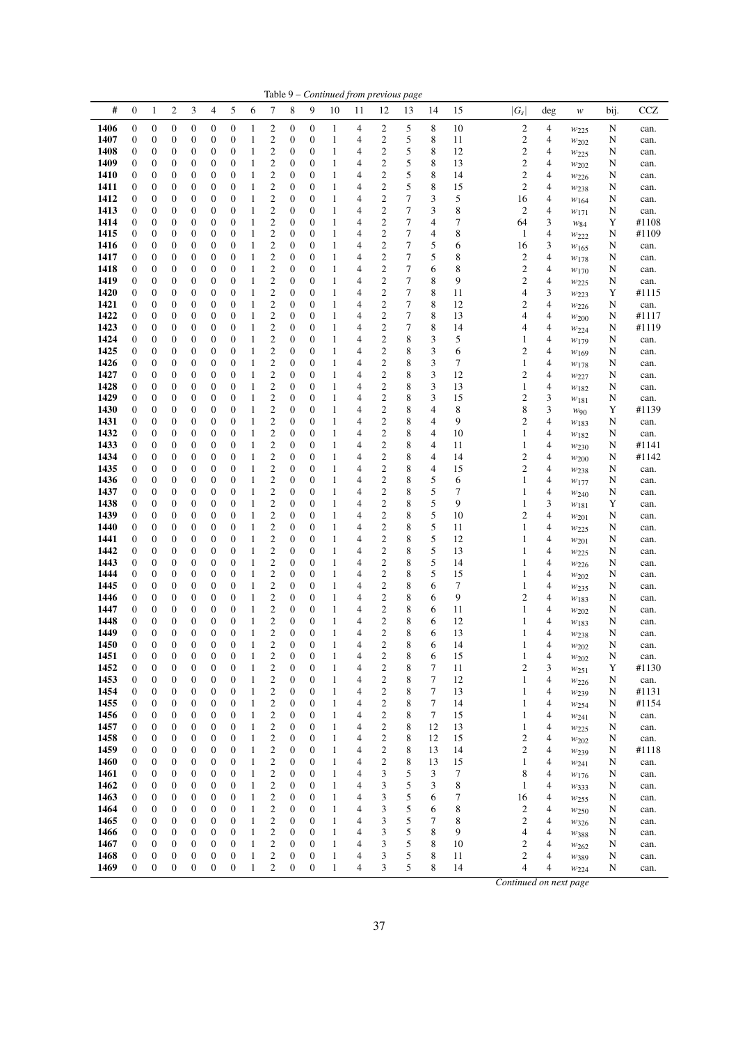| #<br>$\boldsymbol{0}$<br>$\overline{c}$<br>3<br>4<br>5<br>6<br>7<br>8<br>9<br>15<br>$ G_s $<br>10<br>11<br>12<br>13<br>14<br>1<br>deg<br>$\boldsymbol{w}$<br>$\boldsymbol{0}$<br>$\boldsymbol{0}$<br>$\overline{\mathbf{c}}$<br>$\overline{\mathbf{c}}$<br>8<br>10<br>$\overline{\mathbf{c}}$<br>1406<br>$\boldsymbol{0}$<br>$\boldsymbol{0}$<br>0<br>0<br>0<br>$\boldsymbol{0}$<br>4<br>5<br>4<br>1<br>1<br>$w_{225}$<br>1407<br>$\overline{\mathbf{c}}$<br>$\boldsymbol{0}$<br>$\overline{\mathbf{c}}$<br>5<br>8<br>$\boldsymbol{2}$<br>0<br>$\boldsymbol{0}$<br>$\boldsymbol{0}$<br>$\boldsymbol{0}$<br>0<br>$\boldsymbol{0}$<br>$\mathbf{1}$<br>0<br>$\mathbf{1}$<br>4<br>11<br>4<br>$w_{202}$<br>$\boldsymbol{2}$<br>$\overline{\mathbf{c}}$<br>$\boldsymbol{0}$<br>$\boldsymbol{0}$<br>5<br>8<br>$\overline{\mathbf{c}}$<br>4<br>1408<br>$\boldsymbol{0}$<br>$\boldsymbol{0}$<br>0<br>0<br>$\mathbf{1}$<br>0<br>12<br>$\boldsymbol{0}$<br>1<br>4<br>W225<br>$\boldsymbol{2}$<br>5<br>$\overline{\mathbf{c}}$<br>8<br>$\overline{\mathbf{c}}$<br>1409<br>$\boldsymbol{0}$<br>$\boldsymbol{0}$<br>$\boldsymbol{0}$<br>$\boldsymbol{0}$<br>0<br>$\boldsymbol{0}$<br>$\mathbf{1}$<br>0<br>$\boldsymbol{0}$<br>$\mathbf{1}$<br>13<br>4<br>4<br>W202<br>$\overline{\mathbf{c}}$<br>8<br>$\overline{\mathbf{c}}$<br>$\boldsymbol{0}$<br>5<br>$\boldsymbol{2}$<br>1410<br>0<br>0<br>$\boldsymbol{0}$<br>$\boldsymbol{0}$<br>0<br>0<br>$\mathbf{1}$<br>0<br>$\mathbf{1}$<br>4<br>14<br>4<br>$w_{226}$<br>$\mathbf{1}$<br>$\overline{c}$<br>$\overline{\mathbf{c}}$<br>5<br>8<br>$\mathfrak{2}$<br>1411<br>$\boldsymbol{0}$<br>$\boldsymbol{0}$<br>$\boldsymbol{0}$<br>$\boldsymbol{0}$<br>0<br>$\boldsymbol{0}$<br>0<br>$\boldsymbol{0}$<br>1<br>15<br>4<br>4<br>$w_{238}$<br>$\boldsymbol{2}$<br>$\overline{c}$<br>$\boldsymbol{7}$<br>3<br>5<br>$\boldsymbol{0}$<br>$\boldsymbol{0}$<br>$\boldsymbol{0}$<br>16<br>4<br>1412<br>0<br>$\boldsymbol{0}$<br>$\boldsymbol{0}$<br>$\boldsymbol{0}$<br>1<br>0<br>1<br>4<br>W164<br>$\boldsymbol{2}$<br>1413<br>$\boldsymbol{0}$<br>$\boldsymbol{0}$<br>$\overline{\mathbf{c}}$<br>7<br>3<br>8<br>$\overline{c}$<br>$\overline{4}$<br>$\boldsymbol{0}$<br>$\boldsymbol{0}$<br>$\boldsymbol{0}$<br>$\boldsymbol{0}$<br>0<br>0<br>$\mathbf{1}$<br>$\mathbf{1}$<br>4<br>W171<br>$\overline{4}$<br>$\boldsymbol{0}$<br>$\overline{\mathbf{c}}$<br>$\boldsymbol{0}$<br>$\boldsymbol{0}$<br>$\overline{c}$<br>7<br>7<br>64<br>3<br>1414<br>$\boldsymbol{0}$<br>$\boldsymbol{0}$<br>$\boldsymbol{0}$<br>0<br>$\boldsymbol{0}$<br>1<br>1<br>4<br>$W_{84}$<br>$\mathbf{2}$<br>$\overline{\mathbf{c}}$<br>$\boldsymbol{7}$<br>8<br>$\boldsymbol{0}$<br>$\boldsymbol{0}$<br>$\boldsymbol{0}$<br>4<br>$\overline{4}$<br>1415<br>$\boldsymbol{0}$<br>$\boldsymbol{0}$<br>$\boldsymbol{0}$<br>0<br>0<br>$\mathbf{1}$<br>4<br>$\mathbf{1}$<br>1<br>$w_{222}$<br>5<br>3<br>$\mathbf{1}$<br>$\overline{\mathbf{c}}$<br>$\boldsymbol{0}$<br>$\overline{\mathbf{c}}$<br>7<br>1416<br>0<br>$\boldsymbol{0}$<br>$\boldsymbol{0}$<br>$\boldsymbol{0}$<br>0<br>$\boldsymbol{0}$<br>0<br>$\mathbf{1}$<br>6<br>16<br>4<br>W165<br>5<br>$\mathbf{2}$<br>$\overline{\mathbf{c}}$<br>7<br>$\boldsymbol{0}$<br>$\boldsymbol{0}$<br>$\mathbf{1}$<br>$\boldsymbol{0}$<br>$\boldsymbol{0}$<br>8<br>$\boldsymbol{2}$<br>4<br>1417<br>0<br>$\boldsymbol{0}$<br>0<br>0<br>1<br>4<br>W178<br>$\overline{\mathbf{c}}$<br>$\overline{\mathbf{c}}$<br>$\boldsymbol{7}$<br>$\overline{\mathbf{c}}$<br>$\mathbf{1}$<br>$\boldsymbol{0}$<br>$\boldsymbol{0}$<br>6<br>8<br>4<br>1418<br>0<br>0<br>$\boldsymbol{0}$<br>$\boldsymbol{0}$<br>0<br>$\boldsymbol{0}$<br>1<br>4<br>$w_{170}$<br>$\overline{\mathbf{c}}$<br>$\overline{\mathbf{c}}$<br>$\boldsymbol{7}$<br>8<br>9<br>$\overline{\mathbf{c}}$<br>$\boldsymbol{0}$<br>$\boldsymbol{0}$<br>$\boldsymbol{0}$<br>$\boldsymbol{0}$<br>$\boldsymbol{0}$<br>$\boldsymbol{0}$<br>4<br>1419<br>$\boldsymbol{0}$<br>$\boldsymbol{0}$<br>1<br>1<br>4<br>$w_{225}$<br>$\boldsymbol{2}$<br>3<br>1420<br>$\boldsymbol{0}$<br>$\boldsymbol{0}$<br>0<br>$\boldsymbol{0}$<br>$\boldsymbol{0}$<br>$\overline{\mathbf{c}}$<br>7<br>8<br>$\boldsymbol{0}$<br>$\boldsymbol{0}$<br>$\boldsymbol{0}$<br>1<br>4<br>11<br>4<br>1<br>W223<br>$\boldsymbol{2}$<br>$\overline{\mathbf{c}}$<br>$\boldsymbol{7}$<br>8<br>$\overline{\mathcal{L}}$<br>$\boldsymbol{0}$<br>$\boldsymbol{0}$<br>$\boldsymbol{0}$<br>$\boldsymbol{0}$<br>12<br>$\overline{\mathbf{c}}$<br>1421<br>$\boldsymbol{0}$<br>$\boldsymbol{0}$<br>0<br>$\boldsymbol{0}$<br>1<br>1<br>4<br>W226<br>$\mathbf{2}$<br>$\overline{\mathbf{c}}$<br>$\boldsymbol{7}$<br>8<br>$\boldsymbol{0}$<br>$\boldsymbol{0}$<br>4<br>1422<br>0<br>0<br>$\boldsymbol{0}$<br>$\boldsymbol{0}$<br>0<br>0<br>$\mathbf{1}$<br>4<br>13<br>4<br>1<br>$w_{200}$<br>$\overline{\mathbf{c}}$<br>$\overline{\mathbf{c}}$<br>7<br>8<br>1423<br>0<br>$\boldsymbol{0}$<br>$\boldsymbol{0}$<br>0<br>$\boldsymbol{0}$<br>$\mathbf{1}$<br>0<br>0<br>14<br>4<br>$\boldsymbol{0}$<br>1<br>4<br>4<br>$w_{224}$<br>$\overline{\mathbf{c}}$<br>$\overline{\mathbf{c}}$<br>8<br>3<br>5<br>1424<br>$\boldsymbol{0}$<br>$\boldsymbol{0}$<br>$\boldsymbol{0}$<br>$\mathbf{1}$<br>$\boldsymbol{0}$<br>$\boldsymbol{0}$<br>4<br>0<br>$\boldsymbol{0}$<br>0<br>$\mathbf{1}$<br>4<br>1<br>W179<br>$\overline{\mathbf{c}}$<br>$\overline{\mathbf{c}}$<br>3<br>$\boldsymbol{0}$<br>8<br>4<br>1425<br>0<br>$\boldsymbol{0}$<br>$\boldsymbol{0}$<br>$\boldsymbol{0}$<br>0<br>0<br>$\mathbf{1}$<br>$\boldsymbol{0}$<br>4<br>6<br>$\overline{\mathbf{c}}$<br>1<br>W169<br>3<br>1426<br>$\overline{\mathbf{c}}$<br>$\boldsymbol{0}$<br>$\overline{\mathbf{c}}$<br>8<br>7<br>4<br>$\boldsymbol{0}$<br>$\boldsymbol{0}$<br>$\boldsymbol{0}$<br>$\boldsymbol{0}$<br>0<br>$\boldsymbol{0}$<br>$\mathbf{1}$<br>0<br>$\mathbf{1}$<br>4<br>$\mathbf{1}$<br>W <sub>178</sub><br>$\mathbf{2}$<br>$\mathfrak{Z}$<br>1427<br>$\boldsymbol{0}$<br>$\boldsymbol{0}$<br>$\boldsymbol{0}$<br>$\overline{\mathbf{c}}$<br>8<br>12<br>$\overline{c}$<br>4<br>$\boldsymbol{0}$<br>$\boldsymbol{0}$<br>$\boldsymbol{0}$<br>0<br>0<br>$\mathbf{1}$<br>$\mathbf{1}$<br>4<br>$w_{227}$<br>$\overline{\mathbf{c}}$<br>8<br>3<br>$\mathbf{2}$<br>1428<br>$\boldsymbol{0}$<br>$\boldsymbol{0}$<br>$\boldsymbol{0}$<br>0<br>$\boldsymbol{0}$<br>$\mathbf{1}$<br>0<br>$\boldsymbol{0}$<br>$\mathbf{1}$<br>13<br>$\mathbf{1}$<br>4<br>0<br>4<br>W182<br>$\boldsymbol{2}$<br>$\overline{\mathbf{c}}$<br>3<br>3<br>1429<br>$\boldsymbol{0}$<br>$\mathbf{1}$<br>$\boldsymbol{0}$<br>8<br>$\overline{\mathbf{c}}$<br>0<br>$\boldsymbol{0}$<br>$\boldsymbol{0}$<br>0<br>0<br>0<br>$\mathbf{1}$<br>4<br>15<br>W181<br>$\sqrt{2}$<br>3<br>$\boldsymbol{0}$<br>$\mathbf{1}$<br>$\boldsymbol{0}$<br>$\overline{\mathbf{c}}$<br>8<br>4<br>8<br>8<br>1430<br>$\boldsymbol{0}$<br>$\boldsymbol{0}$<br>$\boldsymbol{0}$<br>0<br>$\boldsymbol{0}$<br>0<br>1<br>4<br>W90<br>$\boldsymbol{2}$<br>$\overline{\mathbf{c}}$<br>8<br>$\boldsymbol{0}$<br>$\boldsymbol{0}$<br>$\boldsymbol{0}$<br>$\mathbf{1}$<br>$\boldsymbol{0}$<br>$\boldsymbol{0}$<br>4<br>9<br>$\overline{c}$<br>4<br>1431<br>0<br>$\boldsymbol{0}$<br>$\boldsymbol{0}$<br>1<br>4<br>$w_{183}$<br>$\boldsymbol{2}$<br>1432<br>$\boldsymbol{0}$<br>$\boldsymbol{0}$<br>$\overline{\mathbf{c}}$<br>8<br>4<br>10<br>4<br>$\boldsymbol{0}$<br>$\boldsymbol{0}$<br>$\boldsymbol{0}$<br>$\boldsymbol{0}$<br>0<br>$\boldsymbol{0}$<br>1<br>$\mathbf{1}$<br>4<br>$\mathbf{1}$<br>W182<br>$\boldsymbol{2}$<br>$\overline{\mathbf{c}}$<br>1433<br>$\boldsymbol{0}$<br>$\boldsymbol{0}$<br>$\boldsymbol{0}$<br>$\boldsymbol{0}$<br>8<br>4<br>4<br>$\boldsymbol{0}$<br>$\boldsymbol{0}$<br>0<br>$\boldsymbol{0}$<br>$\mathbf{1}$<br>1<br>11<br>4<br>1<br>W <sub>230</sub><br>$\mathbf{2}$<br>$\overline{\mathbf{c}}$<br>8<br>1434<br>$\boldsymbol{0}$<br>$\boldsymbol{0}$<br>$\boldsymbol{0}$<br>4<br>$\overline{\mathbf{c}}$<br>4<br>$\boldsymbol{0}$<br>$\boldsymbol{0}$<br>$\boldsymbol{0}$<br>0<br>0<br>$\mathbf{1}$<br>4<br>14<br>1<br>W200<br>$\boldsymbol{2}$<br>$\overline{\mathbf{c}}$<br>$\boldsymbol{0}$<br>8<br>$\overline{\mathcal{A}}$<br>$\overline{\mathbf{c}}$<br>1435<br>$\boldsymbol{0}$<br>$\boldsymbol{0}$<br>$\boldsymbol{0}$<br>$\boldsymbol{0}$<br>0<br>$\boldsymbol{0}$<br>$\mathbf{1}$<br>0<br>15<br>4<br>1<br>4<br>$w_{238}$<br>$\boldsymbol{2}$<br>$\overline{\mathbf{c}}$<br>5<br>1436<br>$\boldsymbol{0}$<br>$\boldsymbol{0}$<br>$\boldsymbol{0}$<br>$\mathbf{1}$<br>$\boldsymbol{0}$<br>$\boldsymbol{0}$<br>8<br>6<br>$\mathbf{1}$<br>4<br>0<br>$\boldsymbol{0}$<br>$\boldsymbol{0}$<br>1<br>4<br>W177<br>$\overline{\mathbf{c}}$<br>$\overline{\mathbf{c}}$<br>5<br>$\boldsymbol{0}$<br>$\boldsymbol{0}$<br>8<br>7<br>4<br>1437<br>0<br>0<br>$\boldsymbol{0}$<br>$\boldsymbol{0}$<br>0<br>$\boldsymbol{0}$<br>$\mathbf{1}$<br>1<br>4<br>1<br>W240<br>5<br>$\overline{\mathbf{c}}$<br>$\overline{\mathbf{c}}$<br>8<br>9<br>3<br>$\boldsymbol{0}$<br>$\boldsymbol{0}$<br>$\boldsymbol{0}$<br>$\boldsymbol{0}$<br>$\boldsymbol{0}$<br>1438<br>0<br>0<br>0<br>1<br>1<br>4<br>$\mathbf{1}$<br>$w_{181}$<br>$\boldsymbol{2}$<br>1439<br>$\boldsymbol{0}$<br>$\overline{\mathbf{c}}$<br>8<br>5<br>10<br>$\overline{\mathbf{c}}$<br>4<br>0<br>$\boldsymbol{0}$<br>$\boldsymbol{0}$<br>$\boldsymbol{0}$<br>0<br>$\boldsymbol{0}$<br>1<br>$\boldsymbol{0}$<br>4<br>1<br>$w_{201}$<br>$\boldsymbol{2}$<br>$\overline{\mathbf{c}}$<br>5<br>$\boldsymbol{0}$<br>8<br>11<br>4<br>1440<br>$\boldsymbol{0}$<br>$\boldsymbol{0}$<br>$\boldsymbol{0}$<br>$\boldsymbol{0}$<br>0<br>$\boldsymbol{0}$<br>$\mathbf{1}$<br>0<br>1<br>4<br>1<br>W225<br>5<br>$\mathbf{2}$<br>$\overline{\mathbf{c}}$<br>$\boldsymbol{0}$<br>$\boldsymbol{0}$<br>8<br>1441<br>0<br>$\boldsymbol{0}$<br>$\boldsymbol{0}$<br>$\boldsymbol{0}$<br>0<br>0<br>$\mathbf{1}$<br>4<br>12<br>$\mathbf{1}$<br>4<br>1<br>W201<br>$\overline{\mathbf{c}}$<br>$\overline{\mathbf{c}}$<br>8<br>5<br>1442<br>0<br>$\boldsymbol{0}$<br>$\boldsymbol{0}$<br>0<br>$\boldsymbol{0}$<br>$\mathbf{1}$<br>0<br>$\boldsymbol{0}$<br>$\mathbf{1}$<br>13<br>4<br>0<br>4<br>1<br>$w_{225}$<br>$\mathbf{2}$<br>$\overline{\mathbf{c}}$<br>5<br>$\boldsymbol{0}$<br>$\boldsymbol{0}$<br>$\mathbf{1}$<br>$\boldsymbol{0}$<br>$\boldsymbol{0}$<br>8<br>$\overline{4}$<br>1443<br>$\boldsymbol{0}$<br>$\boldsymbol{0}$<br>0<br>$\boldsymbol{0}$<br>1<br>4<br>14<br>1<br>$w_{226}$<br>$\boldsymbol{2}$<br>$\overline{\mathbf{c}}$<br>5<br>$\boldsymbol{0}$<br>$\boldsymbol{0}$<br>8<br>$\overline{4}$<br>1444<br>0<br>$\boldsymbol{0}$<br>$\boldsymbol{0}$<br>$\boldsymbol{0}$<br>0<br>0<br>$\mathbf{1}$<br>4<br>15<br>1<br>1<br>W202<br>$\overline{\mathbf{c}}$<br>$\boldsymbol{0}$<br>$\overline{\mathbf{c}}$<br>8<br>6<br>7<br>1445<br>$\boldsymbol{0}$<br>$\boldsymbol{0}$<br>$\boldsymbol{0}$<br>$\boldsymbol{0}$<br>0<br>$\boldsymbol{0}$<br>1<br>0<br>1<br>4<br>4<br>1<br>W <sub>235</sub><br>$\mathbf{2}$<br>$\boldsymbol{0}$<br>$\boldsymbol{0}$<br>$\overline{\mathbf{c}}$<br>8<br>9<br>$\overline{c}$<br>4<br>1446<br>0<br>0<br>$\boldsymbol{0}$<br>0<br>0<br>$\mathbf{1}$<br>6<br>0<br>1<br>4<br>W183<br>$\overline{\mathbf{c}}$<br>$\overline{c}$<br>$\boldsymbol{0}$<br>$\boldsymbol{0}$<br>8<br>1447<br>0<br>$\boldsymbol{0}$<br>$\boldsymbol{0}$<br>$\boldsymbol{0}$<br>0<br>$\boldsymbol{0}$<br>1<br>6<br>11<br>4<br>1<br>4<br>1<br>$w_{202}$<br>$\overline{\mathbf{c}}$<br>$\overline{c}$<br>$\boldsymbol{0}$<br>$\boldsymbol{0}$<br>8<br>1448<br>0<br>$\boldsymbol{0}$<br>$\boldsymbol{0}$<br>$\boldsymbol{0}$<br>$\boldsymbol{0}$<br>$\mathbf{1}$<br>$\mathbf{1}$<br>6<br>12<br>0<br>4<br>$\mathbf{1}$<br>4<br>W183<br>$\overline{2}$<br>$\overline{c}$<br>$\boldsymbol{0}$<br>$\overline{0}$<br>$\overline{0}$<br>$\mathbf{0}$<br>$\overline{0}$<br>$\overline{0}$<br>1<br>$\boldsymbol{0}$<br>$\mathbf{0}$<br>$\mathbf{1}$<br>8<br>6<br>13<br>1449<br>4<br>1<br>4<br>W <sub>238</sub><br>$\overline{c}$<br>$\overline{c}$<br>8<br>1450<br>$\boldsymbol{0}$<br>$\boldsymbol{0}$<br>$\mathbf{0}$<br>$\boldsymbol{0}$<br>0<br>$\mathbf{0}$<br>$\boldsymbol{0}$<br>$\mathbf{0}$<br>6<br>14<br>1<br>4<br>4<br>$w_{202}$<br>$\overline{\mathbf{c}}$<br>$\boldsymbol{0}$<br>$\overline{\mathbf{c}}$<br>8<br>1451<br>0<br>$\boldsymbol{0}$<br>$\boldsymbol{0}$<br>$\boldsymbol{0}$<br>0<br>0<br>0<br>4<br>6<br>4<br>1<br>1<br>15<br>1<br>$w_{202}$<br>1452<br>$\boldsymbol{0}$<br>$\boldsymbol{0}$<br>$\boldsymbol{0}$<br>$\boldsymbol{0}$<br>$\boldsymbol{0}$<br>$\overline{\mathbf{c}}$<br>$\boldsymbol{0}$<br>$\boldsymbol{0}$<br>$\overline{\mathbf{c}}$<br>8<br>7<br>$\overline{c}$<br>3<br>$\boldsymbol{0}$<br>1<br>11<br>1<br>4<br>W251<br>$\mathbf{2}$<br>1453<br>$\boldsymbol{0}$<br>$\overline{\mathbf{c}}$<br>8<br>7<br>$\boldsymbol{0}$<br>0<br>0<br>0<br>0<br>$\boldsymbol{0}$<br>4<br>12<br>$\mathbf{1}$<br>4<br>0<br>1<br>1<br>W226 | bij.<br>N<br>N<br>N<br>N<br>N<br>N<br>N<br>N<br>Y<br>N<br>N<br>N<br>N<br>N<br>Y<br>N<br>N<br>N<br>N | CCZ<br>can.<br>can.<br>can.<br>can.<br>can.<br>can.<br>can.<br>can.<br>#1108<br>#1109<br>can.<br>can.<br>can.<br>can.<br>#1115<br>can.<br>#1117 |
|-------------------------------------------------------------------------------------------------------------------------------------------------------------------------------------------------------------------------------------------------------------------------------------------------------------------------------------------------------------------------------------------------------------------------------------------------------------------------------------------------------------------------------------------------------------------------------------------------------------------------------------------------------------------------------------------------------------------------------------------------------------------------------------------------------------------------------------------------------------------------------------------------------------------------------------------------------------------------------------------------------------------------------------------------------------------------------------------------------------------------------------------------------------------------------------------------------------------------------------------------------------------------------------------------------------------------------------------------------------------------------------------------------------------------------------------------------------------------------------------------------------------------------------------------------------------------------------------------------------------------------------------------------------------------------------------------------------------------------------------------------------------------------------------------------------------------------------------------------------------------------------------------------------------------------------------------------------------------------------------------------------------------------------------------------------------------------------------------------------------------------------------------------------------------------------------------------------------------------------------------------------------------------------------------------------------------------------------------------------------------------------------------------------------------------------------------------------------------------------------------------------------------------------------------------------------------------------------------------------------------------------------------------------------------------------------------------------------------------------------------------------------------------------------------------------------------------------------------------------------------------------------------------------------------------------------------------------------------------------------------------------------------------------------------------------------------------------------------------------------------------------------------------------------------------------------------------------------------------------------------------------------------------------------------------------------------------------------------------------------------------------------------------------------------------------------------------------------------------------------------------------------------------------------------------------------------------------------------------------------------------------------------------------------------------------------------------------------------------------------------------------------------------------------------------------------------------------------------------------------------------------------------------------------------------------------------------------------------------------------------------------------------------------------------------------------------------------------------------------------------------------------------------------------------------------------------------------------------------------------------------------------------------------------------------------------------------------------------------------------------------------------------------------------------------------------------------------------------------------------------------------------------------------------------------------------------------------------------------------------------------------------------------------------------------------------------------------------------------------------------------------------------------------------------------------------------------------------------------------------------------------------------------------------------------------------------------------------------------------------------------------------------------------------------------------------------------------------------------------------------------------------------------------------------------------------------------------------------------------------------------------------------------------------------------------------------------------------------------------------------------------------------------------------------------------------------------------------------------------------------------------------------------------------------------------------------------------------------------------------------------------------------------------------------------------------------------------------------------------------------------------------------------------------------------------------------------------------------------------------------------------------------------------------------------------------------------------------------------------------------------------------------------------------------------------------------------------------------------------------------------------------------------------------------------------------------------------------------------------------------------------------------------------------------------------------------------------------------------------------------------------------------------------------------------------------------------------------------------------------------------------------------------------------------------------------------------------------------------------------------------------------------------------------------------------------------------------------------------------------------------------------------------------------------------------------------------------------------------------------------------------------------------------------------------------------------------------------------------------------------------------------------------------------------------------------------------------------------------------------------------------------------------------------------------------------------------------------------------------------------------------------------------------------------------------------------------------------------------------------------------------------------------------------------------------------------------------------------------------------------------------------------------------------------------------------------------------------------------------------------------------------------------------------------------------------------------------------------------------------------------------------------------------------------------------------------------------------------------------------------------------------------------------------------------------------------------------------------------------------------------------------------------------------------------------------------------------------------------------------------------------------------------------------------------------------------------------------------------------------------------------------------------------------------------------------------------------------------------------------------------------------------------------------------------------------------------------------------------------------------------------------------------------------------------------------------------------------------------------------------------------------------------------------------------------------------------------------------------------------------------------------------------------------------------------------------------------------------------------------------------------------------------------------------------------------------------------------------------------------------------------------------------------------------------------------------------------------------------------------------------------------------------------------------------------------------------------------------------------------------------------------------------------------------------------------------------------------------------------------------------------------------------------------------------------------------------------------------------------------------------------------------------------------------------------------------------------------------------------------------------------------------------------------------------------------------------------------------------------------------------------------------------------------------------------------------------------------------------------------------------------------------------------------------------------------------------------------------------------------------------------------------------------------------------------------------------------------------------------------------------------------------------------------------------------------------------------------------------------------------------------------------------------------------------------------------------------------------------------------------------------------------------------------------------------------------------------------------------------------------------------------------------------------------------------------------------------------------------------------------------------------------------------------------------------------------------------------------------------------------------------------------------------------------------------------------------------------------------------------------------------------------------------------------------------------------------------------------------------------------------------------------------------------------------------------------------------------------------------------------------------------------------------------------------------------------------------------------------------------------------------------------------------------------------------------------------------------------------------------------------------------------------------------------------------------------------------------------------------------------------------------------------------------------------------------------------------------------------------------------------------------------------------------------------------------------------------------------------------------------------------------------------------------------------------------------------------------------------------------------------------------------------------------------------------------------------------------------------------------------------------------------------------------------------------------------------------------------------------------------------------------------------------------------------------------------------------------------------------------------------------------------------------------------------------------------------------------------------------------------------------------------------------------------------------------------------------------------------------------------------------------------------------------------------------------------------------------------------------------------------------------------------------------------------------------------------------------------------------------------------------------------------------------------------------------------------------------------------------------------------------------------------------------------------------------------------------------|-----------------------------------------------------------------------------------------------------|-------------------------------------------------------------------------------------------------------------------------------------------------|
|                                                                                                                                                                                                                                                                                                                                                                                                                                                                                                                                                                                                                                                                                                                                                                                                                                                                                                                                                                                                                                                                                                                                                                                                                                                                                                                                                                                                                                                                                                                                                                                                                                                                                                                                                                                                                                                                                                                                                                                                                                                                                                                                                                                                                                                                                                                                                                                                                                                                                                                                                                                                                                                                                                                                                                                                                                                                                                                                                                                                                                                                                                                                                                                                                                                                                                                                                                                                                                                                                                                                                                                                                                                                                                                                                                                                                                                                                                                                                                                                                                                                                                                                                                                                                                                                                                                                                                                                                                                                                                                                                                                                                                                                                                                                                                                                                                                                                                                                                                                                                                                                                                                                                                                                                                                                                                                                                                                                                                                                                                                                                                                                                                                                                                                                                                                                                                                                                                                                                                                                                                                                                                                                                                                                                                                                                                                                                                                                                                                                                                                                                                                                                                                                                                                                                                                                                                                                                                                                                                                                                                                                                                                                                                                                                                                                                                                                                                                                                                                                                                                                                                                                                                                                                                                                                                                                                                                                                                                                                                                                                                                                                                                                                                                                                                                                                                                                                                                                                                                                                                                                                                                                                                                                                                                                                                                                                                                                                                                                                                                                                                                                                                                                                                                                                                                                                                                                                                                                                                                                                                                                                                                                                                                                                                                                                                                                                                                                                                                                                                                                                                                                                                                                                                                                                                                                                                                                                                                                                                                                                                                                                                                                                                                                                                                                                                                                                                                                                                                                                                                                                                                                                                                                                                                                                                                                                                                                                                                                                                                                                                                                                                                                                                                                                                                                                                                                                                                                                                                                                                                                                                                                                                                                                                                                                                                                                                                                                                                                                                                                                                                                                                                                                                                                                                                                                                                                                                                                                                                                                                   |                                                                                                     |                                                                                                                                                 |
|                                                                                                                                                                                                                                                                                                                                                                                                                                                                                                                                                                                                                                                                                                                                                                                                                                                                                                                                                                                                                                                                                                                                                                                                                                                                                                                                                                                                                                                                                                                                                                                                                                                                                                                                                                                                                                                                                                                                                                                                                                                                                                                                                                                                                                                                                                                                                                                                                                                                                                                                                                                                                                                                                                                                                                                                                                                                                                                                                                                                                                                                                                                                                                                                                                                                                                                                                                                                                                                                                                                                                                                                                                                                                                                                                                                                                                                                                                                                                                                                                                                                                                                                                                                                                                                                                                                                                                                                                                                                                                                                                                                                                                                                                                                                                                                                                                                                                                                                                                                                                                                                                                                                                                                                                                                                                                                                                                                                                                                                                                                                                                                                                                                                                                                                                                                                                                                                                                                                                                                                                                                                                                                                                                                                                                                                                                                                                                                                                                                                                                                                                                                                                                                                                                                                                                                                                                                                                                                                                                                                                                                                                                                                                                                                                                                                                                                                                                                                                                                                                                                                                                                                                                                                                                                                                                                                                                                                                                                                                                                                                                                                                                                                                                                                                                                                                                                                                                                                                                                                                                                                                                                                                                                                                                                                                                                                                                                                                                                                                                                                                                                                                                                                                                                                                                                                                                                                                                                                                                                                                                                                                                                                                                                                                                                                                                                                                                                                                                                                                                                                                                                                                                                                                                                                                                                                                                                                                                                                                                                                                                                                                                                                                                                                                                                                                                                                                                                                                                                                                                                                                                                                                                                                                                                                                                                                                                                                                                                                                                                                                                                                                                                                                                                                                                                                                                                                                                                                                                                                                                                                                                                                                                                                                                                                                                                                                                                                                                                                                                                                                                                                                                                                                                                                                                                                                                                                                                                                                                                                                                   |                                                                                                     |                                                                                                                                                 |
|                                                                                                                                                                                                                                                                                                                                                                                                                                                                                                                                                                                                                                                                                                                                                                                                                                                                                                                                                                                                                                                                                                                                                                                                                                                                                                                                                                                                                                                                                                                                                                                                                                                                                                                                                                                                                                                                                                                                                                                                                                                                                                                                                                                                                                                                                                                                                                                                                                                                                                                                                                                                                                                                                                                                                                                                                                                                                                                                                                                                                                                                                                                                                                                                                                                                                                                                                                                                                                                                                                                                                                                                                                                                                                                                                                                                                                                                                                                                                                                                                                                                                                                                                                                                                                                                                                                                                                                                                                                                                                                                                                                                                                                                                                                                                                                                                                                                                                                                                                                                                                                                                                                                                                                                                                                                                                                                                                                                                                                                                                                                                                                                                                                                                                                                                                                                                                                                                                                                                                                                                                                                                                                                                                                                                                                                                                                                                                                                                                                                                                                                                                                                                                                                                                                                                                                                                                                                                                                                                                                                                                                                                                                                                                                                                                                                                                                                                                                                                                                                                                                                                                                                                                                                                                                                                                                                                                                                                                                                                                                                                                                                                                                                                                                                                                                                                                                                                                                                                                                                                                                                                                                                                                                                                                                                                                                                                                                                                                                                                                                                                                                                                                                                                                                                                                                                                                                                                                                                                                                                                                                                                                                                                                                                                                                                                                                                                                                                                                                                                                                                                                                                                                                                                                                                                                                                                                                                                                                                                                                                                                                                                                                                                                                                                                                                                                                                                                                                                                                                                                                                                                                                                                                                                                                                                                                                                                                                                                                                                                                                                                                                                                                                                                                                                                                                                                                                                                                                                                                                                                                                                                                                                                                                                                                                                                                                                                                                                                                                                                                                                                                                                                                                                                                                                                                                                                                                                                                                                                                                                                   |                                                                                                     |                                                                                                                                                 |
|                                                                                                                                                                                                                                                                                                                                                                                                                                                                                                                                                                                                                                                                                                                                                                                                                                                                                                                                                                                                                                                                                                                                                                                                                                                                                                                                                                                                                                                                                                                                                                                                                                                                                                                                                                                                                                                                                                                                                                                                                                                                                                                                                                                                                                                                                                                                                                                                                                                                                                                                                                                                                                                                                                                                                                                                                                                                                                                                                                                                                                                                                                                                                                                                                                                                                                                                                                                                                                                                                                                                                                                                                                                                                                                                                                                                                                                                                                                                                                                                                                                                                                                                                                                                                                                                                                                                                                                                                                                                                                                                                                                                                                                                                                                                                                                                                                                                                                                                                                                                                                                                                                                                                                                                                                                                                                                                                                                                                                                                                                                                                                                                                                                                                                                                                                                                                                                                                                                                                                                                                                                                                                                                                                                                                                                                                                                                                                                                                                                                                                                                                                                                                                                                                                                                                                                                                                                                                                                                                                                                                                                                                                                                                                                                                                                                                                                                                                                                                                                                                                                                                                                                                                                                                                                                                                                                                                                                                                                                                                                                                                                                                                                                                                                                                                                                                                                                                                                                                                                                                                                                                                                                                                                                                                                                                                                                                                                                                                                                                                                                                                                                                                                                                                                                                                                                                                                                                                                                                                                                                                                                                                                                                                                                                                                                                                                                                                                                                                                                                                                                                                                                                                                                                                                                                                                                                                                                                                                                                                                                                                                                                                                                                                                                                                                                                                                                                                                                                                                                                                                                                                                                                                                                                                                                                                                                                                                                                                                                                                                                                                                                                                                                                                                                                                                                                                                                                                                                                                                                                                                                                                                                                                                                                                                                                                                                                                                                                                                                                                                                                                                                                                                                                                                                                                                                                                                                                                                                                                                                                                   |                                                                                                     |                                                                                                                                                 |
|                                                                                                                                                                                                                                                                                                                                                                                                                                                                                                                                                                                                                                                                                                                                                                                                                                                                                                                                                                                                                                                                                                                                                                                                                                                                                                                                                                                                                                                                                                                                                                                                                                                                                                                                                                                                                                                                                                                                                                                                                                                                                                                                                                                                                                                                                                                                                                                                                                                                                                                                                                                                                                                                                                                                                                                                                                                                                                                                                                                                                                                                                                                                                                                                                                                                                                                                                                                                                                                                                                                                                                                                                                                                                                                                                                                                                                                                                                                                                                                                                                                                                                                                                                                                                                                                                                                                                                                                                                                                                                                                                                                                                                                                                                                                                                                                                                                                                                                                                                                                                                                                                                                                                                                                                                                                                                                                                                                                                                                                                                                                                                                                                                                                                                                                                                                                                                                                                                                                                                                                                                                                                                                                                                                                                                                                                                                                                                                                                                                                                                                                                                                                                                                                                                                                                                                                                                                                                                                                                                                                                                                                                                                                                                                                                                                                                                                                                                                                                                                                                                                                                                                                                                                                                                                                                                                                                                                                                                                                                                                                                                                                                                                                                                                                                                                                                                                                                                                                                                                                                                                                                                                                                                                                                                                                                                                                                                                                                                                                                                                                                                                                                                                                                                                                                                                                                                                                                                                                                                                                                                                                                                                                                                                                                                                                                                                                                                                                                                                                                                                                                                                                                                                                                                                                                                                                                                                                                                                                                                                                                                                                                                                                                                                                                                                                                                                                                                                                                                                                                                                                                                                                                                                                                                                                                                                                                                                                                                                                                                                                                                                                                                                                                                                                                                                                                                                                                                                                                                                                                                                                                                                                                                                                                                                                                                                                                                                                                                                                                                                                                                                                                                                                                                                                                                                                                                                                                                                                                                                                                                   |                                                                                                     |                                                                                                                                                 |
|                                                                                                                                                                                                                                                                                                                                                                                                                                                                                                                                                                                                                                                                                                                                                                                                                                                                                                                                                                                                                                                                                                                                                                                                                                                                                                                                                                                                                                                                                                                                                                                                                                                                                                                                                                                                                                                                                                                                                                                                                                                                                                                                                                                                                                                                                                                                                                                                                                                                                                                                                                                                                                                                                                                                                                                                                                                                                                                                                                                                                                                                                                                                                                                                                                                                                                                                                                                                                                                                                                                                                                                                                                                                                                                                                                                                                                                                                                                                                                                                                                                                                                                                                                                                                                                                                                                                                                                                                                                                                                                                                                                                                                                                                                                                                                                                                                                                                                                                                                                                                                                                                                                                                                                                                                                                                                                                                                                                                                                                                                                                                                                                                                                                                                                                                                                                                                                                                                                                                                                                                                                                                                                                                                                                                                                                                                                                                                                                                                                                                                                                                                                                                                                                                                                                                                                                                                                                                                                                                                                                                                                                                                                                                                                                                                                                                                                                                                                                                                                                                                                                                                                                                                                                                                                                                                                                                                                                                                                                                                                                                                                                                                                                                                                                                                                                                                                                                                                                                                                                                                                                                                                                                                                                                                                                                                                                                                                                                                                                                                                                                                                                                                                                                                                                                                                                                                                                                                                                                                                                                                                                                                                                                                                                                                                                                                                                                                                                                                                                                                                                                                                                                                                                                                                                                                                                                                                                                                                                                                                                                                                                                                                                                                                                                                                                                                                                                                                                                                                                                                                                                                                                                                                                                                                                                                                                                                                                                                                                                                                                                                                                                                                                                                                                                                                                                                                                                                                                                                                                                                                                                                                                                                                                                                                                                                                                                                                                                                                                                                                                                                                                                                                                                                                                                                                                                                                                                                                                                                                                                                   |                                                                                                     |                                                                                                                                                 |
|                                                                                                                                                                                                                                                                                                                                                                                                                                                                                                                                                                                                                                                                                                                                                                                                                                                                                                                                                                                                                                                                                                                                                                                                                                                                                                                                                                                                                                                                                                                                                                                                                                                                                                                                                                                                                                                                                                                                                                                                                                                                                                                                                                                                                                                                                                                                                                                                                                                                                                                                                                                                                                                                                                                                                                                                                                                                                                                                                                                                                                                                                                                                                                                                                                                                                                                                                                                                                                                                                                                                                                                                                                                                                                                                                                                                                                                                                                                                                                                                                                                                                                                                                                                                                                                                                                                                                                                                                                                                                                                                                                                                                                                                                                                                                                                                                                                                                                                                                                                                                                                                                                                                                                                                                                                                                                                                                                                                                                                                                                                                                                                                                                                                                                                                                                                                                                                                                                                                                                                                                                                                                                                                                                                                                                                                                                                                                                                                                                                                                                                                                                                                                                                                                                                                                                                                                                                                                                                                                                                                                                                                                                                                                                                                                                                                                                                                                                                                                                                                                                                                                                                                                                                                                                                                                                                                                                                                                                                                                                                                                                                                                                                                                                                                                                                                                                                                                                                                                                                                                                                                                                                                                                                                                                                                                                                                                                                                                                                                                                                                                                                                                                                                                                                                                                                                                                                                                                                                                                                                                                                                                                                                                                                                                                                                                                                                                                                                                                                                                                                                                                                                                                                                                                                                                                                                                                                                                                                                                                                                                                                                                                                                                                                                                                                                                                                                                                                                                                                                                                                                                                                                                                                                                                                                                                                                                                                                                                                                                                                                                                                                                                                                                                                                                                                                                                                                                                                                                                                                                                                                                                                                                                                                                                                                                                                                                                                                                                                                                                                                                                                                                                                                                                                                                                                                                                                                                                                                                                                                                                   |                                                                                                     |                                                                                                                                                 |
|                                                                                                                                                                                                                                                                                                                                                                                                                                                                                                                                                                                                                                                                                                                                                                                                                                                                                                                                                                                                                                                                                                                                                                                                                                                                                                                                                                                                                                                                                                                                                                                                                                                                                                                                                                                                                                                                                                                                                                                                                                                                                                                                                                                                                                                                                                                                                                                                                                                                                                                                                                                                                                                                                                                                                                                                                                                                                                                                                                                                                                                                                                                                                                                                                                                                                                                                                                                                                                                                                                                                                                                                                                                                                                                                                                                                                                                                                                                                                                                                                                                                                                                                                                                                                                                                                                                                                                                                                                                                                                                                                                                                                                                                                                                                                                                                                                                                                                                                                                                                                                                                                                                                                                                                                                                                                                                                                                                                                                                                                                                                                                                                                                                                                                                                                                                                                                                                                                                                                                                                                                                                                                                                                                                                                                                                                                                                                                                                                                                                                                                                                                                                                                                                                                                                                                                                                                                                                                                                                                                                                                                                                                                                                                                                                                                                                                                                                                                                                                                                                                                                                                                                                                                                                                                                                                                                                                                                                                                                                                                                                                                                                                                                                                                                                                                                                                                                                                                                                                                                                                                                                                                                                                                                                                                                                                                                                                                                                                                                                                                                                                                                                                                                                                                                                                                                                                                                                                                                                                                                                                                                                                                                                                                                                                                                                                                                                                                                                                                                                                                                                                                                                                                                                                                                                                                                                                                                                                                                                                                                                                                                                                                                                                                                                                                                                                                                                                                                                                                                                                                                                                                                                                                                                                                                                                                                                                                                                                                                                                                                                                                                                                                                                                                                                                                                                                                                                                                                                                                                                                                                                                                                                                                                                                                                                                                                                                                                                                                                                                                                                                                                                                                                                                                                                                                                                                                                                                                                                                                                                                   |                                                                                                     |                                                                                                                                                 |
|                                                                                                                                                                                                                                                                                                                                                                                                                                                                                                                                                                                                                                                                                                                                                                                                                                                                                                                                                                                                                                                                                                                                                                                                                                                                                                                                                                                                                                                                                                                                                                                                                                                                                                                                                                                                                                                                                                                                                                                                                                                                                                                                                                                                                                                                                                                                                                                                                                                                                                                                                                                                                                                                                                                                                                                                                                                                                                                                                                                                                                                                                                                                                                                                                                                                                                                                                                                                                                                                                                                                                                                                                                                                                                                                                                                                                                                                                                                                                                                                                                                                                                                                                                                                                                                                                                                                                                                                                                                                                                                                                                                                                                                                                                                                                                                                                                                                                                                                                                                                                                                                                                                                                                                                                                                                                                                                                                                                                                                                                                                                                                                                                                                                                                                                                                                                                                                                                                                                                                                                                                                                                                                                                                                                                                                                                                                                                                                                                                                                                                                                                                                                                                                                                                                                                                                                                                                                                                                                                                                                                                                                                                                                                                                                                                                                                                                                                                                                                                                                                                                                                                                                                                                                                                                                                                                                                                                                                                                                                                                                                                                                                                                                                                                                                                                                                                                                                                                                                                                                                                                                                                                                                                                                                                                                                                                                                                                                                                                                                                                                                                                                                                                                                                                                                                                                                                                                                                                                                                                                                                                                                                                                                                                                                                                                                                                                                                                                                                                                                                                                                                                                                                                                                                                                                                                                                                                                                                                                                                                                                                                                                                                                                                                                                                                                                                                                                                                                                                                                                                                                                                                                                                                                                                                                                                                                                                                                                                                                                                                                                                                                                                                                                                                                                                                                                                                                                                                                                                                                                                                                                                                                                                                                                                                                                                                                                                                                                                                                                                                                                                                                                                                                                                                                                                                                                                                                                                                                                                                                                                   |                                                                                                     |                                                                                                                                                 |
|                                                                                                                                                                                                                                                                                                                                                                                                                                                                                                                                                                                                                                                                                                                                                                                                                                                                                                                                                                                                                                                                                                                                                                                                                                                                                                                                                                                                                                                                                                                                                                                                                                                                                                                                                                                                                                                                                                                                                                                                                                                                                                                                                                                                                                                                                                                                                                                                                                                                                                                                                                                                                                                                                                                                                                                                                                                                                                                                                                                                                                                                                                                                                                                                                                                                                                                                                                                                                                                                                                                                                                                                                                                                                                                                                                                                                                                                                                                                                                                                                                                                                                                                                                                                                                                                                                                                                                                                                                                                                                                                                                                                                                                                                                                                                                                                                                                                                                                                                                                                                                                                                                                                                                                                                                                                                                                                                                                                                                                                                                                                                                                                                                                                                                                                                                                                                                                                                                                                                                                                                                                                                                                                                                                                                                                                                                                                                                                                                                                                                                                                                                                                                                                                                                                                                                                                                                                                                                                                                                                                                                                                                                                                                                                                                                                                                                                                                                                                                                                                                                                                                                                                                                                                                                                                                                                                                                                                                                                                                                                                                                                                                                                                                                                                                                                                                                                                                                                                                                                                                                                                                                                                                                                                                                                                                                                                                                                                                                                                                                                                                                                                                                                                                                                                                                                                                                                                                                                                                                                                                                                                                                                                                                                                                                                                                                                                                                                                                                                                                                                                                                                                                                                                                                                                                                                                                                                                                                                                                                                                                                                                                                                                                                                                                                                                                                                                                                                                                                                                                                                                                                                                                                                                                                                                                                                                                                                                                                                                                                                                                                                                                                                                                                                                                                                                                                                                                                                                                                                                                                                                                                                                                                                                                                                                                                                                                                                                                                                                                                                                                                                                                                                                                                                                                                                                                                                                                                                                                                                                                                   |                                                                                                     |                                                                                                                                                 |
|                                                                                                                                                                                                                                                                                                                                                                                                                                                                                                                                                                                                                                                                                                                                                                                                                                                                                                                                                                                                                                                                                                                                                                                                                                                                                                                                                                                                                                                                                                                                                                                                                                                                                                                                                                                                                                                                                                                                                                                                                                                                                                                                                                                                                                                                                                                                                                                                                                                                                                                                                                                                                                                                                                                                                                                                                                                                                                                                                                                                                                                                                                                                                                                                                                                                                                                                                                                                                                                                                                                                                                                                                                                                                                                                                                                                                                                                                                                                                                                                                                                                                                                                                                                                                                                                                                                                                                                                                                                                                                                                                                                                                                                                                                                                                                                                                                                                                                                                                                                                                                                                                                                                                                                                                                                                                                                                                                                                                                                                                                                                                                                                                                                                                                                                                                                                                                                                                                                                                                                                                                                                                                                                                                                                                                                                                                                                                                                                                                                                                                                                                                                                                                                                                                                                                                                                                                                                                                                                                                                                                                                                                                                                                                                                                                                                                                                                                                                                                                                                                                                                                                                                                                                                                                                                                                                                                                                                                                                                                                                                                                                                                                                                                                                                                                                                                                                                                                                                                                                                                                                                                                                                                                                                                                                                                                                                                                                                                                                                                                                                                                                                                                                                                                                                                                                                                                                                                                                                                                                                                                                                                                                                                                                                                                                                                                                                                                                                                                                                                                                                                                                                                                                                                                                                                                                                                                                                                                                                                                                                                                                                                                                                                                                                                                                                                                                                                                                                                                                                                                                                                                                                                                                                                                                                                                                                                                                                                                                                                                                                                                                                                                                                                                                                                                                                                                                                                                                                                                                                                                                                                                                                                                                                                                                                                                                                                                                                                                                                                                                                                                                                                                                                                                                                                                                                                                                                                                                                                                                                                                   |                                                                                                     |                                                                                                                                                 |
|                                                                                                                                                                                                                                                                                                                                                                                                                                                                                                                                                                                                                                                                                                                                                                                                                                                                                                                                                                                                                                                                                                                                                                                                                                                                                                                                                                                                                                                                                                                                                                                                                                                                                                                                                                                                                                                                                                                                                                                                                                                                                                                                                                                                                                                                                                                                                                                                                                                                                                                                                                                                                                                                                                                                                                                                                                                                                                                                                                                                                                                                                                                                                                                                                                                                                                                                                                                                                                                                                                                                                                                                                                                                                                                                                                                                                                                                                                                                                                                                                                                                                                                                                                                                                                                                                                                                                                                                                                                                                                                                                                                                                                                                                                                                                                                                                                                                                                                                                                                                                                                                                                                                                                                                                                                                                                                                                                                                                                                                                                                                                                                                                                                                                                                                                                                                                                                                                                                                                                                                                                                                                                                                                                                                                                                                                                                                                                                                                                                                                                                                                                                                                                                                                                                                                                                                                                                                                                                                                                                                                                                                                                                                                                                                                                                                                                                                                                                                                                                                                                                                                                                                                                                                                                                                                                                                                                                                                                                                                                                                                                                                                                                                                                                                                                                                                                                                                                                                                                                                                                                                                                                                                                                                                                                                                                                                                                                                                                                                                                                                                                                                                                                                                                                                                                                                                                                                                                                                                                                                                                                                                                                                                                                                                                                                                                                                                                                                                                                                                                                                                                                                                                                                                                                                                                                                                                                                                                                                                                                                                                                                                                                                                                                                                                                                                                                                                                                                                                                                                                                                                                                                                                                                                                                                                                                                                                                                                                                                                                                                                                                                                                                                                                                                                                                                                                                                                                                                                                                                                                                                                                                                                                                                                                                                                                                                                                                                                                                                                                                                                                                                                                                                                                                                                                                                                                                                                                                                                                                                                                   |                                                                                                     |                                                                                                                                                 |
|                                                                                                                                                                                                                                                                                                                                                                                                                                                                                                                                                                                                                                                                                                                                                                                                                                                                                                                                                                                                                                                                                                                                                                                                                                                                                                                                                                                                                                                                                                                                                                                                                                                                                                                                                                                                                                                                                                                                                                                                                                                                                                                                                                                                                                                                                                                                                                                                                                                                                                                                                                                                                                                                                                                                                                                                                                                                                                                                                                                                                                                                                                                                                                                                                                                                                                                                                                                                                                                                                                                                                                                                                                                                                                                                                                                                                                                                                                                                                                                                                                                                                                                                                                                                                                                                                                                                                                                                                                                                                                                                                                                                                                                                                                                                                                                                                                                                                                                                                                                                                                                                                                                                                                                                                                                                                                                                                                                                                                                                                                                                                                                                                                                                                                                                                                                                                                                                                                                                                                                                                                                                                                                                                                                                                                                                                                                                                                                                                                                                                                                                                                                                                                                                                                                                                                                                                                                                                                                                                                                                                                                                                                                                                                                                                                                                                                                                                                                                                                                                                                                                                                                                                                                                                                                                                                                                                                                                                                                                                                                                                                                                                                                                                                                                                                                                                                                                                                                                                                                                                                                                                                                                                                                                                                                                                                                                                                                                                                                                                                                                                                                                                                                                                                                                                                                                                                                                                                                                                                                                                                                                                                                                                                                                                                                                                                                                                                                                                                                                                                                                                                                                                                                                                                                                                                                                                                                                                                                                                                                                                                                                                                                                                                                                                                                                                                                                                                                                                                                                                                                                                                                                                                                                                                                                                                                                                                                                                                                                                                                                                                                                                                                                                                                                                                                                                                                                                                                                                                                                                                                                                                                                                                                                                                                                                                                                                                                                                                                                                                                                                                                                                                                                                                                                                                                                                                                                                                                                                                                                                                   |                                                                                                     |                                                                                                                                                 |
|                                                                                                                                                                                                                                                                                                                                                                                                                                                                                                                                                                                                                                                                                                                                                                                                                                                                                                                                                                                                                                                                                                                                                                                                                                                                                                                                                                                                                                                                                                                                                                                                                                                                                                                                                                                                                                                                                                                                                                                                                                                                                                                                                                                                                                                                                                                                                                                                                                                                                                                                                                                                                                                                                                                                                                                                                                                                                                                                                                                                                                                                                                                                                                                                                                                                                                                                                                                                                                                                                                                                                                                                                                                                                                                                                                                                                                                                                                                                                                                                                                                                                                                                                                                                                                                                                                                                                                                                                                                                                                                                                                                                                                                                                                                                                                                                                                                                                                                                                                                                                                                                                                                                                                                                                                                                                                                                                                                                                                                                                                                                                                                                                                                                                                                                                                                                                                                                                                                                                                                                                                                                                                                                                                                                                                                                                                                                                                                                                                                                                                                                                                                                                                                                                                                                                                                                                                                                                                                                                                                                                                                                                                                                                                                                                                                                                                                                                                                                                                                                                                                                                                                                                                                                                                                                                                                                                                                                                                                                                                                                                                                                                                                                                                                                                                                                                                                                                                                                                                                                                                                                                                                                                                                                                                                                                                                                                                                                                                                                                                                                                                                                                                                                                                                                                                                                                                                                                                                                                                                                                                                                                                                                                                                                                                                                                                                                                                                                                                                                                                                                                                                                                                                                                                                                                                                                                                                                                                                                                                                                                                                                                                                                                                                                                                                                                                                                                                                                                                                                                                                                                                                                                                                                                                                                                                                                                                                                                                                                                                                                                                                                                                                                                                                                                                                                                                                                                                                                                                                                                                                                                                                                                                                                                                                                                                                                                                                                                                                                                                                                                                                                                                                                                                                                                                                                                                                                                                                                                                                                                                   |                                                                                                     |                                                                                                                                                 |
|                                                                                                                                                                                                                                                                                                                                                                                                                                                                                                                                                                                                                                                                                                                                                                                                                                                                                                                                                                                                                                                                                                                                                                                                                                                                                                                                                                                                                                                                                                                                                                                                                                                                                                                                                                                                                                                                                                                                                                                                                                                                                                                                                                                                                                                                                                                                                                                                                                                                                                                                                                                                                                                                                                                                                                                                                                                                                                                                                                                                                                                                                                                                                                                                                                                                                                                                                                                                                                                                                                                                                                                                                                                                                                                                                                                                                                                                                                                                                                                                                                                                                                                                                                                                                                                                                                                                                                                                                                                                                                                                                                                                                                                                                                                                                                                                                                                                                                                                                                                                                                                                                                                                                                                                                                                                                                                                                                                                                                                                                                                                                                                                                                                                                                                                                                                                                                                                                                                                                                                                                                                                                                                                                                                                                                                                                                                                                                                                                                                                                                                                                                                                                                                                                                                                                                                                                                                                                                                                                                                                                                                                                                                                                                                                                                                                                                                                                                                                                                                                                                                                                                                                                                                                                                                                                                                                                                                                                                                                                                                                                                                                                                                                                                                                                                                                                                                                                                                                                                                                                                                                                                                                                                                                                                                                                                                                                                                                                                                                                                                                                                                                                                                                                                                                                                                                                                                                                                                                                                                                                                                                                                                                                                                                                                                                                                                                                                                                                                                                                                                                                                                                                                                                                                                                                                                                                                                                                                                                                                                                                                                                                                                                                                                                                                                                                                                                                                                                                                                                                                                                                                                                                                                                                                                                                                                                                                                                                                                                                                                                                                                                                                                                                                                                                                                                                                                                                                                                                                                                                                                                                                                                                                                                                                                                                                                                                                                                                                                                                                                                                                                                                                                                                                                                                                                                                                                                                                                                                                                                                                   |                                                                                                     |                                                                                                                                                 |
|                                                                                                                                                                                                                                                                                                                                                                                                                                                                                                                                                                                                                                                                                                                                                                                                                                                                                                                                                                                                                                                                                                                                                                                                                                                                                                                                                                                                                                                                                                                                                                                                                                                                                                                                                                                                                                                                                                                                                                                                                                                                                                                                                                                                                                                                                                                                                                                                                                                                                                                                                                                                                                                                                                                                                                                                                                                                                                                                                                                                                                                                                                                                                                                                                                                                                                                                                                                                                                                                                                                                                                                                                                                                                                                                                                                                                                                                                                                                                                                                                                                                                                                                                                                                                                                                                                                                                                                                                                                                                                                                                                                                                                                                                                                                                                                                                                                                                                                                                                                                                                                                                                                                                                                                                                                                                                                                                                                                                                                                                                                                                                                                                                                                                                                                                                                                                                                                                                                                                                                                                                                                                                                                                                                                                                                                                                                                                                                                                                                                                                                                                                                                                                                                                                                                                                                                                                                                                                                                                                                                                                                                                                                                                                                                                                                                                                                                                                                                                                                                                                                                                                                                                                                                                                                                                                                                                                                                                                                                                                                                                                                                                                                                                                                                                                                                                                                                                                                                                                                                                                                                                                                                                                                                                                                                                                                                                                                                                                                                                                                                                                                                                                                                                                                                                                                                                                                                                                                                                                                                                                                                                                                                                                                                                                                                                                                                                                                                                                                                                                                                                                                                                                                                                                                                                                                                                                                                                                                                                                                                                                                                                                                                                                                                                                                                                                                                                                                                                                                                                                                                                                                                                                                                                                                                                                                                                                                                                                                                                                                                                                                                                                                                                                                                                                                                                                                                                                                                                                                                                                                                                                                                                                                                                                                                                                                                                                                                                                                                                                                                                                                                                                                                                                                                                                                                                                                                                                                                                                                                                                   |                                                                                                     |                                                                                                                                                 |
|                                                                                                                                                                                                                                                                                                                                                                                                                                                                                                                                                                                                                                                                                                                                                                                                                                                                                                                                                                                                                                                                                                                                                                                                                                                                                                                                                                                                                                                                                                                                                                                                                                                                                                                                                                                                                                                                                                                                                                                                                                                                                                                                                                                                                                                                                                                                                                                                                                                                                                                                                                                                                                                                                                                                                                                                                                                                                                                                                                                                                                                                                                                                                                                                                                                                                                                                                                                                                                                                                                                                                                                                                                                                                                                                                                                                                                                                                                                                                                                                                                                                                                                                                                                                                                                                                                                                                                                                                                                                                                                                                                                                                                                                                                                                                                                                                                                                                                                                                                                                                                                                                                                                                                                                                                                                                                                                                                                                                                                                                                                                                                                                                                                                                                                                                                                                                                                                                                                                                                                                                                                                                                                                                                                                                                                                                                                                                                                                                                                                                                                                                                                                                                                                                                                                                                                                                                                                                                                                                                                                                                                                                                                                                                                                                                                                                                                                                                                                                                                                                                                                                                                                                                                                                                                                                                                                                                                                                                                                                                                                                                                                                                                                                                                                                                                                                                                                                                                                                                                                                                                                                                                                                                                                                                                                                                                                                                                                                                                                                                                                                                                                                                                                                                                                                                                                                                                                                                                                                                                                                                                                                                                                                                                                                                                                                                                                                                                                                                                                                                                                                                                                                                                                                                                                                                                                                                                                                                                                                                                                                                                                                                                                                                                                                                                                                                                                                                                                                                                                                                                                                                                                                                                                                                                                                                                                                                                                                                                                                                                                                                                                                                                                                                                                                                                                                                                                                                                                                                                                                                                                                                                                                                                                                                                                                                                                                                                                                                                                                                                                                                                                                                                                                                                                                                                                                                                                                                                                                                                                                                   |                                                                                                     |                                                                                                                                                 |
|                                                                                                                                                                                                                                                                                                                                                                                                                                                                                                                                                                                                                                                                                                                                                                                                                                                                                                                                                                                                                                                                                                                                                                                                                                                                                                                                                                                                                                                                                                                                                                                                                                                                                                                                                                                                                                                                                                                                                                                                                                                                                                                                                                                                                                                                                                                                                                                                                                                                                                                                                                                                                                                                                                                                                                                                                                                                                                                                                                                                                                                                                                                                                                                                                                                                                                                                                                                                                                                                                                                                                                                                                                                                                                                                                                                                                                                                                                                                                                                                                                                                                                                                                                                                                                                                                                                                                                                                                                                                                                                                                                                                                                                                                                                                                                                                                                                                                                                                                                                                                                                                                                                                                                                                                                                                                                                                                                                                                                                                                                                                                                                                                                                                                                                                                                                                                                                                                                                                                                                                                                                                                                                                                                                                                                                                                                                                                                                                                                                                                                                                                                                                                                                                                                                                                                                                                                                                                                                                                                                                                                                                                                                                                                                                                                                                                                                                                                                                                                                                                                                                                                                                                                                                                                                                                                                                                                                                                                                                                                                                                                                                                                                                                                                                                                                                                                                                                                                                                                                                                                                                                                                                                                                                                                                                                                                                                                                                                                                                                                                                                                                                                                                                                                                                                                                                                                                                                                                                                                                                                                                                                                                                                                                                                                                                                                                                                                                                                                                                                                                                                                                                                                                                                                                                                                                                                                                                                                                                                                                                                                                                                                                                                                                                                                                                                                                                                                                                                                                                                                                                                                                                                                                                                                                                                                                                                                                                                                                                                                                                                                                                                                                                                                                                                                                                                                                                                                                                                                                                                                                                                                                                                                                                                                                                                                                                                                                                                                                                                                                                                                                                                                                                                                                                                                                                                                                                                                                                                                                                                                   |                                                                                                     | #1119                                                                                                                                           |
|                                                                                                                                                                                                                                                                                                                                                                                                                                                                                                                                                                                                                                                                                                                                                                                                                                                                                                                                                                                                                                                                                                                                                                                                                                                                                                                                                                                                                                                                                                                                                                                                                                                                                                                                                                                                                                                                                                                                                                                                                                                                                                                                                                                                                                                                                                                                                                                                                                                                                                                                                                                                                                                                                                                                                                                                                                                                                                                                                                                                                                                                                                                                                                                                                                                                                                                                                                                                                                                                                                                                                                                                                                                                                                                                                                                                                                                                                                                                                                                                                                                                                                                                                                                                                                                                                                                                                                                                                                                                                                                                                                                                                                                                                                                                                                                                                                                                                                                                                                                                                                                                                                                                                                                                                                                                                                                                                                                                                                                                                                                                                                                                                                                                                                                                                                                                                                                                                                                                                                                                                                                                                                                                                                                                                                                                                                                                                                                                                                                                                                                                                                                                                                                                                                                                                                                                                                                                                                                                                                                                                                                                                                                                                                                                                                                                                                                                                                                                                                                                                                                                                                                                                                                                                                                                                                                                                                                                                                                                                                                                                                                                                                                                                                                                                                                                                                                                                                                                                                                                                                                                                                                                                                                                                                                                                                                                                                                                                                                                                                                                                                                                                                                                                                                                                                                                                                                                                                                                                                                                                                                                                                                                                                                                                                                                                                                                                                                                                                                                                                                                                                                                                                                                                                                                                                                                                                                                                                                                                                                                                                                                                                                                                                                                                                                                                                                                                                                                                                                                                                                                                                                                                                                                                                                                                                                                                                                                                                                                                                                                                                                                                                                                                                                                                                                                                                                                                                                                                                                                                                                                                                                                                                                                                                                                                                                                                                                                                                                                                                                                                                                                                                                                                                                                                                                                                                                                                                                                                                                                                                   |                                                                                                     | can.                                                                                                                                            |
|                                                                                                                                                                                                                                                                                                                                                                                                                                                                                                                                                                                                                                                                                                                                                                                                                                                                                                                                                                                                                                                                                                                                                                                                                                                                                                                                                                                                                                                                                                                                                                                                                                                                                                                                                                                                                                                                                                                                                                                                                                                                                                                                                                                                                                                                                                                                                                                                                                                                                                                                                                                                                                                                                                                                                                                                                                                                                                                                                                                                                                                                                                                                                                                                                                                                                                                                                                                                                                                                                                                                                                                                                                                                                                                                                                                                                                                                                                                                                                                                                                                                                                                                                                                                                                                                                                                                                                                                                                                                                                                                                                                                                                                                                                                                                                                                                                                                                                                                                                                                                                                                                                                                                                                                                                                                                                                                                                                                                                                                                                                                                                                                                                                                                                                                                                                                                                                                                                                                                                                                                                                                                                                                                                                                                                                                                                                                                                                                                                                                                                                                                                                                                                                                                                                                                                                                                                                                                                                                                                                                                                                                                                                                                                                                                                                                                                                                                                                                                                                                                                                                                                                                                                                                                                                                                                                                                                                                                                                                                                                                                                                                                                                                                                                                                                                                                                                                                                                                                                                                                                                                                                                                                                                                                                                                                                                                                                                                                                                                                                                                                                                                                                                                                                                                                                                                                                                                                                                                                                                                                                                                                                                                                                                                                                                                                                                                                                                                                                                                                                                                                                                                                                                                                                                                                                                                                                                                                                                                                                                                                                                                                                                                                                                                                                                                                                                                                                                                                                                                                                                                                                                                                                                                                                                                                                                                                                                                                                                                                                                                                                                                                                                                                                                                                                                                                                                                                                                                                                                                                                                                                                                                                                                                                                                                                                                                                                                                                                                                                                                                                                                                                                                                                                                                                                                                                                                                                                                                                                                                                                   | N<br>N                                                                                              | can.<br>can.                                                                                                                                    |
|                                                                                                                                                                                                                                                                                                                                                                                                                                                                                                                                                                                                                                                                                                                                                                                                                                                                                                                                                                                                                                                                                                                                                                                                                                                                                                                                                                                                                                                                                                                                                                                                                                                                                                                                                                                                                                                                                                                                                                                                                                                                                                                                                                                                                                                                                                                                                                                                                                                                                                                                                                                                                                                                                                                                                                                                                                                                                                                                                                                                                                                                                                                                                                                                                                                                                                                                                                                                                                                                                                                                                                                                                                                                                                                                                                                                                                                                                                                                                                                                                                                                                                                                                                                                                                                                                                                                                                                                                                                                                                                                                                                                                                                                                                                                                                                                                                                                                                                                                                                                                                                                                                                                                                                                                                                                                                                                                                                                                                                                                                                                                                                                                                                                                                                                                                                                                                                                                                                                                                                                                                                                                                                                                                                                                                                                                                                                                                                                                                                                                                                                                                                                                                                                                                                                                                                                                                                                                                                                                                                                                                                                                                                                                                                                                                                                                                                                                                                                                                                                                                                                                                                                                                                                                                                                                                                                                                                                                                                                                                                                                                                                                                                                                                                                                                                                                                                                                                                                                                                                                                                                                                                                                                                                                                                                                                                                                                                                                                                                                                                                                                                                                                                                                                                                                                                                                                                                                                                                                                                                                                                                                                                                                                                                                                                                                                                                                                                                                                                                                                                                                                                                                                                                                                                                                                                                                                                                                                                                                                                                                                                                                                                                                                                                                                                                                                                                                                                                                                                                                                                                                                                                                                                                                                                                                                                                                                                                                                                                                                                                                                                                                                                                                                                                                                                                                                                                                                                                                                                                                                                                                                                                                                                                                                                                                                                                                                                                                                                                                                                                                                                                                                                                                                                                                                                                                                                                                                                                                                                                                                   | N                                                                                                   | can.                                                                                                                                            |
|                                                                                                                                                                                                                                                                                                                                                                                                                                                                                                                                                                                                                                                                                                                                                                                                                                                                                                                                                                                                                                                                                                                                                                                                                                                                                                                                                                                                                                                                                                                                                                                                                                                                                                                                                                                                                                                                                                                                                                                                                                                                                                                                                                                                                                                                                                                                                                                                                                                                                                                                                                                                                                                                                                                                                                                                                                                                                                                                                                                                                                                                                                                                                                                                                                                                                                                                                                                                                                                                                                                                                                                                                                                                                                                                                                                                                                                                                                                                                                                                                                                                                                                                                                                                                                                                                                                                                                                                                                                                                                                                                                                                                                                                                                                                                                                                                                                                                                                                                                                                                                                                                                                                                                                                                                                                                                                                                                                                                                                                                                                                                                                                                                                                                                                                                                                                                                                                                                                                                                                                                                                                                                                                                                                                                                                                                                                                                                                                                                                                                                                                                                                                                                                                                                                                                                                                                                                                                                                                                                                                                                                                                                                                                                                                                                                                                                                                                                                                                                                                                                                                                                                                                                                                                                                                                                                                                                                                                                                                                                                                                                                                                                                                                                                                                                                                                                                                                                                                                                                                                                                                                                                                                                                                                                                                                                                                                                                                                                                                                                                                                                                                                                                                                                                                                                                                                                                                                                                                                                                                                                                                                                                                                                                                                                                                                                                                                                                                                                                                                                                                                                                                                                                                                                                                                                                                                                                                                                                                                                                                                                                                                                                                                                                                                                                                                                                                                                                                                                                                                                                                                                                                                                                                                                                                                                                                                                                                                                                                                                                                                                                                                                                                                                                                                                                                                                                                                                                                                                                                                                                                                                                                                                                                                                                                                                                                                                                                                                                                                                                                                                                                                                                                                                                                                                                                                                                                                                                                                                                                                                   | N                                                                                                   | can.                                                                                                                                            |
|                                                                                                                                                                                                                                                                                                                                                                                                                                                                                                                                                                                                                                                                                                                                                                                                                                                                                                                                                                                                                                                                                                                                                                                                                                                                                                                                                                                                                                                                                                                                                                                                                                                                                                                                                                                                                                                                                                                                                                                                                                                                                                                                                                                                                                                                                                                                                                                                                                                                                                                                                                                                                                                                                                                                                                                                                                                                                                                                                                                                                                                                                                                                                                                                                                                                                                                                                                                                                                                                                                                                                                                                                                                                                                                                                                                                                                                                                                                                                                                                                                                                                                                                                                                                                                                                                                                                                                                                                                                                                                                                                                                                                                                                                                                                                                                                                                                                                                                                                                                                                                                                                                                                                                                                                                                                                                                                                                                                                                                                                                                                                                                                                                                                                                                                                                                                                                                                                                                                                                                                                                                                                                                                                                                                                                                                                                                                                                                                                                                                                                                                                                                                                                                                                                                                                                                                                                                                                                                                                                                                                                                                                                                                                                                                                                                                                                                                                                                                                                                                                                                                                                                                                                                                                                                                                                                                                                                                                                                                                                                                                                                                                                                                                                                                                                                                                                                                                                                                                                                                                                                                                                                                                                                                                                                                                                                                                                                                                                                                                                                                                                                                                                                                                                                                                                                                                                                                                                                                                                                                                                                                                                                                                                                                                                                                                                                                                                                                                                                                                                                                                                                                                                                                                                                                                                                                                                                                                                                                                                                                                                                                                                                                                                                                                                                                                                                                                                                                                                                                                                                                                                                                                                                                                                                                                                                                                                                                                                                                                                                                                                                                                                                                                                                                                                                                                                                                                                                                                                                                                                                                                                                                                                                                                                                                                                                                                                                                                                                                                                                                                                                                                                                                                                                                                                                                                                                                                                                                                                                                                                   | N                                                                                                   | can.                                                                                                                                            |
|                                                                                                                                                                                                                                                                                                                                                                                                                                                                                                                                                                                                                                                                                                                                                                                                                                                                                                                                                                                                                                                                                                                                                                                                                                                                                                                                                                                                                                                                                                                                                                                                                                                                                                                                                                                                                                                                                                                                                                                                                                                                                                                                                                                                                                                                                                                                                                                                                                                                                                                                                                                                                                                                                                                                                                                                                                                                                                                                                                                                                                                                                                                                                                                                                                                                                                                                                                                                                                                                                                                                                                                                                                                                                                                                                                                                                                                                                                                                                                                                                                                                                                                                                                                                                                                                                                                                                                                                                                                                                                                                                                                                                                                                                                                                                                                                                                                                                                                                                                                                                                                                                                                                                                                                                                                                                                                                                                                                                                                                                                                                                                                                                                                                                                                                                                                                                                                                                                                                                                                                                                                                                                                                                                                                                                                                                                                                                                                                                                                                                                                                                                                                                                                                                                                                                                                                                                                                                                                                                                                                                                                                                                                                                                                                                                                                                                                                                                                                                                                                                                                                                                                                                                                                                                                                                                                                                                                                                                                                                                                                                                                                                                                                                                                                                                                                                                                                                                                                                                                                                                                                                                                                                                                                                                                                                                                                                                                                                                                                                                                                                                                                                                                                                                                                                                                                                                                                                                                                                                                                                                                                                                                                                                                                                                                                                                                                                                                                                                                                                                                                                                                                                                                                                                                                                                                                                                                                                                                                                                                                                                                                                                                                                                                                                                                                                                                                                                                                                                                                                                                                                                                                                                                                                                                                                                                                                                                                                                                                                                                                                                                                                                                                                                                                                                                                                                                                                                                                                                                                                                                                                                                                                                                                                                                                                                                                                                                                                                                                                                                                                                                                                                                                                                                                                                                                                                                                                                                                                                                                                                   | Y                                                                                                   | #1139                                                                                                                                           |
|                                                                                                                                                                                                                                                                                                                                                                                                                                                                                                                                                                                                                                                                                                                                                                                                                                                                                                                                                                                                                                                                                                                                                                                                                                                                                                                                                                                                                                                                                                                                                                                                                                                                                                                                                                                                                                                                                                                                                                                                                                                                                                                                                                                                                                                                                                                                                                                                                                                                                                                                                                                                                                                                                                                                                                                                                                                                                                                                                                                                                                                                                                                                                                                                                                                                                                                                                                                                                                                                                                                                                                                                                                                                                                                                                                                                                                                                                                                                                                                                                                                                                                                                                                                                                                                                                                                                                                                                                                                                                                                                                                                                                                                                                                                                                                                                                                                                                                                                                                                                                                                                                                                                                                                                                                                                                                                                                                                                                                                                                                                                                                                                                                                                                                                                                                                                                                                                                                                                                                                                                                                                                                                                                                                                                                                                                                                                                                                                                                                                                                                                                                                                                                                                                                                                                                                                                                                                                                                                                                                                                                                                                                                                                                                                                                                                                                                                                                                                                                                                                                                                                                                                                                                                                                                                                                                                                                                                                                                                                                                                                                                                                                                                                                                                                                                                                                                                                                                                                                                                                                                                                                                                                                                                                                                                                                                                                                                                                                                                                                                                                                                                                                                                                                                                                                                                                                                                                                                                                                                                                                                                                                                                                                                                                                                                                                                                                                                                                                                                                                                                                                                                                                                                                                                                                                                                                                                                                                                                                                                                                                                                                                                                                                                                                                                                                                                                                                                                                                                                                                                                                                                                                                                                                                                                                                                                                                                                                                                                                                                                                                                                                                                                                                                                                                                                                                                                                                                                                                                                                                                                                                                                                                                                                                                                                                                                                                                                                                                                                                                                                                                                                                                                                                                                                                                                                                                                                                                                                                                                                                   | N                                                                                                   | can.                                                                                                                                            |
|                                                                                                                                                                                                                                                                                                                                                                                                                                                                                                                                                                                                                                                                                                                                                                                                                                                                                                                                                                                                                                                                                                                                                                                                                                                                                                                                                                                                                                                                                                                                                                                                                                                                                                                                                                                                                                                                                                                                                                                                                                                                                                                                                                                                                                                                                                                                                                                                                                                                                                                                                                                                                                                                                                                                                                                                                                                                                                                                                                                                                                                                                                                                                                                                                                                                                                                                                                                                                                                                                                                                                                                                                                                                                                                                                                                                                                                                                                                                                                                                                                                                                                                                                                                                                                                                                                                                                                                                                                                                                                                                                                                                                                                                                                                                                                                                                                                                                                                                                                                                                                                                                                                                                                                                                                                                                                                                                                                                                                                                                                                                                                                                                                                                                                                                                                                                                                                                                                                                                                                                                                                                                                                                                                                                                                                                                                                                                                                                                                                                                                                                                                                                                                                                                                                                                                                                                                                                                                                                                                                                                                                                                                                                                                                                                                                                                                                                                                                                                                                                                                                                                                                                                                                                                                                                                                                                                                                                                                                                                                                                                                                                                                                                                                                                                                                                                                                                                                                                                                                                                                                                                                                                                                                                                                                                                                                                                                                                                                                                                                                                                                                                                                                                                                                                                                                                                                                                                                                                                                                                                                                                                                                                                                                                                                                                                                                                                                                                                                                                                                                                                                                                                                                                                                                                                                                                                                                                                                                                                                                                                                                                                                                                                                                                                                                                                                                                                                                                                                                                                                                                                                                                                                                                                                                                                                                                                                                                                                                                                                                                                                                                                                                                                                                                                                                                                                                                                                                                                                                                                                                                                                                                                                                                                                                                                                                                                                                                                                                                                                                                                                                                                                                                                                                                                                                                                                                                                                                                                                                                                                   | N                                                                                                   | can.                                                                                                                                            |
|                                                                                                                                                                                                                                                                                                                                                                                                                                                                                                                                                                                                                                                                                                                                                                                                                                                                                                                                                                                                                                                                                                                                                                                                                                                                                                                                                                                                                                                                                                                                                                                                                                                                                                                                                                                                                                                                                                                                                                                                                                                                                                                                                                                                                                                                                                                                                                                                                                                                                                                                                                                                                                                                                                                                                                                                                                                                                                                                                                                                                                                                                                                                                                                                                                                                                                                                                                                                                                                                                                                                                                                                                                                                                                                                                                                                                                                                                                                                                                                                                                                                                                                                                                                                                                                                                                                                                                                                                                                                                                                                                                                                                                                                                                                                                                                                                                                                                                                                                                                                                                                                                                                                                                                                                                                                                                                                                                                                                                                                                                                                                                                                                                                                                                                                                                                                                                                                                                                                                                                                                                                                                                                                                                                                                                                                                                                                                                                                                                                                                                                                                                                                                                                                                                                                                                                                                                                                                                                                                                                                                                                                                                                                                                                                                                                                                                                                                                                                                                                                                                                                                                                                                                                                                                                                                                                                                                                                                                                                                                                                                                                                                                                                                                                                                                                                                                                                                                                                                                                                                                                                                                                                                                                                                                                                                                                                                                                                                                                                                                                                                                                                                                                                                                                                                                                                                                                                                                                                                                                                                                                                                                                                                                                                                                                                                                                                                                                                                                                                                                                                                                                                                                                                                                                                                                                                                                                                                                                                                                                                                                                                                                                                                                                                                                                                                                                                                                                                                                                                                                                                                                                                                                                                                                                                                                                                                                                                                                                                                                                                                                                                                                                                                                                                                                                                                                                                                                                                                                                                                                                                                                                                                                                                                                                                                                                                                                                                                                                                                                                                                                                                                                                                                                                                                                                                                                                                                                                                                                                                                                   | N                                                                                                   | #1141                                                                                                                                           |
|                                                                                                                                                                                                                                                                                                                                                                                                                                                                                                                                                                                                                                                                                                                                                                                                                                                                                                                                                                                                                                                                                                                                                                                                                                                                                                                                                                                                                                                                                                                                                                                                                                                                                                                                                                                                                                                                                                                                                                                                                                                                                                                                                                                                                                                                                                                                                                                                                                                                                                                                                                                                                                                                                                                                                                                                                                                                                                                                                                                                                                                                                                                                                                                                                                                                                                                                                                                                                                                                                                                                                                                                                                                                                                                                                                                                                                                                                                                                                                                                                                                                                                                                                                                                                                                                                                                                                                                                                                                                                                                                                                                                                                                                                                                                                                                                                                                                                                                                                                                                                                                                                                                                                                                                                                                                                                                                                                                                                                                                                                                                                                                                                                                                                                                                                                                                                                                                                                                                                                                                                                                                                                                                                                                                                                                                                                                                                                                                                                                                                                                                                                                                                                                                                                                                                                                                                                                                                                                                                                                                                                                                                                                                                                                                                                                                                                                                                                                                                                                                                                                                                                                                                                                                                                                                                                                                                                                                                                                                                                                                                                                                                                                                                                                                                                                                                                                                                                                                                                                                                                                                                                                                                                                                                                                                                                                                                                                                                                                                                                                                                                                                                                                                                                                                                                                                                                                                                                                                                                                                                                                                                                                                                                                                                                                                                                                                                                                                                                                                                                                                                                                                                                                                                                                                                                                                                                                                                                                                                                                                                                                                                                                                                                                                                                                                                                                                                                                                                                                                                                                                                                                                                                                                                                                                                                                                                                                                                                                                                                                                                                                                                                                                                                                                                                                                                                                                                                                                                                                                                                                                                                                                                                                                                                                                                                                                                                                                                                                                                                                                                                                                                                                                                                                                                                                                                                                                                                                                                                                                                                   | N                                                                                                   | #1142                                                                                                                                           |
|                                                                                                                                                                                                                                                                                                                                                                                                                                                                                                                                                                                                                                                                                                                                                                                                                                                                                                                                                                                                                                                                                                                                                                                                                                                                                                                                                                                                                                                                                                                                                                                                                                                                                                                                                                                                                                                                                                                                                                                                                                                                                                                                                                                                                                                                                                                                                                                                                                                                                                                                                                                                                                                                                                                                                                                                                                                                                                                                                                                                                                                                                                                                                                                                                                                                                                                                                                                                                                                                                                                                                                                                                                                                                                                                                                                                                                                                                                                                                                                                                                                                                                                                                                                                                                                                                                                                                                                                                                                                                                                                                                                                                                                                                                                                                                                                                                                                                                                                                                                                                                                                                                                                                                                                                                                                                                                                                                                                                                                                                                                                                                                                                                                                                                                                                                                                                                                                                                                                                                                                                                                                                                                                                                                                                                                                                                                                                                                                                                                                                                                                                                                                                                                                                                                                                                                                                                                                                                                                                                                                                                                                                                                                                                                                                                                                                                                                                                                                                                                                                                                                                                                                                                                                                                                                                                                                                                                                                                                                                                                                                                                                                                                                                                                                                                                                                                                                                                                                                                                                                                                                                                                                                                                                                                                                                                                                                                                                                                                                                                                                                                                                                                                                                                                                                                                                                                                                                                                                                                                                                                                                                                                                                                                                                                                                                                                                                                                                                                                                                                                                                                                                                                                                                                                                                                                                                                                                                                                                                                                                                                                                                                                                                                                                                                                                                                                                                                                                                                                                                                                                                                                                                                                                                                                                                                                                                                                                                                                                                                                                                                                                                                                                                                                                                                                                                                                                                                                                                                                                                                                                                                                                                                                                                                                                                                                                                                                                                                                                                                                                                                                                                                                                                                                                                                                                                                                                                                                                                                                                                                   | N                                                                                                   | can.                                                                                                                                            |
|                                                                                                                                                                                                                                                                                                                                                                                                                                                                                                                                                                                                                                                                                                                                                                                                                                                                                                                                                                                                                                                                                                                                                                                                                                                                                                                                                                                                                                                                                                                                                                                                                                                                                                                                                                                                                                                                                                                                                                                                                                                                                                                                                                                                                                                                                                                                                                                                                                                                                                                                                                                                                                                                                                                                                                                                                                                                                                                                                                                                                                                                                                                                                                                                                                                                                                                                                                                                                                                                                                                                                                                                                                                                                                                                                                                                                                                                                                                                                                                                                                                                                                                                                                                                                                                                                                                                                                                                                                                                                                                                                                                                                                                                                                                                                                                                                                                                                                                                                                                                                                                                                                                                                                                                                                                                                                                                                                                                                                                                                                                                                                                                                                                                                                                                                                                                                                                                                                                                                                                                                                                                                                                                                                                                                                                                                                                                                                                                                                                                                                                                                                                                                                                                                                                                                                                                                                                                                                                                                                                                                                                                                                                                                                                                                                                                                                                                                                                                                                                                                                                                                                                                                                                                                                                                                                                                                                                                                                                                                                                                                                                                                                                                                                                                                                                                                                                                                                                                                                                                                                                                                                                                                                                                                                                                                                                                                                                                                                                                                                                                                                                                                                                                                                                                                                                                                                                                                                                                                                                                                                                                                                                                                                                                                                                                                                                                                                                                                                                                                                                                                                                                                                                                                                                                                                                                                                                                                                                                                                                                                                                                                                                                                                                                                                                                                                                                                                                                                                                                                                                                                                                                                                                                                                                                                                                                                                                                                                                                                                                                                                                                                                                                                                                                                                                                                                                                                                                                                                                                                                                                                                                                                                                                                                                                                                                                                                                                                                                                                                                                                                                                                                                                                                                                                                                                                                                                                                                                                                                                                                   | N                                                                                                   | can.                                                                                                                                            |
|                                                                                                                                                                                                                                                                                                                                                                                                                                                                                                                                                                                                                                                                                                                                                                                                                                                                                                                                                                                                                                                                                                                                                                                                                                                                                                                                                                                                                                                                                                                                                                                                                                                                                                                                                                                                                                                                                                                                                                                                                                                                                                                                                                                                                                                                                                                                                                                                                                                                                                                                                                                                                                                                                                                                                                                                                                                                                                                                                                                                                                                                                                                                                                                                                                                                                                                                                                                                                                                                                                                                                                                                                                                                                                                                                                                                                                                                                                                                                                                                                                                                                                                                                                                                                                                                                                                                                                                                                                                                                                                                                                                                                                                                                                                                                                                                                                                                                                                                                                                                                                                                                                                                                                                                                                                                                                                                                                                                                                                                                                                                                                                                                                                                                                                                                                                                                                                                                                                                                                                                                                                                                                                                                                                                                                                                                                                                                                                                                                                                                                                                                                                                                                                                                                                                                                                                                                                                                                                                                                                                                                                                                                                                                                                                                                                                                                                                                                                                                                                                                                                                                                                                                                                                                                                                                                                                                                                                                                                                                                                                                                                                                                                                                                                                                                                                                                                                                                                                                                                                                                                                                                                                                                                                                                                                                                                                                                                                                                                                                                                                                                                                                                                                                                                                                                                                                                                                                                                                                                                                                                                                                                                                                                                                                                                                                                                                                                                                                                                                                                                                                                                                                                                                                                                                                                                                                                                                                                                                                                                                                                                                                                                                                                                                                                                                                                                                                                                                                                                                                                                                                                                                                                                                                                                                                                                                                                                                                                                                                                                                                                                                                                                                                                                                                                                                                                                                                                                                                                                                                                                                                                                                                                                                                                                                                                                                                                                                                                                                                                                                                                                                                                                                                                                                                                                                                                                                                                                                                                                                                                   | N<br>Y                                                                                              | can.<br>can.                                                                                                                                    |
|                                                                                                                                                                                                                                                                                                                                                                                                                                                                                                                                                                                                                                                                                                                                                                                                                                                                                                                                                                                                                                                                                                                                                                                                                                                                                                                                                                                                                                                                                                                                                                                                                                                                                                                                                                                                                                                                                                                                                                                                                                                                                                                                                                                                                                                                                                                                                                                                                                                                                                                                                                                                                                                                                                                                                                                                                                                                                                                                                                                                                                                                                                                                                                                                                                                                                                                                                                                                                                                                                                                                                                                                                                                                                                                                                                                                                                                                                                                                                                                                                                                                                                                                                                                                                                                                                                                                                                                                                                                                                                                                                                                                                                                                                                                                                                                                                                                                                                                                                                                                                                                                                                                                                                                                                                                                                                                                                                                                                                                                                                                                                                                                                                                                                                                                                                                                                                                                                                                                                                                                                                                                                                                                                                                                                                                                                                                                                                                                                                                                                                                                                                                                                                                                                                                                                                                                                                                                                                                                                                                                                                                                                                                                                                                                                                                                                                                                                                                                                                                                                                                                                                                                                                                                                                                                                                                                                                                                                                                                                                                                                                                                                                                                                                                                                                                                                                                                                                                                                                                                                                                                                                                                                                                                                                                                                                                                                                                                                                                                                                                                                                                                                                                                                                                                                                                                                                                                                                                                                                                                                                                                                                                                                                                                                                                                                                                                                                                                                                                                                                                                                                                                                                                                                                                                                                                                                                                                                                                                                                                                                                                                                                                                                                                                                                                                                                                                                                                                                                                                                                                                                                                                                                                                                                                                                                                                                                                                                                                                                                                                                                                                                                                                                                                                                                                                                                                                                                                                                                                                                                                                                                                                                                                                                                                                                                                                                                                                                                                                                                                                                                                                                                                                                                                                                                                                                                                                                                                                                                                                                                   | N                                                                                                   | can.                                                                                                                                            |
|                                                                                                                                                                                                                                                                                                                                                                                                                                                                                                                                                                                                                                                                                                                                                                                                                                                                                                                                                                                                                                                                                                                                                                                                                                                                                                                                                                                                                                                                                                                                                                                                                                                                                                                                                                                                                                                                                                                                                                                                                                                                                                                                                                                                                                                                                                                                                                                                                                                                                                                                                                                                                                                                                                                                                                                                                                                                                                                                                                                                                                                                                                                                                                                                                                                                                                                                                                                                                                                                                                                                                                                                                                                                                                                                                                                                                                                                                                                                                                                                                                                                                                                                                                                                                                                                                                                                                                                                                                                                                                                                                                                                                                                                                                                                                                                                                                                                                                                                                                                                                                                                                                                                                                                                                                                                                                                                                                                                                                                                                                                                                                                                                                                                                                                                                                                                                                                                                                                                                                                                                                                                                                                                                                                                                                                                                                                                                                                                                                                                                                                                                                                                                                                                                                                                                                                                                                                                                                                                                                                                                                                                                                                                                                                                                                                                                                                                                                                                                                                                                                                                                                                                                                                                                                                                                                                                                                                                                                                                                                                                                                                                                                                                                                                                                                                                                                                                                                                                                                                                                                                                                                                                                                                                                                                                                                                                                                                                                                                                                                                                                                                                                                                                                                                                                                                                                                                                                                                                                                                                                                                                                                                                                                                                                                                                                                                                                                                                                                                                                                                                                                                                                                                                                                                                                                                                                                                                                                                                                                                                                                                                                                                                                                                                                                                                                                                                                                                                                                                                                                                                                                                                                                                                                                                                                                                                                                                                                                                                                                                                                                                                                                                                                                                                                                                                                                                                                                                                                                                                                                                                                                                                                                                                                                                                                                                                                                                                                                                                                                                                                                                                                                                                                                                                                                                                                                                                                                                                                                                                                                   | N                                                                                                   | can.                                                                                                                                            |
|                                                                                                                                                                                                                                                                                                                                                                                                                                                                                                                                                                                                                                                                                                                                                                                                                                                                                                                                                                                                                                                                                                                                                                                                                                                                                                                                                                                                                                                                                                                                                                                                                                                                                                                                                                                                                                                                                                                                                                                                                                                                                                                                                                                                                                                                                                                                                                                                                                                                                                                                                                                                                                                                                                                                                                                                                                                                                                                                                                                                                                                                                                                                                                                                                                                                                                                                                                                                                                                                                                                                                                                                                                                                                                                                                                                                                                                                                                                                                                                                                                                                                                                                                                                                                                                                                                                                                                                                                                                                                                                                                                                                                                                                                                                                                                                                                                                                                                                                                                                                                                                                                                                                                                                                                                                                                                                                                                                                                                                                                                                                                                                                                                                                                                                                                                                                                                                                                                                                                                                                                                                                                                                                                                                                                                                                                                                                                                                                                                                                                                                                                                                                                                                                                                                                                                                                                                                                                                                                                                                                                                                                                                                                                                                                                                                                                                                                                                                                                                                                                                                                                                                                                                                                                                                                                                                                                                                                                                                                                                                                                                                                                                                                                                                                                                                                                                                                                                                                                                                                                                                                                                                                                                                                                                                                                                                                                                                                                                                                                                                                                                                                                                                                                                                                                                                                                                                                                                                                                                                                                                                                                                                                                                                                                                                                                                                                                                                                                                                                                                                                                                                                                                                                                                                                                                                                                                                                                                                                                                                                                                                                                                                                                                                                                                                                                                                                                                                                                                                                                                                                                                                                                                                                                                                                                                                                                                                                                                                                                                                                                                                                                                                                                                                                                                                                                                                                                                                                                                                                                                                                                                                                                                                                                                                                                                                                                                                                                                                                                                                                                                                                                                                                                                                                                                                                                                                                                                                                                                                                                                   | N                                                                                                   | can.                                                                                                                                            |
|                                                                                                                                                                                                                                                                                                                                                                                                                                                                                                                                                                                                                                                                                                                                                                                                                                                                                                                                                                                                                                                                                                                                                                                                                                                                                                                                                                                                                                                                                                                                                                                                                                                                                                                                                                                                                                                                                                                                                                                                                                                                                                                                                                                                                                                                                                                                                                                                                                                                                                                                                                                                                                                                                                                                                                                                                                                                                                                                                                                                                                                                                                                                                                                                                                                                                                                                                                                                                                                                                                                                                                                                                                                                                                                                                                                                                                                                                                                                                                                                                                                                                                                                                                                                                                                                                                                                                                                                                                                                                                                                                                                                                                                                                                                                                                                                                                                                                                                                                                                                                                                                                                                                                                                                                                                                                                                                                                                                                                                                                                                                                                                                                                                                                                                                                                                                                                                                                                                                                                                                                                                                                                                                                                                                                                                                                                                                                                                                                                                                                                                                                                                                                                                                                                                                                                                                                                                                                                                                                                                                                                                                                                                                                                                                                                                                                                                                                                                                                                                                                                                                                                                                                                                                                                                                                                                                                                                                                                                                                                                                                                                                                                                                                                                                                                                                                                                                                                                                                                                                                                                                                                                                                                                                                                                                                                                                                                                                                                                                                                                                                                                                                                                                                                                                                                                                                                                                                                                                                                                                                                                                                                                                                                                                                                                                                                                                                                                                                                                                                                                                                                                                                                                                                                                                                                                                                                                                                                                                                                                                                                                                                                                                                                                                                                                                                                                                                                                                                                                                                                                                                                                                                                                                                                                                                                                                                                                                                                                                                                                                                                                                                                                                                                                                                                                                                                                                                                                                                                                                                                                                                                                                                                                                                                                                                                                                                                                                                                                                                                                                                                                                                                                                                                                                                                                                                                                                                                                                                                                                                                   | N                                                                                                   | can.                                                                                                                                            |
|                                                                                                                                                                                                                                                                                                                                                                                                                                                                                                                                                                                                                                                                                                                                                                                                                                                                                                                                                                                                                                                                                                                                                                                                                                                                                                                                                                                                                                                                                                                                                                                                                                                                                                                                                                                                                                                                                                                                                                                                                                                                                                                                                                                                                                                                                                                                                                                                                                                                                                                                                                                                                                                                                                                                                                                                                                                                                                                                                                                                                                                                                                                                                                                                                                                                                                                                                                                                                                                                                                                                                                                                                                                                                                                                                                                                                                                                                                                                                                                                                                                                                                                                                                                                                                                                                                                                                                                                                                                                                                                                                                                                                                                                                                                                                                                                                                                                                                                                                                                                                                                                                                                                                                                                                                                                                                                                                                                                                                                                                                                                                                                                                                                                                                                                                                                                                                                                                                                                                                                                                                                                                                                                                                                                                                                                                                                                                                                                                                                                                                                                                                                                                                                                                                                                                                                                                                                                                                                                                                                                                                                                                                                                                                                                                                                                                                                                                                                                                                                                                                                                                                                                                                                                                                                                                                                                                                                                                                                                                                                                                                                                                                                                                                                                                                                                                                                                                                                                                                                                                                                                                                                                                                                                                                                                                                                                                                                                                                                                                                                                                                                                                                                                                                                                                                                                                                                                                                                                                                                                                                                                                                                                                                                                                                                                                                                                                                                                                                                                                                                                                                                                                                                                                                                                                                                                                                                                                                                                                                                                                                                                                                                                                                                                                                                                                                                                                                                                                                                                                                                                                                                                                                                                                                                                                                                                                                                                                                                                                                                                                                                                                                                                                                                                                                                                                                                                                                                                                                                                                                                                                                                                                                                                                                                                                                                                                                                                                                                                                                                                                                                                                                                                                                                                                                                                                                                                                                                                                                                                                                   | N                                                                                                   | can.                                                                                                                                            |
|                                                                                                                                                                                                                                                                                                                                                                                                                                                                                                                                                                                                                                                                                                                                                                                                                                                                                                                                                                                                                                                                                                                                                                                                                                                                                                                                                                                                                                                                                                                                                                                                                                                                                                                                                                                                                                                                                                                                                                                                                                                                                                                                                                                                                                                                                                                                                                                                                                                                                                                                                                                                                                                                                                                                                                                                                                                                                                                                                                                                                                                                                                                                                                                                                                                                                                                                                                                                                                                                                                                                                                                                                                                                                                                                                                                                                                                                                                                                                                                                                                                                                                                                                                                                                                                                                                                                                                                                                                                                                                                                                                                                                                                                                                                                                                                                                                                                                                                                                                                                                                                                                                                                                                                                                                                                                                                                                                                                                                                                                                                                                                                                                                                                                                                                                                                                                                                                                                                                                                                                                                                                                                                                                                                                                                                                                                                                                                                                                                                                                                                                                                                                                                                                                                                                                                                                                                                                                                                                                                                                                                                                                                                                                                                                                                                                                                                                                                                                                                                                                                                                                                                                                                                                                                                                                                                                                                                                                                                                                                                                                                                                                                                                                                                                                                                                                                                                                                                                                                                                                                                                                                                                                                                                                                                                                                                                                                                                                                                                                                                                                                                                                                                                                                                                                                                                                                                                                                                                                                                                                                                                                                                                                                                                                                                                                                                                                                                                                                                                                                                                                                                                                                                                                                                                                                                                                                                                                                                                                                                                                                                                                                                                                                                                                                                                                                                                                                                                                                                                                                                                                                                                                                                                                                                                                                                                                                                                                                                                                                                                                                                                                                                                                                                                                                                                                                                                                                                                                                                                                                                                                                                                                                                                                                                                                                                                                                                                                                                                                                                                                                                                                                                                                                                                                                                                                                                                                                                                                                                                                                   | N                                                                                                   | can.                                                                                                                                            |
|                                                                                                                                                                                                                                                                                                                                                                                                                                                                                                                                                                                                                                                                                                                                                                                                                                                                                                                                                                                                                                                                                                                                                                                                                                                                                                                                                                                                                                                                                                                                                                                                                                                                                                                                                                                                                                                                                                                                                                                                                                                                                                                                                                                                                                                                                                                                                                                                                                                                                                                                                                                                                                                                                                                                                                                                                                                                                                                                                                                                                                                                                                                                                                                                                                                                                                                                                                                                                                                                                                                                                                                                                                                                                                                                                                                                                                                                                                                                                                                                                                                                                                                                                                                                                                                                                                                                                                                                                                                                                                                                                                                                                                                                                                                                                                                                                                                                                                                                                                                                                                                                                                                                                                                                                                                                                                                                                                                                                                                                                                                                                                                                                                                                                                                                                                                                                                                                                                                                                                                                                                                                                                                                                                                                                                                                                                                                                                                                                                                                                                                                                                                                                                                                                                                                                                                                                                                                                                                                                                                                                                                                                                                                                                                                                                                                                                                                                                                                                                                                                                                                                                                                                                                                                                                                                                                                                                                                                                                                                                                                                                                                                                                                                                                                                                                                                                                                                                                                                                                                                                                                                                                                                                                                                                                                                                                                                                                                                                                                                                                                                                                                                                                                                                                                                                                                                                                                                                                                                                                                                                                                                                                                                                                                                                                                                                                                                                                                                                                                                                                                                                                                                                                                                                                                                                                                                                                                                                                                                                                                                                                                                                                                                                                                                                                                                                                                                                                                                                                                                                                                                                                                                                                                                                                                                                                                                                                                                                                                                                                                                                                                                                                                                                                                                                                                                                                                                                                                                                                                                                                                                                                                                                                                                                                                                                                                                                                                                                                                                                                                                                                                                                                                                                                                                                                                                                                                                                                                                                                                                                   | N                                                                                                   | can.                                                                                                                                            |
|                                                                                                                                                                                                                                                                                                                                                                                                                                                                                                                                                                                                                                                                                                                                                                                                                                                                                                                                                                                                                                                                                                                                                                                                                                                                                                                                                                                                                                                                                                                                                                                                                                                                                                                                                                                                                                                                                                                                                                                                                                                                                                                                                                                                                                                                                                                                                                                                                                                                                                                                                                                                                                                                                                                                                                                                                                                                                                                                                                                                                                                                                                                                                                                                                                                                                                                                                                                                                                                                                                                                                                                                                                                                                                                                                                                                                                                                                                                                                                                                                                                                                                                                                                                                                                                                                                                                                                                                                                                                                                                                                                                                                                                                                                                                                                                                                                                                                                                                                                                                                                                                                                                                                                                                                                                                                                                                                                                                                                                                                                                                                                                                                                                                                                                                                                                                                                                                                                                                                                                                                                                                                                                                                                                                                                                                                                                                                                                                                                                                                                                                                                                                                                                                                                                                                                                                                                                                                                                                                                                                                                                                                                                                                                                                                                                                                                                                                                                                                                                                                                                                                                                                                                                                                                                                                                                                                                                                                                                                                                                                                                                                                                                                                                                                                                                                                                                                                                                                                                                                                                                                                                                                                                                                                                                                                                                                                                                                                                                                                                                                                                                                                                                                                                                                                                                                                                                                                                                                                                                                                                                                                                                                                                                                                                                                                                                                                                                                                                                                                                                                                                                                                                                                                                                                                                                                                                                                                                                                                                                                                                                                                                                                                                                                                                                                                                                                                                                                                                                                                                                                                                                                                                                                                                                                                                                                                                                                                                                                                                                                                                                                                                                                                                                                                                                                                                                                                                                                                                                                                                                                                                                                                                                                                                                                                                                                                                                                                                                                                                                                                                                                                                                                                                                                                                                                                                                                                                                                                                                                                                   | N                                                                                                   | can.                                                                                                                                            |
|                                                                                                                                                                                                                                                                                                                                                                                                                                                                                                                                                                                                                                                                                                                                                                                                                                                                                                                                                                                                                                                                                                                                                                                                                                                                                                                                                                                                                                                                                                                                                                                                                                                                                                                                                                                                                                                                                                                                                                                                                                                                                                                                                                                                                                                                                                                                                                                                                                                                                                                                                                                                                                                                                                                                                                                                                                                                                                                                                                                                                                                                                                                                                                                                                                                                                                                                                                                                                                                                                                                                                                                                                                                                                                                                                                                                                                                                                                                                                                                                                                                                                                                                                                                                                                                                                                                                                                                                                                                                                                                                                                                                                                                                                                                                                                                                                                                                                                                                                                                                                                                                                                                                                                                                                                                                                                                                                                                                                                                                                                                                                                                                                                                                                                                                                                                                                                                                                                                                                                                                                                                                                                                                                                                                                                                                                                                                                                                                                                                                                                                                                                                                                                                                                                                                                                                                                                                                                                                                                                                                                                                                                                                                                                                                                                                                                                                                                                                                                                                                                                                                                                                                                                                                                                                                                                                                                                                                                                                                                                                                                                                                                                                                                                                                                                                                                                                                                                                                                                                                                                                                                                                                                                                                                                                                                                                                                                                                                                                                                                                                                                                                                                                                                                                                                                                                                                                                                                                                                                                                                                                                                                                                                                                                                                                                                                                                                                                                                                                                                                                                                                                                                                                                                                                                                                                                                                                                                                                                                                                                                                                                                                                                                                                                                                                                                                                                                                                                                                                                                                                                                                                                                                                                                                                                                                                                                                                                                                                                                                                                                                                                                                                                                                                                                                                                                                                                                                                                                                                                                                                                                                                                                                                                                                                                                                                                                                                                                                                                                                                                                                                                                                                                                                                                                                                                                                                                                                                                                                                                                                   | N                                                                                                   | can.                                                                                                                                            |
|                                                                                                                                                                                                                                                                                                                                                                                                                                                                                                                                                                                                                                                                                                                                                                                                                                                                                                                                                                                                                                                                                                                                                                                                                                                                                                                                                                                                                                                                                                                                                                                                                                                                                                                                                                                                                                                                                                                                                                                                                                                                                                                                                                                                                                                                                                                                                                                                                                                                                                                                                                                                                                                                                                                                                                                                                                                                                                                                                                                                                                                                                                                                                                                                                                                                                                                                                                                                                                                                                                                                                                                                                                                                                                                                                                                                                                                                                                                                                                                                                                                                                                                                                                                                                                                                                                                                                                                                                                                                                                                                                                                                                                                                                                                                                                                                                                                                                                                                                                                                                                                                                                                                                                                                                                                                                                                                                                                                                                                                                                                                                                                                                                                                                                                                                                                                                                                                                                                                                                                                                                                                                                                                                                                                                                                                                                                                                                                                                                                                                                                                                                                                                                                                                                                                                                                                                                                                                                                                                                                                                                                                                                                                                                                                                                                                                                                                                                                                                                                                                                                                                                                                                                                                                                                                                                                                                                                                                                                                                                                                                                                                                                                                                                                                                                                                                                                                                                                                                                                                                                                                                                                                                                                                                                                                                                                                                                                                                                                                                                                                                                                                                                                                                                                                                                                                                                                                                                                                                                                                                                                                                                                                                                                                                                                                                                                                                                                                                                                                                                                                                                                                                                                                                                                                                                                                                                                                                                                                                                                                                                                                                                                                                                                                                                                                                                                                                                                                                                                                                                                                                                                                                                                                                                                                                                                                                                                                                                                                                                                                                                                                                                                                                                                                                                                                                                                                                                                                                                                                                                                                                                                                                                                                                                                                                                                                                                                                                                                                                                                                                                                                                                                                                                                                                                                                                                                                                                                                                                                                                                   | N<br>N                                                                                              | can.                                                                                                                                            |
|                                                                                                                                                                                                                                                                                                                                                                                                                                                                                                                                                                                                                                                                                                                                                                                                                                                                                                                                                                                                                                                                                                                                                                                                                                                                                                                                                                                                                                                                                                                                                                                                                                                                                                                                                                                                                                                                                                                                                                                                                                                                                                                                                                                                                                                                                                                                                                                                                                                                                                                                                                                                                                                                                                                                                                                                                                                                                                                                                                                                                                                                                                                                                                                                                                                                                                                                                                                                                                                                                                                                                                                                                                                                                                                                                                                                                                                                                                                                                                                                                                                                                                                                                                                                                                                                                                                                                                                                                                                                                                                                                                                                                                                                                                                                                                                                                                                                                                                                                                                                                                                                                                                                                                                                                                                                                                                                                                                                                                                                                                                                                                                                                                                                                                                                                                                                                                                                                                                                                                                                                                                                                                                                                                                                                                                                                                                                                                                                                                                                                                                                                                                                                                                                                                                                                                                                                                                                                                                                                                                                                                                                                                                                                                                                                                                                                                                                                                                                                                                                                                                                                                                                                                                                                                                                                                                                                                                                                                                                                                                                                                                                                                                                                                                                                                                                                                                                                                                                                                                                                                                                                                                                                                                                                                                                                                                                                                                                                                                                                                                                                                                                                                                                                                                                                                                                                                                                                                                                                                                                                                                                                                                                                                                                                                                                                                                                                                                                                                                                                                                                                                                                                                                                                                                                                                                                                                                                                                                                                                                                                                                                                                                                                                                                                                                                                                                                                                                                                                                                                                                                                                                                                                                                                                                                                                                                                                                                                                                                                                                                                                                                                                                                                                                                                                                                                                                                                                                                                                                                                                                                                                                                                                                                                                                                                                                                                                                                                                                                                                                                                                                                                                                                                                                                                                                                                                                                                                                                                                                                                                   | N                                                                                                   | can.<br>can.                                                                                                                                    |
|                                                                                                                                                                                                                                                                                                                                                                                                                                                                                                                                                                                                                                                                                                                                                                                                                                                                                                                                                                                                                                                                                                                                                                                                                                                                                                                                                                                                                                                                                                                                                                                                                                                                                                                                                                                                                                                                                                                                                                                                                                                                                                                                                                                                                                                                                                                                                                                                                                                                                                                                                                                                                                                                                                                                                                                                                                                                                                                                                                                                                                                                                                                                                                                                                                                                                                                                                                                                                                                                                                                                                                                                                                                                                                                                                                                                                                                                                                                                                                                                                                                                                                                                                                                                                                                                                                                                                                                                                                                                                                                                                                                                                                                                                                                                                                                                                                                                                                                                                                                                                                                                                                                                                                                                                                                                                                                                                                                                                                                                                                                                                                                                                                                                                                                                                                                                                                                                                                                                                                                                                                                                                                                                                                                                                                                                                                                                                                                                                                                                                                                                                                                                                                                                                                                                                                                                                                                                                                                                                                                                                                                                                                                                                                                                                                                                                                                                                                                                                                                                                                                                                                                                                                                                                                                                                                                                                                                                                                                                                                                                                                                                                                                                                                                                                                                                                                                                                                                                                                                                                                                                                                                                                                                                                                                                                                                                                                                                                                                                                                                                                                                                                                                                                                                                                                                                                                                                                                                                                                                                                                                                                                                                                                                                                                                                                                                                                                                                                                                                                                                                                                                                                                                                                                                                                                                                                                                                                                                                                                                                                                                                                                                                                                                                                                                                                                                                                                                                                                                                                                                                                                                                                                                                                                                                                                                                                                                                                                                                                                                                                                                                                                                                                                                                                                                                                                                                                                                                                                                                                                                                                                                                                                                                                                                                                                                                                                                                                                                                                                                                                                                                                                                                                                                                                                                                                                                                                                                                                                                                                                   | N                                                                                                   | can.                                                                                                                                            |
|                                                                                                                                                                                                                                                                                                                                                                                                                                                                                                                                                                                                                                                                                                                                                                                                                                                                                                                                                                                                                                                                                                                                                                                                                                                                                                                                                                                                                                                                                                                                                                                                                                                                                                                                                                                                                                                                                                                                                                                                                                                                                                                                                                                                                                                                                                                                                                                                                                                                                                                                                                                                                                                                                                                                                                                                                                                                                                                                                                                                                                                                                                                                                                                                                                                                                                                                                                                                                                                                                                                                                                                                                                                                                                                                                                                                                                                                                                                                                                                                                                                                                                                                                                                                                                                                                                                                                                                                                                                                                                                                                                                                                                                                                                                                                                                                                                                                                                                                                                                                                                                                                                                                                                                                                                                                                                                                                                                                                                                                                                                                                                                                                                                                                                                                                                                                                                                                                                                                                                                                                                                                                                                                                                                                                                                                                                                                                                                                                                                                                                                                                                                                                                                                                                                                                                                                                                                                                                                                                                                                                                                                                                                                                                                                                                                                                                                                                                                                                                                                                                                                                                                                                                                                                                                                                                                                                                                                                                                                                                                                                                                                                                                                                                                                                                                                                                                                                                                                                                                                                                                                                                                                                                                                                                                                                                                                                                                                                                                                                                                                                                                                                                                                                                                                                                                                                                                                                                                                                                                                                                                                                                                                                                                                                                                                                                                                                                                                                                                                                                                                                                                                                                                                                                                                                                                                                                                                                                                                                                                                                                                                                                                                                                                                                                                                                                                                                                                                                                                                                                                                                                                                                                                                                                                                                                                                                                                                                                                                                                                                                                                                                                                                                                                                                                                                                                                                                                                                                                                                                                                                                                                                                                                                                                                                                                                                                                                                                                                                                                                                                                                                                                                                                                                                                                                                                                                                                                                                                                                                                                   | $\mathbf Y$                                                                                         | #1130                                                                                                                                           |
|                                                                                                                                                                                                                                                                                                                                                                                                                                                                                                                                                                                                                                                                                                                                                                                                                                                                                                                                                                                                                                                                                                                                                                                                                                                                                                                                                                                                                                                                                                                                                                                                                                                                                                                                                                                                                                                                                                                                                                                                                                                                                                                                                                                                                                                                                                                                                                                                                                                                                                                                                                                                                                                                                                                                                                                                                                                                                                                                                                                                                                                                                                                                                                                                                                                                                                                                                                                                                                                                                                                                                                                                                                                                                                                                                                                                                                                                                                                                                                                                                                                                                                                                                                                                                                                                                                                                                                                                                                                                                                                                                                                                                                                                                                                                                                                                                                                                                                                                                                                                                                                                                                                                                                                                                                                                                                                                                                                                                                                                                                                                                                                                                                                                                                                                                                                                                                                                                                                                                                                                                                                                                                                                                                                                                                                                                                                                                                                                                                                                                                                                                                                                                                                                                                                                                                                                                                                                                                                                                                                                                                                                                                                                                                                                                                                                                                                                                                                                                                                                                                                                                                                                                                                                                                                                                                                                                                                                                                                                                                                                                                                                                                                                                                                                                                                                                                                                                                                                                                                                                                                                                                                                                                                                                                                                                                                                                                                                                                                                                                                                                                                                                                                                                                                                                                                                                                                                                                                                                                                                                                                                                                                                                                                                                                                                                                                                                                                                                                                                                                                                                                                                                                                                                                                                                                                                                                                                                                                                                                                                                                                                                                                                                                                                                                                                                                                                                                                                                                                                                                                                                                                                                                                                                                                                                                                                                                                                                                                                                                                                                                                                                                                                                                                                                                                                                                                                                                                                                                                                                                                                                                                                                                                                                                                                                                                                                                                                                                                                                                                                                                                                                                                                                                                                                                                                                                                                                                                                                                                                                                   | N                                                                                                   | can.                                                                                                                                            |
| $\overline{\mathbf{c}}$<br>7<br>1454<br>0<br>$\boldsymbol{0}$<br>0<br>$\boldsymbol{0}$<br>$\overline{\mathbf{c}}$<br>8<br>13<br>4<br>0<br>0<br>0<br>0<br>1<br>1<br>4<br>1<br>W <sub>239</sub>                                                                                                                                                                                                                                                                                                                                                                                                                                                                                                                                                                                                                                                                                                                                                                                                                                                                                                                                                                                                                                                                                                                                                                                                                                                                                                                                                                                                                                                                                                                                                                                                                                                                                                                                                                                                                                                                                                                                                                                                                                                                                                                                                                                                                                                                                                                                                                                                                                                                                                                                                                                                                                                                                                                                                                                                                                                                                                                                                                                                                                                                                                                                                                                                                                                                                                                                                                                                                                                                                                                                                                                                                                                                                                                                                                                                                                                                                                                                                                                                                                                                                                                                                                                                                                                                                                                                                                                                                                                                                                                                                                                                                                                                                                                                                                                                                                                                                                                                                                                                                                                                                                                                                                                                                                                                                                                                                                                                                                                                                                                                                                                                                                                                                                                                                                                                                                                                                                                                                                                                                                                                                                                                                                                                                                                                                                                                                                                                                                                                                                                                                                                                                                                                                                                                                                                                                                                                                                                                                                                                                                                                                                                                                                                                                                                                                                                                                                                                                                                                                                                                                                                                                                                                                                                                                                                                                                                                                                                                                                                                                                                                                                                                                                                                                                                                                                                                                                                                                                                                                                                                                                                                                                                                                                                                                                                                                                                                                                                                                                                                                                                                                                                                                                                                                                                                                                                                                                                                                                                                                                                                                                                                                                                                                                                                                                                                                                                                                                                                                                                                                                                                                                                                                                                                                                                                                                                                                                                                                                                                                                                                                                                                                                                                                                                                                                                                                                                                                                                                                                                                                                                                                                                                                                                                                                                                                                                                                                                                                                                                                                                                                                                                                                                                                                                                                                                                                                                                                                                                                                                                                                                                                                                                                                                                                                                                                                                                                                                                                                                                                                                                                                                                                                                                                                                                                                     | N                                                                                                   | #1131                                                                                                                                           |
| $\mathbf{2}$<br>$\overline{\mathbf{c}}$<br>8<br>7<br>1455<br>0<br>0<br>$\boldsymbol{0}$<br>0<br>0<br>1<br>0<br>0<br>4<br>14<br>$\mathbf{1}$<br>4<br>0<br>1<br>$w_{254}$                                                                                                                                                                                                                                                                                                                                                                                                                                                                                                                                                                                                                                                                                                                                                                                                                                                                                                                                                                                                                                                                                                                                                                                                                                                                                                                                                                                                                                                                                                                                                                                                                                                                                                                                                                                                                                                                                                                                                                                                                                                                                                                                                                                                                                                                                                                                                                                                                                                                                                                                                                                                                                                                                                                                                                                                                                                                                                                                                                                                                                                                                                                                                                                                                                                                                                                                                                                                                                                                                                                                                                                                                                                                                                                                                                                                                                                                                                                                                                                                                                                                                                                                                                                                                                                                                                                                                                                                                                                                                                                                                                                                                                                                                                                                                                                                                                                                                                                                                                                                                                                                                                                                                                                                                                                                                                                                                                                                                                                                                                                                                                                                                                                                                                                                                                                                                                                                                                                                                                                                                                                                                                                                                                                                                                                                                                                                                                                                                                                                                                                                                                                                                                                                                                                                                                                                                                                                                                                                                                                                                                                                                                                                                                                                                                                                                                                                                                                                                                                                                                                                                                                                                                                                                                                                                                                                                                                                                                                                                                                                                                                                                                                                                                                                                                                                                                                                                                                                                                                                                                                                                                                                                                                                                                                                                                                                                                                                                                                                                                                                                                                                                                                                                                                                                                                                                                                                                                                                                                                                                                                                                                                                                                                                                                                                                                                                                                                                                                                                                                                                                                                                                                                                                                                                                                                                                                                                                                                                                                                                                                                                                                                                                                                                                                                                                                                                                                                                                                                                                                                                                                                                                                                                                                                                                                                                                                                                                                                                                                                                                                                                                                                                                                                                                                                                                                                                                                                                                                                                                                                                                                                                                                                                                                                                                                                                                                                                                                                                                                                                                                                                                                                                                                                                                                                                                                                           | N                                                                                                   | #1154                                                                                                                                           |
| $\overline{\mathbf{c}}$<br>$\overline{\mathbf{c}}$<br>7<br>1456<br>0<br>$\boldsymbol{0}$<br>0<br>$\mathbf{0}$<br>$\mathbf{1}$<br>0<br>$\boldsymbol{0}$<br>8<br>15<br>4<br>0<br>0<br>1<br>4<br>1<br>W241                                                                                                                                                                                                                                                                                                                                                                                                                                                                                                                                                                                                                                                                                                                                                                                                                                                                                                                                                                                                                                                                                                                                                                                                                                                                                                                                                                                                                                                                                                                                                                                                                                                                                                                                                                                                                                                                                                                                                                                                                                                                                                                                                                                                                                                                                                                                                                                                                                                                                                                                                                                                                                                                                                                                                                                                                                                                                                                                                                                                                                                                                                                                                                                                                                                                                                                                                                                                                                                                                                                                                                                                                                                                                                                                                                                                                                                                                                                                                                                                                                                                                                                                                                                                                                                                                                                                                                                                                                                                                                                                                                                                                                                                                                                                                                                                                                                                                                                                                                                                                                                                                                                                                                                                                                                                                                                                                                                                                                                                                                                                                                                                                                                                                                                                                                                                                                                                                                                                                                                                                                                                                                                                                                                                                                                                                                                                                                                                                                                                                                                                                                                                                                                                                                                                                                                                                                                                                                                                                                                                                                                                                                                                                                                                                                                                                                                                                                                                                                                                                                                                                                                                                                                                                                                                                                                                                                                                                                                                                                                                                                                                                                                                                                                                                                                                                                                                                                                                                                                                                                                                                                                                                                                                                                                                                                                                                                                                                                                                                                                                                                                                                                                                                                                                                                                                                                                                                                                                                                                                                                                                                                                                                                                                                                                                                                                                                                                                                                                                                                                                                                                                                                                                                                                                                                                                                                                                                                                                                                                                                                                                                                                                                                                                                                                                                                                                                                                                                                                                                                                                                                                                                                                                                                                                                                                                                                                                                                                                                                                                                                                                                                                                                                                                                                                                                                                                                                                                                                                                                                                                                                                                                                                                                                                                                                                                                                                                                                                                                                                                                                                                                                                                                                                                                                                                                           | N                                                                                                   | can.                                                                                                                                            |
| $\boldsymbol{2}$<br>$\overline{\mathbf{c}}$<br>$\boldsymbol{0}$<br>$\boldsymbol{0}$<br>8<br>1457<br>$\boldsymbol{0}$<br>$\boldsymbol{0}$<br>0<br>0<br>1<br>0<br>$\boldsymbol{0}$<br>4<br>12<br>13<br>4<br>1<br>1<br>W225                                                                                                                                                                                                                                                                                                                                                                                                                                                                                                                                                                                                                                                                                                                                                                                                                                                                                                                                                                                                                                                                                                                                                                                                                                                                                                                                                                                                                                                                                                                                                                                                                                                                                                                                                                                                                                                                                                                                                                                                                                                                                                                                                                                                                                                                                                                                                                                                                                                                                                                                                                                                                                                                                                                                                                                                                                                                                                                                                                                                                                                                                                                                                                                                                                                                                                                                                                                                                                                                                                                                                                                                                                                                                                                                                                                                                                                                                                                                                                                                                                                                                                                                                                                                                                                                                                                                                                                                                                                                                                                                                                                                                                                                                                                                                                                                                                                                                                                                                                                                                                                                                                                                                                                                                                                                                                                                                                                                                                                                                                                                                                                                                                                                                                                                                                                                                                                                                                                                                                                                                                                                                                                                                                                                                                                                                                                                                                                                                                                                                                                                                                                                                                                                                                                                                                                                                                                                                                                                                                                                                                                                                                                                                                                                                                                                                                                                                                                                                                                                                                                                                                                                                                                                                                                                                                                                                                                                                                                                                                                                                                                                                                                                                                                                                                                                                                                                                                                                                                                                                                                                                                                                                                                                                                                                                                                                                                                                                                                                                                                                                                                                                                                                                                                                                                                                                                                                                                                                                                                                                                                                                                                                                                                                                                                                                                                                                                                                                                                                                                                                                                                                                                                                                                                                                                                                                                                                                                                                                                                                                                                                                                                                                                                                                                                                                                                                                                                                                                                                                                                                                                                                                                                                                                                                                                                                                                                                                                                                                                                                                                                                                                                                                                                                                                                                                                                                                                                                                                                                                                                                                                                                                                                                                                                                                                                                                                                                                                                                                                                                                                                                                                                                                                                                                                                                          | N                                                                                                   | can.                                                                                                                                            |
| 1458<br>$\overline{\mathbf{c}}$<br>$\overline{\mathbf{c}}$<br>$\overline{\mathbf{c}}$<br>0<br>$\boldsymbol{0}$<br>$\boldsymbol{0}$<br>0<br>0<br>$\mathbf{1}$<br>0<br>$\boldsymbol{0}$<br>4<br>8<br>12<br>15<br>4<br>0<br>1<br>W202                                                                                                                                                                                                                                                                                                                                                                                                                                                                                                                                                                                                                                                                                                                                                                                                                                                                                                                                                                                                                                                                                                                                                                                                                                                                                                                                                                                                                                                                                                                                                                                                                                                                                                                                                                                                                                                                                                                                                                                                                                                                                                                                                                                                                                                                                                                                                                                                                                                                                                                                                                                                                                                                                                                                                                                                                                                                                                                                                                                                                                                                                                                                                                                                                                                                                                                                                                                                                                                                                                                                                                                                                                                                                                                                                                                                                                                                                                                                                                                                                                                                                                                                                                                                                                                                                                                                                                                                                                                                                                                                                                                                                                                                                                                                                                                                                                                                                                                                                                                                                                                                                                                                                                                                                                                                                                                                                                                                                                                                                                                                                                                                                                                                                                                                                                                                                                                                                                                                                                                                                                                                                                                                                                                                                                                                                                                                                                                                                                                                                                                                                                                                                                                                                                                                                                                                                                                                                                                                                                                                                                                                                                                                                                                                                                                                                                                                                                                                                                                                                                                                                                                                                                                                                                                                                                                                                                                                                                                                                                                                                                                                                                                                                                                                                                                                                                                                                                                                                                                                                                                                                                                                                                                                                                                                                                                                                                                                                                                                                                                                                                                                                                                                                                                                                                                                                                                                                                                                                                                                                                                                                                                                                                                                                                                                                                                                                                                                                                                                                                                                                                                                                                                                                                                                                                                                                                                                                                                                                                                                                                                                                                                                                                                                                                                                                                                                                                                                                                                                                                                                                                                                                                                                                                                                                                                                                                                                                                                                                                                                                                                                                                                                                                                                                                                                                                                                                                                                                                                                                                                                                                                                                                                                                                                                                                                                                                                                                                                                                                                                                                                                                                                                                                                                                                                                | N                                                                                                   | can.                                                                                                                                            |
| 1459<br>$\overline{c}$<br>$\mathfrak{2}$<br>8<br>$\mathfrak{2}$<br>0<br>$\boldsymbol{0}$<br>$\boldsymbol{0}$<br>$\boldsymbol{0}$<br>0<br>0<br>1<br>0<br>$\boldsymbol{0}$<br>4<br>13<br>14<br>4<br>1<br>$w_{239}$                                                                                                                                                                                                                                                                                                                                                                                                                                                                                                                                                                                                                                                                                                                                                                                                                                                                                                                                                                                                                                                                                                                                                                                                                                                                                                                                                                                                                                                                                                                                                                                                                                                                                                                                                                                                                                                                                                                                                                                                                                                                                                                                                                                                                                                                                                                                                                                                                                                                                                                                                                                                                                                                                                                                                                                                                                                                                                                                                                                                                                                                                                                                                                                                                                                                                                                                                                                                                                                                                                                                                                                                                                                                                                                                                                                                                                                                                                                                                                                                                                                                                                                                                                                                                                                                                                                                                                                                                                                                                                                                                                                                                                                                                                                                                                                                                                                                                                                                                                                                                                                                                                                                                                                                                                                                                                                                                                                                                                                                                                                                                                                                                                                                                                                                                                                                                                                                                                                                                                                                                                                                                                                                                                                                                                                                                                                                                                                                                                                                                                                                                                                                                                                                                                                                                                                                                                                                                                                                                                                                                                                                                                                                                                                                                                                                                                                                                                                                                                                                                                                                                                                                                                                                                                                                                                                                                                                                                                                                                                                                                                                                                                                                                                                                                                                                                                                                                                                                                                                                                                                                                                                                                                                                                                                                                                                                                                                                                                                                                                                                                                                                                                                                                                                                                                                                                                                                                                                                                                                                                                                                                                                                                                                                                                                                                                                                                                                                                                                                                                                                                                                                                                                                                                                                                                                                                                                                                                                                                                                                                                                                                                                                                                                                                                                                                                                                                                                                                                                                                                                                                                                                                                                                                                                                                                                                                                                                                                                                                                                                                                                                                                                                                                                                                                                                                                                                                                                                                                                                                                                                                                                                                                                                                                                                                                                                                                                                                                                                                                                                                                                                                                                                                                                                                                                                                  | N                                                                                                   | #1118                                                                                                                                           |
| $\mathfrak{2}$<br>$\boldsymbol{0}$<br>$\overline{c}$<br>8<br>1460<br>0<br>$\boldsymbol{0}$<br>0<br>0<br>1<br>$\boldsymbol{0}$<br>4<br>13<br>15<br>1<br>4<br>0<br>0<br>1<br>W241                                                                                                                                                                                                                                                                                                                                                                                                                                                                                                                                                                                                                                                                                                                                                                                                                                                                                                                                                                                                                                                                                                                                                                                                                                                                                                                                                                                                                                                                                                                                                                                                                                                                                                                                                                                                                                                                                                                                                                                                                                                                                                                                                                                                                                                                                                                                                                                                                                                                                                                                                                                                                                                                                                                                                                                                                                                                                                                                                                                                                                                                                                                                                                                                                                                                                                                                                                                                                                                                                                                                                                                                                                                                                                                                                                                                                                                                                                                                                                                                                                                                                                                                                                                                                                                                                                                                                                                                                                                                                                                                                                                                                                                                                                                                                                                                                                                                                                                                                                                                                                                                                                                                                                                                                                                                                                                                                                                                                                                                                                                                                                                                                                                                                                                                                                                                                                                                                                                                                                                                                                                                                                                                                                                                                                                                                                                                                                                                                                                                                                                                                                                                                                                                                                                                                                                                                                                                                                                                                                                                                                                                                                                                                                                                                                                                                                                                                                                                                                                                                                                                                                                                                                                                                                                                                                                                                                                                                                                                                                                                                                                                                                                                                                                                                                                                                                                                                                                                                                                                                                                                                                                                                                                                                                                                                                                                                                                                                                                                                                                                                                                                                                                                                                                                                                                                                                                                                                                                                                                                                                                                                                                                                                                                                                                                                                                                                                                                                                                                                                                                                                                                                                                                                                                                                                                                                                                                                                                                                                                                                                                                                                                                                                                                                                                                                                                                                                                                                                                                                                                                                                                                                                                                                                                                                                                                                                                                                                                                                                                                                                                                                                                                                                                                                                                                                                                                                                                                                                                                                                                                                                                                                                                                                                                                                                                                                                                                                                                                                                                                                                                                                                                                                                                                                                                                                                                   | N                                                                                                   | can.                                                                                                                                            |
| $\overline{c}$<br>5<br>1461<br>0<br>$\boldsymbol{0}$<br>0<br>$\mathbf{1}$<br>0<br>$\boldsymbol{0}$<br>3<br>3<br>7<br>8<br>0<br>0<br>0<br>1<br>4<br>4<br>W176<br>$\mathbf{2}$<br>$\boldsymbol{0}$<br>$\boldsymbol{0}$<br>$\mathbf{1}$<br>3<br>5<br>3<br>8<br>$\mathbf{1}$<br>1462<br>0<br>$\boldsymbol{0}$<br>0<br>0<br>0<br>$\boldsymbol{0}$<br>1<br>4<br>4                                                                                                                                                                                                                                                                                                                                                                                                                                                                                                                                                                                                                                                                                                                                                                                                                                                                                                                                                                                                                                                                                                                                                                                                                                                                                                                                                                                                                                                                                                                                                                                                                                                                                                                                                                                                                                                                                                                                                                                                                                                                                                                                                                                                                                                                                                                                                                                                                                                                                                                                                                                                                                                                                                                                                                                                                                                                                                                                                                                                                                                                                                                                                                                                                                                                                                                                                                                                                                                                                                                                                                                                                                                                                                                                                                                                                                                                                                                                                                                                                                                                                                                                                                                                                                                                                                                                                                                                                                                                                                                                                                                                                                                                                                                                                                                                                                                                                                                                                                                                                                                                                                                                                                                                                                                                                                                                                                                                                                                                                                                                                                                                                                                                                                                                                                                                                                                                                                                                                                                                                                                                                                                                                                                                                                                                                                                                                                                                                                                                                                                                                                                                                                                                                                                                                                                                                                                                                                                                                                                                                                                                                                                                                                                                                                                                                                                                                                                                                                                                                                                                                                                                                                                                                                                                                                                                                                                                                                                                                                                                                                                                                                                                                                                                                                                                                                                                                                                                                                                                                                                                                                                                                                                                                                                                                                                                                                                                                                                                                                                                                                                                                                                                                                                                                                                                                                                                                                                                                                                                                                                                                                                                                                                                                                                                                                                                                                                                                                                                                                                                                                                                                                                                                                                                                                                                                                                                                                                                                                                                                                                                                                                                                                                                                                                                                                                                                                                                                                                                                                                                                                                                                                                                                                                                                                                                                                                                                                                                                                                                                                                                                                                                                                                                                                                                                                                                                                                                                                                                                                                                                                                                                                                                                                                                                                                                                                                                                                                                                                                                                                                                                                                                       | N<br>N                                                                                              | can.                                                                                                                                            |
| W333<br>$\sqrt{2}$<br>3<br>5<br>7<br>1463<br>0<br>$\boldsymbol{0}$<br>$\boldsymbol{0}$<br>0<br>$\boldsymbol{0}$<br>$\mathbf{1}$<br>0<br>$\boldsymbol{0}$<br>4<br>6<br>16<br>4<br>0<br>1                                                                                                                                                                                                                                                                                                                                                                                                                                                                                                                                                                                                                                                                                                                                                                                                                                                                                                                                                                                                                                                                                                                                                                                                                                                                                                                                                                                                                                                                                                                                                                                                                                                                                                                                                                                                                                                                                                                                                                                                                                                                                                                                                                                                                                                                                                                                                                                                                                                                                                                                                                                                                                                                                                                                                                                                                                                                                                                                                                                                                                                                                                                                                                                                                                                                                                                                                                                                                                                                                                                                                                                                                                                                                                                                                                                                                                                                                                                                                                                                                                                                                                                                                                                                                                                                                                                                                                                                                                                                                                                                                                                                                                                                                                                                                                                                                                                                                                                                                                                                                                                                                                                                                                                                                                                                                                                                                                                                                                                                                                                                                                                                                                                                                                                                                                                                                                                                                                                                                                                                                                                                                                                                                                                                                                                                                                                                                                                                                                                                                                                                                                                                                                                                                                                                                                                                                                                                                                                                                                                                                                                                                                                                                                                                                                                                                                                                                                                                                                                                                                                                                                                                                                                                                                                                                                                                                                                                                                                                                                                                                                                                                                                                                                                                                                                                                                                                                                                                                                                                                                                                                                                                                                                                                                                                                                                                                                                                                                                                                                                                                                                                                                                                                                                                                                                                                                                                                                                                                                                                                                                                                                                                                                                                                                                                                                                                                                                                                                                                                                                                                                                                                                                                                                                                                                                                                                                                                                                                                                                                                                                                                                                                                                                                                                                                                                                                                                                                                                                                                                                                                                                                                                                                                                                                                                                                                                                                                                                                                                                                                                                                                                                                                                                                                                                                                                                                                                                                                                                                                                                                                                                                                                                                                                                                                                                                                                                                                                                                                                                                                                                                                                                                                                                                                                                                                                           | N                                                                                                   | can.<br>can.                                                                                                                                    |
| $w_{255}$<br>5<br>$\,$ 8 $\,$<br>$\overline{\mathbf{c}}$<br>$\boldsymbol{0}$<br>3<br>6<br>$\mathbf{2}$<br>1464<br>0<br>$\boldsymbol{0}$<br>$\boldsymbol{0}$<br>$\boldsymbol{0}$<br>0<br>0<br>1<br>0<br>4<br>4<br>1                                                                                                                                                                                                                                                                                                                                                                                                                                                                                                                                                                                                                                                                                                                                                                                                                                                                                                                                                                                                                                                                                                                                                                                                                                                                                                                                                                                                                                                                                                                                                                                                                                                                                                                                                                                                                                                                                                                                                                                                                                                                                                                                                                                                                                                                                                                                                                                                                                                                                                                                                                                                                                                                                                                                                                                                                                                                                                                                                                                                                                                                                                                                                                                                                                                                                                                                                                                                                                                                                                                                                                                                                                                                                                                                                                                                                                                                                                                                                                                                                                                                                                                                                                                                                                                                                                                                                                                                                                                                                                                                                                                                                                                                                                                                                                                                                                                                                                                                                                                                                                                                                                                                                                                                                                                                                                                                                                                                                                                                                                                                                                                                                                                                                                                                                                                                                                                                                                                                                                                                                                                                                                                                                                                                                                                                                                                                                                                                                                                                                                                                                                                                                                                                                                                                                                                                                                                                                                                                                                                                                                                                                                                                                                                                                                                                                                                                                                                                                                                                                                                                                                                                                                                                                                                                                                                                                                                                                                                                                                                                                                                                                                                                                                                                                                                                                                                                                                                                                                                                                                                                                                                                                                                                                                                                                                                                                                                                                                                                                                                                                                                                                                                                                                                                                                                                                                                                                                                                                                                                                                                                                                                                                                                                                                                                                                                                                                                                                                                                                                                                                                                                                                                                                                                                                                                                                                                                                                                                                                                                                                                                                                                                                                                                                                                                                                                                                                                                                                                                                                                                                                                                                                                                                                                                                                                                                                                                                                                                                                                                                                                                                                                                                                                                                                                                                                                                                                                                                                                                                                                                                                                                                                                                                                                                                                                                                                                                                                                                                                                                                                                                                                                                                                                                                                                                                | N                                                                                                   | can.                                                                                                                                            |
| W250<br>$\mathbf{2}$<br>3<br>5<br>7<br>8<br>$\mathfrak{2}$<br>1465<br>0<br>0<br>$\boldsymbol{0}$<br>0<br>0<br>1<br>0<br>$\boldsymbol{0}$<br>4<br>4<br>0<br>1<br>W326                                                                                                                                                                                                                                                                                                                                                                                                                                                                                                                                                                                                                                                                                                                                                                                                                                                                                                                                                                                                                                                                                                                                                                                                                                                                                                                                                                                                                                                                                                                                                                                                                                                                                                                                                                                                                                                                                                                                                                                                                                                                                                                                                                                                                                                                                                                                                                                                                                                                                                                                                                                                                                                                                                                                                                                                                                                                                                                                                                                                                                                                                                                                                                                                                                                                                                                                                                                                                                                                                                                                                                                                                                                                                                                                                                                                                                                                                                                                                                                                                                                                                                                                                                                                                                                                                                                                                                                                                                                                                                                                                                                                                                                                                                                                                                                                                                                                                                                                                                                                                                                                                                                                                                                                                                                                                                                                                                                                                                                                                                                                                                                                                                                                                                                                                                                                                                                                                                                                                                                                                                                                                                                                                                                                                                                                                                                                                                                                                                                                                                                                                                                                                                                                                                                                                                                                                                                                                                                                                                                                                                                                                                                                                                                                                                                                                                                                                                                                                                                                                                                                                                                                                                                                                                                                                                                                                                                                                                                                                                                                                                                                                                                                                                                                                                                                                                                                                                                                                                                                                                                                                                                                                                                                                                                                                                                                                                                                                                                                                                                                                                                                                                                                                                                                                                                                                                                                                                                                                                                                                                                                                                                                                                                                                                                                                                                                                                                                                                                                                                                                                                                                                                                                                                                                                                                                                                                                                                                                                                                                                                                                                                                                                                                                                                                                                                                                                                                                                                                                                                                                                                                                                                                                                                                                                                                                                                                                                                                                                                                                                                                                                                                                                                                                                                                                                                                                                                                                                                                                                                                                                                                                                                                                                                                                                                                                                                                                                                                                                                                                                                                                                                                                                                                                                                                                                                                              | N                                                                                                   | can.                                                                                                                                            |
| $\mathbf{2}$<br>3<br>5<br>8<br>9<br>1466<br>0<br>$\boldsymbol{0}$<br>0<br>1<br>0<br>$\boldsymbol{0}$<br>4<br>0<br>0<br>0<br>1<br>4<br>4<br>W388                                                                                                                                                                                                                                                                                                                                                                                                                                                                                                                                                                                                                                                                                                                                                                                                                                                                                                                                                                                                                                                                                                                                                                                                                                                                                                                                                                                                                                                                                                                                                                                                                                                                                                                                                                                                                                                                                                                                                                                                                                                                                                                                                                                                                                                                                                                                                                                                                                                                                                                                                                                                                                                                                                                                                                                                                                                                                                                                                                                                                                                                                                                                                                                                                                                                                                                                                                                                                                                                                                                                                                                                                                                                                                                                                                                                                                                                                                                                                                                                                                                                                                                                                                                                                                                                                                                                                                                                                                                                                                                                                                                                                                                                                                                                                                                                                                                                                                                                                                                                                                                                                                                                                                                                                                                                                                                                                                                                                                                                                                                                                                                                                                                                                                                                                                                                                                                                                                                                                                                                                                                                                                                                                                                                                                                                                                                                                                                                                                                                                                                                                                                                                                                                                                                                                                                                                                                                                                                                                                                                                                                                                                                                                                                                                                                                                                                                                                                                                                                                                                                                                                                                                                                                                                                                                                                                                                                                                                                                                                                                                                                                                                                                                                                                                                                                                                                                                                                                                                                                                                                                                                                                                                                                                                                                                                                                                                                                                                                                                                                                                                                                                                                                                                                                                                                                                                                                                                                                                                                                                                                                                                                                                                                                                                                                                                                                                                                                                                                                                                                                                                                                                                                                                                                                                                                                                                                                                                                                                                                                                                                                                                                                                                                                                                                                                                                                                                                                                                                                                                                                                                                                                                                                                                                                                                                                                                                                                                                                                                                                                                                                                                                                                                                                                                                                                                                                                                                                                                                                                                                                                                                                                                                                                                                                                                                                                                                                                                                                                                                                                                                                                                                                                                                                                                                                                                                                                   |                                                                                                     | can.                                                                                                                                            |
| $\sqrt{2}$<br>5<br>1467<br>0<br>$\boldsymbol{0}$<br>$\boldsymbol{0}$<br>$\boldsymbol{0}$<br>0<br>0<br>1<br>$\boldsymbol{0}$<br>$\boldsymbol{0}$<br>4<br>3<br>8<br>10<br>2<br>4<br>1<br>$w_{262}$                                                                                                                                                                                                                                                                                                                                                                                                                                                                                                                                                                                                                                                                                                                                                                                                                                                                                                                                                                                                                                                                                                                                                                                                                                                                                                                                                                                                                                                                                                                                                                                                                                                                                                                                                                                                                                                                                                                                                                                                                                                                                                                                                                                                                                                                                                                                                                                                                                                                                                                                                                                                                                                                                                                                                                                                                                                                                                                                                                                                                                                                                                                                                                                                                                                                                                                                                                                                                                                                                                                                                                                                                                                                                                                                                                                                                                                                                                                                                                                                                                                                                                                                                                                                                                                                                                                                                                                                                                                                                                                                                                                                                                                                                                                                                                                                                                                                                                                                                                                                                                                                                                                                                                                                                                                                                                                                                                                                                                                                                                                                                                                                                                                                                                                                                                                                                                                                                                                                                                                                                                                                                                                                                                                                                                                                                                                                                                                                                                                                                                                                                                                                                                                                                                                                                                                                                                                                                                                                                                                                                                                                                                                                                                                                                                                                                                                                                                                                                                                                                                                                                                                                                                                                                                                                                                                                                                                                                                                                                                                                                                                                                                                                                                                                                                                                                                                                                                                                                                                                                                                                                                                                                                                                                                                                                                                                                                                                                                                                                                                                                                                                                                                                                                                                                                                                                                                                                                                                                                                                                                                                                                                                                                                                                                                                                                                                                                                                                                                                                                                                                                                                                                                                                                                                                                                                                                                                                                                                                                                                                                                                                                                                                                                                                                                                                                                                                                                                                                                                                                                                                                                                                                                                                                                                                                                                                                                                                                                                                                                                                                                                                                                                                                                                                                                                                                                                                                                                                                                                                                                                                                                                                                                                                                                                                                                                                                                                                                                                                                                                                                                                                                                                                                                                                                                                                                  | N                                                                                                   | can.                                                                                                                                            |
| $\boldsymbol{2}$<br>5<br>8<br>0<br>$\boldsymbol{0}$<br>$\boldsymbol{0}$<br>0<br>0<br>$\mathbf{1}$<br>0<br>$\boldsymbol{0}$<br>3<br>11<br>2<br>1468<br>0<br>1<br>4<br>4<br>W389                                                                                                                                                                                                                                                                                                                                                                                                                                                                                                                                                                                                                                                                                                                                                                                                                                                                                                                                                                                                                                                                                                                                                                                                                                                                                                                                                                                                                                                                                                                                                                                                                                                                                                                                                                                                                                                                                                                                                                                                                                                                                                                                                                                                                                                                                                                                                                                                                                                                                                                                                                                                                                                                                                                                                                                                                                                                                                                                                                                                                                                                                                                                                                                                                                                                                                                                                                                                                                                                                                                                                                                                                                                                                                                                                                                                                                                                                                                                                                                                                                                                                                                                                                                                                                                                                                                                                                                                                                                                                                                                                                                                                                                                                                                                                                                                                                                                                                                                                                                                                                                                                                                                                                                                                                                                                                                                                                                                                                                                                                                                                                                                                                                                                                                                                                                                                                                                                                                                                                                                                                                                                                                                                                                                                                                                                                                                                                                                                                                                                                                                                                                                                                                                                                                                                                                                                                                                                                                                                                                                                                                                                                                                                                                                                                                                                                                                                                                                                                                                                                                                                                                                                                                                                                                                                                                                                                                                                                                                                                                                                                                                                                                                                                                                                                                                                                                                                                                                                                                                                                                                                                                                                                                                                                                                                                                                                                                                                                                                                                                                                                                                                                                                                                                                                                                                                                                                                                                                                                                                                                                                                                                                                                                                                                                                                                                                                                                                                                                                                                                                                                                                                                                                                                                                                                                                                                                                                                                                                                                                                                                                                                                                                                                                                                                                                                                                                                                                                                                                                                                                                                                                                                                                                                                                                                                                                                                                                                                                                                                                                                                                                                                                                                                                                                                                                                                                                                                                                                                                                                                                                                                                                                                                                                                                                                                                                                                                                                                                                                                                                                                                                                                                                                                                                                                                                                                    | N                                                                                                   | can.                                                                                                                                            |
| $\sqrt{2}$<br>$\boldsymbol{0}$<br>3<br>5<br>$\boldsymbol{0}$<br>$\boldsymbol{0}$<br>$\boldsymbol{0}$<br>$\boldsymbol{0}$<br>$\boldsymbol{0}$<br>$\boldsymbol{0}$<br>1<br>$\boldsymbol{0}$<br>$\overline{4}$<br>8<br>14<br>4<br>4<br>1469<br>1<br>W224                                                                                                                                                                                                                                                                                                                                                                                                                                                                                                                                                                                                                                                                                                                                                                                                                                                                                                                                                                                                                                                                                                                                                                                                                                                                                                                                                                                                                                                                                                                                                                                                                                                                                                                                                                                                                                                                                                                                                                                                                                                                                                                                                                                                                                                                                                                                                                                                                                                                                                                                                                                                                                                                                                                                                                                                                                                                                                                                                                                                                                                                                                                                                                                                                                                                                                                                                                                                                                                                                                                                                                                                                                                                                                                                                                                                                                                                                                                                                                                                                                                                                                                                                                                                                                                                                                                                                                                                                                                                                                                                                                                                                                                                                                                                                                                                                                                                                                                                                                                                                                                                                                                                                                                                                                                                                                                                                                                                                                                                                                                                                                                                                                                                                                                                                                                                                                                                                                                                                                                                                                                                                                                                                                                                                                                                                                                                                                                                                                                                                                                                                                                                                                                                                                                                                                                                                                                                                                                                                                                                                                                                                                                                                                                                                                                                                                                                                                                                                                                                                                                                                                                                                                                                                                                                                                                                                                                                                                                                                                                                                                                                                                                                                                                                                                                                                                                                                                                                                                                                                                                                                                                                                                                                                                                                                                                                                                                                                                                                                                                                                                                                                                                                                                                                                                                                                                                                                                                                                                                                                                                                                                                                                                                                                                                                                                                                                                                                                                                                                                                                                                                                                                                                                                                                                                                                                                                                                                                                                                                                                                                                                                                                                                                                                                                                                                                                                                                                                                                                                                                                                                                                                                                                                                                                                                                                                                                                                                                                                                                                                                                                                                                                                                                                                                                                                                                                                                                                                                                                                                                                                                                                                                                                                                                                                                                                                                                                                                                                                                                                                                                                                                                                                                                                                                             | N                                                                                                   |                                                                                                                                                 |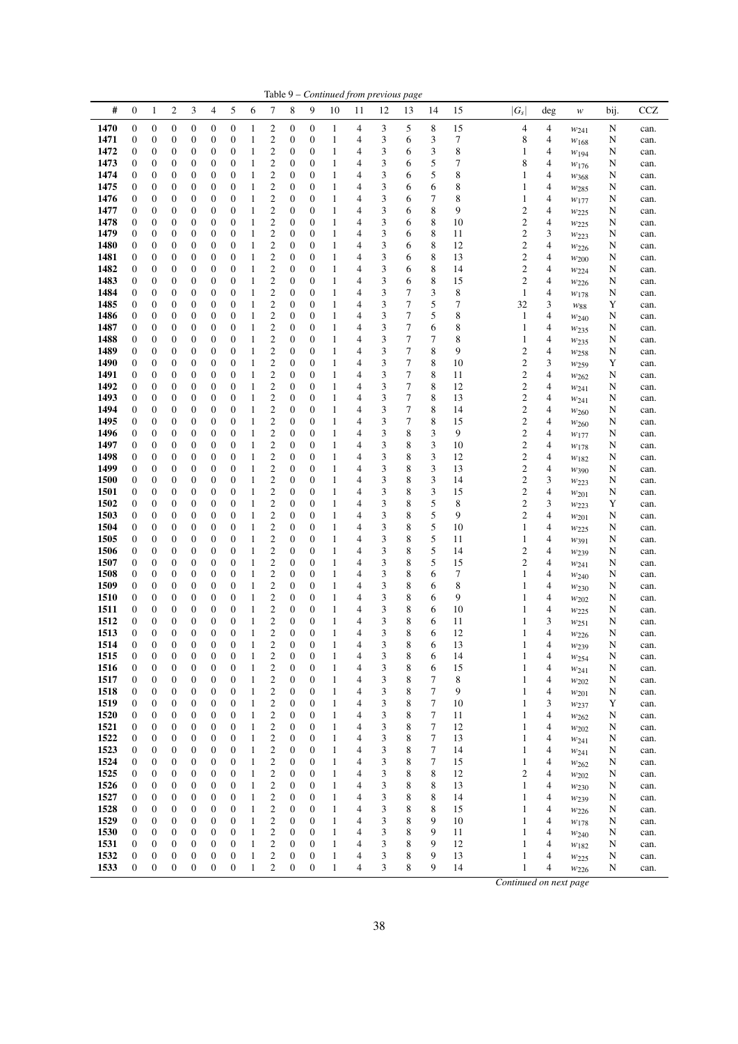| #<br>5<br>6<br>7<br>0<br>2<br>3<br>4<br>8<br>9<br>10<br>12<br>13<br>14<br>15<br>1<br>11<br>1470<br>8<br>0<br>$\boldsymbol{0}$<br>0<br>$\boldsymbol{0}$<br>$\boldsymbol{0}$<br>$\boldsymbol{0}$<br>2<br>$\boldsymbol{0}$<br>$\boldsymbol{0}$<br>3<br>5<br>15<br>1<br>1<br>4<br>$\mathfrak{2}$<br>3<br>3<br>7<br>1471<br>$\boldsymbol{0}$<br>$\boldsymbol{0}$<br>$\boldsymbol{0}$<br>$\mathbf{0}$<br>$\boldsymbol{0}$<br>$\boldsymbol{0}$<br>$\mathbf{1}$<br>4<br>0<br>0<br>1<br>6<br>$\overline{\mathbf{c}}$<br>3<br>8<br>1472<br>0<br>$\boldsymbol{0}$<br>$\boldsymbol{0}$<br>1<br>$\boldsymbol{0}$<br>$\boldsymbol{0}$<br>$\mathbf{1}$<br>3<br>0<br>0<br>0<br>6<br>4<br>$\overline{c}$<br>5<br>$\boldsymbol{0}$<br>$\mathbf{1}$<br>$\mathbf{1}$<br>3<br>7<br>1473<br>$\mathbf{0}$<br>0<br>$\boldsymbol{0}$<br>$\mathbf{0}$<br>$\mathbf{0}$<br>$\boldsymbol{0}$<br>$\boldsymbol{0}$<br>6<br>4<br>$\overline{\mathbf{c}}$<br>3<br>5<br>8<br>1474<br>0<br>$\boldsymbol{0}$<br>$\boldsymbol{0}$<br>$\mathbf{1}$<br>$\boldsymbol{0}$<br>$\boldsymbol{0}$<br>$\mathbf{1}$<br>0<br>0<br>0<br>4<br>6<br>$\overline{c}$<br>3<br>8<br>1475<br>0<br>$\boldsymbol{0}$<br>0<br>$\boldsymbol{0}$<br>$\mathbf{0}$<br>$\mathbf{0}$<br>1<br>$\boldsymbol{0}$<br>$\boldsymbol{0}$<br>$\mathbf{1}$<br>4<br>6<br>6<br>$\mathbf{2}$<br>3<br>7<br>8<br>1476<br>$\boldsymbol{0}$<br>$\boldsymbol{0}$<br>0<br>$\boldsymbol{0}$<br>$\boldsymbol{0}$<br>$\boldsymbol{0}$<br>$\mathbf{1}$<br>$\boldsymbol{0}$<br>$\boldsymbol{0}$<br>$\mathbf{1}$<br>4<br>6<br>$\overline{c}$<br>3<br>8<br>9<br>1477<br>$\boldsymbol{0}$<br>$\boldsymbol{0}$<br>$\boldsymbol{0}$<br>$\boldsymbol{0}$<br>$\boldsymbol{0}$<br>$\mathbf{1}$<br>0<br>0<br>0<br>1<br>4<br>6<br>$\overline{c}$<br>3<br>8<br>1478<br>$\boldsymbol{0}$<br>$\boldsymbol{0}$<br>$\mathbf{0}$<br>1<br>$\boldsymbol{0}$<br>$\mathbf{1}$<br>10<br>0<br>0<br>0<br>$\boldsymbol{0}$<br>4<br>6<br>$\boldsymbol{2}$<br>1479<br>$\boldsymbol{0}$<br>$\boldsymbol{0}$<br>$\mathbf{1}$<br>$\boldsymbol{0}$<br>$\mathbf{1}$<br>3<br>8<br>0<br>0<br>0<br>0<br>$\boldsymbol{0}$<br>6<br>11<br>4<br>$\overline{c}$<br>8<br>$\boldsymbol{0}$<br>$\mathbf{1}$<br>3<br>1480<br>$\mathbf{0}$<br>$\boldsymbol{0}$<br>0<br>$\boldsymbol{0}$<br>$\mathbf{0}$<br>$\mathbf{0}$<br>$\mathbf{1}$<br>$\boldsymbol{0}$<br>4<br>6<br>12<br>$\overline{\mathbf{c}}$<br>8<br>1481<br>0<br>$\boldsymbol{0}$<br>0<br>$\boldsymbol{0}$<br>$\boldsymbol{0}$<br>$\mathbf{0}$<br>$\mathbf{1}$<br>$\boldsymbol{0}$<br>$\boldsymbol{0}$<br>4<br>3<br>13<br>1<br>6<br>$\boldsymbol{2}$<br>3<br>8<br>1482<br>$\boldsymbol{0}$<br>$\boldsymbol{0}$<br>0<br>$\boldsymbol{0}$<br>$\boldsymbol{0}$<br>$\boldsymbol{0}$<br>$\mathbf{1}$<br>$\boldsymbol{0}$<br>$\boldsymbol{0}$<br>$\mathbf{1}$<br>14<br>4<br>6<br>1483<br>$\boldsymbol{0}$<br>$\mathfrak{2}$<br>3<br>8<br>$\boldsymbol{0}$<br>$\boldsymbol{0}$<br>0<br>$\boldsymbol{0}$<br>$\boldsymbol{0}$<br>$\mathbf{1}$<br>$\boldsymbol{0}$<br>$\boldsymbol{0}$<br>$\mathbf{1}$<br>15<br>4<br>6<br>1484<br>$\boldsymbol{0}$<br>$\boldsymbol{0}$<br>1<br>$\overline{\mathbf{c}}$<br>$\mathbf{1}$<br>3<br>7<br>3<br>8<br>0<br>0<br>0<br>0<br>$\boldsymbol{0}$<br>$\boldsymbol{0}$<br>4<br>$\mathfrak{2}$<br>3<br>7<br>5<br>7<br>1485<br>0<br>$\boldsymbol{0}$<br>$\boldsymbol{0}$<br>0<br>$\boldsymbol{0}$<br>1<br>$\boldsymbol{0}$<br>$\boldsymbol{0}$<br>$\mathbf{1}$<br>0<br>4<br>$\boldsymbol{2}$<br>3<br>7<br>5<br>8<br>1486<br>0<br>$\boldsymbol{0}$<br>0<br>$\boldsymbol{0}$<br>$\boldsymbol{0}$<br>$\mathbf{1}$<br>0<br>$\boldsymbol{0}$<br>$\mathbf{1}$<br>0<br>4<br>$\overline{c}$<br>3<br>7<br>$\boldsymbol{0}$<br>8<br>1487<br>$\mathbf{0}$<br>0<br>$\boldsymbol{0}$<br>$\boldsymbol{0}$<br>$\mathbf{0}$<br>$\mathbf{1}$<br>$\boldsymbol{0}$<br>$\boldsymbol{0}$<br>$\mathbf{1}$<br>4<br>6<br>$\mathfrak{2}$<br>3<br>7<br>7<br>8<br>1488<br>$\boldsymbol{0}$<br>$\boldsymbol{0}$<br>0<br>$\boldsymbol{0}$<br>$\boldsymbol{0}$<br>$\boldsymbol{0}$<br>$\mathbf{1}$<br>$\boldsymbol{0}$<br>$\boldsymbol{0}$<br>$\mathbf{1}$<br>4<br>1489<br>$\mathbf{2}$<br>3<br>7<br>8<br>9<br>$\boldsymbol{0}$<br>$\boldsymbol{0}$<br>0<br>$\boldsymbol{0}$<br>$\boldsymbol{0}$<br>$\boldsymbol{0}$<br>1<br>$\boldsymbol{0}$<br>$\boldsymbol{0}$<br>$\mathbf{1}$<br>4<br>$\mathbf{2}$<br>3<br>7<br>8<br>1490<br>$\mathbf{0}$<br>$\boldsymbol{0}$<br>$\boldsymbol{0}$<br>$\mathbf{0}$<br>$\mathbf{1}$<br>$\boldsymbol{0}$<br>$\boldsymbol{0}$<br>$\mathbf{1}$<br>10<br>0<br>0<br>4<br>1491<br>$\boldsymbol{0}$<br>$\boldsymbol{0}$<br>1<br>$\overline{\mathbf{c}}$<br>3<br>7<br>8<br>0<br>0<br>0<br>0<br>$\boldsymbol{0}$<br>$\boldsymbol{0}$<br>1<br>4<br>11<br>$\boldsymbol{0}$<br>$\overline{\mathbf{c}}$<br>$\mathbf{1}$<br>3<br>7<br>8<br>1492<br>0<br>0<br>$\boldsymbol{0}$<br>$\boldsymbol{0}$<br>$\boldsymbol{0}$<br>1<br>$\boldsymbol{0}$<br>$\boldsymbol{0}$<br>12<br>4<br>$\overline{\mathbf{c}}$<br>3<br>7<br>8<br>1493<br>0<br>$\boldsymbol{0}$<br>$\boldsymbol{0}$<br>$\mathbf{1}$<br>$\boldsymbol{0}$<br>$\boldsymbol{0}$<br>$\mathbf{1}$<br>13<br>0<br>0<br>0<br>4<br>$\overline{\mathbf{c}}$<br>7<br>3<br>8<br>1494<br>0<br>$\boldsymbol{0}$<br>0<br>$\boldsymbol{0}$<br>$\mathbf{0}$<br>$\mathbf{0}$<br>$\mathbf{1}$<br>$\boldsymbol{0}$<br>$\boldsymbol{0}$<br>$\mathbf{1}$<br>4<br>14<br>$\mathfrak{2}$<br>3<br>7<br>8<br>1495<br>$\boldsymbol{0}$<br>$\boldsymbol{0}$<br>0<br>$\boldsymbol{0}$<br>$\boldsymbol{0}$<br>$\boldsymbol{0}$<br>$\mathbf{1}$<br>$\boldsymbol{0}$<br>$\boldsymbol{0}$<br>$\mathbf{1}$<br>15<br>4<br>$\mathfrak{2}$<br>3<br>8<br>3<br>1496<br>$\boldsymbol{0}$<br>$\boldsymbol{0}$<br>$\boldsymbol{0}$<br>$\boldsymbol{0}$<br>$\boldsymbol{0}$<br>$\mathbf{1}$<br>9<br>0<br>0<br>0<br>1<br>4<br>2<br>3<br>3<br>1497<br>$\mathbf{0}$<br>$\boldsymbol{0}$<br>$\mathbf{0}$<br>1<br>$\boldsymbol{0}$<br>$\boldsymbol{0}$<br>$\mathbf{1}$<br>8<br>10<br>0<br>0<br>0<br>4<br>$\boldsymbol{2}$<br>1498<br>$\boldsymbol{0}$<br>$\boldsymbol{0}$<br>$\mathbf{1}$<br>$\boldsymbol{0}$<br>$\mathbf{1}$<br>3<br>8<br>3<br>12<br>0<br>0<br>0<br>0<br>$\boldsymbol{0}$<br>4<br>$\boldsymbol{0}$<br>$\boldsymbol{2}$<br>$\mathbf{1}$<br>3<br>8<br>3<br>1499<br>0<br>0<br>$\boldsymbol{0}$<br>$\boldsymbol{0}$<br>$\mathbf{0}$<br>1<br>$\boldsymbol{0}$<br>$\boldsymbol{0}$<br>13<br>4<br>$\overline{\mathbf{c}}$<br>3<br>1500<br>0<br>$\boldsymbol{0}$<br>$\boldsymbol{0}$<br>$\boldsymbol{0}$<br>$\mathbf{1}$<br>$\boldsymbol{0}$<br>$\boldsymbol{0}$<br>3<br>8<br>14<br>0<br>0<br>1<br>4<br>$\boldsymbol{2}$<br>3<br>8<br>3<br>1501<br>$\boldsymbol{0}$<br>$\boldsymbol{0}$<br>0<br>$\boldsymbol{0}$<br>$\boldsymbol{0}$<br>$\boldsymbol{0}$<br>$\mathbf{1}$<br>$\boldsymbol{0}$<br>$\boldsymbol{0}$<br>$\mathbf{1}$<br>15<br>4<br>$\boldsymbol{0}$<br>$\mathfrak{2}$<br>3<br>8<br>5<br>8<br>1502<br>$\boldsymbol{0}$<br>$\boldsymbol{0}$<br>0<br>$\boldsymbol{0}$<br>$\boldsymbol{0}$<br>$\mathbf{1}$<br>$\boldsymbol{0}$<br>$\boldsymbol{0}$<br>$\mathbf{1}$<br>4<br>$\mathbf{2}$<br>3<br>8<br>5<br>9<br>1503<br>$\boldsymbol{0}$<br>$\boldsymbol{0}$<br>$\boldsymbol{0}$<br>1<br>$\boldsymbol{0}$<br>$\mathbf{1}$<br>0<br>0<br>0<br>$\boldsymbol{0}$<br>4<br>$\mathbf{2}$<br>3<br>8<br>5<br>1504<br>0<br>$\boldsymbol{0}$<br>$\boldsymbol{0}$<br>0<br>$\mathbf{0}$<br>1<br>$\boldsymbol{0}$<br>$\boldsymbol{0}$<br>$\mathbf{1}$<br>10<br>0<br>4<br>$\boldsymbol{2}$<br>5<br>1505<br>$\mathbf{0}$<br>$\boldsymbol{0}$<br>0<br>$\boldsymbol{0}$<br>$\boldsymbol{0}$<br>1<br>$\boldsymbol{0}$<br>$\boldsymbol{0}$<br>$\mathbf{1}$<br>3<br>8<br>0<br>$\overline{4}$<br>11<br>5<br>$\boldsymbol{2}$<br>3<br>8<br>1506<br>$\boldsymbol{0}$<br>$\boldsymbol{0}$<br>$\boldsymbol{0}$<br>$\boldsymbol{0}$<br>$\boldsymbol{0}$<br>$\mathbf{1}$<br>$\boldsymbol{0}$<br>$\boldsymbol{0}$<br>$\mathbf{1}$<br>14<br>0<br>4<br>$\overline{\mathbf{c}}$<br>1507<br>0<br>$\boldsymbol{0}$<br>$\boldsymbol{0}$<br>$\mathbf{1}$<br>$\boldsymbol{0}$<br>$\boldsymbol{0}$<br>3<br>8<br>5<br>15<br>0<br>0<br>0<br>1<br>4 | $ G_s $<br>4<br>8<br>1<br>8<br>1<br>1<br>1<br>$\overline{c}$<br>$\overline{\mathbf{c}}$<br>$\overline{\mathbf{c}}$<br>$\overline{\mathbf{c}}$<br>$\overline{\mathbf{c}}$<br>2<br>$\mathfrak{2}$<br>1<br>32<br>$\mathbf{1}$<br>1 | deg<br>4<br>4<br>4<br>4<br>4<br>4<br>4<br>4<br>4<br>3<br>4<br>4<br>4 | w<br>$w_{241}$<br>$w_{168}$<br>W194<br>W176<br>$w_{368}$<br>$w_{285}$<br>W177<br>W225<br>$w_{225}$<br>$w_{223}$<br>W226 | bij.<br>N<br>N<br>N<br>N<br>N<br>N<br>N<br>N<br>N<br>N | <b>CCZ</b><br>can.<br>can.<br>can.<br>can.<br>can.<br>can.<br>can.<br>can.<br>can.<br>can. |
|--------------------------------------------------------------------------------------------------------------------------------------------------------------------------------------------------------------------------------------------------------------------------------------------------------------------------------------------------------------------------------------------------------------------------------------------------------------------------------------------------------------------------------------------------------------------------------------------------------------------------------------------------------------------------------------------------------------------------------------------------------------------------------------------------------------------------------------------------------------------------------------------------------------------------------------------------------------------------------------------------------------------------------------------------------------------------------------------------------------------------------------------------------------------------------------------------------------------------------------------------------------------------------------------------------------------------------------------------------------------------------------------------------------------------------------------------------------------------------------------------------------------------------------------------------------------------------------------------------------------------------------------------------------------------------------------------------------------------------------------------------------------------------------------------------------------------------------------------------------------------------------------------------------------------------------------------------------------------------------------------------------------------------------------------------------------------------------------------------------------------------------------------------------------------------------------------------------------------------------------------------------------------------------------------------------------------------------------------------------------------------------------------------------------------------------------------------------------------------------------------------------------------------------------------------------------------------------------------------------------------------------------------------------------------------------------------------------------------------------------------------------------------------------------------------------------------------------------------------------------------------------------------------------------------------------------------------------------------------------------------------------------------------------------------------------------------------------------------------------------------------------------------------------------------------------------------------------------------------------------------------------------------------------------------------------------------------------------------------------------------------------------------------------------------------------------------------------------------------------------------------------------------------------------------------------------------------------------------------------------------------------------------------------------------------------------------------------------------------------------------------------------------------------------------------------------------------------------------------------------------------------------------------------------------------------------------------------------------------------------------------------------------------------------------------------------------------------------------------------------------------------------------------------------------------------------------------------------------------------------------------------------------------------------------------------------------------------------------------------------------------------------------------------------------------------------------------------------------------------------------------------------------------------------------------------------------------------------------------------------------------------------------------------------------------------------------------------------------------------------------------------------------------------------------------------------------------------------------------------------------------------------------------------------------------------------------------------------------------------------------------------------------------------------------------------------------------------------------------------------------------------------------------------------------------------------------------------------------------------------------------------------------------------------------------------------------------------------------------------------------------------------------------------------------------------------------------------------------------------------------------------------------------------------------------------------------------------------------------------------------------------------------------------------------------------------------------------------------------------------------------------------------------------------------------------------------------------------------------------------------------------------------------------------------------------------------------------------------------------------------------------------------------------------------------------------------------------------------------------------------------------------------------------------------------------------------------------------------------------------------------------------------------------------------------------------------------------------------------------------------------------------------------------------------------------------------------------------------------------------------------------------------------------------------------------------------------------------------------------------------------------------------------------------------------------------------------------------------------------------------------------------------------------------------------------------------------------------------------------------------------------------------------------------------------------------------------------------------------------------------------------------------------------------------------------------------------------------------------------------------------------------------------------------------------------------------------------------------------------------------------------------------------------------------------------------------------------------------------------------------------------------------------------------------------------------------------------------------------------------------------------------------------------------------------------------------------------------------------------------------------------------------------------------------------------------------------------------------------------------------------------------------------------------------------------------------------------------------------------------------------------------------------------------------------------------------------------------------------------------------------------------------------------------------------------------|---------------------------------------------------------------------------------------------------------------------------------------------------------------------------------------------------------------------------------|----------------------------------------------------------------------|-------------------------------------------------------------------------------------------------------------------------|--------------------------------------------------------|--------------------------------------------------------------------------------------------|
|                                                                                                                                                                                                                                                                                                                                                                                                                                                                                                                                                                                                                                                                                                                                                                                                                                                                                                                                                                                                                                                                                                                                                                                                                                                                                                                                                                                                                                                                                                                                                                                                                                                                                                                                                                                                                                                                                                                                                                                                                                                                                                                                                                                                                                                                                                                                                                                                                                                                                                                                                                                                                                                                                                                                                                                                                                                                                                                                                                                                                                                                                                                                                                                                                                                                                                                                                                                                                                                                                                                                                                                                                                                                                                                                                                                                                                                                                                                                                                                                                                                                                                                                                                                                                                                                                                                                                                                                                                                                                                                                                                                                                                                                                                                                                                                                                                                                                                                                                                                                                                                                                                                                                                                                                                                                                                                                                                                                                                                                                                                                                                                                                                                                                                                                                                                                                                                                                                                                                                                                                                                                                                                                                                                                                                                                                                                                                                                                                                                                                                                                                                                                                                                                                                                                                                                                                                                                                                                                                                                                                                                                                                                                                                                                                                                                                                                                                                                                                                                                                                                                                                                                                                                                                                                                                                                                                                                                                                                                                                                                                                                                    |                                                                                                                                                                                                                                 |                                                                      |                                                                                                                         |                                                        |                                                                                            |
|                                                                                                                                                                                                                                                                                                                                                                                                                                                                                                                                                                                                                                                                                                                                                                                                                                                                                                                                                                                                                                                                                                                                                                                                                                                                                                                                                                                                                                                                                                                                                                                                                                                                                                                                                                                                                                                                                                                                                                                                                                                                                                                                                                                                                                                                                                                                                                                                                                                                                                                                                                                                                                                                                                                                                                                                                                                                                                                                                                                                                                                                                                                                                                                                                                                                                                                                                                                                                                                                                                                                                                                                                                                                                                                                                                                                                                                                                                                                                                                                                                                                                                                                                                                                                                                                                                                                                                                                                                                                                                                                                                                                                                                                                                                                                                                                                                                                                                                                                                                                                                                                                                                                                                                                                                                                                                                                                                                                                                                                                                                                                                                                                                                                                                                                                                                                                                                                                                                                                                                                                                                                                                                                                                                                                                                                                                                                                                                                                                                                                                                                                                                                                                                                                                                                                                                                                                                                                                                                                                                                                                                                                                                                                                                                                                                                                                                                                                                                                                                                                                                                                                                                                                                                                                                                                                                                                                                                                                                                                                                                                                                                    |                                                                                                                                                                                                                                 |                                                                      |                                                                                                                         |                                                        |                                                                                            |
|                                                                                                                                                                                                                                                                                                                                                                                                                                                                                                                                                                                                                                                                                                                                                                                                                                                                                                                                                                                                                                                                                                                                                                                                                                                                                                                                                                                                                                                                                                                                                                                                                                                                                                                                                                                                                                                                                                                                                                                                                                                                                                                                                                                                                                                                                                                                                                                                                                                                                                                                                                                                                                                                                                                                                                                                                                                                                                                                                                                                                                                                                                                                                                                                                                                                                                                                                                                                                                                                                                                                                                                                                                                                                                                                                                                                                                                                                                                                                                                                                                                                                                                                                                                                                                                                                                                                                                                                                                                                                                                                                                                                                                                                                                                                                                                                                                                                                                                                                                                                                                                                                                                                                                                                                                                                                                                                                                                                                                                                                                                                                                                                                                                                                                                                                                                                                                                                                                                                                                                                                                                                                                                                                                                                                                                                                                                                                                                                                                                                                                                                                                                                                                                                                                                                                                                                                                                                                                                                                                                                                                                                                                                                                                                                                                                                                                                                                                                                                                                                                                                                                                                                                                                                                                                                                                                                                                                                                                                                                                                                                                                                    |                                                                                                                                                                                                                                 |                                                                      |                                                                                                                         |                                                        |                                                                                            |
|                                                                                                                                                                                                                                                                                                                                                                                                                                                                                                                                                                                                                                                                                                                                                                                                                                                                                                                                                                                                                                                                                                                                                                                                                                                                                                                                                                                                                                                                                                                                                                                                                                                                                                                                                                                                                                                                                                                                                                                                                                                                                                                                                                                                                                                                                                                                                                                                                                                                                                                                                                                                                                                                                                                                                                                                                                                                                                                                                                                                                                                                                                                                                                                                                                                                                                                                                                                                                                                                                                                                                                                                                                                                                                                                                                                                                                                                                                                                                                                                                                                                                                                                                                                                                                                                                                                                                                                                                                                                                                                                                                                                                                                                                                                                                                                                                                                                                                                                                                                                                                                                                                                                                                                                                                                                                                                                                                                                                                                                                                                                                                                                                                                                                                                                                                                                                                                                                                                                                                                                                                                                                                                                                                                                                                                                                                                                                                                                                                                                                                                                                                                                                                                                                                                                                                                                                                                                                                                                                                                                                                                                                                                                                                                                                                                                                                                                                                                                                                                                                                                                                                                                                                                                                                                                                                                                                                                                                                                                                                                                                                                                    |                                                                                                                                                                                                                                 |                                                                      |                                                                                                                         |                                                        |                                                                                            |
|                                                                                                                                                                                                                                                                                                                                                                                                                                                                                                                                                                                                                                                                                                                                                                                                                                                                                                                                                                                                                                                                                                                                                                                                                                                                                                                                                                                                                                                                                                                                                                                                                                                                                                                                                                                                                                                                                                                                                                                                                                                                                                                                                                                                                                                                                                                                                                                                                                                                                                                                                                                                                                                                                                                                                                                                                                                                                                                                                                                                                                                                                                                                                                                                                                                                                                                                                                                                                                                                                                                                                                                                                                                                                                                                                                                                                                                                                                                                                                                                                                                                                                                                                                                                                                                                                                                                                                                                                                                                                                                                                                                                                                                                                                                                                                                                                                                                                                                                                                                                                                                                                                                                                                                                                                                                                                                                                                                                                                                                                                                                                                                                                                                                                                                                                                                                                                                                                                                                                                                                                                                                                                                                                                                                                                                                                                                                                                                                                                                                                                                                                                                                                                                                                                                                                                                                                                                                                                                                                                                                                                                                                                                                                                                                                                                                                                                                                                                                                                                                                                                                                                                                                                                                                                                                                                                                                                                                                                                                                                                                                                                                    |                                                                                                                                                                                                                                 |                                                                      |                                                                                                                         |                                                        |                                                                                            |
|                                                                                                                                                                                                                                                                                                                                                                                                                                                                                                                                                                                                                                                                                                                                                                                                                                                                                                                                                                                                                                                                                                                                                                                                                                                                                                                                                                                                                                                                                                                                                                                                                                                                                                                                                                                                                                                                                                                                                                                                                                                                                                                                                                                                                                                                                                                                                                                                                                                                                                                                                                                                                                                                                                                                                                                                                                                                                                                                                                                                                                                                                                                                                                                                                                                                                                                                                                                                                                                                                                                                                                                                                                                                                                                                                                                                                                                                                                                                                                                                                                                                                                                                                                                                                                                                                                                                                                                                                                                                                                                                                                                                                                                                                                                                                                                                                                                                                                                                                                                                                                                                                                                                                                                                                                                                                                                                                                                                                                                                                                                                                                                                                                                                                                                                                                                                                                                                                                                                                                                                                                                                                                                                                                                                                                                                                                                                                                                                                                                                                                                                                                                                                                                                                                                                                                                                                                                                                                                                                                                                                                                                                                                                                                                                                                                                                                                                                                                                                                                                                                                                                                                                                                                                                                                                                                                                                                                                                                                                                                                                                                                                    |                                                                                                                                                                                                                                 |                                                                      |                                                                                                                         |                                                        |                                                                                            |
|                                                                                                                                                                                                                                                                                                                                                                                                                                                                                                                                                                                                                                                                                                                                                                                                                                                                                                                                                                                                                                                                                                                                                                                                                                                                                                                                                                                                                                                                                                                                                                                                                                                                                                                                                                                                                                                                                                                                                                                                                                                                                                                                                                                                                                                                                                                                                                                                                                                                                                                                                                                                                                                                                                                                                                                                                                                                                                                                                                                                                                                                                                                                                                                                                                                                                                                                                                                                                                                                                                                                                                                                                                                                                                                                                                                                                                                                                                                                                                                                                                                                                                                                                                                                                                                                                                                                                                                                                                                                                                                                                                                                                                                                                                                                                                                                                                                                                                                                                                                                                                                                                                                                                                                                                                                                                                                                                                                                                                                                                                                                                                                                                                                                                                                                                                                                                                                                                                                                                                                                                                                                                                                                                                                                                                                                                                                                                                                                                                                                                                                                                                                                                                                                                                                                                                                                                                                                                                                                                                                                                                                                                                                                                                                                                                                                                                                                                                                                                                                                                                                                                                                                                                                                                                                                                                                                                                                                                                                                                                                                                                                                    |                                                                                                                                                                                                                                 |                                                                      |                                                                                                                         |                                                        |                                                                                            |
|                                                                                                                                                                                                                                                                                                                                                                                                                                                                                                                                                                                                                                                                                                                                                                                                                                                                                                                                                                                                                                                                                                                                                                                                                                                                                                                                                                                                                                                                                                                                                                                                                                                                                                                                                                                                                                                                                                                                                                                                                                                                                                                                                                                                                                                                                                                                                                                                                                                                                                                                                                                                                                                                                                                                                                                                                                                                                                                                                                                                                                                                                                                                                                                                                                                                                                                                                                                                                                                                                                                                                                                                                                                                                                                                                                                                                                                                                                                                                                                                                                                                                                                                                                                                                                                                                                                                                                                                                                                                                                                                                                                                                                                                                                                                                                                                                                                                                                                                                                                                                                                                                                                                                                                                                                                                                                                                                                                                                                                                                                                                                                                                                                                                                                                                                                                                                                                                                                                                                                                                                                                                                                                                                                                                                                                                                                                                                                                                                                                                                                                                                                                                                                                                                                                                                                                                                                                                                                                                                                                                                                                                                                                                                                                                                                                                                                                                                                                                                                                                                                                                                                                                                                                                                                                                                                                                                                                                                                                                                                                                                                                                    |                                                                                                                                                                                                                                 |                                                                      |                                                                                                                         |                                                        |                                                                                            |
|                                                                                                                                                                                                                                                                                                                                                                                                                                                                                                                                                                                                                                                                                                                                                                                                                                                                                                                                                                                                                                                                                                                                                                                                                                                                                                                                                                                                                                                                                                                                                                                                                                                                                                                                                                                                                                                                                                                                                                                                                                                                                                                                                                                                                                                                                                                                                                                                                                                                                                                                                                                                                                                                                                                                                                                                                                                                                                                                                                                                                                                                                                                                                                                                                                                                                                                                                                                                                                                                                                                                                                                                                                                                                                                                                                                                                                                                                                                                                                                                                                                                                                                                                                                                                                                                                                                                                                                                                                                                                                                                                                                                                                                                                                                                                                                                                                                                                                                                                                                                                                                                                                                                                                                                                                                                                                                                                                                                                                                                                                                                                                                                                                                                                                                                                                                                                                                                                                                                                                                                                                                                                                                                                                                                                                                                                                                                                                                                                                                                                                                                                                                                                                                                                                                                                                                                                                                                                                                                                                                                                                                                                                                                                                                                                                                                                                                                                                                                                                                                                                                                                                                                                                                                                                                                                                                                                                                                                                                                                                                                                                                                    |                                                                                                                                                                                                                                 |                                                                      |                                                                                                                         |                                                        |                                                                                            |
|                                                                                                                                                                                                                                                                                                                                                                                                                                                                                                                                                                                                                                                                                                                                                                                                                                                                                                                                                                                                                                                                                                                                                                                                                                                                                                                                                                                                                                                                                                                                                                                                                                                                                                                                                                                                                                                                                                                                                                                                                                                                                                                                                                                                                                                                                                                                                                                                                                                                                                                                                                                                                                                                                                                                                                                                                                                                                                                                                                                                                                                                                                                                                                                                                                                                                                                                                                                                                                                                                                                                                                                                                                                                                                                                                                                                                                                                                                                                                                                                                                                                                                                                                                                                                                                                                                                                                                                                                                                                                                                                                                                                                                                                                                                                                                                                                                                                                                                                                                                                                                                                                                                                                                                                                                                                                                                                                                                                                                                                                                                                                                                                                                                                                                                                                                                                                                                                                                                                                                                                                                                                                                                                                                                                                                                                                                                                                                                                                                                                                                                                                                                                                                                                                                                                                                                                                                                                                                                                                                                                                                                                                                                                                                                                                                                                                                                                                                                                                                                                                                                                                                                                                                                                                                                                                                                                                                                                                                                                                                                                                                                                    |                                                                                                                                                                                                                                 |                                                                      |                                                                                                                         |                                                        |                                                                                            |
|                                                                                                                                                                                                                                                                                                                                                                                                                                                                                                                                                                                                                                                                                                                                                                                                                                                                                                                                                                                                                                                                                                                                                                                                                                                                                                                                                                                                                                                                                                                                                                                                                                                                                                                                                                                                                                                                                                                                                                                                                                                                                                                                                                                                                                                                                                                                                                                                                                                                                                                                                                                                                                                                                                                                                                                                                                                                                                                                                                                                                                                                                                                                                                                                                                                                                                                                                                                                                                                                                                                                                                                                                                                                                                                                                                                                                                                                                                                                                                                                                                                                                                                                                                                                                                                                                                                                                                                                                                                                                                                                                                                                                                                                                                                                                                                                                                                                                                                                                                                                                                                                                                                                                                                                                                                                                                                                                                                                                                                                                                                                                                                                                                                                                                                                                                                                                                                                                                                                                                                                                                                                                                                                                                                                                                                                                                                                                                                                                                                                                                                                                                                                                                                                                                                                                                                                                                                                                                                                                                                                                                                                                                                                                                                                                                                                                                                                                                                                                                                                                                                                                                                                                                                                                                                                                                                                                                                                                                                                                                                                                                                                    |                                                                                                                                                                                                                                 |                                                                      |                                                                                                                         | N                                                      | can.                                                                                       |
|                                                                                                                                                                                                                                                                                                                                                                                                                                                                                                                                                                                                                                                                                                                                                                                                                                                                                                                                                                                                                                                                                                                                                                                                                                                                                                                                                                                                                                                                                                                                                                                                                                                                                                                                                                                                                                                                                                                                                                                                                                                                                                                                                                                                                                                                                                                                                                                                                                                                                                                                                                                                                                                                                                                                                                                                                                                                                                                                                                                                                                                                                                                                                                                                                                                                                                                                                                                                                                                                                                                                                                                                                                                                                                                                                                                                                                                                                                                                                                                                                                                                                                                                                                                                                                                                                                                                                                                                                                                                                                                                                                                                                                                                                                                                                                                                                                                                                                                                                                                                                                                                                                                                                                                                                                                                                                                                                                                                                                                                                                                                                                                                                                                                                                                                                                                                                                                                                                                                                                                                                                                                                                                                                                                                                                                                                                                                                                                                                                                                                                                                                                                                                                                                                                                                                                                                                                                                                                                                                                                                                                                                                                                                                                                                                                                                                                                                                                                                                                                                                                                                                                                                                                                                                                                                                                                                                                                                                                                                                                                                                                                                    |                                                                                                                                                                                                                                 |                                                                      | W200                                                                                                                    | N                                                      | can.                                                                                       |
|                                                                                                                                                                                                                                                                                                                                                                                                                                                                                                                                                                                                                                                                                                                                                                                                                                                                                                                                                                                                                                                                                                                                                                                                                                                                                                                                                                                                                                                                                                                                                                                                                                                                                                                                                                                                                                                                                                                                                                                                                                                                                                                                                                                                                                                                                                                                                                                                                                                                                                                                                                                                                                                                                                                                                                                                                                                                                                                                                                                                                                                                                                                                                                                                                                                                                                                                                                                                                                                                                                                                                                                                                                                                                                                                                                                                                                                                                                                                                                                                                                                                                                                                                                                                                                                                                                                                                                                                                                                                                                                                                                                                                                                                                                                                                                                                                                                                                                                                                                                                                                                                                                                                                                                                                                                                                                                                                                                                                                                                                                                                                                                                                                                                                                                                                                                                                                                                                                                                                                                                                                                                                                                                                                                                                                                                                                                                                                                                                                                                                                                                                                                                                                                                                                                                                                                                                                                                                                                                                                                                                                                                                                                                                                                                                                                                                                                                                                                                                                                                                                                                                                                                                                                                                                                                                                                                                                                                                                                                                                                                                                                                    |                                                                                                                                                                                                                                 |                                                                      | $w_{224}$                                                                                                               | N                                                      | can.                                                                                       |
|                                                                                                                                                                                                                                                                                                                                                                                                                                                                                                                                                                                                                                                                                                                                                                                                                                                                                                                                                                                                                                                                                                                                                                                                                                                                                                                                                                                                                                                                                                                                                                                                                                                                                                                                                                                                                                                                                                                                                                                                                                                                                                                                                                                                                                                                                                                                                                                                                                                                                                                                                                                                                                                                                                                                                                                                                                                                                                                                                                                                                                                                                                                                                                                                                                                                                                                                                                                                                                                                                                                                                                                                                                                                                                                                                                                                                                                                                                                                                                                                                                                                                                                                                                                                                                                                                                                                                                                                                                                                                                                                                                                                                                                                                                                                                                                                                                                                                                                                                                                                                                                                                                                                                                                                                                                                                                                                                                                                                                                                                                                                                                                                                                                                                                                                                                                                                                                                                                                                                                                                                                                                                                                                                                                                                                                                                                                                                                                                                                                                                                                                                                                                                                                                                                                                                                                                                                                                                                                                                                                                                                                                                                                                                                                                                                                                                                                                                                                                                                                                                                                                                                                                                                                                                                                                                                                                                                                                                                                                                                                                                                                                    |                                                                                                                                                                                                                                 | 4                                                                    | $w_{226}$                                                                                                               | N                                                      | can.                                                                                       |
|                                                                                                                                                                                                                                                                                                                                                                                                                                                                                                                                                                                                                                                                                                                                                                                                                                                                                                                                                                                                                                                                                                                                                                                                                                                                                                                                                                                                                                                                                                                                                                                                                                                                                                                                                                                                                                                                                                                                                                                                                                                                                                                                                                                                                                                                                                                                                                                                                                                                                                                                                                                                                                                                                                                                                                                                                                                                                                                                                                                                                                                                                                                                                                                                                                                                                                                                                                                                                                                                                                                                                                                                                                                                                                                                                                                                                                                                                                                                                                                                                                                                                                                                                                                                                                                                                                                                                                                                                                                                                                                                                                                                                                                                                                                                                                                                                                                                                                                                                                                                                                                                                                                                                                                                                                                                                                                                                                                                                                                                                                                                                                                                                                                                                                                                                                                                                                                                                                                                                                                                                                                                                                                                                                                                                                                                                                                                                                                                                                                                                                                                                                                                                                                                                                                                                                                                                                                                                                                                                                                                                                                                                                                                                                                                                                                                                                                                                                                                                                                                                                                                                                                                                                                                                                                                                                                                                                                                                                                                                                                                                                                                    |                                                                                                                                                                                                                                 | 4                                                                    | W178                                                                                                                    | N                                                      | can.                                                                                       |
|                                                                                                                                                                                                                                                                                                                                                                                                                                                                                                                                                                                                                                                                                                                                                                                                                                                                                                                                                                                                                                                                                                                                                                                                                                                                                                                                                                                                                                                                                                                                                                                                                                                                                                                                                                                                                                                                                                                                                                                                                                                                                                                                                                                                                                                                                                                                                                                                                                                                                                                                                                                                                                                                                                                                                                                                                                                                                                                                                                                                                                                                                                                                                                                                                                                                                                                                                                                                                                                                                                                                                                                                                                                                                                                                                                                                                                                                                                                                                                                                                                                                                                                                                                                                                                                                                                                                                                                                                                                                                                                                                                                                                                                                                                                                                                                                                                                                                                                                                                                                                                                                                                                                                                                                                                                                                                                                                                                                                                                                                                                                                                                                                                                                                                                                                                                                                                                                                                                                                                                                                                                                                                                                                                                                                                                                                                                                                                                                                                                                                                                                                                                                                                                                                                                                                                                                                                                                                                                                                                                                                                                                                                                                                                                                                                                                                                                                                                                                                                                                                                                                                                                                                                                                                                                                                                                                                                                                                                                                                                                                                                                                    |                                                                                                                                                                                                                                 | 3                                                                    | W88                                                                                                                     | Y                                                      | can.                                                                                       |
|                                                                                                                                                                                                                                                                                                                                                                                                                                                                                                                                                                                                                                                                                                                                                                                                                                                                                                                                                                                                                                                                                                                                                                                                                                                                                                                                                                                                                                                                                                                                                                                                                                                                                                                                                                                                                                                                                                                                                                                                                                                                                                                                                                                                                                                                                                                                                                                                                                                                                                                                                                                                                                                                                                                                                                                                                                                                                                                                                                                                                                                                                                                                                                                                                                                                                                                                                                                                                                                                                                                                                                                                                                                                                                                                                                                                                                                                                                                                                                                                                                                                                                                                                                                                                                                                                                                                                                                                                                                                                                                                                                                                                                                                                                                                                                                                                                                                                                                                                                                                                                                                                                                                                                                                                                                                                                                                                                                                                                                                                                                                                                                                                                                                                                                                                                                                                                                                                                                                                                                                                                                                                                                                                                                                                                                                                                                                                                                                                                                                                                                                                                                                                                                                                                                                                                                                                                                                                                                                                                                                                                                                                                                                                                                                                                                                                                                                                                                                                                                                                                                                                                                                                                                                                                                                                                                                                                                                                                                                                                                                                                                                    |                                                                                                                                                                                                                                 | 4                                                                    | $w_{240}$                                                                                                               | N                                                      | can.                                                                                       |
|                                                                                                                                                                                                                                                                                                                                                                                                                                                                                                                                                                                                                                                                                                                                                                                                                                                                                                                                                                                                                                                                                                                                                                                                                                                                                                                                                                                                                                                                                                                                                                                                                                                                                                                                                                                                                                                                                                                                                                                                                                                                                                                                                                                                                                                                                                                                                                                                                                                                                                                                                                                                                                                                                                                                                                                                                                                                                                                                                                                                                                                                                                                                                                                                                                                                                                                                                                                                                                                                                                                                                                                                                                                                                                                                                                                                                                                                                                                                                                                                                                                                                                                                                                                                                                                                                                                                                                                                                                                                                                                                                                                                                                                                                                                                                                                                                                                                                                                                                                                                                                                                                                                                                                                                                                                                                                                                                                                                                                                                                                                                                                                                                                                                                                                                                                                                                                                                                                                                                                                                                                                                                                                                                                                                                                                                                                                                                                                                                                                                                                                                                                                                                                                                                                                                                                                                                                                                                                                                                                                                                                                                                                                                                                                                                                                                                                                                                                                                                                                                                                                                                                                                                                                                                                                                                                                                                                                                                                                                                                                                                                                                    |                                                                                                                                                                                                                                 | 4                                                                    | $w_{235}$                                                                                                               | N                                                      | can.                                                                                       |
|                                                                                                                                                                                                                                                                                                                                                                                                                                                                                                                                                                                                                                                                                                                                                                                                                                                                                                                                                                                                                                                                                                                                                                                                                                                                                                                                                                                                                                                                                                                                                                                                                                                                                                                                                                                                                                                                                                                                                                                                                                                                                                                                                                                                                                                                                                                                                                                                                                                                                                                                                                                                                                                                                                                                                                                                                                                                                                                                                                                                                                                                                                                                                                                                                                                                                                                                                                                                                                                                                                                                                                                                                                                                                                                                                                                                                                                                                                                                                                                                                                                                                                                                                                                                                                                                                                                                                                                                                                                                                                                                                                                                                                                                                                                                                                                                                                                                                                                                                                                                                                                                                                                                                                                                                                                                                                                                                                                                                                                                                                                                                                                                                                                                                                                                                                                                                                                                                                                                                                                                                                                                                                                                                                                                                                                                                                                                                                                                                                                                                                                                                                                                                                                                                                                                                                                                                                                                                                                                                                                                                                                                                                                                                                                                                                                                                                                                                                                                                                                                                                                                                                                                                                                                                                                                                                                                                                                                                                                                                                                                                                                                    | 1<br>$\overline{c}$                                                                                                                                                                                                             | 4<br>4                                                               | W <sub>235</sub>                                                                                                        | N<br>N                                                 | can.<br>can.                                                                               |
|                                                                                                                                                                                                                                                                                                                                                                                                                                                                                                                                                                                                                                                                                                                                                                                                                                                                                                                                                                                                                                                                                                                                                                                                                                                                                                                                                                                                                                                                                                                                                                                                                                                                                                                                                                                                                                                                                                                                                                                                                                                                                                                                                                                                                                                                                                                                                                                                                                                                                                                                                                                                                                                                                                                                                                                                                                                                                                                                                                                                                                                                                                                                                                                                                                                                                                                                                                                                                                                                                                                                                                                                                                                                                                                                                                                                                                                                                                                                                                                                                                                                                                                                                                                                                                                                                                                                                                                                                                                                                                                                                                                                                                                                                                                                                                                                                                                                                                                                                                                                                                                                                                                                                                                                                                                                                                                                                                                                                                                                                                                                                                                                                                                                                                                                                                                                                                                                                                                                                                                                                                                                                                                                                                                                                                                                                                                                                                                                                                                                                                                                                                                                                                                                                                                                                                                                                                                                                                                                                                                                                                                                                                                                                                                                                                                                                                                                                                                                                                                                                                                                                                                                                                                                                                                                                                                                                                                                                                                                                                                                                                                                    | $\overline{c}$                                                                                                                                                                                                                  | 3                                                                    | W <sub>258</sub><br>$w_{259}$                                                                                           | Y                                                      | can.                                                                                       |
|                                                                                                                                                                                                                                                                                                                                                                                                                                                                                                                                                                                                                                                                                                                                                                                                                                                                                                                                                                                                                                                                                                                                                                                                                                                                                                                                                                                                                                                                                                                                                                                                                                                                                                                                                                                                                                                                                                                                                                                                                                                                                                                                                                                                                                                                                                                                                                                                                                                                                                                                                                                                                                                                                                                                                                                                                                                                                                                                                                                                                                                                                                                                                                                                                                                                                                                                                                                                                                                                                                                                                                                                                                                                                                                                                                                                                                                                                                                                                                                                                                                                                                                                                                                                                                                                                                                                                                                                                                                                                                                                                                                                                                                                                                                                                                                                                                                                                                                                                                                                                                                                                                                                                                                                                                                                                                                                                                                                                                                                                                                                                                                                                                                                                                                                                                                                                                                                                                                                                                                                                                                                                                                                                                                                                                                                                                                                                                                                                                                                                                                                                                                                                                                                                                                                                                                                                                                                                                                                                                                                                                                                                                                                                                                                                                                                                                                                                                                                                                                                                                                                                                                                                                                                                                                                                                                                                                                                                                                                                                                                                                                                    | 2                                                                                                                                                                                                                               | 4                                                                    | $w_{262}$                                                                                                               | N                                                      | can.                                                                                       |
|                                                                                                                                                                                                                                                                                                                                                                                                                                                                                                                                                                                                                                                                                                                                                                                                                                                                                                                                                                                                                                                                                                                                                                                                                                                                                                                                                                                                                                                                                                                                                                                                                                                                                                                                                                                                                                                                                                                                                                                                                                                                                                                                                                                                                                                                                                                                                                                                                                                                                                                                                                                                                                                                                                                                                                                                                                                                                                                                                                                                                                                                                                                                                                                                                                                                                                                                                                                                                                                                                                                                                                                                                                                                                                                                                                                                                                                                                                                                                                                                                                                                                                                                                                                                                                                                                                                                                                                                                                                                                                                                                                                                                                                                                                                                                                                                                                                                                                                                                                                                                                                                                                                                                                                                                                                                                                                                                                                                                                                                                                                                                                                                                                                                                                                                                                                                                                                                                                                                                                                                                                                                                                                                                                                                                                                                                                                                                                                                                                                                                                                                                                                                                                                                                                                                                                                                                                                                                                                                                                                                                                                                                                                                                                                                                                                                                                                                                                                                                                                                                                                                                                                                                                                                                                                                                                                                                                                                                                                                                                                                                                                                    | $\overline{\mathbf{c}}$                                                                                                                                                                                                         | 4                                                                    | W241                                                                                                                    | N                                                      | can.                                                                                       |
|                                                                                                                                                                                                                                                                                                                                                                                                                                                                                                                                                                                                                                                                                                                                                                                                                                                                                                                                                                                                                                                                                                                                                                                                                                                                                                                                                                                                                                                                                                                                                                                                                                                                                                                                                                                                                                                                                                                                                                                                                                                                                                                                                                                                                                                                                                                                                                                                                                                                                                                                                                                                                                                                                                                                                                                                                                                                                                                                                                                                                                                                                                                                                                                                                                                                                                                                                                                                                                                                                                                                                                                                                                                                                                                                                                                                                                                                                                                                                                                                                                                                                                                                                                                                                                                                                                                                                                                                                                                                                                                                                                                                                                                                                                                                                                                                                                                                                                                                                                                                                                                                                                                                                                                                                                                                                                                                                                                                                                                                                                                                                                                                                                                                                                                                                                                                                                                                                                                                                                                                                                                                                                                                                                                                                                                                                                                                                                                                                                                                                                                                                                                                                                                                                                                                                                                                                                                                                                                                                                                                                                                                                                                                                                                                                                                                                                                                                                                                                                                                                                                                                                                                                                                                                                                                                                                                                                                                                                                                                                                                                                                                    | $\overline{\mathbf{c}}$                                                                                                                                                                                                         | 4                                                                    | W241                                                                                                                    | N                                                      | can.                                                                                       |
|                                                                                                                                                                                                                                                                                                                                                                                                                                                                                                                                                                                                                                                                                                                                                                                                                                                                                                                                                                                                                                                                                                                                                                                                                                                                                                                                                                                                                                                                                                                                                                                                                                                                                                                                                                                                                                                                                                                                                                                                                                                                                                                                                                                                                                                                                                                                                                                                                                                                                                                                                                                                                                                                                                                                                                                                                                                                                                                                                                                                                                                                                                                                                                                                                                                                                                                                                                                                                                                                                                                                                                                                                                                                                                                                                                                                                                                                                                                                                                                                                                                                                                                                                                                                                                                                                                                                                                                                                                                                                                                                                                                                                                                                                                                                                                                                                                                                                                                                                                                                                                                                                                                                                                                                                                                                                                                                                                                                                                                                                                                                                                                                                                                                                                                                                                                                                                                                                                                                                                                                                                                                                                                                                                                                                                                                                                                                                                                                                                                                                                                                                                                                                                                                                                                                                                                                                                                                                                                                                                                                                                                                                                                                                                                                                                                                                                                                                                                                                                                                                                                                                                                                                                                                                                                                                                                                                                                                                                                                                                                                                                                                    | $\overline{\mathbf{c}}$                                                                                                                                                                                                         | 4                                                                    | $w_{260}$                                                                                                               | N                                                      | can.                                                                                       |
|                                                                                                                                                                                                                                                                                                                                                                                                                                                                                                                                                                                                                                                                                                                                                                                                                                                                                                                                                                                                                                                                                                                                                                                                                                                                                                                                                                                                                                                                                                                                                                                                                                                                                                                                                                                                                                                                                                                                                                                                                                                                                                                                                                                                                                                                                                                                                                                                                                                                                                                                                                                                                                                                                                                                                                                                                                                                                                                                                                                                                                                                                                                                                                                                                                                                                                                                                                                                                                                                                                                                                                                                                                                                                                                                                                                                                                                                                                                                                                                                                                                                                                                                                                                                                                                                                                                                                                                                                                                                                                                                                                                                                                                                                                                                                                                                                                                                                                                                                                                                                                                                                                                                                                                                                                                                                                                                                                                                                                                                                                                                                                                                                                                                                                                                                                                                                                                                                                                                                                                                                                                                                                                                                                                                                                                                                                                                                                                                                                                                                                                                                                                                                                                                                                                                                                                                                                                                                                                                                                                                                                                                                                                                                                                                                                                                                                                                                                                                                                                                                                                                                                                                                                                                                                                                                                                                                                                                                                                                                                                                                                                                    | 2                                                                                                                                                                                                                               | 4                                                                    | $w_{260}$                                                                                                               | N                                                      | can.                                                                                       |
|                                                                                                                                                                                                                                                                                                                                                                                                                                                                                                                                                                                                                                                                                                                                                                                                                                                                                                                                                                                                                                                                                                                                                                                                                                                                                                                                                                                                                                                                                                                                                                                                                                                                                                                                                                                                                                                                                                                                                                                                                                                                                                                                                                                                                                                                                                                                                                                                                                                                                                                                                                                                                                                                                                                                                                                                                                                                                                                                                                                                                                                                                                                                                                                                                                                                                                                                                                                                                                                                                                                                                                                                                                                                                                                                                                                                                                                                                                                                                                                                                                                                                                                                                                                                                                                                                                                                                                                                                                                                                                                                                                                                                                                                                                                                                                                                                                                                                                                                                                                                                                                                                                                                                                                                                                                                                                                                                                                                                                                                                                                                                                                                                                                                                                                                                                                                                                                                                                                                                                                                                                                                                                                                                                                                                                                                                                                                                                                                                                                                                                                                                                                                                                                                                                                                                                                                                                                                                                                                                                                                                                                                                                                                                                                                                                                                                                                                                                                                                                                                                                                                                                                                                                                                                                                                                                                                                                                                                                                                                                                                                                                                    | $\overline{c}$                                                                                                                                                                                                                  | 4                                                                    | W177                                                                                                                    | N                                                      | can.                                                                                       |
|                                                                                                                                                                                                                                                                                                                                                                                                                                                                                                                                                                                                                                                                                                                                                                                                                                                                                                                                                                                                                                                                                                                                                                                                                                                                                                                                                                                                                                                                                                                                                                                                                                                                                                                                                                                                                                                                                                                                                                                                                                                                                                                                                                                                                                                                                                                                                                                                                                                                                                                                                                                                                                                                                                                                                                                                                                                                                                                                                                                                                                                                                                                                                                                                                                                                                                                                                                                                                                                                                                                                                                                                                                                                                                                                                                                                                                                                                                                                                                                                                                                                                                                                                                                                                                                                                                                                                                                                                                                                                                                                                                                                                                                                                                                                                                                                                                                                                                                                                                                                                                                                                                                                                                                                                                                                                                                                                                                                                                                                                                                                                                                                                                                                                                                                                                                                                                                                                                                                                                                                                                                                                                                                                                                                                                                                                                                                                                                                                                                                                                                                                                                                                                                                                                                                                                                                                                                                                                                                                                                                                                                                                                                                                                                                                                                                                                                                                                                                                                                                                                                                                                                                                                                                                                                                                                                                                                                                                                                                                                                                                                                                    | $\overline{c}$                                                                                                                                                                                                                  | 4                                                                    | W178                                                                                                                    | N                                                      | can.                                                                                       |
|                                                                                                                                                                                                                                                                                                                                                                                                                                                                                                                                                                                                                                                                                                                                                                                                                                                                                                                                                                                                                                                                                                                                                                                                                                                                                                                                                                                                                                                                                                                                                                                                                                                                                                                                                                                                                                                                                                                                                                                                                                                                                                                                                                                                                                                                                                                                                                                                                                                                                                                                                                                                                                                                                                                                                                                                                                                                                                                                                                                                                                                                                                                                                                                                                                                                                                                                                                                                                                                                                                                                                                                                                                                                                                                                                                                                                                                                                                                                                                                                                                                                                                                                                                                                                                                                                                                                                                                                                                                                                                                                                                                                                                                                                                                                                                                                                                                                                                                                                                                                                                                                                                                                                                                                                                                                                                                                                                                                                                                                                                                                                                                                                                                                                                                                                                                                                                                                                                                                                                                                                                                                                                                                                                                                                                                                                                                                                                                                                                                                                                                                                                                                                                                                                                                                                                                                                                                                                                                                                                                                                                                                                                                                                                                                                                                                                                                                                                                                                                                                                                                                                                                                                                                                                                                                                                                                                                                                                                                                                                                                                                                                    | 2                                                                                                                                                                                                                               | 4                                                                    | W182                                                                                                                    | N                                                      | can.                                                                                       |
|                                                                                                                                                                                                                                                                                                                                                                                                                                                                                                                                                                                                                                                                                                                                                                                                                                                                                                                                                                                                                                                                                                                                                                                                                                                                                                                                                                                                                                                                                                                                                                                                                                                                                                                                                                                                                                                                                                                                                                                                                                                                                                                                                                                                                                                                                                                                                                                                                                                                                                                                                                                                                                                                                                                                                                                                                                                                                                                                                                                                                                                                                                                                                                                                                                                                                                                                                                                                                                                                                                                                                                                                                                                                                                                                                                                                                                                                                                                                                                                                                                                                                                                                                                                                                                                                                                                                                                                                                                                                                                                                                                                                                                                                                                                                                                                                                                                                                                                                                                                                                                                                                                                                                                                                                                                                                                                                                                                                                                                                                                                                                                                                                                                                                                                                                                                                                                                                                                                                                                                                                                                                                                                                                                                                                                                                                                                                                                                                                                                                                                                                                                                                                                                                                                                                                                                                                                                                                                                                                                                                                                                                                                                                                                                                                                                                                                                                                                                                                                                                                                                                                                                                                                                                                                                                                                                                                                                                                                                                                                                                                                                                    | $\overline{\mathbf{c}}$                                                                                                                                                                                                         | 4                                                                    | $w_{390}$                                                                                                               | N                                                      | can.                                                                                       |
|                                                                                                                                                                                                                                                                                                                                                                                                                                                                                                                                                                                                                                                                                                                                                                                                                                                                                                                                                                                                                                                                                                                                                                                                                                                                                                                                                                                                                                                                                                                                                                                                                                                                                                                                                                                                                                                                                                                                                                                                                                                                                                                                                                                                                                                                                                                                                                                                                                                                                                                                                                                                                                                                                                                                                                                                                                                                                                                                                                                                                                                                                                                                                                                                                                                                                                                                                                                                                                                                                                                                                                                                                                                                                                                                                                                                                                                                                                                                                                                                                                                                                                                                                                                                                                                                                                                                                                                                                                                                                                                                                                                                                                                                                                                                                                                                                                                                                                                                                                                                                                                                                                                                                                                                                                                                                                                                                                                                                                                                                                                                                                                                                                                                                                                                                                                                                                                                                                                                                                                                                                                                                                                                                                                                                                                                                                                                                                                                                                                                                                                                                                                                                                                                                                                                                                                                                                                                                                                                                                                                                                                                                                                                                                                                                                                                                                                                                                                                                                                                                                                                                                                                                                                                                                                                                                                                                                                                                                                                                                                                                                                                    | $\overline{\mathbf{c}}$                                                                                                                                                                                                         | 3                                                                    | W223                                                                                                                    | N                                                      | can.                                                                                       |
|                                                                                                                                                                                                                                                                                                                                                                                                                                                                                                                                                                                                                                                                                                                                                                                                                                                                                                                                                                                                                                                                                                                                                                                                                                                                                                                                                                                                                                                                                                                                                                                                                                                                                                                                                                                                                                                                                                                                                                                                                                                                                                                                                                                                                                                                                                                                                                                                                                                                                                                                                                                                                                                                                                                                                                                                                                                                                                                                                                                                                                                                                                                                                                                                                                                                                                                                                                                                                                                                                                                                                                                                                                                                                                                                                                                                                                                                                                                                                                                                                                                                                                                                                                                                                                                                                                                                                                                                                                                                                                                                                                                                                                                                                                                                                                                                                                                                                                                                                                                                                                                                                                                                                                                                                                                                                                                                                                                                                                                                                                                                                                                                                                                                                                                                                                                                                                                                                                                                                                                                                                                                                                                                                                                                                                                                                                                                                                                                                                                                                                                                                                                                                                                                                                                                                                                                                                                                                                                                                                                                                                                                                                                                                                                                                                                                                                                                                                                                                                                                                                                                                                                                                                                                                                                                                                                                                                                                                                                                                                                                                                                                    | 2<br>$\overline{c}$                                                                                                                                                                                                             | 4<br>3                                                               | W201                                                                                                                    | N<br>Y                                                 | can.<br>can.                                                                               |
|                                                                                                                                                                                                                                                                                                                                                                                                                                                                                                                                                                                                                                                                                                                                                                                                                                                                                                                                                                                                                                                                                                                                                                                                                                                                                                                                                                                                                                                                                                                                                                                                                                                                                                                                                                                                                                                                                                                                                                                                                                                                                                                                                                                                                                                                                                                                                                                                                                                                                                                                                                                                                                                                                                                                                                                                                                                                                                                                                                                                                                                                                                                                                                                                                                                                                                                                                                                                                                                                                                                                                                                                                                                                                                                                                                                                                                                                                                                                                                                                                                                                                                                                                                                                                                                                                                                                                                                                                                                                                                                                                                                                                                                                                                                                                                                                                                                                                                                                                                                                                                                                                                                                                                                                                                                                                                                                                                                                                                                                                                                                                                                                                                                                                                                                                                                                                                                                                                                                                                                                                                                                                                                                                                                                                                                                                                                                                                                                                                                                                                                                                                                                                                                                                                                                                                                                                                                                                                                                                                                                                                                                                                                                                                                                                                                                                                                                                                                                                                                                                                                                                                                                                                                                                                                                                                                                                                                                                                                                                                                                                                                                    | $\overline{c}$                                                                                                                                                                                                                  | 4                                                                    | W223<br>$w_{201}$                                                                                                       | N                                                      | can.                                                                                       |
|                                                                                                                                                                                                                                                                                                                                                                                                                                                                                                                                                                                                                                                                                                                                                                                                                                                                                                                                                                                                                                                                                                                                                                                                                                                                                                                                                                                                                                                                                                                                                                                                                                                                                                                                                                                                                                                                                                                                                                                                                                                                                                                                                                                                                                                                                                                                                                                                                                                                                                                                                                                                                                                                                                                                                                                                                                                                                                                                                                                                                                                                                                                                                                                                                                                                                                                                                                                                                                                                                                                                                                                                                                                                                                                                                                                                                                                                                                                                                                                                                                                                                                                                                                                                                                                                                                                                                                                                                                                                                                                                                                                                                                                                                                                                                                                                                                                                                                                                                                                                                                                                                                                                                                                                                                                                                                                                                                                                                                                                                                                                                                                                                                                                                                                                                                                                                                                                                                                                                                                                                                                                                                                                                                                                                                                                                                                                                                                                                                                                                                                                                                                                                                                                                                                                                                                                                                                                                                                                                                                                                                                                                                                                                                                                                                                                                                                                                                                                                                                                                                                                                                                                                                                                                                                                                                                                                                                                                                                                                                                                                                                                    | 1                                                                                                                                                                                                                               | 4                                                                    | W225                                                                                                                    | N                                                      | can.                                                                                       |
|                                                                                                                                                                                                                                                                                                                                                                                                                                                                                                                                                                                                                                                                                                                                                                                                                                                                                                                                                                                                                                                                                                                                                                                                                                                                                                                                                                                                                                                                                                                                                                                                                                                                                                                                                                                                                                                                                                                                                                                                                                                                                                                                                                                                                                                                                                                                                                                                                                                                                                                                                                                                                                                                                                                                                                                                                                                                                                                                                                                                                                                                                                                                                                                                                                                                                                                                                                                                                                                                                                                                                                                                                                                                                                                                                                                                                                                                                                                                                                                                                                                                                                                                                                                                                                                                                                                                                                                                                                                                                                                                                                                                                                                                                                                                                                                                                                                                                                                                                                                                                                                                                                                                                                                                                                                                                                                                                                                                                                                                                                                                                                                                                                                                                                                                                                                                                                                                                                                                                                                                                                                                                                                                                                                                                                                                                                                                                                                                                                                                                                                                                                                                                                                                                                                                                                                                                                                                                                                                                                                                                                                                                                                                                                                                                                                                                                                                                                                                                                                                                                                                                                                                                                                                                                                                                                                                                                                                                                                                                                                                                                                                    | 1                                                                                                                                                                                                                               | 4                                                                    | W391                                                                                                                    | N                                                      | can.                                                                                       |
|                                                                                                                                                                                                                                                                                                                                                                                                                                                                                                                                                                                                                                                                                                                                                                                                                                                                                                                                                                                                                                                                                                                                                                                                                                                                                                                                                                                                                                                                                                                                                                                                                                                                                                                                                                                                                                                                                                                                                                                                                                                                                                                                                                                                                                                                                                                                                                                                                                                                                                                                                                                                                                                                                                                                                                                                                                                                                                                                                                                                                                                                                                                                                                                                                                                                                                                                                                                                                                                                                                                                                                                                                                                                                                                                                                                                                                                                                                                                                                                                                                                                                                                                                                                                                                                                                                                                                                                                                                                                                                                                                                                                                                                                                                                                                                                                                                                                                                                                                                                                                                                                                                                                                                                                                                                                                                                                                                                                                                                                                                                                                                                                                                                                                                                                                                                                                                                                                                                                                                                                                                                                                                                                                                                                                                                                                                                                                                                                                                                                                                                                                                                                                                                                                                                                                                                                                                                                                                                                                                                                                                                                                                                                                                                                                                                                                                                                                                                                                                                                                                                                                                                                                                                                                                                                                                                                                                                                                                                                                                                                                                                                    | $\overline{\mathbf{c}}$                                                                                                                                                                                                         | 4                                                                    | W239                                                                                                                    | N                                                      | can.                                                                                       |
|                                                                                                                                                                                                                                                                                                                                                                                                                                                                                                                                                                                                                                                                                                                                                                                                                                                                                                                                                                                                                                                                                                                                                                                                                                                                                                                                                                                                                                                                                                                                                                                                                                                                                                                                                                                                                                                                                                                                                                                                                                                                                                                                                                                                                                                                                                                                                                                                                                                                                                                                                                                                                                                                                                                                                                                                                                                                                                                                                                                                                                                                                                                                                                                                                                                                                                                                                                                                                                                                                                                                                                                                                                                                                                                                                                                                                                                                                                                                                                                                                                                                                                                                                                                                                                                                                                                                                                                                                                                                                                                                                                                                                                                                                                                                                                                                                                                                                                                                                                                                                                                                                                                                                                                                                                                                                                                                                                                                                                                                                                                                                                                                                                                                                                                                                                                                                                                                                                                                                                                                                                                                                                                                                                                                                                                                                                                                                                                                                                                                                                                                                                                                                                                                                                                                                                                                                                                                                                                                                                                                                                                                                                                                                                                                                                                                                                                                                                                                                                                                                                                                                                                                                                                                                                                                                                                                                                                                                                                                                                                                                                                                    | $\overline{\mathbf{c}}$                                                                                                                                                                                                         | 4                                                                    | $w_{241}$                                                                                                               | N                                                      | can.                                                                                       |
| $\mathfrak{2}$<br>3<br>8<br>7<br>1508<br>$\boldsymbol{0}$<br>$\boldsymbol{0}$<br>0<br>$\boldsymbol{0}$<br>$\boldsymbol{0}$<br>$\boldsymbol{0}$<br>$\mathbf{1}$<br>$\boldsymbol{0}$<br>$\boldsymbol{0}$<br>$\mathbf{1}$<br>6<br>4                                                                                                                                                                                                                                                                                                                                                                                                                                                                                                                                                                                                                                                                                                                                                                                                                                                                                                                                                                                                                                                                                                                                                                                                                                                                                                                                                                                                                                                                                                                                                                                                                                                                                                                                                                                                                                                                                                                                                                                                                                                                                                                                                                                                                                                                                                                                                                                                                                                                                                                                                                                                                                                                                                                                                                                                                                                                                                                                                                                                                                                                                                                                                                                                                                                                                                                                                                                                                                                                                                                                                                                                                                                                                                                                                                                                                                                                                                                                                                                                                                                                                                                                                                                                                                                                                                                                                                                                                                                                                                                                                                                                                                                                                                                                                                                                                                                                                                                                                                                                                                                                                                                                                                                                                                                                                                                                                                                                                                                                                                                                                                                                                                                                                                                                                                                                                                                                                                                                                                                                                                                                                                                                                                                                                                                                                                                                                                                                                                                                                                                                                                                                                                                                                                                                                                                                                                                                                                                                                                                                                                                                                                                                                                                                                                                                                                                                                                                                                                                                                                                                                                                                                                                                                                                                                                                                                                   | 1                                                                                                                                                                                                                               | 4                                                                    | W240                                                                                                                    | N                                                      | can.                                                                                       |
| $\mathbf{0}$<br>$\mathfrak{2}$<br>3<br>8<br>8<br>1509<br>$\mathbf{0}$<br>$\boldsymbol{0}$<br>$\boldsymbol{0}$<br>$\mathbf{1}$<br>$\boldsymbol{0}$<br>$\boldsymbol{0}$<br>$\mathbf{1}$<br>4<br>0<br>0<br>6                                                                                                                                                                                                                                                                                                                                                                                                                                                                                                                                                                                                                                                                                                                                                                                                                                                                                                                                                                                                                                                                                                                                                                                                                                                                                                                                                                                                                                                                                                                                                                                                                                                                                                                                                                                                                                                                                                                                                                                                                                                                                                                                                                                                                                                                                                                                                                                                                                                                                                                                                                                                                                                                                                                                                                                                                                                                                                                                                                                                                                                                                                                                                                                                                                                                                                                                                                                                                                                                                                                                                                                                                                                                                                                                                                                                                                                                                                                                                                                                                                                                                                                                                                                                                                                                                                                                                                                                                                                                                                                                                                                                                                                                                                                                                                                                                                                                                                                                                                                                                                                                                                                                                                                                                                                                                                                                                                                                                                                                                                                                                                                                                                                                                                                                                                                                                                                                                                                                                                                                                                                                                                                                                                                                                                                                                                                                                                                                                                                                                                                                                                                                                                                                                                                                                                                                                                                                                                                                                                                                                                                                                                                                                                                                                                                                                                                                                                                                                                                                                                                                                                                                                                                                                                                                                                                                                                                          | 1                                                                                                                                                                                                                               | 4                                                                    | W <sub>230</sub>                                                                                                        | N                                                      | can.                                                                                       |
| $\overline{c}$<br>$\boldsymbol{0}$<br>$\boldsymbol{0}$<br>1<br>3<br>8<br>9<br><b>1510</b><br>0<br>0<br>0<br>0<br>$\boldsymbol{0}$<br>$\boldsymbol{0}$<br>1<br>4<br>6                                                                                                                                                                                                                                                                                                                                                                                                                                                                                                                                                                                                                                                                                                                                                                                                                                                                                                                                                                                                                                                                                                                                                                                                                                                                                                                                                                                                                                                                                                                                                                                                                                                                                                                                                                                                                                                                                                                                                                                                                                                                                                                                                                                                                                                                                                                                                                                                                                                                                                                                                                                                                                                                                                                                                                                                                                                                                                                                                                                                                                                                                                                                                                                                                                                                                                                                                                                                                                                                                                                                                                                                                                                                                                                                                                                                                                                                                                                                                                                                                                                                                                                                                                                                                                                                                                                                                                                                                                                                                                                                                                                                                                                                                                                                                                                                                                                                                                                                                                                                                                                                                                                                                                                                                                                                                                                                                                                                                                                                                                                                                                                                                                                                                                                                                                                                                                                                                                                                                                                                                                                                                                                                                                                                                                                                                                                                                                                                                                                                                                                                                                                                                                                                                                                                                                                                                                                                                                                                                                                                                                                                                                                                                                                                                                                                                                                                                                                                                                                                                                                                                                                                                                                                                                                                                                                                                                                                                               | 1                                                                                                                                                                                                                               | 4                                                                    | W202                                                                                                                    | N                                                      | can.                                                                                       |
| $\mathfrak{2}$<br>3<br>1511<br>0<br>$\boldsymbol{0}$<br>$\boldsymbol{0}$<br>$\boldsymbol{0}$<br>1<br>$\boldsymbol{0}$<br>$\boldsymbol{0}$<br>$\mathbf{1}$<br>8<br>10<br>0<br>0<br>4<br>6                                                                                                                                                                                                                                                                                                                                                                                                                                                                                                                                                                                                                                                                                                                                                                                                                                                                                                                                                                                                                                                                                                                                                                                                                                                                                                                                                                                                                                                                                                                                                                                                                                                                                                                                                                                                                                                                                                                                                                                                                                                                                                                                                                                                                                                                                                                                                                                                                                                                                                                                                                                                                                                                                                                                                                                                                                                                                                                                                                                                                                                                                                                                                                                                                                                                                                                                                                                                                                                                                                                                                                                                                                                                                                                                                                                                                                                                                                                                                                                                                                                                                                                                                                                                                                                                                                                                                                                                                                                                                                                                                                                                                                                                                                                                                                                                                                                                                                                                                                                                                                                                                                                                                                                                                                                                                                                                                                                                                                                                                                                                                                                                                                                                                                                                                                                                                                                                                                                                                                                                                                                                                                                                                                                                                                                                                                                                                                                                                                                                                                                                                                                                                                                                                                                                                                                                                                                                                                                                                                                                                                                                                                                                                                                                                                                                                                                                                                                                                                                                                                                                                                                                                                                                                                                                                                                                                                                                           | 1                                                                                                                                                                                                                               | 4                                                                    | $w_{225}$                                                                                                               | N                                                      | can.                                                                                       |
| $\overline{\mathbf{c}}$<br>$\overline{0}$<br>$\boldsymbol{0}$<br>$\mathbf{0}$<br>3<br>1512<br>$\boldsymbol{0}$<br>$\boldsymbol{0}$<br>$\mathbf{1}$<br>$\boldsymbol{0}$<br>$\boldsymbol{0}$<br>$\mathbf{1}$<br>8<br>0<br>4<br>6<br>11<br>$\overline{c}$<br>$\mathbf{0}$<br>$\overline{0}$<br>$\overline{0}$<br>$\overline{0}$<br>3<br>8<br>1513<br>0<br>$\mathbf{0}$<br>$\overline{0}$<br>$\overline{0}$<br>1<br>1<br>4<br>6<br>12                                                                                                                                                                                                                                                                                                                                                                                                                                                                                                                                                                                                                                                                                                                                                                                                                                                                                                                                                                                                                                                                                                                                                                                                                                                                                                                                                                                                                                                                                                                                                                                                                                                                                                                                                                                                                                                                                                                                                                                                                                                                                                                                                                                                                                                                                                                                                                                                                                                                                                                                                                                                                                                                                                                                                                                                                                                                                                                                                                                                                                                                                                                                                                                                                                                                                                                                                                                                                                                                                                                                                                                                                                                                                                                                                                                                                                                                                                                                                                                                                                                                                                                                                                                                                                                                                                                                                                                                                                                                                                                                                                                                                                                                                                                                                                                                                                                                                                                                                                                                                                                                                                                                                                                                                                                                                                                                                                                                                                                                                                                                                                                                                                                                                                                                                                                                                                                                                                                                                                                                                                                                                                                                                                                                                                                                                                                                                                                                                                                                                                                                                                                                                                                                                                                                                                                                                                                                                                                                                                                                                                                                                                                                                                                                                                                                                                                                                                                                                                                                                                                                                                                                                                  | 1<br>1                                                                                                                                                                                                                          | 3<br>4                                                               | W251                                                                                                                    | N<br>N                                                 | can.                                                                                       |
| 1514<br>$\boldsymbol{0}$<br>$\boldsymbol{0}$<br>0<br>0<br>$\boldsymbol{0}$<br>$\boldsymbol{0}$<br>2<br>$\boldsymbol{0}$<br>$\boldsymbol{0}$<br>3<br>8<br>13<br>1<br>1<br>$\overline{4}$<br>6                                                                                                                                                                                                                                                                                                                                                                                                                                                                                                                                                                                                                                                                                                                                                                                                                                                                                                                                                                                                                                                                                                                                                                                                                                                                                                                                                                                                                                                                                                                                                                                                                                                                                                                                                                                                                                                                                                                                                                                                                                                                                                                                                                                                                                                                                                                                                                                                                                                                                                                                                                                                                                                                                                                                                                                                                                                                                                                                                                                                                                                                                                                                                                                                                                                                                                                                                                                                                                                                                                                                                                                                                                                                                                                                                                                                                                                                                                                                                                                                                                                                                                                                                                                                                                                                                                                                                                                                                                                                                                                                                                                                                                                                                                                                                                                                                                                                                                                                                                                                                                                                                                                                                                                                                                                                                                                                                                                                                                                                                                                                                                                                                                                                                                                                                                                                                                                                                                                                                                                                                                                                                                                                                                                                                                                                                                                                                                                                                                                                                                                                                                                                                                                                                                                                                                                                                                                                                                                                                                                                                                                                                                                                                                                                                                                                                                                                                                                                                                                                                                                                                                                                                                                                                                                                                                                                                                                                       | 1                                                                                                                                                                                                                               | 4                                                                    | W226<br>W <sub>239</sub>                                                                                                | N                                                      | can.<br>can.                                                                               |
| $\overline{\mathbf{c}}$<br>1515<br>$\boldsymbol{0}$<br>$\boldsymbol{0}$<br>$\boldsymbol{0}$<br>$\boldsymbol{0}$<br>$\boldsymbol{0}$<br>$\boldsymbol{0}$<br>$\mathbf{1}$<br>$\boldsymbol{0}$<br>$\boldsymbol{0}$<br>$\mathbf{1}$<br>3<br>8<br>$\overline{4}$<br>6<br>14                                                                                                                                                                                                                                                                                                                                                                                                                                                                                                                                                                                                                                                                                                                                                                                                                                                                                                                                                                                                                                                                                                                                                                                                                                                                                                                                                                                                                                                                                                                                                                                                                                                                                                                                                                                                                                                                                                                                                                                                                                                                                                                                                                                                                                                                                                                                                                                                                                                                                                                                                                                                                                                                                                                                                                                                                                                                                                                                                                                                                                                                                                                                                                                                                                                                                                                                                                                                                                                                                                                                                                                                                                                                                                                                                                                                                                                                                                                                                                                                                                                                                                                                                                                                                                                                                                                                                                                                                                                                                                                                                                                                                                                                                                                                                                                                                                                                                                                                                                                                                                                                                                                                                                                                                                                                                                                                                                                                                                                                                                                                                                                                                                                                                                                                                                                                                                                                                                                                                                                                                                                                                                                                                                                                                                                                                                                                                                                                                                                                                                                                                                                                                                                                                                                                                                                                                                                                                                                                                                                                                                                                                                                                                                                                                                                                                                                                                                                                                                                                                                                                                                                                                                                                                                                                                                                             | 1                                                                                                                                                                                                                               | 4                                                                    | $w_{254}$                                                                                                               | N                                                      | can.                                                                                       |
| $\overline{c}$<br>8<br>1516<br>$\boldsymbol{0}$<br>$\boldsymbol{0}$<br>$\boldsymbol{0}$<br>$\boldsymbol{0}$<br>$\boldsymbol{0}$<br>$\mathbf{0}$<br>$\mathbf{1}$<br>$\boldsymbol{0}$<br>$\boldsymbol{0}$<br>$\mathbf{1}$<br>3<br>4<br>6<br>15                                                                                                                                                                                                                                                                                                                                                                                                                                                                                                                                                                                                                                                                                                                                                                                                                                                                                                                                                                                                                                                                                                                                                                                                                                                                                                                                                                                                                                                                                                                                                                                                                                                                                                                                                                                                                                                                                                                                                                                                                                                                                                                                                                                                                                                                                                                                                                                                                                                                                                                                                                                                                                                                                                                                                                                                                                                                                                                                                                                                                                                                                                                                                                                                                                                                                                                                                                                                                                                                                                                                                                                                                                                                                                                                                                                                                                                                                                                                                                                                                                                                                                                                                                                                                                                                                                                                                                                                                                                                                                                                                                                                                                                                                                                                                                                                                                                                                                                                                                                                                                                                                                                                                                                                                                                                                                                                                                                                                                                                                                                                                                                                                                                                                                                                                                                                                                                                                                                                                                                                                                                                                                                                                                                                                                                                                                                                                                                                                                                                                                                                                                                                                                                                                                                                                                                                                                                                                                                                                                                                                                                                                                                                                                                                                                                                                                                                                                                                                                                                                                                                                                                                                                                                                                                                                                                                                       | 1                                                                                                                                                                                                                               | 4                                                                    | W241                                                                                                                    | N                                                      | can.                                                                                       |
| $\overline{\mathbf{c}}$<br>$\boldsymbol{0}$<br>$\boldsymbol{0}$<br>$\boldsymbol{0}$<br>$\mathbf{1}$<br>$\boldsymbol{0}$<br>$\boldsymbol{0}$<br>3<br>8<br>1517<br>0<br>$\boldsymbol{0}$<br>$\boldsymbol{0}$<br>$\mathbf{1}$<br>7<br>8<br>$\overline{4}$                                                                                                                                                                                                                                                                                                                                                                                                                                                                                                                                                                                                                                                                                                                                                                                                                                                                                                                                                                                                                                                                                                                                                                                                                                                                                                                                                                                                                                                                                                                                                                                                                                                                                                                                                                                                                                                                                                                                                                                                                                                                                                                                                                                                                                                                                                                                                                                                                                                                                                                                                                                                                                                                                                                                                                                                                                                                                                                                                                                                                                                                                                                                                                                                                                                                                                                                                                                                                                                                                                                                                                                                                                                                                                                                                                                                                                                                                                                                                                                                                                                                                                                                                                                                                                                                                                                                                                                                                                                                                                                                                                                                                                                                                                                                                                                                                                                                                                                                                                                                                                                                                                                                                                                                                                                                                                                                                                                                                                                                                                                                                                                                                                                                                                                                                                                                                                                                                                                                                                                                                                                                                                                                                                                                                                                                                                                                                                                                                                                                                                                                                                                                                                                                                                                                                                                                                                                                                                                                                                                                                                                                                                                                                                                                                                                                                                                                                                                                                                                                                                                                                                                                                                                                                                                                                                                                             | 1                                                                                                                                                                                                                               | 4                                                                    | W202                                                                                                                    | N                                                      | can.                                                                                       |
| $\overline{\mathbf{c}}$<br>$\mathbf{1}$<br>$\mathbf{1}$<br>3<br>8<br>7<br>1518<br>$\boldsymbol{0}$<br>$\boldsymbol{0}$<br>$\boldsymbol{0}$<br>$\boldsymbol{0}$<br>$\boldsymbol{0}$<br>$\boldsymbol{0}$<br>$\boldsymbol{0}$<br>$\boldsymbol{0}$<br>9<br>4                                                                                                                                                                                                                                                                                                                                                                                                                                                                                                                                                                                                                                                                                                                                                                                                                                                                                                                                                                                                                                                                                                                                                                                                                                                                                                                                                                                                                                                                                                                                                                                                                                                                                                                                                                                                                                                                                                                                                                                                                                                                                                                                                                                                                                                                                                                                                                                                                                                                                                                                                                                                                                                                                                                                                                                                                                                                                                                                                                                                                                                                                                                                                                                                                                                                                                                                                                                                                                                                                                                                                                                                                                                                                                                                                                                                                                                                                                                                                                                                                                                                                                                                                                                                                                                                                                                                                                                                                                                                                                                                                                                                                                                                                                                                                                                                                                                                                                                                                                                                                                                                                                                                                                                                                                                                                                                                                                                                                                                                                                                                                                                                                                                                                                                                                                                                                                                                                                                                                                                                                                                                                                                                                                                                                                                                                                                                                                                                                                                                                                                                                                                                                                                                                                                                                                                                                                                                                                                                                                                                                                                                                                                                                                                                                                                                                                                                                                                                                                                                                                                                                                                                                                                                                                                                                                                                           | $\mathbf{1}$                                                                                                                                                                                                                    | 4                                                                    | W201                                                                                                                    | N                                                      | can.                                                                                       |
| $\overline{\mathbf{c}}$<br>$\boldsymbol{0}$<br>$\mathbf{1}$<br>3<br>$\overline{7}$<br>1519<br>$\boldsymbol{0}$<br>$\boldsymbol{0}$<br>$\boldsymbol{0}$<br>$\boldsymbol{0}$<br>$\boldsymbol{0}$<br>$\boldsymbol{0}$<br>$\boldsymbol{0}$<br>$\mathbf{1}$<br>8<br>4<br>10                                                                                                                                                                                                                                                                                                                                                                                                                                                                                                                                                                                                                                                                                                                                                                                                                                                                                                                                                                                                                                                                                                                                                                                                                                                                                                                                                                                                                                                                                                                                                                                                                                                                                                                                                                                                                                                                                                                                                                                                                                                                                                                                                                                                                                                                                                                                                                                                                                                                                                                                                                                                                                                                                                                                                                                                                                                                                                                                                                                                                                                                                                                                                                                                                                                                                                                                                                                                                                                                                                                                                                                                                                                                                                                                                                                                                                                                                                                                                                                                                                                                                                                                                                                                                                                                                                                                                                                                                                                                                                                                                                                                                                                                                                                                                                                                                                                                                                                                                                                                                                                                                                                                                                                                                                                                                                                                                                                                                                                                                                                                                                                                                                                                                                                                                                                                                                                                                                                                                                                                                                                                                                                                                                                                                                                                                                                                                                                                                                                                                                                                                                                                                                                                                                                                                                                                                                                                                                                                                                                                                                                                                                                                                                                                                                                                                                                                                                                                                                                                                                                                                                                                                                                                                                                                                                                             | $\mathbf{1}$                                                                                                                                                                                                                    | 3                                                                    | $w_{237}$                                                                                                               | Y                                                      | can.                                                                                       |
| $\overline{c}$<br>3<br>$\boldsymbol{7}$<br>$\boldsymbol{0}$<br>$\mathbf{1}$<br>$\,$ 8 $\,$<br>1520<br>$\boldsymbol{0}$<br>$\boldsymbol{0}$<br>$\boldsymbol{0}$<br>$\boldsymbol{0}$<br>$\boldsymbol{0}$<br>$\boldsymbol{0}$<br>$\boldsymbol{0}$<br>$\mathbf{1}$<br>4<br>11                                                                                                                                                                                                                                                                                                                                                                                                                                                                                                                                                                                                                                                                                                                                                                                                                                                                                                                                                                                                                                                                                                                                                                                                                                                                                                                                                                                                                                                                                                                                                                                                                                                                                                                                                                                                                                                                                                                                                                                                                                                                                                                                                                                                                                                                                                                                                                                                                                                                                                                                                                                                                                                                                                                                                                                                                                                                                                                                                                                                                                                                                                                                                                                                                                                                                                                                                                                                                                                                                                                                                                                                                                                                                                                                                                                                                                                                                                                                                                                                                                                                                                                                                                                                                                                                                                                                                                                                                                                                                                                                                                                                                                                                                                                                                                                                                                                                                                                                                                                                                                                                                                                                                                                                                                                                                                                                                                                                                                                                                                                                                                                                                                                                                                                                                                                                                                                                                                                                                                                                                                                                                                                                                                                                                                                                                                                                                                                                                                                                                                                                                                                                                                                                                                                                                                                                                                                                                                                                                                                                                                                                                                                                                                                                                                                                                                                                                                                                                                                                                                                                                                                                                                                                                                                                                                                          | $\mathbf{1}$                                                                                                                                                                                                                    | 4                                                                    | W262                                                                                                                    | N                                                      | can.                                                                                       |
| $\overline{c}$<br>$\boldsymbol{7}$<br>$\boldsymbol{0}$<br>3<br>8<br>1521<br>$\boldsymbol{0}$<br>$\boldsymbol{0}$<br>$\boldsymbol{0}$<br>$\boldsymbol{0}$<br>$\boldsymbol{0}$<br>$\mathbf{1}$<br>$\boldsymbol{0}$<br>$\boldsymbol{0}$<br>$\mathbf{1}$<br>4<br>12                                                                                                                                                                                                                                                                                                                                                                                                                                                                                                                                                                                                                                                                                                                                                                                                                                                                                                                                                                                                                                                                                                                                                                                                                                                                                                                                                                                                                                                                                                                                                                                                                                                                                                                                                                                                                                                                                                                                                                                                                                                                                                                                                                                                                                                                                                                                                                                                                                                                                                                                                                                                                                                                                                                                                                                                                                                                                                                                                                                                                                                                                                                                                                                                                                                                                                                                                                                                                                                                                                                                                                                                                                                                                                                                                                                                                                                                                                                                                                                                                                                                                                                                                                                                                                                                                                                                                                                                                                                                                                                                                                                                                                                                                                                                                                                                                                                                                                                                                                                                                                                                                                                                                                                                                                                                                                                                                                                                                                                                                                                                                                                                                                                                                                                                                                                                                                                                                                                                                                                                                                                                                                                                                                                                                                                                                                                                                                                                                                                                                                                                                                                                                                                                                                                                                                                                                                                                                                                                                                                                                                                                                                                                                                                                                                                                                                                                                                                                                                                                                                                                                                                                                                                                                                                                                                                                    | 1                                                                                                                                                                                                                               | 4                                                                    | W202                                                                                                                    | N                                                      | can.                                                                                       |
| $\overline{\mathbf{c}}$<br>$\boldsymbol{0}$<br>3<br>8<br>$\overline{7}$<br>$\boldsymbol{0}$<br>$\boldsymbol{0}$<br>$\boldsymbol{0}$<br>$\boldsymbol{0}$<br>$\boldsymbol{0}$<br>$\mathbf{1}$<br>$\boldsymbol{0}$<br>$\boldsymbol{0}$<br>$\mathbf{1}$<br>4<br>13<br>1522                                                                                                                                                                                                                                                                                                                                                                                                                                                                                                                                                                                                                                                                                                                                                                                                                                                                                                                                                                                                                                                                                                                                                                                                                                                                                                                                                                                                                                                                                                                                                                                                                                                                                                                                                                                                                                                                                                                                                                                                                                                                                                                                                                                                                                                                                                                                                                                                                                                                                                                                                                                                                                                                                                                                                                                                                                                                                                                                                                                                                                                                                                                                                                                                                                                                                                                                                                                                                                                                                                                                                                                                                                                                                                                                                                                                                                                                                                                                                                                                                                                                                                                                                                                                                                                                                                                                                                                                                                                                                                                                                                                                                                                                                                                                                                                                                                                                                                                                                                                                                                                                                                                                                                                                                                                                                                                                                                                                                                                                                                                                                                                                                                                                                                                                                                                                                                                                                                                                                                                                                                                                                                                                                                                                                                                                                                                                                                                                                                                                                                                                                                                                                                                                                                                                                                                                                                                                                                                                                                                                                                                                                                                                                                                                                                                                                                                                                                                                                                                                                                                                                                                                                                                                                                                                                                                             | 1                                                                                                                                                                                                                               | 4                                                                    | W241                                                                                                                    | N                                                      | can.                                                                                       |
| $\overline{c}$<br>3<br>8<br>$\boldsymbol{7}$<br>$\boldsymbol{0}$<br>$\boldsymbol{0}$<br>$\mathbf{1}$<br>$\,1\,$<br>$\boldsymbol{0}$<br>$\boldsymbol{0}$<br>$\boldsymbol{0}$<br>$\boldsymbol{0}$<br>$\boldsymbol{0}$<br>$\boldsymbol{0}$<br>4<br>1523<br>14                                                                                                                                                                                                                                                                                                                                                                                                                                                                                                                                                                                                                                                                                                                                                                                                                                                                                                                                                                                                                                                                                                                                                                                                                                                                                                                                                                                                                                                                                                                                                                                                                                                                                                                                                                                                                                                                                                                                                                                                                                                                                                                                                                                                                                                                                                                                                                                                                                                                                                                                                                                                                                                                                                                                                                                                                                                                                                                                                                                                                                                                                                                                                                                                                                                                                                                                                                                                                                                                                                                                                                                                                                                                                                                                                                                                                                                                                                                                                                                                                                                                                                                                                                                                                                                                                                                                                                                                                                                                                                                                                                                                                                                                                                                                                                                                                                                                                                                                                                                                                                                                                                                                                                                                                                                                                                                                                                                                                                                                                                                                                                                                                                                                                                                                                                                                                                                                                                                                                                                                                                                                                                                                                                                                                                                                                                                                                                                                                                                                                                                                                                                                                                                                                                                                                                                                                                                                                                                                                                                                                                                                                                                                                                                                                                                                                                                                                                                                                                                                                                                                                                                                                                                                                                                                                                                                         | 1                                                                                                                                                                                                                               | 4                                                                    | $w_{241}$                                                                                                               | N                                                      | can.                                                                                       |
| $\overline{\mathbf{c}}$<br>$\boldsymbol{0}$<br>$\mathbf{1}$<br>8<br>$\overline{7}$<br>1524<br>$\boldsymbol{0}$<br>$\boldsymbol{0}$<br>$\boldsymbol{0}$<br>$\boldsymbol{0}$<br>$\boldsymbol{0}$<br>$\boldsymbol{0}$<br>$\boldsymbol{0}$<br>$\mathbf{1}$<br>3<br>$\overline{4}$<br>15                                                                                                                                                                                                                                                                                                                                                                                                                                                                                                                                                                                                                                                                                                                                                                                                                                                                                                                                                                                                                                                                                                                                                                                                                                                                                                                                                                                                                                                                                                                                                                                                                                                                                                                                                                                                                                                                                                                                                                                                                                                                                                                                                                                                                                                                                                                                                                                                                                                                                                                                                                                                                                                                                                                                                                                                                                                                                                                                                                                                                                                                                                                                                                                                                                                                                                                                                                                                                                                                                                                                                                                                                                                                                                                                                                                                                                                                                                                                                                                                                                                                                                                                                                                                                                                                                                                                                                                                                                                                                                                                                                                                                                                                                                                                                                                                                                                                                                                                                                                                                                                                                                                                                                                                                                                                                                                                                                                                                                                                                                                                                                                                                                                                                                                                                                                                                                                                                                                                                                                                                                                                                                                                                                                                                                                                                                                                                                                                                                                                                                                                                                                                                                                                                                                                                                                                                                                                                                                                                                                                                                                                                                                                                                                                                                                                                                                                                                                                                                                                                                                                                                                                                                                                                                                                                                                | $\mathbf{1}$                                                                                                                                                                                                                    | 4                                                                    | W262                                                                                                                    | N                                                      | can.                                                                                       |
| $\overline{\mathbf{c}}$<br>3<br>$\boldsymbol{0}$<br>$\boldsymbol{0}$<br>$\boldsymbol{0}$<br>$\mathbf{1}$<br>$\boldsymbol{0}$<br>$\boldsymbol{0}$<br>$\mathbf{1}$<br>$\,$ 8 $\,$<br>8<br>1525<br>$\boldsymbol{0}$<br>$\boldsymbol{0}$<br>$\boldsymbol{0}$<br>4<br>12                                                                                                                                                                                                                                                                                                                                                                                                                                                                                                                                                                                                                                                                                                                                                                                                                                                                                                                                                                                                                                                                                                                                                                                                                                                                                                                                                                                                                                                                                                                                                                                                                                                                                                                                                                                                                                                                                                                                                                                                                                                                                                                                                                                                                                                                                                                                                                                                                                                                                                                                                                                                                                                                                                                                                                                                                                                                                                                                                                                                                                                                                                                                                                                                                                                                                                                                                                                                                                                                                                                                                                                                                                                                                                                                                                                                                                                                                                                                                                                                                                                                                                                                                                                                                                                                                                                                                                                                                                                                                                                                                                                                                                                                                                                                                                                                                                                                                                                                                                                                                                                                                                                                                                                                                                                                                                                                                                                                                                                                                                                                                                                                                                                                                                                                                                                                                                                                                                                                                                                                                                                                                                                                                                                                                                                                                                                                                                                                                                                                                                                                                                                                                                                                                                                                                                                                                                                                                                                                                                                                                                                                                                                                                                                                                                                                                                                                                                                                                                                                                                                                                                                                                                                                                                                                                                                                | $\overline{c}$                                                                                                                                                                                                                  | 4                                                                    | W202                                                                                                                    | N                                                      | can.                                                                                       |
| $\overline{\mathbf{c}}$<br>$\boldsymbol{0}$<br>$\boldsymbol{0}$<br>$\boldsymbol{0}$<br>3<br>8<br>1526<br>$\boldsymbol{0}$<br>$\boldsymbol{0}$<br>$\boldsymbol{0}$<br>$\boldsymbol{0}$<br>$\mathbf{1}$<br>$\boldsymbol{0}$<br>$\mathbf{1}$<br>8<br>4<br>13<br>$\overline{c}$<br>$\boldsymbol{0}$<br>3<br>1527<br>$\boldsymbol{0}$<br>$\boldsymbol{0}$<br>$\boldsymbol{0}$<br>$\boldsymbol{0}$<br>$\boldsymbol{0}$<br>$\mathbf{1}$<br>$\boldsymbol{0}$<br>$\boldsymbol{0}$<br>$\mathbf{1}$<br>8<br>8<br>4<br>14                                                                                                                                                                                                                                                                                                                                                                                                                                                                                                                                                                                                                                                                                                                                                                                                                                                                                                                                                                                                                                                                                                                                                                                                                                                                                                                                                                                                                                                                                                                                                                                                                                                                                                                                                                                                                                                                                                                                                                                                                                                                                                                                                                                                                                                                                                                                                                                                                                                                                                                                                                                                                                                                                                                                                                                                                                                                                                                                                                                                                                                                                                                                                                                                                                                                                                                                                                                                                                                                                                                                                                                                                                                                                                                                                                                                                                                                                                                                                                                                                                                                                                                                                                                                                                                                                                                                                                                                                                                                                                                                                                                                                                                                                                                                                                                                                                                                                                                                                                                                                                                                                                                                                                                                                                                                                                                                                                                                                                                                                                                                                                                                                                                                                                                                                                                                                                                                                                                                                                                                                                                                                                                                                                                                                                                                                                                                                                                                                                                                                                                                                                                                                                                                                                                                                                                                                                                                                                                                                                                                                                                                                                                                                                                                                                                                                                                                                                                                                                                                                                                                                      | $\mathbf{1}$<br>$\mathbf{1}$                                                                                                                                                                                                    | 4<br>4                                                               | W230                                                                                                                    | N                                                      | can.                                                                                       |
| $\overline{\mathbf{c}}$<br>$\boldsymbol{0}$<br>$\boldsymbol{0}$<br>$\boldsymbol{0}$<br>3<br>8<br>8<br>1528<br>$\boldsymbol{0}$<br>$\boldsymbol{0}$<br>$\boldsymbol{0}$<br>$\boldsymbol{0}$<br>$\mathbf{1}$<br>$\boldsymbol{0}$<br>$\mathbf{1}$<br>15<br>4                                                                                                                                                                                                                                                                                                                                                                                                                                                                                                                                                                                                                                                                                                                                                                                                                                                                                                                                                                                                                                                                                                                                                                                                                                                                                                                                                                                                                                                                                                                                                                                                                                                                                                                                                                                                                                                                                                                                                                                                                                                                                                                                                                                                                                                                                                                                                                                                                                                                                                                                                                                                                                                                                                                                                                                                                                                                                                                                                                                                                                                                                                                                                                                                                                                                                                                                                                                                                                                                                                                                                                                                                                                                                                                                                                                                                                                                                                                                                                                                                                                                                                                                                                                                                                                                                                                                                                                                                                                                                                                                                                                                                                                                                                                                                                                                                                                                                                                                                                                                                                                                                                                                                                                                                                                                                                                                                                                                                                                                                                                                                                                                                                                                                                                                                                                                                                                                                                                                                                                                                                                                                                                                                                                                                                                                                                                                                                                                                                                                                                                                                                                                                                                                                                                                                                                                                                                                                                                                                                                                                                                                                                                                                                                                                                                                                                                                                                                                                                                                                                                                                                                                                                                                                                                                                                                                          | 1                                                                                                                                                                                                                               | 4                                                                    | W <sub>239</sub>                                                                                                        | N<br>N                                                 | can.                                                                                       |
| $\overline{\mathbf{c}}$<br>$\boldsymbol{0}$<br>$\mathbf{1}$<br>$\mathbf{1}$<br>3<br>8<br>$\boldsymbol{0}$<br>$\boldsymbol{0}$<br>$\boldsymbol{0}$<br>$\boldsymbol{0}$<br>$\boldsymbol{0}$<br>$\boldsymbol{0}$<br>$\boldsymbol{0}$<br>9<br>1529<br>$\overline{4}$<br>10                                                                                                                                                                                                                                                                                                                                                                                                                                                                                                                                                                                                                                                                                                                                                                                                                                                                                                                                                                                                                                                                                                                                                                                                                                                                                                                                                                                                                                                                                                                                                                                                                                                                                                                                                                                                                                                                                                                                                                                                                                                                                                                                                                                                                                                                                                                                                                                                                                                                                                                                                                                                                                                                                                                                                                                                                                                                                                                                                                                                                                                                                                                                                                                                                                                                                                                                                                                                                                                                                                                                                                                                                                                                                                                                                                                                                                                                                                                                                                                                                                                                                                                                                                                                                                                                                                                                                                                                                                                                                                                                                                                                                                                                                                                                                                                                                                                                                                                                                                                                                                                                                                                                                                                                                                                                                                                                                                                                                                                                                                                                                                                                                                                                                                                                                                                                                                                                                                                                                                                                                                                                                                                                                                                                                                                                                                                                                                                                                                                                                                                                                                                                                                                                                                                                                                                                                                                                                                                                                                                                                                                                                                                                                                                                                                                                                                                                                                                                                                                                                                                                                                                                                                                                                                                                                                                             | 1                                                                                                                                                                                                                               | 4                                                                    | W226                                                                                                                    | N                                                      | can.<br>can.                                                                               |
| $\overline{c}$<br>$\,1\,$<br>3<br>8<br>9<br>1530<br>$\boldsymbol{0}$<br>$\boldsymbol{0}$<br>$\boldsymbol{0}$<br>$\boldsymbol{0}$<br>$\boldsymbol{0}$<br>$\boldsymbol{0}$<br>$\boldsymbol{0}$<br>$\boldsymbol{0}$<br>$\mathbf{1}$<br>4<br>11                                                                                                                                                                                                                                                                                                                                                                                                                                                                                                                                                                                                                                                                                                                                                                                                                                                                                                                                                                                                                                                                                                                                                                                                                                                                                                                                                                                                                                                                                                                                                                                                                                                                                                                                                                                                                                                                                                                                                                                                                                                                                                                                                                                                                                                                                                                                                                                                                                                                                                                                                                                                                                                                                                                                                                                                                                                                                                                                                                                                                                                                                                                                                                                                                                                                                                                                                                                                                                                                                                                                                                                                                                                                                                                                                                                                                                                                                                                                                                                                                                                                                                                                                                                                                                                                                                                                                                                                                                                                                                                                                                                                                                                                                                                                                                                                                                                                                                                                                                                                                                                                                                                                                                                                                                                                                                                                                                                                                                                                                                                                                                                                                                                                                                                                                                                                                                                                                                                                                                                                                                                                                                                                                                                                                                                                                                                                                                                                                                                                                                                                                                                                                                                                                                                                                                                                                                                                                                                                                                                                                                                                                                                                                                                                                                                                                                                                                                                                                                                                                                                                                                                                                                                                                                                                                                                                                        | 1                                                                                                                                                                                                                               | 4                                                                    | W178<br>W240                                                                                                            | N                                                      | can.                                                                                       |
| $\overline{\mathbf{c}}$<br>1531<br>$\boldsymbol{0}$<br>$\boldsymbol{0}$<br>$\boldsymbol{0}$<br>$\boldsymbol{0}$<br>$\boldsymbol{0}$<br>$\boldsymbol{0}$<br>$\mathbf{1}$<br>$\boldsymbol{0}$<br>$\boldsymbol{0}$<br>$\mathbf{1}$<br>3<br>8<br>9<br>12<br>4                                                                                                                                                                                                                                                                                                                                                                                                                                                                                                                                                                                                                                                                                                                                                                                                                                                                                                                                                                                                                                                                                                                                                                                                                                                                                                                                                                                                                                                                                                                                                                                                                                                                                                                                                                                                                                                                                                                                                                                                                                                                                                                                                                                                                                                                                                                                                                                                                                                                                                                                                                                                                                                                                                                                                                                                                                                                                                                                                                                                                                                                                                                                                                                                                                                                                                                                                                                                                                                                                                                                                                                                                                                                                                                                                                                                                                                                                                                                                                                                                                                                                                                                                                                                                                                                                                                                                                                                                                                                                                                                                                                                                                                                                                                                                                                                                                                                                                                                                                                                                                                                                                                                                                                                                                                                                                                                                                                                                                                                                                                                                                                                                                                                                                                                                                                                                                                                                                                                                                                                                                                                                                                                                                                                                                                                                                                                                                                                                                                                                                                                                                                                                                                                                                                                                                                                                                                                                                                                                                                                                                                                                                                                                                                                                                                                                                                                                                                                                                                                                                                                                                                                                                                                                                                                                                                                          |                                                                                                                                                                                                                                 | 4                                                                    | $w_{182}$                                                                                                               | N                                                      | can.                                                                                       |
| $\overline{\mathbf{c}}$<br>$\boldsymbol{0}$<br>$\boldsymbol{0}$<br>$\,1\,$<br>$\boldsymbol{0}$<br>3<br>8<br>1532<br>$\boldsymbol{0}$<br>$\boldsymbol{0}$<br>$\boldsymbol{0}$<br>$\boldsymbol{0}$<br>$\boldsymbol{0}$<br>$\,1\,$<br>9<br>4<br>13                                                                                                                                                                                                                                                                                                                                                                                                                                                                                                                                                                                                                                                                                                                                                                                                                                                                                                                                                                                                                                                                                                                                                                                                                                                                                                                                                                                                                                                                                                                                                                                                                                                                                                                                                                                                                                                                                                                                                                                                                                                                                                                                                                                                                                                                                                                                                                                                                                                                                                                                                                                                                                                                                                                                                                                                                                                                                                                                                                                                                                                                                                                                                                                                                                                                                                                                                                                                                                                                                                                                                                                                                                                                                                                                                                                                                                                                                                                                                                                                                                                                                                                                                                                                                                                                                                                                                                                                                                                                                                                                                                                                                                                                                                                                                                                                                                                                                                                                                                                                                                                                                                                                                                                                                                                                                                                                                                                                                                                                                                                                                                                                                                                                                                                                                                                                                                                                                                                                                                                                                                                                                                                                                                                                                                                                                                                                                                                                                                                                                                                                                                                                                                                                                                                                                                                                                                                                                                                                                                                                                                                                                                                                                                                                                                                                                                                                                                                                                                                                                                                                                                                                                                                                                                                                                                                                                    |                                                                                                                                                                                                                                 | 4                                                                    | W225                                                                                                                    | N                                                      | can.                                                                                       |
| $\overline{c}$<br>$\boldsymbol{0}$<br>$\boldsymbol{0}$<br>$\boldsymbol{0}$<br>$\boldsymbol{0}$<br>3<br>8<br>9<br>1533<br>$\boldsymbol{0}$<br>$\boldsymbol{0}$<br>$\boldsymbol{0}$<br>$\boldsymbol{0}$<br>$\mathbf{1}$<br>$\mathbf{1}$<br>4<br>14                                                                                                                                                                                                                                                                                                                                                                                                                                                                                                                                                                                                                                                                                                                                                                                                                                                                                                                                                                                                                                                                                                                                                                                                                                                                                                                                                                                                                                                                                                                                                                                                                                                                                                                                                                                                                                                                                                                                                                                                                                                                                                                                                                                                                                                                                                                                                                                                                                                                                                                                                                                                                                                                                                                                                                                                                                                                                                                                                                                                                                                                                                                                                                                                                                                                                                                                                                                                                                                                                                                                                                                                                                                                                                                                                                                                                                                                                                                                                                                                                                                                                                                                                                                                                                                                                                                                                                                                                                                                                                                                                                                                                                                                                                                                                                                                                                                                                                                                                                                                                                                                                                                                                                                                                                                                                                                                                                                                                                                                                                                                                                                                                                                                                                                                                                                                                                                                                                                                                                                                                                                                                                                                                                                                                                                                                                                                                                                                                                                                                                                                                                                                                                                                                                                                                                                                                                                                                                                                                                                                                                                                                                                                                                                                                                                                                                                                                                                                                                                                                                                                                                                                                                                                                                                                                                                                                   | 1<br>1                                                                                                                                                                                                                          |                                                                      |                                                                                                                         | N                                                      | can.                                                                                       |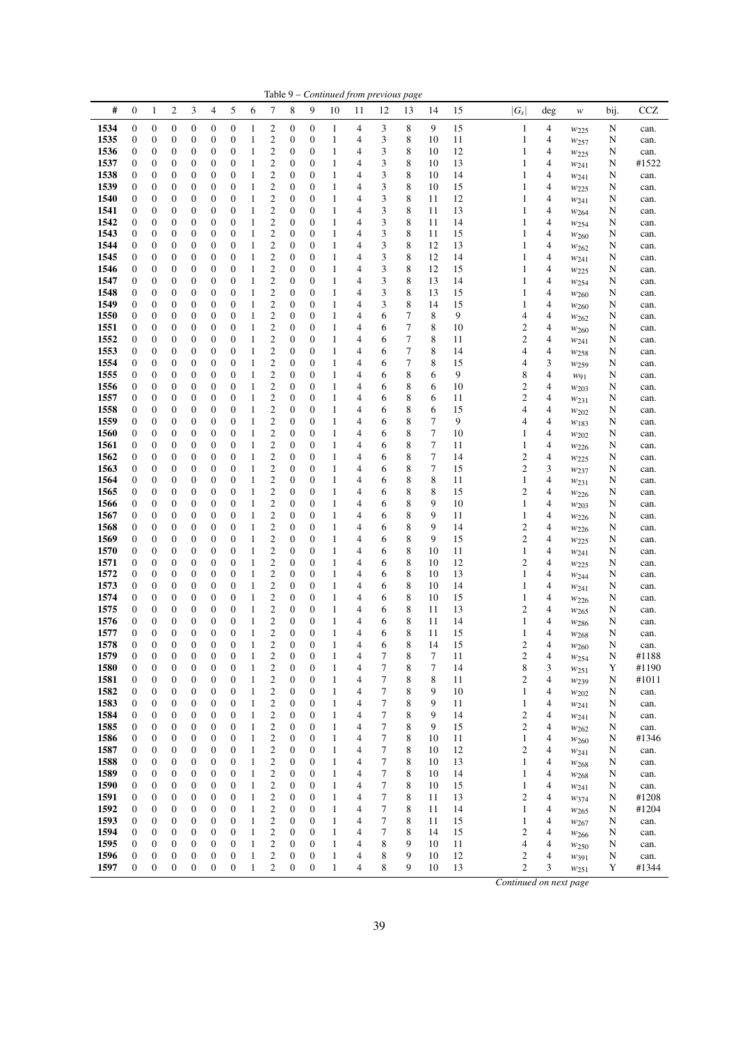|              |                       |                                      |                                      |                                      |                       |                       |                              |                                                    |                                      |                                  |                   |                     | Table 9 - Continued from previous page |        |                 |          |                                             |        |                               |             |               |
|--------------|-----------------------|--------------------------------------|--------------------------------------|--------------------------------------|-----------------------|-----------------------|------------------------------|----------------------------------------------------|--------------------------------------|----------------------------------|-------------------|---------------------|----------------------------------------|--------|-----------------|----------|---------------------------------------------|--------|-------------------------------|-------------|---------------|
| #            | $\boldsymbol{0}$      | $\mathbf{1}$                         | $\boldsymbol{2}$                     | 3                                    | 4                     | 5                     | 6                            | 7                                                  | 8                                    | 9                                | 10                | 11                  | 12                                     | 13     | 14              | 15       | $ G_s $                                     | deg    | $\boldsymbol{W}$              | bij.        | CCZ           |
| 1534         | $\boldsymbol{0}$      | $\boldsymbol{0}$                     | $\boldsymbol{0}$                     | $\boldsymbol{0}$                     | 0                     | 0                     | 1                            | 2                                                  | 0                                    | 0                                | $\mathbf{1}$      | 4                   | 3                                      | 8      | 9               | 15       | $\mathbf{1}$                                | 4      | $w_{225}$                     | N           | can.          |
| 1535         | $\boldsymbol{0}$      | $\boldsymbol{0}$                     | $\boldsymbol{0}$                     | $\boldsymbol{0}$                     | 0                     | 0                     | 1                            | $\overline{\mathbf{c}}$                            | $\boldsymbol{0}$                     | 0                                | 1                 | 4                   | 3                                      | 8      | 10              | 11       | 1                                           | 4      | $w_{257}$                     | N           | can.          |
| 1536         | $\boldsymbol{0}$      | $\boldsymbol{0}$                     | 0                                    | $\mathbf{0}$                         | 0                     | 0                     | 1                            | $\overline{c}$                                     | $\boldsymbol{0}$                     | 0                                | 1                 | 4                   | 3                                      | 8      | 10              | 12       | 1                                           | 4      | W225                          | N           | can.          |
| 1537<br>1538 | 0<br>0                | $\boldsymbol{0}$<br>$\boldsymbol{0}$ | $\boldsymbol{0}$<br>$\boldsymbol{0}$ | $\boldsymbol{0}$<br>$\boldsymbol{0}$ | 0                     | 0<br>0                | 1                            | $\overline{c}$<br>$\overline{c}$                   | $\mathbf{0}$<br>$\mathbf{0}$         | 0<br>0                           | 1<br>1            | 4<br>4              | 3<br>3                                 | 8<br>8 | 10<br>10        | 13<br>14 | 1<br>1                                      | 4<br>4 | W241                          | N           | #1522         |
| 1539         | 0                     | $\boldsymbol{0}$                     | 0                                    | $\boldsymbol{0}$                     | 0<br>0                | 0                     | 1<br>1                       | $\overline{c}$                                     | $\mathbf{0}$                         | $\mathbf{0}$                     | 1                 | 4                   | 3                                      | 8      | 10              | 15       | 1                                           | 4      | $w_{241}$<br>$w_{225}$        | N<br>N      | can.<br>can.  |
| 1540         | 0                     | $\boldsymbol{0}$                     | $\boldsymbol{0}$                     | $\boldsymbol{0}$                     | $\mathbf{0}$          | 0                     | 1                            | $\overline{c}$                                     | $\mathbf{0}$                         | 0                                | 1                 | 4                   | 3                                      | 8      | 11              | 12       | 1                                           | 4      | W241                          | N           | can.          |
| 1541         | 0                     | $\boldsymbol{0}$                     | $\boldsymbol{0}$                     | $\boldsymbol{0}$                     | 0                     | 0                     | 1                            | $\overline{c}$                                     | $\mathbf{0}$                         | $\boldsymbol{0}$                 | 1                 | 4                   | 3                                      | 8      | 11              | 13       | 1                                           | 4      | W264                          | N           | can.          |
| 1542         | $\boldsymbol{0}$      | $\boldsymbol{0}$                     | $\boldsymbol{0}$                     | $\boldsymbol{0}$                     | $\mathbf{0}$          | 0                     | 1                            | $\overline{c}$                                     | $\mathbf{0}$                         | $\boldsymbol{0}$                 | 1                 | 4                   | 3                                      | 8      | 11              | 14       | 1                                           | 4      | $w_{254}$                     | N           | can.          |
| 1543         | $\boldsymbol{0}$      | $\boldsymbol{0}$                     | $\boldsymbol{0}$                     | $\boldsymbol{0}$                     | 0                     | 0                     | 1                            | $\overline{c}$                                     | $\mathbf{0}$                         | 0                                | 1                 | $\overline{4}$      | 3                                      | 8      | 11              | 15       | 1                                           | 4      | $w_{260}$                     | N           | can.          |
| 1544<br>1545 | 0<br>0                | $\boldsymbol{0}$<br>$\boldsymbol{0}$ | 0<br>$\boldsymbol{0}$                | $\boldsymbol{0}$<br>$\boldsymbol{0}$ | 0<br>$\mathbf{0}$     | 0<br>0                | $\mathbf{1}$<br>1            | $\overline{\mathbf{c}}$<br>$\overline{c}$          | $\mathbf{0}$<br>$\mathbf{0}$         | $\boldsymbol{0}$<br>$\mathbf{0}$ | 1<br>1            | 4<br>4              | 3<br>3                                 | 8<br>8 | 12<br>12        | 13<br>14 | 1<br>1                                      | 4<br>4 | W262                          | N<br>N      | can.          |
| 1546         | 0                     | $\boldsymbol{0}$                     | 0                                    | $\boldsymbol{0}$                     | 0                     | 0                     | 1                            | $\overline{c}$                                     | $\mathbf{0}$                         | 0                                | 1                 | 4                   | 3                                      | 8      | 12              | 15       | 1                                           | 4      | W241<br>$w_{225}$             | N           | can.<br>can.  |
| 1547         | 0                     | $\boldsymbol{0}$                     | $\boldsymbol{0}$                     | $\boldsymbol{0}$                     | $\mathbf{0}$          | 0                     | 1                            | $\overline{c}$                                     | $\mathbf{0}$                         | 0                                | 1                 | 4                   | 3                                      | 8      | 13              | 14       | 1                                           | 4      | $w_{254}$                     | N           | can.          |
| 1548         | $\boldsymbol{0}$      | $\boldsymbol{0}$                     | $\boldsymbol{0}$                     | $\boldsymbol{0}$                     | $\mathbf{0}$          | 0                     | 1                            | $\overline{\mathbf{c}}$                            | $\boldsymbol{0}$                     | $\boldsymbol{0}$                 | 1                 | $\overline{4}$      | 3                                      | 8      | 13              | 15       | 1                                           | 4      | W <sub>260</sub>              | N           | can.          |
| 1549         | $\boldsymbol{0}$      | $\boldsymbol{0}$                     | $\boldsymbol{0}$                     | $\boldsymbol{0}$                     | 0                     | 0                     | 1                            | $\overline{\mathbf{c}}$                            | $\mathbf{0}$                         | 0                                | 1                 | 4                   | 3                                      | 8      | 14              | 15       | 1                                           | 4      | W <sub>260</sub>              | N           | can.          |
| 1550         | 0                     | $\boldsymbol{0}$                     | $\boldsymbol{0}$                     | $\boldsymbol{0}$                     | 0                     | 0                     | 1                            | $\overline{c}$                                     | $\mathbf{0}$                         | 0                                | 1                 | 4                   | 6                                      | 7      | 8               | 9        | 4                                           | 4      | $w_{262}$                     | N           | can.          |
| 1551<br>1552 | 0<br>$\overline{0}$   | $\boldsymbol{0}$<br>$\boldsymbol{0}$ | 0<br>$\boldsymbol{0}$                | $\boldsymbol{0}$<br>$\boldsymbol{0}$ | 0<br>$\mathbf{0}$     | 0<br>0                | 1<br>1                       | $\overline{\mathbf{c}}$<br>$\overline{c}$          | $\mathbf{0}$<br>$\mathbf{0}$         | $\boldsymbol{0}$<br>0            | 1<br>$\mathbf{1}$ | 4<br>$\overline{4}$ | 6<br>6                                 | 7<br>7 | 8<br>8          | 10<br>11 | 2<br>$\overline{c}$                         | 4<br>4 | $w_{260}$                     | N<br>N      | can.          |
| 1553         | 0                     | $\boldsymbol{0}$                     | $\boldsymbol{0}$                     | $\boldsymbol{0}$                     | $\mathbf{0}$          | 0                     | 1                            | $\overline{c}$                                     | $\mathbf{0}$                         | 0                                | 1                 | 4                   | 6                                      | 7      | 8               | 14       | 4                                           | 4      | $w_{241}$<br>W <sub>258</sub> | N           | can.<br>can.  |
| 1554         | $\boldsymbol{0}$      | $\boldsymbol{0}$                     | $\boldsymbol{0}$                     | $\boldsymbol{0}$                     | $\boldsymbol{0}$      | 0                     | 1                            | $\overline{c}$                                     | $\mathbf{0}$                         | $\boldsymbol{0}$                 | $\mathbf{1}$      | 4                   | 6                                      | 7      | 8               | 15       | 4                                           | 3      | $w_{259}$                     | N           | can.          |
| 1555         | $\boldsymbol{0}$      | $\boldsymbol{0}$                     | $\boldsymbol{0}$                     | $\boldsymbol{0}$                     | $\mathbf{0}$          | 0                     | $\mathbf{1}$                 | $\overline{c}$                                     | $\mathbf{0}$                         | $\boldsymbol{0}$                 | $\mathbf{1}$      | 4                   | 6                                      | 8      | 6               | 9        | 8                                           | 4      | $w_{91}$                      | N           | can.          |
| 1556         | 0                     | $\boldsymbol{0}$                     | $\boldsymbol{0}$                     | $\boldsymbol{0}$                     | 0                     | 0                     | 1                            | $\overline{c}$                                     | $\mathbf{0}$                         | $\boldsymbol{0}$                 | 1                 | 4                   | 6                                      | 8      | 6               | 10       | 2                                           | 4      | W203                          | N           | can.          |
| 1557         | 0                     | $\boldsymbol{0}$                     | $\boldsymbol{0}$                     | $\boldsymbol{0}$                     | 0                     | 0                     | 1                            | $\overline{c}$                                     | $\mathbf{0}$                         | 0                                | 1                 | 4                   | 6                                      | 8      | 6               | 11       | 2                                           | 4      | W231                          | N           | can.          |
| 1558<br>1559 | 0<br>$\boldsymbol{0}$ | $\boldsymbol{0}$<br>$\boldsymbol{0}$ | $\boldsymbol{0}$<br>$\boldsymbol{0}$ | $\boldsymbol{0}$<br>$\boldsymbol{0}$ | 0<br>$\mathbf{0}$     | 0<br>0                | 1<br>1                       | $\overline{c}$<br>$\overline{c}$                   | $\mathbf{0}$<br>$\mathbf{0}$         | $\mathbf{0}$<br>0                | 1<br>1            | 4<br>4              | 6<br>6                                 | 8<br>8 | 6<br>$\sqrt{ }$ | 15<br>9  | 4<br>4                                      | 4<br>4 | $w_{202}$                     | N<br>N      | can.<br>can.  |
| 1560         | $\boldsymbol{0}$      | $\boldsymbol{0}$                     | $\boldsymbol{0}$                     | $\boldsymbol{0}$                     | 0                     | 0                     | 1                            | $\overline{\mathbf{c}}$                            | $\mathbf{0}$                         | $\boldsymbol{0}$                 | 1                 | 4                   | 6                                      | 8      | 7               | 10       | 1                                           | 4      | $w_{183}$<br>W202             | N           | can.          |
| 1561         | $\boldsymbol{0}$      | $\boldsymbol{0}$                     | $\boldsymbol{0}$                     | $\boldsymbol{0}$                     | $\mathbf{0}$          | 0                     | 1                            | $\overline{c}$                                     | $\boldsymbol{0}$                     | $\boldsymbol{0}$                 | $\mathbf{1}$      | 4                   | 6                                      | 8      | 7               | 11       | 1                                           | 4      | W226                          | N           | can.          |
| 1562         | $\boldsymbol{0}$      | $\boldsymbol{0}$                     | $\boldsymbol{0}$                     | $\boldsymbol{0}$                     | 0                     | 0                     | 1                            | $\overline{c}$                                     | 0                                    | 0                                | 1                 | 4                   | 6                                      | 8      | $\tau$          | 14       | 2                                           | 4      | $w_{225}$                     | N           | can.          |
| 1563         | 0                     | $\boldsymbol{0}$                     | $\boldsymbol{0}$                     | $\boldsymbol{0}$                     | 0                     | 0                     | 1                            | $\overline{\mathbf{c}}$                            | $\mathbf{0}$                         | $\boldsymbol{0}$                 | 1                 | 4                   | 6                                      | 8      | 7               | 15       | 2                                           | 3      | $w_{237}$                     | N           | can.          |
| 1564         | 0                     | $\boldsymbol{0}$                     | $\boldsymbol{0}$                     | $\boldsymbol{0}$                     | $\mathbf{0}$          | 0                     | 1                            | $\overline{c}$                                     | $\mathbf{0}$                         | 0                                | $\mathbf{1}$      | 4                   | 6                                      | 8      | 8               | 11       | 1                                           | 4      | W <sub>231</sub>              | N           | can.          |
| 1565<br>1566 | 0<br>0                | $\boldsymbol{0}$<br>$\boldsymbol{0}$ | 0<br>$\boldsymbol{0}$                | $\boldsymbol{0}$<br>$\boldsymbol{0}$ | 0<br>$\boldsymbol{0}$ | 0<br>0                | 1<br>1                       | $\overline{c}$<br>$\overline{c}$                   | $\mathbf{0}$<br>$\mathbf{0}$         | 0<br>0                           | 1<br>1            | 4<br>4              | 6<br>6                                 | 8<br>8 | 8<br>9          | 15<br>10 | $\overline{c}$<br>1                         | 4<br>4 | W226                          | N<br>N      | can.<br>can.  |
| 1567         | 0                     | $\boldsymbol{0}$                     | $\boldsymbol{0}$                     | $\boldsymbol{0}$                     | 0                     | 0                     | 1                            | $\overline{c}$                                     | $\mathbf{0}$                         | $\boldsymbol{0}$                 | 1                 | 4                   | 6                                      | 8      | 9               | 11       | 1                                           | 4      | W203<br>$w_{226}$             | N           | can.          |
| 1568         | $\boldsymbol{0}$      | $\boldsymbol{0}$                     | $\boldsymbol{0}$                     | $\boldsymbol{0}$                     | 0                     | 0                     | 1                            | $\overline{c}$                                     | $\mathbf{0}$                         | $\boldsymbol{0}$                 | 1                 | 4                   | 6                                      | 8      | 9               | 14       | $\overline{c}$                              | 4      | W226                          | N           | can.          |
| 1569         | 0                     | $\boldsymbol{0}$                     | $\boldsymbol{0}$                     | $\boldsymbol{0}$                     | 0                     | 0                     | 1                            | $\overline{c}$                                     | $\mathbf{0}$                         | 0                                | 1                 | 4                   | 6                                      | 8      | 9               | 15       | $\overline{c}$                              | 4      | W225                          | N           | can.          |
| 1570         | 0                     | $\boldsymbol{0}$                     | 0                                    | $\boldsymbol{0}$                     | 0                     | 0                     | 1                            | $\overline{c}$                                     | $\mathbf{0}$                         | $\boldsymbol{0}$                 | 1                 | 4                   | 6                                      | 8      | 10              | 11       | 1                                           | 4      | W241                          | N           | can.          |
| 1571         | 0                     | $\boldsymbol{0}$                     | $\boldsymbol{0}$                     | $\boldsymbol{0}$<br>$\boldsymbol{0}$ | $\mathbf{0}$          | 0<br>0                | 1                            | $\overline{c}$<br>$\overline{c}$                   | $\mathbf{0}$<br>$\mathbf{0}$         | $\mathbf{0}$                     | 1                 | 4<br>4              | 6                                      | 8<br>8 | 10<br>10        | 12       | $\overline{c}$                              | 4<br>4 | $w_{225}$                     | N           | can.          |
| 1572<br>1573 | 0<br>$\boldsymbol{0}$ | $\boldsymbol{0}$<br>$\boldsymbol{0}$ | $\boldsymbol{0}$<br>$\boldsymbol{0}$ | $\boldsymbol{0}$                     | 0<br>$\boldsymbol{0}$ | 0                     | 1<br>1                       | $\overline{c}$                                     | $\mathbf{0}$                         | 0<br>$\boldsymbol{0}$            | 1<br>$\mathbf{1}$ | 4                   | 6<br>6                                 | 8      | 10              | 13<br>14 | 1<br>1                                      | 4      | W244<br>W241                  | N<br>N      | can.<br>can.  |
| 1574         | 0                     | $\boldsymbol{0}$                     | $\boldsymbol{0}$                     | $\boldsymbol{0}$                     | 0                     | 0                     | 1                            | $\overline{c}$                                     | $\boldsymbol{0}$                     | 0                                | 1                 | 4                   | 6                                      | 8      | 10              | 15       | 1                                           | 4      | $w_{226}$                     | N           | can.          |
| 1575         | 0                     | $\boldsymbol{0}$                     | 0                                    | $\boldsymbol{0}$                     | 0                     | 0                     | 1                            | $\overline{\mathbf{c}}$                            | $\boldsymbol{0}$                     | 0                                | 1                 | 4                   | 6                                      | 8      | 11              | 13       | 2                                           | 4      | $w_{265}$                     | N           | can.          |
| 1576         | $\boldsymbol{0}$      | $\boldsymbol{0}$                     | $\boldsymbol{0}$                     | $\boldsymbol{0}$                     | 0                     | 0                     | 1                            | $\overline{\mathbf{c}}$                            | $\mathbf{0}$                         | 0                                | $\mathbf{1}$      | $\overline{4}$      | 6                                      | 8      | 11              | 14       | 1                                           | 4      | W <sub>286</sub>              | N           | can.          |
| 1577         | $\overline{0}$        | $\boldsymbol{0}$                     | $\mathbf{0}$                         | $\mathbf{0}$                         | $\mathbf{0}$          | $\overline{0}$        | 1                            | $\overline{c}$                                     | $\overline{0}$                       | $\overline{0}$                   | $\mathbf{1}$      | 4                   | 6                                      | 8      | 11              | 15       | 1                                           | 4      | W <sub>268</sub>              | N           | can.          |
| 1578<br>1579 | $\boldsymbol{0}$<br>0 | $\boldsymbol{0}$<br>$\boldsymbol{0}$ | $\boldsymbol{0}$<br>$\boldsymbol{0}$ | $\boldsymbol{0}$<br>$\boldsymbol{0}$ | $\boldsymbol{0}$<br>0 | $\boldsymbol{0}$<br>0 | $\mathbf{1}$<br>$\mathbf{1}$ | $\overline{c}$<br>$\boldsymbol{2}$                 | $\boldsymbol{0}$<br>$\boldsymbol{0}$ | $\mathbf{0}$<br>$\boldsymbol{0}$ | 1<br>1            | 4<br>4              | 6<br>7                                 | 8<br>8 | 14<br>7         | 15<br>11 | $\overline{\mathbf{c}}$<br>$\boldsymbol{2}$ | 4<br>4 | $w_{260}$                     | N<br>N      | can.<br>#1188 |
| 1580         | $\boldsymbol{0}$      | $\boldsymbol{0}$                     | $\boldsymbol{0}$                     | $\boldsymbol{0}$                     | $\boldsymbol{0}$      | $\boldsymbol{0}$      | $\mathbf{1}$                 | $\overline{\mathbf{c}}$                            | $\boldsymbol{0}$                     | $\boldsymbol{0}$                 | $\mathbf{1}$      | 4                   | 7                                      | 8      | 7               | 14       | 8                                           | 3      | $w_{254}$<br>W <sub>251</sub> | $\mathbf Y$ | #1190         |
| 1581         | $\boldsymbol{0}$      | $\boldsymbol{0}$                     | 0                                    | $\boldsymbol{0}$                     | 0                     | 0                     | $\mathbf{1}$                 | $\overline{\mathbf{c}}$                            | $\boldsymbol{0}$                     | 0                                | 1                 | 4                   | 7                                      | 8      | 8               | 11       | $\overline{c}$                              | 4      | W <sub>239</sub>              | $\mathbf N$ | #1011         |
| 1582         | 0                     | $\boldsymbol{0}$                     | $\boldsymbol{0}$                     | $\boldsymbol{0}$                     | 0                     | 0                     | $\mathbf{1}$                 | $\overline{\mathbf{c}}$                            | $\boldsymbol{0}$                     | 0                                | 1                 | 4                   | 7                                      | 8      | 9               | 10       | 1                                           | 4      | $w_{202}$                     | N           | can.          |
| 1583         | 0                     | $\boldsymbol{0}$                     | $\boldsymbol{0}$                     | $\boldsymbol{0}$                     | 0                     | 0                     | $\mathbf{1}$                 | $\mathfrak{2}$                                     | $\boldsymbol{0}$                     | 0                                | $\mathbf{1}$      | $\overline{4}$      | 7                                      | 8      | 9               | 11       | $\mathbf{1}$                                | 4      | $w_{241}$                     | N           | can.          |
| 1584         | 0                     | $\boldsymbol{0}$                     | $\boldsymbol{0}$                     | $\boldsymbol{0}$                     | 0                     | 0                     | $\mathbf{1}$                 | $\overline{\mathbf{c}}$<br>$\overline{c}$          | $\mathbf{0}$                         | 0                                | 1                 | 4<br>$\overline{4}$ | 7<br>7                                 | 8      | 9<br>9          | 14       | $\overline{\mathbf{c}}$                     | 4      | W241                          | N           | can.          |
| 1585<br>1586 | 0<br>0                | $\boldsymbol{0}$<br>$\boldsymbol{0}$ | 0<br>$\boldsymbol{0}$                | $\boldsymbol{0}$<br>$\boldsymbol{0}$ | 0<br>0                | 0<br>0                | $\mathbf{1}$<br>$\mathbf{1}$ | $\overline{\mathbf{c}}$                            | $\boldsymbol{0}$<br>0                | 0<br>0                           | 1<br>1            | 4                   | 7                                      | 8<br>8 | 10              | 15<br>11 | 2<br>$\mathbf{1}$                           | 4<br>4 | W262<br>$w_{260}$             | N<br>N      | can.<br>#1346 |
| 1587         | $\boldsymbol{0}$      | $\boldsymbol{0}$                     | $\boldsymbol{0}$                     | $\boldsymbol{0}$                     | 0                     | 0                     | $\mathbf{1}$                 | $\boldsymbol{2}$                                   | $\boldsymbol{0}$                     | 0                                | 1                 | 4                   | 7                                      | 8      | 10              | 12       | $\overline{c}$                              | 4      | $w_{241}$                     | N           | can.          |
| 1588         | 0                     | $\boldsymbol{0}$                     | 0                                    | $\boldsymbol{0}$                     | 0                     | 0                     | $\mathbf{1}$                 | $\overline{\mathbf{c}}$                            | 0                                    | 0                                | 1                 | 4                   | 7                                      | 8      | 10              | 13       | 1                                           | 4      | W <sub>268</sub>              | N           | can.          |
| 1589         | 0                     | $\boldsymbol{0}$                     | $\boldsymbol{0}$                     | $\boldsymbol{0}$                     | 0                     | 0                     | $\mathbf{1}$                 | $\overline{\mathbf{c}}$                            | $\boldsymbol{0}$                     | 0                                | 1                 | 4                   | 7                                      | 8      | 10              | 14       | 1                                           | 4      | W <sub>268</sub>              | N           | can.          |
| 1590         | 0                     | $\boldsymbol{0}$                     | $\boldsymbol{0}$                     | $\boldsymbol{0}$                     | 0                     | 0                     | $\mathbf{1}$                 | $\overline{\mathbf{c}}$                            | $\boldsymbol{0}$                     | 0                                | 1                 | 4                   | 7                                      | 8      | 10              | 15       | $\mathbf{1}$                                | 4      | W241                          | N           | can.          |
| 1591<br>1592 | 0                     | $\boldsymbol{0}$                     | 0                                    | $\boldsymbol{0}$<br>$\boldsymbol{0}$ | 0                     | 0                     | $\mathbf{1}$                 | $\overline{\mathbf{c}}$                            | $\mathbf{0}$<br>$\boldsymbol{0}$     | 0                                | 1                 | 4<br>4              | 7<br>7                                 | 8<br>8 | 11              | 13       | $\overline{\mathbf{c}}$                     | 4      | $w_{374}$                     | N           | #1208         |
| 1593         | 0<br>0                | $\boldsymbol{0}$<br>$\boldsymbol{0}$ | $\boldsymbol{0}$<br>$\boldsymbol{0}$ | $\boldsymbol{0}$                     | 0<br>0                | 0<br>0                | $\mathbf{1}$<br>$\mathbf{1}$ | $\overline{\mathbf{c}}$<br>$\overline{\mathbf{c}}$ | $\boldsymbol{0}$                     | 0<br>0                           | 1<br>1            | 4                   | 7                                      | 8      | 11<br>11        | 14<br>15 | $\mathbf{1}$<br>$\mathbf{1}$                | 4<br>4 | W <sub>265</sub><br>W267      | N<br>N      | #1204<br>can. |
| 1594         | $\boldsymbol{0}$      | $\boldsymbol{0}$                     | 0                                    | $\boldsymbol{0}$                     | 0                     | 0                     | $\mathbf{1}$                 | $\overline{\mathbf{c}}$                            | $\boldsymbol{0}$                     | 0                                | 1                 | 4                   | 7                                      | 8      | 14              | 15       | $\overline{c}$                              | 4      | $w_{266}$                     | N           | can.          |
| 1595         | 0                     | $\boldsymbol{0}$                     | 0                                    | $\boldsymbol{0}$                     | 0                     | 0                     | $\mathbf{1}$                 | $\overline{c}$                                     | $\boldsymbol{0}$                     | 0                                | 1                 | 4                   | 8                                      | 9      | 10              | 11       | 4                                           | 4      | $w_{250}$                     | N           | can.          |
| 1596         | 0                     | $\boldsymbol{0}$                     | $\boldsymbol{0}$                     | $\boldsymbol{0}$                     | 0                     | 0                     | $\mathbf{1}$                 | $\overline{c}$                                     | $\boldsymbol{0}$                     | 0                                | $\mathbf{1}$      | 4                   | 8                                      | 9      | 10              | 12       | 2                                           | 4      | W391                          | N           | can.          |
| 1597         | $\boldsymbol{0}$      | $\boldsymbol{0}$                     | $\boldsymbol{0}$                     | $\boldsymbol{0}$                     | $\boldsymbol{0}$      | $\boldsymbol{0}$      | $\mathbf{1}$                 | $\overline{c}$                                     | $\boldsymbol{0}$                     | $\boldsymbol{0}$                 | $\mathbf{1}$      | 4                   | 8                                      | 9      | 10              | 13       | $\overline{c}$                              | 3      | W251                          | Y           | #1344         |
|              |                       |                                      |                                      |                                      |                       |                       |                              |                                                    |                                      |                                  |                   |                     |                                        |        |                 |          | Continued on next page                      |        |                               |             |               |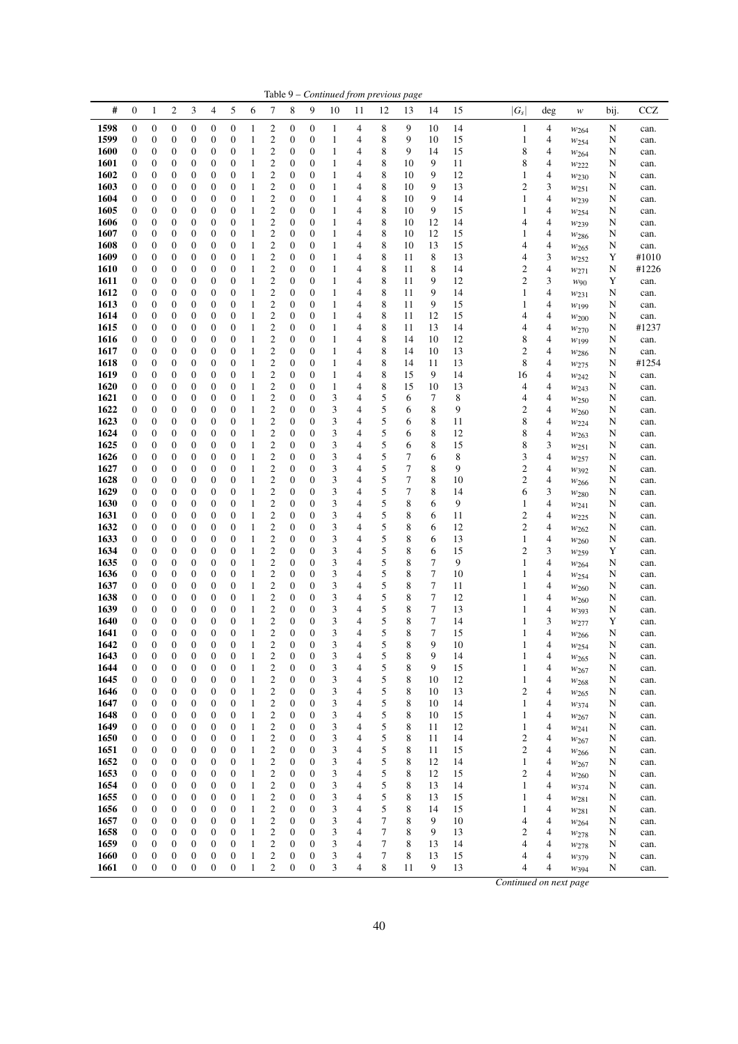|              |                                      |                                      |                       |                                      |                                      |                                      |                   |                                           |                                      |                                      |              |        | Table 9 - Continued from previous page |             |          |          |                                  |                |                                      |        |               |
|--------------|--------------------------------------|--------------------------------------|-----------------------|--------------------------------------|--------------------------------------|--------------------------------------|-------------------|-------------------------------------------|--------------------------------------|--------------------------------------|--------------|--------|----------------------------------------|-------------|----------|----------|----------------------------------|----------------|--------------------------------------|--------|---------------|
| #            | $\mathbf{0}$                         | $\mathbf{1}$                         | $\overline{c}$        | 3                                    | 4                                    | 5                                    | 6                 | 7                                         | 8                                    | 9                                    | 10           | 11     | 12                                     | 13          | 14       | 15       | $ G_s $                          | deg            | w                                    | bij.   | <b>CCZ</b>    |
| 1598         | $\boldsymbol{0}$                     | $\boldsymbol{0}$                     | 0                     | $\boldsymbol{0}$                     | $\boldsymbol{0}$                     | $\boldsymbol{0}$                     | 1                 | 2                                         | 0                                    | $\boldsymbol{0}$                     | 1            | 4      | 8                                      | 9           | 10       | 14       | $\mathbf{1}$                     | 4              | $w_{264}$                            | N      | can.          |
| 1599         | $\boldsymbol{0}$                     | $\boldsymbol{0}$                     | 0                     | 0                                    | $\boldsymbol{0}$                     | $\boldsymbol{0}$                     | 1                 | 2                                         | 0                                    | $\boldsymbol{0}$                     | 1            | 4      | 8                                      | 9           | 10       | 15       | 1                                | 4              | W <sub>254</sub>                     | N      | can.          |
| 1600         | $\boldsymbol{0}$                     | 0                                    | 0                     | 0                                    | $\boldsymbol{0}$                     | $\boldsymbol{0}$                     | 1                 | $\boldsymbol{2}$                          | 0                                    | $\boldsymbol{0}$                     | 1            | 4      | 8                                      | 9           | 14       | 15       | 8                                | 4              | W264                                 | N      | can.          |
| 1601<br>1602 | $\boldsymbol{0}$<br>$\boldsymbol{0}$ | $\boldsymbol{0}$<br>0                | 0<br>0                | 0<br>0                               | $\boldsymbol{0}$<br>$\boldsymbol{0}$ | $\boldsymbol{0}$<br>$\boldsymbol{0}$ | 1<br>1            | 2<br>2                                    | 0<br>0                               | $\boldsymbol{0}$<br>$\boldsymbol{0}$ | 1<br>1       | 4<br>4 | 8<br>8                                 | 10<br>10    | 9<br>9   | 11<br>12 | 8<br>1                           | 4<br>4         | W222                                 | N<br>N | can.          |
| 1603         | $\boldsymbol{0}$                     | 0                                    | 0                     | 0                                    | $\mathbf{0}$                         | $\boldsymbol{0}$                     | 1                 | 2                                         | $\mathbf{0}$                         | $\boldsymbol{0}$                     | $\mathbf{1}$ | 4      | 8                                      | 10          | 9        | 13       | 2                                | 3              | $w_{230}$<br>$w_{251}$               | N      | can.<br>can.  |
| 1604         | $\mathbf{0}$                         | 0                                    | 0                     | 0                                    | $\boldsymbol{0}$                     | $\boldsymbol{0}$                     | 1                 | $\mathbf{2}$                              | $\boldsymbol{0}$                     | $\boldsymbol{0}$                     | 1            | 4      | 8                                      | 10          | 9        | 14       | 1                                | 4              | W <sub>239</sub>                     | N      | can.          |
| 1605         | $\boldsymbol{0}$                     | 0                                    | 0                     | 0                                    | $\boldsymbol{0}$                     | $\boldsymbol{0}$                     | 1                 | 2                                         | $\boldsymbol{0}$                     | $\boldsymbol{0}$                     | 1            | 4      | 8                                      | 10          | 9        | 15       | 1                                | 4              | W254                                 | N      | can.          |
| 1606         | $\boldsymbol{0}$                     | $\boldsymbol{0}$                     | 0                     | 0                                    | $\boldsymbol{0}$                     | $\boldsymbol{0}$                     | 1                 | 2                                         | 0                                    | $\boldsymbol{0}$                     | 1            | 4      | 8                                      | 10          | 12       | 14       | 4                                | 4              | $w_{239}$                            | N      | can.          |
| 1607<br>1608 | $\mathbf{0}$<br>$\boldsymbol{0}$     | $\boldsymbol{0}$<br>0                | 0<br>0                | 0<br>0                               | $\boldsymbol{0}$<br>$\boldsymbol{0}$ | $\boldsymbol{0}$<br>$\boldsymbol{0}$ | 1<br>1            | $\mathbf{2}$<br>2                         | $\boldsymbol{0}$<br>0                | $\boldsymbol{0}$<br>$\boldsymbol{0}$ | 1<br>1       | 4<br>4 | 8<br>8                                 | 10<br>10    | 12<br>13 | 15<br>15 | 1<br>4                           | 4<br>4         | $w_{286}$                            | N<br>N | can.          |
| 1609         | $\mathbf{0}$                         | 0                                    | 0                     | 0                                    | $\boldsymbol{0}$                     | $\boldsymbol{0}$                     | 1                 | $\overline{c}$                            | $\boldsymbol{0}$                     | $\boldsymbol{0}$                     | $\mathbf{1}$ | 4      | 8                                      | 11          | 8        | 13       | 4                                | 3              | W <sub>265</sub><br>W <sub>252</sub> | Y      | can.<br>#1010 |
| 1610         | 0                                    | 0                                    | 0                     | 0                                    | $\boldsymbol{0}$                     | $\boldsymbol{0}$                     | 1                 | $\boldsymbol{2}$                          | $\mathbf{0}$                         | $\boldsymbol{0}$                     | 1            | 4      | 8                                      | 11          | 8        | 14       | $\overline{c}$                   | $\overline{4}$ | $w_{271}$                            | N      | #1226         |
| 1611         | $\mathbf{0}$                         | $\boldsymbol{0}$                     | 0                     | 0                                    | $\boldsymbol{0}$                     | $\boldsymbol{0}$                     | 1                 | $\mathfrak{2}$                            | $\boldsymbol{0}$                     | $\boldsymbol{0}$                     | 1            | 4      | 8                                      | 11          | 9        | 12       | 2                                | 3              | $w_{90}$                             | Y      | can.          |
| 1612         | $\mathbf{0}$                         | $\boldsymbol{0}$                     | 0                     | 0                                    | $\boldsymbol{0}$                     | $\boldsymbol{0}$                     | 1                 | $\boldsymbol{2}$                          | 0                                    | $\boldsymbol{0}$                     | 1            | 4      | 8                                      | 11          | 9        | 14       | 1                                | 4              | W <sub>231</sub>                     | N      | can.          |
| 1613         | $\boldsymbol{0}$                     | $\boldsymbol{0}$                     | 0                     | 0                                    | $\boldsymbol{0}$                     | $\boldsymbol{0}$                     | 1                 | $\boldsymbol{2}$<br>$\mathfrak{2}$        | 0                                    | $\boldsymbol{0}$                     | 1            | 4      | 8                                      | 11          | 9        | 15       | 1                                | 4              | W <sub>199</sub>                     | N      | can.          |
| 1614<br>1615 | $\mathbf{0}$<br>$\boldsymbol{0}$     | $\boldsymbol{0}$<br>0                | 0<br>0                | 0<br>0                               | $\mathbf{0}$<br>$\boldsymbol{0}$     | $\boldsymbol{0}$<br>$\boldsymbol{0}$ | 1<br>1            | 2                                         | 0<br>0                               | $\boldsymbol{0}$<br>$\boldsymbol{0}$ | 1<br>1       | 4<br>4 | 8<br>8                                 | 11<br>11    | 12<br>13 | 15<br>14 | 4<br>4                           | 4<br>4         | $w_{200}$<br>$w_{270}$               | N<br>N | can.<br>#1237 |
| 1616         | $\mathbf{0}$                         | 0                                    | 0                     | 0                                    | $\boldsymbol{0}$                     | $\boldsymbol{0}$                     | 1                 | $\mathfrak{2}$                            | $\boldsymbol{0}$                     | $\boldsymbol{0}$                     | 1            | 4      | 8                                      | 14          | 10       | 12       | 8                                | 4              | W <sub>199</sub>                     | N      | can.          |
| 1617         | $\boldsymbol{0}$                     | 0                                    | 0                     | 0                                    | $\boldsymbol{0}$                     | $\boldsymbol{0}$                     | 1                 | 2                                         | $\mathbf{0}$                         | $\boldsymbol{0}$                     | 1            | 4      | 8                                      | 14          | 10       | 13       | 2                                | 4              | W <sub>286</sub>                     | N      | can.          |
| 1618         | $\boldsymbol{0}$                     | 0                                    | 0                     | 0                                    | $\boldsymbol{0}$                     | $\boldsymbol{0}$                     | 1                 | 2                                         | 0                                    | $\boldsymbol{0}$                     | 1            | 4      | 8                                      | 14          | 11       | 13       | 8                                | 4              | $w_{275}$                            | N      | #1254         |
| 1619         | $\boldsymbol{0}$                     | $\boldsymbol{0}$                     | 0                     | 0                                    | $\boldsymbol{0}$                     | $\boldsymbol{0}$                     | 1                 | 2                                         | 0                                    | $\boldsymbol{0}$                     | 1            | 4      | 8                                      | 15          | 9        | 14       | 16                               | 4              | $w_{242}$                            | N      | can.          |
| 1620         | $\boldsymbol{0}$                     | $\boldsymbol{0}$                     | 0                     | 0                                    | $\boldsymbol{0}$<br>$\boldsymbol{0}$ | $\boldsymbol{0}$<br>$\boldsymbol{0}$ | 1                 | 2                                         | 0<br>$\mathbf{0}$                    | $\boldsymbol{0}$<br>$\boldsymbol{0}$ | 1            | 4<br>4 | 8<br>5                                 | 15          | 10<br>7  | 13       | 4                                | 4              | W243                                 | N      | can.          |
| 1621<br>1622 | $\boldsymbol{0}$<br>$\boldsymbol{0}$ | 0<br>0                               | 0<br>0                | 0<br>0                               | $\boldsymbol{0}$                     | $\boldsymbol{0}$                     | 1<br>1            | 2<br>2                                    | $\mathbf{0}$                         | $\boldsymbol{0}$                     | 3<br>3       | 4      | 5                                      | 6<br>6      | 8        | 8<br>9   | 4<br>2                           | 4<br>4         | W <sub>250</sub><br>$w_{260}$        | N<br>N | can.<br>can.  |
| 1623         | $\mathbf{0}$                         | 0                                    | 0                     | 0                                    | $\boldsymbol{0}$                     | $\boldsymbol{0}$                     | 1                 | $\mathbf{2}$                              | $\boldsymbol{0}$                     | $\boldsymbol{0}$                     | 3            | 4      | 5                                      | 6           | 8        | 11       | 8                                | 4              | $w_{224}$                            | N      | can.          |
| 1624         | $\boldsymbol{0}$                     | $\boldsymbol{0}$                     | 0                     | 0                                    | $\boldsymbol{0}$                     | $\boldsymbol{0}$                     | 1                 | 2                                         | $\boldsymbol{0}$                     | $\boldsymbol{0}$                     | 3            | 4      | 5                                      | 6           | 8        | 12       | 8                                | 4              | W263                                 | N      | can.          |
| 1625         | $\boldsymbol{0}$                     | $\boldsymbol{0}$                     | 0                     | 0                                    | $\boldsymbol{0}$                     | $\boldsymbol{0}$                     | 1                 | 2                                         | 0                                    | $\boldsymbol{0}$                     | 3            | 4      | 5                                      | 6           | 8        | 15       | 8                                | 3              | W251                                 | N      | can.          |
| 1626         | $\mathbf{0}$                         | $\boldsymbol{0}$                     | 0                     | 0                                    | $\boldsymbol{0}$                     | $\boldsymbol{0}$                     | 1                 | $\mathfrak{2}$                            | 0                                    | $\boldsymbol{0}$                     | 3            | 4      | 5                                      | 7           | 6        | 8        | 3                                | 4              | $w_{257}$                            | N      | can.          |
| 1627<br>1628 | $\boldsymbol{0}$<br>$\boldsymbol{0}$ | $\boldsymbol{0}$<br>0                | 0<br>0                | 0<br>0                               | $\boldsymbol{0}$<br>$\boldsymbol{0}$ | $\boldsymbol{0}$<br>$\boldsymbol{0}$ | 1<br>1            | $\mathfrak{2}$<br>$\overline{c}$          | 0<br>$\boldsymbol{0}$                | $\boldsymbol{0}$<br>$\boldsymbol{0}$ | 3<br>3       | 4<br>4 | 5<br>5                                 | 7<br>$\tau$ | 8<br>8   | 9<br>10  | $\overline{c}$<br>$\mathfrak{2}$ | 4<br>4         | $w_{392}$                            | N<br>N | can.          |
| 1629         | $\mathbf{0}$                         | 0                                    | 0                     | 0                                    | $\mathbf{0}$                         | $\boldsymbol{0}$                     | 1                 | $\boldsymbol{2}$                          | $\mathbf{0}$                         | $\boldsymbol{0}$                     | 3            | 4      | 5                                      | 7           | 8        | 14       | 6                                | 3              | W266<br>W <sub>280</sub>             | N      | can.<br>can.  |
| 1630         | $\mathbf{0}$                         | $\boldsymbol{0}$                     | 0                     | 0                                    | $\boldsymbol{0}$                     | $\boldsymbol{0}$                     | 1                 | $\mathfrak{2}$                            | $\boldsymbol{0}$                     | $\boldsymbol{0}$                     | 3            | 4      | 5                                      | 8           | 6        | 9        | 1                                | 4              | W241                                 | N      | can.          |
| 1631         | $\boldsymbol{0}$                     | $\boldsymbol{0}$                     | 0                     | 0                                    | $\boldsymbol{0}$                     | $\boldsymbol{0}$                     | 1                 | $\boldsymbol{2}$                          | $\boldsymbol{0}$                     | $\boldsymbol{0}$                     | 3            | 4      | 5                                      | 8           | 6        | 11       | 2                                | 4              | $w_{225}$                            | N      | can.          |
| 1632         | $\mathbf{0}$                         | $\boldsymbol{0}$                     | 0                     | 0                                    | $\boldsymbol{0}$                     | $\boldsymbol{0}$                     | 1                 | $\boldsymbol{2}$                          | $\mathbf{0}$                         | $\boldsymbol{0}$                     | 3            | 4      | 5                                      | 8           | 6        | 12       | $\overline{c}$                   | 4              | W262                                 | N      | can.          |
| 1633         | $\mathbf{0}$                         | $\boldsymbol{0}$                     | 0                     | 0                                    | $\boldsymbol{0}$                     | $\boldsymbol{0}$                     | 1                 | $\mathfrak{2}$                            | 0                                    | $\boldsymbol{0}$                     | 3            | 4      | 5                                      | 8           | 6        | 13       | 1                                | 4              | W <sub>260</sub>                     | N      | can.          |
| 1634<br>1635 | $\boldsymbol{0}$<br>$\mathbf{0}$     | 0<br>$\boldsymbol{0}$                | 0<br>0                | 0<br>0                               | $\boldsymbol{0}$<br>$\boldsymbol{0}$ | $\boldsymbol{0}$<br>$\boldsymbol{0}$ | 1<br>1            | 2<br>$\mathfrak{2}$                       | 0<br>$\boldsymbol{0}$                | $\boldsymbol{0}$<br>$\boldsymbol{0}$ | 3<br>3       | 4<br>4 | 5<br>5                                 | 8<br>8      | 6<br>7   | 15<br>9  | 2<br>1                           | 3<br>4         | $w_{259}$                            | Y<br>N | can.<br>can.  |
| 1636         | $\boldsymbol{0}$                     | 0                                    | 0                     | 0                                    | $\boldsymbol{0}$                     | $\boldsymbol{0}$                     | 1                 | 2                                         | $\mathbf{0}$                         | $\boldsymbol{0}$                     | 3            | 4      | 5                                      | 8           | 7        | 10       | 1                                | 4              | $w_{264}$<br>W254                    | N      | can.          |
| 1637         | $\boldsymbol{0}$                     | 0                                    | 0                     | 0                                    | $\boldsymbol{0}$                     | $\boldsymbol{0}$                     | 1                 | 2                                         | 0                                    | $\boldsymbol{0}$                     | 3            | 4      | 5                                      | 8           | 7        | 11       | 1                                | 4              | W <sub>260</sub>                     | N      | can.          |
| 1638         | $\boldsymbol{0}$                     | $\boldsymbol{0}$                     | 0                     | 0                                    | $\boldsymbol{0}$                     | $\boldsymbol{0}$                     | 1                 | 2                                         | 0                                    | $\boldsymbol{0}$                     | 3            | 4      | 5                                      | 8           | 7        | 12       | 1                                | 4              | $w_{260}$                            | N      | can.          |
| 1639         | 0                                    | $\boldsymbol{0}$                     | 0                     | 0                                    | $\boldsymbol{0}$                     | $\boldsymbol{0}$                     | 1                 | 2                                         | 0                                    | $\boldsymbol{0}$                     | 3            | 4      | 5                                      | 8           | 7        | 13       | 1                                | 4              | $w_{393}$                            | N      | can.          |
| 1640<br>1641 | $\mathbf{0}$<br>$\mathbf{0}$         | 0<br>$\overline{0}$                  | 0<br>0                | $\boldsymbol{0}$<br>$\boldsymbol{0}$ | $\boldsymbol{0}$<br>$\boldsymbol{0}$ | $\mathbf{0}$<br>$\mathbf{0}$         | 1<br>1            | $\overline{\mathbf{c}}$<br>$\mathfrak{2}$ | 0<br>$\boldsymbol{0}$                | $\mathbf{0}$<br>$\overline{0}$       | 3<br>3       | 4<br>4 | 5<br>5                                 | 8<br>8      | 7<br>7   | 14<br>15 | 1<br>1                           | 3<br>4         | W277                                 | Y<br>N | can.          |
| 1642         | $\boldsymbol{0}$                     | $\boldsymbol{0}$                     | $\boldsymbol{0}$      | $\boldsymbol{0}$                     | $\boldsymbol{0}$                     | $\mathbf{0}$                         | $\mathbf{1}$      | $\mathfrak{2}$                            | $\boldsymbol{0}$                     | $\boldsymbol{0}$                     | 3            | 4      | 5                                      | 8           | 9        | 10       | 1                                | 4              | W266                                 | N      | can.<br>can.  |
| 1643         | $\boldsymbol{0}$                     | $\boldsymbol{0}$                     | 0                     | $\boldsymbol{0}$                     | $\boldsymbol{0}$                     | $\boldsymbol{0}$                     | 1                 | 2                                         | $\mathbf{0}$                         | $\boldsymbol{0}$                     | 3            | 4      | 5                                      | 8           | 9        | 14       | 1                                | 4              | $w_{254}$<br>$w_{265}$               | N      | can.          |
| 1644         | $\boldsymbol{0}$                     | $\boldsymbol{0}$                     | 0                     | $\boldsymbol{0}$                     | $\boldsymbol{0}$                     | $\boldsymbol{0}$                     | 1                 | 2                                         | 0                                    | $\boldsymbol{0}$                     | 3            | 4      | 5                                      | 8           | 9        | 15       | 1                                | 4              | W267                                 | N      | can.          |
| 1645         | $\boldsymbol{0}$                     | $\boldsymbol{0}$                     | 0                     | 0                                    | $\boldsymbol{0}$                     | $\boldsymbol{0}$                     | 1                 | $\boldsymbol{2}$                          | $\boldsymbol{0}$                     | $\boldsymbol{0}$                     | 3            | 4      | 5                                      | 8           | 10       | 12       | 1                                | 4              | W <sub>268</sub>                     | N      | can.          |
| 1646         | $\boldsymbol{0}$                     | $\boldsymbol{0}$                     | 0                     | 0                                    | $\boldsymbol{0}$                     | $\boldsymbol{0}$                     | 1                 | $\boldsymbol{2}$                          | 0                                    | $\boldsymbol{0}$                     | 3            | 4<br>4 | 5                                      | 8<br>8      | 10       | 13       | 2                                | 4              | $w_{265}$                            | N      | can.          |
| 1647<br>1648 | $\boldsymbol{0}$<br>0                | $\boldsymbol{0}$<br>0                | 0<br>0                | 0<br>0                               | $\boldsymbol{0}$<br>$\boldsymbol{0}$ | $\boldsymbol{0}$<br>$\boldsymbol{0}$ | 1<br>1            | $\boldsymbol{2}$<br>$\boldsymbol{2}$      | $\boldsymbol{0}$<br>$\boldsymbol{0}$ | $\boldsymbol{0}$<br>$\boldsymbol{0}$ | 3<br>3       | 4      | 5<br>5                                 | 8           | 10<br>10 | 14<br>15 | 1<br>1                           | 4<br>4         | $w_{374}$<br>W267                    | N<br>N | can.<br>can.  |
| 1649         | $\boldsymbol{0}$                     | $\boldsymbol{0}$                     | 0                     | $\boldsymbol{0}$                     | $\boldsymbol{0}$                     | $\boldsymbol{0}$                     | 1                 | $\mathfrak{2}$                            | $\boldsymbol{0}$                     | $\boldsymbol{0}$                     | 3            | 4      | 5                                      | 8           | 11       | 12       | 1                                | 4              | W241                                 | N      | can.          |
| 1650         | $\boldsymbol{0}$                     | $\boldsymbol{0}$                     | 0                     | 0                                    | $\boldsymbol{0}$                     | $\boldsymbol{0}$                     | 1                 | 2                                         | 0                                    | $\boldsymbol{0}$                     | 3            | 4      | 5                                      | 8           | 11       | 14       | $\mathbf{2}$                     | 4              | $w_{267}$                            | N      | can.          |
| 1651         | $\boldsymbol{0}$                     | $\boldsymbol{0}$                     | 0                     | 0                                    | $\boldsymbol{0}$                     | $\boldsymbol{0}$                     | 1                 | $\boldsymbol{2}$                          | 0                                    | $\boldsymbol{0}$                     | 3            | 4      | 5                                      | 8           | 11       | 15       | $\mathbf{2}$                     | 4              | $w_{266}$                            | N      | can.          |
| 1652         | $\boldsymbol{0}$                     | $\boldsymbol{0}$                     | 0                     | 0                                    | $\boldsymbol{0}$                     | $\boldsymbol{0}$                     | 1                 | $\boldsymbol{2}$                          | 0                                    | $\boldsymbol{0}$                     | 3            | 4      | 5                                      | 8           | 12       | 14       | 1                                | 4              | W267                                 | N      | can.          |
| 1653<br>1654 | $\boldsymbol{0}$<br>$\boldsymbol{0}$ | 0<br>$\boldsymbol{0}$                | 0<br>0                | 0<br>0                               | $\boldsymbol{0}$<br>$\boldsymbol{0}$ | $\boldsymbol{0}$<br>$\boldsymbol{0}$ | 1<br>$\mathbf{1}$ | 2<br>$\boldsymbol{2}$                     | $\boldsymbol{0}$<br>$\boldsymbol{0}$ | $\boldsymbol{0}$<br>$\boldsymbol{0}$ | 3<br>3       | 4<br>4 | 5<br>5                                 | 8<br>8      | 12<br>13 | 15<br>14 | $\overline{c}$<br>1              | 4<br>4         | W260                                 | N<br>N | can.<br>can.  |
| 1655         | $\boldsymbol{0}$                     | $\boldsymbol{0}$                     | 0                     | 0                                    | $\boldsymbol{0}$                     | $\boldsymbol{0}$                     | 1                 | 2                                         | 0                                    | $\boldsymbol{0}$                     | 3            | 4      | 5                                      | 8           | 13       | 15       | 1                                | 4              | W374<br>$w_{281}$                    | N      | can.          |
| 1656         | $\boldsymbol{0}$                     | $\boldsymbol{0}$                     | 0                     | 0                                    | $\boldsymbol{0}$                     | $\boldsymbol{0}$                     | 1                 | $\boldsymbol{2}$                          | 0                                    | $\boldsymbol{0}$                     | 3            | 4      | 5                                      | 8           | 14       | 15       | 1                                | 4              | W281                                 | N      | can.          |
| 1657         | $\boldsymbol{0}$                     | $\boldsymbol{0}$                     | 0                     | 0                                    | $\boldsymbol{0}$                     | $\boldsymbol{0}$                     | 1                 | 2                                         | 0                                    | $\boldsymbol{0}$                     | 3            | 4      | 7                                      | 8           | 9        | 10       | 4                                | 4              | W264                                 | N      | can.          |
| 1658         | $\boldsymbol{0}$                     | $\boldsymbol{0}$                     | 0                     | $\boldsymbol{0}$                     | $\boldsymbol{0}$                     | 0                                    | 1                 | 2                                         | 0                                    | $\boldsymbol{0}$                     | 3            | 4      | 7                                      | 8           | 9        | 13       | 2                                | 4              | W278                                 | N      | can.          |
| 1659         | $\boldsymbol{0}$                     | $\boldsymbol{0}$                     | 0                     | $\boldsymbol{0}$                     | $\boldsymbol{0}$                     | $\boldsymbol{0}$                     | 1                 | $\boldsymbol{2}$                          | 0                                    | $\boldsymbol{0}$                     | 3            | 4      | 7                                      | 8           | 13       | 14       | 4                                | 4              | $w_{278}$                            | N      | can.          |
| 1660<br>1661 | $\mathbf{0}$<br>$\boldsymbol{0}$     | $\boldsymbol{0}$<br>$\boldsymbol{0}$ | 0<br>$\boldsymbol{0}$ | 0<br>$\boldsymbol{0}$                | $\boldsymbol{0}$<br>$\boldsymbol{0}$ | $\boldsymbol{0}$<br>$\boldsymbol{0}$ | 1<br>$\mathbf{1}$ | 2<br>$\mathbf{2}$                         | 0<br>$\boldsymbol{0}$                | $\boldsymbol{0}$<br>$\boldsymbol{0}$ | 3<br>3       | 4<br>4 | 7<br>8                                 | 8<br>11     | 13<br>9  | 15<br>13 | 4<br>4                           | 4<br>4         | W379                                 | N<br>N | can.          |
|              |                                      |                                      |                       |                                      |                                      |                                      |                   |                                           |                                      |                                      |              |        |                                        |             |          |          |                                  |                | W394                                 |        | can.          |
|              |                                      |                                      |                       |                                      |                                      |                                      |                   |                                           |                                      |                                      |              |        |                                        |             |          |          | Continued on next page           |                |                                      |        |               |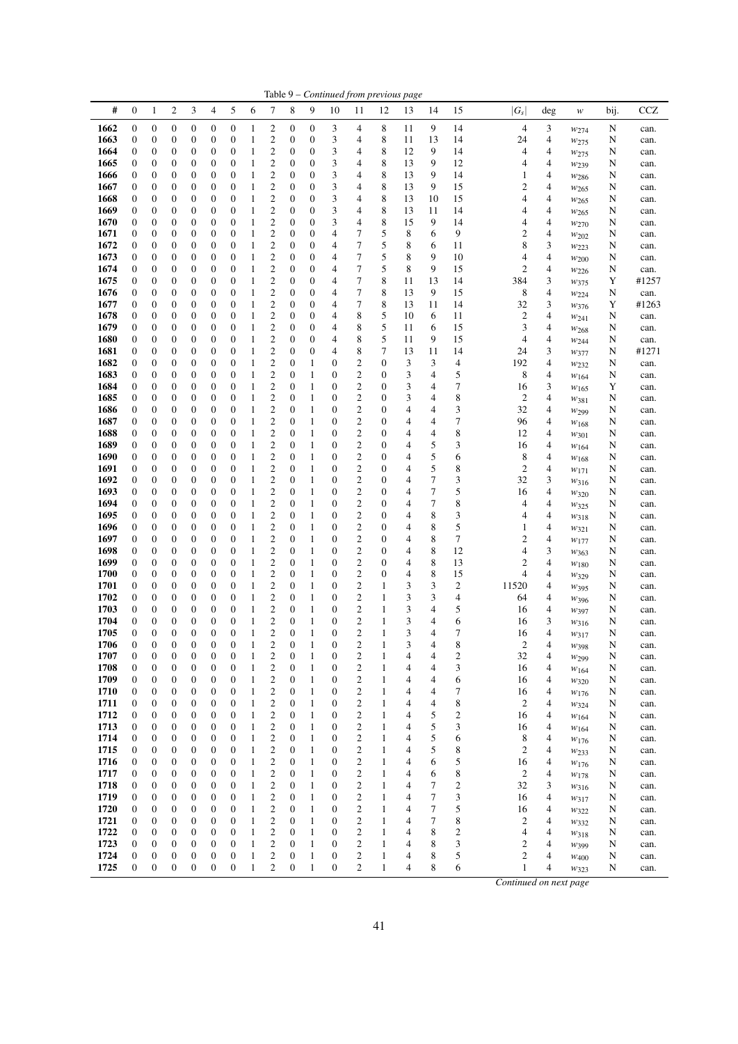| #<br>$\mathbf{0}$<br>$\overline{c}$<br>3<br>5<br>6<br>8<br>9<br>15<br>$ G_s $<br><b>CCZ</b><br>$\mathbf{1}$<br>4<br>7<br>10<br>12<br>bij.<br>11<br>13<br>14<br>deg<br>w<br>1662<br>$\boldsymbol{0}$<br>0<br>$\boldsymbol{0}$<br>$\boldsymbol{0}$<br>$\boldsymbol{0}$<br>2<br>0<br>$\boldsymbol{0}$<br>8<br>11<br>9<br>14<br>$\overline{4}$<br>3<br>$\boldsymbol{0}$<br>3<br>4<br>N<br>1<br>can.<br>$w_{274}$<br>1663<br>$\boldsymbol{0}$<br>0<br>$\boldsymbol{0}$<br>$\boldsymbol{0}$<br>2<br>0<br>$\boldsymbol{0}$<br>3<br>4<br>8<br>13<br>14<br>24<br>4<br>$\boldsymbol{0}$<br>0<br>11<br>N<br>1<br>can.<br>$w_{275}$<br>$\boldsymbol{2}$<br>9<br>1664<br>$\boldsymbol{0}$<br>$\boldsymbol{0}$<br>$\boldsymbol{0}$<br>3<br>4<br>8<br>14<br>4<br>0<br>0<br>0<br>$\boldsymbol{0}$<br>1<br>0<br>12<br>4<br>N<br>can.<br>W275<br>$\boldsymbol{0}$<br>0<br>2<br>$\boldsymbol{0}$<br>3<br>8<br>13<br>9<br>12<br>4<br>1665<br>$\boldsymbol{0}$<br>0<br>$\boldsymbol{0}$<br>$\boldsymbol{0}$<br>1<br>0<br>4<br>N<br>4<br>can.<br>W <sub>239</sub><br>2<br>3<br>8<br>9<br>$\boldsymbol{0}$<br>0<br>$\boldsymbol{0}$<br>$\boldsymbol{0}$<br>4<br>13<br>14<br>4<br>1666<br>0<br>0<br>$\mathbf{0}$<br>1<br>0<br>1<br>N<br>can.<br>$w_{286}$<br>2<br>3<br>8<br>0<br>0<br>$\boldsymbol{0}$<br>$\mathbf{0}$<br>$\boldsymbol{0}$<br>13<br>9<br>15<br>2<br>4<br>1667<br>$\boldsymbol{0}$<br>0<br>$\mathbf{0}$<br>1<br>4<br>N<br>can.<br>$w_{265}$<br>$\overline{\mathbf{c}}$<br>3<br>8<br>1668<br>$\mathbf{0}$<br>0<br>0<br>0<br>$\boldsymbol{0}$<br>$\boldsymbol{0}$<br>$\boldsymbol{0}$<br>$\boldsymbol{0}$<br>4<br>13<br>10<br>15<br>4<br>4<br>N<br>1<br>can.<br>W <sub>265</sub><br>2<br>3<br>1669<br>$\boldsymbol{0}$<br>0<br>0<br>$\boldsymbol{0}$<br>$\boldsymbol{0}$<br>$\boldsymbol{0}$<br>$\boldsymbol{0}$<br>4<br>8<br>13<br>11<br>4<br>0<br>14<br>4<br>N<br>1<br>can.<br>W <sub>265</sub><br>2<br>3<br>8<br>1670<br>$\boldsymbol{0}$<br>$\boldsymbol{0}$<br>0<br>0<br>$\boldsymbol{0}$<br>$\boldsymbol{0}$<br>0<br>$\boldsymbol{0}$<br>4<br>15<br>9<br>14<br>4<br>4<br>N<br>1<br>can.<br>$w_{270}$<br>$\mathbf{2}$<br>7<br>5<br>8<br>6<br>9<br>$\mathbf{2}$<br>1671<br>$\boldsymbol{0}$<br>0<br>0<br>$\boldsymbol{0}$<br>$\boldsymbol{0}$<br>$\boldsymbol{0}$<br>4<br>4<br>$\boldsymbol{0}$<br>0<br>N<br>1<br>can.<br>$w_{202}$<br>2<br>7<br>5<br>3<br>1672<br>0<br>0<br>$\boldsymbol{0}$<br>$\boldsymbol{0}$<br>8<br>8<br>$\boldsymbol{0}$<br>0<br>$\boldsymbol{0}$<br>1<br>0<br>4<br>6<br>11<br>N<br>can.<br>W223<br>$\overline{c}$<br>7<br>5<br>8<br>9<br>4<br>1673<br>$\mathbf{0}$<br>0<br>0<br>0<br>$\boldsymbol{0}$<br>$\boldsymbol{0}$<br>$\boldsymbol{0}$<br>$\boldsymbol{0}$<br>4<br>1<br>10<br>4<br>N<br>can.<br>W200<br>$\boldsymbol{2}$<br>7<br>5<br>8<br>9<br>$\overline{c}$<br>1674<br>0<br>0<br>$\boldsymbol{0}$<br>$\mathbf{0}$<br>$\boldsymbol{0}$<br>15<br>4<br>0<br>0<br>$\mathbf{0}$<br>4<br>N<br>1<br>can.<br>$w_{226}$<br>7<br>$\mathfrak{2}$<br>8<br>1675<br>$\mathbf{0}$<br>$\boldsymbol{0}$<br>0<br>0<br>$\boldsymbol{0}$<br>$\boldsymbol{0}$<br>$\boldsymbol{0}$<br>$\boldsymbol{0}$<br>4<br>11<br>13<br>14<br>384<br>3<br>#1257<br>Y<br>1<br>$w_{375}$<br>1676<br>$\boldsymbol{2}$<br>7<br>8<br>9<br>4<br>$\boldsymbol{0}$<br>$\boldsymbol{0}$<br>0<br>0<br>$\boldsymbol{0}$<br>$\boldsymbol{0}$<br>0<br>$\boldsymbol{0}$<br>13<br>15<br>8<br>N<br>4<br>1<br>can.<br>W224<br>$\boldsymbol{2}$<br>7<br>8<br>3<br>1677<br>$\boldsymbol{0}$<br>0<br>0<br>$\boldsymbol{0}$<br>$\boldsymbol{0}$<br>4<br>32<br>$\boldsymbol{0}$<br>$\boldsymbol{0}$<br>1<br>0<br>13<br>11<br>14<br>Y<br>#1263<br>W376<br>$\mathfrak{2}$<br>8<br>5<br>1678<br>$\boldsymbol{0}$<br>0<br>$\boldsymbol{0}$<br>$\boldsymbol{0}$<br>4<br>6<br>2<br>4<br>$\boldsymbol{0}$<br>0<br>$\mathbf{0}$<br>1<br>0<br>10<br>11<br>N<br>can.<br>$w_{241}$<br>2<br>1679<br>0<br>0<br>$\boldsymbol{0}$<br>$\boldsymbol{0}$<br>8<br>5<br>4<br>$\boldsymbol{0}$<br>0<br>$\boldsymbol{0}$<br>1<br>0<br>4<br>11<br>6<br>15<br>3<br>N<br>can.<br>$w_{268}$<br>$\mathfrak{2}$<br>5<br>8<br>9<br>1680<br>$\mathbf{0}$<br>0<br>0<br>0<br>$\boldsymbol{0}$<br>$\boldsymbol{0}$<br>$\boldsymbol{0}$<br>$\boldsymbol{0}$<br>4<br>15<br>4<br>4<br>1<br>11<br>N<br>can.<br>W244<br>2<br>8<br>1681<br>0<br>0<br>$\boldsymbol{0}$<br>$\boldsymbol{0}$<br>$\boldsymbol{0}$<br>4<br>7<br>13<br>11<br>3<br>#1271<br>$\boldsymbol{0}$<br>0<br>$\mathbf{0}$<br>14<br>24<br>N<br>1<br>W377<br>2<br>2<br>1682<br>$\boldsymbol{0}$<br>0<br>0<br>0<br>$\boldsymbol{0}$<br>$\boldsymbol{0}$<br>0<br>$\mathbf{1}$<br>$\boldsymbol{0}$<br>3<br>3<br>4<br>192<br>4<br>0<br>N<br>1<br>can.<br>$w_{232}$<br>2<br>$\mathfrak{2}$<br>3<br>5<br>1683<br>$\boldsymbol{0}$<br>$\boldsymbol{0}$<br>0<br>0<br>$\boldsymbol{0}$<br>$\boldsymbol{0}$<br>0<br>$\boldsymbol{0}$<br>4<br>8<br>4<br>1<br>1<br>0<br>N<br>can.<br>$w_{164}$<br>2<br>$\boldsymbol{2}$<br>1684<br>$\boldsymbol{0}$<br>0<br>$\boldsymbol{0}$<br>3<br>7<br>3<br>$\boldsymbol{0}$<br>0<br>$\boldsymbol{0}$<br>1<br>0<br>1<br>0<br>$\mathbf{0}$<br>4<br>16<br>Y<br>can.<br>W165<br>2<br>2<br>3<br>8<br>4<br>1685<br>$\boldsymbol{0}$<br>0<br>0<br>0<br>$\boldsymbol{0}$<br>$\boldsymbol{0}$<br>$\boldsymbol{0}$<br>$\mathbf{1}$<br>0<br>$\boldsymbol{0}$<br>$\overline{c}$<br>1<br>4<br>N<br>can.<br>W381<br>2<br>2<br>3<br>1686<br>0<br>0<br>$\boldsymbol{0}$<br>$\mathbf{0}$<br>$\mathbf{1}$<br>$\boldsymbol{0}$<br>32<br>4<br>$\boldsymbol{0}$<br>0<br>$\boldsymbol{0}$<br>1<br>0<br>4<br>4<br>N<br>can.<br>W <sub>299</sub><br>$\overline{c}$<br>$\overline{\mathbf{c}}$<br>7<br>1687<br>$\mathbf{0}$<br>0<br>0<br>0<br>$\boldsymbol{0}$<br>$\boldsymbol{0}$<br>$\boldsymbol{0}$<br>$\boldsymbol{0}$<br>$\boldsymbol{0}$<br>4<br>4<br>96<br>4<br>1<br>1<br>N<br>can.<br>$w_{168}$<br>2<br>2<br>8<br>1688<br>$\boldsymbol{0}$<br>0<br>0<br>$\boldsymbol{0}$<br>$\boldsymbol{0}$<br>0<br>$\boldsymbol{0}$<br>4<br>12<br>4<br>0<br>1<br>0<br>4<br>N<br>1<br>can.<br>W301<br>$\overline{\mathbf{c}}$<br>1689<br>2<br>5<br>3<br>$\mathbf{0}$<br>$\boldsymbol{0}$<br>0<br>0<br>$\boldsymbol{0}$<br>$\boldsymbol{0}$<br>$\boldsymbol{0}$<br>$\mathbf{1}$<br>$\boldsymbol{0}$<br>$\boldsymbol{0}$<br>4<br>4<br>16<br>N<br>1<br>can.<br>W164<br>$\mathbf{2}$<br>$\overline{c}$<br>5<br>1690<br>$\boldsymbol{0}$<br>0<br>0<br>$\boldsymbol{0}$<br>$\boldsymbol{0}$<br>$\boldsymbol{0}$<br>$\boldsymbol{0}$<br>8<br>4<br>$\boldsymbol{0}$<br>1<br>0<br>4<br>6<br>N<br>1<br>can.<br>$w_{168}$<br>$\boldsymbol{2}$<br>$\mathbf{2}$<br>5<br>0<br>0<br>0<br>$\boldsymbol{0}$<br>1<br>$\boldsymbol{0}$<br>8<br>2<br>4<br>1691<br>$\boldsymbol{0}$<br>$\boldsymbol{0}$<br>1<br>0<br>0<br>4<br>N<br>can.<br>$w_{171}$<br>$\overline{c}$<br>$\overline{c}$<br>$\tau$<br>3<br>32<br>3<br>1692<br>$\mathbf{0}$<br>0<br>0<br>0<br>$\boldsymbol{0}$<br>$\boldsymbol{0}$<br>$\boldsymbol{0}$<br>1<br>$\boldsymbol{0}$<br>$\boldsymbol{0}$<br>1<br>4<br>N<br>can.<br>W316<br>$\overline{c}$<br>$\tau$<br>$\boldsymbol{2}$<br>5<br>1693<br>0<br>0<br>$\boldsymbol{0}$<br>$\boldsymbol{0}$<br>$\boldsymbol{0}$<br>4<br>$\boldsymbol{0}$<br>0<br>$\mathbf{0}$<br>1<br>0<br>4<br>16<br>N<br>1<br>can.<br>W320<br>$\overline{c}$<br>$\overline{c}$<br>7<br>8<br>1694<br>$\mathbf{0}$<br>$\boldsymbol{0}$<br>0<br>0<br>$\boldsymbol{0}$<br>$\boldsymbol{0}$<br>$\boldsymbol{0}$<br>$\boldsymbol{0}$<br>4<br>4<br>1<br>0<br>4<br>N<br>1<br>can.<br>$w_{325}$<br>$\boldsymbol{2}$<br>$\boldsymbol{2}$<br>1695<br>$\boldsymbol{0}$<br>0<br>0<br>0<br>$\boldsymbol{0}$<br>$\boldsymbol{0}$<br>0<br>$\boldsymbol{0}$<br>8<br>3<br>4<br>1<br>0<br>4<br>4<br>N<br>1<br>can.<br>$w_{318}$<br>$\overline{c}$<br>5<br>$\boldsymbol{2}$<br>8<br>1696<br>$\boldsymbol{0}$<br>0<br>0<br>$\boldsymbol{0}$<br>$\mathbf{1}$<br>$\boldsymbol{0}$<br>$\boldsymbol{0}$<br>4<br>$\boldsymbol{0}$<br>$\boldsymbol{0}$<br>1<br>0<br>4<br>1<br>N<br>can.<br>W321<br>$\overline{c}$<br>$\mathfrak{2}$<br>8<br>7<br>1697<br>$\boldsymbol{0}$<br>0<br>$\boldsymbol{0}$<br>1<br>$\boldsymbol{0}$<br>4<br>2<br>4<br>$\boldsymbol{0}$<br>0<br>$\mathbf{0}$<br>1<br>0<br>0<br>N<br>can.<br>W177<br>2<br>2<br>3<br>1698<br>0<br>0<br>$\boldsymbol{0}$<br>$\mathbf{1}$<br>8<br>12<br>$\boldsymbol{0}$<br>0<br>$\boldsymbol{0}$<br>1<br>0<br>0<br>$\boldsymbol{0}$<br>4<br>N<br>4<br>can.<br>$w_{363}$<br>$\overline{\mathbf{c}}$<br>$\boldsymbol{2}$<br>8<br>4<br>1699<br>$\mathbf{0}$<br>0<br>0<br>0<br>$\boldsymbol{0}$<br>$\boldsymbol{0}$<br>$\boldsymbol{0}$<br>$\mathbf{1}$<br>$\boldsymbol{0}$<br>$\boldsymbol{0}$<br>13<br>2<br>1<br>4<br>N<br>can.<br>$w_{180}$<br>2<br>$\overline{\mathbf{c}}$<br>8<br>1700<br>0<br>0<br>$\boldsymbol{0}$<br>$\boldsymbol{0}$<br>$\boldsymbol{0}$<br>4<br>15<br>4<br>4<br>$\boldsymbol{0}$<br>0<br>$\boldsymbol{0}$<br>1<br>0<br>N<br>1<br>can.<br>W329<br>2<br>2<br>3<br>1701<br>$\boldsymbol{0}$<br>0<br>0<br>$\boldsymbol{0}$<br>$\boldsymbol{0}$<br>0<br>$\mathbf{1}$<br>$\boldsymbol{0}$<br>$\mathbf{1}$<br>3<br>2<br>11520<br>4<br>0<br>N<br>1<br>can.<br>W395<br>2<br>$\mathbf{2}$<br>3<br>3<br>1702<br>$\boldsymbol{0}$<br>$\boldsymbol{0}$<br>0<br>$\boldsymbol{0}$<br>$\boldsymbol{0}$<br>0<br>$\mathbf{1}$<br>4<br>4<br>0<br>1<br>0<br>64<br>N<br>1<br>can.<br>$w_{396}$<br>2<br>$\overline{\mathbf{c}}$<br>3<br>5<br>1703<br>0<br>0<br>$\boldsymbol{0}$<br>4<br>$\boldsymbol{0}$<br>0<br>$\boldsymbol{0}$<br>0<br>1<br>0<br>1<br>16<br>4<br>1<br>N<br>can.<br>$w_{397}$<br>$\overline{\mathbf{c}}$<br>$\overline{c}$<br>$\mathbf{0}$<br>$\boldsymbol{0}$<br>$\mathbf{0}$<br>3<br>6<br>3<br>1704<br>0<br>0<br>$\boldsymbol{0}$<br>$\boldsymbol{0}$<br>$\mathbf{1}$<br>$\boldsymbol{0}$<br>$\mathbf{1}$<br>4<br>1<br>16<br>N<br>can.<br>W316<br>$\mathbf{0}$<br>$\boldsymbol{0}$<br>$\boldsymbol{0}$<br>$\boldsymbol{0}$<br>$\mathbf{0}$<br>$\mathfrak{2}$<br>$\boldsymbol{0}$<br>$\mathbf{1}$<br>$\boldsymbol{0}$<br>$\mathfrak{2}$<br>3<br>7<br>1705<br>0<br>1<br>1<br>4<br>4<br>16<br>N<br>can.<br>W317<br>$\boldsymbol{0}$<br>$\boldsymbol{0}$<br>$\mathbf{0}$<br>3<br>1706<br>$\boldsymbol{0}$<br>$\boldsymbol{0}$<br>$\boldsymbol{0}$<br>$\mathbf{0}$<br>$\mathbf{2}$<br>$\boldsymbol{0}$<br>$\overline{c}$<br>8<br>$\overline{c}$<br>$\mathbf{1}$<br>$\mathbf{1}$<br>1<br>4<br>4<br>N<br>W398<br>can.<br>2<br>1707<br>$\boldsymbol{0}$<br>$\boldsymbol{0}$<br>0<br>$\boldsymbol{0}$<br>$\boldsymbol{0}$<br>$\boldsymbol{0}$<br>2<br>$\boldsymbol{0}$<br>2<br>32<br>4<br>1<br>0<br>1<br>4<br>4<br>N<br>1<br>can.<br>$w_{299}$<br>1708<br>$\boldsymbol{0}$<br>$\boldsymbol{0}$<br>$\boldsymbol{0}$<br>$\boldsymbol{0}$<br>$\mathfrak{2}$<br>$\mathfrak{2}$<br>3<br>$\boldsymbol{0}$<br>0<br>0<br>1<br>$\boldsymbol{0}$<br>1<br>4<br>16<br>4<br>1<br>4<br>N<br>can.<br>W164<br>$\mathbf{2}$<br>1709<br>$\boldsymbol{2}$<br>$\boldsymbol{0}$<br>$\boldsymbol{0}$<br>0<br>0<br>$\boldsymbol{0}$<br>$\boldsymbol{0}$<br>$\boldsymbol{0}$<br>$\mathbf{1}$<br>4<br>4<br>1<br>0<br>1<br>4<br>6<br>16<br>N<br>can.<br>W320<br>$\boldsymbol{2}$<br>$\boldsymbol{2}$<br>1710<br>$\boldsymbol{0}$<br>0<br>0<br>$\boldsymbol{0}$<br>$\boldsymbol{0}$<br>$\boldsymbol{0}$<br>1<br>7<br>$\boldsymbol{0}$<br>1<br>0<br>1<br>4<br>4<br>16<br>4<br>N<br>can.<br>$w_{176}$<br>$\boldsymbol{2}$<br>$\boldsymbol{2}$<br>8<br>1711<br>0<br>$\boldsymbol{0}$<br>0<br>0<br>$\boldsymbol{0}$<br>$\boldsymbol{0}$<br>$\boldsymbol{0}$<br>1<br>$\boldsymbol{0}$<br>1<br>4<br>2<br>1<br>4<br>4<br>N<br>can.<br>$w_{324}$<br>$\mathbf{2}$<br>1712<br>$\boldsymbol{2}$<br>5<br>$\boldsymbol{0}$<br>0<br>0<br>$\boldsymbol{0}$<br>$\boldsymbol{0}$<br>$\boldsymbol{0}$<br>2<br>16<br>0<br>1<br>1<br>0<br>1<br>4<br>4<br>N<br>W164<br>can.<br>$\overline{c}$<br>5<br>$\mathfrak{2}$<br>1713<br>$\boldsymbol{0}$<br>$\boldsymbol{0}$<br>0<br>$\boldsymbol{0}$<br>$\boldsymbol{0}$<br>$\boldsymbol{0}$<br>$\boldsymbol{0}$<br>1<br>$\boldsymbol{0}$<br>1<br>4<br>3<br>1<br>16<br>4<br>N<br>W164<br>can.<br>1714<br>2<br>$\boldsymbol{2}$<br>5<br>$\boldsymbol{0}$<br>$\boldsymbol{0}$<br>0<br>0<br>$\boldsymbol{0}$<br>$\boldsymbol{0}$<br>0<br>$\mathbf{1}$<br>$\boldsymbol{0}$<br>8<br>4<br>1<br>1<br>4<br>6<br>N<br>can.<br>$w_{176}$<br>1715<br>$\boldsymbol{2}$<br>$\boldsymbol{2}$<br>5<br>$\mathbf{2}$<br>$\boldsymbol{0}$<br>$\boldsymbol{0}$<br>0<br>0<br>$\boldsymbol{0}$<br>$\boldsymbol{0}$<br>$\boldsymbol{0}$<br>1<br>$\boldsymbol{0}$<br>1<br>8<br>4<br>1<br>4<br>N<br>can.<br>$w_{233}$<br>$\overline{c}$<br>$\mathfrak{2}$<br>5<br>1716<br>$\boldsymbol{0}$<br>$\boldsymbol{0}$<br>0<br>$\boldsymbol{0}$<br>$\boldsymbol{0}$<br>$\boldsymbol{0}$<br>$\boldsymbol{0}$<br>1<br>$\boldsymbol{0}$<br>1<br>6<br>16<br>4<br>1<br>4<br>N<br>W176<br>can.<br>2<br>$\boldsymbol{2}$<br>1717<br>0<br>0<br>0<br>$\boldsymbol{0}$<br>$\boldsymbol{0}$<br>0<br>$\mathbf{1}$<br>$\boldsymbol{0}$<br>8<br>2<br>0<br>1<br>1<br>6<br>4<br>N<br>4<br>W178<br>can.<br>$\mathbf{2}$<br>1718<br>$\boldsymbol{2}$<br>7<br>32<br>$\boldsymbol{0}$<br>$\boldsymbol{0}$<br>0<br>0<br>$\boldsymbol{0}$<br>$\boldsymbol{0}$<br>$\mathbf{1}$<br>$\boldsymbol{0}$<br>1<br>$\boldsymbol{0}$<br>1<br>2<br>3<br>4<br>N<br>can.<br>$w_{316}$<br>$\mathbf{2}$<br>1719<br>2<br>7<br>$\boldsymbol{0}$<br>0<br>$\boldsymbol{0}$<br>$\boldsymbol{0}$<br>$\boldsymbol{0}$<br>3<br>0<br>0<br>1<br>1<br>0<br>1<br>4<br>16<br>4<br>N<br>can.<br>$w_{317}$<br>$\boldsymbol{2}$<br>2<br>1720<br>$\boldsymbol{0}$<br>$\boldsymbol{0}$<br>0<br>$\boldsymbol{0}$<br>$\boldsymbol{0}$<br>$\boldsymbol{0}$<br>0<br>1<br>$\boldsymbol{0}$<br>1<br>7<br>5<br>16<br>1<br>4<br>4<br>N<br>W322<br>can.<br>1721<br>$\mathfrak{2}$<br>$\mathfrak{2}$<br>7<br>$\boldsymbol{0}$<br>$\boldsymbol{0}$<br>0<br>0<br>$\boldsymbol{0}$<br>$\boldsymbol{0}$<br>0<br>$\boldsymbol{0}$<br>8<br>$\overline{\mathbf{c}}$<br>4<br>1<br>1<br>1<br>4<br>N<br>W332<br>can.<br>2<br>$\mathfrak{2}$<br>1722<br>$\boldsymbol{0}$<br>0<br>$\boldsymbol{0}$<br>$\boldsymbol{0}$<br>8<br>2<br>4<br>$\boldsymbol{0}$<br>0<br>1<br>0<br>1<br>0<br>1<br>4<br>4<br>N<br>W318<br>can.<br>$\mathfrak{2}$<br>$\mathfrak{2}$<br>1723<br>$\boldsymbol{0}$<br>$\boldsymbol{0}$<br>0<br>$\boldsymbol{0}$<br>$\boldsymbol{0}$<br>$\boldsymbol{0}$<br>$\boldsymbol{0}$<br>1<br>8<br>3<br>2<br>1<br>0<br>1<br>4<br>4<br>N<br>$W_399$<br>can.<br>1724<br>2<br>2<br>$\mathfrak{2}$<br>$\mathbf{0}$<br>$\boldsymbol{0}$<br>0<br>$\boldsymbol{0}$<br>$\boldsymbol{0}$<br>0<br>$\mathbf{1}$<br>$\boldsymbol{0}$<br>8<br>5<br>0<br>1<br>1<br>4<br>N<br>4<br>W400<br>can.<br>$\overline{c}$<br>$\overline{c}$<br>$\boldsymbol{0}$<br>$\boldsymbol{0}$<br>$\boldsymbol{0}$<br>$\boldsymbol{0}$<br>$\boldsymbol{0}$<br>$\boldsymbol{0}$<br>$\boldsymbol{0}$<br>8<br>6<br>1725<br>$\mathbf{1}$<br>1<br>$\boldsymbol{0}$<br>1<br>4<br>1<br>4<br>N<br>can.<br>W323<br>Continued on next page |  |  |  |  |  |  | Table 9 - Continued from previous page |  |  |  |  |
|-------------------------------------------------------------------------------------------------------------------------------------------------------------------------------------------------------------------------------------------------------------------------------------------------------------------------------------------------------------------------------------------------------------------------------------------------------------------------------------------------------------------------------------------------------------------------------------------------------------------------------------------------------------------------------------------------------------------------------------------------------------------------------------------------------------------------------------------------------------------------------------------------------------------------------------------------------------------------------------------------------------------------------------------------------------------------------------------------------------------------------------------------------------------------------------------------------------------------------------------------------------------------------------------------------------------------------------------------------------------------------------------------------------------------------------------------------------------------------------------------------------------------------------------------------------------------------------------------------------------------------------------------------------------------------------------------------------------------------------------------------------------------------------------------------------------------------------------------------------------------------------------------------------------------------------------------------------------------------------------------------------------------------------------------------------------------------------------------------------------------------------------------------------------------------------------------------------------------------------------------------------------------------------------------------------------------------------------------------------------------------------------------------------------------------------------------------------------------------------------------------------------------------------------------------------------------------------------------------------------------------------------------------------------------------------------------------------------------------------------------------------------------------------------------------------------------------------------------------------------------------------------------------------------------------------------------------------------------------------------------------------------------------------------------------------------------------------------------------------------------------------------------------------------------------------------------------------------------------------------------------------------------------------------------------------------------------------------------------------------------------------------------------------------------------------------------------------------------------------------------------------------------------------------------------------------------------------------------------------------------------------------------------------------------------------------------------------------------------------------------------------------------------------------------------------------------------------------------------------------------------------------------------------------------------------------------------------------------------------------------------------------------------------------------------------------------------------------------------------------------------------------------------------------------------------------------------------------------------------------------------------------------------------------------------------------------------------------------------------------------------------------------------------------------------------------------------------------------------------------------------------------------------------------------------------------------------------------------------------------------------------------------------------------------------------------------------------------------------------------------------------------------------------------------------------------------------------------------------------------------------------------------------------------------------------------------------------------------------------------------------------------------------------------------------------------------------------------------------------------------------------------------------------------------------------------------------------------------------------------------------------------------------------------------------------------------------------------------------------------------------------------------------------------------------------------------------------------------------------------------------------------------------------------------------------------------------------------------------------------------------------------------------------------------------------------------------------------------------------------------------------------------------------------------------------------------------------------------------------------------------------------------------------------------------------------------------------------------------------------------------------------------------------------------------------------------------------------------------------------------------------------------------------------------------------------------------------------------------------------------------------------------------------------------------------------------------------------------------------------------------------------------------------------------------------------------------------------------------------------------------------------------------------------------------------------------------------------------------------------------------------------------------------------------------------------------------------------------------------------------------------------------------------------------------------------------------------------------------------------------------------------------------------------------------------------------------------------------------------------------------------------------------------------------------------------------------------------------------------------------------------------------------------------------------------------------------------------------------------------------------------------------------------------------------------------------------------------------------------------------------------------------------------------------------------------------------------------------------------------------------------------------------------------------------------------------------------------------------------------------------------------------------------------------------------------------------------------------------------------------------------------------------------------------------------------------------------------------------------------------------------------------------------------------------------------------------------------------------------------------------------------------------------------------------------------------------------------------------------------------------------------------------------------------------------------------------------------------------------------------------------------------------------------------------------------------------------------------------------------------------------------------------------------------------------------------------------------------------------------------------------------------------------------------------------------------------------------------------------------------------------------------------------------------------------------------------------------------------------------------------------------------------------------------------------------------------------------------------------------------------------------------------------------------------------------------------------------------------------------------------------------------------------------------------------------------------------------------------------------------------------------------------------------------------------------------------------------------------------------------------------------------------------------------------------------------------------------------------------------------------------------------------------------------------------------------------------------------------------------------------------------------------------------------------------------------------------------------------------------------------------------------------------------------------------------------------------------------------------------------------------------------------------------------------------------------------------------------------------------------------------------------------------------------------------------------------------------------------------------------------------------------------------------------------------------------------------------------------------------------------------------------------------------------------------------------------------------------------------------------------------------------------------------------------------------------------------------------------------------------------------------------------------------------------------------------------------------------------------------------------------------------------------------------------------------------------------------------------------------------------------------------------------------------------------------------------------------------------------------------------------------------------------------------------------------------------------------------------------------------------------------------------------------------------------------------------------------------------------------------------------------------------------------------------------------------------------------------------------------------------------------------------------------------------------------------------------------------------------------------------------------------------------------------------------------------------------------------------------------------------------------------------------------------------------------------------------------------------------------------------------------------------------------------------------------------------------------------------------------------------------------------------------------------------------------------------------------------------------------------------------------------------------------------------------------------------------------------------------------------------------------------------------------------------------------------------------------------------------------------------------------------------------------------------------------------------------------------------------------------------------------------------------------------------------------------------------------------------------------------------------------------------------------------------------------------------------------------------------------------------------------------------------------------------------------------------------------------------------------------------------------------------------------------------------------------------------------------------------------------------------------------------------------------------------------------------------------------------------------------------------------------------------------------------------------------------------------------------------------------------------------------------------------------------------------------------------------------------------------------------------------------------------------------------------------------------------------------------------------------------------------------------------------------------------------------------------------------------------------------------------------------------------------------------------------------------------------------------------------------------------------------------------------------------------------------------------------------------------------------------------------------------------------------------------------------------------------------------------------------------------------------------------------------------------------------------------------------------------------------------------------------------------------------------------------------------------------------------------------------------------------------------------------------------------------------------------------------------------------------------------------------------------------------------------------------------------------------------------------------------------------------------------------------------------------------------------------------------------------------------------------------------------------------------------------------------------------------------------------------------------------------------------------------------------------------------------------------------------------------------------------------------------------------------------------------------------------------------------------------------------------------------------------------------------------------------------------------------------------------------------------------------------------------------------------------------------------------------------------------------|--|--|--|--|--|--|----------------------------------------|--|--|--|--|
|                                                                                                                                                                                                                                                                                                                                                                                                                                                                                                                                                                                                                                                                                                                                                                                                                                                                                                                                                                                                                                                                                                                                                                                                                                                                                                                                                                                                                                                                                                                                                                                                                                                                                                                                                                                                                                                                                                                                                                                                                                                                                                                                                                                                                                                                                                                                                                                                                                                                                                                                                                                                                                                                                                                                                                                                                                                                                                                                                                                                                                                                                                                                                                                                                                                                                                                                                                                                                                                                                                                                                                                                                                                                                                                                                                                                                                                                                                                                                                                                                                                                                                                                                                                                                                                                                                                                                                                                                                                                                                                                                                                                                                                                                                                                                                                                                                                                                                                                                                                                                                                                                                                                                                                                                                                                                                                                                                                                                                                                                                                                                                                                                                                                                                                                                                                                                                                                                                                                                                                                                                                                                                                                                                                                                                                                                                                                                                                                                                                                                                                                                                                                                                                                                                                                                                                                                                                                                                                                                                                                                                                                                                                                                                                                                                                                                                                                                                                                                                                                                                                                                                                                                                                                                                                                                                                                                                                                                                                                                                                                                                                                                                                                                                                                                                                                                                                                                                                                                                                                                                                                                                                                                                                                                                                                                                                                                                                                                                                                                                                                                                                                                                                                                                                                                                                                                                                                                                                                                                                                                                                                                                                                                                                                                                                                                                                                                                                                                                                                                                                                                                                                                                                                                                                                                                                                                                                                                                                                                                                                                                                                                                                                                                                                                                                                                                                                                                                                                                                                                                                                                                                                                                                                                                                                                                                                                                                                                                                                                                                                                                                                                                                                                                                                                                                                                                                                                                                                                                                                                                                                                                                                                                                                                                                                                                                                                                                                                                                                                                                                                                                                                                                                                                                                                                                                                                                                                                                                                                                                                                                                                                                                                                                                                                                                                                                                                                                                                                                                                                                                                                                                                                                                                                                                                                                                                                                                                                                                                                                                                                                                                                                                                                                                                                                                                                                                                                                                                                                                                                                                                                                                                                                                                                                                                                                                                                                                                                                                               |  |  |  |  |  |  |                                        |  |  |  |  |
|                                                                                                                                                                                                                                                                                                                                                                                                                                                                                                                                                                                                                                                                                                                                                                                                                                                                                                                                                                                                                                                                                                                                                                                                                                                                                                                                                                                                                                                                                                                                                                                                                                                                                                                                                                                                                                                                                                                                                                                                                                                                                                                                                                                                                                                                                                                                                                                                                                                                                                                                                                                                                                                                                                                                                                                                                                                                                                                                                                                                                                                                                                                                                                                                                                                                                                                                                                                                                                                                                                                                                                                                                                                                                                                                                                                                                                                                                                                                                                                                                                                                                                                                                                                                                                                                                                                                                                                                                                                                                                                                                                                                                                                                                                                                                                                                                                                                                                                                                                                                                                                                                                                                                                                                                                                                                                                                                                                                                                                                                                                                                                                                                                                                                                                                                                                                                                                                                                                                                                                                                                                                                                                                                                                                                                                                                                                                                                                                                                                                                                                                                                                                                                                                                                                                                                                                                                                                                                                                                                                                                                                                                                                                                                                                                                                                                                                                                                                                                                                                                                                                                                                                                                                                                                                                                                                                                                                                                                                                                                                                                                                                                                                                                                                                                                                                                                                                                                                                                                                                                                                                                                                                                                                                                                                                                                                                                                                                                                                                                                                                                                                                                                                                                                                                                                                                                                                                                                                                                                                                                                                                                                                                                                                                                                                                                                                                                                                                                                                                                                                                                                                                                                                                                                                                                                                                                                                                                                                                                                                                                                                                                                                                                                                                                                                                                                                                                                                                                                                                                                                                                                                                                                                                                                                                                                                                                                                                                                                                                                                                                                                                                                                                                                                                                                                                                                                                                                                                                                                                                                                                                                                                                                                                                                                                                                                                                                                                                                                                                                                                                                                                                                                                                                                                                                                                                                                                                                                                                                                                                                                                                                                                                                                                                                                                                                                                                                                                                                                                                                                                                                                                                                                                                                                                                                                                                                                                                                                                                                                                                                                                                                                                                                                                                                                                                                                                                                                                                                                                                                                                                                                                                                                                                                                                                                                                                                                                                                                                               |  |  |  |  |  |  |                                        |  |  |  |  |
|                                                                                                                                                                                                                                                                                                                                                                                                                                                                                                                                                                                                                                                                                                                                                                                                                                                                                                                                                                                                                                                                                                                                                                                                                                                                                                                                                                                                                                                                                                                                                                                                                                                                                                                                                                                                                                                                                                                                                                                                                                                                                                                                                                                                                                                                                                                                                                                                                                                                                                                                                                                                                                                                                                                                                                                                                                                                                                                                                                                                                                                                                                                                                                                                                                                                                                                                                                                                                                                                                                                                                                                                                                                                                                                                                                                                                                                                                                                                                                                                                                                                                                                                                                                                                                                                                                                                                                                                                                                                                                                                                                                                                                                                                                                                                                                                                                                                                                                                                                                                                                                                                                                                                                                                                                                                                                                                                                                                                                                                                                                                                                                                                                                                                                                                                                                                                                                                                                                                                                                                                                                                                                                                                                                                                                                                                                                                                                                                                                                                                                                                                                                                                                                                                                                                                                                                                                                                                                                                                                                                                                                                                                                                                                                                                                                                                                                                                                                                                                                                                                                                                                                                                                                                                                                                                                                                                                                                                                                                                                                                                                                                                                                                                                                                                                                                                                                                                                                                                                                                                                                                                                                                                                                                                                                                                                                                                                                                                                                                                                                                                                                                                                                                                                                                                                                                                                                                                                                                                                                                                                                                                                                                                                                                                                                                                                                                                                                                                                                                                                                                                                                                                                                                                                                                                                                                                                                                                                                                                                                                                                                                                                                                                                                                                                                                                                                                                                                                                                                                                                                                                                                                                                                                                                                                                                                                                                                                                                                                                                                                                                                                                                                                                                                                                                                                                                                                                                                                                                                                                                                                                                                                                                                                                                                                                                                                                                                                                                                                                                                                                                                                                                                                                                                                                                                                                                                                                                                                                                                                                                                                                                                                                                                                                                                                                                                                                                                                                                                                                                                                                                                                                                                                                                                                                                                                                                                                                                                                                                                                                                                                                                                                                                                                                                                                                                                                                                                                                                                                                                                                                                                                                                                                                                                                                                                                                                                                                                                                               |  |  |  |  |  |  |                                        |  |  |  |  |
|                                                                                                                                                                                                                                                                                                                                                                                                                                                                                                                                                                                                                                                                                                                                                                                                                                                                                                                                                                                                                                                                                                                                                                                                                                                                                                                                                                                                                                                                                                                                                                                                                                                                                                                                                                                                                                                                                                                                                                                                                                                                                                                                                                                                                                                                                                                                                                                                                                                                                                                                                                                                                                                                                                                                                                                                                                                                                                                                                                                                                                                                                                                                                                                                                                                                                                                                                                                                                                                                                                                                                                                                                                                                                                                                                                                                                                                                                                                                                                                                                                                                                                                                                                                                                                                                                                                                                                                                                                                                                                                                                                                                                                                                                                                                                                                                                                                                                                                                                                                                                                                                                                                                                                                                                                                                                                                                                                                                                                                                                                                                                                                                                                                                                                                                                                                                                                                                                                                                                                                                                                                                                                                                                                                                                                                                                                                                                                                                                                                                                                                                                                                                                                                                                                                                                                                                                                                                                                                                                                                                                                                                                                                                                                                                                                                                                                                                                                                                                                                                                                                                                                                                                                                                                                                                                                                                                                                                                                                                                                                                                                                                                                                                                                                                                                                                                                                                                                                                                                                                                                                                                                                                                                                                                                                                                                                                                                                                                                                                                                                                                                                                                                                                                                                                                                                                                                                                                                                                                                                                                                                                                                                                                                                                                                                                                                                                                                                                                                                                                                                                                                                                                                                                                                                                                                                                                                                                                                                                                                                                                                                                                                                                                                                                                                                                                                                                                                                                                                                                                                                                                                                                                                                                                                                                                                                                                                                                                                                                                                                                                                                                                                                                                                                                                                                                                                                                                                                                                                                                                                                                                                                                                                                                                                                                                                                                                                                                                                                                                                                                                                                                                                                                                                                                                                                                                                                                                                                                                                                                                                                                                                                                                                                                                                                                                                                                                                                                                                                                                                                                                                                                                                                                                                                                                                                                                                                                                                                                                                                                                                                                                                                                                                                                                                                                                                                                                                                                                                                                                                                                                                                                                                                                                                                                                                                                                                                                                                                                               |  |  |  |  |  |  |                                        |  |  |  |  |
|                                                                                                                                                                                                                                                                                                                                                                                                                                                                                                                                                                                                                                                                                                                                                                                                                                                                                                                                                                                                                                                                                                                                                                                                                                                                                                                                                                                                                                                                                                                                                                                                                                                                                                                                                                                                                                                                                                                                                                                                                                                                                                                                                                                                                                                                                                                                                                                                                                                                                                                                                                                                                                                                                                                                                                                                                                                                                                                                                                                                                                                                                                                                                                                                                                                                                                                                                                                                                                                                                                                                                                                                                                                                                                                                                                                                                                                                                                                                                                                                                                                                                                                                                                                                                                                                                                                                                                                                                                                                                                                                                                                                                                                                                                                                                                                                                                                                                                                                                                                                                                                                                                                                                                                                                                                                                                                                                                                                                                                                                                                                                                                                                                                                                                                                                                                                                                                                                                                                                                                                                                                                                                                                                                                                                                                                                                                                                                                                                                                                                                                                                                                                                                                                                                                                                                                                                                                                                                                                                                                                                                                                                                                                                                                                                                                                                                                                                                                                                                                                                                                                                                                                                                                                                                                                                                                                                                                                                                                                                                                                                                                                                                                                                                                                                                                                                                                                                                                                                                                                                                                                                                                                                                                                                                                                                                                                                                                                                                                                                                                                                                                                                                                                                                                                                                                                                                                                                                                                                                                                                                                                                                                                                                                                                                                                                                                                                                                                                                                                                                                                                                                                                                                                                                                                                                                                                                                                                                                                                                                                                                                                                                                                                                                                                                                                                                                                                                                                                                                                                                                                                                                                                                                                                                                                                                                                                                                                                                                                                                                                                                                                                                                                                                                                                                                                                                                                                                                                                                                                                                                                                                                                                                                                                                                                                                                                                                                                                                                                                                                                                                                                                                                                                                                                                                                                                                                                                                                                                                                                                                                                                                                                                                                                                                                                                                                                                                                                                                                                                                                                                                                                                                                                                                                                                                                                                                                                                                                                                                                                                                                                                                                                                                                                                                                                                                                                                                                                                                                                                                                                                                                                                                                                                                                                                                                                                                                                                                                                               |  |  |  |  |  |  |                                        |  |  |  |  |
|                                                                                                                                                                                                                                                                                                                                                                                                                                                                                                                                                                                                                                                                                                                                                                                                                                                                                                                                                                                                                                                                                                                                                                                                                                                                                                                                                                                                                                                                                                                                                                                                                                                                                                                                                                                                                                                                                                                                                                                                                                                                                                                                                                                                                                                                                                                                                                                                                                                                                                                                                                                                                                                                                                                                                                                                                                                                                                                                                                                                                                                                                                                                                                                                                                                                                                                                                                                                                                                                                                                                                                                                                                                                                                                                                                                                                                                                                                                                                                                                                                                                                                                                                                                                                                                                                                                                                                                                                                                                                                                                                                                                                                                                                                                                                                                                                                                                                                                                                                                                                                                                                                                                                                                                                                                                                                                                                                                                                                                                                                                                                                                                                                                                                                                                                                                                                                                                                                                                                                                                                                                                                                                                                                                                                                                                                                                                                                                                                                                                                                                                                                                                                                                                                                                                                                                                                                                                                                                                                                                                                                                                                                                                                                                                                                                                                                                                                                                                                                                                                                                                                                                                                                                                                                                                                                                                                                                                                                                                                                                                                                                                                                                                                                                                                                                                                                                                                                                                                                                                                                                                                                                                                                                                                                                                                                                                                                                                                                                                                                                                                                                                                                                                                                                                                                                                                                                                                                                                                                                                                                                                                                                                                                                                                                                                                                                                                                                                                                                                                                                                                                                                                                                                                                                                                                                                                                                                                                                                                                                                                                                                                                                                                                                                                                                                                                                                                                                                                                                                                                                                                                                                                                                                                                                                                                                                                                                                                                                                                                                                                                                                                                                                                                                                                                                                                                                                                                                                                                                                                                                                                                                                                                                                                                                                                                                                                                                                                                                                                                                                                                                                                                                                                                                                                                                                                                                                                                                                                                                                                                                                                                                                                                                                                                                                                                                                                                                                                                                                                                                                                                                                                                                                                                                                                                                                                                                                                                                                                                                                                                                                                                                                                                                                                                                                                                                                                                                                                                                                                                                                                                                                                                                                                                                                                                                                                                                                                                                                               |  |  |  |  |  |  |                                        |  |  |  |  |
|                                                                                                                                                                                                                                                                                                                                                                                                                                                                                                                                                                                                                                                                                                                                                                                                                                                                                                                                                                                                                                                                                                                                                                                                                                                                                                                                                                                                                                                                                                                                                                                                                                                                                                                                                                                                                                                                                                                                                                                                                                                                                                                                                                                                                                                                                                                                                                                                                                                                                                                                                                                                                                                                                                                                                                                                                                                                                                                                                                                                                                                                                                                                                                                                                                                                                                                                                                                                                                                                                                                                                                                                                                                                                                                                                                                                                                                                                                                                                                                                                                                                                                                                                                                                                                                                                                                                                                                                                                                                                                                                                                                                                                                                                                                                                                                                                                                                                                                                                                                                                                                                                                                                                                                                                                                                                                                                                                                                                                                                                                                                                                                                                                                                                                                                                                                                                                                                                                                                                                                                                                                                                                                                                                                                                                                                                                                                                                                                                                                                                                                                                                                                                                                                                                                                                                                                                                                                                                                                                                                                                                                                                                                                                                                                                                                                                                                                                                                                                                                                                                                                                                                                                                                                                                                                                                                                                                                                                                                                                                                                                                                                                                                                                                                                                                                                                                                                                                                                                                                                                                                                                                                                                                                                                                                                                                                                                                                                                                                                                                                                                                                                                                                                                                                                                                                                                                                                                                                                                                                                                                                                                                                                                                                                                                                                                                                                                                                                                                                                                                                                                                                                                                                                                                                                                                                                                                                                                                                                                                                                                                                                                                                                                                                                                                                                                                                                                                                                                                                                                                                                                                                                                                                                                                                                                                                                                                                                                                                                                                                                                                                                                                                                                                                                                                                                                                                                                                                                                                                                                                                                                                                                                                                                                                                                                                                                                                                                                                                                                                                                                                                                                                                                                                                                                                                                                                                                                                                                                                                                                                                                                                                                                                                                                                                                                                                                                                                                                                                                                                                                                                                                                                                                                                                                                                                                                                                                                                                                                                                                                                                                                                                                                                                                                                                                                                                                                                                                                                                                                                                                                                                                                                                                                                                                                                                                                                                                                                                                               |  |  |  |  |  |  |                                        |  |  |  |  |
|                                                                                                                                                                                                                                                                                                                                                                                                                                                                                                                                                                                                                                                                                                                                                                                                                                                                                                                                                                                                                                                                                                                                                                                                                                                                                                                                                                                                                                                                                                                                                                                                                                                                                                                                                                                                                                                                                                                                                                                                                                                                                                                                                                                                                                                                                                                                                                                                                                                                                                                                                                                                                                                                                                                                                                                                                                                                                                                                                                                                                                                                                                                                                                                                                                                                                                                                                                                                                                                                                                                                                                                                                                                                                                                                                                                                                                                                                                                                                                                                                                                                                                                                                                                                                                                                                                                                                                                                                                                                                                                                                                                                                                                                                                                                                                                                                                                                                                                                                                                                                                                                                                                                                                                                                                                                                                                                                                                                                                                                                                                                                                                                                                                                                                                                                                                                                                                                                                                                                                                                                                                                                                                                                                                                                                                                                                                                                                                                                                                                                                                                                                                                                                                                                                                                                                                                                                                                                                                                                                                                                                                                                                                                                                                                                                                                                                                                                                                                                                                                                                                                                                                                                                                                                                                                                                                                                                                                                                                                                                                                                                                                                                                                                                                                                                                                                                                                                                                                                                                                                                                                                                                                                                                                                                                                                                                                                                                                                                                                                                                                                                                                                                                                                                                                                                                                                                                                                                                                                                                                                                                                                                                                                                                                                                                                                                                                                                                                                                                                                                                                                                                                                                                                                                                                                                                                                                                                                                                                                                                                                                                                                                                                                                                                                                                                                                                                                                                                                                                                                                                                                                                                                                                                                                                                                                                                                                                                                                                                                                                                                                                                                                                                                                                                                                                                                                                                                                                                                                                                                                                                                                                                                                                                                                                                                                                                                                                                                                                                                                                                                                                                                                                                                                                                                                                                                                                                                                                                                                                                                                                                                                                                                                                                                                                                                                                                                                                                                                                                                                                                                                                                                                                                                                                                                                                                                                                                                                                                                                                                                                                                                                                                                                                                                                                                                                                                                                                                                                                                                                                                                                                                                                                                                                                                                                                                                                                                                                                                               |  |  |  |  |  |  |                                        |  |  |  |  |
|                                                                                                                                                                                                                                                                                                                                                                                                                                                                                                                                                                                                                                                                                                                                                                                                                                                                                                                                                                                                                                                                                                                                                                                                                                                                                                                                                                                                                                                                                                                                                                                                                                                                                                                                                                                                                                                                                                                                                                                                                                                                                                                                                                                                                                                                                                                                                                                                                                                                                                                                                                                                                                                                                                                                                                                                                                                                                                                                                                                                                                                                                                                                                                                                                                                                                                                                                                                                                                                                                                                                                                                                                                                                                                                                                                                                                                                                                                                                                                                                                                                                                                                                                                                                                                                                                                                                                                                                                                                                                                                                                                                                                                                                                                                                                                                                                                                                                                                                                                                                                                                                                                                                                                                                                                                                                                                                                                                                                                                                                                                                                                                                                                                                                                                                                                                                                                                                                                                                                                                                                                                                                                                                                                                                                                                                                                                                                                                                                                                                                                                                                                                                                                                                                                                                                                                                                                                                                                                                                                                                                                                                                                                                                                                                                                                                                                                                                                                                                                                                                                                                                                                                                                                                                                                                                                                                                                                                                                                                                                                                                                                                                                                                                                                                                                                                                                                                                                                                                                                                                                                                                                                                                                                                                                                                                                                                                                                                                                                                                                                                                                                                                                                                                                                                                                                                                                                                                                                                                                                                                                                                                                                                                                                                                                                                                                                                                                                                                                                                                                                                                                                                                                                                                                                                                                                                                                                                                                                                                                                                                                                                                                                                                                                                                                                                                                                                                                                                                                                                                                                                                                                                                                                                                                                                                                                                                                                                                                                                                                                                                                                                                                                                                                                                                                                                                                                                                                                                                                                                                                                                                                                                                                                                                                                                                                                                                                                                                                                                                                                                                                                                                                                                                                                                                                                                                                                                                                                                                                                                                                                                                                                                                                                                                                                                                                                                                                                                                                                                                                                                                                                                                                                                                                                                                                                                                                                                                                                                                                                                                                                                                                                                                                                                                                                                                                                                                                                                                                                                                                                                                                                                                                                                                                                                                                                                                                                                                                                                               |  |  |  |  |  |  |                                        |  |  |  |  |
|                                                                                                                                                                                                                                                                                                                                                                                                                                                                                                                                                                                                                                                                                                                                                                                                                                                                                                                                                                                                                                                                                                                                                                                                                                                                                                                                                                                                                                                                                                                                                                                                                                                                                                                                                                                                                                                                                                                                                                                                                                                                                                                                                                                                                                                                                                                                                                                                                                                                                                                                                                                                                                                                                                                                                                                                                                                                                                                                                                                                                                                                                                                                                                                                                                                                                                                                                                                                                                                                                                                                                                                                                                                                                                                                                                                                                                                                                                                                                                                                                                                                                                                                                                                                                                                                                                                                                                                                                                                                                                                                                                                                                                                                                                                                                                                                                                                                                                                                                                                                                                                                                                                                                                                                                                                                                                                                                                                                                                                                                                                                                                                                                                                                                                                                                                                                                                                                                                                                                                                                                                                                                                                                                                                                                                                                                                                                                                                                                                                                                                                                                                                                                                                                                                                                                                                                                                                                                                                                                                                                                                                                                                                                                                                                                                                                                                                                                                                                                                                                                                                                                                                                                                                                                                                                                                                                                                                                                                                                                                                                                                                                                                                                                                                                                                                                                                                                                                                                                                                                                                                                                                                                                                                                                                                                                                                                                                                                                                                                                                                                                                                                                                                                                                                                                                                                                                                                                                                                                                                                                                                                                                                                                                                                                                                                                                                                                                                                                                                                                                                                                                                                                                                                                                                                                                                                                                                                                                                                                                                                                                                                                                                                                                                                                                                                                                                                                                                                                                                                                                                                                                                                                                                                                                                                                                                                                                                                                                                                                                                                                                                                                                                                                                                                                                                                                                                                                                                                                                                                                                                                                                                                                                                                                                                                                                                                                                                                                                                                                                                                                                                                                                                                                                                                                                                                                                                                                                                                                                                                                                                                                                                                                                                                                                                                                                                                                                                                                                                                                                                                                                                                                                                                                                                                                                                                                                                                                                                                                                                                                                                                                                                                                                                                                                                                                                                                                                                                                                                                                                                                                                                                                                                                                                                                                                                                                                                                                                                                               |  |  |  |  |  |  |                                        |  |  |  |  |
|                                                                                                                                                                                                                                                                                                                                                                                                                                                                                                                                                                                                                                                                                                                                                                                                                                                                                                                                                                                                                                                                                                                                                                                                                                                                                                                                                                                                                                                                                                                                                                                                                                                                                                                                                                                                                                                                                                                                                                                                                                                                                                                                                                                                                                                                                                                                                                                                                                                                                                                                                                                                                                                                                                                                                                                                                                                                                                                                                                                                                                                                                                                                                                                                                                                                                                                                                                                                                                                                                                                                                                                                                                                                                                                                                                                                                                                                                                                                                                                                                                                                                                                                                                                                                                                                                                                                                                                                                                                                                                                                                                                                                                                                                                                                                                                                                                                                                                                                                                                                                                                                                                                                                                                                                                                                                                                                                                                                                                                                                                                                                                                                                                                                                                                                                                                                                                                                                                                                                                                                                                                                                                                                                                                                                                                                                                                                                                                                                                                                                                                                                                                                                                                                                                                                                                                                                                                                                                                                                                                                                                                                                                                                                                                                                                                                                                                                                                                                                                                                                                                                                                                                                                                                                                                                                                                                                                                                                                                                                                                                                                                                                                                                                                                                                                                                                                                                                                                                                                                                                                                                                                                                                                                                                                                                                                                                                                                                                                                                                                                                                                                                                                                                                                                                                                                                                                                                                                                                                                                                                                                                                                                                                                                                                                                                                                                                                                                                                                                                                                                                                                                                                                                                                                                                                                                                                                                                                                                                                                                                                                                                                                                                                                                                                                                                                                                                                                                                                                                                                                                                                                                                                                                                                                                                                                                                                                                                                                                                                                                                                                                                                                                                                                                                                                                                                                                                                                                                                                                                                                                                                                                                                                                                                                                                                                                                                                                                                                                                                                                                                                                                                                                                                                                                                                                                                                                                                                                                                                                                                                                                                                                                                                                                                                                                                                                                                                                                                                                                                                                                                                                                                                                                                                                                                                                                                                                                                                                                                                                                                                                                                                                                                                                                                                                                                                                                                                                                                                                                                                                                                                                                                                                                                                                                                                                                                                                                                                                                               |  |  |  |  |  |  |                                        |  |  |  |  |
|                                                                                                                                                                                                                                                                                                                                                                                                                                                                                                                                                                                                                                                                                                                                                                                                                                                                                                                                                                                                                                                                                                                                                                                                                                                                                                                                                                                                                                                                                                                                                                                                                                                                                                                                                                                                                                                                                                                                                                                                                                                                                                                                                                                                                                                                                                                                                                                                                                                                                                                                                                                                                                                                                                                                                                                                                                                                                                                                                                                                                                                                                                                                                                                                                                                                                                                                                                                                                                                                                                                                                                                                                                                                                                                                                                                                                                                                                                                                                                                                                                                                                                                                                                                                                                                                                                                                                                                                                                                                                                                                                                                                                                                                                                                                                                                                                                                                                                                                                                                                                                                                                                                                                                                                                                                                                                                                                                                                                                                                                                                                                                                                                                                                                                                                                                                                                                                                                                                                                                                                                                                                                                                                                                                                                                                                                                                                                                                                                                                                                                                                                                                                                                                                                                                                                                                                                                                                                                                                                                                                                                                                                                                                                                                                                                                                                                                                                                                                                                                                                                                                                                                                                                                                                                                                                                                                                                                                                                                                                                                                                                                                                                                                                                                                                                                                                                                                                                                                                                                                                                                                                                                                                                                                                                                                                                                                                                                                                                                                                                                                                                                                                                                                                                                                                                                                                                                                                                                                                                                                                                                                                                                                                                                                                                                                                                                                                                                                                                                                                                                                                                                                                                                                                                                                                                                                                                                                                                                                                                                                                                                                                                                                                                                                                                                                                                                                                                                                                                                                                                                                                                                                                                                                                                                                                                                                                                                                                                                                                                                                                                                                                                                                                                                                                                                                                                                                                                                                                                                                                                                                                                                                                                                                                                                                                                                                                                                                                                                                                                                                                                                                                                                                                                                                                                                                                                                                                                                                                                                                                                                                                                                                                                                                                                                                                                                                                                                                                                                                                                                                                                                                                                                                                                                                                                                                                                                                                                                                                                                                                                                                                                                                                                                                                                                                                                                                                                                                                                                                                                                                                                                                                                                                                                                                                                                                                                                                                                                                               |  |  |  |  |  |  |                                        |  |  |  |  |
|                                                                                                                                                                                                                                                                                                                                                                                                                                                                                                                                                                                                                                                                                                                                                                                                                                                                                                                                                                                                                                                                                                                                                                                                                                                                                                                                                                                                                                                                                                                                                                                                                                                                                                                                                                                                                                                                                                                                                                                                                                                                                                                                                                                                                                                                                                                                                                                                                                                                                                                                                                                                                                                                                                                                                                                                                                                                                                                                                                                                                                                                                                                                                                                                                                                                                                                                                                                                                                                                                                                                                                                                                                                                                                                                                                                                                                                                                                                                                                                                                                                                                                                                                                                                                                                                                                                                                                                                                                                                                                                                                                                                                                                                                                                                                                                                                                                                                                                                                                                                                                                                                                                                                                                                                                                                                                                                                                                                                                                                                                                                                                                                                                                                                                                                                                                                                                                                                                                                                                                                                                                                                                                                                                                                                                                                                                                                                                                                                                                                                                                                                                                                                                                                                                                                                                                                                                                                                                                                                                                                                                                                                                                                                                                                                                                                                                                                                                                                                                                                                                                                                                                                                                                                                                                                                                                                                                                                                                                                                                                                                                                                                                                                                                                                                                                                                                                                                                                                                                                                                                                                                                                                                                                                                                                                                                                                                                                                                                                                                                                                                                                                                                                                                                                                                                                                                                                                                                                                                                                                                                                                                                                                                                                                                                                                                                                                                                                                                                                                                                                                                                                                                                                                                                                                                                                                                                                                                                                                                                                                                                                                                                                                                                                                                                                                                                                                                                                                                                                                                                                                                                                                                                                                                                                                                                                                                                                                                                                                                                                                                                                                                                                                                                                                                                                                                                                                                                                                                                                                                                                                                                                                                                                                                                                                                                                                                                                                                                                                                                                                                                                                                                                                                                                                                                                                                                                                                                                                                                                                                                                                                                                                                                                                                                                                                                                                                                                                                                                                                                                                                                                                                                                                                                                                                                                                                                                                                                                                                                                                                                                                                                                                                                                                                                                                                                                                                                                                                                                                                                                                                                                                                                                                                                                                                                                                                                                                                                                                               |  |  |  |  |  |  |                                        |  |  |  |  |
|                                                                                                                                                                                                                                                                                                                                                                                                                                                                                                                                                                                                                                                                                                                                                                                                                                                                                                                                                                                                                                                                                                                                                                                                                                                                                                                                                                                                                                                                                                                                                                                                                                                                                                                                                                                                                                                                                                                                                                                                                                                                                                                                                                                                                                                                                                                                                                                                                                                                                                                                                                                                                                                                                                                                                                                                                                                                                                                                                                                                                                                                                                                                                                                                                                                                                                                                                                                                                                                                                                                                                                                                                                                                                                                                                                                                                                                                                                                                                                                                                                                                                                                                                                                                                                                                                                                                                                                                                                                                                                                                                                                                                                                                                                                                                                                                                                                                                                                                                                                                                                                                                                                                                                                                                                                                                                                                                                                                                                                                                                                                                                                                                                                                                                                                                                                                                                                                                                                                                                                                                                                                                                                                                                                                                                                                                                                                                                                                                                                                                                                                                                                                                                                                                                                                                                                                                                                                                                                                                                                                                                                                                                                                                                                                                                                                                                                                                                                                                                                                                                                                                                                                                                                                                                                                                                                                                                                                                                                                                                                                                                                                                                                                                                                                                                                                                                                                                                                                                                                                                                                                                                                                                                                                                                                                                                                                                                                                                                                                                                                                                                                                                                                                                                                                                                                                                                                                                                                                                                                                                                                                                                                                                                                                                                                                                                                                                                                                                                                                                                                                                                                                                                                                                                                                                                                                                                                                                                                                                                                                                                                                                                                                                                                                                                                                                                                                                                                                                                                                                                                                                                                                                                                                                                                                                                                                                                                                                                                                                                                                                                                                                                                                                                                                                                                                                                                                                                                                                                                                                                                                                                                                                                                                                                                                                                                                                                                                                                                                                                                                                                                                                                                                                                                                                                                                                                                                                                                                                                                                                                                                                                                                                                                                                                                                                                                                                                                                                                                                                                                                                                                                                                                                                                                                                                                                                                                                                                                                                                                                                                                                                                                                                                                                                                                                                                                                                                                                                                                                                                                                                                                                                                                                                                                                                                                                                                                                                                                                               |  |  |  |  |  |  |                                        |  |  |  |  |
|                                                                                                                                                                                                                                                                                                                                                                                                                                                                                                                                                                                                                                                                                                                                                                                                                                                                                                                                                                                                                                                                                                                                                                                                                                                                                                                                                                                                                                                                                                                                                                                                                                                                                                                                                                                                                                                                                                                                                                                                                                                                                                                                                                                                                                                                                                                                                                                                                                                                                                                                                                                                                                                                                                                                                                                                                                                                                                                                                                                                                                                                                                                                                                                                                                                                                                                                                                                                                                                                                                                                                                                                                                                                                                                                                                                                                                                                                                                                                                                                                                                                                                                                                                                                                                                                                                                                                                                                                                                                                                                                                                                                                                                                                                                                                                                                                                                                                                                                                                                                                                                                                                                                                                                                                                                                                                                                                                                                                                                                                                                                                                                                                                                                                                                                                                                                                                                                                                                                                                                                                                                                                                                                                                                                                                                                                                                                                                                                                                                                                                                                                                                                                                                                                                                                                                                                                                                                                                                                                                                                                                                                                                                                                                                                                                                                                                                                                                                                                                                                                                                                                                                                                                                                                                                                                                                                                                                                                                                                                                                                                                                                                                                                                                                                                                                                                                                                                                                                                                                                                                                                                                                                                                                                                                                                                                                                                                                                                                                                                                                                                                                                                                                                                                                                                                                                                                                                                                                                                                                                                                                                                                                                                                                                                                                                                                                                                                                                                                                                                                                                                                                                                                                                                                                                                                                                                                                                                                                                                                                                                                                                                                                                                                                                                                                                                                                                                                                                                                                                                                                                                                                                                                                                                                                                                                                                                                                                                                                                                                                                                                                                                                                                                                                                                                                                                                                                                                                                                                                                                                                                                                                                                                                                                                                                                                                                                                                                                                                                                                                                                                                                                                                                                                                                                                                                                                                                                                                                                                                                                                                                                                                                                                                                                                                                                                                                                                                                                                                                                                                                                                                                                                                                                                                                                                                                                                                                                                                                                                                                                                                                                                                                                                                                                                                                                                                                                                                                                                                                                                                                                                                                                                                                                                                                                                                                                                                                                                                                               |  |  |  |  |  |  |                                        |  |  |  |  |
|                                                                                                                                                                                                                                                                                                                                                                                                                                                                                                                                                                                                                                                                                                                                                                                                                                                                                                                                                                                                                                                                                                                                                                                                                                                                                                                                                                                                                                                                                                                                                                                                                                                                                                                                                                                                                                                                                                                                                                                                                                                                                                                                                                                                                                                                                                                                                                                                                                                                                                                                                                                                                                                                                                                                                                                                                                                                                                                                                                                                                                                                                                                                                                                                                                                                                                                                                                                                                                                                                                                                                                                                                                                                                                                                                                                                                                                                                                                                                                                                                                                                                                                                                                                                                                                                                                                                                                                                                                                                                                                                                                                                                                                                                                                                                                                                                                                                                                                                                                                                                                                                                                                                                                                                                                                                                                                                                                                                                                                                                                                                                                                                                                                                                                                                                                                                                                                                                                                                                                                                                                                                                                                                                                                                                                                                                                                                                                                                                                                                                                                                                                                                                                                                                                                                                                                                                                                                                                                                                                                                                                                                                                                                                                                                                                                                                                                                                                                                                                                                                                                                                                                                                                                                                                                                                                                                                                                                                                                                                                                                                                                                                                                                                                                                                                                                                                                                                                                                                                                                                                                                                                                                                                                                                                                                                                                                                                                                                                                                                                                                                                                                                                                                                                                                                                                                                                                                                                                                                                                                                                                                                                                                                                                                                                                                                                                                                                                                                                                                                                                                                                                                                                                                                                                                                                                                                                                                                                                                                                                                                                                                                                                                                                                                                                                                                                                                                                                                                                                                                                                                                                                                                                                                                                                                                                                                                                                                                                                                                                                                                                                                                                                                                                                                                                                                                                                                                                                                                                                                                                                                                                                                                                                                                                                                                                                                                                                                                                                                                                                                                                                                                                                                                                                                                                                                                                                                                                                                                                                                                                                                                                                                                                                                                                                                                                                                                                                                                                                                                                                                                                                                                                                                                                                                                                                                                                                                                                                                                                                                                                                                                                                                                                                                                                                                                                                                                                                                                                                                                                                                                                                                                                                                                                                                                                                                                                                                                                                                               |  |  |  |  |  |  |                                        |  |  |  |  |
|                                                                                                                                                                                                                                                                                                                                                                                                                                                                                                                                                                                                                                                                                                                                                                                                                                                                                                                                                                                                                                                                                                                                                                                                                                                                                                                                                                                                                                                                                                                                                                                                                                                                                                                                                                                                                                                                                                                                                                                                                                                                                                                                                                                                                                                                                                                                                                                                                                                                                                                                                                                                                                                                                                                                                                                                                                                                                                                                                                                                                                                                                                                                                                                                                                                                                                                                                                                                                                                                                                                                                                                                                                                                                                                                                                                                                                                                                                                                                                                                                                                                                                                                                                                                                                                                                                                                                                                                                                                                                                                                                                                                                                                                                                                                                                                                                                                                                                                                                                                                                                                                                                                                                                                                                                                                                                                                                                                                                                                                                                                                                                                                                                                                                                                                                                                                                                                                                                                                                                                                                                                                                                                                                                                                                                                                                                                                                                                                                                                                                                                                                                                                                                                                                                                                                                                                                                                                                                                                                                                                                                                                                                                                                                                                                                                                                                                                                                                                                                                                                                                                                                                                                                                                                                                                                                                                                                                                                                                                                                                                                                                                                                                                                                                                                                                                                                                                                                                                                                                                                                                                                                                                                                                                                                                                                                                                                                                                                                                                                                                                                                                                                                                                                                                                                                                                                                                                                                                                                                                                                                                                                                                                                                                                                                                                                                                                                                                                                                                                                                                                                                                                                                                                                                                                                                                                                                                                                                                                                                                                                                                                                                                                                                                                                                                                                                                                                                                                                                                                                                                                                                                                                                                                                                                                                                                                                                                                                                                                                                                                                                                                                                                                                                                                                                                                                                                                                                                                                                                                                                                                                                                                                                                                                                                                                                                                                                                                                                                                                                                                                                                                                                                                                                                                                                                                                                                                                                                                                                                                                                                                                                                                                                                                                                                                                                                                                                                                                                                                                                                                                                                                                                                                                                                                                                                                                                                                                                                                                                                                                                                                                                                                                                                                                                                                                                                                                                                                                                                                                                                                                                                                                                                                                                                                                                                                                                                                                                                                               |  |  |  |  |  |  |                                        |  |  |  |  |
|                                                                                                                                                                                                                                                                                                                                                                                                                                                                                                                                                                                                                                                                                                                                                                                                                                                                                                                                                                                                                                                                                                                                                                                                                                                                                                                                                                                                                                                                                                                                                                                                                                                                                                                                                                                                                                                                                                                                                                                                                                                                                                                                                                                                                                                                                                                                                                                                                                                                                                                                                                                                                                                                                                                                                                                                                                                                                                                                                                                                                                                                                                                                                                                                                                                                                                                                                                                                                                                                                                                                                                                                                                                                                                                                                                                                                                                                                                                                                                                                                                                                                                                                                                                                                                                                                                                                                                                                                                                                                                                                                                                                                                                                                                                                                                                                                                                                                                                                                                                                                                                                                                                                                                                                                                                                                                                                                                                                                                                                                                                                                                                                                                                                                                                                                                                                                                                                                                                                                                                                                                                                                                                                                                                                                                                                                                                                                                                                                                                                                                                                                                                                                                                                                                                                                                                                                                                                                                                                                                                                                                                                                                                                                                                                                                                                                                                                                                                                                                                                                                                                                                                                                                                                                                                                                                                                                                                                                                                                                                                                                                                                                                                                                                                                                                                                                                                                                                                                                                                                                                                                                                                                                                                                                                                                                                                                                                                                                                                                                                                                                                                                                                                                                                                                                                                                                                                                                                                                                                                                                                                                                                                                                                                                                                                                                                                                                                                                                                                                                                                                                                                                                                                                                                                                                                                                                                                                                                                                                                                                                                                                                                                                                                                                                                                                                                                                                                                                                                                                                                                                                                                                                                                                                                                                                                                                                                                                                                                                                                                                                                                                                                                                                                                                                                                                                                                                                                                                                                                                                                                                                                                                                                                                                                                                                                                                                                                                                                                                                                                                                                                                                                                                                                                                                                                                                                                                                                                                                                                                                                                                                                                                                                                                                                                                                                                                                                                                                                                                                                                                                                                                                                                                                                                                                                                                                                                                                                                                                                                                                                                                                                                                                                                                                                                                                                                                                                                                                                                                                                                                                                                                                                                                                                                                                                                                                                                                                                                                               |  |  |  |  |  |  |                                        |  |  |  |  |
|                                                                                                                                                                                                                                                                                                                                                                                                                                                                                                                                                                                                                                                                                                                                                                                                                                                                                                                                                                                                                                                                                                                                                                                                                                                                                                                                                                                                                                                                                                                                                                                                                                                                                                                                                                                                                                                                                                                                                                                                                                                                                                                                                                                                                                                                                                                                                                                                                                                                                                                                                                                                                                                                                                                                                                                                                                                                                                                                                                                                                                                                                                                                                                                                                                                                                                                                                                                                                                                                                                                                                                                                                                                                                                                                                                                                                                                                                                                                                                                                                                                                                                                                                                                                                                                                                                                                                                                                                                                                                                                                                                                                                                                                                                                                                                                                                                                                                                                                                                                                                                                                                                                                                                                                                                                                                                                                                                                                                                                                                                                                                                                                                                                                                                                                                                                                                                                                                                                                                                                                                                                                                                                                                                                                                                                                                                                                                                                                                                                                                                                                                                                                                                                                                                                                                                                                                                                                                                                                                                                                                                                                                                                                                                                                                                                                                                                                                                                                                                                                                                                                                                                                                                                                                                                                                                                                                                                                                                                                                                                                                                                                                                                                                                                                                                                                                                                                                                                                                                                                                                                                                                                                                                                                                                                                                                                                                                                                                                                                                                                                                                                                                                                                                                                                                                                                                                                                                                                                                                                                                                                                                                                                                                                                                                                                                                                                                                                                                                                                                                                                                                                                                                                                                                                                                                                                                                                                                                                                                                                                                                                                                                                                                                                                                                                                                                                                                                                                                                                                                                                                                                                                                                                                                                                                                                                                                                                                                                                                                                                                                                                                                                                                                                                                                                                                                                                                                                                                                                                                                                                                                                                                                                                                                                                                                                                                                                                                                                                                                                                                                                                                                                                                                                                                                                                                                                                                                                                                                                                                                                                                                                                                                                                                                                                                                                                                                                                                                                                                                                                                                                                                                                                                                                                                                                                                                                                                                                                                                                                                                                                                                                                                                                                                                                                                                                                                                                                                                                                                                                                                                                                                                                                                                                                                                                                                                                                                                                                                               |  |  |  |  |  |  |                                        |  |  |  |  |
|                                                                                                                                                                                                                                                                                                                                                                                                                                                                                                                                                                                                                                                                                                                                                                                                                                                                                                                                                                                                                                                                                                                                                                                                                                                                                                                                                                                                                                                                                                                                                                                                                                                                                                                                                                                                                                                                                                                                                                                                                                                                                                                                                                                                                                                                                                                                                                                                                                                                                                                                                                                                                                                                                                                                                                                                                                                                                                                                                                                                                                                                                                                                                                                                                                                                                                                                                                                                                                                                                                                                                                                                                                                                                                                                                                                                                                                                                                                                                                                                                                                                                                                                                                                                                                                                                                                                                                                                                                                                                                                                                                                                                                                                                                                                                                                                                                                                                                                                                                                                                                                                                                                                                                                                                                                                                                                                                                                                                                                                                                                                                                                                                                                                                                                                                                                                                                                                                                                                                                                                                                                                                                                                                                                                                                                                                                                                                                                                                                                                                                                                                                                                                                                                                                                                                                                                                                                                                                                                                                                                                                                                                                                                                                                                                                                                                                                                                                                                                                                                                                                                                                                                                                                                                                                                                                                                                                                                                                                                                                                                                                                                                                                                                                                                                                                                                                                                                                                                                                                                                                                                                                                                                                                                                                                                                                                                                                                                                                                                                                                                                                                                                                                                                                                                                                                                                                                                                                                                                                                                                                                                                                                                                                                                                                                                                                                                                                                                                                                                                                                                                                                                                                                                                                                                                                                                                                                                                                                                                                                                                                                                                                                                                                                                                                                                                                                                                                                                                                                                                                                                                                                                                                                                                                                                                                                                                                                                                                                                                                                                                                                                                                                                                                                                                                                                                                                                                                                                                                                                                                                                                                                                                                                                                                                                                                                                                                                                                                                                                                                                                                                                                                                                                                                                                                                                                                                                                                                                                                                                                                                                                                                                                                                                                                                                                                                                                                                                                                                                                                                                                                                                                                                                                                                                                                                                                                                                                                                                                                                                                                                                                                                                                                                                                                                                                                                                                                                                                                                                                                                                                                                                                                                                                                                                                                                                                                                                                                                                               |  |  |  |  |  |  |                                        |  |  |  |  |
|                                                                                                                                                                                                                                                                                                                                                                                                                                                                                                                                                                                                                                                                                                                                                                                                                                                                                                                                                                                                                                                                                                                                                                                                                                                                                                                                                                                                                                                                                                                                                                                                                                                                                                                                                                                                                                                                                                                                                                                                                                                                                                                                                                                                                                                                                                                                                                                                                                                                                                                                                                                                                                                                                                                                                                                                                                                                                                                                                                                                                                                                                                                                                                                                                                                                                                                                                                                                                                                                                                                                                                                                                                                                                                                                                                                                                                                                                                                                                                                                                                                                                                                                                                                                                                                                                                                                                                                                                                                                                                                                                                                                                                                                                                                                                                                                                                                                                                                                                                                                                                                                                                                                                                                                                                                                                                                                                                                                                                                                                                                                                                                                                                                                                                                                                                                                                                                                                                                                                                                                                                                                                                                                                                                                                                                                                                                                                                                                                                                                                                                                                                                                                                                                                                                                                                                                                                                                                                                                                                                                                                                                                                                                                                                                                                                                                                                                                                                                                                                                                                                                                                                                                                                                                                                                                                                                                                                                                                                                                                                                                                                                                                                                                                                                                                                                                                                                                                                                                                                                                                                                                                                                                                                                                                                                                                                                                                                                                                                                                                                                                                                                                                                                                                                                                                                                                                                                                                                                                                                                                                                                                                                                                                                                                                                                                                                                                                                                                                                                                                                                                                                                                                                                                                                                                                                                                                                                                                                                                                                                                                                                                                                                                                                                                                                                                                                                                                                                                                                                                                                                                                                                                                                                                                                                                                                                                                                                                                                                                                                                                                                                                                                                                                                                                                                                                                                                                                                                                                                                                                                                                                                                                                                                                                                                                                                                                                                                                                                                                                                                                                                                                                                                                                                                                                                                                                                                                                                                                                                                                                                                                                                                                                                                                                                                                                                                                                                                                                                                                                                                                                                                                                                                                                                                                                                                                                                                                                                                                                                                                                                                                                                                                                                                                                                                                                                                                                                                                                                                                                                                                                                                                                                                                                                                                                                                                                                                                                                                               |  |  |  |  |  |  |                                        |  |  |  |  |
|                                                                                                                                                                                                                                                                                                                                                                                                                                                                                                                                                                                                                                                                                                                                                                                                                                                                                                                                                                                                                                                                                                                                                                                                                                                                                                                                                                                                                                                                                                                                                                                                                                                                                                                                                                                                                                                                                                                                                                                                                                                                                                                                                                                                                                                                                                                                                                                                                                                                                                                                                                                                                                                                                                                                                                                                                                                                                                                                                                                                                                                                                                                                                                                                                                                                                                                                                                                                                                                                                                                                                                                                                                                                                                                                                                                                                                                                                                                                                                                                                                                                                                                                                                                                                                                                                                                                                                                                                                                                                                                                                                                                                                                                                                                                                                                                                                                                                                                                                                                                                                                                                                                                                                                                                                                                                                                                                                                                                                                                                                                                                                                                                                                                                                                                                                                                                                                                                                                                                                                                                                                                                                                                                                                                                                                                                                                                                                                                                                                                                                                                                                                                                                                                                                                                                                                                                                                                                                                                                                                                                                                                                                                                                                                                                                                                                                                                                                                                                                                                                                                                                                                                                                                                                                                                                                                                                                                                                                                                                                                                                                                                                                                                                                                                                                                                                                                                                                                                                                                                                                                                                                                                                                                                                                                                                                                                                                                                                                                                                                                                                                                                                                                                                                                                                                                                                                                                                                                                                                                                                                                                                                                                                                                                                                                                                                                                                                                                                                                                                                                                                                                                                                                                                                                                                                                                                                                                                                                                                                                                                                                                                                                                                                                                                                                                                                                                                                                                                                                                                                                                                                                                                                                                                                                                                                                                                                                                                                                                                                                                                                                                                                                                                                                                                                                                                                                                                                                                                                                                                                                                                                                                                                                                                                                                                                                                                                                                                                                                                                                                                                                                                                                                                                                                                                                                                                                                                                                                                                                                                                                                                                                                                                                                                                                                                                                                                                                                                                                                                                                                                                                                                                                                                                                                                                                                                                                                                                                                                                                                                                                                                                                                                                                                                                                                                                                                                                                                                                                                                                                                                                                                                                                                                                                                                                                                                                                                                                                                               |  |  |  |  |  |  |                                        |  |  |  |  |
|                                                                                                                                                                                                                                                                                                                                                                                                                                                                                                                                                                                                                                                                                                                                                                                                                                                                                                                                                                                                                                                                                                                                                                                                                                                                                                                                                                                                                                                                                                                                                                                                                                                                                                                                                                                                                                                                                                                                                                                                                                                                                                                                                                                                                                                                                                                                                                                                                                                                                                                                                                                                                                                                                                                                                                                                                                                                                                                                                                                                                                                                                                                                                                                                                                                                                                                                                                                                                                                                                                                                                                                                                                                                                                                                                                                                                                                                                                                                                                                                                                                                                                                                                                                                                                                                                                                                                                                                                                                                                                                                                                                                                                                                                                                                                                                                                                                                                                                                                                                                                                                                                                                                                                                                                                                                                                                                                                                                                                                                                                                                                                                                                                                                                                                                                                                                                                                                                                                                                                                                                                                                                                                                                                                                                                                                                                                                                                                                                                                                                                                                                                                                                                                                                                                                                                                                                                                                                                                                                                                                                                                                                                                                                                                                                                                                                                                                                                                                                                                                                                                                                                                                                                                                                                                                                                                                                                                                                                                                                                                                                                                                                                                                                                                                                                                                                                                                                                                                                                                                                                                                                                                                                                                                                                                                                                                                                                                                                                                                                                                                                                                                                                                                                                                                                                                                                                                                                                                                                                                                                                                                                                                                                                                                                                                                                                                                                                                                                                                                                                                                                                                                                                                                                                                                                                                                                                                                                                                                                                                                                                                                                                                                                                                                                                                                                                                                                                                                                                                                                                                                                                                                                                                                                                                                                                                                                                                                                                                                                                                                                                                                                                                                                                                                                                                                                                                                                                                                                                                                                                                                                                                                                                                                                                                                                                                                                                                                                                                                                                                                                                                                                                                                                                                                                                                                                                                                                                                                                                                                                                                                                                                                                                                                                                                                                                                                                                                                                                                                                                                                                                                                                                                                                                                                                                                                                                                                                                                                                                                                                                                                                                                                                                                                                                                                                                                                                                                                                                                                                                                                                                                                                                                                                                                                                                                                                                                                                                                                               |  |  |  |  |  |  |                                        |  |  |  |  |
|                                                                                                                                                                                                                                                                                                                                                                                                                                                                                                                                                                                                                                                                                                                                                                                                                                                                                                                                                                                                                                                                                                                                                                                                                                                                                                                                                                                                                                                                                                                                                                                                                                                                                                                                                                                                                                                                                                                                                                                                                                                                                                                                                                                                                                                                                                                                                                                                                                                                                                                                                                                                                                                                                                                                                                                                                                                                                                                                                                                                                                                                                                                                                                                                                                                                                                                                                                                                                                                                                                                                                                                                                                                                                                                                                                                                                                                                                                                                                                                                                                                                                                                                                                                                                                                                                                                                                                                                                                                                                                                                                                                                                                                                                                                                                                                                                                                                                                                                                                                                                                                                                                                                                                                                                                                                                                                                                                                                                                                                                                                                                                                                                                                                                                                                                                                                                                                                                                                                                                                                                                                                                                                                                                                                                                                                                                                                                                                                                                                                                                                                                                                                                                                                                                                                                                                                                                                                                                                                                                                                                                                                                                                                                                                                                                                                                                                                                                                                                                                                                                                                                                                                                                                                                                                                                                                                                                                                                                                                                                                                                                                                                                                                                                                                                                                                                                                                                                                                                                                                                                                                                                                                                                                                                                                                                                                                                                                                                                                                                                                                                                                                                                                                                                                                                                                                                                                                                                                                                                                                                                                                                                                                                                                                                                                                                                                                                                                                                                                                                                                                                                                                                                                                                                                                                                                                                                                                                                                                                                                                                                                                                                                                                                                                                                                                                                                                                                                                                                                                                                                                                                                                                                                                                                                                                                                                                                                                                                                                                                                                                                                                                                                                                                                                                                                                                                                                                                                                                                                                                                                                                                                                                                                                                                                                                                                                                                                                                                                                                                                                                                                                                                                                                                                                                                                                                                                                                                                                                                                                                                                                                                                                                                                                                                                                                                                                                                                                                                                                                                                                                                                                                                                                                                                                                                                                                                                                                                                                                                                                                                                                                                                                                                                                                                                                                                                                                                                                                                                                                                                                                                                                                                                                                                                                                                                                                                                                                                                                               |  |  |  |  |  |  |                                        |  |  |  |  |
|                                                                                                                                                                                                                                                                                                                                                                                                                                                                                                                                                                                                                                                                                                                                                                                                                                                                                                                                                                                                                                                                                                                                                                                                                                                                                                                                                                                                                                                                                                                                                                                                                                                                                                                                                                                                                                                                                                                                                                                                                                                                                                                                                                                                                                                                                                                                                                                                                                                                                                                                                                                                                                                                                                                                                                                                                                                                                                                                                                                                                                                                                                                                                                                                                                                                                                                                                                                                                                                                                                                                                                                                                                                                                                                                                                                                                                                                                                                                                                                                                                                                                                                                                                                                                                                                                                                                                                                                                                                                                                                                                                                                                                                                                                                                                                                                                                                                                                                                                                                                                                                                                                                                                                                                                                                                                                                                                                                                                                                                                                                                                                                                                                                                                                                                                                                                                                                                                                                                                                                                                                                                                                                                                                                                                                                                                                                                                                                                                                                                                                                                                                                                                                                                                                                                                                                                                                                                                                                                                                                                                                                                                                                                                                                                                                                                                                                                                                                                                                                                                                                                                                                                                                                                                                                                                                                                                                                                                                                                                                                                                                                                                                                                                                                                                                                                                                                                                                                                                                                                                                                                                                                                                                                                                                                                                                                                                                                                                                                                                                                                                                                                                                                                                                                                                                                                                                                                                                                                                                                                                                                                                                                                                                                                                                                                                                                                                                                                                                                                                                                                                                                                                                                                                                                                                                                                                                                                                                                                                                                                                                                                                                                                                                                                                                                                                                                                                                                                                                                                                                                                                                                                                                                                                                                                                                                                                                                                                                                                                                                                                                                                                                                                                                                                                                                                                                                                                                                                                                                                                                                                                                                                                                                                                                                                                                                                                                                                                                                                                                                                                                                                                                                                                                                                                                                                                                                                                                                                                                                                                                                                                                                                                                                                                                                                                                                                                                                                                                                                                                                                                                                                                                                                                                                                                                                                                                                                                                                                                                                                                                                                                                                                                                                                                                                                                                                                                                                                                                                                                                                                                                                                                                                                                                                                                                                                                                                                                                                                               |  |  |  |  |  |  |                                        |  |  |  |  |
|                                                                                                                                                                                                                                                                                                                                                                                                                                                                                                                                                                                                                                                                                                                                                                                                                                                                                                                                                                                                                                                                                                                                                                                                                                                                                                                                                                                                                                                                                                                                                                                                                                                                                                                                                                                                                                                                                                                                                                                                                                                                                                                                                                                                                                                                                                                                                                                                                                                                                                                                                                                                                                                                                                                                                                                                                                                                                                                                                                                                                                                                                                                                                                                                                                                                                                                                                                                                                                                                                                                                                                                                                                                                                                                                                                                                                                                                                                                                                                                                                                                                                                                                                                                                                                                                                                                                                                                                                                                                                                                                                                                                                                                                                                                                                                                                                                                                                                                                                                                                                                                                                                                                                                                                                                                                                                                                                                                                                                                                                                                                                                                                                                                                                                                                                                                                                                                                                                                                                                                                                                                                                                                                                                                                                                                                                                                                                                                                                                                                                                                                                                                                                                                                                                                                                                                                                                                                                                                                                                                                                                                                                                                                                                                                                                                                                                                                                                                                                                                                                                                                                                                                                                                                                                                                                                                                                                                                                                                                                                                                                                                                                                                                                                                                                                                                                                                                                                                                                                                                                                                                                                                                                                                                                                                                                                                                                                                                                                                                                                                                                                                                                                                                                                                                                                                                                                                                                                                                                                                                                                                                                                                                                                                                                                                                                                                                                                                                                                                                                                                                                                                                                                                                                                                                                                                                                                                                                                                                                                                                                                                                                                                                                                                                                                                                                                                                                                                                                                                                                                                                                                                                                                                                                                                                                                                                                                                                                                                                                                                                                                                                                                                                                                                                                                                                                                                                                                                                                                                                                                                                                                                                                                                                                                                                                                                                                                                                                                                                                                                                                                                                                                                                                                                                                                                                                                                                                                                                                                                                                                                                                                                                                                                                                                                                                                                                                                                                                                                                                                                                                                                                                                                                                                                                                                                                                                                                                                                                                                                                                                                                                                                                                                                                                                                                                                                                                                                                                                                                                                                                                                                                                                                                                                                                                                                                                                                                                                                                               |  |  |  |  |  |  |                                        |  |  |  |  |
|                                                                                                                                                                                                                                                                                                                                                                                                                                                                                                                                                                                                                                                                                                                                                                                                                                                                                                                                                                                                                                                                                                                                                                                                                                                                                                                                                                                                                                                                                                                                                                                                                                                                                                                                                                                                                                                                                                                                                                                                                                                                                                                                                                                                                                                                                                                                                                                                                                                                                                                                                                                                                                                                                                                                                                                                                                                                                                                                                                                                                                                                                                                                                                                                                                                                                                                                                                                                                                                                                                                                                                                                                                                                                                                                                                                                                                                                                                                                                                                                                                                                                                                                                                                                                                                                                                                                                                                                                                                                                                                                                                                                                                                                                                                                                                                                                                                                                                                                                                                                                                                                                                                                                                                                                                                                                                                                                                                                                                                                                                                                                                                                                                                                                                                                                                                                                                                                                                                                                                                                                                                                                                                                                                                                                                                                                                                                                                                                                                                                                                                                                                                                                                                                                                                                                                                                                                                                                                                                                                                                                                                                                                                                                                                                                                                                                                                                                                                                                                                                                                                                                                                                                                                                                                                                                                                                                                                                                                                                                                                                                                                                                                                                                                                                                                                                                                                                                                                                                                                                                                                                                                                                                                                                                                                                                                                                                                                                                                                                                                                                                                                                                                                                                                                                                                                                                                                                                                                                                                                                                                                                                                                                                                                                                                                                                                                                                                                                                                                                                                                                                                                                                                                                                                                                                                                                                                                                                                                                                                                                                                                                                                                                                                                                                                                                                                                                                                                                                                                                                                                                                                                                                                                                                                                                                                                                                                                                                                                                                                                                                                                                                                                                                                                                                                                                                                                                                                                                                                                                                                                                                                                                                                                                                                                                                                                                                                                                                                                                                                                                                                                                                                                                                                                                                                                                                                                                                                                                                                                                                                                                                                                                                                                                                                                                                                                                                                                                                                                                                                                                                                                                                                                                                                                                                                                                                                                                                                                                                                                                                                                                                                                                                                                                                                                                                                                                                                                                                                                                                                                                                                                                                                                                                                                                                                                                                                                                                                                                               |  |  |  |  |  |  |                                        |  |  |  |  |
|                                                                                                                                                                                                                                                                                                                                                                                                                                                                                                                                                                                                                                                                                                                                                                                                                                                                                                                                                                                                                                                                                                                                                                                                                                                                                                                                                                                                                                                                                                                                                                                                                                                                                                                                                                                                                                                                                                                                                                                                                                                                                                                                                                                                                                                                                                                                                                                                                                                                                                                                                                                                                                                                                                                                                                                                                                                                                                                                                                                                                                                                                                                                                                                                                                                                                                                                                                                                                                                                                                                                                                                                                                                                                                                                                                                                                                                                                                                                                                                                                                                                                                                                                                                                                                                                                                                                                                                                                                                                                                                                                                                                                                                                                                                                                                                                                                                                                                                                                                                                                                                                                                                                                                                                                                                                                                                                                                                                                                                                                                                                                                                                                                                                                                                                                                                                                                                                                                                                                                                                                                                                                                                                                                                                                                                                                                                                                                                                                                                                                                                                                                                                                                                                                                                                                                                                                                                                                                                                                                                                                                                                                                                                                                                                                                                                                                                                                                                                                                                                                                                                                                                                                                                                                                                                                                                                                                                                                                                                                                                                                                                                                                                                                                                                                                                                                                                                                                                                                                                                                                                                                                                                                                                                                                                                                                                                                                                                                                                                                                                                                                                                                                                                                                                                                                                                                                                                                                                                                                                                                                                                                                                                                                                                                                                                                                                                                                                                                                                                                                                                                                                                                                                                                                                                                                                                                                                                                                                                                                                                                                                                                                                                                                                                                                                                                                                                                                                                                                                                                                                                                                                                                                                                                                                                                                                                                                                                                                                                                                                                                                                                                                                                                                                                                                                                                                                                                                                                                                                                                                                                                                                                                                                                                                                                                                                                                                                                                                                                                                                                                                                                                                                                                                                                                                                                                                                                                                                                                                                                                                                                                                                                                                                                                                                                                                                                                                                                                                                                                                                                                                                                                                                                                                                                                                                                                                                                                                                                                                                                                                                                                                                                                                                                                                                                                                                                                                                                                                                                                                                                                                                                                                                                                                                                                                                                                                                                                                                                               |  |  |  |  |  |  |                                        |  |  |  |  |
|                                                                                                                                                                                                                                                                                                                                                                                                                                                                                                                                                                                                                                                                                                                                                                                                                                                                                                                                                                                                                                                                                                                                                                                                                                                                                                                                                                                                                                                                                                                                                                                                                                                                                                                                                                                                                                                                                                                                                                                                                                                                                                                                                                                                                                                                                                                                                                                                                                                                                                                                                                                                                                                                                                                                                                                                                                                                                                                                                                                                                                                                                                                                                                                                                                                                                                                                                                                                                                                                                                                                                                                                                                                                                                                                                                                                                                                                                                                                                                                                                                                                                                                                                                                                                                                                                                                                                                                                                                                                                                                                                                                                                                                                                                                                                                                                                                                                                                                                                                                                                                                                                                                                                                                                                                                                                                                                                                                                                                                                                                                                                                                                                                                                                                                                                                                                                                                                                                                                                                                                                                                                                                                                                                                                                                                                                                                                                                                                                                                                                                                                                                                                                                                                                                                                                                                                                                                                                                                                                                                                                                                                                                                                                                                                                                                                                                                                                                                                                                                                                                                                                                                                                                                                                                                                                                                                                                                                                                                                                                                                                                                                                                                                                                                                                                                                                                                                                                                                                                                                                                                                                                                                                                                                                                                                                                                                                                                                                                                                                                                                                                                                                                                                                                                                                                                                                                                                                                                                                                                                                                                                                                                                                                                                                                                                                                                                                                                                                                                                                                                                                                                                                                                                                                                                                                                                                                                                                                                                                                                                                                                                                                                                                                                                                                                                                                                                                                                                                                                                                                                                                                                                                                                                                                                                                                                                                                                                                                                                                                                                                                                                                                                                                                                                                                                                                                                                                                                                                                                                                                                                                                                                                                                                                                                                                                                                                                                                                                                                                                                                                                                                                                                                                                                                                                                                                                                                                                                                                                                                                                                                                                                                                                                                                                                                                                                                                                                                                                                                                                                                                                                                                                                                                                                                                                                                                                                                                                                                                                                                                                                                                                                                                                                                                                                                                                                                                                                                                                                                                                                                                                                                                                                                                                                                                                                                                                                                                                                                               |  |  |  |  |  |  |                                        |  |  |  |  |
|                                                                                                                                                                                                                                                                                                                                                                                                                                                                                                                                                                                                                                                                                                                                                                                                                                                                                                                                                                                                                                                                                                                                                                                                                                                                                                                                                                                                                                                                                                                                                                                                                                                                                                                                                                                                                                                                                                                                                                                                                                                                                                                                                                                                                                                                                                                                                                                                                                                                                                                                                                                                                                                                                                                                                                                                                                                                                                                                                                                                                                                                                                                                                                                                                                                                                                                                                                                                                                                                                                                                                                                                                                                                                                                                                                                                                                                                                                                                                                                                                                                                                                                                                                                                                                                                                                                                                                                                                                                                                                                                                                                                                                                                                                                                                                                                                                                                                                                                                                                                                                                                                                                                                                                                                                                                                                                                                                                                                                                                                                                                                                                                                                                                                                                                                                                                                                                                                                                                                                                                                                                                                                                                                                                                                                                                                                                                                                                                                                                                                                                                                                                                                                                                                                                                                                                                                                                                                                                                                                                                                                                                                                                                                                                                                                                                                                                                                                                                                                                                                                                                                                                                                                                                                                                                                                                                                                                                                                                                                                                                                                                                                                                                                                                                                                                                                                                                                                                                                                                                                                                                                                                                                                                                                                                                                                                                                                                                                                                                                                                                                                                                                                                                                                                                                                                                                                                                                                                                                                                                                                                                                                                                                                                                                                                                                                                                                                                                                                                                                                                                                                                                                                                                                                                                                                                                                                                                                                                                                                                                                                                                                                                                                                                                                                                                                                                                                                                                                                                                                                                                                                                                                                                                                                                                                                                                                                                                                                                                                                                                                                                                                                                                                                                                                                                                                                                                                                                                                                                                                                                                                                                                                                                                                                                                                                                                                                                                                                                                                                                                                                                                                                                                                                                                                                                                                                                                                                                                                                                                                                                                                                                                                                                                                                                                                                                                                                                                                                                                                                                                                                                                                                                                                                                                                                                                                                                                                                                                                                                                                                                                                                                                                                                                                                                                                                                                                                                                                                                                                                                                                                                                                                                                                                                                                                                                                                                                                                                                               |  |  |  |  |  |  |                                        |  |  |  |  |
|                                                                                                                                                                                                                                                                                                                                                                                                                                                                                                                                                                                                                                                                                                                                                                                                                                                                                                                                                                                                                                                                                                                                                                                                                                                                                                                                                                                                                                                                                                                                                                                                                                                                                                                                                                                                                                                                                                                                                                                                                                                                                                                                                                                                                                                                                                                                                                                                                                                                                                                                                                                                                                                                                                                                                                                                                                                                                                                                                                                                                                                                                                                                                                                                                                                                                                                                                                                                                                                                                                                                                                                                                                                                                                                                                                                                                                                                                                                                                                                                                                                                                                                                                                                                                                                                                                                                                                                                                                                                                                                                                                                                                                                                                                                                                                                                                                                                                                                                                                                                                                                                                                                                                                                                                                                                                                                                                                                                                                                                                                                                                                                                                                                                                                                                                                                                                                                                                                                                                                                                                                                                                                                                                                                                                                                                                                                                                                                                                                                                                                                                                                                                                                                                                                                                                                                                                                                                                                                                                                                                                                                                                                                                                                                                                                                                                                                                                                                                                                                                                                                                                                                                                                                                                                                                                                                                                                                                                                                                                                                                                                                                                                                                                                                                                                                                                                                                                                                                                                                                                                                                                                                                                                                                                                                                                                                                                                                                                                                                                                                                                                                                                                                                                                                                                                                                                                                                                                                                                                                                                                                                                                                                                                                                                                                                                                                                                                                                                                                                                                                                                                                                                                                                                                                                                                                                                                                                                                                                                                                                                                                                                                                                                                                                                                                                                                                                                                                                                                                                                                                                                                                                                                                                                                                                                                                                                                                                                                                                                                                                                                                                                                                                                                                                                                                                                                                                                                                                                                                                                                                                                                                                                                                                                                                                                                                                                                                                                                                                                                                                                                                                                                                                                                                                                                                                                                                                                                                                                                                                                                                                                                                                                                                                                                                                                                                                                                                                                                                                                                                                                                                                                                                                                                                                                                                                                                                                                                                                                                                                                                                                                                                                                                                                                                                                                                                                                                                                                                                                                                                                                                                                                                                                                                                                                                                                                                                                                                                                               |  |  |  |  |  |  |                                        |  |  |  |  |
|                                                                                                                                                                                                                                                                                                                                                                                                                                                                                                                                                                                                                                                                                                                                                                                                                                                                                                                                                                                                                                                                                                                                                                                                                                                                                                                                                                                                                                                                                                                                                                                                                                                                                                                                                                                                                                                                                                                                                                                                                                                                                                                                                                                                                                                                                                                                                                                                                                                                                                                                                                                                                                                                                                                                                                                                                                                                                                                                                                                                                                                                                                                                                                                                                                                                                                                                                                                                                                                                                                                                                                                                                                                                                                                                                                                                                                                                                                                                                                                                                                                                                                                                                                                                                                                                                                                                                                                                                                                                                                                                                                                                                                                                                                                                                                                                                                                                                                                                                                                                                                                                                                                                                                                                                                                                                                                                                                                                                                                                                                                                                                                                                                                                                                                                                                                                                                                                                                                                                                                                                                                                                                                                                                                                                                                                                                                                                                                                                                                                                                                                                                                                                                                                                                                                                                                                                                                                                                                                                                                                                                                                                                                                                                                                                                                                                                                                                                                                                                                                                                                                                                                                                                                                                                                                                                                                                                                                                                                                                                                                                                                                                                                                                                                                                                                                                                                                                                                                                                                                                                                                                                                                                                                                                                                                                                                                                                                                                                                                                                                                                                                                                                                                                                                                                                                                                                                                                                                                                                                                                                                                                                                                                                                                                                                                                                                                                                                                                                                                                                                                                                                                                                                                                                                                                                                                                                                                                                                                                                                                                                                                                                                                                                                                                                                                                                                                                                                                                                                                                                                                                                                                                                                                                                                                                                                                                                                                                                                                                                                                                                                                                                                                                                                                                                                                                                                                                                                                                                                                                                                                                                                                                                                                                                                                                                                                                                                                                                                                                                                                                                                                                                                                                                                                                                                                                                                                                                                                                                                                                                                                                                                                                                                                                                                                                                                                                                                                                                                                                                                                                                                                                                                                                                                                                                                                                                                                                                                                                                                                                                                                                                                                                                                                                                                                                                                                                                                                                                                                                                                                                                                                                                                                                                                                                                                                                                                                                                                                               |  |  |  |  |  |  |                                        |  |  |  |  |
|                                                                                                                                                                                                                                                                                                                                                                                                                                                                                                                                                                                                                                                                                                                                                                                                                                                                                                                                                                                                                                                                                                                                                                                                                                                                                                                                                                                                                                                                                                                                                                                                                                                                                                                                                                                                                                                                                                                                                                                                                                                                                                                                                                                                                                                                                                                                                                                                                                                                                                                                                                                                                                                                                                                                                                                                                                                                                                                                                                                                                                                                                                                                                                                                                                                                                                                                                                                                                                                                                                                                                                                                                                                                                                                                                                                                                                                                                                                                                                                                                                                                                                                                                                                                                                                                                                                                                                                                                                                                                                                                                                                                                                                                                                                                                                                                                                                                                                                                                                                                                                                                                                                                                                                                                                                                                                                                                                                                                                                                                                                                                                                                                                                                                                                                                                                                                                                                                                                                                                                                                                                                                                                                                                                                                                                                                                                                                                                                                                                                                                                                                                                                                                                                                                                                                                                                                                                                                                                                                                                                                                                                                                                                                                                                                                                                                                                                                                                                                                                                                                                                                                                                                                                                                                                                                                                                                                                                                                                                                                                                                                                                                                                                                                                                                                                                                                                                                                                                                                                                                                                                                                                                                                                                                                                                                                                                                                                                                                                                                                                                                                                                                                                                                                                                                                                                                                                                                                                                                                                                                                                                                                                                                                                                                                                                                                                                                                                                                                                                                                                                                                                                                                                                                                                                                                                                                                                                                                                                                                                                                                                                                                                                                                                                                                                                                                                                                                                                                                                                                                                                                                                                                                                                                                                                                                                                                                                                                                                                                                                                                                                                                                                                                                                                                                                                                                                                                                                                                                                                                                                                                                                                                                                                                                                                                                                                                                                                                                                                                                                                                                                                                                                                                                                                                                                                                                                                                                                                                                                                                                                                                                                                                                                                                                                                                                                                                                                                                                                                                                                                                                                                                                                                                                                                                                                                                                                                                                                                                                                                                                                                                                                                                                                                                                                                                                                                                                                                                                                                                                                                                                                                                                                                                                                                                                                                                                                                                                                                               |  |  |  |  |  |  |                                        |  |  |  |  |
|                                                                                                                                                                                                                                                                                                                                                                                                                                                                                                                                                                                                                                                                                                                                                                                                                                                                                                                                                                                                                                                                                                                                                                                                                                                                                                                                                                                                                                                                                                                                                                                                                                                                                                                                                                                                                                                                                                                                                                                                                                                                                                                                                                                                                                                                                                                                                                                                                                                                                                                                                                                                                                                                                                                                                                                                                                                                                                                                                                                                                                                                                                                                                                                                                                                                                                                                                                                                                                                                                                                                                                                                                                                                                                                                                                                                                                                                                                                                                                                                                                                                                                                                                                                                                                                                                                                                                                                                                                                                                                                                                                                                                                                                                                                                                                                                                                                                                                                                                                                                                                                                                                                                                                                                                                                                                                                                                                                                                                                                                                                                                                                                                                                                                                                                                                                                                                                                                                                                                                                                                                                                                                                                                                                                                                                                                                                                                                                                                                                                                                                                                                                                                                                                                                                                                                                                                                                                                                                                                                                                                                                                                                                                                                                                                                                                                                                                                                                                                                                                                                                                                                                                                                                                                                                                                                                                                                                                                                                                                                                                                                                                                                                                                                                                                                                                                                                                                                                                                                                                                                                                                                                                                                                                                                                                                                                                                                                                                                                                                                                                                                                                                                                                                                                                                                                                                                                                                                                                                                                                                                                                                                                                                                                                                                                                                                                                                                                                                                                                                                                                                                                                                                                                                                                                                                                                                                                                                                                                                                                                                                                                                                                                                                                                                                                                                                                                                                                                                                                                                                                                                                                                                                                                                                                                                                                                                                                                                                                                                                                                                                                                                                                                                                                                                                                                                                                                                                                                                                                                                                                                                                                                                                                                                                                                                                                                                                                                                                                                                                                                                                                                                                                                                                                                                                                                                                                                                                                                                                                                                                                                                                                                                                                                                                                                                                                                                                                                                                                                                                                                                                                                                                                                                                                                                                                                                                                                                                                                                                                                                                                                                                                                                                                                                                                                                                                                                                                                                                                                                                                                                                                                                                                                                                                                                                                                                                                                                                                                               |  |  |  |  |  |  |                                        |  |  |  |  |
|                                                                                                                                                                                                                                                                                                                                                                                                                                                                                                                                                                                                                                                                                                                                                                                                                                                                                                                                                                                                                                                                                                                                                                                                                                                                                                                                                                                                                                                                                                                                                                                                                                                                                                                                                                                                                                                                                                                                                                                                                                                                                                                                                                                                                                                                                                                                                                                                                                                                                                                                                                                                                                                                                                                                                                                                                                                                                                                                                                                                                                                                                                                                                                                                                                                                                                                                                                                                                                                                                                                                                                                                                                                                                                                                                                                                                                                                                                                                                                                                                                                                                                                                                                                                                                                                                                                                                                                                                                                                                                                                                                                                                                                                                                                                                                                                                                                                                                                                                                                                                                                                                                                                                                                                                                                                                                                                                                                                                                                                                                                                                                                                                                                                                                                                                                                                                                                                                                                                                                                                                                                                                                                                                                                                                                                                                                                                                                                                                                                                                                                                                                                                                                                                                                                                                                                                                                                                                                                                                                                                                                                                                                                                                                                                                                                                                                                                                                                                                                                                                                                                                                                                                                                                                                                                                                                                                                                                                                                                                                                                                                                                                                                                                                                                                                                                                                                                                                                                                                                                                                                                                                                                                                                                                                                                                                                                                                                                                                                                                                                                                                                                                                                                                                                                                                                                                                                                                                                                                                                                                                                                                                                                                                                                                                                                                                                                                                                                                                                                                                                                                                                                                                                                                                                                                                                                                                                                                                                                                                                                                                                                                                                                                                                                                                                                                                                                                                                                                                                                                                                                                                                                                                                                                                                                                                                                                                                                                                                                                                                                                                                                                                                                                                                                                                                                                                                                                                                                                                                                                                                                                                                                                                                                                                                                                                                                                                                                                                                                                                                                                                                                                                                                                                                                                                                                                                                                                                                                                                                                                                                                                                                                                                                                                                                                                                                                                                                                                                                                                                                                                                                                                                                                                                                                                                                                                                                                                                                                                                                                                                                                                                                                                                                                                                                                                                                                                                                                                                                                                                                                                                                                                                                                                                                                                                                                                                                                                                                                               |  |  |  |  |  |  |                                        |  |  |  |  |
|                                                                                                                                                                                                                                                                                                                                                                                                                                                                                                                                                                                                                                                                                                                                                                                                                                                                                                                                                                                                                                                                                                                                                                                                                                                                                                                                                                                                                                                                                                                                                                                                                                                                                                                                                                                                                                                                                                                                                                                                                                                                                                                                                                                                                                                                                                                                                                                                                                                                                                                                                                                                                                                                                                                                                                                                                                                                                                                                                                                                                                                                                                                                                                                                                                                                                                                                                                                                                                                                                                                                                                                                                                                                                                                                                                                                                                                                                                                                                                                                                                                                                                                                                                                                                                                                                                                                                                                                                                                                                                                                                                                                                                                                                                                                                                                                                                                                                                                                                                                                                                                                                                                                                                                                                                                                                                                                                                                                                                                                                                                                                                                                                                                                                                                                                                                                                                                                                                                                                                                                                                                                                                                                                                                                                                                                                                                                                                                                                                                                                                                                                                                                                                                                                                                                                                                                                                                                                                                                                                                                                                                                                                                                                                                                                                                                                                                                                                                                                                                                                                                                                                                                                                                                                                                                                                                                                                                                                                                                                                                                                                                                                                                                                                                                                                                                                                                                                                                                                                                                                                                                                                                                                                                                                                                                                                                                                                                                                                                                                                                                                                                                                                                                                                                                                                                                                                                                                                                                                                                                                                                                                                                                                                                                                                                                                                                                                                                                                                                                                                                                                                                                                                                                                                                                                                                                                                                                                                                                                                                                                                                                                                                                                                                                                                                                                                                                                                                                                                                                                                                                                                                                                                                                                                                                                                                                                                                                                                                                                                                                                                                                                                                                                                                                                                                                                                                                                                                                                                                                                                                                                                                                                                                                                                                                                                                                                                                                                                                                                                                                                                                                                                                                                                                                                                                                                                                                                                                                                                                                                                                                                                                                                                                                                                                                                                                                                                                                                                                                                                                                                                                                                                                                                                                                                                                                                                                                                                                                                                                                                                                                                                                                                                                                                                                                                                                                                                                                                                                                                                                                                                                                                                                                                                                                                                                                                                                                                                                                               |  |  |  |  |  |  |                                        |  |  |  |  |
|                                                                                                                                                                                                                                                                                                                                                                                                                                                                                                                                                                                                                                                                                                                                                                                                                                                                                                                                                                                                                                                                                                                                                                                                                                                                                                                                                                                                                                                                                                                                                                                                                                                                                                                                                                                                                                                                                                                                                                                                                                                                                                                                                                                                                                                                                                                                                                                                                                                                                                                                                                                                                                                                                                                                                                                                                                                                                                                                                                                                                                                                                                                                                                                                                                                                                                                                                                                                                                                                                                                                                                                                                                                                                                                                                                                                                                                                                                                                                                                                                                                                                                                                                                                                                                                                                                                                                                                                                                                                                                                                                                                                                                                                                                                                                                                                                                                                                                                                                                                                                                                                                                                                                                                                                                                                                                                                                                                                                                                                                                                                                                                                                                                                                                                                                                                                                                                                                                                                                                                                                                                                                                                                                                                                                                                                                                                                                                                                                                                                                                                                                                                                                                                                                                                                                                                                                                                                                                                                                                                                                                                                                                                                                                                                                                                                                                                                                                                                                                                                                                                                                                                                                                                                                                                                                                                                                                                                                                                                                                                                                                                                                                                                                                                                                                                                                                                                                                                                                                                                                                                                                                                                                                                                                                                                                                                                                                                                                                                                                                                                                                                                                                                                                                                                                                                                                                                                                                                                                                                                                                                                                                                                                                                                                                                                                                                                                                                                                                                                                                                                                                                                                                                                                                                                                                                                                                                                                                                                                                                                                                                                                                                                                                                                                                                                                                                                                                                                                                                                                                                                                                                                                                                                                                                                                                                                                                                                                                                                                                                                                                                                                                                                                                                                                                                                                                                                                                                                                                                                                                                                                                                                                                                                                                                                                                                                                                                                                                                                                                                                                                                                                                                                                                                                                                                                                                                                                                                                                                                                                                                                                                                                                                                                                                                                                                                                                                                                                                                                                                                                                                                                                                                                                                                                                                                                                                                                                                                                                                                                                                                                                                                                                                                                                                                                                                                                                                                                                                                                                                                                                                                                                                                                                                                                                                                                                                                                                                                                               |  |  |  |  |  |  |                                        |  |  |  |  |
|                                                                                                                                                                                                                                                                                                                                                                                                                                                                                                                                                                                                                                                                                                                                                                                                                                                                                                                                                                                                                                                                                                                                                                                                                                                                                                                                                                                                                                                                                                                                                                                                                                                                                                                                                                                                                                                                                                                                                                                                                                                                                                                                                                                                                                                                                                                                                                                                                                                                                                                                                                                                                                                                                                                                                                                                                                                                                                                                                                                                                                                                                                                                                                                                                                                                                                                                                                                                                                                                                                                                                                                                                                                                                                                                                                                                                                                                                                                                                                                                                                                                                                                                                                                                                                                                                                                                                                                                                                                                                                                                                                                                                                                                                                                                                                                                                                                                                                                                                                                                                                                                                                                                                                                                                                                                                                                                                                                                                                                                                                                                                                                                                                                                                                                                                                                                                                                                                                                                                                                                                                                                                                                                                                                                                                                                                                                                                                                                                                                                                                                                                                                                                                                                                                                                                                                                                                                                                                                                                                                                                                                                                                                                                                                                                                                                                                                                                                                                                                                                                                                                                                                                                                                                                                                                                                                                                                                                                                                                                                                                                                                                                                                                                                                                                                                                                                                                                                                                                                                                                                                                                                                                                                                                                                                                                                                                                                                                                                                                                                                                                                                                                                                                                                                                                                                                                                                                                                                                                                                                                                                                                                                                                                                                                                                                                                                                                                                                                                                                                                                                                                                                                                                                                                                                                                                                                                                                                                                                                                                                                                                                                                                                                                                                                                                                                                                                                                                                                                                                                                                                                                                                                                                                                                                                                                                                                                                                                                                                                                                                                                                                                                                                                                                                                                                                                                                                                                                                                                                                                                                                                                                                                                                                                                                                                                                                                                                                                                                                                                                                                                                                                                                                                                                                                                                                                                                                                                                                                                                                                                                                                                                                                                                                                                                                                                                                                                                                                                                                                                                                                                                                                                                                                                                                                                                                                                                                                                                                                                                                                                                                                                                                                                                                                                                                                                                                                                                                                                                                                                                                                                                                                                                                                                                                                                                                                                                                                                                                               |  |  |  |  |  |  |                                        |  |  |  |  |
|                                                                                                                                                                                                                                                                                                                                                                                                                                                                                                                                                                                                                                                                                                                                                                                                                                                                                                                                                                                                                                                                                                                                                                                                                                                                                                                                                                                                                                                                                                                                                                                                                                                                                                                                                                                                                                                                                                                                                                                                                                                                                                                                                                                                                                                                                                                                                                                                                                                                                                                                                                                                                                                                                                                                                                                                                                                                                                                                                                                                                                                                                                                                                                                                                                                                                                                                                                                                                                                                                                                                                                                                                                                                                                                                                                                                                                                                                                                                                                                                                                                                                                                                                                                                                                                                                                                                                                                                                                                                                                                                                                                                                                                                                                                                                                                                                                                                                                                                                                                                                                                                                                                                                                                                                                                                                                                                                                                                                                                                                                                                                                                                                                                                                                                                                                                                                                                                                                                                                                                                                                                                                                                                                                                                                                                                                                                                                                                                                                                                                                                                                                                                                                                                                                                                                                                                                                                                                                                                                                                                                                                                                                                                                                                                                                                                                                                                                                                                                                                                                                                                                                                                                                                                                                                                                                                                                                                                                                                                                                                                                                                                                                                                                                                                                                                                                                                                                                                                                                                                                                                                                                                                                                                                                                                                                                                                                                                                                                                                                                                                                                                                                                                                                                                                                                                                                                                                                                                                                                                                                                                                                                                                                                                                                                                                                                                                                                                                                                                                                                                                                                                                                                                                                                                                                                                                                                                                                                                                                                                                                                                                                                                                                                                                                                                                                                                                                                                                                                                                                                                                                                                                                                                                                                                                                                                                                                                                                                                                                                                                                                                                                                                                                                                                                                                                                                                                                                                                                                                                                                                                                                                                                                                                                                                                                                                                                                                                                                                                                                                                                                                                                                                                                                                                                                                                                                                                                                                                                                                                                                                                                                                                                                                                                                                                                                                                                                                                                                                                                                                                                                                                                                                                                                                                                                                                                                                                                                                                                                                                                                                                                                                                                                                                                                                                                                                                                                                                                                                                                                                                                                                                                                                                                                                                                                                                                                                                                                                                               |  |  |  |  |  |  |                                        |  |  |  |  |
|                                                                                                                                                                                                                                                                                                                                                                                                                                                                                                                                                                                                                                                                                                                                                                                                                                                                                                                                                                                                                                                                                                                                                                                                                                                                                                                                                                                                                                                                                                                                                                                                                                                                                                                                                                                                                                                                                                                                                                                                                                                                                                                                                                                                                                                                                                                                                                                                                                                                                                                                                                                                                                                                                                                                                                                                                                                                                                                                                                                                                                                                                                                                                                                                                                                                                                                                                                                                                                                                                                                                                                                                                                                                                                                                                                                                                                                                                                                                                                                                                                                                                                                                                                                                                                                                                                                                                                                                                                                                                                                                                                                                                                                                                                                                                                                                                                                                                                                                                                                                                                                                                                                                                                                                                                                                                                                                                                                                                                                                                                                                                                                                                                                                                                                                                                                                                                                                                                                                                                                                                                                                                                                                                                                                                                                                                                                                                                                                                                                                                                                                                                                                                                                                                                                                                                                                                                                                                                                                                                                                                                                                                                                                                                                                                                                                                                                                                                                                                                                                                                                                                                                                                                                                                                                                                                                                                                                                                                                                                                                                                                                                                                                                                                                                                                                                                                                                                                                                                                                                                                                                                                                                                                                                                                                                                                                                                                                                                                                                                                                                                                                                                                                                                                                                                                                                                                                                                                                                                                                                                                                                                                                                                                                                                                                                                                                                                                                                                                                                                                                                                                                                                                                                                                                                                                                                                                                                                                                                                                                                                                                                                                                                                                                                                                                                                                                                                                                                                                                                                                                                                                                                                                                                                                                                                                                                                                                                                                                                                                                                                                                                                                                                                                                                                                                                                                                                                                                                                                                                                                                                                                                                                                                                                                                                                                                                                                                                                                                                                                                                                                                                                                                                                                                                                                                                                                                                                                                                                                                                                                                                                                                                                                                                                                                                                                                                                                                                                                                                                                                                                                                                                                                                                                                                                                                                                                                                                                                                                                                                                                                                                                                                                                                                                                                                                                                                                                                                                                                                                                                                                                                                                                                                                                                                                                                                                                                                                                                                               |  |  |  |  |  |  |                                        |  |  |  |  |
|                                                                                                                                                                                                                                                                                                                                                                                                                                                                                                                                                                                                                                                                                                                                                                                                                                                                                                                                                                                                                                                                                                                                                                                                                                                                                                                                                                                                                                                                                                                                                                                                                                                                                                                                                                                                                                                                                                                                                                                                                                                                                                                                                                                                                                                                                                                                                                                                                                                                                                                                                                                                                                                                                                                                                                                                                                                                                                                                                                                                                                                                                                                                                                                                                                                                                                                                                                                                                                                                                                                                                                                                                                                                                                                                                                                                                                                                                                                                                                                                                                                                                                                                                                                                                                                                                                                                                                                                                                                                                                                                                                                                                                                                                                                                                                                                                                                                                                                                                                                                                                                                                                                                                                                                                                                                                                                                                                                                                                                                                                                                                                                                                                                                                                                                                                                                                                                                                                                                                                                                                                                                                                                                                                                                                                                                                                                                                                                                                                                                                                                                                                                                                                                                                                                                                                                                                                                                                                                                                                                                                                                                                                                                                                                                                                                                                                                                                                                                                                                                                                                                                                                                                                                                                                                                                                                                                                                                                                                                                                                                                                                                                                                                                                                                                                                                                                                                                                                                                                                                                                                                                                                                                                                                                                                                                                                                                                                                                                                                                                                                                                                                                                                                                                                                                                                                                                                                                                                                                                                                                                                                                                                                                                                                                                                                                                                                                                                                                                                                                                                                                                                                                                                                                                                                                                                                                                                                                                                                                                                                                                                                                                                                                                                                                                                                                                                                                                                                                                                                                                                                                                                                                                                                                                                                                                                                                                                                                                                                                                                                                                                                                                                                                                                                                                                                                                                                                                                                                                                                                                                                                                                                                                                                                                                                                                                                                                                                                                                                                                                                                                                                                                                                                                                                                                                                                                                                                                                                                                                                                                                                                                                                                                                                                                                                                                                                                                                                                                                                                                                                                                                                                                                                                                                                                                                                                                                                                                                                                                                                                                                                                                                                                                                                                                                                                                                                                                                                                                                                                                                                                                                                                                                                                                                                                                                                                                                                                                                                               |  |  |  |  |  |  |                                        |  |  |  |  |
|                                                                                                                                                                                                                                                                                                                                                                                                                                                                                                                                                                                                                                                                                                                                                                                                                                                                                                                                                                                                                                                                                                                                                                                                                                                                                                                                                                                                                                                                                                                                                                                                                                                                                                                                                                                                                                                                                                                                                                                                                                                                                                                                                                                                                                                                                                                                                                                                                                                                                                                                                                                                                                                                                                                                                                                                                                                                                                                                                                                                                                                                                                                                                                                                                                                                                                                                                                                                                                                                                                                                                                                                                                                                                                                                                                                                                                                                                                                                                                                                                                                                                                                                                                                                                                                                                                                                                                                                                                                                                                                                                                                                                                                                                                                                                                                                                                                                                                                                                                                                                                                                                                                                                                                                                                                                                                                                                                                                                                                                                                                                                                                                                                                                                                                                                                                                                                                                                                                                                                                                                                                                                                                                                                                                                                                                                                                                                                                                                                                                                                                                                                                                                                                                                                                                                                                                                                                                                                                                                                                                                                                                                                                                                                                                                                                                                                                                                                                                                                                                                                                                                                                                                                                                                                                                                                                                                                                                                                                                                                                                                                                                                                                                                                                                                                                                                                                                                                                                                                                                                                                                                                                                                                                                                                                                                                                                                                                                                                                                                                                                                                                                                                                                                                                                                                                                                                                                                                                                                                                                                                                                                                                                                                                                                                                                                                                                                                                                                                                                                                                                                                                                                                                                                                                                                                                                                                                                                                                                                                                                                                                                                                                                                                                                                                                                                                                                                                                                                                                                                                                                                                                                                                                                                                                                                                                                                                                                                                                                                                                                                                                                                                                                                                                                                                                                                                                                                                                                                                                                                                                                                                                                                                                                                                                                                                                                                                                                                                                                                                                                                                                                                                                                                                                                                                                                                                                                                                                                                                                                                                                                                                                                                                                                                                                                                                                                                                                                                                                                                                                                                                                                                                                                                                                                                                                                                                                                                                                                                                                                                                                                                                                                                                                                                                                                                                                                                                                                                                                                                                                                                                                                                                                                                                                                                                                                                                                                                                                                               |  |  |  |  |  |  |                                        |  |  |  |  |
|                                                                                                                                                                                                                                                                                                                                                                                                                                                                                                                                                                                                                                                                                                                                                                                                                                                                                                                                                                                                                                                                                                                                                                                                                                                                                                                                                                                                                                                                                                                                                                                                                                                                                                                                                                                                                                                                                                                                                                                                                                                                                                                                                                                                                                                                                                                                                                                                                                                                                                                                                                                                                                                                                                                                                                                                                                                                                                                                                                                                                                                                                                                                                                                                                                                                                                                                                                                                                                                                                                                                                                                                                                                                                                                                                                                                                                                                                                                                                                                                                                                                                                                                                                                                                                                                                                                                                                                                                                                                                                                                                                                                                                                                                                                                                                                                                                                                                                                                                                                                                                                                                                                                                                                                                                                                                                                                                                                                                                                                                                                                                                                                                                                                                                                                                                                                                                                                                                                                                                                                                                                                                                                                                                                                                                                                                                                                                                                                                                                                                                                                                                                                                                                                                                                                                                                                                                                                                                                                                                                                                                                                                                                                                                                                                                                                                                                                                                                                                                                                                                                                                                                                                                                                                                                                                                                                                                                                                                                                                                                                                                                                                                                                                                                                                                                                                                                                                                                                                                                                                                                                                                                                                                                                                                                                                                                                                                                                                                                                                                                                                                                                                                                                                                                                                                                                                                                                                                                                                                                                                                                                                                                                                                                                                                                                                                                                                                                                                                                                                                                                                                                                                                                                                                                                                                                                                                                                                                                                                                                                                                                                                                                                                                                                                                                                                                                                                                                                                                                                                                                                                                                                                                                                                                                                                                                                                                                                                                                                                                                                                                                                                                                                                                                                                                                                                                                                                                                                                                                                                                                                                                                                                                                                                                                                                                                                                                                                                                                                                                                                                                                                                                                                                                                                                                                                                                                                                                                                                                                                                                                                                                                                                                                                                                                                                                                                                                                                                                                                                                                                                                                                                                                                                                                                                                                                                                                                                                                                                                                                                                                                                                                                                                                                                                                                                                                                                                                                                                                                                                                                                                                                                                                                                                                                                                                                                                                                                                                                               |  |  |  |  |  |  |                                        |  |  |  |  |
|                                                                                                                                                                                                                                                                                                                                                                                                                                                                                                                                                                                                                                                                                                                                                                                                                                                                                                                                                                                                                                                                                                                                                                                                                                                                                                                                                                                                                                                                                                                                                                                                                                                                                                                                                                                                                                                                                                                                                                                                                                                                                                                                                                                                                                                                                                                                                                                                                                                                                                                                                                                                                                                                                                                                                                                                                                                                                                                                                                                                                                                                                                                                                                                                                                                                                                                                                                                                                                                                                                                                                                                                                                                                                                                                                                                                                                                                                                                                                                                                                                                                                                                                                                                                                                                                                                                                                                                                                                                                                                                                                                                                                                                                                                                                                                                                                                                                                                                                                                                                                                                                                                                                                                                                                                                                                                                                                                                                                                                                                                                                                                                                                                                                                                                                                                                                                                                                                                                                                                                                                                                                                                                                                                                                                                                                                                                                                                                                                                                                                                                                                                                                                                                                                                                                                                                                                                                                                                                                                                                                                                                                                                                                                                                                                                                                                                                                                                                                                                                                                                                                                                                                                                                                                                                                                                                                                                                                                                                                                                                                                                                                                                                                                                                                                                                                                                                                                                                                                                                                                                                                                                                                                                                                                                                                                                                                                                                                                                                                                                                                                                                                                                                                                                                                                                                                                                                                                                                                                                                                                                                                                                                                                                                                                                                                                                                                                                                                                                                                                                                                                                                                                                                                                                                                                                                                                                                                                                                                                                                                                                                                                                                                                                                                                                                                                                                                                                                                                                                                                                                                                                                                                                                                                                                                                                                                                                                                                                                                                                                                                                                                                                                                                                                                                                                                                                                                                                                                                                                                                                                                                                                                                                                                                                                                                                                                                                                                                                                                                                                                                                                                                                                                                                                                                                                                                                                                                                                                                                                                                                                                                                                                                                                                                                                                                                                                                                                                                                                                                                                                                                                                                                                                                                                                                                                                                                                                                                                                                                                                                                                                                                                                                                                                                                                                                                                                                                                                                                                                                                                                                                                                                                                                                                                                                                                                                                                                                                                                               |  |  |  |  |  |  |                                        |  |  |  |  |
|                                                                                                                                                                                                                                                                                                                                                                                                                                                                                                                                                                                                                                                                                                                                                                                                                                                                                                                                                                                                                                                                                                                                                                                                                                                                                                                                                                                                                                                                                                                                                                                                                                                                                                                                                                                                                                                                                                                                                                                                                                                                                                                                                                                                                                                                                                                                                                                                                                                                                                                                                                                                                                                                                                                                                                                                                                                                                                                                                                                                                                                                                                                                                                                                                                                                                                                                                                                                                                                                                                                                                                                                                                                                                                                                                                                                                                                                                                                                                                                                                                                                                                                                                                                                                                                                                                                                                                                                                                                                                                                                                                                                                                                                                                                                                                                                                                                                                                                                                                                                                                                                                                                                                                                                                                                                                                                                                                                                                                                                                                                                                                                                                                                                                                                                                                                                                                                                                                                                                                                                                                                                                                                                                                                                                                                                                                                                                                                                                                                                                                                                                                                                                                                                                                                                                                                                                                                                                                                                                                                                                                                                                                                                                                                                                                                                                                                                                                                                                                                                                                                                                                                                                                                                                                                                                                                                                                                                                                                                                                                                                                                                                                                                                                                                                                                                                                                                                                                                                                                                                                                                                                                                                                                                                                                                                                                                                                                                                                                                                                                                                                                                                                                                                                                                                                                                                                                                                                                                                                                                                                                                                                                                                                                                                                                                                                                                                                                                                                                                                                                                                                                                                                                                                                                                                                                                                                                                                                                                                                                                                                                                                                                                                                                                                                                                                                                                                                                                                                                                                                                                                                                                                                                                                                                                                                                                                                                                                                                                                                                                                                                                                                                                                                                                                                                                                                                                                                                                                                                                                                                                                                                                                                                                                                                                                                                                                                                                                                                                                                                                                                                                                                                                                                                                                                                                                                                                                                                                                                                                                                                                                                                                                                                                                                                                                                                                                                                                                                                                                                                                                                                                                                                                                                                                                                                                                                                                                                                                                                                                                                                                                                                                                                                                                                                                                                                                                                                                                                                                                                                                                                                                                                                                                                                                                                                                                                                                                                                                               |  |  |  |  |  |  |                                        |  |  |  |  |
|                                                                                                                                                                                                                                                                                                                                                                                                                                                                                                                                                                                                                                                                                                                                                                                                                                                                                                                                                                                                                                                                                                                                                                                                                                                                                                                                                                                                                                                                                                                                                                                                                                                                                                                                                                                                                                                                                                                                                                                                                                                                                                                                                                                                                                                                                                                                                                                                                                                                                                                                                                                                                                                                                                                                                                                                                                                                                                                                                                                                                                                                                                                                                                                                                                                                                                                                                                                                                                                                                                                                                                                                                                                                                                                                                                                                                                                                                                                                                                                                                                                                                                                                                                                                                                                                                                                                                                                                                                                                                                                                                                                                                                                                                                                                                                                                                                                                                                                                                                                                                                                                                                                                                                                                                                                                                                                                                                                                                                                                                                                                                                                                                                                                                                                                                                                                                                                                                                                                                                                                                                                                                                                                                                                                                                                                                                                                                                                                                                                                                                                                                                                                                                                                                                                                                                                                                                                                                                                                                                                                                                                                                                                                                                                                                                                                                                                                                                                                                                                                                                                                                                                                                                                                                                                                                                                                                                                                                                                                                                                                                                                                                                                                                                                                                                                                                                                                                                                                                                                                                                                                                                                                                                                                                                                                                                                                                                                                                                                                                                                                                                                                                                                                                                                                                                                                                                                                                                                                                                                                                                                                                                                                                                                                                                                                                                                                                                                                                                                                                                                                                                                                                                                                                                                                                                                                                                                                                                                                                                                                                                                                                                                                                                                                                                                                                                                                                                                                                                                                                                                                                                                                                                                                                                                                                                                                                                                                                                                                                                                                                                                                                                                                                                                                                                                                                                                                                                                                                                                                                                                                                                                                                                                                                                                                                                                                                                                                                                                                                                                                                                                                                                                                                                                                                                                                                                                                                                                                                                                                                                                                                                                                                                                                                                                                                                                                                                                                                                                                                                                                                                                                                                                                                                                                                                                                                                                                                                                                                                                                                                                                                                                                                                                                                                                                                                                                                                                                                                                                                                                                                                                                                                                                                                                                                                                                                                                                                                                                               |  |  |  |  |  |  |                                        |  |  |  |  |
|                                                                                                                                                                                                                                                                                                                                                                                                                                                                                                                                                                                                                                                                                                                                                                                                                                                                                                                                                                                                                                                                                                                                                                                                                                                                                                                                                                                                                                                                                                                                                                                                                                                                                                                                                                                                                                                                                                                                                                                                                                                                                                                                                                                                                                                                                                                                                                                                                                                                                                                                                                                                                                                                                                                                                                                                                                                                                                                                                                                                                                                                                                                                                                                                                                                                                                                                                                                                                                                                                                                                                                                                                                                                                                                                                                                                                                                                                                                                                                                                                                                                                                                                                                                                                                                                                                                                                                                                                                                                                                                                                                                                                                                                                                                                                                                                                                                                                                                                                                                                                                                                                                                                                                                                                                                                                                                                                                                                                                                                                                                                                                                                                                                                                                                                                                                                                                                                                                                                                                                                                                                                                                                                                                                                                                                                                                                                                                                                                                                                                                                                                                                                                                                                                                                                                                                                                                                                                                                                                                                                                                                                                                                                                                                                                                                                                                                                                                                                                                                                                                                                                                                                                                                                                                                                                                                                                                                                                                                                                                                                                                                                                                                                                                                                                                                                                                                                                                                                                                                                                                                                                                                                                                                                                                                                                                                                                                                                                                                                                                                                                                                                                                                                                                                                                                                                                                                                                                                                                                                                                                                                                                                                                                                                                                                                                                                                                                                                                                                                                                                                                                                                                                                                                                                                                                                                                                                                                                                                                                                                                                                                                                                                                                                                                                                                                                                                                                                                                                                                                                                                                                                                                                                                                                                                                                                                                                                                                                                                                                                                                                                                                                                                                                                                                                                                                                                                                                                                                                                                                                                                                                                                                                                                                                                                                                                                                                                                                                                                                                                                                                                                                                                                                                                                                                                                                                                                                                                                                                                                                                                                                                                                                                                                                                                                                                                                                                                                                                                                                                                                                                                                                                                                                                                                                                                                                                                                                                                                                                                                                                                                                                                                                                                                                                                                                                                                                                                                                                                                                                                                                                                                                                                                                                                                                                                                                                                                                                                                               |  |  |  |  |  |  |                                        |  |  |  |  |
|                                                                                                                                                                                                                                                                                                                                                                                                                                                                                                                                                                                                                                                                                                                                                                                                                                                                                                                                                                                                                                                                                                                                                                                                                                                                                                                                                                                                                                                                                                                                                                                                                                                                                                                                                                                                                                                                                                                                                                                                                                                                                                                                                                                                                                                                                                                                                                                                                                                                                                                                                                                                                                                                                                                                                                                                                                                                                                                                                                                                                                                                                                                                                                                                                                                                                                                                                                                                                                                                                                                                                                                                                                                                                                                                                                                                                                                                                                                                                                                                                                                                                                                                                                                                                                                                                                                                                                                                                                                                                                                                                                                                                                                                                                                                                                                                                                                                                                                                                                                                                                                                                                                                                                                                                                                                                                                                                                                                                                                                                                                                                                                                                                                                                                                                                                                                                                                                                                                                                                                                                                                                                                                                                                                                                                                                                                                                                                                                                                                                                                                                                                                                                                                                                                                                                                                                                                                                                                                                                                                                                                                                                                                                                                                                                                                                                                                                                                                                                                                                                                                                                                                                                                                                                                                                                                                                                                                                                                                                                                                                                                                                                                                                                                                                                                                                                                                                                                                                                                                                                                                                                                                                                                                                                                                                                                                                                                                                                                                                                                                                                                                                                                                                                                                                                                                                                                                                                                                                                                                                                                                                                                                                                                                                                                                                                                                                                                                                                                                                                                                                                                                                                                                                                                                                                                                                                                                                                                                                                                                                                                                                                                                                                                                                                                                                                                                                                                                                                                                                                                                                                                                                                                                                                                                                                                                                                                                                                                                                                                                                                                                                                                                                                                                                                                                                                                                                                                                                                                                                                                                                                                                                                                                                                                                                                                                                                                                                                                                                                                                                                                                                                                                                                                                                                                                                                                                                                                                                                                                                                                                                                                                                                                                                                                                                                                                                                                                                                                                                                                                                                                                                                                                                                                                                                                                                                                                                                                                                                                                                                                                                                                                                                                                                                                                                                                                                                                                                                                                                                                                                                                                                                                                                                                                                                                                                                                                                                                                                               |  |  |  |  |  |  |                                        |  |  |  |  |
|                                                                                                                                                                                                                                                                                                                                                                                                                                                                                                                                                                                                                                                                                                                                                                                                                                                                                                                                                                                                                                                                                                                                                                                                                                                                                                                                                                                                                                                                                                                                                                                                                                                                                                                                                                                                                                                                                                                                                                                                                                                                                                                                                                                                                                                                                                                                                                                                                                                                                                                                                                                                                                                                                                                                                                                                                                                                                                                                                                                                                                                                                                                                                                                                                                                                                                                                                                                                                                                                                                                                                                                                                                                                                                                                                                                                                                                                                                                                                                                                                                                                                                                                                                                                                                                                                                                                                                                                                                                                                                                                                                                                                                                                                                                                                                                                                                                                                                                                                                                                                                                                                                                                                                                                                                                                                                                                                                                                                                                                                                                                                                                                                                                                                                                                                                                                                                                                                                                                                                                                                                                                                                                                                                                                                                                                                                                                                                                                                                                                                                                                                                                                                                                                                                                                                                                                                                                                                                                                                                                                                                                                                                                                                                                                                                                                                                                                                                                                                                                                                                                                                                                                                                                                                                                                                                                                                                                                                                                                                                                                                                                                                                                                                                                                                                                                                                                                                                                                                                                                                                                                                                                                                                                                                                                                                                                                                                                                                                                                                                                                                                                                                                                                                                                                                                                                                                                                                                                                                                                                                                                                                                                                                                                                                                                                                                                                                                                                                                                                                                                                                                                                                                                                                                                                                                                                                                                                                                                                                                                                                                                                                                                                                                                                                                                                                                                                                                                                                                                                                                                                                                                                                                                                                                                                                                                                                                                                                                                                                                                                                                                                                                                                                                                                                                                                                                                                                                                                                                                                                                                                                                                                                                                                                                                                                                                                                                                                                                                                                                                                                                                                                                                                                                                                                                                                                                                                                                                                                                                                                                                                                                                                                                                                                                                                                                                                                                                                                                                                                                                                                                                                                                                                                                                                                                                                                                                                                                                                                                                                                                                                                                                                                                                                                                                                                                                                                                                                                                                                                                                                                                                                                                                                                                                                                                                                                                                                                                                                               |  |  |  |  |  |  |                                        |  |  |  |  |
|                                                                                                                                                                                                                                                                                                                                                                                                                                                                                                                                                                                                                                                                                                                                                                                                                                                                                                                                                                                                                                                                                                                                                                                                                                                                                                                                                                                                                                                                                                                                                                                                                                                                                                                                                                                                                                                                                                                                                                                                                                                                                                                                                                                                                                                                                                                                                                                                                                                                                                                                                                                                                                                                                                                                                                                                                                                                                                                                                                                                                                                                                                                                                                                                                                                                                                                                                                                                                                                                                                                                                                                                                                                                                                                                                                                                                                                                                                                                                                                                                                                                                                                                                                                                                                                                                                                                                                                                                                                                                                                                                                                                                                                                                                                                                                                                                                                                                                                                                                                                                                                                                                                                                                                                                                                                                                                                                                                                                                                                                                                                                                                                                                                                                                                                                                                                                                                                                                                                                                                                                                                                                                                                                                                                                                                                                                                                                                                                                                                                                                                                                                                                                                                                                                                                                                                                                                                                                                                                                                                                                                                                                                                                                                                                                                                                                                                                                                                                                                                                                                                                                                                                                                                                                                                                                                                                                                                                                                                                                                                                                                                                                                                                                                                                                                                                                                                                                                                                                                                                                                                                                                                                                                                                                                                                                                                                                                                                                                                                                                                                                                                                                                                                                                                                                                                                                                                                                                                                                                                                                                                                                                                                                                                                                                                                                                                                                                                                                                                                                                                                                                                                                                                                                                                                                                                                                                                                                                                                                                                                                                                                                                                                                                                                                                                                                                                                                                                                                                                                                                                                                                                                                                                                                                                                                                                                                                                                                                                                                                                                                                                                                                                                                                                                                                                                                                                                                                                                                                                                                                                                                                                                                                                                                                                                                                                                                                                                                                                                                                                                                                                                                                                                                                                                                                                                                                                                                                                                                                                                                                                                                                                                                                                                                                                                                                                                                                                                                                                                                                                                                                                                                                                                                                                                                                                                                                                                                                                                                                                                                                                                                                                                                                                                                                                                                                                                                                                                                                                                                                                                                                                                                                                                                                                                                                                                                                                                                                                                               |  |  |  |  |  |  |                                        |  |  |  |  |
|                                                                                                                                                                                                                                                                                                                                                                                                                                                                                                                                                                                                                                                                                                                                                                                                                                                                                                                                                                                                                                                                                                                                                                                                                                                                                                                                                                                                                                                                                                                                                                                                                                                                                                                                                                                                                                                                                                                                                                                                                                                                                                                                                                                                                                                                                                                                                                                                                                                                                                                                                                                                                                                                                                                                                                                                                                                                                                                                                                                                                                                                                                                                                                                                                                                                                                                                                                                                                                                                                                                                                                                                                                                                                                                                                                                                                                                                                                                                                                                                                                                                                                                                                                                                                                                                                                                                                                                                                                                                                                                                                                                                                                                                                                                                                                                                                                                                                                                                                                                                                                                                                                                                                                                                                                                                                                                                                                                                                                                                                                                                                                                                                                                                                                                                                                                                                                                                                                                                                                                                                                                                                                                                                                                                                                                                                                                                                                                                                                                                                                                                                                                                                                                                                                                                                                                                                                                                                                                                                                                                                                                                                                                                                                                                                                                                                                                                                                                                                                                                                                                                                                                                                                                                                                                                                                                                                                                                                                                                                                                                                                                                                                                                                                                                                                                                                                                                                                                                                                                                                                                                                                                                                                                                                                                                                                                                                                                                                                                                                                                                                                                                                                                                                                                                                                                                                                                                                                                                                                                                                                                                                                                                                                                                                                                                                                                                                                                                                                                                                                                                                                                                                                                                                                                                                                                                                                                                                                                                                                                                                                                                                                                                                                                                                                                                                                                                                                                                                                                                                                                                                                                                                                                                                                                                                                                                                                                                                                                                                                                                                                                                                                                                                                                                                                                                                                                                                                                                                                                                                                                                                                                                                                                                                                                                                                                                                                                                                                                                                                                                                                                                                                                                                                                                                                                                                                                                                                                                                                                                                                                                                                                                                                                                                                                                                                                                                                                                                                                                                                                                                                                                                                                                                                                                                                                                                                                                                                                                                                                                                                                                                                                                                                                                                                                                                                                                                                                                                                                                                                                                                                                                                                                                                                                                                                                                                                                                                                                                               |  |  |  |  |  |  |                                        |  |  |  |  |
|                                                                                                                                                                                                                                                                                                                                                                                                                                                                                                                                                                                                                                                                                                                                                                                                                                                                                                                                                                                                                                                                                                                                                                                                                                                                                                                                                                                                                                                                                                                                                                                                                                                                                                                                                                                                                                                                                                                                                                                                                                                                                                                                                                                                                                                                                                                                                                                                                                                                                                                                                                                                                                                                                                                                                                                                                                                                                                                                                                                                                                                                                                                                                                                                                                                                                                                                                                                                                                                                                                                                                                                                                                                                                                                                                                                                                                                                                                                                                                                                                                                                                                                                                                                                                                                                                                                                                                                                                                                                                                                                                                                                                                                                                                                                                                                                                                                                                                                                                                                                                                                                                                                                                                                                                                                                                                                                                                                                                                                                                                                                                                                                                                                                                                                                                                                                                                                                                                                                                                                                                                                                                                                                                                                                                                                                                                                                                                                                                                                                                                                                                                                                                                                                                                                                                                                                                                                                                                                                                                                                                                                                                                                                                                                                                                                                                                                                                                                                                                                                                                                                                                                                                                                                                                                                                                                                                                                                                                                                                                                                                                                                                                                                                                                                                                                                                                                                                                                                                                                                                                                                                                                                                                                                                                                                                                                                                                                                                                                                                                                                                                                                                                                                                                                                                                                                                                                                                                                                                                                                                                                                                                                                                                                                                                                                                                                                                                                                                                                                                                                                                                                                                                                                                                                                                                                                                                                                                                                                                                                                                                                                                                                                                                                                                                                                                                                                                                                                                                                                                                                                                                                                                                                                                                                                                                                                                                                                                                                                                                                                                                                                                                                                                                                                                                                                                                                                                                                                                                                                                                                                                                                                                                                                                                                                                                                                                                                                                                                                                                                                                                                                                                                                                                                                                                                                                                                                                                                                                                                                                                                                                                                                                                                                                                                                                                                                                                                                                                                                                                                                                                                                                                                                                                                                                                                                                                                                                                                                                                                                                                                                                                                                                                                                                                                                                                                                                                                                                                                                                                                                                                                                                                                                                                                                                                                                                                                                                                                                               |  |  |  |  |  |  |                                        |  |  |  |  |
|                                                                                                                                                                                                                                                                                                                                                                                                                                                                                                                                                                                                                                                                                                                                                                                                                                                                                                                                                                                                                                                                                                                                                                                                                                                                                                                                                                                                                                                                                                                                                                                                                                                                                                                                                                                                                                                                                                                                                                                                                                                                                                                                                                                                                                                                                                                                                                                                                                                                                                                                                                                                                                                                                                                                                                                                                                                                                                                                                                                                                                                                                                                                                                                                                                                                                                                                                                                                                                                                                                                                                                                                                                                                                                                                                                                                                                                                                                                                                                                                                                                                                                                                                                                                                                                                                                                                                                                                                                                                                                                                                                                                                                                                                                                                                                                                                                                                                                                                                                                                                                                                                                                                                                                                                                                                                                                                                                                                                                                                                                                                                                                                                                                                                                                                                                                                                                                                                                                                                                                                                                                                                                                                                                                                                                                                                                                                                                                                                                                                                                                                                                                                                                                                                                                                                                                                                                                                                                                                                                                                                                                                                                                                                                                                                                                                                                                                                                                                                                                                                                                                                                                                                                                                                                                                                                                                                                                                                                                                                                                                                                                                                                                                                                                                                                                                                                                                                                                                                                                                                                                                                                                                                                                                                                                                                                                                                                                                                                                                                                                                                                                                                                                                                                                                                                                                                                                                                                                                                                                                                                                                                                                                                                                                                                                                                                                                                                                                                                                                                                                                                                                                                                                                                                                                                                                                                                                                                                                                                                                                                                                                                                                                                                                                                                                                                                                                                                                                                                                                                                                                                                                                                                                                                                                                                                                                                                                                                                                                                                                                                                                                                                                                                                                                                                                                                                                                                                                                                                                                                                                                                                                                                                                                                                                                                                                                                                                                                                                                                                                                                                                                                                                                                                                                                                                                                                                                                                                                                                                                                                                                                                                                                                                                                                                                                                                                                                                                                                                                                                                                                                                                                                                                                                                                                                                                                                                                                                                                                                                                                                                                                                                                                                                                                                                                                                                                                                                                                                                                                                                                                                                                                                                                                                                                                                                                                                                                                                                                               |  |  |  |  |  |  |                                        |  |  |  |  |
|                                                                                                                                                                                                                                                                                                                                                                                                                                                                                                                                                                                                                                                                                                                                                                                                                                                                                                                                                                                                                                                                                                                                                                                                                                                                                                                                                                                                                                                                                                                                                                                                                                                                                                                                                                                                                                                                                                                                                                                                                                                                                                                                                                                                                                                                                                                                                                                                                                                                                                                                                                                                                                                                                                                                                                                                                                                                                                                                                                                                                                                                                                                                                                                                                                                                                                                                                                                                                                                                                                                                                                                                                                                                                                                                                                                                                                                                                                                                                                                                                                                                                                                                                                                                                                                                                                                                                                                                                                                                                                                                                                                                                                                                                                                                                                                                                                                                                                                                                                                                                                                                                                                                                                                                                                                                                                                                                                                                                                                                                                                                                                                                                                                                                                                                                                                                                                                                                                                                                                                                                                                                                                                                                                                                                                                                                                                                                                                                                                                                                                                                                                                                                                                                                                                                                                                                                                                                                                                                                                                                                                                                                                                                                                                                                                                                                                                                                                                                                                                                                                                                                                                                                                                                                                                                                                                                                                                                                                                                                                                                                                                                                                                                                                                                                                                                                                                                                                                                                                                                                                                                                                                                                                                                                                                                                                                                                                                                                                                                                                                                                                                                                                                                                                                                                                                                                                                                                                                                                                                                                                                                                                                                                                                                                                                                                                                                                                                                                                                                                                                                                                                                                                                                                                                                                                                                                                                                                                                                                                                                                                                                                                                                                                                                                                                                                                                                                                                                                                                                                                                                                                                                                                                                                                                                                                                                                                                                                                                                                                                                                                                                                                                                                                                                                                                                                                                                                                                                                                                                                                                                                                                                                                                                                                                                                                                                                                                                                                                                                                                                                                                                                                                                                                                                                                                                                                                                                                                                                                                                                                                                                                                                                                                                                                                                                                                                                                                                                                                                                                                                                                                                                                                                                                                                                                                                                                                                                                                                                                                                                                                                                                                                                                                                                                                                                                                                                                                                                                                                                                                                                                                                                                                                                                                                                                                                                                                                                                                                               |  |  |  |  |  |  |                                        |  |  |  |  |
|                                                                                                                                                                                                                                                                                                                                                                                                                                                                                                                                                                                                                                                                                                                                                                                                                                                                                                                                                                                                                                                                                                                                                                                                                                                                                                                                                                                                                                                                                                                                                                                                                                                                                                                                                                                                                                                                                                                                                                                                                                                                                                                                                                                                                                                                                                                                                                                                                                                                                                                                                                                                                                                                                                                                                                                                                                                                                                                                                                                                                                                                                                                                                                                                                                                                                                                                                                                                                                                                                                                                                                                                                                                                                                                                                                                                                                                                                                                                                                                                                                                                                                                                                                                                                                                                                                                                                                                                                                                                                                                                                                                                                                                                                                                                                                                                                                                                                                                                                                                                                                                                                                                                                                                                                                                                                                                                                                                                                                                                                                                                                                                                                                                                                                                                                                                                                                                                                                                                                                                                                                                                                                                                                                                                                                                                                                                                                                                                                                                                                                                                                                                                                                                                                                                                                                                                                                                                                                                                                                                                                                                                                                                                                                                                                                                                                                                                                                                                                                                                                                                                                                                                                                                                                                                                                                                                                                                                                                                                                                                                                                                                                                                                                                                                                                                                                                                                                                                                                                                                                                                                                                                                                                                                                                                                                                                                                                                                                                                                                                                                                                                                                                                                                                                                                                                                                                                                                                                                                                                                                                                                                                                                                                                                                                                                                                                                                                                                                                                                                                                                                                                                                                                                                                                                                                                                                                                                                                                                                                                                                                                                                                                                                                                                                                                                                                                                                                                                                                                                                                                                                                                                                                                                                                                                                                                                                                                                                                                                                                                                                                                                                                                                                                                                                                                                                                                                                                                                                                                                                                                                                                                                                                                                                                                                                                                                                                                                                                                                                                                                                                                                                                                                                                                                                                                                                                                                                                                                                                                                                                                                                                                                                                                                                                                                                                                                                                                                                                                                                                                                                                                                                                                                                                                                                                                                                                                                                                                                                                                                                                                                                                                                                                                                                                                                                                                                                                                                                                                                                                                                                                                                                                                                                                                                                                                                                                                                                                                                               |  |  |  |  |  |  |                                        |  |  |  |  |
|                                                                                                                                                                                                                                                                                                                                                                                                                                                                                                                                                                                                                                                                                                                                                                                                                                                                                                                                                                                                                                                                                                                                                                                                                                                                                                                                                                                                                                                                                                                                                                                                                                                                                                                                                                                                                                                                                                                                                                                                                                                                                                                                                                                                                                                                                                                                                                                                                                                                                                                                                                                                                                                                                                                                                                                                                                                                                                                                                                                                                                                                                                                                                                                                                                                                                                                                                                                                                                                                                                                                                                                                                                                                                                                                                                                                                                                                                                                                                                                                                                                                                                                                                                                                                                                                                                                                                                                                                                                                                                                                                                                                                                                                                                                                                                                                                                                                                                                                                                                                                                                                                                                                                                                                                                                                                                                                                                                                                                                                                                                                                                                                                                                                                                                                                                                                                                                                                                                                                                                                                                                                                                                                                                                                                                                                                                                                                                                                                                                                                                                                                                                                                                                                                                                                                                                                                                                                                                                                                                                                                                                                                                                                                                                                                                                                                                                                                                                                                                                                                                                                                                                                                                                                                                                                                                                                                                                                                                                                                                                                                                                                                                                                                                                                                                                                                                                                                                                                                                                                                                                                                                                                                                                                                                                                                                                                                                                                                                                                                                                                                                                                                                                                                                                                                                                                                                                                                                                                                                                                                                                                                                                                                                                                                                                                                                                                                                                                                                                                                                                                                                                                                                                                                                                                                                                                                                                                                                                                                                                                                                                                                                                                                                                                                                                                                                                                                                                                                                                                                                                                                                                                                                                                                                                                                                                                                                                                                                                                                                                                                                                                                                                                                                                                                                                                                                                                                                                                                                                                                                                                                                                                                                                                                                                                                                                                                                                                                                                                                                                                                                                                                                                                                                                                                                                                                                                                                                                                                                                                                                                                                                                                                                                                                                                                                                                                                                                                                                                                                                                                                                                                                                                                                                                                                                                                                                                                                                                                                                                                                                                                                                                                                                                                                                                                                                                                                                                                                                                                                                                                                                                                                                                                                                                                                                                                                                                                                                                                               |  |  |  |  |  |  |                                        |  |  |  |  |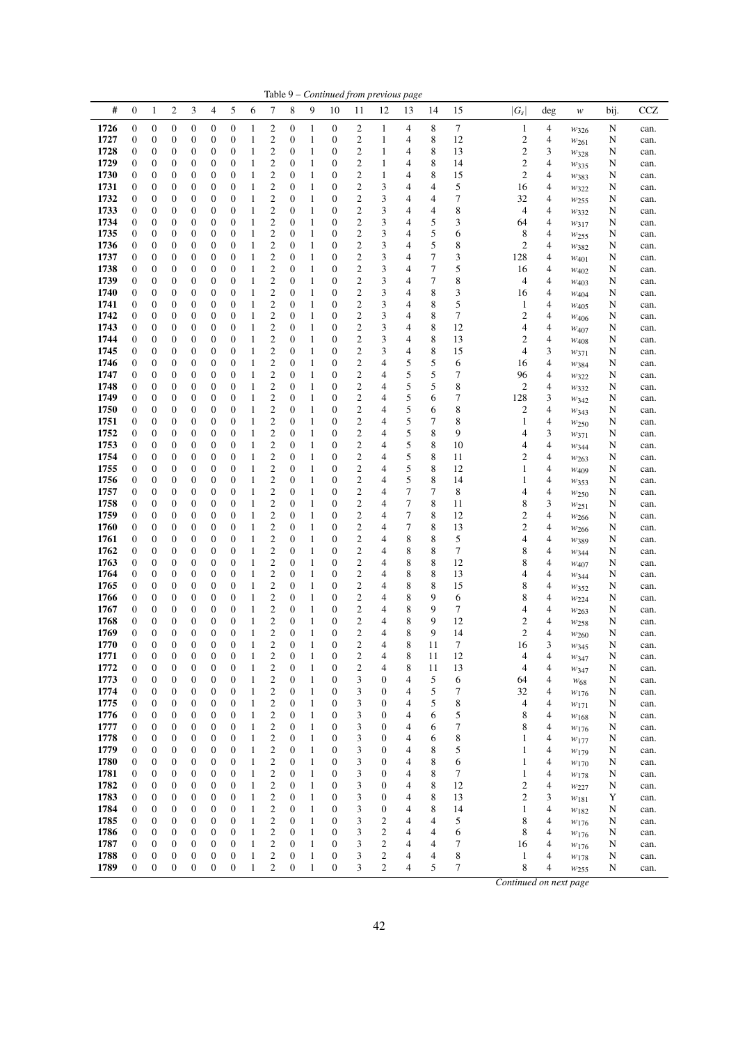|              |                                      |                       |                                      |                                      |                                      |                                      |                   |                                                    |                                  |                              | Table 9 – Continued from previous page |                                           |                         |                  |                  |          |                                           |                          |                               |        |              |
|--------------|--------------------------------------|-----------------------|--------------------------------------|--------------------------------------|--------------------------------------|--------------------------------------|-------------------|----------------------------------------------------|----------------------------------|------------------------------|----------------------------------------|-------------------------------------------|-------------------------|------------------|------------------|----------|-------------------------------------------|--------------------------|-------------------------------|--------|--------------|
| #            | $\boldsymbol{0}$                     | 1                     | $\overline{c}$                       | 3                                    | 4                                    | 5                                    | 6                 | 7                                                  | 8                                | 9                            | 10                                     | 11                                        | 12                      | 13               | 14               | 15       | $ G_s $                                   | deg                      | w                             | bij.   | CCZ          |
| 1726         | $\boldsymbol{0}$                     | 0                     | $\boldsymbol{0}$                     | $\boldsymbol{0}$                     | $\boldsymbol{0}$                     | $\boldsymbol{0}$                     | 1                 | 2                                                  | $\boldsymbol{0}$                 | 1                            | 0                                      | 2                                         | 1                       | 4                | 8                | 7        | 1                                         | 4                        | $w_{326}$                     | N      | can.         |
| 1727         | $\boldsymbol{0}$                     | 0                     | $\mathbf{0}$                         | $\boldsymbol{0}$                     | $\boldsymbol{0}$                     | $\boldsymbol{0}$                     | 1                 | $\boldsymbol{2}$                                   | $\mathbf{0}$                     | $\mathbf{1}$                 | $\boldsymbol{0}$                       | $\boldsymbol{2}$                          | 1                       | 4                | 8                | 12       | $\overline{c}$                            | 4                        | $w_{261}$                     | N      | can.         |
| 1728         | $\boldsymbol{0}$                     | 0                     | 0                                    | 0                                    | 0                                    | 0                                    | 1                 | 2                                                  | 0                                | $\mathbf{1}$                 | 0                                      | 2                                         | 1                       | 4                | 8                | 13       | $\overline{\mathbf{c}}$                   | 3                        | W328                          | N      | can.         |
| 1729         | $\boldsymbol{0}$                     | 0                     | $\mathbf{0}$                         | $\boldsymbol{0}$                     | 0                                    | $\mathbf{0}$                         | $\mathbf{1}$      | $\mathfrak{2}$                                     | 0                                | $\mathbf{1}$                 | $\boldsymbol{0}$                       | $\mathfrak{2}$                            | 1                       | 4                | 8                | 14       | $\boldsymbol{2}$                          | 4                        | W335                          | N      | can.         |
| 1730         | $\boldsymbol{0}$                     | 0                     | $\boldsymbol{0}$<br>$\mathbf{0}$     | $\boldsymbol{0}$                     | 0                                    | 0<br>$\mathbf{0}$                    | 1                 | $\mathfrak{2}$<br>2                                | $\mathbf{0}$<br>$\mathbf{0}$     | 1<br>1                       | $\boldsymbol{0}$<br>$\boldsymbol{0}$   | $\overline{\mathbf{c}}$<br>$\mathfrak{2}$ | 1<br>3                  | 4<br>4           | 8<br>4           | 15       | $\mathbf{2}$                              | 4                        | W383                          | N      | can.         |
| 1731<br>1732 | $\boldsymbol{0}$<br>$\boldsymbol{0}$ | $\boldsymbol{0}$<br>0 | $\boldsymbol{0}$                     | $\boldsymbol{0}$<br>$\boldsymbol{0}$ | $\boldsymbol{0}$<br>$\boldsymbol{0}$ | 0                                    | 1<br>1            | $\boldsymbol{2}$                                   | $\boldsymbol{0}$                 | $\mathbf{1}$                 | $\boldsymbol{0}$                       | $\boldsymbol{2}$                          | 3                       | 4                | 4                | 5<br>7   | 16<br>32                                  | 4<br>4                   | $w_{322}$                     | N<br>N | can.         |
| 1733         | $\boldsymbol{0}$                     | 0                     | $\boldsymbol{0}$                     | $\boldsymbol{0}$                     | $\boldsymbol{0}$                     | $\boldsymbol{0}$                     | 1                 | $\mathfrak{2}$                                     | $\mathbf{0}$                     | 1                            | $\boldsymbol{0}$                       | $\boldsymbol{2}$                          | 3                       | 4                | 4                | 8        | 4                                         | 4                        | W255                          | N      | can.<br>can. |
| 1734         | $\boldsymbol{0}$                     | 0                     | $\mathbf{0}$                         | $\boldsymbol{0}$                     | 0                                    | 0                                    | 1                 | $\mathfrak{2}$                                     | 0                                | 1                            | $\boldsymbol{0}$                       | $\boldsymbol{2}$                          | 3                       | 4                | 5                | 3        | 64                                        | 4                        | W332<br>$w_{317}$             | N      | can.         |
| 1735         | $\boldsymbol{0}$                     | 0                     | $\boldsymbol{0}$                     | 0                                    | 0                                    | 0                                    | $\mathbf{1}$      | 2                                                  | 0                                | $\mathbf{1}$                 | 0                                      | $\boldsymbol{2}$                          | 3                       | 4                | 5                | 6        | 8                                         | 4                        | W <sub>255</sub>              | N      | can.         |
| 1736         | $\boldsymbol{0}$                     | 0                     | $\mathbf{0}$                         | $\boldsymbol{0}$                     | 0                                    | $\mathbf{0}$                         | 1                 | $\mathfrak{2}$                                     | 0                                | 1                            | $\boldsymbol{0}$                       | $\overline{\mathbf{c}}$                   | 3                       | 4                | 5                | 8        | $\sqrt{2}$                                | 4                        | W382                          | N      | can.         |
| 1737         | $\boldsymbol{0}$                     | 0                     | $\boldsymbol{0}$                     | $\boldsymbol{0}$                     | $\boldsymbol{0}$                     | 0                                    | $\mathbf{1}$      | $\boldsymbol{2}$                                   | $\mathbf{0}$                     | 1                            | $\boldsymbol{0}$                       | $\overline{\mathbf{c}}$                   | 3                       | 4                | $\boldsymbol{7}$ | 3        | 128                                       | 4                        | W401                          | N      | can.         |
| 1738         | $\boldsymbol{0}$                     | $\boldsymbol{0}$      | $\boldsymbol{0}$                     | $\boldsymbol{0}$                     | $\boldsymbol{0}$                     | $\boldsymbol{0}$                     | 1                 | $\mathfrak{2}$                                     | $\boldsymbol{0}$                 | $\mathbf{1}$                 | $\boldsymbol{0}$                       | $\mathbf{2}$                              | 3                       | 4                | $\boldsymbol{7}$ | 5        | 16                                        | 4                        | $W_{402}$                     | N      | can.         |
| 1739         | $\boldsymbol{0}$                     | 0                     | $\boldsymbol{0}$                     | $\boldsymbol{0}$                     | $\boldsymbol{0}$                     | 0                                    | 1                 | $\mathfrak{2}$                                     | $\boldsymbol{0}$                 | $\mathbf{1}$                 | $\boldsymbol{0}$                       | $\mathfrak{2}$                            | 3                       | 4                | 7                | 8        | 4                                         | 4                        | $W_{403}$                     | N      | can.         |
| 1740         | $\boldsymbol{0}$                     | 0                     | $\boldsymbol{0}$                     | $\boldsymbol{0}$                     | 0                                    | 0                                    | 1                 | 2                                                  | 0                                | 1                            | $\boldsymbol{0}$                       | $\boldsymbol{2}$                          | 3                       | 4                | 8                | 3        | 16                                        | 4                        | W404                          | N      | can.         |
| 1741         | $\boldsymbol{0}$                     | 0                     | $\mathbf{0}$                         | $\boldsymbol{0}$                     | 0                                    | 0                                    | 1                 | $\mathfrak{2}$                                     | 0                                | $\mathbf{1}$                 | $\boldsymbol{0}$                       | $\mathbf{2}$                              | 3                       | 4                | 8                | 5        | 1                                         | 4                        | W405                          | N      | can.         |
| 1742         | $\boldsymbol{0}$                     | 0                     | $\boldsymbol{0}$                     | $\boldsymbol{0}$                     | $\boldsymbol{0}$                     | 0                                    | 1                 | $\mathbf{2}$                                       | $\mathbf{0}$                     | $\mathbf{1}$                 | $\boldsymbol{0}$                       | $\mathbf{2}$                              | 3                       | 4                | 8                | 7        | $\mathbf{2}$                              | 4                        | W <sub>406</sub>              | N      | can.         |
| 1743         | $\boldsymbol{0}$                     | $\boldsymbol{0}$      | $\mathbf{0}$                         | $\boldsymbol{0}$                     | $\boldsymbol{0}$                     | $\boldsymbol{0}$                     | 1                 | $\mathbf{2}$                                       | $\mathbf{0}$                     | 1                            | $\boldsymbol{0}$                       | $\overline{c}$                            | 3                       | 4                | 8                | 12       | $\overline{\mathcal{A}}$                  | 4                        | $W_{407}$                     | N      | can.         |
| 1744<br>1745 | $\boldsymbol{0}$<br>$\boldsymbol{0}$ | 0<br>$\boldsymbol{0}$ | $\boldsymbol{0}$<br>$\boldsymbol{0}$ | $\boldsymbol{0}$<br>$\boldsymbol{0}$ | 0<br>$\boldsymbol{0}$                | 0<br>$\boldsymbol{0}$                | 1<br>$\mathbf{1}$ | $\boldsymbol{2}$<br>$\mathbf{2}$                   | 0<br>$\boldsymbol{0}$            | $\mathbf{1}$<br>1            | $\boldsymbol{0}$<br>$\boldsymbol{0}$   | $\boldsymbol{2}$<br>$\mathfrak{2}$        | 3<br>3                  | 4<br>4           | 8<br>8           | 13<br>15 | $\overline{\mathbf{c}}$<br>$\overline{4}$ | 4<br>3                   | W408                          | N<br>N | can.<br>can. |
| 1746         | $\boldsymbol{0}$                     | 0                     | $\mathbf{0}$                         | $\boldsymbol{0}$                     | $\boldsymbol{0}$                     | $\boldsymbol{0}$                     | 1                 | $\mathfrak{2}$                                     | 0                                | 1                            | $\boldsymbol{0}$                       | $\mathfrak{2}$                            | 4                       | 5                | 5                | 6        | 16                                        | 4                        | W371<br>W384                  | N      | can.         |
| 1747         | $\boldsymbol{0}$                     | 0                     | $\boldsymbol{0}$                     | $\boldsymbol{0}$                     | $\boldsymbol{0}$                     | 0                                    | 1                 | 2                                                  | 0                                | 1                            | 0                                      | $\boldsymbol{2}$                          | 4                       | 5                | 5                | 7        | 96                                        | 4                        | $w_{322}$                     | N      | can.         |
| 1748         | $\boldsymbol{0}$                     | 0                     | $\mathbf{0}$                         | $\boldsymbol{0}$                     | 0                                    | $\mathbf{0}$                         | $\mathbf{1}$      | $\mathfrak{2}$                                     | 0                                | $\mathbf{1}$                 | $\boldsymbol{0}$                       | $\mathfrak{2}$                            | 4                       | 5                | 5                | 8        | $\overline{c}$                            | 4                        | W332                          | N      | can.         |
| 1749         | $\boldsymbol{0}$                     | $\boldsymbol{0}$      | $\mathbf{0}$                         | $\boldsymbol{0}$                     | $\boldsymbol{0}$                     | $\mathbf{0}$                         | 1                 | $\mathbf{2}$                                       | $\mathbf{0}$                     | 1                            | $\boldsymbol{0}$                       | $\mathbf{2}$                              | 4                       | 5                | 6                | 7        | 128                                       | 3                        | W342                          | N      | can.         |
| 1750         | $\boldsymbol{0}$                     | $\boldsymbol{0}$      | $\mathbf{0}$                         | $\boldsymbol{0}$                     | $\boldsymbol{0}$                     | 0                                    | 1                 | 2                                                  | 0                                | 1                            | $\boldsymbol{0}$                       | $\mathbf{2}$                              | 4                       | 5                | 6                | 8        | $\overline{c}$                            | 4                        | W343                          | N      | can.         |
| 1751         | $\boldsymbol{0}$                     | 0                     | $\boldsymbol{0}$                     | $\boldsymbol{0}$                     | $\boldsymbol{0}$                     | 0                                    | 1                 | $\boldsymbol{2}$                                   | 0                                | $\mathbf{1}$                 | $\boldsymbol{0}$                       | $\boldsymbol{2}$                          | 4                       | 5                | 7                | 8        | $\mathbf{1}$                              | 4                        | W <sub>250</sub>              | N      | can.         |
| 1752         | $\boldsymbol{0}$                     | 0                     | $\boldsymbol{0}$                     | $\boldsymbol{0}$                     | $\boldsymbol{0}$                     | $\boldsymbol{0}$                     | 1                 | $\mathfrak{2}$                                     | 0                                | 1                            | $\boldsymbol{0}$                       | $\mathfrak{2}$                            | 4                       | 5                | 8                | 9        | 4                                         | 3                        | W371                          | N      | can.         |
| 1753         | $\boldsymbol{0}$                     | 0                     | $\mathbf{0}$                         | $\boldsymbol{0}$                     | $\boldsymbol{0}$                     | 0                                    | 1                 | $\mathfrak{2}$                                     | 0                                | 1                            | $\boldsymbol{0}$                       | $\mathfrak{2}$                            | 4                       | 5                | 8                | 10       | 4                                         | 4                        | W344                          | N      | can.         |
| 1754         | $\boldsymbol{0}$                     | 0                     | $\boldsymbol{0}$                     | 0                                    | 0                                    | 0                                    | 1                 | $\boldsymbol{2}$                                   | 0                                | $\mathbf{1}$                 | $\boldsymbol{0}$                       | $\boldsymbol{2}$                          | 4                       | 5                | 8                | 11       | $\overline{\mathbf{c}}$                   | 4                        | W <sub>263</sub>              | N      | can.         |
| 1755         | $\boldsymbol{0}$                     | $\boldsymbol{0}$      | $\mathbf{0}$                         | $\boldsymbol{0}$                     | 0                                    | $\boldsymbol{0}$                     | $\mathbf{1}$      | $\mathfrak{2}$                                     | 0                                | $\mathbf{1}$                 | $\boldsymbol{0}$                       | $\boldsymbol{2}$                          | 4                       | 5                | 8                | 12       | $\mathbf{1}$                              | 4                        | $W_{409}$                     | N      | can.         |
| 1756<br>1757 | $\boldsymbol{0}$<br>$\boldsymbol{0}$ | 0<br>$\boldsymbol{0}$ | $\boldsymbol{0}$<br>$\boldsymbol{0}$ | $\boldsymbol{0}$<br>$\boldsymbol{0}$ | $\boldsymbol{0}$<br>$\boldsymbol{0}$ | 0<br>$\boldsymbol{0}$                | $\mathbf{1}$<br>1 | $\mathfrak{2}$<br>$\mathbf{2}$                     | $\mathbf{0}$<br>$\boldsymbol{0}$ | 1<br>$\mathbf{1}$            | $\boldsymbol{0}$<br>$\boldsymbol{0}$   | $\mathfrak{2}$<br>$\boldsymbol{2}$        | 4<br>4                  | 5<br>7           | 8<br>7           | 14<br>8  | $\mathbf{1}$<br>4                         | 4<br>4                   | W353                          | N      | can.         |
| 1758         | $\boldsymbol{0}$                     | 0                     | $\boldsymbol{0}$                     | $\boldsymbol{0}$                     | $\boldsymbol{0}$                     | 0                                    | 1                 | $\boldsymbol{2}$                                   | $\boldsymbol{0}$                 | $\mathbf{1}$                 | $\boldsymbol{0}$                       | $\boldsymbol{2}$                          | 4                       | 7                | 8                | 11       | 8                                         | 3                        | W250                          | N<br>N | can.<br>can. |
| 1759         | $\boldsymbol{0}$                     | 0                     | $\boldsymbol{0}$                     | $\boldsymbol{0}$                     | $\boldsymbol{0}$                     | $\boldsymbol{0}$                     | 1                 | $\mathbf{2}$                                       | 0                                | 1                            | $\boldsymbol{0}$                       | $\boldsymbol{2}$                          | 4                       | 7                | 8                | 12       | $\mathbf{2}$                              | 4                        | $w_{251}$<br>W <sub>266</sub> | N      | can.         |
| 1760         | $\boldsymbol{0}$                     | 0                     | $\mathbf{0}$                         | $\boldsymbol{0}$                     | 0                                    | 0                                    | 1                 | $\mathbf{2}$                                       | 0                                | $\mathbf{1}$                 | $\boldsymbol{0}$                       | $\mathbf{2}$                              | 4                       | $\boldsymbol{7}$ | 8                | 13       | $\boldsymbol{2}$                          | $\overline{4}$           | W266                          | N      | can.         |
| 1761         | $\boldsymbol{0}$                     | 0                     | $\boldsymbol{0}$                     | $\boldsymbol{0}$                     | $\boldsymbol{0}$                     | $\boldsymbol{0}$                     | 1                 | $\boldsymbol{2}$                                   | $\mathbf{0}$                     | $\mathbf{1}$                 | $\boldsymbol{0}$                       | $\boldsymbol{2}$                          | 4                       | 8                | 8                | 5        | 4                                         | 4                        | W389                          | N      | can.         |
| 1762         | $\boldsymbol{0}$                     | 0                     | $\mathbf{0}$                         | $\boldsymbol{0}$                     | $\boldsymbol{0}$                     | $\boldsymbol{0}$                     | 1                 | $\mathfrak{2}$                                     | 0                                | 1                            | $\boldsymbol{0}$                       | $\overline{\mathbf{c}}$                   | 4                       | 8                | 8                | 7        | 8                                         | 4                        | W344                          | N      | can.         |
| 1763         | $\boldsymbol{0}$                     | 0                     | $\boldsymbol{0}$                     | $\boldsymbol{0}$                     | $\boldsymbol{0}$                     | 0                                    | $\mathbf{1}$      | 2                                                  | $\boldsymbol{0}$                 | 1                            | $\boldsymbol{0}$                       | $\boldsymbol{2}$                          | 4                       | 8                | 8                | 12       | 8                                         | 4                        | $W_{407}$                     | N      | can.         |
| 1764         | $\boldsymbol{0}$                     | $\boldsymbol{0}$      | $\boldsymbol{0}$                     | $\boldsymbol{0}$                     | $\boldsymbol{0}$                     | $\boldsymbol{0}$                     | 1                 | $\mathbf{2}$                                       | $\boldsymbol{0}$                 | 1                            | $\boldsymbol{0}$                       | $\mathbf{2}$                              | 4                       | 8                | 8                | 13       | 4                                         | 4                        | W344                          | N      | can.         |
| 1765         | $\boldsymbol{0}$                     | 0                     | $\mathbf{0}$                         | $\boldsymbol{0}$                     | $\boldsymbol{0}$                     | 0                                    | 1                 | $\mathbf{2}$                                       | 0                                | 1                            | $\boldsymbol{0}$                       | $\boldsymbol{2}$                          | 4                       | 8                | 8                | 15       | 8                                         | 4                        | W352                          | N      | can.         |
| 1766         | $\boldsymbol{0}$                     | 0                     | $\boldsymbol{0}$                     | 0                                    | $\boldsymbol{0}$                     | 0                                    | 1                 | 2                                                  | 0                                | 1                            | 0                                      | $\boldsymbol{2}$                          | 4                       | 8                | 9                | 6        | 8                                         | 4                        | W224                          | N      | can.         |
| 1767         | $\boldsymbol{0}$                     | 0                     | $\mathbf{0}$                         | $\boldsymbol{0}$                     | 0                                    | 0                                    | $\mathbf{1}$      | $\mathbf{2}$                                       | 0                                | 1                            | $\boldsymbol{0}$                       | $\mathbf{2}$                              | 4                       | 8                | 9                | 7        | 4                                         | 4                        | W <sub>263</sub>              | N      | can.         |
| 1768<br>1769 | $\boldsymbol{0}$<br>$\mathbf{0}$     | 0<br>$\boldsymbol{0}$ | $\mathbf{0}$<br>$\overline{0}$       | $\boldsymbol{0}$<br>$\mathbf{0}$     | $\overline{0}$<br>$\overline{0}$     | $\mathbf{0}$<br>$\overline{0}$       | $\mathbf{1}$<br>1 | $\mathfrak{2}$<br>2                                | 0<br>$\overline{0}$              | $\mathbf{1}$<br>$\mathbf{1}$ | $\boldsymbol{0}$<br>$\mathbf{0}$       | $\overline{c}$<br>$\overline{2}$          | 4<br>4                  | 8<br>8           | 9<br>9           | 12<br>14 | $\mathbf{2}$<br>$\overline{2}$            | $\overline{4}$<br>4      | W <sub>258</sub>              | N<br>N | can.         |
| 1770         | $\boldsymbol{0}$                     | $\boldsymbol{0}$      | 0                                    | $\boldsymbol{0}$                     | $\boldsymbol{0}$                     | $\boldsymbol{0}$                     | 1                 | 2                                                  | 0                                | 1                            | $\boldsymbol{0}$                       | $\overline{\mathbf{c}}$                   | 4                       | 8                | 11               | 7        | 16                                        | 3                        | W260<br>W345                  | N      | can.<br>can. |
| 1771         | $\boldsymbol{0}$                     | $\boldsymbol{0}$      | $\boldsymbol{0}$                     | $\boldsymbol{0}$                     | $\boldsymbol{0}$                     | $\boldsymbol{0}$                     | $\mathbf{1}$      | $\mathfrak{2}$                                     | $\boldsymbol{0}$                 | $\mathbf{1}$                 | $\boldsymbol{0}$                       | $\mathbf{2}$                              | 4                       | $\,$ 8 $\,$      | 11               | 12       | 4                                         | 4                        | W347                          | N      | can.         |
| 1772         | $\boldsymbol{0}$                     | 0                     | $\boldsymbol{0}$                     | $\boldsymbol{0}$                     | $\boldsymbol{0}$                     | $\boldsymbol{0}$                     | 1                 | $\mathfrak{2}$                                     | 0                                | $\mathbf{1}$                 | $\boldsymbol{0}$                       | $\overline{\mathbf{c}}$                   | 4                       | 8                | 11               | 13       | 4                                         | 4                        | W347                          | N      | can.         |
| 1773         | $\boldsymbol{0}$                     | 0                     | $\boldsymbol{0}$                     | $\boldsymbol{0}$                     | $\boldsymbol{0}$                     | $\boldsymbol{0}$                     | 1                 | $\overline{\mathbf{c}}$                            | 0                                | $\mathbf{1}$                 | $\boldsymbol{0}$                       | 3                                         | 0                       | 4                | 5                | 6        | 64                                        | 4                        | W <sub>68</sub>               | N      | can.         |
| 1774         | $\boldsymbol{0}$                     | $\boldsymbol{0}$      | $\boldsymbol{0}$                     | $\boldsymbol{0}$                     | $\boldsymbol{0}$                     | $\boldsymbol{0}$                     | $\mathbf{1}$      | $\overline{\mathbf{c}}$                            | 0                                | $\mathbf{1}$                 | $\boldsymbol{0}$                       | 3                                         | $\boldsymbol{0}$        | 4                | 5                | 7        | 32                                        | 4                        | W <sub>176</sub>              | N      | can.         |
| 1775         | $\boldsymbol{0}$                     | $\boldsymbol{0}$      | $\boldsymbol{0}$                     | $\boldsymbol{0}$                     | $\boldsymbol{0}$                     | $\boldsymbol{0}$                     | $\mathbf{1}$      | $\overline{\mathbf{c}}$                            | $\boldsymbol{0}$                 | $\mathbf{1}$                 | $\boldsymbol{0}$                       | 3                                         | $\boldsymbol{0}$        | 4                | 5                | 8        | 4                                         | 4                        | $w_{171}$                     | N      | can.         |
| 1776         | $\boldsymbol{0}$                     | $\boldsymbol{0}$      | $\boldsymbol{0}$                     | $\boldsymbol{0}$                     | $\boldsymbol{0}$                     | $\boldsymbol{0}$                     | 1                 | $\overline{\mathbf{c}}$                            | $\boldsymbol{0}$                 | $\mathbf{1}$                 | $\boldsymbol{0}$                       | 3                                         | $\boldsymbol{0}$        | 4                | 6                | 5        | 8                                         | 4                        | W168                          | N      | can.         |
| 1777         | $\boldsymbol{0}$                     | $\boldsymbol{0}$      | $\boldsymbol{0}$                     | $\boldsymbol{0}$                     | $\boldsymbol{0}$                     | $\boldsymbol{0}$                     | $\mathbf{1}$      | $\overline{\mathbf{c}}$                            | $\boldsymbol{0}$                 | $\mathbf{1}$                 | $\boldsymbol{0}$                       | 3                                         | $\boldsymbol{0}$        | 4                | 6                | 7        | 8                                         | 4                        | W176                          | N      | can.         |
| 1778         | $\boldsymbol{0}$                     | $\boldsymbol{0}$      | $\boldsymbol{0}$                     | $\boldsymbol{0}$                     | $\boldsymbol{0}$                     | $\boldsymbol{0}$                     | $\mathbf{1}$      | $\overline{\mathbf{c}}$                            | $\boldsymbol{0}$                 | $\mathbf{1}$                 | $\boldsymbol{0}$                       | 3                                         | 0                       | 4                | 6                | 8        | 1                                         | 4                        | W177                          | N      | can.         |
| 1779<br>1780 | $\boldsymbol{0}$<br>$\boldsymbol{0}$ | 0<br>0                | $\boldsymbol{0}$<br>$\boldsymbol{0}$ | $\boldsymbol{0}$<br>$\boldsymbol{0}$ | $\boldsymbol{0}$<br>0                | $\boldsymbol{0}$<br>$\boldsymbol{0}$ | 1<br>1            | $\overline{c}$                                     | 0<br>$\boldsymbol{0}$            | $\mathbf{1}$<br>$\mathbf{1}$ | $\boldsymbol{0}$<br>$\boldsymbol{0}$   | 3<br>3                                    | $\boldsymbol{0}$<br>0   | 4                | 8<br>8           | 5<br>6   | 1<br>$\mathbf{1}$                         | 4<br>4                   | $w_{179}$                     | N      | can.         |
| 1781         | $\boldsymbol{0}$                     | $\boldsymbol{0}$      | $\boldsymbol{0}$                     | $\boldsymbol{0}$                     | $\boldsymbol{0}$                     | $\boldsymbol{0}$                     | $\mathbf{1}$      | $\overline{\mathbf{c}}$<br>$\overline{\mathbf{c}}$ | $\boldsymbol{0}$                 | $\mathbf{1}$                 | $\boldsymbol{0}$                       | 3                                         | $\boldsymbol{0}$        | 4<br>4           | 8                | 7        | $\mathbf{1}$                              | 4                        | W170                          | N<br>N | can.<br>can. |
| 1782         | $\boldsymbol{0}$                     | $\boldsymbol{0}$      | $\boldsymbol{0}$                     | $\boldsymbol{0}$                     | $\boldsymbol{0}$                     | $\boldsymbol{0}$                     | $\mathbf{1}$      | $\overline{\mathbf{c}}$                            | $\boldsymbol{0}$                 | $\mathbf{1}$                 | $\boldsymbol{0}$                       | 3                                         | 0                       | 4                | 8                | 12       | $\overline{c}$                            | 4                        | W178<br>W227                  | N      | can.         |
| 1783         | $\boldsymbol{0}$                     | $\boldsymbol{0}$      | $\boldsymbol{0}$                     | $\boldsymbol{0}$                     | $\boldsymbol{0}$                     | $\boldsymbol{0}$                     | 1                 | $\overline{\mathbf{c}}$                            | $\boldsymbol{0}$                 | $\mathbf{1}$                 | $\boldsymbol{0}$                       | 3                                         | 0                       | 4                | 8                | 13       | $\overline{\mathbf{c}}$                   | 3                        | $w_{181}$                     | Y      | can.         |
| 1784         | $\boldsymbol{0}$                     | 0                     | $\boldsymbol{0}$                     | $\boldsymbol{0}$                     | $\boldsymbol{0}$                     | $\boldsymbol{0}$                     | 1                 | $\overline{\mathbf{c}}$                            | $\boldsymbol{0}$                 | $\mathbf{1}$                 | $\boldsymbol{0}$                       | 3                                         | $\boldsymbol{0}$        | 4                | 8                | 14       | $\mathbf{1}$                              | 4                        | W182                          | N      | can.         |
| 1785         | $\boldsymbol{0}$                     | 0                     | $\boldsymbol{0}$                     | $\boldsymbol{0}$                     | $\boldsymbol{0}$                     | $\boldsymbol{0}$                     | 1                 | $\overline{\mathbf{c}}$                            | $\boldsymbol{0}$                 | $\mathbf{1}$                 | $\boldsymbol{0}$                       | 3                                         | $\overline{\mathbf{c}}$ | 4                | 4                | 5        | 8                                         | 4                        | W176                          | N      | can.         |
| 1786         | $\boldsymbol{0}$                     | 0                     | $\mathbf{0}$                         | $\boldsymbol{0}$                     | $\boldsymbol{0}$                     | $\boldsymbol{0}$                     | $\mathbf{1}$      | $\mathfrak{2}$                                     | 0                                | $\mathbf{1}$                 | $\boldsymbol{0}$                       | 3                                         | $\boldsymbol{2}$        | 4                | 4                | 6        | 8                                         | 4                        | W <sub>176</sub>              | N      | can.         |
| 1787         | $\boldsymbol{0}$                     | $\boldsymbol{0}$      | $\boldsymbol{0}$                     | $\boldsymbol{0}$                     | 0                                    | $\boldsymbol{0}$                     | $\mathbf{1}$      | $\overline{\mathbf{c}}$                            | $\boldsymbol{0}$                 | $\mathbf{1}$                 | $\boldsymbol{0}$                       | 3                                         | $\overline{\mathbf{c}}$ | 4                | 4                | 7        | 16                                        | 4                        | $w_{\rm 176}$                 | N      | can.         |
| 1788         | $\boldsymbol{0}$                     | $\boldsymbol{0}$      | $\boldsymbol{0}$                     | $\boldsymbol{0}$                     | $\boldsymbol{0}$                     | $\boldsymbol{0}$                     | $\mathbf{1}$      | $\overline{\mathbf{c}}$                            | $\boldsymbol{0}$                 | $\,1\,$                      | $\boldsymbol{0}$                       | 3                                         | $\overline{\mathbf{c}}$ | 4                | 4                | 8        | 1                                         | $\overline{\mathcal{A}}$ | W178                          | N      | can.         |
| 1789         | $\boldsymbol{0}$                     | $\boldsymbol{0}$      | $\boldsymbol{0}$                     | $\boldsymbol{0}$                     | $\boldsymbol{0}$                     | $\mathbf{0}$                         | $\mathbf{1}$      | $\overline{c}$                                     | 0                                | $\mathbf{1}$                 | $\boldsymbol{0}$                       | 3                                         | $\overline{c}$          | 4                | 5                | 7        | 8                                         | 4                        | W <sub>255</sub>              | N      | can.         |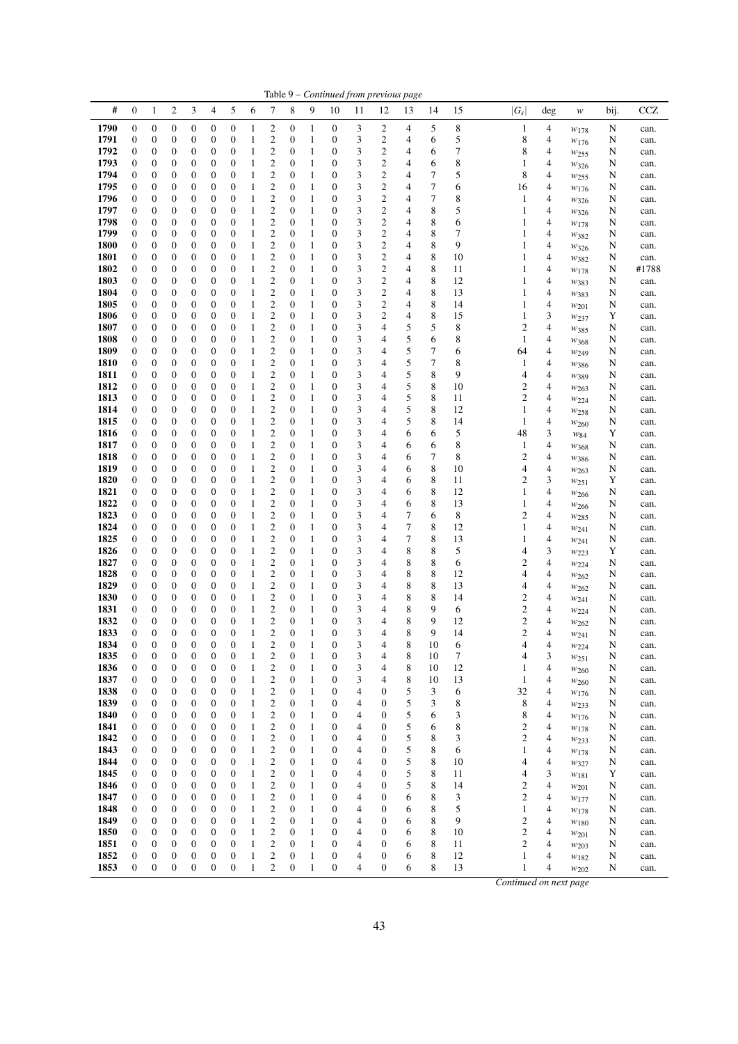|              |                                      |                                      |                                      |                                      |                                      |                                      |              |                                             |                                      |                              | Table 9 - Continued from previous page |                         |                                      |        |          |                |                               |                               |                          |           |              |
|--------------|--------------------------------------|--------------------------------------|--------------------------------------|--------------------------------------|--------------------------------------|--------------------------------------|--------------|---------------------------------------------|--------------------------------------|------------------------------|----------------------------------------|-------------------------|--------------------------------------|--------|----------|----------------|-------------------------------|-------------------------------|--------------------------|-----------|--------------|
| #            | $\boldsymbol{0}$                     | $\mathbf{1}$                         | $\overline{c}$                       | 3                                    | $\overline{4}$                       | 5                                    | 6            | $\tau$                                      | 8                                    | 9                            | 10                                     | 11                      | 12                                   | 13     | 14       | 15             | $ G_s $                       | $\deg$                        | w                        | bij.      | <b>CCZ</b>   |
| 1790         | $\boldsymbol{0}$                     | $\boldsymbol{0}$                     | 0                                    | $\boldsymbol{0}$                     | $\boldsymbol{0}$                     | $\boldsymbol{0}$                     | 1            | $\overline{\mathbf{c}}$                     | $\boldsymbol{0}$                     | 1                            | $\boldsymbol{0}$                       | 3                       | 2                                    | 4      | 5        | 8              | 1                             | 4                             | W <sub>178</sub>         | N         | can.         |
| 1791         | $\boldsymbol{0}$                     | $\boldsymbol{0}$                     | 0                                    | 0                                    | $\boldsymbol{0}$                     | $\boldsymbol{0}$                     | 1            | $\overline{\mathbf{c}}$                     | 0                                    | 1                            | $\boldsymbol{0}$                       | 3                       | 2                                    | 4      | 6        | 5              | 8                             | 4                             | W <sub>176</sub>         | N         | can.         |
| 1792         | $\boldsymbol{0}$                     | $\boldsymbol{0}$                     | 0                                    | 0                                    | $\boldsymbol{0}$                     | 0                                    | 1            | $\overline{\mathbf{c}}$                     | $\boldsymbol{0}$                     | 1                            | $\boldsymbol{0}$                       | 3                       | 2                                    | 4      | 6        | 7              | 8                             | 4                             | W <sub>255</sub>         | N         | can.         |
| 1793         | $\mathbf{0}$                         | $\boldsymbol{0}$                     | 0                                    | 0                                    | 0                                    | 0                                    | 1<br>1       | $\overline{2}$                              | 0                                    | 1<br>1                       | 0                                      | 3                       | $\boldsymbol{2}$                     | 4      | 6        | 8              | 1                             | 4<br>4                        | W326                     | N         | can.         |
| 1794<br>1795 | $\mathbf{0}$<br>$\mathbf{0}$         | $\boldsymbol{0}$<br>$\boldsymbol{0}$ | 0<br>0                               | 0<br>0                               | $\boldsymbol{0}$<br>$\boldsymbol{0}$ | 0<br>$\boldsymbol{0}$                | 1            | $\overline{c}$<br>$\overline{\mathbf{c}}$   | $\boldsymbol{0}$<br>$\boldsymbol{0}$ | 1                            | 0<br>0                                 | 3<br>3                  | 2<br>2                               | 4<br>4 | 7<br>7   | 5<br>6         | 8<br>16                       | 4                             | $w_{255}$                | N<br>N    | can.<br>can. |
| 1796         | $\boldsymbol{0}$                     | $\boldsymbol{0}$                     | 0                                    | 0                                    | $\boldsymbol{0}$                     | 0                                    | 1            | $\overline{\mathbf{c}}$                     | $\boldsymbol{0}$                     | 1                            | 0                                      | 3                       | $\overline{\mathbf{c}}$              | 4      | 7        | 8              | 1                             | 4                             | W <sub>176</sub><br>W326 | N         | can.         |
| 1797         | $\boldsymbol{0}$                     | $\boldsymbol{0}$                     | 0                                    | 0                                    | $\boldsymbol{0}$                     | 0                                    | 1            | $\overline{\mathbf{c}}$                     | $\boldsymbol{0}$                     | 1                            | $\boldsymbol{0}$                       | 3                       | 2                                    | 4      | 8        | 5              | $\mathbf{1}$                  | 4                             | W326                     | N         | can.         |
| 1798         | $\boldsymbol{0}$                     | $\boldsymbol{0}$                     | $\boldsymbol{0}$                     | 0                                    | $\boldsymbol{0}$                     | 0                                    | 1            | $\mathbf{2}$                                | $\boldsymbol{0}$                     | 1                            | 0                                      | 3                       | 2                                    | 4      | 8        | 6              | $\mathbf{1}$                  | 4                             | W <sub>178</sub>         | N         | can.         |
| 1799         | $\boldsymbol{0}$                     | $\boldsymbol{0}$                     | 0                                    | 0                                    | $\boldsymbol{0}$                     | 0                                    | 1            | $\mathbf{2}$                                | $\boldsymbol{0}$                     | 1                            | $\boldsymbol{0}$                       | 3                       | $\boldsymbol{2}$                     | 4      | 8        | 7              | 1                             | 4                             | $w_{382}$                | N         | can.         |
| 1800         | $\boldsymbol{0}$                     | $\boldsymbol{0}$                     | 0                                    | 0                                    | 0                                    | 0                                    | 1            | $\overline{\mathbf{c}}$                     | $\boldsymbol{0}$                     | 1                            | 0                                      | 3                       | 2                                    | 4      | 8        | 9              | $\mathbf{1}$                  | 4                             | W326                     | N         | can.         |
| 1801         | $\boldsymbol{0}$                     | $\boldsymbol{0}$                     | 0                                    | 0                                    | $\boldsymbol{0}$                     | $\boldsymbol{0}$                     | 1            | $\overline{\mathbf{c}}$                     | $\boldsymbol{0}$                     | 1                            | 0                                      | 3                       | $\overline{\mathbf{c}}$              | 4      | 8        | 10             | $\mathbf{1}$                  | 4                             | W382                     | N         | can.         |
| 1802         | $\mathbf{0}$                         | $\boldsymbol{0}$                     | 0                                    | 0                                    | $\boldsymbol{0}$                     | 0                                    | 1            | $\mathbf{2}$                                | $\boldsymbol{0}$                     | 1                            | $\boldsymbol{0}$                       | 3                       | $\overline{\mathbf{c}}$              | 4      | 8        | 11             | $\mathbf{1}$                  | 4                             | W <sub>178</sub>         | N         | #1788        |
| 1803<br>1804 | $\boldsymbol{0}$                     | $\boldsymbol{0}$<br>$\boldsymbol{0}$ | 0<br>0                               | 0<br>$\boldsymbol{0}$                | $\boldsymbol{0}$<br>$\boldsymbol{0}$ | 0<br>$\boldsymbol{0}$                | 1<br>1       | $\mathbf{2}$<br>$\overline{\mathbf{c}}$     | $\boldsymbol{0}$<br>$\boldsymbol{0}$ | 1<br>1                       | 0<br>$\boldsymbol{0}$                  | 3<br>3                  | 2<br>2                               | 4<br>4 | 8<br>8   | 12<br>13       | $\mathbf{1}$                  | 4<br>4                        | W383                     | N         | can.         |
| 1805         | $\mathbf{0}$<br>$\mathbf{0}$         | $\boldsymbol{0}$                     | 0                                    | 0                                    | $\boldsymbol{0}$                     | 0                                    | 1            | $\mathbf{2}$                                | 0                                    | 1                            | $\boldsymbol{0}$                       | 3                       | 2                                    | 4      | 8        | 14             | 1<br>1                        | 4                             | W383                     | N<br>N    | can.<br>can. |
| 1806         | $\mathbf{0}$                         | $\boldsymbol{0}$                     | 0                                    | 0                                    | $\boldsymbol{0}$                     | 0                                    | 1            | $\overline{\mathbf{c}}$                     | 0                                    | 1                            | $\boldsymbol{0}$                       | 3                       | 2                                    | 4      | 8        | 15             | $\mathbf{1}$                  | 3                             | W201<br>$w_{237}$        | Y         | can.         |
| 1807         | $\boldsymbol{0}$                     | $\boldsymbol{0}$                     | 0                                    | 0                                    | 0                                    | 0                                    | 1            | $\mathbf{2}$                                | $\boldsymbol{0}$                     | 1                            | 0                                      | 3                       | 4                                    | 5      | 5        | 8              | $\mathfrak{2}$                | 4                             | W385                     | N         | can.         |
| 1808         | $\mathbf{0}$                         | $\boldsymbol{0}$                     | 0                                    | 0                                    | $\boldsymbol{0}$                     | 0                                    | 1            | $\boldsymbol{2}$                            | $\boldsymbol{0}$                     | 1                            | $\boldsymbol{0}$                       | 3                       | 4                                    | 5      | 6        | 8              | 1                             | $\overline{4}$                | $w_{368}$                | N         | can.         |
| 1809         | $\mathbf{0}$                         | $\boldsymbol{0}$                     | 0                                    | 0                                    | $\boldsymbol{0}$                     | 0                                    | 1            | $\overline{\mathbf{c}}$                     | 0                                    | 1                            | $\boldsymbol{0}$                       | 3                       | 4                                    | 5      | 7        | 6              | 64                            | 4                             | W249                     | N         | can.         |
| 1810         | $\boldsymbol{0}$                     | $\boldsymbol{0}$                     | $\boldsymbol{0}$                     | 0                                    | $\boldsymbol{0}$                     | 0                                    | 1            | $\overline{\mathbf{c}}$                     | $\boldsymbol{0}$                     | 1                            | 0                                      | 3                       | 4                                    | 5      | 7        | 8              | 1                             | 4                             | W386                     | N         | can.         |
| 1811         | $\boldsymbol{0}$                     | $\boldsymbol{0}$                     | $\boldsymbol{0}$                     | 0                                    | $\boldsymbol{0}$                     | $\boldsymbol{0}$                     | 1            | $\overline{\mathbf{c}}$                     | $\boldsymbol{0}$                     | 1                            | $\boldsymbol{0}$                       | 3                       | 4                                    | 5      | 8        | 9              | 4                             | 4                             | W389                     | N         | can.         |
| 1812<br>1813 | $\boldsymbol{0}$<br>$\mathbf{0}$     | $\boldsymbol{0}$<br>$\boldsymbol{0}$ | 0<br>0                               | 0<br>0                               | 0<br>$\boldsymbol{0}$                | 0<br>0                               | 1<br>1       | $\overline{2}$<br>$\overline{c}$            | 0<br>$\boldsymbol{0}$                | 1<br>1                       | 0<br>0                                 | 3<br>3                  | 4<br>4                               | 5<br>5 | 8<br>8   | 10<br>11       | $\mathfrak{2}$<br>2           | $\overline{4}$<br>4           | W263                     | N         | can.         |
| 1814         | $\mathbf{0}$                         | $\boldsymbol{0}$                     | 0                                    | 0                                    | $\boldsymbol{0}$                     | $\boldsymbol{0}$                     | 1            | $\overline{\mathbf{c}}$                     | $\boldsymbol{0}$                     | 1                            | 0                                      | 3                       | 4                                    | 5      | 8        | 12             | $\mathbf{1}$                  | 4                             | W224<br>W <sub>258</sub> | N<br>N    | can.<br>can. |
| 1815         | $\mathbf{0}$                         | $\boldsymbol{0}$                     | 0                                    | 0                                    | $\boldsymbol{0}$                     | 0                                    | 1            | $\overline{\mathbf{c}}$                     | $\boldsymbol{0}$                     | 1                            | $\boldsymbol{0}$                       | 3                       | 4                                    | 5      | 8        | 14             | $\mathbf{1}$                  | 4                             | $w_{260}$                | N         | can.         |
| 1816         | $\boldsymbol{0}$                     | $\boldsymbol{0}$                     | 0                                    | 0                                    | $\boldsymbol{0}$                     | 0                                    | 1            | $\boldsymbol{2}$                            | $\boldsymbol{0}$                     | 1                            | $\boldsymbol{0}$                       | 3                       | 4                                    | 6      | 6        | 5              | 48                            | 3                             | W84                      | Y         | can.         |
| 1817         | $\mathbf{0}$                         | $\boldsymbol{0}$                     | $\boldsymbol{0}$                     | 0                                    | $\boldsymbol{0}$                     | 0                                    | 1            | $\mathbf{2}$                                | $\boldsymbol{0}$                     | 1                            | $\boldsymbol{0}$                       | 3                       | 4                                    | 6      | 6        | 8              | $\mathbf{1}$                  | 4                             | W368                     | N         | can.         |
| 1818         | $\mathbf{0}$                         | $\boldsymbol{0}$                     | 0                                    | 0                                    | $\boldsymbol{0}$                     | 0                                    | 1            | $\mathbf{2}$                                | $\boldsymbol{0}$                     | 1                            | $\boldsymbol{0}$                       | 3                       | 4                                    | 6      | 7        | 8              | $\mathfrak{2}$                | 4                             | W386                     | N         | can.         |
| 1819         | $\mathbf{0}$                         | $\boldsymbol{0}$                     | 0                                    | 0                                    | $\boldsymbol{0}$                     | 0                                    | 1            | $\overline{c}$                              | 0                                    | 1                            | 0                                      | 3                       | 4                                    | 6      | 8        | 10             | 4                             | 4                             | W <sub>263</sub>         | N         | can.         |
| 1820<br>1821 | $\boldsymbol{0}$<br>$\mathbf{0}$     | $\boldsymbol{0}$<br>$\boldsymbol{0}$ | 0                                    | 0<br>0                               | $\boldsymbol{0}$                     | $\boldsymbol{0}$<br>0                | 1<br>1       | $\overline{\mathbf{c}}$<br>$\mathbf{2}$     | $\boldsymbol{0}$<br>$\boldsymbol{0}$ | $\mathbf{1}$<br>1            | 0<br>$\boldsymbol{0}$                  | 3<br>3                  | 4<br>4                               | 6      | 8<br>8   | 11<br>12       | 2<br>$\,1\,$                  | 3<br>4                        | W251                     | Y         | can.         |
| 1822         | $\boldsymbol{0}$                     | $\boldsymbol{0}$                     | 0<br>0                               | 0                                    | $\boldsymbol{0}$<br>$\boldsymbol{0}$ | 0                                    | 1            | $\boldsymbol{2}$                            | $\boldsymbol{0}$                     | 1                            | 0                                      | 3                       | 4                                    | 6<br>6 | 8        | 13             | $\mathbf{1}$                  | $\overline{4}$                | W266<br>W <sub>266</sub> | N<br>N    | can.<br>can. |
| 1823         | $\boldsymbol{0}$                     | $\boldsymbol{0}$                     | 0                                    | 0                                    | $\boldsymbol{0}$                     | 0                                    | 1            | $\overline{\mathbf{c}}$                     | $\boldsymbol{0}$                     | 1                            | $\boldsymbol{0}$                       | 3                       | 4                                    | 7      | 6        | 8              | $\boldsymbol{2}$              | 4                             | $w_{285}$                | N         | can.         |
| 1824         | $\mathbf{0}$                         | $\boldsymbol{0}$                     | 0                                    | 0                                    | $\boldsymbol{0}$                     | 0                                    | 1            | $\mathbf{2}$                                | $\boldsymbol{0}$                     | 1                            | 0                                      | 3                       | 4                                    | 7      | 8        | 12             | $\mathbf{1}$                  | 4                             | W241                     | N         | can.         |
| 1825         | $\boldsymbol{0}$                     | $\boldsymbol{0}$                     | 0                                    | 0                                    | $\boldsymbol{0}$                     | 0                                    | 1            | $\overline{\mathbf{c}}$                     | 0                                    | 1                            | $\boldsymbol{0}$                       | 3                       | 4                                    | 7      | 8        | 13             | 1                             | 4                             | W241                     | N         | can.         |
| 1826         | $\boldsymbol{0}$                     | $\boldsymbol{0}$                     | $\boldsymbol{0}$                     | 0                                    | 0                                    | 0                                    | 1            | $\overline{c}$                              | $\boldsymbol{0}$                     | 1                            | 0                                      | 3                       | 4                                    | 8      | 8        | 5              | 4                             | 3                             | W223                     | Y         | can.         |
| 1827         | $\boldsymbol{0}$                     | $\boldsymbol{0}$                     | 0                                    | 0                                    | $\boldsymbol{0}$                     | $\boldsymbol{0}$                     | 1            | $\overline{c}$                              | $\boldsymbol{0}$                     | 1                            | $\boldsymbol{0}$                       | 3                       | 4                                    | 8      | 8        | 6              | $\boldsymbol{2}$              | $\overline{4}$                | $w_{224}$                | N         | can.         |
| 1828<br>1829 | $\mathbf{0}$<br>$\boldsymbol{0}$     | $\boldsymbol{0}$<br>$\boldsymbol{0}$ | 0<br>$\boldsymbol{0}$                | 0<br>0                               | $\boldsymbol{0}$<br>$\boldsymbol{0}$ | 0<br>0                               | 1<br>1       | $\boldsymbol{2}$<br>$\overline{\mathbf{c}}$ | $\boldsymbol{0}$<br>$\boldsymbol{0}$ | 1<br>1                       | $\boldsymbol{0}$<br>0                  | 3<br>3                  | 4<br>4                               | 8<br>8 | 8<br>8   | 12<br>13       | 4<br>$\overline{\mathcal{L}}$ | 4<br>4                        | W262                     | N         | can.         |
| 1830         | $\boldsymbol{0}$                     | $\boldsymbol{0}$                     | $\boldsymbol{0}$                     | 0                                    | $\boldsymbol{0}$                     | $\boldsymbol{0}$                     | 1            | $\overline{\mathbf{c}}$                     | $\boldsymbol{0}$                     | 1                            | $\boldsymbol{0}$                       | 3                       | 4                                    | 8      | 8        | 14             | $\boldsymbol{2}$              | 4                             | W262<br>W241             | N<br>N    | can.<br>can. |
| 1831         | $\boldsymbol{0}$                     | $\boldsymbol{0}$                     | 0                                    | 0                                    | 0                                    | 0                                    | 1            | $\mathbf{2}$                                | $\boldsymbol{0}$                     | 1                            | 0                                      | 3                       | 4                                    | 8      | 9        | 6              | $\overline{c}$                | 4                             | $w_{224}$                | N         | can.         |
| 1832         | $\boldsymbol{0}$                     | $\boldsymbol{0}$                     | $\boldsymbol{0}$                     | 0                                    | $\boldsymbol{0}$                     | 0                                    | 1            | $\boldsymbol{2}$                            | $\boldsymbol{0}$                     | 1                            | 0                                      | 3                       | 4                                    | 8      | 9        | 12             | $\boldsymbol{2}$              | 4                             | W262                     | N         | can.         |
| 1833         | $\boldsymbol{0}$                     | $\boldsymbol{0}$                     | $\overline{0}$                       | $\overline{0}$                       | $\mathbf{0}$                         | $\overline{0}$                       | 1            | $\overline{2}$                              | $\mathbf{0}$                         | 1                            | $\mathbf{0}$                           | 3                       | 4                                    | 8      | 9        | 14             | $\mathfrak{2}$                | 4                             | W241                     | N         | can.         |
| 1834         | $\boldsymbol{0}$                     | $\boldsymbol{0}$                     | 0                                    | $\boldsymbol{0}$                     | $\boldsymbol{0}$                     | 0                                    | 1            | $\boldsymbol{2}$                            | 0                                    | 1                            | $\boldsymbol{0}$                       | 3                       | 4                                    | 8      | 10       | 6              | 4                             | 4                             | W224                     | N         | can.         |
| 1835         | $\boldsymbol{0}$                     | $\boldsymbol{0}$                     | $\boldsymbol{0}$                     | $\boldsymbol{0}$                     | $\boldsymbol{0}$                     | $\boldsymbol{0}$                     | 1            | $\overline{\mathbf{c}}$                     | $\boldsymbol{0}$                     | 1                            | $\boldsymbol{0}$                       | 3                       | 4                                    | 8      | 10       | $\tau$         | 4                             | 3                             | $w_{251}$                | N         | can.         |
| 1836<br>1837 | $\boldsymbol{0}$<br>$\boldsymbol{0}$ | $\boldsymbol{0}$<br>$\boldsymbol{0}$ | $\boldsymbol{0}$<br>$\boldsymbol{0}$ | $\boldsymbol{0}$<br>$\boldsymbol{0}$ | $\boldsymbol{0}$<br>$\boldsymbol{0}$ | $\boldsymbol{0}$<br>$\boldsymbol{0}$ | 1<br>1       | $\boldsymbol{2}$<br>$\overline{\mathbf{c}}$ | $\boldsymbol{0}$<br>$\boldsymbol{0}$ | $\mathbf{1}$<br>$\mathbf{1}$ | $\boldsymbol{0}$<br>$\boldsymbol{0}$   | 3<br>3                  | 4<br>4                               | 8<br>8 | 10<br>10 | 12<br>13       | $\mathbf{1}$<br>$\mathbf{1}$  | 4<br>$\overline{\mathbf{4}}$  | W <sub>260</sub>         | N         | can.         |
| 1838         | $\boldsymbol{0}$                     | $\boldsymbol{0}$                     | $\boldsymbol{0}$                     | $\boldsymbol{0}$                     | $\boldsymbol{0}$                     | $\boldsymbol{0}$                     | 1            | $\overline{\mathbf{c}}$                     | $\boldsymbol{0}$                     | $\mathbf{1}$                 | 0                                      | 4                       | $\boldsymbol{0}$                     | 5      | 3        | 6              | 32                            | 4                             | W260<br>$w_{176}$        | N<br>N    | can.<br>can. |
| 1839         | $\boldsymbol{0}$                     | $\boldsymbol{0}$                     | $\boldsymbol{0}$                     | $\boldsymbol{0}$                     | $\boldsymbol{0}$                     | $\boldsymbol{0}$                     | 1            | $\overline{\mathbf{c}}$                     | $\boldsymbol{0}$                     | $\mathbf{1}$                 | 0                                      | 4                       | 0                                    | 5      | 3        | 8              | 8                             | 4                             | $w_{233}$                | N         | can.         |
| 1840         | $\boldsymbol{0}$                     | $\boldsymbol{0}$                     | $\boldsymbol{0}$                     | $\boldsymbol{0}$                     | $\boldsymbol{0}$                     | $\boldsymbol{0}$                     | 1            | $\overline{\mathbf{c}}$                     | $\boldsymbol{0}$                     | $\mathbf{1}$                 | $\boldsymbol{0}$                       | 4                       | $\boldsymbol{0}$                     | 5      | 6        | $\mathfrak{Z}$ | 8                             | 4                             | W176                     | N         | can.         |
| 1841         | $\boldsymbol{0}$                     | $\boldsymbol{0}$                     | $\boldsymbol{0}$                     | $\boldsymbol{0}$                     | $\boldsymbol{0}$                     | $\boldsymbol{0}$                     | 1            | $\overline{\mathbf{c}}$                     | $\boldsymbol{0}$                     | $\mathbf{1}$                 | $\boldsymbol{0}$                       | 4                       | $\boldsymbol{0}$                     | 5      | 6        | 8              | 2                             | 4                             | W178                     | N         | can.         |
| 1842         | $\boldsymbol{0}$                     | $\boldsymbol{0}$                     | $\boldsymbol{0}$                     | $\boldsymbol{0}$                     | $\boldsymbol{0}$                     | $\boldsymbol{0}$                     | 1            | $\overline{c}$                              | $\boldsymbol{0}$                     | $\mathbf{1}$                 | $\boldsymbol{0}$                       | $\overline{\mathbf{4}}$ | $\boldsymbol{0}$                     | 5      | 8        | 3              | $\boldsymbol{2}$              | 4                             | W233                     | N         | can.         |
| 1843         | $\boldsymbol{0}$                     | $\boldsymbol{0}$                     | $\boldsymbol{0}$                     | $\boldsymbol{0}$                     | $\boldsymbol{0}$                     | $\boldsymbol{0}$                     | 1            | $\overline{c}$                              | $\boldsymbol{0}$                     | $\mathbf{1}$                 | $\boldsymbol{0}$                       | 4                       | $\boldsymbol{0}$                     | 5      | 8        | 6              | $\,1\,$                       | 4                             | $w_{178}$                | N         | can.         |
| 1844         | $\boldsymbol{0}$                     | $\boldsymbol{0}$                     | $\boldsymbol{0}$                     | $\boldsymbol{0}$                     | $\boldsymbol{0}$                     | $\boldsymbol{0}$                     | 1<br>1       | $\frac{2}{2}$                               | $\boldsymbol{0}$                     | $\mathbf{1}$                 | $\boldsymbol{0}$                       | 4                       | 0                                    | 5      | 8        | 10             | 4                             | 4                             | W327                     | N         | can.         |
| 1845<br>1846 | $\boldsymbol{0}$<br>$\boldsymbol{0}$ | $\boldsymbol{0}$<br>$\boldsymbol{0}$ | $\boldsymbol{0}$<br>$\boldsymbol{0}$ | $\boldsymbol{0}$<br>$\boldsymbol{0}$ | $\boldsymbol{0}$<br>$\boldsymbol{0}$ | $\boldsymbol{0}$<br>$\boldsymbol{0}$ | 1            | $\overline{\mathbf{c}}$                     | $\boldsymbol{0}$<br>$\boldsymbol{0}$ | $\mathbf{1}$<br>$\mathbf{1}$ | $\boldsymbol{0}$<br>$\boldsymbol{0}$   | 4<br>4                  | $\boldsymbol{0}$<br>$\boldsymbol{0}$ | 5<br>5 | 8<br>8   | 11<br>14       | 4<br>2                        | 3<br>$\overline{\mathcal{L}}$ | $w_{181}$                | Y<br>N    | can.<br>can. |
| 1847         | $\boldsymbol{0}$                     | $\boldsymbol{0}$                     | $\boldsymbol{0}$                     | $\boldsymbol{0}$                     | $\boldsymbol{0}$                     | $\boldsymbol{0}$                     | 1            | $\overline{\mathbf{c}}$                     | $\boldsymbol{0}$                     | $\mathbf{1}$                 | $\boldsymbol{0}$                       | $\overline{\mathbf{4}}$ | $\boldsymbol{0}$                     | 6      | 8        | 3              | $\mathbf{2}$                  | $\overline{\mathbf{4}}$       | W201<br>$w_{177}$        | N         | can.         |
| 1848         | $\boldsymbol{0}$                     | $\boldsymbol{0}$                     | $\boldsymbol{0}$                     | $\boldsymbol{0}$                     | $\boldsymbol{0}$                     | $\boldsymbol{0}$                     | 1            | $\overline{\mathbf{c}}$                     | $\boldsymbol{0}$                     | $\mathbf{1}$                 | $\boldsymbol{0}$                       | 4                       | $\boldsymbol{0}$                     | 6      | 8        | 5              | $\,1$                         | 4                             | W178                     | ${\bf N}$ | can.         |
| 1849         | $\boldsymbol{0}$                     | $\boldsymbol{0}$                     | $\boldsymbol{0}$                     | $\boldsymbol{0}$                     | $\boldsymbol{0}$                     | $\boldsymbol{0}$                     | 1            | $\overline{\mathbf{c}}$                     | $\boldsymbol{0}$                     | $\mathbf{1}$                 | $\boldsymbol{0}$                       | 4                       | $\boldsymbol{0}$                     | 6      | 8        | 9              | $\boldsymbol{2}$              | 4                             | W180                     | N         | can.         |
| 1850         | $\boldsymbol{0}$                     | $\boldsymbol{0}$                     | $\boldsymbol{0}$                     | $\boldsymbol{0}$                     | $\boldsymbol{0}$                     | $\boldsymbol{0}$                     | $\mathbf{1}$ | $\overline{c}$                              | $\boldsymbol{0}$                     | $\mathbf{1}$                 | $\boldsymbol{0}$                       | 4                       | $\boldsymbol{0}$                     | 6      | 8        | 10             | $\overline{c}$                | 4                             | W201                     | N         | can.         |
| 1851         | $\boldsymbol{0}$                     | $\boldsymbol{0}$                     | $\boldsymbol{0}$                     | $\boldsymbol{0}$                     | $\boldsymbol{0}$                     | $\boldsymbol{0}$                     | 1            | $\overline{\mathbf{c}}$                     | $\boldsymbol{0}$                     | $\mathbf{1}$                 | 0                                      | 4                       | 0                                    | 6      | 8        | 11             | $\mathbf{2}$                  | 4                             | $w_{203}$                | N         | can.         |
| 1852         | $\boldsymbol{0}$                     | $\boldsymbol{0}$                     | $\boldsymbol{0}$                     | $\boldsymbol{0}$                     | $\boldsymbol{0}$                     | $\boldsymbol{0}$                     | $\mathbf{1}$ | $\overline{\mathbf{c}}$                     | $\boldsymbol{0}$                     | $\mathbf{1}$                 | $\boldsymbol{0}$                       | 4                       | $\boldsymbol{0}$                     | 6      | 8        | 12             | $\,1\,$                       | 4                             | $w_{182}$                | N         | can.         |
| 1853         | $\boldsymbol{0}$                     | $\boldsymbol{0}$                     | $\boldsymbol{0}$                     | $\overline{0}$                       | $\boldsymbol{0}$                     | $\boldsymbol{0}$                     | 1            | $\overline{c}$                              | $\boldsymbol{0}$                     | 1                            | $\mathbf{0}$                           | 4                       | $\boldsymbol{0}$                     | 6      | 8        | 13             | $\mathbf{1}$                  | 4                             | $w_{202}$                | N         | can.         |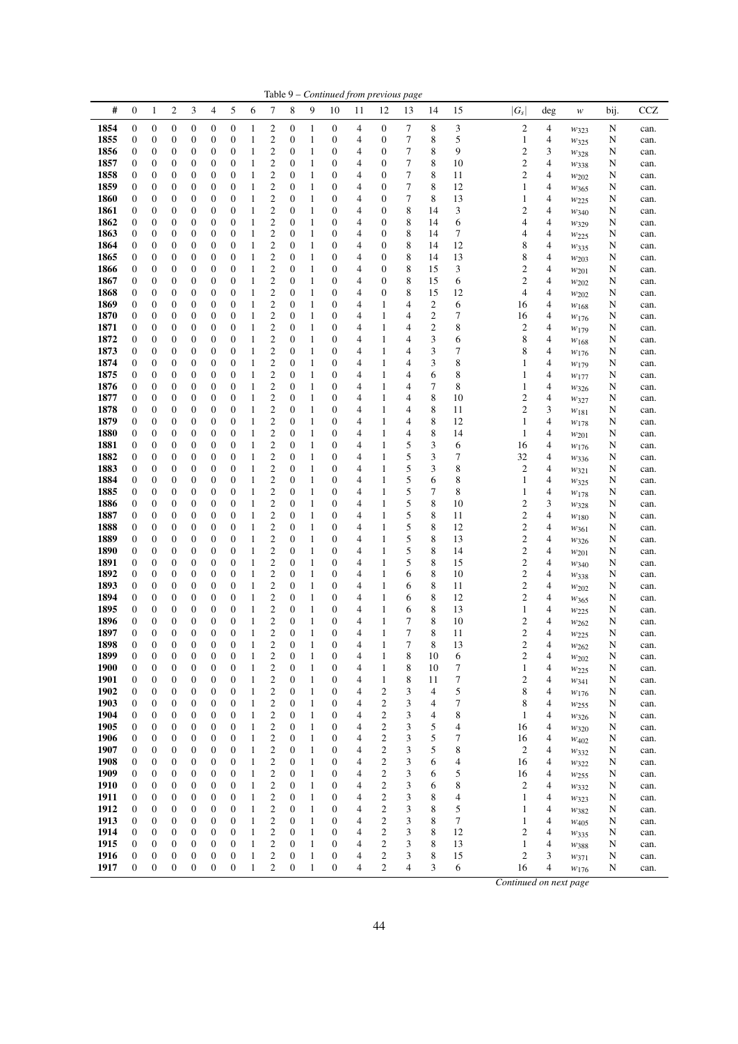|              |                                      |                                      |                       |                                      |                                      |                                      |                              |                                                    |                                      |                              |                                      |                     | Table 9 - Continued from previous page |        |                      |          |                                  |                                  |                          |        |              |
|--------------|--------------------------------------|--------------------------------------|-----------------------|--------------------------------------|--------------------------------------|--------------------------------------|------------------------------|----------------------------------------------------|--------------------------------------|------------------------------|--------------------------------------|---------------------|----------------------------------------|--------|----------------------|----------|----------------------------------|----------------------------------|--------------------------|--------|--------------|
| #            | $\boldsymbol{0}$                     | 1                                    | 2                     | 3                                    | 4                                    | 5                                    | 6                            | 7                                                  | 8                                    | 9                            | 10                                   | 11                  | 12                                     | 13     | 14                   | 15       | $ G_s $                          | deg                              | $\boldsymbol{W}$         | bij.   | CCZ          |
| 1854         | $\boldsymbol{0}$                     | $\boldsymbol{0}$                     | 0                     | $\boldsymbol{0}$                     | $\boldsymbol{0}$                     | $\boldsymbol{0}$                     | 1                            | 2                                                  | $\boldsymbol{0}$                     | $\mathbf{1}$                 | $\boldsymbol{0}$                     | $\overline{4}$      | 0                                      | 7      | 8                    | 3        | $\boldsymbol{2}$                 | 4                                | $w_{323}$                | N      | can.         |
| 1855         | $\boldsymbol{0}$                     | $\boldsymbol{0}$                     | 0                     | 0                                    | $\boldsymbol{0}$                     | $\boldsymbol{0}$                     | 1                            | $\overline{c}$                                     | 0                                    | $\mathbf{1}$                 | $\boldsymbol{0}$                     | 4                   | 0                                      | 7      | 8                    | 5        | 1                                | 4                                | $w_{325}$                | N      | can.         |
| 1856<br>1857 | $\boldsymbol{0}$<br>$\boldsymbol{0}$ | $\boldsymbol{0}$<br>0                | 0                     | 0<br>0                               | $\boldsymbol{0}$<br>$\boldsymbol{0}$ | $\boldsymbol{0}$<br>$\boldsymbol{0}$ | 1<br>1                       | $\overline{c}$<br>$\overline{c}$                   | $\boldsymbol{0}$<br>0                | 1<br>1                       | 0<br>0                               | 4<br>4              | 0<br>0                                 | 7<br>7 | 8<br>8               | 9<br>10  | $\overline{c}$<br>2              | 3<br>$\overline{4}$              | W328                     | N<br>N | can.         |
| 1858         | $\boldsymbol{0}$                     | $\boldsymbol{0}$                     | 0<br>0                | 0                                    | $\boldsymbol{0}$                     | $\boldsymbol{0}$                     | 1                            | $\overline{c}$                                     | $\boldsymbol{0}$                     | $\mathbf{1}$                 | 0                                    | 4                   | 0                                      | 7      | 8                    | 11       | $\mathfrak{2}$                   | $\overline{4}$                   | W338<br>$w_{202}$        | N      | can.<br>can. |
| 1859         | $\boldsymbol{0}$                     | $\boldsymbol{0}$                     | 0                     | 0                                    | $\boldsymbol{0}$                     | $\boldsymbol{0}$                     | 1                            | $\overline{\mathbf{c}}$                            | 0                                    | $\mathbf{1}$                 | 0                                    | $\overline{4}$      | 0                                      | 7      | 8                    | 12       | 1                                | 4                                | $w_{365}$                | N      | can.         |
| 1860         | $\boldsymbol{0}$                     | $\boldsymbol{0}$                     | 0                     | 0                                    | $\boldsymbol{0}$                     | $\boldsymbol{0}$                     | 1                            | $\overline{\mathbf{c}}$                            | 0                                    | $\mathbf{1}$                 | 0                                    | 4                   | 0                                      | 7      | 8                    | 13       | 1                                | $\overline{4}$                   | W225                     | N      | can.         |
| 1861         | $\boldsymbol{0}$                     | $\boldsymbol{0}$                     | 0                     | 0                                    | $\boldsymbol{0}$                     | $\boldsymbol{0}$                     | 1                            | $\overline{\mathbf{c}}$                            | 0                                    | $\mathbf{1}$                 | 0                                    | 4                   | 0                                      | 8      | 14                   | 3        | 2                                | $\overline{4}$                   | W340                     | N      | can.         |
| 1862<br>1863 | $\boldsymbol{0}$<br>$\boldsymbol{0}$ | $\boldsymbol{0}$<br>$\boldsymbol{0}$ | 0<br>0                | 0<br>0                               | $\boldsymbol{0}$<br>$\boldsymbol{0}$ | $\boldsymbol{0}$<br>$\boldsymbol{0}$ | 1<br>1                       | $\overline{\mathbf{c}}$<br>$\overline{c}$          | 0<br>$\boldsymbol{0}$                | $\mathbf{1}$<br>1            | $\boldsymbol{0}$<br>0                | 4<br>4              | 0<br>0                                 | 8<br>8 | 14<br>14             | 6<br>7   | 4<br>4                           | 4<br>$\overline{4}$              | $w_{329}$                | N<br>N | can.         |
| 1864         | $\boldsymbol{0}$                     | $\boldsymbol{0}$                     | 0                     | 0                                    | $\boldsymbol{0}$                     | $\boldsymbol{0}$                     | 1                            | $\overline{\mathbf{c}}$                            | 0                                    | 1                            | 0                                    | 4                   | 0                                      | 8      | 14                   | 12       | 8                                | 4                                | $w_{225}$<br>W335        | N      | can.<br>can. |
| 1865         | $\boldsymbol{0}$                     | $\boldsymbol{0}$                     | 0                     | 0                                    | $\boldsymbol{0}$                     | $\boldsymbol{0}$                     | 1                            | $\overline{c}$                                     | $\boldsymbol{0}$                     | $\mathbf{1}$                 | 0                                    | 4                   | 0                                      | 8      | 14                   | 13       | 8                                | 4                                | W203                     | N      | can.         |
| 1866         | $\boldsymbol{0}$                     | $\boldsymbol{0}$                     | 0                     | 0                                    | $\boldsymbol{0}$                     | $\boldsymbol{0}$                     | 1                            | $\overline{c}$                                     | 0                                    | $\mathbf{1}$                 | 0                                    | 4                   | 0                                      | 8      | 15                   | 3        | 2                                | $\overline{4}$                   | $w_{201}$                | N      | can.         |
| 1867         | $\boldsymbol{0}$                     | $\boldsymbol{0}$                     | 0                     | 0                                    | $\boldsymbol{0}$                     | $\boldsymbol{0}$                     | 1                            | $\overline{c}$                                     | 0                                    | 1                            | 0                                    | 4                   | 0                                      | 8      | 15                   | 6        | $\mathbf{2}$                     | $\overline{4}$                   | $w_{202}$                | N      | can.         |
| 1868<br>1869 | $\boldsymbol{0}$<br>$\boldsymbol{0}$ | $\boldsymbol{0}$<br>$\boldsymbol{0}$ | 0<br>0                | 0<br>0                               | $\boldsymbol{0}$<br>$\boldsymbol{0}$ | $\boldsymbol{0}$<br>$\boldsymbol{0}$ | 1<br>1                       | $\overline{c}$<br>$\overline{c}$                   | 0<br>0                               | $\mathbf{1}$<br>$\mathbf{1}$ | 0<br>$\boldsymbol{0}$                | $\overline{4}$<br>4 | 0<br>1                                 | 8<br>4 | 15<br>$\overline{c}$ | 12<br>6  | 4<br>16                          | $\overline{4}$<br>$\overline{4}$ | W202                     | N<br>N | can.<br>can. |
| 1870         | $\boldsymbol{0}$                     | $\boldsymbol{0}$                     | 0                     | 0                                    | $\boldsymbol{0}$                     | $\boldsymbol{0}$                     | 1                            | $\overline{c}$                                     | $\boldsymbol{0}$                     | $\mathbf{1}$                 | 0                                    | 4                   | 1                                      | 4      | $\mathfrak{2}$       | 7        | 16                               | $\overline{4}$                   | W168<br>$w_{176}$        | N      | can.         |
| 1871         | $\boldsymbol{0}$                     | $\boldsymbol{0}$                     | 0                     | 0                                    | $\boldsymbol{0}$                     | $\boldsymbol{0}$                     | 1                            | $\overline{c}$                                     | 0                                    | $\mathbf{1}$                 | 0                                    | 4                   | 1                                      | 4      | $\boldsymbol{2}$     | 8        | 2                                | 4                                | $w_{179}$                | N      | can.         |
| 1872         | $\boldsymbol{0}$                     | $\boldsymbol{0}$                     | 0                     | 0                                    | $\boldsymbol{0}$                     | $\boldsymbol{0}$                     | 1                            | $\overline{c}$                                     | $\boldsymbol{0}$                     | $\mathbf{1}$                 | $\mathbf{0}$                         | 4                   | 1                                      | 4      | 3                    | 6        | 8                                | $\overline{4}$                   | W168                     | N      | can.         |
| 1873         | $\boldsymbol{0}$                     | $\boldsymbol{0}$                     | 0                     | 0                                    | $\boldsymbol{0}$                     | $\boldsymbol{0}$                     | 1                            | $\overline{c}$                                     | 0                                    | 1                            | 0                                    | $\overline{4}$      | 1                                      | 4      | 3                    | 7        | 8                                | $\overline{4}$                   | W176                     | N      | can.         |
| 1874<br>1875 | $\boldsymbol{0}$<br>$\boldsymbol{0}$ | $\boldsymbol{0}$<br>$\boldsymbol{0}$ | 0<br>0                | 0<br>0                               | $\boldsymbol{0}$<br>$\boldsymbol{0}$ | $\boldsymbol{0}$<br>$\boldsymbol{0}$ | 1<br>1                       | $\overline{\mathbf{c}}$<br>$\overline{c}$          | 0<br>0                               | $\mathbf{1}$<br>1            | 0<br>0                               | 4<br>4              | 1<br>1                                 | 4<br>4 | 3<br>6               | 8<br>8   | 1<br>1                           | $\overline{4}$<br>4              | W <sub>179</sub>         | N<br>N | can.<br>can. |
| 1876         | $\boldsymbol{0}$                     | $\boldsymbol{0}$                     | 0                     | 0                                    | $\boldsymbol{0}$                     | $\boldsymbol{0}$                     | 1                            | $\overline{c}$                                     | 0                                    | 1                            | 0                                    | $\overline{4}$      | 1                                      | 4      | 7                    | 8        | 1                                | 4                                | $w_{177}$<br>W326        | N      | can.         |
| 1877         | $\boldsymbol{0}$                     | $\boldsymbol{0}$                     | 0                     | 0                                    | $\boldsymbol{0}$                     | $\boldsymbol{0}$                     | $\mathbf{1}$                 | $\overline{c}$                                     | $\boldsymbol{0}$                     | $\mathbf{1}$                 | 0                                    | 4                   | 1                                      | 4      | 8                    | 10       | 2                                | $\overline{4}$                   | W327                     | N      | can.         |
| 1878         | $\boldsymbol{0}$                     | $\boldsymbol{0}$                     | 0                     | 0                                    | $\boldsymbol{0}$                     | $\boldsymbol{0}$                     | 1                            | $\overline{\mathbf{c}}$                            | 0                                    | $\mathbf{1}$                 | 0                                    | $\overline{4}$      | 1                                      | 4      | 8                    | 11       | $\overline{c}$                   | 3                                | $w_{181}$                | N      | can.         |
| 1879         | $\boldsymbol{0}$                     | $\boldsymbol{0}$                     | 0                     | 0                                    | $\boldsymbol{0}$                     | $\boldsymbol{0}$                     | 1                            | $\overline{\mathbf{c}}$                            | $\boldsymbol{0}$                     | $\mathbf{1}$                 | $\boldsymbol{0}$                     | 4                   | 1                                      | 4      | 8                    | 12       | 1                                | $\overline{4}$                   | $w_{178}$                | N      | can.         |
| 1880<br>1881 | $\boldsymbol{0}$<br>$\boldsymbol{0}$ | $\boldsymbol{0}$<br>$\boldsymbol{0}$ | 0<br>0                | 0<br>0                               | $\boldsymbol{0}$<br>$\boldsymbol{0}$ | $\boldsymbol{0}$<br>$\boldsymbol{0}$ | 1<br>1                       | $\overline{\mathbf{c}}$<br>$\overline{\mathbf{c}}$ | 0<br>0                               | $\mathbf{1}$<br>$\mathbf{1}$ | 0<br>$\boldsymbol{0}$                | 4<br>4              | $\mathbf{1}$<br>$\mathbf{1}$           | 4<br>5 | 8<br>3               | 14<br>6  | 1<br>16                          | $\overline{4}$<br>4              | $w_{201}$                | N<br>N | can.         |
| 1882         | $\boldsymbol{0}$                     | $\boldsymbol{0}$                     | 0                     | 0                                    | $\boldsymbol{0}$                     | $\boldsymbol{0}$                     | 1                            | $\overline{c}$                                     | 0                                    | 1                            | 0                                    | 4                   | 1                                      | 5      | 3                    | 7        | 32                               | $\overline{4}$                   | W176<br>$w_{336}$        | N      | can.<br>can. |
| 1883         | $\boldsymbol{0}$                     | 0                                    | 0                     | 0                                    | $\boldsymbol{0}$                     | $\boldsymbol{0}$                     | 1                            | $\overline{\mathbf{c}}$                            | 0                                    | 1                            | 0                                    | 4                   | 1                                      | 5      | 3                    | 8        | 2                                | 4                                | $w_{321}$                | N      | can.         |
| 1884         | $\boldsymbol{0}$                     | $\boldsymbol{0}$                     | 0                     | 0                                    | $\boldsymbol{0}$                     | $\boldsymbol{0}$                     | 1                            | $\overline{c}$                                     | $\boldsymbol{0}$                     | $\mathbf{1}$                 | 0                                    | 4                   | 1                                      | 5      | 6                    | 8        | 1                                | $\overline{4}$                   | W325                     | N      | can.         |
| 1885         | $\boldsymbol{0}$                     | $\boldsymbol{0}$                     | 0                     | 0                                    | $\boldsymbol{0}$                     | $\boldsymbol{0}$                     | 1                            | $\overline{\mathbf{c}}$                            | 0                                    | $\mathbf{1}$                 | 0                                    | 4                   | 1                                      | 5      | 7                    | 8        | 1                                | 4                                | W178                     | N      | can.         |
| 1886<br>1887 | $\boldsymbol{0}$<br>$\boldsymbol{0}$ | $\boldsymbol{0}$<br>$\boldsymbol{0}$ | 0<br>0                | 0<br>0                               | $\boldsymbol{0}$<br>$\boldsymbol{0}$ | $\boldsymbol{0}$<br>$\boldsymbol{0}$ | 1<br>1                       | $\overline{c}$<br>$\overline{\mathbf{c}}$          | 0<br>0                               | 1<br>$\mathbf{1}$            | 0<br>0                               | 4<br>4              | 1<br>1                                 | 5<br>5 | 8<br>8               | 10<br>11 | 2<br>2                           | 3<br>$\overline{4}$              | W328                     | N<br>N | can.<br>can. |
| 1888         | $\boldsymbol{0}$                     | $\boldsymbol{0}$                     | 0                     | 0                                    | $\boldsymbol{0}$                     | $\boldsymbol{0}$                     | 1                            | $\overline{c}$                                     | 0                                    | $\mathbf{1}$                 | $\boldsymbol{0}$                     | 4                   | 1                                      | 5      | 8                    | 12       | $\overline{c}$                   | $\overline{4}$                   | $w_{180}$<br>W361        | N      | can.         |
| 1889         | $\boldsymbol{0}$                     | $\boldsymbol{0}$                     | 0                     | 0                                    | $\boldsymbol{0}$                     | $\boldsymbol{0}$                     | 1                            | $\overline{c}$                                     | $\boldsymbol{0}$                     | $\mathbf{1}$                 | 0                                    | 4                   | 1                                      | 5      | 8                    | 13       | 2                                | $\overline{4}$                   | W326                     | N      | can.         |
| 1890         | $\boldsymbol{0}$                     | 0                                    | 0                     | 0                                    | $\boldsymbol{0}$                     | $\boldsymbol{0}$                     | 1                            | $\overline{c}$                                     | 0                                    | $\mathbf{1}$                 | 0                                    | 4                   | 1                                      | 5      | 8                    | 14       | 2                                | 4                                | $w_{201}$                | N      | can.         |
| 1891<br>1892 | $\boldsymbol{0}$                     | $\boldsymbol{0}$<br>$\boldsymbol{0}$ | 0                     | 0                                    | $\boldsymbol{0}$                     | $\boldsymbol{0}$<br>$\boldsymbol{0}$ | 1                            | $\overline{c}$<br>$\overline{c}$                   | $\boldsymbol{0}$                     | $\mathbf{1}$                 | 0<br>0                               | 4                   | 1                                      | 5      | 8<br>8               | 15       | $\overline{c}$<br>$\overline{c}$ | 4<br>$\overline{4}$              | $w_{340}$                | N      | can.         |
| 1893         | $\boldsymbol{0}$<br>$\boldsymbol{0}$ | $\boldsymbol{0}$                     | 0<br>0                | 0<br>0                               | $\boldsymbol{0}$<br>$\boldsymbol{0}$ | $\boldsymbol{0}$                     | 1<br>1                       | $\overline{\mathbf{c}}$                            | 0<br>0                               | 1<br>$\mathbf{1}$            | 0                                    | $\overline{4}$<br>4 | 1<br>1                                 | 6<br>6 | 8                    | 10<br>11 | $\mathbf{2}$                     | $\overline{4}$                   | W338<br>W202             | N<br>N | can.<br>can. |
| 1894         | $\boldsymbol{0}$                     | $\boldsymbol{0}$                     | 0                     | 0                                    | $\boldsymbol{0}$                     | $\boldsymbol{0}$                     | 1                            | $\overline{c}$                                     | $\boldsymbol{0}$                     | $\mathbf{1}$                 | 0                                    | 4                   | 1                                      | 6      | 8                    | 12       | $\overline{c}$                   | $\overline{4}$                   | $w_{365}$                | N      | can.         |
| 1895         | $\boldsymbol{0}$                     | $\boldsymbol{0}$                     | 0                     | 0                                    | $\boldsymbol{0}$                     | $\boldsymbol{0}$                     | 1                            | $\overline{c}$                                     | 0                                    | $\mathbf{1}$                 | 0                                    | 4                   | 1                                      | 6      | 8                    | 13       | 1                                | 4                                | $w_{225}$                | N      | can.         |
| 1896         | $\boldsymbol{0}$                     | $\boldsymbol{0}$                     | 0                     | 0                                    | $\boldsymbol{0}$                     | $\boldsymbol{0}$                     | 1                            | $\overline{\mathbf{c}}$                            | $\boldsymbol{0}$                     | $\mathbf{1}$                 | $\boldsymbol{0}$                     | 4                   | $\mathbf{1}$                           | 7      | 8                    | 10       | 2                                | $\overline{4}$                   | W262                     | N      | can.         |
| 1897<br>1898 | $\boldsymbol{0}$<br>$\boldsymbol{0}$ | $\boldsymbol{0}$<br>$\boldsymbol{0}$ | 0<br>$\boldsymbol{0}$ | $\boldsymbol{0}$<br>$\boldsymbol{0}$ | $\boldsymbol{0}$<br>$\boldsymbol{0}$ | $\mathbf{0}$<br>$\boldsymbol{0}$     | $\mathbf{1}$<br>1            | 2<br>$\overline{c}$                                | $\boldsymbol{0}$<br>$\boldsymbol{0}$ | $\mathbf{1}$<br>$\mathbf{1}$ | $\overline{0}$<br>$\mathbf{0}$       | 4<br>4              | 1<br>1                                 | 7<br>7 | 8<br>8               | 11<br>13 | 2<br>$\overline{c}$              | 4<br>4                           | W225                     | N<br>N | can.         |
| 1899         | $\boldsymbol{0}$                     | $\boldsymbol{0}$                     | 0                     | $\boldsymbol{0}$                     | $\mathbf{0}$                         | $\boldsymbol{0}$                     | 1                            | $\overline{\mathbf{c}}$                            | $\boldsymbol{0}$                     | 1                            | $\boldsymbol{0}$                     | $\overline{4}$      | 1                                      | 8      | 10                   | 6        | $\overline{\mathbf{c}}$          | 4                                | $w_{262}$<br>$w_{202}$   | N      | can.<br>can. |
| 1900         | $\boldsymbol{0}$                     | $\boldsymbol{0}$                     | 0                     | 0                                    | $\boldsymbol{0}$                     | $\boldsymbol{0}$                     | $\mathbf{1}$                 | $\overline{\mathbf{c}}$                            | $\boldsymbol{0}$                     | $\mathbf{1}$                 | $\boldsymbol{0}$                     | 4                   | 1                                      | 8      | 10                   | 7        | 1                                | 4                                | W225                     | N      | can.         |
| 1901         | $\boldsymbol{0}$                     | $\boldsymbol{0}$                     | 0                     | 0                                    | $\boldsymbol{0}$                     | $\boldsymbol{0}$                     | $\mathbf{1}$                 | 2                                                  | $\boldsymbol{0}$                     | 1                            | $\boldsymbol{0}$                     | 4                   | $\mathbf{1}$                           | 8      | 11                   | 7        | $\mathfrak{2}$                   | 4                                | W341                     | N      | can.         |
| 1902         | $\boldsymbol{0}$                     | $\boldsymbol{0}$                     | 0                     | 0                                    | $\boldsymbol{0}$                     | $\boldsymbol{0}$                     | 1                            | 2                                                  | $\boldsymbol{0}$                     | 1                            | $\boldsymbol{0}$                     | 4                   | 2                                      | 3      | 4                    | 5        | 8                                | 4                                | $w_{176}$                | N      | can.         |
| 1903<br>1904 | $\boldsymbol{0}$<br>$\boldsymbol{0}$ | $\boldsymbol{0}$<br>$\boldsymbol{0}$ | 0<br>0                | 0<br>0                               | $\boldsymbol{0}$<br>$\boldsymbol{0}$ | $\boldsymbol{0}$<br>$\boldsymbol{0}$ | 1<br>$\mathbf{1}$            | $\overline{c}$<br>2                                | $\boldsymbol{0}$<br>$\boldsymbol{0}$ | $\mathbf{1}$<br>1            | 0<br>0                               | 4<br>4              | $\boldsymbol{2}$<br>2                  | 3<br>3 | 4<br>4               | 7<br>8   | 8<br>1                           | 4<br>4                           | $w_{255}$                | N<br>N | can.<br>can. |
| 1905         | $\boldsymbol{0}$                     | $\boldsymbol{0}$                     | 0                     | $\boldsymbol{0}$                     | $\boldsymbol{0}$                     | $\boldsymbol{0}$                     | $\mathbf{1}$                 | $\overline{c}$                                     | $\boldsymbol{0}$                     | $\mathbf{1}$                 | $\boldsymbol{0}$                     | 4                   | $\mathbf{2}$                           | 3      | 5                    | 4        | 16                               | 4                                | W326<br>W320             | N      | can.         |
| 1906         | $\boldsymbol{0}$                     | $\boldsymbol{0}$                     | 0                     | 0                                    | $\boldsymbol{0}$                     | $\boldsymbol{0}$                     | $\mathbf{1}$                 | 2                                                  | $\boldsymbol{0}$                     | $\mathbf{1}$                 | 0                                    | 4                   | $\boldsymbol{2}$                       | 3      | 5                    | 7        | 16                               | 4                                | W <sub>402</sub>         | N      | can.         |
| 1907         | $\mathbf{0}$                         | $\boldsymbol{0}$                     | 0                     | 0                                    | $\boldsymbol{0}$                     | $\boldsymbol{0}$                     | 1                            | $\mathbf{2}$                                       | $\boldsymbol{0}$                     | $\mathbf{1}$                 | $\boldsymbol{0}$                     | 4                   | $\boldsymbol{2}$                       | 3      | 5                    | 8        | $\boldsymbol{2}$                 | 4                                | $w_{332}$                | N      | can.         |
| 1908         | $\boldsymbol{0}$                     | $\boldsymbol{0}$                     | 0                     | 0                                    | $\boldsymbol{0}$                     | $\boldsymbol{0}$                     | $\mathbf{1}$                 | 2                                                  | $\boldsymbol{0}$                     | $\mathbf{1}$                 | 0                                    | 4                   | $\boldsymbol{2}$                       | 3      | 6                    | 4        | 16                               | 4                                | W322                     | N      | can.         |
| 1909<br>1910 | $\boldsymbol{0}$<br>$\mathbf{0}$     | $\boldsymbol{0}$<br>$\boldsymbol{0}$ | 0<br>0                | 0<br>$\boldsymbol{0}$                | $\boldsymbol{0}$<br>$\boldsymbol{0}$ | $\boldsymbol{0}$<br>$\boldsymbol{0}$ | $\mathbf{1}$<br>$\mathbf{1}$ | $\boldsymbol{2}$<br>$\mathbf{2}$                   | $\boldsymbol{0}$<br>$\boldsymbol{0}$ | $\mathbf{1}$<br>$\mathbf{1}$ | 0<br>0                               | 4<br>4              | $\boldsymbol{2}$<br>$\mathbf{2}$       | 3<br>3 | 6<br>6               | 5<br>8   | 16<br>2                          | 4<br>4                           | W <sub>255</sub><br>W332 | N<br>N | can.<br>can. |
| 1911         | $\boldsymbol{0}$                     | $\boldsymbol{0}$                     | 0                     | $\boldsymbol{0}$                     | $\boldsymbol{0}$                     | $\boldsymbol{0}$                     | $\mathbf{1}$                 | 2                                                  | $\boldsymbol{0}$                     | $\mathbf{1}$                 | $\boldsymbol{0}$                     | 4                   | $\mathfrak{2}$                         | 3      | 8                    | 4        | 1                                | 4                                | $w_{323}$                | N      | can.         |
| 1912         | $\boldsymbol{0}$                     | $\boldsymbol{0}$                     | 0                     | $\boldsymbol{0}$                     | $\boldsymbol{0}$                     | $\boldsymbol{0}$                     | 1                            | $\mathbf{2}$                                       | $\boldsymbol{0}$                     | $\mathbf{1}$                 | $\boldsymbol{0}$                     | 4                   | $\mathfrak{2}$                         | 3      | 8                    | 5        | 1                                | 4                                | W382                     | N      | can.         |
| 1913         | $\boldsymbol{0}$                     | $\boldsymbol{0}$                     | 0                     | 0                                    | $\boldsymbol{0}$                     | $\boldsymbol{0}$                     | $\mathbf{1}$                 | 2                                                  | $\boldsymbol{0}$                     | $\mathbf{1}$                 | $\boldsymbol{0}$                     | 4                   | $\mathfrak{2}$                         | 3      | 8                    | 7        | 1                                | 4                                | W405                     | N      | can.         |
| 1914         | $\boldsymbol{0}$                     | $\boldsymbol{0}$                     | 0                     | 0                                    | $\boldsymbol{0}$                     | $\boldsymbol{0}$                     | $\mathbf{1}$                 | $\overline{c}$                                     | $\boldsymbol{0}$                     | $\mathbf{1}$                 | $\boldsymbol{0}$                     | 4                   | $\mathfrak{2}$                         | 3      | 8                    | 12       | $\mathfrak{2}$                   | 4                                | $w_{335}$                | N      | can.         |
| 1915<br>1916 | $\boldsymbol{0}$<br>$\mathbf{0}$     | $\boldsymbol{0}$<br>$\boldsymbol{0}$ | 0<br>0                | $\boldsymbol{0}$<br>$\boldsymbol{0}$ | $\boldsymbol{0}$<br>$\boldsymbol{0}$ | $\mathbf{0}$<br>$\boldsymbol{0}$     | $\mathbf{1}$<br>$\mathbf{1}$ | 2<br>$\overline{\mathbf{c}}$                       | $\boldsymbol{0}$<br>$\boldsymbol{0}$ | $\mathbf{1}$<br>$\mathbf{1}$ | $\boldsymbol{0}$<br>$\boldsymbol{0}$ | 4<br>4              | $\mathfrak{2}$<br>2                    | 3<br>3 | 8<br>8               | 13<br>15 | 1<br>2                           | 4<br>3                           | $w_{388}$<br>W371        | N<br>N | can.<br>can. |
| 1917         | $\boldsymbol{0}$                     | $\mathbf{0}$                         | $\boldsymbol{0}$      | $\boldsymbol{0}$                     | $\boldsymbol{0}$                     | $\mathbf{0}$                         | $\mathbf{1}$                 | $\overline{c}$                                     | $\boldsymbol{0}$                     | $\mathbf{1}$                 | $\boldsymbol{0}$                     | 4                   | $\overline{c}$                         | 4      | 3                    | 6        | 16                               | 4                                | W176                     | N      | can.         |
|              |                                      |                                      |                       |                                      |                                      |                                      |                              |                                                    |                                      |                              |                                      |                     |                                        |        |                      |          |                                  |                                  |                          |        |              |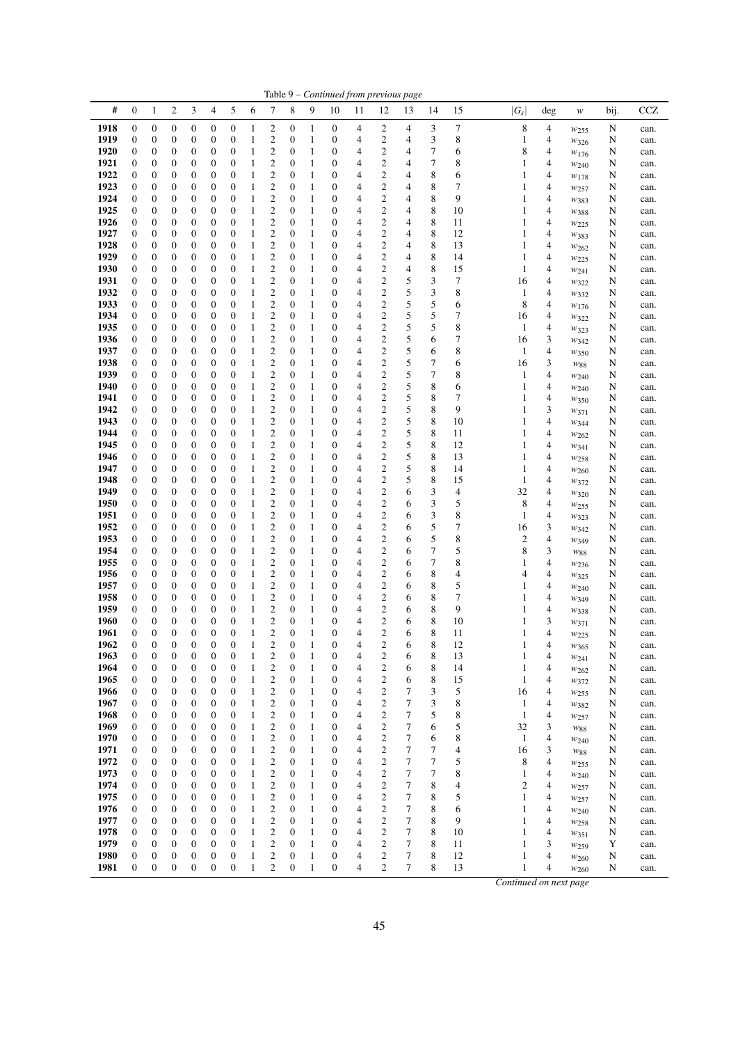|              |                                      |                                      |                                      |                                      |                                      |                                      |              |                                           |                                      |                   | Table 9 – Continued from previous page |                         |                                                    |                  |        |                               |                              |                |                               |        |              |
|--------------|--------------------------------------|--------------------------------------|--------------------------------------|--------------------------------------|--------------------------------------|--------------------------------------|--------------|-------------------------------------------|--------------------------------------|-------------------|----------------------------------------|-------------------------|----------------------------------------------------|------------------|--------|-------------------------------|------------------------------|----------------|-------------------------------|--------|--------------|
| #            | $\boldsymbol{0}$                     | 1                                    | 2                                    | 3                                    | 4                                    | 5                                    | 6            | 7                                         | 8                                    | 9                 | 10                                     | 11                      | 12                                                 | 13               | 14     | 15                            | $ G_s $                      | $\deg$         | w                             | bij.   | CCZ          |
| 1918         | $\boldsymbol{0}$                     | $\boldsymbol{0}$                     | 0                                    | $\boldsymbol{0}$                     | $\boldsymbol{0}$                     | $\boldsymbol{0}$                     | 1            | $\overline{c}$                            | $\boldsymbol{0}$                     | 1                 | $\boldsymbol{0}$                       | 4                       | 2                                                  | 4                | 3      | 7                             | 8                            | 4              | W <sub>255</sub>              | N      | can.         |
| 1919         | $\boldsymbol{0}$                     | $\boldsymbol{0}$                     | 0                                    | 0                                    | $\boldsymbol{0}$                     | $\boldsymbol{0}$                     | $\mathbf{1}$ | $\mathbf{2}$                              | $\boldsymbol{0}$                     | 1                 | $\boldsymbol{0}$                       | 4                       | 2                                                  | 4                | 3      | 8                             | $\mathbf{1}$                 | 4              | $w_{326}$                     | N      | can.         |
| 1920         | $\boldsymbol{0}$                     | $\boldsymbol{0}$                     | 0                                    | 0                                    | $\boldsymbol{0}$                     | 0                                    | 1            | $\overline{\mathbf{c}}$                   | $\boldsymbol{0}$                     | 1                 | 0                                      | 4                       | 2                                                  | 4                | 7      | 6                             | 8                            | 4              | W176                          | N      | can.         |
| 1921         | $\mathbf{0}$                         | $\boldsymbol{0}$                     | 0                                    | $\mathbf{0}$                         | $\boldsymbol{0}$                     | $\mathbf{0}$                         | 1            | $\mathbf{2}$                              | $\boldsymbol{0}$                     | 1                 | $\mathbf{0}$                           | 4                       | $\mathbf{2}$                                       | 4                | 7      | 8                             | $\mathbf{1}$                 | 4              | W240                          | N      | can.         |
| 1922<br>1923 | $\boldsymbol{0}$                     | $\boldsymbol{0}$                     | 0                                    | 0                                    | $\boldsymbol{0}$                     | 0                                    | 1            | $\overline{\mathbf{c}}$                   | $\boldsymbol{0}$                     | 1                 | 0                                      | 4                       | $\overline{\mathbf{c}}$                            | 4                | 8      | 6<br>7                        | $\mathbf{1}$                 | 4              | W <sub>178</sub>              | N      | can.         |
| 1924         | $\boldsymbol{0}$<br>$\boldsymbol{0}$ | $\boldsymbol{0}$<br>$\boldsymbol{0}$ | 0<br>$\boldsymbol{0}$                | 0<br>$\boldsymbol{0}$                | $\boldsymbol{0}$<br>$\boldsymbol{0}$ | 0<br>$\boldsymbol{0}$                | 1<br>1       | $\overline{\mathbf{c}}$<br>$\mathbf{2}$   | 0<br>$\boldsymbol{0}$                | 1<br>1            | $\boldsymbol{0}$<br>0                  | 4<br>4                  | $\overline{\mathbf{c}}$<br>2                       | 4<br>4           | 8<br>8 | 9                             | $\mathbf{1}$<br>$\mathbf{1}$ | 4<br>4         | $w_{257}$                     | N<br>N | can.         |
| 1925         | $\boldsymbol{0}$                     | $\boldsymbol{0}$                     | $\boldsymbol{0}$                     | 0                                    | $\boldsymbol{0}$                     | 0                                    | 1            | $\mathbf{2}$                              | $\boldsymbol{0}$                     | 1                 | $\boldsymbol{0}$                       | 4                       | $\mathbf{2}$                                       | 4                | 8      | 10                            | 1                            | 4              | W383                          | N      | can.<br>can. |
| 1926         | $\boldsymbol{0}$                     | $\boldsymbol{0}$                     | 0                                    | 0                                    | $\boldsymbol{0}$                     | 0                                    | 1            | $\overline{2}$                            | $\boldsymbol{0}$                     | 1                 | 0                                      | 4                       | $\mathfrak{2}$                                     | 4                | 8      | 11                            | $\mathbf{1}$                 | $\overline{4}$ | W388<br>$w_{225}$             | N      | can.         |
| 1927         | $\boldsymbol{0}$                     | $\boldsymbol{0}$                     | 0                                    | 0                                    | $\boldsymbol{0}$                     | 0                                    | 1            | $\boldsymbol{2}$                          | $\boldsymbol{0}$                     | $\mathbf{1}$      | 0                                      | 4                       | 2                                                  | 4                | 8      | 12                            | $\mathbf{1}$                 | 4              | W383                          | N      | can.         |
| 1928         | $\boldsymbol{0}$                     | $\boldsymbol{0}$                     | $\boldsymbol{0}$                     | $\boldsymbol{0}$                     | $\boldsymbol{0}$                     | $\boldsymbol{0}$                     | 1            | $\overline{\mathbf{c}}$                   | $\boldsymbol{0}$                     | 1                 | $\mathbf{0}$                           | 4                       | $\overline{\mathbf{c}}$                            | 4                | 8      | 13                            | $\mathbf{1}$                 | 4              | W262                          | N      | can.         |
| 1929         | $\boldsymbol{0}$                     | $\boldsymbol{0}$                     | 0                                    | 0                                    | $\boldsymbol{0}$                     | 0                                    | 1            | $\overline{\mathbf{c}}$                   | $\boldsymbol{0}$                     | 1                 | 0                                      | 4                       | $\overline{\mathbf{c}}$                            | 4                | 8      | 14                            | $\mathbf{1}$                 | 4              | W225                          | N      | can.         |
| 1930         | $\boldsymbol{0}$                     | $\boldsymbol{0}$                     | 0                                    | 0                                    | $\boldsymbol{0}$                     | $\boldsymbol{0}$                     | 1            | $\boldsymbol{2}$                          | $\boldsymbol{0}$                     | 1                 | $\boldsymbol{0}$                       | 4                       | $\boldsymbol{2}$                                   | 4                | 8      | 15                            | $\mathbf{1}$                 | 4              | $w_{241}$                     | N      | can.         |
| 1931         | $\boldsymbol{0}$                     | $\boldsymbol{0}$                     | $\boldsymbol{0}$                     | $\boldsymbol{0}$                     | $\boldsymbol{0}$                     | 0                                    | 1            | $\mathbf{2}$                              | $\boldsymbol{0}$                     | 1                 | 0                                      | 4                       | 2                                                  | 5                | 3      | 7                             | 16                           | 4              | $w_{322}$                     | N      | can.         |
| 1932         | $\boldsymbol{0}$                     | $\boldsymbol{0}$                     | 0                                    | 0                                    | $\boldsymbol{0}$                     | 0                                    | 1            | $\overline{\mathbf{c}}$                   | 0                                    | 1                 | $\boldsymbol{0}$                       | 4                       | 2                                                  | 5                | 3      | 8                             | 1                            | 4              | W332                          | N      | can.         |
| 1933         | $\boldsymbol{0}$                     | $\boldsymbol{0}$                     | 0                                    | 0                                    | $\boldsymbol{0}$                     | 0                                    | 1            | $\boldsymbol{2}$                          | $\boldsymbol{0}$                     | 1                 | 0                                      | 4                       | $\boldsymbol{2}$                                   | 5                | 5      | 6                             | 8                            | 4              | W176                          | N      | can.         |
| 1934         | $\boldsymbol{0}$                     | $\boldsymbol{0}$                     | $\boldsymbol{0}$                     | 0                                    | $\boldsymbol{0}$                     | $\boldsymbol{0}$                     | 1            | $\boldsymbol{2}$                          | $\boldsymbol{0}$                     | 1                 | 0                                      | 4                       | $\boldsymbol{2}$                                   | 5                | 5      | 7                             | 16                           | 4              | $w_{322}$                     | N      | can.         |
| 1935         | $\mathbf{0}$                         | $\boldsymbol{0}$                     | $\boldsymbol{0}$                     | $\boldsymbol{0}$                     | $\boldsymbol{0}$                     | $\boldsymbol{0}$                     | 1            | $\mathbf{2}$                              | $\boldsymbol{0}$                     | 1                 | $\boldsymbol{0}$                       | $\overline{4}$          | $\mathfrak{2}$                                     | 5                | 5      | 8                             | $\mathbf{1}$                 | 4              | $w_{323}$                     | N      | can.         |
| 1936         | $\boldsymbol{0}$                     | $\boldsymbol{0}$                     | $\boldsymbol{0}$                     | 0                                    | $\boldsymbol{0}$                     | 0                                    | 1            | $\boldsymbol{2}$                          | $\boldsymbol{0}$                     | 1                 | 0                                      | 4                       | 2                                                  | 5                | 6      | 7                             | 16                           | 3              | W342                          | N      | can.         |
| 1937         | $\boldsymbol{0}$                     | $\boldsymbol{0}$                     | $\boldsymbol{0}$                     | 0                                    | $\boldsymbol{0}$                     | $\boldsymbol{0}$                     | 1            | $\boldsymbol{2}$                          | $\boldsymbol{0}$                     | 1                 | $\boldsymbol{0}$                       | 4                       | 2                                                  | 5                | 6      | 8                             | 1                            | 4              | W350                          | N      | can.         |
| 1938         | $\mathbf{0}$                         | $\boldsymbol{0}$                     | 0                                    | 0                                    | $\boldsymbol{0}$                     | 0                                    | 1            | $\mathbf{2}$                              | $\boldsymbol{0}$                     | 1                 | 0                                      | 4                       | $\boldsymbol{2}$                                   | 5                | 7      | 6                             | 16                           | 3              | $W_{88}$                      | N      | can.         |
| 1939<br>1940 | $\boldsymbol{0}$<br>$\mathbf{0}$     | $\boldsymbol{0}$<br>$\boldsymbol{0}$ | 0                                    | 0<br>$\mathbf{0}$                    | $\boldsymbol{0}$                     | 0<br>$\mathbf{0}$                    | 1<br>1       | $\boldsymbol{2}$<br>$\mathbf{2}$          | 0<br>$\boldsymbol{0}$                | 1<br>1            | $\boldsymbol{0}$<br>$\boldsymbol{0}$   | 4                       | 2<br>$\mathbf{2}$                                  | 5<br>5           | 7<br>8 | 8<br>6                        | 1<br>1                       | 4<br>4         | $w_{240}$                     | N      | can.         |
| 1941         | $\boldsymbol{0}$                     | $\boldsymbol{0}$                     | 0<br>$\boldsymbol{0}$                | 0                                    | $\boldsymbol{0}$<br>$\boldsymbol{0}$ | 0                                    | 1            | $\overline{\mathbf{c}}$                   | $\boldsymbol{0}$                     | 1                 | 0                                      | 4<br>4                  | $\overline{\mathbf{c}}$                            | 5                | 8      | 7                             | $\mathbf{1}$                 | 4              | W240                          | N<br>N | can.<br>can. |
| 1942         | $\boldsymbol{0}$                     | $\boldsymbol{0}$                     | 0                                    | 0                                    | $\boldsymbol{0}$                     | 0                                    | 1            | $\overline{\mathbf{c}}$                   | 0                                    | 1                 | $\boldsymbol{0}$                       | 4                       | $\overline{\mathbf{c}}$                            | 5                | 8      | 9                             | $\mathbf{1}$                 | 3              | W350                          | N      | can.         |
| 1943         | $\boldsymbol{0}$                     | $\boldsymbol{0}$                     | $\boldsymbol{0}$                     | 0                                    | $\boldsymbol{0}$                     | 0                                    | $\mathbf{1}$ | $\boldsymbol{2}$                          | $\boldsymbol{0}$                     | 1                 | 0                                      | 4                       | 2                                                  | 5                | 8      | 10                            | $\mathbf{1}$                 | 4              | $w_{371}$<br>W <sub>344</sub> | N      | can.         |
| 1944         | $\boldsymbol{0}$                     | $\boldsymbol{0}$                     | $\boldsymbol{0}$                     | 0                                    | $\boldsymbol{0}$                     | 0                                    | 1            | $\mathbf{2}$                              | $\boldsymbol{0}$                     | 1                 | $\boldsymbol{0}$                       | 4                       | $\mathfrak{2}$                                     | 5                | 8      | 11                            | 1                            | 4              | W262                          | N      | can.         |
| 1945         | $\mathbf{0}$                         | $\boldsymbol{0}$                     | 0                                    | 0                                    | $\boldsymbol{0}$                     | 0                                    | 1            | $\overline{2}$                            | $\boldsymbol{0}$                     | 1                 | 0                                      | 4                       | $\overline{c}$                                     | 5                | 8      | 12                            | 1                            | $\overline{4}$ | W341                          | N      | can.         |
| 1946         | $\boldsymbol{0}$                     | $\boldsymbol{0}$                     | 0                                    | 0                                    | $\boldsymbol{0}$                     | 0                                    | 1            | $\boldsymbol{2}$                          | $\boldsymbol{0}$                     | $\mathbf{1}$      | 0                                      | 4                       | 2                                                  | 5                | 8      | 13                            | $\mathbf{1}$                 | 4              | $w_{258}$                     | N      | can.         |
| 1947         | $\mathbf{0}$                         | $\boldsymbol{0}$                     | 0                                    | $\boldsymbol{0}$                     | $\boldsymbol{0}$                     | $\boldsymbol{0}$                     | 1            | $\boldsymbol{2}$                          | $\boldsymbol{0}$                     | 1                 | $\boldsymbol{0}$                       | 4                       | $\overline{\mathbf{c}}$                            | 5                | 8      | 14                            | $\mathbf{1}$                 | 4              | $w_{260}$                     | N      | can.         |
| 1948         | $\boldsymbol{0}$                     | $\boldsymbol{0}$                     | $\boldsymbol{0}$                     | 0                                    | $\boldsymbol{0}$                     | 0                                    | 1            | $\overline{\mathbf{c}}$                   | $\boldsymbol{0}$                     | 1                 | 0                                      | 4                       | $\overline{\mathbf{c}}$                            | 5                | 8      | 15                            | $\mathbf{1}$                 | 4              | W372                          | N      | can.         |
| 1949         | $\boldsymbol{0}$                     | $\boldsymbol{0}$                     | $\boldsymbol{0}$                     | 0                                    | $\boldsymbol{0}$                     | $\boldsymbol{0}$                     | 1            | $\boldsymbol{2}$                          | $\boldsymbol{0}$                     | 1                 | $\boldsymbol{0}$                       | 4                       | $\overline{\mathbf{c}}$                            | 6                | 3      | 4                             | 32                           | 4              | W320                          | N      | can.         |
| 1950         | $\boldsymbol{0}$                     | $\boldsymbol{0}$                     | $\boldsymbol{0}$                     | $\boldsymbol{0}$                     | $\boldsymbol{0}$                     | 0                                    | 1            | $\mathbf{2}$                              | $\boldsymbol{0}$                     | 1                 | 0                                      | 4                       | 2                                                  | 6                | 3      | 5                             | 8                            | 4              | W <sub>255</sub>              | N      | can.         |
| 1951         | $\mathbf{0}$                         | $\boldsymbol{0}$                     | 0                                    | 0                                    | $\boldsymbol{0}$                     | 0                                    | 1            | $\boldsymbol{2}$                          | $\boldsymbol{0}$                     | 1                 | $\boldsymbol{0}$                       | 4                       | 2                                                  | 6                | 3      | 8                             | $\mathbf{1}$                 | 4              | $w_{323}$                     | N      | can.         |
| 1952         | $\boldsymbol{0}$                     | $\boldsymbol{0}$                     | 0                                    | 0                                    | $\boldsymbol{0}$                     | 0                                    | 1            | $\boldsymbol{2}$                          | $\boldsymbol{0}$                     | 1                 | 0                                      | 4                       | $\boldsymbol{2}$                                   | 6                | 5      | 7                             | 16                           | 3              | W342                          | N      | can.         |
| 1953<br>1954 | $\boldsymbol{0}$<br>$\mathbf{0}$     | $\boldsymbol{0}$                     | $\boldsymbol{0}$                     | 0<br>$\boldsymbol{0}$                | $\boldsymbol{0}$                     | $\boldsymbol{0}$                     | 1<br>1       | $\boldsymbol{2}$<br>$\mathbf{2}$          | $\boldsymbol{0}$                     | 1<br>1            | 0<br>$\mathbf{0}$                      | 4<br>4                  | $\boldsymbol{2}$<br>$\mathfrak{2}$                 | 6                | 5<br>7 | 8<br>5                        | 2                            | 4<br>3         | W349                          | N      | can.         |
| 1955         | $\boldsymbol{0}$                     | $\boldsymbol{0}$<br>$\boldsymbol{0}$ | $\boldsymbol{0}$<br>0                | 0                                    | $\boldsymbol{0}$<br>$\boldsymbol{0}$ | $\boldsymbol{0}$<br>0                | 1            | $\boldsymbol{2}$                          | $\boldsymbol{0}$<br>0                | 1                 | 0                                      | 4                       | 2                                                  | 6                | 7      | 8                             | 8<br>$\mathbf{1}$            | 4              | W88                           | N      | can.         |
| 1956         | $\boldsymbol{0}$                     | $\boldsymbol{0}$                     | 0                                    | 0                                    | $\boldsymbol{0}$                     | $\boldsymbol{0}$                     | 1            | $\overline{\mathbf{c}}$                   | $\boldsymbol{0}$                     | 1                 | $\boldsymbol{0}$                       | 4                       | 2                                                  | 6<br>6           | 8      | $\overline{4}$                | 4                            | 4              | W <sub>236</sub>              | N<br>N | can.         |
| 1957         | $\mathbf{0}$                         | $\boldsymbol{0}$                     | $\boldsymbol{0}$                     | 0                                    | $\boldsymbol{0}$                     | 0                                    | 1            | $\mathbf{2}$                              | $\boldsymbol{0}$                     | 1                 | 0                                      | 4                       | $\boldsymbol{2}$                                   | 6                | 8      | 5                             | 1                            | 4              | W325<br>W240                  | N      | can.<br>can. |
| 1958         | $\boldsymbol{0}$                     | $\boldsymbol{0}$                     | 0                                    | 0                                    | $\boldsymbol{0}$                     | 0                                    | 1            | $\boldsymbol{2}$                          | 0                                    | 1                 | $\boldsymbol{0}$                       | 4                       | 2                                                  | 6                | 8      | 7                             | 1                            | 4              | W349                          | N      | can.         |
| 1959         | $\boldsymbol{0}$                     | $\boldsymbol{0}$                     | 0                                    | 0                                    | $\boldsymbol{0}$                     | 0                                    | 1            | $\mathbf{2}$                              | $\boldsymbol{0}$                     | 1                 | 0                                      | 4                       | 2                                                  | 6                | 8      | 9                             | 1                            | 4              | W338                          | N      | can.         |
| 1960         | $\boldsymbol{0}$                     | $\boldsymbol{0}$                     | $\boldsymbol{0}$                     | 0                                    | $\mathbf{0}$                         | $\boldsymbol{0}$                     | 1            | $\boldsymbol{2}$                          | $\boldsymbol{0}$                     | 1                 | $\boldsymbol{0}$                       | 4                       | $\boldsymbol{2}$                                   | 6                | 8      | 10                            | $\mathbf{1}$                 | 3              | W371                          | N      | can.         |
| 1961         | $\mathbf{0}$                         | $\overline{0}$                       | $\overline{0}$                       | 0                                    | $\overline{0}$                       | $\overline{0}$                       | 1            | $\overline{2}$                            | $\boldsymbol{0}$                     | 1                 | $\overline{0}$                         | $\overline{4}$          | $\overline{c}$                                     | 6                | 8      | 11                            | $\mathbf{1}$                 | 4              | W225                          | N      | can.         |
| 1962         | $\boldsymbol{0}$                     | $\boldsymbol{0}$                     | 0                                    | $\boldsymbol{0}$                     | $\boldsymbol{0}$                     | $\boldsymbol{0}$                     | 1            | 2                                         | $\boldsymbol{0}$                     | 1                 | $\boldsymbol{0}$                       | 4                       | $\overline{c}$                                     | 6                | 8      | 12                            | $\mathbf{1}$                 | 4              | $w_{365}$                     | N      | can.         |
| 1963         | $\boldsymbol{0}$                     | $\boldsymbol{0}$                     | $\boldsymbol{0}$                     | $\boldsymbol{0}$                     | $\boldsymbol{0}$                     | $\boldsymbol{0}$                     | 1            | $\mathbf{2}$                              | $\boldsymbol{0}$                     | 1                 | $\mathbf{0}$                           | 4                       | $\mathfrak{2}$                                     | 6                | 8      | 13                            | $\mathbf{1}$                 | 4              | $w_{241}$                     | N      | can.         |
| 1964         | $\mathbf{0}$                         | $\boldsymbol{0}$                     | $\boldsymbol{0}$                     | $\boldsymbol{0}$                     | $\boldsymbol{0}$                     | $\boldsymbol{0}$                     | 1            | $\overline{c}$                            | $\boldsymbol{0}$                     | $\mathbf{1}$      | $\boldsymbol{0}$                       | 4                       | 2                                                  | 6                | 8      | 14                            | 1                            | $\overline{4}$ | W262                          | N      | can.         |
| 1965         | $\boldsymbol{0}$                     | $\boldsymbol{0}$                     | $\boldsymbol{0}$                     | $\boldsymbol{0}$                     | $\boldsymbol{0}$                     | 0                                    | 1            | $\overline{\mathbf{c}}$                   | $\boldsymbol{0}$                     | 1                 | 0                                      | 4                       | 2                                                  | 6                | 8      | 15                            | $\mathbf{1}$                 | 4              | W372                          | N      | can.         |
| 1966         | $\boldsymbol{0}$                     | $\boldsymbol{0}$                     | $\boldsymbol{0}$                     | $\boldsymbol{0}$                     | $\boldsymbol{0}$                     | $\boldsymbol{0}$                     | 1            | $\overline{\mathbf{c}}$                   | $\boldsymbol{0}$                     | $\mathbf{1}$      | $\mathbf{0}$                           | 4                       | $\overline{\mathbf{c}}$                            | $\tau$           | 3      | 5                             | 16                           | 4              | W <sub>255</sub>              | N      | can.         |
| 1967         | $\boldsymbol{0}$                     | $\boldsymbol{0}$                     | $\boldsymbol{0}$                     | $\boldsymbol{0}$                     | $\boldsymbol{0}$                     | $\boldsymbol{0}$                     | 1            | $\overline{\mathbf{c}}$                   | $\boldsymbol{0}$                     | $\mathbf{1}$      | $\boldsymbol{0}$                       | 4                       | $\overline{\mathbf{c}}$                            | $\boldsymbol{7}$ | 3      | 8                             | 1                            | 4              | $w_{382}$                     | N      | can.         |
| 1968         | $\boldsymbol{0}$                     | $\boldsymbol{0}$                     | $\boldsymbol{0}$                     | $\boldsymbol{0}$                     | $\boldsymbol{0}$                     | $\boldsymbol{0}$                     | 1            | $\overline{\mathbf{c}}$                   | $\boldsymbol{0}$                     | $\mathbf{1}$      | $\mathbf{0}$                           | 4                       | $\overline{c}$                                     | $\boldsymbol{7}$ | 5      | 8                             | $\mathbf{1}$                 | 4              | W257                          | N      | can.         |
| 1969         | $\boldsymbol{0}$                     | $\boldsymbol{0}$<br>$\boldsymbol{0}$ | $\boldsymbol{0}$<br>$\boldsymbol{0}$ | $\boldsymbol{0}$<br>$\boldsymbol{0}$ | $\boldsymbol{0}$<br>$\boldsymbol{0}$ | $\boldsymbol{0}$<br>$\boldsymbol{0}$ | 1<br>1       | $\boldsymbol{2}$                          | $\boldsymbol{0}$                     | 1<br>$\mathbf{1}$ | $\mathbf{0}$<br>$\boldsymbol{0}$       | 4                       | $\boldsymbol{2}$                                   | 7<br>7           | 6      | 5                             | 32                           | 3<br>4         | W88                           | N      | can.         |
| 1970<br>1971 | $\boldsymbol{0}$<br>$\mathbf{0}$     | $\boldsymbol{0}$                     | $\boldsymbol{0}$                     | $\boldsymbol{0}$                     | $\boldsymbol{0}$                     | $\boldsymbol{0}$                     | 1            | $\overline{\mathbf{c}}$<br>$\overline{c}$ | $\boldsymbol{0}$<br>$\boldsymbol{0}$ | $\mathbf{1}$      | $\boldsymbol{0}$                       | 4<br>4                  | $\overline{\mathbf{c}}$<br>$\overline{\mathbf{c}}$ | $\tau$           | 6<br>7 | 8<br>$\overline{\mathcal{A}}$ | $\mathbf{1}$<br>16           | 3              | W240                          | N<br>N | can.         |
| 1972         | $\boldsymbol{0}$                     | $\boldsymbol{0}$                     | $\boldsymbol{0}$                     | $\boldsymbol{0}$                     | $\boldsymbol{0}$                     | $\boldsymbol{0}$                     | 1            | $\overline{\mathbf{c}}$                   | $\boldsymbol{0}$                     | $\mathbf{1}$      | $\mathbf{0}$                           | 4                       | $\overline{\mathbf{c}}$                            | $\tau$           | 7      | 5                             | 8                            | $\overline{4}$ | $W_{88}$                      | N      | can.<br>can. |
| 1973         | $\mathbf{0}$                         | $\boldsymbol{0}$                     | $\boldsymbol{0}$                     | $\boldsymbol{0}$                     | $\boldsymbol{0}$                     | $\boldsymbol{0}$                     | 1            | $\overline{\mathbf{c}}$                   | $\boldsymbol{0}$                     | $\mathbf{1}$      | $\mathbf{0}$                           | $\overline{\mathbf{4}}$ | $\overline{c}$                                     | $\tau$           | 7      | 8                             | $\mathbf{1}$                 | 4              | W <sub>255</sub><br>W240      | N      | can.         |
| 1974         | $\boldsymbol{0}$                     | $\boldsymbol{0}$                     | $\boldsymbol{0}$                     | $\boldsymbol{0}$                     | $\boldsymbol{0}$                     | $\boldsymbol{0}$                     | 1            | $\overline{\mathbf{c}}$                   | $\boldsymbol{0}$                     | 1                 | $\mathbf{0}$                           | 4                       | $\overline{\mathbf{c}}$                            | $\boldsymbol{7}$ | 8      | 4                             | 2                            | 4              | $w_{257}$                     | N      | can.         |
| 1975         | $\boldsymbol{0}$                     | $\boldsymbol{0}$                     | $\boldsymbol{0}$                     | $\boldsymbol{0}$                     | $\boldsymbol{0}$                     | $\boldsymbol{0}$                     | 1            | $\overline{\mathbf{c}}$                   | $\boldsymbol{0}$                     | 1                 | $\boldsymbol{0}$                       | 4                       | $\overline{\mathbf{c}}$                            | 7                | 8      | 5                             | $\mathbf{1}$                 | 4              | W <sub>257</sub>              | N      | can.         |
| 1976         | $\boldsymbol{0}$                     | $\boldsymbol{0}$                     | $\boldsymbol{0}$                     | $\boldsymbol{0}$                     | $\boldsymbol{0}$                     | $\boldsymbol{0}$                     | 1            | $\overline{\mathbf{c}}$                   | $\boldsymbol{0}$                     | $\mathbf{1}$      | $\boldsymbol{0}$                       | 4                       | $\overline{\mathbf{c}}$                            | $\boldsymbol{7}$ | 8      | 6                             | $\mathbf{1}$                 | $\overline{4}$ | W240                          | N      | can.         |
| 1977         | $\boldsymbol{0}$                     | $\boldsymbol{0}$                     | $\boldsymbol{0}$                     | $\boldsymbol{0}$                     | $\boldsymbol{0}$                     | $\boldsymbol{0}$                     | 1            | $\overline{\mathbf{c}}$                   | $\boldsymbol{0}$                     | $\mathbf{1}$      | $\mathbf{0}$                           | 4                       | $\boldsymbol{2}$                                   | $\tau$           | 8      | 9                             | 1                            | 4              | W <sub>258</sub>              | N      | can.         |
| 1978         | $\boldsymbol{0}$                     | $\boldsymbol{0}$                     | $\boldsymbol{0}$                     | $\boldsymbol{0}$                     | $\boldsymbol{0}$                     | $\boldsymbol{0}$                     | 1            | $\overline{c}$                            | $\boldsymbol{0}$                     | $\mathbf{1}$      | $\mathbf{0}$                           | 4                       | $\overline{c}$                                     | $\tau$           | 8      | 10                            | 1                            | 4              | $w_{351}$                     | N      | can.         |
| 1979         | $\boldsymbol{0}$                     | $\boldsymbol{0}$                     | $\boldsymbol{0}$                     | $\boldsymbol{0}$                     | $\boldsymbol{0}$                     | $\boldsymbol{0}$                     | 1            | $\boldsymbol{2}$                          | $\boldsymbol{0}$                     | $\mathbf{1}$      | $\mathbf{0}$                           | 4                       | $\boldsymbol{2}$                                   | 7                | 8      | 11                            | 1                            | 3              | W <sub>259</sub>              | Y      | can.         |
| 1980         | $\boldsymbol{0}$                     | $\boldsymbol{0}$                     | $\boldsymbol{0}$                     | $\boldsymbol{0}$                     | $\boldsymbol{0}$                     | $\boldsymbol{0}$                     | 1            | $\overline{\mathbf{c}}$                   | $\boldsymbol{0}$                     | $\mathbf{1}$      | $\boldsymbol{0}$                       | 4                       | $\overline{c}$                                     | 7                | 8      | 12                            | $\mathbf{1}$                 | 4              | W260                          | N      | can.         |
| 1981         | $\boldsymbol{0}$                     | $\boldsymbol{0}$                     | $\boldsymbol{0}$                     | $\overline{0}$                       | $\boldsymbol{0}$                     | $\boldsymbol{0}$                     | 1            | $\overline{c}$                            | $\boldsymbol{0}$                     | 1                 | $\boldsymbol{0}$                       | 4                       | $\overline{c}$                                     | 7                | 8      | 13                            | $\mathbf{1}$                 | 4              | W260                          | N      | can.         |
|              |                                      |                                      |                                      |                                      |                                      |                                      |              |                                           |                                      |                   |                                        |                         |                                                    |                  |        |                               |                              |                |                               |        |              |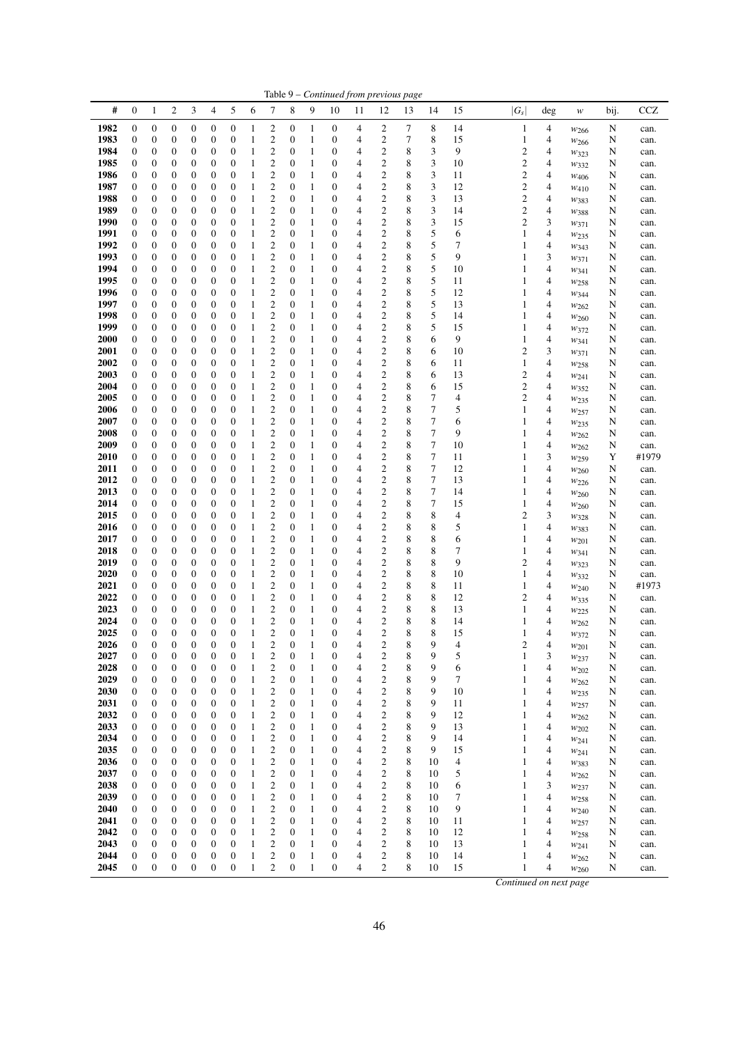|              |                                      |                                      |                                      |                                      |                                      |                                      |                   |                                             |                                      |                              | Table 9 - Continued from previous page |                         |                                             |        |          |                               |                              |                                                     |                               |        |               |
|--------------|--------------------------------------|--------------------------------------|--------------------------------------|--------------------------------------|--------------------------------------|--------------------------------------|-------------------|---------------------------------------------|--------------------------------------|------------------------------|----------------------------------------|-------------------------|---------------------------------------------|--------|----------|-------------------------------|------------------------------|-----------------------------------------------------|-------------------------------|--------|---------------|
| #            | $\boldsymbol{0}$                     | $\mathbf{1}$                         | $\overline{c}$                       | 3                                    | $\overline{4}$                       | 5                                    | 6                 | $\tau$                                      | 8                                    | 9                            | 10                                     | 11                      | 12                                          | 13     | 14       | 15                            | $ G_s $                      | deg                                                 | w                             | bij.   | <b>CCZ</b>    |
| 1982         | $\boldsymbol{0}$                     | $\boldsymbol{0}$                     | 0                                    | $\boldsymbol{0}$                     | $\boldsymbol{0}$                     | $\boldsymbol{0}$                     | 1                 | $\overline{\mathbf{c}}$                     | $\boldsymbol{0}$                     | 1                            | $\boldsymbol{0}$                       | 4                       | 2                                           | 7      | 8        | 14                            | $\mathbf{1}$                 | $\overline{\mathcal{A}}$                            | W <sub>266</sub>              | N      | can.          |
| 1983         | $\boldsymbol{0}$                     | $\boldsymbol{0}$                     | 0                                    | 0                                    | $\boldsymbol{0}$                     | $\boldsymbol{0}$                     | $\mathbf{1}$      | $\overline{\mathbf{c}}$                     | $\boldsymbol{0}$                     | 1                            | 0                                      | 4                       | 2                                           | 7      | 8        | 15                            | $\mathbf{1}$                 | 4                                                   | W <sub>266</sub>              | N      | can.          |
| 1984         | $\boldsymbol{0}$                     | $\boldsymbol{0}$                     | 0                                    | 0                                    | $\boldsymbol{0}$                     | 0                                    | 1                 | $\overline{\mathbf{c}}$                     | $\boldsymbol{0}$                     | 1                            | $\boldsymbol{0}$                       | 4                       | 2                                           | 8      | 3        | 9                             | $\boldsymbol{2}$             | 4                                                   | W323                          | N      | can.          |
| 1985<br>1986 | $\mathbf{0}$<br>$\mathbf{0}$         | $\boldsymbol{0}$<br>$\boldsymbol{0}$ | 0<br>0                               | 0<br>0                               | $\boldsymbol{0}$<br>$\boldsymbol{0}$ | 0<br>0                               | 1<br>1            | $\overline{2}$<br>$\overline{c}$            | $\boldsymbol{0}$<br>$\boldsymbol{0}$ | 1<br>1                       | 0<br>0                                 | 4<br>4                  | $\mathfrak{2}$<br>2                         | 8<br>8 | 3<br>3   | 10<br>11                      | $\overline{\mathbf{c}}$<br>2 | $\overline{4}$<br>4                                 | W332                          | N      | can.          |
| 1987         | $\mathbf{0}$                         | $\boldsymbol{0}$                     | 0                                    | $\boldsymbol{0}$                     | $\boldsymbol{0}$                     | $\boldsymbol{0}$                     | 1                 | $\overline{\mathbf{c}}$                     | $\boldsymbol{0}$                     | 1                            | 0                                      | 4                       | $\boldsymbol{2}$                            | 8      | 3        | 12                            | $\boldsymbol{2}$             | 4                                                   | $w_{406}$                     | N<br>N | can.<br>can.  |
| 1988         | $\boldsymbol{0}$                     | $\boldsymbol{0}$                     | 0                                    | 0                                    | $\boldsymbol{0}$                     | 0                                    | 1                 | $\overline{\mathbf{c}}$                     | $\boldsymbol{0}$                     | 1                            | 0                                      | 4                       | $\overline{\mathbf{c}}$                     | 8      | 3        | 13                            | $\overline{\mathbf{c}}$      | 4                                                   | $W_{410}$<br>W383             | N      | can.          |
| 1989         | $\boldsymbol{0}$                     | $\boldsymbol{0}$                     | 0                                    | 0                                    | $\boldsymbol{0}$                     | 0                                    | 1                 | $\boldsymbol{2}$                            | $\boldsymbol{0}$                     | 1                            | $\boldsymbol{0}$                       | 4                       | 2                                           | 8      | 3        | 14                            | $\overline{\mathbf{c}}$      | 4                                                   | W388                          | N      | can.          |
| 1990         | $\boldsymbol{0}$                     | $\boldsymbol{0}$                     | $\boldsymbol{0}$                     | $\boldsymbol{0}$                     | $\boldsymbol{0}$                     | 0                                    | 1                 | $\mathbf{2}$                                | $\boldsymbol{0}$                     | 1                            | 0                                      | 4                       | 2                                           | 8      | 3        | 15                            | $\mathfrak{2}$               | 3                                                   | $w_{371}$                     | N      | can.          |
| 1991         | $\mathbf{0}$                         | $\boldsymbol{0}$                     | 0                                    | 0                                    | $\boldsymbol{0}$                     | 0                                    | 1                 | $\boldsymbol{2}$                            | $\boldsymbol{0}$                     | 1                            | $\boldsymbol{0}$                       | 4                       | $\boldsymbol{2}$                            | 8      | 5        | 6                             | $\mathbf{1}$                 | 4                                                   | $w_{235}$                     | N      | can.          |
| 1992         | $\boldsymbol{0}$                     | $\boldsymbol{0}$                     | 0                                    | 0                                    | $\boldsymbol{0}$                     | 0                                    | 1                 | $\boldsymbol{2}$                            | $\boldsymbol{0}$                     | 1                            | 0                                      | 4                       | $\overline{\mathbf{c}}$                     | 8      | 5        | 7                             | $\mathbf{1}$                 | 4                                                   | W343                          | N      | can.          |
| 1993         | $\boldsymbol{0}$                     | $\boldsymbol{0}$                     | 0                                    | 0                                    | $\boldsymbol{0}$                     | $\boldsymbol{0}$                     | 1                 | $\overline{\mathbf{c}}$                     | $\boldsymbol{0}$                     | 1                            | 0                                      | 4                       | $\overline{\mathbf{c}}$                     | 8      | 5        | 9                             | $\mathbf{1}$                 | 3                                                   | W371                          | N      | can.          |
| 1994         | $\mathbf{0}$                         | $\boldsymbol{0}$                     | $\boldsymbol{0}$                     | $\boldsymbol{0}$                     | $\boldsymbol{0}$                     | $\boldsymbol{0}$                     | 1                 | $\boldsymbol{2}$                            | $\boldsymbol{0}$                     | 1                            | $\boldsymbol{0}$                       | 4                       | $\overline{\mathbf{c}}$                     | 8      | 5        | 10                            | $\mathbf{1}$                 | 4                                                   | $w_{341}$                     | N      | can.          |
| 1995<br>1996 | $\boldsymbol{0}$<br>$\boldsymbol{0}$ | $\boldsymbol{0}$<br>$\boldsymbol{0}$ | 0<br>0                               | 0<br>$\boldsymbol{0}$                | $\boldsymbol{0}$<br>$\boldsymbol{0}$ | 0<br>$\boldsymbol{0}$                | 1<br>1            | $\boldsymbol{2}$<br>$\overline{\mathbf{c}}$ | $\boldsymbol{0}$<br>$\boldsymbol{0}$ | 1<br>1                       | 0<br>$\boldsymbol{0}$                  | 4<br>4                  | 2<br>2                                      | 8<br>8 | 5<br>5   | 11<br>12                      | $\mathbf{1}$<br>1            | 4<br>4                                              | W <sub>258</sub>              | N<br>N | can.          |
| 1997         | $\mathbf{0}$                         | $\boldsymbol{0}$                     | 0                                    | 0                                    | $\boldsymbol{0}$                     | 0                                    | 1                 | $\boldsymbol{2}$                            | $\boldsymbol{0}$                     | 1                            | 0                                      | 4                       | $\overline{\mathbf{c}}$                     | 8      | 5        | 13                            | 1                            | 4                                                   | W344<br>W262                  | N      | can.<br>can.  |
| 1998         | $\mathbf{0}$                         | $\boldsymbol{0}$                     | 0                                    | 0                                    | $\boldsymbol{0}$                     | 0                                    | 1                 | $\overline{\mathbf{c}}$                     | 0                                    | 1                            | $\boldsymbol{0}$                       | 4                       | $\overline{\mathbf{c}}$                     | 8      | 5        | 14                            | $\mathbf{1}$                 | 4                                                   | $w_{260}$                     | N      | can.          |
| 1999         | $\boldsymbol{0}$                     | $\boldsymbol{0}$                     | 0                                    | 0                                    | $\boldsymbol{0}$                     | 0                                    | 1                 | $\boldsymbol{2}$                            | $\boldsymbol{0}$                     | 1                            | 0                                      | 4                       | $\boldsymbol{2}$                            | 8      | 5        | 15                            | $\mathbf{1}$                 | 4                                                   | $w_{372}$                     | N      | can.          |
| 2000         | $\boldsymbol{0}$                     | $\boldsymbol{0}$                     | $\boldsymbol{0}$                     | 0                                    | $\boldsymbol{0}$                     | 0                                    | 1                 | $\boldsymbol{2}$                            | $\boldsymbol{0}$                     | 1                            | 0                                      | 4                       | $\boldsymbol{2}$                            | 8      | 6        | 9                             | $\mathbf{1}$                 | 4                                                   | W341                          | N      | can.          |
| <b>2001</b>  | $\boldsymbol{0}$                     | $\boldsymbol{0}$                     | 0                                    | 0                                    | $\boldsymbol{0}$                     | 0                                    | 1                 | $\boldsymbol{2}$                            | 0                                    | 1                            | $\boldsymbol{0}$                       | 4                       | $\boldsymbol{2}$                            | 8      | 6        | 10                            | $\boldsymbol{2}$             | 3                                                   | W371                          | N      | can.          |
| 2002         | $\boldsymbol{0}$                     | $\boldsymbol{0}$                     | $\boldsymbol{0}$                     | 0                                    | $\boldsymbol{0}$                     | 0                                    | 1                 | $\overline{\mathbf{c}}$                     | $\boldsymbol{0}$                     | 1                            | 0                                      | 4                       | $\overline{\mathbf{c}}$                     | 8      | 6        | 11                            | $\mathbf{1}$                 | 4                                                   | $w_{258}$                     | N      | can.          |
| 2003         | $\boldsymbol{0}$                     | $\boldsymbol{0}$                     | $\boldsymbol{0}$                     | 0                                    | $\boldsymbol{0}$                     | $\boldsymbol{0}$                     | 1                 | $\overline{\mathbf{c}}$<br>$\overline{2}$   | $\boldsymbol{0}$                     | 1                            | $\boldsymbol{0}$                       | 4                       | 2                                           | 8      | 6        | 13                            | $\boldsymbol{2}$             | 4                                                   | $w_{241}$                     | N      | can.          |
| 2004<br>2005 | $\mathbf{0}$<br>$\boldsymbol{0}$     | $\boldsymbol{0}$<br>$\boldsymbol{0}$ | 0<br>0                               | 0<br>0                               | $\boldsymbol{0}$<br>$\boldsymbol{0}$ | 0<br>0                               | 1<br>1            | $\overline{c}$                              | $\boldsymbol{0}$<br>$\boldsymbol{0}$ | 1<br>1                       | 0<br>0                                 | 4<br>4                  | $\boldsymbol{2}$<br>2                       | 8<br>8 | 6<br>7   | 15<br>$\overline{4}$          | $\overline{\mathbf{c}}$<br>2 | $\overline{4}$<br>4                                 | W352                          | N<br>N | can.<br>can.  |
| 2006         | $\mathbf{0}$                         | $\boldsymbol{0}$                     | 0                                    | $\boldsymbol{0}$                     | $\boldsymbol{0}$                     | $\boldsymbol{0}$                     | 1                 | $\boldsymbol{2}$                            | $\boldsymbol{0}$                     | 1                            | 0                                      | 4                       | $\boldsymbol{2}$                            | 8      | 7        | 5                             | $\mathbf{1}$                 | 4                                                   | W <sub>235</sub><br>$w_{257}$ | N      | can.          |
| 2007         | $\boldsymbol{0}$                     | $\boldsymbol{0}$                     | 0                                    | 0                                    | $\boldsymbol{0}$                     | 0                                    | 1                 | $\overline{\mathbf{c}}$                     | $\boldsymbol{0}$                     | 1                            | 0                                      | 4                       | $\overline{\mathbf{c}}$                     | 8      | 7        | 6                             | $\mathbf{1}$                 | 4                                                   | $w_{235}$                     | N      | can.          |
| 2008         | $\boldsymbol{0}$                     | $\boldsymbol{0}$                     | 0                                    | 0                                    | $\boldsymbol{0}$                     | 0                                    | 1                 | $\boldsymbol{2}$                            | $\boldsymbol{0}$                     | 1                            | $\boldsymbol{0}$                       | 4                       | $\overline{\mathbf{c}}$                     | 8      | 7        | 9                             | $\mathbf{1}$                 | 4                                                   | W262                          | N      | can.          |
| 2009         | $\boldsymbol{0}$                     | $\boldsymbol{0}$                     | $\boldsymbol{0}$                     | $\boldsymbol{0}$                     | $\boldsymbol{0}$                     | 0                                    | 1                 | $\mathbf{2}$                                | $\boldsymbol{0}$                     | 1                            | 0                                      | 4                       | 2                                           | 8      | 7        | 10                            | $\mathbf{1}$                 | 4                                                   | W262                          | N      | can.          |
| 2010         | $\boldsymbol{0}$                     | $\boldsymbol{0}$                     | 0                                    | 0                                    | $\boldsymbol{0}$                     | 0                                    | 1                 | $\boldsymbol{2}$                            | $\boldsymbol{0}$                     | 1                            | $\boldsymbol{0}$                       | 4                       | 2                                           | 8      | 7        | 11                            | 1                            | 3                                                   | W <sub>259</sub>              | Y      | #1979         |
| <b>2011</b>  | $\mathbf{0}$                         | $\boldsymbol{0}$                     | 0                                    | 0                                    | $\boldsymbol{0}$                     | 0                                    | 1                 | $\mathbf{2}$                                | 0                                    | 1                            | 0                                      | 4                       | 2                                           | 8      | 7        | 12                            | $\mathbf{1}$                 | 4                                                   | $w_{260}$                     | N      | can.          |
| 2012<br>2013 | $\boldsymbol{0}$<br>$\mathbf{0}$     | $\boldsymbol{0}$<br>$\boldsymbol{0}$ | 0<br>$\boldsymbol{0}$                | 0<br>$\boldsymbol{0}$                | $\boldsymbol{0}$<br>$\boldsymbol{0}$ | $\boldsymbol{0}$<br>$\boldsymbol{0}$ | 1<br>1            | $\overline{\mathbf{c}}$<br>$\boldsymbol{2}$ | $\boldsymbol{0}$<br>$\boldsymbol{0}$ | $\mathbf{1}$<br>1            | 0<br>$\boldsymbol{0}$                  | 4<br>4                  | $\overline{\mathbf{c}}$<br>$\boldsymbol{2}$ | 8<br>8 | 7<br>7   | 13<br>14                      | $\mathbf{1}$<br>$\mathbf{1}$ | 4<br>$\overline{4}$                                 | W226                          | N<br>N | can.<br>can.  |
| 2014         | $\boldsymbol{0}$                     | $\boldsymbol{0}$                     | 0                                    | 0                                    | $\boldsymbol{0}$                     | 0                                    | 1                 | $\boldsymbol{2}$                            | $\boldsymbol{0}$                     | 1                            | 0                                      | 4                       | 2                                           | 8      | 7        | 15                            | $\mathbf{1}$                 | 4                                                   | W260<br>$w_{260}$             | N      | can.          |
| 2015         | $\boldsymbol{0}$                     | $\boldsymbol{0}$                     | 0                                    | 0                                    | $\boldsymbol{0}$                     | 0                                    | 1                 | $\boldsymbol{2}$                            | $\boldsymbol{0}$                     | 1                            | $\boldsymbol{0}$                       | 4                       | 2                                           | 8      | 8        | 4                             | $\boldsymbol{2}$             | 3                                                   | $w_{328}$                     | N      | can.          |
| 2016         | $\mathbf{0}$                         | $\boldsymbol{0}$                     | 0                                    | 0                                    | $\boldsymbol{0}$                     | 0                                    | 1                 | $\boldsymbol{2}$                            | $\boldsymbol{0}$                     | 1                            | 0                                      | 4                       | $\overline{\mathbf{c}}$                     | 8      | 8        | 5                             | $\mathbf{1}$                 | 4                                                   | W383                          | N      | can.          |
| 2017         | $\boldsymbol{0}$                     | $\boldsymbol{0}$                     | 0                                    | 0                                    | $\boldsymbol{0}$                     | 0                                    | 1                 | $\overline{\mathbf{c}}$                     | 0                                    | 1                            | $\boldsymbol{0}$                       | 4                       | $\overline{\mathbf{c}}$                     | 8      | 8        | 6                             | 1                            | 4                                                   | W201                          | N      | can.          |
| 2018         | $\boldsymbol{0}$                     | $\boldsymbol{0}$                     | $\boldsymbol{0}$                     | 0                                    | $\boldsymbol{0}$                     | 0                                    | 1                 | $\boldsymbol{2}$                            | $\boldsymbol{0}$                     | 1                            | 0                                      | 4                       | 2                                           | 8      | 8        | 7                             | $\mathbf{1}$                 | 4                                                   | W341                          | N      | can.          |
| 2019         | $\boldsymbol{0}$                     | $\boldsymbol{0}$                     | 0                                    | 0                                    | $\boldsymbol{0}$                     | $\boldsymbol{0}$                     | 1                 | $\boldsymbol{2}$                            | $\boldsymbol{0}$                     | 1                            | 0                                      | 4                       | 2                                           | 8      | 8        | 9                             | $\boldsymbol{2}$             | 4                                                   | $w_{323}$                     | N      | can.          |
| 2020<br>2021 | $\mathbf{0}$<br>$\boldsymbol{0}$     | $\boldsymbol{0}$<br>$\boldsymbol{0}$ | 0<br>$\boldsymbol{0}$                | 0<br>0                               | $\boldsymbol{0}$<br>$\boldsymbol{0}$ | 0<br>0                               | 1<br>1            | $\boldsymbol{2}$<br>$\overline{\mathbf{c}}$ | $\boldsymbol{0}$<br>$\boldsymbol{0}$ | 1<br>1                       | $\boldsymbol{0}$<br>0                  | 4<br>4                  | $\boldsymbol{2}$<br>$\overline{\mathbf{c}}$ | 8<br>8 | 8<br>8   | 10<br>11                      | $\mathbf{1}$<br>$\mathbf{1}$ | 4<br>4                                              | W332                          | N<br>N | can.<br>#1973 |
| 2022         | $\boldsymbol{0}$                     | $\boldsymbol{0}$                     | $\boldsymbol{0}$                     | 0                                    | $\boldsymbol{0}$                     | $\boldsymbol{0}$                     | 1                 | $\overline{\mathbf{c}}$                     | $\boldsymbol{0}$                     | 1                            | $\boldsymbol{0}$                       | 4                       | 2                                           | 8      | 8        | 12                            | $\boldsymbol{2}$             | 4                                                   | W240<br>$w_{335}$             | N      | can.          |
| 2023         | $\boldsymbol{0}$                     | $\boldsymbol{0}$                     | $\boldsymbol{0}$                     | 0                                    | $\boldsymbol{0}$                     | 0                                    | 1                 | $\mathbf{2}$                                | $\boldsymbol{0}$                     | 1                            | 0                                      | 4                       | $\boldsymbol{2}$                            | 8      | 8        | 13                            | $\mathbf{1}$                 | $\overline{4}$                                      | $w_{225}$                     | N      | can.          |
| 2024         | $\boldsymbol{0}$                     | $\boldsymbol{0}$                     | $\boldsymbol{0}$                     | 0                                    | $\boldsymbol{0}$                     | 0                                    | 1                 | $\boldsymbol{2}$                            | $\boldsymbol{0}$                     | 1                            | 0                                      | 4                       | 2                                           | 8      | 8        | 14                            | $\mathbf{1}$                 | 4                                                   | W262                          | N      | can.          |
| 2025         | $\boldsymbol{0}$                     | $\boldsymbol{0}$                     | $\overline{0}$                       | $\overline{0}$                       | $\mathbf{0}$                         | $\overline{0}$                       | 1                 | $\overline{2}$                              | $\mathbf{0}$                         | 1                            | $\mathbf{0}$                           | 4                       | $\overline{c}$                              | 8      | 8        | 15                            | 1                            | 4                                                   | W372                          | N      | can.          |
| 2026         | $\boldsymbol{0}$                     | $\boldsymbol{0}$                     | 0                                    | $\boldsymbol{0}$                     | $\boldsymbol{0}$                     | 0                                    | 1                 | $\boldsymbol{2}$                            | 0                                    | 1                            | $\boldsymbol{0}$                       | 4                       | $\overline{\mathbf{c}}$                     | 8      | 9        | 4                             | $\boldsymbol{2}$             | 4                                                   | W201                          | N      | can.          |
| 2027         | $\boldsymbol{0}$                     | $\boldsymbol{0}$                     | $\boldsymbol{0}$                     | $\boldsymbol{0}$                     | $\boldsymbol{0}$                     | $\boldsymbol{0}$                     | 1                 | $\boldsymbol{2}$                            | $\boldsymbol{0}$                     | 1                            | $\boldsymbol{0}$                       | 4                       | $\overline{\mathbf{c}}$                     | 8      | 9        | 5                             | $\mathbf{1}$                 | 3                                                   | $w_{237}$                     | N      | can.          |
| 2028<br>2029 | $\boldsymbol{0}$<br>$\boldsymbol{0}$ | $\boldsymbol{0}$<br>$\boldsymbol{0}$ | $\boldsymbol{0}$<br>$\boldsymbol{0}$ | $\boldsymbol{0}$<br>$\boldsymbol{0}$ | $\boldsymbol{0}$<br>$\boldsymbol{0}$ | $\boldsymbol{0}$<br>$\boldsymbol{0}$ | $\mathbf{1}$<br>1 | $\mathbf{2}$<br>$\boldsymbol{2}$            | $\boldsymbol{0}$<br>$\boldsymbol{0}$ | 1<br>$\mathbf{1}$            | $\boldsymbol{0}$<br>$\boldsymbol{0}$   | 4<br>4                  | $\overline{c}$<br>2                         | 8<br>8 | 9<br>9   | 6<br>7                        | $\mathbf{1}$<br>$\mathbf{1}$ | 4<br>$\overline{4}$                                 | W202                          | N<br>N | can.          |
| 2030         | $\boldsymbol{0}$                     | $\boldsymbol{0}$                     | $\boldsymbol{0}$                     | $\boldsymbol{0}$                     | $\boldsymbol{0}$                     | $\boldsymbol{0}$                     | 1                 | $\overline{\mathbf{c}}$                     | $\boldsymbol{0}$                     | $\mathbf{1}$                 | $\boldsymbol{0}$                       | 4                       | $\boldsymbol{2}$                            | 8      | 9        | 10                            | 1                            | 4                                                   | W262<br>$w_{235}$             | N      | can.<br>can.  |
| 2031         | $\boldsymbol{0}$                     | $\boldsymbol{0}$                     | $\boldsymbol{0}$                     | $\boldsymbol{0}$                     | $\boldsymbol{0}$                     | $\boldsymbol{0}$                     | 1                 |                                             | $\boldsymbol{0}$                     | $\mathbf{1}$                 | $\boldsymbol{0}$                       | 4                       | $\overline{\mathbf{c}}$                     | 8      | 9        | 11                            | $\mathbf{1}$                 | 4                                                   | $w_{257}$                     | N      | can.          |
| 2032         | $\boldsymbol{0}$                     | $\boldsymbol{0}$                     | $\boldsymbol{0}$                     | $\boldsymbol{0}$                     | $\boldsymbol{0}$                     | $\boldsymbol{0}$                     | 1                 | $\frac{2}{2}$                               | $\boldsymbol{0}$                     | $\mathbf{1}$                 | $\overline{0}$                         | 4                       | $\overline{c}$                              | 8      | 9        | 12                            | $\mathbf{1}$                 | $\overline{\mathcal{L}}$                            | W262                          | N      | can.          |
| 2033         | $\boldsymbol{0}$                     | $\boldsymbol{0}$                     | $\boldsymbol{0}$                     | $\boldsymbol{0}$                     | $\boldsymbol{0}$                     | $\boldsymbol{0}$                     | 1                 | $\overline{\mathbf{c}}$                     | $\boldsymbol{0}$                     | $\mathbf{1}$                 | $\boldsymbol{0}$                       | $\overline{\mathbf{4}}$ | $\boldsymbol{2}$                            | 8      | 9        | 13                            | $\mathbf{1}$                 | $\overline{\mathcal{L}}$                            | W202                          | N      | can.          |
| 2034         | $\boldsymbol{0}$                     | $\boldsymbol{0}$                     | $\boldsymbol{0}$                     | $\boldsymbol{0}$                     | $\boldsymbol{0}$                     | $\boldsymbol{0}$                     | 1                 | $\overline{c}$                              | $\boldsymbol{0}$                     | $\mathbf{1}$                 | $\boldsymbol{0}$                       | $\overline{\mathbf{4}}$ | $\boldsymbol{2}$                            | 8      | 9        | 14                            | $\mathbf{1}$                 | 4                                                   | W241                          | N      | can.          |
| 2035         | $\boldsymbol{0}$                     | $\boldsymbol{0}$                     | $\boldsymbol{0}$                     | $\boldsymbol{0}$                     | $\boldsymbol{0}$                     | $\boldsymbol{0}$                     | 1                 | $\overline{\mathbf{c}}$                     | $\boldsymbol{0}$                     | $\mathbf{1}$                 | $\boldsymbol{0}$                       | 4                       | $\boldsymbol{2}$                            | 8      | 9        | 15                            | $\mathbf{1}$                 | $\overline{\mathbf{4}}$                             | $w_{241}$                     | N      | can.          |
| 2036<br>2037 | $\boldsymbol{0}$<br>$\boldsymbol{0}$ | $\boldsymbol{0}$<br>$\boldsymbol{0}$ | $\boldsymbol{0}$<br>$\boldsymbol{0}$ | $\boldsymbol{0}$<br>$\boldsymbol{0}$ | $\boldsymbol{0}$                     | $\boldsymbol{0}$<br>$\boldsymbol{0}$ | 1<br>1            | $\frac{2}{2}$                               | $\boldsymbol{0}$<br>$\boldsymbol{0}$ | $\mathbf{1}$<br>$\mathbf{1}$ | $\mathbf{0}$<br>$\boldsymbol{0}$       | 4<br>4                  | $\boldsymbol{2}$<br>$\overline{c}$          | 8<br>8 | 10<br>10 | $\overline{\mathcal{A}}$<br>5 | $\mathbf{1}$<br>$\mathbf{1}$ | $\overline{\mathbf{4}}$<br>$\overline{\mathcal{L}}$ | W383                          | N      | can.          |
| 2038         | $\boldsymbol{0}$                     | $\boldsymbol{0}$                     | $\boldsymbol{0}$                     | $\boldsymbol{0}$                     | $\boldsymbol{0}$<br>$\boldsymbol{0}$ | $\boldsymbol{0}$                     | 1                 | $\overline{\mathbf{c}}$                     | $\boldsymbol{0}$                     | $\mathbf{1}$                 | $\mathbf{0}$                           | 4                       | $\boldsymbol{2}$                            | 8      | 10       | 6                             | $\mathbf{1}$                 | 3                                                   | W262                          | N<br>N | can.<br>can.  |
| 2039         | $\boldsymbol{0}$                     | $\boldsymbol{0}$                     | $\boldsymbol{0}$                     | $\boldsymbol{0}$                     | $\boldsymbol{0}$                     | $\boldsymbol{0}$                     | $\mathbf{1}$      | $\overline{\mathbf{c}}$                     | $\boldsymbol{0}$                     | $\mathbf{1}$                 | $\boldsymbol{0}$                       | $\overline{\mathbf{4}}$ | $\boldsymbol{2}$                            | 8      | 10       | $\boldsymbol{7}$              | 1                            | $\overline{4}$                                      | W237<br>W <sub>258</sub>      | N      | can.          |
| 2040         | $\boldsymbol{0}$                     | $\boldsymbol{0}$                     | $\boldsymbol{0}$                     | $\boldsymbol{0}$                     | $\boldsymbol{0}$                     | $\boldsymbol{0}$                     | 1                 | $\overline{c}$                              | $\boldsymbol{0}$                     | $\mathbf{1}$                 | $\boldsymbol{0}$                       | 4                       | 2                                           | 8      | 10       | 9                             | $\mathbf{1}$                 | 4                                                   | W240                          | N      | can.          |
| 2041         | $\boldsymbol{0}$                     | $\boldsymbol{0}$                     | $\boldsymbol{0}$                     | $\boldsymbol{0}$                     | $\boldsymbol{0}$                     | $\boldsymbol{0}$                     | 1                 | $\overline{c}$                              | $\boldsymbol{0}$                     | $\mathbf{1}$                 | $\mathbf{0}$                           | 4                       | 2                                           | 8      | 10       | 11                            | $\mathbf{1}$                 | 4                                                   | W257                          | N      | can.          |
| 2042         | $\boldsymbol{0}$                     | $\boldsymbol{0}$                     | $\boldsymbol{0}$                     | $\boldsymbol{0}$                     | $\boldsymbol{0}$                     | $\boldsymbol{0}$                     | $\mathbf{1}$      | $\overline{c}$                              | $\boldsymbol{0}$                     | $\mathbf{1}$                 | $\mathbf{0}$                           | 4                       | $\overline{c}$                              | 8      | 10       | 12                            | $\mathbf{1}$                 | $\overline{\mathcal{L}}$                            | W <sub>258</sub>              | N      | can.          |
| 2043         | $\boldsymbol{0}$                     | $\boldsymbol{0}$                     | $\boldsymbol{0}$                     | $\boldsymbol{0}$                     | $\boldsymbol{0}$                     | $\boldsymbol{0}$                     | 1                 | $\overline{\mathbf{c}}$                     | $\boldsymbol{0}$                     | $\mathbf{1}$                 | $\boldsymbol{0}$                       | 4                       | 2                                           | 8      | 10       | 13                            | $\mathbf{1}$                 | 4                                                   | $w_{241}$                     | N      | can.          |
| 2044         | $\boldsymbol{0}$                     | $\boldsymbol{0}$                     | $\boldsymbol{0}$                     | $\boldsymbol{0}$                     | $\boldsymbol{0}$                     | $\boldsymbol{0}$                     | 1                 | $\overline{\mathbf{c}}$                     | $\boldsymbol{0}$                     | $\mathbf{1}$                 | $\boldsymbol{0}$                       | 4                       | 2                                           | 8      | 10       | 14                            | $\mathbf{1}$                 | 4                                                   | W262                          | N      | can.          |
| 2045         | $\mathbf{0}$                         | $\mathbf{0}$                         | $\boldsymbol{0}$                     | $\overline{0}$                       | $\boldsymbol{0}$                     | $\mathbf{0}$                         | 1                 | $\overline{c}$                              | $\boldsymbol{0}$                     | 1                            | $\mathbf{0}$                           | $\overline{\mathbf{4}}$ | $\overline{c}$                              | 8      | 10       | 15                            | $\mathbf{1}$                 | $\overline{4}$                                      | W260                          | N      | can.          |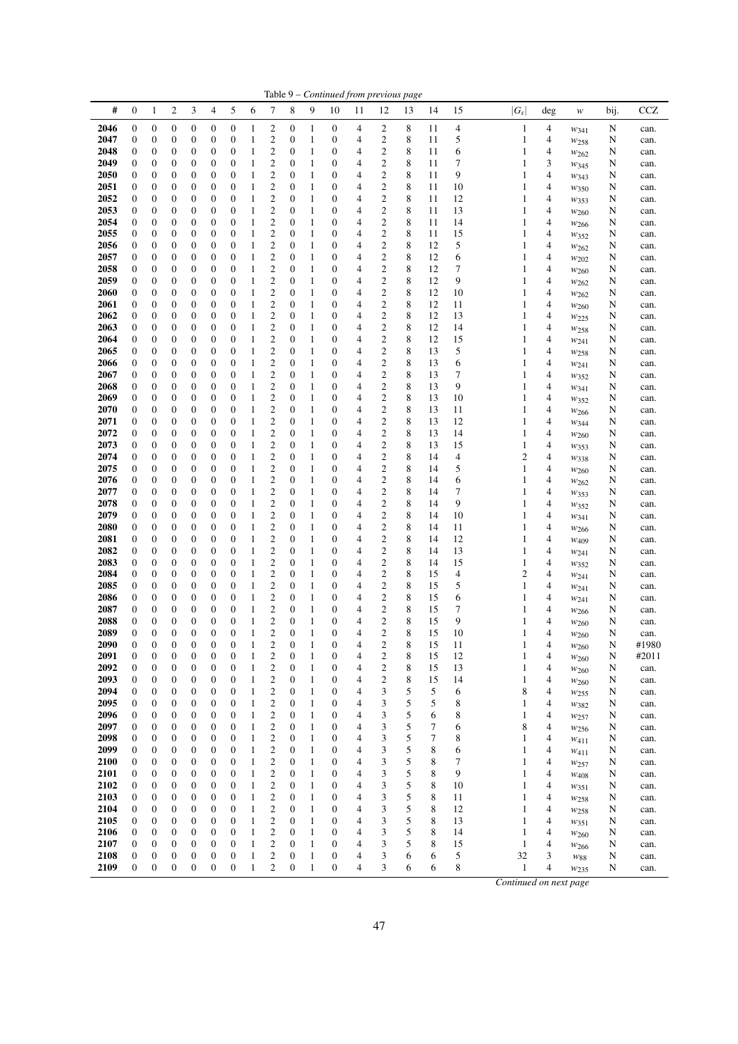|              |                       |                                      |                                      |                                      |                                      |                                      |                   |                                                    |                                      |                              | Table 9 - Continued from previous page |                |                                             |        |                  |                |                                |                     |                        |        |               |
|--------------|-----------------------|--------------------------------------|--------------------------------------|--------------------------------------|--------------------------------------|--------------------------------------|-------------------|----------------------------------------------------|--------------------------------------|------------------------------|----------------------------------------|----------------|---------------------------------------------|--------|------------------|----------------|--------------------------------|---------------------|------------------------|--------|---------------|
| #            | 0                     | 1                                    | $\overline{c}$                       | 3                                    | 4                                    | 5                                    | 6                 | $\tau$                                             | 8                                    | 9                            | 10                                     | 11             | 12                                          | 13     | 14               | 15             | $ G_s $                        | deg                 | w                      | bij.   | <b>CCZ</b>    |
| 2046         | 0                     | $\boldsymbol{0}$                     | $\boldsymbol{0}$                     | $\boldsymbol{0}$                     | $\boldsymbol{0}$                     | $\boldsymbol{0}$                     | 1                 | $\mathfrak{2}$                                     | $\boldsymbol{0}$                     | 1                            | 0                                      | 4              | 2                                           | 8      | 11               | $\overline{4}$ | $\mathbf{1}$                   | 4                   | $w_{341}$              | N      | can.          |
| 2047         | 0                     | $\boldsymbol{0}$                     | $\boldsymbol{0}$                     | $\boldsymbol{0}$                     | $\boldsymbol{0}$                     | $\boldsymbol{0}$                     | 1                 | $\boldsymbol{2}$                                   | $\boldsymbol{0}$                     | $\mathbf{1}$                 | 0                                      | 4              | 2                                           | 8      | 11               | 5              | $\mathbf{1}$                   | 4                   | $w_{258}$              | N      | can.          |
| 2048         | 0                     | $\boldsymbol{0}$                     | $\boldsymbol{0}$                     | $\boldsymbol{0}$                     | 0                                    | $\boldsymbol{0}$                     | 1                 | $\overline{\mathbf{c}}$                            | $\boldsymbol{0}$                     | $\mathbf{1}$                 | 0                                      | 4              | 2                                           | 8      | 11               | 6              | 1                              | 4                   | W262                   | N      | can.          |
| 2049         | 0                     | $\boldsymbol{0}$                     | $\boldsymbol{0}$                     | $\boldsymbol{0}$                     | 0                                    | $\boldsymbol{0}$                     | $\mathbf{1}$      | $\overline{\mathbf{c}}$<br>$\overline{c}$          | $\boldsymbol{0}$                     | $\mathbf{1}$<br>$\mathbf{1}$ | $\boldsymbol{0}$                       | 4<br>4         | 2                                           | 8      | 11               | 7<br>9         | $\mathbf{1}$                   | 3                   | W345                   | N      | can.          |
| 2050<br>2051 | 0<br>0                | $\boldsymbol{0}$<br>$\boldsymbol{0}$ | $\boldsymbol{0}$<br>$\boldsymbol{0}$ | $\boldsymbol{0}$<br>$\boldsymbol{0}$ | 0<br>$\boldsymbol{0}$                | $\boldsymbol{0}$<br>$\boldsymbol{0}$ | 1<br>$\mathbf{1}$ | $\mathbf{2}$                                       | $\boldsymbol{0}$<br>$\boldsymbol{0}$ | $\mathbf{1}$                 | $\boldsymbol{0}$<br>$\boldsymbol{0}$   | 4              | 2<br>2                                      | 8<br>8 | 11<br>11         | 10             | $\mathbf{1}$<br>$\mathbf{1}$   | 4<br>4              | $W_{343}$              | N<br>N | can.<br>can.  |
| 2052         | 0                     | $\boldsymbol{0}$                     | $\boldsymbol{0}$                     | $\boldsymbol{0}$                     | $\boldsymbol{0}$                     | $\boldsymbol{0}$                     | 1                 | $\overline{\mathbf{c}}$                            | $\boldsymbol{0}$                     | $\mathbf{1}$                 | $\boldsymbol{0}$                       | 4              | $\overline{\mathbf{c}}$                     | 8      | 11               | 12             | $\mathbf{1}$                   | 4                   | $w_{350}$<br>W353      | N      | can.          |
| 2053         | 0                     | 0                                    | $\boldsymbol{0}$                     | $\boldsymbol{0}$                     | 0                                    | $\boldsymbol{0}$                     | 1                 | $\overline{c}$                                     | $\boldsymbol{0}$                     | $\mathbf{1}$                 | $\boldsymbol{0}$                       | 4              | 2                                           | 8      | 11               | 13             | $\mathbf{1}$                   | 4                   | W <sub>260</sub>       | N      | can.          |
| 2054         | 0                     | $\boldsymbol{0}$                     | $\boldsymbol{0}$                     | $\boldsymbol{0}$                     | $\boldsymbol{0}$                     | $\boldsymbol{0}$                     | 1                 | $\boldsymbol{2}$                                   | $\boldsymbol{0}$                     | $\mathbf{1}$                 | $\boldsymbol{0}$                       | 4              | 2                                           | 8      | 11               | 14             | $\mathbf{1}$                   | 4                   | $w_{266}$              | N      | can.          |
| 2055         | 0                     | $\boldsymbol{0}$                     | $\boldsymbol{0}$                     | $\boldsymbol{0}$                     | 0                                    | $\boldsymbol{0}$                     | 1                 | $\overline{\mathbf{c}}$                            | $\boldsymbol{0}$                     | $\mathbf{1}$                 | $\boldsymbol{0}$                       | 4              | $\boldsymbol{2}$                            | 8      | 11               | 15             | $\mathbf{1}$                   | 4                   | $w_{352}$              | N      | can.          |
| 2056         | 0                     | $\boldsymbol{0}$                     | $\boldsymbol{0}$                     | $\boldsymbol{0}$                     | $\boldsymbol{0}$                     | $\boldsymbol{0}$                     | 1                 | $\overline{\mathbf{c}}$                            | $\boldsymbol{0}$                     | $\mathbf{1}$                 | $\boldsymbol{0}$                       | 4              | $\overline{\mathbf{c}}$                     | 8      | 12               | 5              | $\mathbf{1}$                   | 4                   | W262                   | N      | can.          |
| 2057         | 0                     | $\boldsymbol{0}$                     | $\boldsymbol{0}$<br>$\boldsymbol{0}$ | $\boldsymbol{0}$                     | $\boldsymbol{0}$                     | $\boldsymbol{0}$                     | 1                 | $\overline{\mathbf{c}}$<br>$\overline{c}$          | $\boldsymbol{0}$                     | $\mathbf{1}$<br>$\mathbf{1}$ | $\boldsymbol{0}$                       | 4              | 2<br>$\mathfrak{2}$                         | 8      | 12               | 6<br>7         | $\mathbf{1}$                   | 4<br>4              | W202                   | N      | can.          |
| 2058<br>2059 | 0<br>0                | $\boldsymbol{0}$<br>$\boldsymbol{0}$ | $\boldsymbol{0}$                     | $\boldsymbol{0}$<br>$\boldsymbol{0}$ | 0<br>$\boldsymbol{0}$                | $\boldsymbol{0}$<br>$\boldsymbol{0}$ | 1<br>1            | $\overline{\mathbf{c}}$                            | $\boldsymbol{0}$<br>$\boldsymbol{0}$ | $\mathbf{1}$                 | 0<br>0                                 | 4<br>4         | 2                                           | 8<br>8 | 12<br>12         | 9              | 1<br>$\mathbf{1}$              | 4                   | $w_{260}$              | N<br>N | can.<br>can.  |
| 2060         | $\boldsymbol{0}$      | $\boldsymbol{0}$                     | $\boldsymbol{0}$                     | $\boldsymbol{0}$                     | 0                                    | $\boldsymbol{0}$                     | 1                 | $\overline{\mathbf{c}}$                            | $\boldsymbol{0}$                     | $\mathbf{1}$                 | 0                                      | 4              | $\boldsymbol{2}$                            | 8      | 12               | 10             | $\mathbf{1}$                   | 4                   | $w_{262}$<br>W262      | N      | can.          |
| 2061         | 0                     | $\boldsymbol{0}$                     | $\boldsymbol{0}$                     | $\boldsymbol{0}$                     | $\boldsymbol{0}$                     | $\boldsymbol{0}$                     | 1                 | $\overline{\mathbf{c}}$                            | $\boldsymbol{0}$                     | $\mathbf{1}$                 | $\boldsymbol{0}$                       | 4              | $\boldsymbol{2}$                            | 8      | 12               | 11             | $\mathbf{1}$                   | 4                   | W <sub>260</sub>       | N      | can.          |
| 2062         | 0                     | $\boldsymbol{0}$                     | $\boldsymbol{0}$                     | $\boldsymbol{0}$                     | $\boldsymbol{0}$                     | $\boldsymbol{0}$                     | 1                 | $\overline{c}$                                     | $\boldsymbol{0}$                     | 1                            | $\boldsymbol{0}$                       | 4              | $\boldsymbol{2}$                            | 8      | 12               | 13             | 1                              | 4                   | $w_{225}$              | N      | can.          |
| 2063         | 0                     | $\boldsymbol{0}$                     | $\boldsymbol{0}$                     | $\boldsymbol{0}$                     | $\boldsymbol{0}$                     | $\boldsymbol{0}$                     | 1                 | $\boldsymbol{2}$                                   | $\boldsymbol{0}$                     | $\mathbf{1}$                 | $\boldsymbol{0}$                       | 4              | 2                                           | 8      | 12               | 14             | $\mathbf{1}$                   | 4                   | $w_{258}$              | N      | can.          |
| 2064         | 0                     | $\boldsymbol{0}$                     | $\boldsymbol{0}$                     | $\boldsymbol{0}$                     | $\boldsymbol{0}$                     | $\boldsymbol{0}$                     | 1                 | $\overline{\mathbf{c}}$                            | $\boldsymbol{0}$                     | 1                            | $\boldsymbol{0}$                       | 4              | 2                                           | 8      | 12               | 15             | 1                              | 4                   | W241                   | N      | can.          |
| 2065         | $\boldsymbol{0}$      | $\boldsymbol{0}$                     | $\boldsymbol{0}$                     | $\boldsymbol{0}$                     | $\boldsymbol{0}$                     | $\boldsymbol{0}$                     | 1                 | $\overline{c}$                                     | $\boldsymbol{0}$                     | 1                            | $\boldsymbol{0}$                       | 4              | $\overline{\mathbf{c}}$                     | 8      | 13               | 5              | 1                              | 4                   | W <sub>258</sub>       | N      | can.          |
| 2066<br>2067 | 0<br>$\boldsymbol{0}$ | $\boldsymbol{0}$<br>$\boldsymbol{0}$ | $\boldsymbol{0}$<br>$\boldsymbol{0}$ | $\boldsymbol{0}$<br>$\boldsymbol{0}$ | $\boldsymbol{0}$<br>0                | $\boldsymbol{0}$<br>$\boldsymbol{0}$ | $\mathbf{1}$<br>1 | $\overline{\mathbf{c}}$<br>$\boldsymbol{2}$        | $\boldsymbol{0}$<br>$\boldsymbol{0}$ | $\mathbf{1}$<br>$\mathbf{1}$ | 0<br>$\boldsymbol{0}$                  | 4<br>4         | 2<br>$\overline{\mathbf{c}}$                | 8<br>8 | 13<br>13         | 6<br>7         | $\mathbf{1}$<br>$\mathbf{1}$   | 4<br>4              | $w_{241}$              | N<br>N | can.<br>can.  |
| 2068         | 0                     | $\boldsymbol{0}$                     | $\boldsymbol{0}$                     | $\boldsymbol{0}$                     | 0                                    | $\boldsymbol{0}$                     | 1                 | $\overline{\mathbf{c}}$                            | $\boldsymbol{0}$                     | $\mathbf{1}$                 | $\boldsymbol{0}$                       | 4              | $\overline{\mathbf{c}}$                     | 8      | 13               | 9              | $\mathbf{1}$                   | 4                   | $w_{352}$<br>W341      | N      | can.          |
| 2069         | 0                     | $\boldsymbol{0}$                     | $\boldsymbol{0}$                     | $\boldsymbol{0}$                     | $\boldsymbol{0}$                     | $\boldsymbol{0}$                     | 1                 | $\overline{\mathbf{c}}$                            | $\boldsymbol{0}$                     | $\mathbf{1}$                 | $\boldsymbol{0}$                       | 4              | 2                                           | 8      | 13               | 10             | $\mathbf{1}$                   | 4                   | W352                   | N      | can.          |
| 2070         | 0                     | $\boldsymbol{0}$                     | $\boldsymbol{0}$                     | $\boldsymbol{0}$                     | $\boldsymbol{0}$                     | $\boldsymbol{0}$                     | $\mathbf{1}$      | $\overline{c}$                                     | $\boldsymbol{0}$                     | $\mathbf{1}$                 | $\boldsymbol{0}$                       | 4              | 2                                           | 8      | 13               | 11             | $\mathbf{1}$                   | 4                   | $w_{266}$              | N      | can.          |
| 2071         | 0                     | $\boldsymbol{0}$                     | $\boldsymbol{0}$                     | $\boldsymbol{0}$                     | $\boldsymbol{0}$                     | $\boldsymbol{0}$                     | 1                 | $\overline{\mathbf{c}}$                            | $\boldsymbol{0}$                     | $\mathbf{1}$                 | 0                                      | 4              | $\overline{\mathbf{c}}$                     | 8      | 13               | 12             | 1                              | 4                   | $w_{344}$              | N      | can.          |
| 2072         | 0                     | 0                                    | $\boldsymbol{0}$                     | $\boldsymbol{0}$                     | 0                                    | $\boldsymbol{0}$                     | $\mathbf{1}$      | $\overline{\mathbf{c}}$                            | $\boldsymbol{0}$                     | $\mathbf{1}$                 | $\boldsymbol{0}$                       | 4              | 2                                           | 8      | 13               | 14             | $\mathbf{1}$                   | 4                   | W <sub>260</sub>       | N      | can.          |
| 2073         | 0                     | $\boldsymbol{0}$                     | $\boldsymbol{0}$                     | $\boldsymbol{0}$                     | 0                                    | $\boldsymbol{0}$                     | 1                 | $\boldsymbol{2}$                                   | $\boldsymbol{0}$                     | $\mathbf{1}$                 | $\boldsymbol{0}$                       | 4              | 2                                           | 8      | 13               | 15             | $\mathbf{1}$                   | 4                   | W353                   | N      | can.          |
| 2074<br>2075 | $\boldsymbol{0}$<br>0 | $\boldsymbol{0}$<br>$\boldsymbol{0}$ | $\boldsymbol{0}$<br>$\boldsymbol{0}$ | $\boldsymbol{0}$<br>$\boldsymbol{0}$ | 0<br>$\boldsymbol{0}$                | $\boldsymbol{0}$<br>$\boldsymbol{0}$ | 1<br>1            | $\overline{c}$<br>$\overline{\mathbf{c}}$          | $\boldsymbol{0}$<br>$\boldsymbol{0}$ | 1<br>$\mathbf{1}$            | $\boldsymbol{0}$<br>$\boldsymbol{0}$   | 4<br>4         | $\boldsymbol{2}$<br>$\overline{\mathbf{c}}$ | 8<br>8 | 14<br>14         | 4<br>5         | $\overline{c}$<br>$\mathbf{1}$ | 4<br>4              | W338                   | N<br>N | can.<br>can.  |
| 2076         | 0                     | $\boldsymbol{0}$                     | $\boldsymbol{0}$                     | $\boldsymbol{0}$                     | $\boldsymbol{0}$                     | $\boldsymbol{0}$                     | 1                 | $\overline{\mathbf{c}}$                            | $\boldsymbol{0}$                     | 1                            | $\boldsymbol{0}$                       | 4              | 2                                           | 8      | 14               | 6              | $\mathbf{1}$                   | 4                   | $w_{260}$<br>W262      | N      | can.          |
| 2077         | 0                     | $\boldsymbol{0}$                     | $\boldsymbol{0}$                     | $\boldsymbol{0}$                     | 0                                    | $\boldsymbol{0}$                     | 1                 | $\overline{c}$                                     | $\boldsymbol{0}$                     | 1                            | 0                                      | 4              | $\mathfrak{2}$                              | 8      | 14               | $\tau$         | 1                              | 4                   | W353                   | N      | can.          |
| 2078         | 0                     | $\boldsymbol{0}$                     | $\boldsymbol{0}$                     | $\boldsymbol{0}$                     | $\boldsymbol{0}$                     | $\boldsymbol{0}$                     | 1                 | $\overline{\mathbf{c}}$                            | $\boldsymbol{0}$                     | 1                            | $\boldsymbol{0}$                       | 4              | 2                                           | 8      | 14               | 9              | 1                              | 4                   | $w_{352}$              | N      | can.          |
| 2079         | 0                     | $\boldsymbol{0}$                     | $\boldsymbol{0}$                     | $\boldsymbol{0}$                     | 0                                    | $\boldsymbol{0}$                     | $\mathbf{1}$      | $\boldsymbol{2}$                                   | $\boldsymbol{0}$                     | 1                            | $\boldsymbol{0}$                       | 4              | 2                                           | 8      | 14               | 10             | 1                              | 4                   | $w_{341}$              | N      | can.          |
| 2080         | 0                     | $\boldsymbol{0}$                     | $\boldsymbol{0}$                     | $\boldsymbol{0}$                     | 0                                    | $\boldsymbol{0}$                     | 1                 | $\overline{\mathbf{c}}$                            | $\boldsymbol{0}$                     | $\mathbf{1}$                 | $\boldsymbol{0}$                       | 4              | $\overline{\mathbf{c}}$                     | 8      | 14               | 11             | $\mathbf{1}$                   | 4                   | W266                   | N      | can.          |
| 2081<br>2082 | 0<br>0                | $\boldsymbol{0}$<br>$\boldsymbol{0}$ | $\boldsymbol{0}$                     | $\boldsymbol{0}$<br>$\boldsymbol{0}$ | $\boldsymbol{0}$<br>$\boldsymbol{0}$ | $\boldsymbol{0}$<br>$\boldsymbol{0}$ | 1                 | $\overline{c}$<br>$\boldsymbol{2}$                 | $\boldsymbol{0}$<br>$\boldsymbol{0}$ | 1<br>$\mathbf{1}$            | $\boldsymbol{0}$<br>$\boldsymbol{0}$   | 4<br>4         | $\overline{\mathbf{c}}$<br>2                | 8<br>8 | 14               | 12<br>13       | 1<br>$\mathbf{1}$              | 4<br>4              | W <sub>409</sub>       | N      | can.          |
| 2083         | 0                     | $\boldsymbol{0}$                     | $\boldsymbol{0}$<br>$\boldsymbol{0}$ | $\boldsymbol{0}$                     | $\boldsymbol{0}$                     | $\boldsymbol{0}$                     | 1<br>1            | $\overline{\mathbf{c}}$                            | $\boldsymbol{0}$                     | 1                            | $\boldsymbol{0}$                       | 4              | 2                                           | 8      | 14<br>14         | 15             | $\mathbf{1}$                   | 4                   | W241<br>$w_{352}$      | N<br>N | can.<br>can.  |
| 2084         | 0                     | $\boldsymbol{0}$                     | $\boldsymbol{0}$                     | $\boldsymbol{0}$                     | $\boldsymbol{0}$                     | $\boldsymbol{0}$                     | $\mathbf{1}$      | $\overline{c}$                                     | $\boldsymbol{0}$                     | 1                            | $\boldsymbol{0}$                       | 4              | 2                                           | 8      | 15               | 4              | $\boldsymbol{2}$               | 4                   | W241                   | N      | can.          |
| 2085         | 0                     | $\boldsymbol{0}$                     | $\boldsymbol{0}$                     | $\boldsymbol{0}$                     | $\boldsymbol{0}$                     | $\boldsymbol{0}$                     | $\mathbf{1}$      | $\overline{\mathbf{c}}$                            | $\boldsymbol{0}$                     | 1                            | $\boldsymbol{0}$                       | 4              | 2                                           | 8      | 15               | 5              | $\mathbf{1}$                   | 4                   | W241                   | N      | can.          |
| 2086         | $\boldsymbol{0}$      | $\boldsymbol{0}$                     | $\boldsymbol{0}$                     | $\boldsymbol{0}$                     | $\boldsymbol{0}$                     | $\boldsymbol{0}$                     | 1                 | $\overline{c}$                                     | $\boldsymbol{0}$                     | $\mathbf{1}$                 | $\boldsymbol{0}$                       | 4              | $\overline{\mathbf{c}}$                     | 8      | 15               | 6              | 1                              | 4                   | W241                   | N      | can.          |
| 2087         | 0                     | $\boldsymbol{0}$                     | $\boldsymbol{0}$                     | 0                                    | 0                                    | $\boldsymbol{0}$                     | 1                 | $\overline{\mathbf{c}}$                            | $\boldsymbol{0}$                     | $\mathbf{1}$                 | 0                                      | 4              | $\overline{\mathbf{c}}$                     | 8      | 15               | 7              | 1                              | 4                   | $w_{266}$              | N      | can.          |
| 2088         | 0                     | $\boldsymbol{0}$                     | $\boldsymbol{0}$                     | $\boldsymbol{0}$                     | $\boldsymbol{0}$                     | $\boldsymbol{0}$                     | 1                 | $\overline{\mathbf{c}}$                            | $\boldsymbol{0}$                     | 1                            | $\boldsymbol{0}$                       | 4              | 2                                           | 8      | 15               | 9              | $\mathbf{1}$                   | 4                   | W <sub>260</sub>       | N      | can.          |
| 2089<br>2090 | $\boldsymbol{0}$<br>0 | 0<br>0                               | $\mathbf{0}$<br>0                    | $\boldsymbol{0}$<br>0                | $\overline{0}$<br>0                  | $\boldsymbol{0}$<br>$\boldsymbol{0}$ | 1                 | $\overline{c}$<br>2                                | $\boldsymbol{0}$<br>0                | $\mathbf{1}$<br>1            | $\boldsymbol{0}$<br>0                  | 4<br>4         | $\mathbf{2}$<br>2                           | 8<br>8 | 15<br>15         | 10<br>11       | 1<br>1                         | 4<br>4              | W <sub>260</sub>       | N<br>N | can.<br>#1980 |
| 2091         | $\boldsymbol{0}$      | $\boldsymbol{0}$                     | $\boldsymbol{0}$                     | $\boldsymbol{0}$                     | $\boldsymbol{0}$                     | $\boldsymbol{0}$                     | 1                 | $\mathfrak{2}$                                     | $\boldsymbol{0}$                     | 1                            | $\boldsymbol{0}$                       | 4              | 2                                           | 8      | 15               | 12             | 1                              | 4                   | $w_{260}$<br>$w_{260}$ | N      | #2011         |
| 2092         | 0                     | $\boldsymbol{0}$                     | $\boldsymbol{0}$                     | $\boldsymbol{0}$                     | $\boldsymbol{0}$                     | $\boldsymbol{0}$                     | 1                 | $\overline{\mathbf{c}}$                            | $\boldsymbol{0}$                     | $\mathbf{1}$                 | $\mathbf{0}$                           | 4              | 2                                           | 8      | 15               | 13             | $\mathbf{1}$                   | 4                   | W <sub>260</sub>       | N      | can.          |
| 2093         | $\boldsymbol{0}$      | $\boldsymbol{0}$                     | $\boldsymbol{0}$                     | $\boldsymbol{0}$                     | $\boldsymbol{0}$                     | $\boldsymbol{0}$                     | 1                 | $\overline{\mathbf{c}}$                            | $\boldsymbol{0}$                     | $\mathbf{1}$                 | $\boldsymbol{0}$                       | 4              | $\mathbf{2}$                                | 8      | 15               | 14             | 1                              | 4                   | W <sub>260</sub>       | N      | can.          |
| 2094         | 0                     | $\boldsymbol{0}$                     | $\boldsymbol{0}$                     | $\boldsymbol{0}$                     | $\boldsymbol{0}$                     | $\boldsymbol{0}$                     | 1                 | $\overline{\mathbf{c}}$                            | $\boldsymbol{0}$                     | $\mathbf{1}$                 | $\boldsymbol{0}$                       | 4              | 3                                           | 5      | 5                | 6              | 8                              | 4                   | $w_{255}$              | N      | can.          |
| 2095         | 0                     | $\boldsymbol{0}$                     | $\boldsymbol{0}$                     | $\boldsymbol{0}$                     | $\boldsymbol{0}$                     | $\boldsymbol{0}$                     | 1                 | $\overline{\mathbf{c}}$                            | $\boldsymbol{0}$                     | $\mathbf{1}$                 | $\boldsymbol{0}$                       | 4              | 3                                           | 5      | 5                | 8              | $\mathbf{1}$                   | 4                   | $w_{382}$              | N      | can.          |
| 2096         | $\boldsymbol{0}$      | $\boldsymbol{0}$<br>$\boldsymbol{0}$ | $\boldsymbol{0}$<br>$\boldsymbol{0}$ | $\boldsymbol{0}$<br>$\boldsymbol{0}$ | $\boldsymbol{0}$<br>$\boldsymbol{0}$ | $\boldsymbol{0}$<br>$\boldsymbol{0}$ | 1                 | $\overline{\mathbf{c}}$                            | $\boldsymbol{0}$<br>$\boldsymbol{0}$ | $\mathbf{1}$<br>$\mathbf{1}$ | $\boldsymbol{0}$<br>$\boldsymbol{0}$   | 4<br>4         | 3                                           | 5<br>5 | 6<br>7           | 8              | $\mathbf{1}$                   | 4<br>$\overline{4}$ | W <sub>257</sub>       | N      | can.          |
| 2097<br>2098 | 0<br>$\boldsymbol{0}$ | $\boldsymbol{0}$                     | $\boldsymbol{0}$                     | $\boldsymbol{0}$                     | $\boldsymbol{0}$                     | $\boldsymbol{0}$                     | $\mathbf{1}$<br>1 | $\overline{\mathbf{c}}$<br>$\overline{\mathbf{c}}$ | $\boldsymbol{0}$                     | $\mathbf{1}$                 | $\boldsymbol{0}$                       | 4              | 3<br>3                                      | 5      | 7                | 6<br>8         | 8<br>1                         | $\overline{4}$      | W <sub>256</sub>       | N<br>N | can.<br>can.  |
| 2099         | 0                     | $\boldsymbol{0}$                     | $\boldsymbol{0}$                     | $\boldsymbol{0}$                     | $\boldsymbol{0}$                     | $\boldsymbol{0}$                     | 1                 | $\overline{\mathbf{c}}$                            | $\boldsymbol{0}$                     | $\mathbf{1}$                 | $\boldsymbol{0}$                       | 4              | 3                                           | 5      | 8                | 6              | $\mathbf{1}$                   | 4                   | W411<br>$w_{411}$      | N      | can.          |
| 2100         | $\boldsymbol{0}$      | $\boldsymbol{0}$                     | $\boldsymbol{0}$                     | $\boldsymbol{0}$                     | $\boldsymbol{0}$                     | $\boldsymbol{0}$                     | 1                 | $\overline{\mathbf{c}}$                            | $\boldsymbol{0}$                     | $\mathbf{1}$                 | $\boldsymbol{0}$                       | 4              | 3                                           | 5      | $\,$ 8 $\,$      | 7              | $\mathbf{1}$                   | 4                   | W <sub>257</sub>       | N      | can.          |
| 2101         | 0                     | $\boldsymbol{0}$                     | $\boldsymbol{0}$                     | $\boldsymbol{0}$                     | $\boldsymbol{0}$                     | $\boldsymbol{0}$                     | $\mathbf{1}$      | $\overline{\mathbf{c}}$                            | $\boldsymbol{0}$                     | $\mathbf{1}$                 | $\boldsymbol{0}$                       | 4              | 3                                           | 5      | 8                | 9              | $\mathbf{1}$                   | 4                   | W408                   | N      | can.          |
| 2102         | 0                     | $\boldsymbol{0}$                     | $\boldsymbol{0}$                     | $\boldsymbol{0}$                     | $\boldsymbol{0}$                     | $\boldsymbol{0}$                     | 1                 | $\overline{\mathbf{c}}$                            | $\boldsymbol{0}$                     | $\mathbf{1}$                 | $\boldsymbol{0}$                       | 4              | 3                                           | 5      | 8                | 10             | $\mathbf{1}$                   | 4                   | $w_{351}$              | N      | can.          |
| 2103         | 0                     | $\boldsymbol{0}$                     | $\boldsymbol{0}$                     | $\boldsymbol{0}$                     | $\boldsymbol{0}$                     | $\boldsymbol{0}$                     | 1                 | $\overline{c}$                                     | $\boldsymbol{0}$                     | $\mathbf{1}$                 | $\boldsymbol{0}$                       | 4              | 3                                           | 5      | 8                | 11             | $\mathbf{1}$                   | 4                   | $w_{258}$              | N      | can.          |
| 2104<br>2105 | 0<br>$\boldsymbol{0}$ | $\boldsymbol{0}$<br>$\boldsymbol{0}$ | $\boldsymbol{0}$<br>$\boldsymbol{0}$ | $\boldsymbol{0}$<br>$\boldsymbol{0}$ | 0<br>$\mathbf{0}$                    | $\boldsymbol{0}$<br>$\boldsymbol{0}$ | 1<br>$\mathbf{1}$ | $\overline{\mathbf{c}}$<br>$\overline{c}$          | $\boldsymbol{0}$<br>$\boldsymbol{0}$ | $\mathbf{1}$<br>$\mathbf{1}$ | $\boldsymbol{0}$<br>$\overline{0}$     | 4<br>4         | 3<br>3                                      | 5<br>5 | 8<br>$\,$ 8 $\,$ | 12<br>13       | $\mathbf{1}$<br>$\mathbf{1}$   | 4<br>4              | W <sub>258</sub>       | N<br>N | can.          |
| 2106         | 0                     | $\boldsymbol{0}$                     | $\boldsymbol{0}$                     | $\boldsymbol{0}$                     | $\boldsymbol{0}$                     | $\boldsymbol{0}$                     | 1                 | $\overline{\mathbf{c}}$                            | $\boldsymbol{0}$                     | $\mathbf{1}$                 | $\boldsymbol{0}$                       | 4              | 3                                           | 5      | 8                | 14             | $\mathbf{1}$                   | 4                   | W351<br>$w_{260}$      | N      | can.<br>can.  |
| 2107         | 0                     | $\boldsymbol{0}$                     | $\boldsymbol{0}$                     | $\boldsymbol{0}$                     | $\boldsymbol{0}$                     | $\boldsymbol{0}$                     | $\mathbf{1}$      | $\overline{\mathbf{c}}$                            | $\boldsymbol{0}$                     | $\mathbf{1}$                 | $\boldsymbol{0}$                       | 4              | 3                                           | 5      | 8                | 15             | $\mathbf{1}$                   | 4                   | $w_{266}$              | N      | can.          |
| 2108         | 0                     | $\boldsymbol{0}$                     | $\boldsymbol{0}$                     | $\boldsymbol{0}$                     | $\boldsymbol{0}$                     | $\boldsymbol{0}$                     | $\mathbf{1}$      | $\overline{\mathbf{c}}$                            | $\boldsymbol{0}$                     | $\mathbf{1}$                 | $\boldsymbol{0}$                       | 4              | 3                                           | 6      | 6                | 5              | 32                             | 3                   | W88                    | N      | can.          |
| 2109         | $\overline{0}$        | $\mathbf{0}$                         | $\mathbf{0}$                         | $\overline{0}$                       | $\overline{0}$                       | $\mathbf{0}$                         | $\mathbf{1}$      | $\overline{c}$                                     | $\boldsymbol{0}$                     | $\mathbf{1}$                 | $\mathbf{0}$                           | $\overline{4}$ | 3                                           | 6      | 6                | 8              | $\mathbf{1}$                   | 4                   | W <sub>235</sub>       | N      | can.          |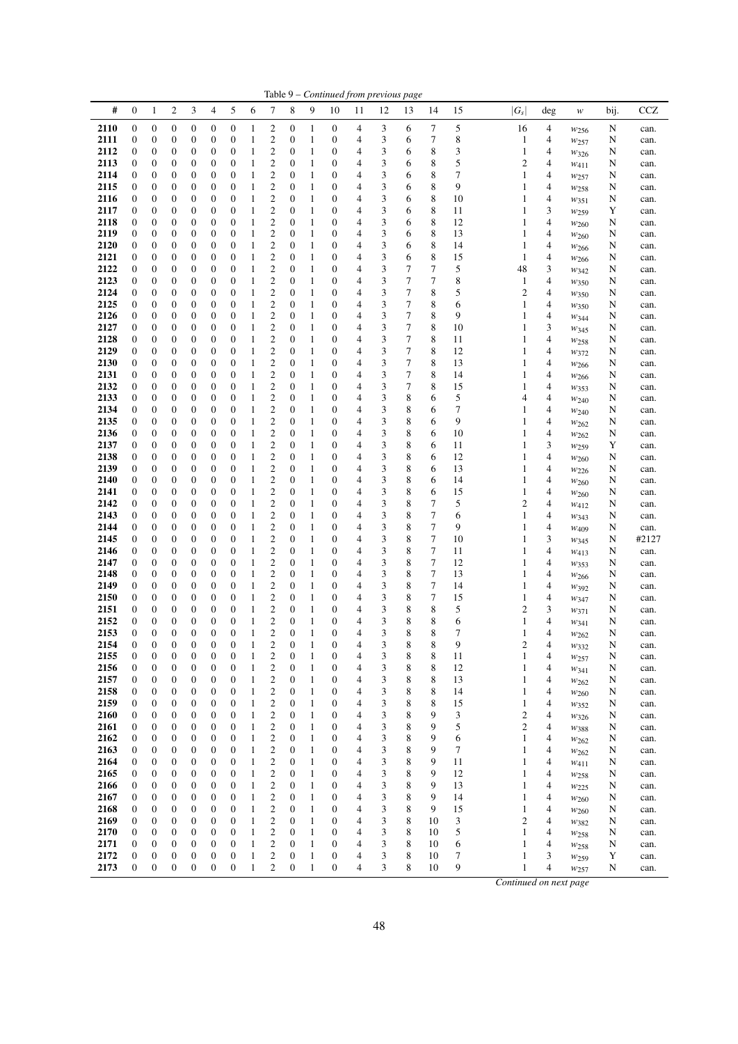|              |                                      |                                      |                                      |                                      |                     |                                  |                              |                                                    |                                  |                              |                                      |                                  | Table 9 - Continued from previous page |        |                       |          |                                |        |                          |        |              |
|--------------|--------------------------------------|--------------------------------------|--------------------------------------|--------------------------------------|---------------------|----------------------------------|------------------------------|----------------------------------------------------|----------------------------------|------------------------------|--------------------------------------|----------------------------------|----------------------------------------|--------|-----------------------|----------|--------------------------------|--------|--------------------------|--------|--------------|
| #            | $\boldsymbol{0}$                     | $\mathbf{1}$                         | $\overline{\mathbf{c}}$              | 3                                    | 4                   | 5                                | 6                            | 7                                                  | 8                                | 9                            | 10                                   | 11                               | 12                                     | 13     | 14                    | 15       | $ G_s $                        | deg    | $\boldsymbol{W}$         | bij.   | <b>CCZ</b>   |
| 2110         | $\boldsymbol{0}$                     | $\boldsymbol{0}$                     | 0                                    | $\boldsymbol{0}$                     | 0                   | $\boldsymbol{0}$                 | 1                            | $\mathbf{2}$                                       | 0                                | $\mathbf{1}$                 | $\boldsymbol{0}$                     | 4                                | 3                                      | 6      | $\tau$                | 5        | 16                             | 4      | $w_{256}$                | N      | can.         |
| 2111         | 0                                    | $\boldsymbol{0}$                     | $\boldsymbol{0}$                     | $\boldsymbol{0}$                     | 0                   | 0                                | $\mathbf{1}$                 | $\overline{c}$                                     | 0                                | $\mathbf{1}$                 | $\boldsymbol{0}$                     | 4                                | 3                                      | 6      | 7                     | 8        | 1                              | 4      | $w_{257}$                | N      | can.         |
| 2112<br>2113 | 0<br>0                               | $\boldsymbol{0}$<br>$\boldsymbol{0}$ | $\boldsymbol{0}$<br>0                | $\boldsymbol{0}$<br>$\boldsymbol{0}$ | 0<br>0              | 0<br>0                           | $\mathbf{1}$<br>1            | $\overline{c}$<br>$\overline{c}$                   | $\mathbf{0}$<br>0                | $\mathbf{1}$<br>$\mathbf{1}$ | $\boldsymbol{0}$<br>$\boldsymbol{0}$ | 4<br>4                           | 3<br>3                                 | 6<br>6 | 8<br>8                | 3<br>5   | $\mathbf{1}$<br>$\overline{c}$ | 4<br>4 | W326                     | N<br>N | can.         |
| 2114         | 0                                    | $\boldsymbol{0}$                     | $\boldsymbol{0}$                     | 0                                    | 0                   | 0                                | $\mathbf{1}$                 | $\overline{c}$                                     | 0                                | $\mathbf{1}$                 | $\boldsymbol{0}$                     | $\overline{4}$                   | 3                                      | 6      | 8                     | 7        | 1                              | 4      | W411<br>$w_{257}$        | N      | can.<br>can. |
| 2115         | 0                                    | $\boldsymbol{0}$                     | 0                                    | $\boldsymbol{0}$                     | 0                   | 0                                | 1                            | $\overline{c}$                                     | 0                                | $\mathbf{1}$                 | $\boldsymbol{0}$                     | 4                                | 3                                      | 6      | 8                     | 9        | 1                              | 4      | $w_{258}$                | N      | can.         |
| 2116         | 0                                    | $\boldsymbol{0}$                     | $\boldsymbol{0}$                     | $\boldsymbol{0}$                     | 0                   | $\mathbf{0}$                     | 1                            | $\overline{c}$                                     | 0                                | $\mathbf{1}$                 | $\mathbf{0}$                         | $\overline{4}$                   | 3                                      | 6      | 8                     | 10       | 1                              | 4      | W351                     | N      | can.         |
| 2117         | 0                                    | $\boldsymbol{0}$                     | $\boldsymbol{0}$                     | 0                                    | 0                   | 0                                | $\mathbf{1}$                 | $\overline{\mathbf{c}}$                            | 0                                | $\mathbf{1}$                 | $\boldsymbol{0}$                     | $\overline{4}$                   | 3                                      | 6      | 8                     | 11       | 1                              | 3      | W <sub>259</sub>         | Y      | can.         |
| 2118<br>2119 | 0<br>0                               | $\boldsymbol{0}$<br>$\boldsymbol{0}$ | $\boldsymbol{0}$<br>$\boldsymbol{0}$ | $\boldsymbol{0}$<br>$\boldsymbol{0}$ | 0<br>0              | 0<br>0                           | 1<br>$\mathbf{1}$            | $\overline{c}$<br>$\overline{c}$                   | 0<br>$\mathbf{0}$                | $\mathbf{1}$<br>$\mathbf{1}$ | $\mathbf{0}$<br>$\boldsymbol{0}$     | $\overline{4}$<br>$\overline{4}$ | 3<br>3                                 | 6<br>6 | 8<br>8                | 12<br>13 | 1<br>1                         | 4<br>4 | $w_{260}$                | N<br>N | can.<br>can. |
| 2120         | 0                                    | $\boldsymbol{0}$                     | $\boldsymbol{0}$                     | 0                                    | 0                   | 0                                | 1                            | $\overline{\mathbf{c}}$                            | 0                                | $\mathbf{1}$                 | $\boldsymbol{0}$                     | 4                                | 3                                      | 6      | 8                     | 14       | 1                              | 4      | $w_{260}$<br>W266        | N      | can.         |
| 2121         | 0                                    | $\boldsymbol{0}$                     | $\mathbf{0}$                         | $\boldsymbol{0}$                     | 0                   | $\mathbf{0}$                     | $\mathbf{1}$                 | $\overline{c}$                                     | 0                                | $\mathbf{1}$                 | $\boldsymbol{0}$                     | $\overline{4}$                   | 3                                      | 6      | 8                     | 15       | 1                              | 4      | W266                     | N      | can.         |
| 2122         | 0                                    | $\boldsymbol{0}$                     | 0                                    | $\boldsymbol{0}$                     | 0                   | 0                                | 1                            | $\overline{\mathbf{c}}$                            | $\overline{0}$                   | $\mathbf{1}$                 | $\boldsymbol{0}$                     | 4                                | 3                                      | 7      | $\boldsymbol{7}$      | 5        | 48                             | 3      | $w_{342}$                | N      | can.         |
| 2123         | 0                                    | $\boldsymbol{0}$                     | $\boldsymbol{0}$                     | $\boldsymbol{0}$                     | 0                   | 0                                | 1                            | $\overline{c}$                                     | 0                                | $\mathbf{1}$                 | $\mathbf{0}$                         | $\overline{4}$                   | 3                                      | 7      | 7                     | 8        | 1                              | 4      | $w_{350}$                | N      | can.         |
| 2124<br>2125 | 0<br>0                               | $\boldsymbol{0}$<br>$\boldsymbol{0}$ | $\boldsymbol{0}$<br>$\boldsymbol{0}$ | $\boldsymbol{0}$<br>$\boldsymbol{0}$ | 0<br>0              | $\boldsymbol{0}$<br>0            | 1<br>1                       | $\overline{c}$<br>$\overline{\mathbf{c}}$          | 0<br>$\boldsymbol{0}$            | $\mathbf{1}$<br>$\mathbf{1}$ | $\boldsymbol{0}$<br>$\boldsymbol{0}$ | $\overline{4}$<br>$\overline{4}$ | 3<br>3                                 | 7<br>7 | 8<br>8                | 5<br>6   | $\overline{c}$<br>1            | 4<br>4 | W350<br>W350             | N<br>N | can.<br>can. |
| 2126         | 0                                    | $\boldsymbol{0}$                     | $\boldsymbol{0}$                     | 0                                    | 0                   | 0                                | $\mathbf{1}$                 | $\overline{c}$                                     | 0                                | $\mathbf{1}$                 | $\boldsymbol{0}$                     | $\overline{4}$                   | 3                                      | 7      | 8                     | 9        | 1                              | 4      | $w_{344}$                | N      | can.         |
| 2127         | 0                                    | $\boldsymbol{0}$                     | 0                                    | 0                                    | 0                   | 0                                | 1                            | $\overline{\mathbf{c}}$                            | 0                                | $\mathbf{1}$                 | $\boldsymbol{0}$                     | 4                                | 3                                      | 7      | 8                     | 10       | 1                              | 3      | $w_{345}$                | N      | can.         |
| 2128         | 0                                    | $\boldsymbol{0}$                     | $\mathbf{0}$                         | $\boldsymbol{0}$                     | 0                   | $\mathbf{0}$                     | $\mathbf{1}$                 | $\overline{c}$                                     | $\boldsymbol{0}$                 | $\mathbf{1}$                 | $\boldsymbol{0}$                     | $\overline{4}$                   | 3                                      | 7      | 8                     | 11       | 1                              | 4      | W <sub>258</sub>         | N      | can.         |
| 2129         | 0                                    | $\boldsymbol{0}$                     | $\boldsymbol{0}$                     | $\boldsymbol{0}$                     | 0                   | 0                                | 1                            | $\overline{c}$                                     | 0                                | $\mathbf{1}$                 | $\boldsymbol{0}$                     | 4                                | 3                                      | 7      | 8                     | 12       | 1                              | 4      | W372                     | N      | can.         |
| 2130<br>2131 | 0<br>0                               | $\boldsymbol{0}$<br>$\boldsymbol{0}$ | $\boldsymbol{0}$<br>$\boldsymbol{0}$ | $\boldsymbol{0}$<br>$\boldsymbol{0}$ | 0<br>0              | 0<br>$\boldsymbol{0}$            | $\mathbf{1}$<br>1            | $\overline{\mathbf{c}}$<br>$\overline{c}$          | 0<br>0                           | $\mathbf{1}$<br>$\mathbf{1}$ | $\boldsymbol{0}$<br>$\boldsymbol{0}$ | $\overline{4}$<br>$\overline{4}$ | 3<br>3                                 | 7<br>7 | 8<br>8                | 13<br>14 | 1<br>1                         | 4<br>4 | $w_{266}$<br>$w_{266}$   | N<br>N | can.<br>can. |
| 2132         | 0                                    | $\boldsymbol{0}$                     | 0                                    | $\boldsymbol{0}$                     | 0                   | 0                                | 1                            | $\overline{\mathbf{c}}$                            | 0                                | 1                            | $\boldsymbol{0}$                     | 4                                | 3                                      | 7      | 8                     | 15       | 1                              | 4      | W353                     | N      | can.         |
| 2133         | 0                                    | $\boldsymbol{0}$                     | $\boldsymbol{0}$                     | 0                                    | 0                   | 0                                | $\mathbf{1}$                 | $\overline{c}$                                     | 0                                | 1                            | $\boldsymbol{0}$                     | $\overline{4}$                   | 3                                      | 8      | 6                     | 5        | 4                              | 4      | W240                     | N      | can.         |
| 2134         | 0                                    | $\boldsymbol{0}$                     | 0                                    | $\boldsymbol{0}$                     | 0                   | 0                                | 1                            | $\overline{\mathbf{c}}$                            | 0                                | $\mathbf{1}$                 | $\boldsymbol{0}$                     | 4                                | 3                                      | 8      | 6                     | 7        | 1                              | 4      | $w_{240}$                | N      | can.         |
| 2135<br>2136 | 0                                    | $\boldsymbol{0}$                     | $\boldsymbol{0}$                     | $\boldsymbol{0}$                     | 0                   | $\boldsymbol{0}$                 | 1                            | $\overline{c}$                                     | 0                                | 1                            | $\boldsymbol{0}$                     | $\overline{4}$                   | 3                                      | 8      | 6                     | 9        | 1                              | 4      | $w_{262}$                | N      | can.         |
| 2137         | 0<br>0                               | $\boldsymbol{0}$<br>$\boldsymbol{0}$ | $\boldsymbol{0}$<br>$\boldsymbol{0}$ | 0<br>$\boldsymbol{0}$                | 0<br>0              | 0<br>0                           | $\mathbf{1}$<br>1            | $\overline{\mathbf{c}}$<br>$\overline{\mathbf{c}}$ | 0<br>0                           | $\mathbf{1}$<br>1            | $\boldsymbol{0}$<br>$\boldsymbol{0}$ | $\overline{4}$<br>$\overline{4}$ | 3<br>3                                 | 8<br>8 | 6<br>6                | 10<br>11 | 1<br>1                         | 4<br>3 | W262<br>W <sub>259</sub> | N<br>Y | can.<br>can. |
| 2138         | 0                                    | $\boldsymbol{0}$                     | $\boldsymbol{0}$                     | $\boldsymbol{0}$                     | 0                   | 0                                | $\mathbf{1}$                 | $\overline{\mathbf{c}}$                            | $\mathbf{0}$                     | $\mathbf{1}$                 | $\boldsymbol{0}$                     | $\overline{4}$                   | 3                                      | 8      | 6                     | 12       | 1                              | 4      | $w_{260}$                | N      | can.         |
| 2139         | 0                                    | $\boldsymbol{0}$                     | 0                                    | $\boldsymbol{0}$                     | 0                   | 0                                | 1                            | $\overline{\mathbf{c}}$                            | 0                                | 1                            | $\boldsymbol{0}$                     | 4                                | 3                                      | 8      | 6                     | 13       | 1                              | 4      | $w_{226}$                | N      | can.         |
| 2140         | 0                                    | $\boldsymbol{0}$                     | $\boldsymbol{0}$                     | 0                                    | 0                   | $\mathbf{0}$                     | $\mathbf{1}$                 | $\overline{c}$                                     | 0                                | $\mathbf{1}$                 | $\boldsymbol{0}$                     | $\overline{4}$                   | 3                                      | 8      | 6                     | 14       | 1                              | 4      | W <sub>260</sub>         | N      | can.         |
| 2141<br>2142 | 0<br>0                               | $\boldsymbol{0}$<br>$\boldsymbol{0}$ | 0<br>$\boldsymbol{0}$                | $\boldsymbol{0}$<br>$\boldsymbol{0}$ | 0<br>0              | 0<br>0                           | 1<br>1                       | $\overline{\mathbf{c}}$<br>$\overline{\mathbf{c}}$ | $\overline{0}$<br>0              | $\mathbf{1}$<br>1            | $\boldsymbol{0}$<br>$\boldsymbol{0}$ | $\overline{4}$<br>$\overline{4}$ | 3<br>3                                 | 8<br>8 | 6<br>$\boldsymbol{7}$ | 15<br>5  | 1<br>2                         | 4<br>4 | W <sub>260</sub>         | N      | can.         |
| 2143         | 0                                    | $\boldsymbol{0}$                     | $\boldsymbol{0}$                     | 0                                    | 0                   | 0                                | $\mathbf{1}$                 | $\overline{\mathbf{c}}$                            | 0                                | $\mathbf{1}$                 | $\boldsymbol{0}$                     | $\overline{4}$                   | 3                                      | 8      | $\boldsymbol{7}$      | 6        | 1                              | 4      | W412<br>$W_{343}$        | N<br>N | can.<br>can. |
| 2144         | 0                                    | $\boldsymbol{0}$                     | $\boldsymbol{0}$                     | $\boldsymbol{0}$                     | 0                   | 0                                | 1                            | $\overline{\mathbf{c}}$                            | $\boldsymbol{0}$                 | 1                            | $\boldsymbol{0}$                     | 4                                | 3                                      | 8      | $\boldsymbol{7}$      | 9        | 1                              | 4      | W <sub>409</sub>         | N      | can.         |
| 2145         | 0                                    | $\boldsymbol{0}$                     | $\boldsymbol{0}$                     | 0                                    | 0                   | 0                                | $\mathbf{1}$                 | $\overline{c}$                                     | 0                                | 1                            | $\boldsymbol{0}$                     | $\overline{4}$                   | 3                                      | 8      | 7                     | 10       | 1                              | 3      | W345                     | N      | #2127        |
| 2146         | 0                                    | $\boldsymbol{0}$                     | 0                                    | 0                                    | 0                   | 0                                | 1                            | $\overline{\mathbf{c}}$                            | 0                                | 1                            | $\boldsymbol{0}$                     | 4                                | 3                                      | 8      | 7                     | 11       | 1                              | 4      | W413                     | N      | can.         |
| 2147<br>2148 | 0<br>0                               | $\boldsymbol{0}$<br>$\boldsymbol{0}$ | $\boldsymbol{0}$<br>$\boldsymbol{0}$ | $\boldsymbol{0}$<br>$\boldsymbol{0}$ | 0<br>0              | 0<br>0                           | 1<br>1                       | $\overline{c}$<br>$\overline{\mathbf{c}}$          | 0<br>0                           | $\mathbf{1}$<br>$\mathbf{1}$ | $\boldsymbol{0}$<br>$\boldsymbol{0}$ | $\overline{4}$<br>$\overline{4}$ | 3<br>3                                 | 8<br>8 | 7<br>$\boldsymbol{7}$ | 12<br>13 | 1<br>1                         | 4<br>4 | $w_{353}$                | N<br>N | can.<br>can. |
| 2149         | 0                                    | $\boldsymbol{0}$                     | $\boldsymbol{0}$                     | $\boldsymbol{0}$                     | 0                   | 0                                | $\mathbf{1}$                 | $\overline{\mathbf{c}}$                            | 0                                | $\mathbf{1}$                 | $\boldsymbol{0}$                     | $\overline{4}$                   | 3                                      | 8      | 7                     | 14       | 1                              | 4      | W <sub>266</sub><br>W392 | N      | can.         |
| 2150         | 0                                    | $\boldsymbol{0}$                     | $\boldsymbol{0}$                     | $\boldsymbol{0}$                     | 0                   | 0                                | $\mathbf{1}$                 | $\overline{\mathbf{c}}$                            | 0                                | $\mathbf{1}$                 | $\boldsymbol{0}$                     | $\overline{4}$                   | 3                                      | 8      | 7                     | 15       | 1                              | 4      | W347                     | N      | can.         |
| 2151         | 0                                    | $\boldsymbol{0}$                     | 0                                    | $\boldsymbol{0}$                     | 0                   | 0                                | 1                            | $\overline{\mathbf{c}}$                            | $\boldsymbol{0}$                 | $\mathbf{1}$                 | $\boldsymbol{0}$                     | 4                                | 3                                      | 8      | 8                     | 5        | $\overline{c}$                 | 3      | $w_{371}$                | N      | can.         |
| 2152<br>2153 | $\boldsymbol{0}$<br>$\boldsymbol{0}$ | $\boldsymbol{0}$<br>$\boldsymbol{0}$ | $\boldsymbol{0}$<br>$\overline{0}$   | $\mathbf{0}$<br>$\overline{0}$       | 0<br>$\overline{0}$ | $\boldsymbol{0}$<br>$\mathbf{0}$ | $\mathbf{1}$<br>$\mathbf{1}$ | $\overline{c}$<br>$\overline{c}$                   | $\overline{0}$<br>$\overline{0}$ | $\mathbf{1}$<br>$\mathbf{1}$ | $\boldsymbol{0}$<br>$\mathbf{0}$     | $\overline{4}$<br>$\overline{4}$ | 3<br>3                                 | 8<br>8 | 8<br>8                | 6<br>7   | 1<br>1                         | 4<br>4 | W341                     | N<br>N | can.         |
| 2154         | $\boldsymbol{0}$                     | $\mathbf{0}$                         | $\boldsymbol{0}$                     | $\boldsymbol{0}$                     | $\boldsymbol{0}$    | $\boldsymbol{0}$                 | $\mathbf{1}$                 | $\overline{c}$                                     | $\boldsymbol{0}$                 | $\mathbf{1}$                 | $\boldsymbol{0}$                     | 4                                | 3                                      | 8      | 8                     | 9        | $\overline{c}$                 | 4      | W262<br>W332             | N      | can.<br>can. |
| 2155         | $\boldsymbol{0}$                     | $\boldsymbol{0}$                     | $\boldsymbol{0}$                     | $\boldsymbol{0}$                     | 0                   | 0                                | 1                            | $\boldsymbol{2}$                                   | 0                                | 1                            | $\boldsymbol{0}$                     | 4                                | 3                                      | 8      | 8                     | 11       | 1                              | 4      | $w_{257}$                | N      | can.         |
| 2156         | $\boldsymbol{0}$                     | $\boldsymbol{0}$                     | $\boldsymbol{0}$                     | $\boldsymbol{0}$                     | 0                   | $\boldsymbol{0}$                 | $\mathbf{1}$                 | $\overline{c}$                                     | $\boldsymbol{0}$                 | $\mathbf{1}$                 | $\boldsymbol{0}$                     | 4                                | 3                                      | 8      | 8                     | 12       | 1                              | 4      | W341                     | N      | can.         |
| 2157         | $\boldsymbol{0}$                     | $\boldsymbol{0}$                     | $\boldsymbol{0}$                     | $\boldsymbol{0}$                     | 0                   | 0                                | 1                            | $\overline{c}$                                     | $\boldsymbol{0}$                 | 1                            | $\mathbf{0}$                         | 4                                | 3                                      | 8      | 8                     | 13       | 1                              | 4      | W262                     | N      | can.         |
| 2158<br>2159 | 0<br>0                               | $\boldsymbol{0}$<br>$\boldsymbol{0}$ | $\mathbf{0}$<br>0                    | 0<br>0                               | 0<br>0              | 0<br>0                           | 1<br>1                       | $\overline{c}$<br>$\overline{c}$                   | $\boldsymbol{0}$<br>0            | 1<br>$\mathbf{1}$            | $\mathbf{0}$<br>$\boldsymbol{0}$     | 4<br>4                           | 3<br>3                                 | 8<br>8 | 8<br>8                | 14<br>15 | 1<br>1                         | 4<br>4 | $w_{260}$                | N<br>N | can.<br>can. |
| 2160         | 0                                    | $\boldsymbol{0}$                     | 0                                    | 0                                    | 0                   | 0                                | 1                            | $\overline{\mathbf{c}}$                            | $\boldsymbol{0}$                 | 1                            | $\mathbf{0}$                         | 4                                | 3                                      | 8      | 9                     | 3        | $\overline{\mathbf{c}}$        | 4      | $w_{352}$<br>W326        | N      | can.         |
| 2161         | $\boldsymbol{0}$                     | $\boldsymbol{0}$                     | $\boldsymbol{0}$                     | $\boldsymbol{0}$                     | 0                   | 0                                | 1                            | $\overline{\mathbf{c}}$                            | $\boldsymbol{0}$                 | $\mathbf{1}$                 | $\boldsymbol{0}$                     | 4                                | 3                                      | 8      | 9                     | 5        | $\overline{c}$                 | 4      | W388                     | N      | can.         |
| 2162         | 0                                    | $\boldsymbol{0}$                     | $\boldsymbol{0}$                     | 0                                    | 0                   | 0                                | 1                            | $\overline{\mathbf{c}}$                            | $\boldsymbol{0}$                 | 1                            | $\boldsymbol{0}$                     | 4                                | 3                                      | 8      | 9                     | 6        | 1                              | 4      | $w_{262}$                | N      | can.         |
| 2163         | $\boldsymbol{0}$                     | $\boldsymbol{0}$                     | $\boldsymbol{0}$                     | 0                                    | 0                   | 0                                | 1                            | $\mathbf{2}$                                       | $\mathbf{0}$                     | $\mathbf{1}$                 | $\boldsymbol{0}$                     | 4                                | 3                                      | 8      | 9                     | 7        | 1                              | 4      | $w_{262}$                | N      | can.         |
| 2164<br>2165 | 0<br>0                               | $\boldsymbol{0}$<br>$\boldsymbol{0}$ | $\boldsymbol{0}$<br>0                | $\boldsymbol{0}$<br>0                | 0<br>0              | 0<br>0                           | 1<br>1                       | $\overline{c}$<br>$\overline{\mathbf{c}}$          | $\boldsymbol{0}$<br>0            | $\mathbf{1}$<br>$\mathbf{1}$ | $\boldsymbol{0}$<br>$\boldsymbol{0}$ | 4<br>4                           | 3<br>3                                 | 8<br>8 | 9<br>9                | 11<br>12 | 1<br>1                         | 4<br>4 | W411<br>W <sub>258</sub> | N<br>N | can.<br>can. |
| 2166         | 0                                    | $\boldsymbol{0}$                     | $\mathbf{0}$                         | $\boldsymbol{0}$                     | 0                   | 0                                | $\mathbf{1}$                 | $\overline{c}$                                     | 0                                | $\mathbf{1}$                 | $\boldsymbol{0}$                     | 4                                | 3                                      | 8      | 9                     | 13       | 1                              | 4      | $w_{225}$                | N      | can.         |
| 2167         | 0                                    | $\boldsymbol{0}$                     | 0                                    | 0                                    | 0                   | 0                                | 1                            | $\overline{\mathbf{c}}$                            | $\boldsymbol{0}$                 | 1                            | $\mathbf 0$                          | 4                                | 3                                      | 8      | 9                     | 14       | 1                              | 4      | $w_{260}$                | N      | can.         |
| 2168         | $\boldsymbol{0}$                     | $\boldsymbol{0}$                     | $\boldsymbol{0}$                     | 0                                    | 0                   | 0                                | 1                            | $\overline{\mathbf{c}}$                            | $\boldsymbol{0}$                 | $\mathbf{1}$                 | $\boldsymbol{0}$                     | 4                                | 3                                      | 8      | 9                     | 15       | 1                              | 4      | W <sub>260</sub>         | N      | can.         |
| 2169<br>2170 | 0                                    | $\boldsymbol{0}$<br>$\boldsymbol{0}$ | $\boldsymbol{0}$<br>$\mathbf{0}$     | $\boldsymbol{0}$<br>$\mathbf 0$      | 0                   | 0                                | $\mathbf{1}$                 | $\overline{c}$<br>$\overline{\mathbf{c}}$          | $\mathbf{0}$<br>0                | 1                            | $\boldsymbol{0}$<br>$\mathbf{0}$     | 4<br>4                           | 3<br>3                                 | 8<br>8 | 10<br>10              | 3<br>5   | $\overline{c}$<br>1            | 4      | W382                     | N      | can.         |
| 2171         | $\boldsymbol{0}$<br>0                | $\boldsymbol{0}$                     | $\mathbf{0}$                         | 0                                    | 0<br>0              | 0<br>0                           | 1<br>$\mathbf{1}$            | $\overline{c}$                                     | $\boldsymbol{0}$                 | 1<br>1                       | $\mathbf{0}$                         | 4                                | 3                                      | 8      | 10                    | 6        | 1                              | 4<br>4 | $w_{258}$<br>$w_{258}$   | N<br>N | can.<br>can. |
| 2172         | 0                                    | $\boldsymbol{0}$                     | $\boldsymbol{0}$                     | $\boldsymbol{0}$                     | 0                   | 0                                | $\mathbf{1}$                 | $\overline{\mathbf{c}}$                            | $\boldsymbol{0}$                 | $\mathbf{1}$                 | $\boldsymbol{0}$                     | 4                                | 3                                      | 8      | 10                    | 7        | 1                              | 3      | W <sub>259</sub>         | Y      | can.         |
| 2173         | $\boldsymbol{0}$                     | $\boldsymbol{0}$                     | $\boldsymbol{0}$                     | $\boldsymbol{0}$                     | 0                   | $\boldsymbol{0}$                 | $\mathbf{1}$                 | $\overline{c}$                                     | $\boldsymbol{0}$                 | $\mathbf{1}$                 | $\boldsymbol{0}$                     | 4                                | 3                                      | 8      | 10                    | 9        | $\mathbf{1}$                   | 4      | W257                     | N      | can.         |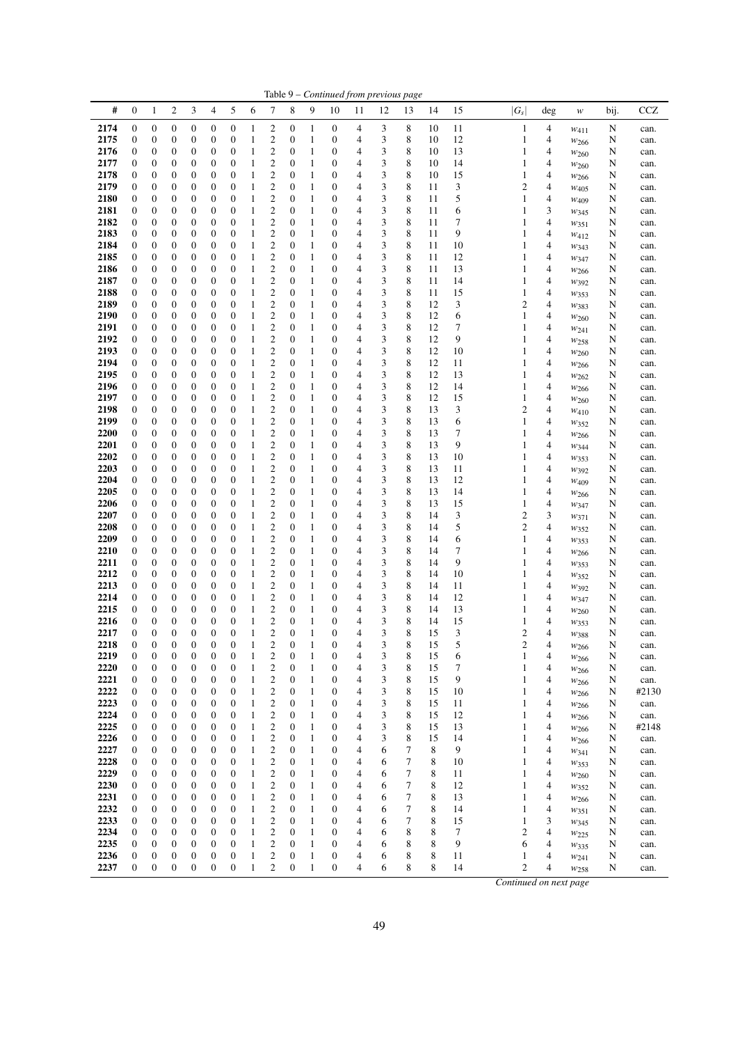|              | Table 9 - Continued from previous page<br>#<br>$\boldsymbol{0}$<br>$\boldsymbol{2}$<br>3<br>4<br>5<br>6<br>8<br>15<br>$ G_s $<br><b>CCZ</b><br>$\mathbf{1}$<br>7<br>9<br>10<br>14<br>bij.<br>11<br>12<br>13<br>deg<br>w |                                      |                                      |                                      |                                    |                                      |                              |                                           |                                  |              |                                      |                     |        |             |          |          |                        |        |                          |        |              |
|--------------|-------------------------------------------------------------------------------------------------------------------------------------------------------------------------------------------------------------------------|--------------------------------------|--------------------------------------|--------------------------------------|------------------------------------|--------------------------------------|------------------------------|-------------------------------------------|----------------------------------|--------------|--------------------------------------|---------------------|--------|-------------|----------|----------|------------------------|--------|--------------------------|--------|--------------|
|              |                                                                                                                                                                                                                         |                                      |                                      |                                      |                                    |                                      |                              |                                           |                                  |              |                                      |                     |        |             |          |          |                        |        |                          |        |              |
| 2174         | 0                                                                                                                                                                                                                       | $\boldsymbol{0}$                     | $\boldsymbol{0}$                     | $\boldsymbol{0}$                     | 0                                  | $\boldsymbol{0}$                     | 1                            | 2                                         | $\boldsymbol{0}$                 | 1            | $\boldsymbol{0}$                     | 4                   | 3      | 8           | 10       | 11       | $\mathbf{1}$           | 4      | $w_{411}$                | N      | can.         |
| 2175         | 0                                                                                                                                                                                                                       | $\boldsymbol{0}$                     | $\boldsymbol{0}$                     | $\mathbf{0}$                         | 0                                  | $\boldsymbol{0}$                     | 1                            | $\overline{c}$                            | $\boldsymbol{0}$                 | 1            | $\boldsymbol{0}$                     | 4                   | 3      | 8           | 10       | 12       | 1                      | 4      | $w_{266}$                | N      | can.         |
| 2176         | 0                                                                                                                                                                                                                       | $\boldsymbol{0}$                     | $\boldsymbol{0}$                     | $\mathbf{0}$                         | 0                                  | $\boldsymbol{0}$                     | 1                            | $\overline{c}$                            | $\mathbf{0}$                     | 1            | 0                                    | 4                   | 3      | 8           | 10       | 13       | 1                      | 4      | W <sub>260</sub>         | N      | can.         |
| 2177<br>2178 | 0<br>0                                                                                                                                                                                                                  | $\boldsymbol{0}$<br>0                | $\boldsymbol{0}$<br>$\boldsymbol{0}$ | $\mathbf{0}$<br>$\boldsymbol{0}$     | 0<br>0                             | 0<br>$\boldsymbol{0}$                | 1<br>1                       | $\overline{c}$<br>$\overline{c}$          | $\mathbf{0}$<br>$\mathbf{0}$     | 1<br>1       | $\boldsymbol{0}$<br>$\boldsymbol{0}$ | 4<br>4              | 3<br>3 | 8<br>8      | 10<br>10 | 14<br>15 | 1<br>1                 | 4<br>4 | W <sub>260</sub>         | N<br>N | can.<br>can. |
| 2179         | 0                                                                                                                                                                                                                       | $\boldsymbol{0}$                     | $\boldsymbol{0}$                     | $\boldsymbol{0}$                     | 0                                  | $\boldsymbol{0}$                     | 1                            | $\overline{c}$                            | $\mathbf{0}$                     | 1            | $\boldsymbol{0}$                     | 4                   | 3      | 8           | 11       | 3        | 2                      | 4      | $w_{266}$<br>$W_{405}$   | N      | can.         |
| 2180         | 0                                                                                                                                                                                                                       | 0                                    | $\boldsymbol{0}$                     | $\boldsymbol{0}$                     | $\mathbf{0}$                       | $\boldsymbol{0}$                     | 1                            | $\overline{c}$                            | $\boldsymbol{0}$                 | 1            | $\boldsymbol{0}$                     | 4                   | 3      | 8           | 11       | 5        | 1                      | 4      | W <sub>409</sub>         | N      | can.         |
| 2181         | 0                                                                                                                                                                                                                       | 0                                    | $\boldsymbol{0}$                     | $\boldsymbol{0}$                     | 0                                  | $\boldsymbol{0}$                     | 1                            | $\overline{c}$                            | $\boldsymbol{0}$                 | 1            | $\boldsymbol{0}$                     | 4                   | 3      | 8           | 11       | 6        | 1                      | 3      | W345                     | N      | can.         |
| 2182         | 0                                                                                                                                                                                                                       | $\boldsymbol{0}$                     | $\boldsymbol{0}$                     | $\boldsymbol{0}$                     | 0                                  | $\boldsymbol{0}$                     | 1                            | $\overline{c}$                            | $\mathbf{0}$                     | 1            | $\boldsymbol{0}$                     | 4                   | 3      | 8           | 11       | 7        | 1                      | 4      | $w_{351}$                | N      | can.         |
| 2183<br>2184 | 0<br>0                                                                                                                                                                                                                  | $\boldsymbol{0}$<br>0                | $\boldsymbol{0}$<br>$\boldsymbol{0}$ | $\boldsymbol{0}$<br>$\boldsymbol{0}$ | 0<br>0                             | $\boldsymbol{0}$<br>$\boldsymbol{0}$ | 1<br>1                       | $\overline{c}$<br>$\overline{\mathbf{c}}$ | $\mathbf{0}$<br>$\mathbf{0}$     | 1<br>1       | $\boldsymbol{0}$<br>$\boldsymbol{0}$ | 4<br>4              | 3<br>3 | 8<br>8      | 11<br>11 | 9<br>10  | 1<br>1                 | 4<br>4 | $w_{412}$                | N<br>N | can.<br>can. |
| 2185         | 0                                                                                                                                                                                                                       | 0                                    | $\boldsymbol{0}$                     | $\boldsymbol{0}$                     | 0                                  | $\boldsymbol{0}$                     | 1                            | $\overline{c}$                            | $\mathbf{0}$                     | 1            | $\boldsymbol{0}$                     | 4                   | 3      | 8           | 11       | 12       | 1                      | 4      | W343<br>W347             | N      | can.         |
| 2186         | 0                                                                                                                                                                                                                       | $\boldsymbol{0}$                     | $\boldsymbol{0}$                     | $\boldsymbol{0}$                     | 0                                  | $\boldsymbol{0}$                     | $\mathbf{1}$                 | $\overline{c}$                            | $\mathbf{0}$                     | 1            | $\boldsymbol{0}$                     | 4                   | 3      | 8           | 11       | 13       | 1                      | 4      | $w_{266}$                | N      | can.         |
| 2187         | 0                                                                                                                                                                                                                       | $\boldsymbol{0}$                     | $\boldsymbol{0}$                     | $\boldsymbol{0}$                     | $\mathbf{0}$                       | $\boldsymbol{0}$                     | 1                            | $\overline{c}$                            | $\boldsymbol{0}$                 | 1            | $\boldsymbol{0}$                     | 4                   | 3      | 8           | 11       | 14       | 1                      | 4      | $w_{392}$                | N      | can.         |
| 2188         | 0                                                                                                                                                                                                                       | $\boldsymbol{0}$                     | $\boldsymbol{0}$                     | $\boldsymbol{0}$                     | $\mathbf{0}$                       | $\boldsymbol{0}$                     | 1                            | $\overline{\mathbf{c}}$                   | $\boldsymbol{0}$                 | 1            | $\boldsymbol{0}$                     | 4                   | 3      | 8           | 11       | 15       | 1                      | 4      | W353                     | N      | can.         |
| 2189         | 0                                                                                                                                                                                                                       | $\boldsymbol{0}$<br>$\boldsymbol{0}$ | $\boldsymbol{0}$                     | $\boldsymbol{0}$<br>$\boldsymbol{0}$ | 0<br>0                             | $\boldsymbol{0}$<br>0                | 1                            | $\overline{\mathbf{c}}$<br>$\overline{c}$ | $\boldsymbol{0}$<br>$\mathbf{0}$ | 1            | $\boldsymbol{0}$<br>$\boldsymbol{0}$ | 4<br>4              | 3<br>3 | 8<br>8      | 12<br>12 | 3        | 2<br>1                 | 4<br>4 | W383                     | N      | can.         |
| 2190<br>2191 | 0<br>0                                                                                                                                                                                                                  | 0                                    | $\boldsymbol{0}$<br>$\boldsymbol{0}$ | $\boldsymbol{0}$                     | 0                                  | $\boldsymbol{0}$                     | 1<br>$\mathbf{1}$            | $\overline{\mathbf{c}}$                   | $\mathbf{0}$                     | 1<br>1       | $\boldsymbol{0}$                     | 4                   | 3      | 8           | 12       | 6<br>7   | 1                      | 4      | $w_{260}$<br>$w_{241}$   | N<br>N | can.<br>can. |
| 2192         | 0                                                                                                                                                                                                                       | 0                                    | $\boldsymbol{0}$                     | $\boldsymbol{0}$                     | $\mathbf{0}$                       | $\boldsymbol{0}$                     | 1                            | $\overline{c}$                            | $\mathbf{0}$                     | 1            | $\boldsymbol{0}$                     | 4                   | 3      | 8           | 12       | 9        | 1                      | 4      | W <sub>258</sub>         | N      | can.         |
| 2193         | 0                                                                                                                                                                                                                       | $\boldsymbol{0}$                     | $\boldsymbol{0}$                     | $\boldsymbol{0}$                     | 0                                  | $\boldsymbol{0}$                     | $\mathbf{1}$                 | $\overline{\mathbf{c}}$                   | $\mathbf{0}$                     | 1            | $\boldsymbol{0}$                     | 4                   | 3      | 8           | 12       | 10       | 1                      | 4      | W <sub>260</sub>         | N      | can.         |
| 2194         | 0                                                                                                                                                                                                                       | $\boldsymbol{0}$                     | $\boldsymbol{0}$                     | $\boldsymbol{0}$                     | $\boldsymbol{0}$                   | $\boldsymbol{0}$                     | 1                            | $\overline{\mathbf{c}}$                   | $\mathbf{0}$                     | 1            | $\boldsymbol{0}$                     | 4                   | 3      | 8           | 12       | 11       | 1                      | 4      | $w_{266}$                | N      | can.         |
| 2195         | 0                                                                                                                                                                                                                       | $\boldsymbol{0}$                     | $\boldsymbol{0}$                     | $\boldsymbol{0}$                     | 0                                  | $\boldsymbol{0}$                     | 1                            | $\overline{c}$                            | $\boldsymbol{0}$                 | 1            | $\boldsymbol{0}$                     | 4                   | 3      | 8           | 12       | 13       | 1                      | 4      | $w_{262}$                | N      | can.         |
| 2196<br>2197 | 0                                                                                                                                                                                                                       | $\boldsymbol{0}$<br>0                | $\boldsymbol{0}$<br>$\boldsymbol{0}$ | $\boldsymbol{0}$<br>$\boldsymbol{0}$ | 0<br>0                             | $\boldsymbol{0}$<br>$\boldsymbol{0}$ | 1<br>$\mathbf{1}$            | $\overline{\mathbf{c}}$<br>$\overline{c}$ | $\mathbf{0}$<br>$\mathbf{0}$     | 1<br>1       | $\boldsymbol{0}$<br>$\boldsymbol{0}$ | 4<br>4              | 3<br>3 | 8<br>8      | 12<br>12 | 14<br>15 | 1<br>1                 | 4<br>4 | W <sub>266</sub>         | N      | can.         |
| 2198         | 0<br>0                                                                                                                                                                                                                  | 0                                    | $\boldsymbol{0}$                     | $\boldsymbol{0}$                     | $\mathbf{0}$                       | $\boldsymbol{0}$                     | 1                            | $\overline{\mathbf{c}}$                   | $\mathbf{0}$                     | 1            | $\boldsymbol{0}$                     | 4                   | 3      | 8           | 13       | 3        | 2                      | 4      | W <sub>260</sub><br>W410 | N<br>N | can.<br>can. |
| 2199         | 0                                                                                                                                                                                                                       | $\boldsymbol{0}$                     | $\boldsymbol{0}$                     | $\boldsymbol{0}$                     | $\mathbf{0}$                       | $\boldsymbol{0}$                     | 1                            | $\overline{\mathbf{c}}$                   | $\mathbf{0}$                     | 1            | $\boldsymbol{0}$                     | 4                   | 3      | 8           | 13       | 6        | 1                      | 4      | $w_{352}$                | N      | can.         |
| 2200         | 0                                                                                                                                                                                                                       | 0                                    | $\boldsymbol{0}$                     | $\boldsymbol{0}$                     | 0                                  | $\boldsymbol{0}$                     | 1                            | $\overline{\mathbf{c}}$                   | $\boldsymbol{0}$                 | 1            | $\boldsymbol{0}$                     | 4                   | 3      | 8           | 13       | 7        | 1                      | 4      | W266                     | N      | can.         |
| 2201         | 0                                                                                                                                                                                                                       | $\boldsymbol{0}$                     | $\boldsymbol{0}$                     | $\boldsymbol{0}$                     | $\mathbf{0}$                       | $\boldsymbol{0}$                     | 1                            | $\overline{\mathbf{c}}$                   | $\boldsymbol{0}$                 | 1            | $\boldsymbol{0}$                     | 4                   | 3      | 8           | 13       | 9        | 1                      | 4      | W344                     | N      | can.         |
| 2202         | 0                                                                                                                                                                                                                       | $\boldsymbol{0}$                     | $\boldsymbol{0}$                     | $\boldsymbol{0}$                     | 0                                  | $\boldsymbol{0}$                     | 1                            | $\overline{\mathbf{c}}$                   | $\mathbf{0}$                     | 1            | $\boldsymbol{0}$                     | 4                   | 3      | 8           | 13       | 10       | 1                      | 4      | $w_{353}$                | N      | can.         |
| 2203<br>2204 | 0<br>0                                                                                                                                                                                                                  | $\boldsymbol{0}$<br>0                | $\boldsymbol{0}$<br>$\boldsymbol{0}$ | $\mathbf{0}$<br>$\boldsymbol{0}$     | 0<br>0                             | $\boldsymbol{0}$<br>$\boldsymbol{0}$ | 1<br>1                       | $\overline{\mathbf{c}}$<br>$\overline{c}$ | $\mathbf{0}$<br>$\mathbf{0}$     | 1<br>1       | $\boldsymbol{0}$<br>$\boldsymbol{0}$ | 4<br>4              | 3<br>3 | 8<br>8      | 13<br>13 | 11<br>12 | 1<br>1                 | 4<br>4 | $w_{392}$                | N<br>N | can.         |
| 2205         | 0                                                                                                                                                                                                                       | $\boldsymbol{0}$                     | $\boldsymbol{0}$                     | $\boldsymbol{0}$                     | 0                                  | $\boldsymbol{0}$                     | $\mathbf{1}$                 | $\overline{\mathbf{c}}$                   | $\mathbf{0}$                     | 1            | $\boldsymbol{0}$                     | 4                   | 3      | 8           | 13       | 14       | 1                      | 4      | W409<br>W <sub>266</sub> | N      | can.<br>can. |
| 2206         | 0                                                                                                                                                                                                                       | $\boldsymbol{0}$                     | $\boldsymbol{0}$                     | $\boldsymbol{0}$                     | $\mathbf{0}$                       | $\boldsymbol{0}$                     | 1                            | $\overline{\mathbf{c}}$                   | $\mathbf{0}$                     | 1            | $\boldsymbol{0}$                     | 4                   | 3      | 8           | 13       | 15       | 1                      | 4      | W347                     | N      | can.         |
| 2207         | 0                                                                                                                                                                                                                       | $\boldsymbol{0}$                     | $\boldsymbol{0}$                     | $\boldsymbol{0}$                     | 0                                  | 0                                    | 1                            | $\overline{\mathbf{c}}$                   | $\mathbf{0}$                     | 1            | $\boldsymbol{0}$                     | 4                   | 3      | 8           | 14       | 3        | 2                      | 3      | $w_{371}$                | N      | can.         |
| 2208         | 0                                                                                                                                                                                                                       | $\boldsymbol{0}$                     | $\boldsymbol{0}$                     | $\boldsymbol{0}$                     | 0                                  | $\boldsymbol{0}$                     | 1                            | $\overline{\mathbf{c}}$                   | $\boldsymbol{0}$                 | 1            | $\boldsymbol{0}$                     | 4                   | 3      | 8           | 14       | 5        | $\overline{c}$         | 4      | W352                     | N      | can.         |
| 2209         | 0                                                                                                                                                                                                                       | $\boldsymbol{0}$                     | $\boldsymbol{0}$                     | $\boldsymbol{0}$                     | 0                                  | $\boldsymbol{0}$                     | 1                            | $\overline{c}$                            | $\mathbf{0}$                     | $\mathbf{1}$ | $\boldsymbol{0}$                     | 4                   | 3      | 8           | 14       | 6        | 1                      | 4      | W353                     | N      | can.         |
| 2210<br>2211 | 0<br>0                                                                                                                                                                                                                  | 0<br>0                               | $\boldsymbol{0}$<br>$\boldsymbol{0}$ | $\boldsymbol{0}$<br>$\boldsymbol{0}$ | 0<br>0                             | $\boldsymbol{0}$<br>$\boldsymbol{0}$ | 1<br>1                       | $\overline{\mathbf{c}}$<br>$\overline{c}$ | $\mathbf{0}$<br>$\mathbf{0}$     | 1<br>1       | $\boldsymbol{0}$<br>$\boldsymbol{0}$ | 4<br>4              | 3<br>3 | 8<br>8      | 14<br>14 | 7<br>9   | 1<br>1                 | 4<br>4 | $w_{266}$                | N<br>N | can.<br>can. |
| 2212         | 0                                                                                                                                                                                                                       | $\boldsymbol{0}$                     | $\boldsymbol{0}$                     | $\boldsymbol{0}$                     | 0                                  | $\boldsymbol{0}$                     | 1                            | $\overline{\mathbf{c}}$                   | $\mathbf{0}$                     | 1            | $\boldsymbol{0}$                     | 4                   | 3      | 8           | 14       | 10       | 1                      | 4      | $w_{353}$<br>W352        | N      | can.         |
| 2213         | 0                                                                                                                                                                                                                       | $\boldsymbol{0}$                     | $\boldsymbol{0}$                     | $\boldsymbol{0}$                     | $\boldsymbol{0}$                   | $\boldsymbol{0}$                     | 1                            | $\overline{\mathbf{c}}$                   | $\mathbf{0}$                     | 1            | $\boldsymbol{0}$                     | 4                   | 3      | 8           | 14       | 11       | 1                      | 4      | W392                     | N      | can.         |
| 2214         | 0                                                                                                                                                                                                                       | $\boldsymbol{0}$                     | $\boldsymbol{0}$                     | $\boldsymbol{0}$                     | 0                                  | $\boldsymbol{0}$                     | 1                            | $\overline{\mathbf{c}}$                   | $\boldsymbol{0}$                 | 1            | $\boldsymbol{0}$                     | 4                   | 3      | 8           | 14       | 12       | 1                      | 4      | W347                     | N      | can.         |
| 2215         | 0                                                                                                                                                                                                                       | $\boldsymbol{0}$                     | $\boldsymbol{0}$                     | $\boldsymbol{0}$                     | 0                                  | 0                                    | 1                            | $\overline{\mathbf{c}}$                   | $\boldsymbol{0}$                 | 1            | $\boldsymbol{0}$                     | 4                   | 3      | 8           | 14       | 13       | 1                      | 4      | $w_{260}$                | N      | can.         |
| 2216         | 0                                                                                                                                                                                                                       | $\boldsymbol{0}$                     | $\boldsymbol{0}$                     | $\mathbf{0}$<br>$\mathbf{0}$         | 0                                  | $\boldsymbol{0}$                     | $\mathbf{1}$                 | $\overline{\mathbf{c}}$<br>$\overline{c}$ | $\mathbf{0}$<br>$\overline{0}$   | 1            | $\boldsymbol{0}$                     | 4<br>$\overline{4}$ | 3      | 8           | 14       | 15       | 1                      | 4      | W353                     | N      | can.         |
| 2217<br>2218 | $\boldsymbol{0}$<br>$\boldsymbol{0}$                                                                                                                                                                                    | $\boldsymbol{0}$<br>$\boldsymbol{0}$ | $\boldsymbol{0}$<br>$\boldsymbol{0}$ | $\boldsymbol{0}$                     | $\overline{0}$<br>$\boldsymbol{0}$ | $\boldsymbol{0}$<br>$\boldsymbol{0}$ | $\mathbf{1}$<br>$\mathbf{1}$ | $\overline{c}$                            | $\boldsymbol{0}$                 | 1<br>1       | $\mathbf{0}$<br>$\boldsymbol{0}$     | $\overline{4}$      | 3<br>3 | 8<br>8      | 15<br>15 | 3<br>5   | 2<br>$\overline{c}$    | 4<br>4 | W388                     | N<br>N | can.<br>can. |
| 2219         | 0                                                                                                                                                                                                                       | $\boldsymbol{0}$                     | $\boldsymbol{0}$                     | $\boldsymbol{0}$                     | $\mathbf{0}$                       | $\boldsymbol{0}$                     | $\mathbf{1}$                 | $\boldsymbol{2}$                          | $\boldsymbol{0}$                 | 1            | $\boldsymbol{0}$                     | 4                   | 3      | 8           | 15       | 6        | 1                      | 4      | $w_{266}$<br>$w_{266}$   | N      | can.         |
| 2220         | 0                                                                                                                                                                                                                       | $\boldsymbol{0}$                     | $\boldsymbol{0}$                     | $\boldsymbol{0}$                     | $\mathbf{0}$                       | $\boldsymbol{0}$                     | $\mathbf{1}$                 | $\overline{c}$                            | $\boldsymbol{0}$                 | $\mathbf{1}$ | $\boldsymbol{0}$                     | 4                   | 3      | 8           | 15       | 7        | 1                      | 4      | W <sub>266</sub>         | N      | can.         |
| 2221         | 0                                                                                                                                                                                                                       | $\boldsymbol{0}$                     | $\boldsymbol{0}$                     | $\boldsymbol{0}$                     | $\boldsymbol{0}$                   | $\boldsymbol{0}$                     | $\mathbf{1}$                 | $\overline{c}$                            | $\mathbf{0}$                     | 1            | $\boldsymbol{0}$                     | 4                   | 3      | 8           | 15       | 9        | $\mathbf{1}$           | 4      | W266                     | N      | can.         |
| 2222         | 0                                                                                                                                                                                                                       | $\boldsymbol{0}$                     | $\boldsymbol{0}$                     | $\boldsymbol{0}$                     | $\boldsymbol{0}$                   | $\boldsymbol{0}$                     | $\mathbf{1}$                 | $\overline{\mathbf{c}}$                   | $\boldsymbol{0}$                 | 1            | $\boldsymbol{0}$                     | 4                   | 3      | 8           | 15       | 10       | 1                      | 4      | $w_{266}$                | N      | #2130        |
| 2223<br>2224 | 0<br>0                                                                                                                                                                                                                  | $\boldsymbol{0}$<br>$\boldsymbol{0}$ | $\boldsymbol{0}$<br>$\boldsymbol{0}$ | $\boldsymbol{0}$<br>$\boldsymbol{0}$ | 0<br>$\boldsymbol{0}$              | $\boldsymbol{0}$<br>$\boldsymbol{0}$ | $\mathbf{1}$<br>$\mathbf{1}$ | $\overline{c}$<br>$\overline{\mathbf{c}}$ | $\boldsymbol{0}$<br>$\mathbf{0}$ | 1<br>1       | $\boldsymbol{0}$<br>$\boldsymbol{0}$ | 4<br>4              | 3<br>3 | 8<br>8      | 15<br>15 | 11<br>12 | 1<br>1                 | 4<br>4 | $w_{266}$                | N<br>N | can.<br>can. |
| 2225         | 0                                                                                                                                                                                                                       | $\boldsymbol{0}$                     | $\boldsymbol{0}$                     | $\mathbf{0}$                         | 0                                  | $\boldsymbol{0}$                     | $\mathbf{1}$                 | $\overline{c}$                            | $\boldsymbol{0}$                 | 1            | $\boldsymbol{0}$                     | 4                   | 3      | 8           | 15       | 13       | 1                      | 4      | W <sub>266</sub><br>W266 | N      | #2148        |
| 2226         | 0                                                                                                                                                                                                                       | $\boldsymbol{0}$                     | $\boldsymbol{0}$                     | $\boldsymbol{0}$                     | 0                                  | $\boldsymbol{0}$                     | $\mathbf{1}$                 | $\overline{\mathbf{c}}$                   | $\boldsymbol{0}$                 | 1            | $\boldsymbol{0}$                     | 4                   | 3      | 8           | 15       | 14       | 1                      | 4      | $w_{266}$                | N      | can.         |
| 2227         | 0                                                                                                                                                                                                                       | $\boldsymbol{0}$                     | $\boldsymbol{0}$                     | $\mathbf{0}$                         | $\boldsymbol{0}$                   | $\boldsymbol{0}$                     | $\mathbf{1}$                 | $\overline{c}$                            | $\boldsymbol{0}$                 | 1            | $\boldsymbol{0}$                     | 4                   | 6      | 7           | 8        | 9        | 1                      | 4      | $w_{341}$                | N      | can.         |
| 2228         | 0                                                                                                                                                                                                                       | $\boldsymbol{0}$                     | $\boldsymbol{0}$                     | $\boldsymbol{0}$                     | 0                                  | $\boldsymbol{0}$                     | $\mathbf{1}$                 | $\overline{c}$                            | $\boldsymbol{0}$                 | $\mathbf{1}$ | $\boldsymbol{0}$                     | 4                   | 6      | 7           | 8        | 10       | 1                      | 4      | W353                     | N      | can.         |
| 2229         | 0                                                                                                                                                                                                                       | $\boldsymbol{0}$                     | $\boldsymbol{0}$                     | $\boldsymbol{0}$                     | 0                                  | $\boldsymbol{0}$                     | $\mathbf{1}$                 | $\overline{\mathbf{c}}$                   | $\mathbf{0}$                     | 1            | $\boldsymbol{0}$                     | 4                   | 6      | 7           | 8        | 11       | 1                      | 4      | W <sub>260</sub>         | N      | can.         |
| 2230<br>2231 | 0<br>0                                                                                                                                                                                                                  | $\boldsymbol{0}$<br>$\boldsymbol{0}$ | $\boldsymbol{0}$<br>$\boldsymbol{0}$ | $\mathbf{0}$<br>$\boldsymbol{0}$     | $\mathbf{0}$<br>$\boldsymbol{0}$   | $\boldsymbol{0}$<br>$\boldsymbol{0}$ | $\mathbf{1}$<br>$\mathbf{1}$ | $\overline{c}$<br>$\overline{\mathbf{c}}$ | $\boldsymbol{0}$<br>$\mathbf{0}$ | 1<br>1       | $\boldsymbol{0}$<br>$\boldsymbol{0}$ | 4<br>4              | 6<br>6 | $\tau$<br>7 | 8<br>8   | 12<br>13 | 1<br>1                 | 4<br>4 | $w_{352}$                | N<br>N | can.<br>can. |
| 2232         | 0                                                                                                                                                                                                                       | $\boldsymbol{0}$                     | $\boldsymbol{0}$                     | $\boldsymbol{0}$                     | $\boldsymbol{0}$                   | $\boldsymbol{0}$                     | $\mathbf{1}$                 | $\overline{c}$                            | $\boldsymbol{0}$                 | 1            | $\boldsymbol{0}$                     | 4                   | 6      | 7           | 8        | 14       | 1                      | 4      | $w_{266}$<br>W351        | N      | can.         |
| 2233         | 0                                                                                                                                                                                                                       | $\boldsymbol{0}$                     | $\boldsymbol{0}$                     | $\boldsymbol{0}$                     | $\boldsymbol{0}$                   | $\boldsymbol{0}$                     | $\mathbf{1}$                 | $\overline{c}$                            | $\boldsymbol{0}$                 | $\mathbf{1}$ | $\boldsymbol{0}$                     | 4                   | 6      | 7           | 8        | 15       | $\mathbf{1}$           | 3      | W345                     | N      | can.         |
| 2234         | 0                                                                                                                                                                                                                       | $\boldsymbol{0}$                     | $\boldsymbol{0}$                     | $\boldsymbol{0}$                     | $\boldsymbol{0}$                   | $\boldsymbol{0}$                     | $\mathbf{1}$                 | $\overline{\mathbf{c}}$                   | $\boldsymbol{0}$                 | 1            | $\boldsymbol{0}$                     | 4                   | 6      | 8           | 8        | 7        | $\overline{c}$         | 4      | $w_{225}$                | N      | can.         |
| 2235         | 0                                                                                                                                                                                                                       | $\boldsymbol{0}$                     | $\boldsymbol{0}$                     | $\boldsymbol{0}$                     | 0                                  | $\boldsymbol{0}$                     | $\mathbf{1}$                 | $\overline{c}$                            | $\boldsymbol{0}$                 | 1            | $\boldsymbol{0}$                     | 4                   | 6      | 8           | 8        | 9        | 6                      | 4      | $w_{335}$                | N      | can.         |
| 2236         | 0                                                                                                                                                                                                                       | $\boldsymbol{0}$                     | $\boldsymbol{0}$                     | $\boldsymbol{0}$                     | $\boldsymbol{0}$                   | $\boldsymbol{0}$                     | $\mathbf{1}$                 | $\overline{c}$                            | $\boldsymbol{0}$                 | $\mathbf{1}$ | $\boldsymbol{0}$                     | 4                   | 6      | 8           | 8        | 11       | 1                      | 4      | W241                     | N      | can.         |
| 2237         | $\boldsymbol{0}$                                                                                                                                                                                                        | $\boldsymbol{0}$                     | $\boldsymbol{0}$                     | $\boldsymbol{0}$                     | $\boldsymbol{0}$                   | $\boldsymbol{0}$                     | $\mathbf{1}$                 | $\overline{c}$                            | $\boldsymbol{0}$                 | 1            | $\boldsymbol{0}$                     | 4                   | 6      | 8           | 8        | 14       | $\overline{c}$         | 4      | W <sub>258</sub>         | N      | can.         |
|              |                                                                                                                                                                                                                         |                                      |                                      |                                      |                                    |                                      |                              |                                           |                                  |              |                                      |                     |        |             |          |          | Continued on next page |        |                          |        |              |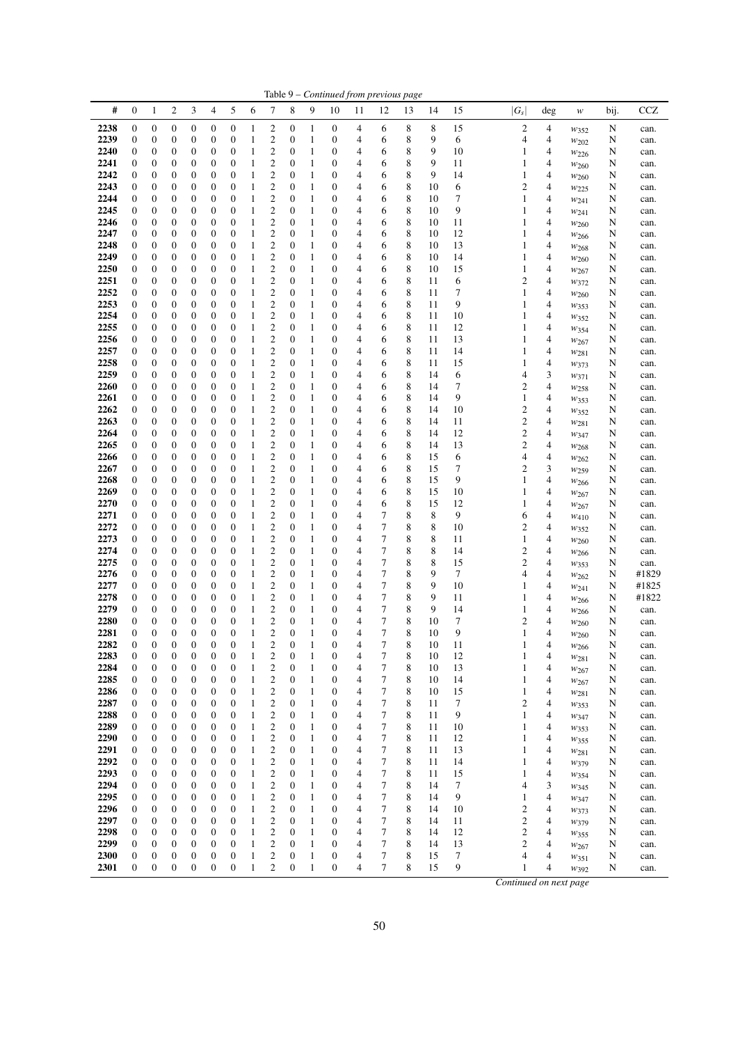|              |                                      |                                      |                       |                       |                                      |                                      |                              |                                    |                                      |                              |                                      |                     | Table 9 - Continued from previous page |             |          |          |                                  |        |                               |        |              |
|--------------|--------------------------------------|--------------------------------------|-----------------------|-----------------------|--------------------------------------|--------------------------------------|------------------------------|------------------------------------|--------------------------------------|------------------------------|--------------------------------------|---------------------|----------------------------------------|-------------|----------|----------|----------------------------------|--------|-------------------------------|--------|--------------|
| #            | $\mathbf{0}$                         | $\mathbf{1}$                         | $\overline{c}$        | 3                     | 4                                    | 5                                    | 6                            | 7                                  | 8                                    | 9                            | 10                                   | 11                  | 12                                     | 13          | 14       | 15       | $ G_s $                          | deg    | w                             | bij.   | <b>CCZ</b>   |
| 2238         | $\boldsymbol{0}$                     | $\boldsymbol{0}$                     | 0                     | 0                     | $\boldsymbol{0}$                     | $\boldsymbol{0}$                     | 1                            | 2                                  | 0                                    | 1                            | $\boldsymbol{0}$                     | 4                   | 6                                      | 8           | 8        | 15       | $\overline{c}$                   | 4      | $w_{352}$                     | N      | can.         |
| 2239         | $\boldsymbol{0}$                     | 0                                    | 0                     | 0                     | $\boldsymbol{0}$                     | $\boldsymbol{0}$                     | 1                            | 2                                  | 0                                    | $\mathbf{1}$                 | $\boldsymbol{0}$                     | 4                   | 6                                      | 8           | 9        | 6        | 4                                | 4      | $w_{202}$                     | N      | can.         |
| 2240         | $\boldsymbol{0}$                     | $\boldsymbol{0}$                     | 0                     | 0                     | $\boldsymbol{0}$                     | $\boldsymbol{0}$                     | 1                            | $\boldsymbol{2}$                   | 0                                    | $\mathbf{1}$                 | 0                                    | 4                   | 6                                      | 8           | 9        | 10       | 1                                | 4      | W226                          | N      | can.         |
| 2241<br>2242 | $\boldsymbol{0}$<br>$\boldsymbol{0}$ | $\boldsymbol{0}$<br>0                | 0<br>0                | 0<br>0                | $\mathbf{0}$<br>$\boldsymbol{0}$     | $\boldsymbol{0}$<br>$\mathbf{0}$     | 1<br>1                       | 2<br>2                             | 0<br>$\boldsymbol{0}$                | $\mathbf{1}$<br>$\mathbf{1}$ | 0<br>0                               | 4<br>4              | 6<br>6                                 | 8<br>8      | 9<br>9   | 11<br>14 | 1<br>1                           | 4<br>4 | W <sub>260</sub>              | N      | can.         |
| 2243         | $\boldsymbol{0}$                     | 0                                    | 0                     | 0                     | $\boldsymbol{0}$                     | $\boldsymbol{0}$                     | 1                            | 2                                  | $\mathbf{0}$                         | $\mathbf{1}$                 | $\boldsymbol{0}$                     | 4                   | 6                                      | 8           | 10       | 6        | 2                                | 4      | W <sub>260</sub><br>$w_{225}$ | N<br>N | can.<br>can. |
| 2244         | $\mathbf{0}$                         | 0                                    | 0                     | 0                     | $\boldsymbol{0}$                     | $\boldsymbol{0}$                     | 1                            | $\mathfrak{2}$                     | $\boldsymbol{0}$                     | 1                            | 0                                    | 4                   | 6                                      | 8           | 10       | 7        | 1                                | 4      | W241                          | N      | can.         |
| 2245         | $\boldsymbol{0}$                     | 0                                    | 0                     | 0                     | $\boldsymbol{0}$                     | $\boldsymbol{0}$                     | 1                            | 2                                  | 0                                    | 1                            | 0                                    | 4                   | 6                                      | 8           | 10       | 9        | 1                                | 4      | W241                          | N      | can.         |
| 2246         | $\boldsymbol{0}$                     | $\boldsymbol{0}$                     | 0                     | 0                     | $\boldsymbol{0}$                     | $\boldsymbol{0}$                     | 1                            | 2                                  | 0                                    | 1                            | 0                                    | 4                   | 6                                      | 8           | 10       | 11       | 1                                | 4      | $w_{260}$                     | N      | can.         |
| 2247         | $\boldsymbol{0}$                     | $\boldsymbol{0}$                     | 0                     | 0                     | $\boldsymbol{0}$                     | $\boldsymbol{0}$                     | 1                            | $\mathbf{2}$                       | $\boldsymbol{0}$                     | $\mathbf{1}$                 | 0                                    | $\overline{4}$      | 6                                      | 8           | 10       | 12       | 1                                | 4      | $w_{266}$                     | N      | can.         |
| 2248         | $\boldsymbol{0}$                     | 0                                    | 0                     | 0                     | $\boldsymbol{0}$                     | $\boldsymbol{0}$                     | 1                            | 2                                  | $\boldsymbol{0}$                     | $\mathbf{1}$                 | 0                                    | 4                   | 6                                      | 8           | 10       | 13       | 1                                | 4      | W <sub>268</sub>              | N      | can.         |
| 2249<br>2250 | $\boldsymbol{0}$<br>$\boldsymbol{0}$ | $\boldsymbol{0}$<br>0                | $\boldsymbol{0}$<br>0 | 0<br>0                | $\boldsymbol{0}$<br>$\boldsymbol{0}$ | $\boldsymbol{0}$<br>$\boldsymbol{0}$ | 1<br>1                       | $\overline{c}$<br>$\mathfrak{2}$   | $\boldsymbol{0}$<br>$\mathbf{0}$     | $\mathbf{1}$<br>1            | 0<br>0                               | 4<br>4              | 6<br>6                                 | 8<br>8      | 10<br>10 | 14<br>15 | 1<br>1                           | 4<br>4 | W <sub>260</sub>              | N<br>N | can.<br>can. |
| 2251         | $\mathbf{0}$                         | 0                                    | 0                     | 0                     | $\mathbf{0}$                         | $\boldsymbol{0}$                     | 1                            | $\mathfrak{2}$                     | $\boldsymbol{0}$                     | 1                            | 0                                    | 4                   | 6                                      | 8           | 11       | 6        | $\overline{c}$                   | 4      | $w_{267}$<br>$w_{372}$        | N      | can.         |
| 2252         | $\boldsymbol{0}$                     | $\boldsymbol{0}$                     | 0                     | 0                     | $\boldsymbol{0}$                     | $\boldsymbol{0}$                     | 1                            | $\boldsymbol{2}$                   | 0                                    | $\mathbf{1}$                 | 0                                    | 4                   | 6                                      | 8           | 11       | 7        | 1                                | 4      | W <sub>260</sub>              | N      | can.         |
| 2253         | $\boldsymbol{0}$                     | $\boldsymbol{0}$                     | 0                     | 0                     | $\boldsymbol{0}$                     | $\boldsymbol{0}$                     | 1                            | $\boldsymbol{2}$                   | 0                                    | $\mathbf{1}$                 | $\boldsymbol{0}$                     | 4                   | 6                                      | 8           | 11       | 9        | 1                                | 4      | W353                          | N      | can.         |
| 2254         | $\boldsymbol{0}$                     | 0                                    | 0                     | 0                     | $\boldsymbol{0}$                     | $\boldsymbol{0}$                     | 1                            | $\mathfrak{2}$                     | $\boldsymbol{0}$                     | $\mathbf{1}$                 | 0                                    | 4                   | 6                                      | 8           | 11       | 10       | 1                                | 4      | $w_{352}$                     | N      | can.         |
| 2255         | $\boldsymbol{0}$                     | 0                                    | 0                     | 0                     | $\boldsymbol{0}$                     | $\boldsymbol{0}$                     | 1                            | 2                                  | 0                                    | $\mathbf{1}$                 | 0                                    | 4                   | 6                                      | 8           | 11       | 12       | 1                                | 4      | $w_{354}$                     | N      | can.         |
| 2256<br>2257 | $\boldsymbol{0}$<br>$\mathbf{0}$     | 0<br>0                               | 0<br>0                | 0<br>0                | $\boldsymbol{0}$<br>$\boldsymbol{0}$ | $\boldsymbol{0}$<br>$\boldsymbol{0}$ | 1<br>1                       | $\mathbf{2}$<br>2                  | $\boldsymbol{0}$<br>$\boldsymbol{0}$ | $\mathbf{1}$                 | 0<br>0                               | 4<br>4              | 6                                      | 8<br>8      | 11<br>11 | 13<br>14 | 1                                | 4<br>4 | W267                          | N      | can.         |
| 2258         | $\boldsymbol{0}$                     | 0                                    | 0                     | 0                     | $\boldsymbol{0}$                     | $\boldsymbol{0}$                     | 1                            | 2                                  | 0                                    | 1<br>$\mathbf{1}$            | $\boldsymbol{0}$                     | 4                   | 6<br>6                                 | 8           | 11       | 15       | 1<br>1                           | 4      | W281<br>W373                  | N<br>N | can.<br>can. |
| 2259         | $\boldsymbol{0}$                     | $\boldsymbol{0}$                     | 0                     | 0                     | $\boldsymbol{0}$                     | $\boldsymbol{0}$                     | 1                            | 2                                  | 0                                    | $\mathbf{1}$                 | 0                                    | 4                   | 6                                      | 8           | 14       | 6        | 4                                | 3      | $w_{371}$                     | N      | can.         |
| 2260         | $\boldsymbol{0}$                     | 0                                    | 0                     | 0                     | $\mathbf{0}$                         | $\boldsymbol{0}$                     | 1                            | 2                                  | 0                                    | $\mathbf{1}$                 | 0                                    | 4                   | 6                                      | 8           | 14       | 7        | 2                                | 4      | W <sub>258</sub>              | N      | can.         |
| 2261         | $\boldsymbol{0}$                     | 0                                    | 0                     | 0                     | $\boldsymbol{0}$                     | $\mathbf{0}$                         | 1                            | 2                                  | $\boldsymbol{0}$                     | $\mathbf{1}$                 | 0                                    | 4                   | 6                                      | 8           | 14       | 9        | 1                                | 4      | W353                          | N      | can.         |
| 2262         | $\boldsymbol{0}$                     | 0                                    | 0                     | 0                     | $\boldsymbol{0}$                     | $\boldsymbol{0}$                     | 1                            | 2                                  | $\mathbf{0}$                         | $\mathbf{1}$                 | $\boldsymbol{0}$                     | 4                   | 6                                      | 8           | 14       | 10       | $\overline{c}$                   | 4      | $w_{352}$                     | N      | can.         |
| 2263         | $\boldsymbol{0}$                     | 0                                    | 0                     | 0                     | $\boldsymbol{0}$                     | $\boldsymbol{0}$                     | 1                            | $\overline{c}$                     | $\boldsymbol{0}$                     | $\mathbf{1}$                 | 0                                    | 4                   | 6                                      | 8           | 14       | 11       | $\overline{\mathbf{c}}$          | 4      | $w_{281}$                     | N      | can.         |
| 2264<br>2265 | $\boldsymbol{0}$<br>$\boldsymbol{0}$ | 0<br>$\boldsymbol{0}$                | 0<br>0                | 0<br>0                | $\boldsymbol{0}$<br>$\boldsymbol{0}$ | $\boldsymbol{0}$<br>$\boldsymbol{0}$ | 1<br>1                       | 2<br>2                             | 0<br>$\boldsymbol{0}$                | 1<br>$\mathbf{1}$            | 0<br>0                               | 4<br>4              | 6<br>6                                 | 8<br>8      | 14<br>14 | 12<br>13 | $\overline{c}$<br>$\overline{c}$ | 4<br>4 | W347                          | N<br>N | can.<br>can. |
| 2266         | $\boldsymbol{0}$                     | $\boldsymbol{0}$                     | 0                     | 0                     | $\boldsymbol{0}$                     | $\boldsymbol{0}$                     | 1                            | $\mathbf{2}$                       | $\boldsymbol{0}$                     | $\mathbf{1}$                 | 0                                    | $\overline{4}$      | 6                                      | 8           | 15       | 6        | 4                                | 4      | W <sub>268</sub><br>$w_{262}$ | N      | can.         |
| 2267         | $\boldsymbol{0}$                     | 0                                    | 0                     | 0                     | $\mathbf{0}$                         | $\boldsymbol{0}$                     | 1                            | $\boldsymbol{2}$                   | 0                                    | 1                            | 0                                    | 4                   | 6                                      | 8           | 15       | 7        | 2                                | 3      | $w_{259}$                     | N      | can.         |
| 2268         | $\boldsymbol{0}$                     | 0                                    | 0                     | 0                     | $\boldsymbol{0}$                     | $\boldsymbol{0}$                     | 1                            | $\overline{c}$                     | $\boldsymbol{0}$                     | $\mathbf{1}$                 | 0                                    | 4                   | 6                                      | 8           | 15       | 9        | 1                                | 4      | W266                          | N      | can.         |
| 2269         | $\mathbf{0}$                         | 0                                    | 0                     | 0                     | $\boldsymbol{0}$                     | $\boldsymbol{0}$                     | 1                            | $\mathfrak{2}$                     | $\mathbf{0}$                         | 1                            | 0                                    | 4                   | 6                                      | 8           | 15       | 10       | 1                                | 4      | W267                          | N      | can.         |
| 2270         | $\mathbf{0}$                         | $\boldsymbol{0}$                     | $\boldsymbol{0}$      | 0                     | $\boldsymbol{0}$                     | $\boldsymbol{0}$                     | 1                            | $\mathfrak{2}$                     | $\boldsymbol{0}$                     | 1                            | 0                                    | 4                   | 6                                      | 8           | 15       | 12       | 1                                | 4      | $w_{267}$                     | N      | can.         |
| 2271<br>2272 | $\boldsymbol{0}$<br>$\boldsymbol{0}$ | $\boldsymbol{0}$<br>$\boldsymbol{0}$ | 0<br>0                | 0<br>0                | $\boldsymbol{0}$<br>$\boldsymbol{0}$ | $\boldsymbol{0}$<br>$\boldsymbol{0}$ | 1<br>1                       | $\mathfrak{2}$<br>$\boldsymbol{2}$ | 0<br>0                               | $\mathbf{1}$<br>$\mathbf{1}$ | 0<br>$\boldsymbol{0}$                | 4<br>4              | 7<br>7                                 | 8<br>8      | 8<br>8   | 9<br>10  | 6<br>$\overline{c}$              | 4<br>4 | $w_{410}$                     | N<br>N | can.         |
| 2273         | $\boldsymbol{0}$                     | $\boldsymbol{0}$                     | 0                     | 0                     | $\boldsymbol{0}$                     | $\boldsymbol{0}$                     | 1                            | $\mathfrak{2}$                     | $\boldsymbol{0}$                     | 1                            | 0                                    | 4                   | 7                                      | 8           | 8        | 11       | 1                                | 4      | W352<br>W <sub>260</sub>      | N      | can.<br>can. |
| 2274         | $\boldsymbol{0}$                     | 0                                    | 0                     | 0                     | $\boldsymbol{0}$                     | $\boldsymbol{0}$                     | 1                            | 2                                  | $\boldsymbol{0}$                     | $\mathbf{1}$                 | 0                                    | 4                   | 7                                      | 8           | 8        | 14       | $\overline{c}$                   | 4      | $w_{266}$                     | N      | can.         |
| 2275         | $\boldsymbol{0}$                     | 0                                    | 0                     | 0                     | $\boldsymbol{0}$                     | $\boldsymbol{0}$                     | 1                            | $\mathbf{2}$                       | $\boldsymbol{0}$                     | $\mathbf{1}$                 | 0                                    | 4                   | 7                                      | 8           | 8        | 15       | $\overline{c}$                   | 4      | $w_{353}$                     | N      | can.         |
| 2276         | $\boldsymbol{0}$                     | 0                                    | 0                     | 0                     | $\boldsymbol{0}$                     | $\boldsymbol{0}$                     | 1                            | 2                                  | $\boldsymbol{0}$                     | 1                            | 0                                    | 4                   | 7                                      | 8           | 9        | 7        | 4                                | 4      | W262                          | N      | #1829        |
| 2277         | $\boldsymbol{0}$                     | 0                                    | 0                     | 0                     | $\boldsymbol{0}$                     | $\boldsymbol{0}$                     | 1                            | 2                                  | 0                                    | $\mathbf{1}$                 | $\boldsymbol{0}$                     | 4                   | 7                                      | 8           | 9        | 10       | 1                                | 4      | W241                          | N      | #1825        |
| 2278<br>2279 | $\boldsymbol{0}$<br>$\boldsymbol{0}$ | $\boldsymbol{0}$<br>0                | 0<br>0                | 0<br>0                | $\boldsymbol{0}$<br>$\boldsymbol{0}$ | $\boldsymbol{0}$<br>$\boldsymbol{0}$ | 1<br>1                       | 2<br>2                             | 0<br>0                               | 1<br>1                       | 0<br>0                               | 4<br>4              | 7<br>7                                 | 8<br>8      | 9<br>9   | 11<br>14 | 1<br>1                           | 4<br>4 | $w_{266}$                     | N      | #1822        |
| 2280         | $\boldsymbol{0}$                     | $\mathbf{0}$                         | 0                     | $\boldsymbol{0}$      | $\boldsymbol{0}$                     | $\mathbf{0}$                         | 1                            | $\overline{\mathbf{c}}$            | $\boldsymbol{0}$                     | $\mathbf{1}$                 | 0                                    | 4                   | 7                                      | 8           | 10       | 7        | $\overline{c}$                   | 4      | $w_{266}$<br>W <sub>260</sub> | N<br>N | can.<br>can. |
| 2281         | $\mathbf{0}$                         | $\overline{0}$                       | 0                     | $\overline{0}$        | $\boldsymbol{0}$                     | $\overline{0}$                       | 1                            | $\mathfrak{2}$                     | $\overline{0}$                       | $\mathbf{1}$                 | $\mathbf{0}$                         | 4                   | 7                                      | 8           | 10       | 9        | 1                                | 4      | W <sub>260</sub>              | N      | can.         |
| 2282         | $\boldsymbol{0}$                     | $\mathbf{0}$                         | $\boldsymbol{0}$      | $\boldsymbol{0}$      | $\boldsymbol{0}$                     | $\mathbf{0}$                         | $\mathbf{1}$                 | $\mathfrak{2}$                     | $\boldsymbol{0}$                     | 1                            | $\boldsymbol{0}$                     | 4                   | 7                                      | $\,$ 8 $\,$ | $10\,$   | 11       |                                  | 4      | $w_{266}$                     | N      | can.         |
| 2283         | $\boldsymbol{0}$                     | $\boldsymbol{0}$                     | 0                     | $\boldsymbol{0}$      | $\boldsymbol{0}$                     | $\boldsymbol{0}$                     | 1                            | 2                                  | $\boldsymbol{0}$                     | 1                            | $\boldsymbol{0}$                     | 4                   | 7                                      | 8           | 10       | 12       | 1                                | 4      | $w_{281}$                     | N      | can.         |
| 2284         | $\boldsymbol{0}$                     | $\boldsymbol{0}$                     | $\boldsymbol{0}$      | $\boldsymbol{0}$      | $\boldsymbol{0}$                     | $\boldsymbol{0}$                     | 1                            | $\boldsymbol{2}$                   | $\boldsymbol{0}$                     | 1                            | $\boldsymbol{0}$                     | 4                   | 7                                      | $\,$ 8 $\,$ | 10       | 13       | 1                                | 4      | W267                          | N      | can.         |
| 2285<br>2286 | $\boldsymbol{0}$<br>$\boldsymbol{0}$ | $\boldsymbol{0}$<br>$\boldsymbol{0}$ | 0<br>0                | $\boldsymbol{0}$<br>0 | $\boldsymbol{0}$<br>$\boldsymbol{0}$ | $\mathbf{0}$<br>$\boldsymbol{0}$     | 1<br>1                       | $\mathfrak{2}$<br>$\boldsymbol{2}$ | $\boldsymbol{0}$<br>$\boldsymbol{0}$ | $\mathbf{1}$<br>1            | 0<br>0                               | $\overline{4}$<br>4 | $\tau$<br>7                            | 8<br>8      | 10<br>10 | 14<br>15 | 1<br>1                           | 4<br>4 | W267                          | N<br>N | can.         |
| 2287         | $\boldsymbol{0}$                     | $\boldsymbol{0}$                     | 0                     | 0                     | $\boldsymbol{0}$                     | $\boldsymbol{0}$                     | $\mathbf{1}$                 | $\boldsymbol{2}$                   | $\boldsymbol{0}$                     | 1                            | 0                                    | $\overline{4}$      | 7                                      | 8           | 11       | 7        | $\overline{c}$                   | 4      | W <sub>281</sub><br>$w_{353}$ | N      | can.<br>can. |
| 2288         | $\boldsymbol{0}$                     | $\boldsymbol{0}$                     | 0                     | 0                     | $\boldsymbol{0}$                     | $\mathbf{0}$                         | 1                            | $\boldsymbol{2}$                   | $\boldsymbol{0}$                     | 1                            | $\boldsymbol{0}$                     | 4                   | $\tau$                                 | 8           | 11       | 9        | 1                                | 4      | W347                          | N      | can.         |
| 2289         | $\boldsymbol{0}$                     | $\boldsymbol{0}$                     | $\boldsymbol{0}$      | $\boldsymbol{0}$      | $\boldsymbol{0}$                     | $\boldsymbol{0}$                     | 1                            | $\mathfrak{2}$                     | $\boldsymbol{0}$                     | $\mathbf{1}$                 | $\boldsymbol{0}$                     | 4                   | $\tau$                                 | 8           | 11       | 10       | 1                                | 4      | W353                          | N      | can.         |
| 2290         | $\boldsymbol{0}$                     | $\boldsymbol{0}$                     | 0                     | $\boldsymbol{0}$      | $\boldsymbol{0}$                     | $\boldsymbol{0}$                     | 1                            | 2                                  | 0                                    | $\mathbf{1}$                 | 0                                    | $\overline{4}$      | 7                                      | 8           | 11       | 12       | 1                                | 4      | $w_{355}$                     | N      | can.         |
| 2291         | $\boldsymbol{0}$                     | $\boldsymbol{0}$                     | 0                     | $\boldsymbol{0}$      | $\boldsymbol{0}$                     | $\boldsymbol{0}$                     | 1                            | $\boldsymbol{2}$                   | $\boldsymbol{0}$                     | 1                            | $\boldsymbol{0}$                     | $\overline{4}$      | 7                                      | 8           | 11       | 13       | 1                                | 4      | $w_{281}$                     | N      | can.         |
| 2292<br>2293 | $\boldsymbol{0}$                     | $\boldsymbol{0}$                     | 0                     | $\boldsymbol{0}$      | $\boldsymbol{0}$                     | $\boldsymbol{0}$                     | $\mathbf{1}$                 | $\mathfrak{2}$                     | $\boldsymbol{0}$                     | 1                            | $\boldsymbol{0}$                     | 4                   | $\tau$                                 | 8           | 11       | 14       | 1                                | 4      | W379                          | N      | can.         |
| 2294         | $\boldsymbol{0}$<br>$\boldsymbol{0}$ | 0<br>$\boldsymbol{0}$                | 0<br>0                | 0<br>0                | $\boldsymbol{0}$<br>$\boldsymbol{0}$ | $\boldsymbol{0}$<br>$\boldsymbol{0}$ | $\mathbf{1}$<br>$\mathbf{1}$ | 2<br>$\boldsymbol{2}$              | $\boldsymbol{0}$<br>$\boldsymbol{0}$ | $\mathbf{1}$<br>$\mathbf{1}$ | $\boldsymbol{0}$<br>0                | 4<br>4              | 7<br>7                                 | 8<br>8      | 11<br>14 | 15<br>7  | 1<br>4                           | 4<br>3 | W354<br>W345                  | N<br>N | can.<br>can. |
| 2295         | $\mathbf{0}$                         | $\boldsymbol{0}$                     | 0                     | 0                     | $\boldsymbol{0}$                     | $\boldsymbol{0}$                     | $\mathbf{1}$                 | 2                                  | $\boldsymbol{0}$                     | 1                            | 0                                    | 4                   | 7                                      | 8           | 14       | 9        | 1                                | 4      | $w_{347}$                     | N      | can.         |
| 2296         | $\boldsymbol{0}$                     | $\boldsymbol{0}$                     | 0                     | $\boldsymbol{0}$      | $\boldsymbol{0}$                     | $\boldsymbol{0}$                     | 1                            | $\boldsymbol{2}$                   | $\boldsymbol{0}$                     | 1                            | $\boldsymbol{0}$                     | $\overline{4}$      | 7                                      | 8           | 14       | 10       | $\mathfrak{2}$                   | 4      | W373                          | N      | can.         |
| 2297         | $\boldsymbol{0}$                     | $\boldsymbol{0}$                     | 0                     | $\boldsymbol{0}$      | $\boldsymbol{0}$                     | $\boldsymbol{0}$                     | $\mathbf{1}$                 | $\boldsymbol{2}$                   | $\boldsymbol{0}$                     | 1                            | 0                                    | 4                   | 7                                      | 8           | 14       | 11       | $\mathfrak{2}$                   | 4      | W379                          | N      | can.         |
| 2298         | $\boldsymbol{0}$                     | $\boldsymbol{0}$                     | 0                     | $\boldsymbol{0}$      | $\boldsymbol{0}$                     | $\boldsymbol{0}$                     | 1                            | 2                                  | 0                                    | $\mathbf{1}$                 | $\boldsymbol{0}$                     | $\overline{4}$      | 7                                      | 8           | 14       | 12       | $\boldsymbol{2}$                 | 4      | $w_{355}$                     | N      | can.         |
| 2299         | $\boldsymbol{0}$                     | $\boldsymbol{0}$                     | 0                     | $\boldsymbol{0}$      | $\boldsymbol{0}$                     | $\boldsymbol{0}$                     | $\mathbf{1}$                 | $\boldsymbol{2}$                   | $\boldsymbol{0}$                     | 1                            | $\boldsymbol{0}$                     | 4                   | 7                                      | 8           | 14       | 13       | $\boldsymbol{2}$                 | 4      | $w_{267}$                     | N      | can.         |
| 2300<br>2301 | $\boldsymbol{0}$<br>$\boldsymbol{0}$ | $\boldsymbol{0}$<br>$\boldsymbol{0}$ | 0<br>$\boldsymbol{0}$ | 0<br>$\boldsymbol{0}$ | $\boldsymbol{0}$<br>$\boldsymbol{0}$ | $\boldsymbol{0}$<br>$\boldsymbol{0}$ | $\mathbf{1}$<br>$\mathbf{1}$ | 2<br>$\overline{c}$                | 0<br>$\boldsymbol{0}$                | $\mathbf{1}$<br>$\mathbf{1}$ | $\boldsymbol{0}$<br>$\boldsymbol{0}$ | 4<br>4              | 7<br>7                                 | 8<br>8      | 15<br>15 | 7<br>9   | 4<br>1                           | 4<br>4 | W351                          | N      | can.         |
|              |                                      |                                      |                       |                       |                                      |                                      |                              |                                    |                                      |                              |                                      |                     |                                        |             |          |          |                                  |        | W392                          | N      | can.         |
|              |                                      |                                      |                       |                       |                                      |                                      |                              |                                    |                                      |                              |                                      |                     |                                        |             |          |          | Continued on next page           |        |                               |        |              |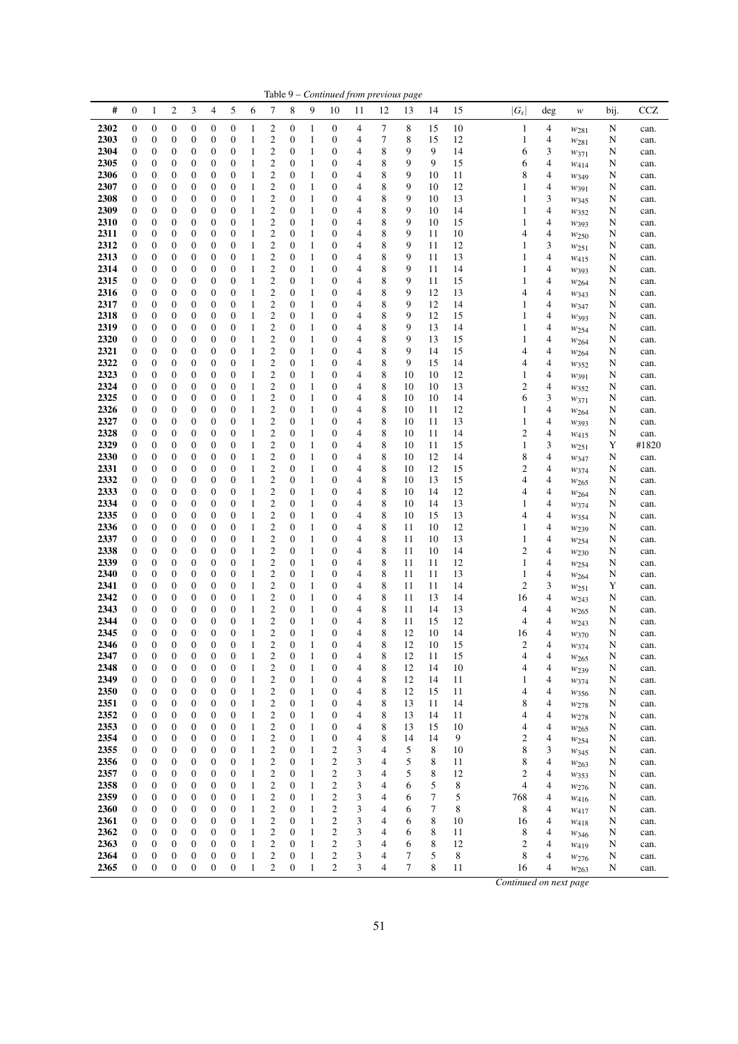|              |                  |                  |                  |                  |                  |                  |              |                         |                       |              | $_{\rm contruncu}$                   |    | rom previous | rus |        |    |                        |        |                  |      |              |
|--------------|------------------|------------------|------------------|------------------|------------------|------------------|--------------|-------------------------|-----------------------|--------------|--------------------------------------|----|--------------|-----|--------|----|------------------------|--------|------------------|------|--------------|
| #            | $\mathbf{0}$     | 1                | 2                | 3                | 4                | 5                | 6            | 7                       | 8                     | 9            | 10                                   | 11 | 12           | 13  | 14     | 15 | $ G_s $                | deg    | w                | bij. | $_{\rm CCZ}$ |
| 2302         | $\boldsymbol{0}$ | 0                | $\boldsymbol{0}$ | $\boldsymbol{0}$ | $\mathbf{0}$     | $\boldsymbol{0}$ | 1            | $\overline{c}$          | $\boldsymbol{0}$      | 1            | $\boldsymbol{0}$                     | 4  | 7            | 8   | 15     | 10 | 1                      | 4      |                  | N    |              |
| 2303         | 0                | 0                |                  | $\boldsymbol{0}$ | $\mathbf{0}$     | 0                | 1            | $\overline{c}$          | $\boldsymbol{0}$      | 1            | $\boldsymbol{0}$                     | 4  | 7            | 8   | 15     | 12 |                        | 4      | $w_{281}$        |      | can.         |
|              |                  |                  | 0                |                  |                  |                  |              |                         |                       |              |                                      |    |              |     |        |    | 1                      |        | $w_{281}$        | N    | can.         |
| 2304         | 0                | 0                | 0                | $\boldsymbol{0}$ | $\mathbf{0}$     | 0                | 1            | $\mathfrak{2}$          | $\boldsymbol{0}$      | 1            | $\boldsymbol{0}$                     | 4  | 8            | 9   | 9      | 14 | 6                      | 3      | W371             | N    | can.         |
| 2305         | $\mathbf{0}$     | 0                | 0                | $\boldsymbol{0}$ | $\mathbf{0}$     | $\mathbf{0}$     | 1            | $\overline{c}$          | $\boldsymbol{0}$      | 1            | $\boldsymbol{0}$                     | 4  | 8            | 9   | 9      | 15 | 6                      | 4      | W414             | N    | can.         |
| 2306         | 0                | 0                | 0                | $\boldsymbol{0}$ | $\mathbf{0}$     | 0                | 1            | $\mathfrak{2}$          | $\boldsymbol{0}$      | 1            | $\boldsymbol{0}$                     | 4  | 8            | 9   | 10     | 11 | 8                      | 4      | W <sub>349</sub> | N    | can.         |
| 2307         | $\boldsymbol{0}$ | 0                | $\boldsymbol{0}$ | $\boldsymbol{0}$ | $\mathbf{0}$     | 0                | 1            | $\mathfrak{2}$          | $\boldsymbol{0}$      | $\mathbf{1}$ | $\boldsymbol{0}$                     | 4  | 8            | 9   | 10     | 12 | 1                      | 4      | $w_{391}$        | N    | can.         |
| 2308         | $\mathbf{0}$     | 0                | 0                | $\mathbf{0}$     | $\mathbf{0}$     | 0                | 1            | $\overline{c}$          | $\boldsymbol{0}$      | 1            | $\boldsymbol{0}$                     | 4  | 8            | 9   | 10     | 13 | 1                      | 3      | W345             | N    | can.         |
| 2309         | $\mathbf{0}$     | 0                | 0                | $\boldsymbol{0}$ | $\mathbf{0}$     | 0                | 1            | $\mathbf{2}$            | $\boldsymbol{0}$      | 1            | $\boldsymbol{0}$                     | 4  | 8            | 9   | 10     | 14 | 1                      | 4      | W352             | N    | can.         |
| 2310         | 0                | 0                | 0                | $\boldsymbol{0}$ | $\mathbf{0}$     | 0                | 1            | $\mathbf{2}$            | $\boldsymbol{0}$      | 1            | $\boldsymbol{0}$                     | 4  | 8            | 9   | 10     | 15 | 1                      | 4      | W393             | N    | can.         |
| 2311         | $\mathbf{0}$     | 0                | 0                | $\boldsymbol{0}$ | $\mathbf{0}$     | $\mathbf{0}$     | 1            | $\mathfrak{2}$          | $\boldsymbol{0}$      | 1            | $\boldsymbol{0}$                     | 4  | 8            | 9   | 11     | 10 | 4                      | 4      | $w_{250}$        | N    | can.         |
| 2312         | 0                | 0                | 0                | $\boldsymbol{0}$ | $\mathbf{0}$     | 0                | 1            | $\overline{c}$          | $\boldsymbol{0}$      | 1            | $\boldsymbol{0}$                     | 4  | 8            | 9   | 11     | 12 | 1                      | 3      | W251             | N    | can.         |
| 2313         | $\boldsymbol{0}$ | 0                | $\boldsymbol{0}$ | $\boldsymbol{0}$ | $\boldsymbol{0}$ | 0                | 1            | $\boldsymbol{2}$        | $\boldsymbol{0}$      | 1            | $\boldsymbol{0}$                     | 4  | 8            | 9   | 11     | 13 | 1                      | 4      | W415             | N    | can.         |
| 2314         | $\boldsymbol{0}$ | 0                | $\boldsymbol{0}$ | $\boldsymbol{0}$ | $\boldsymbol{0}$ | 0                | 1            | $\boldsymbol{2}$        | $\boldsymbol{0}$      | 1            | $\boldsymbol{0}$                     | 4  | 8            | 9   | 11     | 14 | 1                      | 4      |                  | N    | can.         |
| 2315         | $\boldsymbol{0}$ | 0                | 0                | $\boldsymbol{0}$ | $\boldsymbol{0}$ | 0                |              | $\overline{c}$          | $\boldsymbol{0}$      | 1            | $\boldsymbol{0}$                     | 4  | 8            | 9   | 11     | 15 | 1                      | 4      | W393             |      |              |
|              |                  |                  |                  |                  |                  |                  | 1            |                         |                       |              |                                      |    |              |     |        |    |                        |        | $w_{264}$        | N    | can.         |
| 2316         | 0                | 0                | 0                | $\boldsymbol{0}$ | $\mathbf{0}$     | 0                | 1            | $\boldsymbol{2}$        | $\boldsymbol{0}$      | 1            | $\boldsymbol{0}$                     | 4  | 8            | 9   | 12     | 13 | 4                      | 4      | W343             | N    | can.         |
| 2317         | 0                | 0                | 0                | $\mathbf{0}$     | $\mathbf{0}$     | $\mathbf{0}$     | 1            | $\overline{c}$          | $\boldsymbol{0}$      | 1            | $\boldsymbol{0}$                     | 4  | 8            | 9   | 12     | 14 | 1                      | 4      | W347             | N    | can.         |
| 2318         | 0                | 0                | 0                | $\boldsymbol{0}$ | $\mathbf{0}$     | $\mathbf{0}$     | 1            | $\overline{\mathbf{c}}$ | $\boldsymbol{0}$      | 1            | $\boldsymbol{0}$                     | 4  | 8            | 9   | 12     | 15 | 1                      | 4      | $w_{393}$        | N    | can.         |
| 2319         | $\mathbf{0}$     | 0                | $\boldsymbol{0}$ | $\mathbf{0}$     | $\boldsymbol{0}$ | 0                | 1            | $\overline{c}$          | $\boldsymbol{0}$      | 1            | $\boldsymbol{0}$                     | 4  | 8            | 9   | 13     | 14 | 1                      | 4      | $w_{254}$        | N    | can.         |
| 2320         | $\boldsymbol{0}$ | 0                | 0                | $\boldsymbol{0}$ | $\boldsymbol{0}$ | $\mathbf{0}$     | 1            | $\overline{c}$          | $\boldsymbol{0}$      | 1            | $\boldsymbol{0}$                     | 4  | 8            | 9   | 13     | 15 | 1                      | 4      | W264             | N    | can.         |
| 2321         | $\mathbf{0}$     | 0                | 0                | $\boldsymbol{0}$ | $\mathbf{0}$     | 0                | 1            | $\overline{c}$          | $\boldsymbol{0}$      | 1            | $\boldsymbol{0}$                     | 4  | 8            | 9   | 14     | 15 | 4                      | 4      | W264             | N    | can.         |
| 2322         | 0                | 0                | 0                | $\boldsymbol{0}$ | $\mathbf{0}$     | 0                | 1            | $\overline{c}$          | $\boldsymbol{0}$      | 1            | $\boldsymbol{0}$                     | 4  | 8            | 9   | 15     | 14 | 4                      | 4      | $w_{352}$        | N    | can.         |
| 2323         | 0                | 0                | 0                | $\boldsymbol{0}$ | $\mathbf{0}$     | 0                | 1            | $\boldsymbol{2}$        | $\boldsymbol{0}$      | 1            | $\boldsymbol{0}$                     | 4  | 8            | 10  | 10     | 12 | 1                      | 4      | $w_{391}$        | N    | can.         |
| 2324         | $\mathbf{0}$     | 0                | $\boldsymbol{0}$ | $\mathbf{0}$     | $\mathbf{0}$     | $\mathbf{0}$     | 1            | $\overline{c}$          | $\boldsymbol{0}$      | 1            | $\boldsymbol{0}$                     | 4  | 8            | 10  | 10     | 13 | $\overline{c}$         | 4      | W352             | N    | can.         |
| 2325         | 0                | 0                | 0                | $\boldsymbol{0}$ | $\mathbf{0}$     | 0                | 1            | $\overline{c}$          | $\boldsymbol{0}$      | 1            | $\boldsymbol{0}$                     | 4  | 8            | 10  | 10     | 14 | 6                      | 3      | W371             | N    | can.         |
| 2326         | $\boldsymbol{0}$ | 0                | $\boldsymbol{0}$ | $\boldsymbol{0}$ | $\mathbf{0}$     | 0                | 1            | $\mathbf{2}$            | $\boldsymbol{0}$      | $\mathbf{1}$ | $\boldsymbol{0}$                     | 4  | 8            | 10  | 11     | 12 | 1                      | 4      | $W_{264}$        | N    | can.         |
| 2327         | $\boldsymbol{0}$ | 0                | 0                | $\boldsymbol{0}$ | $\boldsymbol{0}$ | $\mathbf{0}$     | 1            | $\overline{c}$          | $\boldsymbol{0}$      | 1            | $\boldsymbol{0}$                     | 4  | 8            | 10  | 11     | 13 | $\mathbf{1}$           | 4      |                  | N    | can.         |
| 2328         | $\mathbf{0}$     | 0                | 0                | $\boldsymbol{0}$ | $\mathbf{0}$     | 0                | 1            | $\overline{c}$          | $\boldsymbol{0}$      | 1            | $\boldsymbol{0}$                     | 4  | 8            | 10  | 11     | 14 | 2                      | 4      | W393             | N    |              |
| 2329         | 0                |                  |                  | $\boldsymbol{0}$ | $\mathbf{0}$     | 0                | 1            | $\overline{c}$          | $\boldsymbol{0}$      | 1            | $\boldsymbol{0}$                     | 4  | 8            | 10  | 11     | 15 | 1                      | 3      | W415             |      | can.         |
|              |                  | 0                | 0                |                  |                  |                  |              |                         |                       |              |                                      |    |              |     |        |    |                        |        | W251             | Y    | #1820        |
| 2330         | $\mathbf{0}$     | 0                | 0                | $\boldsymbol{0}$ | $\mathbf{0}$     | $\mathbf{0}$     | 1            | $\mathbf{2}$            | $\boldsymbol{0}$      | 1            | $\boldsymbol{0}$                     | 4  | 8            | 10  | 12     | 14 | 8                      | 4      | W347             | N    | can.         |
| 2331         | $\mathbf{0}$     | 0                | 0                | $\mathbf{0}$     | $\mathbf{0}$     | $\mathbf{0}$     | 1            | $\overline{c}$          | $\boldsymbol{0}$      | 1            | $\boldsymbol{0}$                     | 4  | 8            | 10  | 12     | 15 | 2                      | 4      | W374             | N    | can.         |
| 2332         | $\boldsymbol{0}$ | 0                | $\boldsymbol{0}$ | $\boldsymbol{0}$ | $\boldsymbol{0}$ | 0                | 1            | $\mathbf{2}$            | $\boldsymbol{0}$      | 1            | $\boldsymbol{0}$                     | 4  | 8            | 10  | 13     | 15 | 4                      | 4      | W <sub>265</sub> | N    | can.         |
| 2333         | $\boldsymbol{0}$ | 0                | $\boldsymbol{0}$ | $\boldsymbol{0}$ | $\mathbf{0}$     | 0                | 1            | $\overline{c}$          | $\boldsymbol{0}$      | 1            | $\boldsymbol{0}$                     | 4  | 8            | 10  | 14     | 12 | 4                      | 4      | W264             | N    | can.         |
| 2334         | $\mathbf{0}$     | 0                | 0                | $\mathbf{0}$     | $\mathbf{0}$     | 0                | 1            | $\overline{c}$          | $\boldsymbol{0}$      | 1            | $\boldsymbol{0}$                     | 4  | 8            | 10  | 14     | 13 | 1                      | 4      | W374             | N    | can.         |
| 2335         | $\mathbf{0}$     | 0                | 0                | $\boldsymbol{0}$ | $\mathbf{0}$     | 0                | 1            | $\mathbf{2}$            | $\boldsymbol{0}$      | 1            | $\boldsymbol{0}$                     | 4  | 8            | 10  | 15     | 13 | 4                      | 4      | $w_{354}$        | N    | can.         |
| 2336         | $\mathbf{0}$     | 0                | 0                | $\mathbf{0}$     | $\mathbf{0}$     | $\mathbf{0}$     | 1            | $\overline{c}$          | $\boldsymbol{0}$      | 1            | $\boldsymbol{0}$                     | 4  | 8            | 11  | 10     | 12 | 1                      | 4      | W <sub>239</sub> | N    | can.         |
| 2337         | $\mathbf{0}$     | 0                | 0                | $\mathbf{0}$     | $\mathbf{0}$     | $\mathbf{0}$     | 1            | $\overline{c}$          | $\boldsymbol{0}$      | 1            | $\boldsymbol{0}$                     | 4  | 8            | 11  | 10     | 13 | 1                      | 4      | W254             | N    | can.         |
| 2338         | $\boldsymbol{0}$ | 0                | 0                | $\boldsymbol{0}$ | $\mathbf{0}$     | 0                | 1            | $\overline{c}$          | $\boldsymbol{0}$      | 1            | $\boldsymbol{0}$                     | 4  | 8            | 11  | 10     | 14 | 2                      | 4      | W <sub>230</sub> | N    | can.         |
| 2339         | 0                | 0                | $\boldsymbol{0}$ | $\boldsymbol{0}$ | $\boldsymbol{0}$ | 0                | 1            | $\mathbf{2}$            | $\boldsymbol{0}$      | 1            | $\boldsymbol{0}$                     | 4  | 8            | 11  | 11     | 12 | 1                      | 4      | W <sub>254</sub> | N    | can.         |
| 2340         | $\mathbf{0}$     | 0                | 0                | $\boldsymbol{0}$ | $\mathbf{0}$     | 0                | 1            | $\overline{c}$          | $\boldsymbol{0}$      | 1            | $\boldsymbol{0}$                     | 4  | 8            | 11  | 11     | 13 | 1                      | 4      | W264             | N    | can.         |
| 2341         | $\mathbf{0}$     | 0                | 0                | $\boldsymbol{0}$ | $\mathbf{0}$     | 0                | 1            | $\overline{c}$          | $\boldsymbol{0}$      | 1            | $\boldsymbol{0}$                     | 4  | 8            | 11  | 11     | 14 | 2                      | 3      | W251             | Y    | can.         |
| 2342         | 0                | 0                | 0                | $\boldsymbol{0}$ | $\mathbf{0}$     | 0                | 1            | $\mathbf{2}$            | $\boldsymbol{0}$      | 1            | $\boldsymbol{0}$                     | 4  | 8            | 11  | 13     | 14 | 16                     | 4      | W243             | N    | can.         |
| 2343         | $\boldsymbol{0}$ | 0                | 0                | $\boldsymbol{0}$ | $\mathbf{0}$     | $\mathbf{0}$     | 1            | $\overline{c}$          | $\boldsymbol{0}$      | 1            | $\boldsymbol{0}$                     | 4  | 8            | 11  | 14     | 13 | 4                      | 4      | $w_{265}$        | N    | can.         |
| 2344         | 0                | 0                | 0                | $\boldsymbol{0}$ | $\mathbf{0}$     | 0                | 1            | $\mathbf{2}$            | $\boldsymbol{0}$      | 1            | $\boldsymbol{0}$                     | 4  | 8            | 11  | 15     | 12 | 4                      | 4      | W243             | N    | can.         |
| 2345         | $\overline{0}$   | 0                | $\boldsymbol{0}$ | $\boldsymbol{0}$ | $\mathbf{0}$     | 0                | 1            | $\mathbf{2}$            | $\boldsymbol{0}$      | 1            | $\boldsymbol{0}$                     | 4  | 8            | 12  | 10     | 14 | 16                     | 4      | W370             | N    | can.         |
| 2346         | $\overline{0}$   | $\boldsymbol{0}$ | $\boldsymbol{0}$ | $\mathbf{0}$     | $\mathbf{0}$     | 0                | 1            | 2                       | $\boldsymbol{0}$      | 1            | $\boldsymbol{0}$                     | 4  | 8            | 12  | 10     | 15 | 2                      | 4      | W374             | N    | can.         |
| 2347         | $\boldsymbol{0}$ | 0                | $\boldsymbol{0}$ | $\boldsymbol{0}$ | $\boldsymbol{0}$ | 0                | 1            | 2                       | 0                     | 1            | 0                                    | 4  | 8            | 12  | 11     | 15 | 4                      | 4      |                  | N    | can.         |
| 2348         | 0                | 0                | 0                | $\boldsymbol{0}$ | $\mathbf{0}$     | $\boldsymbol{0}$ | $\mathbf{1}$ | $\overline{\mathbf{c}}$ | 0                     | $\mathbf{1}$ | $\boldsymbol{0}$                     | 4  | 8            | 12  | 14     | 10 | 4                      | 4      | $w_{265}$        | N    |              |
| 2349         | 0                | 0                | 0                | $\boldsymbol{0}$ | $\mathbf{0}$     | $\boldsymbol{0}$ | $\mathbf{1}$ | $\boldsymbol{2}$        | $\boldsymbol{0}$      | 1            | $\boldsymbol{0}$                     | 4  | 8            | 12  | 14     | 11 | 1                      | 4      | W <sub>239</sub> | N    | can.<br>can. |
|              |                  |                  |                  |                  |                  |                  |              |                         |                       |              |                                      |    |              |     |        |    |                        |        | W374             |      |              |
| 2350<br>2351 | $\boldsymbol{0}$ | 0                | $\boldsymbol{0}$ | $\boldsymbol{0}$ | $\boldsymbol{0}$ | $\boldsymbol{0}$ | $\mathbf{1}$ | $\overline{c}$          | 0<br>$\boldsymbol{0}$ | $\mathbf{1}$ | $\boldsymbol{0}$<br>$\boldsymbol{0}$ | 4  | 8            | 12  | 15     | 11 | 4                      | 4<br>4 | $w_{356}$        | N    | can.         |
|              | 0                | 0                | 0                | $\boldsymbol{0}$ | $\boldsymbol{0}$ | $\boldsymbol{0}$ | $\mathbf{1}$ | 2                       |                       | 1            |                                      | 4  | 8            | 13  | 11     | 14 | 8                      |        | $w_{278}$        | N    | can.         |
| 2352         | $\boldsymbol{0}$ | 0                | $\boldsymbol{0}$ | $\boldsymbol{0}$ | $\mathbf{0}$     | $\boldsymbol{0}$ | 1            | $\mathbf{2}$            | $\boldsymbol{0}$      | 1            | $\boldsymbol{0}$                     | 4  | 8            | 13  | 14     | 11 | 4                      | 4      | W278             | N    | can.         |
| 2353         | $\boldsymbol{0}$ | 0                | $\boldsymbol{0}$ | $\boldsymbol{0}$ | $\boldsymbol{0}$ | $\boldsymbol{0}$ | $\mathbf{1}$ | $\mathfrak{2}$          | $\boldsymbol{0}$      | 1            | $\boldsymbol{0}$                     | 4  | 8            | 13  | 15     | 10 | 4                      | 4      | W <sub>265</sub> | N    | can.         |
| 2354         | 0                | 0                | $\boldsymbol{0}$ | $\boldsymbol{0}$ | $\boldsymbol{0}$ | $\boldsymbol{0}$ | $\mathbf{1}$ | $\mathfrak{2}$          | $\boldsymbol{0}$      | 1            | $\boldsymbol{0}$                     | 4  | 8            | 14  | 14     | 9  | $\mathbf{2}$           | 4      | $w_{254}$        | N    | can.         |
| 2355         | 0                | 0                | 0                | $\boldsymbol{0}$ | $\boldsymbol{0}$ | $\boldsymbol{0}$ | $\mathbf{1}$ | $\boldsymbol{2}$        | 0                     | 1            | $\overline{c}$                       | 3  | 4            | 5   | 8      | 10 | 8                      | 3      | $w_{345}$        | N    | can.         |
| 2356         | 0                | 0                | 0                | $\boldsymbol{0}$ | $\mathbf{0}$     | $\boldsymbol{0}$ | $\mathbf{1}$ | $\boldsymbol{2}$        | $\boldsymbol{0}$      | 1            | $\overline{\mathbf{c}}$              | 3  | 4            | 5   | 8      | 11 | 8                      | 4      | W <sub>263</sub> | N    | can.         |
| 2357         | 0                | 0                | $\boldsymbol{0}$ | $\boldsymbol{0}$ | $\boldsymbol{0}$ | $\boldsymbol{0}$ | $\mathbf{1}$ | $\overline{c}$          | $\mathbf{0}$          | 1            | $\overline{c}$                       | 3  | 4            | 5   | 8      | 12 | $\mathfrak{2}$         | 4      | W353             | N    | can.         |
| 2358         | 0                | 0                | 0                | $\boldsymbol{0}$ | $\boldsymbol{0}$ | 0                | $\mathbf{1}$ | $\boldsymbol{2}$        | $\mathbf{0}$          | 1            | $\overline{c}$                       | 3  | 4            | 6   | 5      | 8  | 4                      | 4      | $w_{276}$        | N    | can.         |
| 2359         | $\mathbf{0}$     | 0                | $\boldsymbol{0}$ | $\boldsymbol{0}$ | $\boldsymbol{0}$ | $\boldsymbol{0}$ | $\mathbf{1}$ | $\overline{c}$          | $\mathbf{0}$          | 1            | $\overline{c}$                       | 3  | 4            | 6   | 7      | 5  | 768                    | 4      | W <sub>416</sub> | N    | can.         |
| 2360         | 0                | 0                | 0                | $\boldsymbol{0}$ | $\boldsymbol{0}$ | $\boldsymbol{0}$ | $\mathbf{1}$ | $\mathfrak{2}$          | $\mathbf{0}$          | 1            | $\overline{c}$                       | 3  | 4            | 6   | $\tau$ | 8  | 8                      | 4      | W417             | N    | can.         |
| 2361         | 0                | 0                | $\boldsymbol{0}$ | $\boldsymbol{0}$ | $\boldsymbol{0}$ | $\boldsymbol{0}$ | $\mathbf{1}$ | $\boldsymbol{2}$        | 0                     | 1            | $\overline{c}$                       | 3  | 4            | 6   | 8      | 10 | 16                     | 4      | W418             | N    | can.         |
| 2362         | 0                | 0                | $\boldsymbol{0}$ | $\boldsymbol{0}$ | $\boldsymbol{0}$ | $\boldsymbol{0}$ | $\mathbf{1}$ | $\overline{2}$          | $\overline{0}$        | 1            | $\boldsymbol{2}$                     | 3  | 4            | 6   | 8      | 11 | 8                      | 4      | $w_{346}$        | N    | can.         |
| 2363         | 0                | 0                | $\boldsymbol{0}$ | $\boldsymbol{0}$ | $\boldsymbol{0}$ | $\boldsymbol{0}$ | $\mathbf{1}$ | $\boldsymbol{2}$        | $\boldsymbol{0}$      | 1            | $\overline{c}$                       | 3  | 4            | 6   | 8      | 12 | $\mathfrak{2}$         | 4      | $w_{419}$        | N    | can.         |
| 2364         | 0                | 0                | $\boldsymbol{0}$ | $\boldsymbol{0}$ | $\boldsymbol{0}$ | $\boldsymbol{0}$ | $\mathbf{1}$ | $\mathbf{2}$            | $\mathbf{0}$          | 1            | $\overline{c}$                       | 3  | 4            | 7   | 5      | 8  | 8                      | 4      | W276             | N    | can.         |
| 2365         | $\boldsymbol{0}$ | $\boldsymbol{0}$ | $\boldsymbol{0}$ | $\boldsymbol{0}$ | $\boldsymbol{0}$ | $\boldsymbol{0}$ | $\mathbf{1}$ | $\overline{2}$          | $\mathbf{0}$          | $\mathbf{1}$ | $\mathfrak{2}$                       | 3  | 4            | 7   | 8      | 11 | 16                     | 4      | W263             | N    | can.         |
|              |                  |                  |                  |                  |                  |                  |              |                         |                       |              |                                      |    |              |     |        |    |                        |        |                  |      |              |
|              |                  |                  |                  |                  |                  |                  |              |                         |                       |              |                                      |    |              |     |        |    | Continued on next page |        |                  |      |              |

Table 9 – *Continued from previous page*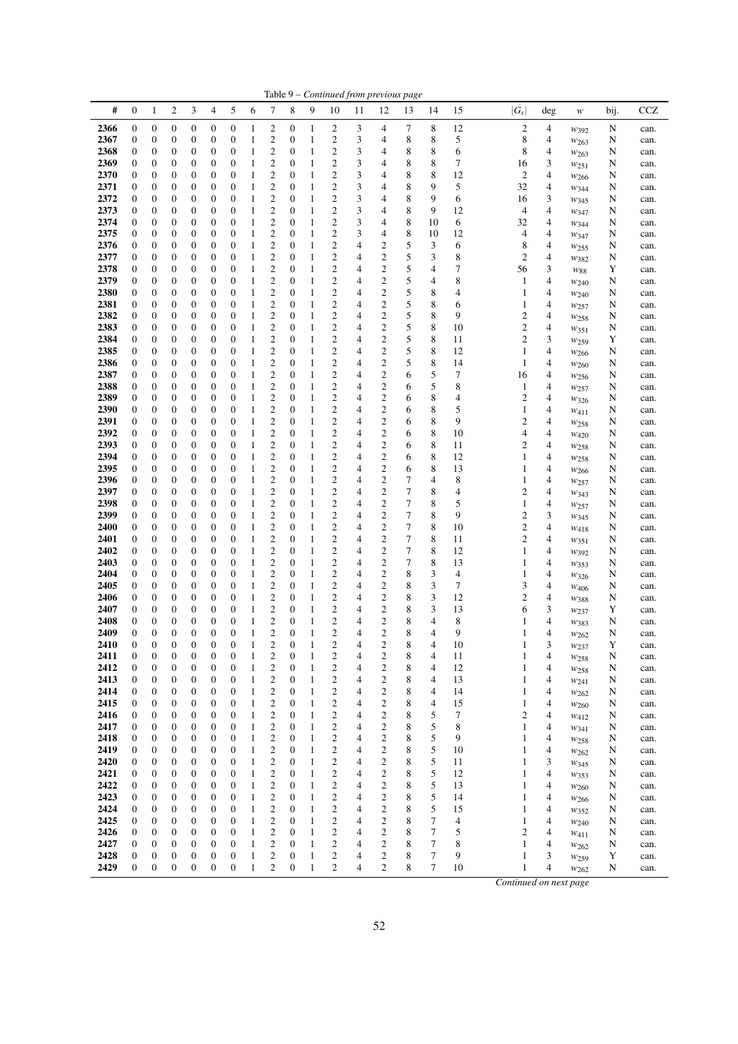| #<br>$\mathbf{0}$<br>2<br>3<br>4<br>5<br>7<br>8<br>9<br>12<br>13<br>$ G_s $<br>1<br>6<br>10<br>11<br>14<br>15<br>$\deg$<br>w<br>$\mathbf{0}$<br>$\boldsymbol{2}$<br>8<br>12<br>$\mathfrak{2}$<br>2366<br>$\boldsymbol{0}$<br>0<br>0<br>$\boldsymbol{0}$<br>$\boldsymbol{0}$<br>0<br>$\mathbf{1}$<br>2<br>3<br>7<br>4<br>4<br>1<br>$W_392$<br>$\boldsymbol{2}$<br>2<br>3<br>8<br>8<br>5<br>8<br>2367<br>$\boldsymbol{0}$<br>$\boldsymbol{0}$<br>0<br>$\boldsymbol{0}$<br>$\boldsymbol{0}$<br>$\boldsymbol{0}$<br>$\boldsymbol{0}$<br>$\mathbf{1}$<br>4<br>1<br>4<br>$w_{263}$<br>2<br>2<br>8<br>8<br>2368<br>0<br>$\boldsymbol{0}$<br>$\mathbf{1}$<br>3<br>6<br>8<br>$\boldsymbol{0}$<br>0<br>0<br>$\boldsymbol{0}$<br>1<br>0<br>4<br>4<br>W263<br>$\mathfrak{2}$<br>$\overline{\mathbf{c}}$<br>3<br>8<br>8<br>7<br>2369<br>$\mathbf{0}$<br>0<br>$\boldsymbol{0}$<br>0<br>$\boldsymbol{0}$<br>$\boldsymbol{0}$<br>$\boldsymbol{0}$<br>$\mathbf{1}$<br>16<br>3<br>1<br>4<br>W251<br>$\boldsymbol{2}$<br>$\overline{\mathbf{c}}$<br>8<br>8<br>2370<br>0<br>0<br>$\boldsymbol{0}$<br>$\mathbf{0}$<br>3<br>12<br>2<br>4<br>$\boldsymbol{0}$<br>0<br>$\boldsymbol{0}$<br>1<br>4<br>1<br>$w_{266}$<br>$\boldsymbol{2}$<br>3<br>8<br>2371<br>$\mathbf{0}$<br>0<br>0<br>0<br>$\mathbf{0}$<br>$\boldsymbol{0}$<br>$\boldsymbol{0}$<br>2<br>4<br>9<br>5<br>32<br>4<br>1<br>1<br>W <sub>344</sub><br>2<br>2<br>3<br>8<br>9<br>2372<br>$\boldsymbol{0}$<br>$\boldsymbol{0}$<br>0<br>0<br>$\boldsymbol{0}$<br>$\boldsymbol{0}$<br>0<br>6<br>3<br>1<br>4<br>1<br>16<br>W345<br>$\boldsymbol{2}$<br>2<br>3<br>8<br>9<br>2373<br>$\boldsymbol{0}$<br>$\boldsymbol{0}$<br>0<br>0<br>$\boldsymbol{0}$<br>$\boldsymbol{0}$<br>12<br>4<br>0<br>1<br>4<br>4<br>1<br>W347<br>$\boldsymbol{2}$<br>2<br>3<br>8<br>2374<br>$\mathbf{0}$<br>0<br>0<br>0<br>$\mathbf{0}$<br>$\boldsymbol{0}$<br>10<br>6<br>1<br>0<br>1<br>4<br>32<br>4<br>W344<br>2<br>2<br>3<br>8<br>2375<br>0<br>0<br>$\boldsymbol{0}$<br>$\boldsymbol{0}$<br>1<br>10<br>12<br>$\boldsymbol{0}$<br>0<br>1<br>0<br>4<br>4<br>4<br>W <sub>347</sub><br>$\overline{c}$<br>$\overline{c}$<br>$\mathbf{2}$<br>5<br>4<br>3<br>2376<br>$\mathbf{0}$<br>0<br>$\boldsymbol{0}$<br>0<br>$\mathbf{0}$<br>$\boldsymbol{0}$<br>$\boldsymbol{0}$<br>6<br>8<br>4<br>1<br>1<br>W <sub>255</sub><br>$\boldsymbol{2}$<br>$\boldsymbol{2}$<br>$\mathbf{2}$<br>5<br>8<br>2377<br>$\mathbf{0}$<br>0<br>0<br>0<br>$\mathbf{0}$<br>$\mathbf{0}$<br>$\mathbf{0}$<br>4<br>3<br>2<br>4<br>1<br>1<br>W382<br>$\boldsymbol{2}$<br>$\boldsymbol{2}$<br>$\mathbf{2}$<br>5<br>7<br>2378<br>$\boldsymbol{0}$<br>0<br>0<br>0<br>$\boldsymbol{0}$<br>$\boldsymbol{0}$<br>$\boldsymbol{0}$<br>1<br>4<br>4<br>56<br>3<br>1<br>$W_{88}$<br>$\boldsymbol{2}$<br>$\overline{\mathbf{c}}$<br>$\boldsymbol{2}$<br>5<br>8<br>2379<br>$\boldsymbol{0}$<br>$\boldsymbol{0}$<br>0<br>0<br>$\boldsymbol{0}$<br>$\boldsymbol{0}$<br>$\boldsymbol{0}$<br>1<br>4<br>4<br>4<br>1<br>1<br>$w_{240}$<br>5<br>$\mathfrak{2}$<br>2<br>$\overline{2}$ | $_{\rm CCZ}$<br>bij.<br>N<br>can.<br>N<br>can.<br>N<br>can.<br>N<br>can.<br>N<br>can.<br>N<br>can.<br>N<br>can.<br>N<br>can.<br>N<br>can.<br>N<br>can.<br>N<br>can.<br>N<br>can.<br>Y<br>can.<br>N<br>can.<br>N<br>can.<br>N<br>can.<br>N<br>can.<br>N<br>can.<br>Y<br>can.<br>N<br>can.<br>N<br>can. |
|--------------------------------------------------------------------------------------------------------------------------------------------------------------------------------------------------------------------------------------------------------------------------------------------------------------------------------------------------------------------------------------------------------------------------------------------------------------------------------------------------------------------------------------------------------------------------------------------------------------------------------------------------------------------------------------------------------------------------------------------------------------------------------------------------------------------------------------------------------------------------------------------------------------------------------------------------------------------------------------------------------------------------------------------------------------------------------------------------------------------------------------------------------------------------------------------------------------------------------------------------------------------------------------------------------------------------------------------------------------------------------------------------------------------------------------------------------------------------------------------------------------------------------------------------------------------------------------------------------------------------------------------------------------------------------------------------------------------------------------------------------------------------------------------------------------------------------------------------------------------------------------------------------------------------------------------------------------------------------------------------------------------------------------------------------------------------------------------------------------------------------------------------------------------------------------------------------------------------------------------------------------------------------------------------------------------------------------------------------------------------------------------------------------------------------------------------------------------------------------------------------------------------------------------------------------------------------------------------------------------------------------------------------------------------------------------------------------------------------------------------------------------------------------------------------------------------------------------------------------------------------------------------------------------------------------------------------------------------------------------------------------------------------------|-------------------------------------------------------------------------------------------------------------------------------------------------------------------------------------------------------------------------------------------------------------------------------------------------------|
|                                                                                                                                                                                                                                                                                                                                                                                                                                                                                                                                                                                                                                                                                                                                                                                                                                                                                                                                                                                                                                                                                                                                                                                                                                                                                                                                                                                                                                                                                                                                                                                                                                                                                                                                                                                                                                                                                                                                                                                                                                                                                                                                                                                                                                                                                                                                                                                                                                                                                                                                                                                                                                                                                                                                                                                                                                                                                                                                                                                                                                      |                                                                                                                                                                                                                                                                                                       |
|                                                                                                                                                                                                                                                                                                                                                                                                                                                                                                                                                                                                                                                                                                                                                                                                                                                                                                                                                                                                                                                                                                                                                                                                                                                                                                                                                                                                                                                                                                                                                                                                                                                                                                                                                                                                                                                                                                                                                                                                                                                                                                                                                                                                                                                                                                                                                                                                                                                                                                                                                                                                                                                                                                                                                                                                                                                                                                                                                                                                                                      |                                                                                                                                                                                                                                                                                                       |
|                                                                                                                                                                                                                                                                                                                                                                                                                                                                                                                                                                                                                                                                                                                                                                                                                                                                                                                                                                                                                                                                                                                                                                                                                                                                                                                                                                                                                                                                                                                                                                                                                                                                                                                                                                                                                                                                                                                                                                                                                                                                                                                                                                                                                                                                                                                                                                                                                                                                                                                                                                                                                                                                                                                                                                                                                                                                                                                                                                                                                                      |                                                                                                                                                                                                                                                                                                       |
|                                                                                                                                                                                                                                                                                                                                                                                                                                                                                                                                                                                                                                                                                                                                                                                                                                                                                                                                                                                                                                                                                                                                                                                                                                                                                                                                                                                                                                                                                                                                                                                                                                                                                                                                                                                                                                                                                                                                                                                                                                                                                                                                                                                                                                                                                                                                                                                                                                                                                                                                                                                                                                                                                                                                                                                                                                                                                                                                                                                                                                      |                                                                                                                                                                                                                                                                                                       |
|                                                                                                                                                                                                                                                                                                                                                                                                                                                                                                                                                                                                                                                                                                                                                                                                                                                                                                                                                                                                                                                                                                                                                                                                                                                                                                                                                                                                                                                                                                                                                                                                                                                                                                                                                                                                                                                                                                                                                                                                                                                                                                                                                                                                                                                                                                                                                                                                                                                                                                                                                                                                                                                                                                                                                                                                                                                                                                                                                                                                                                      |                                                                                                                                                                                                                                                                                                       |
|                                                                                                                                                                                                                                                                                                                                                                                                                                                                                                                                                                                                                                                                                                                                                                                                                                                                                                                                                                                                                                                                                                                                                                                                                                                                                                                                                                                                                                                                                                                                                                                                                                                                                                                                                                                                                                                                                                                                                                                                                                                                                                                                                                                                                                                                                                                                                                                                                                                                                                                                                                                                                                                                                                                                                                                                                                                                                                                                                                                                                                      |                                                                                                                                                                                                                                                                                                       |
|                                                                                                                                                                                                                                                                                                                                                                                                                                                                                                                                                                                                                                                                                                                                                                                                                                                                                                                                                                                                                                                                                                                                                                                                                                                                                                                                                                                                                                                                                                                                                                                                                                                                                                                                                                                                                                                                                                                                                                                                                                                                                                                                                                                                                                                                                                                                                                                                                                                                                                                                                                                                                                                                                                                                                                                                                                                                                                                                                                                                                                      |                                                                                                                                                                                                                                                                                                       |
|                                                                                                                                                                                                                                                                                                                                                                                                                                                                                                                                                                                                                                                                                                                                                                                                                                                                                                                                                                                                                                                                                                                                                                                                                                                                                                                                                                                                                                                                                                                                                                                                                                                                                                                                                                                                                                                                                                                                                                                                                                                                                                                                                                                                                                                                                                                                                                                                                                                                                                                                                                                                                                                                                                                                                                                                                                                                                                                                                                                                                                      |                                                                                                                                                                                                                                                                                                       |
|                                                                                                                                                                                                                                                                                                                                                                                                                                                                                                                                                                                                                                                                                                                                                                                                                                                                                                                                                                                                                                                                                                                                                                                                                                                                                                                                                                                                                                                                                                                                                                                                                                                                                                                                                                                                                                                                                                                                                                                                                                                                                                                                                                                                                                                                                                                                                                                                                                                                                                                                                                                                                                                                                                                                                                                                                                                                                                                                                                                                                                      |                                                                                                                                                                                                                                                                                                       |
|                                                                                                                                                                                                                                                                                                                                                                                                                                                                                                                                                                                                                                                                                                                                                                                                                                                                                                                                                                                                                                                                                                                                                                                                                                                                                                                                                                                                                                                                                                                                                                                                                                                                                                                                                                                                                                                                                                                                                                                                                                                                                                                                                                                                                                                                                                                                                                                                                                                                                                                                                                                                                                                                                                                                                                                                                                                                                                                                                                                                                                      |                                                                                                                                                                                                                                                                                                       |
|                                                                                                                                                                                                                                                                                                                                                                                                                                                                                                                                                                                                                                                                                                                                                                                                                                                                                                                                                                                                                                                                                                                                                                                                                                                                                                                                                                                                                                                                                                                                                                                                                                                                                                                                                                                                                                                                                                                                                                                                                                                                                                                                                                                                                                                                                                                                                                                                                                                                                                                                                                                                                                                                                                                                                                                                                                                                                                                                                                                                                                      |                                                                                                                                                                                                                                                                                                       |
|                                                                                                                                                                                                                                                                                                                                                                                                                                                                                                                                                                                                                                                                                                                                                                                                                                                                                                                                                                                                                                                                                                                                                                                                                                                                                                                                                                                                                                                                                                                                                                                                                                                                                                                                                                                                                                                                                                                                                                                                                                                                                                                                                                                                                                                                                                                                                                                                                                                                                                                                                                                                                                                                                                                                                                                                                                                                                                                                                                                                                                      |                                                                                                                                                                                                                                                                                                       |
|                                                                                                                                                                                                                                                                                                                                                                                                                                                                                                                                                                                                                                                                                                                                                                                                                                                                                                                                                                                                                                                                                                                                                                                                                                                                                                                                                                                                                                                                                                                                                                                                                                                                                                                                                                                                                                                                                                                                                                                                                                                                                                                                                                                                                                                                                                                                                                                                                                                                                                                                                                                                                                                                                                                                                                                                                                                                                                                                                                                                                                      |                                                                                                                                                                                                                                                                                                       |
|                                                                                                                                                                                                                                                                                                                                                                                                                                                                                                                                                                                                                                                                                                                                                                                                                                                                                                                                                                                                                                                                                                                                                                                                                                                                                                                                                                                                                                                                                                                                                                                                                                                                                                                                                                                                                                                                                                                                                                                                                                                                                                                                                                                                                                                                                                                                                                                                                                                                                                                                                                                                                                                                                                                                                                                                                                                                                                                                                                                                                                      |                                                                                                                                                                                                                                                                                                       |
|                                                                                                                                                                                                                                                                                                                                                                                                                                                                                                                                                                                                                                                                                                                                                                                                                                                                                                                                                                                                                                                                                                                                                                                                                                                                                                                                                                                                                                                                                                                                                                                                                                                                                                                                                                                                                                                                                                                                                                                                                                                                                                                                                                                                                                                                                                                                                                                                                                                                                                                                                                                                                                                                                                                                                                                                                                                                                                                                                                                                                                      |                                                                                                                                                                                                                                                                                                       |
|                                                                                                                                                                                                                                                                                                                                                                                                                                                                                                                                                                                                                                                                                                                                                                                                                                                                                                                                                                                                                                                                                                                                                                                                                                                                                                                                                                                                                                                                                                                                                                                                                                                                                                                                                                                                                                                                                                                                                                                                                                                                                                                                                                                                                                                                                                                                                                                                                                                                                                                                                                                                                                                                                                                                                                                                                                                                                                                                                                                                                                      |                                                                                                                                                                                                                                                                                                       |
| 2380<br>0<br>0<br>0<br>$\mathbf{0}$<br>$\boldsymbol{0}$<br>$\mathbf{0}$<br>1<br>4<br>8<br>4<br>$\boldsymbol{0}$<br>1<br>4<br>1                                                                                                                                                                                                                                                                                                                                                                                                                                                                                                                                                                                                                                                                                                                                                                                                                                                                                                                                                                                                                                                                                                                                                                                                                                                                                                                                                                                                                                                                                                                                                                                                                                                                                                                                                                                                                                                                                                                                                                                                                                                                                                                                                                                                                                                                                                                                                                                                                                                                                                                                                                                                                                                                                                                                                                                                                                                                                                       |                                                                                                                                                                                                                                                                                                       |
| W240<br>5<br>$\mathfrak{2}$<br>$\overline{\mathbf{c}}$<br>$\mathfrak{2}$<br>8<br>2381<br>$\mathbf{0}$<br>0<br>0<br>0<br>$\boldsymbol{0}$<br>$\mathbf{0}$<br>$\boldsymbol{0}$<br>1<br>4<br>1<br>4<br>1<br>6                                                                                                                                                                                                                                                                                                                                                                                                                                                                                                                                                                                                                                                                                                                                                                                                                                                                                                                                                                                                                                                                                                                                                                                                                                                                                                                                                                                                                                                                                                                                                                                                                                                                                                                                                                                                                                                                                                                                                                                                                                                                                                                                                                                                                                                                                                                                                                                                                                                                                                                                                                                                                                                                                                                                                                                                                           |                                                                                                                                                                                                                                                                                                       |
| W257<br>2<br>1<br>9                                                                                                                                                                                                                                                                                                                                                                                                                                                                                                                                                                                                                                                                                                                                                                                                                                                                                                                                                                                                                                                                                                                                                                                                                                                                                                                                                                                                                                                                                                                                                                                                                                                                                                                                                                                                                                                                                                                                                                                                                                                                                                                                                                                                                                                                                                                                                                                                                                                                                                                                                                                                                                                                                                                                                                                                                                                                                                                                                                                                                  |                                                                                                                                                                                                                                                                                                       |
| $\boldsymbol{2}$<br>$\overline{\mathbf{c}}$<br>$\mathbf{2}$<br>5<br>8<br>2382<br>$\mathbf{0}$<br>0<br>$\boldsymbol{0}$<br>0<br>$\boldsymbol{0}$<br>$\boldsymbol{0}$<br>$\mathbf{0}$<br>4<br>4<br>1<br>$w_{258}$                                                                                                                                                                                                                                                                                                                                                                                                                                                                                                                                                                                                                                                                                                                                                                                                                                                                                                                                                                                                                                                                                                                                                                                                                                                                                                                                                                                                                                                                                                                                                                                                                                                                                                                                                                                                                                                                                                                                                                                                                                                                                                                                                                                                                                                                                                                                                                                                                                                                                                                                                                                                                                                                                                                                                                                                                      |                                                                                                                                                                                                                                                                                                       |
| $\overline{c}$<br>$\mathfrak{2}$<br>5<br>$\overline{\mathbf{c}}$<br>8<br>2<br>2383<br>$\mathbf{0}$<br>0<br>$\boldsymbol{0}$<br>0<br>$\boldsymbol{0}$<br>$\boldsymbol{0}$<br>$\boldsymbol{0}$<br>1<br>4<br>10<br>4<br>1<br>$w_{351}$                                                                                                                                                                                                                                                                                                                                                                                                                                                                                                                                                                                                                                                                                                                                                                                                                                                                                                                                                                                                                                                                                                                                                                                                                                                                                                                                                                                                                                                                                                                                                                                                                                                                                                                                                                                                                                                                                                                                                                                                                                                                                                                                                                                                                                                                                                                                                                                                                                                                                                                                                                                                                                                                                                                                                                                                  |                                                                                                                                                                                                                                                                                                       |
| $\boldsymbol{2}$<br>$\overline{\mathbf{c}}$<br>$\mathfrak{2}$<br>5<br>8<br>$\mathfrak{2}$<br>3<br>2384<br>$\mathbf{0}$<br>0<br>0<br>0<br>$\boldsymbol{0}$<br>$\boldsymbol{0}$<br>$\mathbf{0}$<br>4<br>1<br>11<br>1<br>W <sub>259</sub>                                                                                                                                                                                                                                                                                                                                                                                                                                                                                                                                                                                                                                                                                                                                                                                                                                                                                                                                                                                                                                                                                                                                                                                                                                                                                                                                                                                                                                                                                                                                                                                                                                                                                                                                                                                                                                                                                                                                                                                                                                                                                                                                                                                                                                                                                                                                                                                                                                                                                                                                                                                                                                                                                                                                                                                               |                                                                                                                                                                                                                                                                                                       |
| $\boldsymbol{2}$<br>2<br>$\boldsymbol{2}$<br>5<br>8<br>2385<br>$\mathbf{0}$<br>$\boldsymbol{0}$<br>0<br>0<br>$\boldsymbol{0}$<br>$\boldsymbol{0}$<br>$\mathbf{0}$<br>1<br>4<br>12<br>4<br>1<br>1<br>W266                                                                                                                                                                                                                                                                                                                                                                                                                                                                                                                                                                                                                                                                                                                                                                                                                                                                                                                                                                                                                                                                                                                                                                                                                                                                                                                                                                                                                                                                                                                                                                                                                                                                                                                                                                                                                                                                                                                                                                                                                                                                                                                                                                                                                                                                                                                                                                                                                                                                                                                                                                                                                                                                                                                                                                                                                             |                                                                                                                                                                                                                                                                                                       |
| $\mathfrak{2}$<br>$\mathfrak{2}$<br>5<br>2<br>8<br>2386<br>$\mathbf{0}$<br>$\boldsymbol{0}$<br>0<br>0<br>$\boldsymbol{0}$<br>$\boldsymbol{0}$<br>$\boldsymbol{0}$<br>4<br>4<br>1<br>14<br>1<br>1<br>$w_{260}$                                                                                                                                                                                                                                                                                                                                                                                                                                                                                                                                                                                                                                                                                                                                                                                                                                                                                                                                                                                                                                                                                                                                                                                                                                                                                                                                                                                                                                                                                                                                                                                                                                                                                                                                                                                                                                                                                                                                                                                                                                                                                                                                                                                                                                                                                                                                                                                                                                                                                                                                                                                                                                                                                                                                                                                                                        |                                                                                                                                                                                                                                                                                                       |
| $\boldsymbol{2}$<br>$\mathfrak{2}$<br>5<br>2387<br>0<br>0<br>0<br>$\boldsymbol{0}$<br>1<br>2<br>4<br>6<br>7<br>$\boldsymbol{0}$<br>$\boldsymbol{0}$<br>1<br>0<br>4<br>16<br>$w_{256}$                                                                                                                                                                                                                                                                                                                                                                                                                                                                                                                                                                                                                                                                                                                                                                                                                                                                                                                                                                                                                                                                                                                                                                                                                                                                                                                                                                                                                                                                                                                                                                                                                                                                                                                                                                                                                                                                                                                                                                                                                                                                                                                                                                                                                                                                                                                                                                                                                                                                                                                                                                                                                                                                                                                                                                                                                                                | N<br>can.                                                                                                                                                                                                                                                                                             |
| $\mathbf{2}$<br>$\overline{\mathbf{c}}$<br>$\mathbf{2}$<br>5<br>8<br>2388<br>$\boldsymbol{0}$<br>0<br>$\boldsymbol{0}$<br>0<br>$\boldsymbol{0}$<br>$\boldsymbol{0}$<br>$\boldsymbol{0}$<br>$\mathbf{1}$<br>4<br>6<br>4<br>1<br>1<br>W <sub>257</sub>                                                                                                                                                                                                                                                                                                                                                                                                                                                                                                                                                                                                                                                                                                                                                                                                                                                                                                                                                                                                                                                                                                                                                                                                                                                                                                                                                                                                                                                                                                                                                                                                                                                                                                                                                                                                                                                                                                                                                                                                                                                                                                                                                                                                                                                                                                                                                                                                                                                                                                                                                                                                                                                                                                                                                                                 | N<br>can.                                                                                                                                                                                                                                                                                             |
| $\mathfrak{2}$<br>$\boldsymbol{2}$<br>$\overline{\mathbf{c}}$<br>8<br>$\overline{c}$<br>2389<br>$\mathbf{0}$<br>0<br>0<br>$\boldsymbol{0}$<br>$\boldsymbol{0}$<br>$\mathbf{0}$<br>4<br>4<br>0<br>1<br>6<br>4<br>1<br>W326                                                                                                                                                                                                                                                                                                                                                                                                                                                                                                                                                                                                                                                                                                                                                                                                                                                                                                                                                                                                                                                                                                                                                                                                                                                                                                                                                                                                                                                                                                                                                                                                                                                                                                                                                                                                                                                                                                                                                                                                                                                                                                                                                                                                                                                                                                                                                                                                                                                                                                                                                                                                                                                                                                                                                                                                            | N<br>can.                                                                                                                                                                                                                                                                                             |
| $\boldsymbol{2}$<br>$\overline{\mathbf{c}}$<br>$\boldsymbol{2}$<br>2390<br>$\mathbf{0}$<br>0<br>$\boldsymbol{0}$<br>0<br>$\mathbf{0}$<br>$\boldsymbol{0}$<br>$\boldsymbol{0}$<br>4<br>8<br>5<br>4<br>1<br>6<br>1<br>1<br>$w_{411}$                                                                                                                                                                                                                                                                                                                                                                                                                                                                                                                                                                                                                                                                                                                                                                                                                                                                                                                                                                                                                                                                                                                                                                                                                                                                                                                                                                                                                                                                                                                                                                                                                                                                                                                                                                                                                                                                                                                                                                                                                                                                                                                                                                                                                                                                                                                                                                                                                                                                                                                                                                                                                                                                                                                                                                                                   | N<br>can.                                                                                                                                                                                                                                                                                             |
| 2<br>$\overline{\mathbf{c}}$<br>$\boldsymbol{2}$<br>8<br>2391<br>$\boldsymbol{0}$<br>0<br>0<br>0<br>$\boldsymbol{0}$<br>$\boldsymbol{0}$<br>$\mathbf{0}$<br>4<br>6<br>9<br>2<br>4<br>1<br>1<br>W <sub>258</sub>                                                                                                                                                                                                                                                                                                                                                                                                                                                                                                                                                                                                                                                                                                                                                                                                                                                                                                                                                                                                                                                                                                                                                                                                                                                                                                                                                                                                                                                                                                                                                                                                                                                                                                                                                                                                                                                                                                                                                                                                                                                                                                                                                                                                                                                                                                                                                                                                                                                                                                                                                                                                                                                                                                                                                                                                                      | N<br>can.                                                                                                                                                                                                                                                                                             |
| $\mathbf{2}$<br>$\boldsymbol{2}$<br>2<br>8<br>2392<br>$\boldsymbol{0}$<br>$\boldsymbol{0}$<br>0<br>0<br>$\boldsymbol{0}$<br>$\boldsymbol{0}$<br>4<br>10<br>4<br>0<br>1<br>6<br>4<br>1<br>W420                                                                                                                                                                                                                                                                                                                                                                                                                                                                                                                                                                                                                                                                                                                                                                                                                                                                                                                                                                                                                                                                                                                                                                                                                                                                                                                                                                                                                                                                                                                                                                                                                                                                                                                                                                                                                                                                                                                                                                                                                                                                                                                                                                                                                                                                                                                                                                                                                                                                                                                                                                                                                                                                                                                                                                                                                                        | N<br>can.                                                                                                                                                                                                                                                                                             |
| $\mathbf{2}$<br>$\boldsymbol{2}$<br>2<br>8<br>2393<br>$\mathbf{0}$<br>0<br>0<br>0<br>$\mathbf{0}$<br>$\boldsymbol{0}$<br>$\boldsymbol{0}$<br>4<br>2<br>4<br>1<br>1<br>6<br>11<br>W <sub>258</sub>                                                                                                                                                                                                                                                                                                                                                                                                                                                                                                                                                                                                                                                                                                                                                                                                                                                                                                                                                                                                                                                                                                                                                                                                                                                                                                                                                                                                                                                                                                                                                                                                                                                                                                                                                                                                                                                                                                                                                                                                                                                                                                                                                                                                                                                                                                                                                                                                                                                                                                                                                                                                                                                                                                                                                                                                                                    | N<br>can.                                                                                                                                                                                                                                                                                             |
| 2<br>2<br>$\boldsymbol{2}$<br>2394<br>0<br>0<br>$\boldsymbol{0}$<br>$\boldsymbol{0}$<br>$\mathbf{0}$<br>4<br>8<br>12<br>$\boldsymbol{0}$<br>0<br>1<br>1<br>6<br>1<br>4                                                                                                                                                                                                                                                                                                                                                                                                                                                                                                                                                                                                                                                                                                                                                                                                                                                                                                                                                                                                                                                                                                                                                                                                                                                                                                                                                                                                                                                                                                                                                                                                                                                                                                                                                                                                                                                                                                                                                                                                                                                                                                                                                                                                                                                                                                                                                                                                                                                                                                                                                                                                                                                                                                                                                                                                                                                               | N<br>can.                                                                                                                                                                                                                                                                                             |
| W <sub>258</sub><br>$\mathfrak{2}$<br>$\mathfrak{2}$<br>$\overline{\mathbf{c}}$<br>8<br>2395<br>$\mathbf{0}$<br>0<br>$\boldsymbol{0}$<br>0<br>$\boldsymbol{0}$<br>$\boldsymbol{0}$<br>$\mathbf{0}$<br>$\mathbf{1}$<br>4<br>6<br>13<br>4<br>1<br>1                                                                                                                                                                                                                                                                                                                                                                                                                                                                                                                                                                                                                                                                                                                                                                                                                                                                                                                                                                                                                                                                                                                                                                                                                                                                                                                                                                                                                                                                                                                                                                                                                                                                                                                                                                                                                                                                                                                                                                                                                                                                                                                                                                                                                                                                                                                                                                                                                                                                                                                                                                                                                                                                                                                                                                                    |                                                                                                                                                                                                                                                                                                       |
| $w_{266}$                                                                                                                                                                                                                                                                                                                                                                                                                                                                                                                                                                                                                                                                                                                                                                                                                                                                                                                                                                                                                                                                                                                                                                                                                                                                                                                                                                                                                                                                                                                                                                                                                                                                                                                                                                                                                                                                                                                                                                                                                                                                                                                                                                                                                                                                                                                                                                                                                                                                                                                                                                                                                                                                                                                                                                                                                                                                                                                                                                                                                            | N<br>can.                                                                                                                                                                                                                                                                                             |
| $\overline{c}$<br>$\boldsymbol{2}$<br>$\overline{\mathbf{c}}$<br>7<br>2396<br>$\mathbf{0}$<br>0<br>0<br>0<br>$\mathbf{0}$<br>$\mathbf{0}$<br>$\mathbf{0}$<br>4<br>4<br>8<br>4<br>1<br>1<br>W257                                                                                                                                                                                                                                                                                                                                                                                                                                                                                                                                                                                                                                                                                                                                                                                                                                                                                                                                                                                                                                                                                                                                                                                                                                                                                                                                                                                                                                                                                                                                                                                                                                                                                                                                                                                                                                                                                                                                                                                                                                                                                                                                                                                                                                                                                                                                                                                                                                                                                                                                                                                                                                                                                                                                                                                                                                      | N<br>can.                                                                                                                                                                                                                                                                                             |
| $\boldsymbol{2}$<br>$\boldsymbol{2}$<br>$\mathfrak{2}$<br>7<br>8<br>2397<br>$\boldsymbol{0}$<br>0<br>0<br>0<br>$\boldsymbol{0}$<br>$\boldsymbol{0}$<br>$\boldsymbol{0}$<br>1<br>4<br>4<br>2<br>4<br>1<br>W343                                                                                                                                                                                                                                                                                                                                                                                                                                                                                                                                                                                                                                                                                                                                                                                                                                                                                                                                                                                                                                                                                                                                                                                                                                                                                                                                                                                                                                                                                                                                                                                                                                                                                                                                                                                                                                                                                                                                                                                                                                                                                                                                                                                                                                                                                                                                                                                                                                                                                                                                                                                                                                                                                                                                                                                                                        | N<br>can.                                                                                                                                                                                                                                                                                             |
| $\boldsymbol{2}$<br>$\overline{\mathbf{c}}$<br>$\boldsymbol{2}$<br>7<br>8<br>5<br>2398<br>$\boldsymbol{0}$<br>$\boldsymbol{0}$<br>0<br>0<br>$\boldsymbol{0}$<br>$\boldsymbol{0}$<br>0<br>4<br>1<br>4<br>1<br>1<br>$w_{257}$                                                                                                                                                                                                                                                                                                                                                                                                                                                                                                                                                                                                                                                                                                                                                                                                                                                                                                                                                                                                                                                                                                                                                                                                                                                                                                                                                                                                                                                                                                                                                                                                                                                                                                                                                                                                                                                                                                                                                                                                                                                                                                                                                                                                                                                                                                                                                                                                                                                                                                                                                                                                                                                                                                                                                                                                          | N<br>can.                                                                                                                                                                                                                                                                                             |
| $\mathfrak{2}$<br>$\boldsymbol{2}$<br>2<br>7<br>8<br>9<br>$\mathfrak{2}$<br>3<br>2399<br>$\mathbf{0}$<br>$\boldsymbol{0}$<br>0<br>0<br>$\mathbf{0}$<br>$\boldsymbol{0}$<br>$\mathbf{0}$<br>1<br>4<br>1<br>$w_{345}$                                                                                                                                                                                                                                                                                                                                                                                                                                                                                                                                                                                                                                                                                                                                                                                                                                                                                                                                                                                                                                                                                                                                                                                                                                                                                                                                                                                                                                                                                                                                                                                                                                                                                                                                                                                                                                                                                                                                                                                                                                                                                                                                                                                                                                                                                                                                                                                                                                                                                                                                                                                                                                                                                                                                                                                                                  | N<br>can.                                                                                                                                                                                                                                                                                             |
| $\tau$<br>$\mathfrak{2}$<br>$\overline{\mathbf{c}}$<br>$\mathfrak{2}$<br>8<br>$\mathfrak{2}$<br>4<br>2400<br>$\mathbf{0}$<br>0<br>0<br>0<br>$\mathbf{0}$<br>$\mathbf{0}$<br>$\mathbf{0}$<br>1<br>4<br>10<br>1<br>W418                                                                                                                                                                                                                                                                                                                                                                                                                                                                                                                                                                                                                                                                                                                                                                                                                                                                                                                                                                                                                                                                                                                                                                                                                                                                                                                                                                                                                                                                                                                                                                                                                                                                                                                                                                                                                                                                                                                                                                                                                                                                                                                                                                                                                                                                                                                                                                                                                                                                                                                                                                                                                                                                                                                                                                                                                | N<br>can.                                                                                                                                                                                                                                                                                             |
| $\boldsymbol{2}$<br>$\overline{\mathbf{c}}$<br>$\mathfrak{2}$<br>7<br>8<br>2<br>2401<br>$\mathbf{0}$<br>0<br>$\boldsymbol{0}$<br>0<br>$\mathbf{0}$<br>$\boldsymbol{0}$<br>$\mathbf{0}$<br>1<br>4<br>11<br>4<br>1<br>W351                                                                                                                                                                                                                                                                                                                                                                                                                                                                                                                                                                                                                                                                                                                                                                                                                                                                                                                                                                                                                                                                                                                                                                                                                                                                                                                                                                                                                                                                                                                                                                                                                                                                                                                                                                                                                                                                                                                                                                                                                                                                                                                                                                                                                                                                                                                                                                                                                                                                                                                                                                                                                                                                                                                                                                                                             | N<br>can.                                                                                                                                                                                                                                                                                             |
| $\overline{c}$<br>$\mathfrak{2}$<br>7<br>$\overline{\mathbf{c}}$<br>8<br>2402<br>$\mathbf{0}$<br>0<br>$\boldsymbol{0}$<br>0<br>$\mathbf{0}$<br>$\boldsymbol{0}$<br>$\boldsymbol{0}$<br>1<br>4<br>12<br>4<br>1<br>1<br>W392                                                                                                                                                                                                                                                                                                                                                                                                                                                                                                                                                                                                                                                                                                                                                                                                                                                                                                                                                                                                                                                                                                                                                                                                                                                                                                                                                                                                                                                                                                                                                                                                                                                                                                                                                                                                                                                                                                                                                                                                                                                                                                                                                                                                                                                                                                                                                                                                                                                                                                                                                                                                                                                                                                                                                                                                           | N<br>can.                                                                                                                                                                                                                                                                                             |
| $\boldsymbol{2}$<br>$\mathbf{2}$<br>7<br>8<br>2403<br>0<br>0<br>$\mathbf{0}$<br>$\boldsymbol{0}$<br>$\mathbf{0}$<br>2<br>4<br>13<br>$\boldsymbol{0}$<br>0<br>1<br>1<br>4<br>1<br>$w_{353}$                                                                                                                                                                                                                                                                                                                                                                                                                                                                                                                                                                                                                                                                                                                                                                                                                                                                                                                                                                                                                                                                                                                                                                                                                                                                                                                                                                                                                                                                                                                                                                                                                                                                                                                                                                                                                                                                                                                                                                                                                                                                                                                                                                                                                                                                                                                                                                                                                                                                                                                                                                                                                                                                                                                                                                                                                                           | N<br>can.                                                                                                                                                                                                                                                                                             |
| $\boldsymbol{2}$<br>2<br>$\mathbf{2}$<br>8<br>3<br>2404<br>$\mathbf{0}$<br>$\boldsymbol{0}$<br>0<br>0<br>$\boldsymbol{0}$<br>$\boldsymbol{0}$<br>$\mathbf{0}$<br>1<br>4<br>4<br>4<br>1<br>1<br>W326                                                                                                                                                                                                                                                                                                                                                                                                                                                                                                                                                                                                                                                                                                                                                                                                                                                                                                                                                                                                                                                                                                                                                                                                                                                                                                                                                                                                                                                                                                                                                                                                                                                                                                                                                                                                                                                                                                                                                                                                                                                                                                                                                                                                                                                                                                                                                                                                                                                                                                                                                                                                                                                                                                                                                                                                                                  | N<br>can.                                                                                                                                                                                                                                                                                             |
| $\mathfrak{2}$<br>$\mathfrak{2}$<br>3<br>2<br>8<br>7<br>3<br>2405<br>$\mathbf{0}$<br>$\boldsymbol{0}$<br>0<br>0<br>$\boldsymbol{0}$<br>$\boldsymbol{0}$<br>$\boldsymbol{0}$<br>4<br>4<br>1<br>1<br>W <sub>406</sub>                                                                                                                                                                                                                                                                                                                                                                                                                                                                                                                                                                                                                                                                                                                                                                                                                                                                                                                                                                                                                                                                                                                                                                                                                                                                                                                                                                                                                                                                                                                                                                                                                                                                                                                                                                                                                                                                                                                                                                                                                                                                                                                                                                                                                                                                                                                                                                                                                                                                                                                                                                                                                                                                                                                                                                                                                  | N<br>can.                                                                                                                                                                                                                                                                                             |
| $\boldsymbol{2}$<br>$\overline{2}$<br>8<br>3<br>0<br>$\boldsymbol{0}$<br>0<br>$\boldsymbol{0}$<br>1<br>2<br>4<br>12<br>2<br>4<br>2406<br>$\boldsymbol{0}$<br>$\boldsymbol{0}$<br>0<br>1<br>W388                                                                                                                                                                                                                                                                                                                                                                                                                                                                                                                                                                                                                                                                                                                                                                                                                                                                                                                                                                                                                                                                                                                                                                                                                                                                                                                                                                                                                                                                                                                                                                                                                                                                                                                                                                                                                                                                                                                                                                                                                                                                                                                                                                                                                                                                                                                                                                                                                                                                                                                                                                                                                                                                                                                                                                                                                                      | N<br>can.                                                                                                                                                                                                                                                                                             |
| $\boldsymbol{2}$<br>$\overline{\mathbf{c}}$<br>$\boldsymbol{2}$<br>8<br>3<br>$\mathbf{0}$<br>0<br>$\boldsymbol{0}$<br>0<br>$\boldsymbol{0}$<br>$\boldsymbol{0}$<br>$\boldsymbol{0}$<br>$\mathbf{1}$<br>4<br>13<br>3<br>2407<br>1<br>6<br>$w_{237}$                                                                                                                                                                                                                                                                                                                                                                                                                                                                                                                                                                                                                                                                                                                                                                                                                                                                                                                                                                                                                                                                                                                                                                                                                                                                                                                                                                                                                                                                                                                                                                                                                                                                                                                                                                                                                                                                                                                                                                                                                                                                                                                                                                                                                                                                                                                                                                                                                                                                                                                                                                                                                                                                                                                                                                                   | Y<br>can.                                                                                                                                                                                                                                                                                             |
| $\mathbf{2}$<br>$\overline{\mathbf{c}}$<br>$\mathbf{2}$<br>8<br>8<br>2408<br>0<br>0<br>$\boldsymbol{0}$<br>$\mathbf{0}$<br>4<br>4<br>0<br>0<br>$\boldsymbol{0}$<br>1<br>4<br>1<br>W383                                                                                                                                                                                                                                                                                                                                                                                                                                                                                                                                                                                                                                                                                                                                                                                                                                                                                                                                                                                                                                                                                                                                                                                                                                                                                                                                                                                                                                                                                                                                                                                                                                                                                                                                                                                                                                                                                                                                                                                                                                                                                                                                                                                                                                                                                                                                                                                                                                                                                                                                                                                                                                                                                                                                                                                                                                               | N<br>can.                                                                                                                                                                                                                                                                                             |
| $\mathbf{2}$<br>$\overline{\mathbf{c}}$<br>$\mathbf{2}$<br>8<br>$\mathbf{0}$<br>0<br>$\boldsymbol{0}$<br>0<br>$\boldsymbol{0}$<br>$\mathbf{0}$<br>$\boldsymbol{0}$<br>4<br>4<br>9<br>4<br>2409<br>1<br>1<br>1<br>W262                                                                                                                                                                                                                                                                                                                                                                                                                                                                                                                                                                                                                                                                                                                                                                                                                                                                                                                                                                                                                                                                                                                                                                                                                                                                                                                                                                                                                                                                                                                                                                                                                                                                                                                                                                                                                                                                                                                                                                                                                                                                                                                                                                                                                                                                                                                                                                                                                                                                                                                                                                                                                                                                                                                                                                                                                | N<br>can.                                                                                                                                                                                                                                                                                             |
| 2<br>$\overline{c}$<br>2<br>8<br>2410<br>$\mathbf{0}$<br>0<br>$\boldsymbol{0}$<br>0<br>$\boldsymbol{0}$<br>0<br>0<br>1<br>4<br>4<br>10<br>3<br>1<br>1                                                                                                                                                                                                                                                                                                                                                                                                                                                                                                                                                                                                                                                                                                                                                                                                                                                                                                                                                                                                                                                                                                                                                                                                                                                                                                                                                                                                                                                                                                                                                                                                                                                                                                                                                                                                                                                                                                                                                                                                                                                                                                                                                                                                                                                                                                                                                                                                                                                                                                                                                                                                                                                                                                                                                                                                                                                                                | Y<br>can.                                                                                                                                                                                                                                                                                             |
| W <sub>237</sub><br>0                                                                                                                                                                                                                                                                                                                                                                                                                                                                                                                                                                                                                                                                                                                                                                                                                                                                                                                                                                                                                                                                                                                                                                                                                                                                                                                                                                                                                                                                                                                                                                                                                                                                                                                                                                                                                                                                                                                                                                                                                                                                                                                                                                                                                                                                                                                                                                                                                                                                                                                                                                                                                                                                                                                                                                                                                                                                                                                                                                                                                |                                                                                                                                                                                                                                                                                                       |
| 8<br>2411<br>$\theta$<br>$\theta$<br>$\theta$<br>$\theta$<br>$\theta$<br>1<br>2<br>$\boldsymbol{0}$<br>1<br>2<br>4<br>2<br>4<br>11<br>1<br>4<br>$w_{258}$                                                                                                                                                                                                                                                                                                                                                                                                                                                                                                                                                                                                                                                                                                                                                                                                                                                                                                                                                                                                                                                                                                                                                                                                                                                                                                                                                                                                                                                                                                                                                                                                                                                                                                                                                                                                                                                                                                                                                                                                                                                                                                                                                                                                                                                                                                                                                                                                                                                                                                                                                                                                                                                                                                                                                                                                                                                                            | N<br>can.                                                                                                                                                                                                                                                                                             |
| $\boldsymbol{2}$<br>$\mathfrak{2}$<br>$\,$ 8 $\,$<br>2412<br>$\boldsymbol{0}$<br>$\boldsymbol{0}$<br>$\overline{c}$<br>$\overline{4}$<br>0<br>$\boldsymbol{0}$<br>$\boldsymbol{0}$<br>$\boldsymbol{0}$<br>$\boldsymbol{0}$<br>$\mathbf{1}$<br>4<br>12<br>1<br>4<br>1<br>W <sub>258</sub>                                                                                                                                                                                                                                                                                                                                                                                                                                                                                                                                                                                                                                                                                                                                                                                                                                                                                                                                                                                                                                                                                                                                                                                                                                                                                                                                                                                                                                                                                                                                                                                                                                                                                                                                                                                                                                                                                                                                                                                                                                                                                                                                                                                                                                                                                                                                                                                                                                                                                                                                                                                                                                                                                                                                             | N<br>can.                                                                                                                                                                                                                                                                                             |
| 2413<br>$\boldsymbol{0}$<br>$\boldsymbol{0}$<br>2<br>2<br>$\overline{c}$<br>8<br>$\boldsymbol{0}$<br>0<br>0<br>$\boldsymbol{0}$<br>$\mathbf{1}$<br>$\mathbf{0}$<br>1<br>4<br>4<br>13<br>1<br>4<br>$w_{241}$                                                                                                                                                                                                                                                                                                                                                                                                                                                                                                                                                                                                                                                                                                                                                                                                                                                                                                                                                                                                                                                                                                                                                                                                                                                                                                                                                                                                                                                                                                                                                                                                                                                                                                                                                                                                                                                                                                                                                                                                                                                                                                                                                                                                                                                                                                                                                                                                                                                                                                                                                                                                                                                                                                                                                                                                                          | N<br>can.                                                                                                                                                                                                                                                                                             |
| $\mathfrak{2}$<br>$\mathfrak{2}$<br>8<br>2414<br>$\boldsymbol{0}$<br>$\boldsymbol{0}$<br>$\boldsymbol{0}$<br>$\boldsymbol{0}$<br>$\boldsymbol{0}$<br>$\boldsymbol{0}$<br>2<br>4<br>1<br>$\boldsymbol{0}$<br>$\mathbf{1}$<br>1<br>4<br>14<br>4<br>$w_{262}$                                                                                                                                                                                                                                                                                                                                                                                                                                                                                                                                                                                                                                                                                                                                                                                                                                                                                                                                                                                                                                                                                                                                                                                                                                                                                                                                                                                                                                                                                                                                                                                                                                                                                                                                                                                                                                                                                                                                                                                                                                                                                                                                                                                                                                                                                                                                                                                                                                                                                                                                                                                                                                                                                                                                                                           | N<br>can.                                                                                                                                                                                                                                                                                             |
| $\boldsymbol{2}$<br>$\sqrt{2}$<br>2415<br>$\boldsymbol{0}$<br>$\boldsymbol{0}$<br>$\boldsymbol{0}$<br>2<br>8<br>4<br>15<br>$\boldsymbol{0}$<br>$\boldsymbol{0}$<br>0<br>$\boldsymbol{0}$<br>$\mathbf{1}$<br>4<br>1<br>4<br>1<br>$w_{260}$                                                                                                                                                                                                                                                                                                                                                                                                                                                                                                                                                                                                                                                                                                                                                                                                                                                                                                                                                                                                                                                                                                                                                                                                                                                                                                                                                                                                                                                                                                                                                                                                                                                                                                                                                                                                                                                                                                                                                                                                                                                                                                                                                                                                                                                                                                                                                                                                                                                                                                                                                                                                                                                                                                                                                                                            | N<br>can.                                                                                                                                                                                                                                                                                             |
| $\sqrt{2}$<br>8<br>2416<br>$\boldsymbol{0}$<br>$\boldsymbol{0}$<br>$\boldsymbol{0}$<br>$\boldsymbol{2}$<br>2<br>4<br>5<br>7<br>$\mathbf{2}$<br>$\boldsymbol{0}$<br>0<br>$\boldsymbol{0}$<br>1<br>$\boldsymbol{0}$<br>1<br>4<br>W412                                                                                                                                                                                                                                                                                                                                                                                                                                                                                                                                                                                                                                                                                                                                                                                                                                                                                                                                                                                                                                                                                                                                                                                                                                                                                                                                                                                                                                                                                                                                                                                                                                                                                                                                                                                                                                                                                                                                                                                                                                                                                                                                                                                                                                                                                                                                                                                                                                                                                                                                                                                                                                                                                                                                                                                                  | N<br>can.                                                                                                                                                                                                                                                                                             |
| $\mathbf{2}$<br>$\mathfrak{2}$<br>5<br>2417<br>$\boldsymbol{0}$<br>$\boldsymbol{0}$<br>$\boldsymbol{0}$<br>$\boldsymbol{0}$<br>$\boldsymbol{0}$<br>2<br>4<br>8<br>8<br>1<br>$\boldsymbol{0}$<br>0<br>$\mathbf{1}$<br>1<br>4<br>W341                                                                                                                                                                                                                                                                                                                                                                                                                                                                                                                                                                                                                                                                                                                                                                                                                                                                                                                                                                                                                                                                                                                                                                                                                                                                                                                                                                                                                                                                                                                                                                                                                                                                                                                                                                                                                                                                                                                                                                                                                                                                                                                                                                                                                                                                                                                                                                                                                                                                                                                                                                                                                                                                                                                                                                                                  | N<br>can.                                                                                                                                                                                                                                                                                             |
| $\mathbf{2}$<br>$\mathbf{c}$<br>$\overline{c}$<br>8<br>5<br>2418<br>$\boldsymbol{0}$<br>$\boldsymbol{0}$<br>$\boldsymbol{0}$<br>4<br>9<br>$\boldsymbol{0}$<br>$\boldsymbol{0}$<br>$\boldsymbol{0}$<br>1<br>$\boldsymbol{0}$<br>1<br>1<br>4<br>$w_{258}$                                                                                                                                                                                                                                                                                                                                                                                                                                                                                                                                                                                                                                                                                                                                                                                                                                                                                                                                                                                                                                                                                                                                                                                                                                                                                                                                                                                                                                                                                                                                                                                                                                                                                                                                                                                                                                                                                                                                                                                                                                                                                                                                                                                                                                                                                                                                                                                                                                                                                                                                                                                                                                                                                                                                                                              | N<br>can.                                                                                                                                                                                                                                                                                             |
| 5<br>$\overline{c}$<br>$\overline{c}$<br>2419<br>$\boldsymbol{0}$<br>$\boldsymbol{0}$<br>$\boldsymbol{0}$<br>2<br>4<br>8<br>$\boldsymbol{0}$<br>$\boldsymbol{0}$<br>0<br>$\mathbf{1}$<br>$\boldsymbol{0}$<br>1<br>10<br>1<br>4<br>$w_{262}$                                                                                                                                                                                                                                                                                                                                                                                                                                                                                                                                                                                                                                                                                                                                                                                                                                                                                                                                                                                                                                                                                                                                                                                                                                                                                                                                                                                                                                                                                                                                                                                                                                                                                                                                                                                                                                                                                                                                                                                                                                                                                                                                                                                                                                                                                                                                                                                                                                                                                                                                                                                                                                                                                                                                                                                          | N<br>can.                                                                                                                                                                                                                                                                                             |
| $\mathbf{2}$<br>5<br>2420<br>$\boldsymbol{0}$<br>$\boldsymbol{0}$<br>$\boldsymbol{0}$<br>$\boldsymbol{0}$<br>2<br>$\boldsymbol{2}$<br>8<br>$\boldsymbol{0}$<br>0<br>0<br>$\mathbf{1}$<br>1<br>4<br>11<br>1<br>3<br>W345                                                                                                                                                                                                                                                                                                                                                                                                                                                                                                                                                                                                                                                                                                                                                                                                                                                                                                                                                                                                                                                                                                                                                                                                                                                                                                                                                                                                                                                                                                                                                                                                                                                                                                                                                                                                                                                                                                                                                                                                                                                                                                                                                                                                                                                                                                                                                                                                                                                                                                                                                                                                                                                                                                                                                                                                              | N<br>can.                                                                                                                                                                                                                                                                                             |
| $\mathbf{2}$<br>$\mathbf{c}$<br>$\mathfrak{2}$<br>8<br>5<br>2421<br>$\boldsymbol{0}$<br>$\boldsymbol{0}$<br>$\boldsymbol{0}$<br>$\boldsymbol{0}$<br>$\boldsymbol{0}$<br>$\boldsymbol{0}$<br>4<br>$\boldsymbol{0}$<br>1<br>1<br>12<br>1<br>4<br>W353                                                                                                                                                                                                                                                                                                                                                                                                                                                                                                                                                                                                                                                                                                                                                                                                                                                                                                                                                                                                                                                                                                                                                                                                                                                                                                                                                                                                                                                                                                                                                                                                                                                                                                                                                                                                                                                                                                                                                                                                                                                                                                                                                                                                                                                                                                                                                                                                                                                                                                                                                                                                                                                                                                                                                                                  | N<br>can.                                                                                                                                                                                                                                                                                             |
| $\mathfrak{2}$<br>5<br>2422<br>$\boldsymbol{0}$<br>$\boldsymbol{0}$<br>$\boldsymbol{2}$<br>$\boldsymbol{0}$<br>2<br>8<br>$\boldsymbol{0}$<br>$\boldsymbol{0}$<br>0<br>$\boldsymbol{0}$<br>$\mathbf{1}$<br>4<br>13<br>4<br>1<br>1<br>$w_{260}$                                                                                                                                                                                                                                                                                                                                                                                                                                                                                                                                                                                                                                                                                                                                                                                                                                                                                                                                                                                                                                                                                                                                                                                                                                                                                                                                                                                                                                                                                                                                                                                                                                                                                                                                                                                                                                                                                                                                                                                                                                                                                                                                                                                                                                                                                                                                                                                                                                                                                                                                                                                                                                                                                                                                                                                        | N<br>can.                                                                                                                                                                                                                                                                                             |
| $\sqrt{2}$<br>2423<br>$\boldsymbol{0}$<br>$\boldsymbol{0}$<br>$\boldsymbol{2}$<br>2<br>8<br>5<br>$\boldsymbol{0}$<br>$\boldsymbol{0}$<br>0<br>$\boldsymbol{0}$<br>1<br>$\boldsymbol{0}$<br>$\mathbf{1}$<br>4<br>14<br>1<br>4                                                                                                                                                                                                                                                                                                                                                                                                                                                                                                                                                                                                                                                                                                                                                                                                                                                                                                                                                                                                                                                                                                                                                                                                                                                                                                                                                                                                                                                                                                                                                                                                                                                                                                                                                                                                                                                                                                                                                                                                                                                                                                                                                                                                                                                                                                                                                                                                                                                                                                                                                                                                                                                                                                                                                                                                         | N<br>can.                                                                                                                                                                                                                                                                                             |
| $w_{266}$<br>2424<br>$\mathbf{2}$<br>$\mathbf{c}$<br>$\mathfrak{2}$<br>8<br>5<br>$\boldsymbol{0}$<br>$\boldsymbol{0}$<br>$\boldsymbol{0}$<br>4<br>15<br>$\boldsymbol{0}$<br>$\boldsymbol{0}$<br>0<br>$\mathbf{1}$<br>$\boldsymbol{0}$<br>1<br>1<br>4                                                                                                                                                                                                                                                                                                                                                                                                                                                                                                                                                                                                                                                                                                                                                                                                                                                                                                                                                                                                                                                                                                                                                                                                                                                                                                                                                                                                                                                                                                                                                                                                                                                                                                                                                                                                                                                                                                                                                                                                                                                                                                                                                                                                                                                                                                                                                                                                                                                                                                                                                                                                                                                                                                                                                                                 | N                                                                                                                                                                                                                                                                                                     |
| W352                                                                                                                                                                                                                                                                                                                                                                                                                                                                                                                                                                                                                                                                                                                                                                                                                                                                                                                                                                                                                                                                                                                                                                                                                                                                                                                                                                                                                                                                                                                                                                                                                                                                                                                                                                                                                                                                                                                                                                                                                                                                                                                                                                                                                                                                                                                                                                                                                                                                                                                                                                                                                                                                                                                                                                                                                                                                                                                                                                                                                                 | can.                                                                                                                                                                                                                                                                                                  |
| 7<br>2425<br>$\boldsymbol{0}$<br>$\boldsymbol{2}$<br>2<br>$\boldsymbol{2}$<br>8<br>$\boldsymbol{0}$<br>$\boldsymbol{0}$<br>0<br>$\boldsymbol{0}$<br>$\boldsymbol{0}$<br>$\mathbf{1}$<br>$\boldsymbol{0}$<br>1<br>4<br>4<br>1<br>4<br>W240                                                                                                                                                                                                                                                                                                                                                                                                                                                                                                                                                                                                                                                                                                                                                                                                                                                                                                                                                                                                                                                                                                                                                                                                                                                                                                                                                                                                                                                                                                                                                                                                                                                                                                                                                                                                                                                                                                                                                                                                                                                                                                                                                                                                                                                                                                                                                                                                                                                                                                                                                                                                                                                                                                                                                                                            | N<br>can.                                                                                                                                                                                                                                                                                             |
| $\mathfrak{2}$<br>2426<br>$\boldsymbol{2}$<br>2<br>8<br>7<br>5<br>$\mathbf{2}$<br>$\boldsymbol{0}$<br>$\boldsymbol{0}$<br>0<br>$\boldsymbol{0}$<br>$\boldsymbol{0}$<br>$\boldsymbol{0}$<br>$\mathbf{1}$<br>$\boldsymbol{0}$<br>1<br>4<br>4<br>W411                                                                                                                                                                                                                                                                                                                                                                                                                                                                                                                                                                                                                                                                                                                                                                                                                                                                                                                                                                                                                                                                                                                                                                                                                                                                                                                                                                                                                                                                                                                                                                                                                                                                                                                                                                                                                                                                                                                                                                                                                                                                                                                                                                                                                                                                                                                                                                                                                                                                                                                                                                                                                                                                                                                                                                                   | N<br>can.                                                                                                                                                                                                                                                                                             |
| 2427<br>2<br>$\boldsymbol{0}$<br>2<br>$\boldsymbol{2}$<br>8<br>7<br>1<br>$\boldsymbol{0}$<br>$\boldsymbol{0}$<br>0<br>0<br>$\boldsymbol{0}$<br>$\boldsymbol{0}$<br>$\mathbf{1}$<br>1<br>4<br>8<br>4<br>$w_{262}$                                                                                                                                                                                                                                                                                                                                                                                                                                                                                                                                                                                                                                                                                                                                                                                                                                                                                                                                                                                                                                                                                                                                                                                                                                                                                                                                                                                                                                                                                                                                                                                                                                                                                                                                                                                                                                                                                                                                                                                                                                                                                                                                                                                                                                                                                                                                                                                                                                                                                                                                                                                                                                                                                                                                                                                                                     | N<br>can.                                                                                                                                                                                                                                                                                             |
| $\mathfrak{2}$<br>$\overline{c}$<br>2428<br>$\boldsymbol{0}$<br>$\boldsymbol{0}$<br>$\boldsymbol{0}$<br>$\boldsymbol{0}$<br>2<br>8<br>7<br>$\mathbf{0}$<br>$\boldsymbol{0}$<br>1<br>$\boldsymbol{0}$<br>1<br>4<br>9<br>1<br>3<br>W <sub>259</sub>                                                                                                                                                                                                                                                                                                                                                                                                                                                                                                                                                                                                                                                                                                                                                                                                                                                                                                                                                                                                                                                                                                                                                                                                                                                                                                                                                                                                                                                                                                                                                                                                                                                                                                                                                                                                                                                                                                                                                                                                                                                                                                                                                                                                                                                                                                                                                                                                                                                                                                                                                                                                                                                                                                                                                                                    | Y<br>can.                                                                                                                                                                                                                                                                                             |
| 2429<br>$\boldsymbol{0}$<br>$\boldsymbol{0}$<br>$\boldsymbol{0}$<br>$\mathbf{0}$<br>$\boldsymbol{0}$<br>$\mathfrak{2}$<br>$\boldsymbol{0}$<br>2<br>$\overline{4}$<br>2<br>8<br>7<br>0<br>$\mathbf{1}$<br>1<br>10<br>1<br>4<br>W262                                                                                                                                                                                                                                                                                                                                                                                                                                                                                                                                                                                                                                                                                                                                                                                                                                                                                                                                                                                                                                                                                                                                                                                                                                                                                                                                                                                                                                                                                                                                                                                                                                                                                                                                                                                                                                                                                                                                                                                                                                                                                                                                                                                                                                                                                                                                                                                                                                                                                                                                                                                                                                                                                                                                                                                                   | N<br>can.                                                                                                                                                                                                                                                                                             |
| Continued on next page                                                                                                                                                                                                                                                                                                                                                                                                                                                                                                                                                                                                                                                                                                                                                                                                                                                                                                                                                                                                                                                                                                                                                                                                                                                                                                                                                                                                                                                                                                                                                                                                                                                                                                                                                                                                                                                                                                                                                                                                                                                                                                                                                                                                                                                                                                                                                                                                                                                                                                                                                                                                                                                                                                                                                                                                                                                                                                                                                                                                               |                                                                                                                                                                                                                                                                                                       |

Table 9 – *Continued from previous page*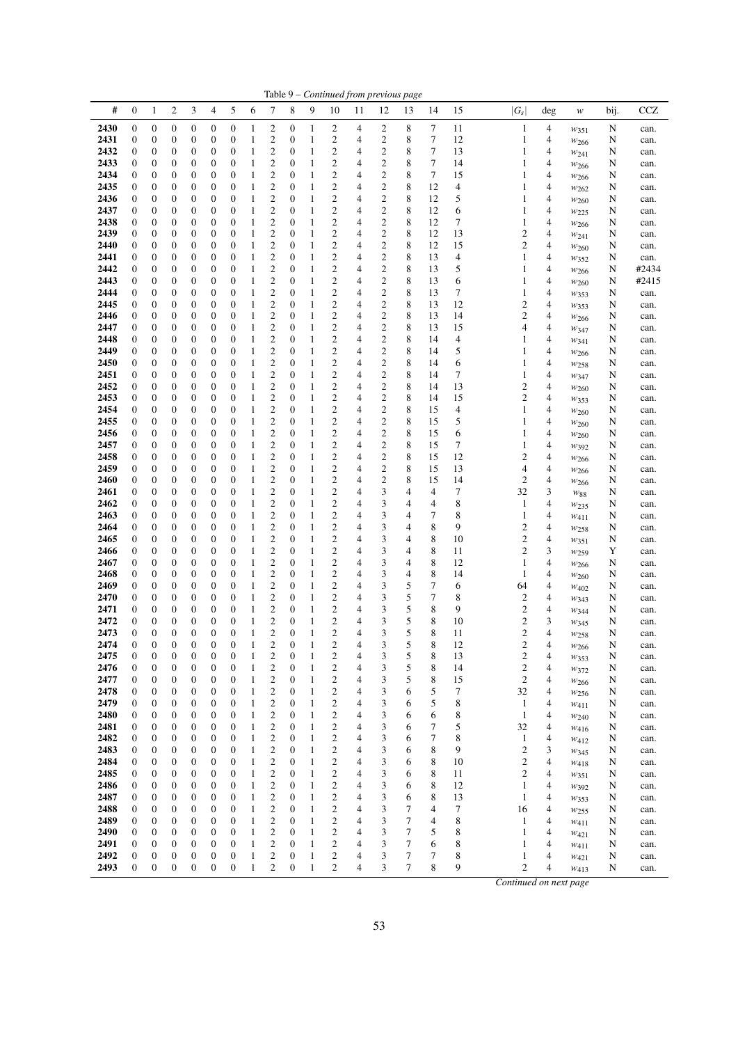|              |                                      |                                      |                                      |                                      |                                      |                                      |                              |                                      |                                      |                   |                                                    | Table 9 - Continued from previous page |                                      |                  |             |          |                              |        |                                      |        |              |
|--------------|--------------------------------------|--------------------------------------|--------------------------------------|--------------------------------------|--------------------------------------|--------------------------------------|------------------------------|--------------------------------------|--------------------------------------|-------------------|----------------------------------------------------|----------------------------------------|--------------------------------------|------------------|-------------|----------|------------------------------|--------|--------------------------------------|--------|--------------|
| #            | $\mathbf{0}$                         | 1                                    | $\overline{c}$                       | 3                                    | $\overline{\mathcal{A}}$             | 5                                    | 6                            | 7                                    | 8                                    | 9                 | 10                                                 | 11                                     | 12                                   | 13               | 14          | 15       | $ G_s $                      | deg    | w                                    | bij.   | <b>CCZ</b>   |
| 2430         | $\boldsymbol{0}$                     | $\boldsymbol{0}$                     | 0                                    | 0                                    | $\boldsymbol{0}$                     | $\boldsymbol{0}$                     | 1                            | 2                                    | 0                                    | 1                 | 2                                                  | 4                                      | 2                                    | 8                | 7           | 11       | $\mathbf{1}$                 | 4      | $w_{351}$                            | N      | can.         |
| 2431         | $\boldsymbol{0}$                     | 0                                    | 0                                    | 0                                    | $\boldsymbol{0}$                     | $\boldsymbol{0}$                     | 1                            | 2                                    | 0                                    | $\mathbf{1}$      | 2                                                  | 4                                      | $\boldsymbol{2}$                     | 8                | 7           | 12       | 1                            | 4      | $w_{266}$                            | N      | can.         |
| 2432<br>2433 | $\boldsymbol{0}$<br>$\boldsymbol{0}$ | $\boldsymbol{0}$<br>$\boldsymbol{0}$ | 0<br>0                               | 0<br>0                               | $\boldsymbol{0}$<br>$\mathbf{0}$     | $\boldsymbol{0}$<br>$\boldsymbol{0}$ | 1<br>1                       | $\mathbf{2}$<br>2                    | 0<br>$\mathbf{0}$                    | $\mathbf{1}$<br>1 | 2<br>2                                             | 4<br>4                                 | $\mathbf{2}$<br>$\mathbf{2}$         | 8<br>8           | $\tau$<br>7 | 13<br>14 | 1<br>1                       | 4<br>4 | W241                                 | N<br>N | can.         |
| 2434         | $\boldsymbol{0}$                     | 0                                    | 0                                    | 0                                    | $\boldsymbol{0}$                     | $\mathbf{0}$                         | 1                            | 2                                    | $\boldsymbol{0}$                     | $\mathbf{1}$      | 2                                                  | 4                                      | $\overline{\mathbf{c}}$              | 8                | 7           | 15       | 1                            | 4      | W266<br>$w_{266}$                    | N      | can.<br>can. |
| 2435         | $\boldsymbol{0}$                     | 0                                    | 0                                    | 0                                    | $\boldsymbol{0}$                     | $\boldsymbol{0}$                     | 1                            | 2                                    | $\mathbf{0}$                         | 1                 | 2                                                  | 4                                      | 2                                    | 8                | 12          | 4        | 1                            | 4      | $w_{262}$                            | N      | can.         |
| 2436         | $\boldsymbol{0}$                     | 0                                    | 0                                    | 0                                    | $\boldsymbol{0}$                     | $\boldsymbol{0}$                     | 1                            | $\mathbf{2}$                         | $\boldsymbol{0}$                     | 1                 | $\overline{\mathbf{c}}$                            | 4                                      | $\overline{\mathbf{c}}$              | 8                | 12          | 5        | 1                            | 4      | W <sub>260</sub>                     | N      | can.         |
| 2437         | $\boldsymbol{0}$                     | 0                                    | 0                                    | 0                                    | $\boldsymbol{0}$                     | $\boldsymbol{0}$                     | 1                            | 2                                    | 0                                    | 1                 | $\boldsymbol{2}$                                   | 4                                      | $\overline{\mathbf{c}}$              | 8                | 12          | 6        | 1                            | 4      | W225                                 | N      | can.         |
| 2438<br>2439 | $\boldsymbol{0}$<br>$\boldsymbol{0}$ | $\boldsymbol{0}$<br>$\boldsymbol{0}$ | 0<br>0                               | $\boldsymbol{0}$<br>$\boldsymbol{0}$ | $\boldsymbol{0}$<br>$\boldsymbol{0}$ | $\boldsymbol{0}$<br>$\boldsymbol{0}$ | 1<br>1                       | $\boldsymbol{2}$<br>$\mathbf{2}$     | 0<br>$\boldsymbol{0}$                | 1<br>1            | 2<br>$\mathbf{c}$                                  | 4<br>4                                 | $\mathbf{2}$<br>$\mathbf{2}$         | 8<br>8           | 12<br>12    | 7<br>13  | 1<br>$\overline{c}$          | 4<br>4 | $w_{266}$                            | N<br>N | can.         |
| 2440         | $\boldsymbol{0}$                     | 0                                    | 0                                    | 0                                    | $\boldsymbol{0}$                     | $\boldsymbol{0}$                     | 1                            | $\boldsymbol{2}$                     | $\boldsymbol{0}$                     | $\mathbf{1}$      | 2                                                  | 4                                      | $\overline{\mathbf{c}}$              | 8                | 12          | 15       | $\overline{c}$               | 4      | $w_{241}$<br>W <sub>260</sub>        | N      | can.<br>can. |
| 2441         | $\boldsymbol{0}$                     | 0                                    | 0                                    | 0                                    | $\boldsymbol{0}$                     | $\boldsymbol{0}$                     | 1                            | $\overline{c}$                       | $\boldsymbol{0}$                     | 1                 | $\overline{c}$                                     | 4                                      | $\overline{c}$                       | 8                | 13          | 4        | 1                            | 4      | W352                                 | N      | can.         |
| 2442         | $\boldsymbol{0}$                     | 0                                    | 0                                    | 0                                    | $\boldsymbol{0}$                     | $\boldsymbol{0}$                     | 1                            | $\mathfrak{2}$                       | $\mathbf{0}$                         | 1                 | $\overline{c}$                                     | 4                                      | $\overline{c}$                       | 8                | 13          | 5        | 1                            | 4      | $w_{266}$                            | N      | #2434        |
| 2443         | $\mathbf{0}$                         | 0                                    | 0                                    | 0                                    | $\mathbf{0}$                         | $\boldsymbol{0}$                     | 1                            | $\overline{c}$                       | $\boldsymbol{0}$                     | 1                 | $\overline{\mathbf{c}}$                            | 4                                      | $\overline{c}$                       | $\,$ 8 $\,$      | 13          | 6        | 1                            | 4      | $w_{260}$                            | N      | #2415        |
| 2444<br>2445 | $\boldsymbol{0}$<br>$\boldsymbol{0}$ | $\boldsymbol{0}$<br>$\boldsymbol{0}$ | 0<br>0                               | $\boldsymbol{0}$<br>0                | $\boldsymbol{0}$<br>$\boldsymbol{0}$ | $\mathbf{0}$<br>$\boldsymbol{0}$     | 1<br>1                       | $\boldsymbol{2}$<br>$\mathbf{2}$     | $\boldsymbol{0}$<br>$\boldsymbol{0}$ | $\mathbf{1}$<br>1 | 2<br>$\mathbf{c}$                                  | 4<br>$\overline{4}$                    | $\mathbf{2}$<br>$\mathbf{2}$         | 8<br>8           | 13<br>13    | 7<br>12  | 1<br>$\overline{c}$          | 4<br>4 | W353                                 | N<br>N | can.<br>can. |
| 2446         | $\boldsymbol{0}$                     | $\boldsymbol{0}$                     | 0                                    | 0                                    | $\boldsymbol{0}$                     | $\boldsymbol{0}$                     | 1                            | $\overline{c}$                       | $\boldsymbol{0}$                     | 1                 | 2                                                  | 4                                      | $\overline{c}$                       | 8                | 13          | 14       | $\overline{c}$               | 4      | W353<br>$w_{266}$                    | N      | can.         |
| 2447         | $\boldsymbol{0}$                     | 0                                    | 0                                    | 0                                    | $\boldsymbol{0}$                     | $\boldsymbol{0}$                     | 1                            | 2                                    | $\boldsymbol{0}$                     | $\mathbf{1}$      | 2                                                  | 4                                      | $\mathbf{2}$                         | 8                | 13          | 15       | 4                            | 4      | W <sub>347</sub>                     | N      | can.         |
| 2448         | $\boldsymbol{0}$                     | 0                                    | 0                                    | 0                                    | $\boldsymbol{0}$                     | $\boldsymbol{0}$                     | 1                            | $\mathfrak{2}$                       | $\boldsymbol{0}$                     | 1                 | $\overline{c}$                                     | 4                                      | $\mathfrak{2}$                       | 8                | 14          | 4        | 1                            | 4      | W341                                 | N      | can.         |
| 2449         | $\mathbf{0}$                         | 0                                    | 0                                    | 0                                    | $\boldsymbol{0}$                     | $\boldsymbol{0}$                     | 1                            | 2                                    | $\boldsymbol{0}$                     | 1                 | $\overline{\mathbf{c}}$                            | 4                                      | $\overline{\mathbf{c}}$              | 8                | 14          | 5        | 1                            | 4      | W266                                 | N      | can.         |
| 2450<br>2451 | $\boldsymbol{0}$<br>$\boldsymbol{0}$ | 0<br>$\boldsymbol{0}$                | 0<br>0                               | 0<br>$\boldsymbol{0}$                | $\boldsymbol{0}$<br>$\boldsymbol{0}$ | $\boldsymbol{0}$<br>$\boldsymbol{0}$ | 1<br>1                       | 2<br>2                               | 0<br>0                               | $\mathbf{1}$<br>1 | 2<br>2                                             | 4<br>4                                 | $\boldsymbol{2}$<br>$\boldsymbol{2}$ | 8<br>8           | 14<br>14    | 6<br>7   | 1<br>1                       | 4<br>4 | $w_{258}$                            | N<br>N | can.         |
| 2452         | $\boldsymbol{0}$                     | $\boldsymbol{0}$                     | 0                                    | 0                                    | $\boldsymbol{0}$                     | $\boldsymbol{0}$                     | 1                            | 2                                    | $\boldsymbol{0}$                     | 1                 | 2                                                  | 4                                      | $\mathfrak{2}$                       | 8                | 14          | 13       | $\overline{c}$               | 4      | W <sub>347</sub><br>W <sub>260</sub> | N      | can.<br>can. |
| 2453         | $\boldsymbol{0}$                     | 0                                    | 0                                    | 0                                    | $\boldsymbol{0}$                     | 0                                    | 1                            | $\boldsymbol{2}$                     | $\boldsymbol{0}$                     | $\mathbf{1}$      | 2                                                  | 4                                      | $\boldsymbol{2}$                     | 8                | 14          | 15       | $\overline{c}$               | 4      | W353                                 | N      | can.         |
| 2454         | $\boldsymbol{0}$                     | 0                                    | 0                                    | 0                                    | $\boldsymbol{0}$                     | $\boldsymbol{0}$                     | 1                            | $\boldsymbol{2}$                     | $\mathbf{0}$                         | 1                 | 2                                                  | 4                                      | $\boldsymbol{2}$                     | 8                | 15          | 4        | 1                            | 4      | $w_{260}$                            | N      | can.         |
| 2455         | $\boldsymbol{0}$                     | 0                                    | 0                                    | 0                                    | $\boldsymbol{0}$                     | $\boldsymbol{0}$                     | 1                            | $\overline{c}$                       | $\boldsymbol{0}$                     | 1                 | $\overline{\mathbf{c}}$                            | 4                                      | $\boldsymbol{2}$                     | 8                | 15          | 5        | 1                            | 4      | $w_{260}$                            | N      | can.         |
| 2456<br>2457 | $\boldsymbol{0}$<br>$\boldsymbol{0}$ | 0<br>$\boldsymbol{0}$                | 0<br>0                               | $\boldsymbol{0}$<br>$\boldsymbol{0}$ | $\boldsymbol{0}$<br>$\boldsymbol{0}$ | $\boldsymbol{0}$<br>$\boldsymbol{0}$ | 1<br>1                       | 2<br>$\overline{\mathbf{c}}$         | 0<br>$\boldsymbol{0}$                | 1<br>1            | $\overline{\mathbf{c}}$<br>$\overline{\mathbf{c}}$ | 4<br>4                                 | $\boldsymbol{2}$<br>$\mathbf{2}$     | 8<br>$\,$ 8 $\,$ | 15<br>15    | 6<br>7   | 1<br>1                       | 4<br>4 | W <sub>260</sub>                     | N<br>N | can.<br>can. |
| 2458         | $\boldsymbol{0}$                     | $\boldsymbol{0}$                     | 0                                    | $\boldsymbol{0}$                     | $\boldsymbol{0}$                     | $\boldsymbol{0}$                     | 1                            | $\mathbf{2}$                         | $\boldsymbol{0}$                     | 1                 | $\mathbf{c}$                                       | 4                                      | $\mathbf{2}$                         | 8                | 15          | 12       | $\overline{c}$               | 4      | W392<br>$w_{266}$                    | N      | can.         |
| 2459         | $\boldsymbol{0}$                     | 0                                    | 0                                    | 0                                    | $\boldsymbol{0}$                     | $\boldsymbol{0}$                     | 1                            | $\mathbf{2}$                         | $\mathbf{0}$                         | 1                 | 2                                                  | 4                                      | $\overline{c}$                       | 8                | 15          | 13       | 4                            | 4      | $w_{266}$                            | N      | can.         |
| 2460         | $\boldsymbol{0}$                     | 0                                    | 0                                    | 0                                    | $\boldsymbol{0}$                     | $\boldsymbol{0}$                     | 1                            | $\overline{c}$                       | $\boldsymbol{0}$                     | $\mathbf{1}$      | $\overline{c}$                                     | 4                                      | $\overline{c}$                       | 8                | 15          | 14       | $\overline{c}$               | 4      | W266                                 | N      | can.         |
| 2461         | $\mathbf{0}$                         | 0                                    | 0                                    | 0                                    | $\boldsymbol{0}$                     | $\boldsymbol{0}$                     | 1                            | $\mathfrak{2}$                       | $\mathbf{0}$                         | 1                 | 2                                                  | 4                                      | 3                                    | 4                | 4           | 7        | 32                           | 3      | W88                                  | N      | can.         |
| 2462<br>2463 | $\mathbf{0}$<br>$\boldsymbol{0}$     | $\boldsymbol{0}$<br>$\boldsymbol{0}$ | 0<br>0                               | 0<br>0                               | $\boldsymbol{0}$<br>$\boldsymbol{0}$ | $\boldsymbol{0}$<br>$\boldsymbol{0}$ | 1<br>1                       | $\overline{c}$<br>$\boldsymbol{2}$   | $\boldsymbol{0}$<br>0                | 1<br>$\mathbf{1}$ | $\overline{\mathbf{c}}$<br>2                       | 4<br>4                                 | 3<br>3                               | 4<br>4           | 4<br>7      | 8<br>8   | 1<br>$\mathbf{1}$            | 4<br>4 | $w_{235}$<br>$w_{411}$               | N<br>N | can.<br>can. |
| 2464         | $\boldsymbol{0}$                     | $\boldsymbol{0}$                     | 0                                    | 0                                    | $\boldsymbol{0}$                     | $\boldsymbol{0}$                     | 1                            | $\mathbf{2}$                         | 0                                    | 1                 | $\mathbf{c}$                                       | 4                                      | 3                                    | 4                | 8           | 9        | $\mathfrak{2}$               | 4      | W <sub>258</sub>                     | N      | can.         |
| 2465         | $\boldsymbol{0}$                     | $\boldsymbol{0}$                     | 0                                    | 0                                    | $\boldsymbol{0}$                     | $\boldsymbol{0}$                     | 1                            | $\overline{c}$                       | $\boldsymbol{0}$                     | 1                 | 2                                                  | 4                                      | 3                                    | 4                | 8           | 10       | $\mathfrak{2}$               | 4      | W351                                 | N      | can.         |
| 2466         | $\boldsymbol{0}$                     | 0                                    | 0                                    | 0                                    | $\boldsymbol{0}$                     | $\boldsymbol{0}$                     | 1                            | 2                                    | $\boldsymbol{0}$                     | $\mathbf{1}$      | 2                                                  | 4                                      | 3                                    | 4                | 8           | 11       | $\overline{c}$               | 3      | W <sub>259</sub>                     | Y      | can.         |
| 2467<br>2468 | $\boldsymbol{0}$<br>$\mathbf{0}$     | $\boldsymbol{0}$<br>0                | 0<br>0                               | 0<br>0                               | $\boldsymbol{0}$<br>$\boldsymbol{0}$ | $\boldsymbol{0}$<br>$\boldsymbol{0}$ | 1<br>1                       | $\overline{c}$<br>2                  | $\boldsymbol{0}$<br>$\boldsymbol{0}$ | $\mathbf{1}$<br>1 | 2<br>$\overline{\mathbf{c}}$                       | 4<br>4                                 | 3<br>3                               | 4<br>4           | 8<br>8      | 12<br>14 | 1<br>1                       | 4<br>4 | $w_{266}$                            | N      | can.         |
| 2469         | $\boldsymbol{0}$                     | 0                                    | 0                                    | 0                                    | $\boldsymbol{0}$                     | $\boldsymbol{0}$                     | 1                            | 2                                    | 0                                    | $\mathbf{1}$      | 2                                                  | 4                                      | 3                                    | 5                | 7           | 6        | 64                           | 4      | W <sub>260</sub><br>W <sub>402</sub> | N<br>N | can.<br>can. |
| 2470         | $\boldsymbol{0}$                     | $\boldsymbol{0}$                     | 0                                    | $\boldsymbol{0}$                     | $\boldsymbol{0}$                     | $\boldsymbol{0}$                     | 1                            | 2                                    | 0                                    | 1                 | 2                                                  | 4                                      | 3                                    | 5                | 7           | 8        | 2                            | 4      | W343                                 | N      | can.         |
| 2471         | $\boldsymbol{0}$                     | 0                                    | 0                                    | 0                                    | $\boldsymbol{0}$                     | $\boldsymbol{0}$                     | 1                            | $\overline{\mathbf{c}}$              | 0                                    | 1                 | 2                                                  | 4                                      | 3                                    | 5                | 8           | 9        | $\overline{c}$               | 4      | $w_{344}$                            | N      | can.         |
| 2472         | $\boldsymbol{0}$                     | $\mathbf{0}$                         | 0                                    | $\boldsymbol{0}$                     | $\boldsymbol{0}$                     | $\mathbf{0}$                         | 1                            | $\overline{\mathbf{c}}$              | $\boldsymbol{0}$                     | $\mathbf{1}$      | $\overline{\mathbf{c}}$                            | $\overline{4}$                         | 3                                    | 5                | 8           | 10       | $\overline{c}$               | 3      | W345                                 | N      | can.         |
| 2473<br>2474 | $\mathbf{0}$<br>$\boldsymbol{0}$     | $\overline{0}$<br>$\mathbf{0}$       | $\boldsymbol{0}$<br>$\boldsymbol{0}$ | $\overline{0}$<br>$\boldsymbol{0}$   | $\boldsymbol{0}$<br>$\boldsymbol{0}$ | $\overline{0}$<br>$\boldsymbol{0}$   | 1<br>$\mathbf{1}$            | $\overline{c}$<br>$\mathbf{2}$       | $\overline{0}$<br>$\boldsymbol{0}$   | $\mathbf{1}$<br>1 | $\overline{c}$<br>$\overline{\mathbf{c}}$          | 4<br>4                                 | 3<br>3                               | 5<br>5           | 8<br>8      | 11<br>12 | 2<br>$\overline{\mathbf{c}}$ | 4<br>4 | W <sub>258</sub>                     | N<br>N | can.         |
| 2475         | $\boldsymbol{0}$                     | $\boldsymbol{0}$                     | 0                                    | $\boldsymbol{0}$                     | $\boldsymbol{0}$                     | $\boldsymbol{0}$                     | 1                            | 2                                    | $\mathbf{0}$                         | 1                 | 2                                                  | 4                                      | 3                                    | 5                | 8           | 13       | $\boldsymbol{2}$             | 4      | $w_{266}$<br>$w_{353}$               | N      | can.<br>can. |
| 2476         | $\boldsymbol{0}$                     | $\boldsymbol{0}$                     | $\boldsymbol{0}$                     | $\boldsymbol{0}$                     | $\boldsymbol{0}$                     | $\boldsymbol{0}$                     | $\mathbf{1}$                 | 2                                    | $\boldsymbol{0}$                     | $\mathbf{1}$      | 2                                                  | 4                                      | 3                                    | 5                | 8           | 14       | $\overline{c}$               | 4      | W372                                 | N      | can.         |
| 2477         | $\boldsymbol{0}$                     | $\boldsymbol{0}$                     | $\boldsymbol{0}$                     | $\boldsymbol{0}$                     | $\boldsymbol{0}$                     | $\mathbf{0}$                         | 1                            | $\mathbf{2}$                         | $\boldsymbol{0}$                     | 1                 | 2                                                  | 4                                      | 3                                    | 5                | 8           | 15       | $\sqrt{2}$                   | 4      | W266                                 | N      | can.         |
| 2478<br>2479 | $\boldsymbol{0}$                     | $\boldsymbol{0}$<br>$\boldsymbol{0}$ | 0                                    | $\boldsymbol{0}$<br>$\boldsymbol{0}$ | $\boldsymbol{0}$                     | $\boldsymbol{0}$<br>$\boldsymbol{0}$ | $\mathbf{1}$<br>$\mathbf{1}$ | $\boldsymbol{2}$<br>$\boldsymbol{2}$ | $\boldsymbol{0}$<br>$\boldsymbol{0}$ | 1<br>1            | 2<br>2                                             | 4<br>4                                 | 3<br>3                               | 6<br>6           | 5<br>5      | 7        | 32<br>$\mathbf{1}$           | 4      | $w_{256}$                            | N      | can.         |
| 2480         | 0<br>$\boldsymbol{0}$                | $\boldsymbol{0}$                     | 0<br>0                               | $\boldsymbol{0}$                     | $\boldsymbol{0}$<br>$\boldsymbol{0}$ | $\mathbf{0}$                         | $\mathbf{1}$                 | $\mathbf{2}$                         | $\boldsymbol{0}$                     | 1                 | $\mathbf{c}$                                       | 4                                      | 3                                    | 6                | 6           | 8<br>8   | $\mathbf{1}$                 | 4<br>4 | $w_{411}$<br>W240                    | N<br>N | can.<br>can. |
| 2481         | $\mathbf{0}$                         | $\boldsymbol{0}$                     | $\boldsymbol{0}$                     | $\boldsymbol{0}$                     | $\boldsymbol{0}$                     | $\boldsymbol{0}$                     | $\mathbf{1}$                 | $\mathfrak{2}$                       | $\boldsymbol{0}$                     | 1                 | 2                                                  | 4                                      | 3                                    | 6                | 7           | 5        | 32                           | 4      | W416                                 | N      | can.         |
| 2482         | $\boldsymbol{0}$                     | $\boldsymbol{0}$                     | 0                                    | $\boldsymbol{0}$                     | $\boldsymbol{0}$                     | $\boldsymbol{0}$                     | $\mathbf{1}$                 | 2                                    | 0                                    | $\mathbf{1}$      | 2                                                  | 4                                      | 3                                    | 6                | 7           | 8        | $\mathbf{1}$                 | 4      | W412                                 | N      | can.         |
| 2483         | $\boldsymbol{0}$                     | $\boldsymbol{0}$                     | 0                                    | $\boldsymbol{0}$                     | $\boldsymbol{0}$                     | $\boldsymbol{0}$                     | $\mathbf{1}$                 | $\boldsymbol{2}$                     | $\boldsymbol{0}$                     | 1                 | 2                                                  | 4                                      | 3                                    | 6                | 8           | 9        | $\overline{c}$               | 3      | $w_{345}$                            | N      | can.         |
| 2484<br>2485 | $\boldsymbol{0}$<br>$\boldsymbol{0}$ | $\boldsymbol{0}$<br>0                | 0<br>0                               | $\boldsymbol{0}$<br>$\boldsymbol{0}$ | $\boldsymbol{0}$<br>$\boldsymbol{0}$ | $\boldsymbol{0}$<br>$\boldsymbol{0}$ | $\mathbf{1}$<br>$\mathbf{1}$ | $\mathbf{2}$<br>2                    | $\boldsymbol{0}$<br>$\boldsymbol{0}$ | 1<br>1            | 2<br>2                                             | 4<br>4                                 | 3<br>3                               | 6<br>6           | 8<br>8      | 10<br>11 | $\mathfrak{2}$<br>2          | 4<br>4 | W418                                 | N      | can.         |
| 2486         | $\boldsymbol{0}$                     | $\boldsymbol{0}$                     | 0                                    | $\boldsymbol{0}$                     | $\boldsymbol{0}$                     | $\boldsymbol{0}$                     | $\mathbf{1}$                 | $\mathbf{2}$                         | $\boldsymbol{0}$                     | 1                 | 2                                                  | 4                                      | 3                                    | 6                | 8           | 12       | $\mathbf{1}$                 | 4      | $w_{351}$<br>W392                    | N<br>N | can.<br>can. |
| 2487         | $\boldsymbol{0}$                     | $\boldsymbol{0}$                     | 0                                    | $\boldsymbol{0}$                     | $\boldsymbol{0}$                     | $\boldsymbol{0}$                     | $\mathbf{1}$                 | $\boldsymbol{2}$                     | $\boldsymbol{0}$                     | 1                 | 2                                                  | 4                                      | 3                                    | 6                | 8           | 13       | $\mathbf{1}$                 | 4      | $w_{353}$                            | N      | can.         |
| 2488         | $\boldsymbol{0}$                     | $\boldsymbol{0}$                     | 0                                    | $\boldsymbol{0}$                     | $\boldsymbol{0}$                     | $\boldsymbol{0}$                     | $\mathbf{1}$                 | $\boldsymbol{2}$                     | $\boldsymbol{0}$                     | 1                 | 2                                                  | 4                                      | 3                                    | 7                | 4           | 7        | 16                           | 4      | W <sub>255</sub>                     | N      | can.         |
| 2489         | $\boldsymbol{0}$                     | $\boldsymbol{0}$                     | 0                                    | $\boldsymbol{0}$                     | $\boldsymbol{0}$                     | $\boldsymbol{0}$                     | $\mathbf{1}$                 | 2                                    | $\boldsymbol{0}$                     | 1                 | 2                                                  | 4                                      | 3                                    | 7                | 4           | 8        | $\mathbf{1}$                 | 4      | W411                                 | N      | can.         |
| 2490<br>2491 | $\boldsymbol{0}$<br>$\boldsymbol{0}$ | $\boldsymbol{0}$<br>$\boldsymbol{0}$ | 0<br>0                               | $\boldsymbol{0}$<br>$\boldsymbol{0}$ | $\boldsymbol{0}$<br>$\boldsymbol{0}$ | $\boldsymbol{0}$<br>$\boldsymbol{0}$ | 1<br>$\mathbf{1}$            | 2<br>$\mathfrak{2}$                  | $\boldsymbol{0}$<br>$\boldsymbol{0}$ | 1<br>1            | 2<br>2                                             | 4<br>4                                 | 3<br>3                               | 7<br>7           | 5<br>6      | 8<br>8   | 1<br>1                       | 4<br>4 | W421                                 | N<br>N | can.         |
| 2492         | $\boldsymbol{0}$                     | $\boldsymbol{0}$                     | 0                                    | $\boldsymbol{0}$                     | $\boldsymbol{0}$                     | $\boldsymbol{0}$                     | $\mathbf{1}$                 | 2                                    | $\boldsymbol{0}$                     | $\mathbf{1}$      | 2                                                  | 4                                      | 3                                    | 7                | 7           | 8        | 1                            | 4      | $w_{411}$<br>W421                    | N      | can.<br>can. |
| 2493         | $\boldsymbol{0}$                     | $\boldsymbol{0}$                     | $\boldsymbol{0}$                     | $\boldsymbol{0}$                     | $\boldsymbol{0}$                     | $\boldsymbol{0}$                     | $\mathbf{1}$                 | $\overline{c}$                       | $\boldsymbol{0}$                     | $\mathbf{1}$      | $\overline{c}$                                     | $\overline{4}$                         | 3                                    | $\tau$           | 8           | 9        | $\mathbf{2}$                 | 4      | W413                                 | N      | can.         |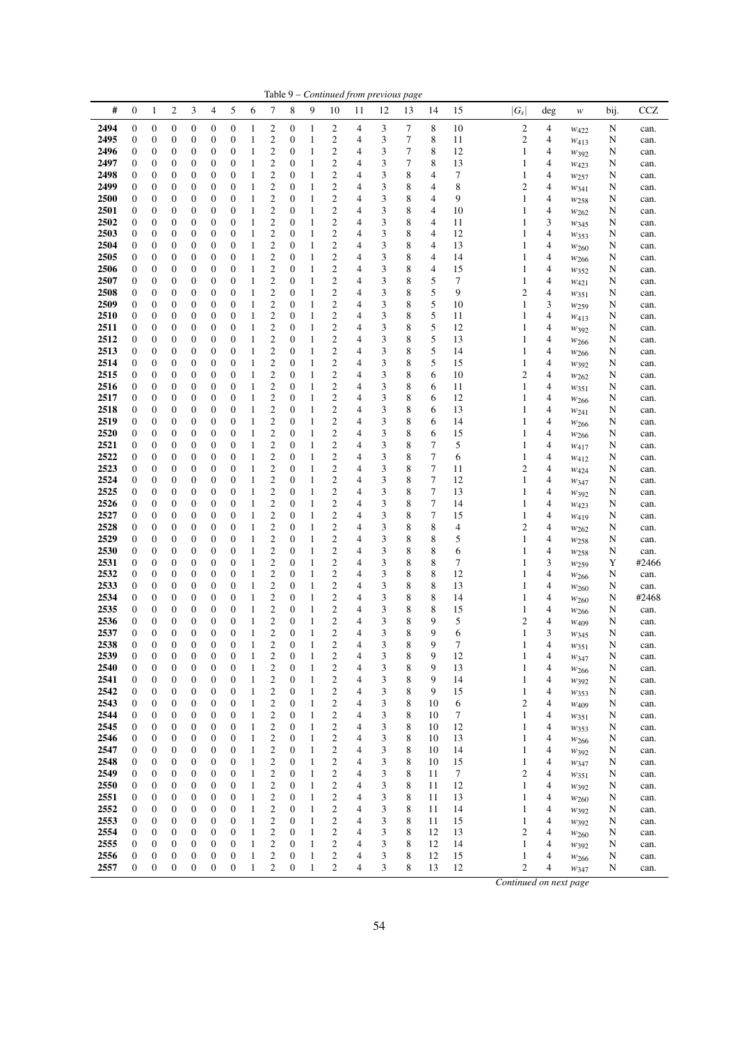|              |                                      |                                      |                                      |                                      |                                      |                                      |                              |                                    |                                      |                              |                                                    | Table 9 - Continued from previous page |        |        |             |          |         |                                            |                               |        |               |
|--------------|--------------------------------------|--------------------------------------|--------------------------------------|--------------------------------------|--------------------------------------|--------------------------------------|------------------------------|------------------------------------|--------------------------------------|------------------------------|----------------------------------------------------|----------------------------------------|--------|--------|-------------|----------|---------|--------------------------------------------|-------------------------------|--------|---------------|
| #            | $\mathbf{0}$                         | $\mathbf{1}$                         | $\overline{c}$                       | 3                                    | 4                                    | 5                                    | 6                            | 7                                  | 8                                    | 9                            | 10                                                 | 11                                     | 12     | 13     | 14          | 15       | $ G_s $ | deg                                        | w                             | bij.   | <b>CCZ</b>    |
| 2494         | $\boldsymbol{0}$                     | $\boldsymbol{0}$                     | 0                                    | 0                                    | $\boldsymbol{0}$                     | $\boldsymbol{0}$                     | 1                            | 2                                  | 0                                    | 1                            | 2                                                  | 4                                      | 3      | 7      | 8           | 10       |         | $\overline{\mathbf{c}}$<br>4               | $w_{422}$                     | N      | can.          |
| 2495         | $\boldsymbol{0}$                     | 0                                    | 0                                    | 0                                    | $\boldsymbol{0}$                     | $\boldsymbol{0}$                     | 1                            | 2                                  | 0                                    | $\mathbf{1}$                 | 2                                                  | 4                                      | 3      | 7      | 8           | 11       |         | $\mathbf{2}$<br>4                          | $W_{413}$                     | N      | can.          |
| 2496<br>2497 | $\boldsymbol{0}$<br>$\boldsymbol{0}$ | 0<br>0                               | 0<br>0                               | 0<br>0                               | $\boldsymbol{0}$<br>$\boldsymbol{0}$ | $\boldsymbol{0}$<br>$\boldsymbol{0}$ | 1<br>1                       | $\boldsymbol{2}$<br>2              | $\boldsymbol{0}$<br>0                | 1<br>1                       | 2<br>2                                             | 4<br>4                                 | 3<br>3 | 7<br>7 | 8<br>8      | 12<br>13 |         | 1<br>4<br>1<br>4                           | W392                          | N<br>N | can.          |
| 2498         | $\boldsymbol{0}$                     | 0                                    | 0                                    | 0                                    | $\boldsymbol{0}$                     | $\mathbf{0}$                         | 1                            | 2                                  | $\boldsymbol{0}$                     | $\mathbf{1}$                 | 2                                                  | 4                                      | 3      | 8      | 4           | 7        |         | 1<br>4                                     | W423<br>$w_{257}$             | N      | can.<br>can.  |
| 2499         | $\boldsymbol{0}$                     | 0                                    | 0                                    | 0                                    | $\boldsymbol{0}$                     | $\boldsymbol{0}$                     | 1                            | 2                                  | $\mathbf{0}$                         | 1                            | 2                                                  | 4                                      | 3      | 8      | 4           | 8        |         | 2<br>4                                     | $w_{341}$                     | N      | can.          |
| 2500         | $\mathbf{0}$                         | 0                                    | 0                                    | 0                                    | $\boldsymbol{0}$                     | $\boldsymbol{0}$                     | 1                            | $\mathbf{2}$                       | $\boldsymbol{0}$                     | 1                            | $\overline{\mathbf{c}}$                            | 4                                      | 3      | 8      | 4           | 9        |         | 1<br>4                                     | W <sub>258</sub>              | N      | can.          |
| 2501         | $\boldsymbol{0}$                     | 0                                    | 0                                    | 0                                    | $\boldsymbol{0}$                     | $\boldsymbol{0}$                     | 1                            | 2                                  | $\boldsymbol{0}$                     | 1                            | $\overline{\mathbf{c}}$                            | 4                                      | 3      | 8      | 4           | 10       |         | 4<br>1                                     | W262                          | N      | can.          |
| 2502<br>2503 | $\boldsymbol{0}$<br>$\boldsymbol{0}$ | $\boldsymbol{0}$<br>$\boldsymbol{0}$ | 0<br>0                               | 0<br>0                               | $\boldsymbol{0}$<br>$\boldsymbol{0}$ | $\boldsymbol{0}$<br>$\boldsymbol{0}$ | 1<br>1                       | 2<br>$\mathfrak{2}$                | $\boldsymbol{0}$<br>$\boldsymbol{0}$ | 1<br>1                       | 2<br>$\mathbf{c}$                                  | 4<br>4                                 | 3<br>3 | 8<br>8 | 4<br>4      | 11<br>12 |         | 3<br>1<br>4<br>1                           | $w_{345}$                     | N<br>N | can.<br>can.  |
| 2504         | $\boldsymbol{0}$                     | 0                                    | 0                                    | 0                                    | $\boldsymbol{0}$                     | $\boldsymbol{0}$                     | 1                            | 2                                  | $\boldsymbol{0}$                     | $\mathbf{1}$                 | 2                                                  | 4                                      | 3      | 8      | 4           | 13       |         | 4<br>1                                     | $w_{353}$<br>W <sub>260</sub> | N      | can.          |
| 2505         | $\boldsymbol{0}$                     | 0                                    | $\boldsymbol{0}$                     | 0                                    | $\boldsymbol{0}$                     | $\boldsymbol{0}$                     | 1                            | $\overline{c}$                     | $\boldsymbol{0}$                     | 1                            | $\overline{\mathbf{c}}$                            | 4                                      | 3      | 8      | 4           | 14       |         | 1<br>4                                     | W266                          | N      | can.          |
| 2506         | $\boldsymbol{0}$                     | 0                                    | 0                                    | 0                                    | $\boldsymbol{0}$                     | $\boldsymbol{0}$                     | 1                            | $\boldsymbol{2}$                   | $\mathbf{0}$                         | 1                            | $\overline{\mathbf{c}}$                            | 4                                      | 3      | 8      | 4           | 15       |         | 4<br>1                                     | $w_{352}$                     | N      | can.          |
| 2507<br>2508 | $\mathbf{0}$                         | 0                                    | 0                                    | 0                                    | $\mathbf{0}$                         | $\boldsymbol{0}$<br>$\boldsymbol{0}$ | 1                            | $\mathfrak{2}$<br>$\boldsymbol{2}$ | $\boldsymbol{0}$                     | 1                            | $\overline{\mathbf{c}}$<br>2                       | 4                                      | 3<br>3 | 8<br>8 | 5<br>5      | 7<br>9   |         | 4<br>1<br>$\overline{c}$<br>4              | $w_{421}$                     | N      | can.          |
| 2509         | $\boldsymbol{0}$<br>$\mathbf{0}$     | $\boldsymbol{0}$<br>$\boldsymbol{0}$ | 0<br>0                               | 0<br>0                               | $\boldsymbol{0}$<br>$\boldsymbol{0}$ | $\boldsymbol{0}$                     | 1<br>1                       | $\boldsymbol{2}$                   | 0<br>$\mathbf{0}$                    | 1<br>1                       | 2                                                  | 4<br>4                                 | 3      | 8      | 5           | 10       |         | 3<br>1                                     | W351<br>W <sub>259</sub>      | N<br>N | can.<br>can.  |
| <b>2510</b>  | $\boldsymbol{0}$                     | 0                                    | 0                                    | 0                                    | $\mathbf{0}$                         | $\boldsymbol{0}$                     | 1                            | $\mathfrak{2}$                     | $\boldsymbol{0}$                     | 1                            | 2                                                  | 4                                      | 3      | 8      | 5           | 11       |         | 4<br>1                                     | $w_{413}$                     | N      | can.          |
| 2511         | $\boldsymbol{0}$                     | 0                                    | 0                                    | 0                                    | $\boldsymbol{0}$                     | $\boldsymbol{0}$                     | 1                            | 2                                  | $\mathbf{0}$                         | $\mathbf{1}$                 | 2                                                  | 4                                      | 3      | 8      | 5           | 12       |         | 4<br>1                                     | $w_{392}$                     | N      | can.          |
| 2512         | $\mathbf{0}$                         | 0                                    | 0                                    | 0                                    | $\mathbf{0}$                         | $\boldsymbol{0}$                     | 1                            | $\overline{c}$                     | $\boldsymbol{0}$                     | 1                            | $\overline{\mathbf{c}}$                            | 4                                      | 3      | 8      | 5           | 13       |         | 4<br>1                                     | W266                          | N      | can.          |
| 2513<br>2514 | $\mathbf{0}$<br>$\boldsymbol{0}$     | 0<br>0                               | 0<br>0                               | 0<br>0                               | $\boldsymbol{0}$<br>$\boldsymbol{0}$ | $\boldsymbol{0}$<br>$\boldsymbol{0}$ | 1<br>1                       | 2<br>2                             | $\boldsymbol{0}$<br>0                | 1<br>$\mathbf{1}$            | $\overline{\mathbf{c}}$<br>2                       | 4<br>4                                 | 3<br>3 | 8<br>8 | 5<br>5      | 14<br>15 |         | 4<br>1<br>4<br>1                           | W266                          | N<br>N | can.          |
| 2515         | $\boldsymbol{0}$                     | $\boldsymbol{0}$                     | 0                                    | 0                                    | $\boldsymbol{0}$                     | $\boldsymbol{0}$                     | 1                            | 2                                  | 0                                    | 1                            | 2                                                  | 4                                      | 3      | 8      | 6           | 10       |         | $\overline{c}$<br>4                        | $W_392$<br>$w_{262}$          | N      | can.<br>can.  |
| 2516         | $\boldsymbol{0}$                     | 0                                    | 0                                    | 0                                    | $\boldsymbol{0}$                     | $\boldsymbol{0}$                     | 1                            | 2                                  | 0                                    | 1                            | 2                                                  | 4                                      | 3      | 8      | 6           | 11       |         | 4<br>1                                     | W351                          | N      | can.          |
| 2517         | $\boldsymbol{0}$                     | 0                                    | 0                                    | 0                                    | $\mathbf{0}$                         | $\mathbf{0}$                         | 1                            | 2                                  | $\boldsymbol{0}$                     | $\mathbf{1}$                 | 2                                                  | 4                                      | 3      | 8      | 6           | 12       |         | 4<br>1                                     | W266                          | N      | can.          |
| 2518         | $\boldsymbol{0}$                     | 0                                    | 0                                    | 0                                    | $\boldsymbol{0}$                     | $\boldsymbol{0}$                     | 1                            | 2                                  | $\mathbf{0}$                         | 1                            | 2                                                  | 4                                      | 3      | 8      | 6           | 13       |         | 4<br>1                                     | $w_{241}$                     | N      | can.          |
| 2519<br>2520 | $\boldsymbol{0}$<br>$\boldsymbol{0}$ | 0<br>0                               | 0<br>0                               | 0<br>0                               | $\boldsymbol{0}$<br>$\boldsymbol{0}$ | $\boldsymbol{0}$<br>$\boldsymbol{0}$ | 1<br>1                       | $\overline{c}$<br>2                | $\boldsymbol{0}$<br>$\boldsymbol{0}$ | 1<br>1                       | $\overline{\mathbf{c}}$<br>$\boldsymbol{2}$        | 4<br>4                                 | 3<br>3 | 8<br>8 | 6<br>6      | 14<br>15 |         | 4<br>1<br>4<br>1                           | $w_{266}$                     | N<br>N | can.<br>can.  |
| 2521         | $\boldsymbol{0}$                     | $\boldsymbol{0}$                     | 0                                    | 0                                    | $\boldsymbol{0}$                     | $\boldsymbol{0}$                     | 1                            | 2                                  | $\boldsymbol{0}$                     | 1                            | 2                                                  | 4                                      | 3      | 8      | 7           | 5        |         | 4<br>1                                     | W266<br>W417                  | N      | can.          |
| 2522         | $\boldsymbol{0}$                     | $\boldsymbol{0}$                     | 0                                    | 0                                    | $\boldsymbol{0}$                     | $\boldsymbol{0}$                     | 1                            | $\mathfrak{2}$                     | $\boldsymbol{0}$                     | 1                            | $\mathbf{c}$                                       | 4                                      | 3      | 8      | $\tau$      | 6        |         | 4<br>1                                     | W412                          | N      | can.          |
| 2523         | $\boldsymbol{0}$                     | 0                                    | 0                                    | 0                                    | $\mathbf{0}$                         | $\boldsymbol{0}$                     | 1                            | $\mathfrak{2}$                     | $\mathbf{0}$                         | 1                            | 2                                                  | 4                                      | 3      | 8      | 7           | 11       |         | 2<br>4                                     | $w_{424}$                     | N      | can.          |
| 2524<br>2525 | $\boldsymbol{0}$                     | 0<br>0                               | $\boldsymbol{0}$                     | 0                                    | $\boldsymbol{0}$                     | $\boldsymbol{0}$<br>$\boldsymbol{0}$ | 1                            | $\overline{c}$<br>$\mathfrak{2}$   | $\boldsymbol{0}$<br>$\mathbf{0}$     | 1                            | $\overline{\mathbf{c}}$<br>$\overline{\mathbf{c}}$ | 4<br>4                                 | 3<br>3 | 8<br>8 | $\tau$<br>7 | 12       |         | 1<br>4<br>4                                | W347                          | N      | can.          |
| 2526         | $\boldsymbol{0}$<br>$\mathbf{0}$     | 0                                    | 0<br>$\boldsymbol{0}$                | 0<br>0                               | $\boldsymbol{0}$<br>$\mathbf{0}$     | $\boldsymbol{0}$                     | 1<br>1                       | $\mathfrak{2}$                     | $\boldsymbol{0}$                     | 1<br>1                       | $\overline{\mathbf{c}}$                            | 4                                      | 3      | 8      | 7           | 13<br>14 |         | 1<br>4<br>1                                | W392<br>W423                  | N<br>N | can.<br>can.  |
| 2527         | $\boldsymbol{0}$                     | 0                                    | 0                                    | 0                                    | $\boldsymbol{0}$                     | $\boldsymbol{0}$                     | 1                            | $\boldsymbol{2}$                   | 0                                    | 1                            | 2                                                  | 4                                      | 3      | 8      | 7           | 15       |         | 4<br>1                                     | $W_{419}$                     | N      | can.          |
| 2528         | $\boldsymbol{0}$                     | 0                                    | 0                                    | 0                                    | $\boldsymbol{0}$                     | $\boldsymbol{0}$                     | 1                            | $\boldsymbol{2}$                   | $\boldsymbol{0}$                     | 1                            | 2                                                  | 4                                      | 3      | 8      | 8           | 4        |         | $\overline{c}$<br>4                        | W262                          | N      | can.          |
| 2529         | $\mathbf{0}$                         | 0                                    | 0                                    | 0                                    | $\boldsymbol{0}$                     | $\boldsymbol{0}$                     | 1                            | $\mathfrak{2}$                     | $\boldsymbol{0}$                     | 1                            | 2                                                  | 4                                      | 3      | 8      | 8           | 5        |         | 1<br>4                                     | W <sub>258</sub>              | N      | can.          |
| 2530<br>2531 | $\boldsymbol{0}$<br>$\boldsymbol{0}$ | 0<br>0                               | 0<br>0                               | 0<br>0                               | $\boldsymbol{0}$<br>$\boldsymbol{0}$ | $\boldsymbol{0}$<br>$\boldsymbol{0}$ | 1<br>1                       | 2<br>$\mathfrak{2}$                | $\boldsymbol{0}$<br>$\boldsymbol{0}$ | $\mathbf{1}$<br>$\mathbf{1}$ | 2<br>$\overline{\mathbf{c}}$                       | 4<br>4                                 | 3<br>3 | 8<br>8 | 8<br>8      | 6<br>7   |         | 1<br>4<br>3<br>1                           | $w_{258}$<br>W <sub>259</sub> | N<br>Y | can.<br>#2466 |
| 2532         | $\mathbf{0}$                         | 0                                    | 0                                    | 0                                    | $\boldsymbol{0}$                     | $\boldsymbol{0}$                     | 1                            | 2                                  | $\boldsymbol{0}$                     | 1                            | $\boldsymbol{2}$                                   | 4                                      | 3      | 8      | 8           | 12       |         | 4<br>1                                     | W266                          | N      | can.          |
| 2533         | $\boldsymbol{0}$                     | 0                                    | 0                                    | 0                                    | $\boldsymbol{0}$                     | $\boldsymbol{0}$                     | 1                            | 2                                  | 0                                    | $\mathbf{1}$                 | 2                                                  | 4                                      | 3      | 8      | 8           | 13       |         | 4<br>1                                     | W <sub>260</sub>              | N      | can.          |
| 2534         | $\boldsymbol{0}$                     | $\boldsymbol{0}$                     | 0                                    | 0                                    | $\boldsymbol{0}$                     | $\boldsymbol{0}$                     | 1                            | 2                                  | 0                                    | 1                            | 2                                                  | 4                                      | 3      | 8      | 8           | 14       |         | 4<br>1                                     | $w_{260}$                     | N      | #2468         |
| 2535<br>2536 | $\boldsymbol{0}$<br>$\boldsymbol{0}$ | 0<br>$\mathbf{0}$                    | 0<br>0                               | 0<br>$\mathbf{0}$                    | $\boldsymbol{0}$<br>$\boldsymbol{0}$ | $\boldsymbol{0}$<br>$\mathbf{0}$     | 1<br>1                       | 2<br>$\boldsymbol{2}$              | 0<br>$\boldsymbol{0}$                | 1<br>$\mathbf{1}$            | 2<br>$\overline{\mathbf{c}}$                       | 4<br>4                                 | 3<br>3 | 8<br>8 | 8<br>9      | 15<br>5  |         | 1<br>4<br>$\overline{c}$<br>$\overline{4}$ | $w_{266}$                     | N<br>N | can.          |
| 2537         | $\mathbf{0}$                         | $\overline{0}$                       | $\boldsymbol{0}$                     | $\boldsymbol{0}$                     | $\boldsymbol{0}$                     | $\overline{0}$                       | 1                            | $\mathfrak{2}$                     | $\overline{0}$                       | $\mathbf{1}$                 | $\overline{c}$                                     | 4                                      | 3      | 8      | 9           | 6        |         | 3<br>1                                     | W <sub>409</sub><br>W345      | N      | can.<br>can.  |
| 2538         | $\boldsymbol{0}$                     | $\mathbf{0}$                         | $\boldsymbol{0}$                     | $\boldsymbol{0}$                     | $\boldsymbol{0}$                     | $\mathbf{0}$                         | $\mathbf{1}$                 | $\mathfrak{2}$                     | $\boldsymbol{0}$                     | 1                            | $\overline{\mathbf{c}}$                            | 4                                      | 3      | 8      | 9           | 7        |         | 4                                          | $w_{351}$                     | N      | can.          |
| 2539         | $\boldsymbol{0}$                     | $\boldsymbol{0}$                     | 0                                    | $\boldsymbol{0}$                     | $\boldsymbol{0}$                     | $\boldsymbol{0}$                     | 1                            | 2                                  | $\boldsymbol{0}$                     | 1                            | 2                                                  | 4                                      | 3      | 8      | 9           | 12       |         | 1<br>4                                     | $w_{347}$                     | N      | can.          |
| 2540<br>2541 | $\boldsymbol{0}$<br>$\boldsymbol{0}$ | $\boldsymbol{0}$<br>$\boldsymbol{0}$ | $\boldsymbol{0}$<br>$\boldsymbol{0}$ | $\boldsymbol{0}$<br>$\boldsymbol{0}$ | $\boldsymbol{0}$<br>$\boldsymbol{0}$ | $\boldsymbol{0}$<br>$\mathbf{0}$     | $\mathbf{1}$                 | 2<br>$\mathfrak{2}$                | $\boldsymbol{0}$<br>$\boldsymbol{0}$ | $\mathbf{1}$<br>$\mathbf{1}$ | 2<br>2                                             | 4<br>4                                 | 3<br>3 | 8<br>8 | 9<br>9      | 13<br>14 |         | 1<br>4<br>1<br>4                           | W266                          | N<br>N | can.          |
| 2542         | $\boldsymbol{0}$                     | $\boldsymbol{0}$                     | 0                                    | 0                                    | $\boldsymbol{0}$                     | $\boldsymbol{0}$                     | 1<br>$\mathbf{1}$            | $\mathfrak{2}$                     | $\boldsymbol{0}$                     | 1                            | 2                                                  | 4                                      | 3      | 8      | 9           | 15       |         | 1<br>4                                     | W392<br>$w_{353}$             | N      | can.<br>can.  |
| 2543         | $\boldsymbol{0}$                     | $\boldsymbol{0}$                     | 0                                    | 0                                    | $\boldsymbol{0}$                     | $\boldsymbol{0}$                     | $\mathbf{1}$                 | $\mathfrak{2}$                     | $\boldsymbol{0}$                     | 1                            | 2                                                  | 4                                      | 3      | 8      | 10          | 6        |         | $\mathfrak{2}$<br>4                        | $W_{409}$                     | N      | can.          |
| 2544         | $\boldsymbol{0}$                     | $\boldsymbol{0}$                     | 0                                    | 0                                    | $\boldsymbol{0}$                     | $\mathbf{0}$                         | $\mathbf{1}$                 | $\mathfrak{2}$                     | $\boldsymbol{0}$                     | 1                            | 2                                                  | 4                                      | 3      | 8      | 10          | 7        |         | 1<br>4                                     | W351                          | N      | can.          |
| 2545         | $\boldsymbol{0}$                     | $\boldsymbol{0}$                     | $\boldsymbol{0}$                     | $\boldsymbol{0}$                     | $\boldsymbol{0}$                     | $\boldsymbol{0}$                     | 1                            | $\mathfrak{2}$                     | $\boldsymbol{0}$                     | 1                            | 2                                                  | 4                                      | 3      | 8      | 10          | 12       |         | 1<br>4                                     | W353                          | N      | can.          |
| 2546<br>2547 | $\boldsymbol{0}$<br>$\boldsymbol{0}$ | $\boldsymbol{0}$<br>$\boldsymbol{0}$ | 0<br>$\boldsymbol{0}$                | $\boldsymbol{0}$<br>$\boldsymbol{0}$ | $\boldsymbol{0}$<br>$\boldsymbol{0}$ | $\boldsymbol{0}$<br>$\boldsymbol{0}$ | $\mathbf{1}$<br>$\mathbf{1}$ | 2<br>$\mathfrak{2}$                | 0<br>$\boldsymbol{0}$                | $\mathbf{1}$<br>1            | 2<br>2                                             | 4<br>4                                 | 3<br>3 | 8<br>8 | 10<br>10    | 13<br>14 |         | 1<br>4<br>1<br>4                           | $w_{266}$<br>$w_{392}$        | N<br>N | can.<br>can.  |
| 2548         | $\boldsymbol{0}$                     | $\boldsymbol{0}$                     | 0                                    | $\boldsymbol{0}$                     | $\boldsymbol{0}$                     | $\boldsymbol{0}$                     | $\mathbf{1}$                 | $\overline{c}$                     | $\boldsymbol{0}$                     | 1                            | 2                                                  | 4                                      | 3      | 8      | 10          | 15       |         | 1<br>4                                     | W347                          | N      | can.          |
| 2549         | $\boldsymbol{0}$                     | 0                                    | 0                                    | 0                                    | $\boldsymbol{0}$                     | $\boldsymbol{0}$                     | $\mathbf{1}$                 | 2                                  | $\boldsymbol{0}$                     | $\mathbf{1}$                 | 2                                                  | 4                                      | 3      | 8      | 11          | 7        |         | $\overline{\mathbf{c}}$<br>4               | $w_{351}$                     | N      | can.          |
| 2550         | $\boldsymbol{0}$                     | $\boldsymbol{0}$                     | $\boldsymbol{0}$                     | 0                                    | $\boldsymbol{0}$                     | $\boldsymbol{0}$                     | $\mathbf{1}$                 | $\mathfrak{2}$                     | $\boldsymbol{0}$                     | 1                            | 2                                                  | 4                                      | 3      | 8      | 11          | 12       |         | 1<br>4                                     | W392                          | N      | can.          |
| 2551<br>2552 | $\boldsymbol{0}$                     | $\boldsymbol{0}$                     | 0                                    | $\boldsymbol{0}$<br>$\boldsymbol{0}$ | $\boldsymbol{0}$<br>$\boldsymbol{0}$ | $\boldsymbol{0}$<br>$\boldsymbol{0}$ | $\mathbf{1}$                 | 2<br>$\boldsymbol{2}$              | $\boldsymbol{0}$<br>$\boldsymbol{0}$ | 1<br>1                       | 2                                                  | 4<br>4                                 | 3<br>3 | 8<br>8 | 11<br>11    | 13       |         | 1<br>4                                     | $w_{260}$                     | N      | can.          |
| 2553         | $\boldsymbol{0}$<br>$\boldsymbol{0}$ | $\boldsymbol{0}$<br>$\boldsymbol{0}$ | 0<br>0                               | $\boldsymbol{0}$                     | $\boldsymbol{0}$                     | $\boldsymbol{0}$                     | $\mathbf{1}$<br>$\mathbf{1}$ | 2                                  | $\boldsymbol{0}$                     | 1                            | 2<br>2                                             | 4                                      | 3      | 8      | 11          | 14<br>15 |         | 1<br>4<br>1<br>4                           | W392<br>W392                  | N<br>N | can.<br>can.  |
| 2554         | $\boldsymbol{0}$                     | $\boldsymbol{0}$                     | 0                                    | $\boldsymbol{0}$                     | $\boldsymbol{0}$                     | $\boldsymbol{0}$                     | 1                            | 2                                  | $\boldsymbol{0}$                     | 1                            | 2                                                  | 4                                      | 3      | 8      | 12          | 13       |         | $\overline{c}$<br>4                        | $w_{260}$                     | N      | can.          |
| 2555         | $\boldsymbol{0}$                     | $\boldsymbol{0}$                     | 0                                    | $\boldsymbol{0}$                     | $\boldsymbol{0}$                     | $\boldsymbol{0}$                     | $\mathbf{1}$                 | $\mathbf{2}$                       | $\boldsymbol{0}$                     | 1                            | 2                                                  | 4                                      | 3      | 8      | 12          | 14       |         | 1<br>4                                     | $w_{392}$                     | N      | can.          |
| 2556         | $\boldsymbol{0}$                     | $\boldsymbol{0}$                     | 0                                    | $\boldsymbol{0}$                     | $\boldsymbol{0}$                     | $\boldsymbol{0}$                     | $\mathbf{1}$                 | 2                                  | $\boldsymbol{0}$                     | $\mathbf{1}$                 | 2                                                  | 4                                      | 3      | 8      | 12          | 15       |         | 1<br>4                                     | W266                          | N      | can.          |
| 2557         | $\boldsymbol{0}$                     | $\boldsymbol{0}$                     | $\boldsymbol{0}$                     | $\boldsymbol{0}$                     | $\boldsymbol{0}$                     | $\boldsymbol{0}$                     | $\mathbf{1}$                 | $\overline{c}$                     | $\boldsymbol{0}$                     | $\mathbf{1}$                 | $\overline{c}$                                     | 4                                      | 3      | 8      | 13          | 12       |         | $\boldsymbol{2}$<br>4                      | W347                          | N      | can.          |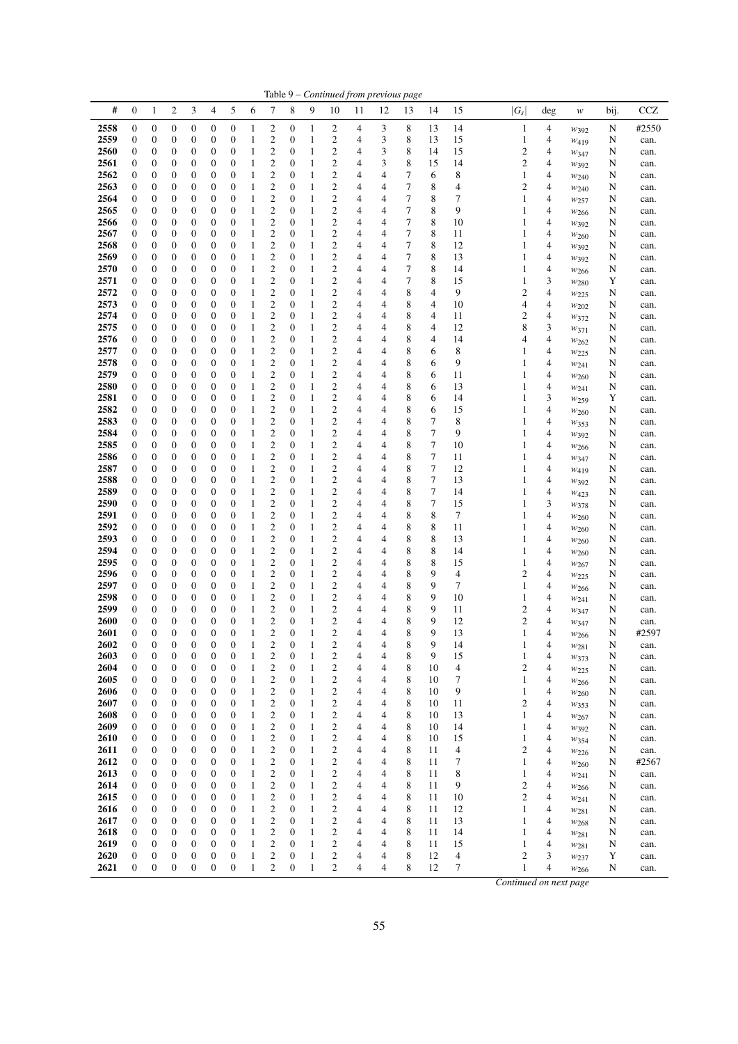|              |                                      |                                      |                       |                                      |                                      |                                      |                   |                                                    |                                      |                              |                                                    |        | Table 9 - Continued from previous page |        |          |          |                                  |        |                            |        |              |
|--------------|--------------------------------------|--------------------------------------|-----------------------|--------------------------------------|--------------------------------------|--------------------------------------|-------------------|----------------------------------------------------|--------------------------------------|------------------------------|----------------------------------------------------|--------|----------------------------------------|--------|----------|----------|----------------------------------|--------|----------------------------|--------|--------------|
| #            | $\boldsymbol{0}$                     | $\mathbf{1}$                         | $\overline{c}$        | 3                                    | 4                                    | 5                                    | 6                 | 7                                                  | 8                                    | 9                            | 10                                                 | 11     | 12                                     | 13     | 14       | 15       | $ G_s $                          | $\deg$ | $\boldsymbol{\mathcal{W}}$ | bij.   | CCZ          |
| 2558         | $\boldsymbol{0}$                     | $\boldsymbol{0}$                     | 0                     | $\boldsymbol{0}$                     | 0                                    | $\boldsymbol{0}$                     | 1                 | 2                                                  | 0                                    | 1                            | 2                                                  | 4      | 3                                      | 8      | 13       | 14       | $\mathbf{1}$                     | 4      | $W_392$                    | N      | #2550        |
| 2559         | $\boldsymbol{0}$                     | $\boldsymbol{0}$                     | 0                     | $\boldsymbol{0}$                     | $\boldsymbol{0}$                     | $\boldsymbol{0}$                     | 1                 | 2                                                  | 0                                    | $\mathbf{1}$                 | 2                                                  | 4      | 3                                      | 8      | 13       | 15       | 1                                | 4      | $W_{419}$                  | N      | can.         |
| 2560         | $\boldsymbol{0}$                     | $\boldsymbol{0}$                     | 0                     | 0                                    | $\boldsymbol{0}$                     | $\boldsymbol{0}$                     | 1                 | $\overline{c}$                                     | $\boldsymbol{0}$                     | $\mathbf{1}$                 | $\overline{c}$                                     | 4      | 3                                      | 8      | 14       | 15       | $\mathfrak{2}$                   | 4      | W347                       | N      | can.         |
| 2561<br>2562 | $\mathbf{0}$<br>$\boldsymbol{0}$     | 0<br>0                               | 0<br>0                | $\boldsymbol{0}$<br>0                | 0<br>$\mathbf{0}$                    | $\boldsymbol{0}$<br>$\boldsymbol{0}$ | 1<br>1            | 2<br>$\overline{c}$                                | 0<br>$\boldsymbol{0}$                | 1<br>$\mathbf{1}$            | 2<br>$\overline{\mathbf{c}}$                       | 4<br>4 | 3<br>4                                 | 8<br>7 | 15<br>6  | 14<br>8  | 2<br>1                           | 4<br>4 | W392<br>$w_{240}$          | N<br>N | can.<br>can. |
| 2563         | $\boldsymbol{0}$                     | 0                                    | 0                     | 0                                    | $\boldsymbol{0}$                     | $\boldsymbol{0}$                     | 1                 | $\overline{c}$                                     | $\boldsymbol{0}$                     | $\mathbf{1}$                 | $\overline{\mathbf{c}}$                            | 4      | 4                                      | 7      | 8        | 4        | 2                                | 4      | $w_{240}$                  | N      | can.         |
| 2564         | $\boldsymbol{0}$                     | 0                                    | 0                     | 0                                    | $\boldsymbol{0}$                     | $\mathbf{0}$                         | 1                 | $\overline{c}$                                     | $\boldsymbol{0}$                     | 1                            | $\overline{c}$                                     | 4      | 4                                      | 7      | 8        | 7        | 1                                | 4      | W257                       | N      | can.         |
| 2565         | $\boldsymbol{0}$                     | 0                                    | 0                     | 0                                    | $\boldsymbol{0}$                     | $\boldsymbol{0}$                     | 1                 | $\overline{\mathbf{c}}$                            | 0                                    | 1                            | $\overline{\mathbf{c}}$                            | 4      | 4                                      | 7      | 8        | 9        | 1                                | 4      | W266                       | N      | can.         |
| 2566<br>2567 | $\boldsymbol{0}$<br>$\boldsymbol{0}$ | $\boldsymbol{0}$<br>$\boldsymbol{0}$ | $\boldsymbol{0}$<br>0 | $\boldsymbol{0}$<br>$\boldsymbol{0}$ | $\boldsymbol{0}$<br>$\boldsymbol{0}$ | $\mathbf{0}$<br>$\mathbf{0}$         | 1<br>1            | $\overline{\mathbf{c}}$<br>$\overline{c}$          | 0<br>0                               | $\mathbf{1}$<br>1            | $\overline{\mathbf{c}}$<br>$\overline{c}$          | 4<br>4 | 4<br>4                                 | 7<br>7 | 8<br>8   | 10<br>11 | 1<br>1                           | 4<br>4 | $W_392$                    | N<br>N | can.<br>can. |
| 2568         | $\boldsymbol{0}$                     | 0                                    | 0                     | 0                                    | 0                                    | $\boldsymbol{0}$                     | 1                 | $\overline{\mathbf{c}}$                            | 0                                    | $\mathbf{1}$                 | $\overline{\mathbf{c}}$                            | 4      | 4                                      | 7      | 8        | 12       | 1                                | 4      | $w_{260}$<br>W392          | N      | can.         |
| 2569         | $\boldsymbol{0}$                     | 0                                    | 0                     | 0                                    | $\boldsymbol{0}$                     | $\mathbf{0}$                         | 1                 | $\overline{c}$                                     | $\boldsymbol{0}$                     | $\mathbf{1}$                 | $\overline{c}$                                     | 4      | 4                                      | 7      | 8        | 13       | 1                                | 4      | W392                       | N      | can.         |
| 2570         | $\boldsymbol{0}$                     | 0                                    | 0                     | 0                                    | $\boldsymbol{0}$                     | $\mathbf{0}$                         | 1                 | $\overline{c}$                                     | $\boldsymbol{0}$                     | 1                            | $\overline{\mathbf{c}}$                            | 4      | 4                                      | 7      | 8        | 14       | 1                                | 4      | W <sub>266</sub>           | N      | can.         |
| 2571<br>2572 | $\boldsymbol{0}$                     | 0                                    | 0                     | $\boldsymbol{0}$                     | $\boldsymbol{0}$                     | $\boldsymbol{0}$                     | 1                 | $\overline{\mathbf{c}}$                            | $\boldsymbol{0}$                     | 1                            | $\overline{\mathbf{c}}$                            | 4      | 4                                      | 7      | 8<br>4   | 15<br>9  | 1                                | 3      | $w_{280}$                  | Y      | can.         |
| 2573         | $\boldsymbol{0}$<br>$\boldsymbol{0}$ | $\boldsymbol{0}$<br>0                | 0<br>0                | $\boldsymbol{0}$<br>$\boldsymbol{0}$ | $\boldsymbol{0}$<br>$\boldsymbol{0}$ | $\boldsymbol{0}$<br>$\boldsymbol{0}$ | 1<br>1            | $\overline{\mathbf{c}}$<br>$\overline{\mathbf{c}}$ | 0<br>0                               | $\mathbf{1}$<br>$\mathbf{1}$ | $\overline{\mathbf{c}}$<br>$\overline{\mathbf{c}}$ | 4<br>4 | 4<br>4                                 | 8<br>8 | 4        | 10       | 2<br>4                           | 4<br>4 | W225<br>W202               | N<br>N | can.<br>can. |
| 2574         | $\boldsymbol{0}$                     | 0                                    | 0                     | 0                                    | $\boldsymbol{0}$                     | $\boldsymbol{0}$                     | 1                 | $\overline{c}$                                     | 0                                    | 1                            | $\overline{c}$                                     | 4      | 4                                      | 8      | 4        | 11       | 2                                | 4      | $w_{372}$                  | N      | can.         |
| 2575         | $\boldsymbol{0}$                     | 0                                    | 0                     | 0                                    | 0                                    | $\boldsymbol{0}$                     | 1                 | $\overline{\mathbf{c}}$                            | $\boldsymbol{0}$                     | $\mathbf{1}$                 | $\overline{\mathbf{c}}$                            | 4      | 4                                      | 8      | 4        | 12       | 8                                | 3      | $w_{371}$                  | N      | can.         |
| 2576         | $\boldsymbol{0}$                     | 0                                    | 0                     | 0                                    | $\mathbf{0}$                         | $\boldsymbol{0}$                     | 1                 | $\overline{c}$                                     | $\boldsymbol{0}$                     | $\mathbf{1}$                 | $\overline{\mathbf{c}}$                            | 4      | 4                                      | 8      | 4        | 14       | 4                                | 4      | W262                       | N      | can.         |
| 2577<br>2578 | $\mathbf{0}$<br>$\boldsymbol{0}$     | 0<br>0                               | 0<br>$\boldsymbol{0}$ | $\boldsymbol{0}$<br>$\boldsymbol{0}$ | $\boldsymbol{0}$<br>$\boldsymbol{0}$ | $\boldsymbol{0}$<br>$\boldsymbol{0}$ | 1<br>1            | $\overline{\mathbf{c}}$<br>$\overline{\mathbf{c}}$ | 0<br>0                               | 1<br>$\mathbf{1}$            | $\overline{\mathbf{c}}$<br>$\overline{\mathbf{c}}$ | 4<br>4 | 4<br>4                                 | 8<br>8 | 6<br>6   | 8<br>9   | 1<br>1                           | 4<br>4 | W225                       | N<br>N | can.<br>can. |
| 2579         | $\boldsymbol{0}$                     | $\boldsymbol{0}$                     | 0                     | $\boldsymbol{0}$                     | $\boldsymbol{0}$                     | $\boldsymbol{0}$                     | 1                 | $\overline{\mathbf{c}}$                            | 0                                    | $\mathbf{1}$                 | $\overline{\mathbf{c}}$                            | 4      | 4                                      | 8      | 6        | 11       | 1                                | 4      | $w_{241}$<br>$w_{260}$     | N      | can.         |
| 2580         | $\boldsymbol{0}$                     | 0                                    | 0                     | $\boldsymbol{0}$                     | $\boldsymbol{0}$                     | $\boldsymbol{0}$                     | 1                 | $\overline{\mathbf{c}}$                            | 0                                    | $\mathbf{1}$                 | $\overline{\mathbf{c}}$                            | 4      | 4                                      | 8      | 6        | 13       | 1                                | 4      | W241                       | N      | can.         |
| 2581         | $\boldsymbol{0}$                     | 0                                    | 0                     | 0                                    | $\mathbf{0}$                         | $\mathbf{0}$                         | 1                 | $\overline{c}$                                     | $\boldsymbol{0}$                     | $\mathbf{1}$                 | $\overline{\mathbf{c}}$                            | 4      | 4                                      | 8      | 6        | 14       | 1                                | 3      | W <sub>259</sub>           | Y      | can.         |
| 2582<br>2583 | $\boldsymbol{0}$                     | 0                                    | 0                     | 0                                    | $\boldsymbol{0}$                     | $\boldsymbol{0}$<br>$\mathbf{0}$     | 1                 | $\overline{\mathbf{c}}$                            | $\boldsymbol{0}$<br>$\boldsymbol{0}$ | $\mathbf{1}$                 | $\overline{\mathbf{c}}$                            | 4      | 4<br>4                                 | 8<br>8 | 6<br>7   | 15<br>8  | 1<br>1                           | 4      | $w_{260}$                  | N      | can.         |
| 2584         | $\boldsymbol{0}$<br>$\boldsymbol{0}$ | 0<br>0                               | 0<br>$\boldsymbol{0}$ | 0<br>0                               | $\boldsymbol{0}$<br>$\boldsymbol{0}$ | $\boldsymbol{0}$                     | 1<br>$\mathbf{1}$ | $\overline{\mathbf{c}}$<br>$\overline{\mathbf{c}}$ | 0                                    | $\mathbf{1}$<br>1            | $\overline{\mathbf{c}}$<br>$\overline{\mathbf{c}}$ | 4<br>4 | 4                                      | 8      | 7        | 9        | 1                                | 4<br>4 | W353<br>W392               | N<br>N | can.<br>can. |
| 2585         | $\boldsymbol{0}$                     | $\boldsymbol{0}$                     | $\boldsymbol{0}$      | $\boldsymbol{0}$                     | $\boldsymbol{0}$                     | $\boldsymbol{0}$                     | 1                 | $\overline{\mathbf{c}}$                            | 0                                    | $\mathbf{1}$                 | $\overline{\mathbf{c}}$                            | 4      | 4                                      | 8      | 7        | 10       | 1                                | 4      | W266                       | N      | can.         |
| 2586         | $\boldsymbol{0}$                     | 0                                    | 0                     | $\boldsymbol{0}$                     | $\boldsymbol{0}$                     | $\mathbf{0}$                         | 1                 | $\overline{c}$                                     | 0                                    | 1                            | $\overline{\mathbf{c}}$                            | 4      | 4                                      | 8      | $\tau$   | 11       | 1                                | 4      | W347                       | N      | can.         |
| 2587         | $\boldsymbol{0}$                     | 0                                    | 0                     | $\boldsymbol{0}$                     | 0                                    | $\boldsymbol{0}$                     | 1                 | $\overline{\mathbf{c}}$                            | 0                                    | $\mathbf{1}$                 | $\overline{\mathbf{c}}$                            | 4      | 4                                      | 8      | 7        | 12       | 1                                | 4      | $W_{419}$                  | N      | can.         |
| 2588<br>2589 | $\boldsymbol{0}$<br>$\boldsymbol{0}$ | 0<br>0                               | 0<br>0                | 0<br>0                               | $\boldsymbol{0}$<br>$\boldsymbol{0}$ | $\mathbf{0}$<br>$\mathbf{0}$         | 1<br>1            | $\overline{\mathbf{c}}$<br>$\overline{\mathbf{c}}$ | $\boldsymbol{0}$<br>$\boldsymbol{0}$ | $\mathbf{1}$<br>1            | $\overline{\mathbf{c}}$<br>$\overline{\mathbf{c}}$ | 4<br>4 | 4<br>4                                 | 8<br>8 | 7<br>7   | 13<br>14 | 1<br>1                           | 4<br>4 | W392                       | N<br>N | can.<br>can. |
| 2590         | $\boldsymbol{0}$                     | 0                                    | 0                     | $\boldsymbol{0}$                     | $\mathbf{0}$                         | $\mathbf{0}$                         | 1                 | $\overline{\mathbf{c}}$                            | $\boldsymbol{0}$                     | 1                            | $\overline{\mathbf{c}}$                            | 4      | 4                                      | 8      | 7        | 15       | 1                                | 3      | W423<br>W378               | N      | can.         |
| 2591         | $\boldsymbol{0}$                     | 0                                    | 0                     | $\boldsymbol{0}$                     | $\boldsymbol{0}$                     | $\boldsymbol{0}$                     | $\mathbf{1}$      | $\overline{\mathbf{c}}$                            | 0                                    | 1                            | $\overline{\mathbf{c}}$                            | 4      | 4                                      | 8      | 8        | 7        | 1                                | 4      | W <sub>260</sub>           | N      | can.         |
| 2592         | $\boldsymbol{0}$                     | 0                                    | 0                     | $\boldsymbol{0}$                     | $\boldsymbol{0}$                     | $\boldsymbol{0}$                     | 1                 | $\overline{\mathbf{c}}$                            | $\boldsymbol{0}$                     | $\mathbf{1}$                 | $\overline{\mathbf{c}}$                            | 4      | 4                                      | 8      | 8        | 11       | 1                                | 4      | W260                       | N      | can.         |
| 2593<br>2594 | $\boldsymbol{0}$<br>$\boldsymbol{0}$ | 0<br>0                               | 0<br>0                | 0<br>0                               | $\boldsymbol{0}$<br>$\boldsymbol{0}$ | $\mathbf{0}$<br>$\boldsymbol{0}$     | 1<br>1            | $\overline{c}$<br>$\overline{\mathbf{c}}$          | 0<br>$\boldsymbol{0}$                | $\mathbf{1}$<br>$\mathbf{1}$ | $\overline{\mathbf{c}}$<br>$\overline{\mathbf{c}}$ | 4<br>4 | 4<br>4                                 | 8<br>8 | 8<br>8   | 13<br>14 | 1<br>1                           | 4<br>4 | W260                       | N<br>N | can.         |
| 2595         | $\boldsymbol{0}$                     | 0                                    | 0                     | 0                                    | $\boldsymbol{0}$                     | $\mathbf{0}$                         | 1                 | $\overline{\mathbf{c}}$                            | $\boldsymbol{0}$                     | $\mathbf{1}$                 | $\overline{\mathbf{c}}$                            | 4      | 4                                      | 8      | 8        | 15       | 1                                | 4      | $w_{260}$<br>$W_{267}$     | N      | can.<br>can. |
| 2596         | $\boldsymbol{0}$                     | 0                                    | 0                     | $\boldsymbol{0}$                     | $\boldsymbol{0}$                     | $\boldsymbol{0}$                     | 1                 | $\overline{\mathbf{c}}$                            | 0                                    | 1                            | $\overline{\mathbf{c}}$                            | 4      | 4                                      | 8      | 9        | 4        | 2                                | 4      | W225                       | N      | can.         |
| 2597         | $\boldsymbol{0}$                     | 0                                    | $\boldsymbol{0}$      | $\boldsymbol{0}$                     | $\boldsymbol{0}$                     | $\boldsymbol{0}$                     | 1                 | $\overline{\mathbf{c}}$                            | 0                                    | $\mathbf{1}$                 | $\overline{\mathbf{c}}$                            | 4      | 4                                      | 8      | 9        | 7        | 1                                | 4      | W266                       | N      | can.         |
| 2598<br>2599 | $\boldsymbol{0}$<br>$\boldsymbol{0}$ | $\boldsymbol{0}$<br>0                | 0<br>0                | $\boldsymbol{0}$<br>$\boldsymbol{0}$ | $\boldsymbol{0}$<br>$\boldsymbol{0}$ | $\boldsymbol{0}$<br>$\boldsymbol{0}$ | 1<br>1            | $\overline{\mathbf{c}}$<br>$\overline{\mathbf{c}}$ | 0<br>$\boldsymbol{0}$                | $\mathbf{1}$<br>1            | $\overline{\mathbf{c}}$<br>$\overline{\mathbf{c}}$ | 4<br>4 | 4<br>4                                 | 8<br>8 | 9<br>9   | 10<br>11 | 1<br>2                           | 4<br>4 | W241                       | N      | can.         |
| <b>2600</b>  | $\boldsymbol{0}$                     | $\mathbf{0}$                         | 0                     | $\mathbf{0}$                         | $\boldsymbol{0}$                     | $\mathbf{0}$                         | $\mathbf{1}$      | $\overline{\mathbf{c}}$                            | $\boldsymbol{0}$                     | $\mathbf{1}$                 | $\overline{\mathbf{c}}$                            | 4      | 4                                      | 8      | 9        | 12       | 2                                | 4      | $w_{347}$<br>W347          | N<br>N | can.<br>can. |
| 2601         | $\boldsymbol{0}$                     | $\overline{0}$                       | $\boldsymbol{0}$      | $\mathbf{0}$                         | $\boldsymbol{0}$                     | $\mathbf{0}$                         | $\mathbf{1}$      | 2                                                  | $\boldsymbol{0}$                     | $\mathbf{1}$                 | $\overline{c}$                                     | 4      | 4                                      | 8      | 9        | 13       | 1                                | 4      | W266                       | N      | #2597        |
| 2602         | $\boldsymbol{0}$                     | $\mathbf{0}$                         | $\boldsymbol{0}$      | $\boldsymbol{0}$                     | $\boldsymbol{0}$                     | $\mathbf{0}$                         | $\mathbf{1}$      | $\overline{c}$                                     | $\boldsymbol{0}$                     | 1                            | $\overline{c}$                                     | 4      | 4                                      | 8      | 9        | 14       | 1                                | 4      | W281                       | N      | can.         |
| 2603         | $\boldsymbol{0}$                     | $\boldsymbol{0}$                     | 0                     | $\boldsymbol{0}$                     | $\boldsymbol{0}$                     | $\boldsymbol{0}$                     | 1                 | 2                                                  | 0                                    | 1                            | $\overline{\mathbf{c}}$                            | 4      | 4                                      | 8      | 9        | 15       | 1                                | 4      | $w_{373}$                  | N      | can.         |
| 2604<br>2605 | $\boldsymbol{0}$<br>$\mathbf{0}$     | $\boldsymbol{0}$<br>$\boldsymbol{0}$ | $\boldsymbol{0}$<br>0 | $\boldsymbol{0}$<br>$\boldsymbol{0}$ | $\boldsymbol{0}$<br>$\boldsymbol{0}$ | $\boldsymbol{0}$<br>$\mathbf{0}$     | 1<br>$\mathbf{1}$ | 2<br>2                                             | $\boldsymbol{0}$<br>0                | $\mathbf{1}$<br>1            | $\overline{\mathbf{c}}$<br>$\overline{\mathbf{c}}$ | 4<br>4 | 4<br>4                                 | 8<br>8 | 10<br>10 | 4<br>7   | $\mathfrak{2}$<br>$\mathbf{1}$   | 4<br>4 | W225<br>W266               | N<br>N | can.<br>can. |
| 2606         | 0                                    | 0                                    | 0                     | $\boldsymbol{0}$                     | $\boldsymbol{0}$                     | $\boldsymbol{0}$                     | 1                 | 2                                                  | $\boldsymbol{0}$                     | 1                            | 2                                                  | 4      | 4                                      | 8      | 10       | 9        | $\mathbf{1}$                     | 4      | $w_{260}$                  | N      | can.         |
| 2607         | 0                                    | 0                                    | 0                     | $\boldsymbol{0}$                     | 0                                    | $\mathbf{0}$                         | 1                 | 2                                                  | $\boldsymbol{0}$                     | $\mathbf{1}$                 | $\boldsymbol{2}$                                   | 4      | 4                                      | 8      | 10       | 11       | $\mathfrak{2}$                   | 4      | $w_{353}$                  | N      | can.         |
| 2608         | 0                                    | 0                                    | 0                     | 0                                    | $\boldsymbol{0}$                     | $\boldsymbol{0}$                     | 1                 | 2                                                  | $\boldsymbol{0}$                     | 1                            | $\overline{\mathbf{c}}$                            | 4      | 4                                      | 8      | 10       | 13       | 1                                | 4      | W267                       | N      | can.         |
| 2609<br>2610 | $\mathbf{0}$<br>$\boldsymbol{0}$     | $\boldsymbol{0}$<br>0                | $\boldsymbol{0}$<br>0 | $\boldsymbol{0}$<br>$\boldsymbol{0}$ | $\boldsymbol{0}$<br>0                | $\mathbf{0}$<br>$\boldsymbol{0}$     | 1<br>1            | 2<br>2                                             | $\boldsymbol{0}$<br>0                | 1<br>1                       | $\overline{\mathbf{c}}$<br>$\boldsymbol{2}$        | 4<br>4 | 4<br>4                                 | 8<br>8 | 10<br>10 | 14<br>15 | 1<br>$\mathbf{1}$                | 4<br>4 | W392                       | N<br>N | can.<br>can. |
| 2611         | $\boldsymbol{0}$                     | $\boldsymbol{0}$                     | 0                     | $\boldsymbol{0}$                     | $\boldsymbol{0}$                     | $\boldsymbol{0}$                     | 1                 | 2                                                  | $\boldsymbol{0}$                     | 1                            | $\overline{\mathbf{c}}$                            | 4      | 4                                      | 8      | 11       | 4        | $\mathfrak{2}$                   | 4      | $w_{354}$<br>$w_{226}$     | N      | can.         |
| 2612         | $\mathbf{0}$                         | $\boldsymbol{0}$                     | 0                     | $\boldsymbol{0}$                     | 0                                    | $\mathbf{0}$                         | 1                 | 2                                                  | $\boldsymbol{0}$                     | $\mathbf{1}$                 | $\overline{\mathbf{c}}$                            | 4      | 4                                      | 8      | 11       | 7        | 1                                | 4      | W <sub>260</sub>           | N      | #2567        |
| 2613         | 0                                    | 0                                    | 0                     | $\boldsymbol{0}$                     | $\boldsymbol{0}$                     | $\boldsymbol{0}$                     | 1                 | 2                                                  | $\boldsymbol{0}$                     | $\mathbf{1}$                 | $\boldsymbol{2}$                                   | 4      | 4                                      | 8      | 11       | 8        | $\mathbf{1}$                     | 4      | W241                       | N      | can.         |
| 2614<br>2615 | $\mathbf{0}$<br>0                    | 0<br>0                               | 0<br>0                | $\boldsymbol{0}$<br>$\boldsymbol{0}$ | $\boldsymbol{0}$<br>$\boldsymbol{0}$ | $\mathbf{0}$<br>$\boldsymbol{0}$     | 1<br>1            | $\boldsymbol{2}$<br>2                              | $\boldsymbol{0}$<br>$\boldsymbol{0}$ | 1<br>1                       | $\overline{\mathbf{c}}$<br>$\overline{\mathbf{c}}$ | 4<br>4 | 4<br>4                                 | 8<br>8 | 11<br>11 | 9<br>10  | $\mathfrak{2}$<br>$\mathfrak{2}$ | 4<br>4 | W <sub>266</sub>           | N<br>N | can.         |
| 2616         | $\mathbf{0}$                         | $\boldsymbol{0}$                     | 0                     | $\boldsymbol{0}$                     | $\boldsymbol{0}$                     | $\mathbf{0}$                         | 1                 | $\overline{c}$                                     | $\boldsymbol{0}$                     | 1                            | $\overline{\mathbf{c}}$                            | 4      | 4                                      | 8      | 11       | 12       | 1                                | 4      | $w_{241}$<br>W281          | N      | can.<br>can. |
| 2617         | $\mathbf{0}$                         | $\boldsymbol{0}$                     | 0                     | $\boldsymbol{0}$                     | 0                                    | $\mathbf{0}$                         | $\mathbf{1}$      | 2                                                  | $\boldsymbol{0}$                     | $\mathbf{1}$                 | $\overline{\mathbf{c}}$                            | 4      | 4                                      | 8      | 11       | 13       | 1                                | 4      | W268                       | N      | can.         |
| 2618         | 0                                    | $\boldsymbol{0}$                     | 0                     | $\boldsymbol{0}$                     | $\boldsymbol{0}$                     | $\boldsymbol{0}$                     | 1                 | 2                                                  | $\boldsymbol{0}$                     | 1                            | $\overline{\mathbf{c}}$                            | 4      | 4                                      | 8      | 11       | 14       | 1                                | 4      | W281                       | N      | can.         |
| 2619         | $\mathbf{0}$                         | $\boldsymbol{0}$                     | 0                     | $\boldsymbol{0}$                     | $\boldsymbol{0}$                     | $\mathbf{0}$                         | $\mathbf{1}$      | 2                                                  | 0                                    | 1                            | $\overline{c}$                                     | 4      | 4                                      | 8      | 11       | 15       | 1                                | 4      | $w_{281}$                  | N      | can.         |
| 2620<br>2621 | $\boldsymbol{0}$<br>$\boldsymbol{0}$ | 0<br>$\boldsymbol{0}$                | 0<br>$\boldsymbol{0}$ | $\boldsymbol{0}$<br>$\boldsymbol{0}$ | 0<br>$\boldsymbol{0}$                | $\boldsymbol{0}$<br>$\boldsymbol{0}$ | 1<br>1            | 2<br>$\overline{c}$                                | $\boldsymbol{0}$<br>$\boldsymbol{0}$ | $\mathbf{1}$<br>1            | $\overline{\mathbf{c}}$<br>$\overline{c}$          | 4<br>4 | 4<br>4                                 | 8<br>8 | 12<br>12 | 4<br>7   | 2<br>$\mathbf{1}$                | 3<br>4 | W237                       | Y<br>N | can.<br>can. |
|              |                                      |                                      |                       |                                      |                                      |                                      |                   |                                                    |                                      |                              |                                                    |        |                                        |        |          |          | Continued on next page           |        | W266                       |        |              |
|              |                                      |                                      |                       |                                      |                                      |                                      |                   |                                                    |                                      |                              |                                                    |        |                                        |        |          |          |                                  |        |                            |        |              |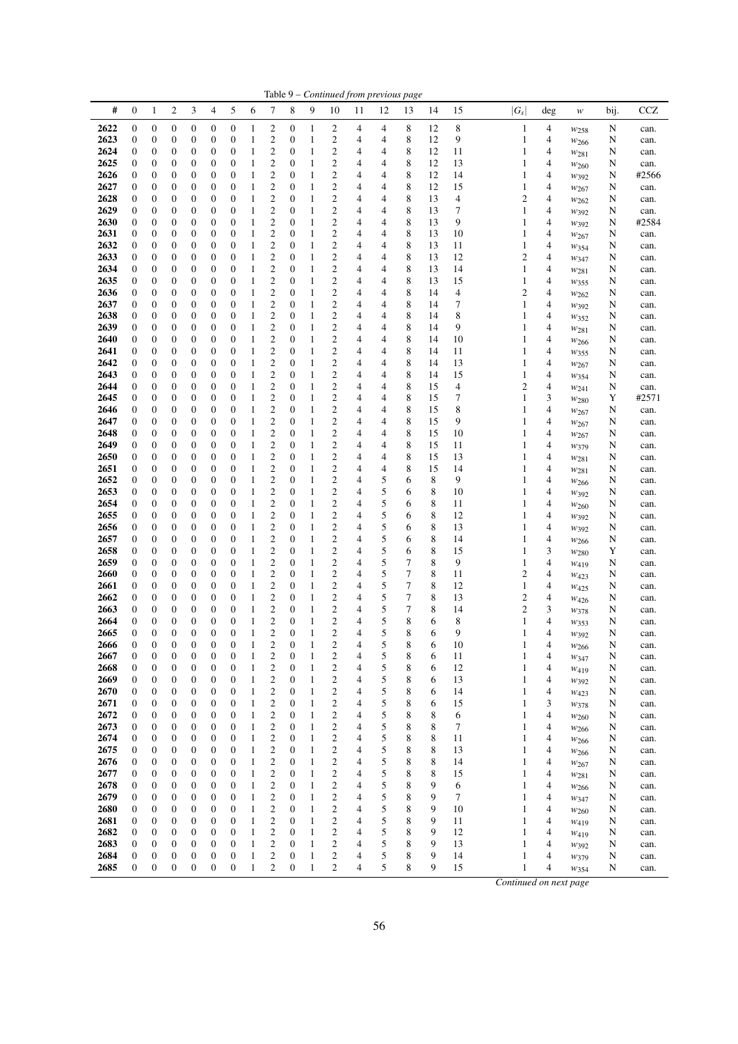|              |                                      |                                      |                       |                                      |                                      |                                      |                              |                                             |                                      |                   |                                                    |                | Table 9 - Continued from previous page |        |          |          |         |                                            |                               |        |               |
|--------------|--------------------------------------|--------------------------------------|-----------------------|--------------------------------------|--------------------------------------|--------------------------------------|------------------------------|---------------------------------------------|--------------------------------------|-------------------|----------------------------------------------------|----------------|----------------------------------------|--------|----------|----------|---------|--------------------------------------------|-------------------------------|--------|---------------|
| #            | $\mathbf{0}$                         | $\mathbf{1}$                         | 2                     | 3                                    | 4                                    | 5                                    | 6                            | 7                                           | 8                                    | 9                 | 10                                                 | 11             | 12                                     | 13     | 14       | 15       | $ G_s $ | deg                                        | $\boldsymbol{W}$              | bij.   | CCZ           |
| 2622         | $\boldsymbol{0}$                     | $\boldsymbol{0}$                     | 0                     | $\boldsymbol{0}$                     | $\boldsymbol{0}$                     | $\boldsymbol{0}$                     | 1                            | $\overline{\mathbf{c}}$                     | $\boldsymbol{0}$                     | 1                 | 2                                                  | 4              | 4                                      | 8      | 12       | 8        |         | 4<br>1                                     | $w_{258}$                     | N      | can.          |
| 2623         | $\boldsymbol{0}$                     | 0                                    | 0                     | $\boldsymbol{0}$                     | $\boldsymbol{0}$                     | $\boldsymbol{0}$                     | 1                            | $\mathbf{2}$                                | 0                                    | 1                 | $\overline{\mathbf{c}}$                            | 4              | 4                                      | 8      | 12       | 9        | 1       | 4                                          | $w_{266}$                     | N      | can.          |
| 2624         | $\boldsymbol{0}$                     | $\boldsymbol{0}$                     | 0                     | $\boldsymbol{0}$<br>$\boldsymbol{0}$ | $\boldsymbol{0}$<br>$\mathbf{0}$     | $\boldsymbol{0}$                     | 1                            | $\mathbf{2}$<br>$\mathfrak{2}$              | $\boldsymbol{0}$<br>$\mathbf{0}$     | 1<br>1            | $\overline{\mathbf{c}}$                            | 4<br>4         | 4                                      | 8<br>8 | 12<br>12 | 11       | 1       | 4                                          | W281                          | N      | can.          |
| 2625<br>2626 | $\boldsymbol{0}$<br>$\boldsymbol{0}$ | $\boldsymbol{0}$<br>0                | 0<br>0                | $\boldsymbol{0}$                     | $\mathbf{0}$                         | $\boldsymbol{0}$<br>$\boldsymbol{0}$ | 1<br>1                       | $\mathfrak{2}$                              | $\mathbf{0}$                         | 1                 | $\boldsymbol{2}$<br>$\overline{c}$                 | 4              | 4<br>4                                 | 8      | 12       | 13<br>14 | 1<br>1  | 4<br>4                                     | W <sub>260</sub><br>$W_392$   | N<br>N | can.<br>#2566 |
| 2627         | $\mathbf{0}$                         | 0                                    | 0                     | $\boldsymbol{0}$                     | $\mathbf{0}$                         | $\boldsymbol{0}$                     | 1                            | $\mathbf{2}$                                | $\mathbf{0}$                         | 1                 | $\overline{c}$                                     | 4              | 4                                      | 8      | 12       | 15       |         | 1<br>4                                     | $w_{267}$                     | N      | can.          |
| 2628         | $\mathbf{0}$                         | 0                                    | $\boldsymbol{0}$      | $\boldsymbol{0}$                     | $\mathbf{0}$                         | $\boldsymbol{0}$                     | 1                            | $\overline{c}$                              | $\mathbf{0}$                         | 1                 | $\overline{c}$                                     | 4              | 4                                      | 8      | 13       | 4        |         | $\overline{c}$<br>4                        | W262                          | N      | can.          |
| 2629         | $\boldsymbol{0}$                     | 0                                    | 0                     | $\boldsymbol{0}$                     | $\boldsymbol{0}$                     | $\boldsymbol{0}$                     | 1                            | $\mathbf{2}$                                | $\boldsymbol{0}$                     | 1                 | $\overline{\mathbf{c}}$                            | 4              | 4                                      | 8      | 13       | 7        |         | 4<br>1                                     | W392                          | N      | can.          |
| 2630         | $\boldsymbol{0}$                     | $\boldsymbol{0}$                     | $\boldsymbol{0}$      | $\boldsymbol{0}$                     | $\boldsymbol{0}$                     | $\boldsymbol{0}$                     | 1                            | $\mathbf{2}$<br>$\overline{c}$              | $\mathbf{0}$                         | 1                 | $\overline{c}$                                     | 4              | 4                                      | 8      | 13       | 9        |         | 1<br>4                                     | $W_392$                       | N      | #2584         |
| 2631<br>2632 | $\boldsymbol{0}$<br>$\boldsymbol{0}$ | $\boldsymbol{0}$<br>0                | 0<br>0                | $\boldsymbol{0}$<br>$\boldsymbol{0}$ | $\boldsymbol{0}$<br>0                | $\boldsymbol{0}$<br>$\boldsymbol{0}$ | 1<br>1                       | $\boldsymbol{2}$                            | $\mathbf{0}$<br>$\boldsymbol{0}$     | 1<br>1            | $\overline{c}$<br>$\overline{\mathbf{c}}$          | 4<br>4         | 4<br>4                                 | 8<br>8 | 13<br>13 | 10<br>11 | 1<br>1  | 4<br>4                                     | $w_{267}$<br>W354             | N<br>N | can.<br>can.  |
| 2633         | $\boldsymbol{0}$                     | 0                                    | 0                     | $\boldsymbol{0}$                     | $\mathbf{0}$                         | $\boldsymbol{0}$                     | 1                            | $\mathbf{2}$                                | $\mathbf{0}$                         | 1                 | $\overline{\mathbf{c}}$                            | 4              | 4                                      | 8      | 13       | 12       |         | 2<br>4                                     | W347                          | N      | can.          |
| 2634         | $\mathbf{0}$                         | 0                                    | 0                     | $\boldsymbol{0}$                     | 0                                    | $\boldsymbol{0}$                     | 1                            | $\boldsymbol{2}$                            | $\mathbf{0}$                         | 1                 | $\overline{\mathbf{c}}$                            | 4              | 4                                      | 8      | 13       | 14       | 1       | 4                                          | $w_{281}$                     | N      | can.          |
| 2635         | $\boldsymbol{0}$                     | 0                                    | 0                     | $\boldsymbol{0}$                     | $\mathbf{0}$                         | $\boldsymbol{0}$                     | 1                            | $\mathbf{2}$                                | $\mathbf{0}$                         | 1                 | $\overline{\mathbf{c}}$                            | 4              | 4                                      | 8      | 13       | 15       |         | 1<br>4                                     | $w_{355}$                     | N      | can.          |
| 2636         | $\boldsymbol{0}$                     | $\boldsymbol{0}$                     | $\boldsymbol{0}$      | $\boldsymbol{0}$                     | $\boldsymbol{0}$                     | $\boldsymbol{0}$                     | 1                            | $\mathbf{2}$<br>$\overline{c}$              | $\boldsymbol{0}$                     | 1<br>1            | $\overline{\mathbf{c}}$<br>$\mathbf{2}$            | 4              | 4                                      | 8      | 14       | 4        |         | $\overline{c}$<br>4                        | W262                          | N      | can.          |
| 2637<br>2638 | $\boldsymbol{0}$<br>$\boldsymbol{0}$ | $\boldsymbol{0}$<br>0                | $\boldsymbol{0}$<br>0 | $\boldsymbol{0}$<br>$\boldsymbol{0}$ | $\boldsymbol{0}$<br>$\mathbf{0}$     | $\boldsymbol{0}$<br>$\boldsymbol{0}$ | 1<br>1                       | $\overline{c}$                              | $\mathbf{0}$<br>$\mathbf{0}$         | 1                 | $\overline{\mathbf{c}}$                            | 4<br>4         | 4<br>4                                 | 8<br>8 | 14<br>14 | 7<br>8   | 1       | 1<br>4<br>4                                | W392<br>$w_{352}$             | N<br>N | can.<br>can.  |
| 2639         | $\boldsymbol{0}$                     | 0                                    | 0                     | $\boldsymbol{0}$                     | 0                                    | $\boldsymbol{0}$                     | 1                            | $\mathfrak{2}$                              | $\boldsymbol{0}$                     | 1                 | $\overline{\mathbf{c}}$                            | 4              | 4                                      | 8      | 14       | 9        | 1       | 4                                          | $w_{281}$                     | N      | can.          |
| 2640         | $\mathbf{0}$                         | 0                                    | 0                     | $\boldsymbol{0}$                     | $\mathbf{0}$                         | $\boldsymbol{0}$                     | 1                            | $\overline{c}$                              | $\mathbf{0}$                         | 1                 | $\mathbf{2}$                                       | 4              | 4                                      | 8      | 14       | 10       | 1       | 4                                          | W266                          | N      | can.          |
| 2641         | $\boldsymbol{0}$                     | 0                                    | 0                     | $\boldsymbol{0}$                     | $\mathbf{0}$                         | $\boldsymbol{0}$                     | 1                            | $\mathbf{2}$                                | $\mathbf{0}$                         | 1                 | $\overline{\mathbf{c}}$                            | 4              | 4                                      | 8      | 14       | 11       | 1       | $\overline{4}$                             | W355                          | N      | can.          |
| 2642         | $\boldsymbol{0}$                     | 0                                    | $\boldsymbol{0}$      | $\boldsymbol{0}$                     | $\boldsymbol{0}$                     | $\boldsymbol{0}$                     | 1                            | $\mathbf{2}$                                | $\mathbf{0}$                         | 1                 | $\boldsymbol{2}$                                   | 4              | 4                                      | 8      | 14       | 13       |         | 1<br>4                                     | $w_{267}$                     | N      | can.          |
| 2643<br>2644 | $\boldsymbol{0}$<br>$\boldsymbol{0}$ | $\boldsymbol{0}$<br>0                | $\boldsymbol{0}$<br>0 | $\boldsymbol{0}$<br>$\boldsymbol{0}$ | $\boldsymbol{0}$<br>$\mathbf{0}$     | $\boldsymbol{0}$<br>$\boldsymbol{0}$ | $\mathbf{1}$<br>1            | $\mathbf{2}$<br>$\boldsymbol{2}$            | $\boldsymbol{0}$<br>$\mathbf{0}$     | 1<br>1            | $\overline{\mathbf{c}}$<br>$\overline{\mathbf{c}}$ | 4<br>4         | 4<br>4                                 | 8<br>8 | 14<br>15 | 15<br>4  |         | 1<br>4<br>$\overline{c}$<br>$\overline{4}$ | $w_{354}$                     | N<br>N | can.<br>can.  |
| 2645         | $\boldsymbol{0}$                     | 0                                    | 0                     | $\boldsymbol{0}$                     | $\mathbf{0}$                         | $\boldsymbol{0}$                     | 1                            | $\mathbf{2}$                                | $\mathbf{0}$                         | 1                 | $\overline{\mathbf{c}}$                            | 4              | 4                                      | 8      | 15       | 7        | 1       | 3                                          | W241<br>W280                  | Y      | #2571         |
| 2646         | $\boldsymbol{0}$                     | 0                                    | 0                     | $\boldsymbol{0}$                     | $\mathbf{0}$                         | $\boldsymbol{0}$                     | 1                            | $\mathbf{2}$                                | $\mathbf{0}$                         | 1                 | $\overline{\mathbf{c}}$                            | 4              | 4                                      | 8      | 15       | 8        | 1       | 4                                          | $w_{267}$                     | N      | can.          |
| 2647         | $\mathbf{0}$                         | $\boldsymbol{0}$                     | $\boldsymbol{0}$      | $\boldsymbol{0}$                     | $\boldsymbol{0}$                     | $\mathbf{0}$                         | 1                            | $\overline{c}$                              | $\mathbf{0}$                         | 1                 | $\mathbf{2}$                                       | 4              | 4                                      | 8      | 15       | 9        | 1       | 4                                          | $w_{267}$                     | N      | can.          |
| 2648         | $\boldsymbol{0}$                     | 0                                    | 0                     | $\boldsymbol{0}$                     | $\boldsymbol{0}$                     | $\boldsymbol{0}$                     | 1                            | $\mathfrak{2}$                              | $\boldsymbol{0}$                     | 1                 | $\overline{\mathbf{c}}$                            | 4              | 4                                      | 8      | 15       | 10       | 1       | 4                                          | W267                          | N      | can.          |
| 2649<br>2650 | $\boldsymbol{0}$<br>$\boldsymbol{0}$ | $\boldsymbol{0}$<br>$\boldsymbol{0}$ | $\boldsymbol{0}$<br>0 | $\boldsymbol{0}$<br>$\boldsymbol{0}$ | $\mathbf{0}$<br>$\boldsymbol{0}$     | $\boldsymbol{0}$<br>$\boldsymbol{0}$ | 1<br>1                       | $\mathbf{2}$<br>$\overline{c}$              | $\mathbf{0}$<br>$\mathbf{0}$         | 1<br>1            | $\overline{c}$<br>$\overline{c}$                   | 4<br>4         | 4<br>4                                 | 8<br>8 | 15<br>15 | 11<br>13 | 1<br>1  | 4<br>4                                     | W379<br>W281                  | N<br>N | can.<br>can.  |
| 2651         | $\boldsymbol{0}$                     | 0                                    | 0                     | $\boldsymbol{0}$                     | $\boldsymbol{0}$                     | $\boldsymbol{0}$                     | 1                            | $\mathbf{2}$                                | 0                                    | 1                 | $\overline{\mathbf{c}}$                            | 4              | 4                                      | 8      | 15       | 14       | 1       | 4                                          | $w_{281}$                     | N      | can.          |
| 2652         | $\boldsymbol{0}$                     | 0                                    | 0                     | $\boldsymbol{0}$                     | $\mathbf{0}$                         | $\boldsymbol{0}$                     | 1                            | $\mathbf{2}$                                | $\mathbf{0}$                         | 1                 | $\overline{c}$                                     | 4              | 5                                      | 6      | 8        | 9        | 1       | 4                                          | W266                          | N      | can.          |
| 2653         | $\boldsymbol{0}$                     | 0                                    | 0                     | $\boldsymbol{0}$                     | 0                                    | $\boldsymbol{0}$                     | 1                            | $\boldsymbol{2}$                            | $\mathbf{0}$                         | 1                 | $\overline{\mathbf{c}}$                            | 4              | 5                                      | 6      | 8        | 10       | 1       | 4                                          | W392                          | N      | can.          |
| 2654         | $\mathbf{0}$                         | 0                                    | 0                     | $\boldsymbol{0}$                     | $\mathbf{0}$                         | $\boldsymbol{0}$                     | 1                            | $\mathbf{2}$                                | $\mathbf{0}$                         | 1                 | $\overline{\mathbf{c}}$                            | 4              | 5                                      | 6      | 8        | 11       | 1       | 4                                          | $w_{260}$                     | N      | can.          |
| 2655<br>2656 | $\boldsymbol{0}$<br>$\boldsymbol{0}$ | 0<br>$\boldsymbol{0}$                | 0<br>$\boldsymbol{0}$ | $\boldsymbol{0}$<br>$\boldsymbol{0}$ | $\boldsymbol{0}$<br>$\boldsymbol{0}$ | $\boldsymbol{0}$<br>$\boldsymbol{0}$ | 1<br>1                       | $\boldsymbol{2}$<br>$\boldsymbol{2}$        | $\boldsymbol{0}$<br>$\boldsymbol{0}$ | 1<br>1            | $\overline{\mathbf{c}}$<br>$\overline{\mathbf{c}}$ | 4<br>4         | 5<br>5                                 | 6<br>6 | 8<br>8   | 12<br>13 | 1<br>1  | 4<br>4                                     | $W_392$<br>W392               | N<br>N | can.<br>can.  |
| 2657         | $\mathbf{0}$                         | 0                                    | 0                     | $\boldsymbol{0}$                     | $\mathbf{0}$                         | $\boldsymbol{0}$                     | 1                            | $\overline{c}$                              | $\mathbf{0}$                         | 1                 | $\overline{\mathbf{c}}$                            | 4              | 5                                      | 6      | 8        | 14       | 1       | $\overline{4}$                             | W <sub>266</sub>              | N      | can.          |
| 2658         | $\boldsymbol{0}$                     | 0                                    | 0                     | $\boldsymbol{0}$                     | $\boldsymbol{0}$                     | $\boldsymbol{0}$                     | 1                            | $\mathfrak{2}$                              | $\boldsymbol{0}$                     | 1                 | $\overline{\mathbf{c}}$                            | 4              | 5                                      | 6      | 8        | 15       | 1       | 3                                          | W <sub>280</sub>              | Y      | can.          |
| 2659         | $\mathbf{0}$                         | 0                                    | 0                     | $\boldsymbol{0}$                     | $\mathbf{0}$                         | $\boldsymbol{0}$                     | 1                            | $\overline{c}$                              | $\mathbf{0}$                         | 1                 | $\overline{c}$                                     | $\overline{4}$ | 5                                      | 7      | 8        | 9        |         | 1<br>$\overline{4}$                        | $W_{419}$                     | N      | can.          |
| 2660<br>2661 | $\mathbf{0}$<br>$\boldsymbol{0}$     | 0<br>0                               | 0<br>$\boldsymbol{0}$ | $\boldsymbol{0}$<br>$\boldsymbol{0}$ | $\mathbf{0}$<br>$\boldsymbol{0}$     | $\boldsymbol{0}$<br>$\boldsymbol{0}$ | 1<br>1                       | $\mathfrak{2}$<br>$\mathbf{2}$              | $\mathbf{0}$<br>$\mathbf{0}$         | 1<br>1            | $\overline{\mathbf{c}}$<br>$\boldsymbol{2}$        | 4<br>4         | 5<br>5                                 | 7<br>7 | 8<br>8   | 11<br>12 |         | 2<br>$\overline{4}$<br>4<br>1              | W423                          | N      | can.          |
| 2662         | $\boldsymbol{0}$                     | $\boldsymbol{0}$                     | $\boldsymbol{0}$      | $\boldsymbol{0}$                     | $\boldsymbol{0}$                     | $\boldsymbol{0}$                     | 1                            | $\mathbf{2}$                                | $\boldsymbol{0}$                     | 1                 | $\overline{\mathbf{c}}$                            | 4              | 5                                      | 7      | 8        | 13       |         | $\overline{c}$<br>4                        | W425<br>$w_{426}$             | N<br>N | can.<br>can.  |
| 2663         | $\boldsymbol{0}$                     | $\boldsymbol{0}$                     | 0                     | $\boldsymbol{0}$                     | $\boldsymbol{0}$                     | $\boldsymbol{0}$                     | 1                            | $\boldsymbol{2}$                            | $\boldsymbol{0}$                     | 1                 | $\overline{\mathbf{c}}$                            | 4              | 5                                      | 7      | 8        | 14       |         | 3<br>$\overline{c}$                        | $w_{378}$                     | N      | can.          |
| 2664         | $\mathbf{0}$                         | $\mathbf{0}$                         | 0                     | $\boldsymbol{0}$                     | $\boldsymbol{0}$                     | $\mathbf{0}$                         | 1                            | $\mathbf{2}$                                | $\mathbf{0}$                         | 1                 | $\boldsymbol{2}$                                   | $\overline{4}$ | 5                                      | 8      | 6        | 8        | 1       | 4                                          | W353                          | N      | can.          |
| 2665         | $\mathbf{0}$                         | $\overline{0}$                       | $\boldsymbol{0}$      | $\mathbf{0}$                         | $\overline{0}$                       | $\overline{0}$                       | 1                            | $\overline{c}$                              | $\overline{0}$                       | 1                 | $\overline{2}$                                     | 4              | 5                                      | 8      | 6        | 9        |         | 1<br>4                                     | W392                          | N      | can.          |
| 2666<br>2667 | $\boldsymbol{0}$<br>$\boldsymbol{0}$ | $\mathbf{0}$<br>$\boldsymbol{0}$     | $\boldsymbol{0}$<br>0 | $\boldsymbol{0}$<br>$\boldsymbol{0}$ | $\boldsymbol{0}$<br>$\boldsymbol{0}$ | $\boldsymbol{0}$<br>$\boldsymbol{0}$ | $\mathbf{1}$<br>1            | $\overline{c}$<br>$\boldsymbol{2}$          | $\boldsymbol{0}$<br>$\boldsymbol{0}$ | 1<br>1            | $\overline{\mathbf{c}}$<br>2                       | 4<br>4         | 5<br>5                                 | 8<br>8 | 6<br>6   | 10<br>11 | 1       | 1<br>4<br>4                                | $w_{266}$                     | N<br>N | can.<br>can.  |
| 2668         | $\boldsymbol{0}$                     | $\boldsymbol{0}$                     | $\boldsymbol{0}$      | $\boldsymbol{0}$                     | $\boldsymbol{0}$                     | $\boldsymbol{0}$                     | $\mathbf{1}$                 | $\overline{c}$                              | $\boldsymbol{0}$                     | $\mathbf{1}$      | $\overline{\mathbf{c}}$                            | 4              | 5                                      | 8      | 6        | 12       |         | 1<br>4                                     | $w_{347}$<br>$W_{419}$        | N      | can.          |
| 2669         | $\boldsymbol{0}$                     | $\boldsymbol{0}$                     | $\boldsymbol{0}$      | $\boldsymbol{0}$                     | $\boldsymbol{0}$                     | $\boldsymbol{0}$                     | $\mathbf{1}$                 | $\boldsymbol{2}$                            | 0                                    | $\mathbf{1}$      | $\overline{\mathbf{c}}$                            | 4              | 5                                      | 8      | 6        | 13       |         | 4<br>1                                     | W392                          | N      | can.          |
| 2670         | $\boldsymbol{0}$                     | $\boldsymbol{0}$                     | 0                     | $\boldsymbol{0}$                     | $\boldsymbol{0}$                     | $\boldsymbol{0}$                     | $\mathbf{1}$                 | $\boldsymbol{2}$                            | $\boldsymbol{0}$                     | 1                 | $\overline{\mathbf{c}}$                            | 4              | 5                                      | 8      | 6        | 14       |         | 1<br>4                                     | W423                          | N      | can.          |
| 2671         | $\boldsymbol{0}$                     | 0                                    | 0                     | $\boldsymbol{0}$                     | 0                                    | $\boldsymbol{0}$                     | $\mathbf{1}$                 | $\mathbf{2}$                                | 0                                    | 1                 | $\overline{\mathbf{c}}$                            | 4              | 5                                      | 8      | 6        | 15       |         | 1<br>3                                     | $w_{378}$                     | N      | can.          |
| 2672<br>2673 | 0<br>$\boldsymbol{0}$                | 0<br>$\boldsymbol{0}$                | 0<br>$\boldsymbol{0}$ | $\boldsymbol{0}$<br>$\boldsymbol{0}$ | $\boldsymbol{0}$<br>$\boldsymbol{0}$ | $\boldsymbol{0}$<br>$\boldsymbol{0}$ | $\mathbf{1}$<br>$\mathbf{1}$ | $\boldsymbol{2}$<br>$\overline{\mathbf{c}}$ | $\boldsymbol{0}$<br>$\mathbf{0}$     | 1<br>$\mathbf{1}$ | $\overline{\mathbf{c}}$<br>2                       | 4<br>4         | 5<br>5                                 | 8<br>8 | 8<br>8   | 6<br>7   | 1       | 4<br>$\overline{4}$<br>1                   | W260                          | N<br>N | can.          |
| 2674         | $\boldsymbol{0}$                     | 0                                    | 0                     | $\boldsymbol{0}$                     | $\boldsymbol{0}$                     | $\boldsymbol{0}$                     | $\mathbf{1}$                 | $\boldsymbol{2}$                            | 0                                    | 1                 | $\overline{\mathbf{c}}$                            | 4              | 5                                      | 8      | 8        | 11       |         | 4<br>1                                     | W266<br>W <sub>266</sub>      | N      | can.<br>can.  |
| 2675         | $\boldsymbol{0}$                     | $\boldsymbol{0}$                     | $\boldsymbol{0}$      | $\boldsymbol{0}$                     | $\boldsymbol{0}$                     | $\boldsymbol{0}$                     | $\mathbf{1}$                 | $\boldsymbol{2}$                            | 0                                    | 1                 | $\overline{\mathbf{c}}$                            | 4              | 5                                      | 8      | 8        | 13       |         | 1<br>4                                     | $w_{266}$                     | N      | can.          |
| 2676         | $\boldsymbol{0}$                     | $\boldsymbol{0}$                     | 0                     | $\boldsymbol{0}$                     | $\boldsymbol{0}$                     | $\boldsymbol{0}$                     | $\mathbf{1}$                 | $\overline{\mathbf{c}}$                     | $\boldsymbol{0}$                     | 1                 | 2                                                  | 4              | 5                                      | 8      | 8        | 14       | 1       | $\overline{4}$                             | W267                          | N      | can.          |
| 2677         | $\boldsymbol{0}$                     | 0                                    | 0                     | $\boldsymbol{0}$                     | $\boldsymbol{0}$                     | $\boldsymbol{0}$                     | $\mathbf{1}$                 | $\overline{\mathbf{c}}$                     | $\boldsymbol{0}$                     | 1                 | $\overline{\mathbf{c}}$                            | 4              | 5                                      | 8      | 8        | 15       | 1       | 4                                          | W281                          | N      | can.          |
| 2678<br>2679 | $\boldsymbol{0}$<br>$\boldsymbol{0}$ | $\boldsymbol{0}$<br>$\boldsymbol{0}$ | $\boldsymbol{0}$<br>0 | $\boldsymbol{0}$<br>$\boldsymbol{0}$ | $\boldsymbol{0}$<br>$\boldsymbol{0}$ | $\boldsymbol{0}$<br>$\boldsymbol{0}$ | $\mathbf{1}$<br>$\mathbf{1}$ | $\overline{c}$<br>$\overline{\mathbf{c}}$   | 0<br>$\boldsymbol{0}$                | $\mathbf{1}$<br>1 | $\overline{\mathbf{c}}$<br>$\boldsymbol{2}$        | 4<br>4         | 5<br>5                                 | 8<br>8 | 9<br>9   | 6<br>7   |         | 1<br>4<br>1<br>4                           | W <sub>266</sub>              | N<br>N | can.          |
| 2680         | $\boldsymbol{0}$                     | $\boldsymbol{0}$                     | $\boldsymbol{0}$      | $\boldsymbol{0}$                     | $\boldsymbol{0}$                     | $\boldsymbol{0}$                     | $\mathbf{1}$                 | $\mathbf{2}$                                | $\boldsymbol{0}$                     | $\mathbf{1}$      | $\boldsymbol{2}$                                   | 4              | 5                                      | 8      | 9        | 10       | 1       | 4                                          | $w_{347}$<br>W <sub>260</sub> | N      | can.<br>can.  |
| 2681         | $\boldsymbol{0}$                     | $\boldsymbol{0}$                     | 0                     | $\boldsymbol{0}$                     | $\boldsymbol{0}$                     | $\boldsymbol{0}$                     | $\mathbf{1}$                 | $\mathbf{2}$                                | $\boldsymbol{0}$                     | 1                 | $\boldsymbol{2}$                                   | 4              | 5                                      | 8      | 9        | 11       |         | $\mathbf{1}$<br>$\overline{4}$             | W419                          | N      | can.          |
| 2682         | $\boldsymbol{0}$                     | $\boldsymbol{0}$                     | 0                     | $\boldsymbol{0}$                     | $\boldsymbol{0}$                     | $\boldsymbol{0}$                     | $\mathbf{1}$                 | $\overline{\mathbf{c}}$                     | 0                                    | 1                 | $\boldsymbol{2}$                                   | 4              | 5                                      | 8      | 9        | 12       |         | 1<br>4                                     | W419                          | N      | can.          |
| 2683         | $\boldsymbol{0}$                     | $\boldsymbol{0}$                     | 0                     | $\boldsymbol{0}$                     | 0                                    | $\boldsymbol{0}$                     | $\mathbf{1}$                 | $\overline{\mathbf{c}}$                     | 0                                    | 1                 | $\boldsymbol{2}$                                   | 4              | 5                                      | 8      | 9        | 13       | 1       | 4                                          | $w_{392}$                     | N      | can.          |
| 2684         | 0<br>$\boldsymbol{0}$                | $\boldsymbol{0}$<br>$\boldsymbol{0}$ | 0                     | $\boldsymbol{0}$<br>$\boldsymbol{0}$ | $\boldsymbol{0}$<br>$\boldsymbol{0}$ | $\boldsymbol{0}$<br>$\boldsymbol{0}$ | $\mathbf{1}$<br>$\mathbf{1}$ | $\boldsymbol{2}$<br>$\overline{c}$          | $\boldsymbol{0}$<br>$\boldsymbol{0}$ | 1                 | $\overline{\mathbf{c}}$<br>$\overline{c}$          | 4<br>4         | 5<br>5                                 | 8<br>8 | 9<br>9   | 14       |         | 1<br>4                                     | W379                          | N      | can.          |
| 2685         |                                      |                                      | $\boldsymbol{0}$      |                                      |                                      |                                      |                              |                                             |                                      | 1                 |                                                    |                |                                        |        |          | 15       |         | 1<br>4                                     | W354                          | N      | can.          |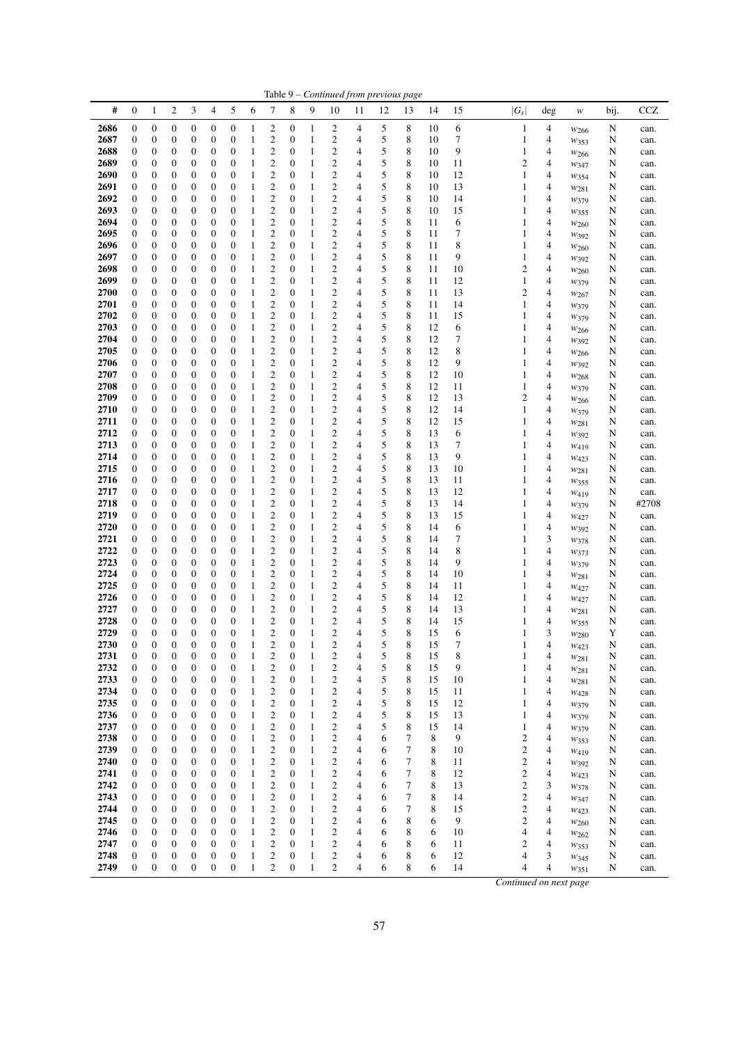|              |                                      |                                      |                       |                                      |                                      |                                      |              |                                    |                                      |                   |                                           |                | Table 9 - Continued from previous page |             |          |          |                              |        |                        |        |               |
|--------------|--------------------------------------|--------------------------------------|-----------------------|--------------------------------------|--------------------------------------|--------------------------------------|--------------|------------------------------------|--------------------------------------|-------------------|-------------------------------------------|----------------|----------------------------------------|-------------|----------|----------|------------------------------|--------|------------------------|--------|---------------|
| #            | $\mathbf{0}$                         | $\mathbf{1}$                         | $\overline{c}$        | 3                                    | 4                                    | 5                                    | 6            | 7                                  | 8                                    | 9                 | 10                                        | 11             | 12                                     | 13          | 14       | 15       | $ G_s $                      | deg    | w                      | bij.   | <b>CCZ</b>    |
| 2686         | $\boldsymbol{0}$                     | $\boldsymbol{0}$                     | 0                     | $\boldsymbol{0}$                     | $\boldsymbol{0}$                     | $\boldsymbol{0}$                     | 1            | 2                                  | 0                                    | 1                 | 2                                         | 4              | 5                                      | 8           | 10       | 6        | $\mathbf{1}$                 | 4      | $w_{266}$              | N      | can.          |
| 2687         | $\boldsymbol{0}$                     | 0                                    | 0                     | 0                                    | $\boldsymbol{0}$                     | $\boldsymbol{0}$                     | 1            | 2                                  | 0                                    | $\mathbf{1}$      | 2                                         | 4              | 5                                      | 8           | 10       | 7        | 1                            | 4      | $w_{353}$              | N      | can.          |
| 2688         | $\boldsymbol{0}$                     | $\boldsymbol{0}$                     | 0                     | 0                                    | $\boldsymbol{0}$                     | $\boldsymbol{0}$                     | 1            | $\mathfrak{2}$                     | $\boldsymbol{0}$                     | 1                 | 2                                         | 4              | 5                                      | 8           | 10       | 9        | 1                            | 4      | W266                   | N      | can.          |
| 2689<br>2690 | $\boldsymbol{0}$<br>$\boldsymbol{0}$ | $\boldsymbol{0}$<br>0                | 0<br>0                | 0<br>0                               | $\boldsymbol{0}$<br>$\boldsymbol{0}$ | $\boldsymbol{0}$<br>$\boldsymbol{0}$ | 1<br>1       | 2<br>2                             | 0<br>$\boldsymbol{0}$                | 1<br>$\mathbf{1}$ | 2<br>2                                    | 4<br>4         | 5<br>5                                 | 8<br>8      | 10<br>10 | 11<br>12 | 2<br>1                       | 4<br>4 | W347                   | N<br>N | can.          |
| 2691         | $\boldsymbol{0}$                     | 0                                    | 0                     | 0                                    | $\boldsymbol{0}$                     | $\boldsymbol{0}$                     | 1            | 2                                  | $\mathbf{0}$                         | 1                 | 2                                         | 4              | 5                                      | 8           | 10       | 13       | 1                            | 4      | W354<br>$w_{281}$      | N      | can.<br>can.  |
| 2692         | $\mathbf{0}$                         | 0                                    | 0                     | 0                                    | $\boldsymbol{0}$                     | $\boldsymbol{0}$                     | 1            | $\mathbf{2}$                       | $\boldsymbol{0}$                     | 1                 | $\boldsymbol{2}$                          | 4              | 5                                      | $\,$ 8 $\,$ | 10       | 14       | 1                            | 4      | W379                   | N      | can.          |
| 2693         | $\boldsymbol{0}$                     | 0                                    | 0                     | 0                                    | $\boldsymbol{0}$                     | $\boldsymbol{0}$                     | 1            | 2                                  | 0                                    | 1                 | $\boldsymbol{2}$                          | 4              | 5                                      | 8           | 10       | 15       | 1                            | 4      | W355                   | N      | can.          |
| 2694         | $\boldsymbol{0}$                     | $\boldsymbol{0}$                     | 0                     | 0                                    | $\boldsymbol{0}$                     | $\boldsymbol{0}$                     | 1            | $\mathfrak{2}$                     | $\boldsymbol{0}$                     | 1                 | 2                                         | 4              | 5                                      | 8           | 11       | 6        | 1                            | 4      | $w_{260}$              | N      | can.          |
| 2695         | $\mathbf{0}$                         | $\boldsymbol{0}$                     | 0                     | 0                                    | $\boldsymbol{0}$                     | $\boldsymbol{0}$                     | 1            | $\mathbf{2}$                       | $\boldsymbol{0}$                     | 1                 | $\mathbf{c}$                              | 4              | 5                                      | 8           | 11       | 7        | 1                            | 4      | $w_{392}$              | N      | can.          |
| 2696<br>2697 | $\boldsymbol{0}$<br>$\mathbf{0}$     | 0<br>$\boldsymbol{0}$                | 0<br>$\boldsymbol{0}$ | 0<br>0                               | $\boldsymbol{0}$<br>$\boldsymbol{0}$ | $\boldsymbol{0}$<br>$\boldsymbol{0}$ | 1<br>1       | 2<br>$\overline{c}$                | $\boldsymbol{0}$<br>$\boldsymbol{0}$ | $\mathbf{1}$<br>1 | 2<br>$\overline{\mathbf{c}}$              | 4<br>4         | 5<br>5                                 | 8<br>8      | 11<br>11 | 8<br>9   | 1<br>1                       | 4<br>4 | W <sub>260</sub>       | N<br>N | can.          |
| 2698         | $\boldsymbol{0}$                     | 0                                    | 0                     | 0                                    | $\mathbf{0}$                         | $\boldsymbol{0}$                     | 1            | $\mathfrak{2}$                     | $\mathbf{0}$                         | 1                 | $\overline{\mathbf{c}}$                   | 4              | 5                                      | 8           | 11       | 10       | $\overline{c}$               | 4      | W392<br>$w_{260}$      | N      | can.<br>can.  |
| 2699         | $\mathbf{0}$                         | $\boldsymbol{0}$                     | 0                     | 0                                    | $\mathbf{0}$                         | $\boldsymbol{0}$                     | 1            | $\mathfrak{2}$                     | $\boldsymbol{0}$                     | 1                 | $\overline{\mathbf{c}}$                   | 4              | 5                                      | 8           | 11       | 12       | 1                            | 4      | W379                   | N      | can.          |
| 2700         | $\boldsymbol{0}$                     | $\boldsymbol{0}$                     | 0                     | 0                                    | $\boldsymbol{0}$                     | $\boldsymbol{0}$                     | 1            | $\boldsymbol{2}$                   | 0                                    | $\mathbf{1}$      | 2                                         | 4              | 5                                      | 8           | 11       | 13       | $\mathfrak{2}$               | 4      | W267                   | N      | can.          |
| 2701         | $\boldsymbol{0}$                     | $\boldsymbol{0}$                     | 0                     | 0                                    | $\boldsymbol{0}$                     | $\boldsymbol{0}$                     | 1            | $\boldsymbol{2}$                   | $\boldsymbol{0}$                     | 1                 | 2                                         | 4              | 5                                      | 8           | 11       | 14       | 1                            | 4      | W379                   | N      | can.          |
| 2702         | $\boldsymbol{0}$                     | 0                                    | 0                     | 0                                    | $\boldsymbol{0}$                     | $\boldsymbol{0}$                     | 1            | $\mathfrak{2}$                     | $\boldsymbol{0}$                     | 1                 | 2                                         | 4              | 5                                      | 8           | 11       | 15       | 1                            | 4      | W379                   | N      | can.          |
| 2703<br>2704 | $\boldsymbol{0}$<br>$\mathbf{0}$     | 0<br>0                               | 0                     | 0                                    | $\boldsymbol{0}$<br>$\boldsymbol{0}$ | $\boldsymbol{0}$<br>$\boldsymbol{0}$ | 1<br>1       | 2<br>$\overline{c}$                | 0<br>$\boldsymbol{0}$                | $\mathbf{1}$      | 2<br>$\overline{\mathbf{c}}$              | 4<br>4         | 5<br>5                                 | 8<br>8      | 12<br>12 | 6<br>7   | 1                            | 4<br>4 | W <sub>266</sub>       | N      | can.          |
| 2705         | $\boldsymbol{0}$                     | 0                                    | 0<br>0                | 0<br>0                               | $\mathbf{0}$                         | $\boldsymbol{0}$                     | 1            | 2                                  | $\boldsymbol{0}$                     | 1<br>1            | $\overline{\mathbf{c}}$                   | 4              | 5                                      | 8           | 12       | 8        | 1<br>1                       | 4      | W392<br>W266           | N<br>N | can.<br>can.  |
| 2706         | $\boldsymbol{0}$                     | 0                                    | 0                     | 0                                    | $\boldsymbol{0}$                     | $\boldsymbol{0}$                     | 1            | 2                                  | 0                                    | $\mathbf{1}$      | 2                                         | 4              | 5                                      | 8           | 12       | 9        | 1                            | 4      | $W_392$                | N      | can.          |
| 2707         | $\boldsymbol{0}$                     | $\boldsymbol{0}$                     | 0                     | 0                                    | $\boldsymbol{0}$                     | $\boldsymbol{0}$                     | 1            | $\mathfrak{2}$                     | 0                                    | 1                 | 2                                         | 4              | 5                                      | 8           | 12       | 10       | 1                            | 4      | $w_{268}$              | N      | can.          |
| 2708         | $\boldsymbol{0}$                     | $\boldsymbol{0}$                     | 0                     | 0                                    | $\boldsymbol{0}$                     | $\boldsymbol{0}$                     | 1            | 2                                  | 0                                    | 1                 | 2                                         | 4              | 5                                      | 8           | 12       | 11       | 1                            | 4      | W379                   | N      | can.          |
| 2709         | $\boldsymbol{0}$                     | 0                                    | 0                     | 0                                    | $\boldsymbol{0}$                     | $\boldsymbol{0}$                     | 1            | 2                                  | $\boldsymbol{0}$                     | $\mathbf{1}$      | 2                                         | 4              | 5                                      | 8           | 12       | 13       | 2                            | 4      | W266                   | N      | can.          |
| 2710         | $\boldsymbol{0}$                     | 0<br>0                               | 0                     | 0                                    | $\boldsymbol{0}$                     | $\boldsymbol{0}$<br>$\boldsymbol{0}$ | 1<br>1       | 2<br>$\overline{c}$                | $\mathbf{0}$<br>$\boldsymbol{0}$     | 1                 | 2<br>$\mathbf{c}$                         | 4<br>4         | 5<br>5                                 | 8<br>8      | 12<br>12 | 14       | 1<br>1                       | 4<br>4 | W379                   | N      | can.          |
| 2711<br>2712 | $\boldsymbol{0}$<br>$\boldsymbol{0}$ | 0                                    | 0<br>0                | 0<br>0                               | $\boldsymbol{0}$<br>$\boldsymbol{0}$ | $\boldsymbol{0}$                     | 1            | 2                                  | $\boldsymbol{0}$                     | 1<br>1            | $\overline{\mathbf{c}}$                   | 4              | 5                                      | 8           | 13       | 15<br>6  | 1                            | 4      | $w_{281}$<br>W392      | N<br>N | can.<br>can.  |
| 2713         | $\boldsymbol{0}$                     | $\boldsymbol{0}$                     | 0                     | 0                                    | $\boldsymbol{0}$                     | $\boldsymbol{0}$                     | 1            | 2                                  | $\mathbf{0}$                         | 1                 | 2                                         | 4              | 5                                      | 8           | 13       | 7        | 1                            | 4      | W419                   | N      | can.          |
| 2714         | $\mathbf{0}$                         | $\boldsymbol{0}$                     | 0                     | 0                                    | $\boldsymbol{0}$                     | $\boldsymbol{0}$                     | 1            | $\mathfrak{2}$                     | $\boldsymbol{0}$                     | 1                 | $\mathbf{c}$                              | 4              | 5                                      | 8           | 13       | 9        | 1                            | 4      | W423                   | N      | can.          |
| 2715         | $\boldsymbol{0}$                     | 0                                    | 0                     | 0                                    | $\mathbf{0}$                         | $\boldsymbol{0}$                     | 1            | $\boldsymbol{2}$                   | 0                                    | 1                 | 2                                         | 4              | 5                                      | 8           | 13       | 10       | 1                            | 4      | $w_{281}$              | N      | can.          |
| 2716         | $\boldsymbol{0}$                     | 0                                    | 0                     | 0                                    | $\boldsymbol{0}$                     | $\boldsymbol{0}$                     | 1            | $\overline{c}$                     | $\boldsymbol{0}$                     | 1                 | $\overline{\mathbf{c}}$                   | 4              | 5                                      | 8           | 13       | 11       | 1                            | 4      | W355                   | N      | can.          |
| 2717         | $\mathbf{0}$                         | 0                                    | 0                     | 0                                    | $\mathbf{0}$                         | $\boldsymbol{0}$                     | 1            | $\boldsymbol{2}$<br>$\overline{c}$ | $\mathbf{0}$                         | 1                 | $\overline{\mathbf{c}}$<br>$\overline{c}$ | 4              | 5                                      | 8           | 13       | 12       | 1                            | 4      | W419                   | N      | can.          |
| 2718<br>2719 | $\mathbf{0}$<br>$\boldsymbol{0}$     | $\boldsymbol{0}$<br>$\boldsymbol{0}$ | $\boldsymbol{0}$<br>0 | 0<br>0                               | $\boldsymbol{0}$<br>$\boldsymbol{0}$ | $\boldsymbol{0}$<br>$\boldsymbol{0}$ | 1<br>1       | $\mathfrak{2}$                     | $\boldsymbol{0}$<br>0                | 1<br>1            | 2                                         | 4<br>4         | 5<br>5                                 | 8<br>8      | 13<br>13 | 14<br>15 | 1<br>1                       | 4<br>4 | W379<br>$W_{427}$      | N<br>N | #2708<br>can. |
| 2720         | $\boldsymbol{0}$                     | $\boldsymbol{0}$                     | 0                     | 0                                    | $\boldsymbol{0}$                     | $\boldsymbol{0}$                     | 1            | $\mathfrak{2}$                     | $\boldsymbol{0}$                     | 1                 | 2                                         | 4              | 5                                      | 8           | 14       | 6        | 1                            | 4      | W392                   | N      | can.          |
| 2721         | $\boldsymbol{0}$                     | $\boldsymbol{0}$                     | 0                     | 0                                    | $\boldsymbol{0}$                     | $\boldsymbol{0}$                     | 1            | $\overline{c}$                     | $\boldsymbol{0}$                     | 1                 | 2                                         | 4              | 5                                      | 8           | 14       | 7        | 1                            | 3      | W378                   | N      | can.          |
| 2722         | $\boldsymbol{0}$                     | 0                                    | 0                     | 0                                    | $\boldsymbol{0}$                     | $\boldsymbol{0}$                     | 1            | 2                                  | $\mathbf{0}$                         | $\mathbf{1}$      | 2                                         | 4              | 5                                      | 8           | 14       | 8        | 1                            | 4      | W373                   | N      | can.          |
| 2723         | $\boldsymbol{0}$                     | $\boldsymbol{0}$                     | 0                     | 0                                    | $\boldsymbol{0}$                     | $\boldsymbol{0}$                     | 1            | $\mathbf{2}$                       | $\boldsymbol{0}$                     | $\mathbf{1}$      | 2                                         | 4              | 5                                      | 8           | 14       | 9        | 1                            | 4      | W379                   | N      | can.          |
| 2724<br>2725 | $\mathbf{0}$<br>$\boldsymbol{0}$     | 0<br>0                               | 0<br>0                | 0<br>0                               | $\mathbf{0}$<br>$\boldsymbol{0}$     | $\boldsymbol{0}$<br>$\boldsymbol{0}$ | 1            | 2<br>2                             | $\boldsymbol{0}$<br>0                | 1<br>$\mathbf{1}$ | $\overline{\mathbf{c}}$<br>2              | 4<br>4         | 5<br>5                                 | 8<br>8      | 14<br>14 | 10<br>11 | 1<br>1                       | 4<br>4 | W281                   | N      | can.          |
| 2726         | $\boldsymbol{0}$                     | $\boldsymbol{0}$                     | 0                     | 0                                    | $\boldsymbol{0}$                     | $\boldsymbol{0}$                     | 1<br>1       | 2                                  | 0                                    | 1                 | 2                                         | 4              | 5                                      | 8           | 14       | 12       | 1                            | 4      | W427<br>W427           | N<br>N | can.<br>can.  |
| 2727         | $\boldsymbol{0}$                     | 0                                    | 0                     | 0                                    | $\boldsymbol{0}$                     | $\boldsymbol{0}$                     | 1            | 2                                  | 0                                    | 1                 | 2                                         | 4              | 5                                      | 8           | 14       | 13       | 1                            | 4      | $w_{281}$              | N      | can.          |
| 2728         | $\boldsymbol{0}$                     | $\mathbf{0}$                         | 0                     | $\boldsymbol{0}$                     | $\boldsymbol{0}$                     | $\mathbf{0}$                         | 1            | $\boldsymbol{2}$                   | $\boldsymbol{0}$                     | $\mathbf{1}$      | 2                                         | $\overline{4}$ | 5                                      | 8           | 14       | 15       | 1                            | 4      | W355                   | N      | can.          |
| 2729         | $\mathbf{0}$                         | $\overline{0}$                       | 0                     | $\boldsymbol{0}$                     | $\boldsymbol{0}$                     | $\overline{0}$                       | 1            | $\mathfrak{2}$                     | $\overline{0}$                       | $\mathbf{1}$      | $\overline{c}$                            | 4              | 5                                      | 8           | 15       | 6        | 1                            | 3      | W <sub>280</sub>       | Y      | can.          |
| 2730         | $\boldsymbol{0}$                     | $\mathbf{0}$                         | $\boldsymbol{0}$      | $\boldsymbol{0}$                     | $\boldsymbol{0}$                     | $\mathbf{0}$                         | $\mathbf{1}$ | $\mathfrak{2}$                     | $\boldsymbol{0}$                     | 1                 | $\overline{\mathbf{c}}$                   | 4              | 5                                      | 8           | 15       | 7        |                              | 4      | W423                   | N      | can.          |
| 2731<br>2732 | $\boldsymbol{0}$<br>$\boldsymbol{0}$ | $\boldsymbol{0}$<br>$\boldsymbol{0}$ | 0<br>0                | $\boldsymbol{0}$<br>$\boldsymbol{0}$ | $\boldsymbol{0}$<br>$\boldsymbol{0}$ | $\boldsymbol{0}$<br>$\boldsymbol{0}$ | 1<br>1       | 2<br>$\boldsymbol{2}$              | $\boldsymbol{0}$<br>$\boldsymbol{0}$ | 1<br>1            | 2<br>2                                    | 4<br>4         | 5<br>5                                 | 8<br>8      | 15<br>15 | 8<br>9   | 1<br>1                       | 4<br>4 | $w_{281}$              | N<br>N | can.<br>can.  |
| 2733         | $\boldsymbol{0}$                     | $\boldsymbol{0}$                     | 0                     | 0                                    | $\boldsymbol{0}$                     | $\mathbf{0}$                         | 1            | $\mathfrak{2}$                     | $\boldsymbol{0}$                     | 1                 | 2                                         | 4              | 5                                      | 8           | 15       | 10       | 1                            | 4      | W281<br>$w_{281}$      | N      | can.          |
| 2734         | $\boldsymbol{0}$                     | $\boldsymbol{0}$                     | 0                     | 0                                    | $\boldsymbol{0}$                     | $\boldsymbol{0}$                     | 1            | $\mathfrak{2}$                     | $\boldsymbol{0}$                     | 1                 | 2                                         | 4              | 5                                      | 8           | 15       | 11       | 1                            | 4      | W428                   | N      | can.          |
| 2735         | 0                                    | $\boldsymbol{0}$                     | 0                     | 0                                    | $\boldsymbol{0}$                     | $\boldsymbol{0}$                     | $\mathbf{1}$ | $\mathfrak{2}$                     | $\boldsymbol{0}$                     | 1                 | 2                                         | 4              | 5                                      | 8           | 15       | 12       | 1                            | 4      | W379                   | N      | can.          |
| 2736         | 0                                    | $\boldsymbol{0}$                     | 0                     | 0                                    | $\boldsymbol{0}$                     | $\boldsymbol{0}$                     | 1            | $\mathfrak{2}$                     | $\boldsymbol{0}$                     | 1                 | 2                                         | 4              | 5                                      | 8           | 15       | 13       | 1                            | 4      | W379                   | N      | can.          |
| 2737         | $\boldsymbol{0}$                     | $\boldsymbol{0}$                     | 0                     | $\boldsymbol{0}$                     | $\boldsymbol{0}$                     | $\boldsymbol{0}$                     | 1            | $\mathfrak{2}$                     | $\boldsymbol{0}$                     | 1                 | 2                                         | 4              | 5                                      | 8           | 15       | 14       | 1                            | 4      | W379                   | N      | can.          |
| 2738<br>2739 | $\boldsymbol{0}$<br>$\boldsymbol{0}$ | $\boldsymbol{0}$<br>$\boldsymbol{0}$ | 0<br>0                | 0<br>$\boldsymbol{0}$                | $\boldsymbol{0}$<br>$\boldsymbol{0}$ | $\boldsymbol{0}$<br>$\boldsymbol{0}$ | 1<br>1       | 2<br>$\boldsymbol{2}$              | 0<br>$\boldsymbol{0}$                | 1<br>1            | 2<br>2                                    | 4<br>4         | 6<br>6                                 | 7<br>7      | 8<br>8   | 9<br>10  | $\mathbf{2}$<br>$\mathbf{2}$ | 4<br>4 | $w_{353}$<br>$W_{419}$ | N<br>N | can.<br>can.  |
| 2740         | $\boldsymbol{0}$                     | $\boldsymbol{0}$                     | 0                     | $\boldsymbol{0}$                     | $\boldsymbol{0}$                     | $\boldsymbol{0}$                     | 1            | $\mathfrak{2}$                     | $\boldsymbol{0}$                     | 1                 | 2                                         | 4              | 6                                      | 7           | 8        | 11       | $\mathbf{2}$                 | 4      | W392                   | N      | can.          |
| 2741         | $\boldsymbol{0}$                     | 0                                    | 0                     | 0                                    | $\boldsymbol{0}$                     | $\boldsymbol{0}$                     | $\mathbf{1}$ | 2                                  | 0                                    | 1                 | 2                                         | 4              | 6                                      | 7           | 8        | 12       | $\boldsymbol{2}$             | 4      | W423                   | N      | can.          |
| 2742         | $\boldsymbol{0}$                     | $\boldsymbol{0}$                     | 0                     | 0                                    | $\boldsymbol{0}$                     | $\boldsymbol{0}$                     | $\mathbf{1}$ | $\boldsymbol{2}$                   | $\boldsymbol{0}$                     | 1                 | 2                                         | 4              | 6                                      | 7           | 8        | 13       | $\mathbf{2}$                 | 3      | W378                   | N      | can.          |
| 2743         | $\mathbf{0}$                         | $\boldsymbol{0}$                     | 0                     | 0                                    | $\boldsymbol{0}$                     | $\boldsymbol{0}$                     | 1            | 2                                  | $\boldsymbol{0}$                     | 1                 | 2                                         | 4              | 6                                      | 7           | 8        | 14       | $\overline{\mathbf{c}}$      | 4      | $w_{347}$              | N      | can.          |
| 2744         | $\boldsymbol{0}$                     | $\boldsymbol{0}$                     | 0                     | $\boldsymbol{0}$                     | $\boldsymbol{0}$                     | $\boldsymbol{0}$                     | 1            | $\boldsymbol{2}$                   | $\boldsymbol{0}$                     | 1                 | 2                                         | 4              | 6                                      | 7           | 8        | 15       | $\boldsymbol{2}$             | 4      | W423                   | N      | can.          |
| 2745<br>2746 | $\boldsymbol{0}$<br>$\boldsymbol{0}$ | $\boldsymbol{0}$<br>$\boldsymbol{0}$ | 0<br>0                | 0<br>$\boldsymbol{0}$                | $\boldsymbol{0}$<br>$\boldsymbol{0}$ | $\boldsymbol{0}$<br>$\boldsymbol{0}$ | 1<br>1       | $\boldsymbol{2}$<br>2              | $\boldsymbol{0}$<br>0                | 1<br>1            | 2<br>2                                    | 4<br>4         | 6<br>6                                 | 8<br>8      | 6<br>6   | 9<br>10  | $\mathbf{2}$<br>4            | 4<br>4 | W260                   | N<br>N | can.<br>can.  |
| 2747         | $\boldsymbol{0}$                     | $\boldsymbol{0}$                     | 0                     | $\boldsymbol{0}$                     | $\boldsymbol{0}$                     | $\boldsymbol{0}$                     | $\mathbf{1}$ | $\boldsymbol{2}$                   | $\boldsymbol{0}$                     | 1                 | 2                                         | 4              | 6                                      | 8           | 6        | 11       | 2                            | 4      | $w_{262}$<br>$w_{353}$ | N      | can.          |
| 2748         | $\boldsymbol{0}$                     | $\boldsymbol{0}$                     | 0                     | 0                                    | $\boldsymbol{0}$                     | $\boldsymbol{0}$                     | 1            | 2                                  | 0                                    | 1                 | 2                                         | 4              | 6                                      | 8           | 6        | 12       | 4                            | 3      | W345                   | N      | can.          |
| 2749         | $\boldsymbol{0}$                     | $\boldsymbol{0}$                     | $\boldsymbol{0}$      | $\boldsymbol{0}$                     | $\boldsymbol{0}$                     | $\boldsymbol{0}$                     | $\mathbf{1}$ | $\overline{c}$                     | $\boldsymbol{0}$                     | 1                 | 2                                         | 4              | 6                                      | 8           | 6        | 14       | 4                            | 4      | W351                   | N      | can.          |
|              |                                      |                                      |                       |                                      |                                      |                                      |              |                                    |                                      |                   |                                           |                |                                        |             |          |          | Continued on next page       |        |                        |        |               |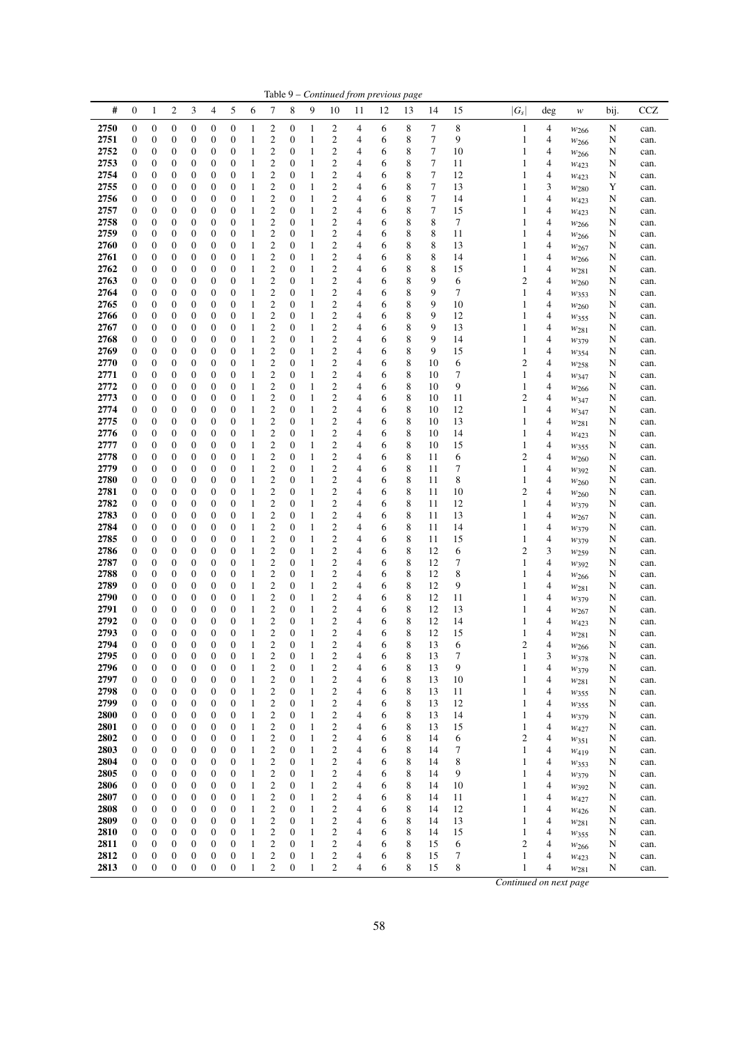|              |                                      |                                      |                       |                       |                                      |                                      |                   |                                      |                                      |                   |                                                    |                | Table 9 - Continued from previous page |        |          |          |                        |        |                        |        |              |
|--------------|--------------------------------------|--------------------------------------|-----------------------|-----------------------|--------------------------------------|--------------------------------------|-------------------|--------------------------------------|--------------------------------------|-------------------|----------------------------------------------------|----------------|----------------------------------------|--------|----------|----------|------------------------|--------|------------------------|--------|--------------|
| #            | $\mathbf{0}$                         | $\mathbf{1}$                         | $\overline{c}$        | 3                     | 4                                    | 5                                    | 6                 | 7                                    | 8                                    | 9                 | 10                                                 | 11             | 12                                     | 13     | 14       | 15       | $ G_s $                | deg    | w                      | bij.   | <b>CCZ</b>   |
| 2750         | $\boldsymbol{0}$                     | $\boldsymbol{0}$                     | 0                     | 0                     | $\boldsymbol{0}$                     | $\boldsymbol{0}$                     | 1                 | 2                                    | 0                                    | 1                 | 2                                                  | 4              | 6                                      | 8      | 7        | 8        | $\mathbf{1}$           | 4      | $w_{266}$              | N      | can.         |
| 2751         | $\boldsymbol{0}$                     | 0                                    | 0                     | 0                     | $\boldsymbol{0}$                     | $\boldsymbol{0}$                     | 1                 | 2                                    | 0                                    | $\mathbf{1}$      | 2                                                  | 4              | 6                                      | 8      | 7        | 9        | 1                      | 4      | $w_{266}$              | N      | can.         |
| 2752         | $\boldsymbol{0}$                     | $\boldsymbol{0}$                     | 0                     | 0                     | $\boldsymbol{0}$                     | $\boldsymbol{0}$                     | 1                 | $\mathfrak{2}$                       | $\boldsymbol{0}$                     | 1                 | 2                                                  | 4              | 6                                      | 8      | 7        | 10       | 1                      | 4      | W266                   | N      | can.         |
| 2753<br>2754 | $\boldsymbol{0}$<br>$\boldsymbol{0}$ | $\boldsymbol{0}$<br>0                | 0<br>0                | 0<br>0                | $\boldsymbol{0}$<br>$\boldsymbol{0}$ | $\boldsymbol{0}$<br>$\mathbf{0}$     | 1<br>1            | 2<br>2                               | 0<br>$\boldsymbol{0}$                | 1<br>$\mathbf{1}$ | 2<br>2                                             | 4<br>4         | 6<br>6                                 | 8<br>8 | 7<br>7   | 11<br>12 | 1<br>1                 | 4<br>4 | W423                   | N      | can.         |
| 2755         | $\boldsymbol{0}$                     | 0                                    | 0                     | 0                     | $\mathbf{0}$                         | $\boldsymbol{0}$                     | 1                 | 2                                    | $\mathbf{0}$                         | 1                 | 2                                                  | 4              | 6                                      | 8      | 7        | 13       | 1                      | 3      | $W_{423}$<br>$w_{280}$ | N<br>Y | can.<br>can. |
| 2756         | $\mathbf{0}$                         | 0                                    | 0                     | 0                     | $\boldsymbol{0}$                     | $\boldsymbol{0}$                     | 1                 | $\mathfrak{2}$                       | $\boldsymbol{0}$                     | $\mathbf{1}$      | $\overline{\mathbf{c}}$                            | 4              | 6                                      | 8      | 7        | 14       | 1                      | 4      | W423                   | N      | can.         |
| 2757         | $\boldsymbol{0}$                     | 0                                    | 0                     | 0                     | $\boldsymbol{0}$                     | $\boldsymbol{0}$                     | 1                 | 2                                    | 0                                    | 1                 | $\overline{\mathbf{c}}$                            | 4              | 6                                      | 8      | 7        | 15       | 1                      | 4      | W423                   | N      | can.         |
| 2758         | $\boldsymbol{0}$                     | $\boldsymbol{0}$                     | 0                     | 0                     | $\boldsymbol{0}$                     | $\boldsymbol{0}$                     | 1                 | 2                                    | $\mathbf{0}$                         | 1                 | 2                                                  | 4              | 6                                      | 8      | 8        | 7        | 1                      | 4      | $w_{266}$              | N      | can.         |
| 2759         | $\mathbf{0}$                         | $\boldsymbol{0}$                     | 0                     | 0                     | $\boldsymbol{0}$                     | $\boldsymbol{0}$                     | 1                 | $\mathfrak{2}$                       | $\boldsymbol{0}$                     | 1                 | $\mathbf{c}$                                       | $\overline{4}$ | 6                                      | 8      | 8        | 11       | 1                      | 4      | $w_{266}$              | N      | can.         |
| 2760         | $\boldsymbol{0}$                     | 0                                    | 0                     | 0                     | $\boldsymbol{0}$                     | $\boldsymbol{0}$                     | 1                 | 2                                    | $\boldsymbol{0}$                     | $\mathbf{1}$      | 2                                                  | 4              | 6                                      | 8      | 8        | 13       | 1                      | 4      | W267                   | N      | can.         |
| 2761<br>2762 | $\boldsymbol{0}$<br>$\mathbf{0}$     | 0<br>0                               | 0<br>0                | 0<br>0                | $\boldsymbol{0}$<br>$\boldsymbol{0}$ | $\boldsymbol{0}$<br>$\boldsymbol{0}$ | 1<br>1            | $\overline{c}$<br>$\mathfrak{2}$     | $\boldsymbol{0}$<br>$\mathbf{0}$     | 1<br>1            | $\overline{\mathbf{c}}$<br>$\overline{\mathbf{c}}$ | 4<br>4         | 6<br>6                                 | 8<br>8 | 8<br>8   | 14<br>15 | 1<br>1                 | 4<br>4 | W266                   | N<br>N | can.<br>can. |
| 2763         | $\mathbf{0}$                         | 0                                    | 0                     | 0                     | $\mathbf{0}$                         | $\boldsymbol{0}$                     | 1                 | $\mathfrak{2}$                       | $\boldsymbol{0}$                     | 1                 | $\overline{\mathbf{c}}$                            | 4              | 6                                      | 8      | 9        | 6        | 2                      | 4      | $w_{281}$<br>$w_{260}$ | N      | can.         |
| 2764         | $\mathbf{0}$                         | $\boldsymbol{0}$                     | 0                     | 0                     | $\boldsymbol{0}$                     | $\boldsymbol{0}$                     | 1                 | $\boldsymbol{2}$                     | 0                                    | $\mathbf{1}$      | 2                                                  | 4              | 6                                      | 8      | 9        | 7        | 1                      | 4      | W353                   | N      | can.         |
| 2765         | $\mathbf{0}$                         | $\boldsymbol{0}$                     | 0                     | 0                     | $\boldsymbol{0}$                     | $\boldsymbol{0}$                     | 1                 | $\boldsymbol{2}$                     | $\boldsymbol{0}$                     | 1                 | 2                                                  | 4              | 6                                      | 8      | 9        | 10       | 1                      | 4      | W <sub>260</sub>       | N      | can.         |
| 2766         | $\boldsymbol{0}$                     | 0                                    | 0                     | 0                     | $\boldsymbol{0}$                     | $\boldsymbol{0}$                     | 1                 | $\mathfrak{2}$                       | $\boldsymbol{0}$                     | $\mathbf{1}$      | 2                                                  | 4              | 6                                      | 8      | 9        | 12       | 1                      | 4      | $w_{355}$              | N      | can.         |
| 2767         | 0                                    | 0                                    | 0                     | 0                     | $\boldsymbol{0}$                     | $\boldsymbol{0}$                     | 1                 | 2                                    | 0                                    | $\mathbf{1}$      | 2                                                  | 4              | 6                                      | 8      | 9        | 13       | 1                      | 4      | $w_{281}$              | N      | can.         |
| 2768<br>2769 | $\mathbf{0}$<br>$\mathbf{0}$         | 0<br>0                               | 0<br>0                | 0<br>0                | $\boldsymbol{0}$<br>$\mathbf{0}$     | $\boldsymbol{0}$<br>$\boldsymbol{0}$ | 1<br>1            | $\overline{c}$<br>2                  | $\boldsymbol{0}$<br>$\boldsymbol{0}$ | 1<br>1            | $\overline{\mathbf{c}}$<br>$\boldsymbol{2}$        | 4<br>4         | 6                                      | 8<br>8 | 9<br>9   | 14<br>15 | 1                      | 4<br>4 | W379                   | N      | can.         |
| 2770         | $\boldsymbol{0}$                     | 0                                    | 0                     | 0                     | $\boldsymbol{0}$                     | $\boldsymbol{0}$                     | 1                 | 2                                    | 0                                    | $\mathbf{1}$      | 2                                                  | 4              | 6<br>6                                 | 8      | 10       | 6        | 1<br>2                 | 4      | W354<br>$w_{258}$      | N<br>N | can.<br>can. |
| 2771         | $\boldsymbol{0}$                     | $\boldsymbol{0}$                     | 0                     | 0                     | $\boldsymbol{0}$                     | $\boldsymbol{0}$                     | 1                 | 2                                    | 0                                    | 1                 | 2                                                  | 4              | 6                                      | 8      | 10       | 7        | 1                      | 4      | $w_{347}$              | N      | can.         |
| 2772         | $\boldsymbol{0}$                     | 0                                    | 0                     | 0                     | $\boldsymbol{0}$                     | $\boldsymbol{0}$                     | 1                 | 2                                    | 0                                    | 1                 | 2                                                  | 4              | 6                                      | 8      | 10       | 9        | 1                      | 4      | W266                   | N      | can.         |
| 2773         | $\boldsymbol{0}$                     | 0                                    | 0                     | 0                     | $\boldsymbol{0}$                     | $\mathbf{0}$                         | 1                 | 2                                    | $\boldsymbol{0}$                     | $\mathbf{1}$      | 2                                                  | 4              | 6                                      | 8      | 10       | 11       | 2                      | 4      | W347                   | N      | can.         |
| 2774         | $\boldsymbol{0}$                     | 0                                    | 0                     | 0                     | $\boldsymbol{0}$                     | $\boldsymbol{0}$                     | 1                 | 2                                    | $\mathbf{0}$                         | 1                 | 2                                                  | 4              | 6                                      | 8      | 10       | 12       | 1                      | 4      | W347                   | N      | can.         |
| 2775         | $\boldsymbol{0}$                     | 0                                    | 0                     | 0                     | $\boldsymbol{0}$                     | $\boldsymbol{0}$                     | 1                 | $\overline{c}$                       | $\boldsymbol{0}$                     | 1                 | $\overline{\mathbf{c}}$                            | 4              | 6                                      | 8      | 10       | 13       | 1                      | 4      | $w_{281}$              | N      | can.         |
| 2776<br>2777 | $\boldsymbol{0}$<br>$\boldsymbol{0}$ | 0<br>$\boldsymbol{0}$                | 0<br>0                | 0<br>0                | $\boldsymbol{0}$<br>$\boldsymbol{0}$ | $\boldsymbol{0}$<br>$\boldsymbol{0}$ | 1<br>1            | 2<br>2                               | $\boldsymbol{0}$<br>$\mathbf{0}$     | 1<br>1            | $\overline{\mathbf{c}}$<br>2                       | 4<br>4         | 6<br>6                                 | 8<br>8 | 10<br>10 | 14<br>15 | 1<br>1                 | 4<br>4 | W423                   | N<br>N | can.<br>can. |
| 2778         | $\boldsymbol{0}$                     | $\boldsymbol{0}$                     | 0                     | 0                     | $\boldsymbol{0}$                     | $\boldsymbol{0}$                     | 1                 | $\mathfrak{2}$                       | $\boldsymbol{0}$                     | 1                 | $\mathbf{c}$                                       | $\overline{4}$ | 6                                      | 8      | 11       | 6        | $\overline{c}$         | 4      | W355<br>$w_{260}$      | N      | can.         |
| 2779         | $\boldsymbol{0}$                     | 0                                    | 0                     | 0                     | $\mathbf{0}$                         | $\boldsymbol{0}$                     | 1                 | $\mathfrak{2}$                       | 0                                    | 1                 | 2                                                  | 4              | 6                                      | 8      | 11       | 7        | 1                      | 4      | $w_{392}$              | N      | can.         |
| 2780         | $\boldsymbol{0}$                     | 0                                    | 0                     | 0                     | $\boldsymbol{0}$                     | $\boldsymbol{0}$                     | 1                 | $\overline{c}$                       | $\boldsymbol{0}$                     | 1                 | $\overline{\mathbf{c}}$                            | 4              | 6                                      | 8      | 11       | 8        | 1                      | 4      | W <sub>260</sub>       | N      | can.         |
| 2781         | $\mathbf{0}$                         | 0                                    | 0                     | 0                     | $\mathbf{0}$                         | $\boldsymbol{0}$                     | 1                 | $\boldsymbol{2}$                     | $\mathbf{0}$                         | 1                 | $\overline{\mathbf{c}}$                            | 4              | 6                                      | 8      | 11       | 10       | $\overline{c}$         | 4      | W <sub>260</sub>       | N      | can.         |
| 2782         | $\mathbf{0}$                         | 0                                    | $\boldsymbol{0}$      | 0                     | $\boldsymbol{0}$                     | $\boldsymbol{0}$                     | 1                 | $\overline{c}$                       | $\boldsymbol{0}$                     | 1                 | $\overline{\mathbf{c}}$                            | 4              | 6                                      | 8      | 11       | 12       | 1                      | 4      | W379                   | N      | can.         |
| 2783<br>2784 | $\boldsymbol{0}$<br>$\mathbf{0}$     | 0<br>$\boldsymbol{0}$                | 0<br>0                | 0<br>0                | $\boldsymbol{0}$<br>$\boldsymbol{0}$ | $\boldsymbol{0}$<br>$\boldsymbol{0}$ | 1<br>1            | $\boldsymbol{2}$<br>$\boldsymbol{2}$ | 0<br>$\boldsymbol{0}$                | 1<br>$\mathbf{1}$ | 2<br>2                                             | 4<br>4         | 6<br>6                                 | 8<br>8 | 11<br>11 | 13<br>14 | 1<br>1                 | 4<br>4 | $w_{267}$              | N<br>N | can.         |
| 2785         | $\mathbf{0}$                         | 0                                    | 0                     | 0                     | $\boldsymbol{0}$                     | $\boldsymbol{0}$                     | 1                 | $\overline{c}$                       | $\boldsymbol{0}$                     | 1                 | 2                                                  | 4              | 6                                      | 8      | 11       | 15       | 1                      | 4      | W379<br>W379           | N      | can.<br>can. |
| 2786         | $\boldsymbol{0}$                     | 0                                    | 0                     | 0                     | $\boldsymbol{0}$                     | $\boldsymbol{0}$                     | 1                 | 2                                    | $\mathbf{0}$                         | $\mathbf{1}$      | 2                                                  | 4              | 6                                      | 8      | 12       | 6        | 2                      | 3      | W <sub>259</sub>       | N      | can.         |
| 2787         | $\boldsymbol{0}$                     | 0                                    | 0                     | 0                     | $\boldsymbol{0}$                     | $\boldsymbol{0}$                     | 1                 | $\mathfrak{2}$                       | $\boldsymbol{0}$                     | $\mathbf{1}$      | 2                                                  | 4              | 6                                      | 8      | 12       | 7        | 1                      | 4      | $W_392$                | N      | can.         |
| 2788         | $\mathbf{0}$                         | 0                                    | 0                     | 0                     | $\boldsymbol{0}$                     | $\boldsymbol{0}$                     | 1                 | 2                                    | $\boldsymbol{0}$                     | 1                 | $\boldsymbol{2}$                                   | 4              | 6                                      | 8      | 12       | 8        | 1                      | 4      | W <sub>266</sub>       | N      | can.         |
| 2789         | $\boldsymbol{0}$                     | 0                                    | 0                     | 0                     | $\boldsymbol{0}$                     | $\boldsymbol{0}$                     | 1                 | 2                                    | 0                                    | $\mathbf{1}$      | 2                                                  | 4              | 6                                      | 8      | 12       | 9        | 1                      | 4      | W281                   | N      | can.         |
| 2790<br>2791 | $\boldsymbol{0}$<br>$\boldsymbol{0}$ | $\boldsymbol{0}$<br>0                | 0<br>0                | 0<br>0                | $\boldsymbol{0}$<br>$\boldsymbol{0}$ | $\boldsymbol{0}$<br>$\boldsymbol{0}$ | 1<br>1            | 2<br>2                               | 0<br>0                               | 1<br>1            | 2<br>2                                             | 4<br>4         | 6<br>6                                 | 8<br>8 | 12<br>12 | 11<br>13 | 1<br>1                 | 4<br>4 | W379                   | N<br>N | can.<br>can. |
| 2792         | $\boldsymbol{0}$                     | $\mathbf{0}$                         | 0                     | $\boldsymbol{0}$      | $\boldsymbol{0}$                     | $\mathbf{0}$                         | 1                 | $\overline{\mathbf{c}}$              | $\boldsymbol{0}$                     | $\mathbf{1}$      | $\overline{\mathbf{c}}$                            | $\overline{4}$ | 6                                      | 8      | 12       | 14       | 1                      | 4      | $w_{267}$<br>W423      | N      | can.         |
| 2793         | $\mathbf{0}$                         | $\overline{0}$                       | 0                     | $\boldsymbol{0}$      | $\boldsymbol{0}$                     | $\mathbf{0}$                         | 1                 | $\mathfrak{2}$                       | $\overline{0}$                       | $\mathbf{1}$      | $\overline{c}$                                     | 4              | 6                                      | 8      | 12       | 15       | 1                      | 4      | W281                   | N      | can.         |
| 2794         | $\boldsymbol{0}$                     | $\mathbf{0}$                         | $\boldsymbol{0}$      | $\boldsymbol{0}$      | $\boldsymbol{0}$                     | $\mathbf{0}$                         | $\mathbf{1}$      | $\mathbf{2}$                         | $\boldsymbol{0}$                     | 1                 | $\overline{\mathbf{c}}$                            | 4              | 6                                      | 8      | 13       | 6        | $\overline{c}$         | 4      | $w_{266}$              | N      | can.         |
| 2795         | $\boldsymbol{0}$                     | $\boldsymbol{0}$                     | 0                     | $\boldsymbol{0}$      | $\boldsymbol{0}$                     | $\boldsymbol{0}$                     | 1                 | 2                                    | $\mathbf{0}$                         | 1                 | 2                                                  | 4              | 6                                      | 8      | 13       | 7        | 1                      | 3      | $w_{378}$              | N      | can.         |
| 2796         | $\boldsymbol{0}$                     | $\boldsymbol{0}$                     | $\boldsymbol{0}$      | $\boldsymbol{0}$      | $\boldsymbol{0}$                     | $\boldsymbol{0}$                     | 1                 | $\boldsymbol{2}$                     | $\boldsymbol{0}$                     | 1                 | 2                                                  | 4              | 6                                      | 8      | 13       | 9        | 1                      | 4      | W379                   | N      | can.         |
| 2797<br>2798 | $\boldsymbol{0}$<br>$\boldsymbol{0}$ | $\boldsymbol{0}$<br>$\boldsymbol{0}$ | 0<br>0                | $\boldsymbol{0}$<br>0 | $\boldsymbol{0}$<br>$\boldsymbol{0}$ | $\mathbf{0}$<br>$\boldsymbol{0}$     | 1<br>1            | $\mathfrak{2}$<br>$\boldsymbol{2}$   | $\boldsymbol{0}$<br>$\boldsymbol{0}$ | 1<br>1            | 2<br>2                                             | 4<br>4         | 6<br>6                                 | 8<br>8 | 13<br>13 | 10<br>11 | 1<br>1                 | 4<br>4 | W281                   | N<br>N | can.<br>can. |
| 2799         | $\boldsymbol{0}$                     | $\boldsymbol{0}$                     | 0                     | 0                     | $\boldsymbol{0}$                     | $\boldsymbol{0}$                     | $\mathbf{1}$      | $\boldsymbol{2}$                     | $\boldsymbol{0}$                     | 1                 | 2                                                  | 4              | 6                                      | 8      | 13       | 12       | 1                      | 4      | $w_{355}$<br>$w_{355}$ | N      | can.         |
| 2800         | $\mathbf{0}$                         | 0                                    | 0                     | 0                     | $\boldsymbol{0}$                     | $\boldsymbol{0}$                     | 1                 | $\boldsymbol{2}$                     | $\boldsymbol{0}$                     | 1                 | 2                                                  | 4              | 6                                      | 8      | 13       | 14       | 1                      | 4      | W379                   | N      | can.         |
| 2801         | $\boldsymbol{0}$                     | $\boldsymbol{0}$                     | 0                     | $\boldsymbol{0}$      | $\boldsymbol{0}$                     | $\boldsymbol{0}$                     | 1                 | $\mathfrak{2}$                       | $\boldsymbol{0}$                     | 1                 | 2                                                  | 4              | 6                                      | 8      | 13       | 15       | 1                      | 4      | W427                   | N      | can.         |
| 2802         | $\boldsymbol{0}$                     | $\boldsymbol{0}$                     | 0                     | 0                     | $\boldsymbol{0}$                     | $\boldsymbol{0}$                     | 1                 | 2                                    | 0                                    | 1                 | 2                                                  | 4              | 6                                      | 8      | 14       | 6        | $\mathbf{2}$           | 4      | $w_{351}$              | N      | can.         |
| 2803         | $\mathbf{0}$                         | $\boldsymbol{0}$                     | 0                     | $\boldsymbol{0}$      | $\boldsymbol{0}$                     | $\boldsymbol{0}$                     | 1                 | $\boldsymbol{2}$                     | $\boldsymbol{0}$                     | 1                 | 2                                                  | 4              | 6                                      | 8      | 14       | 7        | 1                      | 4      | $W_{419}$              | N      | can.         |
| 2804<br>2805 | $\boldsymbol{0}$<br>$\boldsymbol{0}$ | $\boldsymbol{0}$<br>0                | 0<br>0                | $\boldsymbol{0}$<br>0 | $\boldsymbol{0}$<br>$\boldsymbol{0}$ | $\boldsymbol{0}$<br>$\boldsymbol{0}$ | 1<br>$\mathbf{1}$ | $\mathfrak{2}$<br>2                  | $\boldsymbol{0}$<br>$\boldsymbol{0}$ | 1<br>1            | 2<br>2                                             | 4<br>4         | 6<br>6                                 | 8<br>8 | 14<br>14 | 8<br>9   | 1<br>1                 | 4<br>4 | W353                   | N<br>N | can.         |
| 2806         | $\boldsymbol{0}$                     | $\boldsymbol{0}$                     | 0                     | 0                     | $\boldsymbol{0}$                     | $\boldsymbol{0}$                     | $\mathbf{1}$      | $\boldsymbol{2}$                     | $\boldsymbol{0}$                     | 1                 | 2                                                  | 4              | 6                                      | 8      | 14       | 10       | 1                      | 4      | W379<br>W392           | N      | can.<br>can. |
| 2807         | $\mathbf{0}$                         | $\boldsymbol{0}$                     | 0                     | 0                     | $\boldsymbol{0}$                     | $\boldsymbol{0}$                     | 1                 | 2                                    | $\boldsymbol{0}$                     | 1                 | 2                                                  | 4              | 6                                      | 8      | 14       | 11       | 1                      | 4      | $w_{427}$              | N      | can.         |
| 2808         | $\boldsymbol{0}$                     | $\boldsymbol{0}$                     | 0                     | $\boldsymbol{0}$      | $\boldsymbol{0}$                     | $\boldsymbol{0}$                     | 1                 | $\boldsymbol{2}$                     | $\boldsymbol{0}$                     | 1                 | 2                                                  | 4              | 6                                      | 8      | 14       | 12       | 1                      | 4      | W426                   | N      | can.         |
| 2809         | $\boldsymbol{0}$                     | $\boldsymbol{0}$                     | 0                     | $\boldsymbol{0}$      | $\boldsymbol{0}$                     | $\boldsymbol{0}$                     | 1                 | $\boldsymbol{2}$                     | $\boldsymbol{0}$                     | 1                 | 2                                                  | 4              | 6                                      | 8      | 14       | 13       | 1                      | 4      | W281                   | N      | can.         |
| 2810         | $\boldsymbol{0}$                     | $\boldsymbol{0}$                     | 0                     | $\boldsymbol{0}$      | $\boldsymbol{0}$                     | $\boldsymbol{0}$                     | 1                 | 2                                    | 0                                    | 1                 | 2                                                  | 4              | 6                                      | 8      | 14       | 15       | 1                      | 4      | $w_{355}$              | N      | can.         |
| 2811         | $\boldsymbol{0}$                     | $\boldsymbol{0}$                     | 0                     | $\boldsymbol{0}$      | $\boldsymbol{0}$                     | $\boldsymbol{0}$                     | $\mathbf{1}$      | $\boldsymbol{2}$                     | $\boldsymbol{0}$                     | 1                 | 2                                                  | 4              | 6                                      | 8      | 15       | 6        | 2                      | 4      | $w_{266}$              | N      | can.         |
| 2812<br>2813 | $\mathbf{0}$<br>$\boldsymbol{0}$     | $\boldsymbol{0}$<br>$\boldsymbol{0}$ | 0<br>$\boldsymbol{0}$ | 0<br>$\boldsymbol{0}$ | $\boldsymbol{0}$<br>$\boldsymbol{0}$ | $\boldsymbol{0}$<br>$\boldsymbol{0}$ | 1<br>$\mathbf{1}$ | 2<br>$\overline{c}$                  | 0<br>$\boldsymbol{0}$                | 1<br>1            | 2<br>2                                             | 4<br>4         | 6<br>6                                 | 8<br>8 | 15<br>15 | 7<br>8   | 1<br>1                 | 4<br>4 | W423<br>W281           | N<br>N | can.<br>can. |
|              |                                      |                                      |                       |                       |                                      |                                      |                   |                                      |                                      |                   |                                                    |                |                                        |        |          |          | Continued on next page |        |                        |        |              |
|              |                                      |                                      |                       |                       |                                      |                                      |                   |                                      |                                      |                   |                                                    |                |                                        |        |          |          |                        |        |                        |        |              |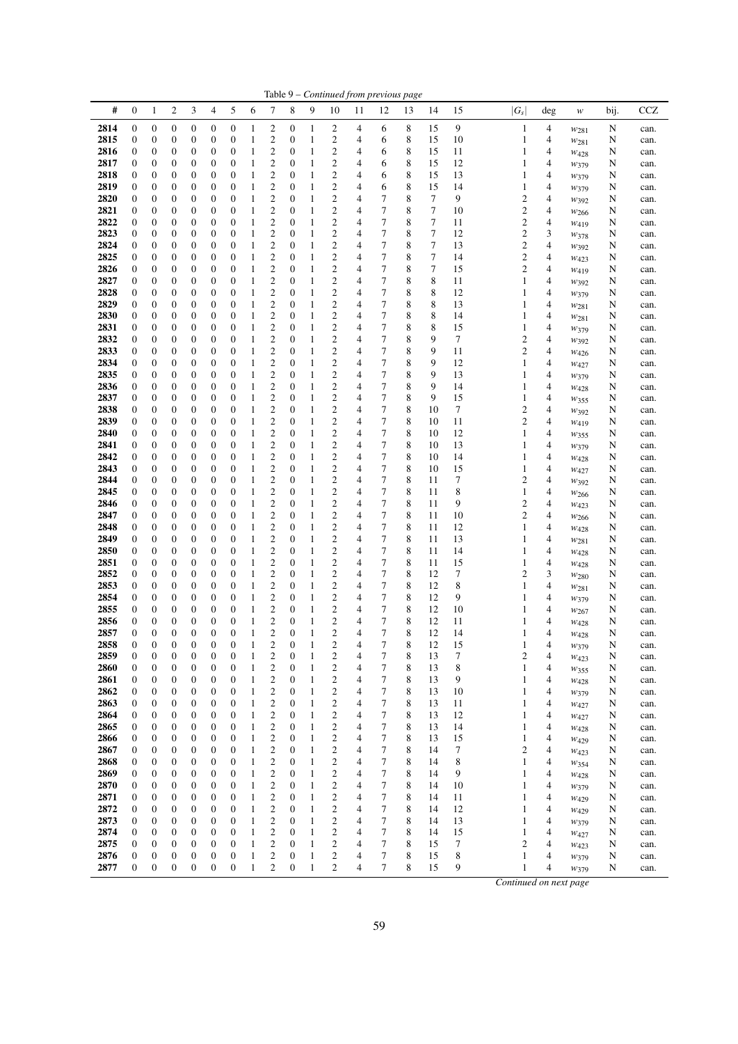|              |                                      |                                      |                                      |                                      |                                      |                                      |                              |                                           |                                      |                   |                                                    |        | Table 9 - Continued from previous page |                  |                  |          |                                  |        |                   |        |              |
|--------------|--------------------------------------|--------------------------------------|--------------------------------------|--------------------------------------|--------------------------------------|--------------------------------------|------------------------------|-------------------------------------------|--------------------------------------|-------------------|----------------------------------------------------|--------|----------------------------------------|------------------|------------------|----------|----------------------------------|--------|-------------------|--------|--------------|
| #            | $\boldsymbol{0}$                     | 1                                    | 2                                    | 3                                    | 4                                    | 5                                    | 6                            | 7                                         | 8                                    | 9                 | 10                                                 | 11     | 12                                     | 13               | 14               | 15       | $ G_s $                          | deg    | w                 | bij.   | <b>CCZ</b>   |
| 2814         | 0                                    | $\boldsymbol{0}$                     | 0                                    | $\boldsymbol{0}$                     | 0                                    | $\boldsymbol{0}$                     | 1                            | 2                                         | 0                                    | 1                 | 2                                                  | 4      | 6                                      | 8                | 15               | 9        | $\mathbf{1}$                     | 4      | $w_{281}$         | N      | can.         |
| 2815         | 0                                    | $\boldsymbol{0}$                     | 0                                    | $\boldsymbol{0}$                     | 0                                    | $\boldsymbol{0}$                     | 1                            | $\overline{\mathbf{c}}$                   | 0                                    | $\mathbf{1}$      | 2                                                  | 4      | 6                                      | 8                | 15               | 10       | 1                                | 4      | $w_{281}$         | N      | can.         |
| 2816         | 0                                    | 0                                    | 0                                    | 0                                    | 0                                    | $\boldsymbol{0}$                     | 1                            | $\overline{c}$                            | 0                                    | $\mathbf{1}$      | $\overline{\mathbf{c}}$                            | 4      | 6                                      | 8                | 15               | 11       | 1                                | 4      | W428              | N      | can.         |
| 2817<br>2818 | 0<br>$\boldsymbol{0}$                | $\boldsymbol{0}$<br>$\boldsymbol{0}$ | 0<br>0                               | $\boldsymbol{0}$<br>0                | $\boldsymbol{0}$<br>$\boldsymbol{0}$ | $\boldsymbol{0}$<br>$\boldsymbol{0}$ | 1<br>1                       | $\overline{\mathbf{c}}$<br>$\overline{c}$ | $\boldsymbol{0}$<br>$\boldsymbol{0}$ | 1<br>$\mathbf{1}$ | $\overline{\mathbf{c}}$<br>$\overline{\mathbf{c}}$ | 4<br>4 | 6<br>6                                 | 8<br>8           | 15<br>15         | 12<br>13 | 1<br>1                           | 4<br>4 | W379              | N<br>N | can.         |
| 2819         | $\mathbf{0}$                         | $\boldsymbol{0}$                     | 0                                    | $\boldsymbol{0}$                     | $\boldsymbol{0}$                     | $\boldsymbol{0}$                     | 1                            | $\overline{\mathbf{c}}$                   | $\boldsymbol{0}$                     | 1                 | $\overline{\mathbf{c}}$                            | 4      | 6                                      | 8                | 15               | 14       | 1                                | 4      | W379<br>W379      | N      | can.<br>can. |
| 2820         | $\boldsymbol{0}$                     | $\boldsymbol{0}$                     | 0                                    | $\boldsymbol{0}$                     | $\boldsymbol{0}$                     | $\boldsymbol{0}$                     | 1                            | $\overline{c}$                            | $\boldsymbol{0}$                     | 1                 | $\overline{c}$                                     | 4      | 7                                      | 8                | 7                | 9        | $\overline{c}$                   | 4      | W392              | N      | can.         |
| 2821         | 0                                    | $\boldsymbol{0}$                     | 0                                    | $\boldsymbol{0}$                     | 0                                    | $\boldsymbol{0}$                     | $\mathbf{1}$                 | $\overline{\mathbf{c}}$                   | 0                                    | 1                 | $\overline{\mathbf{c}}$                            | 4      | 7                                      | 8                | 7                | 10       | $\overline{c}$                   | 4      | W <sub>266</sub>  | N      | can.         |
| 2822         | $\boldsymbol{0}$                     | $\boldsymbol{0}$                     | $\mathbf{0}$                         | $\boldsymbol{0}$                     | 0                                    | $\boldsymbol{0}$                     | $\mathbf{1}$                 | $\overline{c}$                            | $\boldsymbol{0}$                     | 1                 | $\overline{c}$                                     | 4      | 7                                      | 8                | 7                | 11       | $\overline{c}$                   | 4      | $w_{419}$         | N      | can.         |
| 2823         | $\boldsymbol{0}$                     | $\boldsymbol{0}$                     | 0                                    | $\boldsymbol{0}$                     | 0                                    | $\boldsymbol{0}$                     | 1                            | $\overline{c}$                            | 0                                    | 1                 | $\overline{c}$                                     | 4      | 7                                      | 8                | $\tau$           | 12       | $\overline{c}$                   | 3      | $w_{378}$         | N      | can.         |
| 2824<br>2825 | $\boldsymbol{0}$<br>$\mathbf{0}$     | $\boldsymbol{0}$<br>$\boldsymbol{0}$ | 0<br>0                               | $\boldsymbol{0}$<br>0                | $\boldsymbol{0}$<br>0                | $\boldsymbol{0}$<br>$\boldsymbol{0}$ | 1<br>1                       | $\overline{\mathbf{c}}$<br>$\overline{c}$ | $\boldsymbol{0}$<br>$\boldsymbol{0}$ | 1<br>$\mathbf{1}$ | $\overline{\mathbf{c}}$<br>$\overline{\mathbf{c}}$ | 4<br>4 | 7<br>$\overline{7}$                    | 8<br>8           | 7<br>7           | 13<br>14 | $\overline{c}$<br>$\overline{c}$ | 4<br>4 | W392              | N<br>N | can.         |
| 2826         | $\boldsymbol{0}$                     | $\boldsymbol{0}$                     | 0                                    | $\boldsymbol{0}$                     | 0                                    | $\boldsymbol{0}$                     | 1                            | $\overline{\mathbf{c}}$                   | $\boldsymbol{0}$                     | 1                 | $\overline{c}$                                     | 4      | 7                                      | 8                | $\boldsymbol{7}$ | 15       | $\overline{c}$                   | 4      | W423<br>$w_{419}$ | N      | can.<br>can. |
| 2827         | $\boldsymbol{0}$                     | $\boldsymbol{0}$                     | 0                                    | $\boldsymbol{0}$                     | 0                                    | $\boldsymbol{0}$                     | 1                            | $\overline{\mathbf{c}}$                   | $\boldsymbol{0}$                     | $\mathbf{1}$      | $\overline{\mathbf{c}}$                            | 4      | $\overline{7}$                         | 8                | 8                | 11       | 1                                | 4      | $w_{392}$         | N      | can.         |
| 2828         | 0                                    | $\boldsymbol{0}$                     | 0                                    | $\boldsymbol{0}$                     | 0                                    | $\boldsymbol{0}$                     | 1                            | $\overline{\mathbf{c}}$                   | 0                                    | 1                 | $\overline{\mathbf{c}}$                            | 4      | 7                                      | 8                | 8                | 12       | 1                                | 4      | W379              | N      | can.         |
| 2829         | 0                                    | $\boldsymbol{0}$                     | 0                                    | $\boldsymbol{0}$                     | 0                                    | $\boldsymbol{0}$                     | 1                            | $\overline{\mathbf{c}}$                   | 0                                    | 1                 | $\overline{\mathbf{c}}$                            | 4      | 7                                      | 8                | 8                | 13       | 1                                | 4      | W281              | N      | can.         |
| 2830         | 0                                    | $\boldsymbol{0}$                     | 0                                    | $\boldsymbol{0}$                     | 0                                    | $\boldsymbol{0}$                     | 1                            | $\overline{c}$                            | $\boldsymbol{0}$                     | 1                 | $\overline{c}$                                     | 4      | 7                                      | 8                | 8                | 14       | 1                                | 4      | $w_{281}$         | N      | can.         |
| 2831<br>2832 | $\boldsymbol{0}$<br>$\boldsymbol{0}$ | $\boldsymbol{0}$                     | 0<br>$\overline{0}$                  | 0<br>$\boldsymbol{0}$                | 0<br>$\boldsymbol{0}$                | $\boldsymbol{0}$<br>$\boldsymbol{0}$ | $\mathbf{1}$<br>$\mathbf{1}$ | $\overline{\mathbf{c}}$<br>$\overline{c}$ | $\boldsymbol{0}$<br>$\boldsymbol{0}$ | 1                 | $\overline{\mathbf{c}}$<br>$\overline{c}$          | 4<br>4 | 7<br>7                                 | 8<br>8           | 8<br>9           | 15<br>7  | 1<br>$\overline{c}$              | 4<br>4 | W379              | N      | can.         |
| 2833         | $\boldsymbol{0}$                     | $\boldsymbol{0}$<br>$\boldsymbol{0}$ | 0                                    | $\boldsymbol{0}$                     | 0                                    | $\boldsymbol{0}$                     | 1                            | $\overline{\mathbf{c}}$                   | $\boldsymbol{0}$                     | $\mathbf{1}$<br>1 | $\overline{c}$                                     | 4      | 7                                      | 8                | 9                | 11       | $\overline{c}$                   | 4      | W392<br>W426      | N<br>N | can.<br>can. |
| 2834         | 0                                    | $\boldsymbol{0}$                     | 0                                    | $\boldsymbol{0}$                     | 0                                    | $\boldsymbol{0}$                     | $\mathbf{1}$                 | $\overline{\mathbf{c}}$                   | 0                                    | $\mathbf{1}$      | $\overline{\mathbf{c}}$                            | 4      | $\overline{7}$                         | 8                | 9                | 12       | 1                                | 4      | $W_{427}$         | N      | can.         |
| 2835         | 0                                    | $\boldsymbol{0}$                     | 0                                    | $\boldsymbol{0}$                     | 0                                    | $\boldsymbol{0}$                     | 1                            | $\overline{c}$                            | 0                                    | 1                 | $\overline{c}$                                     | 4      | 7                                      | 8                | 9                | 13       | 1                                | 4      | W379              | N      | can.         |
| 2836         | $\boldsymbol{0}$                     | $\boldsymbol{0}$                     | 0                                    | $\boldsymbol{0}$                     | $\boldsymbol{0}$                     | $\boldsymbol{0}$                     | 1                            | $\overline{c}$                            | $\boldsymbol{0}$                     | 1                 | $\overline{c}$                                     | 4      | 7                                      | 8                | 9                | 14       | 1                                | 4      | W428              | N      | can.         |
| 2837         | $\boldsymbol{0}$                     | $\boldsymbol{0}$                     | 0                                    | $\boldsymbol{0}$                     | $\boldsymbol{0}$                     | $\boldsymbol{0}$                     | 1                            | $\overline{c}$                            | $\boldsymbol{0}$                     | 1                 | $\overline{\mathbf{c}}$                            | 4      | 7                                      | 8                | 9                | 15       | 1                                | 4      | W355              | N      | can.         |
| 2838<br>2839 | $\boldsymbol{0}$<br>$\boldsymbol{0}$ | $\boldsymbol{0}$<br>$\boldsymbol{0}$ | 0<br>$\overline{0}$                  | 0<br>$\boldsymbol{0}$                | $\boldsymbol{0}$<br>0                | $\boldsymbol{0}$<br>$\boldsymbol{0}$ | 1<br>1                       | $\overline{\mathbf{c}}$<br>$\overline{c}$ | $\boldsymbol{0}$<br>$\boldsymbol{0}$ | 1<br>$\mathbf{1}$ | $\overline{\mathbf{c}}$<br>$\overline{c}$          | 4<br>4 | 7<br>7                                 | 8<br>8           | 10<br>10         | 7<br>11  | $\overline{c}$<br>$\overline{c}$ | 4<br>4 | $w_{392}$         | N      | can.         |
| 2840         | 0                                    | $\boldsymbol{0}$                     | 0                                    | $\boldsymbol{0}$                     | 0                                    | $\boldsymbol{0}$                     | 1                            | $\overline{\mathbf{c}}$                   | 0                                    | 1                 | $\overline{\mathbf{c}}$                            | 4      | 7                                      | 8                | 10               | 12       | 1                                | 4      | $w_{419}$<br>W355 | N<br>N | can.<br>can. |
| 2841         | $\boldsymbol{0}$                     | $\boldsymbol{0}$                     | $\boldsymbol{0}$                     | $\boldsymbol{0}$                     | 0                                    | $\boldsymbol{0}$                     | 1                            | $\overline{\mathbf{c}}$                   | 0                                    | 1                 | $\overline{\mathbf{c}}$                            | 4      | 7                                      | 8                | 10               | 13       | 1                                | 4      | W379              | N      | can.         |
| 2842         | 0                                    | $\boldsymbol{0}$                     | 0                                    | $\boldsymbol{0}$                     | 0                                    | $\boldsymbol{0}$                     | 1                            | $\overline{c}$                            | 0                                    | 1                 | $\overline{\mathbf{c}}$                            | 4      | 7                                      | 8                | 10               | 14       | 1                                | 4      | W428              | N      | can.         |
| 2843         | 0                                    | $\boldsymbol{0}$                     | 0                                    | $\boldsymbol{0}$                     | $\boldsymbol{0}$                     | $\boldsymbol{0}$                     | 1                            | $\overline{\mathbf{c}}$                   | 0                                    | 1                 | $\overline{\mathbf{c}}$                            | 4      | 7                                      | 8                | 10               | 15       | 1                                | 4      | $w_{427}$         | N      | can.         |
| 2844         | $\boldsymbol{0}$                     | $\boldsymbol{0}$                     | 0                                    | 0                                    | 0                                    | $\boldsymbol{0}$                     | $\mathbf{1}$                 | $\overline{\mathbf{c}}$                   | $\boldsymbol{0}$                     | $\,1$             | $\overline{\mathbf{c}}$                            | 4      | 7                                      | 8                | 11               | 7        | $\overline{c}$                   | 4      | W392              | N      | can.         |
| 2845<br>2846 | $\mathbf{0}$<br>$\boldsymbol{0}$     | $\boldsymbol{0}$<br>$\boldsymbol{0}$ | 0<br>0                               | $\boldsymbol{0}$<br>$\boldsymbol{0}$ | 0<br>$\boldsymbol{0}$                | $\boldsymbol{0}$<br>$\boldsymbol{0}$ | 1<br>1                       | $\overline{\mathbf{c}}$<br>$\overline{c}$ | $\boldsymbol{0}$<br>$\boldsymbol{0}$ | 1<br>1            | $\overline{\mathbf{c}}$<br>$\overline{c}$          | 4<br>4 | 7<br>7                                 | 8<br>$\,$ 8 $\,$ | 11<br>11         | 8<br>9   | 1<br>$\overline{c}$              | 4<br>4 | $w_{266}$         | N      | can.         |
| 2847         | 0                                    | $\boldsymbol{0}$                     | 0                                    | $\boldsymbol{0}$                     | 0                                    | $\boldsymbol{0}$                     | $\mathbf{1}$                 | $\overline{\mathbf{c}}$                   | 0                                    | 1                 | $\overline{\mathbf{c}}$                            | 4      | 7                                      | 8                | 11               | 10       | $\overline{c}$                   | 4      | W423<br>$w_{266}$ | N<br>N | can.<br>can. |
| 2848         | $\boldsymbol{0}$                     | $\boldsymbol{0}$                     | 0                                    | $\boldsymbol{0}$                     | 0                                    | $\boldsymbol{0}$                     | $\mathbf{1}$                 | $\overline{c}$                            | 0                                    | 1                 | $\overline{c}$                                     | 4      | $\overline{7}$                         | 8                | 11               | 12       | 1                                | 4      | W428              | N      | can.         |
| 2849         | $\boldsymbol{0}$                     | $\boldsymbol{0}$                     | 0                                    | $\boldsymbol{0}$                     | $\boldsymbol{0}$                     | $\boldsymbol{0}$                     | 1                            | $\overline{c}$                            | $\boldsymbol{0}$                     | 1                 | 2                                                  | 4      | 7                                      | 8                | 11               | 13       | 1                                | 4      | W281              | N      | can.         |
| 2850         | $\boldsymbol{0}$                     | $\boldsymbol{0}$                     | 0                                    | 0                                    | $\boldsymbol{0}$                     | $\boldsymbol{0}$                     | 1                            | $\overline{\mathbf{c}}$                   | $\boldsymbol{0}$                     | 1                 | $\boldsymbol{2}$                                   | 4      | 7                                      | 8                | 11               | 14       | 1                                | 4      | W428              | N      | can.         |
| 2851         | $\mathbf{0}$                         | $\boldsymbol{0}$                     | 0                                    | 0                                    | 0                                    | $\boldsymbol{0}$                     | 1                            | $\overline{c}$                            | $\boldsymbol{0}$                     | 1                 | $\overline{\mathbf{c}}$                            | 4      | 7                                      | 8                | 11               | 15       | 1                                | 4      | $w_{428}$         | N      | can.         |
| 2852<br>2853 | $\boldsymbol{0}$<br>0                | $\boldsymbol{0}$<br>$\boldsymbol{0}$ | 0<br>0                               | $\boldsymbol{0}$<br>$\boldsymbol{0}$ | 0<br>0                               | $\boldsymbol{0}$<br>$\boldsymbol{0}$ | 1<br>1                       | $\overline{c}$<br>$\overline{\mathbf{c}}$ | $\boldsymbol{0}$<br>0                | 1<br>$\mathbf{1}$ | $\overline{c}$<br>$\overline{\mathbf{c}}$          | 4<br>4 | 7<br>7                                 | 8<br>8           | 12<br>12         | 7<br>8   | $\overline{c}$<br>1              | 3<br>4 | $w_{280}$         | N<br>N | can.<br>can. |
| 2854         | 0                                    | $\boldsymbol{0}$                     | 0                                    | $\boldsymbol{0}$                     | 0                                    | $\boldsymbol{0}$                     | 1                            | $\overline{\mathbf{c}}$                   | 0                                    | $\mathbf{1}$      | $\overline{\mathbf{c}}$                            | 4      | 7                                      | 8                | 12               | 9        | 1                                | 4      | W281<br>W379      | N      | can.         |
| 2855         | $\mathbf{0}$                         | $\boldsymbol{0}$                     | 0                                    | $\boldsymbol{0}$                     | 0                                    | $\boldsymbol{0}$                     | 1                            | $\overline{\mathbf{c}}$                   | 0                                    | 1                 | $\overline{\mathbf{c}}$                            | 4      | 7                                      | 8                | 12               | 10       | 1                                | 4      | $w_{267}$         | N      | can.         |
| 2856         | $\boldsymbol{0}$                     | $\boldsymbol{0}$                     | $\overline{0}$                       | $\boldsymbol{0}$                     | $\boldsymbol{0}$                     | $\mathbf{0}$                         | 1                            | $\overline{\mathbf{c}}$                   | $\boldsymbol{0}$                     | $\mathbf{1}$      | $\overline{\mathbf{c}}$                            | 4      | 7                                      | 8                | 12               | 11       | 1                                | 4      | W428              | N      | can.         |
| 2857         | $\boldsymbol{0}$                     | $\mathbf{0}$                         | $\overline{0}$                       | $\mathbf{0}$                         | $\boldsymbol{0}$                     | $\overline{0}$                       | $\mathbf{1}$                 | 2                                         | $\overline{0}$                       | $\mathbf{1}$      | $\overline{c}$                                     | 4      | 7                                      | 8                | 12               | 14       | 1                                | 4      | W428              | N      | can.         |
| 2858         | $\boldsymbol{0}$                     | $\boldsymbol{0}$                     | $\mathbf{0}$                         | $\boldsymbol{0}$                     | $\boldsymbol{0}$                     | $\mathbf{0}$                         | $\mathbf{1}$                 | $\overline{c}$                            | $\boldsymbol{0}$                     | 1                 | $\overline{c}$                                     | 4      | 7<br>$\tau$                            | $\,$ 8 $\,$      | 12               | 15       | 1<br>$\overline{c}$              | 4<br>4 | W379              | N      | can.         |
| 2859<br>2860 | 0<br>$\boldsymbol{0}$                | $\boldsymbol{0}$<br>$\boldsymbol{0}$ | $\boldsymbol{0}$<br>$\boldsymbol{0}$ | $\boldsymbol{0}$<br>$\boldsymbol{0}$ | 0<br>$\boldsymbol{0}$                | $\boldsymbol{0}$<br>$\boldsymbol{0}$ | 1<br>1                       | 2<br>2                                    | 0<br>$\boldsymbol{0}$                | 1<br>1            | 2<br>$\overline{c}$                                | 4<br>4 | 7                                      | 8<br>8           | 13<br>13         | 7<br>8   | 1                                | 4      | $W_{423}$<br>W355 | N<br>N | can.<br>can. |
| 2861         | 0                                    | $\boldsymbol{0}$                     | $\boldsymbol{0}$                     | $\boldsymbol{0}$                     | $\boldsymbol{0}$                     | $\boldsymbol{0}$                     | $\mathbf{1}$                 | 2                                         | 0                                    | $\mathbf{1}$      | $\overline{c}$                                     | 4      | 7                                      | 8                | 13               | 9        | 1                                | 4      | W428              | N      | can.         |
| 2862         | 0                                    | $\boldsymbol{0}$                     | $\boldsymbol{0}$                     | $\boldsymbol{0}$                     | $\boldsymbol{0}$                     | $\boldsymbol{0}$                     | $\mathbf{1}$                 | 2                                         | $\boldsymbol{0}$                     | 1                 | 2                                                  | 4      | 7                                      | 8                | 13               | 10       | 1                                | 4      | W379              | N      | can.         |
| 2863         | 0                                    | $\boldsymbol{0}$                     | 0                                    | $\boldsymbol{0}$                     | 0                                    | $\boldsymbol{0}$                     | $\mathbf{1}$                 | $\mathfrak{2}$                            | $\boldsymbol{0}$                     | 1                 | 2                                                  | 4      | 7                                      | 8                | 13               | 11       | 1                                | 4      | $w_{427}$         | N      | can.         |
| 2864         | 0                                    | $\boldsymbol{0}$                     | 0                                    | $\boldsymbol{0}$                     | 0                                    | $\boldsymbol{0}$                     | 1                            | 2                                         | $\boldsymbol{0}$                     | 1                 | 2                                                  | 4      | 7                                      | 8                | 13               | 12       | 1                                | 4      | W427              | N      | can.         |
| 2865         | $\boldsymbol{0}$                     | $\boldsymbol{0}$                     | $\boldsymbol{0}$                     | $\boldsymbol{0}$                     | $\boldsymbol{0}$                     | $\boldsymbol{0}$                     | 1                            | 2                                         | 0                                    | 1                 | 2                                                  | 4<br>4 | 7<br>7                                 | 8<br>8           | 13               | 14       | 1                                | 4<br>4 | W428              | N      | can.         |
| 2866<br>2867 | 0<br>$\boldsymbol{0}$                | $\boldsymbol{0}$<br>$\boldsymbol{0}$ | 0<br>$\boldsymbol{0}$                | $\boldsymbol{0}$<br>$\boldsymbol{0}$ | 0<br>$\boldsymbol{0}$                | $\boldsymbol{0}$<br>$\boldsymbol{0}$ | $\mathbf{1}$<br>1            | 2<br>2                                    | 0<br>0                               | 1<br>1            | 2<br>2                                             | 4      | 7                                      | 8                | 13<br>14         | 15<br>7  | 1<br>$\overline{c}$              | 4      | W429<br>$W_{423}$ | N<br>N | can.<br>can. |
| 2868         | 0                                    | $\boldsymbol{0}$                     | 0                                    | $\boldsymbol{0}$                     | 0                                    | $\boldsymbol{0}$                     | $\mathbf{1}$                 | 2                                         | 0                                    | $\mathbf{1}$      | 2                                                  | 4      | 7                                      | 8                | 14               | 8        | 1                                | 4      | W354              | N      | can.         |
| 2869         | 0                                    | $\boldsymbol{0}$                     | 0                                    | $\boldsymbol{0}$                     | $\boldsymbol{0}$                     | $\boldsymbol{0}$                     | 1                            | 2                                         | 0                                    | $\mathbf{1}$      | 2                                                  | 4      | 7                                      | 8                | 14               | 9        | 1                                | 4      | W428              | N      | can.         |
| 2870         | 0                                    | $\boldsymbol{0}$                     | 0                                    | $\boldsymbol{0}$                     | $\boldsymbol{0}$                     | $\boldsymbol{0}$                     | $\mathbf{1}$                 | 2                                         | $\boldsymbol{0}$                     | 1                 | 2                                                  | 4      | 7                                      | 8                | 14               | 10       | 1                                | 4      | W379              | N      | can.         |
| 2871         | 0                                    | $\boldsymbol{0}$                     | 0                                    | $\boldsymbol{0}$                     | 0                                    | $\boldsymbol{0}$                     | 1                            | 2                                         | 0                                    | 1                 | 2                                                  | 4      | 7                                      | 8                | 14               | 11       | 1                                | 4      | W <sub>429</sub>  | N      | can.         |
| 2872<br>2873 | $\boldsymbol{0}$<br>0                | $\boldsymbol{0}$<br>$\boldsymbol{0}$ | $\boldsymbol{0}$<br>0                | $\boldsymbol{0}$<br>$\boldsymbol{0}$ | $\boldsymbol{0}$<br>0                | $\boldsymbol{0}$<br>$\boldsymbol{0}$ | 1<br>$\mathbf{1}$            | $\overline{\mathbf{c}}$<br>2              | $\boldsymbol{0}$<br>0                | 1<br>$\mathbf{1}$ | 2<br>2                                             | 4<br>4 | 7<br>7                                 | 8<br>8           | 14<br>14         | 12<br>13 | 1<br>1                           | 4<br>4 | W <sub>429</sub>  | N<br>N | can.<br>can. |
| 2874         | $\boldsymbol{0}$                     | $\boldsymbol{0}$                     | $\boldsymbol{0}$                     | $\boldsymbol{0}$                     | $\boldsymbol{0}$                     | $\boldsymbol{0}$                     | $\mathbf{1}$                 | 2                                         | 0                                    | 1                 | 2                                                  | 4      | 7                                      | 8                | 14               | 15       | 1                                | 4      | W379<br>W427      | N      | can.         |
| 2875         | $\boldsymbol{0}$                     | $\boldsymbol{0}$                     | 0                                    | $\boldsymbol{0}$                     | $\boldsymbol{0}$                     | $\boldsymbol{0}$                     | 1                            | $\mathfrak{2}$                            | 0                                    | 1                 | 2                                                  | 4      | 7                                      | 8                | 15               | 7        | 2                                | 4      | $w_{423}$         | N      | can.         |
| 2876         | $\boldsymbol{0}$                     | $\boldsymbol{0}$                     | 0                                    | $\boldsymbol{0}$                     | 0                                    | $\boldsymbol{0}$                     | 1                            | $\boldsymbol{2}$                          | $\boldsymbol{0}$                     | 1                 | 2                                                  | 4      | 7                                      | 8                | 15               | 8        | 1                                | 4      | W379              | N      | can.         |
| 2877         | $\boldsymbol{0}$                     | $\boldsymbol{0}$                     | $\boldsymbol{0}$                     | $\boldsymbol{0}$                     | $\boldsymbol{0}$                     | $\boldsymbol{0}$                     | $\mathbf{1}$                 | $\overline{c}$                            | $\boldsymbol{0}$                     | $\mathbf{1}$      | 2                                                  | 4      | 7                                      | 8                | 15               | 9        | 1                                | 4      | W379              | N      | can.         |
|              |                                      |                                      |                                      |                                      |                                      |                                      |                              |                                           |                                      |                   |                                                    |        |                                        |                  |                  |          | Continued on next page           |        |                   |        |              |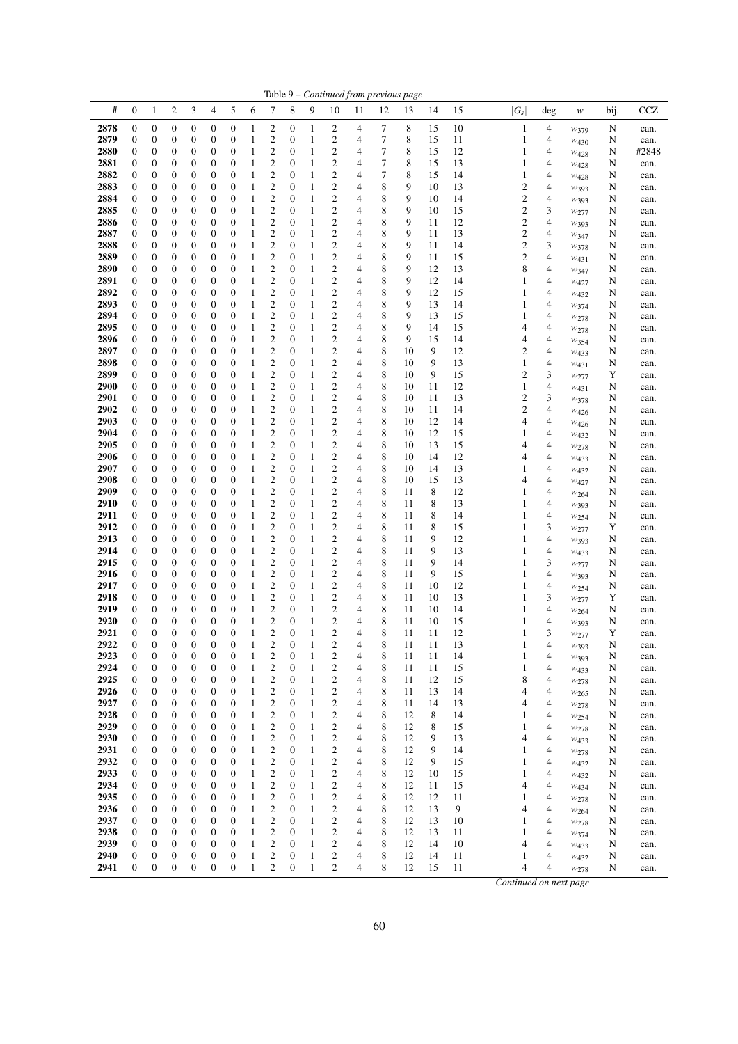|                     |                                      |                                      |                                      |                                      |                                      |                       |                              |                                                    |                                      |                              |                                                    |                |        | Table 9 - Continued from previous page |          |          |                     |        |                            |        |              |
|---------------------|--------------------------------------|--------------------------------------|--------------------------------------|--------------------------------------|--------------------------------------|-----------------------|------------------------------|----------------------------------------------------|--------------------------------------|------------------------------|----------------------------------------------------|----------------|--------|----------------------------------------|----------|----------|---------------------|--------|----------------------------|--------|--------------|
| #                   | $\boldsymbol{0}$                     | 1                                    | $\boldsymbol{2}$                     | 3                                    | 4                                    | 5                     | 6                            | 7                                                  | 8                                    | 9                            | 10                                                 | 11             | 12     | 13                                     | 14       | 15       | $ G_s $             | deg    | $\boldsymbol{\mathcal{W}}$ | bij.   | <b>CCZ</b>   |
| 2878                | 0                                    | 0                                    | 0                                    | $\boldsymbol{0}$                     | $\boldsymbol{0}$                     | 0                     | $\mathbf{1}$                 | $\overline{\mathbf{c}}$                            | 0                                    | 1                            | 2                                                  | 4              | 7      | 8                                      | 15       | 10       | $\mathbf{1}$        | 4      | $w_{379}$                  | N      | can.         |
| 2879                | 0                                    | 0                                    | 0                                    | $\boldsymbol{0}$                     | $\boldsymbol{0}$                     | 0                     | 1                            | $\overline{\mathbf{c}}$                            | $\boldsymbol{0}$                     | $\mathbf{1}$                 | $\boldsymbol{2}$                                   | 4              | 7      | 8                                      | 15       | 11       | 1                   | 4      | $W_{430}$                  | N      | can.         |
| 2880                | $\boldsymbol{0}$                     | $\boldsymbol{0}$                     | 0                                    | $\boldsymbol{0}$<br>$\boldsymbol{0}$ | $\boldsymbol{0}$<br>$\mathbf{0}$     | 0<br>0                | $\mathbf{1}$<br>1            | $\overline{c}$<br>$\overline{c}$                   | $\mathbf{0}$<br>$\mathbf{0}$         | $\mathbf{1}$<br>1            | $\overline{\mathbf{c}}$<br>$\overline{c}$          | 4<br>4         | 7<br>7 | 8<br>8                                 | 15<br>15 | 12       | 1                   | 4      | W428                       | N      | #2848        |
| 2881<br>2882        | $\boldsymbol{0}$<br>$\boldsymbol{0}$ | $\boldsymbol{0}$<br>$\boldsymbol{0}$ | 0<br>0                               | $\boldsymbol{0}$                     | $\mathbf{0}$                         | 0                     | $\mathbf{1}$                 | $\overline{c}$                                     | $\mathbf{0}$                         | 1                            | $\overline{c}$                                     | 4              | 7      | 8                                      | 15       | 13<br>14 | 1<br>1              | 4<br>4 | W428<br>$W_{428}$          | N<br>N | can.<br>can. |
| 2883                | $\boldsymbol{0}$                     | $\boldsymbol{0}$                     | 0                                    | $\boldsymbol{0}$                     | $\mathbf{0}$                         | 0                     | 1                            | $\overline{c}$                                     | $\mathbf{0}$                         | 1                            | $\overline{c}$                                     | 4              | 8      | 9                                      | 10       | 13       | $\mathbf{2}$        | 4      | W393                       | N      | can.         |
| 2884                | $\boldsymbol{0}$                     | $\boldsymbol{0}$                     | 0                                    | $\boldsymbol{0}$                     | $\mathbf{0}$                         | 0                     | 1                            | $\overline{c}$                                     | $\boldsymbol{0}$                     | 1                            | $\overline{c}$                                     | 4              | 8      | 9                                      | 10       | 14       | $\overline{c}$      | 4      | W393                       | N      | can.         |
| 2885                | $\boldsymbol{0}$                     | $\boldsymbol{0}$                     | 0                                    | $\boldsymbol{0}$                     | $\boldsymbol{0}$                     | 0                     | $\mathbf{1}$                 | $\overline{\mathbf{c}}$                            | $\boldsymbol{0}$                     | 1                            | $\overline{\mathbf{c}}$                            | $\overline{4}$ | 8      | 9                                      | 10       | 15       | $\mathbf{2}$        | 3      | W277                       | N      | can.         |
| 2886                | $\boldsymbol{0}$                     | $\boldsymbol{0}$                     | 0                                    | $\boldsymbol{0}$                     | $\boldsymbol{0}$                     | 0                     | 1                            | $\overline{\mathbf{c}}$                            | $\mathbf{0}$                         | 1                            | $\overline{\mathbf{c}}$                            | 4              | 8      | 9                                      | 11       | 12       | $\mathbf{2}$        | 4      | W393                       | N      | can.         |
| 2887<br>2888        | $\boldsymbol{0}$<br>$\boldsymbol{0}$ | $\boldsymbol{0}$<br>$\boldsymbol{0}$ | 0<br>0                               | $\mathbf{0}$<br>$\boldsymbol{0}$     | $\mathbf{0}$<br>$\mathbf{0}$         | 0<br>0                | $\mathbf{1}$<br>$\mathbf{1}$ | $\overline{c}$<br>$\overline{\mathbf{c}}$          | $\mathbf{0}$<br>$\mathbf{0}$         | 1<br>1                       | $\overline{\mathbf{c}}$<br>$\overline{\mathbf{c}}$ | 4<br>4         | 8<br>8 | 9<br>9                                 | 11<br>11 | 13<br>14 | $\mathbf{2}$<br>2   | 4<br>3 | $w_{347}$<br>W378          | N<br>N | can.<br>can. |
| 2889                | $\boldsymbol{0}$                     | 0                                    | $\boldsymbol{0}$                     | $\boldsymbol{0}$                     | $\mathbf{0}$                         | 0                     | 1                            | $\overline{c}$                                     | $\mathbf{0}$                         | $\mathbf{1}$                 | $\overline{c}$                                     | 4              | 8      | 9                                      | 11       | 15       | $\overline{c}$      | 4      | W431                       | N      | can.         |
| 2890                | $\boldsymbol{0}$                     | $\boldsymbol{0}$                     | 0                                    | $\boldsymbol{0}$                     | $\mathbf{0}$                         | 0                     | 1                            | $\overline{c}$                                     | $\mathbf{0}$                         | 1                            | $\overline{\mathbf{c}}$                            | 4              | 8      | 9                                      | 12       | 13       | 8                   | 4      | $w_{347}$                  | N      | can.         |
| 2891                | $\boldsymbol{0}$                     | $\boldsymbol{0}$                     | 0                                    | $\boldsymbol{0}$                     | $\mathbf{0}$                         | 0                     | 1                            | $\overline{c}$                                     | $\boldsymbol{0}$                     | 1                            | $\overline{c}$                                     | 4              | 8      | 9                                      | 12       | 14       | 1                   | 4      | $w_{427}$                  | N      | can.         |
| 2892<br>2893        | $\boldsymbol{0}$                     | $\boldsymbol{0}$                     | $\boldsymbol{0}$                     | $\boldsymbol{0}$                     | $\boldsymbol{0}$                     | 0                     | $\mathbf{1}$                 | $\overline{c}$                                     | $\mathbf{0}$                         | 1                            | $\overline{c}$                                     | $\overline{4}$ | 8      | 9<br>9                                 | 12       | 15       | 1                   | 4      | W432                       | N      | can.         |
| 2894                | $\boldsymbol{0}$<br>$\boldsymbol{0}$ | $\boldsymbol{0}$<br>$\boldsymbol{0}$ | $\boldsymbol{0}$<br>0                | $\boldsymbol{0}$<br>$\boldsymbol{0}$ | $\mathbf{0}$<br>$\mathbf{0}$         | 0<br>0                | 1<br>$\mathbf{1}$            | $\overline{\mathbf{c}}$<br>$\overline{c}$          | $\boldsymbol{0}$<br>$\mathbf{0}$     | 1<br>1                       | $\overline{\mathbf{c}}$<br>$\overline{\mathbf{c}}$ | 4<br>4         | 8<br>8 | 9                                      | 13<br>13 | 14<br>15 | 1<br>1              | 4<br>4 | W374<br>$w_{278}$          | N<br>N | can.<br>can. |
| 2895                | $\boldsymbol{0}$                     | $\boldsymbol{0}$                     | 0                                    | $\boldsymbol{0}$                     | $\boldsymbol{0}$                     | 0                     | $\mathbf{1}$                 | $\overline{\mathbf{c}}$                            | $\mathbf{0}$                         | 1                            | $\overline{\mathbf{c}}$                            | 4              | 8      | 9                                      | 14       | 15       | 4                   | 4      | $w_{278}$                  | N      | can.         |
| 2896                | $\boldsymbol{0}$                     | $\boldsymbol{0}$                     | 0                                    | $\boldsymbol{0}$                     | $\mathbf{0}$                         | 0                     | 1                            | $\overline{c}$                                     | $\mathbf{0}$                         | $\mathbf{1}$                 | $\overline{c}$                                     | $\overline{4}$ | 8      | 9                                      | 15       | 14       | 4                   | 4      | W354                       | N      | can.         |
| 2897                | $\boldsymbol{0}$                     | $\boldsymbol{0}$                     | 0                                    | $\boldsymbol{0}$                     | $\mathbf{0}$                         | 0                     | 1                            | $\overline{c}$                                     | $\mathbf{0}$                         | 1                            | $\overline{\mathbf{c}}$                            | 4              | 8      | 10                                     | 9        | 12       | 2                   | 4      | W433                       | N      | can.         |
| 2898                | $\boldsymbol{0}$                     | $\boldsymbol{0}$                     | $\boldsymbol{0}$                     | $\boldsymbol{0}$                     | $\boldsymbol{0}$                     | 0                     | $\mathbf{1}$                 | $\overline{c}$                                     | $\mathbf{0}$                         | 1                            | $\overline{\mathbf{c}}$                            | 4              | 8      | 10                                     | 9        | 13       | 1                   | 4      | $W_{431}$                  | N      | can.         |
| 2899<br><b>2900</b> | $\boldsymbol{0}$<br>$\boldsymbol{0}$ | $\boldsymbol{0}$<br>$\boldsymbol{0}$ | 0<br>0                               | $\boldsymbol{0}$<br>$\boldsymbol{0}$ | $\boldsymbol{0}$<br>$\mathbf{0}$     | 0<br>0                | $\mathbf{1}$<br>1            | $\overline{c}$<br>$\overline{c}$                   | $\mathbf{0}$<br>$\mathbf{0}$         | $\mathbf{1}$<br>1            | $\overline{c}$<br>$\overline{c}$                   | 4<br>4         | 8<br>8 | 10<br>10                               | 9<br>11  | 15<br>12 | $\overline{c}$<br>1 | 3<br>4 | $w_{277}$                  | Y      | can.         |
| <b>2901</b>         | $\boldsymbol{0}$                     | $\boldsymbol{0}$                     | 0                                    | $\boldsymbol{0}$                     | $\mathbf{0}$                         | 0                     | $\mathbf{1}$                 | $\overline{c}$                                     | $\mathbf{0}$                         | 1                            | $\overline{\mathbf{c}}$                            | 4              | 8      | 10                                     | 11       | 13       | 2                   | 3      | W431<br>W378               | N<br>N | can.<br>can. |
| 2902                | $\boldsymbol{0}$                     | $\boldsymbol{0}$                     | 0                                    | $\boldsymbol{0}$                     | $\mathbf{0}$                         | 0                     | 1                            | $\overline{\mathbf{c}}$                            | $\mathbf{0}$                         | 1                            | $\overline{\mathbf{c}}$                            | 4              | 8      | 10                                     | 11       | 14       | $\overline{c}$      | 4      | W <sub>426</sub>           | N      | can.         |
| 2903                | $\boldsymbol{0}$                     | $\boldsymbol{0}$                     | 0                                    | $\boldsymbol{0}$                     | $\boldsymbol{0}$                     | 0                     | 1                            | $\overline{c}$                                     | $\mathbf{0}$                         | $\mathbf{1}$                 | $\overline{\mathbf{c}}$                            | 4              | 8      | 10                                     | 12       | 14       | 4                   | 4      | W <sub>426</sub>           | N      | can.         |
| 2904                | $\boldsymbol{0}$                     | $\boldsymbol{0}$                     | 0                                    | $\boldsymbol{0}$                     | $\boldsymbol{0}$                     | 0                     | $\mathbf{1}$                 | $\overline{\mathbf{c}}$                            | $\boldsymbol{0}$                     | 1                            | $\overline{\mathbf{c}}$                            | $\overline{4}$ | 8      | 10                                     | 12       | 15       | 1                   | 4      | W432                       | N      | can.         |
| 2905<br>2906        | $\boldsymbol{0}$<br>$\boldsymbol{0}$ | $\boldsymbol{0}$<br>$\boldsymbol{0}$ | 0<br>0                               | $\boldsymbol{0}$<br>$\mathbf{0}$     | $\boldsymbol{0}$<br>$\mathbf{0}$     | 0<br>0                | 1<br>$\mathbf{1}$            | $\overline{c}$<br>$\overline{c}$                   | $\mathbf{0}$<br>$\mathbf{0}$         | 1                            | $\overline{\mathbf{c}}$<br>$\overline{\mathbf{c}}$ | 4<br>4         | 8<br>8 | 10<br>10                               | 13<br>14 | 15<br>12 | 4<br>4              | 4<br>4 | W278                       | N      | can.         |
| 2907                | $\boldsymbol{0}$                     | $\boldsymbol{0}$                     | 0                                    | $\boldsymbol{0}$                     | $\mathbf{0}$                         | 0                     | 1                            | $\overline{c}$                                     | $\mathbf{0}$                         | 1<br>1                       | $\overline{c}$                                     | 4              | 8      | 10                                     | 14       | 13       | 1                   | 4      | W433<br>W <sub>432</sub>   | N<br>N | can.<br>can. |
| 2908                | $\boldsymbol{0}$                     | $\boldsymbol{0}$                     | $\boldsymbol{0}$                     | $\boldsymbol{0}$                     | $\mathbf{0}$                         | 0                     | 1                            | $\overline{c}$                                     | $\mathbf{0}$                         | $\mathbf{1}$                 | $\overline{c}$                                     | 4              | 8      | 10                                     | 15       | 13       | 4                   | 4      | W427                       | N      | can.         |
| 2909                | $\boldsymbol{0}$                     | $\boldsymbol{0}$                     | 0                                    | $\boldsymbol{0}$                     | $\mathbf{0}$                         | 0                     | 1                            | $\overline{c}$                                     | $\mathbf{0}$                         | 1                            | $\overline{\mathbf{c}}$                            | 4              | 8      | 11                                     | 8        | 12       | 1                   | 4      | W264                       | N      | can.         |
| 2910                | $\boldsymbol{0}$                     | 0                                    | 0                                    | $\boldsymbol{0}$                     | $\mathbf{0}$                         | 0                     | 1                            | $\overline{c}$                                     | $\boldsymbol{0}$                     | 1                            | $\overline{c}$                                     | 4              | 8      | 11                                     | 8        | 13       | 1                   | 4      | W393                       | N      | can.         |
| 2911                | $\boldsymbol{0}$                     | $\boldsymbol{0}$                     | 0                                    | $\boldsymbol{0}$                     | $\boldsymbol{0}$                     | 0                     | $\mathbf{1}$                 | $\overline{\mathbf{c}}$                            | $\boldsymbol{0}$                     | $\mathbf{1}$<br>1            | $\overline{\mathbf{c}}$                            | 4              | 8      | 11                                     | 8        | 14       | 1                   | 4      | $w_{254}$                  | N      | can.         |
| 2912<br>2913        | $\boldsymbol{0}$<br>$\boldsymbol{0}$ | $\boldsymbol{0}$<br>0                | 0<br>0                               | $\boldsymbol{0}$<br>$\boldsymbol{0}$ | $\boldsymbol{0}$<br>$\mathbf{0}$     | 0<br>0                | 1<br>$\mathbf{1}$            | $\overline{\mathbf{c}}$<br>$\overline{c}$          | $\boldsymbol{0}$<br>$\mathbf{0}$     | 1                            | $\overline{\mathbf{c}}$<br>$\overline{\mathbf{c}}$ | 4<br>4         | 8<br>8 | 11<br>11                               | 8<br>9   | 15<br>12 | 1<br>1              | 3<br>4 | W277<br>W393               | Y<br>N | can.<br>can. |
| 2914                | $\boldsymbol{0}$                     | $\boldsymbol{0}$                     | 0                                    | $\boldsymbol{0}$                     | $\boldsymbol{0}$                     | 0                     | $\mathbf{1}$                 | $\overline{\mathbf{c}}$                            | $\mathbf{0}$                         | 1                            | $\overline{\mathbf{c}}$                            | 4              | 8      | 11                                     | 9        | 13       | 1                   | 4      | W433                       | N      | can.         |
| 2915                | $\boldsymbol{0}$                     | 0                                    | $\boldsymbol{0}$                     | $\boldsymbol{0}$                     | $\mathbf{0}$                         | 0                     | 1                            | $\overline{c}$                                     | $\mathbf{0}$                         | $\mathbf{1}$                 | $\overline{c}$                                     | 4              | 8      | 11                                     | 9        | 14       | 1                   | 3      | $w_{277}$                  | N      | can.         |
| 2916                | $\boldsymbol{0}$                     | $\boldsymbol{0}$                     | 0                                    | $\mathbf{0}$                         | $\mathbf{0}$                         | 0                     | 1                            | $\overline{c}$                                     | $\mathbf{0}$                         | 1                            | $\overline{c}$                                     | 4              | 8      | 11                                     | 9        | 15       | 1                   | 4      | W393                       | N      | can.         |
| 2917<br>2918        | $\boldsymbol{0}$<br>$\boldsymbol{0}$ | $\boldsymbol{0}$<br>$\boldsymbol{0}$ | 0<br>0                               | $\boldsymbol{0}$<br>$\boldsymbol{0}$ | $\boldsymbol{0}$<br>$\boldsymbol{0}$ | 0<br>0                | 1<br>$\mathbf{1}$            | $\overline{c}$<br>$\overline{c}$                   | $\mathbf{0}$<br>$\boldsymbol{0}$     | 1<br>$\mathbf{1}$            | $\overline{\mathbf{c}}$<br>$\overline{c}$          | 4<br>4         | 8<br>8 | 11                                     | 10<br>10 | 12<br>13 | 1<br>1              | 4<br>3 | W254                       | N<br>Y | can.         |
| 2919                | $\boldsymbol{0}$                     | $\boldsymbol{0}$                     | 0                                    | $\boldsymbol{0}$                     | $\boldsymbol{0}$                     | 0                     | 1                            | $\overline{\mathbf{c}}$                            | $\boldsymbol{0}$                     | 1                            | $\overline{\mathbf{c}}$                            | 4              | 8      | 11<br>11                               | 10       | 14       | 1                   | 4      | W277<br>$w_{264}$          | N      | can.<br>can. |
| 2920                | $\boldsymbol{0}$                     | $\mathbf{0}$                         | $\boldsymbol{0}$                     | $\mathbf{0}$                         | $\mathbf{0}$                         | 0                     | 1                            | $\overline{\mathbf{c}}$                            | $\mathbf{0}$                         | $\,1$                        | $\overline{\mathbf{c}}$                            | 4              | 8      | 11                                     | 10       | 15       | 1                   | 4      | W393                       | N      | can.         |
| 2921                | $\mathbf{0}$                         | $\overline{0}$                       | $\boldsymbol{0}$                     | $\overline{0}$                       | $\overline{0}$                       | $\overline{0}$        | $\mathbf{1}$                 | $\overline{c}$                                     | $\overline{0}$                       | $\mathbf{1}$                 | $\overline{c}$                                     | $\overline{4}$ | 8      | 11                                     | 11       | 12       | 1                   | 3      | W277                       | Y      | can.         |
| 2922                | $\boldsymbol{0}$                     | $\boldsymbol{0}$                     | $\boldsymbol{0}$                     | $\mathbf{0}$                         | $\boldsymbol{0}$                     | $\boldsymbol{0}$      | $\mathbf{1}$                 | $\overline{c}$                                     | $\boldsymbol{0}$                     | 1                            | $\overline{c}$                                     | 4              | 8      | 11                                     | 11       | 13       |                     | 4      | W393                       | N      | can.         |
| 2923<br>2924        | $\boldsymbol{0}$<br>$\boldsymbol{0}$ | $\boldsymbol{0}$<br>$\boldsymbol{0}$ | $\boldsymbol{0}$<br>$\boldsymbol{0}$ | $\boldsymbol{0}$<br>$\boldsymbol{0}$ | $\boldsymbol{0}$<br>$\boldsymbol{0}$ | 0<br>$\boldsymbol{0}$ | $\mathbf{1}$<br>$\mathbf{1}$ | $\boldsymbol{2}$<br>$\overline{c}$                 | $\boldsymbol{0}$<br>$\boldsymbol{0}$ | 1<br>$\mathbf{1}$            | $\overline{\mathbf{c}}$<br>$\overline{\mathbf{c}}$ | 4<br>4         | 8<br>8 | 11<br>11                               | 11<br>11 | 14<br>15 | 1<br>$\mathbf{1}$   | 4<br>4 | W393                       | N<br>N | can.         |
| 2925                | $\boldsymbol{0}$                     | $\boldsymbol{0}$                     | $\boldsymbol{0}$                     | $\boldsymbol{0}$                     | $\boldsymbol{0}$                     | 0                     | $\mathbf{1}$                 | $\overline{\mathbf{c}}$                            | 0                                    | $\mathbf{1}$                 | $\overline{\mathbf{c}}$                            | 4              | 8      | 11                                     | 12       | 15       | 8                   | 4      | W433<br>W278               | N      | can.<br>can. |
| 2926                | 0                                    | $\boldsymbol{0}$                     | $\boldsymbol{0}$                     | $\boldsymbol{0}$                     | $\boldsymbol{0}$                     | 0                     | $\mathbf{1}$                 | $\overline{\mathbf{c}}$                            | 0                                    | $\mathbf{1}$                 | $\overline{\mathbf{c}}$                            | 4              | 8      | 11                                     | 13       | 14       | 4                   | 4      | $w_{265}$                  | N      | can.         |
| 2927                | 0                                    | $\boldsymbol{0}$                     | 0                                    | $\boldsymbol{0}$                     | $\boldsymbol{0}$                     | 0                     | $\mathbf{1}$                 | $\overline{\mathbf{c}}$                            | $\boldsymbol{0}$                     | $\,1$                        | $\boldsymbol{2}$                                   | 4              | 8      | 11                                     | 14       | 13       | 4                   | 4      | $w_{278}$                  | N      | can.         |
| 2928                | 0                                    | 0                                    | 0                                    | $\boldsymbol{0}$                     | $\boldsymbol{0}$                     | 0                     | $\mathbf{1}$                 | $\overline{\mathbf{c}}$                            | $\boldsymbol{0}$                     | $\mathbf{1}$                 | $\overline{\mathbf{c}}$                            | 4              | 8      | 12                                     | 8        | 14       | 1                   | 4      | W254                       | N      | can.         |
| 2929<br>2930        | $\boldsymbol{0}$<br>0                | $\boldsymbol{0}$<br>0                | $\boldsymbol{0}$<br>0                | $\boldsymbol{0}$<br>$\boldsymbol{0}$ | $\boldsymbol{0}$<br>$\boldsymbol{0}$ | 0<br>0                | $\mathbf{1}$<br>$\mathbf{1}$ | $\overline{\mathbf{c}}$<br>$\overline{\mathbf{c}}$ | 0<br>0                               | $\mathbf{1}$<br>$\mathbf{1}$ | $\overline{\mathbf{c}}$<br>$\overline{\mathbf{c}}$ | 4<br>4         | 8<br>8 | 12<br>12                               | 8<br>9   | 15<br>13 | 1<br>4              | 4<br>4 | W278                       | N<br>N | can.         |
| 2931                | $\boldsymbol{0}$                     | $\boldsymbol{0}$                     | $\boldsymbol{0}$                     | $\boldsymbol{0}$                     | $\boldsymbol{0}$                     | 0                     | $\mathbf{1}$                 | $\overline{\mathbf{c}}$                            | $\boldsymbol{0}$                     | $\,1$                        | $\overline{\mathbf{c}}$                            | 4              | 8      | 12                                     | 9        | 14       | $\mathbf{1}$        | 4      | W433<br>$w_{278}$          | N      | can.<br>can. |
| 2932                | $\boldsymbol{0}$                     | $\boldsymbol{0}$                     | $\boldsymbol{0}$                     | $\boldsymbol{0}$                     | $\boldsymbol{0}$                     | 0                     | $\mathbf{1}$                 | $\overline{\mathbf{c}}$                            | $\boldsymbol{0}$                     | $\mathbf{1}$                 | $\overline{\mathbf{c}}$                            | $\overline{4}$ | 8      | 12                                     | 9        | 15       | 1                   | 4      | W432                       | N      | can.         |
| 2933                | $\boldsymbol{0}$                     | 0                                    | 0                                    | $\boldsymbol{0}$                     | $\boldsymbol{0}$                     | 0                     | $\mathbf{1}$                 | $\overline{\mathbf{c}}$                            | 0                                    | $\mathbf{1}$                 | $\overline{\mathbf{c}}$                            | 4              | 8      | 12                                     | 10       | 15       | 1                   | 4      | W432                       | N      | can.         |
| 2934                | $\boldsymbol{0}$                     | 0                                    | $\boldsymbol{0}$                     | $\boldsymbol{0}$                     | $\boldsymbol{0}$                     | 0                     | $\mathbf{1}$                 | $\overline{c}$                                     | 0                                    | $\,1$                        | $\boldsymbol{2}$                                   | $\overline{4}$ | 8      | 12                                     | 11       | 15       | 4                   | 4      | W434                       | N      | can.         |
| 2935<br>2936        | 0<br>$\boldsymbol{0}$                | $\boldsymbol{0}$<br>$\boldsymbol{0}$ | 0                                    | $\boldsymbol{0}$<br>$\boldsymbol{0}$ | $\boldsymbol{0}$<br>$\boldsymbol{0}$ | 0<br>0                | $\mathbf{1}$<br>$\mathbf{1}$ | $\overline{\mathbf{c}}$<br>$\overline{\mathbf{c}}$ | $\boldsymbol{0}$<br>$\boldsymbol{0}$ | $\mathbf{1}$<br>$\mathbf{1}$ | $\overline{\mathbf{c}}$<br>$\overline{\mathbf{c}}$ | 4<br>4         | 8<br>8 | 12<br>12                               | 12<br>13 | 11<br>9  | $\mathbf{1}$<br>4   | 4<br>4 | $w_{278}$                  | N      | can.         |
| 2937                | 0                                    | $\boldsymbol{0}$                     | $\boldsymbol{0}$<br>$\boldsymbol{0}$ | $\boldsymbol{0}$                     | $\boldsymbol{0}$                     | 0                     | $\mathbf{1}$                 | $\overline{\mathbf{c}}$                            | $\boldsymbol{0}$                     | $\mathbf{1}$                 | $\overline{\mathbf{c}}$                            | 4              | 8      | 12                                     | 13       | 10       | $\mathbf{1}$        | 4      | W264<br>W278               | N<br>N | can.<br>can. |
| 2938                | 0                                    | $\boldsymbol{0}$                     | $\boldsymbol{0}$                     | $\boldsymbol{0}$                     | $\boldsymbol{0}$                     | 0                     | $\mathbf{1}$                 | $\overline{\mathbf{c}}$                            | 0                                    | $\mathbf{1}$                 | $\overline{\mathbf{c}}$                            | 4              | 8      | 12                                     | 13       | 11       | 1                   | 4      | W374                       | N      | can.         |
| 2939                | 0                                    | $\boldsymbol{0}$                     | $\boldsymbol{0}$                     | $\boldsymbol{0}$                     | $\boldsymbol{0}$                     | 0                     | $\mathbf{1}$                 | $\overline{\mathbf{c}}$                            | 0                                    | $\mathbf{1}$                 | $\overline{\mathbf{c}}$                            | 4              | 8      | 12                                     | 14       | 10       | 4                   | 4      | W <sub>433</sub>           | N      | can.         |
| 2940                | $\boldsymbol{0}$                     | $\boldsymbol{0}$                     | $\boldsymbol{0}$                     | $\boldsymbol{0}$                     | $\boldsymbol{0}$                     | $\boldsymbol{0}$      | $\mathbf{1}$                 | $\overline{\mathbf{c}}$                            | $\boldsymbol{0}$                     | $\mathbf{1}$                 | $\overline{\mathbf{c}}$                            | 4              | 8      | 12                                     | 14       | 11       | 1                   | 4      | W432                       | N      | can.         |
| 2941                | $\overline{0}$                       | $\boldsymbol{0}$                     | $\boldsymbol{0}$                     | $\boldsymbol{0}$                     | $\boldsymbol{0}$                     | $\boldsymbol{0}$      | $\mathbf{1}$                 | $\overline{c}$                                     | $\boldsymbol{0}$                     | $\mathbf{1}$                 | $\overline{c}$                                     | $\overline{4}$ | 8      | 12                                     | 15       | 11       | 4                   | 4      | W278                       | N      | can.         |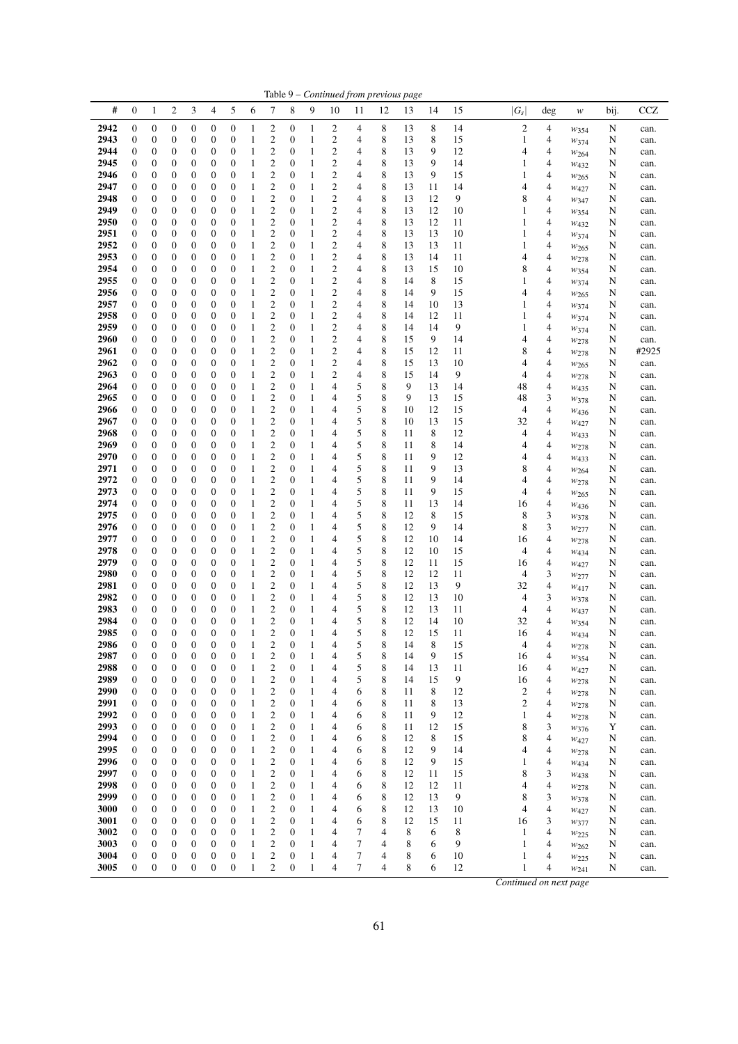|              |                                      |                                      |                                      |                                      |                                  |                                      |                              |                                           |                                    |                   |                                           |        |        | Table 9 - Continued from previous page |          |          |                        |        |                                      |        |              |
|--------------|--------------------------------------|--------------------------------------|--------------------------------------|--------------------------------------|----------------------------------|--------------------------------------|------------------------------|-------------------------------------------|------------------------------------|-------------------|-------------------------------------------|--------|--------|----------------------------------------|----------|----------|------------------------|--------|--------------------------------------|--------|--------------|
| #            | $\boldsymbol{0}$                     | $\mathbf{1}$                         | $\boldsymbol{2}$                     | 3                                    | 4                                | 5                                    | 6                            | 7                                         | 8                                  | 9                 | 10                                        | 11     | 12     | 13                                     | 14       | 15       | $ G_s $                | deg    | w                                    | bij.   | CCZ          |
| 2942         | 0                                    | $\boldsymbol{0}$                     | $\boldsymbol{0}$                     | $\boldsymbol{0}$                     | 0                                | $\boldsymbol{0}$                     | 1                            | 2                                         | $\boldsymbol{0}$                   | 1                 | 2                                         | 4      | 8      | 13                                     | 8        | 14       | $\mathfrak{2}$         | 4      | $w_{354}$                            | N      | can.         |
| 2943         | 0                                    | $\boldsymbol{0}$                     | $\boldsymbol{0}$                     | $\mathbf{0}$                         | 0                                | $\boldsymbol{0}$                     | 1                            | $\overline{c}$                            | $\boldsymbol{0}$                   | 1                 | $\overline{\mathbf{c}}$                   | 4      | 8      | 13                                     | 8        | 15       | 1                      | 4      | W374                                 | N      | can.         |
| 2944         | 0                                    | $\boldsymbol{0}$                     | $\boldsymbol{0}$                     | $\mathbf{0}$                         | 0                                | $\boldsymbol{0}$                     | 1                            | $\overline{c}$                            | $\mathbf{0}$                       | 1                 | $\overline{c}$                            | 4      | 8      | 13                                     | 9        | 12       | 4                      | 4      | W264                                 | N      | can.         |
| 2945<br>2946 | 0<br>0                               | $\boldsymbol{0}$<br>0                | $\boldsymbol{0}$                     | $\mathbf{0}$<br>$\boldsymbol{0}$     | 0<br>0                           | 0<br>$\boldsymbol{0}$                | 1                            | $\overline{c}$<br>$\overline{c}$          | $\mathbf{0}$<br>$\mathbf{0}$       | 1<br>1            | $\overline{c}$<br>$\overline{c}$          | 4<br>4 | 8<br>8 | 13<br>13                               | 9<br>9   | 14<br>15 | 1<br>1                 | 4<br>4 | W432                                 | N      | can.         |
| 2947         | 0                                    | 0                                    | $\boldsymbol{0}$<br>$\boldsymbol{0}$ | $\boldsymbol{0}$                     | 0                                | $\boldsymbol{0}$                     | 1<br>1                       | $\overline{c}$                            | $\mathbf{0}$                       | 1                 | $\overline{c}$                            | 4      | 8      | 13                                     | 11       | 14       | 4                      | 4      | $w_{265}$<br>$W_{427}$               | N<br>N | can.<br>can. |
| 2948         | 0                                    | 0                                    | $\boldsymbol{0}$                     | $\boldsymbol{0}$                     | $\mathbf{0}$                     | $\boldsymbol{0}$                     | 1                            | $\overline{c}$                            | $\boldsymbol{0}$                   | 1                 | $\overline{c}$                            | 4      | 8      | 13                                     | 12       | 9        | 8                      | 4      | W347                                 | N      | can.         |
| 2949         | 0                                    | 0                                    | $\boldsymbol{0}$                     | $\boldsymbol{0}$                     | 0                                | 0                                    | 1                            | $\overline{c}$                            | $\mathbf{0}$                       | 1                 | $\overline{\mathbf{c}}$                   | 4      | 8      | 13                                     | 12       | 10       | 1                      | 4      | W354                                 | N      | can.         |
| 2950         | 0                                    | $\boldsymbol{0}$                     | $\boldsymbol{0}$                     | $\boldsymbol{0}$                     | 0                                | $\boldsymbol{0}$                     | 1                            | $\overline{c}$                            | $\mathbf{0}$                       | 1                 | $\overline{c}$                            | 4      | 8      | 13                                     | 12       | 11       | 1                      | 4      | $W_{432}$                            | N      | can.         |
| 2951<br>2952 | 0<br>0                               | $\boldsymbol{0}$<br>0                | $\boldsymbol{0}$<br>$\boldsymbol{0}$ | $\boldsymbol{0}$<br>$\boldsymbol{0}$ | 0<br>0                           | $\boldsymbol{0}$<br>$\boldsymbol{0}$ | 1<br>1                       | $\overline{c}$<br>$\overline{\mathbf{c}}$ | $\mathbf{0}$<br>$\mathbf{0}$       | 1<br>1            | $\overline{c}$<br>$\overline{\mathbf{c}}$ | 4<br>4 | 8<br>8 | 13<br>13                               | 13<br>13 | 10<br>11 | 1<br>1                 | 4<br>4 | $w_{374}$                            | N<br>N | can.         |
| 2953         | 0                                    | 0                                    | $\boldsymbol{0}$                     | $\boldsymbol{0}$                     | 0                                | $\boldsymbol{0}$                     | 1                            | $\overline{c}$                            | $\mathbf{0}$                       | 1                 | $\overline{c}$                            | 4      | 8      | 13                                     | 14       | 11       | 4                      | 4      | W <sub>265</sub><br>W278             | N      | can.<br>can. |
| 2954         | 0                                    | 0                                    | $\boldsymbol{0}$                     | $\boldsymbol{0}$                     | 0                                | $\boldsymbol{0}$                     | $\mathbf{1}$                 | $\overline{c}$                            | $\mathbf{0}$                       | 1                 | $\overline{c}$                            | 4      | 8      | 13                                     | 15       | 10       | 8                      | 4      | $w_{354}$                            | N      | can.         |
| 2955         | 0                                    | $\boldsymbol{0}$                     | $\boldsymbol{0}$                     | $\boldsymbol{0}$                     | $\mathbf{0}$                     | $\boldsymbol{0}$                     | 1                            | $\overline{c}$                            | $\mathbf{0}$                       | 1                 | $\overline{c}$                            | 4      | 8      | 14                                     | 8        | 15       | 1                      | 4      | W374                                 | N      | can.         |
| 2956         | 0                                    | $\boldsymbol{0}$                     | $\boldsymbol{0}$                     | $\boldsymbol{0}$                     | $\mathbf{0}$                     | $\boldsymbol{0}$                     | 1                            | $\overline{\mathbf{c}}$                   | $\mathbf{0}$                       | 1                 | $\overline{c}$                            | 4      | 8      | 14                                     | 9        | 15       | 4                      | 4      | W <sub>265</sub>                     | N      | can.         |
| 2957         | 0                                    | $\boldsymbol{0}$                     | $\boldsymbol{0}$                     | $\boldsymbol{0}$                     | 0                                | $\boldsymbol{0}$                     | 1                            | $\overline{\mathbf{c}}$                   | $\mathbf{0}$                       | 1                 | $\overline{\mathbf{c}}$                   | 4      | 8      | 14                                     | 10       | 13       | 1                      | 4      | W374                                 | N      | can.         |
| 2958<br>2959 | 0<br>0                               | 0<br>0                               | $\boldsymbol{0}$<br>$\boldsymbol{0}$ | $\boldsymbol{0}$<br>$\boldsymbol{0}$ | 0<br>0                           | 0<br>$\boldsymbol{0}$                | 1<br>$\mathbf{1}$            | $\overline{c}$<br>$\overline{\mathbf{c}}$ | $\mathbf{0}$<br>$\mathbf{0}$       | 1<br>1            | $\overline{c}$<br>$\overline{\mathbf{c}}$ | 4<br>4 | 8<br>8 | 14<br>14                               | 12<br>14 | 11<br>9  | 1<br>1                 | 4<br>4 | W374                                 | N<br>N | can.<br>can. |
| 2960         | 0                                    | 0                                    | $\boldsymbol{0}$                     | $\boldsymbol{0}$                     | $\mathbf{0}$                     | $\boldsymbol{0}$                     | 1                            | $\overline{c}$                            | $\mathbf{0}$                       | 1                 | $\overline{c}$                            | 4      | 8      | 15                                     | 9        | 14       | 4                      | 4      | W374<br>W278                         | N      | can.         |
| 2961         | 0                                    | 0                                    | $\boldsymbol{0}$                     | $\boldsymbol{0}$                     | 0                                | 0                                    | $\mathbf{1}$                 | $\overline{\mathbf{c}}$                   | $\mathbf{0}$                       | 1                 | $\overline{\mathbf{c}}$                   | 4      | 8      | 15                                     | 12       | 11       | 8                      | 4      | W278                                 | N      | #2925        |
| 2962         | 0                                    | 0                                    | $\boldsymbol{0}$                     | $\boldsymbol{0}$                     | $\mathbf{0}$                     | $\boldsymbol{0}$                     | 1                            | $\overline{\mathbf{c}}$                   | $\mathbf{0}$                       | 1                 | $\overline{\mathbf{c}}$                   | 4      | 8      | 15                                     | 13       | 10       | 4                      | 4      | $w_{265}$                            | N      | can.         |
| 2963         | 0                                    | $\boldsymbol{0}$                     | $\boldsymbol{0}$                     | $\boldsymbol{0}$                     | 0                                | $\boldsymbol{0}$                     | $\mathbf{1}$                 | $\overline{c}$                            | $\mathbf{0}$                       | 1                 | $\overline{c}$                            | 4      | 8      | 15                                     | 14       | 9        | 4                      | 4      | $w_{278}$                            | N      | can.         |
| 2964         | 0                                    | $\boldsymbol{0}$                     | $\boldsymbol{0}$                     | $\boldsymbol{0}$                     | 0                                | $\boldsymbol{0}$                     | 1                            | $\overline{\mathbf{c}}$                   | $\mathbf{0}$                       | 1                 | $\overline{4}$                            | 5      | 8      | 9                                      | 13       | 14       | 48                     | 4      | W435                                 | N      | can.         |
| 2965<br>2966 | 0<br>0                               | 0<br>0                               | $\boldsymbol{0}$<br>$\boldsymbol{0}$ | $\boldsymbol{0}$<br>$\boldsymbol{0}$ | 0<br>0                           | $\boldsymbol{0}$<br>$\boldsymbol{0}$ | $\mathbf{1}$<br>1            | $\overline{c}$<br>$\overline{\mathbf{c}}$ | $\mathbf{0}$<br>$\mathbf{0}$       | 1<br>1            | 4<br>4                                    | 5<br>5 | 8<br>8 | 9<br>10                                | 13<br>12 | 15<br>15 | 48<br>4                | 3<br>4 | W378                                 | N<br>N | can.<br>can. |
| 2967         | 0                                    | $\boldsymbol{0}$                     | $\boldsymbol{0}$                     | $\boldsymbol{0}$                     | $\mathbf{0}$                     | $\boldsymbol{0}$                     | 1                            | $\overline{\mathbf{c}}$                   | $\mathbf{0}$                       | 1                 | 4                                         | 5      | 8      | 10                                     | 13       | 15       | 32                     | 4      | W <sub>436</sub><br>$W_{427}$        | N      | can.         |
| 2968         | 0                                    | 0                                    | $\boldsymbol{0}$                     | $\boldsymbol{0}$                     | 0                                | 0                                    | 1                            | $\overline{\mathbf{c}}$                   | $\mathbf{0}$                       | 1                 | 4                                         | 5      | 8      | 11                                     | 8        | 12       | 4                      | 4      | W433                                 | N      | can.         |
| 2969         | 0                                    | $\boldsymbol{0}$                     | $\boldsymbol{0}$                     | $\boldsymbol{0}$                     | $\mathbf{0}$                     | $\boldsymbol{0}$                     | 1                            | $\overline{\mathbf{c}}$                   | $\mathbf{0}$                       | 1                 | 4                                         | 5      | 8      | 11                                     | 8        | 14       | 4                      | 4      | W278                                 | N      | can.         |
| 2970         | 0                                    | $\boldsymbol{0}$                     | $\boldsymbol{0}$                     | $\boldsymbol{0}$                     | 0                                | $\boldsymbol{0}$                     | 1                            | $\overline{\mathbf{c}}$                   | $\mathbf{0}$                       | 1                 | 4                                         | 5      | 8      | 11                                     | 9        | 12       | 4                      | 4      | W433                                 | N      | can.         |
| 2971         | 0                                    | 0                                    | $\boldsymbol{0}$                     | $\mathbf{0}$                         | 0                                | $\boldsymbol{0}$                     | 1                            | $\overline{\mathbf{c}}$                   | $\mathbf{0}$                       | 1                 | $\overline{4}$                            | 5      | 8      | 11                                     | 9        | 13       | 8                      | 4      | $w_{264}$                            | N      | can.         |
| 2972<br>2973 | 0<br>0                               | 0<br>0                               | $\boldsymbol{0}$<br>$\boldsymbol{0}$ | $\boldsymbol{0}$<br>$\boldsymbol{0}$ | 0<br>0                           | $\boldsymbol{0}$<br>$\boldsymbol{0}$ | 1<br>$\mathbf{1}$            | $\overline{c}$<br>$\overline{\mathbf{c}}$ | $\mathbf{0}$<br>$\mathbf{0}$       | 1<br>1            | 4<br>4                                    | 5<br>5 | 8<br>8 | 11<br>11                               | 9<br>9   | 14<br>15 | 4<br>4                 | 4<br>4 | W278                                 | N<br>N | can.<br>can. |
| 2974         | 0                                    | $\boldsymbol{0}$                     | $\boldsymbol{0}$                     | $\boldsymbol{0}$                     | $\mathbf{0}$                     | $\boldsymbol{0}$                     | 1                            | $\overline{\mathbf{c}}$                   | $\mathbf{0}$                       | 1                 | 4                                         | 5      | 8      | 11                                     | 13       | 14       | 16                     | 4      | W <sub>265</sub><br>W <sub>436</sub> | N      | can.         |
| 2975         | 0                                    | 0                                    | $\boldsymbol{0}$                     | $\boldsymbol{0}$                     | 0                                | 0                                    | 1                            | $\overline{\mathbf{c}}$                   | $\mathbf{0}$                       | 1                 | 4                                         | 5      | 8      | 12                                     | 8        | 15       | 8                      | 3      | W378                                 | N      | can.         |
| 2976         | 0                                    | $\boldsymbol{0}$                     | $\boldsymbol{0}$                     | $\boldsymbol{0}$                     | 0                                | $\boldsymbol{0}$                     | 1                            | $\overline{\mathbf{c}}$                   | $\boldsymbol{0}$                   | 1                 | 4                                         | 5      | 8      | 12                                     | 9        | 14       | 8                      | 3      | W277                                 | N      | can.         |
| 2977         | 0                                    | 0                                    | $\boldsymbol{0}$                     | $\boldsymbol{0}$                     | 0                                | $\boldsymbol{0}$                     | 1                            | $\overline{c}$                            | $\mathbf{0}$                       | 1                 | 4                                         | 5      | 8      | 12                                     | 10       | 14       | 16                     | 4      | W278                                 | N      | can.         |
| 2978<br>2979 | 0                                    | 0                                    | $\boldsymbol{0}$                     | $\boldsymbol{0}$<br>$\boldsymbol{0}$ | 0<br>0                           | $\boldsymbol{0}$<br>$\boldsymbol{0}$ | 1<br>1                       | $\overline{\mathbf{c}}$<br>$\overline{c}$ | $\mathbf{0}$<br>$\mathbf{0}$       | 1<br>1            | 4                                         | 5      | 8<br>8 | 12<br>12                               | 10<br>11 | 15       | 4                      | 4      | W434                                 | N      | can.         |
| 2980         | 0<br>0                               | 0<br>0                               | $\boldsymbol{0}$<br>$\boldsymbol{0}$ | $\boldsymbol{0}$                     | 0                                | 0                                    | 1                            | $\overline{\mathbf{c}}$                   | $\mathbf{0}$                       | 1                 | 4<br>4                                    | 5<br>5 | 8      | 12                                     | 12       | 15<br>11 | 16<br>4                | 4<br>3 | $W_{427}$<br>W277                    | N<br>N | can.<br>can. |
| 2981         | 0                                    | 0                                    | $\boldsymbol{0}$                     | $\boldsymbol{0}$                     | $\mathbf{0}$                     | $\boldsymbol{0}$                     | 1                            | $\overline{\mathbf{c}}$                   | $\mathbf{0}$                       | 1                 | 4                                         | 5      | 8      | 12                                     | 13       | 9        | 32                     | 4      | W417                                 | N      | can.         |
| 2982         | 0                                    | $\boldsymbol{0}$                     | $\boldsymbol{0}$                     | $\boldsymbol{0}$                     | 0                                | $\boldsymbol{0}$                     | 1                            | $\overline{\mathbf{c}}$                   | $\boldsymbol{0}$                   | 1                 | 4                                         | 5      | 8      | 12                                     | 13       | 10       | 4                      | 3      | W378                                 | N      | can.         |
| 2983         | 0                                    | $\boldsymbol{0}$                     | $\boldsymbol{0}$                     | $\boldsymbol{0}$                     | 0                                | 0                                    | 1                            | $\overline{\mathbf{c}}$                   | $\mathbf{0}$                       | 1                 | 4                                         | 5      | 8      | 12                                     | 13       | 11       | 4                      | 4      | W <sub>437</sub>                     | N      | can.         |
| 2984         | 0                                    | $\boldsymbol{0}$                     | $\boldsymbol{0}$                     | $\mathbf{0}$                         | 0                                | $\boldsymbol{0}$                     | 1                            | $\overline{\mathbf{c}}$                   | $\mathbf{0}$                       | 1                 | 4                                         | 5      | 8      | 12                                     | 14       | 10       | 32                     | 4      | W354                                 | N      | can.         |
| 2985<br>2986 | $\boldsymbol{0}$<br>$\boldsymbol{0}$ | $\boldsymbol{0}$<br>$\boldsymbol{0}$ | $\boldsymbol{0}$<br>$\boldsymbol{0}$ | $\mathbf{0}$<br>$\boldsymbol{0}$     | $\overline{0}$<br>$\mathbf{0}$   | $\boldsymbol{0}$<br>$\boldsymbol{0}$ | $\mathbf{1}$<br>$\mathbf{1}$ | $\overline{c}$<br>$\overline{c}$          | $\overline{0}$<br>$\boldsymbol{0}$ | $\mathbf{1}$<br>1 | 4<br>4                                    | 5<br>5 | 8<br>8 | 12<br>14                               | 15<br>8  | 11<br>15 | 16                     | 4<br>4 | W434                                 | N      | can.         |
| 2987         | 0                                    | $\boldsymbol{0}$                     | $\boldsymbol{0}$                     | $\boldsymbol{0}$                     | $\mathbf{0}$                     | $\boldsymbol{0}$                     | 1                            | $\mathfrak{2}$                            | $\mathbf{0}$                       | 1                 | 4                                         | 5      | 8      | 14                                     | 9        | 15       | 4<br>16                | 4      | W278<br>$w_{354}$                    | N<br>N | can.<br>can. |
| 2988         | 0                                    | $\boldsymbol{0}$                     | $\boldsymbol{0}$                     | $\mathbf{0}$                         | $\mathbf{0}$                     | $\boldsymbol{0}$                     | $\mathbf{1}$                 | $\overline{c}$                            | $\boldsymbol{0}$                   | 1                 | 4                                         | 5      | 8      | 14                                     | 13       | 11       | 16                     | 4      | W427                                 | N      | can.         |
| 2989         | 0                                    | $\boldsymbol{0}$                     | $\boldsymbol{0}$                     | $\boldsymbol{0}$                     | $\mathbf{0}$                     | $\boldsymbol{0}$                     | $\mathbf{1}$                 | $\overline{c}$                            | $\mathbf{0}$                       | 1                 | 4                                         | 5      | 8      | 14                                     | 15       | 9        | 16                     | 4      | W278                                 | N      | can.         |
| 2990         | 0                                    | $\boldsymbol{0}$                     | $\boldsymbol{0}$                     | $\boldsymbol{0}$                     | 0                                | $\boldsymbol{0}$                     | $\mathbf{1}$                 | $\overline{c}$                            | $\mathbf{0}$                       | 1                 | 4                                         | 6      | 8      | 11                                     | 8        | 12       | $\overline{c}$         | 4      | W278                                 | N      | can.         |
| 2991         | 0                                    | $\boldsymbol{0}$                     | $\boldsymbol{0}$                     | $\boldsymbol{0}$                     | $\boldsymbol{0}$                 | $\boldsymbol{0}$                     | $\mathbf{1}$                 | $\mathfrak{2}$                            | $\mathbf{0}$                       | 1                 | 4                                         | 6      | 8      | 11                                     | 8        | 13       | $\overline{c}$         | 4      | $w_{278}$                            | N      | can.         |
| 2992<br>2993 | 0<br>0                               | 0<br>$\boldsymbol{0}$                | $\boldsymbol{0}$<br>$\boldsymbol{0}$ | $\boldsymbol{0}$<br>$\boldsymbol{0}$ | $\mathbf{0}$<br>$\boldsymbol{0}$ | $\boldsymbol{0}$<br>$\boldsymbol{0}$ | $\mathbf{1}$<br>$\mathbf{1}$ | $\overline{c}$<br>$\overline{c}$          | $\mathbf{0}$<br>$\boldsymbol{0}$   | 1<br>1            | 4<br>4                                    | 6<br>6 | 8<br>8 | 11<br>11                               | 9<br>12  | 12<br>15 | $\mathbf{1}$<br>8      | 4<br>3 | W278                                 | N<br>Y | can.<br>can. |
| 2994         | 0                                    | $\boldsymbol{0}$                     | $\boldsymbol{0}$                     | $\boldsymbol{0}$                     | $\boldsymbol{0}$                 | 0                                    | $\mathbf{1}$                 | $\overline{c}$                            | $\boldsymbol{0}$                   | 1                 | 4                                         | 6      | 8      | 12                                     | 8        | 15       | 8                      | 4      | W376<br>W427                         | N      | can.         |
| 2995         | 0                                    | $\boldsymbol{0}$                     | $\boldsymbol{0}$                     | $\boldsymbol{0}$                     | $\mathbf{0}$                     | $\boldsymbol{0}$                     | $\mathbf{1}$                 | $\mathfrak{2}$                            | $\boldsymbol{0}$                   | 1                 | $\overline{4}$                            | 6      | 8      | 12                                     | 9        | 14       | 4                      | 4      | $w_{278}$                            | N      | can.         |
| 2996         | 0                                    | $\boldsymbol{0}$                     | $\boldsymbol{0}$                     | $\boldsymbol{0}$                     | 0                                | $\boldsymbol{0}$                     | $\mathbf{1}$                 | $\overline{c}$                            | $\boldsymbol{0}$                   | 1                 | 4                                         | 6      | 8      | 12                                     | 9        | 15       | 1                      | 4      | W434                                 | N      | can.         |
| 2997         | 0                                    | $\boldsymbol{0}$                     | $\boldsymbol{0}$                     | $\boldsymbol{0}$                     | 0                                | 0                                    | $\mathbf{1}$                 | $\boldsymbol{2}$                          | $\mathbf{0}$                       | 1                 | 4                                         | 6      | 8      | 12                                     | 11       | 15       | 8                      | 3      | W438                                 | N      | can.         |
| 2998         | 0                                    | $\boldsymbol{0}$                     | $\boldsymbol{0}$                     | $\boldsymbol{0}$                     | $\mathbf{0}$                     | $\boldsymbol{0}$                     | $\mathbf{1}$                 | $\overline{c}$                            | $\boldsymbol{0}$                   | 1                 | 4                                         | 6      | 8      | 12                                     | 12       | 11       | 4                      | 4      | W278                                 | N      | can.         |
| 2999<br>3000 | 0<br>0                               | $\boldsymbol{0}$<br>$\boldsymbol{0}$ | $\boldsymbol{0}$<br>$\boldsymbol{0}$ | $\boldsymbol{0}$<br>$\boldsymbol{0}$ | $\mathbf{0}$<br>$\boldsymbol{0}$ | $\boldsymbol{0}$<br>$\boldsymbol{0}$ | $\mathbf{1}$<br>$\mathbf{1}$ | $\overline{c}$<br>$\mathfrak{2}$          | $\mathbf{0}$<br>$\boldsymbol{0}$   | 1<br>1            | 4<br>4                                    | 6<br>6 | 8<br>8 | 12<br>12                               | 13<br>13 | 9<br>10  | 8<br>4                 | 3<br>4 | $w_{378}$                            | N<br>N | can.<br>can. |
| 3001         | 0                                    | $\boldsymbol{0}$                     | $\boldsymbol{0}$                     | $\boldsymbol{0}$                     | $\mathbf{0}$                     | $\boldsymbol{0}$                     | $\mathbf{1}$                 | $\overline{c}$                            | $\boldsymbol{0}$                   | 1                 | 4                                         | 6      | 8      | 12                                     | 15       | 11       | 16                     | 3      | W427<br>W377                         | N      | can.         |
| 3002         | 0                                    | $\boldsymbol{0}$                     | $\boldsymbol{0}$                     | $\boldsymbol{0}$                     | $\mathbf{0}$                     | $\boldsymbol{0}$                     | $\mathbf{1}$                 | $\mathfrak{2}$                            | $\mathbf{0}$                       | 1                 | 4                                         | 7      | 4      | 8                                      | 6        | 8        | 1                      | 4      | $w_{225}$                            | N      | can.         |
| 3003         | 0                                    | $\boldsymbol{0}$                     | $\boldsymbol{0}$                     | $\boldsymbol{0}$                     | 0                                | $\boldsymbol{0}$                     | $\mathbf{1}$                 | $\mathfrak{2}$                            | $\boldsymbol{0}$                   | 1                 | 4                                         | 7      | 4      | 8                                      | 6        | 9        | 1                      | 4      | $w_{262}$                            | N      | can.         |
| 3004         | 0                                    | $\boldsymbol{0}$                     | $\boldsymbol{0}$                     | $\boldsymbol{0}$                     | $\mathbf{0}$                     | $\boldsymbol{0}$                     | $\mathbf{1}$                 | $\overline{c}$                            | $\mathbf{0}$                       | 1                 | 4                                         | 7      | 4      | 8                                      | 6        | 10       | 1                      | 4      | W225                                 | N      | can.         |
| 3005         | 0                                    | $\boldsymbol{0}$                     | $\boldsymbol{0}$                     | $\boldsymbol{0}$                     | $\boldsymbol{0}$                 | $\boldsymbol{0}$                     | $\mathbf{1}$                 | $\overline{c}$                            | $\boldsymbol{0}$                   | 1                 | 4                                         | 7      | 4      | 8                                      | 6        | 12       | 1                      | 4      | W241                                 | N      | can.         |
|              |                                      |                                      |                                      |                                      |                                  |                                      |                              |                                           |                                    |                   |                                           |        |        |                                        |          |          | Continued on next page |        |                                      |        |              |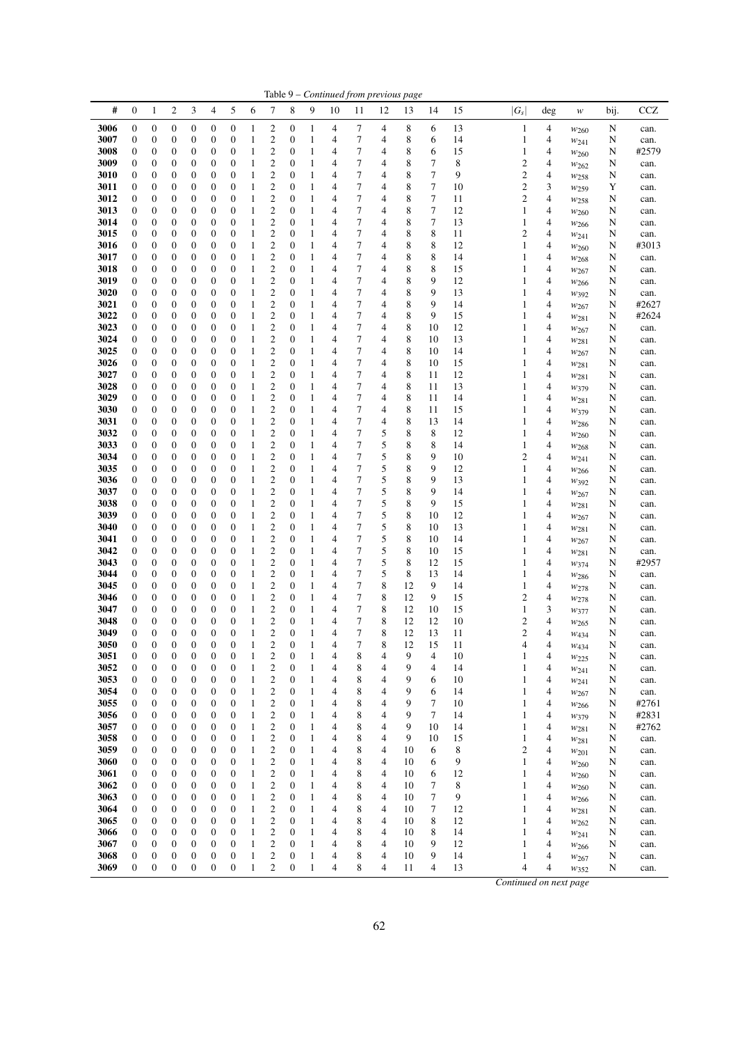|              |                                      |                       |                                      |                                      |                                      |                                      |                              |                                                    |                       |                              |        |                     |                | Table 9 – Continued from previous page |             |          |                                         |                          |                               |        |              |
|--------------|--------------------------------------|-----------------------|--------------------------------------|--------------------------------------|--------------------------------------|--------------------------------------|------------------------------|----------------------------------------------------|-----------------------|------------------------------|--------|---------------------|----------------|----------------------------------------|-------------|----------|-----------------------------------------|--------------------------|-------------------------------|--------|--------------|
| #            | $\boldsymbol{0}$                     | 1                     | $\boldsymbol{2}$                     | 3                                    | 4                                    | 5                                    | 6                            | 7                                                  | 8                     | 9                            | 10     | 11                  | 12             | 13                                     | 14          | 15       | $ G_s $                                 | $\deg$                   | w                             | bij.   | CCZ          |
| 3006         | $\boldsymbol{0}$                     | $\boldsymbol{0}$      | $\boldsymbol{0}$                     | $\boldsymbol{0}$                     | $\boldsymbol{0}$                     | $\boldsymbol{0}$                     | $\mathbf{1}$                 | 2                                                  | $\boldsymbol{0}$      | $\mathbf{1}$                 | 4      | 7                   | 4              | 8                                      | 6           | 13       | $\mathbf{1}$                            | $\overline{\mathcal{L}}$ | $w_{260}$                     | N      | can.         |
| 3007         | $\boldsymbol{0}$                     | $\boldsymbol{0}$      | $\boldsymbol{0}$                     | $\boldsymbol{0}$                     | $\boldsymbol{0}$                     | $\boldsymbol{0}$                     | $\mathbf{1}$                 | 2                                                  | $\boldsymbol{0}$      | $\mathbf{1}$                 | 4      | 7                   | 4              | 8                                      | 6           | 14       | 1                                       | 4                        | $w_{241}$                     | N      | can.         |
| 3008         | $\boldsymbol{0}$                     | 0                     | $\boldsymbol{0}$                     | $\boldsymbol{0}$                     | $\boldsymbol{0}$                     | $\boldsymbol{0}$                     | $\mathbf{1}$                 | $\boldsymbol{2}$                                   | 0                     | $\mathbf{1}$                 | 4      | 7                   | 4              | 8                                      | 6           | 15       | $\mathbf{1}$                            | 4                        | W260                          | N      | #2579        |
| 3009         | $\boldsymbol{0}$                     | $\boldsymbol{0}$      | $\boldsymbol{0}$                     | $\boldsymbol{0}$                     | $\boldsymbol{0}$                     | $\boldsymbol{0}$                     | $\mathbf{1}$                 | $\overline{\mathbf{c}}$                            | $\boldsymbol{0}$      | $\mathbf{1}$                 | 4      | 7                   | 4              | 8                                      | 7           | 8        | $\boldsymbol{2}$                        | 4                        | W262                          | N      | can.         |
| 3010         | $\boldsymbol{0}$                     | 0                     | $\boldsymbol{0}$                     | $\boldsymbol{0}$                     | $\boldsymbol{0}$                     | $\boldsymbol{0}$                     | $\mathbf{1}$                 | $\overline{c}$                                     | $\mathbf{0}$          | $\mathbf{1}$                 | 4      | 7                   | 4              | 8                                      | 7           | 9        | $\sqrt{2}$                              | 4                        | W <sub>258</sub>              | N      | can.         |
| 3011         | $\boldsymbol{0}$                     | 0                     | $\boldsymbol{0}$                     | $\boldsymbol{0}$                     | $\boldsymbol{0}$                     | $\boldsymbol{0}$                     | $\mathbf{1}$                 | 2                                                  | $\boldsymbol{0}$      | $\mathbf{1}$                 | 4      | 7                   | 4              | 8                                      | 7           | 10       | $\sqrt{2}$                              | 3                        | W <sub>259</sub>              | Y      | can.         |
| 3012<br>3013 | $\boldsymbol{0}$<br>$\boldsymbol{0}$ | $\boldsymbol{0}$<br>0 | $\boldsymbol{0}$<br>$\boldsymbol{0}$ | $\boldsymbol{0}$<br>$\boldsymbol{0}$ | $\boldsymbol{0}$<br>$\boldsymbol{0}$ | $\boldsymbol{0}$<br>$\boldsymbol{0}$ | 1<br>$\mathbf{1}$            | $\overline{\mathbf{c}}$<br>$\boldsymbol{2}$        | $\boldsymbol{0}$<br>0 | $\mathbf{1}$<br>$\mathbf{1}$ | 4<br>4 | 7<br>$\overline{7}$ | 4<br>4         | 8<br>8                                 | 7<br>$\tau$ | 11<br>12 | $\overline{\mathbf{c}}$<br>$\mathbf{1}$ | $\overline{4}$<br>4      | W258                          | N<br>N | can.         |
| 3014         | $\boldsymbol{0}$                     | 0                     | $\boldsymbol{0}$                     | $\boldsymbol{0}$                     | $\boldsymbol{0}$                     | $\boldsymbol{0}$                     | $\mathbf{1}$                 | 2                                                  | $\boldsymbol{0}$      | $\mathbf{1}$                 | 4      | 7                   | 4              | 8                                      | 7           | 13       | 1                                       | $\overline{4}$           | W260                          | N      | can.<br>can. |
| 3015         | $\boldsymbol{0}$                     | 0                     | $\boldsymbol{0}$                     | $\boldsymbol{0}$                     | $\boldsymbol{0}$                     | $\boldsymbol{0}$                     | $\mathbf{1}$                 | $\mathfrak{2}$                                     | 0                     | $\mathbf{1}$                 | 4      | 7                   | 4              | 8                                      | 8           | 11       | $\overline{c}$                          | 4                        | W <sub>266</sub><br>$w_{241}$ | N      | can.         |
| 3016         | $\boldsymbol{0}$                     | 0                     | $\boldsymbol{0}$                     | $\boldsymbol{0}$                     | $\boldsymbol{0}$                     | $\boldsymbol{0}$                     | $\mathbf{1}$                 | $\overline{\mathbf{c}}$                            | $\boldsymbol{0}$      | $\mathbf{1}$                 | 4      | 7                   | 4              | 8                                      | 8           | 12       | $\mathbf{1}$                            | $\overline{4}$           | W260                          | N      | #3013        |
| 3017         | $\boldsymbol{0}$                     | 0                     | $\boldsymbol{0}$                     | $\boldsymbol{0}$                     | $\boldsymbol{0}$                     | $\boldsymbol{0}$                     | $\mathbf{1}$                 | $\overline{\mathbf{c}}$                            | $\boldsymbol{0}$      | $\mathbf{1}$                 | 4      | 7                   | 4              | 8                                      | 8           | 14       | $\mathbf{1}$                            | 4                        | W268                          | N      | can.         |
| 3018         | $\boldsymbol{0}$                     | 0                     | $\boldsymbol{0}$                     | $\boldsymbol{0}$                     | $\boldsymbol{0}$                     | $\boldsymbol{0}$                     | $\mathbf{1}$                 | 2                                                  | $\boldsymbol{0}$      | $\mathbf{1}$                 | 4      | 7                   | 4              | 8                                      | 8           | 15       | $\mathbf{1}$                            | 4                        | $w_{267}$                     | N      | can.         |
| 3019         | $\boldsymbol{0}$                     | $\boldsymbol{0}$      | $\boldsymbol{0}$                     | $\boldsymbol{0}$                     | $\boldsymbol{0}$                     | $\boldsymbol{0}$                     | $\mathbf{1}$                 | $\boldsymbol{2}$                                   | $\boldsymbol{0}$      | $\mathbf{1}$                 | 4      | 7                   | 4              | 8                                      | 9           | 12       | $\mathbf{1}$                            | 4                        | W <sub>266</sub>              | N      | can.         |
| 3020         | $\boldsymbol{0}$                     | 0                     | $\boldsymbol{0}$                     | $\boldsymbol{0}$                     | $\boldsymbol{0}$                     | $\boldsymbol{0}$                     | $\mathbf{1}$                 | $\boldsymbol{2}$                                   | 0                     | $\mathbf{1}$                 | 4      | 7                   | 4              | 8                                      | 9           | 13       | $\mathbf{1}$                            | $\overline{4}$           | W392                          | N      | can.         |
| 3021         | $\boldsymbol{0}$                     | 0                     | $\boldsymbol{0}$                     | $\boldsymbol{0}$                     | $\boldsymbol{0}$                     | $\boldsymbol{0}$                     | $\mathbf{1}$                 | $\overline{\mathbf{c}}$                            | 0                     | $\mathbf{1}$                 | 4      | 7                   | 4              | 8                                      | 9           | 14       | $\mathbf{1}$                            | $\overline{4}$           | W267                          | N      | #2627        |
| 3022         | $\boldsymbol{0}$                     | 0                     | $\boldsymbol{0}$                     | $\boldsymbol{0}$                     | $\boldsymbol{0}$                     | $\boldsymbol{0}$                     | $\mathbf{1}$                 | $\overline{c}$                                     | 0                     | $\mathbf{1}$                 | 4      | 7                   | 4              | 8                                      | 9           | 15       | $\mathbf{1}$                            | $\overline{4}$           | $w_{281}$                     | N      | #2624        |
| 3023         | $\boldsymbol{0}$                     | 0                     | $\boldsymbol{0}$                     | $\boldsymbol{0}$                     | $\boldsymbol{0}$                     | $\boldsymbol{0}$                     | $\mathbf{1}$                 | 2                                                  | $\boldsymbol{0}$      | $\mathbf{1}$                 | 4      | 7                   | 4              | 8                                      | 10          | 12       | $\mathbf{1}$                            | 4                        | $w_{267}$                     | N      | can.         |
| 3024         | $\boldsymbol{0}$                     | 0                     | $\boldsymbol{0}$                     | $\boldsymbol{0}$                     | $\boldsymbol{0}$                     | $\boldsymbol{0}$                     | $\mathbf{1}$                 | $\boldsymbol{2}$                                   | $\boldsymbol{0}$      | $\mathbf{1}$                 | 4      | 7                   | 4              | 8                                      | 10          | 13       | 1                                       | 4                        | W281                          | N      | can.         |
| 3025         | $\boldsymbol{0}$                     | 0                     | $\boldsymbol{0}$                     | $\boldsymbol{0}$                     | $\boldsymbol{0}$                     | $\boldsymbol{0}$                     | $\mathbf{1}$                 | $\boldsymbol{2}$                                   | 0                     | $\mathbf{1}$                 | 4      | 7                   | 4              | 8                                      | 10          | 14       | $\mathbf{1}$                            | 4                        | W267                          | N      | can.         |
| 3026         | $\boldsymbol{0}$                     | $\boldsymbol{0}$      | $\boldsymbol{0}$                     | $\boldsymbol{0}$                     | $\boldsymbol{0}$<br>$\boldsymbol{0}$ | $\boldsymbol{0}$<br>$\boldsymbol{0}$ | $\mathbf{1}$                 | $\boldsymbol{2}$<br>$\mathfrak{2}$                 | $\boldsymbol{0}$      | $\mathbf{1}$<br>$\mathbf{1}$ | 4<br>4 | 7<br>7              | 4<br>4         | 8                                      | 10          | 15       | 1<br>$\mathbf{1}$                       | 4<br>4                   | $w_{281}$                     | N      | can.         |
| 3027<br>3028 | $\boldsymbol{0}$<br>$\boldsymbol{0}$ | 0<br>$\boldsymbol{0}$ | $\boldsymbol{0}$<br>$\boldsymbol{0}$ | $\boldsymbol{0}$<br>$\boldsymbol{0}$ | $\boldsymbol{0}$                     | $\boldsymbol{0}$                     | $\mathbf{1}$<br>$\,1$        | $\overline{\mathbf{c}}$                            | 0<br>$\boldsymbol{0}$ | $\mathbf{1}$                 | 4      | 7                   | 4              | 8<br>8                                 | 11<br>11    | 12<br>13 | $\mathbf{1}$                            | 4                        | $w_{281}$                     | N<br>N | can.         |
| 3029         | $\boldsymbol{0}$                     | $\boldsymbol{0}$      | $\boldsymbol{0}$                     | $\boldsymbol{0}$                     | $\boldsymbol{0}$                     | $\boldsymbol{0}$                     | $\mathbf{1}$                 | $\overline{\mathbf{c}}$                            | $\mathbf{0}$          | $\mathbf{1}$                 | 4      | 7                   | 4              | 8                                      | 11          | 14       | $\mathbf{1}$                            | 4                        | W379<br>W281                  | N      | can.<br>can. |
| 3030         | $\boldsymbol{0}$                     | 0                     | $\boldsymbol{0}$                     | $\boldsymbol{0}$                     | $\boldsymbol{0}$                     | $\boldsymbol{0}$                     | $\mathbf{1}$                 | 2                                                  | $\boldsymbol{0}$      | $\mathbf{1}$                 | 4      | 7                   | 4              | 8                                      | 11          | 15       | 1                                       | $\overline{4}$           | W379                          | N      | can.         |
| 3031         | $\boldsymbol{0}$                     | $\boldsymbol{0}$      | $\boldsymbol{0}$                     | $\boldsymbol{0}$                     | $\boldsymbol{0}$                     | $\boldsymbol{0}$                     | $\mathbf{1}$                 | $\boldsymbol{2}$                                   | $\boldsymbol{0}$      | $\mathbf{1}$                 | 4      | 7                   | 4              | 8                                      | 13          | 14       | 1                                       | 4                        | W <sub>286</sub>              | N      | can.         |
| 3032         | $\boldsymbol{0}$                     | 0                     | $\boldsymbol{0}$                     | $\boldsymbol{0}$                     | $\boldsymbol{0}$                     | $\boldsymbol{0}$                     | $\mathbf{1}$                 | $\boldsymbol{2}$                                   | $\boldsymbol{0}$      | $\mathbf{1}$                 | 4      | 7                   | 5              | 8                                      | 8           | 12       | $\mathbf{1}$                            | 4                        | W260                          | N      | can.         |
| 3033         | $\boldsymbol{0}$                     | 0                     | $\boldsymbol{0}$                     | $\boldsymbol{0}$                     | $\boldsymbol{0}$                     | $\boldsymbol{0}$                     | $\mathbf{1}$                 | $\overline{\mathbf{c}}$                            | $\boldsymbol{0}$      | $\mathbf{1}$                 | 4      | 7                   | 5              | 8                                      | 8           | 14       | 1                                       | $\overline{4}$           | W268                          | N      | can.         |
| 3034         | $\boldsymbol{0}$                     | 0                     | $\boldsymbol{0}$                     | $\boldsymbol{0}$                     | $\boldsymbol{0}$                     | $\boldsymbol{0}$                     | $\mathbf{1}$                 | $\mathfrak{2}$                                     | 0                     | $\mathbf{1}$                 | 4      | 7                   | 5              | 8                                      | 9           | 10       | $\overline{c}$                          | 4                        | W241                          | N      | can.         |
| 3035         | $\boldsymbol{0}$                     | $\boldsymbol{0}$      | $\boldsymbol{0}$                     | $\boldsymbol{0}$                     | $\boldsymbol{0}$                     | $\boldsymbol{0}$                     | $\mathbf{1}$                 | 2                                                  | $\boldsymbol{0}$      | $\mathbf{1}$                 | 4      | 7                   | 5              | 8                                      | 9           | 12       | $\mathbf{1}$                            | 4                        | W <sub>266</sub>              | N      | can.         |
| 3036         | $\boldsymbol{0}$                     | 0                     | $\boldsymbol{0}$                     | $\boldsymbol{0}$                     | $\boldsymbol{0}$                     | $\boldsymbol{0}$                     | $\mathbf{1}$                 | $\overline{\mathbf{c}}$                            | $\boldsymbol{0}$      | $\mathbf{1}$                 | 4      | 7                   | 5              | 8                                      | 9           | 13       | $\mathbf{1}$                            | 4                        | W392                          | N      | can.         |
| 3037         | $\boldsymbol{0}$                     | 0                     | $\boldsymbol{0}$                     | $\boldsymbol{0}$                     | $\boldsymbol{0}$                     | $\boldsymbol{0}$                     | $\mathbf{1}$                 | 2                                                  | 0                     | $\mathbf{1}$                 | 4      | 7                   | 5              | 8                                      | 9           | 14       | 1                                       | 4                        | W267                          | N      | can.         |
| 3038         | $\boldsymbol{0}$                     | $\boldsymbol{0}$      | $\boldsymbol{0}$                     | $\boldsymbol{0}$                     | $\boldsymbol{0}$                     | $\boldsymbol{0}$                     | $\mathbf{1}$                 | $\boldsymbol{2}$                                   | $\boldsymbol{0}$      | $\mathbf{1}$                 | 4      | 7                   | 5              | 8                                      | 9           | 15       | $\mathbf{1}$                            | 4                        | W281                          | N      | can.         |
| 3039         | $\boldsymbol{0}$                     | 0                     | $\boldsymbol{0}$                     | $\boldsymbol{0}$                     | $\boldsymbol{0}$                     | $\boldsymbol{0}$<br>$\boldsymbol{0}$ | $\mathbf{1}$                 | $\mathbf{2}$                                       | 0                     | $\mathbf{1}$<br>$\mathbf{1}$ | 4      | 7                   | 5              | 8                                      | 10          | 12       | $\mathbf{1}$                            | 4                        | $W_{267}$                     | N      | can.         |
| 3040<br>3041 | $\boldsymbol{0}$<br>$\boldsymbol{0}$ | 0<br>0                | $\boldsymbol{0}$<br>$\boldsymbol{0}$ | $\boldsymbol{0}$<br>$\boldsymbol{0}$ | $\boldsymbol{0}$<br>$\boldsymbol{0}$ | $\boldsymbol{0}$                     | $\mathbf{1}$<br>$\mathbf{1}$ | $\overline{\mathbf{c}}$<br>$\overline{c}$          | 0<br>0                | $\mathbf{1}$                 | 4<br>4 | 7<br>7              | 5<br>5         | 8<br>8                                 | 10<br>10    | 13<br>14 | $\mathbf{1}$<br>$\mathbf{1}$            | $\overline{4}$<br>4      | W281                          | N<br>N | can.<br>can. |
| 3042         | $\boldsymbol{0}$                     | 0                     | $\boldsymbol{0}$                     | $\boldsymbol{0}$                     | $\boldsymbol{0}$                     | $\boldsymbol{0}$                     | $\mathbf{1}$                 | $\overline{\mathbf{c}}$                            | $\boldsymbol{0}$      | $\mathbf{1}$                 | 4      | $\overline{7}$      | 5              | 8                                      | 10          | 15       | $\mathbf{1}$                            | 4                        | W267<br>W281                  | N      | can.         |
| 3043         | $\boldsymbol{0}$                     | 0                     | $\boldsymbol{0}$                     | $\boldsymbol{0}$                     | $\boldsymbol{0}$                     | $\boldsymbol{0}$                     | $\mathbf{1}$                 | $\mathfrak{2}$                                     | $\boldsymbol{0}$      | $\mathbf{1}$                 | 4      | 7                   | 5              | 8                                      | 12          | 15       | $\mathbf{1}$                            | 4                        | W374                          | N      | #2957        |
| 3044         | $\boldsymbol{0}$                     | 0                     | $\boldsymbol{0}$                     | $\boldsymbol{0}$                     | $\boldsymbol{0}$                     | $\boldsymbol{0}$                     | 1                            | 2                                                  | 0                     | $\mathbf{1}$                 | 4      | 7                   | 5              | 8                                      | 13          | 14       | $\mathbf{1}$                            | 4                        | W <sub>286</sub>              | N      | can.         |
| 3045         | $\boldsymbol{0}$                     | $\boldsymbol{0}$      | $\boldsymbol{0}$                     | $\boldsymbol{0}$                     | $\boldsymbol{0}$                     | $\boldsymbol{0}$                     | $\mathbf{1}$                 | $\boldsymbol{2}$                                   | $\boldsymbol{0}$      | $\mathbf{1}$                 | 4      | 7                   | 8              | 12                                     | 9           | 14       | 1                                       | $\overline{4}$           | W278                          | N      | can.         |
| 3046         | $\boldsymbol{0}$                     | 0                     | $\boldsymbol{0}$                     | $\boldsymbol{0}$                     | $\boldsymbol{0}$                     | $\boldsymbol{0}$                     | $\mathbf{1}$                 | $\mathfrak{2}$                                     | 0                     | $\mathbf{1}$                 | 4      | $\overline{7}$      | $\,$ 8 $\,$    | 12                                     | 9           | 15       | $\overline{c}$                          | $\overline{4}$           | W278                          | N      | can.         |
| 3047         | $\boldsymbol{0}$                     | 0                     | $\boldsymbol{0}$                     | $\boldsymbol{0}$                     | 0                                    | $\boldsymbol{0}$                     | $\mathbf{1}$                 | 2                                                  | 0                     | $\mathbf{1}$                 | 4      | 7                   | 8              | 12                                     | 10          | 15       | $\mathbf{1}$                            | 3                        | $w_{377}$                     | N      | can.         |
| 3048         | $\boldsymbol{0}$                     | $\boldsymbol{0}$      | $\boldsymbol{0}$                     | $\boldsymbol{0}$                     | $\boldsymbol{0}$                     | $\boldsymbol{0}$                     | $\mathbf{1}$                 | $\overline{\mathbf{c}}$                            | 0                     | $\mathbf{1}$                 | 4      | 7                   | 8              | 12                                     | 12          | 10       | $\overline{\mathbf{c}}$                 | 4                        | W265                          | N      | can.         |
| 3049         | $\boldsymbol{0}$                     | 0                     | $\overline{0}$                       | $\mathbf{0}$                         | $\boldsymbol{0}$                     | $\overline{0}$                       | $\mathbf{1}$                 | $\mathfrak{2}$                                     | $\overline{0}$        | $\mathbf{1}$                 | 4      | 7                   | 8              | 12                                     | 13          | 11       | $\overline{2}$                          | 4                        | W434                          | N      | can.         |
| 3050         | $\boldsymbol{0}$                     | $\boldsymbol{0}$      | 0                                    | $\boldsymbol{0}$                     | $\boldsymbol{0}$                     | $\boldsymbol{0}$                     | 1                            | 2                                                  | 0                     |                              | 4      | 7                   | 8              | 12                                     | 15          | 11       | 4                                       | 4                        | W434                          | N      | can.         |
| 3051         | $\boldsymbol{0}$                     | $\boldsymbol{0}$      | $\boldsymbol{0}$                     | $\boldsymbol{0}$                     | $\boldsymbol{0}$                     | $\boldsymbol{0}$                     | $\mathbf{1}$                 | $\boldsymbol{2}$                                   | 0                     | $\mathbf{1}$                 | 4      | 8                   | 4              | 9                                      | 4           | 10       | $\mathbf{1}$                            | 4                        | $w_{225}$                     | N      | can.         |
| 3052<br>3053 | $\boldsymbol{0}$                     | 0                     | $\boldsymbol{0}$                     | $\boldsymbol{0}$                     | $\boldsymbol{0}$                     | $\boldsymbol{0}$                     | 1                            | $\overline{\mathbf{c}}$                            | $\boldsymbol{0}$      | $\mathbf{1}$<br>$\mathbf{1}$ | 4      | 8                   | 4              | 9                                      | 4<br>6      | 14       | 1                                       | $\overline{4}$           | W241                          | N      | can.         |
| 3054         | $\boldsymbol{0}$<br>$\boldsymbol{0}$ | 0<br>$\boldsymbol{0}$ | $\boldsymbol{0}$<br>$\boldsymbol{0}$ | $\boldsymbol{0}$<br>$\boldsymbol{0}$ | $\boldsymbol{0}$<br>$\boldsymbol{0}$ | $\boldsymbol{0}$<br>$\boldsymbol{0}$ | $\mathbf{1}$<br>1            | $\overline{\mathbf{c}}$<br>$\overline{\mathbf{c}}$ | 0<br>0                | $\mathbf{1}$                 | 4<br>4 | 8<br>8              | 4<br>4         | 9<br>9                                 | 6           | 10<br>14 | $\mathbf{1}$<br>$\mathbf{1}$            | $\overline{4}$<br>4      | W241                          | N<br>N | can.<br>can. |
| 3055         | $\boldsymbol{0}$                     | $\boldsymbol{0}$      | $\mathbf{0}$                         | $\boldsymbol{0}$                     | $\boldsymbol{0}$                     | $\boldsymbol{0}$                     | $\mathbf{1}$                 | $\overline{c}$                                     | $\boldsymbol{0}$      | $\mathbf{1}$                 | 4      | 8                   | 4              | 9                                      | 7           | 10       | $\mathbf{1}$                            | 4                        | $w_{267}$                     | N      | #2761        |
| 3056         | $\boldsymbol{0}$                     | 0                     | $\boldsymbol{0}$                     | $\boldsymbol{0}$                     | $\boldsymbol{0}$                     | $\boldsymbol{0}$                     | 1                            | $\overline{\mathbf{c}}$                            | $\boldsymbol{0}$      | $\mathbf{1}$                 | 4      | 8                   | 4              | 9                                      | 7           | 14       | $\mathbf{1}$                            | 4                        | W <sub>266</sub><br>W379      | N      | #2831        |
| 3057         | $\boldsymbol{0}$                     | $\boldsymbol{0}$      | $\boldsymbol{0}$                     | $\boldsymbol{0}$                     | $\boldsymbol{0}$                     | $\boldsymbol{0}$                     | $\mathbf{1}$                 | $\overline{\mathbf{c}}$                            | $\boldsymbol{0}$      | $\mathbf{1}$                 | 4      | 8                   | 4              | 9                                      | 10          | 14       | $\mathbf{1}$                            | 4                        | W281                          | N      | #2762        |
| 3058         | $\boldsymbol{0}$                     | 0                     | $\boldsymbol{0}$                     | $\boldsymbol{0}$                     | $\boldsymbol{0}$                     | $\boldsymbol{0}$                     | 1                            | $\mathbf{2}$                                       | 0                     | $\mathbf{1}$                 | 4      | 8                   | 4              | 9                                      | 10          | 15       | $\mathbf{1}$                            | $\overline{4}$           | W281                          | N      | can.         |
| 3059         | $\boldsymbol{0}$                     | 0                     | $\boldsymbol{0}$                     | $\boldsymbol{0}$                     | $\boldsymbol{0}$                     | $\boldsymbol{0}$                     | 1                            | $\overline{\mathbf{c}}$                            | $\boldsymbol{0}$      | $\mathbf{1}$                 | 4      | 8                   | 4              | 10                                     | 6           | 8        | $\overline{c}$                          | $\overline{4}$           | $w_{201}$                     | N      | can.         |
| 3060         | $\boldsymbol{0}$                     | 0                     | $\boldsymbol{0}$                     | $\boldsymbol{0}$                     | $\boldsymbol{0}$                     | $\boldsymbol{0}$                     | 1                            | $\overline{\mathbf{c}}$                            | $\boldsymbol{0}$      | $\mathbf{1}$                 | 4      | 8                   | 4              | 10                                     | 6           | 9        | $\mathbf{1}$                            | 4                        | W260                          | N      | can.         |
| 3061         | $\boldsymbol{0}$                     | $\boldsymbol{0}$      | $\boldsymbol{0}$                     | $\boldsymbol{0}$                     | $\boldsymbol{0}$                     | $\boldsymbol{0}$                     | 1                            | $\overline{\mathbf{c}}$                            | $\boldsymbol{0}$      | $\mathbf{1}$                 | 4      | 8                   | 4              | 10                                     | 6           | 12       | $\mathbf{1}$                            | 4                        | W260                          | N      | can.         |
| 3062         | $\boldsymbol{0}$                     | $\boldsymbol{0}$      | $\boldsymbol{0}$                     | $\boldsymbol{0}$                     | $\boldsymbol{0}$                     | $\boldsymbol{0}$                     | 1                            | $\overline{c}$                                     | $\boldsymbol{0}$      | $\mathbf{1}$                 | 4      | 8                   | $\overline{4}$ | 10                                     | 7           | 8        | 1                                       | 4                        | W <sub>260</sub>              | N      | can.         |
| 3063         | $\boldsymbol{0}$                     | 0                     | $\boldsymbol{0}$                     | $\boldsymbol{0}$                     | $\boldsymbol{0}$                     | $\boldsymbol{0}$                     | 1                            | 2                                                  | 0                     | $\mathbf{1}$                 | 4      | 8                   | 4              | 10                                     | 7           | 9        | $\mathbf{1}$                            | $\overline{4}$           | W <sub>266</sub>              | N      | can.         |
| 3064         | $\boldsymbol{0}$                     | 0                     | $\boldsymbol{0}$                     | $\boldsymbol{0}$                     | $\boldsymbol{0}$                     | $\boldsymbol{0}$                     | 1                            | $\overline{\mathbf{c}}$                            | $\boldsymbol{0}$      | $\mathbf{1}$                 | 4      | 8                   | 4              | 10                                     | 7           | 12       | 1                                       | 4                        | W281                          | N      | can.         |
| 3065         | $\boldsymbol{0}$                     | 0                     | $\mathbf{0}$                         | $\boldsymbol{0}$                     | $\boldsymbol{0}$                     | $\boldsymbol{0}$                     | $\mathbf{1}$                 | $\mathfrak{2}$                                     | 0                     | $\mathbf{1}$                 | 4      | 8                   | 4              | 10                                     | 8           | 12       | $\mathbf{1}$                            | $\overline{4}$           | W262                          | N      | can.         |
| 3066         | $\boldsymbol{0}$                     | 0                     | $\boldsymbol{0}$                     | $\boldsymbol{0}$                     | 0                                    | $\boldsymbol{0}$                     | $\mathbf{1}$                 | 2                                                  | 0                     | $\mathbf{1}$                 | 4      | 8                   | 4              | 10                                     | 8           | 14       | $\mathbf{1}$                            | $\overline{4}$           | W241                          | N      | can.         |
| 3067         | $\boldsymbol{0}$                     | 0                     | $\boldsymbol{0}$                     | $\boldsymbol{0}$                     | $\boldsymbol{0}$                     | $\boldsymbol{0}$                     | $\mathbf{1}$                 | $\overline{c}$                                     | $\boldsymbol{0}$      | $\mathbf{1}$                 | 4      | 8                   | 4              | 10                                     | 9           | 12       | $\mathbf{1}$                            | 4                        | $w_{266}$                     | N      | can.         |
| 3068<br>3069 | $\boldsymbol{0}$<br>$\boldsymbol{0}$ | 0<br>$\boldsymbol{0}$ | $\boldsymbol{0}$<br>$\boldsymbol{0}$ | $\boldsymbol{0}$<br>$\boldsymbol{0}$ | $\boldsymbol{0}$<br>$\boldsymbol{0}$ | $\boldsymbol{0}$<br>$\boldsymbol{0}$ | $\mathbf{1}$<br>$\mathbf{1}$ | $\overline{\mathbf{c}}$<br>$\overline{c}$          | 0<br>0                | $\mathbf{1}$<br>$\mathbf{1}$ | 4<br>4 | 8<br>8              | 4<br>4         | 10                                     | 9<br>4      | 14<br>13 | 1<br>4                                  | 4<br>4                   | W267                          | N      | can.         |
|              |                                      |                       |                                      |                                      |                                      |                                      |                              |                                                    |                       |                              |        |                     |                | 11                                     |             |          |                                         |                          | W352                          | N      | can.         |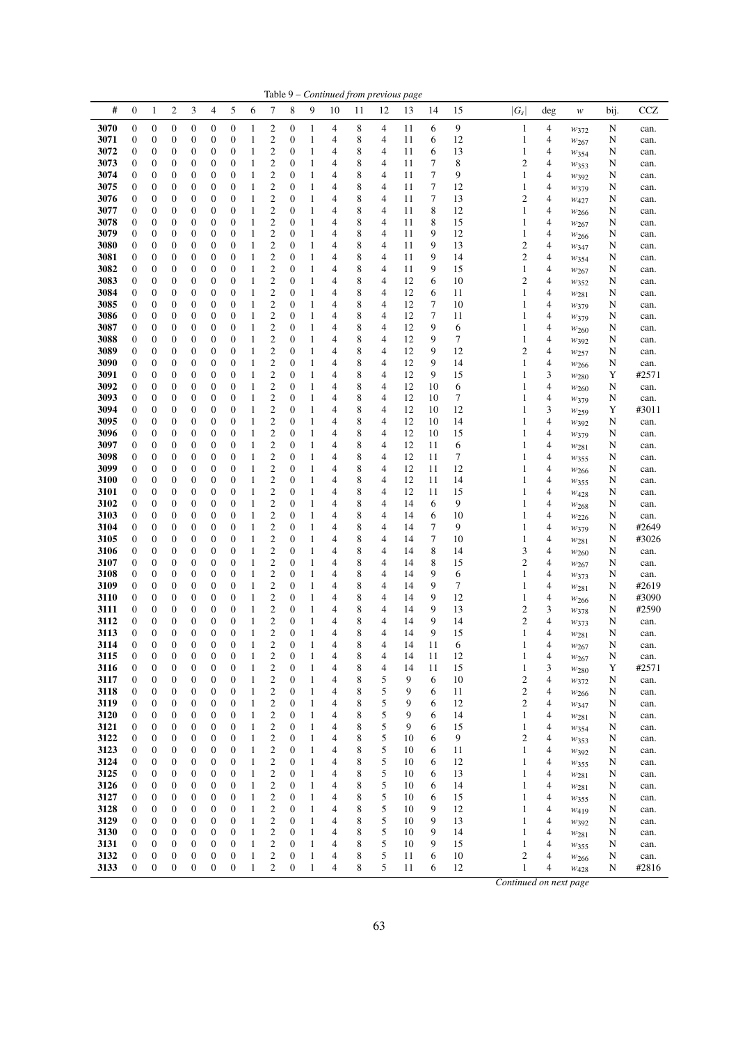| #    | $\mathbf{0}$     | 1                | 2                | 3                | 4                | 5                | 6            | 7                       | 8                | 9            | 10 | 11 | 12 | 13 | 14 | 15 | $ G_{\rm s} $  | deg                                | w                | bij. | CCZ   |
|------|------------------|------------------|------------------|------------------|------------------|------------------|--------------|-------------------------|------------------|--------------|----|----|----|----|----|----|----------------|------------------------------------|------------------|------|-------|
|      |                  |                  |                  |                  |                  |                  |              |                         |                  |              |    |    |    |    |    |    |                |                                    |                  |      |       |
| 3070 | $\mathbf{0}$     | $\boldsymbol{0}$ | 0                | $\boldsymbol{0}$ | $\mathbf{0}$     | $\boldsymbol{0}$ | 1            | $\overline{c}$          | $\mathbf{0}$     | 1            | 4  | 8  | 4  | 11 | 6  | 9  | 1              | 4                                  | $w_{372}$        | N    | can.  |
| 3071 | $\mathbf{0}$     | $\boldsymbol{0}$ | 0                | $\boldsymbol{0}$ | $\mathbf{0}$     | $\boldsymbol{0}$ | 1            | $\overline{c}$          | $\mathbf{0}$     | 1            | 4  | 8  | 4  | 11 | 6  | 12 | 1              | 4                                  | $w_{267}$        | N    | can.  |
| 3072 | $\mathbf{0}$     | 0                | 0                | $\boldsymbol{0}$ | 0                | $\boldsymbol{0}$ | 1            | $\mathbf{2}$            | $\mathbf{0}$     | 1            | 4  | 8  | 4  | 11 | 6  | 13 | 1              | 4                                  | W354             | N    | can.  |
|      | $\mathbf{0}$     |                  |                  |                  |                  |                  |              |                         |                  | 1            |    |    |    | 11 | 7  |    |                |                                    |                  |      |       |
| 3073 |                  | 0                | 0                | $\boldsymbol{0}$ | $\mathbf{0}$     | $\boldsymbol{0}$ | 1            | $\mathbf{2}$            | $\mathbf{0}$     |              | 4  | 8  | 4  |    |    | 8  | $\overline{c}$ | 4                                  | W353             | N    | can.  |
| 3074 | $\mathbf{0}$     | 0                | 0                | $\boldsymbol{0}$ | 0                | $\boldsymbol{0}$ | 1            | $\mathbf{2}$            | $\mathbf{0}$     | 1            | 4  | 8  | 4  | 11 | 7  | 9  | 1              | 4                                  | $w_{392}$        | N    | can.  |
| 3075 | $\mathbf{0}$     | 0                | 0                | $\boldsymbol{0}$ | $\mathbf{0}$     | $\boldsymbol{0}$ | 1            | $\overline{c}$          | $\mathbf{0}$     | 1            | 4  | 8  | 4  | 11 | 7  | 12 | 1              | 4                                  | W379             | N    | can.  |
| 3076 | $\mathbf{0}$     | $\boldsymbol{0}$ | $\boldsymbol{0}$ | $\boldsymbol{0}$ | $\mathbf{0}$     | $\boldsymbol{0}$ | 1            | $\mathbf{2}$            | $\mathbf{0}$     | 1            | 4  | 8  | 4  | 11 | 7  | 13 | 2              | 4                                  | W427             | N    | can.  |
| 3077 | $\mathbf{0}$     | $\boldsymbol{0}$ | $\boldsymbol{0}$ | $\boldsymbol{0}$ | $\mathbf{0}$     | $\boldsymbol{0}$ | 1            | $\mathbf{2}$            | $\mathbf{0}$     | 1            | 4  | 8  | 4  | 11 | 8  | 12 | 1              | 4                                  | W266             | N    | can.  |
|      |                  |                  |                  |                  |                  |                  |              | $\overline{c}$          |                  |              | 4  | 8  |    |    | 8  |    |                |                                    |                  |      |       |
| 3078 | $\mathbf{0}$     | 0                | 0                | $\boldsymbol{0}$ | $\boldsymbol{0}$ | $\boldsymbol{0}$ | 1            |                         | $\mathbf{0}$     | 1            |    |    | 4  | 11 |    | 15 | 1              | 4                                  | $w_{267}$        | N    | can.  |
| 3079 | $\mathbf{0}$     | 0                | 0                | $\boldsymbol{0}$ | 0                | $\boldsymbol{0}$ | 1            | $\mathbf{2}$            | $\mathbf{0}$     | 1            | 4  | 8  | 4  | 11 | 9  | 12 | 1              | 4                                  | W <sub>266</sub> | N    | can.  |
| 3080 | $\mathbf{0}$     | 0                | 0                | $\boldsymbol{0}$ | $\mathbf{0}$     | $\mathbf{0}$     | 1            | $\overline{c}$          | $\mathbf{0}$     | 1            | 4  | 8  | 4  | 11 | 9  | 13 | 2              | 4                                  | W347             | N    | can.  |
| 3081 | $\mathbf{0}$     | 0                | 0                | $\boldsymbol{0}$ | 0                | $\boldsymbol{0}$ | 1            | 2                       | $\mathbf{0}$     | 1            | 4  | 8  | 4  | 11 | 9  | 14 |                | 2<br>4                             | W354             | N    | can.  |
| 3082 | $\mathbf{0}$     | 0                | $\boldsymbol{0}$ | $\boldsymbol{0}$ | $\mathbf{0}$     | $\boldsymbol{0}$ | 1            | $\mathbf{2}$            | $\mathbf{0}$     | 1            | 4  | 8  | 4  | 11 | 9  | 15 | 1              | 4                                  | $w_{267}$        | N    | can.  |
| 3083 | $\mathbf{0}$     | 0                | 0                | $\boldsymbol{0}$ | $\mathbf{0}$     | $\boldsymbol{0}$ | 1            | $\mathbf{2}$            | $\mathbf{0}$     | 1            | 4  | 8  | 4  | 12 | 6  | 10 | 2              | 4                                  |                  | N    |       |
|      |                  |                  |                  |                  |                  |                  |              |                         |                  |              |    |    |    |    |    |    |                |                                    | $w_{352}$        |      | can.  |
| 3084 | $\mathbf{0}$     | 0                | $\boldsymbol{0}$ | $\boldsymbol{0}$ | $\boldsymbol{0}$ | $\boldsymbol{0}$ | 1            | 2                       | $\mathbf{0}$     | 1            | 4  | 8  | 4  | 12 | 6  | 11 | 1              | 4                                  | W281             | N    | can.  |
| 3085 | $\mathbf{0}$     | 0                | 0                | $\boldsymbol{0}$ | $\mathbf{0}$     | $\boldsymbol{0}$ | 1            | $\mathbf{2}$            | $\mathbf{0}$     | 1            | 4  | 8  | 4  | 12 | 7  | 10 | 1              | 4                                  | W379             | N    | can.  |
| 3086 | $\mathbf{0}$     | 0                | 0                | $\boldsymbol{0}$ | $\mathbf{0}$     | $\boldsymbol{0}$ | 1            | $\mathfrak{2}$          | $\mathbf{0}$     | 1            | 4  | 8  | 4  | 12 | 7  | 11 | 1              | 4                                  | W379             | N    | can.  |
| 3087 | $\mathbf{0}$     | 0                | 0                | $\boldsymbol{0}$ | $\mathbf{0}$     | $\mathbf{0}$     | 1            | $\overline{c}$          | $\mathbf{0}$     | 1            | 4  | 8  | 4  | 12 | 9  | 6  | 1              | 4                                  | $w_{260}$        | N    | can.  |
| 3088 | $\mathbf{0}$     | 0                | 0                | $\boldsymbol{0}$ | $\mathbf{0}$     | 0                | 1            | $\mathfrak{2}$          | $\mathbf{0}$     | 1            | 4  | 8  | 4  | 12 | 9  | 7  | 1              | 4                                  |                  | N    |       |
|      |                  |                  |                  |                  |                  |                  |              |                         |                  |              |    |    |    |    |    |    |                |                                    | W392             |      | can.  |
| 3089 | $\mathbf{0}$     | $\boldsymbol{0}$ | $\boldsymbol{0}$ | $\boldsymbol{0}$ | $\mathbf{0}$     | $\boldsymbol{0}$ | 1            | $\mathfrak{2}$          | $\mathbf{0}$     | 1            | 4  | 8  | 4  | 12 | 9  | 12 | 2              | 4                                  | W <sub>257</sub> | N    | can.  |
| 3090 | $\mathbf{0}$     | $\boldsymbol{0}$ | 0                | $\boldsymbol{0}$ | $\boldsymbol{0}$ | $\boldsymbol{0}$ | 1            | $\mathfrak{2}$          | $\mathbf{0}$     | 1            | 4  | 8  | 4  | 12 | 9  | 14 | 1              | 4                                  | $w_{266}$        | N    | can.  |
| 3091 | $\mathbf{0}$     | 0                | $\boldsymbol{0}$ | $\boldsymbol{0}$ | $\boldsymbol{0}$ | $\boldsymbol{0}$ | 1            | 2                       | 0                | 1            | 4  | 8  | 4  | 12 | 9  | 15 | 1              | 3                                  | $w_{280}$        | Y    | #2571 |
| 3092 | $\mathbf{0}$     | 0                | 0                | $\boldsymbol{0}$ | $\mathbf{0}$     | $\boldsymbol{0}$ | 1            | $\mathfrak{2}$          | $\mathbf{0}$     | 1            | 4  | 8  | 4  | 12 | 10 | 6  | 1              | 4                                  | W <sub>260</sub> | N    | can.  |
| 3093 | $\mathbf{0}$     | 0                | 0                | $\boldsymbol{0}$ | 0                | $\boldsymbol{0}$ | 1            | $\mathfrak{2}$          | $\mathbf{0}$     | 1            | 4  | 8  | 4  | 12 | 10 | 7  |                | 4                                  | W379             | N    | can.  |
| 3094 | $\mathbf{0}$     | 0                | 0                | $\boldsymbol{0}$ | $\mathbf{0}$     | $\boldsymbol{0}$ | 1            | $\mathfrak{2}$          | $\mathbf{0}$     | 1            | 4  | 8  | 4  | 12 | 10 | 12 | 1              | 3                                  |                  | Y    | #3011 |
|      |                  |                  |                  |                  |                  |                  |              |                         |                  |              |    |    |    |    |    |    |                |                                    | W <sub>259</sub> |      |       |
| 3095 | $\mathbf{0}$     | 0                | 0                | $\boldsymbol{0}$ | $\mathbf{0}$     | 0                | 1            | $\mathbf{2}$            | $\mathbf{0}$     | 1            | 4  | 8  | 4  | 12 | 10 | 14 | 1              | 4                                  | $w_{392}$        | N    | can.  |
| 3096 | $\mathbf{0}$     | 0                | $\boldsymbol{0}$ | $\boldsymbol{0}$ | $\boldsymbol{0}$ | $\boldsymbol{0}$ | 1            | $\mathbf{2}$            | $\mathbf{0}$     | 1            | 4  | 8  | 4  | 12 | 10 | 15 | 1              | 4                                  | W379             | N    | can.  |
| 3097 | $\mathbf{0}$     | 0                | 0                | $\boldsymbol{0}$ | $\mathbf{0}$     | $\boldsymbol{0}$ | 1            | $\overline{c}$          | $\mathbf{0}$     | 1            | 4  | 8  | 4  | 12 | 11 | 6  | 1              | 4                                  | W281             | N    | can.  |
| 3098 | $\mathbf{0}$     | 0                | 0                | $\boldsymbol{0}$ | $\mathbf{0}$     | $\boldsymbol{0}$ | 1            | $\mathbf{2}$            | $\mathbf{0}$     | 1            | 4  | 8  | 4  | 12 | 11 | 7  | 1              | 4                                  | W355             | N    | can.  |
| 3099 | $\mathbf{0}$     | 0                | 0                | $\boldsymbol{0}$ | $\mathbf{0}$     | $\boldsymbol{0}$ | 1            | $\overline{c}$          | $\mathbf{0}$     | 1            | 4  | 8  | 4  | 12 | 11 | 12 | 1              | 4                                  | $w_{266}$        | N    | can.  |
|      |                  |                  |                  |                  |                  |                  |              | $\overline{c}$          |                  |              | 4  |    |    |    |    |    |                | 4                                  |                  |      |       |
| 3100 | $\mathbf{0}$     | 0                | 0                | $\boldsymbol{0}$ | $\mathbf{0}$     | $\boldsymbol{0}$ | 1            |                         | $\mathbf{0}$     | 1            |    | 8  | 4  | 12 | 11 | 14 | 1              |                                    | W355             | N    | can.  |
| 3101 | $\mathbf{0}$     | 0                | $\boldsymbol{0}$ | $\boldsymbol{0}$ | $\mathbf{0}$     | $\boldsymbol{0}$ | 1            | $\overline{c}$          | $\mathbf{0}$     | 1            | 4  | 8  | 4  | 12 | 11 | 15 | 1              | 4                                  | W428             | N    | can.  |
| 3102 | $\mathbf{0}$     | 0                | 0                | $\boldsymbol{0}$ | $\mathbf{0}$     | $\boldsymbol{0}$ | 1            | $\mathbf{2}$            | $\mathbf{0}$     | 1            | 4  | 8  | 4  | 14 | 6  | 9  | 1              | 4                                  | W <sub>268</sub> | N    | can.  |
| 3103 | 0                | $\boldsymbol{0}$ | $\boldsymbol{0}$ | $\boldsymbol{0}$ | $\boldsymbol{0}$ | $\boldsymbol{0}$ | 1            | $\mathbf{2}$            | 0                | 1            | 4  | 8  | 4  | 14 | 6  | 10 | 1              | 4                                  | $w_{226}$        | N    | can.  |
| 3104 | $\mathbf{0}$     | 0                | 0                | $\boldsymbol{0}$ | $\mathbf{0}$     | 0                | 1            | $\mathbf{2}$            | $\mathbf{0}$     | 1            | 4  | 8  | 4  | 14 | 7  | 9  | 1              | 4                                  | W379             | N    | #2649 |
| 3105 | $\mathbf{0}$     | 0                | 0                | $\boldsymbol{0}$ | $\mathbf{0}$     | $\boldsymbol{0}$ | 1            | $\mathbf{2}$            | $\mathbf{0}$     | 1            | 4  | 8  | 4  | 14 | 7  | 10 | 1              | 4                                  |                  | N    | #3026 |
|      |                  |                  |                  |                  |                  |                  |              |                         |                  |              |    |    |    |    |    |    |                |                                    | W281             |      |       |
| 3106 | $\mathbf{0}$     | 0                | 0                | $\boldsymbol{0}$ | $\mathbf{0}$     | $\boldsymbol{0}$ | 1            | $\overline{c}$          | $\mathbf{0}$     | 1            | 4  | 8  | 4  | 14 | 8  | 14 | 3              | 4                                  | $w_{260}$        | N    | can.  |
| 3107 | $\mathbf{0}$     | 0                | 0                | $\boldsymbol{0}$ | $\mathbf{0}$     | 0                | 1            | $\mathfrak{2}$          | $\mathbf{0}$     | 1            | 4  | 8  | 4  | 14 | 8  | 15 | 2              | 4                                  | $w_{267}$        | N    | can.  |
| 3108 | $\mathbf{0}$     | $\boldsymbol{0}$ | $\boldsymbol{0}$ | $\boldsymbol{0}$ | $\mathbf{0}$     | $\boldsymbol{0}$ | 1            | $\mathfrak{2}$          | $\mathbf{0}$     | 1            | 4  | 8  | 4  | 14 | 9  | 6  | 1              | 4                                  | W373             | N    | can.  |
| 3109 | $\mathbf{0}$     | $\boldsymbol{0}$ | 0                | $\boldsymbol{0}$ | $\mathbf{0}$     | $\boldsymbol{0}$ | 1            | $\overline{c}$          | $\mathbf{0}$     | 1            | 4  | 8  | 4  | 14 | 9  | 7  | 1              | 4                                  | W281             | N    | #2619 |
| 3110 | $\mathbf{0}$     | 0                | $\boldsymbol{0}$ | $\boldsymbol{0}$ | $\boldsymbol{0}$ | $\boldsymbol{0}$ | 1            | $\mathfrak{2}$          | $\mathbf{0}$     | 1            | 4  | 8  | 4  | 14 | 9  | 12 | 1              | 4                                  | $w_{266}$        | N    | #3090 |
| 3111 | $\mathbf{0}$     | 0                | 0                | $\boldsymbol{0}$ | $\mathbf{0}$     | $\boldsymbol{0}$ | 1            | $\mathfrak{2}$          | $\mathbf{0}$     | 1            | 4  | 8  | 4  | 14 | 9  | 13 |                | 2<br>3                             | W378             | N    | #2590 |
|      |                  |                  |                  |                  |                  |                  |              |                         |                  |              |    |    |    |    |    |    |                |                                    |                  |      |       |
| 3112 | $\mathbf{0}$     | 0                | 0                | $\boldsymbol{0}$ | 0                | $\boldsymbol{0}$ | 1            | $\mathbf{2}$            | $\mathbf{0}$     | 1            | 4  | 8  | 4  | 14 | 9  | 14 | $\overline{c}$ | 4                                  | W373             | N    | can.  |
| 3113 | $\mathbf{0}$     | 0                | 0                | $\boldsymbol{0}$ | $\mathbf{0}$     | $\boldsymbol{0}$ | 1            | $\overline{c}$          | $\mathbf{0}$     | 1            | 4  | 8  | 4  | 14 | 9  | 15 | 1              | 4                                  | W281             | N    | can.  |
| 3114 | 0                | $\overline{0}$   | 0                | $\boldsymbol{0}$ | $\mathbf{0}$     | $\overline{0}$   | 1            | $\overline{c}$          | $\mathbf{0}$     | 1            | 4  | 8  | 4  | 14 | 11 | 6  | 1              | 4                                  | W <sub>267</sub> | N    | can.  |
| 3115 | $\theta$         | $\theta$         | 0                | $\theta$         | $\theta$         | $\theta$         | 1            | 2                       | $\boldsymbol{0}$ | 1            | 4  | 8  | 4  | 14 | 11 | 12 | 1              | 4                                  | $w_{267}$        | N    | can.  |
| 3116 | $\boldsymbol{0}$ | $\boldsymbol{0}$ | $\boldsymbol{0}$ | $\boldsymbol{0}$ | $\boldsymbol{0}$ | $\boldsymbol{0}$ | $\mathbf{1}$ | $\boldsymbol{2}$        | $\mathbf{0}$     | $\mathbf{1}$ | 4  | 8  | 4  | 14 | 11 | 15 | $\mathbf{1}$   | 3                                  | W <sub>280</sub> | Y    | #2571 |
| 3117 | $\boldsymbol{0}$ | 0                | 0                | $\boldsymbol{0}$ | $\boldsymbol{0}$ | $\boldsymbol{0}$ | $\mathbf{1}$ | $\boldsymbol{2}$        | $\boldsymbol{0}$ | 1            | 4  | 8  | 5  | 9  | 6  | 10 |                | 2<br>4                             | W372             | N    | can.  |
| 3118 | $\boldsymbol{0}$ | $\boldsymbol{0}$ | $\boldsymbol{0}$ | $\boldsymbol{0}$ | $\boldsymbol{0}$ | $\boldsymbol{0}$ | $\mathbf{1}$ | $\mathbf{2}$            | $\boldsymbol{0}$ | $\mathbf{1}$ | 4  | 8  | 5  | 9  | 6  | 11 |                | $\overline{\mathbf{c}}$<br>4       |                  | N    |       |
|      |                  |                  |                  |                  |                  |                  |              |                         |                  |              |    |    |    |    |    |    |                |                                    | $w_{266}$        |      | can.  |
| 3119 | 0                | $\boldsymbol{0}$ | 0                | $\boldsymbol{0}$ | $\boldsymbol{0}$ | $\boldsymbol{0}$ | $\mathbf{1}$ | $\overline{\mathbf{c}}$ | $\boldsymbol{0}$ | 1            | 4  | 8  | 5  | 9  | 6  | 12 |                | 2<br>4                             | $w_{347}$        | N    | can.  |
| 3120 | $\boldsymbol{0}$ | $\boldsymbol{0}$ | 0                | $\boldsymbol{0}$ | $\boldsymbol{0}$ | $\boldsymbol{0}$ | $\mathbf{1}$ | $\overline{\mathbf{c}}$ | $\boldsymbol{0}$ | 1            | 4  | 8  | 5  | 9  | 6  | 14 | $\mathbf{1}$   | 4                                  | W281             | N    | can.  |
| 3121 | $\boldsymbol{0}$ | $\boldsymbol{0}$ | $\boldsymbol{0}$ | $\boldsymbol{0}$ | $\boldsymbol{0}$ | $\boldsymbol{0}$ | $\mathbf{1}$ | $\overline{\mathbf{c}}$ | $\boldsymbol{0}$ | 1            | 4  | 8  | 5  | 9  | 6  | 15 | $\mathbf{1}$   | $\overline{4}$                     | W354             | N    | can.  |
| 3122 | $\boldsymbol{0}$ | $\boldsymbol{0}$ | $\boldsymbol{0}$ | $\boldsymbol{0}$ | $\boldsymbol{0}$ | $\boldsymbol{0}$ | $\mathbf{1}$ | $\overline{\mathbf{c}}$ | 0                | 1            | 4  | 8  | 5  | 10 | 6  | 9  |                | $\overline{c}$<br>4                | $w_{353}$        | N    | can.  |
| 3123 | $\boldsymbol{0}$ | $\boldsymbol{0}$ | 0                | $\boldsymbol{0}$ | 0                | $\boldsymbol{0}$ | $\mathbf{1}$ | $\overline{\mathbf{c}}$ | $\boldsymbol{0}$ | 1            | 4  | 8  | 5  | 10 | 6  | 11 | $\mathbf{1}$   | $\overline{4}$                     | $w_{392}$        | N    | can.  |
| 3124 | $\boldsymbol{0}$ | 0                |                  | $\boldsymbol{0}$ | $\boldsymbol{0}$ | $\boldsymbol{0}$ | $\mathbf{1}$ |                         | $\boldsymbol{0}$ | 1            | 4  | 8  | 5  | 10 | 6  | 12 | $\mathbf{1}$   | 4                                  |                  |      |       |
|      |                  |                  | 0                |                  |                  |                  |              | $\overline{\mathbf{c}}$ |                  |              |    |    |    |    |    |    |                |                                    | W355             | N    | can.  |
| 3125 | $\boldsymbol{0}$ | $\boldsymbol{0}$ | $\boldsymbol{0}$ | $\boldsymbol{0}$ | $\boldsymbol{0}$ | $\boldsymbol{0}$ | $\mathbf{1}$ | $\overline{\mathbf{c}}$ | $\boldsymbol{0}$ | $\mathbf{1}$ | 4  | 8  | 5  | 10 | 6  | 13 | 1              | 4                                  | W281             | N    | can.  |
| 3126 | $\boldsymbol{0}$ | $\boldsymbol{0}$ | 0                | $\boldsymbol{0}$ | $\boldsymbol{0}$ | $\boldsymbol{0}$ | $\mathbf{1}$ | $\overline{\mathbf{c}}$ | 0                | 1            | 4  | 8  | 5  | 10 | 6  | 14 | 1              | $\overline{4}$                     | W281             | N    | can.  |
| 3127 | $\boldsymbol{0}$ | $\boldsymbol{0}$ | $\boldsymbol{0}$ | $\boldsymbol{0}$ | $\boldsymbol{0}$ | $\boldsymbol{0}$ | $\mathbf{1}$ | $\overline{\mathbf{c}}$ | $\boldsymbol{0}$ | 1            | 4  | 8  | 5  | 10 | 6  | 15 | 1              | 4                                  | $w_{355}$        | N    | can.  |
| 3128 | $\boldsymbol{0}$ | $\boldsymbol{0}$ | 0                | $\boldsymbol{0}$ | $\boldsymbol{0}$ | $\boldsymbol{0}$ | $\mathbf{1}$ | $\overline{\mathbf{c}}$ | 0                | 1            | 4  | 8  | 5  | 10 | 9  | 12 | 1              | 4                                  | W419             | N    | can.  |
| 3129 | $\boldsymbol{0}$ | $\boldsymbol{0}$ | 0                | $\boldsymbol{0}$ | $\boldsymbol{0}$ | $\boldsymbol{0}$ | $\mathbf{1}$ | $\overline{\mathbf{c}}$ | $\boldsymbol{0}$ | 1            | 4  | 8  | 5  | 10 | 9  | 13 | 1              | 4                                  | W392             | N    | can.  |
| 3130 | 0                | $\boldsymbol{0}$ | 0                | $\boldsymbol{0}$ | $\boldsymbol{0}$ | $\boldsymbol{0}$ | $\mathbf{1}$ | $\mathbf{2}$            | $\boldsymbol{0}$ | $\mathbf{1}$ | 4  | 8  | 5  | 10 | 9  | 14 | 1              | 4                                  |                  | N    |       |
|      |                  |                  |                  |                  |                  |                  |              |                         |                  |              |    |    |    |    |    |    |                |                                    | W281             |      | can.  |
| 3131 | 0                | $\boldsymbol{0}$ | 0                | $\boldsymbol{0}$ | $\boldsymbol{0}$ | $\boldsymbol{0}$ | $\mathbf{1}$ | $\boldsymbol{2}$        | $\boldsymbol{0}$ | 1            | 4  | 8  | 5  | 10 | 9  | 15 | 1              | 4                                  | $w_{355}$        | N    | can.  |
| 3132 | $\boldsymbol{0}$ | $\boldsymbol{0}$ | $\boldsymbol{0}$ | $\boldsymbol{0}$ | $\boldsymbol{0}$ | $\boldsymbol{0}$ | $\mathbf{1}$ | $\overline{\mathbf{c}}$ | $\mathbf{0}$     | $\,1$        | 4  | 8  | 5  | 11 | 6  | 10 |                | $\boldsymbol{2}$<br>$\overline{4}$ | W266             | N    | can.  |
| 3133 | $\boldsymbol{0}$ | $\boldsymbol{0}$ | $\boldsymbol{0}$ | $\boldsymbol{0}$ | $\boldsymbol{0}$ | $\boldsymbol{0}$ | $\mathbf{1}$ | $\overline{c}$          | $\boldsymbol{0}$ | $\mathbf{1}$ | 4  | 8  | 5  | 11 | 6  | 12 |                | 1<br>4                             | W428             | N    | #2816 |

Table 9 – *Continued from previous page*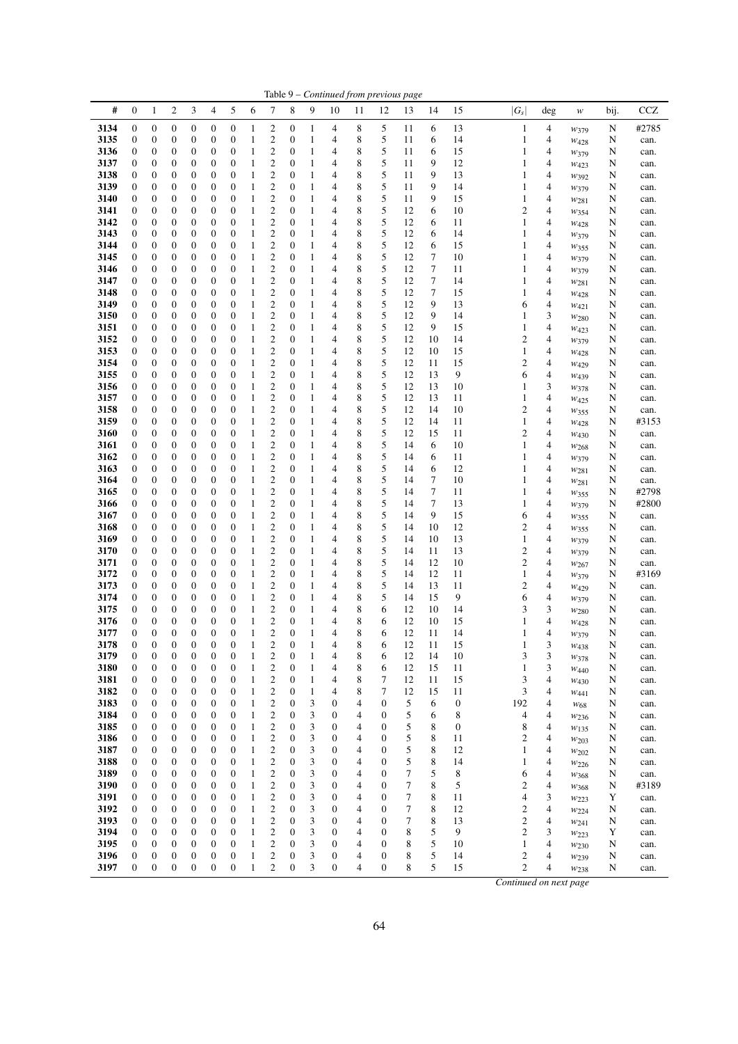|              |                                      |                                      |                  |                                      |                                      |                                      |              |                                    |                                      |                              |                  |        |                                      | Table 9 - Continued from previous page |             |                  |                         |                |                               |        |              |
|--------------|--------------------------------------|--------------------------------------|------------------|--------------------------------------|--------------------------------------|--------------------------------------|--------------|------------------------------------|--------------------------------------|------------------------------|------------------|--------|--------------------------------------|----------------------------------------|-------------|------------------|-------------------------|----------------|-------------------------------|--------|--------------|
| #            | $\mathbf{0}$                         | $\mathbf{1}$                         | $\overline{c}$   | 3                                    | $\overline{4}$                       | 5                                    | 6            | 7                                  | 8                                    | 9                            | 10               | 11     | 12                                   | 13                                     | 14          | 15               | $ G_s $                 | deg            | w                             | bij.   | <b>CCZ</b>   |
| 3134         | $\boldsymbol{0}$                     | $\boldsymbol{0}$                     | 0                | $\boldsymbol{0}$                     | $\boldsymbol{0}$                     | $\boldsymbol{0}$                     | 1            | 2                                  | 0                                    | $\mathbf{1}$                 | 4                | 8      | 5                                    | 11                                     | 6           | 13               | $\mathbf{1}$            | 4              | W379                          | N      | #2785        |
| 3135         | $\boldsymbol{0}$                     | 0                                    | 0                | 0                                    | $\boldsymbol{0}$                     | $\boldsymbol{0}$                     | 1            | 2                                  | 0                                    | $\mathbf{1}$                 | 4                | 8      | 5                                    | 11                                     | 6           | 14               | 1                       | 4              | $W_{428}$                     | N      | can.         |
| 3136         | $\boldsymbol{0}$                     | $\boldsymbol{0}$                     | 0                | 0                                    | $\boldsymbol{0}$                     | $\boldsymbol{0}$                     | 1            | $\boldsymbol{2}$                   | $\boldsymbol{0}$                     | $\mathbf{1}$                 | 4                | 8      | 5                                    | 11                                     | 6           | 15               | 1                       | 4              | W379                          | N      | can.         |
| 3137         | $\boldsymbol{0}$                     | $\boldsymbol{0}$                     | 0                | 0                                    | $\mathbf{0}$                         | $\boldsymbol{0}$                     | 1            | 2                                  | $\mathbf{0}$                         | $\mathbf{1}$                 | 4                | 8      | 5                                    | 11                                     | 9           | 12               | 1                       | 4              | W423                          | N      | can.         |
| 3138<br>3139 | $\boldsymbol{0}$<br>$\mathbf{0}$     | 0<br>0                               | 0<br>0           | 0<br>0                               | $\boldsymbol{0}$<br>$\boldsymbol{0}$ | $\boldsymbol{0}$<br>$\boldsymbol{0}$ | 1<br>1       | 2<br>2                             | $\boldsymbol{0}$<br>$\mathbf{0}$     | $\mathbf{1}$<br>$\mathbf{1}$ | 4<br>4           | 8<br>8 | 5<br>5                               | 11<br>11                               | 9<br>9      | 13<br>14         | 1<br>1                  | 4<br>4         | $W_392$                       | N<br>N | can.<br>can. |
| 3140         | $\mathbf{0}$                         | 0                                    | 0                | 0                                    | $\boldsymbol{0}$                     | $\boldsymbol{0}$                     | 1            | $\mathbf{2}$                       | $\boldsymbol{0}$                     | $\mathbf{1}$                 | 4                | 8      | 5                                    | 11                                     | 9           | 15               | 1                       | 4              | W379<br>W281                  | N      | can.         |
| 3141         | $\boldsymbol{0}$                     | 0                                    | 0                | 0                                    | $\boldsymbol{0}$                     | $\boldsymbol{0}$                     | 1            | 2                                  | 0                                    | 1                            | 4                | 8      | 5                                    | 12                                     | 6           | 10               | 2                       | 4              | W354                          | N      | can.         |
| 3142         | $\boldsymbol{0}$                     | $\boldsymbol{0}$                     | 0                | 0                                    | $\boldsymbol{0}$                     | $\boldsymbol{0}$                     | 1            | 2                                  | $\boldsymbol{0}$                     | $\mathbf{1}$                 | 4                | 8      | 5                                    | 12                                     | 6           | 11               | 1                       | 4              | $W_{428}$                     | N      | can.         |
| 3143         | $\mathbf{0}$                         | $\boldsymbol{0}$                     | 0                | 0                                    | $\boldsymbol{0}$                     | $\boldsymbol{0}$                     | 1            | $\mathfrak{2}$                     | $\boldsymbol{0}$                     | 1                            | 4                | 8      | 5                                    | 12                                     | 6           | 14               | 1                       | 4              | $w_{379}$                     | N      | can.         |
| 3144         | $\boldsymbol{0}$                     | 0                                    | 0                | 0                                    | $\boldsymbol{0}$                     | $\boldsymbol{0}$                     | 1            | 2                                  | $\mathbf{0}$                         | $\mathbf{1}$                 | 4                | 8      | 5                                    | 12                                     | 6           | 15               | 1                       | 4              | W355                          | N      | can.         |
| 3145<br>3146 | $\mathbf{0}$<br>$\boldsymbol{0}$     | 0<br>0                               | 0<br>0           | 0<br>0                               | $\boldsymbol{0}$<br>$\boldsymbol{0}$ | $\boldsymbol{0}$<br>$\boldsymbol{0}$ | 1<br>1       | $\overline{c}$<br>$\mathbf{2}$     | $\boldsymbol{0}$<br>$\mathbf{0}$     | $\mathbf{1}$<br>1            | 4<br>4           | 8<br>8 | 5<br>5                               | 12<br>12                               | 7<br>$\tau$ | 10<br>11         | 1<br>1                  | 4<br>4         | W379                          | N<br>N | can.         |
| 3147         | $\mathbf{0}$                         | $\boldsymbol{0}$                     | 0                | 0                                    | $\boldsymbol{0}$                     | $\boldsymbol{0}$                     | 1            | $\overline{c}$                     | $\boldsymbol{0}$                     | 1                            | 4                | 8      | 5                                    | 12                                     | 7           | 14               | 1                       | 4              | $w_{379}$<br>$w_{281}$        | N      | can.<br>can. |
| 3148         | $\boldsymbol{0}$                     | $\boldsymbol{0}$                     | 0                | 0                                    | $\boldsymbol{0}$                     | $\boldsymbol{0}$                     | 1            | $\boldsymbol{2}$                   | 0                                    | $\mathbf{1}$                 | 4                | 8      | 5                                    | 12                                     | $\tau$      | 15               | 1                       | 4              | W428                          | N      | can.         |
| 3149         | $\mathbf{0}$                         | $\boldsymbol{0}$                     | 0                | 0                                    | $\boldsymbol{0}$                     | $\boldsymbol{0}$                     | 1            | $\mathfrak{2}$                     | $\boldsymbol{0}$                     | $\mathbf{1}$                 | 4                | 8      | 5                                    | 12                                     | 9           | 13               | 6                       | 4              | W421                          | N      | can.         |
| 3150         | $\boldsymbol{0}$                     | 0                                    | 0                | 0                                    | $\boldsymbol{0}$                     | $\boldsymbol{0}$                     | 1            | $\overline{c}$                     | $\boldsymbol{0}$                     | $\mathbf{1}$                 | 4                | 8      | 5                                    | 12                                     | 9           | 14               | 1                       | 3              | $w_{280}$                     | N      | can.         |
| 3151         | $\boldsymbol{0}$                     | 0                                    | 0                | 0                                    | $\boldsymbol{0}$                     | $\boldsymbol{0}$                     | 1            | 2                                  | $\mathbf{0}$                         | $\mathbf{1}$                 | 4                | 8      | 5                                    | 12                                     | 9           | 15               | 1                       | 4              | $w_{423}$                     | N      | can.         |
| 3152         | $\mathbf{0}$<br>$\boldsymbol{0}$     | 0                                    | 0                | 0                                    | $\boldsymbol{0}$<br>$\boldsymbol{0}$ | $\boldsymbol{0}$                     | 1            | $\mathbf{2}$                       | $\boldsymbol{0}$<br>$\boldsymbol{0}$ | $\mathbf{1}$                 | 4<br>4           | 8<br>8 | 5<br>5                               | 12                                     | 10<br>10    | 14               | $\overline{c}$          | 4<br>4         | W379                          | N      | can.         |
| 3153<br>3154 | $\boldsymbol{0}$                     | 0<br>0                               | 0<br>0           | 0<br>0                               | $\boldsymbol{0}$                     | $\boldsymbol{0}$<br>$\boldsymbol{0}$ | 1<br>1       | 2<br>2                             | 0                                    | 1<br>$\mathbf{1}$            | 4                | 8      | 5                                    | 12<br>12                               | 11          | 15<br>15         | 1<br>$\overline{c}$     | 4              | W428<br>$W_{429}$             | N<br>N | can.<br>can. |
| 3155         | $\boldsymbol{0}$                     | $\boldsymbol{0}$                     | 0                | 0                                    | $\boldsymbol{0}$                     | $\boldsymbol{0}$                     | 1            | 2                                  | 0                                    | 1                            | 4                | 8      | 5                                    | 12                                     | 13          | 9                | 6                       | 4              | W <sub>439</sub>              | N      | can.         |
| 3156         | $\boldsymbol{0}$                     | 0                                    | 0                | 0                                    | $\mathbf{0}$                         | $\boldsymbol{0}$                     | 1            | 2                                  | $\mathbf{0}$                         | 1                            | 4                | 8      | 5                                    | 12                                     | 13          | 10               | 1                       | 3              | W378                          | N      | can.         |
| 3157         | $\boldsymbol{0}$                     | 0                                    | 0                | 0                                    | $\boldsymbol{0}$                     | 0                                    | $\mathbf{1}$ | 2                                  | $\boldsymbol{0}$                     | $\mathbf{1}$                 | 4                | 8      | 5                                    | 12                                     | 13          | 11               | 1                       | 4              | W425                          | N      | can.         |
| 3158         | $\boldsymbol{0}$                     | 0                                    | 0                | 0                                    | $\boldsymbol{0}$                     | $\boldsymbol{0}$                     | 1            | 2                                  | $\mathbf{0}$                         | $\mathbf{1}$                 | 4                | 8      | 5                                    | 12                                     | 14          | 10               | 2                       | 4              | $w_{355}$                     | N      | can.         |
| 3159         | $\mathbf{0}$                         | 0                                    | 0                | 0                                    | $\boldsymbol{0}$                     | $\boldsymbol{0}$                     | 1            | $\overline{c}$                     | $\boldsymbol{0}$                     | $\mathbf{1}$                 | 4                | 8<br>8 | 5<br>5                               | 12<br>$12\,$                           | 14<br>15    | 11               | 1<br>$\mathbf{2}$       | 4<br>4         | $w_{428}$                     | N      | #3153        |
| 3160<br>3161 | $\boldsymbol{0}$<br>$\boldsymbol{0}$ | 0<br>$\boldsymbol{0}$                | 0<br>0           | 0<br>0                               | $\boldsymbol{0}$<br>$\boldsymbol{0}$ | $\boldsymbol{0}$<br>$\boldsymbol{0}$ | 1<br>1       | 2<br>2                             | 0<br>$\mathbf{0}$                    | 1<br>$\mathbf{1}$            | 4<br>4           | 8      | 5                                    | 14                                     | 6           | 11<br>10         | 1                       | 4              | W430<br>W <sub>268</sub>      | N<br>N | can.<br>can. |
| 3162         | $\mathbf{0}$                         | $\boldsymbol{0}$                     | 0                | 0                                    | $\boldsymbol{0}$                     | $\boldsymbol{0}$                     | 1            | $\mathbf{2}$                       | $\boldsymbol{0}$                     | $\mathbf{1}$                 | 4                | 8      | 5                                    | 14                                     | 6           | 11               | 1                       | 4              | W379                          | N      | can.         |
| 3163         | $\mathbf{0}$                         | 0                                    | 0                | 0                                    | $\mathbf{0}$                         | $\boldsymbol{0}$                     | 1            | $\boldsymbol{2}$                   | $\mathbf{0}$                         | 1                            | 4                | 8      | 5                                    | 14                                     | 6           | 12               | 1                       | 4              | $w_{281}$                     | N      | can.         |
| 3164         | $\mathbf{0}$                         | 0                                    | 0                | 0                                    | $\boldsymbol{0}$                     | $\boldsymbol{0}$                     | 1            | $\overline{c}$                     | $\boldsymbol{0}$                     | $\mathbf{1}$                 | 4                | 8      | 5                                    | 14                                     | $\tau$      | 10               | 1                       | 4              | W281                          | N      | can.         |
| 3165         | $\mathbf{0}$                         | 0                                    | 0                | 0                                    | $\boldsymbol{0}$                     | $\boldsymbol{0}$                     | 1            | $\mathbf{2}$                       | $\mathbf{0}$                         | 1                            | 4                | 8      | 5                                    | 14                                     | $\tau$      | 11               | 1                       | 4              | W355                          | N      | #2798        |
| 3166<br>3167 | $\mathbf{0}$<br>$\boldsymbol{0}$     | $\boldsymbol{0}$<br>$\boldsymbol{0}$ | 0<br>0           | 0<br>0                               | $\boldsymbol{0}$<br>$\boldsymbol{0}$ | $\boldsymbol{0}$<br>$\boldsymbol{0}$ | 1<br>1       | $\overline{c}$<br>$\boldsymbol{2}$ | $\boldsymbol{0}$<br>0                | 1<br>$\mathbf{1}$            | 4<br>4           | 8<br>8 | 5<br>5                               | 14<br>14                               | 7<br>9      | 13<br>15         | 1                       | 4<br>4         | W379                          | N      | #2800        |
| 3168         | $\boldsymbol{0}$                     | $\boldsymbol{0}$                     | 0                | 0                                    | $\boldsymbol{0}$                     | $\boldsymbol{0}$                     | 1            | $\mathbf{2}$                       | $\boldsymbol{0}$                     | $\mathbf{1}$                 | 4                | 8      | 5                                    | 14                                     | 10          | 12               | 6<br>$\overline{c}$     | 4              | $w_{355}$<br>W355             | N<br>N | can.<br>can. |
| 3169         | $\mathbf{0}$                         | $\boldsymbol{0}$                     | 0                | 0                                    | $\boldsymbol{0}$                     | $\boldsymbol{0}$                     | 1            | $\overline{c}$                     | $\boldsymbol{0}$                     | $\mathbf{1}$                 | 4                | 8      | 5                                    | 14                                     | 10          | 13               | 1                       | 4              | W379                          | N      | can.         |
| 3170         | $\boldsymbol{0}$                     | 0                                    | 0                | 0                                    | $\boldsymbol{0}$                     | $\boldsymbol{0}$                     | 1            | 2                                  | $\mathbf{0}$                         | $\mathbf{1}$                 | 4                | 8      | 5                                    | 14                                     | 11          | 13               | $\overline{c}$          | 4              | W379                          | N      | can.         |
| 3171         | $\boldsymbol{0}$                     | 0                                    | 0                | 0                                    | $\boldsymbol{0}$                     | $\boldsymbol{0}$                     | 1            | $\overline{c}$                     | $\boldsymbol{0}$                     | $\mathbf{1}$                 | 4                | 8      | 5                                    | 14                                     | 12          | 10               | $\mathfrak{2}$          | 4              | $w_{267}$                     | N      | can.         |
| 3172         | $\mathbf{0}$                         | 0                                    | 0                | 0                                    | $\boldsymbol{0}$                     | $\boldsymbol{0}$                     | 1            | 2                                  | $\boldsymbol{0}$                     | 1                            | 4                | 8      | 5                                    | 14                                     | 12          | 11               | 1                       | 4              | W379                          | N      | #3169        |
| 3173<br>3174 | $\boldsymbol{0}$<br>$\boldsymbol{0}$ | 0<br>$\boldsymbol{0}$                | 0<br>0           | 0<br>0                               | $\boldsymbol{0}$<br>$\boldsymbol{0}$ | $\boldsymbol{0}$<br>$\boldsymbol{0}$ | 1<br>1       | 2<br>2                             | 0<br>0                               | $\mathbf{1}$<br>1            | 4<br>4           | 8<br>8 | 5<br>5                               | 14<br>14                               | 13<br>15    | 11<br>9          | 2<br>6                  | 4<br>4         | W429                          | N<br>N | can.         |
| 3175         | $\boldsymbol{0}$                     | 0                                    | 0                | 0                                    | $\boldsymbol{0}$                     | $\boldsymbol{0}$                     | 1            | $\boldsymbol{2}$                   | 0                                    | 1                            | 4                | 8      | 6                                    | 12                                     | 10          | 14               | 3                       | 3              | W379<br>$w_{280}$             | N      | can.<br>can. |
| 3176         | $\boldsymbol{0}$                     | $\mathbf{0}$                         | 0                | $\boldsymbol{0}$                     | $\boldsymbol{0}$                     | $\mathbf{0}$                         | 1            | $\boldsymbol{2}$                   | $\boldsymbol{0}$                     | $\mathbf{1}$                 | 4                | 8      | 6                                    | 12                                     | 10          | 15               | 1                       | $\overline{4}$ | W428                          | N      | can.         |
| 3177         | $\mathbf{0}$                         | $\overline{0}$                       | $\boldsymbol{0}$ | $\boldsymbol{0}$                     | $\boldsymbol{0}$                     | $\overline{0}$                       | 1            | $\overline{c}$                     | $\overline{0}$                       | $\mathbf{1}$                 | 4                | 8      | 6                                    | 12                                     | 11          | 14               | 1                       | 4              | W379                          | N      | can.         |
| 3178         | $\boldsymbol{0}$                     | $\mathbf{0}$                         | $\boldsymbol{0}$ | $\boldsymbol{0}$                     | $\boldsymbol{0}$                     | $\mathbf{0}$                         | $\mathbf{1}$ | $\mathfrak{2}$                     | $\boldsymbol{0}$                     | $\mathbf{1}$                 | 4                | 8      | 6                                    | 12                                     | 11          | 15               | $\mathbf{1}$            | 3              | W438                          | N      | can.         |
| 3179         | $\boldsymbol{0}$                     | $\boldsymbol{0}$                     | 0                | $\boldsymbol{0}$                     | $\boldsymbol{0}$                     | $\boldsymbol{0}$                     | 1            | 2                                  | $\boldsymbol{0}$                     | 1                            | 4                | 8      | 6                                    | 12                                     | 14          | 10               | 3                       | 3              | $w_{378}$                     | N      | can.         |
| 3180<br>3181 | $\boldsymbol{0}$<br>$\boldsymbol{0}$ | $\boldsymbol{0}$<br>$\boldsymbol{0}$ | 0<br>0           | $\boldsymbol{0}$<br>0                | $\boldsymbol{0}$<br>$\boldsymbol{0}$ | $\boldsymbol{0}$<br>$\boldsymbol{0}$ | 1<br>1       | 2<br>$\boldsymbol{2}$              | $\boldsymbol{0}$<br>$\boldsymbol{0}$ | 1<br>1                       | 4<br>4           | 8<br>8 | 6<br>7                               | 12<br>12                               | 15<br>11    | 11<br>15         | 1<br>3                  | 3<br>4         | W440                          | N<br>N | can.<br>can. |
| 3182         | $\boldsymbol{0}$                     | $\boldsymbol{0}$                     | 0                | 0                                    | $\boldsymbol{0}$                     | $\boldsymbol{0}$                     | 1            | $\boldsymbol{2}$                   | 0                                    | 1                            | 4                | 8      | 7                                    | 12                                     | 15          | 11               | 3                       | 4              | W430<br>W441                  | N      | can.         |
| 3183         | 0                                    | $\boldsymbol{0}$                     | 0                | 0                                    | $\boldsymbol{0}$                     | $\boldsymbol{0}$                     | 1            | $\boldsymbol{2}$                   | $\boldsymbol{0}$                     | 3                            | 0                | 4      | $\boldsymbol{0}$                     | 5                                      | 6           | $\boldsymbol{0}$ | 192                     | 4              | $W_{68}$                      | N      | can.         |
| 3184         | 0                                    | 0                                    | 0                | 0                                    | $\boldsymbol{0}$                     | $\boldsymbol{0}$                     | 1            | $\boldsymbol{2}$                   | $\boldsymbol{0}$                     | 3                            | 0                | 4      | $\boldsymbol{0}$                     | 5                                      | 6           | 8                | 4                       | 4              | W <sub>236</sub>              | N      | can.         |
| 3185         | $\boldsymbol{0}$                     | $\boldsymbol{0}$                     | 0                | $\boldsymbol{0}$                     | $\boldsymbol{0}$                     | $\boldsymbol{0}$                     | 1            | $\mathfrak{2}$                     | $\boldsymbol{0}$                     | 3                            | 0                | 4      | $\boldsymbol{0}$                     | 5                                      | 8           | $\boldsymbol{0}$ | 8                       | 4              | $w_{135}$                     | N      | can.         |
| 3186         | $\boldsymbol{0}$                     | $\boldsymbol{0}$                     | 0                | 0                                    | $\boldsymbol{0}$                     | $\boldsymbol{0}$                     | 1            | 2                                  | 0                                    | 3                            | 0                | 4      | $\boldsymbol{0}$                     | 5                                      | 8           | 11               | $\mathbf{2}$            | 4              | W203                          | N      | can.         |
| 3187<br>3188 | $\mathbf{0}$<br>$\boldsymbol{0}$     | $\boldsymbol{0}$<br>$\boldsymbol{0}$ | 0<br>0           | 0<br>0                               | $\boldsymbol{0}$<br>$\boldsymbol{0}$ | $\boldsymbol{0}$<br>$\boldsymbol{0}$ | 1<br>1       | $\boldsymbol{2}$<br>$\mathfrak{2}$ | 0<br>$\boldsymbol{0}$                | 3<br>3                       | 0<br>0           | 4<br>4 | $\boldsymbol{0}$<br>$\boldsymbol{0}$ | 5<br>5                                 | 8<br>8      | 12<br>14         | 1<br>1                  | 4<br>4         | $w_{202}$                     | N<br>N | can.         |
| 3189         | 0                                    | 0                                    | 0                | 0                                    | $\boldsymbol{0}$                     | $\boldsymbol{0}$                     | 1            | 2                                  | 0                                    | 3                            | 0                | 4      | $\boldsymbol{0}$                     | 7                                      | 5           | 8                | 6                       | 4              | W226<br>W368                  | N      | can.<br>can. |
| 3190         | $\boldsymbol{0}$                     | $\boldsymbol{0}$                     | 0                | 0                                    | $\boldsymbol{0}$                     | $\boldsymbol{0}$                     | $\mathbf{1}$ | $\mathfrak{2}$                     | $\boldsymbol{0}$                     | 3                            | 0                | 4      | $\boldsymbol{0}$                     | 7                                      | 8           | 5                | $\mathbf{2}$            | 4              | $w_{368}$                     | N      | #3189        |
| 3191         | $\boldsymbol{0}$                     | 0                                    | 0                | 0                                    | $\boldsymbol{0}$                     | $\boldsymbol{0}$                     | 1            | 2                                  | 0                                    | 3                            | 0                | 4      | $\boldsymbol{0}$                     | 7                                      | 8           | 11               | 4                       | 3              | $w_{223}$                     | Y      | can.         |
| 3192         | $\boldsymbol{0}$                     | $\boldsymbol{0}$                     | 0                | 0                                    | $\boldsymbol{0}$                     | $\boldsymbol{0}$                     | 1            | $\boldsymbol{2}$                   | 0                                    | 3                            | 0                | 4      | $\boldsymbol{0}$                     | 7                                      | 8           | 12               | $\overline{\mathbf{c}}$ | 4              | W224                          | N      | can.         |
| 3193         | $\boldsymbol{0}$                     | $\boldsymbol{0}$                     | 0                | 0                                    | $\boldsymbol{0}$                     | $\boldsymbol{0}$                     | 1            | 2                                  | 0                                    | 3                            | 0                | 4      | $\boldsymbol{0}$                     | 7                                      | 8           | 13               | $\mathbf{2}$            | 4              | W241                          | N      | can.         |
| 3194<br>3195 | $\boldsymbol{0}$<br>0                | $\boldsymbol{0}$<br>$\boldsymbol{0}$ | 0<br>0           | $\boldsymbol{0}$<br>$\boldsymbol{0}$ | $\boldsymbol{0}$<br>$\boldsymbol{0}$ | 0<br>$\boldsymbol{0}$                | 1<br>1       | 2<br>$\mathfrak{2}$                | 0<br>0                               | 3<br>3                       | 0<br>0           | 4<br>4 | $\boldsymbol{0}$<br>0                | 8<br>8                                 | 5<br>5      | 9<br>10          | $\overline{c}$<br>1     | 3<br>4         | W223                          | Y<br>N | can.         |
| 3196         | $\mathbf{0}$                         | $\boldsymbol{0}$                     | 0                | 0                                    | $\boldsymbol{0}$                     | $\boldsymbol{0}$                     | 1            | 2                                  | 0                                    | 3                            | 0                | 4      | $\boldsymbol{0}$                     | 8                                      | 5           | 14               | $\overline{\mathbf{c}}$ | 4              | $w_{230}$<br>W <sub>239</sub> | N      | can.<br>can. |
| 3197         | $\boldsymbol{0}$                     | $\boldsymbol{0}$                     | $\boldsymbol{0}$ | $\boldsymbol{0}$                     | $\boldsymbol{0}$                     | $\boldsymbol{0}$                     | $\mathbf{1}$ | $\mathfrak{2}$                     | $\boldsymbol{0}$                     | 3                            | $\boldsymbol{0}$ | 4      | $\boldsymbol{0}$                     | 8                                      | 5           | 15               | $\mathfrak{2}$          | 4              | W <sub>238</sub>              | N      | can.         |
|              |                                      |                                      |                  |                                      |                                      |                                      |              |                                    |                                      |                              |                  |        |                                      |                                        |             |                  | Continued on next page  |                |                               |        |              |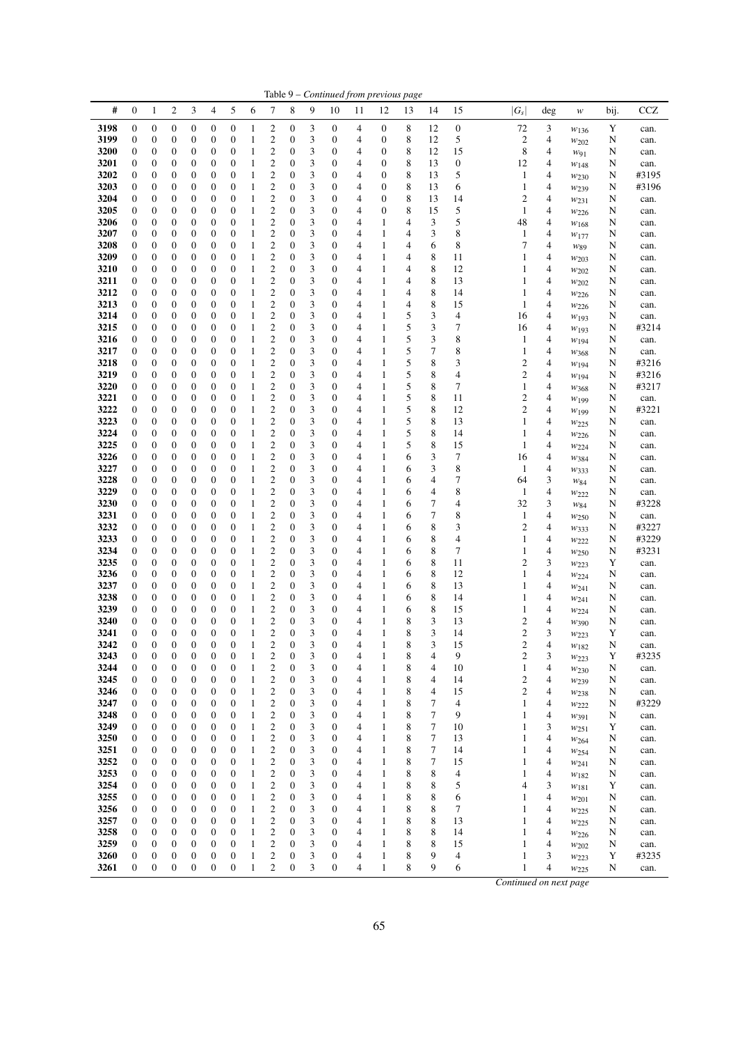|              |                                      |                                      |                                      |                                      |                                      |                                      |                   |                                           |                                      |        |                       | Table 9 - Continued from previous page |                                      |                  |                     |                       |                                           |        |                               |        |               |
|--------------|--------------------------------------|--------------------------------------|--------------------------------------|--------------------------------------|--------------------------------------|--------------------------------------|-------------------|-------------------------------------------|--------------------------------------|--------|-----------------------|----------------------------------------|--------------------------------------|------------------|---------------------|-----------------------|-------------------------------------------|--------|-------------------------------|--------|---------------|
| #            | $\boldsymbol{0}$                     | 1                                    | 2                                    | 3                                    | 4                                    | 5                                    | 6                 | 7                                         | 8                                    | 9      | 10                    | 11                                     | 12                                   | 13               | 14                  | 15                    | $ G_s $                                   | deg    | w                             | bij.   | <b>CCZ</b>    |
| 3198         | 0                                    | $\boldsymbol{0}$                     | $\boldsymbol{0}$                     | $\boldsymbol{0}$                     | 0                                    | $\boldsymbol{0}$                     | 1                 | 2                                         | 0                                    | 3      | $\boldsymbol{0}$      | 4                                      | $\boldsymbol{0}$                     | 8                | 12                  | $\boldsymbol{0}$      | 72                                        | 3      | $w_{136}$                     | Y      | can.          |
| 3199         | 0                                    | $\boldsymbol{0}$                     | $\boldsymbol{0}$                     | $\boldsymbol{0}$                     | 0                                    | $\boldsymbol{0}$                     | 1                 | 2                                         | 0                                    | 3      | 0                     | 4                                      | $\boldsymbol{0}$                     | 8                | 12                  | 5                     | 2                                         | 4      | $w_{202}$                     | N      | can.          |
| 3200         | 0                                    | $\boldsymbol{0}$                     | 0                                    | $\boldsymbol{0}$                     | 0                                    | $\boldsymbol{0}$                     | 1                 | $\overline{c}$                            | 0                                    | 3      | 0                     | 4                                      | $\boldsymbol{0}$                     | 8                | 12                  | 15                    | 8                                         | 4      | W91                           | N      | can.          |
| 3201<br>3202 | $\boldsymbol{0}$<br>0                | $\boldsymbol{0}$<br>$\boldsymbol{0}$ | 0<br>0                               | $\boldsymbol{0}$<br>0                | $\boldsymbol{0}$<br>0                | $\boldsymbol{0}$<br>$\boldsymbol{0}$ | 1<br>1            | $\overline{\mathbf{c}}$<br>$\overline{c}$ | 0<br>0                               | 3<br>3 | 0<br>0                | 4<br>4                                 | $\boldsymbol{0}$<br>$\boldsymbol{0}$ | 8<br>8           | 13<br>13            | $\boldsymbol{0}$<br>5 | 12<br>$\mathbf{1}$                        | 4<br>4 | $w_{148}$                     | N<br>N | can.<br>#3195 |
| 3203         | $\boldsymbol{0}$                     | $\boldsymbol{0}$                     | 0                                    | 0                                    | 0                                    | $\boldsymbol{0}$                     | 1                 | $\overline{\mathbf{c}}$                   | $\boldsymbol{0}$                     | 3      | 0                     | 4                                      | $\boldsymbol{0}$                     | 8                | 13                  | 6                     | 1                                         | 4      | $w_{230}$<br>$w_{239}$        | N      | #3196         |
| 3204         | $\boldsymbol{0}$                     | $\boldsymbol{0}$                     | $\overline{0}$                       | $\boldsymbol{0}$                     | $\boldsymbol{0}$                     | $\boldsymbol{0}$                     | $\mathbf{1}$      | $\overline{c}$                            | $\boldsymbol{0}$                     | 3      | 0                     | 4                                      | $\mathbf{0}$                         | $\,$ 8 $\,$      | 13                  | 14                    | $\overline{c}$                            | 4      | $w_{231}$                     | N      | can.          |
| 3205         | 0                                    | $\boldsymbol{0}$                     | 0                                    | $\boldsymbol{0}$                     | 0                                    | $\boldsymbol{0}$                     | $\mathbf{1}$      | $\overline{\mathbf{c}}$                   | 0                                    | 3      | 0                     | 4                                      | $\boldsymbol{0}$                     | 8                | 15                  | 5                     | 1                                         | 4      | W <sub>226</sub>              | N      | can.          |
| 3206         | 0                                    | $\boldsymbol{0}$                     | $\boldsymbol{0}$                     | $\boldsymbol{0}$                     | $\boldsymbol{0}$                     | $\boldsymbol{0}$                     | 1                 | $\overline{c}$                            | 0                                    | 3      | 0                     | 4                                      | $\mathbf{1}$                         | 4                | 3                   | 5                     | 48                                        | 4      | $w_{168}$                     | N      | can.          |
| 3207         | $\boldsymbol{0}$                     | $\boldsymbol{0}$                     | 0                                    | $\boldsymbol{0}$                     | $\boldsymbol{0}$                     | $\boldsymbol{0}$                     | 1                 | $\overline{c}$                            | 0                                    | 3      | 0                     | 4                                      | $\mathbf{1}$                         | 4                | 3                   | 8                     | $\mathbf{1}$                              | 4      | $w_{177}$                     | N      | can.          |
| 3208<br>3209 | $\boldsymbol{0}$<br>$\boldsymbol{0}$ | $\boldsymbol{0}$<br>$\boldsymbol{0}$ | 0<br>0                               | $\boldsymbol{0}$<br>0                | 0<br>$\boldsymbol{0}$                | $\boldsymbol{0}$<br>$\boldsymbol{0}$ | 1<br>1            | 2<br>$\overline{c}$                       | 0<br>$\boldsymbol{0}$                | 3<br>3 | 0<br>0                | 4<br>4                                 | $\mathbf{1}$<br>$\mathbf{1}$         | 4<br>4           | 6<br>8              | 8<br>11               | 7<br>1                                    | 4<br>4 | W89<br>W203                   | N<br>N | can.<br>can.  |
| 3210         | $\boldsymbol{0}$                     | $\boldsymbol{0}$                     | 0                                    | $\boldsymbol{0}$                     | 0                                    | $\boldsymbol{0}$                     | 1                 | $\overline{\mathbf{c}}$                   | 0                                    | 3      | 0                     | 4                                      | 1                                    | 4                | 8                   | 12                    | 1                                         | 4      | $w_{202}$                     | N      | can.          |
| 3211         | 0                                    | $\boldsymbol{0}$                     | 0                                    | $\boldsymbol{0}$                     | $\boldsymbol{0}$                     | $\boldsymbol{0}$                     | 1                 | $\overline{\mathbf{c}}$                   | 0                                    | 3      | 0                     | 4                                      | $\mathbf{1}$                         | 4                | 8                   | 13                    | 1                                         | 4      | $w_{202}$                     | N      | can.          |
| 3212         | 0                                    | $\boldsymbol{0}$                     | 0                                    | $\boldsymbol{0}$                     | 0                                    | $\boldsymbol{0}$                     | 1                 | $\overline{\mathbf{c}}$                   | 0                                    | 3      | 0                     | 4                                      | $\mathbf{1}$                         | 4                | 8                   | 14                    | 1                                         | 4      | $w_{226}$                     | N      | can.          |
| 3213         | 0                                    | $\boldsymbol{0}$                     | $\boldsymbol{0}$                     | $\boldsymbol{0}$                     | 0                                    | $\boldsymbol{0}$                     | 1                 | $\overline{\mathbf{c}}$                   | 0                                    | 3      | 0                     | 4                                      | $\mathbf{1}$                         | 4                | 8                   | 15                    | $\mathbf{1}$                              | 4      | $w_{226}$                     | N      | can.          |
| 3214         | 0                                    | $\boldsymbol{0}$                     | 0                                    | $\boldsymbol{0}$                     | 0                                    | $\boldsymbol{0}$                     | 1                 | $\overline{c}$                            | 0                                    | 3      | 0                     | 4                                      | 1                                    | 5                | 3                   | 4                     | 16                                        | 4      | $w_{193}$                     | N      | can.          |
| 3215<br>3216 | $\boldsymbol{0}$<br>$\boldsymbol{0}$ | $\boldsymbol{0}$<br>$\boldsymbol{0}$ | 0<br>$\overline{0}$                  | 0<br>$\boldsymbol{0}$                | 0<br>$\boldsymbol{0}$                | $\boldsymbol{0}$<br>$\boldsymbol{0}$ | 1<br>1            | $\overline{\mathbf{c}}$<br>$\overline{c}$ | 0<br>0                               | 3<br>3 | 0<br>0                | 4<br>4                                 | $\mathbf{1}$<br>$\mathbf{1}$         | 5<br>5           | 3<br>3              | 7<br>8                | 16<br>$\mathbf{1}$                        | 4<br>4 | $w_{193}$                     | N<br>N | #3214<br>can. |
| 3217         | $\boldsymbol{0}$                     | $\boldsymbol{0}$                     | 0                                    | $\boldsymbol{0}$                     | 0                                    | $\boldsymbol{0}$                     | 1                 | $\overline{\mathbf{c}}$                   | $\boldsymbol{0}$                     | 3      | 0                     | 4                                      | 1                                    | 5                | 7                   | 8                     | 1                                         | 4      | $w_{194}$<br>W <sub>368</sub> | N      | can.          |
| 3218         | 0                                    | $\boldsymbol{0}$                     | 0                                    | $\boldsymbol{0}$                     | 0                                    | $\boldsymbol{0}$                     | $\mathbf{1}$      | $\overline{\mathbf{c}}$                   | 0                                    | 3      | 0                     | 4                                      | $\mathbf{1}$                         | 5                | 8                   | 3                     | $\overline{c}$                            | 4      | $w_{194}$                     | N      | #3216         |
| 3219         | $\boldsymbol{0}$                     | $\boldsymbol{0}$                     | 0                                    | $\boldsymbol{0}$                     | 0                                    | $\boldsymbol{0}$                     | $\mathbf{1}$      | $\overline{c}$                            | 0                                    | 3      | 0                     | 4                                      | $\,1$                                | 5                | 8                   | 4                     | $\overline{c}$                            | 4      | $w_{194}$                     | N      | #3216         |
| 3220         | $\boldsymbol{0}$                     | $\boldsymbol{0}$                     | 0                                    | $\boldsymbol{0}$                     | 0                                    | $\boldsymbol{0}$                     | 1                 | $\overline{c}$                            | $\boldsymbol{0}$                     | 3      | 0                     | 4                                      | 1                                    | 5                | 8                   | 7                     | 1                                         | 4      | W <sub>368</sub>              | N      | #3217         |
| 3221         | 0                                    | $\boldsymbol{0}$                     | 0                                    | $\boldsymbol{0}$                     | $\boldsymbol{0}$                     | $\boldsymbol{0}$                     | 1                 | $\overline{c}$                            | $\boldsymbol{0}$                     | 3      | 0                     | 4                                      | 1                                    | 5                | 8                   | 11                    | $\overline{c}$                            | 4      | W199                          | N      | can.          |
| 3222<br>3223 | $\boldsymbol{0}$<br>$\boldsymbol{0}$ | $\boldsymbol{0}$<br>$\boldsymbol{0}$ | 0<br>$\overline{0}$                  | 0<br>$\boldsymbol{0}$                | 0<br>$\boldsymbol{0}$                | $\boldsymbol{0}$<br>$\boldsymbol{0}$ | 1<br>1            | $\overline{c}$<br>$\overline{c}$          | $\boldsymbol{0}$<br>0                | 3<br>3 | 0<br>0                | 4<br>4                                 | $\,1$<br>$\mathbf{1}$                | 5<br>5           | 8<br>8              | 12<br>13              | $\overline{c}$<br>1                       | 4<br>4 | $w_{199}$                     | N<br>N | #3221<br>can. |
| 3224         | 0                                    | $\boldsymbol{0}$                     | 0                                    | $\boldsymbol{0}$                     | 0                                    | $\boldsymbol{0}$                     | 1                 | $\overline{\mathbf{c}}$                   | 0                                    | 3      | 0                     | 4                                      | $\mathbf{1}$                         | 5                | 8                   | 14                    | 1                                         | 4      | $w_{225}$<br>$w_{226}$        | N      | can.          |
| 3225         | 0                                    | $\boldsymbol{0}$                     | $\boldsymbol{0}$                     | $\boldsymbol{0}$                     | $\boldsymbol{0}$                     | $\boldsymbol{0}$                     | 1                 | $\overline{\mathbf{c}}$                   | 0                                    | 3      | 0                     | 4                                      | $\,1$                                | 5                | 8                   | 15                    | 1                                         | 4      | $w_{224}$                     | N      | can.          |
| 3226         | 0                                    | $\boldsymbol{0}$                     | 0                                    | $\boldsymbol{0}$                     | 0                                    | $\boldsymbol{0}$                     | 1                 | $\overline{c}$                            | 0                                    | 3      | 0                     | 4                                      | $\mathbf{1}$                         | 6                | 3                   | 7                     | 16                                        | 4      | W384                          | N      | can.          |
| 3227         | $\boldsymbol{0}$                     | $\boldsymbol{0}$                     | 0                                    | $\boldsymbol{0}$                     | 0                                    | $\boldsymbol{0}$                     | 1                 | $\overline{\mathbf{c}}$                   | 0                                    | 3      | 0                     | 4                                      | 1                                    | 6                | 3                   | 8                     | 1                                         | 4      | $w_{333}$                     | N      | can.          |
| 3228         | $\boldsymbol{0}$                     | $\boldsymbol{0}$                     | 0                                    | 0                                    | $\boldsymbol{0}$                     | $\boldsymbol{0}$                     | 1                 | $\overline{\mathbf{c}}$                   | $\boldsymbol{0}$                     | 3      | 0                     | 4                                      | $\mathbf{1}$                         | 6                | 4                   | 7                     | 64                                        | 3      | W84                           | N      | can.          |
| 3229<br>3230 | $\boldsymbol{0}$<br>$\boldsymbol{0}$ | $\boldsymbol{0}$<br>$\boldsymbol{0}$ | 0<br>0                               | $\boldsymbol{0}$<br>$\boldsymbol{0}$ | 0<br>$\boldsymbol{0}$                | $\boldsymbol{0}$<br>$\boldsymbol{0}$ | 1<br>1            | $\overline{\mathbf{c}}$<br>$\overline{c}$ | $\boldsymbol{0}$<br>$\boldsymbol{0}$ | 3<br>3 | 0<br>0                | 4<br>4                                 | 1<br>1                               | 6<br>6           | 4<br>7              | 8<br>4                | $\mathbf{1}$<br>32                        | 4<br>3 | $w_{222}$                     | N      | can.<br>#3228 |
| 3231         | 0                                    | $\boldsymbol{0}$                     | 0                                    | $\boldsymbol{0}$                     | 0                                    | $\boldsymbol{0}$                     | $\mathbf{1}$      | $\overline{\mathbf{c}}$                   | 0                                    | 3      | 0                     | 4                                      | $\mathbf{1}$                         | 6                | 7                   | 8                     | $\mathbf{1}$                              | 4      | W84<br>$w_{250}$              | N<br>N | can.          |
| 3232         | 0                                    | $\boldsymbol{0}$                     | $\boldsymbol{0}$                     | $\boldsymbol{0}$                     | 0                                    | $\boldsymbol{0}$                     | 1                 | $\overline{c}$                            | 0                                    | 3      | 0                     | 4                                      | $\mathbf{1}$                         | 6                | 8                   | 3                     | $\overline{c}$                            | 4      | W333                          | N      | #3227         |
| 3233         | 0                                    | $\boldsymbol{0}$                     | 0                                    | $\boldsymbol{0}$                     | 0                                    | $\boldsymbol{0}$                     | 1                 | 2                                         | $\boldsymbol{0}$                     | 3      | 0                     | 4                                      | 1                                    | 6                | 8                   | 4                     | 1                                         | 4      | W <sub>222</sub>              | N      | #3229         |
| 3234         | $\boldsymbol{0}$                     | $\boldsymbol{0}$                     | 0                                    | 0                                    | 0                                    | $\boldsymbol{0}$                     | 1                 | $\overline{\mathbf{c}}$                   | 0                                    | 3      | 0                     | 4                                      | 1                                    | 6                | 8                   | 7                     | 1                                         | 4      | $w_{250}$                     | N      | #3231         |
| 3235         | $\boldsymbol{0}$                     | $\boldsymbol{0}$                     | 0                                    | 0                                    | $\boldsymbol{0}$                     | $\boldsymbol{0}$                     | 1                 | $\overline{c}$                            | $\boldsymbol{0}$                     | 3      | 0                     | 4                                      | $\mathbf{1}$                         | 6                | 8                   | 11                    | $\overline{c}$                            | 3      | $w_{223}$                     | Y      | can.          |
| 3236<br>3237 | 0<br>0                               | $\boldsymbol{0}$<br>$\boldsymbol{0}$ | 0<br>0                               | $\boldsymbol{0}$<br>$\boldsymbol{0}$ | 0<br>0                               | $\boldsymbol{0}$<br>$\boldsymbol{0}$ | 1<br>1            | $\overline{c}$<br>$\overline{\mathbf{c}}$ | 0<br>0                               | 3<br>3 | 0<br>0                | 4<br>4                                 | 1<br>$\mathbf{1}$                    | 6<br>6           | 8<br>8              | 12<br>13              | 1<br>1                                    | 4<br>4 | $w_{224}$                     | N<br>N | can.<br>can.  |
| 3238         | 0                                    | $\boldsymbol{0}$                     | 0                                    | $\boldsymbol{0}$                     | 0                                    | $\boldsymbol{0}$                     | $\mathbf{1}$      | $\overline{\mathbf{c}}$                   | 0                                    | 3      | 0                     | 4                                      | $\mathbf{1}$                         | 6                | 8                   | 14                    | 1                                         | 4      | W241<br>W241                  | N      | can.          |
| 3239         | $\mathbf{0}$                         | $\boldsymbol{0}$                     | 0                                    | $\boldsymbol{0}$                     | 0                                    | $\boldsymbol{0}$                     | 1                 | $\overline{\mathbf{c}}$                   | 0                                    | 3      | 0                     | 4                                      | $\mathbf{1}$                         | 6                | 8                   | 15                    | 1                                         | 4      | $w_{224}$                     | N      | can.          |
| 3240         | $\boldsymbol{0}$                     | $\boldsymbol{0}$                     | $\boldsymbol{0}$                     | $\boldsymbol{0}$                     | $\boldsymbol{0}$                     | $\mathbf{0}$                         | 1                 | $\overline{\mathbf{c}}$                   | $\boldsymbol{0}$                     | 3      | 0                     | 4                                      | $\mathbf{1}$                         | 8                | 3                   | 13                    | $\overline{c}$                            | 4      | W390                          | N      | can.          |
| 3241         | $\boldsymbol{0}$                     | $\mathbf{0}$                         | $\overline{0}$                       | $\mathbf{0}$                         | $\boldsymbol{0}$                     | $\overline{0}$                       | $\mathbf{1}$      | 2                                         | $\overline{0}$                       | 3      | $\overline{0}$        | 4                                      | $\mathbf{1}$                         | 8                | 3                   | 14                    | $\overline{c}$                            | 3      | W223                          | Y      | can.          |
| 3242<br>3243 | $\boldsymbol{0}$<br>$\boldsymbol{0}$ | $\boldsymbol{0}$<br>$\boldsymbol{0}$ | $\boldsymbol{0}$<br>$\boldsymbol{0}$ | $\boldsymbol{0}$<br>$\boldsymbol{0}$ | $\boldsymbol{0}$<br>$\boldsymbol{0}$ | $\boldsymbol{0}$<br>$\boldsymbol{0}$ | $\mathbf{1}$<br>1 | $\overline{c}$<br>$\overline{\mathbf{c}}$ | $\boldsymbol{0}$<br>0                | 3<br>3 | $\boldsymbol{0}$<br>0 | 4<br>4                                 | $\mathbf{1}$<br>$\mathbf{1}$         | 8<br>8           | $\mathfrak{Z}$<br>4 | 15<br>9               | $\overline{\mathbf{c}}$<br>$\overline{c}$ | 4<br>3 | W182                          | N<br>Y | can.<br>#3235 |
| 3244         | $\boldsymbol{0}$                     | $\boldsymbol{0}$                     | $\boldsymbol{0}$                     | $\boldsymbol{0}$                     | $\boldsymbol{0}$                     | $\boldsymbol{0}$                     | $\mathbf{1}$      | 2                                         | $\boldsymbol{0}$                     | 3      | $\boldsymbol{0}$      | 4                                      | $\mathbf{1}$                         | 8                | 4                   | 10                    | $\mathbf{1}$                              | 4      | $w_{223}$<br>W230             | N      | can.          |
| 3245         | $\boldsymbol{0}$                     | $\boldsymbol{0}$                     | $\boldsymbol{0}$                     | $\boldsymbol{0}$                     | $\boldsymbol{0}$                     | $\boldsymbol{0}$                     | $\mathbf{1}$      | $\overline{c}$                            | 0                                    | 3      | 0                     | 4                                      | 1                                    | 8                | 4                   | 14                    | $\overline{\mathbf{c}}$                   | 4      | W <sub>239</sub>              | N      | can.          |
| 3246         | 0                                    | $\boldsymbol{0}$                     | $\boldsymbol{0}$                     | $\boldsymbol{0}$                     | 0                                    | $\boldsymbol{0}$                     | $\mathbf{1}$      | 2                                         | 0                                    | 3      | 0                     | 4                                      | 1                                    | 8                | 4                   | 15                    | $\overline{c}$                            | 4      | W <sub>238</sub>              | N      | can.          |
| 3247         | $\boldsymbol{0}$                     | $\boldsymbol{0}$                     | 0                                    | $\boldsymbol{0}$                     | $\boldsymbol{0}$                     | $\boldsymbol{0}$                     | 1                 | $\boldsymbol{2}$                          | $\boldsymbol{0}$                     | 3      | 0                     | 4                                      | 1                                    | 8                | $\tau$              | 4                     | $\mathbf{1}$                              | 4      | $w_{222}$                     | N      | #3229         |
| 3248<br>3249 | $\boldsymbol{0}$<br>$\boldsymbol{0}$ | $\boldsymbol{0}$<br>$\boldsymbol{0}$ | $\boldsymbol{0}$<br>$\boldsymbol{0}$ | $\boldsymbol{0}$<br>$\boldsymbol{0}$ | 0<br>$\boldsymbol{0}$                | $\boldsymbol{0}$<br>$\boldsymbol{0}$ | $\mathbf{1}$<br>1 | $\overline{c}$<br>2                       | 0<br>0                               | 3      | 0<br>0                | 4<br>4                                 | $\mathbf{1}$<br>1                    | 8<br>$\,$ 8 $\,$ | $\tau$<br>$\tau$    | 9                     | $\mathbf{1}$<br>1                         | 4      | W391                          | N      | can.          |
| 3250         | 0                                    | $\boldsymbol{0}$                     | 0                                    | $\boldsymbol{0}$                     | 0                                    | $\boldsymbol{0}$                     | $\mathbf{1}$      | 2                                         | 0                                    | 3<br>3 | 0                     | 4                                      | $\mathbf{1}$                         | 8                | 7                   | 10<br>13              | 1                                         | 3<br>4 | $w_{251}$<br>$w_{264}$        | Y<br>N | can.<br>can.  |
| 3251         | 0                                    | $\boldsymbol{0}$                     | $\boldsymbol{0}$                     | $\boldsymbol{0}$                     | $\boldsymbol{0}$                     | $\boldsymbol{0}$                     | 1                 | 2                                         | $\boldsymbol{0}$                     | 3      | $\boldsymbol{0}$      | 4                                      | $\mathbf{1}$                         | 8                | 7                   | 14                    | 1                                         | 4      | $W_{254}$                     | N      | can.          |
| 3252         | 0                                    | $\boldsymbol{0}$                     | $\boldsymbol{0}$                     | $\boldsymbol{0}$                     | $\boldsymbol{0}$                     | $\boldsymbol{0}$                     | $\mathbf{1}$      | 2                                         | 0                                    | 3      | 0                     | 4                                      | 1                                    | 8                | $\tau$              | 15                    | 1                                         | 4      | W241                          | N      | can.          |
| 3253         | 0                                    | $\boldsymbol{0}$                     | $\boldsymbol{0}$                     | $\boldsymbol{0}$                     | $\boldsymbol{0}$                     | $\boldsymbol{0}$                     | $\mathbf{1}$      | 2                                         | 0                                    | 3      | 0                     | 4                                      | $\mathbf{1}$                         | 8                | 8                   | 4                     | 1                                         | 4      | W182                          | N      | can.          |
| 3254         | $\boldsymbol{0}$                     | $\boldsymbol{0}$                     | $\boldsymbol{0}$                     | $\boldsymbol{0}$                     | $\boldsymbol{0}$                     | $\boldsymbol{0}$                     | $\mathbf{1}$      | 2                                         | $\boldsymbol{0}$                     | 3      | 0                     | 4                                      | $\mathbf{1}$                         | 8                | 8                   | 5                     | 4                                         | 3      | W181                          | Y      | can.          |
| 3255<br>3256 | 0<br>0                               | $\boldsymbol{0}$<br>$\boldsymbol{0}$ | $\boldsymbol{0}$<br>$\boldsymbol{0}$ | $\boldsymbol{0}$<br>$\boldsymbol{0}$ | $\boldsymbol{0}$<br>$\boldsymbol{0}$ | $\boldsymbol{0}$<br>$\boldsymbol{0}$ | $\mathbf{1}$<br>1 | $\overline{\mathbf{c}}$<br>2              | $\boldsymbol{0}$<br>$\boldsymbol{0}$ | 3<br>3 | 0<br>$\boldsymbol{0}$ | 4<br>4                                 | $\mathbf{1}$<br>$\mathbf{1}$         | 8<br>$\,$ 8 $\,$ | 8<br>8              | 6<br>7                | 1<br>1                                    | 4<br>4 | $w_{201}$                     | N<br>N | can.          |
| 3257         | 0                                    | $\boldsymbol{0}$                     | $\boldsymbol{0}$                     | $\boldsymbol{0}$                     | $\boldsymbol{0}$                     | $\boldsymbol{0}$                     | $\mathbf{1}$      | 2                                         | $\boldsymbol{0}$                     | 3      | 0                     | 4                                      | $\mathbf{1}$                         | 8                | 8                   | 13                    | 1                                         | 4      | $w_{225}$<br>W225             | N      | can.<br>can.  |
| 3258         | 0                                    | $\boldsymbol{0}$                     | $\boldsymbol{0}$                     | $\boldsymbol{0}$                     | $\boldsymbol{0}$                     | $\boldsymbol{0}$                     | 1                 | 2                                         | 0                                    | 3      | 0                     | 4                                      | $\mathbf{1}$                         | 8                | 8                   | 14                    | 1                                         | 4      | $w_{226}$                     | N      | can.          |
| 3259         | $\boldsymbol{0}$                     | $\boldsymbol{0}$                     | $\boldsymbol{0}$                     | $\boldsymbol{0}$                     | $\boldsymbol{0}$                     | $\boldsymbol{0}$                     | $\mathbf{1}$      | $\overline{c}$                            | 0                                    | 3      | 0                     | 4                                      | 1                                    | 8                | 8                   | 15                    | 1                                         | 4      | $w_{202}$                     | N      | can.          |
| 3260         | $\boldsymbol{0}$                     | $\boldsymbol{0}$                     | $\boldsymbol{0}$                     | $\boldsymbol{0}$                     | $\boldsymbol{0}$                     | $\boldsymbol{0}$                     | $\mathbf{1}$      | $\boldsymbol{2}$                          | $\boldsymbol{0}$                     | 3      | 0                     | 4                                      | $\,1$                                | 8                | 9                   | 4                     | 1                                         | 3      | W223                          | Y      | #3235         |
| 3261         | $\boldsymbol{0}$                     | $\boldsymbol{0}$                     | $\boldsymbol{0}$                     | $\boldsymbol{0}$                     | $\boldsymbol{0}$                     | $\boldsymbol{0}$                     | $\mathbf{1}$      | $\overline{c}$                            | $\boldsymbol{0}$                     | 3      | $\boldsymbol{0}$      | 4                                      | $\mathbf{1}$                         | 8                | 9                   | 6                     | $\mathbf{1}$                              | 4      | W225                          | N      | can.          |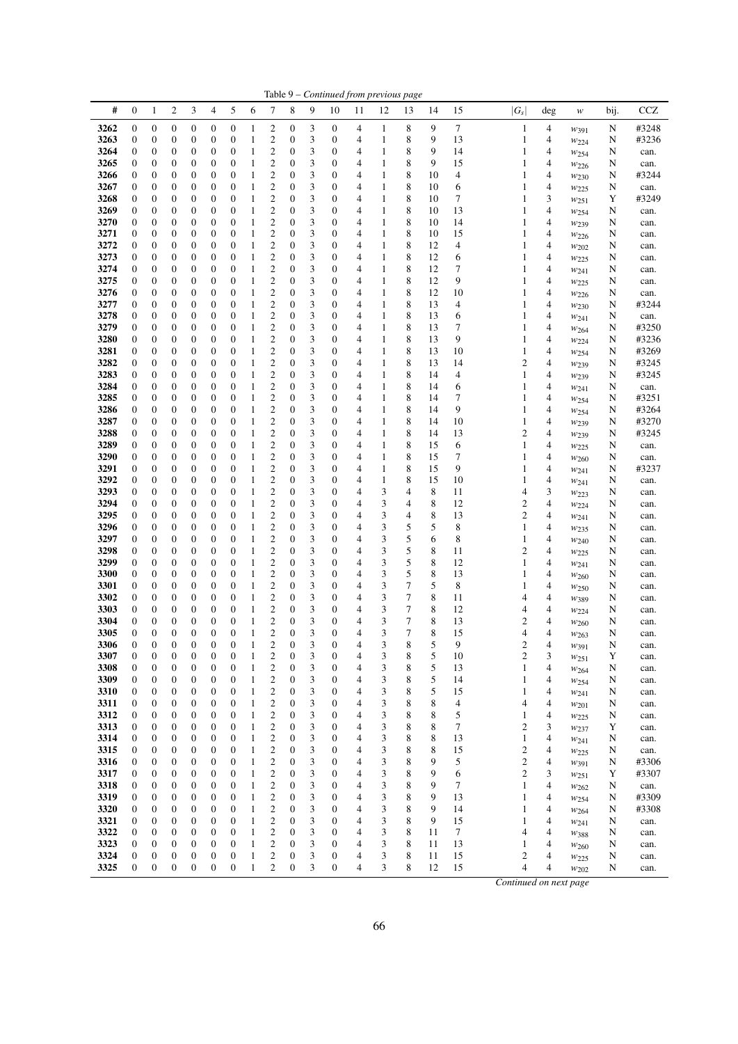|              |                                      |                                      |                       |                                      |                                      |                                      |                              |                                      |                                      |        |                       |                     | Table 9 - Continued from previous page |        |          |          |                         |        |                               |        |                |
|--------------|--------------------------------------|--------------------------------------|-----------------------|--------------------------------------|--------------------------------------|--------------------------------------|------------------------------|--------------------------------------|--------------------------------------|--------|-----------------------|---------------------|----------------------------------------|--------|----------|----------|-------------------------|--------|-------------------------------|--------|----------------|
| #            | $\mathbf{0}$                         | $\mathbf{1}$                         | $\overline{c}$        | 3                                    | $\overline{4}$                       | 5                                    | 6                            | 7                                    | 8                                    | 9      | 10                    | 11                  | 12                                     | 13     | 14       | 15       | $ G_s $                 | deg    | w                             | bij.   | CCZ            |
| 3262         | $\boldsymbol{0}$                     | $\boldsymbol{0}$                     | 0                     | 0                                    | $\boldsymbol{0}$                     | $\boldsymbol{0}$                     | 1                            | 2                                    | 0                                    | 3      | $\boldsymbol{0}$      | 4                   | $\mathbf{1}$                           | 8      | 9        | 7        | $\mathbf{1}$            | 4      | $w_{391}$                     | N      | #3248          |
| 3263         | $\boldsymbol{0}$                     | 0                                    | 0                     | 0                                    | $\boldsymbol{0}$                     | $\boldsymbol{0}$                     | 1                            | 2                                    | 0                                    | 3      | $\boldsymbol{0}$      | 4                   | $\mathbf{1}$                           | 8      | 9        | 13       | 1                       | 4      | $w_{224}$                     | N      | #3236          |
| 3264         | $\boldsymbol{0}$                     | $\boldsymbol{0}$                     | 0                     | 0                                    | $\boldsymbol{0}$                     | $\boldsymbol{0}$                     | 1                            | $\mathbf{2}$                         | 0                                    | 3      | 0                     | 4                   | $\mathbf{1}$                           | 8      | 9        | 14       | 1                       | 4      | W254                          | N      | can.           |
| 3265<br>3266 | $\boldsymbol{0}$<br>$\boldsymbol{0}$ | $\boldsymbol{0}$<br>0                | 0<br>0                | 0<br>0                               | $\mathbf{0}$<br>$\boldsymbol{0}$     | $\boldsymbol{0}$<br>0                | 1<br>1                       | 2<br>2                               | $\mathbf{0}$<br>0                    | 3<br>3 | 0<br>0                | 4<br>4              | 1<br>$\mathbf{1}$                      | 8<br>8 | 9<br>10  | 15<br>4  | 1<br>1                  | 4<br>4 | W226                          | N      | can.<br>#3244  |
| 3267         | $\boldsymbol{0}$                     | 0                                    | 0                     | 0                                    | $\boldsymbol{0}$                     | $\boldsymbol{0}$                     | 1                            | 2                                    | $\mathbf{0}$                         | 3      | 0                     | 4                   | $\mathbf{1}$                           | 8      | 10       | 6        | 1                       | 4      | $w_{230}$<br>$w_{225}$        | N<br>N | can.           |
| 3268         | $\boldsymbol{0}$                     | $\boldsymbol{0}$                     | 0                     | 0                                    | $\boldsymbol{0}$                     | $\boldsymbol{0}$                     | 1                            | $\mathfrak{2}$                       | 0                                    | 3      | $\boldsymbol{0}$      | 4                   | 1                                      | 8      | 10       | 7        | 1                       | 3      | W251                          | Y      | #3249          |
| 3269         | $\boldsymbol{0}$                     | 0                                    | 0                     | 0                                    | $\boldsymbol{0}$                     | $\boldsymbol{0}$                     | 1                            | 2                                    | $\boldsymbol{0}$                     | 3      | 0                     | 4                   | $\mathbf{1}$                           | 8      | 10       | 13       | 1                       | 4      | W254                          | N      | can.           |
| 3270         | $\boldsymbol{0}$                     | $\boldsymbol{0}$                     | 0                     | $\boldsymbol{0}$                     | $\boldsymbol{0}$                     | $\boldsymbol{0}$                     | 1                            | 2                                    | $\boldsymbol{0}$                     | 3      | 0                     | 4                   | 1                                      | 8      | 10       | 14       | 1                       | 4      | $w_{239}$                     | N      | can.           |
| 3271         | $\boldsymbol{0}$                     | $\boldsymbol{0}$                     | 0                     | $\boldsymbol{0}$                     | $\boldsymbol{0}$                     | $\mathbf{0}$                         | 1                            | $\mathfrak{2}$                       | 0                                    | 3      | 0                     | 4                   | $\mathbf{1}$                           | 8      | 10       | 15       | 1                       | 4      | $w_{226}$                     | N      | can.           |
| 3272         | $\boldsymbol{0}$                     | 0                                    | 0                     | 0                                    | $\boldsymbol{0}$                     | $\boldsymbol{0}$                     | 1                            | 2                                    | $\boldsymbol{0}$                     | 3      | 0                     | 4                   | 1                                      | 8      | 12       | 4        | 1                       | 4      | W202                          | N      | can.           |
| 3273<br>3274 | $\boldsymbol{0}$<br>$\boldsymbol{0}$ | 0<br>0                               | $\boldsymbol{0}$<br>0 | $\boldsymbol{0}$<br>$\boldsymbol{0}$ | $\boldsymbol{0}$<br>$\boldsymbol{0}$ | $\boldsymbol{0}$<br>$\mathbf{0}$     | 1<br>1                       | $\overline{c}$<br>$\mathfrak{2}$     | $\boldsymbol{0}$<br>$\mathbf{0}$     | 3<br>3 | 0<br>0                | 4<br>4              | $\mathbf{1}$<br>1                      | 8<br>8 | 12<br>12 | 6<br>7   | 1<br>1                  | 4<br>4 | W225                          | N<br>N | can.<br>can.   |
| 3275         | $\boldsymbol{0}$                     | $\boldsymbol{0}$                     | 0                     | 0                                    | $\boldsymbol{0}$                     | $\boldsymbol{0}$                     | 1                            | $\mathfrak{2}$                       | $\boldsymbol{0}$                     | 3      | $\boldsymbol{0}$      | $\overline{4}$      | 1                                      | 8      | 12       | 9        | 1                       | 4      | $w_{241}$<br>$w_{225}$        | N      | can.           |
| 3276         | $\boldsymbol{0}$                     | $\boldsymbol{0}$                     | 0                     | $\boldsymbol{0}$                     | $\boldsymbol{0}$                     | $\mathbf{0}$                         | 1                            | $\boldsymbol{2}$                     | $\boldsymbol{0}$                     | 3      | 0                     | 4                   | $\mathbf{1}$                           | 8      | 12       | 10       | 1                       | 4      | W226                          | N      | can.           |
| 3277         | $\boldsymbol{0}$                     | $\boldsymbol{0}$                     | 0                     | $\boldsymbol{0}$                     | $\boldsymbol{0}$                     | $\boldsymbol{0}$                     | 1                            | $\mathfrak{2}$                       | $\boldsymbol{0}$                     | 3      | 0                     | $\overline{4}$      | 1                                      | 8      | 13       | 4        | 1                       | 4      | W <sub>230</sub>              | N      | #3244          |
| 3278         | $\boldsymbol{0}$                     | 0                                    | 0                     | 0                                    | $\boldsymbol{0}$                     | $\boldsymbol{0}$                     | 1                            | $\overline{c}$                       | 0                                    | 3      | 0                     | 4                   | 1                                      | 8      | 13       | 6        | 1                       | 4      | $w_{241}$                     | N      | can.           |
| 3279         | $\boldsymbol{0}$                     | 0                                    | 0                     | 0                                    | $\boldsymbol{0}$                     | $\boldsymbol{0}$                     | 1                            | 2                                    | $\boldsymbol{0}$                     | 3      | 0                     | 4                   | 1                                      | 8      | 13       | 7        | 1                       | 4      | $w_{264}$                     | N      | #3250          |
| 3280<br>3281 | $\boldsymbol{0}$<br>$\boldsymbol{0}$ | 0<br>0                               | 0<br>0                | 0<br>0                               | $\boldsymbol{0}$<br>$\boldsymbol{0}$ | $\boldsymbol{0}$<br>$\boldsymbol{0}$ | 1<br>1                       | $\mathfrak{2}$<br>2                  | $\boldsymbol{0}$<br>$\mathbf{0}$     | 3      | $\boldsymbol{0}$<br>0 | 4<br>4              | $\mathbf{1}$<br>$\mathbf{1}$           | 8<br>8 | 13<br>13 | 9<br>10  | 1                       | 4<br>4 | W224                          | N      | #3236<br>#3269 |
| 3282         | $\boldsymbol{0}$                     | 0                                    | 0                     | 0                                    | $\boldsymbol{0}$                     | $\boldsymbol{0}$                     | 1                            | 2                                    | 0                                    | 3<br>3 | 0                     | 4                   | $\mathbf{1}$                           | 8      | 13       | 14       | 1<br>$\overline{c}$     | 4      | W254<br>W <sub>239</sub>      | N<br>N | #3245          |
| 3283         | $\boldsymbol{0}$                     | $\boldsymbol{0}$                     | 0                     | $\boldsymbol{0}$                     | $\boldsymbol{0}$                     | $\boldsymbol{0}$                     | 1                            | 2                                    | 0                                    | 3      | 0                     | 4                   | $\mathbf{1}$                           | 8      | 14       | 4        | 1                       | 4      | $w_{239}$                     | N      | #3245          |
| 3284         | $\boldsymbol{0}$                     | 0                                    | 0                     | 0                                    | $\boldsymbol{0}$                     | $\boldsymbol{0}$                     | 1                            | 2                                    | $\boldsymbol{0}$                     | 3      | 0                     | 4                   | 1                                      | 8      | 14       | 6        | 1                       | 4      | W241                          | N      | can.           |
| 3285         | $\boldsymbol{0}$                     | 0                                    | 0                     | 0                                    | $\boldsymbol{0}$                     | 0                                    | 1                            | $\boldsymbol{2}$                     | 0                                    | 3      | 0                     | 4                   | 1                                      | 8      | 14       | 7        | 1                       | 4      | W254                          | N      | #3251          |
| 3286         | $\boldsymbol{0}$                     | 0                                    | 0                     | 0                                    | $\boldsymbol{0}$                     | $\boldsymbol{0}$                     | 1                            | 2                                    | $\mathbf{0}$                         | 3      | 0                     | 4                   | $\mathbf{1}$                           | 8      | 14       | 9        | 1                       | 4      | $w_{254}$                     | N      | #3264          |
| 3287         | $\boldsymbol{0}$                     | $\boldsymbol{0}$                     | 0                     | $\boldsymbol{0}$                     | $\boldsymbol{0}$                     | $\boldsymbol{0}$                     | 1                            | $\mathbf{2}$                         | 0                                    | 3      | $\boldsymbol{0}$      | 4                   | $\mathbf{1}$                           | 8      | 14       | 10       | 1                       | 4      | $w_{239}$                     | N      | #3270          |
| 3288<br>3289 | $\boldsymbol{0}$<br>$\boldsymbol{0}$ | 0<br>$\boldsymbol{0}$                | 0<br>0                | $\boldsymbol{0}$<br>$\boldsymbol{0}$ | $\boldsymbol{0}$<br>$\boldsymbol{0}$ | $\boldsymbol{0}$<br>$\boldsymbol{0}$ | 1<br>1                       | 2<br>2                               | $\boldsymbol{0}$<br>$\boldsymbol{0}$ | 3<br>3 | 0<br>0                | 4<br>$\overline{4}$ | $\mathbf{1}$<br>1                      | 8<br>8 | 14<br>15 | 13<br>6  | $\overline{c}$<br>1     | 4<br>4 | W <sub>239</sub>              | N<br>N | #3245<br>can.  |
| 3290         | $\boldsymbol{0}$                     | $\boldsymbol{0}$                     | 0                     | $\boldsymbol{0}$                     | $\boldsymbol{0}$                     | $\mathbf{0}$                         | 1                            | $\mathfrak{2}$                       | 0                                    | 3      | 0                     | 4                   | $\mathbf{1}$                           | 8      | 15       | 7        | 1                       | 4      | W225<br>$w_{260}$             | N      | can.           |
| 3291         | $\boldsymbol{0}$                     | 0                                    | 0                     | 0                                    | $\boldsymbol{0}$                     | $\boldsymbol{0}$                     | 1                            | $\mathfrak{2}$                       | $\mathbf{0}$                         | 3      | 0                     | 4                   | 1                                      | 8      | 15       | 9        | 1                       | 4      | $w_{241}$                     | N      | #3237          |
| 3292         | $\boldsymbol{0}$                     | 0                                    | 0                     | $\boldsymbol{0}$                     | $\boldsymbol{0}$                     | $\mathbf{0}$                         | 1                            | $\overline{c}$                       | $\boldsymbol{0}$                     | 3      | 0                     | 4                   | $\mathbf{1}$                           | 8      | 15       | 10       | 1                       | 4      | W241                          | N      | can.           |
| 3293         | $\boldsymbol{0}$                     | $\mathbf{0}$                         | 0                     | $\boldsymbol{0}$                     | $\boldsymbol{0}$                     | $\mathbf{0}$                         | 1                            | $\mathfrak{2}$                       | $\mathbf{0}$                         | 3      | 0                     | 4                   | 3                                      | 4      | 8        | 11       | 4                       | 3      | W223                          | N      | can.           |
| 3294         | $\mathbf{0}$                         | $\boldsymbol{0}$                     | 0                     | 0                                    | $\boldsymbol{0}$                     | $\boldsymbol{0}$                     | 1                            | $\mathfrak{2}$                       | $\boldsymbol{0}$                     | 3      | 0                     | 4                   | 3                                      | 4      | 8        | 12       | 2                       | 4      | W224                          | N      | can.           |
| 3295<br>3296 | $\boldsymbol{0}$<br>$\boldsymbol{0}$ | 0<br>$\boldsymbol{0}$                | 0<br>0                | 0<br>0                               | $\boldsymbol{0}$<br>$\boldsymbol{0}$ | $\boldsymbol{0}$<br>$\boldsymbol{0}$ | 1<br>1                       | $\mathfrak{2}$<br>$\mathfrak{2}$     | 0<br>$\boldsymbol{0}$                | 3<br>3 | 0<br>0                | 4<br>4              | 3<br>3                                 | 4<br>5 | 8<br>5   | 13<br>8  | $\overline{c}$<br>1     | 4<br>4 | $w_{241}$                     | N<br>N | can.           |
| 3297         | $\boldsymbol{0}$                     | $\boldsymbol{0}$                     | 0                     | 0                                    | $\boldsymbol{0}$                     | $\boldsymbol{0}$                     | 1                            | $\overline{c}$                       | $\boldsymbol{0}$                     | 3      | 0                     | 4                   | 3                                      | 5      | 6        | 8        | 1                       | 4      | W <sub>235</sub><br>W240      | N      | can.<br>can.   |
| 3298         | $\boldsymbol{0}$                     | 0                                    | 0                     | 0                                    | $\boldsymbol{0}$                     | $\boldsymbol{0}$                     | 1                            | 2                                    | $\boldsymbol{0}$                     | 3      | 0                     | 4                   | 3                                      | 5      | 8        | 11       | $\overline{c}$          | 4      | $w_{225}$                     | N      | can.           |
| 3299         | $\boldsymbol{0}$                     | 0                                    | 0                     | 0                                    | $\boldsymbol{0}$                     | $\boldsymbol{0}$                     | 1                            | $\mathfrak{2}$                       | $\boldsymbol{0}$                     | 3      | 0                     | 4                   | 3                                      | 5      | 8        | 12       | 1                       | 4      | $w_{241}$                     | N      | can.           |
| 3300         | $\boldsymbol{0}$                     | 0                                    | 0                     | 0                                    | $\boldsymbol{0}$                     | $\boldsymbol{0}$                     | 1                            | 2                                    | $\mathbf{0}$                         | 3      | 0                     | 4                   | 3                                      | 5      | 8        | 13       | 1                       | 4      | W <sub>260</sub>              | N      | can.           |
| 3301         | $\boldsymbol{0}$                     | 0                                    | 0                     | 0                                    | $\boldsymbol{0}$                     | $\boldsymbol{0}$                     | 1                            | 2                                    | 0                                    | 3      | $\boldsymbol{0}$      | 4                   | 3                                      | 7      | 5        | 8        | 1                       | 4      | W <sub>250</sub>              | N      | can.           |
| 3302<br>3303 | $\boldsymbol{0}$<br>$\boldsymbol{0}$ | $\boldsymbol{0}$<br>0                | 0<br>0                | $\boldsymbol{0}$<br>0                | $\boldsymbol{0}$<br>$\boldsymbol{0}$ | $\boldsymbol{0}$<br>$\boldsymbol{0}$ | 1<br>1                       | 2<br>$\boldsymbol{2}$                | 0<br>$\boldsymbol{0}$                | 3<br>3 | 0<br>0                | 4<br>4              | 3<br>3                                 | 7<br>7 | 8<br>8   | 11<br>12 | 4<br>4                  | 4<br>4 | W389                          | N<br>N | can.           |
| 3304         | $\boldsymbol{0}$                     | $\mathbf{0}$                         | $\boldsymbol{0}$      | $\boldsymbol{0}$                     | $\boldsymbol{0}$                     | $\mathbf{0}$                         | 1                            | $\boldsymbol{2}$                     | $\boldsymbol{0}$                     | 3      | $\boldsymbol{0}$      | $\overline{4}$      | 3                                      | 7      | 8        | 13       | $\overline{\mathbf{c}}$ | 4      | $w_{224}$<br>W <sub>260</sub> | N      | can.<br>can.   |
| 3305         | $\mathbf{0}$                         | $\overline{0}$                       | $\overline{0}$        | $\overline{0}$                       | $\overline{0}$                       | $\overline{0}$                       | 1                            | $\overline{c}$                       | $\overline{0}$                       | 3      | $\mathbf{0}$          | $\overline{4}$      | 3                                      | 7      | 8        | 15       | 4                       | 4      | W263                          | N      | can.           |
| 3306         | $\boldsymbol{0}$                     | $\boldsymbol{0}$                     | $\boldsymbol{0}$      | $\boldsymbol{0}$                     | $\boldsymbol{0}$                     | $\boldsymbol{0}$                     | $\mathbf{1}$                 | $\mathfrak{2}$                       | $\boldsymbol{0}$                     | 3      | $\boldsymbol{0}$      | $\overline{4}$      | 3                                      | 8      | 5        | 9        | $\overline{\mathbf{c}}$ | 4      | W391                          | N      | can.           |
| 3307         | $\boldsymbol{0}$                     | $\boldsymbol{0}$                     | 0                     | $\boldsymbol{0}$                     | $\boldsymbol{0}$                     | $\boldsymbol{0}$                     | 1                            | 2                                    | $\mathbf{0}$                         | 3      | 0                     | 4                   | 3                                      | 8      | 5        | 10       | $\mathbf{2}$            | 3      | $w_{251}$                     | Y      | can.           |
| 3308         | $\boldsymbol{0}$                     | $\boldsymbol{0}$                     | $\boldsymbol{0}$      | $\boldsymbol{0}$                     | $\boldsymbol{0}$                     | $\boldsymbol{0}$                     | 1                            | $\boldsymbol{2}$                     | $\boldsymbol{0}$                     | 3      | $\boldsymbol{0}$      | 4                   | 3                                      | 8      | 5        | 13       | 1                       | 4      | W264                          | N      | can.           |
| 3309<br>3310 | $\boldsymbol{0}$<br>$\boldsymbol{0}$ | $\boldsymbol{0}$<br>$\boldsymbol{0}$ | 0<br>0                | 0<br>0                               | $\boldsymbol{0}$<br>$\boldsymbol{0}$ | $\mathbf{0}$<br>$\boldsymbol{0}$     | 1<br>1                       | $\boldsymbol{2}$<br>$\boldsymbol{2}$ | $\boldsymbol{0}$<br>$\boldsymbol{0}$ | 3<br>3 | 0<br>0                | $\overline{4}$<br>4 | 3<br>3                                 | 8<br>8 | 5<br>5   | 14<br>15 | 1<br>1                  | 4<br>4 | W254                          | N<br>N | can.           |
| 3311         | $\boldsymbol{0}$                     | $\boldsymbol{0}$                     | 0                     | 0                                    | $\boldsymbol{0}$                     | $\boldsymbol{0}$                     | $\mathbf{1}$                 | $\boldsymbol{2}$                     | $\boldsymbol{0}$                     | 3      | 0                     | 4                   | 3                                      | 8      | 8        | 4        | 4                       | 4      | W241<br>$w_{201}$             | N      | can.<br>can.   |
| 3312         | 0                                    | 0                                    | 0                     | 0                                    | $\boldsymbol{0}$                     | $\boldsymbol{0}$                     | 1                            | $\boldsymbol{2}$                     | $\boldsymbol{0}$                     | 3      | 0                     | 4                   | 3                                      | 8      | 8        | 5        | 1                       | 4      | W225                          | N      | can.           |
| 3313         | $\boldsymbol{0}$                     | $\boldsymbol{0}$                     | 0                     | $\boldsymbol{0}$                     | $\boldsymbol{0}$                     | $\boldsymbol{0}$                     | 1                            | $\mathfrak{2}$                       | $\boldsymbol{0}$                     | 3      | $\boldsymbol{0}$      | 4                   | 3                                      | 8      | 8        | 7        | $\overline{c}$          | 3      | W <sub>237</sub>              | Y      | can.           |
| 3314         | $\boldsymbol{0}$                     | $\boldsymbol{0}$                     | 0                     | 0                                    | $\boldsymbol{0}$                     | $\boldsymbol{0}$                     | 1                            | 2                                    | 0                                    | 3      | 0                     | $\overline{4}$      | 3                                      | 8      | 8        | 13       | 1                       | 4      | W241                          | N      | can.           |
| 3315         | $\mathbf{0}$                         | $\boldsymbol{0}$                     | 0                     | $\boldsymbol{0}$                     | $\boldsymbol{0}$                     | $\boldsymbol{0}$                     | 1                            | $\boldsymbol{2}$                     | $\boldsymbol{0}$                     | 3      | 0                     | $\overline{4}$      | 3                                      | 8      | 8        | 15       | $\mathfrak{2}$          | 4      | $w_{225}$                     | N      | can.           |
| 3316         | $\boldsymbol{0}$                     | $\boldsymbol{0}$                     | 0                     | $\boldsymbol{0}$                     | $\boldsymbol{0}$                     | $\boldsymbol{0}$                     | 1                            | $\mathfrak{2}$                       | $\boldsymbol{0}$                     | 3      | 0                     | 4                   | 3                                      | 8      | 9<br>9   | 5        | $\mathfrak{2}$          | 4      | W391                          | N      | #3306          |
| 3317<br>3318 | 0<br>$\boldsymbol{0}$                | 0<br>$\boldsymbol{0}$                | 0<br>0                | 0<br>0                               | $\boldsymbol{0}$<br>$\boldsymbol{0}$ | $\boldsymbol{0}$<br>$\boldsymbol{0}$ | $\mathbf{1}$<br>$\mathbf{1}$ | 2<br>$\boldsymbol{2}$                | $\boldsymbol{0}$<br>$\boldsymbol{0}$ | 3<br>3 | 0<br>0                | 4<br>4              | 3<br>3                                 | 8<br>8 | 9        | 6<br>7   | $\overline{c}$<br>1     | 3<br>4 | W251                          | Y<br>N | #3307<br>can.  |
| 3319         | 0                                    | $\boldsymbol{0}$                     | 0                     | 0                                    | $\boldsymbol{0}$                     | $\boldsymbol{0}$                     | 1                            | 2                                    | $\boldsymbol{0}$                     | 3      | 0                     | 4                   | 3                                      | 8      | 9        | 13       | 1                       | 4      | $w_{262}$<br>$w_{254}$        | N      | #3309          |
| 3320         | $\boldsymbol{0}$                     | $\boldsymbol{0}$                     | 0                     | $\boldsymbol{0}$                     | $\boldsymbol{0}$                     | $\boldsymbol{0}$                     | 1                            | $\boldsymbol{2}$                     | 0                                    | 3      | $\boldsymbol{0}$      | $\overline{4}$      | 3                                      | 8      | 9        | 14       | 1                       | 4      | W264                          | N      | #3308          |
| 3321         | $\boldsymbol{0}$                     | $\boldsymbol{0}$                     | 0                     | $\boldsymbol{0}$                     | $\boldsymbol{0}$                     | $\boldsymbol{0}$                     | 1                            | $\boldsymbol{2}$                     | 0                                    | 3      | 0                     | 4                   | 3                                      | 8      | 9        | 15       | 1                       | 4      | W241                          | N      | can.           |
| 3322         | $\boldsymbol{0}$                     | $\boldsymbol{0}$                     | 0                     | $\boldsymbol{0}$                     | $\boldsymbol{0}$                     | $\boldsymbol{0}$                     | 1                            | 2                                    | $\boldsymbol{0}$                     | 3      | 0                     | 4                   | 3                                      | 8      | 11       | 7        | 4                       | 4      | W388                          | N      | can.           |
| 3323         | $\boldsymbol{0}$                     | $\boldsymbol{0}$                     | 0                     | $\boldsymbol{0}$                     | $\boldsymbol{0}$                     | $\boldsymbol{0}$                     | $\mathbf{1}$                 | $\mathfrak{2}$                       | $\boldsymbol{0}$                     | 3      | 0                     | 4                   | 3                                      | 8      | 11       | 13       | 1                       | 4      | $w_{260}$                     | N      | can.           |
| 3324<br>3325 | $\mathbf{0}$<br>$\boldsymbol{0}$     | $\boldsymbol{0}$<br>$\boldsymbol{0}$ | 0<br>$\boldsymbol{0}$ | 0<br>$\boldsymbol{0}$                | $\boldsymbol{0}$<br>$\boldsymbol{0}$ | $\boldsymbol{0}$<br>$\boldsymbol{0}$ | 1<br>$\mathbf{1}$            | 2<br>$\overline{c}$                  | 0<br>$\boldsymbol{0}$                | 3<br>3 | 0<br>$\boldsymbol{0}$ | 4<br>4              | 3<br>3                                 | 8<br>8 | 11<br>12 | 15<br>15 | 2<br>4                  | 4<br>4 | W225                          | N<br>N | can.           |
|              |                                      |                                      |                       |                                      |                                      |                                      |                              |                                      |                                      |        |                       |                     |                                        |        |          |          |                         |        | $w_{202}$                     |        | can.           |
|              |                                      |                                      |                       |                                      |                                      |                                      |                              |                                      |                                      |        |                       |                     |                                        |        |          |          | Continued on next page  |        |                               |        |                |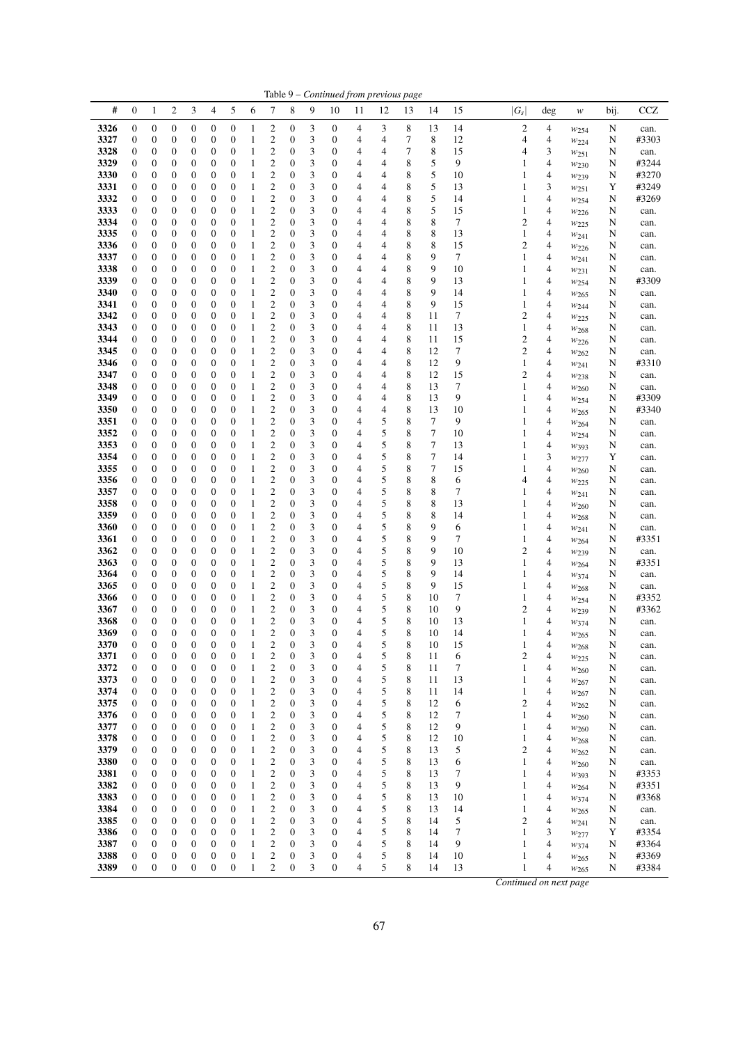|              | Table 9 - Continued from previous page |                                      |                       |                                      |                                      |                                      |                              |                                                    |                                      |                |                  |        |                |                  |          |          |                                  |        |                                      |        |                |
|--------------|----------------------------------------|--------------------------------------|-----------------------|--------------------------------------|--------------------------------------|--------------------------------------|------------------------------|----------------------------------------------------|--------------------------------------|----------------|------------------|--------|----------------|------------------|----------|----------|----------------------------------|--------|--------------------------------------|--------|----------------|
| #            | $\boldsymbol{0}$                       | $\mathbf{1}$                         | 2                     | 3                                    | 4                                    | 5                                    | 6                            | 7                                                  | 8                                    | 9              | 10               | 11     | 12             | 13               | 14       | 15       | $ G_s $                          | deg    | w                                    | bij.   | CCZ            |
| 3326         | 0                                      | $\boldsymbol{0}$                     | 0                     | $\boldsymbol{0}$                     | 0                                    | $\boldsymbol{0}$                     | 1                            | 2                                                  | 0                                    | 3              | 0                | 4      | 3              | 8                | 13       | 14       | 2                                | 4      | $w_{254}$                            | N      | can.           |
| 3327         | 0                                      | $\boldsymbol{0}$                     | $\boldsymbol{0}$      | $\boldsymbol{0}$                     | 0                                    | $\boldsymbol{0}$                     | 1                            | 2                                                  | 0                                    | 3              | 0                | 4      | 4              | 7                | 8        | 12       | 4                                | 4      | $w_{224}$                            | N      | #3303          |
| 3328         | 0                                      | $\boldsymbol{0}$                     | 0                     | $\boldsymbol{0}$                     | 0                                    | $\boldsymbol{0}$                     | 1                            | $\overline{c}$                                     | 0                                    | 3              | 0                | 4      | 4              | 7                | 8        | 15       | 4                                | 3      | $w_{251}$                            | N      | can.           |
| 3329<br>3330 | 0<br>0                                 | $\boldsymbol{0}$<br>$\boldsymbol{0}$ | 0<br>0                | $\boldsymbol{0}$<br>0                | $\boldsymbol{0}$<br>0                | $\boldsymbol{0}$<br>$\boldsymbol{0}$ | 1<br>1                       | $\overline{\mathbf{c}}$<br>$\overline{\mathbf{c}}$ | 0<br>0                               | 3<br>3         | 0<br>0           | 4<br>4 | 4<br>4         | 8<br>8           | 5<br>5   | 9<br>10  | 1<br>1                           | 4<br>4 | $w_{230}$                            | N      | #3244<br>#3270 |
| 3331         | $\boldsymbol{0}$                       | $\boldsymbol{0}$                     | 0                     | 0                                    | 0                                    | $\boldsymbol{0}$                     | 1                            | $\overline{\mathbf{c}}$                            | $\boldsymbol{0}$                     | 3              | 0                | 4      | 4              | 8                | 5        | 13       | 1                                | 3      | $w_{239}$<br>$w_{251}$               | N<br>Y | #3249          |
| 3332         | $\boldsymbol{0}$                       | $\boldsymbol{0}$                     | $\overline{0}$        | $\boldsymbol{0}$                     | $\boldsymbol{0}$                     | $\boldsymbol{0}$                     | $\mathbf{1}$                 | $\overline{c}$                                     | $\boldsymbol{0}$                     | 3              | 0                | 4      | $\overline{4}$ | 8                | 5        | 14       | 1                                | 4      | W254                                 | N      | #3269          |
| 3333         | 0                                      | $\boldsymbol{0}$                     | 0                     | $\boldsymbol{0}$                     | 0                                    | $\boldsymbol{0}$                     | $\mathbf{1}$                 | $\overline{\mathbf{c}}$                            | 0                                    | 3              | 0                | 4      | 4              | 8                | 5        | 15       | 1                                | 4      | $w_{226}$                            | N      | can.           |
| 3334         | 0                                      | $\boldsymbol{0}$                     | $\boldsymbol{0}$      | $\boldsymbol{0}$                     | $\boldsymbol{0}$                     | $\boldsymbol{0}$                     | 1                            | $\overline{c}$                                     | 0                                    | 3              | 0                | 4      | 4              | 8                | 8        | 7        | $\overline{c}$                   | 4      | $w_{225}$                            | N      | can.           |
| 3335         | $\boldsymbol{0}$                       | $\boldsymbol{0}$                     | 0                     | $\boldsymbol{0}$                     | $\boldsymbol{0}$                     | $\boldsymbol{0}$                     | 1                            | $\overline{c}$                                     | 0                                    | 3              | 0                | 4      | 4              | 8                | 8        | 13       | 1                                | 4      | $w_{241}$                            | N      | can.           |
| 3336         | $\boldsymbol{0}$                       | $\boldsymbol{0}$                     | 0                     | $\boldsymbol{0}$                     | 0                                    | $\boldsymbol{0}$                     | 1                            | $\overline{\mathbf{c}}$                            | 0                                    | 3              | 0                | 4      | 4              | 8                | 8        | 15       | $\overline{c}$                   | 4      | $w_{226}$                            | N      | can.           |
| 3337<br>3338 | $\boldsymbol{0}$<br>0                  | $\boldsymbol{0}$<br>$\boldsymbol{0}$ | 0<br>0                | 0<br>$\boldsymbol{0}$                | $\boldsymbol{0}$<br>0                | $\boldsymbol{0}$<br>$\boldsymbol{0}$ | 1<br>1                       | $\overline{c}$<br>$\overline{\mathbf{c}}$          | $\boldsymbol{0}$<br>0                | 3<br>3         | 0<br>0           | 4<br>4 | 4<br>4         | 8<br>8           | 9<br>9   | 7<br>10  | 1<br>1                           | 4<br>4 | W241                                 | N<br>N | can.<br>can.   |
| 3339         | 0                                      | $\boldsymbol{0}$                     | 0                     | $\boldsymbol{0}$                     | $\boldsymbol{0}$                     | $\boldsymbol{0}$                     | 1                            | $\overline{\mathbf{c}}$                            | 0                                    | 3              | 0                | 4      | 4              | 8                | 9        | 13       | 1                                | 4      | $w_{231}$<br>$w_{254}$               | N      | #3309          |
| 3340         | 0                                      | $\boldsymbol{0}$                     | 0                     | $\boldsymbol{0}$                     | 0                                    | $\boldsymbol{0}$                     | 1                            | $\overline{\mathbf{c}}$                            | 0                                    | 3              | 0                | 4      | 4              | 8                | 9        | 14       | 1                                | 4      | W <sub>265</sub>                     | N      | can.           |
| 3341         | 0                                      | $\boldsymbol{0}$                     | $\boldsymbol{0}$      | $\boldsymbol{0}$                     | 0                                    | $\boldsymbol{0}$                     | 1                            | $\overline{\mathbf{c}}$                            | 0                                    | 3              | 0                | 4      | 4              | 8                | 9        | 15       | 1                                | 4      | W <sub>244</sub>                     | N      | can.           |
| 3342         | 0                                      | $\boldsymbol{0}$                     | 0                     | $\boldsymbol{0}$                     | 0                                    | $\boldsymbol{0}$                     | 1                            | $\overline{c}$                                     | 0                                    | 3              | 0                | 4      | 4              | 8                | 11       | 7        | $\overline{c}$                   | 4      | $w_{225}$                            | N      | can.           |
| 3343         | $\boldsymbol{0}$                       | $\boldsymbol{0}$                     | 0                     | 0                                    | 0                                    | $\boldsymbol{0}$                     | $\mathbf{1}$                 | $\overline{\mathbf{c}}$                            | 0                                    | 3              | 0                | 4      | 4              | 8                | 11       | 13       | 1                                | 4      | $w_{268}$                            | N      | can.           |
| 3344<br>3345 | $\boldsymbol{0}$<br>0                  | $\boldsymbol{0}$<br>$\boldsymbol{0}$ | $\overline{0}$<br>0   | $\boldsymbol{0}$<br>$\boldsymbol{0}$ | $\boldsymbol{0}$<br>0                | $\boldsymbol{0}$<br>$\boldsymbol{0}$ | $\mathbf{1}$<br>1            | $\overline{c}$<br>$\overline{\mathbf{c}}$          | 0<br>0                               | 3<br>3         | 0<br>0           | 4<br>4 | 4<br>4         | $\,$ 8 $\,$<br>8 | 11<br>12 | 15<br>7  | $\overline{c}$<br>$\overline{c}$ | 4<br>4 | W226                                 | N      | can.           |
| 3346         | 0                                      | $\boldsymbol{0}$                     | 0                     | $\boldsymbol{0}$                     | 0                                    | $\boldsymbol{0}$                     | $\mathbf{1}$                 | $\overline{\mathbf{c}}$                            | 0                                    | 3              | 0                | 4      | 4              | 8                | 12       | 9        | 1                                | 4      | W <sub>262</sub><br>$w_{241}$        | N<br>N | can.<br>#3310  |
| 3347         | 0                                      | $\boldsymbol{0}$                     | 0                     | $\boldsymbol{0}$                     | 0                                    | $\boldsymbol{0}$                     | $\mathbf{1}$                 | $\overline{c}$                                     | 0                                    | 3              | 0                | 4      | 4              | 8                | 12       | 15       | $\overline{c}$                   | 4      | $w_{238}$                            | N      | can.           |
| 3348         | $\boldsymbol{0}$                       | $\boldsymbol{0}$                     | 0                     | $\boldsymbol{0}$                     | 0                                    | $\boldsymbol{0}$                     | 1                            | $\overline{c}$                                     | $\boldsymbol{0}$                     | 3              | 0                | 4      | 4              | 8                | 13       | 7        | 1                                | 4      | $w_{260}$                            | N      | can.           |
| 3349         | $\boldsymbol{0}$                       | $\boldsymbol{0}$                     | 0                     | 0                                    | $\boldsymbol{0}$                     | $\boldsymbol{0}$                     | 1                            | $\overline{c}$                                     | $\boldsymbol{0}$                     | 3              | 0                | 4      | 4              | 8                | 13       | 9        | 1                                | 4      | W254                                 | N      | #3309          |
| 3350         | $\boldsymbol{0}$                       | $\boldsymbol{0}$                     | 0                     | 0                                    | 0                                    | $\boldsymbol{0}$                     | 1                            | $\overline{c}$                                     | $\boldsymbol{0}$                     | 3              | 0                | 4      | 4              | 8                | 13       | 10       | 1                                | 4      | $w_{265}$                            | N      | #3340          |
| 3351         | $\boldsymbol{0}$                       | $\boldsymbol{0}$                     | $\boldsymbol{0}$      | $\boldsymbol{0}$                     | $\boldsymbol{0}$                     | $\boldsymbol{0}$                     | $\mathbf{1}$                 | $\overline{c}$                                     | 0                                    | 3              | 0                | 4      | 5              | 8                | 7        | 9        | 1                                | 4      | $w_{264}$                            | N      | can.           |
| 3352<br>3353 | 0<br>0                                 | $\boldsymbol{0}$<br>$\boldsymbol{0}$ | 0<br>$\boldsymbol{0}$ | $\boldsymbol{0}$<br>$\boldsymbol{0}$ | 0<br>$\boldsymbol{0}$                | $\boldsymbol{0}$<br>$\boldsymbol{0}$ | 1<br>1                       | $\overline{\mathbf{c}}$<br>$\overline{\mathbf{c}}$ | 0<br>0                               | 3<br>3         | 0<br>0           | 4<br>4 | 5<br>5         | 8<br>8           | 7<br>7   | 10<br>13 | 1<br>1                           | 4<br>4 | W254                                 | N<br>N | can.           |
| 3354         | 0                                      | $\boldsymbol{0}$                     | 0                     | $\boldsymbol{0}$                     | 0                                    | $\boldsymbol{0}$                     | 1                            | $\overline{c}$                                     | 0                                    | 3              | 0                | 4      | 5              | 8                | $\tau$   | 14       | 1                                | 3      | W393<br>$w_{277}$                    | Y      | can.<br>can.   |
| 3355         | $\boldsymbol{0}$                       | $\boldsymbol{0}$                     | 0                     | $\boldsymbol{0}$                     | 0                                    | $\boldsymbol{0}$                     | 1                            | $\overline{\mathbf{c}}$                            | 0                                    | 3              | 0                | 4      | 5              | 8                | 7        | 15       | 1                                | 4      | $w_{260}$                            | N      | can.           |
| 3356         | $\boldsymbol{0}$                       | $\boldsymbol{0}$                     | 0                     | 0                                    | $\boldsymbol{0}$                     | $\boldsymbol{0}$                     | 1                            | $\overline{\mathbf{c}}$                            | $\boldsymbol{0}$                     | 3              | 0                | 4      | 5              | 8                | 8        | 6        | 4                                | 4      | $w_{225}$                            | N      | can.           |
| 3357         | $\mathbf{0}$                           | $\boldsymbol{0}$                     | 0                     | $\boldsymbol{0}$                     | 0                                    | $\boldsymbol{0}$                     | 1                            | $\overline{\mathbf{c}}$                            | $\boldsymbol{0}$                     | 3              | 0                | 4      | 5              | 8                | 8        | 7        | 1                                | 4      | W241                                 | N      | can.           |
| 3358         | $\boldsymbol{0}$                       | $\boldsymbol{0}$                     | 0                     | $\boldsymbol{0}$                     | $\boldsymbol{0}$                     | $\boldsymbol{0}$                     | 1                            | $\overline{c}$                                     | $\boldsymbol{0}$                     | 3              | 0                | 4      | 5              | 8                | 8        | 13       | 1                                | 4      | $w_{260}$                            | N      | can.           |
| 3359         | 0                                      | $\boldsymbol{0}$                     | 0                     | $\boldsymbol{0}$                     | 0                                    | $\boldsymbol{0}$                     | $\mathbf{1}$                 | $\overline{\mathbf{c}}$                            | 0                                    | 3              | 0                | 4      | 5              | 8                | 8        | 14       | 1                                | 4      | $w_{268}$                            | N      | can.           |
| 3360<br>3361 | 0<br>0                                 | $\boldsymbol{0}$<br>$\boldsymbol{0}$ | $\boldsymbol{0}$<br>0 | $\boldsymbol{0}$<br>$\boldsymbol{0}$ | 0<br>0                               | $\boldsymbol{0}$<br>$\boldsymbol{0}$ | 1<br>1                       | $\overline{c}$<br>2                                | 0<br>$\boldsymbol{0}$                | 3<br>3         | 0<br>0           | 4<br>4 | 5<br>5         | 8<br>8           | 9<br>9   | 6<br>7   | 1<br>1                           | 4<br>4 | W241                                 | N<br>N | can.<br>#3351  |
| 3362         | $\boldsymbol{0}$                       | $\boldsymbol{0}$                     | 0                     | 0                                    | 0                                    | $\boldsymbol{0}$                     | 1                            | $\overline{\mathbf{c}}$                            | 0                                    | 3              | 0                | 4      | 5              | 8                | 9        | 10       | $\overline{c}$                   | 4      | W264<br>W <sub>239</sub>             | N      | can.           |
| 3363         | $\boldsymbol{0}$                       | $\boldsymbol{0}$                     | 0                     | 0                                    | $\boldsymbol{0}$                     | $\boldsymbol{0}$                     | 1                            | $\overline{c}$                                     | $\boldsymbol{0}$                     | 3              | 0                | 4      | 5              | 8                | 9        | 13       | 1                                | 4      | $w_{264}$                            | N      | #3351          |
| 3364         | $\boldsymbol{0}$                       | $\boldsymbol{0}$                     | 0                     | $\boldsymbol{0}$                     | 0                                    | $\boldsymbol{0}$                     | 1                            | $\overline{c}$                                     | 0                                    | 3              | 0                | 4      | 5              | 8                | 9        | 14       | 1                                | 4      | W374                                 | N      | can.           |
| 3365         | 0                                      | $\boldsymbol{0}$                     | 0                     | $\boldsymbol{0}$                     | 0                                    | $\boldsymbol{0}$                     | 1                            | $\overline{\mathbf{c}}$                            | 0                                    | 3              | 0                | 4      | 5              | 8                | 9        | 15       | 1                                | 4      | W <sub>268</sub>                     | N      | can.           |
| 3366         | 0                                      | $\boldsymbol{0}$                     | 0                     | $\boldsymbol{0}$                     | 0                                    | $\boldsymbol{0}$                     | $\mathbf{1}$                 | $\overline{\mathbf{c}}$                            | 0                                    | 3              | 0                | 4      | 5              | 8                | 10       | 7        | 1                                | 4      | $w_{254}$                            | N      | #3352          |
| 3367<br>3368 | $\boldsymbol{0}$<br>$\boldsymbol{0}$   | $\boldsymbol{0}$<br>$\boldsymbol{0}$ | 0<br>$\boldsymbol{0}$ | $\boldsymbol{0}$<br>$\boldsymbol{0}$ | 0<br>$\boldsymbol{0}$                | $\boldsymbol{0}$<br>$\mathbf{0}$     | 1<br>$\mathbf{1}$            | $\overline{\mathbf{c}}$<br>$\overline{\mathbf{c}}$ | 0<br>$\boldsymbol{0}$                | 3<br>3         | 0<br>0           | 4<br>4 | 5<br>5         | 8<br>8           | 10<br>10 | 9<br>13  | $\overline{c}$<br>1              | 4<br>4 | $w_{239}$                            | N<br>N | #3362          |
| 3369         | $\boldsymbol{0}$                       | $\mathbf{0}$                         | $\overline{0}$        | $\mathbf{0}$                         | $\boldsymbol{0}$                     | $\overline{0}$                       | $\mathbf{1}$                 | 2                                                  | $\boldsymbol{0}$                     | 3              | $\overline{0}$   | 4      | 5              | 8                | 10       | 14       | 1                                | 4      | W374<br>W <sub>265</sub>             | N      | can.<br>can.   |
| 3370         | $\boldsymbol{0}$                       | $\boldsymbol{0}$                     | $\mathbf{0}$          | $\boldsymbol{0}$                     | $\boldsymbol{0}$                     | $\boldsymbol{0}$                     | $\mathbf{1}$                 | $\overline{c}$                                     | $\boldsymbol{0}$                     | $\mathfrak{Z}$ | $\boldsymbol{0}$ | 4      | 5              | 8                | $10\,$   | 15       | 1                                | 4      | $w_{268}$                            | N      | can.           |
| 3371         | 0                                      | $\boldsymbol{0}$                     | $\boldsymbol{0}$      | $\boldsymbol{0}$                     | 0                                    | $\boldsymbol{0}$                     | 1                            | 2                                                  | 0                                    | 3              | 0                | 4      | 5              | 8                | 11       | 6        | $\overline{c}$                   | 4      | $w_{225}$                            | N      | can.           |
| 3372         | $\boldsymbol{0}$                       | $\boldsymbol{0}$                     | $\boldsymbol{0}$      | $\boldsymbol{0}$                     | $\boldsymbol{0}$                     | $\boldsymbol{0}$                     | 1                            | 2                                                  | $\boldsymbol{0}$                     | 3              | 0                | 4      | 5              | 8                | 11       | 7        | 1                                | 4      | W <sub>260</sub>                     | N      | can.           |
| 3373         | 0                                      | $\boldsymbol{0}$                     | $\boldsymbol{0}$      | $\boldsymbol{0}$                     | 0                                    | $\mathbf{0}$                         | $\mathbf{1}$                 | 2                                                  | $\boldsymbol{0}$                     | 3              | 0                | 4      | 5              | 8                | 11       | 13       | 1                                | 4      | W267                                 | N      | can.           |
| 3374         | 0<br>$\boldsymbol{0}$                  | $\boldsymbol{0}$                     | 0                     | $\boldsymbol{0}$<br>$\boldsymbol{0}$ | $\boldsymbol{0}$<br>$\boldsymbol{0}$ | $\boldsymbol{0}$<br>$\boldsymbol{0}$ | $\mathbf{1}$<br>$\mathbf{1}$ | 2<br>$\boldsymbol{2}$                              | $\boldsymbol{0}$<br>$\boldsymbol{0}$ | 3<br>3         | 0<br>0           | 4<br>4 | 5<br>5         | 8<br>8           | 11<br>12 | 14       | 1<br>2                           | 4<br>4 | $w_{267}$                            | N      | can.           |
| 3375<br>3376 | 0                                      | $\boldsymbol{0}$<br>$\boldsymbol{0}$ | 0<br>0                | $\boldsymbol{0}$                     | $\boldsymbol{0}$                     | $\boldsymbol{0}$                     | 1                            | 2                                                  | $\boldsymbol{0}$                     | 3              | 0                | 4      | 5              | 8                | 12       | 6<br>7   | 1                                | 4      | $w_{262}$<br>W <sub>260</sub>        | N<br>N | can.<br>can.   |
| 3377         | $\boldsymbol{0}$                       | $\boldsymbol{0}$                     | $\boldsymbol{0}$      | $\boldsymbol{0}$                     | $\boldsymbol{0}$                     | $\boldsymbol{0}$                     | 1                            | 2                                                  | $\boldsymbol{0}$                     | 3              | 0                | 4      | 5              | 8                | 12       | 9        | 1                                | 4      | W260                                 | N      | can.           |
| 3378         | 0                                      | $\boldsymbol{0}$                     | 0                     | $\boldsymbol{0}$                     | 0                                    | $\boldsymbol{0}$                     | 1                            | 2                                                  | 0                                    | 3              | 0                | 4      | 5              | 8                | 12       | 10       | 1                                | 4      | W <sub>268</sub>                     | N      | can.           |
| 3379         | $\boldsymbol{0}$                       | $\boldsymbol{0}$                     | $\boldsymbol{0}$      | $\boldsymbol{0}$                     | $\boldsymbol{0}$                     | $\boldsymbol{0}$                     | 1                            | 2                                                  | 0                                    | 3              | 0                | 4      | 5              | 8                | 13       | 5        | $\overline{c}$                   | 4      | $w_{262}$                            | N      | can.           |
| 3380         | $\boldsymbol{0}$                       | $\boldsymbol{0}$                     | 0                     | $\boldsymbol{0}$                     | 0                                    | $\boldsymbol{0}$                     | $\mathbf{1}$                 | 2                                                  | 0                                    | 3              | 0                | 4      | 5              | 8                | 13       | 6        | 1                                | 4      | W <sub>260</sub>                     | N      | can.           |
| 3381         | 0                                      | $\boldsymbol{0}$                     | 0                     | $\boldsymbol{0}$                     | $\boldsymbol{0}$                     | $\boldsymbol{0}$                     | 1                            | 2                                                  | $\boldsymbol{0}$                     | 3              | 0                | 4      | 5              | 8                | 13       | 7        | 1                                | 4      | W393                                 | N      | #3353          |
| 3382<br>3383 | $\boldsymbol{0}$<br>$\boldsymbol{0}$   | $\boldsymbol{0}$<br>$\boldsymbol{0}$ | 0<br>0                | $\boldsymbol{0}$<br>$\boldsymbol{0}$ | $\boldsymbol{0}$<br>0                | $\boldsymbol{0}$<br>$\boldsymbol{0}$ | $\mathbf{1}$<br>1            | 2<br>2                                             | $\boldsymbol{0}$<br>0                | 3<br>3         | 0<br>0           | 4<br>4 | 5<br>5         | 8<br>8           | 13<br>13 | 9<br>10  | 1<br>1                           | 4<br>4 | $W_{264}$                            | N<br>N | #3351<br>#3368 |
| 3384         | $\boldsymbol{0}$                       | $\boldsymbol{0}$                     | 0                     | $\boldsymbol{0}$                     | $\boldsymbol{0}$                     | $\boldsymbol{0}$                     | 1                            | $\overline{\mathbf{c}}$                            | 0                                    | 3              | 0                | 4      | 5              | 8                | 13       | 14       | 1                                | 4      | W <sub>374</sub><br>W <sub>265</sub> | N      | can.           |
| 3385         | $\boldsymbol{0}$                       | $\boldsymbol{0}$                     | 0                     | $\boldsymbol{0}$                     | 0                                    | $\boldsymbol{0}$                     | 1                            | 2                                                  | 0                                    | 3              | 0                | 4      | 5              | 8                | 14       | 5        | $\overline{c}$                   | 4      | $w_{241}$                            | N      | can.           |
| 3386         | $\boldsymbol{0}$                       | $\boldsymbol{0}$                     | $\boldsymbol{0}$      | $\boldsymbol{0}$                     | $\boldsymbol{0}$                     | $\boldsymbol{0}$                     | 1                            | 2                                                  | 0                                    | 3              | 0                | 4      | 5              | 8                | 14       | 7        | 1                                | 3      | W <sub>277</sub>                     | Y      | #3354          |
| 3387         | $\boldsymbol{0}$                       | $\boldsymbol{0}$                     | 0                     | $\boldsymbol{0}$                     | 0                                    | $\boldsymbol{0}$                     | 1                            | 2                                                  | 0                                    | 3              | 0                | 4      | 5              | 8                | 14       | 9        | 1                                | 4      | $w_{374}$                            | N      | #3364          |
| 3388         | $\boldsymbol{0}$                       | $\boldsymbol{0}$                     | 0                     | $\boldsymbol{0}$                     | 0                                    | $\boldsymbol{0}$                     | 1                            | $\boldsymbol{2}$                                   | 0                                    | 3              | 0                | 4      | 5              | 8                | 14       | 10       | 1                                | 4      | W <sub>265</sub>                     | N      | #3369          |
| 3389         | $\boldsymbol{0}$                       | $\boldsymbol{0}$                     | $\boldsymbol{0}$      | $\boldsymbol{0}$                     | $\boldsymbol{0}$                     | $\boldsymbol{0}$                     | $\mathbf{1}$                 | $\overline{c}$                                     | $\boldsymbol{0}$                     | 3              | $\boldsymbol{0}$ | 4      | 5              | 8                | 14       | 13       | 1                                | 4      | W265                                 | N      | #3384          |
|              |                                        |                                      |                       |                                      |                                      |                                      |                              |                                                    |                                      |                |                  |        |                |                  |          |          | Continued on next page           |        |                                      |        |                |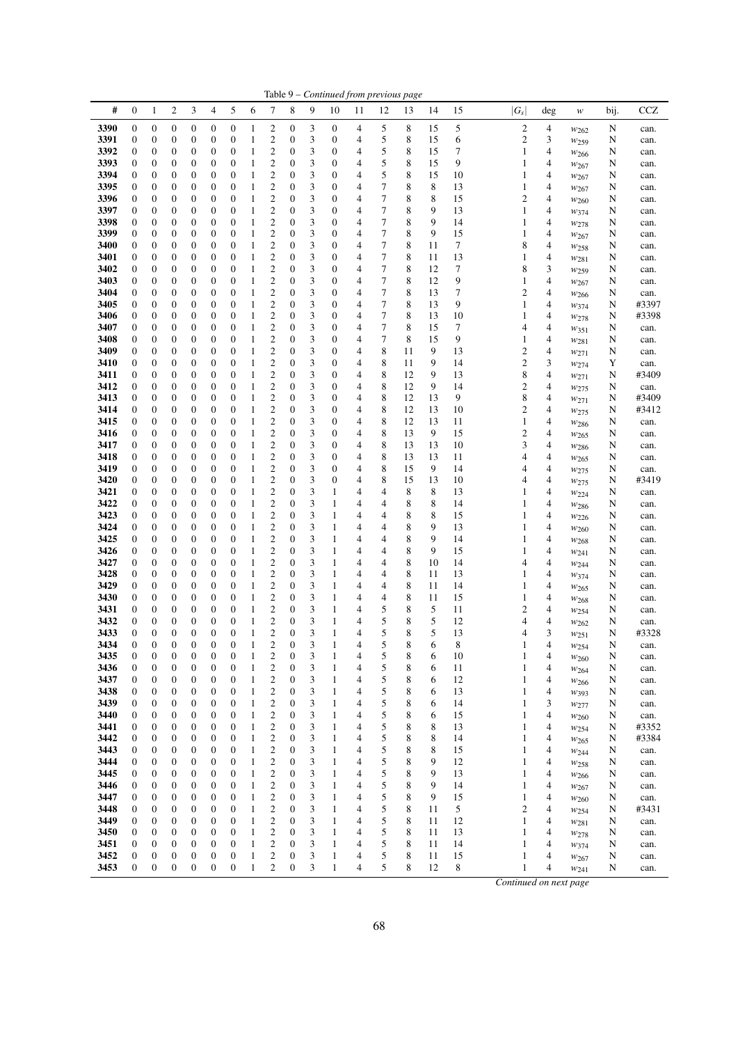| #<br>5<br>$\boldsymbol{0}$<br>2<br>3<br>4<br>6<br>7<br>8<br>9<br>15<br>$ G_s $<br><b>CCZ</b><br>$\mathbf{1}$<br>10<br>12<br>14<br>bij.<br>11<br>13<br>deg<br>w<br>5<br>8<br>$\boldsymbol{2}$<br>3390<br>0<br>$\boldsymbol{0}$<br>0<br>$\boldsymbol{0}$<br>0<br>$\boldsymbol{0}$<br>2<br>0<br>3<br>0<br>4<br>15<br>5<br>4<br>N<br>1<br>can.<br>$w_{262}$<br>3391<br>$\overline{\mathbf{c}}$<br>5<br>8<br>$\overline{c}$<br>3<br>0<br>$\boldsymbol{0}$<br>0<br>$\boldsymbol{0}$<br>0<br>$\boldsymbol{0}$<br>0<br>3<br>0<br>4<br>15<br>6<br>1<br>N<br>can.<br>$w_{259}$<br>$\overline{c}$<br>5<br>3392<br>3<br>8<br>7<br>0<br>$\boldsymbol{0}$<br>0<br>$\boldsymbol{0}$<br>0<br>$\boldsymbol{0}$<br>0<br>4<br>15<br>1<br>4<br>N<br>1<br>0<br>can.<br>W <sub>266</sub><br>$\overline{\mathbf{c}}$<br>3<br>5<br>8<br>9<br>3393<br>$\boldsymbol{0}$<br>$\boldsymbol{0}$<br>0<br>$\boldsymbol{0}$<br>$\boldsymbol{0}$<br>$\boldsymbol{0}$<br>1<br>0<br>0<br>4<br>15<br>4<br>1<br>N<br>can.<br>$w_{267}$<br>$\overline{\mathbf{c}}$<br>3<br>5<br>8<br>3394<br>0<br>$\boldsymbol{0}$<br>0<br>0<br>0<br>$\boldsymbol{0}$<br>1<br>0<br>0<br>4<br>15<br>10<br>1<br>4<br>N<br>can.<br>$w_{267}$<br>$\boldsymbol{0}$<br>$\overline{\mathbf{c}}$<br>3<br>7<br>8<br>8<br>3395<br>$\boldsymbol{0}$<br>$\boldsymbol{0}$<br>0<br>0<br>0<br>1<br>$\boldsymbol{0}$<br>0<br>4<br>13<br>1<br>4<br>N<br>can.<br>$w_{267}$<br>$\overline{7}$<br>$\overline{c}$<br>3<br>8<br>8<br>$\boldsymbol{0}$<br>$\overline{0}$<br>$\boldsymbol{0}$<br>$\boldsymbol{0}$<br>4<br>15<br>$\overline{c}$<br>4<br>3396<br>$\boldsymbol{0}$<br>$\boldsymbol{0}$<br>$\mathbf{1}$<br>$\boldsymbol{0}$<br>0<br>N<br>can.<br>$w_{260}$<br>3397<br>$\overline{\mathbf{c}}$<br>3<br>7<br>8<br>9<br>0<br>$\boldsymbol{0}$<br>0<br>$\boldsymbol{0}$<br>0<br>$\boldsymbol{0}$<br>$\mathbf{1}$<br>0<br>0<br>4<br>13<br>1<br>4<br>N<br>W374<br>can.<br>$\overline{7}$<br>3398<br>$\boldsymbol{0}$<br>$\overline{c}$<br>3<br>4<br>8<br>9<br>$\boldsymbol{0}$<br>$\boldsymbol{0}$<br>$\boldsymbol{0}$<br>$\boldsymbol{0}$<br>$\boldsymbol{0}$<br>$\mathbf{1}$<br>0<br>0<br>14<br>1<br>4<br>N<br>can.<br>$w_{278}$<br>$\overline{c}$<br>3<br>7<br>3399<br>$\boldsymbol{0}$<br>$\boldsymbol{0}$<br>$\mathbf{0}$<br>4<br>8<br>9<br>15<br>$\boldsymbol{0}$<br>$\boldsymbol{0}$<br>$\boldsymbol{0}$<br>1<br>0<br>1<br>4<br>0<br>N<br>can.<br>$w_{267}$<br>$\overline{\mathbf{c}}$<br>3<br>7<br>8<br>7<br>8<br>3400<br>$\boldsymbol{0}$<br>$\boldsymbol{0}$<br>0<br>$\boldsymbol{0}$<br>0<br>$\boldsymbol{0}$<br>$\mathbf{1}$<br>$\boldsymbol{0}$<br>0<br>4<br>11<br>4<br>N<br>can.<br>W <sub>258</sub><br>$\overline{c}$<br>3<br>$\overline{7}$<br>$\boldsymbol{0}$<br>$\boldsymbol{0}$<br>8<br>13<br>1<br>4<br>3401<br>$\boldsymbol{0}$<br>0<br>0<br>$\boldsymbol{0}$<br>1<br>$\boldsymbol{0}$<br>0<br>4<br>11<br>N<br>can.<br>W281<br>$\overline{\mathbf{c}}$<br>3<br>7<br>8<br>12<br>7<br>8<br>3<br>3402<br>0<br>$\boldsymbol{0}$<br>0<br>$\boldsymbol{0}$<br>0<br>$\boldsymbol{0}$<br>0<br>0<br>4<br>1<br>N<br>can.<br>$w_{259}$<br>7<br>$\boldsymbol{0}$<br>$\overline{\mathbf{c}}$<br>3<br>4<br>8<br>9<br>3403<br>0<br>$\boldsymbol{0}$<br>0<br>$\boldsymbol{0}$<br>$\boldsymbol{0}$<br>0<br>0<br>12<br>1<br>4<br>1<br>N<br>can.<br>$w_{267}$<br>$\boldsymbol{0}$<br>$\overline{\mathbf{c}}$<br>3<br>4<br>7<br>8<br>7<br>$\overline{c}$<br>4<br>3404<br>0<br>$\boldsymbol{0}$<br>0<br>$\boldsymbol{0}$<br>0<br>$\mathbf{1}$<br>0<br>0<br>13<br>N<br>can.<br>W <sub>266</sub><br>$\overline{\mathbf{c}}$<br>$\boldsymbol{0}$<br>$\boldsymbol{0}$<br>3<br>7<br>8<br>9<br>3405<br>0<br>$\boldsymbol{0}$<br>$\boldsymbol{0}$<br>$\boldsymbol{0}$<br>$\mathbf{1}$<br>0<br>0<br>4<br>13<br>1<br>4<br>#3397<br>N<br>W374<br>$\overline{c}$<br>7<br>3<br>8<br>3406<br>0<br>$\boldsymbol{0}$<br>0<br>$\boldsymbol{0}$<br>0<br>$\boldsymbol{0}$<br>1<br>0<br>4<br>10<br>1<br>4<br>#3398<br>0<br>13<br>N<br>$w_{278}$<br>$\overline{\mathbf{c}}$<br>3<br>7<br>8<br>3407<br>$\boldsymbol{0}$<br>$\boldsymbol{0}$<br>0<br>0<br>0<br>$\boldsymbol{0}$<br>$\mathbf{1}$<br>0<br>0<br>4<br>7<br>4<br>15<br>4<br>N<br>can.<br>$w_{351}$<br>$\overline{c}$<br>3<br>$\overline{7}$<br>$\,$ 8 $\,$<br>$\boldsymbol{0}$<br>$\overline{0}$<br>$\boldsymbol{0}$<br>4<br>15<br>9<br>3408<br>$\boldsymbol{0}$<br>$\boldsymbol{0}$<br>$\boldsymbol{0}$<br>$\mathbf{1}$<br>0<br>0<br>1<br>4<br>N<br>can.<br>W281<br>$\overline{\mathbf{c}}$<br>3<br>8<br>9<br>$\overline{c}$<br>4<br>3409<br>$\boldsymbol{0}$<br>$\boldsymbol{0}$<br>0<br>$\boldsymbol{0}$<br>0<br>$\boldsymbol{0}$<br>1<br>0<br>0<br>$\overline{\mathcal{L}}$<br>11<br>13<br>N<br>can.<br>$w_{271}$<br>$\boldsymbol{0}$<br>$\overline{\mathbf{c}}$<br>3<br>4<br>8<br>11<br>9<br>$\overline{c}$<br>3<br>3410<br>0<br>$\boldsymbol{0}$<br>0<br>$\boldsymbol{0}$<br>$\boldsymbol{0}$<br>$\mathbf{1}$<br>0<br>0<br>14<br>Y<br>$w_{274}$<br>can.<br>$\overline{c}$<br>$\boldsymbol{0}$<br>$\boldsymbol{0}$<br>$\boldsymbol{0}$<br>3<br>4<br>8<br>12<br>9<br>8<br>4<br>3411<br>$\boldsymbol{0}$<br>0<br>$\boldsymbol{0}$<br>0<br>1<br>0<br>13<br>N<br>#3409<br>$w_{271}$<br>$\overline{c}$<br>3<br>8<br>9<br>$\overline{c}$<br>3412<br>$\boldsymbol{0}$<br>$\boldsymbol{0}$<br>0<br>$\boldsymbol{0}$<br>0<br>$\boldsymbol{0}$<br>1<br>$\boldsymbol{0}$<br>0<br>4<br>12<br>14<br>4<br>N<br>can.<br>$w_{275}$<br>$\overline{c}$<br>3<br>8<br>13<br>9<br>8<br>3413<br>0<br>$\boldsymbol{0}$<br>0<br>$\boldsymbol{0}$<br>0<br>$\boldsymbol{0}$<br>1<br>$\boldsymbol{0}$<br>0<br>4<br>12<br>4<br>#3409<br>N<br>W271<br>$\boldsymbol{0}$<br>$\overline{\mathbf{c}}$<br>3<br>8<br>12<br>$\overline{c}$<br>3414<br>$\mathbf{0}$<br>$\boldsymbol{0}$<br>0<br>0<br>0<br>1<br>$\boldsymbol{0}$<br>0<br>4<br>13<br>10<br>4<br>#3412<br>N<br>$w_{275}$<br>$\overline{c}$<br>3<br>8<br>$\boldsymbol{0}$<br>$\boldsymbol{0}$<br>$\boldsymbol{0}$<br>4<br>12<br>$\mathbf{1}$<br>3415<br>$\boldsymbol{0}$<br>$\boldsymbol{0}$<br>$\boldsymbol{0}$<br>$\mathbf{1}$<br>0<br>0<br>13<br>11<br>4<br>N<br>can.<br>$w_{286}$<br>$\overline{\mathbf{c}}$<br>3<br>8<br>13<br>9<br>$\overline{c}$<br>3416<br>0<br>$\boldsymbol{0}$<br>0<br>$\boldsymbol{0}$<br>0<br>$\boldsymbol{0}$<br>0<br>0<br>4<br>15<br>4<br>N<br>1<br>can.<br>W <sub>265</sub><br>$\boldsymbol{0}$<br>$\overline{\mathbf{c}}$<br>3<br>4<br>8<br>3<br>3417<br>$\boldsymbol{0}$<br>$\boldsymbol{0}$<br>0<br>$\boldsymbol{0}$<br>$\boldsymbol{0}$<br>1<br>0<br>0<br>13<br>13<br>10<br>4<br>N<br>can.<br>W <sub>286</sub><br>$\overline{\mathbf{c}}$<br>3<br>8<br>3418<br>0<br>$\boldsymbol{0}$<br>0<br>$\boldsymbol{0}$<br>0<br>$\boldsymbol{0}$<br>$\mathbf{1}$<br>0<br>4<br>13<br>13<br>4<br>0<br>11<br>4<br>N<br>can.<br>$w_{265}$<br>$\overline{\mathbf{c}}$<br>3<br>8<br>3419<br>$\boldsymbol{0}$<br>$\boldsymbol{0}$<br>0<br>$\boldsymbol{0}$<br>0<br>$\boldsymbol{0}$<br>1<br>0<br>0<br>4<br>15<br>9<br>14<br>4<br>4<br>N<br>can.<br>$w_{275}$<br>$\overline{\mathbf{c}}$<br>3<br>3420<br>$\boldsymbol{0}$<br>$\boldsymbol{0}$<br>$\mathbf{0}$<br>$\boldsymbol{0}$<br>8<br>15<br>13<br>$\boldsymbol{0}$<br>0<br>0<br>1<br>0<br>4<br>10<br>4<br>#3419<br>4<br>N<br>$w_{275}$<br>$\overline{\mathbf{c}}$<br>$\boldsymbol{0}$<br>$\boldsymbol{0}$<br>3<br>8<br>8<br>3421<br>$\boldsymbol{0}$<br>$\boldsymbol{0}$<br>0<br>$\boldsymbol{0}$<br>0<br>4<br>4<br>13<br>4<br>1<br>1<br>1<br>N<br>can.<br>$w_{224}$<br>$\overline{c}$<br>$\boldsymbol{0}$<br>3<br>4<br>8<br>8<br>3422<br>$\boldsymbol{0}$<br>$\boldsymbol{0}$<br>0<br>$\boldsymbol{0}$<br>$\boldsymbol{0}$<br>$\mathbf{1}$<br>$\boldsymbol{0}$<br>1<br>4<br>14<br>4<br>1<br>N<br>can.<br>$w_{286}$<br>3423<br>$\overline{\mathbf{c}}$<br>3<br>8<br>8<br>0<br>$\boldsymbol{0}$<br>0<br>$\boldsymbol{0}$<br>0<br>$\boldsymbol{0}$<br>$\mathbf{1}$<br>0<br>4<br>4<br>15<br>1<br>4<br>N<br>1<br>can.<br>$w_{226}$<br>$\overline{\mathbf{c}}$<br>3<br>8<br>3424<br>$\boldsymbol{0}$<br>$\boldsymbol{0}$<br>9<br>$\boldsymbol{0}$<br>$\boldsymbol{0}$<br>0<br>$\boldsymbol{0}$<br>$\mathbf{1}$<br>0<br>4<br>4<br>13<br>1<br>4<br>1<br>N<br>can.<br>$w_{260}$<br>$\overline{c}$<br>9<br>$\boldsymbol{0}$<br>3<br>8<br>3425<br>0<br>$\boldsymbol{0}$<br>0<br>$\boldsymbol{0}$<br>$\boldsymbol{0}$<br>1<br>$\boldsymbol{0}$<br>4<br>4<br>14<br>1<br>4<br>1<br>N<br>can.<br>W <sub>268</sub><br>$\overline{\mathbf{c}}$<br>3<br>8<br>9<br>3426<br>$\boldsymbol{0}$<br>$\boldsymbol{0}$<br>0<br>0<br>0<br>$\boldsymbol{0}$<br>1<br>$\boldsymbol{0}$<br>1<br>4<br>15<br>1<br>4<br>4<br>N<br>can.<br>W241<br>$\overline{c}$<br>8<br>$\boldsymbol{0}$<br>3<br>4<br>10<br>3427<br>$\boldsymbol{0}$<br>$\boldsymbol{0}$<br>0<br>0<br>$\boldsymbol{0}$<br>1<br>$\boldsymbol{0}$<br>1<br>4<br>14<br>4<br>4<br>N<br>can.<br>$w_{244}$<br>$\overline{\mathbf{c}}$<br>3<br>8<br>3428<br>$\boldsymbol{0}$<br>$\boldsymbol{0}$<br>0<br>$\boldsymbol{0}$<br>0<br>$\boldsymbol{0}$<br>1<br>$\boldsymbol{0}$<br>4<br>4<br>11<br>13<br>4<br>1<br>1<br>N<br>can.<br>W374<br>8<br>3429<br>$\overline{\mathbf{c}}$<br>3<br>4<br>0<br>$\boldsymbol{0}$<br>0<br>$\boldsymbol{0}$<br>0<br>$\boldsymbol{0}$<br>1<br>0<br>1<br>4<br>11<br>14<br>4<br>1<br>N<br>can.<br>W <sub>265</sub><br>3430<br>$\boldsymbol{0}$<br>$\overline{\mathbf{c}}$<br>3<br>4<br>8<br>0<br>$\boldsymbol{0}$<br>0<br>$\boldsymbol{0}$<br>0<br>$\mathbf{1}$<br>0<br>4<br>11<br>15<br>1<br>4<br>N<br>1<br>can.<br>$w_{268}$<br>$\overline{\mathbf{c}}$<br>3<br>5<br>8<br>5<br>$\overline{c}$<br>3431<br>$\boldsymbol{0}$<br>$\boldsymbol{0}$<br>0<br>$\boldsymbol{0}$<br>0<br>$\boldsymbol{0}$<br>0<br>4<br>4<br>1<br>1<br>11<br>N<br>can.<br>$w_{254}$<br>$\overline{\mathbf{c}}$<br>5<br>5<br>3432<br>$\boldsymbol{0}$<br>$\boldsymbol{0}$<br>$\boldsymbol{0}$<br>$\boldsymbol{0}$<br>$\boldsymbol{0}$<br>$\mathbf{0}$<br>$\boldsymbol{0}$<br>3<br>4<br>8<br>4<br>1<br>1<br>12<br>4<br>N<br>can.<br>W <sub>262</sub><br>$\overline{c}$<br>5<br>3433<br>$\boldsymbol{0}$<br>$\mathbf{0}$<br>$\overline{0}$<br>$\mathbf{0}$<br>$\boldsymbol{0}$<br>$\overline{0}$<br>$\mathbf{1}$<br>$\overline{0}$<br>3<br>$\mathbf{1}$<br>4<br>5<br>8<br>13<br>3<br>#3328<br>4<br>N<br>W251<br>$\boldsymbol{0}$<br>$\boldsymbol{0}$<br>$\boldsymbol{0}$<br>$\boldsymbol{0}$<br>$\boldsymbol{0}$<br>$\boldsymbol{0}$<br>3<br>5<br>8<br>6<br>8<br>3434<br>$\boldsymbol{0}$<br>$\mathbf{1}$<br>$\overline{c}$<br>4<br>1<br>4<br>N<br>w <sub>254</sub><br>can.<br>3435<br>$\boldsymbol{0}$<br>$\boldsymbol{0}$<br>$\boldsymbol{0}$<br>$\boldsymbol{0}$<br>2<br>3<br>5<br>8<br>$\boldsymbol{0}$<br>$\boldsymbol{0}$<br>$\mathbf{1}$<br>0<br>4<br>6<br>10<br>1<br>4<br>1<br>N<br>can.<br>$w_{260}$<br>3436<br>$\overline{\mathbf{c}}$<br>3<br>5<br>$\,$ 8 $\,$<br>$\boldsymbol{0}$<br>$\boldsymbol{0}$<br>$\boldsymbol{0}$<br>$\boldsymbol{0}$<br>$\boldsymbol{0}$<br>$\boldsymbol{0}$<br>$\mathbf{1}$<br>$\boldsymbol{0}$<br>4<br>6<br>4<br>1<br>11<br>1<br>N<br>W264<br>can.<br>3437<br>$\overline{c}$<br>3<br>5<br>$\boldsymbol{0}$<br>$\boldsymbol{0}$<br>$\boldsymbol{0}$<br>$\boldsymbol{0}$<br>$\boldsymbol{0}$<br>$\boldsymbol{0}$<br>$\mathbf{1}$<br>$\boldsymbol{0}$<br>4<br>8<br>6<br>12<br>1<br>4<br>1<br>N<br>can.<br>W266<br>5<br>3438<br>$\boldsymbol{0}$<br>$\boldsymbol{0}$<br>$\boldsymbol{0}$<br>2<br>3<br>8<br>$\boldsymbol{0}$<br>$\boldsymbol{0}$<br>$\boldsymbol{0}$<br>$\mathbf{1}$<br>$\boldsymbol{0}$<br>1<br>4<br>6<br>13<br>1<br>4<br>N<br>can.<br>W393<br>5<br>3439<br>0<br>$\boldsymbol{0}$<br>$\boldsymbol{2}$<br>$\boldsymbol{0}$<br>3<br>4<br>8<br>3<br>$\boldsymbol{0}$<br>$\boldsymbol{0}$<br>$\boldsymbol{0}$<br>$\boldsymbol{0}$<br>1<br>1<br>6<br>14<br>1<br>N<br>can.<br>$w_{277}$<br>$\overline{c}$<br>5<br>0<br>$\boldsymbol{0}$<br>$\boldsymbol{0}$<br>$\boldsymbol{0}$<br>3<br>8<br>6<br>15<br>1<br>3440<br>$\boldsymbol{0}$<br>$\boldsymbol{0}$<br>$\boldsymbol{0}$<br>1<br>1<br>4<br>4<br>N<br>can.<br>W <sub>260</sub><br>5<br>$\,$ 8 $\,$<br>3441<br>$\boldsymbol{0}$<br>$\boldsymbol{0}$<br>$\boldsymbol{0}$<br>$\boldsymbol{0}$<br>$\boldsymbol{0}$<br>$\boldsymbol{2}$<br>$\boldsymbol{0}$<br>3<br>4<br>8<br>$\boldsymbol{0}$<br>1<br>1<br>13<br>1<br>4<br>#3352<br>N<br>W254<br>3442<br>$\boldsymbol{0}$<br>$\boldsymbol{0}$<br>2<br>$\boldsymbol{0}$<br>3<br>4<br>5<br>8<br>8<br>$\boldsymbol{0}$<br>$\boldsymbol{0}$<br>0<br>0<br>$\mathbf{1}$<br>$\mathbf{1}$<br>14<br>1<br>4<br>N<br>#3384<br>$w_{265}$<br>3443<br>$\boldsymbol{0}$<br>$\boldsymbol{0}$<br>$\boldsymbol{0}$<br>$\boldsymbol{0}$<br>$\boldsymbol{0}$<br>2<br>$\boldsymbol{0}$<br>3<br>4<br>5<br>8<br>8<br>15<br>$\boldsymbol{0}$<br>1<br>1<br>1<br>4<br>N<br>can.<br>$W_{244}$<br>5<br>$\,$ 8 $\,$<br>9<br>3444<br>$\boldsymbol{0}$<br>$\boldsymbol{0}$<br>$\boldsymbol{0}$<br>$\boldsymbol{0}$<br>2<br>3<br>4<br>4<br>$\boldsymbol{0}$<br>$\boldsymbol{0}$<br>$\mathbf{1}$<br>0<br>1<br>12<br>1<br>N<br>can.<br>W <sub>258</sub><br>3445<br>$\boldsymbol{0}$<br>$\boldsymbol{0}$<br>2<br>3<br>5<br>8<br>9<br>$\boldsymbol{0}$<br>$\boldsymbol{0}$<br>0<br>$\boldsymbol{0}$<br>$\mathbf{1}$<br>$\boldsymbol{0}$<br>1<br>4<br>13<br>1<br>4<br>N<br>can.<br>W266<br>$\boldsymbol{2}$<br>3<br>5<br>8<br>3446<br>$\boldsymbol{0}$<br>$\boldsymbol{0}$<br>0<br>$\boldsymbol{0}$<br>$\boldsymbol{0}$<br>$\boldsymbol{0}$<br>$\mathbf{1}$<br>$\boldsymbol{0}$<br>$\mathbf{1}$<br>4<br>9<br>1<br>14<br>4<br>N<br>can.<br>$W_{267}$<br>$\overline{\mathbf{c}}$<br>3447<br>$\boldsymbol{0}$<br>$\boldsymbol{0}$<br>$\boldsymbol{0}$<br>$\boldsymbol{0}$<br>3<br>4<br>5<br>8<br>9<br>15<br>$\boldsymbol{0}$<br>0<br>0<br>$\mathbf{1}$<br>$\mathbf{1}$<br>1<br>4<br>N<br>can.<br>W <sub>260</sub><br>$\overline{c}$<br>5<br>8<br>3448<br>$\boldsymbol{0}$<br>$\boldsymbol{0}$<br>$\boldsymbol{0}$<br>$\boldsymbol{0}$<br>$\boldsymbol{0}$<br>$\boldsymbol{0}$<br>3<br>4<br>5<br>$\overline{c}$<br>$\boldsymbol{0}$<br>1<br>1<br>11<br>4<br>#3431<br>N<br>W254<br>$\overline{c}$<br>3449<br>$\boldsymbol{0}$<br>$\boldsymbol{0}$<br>$\boldsymbol{0}$<br>$\boldsymbol{0}$<br>$\boldsymbol{0}$<br>$\boldsymbol{0}$<br>3<br>4<br>5<br>8<br>12<br>1<br>$\boldsymbol{0}$<br>$\mathbf{1}$<br>1<br>11<br>4<br>N<br>can.<br>$w_{281}$<br>$\overline{c}$<br>5<br>3450<br>$\boldsymbol{0}$<br>$\boldsymbol{0}$<br>$\boldsymbol{0}$<br>3<br>4<br>8<br>13<br>$\boldsymbol{0}$<br>$\boldsymbol{0}$<br>$\boldsymbol{0}$<br>$\mathbf{1}$<br>$\boldsymbol{0}$<br>1<br>11<br>1<br>4<br>N<br>can.<br>W278<br>5<br>$\boldsymbol{0}$<br>$\boldsymbol{0}$<br>$\boldsymbol{0}$<br>$\boldsymbol{0}$<br>$\mathbf{1}$<br>$\mathfrak{2}$<br>3<br>4<br>8<br>3451<br>$\boldsymbol{0}$<br>$\boldsymbol{0}$<br>0<br>1<br>11<br>14<br>1<br>4<br>N<br>can.<br>$w_{374}$<br>3452<br>$\boldsymbol{0}$<br>$\boldsymbol{0}$<br>$\boldsymbol{0}$<br>$\boldsymbol{0}$<br>$\boldsymbol{0}$<br>$\boldsymbol{0}$<br>$\boldsymbol{2}$<br>$\boldsymbol{0}$<br>3<br>5<br>8<br>15<br>1<br>$\mathbf{1}$<br>4<br>11<br>1<br>4<br>N<br>can.<br>W267<br>$\boldsymbol{0}$<br>$\boldsymbol{0}$<br>$\boldsymbol{0}$<br>$\boldsymbol{0}$<br>$\overline{c}$<br>3<br>4<br>5<br>8<br>8<br>3453<br>$\boldsymbol{0}$<br>$\boldsymbol{0}$<br>$\mathbf{1}$<br>$\boldsymbol{0}$<br>$\mathbf{1}$<br>12<br>1<br>4<br>N<br>can.<br>W241<br>Continued on next page |  |  |  |  | Table 9 - Continued from previous page |  |  |  |  |  |  |  |  |  |  |  |  |  |
|-----------------------------------------------------------------------------------------------------------------------------------------------------------------------------------------------------------------------------------------------------------------------------------------------------------------------------------------------------------------------------------------------------------------------------------------------------------------------------------------------------------------------------------------------------------------------------------------------------------------------------------------------------------------------------------------------------------------------------------------------------------------------------------------------------------------------------------------------------------------------------------------------------------------------------------------------------------------------------------------------------------------------------------------------------------------------------------------------------------------------------------------------------------------------------------------------------------------------------------------------------------------------------------------------------------------------------------------------------------------------------------------------------------------------------------------------------------------------------------------------------------------------------------------------------------------------------------------------------------------------------------------------------------------------------------------------------------------------------------------------------------------------------------------------------------------------------------------------------------------------------------------------------------------------------------------------------------------------------------------------------------------------------------------------------------------------------------------------------------------------------------------------------------------------------------------------------------------------------------------------------------------------------------------------------------------------------------------------------------------------------------------------------------------------------------------------------------------------------------------------------------------------------------------------------------------------------------------------------------------------------------------------------------------------------------------------------------------------------------------------------------------------------------------------------------------------------------------------------------------------------------------------------------------------------------------------------------------------------------------------------------------------------------------------------------------------------------------------------------------------------------------------------------------------------------------------------------------------------------------------------------------------------------------------------------------------------------------------------------------------------------------------------------------------------------------------------------------------------------------------------------------------------------------------------------------------------------------------------------------------------------------------------------------------------------------------------------------------------------------------------------------------------------------------------------------------------------------------------------------------------------------------------------------------------------------------------------------------------------------------------------------------------------------------------------------------------------------------------------------------------------------------------------------------------------------------------------------------------------------------------------------------------------------------------------------------------------------------------------------------------------------------------------------------------------------------------------------------------------------------------------------------------------------------------------------------------------------------------------------------------------------------------------------------------------------------------------------------------------------------------------------------------------------------------------------------------------------------------------------------------------------------------------------------------------------------------------------------------------------------------------------------------------------------------------------------------------------------------------------------------------------------------------------------------------------------------------------------------------------------------------------------------------------------------------------------------------------------------------------------------------------------------------------------------------------------------------------------------------------------------------------------------------------------------------------------------------------------------------------------------------------------------------------------------------------------------------------------------------------------------------------------------------------------------------------------------------------------------------------------------------------------------------------------------------------------------------------------------------------------------------------------------------------------------------------------------------------------------------------------------------------------------------------------------------------------------------------------------------------------------------------------------------------------------------------------------------------------------------------------------------------------------------------------------------------------------------------------------------------------------------------------------------------------------------------------------------------------------------------------------------------------------------------------------------------------------------------------------------------------------------------------------------------------------------------------------------------------------------------------------------------------------------------------------------------------------------------------------------------------------------------------------------------------------------------------------------------------------------------------------------------------------------------------------------------------------------------------------------------------------------------------------------------------------------------------------------------------------------------------------------------------------------------------------------------------------------------------------------------------------------------------------------------------------------------------------------------------------------------------------------------------------------------------------------------------------------------------------------------------------------------------------------------------------------------------------------------------------------------------------------------------------------------------------------------------------------------------------------------------------------------------------------------------------------------------------------------------------------------------------------------------------------------------------------------------------------------------------------------------------------------------------------------------------------------------------------------------------------------------------------------------------------------------------------------------------------------------------------------------------------------------------------------------------------------------------------------------------------------------------------------------------------------------------------------------------------------------------------------------------------------------------------------------------------------------------------------------------------------------------------------------------------------------------------------------------------------------------------------------------------------------------------------------------------------------------------------------------------------------------------------------------------------------------------------------------------------------------------------------------------------------------------------------------------------------------------------------------------------------------------------------------------------------------------------------------------------------------------------------------------------------------------------------------------------------------------------------------------------------------------------------------------------------------------------------------------------------------------------------------------------------------------------------------------------------------------------------------------------------------------------------------------------------------------------------------------------------------------------------------------------------------------------------------------------------------------------------------------------------------------------------------------------------------------------------------------------------------------------------------------------------------------------------------------------------------------------------------------------------------------------------------------------------------------------------------------------------------------------------------------------------------------------------------------------------------------------------------------------------------------------------------------------------------------------------------------------------------------------------------------------------------------------------------------------------------------------------------------------------------------------------------------------------------------------------------------------------------------------------------------------------------------------------------------------------------------------------------------------------------------------------------------------------------------------------------------------------------------------------------------------------------------------------------------------------------------------------------------------------------------------------------------------------------------------------------------------------------------------------------------------------------------------------------------------------------------------------------------------------------------------------------------------------------------------------------------------------------------------------------------------------------------------------------------------------------------------------------------------------------------------------------------------------------------------------------------------------------------------------------------------------------------------------------------------------------------------------------------------------------------------------------------------------------------------------------------------------------------------------------------------------------------------------------------------------------------------------------------------------------------------------------------------------------------------------------------------------------------------------------------------------------------------------------------------------------------------------------------------------------------------------------------------------------------------------------------------------------------------------------------------------------------------------------------------------------------------------------------------------------------------------------------------------------------------------------------------------------------------------------------------------------------------------------------------------------------------------------------------------------------------------------------------------------------------------------------------------------------------------------------------------------------------------------------------------------------------------------------------------------------------------------------------------------------------------------------------------------------------------------------------------------------------------------------------------------------------------------------------------------------------------------------------------------------------------------------------------------------------------------------------------------------------------------------------------------------------------------------------------------------------------------------------------------------------------------------------------------------------------------------------------------------------------------------------------------------------------------------------------------------------------------------------------------------------------------------------------------------------------------------------------------------------------------------------------------------------------------------------------------------------------------------------------------------------------------------------------------------------------------------------------------------------------------------------------------------------------------------------------------------------------------------------------------------------------------------------------------------------------------------------------------------------------------------------------------------------------------------------------------------------------------------------------------------------------------------------------------------------------------------------------------------------------------------------------------------------------------------------------------------------------------------------------------------------------------------------------------------------------------------------------------------------------------------|--|--|--|--|----------------------------------------|--|--|--|--|--|--|--|--|--|--|--|--|--|
|                                                                                                                                                                                                                                                                                                                                                                                                                                                                                                                                                                                                                                                                                                                                                                                                                                                                                                                                                                                                                                                                                                                                                                                                                                                                                                                                                                                                                                                                                                                                                                                                                                                                                                                                                                                                                                                                                                                                                                                                                                                                                                                                                                                                                                                                                                                                                                                                                                                                                                                                                                                                                                                                                                                                                                                                                                                                                                                                                                                                                                                                                                                                                                                                                                                                                                                                                                                                                                                                                                                                                                                                                                                                                                                                                                                                                                                                                                                                                                                                                                                                                                                                                                                                                                                                                                                                                                                                                                                                                                                                                                                                                                                                                                                                                                                                                                                                                                                                                                                                                                                                                                                                                                                                                                                                                                                                                                                                                                                                                                                                                                                                                                                                                                                                                                                                                                                                                                                                                                                                                                                                                                                                                                                                                                                                                                                                                                                                                                                                                                                                                                                                                                                                                                                                                                                                                                                                                                                                                                                                                                                                                                                                                                                                                                                                                                                                                                                                                                                                                                                                                                                                                                                                                                                                                                                                                                                                                                                                                                                                                                                                                                                                                                                                                                                                                                                                                                                                                                                                                                                                                                                                                                                                                                                                                                                                                                                                                                                                                                                                                                                                                                                                                                                                                                                                                                                                                                                                                                                                                                                                                                                                                                                                                                                                                                                                                                                                                                                                                                                                                                                                                                                                                                                                                                                                                                                                                                                                                                                                                                                                                                                                                                                                                                                                                                                                                                                                                                                                                                                                                                                                                                                                                                                                                                                                                                                                                                                                                                                                                                                                                                                                                                                                                                                                                                                                                                                                                                                                                                                                                                                                                                                                                                                                                                                                                                                                                                                                                                                                                                                                                                                                                                                                                                                                                                                                                                                                                                                                                                                                                                                                                                                                                                                                                                                                                                                                                                                                                                                                                                                                                                                                                                                                                                                                                                                                                                                                                                                                                                                                                                                                                                                                                                                                                                                                                                                                                                                                                                                                                                                                                                                                                                                                                                                                                                                                                                                                                                                                                                                                                                                                                                                                                                                                                                                                                                           |  |  |  |  |                                        |  |  |  |  |  |  |  |  |  |  |  |  |  |
|                                                                                                                                                                                                                                                                                                                                                                                                                                                                                                                                                                                                                                                                                                                                                                                                                                                                                                                                                                                                                                                                                                                                                                                                                                                                                                                                                                                                                                                                                                                                                                                                                                                                                                                                                                                                                                                                                                                                                                                                                                                                                                                                                                                                                                                                                                                                                                                                                                                                                                                                                                                                                                                                                                                                                                                                                                                                                                                                                                                                                                                                                                                                                                                                                                                                                                                                                                                                                                                                                                                                                                                                                                                                                                                                                                                                                                                                                                                                                                                                                                                                                                                                                                                                                                                                                                                                                                                                                                                                                                                                                                                                                                                                                                                                                                                                                                                                                                                                                                                                                                                                                                                                                                                                                                                                                                                                                                                                                                                                                                                                                                                                                                                                                                                                                                                                                                                                                                                                                                                                                                                                                                                                                                                                                                                                                                                                                                                                                                                                                                                                                                                                                                                                                                                                                                                                                                                                                                                                                                                                                                                                                                                                                                                                                                                                                                                                                                                                                                                                                                                                                                                                                                                                                                                                                                                                                                                                                                                                                                                                                                                                                                                                                                                                                                                                                                                                                                                                                                                                                                                                                                                                                                                                                                                                                                                                                                                                                                                                                                                                                                                                                                                                                                                                                                                                                                                                                                                                                                                                                                                                                                                                                                                                                                                                                                                                                                                                                                                                                                                                                                                                                                                                                                                                                                                                                                                                                                                                                                                                                                                                                                                                                                                                                                                                                                                                                                                                                                                                                                                                                                                                                                                                                                                                                                                                                                                                                                                                                                                                                                                                                                                                                                                                                                                                                                                                                                                                                                                                                                                                                                                                                                                                                                                                                                                                                                                                                                                                                                                                                                                                                                                                                                                                                                                                                                                                                                                                                                                                                                                                                                                                                                                                                                                                                                                                                                                                                                                                                                                                                                                                                                                                                                                                                                                                                                                                                                                                                                                                                                                                                                                                                                                                                                                                                                                                                                                                                                                                                                                                                                                                                                                                                                                                                                                                                                                                                                                                                                                                                                                                                                                                                                                                                                                                                                                                                                           |  |  |  |  |                                        |  |  |  |  |  |  |  |  |  |  |  |  |  |
|                                                                                                                                                                                                                                                                                                                                                                                                                                                                                                                                                                                                                                                                                                                                                                                                                                                                                                                                                                                                                                                                                                                                                                                                                                                                                                                                                                                                                                                                                                                                                                                                                                                                                                                                                                                                                                                                                                                                                                                                                                                                                                                                                                                                                                                                                                                                                                                                                                                                                                                                                                                                                                                                                                                                                                                                                                                                                                                                                                                                                                                                                                                                                                                                                                                                                                                                                                                                                                                                                                                                                                                                                                                                                                                                                                                                                                                                                                                                                                                                                                                                                                                                                                                                                                                                                                                                                                                                                                                                                                                                                                                                                                                                                                                                                                                                                                                                                                                                                                                                                                                                                                                                                                                                                                                                                                                                                                                                                                                                                                                                                                                                                                                                                                                                                                                                                                                                                                                                                                                                                                                                                                                                                                                                                                                                                                                                                                                                                                                                                                                                                                                                                                                                                                                                                                                                                                                                                                                                                                                                                                                                                                                                                                                                                                                                                                                                                                                                                                                                                                                                                                                                                                                                                                                                                                                                                                                                                                                                                                                                                                                                                                                                                                                                                                                                                                                                                                                                                                                                                                                                                                                                                                                                                                                                                                                                                                                                                                                                                                                                                                                                                                                                                                                                                                                                                                                                                                                                                                                                                                                                                                                                                                                                                                                                                                                                                                                                                                                                                                                                                                                                                                                                                                                                                                                                                                                                                                                                                                                                                                                                                                                                                                                                                                                                                                                                                                                                                                                                                                                                                                                                                                                                                                                                                                                                                                                                                                                                                                                                                                                                                                                                                                                                                                                                                                                                                                                                                                                                                                                                                                                                                                                                                                                                                                                                                                                                                                                                                                                                                                                                                                                                                                                                                                                                                                                                                                                                                                                                                                                                                                                                                                                                                                                                                                                                                                                                                                                                                                                                                                                                                                                                                                                                                                                                                                                                                                                                                                                                                                                                                                                                                                                                                                                                                                                                                                                                                                                                                                                                                                                                                                                                                                                                                                                                                                                                                                                                                                                                                                                                                                                                                                                                                                                                                                                                                                           |  |  |  |  |                                        |  |  |  |  |  |  |  |  |  |  |  |  |  |
|                                                                                                                                                                                                                                                                                                                                                                                                                                                                                                                                                                                                                                                                                                                                                                                                                                                                                                                                                                                                                                                                                                                                                                                                                                                                                                                                                                                                                                                                                                                                                                                                                                                                                                                                                                                                                                                                                                                                                                                                                                                                                                                                                                                                                                                                                                                                                                                                                                                                                                                                                                                                                                                                                                                                                                                                                                                                                                                                                                                                                                                                                                                                                                                                                                                                                                                                                                                                                                                                                                                                                                                                                                                                                                                                                                                                                                                                                                                                                                                                                                                                                                                                                                                                                                                                                                                                                                                                                                                                                                                                                                                                                                                                                                                                                                                                                                                                                                                                                                                                                                                                                                                                                                                                                                                                                                                                                                                                                                                                                                                                                                                                                                                                                                                                                                                                                                                                                                                                                                                                                                                                                                                                                                                                                                                                                                                                                                                                                                                                                                                                                                                                                                                                                                                                                                                                                                                                                                                                                                                                                                                                                                                                                                                                                                                                                                                                                                                                                                                                                                                                                                                                                                                                                                                                                                                                                                                                                                                                                                                                                                                                                                                                                                                                                                                                                                                                                                                                                                                                                                                                                                                                                                                                                                                                                                                                                                                                                                                                                                                                                                                                                                                                                                                                                                                                                                                                                                                                                                                                                                                                                                                                                                                                                                                                                                                                                                                                                                                                                                                                                                                                                                                                                                                                                                                                                                                                                                                                                                                                                                                                                                                                                                                                                                                                                                                                                                                                                                                                                                                                                                                                                                                                                                                                                                                                                                                                                                                                                                                                                                                                                                                                                                                                                                                                                                                                                                                                                                                                                                                                                                                                                                                                                                                                                                                                                                                                                                                                                                                                                                                                                                                                                                                                                                                                                                                                                                                                                                                                                                                                                                                                                                                                                                                                                                                                                                                                                                                                                                                                                                                                                                                                                                                                                                                                                                                                                                                                                                                                                                                                                                                                                                                                                                                                                                                                                                                                                                                                                                                                                                                                                                                                                                                                                                                                                                                                                                                                                                                                                                                                                                                                                                                                                                                                                                                                                                           |  |  |  |  |                                        |  |  |  |  |  |  |  |  |  |  |  |  |  |
|                                                                                                                                                                                                                                                                                                                                                                                                                                                                                                                                                                                                                                                                                                                                                                                                                                                                                                                                                                                                                                                                                                                                                                                                                                                                                                                                                                                                                                                                                                                                                                                                                                                                                                                                                                                                                                                                                                                                                                                                                                                                                                                                                                                                                                                                                                                                                                                                                                                                                                                                                                                                                                                                                                                                                                                                                                                                                                                                                                                                                                                                                                                                                                                                                                                                                                                                                                                                                                                                                                                                                                                                                                                                                                                                                                                                                                                                                                                                                                                                                                                                                                                                                                                                                                                                                                                                                                                                                                                                                                                                                                                                                                                                                                                                                                                                                                                                                                                                                                                                                                                                                                                                                                                                                                                                                                                                                                                                                                                                                                                                                                                                                                                                                                                                                                                                                                                                                                                                                                                                                                                                                                                                                                                                                                                                                                                                                                                                                                                                                                                                                                                                                                                                                                                                                                                                                                                                                                                                                                                                                                                                                                                                                                                                                                                                                                                                                                                                                                                                                                                                                                                                                                                                                                                                                                                                                                                                                                                                                                                                                                                                                                                                                                                                                                                                                                                                                                                                                                                                                                                                                                                                                                                                                                                                                                                                                                                                                                                                                                                                                                                                                                                                                                                                                                                                                                                                                                                                                                                                                                                                                                                                                                                                                                                                                                                                                                                                                                                                                                                                                                                                                                                                                                                                                                                                                                                                                                                                                                                                                                                                                                                                                                                                                                                                                                                                                                                                                                                                                                                                                                                                                                                                                                                                                                                                                                                                                                                                                                                                                                                                                                                                                                                                                                                                                                                                                                                                                                                                                                                                                                                                                                                                                                                                                                                                                                                                                                                                                                                                                                                                                                                                                                                                                                                                                                                                                                                                                                                                                                                                                                                                                                                                                                                                                                                                                                                                                                                                                                                                                                                                                                                                                                                                                                                                                                                                                                                                                                                                                                                                                                                                                                                                                                                                                                                                                                                                                                                                                                                                                                                                                                                                                                                                                                                                                                                                                                                                                                                                                                                                                                                                                                                                                                                                                                                                                                           |  |  |  |  |                                        |  |  |  |  |  |  |  |  |  |  |  |  |  |
|                                                                                                                                                                                                                                                                                                                                                                                                                                                                                                                                                                                                                                                                                                                                                                                                                                                                                                                                                                                                                                                                                                                                                                                                                                                                                                                                                                                                                                                                                                                                                                                                                                                                                                                                                                                                                                                                                                                                                                                                                                                                                                                                                                                                                                                                                                                                                                                                                                                                                                                                                                                                                                                                                                                                                                                                                                                                                                                                                                                                                                                                                                                                                                                                                                                                                                                                                                                                                                                                                                                                                                                                                                                                                                                                                                                                                                                                                                                                                                                                                                                                                                                                                                                                                                                                                                                                                                                                                                                                                                                                                                                                                                                                                                                                                                                                                                                                                                                                                                                                                                                                                                                                                                                                                                                                                                                                                                                                                                                                                                                                                                                                                                                                                                                                                                                                                                                                                                                                                                                                                                                                                                                                                                                                                                                                                                                                                                                                                                                                                                                                                                                                                                                                                                                                                                                                                                                                                                                                                                                                                                                                                                                                                                                                                                                                                                                                                                                                                                                                                                                                                                                                                                                                                                                                                                                                                                                                                                                                                                                                                                                                                                                                                                                                                                                                                                                                                                                                                                                                                                                                                                                                                                                                                                                                                                                                                                                                                                                                                                                                                                                                                                                                                                                                                                                                                                                                                                                                                                                                                                                                                                                                                                                                                                                                                                                                                                                                                                                                                                                                                                                                                                                                                                                                                                                                                                                                                                                                                                                                                                                                                                                                                                                                                                                                                                                                                                                                                                                                                                                                                                                                                                                                                                                                                                                                                                                                                                                                                                                                                                                                                                                                                                                                                                                                                                                                                                                                                                                                                                                                                                                                                                                                                                                                                                                                                                                                                                                                                                                                                                                                                                                                                                                                                                                                                                                                                                                                                                                                                                                                                                                                                                                                                                                                                                                                                                                                                                                                                                                                                                                                                                                                                                                                                                                                                                                                                                                                                                                                                                                                                                                                                                                                                                                                                                                                                                                                                                                                                                                                                                                                                                                                                                                                                                                                                                                                                                                                                                                                                                                                                                                                                                                                                                                                                                                                                                           |  |  |  |  |                                        |  |  |  |  |  |  |  |  |  |  |  |  |  |
|                                                                                                                                                                                                                                                                                                                                                                                                                                                                                                                                                                                                                                                                                                                                                                                                                                                                                                                                                                                                                                                                                                                                                                                                                                                                                                                                                                                                                                                                                                                                                                                                                                                                                                                                                                                                                                                                                                                                                                                                                                                                                                                                                                                                                                                                                                                                                                                                                                                                                                                                                                                                                                                                                                                                                                                                                                                                                                                                                                                                                                                                                                                                                                                                                                                                                                                                                                                                                                                                                                                                                                                                                                                                                                                                                                                                                                                                                                                                                                                                                                                                                                                                                                                                                                                                                                                                                                                                                                                                                                                                                                                                                                                                                                                                                                                                                                                                                                                                                                                                                                                                                                                                                                                                                                                                                                                                                                                                                                                                                                                                                                                                                                                                                                                                                                                                                                                                                                                                                                                                                                                                                                                                                                                                                                                                                                                                                                                                                                                                                                                                                                                                                                                                                                                                                                                                                                                                                                                                                                                                                                                                                                                                                                                                                                                                                                                                                                                                                                                                                                                                                                                                                                                                                                                                                                                                                                                                                                                                                                                                                                                                                                                                                                                                                                                                                                                                                                                                                                                                                                                                                                                                                                                                                                                                                                                                                                                                                                                                                                                                                                                                                                                                                                                                                                                                                                                                                                                                                                                                                                                                                                                                                                                                                                                                                                                                                                                                                                                                                                                                                                                                                                                                                                                                                                                                                                                                                                                                                                                                                                                                                                                                                                                                                                                                                                                                                                                                                                                                                                                                                                                                                                                                                                                                                                                                                                                                                                                                                                                                                                                                                                                                                                                                                                                                                                                                                                                                                                                                                                                                                                                                                                                                                                                                                                                                                                                                                                                                                                                                                                                                                                                                                                                                                                                                                                                                                                                                                                                                                                                                                                                                                                                                                                                                                                                                                                                                                                                                                                                                                                                                                                                                                                                                                                                                                                                                                                                                                                                                                                                                                                                                                                                                                                                                                                                                                                                                                                                                                                                                                                                                                                                                                                                                                                                                                                                                                                                                                                                                                                                                                                                                                                                                                                                                                                                                                                           |  |  |  |  |                                        |  |  |  |  |  |  |  |  |  |  |  |  |  |
|                                                                                                                                                                                                                                                                                                                                                                                                                                                                                                                                                                                                                                                                                                                                                                                                                                                                                                                                                                                                                                                                                                                                                                                                                                                                                                                                                                                                                                                                                                                                                                                                                                                                                                                                                                                                                                                                                                                                                                                                                                                                                                                                                                                                                                                                                                                                                                                                                                                                                                                                                                                                                                                                                                                                                                                                                                                                                                                                                                                                                                                                                                                                                                                                                                                                                                                                                                                                                                                                                                                                                                                                                                                                                                                                                                                                                                                                                                                                                                                                                                                                                                                                                                                                                                                                                                                                                                                                                                                                                                                                                                                                                                                                                                                                                                                                                                                                                                                                                                                                                                                                                                                                                                                                                                                                                                                                                                                                                                                                                                                                                                                                                                                                                                                                                                                                                                                                                                                                                                                                                                                                                                                                                                                                                                                                                                                                                                                                                                                                                                                                                                                                                                                                                                                                                                                                                                                                                                                                                                                                                                                                                                                                                                                                                                                                                                                                                                                                                                                                                                                                                                                                                                                                                                                                                                                                                                                                                                                                                                                                                                                                                                                                                                                                                                                                                                                                                                                                                                                                                                                                                                                                                                                                                                                                                                                                                                                                                                                                                                                                                                                                                                                                                                                                                                                                                                                                                                                                                                                                                                                                                                                                                                                                                                                                                                                                                                                                                                                                                                                                                                                                                                                                                                                                                                                                                                                                                                                                                                                                                                                                                                                                                                                                                                                                                                                                                                                                                                                                                                                                                                                                                                                                                                                                                                                                                                                                                                                                                                                                                                                                                                                                                                                                                                                                                                                                                                                                                                                                                                                                                                                                                                                                                                                                                                                                                                                                                                                                                                                                                                                                                                                                                                                                                                                                                                                                                                                                                                                                                                                                                                                                                                                                                                                                                                                                                                                                                                                                                                                                                                                                                                                                                                                                                                                                                                                                                                                                                                                                                                                                                                                                                                                                                                                                                                                                                                                                                                                                                                                                                                                                                                                                                                                                                                                                                                                                                                                                                                                                                                                                                                                                                                                                                                                                                                                                                                           |  |  |  |  |                                        |  |  |  |  |  |  |  |  |  |  |  |  |  |
|                                                                                                                                                                                                                                                                                                                                                                                                                                                                                                                                                                                                                                                                                                                                                                                                                                                                                                                                                                                                                                                                                                                                                                                                                                                                                                                                                                                                                                                                                                                                                                                                                                                                                                                                                                                                                                                                                                                                                                                                                                                                                                                                                                                                                                                                                                                                                                                                                                                                                                                                                                                                                                                                                                                                                                                                                                                                                                                                                                                                                                                                                                                                                                                                                                                                                                                                                                                                                                                                                                                                                                                                                                                                                                                                                                                                                                                                                                                                                                                                                                                                                                                                                                                                                                                                                                                                                                                                                                                                                                                                                                                                                                                                                                                                                                                                                                                                                                                                                                                                                                                                                                                                                                                                                                                                                                                                                                                                                                                                                                                                                                                                                                                                                                                                                                                                                                                                                                                                                                                                                                                                                                                                                                                                                                                                                                                                                                                                                                                                                                                                                                                                                                                                                                                                                                                                                                                                                                                                                                                                                                                                                                                                                                                                                                                                                                                                                                                                                                                                                                                                                                                                                                                                                                                                                                                                                                                                                                                                                                                                                                                                                                                                                                                                                                                                                                                                                                                                                                                                                                                                                                                                                                                                                                                                                                                                                                                                                                                                                                                                                                                                                                                                                                                                                                                                                                                                                                                                                                                                                                                                                                                                                                                                                                                                                                                                                                                                                                                                                                                                                                                                                                                                                                                                                                                                                                                                                                                                                                                                                                                                                                                                                                                                                                                                                                                                                                                                                                                                                                                                                                                                                                                                                                                                                                                                                                                                                                                                                                                                                                                                                                                                                                                                                                                                                                                                                                                                                                                                                                                                                                                                                                                                                                                                                                                                                                                                                                                                                                                                                                                                                                                                                                                                                                                                                                                                                                                                                                                                                                                                                                                                                                                                                                                                                                                                                                                                                                                                                                                                                                                                                                                                                                                                                                                                                                                                                                                                                                                                                                                                                                                                                                                                                                                                                                                                                                                                                                                                                                                                                                                                                                                                                                                                                                                                                                                                                                                                                                                                                                                                                                                                                                                                                                                                                                                                                                           |  |  |  |  |                                        |  |  |  |  |  |  |  |  |  |  |  |  |  |
|                                                                                                                                                                                                                                                                                                                                                                                                                                                                                                                                                                                                                                                                                                                                                                                                                                                                                                                                                                                                                                                                                                                                                                                                                                                                                                                                                                                                                                                                                                                                                                                                                                                                                                                                                                                                                                                                                                                                                                                                                                                                                                                                                                                                                                                                                                                                                                                                                                                                                                                                                                                                                                                                                                                                                                                                                                                                                                                                                                                                                                                                                                                                                                                                                                                                                                                                                                                                                                                                                                                                                                                                                                                                                                                                                                                                                                                                                                                                                                                                                                                                                                                                                                                                                                                                                                                                                                                                                                                                                                                                                                                                                                                                                                                                                                                                                                                                                                                                                                                                                                                                                                                                                                                                                                                                                                                                                                                                                                                                                                                                                                                                                                                                                                                                                                                                                                                                                                                                                                                                                                                                                                                                                                                                                                                                                                                                                                                                                                                                                                                                                                                                                                                                                                                                                                                                                                                                                                                                                                                                                                                                                                                                                                                                                                                                                                                                                                                                                                                                                                                                                                                                                                                                                                                                                                                                                                                                                                                                                                                                                                                                                                                                                                                                                                                                                                                                                                                                                                                                                                                                                                                                                                                                                                                                                                                                                                                                                                                                                                                                                                                                                                                                                                                                                                                                                                                                                                                                                                                                                                                                                                                                                                                                                                                                                                                                                                                                                                                                                                                                                                                                                                                                                                                                                                                                                                                                                                                                                                                                                                                                                                                                                                                                                                                                                                                                                                                                                                                                                                                                                                                                                                                                                                                                                                                                                                                                                                                                                                                                                                                                                                                                                                                                                                                                                                                                                                                                                                                                                                                                                                                                                                                                                                                                                                                                                                                                                                                                                                                                                                                                                                                                                                                                                                                                                                                                                                                                                                                                                                                                                                                                                                                                                                                                                                                                                                                                                                                                                                                                                                                                                                                                                                                                                                                                                                                                                                                                                                                                                                                                                                                                                                                                                                                                                                                                                                                                                                                                                                                                                                                                                                                                                                                                                                                                                                                                                                                                                                                                                                                                                                                                                                                                                                                                                                                                                                           |  |  |  |  |                                        |  |  |  |  |  |  |  |  |  |  |  |  |  |
|                                                                                                                                                                                                                                                                                                                                                                                                                                                                                                                                                                                                                                                                                                                                                                                                                                                                                                                                                                                                                                                                                                                                                                                                                                                                                                                                                                                                                                                                                                                                                                                                                                                                                                                                                                                                                                                                                                                                                                                                                                                                                                                                                                                                                                                                                                                                                                                                                                                                                                                                                                                                                                                                                                                                                                                                                                                                                                                                                                                                                                                                                                                                                                                                                                                                                                                                                                                                                                                                                                                                                                                                                                                                                                                                                                                                                                                                                                                                                                                                                                                                                                                                                                                                                                                                                                                                                                                                                                                                                                                                                                                                                                                                                                                                                                                                                                                                                                                                                                                                                                                                                                                                                                                                                                                                                                                                                                                                                                                                                                                                                                                                                                                                                                                                                                                                                                                                                                                                                                                                                                                                                                                                                                                                                                                                                                                                                                                                                                                                                                                                                                                                                                                                                                                                                                                                                                                                                                                                                                                                                                                                                                                                                                                                                                                                                                                                                                                                                                                                                                                                                                                                                                                                                                                                                                                                                                                                                                                                                                                                                                                                                                                                                                                                                                                                                                                                                                                                                                                                                                                                                                                                                                                                                                                                                                                                                                                                                                                                                                                                                                                                                                                                                                                                                                                                                                                                                                                                                                                                                                                                                                                                                                                                                                                                                                                                                                                                                                                                                                                                                                                                                                                                                                                                                                                                                                                                                                                                                                                                                                                                                                                                                                                                                                                                                                                                                                                                                                                                                                                                                                                                                                                                                                                                                                                                                                                                                                                                                                                                                                                                                                                                                                                                                                                                                                                                                                                                                                                                                                                                                                                                                                                                                                                                                                                                                                                                                                                                                                                                                                                                                                                                                                                                                                                                                                                                                                                                                                                                                                                                                                                                                                                                                                                                                                                                                                                                                                                                                                                                                                                                                                                                                                                                                                                                                                                                                                                                                                                                                                                                                                                                                                                                                                                                                                                                                                                                                                                                                                                                                                                                                                                                                                                                                                                                                                                                                                                                                                                                                                                                                                                                                                                                                                                                                                                                                                           |  |  |  |  |                                        |  |  |  |  |  |  |  |  |  |  |  |  |  |
|                                                                                                                                                                                                                                                                                                                                                                                                                                                                                                                                                                                                                                                                                                                                                                                                                                                                                                                                                                                                                                                                                                                                                                                                                                                                                                                                                                                                                                                                                                                                                                                                                                                                                                                                                                                                                                                                                                                                                                                                                                                                                                                                                                                                                                                                                                                                                                                                                                                                                                                                                                                                                                                                                                                                                                                                                                                                                                                                                                                                                                                                                                                                                                                                                                                                                                                                                                                                                                                                                                                                                                                                                                                                                                                                                                                                                                                                                                                                                                                                                                                                                                                                                                                                                                                                                                                                                                                                                                                                                                                                                                                                                                                                                                                                                                                                                                                                                                                                                                                                                                                                                                                                                                                                                                                                                                                                                                                                                                                                                                                                                                                                                                                                                                                                                                                                                                                                                                                                                                                                                                                                                                                                                                                                                                                                                                                                                                                                                                                                                                                                                                                                                                                                                                                                                                                                                                                                                                                                                                                                                                                                                                                                                                                                                                                                                                                                                                                                                                                                                                                                                                                                                                                                                                                                                                                                                                                                                                                                                                                                                                                                                                                                                                                                                                                                                                                                                                                                                                                                                                                                                                                                                                                                                                                                                                                                                                                                                                                                                                                                                                                                                                                                                                                                                                                                                                                                                                                                                                                                                                                                                                                                                                                                                                                                                                                                                                                                                                                                                                                                                                                                                                                                                                                                                                                                                                                                                                                                                                                                                                                                                                                                                                                                                                                                                                                                                                                                                                                                                                                                                                                                                                                                                                                                                                                                                                                                                                                                                                                                                                                                                                                                                                                                                                                                                                                                                                                                                                                                                                                                                                                                                                                                                                                                                                                                                                                                                                                                                                                                                                                                                                                                                                                                                                                                                                                                                                                                                                                                                                                                                                                                                                                                                                                                                                                                                                                                                                                                                                                                                                                                                                                                                                                                                                                                                                                                                                                                                                                                                                                                                                                                                                                                                                                                                                                                                                                                                                                                                                                                                                                                                                                                                                                                                                                                                                                                                                                                                                                                                                                                                                                                                                                                                                                                                                                                                                           |  |  |  |  |                                        |  |  |  |  |  |  |  |  |  |  |  |  |  |
|                                                                                                                                                                                                                                                                                                                                                                                                                                                                                                                                                                                                                                                                                                                                                                                                                                                                                                                                                                                                                                                                                                                                                                                                                                                                                                                                                                                                                                                                                                                                                                                                                                                                                                                                                                                                                                                                                                                                                                                                                                                                                                                                                                                                                                                                                                                                                                                                                                                                                                                                                                                                                                                                                                                                                                                                                                                                                                                                                                                                                                                                                                                                                                                                                                                                                                                                                                                                                                                                                                                                                                                                                                                                                                                                                                                                                                                                                                                                                                                                                                                                                                                                                                                                                                                                                                                                                                                                                                                                                                                                                                                                                                                                                                                                                                                                                                                                                                                                                                                                                                                                                                                                                                                                                                                                                                                                                                                                                                                                                                                                                                                                                                                                                                                                                                                                                                                                                                                                                                                                                                                                                                                                                                                                                                                                                                                                                                                                                                                                                                                                                                                                                                                                                                                                                                                                                                                                                                                                                                                                                                                                                                                                                                                                                                                                                                                                                                                                                                                                                                                                                                                                                                                                                                                                                                                                                                                                                                                                                                                                                                                                                                                                                                                                                                                                                                                                                                                                                                                                                                                                                                                                                                                                                                                                                                                                                                                                                                                                                                                                                                                                                                                                                                                                                                                                                                                                                                                                                                                                                                                                                                                                                                                                                                                                                                                                                                                                                                                                                                                                                                                                                                                                                                                                                                                                                                                                                                                                                                                                                                                                                                                                                                                                                                                                                                                                                                                                                                                                                                                                                                                                                                                                                                                                                                                                                                                                                                                                                                                                                                                                                                                                                                                                                                                                                                                                                                                                                                                                                                                                                                                                                                                                                                                                                                                                                                                                                                                                                                                                                                                                                                                                                                                                                                                                                                                                                                                                                                                                                                                                                                                                                                                                                                                                                                                                                                                                                                                                                                                                                                                                                                                                                                                                                                                                                                                                                                                                                                                                                                                                                                                                                                                                                                                                                                                                                                                                                                                                                                                                                                                                                                                                                                                                                                                                                                                                                                                                                                                                                                                                                                                                                                                                                                                                                                                                                                           |  |  |  |  |                                        |  |  |  |  |  |  |  |  |  |  |  |  |  |
|                                                                                                                                                                                                                                                                                                                                                                                                                                                                                                                                                                                                                                                                                                                                                                                                                                                                                                                                                                                                                                                                                                                                                                                                                                                                                                                                                                                                                                                                                                                                                                                                                                                                                                                                                                                                                                                                                                                                                                                                                                                                                                                                                                                                                                                                                                                                                                                                                                                                                                                                                                                                                                                                                                                                                                                                                                                                                                                                                                                                                                                                                                                                                                                                                                                                                                                                                                                                                                                                                                                                                                                                                                                                                                                                                                                                                                                                                                                                                                                                                                                                                                                                                                                                                                                                                                                                                                                                                                                                                                                                                                                                                                                                                                                                                                                                                                                                                                                                                                                                                                                                                                                                                                                                                                                                                                                                                                                                                                                                                                                                                                                                                                                                                                                                                                                                                                                                                                                                                                                                                                                                                                                                                                                                                                                                                                                                                                                                                                                                                                                                                                                                                                                                                                                                                                                                                                                                                                                                                                                                                                                                                                                                                                                                                                                                                                                                                                                                                                                                                                                                                                                                                                                                                                                                                                                                                                                                                                                                                                                                                                                                                                                                                                                                                                                                                                                                                                                                                                                                                                                                                                                                                                                                                                                                                                                                                                                                                                                                                                                                                                                                                                                                                                                                                                                                                                                                                                                                                                                                                                                                                                                                                                                                                                                                                                                                                                                                                                                                                                                                                                                                                                                                                                                                                                                                                                                                                                                                                                                                                                                                                                                                                                                                                                                                                                                                                                                                                                                                                                                                                                                                                                                                                                                                                                                                                                                                                                                                                                                                                                                                                                                                                                                                                                                                                                                                                                                                                                                                                                                                                                                                                                                                                                                                                                                                                                                                                                                                                                                                                                                                                                                                                                                                                                                                                                                                                                                                                                                                                                                                                                                                                                                                                                                                                                                                                                                                                                                                                                                                                                                                                                                                                                                                                                                                                                                                                                                                                                                                                                                                                                                                                                                                                                                                                                                                                                                                                                                                                                                                                                                                                                                                                                                                                                                                                                                                                                                                                                                                                                                                                                                                                                                                                                                                                                                                                                           |  |  |  |  |                                        |  |  |  |  |  |  |  |  |  |  |  |  |  |
|                                                                                                                                                                                                                                                                                                                                                                                                                                                                                                                                                                                                                                                                                                                                                                                                                                                                                                                                                                                                                                                                                                                                                                                                                                                                                                                                                                                                                                                                                                                                                                                                                                                                                                                                                                                                                                                                                                                                                                                                                                                                                                                                                                                                                                                                                                                                                                                                                                                                                                                                                                                                                                                                                                                                                                                                                                                                                                                                                                                                                                                                                                                                                                                                                                                                                                                                                                                                                                                                                                                                                                                                                                                                                                                                                                                                                                                                                                                                                                                                                                                                                                                                                                                                                                                                                                                                                                                                                                                                                                                                                                                                                                                                                                                                                                                                                                                                                                                                                                                                                                                                                                                                                                                                                                                                                                                                                                                                                                                                                                                                                                                                                                                                                                                                                                                                                                                                                                                                                                                                                                                                                                                                                                                                                                                                                                                                                                                                                                                                                                                                                                                                                                                                                                                                                                                                                                                                                                                                                                                                                                                                                                                                                                                                                                                                                                                                                                                                                                                                                                                                                                                                                                                                                                                                                                                                                                                                                                                                                                                                                                                                                                                                                                                                                                                                                                                                                                                                                                                                                                                                                                                                                                                                                                                                                                                                                                                                                                                                                                                                                                                                                                                                                                                                                                                                                                                                                                                                                                                                                                                                                                                                                                                                                                                                                                                                                                                                                                                                                                                                                                                                                                                                                                                                                                                                                                                                                                                                                                                                                                                                                                                                                                                                                                                                                                                                                                                                                                                                                                                                                                                                                                                                                                                                                                                                                                                                                                                                                                                                                                                                                                                                                                                                                                                                                                                                                                                                                                                                                                                                                                                                                                                                                                                                                                                                                                                                                                                                                                                                                                                                                                                                                                                                                                                                                                                                                                                                                                                                                                                                                                                                                                                                                                                                                                                                                                                                                                                                                                                                                                                                                                                                                                                                                                                                                                                                                                                                                                                                                                                                                                                                                                                                                                                                                                                                                                                                                                                                                                                                                                                                                                                                                                                                                                                                                                                                                                                                                                                                                                                                                                                                                                                                                                                                                                                                                                           |  |  |  |  |                                        |  |  |  |  |  |  |  |  |  |  |  |  |  |
|                                                                                                                                                                                                                                                                                                                                                                                                                                                                                                                                                                                                                                                                                                                                                                                                                                                                                                                                                                                                                                                                                                                                                                                                                                                                                                                                                                                                                                                                                                                                                                                                                                                                                                                                                                                                                                                                                                                                                                                                                                                                                                                                                                                                                                                                                                                                                                                                                                                                                                                                                                                                                                                                                                                                                                                                                                                                                                                                                                                                                                                                                                                                                                                                                                                                                                                                                                                                                                                                                                                                                                                                                                                                                                                                                                                                                                                                                                                                                                                                                                                                                                                                                                                                                                                                                                                                                                                                                                                                                                                                                                                                                                                                                                                                                                                                                                                                                                                                                                                                                                                                                                                                                                                                                                                                                                                                                                                                                                                                                                                                                                                                                                                                                                                                                                                                                                                                                                                                                                                                                                                                                                                                                                                                                                                                                                                                                                                                                                                                                                                                                                                                                                                                                                                                                                                                                                                                                                                                                                                                                                                                                                                                                                                                                                                                                                                                                                                                                                                                                                                                                                                                                                                                                                                                                                                                                                                                                                                                                                                                                                                                                                                                                                                                                                                                                                                                                                                                                                                                                                                                                                                                                                                                                                                                                                                                                                                                                                                                                                                                                                                                                                                                                                                                                                                                                                                                                                                                                                                                                                                                                                                                                                                                                                                                                                                                                                                                                                                                                                                                                                                                                                                                                                                                                                                                                                                                                                                                                                                                                                                                                                                                                                                                                                                                                                                                                                                                                                                                                                                                                                                                                                                                                                                                                                                                                                                                                                                                                                                                                                                                                                                                                                                                                                                                                                                                                                                                                                                                                                                                                                                                                                                                                                                                                                                                                                                                                                                                                                                                                                                                                                                                                                                                                                                                                                                                                                                                                                                                                                                                                                                                                                                                                                                                                                                                                                                                                                                                                                                                                                                                                                                                                                                                                                                                                                                                                                                                                                                                                                                                                                                                                                                                                                                                                                                                                                                                                                                                                                                                                                                                                                                                                                                                                                                                                                                                                                                                                                                                                                                                                                                                                                                                                                                                                                                                                                           |  |  |  |  |                                        |  |  |  |  |  |  |  |  |  |  |  |  |  |
|                                                                                                                                                                                                                                                                                                                                                                                                                                                                                                                                                                                                                                                                                                                                                                                                                                                                                                                                                                                                                                                                                                                                                                                                                                                                                                                                                                                                                                                                                                                                                                                                                                                                                                                                                                                                                                                                                                                                                                                                                                                                                                                                                                                                                                                                                                                                                                                                                                                                                                                                                                                                                                                                                                                                                                                                                                                                                                                                                                                                                                                                                                                                                                                                                                                                                                                                                                                                                                                                                                                                                                                                                                                                                                                                                                                                                                                                                                                                                                                                                                                                                                                                                                                                                                                                                                                                                                                                                                                                                                                                                                                                                                                                                                                                                                                                                                                                                                                                                                                                                                                                                                                                                                                                                                                                                                                                                                                                                                                                                                                                                                                                                                                                                                                                                                                                                                                                                                                                                                                                                                                                                                                                                                                                                                                                                                                                                                                                                                                                                                                                                                                                                                                                                                                                                                                                                                                                                                                                                                                                                                                                                                                                                                                                                                                                                                                                                                                                                                                                                                                                                                                                                                                                                                                                                                                                                                                                                                                                                                                                                                                                                                                                                                                                                                                                                                                                                                                                                                                                                                                                                                                                                                                                                                                                                                                                                                                                                                                                                                                                                                                                                                                                                                                                                                                                                                                                                                                                                                                                                                                                                                                                                                                                                                                                                                                                                                                                                                                                                                                                                                                                                                                                                                                                                                                                                                                                                                                                                                                                                                                                                                                                                                                                                                                                                                                                                                                                                                                                                                                                                                                                                                                                                                                                                                                                                                                                                                                                                                                                                                                                                                                                                                                                                                                                                                                                                                                                                                                                                                                                                                                                                                                                                                                                                                                                                                                                                                                                                                                                                                                                                                                                                                                                                                                                                                                                                                                                                                                                                                                                                                                                                                                                                                                                                                                                                                                                                                                                                                                                                                                                                                                                                                                                                                                                                                                                                                                                                                                                                                                                                                                                                                                                                                                                                                                                                                                                                                                                                                                                                                                                                                                                                                                                                                                                                                                                                                                                                                                                                                                                                                                                                                                                                                                                                                                                                                           |  |  |  |  |                                        |  |  |  |  |  |  |  |  |  |  |  |  |  |
|                                                                                                                                                                                                                                                                                                                                                                                                                                                                                                                                                                                                                                                                                                                                                                                                                                                                                                                                                                                                                                                                                                                                                                                                                                                                                                                                                                                                                                                                                                                                                                                                                                                                                                                                                                                                                                                                                                                                                                                                                                                                                                                                                                                                                                                                                                                                                                                                                                                                                                                                                                                                                                                                                                                                                                                                                                                                                                                                                                                                                                                                                                                                                                                                                                                                                                                                                                                                                                                                                                                                                                                                                                                                                                                                                                                                                                                                                                                                                                                                                                                                                                                                                                                                                                                                                                                                                                                                                                                                                                                                                                                                                                                                                                                                                                                                                                                                                                                                                                                                                                                                                                                                                                                                                                                                                                                                                                                                                                                                                                                                                                                                                                                                                                                                                                                                                                                                                                                                                                                                                                                                                                                                                                                                                                                                                                                                                                                                                                                                                                                                                                                                                                                                                                                                                                                                                                                                                                                                                                                                                                                                                                                                                                                                                                                                                                                                                                                                                                                                                                                                                                                                                                                                                                                                                                                                                                                                                                                                                                                                                                                                                                                                                                                                                                                                                                                                                                                                                                                                                                                                                                                                                                                                                                                                                                                                                                                                                                                                                                                                                                                                                                                                                                                                                                                                                                                                                                                                                                                                                                                                                                                                                                                                                                                                                                                                                                                                                                                                                                                                                                                                                                                                                                                                                                                                                                                                                                                                                                                                                                                                                                                                                                                                                                                                                                                                                                                                                                                                                                                                                                                                                                                                                                                                                                                                                                                                                                                                                                                                                                                                                                                                                                                                                                                                                                                                                                                                                                                                                                                                                                                                                                                                                                                                                                                                                                                                                                                                                                                                                                                                                                                                                                                                                                                                                                                                                                                                                                                                                                                                                                                                                                                                                                                                                                                                                                                                                                                                                                                                                                                                                                                                                                                                                                                                                                                                                                                                                                                                                                                                                                                                                                                                                                                                                                                                                                                                                                                                                                                                                                                                                                                                                                                                                                                                                                                                                                                                                                                                                                                                                                                                                                                                                                                                                                                                                                           |  |  |  |  |                                        |  |  |  |  |  |  |  |  |  |  |  |  |  |
|                                                                                                                                                                                                                                                                                                                                                                                                                                                                                                                                                                                                                                                                                                                                                                                                                                                                                                                                                                                                                                                                                                                                                                                                                                                                                                                                                                                                                                                                                                                                                                                                                                                                                                                                                                                                                                                                                                                                                                                                                                                                                                                                                                                                                                                                                                                                                                                                                                                                                                                                                                                                                                                                                                                                                                                                                                                                                                                                                                                                                                                                                                                                                                                                                                                                                                                                                                                                                                                                                                                                                                                                                                                                                                                                                                                                                                                                                                                                                                                                                                                                                                                                                                                                                                                                                                                                                                                                                                                                                                                                                                                                                                                                                                                                                                                                                                                                                                                                                                                                                                                                                                                                                                                                                                                                                                                                                                                                                                                                                                                                                                                                                                                                                                                                                                                                                                                                                                                                                                                                                                                                                                                                                                                                                                                                                                                                                                                                                                                                                                                                                                                                                                                                                                                                                                                                                                                                                                                                                                                                                                                                                                                                                                                                                                                                                                                                                                                                                                                                                                                                                                                                                                                                                                                                                                                                                                                                                                                                                                                                                                                                                                                                                                                                                                                                                                                                                                                                                                                                                                                                                                                                                                                                                                                                                                                                                                                                                                                                                                                                                                                                                                                                                                                                                                                                                                                                                                                                                                                                                                                                                                                                                                                                                                                                                                                                                                                                                                                                                                                                                                                                                                                                                                                                                                                                                                                                                                                                                                                                                                                                                                                                                                                                                                                                                                                                                                                                                                                                                                                                                                                                                                                                                                                                                                                                                                                                                                                                                                                                                                                                                                                                                                                                                                                                                                                                                                                                                                                                                                                                                                                                                                                                                                                                                                                                                                                                                                                                                                                                                                                                                                                                                                                                                                                                                                                                                                                                                                                                                                                                                                                                                                                                                                                                                                                                                                                                                                                                                                                                                                                                                                                                                                                                                                                                                                                                                                                                                                                                                                                                                                                                                                                                                                                                                                                                                                                                                                                                                                                                                                                                                                                                                                                                                                                                                                                                                                                                                                                                                                                                                                                                                                                                                                                                                                                                                                           |  |  |  |  |                                        |  |  |  |  |  |  |  |  |  |  |  |  |  |
|                                                                                                                                                                                                                                                                                                                                                                                                                                                                                                                                                                                                                                                                                                                                                                                                                                                                                                                                                                                                                                                                                                                                                                                                                                                                                                                                                                                                                                                                                                                                                                                                                                                                                                                                                                                                                                                                                                                                                                                                                                                                                                                                                                                                                                                                                                                                                                                                                                                                                                                                                                                                                                                                                                                                                                                                                                                                                                                                                                                                                                                                                                                                                                                                                                                                                                                                                                                                                                                                                                                                                                                                                                                                                                                                                                                                                                                                                                                                                                                                                                                                                                                                                                                                                                                                                                                                                                                                                                                                                                                                                                                                                                                                                                                                                                                                                                                                                                                                                                                                                                                                                                                                                                                                                                                                                                                                                                                                                                                                                                                                                                                                                                                                                                                                                                                                                                                                                                                                                                                                                                                                                                                                                                                                                                                                                                                                                                                                                                                                                                                                                                                                                                                                                                                                                                                                                                                                                                                                                                                                                                                                                                                                                                                                                                                                                                                                                                                                                                                                                                                                                                                                                                                                                                                                                                                                                                                                                                                                                                                                                                                                                                                                                                                                                                                                                                                                                                                                                                                                                                                                                                                                                                                                                                                                                                                                                                                                                                                                                                                                                                                                                                                                                                                                                                                                                                                                                                                                                                                                                                                                                                                                                                                                                                                                                                                                                                                                                                                                                                                                                                                                                                                                                                                                                                                                                                                                                                                                                                                                                                                                                                                                                                                                                                                                                                                                                                                                                                                                                                                                                                                                                                                                                                                                                                                                                                                                                                                                                                                                                                                                                                                                                                                                                                                                                                                                                                                                                                                                                                                                                                                                                                                                                                                                                                                                                                                                                                                                                                                                                                                                                                                                                                                                                                                                                                                                                                                                                                                                                                                                                                                                                                                                                                                                                                                                                                                                                                                                                                                                                                                                                                                                                                                                                                                                                                                                                                                                                                                                                                                                                                                                                                                                                                                                                                                                                                                                                                                                                                                                                                                                                                                                                                                                                                                                                                                                                                                                                                                                                                                                                                                                                                                                                                                                                                                                                                           |  |  |  |  |                                        |  |  |  |  |  |  |  |  |  |  |  |  |  |
|                                                                                                                                                                                                                                                                                                                                                                                                                                                                                                                                                                                                                                                                                                                                                                                                                                                                                                                                                                                                                                                                                                                                                                                                                                                                                                                                                                                                                                                                                                                                                                                                                                                                                                                                                                                                                                                                                                                                                                                                                                                                                                                                                                                                                                                                                                                                                                                                                                                                                                                                                                                                                                                                                                                                                                                                                                                                                                                                                                                                                                                                                                                                                                                                                                                                                                                                                                                                                                                                                                                                                                                                                                                                                                                                                                                                                                                                                                                                                                                                                                                                                                                                                                                                                                                                                                                                                                                                                                                                                                                                                                                                                                                                                                                                                                                                                                                                                                                                                                                                                                                                                                                                                                                                                                                                                                                                                                                                                                                                                                                                                                                                                                                                                                                                                                                                                                                                                                                                                                                                                                                                                                                                                                                                                                                                                                                                                                                                                                                                                                                                                                                                                                                                                                                                                                                                                                                                                                                                                                                                                                                                                                                                                                                                                                                                                                                                                                                                                                                                                                                                                                                                                                                                                                                                                                                                                                                                                                                                                                                                                                                                                                                                                                                                                                                                                                                                                                                                                                                                                                                                                                                                                                                                                                                                                                                                                                                                                                                                                                                                                                                                                                                                                                                                                                                                                                                                                                                                                                                                                                                                                                                                                                                                                                                                                                                                                                                                                                                                                                                                                                                                                                                                                                                                                                                                                                                                                                                                                                                                                                                                                                                                                                                                                                                                                                                                                                                                                                                                                                                                                                                                                                                                                                                                                                                                                                                                                                                                                                                                                                                                                                                                                                                                                                                                                                                                                                                                                                                                                                                                                                                                                                                                                                                                                                                                                                                                                                                                                                                                                                                                                                                                                                                                                                                                                                                                                                                                                                                                                                                                                                                                                                                                                                                                                                                                                                                                                                                                                                                                                                                                                                                                                                                                                                                                                                                                                                                                                                                                                                                                                                                                                                                                                                                                                                                                                                                                                                                                                                                                                                                                                                                                                                                                                                                                                                                                                                                                                                                                                                                                                                                                                                                                                                                                                                                                                                           |  |  |  |  |                                        |  |  |  |  |  |  |  |  |  |  |  |  |  |
|                                                                                                                                                                                                                                                                                                                                                                                                                                                                                                                                                                                                                                                                                                                                                                                                                                                                                                                                                                                                                                                                                                                                                                                                                                                                                                                                                                                                                                                                                                                                                                                                                                                                                                                                                                                                                                                                                                                                                                                                                                                                                                                                                                                                                                                                                                                                                                                                                                                                                                                                                                                                                                                                                                                                                                                                                                                                                                                                                                                                                                                                                                                                                                                                                                                                                                                                                                                                                                                                                                                                                                                                                                                                                                                                                                                                                                                                                                                                                                                                                                                                                                                                                                                                                                                                                                                                                                                                                                                                                                                                                                                                                                                                                                                                                                                                                                                                                                                                                                                                                                                                                                                                                                                                                                                                                                                                                                                                                                                                                                                                                                                                                                                                                                                                                                                                                                                                                                                                                                                                                                                                                                                                                                                                                                                                                                                                                                                                                                                                                                                                                                                                                                                                                                                                                                                                                                                                                                                                                                                                                                                                                                                                                                                                                                                                                                                                                                                                                                                                                                                                                                                                                                                                                                                                                                                                                                                                                                                                                                                                                                                                                                                                                                                                                                                                                                                                                                                                                                                                                                                                                                                                                                                                                                                                                                                                                                                                                                                                                                                                                                                                                                                                                                                                                                                                                                                                                                                                                                                                                                                                                                                                                                                                                                                                                                                                                                                                                                                                                                                                                                                                                                                                                                                                                                                                                                                                                                                                                                                                                                                                                                                                                                                                                                                                                                                                                                                                                                                                                                                                                                                                                                                                                                                                                                                                                                                                                                                                                                                                                                                                                                                                                                                                                                                                                                                                                                                                                                                                                                                                                                                                                                                                                                                                                                                                                                                                                                                                                                                                                                                                                                                                                                                                                                                                                                                                                                                                                                                                                                                                                                                                                                                                                                                                                                                                                                                                                                                                                                                                                                                                                                                                                                                                                                                                                                                                                                                                                                                                                                                                                                                                                                                                                                                                                                                                                                                                                                                                                                                                                                                                                                                                                                                                                                                                                                                                                                                                                                                                                                                                                                                                                                                                                                                                                                                                                                           |  |  |  |  |                                        |  |  |  |  |  |  |  |  |  |  |  |  |  |
|                                                                                                                                                                                                                                                                                                                                                                                                                                                                                                                                                                                                                                                                                                                                                                                                                                                                                                                                                                                                                                                                                                                                                                                                                                                                                                                                                                                                                                                                                                                                                                                                                                                                                                                                                                                                                                                                                                                                                                                                                                                                                                                                                                                                                                                                                                                                                                                                                                                                                                                                                                                                                                                                                                                                                                                                                                                                                                                                                                                                                                                                                                                                                                                                                                                                                                                                                                                                                                                                                                                                                                                                                                                                                                                                                                                                                                                                                                                                                                                                                                                                                                                                                                                                                                                                                                                                                                                                                                                                                                                                                                                                                                                                                                                                                                                                                                                                                                                                                                                                                                                                                                                                                                                                                                                                                                                                                                                                                                                                                                                                                                                                                                                                                                                                                                                                                                                                                                                                                                                                                                                                                                                                                                                                                                                                                                                                                                                                                                                                                                                                                                                                                                                                                                                                                                                                                                                                                                                                                                                                                                                                                                                                                                                                                                                                                                                                                                                                                                                                                                                                                                                                                                                                                                                                                                                                                                                                                                                                                                                                                                                                                                                                                                                                                                                                                                                                                                                                                                                                                                                                                                                                                                                                                                                                                                                                                                                                                                                                                                                                                                                                                                                                                                                                                                                                                                                                                                                                                                                                                                                                                                                                                                                                                                                                                                                                                                                                                                                                                                                                                                                                                                                                                                                                                                                                                                                                                                                                                                                                                                                                                                                                                                                                                                                                                                                                                                                                                                                                                                                                                                                                                                                                                                                                                                                                                                                                                                                                                                                                                                                                                                                                                                                                                                                                                                                                                                                                                                                                                                                                                                                                                                                                                                                                                                                                                                                                                                                                                                                                                                                                                                                                                                                                                                                                                                                                                                                                                                                                                                                                                                                                                                                                                                                                                                                                                                                                                                                                                                                                                                                                                                                                                                                                                                                                                                                                                                                                                                                                                                                                                                                                                                                                                                                                                                                                                                                                                                                                                                                                                                                                                                                                                                                                                                                                                                                                                                                                                                                                                                                                                                                                                                                                                                                                                                                                                                           |  |  |  |  |                                        |  |  |  |  |  |  |  |  |  |  |  |  |  |
|                                                                                                                                                                                                                                                                                                                                                                                                                                                                                                                                                                                                                                                                                                                                                                                                                                                                                                                                                                                                                                                                                                                                                                                                                                                                                                                                                                                                                                                                                                                                                                                                                                                                                                                                                                                                                                                                                                                                                                                                                                                                                                                                                                                                                                                                                                                                                                                                                                                                                                                                                                                                                                                                                                                                                                                                                                                                                                                                                                                                                                                                                                                                                                                                                                                                                                                                                                                                                                                                                                                                                                                                                                                                                                                                                                                                                                                                                                                                                                                                                                                                                                                                                                                                                                                                                                                                                                                                                                                                                                                                                                                                                                                                                                                                                                                                                                                                                                                                                                                                                                                                                                                                                                                                                                                                                                                                                                                                                                                                                                                                                                                                                                                                                                                                                                                                                                                                                                                                                                                                                                                                                                                                                                                                                                                                                                                                                                                                                                                                                                                                                                                                                                                                                                                                                                                                                                                                                                                                                                                                                                                                                                                                                                                                                                                                                                                                                                                                                                                                                                                                                                                                                                                                                                                                                                                                                                                                                                                                                                                                                                                                                                                                                                                                                                                                                                                                                                                                                                                                                                                                                                                                                                                                                                                                                                                                                                                                                                                                                                                                                                                                                                                                                                                                                                                                                                                                                                                                                                                                                                                                                                                                                                                                                                                                                                                                                                                                                                                                                                                                                                                                                                                                                                                                                                                                                                                                                                                                                                                                                                                                                                                                                                                                                                                                                                                                                                                                                                                                                                                                                                                                                                                                                                                                                                                                                                                                                                                                                                                                                                                                                                                                                                                                                                                                                                                                                                                                                                                                                                                                                                                                                                                                                                                                                                                                                                                                                                                                                                                                                                                                                                                                                                                                                                                                                                                                                                                                                                                                                                                                                                                                                                                                                                                                                                                                                                                                                                                                                                                                                                                                                                                                                                                                                                                                                                                                                                                                                                                                                                                                                                                                                                                                                                                                                                                                                                                                                                                                                                                                                                                                                                                                                                                                                                                                                                                                                                                                                                                                                                                                                                                                                                                                                                                                                                                                                                           |  |  |  |  |                                        |  |  |  |  |  |  |  |  |  |  |  |  |  |
|                                                                                                                                                                                                                                                                                                                                                                                                                                                                                                                                                                                                                                                                                                                                                                                                                                                                                                                                                                                                                                                                                                                                                                                                                                                                                                                                                                                                                                                                                                                                                                                                                                                                                                                                                                                                                                                                                                                                                                                                                                                                                                                                                                                                                                                                                                                                                                                                                                                                                                                                                                                                                                                                                                                                                                                                                                                                                                                                                                                                                                                                                                                                                                                                                                                                                                                                                                                                                                                                                                                                                                                                                                                                                                                                                                                                                                                                                                                                                                                                                                                                                                                                                                                                                                                                                                                                                                                                                                                                                                                                                                                                                                                                                                                                                                                                                                                                                                                                                                                                                                                                                                                                                                                                                                                                                                                                                                                                                                                                                                                                                                                                                                                                                                                                                                                                                                                                                                                                                                                                                                                                                                                                                                                                                                                                                                                                                                                                                                                                                                                                                                                                                                                                                                                                                                                                                                                                                                                                                                                                                                                                                                                                                                                                                                                                                                                                                                                                                                                                                                                                                                                                                                                                                                                                                                                                                                                                                                                                                                                                                                                                                                                                                                                                                                                                                                                                                                                                                                                                                                                                                                                                                                                                                                                                                                                                                                                                                                                                                                                                                                                                                                                                                                                                                                                                                                                                                                                                                                                                                                                                                                                                                                                                                                                                                                                                                                                                                                                                                                                                                                                                                                                                                                                                                                                                                                                                                                                                                                                                                                                                                                                                                                                                                                                                                                                                                                                                                                                                                                                                                                                                                                                                                                                                                                                                                                                                                                                                                                                                                                                                                                                                                                                                                                                                                                                                                                                                                                                                                                                                                                                                                                                                                                                                                                                                                                                                                                                                                                                                                                                                                                                                                                                                                                                                                                                                                                                                                                                                                                                                                                                                                                                                                                                                                                                                                                                                                                                                                                                                                                                                                                                                                                                                                                                                                                                                                                                                                                                                                                                                                                                                                                                                                                                                                                                                                                                                                                                                                                                                                                                                                                                                                                                                                                                                                                                                                                                                                                                                                                                                                                                                                                                                                                                                                                                                                                           |  |  |  |  |                                        |  |  |  |  |  |  |  |  |  |  |  |  |  |
|                                                                                                                                                                                                                                                                                                                                                                                                                                                                                                                                                                                                                                                                                                                                                                                                                                                                                                                                                                                                                                                                                                                                                                                                                                                                                                                                                                                                                                                                                                                                                                                                                                                                                                                                                                                                                                                                                                                                                                                                                                                                                                                                                                                                                                                                                                                                                                                                                                                                                                                                                                                                                                                                                                                                                                                                                                                                                                                                                                                                                                                                                                                                                                                                                                                                                                                                                                                                                                                                                                                                                                                                                                                                                                                                                                                                                                                                                                                                                                                                                                                                                                                                                                                                                                                                                                                                                                                                                                                                                                                                                                                                                                                                                                                                                                                                                                                                                                                                                                                                                                                                                                                                                                                                                                                                                                                                                                                                                                                                                                                                                                                                                                                                                                                                                                                                                                                                                                                                                                                                                                                                                                                                                                                                                                                                                                                                                                                                                                                                                                                                                                                                                                                                                                                                                                                                                                                                                                                                                                                                                                                                                                                                                                                                                                                                                                                                                                                                                                                                                                                                                                                                                                                                                                                                                                                                                                                                                                                                                                                                                                                                                                                                                                                                                                                                                                                                                                                                                                                                                                                                                                                                                                                                                                                                                                                                                                                                                                                                                                                                                                                                                                                                                                                                                                                                                                                                                                                                                                                                                                                                                                                                                                                                                                                                                                                                                                                                                                                                                                                                                                                                                                                                                                                                                                                                                                                                                                                                                                                                                                                                                                                                                                                                                                                                                                                                                                                                                                                                                                                                                                                                                                                                                                                                                                                                                                                                                                                                                                                                                                                                                                                                                                                                                                                                                                                                                                                                                                                                                                                                                                                                                                                                                                                                                                                                                                                                                                                                                                                                                                                                                                                                                                                                                                                                                                                                                                                                                                                                                                                                                                                                                                                                                                                                                                                                                                                                                                                                                                                                                                                                                                                                                                                                                                                                                                                                                                                                                                                                                                                                                                                                                                                                                                                                                                                                                                                                                                                                                                                                                                                                                                                                                                                                                                                                                                                                                                                                                                                                                                                                                                                                                                                                                                                                                                                                                                           |  |  |  |  |                                        |  |  |  |  |  |  |  |  |  |  |  |  |  |
|                                                                                                                                                                                                                                                                                                                                                                                                                                                                                                                                                                                                                                                                                                                                                                                                                                                                                                                                                                                                                                                                                                                                                                                                                                                                                                                                                                                                                                                                                                                                                                                                                                                                                                                                                                                                                                                                                                                                                                                                                                                                                                                                                                                                                                                                                                                                                                                                                                                                                                                                                                                                                                                                                                                                                                                                                                                                                                                                                                                                                                                                                                                                                                                                                                                                                                                                                                                                                                                                                                                                                                                                                                                                                                                                                                                                                                                                                                                                                                                                                                                                                                                                                                                                                                                                                                                                                                                                                                                                                                                                                                                                                                                                                                                                                                                                                                                                                                                                                                                                                                                                                                                                                                                                                                                                                                                                                                                                                                                                                                                                                                                                                                                                                                                                                                                                                                                                                                                                                                                                                                                                                                                                                                                                                                                                                                                                                                                                                                                                                                                                                                                                                                                                                                                                                                                                                                                                                                                                                                                                                                                                                                                                                                                                                                                                                                                                                                                                                                                                                                                                                                                                                                                                                                                                                                                                                                                                                                                                                                                                                                                                                                                                                                                                                                                                                                                                                                                                                                                                                                                                                                                                                                                                                                                                                                                                                                                                                                                                                                                                                                                                                                                                                                                                                                                                                                                                                                                                                                                                                                                                                                                                                                                                                                                                                                                                                                                                                                                                                                                                                                                                                                                                                                                                                                                                                                                                                                                                                                                                                                                                                                                                                                                                                                                                                                                                                                                                                                                                                                                                                                                                                                                                                                                                                                                                                                                                                                                                                                                                                                                                                                                                                                                                                                                                                                                                                                                                                                                                                                                                                                                                                                                                                                                                                                                                                                                                                                                                                                                                                                                                                                                                                                                                                                                                                                                                                                                                                                                                                                                                                                                                                                                                                                                                                                                                                                                                                                                                                                                                                                                                                                                                                                                                                                                                                                                                                                                                                                                                                                                                                                                                                                                                                                                                                                                                                                                                                                                                                                                                                                                                                                                                                                                                                                                                                                                                                                                                                                                                                                                                                                                                                                                                                                                                                                                                                                           |  |  |  |  |                                        |  |  |  |  |  |  |  |  |  |  |  |  |  |
|                                                                                                                                                                                                                                                                                                                                                                                                                                                                                                                                                                                                                                                                                                                                                                                                                                                                                                                                                                                                                                                                                                                                                                                                                                                                                                                                                                                                                                                                                                                                                                                                                                                                                                                                                                                                                                                                                                                                                                                                                                                                                                                                                                                                                                                                                                                                                                                                                                                                                                                                                                                                                                                                                                                                                                                                                                                                                                                                                                                                                                                                                                                                                                                                                                                                                                                                                                                                                                                                                                                                                                                                                                                                                                                                                                                                                                                                                                                                                                                                                                                                                                                                                                                                                                                                                                                                                                                                                                                                                                                                                                                                                                                                                                                                                                                                                                                                                                                                                                                                                                                                                                                                                                                                                                                                                                                                                                                                                                                                                                                                                                                                                                                                                                                                                                                                                                                                                                                                                                                                                                                                                                                                                                                                                                                                                                                                                                                                                                                                                                                                                                                                                                                                                                                                                                                                                                                                                                                                                                                                                                                                                                                                                                                                                                                                                                                                                                                                                                                                                                                                                                                                                                                                                                                                                                                                                                                                                                                                                                                                                                                                                                                                                                                                                                                                                                                                                                                                                                                                                                                                                                                                                                                                                                                                                                                                                                                                                                                                                                                                                                                                                                                                                                                                                                                                                                                                                                                                                                                                                                                                                                                                                                                                                                                                                                                                                                                                                                                                                                                                                                                                                                                                                                                                                                                                                                                                                                                                                                                                                                                                                                                                                                                                                                                                                                                                                                                                                                                                                                                                                                                                                                                                                                                                                                                                                                                                                                                                                                                                                                                                                                                                                                                                                                                                                                                                                                                                                                                                                                                                                                                                                                                                                                                                                                                                                                                                                                                                                                                                                                                                                                                                                                                                                                                                                                                                                                                                                                                                                                                                                                                                                                                                                                                                                                                                                                                                                                                                                                                                                                                                                                                                                                                                                                                                                                                                                                                                                                                                                                                                                                                                                                                                                                                                                                                                                                                                                                                                                                                                                                                                                                                                                                                                                                                                                                                                                                                                                                                                                                                                                                                                                                                                                                                                                                                                                                           |  |  |  |  |                                        |  |  |  |  |  |  |  |  |  |  |  |  |  |
|                                                                                                                                                                                                                                                                                                                                                                                                                                                                                                                                                                                                                                                                                                                                                                                                                                                                                                                                                                                                                                                                                                                                                                                                                                                                                                                                                                                                                                                                                                                                                                                                                                                                                                                                                                                                                                                                                                                                                                                                                                                                                                                                                                                                                                                                                                                                                                                                                                                                                                                                                                                                                                                                                                                                                                                                                                                                                                                                                                                                                                                                                                                                                                                                                                                                                                                                                                                                                                                                                                                                                                                                                                                                                                                                                                                                                                                                                                                                                                                                                                                                                                                                                                                                                                                                                                                                                                                                                                                                                                                                                                                                                                                                                                                                                                                                                                                                                                                                                                                                                                                                                                                                                                                                                                                                                                                                                                                                                                                                                                                                                                                                                                                                                                                                                                                                                                                                                                                                                                                                                                                                                                                                                                                                                                                                                                                                                                                                                                                                                                                                                                                                                                                                                                                                                                                                                                                                                                                                                                                                                                                                                                                                                                                                                                                                                                                                                                                                                                                                                                                                                                                                                                                                                                                                                                                                                                                                                                                                                                                                                                                                                                                                                                                                                                                                                                                                                                                                                                                                                                                                                                                                                                                                                                                                                                                                                                                                                                                                                                                                                                                                                                                                                                                                                                                                                                                                                                                                                                                                                                                                                                                                                                                                                                                                                                                                                                                                                                                                                                                                                                                                                                                                                                                                                                                                                                                                                                                                                                                                                                                                                                                                                                                                                                                                                                                                                                                                                                                                                                                                                                                                                                                                                                                                                                                                                                                                                                                                                                                                                                                                                                                                                                                                                                                                                                                                                                                                                                                                                                                                                                                                                                                                                                                                                                                                                                                                                                                                                                                                                                                                                                                                                                                                                                                                                                                                                                                                                                                                                                                                                                                                                                                                                                                                                                                                                                                                                                                                                                                                                                                                                                                                                                                                                                                                                                                                                                                                                                                                                                                                                                                                                                                                                                                                                                                                                                                                                                                                                                                                                                                                                                                                                                                                                                                                                                                                                                                                                                                                                                                                                                                                                                                                                                                                                                                                                                           |  |  |  |  |                                        |  |  |  |  |  |  |  |  |  |  |  |  |  |
|                                                                                                                                                                                                                                                                                                                                                                                                                                                                                                                                                                                                                                                                                                                                                                                                                                                                                                                                                                                                                                                                                                                                                                                                                                                                                                                                                                                                                                                                                                                                                                                                                                                                                                                                                                                                                                                                                                                                                                                                                                                                                                                                                                                                                                                                                                                                                                                                                                                                                                                                                                                                                                                                                                                                                                                                                                                                                                                                                                                                                                                                                                                                                                                                                                                                                                                                                                                                                                                                                                                                                                                                                                                                                                                                                                                                                                                                                                                                                                                                                                                                                                                                                                                                                                                                                                                                                                                                                                                                                                                                                                                                                                                                                                                                                                                                                                                                                                                                                                                                                                                                                                                                                                                                                                                                                                                                                                                                                                                                                                                                                                                                                                                                                                                                                                                                                                                                                                                                                                                                                                                                                                                                                                                                                                                                                                                                                                                                                                                                                                                                                                                                                                                                                                                                                                                                                                                                                                                                                                                                                                                                                                                                                                                                                                                                                                                                                                                                                                                                                                                                                                                                                                                                                                                                                                                                                                                                                                                                                                                                                                                                                                                                                                                                                                                                                                                                                                                                                                                                                                                                                                                                                                                                                                                                                                                                                                                                                                                                                                                                                                                                                                                                                                                                                                                                                                                                                                                                                                                                                                                                                                                                                                                                                                                                                                                                                                                                                                                                                                                                                                                                                                                                                                                                                                                                                                                                                                                                                                                                                                                                                                                                                                                                                                                                                                                                                                                                                                                                                                                                                                                                                                                                                                                                                                                                                                                                                                                                                                                                                                                                                                                                                                                                                                                                                                                                                                                                                                                                                                                                                                                                                                                                                                                                                                                                                                                                                                                                                                                                                                                                                                                                                                                                                                                                                                                                                                                                                                                                                                                                                                                                                                                                                                                                                                                                                                                                                                                                                                                                                                                                                                                                                                                                                                                                                                                                                                                                                                                                                                                                                                                                                                                                                                                                                                                                                                                                                                                                                                                                                                                                                                                                                                                                                                                                                                                                                                                                                                                                                                                                                                                                                                                                                                                                                                                                                                           |  |  |  |  |                                        |  |  |  |  |  |  |  |  |  |  |  |  |  |
|                                                                                                                                                                                                                                                                                                                                                                                                                                                                                                                                                                                                                                                                                                                                                                                                                                                                                                                                                                                                                                                                                                                                                                                                                                                                                                                                                                                                                                                                                                                                                                                                                                                                                                                                                                                                                                                                                                                                                                                                                                                                                                                                                                                                                                                                                                                                                                                                                                                                                                                                                                                                                                                                                                                                                                                                                                                                                                                                                                                                                                                                                                                                                                                                                                                                                                                                                                                                                                                                                                                                                                                                                                                                                                                                                                                                                                                                                                                                                                                                                                                                                                                                                                                                                                                                                                                                                                                                                                                                                                                                                                                                                                                                                                                                                                                                                                                                                                                                                                                                                                                                                                                                                                                                                                                                                                                                                                                                                                                                                                                                                                                                                                                                                                                                                                                                                                                                                                                                                                                                                                                                                                                                                                                                                                                                                                                                                                                                                                                                                                                                                                                                                                                                                                                                                                                                                                                                                                                                                                                                                                                                                                                                                                                                                                                                                                                                                                                                                                                                                                                                                                                                                                                                                                                                                                                                                                                                                                                                                                                                                                                                                                                                                                                                                                                                                                                                                                                                                                                                                                                                                                                                                                                                                                                                                                                                                                                                                                                                                                                                                                                                                                                                                                                                                                                                                                                                                                                                                                                                                                                                                                                                                                                                                                                                                                                                                                                                                                                                                                                                                                                                                                                                                                                                                                                                                                                                                                                                                                                                                                                                                                                                                                                                                                                                                                                                                                                                                                                                                                                                                                                                                                                                                                                                                                                                                                                                                                                                                                                                                                                                                                                                                                                                                                                                                                                                                                                                                                                                                                                                                                                                                                                                                                                                                                                                                                                                                                                                                                                                                                                                                                                                                                                                                                                                                                                                                                                                                                                                                                                                                                                                                                                                                                                                                                                                                                                                                                                                                                                                                                                                                                                                                                                                                                                                                                                                                                                                                                                                                                                                                                                                                                                                                                                                                                                                                                                                                                                                                                                                                                                                                                                                                                                                                                                                                                                                                                                                                                                                                                                                                                                                                                                                                                                                                                                                                                           |  |  |  |  |                                        |  |  |  |  |  |  |  |  |  |  |  |  |  |
|                                                                                                                                                                                                                                                                                                                                                                                                                                                                                                                                                                                                                                                                                                                                                                                                                                                                                                                                                                                                                                                                                                                                                                                                                                                                                                                                                                                                                                                                                                                                                                                                                                                                                                                                                                                                                                                                                                                                                                                                                                                                                                                                                                                                                                                                                                                                                                                                                                                                                                                                                                                                                                                                                                                                                                                                                                                                                                                                                                                                                                                                                                                                                                                                                                                                                                                                                                                                                                                                                                                                                                                                                                                                                                                                                                                                                                                                                                                                                                                                                                                                                                                                                                                                                                                                                                                                                                                                                                                                                                                                                                                                                                                                                                                                                                                                                                                                                                                                                                                                                                                                                                                                                                                                                                                                                                                                                                                                                                                                                                                                                                                                                                                                                                                                                                                                                                                                                                                                                                                                                                                                                                                                                                                                                                                                                                                                                                                                                                                                                                                                                                                                                                                                                                                                                                                                                                                                                                                                                                                                                                                                                                                                                                                                                                                                                                                                                                                                                                                                                                                                                                                                                                                                                                                                                                                                                                                                                                                                                                                                                                                                                                                                                                                                                                                                                                                                                                                                                                                                                                                                                                                                                                                                                                                                                                                                                                                                                                                                                                                                                                                                                                                                                                                                                                                                                                                                                                                                                                                                                                                                                                                                                                                                                                                                                                                                                                                                                                                                                                                                                                                                                                                                                                                                                                                                                                                                                                                                                                                                                                                                                                                                                                                                                                                                                                                                                                                                                                                                                                                                                                                                                                                                                                                                                                                                                                                                                                                                                                                                                                                                                                                                                                                                                                                                                                                                                                                                                                                                                                                                                                                                                                                                                                                                                                                                                                                                                                                                                                                                                                                                                                                                                                                                                                                                                                                                                                                                                                                                                                                                                                                                                                                                                                                                                                                                                                                                                                                                                                                                                                                                                                                                                                                                                                                                                                                                                                                                                                                                                                                                                                                                                                                                                                                                                                                                                                                                                                                                                                                                                                                                                                                                                                                                                                                                                                                                                                                                                                                                                                                                                                                                                                                                                                                                                                                                                                           |  |  |  |  |                                        |  |  |  |  |  |  |  |  |  |  |  |  |  |
|                                                                                                                                                                                                                                                                                                                                                                                                                                                                                                                                                                                                                                                                                                                                                                                                                                                                                                                                                                                                                                                                                                                                                                                                                                                                                                                                                                                                                                                                                                                                                                                                                                                                                                                                                                                                                                                                                                                                                                                                                                                                                                                                                                                                                                                                                                                                                                                                                                                                                                                                                                                                                                                                                                                                                                                                                                                                                                                                                                                                                                                                                                                                                                                                                                                                                                                                                                                                                                                                                                                                                                                                                                                                                                                                                                                                                                                                                                                                                                                                                                                                                                                                                                                                                                                                                                                                                                                                                                                                                                                                                                                                                                                                                                                                                                                                                                                                                                                                                                                                                                                                                                                                                                                                                                                                                                                                                                                                                                                                                                                                                                                                                                                                                                                                                                                                                                                                                                                                                                                                                                                                                                                                                                                                                                                                                                                                                                                                                                                                                                                                                                                                                                                                                                                                                                                                                                                                                                                                                                                                                                                                                                                                                                                                                                                                                                                                                                                                                                                                                                                                                                                                                                                                                                                                                                                                                                                                                                                                                                                                                                                                                                                                                                                                                                                                                                                                                                                                                                                                                                                                                                                                                                                                                                                                                                                                                                                                                                                                                                                                                                                                                                                                                                                                                                                                                                                                                                                                                                                                                                                                                                                                                                                                                                                                                                                                                                                                                                                                                                                                                                                                                                                                                                                                                                                                                                                                                                                                                                                                                                                                                                                                                                                                                                                                                                                                                                                                                                                                                                                                                                                                                                                                                                                                                                                                                                                                                                                                                                                                                                                                                                                                                                                                                                                                                                                                                                                                                                                                                                                                                                                                                                                                                                                                                                                                                                                                                                                                                                                                                                                                                                                                                                                                                                                                                                                                                                                                                                                                                                                                                                                                                                                                                                                                                                                                                                                                                                                                                                                                                                                                                                                                                                                                                                                                                                                                                                                                                                                                                                                                                                                                                                                                                                                                                                                                                                                                                                                                                                                                                                                                                                                                                                                                                                                                                                                                                                                                                                                                                                                                                                                                                                                                                                                                                                                                                                           |  |  |  |  |                                        |  |  |  |  |  |  |  |  |  |  |  |  |  |
|                                                                                                                                                                                                                                                                                                                                                                                                                                                                                                                                                                                                                                                                                                                                                                                                                                                                                                                                                                                                                                                                                                                                                                                                                                                                                                                                                                                                                                                                                                                                                                                                                                                                                                                                                                                                                                                                                                                                                                                                                                                                                                                                                                                                                                                                                                                                                                                                                                                                                                                                                                                                                                                                                                                                                                                                                                                                                                                                                                                                                                                                                                                                                                                                                                                                                                                                                                                                                                                                                                                                                                                                                                                                                                                                                                                                                                                                                                                                                                                                                                                                                                                                                                                                                                                                                                                                                                                                                                                                                                                                                                                                                                                                                                                                                                                                                                                                                                                                                                                                                                                                                                                                                                                                                                                                                                                                                                                                                                                                                                                                                                                                                                                                                                                                                                                                                                                                                                                                                                                                                                                                                                                                                                                                                                                                                                                                                                                                                                                                                                                                                                                                                                                                                                                                                                                                                                                                                                                                                                                                                                                                                                                                                                                                                                                                                                                                                                                                                                                                                                                                                                                                                                                                                                                                                                                                                                                                                                                                                                                                                                                                                                                                                                                                                                                                                                                                                                                                                                                                                                                                                                                                                                                                                                                                                                                                                                                                                                                                                                                                                                                                                                                                                                                                                                                                                                                                                                                                                                                                                                                                                                                                                                                                                                                                                                                                                                                                                                                                                                                                                                                                                                                                                                                                                                                                                                                                                                                                                                                                                                                                                                                                                                                                                                                                                                                                                                                                                                                                                                                                                                                                                                                                                                                                                                                                                                                                                                                                                                                                                                                                                                                                                                                                                                                                                                                                                                                                                                                                                                                                                                                                                                                                                                                                                                                                                                                                                                                                                                                                                                                                                                                                                                                                                                                                                                                                                                                                                                                                                                                                                                                                                                                                                                                                                                                                                                                                                                                                                                                                                                                                                                                                                                                                                                                                                                                                                                                                                                                                                                                                                                                                                                                                                                                                                                                                                                                                                                                                                                                                                                                                                                                                                                                                                                                                                                                                                                                                                                                                                                                                                                                                                                                                                                                                                                                                                                           |  |  |  |  |                                        |  |  |  |  |  |  |  |  |  |  |  |  |  |
|                                                                                                                                                                                                                                                                                                                                                                                                                                                                                                                                                                                                                                                                                                                                                                                                                                                                                                                                                                                                                                                                                                                                                                                                                                                                                                                                                                                                                                                                                                                                                                                                                                                                                                                                                                                                                                                                                                                                                                                                                                                                                                                                                                                                                                                                                                                                                                                                                                                                                                                                                                                                                                                                                                                                                                                                                                                                                                                                                                                                                                                                                                                                                                                                                                                                                                                                                                                                                                                                                                                                                                                                                                                                                                                                                                                                                                                                                                                                                                                                                                                                                                                                                                                                                                                                                                                                                                                                                                                                                                                                                                                                                                                                                                                                                                                                                                                                                                                                                                                                                                                                                                                                                                                                                                                                                                                                                                                                                                                                                                                                                                                                                                                                                                                                                                                                                                                                                                                                                                                                                                                                                                                                                                                                                                                                                                                                                                                                                                                                                                                                                                                                                                                                                                                                                                                                                                                                                                                                                                                                                                                                                                                                                                                                                                                                                                                                                                                                                                                                                                                                                                                                                                                                                                                                                                                                                                                                                                                                                                                                                                                                                                                                                                                                                                                                                                                                                                                                                                                                                                                                                                                                                                                                                                                                                                                                                                                                                                                                                                                                                                                                                                                                                                                                                                                                                                                                                                                                                                                                                                                                                                                                                                                                                                                                                                                                                                                                                                                                                                                                                                                                                                                                                                                                                                                                                                                                                                                                                                                                                                                                                                                                                                                                                                                                                                                                                                                                                                                                                                                                                                                                                                                                                                                                                                                                                                                                                                                                                                                                                                                                                                                                                                                                                                                                                                                                                                                                                                                                                                                                                                                                                                                                                                                                                                                                                                                                                                                                                                                                                                                                                                                                                                                                                                                                                                                                                                                                                                                                                                                                                                                                                                                                                                                                                                                                                                                                                                                                                                                                                                                                                                                                                                                                                                                                                                                                                                                                                                                                                                                                                                                                                                                                                                                                                                                                                                                                                                                                                                                                                                                                                                                                                                                                                                                                                                                                                                                                                                                                                                                                                                                                                                                                                                                                                                                                                                           |  |  |  |  |                                        |  |  |  |  |  |  |  |  |  |  |  |  |  |
|                                                                                                                                                                                                                                                                                                                                                                                                                                                                                                                                                                                                                                                                                                                                                                                                                                                                                                                                                                                                                                                                                                                                                                                                                                                                                                                                                                                                                                                                                                                                                                                                                                                                                                                                                                                                                                                                                                                                                                                                                                                                                                                                                                                                                                                                                                                                                                                                                                                                                                                                                                                                                                                                                                                                                                                                                                                                                                                                                                                                                                                                                                                                                                                                                                                                                                                                                                                                                                                                                                                                                                                                                                                                                                                                                                                                                                                                                                                                                                                                                                                                                                                                                                                                                                                                                                                                                                                                                                                                                                                                                                                                                                                                                                                                                                                                                                                                                                                                                                                                                                                                                                                                                                                                                                                                                                                                                                                                                                                                                                                                                                                                                                                                                                                                                                                                                                                                                                                                                                                                                                                                                                                                                                                                                                                                                                                                                                                                                                                                                                                                                                                                                                                                                                                                                                                                                                                                                                                                                                                                                                                                                                                                                                                                                                                                                                                                                                                                                                                                                                                                                                                                                                                                                                                                                                                                                                                                                                                                                                                                                                                                                                                                                                                                                                                                                                                                                                                                                                                                                                                                                                                                                                                                                                                                                                                                                                                                                                                                                                                                                                                                                                                                                                                                                                                                                                                                                                                                                                                                                                                                                                                                                                                                                                                                                                                                                                                                                                                                                                                                                                                                                                                                                                                                                                                                                                                                                                                                                                                                                                                                                                                                                                                                                                                                                                                                                                                                                                                                                                                                                                                                                                                                                                                                                                                                                                                                                                                                                                                                                                                                                                                                                                                                                                                                                                                                                                                                                                                                                                                                                                                                                                                                                                                                                                                                                                                                                                                                                                                                                                                                                                                                                                                                                                                                                                                                                                                                                                                                                                                                                                                                                                                                                                                                                                                                                                                                                                                                                                                                                                                                                                                                                                                                                                                                                                                                                                                                                                                                                                                                                                                                                                                                                                                                                                                                                                                                                                                                                                                                                                                                                                                                                                                                                                                                                                                                                                                                                                                                                                                                                                                                                                                                                                                                                                                                                                           |  |  |  |  |                                        |  |  |  |  |  |  |  |  |  |  |  |  |  |
|                                                                                                                                                                                                                                                                                                                                                                                                                                                                                                                                                                                                                                                                                                                                                                                                                                                                                                                                                                                                                                                                                                                                                                                                                                                                                                                                                                                                                                                                                                                                                                                                                                                                                                                                                                                                                                                                                                                                                                                                                                                                                                                                                                                                                                                                                                                                                                                                                                                                                                                                                                                                                                                                                                                                                                                                                                                                                                                                                                                                                                                                                                                                                                                                                                                                                                                                                                                                                                                                                                                                                                                                                                                                                                                                                                                                                                                                                                                                                                                                                                                                                                                                                                                                                                                                                                                                                                                                                                                                                                                                                                                                                                                                                                                                                                                                                                                                                                                                                                                                                                                                                                                                                                                                                                                                                                                                                                                                                                                                                                                                                                                                                                                                                                                                                                                                                                                                                                                                                                                                                                                                                                                                                                                                                                                                                                                                                                                                                                                                                                                                                                                                                                                                                                                                                                                                                                                                                                                                                                                                                                                                                                                                                                                                                                                                                                                                                                                                                                                                                                                                                                                                                                                                                                                                                                                                                                                                                                                                                                                                                                                                                                                                                                                                                                                                                                                                                                                                                                                                                                                                                                                                                                                                                                                                                                                                                                                                                                                                                                                                                                                                                                                                                                                                                                                                                                                                                                                                                                                                                                                                                                                                                                                                                                                                                                                                                                                                                                                                                                                                                                                                                                                                                                                                                                                                                                                                                                                                                                                                                                                                                                                                                                                                                                                                                                                                                                                                                                                                                                                                                                                                                                                                                                                                                                                                                                                                                                                                                                                                                                                                                                                                                                                                                                                                                                                                                                                                                                                                                                                                                                                                                                                                                                                                                                                                                                                                                                                                                                                                                                                                                                                                                                                                                                                                                                                                                                                                                                                                                                                                                                                                                                                                                                                                                                                                                                                                                                                                                                                                                                                                                                                                                                                                                                                                                                                                                                                                                                                                                                                                                                                                                                                                                                                                                                                                                                                                                                                                                                                                                                                                                                                                                                                                                                                                                                                                                                                                                                                                                                                                                                                                                                                                                                                                                                                                                                           |  |  |  |  |                                        |  |  |  |  |  |  |  |  |  |  |  |  |  |
|                                                                                                                                                                                                                                                                                                                                                                                                                                                                                                                                                                                                                                                                                                                                                                                                                                                                                                                                                                                                                                                                                                                                                                                                                                                                                                                                                                                                                                                                                                                                                                                                                                                                                                                                                                                                                                                                                                                                                                                                                                                                                                                                                                                                                                                                                                                                                                                                                                                                                                                                                                                                                                                                                                                                                                                                                                                                                                                                                                                                                                                                                                                                                                                                                                                                                                                                                                                                                                                                                                                                                                                                                                                                                                                                                                                                                                                                                                                                                                                                                                                                                                                                                                                                                                                                                                                                                                                                                                                                                                                                                                                                                                                                                                                                                                                                                                                                                                                                                                                                                                                                                                                                                                                                                                                                                                                                                                                                                                                                                                                                                                                                                                                                                                                                                                                                                                                                                                                                                                                                                                                                                                                                                                                                                                                                                                                                                                                                                                                                                                                                                                                                                                                                                                                                                                                                                                                                                                                                                                                                                                                                                                                                                                                                                                                                                                                                                                                                                                                                                                                                                                                                                                                                                                                                                                                                                                                                                                                                                                                                                                                                                                                                                                                                                                                                                                                                                                                                                                                                                                                                                                                                                                                                                                                                                                                                                                                                                                                                                                                                                                                                                                                                                                                                                                                                                                                                                                                                                                                                                                                                                                                                                                                                                                                                                                                                                                                                                                                                                                                                                                                                                                                                                                                                                                                                                                                                                                                                                                                                                                                                                                                                                                                                                                                                                                                                                                                                                                                                                                                                                                                                                                                                                                                                                                                                                                                                                                                                                                                                                                                                                                                                                                                                                                                                                                                                                                                                                                                                                                                                                                                                                                                                                                                                                                                                                                                                                                                                                                                                                                                                                                                                                                                                                                                                                                                                                                                                                                                                                                                                                                                                                                                                                                                                                                                                                                                                                                                                                                                                                                                                                                                                                                                                                                                                                                                                                                                                                                                                                                                                                                                                                                                                                                                                                                                                                                                                                                                                                                                                                                                                                                                                                                                                                                                                                                                                                                                                                                                                                                                                                                                                                                                                                                                                                                                                                                           |  |  |  |  |                                        |  |  |  |  |  |  |  |  |  |  |  |  |  |
|                                                                                                                                                                                                                                                                                                                                                                                                                                                                                                                                                                                                                                                                                                                                                                                                                                                                                                                                                                                                                                                                                                                                                                                                                                                                                                                                                                                                                                                                                                                                                                                                                                                                                                                                                                                                                                                                                                                                                                                                                                                                                                                                                                                                                                                                                                                                                                                                                                                                                                                                                                                                                                                                                                                                                                                                                                                                                                                                                                                                                                                                                                                                                                                                                                                                                                                                                                                                                                                                                                                                                                                                                                                                                                                                                                                                                                                                                                                                                                                                                                                                                                                                                                                                                                                                                                                                                                                                                                                                                                                                                                                                                                                                                                                                                                                                                                                                                                                                                                                                                                                                                                                                                                                                                                                                                                                                                                                                                                                                                                                                                                                                                                                                                                                                                                                                                                                                                                                                                                                                                                                                                                                                                                                                                                                                                                                                                                                                                                                                                                                                                                                                                                                                                                                                                                                                                                                                                                                                                                                                                                                                                                                                                                                                                                                                                                                                                                                                                                                                                                                                                                                                                                                                                                                                                                                                                                                                                                                                                                                                                                                                                                                                                                                                                                                                                                                                                                                                                                                                                                                                                                                                                                                                                                                                                                                                                                                                                                                                                                                                                                                                                                                                                                                                                                                                                                                                                                                                                                                                                                                                                                                                                                                                                                                                                                                                                                                                                                                                                                                                                                                                                                                                                                                                                                                                                                                                                                                                                                                                                                                                                                                                                                                                                                                                                                                                                                                                                                                                                                                                                                                                                                                                                                                                                                                                                                                                                                                                                                                                                                                                                                                                                                                                                                                                                                                                                                                                                                                                                                                                                                                                                                                                                                                                                                                                                                                                                                                                                                                                                                                                                                                                                                                                                                                                                                                                                                                                                                                                                                                                                                                                                                                                                                                                                                                                                                                                                                                                                                                                                                                                                                                                                                                                                                                                                                                                                                                                                                                                                                                                                                                                                                                                                                                                                                                                                                                                                                                                                                                                                                                                                                                                                                                                                                                                                                                                                                                                                                                                                                                                                                                                                                                                                                                                                                                                                                           |  |  |  |  |                                        |  |  |  |  |  |  |  |  |  |  |  |  |  |
|                                                                                                                                                                                                                                                                                                                                                                                                                                                                                                                                                                                                                                                                                                                                                                                                                                                                                                                                                                                                                                                                                                                                                                                                                                                                                                                                                                                                                                                                                                                                                                                                                                                                                                                                                                                                                                                                                                                                                                                                                                                                                                                                                                                                                                                                                                                                                                                                                                                                                                                                                                                                                                                                                                                                                                                                                                                                                                                                                                                                                                                                                                                                                                                                                                                                                                                                                                                                                                                                                                                                                                                                                                                                                                                                                                                                                                                                                                                                                                                                                                                                                                                                                                                                                                                                                                                                                                                                                                                                                                                                                                                                                                                                                                                                                                                                                                                                                                                                                                                                                                                                                                                                                                                                                                                                                                                                                                                                                                                                                                                                                                                                                                                                                                                                                                                                                                                                                                                                                                                                                                                                                                                                                                                                                                                                                                                                                                                                                                                                                                                                                                                                                                                                                                                                                                                                                                                                                                                                                                                                                                                                                                                                                                                                                                                                                                                                                                                                                                                                                                                                                                                                                                                                                                                                                                                                                                                                                                                                                                                                                                                                                                                                                                                                                                                                                                                                                                                                                                                                                                                                                                                                                                                                                                                                                                                                                                                                                                                                                                                                                                                                                                                                                                                                                                                                                                                                                                                                                                                                                                                                                                                                                                                                                                                                                                                                                                                                                                                                                                                                                                                                                                                                                                                                                                                                                                                                                                                                                                                                                                                                                                                                                                                                                                                                                                                                                                                                                                                                                                                                                                                                                                                                                                                                                                                                                                                                                                                                                                                                                                                                                                                                                                                                                                                                                                                                                                                                                                                                                                                                                                                                                                                                                                                                                                                                                                                                                                                                                                                                                                                                                                                                                                                                                                                                                                                                                                                                                                                                                                                                                                                                                                                                                                                                                                                                                                                                                                                                                                                                                                                                                                                                                                                                                                                                                                                                                                                                                                                                                                                                                                                                                                                                                                                                                                                                                                                                                                                                                                                                                                                                                                                                                                                                                                                                                                                                                                                                                                                                                                                                                                                                                                                                                                                                                                                                                                           |  |  |  |  |                                        |  |  |  |  |  |  |  |  |  |  |  |  |  |
|                                                                                                                                                                                                                                                                                                                                                                                                                                                                                                                                                                                                                                                                                                                                                                                                                                                                                                                                                                                                                                                                                                                                                                                                                                                                                                                                                                                                                                                                                                                                                                                                                                                                                                                                                                                                                                                                                                                                                                                                                                                                                                                                                                                                                                                                                                                                                                                                                                                                                                                                                                                                                                                                                                                                                                                                                                                                                                                                                                                                                                                                                                                                                                                                                                                                                                                                                                                                                                                                                                                                                                                                                                                                                                                                                                                                                                                                                                                                                                                                                                                                                                                                                                                                                                                                                                                                                                                                                                                                                                                                                                                                                                                                                                                                                                                                                                                                                                                                                                                                                                                                                                                                                                                                                                                                                                                                                                                                                                                                                                                                                                                                                                                                                                                                                                                                                                                                                                                                                                                                                                                                                                                                                                                                                                                                                                                                                                                                                                                                                                                                                                                                                                                                                                                                                                                                                                                                                                                                                                                                                                                                                                                                                                                                                                                                                                                                                                                                                                                                                                                                                                                                                                                                                                                                                                                                                                                                                                                                                                                                                                                                                                                                                                                                                                                                                                                                                                                                                                                                                                                                                                                                                                                                                                                                                                                                                                                                                                                                                                                                                                                                                                                                                                                                                                                                                                                                                                                                                                                                                                                                                                                                                                                                                                                                                                                                                                                                                                                                                                                                                                                                                                                                                                                                                                                                                                                                                                                                                                                                                                                                                                                                                                                                                                                                                                                                                                                                                                                                                                                                                                                                                                                                                                                                                                                                                                                                                                                                                                                                                                                                                                                                                                                                                                                                                                                                                                                                                                                                                                                                                                                                                                                                                                                                                                                                                                                                                                                                                                                                                                                                                                                                                                                                                                                                                                                                                                                                                                                                                                                                                                                                                                                                                                                                                                                                                                                                                                                                                                                                                                                                                                                                                                                                                                                                                                                                                                                                                                                                                                                                                                                                                                                                                                                                                                                                                                                                                                                                                                                                                                                                                                                                                                                                                                                                                                                                                                                                                                                                                                                                                                                                                                                                                                                                                                                                                                           |  |  |  |  |                                        |  |  |  |  |  |  |  |  |  |  |  |  |  |
|                                                                                                                                                                                                                                                                                                                                                                                                                                                                                                                                                                                                                                                                                                                                                                                                                                                                                                                                                                                                                                                                                                                                                                                                                                                                                                                                                                                                                                                                                                                                                                                                                                                                                                                                                                                                                                                                                                                                                                                                                                                                                                                                                                                                                                                                                                                                                                                                                                                                                                                                                                                                                                                                                                                                                                                                                                                                                                                                                                                                                                                                                                                                                                                                                                                                                                                                                                                                                                                                                                                                                                                                                                                                                                                                                                                                                                                                                                                                                                                                                                                                                                                                                                                                                                                                                                                                                                                                                                                                                                                                                                                                                                                                                                                                                                                                                                                                                                                                                                                                                                                                                                                                                                                                                                                                                                                                                                                                                                                                                                                                                                                                                                                                                                                                                                                                                                                                                                                                                                                                                                                                                                                                                                                                                                                                                                                                                                                                                                                                                                                                                                                                                                                                                                                                                                                                                                                                                                                                                                                                                                                                                                                                                                                                                                                                                                                                                                                                                                                                                                                                                                                                                                                                                                                                                                                                                                                                                                                                                                                                                                                                                                                                                                                                                                                                                                                                                                                                                                                                                                                                                                                                                                                                                                                                                                                                                                                                                                                                                                                                                                                                                                                                                                                                                                                                                                                                                                                                                                                                                                                                                                                                                                                                                                                                                                                                                                                                                                                                                                                                                                                                                                                                                                                                                                                                                                                                                                                                                                                                                                                                                                                                                                                                                                                                                                                                                                                                                                                                                                                                                                                                                                                                                                                                                                                                                                                                                                                                                                                                                                                                                                                                                                                                                                                                                                                                                                                                                                                                                                                                                                                                                                                                                                                                                                                                                                                                                                                                                                                                                                                                                                                                                                                                                                                                                                                                                                                                                                                                                                                                                                                                                                                                                                                                                                                                                                                                                                                                                                                                                                                                                                                                                                                                                                                                                                                                                                                                                                                                                                                                                                                                                                                                                                                                                                                                                                                                                                                                                                                                                                                                                                                                                                                                                                                                                                                                                                                                                                                                                                                                                                                                                                                                                                                                                                                                                                           |  |  |  |  |                                        |  |  |  |  |  |  |  |  |  |  |  |  |  |
|                                                                                                                                                                                                                                                                                                                                                                                                                                                                                                                                                                                                                                                                                                                                                                                                                                                                                                                                                                                                                                                                                                                                                                                                                                                                                                                                                                                                                                                                                                                                                                                                                                                                                                                                                                                                                                                                                                                                                                                                                                                                                                                                                                                                                                                                                                                                                                                                                                                                                                                                                                                                                                                                                                                                                                                                                                                                                                                                                                                                                                                                                                                                                                                                                                                                                                                                                                                                                                                                                                                                                                                                                                                                                                                                                                                                                                                                                                                                                                                                                                                                                                                                                                                                                                                                                                                                                                                                                                                                                                                                                                                                                                                                                                                                                                                                                                                                                                                                                                                                                                                                                                                                                                                                                                                                                                                                                                                                                                                                                                                                                                                                                                                                                                                                                                                                                                                                                                                                                                                                                                                                                                                                                                                                                                                                                                                                                                                                                                                                                                                                                                                                                                                                                                                                                                                                                                                                                                                                                                                                                                                                                                                                                                                                                                                                                                                                                                                                                                                                                                                                                                                                                                                                                                                                                                                                                                                                                                                                                                                                                                                                                                                                                                                                                                                                                                                                                                                                                                                                                                                                                                                                                                                                                                                                                                                                                                                                                                                                                                                                                                                                                                                                                                                                                                                                                                                                                                                                                                                                                                                                                                                                                                                                                                                                                                                                                                                                                                                                                                                                                                                                                                                                                                                                                                                                                                                                                                                                                                                                                                                                                                                                                                                                                                                                                                                                                                                                                                                                                                                                                                                                                                                                                                                                                                                                                                                                                                                                                                                                                                                                                                                                                                                                                                                                                                                                                                                                                                                                                                                                                                                                                                                                                                                                                                                                                                                                                                                                                                                                                                                                                                                                                                                                                                                                                                                                                                                                                                                                                                                                                                                                                                                                                                                                                                                                                                                                                                                                                                                                                                                                                                                                                                                                                                                                                                                                                                                                                                                                                                                                                                                                                                                                                                                                                                                                                                                                                                                                                                                                                                                                                                                                                                                                                                                                                                                                                                                                                                                                                                                                                                                                                                                                                                                                                                                                                                           |  |  |  |  |                                        |  |  |  |  |  |  |  |  |  |  |  |  |  |
|                                                                                                                                                                                                                                                                                                                                                                                                                                                                                                                                                                                                                                                                                                                                                                                                                                                                                                                                                                                                                                                                                                                                                                                                                                                                                                                                                                                                                                                                                                                                                                                                                                                                                                                                                                                                                                                                                                                                                                                                                                                                                                                                                                                                                                                                                                                                                                                                                                                                                                                                                                                                                                                                                                                                                                                                                                                                                                                                                                                                                                                                                                                                                                                                                                                                                                                                                                                                                                                                                                                                                                                                                                                                                                                                                                                                                                                                                                                                                                                                                                                                                                                                                                                                                                                                                                                                                                                                                                                                                                                                                                                                                                                                                                                                                                                                                                                                                                                                                                                                                                                                                                                                                                                                                                                                                                                                                                                                                                                                                                                                                                                                                                                                                                                                                                                                                                                                                                                                                                                                                                                                                                                                                                                                                                                                                                                                                                                                                                                                                                                                                                                                                                                                                                                                                                                                                                                                                                                                                                                                                                                                                                                                                                                                                                                                                                                                                                                                                                                                                                                                                                                                                                                                                                                                                                                                                                                                                                                                                                                                                                                                                                                                                                                                                                                                                                                                                                                                                                                                                                                                                                                                                                                                                                                                                                                                                                                                                                                                                                                                                                                                                                                                                                                                                                                                                                                                                                                                                                                                                                                                                                                                                                                                                                                                                                                                                                                                                                                                                                                                                                                                                                                                                                                                                                                                                                                                                                                                                                                                                                                                                                                                                                                                                                                                                                                                                                                                                                                                                                                                                                                                                                                                                                                                                                                                                                                                                                                                                                                                                                                                                                                                                                                                                                                                                                                                                                                                                                                                                                                                                                                                                                                                                                                                                                                                                                                                                                                                                                                                                                                                                                                                                                                                                                                                                                                                                                                                                                                                                                                                                                                                                                                                                                                                                                                                                                                                                                                                                                                                                                                                                                                                                                                                                                                                                                                                                                                                                                                                                                                                                                                                                                                                                                                                                                                                                                                                                                                                                                                                                                                                                                                                                                                                                                                                                                                                                                                                                                                                                                                                                                                                                                                                                                                                                                                                                                           |  |  |  |  |                                        |  |  |  |  |  |  |  |  |  |  |  |  |  |
|                                                                                                                                                                                                                                                                                                                                                                                                                                                                                                                                                                                                                                                                                                                                                                                                                                                                                                                                                                                                                                                                                                                                                                                                                                                                                                                                                                                                                                                                                                                                                                                                                                                                                                                                                                                                                                                                                                                                                                                                                                                                                                                                                                                                                                                                                                                                                                                                                                                                                                                                                                                                                                                                                                                                                                                                                                                                                                                                                                                                                                                                                                                                                                                                                                                                                                                                                                                                                                                                                                                                                                                                                                                                                                                                                                                                                                                                                                                                                                                                                                                                                                                                                                                                                                                                                                                                                                                                                                                                                                                                                                                                                                                                                                                                                                                                                                                                                                                                                                                                                                                                                                                                                                                                                                                                                                                                                                                                                                                                                                                                                                                                                                                                                                                                                                                                                                                                                                                                                                                                                                                                                                                                                                                                                                                                                                                                                                                                                                                                                                                                                                                                                                                                                                                                                                                                                                                                                                                                                                                                                                                                                                                                                                                                                                                                                                                                                                                                                                                                                                                                                                                                                                                                                                                                                                                                                                                                                                                                                                                                                                                                                                                                                                                                                                                                                                                                                                                                                                                                                                                                                                                                                                                                                                                                                                                                                                                                                                                                                                                                                                                                                                                                                                                                                                                                                                                                                                                                                                                                                                                                                                                                                                                                                                                                                                                                                                                                                                                                                                                                                                                                                                                                                                                                                                                                                                                                                                                                                                                                                                                                                                                                                                                                                                                                                                                                                                                                                                                                                                                                                                                                                                                                                                                                                                                                                                                                                                                                                                                                                                                                                                                                                                                                                                                                                                                                                                                                                                                                                                                                                                                                                                                                                                                                                                                                                                                                                                                                                                                                                                                                                                                                                                                                                                                                                                                                                                                                                                                                                                                                                                                                                                                                                                                                                                                                                                                                                                                                                                                                                                                                                                                                                                                                                                                                                                                                                                                                                                                                                                                                                                                                                                                                                                                                                                                                                                                                                                                                                                                                                                                                                                                                                                                                                                                                                                                                                                                                                                                                                                                                                                                                                                                                                                                                                                                                                                           |  |  |  |  |                                        |  |  |  |  |  |  |  |  |  |  |  |  |  |
|                                                                                                                                                                                                                                                                                                                                                                                                                                                                                                                                                                                                                                                                                                                                                                                                                                                                                                                                                                                                                                                                                                                                                                                                                                                                                                                                                                                                                                                                                                                                                                                                                                                                                                                                                                                                                                                                                                                                                                                                                                                                                                                                                                                                                                                                                                                                                                                                                                                                                                                                                                                                                                                                                                                                                                                                                                                                                                                                                                                                                                                                                                                                                                                                                                                                                                                                                                                                                                                                                                                                                                                                                                                                                                                                                                                                                                                                                                                                                                                                                                                                                                                                                                                                                                                                                                                                                                                                                                                                                                                                                                                                                                                                                                                                                                                                                                                                                                                                                                                                                                                                                                                                                                                                                                                                                                                                                                                                                                                                                                                                                                                                                                                                                                                                                                                                                                                                                                                                                                                                                                                                                                                                                                                                                                                                                                                                                                                                                                                                                                                                                                                                                                                                                                                                                                                                                                                                                                                                                                                                                                                                                                                                                                                                                                                                                                                                                                                                                                                                                                                                                                                                                                                                                                                                                                                                                                                                                                                                                                                                                                                                                                                                                                                                                                                                                                                                                                                                                                                                                                                                                                                                                                                                                                                                                                                                                                                                                                                                                                                                                                                                                                                                                                                                                                                                                                                                                                                                                                                                                                                                                                                                                                                                                                                                                                                                                                                                                                                                                                                                                                                                                                                                                                                                                                                                                                                                                                                                                                                                                                                                                                                                                                                                                                                                                                                                                                                                                                                                                                                                                                                                                                                                                                                                                                                                                                                                                                                                                                                                                                                                                                                                                                                                                                                                                                                                                                                                                                                                                                                                                                                                                                                                                                                                                                                                                                                                                                                                                                                                                                                                                                                                                                                                                                                                                                                                                                                                                                                                                                                                                                                                                                                                                                                                                                                                                                                                                                                                                                                                                                                                                                                                                                                                                                                                                                                                                                                                                                                                                                                                                                                                                                                                                                                                                                                                                                                                                                                                                                                                                                                                                                                                                                                                                                                                                                                                                                                                                                                                                                                                                                                                                                                                                                                                                                                                                                           |  |  |  |  |                                        |  |  |  |  |  |  |  |  |  |  |  |  |  |
|                                                                                                                                                                                                                                                                                                                                                                                                                                                                                                                                                                                                                                                                                                                                                                                                                                                                                                                                                                                                                                                                                                                                                                                                                                                                                                                                                                                                                                                                                                                                                                                                                                                                                                                                                                                                                                                                                                                                                                                                                                                                                                                                                                                                                                                                                                                                                                                                                                                                                                                                                                                                                                                                                                                                                                                                                                                                                                                                                                                                                                                                                                                                                                                                                                                                                                                                                                                                                                                                                                                                                                                                                                                                                                                                                                                                                                                                                                                                                                                                                                                                                                                                                                                                                                                                                                                                                                                                                                                                                                                                                                                                                                                                                                                                                                                                                                                                                                                                                                                                                                                                                                                                                                                                                                                                                                                                                                                                                                                                                                                                                                                                                                                                                                                                                                                                                                                                                                                                                                                                                                                                                                                                                                                                                                                                                                                                                                                                                                                                                                                                                                                                                                                                                                                                                                                                                                                                                                                                                                                                                                                                                                                                                                                                                                                                                                                                                                                                                                                                                                                                                                                                                                                                                                                                                                                                                                                                                                                                                                                                                                                                                                                                                                                                                                                                                                                                                                                                                                                                                                                                                                                                                                                                                                                                                                                                                                                                                                                                                                                                                                                                                                                                                                                                                                                                                                                                                                                                                                                                                                                                                                                                                                                                                                                                                                                                                                                                                                                                                                                                                                                                                                                                                                                                                                                                                                                                                                                                                                                                                                                                                                                                                                                                                                                                                                                                                                                                                                                                                                                                                                                                                                                                                                                                                                                                                                                                                                                                                                                                                                                                                                                                                                                                                                                                                                                                                                                                                                                                                                                                                                                                                                                                                                                                                                                                                                                                                                                                                                                                                                                                                                                                                                                                                                                                                                                                                                                                                                                                                                                                                                                                                                                                                                                                                                                                                                                                                                                                                                                                                                                                                                                                                                                                                                                                                                                                                                                                                                                                                                                                                                                                                                                                                                                                                                                                                                                                                                                                                                                                                                                                                                                                                                                                                                                                                                                                                                                                                                                                                                                                                                                                                                                                                                                                                                                                                                           |  |  |  |  |                                        |  |  |  |  |  |  |  |  |  |  |  |  |  |
|                                                                                                                                                                                                                                                                                                                                                                                                                                                                                                                                                                                                                                                                                                                                                                                                                                                                                                                                                                                                                                                                                                                                                                                                                                                                                                                                                                                                                                                                                                                                                                                                                                                                                                                                                                                                                                                                                                                                                                                                                                                                                                                                                                                                                                                                                                                                                                                                                                                                                                                                                                                                                                                                                                                                                                                                                                                                                                                                                                                                                                                                                                                                                                                                                                                                                                                                                                                                                                                                                                                                                                                                                                                                                                                                                                                                                                                                                                                                                                                                                                                                                                                                                                                                                                                                                                                                                                                                                                                                                                                                                                                                                                                                                                                                                                                                                                                                                                                                                                                                                                                                                                                                                                                                                                                                                                                                                                                                                                                                                                                                                                                                                                                                                                                                                                                                                                                                                                                                                                                                                                                                                                                                                                                                                                                                                                                                                                                                                                                                                                                                                                                                                                                                                                                                                                                                                                                                                                                                                                                                                                                                                                                                                                                                                                                                                                                                                                                                                                                                                                                                                                                                                                                                                                                                                                                                                                                                                                                                                                                                                                                                                                                                                                                                                                                                                                                                                                                                                                                                                                                                                                                                                                                                                                                                                                                                                                                                                                                                                                                                                                                                                                                                                                                                                                                                                                                                                                                                                                                                                                                                                                                                                                                                                                                                                                                                                                                                                                                                                                                                                                                                                                                                                                                                                                                                                                                                                                                                                                                                                                                                                                                                                                                                                                                                                                                                                                                                                                                                                                                                                                                                                                                                                                                                                                                                                                                                                                                                                                                                                                                                                                                                                                                                                                                                                                                                                                                                                                                                                                                                                                                                                                                                                                                                                                                                                                                                                                                                                                                                                                                                                                                                                                                                                                                                                                                                                                                                                                                                                                                                                                                                                                                                                                                                                                                                                                                                                                                                                                                                                                                                                                                                                                                                                                                                                                                                                                                                                                                                                                                                                                                                                                                                                                                                                                                                                                                                                                                                                                                                                                                                                                                                                                                                                                                                                                                                                                                                                                                                                                                                                                                                                                                                                                                                                                                                                                           |  |  |  |  |                                        |  |  |  |  |  |  |  |  |  |  |  |  |  |
|                                                                                                                                                                                                                                                                                                                                                                                                                                                                                                                                                                                                                                                                                                                                                                                                                                                                                                                                                                                                                                                                                                                                                                                                                                                                                                                                                                                                                                                                                                                                                                                                                                                                                                                                                                                                                                                                                                                                                                                                                                                                                                                                                                                                                                                                                                                                                                                                                                                                                                                                                                                                                                                                                                                                                                                                                                                                                                                                                                                                                                                                                                                                                                                                                                                                                                                                                                                                                                                                                                                                                                                                                                                                                                                                                                                                                                                                                                                                                                                                                                                                                                                                                                                                                                                                                                                                                                                                                                                                                                                                                                                                                                                                                                                                                                                                                                                                                                                                                                                                                                                                                                                                                                                                                                                                                                                                                                                                                                                                                                                                                                                                                                                                                                                                                                                                                                                                                                                                                                                                                                                                                                                                                                                                                                                                                                                                                                                                                                                                                                                                                                                                                                                                                                                                                                                                                                                                                                                                                                                                                                                                                                                                                                                                                                                                                                                                                                                                                                                                                                                                                                                                                                                                                                                                                                                                                                                                                                                                                                                                                                                                                                                                                                                                                                                                                                                                                                                                                                                                                                                                                                                                                                                                                                                                                                                                                                                                                                                                                                                                                                                                                                                                                                                                                                                                                                                                                                                                                                                                                                                                                                                                                                                                                                                                                                                                                                                                                                                                                                                                                                                                                                                                                                                                                                                                                                                                                                                                                                                                                                                                                                                                                                                                                                                                                                                                                                                                                                                                                                                                                                                                                                                                                                                                                                                                                                                                                                                                                                                                                                                                                                                                                                                                                                                                                                                                                                                                                                                                                                                                                                                                                                                                                                                                                                                                                                                                                                                                                                                                                                                                                                                                                                                                                                                                                                                                                                                                                                                                                                                                                                                                                                                                                                                                                                                                                                                                                                                                                                                                                                                                                                                                                                                                                                                                                                                                                                                                                                                                                                                                                                                                                                                                                                                                                                                                                                                                                                                                                                                                                                                                                                                                                                                                                                                                                                                                                                                                                                                                                                                                                                                                                                                                                                                                                                                                                                           |  |  |  |  |                                        |  |  |  |  |  |  |  |  |  |  |  |  |  |
|                                                                                                                                                                                                                                                                                                                                                                                                                                                                                                                                                                                                                                                                                                                                                                                                                                                                                                                                                                                                                                                                                                                                                                                                                                                                                                                                                                                                                                                                                                                                                                                                                                                                                                                                                                                                                                                                                                                                                                                                                                                                                                                                                                                                                                                                                                                                                                                                                                                                                                                                                                                                                                                                                                                                                                                                                                                                                                                                                                                                                                                                                                                                                                                                                                                                                                                                                                                                                                                                                                                                                                                                                                                                                                                                                                                                                                                                                                                                                                                                                                                                                                                                                                                                                                                                                                                                                                                                                                                                                                                                                                                                                                                                                                                                                                                                                                                                                                                                                                                                                                                                                                                                                                                                                                                                                                                                                                                                                                                                                                                                                                                                                                                                                                                                                                                                                                                                                                                                                                                                                                                                                                                                                                                                                                                                                                                                                                                                                                                                                                                                                                                                                                                                                                                                                                                                                                                                                                                                                                                                                                                                                                                                                                                                                                                                                                                                                                                                                                                                                                                                                                                                                                                                                                                                                                                                                                                                                                                                                                                                                                                                                                                                                                                                                                                                                                                                                                                                                                                                                                                                                                                                                                                                                                                                                                                                                                                                                                                                                                                                                                                                                                                                                                                                                                                                                                                                                                                                                                                                                                                                                                                                                                                                                                                                                                                                                                                                                                                                                                                                                                                                                                                                                                                                                                                                                                                                                                                                                                                                                                                                                                                                                                                                                                                                                                                                                                                                                                                                                                                                                                                                                                                                                                                                                                                                                                                                                                                                                                                                                                                                                                                                                                                                                                                                                                                                                                                                                                                                                                                                                                                                                                                                                                                                                                                                                                                                                                                                                                                                                                                                                                                                                                                                                                                                                                                                                                                                                                                                                                                                                                                                                                                                                                                                                                                                                                                                                                                                                                                                                                                                                                                                                                                                                                                                                                                                                                                                                                                                                                                                                                                                                                                                                                                                                                                                                                                                                                                                                                                                                                                                                                                                                                                                                                                                                                                                                                                                                                                                                                                                                                                                                                                                                                                                                                                                                                           |  |  |  |  |                                        |  |  |  |  |  |  |  |  |  |  |  |  |  |
|                                                                                                                                                                                                                                                                                                                                                                                                                                                                                                                                                                                                                                                                                                                                                                                                                                                                                                                                                                                                                                                                                                                                                                                                                                                                                                                                                                                                                                                                                                                                                                                                                                                                                                                                                                                                                                                                                                                                                                                                                                                                                                                                                                                                                                                                                                                                                                                                                                                                                                                                                                                                                                                                                                                                                                                                                                                                                                                                                                                                                                                                                                                                                                                                                                                                                                                                                                                                                                                                                                                                                                                                                                                                                                                                                                                                                                                                                                                                                                                                                                                                                                                                                                                                                                                                                                                                                                                                                                                                                                                                                                                                                                                                                                                                                                                                                                                                                                                                                                                                                                                                                                                                                                                                                                                                                                                                                                                                                                                                                                                                                                                                                                                                                                                                                                                                                                                                                                                                                                                                                                                                                                                                                                                                                                                                                                                                                                                                                                                                                                                                                                                                                                                                                                                                                                                                                                                                                                                                                                                                                                                                                                                                                                                                                                                                                                                                                                                                                                                                                                                                                                                                                                                                                                                                                                                                                                                                                                                                                                                                                                                                                                                                                                                                                                                                                                                                                                                                                                                                                                                                                                                                                                                                                                                                                                                                                                                                                                                                                                                                                                                                                                                                                                                                                                                                                                                                                                                                                                                                                                                                                                                                                                                                                                                                                                                                                                                                                                                                                                                                                                                                                                                                                                                                                                                                                                                                                                                                                                                                                                                                                                                                                                                                                                                                                                                                                                                                                                                                                                                                                                                                                                                                                                                                                                                                                                                                                                                                                                                                                                                                                                                                                                                                                                                                                                                                                                                                                                                                                                                                                                                                                                                                                                                                                                                                                                                                                                                                                                                                                                                                                                                                                                                                                                                                                                                                                                                                                                                                                                                                                                                                                                                                                                                                                                                                                                                                                                                                                                                                                                                                                                                                                                                                                                                                                                                                                                                                                                                                                                                                                                                                                                                                                                                                                                                                                                                                                                                                                                                                                                                                                                                                                                                                                                                                                                                                                                                                                                                                                                                                                                                                                                                                                                                                                                                                                                           |  |  |  |  |                                        |  |  |  |  |  |  |  |  |  |  |  |  |  |
|                                                                                                                                                                                                                                                                                                                                                                                                                                                                                                                                                                                                                                                                                                                                                                                                                                                                                                                                                                                                                                                                                                                                                                                                                                                                                                                                                                                                                                                                                                                                                                                                                                                                                                                                                                                                                                                                                                                                                                                                                                                                                                                                                                                                                                                                                                                                                                                                                                                                                                                                                                                                                                                                                                                                                                                                                                                                                                                                                                                                                                                                                                                                                                                                                                                                                                                                                                                                                                                                                                                                                                                                                                                                                                                                                                                                                                                                                                                                                                                                                                                                                                                                                                                                                                                                                                                                                                                                                                                                                                                                                                                                                                                                                                                                                                                                                                                                                                                                                                                                                                                                                                                                                                                                                                                                                                                                                                                                                                                                                                                                                                                                                                                                                                                                                                                                                                                                                                                                                                                                                                                                                                                                                                                                                                                                                                                                                                                                                                                                                                                                                                                                                                                                                                                                                                                                                                                                                                                                                                                                                                                                                                                                                                                                                                                                                                                                                                                                                                                                                                                                                                                                                                                                                                                                                                                                                                                                                                                                                                                                                                                                                                                                                                                                                                                                                                                                                                                                                                                                                                                                                                                                                                                                                                                                                                                                                                                                                                                                                                                                                                                                                                                                                                                                                                                                                                                                                                                                                                                                                                                                                                                                                                                                                                                                                                                                                                                                                                                                                                                                                                                                                                                                                                                                                                                                                                                                                                                                                                                                                                                                                                                                                                                                                                                                                                                                                                                                                                                                                                                                                                                                                                                                                                                                                                                                                                                                                                                                                                                                                                                                                                                                                                                                                                                                                                                                                                                                                                                                                                                                                                                                                                                                                                                                                                                                                                                                                                                                                                                                                                                                                                                                                                                                                                                                                                                                                                                                                                                                                                                                                                                                                                                                                                                                                                                                                                                                                                                                                                                                                                                                                                                                                                                                                                                                                                                                                                                                                                                                                                                                                                                                                                                                                                                                                                                                                                                                                                                                                                                                                                                                                                                                                                                                                                                                                                                                                                                                                                                                                                                                                                                                                                                                                                                                                                                                                                           |  |  |  |  |                                        |  |  |  |  |  |  |  |  |  |  |  |  |  |
|                                                                                                                                                                                                                                                                                                                                                                                                                                                                                                                                                                                                                                                                                                                                                                                                                                                                                                                                                                                                                                                                                                                                                                                                                                                                                                                                                                                                                                                                                                                                                                                                                                                                                                                                                                                                                                                                                                                                                                                                                                                                                                                                                                                                                                                                                                                                                                                                                                                                                                                                                                                                                                                                                                                                                                                                                                                                                                                                                                                                                                                                                                                                                                                                                                                                                                                                                                                                                                                                                                                                                                                                                                                                                                                                                                                                                                                                                                                                                                                                                                                                                                                                                                                                                                                                                                                                                                                                                                                                                                                                                                                                                                                                                                                                                                                                                                                                                                                                                                                                                                                                                                                                                                                                                                                                                                                                                                                                                                                                                                                                                                                                                                                                                                                                                                                                                                                                                                                                                                                                                                                                                                                                                                                                                                                                                                                                                                                                                                                                                                                                                                                                                                                                                                                                                                                                                                                                                                                                                                                                                                                                                                                                                                                                                                                                                                                                                                                                                                                                                                                                                                                                                                                                                                                                                                                                                                                                                                                                                                                                                                                                                                                                                                                                                                                                                                                                                                                                                                                                                                                                                                                                                                                                                                                                                                                                                                                                                                                                                                                                                                                                                                                                                                                                                                                                                                                                                                                                                                                                                                                                                                                                                                                                                                                                                                                                                                                                                                                                                                                                                                                                                                                                                                                                                                                                                                                                                                                                                                                                                                                                                                                                                                                                                                                                                                                                                                                                                                                                                                                                                                                                                                                                                                                                                                                                                                                                                                                                                                                                                                                                                                                                                                                                                                                                                                                                                                                                                                                                                                                                                                                                                                                                                                                                                                                                                                                                                                                                                                                                                                                                                                                                                                                                                                                                                                                                                                                                                                                                                                                                                                                                                                                                                                                                                                                                                                                                                                                                                                                                                                                                                                                                                                                                                                                                                                                                                                                                                                                                                                                                                                                                                                                                                                                                                                                                                                                                                                                                                                                                                                                                                                                                                                                                                                                                                                                                                                                                                                                                                                                                                                                                                                                                                                                                                                                                                                           |  |  |  |  |                                        |  |  |  |  |  |  |  |  |  |  |  |  |  |
|                                                                                                                                                                                                                                                                                                                                                                                                                                                                                                                                                                                                                                                                                                                                                                                                                                                                                                                                                                                                                                                                                                                                                                                                                                                                                                                                                                                                                                                                                                                                                                                                                                                                                                                                                                                                                                                                                                                                                                                                                                                                                                                                                                                                                                                                                                                                                                                                                                                                                                                                                                                                                                                                                                                                                                                                                                                                                                                                                                                                                                                                                                                                                                                                                                                                                                                                                                                                                                                                                                                                                                                                                                                                                                                                                                                                                                                                                                                                                                                                                                                                                                                                                                                                                                                                                                                                                                                                                                                                                                                                                                                                                                                                                                                                                                                                                                                                                                                                                                                                                                                                                                                                                                                                                                                                                                                                                                                                                                                                                                                                                                                                                                                                                                                                                                                                                                                                                                                                                                                                                                                                                                                                                                                                                                                                                                                                                                                                                                                                                                                                                                                                                                                                                                                                                                                                                                                                                                                                                                                                                                                                                                                                                                                                                                                                                                                                                                                                                                                                                                                                                                                                                                                                                                                                                                                                                                                                                                                                                                                                                                                                                                                                                                                                                                                                                                                                                                                                                                                                                                                                                                                                                                                                                                                                                                                                                                                                                                                                                                                                                                                                                                                                                                                                                                                                                                                                                                                                                                                                                                                                                                                                                                                                                                                                                                                                                                                                                                                                                                                                                                                                                                                                                                                                                                                                                                                                                                                                                                                                                                                                                                                                                                                                                                                                                                                                                                                                                                                                                                                                                                                                                                                                                                                                                                                                                                                                                                                                                                                                                                                                                                                                                                                                                                                                                                                                                                                                                                                                                                                                                                                                                                                                                                                                                                                                                                                                                                                                                                                                                                                                                                                                                                                                                                                                                                                                                                                                                                                                                                                                                                                                                                                                                                                                                                                                                                                                                                                                                                                                                                                                                                                                                                                                                                                                                                                                                                                                                                                                                                                                                                                                                                                                                                                                                                                                                                                                                                                                                                                                                                                                                                                                                                                                                                                                                                                                                                                                                                                                                                                                                                                                                                                                                                                                                                                                                                           |  |  |  |  |                                        |  |  |  |  |  |  |  |  |  |  |  |  |  |
|                                                                                                                                                                                                                                                                                                                                                                                                                                                                                                                                                                                                                                                                                                                                                                                                                                                                                                                                                                                                                                                                                                                                                                                                                                                                                                                                                                                                                                                                                                                                                                                                                                                                                                                                                                                                                                                                                                                                                                                                                                                                                                                                                                                                                                                                                                                                                                                                                                                                                                                                                                                                                                                                                                                                                                                                                                                                                                                                                                                                                                                                                                                                                                                                                                                                                                                                                                                                                                                                                                                                                                                                                                                                                                                                                                                                                                                                                                                                                                                                                                                                                                                                                                                                                                                                                                                                                                                                                                                                                                                                                                                                                                                                                                                                                                                                                                                                                                                                                                                                                                                                                                                                                                                                                                                                                                                                                                                                                                                                                                                                                                                                                                                                                                                                                                                                                                                                                                                                                                                                                                                                                                                                                                                                                                                                                                                                                                                                                                                                                                                                                                                                                                                                                                                                                                                                                                                                                                                                                                                                                                                                                                                                                                                                                                                                                                                                                                                                                                                                                                                                                                                                                                                                                                                                                                                                                                                                                                                                                                                                                                                                                                                                                                                                                                                                                                                                                                                                                                                                                                                                                                                                                                                                                                                                                                                                                                                                                                                                                                                                                                                                                                                                                                                                                                                                                                                                                                                                                                                                                                                                                                                                                                                                                                                                                                                                                                                                                                                                                                                                                                                                                                                                                                                                                                                                                                                                                                                                                                                                                                                                                                                                                                                                                                                                                                                                                                                                                                                                                                                                                                                                                                                                                                                                                                                                                                                                                                                                                                                                                                                                                                                                                                                                                                                                                                                                                                                                                                                                                                                                                                                                                                                                                                                                                                                                                                                                                                                                                                                                                                                                                                                                                                                                                                                                                                                                                                                                                                                                                                                                                                                                                                                                                                                                                                                                                                                                                                                                                                                                                                                                                                                                                                                                                                                                                                                                                                                                                                                                                                                                                                                                                                                                                                                                                                                                                                                                                                                                                                                                                                                                                                                                                                                                                                                                                                                                                                                                                                                                                                                                                                                                                                                                                                                                                                                                                                           |  |  |  |  |                                        |  |  |  |  |  |  |  |  |  |  |  |  |  |
|                                                                                                                                                                                                                                                                                                                                                                                                                                                                                                                                                                                                                                                                                                                                                                                                                                                                                                                                                                                                                                                                                                                                                                                                                                                                                                                                                                                                                                                                                                                                                                                                                                                                                                                                                                                                                                                                                                                                                                                                                                                                                                                                                                                                                                                                                                                                                                                                                                                                                                                                                                                                                                                                                                                                                                                                                                                                                                                                                                                                                                                                                                                                                                                                                                                                                                                                                                                                                                                                                                                                                                                                                                                                                                                                                                                                                                                                                                                                                                                                                                                                                                                                                                                                                                                                                                                                                                                                                                                                                                                                                                                                                                                                                                                                                                                                                                                                                                                                                                                                                                                                                                                                                                                                                                                                                                                                                                                                                                                                                                                                                                                                                                                                                                                                                                                                                                                                                                                                                                                                                                                                                                                                                                                                                                                                                                                                                                                                                                                                                                                                                                                                                                                                                                                                                                                                                                                                                                                                                                                                                                                                                                                                                                                                                                                                                                                                                                                                                                                                                                                                                                                                                                                                                                                                                                                                                                                                                                                                                                                                                                                                                                                                                                                                                                                                                                                                                                                                                                                                                                                                                                                                                                                                                                                                                                                                                                                                                                                                                                                                                                                                                                                                                                                                                                                                                                                                                                                                                                                                                                                                                                                                                                                                                                                                                                                                                                                                                                                                                                                                                                                                                                                                                                                                                                                                                                                                                                                                                                                                                                                                                                                                                                                                                                                                                                                                                                                                                                                                                                                                                                                                                                                                                                                                                                                                                                                                                                                                                                                                                                                                                                                                                                                                                                                                                                                                                                                                                                                                                                                                                                                                                                                                                                                                                                                                                                                                                                                                                                                                                                                                                                                                                                                                                                                                                                                                                                                                                                                                                                                                                                                                                                                                                                                                                                                                                                                                                                                                                                                                                                                                                                                                                                                                                                                                                                                                                                                                                                                                                                                                                                                                                                                                                                                                                                                                                                                                                                                                                                                                                                                                                                                                                                                                                                                                                                                                                                                                                                                                                                                                                                                                                                                                                                                                                                                                                                           |  |  |  |  |                                        |  |  |  |  |  |  |  |  |  |  |  |  |  |
|                                                                                                                                                                                                                                                                                                                                                                                                                                                                                                                                                                                                                                                                                                                                                                                                                                                                                                                                                                                                                                                                                                                                                                                                                                                                                                                                                                                                                                                                                                                                                                                                                                                                                                                                                                                                                                                                                                                                                                                                                                                                                                                                                                                                                                                                                                                                                                                                                                                                                                                                                                                                                                                                                                                                                                                                                                                                                                                                                                                                                                                                                                                                                                                                                                                                                                                                                                                                                                                                                                                                                                                                                                                                                                                                                                                                                                                                                                                                                                                                                                                                                                                                                                                                                                                                                                                                                                                                                                                                                                                                                                                                                                                                                                                                                                                                                                                                                                                                                                                                                                                                                                                                                                                                                                                                                                                                                                                                                                                                                                                                                                                                                                                                                                                                                                                                                                                                                                                                                                                                                                                                                                                                                                                                                                                                                                                                                                                                                                                                                                                                                                                                                                                                                                                                                                                                                                                                                                                                                                                                                                                                                                                                                                                                                                                                                                                                                                                                                                                                                                                                                                                                                                                                                                                                                                                                                                                                                                                                                                                                                                                                                                                                                                                                                                                                                                                                                                                                                                                                                                                                                                                                                                                                                                                                                                                                                                                                                                                                                                                                                                                                                                                                                                                                                                                                                                                                                                                                                                                                                                                                                                                                                                                                                                                                                                                                                                                                                                                                                                                                                                                                                                                                                                                                                                                                                                                                                                                                                                                                                                                                                                                                                                                                                                                                                                                                                                                                                                                                                                                                                                                                                                                                                                                                                                                                                                                                                                                                                                                                                                                                                                                                                                                                                                                                                                                                                                                                                                                                                                                                                                                                                                                                                                                                                                                                                                                                                                                                                                                                                                                                                                                                                                                                                                                                                                                                                                                                                                                                                                                                                                                                                                                                                                                                                                                                                                                                                                                                                                                                                                                                                                                                                                                                                                                                                                                                                                                                                                                                                                                                                                                                                                                                                                                                                                                                                                                                                                                                                                                                                                                                                                                                                                                                                                                                                                                                                                                                                                                                                                                                                                                                                                                                                                                                                                                                                                           |  |  |  |  |                                        |  |  |  |  |  |  |  |  |  |  |  |  |  |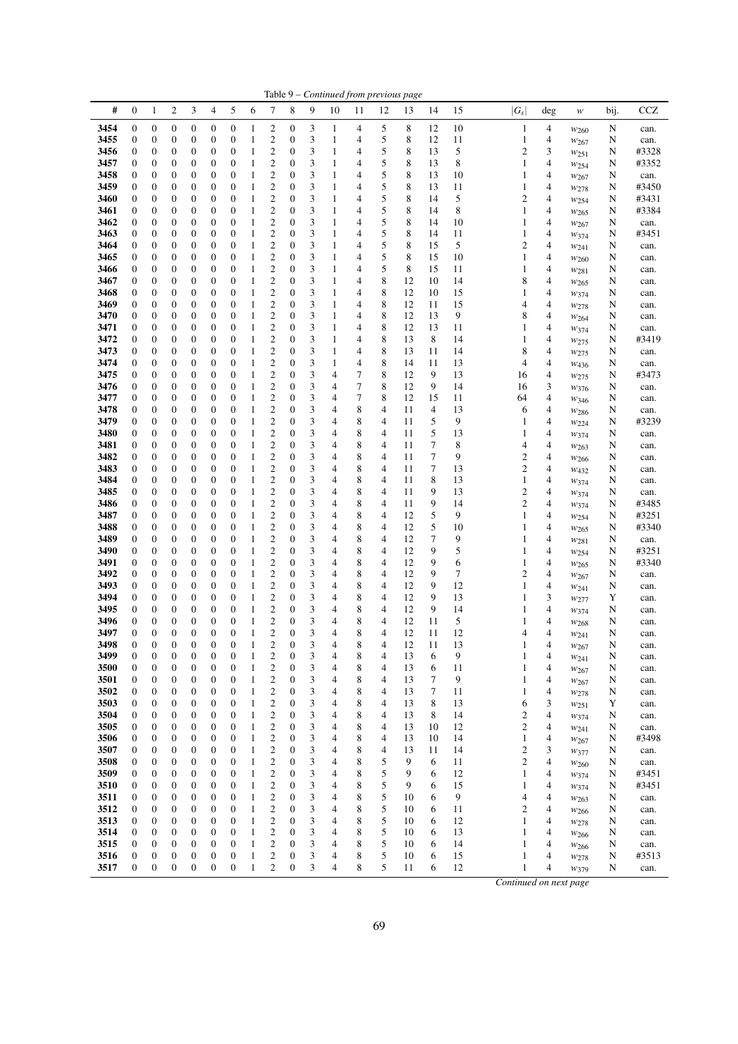|              | Table 9 - Continued from previous page<br>#<br>$\mathbf{0}$<br>$\overline{c}$<br>3<br>$\overline{\mathcal{A}}$<br>5<br>6<br>8<br>9<br>15<br><b>CCZ</b><br>1<br>7<br>10<br>12<br>14<br>11<br>13<br>w |                                      |                       |                                      |                                      |                                      |                   |                                      |                                      |        |                   |                |        |          |             |          |                        |        |                               |        |                |
|--------------|-----------------------------------------------------------------------------------------------------------------------------------------------------------------------------------------------------|--------------------------------------|-----------------------|--------------------------------------|--------------------------------------|--------------------------------------|-------------------|--------------------------------------|--------------------------------------|--------|-------------------|----------------|--------|----------|-------------|----------|------------------------|--------|-------------------------------|--------|----------------|
|              |                                                                                                                                                                                                     |                                      |                       |                                      |                                      |                                      |                   |                                      |                                      |        |                   |                |        |          |             |          | $ G_s $                | deg    |                               | bij.   |                |
| 3454         | $\boldsymbol{0}$                                                                                                                                                                                    | $\boldsymbol{0}$                     | 0                     | 0                                    | $\boldsymbol{0}$                     | $\boldsymbol{0}$                     | 1                 | 2                                    | 0                                    | 3      | 1                 | 4              | 5      | 8        | 12          | 10       | $\mathbf{1}$           | 4      | $w_{260}$                     | N      | can.           |
| 3455         | $\boldsymbol{0}$                                                                                                                                                                                    | 0                                    | 0                     | 0                                    | $\boldsymbol{0}$                     | $\boldsymbol{0}$                     | 1                 | 2                                    | 0                                    | 3      | $\mathbf{1}$      | 4              | 5      | 8        | 12          | 11       | 1                      | 4      | $w_{267}$                     | N      | can.           |
| 3456         | $\boldsymbol{0}$                                                                                                                                                                                    | $\boldsymbol{0}$                     | 0                     | 0                                    | $\boldsymbol{0}$                     | $\boldsymbol{0}$                     | 1                 | $\mathfrak{2}$                       | 0                                    | 3      | 1                 | 4              | 5      | 8        | 13          | 5        | $\mathbf{2}$           | 3      | W251                          | N      | #3328          |
| 3457<br>3458 | $\boldsymbol{0}$<br>$\boldsymbol{0}$                                                                                                                                                                | 0<br>0                               | 0<br>0                | 0<br>0                               | $\mathbf{0}$<br>$\boldsymbol{0}$     | $\boldsymbol{0}$<br>$\mathbf{0}$     | 1<br>1            | 2<br>2                               | $\mathbf{0}$<br>0                    | 3<br>3 | 1<br>$\mathbf{1}$ | 4<br>4         | 5<br>5 | 8<br>8   | 13<br>13    | 8<br>10  | 1<br>1                 | 4<br>4 | W254                          | N      | #3352          |
| 3459         | $\boldsymbol{0}$                                                                                                                                                                                    | 0                                    | 0                     | 0                                    | $\boldsymbol{0}$                     | $\boldsymbol{0}$                     | 1                 | 2                                    | $\mathbf{0}$                         | 3      | $\mathbf{1}$      | 4              | 5      | 8        | 13          | 11       | 1                      | 4      | $w_{267}$<br>$w_{278}$        | N<br>N | can.<br>#3450  |
| 3460         | $\boldsymbol{0}$                                                                                                                                                                                    | 0                                    | 0                     | 0                                    | $\boldsymbol{0}$                     | $\boldsymbol{0}$                     | 1                 | $\mathbf{2}$                         | $\boldsymbol{0}$                     | 3      | $\mathbf{1}$      | $\overline{4}$ | 5      | 8        | 14          | 5        | $\overline{c}$         | 4      | W254                          | N      | #3431          |
| 3461         | $\boldsymbol{0}$                                                                                                                                                                                    | 0                                    | 0                     | 0                                    | $\boldsymbol{0}$                     | $\boldsymbol{0}$                     | 1                 | 2                                    | $\boldsymbol{0}$                     | 3      | 1                 | 4              | 5      | 8        | 14          | 8        | 1                      | 4      | W <sub>265</sub>              | N      | #3384          |
| 3462         | $\boldsymbol{0}$                                                                                                                                                                                    | $\boldsymbol{0}$                     | 0                     | $\boldsymbol{0}$                     | $\boldsymbol{0}$                     | $\boldsymbol{0}$                     | 1                 | 2                                    | $\boldsymbol{0}$                     | 3      | $\mathbf{1}$      | 4              | 5      | 8        | 14          | 10       | 1                      | 4      | $w_{267}$                     | N      | can.           |
| 3463         | $\boldsymbol{0}$                                                                                                                                                                                    | $\boldsymbol{0}$                     | 0                     | $\boldsymbol{0}$                     | $\boldsymbol{0}$                     | $\boldsymbol{0}$                     | 1                 | $\mathfrak{2}$                       | 0                                    | 3      | 1                 | 4              | 5      | 8        | 14          | 11       | 1                      | 4      | $w_{374}$                     | N      | #3451          |
| 3464         | $\boldsymbol{0}$                                                                                                                                                                                    | 0                                    | 0                     | 0                                    | $\boldsymbol{0}$                     | $\boldsymbol{0}$                     | 1                 | 2                                    | $\mathbf{0}$                         | 3      | $\mathbf{1}$      | 4              | 5      | 8        | 15          | 5        | $\overline{c}$         | 4      | W241                          | N      | can.           |
| 3465<br>3466 | $\boldsymbol{0}$<br>$\boldsymbol{0}$                                                                                                                                                                | 0<br>0                               | $\boldsymbol{0}$<br>0 | 0<br>0                               | $\boldsymbol{0}$<br>$\boldsymbol{0}$ | $\boldsymbol{0}$<br>$\boldsymbol{0}$ | 1<br>1            | $\overline{c}$<br>$\mathfrak{2}$     | $\mathbf{0}$<br>$\mathbf{0}$         | 3<br>3 | $\mathbf{1}$<br>1 | 4<br>4         | 5<br>5 | 8<br>8   | 15<br>15    | 10<br>11 | 1<br>1                 | 4<br>4 | W <sub>260</sub>              | N<br>N | can.<br>can.   |
| 3467         | $\mathbf{0}$                                                                                                                                                                                        | $\boldsymbol{0}$                     | 0                     | 0                                    | $\mathbf{0}$                         | $\boldsymbol{0}$                     | 1                 | $\overline{c}$                       | $\boldsymbol{0}$                     | 3      | $\mathbf{1}$      | $\overline{4}$ | 8      | 12       | 10          | 14       | 8                      | 4      | $w_{281}$<br>$w_{265}$        | N      | can.           |
| 3468         | $\boldsymbol{0}$                                                                                                                                                                                    | $\boldsymbol{0}$                     | 0                     | $\boldsymbol{0}$                     | $\boldsymbol{0}$                     | $\mathbf{0}$                         | 1                 | $\boldsymbol{2}$                     | 0                                    | 3      | $\mathbf{1}$      | 4              | 8      | 12       | 10          | 15       | 1                      | 4      | W374                          | N      | can.           |
| 3469         | $\boldsymbol{0}$                                                                                                                                                                                    | $\boldsymbol{0}$                     | 0                     | 0                                    | $\boldsymbol{0}$                     | $\boldsymbol{0}$                     | 1                 | $\mathfrak{2}$                       | $\mathbf{0}$                         | 3      | 1                 | 4              | 8      | 12       | 11          | 15       | 4                      | 4      | W278                          | N      | can.           |
| 3470         | $\boldsymbol{0}$                                                                                                                                                                                    | 0                                    | 0                     | 0                                    | $\boldsymbol{0}$                     | $\boldsymbol{0}$                     | 1                 | $\overline{c}$                       | $\boldsymbol{0}$                     | 3      | $\mathbf{1}$      | 4              | 8      | 12       | 13          | 9        | 8                      | 4      | $w_{264}$                     | N      | can.           |
| 3471         | $\boldsymbol{0}$                                                                                                                                                                                    | 0                                    | 0                     | 0                                    | $\boldsymbol{0}$                     | $\boldsymbol{0}$                     | 1                 | 2                                    | $\boldsymbol{0}$                     | 3      | $\mathbf{1}$      | 4              | 8      | 12       | 13          | 11       | 1                      | 4      | W374                          | N      | can.           |
| 3472         | $\boldsymbol{0}$                                                                                                                                                                                    | 0                                    | 0                     | 0                                    | $\boldsymbol{0}$                     | $\boldsymbol{0}$                     | 1                 | $\mathfrak{2}$                       | $\boldsymbol{0}$                     | 3      | $\mathbf{1}$      | 4              | 8      | 13       | 8           | 14       | 1                      | 4      | W275                          | N      | #3419          |
| 3473<br>3474 | $\boldsymbol{0}$<br>$\boldsymbol{0}$                                                                                                                                                                | 0<br>0                               | 0<br>0                | 0<br>0                               | $\boldsymbol{0}$<br>$\boldsymbol{0}$ | $\boldsymbol{0}$<br>$\boldsymbol{0}$ | 1<br>1            | 2<br>2                               | $\mathbf{0}$<br>0                    | 3<br>3 | 1<br>$\mathbf{1}$ | 4<br>4         | 8<br>8 | 13<br>14 | 11<br>11    | 14<br>13 | 8<br>4                 | 4<br>4 | W275<br>W <sub>436</sub>      | N<br>N | can.<br>can.   |
| 3475         | $\boldsymbol{0}$                                                                                                                                                                                    | $\boldsymbol{0}$                     | 0                     | $\boldsymbol{0}$                     | $\boldsymbol{0}$                     | $\boldsymbol{0}$                     | 1                 | 2                                    | 0                                    | 3      | 4                 | 7              | 8      | 12       | 9           | 13       | 16                     | 4      | $w_{275}$                     | N      | #3473          |
| 3476         | $\boldsymbol{0}$                                                                                                                                                                                    | 0                                    | 0                     | 0                                    | $\boldsymbol{0}$                     | $\boldsymbol{0}$                     | 1                 | 2                                    | $\mathbf{0}$                         | 3      | 4                 | 7              | 8      | 12       | 9           | 14       | 16                     | 3      | W376                          | N      | can.           |
| 3477         | $\boldsymbol{0}$                                                                                                                                                                                    | 0                                    | 0                     | 0                                    | $\boldsymbol{0}$                     | $\mathbf{0}$                         | 1                 | $\overline{\mathbf{c}}$              | 0                                    | 3      | 4                 | 7              | 8      | 12       | 15          | 11       | 64                     | 4      | W346                          | N      | can.           |
| 3478         | $\boldsymbol{0}$                                                                                                                                                                                    | 0                                    | 0                     | 0                                    | $\boldsymbol{0}$                     | $\boldsymbol{0}$                     | 1                 | 2                                    | $\mathbf{0}$                         | 3      | 4                 | 8              | 4      | 11       | 4           | 13       | 6                      | 4      | $w_{286}$                     | N      | can.           |
| 3479         | $\boldsymbol{0}$                                                                                                                                                                                    | 0                                    | 0                     | 0                                    | $\boldsymbol{0}$                     | $\boldsymbol{0}$                     | 1                 | $\mathbf{2}$                         | $\boldsymbol{0}$                     | 3      | 4                 | 8              | 4      | 11       | 5           | 9        | 1                      | 4      | $w_{224}$                     | N      | #3239          |
| 3480<br>3481 | $\boldsymbol{0}$<br>$\boldsymbol{0}$                                                                                                                                                                | 0<br>$\boldsymbol{0}$                | 0<br>0                | $\boldsymbol{0}$<br>$\boldsymbol{0}$ | $\boldsymbol{0}$<br>$\boldsymbol{0}$ | $\boldsymbol{0}$<br>$\boldsymbol{0}$ | 1<br>1            | 2<br>$\boldsymbol{2}$                | $\boldsymbol{0}$<br>$\boldsymbol{0}$ | 3<br>3 | 4<br>4            | 8<br>8         | 4<br>4 | 11<br>11 | 5<br>7      | 13<br>8  | 1<br>4                 | 4<br>4 | W374                          | N<br>N | can.<br>can.   |
| 3482         | $\boldsymbol{0}$                                                                                                                                                                                    | $\boldsymbol{0}$                     | 0                     | $\boldsymbol{0}$                     | $\boldsymbol{0}$                     | $\boldsymbol{0}$                     | 1                 | $\mathfrak{2}$                       | 0                                    | 3      | 4                 | 8              | 4      | 11       | $\tau$      | 9        | $\overline{c}$         | 4      | W263<br>$w_{266}$             | N      | can.           |
| 3483         | $\boldsymbol{0}$                                                                                                                                                                                    | 0                                    | 0                     | 0                                    | $\boldsymbol{0}$                     | $\boldsymbol{0}$                     | 1                 | $\mathfrak{2}$                       | $\mathbf{0}$                         | 3      | 4                 | 8              | 4      | 11       | 7           | 13       | $\overline{c}$         | 4      | W <sub>432</sub>              | N      | can.           |
| 3484         | $\boldsymbol{0}$                                                                                                                                                                                    | 0                                    | 0                     | 0                                    | $\boldsymbol{0}$                     | $\boldsymbol{0}$                     | 1                 | $\overline{c}$                       | $\mathbf{0}$                         | 3      | 4                 | 8              | 4      | 11       | 8           | 13       | 1                      | 4      | W374                          | N      | can.           |
| 3485         | $\boldsymbol{0}$                                                                                                                                                                                    | 0                                    | 0                     | 0                                    | $\boldsymbol{0}$                     | $\boldsymbol{0}$                     | 1                 | $\mathbf{2}$                         | $\mathbf{0}$                         | 3      | 4                 | 8              | 4      | 11       | 9           | 13       | $\overline{c}$         | 4      | W374                          | N      | can.           |
| 3486         | $\mathbf{0}$                                                                                                                                                                                        | $\boldsymbol{0}$                     | 0                     | 0                                    | $\boldsymbol{0}$                     | $\boldsymbol{0}$                     | 1                 | $\overline{c}$                       | $\boldsymbol{0}$                     | 3      | 4                 | 8              | 4      | 11       | 9           | 14       | $\overline{c}$         | 4      | W374                          | N      | #3485          |
| 3487<br>3488 | $\boldsymbol{0}$<br>$\boldsymbol{0}$                                                                                                                                                                | 0<br>$\boldsymbol{0}$                | 0<br>0                | 0<br>0                               | $\boldsymbol{0}$<br>$\boldsymbol{0}$ | $\boldsymbol{0}$<br>$\boldsymbol{0}$ | 1<br>1            | $\boldsymbol{2}$<br>$\mathbf{2}$     | $\boldsymbol{0}$<br>$\boldsymbol{0}$ | 3<br>3 | 4<br>4            | 8<br>8         | 4<br>4 | 12<br>12 | 5<br>5      | 9<br>10  | 1<br>1                 | 4<br>4 | $w_{254}$                     | N<br>N | #3251<br>#3340 |
| 3489         | $\boldsymbol{0}$                                                                                                                                                                                    | $\boldsymbol{0}$                     | 0                     | 0                                    | $\boldsymbol{0}$                     | $\boldsymbol{0}$                     | 1                 | $\overline{c}$                       | $\boldsymbol{0}$                     | 3      | 4                 | 8              | 4      | 12       | $\tau$      | 9        | 1                      | 4      | W <sub>265</sub><br>W281      | N      | can.           |
| 3490         | $\boldsymbol{0}$                                                                                                                                                                                    | 0                                    | 0                     | 0                                    | $\boldsymbol{0}$                     | $\boldsymbol{0}$                     | 1                 | 2                                    | $\boldsymbol{0}$                     | 3      | 4                 | 8              | 4      | 12       | 9           | 5        | 1                      | 4      | W <sub>254</sub>              | N      | #3251          |
| 3491         | $\boldsymbol{0}$                                                                                                                                                                                    | 0                                    | 0                     | 0                                    | $\boldsymbol{0}$                     | $\boldsymbol{0}$                     | 1                 | $\mathbf{2}$                         | $\mathbf{0}$                         | 3      | 4                 | 8              | 4      | 12       | 9           | 6        | 1                      | 4      | $w_{265}$                     | N      | #3340          |
| 3492         | $\mathbf{0}$                                                                                                                                                                                        | 0                                    | 0                     | 0                                    | $\boldsymbol{0}$                     | $\boldsymbol{0}$                     | 1                 | 2                                    | $\mathbf{0}$                         | 3      | 4                 | 8              | 4      | 12       | 9           | 7        | $\overline{c}$         | 4      | W267                          | N      | can.           |
| 3493         | $\boldsymbol{0}$                                                                                                                                                                                    | 0                                    | 0                     | 0                                    | $\boldsymbol{0}$                     | $\boldsymbol{0}$                     | 1                 | 2                                    | 0                                    | 3      | 4                 | 8              | 4      | 12       | 9           | 12       | 1                      | 4      | W241                          | N      | can.           |
| 3494<br>3495 | $\boldsymbol{0}$<br>$\boldsymbol{0}$                                                                                                                                                                | $\boldsymbol{0}$<br>0                | 0<br>0                | $\boldsymbol{0}$<br>0                | $\boldsymbol{0}$<br>$\boldsymbol{0}$ | $\boldsymbol{0}$<br>$\boldsymbol{0}$ | 1<br>1            | 2<br>$\overline{\mathbf{c}}$         | 0<br>$\boldsymbol{0}$                | 3<br>3 | 4<br>4            | 8<br>8         | 4<br>4 | 12<br>12 | 9<br>9      | 13<br>14 | 1<br>1                 | 3<br>4 | W277                          | Y<br>N | can.           |
| 3496         | $\boldsymbol{0}$                                                                                                                                                                                    | $\mathbf{0}$                         | 0                     | $\boldsymbol{0}$                     | $\boldsymbol{0}$                     | $\mathbf{0}$                         | 1                 | $\overline{\mathbf{c}}$              | $\boldsymbol{0}$                     | 3      | 4                 | 8              | 4      | 12       | 11          | 5        | 1                      | 4      | $w_{374}$<br>W <sub>268</sub> | N      | can.<br>can.   |
| 3497         | $\mathbf{0}$                                                                                                                                                                                        | $\overline{0}$                       | $\overline{0}$        | $\overline{0}$                       | $\overline{0}$                       | $\overline{0}$                       | 1                 | $\overline{c}$                       | $\overline{0}$                       | 3      | 4                 | 8              | 4      | 12       | 11          | 12       | 4                      | 4      | W241                          | N      | can.           |
| 3498         | $\boldsymbol{0}$                                                                                                                                                                                    | $\boldsymbol{0}$                     | $\boldsymbol{0}$      | $\boldsymbol{0}$                     | $\boldsymbol{0}$                     | $\boldsymbol{0}$                     | $\mathbf{1}$      | $\boldsymbol{2}$                     | $\boldsymbol{0}$                     | 3      | 4                 | 8              | 4      | 12       | 11          | 13       | 1                      | 4      | $w_{267}$                     | N      | can.           |
| 3499         | $\boldsymbol{0}$                                                                                                                                                                                    | $\boldsymbol{0}$                     | 0                     | $\boldsymbol{0}$                     | $\boldsymbol{0}$                     | $\boldsymbol{0}$                     | 1                 | 2                                    | $\boldsymbol{0}$                     | 3      | 4                 | 8              | 4      | 13       | 6           | 9        | 1                      | 4      | $w_{241}$                     | N      | can.           |
| 3500         | $\boldsymbol{0}$                                                                                                                                                                                    | $\boldsymbol{0}$                     | $\boldsymbol{0}$      | $\boldsymbol{0}$                     | $\boldsymbol{0}$                     | $\boldsymbol{0}$                     | 1                 | $\boldsymbol{2}$                     | $\boldsymbol{0}$                     | 3      | 4                 | 8              | 4      | 13       | 6           | 11       | 1                      | 4      | W267                          | N      | can.           |
| 3501<br>3502 | $\boldsymbol{0}$<br>$\boldsymbol{0}$                                                                                                                                                                | $\boldsymbol{0}$<br>$\boldsymbol{0}$ | 0<br>0                | 0<br>0                               | $\boldsymbol{0}$<br>$\boldsymbol{0}$ | $\mathbf{0}$<br>$\boldsymbol{0}$     | 1<br>1            | $\boldsymbol{2}$<br>$\boldsymbol{2}$ | $\boldsymbol{0}$<br>$\boldsymbol{0}$ | 3<br>3 | 4<br>4            | 8<br>8         | 4<br>4 | 13<br>13 | $\tau$<br>7 | 9<br>11  | 1<br>1                 | 4<br>4 | W267                          | N<br>N | can.           |
| 3503         | $\boldsymbol{0}$                                                                                                                                                                                    | $\boldsymbol{0}$                     | 0                     | 0                                    | $\boldsymbol{0}$                     | $\boldsymbol{0}$                     | 1                 | $\boldsymbol{2}$                     | $\boldsymbol{0}$                     | 3      | 4                 | 8              | 4      | 13       | 8           | 13       | 6                      | 3      | W278<br>$w_{251}$             | Y      | can.<br>can.   |
| 3504         | 0                                                                                                                                                                                                   | 0                                    | 0                     | 0                                    | $\boldsymbol{0}$                     | $\boldsymbol{0}$                     | 1                 | $\boldsymbol{2}$                     | $\boldsymbol{0}$                     | 3      | 4                 | 8              | 4      | 13       | 8           | 14       | $\overline{c}$         | 4      | W374                          | N      | can.           |
| 3505         | $\boldsymbol{0}$                                                                                                                                                                                    | $\boldsymbol{0}$                     | 0                     | $\boldsymbol{0}$                     | $\boldsymbol{0}$                     | $\boldsymbol{0}$                     | 1                 | $\mathfrak{2}$                       | $\boldsymbol{0}$                     | 3      | 4                 | 8              | 4      | 13       | 10          | 12       | $\overline{c}$         | 4      | W241                          | N      | can.           |
| 3506         | $\boldsymbol{0}$                                                                                                                                                                                    | $\boldsymbol{0}$                     | 0                     | 0                                    | $\boldsymbol{0}$                     | $\boldsymbol{0}$                     | 1                 | 2                                    | 0                                    | 3      | 4                 | 8              | 4      | 13       | 10          | 14       | 1                      | 4      | $w_{267}$                     | N      | #3498          |
| 3507         | $\mathbf{0}$                                                                                                                                                                                        | $\boldsymbol{0}$                     | 0                     | $\boldsymbol{0}$                     | $\boldsymbol{0}$                     | $\boldsymbol{0}$                     | 1                 | $\boldsymbol{2}$                     | $\boldsymbol{0}$                     | 3      | 4                 | 8              | 4      | 13       | 11          | 14       | $\mathbf{2}$           | 3      | $w_{377}$                     | N      | can.           |
| 3508         | $\boldsymbol{0}$                                                                                                                                                                                    | $\boldsymbol{0}$                     | 0                     | $\boldsymbol{0}$                     | $\boldsymbol{0}$                     | $\boldsymbol{0}$                     | 1                 | $\boldsymbol{2}$                     | $\boldsymbol{0}$                     | 3      | 4                 | 8              | 5      | 9        | 6           | 11       | $\mathfrak{2}$         | 4      | W <sub>260</sub>              | N      | can.           |
| 3509<br>3510 | 0<br>$\boldsymbol{0}$                                                                                                                                                                               | 0<br>$\boldsymbol{0}$                | 0<br>0                | 0<br>0                               | $\boldsymbol{0}$<br>$\boldsymbol{0}$ | $\boldsymbol{0}$<br>$\boldsymbol{0}$ | 1<br>$\mathbf{1}$ | 2<br>$\boldsymbol{2}$                | $\mathbf{0}$<br>$\boldsymbol{0}$     | 3<br>3 | 4<br>4            | 8<br>8         | 5<br>5 | 9<br>9   | 6<br>6      | 12<br>15 | 1<br>1                 | 4<br>4 | W374<br>W374                  | N<br>N | #3451<br>#3451 |
| 3511         | $\boldsymbol{0}$                                                                                                                                                                                    | $\boldsymbol{0}$                     | 0                     | 0                                    | $\boldsymbol{0}$                     | $\boldsymbol{0}$                     | 1                 | 2                                    | 0                                    | 3      | 4                 | 8              | 5      | 10       | 6           | 9        | 4                      | 4      | $w_{263}$                     | N      | can.           |
| 3512         | $\boldsymbol{0}$                                                                                                                                                                                    | $\boldsymbol{0}$                     | 0                     | 0                                    | $\boldsymbol{0}$                     | $\boldsymbol{0}$                     | 1                 | $\boldsymbol{2}$                     | 0                                    | 3      | 4                 | 8              | 5      | 10       | 6           | 11       | $\mathfrak{2}$         | 4      | W266                          | N      | can.           |
| 3513         | $\boldsymbol{0}$                                                                                                                                                                                    | $\boldsymbol{0}$                     | 0                     | $\boldsymbol{0}$                     | $\boldsymbol{0}$                     | $\boldsymbol{0}$                     | 1                 | 2                                    | 0                                    | 3      | 4                 | 8              | 5      | 10       | 6           | 12       | 1                      | 4      | W278                          | N      | can.           |
| 3514         | $\boldsymbol{0}$                                                                                                                                                                                    | $\boldsymbol{0}$                     | 0                     | $\boldsymbol{0}$                     | $\boldsymbol{0}$                     | $\boldsymbol{0}$                     | 1                 | 2                                    | $\boldsymbol{0}$                     | 3      | 4                 | 8              | 5      | 10       | 6           | 13       | 1                      | 4      | $w_{266}$                     | N      | can.           |
| 3515         | $\mathbf{0}$                                                                                                                                                                                        | $\boldsymbol{0}$                     | 0                     | $\boldsymbol{0}$                     | $\boldsymbol{0}$                     | $\boldsymbol{0}$                     | $\mathbf{1}$      | $\boldsymbol{2}$                     | $\boldsymbol{0}$                     | 3      | 4                 | 8              | 5      | 10       | 6           | 14       | 1                      | 4      | W <sub>266</sub>              | N      | can.           |
| 3516         | $\mathbf{0}$<br>$\boldsymbol{0}$                                                                                                                                                                    | $\boldsymbol{0}$<br>$\boldsymbol{0}$ | 0<br>$\boldsymbol{0}$ | 0<br>$\boldsymbol{0}$                | $\boldsymbol{0}$<br>$\boldsymbol{0}$ | $\boldsymbol{0}$<br>$\boldsymbol{0}$ | 1<br>$\mathbf{1}$ | 2<br>$\overline{c}$                  | 0<br>$\boldsymbol{0}$                | 3<br>3 | 4<br>4            | 8<br>8         | 5<br>5 | 10<br>11 | 6<br>6      | 15       | 1<br>1                 | 4      | W278                          | N      | #3513          |
| 3517         |                                                                                                                                                                                                     |                                      |                       |                                      |                                      |                                      |                   |                                      |                                      |        |                   |                |        |          |             | 12       |                        | 4      | W379                          | N      | can.           |
|              |                                                                                                                                                                                                     |                                      |                       |                                      |                                      |                                      |                   |                                      |                                      |        |                   |                |        |          |             |          | Continued on next page |        |                               |        |                |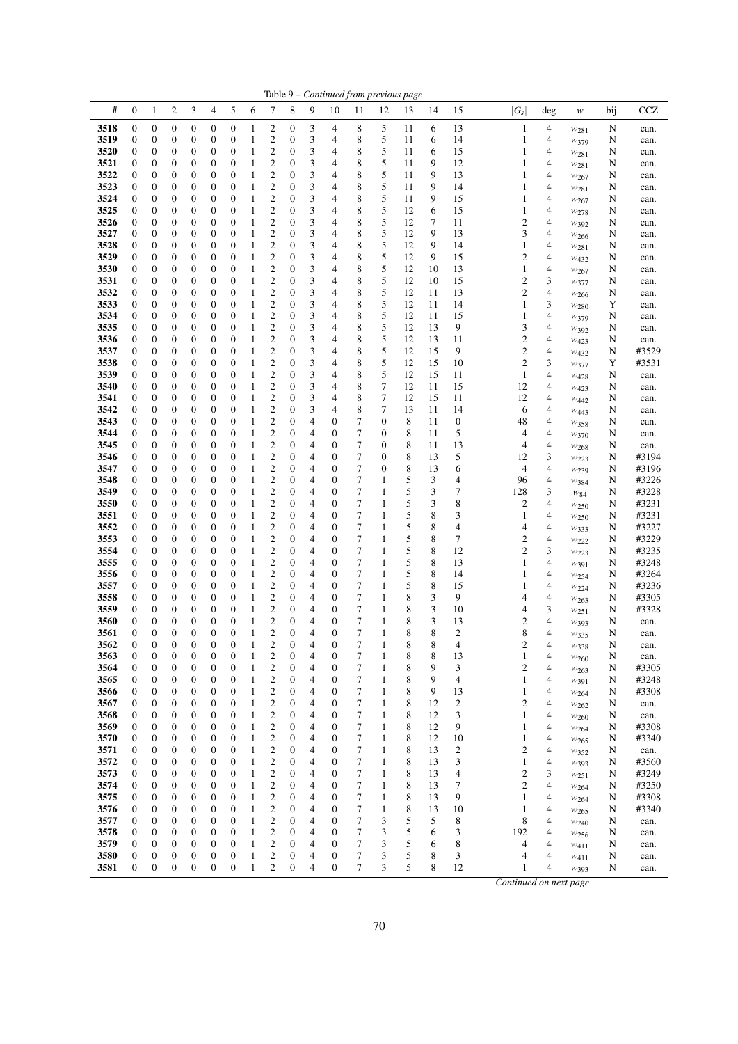|              |                                      |                                      |                                      |                                      |                  |                                      |                              |                                                    |                                      |                |                                      |                     | Table 9 - Continued from previous page |          |          |                               |         |                                        |                        |        |                |
|--------------|--------------------------------------|--------------------------------------|--------------------------------------|--------------------------------------|------------------|--------------------------------------|------------------------------|----------------------------------------------------|--------------------------------------|----------------|--------------------------------------|---------------------|----------------------------------------|----------|----------|-------------------------------|---------|----------------------------------------|------------------------|--------|----------------|
| #            | $\boldsymbol{0}$                     | 1                                    | $\overline{\mathbf{c}}$              | 3                                    | 4                | 5                                    | 6                            | 7                                                  | 8                                    | 9              | 10                                   | 11                  | 12                                     | 13       | 14       | 15                            | $ G_s $ | $\deg$                                 | w                      | bij.   | <b>CCZ</b>     |
| 3518         | $\boldsymbol{0}$                     | $\boldsymbol{0}$                     | $\boldsymbol{0}$                     | $\boldsymbol{0}$                     | 0                | $\boldsymbol{0}$                     | $\mathbf{1}$                 | $\boldsymbol{2}$                                   | $\boldsymbol{0}$                     | 3              | 4                                    | 8                   | 5                                      | 11       | 6        | 13                            |         | $\mathbf{1}$<br>4                      | $w_{281}$              | N      | can.           |
| 3519         | $\boldsymbol{0}$                     | $\boldsymbol{0}$                     | $\boldsymbol{0}$                     | $\boldsymbol{0}$                     | 0                | $\boldsymbol{0}$                     | $\mathbf{1}$                 | $\boldsymbol{2}$                                   | $\boldsymbol{0}$                     | 3              | $\overline{4}$                       | 8                   | 5                                      | 11       | 6        | 14                            |         | 4<br>1                                 | W379                   | N      | can.           |
| 3520         | $\boldsymbol{0}$                     | $\boldsymbol{0}$                     | 0                                    | $\boldsymbol{0}$                     | 0                | $\mathbf{0}$                         | $\mathbf{1}$                 | $\mathfrak{2}$                                     | $\boldsymbol{0}$                     | 3              | 4                                    | 8                   | 5                                      | 11       | 6        | 15                            |         | 1<br>4                                 | W281                   | N      | can.           |
| 3521         | $\boldsymbol{0}$                     | $\boldsymbol{0}$                     | $\boldsymbol{0}$                     | $\boldsymbol{0}$                     | 0                | $\boldsymbol{0}$                     | $\mathbf{1}$                 | $\boldsymbol{2}$                                   | $\mathbf{0}$                         | 3              | 4                                    | 8                   | 5                                      | 11       | 9        | 12                            |         | $\mathbf{1}$<br>4                      | W281                   | N      | can.           |
| 3522         | $\boldsymbol{0}$                     | $\boldsymbol{0}$                     | $\boldsymbol{0}$                     | $\boldsymbol{0}$                     | 0                | $\mathbf{0}$                         | $\mathbf{1}$                 | $\overline{\mathbf{c}}$                            | $\mathbf{0}$                         | 3              | $\overline{4}$                       | 8                   | 5                                      | 11       | 9        | 13                            |         | 4<br>$\mathbf{1}$                      | W <sub>267</sub>       | N      | can.           |
| 3523         | $\boldsymbol{0}$                     | $\boldsymbol{0}$                     | 0                                    | $\boldsymbol{0}$                     | 0                | $\boldsymbol{0}$                     | $\mathbf{1}$                 | $\overline{\mathbf{c}}$                            | $\boldsymbol{0}$                     | 3              | $\overline{4}$                       | 8                   | 5                                      | 11       | 9        | 14                            |         | 4<br>$\mathbf{1}$                      | $w_{281}$              | N      | can.           |
| 3524         | $\boldsymbol{0}$                     | $\boldsymbol{0}$                     | $\boldsymbol{0}$                     | $\boldsymbol{0}$                     | 0                | $\boldsymbol{0}$                     | $\mathbf{1}$                 | $\boldsymbol{2}$                                   | $\boldsymbol{0}$                     | 3              | $\overline{4}$                       | 8                   | 5                                      | 11       | 9        | 15                            |         | 4<br>$\mathbf{1}$                      | W267                   | N      | can.           |
| 3525         | $\boldsymbol{0}$                     | $\boldsymbol{0}$                     | 0                                    | $\boldsymbol{0}$                     | 0                | $\mathbf{0}$                         | $\mathbf{1}$                 | $\overline{c}$                                     | $\boldsymbol{0}$                     | 3              | 4                                    | 8                   | 5                                      | 12       | 6        | 15                            |         | 4<br>$\mathbf{1}$                      | W278                   | N      | can.           |
| 3526<br>3527 | 0<br>0                               | $\boldsymbol{0}$<br>$\boldsymbol{0}$ | $\boldsymbol{0}$<br>0                | $\boldsymbol{0}$<br>$\boldsymbol{0}$ | 0<br>0           | $\boldsymbol{0}$<br>$\boldsymbol{0}$ | $\mathbf{1}$<br>1            | $\overline{\mathbf{c}}$<br>$\mathfrak{2}$          | $\boldsymbol{0}$<br>$\boldsymbol{0}$ | 3<br>3         | $\overline{4}$<br>4                  | 8<br>8              | 5<br>5                                 | 12<br>12 | 7<br>9   | 11<br>13                      |         | $\boldsymbol{2}$<br>4<br>3<br>4        | $w_{392}$              | N      | can.           |
| 3528         | $\boldsymbol{0}$                     | $\boldsymbol{0}$                     | $\boldsymbol{0}$                     | $\boldsymbol{0}$                     | 0                | $\boldsymbol{0}$                     | $\mathbf{1}$                 | $\overline{\mathbf{c}}$                            | $\mathbf{0}$                         | 3              | $\overline{4}$                       | 8                   | 5                                      | 12       | 9        | 14                            |         | $\mathbf{1}$<br>4                      | W <sub>266</sub>       | N      | can.           |
| 3529         | $\boldsymbol{0}$                     | $\boldsymbol{0}$                     | $\boldsymbol{0}$                     | $\boldsymbol{0}$                     | 0                | $\boldsymbol{0}$                     | $\mathbf{1}$                 | $\overline{\mathbf{c}}$                            | $\boldsymbol{0}$                     | 3              | $\overline{4}$                       | 8                   | 5                                      | 12       | 9        | 15                            |         | $\overline{\mathbf{c}}$<br>4           | W281                   | N<br>N | can.<br>can.   |
| 3530         | $\boldsymbol{0}$                     | $\boldsymbol{0}$                     | 0                                    | $\boldsymbol{0}$                     | 0                | $\boldsymbol{0}$                     | $\mathbf{1}$                 | $\overline{\mathbf{c}}$                            | $\boldsymbol{0}$                     | 3              | 4                                    | 8                   | 5                                      | 12       | 10       | 13                            |         | $\,1\,$<br>4                           | W432                   | N      | can.           |
| 3531         | $\boldsymbol{0}$                     | $\boldsymbol{0}$                     | $\boldsymbol{0}$                     | $\boldsymbol{0}$                     | 0                | $\boldsymbol{0}$                     | $\mathbf{1}$                 | $\boldsymbol{2}$                                   | $\boldsymbol{0}$                     | 3              | $\overline{4}$                       | 8                   | 5                                      | 12       | 10       | 15                            |         | $\boldsymbol{2}$<br>3                  | $w_{267}$<br>$w_{377}$ | N      | can.           |
| 3532         | $\boldsymbol{0}$                     | $\boldsymbol{0}$                     | 0                                    | $\boldsymbol{0}$                     | 0                | $\mathbf{0}$                         | $\mathbf{1}$                 | $\overline{c}$                                     | $\boldsymbol{0}$                     | 3              | $\overline{4}$                       | 8                   | 5                                      | 12       | 11       | 13                            |         | $\mathfrak{2}$<br>$\overline{4}$       | W266                   | N      | can.           |
| 3533         | $\boldsymbol{0}$                     | $\boldsymbol{0}$                     | 0                                    | $\boldsymbol{0}$                     | 0                | $\boldsymbol{0}$                     | $\mathbf{1}$                 | $\overline{\mathbf{c}}$                            | $\boldsymbol{0}$                     | 3              | 4                                    | 8                   | 5                                      | 12       | 11       | 14                            |         | 3<br>$\mathbf{1}$                      | W280                   | Y      | can.           |
| 3534         | $\boldsymbol{0}$                     | $\boldsymbol{0}$                     | $\boldsymbol{0}$                     | $\boldsymbol{0}$                     | 0                | $\boldsymbol{0}$                     | $\mathbf{1}$                 | $\overline{\mathbf{c}}$                            | $\boldsymbol{0}$                     | 3              | $\overline{4}$                       | 8                   | 5                                      | 12       | 11       | 15                            |         | $\mathbf{1}$<br>4                      | W379                   | N      | can.           |
| 3535         | $\boldsymbol{0}$                     | $\boldsymbol{0}$                     | $\boldsymbol{0}$                     | $\boldsymbol{0}$                     | 0                | $\boldsymbol{0}$                     | $\mathbf{1}$                 | $\overline{\mathbf{c}}$                            | $\boldsymbol{0}$                     | 3              | $\overline{4}$                       | 8                   | 5                                      | 12       | 13       | 9                             |         | 3<br>4                                 | $w_{392}$              | N      | can.           |
| 3536         | $\boldsymbol{0}$                     | $\boldsymbol{0}$                     | $\boldsymbol{0}$                     | $\boldsymbol{0}$                     | 0                | $\boldsymbol{0}$                     | $\mathbf{1}$                 | $\overline{\mathbf{c}}$                            | $\boldsymbol{0}$                     | 3              | $\overline{4}$                       | 8                   | 5                                      | 12       | 13       | 11                            |         | $\overline{\mathbf{c}}$<br>4           | W423                   | N      | can.           |
| 3537         | $\boldsymbol{0}$                     | $\boldsymbol{0}$                     | $\boldsymbol{0}$                     | $\boldsymbol{0}$                     | 0                | $\boldsymbol{0}$                     | $\mathbf{1}$                 | $\overline{\mathbf{c}}$                            | $\boldsymbol{0}$                     | 3              | $\overline{4}$                       | 8                   | 5                                      | 12       | 15       | 9                             |         | $\overline{\mathbf{c}}$<br>4           | W432                   | N      | #3529          |
| 3538         | $\boldsymbol{0}$                     | $\boldsymbol{0}$                     | 0                                    | $\boldsymbol{0}$                     | 0                | $\boldsymbol{0}$                     | $\mathbf{1}$                 | $\overline{\mathbf{c}}$                            | $\boldsymbol{0}$                     | 3              | $\overline{4}$                       | 8                   | 5                                      | 12       | 15       | 10                            |         | $\mathfrak{2}$<br>3                    | $w_{377}$              | Y      | #3531          |
| 3539         | $\boldsymbol{0}$                     | $\boldsymbol{0}$                     | 0                                    | $\boldsymbol{0}$                     | 0                | $\mathbf{0}$                         | $\mathbf{1}$                 | $\overline{c}$                                     | $\boldsymbol{0}$                     | 3              | $\overline{4}$                       | 8                   | 5                                      | 12       | 15       | 11                            |         | $\mathbf{1}$<br>4                      | $W_{428}$              | N      | can.           |
| 3540         | $\boldsymbol{0}$                     | $\boldsymbol{0}$                     | $\boldsymbol{0}$                     | $\boldsymbol{0}$                     | 0                | $\boldsymbol{0}$                     | $\mathbf{1}$                 | $\overline{\mathbf{c}}$                            | $\boldsymbol{0}$                     | 3              | 4                                    | 8                   | 7                                      | 12       | 11       | 15                            | 12      | 4                                      | W423                   | N      | can.           |
| 3541         | $\boldsymbol{0}$                     | $\boldsymbol{0}$                     | $\boldsymbol{0}$                     | $\boldsymbol{0}$                     | 0                | $\boldsymbol{0}$                     | $\mathbf{1}$                 | $\overline{\mathbf{c}}$                            | $\mathbf{0}$                         | 3              | $\overline{4}$                       | 8                   | $\tau$                                 | 12       | 15       | 11                            | 12      | 4                                      | W442                   | N      | can.           |
| 3542         | $\boldsymbol{0}$                     | $\boldsymbol{0}$                     | 0                                    | $\boldsymbol{0}$                     | 0                | $\boldsymbol{0}$                     | $\mathbf{1}$                 | $\overline{\mathbf{c}}$                            | $\boldsymbol{0}$                     | 3              | $\overline{4}$                       | 8                   | $\overline{7}$                         | 13       | 11       | 14                            |         | 6<br>4                                 | W443                   | N      | can.           |
| 3543         | $\boldsymbol{0}$                     | $\boldsymbol{0}$                     | $\boldsymbol{0}$                     | $\boldsymbol{0}$                     | 0                | $\boldsymbol{0}$                     | $\mathbf{1}$                 | $\overline{\mathbf{c}}$                            | $\boldsymbol{0}$                     | 4              | $\boldsymbol{0}$                     | $\overline{7}$      | $\boldsymbol{0}$                       | 8        | 11       | $\boldsymbol{0}$              | 48      | 4                                      | W358                   | N      | can.           |
| 3544         | $\boldsymbol{0}$                     | $\boldsymbol{0}$                     | $\boldsymbol{0}$                     | $\boldsymbol{0}$                     | 0                | $\mathbf{0}$                         | $\mathbf{1}$                 | $\overline{c}$                                     | $\boldsymbol{0}$                     | 4              | $\boldsymbol{0}$                     | 7                   | $\boldsymbol{0}$                       | 8        | 11       | 5                             |         | 4<br>4                                 | W370                   | N      | can.           |
| 3545         | $\boldsymbol{0}$                     | $\boldsymbol{0}$                     | 0                                    | $\boldsymbol{0}$                     | 0                | $\boldsymbol{0}$                     | $\mathbf{1}$                 | $\overline{\mathbf{c}}$                            | $\boldsymbol{0}$                     | 4              | $\boldsymbol{0}$                     | 7                   | $\boldsymbol{0}$                       | 8        | 11       | 13                            |         | 4<br>4                                 | W <sub>268</sub>       | N      | can.           |
| 3546         | $\boldsymbol{0}$                     | $\boldsymbol{0}$                     | 0                                    | $\boldsymbol{0}$                     | 0                | $\boldsymbol{0}$                     | $\mathbf{1}$                 | $\boldsymbol{2}$                                   | $\boldsymbol{0}$                     | 4              | $\boldsymbol{0}$                     | 7                   | $\boldsymbol{0}$                       | 8        | 13       | 5                             | 12      | 3                                      | W223                   | N      | #3194          |
| 3547<br>3548 | $\boldsymbol{0}$                     | $\boldsymbol{0}$<br>$\boldsymbol{0}$ | $\boldsymbol{0}$                     | $\boldsymbol{0}$                     | 0                | $\boldsymbol{0}$                     | $\mathbf{1}$                 | $\overline{\mathbf{c}}$                            | $\mathbf{0}$                         | 4              | $\boldsymbol{0}$                     | 7<br>$\overline{7}$ | $\boldsymbol{0}$<br>1                  | 8        | 13       | 6                             | 96      | 4<br>4                                 | W <sub>239</sub>       | N      | #3196          |
| 3549         | $\boldsymbol{0}$<br>$\boldsymbol{0}$ | $\boldsymbol{0}$                     | $\boldsymbol{0}$<br>$\boldsymbol{0}$ | $\boldsymbol{0}$<br>$\boldsymbol{0}$ | 0<br>0           | $\boldsymbol{0}$<br>$\boldsymbol{0}$ | $\mathbf{1}$<br>$\mathbf{1}$ | $\overline{\mathbf{c}}$<br>$\overline{\mathbf{c}}$ | $\boldsymbol{0}$<br>$\boldsymbol{0}$ | 4<br>4         | $\boldsymbol{0}$<br>$\boldsymbol{0}$ | $\overline{7}$      | $\mathbf{1}$                           | 5<br>5   | 3<br>3   | $\overline{\mathcal{A}}$<br>7 | 128     | 4<br>3                                 | W384                   | N<br>N | #3226<br>#3228 |
| 3550         | $\boldsymbol{0}$                     | $\boldsymbol{0}$                     | $\boldsymbol{0}$                     | $\boldsymbol{0}$                     | 0                | $\boldsymbol{0}$                     | $\mathbf{1}$                 | $\overline{\mathbf{c}}$                            | $\boldsymbol{0}$                     | $\overline{4}$ | $\boldsymbol{0}$                     | 7                   | 1                                      | 5        | 3        | 8                             |         | $\boldsymbol{2}$<br>4                  | W84                    | N      | #3231          |
| 3551         | $\boldsymbol{0}$                     | $\boldsymbol{0}$                     | 0                                    | $\boldsymbol{0}$                     | 0                | $\mathbf{0}$                         | $\mathbf{1}$                 | $\mathfrak{2}$                                     | $\boldsymbol{0}$                     | 4              | $\boldsymbol{0}$                     | 7                   | 1                                      | 5        | 8        | 3                             |         | 4<br>$\mathbf{1}$                      | $w_{250}$              | N      | #3231          |
| 3552         | $\boldsymbol{0}$                     | $\boldsymbol{0}$                     | $\boldsymbol{0}$                     | $\boldsymbol{0}$                     | 0                | $\boldsymbol{0}$                     | $\mathbf{1}$                 | $\overline{\mathbf{c}}$                            | $\boldsymbol{0}$                     | 4              | $\boldsymbol{0}$                     | 7                   | 1                                      | 5        | 8        | 4                             |         | 4<br>4                                 | $w_{250}$<br>W333      | N      | #3227          |
| 3553         | $\boldsymbol{0}$                     | $\boldsymbol{0}$                     | $\boldsymbol{0}$                     | $\boldsymbol{0}$                     | 0                | $\boldsymbol{0}$                     | $\mathbf{1}$                 | $\overline{\mathbf{c}}$                            | $\boldsymbol{0}$                     | 4              | $\boldsymbol{0}$                     | 7                   | 1                                      | 5        | 8        | 7                             |         | $\overline{\mathbf{c}}$<br>4           | W222                   | N      | #3229          |
| 3554         | $\boldsymbol{0}$                     | $\boldsymbol{0}$                     | $\boldsymbol{0}$                     | $\boldsymbol{0}$                     | 0                | $\boldsymbol{0}$                     | $\mathbf{1}$                 | $\overline{\mathbf{c}}$                            | $\boldsymbol{0}$                     | 4              | $\boldsymbol{0}$                     | $\overline{7}$      | 1                                      | 5        | 8        | 12                            |         | $\boldsymbol{2}$<br>3                  | W223                   | N      | #3235          |
| 3555         | $\boldsymbol{0}$                     | $\boldsymbol{0}$                     | $\boldsymbol{0}$                     | $\boldsymbol{0}$                     | 0                | $\boldsymbol{0}$                     | $\mathbf{1}$                 | $\overline{\mathbf{c}}$                            | $\boldsymbol{0}$                     | 4              | $\boldsymbol{0}$                     | $\overline{7}$      | 1                                      | 5        | 8        | 13                            |         | $\mathbf{1}$<br>4                      | $W_391$                | N      | #3248          |
| 3556         | $\boldsymbol{0}$                     | $\boldsymbol{0}$                     | $\boldsymbol{0}$                     | $\boldsymbol{0}$                     | 0                | $\boldsymbol{0}$                     | $\mathbf{1}$                 | $\mathfrak{2}$                                     | $\boldsymbol{0}$                     | 4              | $\boldsymbol{0}$                     | 7                   | $\mathbf{1}$                           | 5        | 8        | 14                            |         | 4<br>$\mathbf{1}$                      | W254                   | N      | #3264          |
| 3557         | 0                                    | $\boldsymbol{0}$                     | 0                                    | $\boldsymbol{0}$                     | 0                | $\boldsymbol{0}$                     | $\mathbf{1}$                 | $\mathfrak{2}$                                     | $\boldsymbol{0}$                     | 4              | $\boldsymbol{0}$                     | 7                   | 1                                      | 5        | 8        | 15                            |         | 4<br>$\mathbf{1}$                      | W224                   | N      | #3236          |
| 3558         | $\boldsymbol{0}$                     | $\boldsymbol{0}$                     | 0                                    | $\boldsymbol{0}$                     | 0                | $\boldsymbol{0}$                     | 1                            | $\boldsymbol{2}$                                   | $\boldsymbol{0}$                     | 4              | $\boldsymbol{0}$                     | 7                   | 1                                      | 8        | 3        | 9                             |         | 4<br>$\overline{4}$                    | W <sub>263</sub>       | N      | #3305          |
| 3559         | 0                                    | 0                                    | $\boldsymbol{0}$                     | $\boldsymbol{0}$                     | 0                | $\boldsymbol{0}$                     | $\mathbf{1}$                 | $\overline{\mathbf{c}}$                            | $\boldsymbol{0}$                     | 4              | $\boldsymbol{0}$                     | 7                   | 1                                      | 8        | 3        | 10                            |         | 3<br>4                                 | $w_{251}$              | N      | #3328          |
| 3560         | $\boldsymbol{0}$                     | $\boldsymbol{0}$                     | $\mathbf{0}$                         | $\boldsymbol{0}$                     | $\boldsymbol{0}$ | $\boldsymbol{0}$                     | $\mathbf{1}$                 | $\overline{c}$                                     | $\mathbf{0}$                         | 4              | $\boldsymbol{0}$                     | $\overline{7}$      | $\mathbf{1}$                           | 8        | 3        | 13                            |         | $\overline{\mathbf{c}}$<br>4           | W393                   | N      | can.           |
| 3561         | $\boldsymbol{0}$                     | $\mathbf{0}$                         | $\overline{0}$                       | $\boldsymbol{0}$                     | 0                | $\overline{0}$                       | $\mathbf{1}$                 | $\overline{c}$                                     | $\mathbf{0}$                         | 4              | $\boldsymbol{0}$                     | 7                   | 1                                      | 8        | 8        | $\overline{c}$                |         | 8<br>4                                 | W335                   | N      | can.           |
| 3562         | $\boldsymbol{0}$                     | 0                                    | $\mathbf{0}$                         | $\boldsymbol{0}$                     | 0                | 0                                    | 1                            | 2                                                  | $\mathbf{0}$                         | 4              | $\boldsymbol{0}$                     |                     |                                        | 8        | 8        | 4                             |         | 2<br>4                                 | W338                   | N      | can.           |
| 3563         | $\boldsymbol{0}$                     | $\boldsymbol{0}$                     | $\mathbf{0}$                         | $\boldsymbol{0}$                     | 0                | $\boldsymbol{0}$                     | 1                            | $\mathbf{2}$                                       | $\boldsymbol{0}$                     | 4              | $\boldsymbol{0}$                     | 7                   | 1                                      | 8        | 8        | 13                            |         | $\mathbf{1}$<br>4                      | $w_{260}$              | N      | can.           |
| 3564         | 0                                    | 0                                    | 0                                    | $\boldsymbol{0}$                     | 0                | $\boldsymbol{0}$                     | 1                            | $\boldsymbol{2}$                                   | $\boldsymbol{0}$                     | 4              | $\boldsymbol{0}$                     | 7                   | 1                                      | 8        | 9        | 3                             |         | $\overline{c}$<br>4                    | W263                   | N      | #3305          |
| 3565         | $\boldsymbol{0}$                     | 0                                    | $\boldsymbol{0}$                     | $\boldsymbol{0}$                     | 0                | $\mathbf{0}$                         | 1                            | $\boldsymbol{2}$                                   | $\boldsymbol{0}$                     | 4              | $\boldsymbol{0}$                     | 7                   | 1                                      | 8        | 9        | 4                             |         | $\mathbf{1}$<br>4                      | W391                   | N      | #3248          |
| 3566         | 0                                    | 0                                    | 0                                    | $\boldsymbol{0}$                     | 0                | $\boldsymbol{0}$                     | $\mathbf{1}$                 | $\overline{\mathbf{c}}$                            | $\mathbf{0}$                         | 4              | $\boldsymbol{0}$                     | 7                   | 1                                      | 8        | 9        | 13                            |         | $\mathbf{1}$<br>4                      | $w_{264}$              | N      | #3308          |
| 3567         | 0                                    | $\boldsymbol{0}$                     | $\boldsymbol{0}$                     | $\boldsymbol{0}$                     | 0                | $\mathbf{0}$                         | $\mathbf{1}$                 | $\overline{c}$                                     | $\mathbf{0}$                         | 4              | $\boldsymbol{0}$                     | 7                   | 1                                      | 8        | 12       | $\overline{c}$                |         | $\boldsymbol{2}$<br>4                  | $w_{262}$              | N      | can.           |
| 3568<br>3569 | 0<br>0                               | 0<br>$\boldsymbol{0}$                | $\boldsymbol{0}$<br>$\boldsymbol{0}$ | $\boldsymbol{0}$<br>$\boldsymbol{0}$ | 0<br>0           | $\boldsymbol{0}$<br>$\boldsymbol{0}$ | $\mathbf{1}$<br>$\mathbf{1}$ | $\boldsymbol{2}$<br>$\mathbf{2}$                   | 0<br>$\boldsymbol{0}$                | 4<br>4         | $\boldsymbol{0}$<br>$\boldsymbol{0}$ | $\overline{7}$<br>7 | 1<br>1                                 | 8<br>8   | 12<br>12 | 3<br>9                        |         | $\mathbf{1}$<br>4<br>$\mathbf{1}$<br>4 | W260                   | N<br>N | can.<br>#3308  |
| 3570         | $\boldsymbol{0}$                     | $\boldsymbol{0}$                     | 0                                    | $\boldsymbol{0}$                     | 0                | $\mathbf{0}$                         | $\mathbf{1}$                 | $\mathbf{2}$                                       | $\boldsymbol{0}$                     | 4              | $\boldsymbol{0}$                     | 7                   | 1                                      | 8        | 12       | 10                            |         | 4<br>$\mathbf{1}$                      | W264                   | N      | #3340          |
| 3571         | 0                                    | 0                                    | 0                                    | $\boldsymbol{0}$                     | 0                | $\boldsymbol{0}$                     | 1                            | $\overline{\mathbf{c}}$                            | $\boldsymbol{0}$                     | 4              | $\boldsymbol{0}$                     | 7                   | 1                                      | 8        | 13       | 2                             |         | 2<br>4                                 | $w_{265}$              | N      | can.           |
| 3572         | $\boldsymbol{0}$                     | $\boldsymbol{0}$                     | $\boldsymbol{0}$                     | $\boldsymbol{0}$                     | 0                | $\mathbf{0}$                         | $\mathbf{1}$                 | $\overline{\mathbf{c}}$                            | $\overline{0}$                       | 4              | $\boldsymbol{0}$                     | 7                   | 1                                      | 8        | 13       | 3                             |         | $\mathbf{1}$<br>4                      | $w_{352}$              | N      | #3560          |
| 3573         | $\boldsymbol{0}$                     | $\boldsymbol{0}$                     | $\boldsymbol{0}$                     | $\boldsymbol{0}$                     | 0                | $\mathbf{0}$                         | $\mathbf{1}$                 | $\overline{\mathbf{c}}$                            | $\mathbf{0}$                         | 4              | $\boldsymbol{0}$                     | $\boldsymbol{7}$    | 1                                      | 8        | 13       | 4                             |         | $\boldsymbol{2}$<br>3                  | W393<br>W251           | N      | #3249          |
| 3574         | $\boldsymbol{0}$                     | $\boldsymbol{0}$                     | $\boldsymbol{0}$                     | $\boldsymbol{0}$                     | 0                | $\mathbf{0}$                         | 1                            | $\overline{c}$                                     | $\mathbf{0}$                         | $\overline{4}$ | $\boldsymbol{0}$                     | $\boldsymbol{7}$    | 1                                      | 8        | 13       | 7                             |         | $\boldsymbol{2}$<br>4                  | $w_{264}$              | N      | #3250          |
| 3575         | 0                                    | 0                                    | 0                                    | $\boldsymbol{0}$                     | 0                | $\boldsymbol{0}$                     | $\mathbf{1}$                 | $\boldsymbol{2}$                                   | $\boldsymbol{0}$                     | 4              | $\boldsymbol{0}$                     | 7                   | 1                                      | 8        | 13       | 9                             |         | $\mathbf{1}$<br>4                      | $w_{264}$              | N      | #3308          |
| 3576         | 0                                    | $\boldsymbol{0}$                     | 0                                    | $\boldsymbol{0}$                     | 0                | $\boldsymbol{0}$                     | $\mathbf{1}$                 | $\boldsymbol{2}$                                   | $\boldsymbol{0}$                     | 4              | $\boldsymbol{0}$                     | 7                   | 1                                      | 8        | 13       | 10                            |         | $\mathbf{1}$<br>4                      | W265                   | N      | #3340          |
| 3577         | $\boldsymbol{0}$                     | $\boldsymbol{0}$                     | $\boldsymbol{0}$                     | $\boldsymbol{0}$                     | 0                | $\boldsymbol{0}$                     | 1                            | $\overline{\mathbf{c}}$                            | $\boldsymbol{0}$                     | 4              | $\boldsymbol{0}$                     | 7                   | 3                                      | 5        | 5        | 8                             |         | 8<br>4                                 | W240                   | N      | can.           |
| 3578         | 0                                    | 0                                    | 0                                    | $\boldsymbol{0}$                     | 0                | $\boldsymbol{0}$                     | $\mathbf{1}$                 | $\overline{\mathbf{c}}$                            | $\mathbf{0}$                         | 4              | $\boldsymbol{0}$                     | 7                   | 3                                      | 5        | 6        | 3                             | 192     | 4                                      | W <sub>256</sub>       | N      | can.           |
| 3579         | $\boldsymbol{0}$                     | $\boldsymbol{0}$                     | $\boldsymbol{0}$                     | $\boldsymbol{0}$                     | 0                | $\mathbf{0}$                         | $\mathbf{1}$                 | $\overline{c}$                                     | 0                                    | 4              | $\boldsymbol{0}$                     | 7                   | 3                                      | 5        | 6        | 8                             |         | 4<br>4                                 | $w_{411}$              | N      | can.           |
| 3580         | 0                                    | $\boldsymbol{0}$                     | 0                                    | $\boldsymbol{0}$                     | 0                | $\boldsymbol{0}$                     | 1                            | $\boldsymbol{2}$                                   | $\boldsymbol{0}$                     | 4              | $\boldsymbol{0}$                     | 7                   | 3                                      | 5        | 8        | 3                             |         | 4<br>4                                 | W411                   | N      | can.           |
| 3581         | $\boldsymbol{0}$                     | $\boldsymbol{0}$                     | $\boldsymbol{0}$                     | $\boldsymbol{0}$                     | 0                | $\boldsymbol{0}$                     | $\mathbf{1}$                 | $\overline{c}$                                     | $\mathbf{0}$                         | $\overline{4}$ | $\boldsymbol{0}$                     | 7                   | 3                                      | 5        | 8        | 12                            |         | 4<br>1                                 | W393                   | N      | can.           |
|              |                                      |                                      |                                      |                                      |                  |                                      |                              |                                                    |                                      |                |                                      |                     |                                        |          |          |                               |         |                                        |                        |        |                |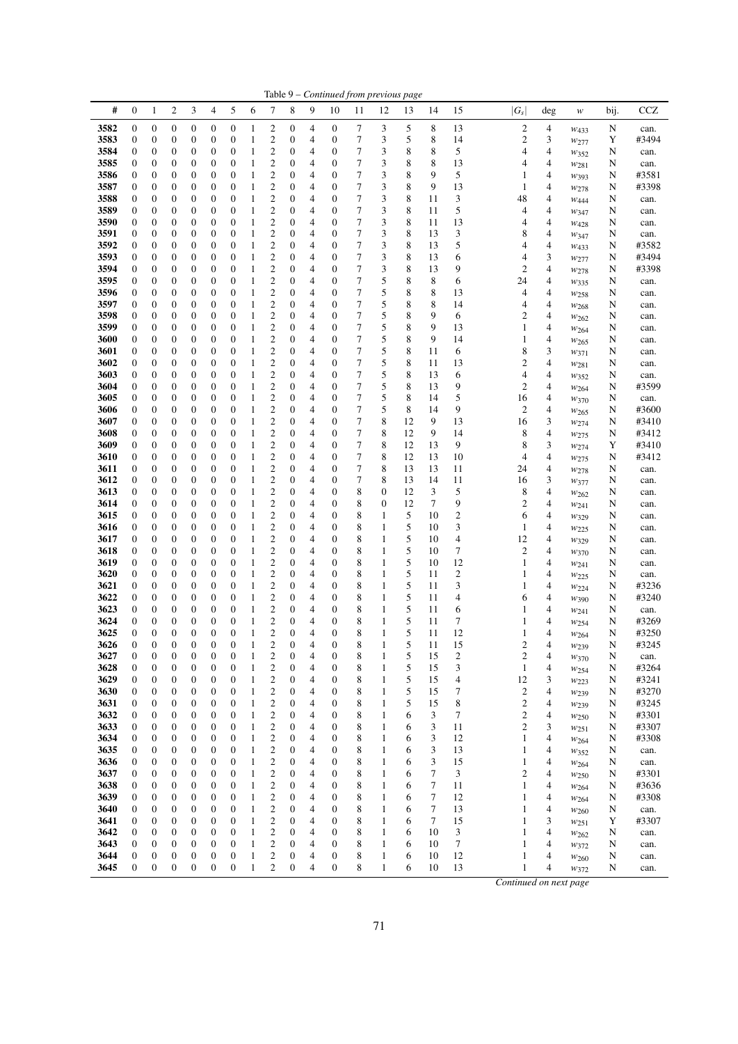| Table 9 – Continued from previous page |                                      |                                      |                                      |                                      |                                      |                   |              |                                         |                                      |                     |                                      |                |                  |         |                                  |                         |                              |        |                               |        |                |
|----------------------------------------|--------------------------------------|--------------------------------------|--------------------------------------|--------------------------------------|--------------------------------------|-------------------|--------------|-----------------------------------------|--------------------------------------|---------------------|--------------------------------------|----------------|------------------|---------|----------------------------------|-------------------------|------------------------------|--------|-------------------------------|--------|----------------|
| #                                      | $\boldsymbol{0}$                     | 1                                    | 2                                    | 3                                    | 4                                    | 5                 | 6            | 7                                       | 8                                    | 9                   | 10                                   | 11             | 12               | 13      | 14                               | 15                      | $ G_s $                      | deg    | w                             | bij.   | CCZ            |
| 3582                                   | $\boldsymbol{0}$                     | $\boldsymbol{0}$                     | $\boldsymbol{0}$                     | $\boldsymbol{0}$                     | $\boldsymbol{0}$                     | 0                 | 1            | 2                                       | $\boldsymbol{0}$                     | 4                   | $\boldsymbol{0}$                     | $\tau$         | 3                | 5       | 8                                | 13                      | $\overline{\mathbf{c}}$      | 4      | $W_{433}$                     | N      | can.           |
| 3583                                   | $\boldsymbol{0}$                     | $\boldsymbol{0}$                     | $\boldsymbol{0}$                     | $\boldsymbol{0}$                     | $\boldsymbol{0}$                     | 0                 | 1            | $\overline{c}$                          | $\boldsymbol{0}$                     | 4                   | $\boldsymbol{0}$                     | 7              | 3                | 5       | 8                                | 14                      | $\overline{\mathbf{c}}$      | 3      | $w_{277}$                     | Y      | #3494          |
| 3584                                   | 0                                    | $\boldsymbol{0}$                     | 0                                    | 0                                    | $\boldsymbol{0}$                     | 0                 | 1            | $\overline{\mathbf{c}}$                 | $\mathbf{0}$                         | 4                   | 0                                    | 7              | 3                | 8       | 8                                | 5                       | 4                            | 4      | W352                          | N      | can.           |
| 3585<br>3586                           | 0<br>0                               | $\boldsymbol{0}$<br>$\boldsymbol{0}$ | $\overline{0}$<br>0                  | $\boldsymbol{0}$<br>$\boldsymbol{0}$ | $\mathbf{0}$<br>$\boldsymbol{0}$     | 0<br>0            | 1<br>1       | $\overline{c}$<br>$\overline{c}$        | $\boldsymbol{0}$<br>$\mathbf{0}$     | 4<br>$\overline{4}$ | $\boldsymbol{0}$<br>0                | 7<br>7         | 3<br>3           | 8<br>8  | 8<br>9                           | 13<br>5                 | 4<br>1                       | 4<br>4 | W <sub>281</sub>              | N<br>N | can.<br>#3581  |
| 3587                                   | 0                                    | $\boldsymbol{0}$                     | $\boldsymbol{0}$                     | $\boldsymbol{0}$                     | $\boldsymbol{0}$                     | 0                 | 1            | $\overline{c}$                          | $\mathbf{0}$                         | 4                   | $\boldsymbol{0}$                     | 7              | 3                | 8       | 9                                | 13                      | 1                            | 4      | $w_{393}$<br>$w_{278}$        | N      | #3398          |
| 3588                                   | 0                                    | $\boldsymbol{0}$                     | $\boldsymbol{0}$                     | $\boldsymbol{0}$                     | $\boldsymbol{0}$                     | 0                 | 1            | $\overline{c}$                          | 0                                    | $\overline{4}$      | $\boldsymbol{0}$                     | 7              | 3                | 8       | 11                               | 3                       | 48                           | 4      | W444                          | N      | can.           |
| 3589                                   | $\boldsymbol{0}$                     | $\boldsymbol{0}$                     | $\boldsymbol{0}$                     | 0                                    | $\boldsymbol{0}$                     | 0                 | 1            | $\overline{c}$                          | $\mathbf{0}$                         | $\overline{4}$      | 0                                    | 7              | 3                | 8       | 11                               | 5                       | 4                            | 4      | W347                          | N      | can.           |
| 3590                                   | 0                                    | $\boldsymbol{0}$                     | 0                                    | 0                                    | $\boldsymbol{0}$                     | 0                 | 1            | $\overline{2}$                          | $\mathbf{0}$                         | 4                   | 0                                    | 7              | 3                | 8       | 11                               | 13                      | 4                            | 4      | $W_{428}$                     | N      | can.           |
| 3591                                   | 0                                    | $\boldsymbol{0}$                     | 0                                    | $\boldsymbol{0}$                     | $\boldsymbol{0}$                     | 0                 | $\mathbf{1}$ | $\overline{c}$                          | $\boldsymbol{0}$                     | 4                   | 0                                    | 7              | 3                | 8       | 13                               | 3                       | 8                            | 4      | W347                          | N      | can.           |
| 3592                                   | 0                                    | $\boldsymbol{0}$                     | $\overline{0}$                       | $\boldsymbol{0}$                     | $\mathbf{0}$                         | 0                 | 1            | $\overline{c}$                          | $\boldsymbol{0}$                     | 4                   | $\boldsymbol{0}$                     | $\overline{7}$ | 3                | 8       | 13                               | 5                       | 4                            | 4      | W433                          | N      | #3582          |
| 3593                                   | 0                                    | $\boldsymbol{0}$                     | 0                                    | $\boldsymbol{0}$                     | $\boldsymbol{0}$                     | 0                 | 1            | $\overline{c}$                          | $\mathbf{0}$                         | $\overline{4}$      | 0                                    | 7              | 3                | 8       | 13                               | 6                       | 4                            | 3      | W277                          | N      | #3494          |
| 3594                                   | $\boldsymbol{0}$                     | $\boldsymbol{0}$                     | $\boldsymbol{0}$                     | $\boldsymbol{0}$                     | $\boldsymbol{0}$                     | 0                 | 1            | $\overline{c}$                          | 0                                    | 4                   | $\boldsymbol{0}$                     | 7              | 3                | 8       | 13                               | 9                       | $\mathfrak{2}$               | 4      | $w_{278}$                     | N      | #3398          |
| 3595                                   | 0                                    | $\boldsymbol{0}$                     | $\boldsymbol{0}$                     | $\boldsymbol{0}$                     | $\boldsymbol{0}$                     | 0                 | 1            | $\overline{c}$                          | $\boldsymbol{0}$                     | $\overline{4}$      | $\boldsymbol{0}$                     | 7              | 5                | 8       | 8                                | 6                       | 24                           | 4      | $w_{335}$                     | N      | can.           |
| 3596<br>3597                           | 0<br>0                               | $\boldsymbol{0}$<br>$\boldsymbol{0}$ | $\boldsymbol{0}$<br>0                | $\boldsymbol{0}$<br>$\boldsymbol{0}$ | $\boldsymbol{0}$<br>$\boldsymbol{0}$ | 0<br>0            | 1<br>1       | 2<br>$\overline{2}$                     | $\mathbf{0}$<br>$\boldsymbol{0}$     | 4<br>4              | 0<br>$\boldsymbol{0}$                | 7<br>7         | 5<br>5           | 8<br>8  | 8<br>8                           | 13<br>14                | 4<br>4                       | 4<br>4 | W <sub>258</sub>              | N<br>N | can.<br>can.   |
| 3598                                   | 0                                    | $\boldsymbol{0}$                     | 0                                    | $\boldsymbol{0}$                     | $\boldsymbol{0}$                     | 0                 | 1            | $\overline{c}$                          | $\mathbf{0}$                         | 4                   | $\boldsymbol{0}$                     | 7              | 5                | 8       | 9                                | 6                       | 2                            | 4      | W268<br>$w_{262}$             | N      | can.           |
| 3599                                   | $\boldsymbol{0}$                     | $\boldsymbol{0}$                     | $\mathbf{0}$                         | $\boldsymbol{0}$                     | $\boldsymbol{0}$                     | 0                 | 1            | $\overline{c}$                          | $\boldsymbol{0}$                     | 4                   | $\boldsymbol{0}$                     | 7              | 5                | 8       | 9                                | 13                      | 1                            | 4      | $w_{264}$                     | N      | can.           |
| 3600                                   | $\boldsymbol{0}$                     | $\boldsymbol{0}$                     | 0                                    | $\boldsymbol{0}$                     | $\boldsymbol{0}$                     | 0                 | 1            | $\overline{c}$                          | $\boldsymbol{0}$                     | 4                   | $\boldsymbol{0}$                     | 7              | 5                | 8       | 9                                | 14                      | 1                            | 4      | W265                          | N      | can.           |
| 3601                                   | $\boldsymbol{0}$                     | $\boldsymbol{0}$                     | $\boldsymbol{0}$                     | $\boldsymbol{0}$                     | $\boldsymbol{0}$                     | 0                 | 1            | $\overline{c}$                          | $\boldsymbol{0}$                     | 4                   | $\boldsymbol{0}$                     | 7              | 5                | 8       | 11                               | 6                       | 8                            | 3      | W371                          | N      | can.           |
| 3602                                   | 0                                    | $\boldsymbol{0}$                     | $\boldsymbol{0}$                     | 0                                    | $\boldsymbol{0}$                     | 0                 | 1            | $\overline{c}$                          | $\boldsymbol{0}$                     | 4                   | 0                                    | 7              | 5                | 8       | 11                               | 13                      | $\overline{c}$               | 4      | $w_{281}$                     | N      | can.           |
| 3603                                   | 0                                    | $\boldsymbol{0}$                     | $\boldsymbol{0}$                     | 0                                    | $\boldsymbol{0}$                     | 0                 | 1            | 2                                       | $\mathbf{0}$                         | 4                   | 0                                    | 7              | 5                | 8       | 13                               | 6                       | 4                            | 4      | $w_{352}$                     | N      | can.           |
| 3604                                   | 0                                    | 0                                    | $\boldsymbol{0}$                     | $\boldsymbol{0}$                     | $\boldsymbol{0}$                     | 0                 | 1            | $\overline{2}$                          | $\boldsymbol{0}$                     | 4                   | $\boldsymbol{0}$                     | 7              | 5                | 8       | 13                               | 9                       | $\mathfrak{2}$               | 4      | W264                          | N      | #3599          |
| 3605                                   | 0                                    | $\boldsymbol{0}$                     | $\overline{0}$                       | $\boldsymbol{0}$                     | $\boldsymbol{0}$                     | 0                 | 1            | $\overline{c}$                          | $\mathbf{0}$                         | 4                   | $\boldsymbol{0}$                     | 7              | 5                | 8       | 14                               | 5                       | 16                           | 4      | W370                          | N      | can.           |
| 3606<br>3607                           | 0<br>0                               | $\boldsymbol{0}$<br>$\boldsymbol{0}$ | $\mathbf{0}$<br>0                    | $\boldsymbol{0}$<br>$\boldsymbol{0}$ | $\mathbf{0}$<br>$\boldsymbol{0}$     | 0<br>0            | 1<br>1       | $\overline{c}$<br>$\overline{c}$        | $\mathbf{0}$<br>0                    | 4<br>$\overline{4}$ | $\boldsymbol{0}$<br>$\boldsymbol{0}$ | 7<br>7         | 5<br>8           | 8<br>12 | 14<br>9                          | 9<br>13                 | $\mathfrak{2}$<br>16         | 4<br>3 | $w_{265}$                     | N<br>N | #3600<br>#3410 |
| 3608                                   | $\boldsymbol{0}$                     | $\boldsymbol{0}$                     | $\boldsymbol{0}$                     | $\boldsymbol{0}$                     | $\boldsymbol{0}$                     | 0                 | 1            | $\overline{c}$                          | $\mathbf{0}$                         | 4                   | 0                                    | 7              | 8                | 12      | 9                                | 14                      | 8                            | 4      | $w_{274}$<br>W275             | N      | #3412          |
| 3609                                   | 0                                    | $\boldsymbol{0}$                     | $\boldsymbol{0}$                     | $\boldsymbol{0}$                     | $\boldsymbol{0}$                     | 0                 | 1            | $\overline{2}$                          | $\mathbf{0}$                         | 4                   | $\boldsymbol{0}$                     | 7              | 8                | 12      | 13                               | 9                       | 8                            | 3      | W274                          | Y      | #3410          |
| 3610                                   | 0                                    | $\boldsymbol{0}$                     | 0                                    | $\boldsymbol{0}$                     | $\boldsymbol{0}$                     | 0                 | $\mathbf{1}$ | $\overline{c}$                          | $\boldsymbol{0}$                     | 4                   | 0                                    | 7              | 8                | 12      | 13                               | 10                      | 4                            | 4      | $w_{275}$                     | N      | #3412          |
| 3611                                   | 0                                    | 0                                    | $\boldsymbol{0}$                     | $\boldsymbol{0}$                     | $\mathbf{0}$                         | 0                 | 1            | $\overline{2}$                          | $\boldsymbol{0}$                     | 4                   | $\boldsymbol{0}$                     | 7              | 8                | 13      | 13                               | 11                      | 24                           | 4      | $w_{278}$                     | N      | can.           |
| 3612                                   | 0                                    | $\boldsymbol{0}$                     | 0                                    | $\boldsymbol{0}$                     | $\boldsymbol{0}$                     | 0                 | 1            | $\overline{c}$                          | $\mathbf{0}$                         | $\overline{4}$      | 0                                    | 7              | 8                | 13      | 14                               | 11                      | 16                           | 3      | W377                          | N      | can.           |
| 3613                                   | 0                                    | $\boldsymbol{0}$                     | $\boldsymbol{0}$                     | $\boldsymbol{0}$                     | $\boldsymbol{0}$                     | 0                 | 1            | $\overline{c}$                          | $\boldsymbol{0}$                     | $\overline{4}$      | $\boldsymbol{0}$                     | 8              | $\boldsymbol{0}$ | 12      | 3                                | 5                       | 8                            | 4      | W262                          | N      | can.           |
| 3614                                   | 0                                    | $\boldsymbol{0}$                     | $\boldsymbol{0}$                     | $\boldsymbol{0}$                     | $\boldsymbol{0}$                     | 0                 | $\mathbf{1}$ | $\overline{c}$                          | 0                                    | $\overline{4}$      | $\boldsymbol{0}$                     | 8              | $\boldsymbol{0}$ | 12      | $\boldsymbol{7}$                 | 9                       | $\overline{c}$               | 4      | W241                          | N      | can.           |
| 3615                                   | 0                                    | $\boldsymbol{0}$                     | $\boldsymbol{0}$                     | $\boldsymbol{0}$                     | $\boldsymbol{0}$                     | 0                 | 1            | $\overline{c}$                          | $\boldsymbol{0}$                     | $\overline{4}$      | $\boldsymbol{0}$                     | 8              | 1                | 5<br>5  | 10                               | $\overline{\mathbf{c}}$ | 6                            | 4      | $w_{329}$                     | N      | can.           |
| 3616<br>3617                           | 0<br>0                               | $\boldsymbol{0}$<br>$\boldsymbol{0}$ | $\boldsymbol{0}$<br>$\boldsymbol{0}$ | $\boldsymbol{0}$<br>$\boldsymbol{0}$ | $\boldsymbol{0}$<br>$\boldsymbol{0}$ | 0<br>0            | 1<br>1       | $\overline{c}$<br>$\overline{c}$        | $\boldsymbol{0}$<br>$\boldsymbol{0}$ | 4<br>4              | $\boldsymbol{0}$<br>$\boldsymbol{0}$ | 8<br>8         | 1<br>1           | 5       | 10<br>10                         | 3<br>$\overline{4}$     | 1<br>12                      | 4<br>4 | W225                          | N<br>N | can.<br>can.   |
| 3618                                   | 0                                    | $\boldsymbol{0}$                     | $\overline{0}$                       | $\boldsymbol{0}$                     | $\boldsymbol{0}$                     | 0                 | 1            | $\overline{c}$                          | $\boldsymbol{0}$                     | 4                   | $\boldsymbol{0}$                     | 8              | 1                | 5       | 10                               | $\tau$                  | $\overline{c}$               | 4      | W329<br>W370                  | N      | can.           |
| 3619                                   | 0                                    | $\boldsymbol{0}$                     | 0                                    | $\boldsymbol{0}$                     | $\boldsymbol{0}$                     | 0                 | 1            | $\overline{c}$                          | $\boldsymbol{0}$                     | $\overline{4}$      | $\boldsymbol{0}$                     | 8              | 1                | 5       | 10                               | 12                      | 1                            | 4      | $w_{241}$                     | N      | can.           |
| 3620                                   | $\boldsymbol{0}$                     | $\boldsymbol{0}$                     | $\boldsymbol{0}$                     | $\boldsymbol{0}$                     | $\boldsymbol{0}$                     | 0                 | 1            | $\overline{c}$                          | 0                                    | $\overline{4}$      | $\boldsymbol{0}$                     | 8              | 1                | 5       | 11                               | $\overline{c}$          | 1                            | 4      | W225                          | N      | can.           |
| 3621                                   | 0                                    | $\boldsymbol{0}$                     | $\boldsymbol{0}$                     | $\boldsymbol{0}$                     | $\boldsymbol{0}$                     | 0                 | 1            | $\overline{c}$                          | $\boldsymbol{0}$                     | 4                   | $\boldsymbol{0}$                     | 8              | 1                | 5       | 11                               | 3                       | 1                            | 4      | W224                          | N      | #3236          |
| 3622                                   | 0                                    | $\boldsymbol{0}$                     | 0                                    | 0                                    | $\boldsymbol{0}$                     | 0                 | 1            | $\overline{\mathbf{c}}$                 | $\mathbf{0}$                         | 4                   | 0                                    | 8              | 1                | 5       | 11                               | 4                       | 6                            | 4      | W390                          | N      | #3240          |
| 3623                                   | 0                                    | $\boldsymbol{0}$                     | 0                                    | 0                                    | $\boldsymbol{0}$                     | 0                 | $\mathbf{1}$ | $\overline{c}$                          | $\boldsymbol{0}$                     | 4                   | $\boldsymbol{0}$                     | 8              | 1                | 5       | 11                               | 6                       | 1                            | 4      | $w_{241}$                     | N      | can.           |
| 3624                                   | 0                                    | $\mathbf{0}$                         | $\overline{0}$                       | $\boldsymbol{0}$                     | $\boldsymbol{0}$                     | 0                 |              | $\overline{\mathbf{c}}$                 | $\boldsymbol{0}$                     | 4                   | $\boldsymbol{0}$                     | 8              | 1                | 5       | 11                               | 7                       | 1                            | 4      | W254                          | N      | #3269          |
| 3625<br>3626                           | $\boldsymbol{0}$<br>$\boldsymbol{0}$ | $\overline{0}$<br>$\boldsymbol{0}$   | $\overline{0}$<br>0                  | $\mathbf{0}$<br>$\boldsymbol{0}$     | $\overline{0}$<br>$\boldsymbol{0}$   | $\mathbf{0}$<br>0 | 1<br>1       | $\overline{2}$<br>2                     | $\overline{0}$<br>$\mathbf{0}$       | $\overline{4}$<br>4 | $\mathbf{0}$<br>0                    | 8<br>8         | 1<br>1           | 5<br>5  | 11<br>11                         | 12<br>15                | 1<br>$\overline{\mathbf{c}}$ | 4<br>4 | W264                          | N<br>N | #3250<br>#3245 |
| 3627                                   | $\boldsymbol{0}$                     | $\boldsymbol{0}$                     | $\boldsymbol{0}$                     | $\boldsymbol{0}$                     | $\boldsymbol{0}$                     | 0                 | 1            | $\overline{\mathbf{c}}$                 | 0                                    | 4                   | $\boldsymbol{0}$                     | 8              | 1                | 5       | 15                               | $\overline{c}$          | $\overline{c}$               | 4      | W <sub>239</sub><br>$w_{370}$ | N      | can.           |
| 3628                                   | 0                                    | $\boldsymbol{0}$                     | $\boldsymbol{0}$                     | $\boldsymbol{0}$                     | $\boldsymbol{0}$                     | 0                 | 1            | $\overline{\mathbf{c}}$                 | $\boldsymbol{0}$                     | 4                   | $\boldsymbol{0}$                     | 8              | 1                | 5       | 15                               | 3                       | 1                            | 4      | W254                          | N      | #3264          |
| 3629                                   | 0                                    | $\boldsymbol{0}$                     | 0                                    | $\boldsymbol{0}$                     | $\boldsymbol{0}$                     | 0                 | $\mathbf{1}$ | $\boldsymbol{2}$                        | $\boldsymbol{0}$                     | 4                   | $\boldsymbol{0}$                     | 8              | 1                | 5       | 15                               | 4                       | 12                           | 3      | W223                          | N      | #3241          |
| 3630                                   | $\boldsymbol{0}$                     | $\boldsymbol{0}$                     | $\overline{0}$                       | $\boldsymbol{0}$                     | $\boldsymbol{0}$                     | 0                 | 1            | $\overline{c}$                          | $\boldsymbol{0}$                     | 4                   | $\boldsymbol{0}$                     | 8              | 1                | 5       | 15                               | 7                       | 2                            | 4      | W239                          | N      | #3270          |
| 3631                                   | $\boldsymbol{0}$                     | $\boldsymbol{0}$                     | $\boldsymbol{0}$                     | $\boldsymbol{0}$                     | $\boldsymbol{0}$                     | 0                 | $\mathbf{1}$ | $\overline{\mathbf{c}}$                 | 0                                    | 4                   | $\boldsymbol{0}$                     | 8              | 1                | 5       | 15                               | 8                       | $\overline{\mathbf{c}}$      | 4      | $w_{239}$                     | N      | #3245          |
| 3632                                   | 0                                    | $\boldsymbol{0}$                     | $\boldsymbol{0}$                     | $\boldsymbol{0}$                     | $\boldsymbol{0}$                     | 0                 | $\mathbf{1}$ | $\overline{\mathbf{c}}$                 | $\boldsymbol{0}$                     | 4                   | $\boldsymbol{0}$                     | 8              | 1                | 6       | 3                                | 7                       | $\overline{\mathbf{c}}$      | 4      | W <sub>250</sub>              | N      | #3301          |
| 3633                                   | $\boldsymbol{0}$                     | $\boldsymbol{0}$                     | $\boldsymbol{0}$                     | $\boldsymbol{0}$                     | $\boldsymbol{0}$                     | 0                 | $\mathbf{1}$ | $\overline{\mathbf{c}}$                 | $\boldsymbol{0}$                     | 4                   | $\boldsymbol{0}$                     | 8              | 1                | 6       | 3                                | 11                      | $\overline{c}$               | 3      | W251                          | N      | #3307          |
| 3634                                   | $\boldsymbol{0}$                     | $\boldsymbol{0}$                     | $\boldsymbol{0}$<br>$\boldsymbol{0}$ | $\boldsymbol{0}$                     | $\boldsymbol{0}$                     | 0                 | 1<br>1       | $\overline{\mathbf{c}}$<br>$\mathbf{2}$ | $\boldsymbol{0}$<br>$\boldsymbol{0}$ | 4                   | $\boldsymbol{0}$                     | 8              | 1                | 6       | $\ensuremath{\mathfrak{Z}}$<br>3 | 12                      | 1                            | 4<br>4 | $w_{264}$                     | N      | #3308          |
| 3635<br>3636                           | $\boldsymbol{0}$<br>$\boldsymbol{0}$ | $\boldsymbol{0}$<br>$\boldsymbol{0}$ | $\boldsymbol{0}$                     | $\boldsymbol{0}$<br>$\boldsymbol{0}$ | $\boldsymbol{0}$<br>$\boldsymbol{0}$ | 0<br>0            | $\mathbf{1}$ | $\boldsymbol{2}$                        | 0                                    | 4<br>4              | $\boldsymbol{0}$<br>$\boldsymbol{0}$ | 8<br>8         | 1<br>1           | 6<br>6  | 3                                | 13<br>15                | 1<br>$\mathbf{1}$            | 4      | $w_{352}$                     | N<br>N | can.<br>can.   |
| 3637                                   | 0                                    | $\boldsymbol{0}$                     | $\mathbf{0}$                         | $\boldsymbol{0}$                     | $\boldsymbol{0}$                     | 0                 | 1            | $\overline{\mathbf{c}}$                 | $\boldsymbol{0}$                     | $\overline{4}$      | $\boldsymbol{0}$                     | 8              | 1                | 6       | $\boldsymbol{7}$                 | 3                       | $\overline{c}$               | 4      | W264<br>W <sub>250</sub>      | N      | #3301          |
| 3638                                   | 0                                    | $\boldsymbol{0}$                     | 0                                    | $\boldsymbol{0}$                     | $\boldsymbol{0}$                     | 0                 | $\mathbf{1}$ | $\overline{\mathbf{c}}$                 | 0                                    | 4                   | $\boldsymbol{0}$                     | 8              | 1                | 6       | 7                                | 11                      | 1                            | 4      | W <sub>264</sub>              | N      | #3636          |
| 3639                                   | $\boldsymbol{0}$                     | $\boldsymbol{0}$                     | $\boldsymbol{0}$                     | $\boldsymbol{0}$                     | $\boldsymbol{0}$                     | 0                 | $\mathbf{1}$ | $\overline{\mathbf{c}}$                 | $\mathbf{0}$                         | 4                   | $\boldsymbol{0}$                     | 8              | 1                | 6       | 7                                | 12                      | 1                            | 4      | W <sub>264</sub>              | N      | #3308          |
| 3640                                   | $\boldsymbol{0}$                     | $\boldsymbol{0}$                     | $\boldsymbol{0}$                     | $\boldsymbol{0}$                     | $\boldsymbol{0}$                     | 0                 | $\mathbf{1}$ | $\overline{c}$                          | $\boldsymbol{0}$                     | 4                   | $\boldsymbol{0}$                     | 8              | 1                | 6       | 7                                | 13                      | 1                            | 4      | W <sub>260</sub>              | N      | can.           |
| 3641                                   | 0                                    | $\boldsymbol{0}$                     | $\boldsymbol{0}$                     | $\boldsymbol{0}$                     | $\boldsymbol{0}$                     | 0                 | $\mathbf{1}$ | $\mathfrak{2}$                          | $\boldsymbol{0}$                     | 4                   | $\boldsymbol{0}$                     | 8              | 1                | 6       | 7                                | 15                      | 1                            | 3      | W251                          | Y      | #3307          |
| 3642                                   | 0                                    | $\boldsymbol{0}$                     | $\boldsymbol{0}$                     | $\boldsymbol{0}$                     | $\boldsymbol{0}$                     | 0                 | 1            | $\mathfrak{2}$                          | $\boldsymbol{0}$                     | 4                   | $\boldsymbol{0}$                     | 8              | 1                | 6       | 10                               | 3                       | 1                            | 4      | $w_{262}$                     | N      | can.           |
| 3643                                   | $\boldsymbol{0}$                     | $\boldsymbol{0}$                     | 0                                    | $\boldsymbol{0}$                     | $\boldsymbol{0}$                     | 0                 | $\mathbf{1}$ | $\mathfrak{2}$                          | $\boldsymbol{0}$                     | 4                   | $\boldsymbol{0}$                     | 8              | 1                | 6       | 10                               | 7                       | 1                            | 4      | $w_{372}$                     | N      | can.           |
| 3644                                   | $\boldsymbol{0}$                     | $\boldsymbol{0}$                     | 0                                    | $\boldsymbol{0}$                     | $\boldsymbol{0}$                     | $\boldsymbol{0}$  | 1            | $\overline{\mathbf{c}}$                 | $\boldsymbol{0}$                     | $\overline{4}$      | $\boldsymbol{0}$                     | 8              | 1                | 6       | 10                               | 12                      | 1                            | 4      | W260                          | N      | can.           |
| 3645                                   | 0                                    | $\boldsymbol{0}$                     | $\boldsymbol{0}$                     | $\boldsymbol{0}$                     | $\boldsymbol{0}$                     | $\boldsymbol{0}$  | 1            | $\overline{c}$                          | $\boldsymbol{0}$                     | $\overline{4}$      | $\boldsymbol{0}$                     | 8              | 1                | 6       | 10                               | 13                      | 1                            | 4      | W372                          | N      | can.           |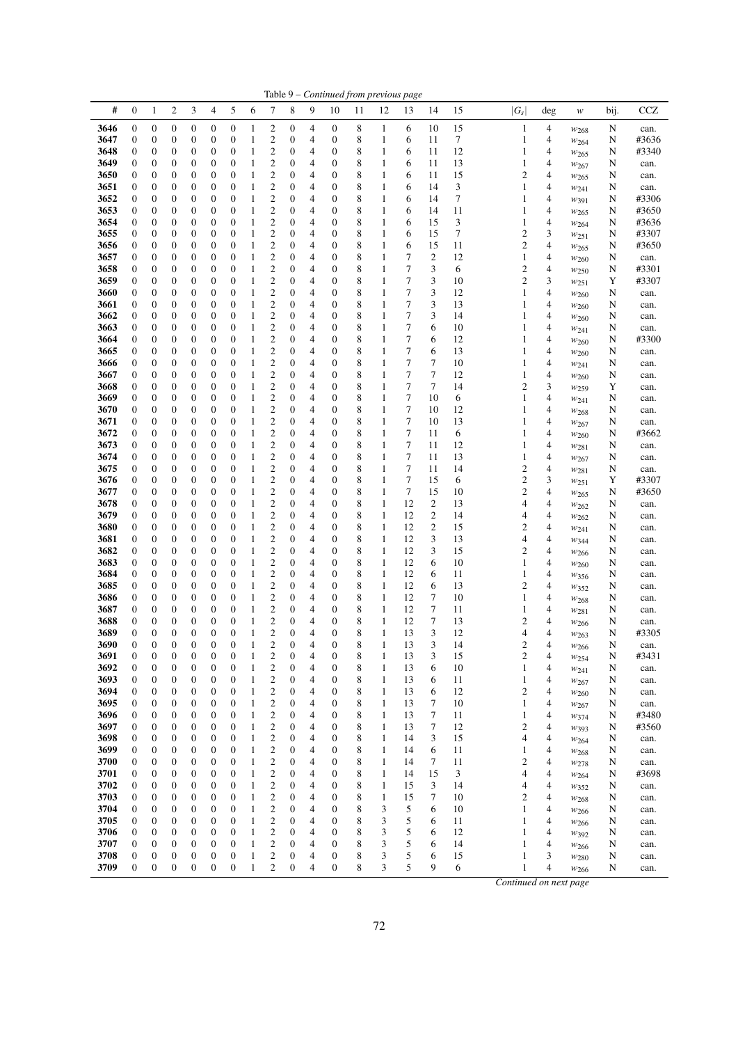|              |                                      |                                      |                         |                                      |                                      |                                      |                              |                                                    |                                      |                |                  | Table 9 - Continued from previous page |                              |                  |                                    |          |                        |        |                               |        |               |
|--------------|--------------------------------------|--------------------------------------|-------------------------|--------------------------------------|--------------------------------------|--------------------------------------|------------------------------|----------------------------------------------------|--------------------------------------|----------------|------------------|----------------------------------------|------------------------------|------------------|------------------------------------|----------|------------------------|--------|-------------------------------|--------|---------------|
| #            | 0                                    | 1                                    | $\overline{\mathbf{c}}$ | 3                                    | 4                                    | 5                                    | 6                            | 7                                                  | 8                                    | 9              | 10               | 11                                     | 12                           | 13               | 14                                 | 15       | $ G_s $                | deg    | w                             | bij.   | $_{\rm CCZ}$  |
| 3646         | 0                                    | $\boldsymbol{0}$                     | $\boldsymbol{0}$        | $\boldsymbol{0}$                     | 0                                    | $\boldsymbol{0}$                     | 1                            | 2                                                  | 0                                    | 4              | $\boldsymbol{0}$ | 8                                      | $\mathbf{1}$                 | 6                | 10                                 | 15       | $\mathbf{1}$           | 4      | $w_{268}$                     | N      | can.          |
| 3647         | 0                                    | $\boldsymbol{0}$                     | $\boldsymbol{0}$        | 0                                    | 0                                    | $\boldsymbol{0}$                     | 1                            | 2                                                  | 0                                    | 4              | 0                | 8                                      | 1                            | 6                | 11                                 | 7        | 1                      | 4      | $w_{264}$                     | N      | #3636         |
| 3648         | 0                                    | 0                                    | 0                       | 0                                    | 0                                    | $\boldsymbol{0}$                     | $\mathbf{1}$                 | $\overline{\mathbf{c}}$                            | 0                                    | 4              | 0                | 8                                      | $\mathbf{1}$                 | 6                | 11                                 | 12       | $\mathbf{1}$           | 4      | W <sub>265</sub>              | N      | #3340         |
| 3649<br>3650 | $\boldsymbol{0}$<br>$\boldsymbol{0}$ | $\boldsymbol{0}$<br>$\boldsymbol{0}$ | 0<br>0                  | 0<br>$\boldsymbol{0}$                | 0<br>0                               | $\boldsymbol{0}$<br>$\boldsymbol{0}$ | $\mathbf{1}$<br>1            | $\overline{\mathbf{c}}$<br>$\overline{c}$          | 0<br>0                               | 4<br>4         | 0<br>0           | 8<br>8                                 | $\mathbf{1}$<br>$\mathbf{1}$ | 6<br>6           | 11<br>11                           | 13<br>15 | 1<br>$\overline{c}$    | 4<br>4 | $w_{267}$                     | N      | can.          |
| 3651         | 0                                    | $\boldsymbol{0}$                     | 0                       | $\boldsymbol{0}$                     | 0                                    | $\boldsymbol{0}$                     | 1                            | $\overline{\mathbf{c}}$                            | 0                                    | 4              | 0                | 8                                      | 1                            | 6                | 14                                 | 3        | 1                      | 4      | $w_{265}$<br>$w_{241}$        | N<br>N | can.<br>can.  |
| 3652         | 0                                    | $\boldsymbol{0}$                     | $\boldsymbol{0}$        | $\boldsymbol{0}$                     | 0                                    | $\boldsymbol{0}$                     | 1                            | $\overline{\mathbf{c}}$                            | 0                                    | 4              | 0                | 8                                      | $\mathbf{1}$                 | 6                | 14                                 | 7        | 1                      | 4      | W391                          | N      | #3306         |
| 3653         | $\boldsymbol{0}$                     | $\boldsymbol{0}$                     | 0                       | $\boldsymbol{0}$                     | 0                                    | $\boldsymbol{0}$                     | 1                            | $\overline{c}$                                     | 0                                    | 4              | 0                | 8                                      | $\mathbf{1}$                 | 6                | 14                                 | 11       | 1                      | 4      | W <sub>265</sub>              | N      | #3650         |
| 3654         | 0                                    | $\boldsymbol{0}$                     | 0                       | $\boldsymbol{0}$                     | 0                                    | $\boldsymbol{0}$                     | 1                            | 2                                                  | 0                                    | 4              | 0                | 8                                      | 1                            | 6                | 15                                 | 3        | 1                      | 4      | $w_{264}$                     | N      | #3636         |
| 3655         | $\mathbf{0}$                         | $\boldsymbol{0}$                     | 0                       | 0                                    | $\boldsymbol{0}$                     | $\boldsymbol{0}$                     | 1                            | $\overline{c}$                                     | $\boldsymbol{0}$                     | 4              | 0                | 8                                      | $\mathbf{1}$                 | 6                | 15                                 | 7        | $\overline{c}$         | 3      | $w_{251}$                     | N      | #3307         |
| 3656         | $\mathbf{0}$                         | $\boldsymbol{0}$                     | 0                       | 0                                    | 0                                    | $\boldsymbol{0}$                     | 1                            | $\overline{c}$                                     | $\boldsymbol{0}$                     | 4              | 0                | 8                                      | 1                            | 6                | 15                                 | 11       | $\overline{c}$         | 4      | W <sub>265</sub>              | N      | #3650         |
| 3657<br>3658 | $\boldsymbol{0}$<br>0                | $\boldsymbol{0}$<br>$\boldsymbol{0}$ | 0<br>0                  | $\boldsymbol{0}$<br>$\boldsymbol{0}$ | 0<br>0                               | $\boldsymbol{0}$<br>$\boldsymbol{0}$ | 1<br>1                       | $\overline{c}$<br>$\overline{\mathbf{c}}$          | 0<br>0                               | 4<br>4         | 0<br>0           | 8<br>8                                 | 1<br>$\mathbf{1}$            | 7<br>7           | $\mathfrak{2}$<br>3                | 12<br>6  | 1<br>2                 | 4<br>4 | $w_{260}$                     | N<br>N | can.<br>#3301 |
| 3659         | 0                                    | $\boldsymbol{0}$                     | $\boldsymbol{0}$        | $\boldsymbol{0}$                     | 0                                    | $\boldsymbol{0}$                     | 1                            | $\overline{\mathbf{c}}$                            | 0                                    | 4              | 0                | 8                                      | $\mathbf{1}$                 | 7                | 3                                  | 10       | $\overline{c}$         | 3      | $w_{250}$<br>$w_{251}$        | Y      | #3307         |
| 3660         | 0                                    | 0                                    | 0                       | 0                                    | 0                                    | $\boldsymbol{0}$                     | 1                            | $\overline{c}$                                     | 0                                    | 4              | 0                | 8                                      | 1                            | 7                | 3                                  | 12       | 1                      | 4      | $w_{260}$                     | N      | can.          |
| 3661         | 0                                    | 0                                    | 0                       | $\boldsymbol{0}$                     | 0                                    | $\boldsymbol{0}$                     | $\mathbf{1}$                 | $\overline{\mathbf{c}}$                            | 0                                    | 4              | 0                | 8                                      | $\mathbf{1}$                 | 7                | 3                                  | 13       | 1                      | 4      | $w_{260}$                     | N      | can.          |
| 3662         | 0                                    | $\boldsymbol{0}$                     | 0                       | 0                                    | 0                                    | $\boldsymbol{0}$                     | 1                            | $\overline{\mathbf{c}}$                            | 0                                    | 4              | 0                | 8                                      | $\mathbf{1}$                 | 7                | 3                                  | 14       | 1                      | 4      | $w_{260}$                     | N      | can.          |
| 3663         | 0                                    | $\boldsymbol{0}$                     | 0                       | 0                                    | 0                                    | $\boldsymbol{0}$                     | 1                            | $\overline{\mathbf{c}}$                            | 0                                    | 4              | 0                | 8                                      | 1                            | 7                | 6                                  | 10       | 1                      | 4      | $w_{241}$                     | N      | can.          |
| 3664<br>3665 | 0<br>0                               | $\boldsymbol{0}$<br>$\boldsymbol{0}$ | 0<br>0                  | $\boldsymbol{0}$<br>$\boldsymbol{0}$ | 0<br>0                               | $\boldsymbol{0}$<br>$\boldsymbol{0}$ | 1<br>$\mathbf{1}$            | $\overline{\mathbf{c}}$<br>$\overline{\mathbf{c}}$ | 0<br>0                               | 4<br>4         | 0<br>0           | 8<br>8                                 | $\mathbf{1}$<br>$\mathbf{1}$ | 7<br>7           | 6<br>6                             | 12<br>13 | 1<br>1                 | 4<br>4 | $w_{260}$                     | N<br>N | #3300         |
| 3666         | $\mathbf{0}$                         | 0                                    | $\boldsymbol{0}$        | $\boldsymbol{0}$                     | 0                                    | $\boldsymbol{0}$                     | 1                            | $\overline{\mathbf{c}}$                            | 0                                    | 4              | 0                | 8                                      | 1                            | 7                | $\boldsymbol{7}$                   | 10       | 1                      | 4      | $w_{260}$<br>$w_{241}$        | N      | can.<br>can.  |
| 3667         | $\boldsymbol{0}$                     | 0                                    | 0                       | 0                                    | 0                                    | $\boldsymbol{0}$                     | 1                            | 2                                                  | 0                                    | 4              | 0                | 8                                      | 1                            | $\boldsymbol{7}$ | $\tau$                             | 12       | 1                      | 4      | $w_{260}$                     | N      | can.          |
| 3668         | $\boldsymbol{0}$                     | $\boldsymbol{0}$                     | 0                       | 0                                    | 0                                    | $\boldsymbol{0}$                     | $\mathbf{1}$                 | $\overline{c}$                                     | $\boldsymbol{0}$                     | 4              | 0                | 8                                      | 1                            | 7                | 7                                  | 14       | 2                      | 3      | W <sub>259</sub>              | Y      | can.          |
| 3669         | $\boldsymbol{0}$                     | $\boldsymbol{0}$                     | 0                       | $\boldsymbol{0}$                     | $\boldsymbol{0}$                     | $\boldsymbol{0}$                     | 1                            | $\overline{c}$                                     | $\boldsymbol{0}$                     | 4              | 0                | 8                                      | 1                            | $\tau$           | 10                                 | 6        | 1                      | 4      | W241                          | N      | can.          |
| 3670         | $\boldsymbol{0}$                     | 0                                    | 0                       | $\boldsymbol{0}$                     | 0                                    | $\boldsymbol{0}$                     | 1                            | $\overline{c}$                                     | $\boldsymbol{0}$                     | 4              | 0                | 8                                      | 1                            | $\tau$           | 10                                 | 12       | 1                      | 4      | $w_{268}$                     | N      | can.          |
| 3671         | 0                                    | $\boldsymbol{0}$                     | 0                       | $\boldsymbol{0}$                     | 0                                    | $\boldsymbol{0}$                     | 1                            | $\overline{\mathbf{c}}$                            | 0                                    | 4              | 0                | 8                                      | $\mathbf{1}$                 | 7                | 10                                 | 13       | 1                      | 4      | $w_{267}$                     | N      | can.          |
| 3672<br>3673 | $\boldsymbol{0}$<br>0                | 0<br>$\boldsymbol{0}$                | 0<br>0                  | 0<br>0                               | 0<br>0                               | $\boldsymbol{0}$<br>$\boldsymbol{0}$ | 1<br>1                       | $\overline{c}$<br>$\overline{\mathbf{c}}$          | 0<br>0                               | 4<br>4         | 0<br>0           | 8<br>8                                 | $\mathbf{1}$<br>1            | 7<br>7           | 11<br>11                           | 6<br>12  | 1<br>1                 | 4<br>4 | $w_{260}$                     | N<br>N | #3662<br>can. |
| 3674         | $\boldsymbol{0}$                     | 0                                    | 0                       | 0                                    | 0                                    | $\boldsymbol{0}$                     | $\mathbf{1}$                 | $\overline{\mathbf{c}}$                            | 0                                    | 4              | 0                | 8                                      | $\mathbf{1}$                 | 7                | 11                                 | 13       | 1                      | 4      | $w_{281}$<br>$w_{267}$        | N      | can.          |
| 3675         | $\boldsymbol{0}$                     | $\boldsymbol{0}$                     | 0                       | $\boldsymbol{0}$                     | 0                                    | $\boldsymbol{0}$                     | 1                            | $\overline{\mathbf{c}}$                            | 0                                    | 4              | 0                | 8                                      | $\mathbf{1}$                 | 7                | 11                                 | 14       | 2                      | 4      | $w_{281}$                     | N      | can.          |
| 3676         | 0                                    | $\boldsymbol{0}$                     | 0                       | $\boldsymbol{0}$                     | 0                                    | $\boldsymbol{0}$                     | 1                            | $\overline{\mathbf{c}}$                            | 0                                    | 4              | 0                | 8                                      | $\mathbf{1}$                 | 7                | 15                                 | 6        | $\overline{c}$         | 3      | $w_{251}$                     | Y      | #3307         |
| 3677         | 0                                    | $\boldsymbol{0}$                     | 0                       | $\boldsymbol{0}$                     | 0                                    | $\boldsymbol{0}$                     | 1                            | $\overline{\mathbf{c}}$                            | 0                                    | 4              | 0                | 8                                      | $\mathbf{1}$                 | 7                | 15                                 | 10       | $\overline{c}$         | 4      | W <sub>265</sub>              | N      | #3650         |
| 3678         | 0                                    | $\boldsymbol{0}$                     | $\boldsymbol{0}$        | $\boldsymbol{0}$                     | 0                                    | $\boldsymbol{0}$                     | 1                            | $\overline{\mathbf{c}}$                            | 0                                    | 4              | 0                | 8                                      | $\mathbf{1}$                 | 12               | $\boldsymbol{2}$                   | 13       | 4                      | 4      | $w_{262}$                     | N      | can.          |
| 3679<br>3680 | $\boldsymbol{0}$                     | 0<br>$\boldsymbol{0}$                | 0<br>0                  | $\boldsymbol{0}$<br>$\boldsymbol{0}$ | 0<br>0                               | $\boldsymbol{0}$<br>$\boldsymbol{0}$ | $\mathbf{1}$<br>$\mathbf{1}$ | $\overline{c}$<br>$\overline{\mathbf{c}}$          | 0                                    | 4<br>4         | 0                | 8<br>8                                 | 1<br>$\mathbf{1}$            | 12<br>12         | $\overline{c}$<br>$\boldsymbol{2}$ | 14<br>15 | 4<br>2                 | 4<br>4 | $w_{262}$                     | N      | can.          |
| 3681         | 0<br>$\boldsymbol{0}$                | $\boldsymbol{0}$                     | 0                       | 0                                    | 0                                    | $\boldsymbol{0}$                     | 1                            | $\overline{c}$                                     | 0<br>$\boldsymbol{0}$                | 4              | 0<br>0           | 8                                      | $\mathbf{1}$                 | 12               | 3                                  | 13       | 4                      | 4      | W241<br>W344                  | N<br>N | can.<br>can.  |
| 3682         | $\mathbf{0}$                         | $\boldsymbol{0}$                     | 0                       | $\boldsymbol{0}$                     | 0                                    | $\boldsymbol{0}$                     | 1                            | $\overline{c}$                                     | $\boldsymbol{0}$                     | 4              | 0                | 8                                      | 1                            | 12               | 3                                  | 15       | $\overline{c}$         | 4      | $w_{266}$                     | N      | can.          |
| 3683         | $\boldsymbol{0}$                     | $\boldsymbol{0}$                     | 0                       | $\boldsymbol{0}$                     | 0                                    | $\boldsymbol{0}$                     | 1                            | $\overline{c}$                                     | 0                                    | 4              | 0                | 8                                      | 1                            | 12               | 6                                  | 10       | 1                      | 4      | $w_{260}$                     | N      | can.          |
| 3684         | 0                                    | $\boldsymbol{0}$                     | 0                       | $\boldsymbol{0}$                     | 0                                    | $\boldsymbol{0}$                     | 1                            | $\overline{c}$                                     | 0                                    | 4              | 0                | 8                                      | 1                            | 12               | 6                                  | 11       | 1                      | 4      | W356                          | N      | can.          |
| 3685         | $\boldsymbol{0}$                     | $\boldsymbol{0}$                     | $\boldsymbol{0}$        | $\boldsymbol{0}$                     | 0                                    | $\boldsymbol{0}$                     | 1                            | $\overline{c}$                                     | 0                                    | 4              | 0                | 8                                      | $\mathbf{1}$                 | 12               | 6                                  | 13       | $\overline{c}$         | 4      | W352                          | N      | can.          |
| 3686         | 0                                    | 0                                    | 0                       | 0                                    | 0                                    | $\boldsymbol{0}$                     | 1                            | $\overline{c}$                                     | 0                                    | 4              | 0                | 8                                      | 1                            | 12               | 7                                  | 10       | 1                      | 4      | $w_{268}$                     | N      | can.          |
| 3687<br>3688 | 0<br>$\mathbf{0}$                    | 0<br>$\boldsymbol{0}$                | 0<br>$\overline{0}$     | 0<br>$\boldsymbol{0}$                | 0<br>$\boldsymbol{0}$                | $\boldsymbol{0}$<br>$\mathbf{0}$     | 1<br>1                       | $\overline{\mathbf{c}}$<br>$\overline{c}$          | 0<br>$\boldsymbol{0}$                | 4<br>4         | 0<br>0           | 8<br>8                                 | 1<br>1                       | 12<br>12         | 7<br>7                             | 11<br>13 | 1<br>$\overline{c}$    | 4<br>4 | $w_{281}$                     | N<br>N | can.<br>can.  |
| 3689         | $\boldsymbol{0}$                     | $\boldsymbol{0}$                     | $\overline{0}$          | $\boldsymbol{0}$                     | $\boldsymbol{0}$                     | $\mathbf{0}$                         | 1                            | 2                                                  | $\boldsymbol{0}$                     | 4              | 0                | 8                                      | 1                            | 13               | 3                                  | 12       | 4                      | 4      | $w_{266}$<br>W <sub>263</sub> | N      | #3305         |
| 3690         | 0                                    | $\boldsymbol{0}$                     | $\boldsymbol{0}$        | 0                                    | $\boldsymbol{0}$                     | 0                                    | 1                            | $\overline{2}$                                     | $\boldsymbol{0}$                     | 4              | 0                | 8                                      | 1                            | 13               | 3                                  | 14       | 2                      | 4      | $W_{266}$                     | N      | can.          |
| 3691         | $\boldsymbol{0}$                     | $\boldsymbol{0}$                     | $\boldsymbol{0}$        | $\boldsymbol{0}$                     | $\boldsymbol{0}$                     | $\boldsymbol{0}$                     | $\mathbf{1}$                 | 2                                                  | 0                                    | 4              | 0                | 8                                      | $\mathbf{1}$                 | 13               | 3                                  | 15       | $\overline{c}$         | 4      | $w_{254}$                     | N      | #3431         |
| 3692         | 0                                    | $\boldsymbol{0}$                     | $\boldsymbol{0}$        | $\boldsymbol{0}$                     | $\boldsymbol{0}$                     | $\boldsymbol{0}$                     | 1                            | 2                                                  | $\boldsymbol{0}$                     | 4              | 0                | 8                                      | 1                            | 13               | 6                                  | 10       | 1                      | 4      | $w_{241}$                     | N      | can.          |
| 3693         | $\boldsymbol{0}$                     | $\boldsymbol{0}$                     | 0                       | $\boldsymbol{0}$                     | $\boldsymbol{0}$                     | $\boldsymbol{0}$                     | $\mathbf{1}$                 | 2                                                  | $\boldsymbol{0}$                     | 4              | 0                | 8                                      | 1                            | 13               | 6                                  | 11       | 1                      | 4      | W267                          | N      | can.          |
| 3694<br>3695 | $\boldsymbol{0}$<br>$\boldsymbol{0}$ | $\boldsymbol{0}$<br>$\boldsymbol{0}$ | 0<br>$\boldsymbol{0}$   | 0<br>$\boldsymbol{0}$                | $\boldsymbol{0}$<br>$\boldsymbol{0}$ | $\boldsymbol{0}$<br>$\boldsymbol{0}$ | 1<br>1                       | 2<br>$\overline{c}$                                | $\boldsymbol{0}$<br>$\boldsymbol{0}$ | 4<br>4         | 0<br>0           | 8<br>8                                 | 1<br>$\mathbf{1}$            | 13<br>13         | 6<br>$\tau$                        | 12<br>10 | $\overline{c}$<br>1    | 4<br>4 | $w_{260}$                     | N<br>N | can.<br>can.  |
| 3696         | 0                                    | $\boldsymbol{0}$                     | 0                       | $\boldsymbol{0}$                     | 0                                    | $\boldsymbol{0}$                     | $\mathbf{1}$                 | 2                                                  | 0                                    | 4              | 0                | 8                                      | $\mathbf{1}$                 | 13               | 7                                  | 11       | 1                      | 4      | $w_{267}$<br>W374             | N      | #3480         |
| 3697         | $\boldsymbol{0}$                     | $\boldsymbol{0}$                     | $\mathbf{0}$            | $\boldsymbol{0}$                     | $\boldsymbol{0}$                     | $\mathbf{0}$                         | 1                            | 2                                                  | $\boldsymbol{0}$                     | 4              | 0                | 8                                      | $\mathbf{1}$                 | 13               | 7                                  | 12       | 2                      | 4      | W393                          | N      | #3560         |
| 3698         | $\boldsymbol{0}$                     | $\boldsymbol{0}$                     | $\boldsymbol{0}$        | $\boldsymbol{0}$                     | 0                                    | $\boldsymbol{0}$                     | $\mathbf{1}$                 | 2                                                  | $\boldsymbol{0}$                     | 4              | 0                | 8                                      | 1                            | 14               | 3                                  | 15       | 4                      | 4      | $W_{264}$                     | N      | can.          |
| 3699         | 0                                    | $\boldsymbol{0}$                     | $\boldsymbol{0}$        | $\boldsymbol{0}$                     | $\boldsymbol{0}$                     | $\boldsymbol{0}$                     | $\mathbf{1}$                 | 2                                                  | $\boldsymbol{0}$                     | 4              | 0                | 8                                      | 1                            | 14               | 6                                  | 11       | 1                      | 4      | $w_{268}$                     | N      | can.          |
| 3700         | $\boldsymbol{0}$                     | $\boldsymbol{0}$                     | $\boldsymbol{0}$        | $\boldsymbol{0}$                     | $\boldsymbol{0}$                     | $\boldsymbol{0}$                     | $\mathbf{1}$                 | 2                                                  | $\boldsymbol{0}$                     | 4              | 0                | 8                                      | $\mathbf{1}$                 | 14               | 7                                  | 11       | $\overline{c}$         | 4      | W278                          | N      | can.          |
| 3701         | 0                                    | $\boldsymbol{0}$                     | 0                       | $\boldsymbol{0}$<br>$\boldsymbol{0}$ | $\boldsymbol{0}$                     | $\boldsymbol{0}$                     | 1                            | 2                                                  | $\boldsymbol{0}$                     | 4              | 0                | 8                                      | $\mathbf{1}$                 | 14               | 15                                 | 3        | 4                      | 4      | W264                          | N      | #3698         |
| 3702<br>3703 | $\boldsymbol{0}$<br>0                | $\boldsymbol{0}$<br>$\boldsymbol{0}$ | $\boldsymbol{0}$<br>0   | $\boldsymbol{0}$                     | $\boldsymbol{0}$<br>0                | $\boldsymbol{0}$<br>$\boldsymbol{0}$ | 1<br>1                       | 2<br>2                                             | 0<br>0                               | 4<br>4         | 0<br>0           | 8<br>8                                 | 1<br>$\mathbf{1}$            | 15<br>15         | 3<br>7                             | 14<br>10 | 4<br>$\mathfrak{2}$    | 4<br>4 | $W_{352}$<br>W <sub>268</sub> | N<br>N | can.<br>can.  |
| 3704         | $\boldsymbol{0}$                     | $\boldsymbol{0}$                     | $\boldsymbol{0}$        | $\boldsymbol{0}$                     | $\boldsymbol{0}$                     | $\boldsymbol{0}$                     | 1                            | 2                                                  | $\boldsymbol{0}$                     | 4              | 0                | 8                                      | 3                            | 5                | 6                                  | 10       | 1                      | 4      | $w_{266}$                     | N      | can.          |
| 3705         | $\boldsymbol{0}$                     | $\boldsymbol{0}$                     | 0                       | $\boldsymbol{0}$                     | $\boldsymbol{0}$                     | $\boldsymbol{0}$                     | $\mathbf{1}$                 | 2                                                  | $\boldsymbol{0}$                     | 4              | 0                | 8                                      | 3                            | 5                | 6                                  | 11       | 1                      | 4      | W <sub>266</sub>              | N      | can.          |
| 3706         | 0                                    | $\boldsymbol{0}$                     | 0                       | $\boldsymbol{0}$                     | $\boldsymbol{0}$                     | $\boldsymbol{0}$                     | $\mathbf{1}$                 | 2                                                  | $\boldsymbol{0}$                     | 4              | 0                | 8                                      | 3                            | 5                | 6                                  | 12       | 1                      | 4      | W392                          | N      | can.          |
| 3707         | $\boldsymbol{0}$                     | $\boldsymbol{0}$                     | $\boldsymbol{0}$        | $\boldsymbol{0}$                     | $\boldsymbol{0}$                     | $\boldsymbol{0}$                     | $\mathbf{1}$                 | $\boldsymbol{2}$                                   | $\boldsymbol{0}$                     | 4              | 0                | 8                                      | 3                            | 5                | 6                                  | 14       | 1                      | 4      | $w_{266}$                     | N      | can.          |
| 3708         | $\boldsymbol{0}$                     | $\boldsymbol{0}$                     | 0                       | $\boldsymbol{0}$                     | 0                                    | $\boldsymbol{0}$                     | 1                            | 2                                                  | $\boldsymbol{0}$                     | 4              | 0                | 8                                      | 3                            | 5                | 6                                  | 15       | 1                      | 3      | $w_{280}$                     | N      | can.          |
| 3709         | $\boldsymbol{0}$                     | $\mathbf{0}$                         | $\boldsymbol{0}$        | $\boldsymbol{0}$                     | $\boldsymbol{0}$                     | $\boldsymbol{0}$                     | $\mathbf{1}$                 | 2                                                  | $\boldsymbol{0}$                     | $\overline{4}$ | $\boldsymbol{0}$ | 8                                      | 3                            | 5                | 9                                  | 6        | 1                      | 4      | W266                          | N      | can.          |
|              |                                      |                                      |                         |                                      |                                      |                                      |                              |                                                    |                                      |                |                  |                                        |                              |                  |                                    |          | Continued on next page |        |                               |        |               |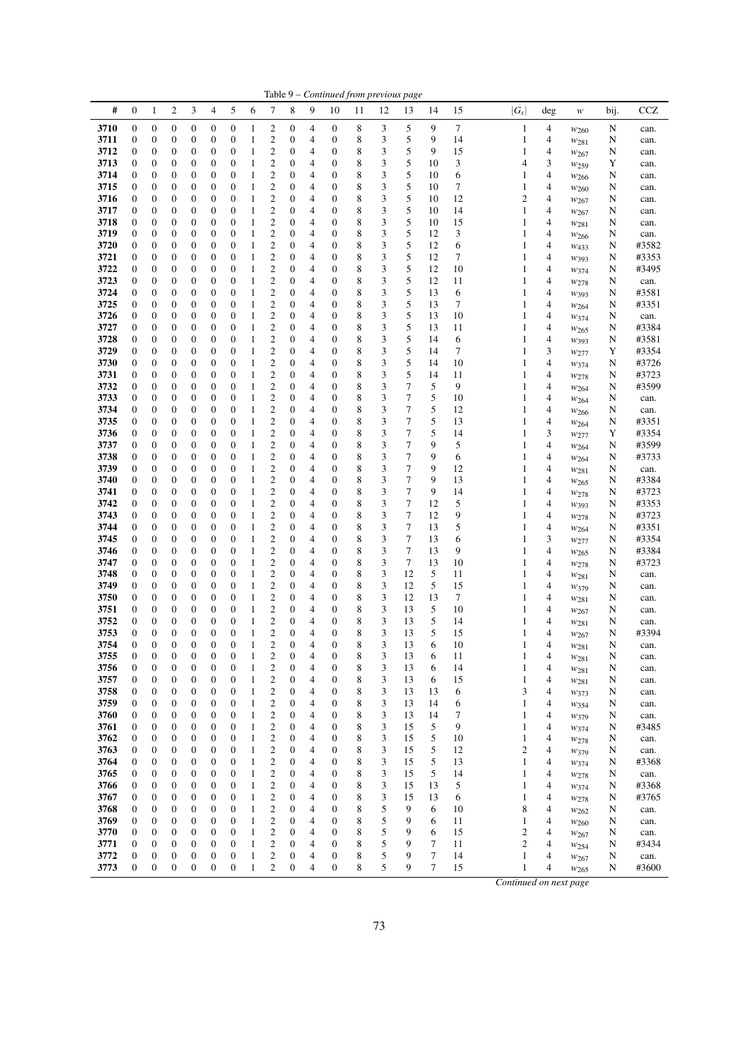|              |                                      |                                      |                                  |                                      |                                      |                                      |                              |                                    |                                      |        |                                      |        |        | Table 9 – Continued from previous page |          |          |           |                             |                               |        |                |
|--------------|--------------------------------------|--------------------------------------|----------------------------------|--------------------------------------|--------------------------------------|--------------------------------------|------------------------------|------------------------------------|--------------------------------------|--------|--------------------------------------|--------|--------|----------------------------------------|----------|----------|-----------|-----------------------------|-------------------------------|--------|----------------|
| #            | $\boldsymbol{0}$                     | 1                                    | $\overline{c}$                   | 3                                    | 4                                    | 5                                    | 6                            | 7                                  | 8                                    | 9      | 10                                   | 11     | 12     | 13                                     | 14       | 15       | $ G_{S} $ | deg                         | $\boldsymbol{W}$              | bij.   | <b>CCZ</b>     |
| 3710         | $\boldsymbol{0}$                     | $\boldsymbol{0}$                     | 0                                | $\boldsymbol{0}$                     | $\boldsymbol{0}$                     | $\boldsymbol{0}$                     | 1                            | 2                                  | 0                                    | 4      | $\boldsymbol{0}$                     | 8      | 3      | 5                                      | 9        | 7        |           | 4<br>1                      | $w_{260}$                     | N      | can.           |
| 3711         | $\boldsymbol{0}$                     | $\boldsymbol{0}$                     | 0                                | $\boldsymbol{0}$                     | $\boldsymbol{0}$                     | $\boldsymbol{0}$                     | 1                            | $\mathbf{2}$                       | $\boldsymbol{0}$                     | 4      | $\boldsymbol{0}$                     | 8      | 3      | 5                                      | 9        | 14       |           | $\mathbf{1}$<br>4           | $w_{281}$                     | N      | can.           |
| 3712         | $\boldsymbol{0}$                     | $\boldsymbol{0}$                     | 0                                | $\boldsymbol{0}$                     | $\boldsymbol{0}$                     | $\boldsymbol{0}$                     | 1                            | $\boldsymbol{2}$                   | $\boldsymbol{0}$                     | 4      | 0                                    | 8      | 3      | 5                                      | 9        | 15       |           | 1<br>4                      | W267                          | N      | can.           |
| 3713<br>3714 | $\boldsymbol{0}$                     | $\boldsymbol{0}$                     | 0                                | 0                                    | $\mathbf{0}$                         | $\boldsymbol{0}$                     | 1                            | $\mathbf{2}$                       | $\boldsymbol{0}$<br>$\boldsymbol{0}$ | 4      | $\boldsymbol{0}$<br>$\boldsymbol{0}$ | 8<br>8 | 3<br>3 | 5<br>5                                 | 10<br>10 | 3        |           | 3<br>4                      | W <sub>259</sub>              | Y      | can.           |
| 3715         | $\boldsymbol{0}$<br>$\boldsymbol{0}$ | $\boldsymbol{0}$<br>$\boldsymbol{0}$ | $\boldsymbol{0}$<br>$\mathbf{0}$ | 0<br>0                               | $\boldsymbol{0}$<br>$\mathbf{0}$     | $\boldsymbol{0}$<br>$\boldsymbol{0}$ | 1<br>1                       | $\boldsymbol{2}$<br>$\overline{c}$ | $\boldsymbol{0}$                     | 4<br>4 | $\boldsymbol{0}$                     | 8      | 3      | 5                                      | 10       | 6<br>7   |           | 1<br>4<br>1<br>4            | W <sub>266</sub>              | N<br>N | can.<br>can.   |
| 3716         | $\boldsymbol{0}$                     | $\boldsymbol{0}$                     | 0                                | 0                                    | $\boldsymbol{0}$                     | $\boldsymbol{0}$                     | 1                            | $\overline{c}$                     | $\boldsymbol{0}$                     | 4      | $\boldsymbol{0}$                     | 8      | 3      | 5                                      | 10       | 12       |           | 2<br>4                      | $w_{260}$<br>W267             | N      | can.           |
| 3717         | $\boldsymbol{0}$                     | $\boldsymbol{0}$                     | $\boldsymbol{0}$                 | $\boldsymbol{0}$                     | $\boldsymbol{0}$                     | $\boldsymbol{0}$                     | 1                            | $\overline{c}$                     | $\boldsymbol{0}$                     | 4      | $\boldsymbol{0}$                     | 8      | 3      | 5                                      | 10       | 14       |           | 1<br>4                      | W267                          | N      | can.           |
| 3718         | $\boldsymbol{0}$                     | $\boldsymbol{0}$                     | $\boldsymbol{0}$                 | 0                                    | $\boldsymbol{0}$                     | $\boldsymbol{0}$                     | 1                            | $\mathfrak{2}$                     | 0                                    | 4      | $\boldsymbol{0}$                     | 8      | 3      | 5                                      | 10       | 15       |           | 1<br>4                      | $w_{281}$                     | N      | can.           |
| 3719         | $\boldsymbol{0}$                     | $\boldsymbol{0}$                     | $\boldsymbol{0}$                 | 0                                    | $\boldsymbol{0}$                     | $\boldsymbol{0}$                     | 1                            | $\mathfrak{2}$                     | $\boldsymbol{0}$                     | 4      | 0                                    | 8      | 3      | 5                                      | 12       | 3        |           | 1<br>4                      | W <sub>266</sub>              | N      | can.           |
| 3720         | $\boldsymbol{0}$                     | $\boldsymbol{0}$                     | $\boldsymbol{0}$                 | 0                                    | $\boldsymbol{0}$                     | $\mathbf{0}$                         | 1                            | $\mathfrak{2}$                     | $\boldsymbol{0}$                     | 4      | $\boldsymbol{0}$                     | 8      | 3      | 5                                      | 12       | 6        |           | 1<br>4                      | W433                          | N      | #3582          |
| 3721         | $\boldsymbol{0}$                     | $\boldsymbol{0}$                     | $\mathbf{0}$                     | 0                                    | $\mathbf{0}$                         | $\boldsymbol{0}$                     | 1                            | $\boldsymbol{2}$                   | $\boldsymbol{0}$                     | 4      | $\boldsymbol{0}$                     | 8      | 3      | 5                                      | 12       | 7        |           | 1<br>4                      | W393                          | N      | #3353          |
| 3722<br>3723 | $\boldsymbol{0}$<br>$\boldsymbol{0}$ | $\boldsymbol{0}$<br>$\boldsymbol{0}$ | $\boldsymbol{0}$<br>0            | 0<br>0                               | $\boldsymbol{0}$<br>$\boldsymbol{0}$ | $\boldsymbol{0}$<br>$\boldsymbol{0}$ | 1<br>1                       | $\overline{c}$<br>$\mathbf{2}$     | $\boldsymbol{0}$<br>$\boldsymbol{0}$ | 4<br>4 | $\boldsymbol{0}$<br>$\boldsymbol{0}$ | 8<br>8 | 3<br>3 | 5<br>5                                 | 12<br>12 | 10<br>11 |           | 1<br>4<br>1<br>4            | $w_{374}$                     | N<br>N | #3495<br>can.  |
| 3724         | $\boldsymbol{0}$                     | $\boldsymbol{0}$                     | $\boldsymbol{0}$                 | $\boldsymbol{0}$                     | $\boldsymbol{0}$                     | $\boldsymbol{0}$                     | 1                            | $\mathbf{2}$                       | $\boldsymbol{0}$                     | 4      | $\boldsymbol{0}$                     | 8      | 3      | 5                                      | 13       | 6        |           | 1<br>4                      | $w_{278}$<br>W393             | N      | #3581          |
| 3725         | $\boldsymbol{0}$                     | $\boldsymbol{0}$                     | 0                                | 0                                    | $\boldsymbol{0}$                     | $\boldsymbol{0}$                     | 1                            | $\overline{c}$                     | $\boldsymbol{0}$                     | 4      | $\boldsymbol{0}$                     | 8      | 3      | 5                                      | 13       | 7        |           | 1<br>4                      | W264                          | N      | #3351          |
| 3726         | $\boldsymbol{0}$                     | $\boldsymbol{0}$                     | 0                                | 0                                    | $\mathbf{0}$                         | $\boldsymbol{0}$                     | 1                            | $\mathbf{2}$                       | $\mathbf{0}$                         | 4      | 0                                    | 8      | 3      | 5                                      | 13       | 10       |           | 1<br>4                      | W374                          | N      | can.           |
| 3727         | $\boldsymbol{0}$                     | $\boldsymbol{0}$                     | $\boldsymbol{0}$                 | 0                                    | $\boldsymbol{0}$                     | $\boldsymbol{0}$                     | 1                            | $\mathbf{2}$                       | $\boldsymbol{0}$                     | 4      | $\boldsymbol{0}$                     | 8      | 3      | 5                                      | 13       | 11       |           | 1<br>4                      | $w_{265}$                     | N      | #3384          |
| 3728         | $\boldsymbol{0}$                     | $\boldsymbol{0}$                     | 0                                | 0                                    | $\boldsymbol{0}$                     | $\boldsymbol{0}$                     | 1                            | $\mathbf{2}$                       | $\boldsymbol{0}$                     | 4      | $\boldsymbol{0}$                     | 8      | 3      | 5                                      | 14       | 6        |           | 1<br>4                      | W393                          | N      | #3581          |
| 3729         | $\boldsymbol{0}$                     | $\boldsymbol{0}$                     | 0                                | 0                                    | $\boldsymbol{0}$                     | $\boldsymbol{0}$                     | 1                            | $\mathbf{2}$                       | $\boldsymbol{0}$                     | 4      | $\boldsymbol{0}$                     | 8      | 3      | 5                                      | 14       | 7        |           | 3<br>1                      | W277                          | Y      | #3354          |
| 3730         | $\boldsymbol{0}$                     | $\boldsymbol{0}$                     | $\boldsymbol{0}$                 | 0                                    | $\boldsymbol{0}$                     | $\boldsymbol{0}$                     | 1                            | $\boldsymbol{2}$                   | $\boldsymbol{0}$                     | 4      | $\boldsymbol{0}$                     | 8      | 3      | 5                                      | 14       | 10       |           | 4<br>1                      | W374                          | N      | #3726          |
| 3731<br>3732 | $\boldsymbol{0}$<br>$\boldsymbol{0}$ | $\boldsymbol{0}$<br>$\boldsymbol{0}$ | $\boldsymbol{0}$                 | $\boldsymbol{0}$<br>0                | $\boldsymbol{0}$<br>$\mathbf{0}$     | $\boldsymbol{0}$<br>$\boldsymbol{0}$ | 1                            | $\mathfrak{2}$<br>$\mathfrak{2}$   | $\boldsymbol{0}$<br>$\boldsymbol{0}$ | 4<br>4 | $\boldsymbol{0}$<br>$\boldsymbol{0}$ | 8<br>8 | 3<br>3 | 5<br>7                                 | 14<br>5  | 11<br>9  |           | 1<br>4<br>1                 | $w_{278}$                     | N      | #3723<br>#3599 |
| 3733         | $\boldsymbol{0}$                     | $\boldsymbol{0}$                     | 0<br>$\boldsymbol{0}$            | 0                                    | $\boldsymbol{0}$                     | $\boldsymbol{0}$                     | 1<br>1                       | $\mathfrak{2}$                     | $\boldsymbol{0}$                     | 4      | $\boldsymbol{0}$                     | 8      | 3      | 7                                      | 5        | 10       |           | 4<br>1<br>4                 | W264                          | N<br>N | can.           |
| 3734         | $\boldsymbol{0}$                     | $\boldsymbol{0}$                     | $\mathbf{0}$                     | 0                                    | $\mathbf{0}$                         | $\boldsymbol{0}$                     | 1                            | $\overline{c}$                     | $\boldsymbol{0}$                     | 4      | $\boldsymbol{0}$                     | 8      | 3      | 7                                      | 5        | 12       |           | 1<br>4                      | W264<br>W <sub>266</sub>      | N      | can.           |
| 3735         | $\boldsymbol{0}$                     | $\boldsymbol{0}$                     | 0                                | 0                                    | $\boldsymbol{0}$                     | $\boldsymbol{0}$                     | 1                            | $\mathbf{2}$                       | $\boldsymbol{0}$                     | 4      | $\boldsymbol{0}$                     | 8      | 3      | 7                                      | 5        | 13       |           | 1<br>4                      | W <sub>264</sub>              | N      | #3351          |
| 3736         | $\boldsymbol{0}$                     | $\boldsymbol{0}$                     | $\boldsymbol{0}$                 | $\boldsymbol{0}$                     | $\boldsymbol{0}$                     | $\boldsymbol{0}$                     | 1                            | $\mathbf{2}$                       | $\boldsymbol{0}$                     | 4      | $\boldsymbol{0}$                     | 8      | 3      | 7                                      | 5        | 14       |           | 3<br>1                      | W277                          | Y      | #3354          |
| 3737         | $\boldsymbol{0}$                     | $\boldsymbol{0}$                     | $\boldsymbol{0}$                 | 0                                    | $\boldsymbol{0}$                     | $\boldsymbol{0}$                     | 1                            | $\mathfrak{2}$                     | 0                                    | 4      | $\boldsymbol{0}$                     | 8      | 3      | 7                                      | 9        | 5        |           | 1<br>4                      | W264                          | N      | #3599          |
| 3738         | $\boldsymbol{0}$                     | $\boldsymbol{0}$                     | 0                                | 0                                    | $\boldsymbol{0}$                     | $\boldsymbol{0}$                     | 1                            | $\mathfrak{2}$                     | $\boldsymbol{0}$                     | 4      | 0                                    | 8      | 3      | 7                                      | 9        | 6        |           | 1<br>4                      | $w_{264}$                     | N      | #3733          |
| 3739         | $\boldsymbol{0}$                     | $\boldsymbol{0}$                     | 0                                | 0                                    | $\mathbf{0}$                         | $\boldsymbol{0}$                     | 1                            | $\mathfrak{2}$                     | $\boldsymbol{0}$                     | 4      | $\boldsymbol{0}$                     | 8      | 3      | 7                                      | 9        | 12       |           | 1<br>4                      | $w_{281}$                     | N      | can.           |
| 3740         | $\boldsymbol{0}$                     | $\boldsymbol{0}$                     | $\mathbf{0}$                     | 0                                    | $\mathbf{0}$                         | $\boldsymbol{0}$                     | 1                            | $\mathfrak{2}$                     | $\boldsymbol{0}$                     | 4      | $\boldsymbol{0}$                     | 8      | 3      | 7<br>7                                 | 9        | 13       |           | 1<br>4                      | W265                          | N      | #3384          |
| 3741<br>3742 | $\boldsymbol{0}$<br>$\boldsymbol{0}$ | $\boldsymbol{0}$<br>$\boldsymbol{0}$ | $\boldsymbol{0}$<br>0            | 0<br>0                               | $\mathbf{0}$<br>$\boldsymbol{0}$     | $\boldsymbol{0}$<br>$\boldsymbol{0}$ | 1<br>1                       | $\overline{c}$<br>$\mathfrak{2}$   | $\boldsymbol{0}$<br>$\boldsymbol{0}$ | 4<br>4 | $\boldsymbol{0}$<br>$\boldsymbol{0}$ | 8<br>8 | 3<br>3 | 7                                      | 9<br>12  | 14<br>5  |           | 1<br>4<br>1<br>4            | W278                          | N<br>N | #3723<br>#3353 |
| 3743         | $\boldsymbol{0}$                     | $\boldsymbol{0}$                     | $\boldsymbol{0}$                 | 0                                    | $\boldsymbol{0}$                     | $\boldsymbol{0}$                     | 1                            | $\mathfrak{2}$                     | $\boldsymbol{0}$                     | 4      | $\boldsymbol{0}$                     | 8      | 3      | 7                                      | 12       | 9        |           | 1<br>4                      | W393<br>W278                  | N      | #3723          |
| 3744         | $\boldsymbol{0}$                     | $\boldsymbol{0}$                     | 0                                | 0                                    | $\boldsymbol{0}$                     | $\boldsymbol{0}$                     | 1                            | $\overline{c}$                     | $\boldsymbol{0}$                     | 4      | $\boldsymbol{0}$                     | 8      | 3      | 7                                      | 13       | 5        |           | 1<br>4                      | W264                          | N      | #3351          |
| 3745         | $\boldsymbol{0}$                     | $\boldsymbol{0}$                     | 0                                | 0                                    | $\mathbf{0}$                         | $\boldsymbol{0}$                     | 1                            | $\mathbf{2}$                       | $\mathbf{0}$                         | 4      | 0                                    | 8      | 3      | 7                                      | 13       | 6        |           | 3<br>1                      | W277                          | N      | #3354          |
| 3746         | $\boldsymbol{0}$                     | $\boldsymbol{0}$                     | $\boldsymbol{0}$                 | 0                                    | $\boldsymbol{0}$                     | $\boldsymbol{0}$                     | 1                            | $\mathbf{2}$                       | $\boldsymbol{0}$                     | 4      | $\boldsymbol{0}$                     | 8      | 3      | 7                                      | 13       | 9        |           | 4<br>1                      | $w_{265}$                     | N      | #3384          |
| 3747         | $\boldsymbol{0}$                     | $\boldsymbol{0}$                     | $\mathbf{0}$                     | 0                                    | $\boldsymbol{0}$                     | $\boldsymbol{0}$                     | 1                            | $\boldsymbol{2}$                   | $\boldsymbol{0}$                     | 4      | $\boldsymbol{0}$                     | 8      | 3      | 7                                      | 13       | 10       |           | 1<br>4                      | $w_{278}$                     | N      | #3723          |
| 3748         | $\boldsymbol{0}$                     | $\boldsymbol{0}$                     | 0                                | 0                                    | $\mathbf{0}$                         | $\boldsymbol{0}$                     | 1                            | $\mathbf{2}$                       | $\boldsymbol{0}$                     | 4      | $\boldsymbol{0}$                     | 8      | 3      | 12                                     | 5        | 11       |           | 1<br>4                      | W281                          | N      | can.           |
| 3749         | $\boldsymbol{0}$                     | $\boldsymbol{0}$                     | $\boldsymbol{0}$                 | 0                                    | $\boldsymbol{0}$                     | $\boldsymbol{0}$                     | 1                            | $\mathbf{2}$                       | $\boldsymbol{0}$                     | 4      | $\boldsymbol{0}$                     | 8      | 3      | 12                                     | 5        | 15       |           | 4<br>1                      | W379                          | N      | can.           |
| 3750<br>3751 | $\boldsymbol{0}$<br>$\boldsymbol{0}$ | $\boldsymbol{0}$<br>$\boldsymbol{0}$ | $\boldsymbol{0}$<br>0            | $\boldsymbol{0}$<br>0                | $\boldsymbol{0}$<br>$\boldsymbol{0}$ | $\boldsymbol{0}$<br>$\boldsymbol{0}$ | 1<br>1                       | $\mathfrak{2}$<br>$\overline{c}$   | $\boldsymbol{0}$<br>$\boldsymbol{0}$ | 4<br>4 | $\boldsymbol{0}$<br>$\boldsymbol{0}$ | 8<br>8 | 3<br>3 | 12<br>13                               | 13<br>5  | 7<br>10  |           | 1<br>4<br>1<br>4            | W281                          | N<br>N | can.           |
| 3752         | $\mathbf{0}$                         | $\mathbf{0}$                         | $\mathbf{0}$                     | $\mathbf{0}$                         | $\mathbf{0}$                         | $\mathbf{0}$                         | 1                            | $\overline{c}$                     | $\boldsymbol{0}$                     | 4      | $\boldsymbol{0}$                     | 8      | 3      | 13                                     | 5        | 14       |           | 1<br>4                      | $w_{267}$<br>W281             | N      | can.<br>can.   |
| 3753         | $\mathbf{0}$                         | $\overline{0}$                       | $\overline{0}$                   | $\overline{0}$                       | $\overline{0}$                       | $\overline{0}$                       | 1                            | $\overline{2}$                     | $\overline{0}$                       | 4      | $\mathbf{0}$                         | 8      | 3      | 13                                     | 5        | 15       |           | 1<br>4                      | W267                          | N      | #3394          |
| 3754         | $\boldsymbol{0}$                     | 0                                    | $\boldsymbol{0}$                 | 0                                    | $\boldsymbol{0}$                     | $\boldsymbol{0}$                     | 1                            | 2                                  | $\boldsymbol{0}$                     | 4      | $\boldsymbol{0}$                     | 8      | 3      | 13                                     | 6        | 10       |           | 1<br>4                      | W281                          | N      | can.           |
| 3755         | $\boldsymbol{0}$                     | $\boldsymbol{0}$                     | $\boldsymbol{0}$                 | $\boldsymbol{0}$                     | $\boldsymbol{0}$                     | $\boldsymbol{0}$                     | 1                            | $\boldsymbol{2}$                   | $\boldsymbol{0}$                     | 4      | $\boldsymbol{0}$                     | 8      | 3      | 13                                     | 6        | 11       |           | $\mathbf{1}$<br>4           | $w_{281}$                     | N      | can.           |
| 3756         | $\boldsymbol{0}$                     | $\boldsymbol{0}$                     | $\boldsymbol{0}$                 | $\boldsymbol{0}$                     | $\boldsymbol{0}$                     | $\mathbf{0}$                         | $\mathbf{1}$                 | $\boldsymbol{2}$                   | $\boldsymbol{0}$                     | 4      | $\boldsymbol{0}$                     | 8      | 3      | 13                                     | 6        | 14       |           | $\mathbf{1}$<br>4           | W281                          | N      | can.           |
| 3757         | $\boldsymbol{0}$                     | $\boldsymbol{0}$                     | $\boldsymbol{0}$                 | $\boldsymbol{0}$                     | $\boldsymbol{0}$                     | $\boldsymbol{0}$                     | 1                            | $\boldsymbol{2}$                   | $\boldsymbol{0}$                     | 4      | $\boldsymbol{0}$                     | 8      | 3      | 13                                     | 6        | 15       |           | $\mathbf{1}$<br>4           | W281                          | N      | can.           |
| 3758<br>3759 | $\boldsymbol{0}$                     | $\boldsymbol{0}$<br>$\boldsymbol{0}$ | 0<br>0                           | $\boldsymbol{0}$<br>0                | $\boldsymbol{0}$<br>$\boldsymbol{0}$ | $\boldsymbol{0}$<br>$\boldsymbol{0}$ | $\mathbf{1}$<br>$\mathbf{1}$ | $\overline{c}$<br>$\boldsymbol{2}$ | $\boldsymbol{0}$<br>0                | 4<br>4 | $\boldsymbol{0}$<br>$\boldsymbol{0}$ | 8<br>8 | 3<br>3 | 13<br>13                               | 13<br>14 | 6        |           | 3<br>4<br>1                 | W373                          | N      | can.           |
| 3760         | $\boldsymbol{0}$<br>$\boldsymbol{0}$ | $\boldsymbol{0}$                     | $\boldsymbol{0}$                 | $\boldsymbol{0}$                     | $\boldsymbol{0}$                     | $\boldsymbol{0}$                     | 1                            | $\overline{c}$                     | $\boldsymbol{0}$                     | 4      | $\boldsymbol{0}$                     | 8      | 3      | 13                                     | 14       | 6<br>7   |           | 4<br>1<br>4                 | W354                          | N<br>N | can.<br>can.   |
| 3761         | $\boldsymbol{0}$                     | $\boldsymbol{0}$                     | 0                                | $\boldsymbol{0}$                     | $\boldsymbol{0}$                     | $\boldsymbol{0}$                     | $\mathbf{1}$                 | $\boldsymbol{2}$                   | $\boldsymbol{0}$                     | 4      | $\boldsymbol{0}$                     | 8      | 3      | 15                                     | 5        | 9        |           | $\mathbf{1}$<br>4           | W379<br>W374                  | N      | #3485          |
| 3762         | $\boldsymbol{0}$                     | $\boldsymbol{0}$                     | $\boldsymbol{0}$                 | $\boldsymbol{0}$                     | $\boldsymbol{0}$                     | $\boldsymbol{0}$                     | $\mathbf{1}$                 | $\boldsymbol{2}$                   | $\boldsymbol{0}$                     | 4      | $\boldsymbol{0}$                     | 8      | 3      | 15                                     | 5        | 10       |           | $\mathbf{1}$<br>4           | W278                          | N      | can.           |
| 3763         | $\boldsymbol{0}$                     | $\boldsymbol{0}$                     | 0                                | $\boldsymbol{0}$                     | $\boldsymbol{0}$                     | $\boldsymbol{0}$                     | $\mathbf{1}$                 | $\boldsymbol{2}$                   | 0                                    | 4      | $\boldsymbol{0}$                     | 8      | 3      | 15                                     | 5        | 12       |           | $\overline{c}$<br>4         | W379                          | N      | can.           |
| 3764         | $\boldsymbol{0}$                     | $\boldsymbol{0}$                     | 0                                | $\boldsymbol{0}$                     | $\boldsymbol{0}$                     | $\boldsymbol{0}$                     | $\mathbf{1}$                 | $\overline{\mathbf{c}}$            | $\boldsymbol{0}$                     | 4      | $\boldsymbol{0}$                     | 8      | 3      | 15                                     | 5        | 13       |           | 1<br>4                      | W374                          | N      | #3368          |
| 3765         | $\boldsymbol{0}$                     | $\boldsymbol{0}$                     | $\boldsymbol{0}$                 | $\boldsymbol{0}$                     | $\boldsymbol{0}$                     | $\boldsymbol{0}$                     | $\mathbf{1}$                 | $\overline{\mathbf{c}}$            | 0                                    | 4      | $\boldsymbol{0}$                     | 8      | 3      | 15                                     | 5        | 14       |           | $\mathbf{1}$<br>4           | W278                          | N      | can.           |
| 3766         | $\boldsymbol{0}$                     | $\boldsymbol{0}$                     | 0                                | 0                                    | $\boldsymbol{0}$                     | $\boldsymbol{0}$                     | $\mathbf{1}$                 | $\boldsymbol{2}$                   | $\boldsymbol{0}$                     | 4      | $\boldsymbol{0}$                     | 8      | 3      | 15                                     | 13       | 5        |           | 1<br>4                      | W374                          | N      | #3368          |
| 3767         | $\boldsymbol{0}$                     | $\boldsymbol{0}$                     | $\boldsymbol{0}$                 | $\boldsymbol{0}$                     | $\boldsymbol{0}$                     | $\boldsymbol{0}$                     | $\mathbf{1}$                 | $\overline{c}$                     | $\boldsymbol{0}$                     | 4      | $\boldsymbol{0}$                     | 8      | 3      | 15                                     | 13       | 6        |           | 1<br>4                      | $w_{278}$                     | N      | #3765          |
| 3768<br>3769 | $\boldsymbol{0}$<br>$\boldsymbol{0}$ | $\boldsymbol{0}$<br>$\boldsymbol{0}$ | 0<br>$\boldsymbol{0}$            | $\boldsymbol{0}$<br>$\boldsymbol{0}$ | $\boldsymbol{0}$<br>$\boldsymbol{0}$ | $\boldsymbol{0}$<br>$\boldsymbol{0}$ | $\mathbf{1}$<br>$\mathbf{1}$ | $\boldsymbol{2}$<br>$\overline{c}$ | $\boldsymbol{0}$<br>$\boldsymbol{0}$ | 4<br>4 | $\boldsymbol{0}$<br>$\boldsymbol{0}$ | 8<br>8 | 5<br>5 | 9<br>9                                 | 6<br>6   | 10<br>11 |           | 8<br>4<br>$\mathbf{1}$<br>4 | W262                          | N<br>N | can.<br>can.   |
| 3770         | $\boldsymbol{0}$                     | $\boldsymbol{0}$                     | 0                                | $\boldsymbol{0}$                     | $\boldsymbol{0}$                     | $\mathbf{0}$                         | $\mathbf{1}$                 | $\overline{c}$                     | $\boldsymbol{0}$                     | 4      | $\boldsymbol{0}$                     | 8      | 5      | 9                                      | 6        | 15       |           | $\overline{c}$<br>4         | W <sub>260</sub><br>$w_{267}$ | N      | can.           |
| 3771         | $\boldsymbol{0}$                     | $\boldsymbol{0}$                     | 0                                | $\boldsymbol{0}$                     | $\boldsymbol{0}$                     | $\boldsymbol{0}$                     | $\mathbf{1}$                 | $\overline{\mathbf{c}}$            | $\boldsymbol{0}$                     | 4      | $\boldsymbol{0}$                     | 8      | 5      | 9                                      | 7        | 11       |           | $\overline{c}$<br>4         | $w_{254}$                     | N      | #3434          |
| 3772         | $\boldsymbol{0}$                     | $\boldsymbol{0}$                     | 0                                | $\boldsymbol{0}$                     | $\boldsymbol{0}$                     | $\boldsymbol{0}$                     | $\mathbf{1}$                 | $\overline{\mathbf{c}}$            | $\boldsymbol{0}$                     | 4      | $\boldsymbol{0}$                     | 8      | 5      | 9                                      | 7        | 14       |           | $\,1$<br>4                  | W267                          | N      | can.           |
| 3773         | $\boldsymbol{0}$                     | $\boldsymbol{0}$                     | $\boldsymbol{0}$                 | $\mathbf{0}$                         | $\boldsymbol{0}$                     | $\mathbf{0}$                         | $\mathbf{1}$                 | $\overline{c}$                     | $\boldsymbol{0}$                     | 4      | $\mathbf{0}$                         | 8      | 5      | 9                                      | $\tau$   | 15       |           | $\mathbf{1}$<br>4           | W265                          | N      | #3600          |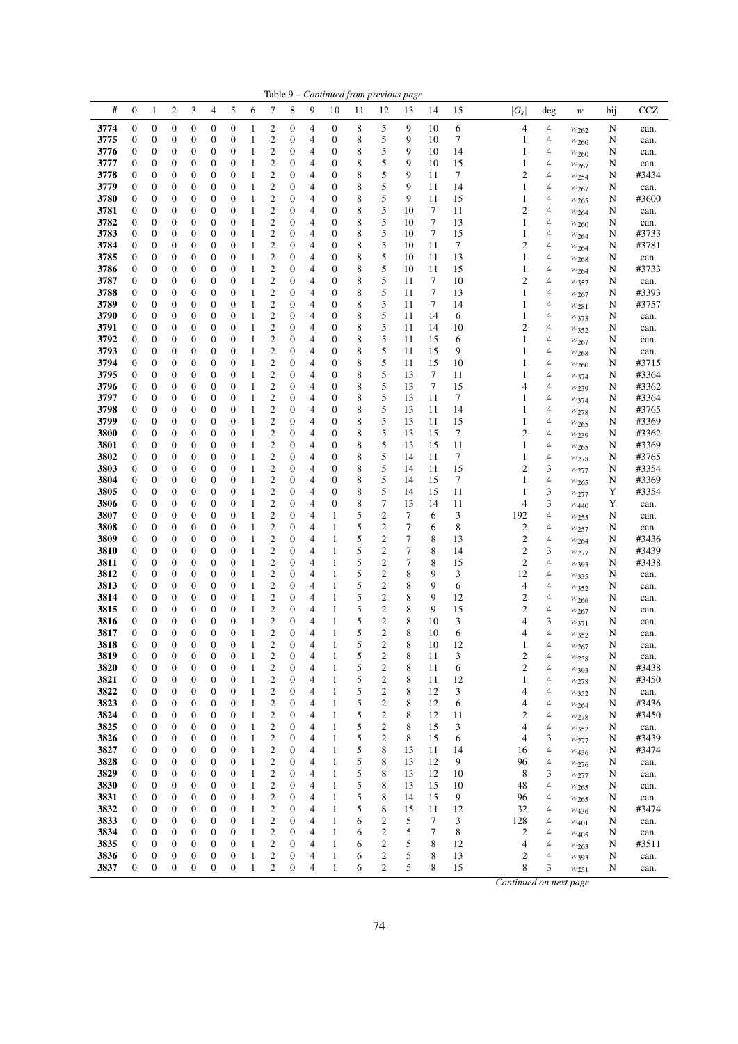|              |                                      |                                      |                                      |                                      |                                      |                                      |                              |                                           |                                      |        |                                      | Table 9 – Continued from previous page |                       |          |             |          |                         |        |                               |        |                |
|--------------|--------------------------------------|--------------------------------------|--------------------------------------|--------------------------------------|--------------------------------------|--------------------------------------|------------------------------|-------------------------------------------|--------------------------------------|--------|--------------------------------------|----------------------------------------|-----------------------|----------|-------------|----------|-------------------------|--------|-------------------------------|--------|----------------|
| #            | $\boldsymbol{0}$                     | 1                                    | $\boldsymbol{2}$                     | 3                                    | 4                                    | 5                                    | 6                            | 7                                         | 8                                    | 9      | 10                                   | 11                                     | 12                    | 13       | 14          | 15       | $ G_s $                 | deg    | $\boldsymbol{W}$              | bij.   | <b>CCZ</b>     |
| 3774         | $\boldsymbol{0}$                     | $\boldsymbol{0}$                     | 0                                    | $\boldsymbol{0}$                     | $\boldsymbol{0}$                     | $\boldsymbol{0}$                     | 1                            | 2                                         | 0                                    | 4      | $\boldsymbol{0}$                     | 8                                      | 5                     | 9        | 10          | 6        | 4                       | 4      | $w_{262}$                     | N      | can.           |
| 3775         | $\boldsymbol{0}$                     | $\boldsymbol{0}$                     | 0                                    | $\boldsymbol{0}$                     | $\boldsymbol{0}$                     | $\boldsymbol{0}$                     | 1                            | 2                                         | $\boldsymbol{0}$                     | 4      | $\boldsymbol{0}$                     | 8                                      | 5                     | 9        | 10          | 7        | $\mathbf{1}$            | 4      | W <sub>260</sub>              | N      | can.           |
| 3776         | $\boldsymbol{0}$                     | $\boldsymbol{0}$                     | $\boldsymbol{0}$                     | $\boldsymbol{0}$                     | $\boldsymbol{0}$                     | $\boldsymbol{0}$                     | 1                            | $\mathfrak{2}$                            | $\mathbf{0}$                         | 4      | 0                                    | 8                                      | 5                     | 9        | 10          | 14       | 1                       | 4      | W260                          | N      | can.           |
| 3777<br>3778 | $\boldsymbol{0}$                     | $\boldsymbol{0}$<br>$\boldsymbol{0}$ | 0<br>$\boldsymbol{0}$                | 0<br>0                               | $\mathbf{0}$                         | $\boldsymbol{0}$<br>$\boldsymbol{0}$ | 1<br>1                       | $\mathfrak{2}$<br>$\mathfrak{2}$          | $\mathbf{0}$<br>0                    | 4      | $\boldsymbol{0}$<br>$\boldsymbol{0}$ | 8<br>8                                 | 5                     | 9<br>9   | 10<br>11    | 15<br>7  | 1<br>2                  | 4<br>4 | W267                          | N      | can.<br>#3434  |
| 3779         | $\boldsymbol{0}$<br>$\boldsymbol{0}$ | $\boldsymbol{0}$                     | $\mathbf{0}$                         | 0                                    | $\boldsymbol{0}$<br>$\mathbf{0}$     | $\boldsymbol{0}$                     | 1                            | $\overline{c}$                            | $\boldsymbol{0}$                     | 4<br>4 | $\boldsymbol{0}$                     | 8                                      | 5<br>5                | 9        | 11          | 14       | 1                       | 4      | W <sub>254</sub><br>$w_{267}$ | N<br>N | can.           |
| 3780         | $\boldsymbol{0}$                     | $\boldsymbol{0}$                     | $\boldsymbol{0}$                     | 0                                    | $\mathbf{0}$                         | $\boldsymbol{0}$                     | 1                            | $\overline{c}$                            | $\boldsymbol{0}$                     | 4      | $\boldsymbol{0}$                     | 8                                      | 5                     | 9        | 11          | 15       | 1                       | 4      | W265                          | N      | #3600          |
| 3781         | $\boldsymbol{0}$                     | $\boldsymbol{0}$                     | $\boldsymbol{0}$                     | $\boldsymbol{0}$                     | $\boldsymbol{0}$                     | $\boldsymbol{0}$                     | 1                            | $\overline{c}$                            | $\boldsymbol{0}$                     | 4      | $\boldsymbol{0}$                     | 8                                      | 5                     | 10       | 7           | 11       | 2                       | 4      | W264                          | N      | can.           |
| 3782         | $\boldsymbol{0}$                     | $\boldsymbol{0}$                     | $\boldsymbol{0}$                     | 0                                    | $\boldsymbol{0}$                     | $\boldsymbol{0}$                     | 1                            | $\mathfrak{2}$                            | 0                                    | 4      | $\boldsymbol{0}$                     | 8                                      | 5                     | 10       | 7           | 13       | 1                       | 4      | $w_{260}$                     | N      | can.           |
| 3783         | $\boldsymbol{0}$                     | $\boldsymbol{0}$                     | $\boldsymbol{0}$                     | 0                                    | $\boldsymbol{0}$                     | $\boldsymbol{0}$                     | 1                            | $\mathfrak{2}$                            | $\mathbf{0}$                         | 4      | 0                                    | 8                                      | 5                     | 10       | 7           | 15       | 1                       | 4      | $W_{264}$                     | N      | #3733          |
| 3784         | $\boldsymbol{0}$                     | $\boldsymbol{0}$                     | $\boldsymbol{0}$                     | 0                                    | $\mathbf{0}$                         | $\mathbf{0}$                         | 1                            | $\mathfrak{2}$                            | $\boldsymbol{0}$                     | 4      | $\boldsymbol{0}$                     | 8                                      | 5                     | 10       | 11          | 7        | 2                       | 4      | W264                          | N      | #3781          |
| 3785         | $\boldsymbol{0}$<br>$\boldsymbol{0}$ | $\boldsymbol{0}$<br>$\boldsymbol{0}$ | $\mathbf{0}$<br>$\boldsymbol{0}$     | 0<br>0                               | $\mathbf{0}$                         | $\boldsymbol{0}$<br>$\boldsymbol{0}$ | 1<br>1                       | $\boldsymbol{2}$<br>$\overline{c}$        | $\boldsymbol{0}$<br>$\boldsymbol{0}$ | 4      | $\boldsymbol{0}$<br>$\boldsymbol{0}$ | 8<br>8                                 | 5<br>5                | 10       | 11<br>11    | 13       | 1                       | 4      | W268                          | N      | can.<br>#3733  |
| 3786<br>3787 | $\boldsymbol{0}$                     | $\boldsymbol{0}$                     | 0                                    | 0                                    | $\boldsymbol{0}$<br>$\boldsymbol{0}$ | $\boldsymbol{0}$                     | 1                            | $\mathbf{2}$                              | $\boldsymbol{0}$                     | 4<br>4 | $\boldsymbol{0}$                     | 8                                      | 5                     | 10<br>11 | $\tau$      | 15<br>10 | 1<br>2                  | 4<br>4 | $w_{264}$                     | N<br>N | can.           |
| 3788         | $\boldsymbol{0}$                     | $\boldsymbol{0}$                     | $\boldsymbol{0}$                     | 0                                    | $\boldsymbol{0}$                     | $\boldsymbol{0}$                     | 1                            | $\mathbf{2}$                              | $\boldsymbol{0}$                     | 4      | $\boldsymbol{0}$                     | 8                                      | 5                     | 11       | 7           | 13       | 1                       | 4      | $w_{352}$<br>W267             | N      | #3393          |
| 3789         | $\boldsymbol{0}$                     | $\boldsymbol{0}$                     | 0                                    | 0                                    | $\boldsymbol{0}$                     | $\boldsymbol{0}$                     | 1                            | $\overline{c}$                            | $\boldsymbol{0}$                     | 4      | $\boldsymbol{0}$                     | 8                                      | 5                     | 11       | $\tau$      | 14       | 1                       | 4      | W281                          | N      | #3757          |
| 3790         | $\boldsymbol{0}$                     | $\boldsymbol{0}$                     | 0                                    | 0                                    | $\mathbf{0}$                         | $\boldsymbol{0}$                     | 1                            | $\mathbf{2}$                              | $\boldsymbol{0}$                     | 4      | 0                                    | 8                                      | 5                     | 11       | 14          | 6        | 1                       | 4      | $w_{373}$                     | N      | can.           |
| 3791         | $\boldsymbol{0}$                     | $\boldsymbol{0}$                     | $\boldsymbol{0}$                     | 0                                    | $\boldsymbol{0}$                     | $\boldsymbol{0}$                     | 1                            | $\mathbf{2}$                              | $\boldsymbol{0}$                     | 4      | $\boldsymbol{0}$                     | 8                                      | 5                     | 11       | 14          | 10       | 2                       | 4      | W352                          | N      | can.           |
| 3792         | $\boldsymbol{0}$                     | $\boldsymbol{0}$                     | 0                                    | 0                                    | $\boldsymbol{0}$                     | $\boldsymbol{0}$                     | 1                            | $\mathbf{2}$                              | $\boldsymbol{0}$                     | 4      | $\boldsymbol{0}$                     | 8                                      | 5                     | 11       | 15          | 6        | 1                       | 4      | W267                          | N      | can.           |
| 3793         | $\boldsymbol{0}$                     | $\boldsymbol{0}$                     | 0                                    | 0                                    | $\mathbf{0}$                         | $\boldsymbol{0}$                     | 1                            | $\mathbf{2}$                              | $\boldsymbol{0}$                     | 4      | $\boldsymbol{0}$                     | 8                                      | 5                     | 11       | 15          | 9        | 1                       | 4      | W <sub>268</sub>              | N      | can.           |
| 3794         | $\boldsymbol{0}$                     | $\boldsymbol{0}$                     | $\boldsymbol{0}$                     | 0                                    | $\boldsymbol{0}$                     | $\boldsymbol{0}$                     | 1                            | $\boldsymbol{2}$                          | $\boldsymbol{0}$                     | 4      | $\boldsymbol{0}$                     | 8                                      | 5                     | 11       | 15          | 10       | 1                       | 4      | W <sub>260</sub>              | N      | #3715          |
| 3795<br>3796 | $\boldsymbol{0}$<br>$\boldsymbol{0}$ | $\boldsymbol{0}$<br>$\boldsymbol{0}$ | $\boldsymbol{0}$<br>0                | 0<br>0                               | $\boldsymbol{0}$<br>$\mathbf{0}$     | $\boldsymbol{0}$<br>$\boldsymbol{0}$ | 1<br>1                       | $\mathbf{2}$<br>$\overline{c}$            | $\boldsymbol{0}$<br>$\boldsymbol{0}$ | 4<br>4 | $\boldsymbol{0}$<br>$\boldsymbol{0}$ | 8<br>8                                 | 5<br>5                | 13<br>13 | 7<br>$\tau$ | 11<br>15 | 1<br>4                  | 4<br>4 | W374                          | N<br>N | #3364<br>#3362 |
| 3797         | $\boldsymbol{0}$                     | $\boldsymbol{0}$                     | $\boldsymbol{0}$                     | 0                                    | $\mathbf{0}$                         | $\boldsymbol{0}$                     | 1                            | $\mathbf{2}$                              | $\boldsymbol{0}$                     | 4      | $\boldsymbol{0}$                     | 8                                      | 5                     | 13       | 11          | 7        | 1                       | 4      | W <sub>239</sub><br>W374      | N      | #3364          |
| 3798         | $\boldsymbol{0}$                     | $\boldsymbol{0}$                     | $\mathbf{0}$                         | 0                                    | $\mathbf{0}$                         | $\boldsymbol{0}$                     | 1                            | $\overline{c}$                            | $\boldsymbol{0}$                     | 4      | $\boldsymbol{0}$                     | 8                                      | 5                     | 13       | 11          | 14       | 1                       | 4      | $w_{278}$                     | N      | #3765          |
| 3799         | $\boldsymbol{0}$                     | $\boldsymbol{0}$                     | 0                                    | 0                                    | $\boldsymbol{0}$                     | $\boldsymbol{0}$                     | 1                            | $\mathbf{2}$                              | $\boldsymbol{0}$                     | 4      | 0                                    | 8                                      | 5                     | 13       | 11          | 15       | 1                       | 4      | $w_{265}$                     | N      | #3369          |
| 3800         | $\boldsymbol{0}$                     | $\boldsymbol{0}$                     | $\boldsymbol{0}$                     | 0                                    | $\boldsymbol{0}$                     | $\boldsymbol{0}$                     | 1                            | $\mathbf{2}$                              | $\boldsymbol{0}$                     | 4      | $\boldsymbol{0}$                     | 8                                      | 5                     | 13       | 15          | 7        | 2                       | 4      | W <sub>239</sub>              | N      | #3362          |
| 3801         | $\boldsymbol{0}$                     | $\boldsymbol{0}$                     | $\boldsymbol{0}$                     | 0                                    | $\boldsymbol{0}$                     | $\boldsymbol{0}$                     | 1                            | $\mathbf{2}$                              | 0                                    | 4      | $\boldsymbol{0}$                     | 8                                      | 5                     | 13       | 15          | 11       | 1                       | 4      | W265                          | N      | #3369          |
| 3802         | $\boldsymbol{0}$                     | $\boldsymbol{0}$                     | 0                                    | 0                                    | $\boldsymbol{0}$                     | $\boldsymbol{0}$                     | 1                            | $\mathbf{2}$                              | $\boldsymbol{0}$                     | 4      | 0                                    | 8                                      | 5                     | 14       | 11          | 7        | 1                       | 4      | W278                          | N      | #3765          |
| 3803         | $\boldsymbol{0}$                     | $\boldsymbol{0}$                     | 0                                    | 0                                    | $\mathbf{0}$                         | $\boldsymbol{0}$                     | 1                            | $\mathbf{2}$                              | $\boldsymbol{0}$                     | 4      | 0                                    | 8                                      | 5                     | 14       | 11          | 15       | 2                       | 3      | $w_{277}$                     | N      | #3354          |
| 3804<br>3805 | $\boldsymbol{0}$<br>$\boldsymbol{0}$ | $\boldsymbol{0}$<br>$\boldsymbol{0}$ | $\mathbf{0}$<br>$\boldsymbol{0}$     | 0<br>0                               | $\mathbf{0}$<br>$\mathbf{0}$         | $\boldsymbol{0}$<br>$\boldsymbol{0}$ | 1<br>1                       | $\mathbf{2}$<br>$\overline{c}$            | $\boldsymbol{0}$<br>$\boldsymbol{0}$ | 4<br>4 | $\boldsymbol{0}$<br>$\boldsymbol{0}$ | 8<br>8                                 | 5<br>5                | 14<br>14 | 15<br>15    | 7<br>11  | 1<br>1                  | 4<br>3 | W265                          | N<br>Y | #3369<br>#3354 |
| 3806         | $\boldsymbol{0}$                     | $\boldsymbol{0}$                     | 0                                    | 0                                    | $\mathbf{0}$                         | $\boldsymbol{0}$                     | 1                            | 2                                         | $\boldsymbol{0}$                     | 4      | $\boldsymbol{0}$                     | 8                                      | 7                     | 13       | 14          | 11       | 4                       | 3      | W277<br>W440                  | Y      | can.           |
| 3807         | $\boldsymbol{0}$                     | $\boldsymbol{0}$                     | $\boldsymbol{0}$                     | 0                                    | $\boldsymbol{0}$                     | $\boldsymbol{0}$                     | 1                            | $\overline{c}$                            | $\boldsymbol{0}$                     | 4      | $\mathbf{1}$                         | 5                                      | $\boldsymbol{2}$      | 7        | 6           | 3        | 192                     | 4      | W <sub>255</sub>              | N      | can.           |
| 3808         | $\boldsymbol{0}$                     | $\boldsymbol{0}$                     | 0                                    | 0                                    | $\boldsymbol{0}$                     | $\boldsymbol{0}$                     | 1                            | $\mathbf{2}$                              | $\boldsymbol{0}$                     | 4      | 1                                    | 5                                      | $\boldsymbol{2}$      | 7        | 6           | 8        | $\overline{c}$          | 4      | W257                          | N      | can.           |
| 3809         | $\boldsymbol{0}$                     | $\boldsymbol{0}$                     | 0                                    | 0                                    | $\mathbf{0}$                         | $\boldsymbol{0}$                     | 1                            | $\mathbf{2}$                              | $\boldsymbol{0}$                     | 4      | 1                                    | 5                                      | 2                     | 7        | 8           | 13       | 2                       | 4      | W264                          | N      | #3436          |
| 3810         | $\boldsymbol{0}$                     | $\boldsymbol{0}$                     | $\boldsymbol{0}$                     | 0                                    | $\boldsymbol{0}$                     | $\boldsymbol{0}$                     | 1                            | $\mathbf{2}$                              | $\boldsymbol{0}$                     | 4      | $\mathbf{1}$                         | 5                                      | $\boldsymbol{2}$      | 7        | 8           | 14       | 2                       | 3      | W277                          | N      | #3439          |
| 3811         | $\boldsymbol{0}$                     | $\boldsymbol{0}$                     | $\mathbf{0}$                         | 0                                    | $\boldsymbol{0}$                     | $\boldsymbol{0}$                     | 1                            | $\mathbf{2}$                              | $\boldsymbol{0}$                     | 4      | 1                                    | 5                                      | $\boldsymbol{2}$      | 7        | 8           | 15       | $\overline{c}$          | 4      | W393                          | N      | #3438          |
| 3812         | $\boldsymbol{0}$                     | $\boldsymbol{0}$                     | $\boldsymbol{0}$                     | 0                                    | $\mathbf{0}$                         | $\boldsymbol{0}$                     | 1                            | $\mathfrak{2}$                            | $\boldsymbol{0}$                     | 4      | $\mathbf{1}$                         | 5                                      | $\boldsymbol{2}$      | 8        | 9           | 3        | 12                      | 4      | W335                          | N      | can.           |
| 3813<br>3814 | $\boldsymbol{0}$<br>$\boldsymbol{0}$ | $\boldsymbol{0}$<br>$\boldsymbol{0}$ | $\boldsymbol{0}$<br>$\boldsymbol{0}$ | 0<br>$\boldsymbol{0}$                | $\boldsymbol{0}$<br>$\boldsymbol{0}$ | $\boldsymbol{0}$<br>$\boldsymbol{0}$ | 1<br>1                       | $\mathfrak{2}$<br>$\mathfrak{2}$          | $\boldsymbol{0}$<br>$\boldsymbol{0}$ | 4<br>4 | 1<br>$\mathbf{1}$                    | 5<br>5                                 | 2<br>$\boldsymbol{2}$ | 8<br>8   | 9<br>9      | 6<br>12  | 4<br>2                  | 4<br>4 | W352                          | N<br>N | can.<br>can.   |
| 3815         | $\boldsymbol{0}$                     | $\boldsymbol{0}$                     | 0                                    | 0                                    | $\boldsymbol{0}$                     | $\boldsymbol{0}$                     | 1                            | $\overline{c}$                            | $\boldsymbol{0}$                     | 4      | 1                                    | 5                                      | $\boldsymbol{2}$      | 8        | 9           | 15       | $\overline{c}$          | 4      | W <sub>266</sub><br>$w_{267}$ | N      | can.           |
| 3816         | $\mathbf{0}$                         | $\boldsymbol{0}$                     | $\mathbf{0}$                         | 0                                    | $\mathbf{0}$                         | $\mathbf{0}$                         | 1                            | $\overline{c}$                            | $\boldsymbol{0}$                     | 4      | $\mathbf{1}$                         | 5                                      | $\boldsymbol{2}$      | 8        | 10          | 3        | 4                       | 3      | W371                          | N      | can.           |
| 3817         | $\mathbf{0}$                         | $\overline{0}$                       | $\overline{0}$                       | $\overline{0}$                       | $\overline{0}$                       | $\overline{0}$                       | 1                            | $\overline{2}$                            | $\overline{0}$                       | 4      | $\mathbf{1}$                         | 5                                      | $\overline{2}$        | 8        | 10          | 6        | 4                       | 4      | W352                          | N      | can.           |
| 3818         | $\boldsymbol{0}$                     | 0                                    | $\boldsymbol{0}$                     | 0                                    | $\boldsymbol{0}$                     | $\boldsymbol{0}$                     | 1                            | 2                                         | $\boldsymbol{0}$                     | 4      | 1                                    | 5                                      | $\boldsymbol{2}$      | 8        | 10          | 12       | 1                       | 4      | $w_{267}$                     | N      | can.           |
| 3819         | $\boldsymbol{0}$                     | $\boldsymbol{0}$                     | $\boldsymbol{0}$                     | $\boldsymbol{0}$                     | $\boldsymbol{0}$                     | $\mathbf{0}$                         | 1                            | $\overline{\mathbf{c}}$                   | $\boldsymbol{0}$                     | 4      | 1                                    | 5                                      | $\boldsymbol{2}$      | 8        | 11          | 3        | $\overline{\mathbf{c}}$ | 4      | $w_{258}$                     | N      | can.           |
| 3820         | $\boldsymbol{0}$                     | $\boldsymbol{0}$                     | $\boldsymbol{0}$                     | $\boldsymbol{0}$                     | $\boldsymbol{0}$                     | $\mathbf{0}$                         | $\mathbf{1}$                 | $\overline{\mathbf{c}}$                   | $\boldsymbol{0}$                     | 4      | 1                                    | 5                                      | 2                     | 8        | 11          | 6        | $\overline{c}$          | 4      | W393                          | N      | #3438          |
| 3821<br>3822 | $\boldsymbol{0}$<br>$\boldsymbol{0}$ | $\boldsymbol{0}$<br>$\boldsymbol{0}$ | $\boldsymbol{0}$<br>$\boldsymbol{0}$ | $\boldsymbol{0}$<br>$\boldsymbol{0}$ | $\boldsymbol{0}$<br>$\boldsymbol{0}$ | $\boldsymbol{0}$<br>$\boldsymbol{0}$ | $\mathbf{1}$<br>$\mathbf{1}$ | $\overline{\mathbf{c}}$<br>$\overline{c}$ | $\boldsymbol{0}$<br>$\boldsymbol{0}$ | 4<br>4 | $\mathbf{1}$<br>$\mathbf{1}$         | 5<br>5                                 | 2<br>2                | 8<br>8   | 11<br>12    | 12<br>3  | 1<br>4                  | 4<br>4 | W278                          | N<br>N | #3450<br>can.  |
| 3823         | $\boldsymbol{0}$                     | $\boldsymbol{0}$                     | 0                                    | $\boldsymbol{0}$                     | $\boldsymbol{0}$                     | $\boldsymbol{0}$                     | $\mathbf{1}$                 | $\boldsymbol{2}$                          | 0                                    | 4      | $\mathbf{1}$                         | 5                                      | 2                     | 8        | 12          | 6        | 4                       | 4      | $w_{352}$<br>$w_{264}$        | N      | #3436          |
| 3824         | $\boldsymbol{0}$                     | $\boldsymbol{0}$                     | $\boldsymbol{0}$                     | $\boldsymbol{0}$                     | $\boldsymbol{0}$                     | $\mathbf{0}$                         | $\mathbf{1}$                 | $\overline{c}$                            | $\boldsymbol{0}$                     | 4      | $\mathbf{1}$                         | 5                                      | $\overline{c}$        | 8        | 12          | 11       | 2                       | 4      | W278                          | N      | #3450          |
| 3825         | $\boldsymbol{0}$                     | $\boldsymbol{0}$                     | $\boldsymbol{0}$                     | $\boldsymbol{0}$                     | $\boldsymbol{0}$                     | $\boldsymbol{0}$                     | $\mathbf{1}$                 | $\overline{\mathbf{c}}$                   | $\boldsymbol{0}$                     | 4      | 1                                    | 5                                      | 2                     | 8        | 15          | 3        | 4                       | 4      | $w_{352}$                     | N      | can.           |
| 3826         | $\boldsymbol{0}$                     | $\boldsymbol{0}$                     | $\boldsymbol{0}$                     | $\boldsymbol{0}$                     | $\boldsymbol{0}$                     | $\boldsymbol{0}$                     | $\mathbf{1}$                 | $\boldsymbol{2}$                          | $\boldsymbol{0}$                     | 4      | 1                                    | 5                                      | 2                     | 8        | 15          | 6        | 4                       | 3      | W277                          | N      | #3439          |
| 3827         | $\boldsymbol{0}$                     | $\boldsymbol{0}$                     | $\boldsymbol{0}$                     | $\boldsymbol{0}$                     | $\boldsymbol{0}$                     | $\boldsymbol{0}$                     | $\mathbf{1}$                 | $\overline{\mathbf{c}}$                   | $\boldsymbol{0}$                     | 4      | 1                                    | 5                                      | 8                     | 13       | 11          | 14       | 16                      | 4      | W <sub>436</sub>              | N      | #3474          |
| 3828         | $\boldsymbol{0}$                     | $\boldsymbol{0}$                     | $\boldsymbol{0}$                     | $\boldsymbol{0}$                     | $\boldsymbol{0}$                     | $\boldsymbol{0}$                     | $\mathbf{1}$                 | $\overline{\mathbf{c}}$                   | $\boldsymbol{0}$                     | 4      | 1                                    | 5                                      | 8                     | 13       | 12          | 9        | 96                      | 4      | W276                          | N      | can.           |
| 3829         | $\boldsymbol{0}$                     | $\boldsymbol{0}$                     | $\boldsymbol{0}$                     | $\boldsymbol{0}$                     | $\boldsymbol{0}$                     | $\boldsymbol{0}$                     | $\mathbf{1}$                 | $\overline{\mathbf{c}}$                   | $\boldsymbol{0}$                     | 4      | 1                                    | 5                                      | 8                     | 13       | 12          | 10       | 8                       | 3      | W277                          | N      | can.           |
| 3830<br>3831 | $\boldsymbol{0}$<br>$\boldsymbol{0}$ | $\boldsymbol{0}$<br>$\boldsymbol{0}$ | $\boldsymbol{0}$<br>$\boldsymbol{0}$ | $\boldsymbol{0}$<br>$\boldsymbol{0}$ | $\boldsymbol{0}$<br>$\boldsymbol{0}$ | $\boldsymbol{0}$<br>$\mathbf{0}$     | $\mathbf{1}$<br>1            | $\overline{\mathbf{c}}$<br>$\overline{c}$ | $\boldsymbol{0}$<br>$\boldsymbol{0}$ | 4<br>4 | $\mathbf{1}$<br>$\mathbf{1}$         | 5<br>5                                 | 8<br>8                | 13<br>14 | 15<br>15    | 10<br>9  | 48<br>96                | 4<br>4 | $w_{265}$                     | N      | can.           |
| 3832         | $\boldsymbol{0}$                     | $\boldsymbol{0}$                     | $\boldsymbol{0}$                     | $\boldsymbol{0}$                     | $\boldsymbol{0}$                     | $\boldsymbol{0}$                     | $\mathbf{1}$                 | $\overline{\mathbf{c}}$                   | $\boldsymbol{0}$                     | 4      | 1                                    | 5                                      | 8                     | 15       | 11          | 12       | 32                      | 4      | $w_{265}$                     | N<br>N | can.<br>#3474  |
| 3833         | $\boldsymbol{0}$                     | $\boldsymbol{0}$                     | $\boldsymbol{0}$                     | $\boldsymbol{0}$                     | $\boldsymbol{0}$                     | $\boldsymbol{0}$                     | $\mathbf{1}$                 | $\overline{\mathbf{c}}$                   | $\boldsymbol{0}$                     | 4      | 1                                    | 6                                      | $\boldsymbol{2}$      | 5        | 7           | 3        | 128                     | 4      | W436<br>W401                  | N      | can.           |
| 3834         | $\boldsymbol{0}$                     | $\boldsymbol{0}$                     | $\boldsymbol{0}$                     | $\boldsymbol{0}$                     | $\boldsymbol{0}$                     | $\mathbf{0}$                         | $\mathbf{1}$                 | $\overline{c}$                            | $\boldsymbol{0}$                     | 4      | 1                                    | 6                                      | $\overline{c}$        | 5        | 7           | 8        | 2                       | 4      | $w_{405}$                     | N      | can.           |
| 3835         | $\boldsymbol{0}$                     | $\boldsymbol{0}$                     | $\boldsymbol{0}$                     | $\boldsymbol{0}$                     | $\boldsymbol{0}$                     | $\boldsymbol{0}$                     | $\mathbf{1}$                 | $\overline{\mathbf{c}}$                   | $\boldsymbol{0}$                     | 4      | 1                                    | 6                                      | 2                     | 5        | 8           | 12       | 4                       | 4      | W <sub>263</sub>              | N      | #3511          |
| 3836         | $\boldsymbol{0}$                     | $\boldsymbol{0}$                     | $\boldsymbol{0}$                     | $\boldsymbol{0}$                     | $\boldsymbol{0}$                     | $\boldsymbol{0}$                     | $\mathbf{1}$                 | $\overline{\mathbf{c}}$                   | $\boldsymbol{0}$                     | 4      | $\,1$                                | 6                                      | 2                     | 5        | 8           | 13       | 2                       | 4      | W393                          | N      | can.           |
| 3837         | $\boldsymbol{0}$                     | $\overline{0}$                       | $\boldsymbol{0}$                     | $\mathbf{0}$                         | $\boldsymbol{0}$                     | $\mathbf{0}$                         | $\mathbf{1}$                 | $\overline{c}$                            | $\boldsymbol{0}$                     | 4      | $\mathbf{1}$                         | 6                                      | $\overline{c}$        | 5        | 8           | 15       | 8                       | 3      | W251                          | N      | can.           |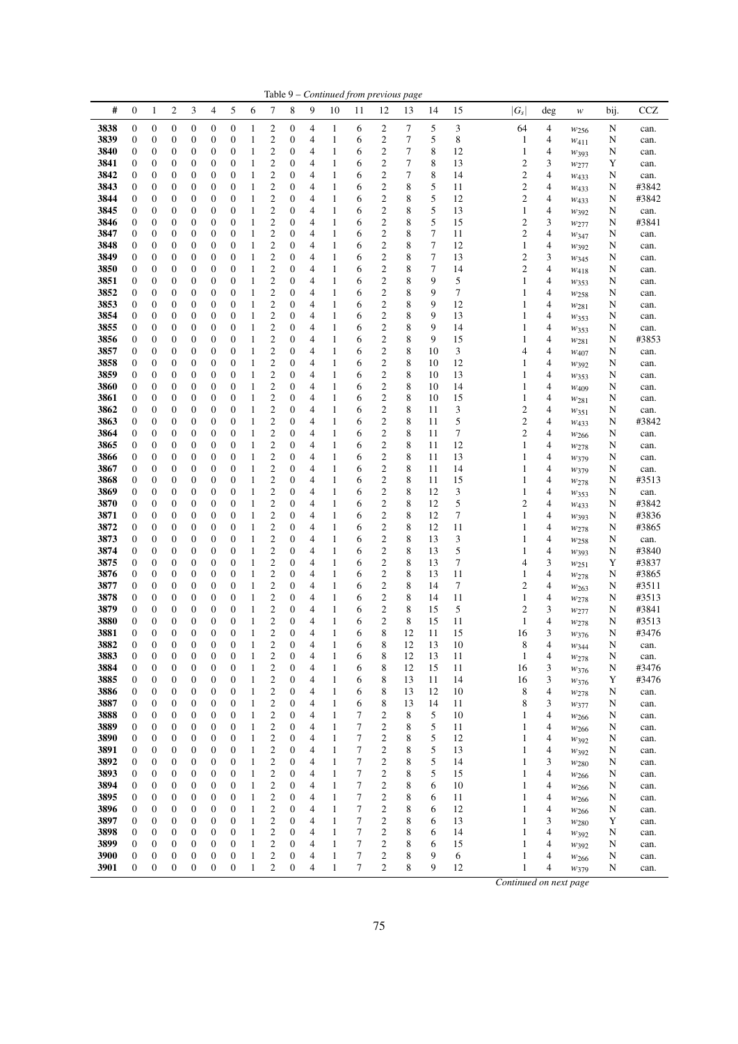| #            | $\boldsymbol{0}$                     | $\mathbf{1}$                         | $\boldsymbol{2}$                     | 3                                    | 4                                    | 5                                    | 6                            | 7                                  | 8                     | 9      | 10                | 11                       | 12                               | Table 9 – Continued from previous page<br>13 | 14                                   | 15       | $ G_{\scriptscriptstyle S} $ | deg            | $\boldsymbol{W}$              | bij.      | CCZ            |
|--------------|--------------------------------------|--------------------------------------|--------------------------------------|--------------------------------------|--------------------------------------|--------------------------------------|------------------------------|------------------------------------|-----------------------|--------|-------------------|--------------------------|----------------------------------|----------------------------------------------|--------------------------------------|----------|------------------------------|----------------|-------------------------------|-----------|----------------|
| 3838         | $\boldsymbol{0}$                     | $\boldsymbol{0}$                     | $\boldsymbol{0}$                     | $\boldsymbol{0}$                     | $\boldsymbol{0}$                     | $\boldsymbol{0}$                     | $\mathbf{1}$                 | $\overline{\mathbf{c}}$            | 0                     | 4      | 1                 | 6                        | $\overline{c}$                   | 7                                            | 5                                    | 3        | 64                           | 4              |                               | N         | can.           |
| 3839         | 0                                    | $\boldsymbol{0}$                     | $\boldsymbol{0}$                     | $\boldsymbol{0}$                     | $\boldsymbol{0}$                     | $\boldsymbol{0}$                     | 1                            | $\mathbf{2}$                       | 0                     | 4      | 1                 | 6                        | $\mathbf{2}$                     | 7                                            | 5                                    | 8        | 1                            | 4              | W <sub>256</sub><br>$w_{411}$ | N         | can.           |
| 3840         | 0                                    | $\boldsymbol{0}$                     | $\boldsymbol{0}$                     | 0                                    | $\boldsymbol{0}$                     | $\boldsymbol{0}$                     | $\mathbf{1}$                 | $\overline{\mathbf{c}}$            | 0                     | 4      | $\mathbf{1}$      | 6                        | $\overline{\mathbf{c}}$          | 7                                            | 8                                    | 12       | 1                            | 4              | W393                          | N         | can.           |
| 3841         | $\boldsymbol{0}$                     | $\boldsymbol{0}$                     | $\boldsymbol{0}$                     | $\boldsymbol{0}$                     | $\boldsymbol{0}$                     | $\boldsymbol{0}$                     | 1                            | $\mathbf{2}$                       | 0                     | 4      | 1                 | 6                        | $\overline{c}$                   | 7                                            | 8                                    | 13       | 2                            | 3              | W277                          | Y         | can.           |
| 3842         | 0                                    | $\boldsymbol{0}$                     | $\boldsymbol{0}$                     | $\boldsymbol{0}$                     | $\boldsymbol{0}$                     | $\boldsymbol{0}$                     | 1                            | $\mathbf{2}$                       | 0                     | 4      | 1                 | 6                        | $\mathbf{2}$                     | 7                                            | 8                                    | 14       | $\boldsymbol{2}$             | 4              | W <sub>433</sub>              | N         | can.           |
| 3843         | 0                                    | $\boldsymbol{0}$                     | $\boldsymbol{0}$                     | 0                                    | $\boldsymbol{0}$                     | $\boldsymbol{0}$                     | 1                            | $\mathfrak{2}$                     | 0                     | 4      | 1                 | 6                        | 2                                | 8                                            | 5                                    | 11       | 2                            | 4              | $W_{433}$                     | N         | #3842          |
| 3844         | $\boldsymbol{0}$                     | $\boldsymbol{0}$                     | $\boldsymbol{0}$                     | $\boldsymbol{0}$                     | $\mathbf{0}$                         | $\boldsymbol{0}$                     | $\mathbf{1}$                 | $\mathbf{2}$                       | $\mathbf{0}$          | 4      | $\mathbf{1}$      | 6                        | $\overline{c}$                   | 8                                            | 5                                    | 12       | $\mathfrak{2}$               | 4              | W <sub>4</sub> 33             | N         | #3842          |
| 3845         | 0                                    | $\boldsymbol{0}$                     | $\boldsymbol{0}$                     | $\boldsymbol{0}$                     | $\mathbf{0}$                         | $\boldsymbol{0}$                     | 1                            | $\overline{\mathbf{c}}$            | 0                     | 4      | $\mathbf{1}$      | 6                        | $\overline{c}$                   | 8                                            | 5                                    | 13       | $\mathbf{1}$                 | 4              | W392                          | N         | can.           |
| 3846         | 0                                    | $\boldsymbol{0}$                     | $\boldsymbol{0}$                     | $\mathbf{0}$                         | $\boldsymbol{0}$                     | $\boldsymbol{0}$                     | 1                            | $\mathfrak{2}$                     | 0                     | 4      | 1                 | 6                        | $\overline{c}$                   | 8                                            | 5                                    | 15       | 2                            | 3              | $w_{277}$                     | N         | #3841          |
| 3847         | 0                                    | $\boldsymbol{0}$                     | $\boldsymbol{0}$                     | 0                                    | $\boldsymbol{0}$                     | $\boldsymbol{0}$                     | 1                            | $\mathbf{2}$                       | 0                     | 4      | $\mathbf{1}$      | 6                        | $\overline{c}$                   | 8                                            | 7                                    | 11       | 2                            | 4              | $w_{347}$                     | N         | can.           |
| 3848<br>3849 | 0<br>$\boldsymbol{0}$                | $\boldsymbol{0}$<br>$\boldsymbol{0}$ | $\boldsymbol{0}$<br>$\boldsymbol{0}$ | $\boldsymbol{0}$<br>$\boldsymbol{0}$ | $\boldsymbol{0}$<br>$\boldsymbol{0}$ | $\boldsymbol{0}$<br>$\boldsymbol{0}$ | 1<br>$\mathbf{1}$            | $\overline{c}$<br>$\overline{c}$   | 0<br>0                | 4<br>4 | 1<br>1            | 6<br>6                   | $\overline{c}$<br>$\overline{c}$ | 8<br>8                                       | $\boldsymbol{7}$<br>$\boldsymbol{7}$ | 12<br>13 | 1<br>$\mathbf{2}$            | 4<br>3         | W392                          | N<br>N    | can.           |
| 3850         | 0                                    | $\boldsymbol{0}$                     | $\boldsymbol{0}$                     | 0                                    | $\boldsymbol{0}$                     | $\boldsymbol{0}$                     | $\mathbf{1}$                 | $\overline{\mathbf{c}}$            | 0                     | 4      | $\mathbf{1}$      | 6                        | 2                                | 8                                            | 7                                    | 14       | 2                            | 4              | W345                          | N         | can.<br>can.   |
| 3851         | 0                                    | $\boldsymbol{0}$                     | $\boldsymbol{0}$                     | $\boldsymbol{0}$                     | $\mathbf{0}$                         | $\boldsymbol{0}$                     | $\mathbf{1}$                 | $\overline{2}$                     | $\mathbf{0}$          | 4      | $\mathbf{1}$      | 6                        | $\overline{c}$                   | 8                                            | 9                                    | 5        | 1                            | 4              | $W_{418}$<br>W353             | N         | can.           |
| 3852         | 0                                    | $\boldsymbol{0}$                     | $\boldsymbol{0}$                     | $\boldsymbol{0}$                     | $\boldsymbol{0}$                     | $\boldsymbol{0}$                     | 1                            | $\overline{c}$                     | 0                     | 4      | $\mathbf{1}$      | 6                        | $\overline{c}$                   | 8                                            | 9                                    | 7        | 1                            | 4              | W258                          | N         | can.           |
| 3853         | 0                                    | $\boldsymbol{0}$                     | $\boldsymbol{0}$                     | $\boldsymbol{0}$                     | $\boldsymbol{0}$                     | $\boldsymbol{0}$                     | 1                            | $\overline{c}$                     | 0                     | 4      | 1                 | 6                        | $\overline{c}$                   | 8                                            | 9                                    | 12       | 1                            | 4              | W281                          | N         | can.           |
| 3854         | $\boldsymbol{0}$                     | $\boldsymbol{0}$                     | $\boldsymbol{0}$                     | $\boldsymbol{0}$                     | $\boldsymbol{0}$                     | $\boldsymbol{0}$                     | 1                            | $\boldsymbol{2}$                   | 0                     | 4      | 1                 | 6                        | $\overline{c}$                   | 8                                            | 9                                    | 13       | 1                            | 4              | W353                          | N         | can.           |
| 3855         | 0                                    | $\boldsymbol{0}$                     | $\boldsymbol{0}$                     | $\boldsymbol{0}$                     | $\boldsymbol{0}$                     | $\boldsymbol{0}$                     | 1                            | $\overline{\mathbf{c}}$            | 0                     | 4      | 1                 | 6                        | 2                                | 8                                            | 9                                    | 14       | 1                            | 4              | $w_{353}$                     | N         | can.           |
| 3856         | 0                                    | $\boldsymbol{0}$                     | $\boldsymbol{0}$                     | $\boldsymbol{0}$                     | $\boldsymbol{0}$                     | $\boldsymbol{0}$                     | $\mathbf{1}$                 | $\overline{c}$                     | 0                     | 4      | 1                 | 6                        | $\mathfrak{2}$                   | 8                                            | 9                                    | 15       | 1                            | 4              | W281                          | N         | #3853          |
| 3857         | 0                                    | $\boldsymbol{0}$                     | $\boldsymbol{0}$                     | $\boldsymbol{0}$                     | $\boldsymbol{0}$                     | $\boldsymbol{0}$                     | $\mathbf{1}$                 | $\overline{c}$                     | $\mathbf{0}$          | 4      | 1                 | 6                        | $\mathfrak{2}$                   | 8                                            | 10                                   | 3        | 4                            | 4              | W407                          | N         | can.           |
| 3858         | 0                                    | $\boldsymbol{0}$                     | $\boldsymbol{0}$                     | $\mathbf{0}$                         | $\boldsymbol{0}$                     | $\boldsymbol{0}$                     | 1                            | $\overline{c}$                     | 0                     | 4      | 1                 | 6                        | $\mathfrak{2}$                   | 8                                            | 10                                   | 12       | 1                            | 4              | $W_392$                       | N         | can.           |
| 3859         | 0                                    | $\boldsymbol{0}$                     | $\boldsymbol{0}$                     | 0                                    | $\boldsymbol{0}$                     | $\boldsymbol{0}$                     | 1                            | $\boldsymbol{2}$                   | 0                     | 4      | $\mathbf{1}$      | 6                        | $\overline{c}$                   | 8                                            | 10                                   | 13       | 1                            | 4              | W353                          | N         | can.           |
| 3860         | 0                                    | $\boldsymbol{0}$                     | $\boldsymbol{0}$                     | $\boldsymbol{0}$                     | $\boldsymbol{0}$                     | $\boldsymbol{0}$                     | 1                            | $\boldsymbol{2}$                   | $\boldsymbol{0}$      | 4      | 1                 | 6                        | $\overline{\mathbf{c}}$          | 8                                            | 10                                   | 14       | 1                            | 4              | W409                          | N         | can.           |
| 3861         | 0                                    | $\boldsymbol{0}$                     | $\boldsymbol{0}$                     | $\boldsymbol{0}$                     | $\boldsymbol{0}$                     | $\boldsymbol{0}$                     | 1                            | $\mathbf{2}$                       | 0                     | 4      | 1                 | 6                        | $\mathfrak{2}$                   | 8                                            | 10                                   | 15       | 1                            | 4              | W281                          | N         | can.           |
| 3862         | 0                                    | $\boldsymbol{0}$                     | $\boldsymbol{0}$                     | 0                                    | $\boldsymbol{0}$                     | $\boldsymbol{0}$                     | 1                            | $\mathfrak{2}$                     | 0                     | 4      | 1                 | 6                        | 2                                | 8                                            | 11                                   | 3        | 2                            | 4              | $w_{351}$                     | N         | can.           |
| 3863         | $\boldsymbol{0}$                     | 0                                    | $\boldsymbol{0}$                     | $\boldsymbol{0}$                     | $\boldsymbol{0}$                     | $\boldsymbol{0}$                     | $\mathbf{1}$                 | $\overline{c}$                     | 0                     | 4      | 1                 | 6                        | $\boldsymbol{2}$                 | 8                                            | 11                                   | 5        | 2                            | 4              | W <sub>433</sub>              | N         | #3842          |
| 3864         | $\boldsymbol{0}$                     | $\boldsymbol{0}$                     | $\boldsymbol{0}$                     | $\boldsymbol{0}$                     | $\mathbf{0}$                         | $\boldsymbol{0}$                     | 1                            | $\overline{\mathbf{c}}$            | $\mathbf{0}$          | 4      | $\mathbf{1}$      | 6                        | $\boldsymbol{2}$                 | 8                                            | 11                                   | 7        | $\mathbf{2}$                 | 4              | W266                          | N         | can.           |
| 3865         | 0                                    | $\boldsymbol{0}$                     | $\boldsymbol{0}$                     | $\mathbf{0}$                         | $\boldsymbol{0}$                     | $\boldsymbol{0}$                     | 1                            | $\mathbf{2}$<br>$\overline{c}$     | 0                     | 4      | 1                 | 6                        | $\overline{c}$<br>$\mathbf{2}$   | 8<br>8                                       | 11                                   | 12       | 1                            | 4<br>4         | W278                          | N         | can.           |
| 3866<br>3867 | 0<br>0                               | $\boldsymbol{0}$<br>$\boldsymbol{0}$ | $\boldsymbol{0}$<br>$\boldsymbol{0}$ | 0<br>$\boldsymbol{0}$                | $\boldsymbol{0}$<br>$\boldsymbol{0}$ | $\boldsymbol{0}$<br>$\boldsymbol{0}$ | 1<br>1                       | $\overline{c}$                     | 0<br>$\boldsymbol{0}$ | 4<br>4 | $\mathbf{1}$<br>1 | 6<br>6                   | $\mathbf{2}$                     | 8                                            | 11<br>11                             | 13<br>14 | 1<br>1                       | 4              | W379                          | N<br>N    | can.<br>can.   |
| 3868         | $\boldsymbol{0}$                     | $\boldsymbol{0}$                     | $\boldsymbol{0}$                     | $\boldsymbol{0}$                     | $\boldsymbol{0}$                     | $\boldsymbol{0}$                     | $\mathbf{1}$                 | $\overline{c}$                     | 0                     | 4      | 1                 | 6                        | $\overline{c}$                   | 8                                            | 11                                   | 15       | 1                            | 4              | W379                          | N         | #3513          |
| 3869         | 0                                    | $\boldsymbol{0}$                     | $\boldsymbol{0}$                     | 0                                    | $\boldsymbol{0}$                     | $\boldsymbol{0}$                     | $\mathbf{1}$                 | $\boldsymbol{2}$                   | 0                     | 4      | $\mathbf{1}$      | 6                        | $\boldsymbol{2}$                 | 8                                            | 12                                   | 3        | 1                            | 4              | W278<br>W353                  | N         | can.           |
| 3870         | 0                                    | $\boldsymbol{0}$                     | $\boldsymbol{0}$                     | $\boldsymbol{0}$                     | $\boldsymbol{0}$                     | $\boldsymbol{0}$                     | $\mathbf{1}$                 | $\overline{2}$                     | $\mathbf{0}$          | 4      | $\mathbf{1}$      | 6                        | $\overline{c}$                   | 8                                            | 12                                   | 5        | $\mathbf{2}$                 | 4              | W <sub>4</sub> 33             | N         | #3842          |
| 3871         | 0                                    | $\boldsymbol{0}$                     | $\boldsymbol{0}$                     | $\boldsymbol{0}$                     | $\boldsymbol{0}$                     | $\boldsymbol{0}$                     | 1                            | $\mathbf{2}$                       | $\mathbf{0}$          | 4      | $\mathbf{1}$      | 6                        | $\mathbf{2}$                     | 8                                            | 12                                   | 7        | 1                            | 4              | $W_393$                       | N         | #3836          |
| 3872         | 0                                    | $\boldsymbol{0}$                     | $\boldsymbol{0}$                     | $\boldsymbol{0}$                     | $\boldsymbol{0}$                     | $\boldsymbol{0}$                     | 1                            | $\mathbf{2}$                       | 0                     | 4      | $\mathbf{1}$      | 6                        | $\overline{c}$                   | 8                                            | 12                                   | 11       | 1                            | 4              | W278                          | N         | #3865          |
| 3873         | $\boldsymbol{0}$                     | $\boldsymbol{0}$                     | $\boldsymbol{0}$                     | $\boldsymbol{0}$                     | $\boldsymbol{0}$                     | $\boldsymbol{0}$                     | 1                            | $\boldsymbol{2}$                   | 0                     | 4      | 1                 | 6                        | $\boldsymbol{2}$                 | 8                                            | 13                                   | 3        | 1                            | 4              | W258                          | N         | can.           |
| 3874         | 0                                    | $\boldsymbol{0}$                     | $\boldsymbol{0}$                     | $\boldsymbol{0}$                     | $\boldsymbol{0}$                     | $\boldsymbol{0}$                     | 1                            | $\overline{\mathbf{c}}$            | 0                     | 4      | 1                 | 6                        | $\boldsymbol{2}$                 | 8                                            | 13                                   | 5        | 1                            | 4              | W393                          | N         | #3840          |
| 3875         | $\boldsymbol{0}$                     | $\boldsymbol{0}$                     | $\boldsymbol{0}$                     | 0                                    | $\boldsymbol{0}$                     | $\boldsymbol{0}$                     | $\mathbf{1}$                 | $\overline{2}$                     | 0                     | 4      | 1                 | 6                        | $\overline{c}$                   | 8                                            | 13                                   | 7        | 4                            | 3              | $w_{251}$                     | Y         | #3837          |
| 3876         | 0                                    | $\boldsymbol{0}$                     | $\boldsymbol{0}$                     | $\boldsymbol{0}$                     | $\boldsymbol{0}$                     | $\boldsymbol{0}$                     | $\mathbf{1}$                 | $\overline{c}$                     | $\mathbf{0}$          | 4      | 1                 | 6                        | $\mathfrak{2}$                   | 8                                            | 13                                   | 11       | 1                            | 4              | W278                          | N         | #3865          |
| 3877         | 0                                    | $\boldsymbol{0}$                     | $\boldsymbol{0}$                     | $\mathbf{0}$                         | $\boldsymbol{0}$                     | $\boldsymbol{0}$                     | 1                            | $\mathbf{2}$                       | 0                     | 4      | 1                 | 6                        | $\overline{c}$                   | 8                                            | 14                                   | $\tau$   | $\boldsymbol{2}$             | 4              | W263                          | N         | #3511          |
| 3878         | 0                                    | $\boldsymbol{0}$                     | $\boldsymbol{0}$                     | 0                                    | $\boldsymbol{0}$                     | $\boldsymbol{0}$                     | 1                            | $\overline{\mathbf{c}}$            | 0                     | 4      | $\mathbf{1}$      | 6                        | $\overline{c}$                   | 8                                            | 14                                   | 11       | 1                            | 4              | W278                          | N         | #3513          |
| 3879         | 0                                    | $\boldsymbol{0}$                     | $\boldsymbol{0}$                     | $\boldsymbol{0}$                     | $\boldsymbol{0}$                     | $\boldsymbol{0}$                     | $\mathbf{1}$                 | $\boldsymbol{2}$                   | 0                     | 4      | $\mathbf{1}$      | 6                        | $\overline{c}$                   | 8                                            | 15                                   | 5        | 2                            | 3              | $w_{277}$                     | N         | #3841          |
| 3880         | $\boldsymbol{0}$                     | $\boldsymbol{0}$                     | $\mathbf{0}$                         | $\boldsymbol{0}$                     | $\mathbf{0}$                         | $\boldsymbol{0}$                     | 1                            | $\mathbf{2}$                       | $\boldsymbol{0}$      | 4      | $\mathbf{1}$      | 6                        | $\overline{c}$                   | 8                                            | 15                                   | 11       | 1                            | 4              | W278                          | N         | #3513          |
| 3881         | $\overline{0}$                       | $\mathbf{0}$                         | $\theta$                             | $\theta$                             | $\overline{0}$                       | $\overline{0}$                       | 1                            | $\overline{2}$                     | $\overline{0}$        | 4      | 1                 | 6                        | 8                                | 12                                           | 11                                   | 15       | 16                           | 3              | W376                          | N         | #3476          |
| 3882         | $\boldsymbol{0}$                     | $\boldsymbol{0}$                     | $\boldsymbol{0}$                     | $\mathbf{0}$                         | $\mathbf{0}$<br>$\mathbf{0}$         | $\boldsymbol{0}$                     | $\mathbf{1}$                 | $\overline{c}$                     | 0<br>$\mathbf{0}$     | 4      | 1                 | 6                        | 8                                | 12<br>12                                     | 13<br>13                             | 10<br>11 | 8                            | 4              | W344                          | ${\bf N}$ | can.           |
| 3883         | $\boldsymbol{0}$<br>$\boldsymbol{0}$ | $\boldsymbol{0}$<br>$\boldsymbol{0}$ | $\boldsymbol{0}$<br>$\boldsymbol{0}$ | $\boldsymbol{0}$<br>$\mathbf{0}$     | $\boldsymbol{0}$                     | $\boldsymbol{0}$<br>$\boldsymbol{0}$ | $\mathbf{1}$                 | $\boldsymbol{2}$<br>$\overline{c}$ | 0                     | 4<br>4 | $\mathbf{1}$<br>1 | 6<br>6                   | 8<br>8                           |                                              | 15                                   | 11       | 1                            | 4<br>3         | W278                          | N         | can.           |
| 3884<br>3885 | $\boldsymbol{0}$                     | $\boldsymbol{0}$                     | $\boldsymbol{0}$                     | 0                                    | $\boldsymbol{0}$                     | $\boldsymbol{0}$                     | $\mathbf{1}$<br>$\mathbf{1}$ | $\overline{\mathbf{c}}$            | 0                     | 4      | 1                 | 6                        | 8                                | 12<br>13                                     | 11                                   | 14       | 16<br>16                     | 3              | W376                          | N<br>Y    | #3476<br>#3476 |
| 3886         | $\boldsymbol{0}$                     | $\boldsymbol{0}$                     | $\boldsymbol{0}$                     | $\boldsymbol{0}$                     | $\boldsymbol{0}$                     | $\boldsymbol{0}$                     | $\mathbf{1}$                 | $\mathbf{2}$                       | $\mathbf{0}$          | 4      | 1                 | 6                        | 8                                | 13                                           | 12                                   | 10       | 8                            | 4              | W376<br>W278                  | N         | can.           |
| 3887         | $\boldsymbol{0}$                     | $\boldsymbol{0}$                     | $\boldsymbol{0}$                     | $\boldsymbol{0}$                     | $\boldsymbol{0}$                     | $\boldsymbol{0}$                     | $\mathbf{1}$                 | $\overline{c}$                     | 0                     | 4      | 1                 | 6                        | 8                                | 13                                           | 14                                   | 11       | 8                            | 3              | $w_{377}$                     | N         | can.           |
| 3888         | 0                                    | $\boldsymbol{0}$                     | $\boldsymbol{0}$                     | $\boldsymbol{0}$                     | $\boldsymbol{0}$                     | $\boldsymbol{0}$                     | $\mathbf{1}$                 | $\boldsymbol{2}$                   | $\mathbf{0}$          | 4      | 1                 | 7                        | $\boldsymbol{2}$                 | 8                                            | 5                                    | 10       | 1                            | 4              | W266                          | N         | can.           |
| 3889         | $\boldsymbol{0}$                     | $\boldsymbol{0}$                     | $\boldsymbol{0}$                     | $\mathbf{0}$                         | $\mathbf{0}$                         | $\boldsymbol{0}$                     | $\mathbf{1}$                 | $\overline{2}$                     | $\mathbf{0}$          | 4      | $\mathbf{1}$      | 7                        | $\mathbf{2}$                     | 8                                            | 5                                    | 11       | 1                            | 4              | W266                          | N         | can.           |
| 3890         | $\boldsymbol{0}$                     | $\boldsymbol{0}$                     | $\mathbf{0}$                         | $\mathbf{0}$                         | $\mathbf{0}$                         | $\boldsymbol{0}$                     | $\mathbf{1}$                 | $\mathbf{2}$                       | $\mathbf{0}$          | 4      | $\mathbf{1}$      | 7                        | $\overline{c}$                   | 8                                            | 5                                    | 12       | 1                            | 4              | W392                          | N         | can.           |
| 3891         | 0                                    | $\boldsymbol{0}$                     | $\boldsymbol{0}$                     | $\boldsymbol{0}$                     | $\boldsymbol{0}$                     | $\boldsymbol{0}$                     | $\mathbf{1}$                 | $\overline{c}$                     | 0                     | 4      | $\mathbf{1}$      | 7                        | $\overline{\mathbf{c}}$          | 8                                            | 5                                    | 13       | 1                            | 4              | $w_{392}$                     | N         | can.           |
| 3892         | $\boldsymbol{0}$                     | $\boldsymbol{0}$                     | $\boldsymbol{0}$                     | $\boldsymbol{0}$                     | $\boldsymbol{0}$                     | $\boldsymbol{0}$                     | $\mathbf{1}$                 | $\overline{\mathbf{c}}$            | $\mathbf{0}$          | 4      | $\mathbf{1}$      | 7                        | $\overline{\mathbf{c}}$          | 8                                            | 5                                    | 14       | 1                            | 3              | W <sub>280</sub>              | N         | can.           |
| 3893         | $\boldsymbol{0}$                     | $\boldsymbol{0}$                     | $\boldsymbol{0}$                     | $\boldsymbol{0}$                     | $\boldsymbol{0}$                     | $\boldsymbol{0}$                     | $\mathbf{1}$                 | $\boldsymbol{2}$                   | $\mathbf{0}$          | 4      | $\mathbf{1}$      | 7                        | $\boldsymbol{2}$                 | 8                                            | 5                                    | 15       | 1                            | 4              | W266                          | N         | can.           |
| 3894         | $\boldsymbol{0}$                     | $\boldsymbol{0}$                     | $\mathbf{0}$                         | $\mathbf{0}$                         | $\boldsymbol{0}$                     | $\boldsymbol{0}$                     | $\mathbf{1}$                 | $\overline{2}$                     | 0                     | 4      | $\mathbf{1}$      | $\tau$                   | $\overline{c}$                   | 8                                            | 6                                    | 10       | 1                            | 4              | $w_{266}$                     | N         | can.           |
| 3895         | 0                                    | $\boldsymbol{0}$                     | $\boldsymbol{0}$                     | $\mathbf{0}$                         | $\boldsymbol{0}$                     | $\boldsymbol{0}$                     | $\mathbf{1}$                 | $\overline{\mathbf{c}}$            | $\mathbf{0}$          | 4      | $\mathbf{1}$      | 7                        | $\boldsymbol{2}$                 | 8                                            | 6                                    | 11       | 1                            | 4              | W <sub>266</sub>              | N         | can.           |
| 3896         | $\boldsymbol{0}$                     | $\boldsymbol{0}$                     | $\boldsymbol{0}$                     | $\overline{0}$                       | $\mathbf{0}$                         | $\boldsymbol{0}$                     | $\mathbf{1}$                 | $\mathbf{2}$                       | $\mathbf{0}$          | 4      | $\mathbf{1}$      | 7                        | $\overline{c}$                   | 8                                            | 6                                    | 12       | 1                            | $\overline{4}$ | W266                          | N         | can.           |
| 3897         | 0                                    | $\boldsymbol{0}$                     | $\boldsymbol{0}$                     | $\boldsymbol{0}$                     | $\boldsymbol{0}$                     | $\boldsymbol{0}$                     | $\mathbf{1}$                 | $\overline{\mathbf{c}}$            | 0                     | 4      | $\mathbf{1}$      | $\overline{7}$           | $\boldsymbol{2}$                 | 8                                            | 6                                    | 13       | 1                            | 3              | W <sub>280</sub>              | Y         | can.           |
| 3898         | $\boldsymbol{0}$                     | $\boldsymbol{0}$                     | $\boldsymbol{0}$                     | $\boldsymbol{0}$                     | $\boldsymbol{0}$                     | $\boldsymbol{0}$                     | $\mathbf{1}$                 | $\overline{\mathbf{c}}$            | 0                     | 4      | 1                 | 7                        | $\overline{\mathbf{c}}$          | 8                                            | 6                                    | 14       | $\mathbf{1}$                 | 4              | W392                          | N         | can.           |
| 3899         | $\boldsymbol{0}$                     | $\boldsymbol{0}$                     | $\boldsymbol{0}$                     | $\boldsymbol{0}$                     | $\boldsymbol{0}$                     | $\boldsymbol{0}$                     | $\mathbf{1}$                 | $\mathbf{2}$                       | 0                     | 4      | $\mathbf{1}$      | 7                        | $\mathbf{2}$                     | 8                                            | 6                                    | 15       | $\mathbf{1}$                 | 4              | $W_392$                       | N         | can.           |
| 3900         | $\boldsymbol{0}$                     | $\boldsymbol{0}$                     | $\boldsymbol{0}$                     | $\mathbf{0}$                         | $\boldsymbol{0}$                     | $\boldsymbol{0}$                     | $\mathbf{1}$                 | $\mathbf{2}$                       | 0                     | 4      | 1                 | $\overline{7}$           | 2                                | 8                                            | 9                                    | 6        | 1                            | 4              | W266                          | N         | can.           |
| 3901         | $\boldsymbol{0}$                     | $\boldsymbol{0}$                     | $\boldsymbol{0}$                     | $\mathbf{0}$                         | $\mathbf{0}$                         | $\mathbf{0}$                         | $\mathbf{1}$                 | $\mathbf{2}$                       | $\boldsymbol{0}$      | 4      | $\mathbf{1}$      | $\overline{\mathcal{I}}$ | $\mathbf{2}$                     | 8                                            | 9                                    | 12       | $\mathbf{1}$                 | 4              | W379                          | N         | can.           |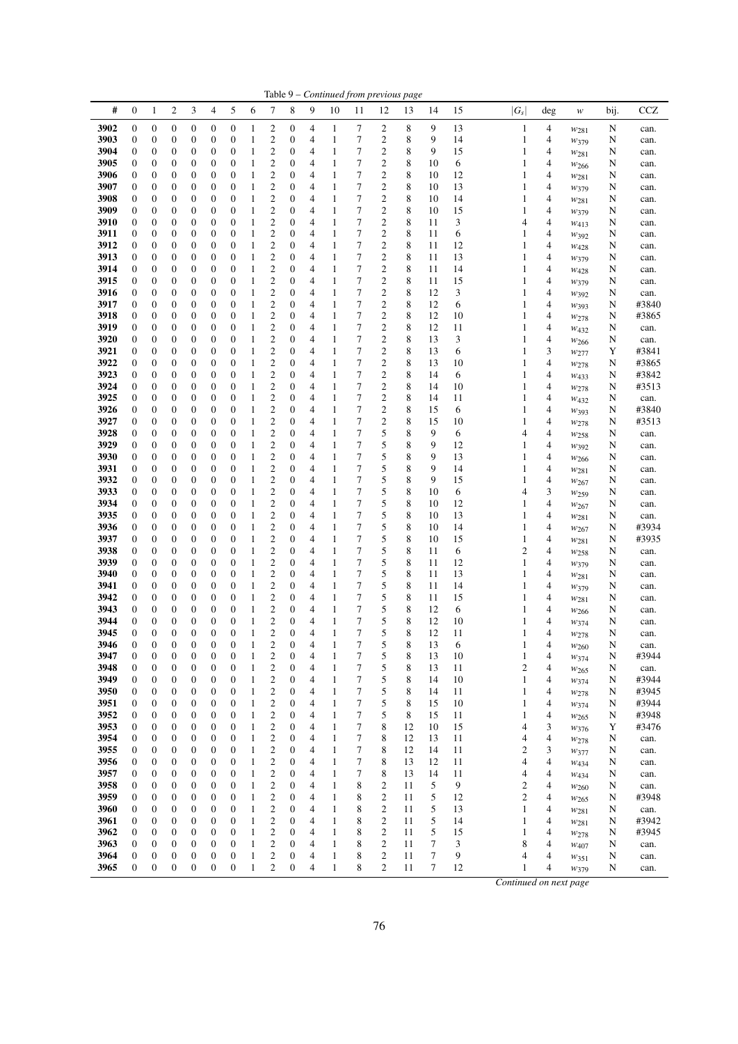|              |                                      |                                      |                                      |                                      |                                      |                                      |                   |                                             |                                      |                                  |                              |                |                                         | Table 9 – Continued from previous page |          |          |                              |                          |                          |             |               |
|--------------|--------------------------------------|--------------------------------------|--------------------------------------|--------------------------------------|--------------------------------------|--------------------------------------|-------------------|---------------------------------------------|--------------------------------------|----------------------------------|------------------------------|----------------|-----------------------------------------|----------------------------------------|----------|----------|------------------------------|--------------------------|--------------------------|-------------|---------------|
| #            | $\mathbf{0}$                         | 1                                    | 2                                    | 3                                    | 4                                    | 5                                    | 6                 | 7                                           | 8                                    | 9                                | 10                           | 11             | 12                                      | 13                                     | 14       | 15       | $ G_s $                      | $\deg$                   | w                        | bij.        | <b>CCZ</b>    |
| 3902         | $\boldsymbol{0}$                     | $\boldsymbol{0}$                     | 0                                    | $\boldsymbol{0}$                     | $\boldsymbol{0}$                     | $\boldsymbol{0}$                     | 1                 | $\overline{\mathbf{c}}$                     | $\boldsymbol{0}$                     | 4                                | 1                            | 7              | 2                                       | 8                                      | 9        | 13       | 1                            | 4                        | $W_{281}$                | N           | can.          |
| 3903         | $\boldsymbol{0}$                     | $\boldsymbol{0}$                     | $\boldsymbol{0}$                     | $\boldsymbol{0}$                     | $\boldsymbol{0}$                     | $\boldsymbol{0}$                     | $\mathbf{1}$      | $\mathbf{2}$                                | $\boldsymbol{0}$                     | 4                                | $\mathbf{1}$                 | 7              | $\boldsymbol{2}$                        | 8                                      | 9        | 14       | $\mathbf{1}$                 | 4                        | W379                     | N           | can.          |
| 3904         | $\boldsymbol{0}$                     | $\boldsymbol{0}$                     | 0                                    | 0                                    | $\boldsymbol{0}$                     | 0                                    | 1                 | $\overline{\mathbf{c}}$                     | $\boldsymbol{0}$                     | 4                                | 1                            | 7<br>7         | 2                                       | 8                                      | 9        | 15       | $\mathbf{1}$                 | 4                        | W281                     | N           | can.          |
| 3905<br>3906 | $\mathbf{0}$<br>$\boldsymbol{0}$     | $\boldsymbol{0}$<br>$\boldsymbol{0}$ | $\boldsymbol{0}$<br>$\boldsymbol{0}$ | $\mathbf{0}$<br>0                    | $\boldsymbol{0}$<br>$\boldsymbol{0}$ | $\mathbf{0}$<br>$\boldsymbol{0}$     | 1<br>1            | $\mathbf{2}$<br>$\overline{\mathbf{c}}$     | $\boldsymbol{0}$<br>$\boldsymbol{0}$ | 4<br>4                           | $\mathbf{1}$<br>1            | 7              | $\mathbf{2}$<br>$\overline{\mathbf{c}}$ | 8<br>8                                 | 10<br>10 | 6<br>12  | $\mathbf{1}$<br>$\mathbf{1}$ | 4<br>4                   | W266                     | N<br>N      | can.          |
| 3907         | $\boldsymbol{0}$                     | $\boldsymbol{0}$                     | $\boldsymbol{0}$                     | $\boldsymbol{0}$                     | $\boldsymbol{0}$                     | $\boldsymbol{0}$                     | 1                 | $\overline{\mathbf{c}}$                     | $\boldsymbol{0}$                     | 4                                | 1                            | 7              | $\overline{\mathbf{c}}$                 | 8                                      | 10       | 13       | $\mathbf{1}$                 | 4                        | $w_{281}$<br>W379        | N           | can.<br>can.  |
| 3908         | $\boldsymbol{0}$                     | $\boldsymbol{0}$                     | $\boldsymbol{0}$                     | $\boldsymbol{0}$                     | $\boldsymbol{0}$                     | $\boldsymbol{0}$                     | 1                 | $\boldsymbol{2}$                            | $\boldsymbol{0}$                     | 4                                | $\mathbf{1}$                 | 7              | $\boldsymbol{2}$                        | 8                                      | 10       | 14       | $\mathbf{1}$                 | 4                        | W281                     | N           | can.          |
| 3909         | $\boldsymbol{0}$                     | $\boldsymbol{0}$                     | $\boldsymbol{0}$                     | $\boldsymbol{0}$                     | $\boldsymbol{0}$                     | 0                                    | 1                 | $\boldsymbol{2}$                            | $\boldsymbol{0}$                     | 4                                | 1                            | 7              | $\boldsymbol{2}$                        | 8                                      | 10       | 15       | 1                            | 4                        | W379                     | N           | can.          |
| 3910         | $\boldsymbol{0}$                     | $\boldsymbol{0}$                     | 0                                    | 0                                    | $\boldsymbol{0}$                     | $\boldsymbol{0}$                     | 1                 | $\overline{2}$                              | $\boldsymbol{0}$                     | 4                                | 1                            | 7              | $\mathfrak{2}$                          | 8                                      | 11       | 3        | 4                            | $\overline{4}$           | $W_{413}$                | N           | can.          |
| 3911         | $\boldsymbol{0}$                     | $\boldsymbol{0}$                     | 0                                    | 0                                    | $\boldsymbol{0}$                     | 0                                    | 1                 | $\overline{\mathbf{c}}$                     | $\boldsymbol{0}$                     | 4                                | 1                            | 7              | 2                                       | 8                                      | 11       | 6        | $\mathbf{1}$                 | 4                        | $w_{392}$                | N           | can.          |
| 3912         | $\boldsymbol{0}$                     | $\boldsymbol{0}$                     | $\boldsymbol{0}$                     | $\boldsymbol{0}$                     | $\boldsymbol{0}$                     | $\boldsymbol{0}$                     | 1                 | $\overline{\mathbf{c}}$                     | $\boldsymbol{0}$                     | 4                                | $\mathbf{1}$                 | 7              | $\overline{\mathbf{c}}$                 | 8                                      | 11       | 12       | $\mathbf{1}$                 | 4                        | W428                     | N           | can.          |
| 3913         | $\boldsymbol{0}$                     | $\boldsymbol{0}$                     | $\boldsymbol{0}$                     | 0                                    | $\boldsymbol{0}$                     | $\boldsymbol{0}$                     | 1                 | $\overline{\mathbf{c}}$                     | $\boldsymbol{0}$                     | $\overline{4}$                   | $\mathbf{1}$                 | 7              | $\overline{\mathbf{c}}$                 | 8                                      | 11       | 13       | $\mathbf{1}$                 | $\overline{4}$           | W379                     | N           | can.          |
| 3914         | $\boldsymbol{0}$                     | $\boldsymbol{0}$                     | $\boldsymbol{0}$                     | $\boldsymbol{0}$                     | $\boldsymbol{0}$                     | $\boldsymbol{0}$                     | 1                 | $\boldsymbol{2}$                            | $\boldsymbol{0}$                     | $\overline{4}$                   | 1                            | 7              | 2                                       | 8                                      | 11       | 14       | $\mathbf{1}$                 | 4                        | $W_{428}$                | N           | can.          |
| 3915         | $\boldsymbol{0}$                     | $\boldsymbol{0}$                     | $\boldsymbol{0}$                     | $\boldsymbol{0}$                     | $\boldsymbol{0}$                     | $\boldsymbol{0}$                     | 1                 | $\mathbf{2}$                                | $\boldsymbol{0}$                     | 4                                | $\mathbf{1}$                 | 7              | $\boldsymbol{2}$                        | 8                                      | 11       | 15       | $\mathbf{1}$                 | 4                        | W379                     | N           | can.          |
| 3916<br>3917 | $\boldsymbol{0}$<br>$\boldsymbol{0}$ | $\boldsymbol{0}$<br>$\boldsymbol{0}$ | 0<br>$\boldsymbol{0}$                | 0<br>$\boldsymbol{0}$                | $\boldsymbol{0}$<br>$\boldsymbol{0}$ | 0<br>$\boldsymbol{0}$                | 1<br>1            | $\overline{\mathbf{c}}$<br>$\boldsymbol{2}$ | $\boldsymbol{0}$<br>$\boldsymbol{0}$ | 4<br>4                           | 1<br>$\mathbf{1}$            | 7<br>7         | 2<br>2                                  | 8<br>8                                 | 12<br>12 | 3<br>6   | $\mathbf{1}$<br>$\mathbf{1}$ | 4<br>4                   | W392                     | N<br>N      | can.<br>#3840 |
| 3918         | $\boldsymbol{0}$                     | $\boldsymbol{0}$                     | $\boldsymbol{0}$                     | $\boldsymbol{0}$                     | $\boldsymbol{0}$                     | $\boldsymbol{0}$                     | 1                 | $\boldsymbol{2}$                            | $\boldsymbol{0}$                     | 4                                | $\mathbf{1}$                 | 7              | $\boldsymbol{2}$                        | 8                                      | 12       | 10       | $\mathbf{1}$                 | 4                        | W393                     | N           | #3865         |
| 3919         | $\boldsymbol{0}$                     | $\boldsymbol{0}$                     | $\boldsymbol{0}$                     | $\boldsymbol{0}$                     | $\boldsymbol{0}$                     | $\boldsymbol{0}$                     | 1                 | $\boldsymbol{2}$                            | $\boldsymbol{0}$                     | $\overline{4}$                   | $\mathbf{1}$                 | 7              | $\mathfrak{2}$                          | 8                                      | 12       | 11       | 1                            | $\overline{4}$           | W278<br>W <sub>432</sub> | N           | can.          |
| 3920         | $\boldsymbol{0}$                     | $\boldsymbol{0}$                     | $\boldsymbol{0}$                     | 0                                    | $\boldsymbol{0}$                     | $\boldsymbol{0}$                     | 1                 | $\boldsymbol{2}$                            | $\boldsymbol{0}$                     | $\overline{4}$                   | $\mathbf{1}$                 | 7              | $\boldsymbol{2}$                        | 8                                      | 13       | 3        | $\mathbf{1}$                 | 4                        | W266                     | N           | can.          |
| 3921         | $\boldsymbol{0}$                     | $\boldsymbol{0}$                     | $\boldsymbol{0}$                     | $\boldsymbol{0}$                     | $\boldsymbol{0}$                     | $\boldsymbol{0}$                     | 1                 | $\boldsymbol{2}$                            | $\boldsymbol{0}$                     | 4                                | 1                            | 7              | $\overline{\mathbf{c}}$                 | 8                                      | 13       | 6        | $\mathbf{1}$                 | 3                        | W277                     | Y           | #3841         |
| 3922         | $\boldsymbol{0}$                     | $\boldsymbol{0}$                     | $\boldsymbol{0}$                     | $\boldsymbol{0}$                     | $\boldsymbol{0}$                     | 0                                    | 1                 | $\boldsymbol{2}$                            | $\boldsymbol{0}$                     | 4                                | $\mathbf{1}$                 | 7              | $\boldsymbol{2}$                        | 8                                      | 13       | 10       | $\mathbf{1}$                 | 4                        | W278                     | N           | #3865         |
| 3923         | $\boldsymbol{0}$                     | $\boldsymbol{0}$                     | $\boldsymbol{0}$                     | 0                                    | $\boldsymbol{0}$                     | 0                                    | 1                 | $\boldsymbol{2}$                            | 0                                    | 4                                | 1                            | 7              | $\boldsymbol{2}$                        | 8                                      | 14       | 6        | 1                            | 4                        | W <sub>433</sub>         | N           | #3842         |
| 3924         | $\boldsymbol{0}$                     | $\boldsymbol{0}$                     | $\boldsymbol{0}$                     | $\mathbf{0}$                         | $\boldsymbol{0}$                     | $\mathbf{0}$                         | 1                 | $\mathbf{2}$                                | $\boldsymbol{0}$                     | 4                                | $\mathbf{1}$                 | 7              | $\mathbf{2}$                            | 8                                      | 14       | 10       | $\mathbf{1}$                 | 4                        | W278                     | N           | #3513         |
| 3925         | $\boldsymbol{0}$                     | $\boldsymbol{0}$                     | $\boldsymbol{0}$                     | $\boldsymbol{0}$                     | $\boldsymbol{0}$                     | $\boldsymbol{0}$                     | 1                 | $\overline{\mathbf{c}}$                     | $\boldsymbol{0}$                     | 4                                | 1                            | 7              | $\overline{\mathbf{c}}$                 | 8                                      | 14       | 11       | $\mathbf{1}$                 | $\overline{4}$           | W432                     | N           | can.          |
| 3926         | $\boldsymbol{0}$                     | $\boldsymbol{0}$                     | $\boldsymbol{0}$                     | $\boldsymbol{0}$                     | $\boldsymbol{0}$                     | $\boldsymbol{0}$                     | 1                 | $\overline{\mathbf{c}}$                     | $\boldsymbol{0}$                     | 4                                | 1                            | 7              | $\overline{\mathbf{c}}$                 | 8                                      | 15       | 6        | $\mathbf{1}$                 | 4                        | W393                     | N           | #3840         |
| 3927<br>3928 | $\boldsymbol{0}$                     | $\boldsymbol{0}$<br>$\boldsymbol{0}$ | $\boldsymbol{0}$<br>$\boldsymbol{0}$ | $\boldsymbol{0}$<br>$\boldsymbol{0}$ | $\boldsymbol{0}$                     | $\boldsymbol{0}$                     | $\mathbf{1}$<br>1 | $\boldsymbol{2}$                            | $\boldsymbol{0}$<br>$\boldsymbol{0}$ | $\overline{4}$                   | $\mathbf{1}$<br>1            | 7<br>7         | $\overline{\mathbf{c}}$                 | 8<br>8                                 | 15       | 10       | $\mathbf{1}$                 | 4<br>4                   | $w_{278}$                | N           | #3513         |
| 3929         | $\boldsymbol{0}$<br>$\boldsymbol{0}$ | $\boldsymbol{0}$                     | 0                                    | 0                                    | $\boldsymbol{0}$<br>$\boldsymbol{0}$ | 0<br>$\boldsymbol{0}$                | 1                 | $\boldsymbol{2}$<br>$\overline{2}$          | $\boldsymbol{0}$                     | 4<br>4                           | 1                            | 7              | 5<br>5                                  | 8                                      | 9<br>9   | 6<br>12  | 4<br>1                       | $\overline{4}$           | W <sub>258</sub><br>W392 | N<br>N      | can.<br>can.  |
| 3930         | $\boldsymbol{0}$                     | $\boldsymbol{0}$                     | 0                                    | 0                                    | $\boldsymbol{0}$                     | 0                                    | 1                 | $\overline{\mathbf{c}}$                     | $\boldsymbol{0}$                     | 4                                | 1                            | 7              | 5                                       | 8                                      | 9        | 13       | $\mathbf{1}$                 | 4                        | W <sub>266</sub>         | N           | can.          |
| 3931         | $\boldsymbol{0}$                     | $\boldsymbol{0}$                     | $\boldsymbol{0}$                     | $\boldsymbol{0}$                     | $\boldsymbol{0}$                     | $\boldsymbol{0}$                     | 1                 | $\boldsymbol{2}$                            | $\boldsymbol{0}$                     | 4                                | $\mathbf{1}$                 | 7              | 5                                       | 8                                      | 9        | 14       | $\,1\,$                      | 4                        | $w_{281}$                | N           | can.          |
| 3932         | $\boldsymbol{0}$                     | $\boldsymbol{0}$                     | $\boldsymbol{0}$                     | $\boldsymbol{0}$                     | $\boldsymbol{0}$                     | $\boldsymbol{0}$                     | 1                 | $\overline{\mathbf{c}}$                     | $\boldsymbol{0}$                     | $\overline{4}$                   | 1                            | 7              | 5                                       | 8                                      | 9        | 15       | $\mathbf{1}$                 | $\overline{\mathcal{L}}$ | W267                     | N           | can.          |
| 3933         | $\boldsymbol{0}$                     | $\boldsymbol{0}$                     | $\boldsymbol{0}$                     | $\boldsymbol{0}$                     | $\boldsymbol{0}$                     | $\boldsymbol{0}$                     | 1                 | $\boldsymbol{2}$                            | $\boldsymbol{0}$                     | $\overline{4}$                   | 1                            | 7              | 5                                       | 8                                      | 10       | 6        | 4                            | 3                        | W <sub>259</sub>         | N           | can.          |
| 3934         | $\boldsymbol{0}$                     | $\boldsymbol{0}$                     | $\boldsymbol{0}$                     | $\boldsymbol{0}$                     | $\boldsymbol{0}$                     | $\boldsymbol{0}$                     | 1                 | $\mathbf{2}$                                | $\boldsymbol{0}$                     | 4                                | $\mathbf{1}$                 | 7              | 5                                       | 8                                      | 10       | 12       | $\mathbf{1}$                 | $\overline{4}$           | $w_{267}$                | N           | can.          |
| 3935         | $\boldsymbol{0}$                     | $\boldsymbol{0}$                     | $\boldsymbol{0}$                     | 0                                    | $\boldsymbol{0}$                     | 0                                    | 1                 | $\overline{\mathbf{c}}$                     | $\boldsymbol{0}$                     | 4                                | 1                            | 7              | 5                                       | 8                                      | 10       | 13       | $\mathbf{1}$                 | 4                        | $w_{281}$                | N           | can.          |
| 3936         | $\boldsymbol{0}$                     | $\boldsymbol{0}$                     | 0                                    | $\boldsymbol{0}$                     | $\boldsymbol{0}$                     | $\boldsymbol{0}$                     | 1                 | $\boldsymbol{2}$                            | $\boldsymbol{0}$                     | 4                                | $\mathbf{1}$                 | 7              | 5                                       | 8                                      | 10       | 14       | $\mathbf{1}$                 | 4                        | W267                     | N           | #3934         |
| 3937<br>3938 | $\boldsymbol{0}$<br>$\boldsymbol{0}$ | $\boldsymbol{0}$<br>$\boldsymbol{0}$ | $\boldsymbol{0}$<br>$\boldsymbol{0}$ | $\boldsymbol{0}$<br>$\boldsymbol{0}$ | $\boldsymbol{0}$<br>$\boldsymbol{0}$ | $\boldsymbol{0}$<br>$\boldsymbol{0}$ | 1<br>1            | $\boldsymbol{2}$<br>$\overline{\mathbf{c}}$ | $\boldsymbol{0}$<br>$\boldsymbol{0}$ | 4<br>$\overline{4}$              | $\mathbf{1}$<br>$\mathbf{1}$ | 7<br>7         | 5<br>5                                  | 8<br>8                                 | 10<br>11 | 15<br>6  | $\,1\,$<br>$\mathfrak{2}$    | 4<br>$\overline{4}$      | W281                     | N<br>N      | #3935         |
| 3939         | $\boldsymbol{0}$                     | $\boldsymbol{0}$                     | $\boldsymbol{0}$                     | 0                                    | $\boldsymbol{0}$                     | $\boldsymbol{0}$                     | 1                 | $\boldsymbol{2}$                            | $\boldsymbol{0}$                     | $\overline{4}$                   | 1                            | 7              | 5                                       | 8                                      | 11       | 12       | $\,1\,$                      | 4                        | W <sub>258</sub><br>W379 | N           | can.<br>can.  |
| 3940         | $\boldsymbol{0}$                     | $\boldsymbol{0}$                     | $\boldsymbol{0}$                     | $\boldsymbol{0}$                     | $\boldsymbol{0}$                     | $\boldsymbol{0}$                     | 1                 | $\boldsymbol{2}$                            | $\boldsymbol{0}$                     | 4                                | 1                            | 7              | 5                                       | 8                                      | 11       | 13       | $\mathbf{1}$                 | 4                        | W281                     | N           | can.          |
| 3941         | $\boldsymbol{0}$                     | $\boldsymbol{0}$                     | $\boldsymbol{0}$                     | $\boldsymbol{0}$                     | $\boldsymbol{0}$                     | 0                                    | 1                 | $\mathbf{2}$                                | $\boldsymbol{0}$                     | 4                                | $\mathbf{1}$                 | 7              | 5                                       | 8                                      | 11       | 14       | $\mathbf{1}$                 | 4                        | W379                     | N           | can.          |
| 3942         | $\boldsymbol{0}$                     | $\boldsymbol{0}$                     | $\boldsymbol{0}$                     | 0                                    | $\boldsymbol{0}$                     | 0                                    | 1                 | $\boldsymbol{2}$                            | 0                                    | 4                                | 1                            | 7              | 5                                       | 8                                      | 11       | 15       | $\mathbf{1}$                 | 4                        | W281                     | N           | can.          |
| 3943         | $\boldsymbol{0}$                     | $\boldsymbol{0}$                     | $\boldsymbol{0}$                     | $\boldsymbol{0}$                     | $\boldsymbol{0}$                     | $\boldsymbol{0}$                     | 1                 | $\boldsymbol{2}$                            | $\boldsymbol{0}$                     | 4                                | $\mathbf{1}$                 | 7              | 5                                       | 8                                      | 12       | 6        | $\mathbf{1}$                 | $\overline{4}$           | W <sub>266</sub>         | N           | can.          |
| 3944         | $\boldsymbol{0}$                     | $\boldsymbol{0}$                     | $\boldsymbol{0}$                     | 0                                    | $\boldsymbol{0}$                     | $\boldsymbol{0}$                     | $\mathbf{1}$      | $\overline{c}$                              | $\boldsymbol{0}$                     | $\overline{4}$                   | $\mathbf{1}$                 | 7              | 5                                       | 8                                      | 12       | 10       | $\mathbf{1}$                 | $\overline{4}$           | W374                     | N           | can.          |
| 3945         | $\overline{0}$                       | $\overline{0}$                       | $\overline{0}$                       | $\overline{0}$                       | $\overline{0}$                       | $\overline{0}$                       | 1                 | $\overline{2}$                              | $\boldsymbol{0}$                     | $\overline{4}$                   | 1                            | 7              | 5                                       | 8                                      | 12       | 11       | 1                            | 4                        | W278                     | N           | can.          |
| 3946         | $\boldsymbol{0}$                     | $\boldsymbol{0}$                     | 0                                    | $\boldsymbol{0}$                     | $\boldsymbol{0}$                     | $\boldsymbol{0}$                     | 1<br>1            | $\overline{\mathbf{c}}$                     | $\boldsymbol{0}$                     | 4                                | 1<br>$\mathbf{1}$            | 7              | 5                                       | 8                                      | 13       | 6        | $\mathbf{1}$                 | 4                        | $w_{260}$                | N           | can.          |
| 3947<br>3948 | $\boldsymbol{0}$<br>$\mathbf{0}$     | $\boldsymbol{0}$<br>$\boldsymbol{0}$ | $\boldsymbol{0}$<br>$\boldsymbol{0}$ | $\boldsymbol{0}$<br>$\boldsymbol{0}$ | $\boldsymbol{0}$<br>$\boldsymbol{0}$ | $\boldsymbol{0}$<br>$\boldsymbol{0}$ | 1                 | $\mathbf{2}$<br>$\overline{c}$              | $\boldsymbol{0}$<br>$\boldsymbol{0}$ | 4<br>4                           | 1                            | 7<br>7         | 5<br>5                                  | 8<br>8                                 | 13<br>13 | 10<br>11 | $\,1\,$<br>$\overline{c}$    | 4<br>$\overline{4}$      | W374                     | N<br>N      | #3944         |
| 3949         | $\boldsymbol{0}$                     | $\boldsymbol{0}$                     | $\boldsymbol{0}$                     | $\boldsymbol{0}$                     | $\boldsymbol{0}$                     | 0                                    | 1                 | $\overline{\mathbf{c}}$                     | $\boldsymbol{0}$                     | 4                                | 1                            | 7              | 5                                       | 8                                      | 14       | 10       | $\mathbf{1}$                 | 4                        | W265<br>W374             | N           | can.<br>#3944 |
| 3950         | $\mathbf{0}$                         | $\boldsymbol{0}$                     | $\boldsymbol{0}$                     | $\boldsymbol{0}$                     | $\boldsymbol{0}$                     | $\boldsymbol{0}$                     | 1                 | $\overline{\mathbf{c}}$                     | $\boldsymbol{0}$                     | 4                                | $\mathbf{1}$                 | 7              | 5                                       | 8                                      | 14       | 11       | $\mathbf{1}$                 | 4                        | W278                     | N           | #3945         |
| 3951         | $\boldsymbol{0}$                     | $\boldsymbol{0}$                     | $\boldsymbol{0}$                     | $\boldsymbol{0}$                     | $\boldsymbol{0}$                     | $\boldsymbol{0}$                     | $\mathbf{1}$      | $\overline{\mathbf{c}}$                     | $\boldsymbol{0}$                     | $\overline{4}$                   | $\mathbf{1}$                 | 7              | 5                                       | 8                                      | 15       | 10       | $\mathbf{1}$                 | 4                        | $w_{374}$                | N           | #3944         |
| 3952         | $\boldsymbol{0}$                     | $\boldsymbol{0}$                     | $\boldsymbol{0}$                     | $\boldsymbol{0}$                     | $\boldsymbol{0}$                     | $\boldsymbol{0}$                     | 1                 | $\overline{c}$                              | $\boldsymbol{0}$                     | $\overline{4}$                   | $\mathbf{1}$                 | $\overline{7}$ | 5                                       | 8                                      | 15       | 11       | $\mathbf{1}$                 | 4                        | W265                     | N           | #3948         |
| 3953         | $\mathbf{0}$                         | $\boldsymbol{0}$                     | $\boldsymbol{0}$                     | $\boldsymbol{0}$                     | $\boldsymbol{0}$                     | $\boldsymbol{0}$                     | 1                 | $\boldsymbol{2}$                            | $\boldsymbol{0}$                     | 4                                | $\mathbf{1}$                 | 7              | 8                                       | 12                                     | 10       | 15       | $\overline{4}$               | 3                        | W376                     | $\mathbf Y$ | #3476         |
| 3954         | $\boldsymbol{0}$                     | $\boldsymbol{0}$                     | $\boldsymbol{0}$                     | $\boldsymbol{0}$                     | $\boldsymbol{0}$                     | $\boldsymbol{0}$                     | 1                 | $\overline{\mathbf{c}}$                     | $\boldsymbol{0}$                     | 4                                | 1                            | 7              | 8                                       | 12                                     | 13       | 11       | 4                            | $\overline{\mathbf{4}}$  | W278                     | N           | can.          |
| 3955         | $\boldsymbol{0}$                     | $\boldsymbol{0}$                     | $\boldsymbol{0}$                     | $\boldsymbol{0}$                     | $\boldsymbol{0}$                     | $\boldsymbol{0}$                     | 1                 | $\overline{c}$                              | $\boldsymbol{0}$                     | $\overline{4}$                   | 1                            | 7              | 8                                       | 12                                     | 14       | 11       | $\boldsymbol{2}$             | 3                        | $w_{377}$                | N           | can.          |
| 3956         | $\boldsymbol{0}$                     | $\boldsymbol{0}$                     | $\boldsymbol{0}$                     | $\boldsymbol{0}$                     | $\boldsymbol{0}$                     | $\boldsymbol{0}$                     | 1                 | $\overline{\mathbf{c}}$                     | $\boldsymbol{0}$                     | $\overline{4}$                   | 1                            | 7              | 8                                       | 13                                     | 12       | 11       | $\overline{4}$               | $\overline{4}$           | W434                     | N           | can.          |
| 3957<br>3958 | $\mathbf{0}$                         | $\boldsymbol{0}$                     | $\boldsymbol{0}$<br>$\boldsymbol{0}$ | $\boldsymbol{0}$<br>$\boldsymbol{0}$ | $\boldsymbol{0}$<br>$\boldsymbol{0}$ | $\boldsymbol{0}$<br>$\boldsymbol{0}$ | 1<br>1            | $\overline{c}$                              | $\boldsymbol{0}$                     | $\overline{4}$<br>$\overline{4}$ | $\mathbf{1}$<br>1            | 7              | 8                                       | 13                                     | 14<br>5  | 11       | 4                            | 4<br>4                   | W434                     | N           | can.          |
| 3959         | $\boldsymbol{0}$<br>$\boldsymbol{0}$ | $\boldsymbol{0}$<br>$\boldsymbol{0}$ | $\boldsymbol{0}$                     | $\boldsymbol{0}$                     | $\boldsymbol{0}$                     | $\boldsymbol{0}$                     | 1                 | $\overline{\mathbf{c}}$<br>$\overline{c}$   | $\boldsymbol{0}$<br>$\boldsymbol{0}$ | 4                                | 1                            | 8<br>8         | $\overline{\mathbf{c}}$<br>$\sqrt{2}$   | 11<br>11                               | 5        | 9<br>12  | 2<br>$\overline{\mathbf{c}}$ | 4                        | $w_{260}$                | N<br>N      | can.<br>#3948 |
| 3960         | $\boldsymbol{0}$                     | $\boldsymbol{0}$                     | $\boldsymbol{0}$                     | $\boldsymbol{0}$                     | $\boldsymbol{0}$                     | $\boldsymbol{0}$                     | 1                 | $\overline{\mathbf{c}}$                     | $\boldsymbol{0}$                     | $\overline{4}$                   | $\mathbf{1}$                 | 8              | $\overline{c}$                          | 11                                     | 5        | 13       | $\mathbf{1}$                 | 4                        | $w_{265}$<br>W281        | N           | can.          |
| 3961         | $\boldsymbol{0}$                     | $\boldsymbol{0}$                     | $\boldsymbol{0}$                     | $\boldsymbol{0}$                     | $\boldsymbol{0}$                     | $\boldsymbol{0}$                     | 1                 | $\overline{\mathbf{c}}$                     | $\boldsymbol{0}$                     | 4                                | 1                            | 8              | $\overline{c}$                          | 11                                     | 5        | 14       | 1                            | 4                        | W281                     | N           | #3942         |
| 3962         | $\boldsymbol{0}$                     | $\boldsymbol{0}$                     | $\boldsymbol{0}$                     | $\boldsymbol{0}$                     | $\boldsymbol{0}$                     | $\boldsymbol{0}$                     | 1                 | $\overline{c}$                              | $\boldsymbol{0}$                     | 4                                | 1                            | 8              | $\sqrt{2}$                              | 11                                     | 5        | 15       | $\mathbf{1}$                 | 4                        | W278                     | N           | #3945         |
| 3963         | $\boldsymbol{0}$                     | $\boldsymbol{0}$                     | $\boldsymbol{0}$                     | $\boldsymbol{0}$                     | $\boldsymbol{0}$                     | $\boldsymbol{0}$                     | 1                 | $\boldsymbol{2}$                            | $\boldsymbol{0}$                     | 4                                | 1                            | 8              | $\sqrt{2}$                              | 11                                     | 7        | 3        | 8                            | 4                        | $W_{407}$                | N           | can.          |
| 3964         | $\boldsymbol{0}$                     | $\boldsymbol{0}$                     | $\boldsymbol{0}$                     | $\boldsymbol{0}$                     | $\boldsymbol{0}$                     | $\boldsymbol{0}$                     | $\mathbf{1}$      | $\overline{\mathbf{c}}$                     | $\boldsymbol{0}$                     | 4                                | $\mathbf{1}$                 | 8              | $\overline{\mathbf{c}}$                 | 11                                     | 7        | 9        | 4                            | $\overline{\mathbf{4}}$  | W351                     | N           | can.          |
| 3965         | $\boldsymbol{0}$                     | $\boldsymbol{0}$                     | $\boldsymbol{0}$                     | $\overline{0}$                       | $\boldsymbol{0}$                     | $\boldsymbol{0}$                     | $\mathbf{1}$      | $\overline{c}$                              | $\boldsymbol{0}$                     | $\overline{4}$                   | $\mathbf{1}$                 | 8              | $\overline{c}$                          | 11                                     | 7        | 12       | $\mathbf{1}$                 | 4                        | W379                     | N           | can.          |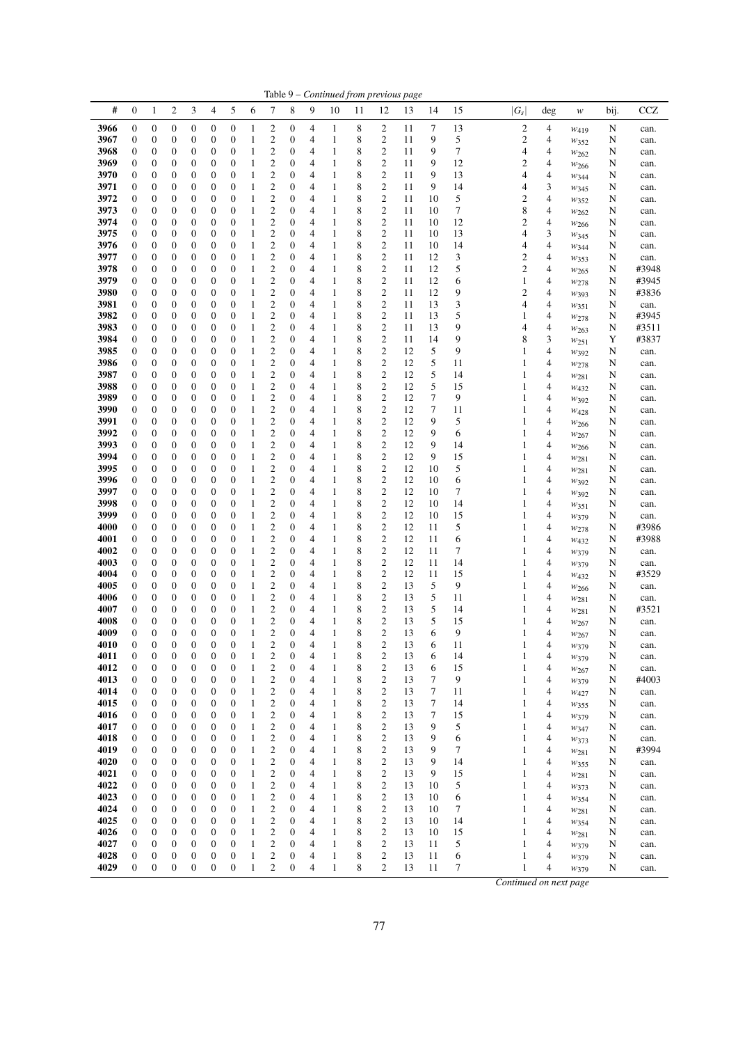|              |                                      |                                      |                       |                                      |                                      |                                      |                   |                                    |                                      |                     |                              |        |                                      | Table 9 - Continued from previous page |          |          |                         |        |                          |        |                |
|--------------|--------------------------------------|--------------------------------------|-----------------------|--------------------------------------|--------------------------------------|--------------------------------------|-------------------|------------------------------------|--------------------------------------|---------------------|------------------------------|--------|--------------------------------------|----------------------------------------|----------|----------|-------------------------|--------|--------------------------|--------|----------------|
| #            | $\mathbf{0}$                         | $\mathbf{1}$                         | $\overline{c}$        | 3                                    | 4                                    | 5                                    | 6                 | 7                                  | 8                                    | 9                   | 10                           | 11     | 12                                   | 13                                     | 14       | 15       | $ G_s $                 | deg    | w                        | bij.   | <b>CCZ</b>     |
| 3966         | $\boldsymbol{0}$                     | $\boldsymbol{0}$                     | 0                     | $\boldsymbol{0}$                     | $\boldsymbol{0}$                     | $\boldsymbol{0}$                     | 1                 | 2                                  | 0                                    | 4                   | 1                            | 8      | 2                                    | 11                                     | 7        | 13       | $\overline{\mathbf{c}}$ | 4      | $W_{419}$                | N      | can.           |
| 3967         | $\boldsymbol{0}$                     | 0                                    | 0                     | 0                                    | $\boldsymbol{0}$                     | $\boldsymbol{0}$                     | 1                 | 2                                  | 0                                    | 4                   | 1                            | 8      | $\boldsymbol{2}$                     | 11                                     | 9        | 5        | $\mathbf{2}$            | 4      | $W_{352}$                | N      | can.           |
| 3968         | $\boldsymbol{0}$                     | $\boldsymbol{0}$                     | 0                     | 0                                    | $\boldsymbol{0}$                     | $\boldsymbol{0}$                     | 1                 | $\boldsymbol{2}$                   | 0                                    | 4                   | 1                            | 8      | $\mathfrak{2}$                       | 11                                     | 9        | 7        | 4                       | 4      | W262                     | N      | can.           |
| 3969         | $\boldsymbol{0}$                     | $\boldsymbol{0}$                     | 0                     | 0                                    | $\boldsymbol{0}$                     | $\boldsymbol{0}$                     | 1                 | 2                                  | 0                                    | 4                   | 1                            | 8      | $\boldsymbol{2}$                     | 11                                     | 9<br>9   | 12       | 2                       | 4      | W266                     | N      | can.           |
| 3970<br>3971 | $\boldsymbol{0}$<br>$\boldsymbol{0}$ | 0<br>0                               | 0<br>0                | 0<br>0                               | $\boldsymbol{0}$<br>$\mathbf{0}$     | $\boldsymbol{0}$<br>$\boldsymbol{0}$ | 1<br>1            | 2<br>2                             | $\boldsymbol{0}$<br>$\mathbf{0}$     | 4<br>4              | $\mathbf{1}$<br>$\mathbf{1}$ | 8<br>8 | $\boldsymbol{2}$<br>$\boldsymbol{2}$ | 11<br>11                               | 9        | 13<br>14 | 4<br>4                  | 4<br>3 | W <sub>344</sub><br>W345 | N<br>N | can.<br>can.   |
| 3972         | $\mathbf{0}$                         | 0                                    | 0                     | 0                                    | $\boldsymbol{0}$                     | $\boldsymbol{0}$                     | 1                 | $\overline{c}$                     | $\boldsymbol{0}$                     | 4                   | $\mathbf{1}$                 | 8      | $\mathbf{2}$                         | 11                                     | 10       | 5        | 2                       | 4      | W352                     | N      | can.           |
| 3973         | $\boldsymbol{0}$                     | 0                                    | 0                     | 0                                    | $\boldsymbol{0}$                     | $\boldsymbol{0}$                     | 1                 | 2                                  | $\boldsymbol{0}$                     | 4                   | 1                            | 8      | $\overline{c}$                       | 11                                     | 10       | 7        | 8                       | 4      | W262                     | N      | can.           |
| 3974         | $\boldsymbol{0}$                     | $\boldsymbol{0}$                     | 0                     | 0                                    | $\boldsymbol{0}$                     | $\boldsymbol{0}$                     | 1                 | $\boldsymbol{2}$                   | $\boldsymbol{0}$                     | 4                   | $\mathbf{1}$                 | 8      | $\boldsymbol{2}$                     | 11                                     | 10       | 12       | $\overline{c}$          | 4      | $w_{266}$                | N      | can.           |
| 3975         | $\boldsymbol{0}$                     | $\boldsymbol{0}$                     | 0                     | 0                                    | $\boldsymbol{0}$                     | $\boldsymbol{0}$                     | 1                 | $\mathbf{2}$                       | $\boldsymbol{0}$                     | 4                   | 1                            | 8      | $\mathbf{2}$                         | 11                                     | 10       | 13       | 4                       | 3      | $w_{345}$                | N      | can.           |
| 3976         | $\boldsymbol{0}$                     | 0                                    | 0                     | 0                                    | $\boldsymbol{0}$                     | $\boldsymbol{0}$                     | 1                 | 2<br>$\overline{c}$                | $\mathbf{0}$                         | 4                   | 1                            | 8      | $\boldsymbol{2}$<br>$\mathfrak{2}$   | 11                                     | 10<br>12 | 14       | 4<br>$\overline{c}$     | 4      | W344                     | N      | can.           |
| 3977<br>3978 | $\mathbf{0}$<br>$\boldsymbol{0}$     | 0<br>0                               | $\boldsymbol{0}$<br>0 | 0<br>0                               | $\boldsymbol{0}$<br>$\mathbf{0}$     | $\boldsymbol{0}$<br>$\boldsymbol{0}$ | 1<br>1            | $\mathbf{2}$                       | $\mathbf{0}$<br>$\mathbf{0}$         | 4<br>4              | $\mathbf{1}$<br>1            | 8<br>8 | $\sqrt{2}$                           | 11<br>11                               | 12       | 3<br>5   | $\overline{c}$          | 4<br>4 | W353<br>$w_{265}$        | N<br>N | can.<br>#3948  |
| 3979         | $\mathbf{0}$                         | $\boldsymbol{0}$                     | 0                     | 0                                    | $\mathbf{0}$                         | $\boldsymbol{0}$                     | 1                 | $\overline{c}$                     | $\mathbf{0}$                         | 4                   | 1                            | 8      | $\mathfrak{2}$                       | 11                                     | 12       | 6        | 1                       | 4      | $w_{278}$                | N      | #3945          |
| 3980         | $\boldsymbol{0}$                     | $\boldsymbol{0}$                     | 0                     | 0                                    | $\boldsymbol{0}$                     | $\boldsymbol{0}$                     | 1                 | $\mathfrak{2}$                     | $\boldsymbol{0}$                     | 4                   | 1                            | 8      | $\boldsymbol{2}$                     | 11                                     | 12       | 9        | $\overline{c}$          | 4      | W393                     | N      | #3836          |
| 3981         | $\boldsymbol{0}$                     | $\boldsymbol{0}$                     | 0                     | 0                                    | $\boldsymbol{0}$                     | $\boldsymbol{0}$                     | 1                 | $\mathfrak{2}$                     | $\mathbf{0}$                         | 4                   | 1                            | 8      | $\boldsymbol{2}$                     | 11                                     | 13       | 3        | 4                       | 4      | W351                     | N      | can.           |
| 3982         | $\boldsymbol{0}$                     | 0                                    | 0                     | 0                                    | $\mathbf{0}$                         | $\boldsymbol{0}$                     | 1                 | $\mathfrak{2}$                     | $\boldsymbol{0}$                     | 4                   | 1                            | 8      | $\mathfrak{2}$                       | 11                                     | 13       | 5        | 1                       | 4      | $w_{278}$                | N      | #3945          |
| 3983<br>3984 | $\boldsymbol{0}$<br>$\mathbf{0}$     | 0<br>0                               | 0<br>0                | 0<br>0                               | $\boldsymbol{0}$<br>$\boldsymbol{0}$ | $\boldsymbol{0}$<br>$\boldsymbol{0}$ | 1<br>1            | 2<br>$\overline{c}$                | $\boldsymbol{0}$<br>$\mathbf{0}$     | 4<br>4              | $\mathbf{1}$<br>1            | 8<br>8 | $\boldsymbol{2}$<br>$\mathfrak{2}$   | 11<br>11                               | 13<br>14 | 9<br>9   | 4<br>8                  | 4<br>3 | $w_{263}$                | N<br>Y | #3511<br>#3837 |
| 3985         | $\boldsymbol{0}$                     | 0                                    | 0                     | 0                                    | $\mathbf{0}$                         | $\boldsymbol{0}$                     | 1                 | 2                                  | $\mathbf{0}$                         | 4                   | 1                            | 8      | $\boldsymbol{2}$                     | 12                                     | 5        | 9        | 1                       | 4      | W251<br>W392             | N      | can.           |
| 3986         | $\boldsymbol{0}$                     | 0                                    | 0                     | 0                                    | $\boldsymbol{0}$                     | $\boldsymbol{0}$                     | 1                 | 2                                  | $\boldsymbol{0}$                     | 4                   | 1                            | 8      | $\boldsymbol{2}$                     | 12                                     | 5        | 11       | 1                       | 4      | $w_{278}$                | N      | can.           |
| 3987         | $\boldsymbol{0}$                     | $\boldsymbol{0}$                     | 0                     | 0                                    | $\boldsymbol{0}$                     | $\boldsymbol{0}$                     | 1                 | 2                                  | 0                                    | 4                   | 1                            | 8      | $\boldsymbol{2}$                     | 12                                     | 5        | 14       | 1                       | 4      | $w_{281}$                | N      | can.           |
| 3988         | $\boldsymbol{0}$                     | $\boldsymbol{0}$                     | 0                     | 0                                    | $\mathbf{0}$                         | $\boldsymbol{0}$                     | 1                 | 2                                  | $\mathbf{0}$                         | 4                   | 1                            | 8      | $\boldsymbol{2}$                     | 12                                     | 5        | 15       | 1                       | 4      | W432                     | N      | can.           |
| 3989         | $\boldsymbol{0}$                     | 0                                    | 0                     | 0                                    | $\boldsymbol{0}$                     | $\boldsymbol{0}$                     | 1                 | 2                                  | $\boldsymbol{0}$                     | 4                   | $\mathbf{1}$                 | 8      | $\boldsymbol{2}$                     | 12                                     | 7        | 9        | 1                       | 4      | W392                     | N      | can.           |
| 3990<br>3991 | $\boldsymbol{0}$<br>$\boldsymbol{0}$ | 0<br>0                               | 0<br>0                | 0<br>0                               | $\boldsymbol{0}$<br>$\boldsymbol{0}$ | $\boldsymbol{0}$<br>$\boldsymbol{0}$ | 1<br>1            | 2<br>$\overline{c}$                | $\mathbf{0}$<br>$\boldsymbol{0}$     | 4<br>4              | $\mathbf{1}$<br>1            | 8<br>8 | $\mathbf{2}$<br>$\mathbf{2}$         | 12<br>12                               | 7<br>9   | 11<br>5  | 1<br>1                  | 4<br>4 | $w_{428}$                | N<br>N | can.           |
| 3992         | $\boldsymbol{0}$                     | 0                                    | 0                     | 0                                    | $\boldsymbol{0}$                     | $\boldsymbol{0}$                     | 1                 | 2                                  | $\boldsymbol{0}$                     | 4                   | 1                            | 8      | $\overline{c}$                       | 12                                     | 9        | 6        | 1                       | 4      | $w_{266}$<br>W267        | N      | can.<br>can.   |
| 3993         | $\boldsymbol{0}$                     | $\boldsymbol{0}$                     | 0                     | 0                                    | $\boldsymbol{0}$                     | $\boldsymbol{0}$                     | 1                 | 2                                  | $\boldsymbol{0}$                     | 4                   | $\mathbf{1}$                 | 8      | $\boldsymbol{2}$                     | 12                                     | 9        | 14       | 1                       | 4      | W <sub>266</sub>         | N      | can.           |
| 3994         | $\mathbf{0}$                         | $\boldsymbol{0}$                     | 0                     | 0                                    | $\boldsymbol{0}$                     | $\boldsymbol{0}$                     | 1                 | $\mathbf{2}$                       | $\mathbf{0}$                         | 4                   | 1                            | 8      | $\mathbf{2}$                         | 12                                     | 9        | 15       | 1                       | 4      | W281                     | N      | can.           |
| 3995         | $\boldsymbol{0}$                     | 0                                    | 0                     | 0                                    | $\mathbf{0}$                         | $\boldsymbol{0}$                     | 1                 | $\mathfrak{2}$                     | $\mathbf{0}$                         | 4                   | 1                            | 8      | $\mathfrak{2}$                       | 12                                     | 10       | 5        | 1                       | 4      | $w_{281}$                | N      | can.           |
| 3996         | $\boldsymbol{0}$                     | 0                                    | 0                     | 0                                    | $\boldsymbol{0}$                     | $\boldsymbol{0}$                     | 1                 | $\overline{c}$                     | $\mathbf{0}$                         | 4                   | $\mathbf{1}$                 | 8      | $\overline{c}$                       | 12                                     | 10       | 6        | 1                       | 4      | W392                     | N      | can.           |
| 3997<br>3998 | $\boldsymbol{0}$<br>$\mathbf{0}$     | 0<br>$\boldsymbol{0}$                | 0<br>$\boldsymbol{0}$ | 0<br>0                               | $\mathbf{0}$<br>$\boldsymbol{0}$     | $\boldsymbol{0}$<br>$\boldsymbol{0}$ | 1<br>1            | $\mathfrak{2}$<br>$\overline{c}$   | $\mathbf{0}$<br>$\mathbf{0}$         | 4<br>4              | 1<br>1                       | 8<br>8 | $\mathbf{2}$<br>$\overline{c}$       | 12<br>12                               | 10<br>10 | 7<br>14  | 1<br>1                  | 4<br>4 | W392                     | N<br>N | can.           |
| 3999         | $\boldsymbol{0}$                     | 0                                    | 0                     | 0                                    | $\boldsymbol{0}$                     | $\boldsymbol{0}$                     | 1                 | $\mathfrak{2}$                     | $\boldsymbol{0}$                     | 4                   | 1                            | 8      | $\boldsymbol{2}$                     | 12                                     | 10       | 15       | 1                       | 4      | $w_{351}$<br>W379        | N      | can.<br>can.   |
| 4000         | $\boldsymbol{0}$                     | $\boldsymbol{0}$                     | 0                     | 0                                    | $\boldsymbol{0}$                     | $\boldsymbol{0}$                     | 1                 | $\boldsymbol{2}$                   | $\mathbf{0}$                         | 4                   | 1                            | 8      | $\boldsymbol{2}$                     | 12                                     | 11       | 5        | 1                       | 4      | W278                     | N      | #3986          |
| 4001         | $\mathbf{0}$                         | $\boldsymbol{0}$                     | 0                     | 0                                    | $\boldsymbol{0}$                     | $\boldsymbol{0}$                     | 1                 | $\overline{c}$                     | $\boldsymbol{0}$                     | 4                   | 1                            | 8      | $\mathfrak{2}$                       | 12                                     | 11       | 6        | 1                       | 4      | W432                     | N      | #3988          |
| 4002         | $\boldsymbol{0}$                     | 0                                    | 0                     | 0                                    | $\boldsymbol{0}$                     | $\boldsymbol{0}$                     | 1                 | 2                                  | $\mathbf{0}$                         | 4                   | $\mathbf{1}$                 | 8      | $\boldsymbol{2}$                     | 12                                     | 11       | 7        | 1                       | 4      | W379                     | N      | can.           |
| 4003         | $\boldsymbol{0}$                     | 0                                    | 0                     | 0                                    | $\boldsymbol{0}$                     | $\boldsymbol{0}$                     | 1                 | $\mathfrak{2}$                     | $\mathbf{0}$                         | 4                   | $\mathbf{1}$                 | 8      | $\boldsymbol{2}$                     | 12                                     | 11       | 14       | 1                       | 4      | W379                     | N      | can.           |
| 4004<br>4005 | $\boldsymbol{0}$<br>$\boldsymbol{0}$ | 0<br>0                               | 0<br>0                | 0<br>0                               | $\mathbf{0}$<br>$\boldsymbol{0}$     | $\boldsymbol{0}$<br>$\boldsymbol{0}$ | 1<br>1            | 2<br>2                             | $\mathbf{0}$<br>0                    | 4<br>4              | 1<br>1                       | 8<br>8 | $\mathbf{2}$<br>$\boldsymbol{2}$     | 12<br>13                               | 11<br>5  | 15<br>9  | 1<br>1                  | 4<br>4 | W432<br>W266             | N<br>N | #3529<br>can.  |
| 4006         | $\boldsymbol{0}$                     | $\boldsymbol{0}$                     | 0                     | 0                                    | $\boldsymbol{0}$                     | $\boldsymbol{0}$                     | 1                 | 2                                  | 0                                    | 4                   | 1                            | 8      | $\boldsymbol{2}$                     | 13                                     | 5        | 11       | 1                       | 4      | W <sub>281</sub>         | N      | can.           |
| 4007         | $\boldsymbol{0}$                     | 0                                    | 0                     | 0                                    | $\boldsymbol{0}$                     | $\boldsymbol{0}$                     | 1                 | 2                                  | $\boldsymbol{0}$                     | 4                   | 1                            | 8      | $\boldsymbol{2}$                     | 13                                     | 5        | 14       | 1                       | 4      | $w_{281}$                | N      | #3521          |
| 4008         | $\boldsymbol{0}$                     | 0                                    | 0                     | $\boldsymbol{0}$                     | $\boldsymbol{0}$                     | $\mathbf{0}$                         | 1                 | $\overline{\mathbf{c}}$            | $\boldsymbol{0}$                     | 4                   | $\mathbf{1}$                 | 8      | $\mathfrak{2}$                       | 13                                     | 5        | 15       | 1                       | 4      | W267                     | N      | can.           |
| 4009         | $\mathbf{0}$                         | $\overline{0}$                       | 0                     | $\boldsymbol{0}$                     | $\boldsymbol{0}$                     | $\overline{0}$                       | 1                 | $\mathfrak{2}$                     | $\overline{0}$                       | 4                   | $\mathbf{1}$                 | 8      | $\mathfrak{2}$                       | 13                                     | 6        | 9        | 1                       | 4      | W267                     | N      | can.           |
| 4010<br>4011 | $\boldsymbol{0}$<br>$\boldsymbol{0}$ | $\boldsymbol{0}$<br>$\boldsymbol{0}$ | $\boldsymbol{0}$<br>0 | $\boldsymbol{0}$<br>$\boldsymbol{0}$ | $\boldsymbol{0}$<br>$\boldsymbol{0}$ | $\mathbf{0}$<br>$\boldsymbol{0}$     | $\mathbf{1}$<br>1 | $\mathfrak{2}$<br>2                | $\boldsymbol{0}$<br>$\mathbf{0}$     | 4<br>4              | 1<br>1                       | 8<br>8 | $\mathfrak{2}$<br>$\overline{c}$     | 13<br>13                               | 6<br>6   | 11<br>14 | 1                       | 4<br>4 | W379                     | N<br>N | can.<br>can.   |
| 4012         | $\boldsymbol{0}$                     | $\boldsymbol{0}$                     | $\boldsymbol{0}$      | $\boldsymbol{0}$                     | $\boldsymbol{0}$                     | $\boldsymbol{0}$                     | 1                 | $\boldsymbol{2}$                   | $\boldsymbol{0}$                     | 4                   | $\mathbf{1}$                 | 8      | $\sqrt{2}$                           | 13                                     | 6        | 15       | 1                       | 4      | $w_{379}$<br>W267        | N      | can.           |
| 4013         | $\boldsymbol{0}$                     | $\boldsymbol{0}$                     | 0                     | $\boldsymbol{0}$                     | $\boldsymbol{0}$                     | $\mathbf{0}$                         | 1                 | $\mathbf{2}$                       | $\boldsymbol{0}$                     | 4                   | 1                            | 8      | $\mathfrak{2}$                       | 13                                     | $\tau$   | 9        | 1                       | 4      | W379                     | N      | #4003          |
| 4014         | $\boldsymbol{0}$                     | $\boldsymbol{0}$                     | 0                     | 0                                    | $\boldsymbol{0}$                     | $\boldsymbol{0}$                     | 1                 | $\boldsymbol{2}$                   | $\boldsymbol{0}$                     | 4                   | 1                            | 8      | $\boldsymbol{2}$                     | 13                                     | 7        | 11       | 1                       | 4      | W427                     | N      | can.           |
| 4015         | $\boldsymbol{0}$                     | $\boldsymbol{0}$                     | 0                     | 0                                    | $\boldsymbol{0}$                     | $\boldsymbol{0}$                     | $\mathbf{1}$      | $\boldsymbol{2}$                   | $\boldsymbol{0}$                     | 4                   | $\mathbf{1}$                 | 8      | $\boldsymbol{2}$                     | 13                                     | 7        | 14       | 1                       | 4      | $w_{355}$                | N      | can.           |
| 4016         | 0                                    | 0                                    | 0                     | 0                                    | $\boldsymbol{0}$                     | $\boldsymbol{0}$                     | 1                 | $\boldsymbol{2}$                   | $\boldsymbol{0}$                     | 4                   | 1                            | 8      | $\mathfrak{2}$                       | 13                                     | 7        | 15       | 1                       | 4      | W379                     | N      | can.           |
| 4017<br>4018 | $\boldsymbol{0}$<br>$\boldsymbol{0}$ | $\boldsymbol{0}$<br>$\boldsymbol{0}$ | $\boldsymbol{0}$<br>0 | $\boldsymbol{0}$<br>0                | $\boldsymbol{0}$<br>$\boldsymbol{0}$ | $\boldsymbol{0}$<br>$\boldsymbol{0}$ | 1<br>1            | $\mathfrak{2}$<br>$\boldsymbol{2}$ | $\boldsymbol{0}$<br>0                | $\overline{4}$<br>4 | $\mathbf{1}$<br>1            | 8<br>8 | $\mathfrak{2}$<br>$\boldsymbol{2}$   | 13<br>13                               | 9<br>9   | 5<br>6   | 1<br>1                  | 4<br>4 | W347<br>W373             | N<br>N | can.<br>can.   |
| 4019         | $\mathbf{0}$                         | $\boldsymbol{0}$                     | 0                     | $\boldsymbol{0}$                     | $\boldsymbol{0}$                     | $\boldsymbol{0}$                     | 1                 | $\boldsymbol{2}$                   | $\boldsymbol{0}$                     | 4                   | $\mathbf{1}$                 | 8      | $\boldsymbol{2}$                     | 13                                     | 9        | 7        | 1                       | 4      | $w_{281}$                | N      | #3994          |
| 4020         | $\boldsymbol{0}$                     | $\boldsymbol{0}$                     | 0                     | $\boldsymbol{0}$                     | $\boldsymbol{0}$                     | $\boldsymbol{0}$                     | 1                 | $\mathfrak{2}$                     | $\boldsymbol{0}$                     | 4                   | $\mathbf{1}$                 | 8      | $\overline{c}$                       | 13                                     | 9        | 14       | 1                       | 4      | W355                     | N      | can.           |
| 4021         | $\boldsymbol{0}$                     | 0                                    | 0                     | 0                                    | $\boldsymbol{0}$                     | $\boldsymbol{0}$                     | $\mathbf{1}$      | 2                                  | $\mathbf{0}$                         | 4                   | $\mathbf{1}$                 | 8      | $\boldsymbol{2}$                     | 13                                     | 9        | 15       | 1                       | 4      | W281                     | N      | can.           |
| 4022         | $\boldsymbol{0}$                     | $\boldsymbol{0}$                     | 0                     | 0                                    | $\boldsymbol{0}$                     | $\boldsymbol{0}$                     | $\mathbf{1}$      | $\boldsymbol{2}$                   | $\boldsymbol{0}$                     | $\overline{4}$      | $\mathbf{1}$                 | 8      | $\boldsymbol{2}$                     | 13                                     | 10       | 5        | 1                       | 4      | W373                     | N      | can.           |
| 4023<br>4024 | $\boldsymbol{0}$<br>$\boldsymbol{0}$ | $\boldsymbol{0}$<br>$\boldsymbol{0}$ | 0<br>0                | 0<br>$\boldsymbol{0}$                | $\boldsymbol{0}$<br>$\boldsymbol{0}$ | $\boldsymbol{0}$<br>$\boldsymbol{0}$ | 1<br>1            | 2<br>$\boldsymbol{2}$              | $\boldsymbol{0}$<br>$\boldsymbol{0}$ | 4<br>4              | 1<br>$\mathbf{1}$            | 8<br>8 | $\sqrt{2}$<br>$\overline{c}$         | 13<br>13                               | 10<br>10 | 6<br>7   | 1<br>1                  | 4<br>4 | $w_{354}$                | N      | can.           |
| 4025         | $\boldsymbol{0}$                     | $\boldsymbol{0}$                     | 0                     | $\boldsymbol{0}$                     | $\boldsymbol{0}$                     | $\boldsymbol{0}$                     | $\mathbf{1}$      | $\boldsymbol{2}$                   | 0                                    | 4                   | 1                            | 8      | $\boldsymbol{2}$                     | 13                                     | 10       | 14       | 1                       | 4      | W281<br>W354             | N<br>N | can.<br>can.   |
| 4026         | $\boldsymbol{0}$                     | $\boldsymbol{0}$                     | 0                     | $\boldsymbol{0}$                     | $\boldsymbol{0}$                     | $\boldsymbol{0}$                     | 1                 | 2                                  | $\boldsymbol{0}$                     | 4                   | 1                            | 8      | $\boldsymbol{2}$                     | 13                                     | 10       | 15       | 1                       | 4      | W281                     | N      | can.           |
| 4027         | $\boldsymbol{0}$                     | $\boldsymbol{0}$                     | 0                     | $\boldsymbol{0}$                     | $\boldsymbol{0}$                     | $\boldsymbol{0}$                     | $\mathbf{1}$      | $\boldsymbol{2}$                   | $\boldsymbol{0}$                     | 4                   | 1                            | 8      | $\overline{c}$                       | 13                                     | 11       | 5        | 1                       | 4      | W379                     | N      | can.           |
| 4028         | $\mathbf{0}$                         | $\boldsymbol{0}$                     | 0                     | 0                                    | $\boldsymbol{0}$                     | $\boldsymbol{0}$                     | 1                 | 2                                  | 0                                    | 4                   | 1                            | 8      | $\boldsymbol{2}$                     | 13                                     | 11       | 6        | 1                       | 4      | W379                     | N      | can.           |
| 4029         | $\boldsymbol{0}$                     | $\boldsymbol{0}$                     | $\boldsymbol{0}$      | $\boldsymbol{0}$                     | $\boldsymbol{0}$                     | $\mathbf{0}$                         | $\mathbf{1}$      | $\overline{c}$                     | $\boldsymbol{0}$                     | 4                   | $\mathbf{1}$                 | 8      | 2                                    | 13                                     | 11       | 7        | 1                       | 4      | W379                     | N      | can.           |
|              |                                      |                                      |                       |                                      |                                      |                                      |                   |                                    |                                      |                     |                              |        |                                      |                                        |          |          | Continued on next page  |        |                          |        |                |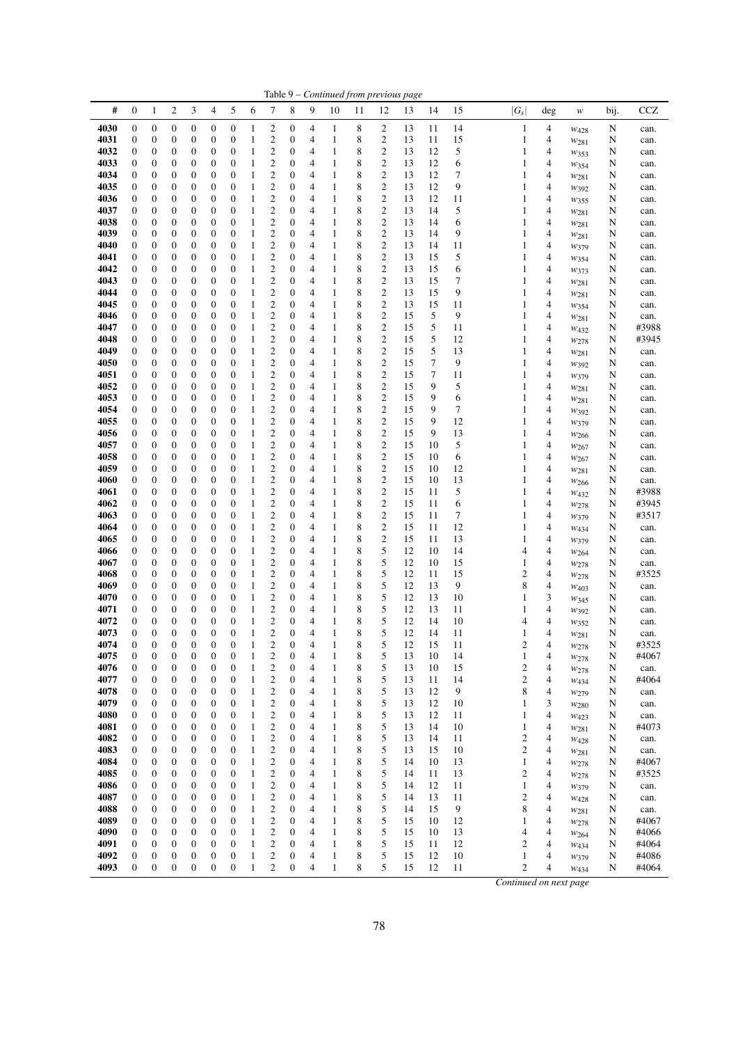|              |                                      |                                      |                                  |                     |                                      |                                      |                              |                                                    |                       |        | Table 9 – Continued from previous page |                  |                              |          |          |          |                  |                     |                                      |        |                |
|--------------|--------------------------------------|--------------------------------------|----------------------------------|---------------------|--------------------------------------|--------------------------------------|------------------------------|----------------------------------------------------|-----------------------|--------|----------------------------------------|------------------|------------------------------|----------|----------|----------|------------------|---------------------|--------------------------------------|--------|----------------|
| #            | $\boldsymbol{0}$                     | $\mathbf{1}$                         | 2                                | 3                   | 4                                    | 5                                    | 6                            | 7                                                  | 8                     | 9      | 10                                     | 11               | 12                           | 13       | 14       | 15       | $ G_s $          | $\deg$              | $\boldsymbol{W}$                     | bij.   | CCZ            |
| 4030         | $\boldsymbol{0}$                     | $\boldsymbol{0}$                     | $\boldsymbol{0}$                 | $\boldsymbol{0}$    | $\boldsymbol{0}$                     | $\boldsymbol{0}$                     | 1                            | $\mathfrak{2}$                                     | $\boldsymbol{0}$      | 4      | $\mathbf{1}$                           | 8                | $\overline{c}$               | 13       | 11       | 14       | $\mathbf{1}$     | 4                   | $W_{428}$                            | N      | can.           |
| 4031         | $\boldsymbol{0}$                     | $\boldsymbol{0}$                     | 0                                | 0                   | $\boldsymbol{0}$                     | $\boldsymbol{0}$                     | 1                            | $\boldsymbol{2}$                                   | 0                     | 4      | $\mathbf{1}$                           | 8                | $\overline{c}$               | 13       | 11       | 15       | 1                | 4                   | $w_{281}$                            | N      | can.           |
| 4032<br>4033 | $\boldsymbol{0}$                     | $\boldsymbol{0}$                     | 0                                | 0                   | $\boldsymbol{0}$                     | $\boldsymbol{0}$                     | 1<br>$\mathbf{1}$            | $\overline{c}$                                     | 0                     | 4      | $\mathbf{1}$                           | 8                | $\sqrt{2}$                   | 13       | 12<br>12 | 5        | 1<br>1           | 4                   | W353                                 | N      | can.           |
| 4034         | 0<br>$\mathbf{0}$                    | $\boldsymbol{0}$<br>$\mathbf{0}$     | 0<br>0                           | 0<br>0              | $\boldsymbol{0}$<br>$\boldsymbol{0}$ | $\boldsymbol{0}$<br>$\mathbf{0}$     | 1                            | $\boldsymbol{2}$<br>$\overline{c}$                 | 0<br>$\boldsymbol{0}$ | 4<br>4 | $\mathbf{1}$<br>$\mathbf{1}$           | 8<br>8           | $\overline{c}$<br>$\sqrt{2}$ | 13<br>13 | 12       | 6<br>7   | 1                | 4<br>4              | W354                                 | N<br>N | can.<br>can.   |
| 4035         | $\mathbf{0}$                         | $\boldsymbol{0}$                     | 0                                | 0                   | $\boldsymbol{0}$                     | $\boldsymbol{0}$                     | $\mathbf{1}$                 | $\boldsymbol{2}$                                   | 0                     | 4      | $\mathbf{1}$                           | 8                | $\sqrt{2}$                   | 13       | 12       | 9        | 1                | 4                   | $w_{281}$<br>$w_{392}$               | N      | can.           |
| 4036         | $\boldsymbol{0}$                     | $\boldsymbol{0}$                     | 0                                | 0                   | $\boldsymbol{0}$                     | $\boldsymbol{0}$                     | 1                            | $\overline{\mathbf{c}}$                            | 0                     | 4      | $\mathbf{1}$                           | 8                | $\overline{c}$               | 13       | 12       | 11       | 1                | 4                   | W355                                 | N      | can.           |
| 4037         | $\boldsymbol{0}$                     | $\boldsymbol{0}$                     | 0                                | 0                   | $\boldsymbol{0}$                     | $\boldsymbol{0}$                     | $\mathbf{1}$                 | $\overline{\mathbf{c}}$                            | 0                     | 4      | $\mathbf{1}$                           | 8                | $\sqrt{2}$                   | 13       | 14       | 5        | 1                | 4                   | W <sub>281</sub>                     | N      | can.           |
| 4038         | 0                                    | $\boldsymbol{0}$                     | 0                                | 0                   | $\boldsymbol{0}$                     | $\boldsymbol{0}$                     | 1                            | $\overline{\mathbf{c}}$                            | $\boldsymbol{0}$      | 4      | $\mathbf{1}$                           | 8                | $\sqrt{2}$                   | 13       | 14       | 6        | 1                | 4                   | $w_{281}$                            | N      | can.           |
| 4039         | 0                                    | $\boldsymbol{0}$                     | 0                                | 0                   | $\boldsymbol{0}$                     | $\boldsymbol{0}$                     | 1                            | $\overline{c}$                                     | 0                     | 4      | $\mathbf{1}$                           | 8                | $\sqrt{2}$                   | 13       | 14       | 9        | 1                | 4                   | $w_{281}$                            | N      | can.           |
| 4040         | 0                                    | $\boldsymbol{0}$                     | $\boldsymbol{0}$                 | 0                   | $\mathbf{0}$                         | $\boldsymbol{0}$                     | $\mathbf{1}$                 | $\overline{\mathbf{c}}$                            | 0                     | 4      | $\mathbf{1}$                           | 8                | $\sqrt{2}$                   | 13       | 14       | 11       | 1                | 4                   | W379                                 | N      | can.           |
| 4041<br>4042 | $\boldsymbol{0}$<br>$\boldsymbol{0}$ | $\boldsymbol{0}$<br>$\boldsymbol{0}$ | 0<br>0                           | 0<br>0              | $\mathbf{0}$<br>$\boldsymbol{0}$     | $\boldsymbol{0}$<br>$\boldsymbol{0}$ | 1<br>$\mathbf{1}$            | $\overline{c}$<br>$\overline{\mathbf{c}}$          | $\boldsymbol{0}$<br>0 | 4<br>4 | $\mathbf{1}$<br>$\mathbf{1}$           | $\,$ 8 $\,$<br>8 | $\sqrt{2}$<br>$\overline{c}$ | 13<br>13 | 15<br>15 | 5<br>6   | 1<br>1           | 4<br>4              | W354                                 | N<br>N | can.           |
| 4043         | $\boldsymbol{0}$                     | $\boldsymbol{0}$                     | 0                                | 0                   | $\boldsymbol{0}$                     | $\boldsymbol{0}$                     | 1                            | $\overline{\mathbf{c}}$                            | 0                     | 4      | $\mathbf{1}$                           | 8                | $\overline{c}$               | 13       | 15       | 7        | 1                | 4                   | W373<br>$w_{281}$                    | N      | can.<br>can.   |
| 4044         | $\boldsymbol{0}$                     | $\boldsymbol{0}$                     | 0                                | 0                   | $\boldsymbol{0}$                     | $\boldsymbol{0}$                     | 1                            | $\overline{\mathbf{c}}$                            | 0                     | 4      | $\mathbf{1}$                           | $\,$ 8 $\,$      | $\sqrt{2}$                   | 13       | 15       | 9        | 1                | 4                   | W281                                 | N      | can.           |
| 4045         | 0                                    | $\boldsymbol{0}$                     | 0                                | 0                   | $\boldsymbol{0}$                     | $\boldsymbol{0}$                     | $\mathbf{1}$                 | $\boldsymbol{2}$                                   | 0                     | 4      | $\mathbf{1}$                           | 8                | $\overline{\mathbf{c}}$      | 13       | 15       | 11       | 1                | 4                   | W354                                 | N      | can.           |
| 4046         | $\boldsymbol{0}$                     | $\boldsymbol{0}$                     | 0                                | 0                   | $\boldsymbol{0}$                     | $\boldsymbol{0}$                     | $\mathbf{1}$                 | $\overline{c}$                                     | 0                     | 4      | $\mathbf{1}$                           | 8                | $\sqrt{2}$                   | 15       | 5        | 9        | 1                | 4                   | $w_{281}$                            | N      | can.           |
| 4047         | 0                                    | $\boldsymbol{0}$                     | 0                                | 0                   | $\boldsymbol{0}$                     | $\boldsymbol{0}$                     | $\mathbf{1}$                 | $\overline{\mathbf{c}}$                            | 0                     | 4      | $\mathbf{1}$                           | 8                | $\sqrt{2}$                   | 15       | 5        | 11       | 1                | 4                   | $w_{432}$                            | N      | #3988          |
| 4048         | $\boldsymbol{0}$                     | $\boldsymbol{0}$                     | 0                                | 0                   | $\boldsymbol{0}$                     | $\boldsymbol{0}$                     | $\mathbf{1}$                 | $\boldsymbol{2}$                                   | 0                     | 4      | $\mathbf{1}$                           | 8                | $\sqrt{2}$                   | 15       | 5        | 12       | 1                | 4                   | W278                                 | N      | #3945          |
| 4049         | $\boldsymbol{0}$                     | $\boldsymbol{0}$                     | 0                                | 0                   | $\boldsymbol{0}$                     | $\boldsymbol{0}$                     | $\mathbf{1}$                 | $\overline{c}$                                     | 0                     | 4      | $\mathbf{1}$                           | 8                | $\sqrt{2}$                   | 15       | 5        | 13       | 1                | 4                   | W281                                 | N      | can.           |
| 4050<br>4051 | $\boldsymbol{0}$<br>$\boldsymbol{0}$ | $\boldsymbol{0}$<br>$\boldsymbol{0}$ | 0<br>0                           | 0<br>0              | $\boldsymbol{0}$<br>$\boldsymbol{0}$ | $\boldsymbol{0}$<br>$\boldsymbol{0}$ | 1<br>1                       | $\overline{\mathbf{c}}$<br>$\overline{\mathbf{c}}$ | 0<br>0                | 4<br>4 | $\mathbf{1}$<br>$\mathbf{1}$           | 8<br>8           | $\sqrt{2}$<br>$\sqrt{2}$     | 15<br>15 | 7<br>7   | 9<br>11  | 1<br>1           | 4<br>4              | $w_{392}$                            | N<br>N | can.<br>can.   |
| 4052         | 0                                    | $\boldsymbol{0}$                     | 0                                | 0                   | $\boldsymbol{0}$                     | $\boldsymbol{0}$                     | $\mathbf{1}$                 | $\overline{\mathbf{c}}$                            | 0                     | 4      | $\mathbf{1}$                           | 8                | $\sqrt{2}$                   | 15       | 9        | 5        | 1                | 4                   | W379<br>W281                         | N      | can.           |
| 4053         | $\mathbf{0}$                         | $\mathbf{0}$                         | 0                                | $\boldsymbol{0}$    | $\mathbf{0}$                         | $\mathbf{0}$                         | 1                            | $\overline{c}$                                     | $\boldsymbol{0}$      | 4      | $\mathbf{1}$                           | 8                | $\sqrt{2}$                   | 15       | 9        | 6        | 1                | 4                   | W281                                 | N      | can.           |
| 4054         | $\mathbf{0}$                         | $\boldsymbol{0}$                     | 0                                | 0                   | $\boldsymbol{0}$                     | $\boldsymbol{0}$                     | $\mathbf{1}$                 | $\overline{\mathbf{c}}$                            | 0                     | 4      | $\mathbf{1}$                           | 8                | $\sqrt{2}$                   | 15       | 9        | 7        | 1                | 4                   | $w_{392}$                            | N      | can.           |
| 4055         | $\boldsymbol{0}$                     | $\boldsymbol{0}$                     | 0                                | 0                   | $\boldsymbol{0}$                     | $\boldsymbol{0}$                     | $\mathbf{1}$                 | $\overline{\mathbf{c}}$                            | 0                     | 4      | $\mathbf{1}$                           | 8                | $\sqrt{2}$                   | 15       | 9        | 12       | 1                | 4                   | W379                                 | N      | can.           |
| 4056         | $\boldsymbol{0}$                     | $\boldsymbol{0}$                     | 0                                | 0                   | $\boldsymbol{0}$                     | $\boldsymbol{0}$                     | $\mathbf{1}$                 | $\overline{\mathbf{c}}$                            | 0                     | 4      | $\mathbf{1}$                           | 8                | $\sqrt{2}$                   | 15       | 9        | 13       | 1                | 4                   | W266                                 | N      | can.           |
| 4057         | $\boldsymbol{0}$                     | $\boldsymbol{0}$                     | 0                                | 0                   | $\boldsymbol{0}$                     | $\boldsymbol{0}$                     | 1                            | $\overline{\mathbf{c}}$                            | $\boldsymbol{0}$      | 4      | $\mathbf{1}$                           | 8                | $\overline{\mathbf{c}}$      | 15       | 10       | 5        | 1                | 4                   | W267                                 | N      | can.           |
| 4058<br>4059 | 0<br>0                               | $\boldsymbol{0}$<br>$\boldsymbol{0}$ | 0<br>0                           | 0<br>0              | $\boldsymbol{0}$<br>$\boldsymbol{0}$ | $\boldsymbol{0}$<br>$\boldsymbol{0}$ | $\mathbf{1}$<br>$\mathbf{1}$ | $\overline{\mathbf{c}}$<br>$\boldsymbol{2}$        | 0<br>0                | 4<br>4 | $\mathbf{1}$<br>$\mathbf{1}$           | 8<br>8           | $\sqrt{2}$<br>$\sqrt{2}$     | 15<br>15 | 10<br>10 | 6<br>12  | 1<br>1           | 4<br>4              | $w_{267}$                            | N<br>N | can.<br>can.   |
| 4060         | $\boldsymbol{0}$                     | $\mathbf{0}$                         | 0                                | 0                   | $\mathbf{0}$                         | $\boldsymbol{0}$                     | 1                            | $\overline{c}$                                     | $\boldsymbol{0}$      | 4      | $\mathbf{1}$                           | $\,$ 8 $\,$      | $\sqrt{2}$                   | 15       | 10       | 13       | 1                | 4                   | $w_{281}$<br>W266                    | N      | can.           |
| 4061         | $\boldsymbol{0}$                     | $\boldsymbol{0}$                     | 0                                | 0                   | $\boldsymbol{0}$                     | $\boldsymbol{0}$                     | $\mathbf{1}$                 | $\boldsymbol{2}$                                   | 0                     | 4      | $\mathbf{1}$                           | 8                | $\sqrt{2}$                   | 15       | 11       | 5        | 1                | 4                   | W432                                 | N      | #3988          |
| 4062         | $\boldsymbol{0}$                     | $\boldsymbol{0}$                     | 0                                | 0                   | $\boldsymbol{0}$                     | $\boldsymbol{0}$                     | 1                            | $\overline{c}$                                     | 0                     | 4      | $\mathbf{1}$                           | 8                | $\overline{c}$               | 15       | 11       | 6        | 1                | 4                   | W278                                 | N      | #3945          |
| 4063         | $\boldsymbol{0}$                     | $\boldsymbol{0}$                     | 0                                | 0                   | $\boldsymbol{0}$                     | $\boldsymbol{0}$                     | $\mathbf{1}$                 | $\mathfrak{2}$                                     | 0                     | 4      | $\mathbf{1}$                           | 8                | $\sqrt{2}$                   | 15       | 11       | 7        | 1                | 4                   | W379                                 | N      | #3517          |
| 4064         | 0                                    | $\boldsymbol{0}$                     | 0                                | 0                   | $\boldsymbol{0}$                     | $\boldsymbol{0}$                     | $\mathbf{1}$                 | $\overline{\mathbf{c}}$                            | 0                     | 4      | $\mathbf{1}$                           | 8                | $\overline{\mathbf{c}}$      | 15       | 11       | 12       | 1                | 4                   | W434                                 | N      | can.           |
| 4065         | $\boldsymbol{0}$                     | $\boldsymbol{0}$                     | 0                                | 0                   | $\boldsymbol{0}$                     | $\boldsymbol{0}$                     | $\mathbf{1}$                 | $\overline{\mathbf{c}}$                            | $\overline{0}$        | 4      | $\mathbf{1}$                           | 8                | $\sqrt{2}$                   | 15       | 11       | 13       | 1                | 4                   | W379                                 | N      | can.           |
| 4066<br>4067 | $\mathbf{0}$<br>$\boldsymbol{0}$     | $\boldsymbol{0}$<br>$\boldsymbol{0}$ | 0<br>0                           | 0<br>0              | $\boldsymbol{0}$<br>$\boldsymbol{0}$ | $\boldsymbol{0}$<br>$\boldsymbol{0}$ | $\mathbf{1}$<br>1            | $\overline{\mathbf{c}}$<br>$\overline{c}$          | 0<br>$\boldsymbol{0}$ | 4<br>4 | $\mathbf{1}$<br>$\mathbf{1}$           | 8<br>$\,$ 8 $\,$ | $\sqrt{5}$<br>$\sqrt{5}$     | 12<br>12 | 10<br>10 | 14<br>15 | 4<br>1           | 4<br>4              | $w_{264}$                            | N<br>N | can.<br>can.   |
| 4068         | $\boldsymbol{0}$                     | $\boldsymbol{0}$                     | 0                                | 0                   | $\boldsymbol{0}$                     | $\boldsymbol{0}$                     | $\mathbf{1}$                 | $\overline{c}$                                     | $\boldsymbol{0}$      | 4      | $\mathbf{1}$                           | 8                | 5                            | 12       | 11       | 15       | $\mathfrak{2}$   | 4                   | $w_{278}$<br>W278                    | N      | #3525          |
| 4069         | $\boldsymbol{0}$                     | $\boldsymbol{0}$                     | 0                                | 0                   | $\boldsymbol{0}$                     | $\boldsymbol{0}$                     | 1                            | $\overline{\mathbf{c}}$                            | 0                     | 4      | $\mathbf{1}$                           | 8                | 5                            | 12       | 13       | 9        | 8                | 4                   | W403                                 | N      | can.           |
| 4070         | $\boldsymbol{0}$                     | $\boldsymbol{0}$                     | 0                                | 0                   | $\boldsymbol{0}$                     | $\boldsymbol{0}$                     | $\mathbf{1}$                 | $\overline{\mathbf{c}}$                            | 0                     | 4      | $\mathbf{1}$                           | 8                | $\sqrt{5}$                   | 12       | 13       | 10       | 1                | 3                   | $w_{345}$                            | N      | can.           |
| 4071         | 0                                    | $\boldsymbol{0}$                     | 0                                | 0                   | $\boldsymbol{0}$                     | $\boldsymbol{0}$                     | $\mathbf{1}$                 | $\overline{\mathbf{c}}$                            | 0                     | 4      | $\mathbf{1}$                           | 8                | 5                            | 12       | 13       | 11       | 1                | 4                   | $w_{392}$                            | N      | can.           |
| 4072         | $\overline{0}$                       | $\boldsymbol{0}$                     | $\boldsymbol{0}$                 | $\mathbf{0}$        | $\mathbf{0}$                         | $\boldsymbol{0}$                     | $\mathbf{1}$                 | $\overline{c}$                                     | $\boldsymbol{0}$      | 4      | $\mathbf{1}$                           | $\,$ 8 $\,$      | 5                            | 12       | 14       | 10       | 4                | 4                   | W352                                 | N      | can.           |
| 4073         | $\overline{0}$<br>$\boldsymbol{0}$   | $\boldsymbol{0}$                     | $\boldsymbol{0}$<br>$\mathbf{0}$ | $\overline{0}$<br>0 | $\mathbf{0}$<br>$\mathbf{0}$         | $\mathbf{0}$                         | 1                            | $\overline{c}$<br>2                                | 0<br>0                | 4      | $\mathbf{1}$                           | 8                | 5                            | 12       | 14       | 11       | 1                | 4                   | W281                                 | N      | can.           |
| 4074<br>4075 | $\boldsymbol{0}$                     | $\boldsymbol{0}$<br>$\boldsymbol{0}$ | 0                                | 0                   | $\boldsymbol{0}$                     | $\boldsymbol{0}$<br>$\boldsymbol{0}$ | -1<br>$\mathbf{1}$           | $\overline{c}$                                     | $\boldsymbol{0}$      | 4<br>4 | -1<br>$\mathbf{1}$                     | 8<br>8           | 5<br>5                       | 12<br>13 | 15<br>10 | 11<br>14 | $\mathbf{1}$     | 2<br>4<br>4         | W278<br>$w_{278}$                    | N<br>N | #3525<br>#4067 |
| 4076         | $\boldsymbol{0}$                     | $\boldsymbol{0}$                     | 0                                | 0                   | $\boldsymbol{0}$                     | $\boldsymbol{0}$                     | 1                            | $\overline{\mathbf{c}}$                            | 0                     | 4      | $\mathbf{1}$                           | 8                | 5                            | 13       | 10       | 15       | $\boldsymbol{2}$ | 4                   | W278                                 | N      | can.           |
| 4077         | $\boldsymbol{0}$                     | $\boldsymbol{0}$                     | 0                                | 0                   | $\boldsymbol{0}$                     | $\boldsymbol{0}$                     | $\mathbf{1}$                 | $\overline{\mathbf{c}}$                            | 0                     | 4      | $\mathbf{1}$                           | 8                | 5                            | 13       | 11       | 14       |                  | 2<br>4              | W434                                 | N      | #4064          |
| 4078         | 0                                    | $\boldsymbol{0}$                     | 0                                | 0                   | $\boldsymbol{0}$                     | $\boldsymbol{0}$                     | $\mathbf{1}$                 | $\overline{\mathbf{c}}$                            | 0                     | 4      | $\mathbf{1}$                           | 8                | 5                            | 13       | 12       | 9        | 8                | 4                   | W279                                 | N      | can.           |
| 4079         | $\boldsymbol{0}$                     | $\boldsymbol{0}$                     | $\boldsymbol{0}$                 | $\boldsymbol{0}$    | $\boldsymbol{0}$                     | $\boldsymbol{0}$                     | $\mathbf{1}$                 | $\overline{c}$                                     | $\boldsymbol{0}$      | 4      | $\mathbf{1}$                           | 8                | $\sqrt{5}$                   | 13       | 12       | 10       |                  | 3<br>1              | $w_{280}$                            | N      | can.           |
| 4080         | 0                                    | $\boldsymbol{0}$                     | 0                                | 0                   | $\boldsymbol{0}$                     | $\boldsymbol{0}$                     | $\mathbf{1}$                 | $\boldsymbol{2}$                                   | 0                     | 4      | $\mathbf{1}$                           | 8                | 5                            | 13       | 12       | 11       |                  | 1<br>4              | W423                                 | N      | can.           |
| 4081<br>4082 | $\boldsymbol{0}$<br>$\boldsymbol{0}$ | $\boldsymbol{0}$<br>$\boldsymbol{0}$ | 0<br>0                           | 0<br>0              | $\boldsymbol{0}$<br>$\boldsymbol{0}$ | $\boldsymbol{0}$<br>$\boldsymbol{0}$ | 1<br>$\mathbf{1}$            | $\overline{\mathbf{c}}$<br>$\overline{\mathbf{c}}$ | 0<br>0                | 4<br>4 | $\mathbf{1}$<br>$\mathbf{1}$           | 8<br>8           | 5<br>5                       | 13<br>13 | 14<br>14 | 10<br>11 |                  | 4<br>1<br>2<br>4    | W281                                 | N<br>N | #4073          |
| 4083         | $\boldsymbol{0}$                     | $\boldsymbol{0}$                     | 0                                | 0                   | $\boldsymbol{0}$                     | $\boldsymbol{0}$                     | $\mathbf{1}$                 | $\overline{\mathbf{c}}$                            | 0                     | 4      | $\mathbf{1}$                           | 8                | 5                            | 13       | 15       | 10       | $\boldsymbol{2}$ | 4                   | W428<br>$w_{281}$                    | N      | can.<br>can.   |
| 4084         | $\boldsymbol{0}$                     | $\boldsymbol{0}$                     | $\boldsymbol{0}$                 | $\boldsymbol{0}$    | $\boldsymbol{0}$                     | $\boldsymbol{0}$                     | $\mathbf{1}$                 | $\overline{\mathbf{c}}$                            | 0                     | 4      | $\mathbf{1}$                           | 8                | $\sqrt{5}$                   | 14       | 10       | 13       |                  | $\mathbf{1}$<br>4   | W278                                 | N      | #4067          |
| 4085         | $\boldsymbol{0}$                     | $\boldsymbol{0}$                     | 0                                | 0                   | $\boldsymbol{0}$                     | $\boldsymbol{0}$                     | $\mathbf{1}$                 | $\overline{\mathbf{c}}$                            | 0                     | 4      | $\mathbf{1}$                           | 8                | $\sqrt{5}$                   | 14       | 11       | 13       | $\boldsymbol{2}$ | 4                   | W278                                 | N      | #3525          |
| 4086         | 0                                    | $\boldsymbol{0}$                     | $\boldsymbol{0}$                 | $\boldsymbol{0}$    | $\boldsymbol{0}$                     | $\boldsymbol{0}$                     | $\mathbf{1}$                 | $\overline{\mathbf{c}}$                            | 0                     | 4      | $\mathbf{1}$                           | 8                | 5                            | 14       | 12       | 11       | $\mathbf{1}$     | 4                   | W379                                 | N      | can.           |
| 4087         | $\boldsymbol{0}$                     | $\boldsymbol{0}$                     | 0                                | 0                   | $\boldsymbol{0}$                     | $\boldsymbol{0}$                     | $\mathbf{1}$                 | $\overline{\mathbf{c}}$                            | 0                     | 4      | $\mathbf{1}$                           | 8                | 5                            | 14       | 13       | 11       |                  | 2<br>4              | $W_{428}$                            | N      | can.           |
| 4088         | $\boldsymbol{0}$                     | $\boldsymbol{0}$                     | 0                                | 0                   | $\boldsymbol{0}$                     | $\boldsymbol{0}$                     | 1                            | $\overline{\mathbf{c}}$                            | 0                     | 4      | $\mathbf{1}$                           | 8                | 5                            | 14       | 15       | 9        | 8                | 4                   | W281                                 | N      | can.           |
| 4089<br>4090 | $\boldsymbol{0}$<br>0                | $\boldsymbol{0}$<br>$\boldsymbol{0}$ | 0<br>0                           | 0<br>0              | $\boldsymbol{0}$<br>$\boldsymbol{0}$ | $\boldsymbol{0}$<br>$\boldsymbol{0}$ | $\mathbf{1}$<br>$\mathbf{1}$ | $\boldsymbol{2}$                                   | 0<br>0                | 4<br>4 | $\mathbf{1}$<br>$\mathbf{1}$           | 8<br>8           | 5<br>5                       | 15<br>15 | 10<br>10 | 12<br>13 | 4                | 1<br>4<br>4         | W278                                 | N<br>N | #4067<br>#4066 |
| 4091         | 0                                    | $\boldsymbol{0}$                     | $\boldsymbol{0}$                 | $\boldsymbol{0}$    | $\boldsymbol{0}$                     | $\boldsymbol{0}$                     | $\mathbf{1}$                 | $\overline{\mathbf{c}}$<br>$\overline{\mathbf{c}}$ | 0                     | 4      | $\mathbf{1}$                           | 8                | 5                            | 15       | 11       | 12       | 2                | 4                   | W <sub>264</sub><br>W <sub>434</sub> | N      | #4064          |
| 4092         | 0                                    | $\boldsymbol{0}$                     | $\boldsymbol{0}$                 | 0                   | $\boldsymbol{0}$                     | $\boldsymbol{0}$                     | $\mathbf{1}$                 | $\overline{\mathbf{c}}$                            | 0                     | 4      | $\mathbf{1}$                           | 8                | 5                            | 15       | 12       | 10       |                  | 4<br>1              | W379                                 | N      | #4086          |
| 4093         | 0                                    | $\boldsymbol{0}$                     | $\boldsymbol{0}$                 | $\boldsymbol{0}$    | $\boldsymbol{0}$                     | $\boldsymbol{0}$                     | $\mathbf{1}$                 | $\overline{c}$                                     | $\boldsymbol{0}$      | 4      | $\mathbf{1}$                           | 8                | 5                            | 15       | 12       | 11       |                  | $\overline{c}$<br>4 | W434                                 | N      | #4064          |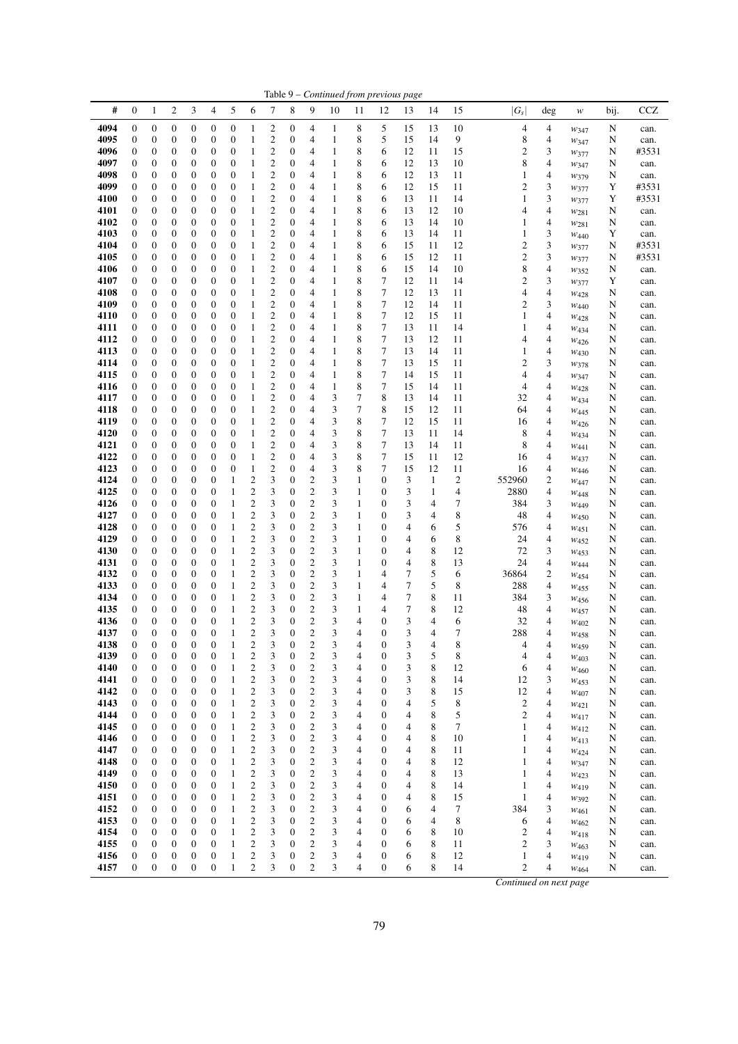| #<br>5<br><b>CCZ</b><br>$\boldsymbol{0}$<br>2<br>3<br>4<br>6<br>7<br>8<br>9<br>10<br>15<br>$ G_s $<br>1<br>11<br>12<br>13<br>14<br>deg<br>bij.<br>w<br>4094<br>$\boldsymbol{0}$<br>8<br>5<br>$\boldsymbol{0}$<br>$\boldsymbol{0}$<br>0<br>0<br>$\boldsymbol{0}$<br>2<br>0<br>15<br>13<br>10<br>4<br>4<br>4<br>1<br>N<br>1<br>can.<br>W <sub>347</sub><br>2<br>8<br>5<br>8<br>4095<br>$\boldsymbol{0}$<br>0<br>0<br>$\boldsymbol{0}$<br>$\boldsymbol{0}$<br>0<br>9<br>4<br>$\boldsymbol{0}$<br>1<br>4<br>1<br>15<br>14<br>N<br>can.<br>$w_{347}$<br>$\mathfrak{2}$<br>8<br>$\overline{c}$<br>3<br>4096<br>$\boldsymbol{0}$<br>0<br>0<br>0<br>$\mathbf{0}$<br>$\mathbf{0}$<br>$\mathbf{0}$<br>4<br>$\mathbf{1}$<br>6<br>12<br>11<br>15<br>#3531<br>1<br>N<br>W377<br>2<br>8<br>4097<br>$\boldsymbol{0}$<br>0<br>0<br>$\boldsymbol{0}$<br>$\boldsymbol{0}$<br>$\mathbf{0}$<br>$\mathbf{1}$<br>12<br>13<br>10<br>8<br>4<br>0<br>1<br>4<br>6<br>N<br>can.<br>W347<br>$\boldsymbol{2}$<br>8<br>4098<br>$\mathbf{0}$<br>0<br>0<br>0<br>$\boldsymbol{0}$<br>$\boldsymbol{0}$<br>0<br>4<br>1<br>6<br>12<br>13<br>4<br>1<br>11<br>1<br>N<br>can.<br>W379<br>2<br>8<br>3<br>4099<br>0<br>0<br>0<br>$\boldsymbol{0}$<br>$\boldsymbol{0}$<br>$\mathbf{0}$<br>4<br>12<br>15<br>2<br>#3531<br>$\boldsymbol{0}$<br>1<br>1<br>6<br>11<br>Y<br>$w_{377}$<br>2<br>8<br>3<br>4100<br>$\boldsymbol{0}$<br>$\boldsymbol{0}$<br>0<br>0<br>$\boldsymbol{0}$<br>$\boldsymbol{0}$<br>$\boldsymbol{0}$<br>4<br>$\mathbf{1}$<br>6<br>13<br>11<br>14<br>1<br>Y<br>#3531<br>1<br>W377<br>$\boldsymbol{2}$<br>8<br>4<br>$\boldsymbol{0}$<br>$\boldsymbol{0}$<br>0<br>0<br>$\boldsymbol{0}$<br>$\boldsymbol{0}$<br>0<br>4<br>13<br>12<br>4101<br>1<br>1<br>6<br>10<br>4<br>N<br>can.<br>W281<br>$\boldsymbol{2}$<br>8<br>$\boldsymbol{0}$<br>0<br>0<br>$\mathbf{0}$<br>$\boldsymbol{0}$<br>$\mathbf{0}$<br>4<br>4102<br>$\boldsymbol{0}$<br>1<br>4<br>1<br>6<br>13<br>14<br>10<br>1<br>N<br>can.<br>$w_{281}$<br>$\overline{\mathbf{c}}$<br>8<br>3<br>4103<br>$\boldsymbol{0}$<br>0<br>0<br>0<br>$\boldsymbol{0}$<br>$\mathbf{0}$<br>$\boldsymbol{0}$<br>4<br>$\mathbf{1}$<br>6<br>13<br>1<br>Y<br>1<br>14<br>11<br>can.<br>$W_{440}$<br>$\overline{\mathbf{c}}$<br>3<br>8<br>$\overline{c}$<br>4104<br>0<br>0<br>0<br>$\boldsymbol{0}$<br>$\boldsymbol{0}$<br>$\mathbf{0}$<br>6<br>15<br>11<br>12<br>#3531<br>$\boldsymbol{0}$<br>1<br>4<br>1<br>N<br>W377<br>$\overline{c}$<br>8<br>3<br>$\overline{c}$<br>4105<br>$\mathbf{0}$<br>$\boldsymbol{0}$<br>$\boldsymbol{0}$<br>0<br>$\boldsymbol{0}$<br>$\boldsymbol{0}$<br>$\boldsymbol{0}$<br>4<br>$\mathbf{1}$<br>6<br>15<br>12<br>11<br>#3531<br>1<br>N<br>W377<br>2<br>8<br>8<br>4106<br>$\boldsymbol{0}$<br>0<br>0<br>0<br>$\boldsymbol{0}$<br>$\boldsymbol{0}$<br>$\boldsymbol{0}$<br>4<br>6<br>15<br>14<br>10<br>4<br>N<br>1<br>1<br>can.<br>$w_{352}$<br>$\boldsymbol{2}$<br>8<br>7<br>$\overline{c}$<br>3<br>4107<br>$\boldsymbol{0}$<br>$\boldsymbol{0}$<br>0<br>0<br>$\boldsymbol{0}$<br>$\boldsymbol{0}$<br>$\boldsymbol{0}$<br>4<br>$\mathbf{1}$<br>12<br>11<br>14<br>Y<br>1<br>can.<br>$w_{377}$<br>$\overline{c}$<br>8<br>$\tau$<br>4<br>4108<br>$\mathbf{0}$<br>$\boldsymbol{0}$<br>0<br>0<br>$\boldsymbol{0}$<br>$\boldsymbol{0}$<br>$\boldsymbol{0}$<br>4<br>$\mathbf{1}$<br>12<br>13<br>11<br>4<br>1<br>N<br>can.<br>W428<br>2<br>8<br>7<br>3<br>4109<br>$\boldsymbol{0}$<br>0<br>0<br>0<br>$\boldsymbol{0}$<br>$\boldsymbol{0}$<br>$\mathbf{0}$<br>$\mathbf{1}$<br>12<br>14<br>11<br>2<br>1<br>4<br>N<br>can.<br>W440<br>$\overline{c}$<br>$\tau$<br>8<br>12<br>4<br>4110<br>$\mathbf{0}$<br>0<br>0<br>0<br>$\boldsymbol{0}$<br>$\boldsymbol{0}$<br>$\mathbf{0}$<br>4<br>$\mathbf{1}$<br>15<br>11<br>1<br>1<br>N<br>can.<br>$W_{428}$<br>$\boldsymbol{2}$<br>8<br>7<br>4111<br>0<br>0<br>$\boldsymbol{0}$<br>$\boldsymbol{0}$<br>$\mathbf{0}$<br>13<br>11<br>14<br>4<br>$\boldsymbol{0}$<br>0<br>1<br>4<br>1<br>1<br>N<br>can.<br>W <sub>434</sub><br>$\boldsymbol{2}$<br>8<br>7<br>4112<br>$\mathbf{0}$<br>0<br>0<br>0<br>$\boldsymbol{0}$<br>$\boldsymbol{0}$<br>$\mathbf{0}$<br>4<br>13<br>12<br>11<br>4<br>1<br>4<br>N<br>1<br>can.<br>W426<br>2<br>8<br>7<br>4<br>4113<br>$\boldsymbol{0}$<br>$\boldsymbol{0}$<br>0<br>0<br>$\boldsymbol{0}$<br>$\boldsymbol{0}$<br>0<br>4<br>13<br>14<br>11<br>1<br>1<br>1<br>N<br>can.<br>W430<br>$\boldsymbol{2}$<br>8<br>7<br>$\overline{c}$<br>3<br>$\boldsymbol{0}$<br>0<br>0<br>$\boldsymbol{0}$<br>$\boldsymbol{0}$<br>$\boldsymbol{0}$<br>11<br>4114<br>$\boldsymbol{0}$<br>1<br>4<br>1<br>13<br>15<br>N<br>can.<br>$w_{378}$<br>$\mathfrak{2}$<br>8<br>7<br>4115<br>$\mathbf{0}$<br>$\boldsymbol{0}$<br>0<br>$\boldsymbol{0}$<br>$\boldsymbol{0}$<br>$\boldsymbol{0}$<br>4<br>14<br>4<br>0<br>1<br>1<br>15<br>11<br>4<br>N<br>can.<br>$w_{347}$<br>2<br>8<br>7<br>4116<br>$\boldsymbol{0}$<br>0<br>0<br>$\boldsymbol{0}$<br>$\boldsymbol{0}$<br>$\mathbf{0}$<br>$\mathbf{1}$<br>15<br>11<br>4<br>0<br>1<br>4<br>14<br>4<br>N<br>can.<br>W428<br>$\boldsymbol{2}$<br>7<br>3<br>8<br>4117<br>$\mathbf{0}$<br>0<br>0<br>0<br>$\boldsymbol{0}$<br>$\boldsymbol{0}$<br>$\boldsymbol{0}$<br>4<br>13<br>32<br>4<br>1<br>14<br>11<br>N<br>can.<br>W434<br>$\overline{\mathbf{c}}$<br>7<br>8<br>4118<br>0<br>0<br>0<br>$\boldsymbol{0}$<br>$\boldsymbol{0}$<br>$\mathbf{0}$<br>4<br>3<br>15<br>12<br>4<br>$\boldsymbol{0}$<br>1<br>11<br>64<br>N<br>can.<br>W <sub>445</sub><br>2<br>3<br>8<br>7<br>4119<br>$\boldsymbol{0}$<br>0<br>0<br>0<br>$\boldsymbol{0}$<br>$\boldsymbol{0}$<br>0<br>4<br>12<br>15<br>11<br>4<br>1<br>16<br>N<br>can.<br>$W_{426}$<br>$\boldsymbol{2}$<br>$\tau$<br>3<br>8<br>4120<br>$\boldsymbol{0}$<br>$\boldsymbol{0}$<br>0<br>0<br>$\boldsymbol{0}$<br>$\boldsymbol{0}$<br>0<br>4<br>13<br>11<br>14<br>8<br>4<br>1<br>N<br>can.<br>W434<br>$\boldsymbol{2}$<br>3<br>8<br>7<br>4121<br>$\boldsymbol{0}$<br>$\boldsymbol{0}$<br>0<br>0<br>$\mathbf{0}$<br>$\boldsymbol{0}$<br>$\mathbf{0}$<br>4<br>13<br>8<br>4<br>1<br>14<br>11<br>N<br>can.<br>W441<br>$\overline{\mathbf{c}}$<br>3<br>8<br>7<br>4122<br>$\boldsymbol{0}$<br>0<br>0<br>0<br>$\boldsymbol{0}$<br>$\boldsymbol{0}$<br>$\mathbf{0}$<br>4<br>15<br>11<br>12<br>4<br>1<br>16<br>N<br>can.<br>W437<br>$\overline{\mathbf{c}}$<br>4123<br>3<br>8<br>7<br>12<br>$\boldsymbol{0}$<br>0<br>0<br>0<br>$\boldsymbol{0}$<br>$\boldsymbol{0}$<br>$\mathbf{1}$<br>$\mathbf{0}$<br>4<br>15<br>11<br>16<br>4<br>N<br>can.<br>W <sub>446</sub><br>3<br>$\overline{c}$<br>$\mathbf{2}$<br>$\boldsymbol{0}$<br>3<br>$\mathbf{0}$<br>$\overline{c}$<br>4124<br>$\mathbf{0}$<br>0<br>$\boldsymbol{0}$<br>0<br>$\boldsymbol{0}$<br>1<br>1<br>3<br>$\mathbf{1}$<br>552960<br>2<br>N<br>can.<br>W447<br>4125<br>$\overline{\mathbf{c}}$<br>3<br>$\overline{\mathbf{c}}$<br>3<br>3<br>$\boldsymbol{0}$<br>$\boldsymbol{0}$<br>0<br>0<br>$\boldsymbol{0}$<br>$\mathbf{1}$<br>$\boldsymbol{0}$<br>1<br>$\boldsymbol{0}$<br>$\mathbf{1}$<br>4<br>2880<br>4<br>N<br>can.<br>W448<br>$\overline{c}$<br>$\mathbf{2}$<br>3<br>3<br>3<br>384<br>4126<br>$\boldsymbol{0}$<br>$\boldsymbol{0}$<br>0<br>0<br>$\boldsymbol{0}$<br>1<br>$\mathbf{0}$<br>1<br>$\boldsymbol{0}$<br>4<br>7<br>3<br>N<br>can.<br>W449<br>3<br>$\overline{\mathbf{c}}$<br>3<br>2<br>3<br>8<br>4127<br>$\mathbf{0}$<br>$\boldsymbol{0}$<br>0<br>0<br>$\boldsymbol{0}$<br>1<br>$\boldsymbol{0}$<br>1<br>$\boldsymbol{0}$<br>4<br>48<br>4<br>N<br>can.<br>$w_{450}$<br>$\overline{\mathbf{c}}$<br>$\overline{\mathbf{c}}$<br>3<br>3<br>5<br>4128<br>$\boldsymbol{0}$<br>0<br>0<br>0<br>$\boldsymbol{0}$<br>1<br>$\boldsymbol{0}$<br>1<br>$\boldsymbol{0}$<br>4<br>576<br>4<br>6<br>N<br>can.<br>W451<br>3<br>$\overline{c}$<br>4129<br>$\mathbf{2}$<br>3<br>$\mathbf{1}$<br>8<br>$\mathbf{0}$<br>$\boldsymbol{0}$<br>0<br>0<br>$\boldsymbol{0}$<br>1<br>$\mathbf{0}$<br>$\boldsymbol{0}$<br>6<br>24<br>4<br>4<br>N<br>can.<br>W <sub>452</sub><br>$\overline{\mathbf{c}}$<br>4130<br>$\mathbf{2}$<br>3<br>8<br>0<br>0<br>$\mathbf{0}$<br>1<br>$\mathbf{0}$<br>3<br>$\boldsymbol{0}$<br>12<br>72<br>3<br>$\boldsymbol{0}$<br>0<br>1<br>4<br>N<br>can.<br>W <sub>453</sub><br>$\overline{c}$<br>$\overline{c}$<br>3<br>3<br>8<br>4131<br>$\mathbf{0}$<br>$\boldsymbol{0}$<br>0<br>0<br>$\boldsymbol{0}$<br>1<br>$\boldsymbol{0}$<br>1<br>$\boldsymbol{0}$<br>4<br>13<br>24<br>4<br>N<br>can.<br>$W_{444}$<br>4132<br>$\boldsymbol{2}$<br>3<br>$\boldsymbol{2}$<br>3<br>7<br>5<br>36864<br>$\boldsymbol{2}$<br>$\boldsymbol{0}$<br>$\boldsymbol{0}$<br>0<br>0<br>$\boldsymbol{0}$<br>$\mathbf{1}$<br>$\boldsymbol{0}$<br>1<br>4<br>6<br>N<br>can.<br>W <sub>454</sub><br>$\overline{\mathbf{c}}$<br>5<br>$\mathbf{2}$<br>3<br>3<br>7<br>8<br>4133<br>$\boldsymbol{0}$<br>$\boldsymbol{0}$<br>0<br>0<br>$\boldsymbol{0}$<br>1<br>$\boldsymbol{0}$<br>1<br>4<br>4<br>288<br>N<br>can.<br>W <sub>455</sub><br>$\overline{\mathbf{c}}$<br>$\tau$<br>2<br>3<br>8<br>4134<br>$\mathbf{0}$<br>$\boldsymbol{0}$<br>0<br>$\boldsymbol{0}$<br>1<br>0<br>3<br>1<br>4<br>384<br>3<br>0<br>11<br>N<br>can.<br>W <sub>456</sub><br>3<br>$\overline{\mathbf{c}}$<br>4135<br>0<br>0<br>$\boldsymbol{0}$<br>$\mathbf{1}$<br>2<br>$\boldsymbol{0}$<br>3<br>1<br>7<br>8<br>12<br>4<br>$\boldsymbol{0}$<br>0<br>4<br>48<br>N<br>can.<br>$W_{457}$<br>3<br>$\overline{\mathbf{c}}$<br>3<br>3<br>4136<br>$\mathbf{0}$<br>$\mathbf{0}$<br>$\boldsymbol{0}$<br>$\overline{c}$<br>$\boldsymbol{0}$<br>4<br>$\boldsymbol{0}$<br>4<br>6<br>0<br>0<br>1<br>32<br>4<br>N<br>can.<br>W <sub>402</sub><br>$\overline{c}$<br>$\mathbf{0}$<br>$\boldsymbol{0}$<br>2<br>$\boldsymbol{0}$<br>$\overline{4}$<br>3<br>7<br>4137<br>$\mathbf{0}$<br>0<br>$\boldsymbol{0}$<br>1<br>3<br>3<br>$\boldsymbol{0}$<br>4<br>288<br>4<br>N<br>can.<br>W458<br>$\boldsymbol{0}$<br>0<br>$\boldsymbol{0}$<br>$\mathbf{0}$<br>3<br>8<br>$\boldsymbol{0}$<br>0<br>$\boldsymbol{0}$<br>2<br>2<br>4<br>4<br>4138<br>1<br>3<br>3<br>4<br>4<br>W <sub>459</sub><br>N<br>can.<br>$\overline{\mathbf{c}}$<br>4139<br>$\boldsymbol{0}$<br>$\boldsymbol{0}$<br>$\boldsymbol{0}$<br>$\boldsymbol{0}$<br>$\boldsymbol{0}$<br>$\boldsymbol{2}$<br>3<br>$\boldsymbol{0}$<br>3<br>$\mathbf{0}$<br>3<br>5<br>8<br>1<br>4<br>4<br>4<br>N<br>can.<br>$W_{403}$<br>$\overline{\mathbf{c}}$<br>4140<br>$\boldsymbol{0}$<br>$\boldsymbol{0}$<br>$\boldsymbol{0}$<br>$\boldsymbol{0}$<br>$\mathbf{1}$<br>$\overline{\mathbf{c}}$<br>3<br>3<br>8<br>$\boldsymbol{0}$<br>$\mathbf{0}$<br>3<br>4<br>$\boldsymbol{0}$<br>12<br>6<br>4<br>N<br>can.<br>W <sub>460</sub><br>$\overline{\mathbf{c}}$<br>4141<br>$\boldsymbol{0}$<br>$\boldsymbol{0}$<br>$\overline{c}$<br>3<br>3<br>3<br>8<br>$\boldsymbol{0}$<br>$\boldsymbol{0}$<br>0<br>1<br>$\boldsymbol{0}$<br>4<br>$\boldsymbol{0}$<br>14<br>12<br>3<br>N<br>can.<br>W <sub>453</sub><br>$\overline{\mathbf{c}}$<br>4142<br>$\mathbf{1}$<br>$\overline{\mathbf{c}}$<br>3<br>$\boldsymbol{0}$<br>3<br>3<br>8<br>$\boldsymbol{0}$<br>0<br>0<br>0<br>$\boldsymbol{0}$<br>4<br>$\boldsymbol{0}$<br>15<br>12<br>4<br>N<br>can.<br>W <sub>407</sub><br>$\mathbf{2}$<br>3<br>$\overline{\mathbf{c}}$<br>5<br>4143<br>$\boldsymbol{0}$<br>$\boldsymbol{0}$<br>$\boldsymbol{0}$<br>$\boldsymbol{0}$<br>$\mathbf{1}$<br>$\boldsymbol{0}$<br>3<br>4<br>$\boldsymbol{0}$<br>$\overline{4}$<br>8<br>$\overline{c}$<br>$\boldsymbol{0}$<br>4<br>N<br>can.<br>$w_{421}$<br>$\mathbf{2}$<br>$\overline{\mathbf{c}}$<br>4144<br>$\boldsymbol{0}$<br>$\boldsymbol{0}$<br>3<br>$\boldsymbol{0}$<br>3<br>8<br>5<br>$\mathbf{2}$<br>$\boldsymbol{0}$<br>$\boldsymbol{0}$<br>0<br>1<br>4<br>$\boldsymbol{0}$<br>4<br>4<br>N<br>W417<br>can.<br>3<br>$\mathbf{2}$<br>4145<br>$\boldsymbol{0}$<br>$\boldsymbol{0}$<br>$\boldsymbol{0}$<br>$\boldsymbol{0}$<br>$\mathbf{1}$<br>$\boldsymbol{2}$<br>$\boldsymbol{0}$<br>3<br>4<br>$\boldsymbol{0}$<br>8<br>7<br>$\boldsymbol{0}$<br>4<br>1<br>4<br>N<br>can.<br>W412<br>$\mathbf{2}$<br>3<br>$\boldsymbol{2}$<br>8<br>4146<br>$\boldsymbol{0}$<br>$\boldsymbol{0}$<br>$\boldsymbol{0}$<br>3<br>4<br>$\boldsymbol{0}$<br>$\boldsymbol{0}$<br>0<br>1<br>$\boldsymbol{0}$<br>4<br>10<br>1<br>4<br>N<br>can.<br>W413<br>$\mathbf{2}$<br>$\boldsymbol{0}$<br>$\overline{c}$<br>3<br>8<br>4147<br>$\boldsymbol{0}$<br>$\boldsymbol{0}$<br>0<br>$\boldsymbol{0}$<br>1<br>$\boldsymbol{0}$<br>3<br>4<br>$\boldsymbol{0}$<br>4<br>11<br>1<br>4<br>N<br>$w_{424}$<br>can.<br>$\mathbf{2}$<br>3<br>$\mathbf{2}$<br>4148<br>$\boldsymbol{0}$<br>$\boldsymbol{0}$<br>$\mathbf{1}$<br>$\boldsymbol{0}$<br>3<br>4<br>$\mathbf{0}$<br>8<br>1<br>$\boldsymbol{0}$<br>$\boldsymbol{0}$<br>0<br>4<br>12<br>4<br>N<br>can.<br>W347<br>$\mathbf{2}$<br>$\overline{\mathbf{c}}$<br>4149<br>$\boldsymbol{0}$<br>$\boldsymbol{0}$<br>$\mathbf{1}$<br>3<br>$\boldsymbol{0}$<br>3<br>8<br>0<br>$\boldsymbol{0}$<br>0<br>4<br>$\boldsymbol{0}$<br>4<br>13<br>1<br>4<br>N<br>can.<br>W423<br>3<br>$\sqrt{2}$<br>4150<br>$\boldsymbol{0}$<br>$\boldsymbol{0}$<br>$\boldsymbol{0}$<br>$\boldsymbol{0}$<br>$\overline{c}$<br>$\boldsymbol{0}$<br>3<br>4<br>$\boldsymbol{0}$<br>8<br>$\boldsymbol{0}$<br>1<br>4<br>14<br>1<br>4<br>N<br>can.<br>W419<br>4151<br>$\boldsymbol{0}$<br>$\overline{c}$<br>3<br>2<br>8<br>$\boldsymbol{0}$<br>$\boldsymbol{0}$<br>0<br>$\boldsymbol{0}$<br>1<br>0<br>3<br>4<br>$\boldsymbol{0}$<br>4<br>15<br>1<br>4<br>N<br>$w_{392}$<br>can.<br>$\boldsymbol{2}$<br>$\boldsymbol{0}$<br>$\overline{c}$<br>3<br>3<br>$\boldsymbol{0}$<br>4<br>7<br>384<br>4152<br>$\boldsymbol{0}$<br>$\boldsymbol{0}$<br>0<br>$\mathbf{0}$<br>1<br>$\boldsymbol{0}$<br>4<br>6<br>3<br>N<br>W461<br>can.<br>$\boldsymbol{2}$<br>$\boldsymbol{0}$<br>$\overline{c}$<br>3<br>4<br>4<br>4153<br>$\mathbf{0}$<br>$\boldsymbol{0}$<br>0<br>$\mathbf{0}$<br>1<br>$\boldsymbol{0}$<br>3<br>$\boldsymbol{0}$<br>6<br>8<br>4<br>6<br>N<br>W462<br>can.<br>$\overline{c}$<br>3<br>2<br>8<br>4154<br>0<br>0<br>0<br>$\boldsymbol{0}$<br>1<br>$\boldsymbol{0}$<br>3<br>4<br>$\boldsymbol{0}$<br>6<br>10<br>2<br>4<br>0<br>N<br>W418<br>can.<br>3<br>$\mathfrak{2}$<br>4155<br>$\boldsymbol{0}$<br>$\boldsymbol{0}$<br>$\mathbf{1}$<br>$\overline{c}$<br>$\boldsymbol{0}$<br>3<br>6<br>8<br>$\overline{c}$<br>0<br>$\boldsymbol{0}$<br>0<br>4<br>$\boldsymbol{0}$<br>3<br>11<br>N<br>can.<br>$W_{463}$<br>4156<br>$\overline{c}$<br>$\boldsymbol{0}$<br>2<br>8<br>0<br>$\boldsymbol{0}$<br>0<br>0<br>$\boldsymbol{0}$<br>$\mathbf{1}$<br>3<br>3<br>4<br>$\boldsymbol{0}$<br>6<br>12<br>1<br>4<br>N<br>W419<br>can.<br>4157<br>$\boldsymbol{0}$<br>$\boldsymbol{0}$<br>$\boldsymbol{0}$<br>$\boldsymbol{0}$<br>$\boldsymbol{0}$<br>$\mathbf{1}$<br>2<br>3<br>$\boldsymbol{0}$<br>$\boldsymbol{2}$<br>3<br>4<br>$\boldsymbol{0}$<br>6<br>8<br>$\mathfrak{2}$<br>14<br>4<br>N<br>W464<br>can.<br>Continued on next page |  |  |  |  |  |  | Table 9 - Continued from previous page |  |  |  |  |  |
|---------------------------------------------------------------------------------------------------------------------------------------------------------------------------------------------------------------------------------------------------------------------------------------------------------------------------------------------------------------------------------------------------------------------------------------------------------------------------------------------------------------------------------------------------------------------------------------------------------------------------------------------------------------------------------------------------------------------------------------------------------------------------------------------------------------------------------------------------------------------------------------------------------------------------------------------------------------------------------------------------------------------------------------------------------------------------------------------------------------------------------------------------------------------------------------------------------------------------------------------------------------------------------------------------------------------------------------------------------------------------------------------------------------------------------------------------------------------------------------------------------------------------------------------------------------------------------------------------------------------------------------------------------------------------------------------------------------------------------------------------------------------------------------------------------------------------------------------------------------------------------------------------------------------------------------------------------------------------------------------------------------------------------------------------------------------------------------------------------------------------------------------------------------------------------------------------------------------------------------------------------------------------------------------------------------------------------------------------------------------------------------------------------------------------------------------------------------------------------------------------------------------------------------------------------------------------------------------------------------------------------------------------------------------------------------------------------------------------------------------------------------------------------------------------------------------------------------------------------------------------------------------------------------------------------------------------------------------------------------------------------------------------------------------------------------------------------------------------------------------------------------------------------------------------------------------------------------------------------------------------------------------------------------------------------------------------------------------------------------------------------------------------------------------------------------------------------------------------------------------------------------------------------------------------------------------------------------------------------------------------------------------------------------------------------------------------------------------------------------------------------------------------------------------------------------------------------------------------------------------------------------------------------------------------------------------------------------------------------------------------------------------------------------------------------------------------------------------------------------------------------------------------------------------------------------------------------------------------------------------------------------------------------------------------------------------------------------------------------------------------------------------------------------------------------------------------------------------------------------------------------------------------------------------------------------------------------------------------------------------------------------------------------------------------------------------------------------------------------------------------------------------------------------------------------------------------------------------------------------------------------------------------------------------------------------------------------------------------------------------------------------------------------------------------------------------------------------------------------------------------------------------------------------------------------------------------------------------------------------------------------------------------------------------------------------------------------------------------------------------------------------------------------------------------------------------------------------------------------------------------------------------------------------------------------------------------------------------------------------------------------------------------------------------------------------------------------------------------------------------------------------------------------------------------------------------------------------------------------------------------------------------------------------------------------------------------------------------------------------------------------------------------------------------------------------------------------------------------------------------------------------------------------------------------------------------------------------------------------------------------------------------------------------------------------------------------------------------------------------------------------------------------------------------------------------------------------------------------------------------------------------------------------------------------------------------------------------------------------------------------------------------------------------------------------------------------------------------------------------------------------------------------------------------------------------------------------------------------------------------------------------------------------------------------------------------------------------------------------------------------------------------------------------------------------------------------------------------------------------------------------------------------------------------------------------------------------------------------------------------------------------------------------------------------------------------------------------------------------------------------------------------------------------------------------------------------------------------------------------------------------------------------------------------------------------------------------------------------------------------------------------------------------------------------------------------------------------------------------------------------------------------------------------------------------------------------------------------------------------------------------------------------------------------------------------------------------------------------------------------------------------------------------------------------------------------------------------------------------------------------------------------------------------------------------------------------------------------------------------------------------------------------------------------------------------------------------------------------------------------------------------------------------------------------------------------------------------------------------------------------------------------------------------------------------------------------------------------------------------------------------------------------------------------------------------------------------------------------------------------------------------------------------------------------------------------------------------------------------------------------------------------------------------------------------------------------------------------------------------------------------------------------------------------------------------------------------------------------------------------------------------------------------------------------------------------------------------------------------------------------------------------------------------------------------------------------------------------------------------------------------------------------------------------------------------------------------------------------------------------------------------------------------------------------------------------------------------------------------------------------------------------------------------------------------------------------------------------------------------------------------------------------------------------------------------------------------------------------------------------------------------------------------------------------------------------------------------------------------------------------------------------------------------------------------------------------------------------------------------------------------------------------------------------------------------------------------------------------------------------------------------------------------------------------------------------------------------------------------------------------------------------------------------------------------------------------------------------------------------------------------------------------------------------------------------------------------------------------------------------------------------------------------------------------------------------------------------------------------------------------------------------------------------------------------------------------------------------------------------------------------------------------------------------------------------------------------------------------------------------------------------------------------------------------------------------------------------------------------------------------------------------------------------------------------------------------------------------------------------------------------------------------------------------------------------------------------------------------------------------------------------------------------------------------------------------------------------------------------------------------------------------------------------------------------------------------------------------------------------------------------------------------------------------------------------------------------------------------------------------------------------------------------------------------------------------------------------------------------------------------------------------------------------------------------------------------------------------------------------------------------------------------------------------------------------------------------------------------------------------------------------------------------------------------------------------------------------------------------------------------------------------------------------------------------------------------------------------------------------------------------------------------------------------------------------------------------------------------------------------------------------------------------------------------------------------------------------------------------------------------------------------------------------------------------------------------------------------------------------------------------------------------------------------------------------------------------------------------------------------------------------------------------------------------------------------------------------------------------------------------------------------------------------------------------------------------------------------------------------------------------------------------------------------------------------------------------------------------------------------------------------------------------------------------------------------------------------------------------------------------------------------------------------------------------------------------------------------------------------------------------------------------------------------------------------------------------------------------------------------------------------------------------------------------------------------------------------------------------------------------------------------------------------------------------------------------------------------------------------------------------------------------------------------------------------------------------------------------------------------------------------------------------------------------------------------------------------------------------------------------------------------------------------------------------------------------------------------------------------------------------------------------------------------------------------------------------------------------------------------------------------------------------------------------------------------------------------------------------------------------------------------------------------------------------------------------------------------------------------------------------------------------------------------------------------------------------------------------------------------------------------------------------------------------------------------------------------------------------------------------------------|--|--|--|--|--|--|----------------------------------------|--|--|--|--|--|
|                                                                                                                                                                                                                                                                                                                                                                                                                                                                                                                                                                                                                                                                                                                                                                                                                                                                                                                                                                                                                                                                                                                                                                                                                                                                                                                                                                                                                                                                                                                                                                                                                                                                                                                                                                                                                                                                                                                                                                                                                                                                                                                                                                                                                                                                                                                                                                                                                                                                                                                                                                                                                                                                                                                                                                                                                                                                                                                                                                                                                                                                                                                                                                                                                                                                                                                                                                                                                                                                                                                                                                                                                                                                                                                                                                                                                                                                                                                                                                                                                                                                                                                                                                                                                                                                                                                                                                                                                                                                                                                                                                                                                                                                                                                                                                                                                                                                                                                                                                                                                                                                                                                                                                                                                                                                                                                                                                                                                                                                                                                                                                                                                                                                                                                                                                                                                                                                                                                                                                                                                                                                                                                                                                                                                                                                                                                                                                                                                                                                                                                                                                                                                                                                                                                                                                                                                                                                                                                                                                                                                                                                                                                                                                                                                                                                                                                                                                                                                                                                                                                                                                                                                                                                                                                                                                                                                                                                                                                                                                                                                                                                                                                                                                                                                                                                                                                                                                                                                                                                                                                                                                                                                                                                                                                                                                                                                                                                                                                                                                                                                                                                                                                                                                                                                                                                                                                                                                                                                                                                                                                                                                                                                                                                                                                                                                                                                                                                                                                                                                                                                                                                                                                                                                                                                                                                                                                                                                                                                                                                                                                                                                                                                                                                                                                                                                                                                                                                                                                                                                                                                                                                                                                                                                                                                                                                                                                                                                                                                                                                                                                                                                                                                                                                                                                                                                                                                                                                                                                                                                                                                                                                                                                                                                                                                                                                                                                                                                                                                                                                                                                                                                                                                                                                                                                                                                                                                                                                                                                                                                                                                                                                                                                                                                                                                                                                                                                                                                                                                                                                                                                                                                                                                                                                                                                                                                                                                                                                                                                                                                                                                                                                                                                                                                                                                                                                                                                                                                                                                                                                                                                                                                                                                                                                                                                                                                                                                                                                                       |  |  |  |  |  |  |                                        |  |  |  |  |  |
|                                                                                                                                                                                                                                                                                                                                                                                                                                                                                                                                                                                                                                                                                                                                                                                                                                                                                                                                                                                                                                                                                                                                                                                                                                                                                                                                                                                                                                                                                                                                                                                                                                                                                                                                                                                                                                                                                                                                                                                                                                                                                                                                                                                                                                                                                                                                                                                                                                                                                                                                                                                                                                                                                                                                                                                                                                                                                                                                                                                                                                                                                                                                                                                                                                                                                                                                                                                                                                                                                                                                                                                                                                                                                                                                                                                                                                                                                                                                                                                                                                                                                                                                                                                                                                                                                                                                                                                                                                                                                                                                                                                                                                                                                                                                                                                                                                                                                                                                                                                                                                                                                                                                                                                                                                                                                                                                                                                                                                                                                                                                                                                                                                                                                                                                                                                                                                                                                                                                                                                                                                                                                                                                                                                                                                                                                                                                                                                                                                                                                                                                                                                                                                                                                                                                                                                                                                                                                                                                                                                                                                                                                                                                                                                                                                                                                                                                                                                                                                                                                                                                                                                                                                                                                                                                                                                                                                                                                                                                                                                                                                                                                                                                                                                                                                                                                                                                                                                                                                                                                                                                                                                                                                                                                                                                                                                                                                                                                                                                                                                                                                                                                                                                                                                                                                                                                                                                                                                                                                                                                                                                                                                                                                                                                                                                                                                                                                                                                                                                                                                                                                                                                                                                                                                                                                                                                                                                                                                                                                                                                                                                                                                                                                                                                                                                                                                                                                                                                                                                                                                                                                                                                                                                                                                                                                                                                                                                                                                                                                                                                                                                                                                                                                                                                                                                                                                                                                                                                                                                                                                                                                                                                                                                                                                                                                                                                                                                                                                                                                                                                                                                                                                                                                                                                                                                                                                                                                                                                                                                                                                                                                                                                                                                                                                                                                                                                                                                                                                                                                                                                                                                                                                                                                                                                                                                                                                                                                                                                                                                                                                                                                                                                                                                                                                                                                                                                                                                                                                                                                                                                                                                                                                                                                                                                                                                                                                                                                                                                       |  |  |  |  |  |  |                                        |  |  |  |  |  |
|                                                                                                                                                                                                                                                                                                                                                                                                                                                                                                                                                                                                                                                                                                                                                                                                                                                                                                                                                                                                                                                                                                                                                                                                                                                                                                                                                                                                                                                                                                                                                                                                                                                                                                                                                                                                                                                                                                                                                                                                                                                                                                                                                                                                                                                                                                                                                                                                                                                                                                                                                                                                                                                                                                                                                                                                                                                                                                                                                                                                                                                                                                                                                                                                                                                                                                                                                                                                                                                                                                                                                                                                                                                                                                                                                                                                                                                                                                                                                                                                                                                                                                                                                                                                                                                                                                                                                                                                                                                                                                                                                                                                                                                                                                                                                                                                                                                                                                                                                                                                                                                                                                                                                                                                                                                                                                                                                                                                                                                                                                                                                                                                                                                                                                                                                                                                                                                                                                                                                                                                                                                                                                                                                                                                                                                                                                                                                                                                                                                                                                                                                                                                                                                                                                                                                                                                                                                                                                                                                                                                                                                                                                                                                                                                                                                                                                                                                                                                                                                                                                                                                                                                                                                                                                                                                                                                                                                                                                                                                                                                                                                                                                                                                                                                                                                                                                                                                                                                                                                                                                                                                                                                                                                                                                                                                                                                                                                                                                                                                                                                                                                                                                                                                                                                                                                                                                                                                                                                                                                                                                                                                                                                                                                                                                                                                                                                                                                                                                                                                                                                                                                                                                                                                                                                                                                                                                                                                                                                                                                                                                                                                                                                                                                                                                                                                                                                                                                                                                                                                                                                                                                                                                                                                                                                                                                                                                                                                                                                                                                                                                                                                                                                                                                                                                                                                                                                                                                                                                                                                                                                                                                                                                                                                                                                                                                                                                                                                                                                                                                                                                                                                                                                                                                                                                                                                                                                                                                                                                                                                                                                                                                                                                                                                                                                                                                                                                                                                                                                                                                                                                                                                                                                                                                                                                                                                                                                                                                                                                                                                                                                                                                                                                                                                                                                                                                                                                                                                                                                                                                                                                                                                                                                                                                                                                                                                                                                                                                                                       |  |  |  |  |  |  |                                        |  |  |  |  |  |
|                                                                                                                                                                                                                                                                                                                                                                                                                                                                                                                                                                                                                                                                                                                                                                                                                                                                                                                                                                                                                                                                                                                                                                                                                                                                                                                                                                                                                                                                                                                                                                                                                                                                                                                                                                                                                                                                                                                                                                                                                                                                                                                                                                                                                                                                                                                                                                                                                                                                                                                                                                                                                                                                                                                                                                                                                                                                                                                                                                                                                                                                                                                                                                                                                                                                                                                                                                                                                                                                                                                                                                                                                                                                                                                                                                                                                                                                                                                                                                                                                                                                                                                                                                                                                                                                                                                                                                                                                                                                                                                                                                                                                                                                                                                                                                                                                                                                                                                                                                                                                                                                                                                                                                                                                                                                                                                                                                                                                                                                                                                                                                                                                                                                                                                                                                                                                                                                                                                                                                                                                                                                                                                                                                                                                                                                                                                                                                                                                                                                                                                                                                                                                                                                                                                                                                                                                                                                                                                                                                                                                                                                                                                                                                                                                                                                                                                                                                                                                                                                                                                                                                                                                                                                                                                                                                                                                                                                                                                                                                                                                                                                                                                                                                                                                                                                                                                                                                                                                                                                                                                                                                                                                                                                                                                                                                                                                                                                                                                                                                                                                                                                                                                                                                                                                                                                                                                                                                                                                                                                                                                                                                                                                                                                                                                                                                                                                                                                                                                                                                                                                                                                                                                                                                                                                                                                                                                                                                                                                                                                                                                                                                                                                                                                                                                                                                                                                                                                                                                                                                                                                                                                                                                                                                                                                                                                                                                                                                                                                                                                                                                                                                                                                                                                                                                                                                                                                                                                                                                                                                                                                                                                                                                                                                                                                                                                                                                                                                                                                                                                                                                                                                                                                                                                                                                                                                                                                                                                                                                                                                                                                                                                                                                                                                                                                                                                                                                                                                                                                                                                                                                                                                                                                                                                                                                                                                                                                                                                                                                                                                                                                                                                                                                                                                                                                                                                                                                                                                                                                                                                                                                                                                                                                                                                                                                                                                                                                                                                                       |  |  |  |  |  |  |                                        |  |  |  |  |  |
|                                                                                                                                                                                                                                                                                                                                                                                                                                                                                                                                                                                                                                                                                                                                                                                                                                                                                                                                                                                                                                                                                                                                                                                                                                                                                                                                                                                                                                                                                                                                                                                                                                                                                                                                                                                                                                                                                                                                                                                                                                                                                                                                                                                                                                                                                                                                                                                                                                                                                                                                                                                                                                                                                                                                                                                                                                                                                                                                                                                                                                                                                                                                                                                                                                                                                                                                                                                                                                                                                                                                                                                                                                                                                                                                                                                                                                                                                                                                                                                                                                                                                                                                                                                                                                                                                                                                                                                                                                                                                                                                                                                                                                                                                                                                                                                                                                                                                                                                                                                                                                                                                                                                                                                                                                                                                                                                                                                                                                                                                                                                                                                                                                                                                                                                                                                                                                                                                                                                                                                                                                                                                                                                                                                                                                                                                                                                                                                                                                                                                                                                                                                                                                                                                                                                                                                                                                                                                                                                                                                                                                                                                                                                                                                                                                                                                                                                                                                                                                                                                                                                                                                                                                                                                                                                                                                                                                                                                                                                                                                                                                                                                                                                                                                                                                                                                                                                                                                                                                                                                                                                                                                                                                                                                                                                                                                                                                                                                                                                                                                                                                                                                                                                                                                                                                                                                                                                                                                                                                                                                                                                                                                                                                                                                                                                                                                                                                                                                                                                                                                                                                                                                                                                                                                                                                                                                                                                                                                                                                                                                                                                                                                                                                                                                                                                                                                                                                                                                                                                                                                                                                                                                                                                                                                                                                                                                                                                                                                                                                                                                                                                                                                                                                                                                                                                                                                                                                                                                                                                                                                                                                                                                                                                                                                                                                                                                                                                                                                                                                                                                                                                                                                                                                                                                                                                                                                                                                                                                                                                                                                                                                                                                                                                                                                                                                                                                                                                                                                                                                                                                                                                                                                                                                                                                                                                                                                                                                                                                                                                                                                                                                                                                                                                                                                                                                                                                                                                                                                                                                                                                                                                                                                                                                                                                                                                                                                                                                                                                       |  |  |  |  |  |  |                                        |  |  |  |  |  |
|                                                                                                                                                                                                                                                                                                                                                                                                                                                                                                                                                                                                                                                                                                                                                                                                                                                                                                                                                                                                                                                                                                                                                                                                                                                                                                                                                                                                                                                                                                                                                                                                                                                                                                                                                                                                                                                                                                                                                                                                                                                                                                                                                                                                                                                                                                                                                                                                                                                                                                                                                                                                                                                                                                                                                                                                                                                                                                                                                                                                                                                                                                                                                                                                                                                                                                                                                                                                                                                                                                                                                                                                                                                                                                                                                                                                                                                                                                                                                                                                                                                                                                                                                                                                                                                                                                                                                                                                                                                                                                                                                                                                                                                                                                                                                                                                                                                                                                                                                                                                                                                                                                                                                                                                                                                                                                                                                                                                                                                                                                                                                                                                                                                                                                                                                                                                                                                                                                                                                                                                                                                                                                                                                                                                                                                                                                                                                                                                                                                                                                                                                                                                                                                                                                                                                                                                                                                                                                                                                                                                                                                                                                                                                                                                                                                                                                                                                                                                                                                                                                                                                                                                                                                                                                                                                                                                                                                                                                                                                                                                                                                                                                                                                                                                                                                                                                                                                                                                                                                                                                                                                                                                                                                                                                                                                                                                                                                                                                                                                                                                                                                                                                                                                                                                                                                                                                                                                                                                                                                                                                                                                                                                                                                                                                                                                                                                                                                                                                                                                                                                                                                                                                                                                                                                                                                                                                                                                                                                                                                                                                                                                                                                                                                                                                                                                                                                                                                                                                                                                                                                                                                                                                                                                                                                                                                                                                                                                                                                                                                                                                                                                                                                                                                                                                                                                                                                                                                                                                                                                                                                                                                                                                                                                                                                                                                                                                                                                                                                                                                                                                                                                                                                                                                                                                                                                                                                                                                                                                                                                                                                                                                                                                                                                                                                                                                                                                                                                                                                                                                                                                                                                                                                                                                                                                                                                                                                                                                                                                                                                                                                                                                                                                                                                                                                                                                                                                                                                                                                                                                                                                                                                                                                                                                                                                                                                                                                                                                                                       |  |  |  |  |  |  |                                        |  |  |  |  |  |
|                                                                                                                                                                                                                                                                                                                                                                                                                                                                                                                                                                                                                                                                                                                                                                                                                                                                                                                                                                                                                                                                                                                                                                                                                                                                                                                                                                                                                                                                                                                                                                                                                                                                                                                                                                                                                                                                                                                                                                                                                                                                                                                                                                                                                                                                                                                                                                                                                                                                                                                                                                                                                                                                                                                                                                                                                                                                                                                                                                                                                                                                                                                                                                                                                                                                                                                                                                                                                                                                                                                                                                                                                                                                                                                                                                                                                                                                                                                                                                                                                                                                                                                                                                                                                                                                                                                                                                                                                                                                                                                                                                                                                                                                                                                                                                                                                                                                                                                                                                                                                                                                                                                                                                                                                                                                                                                                                                                                                                                                                                                                                                                                                                                                                                                                                                                                                                                                                                                                                                                                                                                                                                                                                                                                                                                                                                                                                                                                                                                                                                                                                                                                                                                                                                                                                                                                                                                                                                                                                                                                                                                                                                                                                                                                                                                                                                                                                                                                                                                                                                                                                                                                                                                                                                                                                                                                                                                                                                                                                                                                                                                                                                                                                                                                                                                                                                                                                                                                                                                                                                                                                                                                                                                                                                                                                                                                                                                                                                                                                                                                                                                                                                                                                                                                                                                                                                                                                                                                                                                                                                                                                                                                                                                                                                                                                                                                                                                                                                                                                                                                                                                                                                                                                                                                                                                                                                                                                                                                                                                                                                                                                                                                                                                                                                                                                                                                                                                                                                                                                                                                                                                                                                                                                                                                                                                                                                                                                                                                                                                                                                                                                                                                                                                                                                                                                                                                                                                                                                                                                                                                                                                                                                                                                                                                                                                                                                                                                                                                                                                                                                                                                                                                                                                                                                                                                                                                                                                                                                                                                                                                                                                                                                                                                                                                                                                                                                                                                                                                                                                                                                                                                                                                                                                                                                                                                                                                                                                                                                                                                                                                                                                                                                                                                                                                                                                                                                                                                                                                                                                                                                                                                                                                                                                                                                                                                                                                                                                                                       |  |  |  |  |  |  |                                        |  |  |  |  |  |
|                                                                                                                                                                                                                                                                                                                                                                                                                                                                                                                                                                                                                                                                                                                                                                                                                                                                                                                                                                                                                                                                                                                                                                                                                                                                                                                                                                                                                                                                                                                                                                                                                                                                                                                                                                                                                                                                                                                                                                                                                                                                                                                                                                                                                                                                                                                                                                                                                                                                                                                                                                                                                                                                                                                                                                                                                                                                                                                                                                                                                                                                                                                                                                                                                                                                                                                                                                                                                                                                                                                                                                                                                                                                                                                                                                                                                                                                                                                                                                                                                                                                                                                                                                                                                                                                                                                                                                                                                                                                                                                                                                                                                                                                                                                                                                                                                                                                                                                                                                                                                                                                                                                                                                                                                                                                                                                                                                                                                                                                                                                                                                                                                                                                                                                                                                                                                                                                                                                                                                                                                                                                                                                                                                                                                                                                                                                                                                                                                                                                                                                                                                                                                                                                                                                                                                                                                                                                                                                                                                                                                                                                                                                                                                                                                                                                                                                                                                                                                                                                                                                                                                                                                                                                                                                                                                                                                                                                                                                                                                                                                                                                                                                                                                                                                                                                                                                                                                                                                                                                                                                                                                                                                                                                                                                                                                                                                                                                                                                                                                                                                                                                                                                                                                                                                                                                                                                                                                                                                                                                                                                                                                                                                                                                                                                                                                                                                                                                                                                                                                                                                                                                                                                                                                                                                                                                                                                                                                                                                                                                                                                                                                                                                                                                                                                                                                                                                                                                                                                                                                                                                                                                                                                                                                                                                                                                                                                                                                                                                                                                                                                                                                                                                                                                                                                                                                                                                                                                                                                                                                                                                                                                                                                                                                                                                                                                                                                                                                                                                                                                                                                                                                                                                                                                                                                                                                                                                                                                                                                                                                                                                                                                                                                                                                                                                                                                                                                                                                                                                                                                                                                                                                                                                                                                                                                                                                                                                                                                                                                                                                                                                                                                                                                                                                                                                                                                                                                                                                                                                                                                                                                                                                                                                                                                                                                                                                                                                                                                                       |  |  |  |  |  |  |                                        |  |  |  |  |  |
|                                                                                                                                                                                                                                                                                                                                                                                                                                                                                                                                                                                                                                                                                                                                                                                                                                                                                                                                                                                                                                                                                                                                                                                                                                                                                                                                                                                                                                                                                                                                                                                                                                                                                                                                                                                                                                                                                                                                                                                                                                                                                                                                                                                                                                                                                                                                                                                                                                                                                                                                                                                                                                                                                                                                                                                                                                                                                                                                                                                                                                                                                                                                                                                                                                                                                                                                                                                                                                                                                                                                                                                                                                                                                                                                                                                                                                                                                                                                                                                                                                                                                                                                                                                                                                                                                                                                                                                                                                                                                                                                                                                                                                                                                                                                                                                                                                                                                                                                                                                                                                                                                                                                                                                                                                                                                                                                                                                                                                                                                                                                                                                                                                                                                                                                                                                                                                                                                                                                                                                                                                                                                                                                                                                                                                                                                                                                                                                                                                                                                                                                                                                                                                                                                                                                                                                                                                                                                                                                                                                                                                                                                                                                                                                                                                                                                                                                                                                                                                                                                                                                                                                                                                                                                                                                                                                                                                                                                                                                                                                                                                                                                                                                                                                                                                                                                                                                                                                                                                                                                                                                                                                                                                                                                                                                                                                                                                                                                                                                                                                                                                                                                                                                                                                                                                                                                                                                                                                                                                                                                                                                                                                                                                                                                                                                                                                                                                                                                                                                                                                                                                                                                                                                                                                                                                                                                                                                                                                                                                                                                                                                                                                                                                                                                                                                                                                                                                                                                                                                                                                                                                                                                                                                                                                                                                                                                                                                                                                                                                                                                                                                                                                                                                                                                                                                                                                                                                                                                                                                                                                                                                                                                                                                                                                                                                                                                                                                                                                                                                                                                                                                                                                                                                                                                                                                                                                                                                                                                                                                                                                                                                                                                                                                                                                                                                                                                                                                                                                                                                                                                                                                                                                                                                                                                                                                                                                                                                                                                                                                                                                                                                                                                                                                                                                                                                                                                                                                                                                                                                                                                                                                                                                                                                                                                                                                                                                                                                                                                       |  |  |  |  |  |  |                                        |  |  |  |  |  |
|                                                                                                                                                                                                                                                                                                                                                                                                                                                                                                                                                                                                                                                                                                                                                                                                                                                                                                                                                                                                                                                                                                                                                                                                                                                                                                                                                                                                                                                                                                                                                                                                                                                                                                                                                                                                                                                                                                                                                                                                                                                                                                                                                                                                                                                                                                                                                                                                                                                                                                                                                                                                                                                                                                                                                                                                                                                                                                                                                                                                                                                                                                                                                                                                                                                                                                                                                                                                                                                                                                                                                                                                                                                                                                                                                                                                                                                                                                                                                                                                                                                                                                                                                                                                                                                                                                                                                                                                                                                                                                                                                                                                                                                                                                                                                                                                                                                                                                                                                                                                                                                                                                                                                                                                                                                                                                                                                                                                                                                                                                                                                                                                                                                                                                                                                                                                                                                                                                                                                                                                                                                                                                                                                                                                                                                                                                                                                                                                                                                                                                                                                                                                                                                                                                                                                                                                                                                                                                                                                                                                                                                                                                                                                                                                                                                                                                                                                                                                                                                                                                                                                                                                                                                                                                                                                                                                                                                                                                                                                                                                                                                                                                                                                                                                                                                                                                                                                                                                                                                                                                                                                                                                                                                                                                                                                                                                                                                                                                                                                                                                                                                                                                                                                                                                                                                                                                                                                                                                                                                                                                                                                                                                                                                                                                                                                                                                                                                                                                                                                                                                                                                                                                                                                                                                                                                                                                                                                                                                                                                                                                                                                                                                                                                                                                                                                                                                                                                                                                                                                                                                                                                                                                                                                                                                                                                                                                                                                                                                                                                                                                                                                                                                                                                                                                                                                                                                                                                                                                                                                                                                                                                                                                                                                                                                                                                                                                                                                                                                                                                                                                                                                                                                                                                                                                                                                                                                                                                                                                                                                                                                                                                                                                                                                                                                                                                                                                                                                                                                                                                                                                                                                                                                                                                                                                                                                                                                                                                                                                                                                                                                                                                                                                                                                                                                                                                                                                                                                                                                                                                                                                                                                                                                                                                                                                                                                                                                                                                                                       |  |  |  |  |  |  |                                        |  |  |  |  |  |
|                                                                                                                                                                                                                                                                                                                                                                                                                                                                                                                                                                                                                                                                                                                                                                                                                                                                                                                                                                                                                                                                                                                                                                                                                                                                                                                                                                                                                                                                                                                                                                                                                                                                                                                                                                                                                                                                                                                                                                                                                                                                                                                                                                                                                                                                                                                                                                                                                                                                                                                                                                                                                                                                                                                                                                                                                                                                                                                                                                                                                                                                                                                                                                                                                                                                                                                                                                                                                                                                                                                                                                                                                                                                                                                                                                                                                                                                                                                                                                                                                                                                                                                                                                                                                                                                                                                                                                                                                                                                                                                                                                                                                                                                                                                                                                                                                                                                                                                                                                                                                                                                                                                                                                                                                                                                                                                                                                                                                                                                                                                                                                                                                                                                                                                                                                                                                                                                                                                                                                                                                                                                                                                                                                                                                                                                                                                                                                                                                                                                                                                                                                                                                                                                                                                                                                                                                                                                                                                                                                                                                                                                                                                                                                                                                                                                                                                                                                                                                                                                                                                                                                                                                                                                                                                                                                                                                                                                                                                                                                                                                                                                                                                                                                                                                                                                                                                                                                                                                                                                                                                                                                                                                                                                                                                                                                                                                                                                                                                                                                                                                                                                                                                                                                                                                                                                                                                                                                                                                                                                                                                                                                                                                                                                                                                                                                                                                                                                                                                                                                                                                                                                                                                                                                                                                                                                                                                                                                                                                                                                                                                                                                                                                                                                                                                                                                                                                                                                                                                                                                                                                                                                                                                                                                                                                                                                                                                                                                                                                                                                                                                                                                                                                                                                                                                                                                                                                                                                                                                                                                                                                                                                                                                                                                                                                                                                                                                                                                                                                                                                                                                                                                                                                                                                                                                                                                                                                                                                                                                                                                                                                                                                                                                                                                                                                                                                                                                                                                                                                                                                                                                                                                                                                                                                                                                                                                                                                                                                                                                                                                                                                                                                                                                                                                                                                                                                                                                                                                                                                                                                                                                                                                                                                                                                                                                                                                                                                                                                                       |  |  |  |  |  |  |                                        |  |  |  |  |  |
|                                                                                                                                                                                                                                                                                                                                                                                                                                                                                                                                                                                                                                                                                                                                                                                                                                                                                                                                                                                                                                                                                                                                                                                                                                                                                                                                                                                                                                                                                                                                                                                                                                                                                                                                                                                                                                                                                                                                                                                                                                                                                                                                                                                                                                                                                                                                                                                                                                                                                                                                                                                                                                                                                                                                                                                                                                                                                                                                                                                                                                                                                                                                                                                                                                                                                                                                                                                                                                                                                                                                                                                                                                                                                                                                                                                                                                                                                                                                                                                                                                                                                                                                                                                                                                                                                                                                                                                                                                                                                                                                                                                                                                                                                                                                                                                                                                                                                                                                                                                                                                                                                                                                                                                                                                                                                                                                                                                                                                                                                                                                                                                                                                                                                                                                                                                                                                                                                                                                                                                                                                                                                                                                                                                                                                                                                                                                                                                                                                                                                                                                                                                                                                                                                                                                                                                                                                                                                                                                                                                                                                                                                                                                                                                                                                                                                                                                                                                                                                                                                                                                                                                                                                                                                                                                                                                                                                                                                                                                                                                                                                                                                                                                                                                                                                                                                                                                                                                                                                                                                                                                                                                                                                                                                                                                                                                                                                                                                                                                                                                                                                                                                                                                                                                                                                                                                                                                                                                                                                                                                                                                                                                                                                                                                                                                                                                                                                                                                                                                                                                                                                                                                                                                                                                                                                                                                                                                                                                                                                                                                                                                                                                                                                                                                                                                                                                                                                                                                                                                                                                                                                                                                                                                                                                                                                                                                                                                                                                                                                                                                                                                                                                                                                                                                                                                                                                                                                                                                                                                                                                                                                                                                                                                                                                                                                                                                                                                                                                                                                                                                                                                                                                                                                                                                                                                                                                                                                                                                                                                                                                                                                                                                                                                                                                                                                                                                                                                                                                                                                                                                                                                                                                                                                                                                                                                                                                                                                                                                                                                                                                                                                                                                                                                                                                                                                                                                                                                                                                                                                                                                                                                                                                                                                                                                                                                                                                                                                                                                       |  |  |  |  |  |  |                                        |  |  |  |  |  |
|                                                                                                                                                                                                                                                                                                                                                                                                                                                                                                                                                                                                                                                                                                                                                                                                                                                                                                                                                                                                                                                                                                                                                                                                                                                                                                                                                                                                                                                                                                                                                                                                                                                                                                                                                                                                                                                                                                                                                                                                                                                                                                                                                                                                                                                                                                                                                                                                                                                                                                                                                                                                                                                                                                                                                                                                                                                                                                                                                                                                                                                                                                                                                                                                                                                                                                                                                                                                                                                                                                                                                                                                                                                                                                                                                                                                                                                                                                                                                                                                                                                                                                                                                                                                                                                                                                                                                                                                                                                                                                                                                                                                                                                                                                                                                                                                                                                                                                                                                                                                                                                                                                                                                                                                                                                                                                                                                                                                                                                                                                                                                                                                                                                                                                                                                                                                                                                                                                                                                                                                                                                                                                                                                                                                                                                                                                                                                                                                                                                                                                                                                                                                                                                                                                                                                                                                                                                                                                                                                                                                                                                                                                                                                                                                                                                                                                                                                                                                                                                                                                                                                                                                                                                                                                                                                                                                                                                                                                                                                                                                                                                                                                                                                                                                                                                                                                                                                                                                                                                                                                                                                                                                                                                                                                                                                                                                                                                                                                                                                                                                                                                                                                                                                                                                                                                                                                                                                                                                                                                                                                                                                                                                                                                                                                                                                                                                                                                                                                                                                                                                                                                                                                                                                                                                                                                                                                                                                                                                                                                                                                                                                                                                                                                                                                                                                                                                                                                                                                                                                                                                                                                                                                                                                                                                                                                                                                                                                                                                                                                                                                                                                                                                                                                                                                                                                                                                                                                                                                                                                                                                                                                                                                                                                                                                                                                                                                                                                                                                                                                                                                                                                                                                                                                                                                                                                                                                                                                                                                                                                                                                                                                                                                                                                                                                                                                                                                                                                                                                                                                                                                                                                                                                                                                                                                                                                                                                                                                                                                                                                                                                                                                                                                                                                                                                                                                                                                                                                                                                                                                                                                                                                                                                                                                                                                                                                                                                                                                                                       |  |  |  |  |  |  |                                        |  |  |  |  |  |
|                                                                                                                                                                                                                                                                                                                                                                                                                                                                                                                                                                                                                                                                                                                                                                                                                                                                                                                                                                                                                                                                                                                                                                                                                                                                                                                                                                                                                                                                                                                                                                                                                                                                                                                                                                                                                                                                                                                                                                                                                                                                                                                                                                                                                                                                                                                                                                                                                                                                                                                                                                                                                                                                                                                                                                                                                                                                                                                                                                                                                                                                                                                                                                                                                                                                                                                                                                                                                                                                                                                                                                                                                                                                                                                                                                                                                                                                                                                                                                                                                                                                                                                                                                                                                                                                                                                                                                                                                                                                                                                                                                                                                                                                                                                                                                                                                                                                                                                                                                                                                                                                                                                                                                                                                                                                                                                                                                                                                                                                                                                                                                                                                                                                                                                                                                                                                                                                                                                                                                                                                                                                                                                                                                                                                                                                                                                                                                                                                                                                                                                                                                                                                                                                                                                                                                                                                                                                                                                                                                                                                                                                                                                                                                                                                                                                                                                                                                                                                                                                                                                                                                                                                                                                                                                                                                                                                                                                                                                                                                                                                                                                                                                                                                                                                                                                                                                                                                                                                                                                                                                                                                                                                                                                                                                                                                                                                                                                                                                                                                                                                                                                                                                                                                                                                                                                                                                                                                                                                                                                                                                                                                                                                                                                                                                                                                                                                                                                                                                                                                                                                                                                                                                                                                                                                                                                                                                                                                                                                                                                                                                                                                                                                                                                                                                                                                                                                                                                                                                                                                                                                                                                                                                                                                                                                                                                                                                                                                                                                                                                                                                                                                                                                                                                                                                                                                                                                                                                                                                                                                                                                                                                                                                                                                                                                                                                                                                                                                                                                                                                                                                                                                                                                                                                                                                                                                                                                                                                                                                                                                                                                                                                                                                                                                                                                                                                                                                                                                                                                                                                                                                                                                                                                                                                                                                                                                                                                                                                                                                                                                                                                                                                                                                                                                                                                                                                                                                                                                                                                                                                                                                                                                                                                                                                                                                                                                                                                                                                                       |  |  |  |  |  |  |                                        |  |  |  |  |  |
|                                                                                                                                                                                                                                                                                                                                                                                                                                                                                                                                                                                                                                                                                                                                                                                                                                                                                                                                                                                                                                                                                                                                                                                                                                                                                                                                                                                                                                                                                                                                                                                                                                                                                                                                                                                                                                                                                                                                                                                                                                                                                                                                                                                                                                                                                                                                                                                                                                                                                                                                                                                                                                                                                                                                                                                                                                                                                                                                                                                                                                                                                                                                                                                                                                                                                                                                                                                                                                                                                                                                                                                                                                                                                                                                                                                                                                                                                                                                                                                                                                                                                                                                                                                                                                                                                                                                                                                                                                                                                                                                                                                                                                                                                                                                                                                                                                                                                                                                                                                                                                                                                                                                                                                                                                                                                                                                                                                                                                                                                                                                                                                                                                                                                                                                                                                                                                                                                                                                                                                                                                                                                                                                                                                                                                                                                                                                                                                                                                                                                                                                                                                                                                                                                                                                                                                                                                                                                                                                                                                                                                                                                                                                                                                                                                                                                                                                                                                                                                                                                                                                                                                                                                                                                                                                                                                                                                                                                                                                                                                                                                                                                                                                                                                                                                                                                                                                                                                                                                                                                                                                                                                                                                                                                                                                                                                                                                                                                                                                                                                                                                                                                                                                                                                                                                                                                                                                                                                                                                                                                                                                                                                                                                                                                                                                                                                                                                                                                                                                                                                                                                                                                                                                                                                                                                                                                                                                                                                                                                                                                                                                                                                                                                                                                                                                                                                                                                                                                                                                                                                                                                                                                                                                                                                                                                                                                                                                                                                                                                                                                                                                                                                                                                                                                                                                                                                                                                                                                                                                                                                                                                                                                                                                                                                                                                                                                                                                                                                                                                                                                                                                                                                                                                                                                                                                                                                                                                                                                                                                                                                                                                                                                                                                                                                                                                                                                                                                                                                                                                                                                                                                                                                                                                                                                                                                                                                                                                                                                                                                                                                                                                                                                                                                                                                                                                                                                                                                                                                                                                                                                                                                                                                                                                                                                                                                                                                                                                                                                       |  |  |  |  |  |  |                                        |  |  |  |  |  |
|                                                                                                                                                                                                                                                                                                                                                                                                                                                                                                                                                                                                                                                                                                                                                                                                                                                                                                                                                                                                                                                                                                                                                                                                                                                                                                                                                                                                                                                                                                                                                                                                                                                                                                                                                                                                                                                                                                                                                                                                                                                                                                                                                                                                                                                                                                                                                                                                                                                                                                                                                                                                                                                                                                                                                                                                                                                                                                                                                                                                                                                                                                                                                                                                                                                                                                                                                                                                                                                                                                                                                                                                                                                                                                                                                                                                                                                                                                                                                                                                                                                                                                                                                                                                                                                                                                                                                                                                                                                                                                                                                                                                                                                                                                                                                                                                                                                                                                                                                                                                                                                                                                                                                                                                                                                                                                                                                                                                                                                                                                                                                                                                                                                                                                                                                                                                                                                                                                                                                                                                                                                                                                                                                                                                                                                                                                                                                                                                                                                                                                                                                                                                                                                                                                                                                                                                                                                                                                                                                                                                                                                                                                                                                                                                                                                                                                                                                                                                                                                                                                                                                                                                                                                                                                                                                                                                                                                                                                                                                                                                                                                                                                                                                                                                                                                                                                                                                                                                                                                                                                                                                                                                                                                                                                                                                                                                                                                                                                                                                                                                                                                                                                                                                                                                                                                                                                                                                                                                                                                                                                                                                                                                                                                                                                                                                                                                                                                                                                                                                                                                                                                                                                                                                                                                                                                                                                                                                                                                                                                                                                                                                                                                                                                                                                                                                                                                                                                                                                                                                                                                                                                                                                                                                                                                                                                                                                                                                                                                                                                                                                                                                                                                                                                                                                                                                                                                                                                                                                                                                                                                                                                                                                                                                                                                                                                                                                                                                                                                                                                                                                                                                                                                                                                                                                                                                                                                                                                                                                                                                                                                                                                                                                                                                                                                                                                                                                                                                                                                                                                                                                                                                                                                                                                                                                                                                                                                                                                                                                                                                                                                                                                                                                                                                                                                                                                                                                                                                                                                                                                                                                                                                                                                                                                                                                                                                                                                                                                                                       |  |  |  |  |  |  |                                        |  |  |  |  |  |
|                                                                                                                                                                                                                                                                                                                                                                                                                                                                                                                                                                                                                                                                                                                                                                                                                                                                                                                                                                                                                                                                                                                                                                                                                                                                                                                                                                                                                                                                                                                                                                                                                                                                                                                                                                                                                                                                                                                                                                                                                                                                                                                                                                                                                                                                                                                                                                                                                                                                                                                                                                                                                                                                                                                                                                                                                                                                                                                                                                                                                                                                                                                                                                                                                                                                                                                                                                                                                                                                                                                                                                                                                                                                                                                                                                                                                                                                                                                                                                                                                                                                                                                                                                                                                                                                                                                                                                                                                                                                                                                                                                                                                                                                                                                                                                                                                                                                                                                                                                                                                                                                                                                                                                                                                                                                                                                                                                                                                                                                                                                                                                                                                                                                                                                                                                                                                                                                                                                                                                                                                                                                                                                                                                                                                                                                                                                                                                                                                                                                                                                                                                                                                                                                                                                                                                                                                                                                                                                                                                                                                                                                                                                                                                                                                                                                                                                                                                                                                                                                                                                                                                                                                                                                                                                                                                                                                                                                                                                                                                                                                                                                                                                                                                                                                                                                                                                                                                                                                                                                                                                                                                                                                                                                                                                                                                                                                                                                                                                                                                                                                                                                                                                                                                                                                                                                                                                                                                                                                                                                                                                                                                                                                                                                                                                                                                                                                                                                                                                                                                                                                                                                                                                                                                                                                                                                                                                                                                                                                                                                                                                                                                                                                                                                                                                                                                                                                                                                                                                                                                                                                                                                                                                                                                                                                                                                                                                                                                                                                                                                                                                                                                                                                                                                                                                                                                                                                                                                                                                                                                                                                                                                                                                                                                                                                                                                                                                                                                                                                                                                                                                                                                                                                                                                                                                                                                                                                                                                                                                                                                                                                                                                                                                                                                                                                                                                                                                                                                                                                                                                                                                                                                                                                                                                                                                                                                                                                                                                                                                                                                                                                                                                                                                                                                                                                                                                                                                                                                                                                                                                                                                                                                                                                                                                                                                                                                                                                                                                                       |  |  |  |  |  |  |                                        |  |  |  |  |  |
|                                                                                                                                                                                                                                                                                                                                                                                                                                                                                                                                                                                                                                                                                                                                                                                                                                                                                                                                                                                                                                                                                                                                                                                                                                                                                                                                                                                                                                                                                                                                                                                                                                                                                                                                                                                                                                                                                                                                                                                                                                                                                                                                                                                                                                                                                                                                                                                                                                                                                                                                                                                                                                                                                                                                                                                                                                                                                                                                                                                                                                                                                                                                                                                                                                                                                                                                                                                                                                                                                                                                                                                                                                                                                                                                                                                                                                                                                                                                                                                                                                                                                                                                                                                                                                                                                                                                                                                                                                                                                                                                                                                                                                                                                                                                                                                                                                                                                                                                                                                                                                                                                                                                                                                                                                                                                                                                                                                                                                                                                                                                                                                                                                                                                                                                                                                                                                                                                                                                                                                                                                                                                                                                                                                                                                                                                                                                                                                                                                                                                                                                                                                                                                                                                                                                                                                                                                                                                                                                                                                                                                                                                                                                                                                                                                                                                                                                                                                                                                                                                                                                                                                                                                                                                                                                                                                                                                                                                                                                                                                                                                                                                                                                                                                                                                                                                                                                                                                                                                                                                                                                                                                                                                                                                                                                                                                                                                                                                                                                                                                                                                                                                                                                                                                                                                                                                                                                                                                                                                                                                                                                                                                                                                                                                                                                                                                                                                                                                                                                                                                                                                                                                                                                                                                                                                                                                                                                                                                                                                                                                                                                                                                                                                                                                                                                                                                                                                                                                                                                                                                                                                                                                                                                                                                                                                                                                                                                                                                                                                                                                                                                                                                                                                                                                                                                                                                                                                                                                                                                                                                                                                                                                                                                                                                                                                                                                                                                                                                                                                                                                                                                                                                                                                                                                                                                                                                                                                                                                                                                                                                                                                                                                                                                                                                                                                                                                                                                                                                                                                                                                                                                                                                                                                                                                                                                                                                                                                                                                                                                                                                                                                                                                                                                                                                                                                                                                                                                                                                                                                                                                                                                                                                                                                                                                                                                                                                                                                                                                       |  |  |  |  |  |  |                                        |  |  |  |  |  |
|                                                                                                                                                                                                                                                                                                                                                                                                                                                                                                                                                                                                                                                                                                                                                                                                                                                                                                                                                                                                                                                                                                                                                                                                                                                                                                                                                                                                                                                                                                                                                                                                                                                                                                                                                                                                                                                                                                                                                                                                                                                                                                                                                                                                                                                                                                                                                                                                                                                                                                                                                                                                                                                                                                                                                                                                                                                                                                                                                                                                                                                                                                                                                                                                                                                                                                                                                                                                                                                                                                                                                                                                                                                                                                                                                                                                                                                                                                                                                                                                                                                                                                                                                                                                                                                                                                                                                                                                                                                                                                                                                                                                                                                                                                                                                                                                                                                                                                                                                                                                                                                                                                                                                                                                                                                                                                                                                                                                                                                                                                                                                                                                                                                                                                                                                                                                                                                                                                                                                                                                                                                                                                                                                                                                                                                                                                                                                                                                                                                                                                                                                                                                                                                                                                                                                                                                                                                                                                                                                                                                                                                                                                                                                                                                                                                                                                                                                                                                                                                                                                                                                                                                                                                                                                                                                                                                                                                                                                                                                                                                                                                                                                                                                                                                                                                                                                                                                                                                                                                                                                                                                                                                                                                                                                                                                                                                                                                                                                                                                                                                                                                                                                                                                                                                                                                                                                                                                                                                                                                                                                                                                                                                                                                                                                                                                                                                                                                                                                                                                                                                                                                                                                                                                                                                                                                                                                                                                                                                                                                                                                                                                                                                                                                                                                                                                                                                                                                                                                                                                                                                                                                                                                                                                                                                                                                                                                                                                                                                                                                                                                                                                                                                                                                                                                                                                                                                                                                                                                                                                                                                                                                                                                                                                                                                                                                                                                                                                                                                                                                                                                                                                                                                                                                                                                                                                                                                                                                                                                                                                                                                                                                                                                                                                                                                                                                                                                                                                                                                                                                                                                                                                                                                                                                                                                                                                                                                                                                                                                                                                                                                                                                                                                                                                                                                                                                                                                                                                                                                                                                                                                                                                                                                                                                                                                                                                                                                                                                                                       |  |  |  |  |  |  |                                        |  |  |  |  |  |
|                                                                                                                                                                                                                                                                                                                                                                                                                                                                                                                                                                                                                                                                                                                                                                                                                                                                                                                                                                                                                                                                                                                                                                                                                                                                                                                                                                                                                                                                                                                                                                                                                                                                                                                                                                                                                                                                                                                                                                                                                                                                                                                                                                                                                                                                                                                                                                                                                                                                                                                                                                                                                                                                                                                                                                                                                                                                                                                                                                                                                                                                                                                                                                                                                                                                                                                                                                                                                                                                                                                                                                                                                                                                                                                                                                                                                                                                                                                                                                                                                                                                                                                                                                                                                                                                                                                                                                                                                                                                                                                                                                                                                                                                                                                                                                                                                                                                                                                                                                                                                                                                                                                                                                                                                                                                                                                                                                                                                                                                                                                                                                                                                                                                                                                                                                                                                                                                                                                                                                                                                                                                                                                                                                                                                                                                                                                                                                                                                                                                                                                                                                                                                                                                                                                                                                                                                                                                                                                                                                                                                                                                                                                                                                                                                                                                                                                                                                                                                                                                                                                                                                                                                                                                                                                                                                                                                                                                                                                                                                                                                                                                                                                                                                                                                                                                                                                                                                                                                                                                                                                                                                                                                                                                                                                                                                                                                                                                                                                                                                                                                                                                                                                                                                                                                                                                                                                                                                                                                                                                                                                                                                                                                                                                                                                                                                                                                                                                                                                                                                                                                                                                                                                                                                                                                                                                                                                                                                                                                                                                                                                                                                                                                                                                                                                                                                                                                                                                                                                                                                                                                                                                                                                                                                                                                                                                                                                                                                                                                                                                                                                                                                                                                                                                                                                                                                                                                                                                                                                                                                                                                                                                                                                                                                                                                                                                                                                                                                                                                                                                                                                                                                                                                                                                                                                                                                                                                                                                                                                                                                                                                                                                                                                                                                                                                                                                                                                                                                                                                                                                                                                                                                                                                                                                                                                                                                                                                                                                                                                                                                                                                                                                                                                                                                                                                                                                                                                                                                                                                                                                                                                                                                                                                                                                                                                                                                                                                                                                                       |  |  |  |  |  |  |                                        |  |  |  |  |  |
|                                                                                                                                                                                                                                                                                                                                                                                                                                                                                                                                                                                                                                                                                                                                                                                                                                                                                                                                                                                                                                                                                                                                                                                                                                                                                                                                                                                                                                                                                                                                                                                                                                                                                                                                                                                                                                                                                                                                                                                                                                                                                                                                                                                                                                                                                                                                                                                                                                                                                                                                                                                                                                                                                                                                                                                                                                                                                                                                                                                                                                                                                                                                                                                                                                                                                                                                                                                                                                                                                                                                                                                                                                                                                                                                                                                                                                                                                                                                                                                                                                                                                                                                                                                                                                                                                                                                                                                                                                                                                                                                                                                                                                                                                                                                                                                                                                                                                                                                                                                                                                                                                                                                                                                                                                                                                                                                                                                                                                                                                                                                                                                                                                                                                                                                                                                                                                                                                                                                                                                                                                                                                                                                                                                                                                                                                                                                                                                                                                                                                                                                                                                                                                                                                                                                                                                                                                                                                                                                                                                                                                                                                                                                                                                                                                                                                                                                                                                                                                                                                                                                                                                                                                                                                                                                                                                                                                                                                                                                                                                                                                                                                                                                                                                                                                                                                                                                                                                                                                                                                                                                                                                                                                                                                                                                                                                                                                                                                                                                                                                                                                                                                                                                                                                                                                                                                                                                                                                                                                                                                                                                                                                                                                                                                                                                                                                                                                                                                                                                                                                                                                                                                                                                                                                                                                                                                                                                                                                                                                                                                                                                                                                                                                                                                                                                                                                                                                                                                                                                                                                                                                                                                                                                                                                                                                                                                                                                                                                                                                                                                                                                                                                                                                                                                                                                                                                                                                                                                                                                                                                                                                                                                                                                                                                                                                                                                                                                                                                                                                                                                                                                                                                                                                                                                                                                                                                                                                                                                                                                                                                                                                                                                                                                                                                                                                                                                                                                                                                                                                                                                                                                                                                                                                                                                                                                                                                                                                                                                                                                                                                                                                                                                                                                                                                                                                                                                                                                                                                                                                                                                                                                                                                                                                                                                                                                                                                                                                                                                       |  |  |  |  |  |  |                                        |  |  |  |  |  |
|                                                                                                                                                                                                                                                                                                                                                                                                                                                                                                                                                                                                                                                                                                                                                                                                                                                                                                                                                                                                                                                                                                                                                                                                                                                                                                                                                                                                                                                                                                                                                                                                                                                                                                                                                                                                                                                                                                                                                                                                                                                                                                                                                                                                                                                                                                                                                                                                                                                                                                                                                                                                                                                                                                                                                                                                                                                                                                                                                                                                                                                                                                                                                                                                                                                                                                                                                                                                                                                                                                                                                                                                                                                                                                                                                                                                                                                                                                                                                                                                                                                                                                                                                                                                                                                                                                                                                                                                                                                                                                                                                                                                                                                                                                                                                                                                                                                                                                                                                                                                                                                                                                                                                                                                                                                                                                                                                                                                                                                                                                                                                                                                                                                                                                                                                                                                                                                                                                                                                                                                                                                                                                                                                                                                                                                                                                                                                                                                                                                                                                                                                                                                                                                                                                                                                                                                                                                                                                                                                                                                                                                                                                                                                                                                                                                                                                                                                                                                                                                                                                                                                                                                                                                                                                                                                                                                                                                                                                                                                                                                                                                                                                                                                                                                                                                                                                                                                                                                                                                                                                                                                                                                                                                                                                                                                                                                                                                                                                                                                                                                                                                                                                                                                                                                                                                                                                                                                                                                                                                                                                                                                                                                                                                                                                                                                                                                                                                                                                                                                                                                                                                                                                                                                                                                                                                                                                                                                                                                                                                                                                                                                                                                                                                                                                                                                                                                                                                                                                                                                                                                                                                                                                                                                                                                                                                                                                                                                                                                                                                                                                                                                                                                                                                                                                                                                                                                                                                                                                                                                                                                                                                                                                                                                                                                                                                                                                                                                                                                                                                                                                                                                                                                                                                                                                                                                                                                                                                                                                                                                                                                                                                                                                                                                                                                                                                                                                                                                                                                                                                                                                                                                                                                                                                                                                                                                                                                                                                                                                                                                                                                                                                                                                                                                                                                                                                                                                                                                                                                                                                                                                                                                                                                                                                                                                                                                                                                                                                                                       |  |  |  |  |  |  |                                        |  |  |  |  |  |
|                                                                                                                                                                                                                                                                                                                                                                                                                                                                                                                                                                                                                                                                                                                                                                                                                                                                                                                                                                                                                                                                                                                                                                                                                                                                                                                                                                                                                                                                                                                                                                                                                                                                                                                                                                                                                                                                                                                                                                                                                                                                                                                                                                                                                                                                                                                                                                                                                                                                                                                                                                                                                                                                                                                                                                                                                                                                                                                                                                                                                                                                                                                                                                                                                                                                                                                                                                                                                                                                                                                                                                                                                                                                                                                                                                                                                                                                                                                                                                                                                                                                                                                                                                                                                                                                                                                                                                                                                                                                                                                                                                                                                                                                                                                                                                                                                                                                                                                                                                                                                                                                                                                                                                                                                                                                                                                                                                                                                                                                                                                                                                                                                                                                                                                                                                                                                                                                                                                                                                                                                                                                                                                                                                                                                                                                                                                                                                                                                                                                                                                                                                                                                                                                                                                                                                                                                                                                                                                                                                                                                                                                                                                                                                                                                                                                                                                                                                                                                                                                                                                                                                                                                                                                                                                                                                                                                                                                                                                                                                                                                                                                                                                                                                                                                                                                                                                                                                                                                                                                                                                                                                                                                                                                                                                                                                                                                                                                                                                                                                                                                                                                                                                                                                                                                                                                                                                                                                                                                                                                                                                                                                                                                                                                                                                                                                                                                                                                                                                                                                                                                                                                                                                                                                                                                                                                                                                                                                                                                                                                                                                                                                                                                                                                                                                                                                                                                                                                                                                                                                                                                                                                                                                                                                                                                                                                                                                                                                                                                                                                                                                                                                                                                                                                                                                                                                                                                                                                                                                                                                                                                                                                                                                                                                                                                                                                                                                                                                                                                                                                                                                                                                                                                                                                                                                                                                                                                                                                                                                                                                                                                                                                                                                                                                                                                                                                                                                                                                                                                                                                                                                                                                                                                                                                                                                                                                                                                                                                                                                                                                                                                                                                                                                                                                                                                                                                                                                                                                                                                                                                                                                                                                                                                                                                                                                                                                                                                                                                                       |  |  |  |  |  |  |                                        |  |  |  |  |  |
|                                                                                                                                                                                                                                                                                                                                                                                                                                                                                                                                                                                                                                                                                                                                                                                                                                                                                                                                                                                                                                                                                                                                                                                                                                                                                                                                                                                                                                                                                                                                                                                                                                                                                                                                                                                                                                                                                                                                                                                                                                                                                                                                                                                                                                                                                                                                                                                                                                                                                                                                                                                                                                                                                                                                                                                                                                                                                                                                                                                                                                                                                                                                                                                                                                                                                                                                                                                                                                                                                                                                                                                                                                                                                                                                                                                                                                                                                                                                                                                                                                                                                                                                                                                                                                                                                                                                                                                                                                                                                                                                                                                                                                                                                                                                                                                                                                                                                                                                                                                                                                                                                                                                                                                                                                                                                                                                                                                                                                                                                                                                                                                                                                                                                                                                                                                                                                                                                                                                                                                                                                                                                                                                                                                                                                                                                                                                                                                                                                                                                                                                                                                                                                                                                                                                                                                                                                                                                                                                                                                                                                                                                                                                                                                                                                                                                                                                                                                                                                                                                                                                                                                                                                                                                                                                                                                                                                                                                                                                                                                                                                                                                                                                                                                                                                                                                                                                                                                                                                                                                                                                                                                                                                                                                                                                                                                                                                                                                                                                                                                                                                                                                                                                                                                                                                                                                                                                                                                                                                                                                                                                                                                                                                                                                                                                                                                                                                                                                                                                                                                                                                                                                                                                                                                                                                                                                                                                                                                                                                                                                                                                                                                                                                                                                                                                                                                                                                                                                                                                                                                                                                                                                                                                                                                                                                                                                                                                                                                                                                                                                                                                                                                                                                                                                                                                                                                                                                                                                                                                                                                                                                                                                                                                                                                                                                                                                                                                                                                                                                                                                                                                                                                                                                                                                                                                                                                                                                                                                                                                                                                                                                                                                                                                                                                                                                                                                                                                                                                                                                                                                                                                                                                                                                                                                                                                                                                                                                                                                                                                                                                                                                                                                                                                                                                                                                                                                                                                                                                                                                                                                                                                                                                                                                                                                                                                                                                                                                                                                       |  |  |  |  |  |  |                                        |  |  |  |  |  |
|                                                                                                                                                                                                                                                                                                                                                                                                                                                                                                                                                                                                                                                                                                                                                                                                                                                                                                                                                                                                                                                                                                                                                                                                                                                                                                                                                                                                                                                                                                                                                                                                                                                                                                                                                                                                                                                                                                                                                                                                                                                                                                                                                                                                                                                                                                                                                                                                                                                                                                                                                                                                                                                                                                                                                                                                                                                                                                                                                                                                                                                                                                                                                                                                                                                                                                                                                                                                                                                                                                                                                                                                                                                                                                                                                                                                                                                                                                                                                                                                                                                                                                                                                                                                                                                                                                                                                                                                                                                                                                                                                                                                                                                                                                                                                                                                                                                                                                                                                                                                                                                                                                                                                                                                                                                                                                                                                                                                                                                                                                                                                                                                                                                                                                                                                                                                                                                                                                                                                                                                                                                                                                                                                                                                                                                                                                                                                                                                                                                                                                                                                                                                                                                                                                                                                                                                                                                                                                                                                                                                                                                                                                                                                                                                                                                                                                                                                                                                                                                                                                                                                                                                                                                                                                                                                                                                                                                                                                                                                                                                                                                                                                                                                                                                                                                                                                                                                                                                                                                                                                                                                                                                                                                                                                                                                                                                                                                                                                                                                                                                                                                                                                                                                                                                                                                                                                                                                                                                                                                                                                                                                                                                                                                                                                                                                                                                                                                                                                                                                                                                                                                                                                                                                                                                                                                                                                                                                                                                                                                                                                                                                                                                                                                                                                                                                                                                                                                                                                                                                                                                                                                                                                                                                                                                                                                                                                                                                                                                                                                                                                                                                                                                                                                                                                                                                                                                                                                                                                                                                                                                                                                                                                                                                                                                                                                                                                                                                                                                                                                                                                                                                                                                                                                                                                                                                                                                                                                                                                                                                                                                                                                                                                                                                                                                                                                                                                                                                                                                                                                                                                                                                                                                                                                                                                                                                                                                                                                                                                                                                                                                                                                                                                                                                                                                                                                                                                                                                                                                                                                                                                                                                                                                                                                                                                                                                                                                                                                                                       |  |  |  |  |  |  |                                        |  |  |  |  |  |
|                                                                                                                                                                                                                                                                                                                                                                                                                                                                                                                                                                                                                                                                                                                                                                                                                                                                                                                                                                                                                                                                                                                                                                                                                                                                                                                                                                                                                                                                                                                                                                                                                                                                                                                                                                                                                                                                                                                                                                                                                                                                                                                                                                                                                                                                                                                                                                                                                                                                                                                                                                                                                                                                                                                                                                                                                                                                                                                                                                                                                                                                                                                                                                                                                                                                                                                                                                                                                                                                                                                                                                                                                                                                                                                                                                                                                                                                                                                                                                                                                                                                                                                                                                                                                                                                                                                                                                                                                                                                                                                                                                                                                                                                                                                                                                                                                                                                                                                                                                                                                                                                                                                                                                                                                                                                                                                                                                                                                                                                                                                                                                                                                                                                                                                                                                                                                                                                                                                                                                                                                                                                                                                                                                                                                                                                                                                                                                                                                                                                                                                                                                                                                                                                                                                                                                                                                                                                                                                                                                                                                                                                                                                                                                                                                                                                                                                                                                                                                                                                                                                                                                                                                                                                                                                                                                                                                                                                                                                                                                                                                                                                                                                                                                                                                                                                                                                                                                                                                                                                                                                                                                                                                                                                                                                                                                                                                                                                                                                                                                                                                                                                                                                                                                                                                                                                                                                                                                                                                                                                                                                                                                                                                                                                                                                                                                                                                                                                                                                                                                                                                                                                                                                                                                                                                                                                                                                                                                                                                                                                                                                                                                                                                                                                                                                                                                                                                                                                                                                                                                                                                                                                                                                                                                                                                                                                                                                                                                                                                                                                                                                                                                                                                                                                                                                                                                                                                                                                                                                                                                                                                                                                                                                                                                                                                                                                                                                                                                                                                                                                                                                                                                                                                                                                                                                                                                                                                                                                                                                                                                                                                                                                                                                                                                                                                                                                                                                                                                                                                                                                                                                                                                                                                                                                                                                                                                                                                                                                                                                                                                                                                                                                                                                                                                                                                                                                                                                                                                                                                                                                                                                                                                                                                                                                                                                                                                                                                                                                                       |  |  |  |  |  |  |                                        |  |  |  |  |  |
|                                                                                                                                                                                                                                                                                                                                                                                                                                                                                                                                                                                                                                                                                                                                                                                                                                                                                                                                                                                                                                                                                                                                                                                                                                                                                                                                                                                                                                                                                                                                                                                                                                                                                                                                                                                                                                                                                                                                                                                                                                                                                                                                                                                                                                                                                                                                                                                                                                                                                                                                                                                                                                                                                                                                                                                                                                                                                                                                                                                                                                                                                                                                                                                                                                                                                                                                                                                                                                                                                                                                                                                                                                                                                                                                                                                                                                                                                                                                                                                                                                                                                                                                                                                                                                                                                                                                                                                                                                                                                                                                                                                                                                                                                                                                                                                                                                                                                                                                                                                                                                                                                                                                                                                                                                                                                                                                                                                                                                                                                                                                                                                                                                                                                                                                                                                                                                                                                                                                                                                                                                                                                                                                                                                                                                                                                                                                                                                                                                                                                                                                                                                                                                                                                                                                                                                                                                                                                                                                                                                                                                                                                                                                                                                                                                                                                                                                                                                                                                                                                                                                                                                                                                                                                                                                                                                                                                                                                                                                                                                                                                                                                                                                                                                                                                                                                                                                                                                                                                                                                                                                                                                                                                                                                                                                                                                                                                                                                                                                                                                                                                                                                                                                                                                                                                                                                                                                                                                                                                                                                                                                                                                                                                                                                                                                                                                                                                                                                                                                                                                                                                                                                                                                                                                                                                                                                                                                                                                                                                                                                                                                                                                                                                                                                                                                                                                                                                                                                                                                                                                                                                                                                                                                                                                                                                                                                                                                                                                                                                                                                                                                                                                                                                                                                                                                                                                                                                                                                                                                                                                                                                                                                                                                                                                                                                                                                                                                                                                                                                                                                                                                                                                                                                                                                                                                                                                                                                                                                                                                                                                                                                                                                                                                                                                                                                                                                                                                                                                                                                                                                                                                                                                                                                                                                                                                                                                                                                                                                                                                                                                                                                                                                                                                                                                                                                                                                                                                                                                                                                                                                                                                                                                                                                                                                                                                                                                                                                                                                       |  |  |  |  |  |  |                                        |  |  |  |  |  |
|                                                                                                                                                                                                                                                                                                                                                                                                                                                                                                                                                                                                                                                                                                                                                                                                                                                                                                                                                                                                                                                                                                                                                                                                                                                                                                                                                                                                                                                                                                                                                                                                                                                                                                                                                                                                                                                                                                                                                                                                                                                                                                                                                                                                                                                                                                                                                                                                                                                                                                                                                                                                                                                                                                                                                                                                                                                                                                                                                                                                                                                                                                                                                                                                                                                                                                                                                                                                                                                                                                                                                                                                                                                                                                                                                                                                                                                                                                                                                                                                                                                                                                                                                                                                                                                                                                                                                                                                                                                                                                                                                                                                                                                                                                                                                                                                                                                                                                                                                                                                                                                                                                                                                                                                                                                                                                                                                                                                                                                                                                                                                                                                                                                                                                                                                                                                                                                                                                                                                                                                                                                                                                                                                                                                                                                                                                                                                                                                                                                                                                                                                                                                                                                                                                                                                                                                                                                                                                                                                                                                                                                                                                                                                                                                                                                                                                                                                                                                                                                                                                                                                                                                                                                                                                                                                                                                                                                                                                                                                                                                                                                                                                                                                                                                                                                                                                                                                                                                                                                                                                                                                                                                                                                                                                                                                                                                                                                                                                                                                                                                                                                                                                                                                                                                                                                                                                                                                                                                                                                                                                                                                                                                                                                                                                                                                                                                                                                                                                                                                                                                                                                                                                                                                                                                                                                                                                                                                                                                                                                                                                                                                                                                                                                                                                                                                                                                                                                                                                                                                                                                                                                                                                                                                                                                                                                                                                                                                                                                                                                                                                                                                                                                                                                                                                                                                                                                                                                                                                                                                                                                                                                                                                                                                                                                                                                                                                                                                                                                                                                                                                                                                                                                                                                                                                                                                                                                                                                                                                                                                                                                                                                                                                                                                                                                                                                                                                                                                                                                                                                                                                                                                                                                                                                                                                                                                                                                                                                                                                                                                                                                                                                                                                                                                                                                                                                                                                                                                                                                                                                                                                                                                                                                                                                                                                                                                                                                                                                                                       |  |  |  |  |  |  |                                        |  |  |  |  |  |
|                                                                                                                                                                                                                                                                                                                                                                                                                                                                                                                                                                                                                                                                                                                                                                                                                                                                                                                                                                                                                                                                                                                                                                                                                                                                                                                                                                                                                                                                                                                                                                                                                                                                                                                                                                                                                                                                                                                                                                                                                                                                                                                                                                                                                                                                                                                                                                                                                                                                                                                                                                                                                                                                                                                                                                                                                                                                                                                                                                                                                                                                                                                                                                                                                                                                                                                                                                                                                                                                                                                                                                                                                                                                                                                                                                                                                                                                                                                                                                                                                                                                                                                                                                                                                                                                                                                                                                                                                                                                                                                                                                                                                                                                                                                                                                                                                                                                                                                                                                                                                                                                                                                                                                                                                                                                                                                                                                                                                                                                                                                                                                                                                                                                                                                                                                                                                                                                                                                                                                                                                                                                                                                                                                                                                                                                                                                                                                                                                                                                                                                                                                                                                                                                                                                                                                                                                                                                                                                                                                                                                                                                                                                                                                                                                                                                                                                                                                                                                                                                                                                                                                                                                                                                                                                                                                                                                                                                                                                                                                                                                                                                                                                                                                                                                                                                                                                                                                                                                                                                                                                                                                                                                                                                                                                                                                                                                                                                                                                                                                                                                                                                                                                                                                                                                                                                                                                                                                                                                                                                                                                                                                                                                                                                                                                                                                                                                                                                                                                                                                                                                                                                                                                                                                                                                                                                                                                                                                                                                                                                                                                                                                                                                                                                                                                                                                                                                                                                                                                                                                                                                                                                                                                                                                                                                                                                                                                                                                                                                                                                                                                                                                                                                                                                                                                                                                                                                                                                                                                                                                                                                                                                                                                                                                                                                                                                                                                                                                                                                                                                                                                                                                                                                                                                                                                                                                                                                                                                                                                                                                                                                                                                                                                                                                                                                                                                                                                                                                                                                                                                                                                                                                                                                                                                                                                                                                                                                                                                                                                                                                                                                                                                                                                                                                                                                                                                                                                                                                                                                                                                                                                                                                                                                                                                                                                                                                                                                                                                                       |  |  |  |  |  |  |                                        |  |  |  |  |  |
|                                                                                                                                                                                                                                                                                                                                                                                                                                                                                                                                                                                                                                                                                                                                                                                                                                                                                                                                                                                                                                                                                                                                                                                                                                                                                                                                                                                                                                                                                                                                                                                                                                                                                                                                                                                                                                                                                                                                                                                                                                                                                                                                                                                                                                                                                                                                                                                                                                                                                                                                                                                                                                                                                                                                                                                                                                                                                                                                                                                                                                                                                                                                                                                                                                                                                                                                                                                                                                                                                                                                                                                                                                                                                                                                                                                                                                                                                                                                                                                                                                                                                                                                                                                                                                                                                                                                                                                                                                                                                                                                                                                                                                                                                                                                                                                                                                                                                                                                                                                                                                                                                                                                                                                                                                                                                                                                                                                                                                                                                                                                                                                                                                                                                                                                                                                                                                                                                                                                                                                                                                                                                                                                                                                                                                                                                                                                                                                                                                                                                                                                                                                                                                                                                                                                                                                                                                                                                                                                                                                                                                                                                                                                                                                                                                                                                                                                                                                                                                                                                                                                                                                                                                                                                                                                                                                                                                                                                                                                                                                                                                                                                                                                                                                                                                                                                                                                                                                                                                                                                                                                                                                                                                                                                                                                                                                                                                                                                                                                                                                                                                                                                                                                                                                                                                                                                                                                                                                                                                                                                                                                                                                                                                                                                                                                                                                                                                                                                                                                                                                                                                                                                                                                                                                                                                                                                                                                                                                                                                                                                                                                                                                                                                                                                                                                                                                                                                                                                                                                                                                                                                                                                                                                                                                                                                                                                                                                                                                                                                                                                                                                                                                                                                                                                                                                                                                                                                                                                                                                                                                                                                                                                                                                                                                                                                                                                                                                                                                                                                                                                                                                                                                                                                                                                                                                                                                                                                                                                                                                                                                                                                                                                                                                                                                                                                                                                                                                                                                                                                                                                                                                                                                                                                                                                                                                                                                                                                                                                                                                                                                                                                                                                                                                                                                                                                                                                                                                                                                                                                                                                                                                                                                                                                                                                                                                                                                                                                                                                       |  |  |  |  |  |  |                                        |  |  |  |  |  |
|                                                                                                                                                                                                                                                                                                                                                                                                                                                                                                                                                                                                                                                                                                                                                                                                                                                                                                                                                                                                                                                                                                                                                                                                                                                                                                                                                                                                                                                                                                                                                                                                                                                                                                                                                                                                                                                                                                                                                                                                                                                                                                                                                                                                                                                                                                                                                                                                                                                                                                                                                                                                                                                                                                                                                                                                                                                                                                                                                                                                                                                                                                                                                                                                                                                                                                                                                                                                                                                                                                                                                                                                                                                                                                                                                                                                                                                                                                                                                                                                                                                                                                                                                                                                                                                                                                                                                                                                                                                                                                                                                                                                                                                                                                                                                                                                                                                                                                                                                                                                                                                                                                                                                                                                                                                                                                                                                                                                                                                                                                                                                                                                                                                                                                                                                                                                                                                                                                                                                                                                                                                                                                                                                                                                                                                                                                                                                                                                                                                                                                                                                                                                                                                                                                                                                                                                                                                                                                                                                                                                                                                                                                                                                                                                                                                                                                                                                                                                                                                                                                                                                                                                                                                                                                                                                                                                                                                                                                                                                                                                                                                                                                                                                                                                                                                                                                                                                                                                                                                                                                                                                                                                                                                                                                                                                                                                                                                                                                                                                                                                                                                                                                                                                                                                                                                                                                                                                                                                                                                                                                                                                                                                                                                                                                                                                                                                                                                                                                                                                                                                                                                                                                                                                                                                                                                                                                                                                                                                                                                                                                                                                                                                                                                                                                                                                                                                                                                                                                                                                                                                                                                                                                                                                                                                                                                                                                                                                                                                                                                                                                                                                                                                                                                                                                                                                                                                                                                                                                                                                                                                                                                                                                                                                                                                                                                                                                                                                                                                                                                                                                                                                                                                                                                                                                                                                                                                                                                                                                                                                                                                                                                                                                                                                                                                                                                                                                                                                                                                                                                                                                                                                                                                                                                                                                                                                                                                                                                                                                                                                                                                                                                                                                                                                                                                                                                                                                                                                                                                                                                                                                                                                                                                                                                                                                                                                                                                                                                                                       |  |  |  |  |  |  |                                        |  |  |  |  |  |
|                                                                                                                                                                                                                                                                                                                                                                                                                                                                                                                                                                                                                                                                                                                                                                                                                                                                                                                                                                                                                                                                                                                                                                                                                                                                                                                                                                                                                                                                                                                                                                                                                                                                                                                                                                                                                                                                                                                                                                                                                                                                                                                                                                                                                                                                                                                                                                                                                                                                                                                                                                                                                                                                                                                                                                                                                                                                                                                                                                                                                                                                                                                                                                                                                                                                                                                                                                                                                                                                                                                                                                                                                                                                                                                                                                                                                                                                                                                                                                                                                                                                                                                                                                                                                                                                                                                                                                                                                                                                                                                                                                                                                                                                                                                                                                                                                                                                                                                                                                                                                                                                                                                                                                                                                                                                                                                                                                                                                                                                                                                                                                                                                                                                                                                                                                                                                                                                                                                                                                                                                                                                                                                                                                                                                                                                                                                                                                                                                                                                                                                                                                                                                                                                                                                                                                                                                                                                                                                                                                                                                                                                                                                                                                                                                                                                                                                                                                                                                                                                                                                                                                                                                                                                                                                                                                                                                                                                                                                                                                                                                                                                                                                                                                                                                                                                                                                                                                                                                                                                                                                                                                                                                                                                                                                                                                                                                                                                                                                                                                                                                                                                                                                                                                                                                                                                                                                                                                                                                                                                                                                                                                                                                                                                                                                                                                                                                                                                                                                                                                                                                                                                                                                                                                                                                                                                                                                                                                                                                                                                                                                                                                                                                                                                                                                                                                                                                                                                                                                                                                                                                                                                                                                                                                                                                                                                                                                                                                                                                                                                                                                                                                                                                                                                                                                                                                                                                                                                                                                                                                                                                                                                                                                                                                                                                                                                                                                                                                                                                                                                                                                                                                                                                                                                                                                                                                                                                                                                                                                                                                                                                                                                                                                                                                                                                                                                                                                                                                                                                                                                                                                                                                                                                                                                                                                                                                                                                                                                                                                                                                                                                                                                                                                                                                                                                                                                                                                                                                                                                                                                                                                                                                                                                                                                                                                                                                                                                                                                                       |  |  |  |  |  |  |                                        |  |  |  |  |  |
|                                                                                                                                                                                                                                                                                                                                                                                                                                                                                                                                                                                                                                                                                                                                                                                                                                                                                                                                                                                                                                                                                                                                                                                                                                                                                                                                                                                                                                                                                                                                                                                                                                                                                                                                                                                                                                                                                                                                                                                                                                                                                                                                                                                                                                                                                                                                                                                                                                                                                                                                                                                                                                                                                                                                                                                                                                                                                                                                                                                                                                                                                                                                                                                                                                                                                                                                                                                                                                                                                                                                                                                                                                                                                                                                                                                                                                                                                                                                                                                                                                                                                                                                                                                                                                                                                                                                                                                                                                                                                                                                                                                                                                                                                                                                                                                                                                                                                                                                                                                                                                                                                                                                                                                                                                                                                                                                                                                                                                                                                                                                                                                                                                                                                                                                                                                                                                                                                                                                                                                                                                                                                                                                                                                                                                                                                                                                                                                                                                                                                                                                                                                                                                                                                                                                                                                                                                                                                                                                                                                                                                                                                                                                                                                                                                                                                                                                                                                                                                                                                                                                                                                                                                                                                                                                                                                                                                                                                                                                                                                                                                                                                                                                                                                                                                                                                                                                                                                                                                                                                                                                                                                                                                                                                                                                                                                                                                                                                                                                                                                                                                                                                                                                                                                                                                                                                                                                                                                                                                                                                                                                                                                                                                                                                                                                                                                                                                                                                                                                                                                                                                                                                                                                                                                                                                                                                                                                                                                                                                                                                                                                                                                                                                                                                                                                                                                                                                                                                                                                                                                                                                                                                                                                                                                                                                                                                                                                                                                                                                                                                                                                                                                                                                                                                                                                                                                                                                                                                                                                                                                                                                                                                                                                                                                                                                                                                                                                                                                                                                                                                                                                                                                                                                                                                                                                                                                                                                                                                                                                                                                                                                                                                                                                                                                                                                                                                                                                                                                                                                                                                                                                                                                                                                                                                                                                                                                                                                                                                                                                                                                                                                                                                                                                                                                                                                                                                                                                                                                                                                                                                                                                                                                                                                                                                                                                                                                                                                                                                       |  |  |  |  |  |  |                                        |  |  |  |  |  |
|                                                                                                                                                                                                                                                                                                                                                                                                                                                                                                                                                                                                                                                                                                                                                                                                                                                                                                                                                                                                                                                                                                                                                                                                                                                                                                                                                                                                                                                                                                                                                                                                                                                                                                                                                                                                                                                                                                                                                                                                                                                                                                                                                                                                                                                                                                                                                                                                                                                                                                                                                                                                                                                                                                                                                                                                                                                                                                                                                                                                                                                                                                                                                                                                                                                                                                                                                                                                                                                                                                                                                                                                                                                                                                                                                                                                                                                                                                                                                                                                                                                                                                                                                                                                                                                                                                                                                                                                                                                                                                                                                                                                                                                                                                                                                                                                                                                                                                                                                                                                                                                                                                                                                                                                                                                                                                                                                                                                                                                                                                                                                                                                                                                                                                                                                                                                                                                                                                                                                                                                                                                                                                                                                                                                                                                                                                                                                                                                                                                                                                                                                                                                                                                                                                                                                                                                                                                                                                                                                                                                                                                                                                                                                                                                                                                                                                                                                                                                                                                                                                                                                                                                                                                                                                                                                                                                                                                                                                                                                                                                                                                                                                                                                                                                                                                                                                                                                                                                                                                                                                                                                                                                                                                                                                                                                                                                                                                                                                                                                                                                                                                                                                                                                                                                                                                                                                                                                                                                                                                                                                                                                                                                                                                                                                                                                                                                                                                                                                                                                                                                                                                                                                                                                                                                                                                                                                                                                                                                                                                                                                                                                                                                                                                                                                                                                                                                                                                                                                                                                                                                                                                                                                                                                                                                                                                                                                                                                                                                                                                                                                                                                                                                                                                                                                                                                                                                                                                                                                                                                                                                                                                                                                                                                                                                                                                                                                                                                                                                                                                                                                                                                                                                                                                                                                                                                                                                                                                                                                                                                                                                                                                                                                                                                                                                                                                                                                                                                                                                                                                                                                                                                                                                                                                                                                                                                                                                                                                                                                                                                                                                                                                                                                                                                                                                                                                                                                                                                                                                                                                                                                                                                                                                                                                                                                                                                                                                                                                                                       |  |  |  |  |  |  |                                        |  |  |  |  |  |
|                                                                                                                                                                                                                                                                                                                                                                                                                                                                                                                                                                                                                                                                                                                                                                                                                                                                                                                                                                                                                                                                                                                                                                                                                                                                                                                                                                                                                                                                                                                                                                                                                                                                                                                                                                                                                                                                                                                                                                                                                                                                                                                                                                                                                                                                                                                                                                                                                                                                                                                                                                                                                                                                                                                                                                                                                                                                                                                                                                                                                                                                                                                                                                                                                                                                                                                                                                                                                                                                                                                                                                                                                                                                                                                                                                                                                                                                                                                                                                                                                                                                                                                                                                                                                                                                                                                                                                                                                                                                                                                                                                                                                                                                                                                                                                                                                                                                                                                                                                                                                                                                                                                                                                                                                                                                                                                                                                                                                                                                                                                                                                                                                                                                                                                                                                                                                                                                                                                                                                                                                                                                                                                                                                                                                                                                                                                                                                                                                                                                                                                                                                                                                                                                                                                                                                                                                                                                                                                                                                                                                                                                                                                                                                                                                                                                                                                                                                                                                                                                                                                                                                                                                                                                                                                                                                                                                                                                                                                                                                                                                                                                                                                                                                                                                                                                                                                                                                                                                                                                                                                                                                                                                                                                                                                                                                                                                                                                                                                                                                                                                                                                                                                                                                                                                                                                                                                                                                                                                                                                                                                                                                                                                                                                                                                                                                                                                                                                                                                                                                                                                                                                                                                                                                                                                                                                                                                                                                                                                                                                                                                                                                                                                                                                                                                                                                                                                                                                                                                                                                                                                                                                                                                                                                                                                                                                                                                                                                                                                                                                                                                                                                                                                                                                                                                                                                                                                                                                                                                                                                                                                                                                                                                                                                                                                                                                                                                                                                                                                                                                                                                                                                                                                                                                                                                                                                                                                                                                                                                                                                                                                                                                                                                                                                                                                                                                                                                                                                                                                                                                                                                                                                                                                                                                                                                                                                                                                                                                                                                                                                                                                                                                                                                                                                                                                                                                                                                                                                                                                                                                                                                                                                                                                                                                                                                                                                                                                                                                                       |  |  |  |  |  |  |                                        |  |  |  |  |  |
|                                                                                                                                                                                                                                                                                                                                                                                                                                                                                                                                                                                                                                                                                                                                                                                                                                                                                                                                                                                                                                                                                                                                                                                                                                                                                                                                                                                                                                                                                                                                                                                                                                                                                                                                                                                                                                                                                                                                                                                                                                                                                                                                                                                                                                                                                                                                                                                                                                                                                                                                                                                                                                                                                                                                                                                                                                                                                                                                                                                                                                                                                                                                                                                                                                                                                                                                                                                                                                                                                                                                                                                                                                                                                                                                                                                                                                                                                                                                                                                                                                                                                                                                                                                                                                                                                                                                                                                                                                                                                                                                                                                                                                                                                                                                                                                                                                                                                                                                                                                                                                                                                                                                                                                                                                                                                                                                                                                                                                                                                                                                                                                                                                                                                                                                                                                                                                                                                                                                                                                                                                                                                                                                                                                                                                                                                                                                                                                                                                                                                                                                                                                                                                                                                                                                                                                                                                                                                                                                                                                                                                                                                                                                                                                                                                                                                                                                                                                                                                                                                                                                                                                                                                                                                                                                                                                                                                                                                                                                                                                                                                                                                                                                                                                                                                                                                                                                                                                                                                                                                                                                                                                                                                                                                                                                                                                                                                                                                                                                                                                                                                                                                                                                                                                                                                                                                                                                                                                                                                                                                                                                                                                                                                                                                                                                                                                                                                                                                                                                                                                                                                                                                                                                                                                                                                                                                                                                                                                                                                                                                                                                                                                                                                                                                                                                                                                                                                                                                                                                                                                                                                                                                                                                                                                                                                                                                                                                                                                                                                                                                                                                                                                                                                                                                                                                                                                                                                                                                                                                                                                                                                                                                                                                                                                                                                                                                                                                                                                                                                                                                                                                                                                                                                                                                                                                                                                                                                                                                                                                                                                                                                                                                                                                                                                                                                                                                                                                                                                                                                                                                                                                                                                                                                                                                                                                                                                                                                                                                                                                                                                                                                                                                                                                                                                                                                                                                                                                                                                                                                                                                                                                                                                                                                                                                                                                                                                                                                                                                       |  |  |  |  |  |  |                                        |  |  |  |  |  |
|                                                                                                                                                                                                                                                                                                                                                                                                                                                                                                                                                                                                                                                                                                                                                                                                                                                                                                                                                                                                                                                                                                                                                                                                                                                                                                                                                                                                                                                                                                                                                                                                                                                                                                                                                                                                                                                                                                                                                                                                                                                                                                                                                                                                                                                                                                                                                                                                                                                                                                                                                                                                                                                                                                                                                                                                                                                                                                                                                                                                                                                                                                                                                                                                                                                                                                                                                                                                                                                                                                                                                                                                                                                                                                                                                                                                                                                                                                                                                                                                                                                                                                                                                                                                                                                                                                                                                                                                                                                                                                                                                                                                                                                                                                                                                                                                                                                                                                                                                                                                                                                                                                                                                                                                                                                                                                                                                                                                                                                                                                                                                                                                                                                                                                                                                                                                                                                                                                                                                                                                                                                                                                                                                                                                                                                                                                                                                                                                                                                                                                                                                                                                                                                                                                                                                                                                                                                                                                                                                                                                                                                                                                                                                                                                                                                                                                                                                                                                                                                                                                                                                                                                                                                                                                                                                                                                                                                                                                                                                                                                                                                                                                                                                                                                                                                                                                                                                                                                                                                                                                                                                                                                                                                                                                                                                                                                                                                                                                                                                                                                                                                                                                                                                                                                                                                                                                                                                                                                                                                                                                                                                                                                                                                                                                                                                                                                                                                                                                                                                                                                                                                                                                                                                                                                                                                                                                                                                                                                                                                                                                                                                                                                                                                                                                                                                                                                                                                                                                                                                                                                                                                                                                                                                                                                                                                                                                                                                                                                                                                                                                                                                                                                                                                                                                                                                                                                                                                                                                                                                                                                                                                                                                                                                                                                                                                                                                                                                                                                                                                                                                                                                                                                                                                                                                                                                                                                                                                                                                                                                                                                                                                                                                                                                                                                                                                                                                                                                                                                                                                                                                                                                                                                                                                                                                                                                                                                                                                                                                                                                                                                                                                                                                                                                                                                                                                                                                                                                                                                                                                                                                                                                                                                                                                                                                                                                                                                                                                                                       |  |  |  |  |  |  |                                        |  |  |  |  |  |
|                                                                                                                                                                                                                                                                                                                                                                                                                                                                                                                                                                                                                                                                                                                                                                                                                                                                                                                                                                                                                                                                                                                                                                                                                                                                                                                                                                                                                                                                                                                                                                                                                                                                                                                                                                                                                                                                                                                                                                                                                                                                                                                                                                                                                                                                                                                                                                                                                                                                                                                                                                                                                                                                                                                                                                                                                                                                                                                                                                                                                                                                                                                                                                                                                                                                                                                                                                                                                                                                                                                                                                                                                                                                                                                                                                                                                                                                                                                                                                                                                                                                                                                                                                                                                                                                                                                                                                                                                                                                                                                                                                                                                                                                                                                                                                                                                                                                                                                                                                                                                                                                                                                                                                                                                                                                                                                                                                                                                                                                                                                                                                                                                                                                                                                                                                                                                                                                                                                                                                                                                                                                                                                                                                                                                                                                                                                                                                                                                                                                                                                                                                                                                                                                                                                                                                                                                                                                                                                                                                                                                                                                                                                                                                                                                                                                                                                                                                                                                                                                                                                                                                                                                                                                                                                                                                                                                                                                                                                                                                                                                                                                                                                                                                                                                                                                                                                                                                                                                                                                                                                                                                                                                                                                                                                                                                                                                                                                                                                                                                                                                                                                                                                                                                                                                                                                                                                                                                                                                                                                                                                                                                                                                                                                                                                                                                                                                                                                                                                                                                                                                                                                                                                                                                                                                                                                                                                                                                                                                                                                                                                                                                                                                                                                                                                                                                                                                                                                                                                                                                                                                                                                                                                                                                                                                                                                                                                                                                                                                                                                                                                                                                                                                                                                                                                                                                                                                                                                                                                                                                                                                                                                                                                                                                                                                                                                                                                                                                                                                                                                                                                                                                                                                                                                                                                                                                                                                                                                                                                                                                                                                                                                                                                                                                                                                                                                                                                                                                                                                                                                                                                                                                                                                                                                                                                                                                                                                                                                                                                                                                                                                                                                                                                                                                                                                                                                                                                                                                                                                                                                                                                                                                                                                                                                                                                                                                                                                                                                                       |  |  |  |  |  |  |                                        |  |  |  |  |  |
|                                                                                                                                                                                                                                                                                                                                                                                                                                                                                                                                                                                                                                                                                                                                                                                                                                                                                                                                                                                                                                                                                                                                                                                                                                                                                                                                                                                                                                                                                                                                                                                                                                                                                                                                                                                                                                                                                                                                                                                                                                                                                                                                                                                                                                                                                                                                                                                                                                                                                                                                                                                                                                                                                                                                                                                                                                                                                                                                                                                                                                                                                                                                                                                                                                                                                                                                                                                                                                                                                                                                                                                                                                                                                                                                                                                                                                                                                                                                                                                                                                                                                                                                                                                                                                                                                                                                                                                                                                                                                                                                                                                                                                                                                                                                                                                                                                                                                                                                                                                                                                                                                                                                                                                                                                                                                                                                                                                                                                                                                                                                                                                                                                                                                                                                                                                                                                                                                                                                                                                                                                                                                                                                                                                                                                                                                                                                                                                                                                                                                                                                                                                                                                                                                                                                                                                                                                                                                                                                                                                                                                                                                                                                                                                                                                                                                                                                                                                                                                                                                                                                                                                                                                                                                                                                                                                                                                                                                                                                                                                                                                                                                                                                                                                                                                                                                                                                                                                                                                                                                                                                                                                                                                                                                                                                                                                                                                                                                                                                                                                                                                                                                                                                                                                                                                                                                                                                                                                                                                                                                                                                                                                                                                                                                                                                                                                                                                                                                                                                                                                                                                                                                                                                                                                                                                                                                                                                                                                                                                                                                                                                                                                                                                                                                                                                                                                                                                                                                                                                                                                                                                                                                                                                                                                                                                                                                                                                                                                                                                                                                                                                                                                                                                                                                                                                                                                                                                                                                                                                                                                                                                                                                                                                                                                                                                                                                                                                                                                                                                                                                                                                                                                                                                                                                                                                                                                                                                                                                                                                                                                                                                                                                                                                                                                                                                                                                                                                                                                                                                                                                                                                                                                                                                                                                                                                                                                                                                                                                                                                                                                                                                                                                                                                                                                                                                                                                                                                                                                                                                                                                                                                                                                                                                                                                                                                                                                                                                                                                       |  |  |  |  |  |  |                                        |  |  |  |  |  |
|                                                                                                                                                                                                                                                                                                                                                                                                                                                                                                                                                                                                                                                                                                                                                                                                                                                                                                                                                                                                                                                                                                                                                                                                                                                                                                                                                                                                                                                                                                                                                                                                                                                                                                                                                                                                                                                                                                                                                                                                                                                                                                                                                                                                                                                                                                                                                                                                                                                                                                                                                                                                                                                                                                                                                                                                                                                                                                                                                                                                                                                                                                                                                                                                                                                                                                                                                                                                                                                                                                                                                                                                                                                                                                                                                                                                                                                                                                                                                                                                                                                                                                                                                                                                                                                                                                                                                                                                                                                                                                                                                                                                                                                                                                                                                                                                                                                                                                                                                                                                                                                                                                                                                                                                                                                                                                                                                                                                                                                                                                                                                                                                                                                                                                                                                                                                                                                                                                                                                                                                                                                                                                                                                                                                                                                                                                                                                                                                                                                                                                                                                                                                                                                                                                                                                                                                                                                                                                                                                                                                                                                                                                                                                                                                                                                                                                                                                                                                                                                                                                                                                                                                                                                                                                                                                                                                                                                                                                                                                                                                                                                                                                                                                                                                                                                                                                                                                                                                                                                                                                                                                                                                                                                                                                                                                                                                                                                                                                                                                                                                                                                                                                                                                                                                                                                                                                                                                                                                                                                                                                                                                                                                                                                                                                                                                                                                                                                                                                                                                                                                                                                                                                                                                                                                                                                                                                                                                                                                                                                                                                                                                                                                                                                                                                                                                                                                                                                                                                                                                                                                                                                                                                                                                                                                                                                                                                                                                                                                                                                                                                                                                                                                                                                                                                                                                                                                                                                                                                                                                                                                                                                                                                                                                                                                                                                                                                                                                                                                                                                                                                                                                                                                                                                                                                                                                                                                                                                                                                                                                                                                                                                                                                                                                                                                                                                                                                                                                                                                                                                                                                                                                                                                                                                                                                                                                                                                                                                                                                                                                                                                                                                                                                                                                                                                                                                                                                                                                                                                                                                                                                                                                                                                                                                                                                                                                                                                                                                                                       |  |  |  |  |  |  |                                        |  |  |  |  |  |
|                                                                                                                                                                                                                                                                                                                                                                                                                                                                                                                                                                                                                                                                                                                                                                                                                                                                                                                                                                                                                                                                                                                                                                                                                                                                                                                                                                                                                                                                                                                                                                                                                                                                                                                                                                                                                                                                                                                                                                                                                                                                                                                                                                                                                                                                                                                                                                                                                                                                                                                                                                                                                                                                                                                                                                                                                                                                                                                                                                                                                                                                                                                                                                                                                                                                                                                                                                                                                                                                                                                                                                                                                                                                                                                                                                                                                                                                                                                                                                                                                                                                                                                                                                                                                                                                                                                                                                                                                                                                                                                                                                                                                                                                                                                                                                                                                                                                                                                                                                                                                                                                                                                                                                                                                                                                                                                                                                                                                                                                                                                                                                                                                                                                                                                                                                                                                                                                                                                                                                                                                                                                                                                                                                                                                                                                                                                                                                                                                                                                                                                                                                                                                                                                                                                                                                                                                                                                                                                                                                                                                                                                                                                                                                                                                                                                                                                                                                                                                                                                                                                                                                                                                                                                                                                                                                                                                                                                                                                                                                                                                                                                                                                                                                                                                                                                                                                                                                                                                                                                                                                                                                                                                                                                                                                                                                                                                                                                                                                                                                                                                                                                                                                                                                                                                                                                                                                                                                                                                                                                                                                                                                                                                                                                                                                                                                                                                                                                                                                                                                                                                                                                                                                                                                                                                                                                                                                                                                                                                                                                                                                                                                                                                                                                                                                                                                                                                                                                                                                                                                                                                                                                                                                                                                                                                                                                                                                                                                                                                                                                                                                                                                                                                                                                                                                                                                                                                                                                                                                                                                                                                                                                                                                                                                                                                                                                                                                                                                                                                                                                                                                                                                                                                                                                                                                                                                                                                                                                                                                                                                                                                                                                                                                                                                                                                                                                                                                                                                                                                                                                                                                                                                                                                                                                                                                                                                                                                                                                                                                                                                                                                                                                                                                                                                                                                                                                                                                                                                                                                                                                                                                                                                                                                                                                                                                                                                                                                                                                                       |  |  |  |  |  |  |                                        |  |  |  |  |  |
|                                                                                                                                                                                                                                                                                                                                                                                                                                                                                                                                                                                                                                                                                                                                                                                                                                                                                                                                                                                                                                                                                                                                                                                                                                                                                                                                                                                                                                                                                                                                                                                                                                                                                                                                                                                                                                                                                                                                                                                                                                                                                                                                                                                                                                                                                                                                                                                                                                                                                                                                                                                                                                                                                                                                                                                                                                                                                                                                                                                                                                                                                                                                                                                                                                                                                                                                                                                                                                                                                                                                                                                                                                                                                                                                                                                                                                                                                                                                                                                                                                                                                                                                                                                                                                                                                                                                                                                                                                                                                                                                                                                                                                                                                                                                                                                                                                                                                                                                                                                                                                                                                                                                                                                                                                                                                                                                                                                                                                                                                                                                                                                                                                                                                                                                                                                                                                                                                                                                                                                                                                                                                                                                                                                                                                                                                                                                                                                                                                                                                                                                                                                                                                                                                                                                                                                                                                                                                                                                                                                                                                                                                                                                                                                                                                                                                                                                                                                                                                                                                                                                                                                                                                                                                                                                                                                                                                                                                                                                                                                                                                                                                                                                                                                                                                                                                                                                                                                                                                                                                                                                                                                                                                                                                                                                                                                                                                                                                                                                                                                                                                                                                                                                                                                                                                                                                                                                                                                                                                                                                                                                                                                                                                                                                                                                                                                                                                                                                                                                                                                                                                                                                                                                                                                                                                                                                                                                                                                                                                                                                                                                                                                                                                                                                                                                                                                                                                                                                                                                                                                                                                                                                                                                                                                                                                                                                                                                                                                                                                                                                                                                                                                                                                                                                                                                                                                                                                                                                                                                                                                                                                                                                                                                                                                                                                                                                                                                                                                                                                                                                                                                                                                                                                                                                                                                                                                                                                                                                                                                                                                                                                                                                                                                                                                                                                                                                                                                                                                                                                                                                                                                                                                                                                                                                                                                                                                                                                                                                                                                                                                                                                                                                                                                                                                                                                                                                                                                                                                                                                                                                                                                                                                                                                                                                                                                                                                                                                                                                       |  |  |  |  |  |  |                                        |  |  |  |  |  |
|                                                                                                                                                                                                                                                                                                                                                                                                                                                                                                                                                                                                                                                                                                                                                                                                                                                                                                                                                                                                                                                                                                                                                                                                                                                                                                                                                                                                                                                                                                                                                                                                                                                                                                                                                                                                                                                                                                                                                                                                                                                                                                                                                                                                                                                                                                                                                                                                                                                                                                                                                                                                                                                                                                                                                                                                                                                                                                                                                                                                                                                                                                                                                                                                                                                                                                                                                                                                                                                                                                                                                                                                                                                                                                                                                                                                                                                                                                                                                                                                                                                                                                                                                                                                                                                                                                                                                                                                                                                                                                                                                                                                                                                                                                                                                                                                                                                                                                                                                                                                                                                                                                                                                                                                                                                                                                                                                                                                                                                                                                                                                                                                                                                                                                                                                                                                                                                                                                                                                                                                                                                                                                                                                                                                                                                                                                                                                                                                                                                                                                                                                                                                                                                                                                                                                                                                                                                                                                                                                                                                                                                                                                                                                                                                                                                                                                                                                                                                                                                                                                                                                                                                                                                                                                                                                                                                                                                                                                                                                                                                                                                                                                                                                                                                                                                                                                                                                                                                                                                                                                                                                                                                                                                                                                                                                                                                                                                                                                                                                                                                                                                                                                                                                                                                                                                                                                                                                                                                                                                                                                                                                                                                                                                                                                                                                                                                                                                                                                                                                                                                                                                                                                                                                                                                                                                                                                                                                                                                                                                                                                                                                                                                                                                                                                                                                                                                                                                                                                                                                                                                                                                                                                                                                                                                                                                                                                                                                                                                                                                                                                                                                                                                                                                                                                                                                                                                                                                                                                                                                                                                                                                                                                                                                                                                                                                                                                                                                                                                                                                                                                                                                                                                                                                                                                                                                                                                                                                                                                                                                                                                                                                                                                                                                                                                                                                                                                                                                                                                                                                                                                                                                                                                                                                                                                                                                                                                                                                                                                                                                                                                                                                                                                                                                                                                                                                                                                                                                                                                                                                                                                                                                                                                                                                                                                                                                                                                                                                                                       |  |  |  |  |  |  |                                        |  |  |  |  |  |
|                                                                                                                                                                                                                                                                                                                                                                                                                                                                                                                                                                                                                                                                                                                                                                                                                                                                                                                                                                                                                                                                                                                                                                                                                                                                                                                                                                                                                                                                                                                                                                                                                                                                                                                                                                                                                                                                                                                                                                                                                                                                                                                                                                                                                                                                                                                                                                                                                                                                                                                                                                                                                                                                                                                                                                                                                                                                                                                                                                                                                                                                                                                                                                                                                                                                                                                                                                                                                                                                                                                                                                                                                                                                                                                                                                                                                                                                                                                                                                                                                                                                                                                                                                                                                                                                                                                                                                                                                                                                                                                                                                                                                                                                                                                                                                                                                                                                                                                                                                                                                                                                                                                                                                                                                                                                                                                                                                                                                                                                                                                                                                                                                                                                                                                                                                                                                                                                                                                                                                                                                                                                                                                                                                                                                                                                                                                                                                                                                                                                                                                                                                                                                                                                                                                                                                                                                                                                                                                                                                                                                                                                                                                                                                                                                                                                                                                                                                                                                                                                                                                                                                                                                                                                                                                                                                                                                                                                                                                                                                                                                                                                                                                                                                                                                                                                                                                                                                                                                                                                                                                                                                                                                                                                                                                                                                                                                                                                                                                                                                                                                                                                                                                                                                                                                                                                                                                                                                                                                                                                                                                                                                                                                                                                                                                                                                                                                                                                                                                                                                                                                                                                                                                                                                                                                                                                                                                                                                                                                                                                                                                                                                                                                                                                                                                                                                                                                                                                                                                                                                                                                                                                                                                                                                                                                                                                                                                                                                                                                                                                                                                                                                                                                                                                                                                                                                                                                                                                                                                                                                                                                                                                                                                                                                                                                                                                                                                                                                                                                                                                                                                                                                                                                                                                                                                                                                                                                                                                                                                                                                                                                                                                                                                                                                                                                                                                                                                                                                                                                                                                                                                                                                                                                                                                                                                                                                                                                                                                                                                                                                                                                                                                                                                                                                                                                                                                                                                                                                                                                                                                                                                                                                                                                                                                                                                                                                                                                                                                                       |  |  |  |  |  |  |                                        |  |  |  |  |  |
|                                                                                                                                                                                                                                                                                                                                                                                                                                                                                                                                                                                                                                                                                                                                                                                                                                                                                                                                                                                                                                                                                                                                                                                                                                                                                                                                                                                                                                                                                                                                                                                                                                                                                                                                                                                                                                                                                                                                                                                                                                                                                                                                                                                                                                                                                                                                                                                                                                                                                                                                                                                                                                                                                                                                                                                                                                                                                                                                                                                                                                                                                                                                                                                                                                                                                                                                                                                                                                                                                                                                                                                                                                                                                                                                                                                                                                                                                                                                                                                                                                                                                                                                                                                                                                                                                                                                                                                                                                                                                                                                                                                                                                                                                                                                                                                                                                                                                                                                                                                                                                                                                                                                                                                                                                                                                                                                                                                                                                                                                                                                                                                                                                                                                                                                                                                                                                                                                                                                                                                                                                                                                                                                                                                                                                                                                                                                                                                                                                                                                                                                                                                                                                                                                                                                                                                                                                                                                                                                                                                                                                                                                                                                                                                                                                                                                                                                                                                                                                                                                                                                                                                                                                                                                                                                                                                                                                                                                                                                                                                                                                                                                                                                                                                                                                                                                                                                                                                                                                                                                                                                                                                                                                                                                                                                                                                                                                                                                                                                                                                                                                                                                                                                                                                                                                                                                                                                                                                                                                                                                                                                                                                                                                                                                                                                                                                                                                                                                                                                                                                                                                                                                                                                                                                                                                                                                                                                                                                                                                                                                                                                                                                                                                                                                                                                                                                                                                                                                                                                                                                                                                                                                                                                                                                                                                                                                                                                                                                                                                                                                                                                                                                                                                                                                                                                                                                                                                                                                                                                                                                                                                                                                                                                                                                                                                                                                                                                                                                                                                                                                                                                                                                                                                                                                                                                                                                                                                                                                                                                                                                                                                                                                                                                                                                                                                                                                                                                                                                                                                                                                                                                                                                                                                                                                                                                                                                                                                                                                                                                                                                                                                                                                                                                                                                                                                                                                                                                                                                                                                                                                                                                                                                                                                                                                                                                                                                                                                                                                       |  |  |  |  |  |  |                                        |  |  |  |  |  |
|                                                                                                                                                                                                                                                                                                                                                                                                                                                                                                                                                                                                                                                                                                                                                                                                                                                                                                                                                                                                                                                                                                                                                                                                                                                                                                                                                                                                                                                                                                                                                                                                                                                                                                                                                                                                                                                                                                                                                                                                                                                                                                                                                                                                                                                                                                                                                                                                                                                                                                                                                                                                                                                                                                                                                                                                                                                                                                                                                                                                                                                                                                                                                                                                                                                                                                                                                                                                                                                                                                                                                                                                                                                                                                                                                                                                                                                                                                                                                                                                                                                                                                                                                                                                                                                                                                                                                                                                                                                                                                                                                                                                                                                                                                                                                                                                                                                                                                                                                                                                                                                                                                                                                                                                                                                                                                                                                                                                                                                                                                                                                                                                                                                                                                                                                                                                                                                                                                                                                                                                                                                                                                                                                                                                                                                                                                                                                                                                                                                                                                                                                                                                                                                                                                                                                                                                                                                                                                                                                                                                                                                                                                                                                                                                                                                                                                                                                                                                                                                                                                                                                                                                                                                                                                                                                                                                                                                                                                                                                                                                                                                                                                                                                                                                                                                                                                                                                                                                                                                                                                                                                                                                                                                                                                                                                                                                                                                                                                                                                                                                                                                                                                                                                                                                                                                                                                                                                                                                                                                                                                                                                                                                                                                                                                                                                                                                                                                                                                                                                                                                                                                                                                                                                                                                                                                                                                                                                                                                                                                                                                                                                                                                                                                                                                                                                                                                                                                                                                                                                                                                                                                                                                                                                                                                                                                                                                                                                                                                                                                                                                                                                                                                                                                                                                                                                                                                                                                                                                                                                                                                                                                                                                                                                                                                                                                                                                                                                                                                                                                                                                                                                                                                                                                                                                                                                                                                                                                                                                                                                                                                                                                                                                                                                                                                                                                                                                                                                                                                                                                                                                                                                                                                                                                                                                                                                                                                                                                                                                                                                                                                                                                                                                                                                                                                                                                                                                                                                                                                                                                                                                                                                                                                                                                                                                                                                                                                                                                                                       |  |  |  |  |  |  |                                        |  |  |  |  |  |
|                                                                                                                                                                                                                                                                                                                                                                                                                                                                                                                                                                                                                                                                                                                                                                                                                                                                                                                                                                                                                                                                                                                                                                                                                                                                                                                                                                                                                                                                                                                                                                                                                                                                                                                                                                                                                                                                                                                                                                                                                                                                                                                                                                                                                                                                                                                                                                                                                                                                                                                                                                                                                                                                                                                                                                                                                                                                                                                                                                                                                                                                                                                                                                                                                                                                                                                                                                                                                                                                                                                                                                                                                                                                                                                                                                                                                                                                                                                                                                                                                                                                                                                                                                                                                                                                                                                                                                                                                                                                                                                                                                                                                                                                                                                                                                                                                                                                                                                                                                                                                                                                                                                                                                                                                                                                                                                                                                                                                                                                                                                                                                                                                                                                                                                                                                                                                                                                                                                                                                                                                                                                                                                                                                                                                                                                                                                                                                                                                                                                                                                                                                                                                                                                                                                                                                                                                                                                                                                                                                                                                                                                                                                                                                                                                                                                                                                                                                                                                                                                                                                                                                                                                                                                                                                                                                                                                                                                                                                                                                                                                                                                                                                                                                                                                                                                                                                                                                                                                                                                                                                                                                                                                                                                                                                                                                                                                                                                                                                                                                                                                                                                                                                                                                                                                                                                                                                                                                                                                                                                                                                                                                                                                                                                                                                                                                                                                                                                                                                                                                                                                                                                                                                                                                                                                                                                                                                                                                                                                                                                                                                                                                                                                                                                                                                                                                                                                                                                                                                                                                                                                                                                                                                                                                                                                                                                                                                                                                                                                                                                                                                                                                                                                                                                                                                                                                                                                                                                                                                                                                                                                                                                                                                                                                                                                                                                                                                                                                                                                                                                                                                                                                                                                                                                                                                                                                                                                                                                                                                                                                                                                                                                                                                                                                                                                                                                                                                                                                                                                                                                                                                                                                                                                                                                                                                                                                                                                                                                                                                                                                                                                                                                                                                                                                                                                                                                                                                                                                                                                                                                                                                                                                                                                                                                                                                                                                                                                                                                                       |  |  |  |  |  |  |                                        |  |  |  |  |  |
|                                                                                                                                                                                                                                                                                                                                                                                                                                                                                                                                                                                                                                                                                                                                                                                                                                                                                                                                                                                                                                                                                                                                                                                                                                                                                                                                                                                                                                                                                                                                                                                                                                                                                                                                                                                                                                                                                                                                                                                                                                                                                                                                                                                                                                                                                                                                                                                                                                                                                                                                                                                                                                                                                                                                                                                                                                                                                                                                                                                                                                                                                                                                                                                                                                                                                                                                                                                                                                                                                                                                                                                                                                                                                                                                                                                                                                                                                                                                                                                                                                                                                                                                                                                                                                                                                                                                                                                                                                                                                                                                                                                                                                                                                                                                                                                                                                                                                                                                                                                                                                                                                                                                                                                                                                                                                                                                                                                                                                                                                                                                                                                                                                                                                                                                                                                                                                                                                                                                                                                                                                                                                                                                                                                                                                                                                                                                                                                                                                                                                                                                                                                                                                                                                                                                                                                                                                                                                                                                                                                                                                                                                                                                                                                                                                                                                                                                                                                                                                                                                                                                                                                                                                                                                                                                                                                                                                                                                                                                                                                                                                                                                                                                                                                                                                                                                                                                                                                                                                                                                                                                                                                                                                                                                                                                                                                                                                                                                                                                                                                                                                                                                                                                                                                                                                                                                                                                                                                                                                                                                                                                                                                                                                                                                                                                                                                                                                                                                                                                                                                                                                                                                                                                                                                                                                                                                                                                                                                                                                                                                                                                                                                                                                                                                                                                                                                                                                                                                                                                                                                                                                                                                                                                                                                                                                                                                                                                                                                                                                                                                                                                                                                                                                                                                                                                                                                                                                                                                                                                                                                                                                                                                                                                                                                                                                                                                                                                                                                                                                                                                                                                                                                                                                                                                                                                                                                                                                                                                                                                                                                                                                                                                                                                                                                                                                                                                                                                                                                                                                                                                                                                                                                                                                                                                                                                                                                                                                                                                                                                                                                                                                                                                                                                                                                                                                                                                                                                                                                                                                                                                                                                                                                                                                                                                                                                                                                                                                                                                       |  |  |  |  |  |  |                                        |  |  |  |  |  |
|                                                                                                                                                                                                                                                                                                                                                                                                                                                                                                                                                                                                                                                                                                                                                                                                                                                                                                                                                                                                                                                                                                                                                                                                                                                                                                                                                                                                                                                                                                                                                                                                                                                                                                                                                                                                                                                                                                                                                                                                                                                                                                                                                                                                                                                                                                                                                                                                                                                                                                                                                                                                                                                                                                                                                                                                                                                                                                                                                                                                                                                                                                                                                                                                                                                                                                                                                                                                                                                                                                                                                                                                                                                                                                                                                                                                                                                                                                                                                                                                                                                                                                                                                                                                                                                                                                                                                                                                                                                                                                                                                                                                                                                                                                                                                                                                                                                                                                                                                                                                                                                                                                                                                                                                                                                                                                                                                                                                                                                                                                                                                                                                                                                                                                                                                                                                                                                                                                                                                                                                                                                                                                                                                                                                                                                                                                                                                                                                                                                                                                                                                                                                                                                                                                                                                                                                                                                                                                                                                                                                                                                                                                                                                                                                                                                                                                                                                                                                                                                                                                                                                                                                                                                                                                                                                                                                                                                                                                                                                                                                                                                                                                                                                                                                                                                                                                                                                                                                                                                                                                                                                                                                                                                                                                                                                                                                                                                                                                                                                                                                                                                                                                                                                                                                                                                                                                                                                                                                                                                                                                                                                                                                                                                                                                                                                                                                                                                                                                                                                                                                                                                                                                                                                                                                                                                                                                                                                                                                                                                                                                                                                                                                                                                                                                                                                                                                                                                                                                                                                                                                                                                                                                                                                                                                                                                                                                                                                                                                                                                                                                                                                                                                                                                                                                                                                                                                                                                                                                                                                                                                                                                                                                                                                                                                                                                                                                                                                                                                                                                                                                                                                                                                                                                                                                                                                                                                                                                                                                                                                                                                                                                                                                                                                                                                                                                                                                                                                                                                                                                                                                                                                                                                                                                                                                                                                                                                                                                                                                                                                                                                                                                                                                                                                                                                                                                                                                                                                                                                                                                                                                                                                                                                                                                                                                                                                                                                                                                                                       |  |  |  |  |  |  |                                        |  |  |  |  |  |
|                                                                                                                                                                                                                                                                                                                                                                                                                                                                                                                                                                                                                                                                                                                                                                                                                                                                                                                                                                                                                                                                                                                                                                                                                                                                                                                                                                                                                                                                                                                                                                                                                                                                                                                                                                                                                                                                                                                                                                                                                                                                                                                                                                                                                                                                                                                                                                                                                                                                                                                                                                                                                                                                                                                                                                                                                                                                                                                                                                                                                                                                                                                                                                                                                                                                                                                                                                                                                                                                                                                                                                                                                                                                                                                                                                                                                                                                                                                                                                                                                                                                                                                                                                                                                                                                                                                                                                                                                                                                                                                                                                                                                                                                                                                                                                                                                                                                                                                                                                                                                                                                                                                                                                                                                                                                                                                                                                                                                                                                                                                                                                                                                                                                                                                                                                                                                                                                                                                                                                                                                                                                                                                                                                                                                                                                                                                                                                                                                                                                                                                                                                                                                                                                                                                                                                                                                                                                                                                                                                                                                                                                                                                                                                                                                                                                                                                                                                                                                                                                                                                                                                                                                                                                                                                                                                                                                                                                                                                                                                                                                                                                                                                                                                                                                                                                                                                                                                                                                                                                                                                                                                                                                                                                                                                                                                                                                                                                                                                                                                                                                                                                                                                                                                                                                                                                                                                                                                                                                                                                                                                                                                                                                                                                                                                                                                                                                                                                                                                                                                                                                                                                                                                                                                                                                                                                                                                                                                                                                                                                                                                                                                                                                                                                                                                                                                                                                                                                                                                                                                                                                                                                                                                                                                                                                                                                                                                                                                                                                                                                                                                                                                                                                                                                                                                                                                                                                                                                                                                                                                                                                                                                                                                                                                                                                                                                                                                                                                                                                                                                                                                                                                                                                                                                                                                                                                                                                                                                                                                                                                                                                                                                                                                                                                                                                                                                                                                                                                                                                                                                                                                                                                                                                                                                                                                                                                                                                                                                                                                                                                                                                                                                                                                                                                                                                                                                                                                                                                                                                                                                                                                                                                                                                                                                                                                                                                                                                                                                                       |  |  |  |  |  |  |                                        |  |  |  |  |  |
|                                                                                                                                                                                                                                                                                                                                                                                                                                                                                                                                                                                                                                                                                                                                                                                                                                                                                                                                                                                                                                                                                                                                                                                                                                                                                                                                                                                                                                                                                                                                                                                                                                                                                                                                                                                                                                                                                                                                                                                                                                                                                                                                                                                                                                                                                                                                                                                                                                                                                                                                                                                                                                                                                                                                                                                                                                                                                                                                                                                                                                                                                                                                                                                                                                                                                                                                                                                                                                                                                                                                                                                                                                                                                                                                                                                                                                                                                                                                                                                                                                                                                                                                                                                                                                                                                                                                                                                                                                                                                                                                                                                                                                                                                                                                                                                                                                                                                                                                                                                                                                                                                                                                                                                                                                                                                                                                                                                                                                                                                                                                                                                                                                                                                                                                                                                                                                                                                                                                                                                                                                                                                                                                                                                                                                                                                                                                                                                                                                                                                                                                                                                                                                                                                                                                                                                                                                                                                                                                                                                                                                                                                                                                                                                                                                                                                                                                                                                                                                                                                                                                                                                                                                                                                                                                                                                                                                                                                                                                                                                                                                                                                                                                                                                                                                                                                                                                                                                                                                                                                                                                                                                                                                                                                                                                                                                                                                                                                                                                                                                                                                                                                                                                                                                                                                                                                                                                                                                                                                                                                                                                                                                                                                                                                                                                                                                                                                                                                                                                                                                                                                                                                                                                                                                                                                                                                                                                                                                                                                                                                                                                                                                                                                                                                                                                                                                                                                                                                                                                                                                                                                                                                                                                                                                                                                                                                                                                                                                                                                                                                                                                                                                                                                                                                                                                                                                                                                                                                                                                                                                                                                                                                                                                                                                                                                                                                                                                                                                                                                                                                                                                                                                                                                                                                                                                                                                                                                                                                                                                                                                                                                                                                                                                                                                                                                                                                                                                                                                                                                                                                                                                                                                                                                                                                                                                                                                                                                                                                                                                                                                                                                                                                                                                                                                                                                                                                                                                                                                                                                                                                                                                                                                                                                                                                                                                                                                                                                                                                       |  |  |  |  |  |  |                                        |  |  |  |  |  |
|                                                                                                                                                                                                                                                                                                                                                                                                                                                                                                                                                                                                                                                                                                                                                                                                                                                                                                                                                                                                                                                                                                                                                                                                                                                                                                                                                                                                                                                                                                                                                                                                                                                                                                                                                                                                                                                                                                                                                                                                                                                                                                                                                                                                                                                                                                                                                                                                                                                                                                                                                                                                                                                                                                                                                                                                                                                                                                                                                                                                                                                                                                                                                                                                                                                                                                                                                                                                                                                                                                                                                                                                                                                                                                                                                                                                                                                                                                                                                                                                                                                                                                                                                                                                                                                                                                                                                                                                                                                                                                                                                                                                                                                                                                                                                                                                                                                                                                                                                                                                                                                                                                                                                                                                                                                                                                                                                                                                                                                                                                                                                                                                                                                                                                                                                                                                                                                                                                                                                                                                                                                                                                                                                                                                                                                                                                                                                                                                                                                                                                                                                                                                                                                                                                                                                                                                                                                                                                                                                                                                                                                                                                                                                                                                                                                                                                                                                                                                                                                                                                                                                                                                                                                                                                                                                                                                                                                                                                                                                                                                                                                                                                                                                                                                                                                                                                                                                                                                                                                                                                                                                                                                                                                                                                                                                                                                                                                                                                                                                                                                                                                                                                                                                                                                                                                                                                                                                                                                                                                                                                                                                                                                                                                                                                                                                                                                                                                                                                                                                                                                                                                                                                                                                                                                                                                                                                                                                                                                                                                                                                                                                                                                                                                                                                                                                                                                                                                                                                                                                                                                                                                                                                                                                                                                                                                                                                                                                                                                                                                                                                                                                                                                                                                                                                                                                                                                                                                                                                                                                                                                                                                                                                                                                                                                                                                                                                                                                                                                                                                                                                                                                                                                                                                                                                                                                                                                                                                                                                                                                                                                                                                                                                                                                                                                                                                                                                                                                                                                                                                                                                                                                                                                                                                                                                                                                                                                                                                                                                                                                                                                                                                                                                                                                                                                                                                                                                                                                                                                                                                                                                                                                                                                                                                                                                                                                                                                                                                                                       |  |  |  |  |  |  |                                        |  |  |  |  |  |
|                                                                                                                                                                                                                                                                                                                                                                                                                                                                                                                                                                                                                                                                                                                                                                                                                                                                                                                                                                                                                                                                                                                                                                                                                                                                                                                                                                                                                                                                                                                                                                                                                                                                                                                                                                                                                                                                                                                                                                                                                                                                                                                                                                                                                                                                                                                                                                                                                                                                                                                                                                                                                                                                                                                                                                                                                                                                                                                                                                                                                                                                                                                                                                                                                                                                                                                                                                                                                                                                                                                                                                                                                                                                                                                                                                                                                                                                                                                                                                                                                                                                                                                                                                                                                                                                                                                                                                                                                                                                                                                                                                                                                                                                                                                                                                                                                                                                                                                                                                                                                                                                                                                                                                                                                                                                                                                                                                                                                                                                                                                                                                                                                                                                                                                                                                                                                                                                                                                                                                                                                                                                                                                                                                                                                                                                                                                                                                                                                                                                                                                                                                                                                                                                                                                                                                                                                                                                                                                                                                                                                                                                                                                                                                                                                                                                                                                                                                                                                                                                                                                                                                                                                                                                                                                                                                                                                                                                                                                                                                                                                                                                                                                                                                                                                                                                                                                                                                                                                                                                                                                                                                                                                                                                                                                                                                                                                                                                                                                                                                                                                                                                                                                                                                                                                                                                                                                                                                                                                                                                                                                                                                                                                                                                                                                                                                                                                                                                                                                                                                                                                                                                                                                                                                                                                                                                                                                                                                                                                                                                                                                                                                                                                                                                                                                                                                                                                                                                                                                                                                                                                                                                                                                                                                                                                                                                                                                                                                                                                                                                                                                                                                                                                                                                                                                                                                                                                                                                                                                                                                                                                                                                                                                                                                                                                                                                                                                                                                                                                                                                                                                                                                                                                                                                                                                                                                                                                                                                                                                                                                                                                                                                                                                                                                                                                                                                                                                                                                                                                                                                                                                                                                                                                                                                                                                                                                                                                                                                                                                                                                                                                                                                                                                                                                                                                                                                                                                                                                                                                                                                                                                                                                                                                                                                                                                                                                                                                                                                                       |  |  |  |  |  |  |                                        |  |  |  |  |  |
|                                                                                                                                                                                                                                                                                                                                                                                                                                                                                                                                                                                                                                                                                                                                                                                                                                                                                                                                                                                                                                                                                                                                                                                                                                                                                                                                                                                                                                                                                                                                                                                                                                                                                                                                                                                                                                                                                                                                                                                                                                                                                                                                                                                                                                                                                                                                                                                                                                                                                                                                                                                                                                                                                                                                                                                                                                                                                                                                                                                                                                                                                                                                                                                                                                                                                                                                                                                                                                                                                                                                                                                                                                                                                                                                                                                                                                                                                                                                                                                                                                                                                                                                                                                                                                                                                                                                                                                                                                                                                                                                                                                                                                                                                                                                                                                                                                                                                                                                                                                                                                                                                                                                                                                                                                                                                                                                                                                                                                                                                                                                                                                                                                                                                                                                                                                                                                                                                                                                                                                                                                                                                                                                                                                                                                                                                                                                                                                                                                                                                                                                                                                                                                                                                                                                                                                                                                                                                                                                                                                                                                                                                                                                                                                                                                                                                                                                                                                                                                                                                                                                                                                                                                                                                                                                                                                                                                                                                                                                                                                                                                                                                                                                                                                                                                                                                                                                                                                                                                                                                                                                                                                                                                                                                                                                                                                                                                                                                                                                                                                                                                                                                                                                                                                                                                                                                                                                                                                                                                                                                                                                                                                                                                                                                                                                                                                                                                                                                                                                                                                                                                                                                                                                                                                                                                                                                                                                                                                                                                                                                                                                                                                                                                                                                                                                                                                                                                                                                                                                                                                                                                                                                                                                                                                                                                                                                                                                                                                                                                                                                                                                                                                                                                                                                                                                                                                                                                                                                                                                                                                                                                                                                                                                                                                                                                                                                                                                                                                                                                                                                                                                                                                                                                                                                                                                                                                                                                                                                                                                                                                                                                                                                                                                                                                                                                                                                                                                                                                                                                                                                                                                                                                                                                                                                                                                                                                                                                                                                                                                                                                                                                                                                                                                                                                                                                                                                                                                                                                                                                                                                                                                                                                                                                                                                                                                                                                                                                                                                       |  |  |  |  |  |  |                                        |  |  |  |  |  |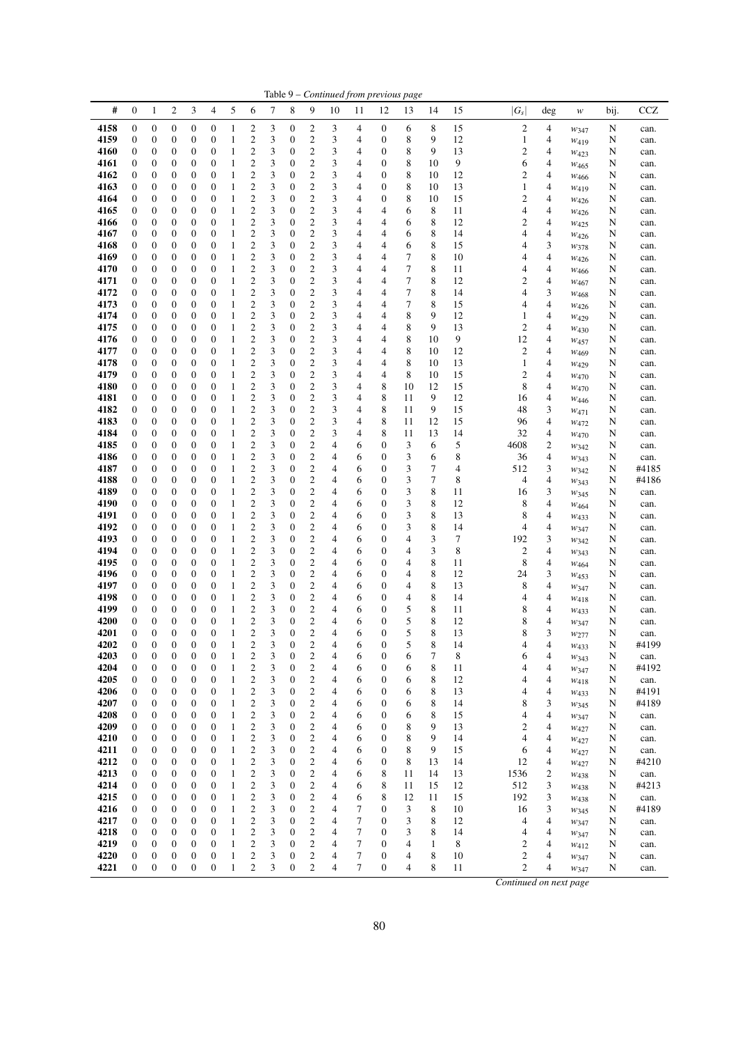|              |                                      |                                      |                                      |                                      |                                      |                              |                                                    |        |                                      |                                                    |                               |                     |                                      | Table 9 - Continued from previous page |              |          |                     |                          |                                   |        |               |
|--------------|--------------------------------------|--------------------------------------|--------------------------------------|--------------------------------------|--------------------------------------|------------------------------|----------------------------------------------------|--------|--------------------------------------|----------------------------------------------------|-------------------------------|---------------------|--------------------------------------|----------------------------------------|--------------|----------|---------------------|--------------------------|-----------------------------------|--------|---------------|
| #            | $\boldsymbol{0}$                     | 1                                    | $\overline{c}$                       | 3                                    | 4                                    | 5                            | 6                                                  | 7      | 8                                    | 9                                                  | 10                            | 11                  | 12                                   | 13                                     | 14           | 15       | $ G_s $             | deg                      | $\ensuremath{\mathcal{W}}\xspace$ | bij.   | <b>CCZ</b>    |
| 4158         | 0                                    | 0                                    | 0                                    | $\boldsymbol{0}$                     | 0                                    | 1                            | 2                                                  | 3      | 0                                    | 2                                                  | 3                             | 4                   | $\boldsymbol{0}$                     | 6                                      | 8            | 15       | 2                   | 4                        | W347                              | N      | can.          |
| 4159         | 0                                    | 0                                    | 0                                    | $\boldsymbol{0}$                     | 0                                    | 1                            | $\overline{\mathbf{c}}$                            | 3      | 0                                    | 2                                                  | 3                             | 4                   | $\boldsymbol{0}$                     | 8                                      | 9            | 12       | $\mathbf{1}$        | 4                        | $W_{419}$                         | N      | can.          |
| 4160<br>4161 | 0<br>$\mathbf{0}$                    | 0<br>0                               | 0<br>0                               | $\boldsymbol{0}$<br>$\boldsymbol{0}$ | 0<br>$\boldsymbol{0}$                | 1<br>$\mathbf{1}$            | 2<br>$\overline{\mathbf{c}}$                       | 3<br>3 | 0<br>0                               | $\boldsymbol{2}$<br>$\mathbf{2}$                   | 3<br>3                        | 4<br>4              | $\boldsymbol{0}$<br>$\boldsymbol{0}$ | 8<br>8                                 | 9<br>10      | 13<br>9  | 2<br>6              | 4<br>4                   | W423                              | N<br>N | can.<br>can.  |
| 4162         | 0                                    | 0                                    | 0                                    | 0                                    | 0                                    | $\mathbf{1}$                 | $\overline{\mathbf{c}}$                            | 3      | 0                                    | 2                                                  | 3                             | 4                   | $\boldsymbol{0}$                     | 8                                      | 10           | 12       | 2                   | 4                        | W <sub>465</sub><br>$W_{466}$     | N      | can.          |
| 4163         | $\mathbf{0}$                         | $\boldsymbol{0}$                     | 0                                    | $\boldsymbol{0}$                     | 0                                    | $\mathbf{1}$                 | $\overline{\mathbf{c}}$                            | 3      | $\boldsymbol{0}$                     | $\mathfrak{2}$                                     | 3                             | 4                   | $\boldsymbol{0}$                     | 8                                      | 10           | 13       | 1                   | 4                        | $W_{419}$                         | N      | can.          |
| 4164         | $\boldsymbol{0}$                     | 0                                    | 0                                    | $\boldsymbol{0}$                     | 0                                    | $\mathbf{1}$                 | $\overline{\mathbf{c}}$                            | 3      | 0                                    | 2                                                  | 3                             | 4                   | $\boldsymbol{0}$                     | 8                                      | 10           | 15       | 2                   | 4                        | W426                              | N      | can.          |
| 4165<br>4166 | $\boldsymbol{0}$<br>$\boldsymbol{0}$ | 0<br>0                               | 0<br>0                               | $\boldsymbol{0}$<br>$\boldsymbol{0}$ | 0<br>0                               | $\mathbf{1}$<br>$\mathbf{1}$ | $\overline{\mathbf{c}}$<br>$\overline{c}$          | 3<br>3 | 0<br>0                               | $\overline{\mathbf{c}}$<br>$\mathfrak{2}$          | 3<br>3                        | 4<br>4              | 4<br>4                               | 6<br>6                                 | 8<br>8       | 11<br>12 | 4<br>$\overline{c}$ | 4<br>4                   | W426                              | N<br>N | can.<br>can.  |
| 4167         | 0                                    | 0                                    | 0                                    | $\boldsymbol{0}$                     | 0                                    | 1                            | $\overline{c}$                                     | 3      | 0                                    | $\mathfrak{2}$                                     | 3                             | 4                   | 4                                    | 6                                      | 8            | 14       | 4                   | 4                        | $W_{425}$<br>$W_{426}$            | N      | can.          |
| 4168         | $\mathbf{0}$                         | 0                                    | 0                                    | $\boldsymbol{0}$                     | 0                                    | 1                            | $\overline{\mathbf{c}}$                            | 3      | 0                                    | 2                                                  | 3                             | 4                   | 4                                    | 6                                      | 8            | 15       | 4                   | 3                        | W378                              | N      | can.          |
| 4169         | $\mathbf{0}$                         | 0                                    | 0                                    | $\boldsymbol{0}$                     | 0                                    | $\mathbf{1}$                 | $\overline{\mathbf{c}}$                            | 3      | 0                                    | $\mathfrak{2}$                                     | 3                             | 4                   | 4                                    | 7                                      | 8            | 10       | 4                   | 4                        | W426                              | N      | can.          |
| 4170         | $\boldsymbol{0}$<br>$\mathbf{0}$     | $\boldsymbol{0}$                     | 0                                    | $\boldsymbol{0}$                     | 0                                    | $\mathbf{1}$                 | $\overline{\mathbf{c}}$<br>2                       | 3      | 0                                    | $\boldsymbol{2}$<br>$\mathfrak{2}$                 | 3                             | 4                   | 4<br>4                               | 7<br>7                                 | 8            | 11<br>12 | 4<br>2              | 4                        | W <sub>466</sub>                  | N      | can.          |
| 4171<br>4172 | $\boldsymbol{0}$                     | 0<br>$\boldsymbol{0}$                | 0<br>0                               | $\boldsymbol{0}$<br>$\boldsymbol{0}$ | 0<br>0                               | $\mathbf{1}$<br>1            | $\overline{\mathbf{c}}$                            | 3<br>3 | 0<br>0                               | $\boldsymbol{2}$                                   | 3<br>3                        | 4<br>4              | 4                                    | 7                                      | 8<br>8       | 14       | 4                   | 4<br>3                   | $W_{467}$<br>W <sub>468</sub>     | N<br>N | can.<br>can.  |
| 4173         | $\boldsymbol{0}$                     | 0                                    | 0                                    | $\boldsymbol{0}$                     | 0                                    | $\mathbf{1}$                 | $\overline{c}$                                     | 3      | 0                                    | $\mathbf{2}$                                       | 3                             | 4                   | 4                                    | 7                                      | 8            | 15       | 4                   | 4                        | W426                              | N      | can.          |
| 4174         | $\boldsymbol{0}$                     | 0                                    | 0                                    | $\boldsymbol{0}$                     | 0                                    | 1                            | $\overline{\mathbf{c}}$                            | 3      | 0                                    | $\boldsymbol{2}$                                   | 3                             | 4                   | 4                                    | 8                                      | 9            | 12       | 1                   | 4                        | $W_{429}$                         | N      | can.          |
| 4175         | 0                                    | 0                                    | 0                                    | $\boldsymbol{0}$                     | 0                                    | 1                            | $\overline{\mathbf{c}}$                            | 3      | 0                                    | $\mathfrak{2}$                                     | 3                             | 4                   | 4                                    | 8                                      | 9            | 13       | 2                   | 4                        | $W_{430}$                         | N      | can.          |
| 4176<br>4177 | $\boldsymbol{0}$<br>$\boldsymbol{0}$ | 0<br>0                               | 0<br>0                               | $\boldsymbol{0}$<br>$\boldsymbol{0}$ | 0<br>0                               | $\mathbf{1}$<br>1            | $\overline{\mathbf{c}}$<br>$\overline{\mathbf{c}}$ | 3<br>3 | 0<br>0                               | $\boldsymbol{2}$<br>$\boldsymbol{2}$               | 3<br>3                        | 4<br>4              | 4<br>4                               | 8<br>8                                 | 10           | 9<br>12  | 12<br>2             | 4<br>4                   | W457                              | N      | can.          |
| 4178         | $\boldsymbol{0}$                     | 0                                    | 0                                    | $\boldsymbol{0}$                     | 0                                    | $\mathbf{1}$                 | 2                                                  | 3      | 0                                    | 2                                                  | 3                             | 4                   | 4                                    | 8                                      | 10<br>10     | 13       | $\mathbf{1}$        | 4                        | W <sub>469</sub><br>$W_{429}$     | N<br>N | can.<br>can.  |
| 4179         | $\boldsymbol{0}$                     | 0                                    | 0                                    | $\boldsymbol{0}$                     | 0                                    | $\mathbf{1}$                 | $\overline{\mathbf{c}}$                            | 3      | 0                                    | $\mathfrak{2}$                                     | 3                             | 4                   | 4                                    | 8                                      | 10           | 15       | 2                   | 4                        | $W_{470}$                         | N      | can.          |
| 4180         | $\mathbf{0}$                         | 0                                    | 0                                    | $\boldsymbol{0}$                     | $\boldsymbol{0}$                     | $\mathbf{1}$                 | 2                                                  | 3      | 0                                    | $\mathfrak{2}$                                     | 3                             | 4                   | 8                                    | 10                                     | 12           | 15       | 8                   | $\overline{4}$           | W470                              | N      | can.          |
| 4181         | 0                                    | 0                                    | 0                                    | $\boldsymbol{0}$                     | 0                                    | $\mathbf{1}$                 | $\overline{\mathbf{c}}$                            | 3      | 0                                    | 2                                                  | 3                             | 4                   | 8                                    | 11                                     | 9            | 12       | 16                  | 4                        | W446                              | N      | can.          |
| 4182<br>4183 | $\boldsymbol{0}$<br>$\boldsymbol{0}$ | 0<br>0                               | $\boldsymbol{0}$<br>0                | $\boldsymbol{0}$<br>$\boldsymbol{0}$ | $\boldsymbol{0}$<br>0                | $\mathbf{1}$<br>1            | $\overline{c}$<br>$\overline{\mathbf{c}}$          | 3<br>3 | 0<br>0                               | $\mathfrak{2}$<br>$\boldsymbol{2}$                 | 3<br>3                        | 4<br>4              | 8<br>8                               | 11<br>11                               | 9<br>12      | 15<br>15 | 48<br>96            | 3<br>4                   | $W_{471}$                         | N<br>N | can.<br>can.  |
| 4184         | $\boldsymbol{0}$                     | 0                                    | 0                                    | $\boldsymbol{0}$                     | 0                                    | $\mathbf{1}$                 | $\overline{\mathbf{c}}$                            | 3      | 0                                    | 2                                                  | 3                             | 4                   | 8                                    | 11                                     | 13           | 14       | 32                  | 4                        | $w_{472}$<br>W470                 | N      | can.          |
| 4185         | $\boldsymbol{0}$                     | 0                                    | 0                                    | $\boldsymbol{0}$                     | 0                                    | $\mathbf{1}$                 | $\overline{\mathbf{c}}$                            | 3      | 0                                    | $\boldsymbol{2}$                                   | 4                             | 6                   | $\boldsymbol{0}$                     | 3                                      | 6            | 5        | 4608                | $\boldsymbol{2}$         | W342                              | N      | can.          |
| 4186         | 0                                    | 0                                    | 0                                    | $\boldsymbol{0}$                     | 0                                    | 1                            | $\overline{c}$                                     | 3      | 0                                    | $\mathfrak{2}$                                     | 4                             | 6                   | $\boldsymbol{0}$                     | 3                                      | 6            | 8        | 36                  | 4                        | W343                              | N      | can.          |
| 4187         | $\boldsymbol{0}$                     | 0                                    | 0                                    | $\boldsymbol{0}$                     | $\boldsymbol{0}$                     | $\mathbf{1}$                 | $\overline{c}$                                     | 3      | 0                                    | $\mathfrak{2}$                                     | 4                             | 6                   | $\boldsymbol{0}$                     | 3                                      | 7            | 4        | 512                 | 3                        | $w_{342}$                         | N      | #4185         |
| 4188<br>4189 | 0<br>$\boldsymbol{0}$                | 0<br>$\mathbf{0}$                    | 0<br>0                               | $\boldsymbol{0}$<br>$\boldsymbol{0}$ | 0<br>0                               | $\mathbf{1}$<br>$\mathbf{1}$ | $\overline{\mathbf{c}}$<br>$\overline{c}$          | 3<br>3 | 0<br>0                               | 2<br>$\mathfrak{2}$                                | 4<br>4                        | 6<br>6              | $\boldsymbol{0}$<br>$\mathbf{0}$     | 3<br>3                                 | 7<br>8       | 8<br>11  | 4<br>16             | $\overline{4}$<br>3      | W343                              | N<br>N | #4186<br>can. |
| 4190         | $\boldsymbol{0}$                     | 0                                    | 0                                    | $\boldsymbol{0}$                     | 0                                    | $\mathbf{1}$                 | $\overline{\mathbf{c}}$                            | 3      | 0                                    | $\overline{\mathbf{c}}$                            | 4                             | 6                   | $\boldsymbol{0}$                     | 3                                      | 8            | 12       | 8                   | 4                        | W345<br>$W_{464}$                 | N      | can.          |
| 4191         | $\boldsymbol{0}$                     | 0                                    | 0                                    | $\boldsymbol{0}$                     | 0                                    | $\mathbf{1}$                 | 2                                                  | 3      | 0                                    | $\mathfrak{2}$                                     | 4                             | 6                   | $\boldsymbol{0}$                     | 3                                      | 8            | 13       | 8                   | 4                        | $W_{433}$                         | N      | can.          |
| 4192         | 0                                    | 0                                    | 0                                    | $\boldsymbol{0}$                     | 0                                    | $\mathbf{1}$                 | $\overline{c}$                                     | 3      | 0                                    | $\mathfrak{2}$                                     | 4                             | 6                   | $\boldsymbol{0}$                     | 3                                      | 8            | 14       | 4                   | $\overline{4}$           | W347                              | N      | can.          |
| 4193<br>4194 | $\boldsymbol{0}$<br>$\boldsymbol{0}$ | 0<br>0                               | 0<br>0                               | $\boldsymbol{0}$<br>$\boldsymbol{0}$ | 0<br>0                               | $\mathbf{1}$<br>$\mathbf{1}$ | 2<br>$\overline{\mathbf{c}}$                       | 3<br>3 | 0<br>0                               | $\mathfrak{2}$<br>2                                | 4<br>4                        | 6<br>6              | $\boldsymbol{0}$<br>$\boldsymbol{0}$ | 4<br>4                                 | 3<br>3       | 7<br>8   | 192<br>2            | 3<br>$\overline{4}$      | W342                              | N<br>N | can.          |
| 4195         | 0                                    | 0                                    | 0                                    | $\boldsymbol{0}$                     | 0                                    | $\mathbf{1}$                 | $\overline{\mathbf{c}}$                            | 3      | 0                                    | 2                                                  | 4                             | 6                   | $\boldsymbol{0}$                     | 4                                      | 8            | 11       | 8                   | 4                        | W343<br>$W_{464}$                 | N      | can.<br>can.  |
| 4196         | $\boldsymbol{0}$                     | 0                                    | 0                                    | $\boldsymbol{0}$                     | 0                                    | $\mathbf{1}$                 | $\overline{\mathbf{c}}$                            | 3      | 0                                    | $\boldsymbol{2}$                                   | 4                             | 6                   | $\mathbf{0}$                         | 4                                      | $\,$ 8 $\,$  | 12       | 24                  | 3                        | W453                              | N      | can.          |
| 4197         | $\boldsymbol{0}$                     | 0                                    | 0                                    | $\boldsymbol{0}$                     | 0                                    | $\mathbf{1}$                 | $\overline{\mathbf{c}}$                            | 3      | 0                                    | 2                                                  | 4                             | 6                   | $\boldsymbol{0}$                     | 4                                      | 8            | 13       | 8                   | 4                        | W347                              | N      | can.          |
| 4198         | $\boldsymbol{0}$                     | $\boldsymbol{0}$                     | 0                                    | $\boldsymbol{0}$                     | 0                                    | $\mathbf{1}$                 | 2                                                  | 3      | 0                                    | $\mathfrak{2}$                                     | 4                             | 6                   | $\boldsymbol{0}$                     | 4                                      | 8            | 14       | 4                   | 4                        | W418                              | N      | can.          |
| 4199<br>4200 | $\mathbf{0}$<br>0                    | 0<br>$\boldsymbol{0}$                | 0<br>0                               | $\boldsymbol{0}$<br>$\boldsymbol{0}$ | 0<br>0                               | 1<br>$\mathbf{1}$            | $\overline{c}$<br>$\overline{\mathbf{c}}$          | 3<br>3 | 0<br>0                               | $\mathbf{2}$<br>2                                  | 4<br>4                        | 6<br>6              | $\boldsymbol{0}$<br>$\boldsymbol{0}$ | 5<br>5                                 | 8<br>8       | 11<br>12 | 8<br>8              | 4<br>4                   | $W_{433}$<br>W347                 | N<br>N | can.<br>can.  |
| 4201         | $\overline{0}$                       | $\overline{0}$                       | $\overline{0}$                       | $\overline{0}$                       | $\overline{0}$                       | $\mathbf{1}$                 | $\overline{c}$                                     | 3      | $\boldsymbol{0}$                     | $\overline{c}$                                     | 4                             | 6                   | $\overline{0}$                       | 5                                      | 8            | 13       | 8                   | 3                        | W277                              | N      | can.          |
| 4202         | 0                                    | 0                                    | 0                                    | 0                                    | 0                                    | 1                            | $\overline{\mathbf{c}}$                            | 3      | 0                                    | 2                                                  | 4                             | 6                   | 0                                    | 5                                      | 8            | 14       | 4                   | 4                        | W433                              | N      | #4199         |
| 4203         | $\boldsymbol{0}$                     | $\boldsymbol{0}$                     | $\boldsymbol{0}$                     | $\boldsymbol{0}$                     | $\boldsymbol{0}$                     | $\mathbf{1}$                 | $\overline{\mathbf{c}}$                            | 3      | $\boldsymbol{0}$                     | $\overline{\mathbf{c}}$                            | 4                             | 6                   | $\boldsymbol{0}$                     | 6                                      | $\tau$       | 8        | 6                   | 4                        | $w_{343}$                         | N      | can.          |
| 4204<br>4205 | $\boldsymbol{0}$<br>$\boldsymbol{0}$ | $\boldsymbol{0}$<br>$\boldsymbol{0}$ | $\boldsymbol{0}$<br>$\boldsymbol{0}$ | $\boldsymbol{0}$<br>$\boldsymbol{0}$ | $\boldsymbol{0}$<br>$\boldsymbol{0}$ | $\mathbf{1}$<br>$\mathbf{1}$ | $\overline{c}$<br>$\overline{\mathbf{c}}$          | 3<br>3 | $\boldsymbol{0}$<br>$\boldsymbol{0}$ | $\boldsymbol{2}$<br>$\overline{\mathbf{c}}$        | $\overline{4}$<br>4           | 6<br>6              | $\boldsymbol{0}$<br>$\boldsymbol{0}$ | 6<br>6                                 | 8<br>8       | 11<br>12 | 4<br>4              | $\overline{4}$<br>4      | W347<br>W418                      | N<br>N | #4192<br>can. |
| 4206         | 0                                    | $\boldsymbol{0}$                     | 0                                    | $\boldsymbol{0}$                     | 0                                    | $\mathbf{1}$                 | $\boldsymbol{2}$                                   | 3      | $\boldsymbol{0}$                     | $\overline{\mathbf{c}}$                            | 4                             | 6                   | $\boldsymbol{0}$                     | 6                                      | 8            | 13       | 4                   | $\overline{\mathbf{4}}$  | W433                              | N      | #4191         |
| 4207         | 0                                    | $\boldsymbol{0}$                     | $\boldsymbol{0}$                     | $\boldsymbol{0}$                     | 0                                    | $\mathbf{1}$                 | $\overline{\mathbf{c}}$                            | 3      | 0                                    | $\overline{\mathbf{c}}$                            | 4                             | 6                   | $\boldsymbol{0}$                     | 6                                      | 8            | 14       | 8                   | 3                        | $w_{345}$                         | N      | #4189         |
| 4208         | $\boldsymbol{0}$                     | $\boldsymbol{0}$                     | $\boldsymbol{0}$                     | $\boldsymbol{0}$                     | $\boldsymbol{0}$                     | $\mathbf{1}$                 | $\overline{c}$                                     | 3      | 0                                    | $\overline{\mathbf{c}}$                            | 4                             | 6                   | $\boldsymbol{0}$                     | 6                                      | 8            | 15       | 4                   | $\overline{\mathbf{4}}$  | W347                              | N      | can.          |
| 4209         | $\boldsymbol{0}$<br>$\boldsymbol{0}$ | $\boldsymbol{0}$<br>$\boldsymbol{0}$ | $\boldsymbol{0}$<br>$\boldsymbol{0}$ | $\boldsymbol{0}$                     | $\boldsymbol{0}$<br>$\boldsymbol{0}$ | $\mathbf{1}$<br>$\mathbf{1}$ | $\overline{\mathbf{c}}$                            | 3      | 0<br>$\boldsymbol{0}$                | $\overline{c}$<br>$\overline{\mathbf{c}}$          | 4                             | 6<br>6              | $\boldsymbol{0}$<br>$\boldsymbol{0}$ | 8<br>8                                 | 9<br>9       | 13       | $\boldsymbol{2}$    | $\overline{4}$<br>4      | W427                              | N      | can.          |
| 4210<br>4211 | $\boldsymbol{0}$                     | $\boldsymbol{0}$                     | $\boldsymbol{0}$                     | $\boldsymbol{0}$<br>$\boldsymbol{0}$ | $\boldsymbol{0}$                     | $\mathbf{1}$                 | $\boldsymbol{2}$<br>$\mathbf{2}$                   | 3<br>3 | $\boldsymbol{0}$                     | $\boldsymbol{2}$                                   | 4<br>4                        | 6                   | $\boldsymbol{0}$                     | 8                                      | 9            | 14<br>15 | 4<br>6              | $\overline{4}$           | W427<br>$w_{427}$                 | N<br>N | can.<br>can.  |
| 4212         | $\boldsymbol{0}$                     | $\boldsymbol{0}$                     | $\boldsymbol{0}$                     | $\boldsymbol{0}$                     | $\boldsymbol{0}$                     | $\mathbf{1}$                 | $\overline{\mathbf{c}}$                            | 3      | $\boldsymbol{0}$                     | $\overline{\mathbf{c}}$                            | 4                             | 6                   | $\boldsymbol{0}$                     | 8                                      | 13           | 14       | 12                  | $\overline{\mathcal{L}}$ | W427                              | N      | #4210         |
| 4213         | $\boldsymbol{0}$                     | $\boldsymbol{0}$                     | $\boldsymbol{0}$                     | $\boldsymbol{0}$                     | $\boldsymbol{0}$                     | $\mathbf{1}$                 | $\overline{c}$                                     | 3      | $\boldsymbol{0}$                     | $\overline{c}$                                     | 4                             | 6                   | 8                                    | 11                                     | 14           | 13       | 1536                | $\boldsymbol{2}$         | W438                              | N      | can.          |
| 4214         | $\boldsymbol{0}$                     | $\boldsymbol{0}$                     | $\boldsymbol{0}$                     | $\boldsymbol{0}$                     | $\boldsymbol{0}$                     | $\mathbf{1}$                 | $\overline{\mathbf{c}}$                            | 3      | 0                                    | $\overline{\mathbf{c}}$                            | 4                             | 6                   | 8                                    | 11                                     | 15           | 12       | 512                 | $\mathfrak{Z}$           | W438                              | N      | #4213         |
| 4215<br>4216 | $\boldsymbol{0}$<br>$\boldsymbol{0}$ | $\boldsymbol{0}$<br>$\boldsymbol{0}$ | $\boldsymbol{0}$<br>$\boldsymbol{0}$ | $\boldsymbol{0}$<br>$\boldsymbol{0}$ | $\boldsymbol{0}$<br>$\boldsymbol{0}$ | $\mathbf{1}$<br>$\,1\,$      | $\overline{c}$<br>$\overline{c}$                   | 3<br>3 | 0<br>0                               | $\overline{\mathbf{c}}$<br>$\overline{\mathbf{c}}$ | 4<br>4                        | 6<br>7              | $\,$ 8 $\,$<br>$\boldsymbol{0}$      | 12<br>3                                | 11<br>8      | 15<br>10 | 192<br>16           | $\mathfrak{Z}$<br>3      | W <sub>438</sub>                  | N<br>N | can.<br>#4189 |
| 4217         | $\boldsymbol{0}$                     | $\boldsymbol{0}$                     | $\boldsymbol{0}$                     | $\boldsymbol{0}$                     | $\boldsymbol{0}$                     | $\mathbf{1}$                 | $\boldsymbol{2}$                                   | 3      | $\boldsymbol{0}$                     | $\boldsymbol{2}$                                   | 4                             | 7                   | $\boldsymbol{0}$                     | 3                                      | 8            | 12       | 4                   | 4                        | W345<br>W347                      | N      | can.          |
| 4218         | $\boldsymbol{0}$                     | $\boldsymbol{0}$                     | $\boldsymbol{0}$                     | $\boldsymbol{0}$                     | $\boldsymbol{0}$                     | $\mathbf{1}$                 | $\sqrt{2}$                                         | 3      | $\boldsymbol{0}$                     | $\overline{\mathbf{c}}$                            | 4                             | 7                   | $\boldsymbol{0}$                     | 3                                      | 8            | 14       | 4                   | $\overline{4}$           | W347                              | N      | can.          |
| 4219         | 0                                    | $\boldsymbol{0}$                     | $\boldsymbol{0}$                     | $\boldsymbol{0}$                     | 0                                    | $\mathbf{1}$                 | $\overline{\mathbf{c}}$                            | 3      | 0                                    | $\overline{\mathbf{c}}$                            | 4                             | 7                   | $\boldsymbol{0}$                     | 4                                      | $\mathbf{1}$ | 8        | 2                   | $\overline{4}$           | $w_{412}$                         | N      | can.          |
| 4220         | $\boldsymbol{0}$<br>$\boldsymbol{0}$ | $\boldsymbol{0}$<br>$\overline{0}$   | $\boldsymbol{0}$<br>$\boldsymbol{0}$ | $\boldsymbol{0}$                     | 0<br>$\boldsymbol{0}$                | $\mathbf{1}$<br>$\mathbf{1}$ | $\boldsymbol{2}$<br>$\overline{c}$                 | 3<br>3 | 0<br>$\boldsymbol{0}$                | $\boldsymbol{2}$                                   | 4<br>$\overline{\mathcal{L}}$ | $\overline{7}$<br>7 | $\boldsymbol{0}$<br>$\boldsymbol{0}$ | 4                                      | 8            | 10       | 2<br>$\overline{c}$ | $\overline{4}$           | W347                              | N      | can.          |
| 4221         |                                      |                                      |                                      | $\boldsymbol{0}$                     |                                      |                              |                                                    |        |                                      | $\overline{c}$                                     |                               |                     |                                      | 4                                      | 8            | 11       |                     | 4                        | W347                              | N      | can.          |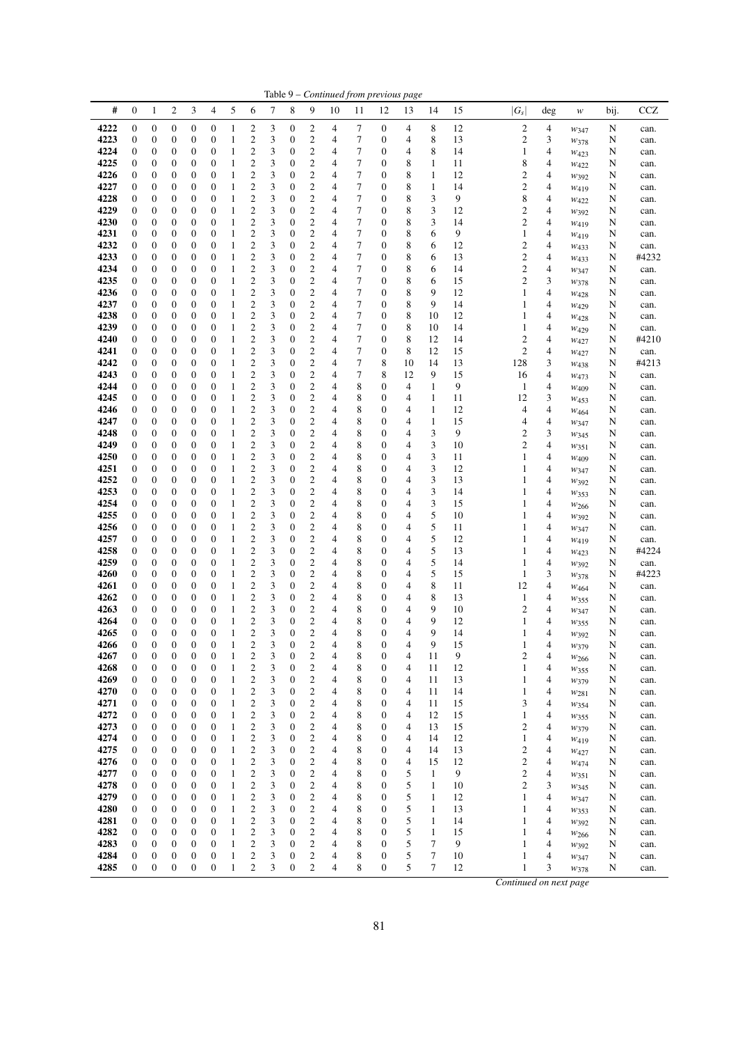| #            | $\mathbf{0}$                         | 1                                    | 2                                    | 3                                    | 4                                    | 5                 | 6                                  | 7      | 8                                    | 9                              | 10                               | 11             | 12                           | 13                               | 14                | 15       | $ G_s $                 | deg    | $\boldsymbol{W}$  | bij.   | CCZ          |
|--------------|--------------------------------------|--------------------------------------|--------------------------------------|--------------------------------------|--------------------------------------|-------------------|------------------------------------|--------|--------------------------------------|--------------------------------|----------------------------------|----------------|------------------------------|----------------------------------|-------------------|----------|-------------------------|--------|-------------------|--------|--------------|
| 4222         | $\mathbf{0}$                         | $\mathbf{0}$                         | $\overline{0}$                       | $\boldsymbol{0}$                     | $\boldsymbol{0}$                     | $\mathbf{1}$      | $\boldsymbol{2}$                   | 3      | $\boldsymbol{0}$                     | 2                              | $\overline{4}$                   | 7              | 0                            | 4                                | 8                 | 12       | 2                       | 4      | W347              | N      | can.         |
| 4223         | $\boldsymbol{0}$                     | $\boldsymbol{0}$                     | $\overline{0}$                       | $\boldsymbol{0}$                     | $\boldsymbol{0}$                     | 1                 | $\boldsymbol{2}$                   | 3      | $\boldsymbol{0}$                     | 2                              | 4                                | 7              | $\overline{0}$               | 4                                | 8                 | 13       | $\mathfrak{2}$          | 3      | W378              | N      | can.         |
| 4224         | $\mathbf{0}$                         | 0                                    | 0                                    | $\boldsymbol{0}$                     | 0                                    | 1                 | $\mathbf{2}$                       | 3      | $\mathbf{0}$                         | 2                              | $\overline{4}$                   | 7              | 0                            | 4                                | 8                 | 14       | 1                       | 4      | W423              | N      | can.         |
| 4225         | $\mathbf{0}$                         | 0                                    | 0                                    | $\boldsymbol{0}$                     | $\boldsymbol{0}$                     | 1                 | $\mathfrak{2}$                     | 3      | $\mathbf{0}$                         | 2                              | $\overline{4}$                   | 7              | 0                            | 8                                | 1                 | 11       | 8                       | 4      | W422              | N      | can.         |
| 4226         | $\boldsymbol{0}$                     | $\boldsymbol{0}$                     | $\overline{0}$                       | $\boldsymbol{0}$                     | 0                                    | $\mathbf{1}$      | $\overline{c}$                     | 3      | 0                                    | $\overline{c}$                 | $\overline{4}$                   | $\overline{7}$ | 0                            | 8                                | $\mathbf{1}$      | 12       | $\mathbf{2}$            | 4      | $W_392$           | N      | can.         |
| 4227         | $\mathbf{0}$                         | 0                                    | 0                                    | $\boldsymbol{0}$                     | $\boldsymbol{0}$                     | 1                 | $\overline{c}$                     | 3      | 0                                    | 2                              | 4                                | 7              | 0                            | 8                                | 1                 | 14       | $\overline{c}$          | 4      | $W_{419}$         | N      | can.         |
| 4228         | $\mathbf{0}$                         | 0                                    | 0                                    | 0                                    | $\boldsymbol{0}$                     | 1                 | $\overline{\mathbf{c}}$            | 3      | $\mathbf{0}$                         | $\overline{\mathbf{c}}$        | $\overline{4}$                   | 7              | 0                            | 8                                | 3                 | 9        | 8                       | 4      | W422              | N      | can.         |
| 4229         | $\mathbf{0}$                         | $\mathbf{0}$                         | $\overline{0}$                       | $\boldsymbol{0}$                     | $\boldsymbol{0}$                     | 1                 | $\overline{\mathbf{c}}$            | 3      | $\mathbf{0}$                         | $\overline{c}$                 | 4                                | 7              | $\overline{0}$               | 8                                | 3                 | 12       | $\mathbf{2}$            | 4      | W392              | N      | can.         |
| 4230         | $\mathbf{0}$                         | 0                                    | 0                                    | $\boldsymbol{0}$                     | $\boldsymbol{0}$                     | 1                 | $\overline{\mathbf{c}}$            | 3      | 0                                    | $\overline{\mathbf{c}}$        | 4                                | 7              | 0                            | 8                                | 3                 | 14       | 2                       | 4      | $W_{419}$         | N      | can.         |
| 4231         | $\boldsymbol{0}$                     | 0                                    | 0                                    | $\boldsymbol{0}$                     | 0                                    | 1                 | $\overline{c}$                     | 3      | 0                                    | 2                              | $\overline{4}$                   | 7              | 0                            | 8                                | 6                 | 9        | 1                       | 4      | $W_{419}$         | N      | can.         |
| 4232         | $\boldsymbol{0}$                     | $\boldsymbol{0}$                     | 0                                    | $\boldsymbol{0}$                     | $\boldsymbol{0}$                     | 1                 | $\overline{c}$                     | 3      | $\overline{0}$                       | $\overline{c}$                 | 4                                | 7              | $\overline{0}$               | 8                                | 6                 | 12       | $\mathbf{2}$            | 4      | W433              | N      | can.         |
| 4233         | $\mathbf{0}$                         | 0                                    | 0                                    | $\boldsymbol{0}$                     | $\boldsymbol{0}$                     | 1                 | $\overline{c}$                     | 3      | 0                                    | $\overline{c}$                 | 4                                | 7              | 0                            | 8                                | 6                 | 13       | $\overline{c}$          | 4      | W433              | N      | #4232        |
| 4234         | $\mathbf{0}$                         | 0                                    | 0                                    | $\boldsymbol{0}$                     | $\boldsymbol{0}$                     | 1                 | $\overline{c}$                     | 3      | 0                                    | 2                              | 4                                | 7              | 0                            | 8                                | 6                 | 14       | $\overline{c}$          | 4      | W347              | N      | can.         |
| 4235         | $\mathbf{0}$                         | 0                                    | 0                                    | $\boldsymbol{0}$                     | $\boldsymbol{0}$                     | $\mathbf{1}$      | $\overline{\mathbf{c}}$            | 3      | $\boldsymbol{0}$                     | $\overline{\mathbf{c}}$        | $\overline{4}$                   | 7              | 0                            | 8                                | 6                 | 15       | $\mathbf{2}$            | 3      | W378              | N      | can.         |
| 4236         | $\mathbf{0}$                         | 0                                    | $\overline{0}$                       | $\boldsymbol{0}$                     | 0                                    | 1                 | $\overline{c}$                     | 3      | 0                                    | $\overline{\mathbf{c}}$        | $\overline{4}$                   | 7              | 0                            | 8                                | 9                 | 12       | 1                       | 4      | W428              | N      | can.         |
| 4237         | $\boldsymbol{0}$                     | 0                                    | 0                                    | $\boldsymbol{0}$                     | 0                                    | 1                 | $\overline{\mathbf{c}}$            | 3      | 0                                    | 2                              | 4                                | 7              | 0                            | 8                                | 9                 | 14       | 1                       | 4      | W429              | N      | can.         |
| 4238         | $\mathbf{0}$                         | $\boldsymbol{0}$                     | 0                                    | $\boldsymbol{0}$                     | 0                                    | 1                 | $\mathfrak{2}$                     | 3      | $\mathbf{0}$                         | $\overline{c}$                 | $\overline{4}$                   | 7              | 0                            | 8                                | 10                | 12       | 1                       | 4      | $W_{428}$         | N      | can.         |
| 4239         | $\mathbf{0}$                         | 0                                    | 0                                    | $\boldsymbol{0}$                     | $\boldsymbol{0}$                     | 1                 | $\overline{c}$                     | 3      | $\overline{0}$                       | $\overline{c}$                 | 4                                | 7              | 0                            | 8                                | 10                | 14       | 1                       | 4      | $W_{429}$         | N      | can.         |
| 4240         | 0                                    | 0                                    | 0                                    | $\boldsymbol{0}$                     | 0                                    | 1                 | $\overline{\mathbf{c}}$            | 3      | 0                                    | 2                              | $\overline{4}$                   | 7              | 0                            | 8                                | 12                | 14       | 2                       | 4      | W427              | N      | #4210        |
| 4241         | $\mathbf{0}$                         | $\mathbf{0}$                         | 0                                    | $\overline{0}$                       | $\boldsymbol{0}$                     | $\mathbf{1}$      | $\overline{c}$                     | 3      | $\overline{0}$                       | $\overline{c}$                 | 4                                | 7              | $\overline{0}$               | 8                                | 12                | 15       | $\overline{2}$          | 4      | W427              | N      | can.         |
| 4242         | $\mathbf{0}$                         | 0                                    | $\overline{0}$                       | $\boldsymbol{0}$                     | $\boldsymbol{0}$                     | 1                 | $\overline{\mathbf{c}}$            | 3      | $\mathbf{0}$                         | $\overline{c}$                 | 4                                | 7<br>7         | 8                            | 10                               | 14                | 13       | 128                     | 3      | W <sub>438</sub>  | N      | #4213        |
| 4243         | $\mathbf{0}$                         | 0                                    | 0                                    | $\boldsymbol{0}$                     | $\boldsymbol{0}$                     | 1                 | $\overline{\mathbf{c}}$            | 3      | $\boldsymbol{0}$                     | $\overline{\mathbf{c}}$        | $\overline{4}$                   |                | 8                            | 12                               | 9                 | 15       | 16                      | 4      | W <sub>473</sub>  | N      | can.         |
| 4244<br>4245 | $\mathbf{0}$<br>$\mathbf{0}$         | 0                                    | 0<br>$\boldsymbol{0}$                | $\boldsymbol{0}$                     | $\boldsymbol{0}$                     | 1<br>1            | $\overline{c}$<br>$\overline{c}$   | 3<br>3 | $\overline{0}$<br>0                  | 2<br>$\overline{c}$            | $\overline{4}$<br>$\overline{4}$ | 8<br>8         | $\boldsymbol{0}$<br>0        | 4                                | $\mathbf{1}$      | 9<br>11  | 1                       | 4<br>3 | W409              | N      | can.         |
| 4246         | 0                                    | $\boldsymbol{0}$<br>0                | 0                                    | $\boldsymbol{0}$<br>$\boldsymbol{0}$ | 0<br>$\boldsymbol{0}$                | 1                 | $\overline{c}$                     | 3      | 0                                    | 2                              | 4                                | 8              | 0                            | 4<br>4                           | $\mathbf{1}$<br>1 | 12       | 12<br>4                 | 4      | W <sub>453</sub>  | N<br>N | can.         |
| 4247         | $\mathbf{0}$                         | 0                                    | 0                                    | $\boldsymbol{0}$                     | 0                                    | 1                 | $\boldsymbol{2}$                   | 3      | 0                                    | 2                              | $\overline{4}$                   | 8              | 0                            | 4                                | 1                 | 15       | 4                       | 4      | $W_{464}$         | N      | can.         |
| 4248         | $\mathbf{0}$                         | $\mathbf{0}$                         | $\overline{0}$                       | $\boldsymbol{0}$                     | $\boldsymbol{0}$                     | 1                 | $\overline{c}$                     | 3      | $\mathbf{0}$                         | $\overline{c}$                 | $\overline{4}$                   | 8              | $\overline{0}$               | 4                                | 3                 | 9        | $\mathfrak{2}$          | 3      | W347              | N      | can.<br>can. |
| 4249         | $\mathbf{0}$                         | 0                                    | 0                                    | $\boldsymbol{0}$                     | $\boldsymbol{0}$                     | 1                 | $\overline{\mathbf{c}}$            | 3      | 0                                    | $\overline{c}$                 | $\overline{4}$                   | 8              | 0                            | 4                                | 3                 | 10       | 2                       | 4      | W345<br>W351      | N      | can.         |
| 4250         | $\boldsymbol{0}$                     | 0                                    | 0                                    | $\boldsymbol{0}$                     | 0                                    | 1                 | $\overline{\mathbf{c}}$            | 3      | 0                                    | $\overline{\mathbf{c}}$        | $\overline{4}$                   | 8              | 0                            | 4                                | 3                 | 11       | 1                       | 4      | W409              | N      | can.         |
| 4251         | $\boldsymbol{0}$                     | 0                                    | 0                                    | $\boldsymbol{0}$                     | $\boldsymbol{0}$                     | 1                 | $\overline{c}$                     | 3      | 0                                    | 2                              | $\overline{4}$                   | 8              | 0                            | 4                                | 3                 | 12       | 1                       | 4      | W347              | N      | can.         |
| 4252         | $\mathbf{0}$                         | 0                                    | 0                                    | $\boldsymbol{0}$                     | $\boldsymbol{0}$                     | 1                 | $\overline{c}$                     | 3      | $\boldsymbol{0}$                     | $\overline{c}$                 | $\overline{4}$                   | 8              | 0                            | 4                                | 3                 | 13       | 1                       | 4      | W392              | N      | can.         |
| 4253         | $\mathbf{0}$                         | 0                                    | 0                                    | $\boldsymbol{0}$                     | $\boldsymbol{0}$                     | 1                 | $\overline{c}$                     | 3      | 0                                    | 2                              | $\overline{4}$                   | 8              | 0                            | 4                                | 3                 | 14       | 1                       | 4      | W353              | N      | can.         |
| 4254         | $\mathbf{0}$                         | 0                                    | 0                                    | $\boldsymbol{0}$                     | 0                                    | $\mathbf{1}$      | $\overline{c}$                     | 3      | $\mathbf{0}$                         | 2                              | $\overline{4}$                   | 8              | 0                            | 4                                | 3                 | 15       | 1                       | 4      | W <sub>266</sub>  | N      | can.         |
| 4255         | $\mathbf{0}$                         | $\mathbf{0}$                         | $\overline{0}$                       | $\boldsymbol{0}$                     | $\boldsymbol{0}$                     | 1                 | $\overline{c}$                     | 3      | $\mathbf{0}$                         | $\overline{c}$                 | $\overline{4}$                   | 8              | $\overline{0}$               | 4                                | 5                 | 10       | 1                       | 4      | $w_{392}$         | N      | can.         |
| 4256         | $\boldsymbol{0}$                     | 0                                    | 0                                    | $\boldsymbol{0}$                     | 0                                    | 1                 | $\overline{\mathbf{c}}$            | 3      | 0                                    | $\overline{\mathbf{c}}$        | $\overline{4}$                   | 8              | 0                            | 4                                | 5                 | 11       | 1                       | 4      | W347              | N      | can.         |
| 4257         | $\mathbf{0}$                         | $\boldsymbol{0}$                     | 0                                    | $\boldsymbol{0}$                     | $\boldsymbol{0}$                     | 1                 | $\overline{c}$                     | 3      | 0                                    | $\overline{\mathbf{c}}$        | $\overline{4}$                   | 8              | 0                            | 4                                | 5                 | 12       | 1                       | 4      | W419              | N      | can.         |
| 4258         | $\boldsymbol{0}$                     | 0                                    | 0                                    | $\boldsymbol{0}$                     | $\boldsymbol{0}$                     | 1                 | $\overline{c}$                     | 3      | $\overline{0}$                       | 2                              | $\overline{4}$                   | 8              | $\overline{0}$               | 4                                | 5                 | 13       | 1                       | 4      | W423              | N      | #4224        |
| 4259         | 0                                    | 0                                    | 0                                    | $\boldsymbol{0}$                     | $\boldsymbol{0}$                     | 1                 | $\overline{c}$                     | 3      | 0                                    | 2                              | $\overline{4}$                   | 8              | 0                            | 4                                | 5                 | 14       | 1                       | 4      | $w_{392}$         | N      | can.         |
| 4260         | $\mathbf{0}$                         | 0                                    | 0                                    | 0                                    | $\boldsymbol{0}$                     | 1                 | $\overline{c}$                     | 3      | $\overline{0}$                       | 2                              | $\overline{4}$                   | 8              | $\overline{0}$               | 4                                | 5                 | 15       | 1                       | 3      | W378              | N      | #4223        |
| 4261         | $\mathbf{0}$                         | 0                                    | 0                                    | $\boldsymbol{0}$                     | $\boldsymbol{0}$                     | 1                 | $\overline{c}$                     | 3      | $\mathbf{0}$                         | $\overline{c}$                 | $\overline{4}$                   | 8              | $\overline{0}$               | 4                                | 8                 | 11       | 12                      | 4      | W464              | N      | can.         |
| 4262         | $\mathbf{0}$                         | 0                                    | 0                                    | $\boldsymbol{0}$                     | $\boldsymbol{0}$                     | 1                 | $\overline{c}$                     | 3      | $\boldsymbol{0}$                     | $\overline{c}$                 | 4                                | 8              | 0                            | 4                                | 8                 | 13       | 1                       | 4      | $w_{355}$         | N      | can.         |
| 4263         | $\mathbf{0}$                         | 0                                    | 0                                    | $\boldsymbol{0}$                     | 0                                    | 1                 | $\overline{c}$                     | 3      | 0                                    | 2                              | $\overline{4}$                   | 8              | 0                            | 4                                | 9                 | 10       | 2                       | 4      | W347              | N      | can.         |
| 4264         | $\boldsymbol{0}$                     | 0                                    | 0                                    | $\boldsymbol{0}$                     | 0                                    | 1                 | $\overline{c}$                     | 3      | 0                                    | $\overline{c}$                 | $\overline{4}$                   | 8              | 0                            | 4                                | 9                 | 12       | 1                       | 4      | W355              | N      | can.         |
| 4265         | $\mathbf{0}$                         | 0                                    | 0                                    | $\boldsymbol{0}$                     | $\boldsymbol{0}$                     | 1                 | $\overline{c}$                     | 3      | 0                                    | 2                              | 4                                | 8              | 0                            | 4                                | 9                 | 14       | 1                       | 4      | W392              | N      | can.         |
| 4266         | 0                                    | 0                                    | 0                                    | 0                                    | $\boldsymbol{0}$                     | 1                 | $\boldsymbol{2}$                   | 3      | 0                                    | 2                              | $\overline{4}$                   | 8              | 0                            | 4                                | 9                 | 15       | 1                       | 4      | W379              | N      | can.         |
| 4267         | $\overline{0}$                       | $\overline{0}$                       | $\overline{0}$                       | $\overline{0}$                       | $\overline{0}$                       | 1                 | $\overline{c}$                     | 3      | $\overline{0}$                       | $\overline{c}$                 | 4                                | 8              | $\overline{0}$               | 4                                | 11                | 9        | $\overline{2}$          | 4      | W <sub>266</sub>  | N      | can.         |
| 4268         | $\boldsymbol{0}$                     | $\boldsymbol{0}$                     | $\boldsymbol{0}$                     | $\boldsymbol{0}$                     | $\boldsymbol{0}$                     | 1                 | 2                                  | 3      | 0                                    | 2                              | 4                                | 8              | 0                            | 4                                | 11                | 12       | $\mathbf{1}$            | 4      | W355              | N      | can.         |
| 4269<br>4270 | $\boldsymbol{0}$                     | $\boldsymbol{0}$                     | $\boldsymbol{0}$                     | $\boldsymbol{0}$                     | $\boldsymbol{0}$                     | $\mathbf{1}$      | $\mathbf{2}$                       | 3      | $\boldsymbol{0}$                     | $\overline{\mathbf{c}}$        | $\overline{4}$                   | 8              | $\mathbf{0}$                 | $\overline{4}$                   | 11                | 13       | 1                       | 4      | W379              | N      | can.         |
| 4271         | $\boldsymbol{0}$                     | $\boldsymbol{0}$<br>$\boldsymbol{0}$ | $\boldsymbol{0}$<br>$\boldsymbol{0}$ | $\boldsymbol{0}$<br>$\boldsymbol{0}$ | $\boldsymbol{0}$<br>$\boldsymbol{0}$ | $\mathbf{1}$<br>1 | $\mathbf{2}$                       | 3<br>3 | $\boldsymbol{0}$<br>$\boldsymbol{0}$ | $\mathbf{2}$<br>$\overline{c}$ | $\overline{4}$<br>$\overline{4}$ | 8<br>8         | $\mathbf{0}$<br>$\mathbf{0}$ | $\overline{4}$<br>$\overline{4}$ | 11<br>11          | 14<br>15 | $\mathbf{1}$<br>3       | 4      | W281              | N      | can.         |
| 4272         | $\boldsymbol{0}$<br>$\boldsymbol{0}$ | $\boldsymbol{0}$                     | $\boldsymbol{0}$                     | $\boldsymbol{0}$                     | $\boldsymbol{0}$                     | $\mathbf{1}$      | $\boldsymbol{2}$<br>$\overline{c}$ | 3      | $\boldsymbol{0}$                     | $\overline{c}$                 | $\overline{4}$                   | 8              | $\mathbf{0}$                 | $\overline{4}$                   | 12                | 15       | $\mathbf{1}$            | 4<br>4 | $w_{354}$         | N<br>N | can.         |
| 4273         | $\mathbf{0}$                         | $\boldsymbol{0}$                     | $\boldsymbol{0}$                     | $\boldsymbol{0}$                     | $\boldsymbol{0}$                     | $\mathbf{1}$      | $\overline{\mathbf{c}}$            | 3      | $\boldsymbol{0}$                     | $\overline{\mathbf{c}}$        | $\overline{4}$                   | 8              | $\mathbf{0}$                 | 4                                | 13                | 15       | $\boldsymbol{2}$        | 4      | W355              | N      | can.         |
| 4274         | $\boldsymbol{0}$                     | $\boldsymbol{0}$                     | $\boldsymbol{0}$                     | $\boldsymbol{0}$                     | $\boldsymbol{0}$                     | $\mathbf{1}$      | $\overline{c}$                     | 3      | $\boldsymbol{0}$                     | $\overline{c}$                 | $\overline{4}$                   | 8              | $\mathbf{0}$                 | $\overline{4}$                   | 14                | 12       | $\mathbf{1}$            | 4      | W379              | N      | can.<br>can. |
| 4275         | $\boldsymbol{0}$                     | $\boldsymbol{0}$                     | $\boldsymbol{0}$                     | $\boldsymbol{0}$                     | $\boldsymbol{0}$                     | $\mathbf{1}$      | $\overline{c}$                     | 3      | $\boldsymbol{0}$                     | $\boldsymbol{2}$               | $\overline{4}$                   | 8              | $\mathbf{0}$                 | $\overline{4}$                   | 14                | 13       | $\overline{\mathbf{c}}$ | 4      | W419              | N      | can.         |
| 4276         | $\boldsymbol{0}$                     | $\boldsymbol{0}$                     | $\boldsymbol{0}$                     | $\boldsymbol{0}$                     | $\boldsymbol{0}$                     | $\mathbf{1}$      | $\mathbf{2}$                       | 3      | $\boldsymbol{0}$                     | $\overline{c}$                 | $\overline{4}$                   | 8              | $\mathbf{0}$                 | $\overline{4}$                   | 15                | 12       | $\mathbf{2}$            | 4      | $w_{427}$<br>W474 | N      | can.         |
| 4277         | $\boldsymbol{0}$                     | $\boldsymbol{0}$                     | $\boldsymbol{0}$                     | $\boldsymbol{0}$                     | $\boldsymbol{0}$                     | $\mathbf{1}$      | $\sqrt{2}$                         | 3      | $\boldsymbol{0}$                     | $\overline{c}$                 | $\overline{4}$                   | 8              | $\mathbf{0}$                 | 5                                | $\mathbf{1}$      | 9        | $\mathfrak{2}$          | 4      | W351              | N      | can.         |
| 4278         | $\mathbf{0}$                         | $\boldsymbol{0}$                     | $\boldsymbol{0}$                     | $\boldsymbol{0}$                     | $\boldsymbol{0}$                     | $\mathbf{1}$      | $\boldsymbol{2}$                   | 3      | $\boldsymbol{0}$                     | $\overline{c}$                 | $\overline{4}$                   | 8              | 0                            | 5                                | $\mathbf{1}$      | 10       | $\mathfrak{2}$          | 3      | $w_{345}$         | N      | can.         |
| 4279         | $\boldsymbol{0}$                     | $\boldsymbol{0}$                     | $\boldsymbol{0}$                     | $\boldsymbol{0}$                     | $\boldsymbol{0}$                     | $\mathbf{1}$      | $\overline{c}$                     | 3      | $\boldsymbol{0}$                     | $\overline{c}$                 | $\overline{4}$                   | 8              | $\mathbf{0}$                 | 5                                | $\mathbf{1}$      | 12       | $\mathbf{1}$            | 4      | $w_{347}$         | N      | can.         |
| 4280         | $\mathbf{0}$                         | $\boldsymbol{0}$                     | $\boldsymbol{0}$                     | $\boldsymbol{0}$                     | $\boldsymbol{0}$                     | $\mathbf{1}$      | $\overline{\mathbf{c}}$            | 3      | $\boldsymbol{0}$                     | $\boldsymbol{2}$               | $\overline{4}$                   | 8              | $\mathbf{0}$                 | 5                                | $\mathbf{1}$      | 13       | 1                       | 4      | W353              | N      | can.         |
| 4281         | $\boldsymbol{0}$                     | $\boldsymbol{0}$                     | $\boldsymbol{0}$                     | $\boldsymbol{0}$                     | $\boldsymbol{0}$                     | $\mathbf{1}$      | $\overline{\mathbf{c}}$            | 3      | $\boldsymbol{0}$                     | $\overline{c}$                 | $\overline{4}$                   | 8              | $\mathbf{0}$                 | 5                                | $\mathbf{1}$      | 14       | 1                       | 4      | W392              | N      | can.         |
| 4282         | 0                                    | $\boldsymbol{0}$                     | $\boldsymbol{0}$                     | $\boldsymbol{0}$                     | $\boldsymbol{0}$                     | $\mathbf{1}$      | $\overline{c}$                     | 3      | 0                                    | $\boldsymbol{2}$               | $\overline{4}$                   | 8              | 0                            | 5                                | $\mathbf{1}$      | 15       | $\mathbf{1}$            | 4      | $w_{266}$         | N      | can.         |
| 4283         | $\boldsymbol{0}$                     | $\boldsymbol{0}$                     | $\boldsymbol{0}$                     | $\boldsymbol{0}$                     | $\boldsymbol{0}$                     | $\mathbf{1}$      | $\mathfrak{2}$                     | 3      | $\boldsymbol{0}$                     | 2                              | $\overline{4}$                   | 8              | $\mathbf{0}$                 | 5                                | 7                 | 9        | $\mathbf{1}$            | 4      | $w_{392}$         | N      | can.         |
| 4284         | $\boldsymbol{0}$                     | $\boldsymbol{0}$                     | $\mathbf{0}$                         | $\boldsymbol{0}$                     | $\boldsymbol{0}$                     | $\mathbf{1}$      | $\overline{c}$                     | 3      | $\overline{0}$                       | $\overline{c}$                 | $\overline{4}$                   | 8              | $\boldsymbol{0}$             | 5                                | $\tau$            | 10       | $\mathbf{1}$            | 4      | W347              | N      | can.         |

Table 9 – *Continued from previous page*

*Continued on next page*

0 0 0 0 0 1 2 3 0 2 4 8 0 5 7 12 1 3 *w*<sup>378</sup> N can.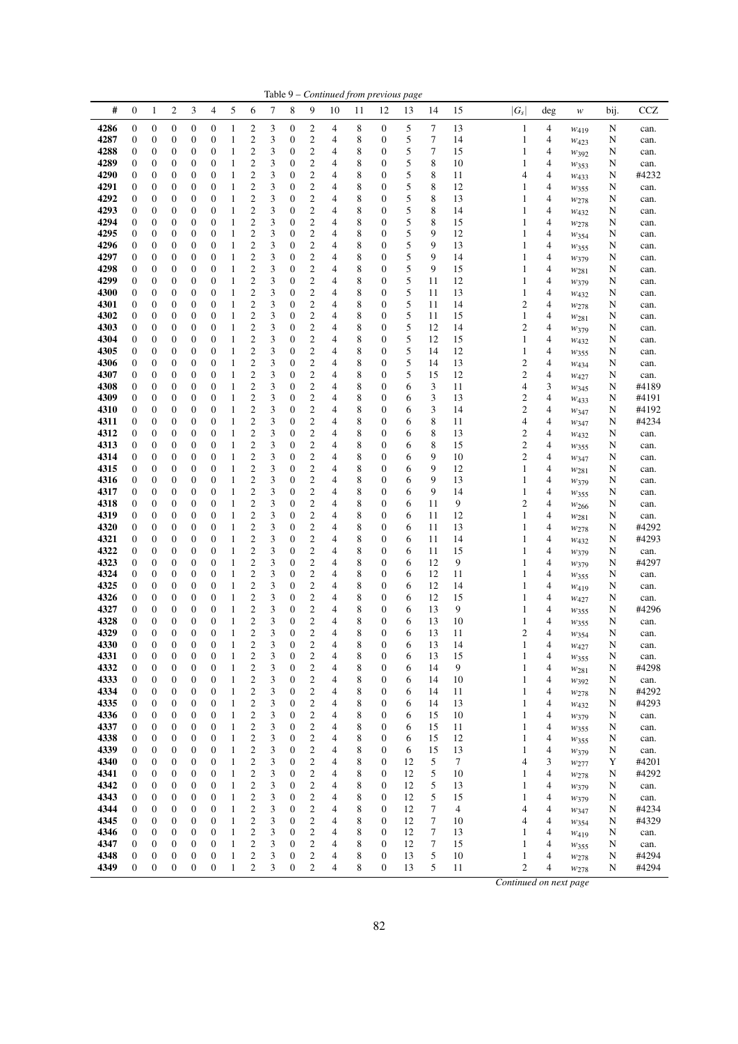| #           |                  |                  | $\overline{c}$   |                  |                  | 5            |                         |   |                  |                         |    |    |                  |            |                  |                |                         |                |                  |      |       |
|-------------|------------------|------------------|------------------|------------------|------------------|--------------|-------------------------|---|------------------|-------------------------|----|----|------------------|------------|------------------|----------------|-------------------------|----------------|------------------|------|-------|
|             | $\boldsymbol{0}$ | 1                |                  | 3                | 4                |              | 6                       | 7 | 8                | 9                       | 10 | 11 | 12               | 13         | 14               | 15             | $ G_s $                 | deg            | w                | bij. | CCZ   |
| 4286        | $\boldsymbol{0}$ | $\boldsymbol{0}$ | $\boldsymbol{0}$ | $\boldsymbol{0}$ | 0                | $\mathbf{1}$ | $\overline{c}$          | 3 | 0                | 2                       | 4  | 8  | $\boldsymbol{0}$ | 5          | 7                | 13             | $\mathbf{1}$            | 4              | $W_{419}$        | N    | can.  |
| 4287        | 0                | $\boldsymbol{0}$ | $\boldsymbol{0}$ | $\boldsymbol{0}$ | $\boldsymbol{0}$ | 1            | $\boldsymbol{2}$        | 3 | $\boldsymbol{0}$ | $\mathfrak{2}$          | 4  | 8  | $\boldsymbol{0}$ | 5          | 7                | 14             | 1                       | 4              | $W_{423}$        | N    | can.  |
| 4288        | 0                | 0                | $\boldsymbol{0}$ | $\boldsymbol{0}$ | $\boldsymbol{0}$ | $\mathbf{1}$ | $\boldsymbol{2}$        | 3 | 0                | 2                       | 4  | 8  | $\boldsymbol{0}$ | 5          | 7                | 15             | $\mathbf{1}$            | 4              | W392             | N    | can.  |
| 4289        | $\boldsymbol{0}$ | $\boldsymbol{0}$ | $\boldsymbol{0}$ | $\boldsymbol{0}$ | $\boldsymbol{0}$ | $\mathbf{1}$ | $\boldsymbol{2}$        | 3 | 0                | 2                       | 4  | 8  | $\boldsymbol{0}$ | 5          | 8                | 10             | 1                       | 4              | W353             | N    | can.  |
| 4290        | $\boldsymbol{0}$ | 0                | $\boldsymbol{0}$ | $\boldsymbol{0}$ | $\mathbf{0}$     | 1            | $\boldsymbol{2}$        | 3 | 0                | $\mathfrak{2}$          | 4  | 8  | $\boldsymbol{0}$ | 5          | 8                | 11             | $\overline{4}$          | 4              | $W_{433}$        | N    | #4232 |
| 4291        | 0                | 0                | $\boldsymbol{0}$ | $\boldsymbol{0}$ | $\mathbf{0}$     | $\mathbf{1}$ | $\boldsymbol{2}$        | 3 | 0                | 2                       | 4  | 8  | $\mathbf{0}$     | 5          | 8                | 12             | 1                       | 4              | $w_{355}$        | N    | can.  |
| 4292        | $\boldsymbol{0}$ | $\boldsymbol{0}$ | $\boldsymbol{0}$ | $\mathbf{0}$     | $\mathbf{0}$     | $\mathbf{1}$ | $\overline{c}$          | 3 | 0                | $\boldsymbol{2}$        | 4  | 8  | $\mathbf{0}$     | 5          | 8                | 13             | $\mathbf{1}$            | 4              | W278             | N    | can.  |
| 4293        | 0                | $\boldsymbol{0}$ | $\boldsymbol{0}$ | $\boldsymbol{0}$ | $\mathbf{0}$     | $\mathbf{1}$ | $\boldsymbol{2}$        | 3 | 0                | $\boldsymbol{2}$        | 4  | 8  | $\boldsymbol{0}$ | 5          | 8                | 14             | 1                       | 4              | W <sub>432</sub> | N    | can.  |
| 4294        | 0                | $\boldsymbol{0}$ | $\boldsymbol{0}$ | $\boldsymbol{0}$ | $\mathbf{0}$     | 1            | $\boldsymbol{2}$        | 3 | 0                | $\mathfrak{2}$          | 4  | 8  | $\boldsymbol{0}$ | 5          | 8                | 15             | 1                       | 4              | W278             | N    | can.  |
| 4295        | 0                | 0                | $\boldsymbol{0}$ | $\boldsymbol{0}$ | $\boldsymbol{0}$ | $\mathbf{1}$ | $\boldsymbol{2}$        | 3 | 0                | 2                       | 4  | 8  | $\boldsymbol{0}$ | 5          | 9                | 12             | 1                       | 4              | W354             | N    | can.  |
| 4296        | 0                | 0                | $\boldsymbol{0}$ | $\boldsymbol{0}$ | $\mathbf{0}$     | 1            | $\boldsymbol{2}$        | 3 | 0                | 2                       | 4  | 8  | $\boldsymbol{0}$ | 5          | 9                | 13             | 1                       | 4              | W355             | N    | can.  |
| 4297        | 0                | 0                | $\boldsymbol{0}$ | $\boldsymbol{0}$ | $\mathbf{0}$     | 1            | $\boldsymbol{2}$        | 3 | 0                | $\boldsymbol{2}$        | 4  | 8  | $\boldsymbol{0}$ | $\sqrt{5}$ | 9                | 14             | 1                       | 4              | W379             | N    | can.  |
| 4298        | 0                | 0                | $\boldsymbol{0}$ | $\boldsymbol{0}$ | $\mathbf{0}$     | $\mathbf{1}$ | $\boldsymbol{2}$        | 3 | 0                | 2                       | 4  | 8  | $\boldsymbol{0}$ | $\sqrt{5}$ | 9                | 15             | 1                       | 4              | $W_{281}$        | N    | can.  |
| 4299        | 0                | $\boldsymbol{0}$ | $\boldsymbol{0}$ | $\mathbf{0}$     | $\mathbf{0}$     | 1            | $\overline{c}$          | 3 | 0                | $\boldsymbol{2}$        | 4  | 8  | $\mathbf{0}$     | 5          | 11               | 12             | $\mathbf{1}$            | 4              | W379             | N    | can.  |
| 4300        | 0                | 0                | $\boldsymbol{0}$ | $\boldsymbol{0}$ | $\boldsymbol{0}$ | $\mathbf{1}$ | $\overline{c}$          | 3 | 0                | 2                       | 4  | 8  | $\boldsymbol{0}$ | 5          | 11               | 13             | $\mathbf{1}$            | 4              | W432             | N    | can.  |
| 4301        | 0                | $\boldsymbol{0}$ | $\boldsymbol{0}$ | $\boldsymbol{0}$ | $\boldsymbol{0}$ | $\mathbf{1}$ | $\boldsymbol{2}$        | 3 | 0                | 2                       | 4  | 8  | $\boldsymbol{0}$ | 5          | 11               | 14             | $\overline{\mathbf{c}}$ | 4              | W278             | N    | can.  |
| 4302        | 0                | 0                | $\boldsymbol{0}$ | $\boldsymbol{0}$ | $\boldsymbol{0}$ | $\mathbf{1}$ | $\boldsymbol{2}$        | 3 | 0                | $\boldsymbol{2}$        | 4  | 8  | $\boldsymbol{0}$ | 5          | 11               | 15             | $\mathbf{1}$            | 4              | $W_{281}$        | N    | can.  |
| 4303        | 0                | 0                | $\boldsymbol{0}$ | $\boldsymbol{0}$ | $\mathbf{0}$     | 1            | $\boldsymbol{2}$        | 3 | 0                | 2                       | 4  | 8  | $\boldsymbol{0}$ | 5          | 12               | 14             | $\overline{2}$          | 4              | W379             | N    | can.  |
| 4304        | 0                | 0                | $\boldsymbol{0}$ | $\boldsymbol{0}$ | $\mathbf{0}$     | $\mathbf{1}$ | $\boldsymbol{2}$        | 3 | 0                | $\boldsymbol{2}$        | 4  | 8  | $\boldsymbol{0}$ | $\sqrt{5}$ | 12               | 15             | $\mathbf{1}$            | $\overline{4}$ | W432             | N    | can.  |
| 4305        | 0                | 0                | $\boldsymbol{0}$ | $\boldsymbol{0}$ | $\mathbf{0}$     | $\mathbf{1}$ | $\boldsymbol{2}$        | 3 | 0                | 2                       | 4  | 8  | $\boldsymbol{0}$ | 5          | 14               | 12             | $\mathbf{1}$            | 4              | W355             | N    | can.  |
| 4306        | 0                | $\boldsymbol{0}$ | $\boldsymbol{0}$ | $\boldsymbol{0}$ | $\mathbf{0}$     | 1            | $\boldsymbol{2}$        | 3 | 0                | $\mathfrak{2}$          | 4  | 8  | $\mathbf{0}$     | 5          | 14               | 13             | $\overline{c}$          | 4              | $W_{434}$        | N    | can.  |
| 4307        | 0                | 0                | $\boldsymbol{0}$ | $\boldsymbol{0}$ | $\boldsymbol{0}$ | $\mathbf{1}$ | $\overline{c}$          | 3 | 0                | 2                       | 4  | 8  | $\boldsymbol{0}$ | 5          | 15               | 12             | $\mathbf{2}$            | 4              | $W_{427}$        | N    | can.  |
| 4308        | 0                | $\boldsymbol{0}$ | $\boldsymbol{0}$ | $\boldsymbol{0}$ | $\boldsymbol{0}$ | $\mathbf{1}$ | $\boldsymbol{2}$        | 3 | 0                | $\boldsymbol{2}$        | 4  | 8  | $\boldsymbol{0}$ | 6          | 3                | 11             | $\overline{4}$          | 3              | W345             | N    | #4189 |
| 4309        | 0                | 0                | $\boldsymbol{0}$ | $\boldsymbol{0}$ | $\mathbf{0}$     | $\mathbf{1}$ | $\sqrt{2}$              | 3 | 0                | $\boldsymbol{2}$        | 4  | 8  | $\boldsymbol{0}$ | 6          | 3                | 13             | $\overline{2}$          | 4              | W433             | N    | #4191 |
| 4310        | 0                | 0                | $\boldsymbol{0}$ | $\boldsymbol{0}$ | $\mathbf{0}$     | $\mathbf{1}$ | $\overline{c}$          | 3 | 0                | 2                       | 4  | 8  | $\mathbf{0}$     | 6          | 3                | 14             | $\mathbf{2}$            | 4              | W347             | N    | #4192 |
| 4311        | 0                | 0                | $\boldsymbol{0}$ | $\boldsymbol{0}$ | $\mathbf{0}$     | 1            | $\boldsymbol{2}$        | 3 | 0                | $\boldsymbol{2}$        | 4  | 8  | $\mathbf{0}$     | 6          | 8                | 11             | $\overline{4}$          | 4              | W347             | N    | #4234 |
| 4312        | 0                | 0                | $\boldsymbol{0}$ | $\boldsymbol{0}$ | $\mathbf{0}$     | $\mathbf{1}$ | $\boldsymbol{2}$        | 3 | 0                | 2                       | 4  | 8  | $\mathbf{0}$     | 6          | 8                | 13             | $\mathbf{2}$            | 4              | W <sub>432</sub> | N    | can.  |
| 4313        | 0                | $\boldsymbol{0}$ | $\boldsymbol{0}$ | $\boldsymbol{0}$ | $\mathbf{0}$     | $\mathbf{1}$ | $\boldsymbol{2}$        | 3 | 0                | $\overline{\mathbf{c}}$ | 4  | 8  | $\mathbf{0}$     | 6          | 8                | 15             | $\boldsymbol{2}$        | 4              | W355             | N    | can.  |
| 4314        | 0                | 0                | $\boldsymbol{0}$ | $\boldsymbol{0}$ | $\boldsymbol{0}$ | $\mathbf{1}$ | $\boldsymbol{2}$        | 3 | 0                | 2                       | 4  | 8  | $\boldsymbol{0}$ | 6          | 9                | 10             | $\overline{2}$          | 4              | W347             | N    | can.  |
| 4315        | $\boldsymbol{0}$ | $\boldsymbol{0}$ | $\boldsymbol{0}$ | $\boldsymbol{0}$ | $\boldsymbol{0}$ | $\mathbf{1}$ | $\boldsymbol{2}$        | 3 | 0                | $\mathfrak{2}$          | 4  | 8  | $\boldsymbol{0}$ | 6          | 9                | 12             | $\mathbf{1}$            | 4              | $W_{281}$        | N    | can.  |
| 4316        | 0                | 0                | $\boldsymbol{0}$ | $\boldsymbol{0}$ | $\mathbf{0}$     | $\mathbf{1}$ | $\sqrt{2}$              | 3 | 0                | $\mathfrak{2}$          | 4  | 8  | $\mathbf{0}$     | 6          | 9                | 13             | $\mathbf{1}$            | 4              | W379             | N    | can.  |
| 4317        | 0                | 0                | $\boldsymbol{0}$ | $\boldsymbol{0}$ | $\mathbf{0}$     | $\mathbf{1}$ | $\overline{c}$          | 3 | 0                | 2                       | 4  | 8  | $\mathbf{0}$     | 6          | 9                | 14             | $\mathbf{1}$            | 4              | W355             | N    | can.  |
| 4318        | 0                | $\boldsymbol{0}$ | $\boldsymbol{0}$ | $\mathbf{0}$     | $\mathbf{0}$     | 1            | $\overline{2}$          | 3 | 0                | $\overline{c}$          | 4  | 8  | $\mathbf{0}$     | 6          | 11               | 9              | $\overline{2}$          | 4              | $w_{266}$        | N    | can.  |
| 4319        | 0                | 0                | $\boldsymbol{0}$ | $\boldsymbol{0}$ | $\boldsymbol{0}$ | $\mathbf{1}$ | $\overline{c}$          | 3 | 0                | 2                       | 4  | 8  | $\boldsymbol{0}$ | 6          | 11               | 12             | 1                       | 4              | $w_{281}$        | N    | can.  |
| <b>4320</b> | 0                | $\boldsymbol{0}$ | $\boldsymbol{0}$ | $\boldsymbol{0}$ | $\boldsymbol{0}$ | 1            | 2                       | 3 | 0                | $\boldsymbol{2}$        | 4  | 8  | $\boldsymbol{0}$ | 6          | 11               | 13             | 1                       | 4              | W278             | N    | #4292 |
| 4321        | $\boldsymbol{0}$ | 0                | $\boldsymbol{0}$ | $\boldsymbol{0}$ | $\boldsymbol{0}$ | $\mathbf{1}$ | $\boldsymbol{2}$        | 3 | 0                | $\boldsymbol{2}$        | 4  | 8  | $\boldsymbol{0}$ | 6          | 11               | 14             | $\mathbf{1}$            | 4              | W <sub>432</sub> | N    | #4293 |
| 4322        | 0                | 0                | $\boldsymbol{0}$ | $\boldsymbol{0}$ | $\mathbf{0}$     | $\mathbf{1}$ | $\overline{c}$          | 3 | 0                | 2                       | 4  | 8  | $\boldsymbol{0}$ | 6          | 11               | 15             | 1                       | 4              | W379             | N    | can.  |
| 4323        | $\boldsymbol{0}$ | 0                | $\boldsymbol{0}$ | $\boldsymbol{0}$ | $\mathbf{0}$     | 1            | $\boldsymbol{2}$        | 3 | 0                | $\boldsymbol{2}$        | 4  | 8  | $\mathbf{0}$     | 6          | 12               | 9              | 1                       | 4              | W379             | N    | #4297 |
| 4324        | 0                | 0                | $\boldsymbol{0}$ | $\boldsymbol{0}$ | $\mathbf{0}$     | $\mathbf{1}$ | $\boldsymbol{2}$        | 3 | 0                | $\boldsymbol{2}$        | 4  | 8  | $\mathbf{0}$     | 6          | 12               | 11             | 1                       | 4              | W355             | N    | can.  |
| 4325        | $\boldsymbol{0}$ | $\boldsymbol{0}$ | $\boldsymbol{0}$ | $\boldsymbol{0}$ | $\mathbf{0}$     | $\mathbf{1}$ | $\sqrt{2}$              | 3 | 0                | $\boldsymbol{2}$        | 4  | 8  | $\mathbf{0}$     | 6          | 12               | 14             | 1                       | 4              | W419             | N    | can.  |
| 4326        | 0                | 0                | $\boldsymbol{0}$ | $\boldsymbol{0}$ | $\boldsymbol{0}$ | $\mathbf{1}$ | $\overline{c}$          | 3 | 0                | 2                       | 4  | 8  | $\boldsymbol{0}$ | 6          | 12               | 15             | 1                       | 4              | W427             | N    | can.  |
| 4327        | 0                | $\boldsymbol{0}$ | $\boldsymbol{0}$ | $\boldsymbol{0}$ | $\boldsymbol{0}$ | $\mathbf{1}$ | $\boldsymbol{2}$        | 3 | 0                | 2                       | 4  | 8  | $\boldsymbol{0}$ | 6          | 13               | 9              | 1                       | 4              | W355             | N    | #4296 |
| 4328        | $\boldsymbol{0}$ | $\boldsymbol{0}$ | $\boldsymbol{0}$ | $\boldsymbol{0}$ | $\mathbf{0}$     | $\mathbf{1}$ | $\sqrt{2}$              | 3 | $\boldsymbol{0}$ | $\mathfrak{2}$          | 4  | 8  | $\mathbf{0}$     | 6          | 13               | 10             | 1                       | 4              | W355             | N    | can.  |
| 4329        | $\overline{0}$   | $\Omega$         | $\Omega$         | $\overline{0}$   | $\Omega$         | 1            | $\overline{2}$          | 3 | $\overline{0}$   | $\overline{c}$          | 4  | 8  | $\theta$         | 6          | 13               | 11             | $\overline{2}$          | 4              | W354             | N    | can.  |
| 4330        | $\boldsymbol{0}$ | $\boldsymbol{0}$ | $\boldsymbol{0}$ | $\boldsymbol{0}$ | $\boldsymbol{0}$ | 1            | $\boldsymbol{2}$        | 3 | 0                | $\mathbf{2}$            | 4  | 8  | $\boldsymbol{0}$ | 6          | 13               | 14             | $\mathbf{1}$            | 4              | W427             | N    | can.  |
| 4331        | $\boldsymbol{0}$ | $\boldsymbol{0}$ | $\boldsymbol{0}$ | $\mathbf{0}$     | $\mathbf{0}$     | $\mathbf{1}$ | $\sqrt{2}$              | 3 | $\boldsymbol{0}$ | $\sqrt{2}$              | 4  | 8  | $\boldsymbol{0}$ | 6          | 13               | 15             | $\mathbf{1}$            | 4              | W355             | N    | can.  |
| 4332        | $\boldsymbol{0}$ | $\boldsymbol{0}$ | $\boldsymbol{0}$ | $\boldsymbol{0}$ | $\mathbf{0}$     | $\mathbf{1}$ | $\overline{c}$          | 3 | $\boldsymbol{0}$ | $\overline{c}$          | 4  | 8  | $\boldsymbol{0}$ | 6          | 14               | 9              | 1                       | 4              | W281             | N    | #4298 |
| 4333        | 0                | $\boldsymbol{0}$ | $\boldsymbol{0}$ | $\boldsymbol{0}$ | $\boldsymbol{0}$ | $\mathbf{1}$ | $\sqrt{2}$              | 3 | 0                | 2                       | 4  | 8  | $\boldsymbol{0}$ | 6          | 14               | 10             | $\mathbf{1}$            | 4              | W392             | N    | can.  |
| 4334        | 0                | $\boldsymbol{0}$ | $\boldsymbol{0}$ | $\boldsymbol{0}$ | $\boldsymbol{0}$ | $\mathbf{1}$ | $\boldsymbol{2}$        | 3 | 0                | 2                       | 4  | 8  | $\boldsymbol{0}$ | 6          | 14               | 11             | 1                       | 4              | W278             | N    | #4292 |
| 4335        | $\boldsymbol{0}$ | $\boldsymbol{0}$ | $\boldsymbol{0}$ | $\boldsymbol{0}$ | $\mathbf{0}$     | $\mathbf{1}$ | $\sqrt{2}$              | 3 | 0                | $\mathfrak{2}$          | 4  | 8  | $\boldsymbol{0}$ | 6          | 14               | 13             | 1                       | 4              | $W_{432}$        | N    | #4293 |
| 4336        | 0                | $\boldsymbol{0}$ | $\boldsymbol{0}$ | $\boldsymbol{0}$ | $\mathbf{0}$     | $\mathbf{1}$ | $\sqrt{2}$              | 3 | 0                | 2                       | 4  | 8  | $\boldsymbol{0}$ | 6          | 15               | 10             | $\mathbf{1}$            | $\overline{4}$ | W379             | N    | can.  |
| 4337        | $\boldsymbol{0}$ | $\boldsymbol{0}$ | $\boldsymbol{0}$ | $\boldsymbol{0}$ | $\mathbf{0}$     | $\mathbf{1}$ | $\sqrt{2}$              | 3 | $\boldsymbol{0}$ | $\mathbf{2}$            | 4  | 8  | $\mathbf{0}$     | 6          | 15               | 11             | $\mathbf{1}$            | 4              | W355             | N    | can.  |
| 4338        | $\boldsymbol{0}$ | $\boldsymbol{0}$ | $\boldsymbol{0}$ | $\boldsymbol{0}$ | $\boldsymbol{0}$ | $\mathbf{1}$ | $\overline{\mathbf{c}}$ | 3 | $\boldsymbol{0}$ | $\overline{\mathbf{c}}$ | 4  | 8  | $\boldsymbol{0}$ | 6          | 15               | 12             | 1                       | 4              | W355             | N    | can.  |
| 4339        | $\boldsymbol{0}$ | $\boldsymbol{0}$ | $\boldsymbol{0}$ | $\boldsymbol{0}$ | $\boldsymbol{0}$ | $\mathbf{1}$ | $\sqrt{2}$              | 3 | 0                | $\mathbf{2}$            | 4  | 8  | $\boldsymbol{0}$ | 6          | 15               | 13             | 1                       | 4              | W379             | N    | can.  |
| 4340        | $\boldsymbol{0}$ | $\boldsymbol{0}$ | $\boldsymbol{0}$ | $\boldsymbol{0}$ | $\boldsymbol{0}$ | $\mathbf{1}$ | $\sqrt{2}$              | 3 | 0                | $\overline{\mathbf{c}}$ | 4  | 8  | $\boldsymbol{0}$ | 12         | 5                | 7              | $\overline{4}$          | 3              | W277             | Y    | #4201 |
| 4341        | $\boldsymbol{0}$ | $\boldsymbol{0}$ | $\boldsymbol{0}$ | $\boldsymbol{0}$ | $\mathbf{0}$     | $\mathbf{1}$ | $\sqrt{2}$              | 3 | 0                | $\overline{\mathbf{c}}$ | 4  | 8  | $\boldsymbol{0}$ | 12         | $\sqrt{5}$       | 10             | 1                       | 4              | W278             | N    | #4292 |
| 4342        | $\boldsymbol{0}$ | $\boldsymbol{0}$ | $\boldsymbol{0}$ | $\mathbf{0}$     | $\mathbf{0}$     | $\mathbf{1}$ | $\sqrt{2}$              | 3 | 0                | $\overline{c}$          | 4  | 8  | $\mathbf{0}$     | 12         | $\sqrt{5}$       | 13             | $\mathbf{1}$            | $\overline{4}$ | W379             | N    | can.  |
| 4343        | 0                | $\boldsymbol{0}$ | $\boldsymbol{0}$ | $\boldsymbol{0}$ | $\mathbf{0}$     | $\mathbf{1}$ | $\sqrt{2}$              | 3 | 0                | 2                       | 4  | 8  | $\boldsymbol{0}$ | 12         | 5                | 15             | $\mathbf{1}$            | 4              | W379             | N    | can.  |
| 4344        | $\boldsymbol{0}$ | $\boldsymbol{0}$ | $\boldsymbol{0}$ | $\boldsymbol{0}$ | $\mathbf{0}$     | $\,1\,$      | $\sqrt{2}$              | 3 | 0                | $\mathbf{2}$            | 4  | 8  | $\mathbf{0}$     | 12         | $\tau$           | $\overline{4}$ | $\overline{4}$          | 4              | W347             | N    | #4234 |
| 4345        | 0                | $\boldsymbol{0}$ | $\boldsymbol{0}$ | $\boldsymbol{0}$ | $\boldsymbol{0}$ | $\,1\,$      | $\sqrt{2}$              | 3 | $\boldsymbol{0}$ | $\overline{\mathbf{c}}$ | 4  | 8  | $\boldsymbol{0}$ | 12         | 7                | 10             | $\overline{4}$          | 4              | W354             | N    | #4329 |
| 4346        | 0                | $\boldsymbol{0}$ | $\boldsymbol{0}$ | $\boldsymbol{0}$ | $\boldsymbol{0}$ | $\,1\,$      | $\boldsymbol{2}$        | 3 | 0                | $\mathfrak{2}$          | 4  | 8  | $\boldsymbol{0}$ | 12         | 7                | 13             | $\mathbf{1}$            | $\overline{4}$ | W419             | N    | can.  |
| 4347        | $\boldsymbol{0}$ | $\boldsymbol{0}$ | $\boldsymbol{0}$ | $\boldsymbol{0}$ | $\boldsymbol{0}$ | $\,1\,$      | $\sqrt{2}$              | 3 | 0                | $\overline{\mathbf{c}}$ | 4  | 8  | $\boldsymbol{0}$ | 12         | $\boldsymbol{7}$ | 15             | $\mathbf{1}$            | 4              | $w_{355}$        | N    | can.  |
| 4348        | 0                | $\boldsymbol{0}$ | $\boldsymbol{0}$ | $\boldsymbol{0}$ | $\mathbf{0}$     | $\mathbf{1}$ | $\sqrt{2}$              | 3 | 0                | $\boldsymbol{2}$        | 4  | 8  | $\boldsymbol{0}$ | 13         | 5                | 10             | 1                       | 4              | W278             | N    | #4294 |
| 4349        | $\boldsymbol{0}$ | $\boldsymbol{0}$ | $\boldsymbol{0}$ | $\boldsymbol{0}$ | $\boldsymbol{0}$ | $\mathbf{1}$ | $\mathbf{2}$            | 3 | $\mathbf{0}$     | $\mathfrak{2}$          | 4  | 8  | $\boldsymbol{0}$ | 13         | 5                | 11             | $\overline{2}$          | 4              | W278             | N    | #4294 |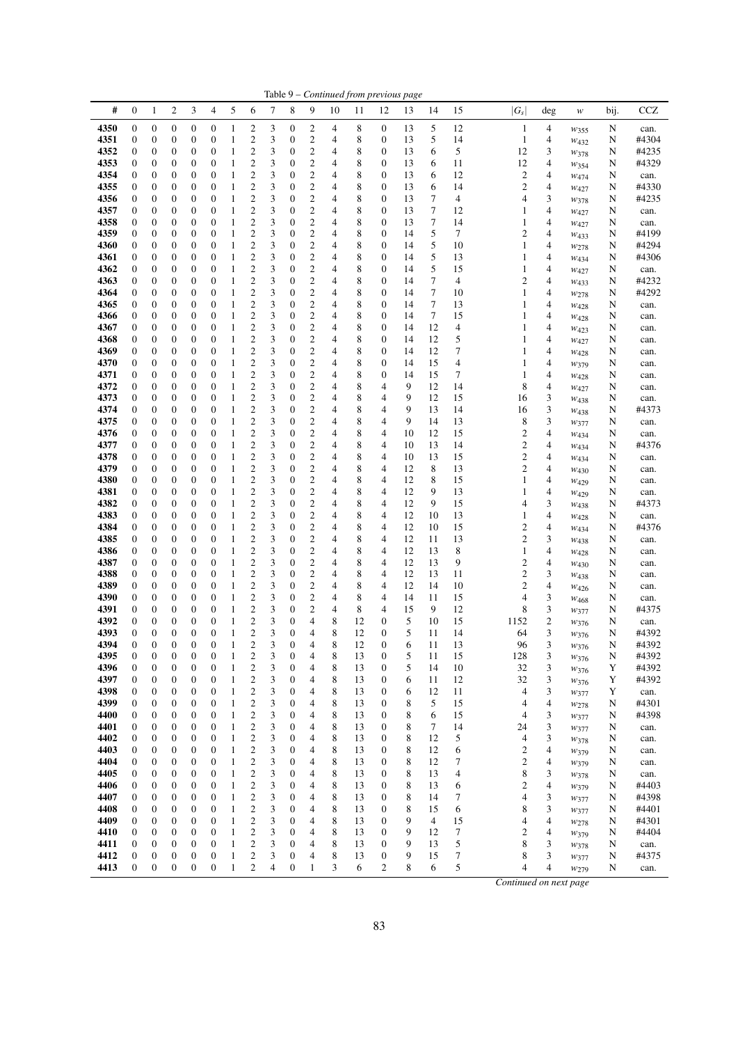|              |                                      |                                      |                                      |                                      |                                      |                              |                                                    |        |                                      |                                                    |        | Table 9 – Continued from previous page |                                      |          |             |                          |                                  |        |                        |             |                |
|--------------|--------------------------------------|--------------------------------------|--------------------------------------|--------------------------------------|--------------------------------------|------------------------------|----------------------------------------------------|--------|--------------------------------------|----------------------------------------------------|--------|----------------------------------------|--------------------------------------|----------|-------------|--------------------------|----------------------------------|--------|------------------------|-------------|----------------|
| #            | $\boldsymbol{0}$                     | 1                                    | $\boldsymbol{2}$                     | 3                                    | 4                                    | 5                            | 6                                                  | 7      | 8                                    | 9                                                  | 10     | 11                                     | 12                                   | 13       | 14          | 15                       | $ G_s $                          | deg    | $\boldsymbol{W}$       | bij.        | <b>CCZ</b>     |
| 4350         | $\boldsymbol{0}$                     | $\boldsymbol{0}$                     | $\boldsymbol{0}$                     | 0                                    | $\boldsymbol{0}$                     | $\mathbf{1}$                 | 2                                                  | 3      | 0                                    | $\overline{\mathbf{c}}$                            | 4      | 8                                      | $\boldsymbol{0}$                     | 13       | 5           | 12                       | 1                                | 4      | $w_{355}$              | N           | can.           |
| 4351         | $\boldsymbol{0}$                     | $\boldsymbol{0}$                     | 0                                    | 0                                    | $\boldsymbol{0}$                     | $\mathbf{1}$                 | $\overline{c}$                                     | 3      | 0                                    | $\overline{\mathbf{c}}$                            | 4      | 8                                      | $\boldsymbol{0}$                     | 13       | 5           | 14                       | $\mathbf{1}$                     | 4      | $w_{432}$              | N           | #4304          |
| 4352<br>4353 | 0<br>$\boldsymbol{0}$                | $\boldsymbol{0}$<br>$\boldsymbol{0}$ | $\boldsymbol{0}$<br>$\mathbf{0}$     | 0<br>0                               | $\boldsymbol{0}$<br>$\mathbf{0}$     | $\mathbf{1}$<br>$\mathbf{1}$ | $\overline{\mathbf{c}}$<br>$\overline{c}$          | 3<br>3 | $\boldsymbol{0}$<br>$\mathbf{0}$     | $\overline{\mathbf{c}}$<br>$\overline{c}$          | 4<br>4 | 8<br>8                                 | 0<br>$\boldsymbol{0}$                | 13<br>13 | 6<br>6      | 5<br>11                  | 12<br>12                         | 3<br>4 | W378<br>W354           | N<br>N      | #4235<br>#4329 |
| 4354         | $\boldsymbol{0}$                     | $\boldsymbol{0}$                     | 0                                    | 0                                    | $\boldsymbol{0}$                     | $\mathbf{1}$                 | $\overline{c}$                                     | 3      | $\mathbf{0}$                         | $\overline{\mathbf{c}}$                            | 4      | 8                                      | 0                                    | 13       | 6           | 12                       | $\boldsymbol{2}$                 | 4      | $W_{474}$              | N           | can.           |
| 4355         | $\boldsymbol{0}$                     | $\boldsymbol{0}$                     | $\boldsymbol{0}$                     | 0                                    | $\boldsymbol{0}$                     | 1                            | $\overline{c}$                                     | 3      | $\boldsymbol{0}$                     | $\overline{c}$                                     | 4      | 8                                      | $\boldsymbol{0}$                     | 13       | 6           | 14                       | 2                                | 4      | $w_{427}$              | N           | #4330          |
| 4356         | 0                                    | $\boldsymbol{0}$                     | $\boldsymbol{0}$                     | 0                                    | $\boldsymbol{0}$                     | $\mathbf{1}$                 | $\overline{c}$                                     | 3      | $\boldsymbol{0}$                     | $\overline{\mathbf{c}}$                            | 4      | 8                                      | 0                                    | 13       | 7           | 4                        | 4                                | 3      | W378                   | N           | #4235          |
| 4357         | 0                                    | $\boldsymbol{0}$                     | $\boldsymbol{0}$                     | 0                                    | $\boldsymbol{0}$                     | $\mathbf{1}$                 | $\overline{\mathbf{c}}$                            | 3      | $\boldsymbol{0}$                     | $\overline{\mathbf{c}}$                            | 4      | 8                                      | $\boldsymbol{0}$                     | 13       | 7<br>$\tau$ | 12                       | 1                                | 4      | W427                   | N           | can.           |
| 4358<br>4359 | 0<br>0                               | 0<br>$\boldsymbol{0}$                | 0<br>$\boldsymbol{0}$                | 0<br>0                               | $\mathbf{0}$<br>$\boldsymbol{0}$     | 1<br>$\mathbf{1}$            | 2<br>$\overline{c}$                                | 3<br>3 | $\boldsymbol{0}$<br>$\boldsymbol{0}$ | $\overline{\mathbf{c}}$<br>$\overline{\mathbf{c}}$ | 4<br>4 | 8<br>8                                 | 0<br>0                               | 13<br>14 | 5           | 14<br>7                  | 1<br>$\mathfrak{2}$              | 4<br>4 | $w_{427}$<br>$W_{433}$ | N<br>N      | can.<br>#4199  |
| 4360         | $\boldsymbol{0}$                     | $\boldsymbol{0}$                     | $\mathbf{0}$                         | 0                                    | $\mathbf{0}$                         | $\mathbf{1}$                 | $\overline{c}$                                     | 3      | $\boldsymbol{0}$                     | $\overline{c}$                                     | 4      | 8                                      | $\boldsymbol{0}$                     | 14       | 5           | 10                       | 1                                | 4      | W278                   | N           | #4294          |
| 4361         | $\boldsymbol{0}$                     | $\boldsymbol{0}$                     | 0                                    | 0                                    | $\boldsymbol{0}$                     | 1                            | $\overline{c}$                                     | 3      | $\mathbf{0}$                         | $\overline{c}$                                     | 4      | 8                                      | 0                                    | 14       | 5           | 13                       | 1                                | 4      | W434                   | N           | #4306          |
| 4362         | $\boldsymbol{0}$                     | $\boldsymbol{0}$                     | $\boldsymbol{0}$                     | 0                                    | $\boldsymbol{0}$                     | 1                            | $\overline{\mathbf{c}}$                            | 3      | $\boldsymbol{0}$                     | $\overline{\mathbf{c}}$                            | 4      | 8                                      | 0                                    | 14       | 5           | 15                       | $\mathbf{1}$                     | 4      | $W_{427}$              | N           | can.           |
| 4363         | 0                                    | $\boldsymbol{0}$                     | $\boldsymbol{0}$                     | 0                                    | $\boldsymbol{0}$                     | $\mathbf{1}$                 | $\overline{c}$                                     | 3      | 0                                    | $\overline{\mathbf{c}}$                            | 4      | 8                                      | 0                                    | 14       | 7           | 4                        | $\mathbf{2}$                     | 4      | W <sub>433</sub>       | N           | #4232          |
| 4364<br>4365 | 0<br>$\boldsymbol{0}$                | $\boldsymbol{0}$<br>$\boldsymbol{0}$ | $\boldsymbol{0}$<br>$\boldsymbol{0}$ | 0<br>0                               | $\boldsymbol{0}$<br>$\mathbf{0}$     | $\mathbf{1}$<br>1            | $\overline{\mathbf{c}}$<br>$\overline{c}$          | 3<br>3 | $\mathbf{0}$<br>$\mathbf{0}$         | $\overline{\mathbf{c}}$<br>$\overline{\mathbf{c}}$ | 4<br>4 | 8<br>8                                 | $\boldsymbol{0}$<br>0                | 14<br>14 | 7<br>7      | 10<br>13                 | 1<br>$\mathbf{1}$                | 4<br>4 | W278<br>W428           | N<br>N      | #4292<br>can.  |
| 4366         | $\boldsymbol{0}$                     | $\boldsymbol{0}$                     | $\mathbf{0}$                         | 0                                    | $\boldsymbol{0}$                     | $\mathbf{1}$                 | $\overline{c}$                                     | 3      | $\mathbf{0}$                         | $\overline{c}$                                     | 4      | 8                                      | 0                                    | 14       | 7           | 15                       | 1                                | 4      | $W_{428}$              | N           | can.           |
| 4367         | $\boldsymbol{0}$                     | $\boldsymbol{0}$                     | $\boldsymbol{0}$                     | 0                                    | $\boldsymbol{0}$                     | 1                            | $\overline{c}$                                     | 3      | $\boldsymbol{0}$                     | $\overline{c}$                                     | 4      | 8                                      | $\boldsymbol{0}$                     | 14       | 12          | 4                        | $\mathbf{1}$                     | 4      | $W_{423}$              | N           | can.           |
| 4368         | $\boldsymbol{0}$                     | $\boldsymbol{0}$                     | $\boldsymbol{0}$                     | 0                                    | $\boldsymbol{0}$                     | $\mathbf{1}$                 | $\overline{c}$                                     | 3      | $\boldsymbol{0}$                     | $\overline{\mathbf{c}}$                            | 4      | 8                                      | 0                                    | 14       | 12          | 5                        | 1                                | 4      | W427                   | N           | can.           |
| 4369         | 0                                    | $\boldsymbol{0}$                     | $\boldsymbol{0}$                     | 0                                    | $\boldsymbol{0}$                     | 1                            | $\overline{\mathbf{c}}$                            | 3      | $\boldsymbol{0}$                     | $\overline{\mathbf{c}}$                            | 4      | 8                                      | 0                                    | 14       | 12          | 7                        | 1                                | 4      | W428                   | N           | can.           |
| 4370<br>4371 | $\boldsymbol{0}$<br>0                | $\boldsymbol{0}$<br>$\boldsymbol{0}$ | $\boldsymbol{0}$<br>$\boldsymbol{0}$ | 0<br>0                               | $\boldsymbol{0}$<br>$\mathbf{0}$     | $\mathbf{1}$<br>1            | $\overline{c}$<br>$\overline{c}$                   | 3<br>3 | 0<br>$\mathbf{0}$                    | $\overline{\mathbf{c}}$<br>$\overline{\mathbf{c}}$ | 4<br>4 | 8<br>8                                 | $\boldsymbol{0}$<br>0                | 14<br>14 | 15<br>15    | 4<br>7                   | 1<br>$\mathbf{1}$                | 4<br>4 | W379                   | N<br>N      | can.<br>can.   |
| 4372         | $\boldsymbol{0}$                     | $\boldsymbol{0}$                     | $\mathbf{0}$                         | 0                                    | $\mathbf{0}$                         | $\mathbf{1}$                 | $\overline{c}$                                     | 3      | $\mathbf{0}$                         | $\overline{c}$                                     | 4      | 8                                      | 4                                    | 9        | 12          | 14                       | 8                                | 4      | $w_{428}$<br>W427      | N           | can.           |
| 4373         | $\boldsymbol{0}$                     | $\boldsymbol{0}$                     | 0                                    | 0                                    | $\boldsymbol{0}$                     | $\mathbf{1}$                 | $\overline{c}$                                     | 3      | $\mathbf{0}$                         | $\overline{\mathbf{c}}$                            | 4      | 8                                      | 4                                    | 9        | 12          | 15                       | 16                               | 3      | W438                   | N           | can.           |
| 4374         | $\boldsymbol{0}$                     | $\boldsymbol{0}$                     | $\mathbf{0}$                         | 0                                    | $\mathbf{0}$                         | 1                            | $\overline{c}$                                     | 3      | $\mathbf{0}$                         | $\overline{c}$                                     | 4      | 8                                      | 4                                    | 9        | 13          | 14                       | 16                               | 3      | W <sub>438</sub>       | N           | #4373          |
| 4375         | 0                                    | $\boldsymbol{0}$                     | 0                                    | 0                                    | $\boldsymbol{0}$                     | $\mathbf{1}$                 | $\overline{c}$                                     | 3      | $\boldsymbol{0}$                     | $\overline{\mathbf{c}}$                            | 4      | 8                                      | 4                                    | 9        | 14          | 13                       | 8                                | 3      | W377                   | N           | can.           |
| 4376<br>4377 | 0<br>0                               | $\boldsymbol{0}$<br>$\boldsymbol{0}$ | $\boldsymbol{0}$<br>$\boldsymbol{0}$ | 0<br>0                               | $\boldsymbol{0}$<br>$\mathbf{0}$     | $\mathbf{1}$<br>1            | $\overline{\mathbf{c}}$<br>2                       | 3<br>3 | $\boldsymbol{0}$<br>$\boldsymbol{0}$ | $\overline{\mathbf{c}}$<br>$\overline{\mathbf{c}}$ | 4<br>4 | 8<br>8                                 | 4<br>4                               | 10<br>10 | 12<br>13    | 15<br>14                 | $\mathfrak{2}$<br>$\mathbf{2}$   | 4<br>4 | W434                   | N<br>N      | can.<br>#4376  |
| 4378         | 0                                    | $\boldsymbol{0}$                     | $\boldsymbol{0}$                     | 0                                    | $\boldsymbol{0}$                     | $\mathbf{1}$                 | $\overline{\mathbf{c}}$                            | 3      | $\boldsymbol{0}$                     | $\overline{\mathbf{c}}$                            | 4      | 8                                      | 4                                    | 10       | 13          | 15                       | $\mathbf{2}$                     | 4      | W434<br>W434           | N           | can.           |
| 4379         | $\boldsymbol{0}$                     | $\boldsymbol{0}$                     | $\mathbf{0}$                         | 0                                    | $\mathbf{0}$                         | $\mathbf{1}$                 | $\overline{c}$                                     | 3      | $\mathbf{0}$                         | $\overline{c}$                                     | 4      | 8                                      | 4                                    | 12       | 8           | 13                       | $\overline{2}$                   | 4      | $W_{430}$              | N           | can.           |
| 4380         | $\boldsymbol{0}$                     | $\boldsymbol{0}$                     | 0                                    | 0                                    | $\boldsymbol{0}$                     | 1                            | $\overline{c}$                                     | 3      | $\mathbf{0}$                         | $\overline{c}$                                     | 4      | 8                                      | 4                                    | 12       | 8           | 15                       | 1                                | 4      | W429                   | N           | can.           |
| 4381         | 0                                    | $\boldsymbol{0}$                     | $\boldsymbol{0}$                     | 0                                    | $\boldsymbol{0}$                     | $\mathbf{1}$                 | $\overline{\mathbf{c}}$                            | 3      | 0                                    | $\overline{\mathbf{c}}$                            | 4      | 8                                      | 4                                    | 12       | 9           | 13                       | $\mathbf{1}$                     | 4      | W429                   | N           | can.           |
| 4382<br>4383 | 0<br>0                               | $\boldsymbol{0}$<br>$\boldsymbol{0}$ | $\boldsymbol{0}$<br>$\boldsymbol{0}$ | 0<br>0                               | $\boldsymbol{0}$<br>$\boldsymbol{0}$ | $\mathbf{1}$<br>$\mathbf{1}$ | $\overline{c}$<br>$\overline{c}$                   | 3<br>3 | $\boldsymbol{0}$<br>$\mathbf{0}$     | $\overline{\mathbf{c}}$<br>$\overline{\mathbf{c}}$ | 4<br>4 | 8<br>8                                 | 4<br>4                               | 12<br>12 | 9<br>10     | 15<br>13                 | 4<br>1                           | 3<br>4 | W438                   | N<br>N      | #4373          |
| 4384         | $\boldsymbol{0}$                     | $\boldsymbol{0}$                     | $\boldsymbol{0}$                     | 0                                    | $\mathbf{0}$                         | 1                            | $\overline{c}$                                     | 3      | $\mathbf{0}$                         | $\overline{\mathbf{c}}$                            | 4      | 8                                      | 4                                    | 12       | 10          | 15                       | $\mathfrak{2}$                   | 4      | $w_{428}$<br>W434      | N           | can.<br>#4376  |
| 4385         | $\boldsymbol{0}$                     | $\boldsymbol{0}$                     | $\mathbf{0}$                         | 0                                    | $\mathbf{0}$                         | $\mathbf{1}$                 | $\overline{c}$                                     | 3      | $\mathbf{0}$                         | $\overline{c}$                                     | 4      | 8                                      | 4                                    | 12       | 11          | 13                       | $\mathfrak{2}$                   | 3      | W <sub>438</sub>       | N           | can.           |
| 4386         | $\boldsymbol{0}$                     | $\boldsymbol{0}$                     | $\mathbf{0}$                         | 0                                    | $\boldsymbol{0}$                     | 1                            | $\overline{c}$                                     | 3      | $\boldsymbol{0}$                     | $\overline{c}$                                     | 4      | 8                                      | 4                                    | 12       | 13          | 8                        | $\mathbf{1}$                     | 4      | W428                   | N           | can.           |
| 4387         | 0                                    | $\boldsymbol{0}$                     | 0                                    | 0                                    | $\boldsymbol{0}$                     | 1                            | $\overline{c}$                                     | 3      | $\mathbf{0}$                         | $\overline{\mathbf{c}}$                            | 4      | 8                                      | 4                                    | 12       | 13          | 9                        | 2                                | 4      | W <sub>430</sub>       | N           | can.           |
| 4388<br>4389 | 0<br>$\boldsymbol{0}$                | $\boldsymbol{0}$<br>$\boldsymbol{0}$ | $\boldsymbol{0}$<br>$\boldsymbol{0}$ | 0<br>0                               | $\boldsymbol{0}$<br>$\boldsymbol{0}$ | 1<br>$\mathbf{1}$            | $\overline{\mathbf{c}}$<br>$\overline{c}$          | 3<br>3 | $\boldsymbol{0}$<br>$\boldsymbol{0}$ | $\overline{\mathbf{c}}$<br>$\overline{\mathbf{c}}$ | 4<br>4 | 8<br>8                                 | 4<br>4                               | 12<br>12 | 13<br>14    | 11<br>10                 | $\mathfrak{2}$<br>$\mathfrak{2}$ | 3<br>4 | W <sub>438</sub>       | N<br>N      | can.           |
| 4390         | 0                                    | $\boldsymbol{0}$                     | $\boldsymbol{0}$                     | 0                                    | $\boldsymbol{0}$                     | 1                            | 2                                                  | 3      | $\mathbf{0}$                         | $\overline{\mathbf{c}}$                            | 4      | 8                                      | 4                                    | 14       | 11          | 15                       | 4                                | 3      | W426<br>$W_{468}$      | N           | can.<br>can.   |
| 4391         | 0                                    | $\boldsymbol{0}$                     | 0                                    | 0                                    | $\boldsymbol{0}$                     | 1                            | $\overline{c}$                                     | 3      | $\boldsymbol{0}$                     | $\overline{c}$                                     | 4      | 8                                      | 4                                    | 15       | 9           | 12                       | 8                                | 3      | W377                   | N           | #4375          |
| 4392         | $\boldsymbol{0}$                     | $\mathbf{0}$                         | $\overline{0}$                       | $\mathbf{0}$                         | $\mathbf{0}$                         | $\mathbf{1}$                 | $\overline{c}$                                     | 3      | $\mathbf{0}$                         | 4                                                  | 8      | 12                                     | 0                                    | 5        | 10          | 15                       | 1152                             | 2      | W376                   | N           | can.           |
| 4393         | $\overline{0}$                       | $\overline{0}$                       | $\overline{0}$                       | $\overline{0}$                       | $\overline{0}$                       | 1                            | $\overline{2}$                                     | 3      | $\overline{0}$                       | 4                                                  | 8      | 12                                     | $\overline{0}$                       | 5        | 11          | 14                       | 64                               | 3      | W376                   | N           | #4392          |
| 4394<br>4395 | $\boldsymbol{0}$<br>$\boldsymbol{0}$ | $\boldsymbol{0}$<br>$\boldsymbol{0}$ | $\boldsymbol{0}$<br>$\boldsymbol{0}$ | 0<br>$\boldsymbol{0}$                | $\boldsymbol{0}$<br>$\boldsymbol{0}$ | 1<br>$\mathbf{1}$            | $\overline{\mathbf{c}}$<br>$\overline{\mathbf{c}}$ | 3<br>3 | 0<br>$\mathbf{0}$                    | 4<br>4                                             | 8<br>8 | 12<br>13                               | $\boldsymbol{0}$<br>$\boldsymbol{0}$ | 6<br>5   | 11<br>11    | 13<br>15                 | 96<br>128                        | 3<br>3 | $w_{376}$              | N<br>N      | #4392<br>#4392 |
| 4396         | $\boldsymbol{0}$                     | $\boldsymbol{0}$                     | $\boldsymbol{0}$                     | $\boldsymbol{0}$                     | $\boldsymbol{0}$                     | $\mathbf{1}$                 | $\overline{\mathbf{c}}$                            | 3      | $\boldsymbol{0}$                     | 4                                                  | 8      | 13                                     | $\boldsymbol{0}$                     | 5        | 14          | 10                       | 32                               | 3      | $w_{376}$<br>W376      | $\mathbf Y$ | #4392          |
| 4397         | $\boldsymbol{0}$                     | $\boldsymbol{0}$                     | 0                                    | $\boldsymbol{0}$                     | $\mathbf{0}$                         | $\,1\,$                      | $\overline{\mathbf{c}}$                            | 3      | $\boldsymbol{0}$                     | 4                                                  | 8      | 13                                     | 0                                    | 6        | 11          | 12                       | 32                               | 3      | W376                   | Y           | #4392          |
| 4398         | $\boldsymbol{0}$                     | $\boldsymbol{0}$                     | $\boldsymbol{0}$                     | $\boldsymbol{0}$                     | $\boldsymbol{0}$                     | $\mathbf{1}$                 | $\overline{c}$                                     | 3      | $\boldsymbol{0}$                     | 4                                                  | 8      | 13                                     | $\boldsymbol{0}$                     | 6        | 12          | 11                       | 4                                | 3      | W377                   | Y           | can.           |
| 4399         | $\boldsymbol{0}$                     | $\boldsymbol{0}$                     | $\boldsymbol{0}$                     | $\boldsymbol{0}$                     | $\boldsymbol{0}$                     | $\,1\,$                      | $\overline{\mathbf{c}}$                            | 3      | $\boldsymbol{0}$                     | 4                                                  | 8      | 13                                     | 0                                    | 8        | 5           | 15                       | 4                                | 4      | $w_{278}$              | N           | #4301          |
| 4400<br>4401 | $\boldsymbol{0}$<br>$\boldsymbol{0}$ | $\boldsymbol{0}$<br>$\boldsymbol{0}$ | $\boldsymbol{0}$<br>$\boldsymbol{0}$ | $\boldsymbol{0}$<br>$\boldsymbol{0}$ | $\boldsymbol{0}$<br>$\boldsymbol{0}$ | $\mathbf{1}$<br>$\,1\,$      | $\overline{\mathbf{c}}$<br>$\overline{\mathbf{c}}$ | 3<br>3 | $\boldsymbol{0}$<br>$\boldsymbol{0}$ | 4<br>4                                             | 8<br>8 | 13<br>13                               | 0<br>0                               | 8<br>8   | 6<br>$\tau$ | 15<br>14                 | 4<br>24                          | 3<br>3 | W377<br>W377           | N<br>N      | #4398<br>can.  |
| 4402         | $\boldsymbol{0}$                     | $\boldsymbol{0}$                     | $\boldsymbol{0}$                     | $\boldsymbol{0}$                     | $\boldsymbol{0}$                     | $\,1\,$                      | $\overline{\mathbf{c}}$                            | 3      | $\boldsymbol{0}$                     | 4                                                  | 8      | 13                                     | $\boldsymbol{0}$                     | 8        | 12          | 5                        | 4                                | 3      | W378                   | N           | can.           |
| 4403         | $\boldsymbol{0}$                     | $\boldsymbol{0}$                     | $\boldsymbol{0}$                     | $\boldsymbol{0}$                     | $\boldsymbol{0}$                     | $\mathbf{1}$                 | $\overline{c}$                                     | 3      | $\boldsymbol{0}$                     | 4                                                  | 8      | 13                                     | 0                                    | 8        | 12          | 6                        | 2                                | 4      | W379                   | N           | can.           |
| 4404         | $\boldsymbol{0}$                     | $\boldsymbol{0}$                     | $\boldsymbol{0}$                     | $\boldsymbol{0}$                     | $\boldsymbol{0}$                     | $\,1\,$                      | $\overline{\mathbf{c}}$                            | 3      | $\boldsymbol{0}$                     | 4                                                  | 8      | 13                                     | 0                                    | 8        | 12          | 7                        | $\mathfrak{2}$                   | 4      | W379                   | N           | can.           |
| 4405         | $\boldsymbol{0}$                     | $\boldsymbol{0}$                     | $\boldsymbol{0}$                     | $\boldsymbol{0}$                     | $\boldsymbol{0}$                     | $\mathbf{1}$                 | $\overline{c}$                                     | 3      | $\boldsymbol{0}$                     | 4                                                  | 8      | 13                                     | $\boldsymbol{0}$                     | 8        | 13          | $\overline{\mathcal{A}}$ | 8                                | 3      | W378                   | N           | can.           |
| 4406<br>4407 | $\boldsymbol{0}$<br>$\boldsymbol{0}$ | $\boldsymbol{0}$<br>$\boldsymbol{0}$ | $\boldsymbol{0}$<br>$\boldsymbol{0}$ | $\boldsymbol{0}$<br>$\boldsymbol{0}$ | $\boldsymbol{0}$<br>$\boldsymbol{0}$ | $\,1\,$<br>1                 | $\overline{\mathbf{c}}$<br>$\overline{\mathbf{c}}$ | 3<br>3 | $\boldsymbol{0}$<br>$\boldsymbol{0}$ | 4<br>4                                             | 8<br>8 | 13<br>13                               | 0<br>0                               | 8<br>8   | 13<br>14    | 6<br>7                   | 2<br>4                           | 4<br>3 | W379<br>W377           | N<br>N      | #4403<br>#4398 |
| 4408         | $\boldsymbol{0}$                     | $\boldsymbol{0}$                     | $\boldsymbol{0}$                     | $\boldsymbol{0}$                     | $\boldsymbol{0}$                     | $\,1\,$                      | $\overline{\mathbf{c}}$                            | 3      | $\boldsymbol{0}$                     | 4                                                  | 8      | 13                                     | 0                                    | 8        | 15          | 6                        | 8                                | 3      | W377                   | N           | #4401          |
| 4409         | $\boldsymbol{0}$                     | $\boldsymbol{0}$                     | $\boldsymbol{0}$                     | $\boldsymbol{0}$                     | $\boldsymbol{0}$                     | $\,1\,$                      | $\overline{\mathbf{c}}$                            | 3      | $\boldsymbol{0}$                     | 4                                                  | 8      | 13                                     | 0                                    | 9        | 4           | 15                       | 4                                | 4      | W278                   | N           | #4301          |
| 4410         | $\boldsymbol{0}$                     | $\boldsymbol{0}$                     | $\boldsymbol{0}$                     | $\boldsymbol{0}$                     | $\boldsymbol{0}$                     | $\mathbf{1}$                 | $\overline{c}$                                     | 3      | $\boldsymbol{0}$                     | 4                                                  | 8      | 13                                     | 0                                    | 9        | 12          | 7                        | $\boldsymbol{2}$                 | 4      | W379                   | N           | #4404          |
| 4411         | $\boldsymbol{0}$                     | $\boldsymbol{0}$                     | $\boldsymbol{0}$                     | $\boldsymbol{0}$                     | $\boldsymbol{0}$                     | $\,1\,$                      | $\overline{c}$                                     | 3      | $\boldsymbol{0}$                     | 4                                                  | 8      | 13                                     | 0                                    | 9        | 13          | 5                        | 8                                | 3      | $w_{378}$              | N           | can.           |
| 4412<br>4413 | $\boldsymbol{0}$<br>$\boldsymbol{0}$ | $\boldsymbol{0}$<br>$\boldsymbol{0}$ | $\boldsymbol{0}$<br>$\boldsymbol{0}$ | $\boldsymbol{0}$<br>$\boldsymbol{0}$ | $\mathbf{0}$<br>$\mathbf{0}$         | $\mathbf{1}$<br>$\,1\,$      | $\overline{c}$<br>$\overline{c}$                   | 3<br>4 | $\boldsymbol{0}$<br>$\boldsymbol{0}$ | $\overline{\mathcal{L}}$<br>1                      | 8<br>3 | 13<br>6                                | $\boldsymbol{0}$<br>2                | 9<br>8   | 15<br>6     | 7<br>5                   | 8<br>4                           | 3<br>4 | W377                   | N<br>N      | #4375          |
|              |                                      |                                      |                                      |                                      |                                      |                              |                                                    |        |                                      |                                                    |        |                                        |                                      |          |             |                          |                                  |        | W <sub>279</sub>       |             | can.           |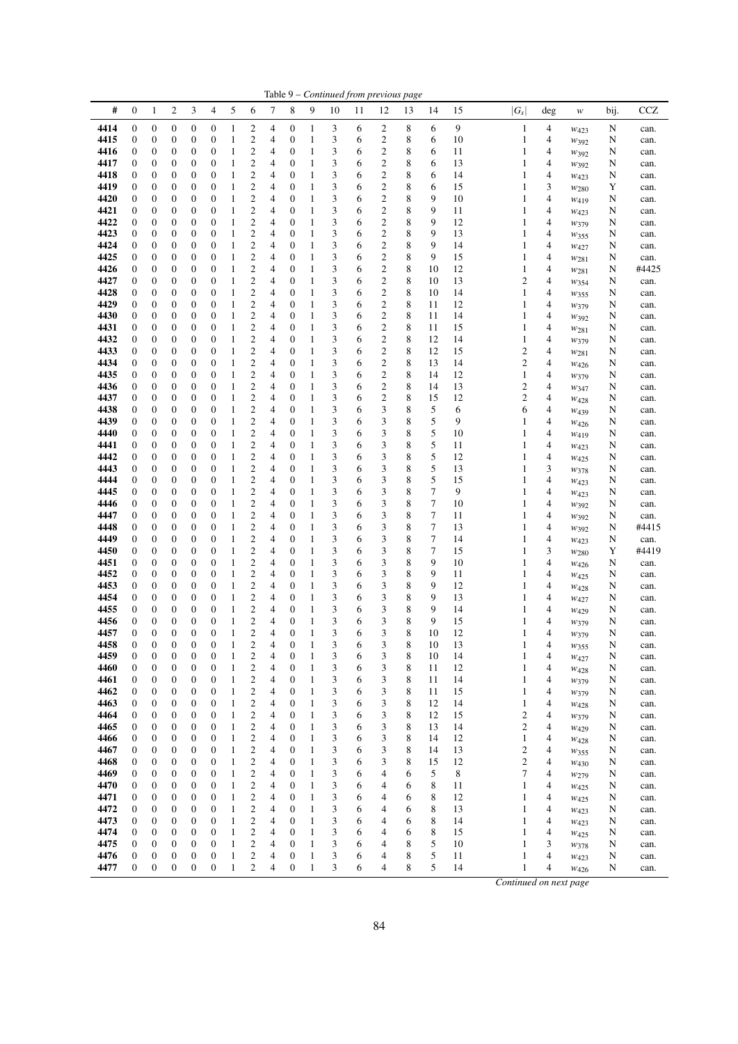|              |                                      |                                      |                                      |                                      |                                      |                              |                                           |                     |                                      |                              |        |        | Table 9 – Continued from previous page             |        |                  |          |                              |                                                      |                   |           |              |
|--------------|--------------------------------------|--------------------------------------|--------------------------------------|--------------------------------------|--------------------------------------|------------------------------|-------------------------------------------|---------------------|--------------------------------------|------------------------------|--------|--------|----------------------------------------------------|--------|------------------|----------|------------------------------|------------------------------------------------------|-------------------|-----------|--------------|
| #            | $\boldsymbol{0}$                     | $\mathbf{1}$                         | $\overline{c}$                       | 3                                    | 4                                    | 5                            | 6                                         | 7                   | 8                                    | 9                            | 10     | 11     | 12                                                 | 13     | 14               | 15       | $ G_s $                      | deg                                                  | $\ensuremath{W}$  | bij.      | CCZ          |
| 4414         | $\boldsymbol{0}$                     | $\boldsymbol{0}$                     | $\boldsymbol{0}$                     | $\boldsymbol{0}$                     | 0                                    | $\,1\,$                      | $\overline{c}$                            | 4                   | $\boldsymbol{0}$                     | $\mathbf{1}$                 | 3      | 6      | $\overline{c}$                                     | 8      | 6                | 9        | $\mathbf{1}$                 | $\overline{4}$                                       | $W_{423}$         | N         | can.         |
| 4415         | $\boldsymbol{0}$                     | $\boldsymbol{0}$                     | $\boldsymbol{0}$                     | $\boldsymbol{0}$                     | $\boldsymbol{0}$                     | $\mathbf{1}$                 | $\mathfrak{2}$                            | $\overline{4}$      | $\boldsymbol{0}$                     | $\mathbf{1}$                 | 3      | 6      | $\mathbf{2}$                                       | 8      | 6                | 10       | $\mathbf{1}$                 | $\overline{\mathcal{L}}$                             | $W_392$           | N         | can.         |
| 4416         | 0                                    | $\boldsymbol{0}$                     | $\boldsymbol{0}$                     | $\boldsymbol{0}$                     | $\boldsymbol{0}$                     | $\mathbf{1}$                 | $\boldsymbol{2}$                          | 4                   | $\boldsymbol{0}$                     | $\mathbf{1}$                 | 3      | 6      | $\overline{\mathbf{c}}$                            | 8      | 6                | 11       | $\mathbf{1}$                 | $\overline{\mathcal{L}}$                             | W392              | N         | can.         |
| 4417         | $\boldsymbol{0}$                     | $\boldsymbol{0}$                     | $\boldsymbol{0}$                     | $\boldsymbol{0}$                     | $\boldsymbol{0}$                     | $\,1\,$                      | $\overline{\mathbf{c}}$                   | 4                   | $\boldsymbol{0}$                     | $\mathbf{1}$                 | 3      | 6      | $\overline{\mathbf{c}}$                            | 8      | 6                | 13       | $\mathbf{1}$                 | $\overline{4}$                                       | W392              | N         | can.         |
| 4418<br>4419 | $\boldsymbol{0}$                     | $\boldsymbol{0}$<br>$\boldsymbol{0}$ | $\boldsymbol{0}$<br>$\boldsymbol{0}$ | $\boldsymbol{0}$<br>$\boldsymbol{0}$ | $\boldsymbol{0}$<br>$\boldsymbol{0}$ | $\mathbf{1}$<br>$\mathbf{1}$ | $\mathbf{2}$<br>$\mathbf{2}$              | 4                   | $\boldsymbol{0}$<br>$\boldsymbol{0}$ | $\mathbf{1}$<br>$\mathbf{1}$ | 3<br>3 | 6      | $\overline{\mathbf{c}}$<br>$\overline{c}$          | 8      | 6<br>6           | 14       | $\mathbf{1}$                 | $\overline{4}$<br>3                                  | $W_{423}$         | N         | can.         |
| 4420         | 0<br>$\boldsymbol{0}$                | $\boldsymbol{0}$                     | $\boldsymbol{0}$                     | $\boldsymbol{0}$                     | $\boldsymbol{0}$                     | $\,1\,$                      | $\overline{c}$                            | 4<br>4              | $\mathbf{0}$                         | $\mathbf{1}$                 | 3      | 6<br>6 | $\overline{\mathbf{c}}$                            | 8<br>8 | 9                | 15<br>10 | $\mathbf{1}$<br>$\mathbf{1}$ | $\overline{\mathcal{L}}$                             | $w_{280}$         | Y<br>N    | can.         |
| 4421         | $\boldsymbol{0}$                     | $\boldsymbol{0}$                     | $\boldsymbol{0}$                     | $\boldsymbol{0}$                     | $\boldsymbol{0}$                     | $\mathbf{1}$                 | $\overline{\mathbf{c}}$                   | 4                   | $\boldsymbol{0}$                     | $\mathbf{1}$                 | 3      | 6      | $\overline{\mathbf{c}}$                            | 8      | 9                | 11       | $\mathbf{1}$                 | $\overline{\mathcal{L}}$                             | W419              | N         | can.<br>can. |
| 4422         | $\boldsymbol{0}$                     | $\boldsymbol{0}$                     | $\boldsymbol{0}$                     | $\boldsymbol{0}$                     | $\boldsymbol{0}$                     | $\mathbf{1}$                 | $\overline{c}$                            | 4                   | $\boldsymbol{0}$                     | $\mathbf{1}$                 | 3      | 6      | $\overline{c}$                                     | 8      | 9                | 12       | $\mathbf{1}$                 | $\overline{4}$                                       | W423<br>W379      | N         | can.         |
| 4423         | $\boldsymbol{0}$                     | $\boldsymbol{0}$                     | $\boldsymbol{0}$                     | $\boldsymbol{0}$                     | $\boldsymbol{0}$                     | $\,1\,$                      | $\boldsymbol{2}$                          | 4                   | $\boldsymbol{0}$                     | $\mathbf{1}$                 | 3      | 6      | $\boldsymbol{2}$                                   | 8      | 9                | 13       | $\mathbf{1}$                 | $\overline{4}$                                       | $w_{355}$         | N         | can.         |
| 4424         | $\boldsymbol{0}$                     | $\boldsymbol{0}$                     | $\boldsymbol{0}$                     | $\boldsymbol{0}$                     | $\boldsymbol{0}$                     | $\mathbf{1}$                 | $\boldsymbol{2}$                          | 4                   | $\boldsymbol{0}$                     | $\mathbf{1}$                 | 3      | 6      | $\overline{\mathbf{c}}$                            | 8      | 9                | 14       | $\mathbf{1}$                 | $\overline{4}$                                       | W427              | N         | can.         |
| 4425         | $\boldsymbol{0}$                     | $\boldsymbol{0}$                     | $\boldsymbol{0}$                     | $\boldsymbol{0}$                     | $\boldsymbol{0}$                     | $\mathbf{1}$                 | $\mathfrak{2}$                            | 4                   | $\boldsymbol{0}$                     | $\mathbf{1}$                 | 3      | 6      | $\overline{\mathbf{c}}$                            | 8      | 9                | 15       | 1                            | $\overline{4}$                                       | W281              | N         | can.         |
| 4426         | 0                                    | $\boldsymbol{0}$                     | $\boldsymbol{0}$                     | $\boldsymbol{0}$                     | $\boldsymbol{0}$                     | $\mathbf{1}$                 | $\sqrt{2}$                                | 4                   | $\boldsymbol{0}$                     | $\mathbf{1}$                 | 3      | 6      | $\overline{\mathbf{c}}$                            | 8      | 10               | $12\,$   | $\mathbf{1}$                 | $\overline{4}$                                       | $w_{281}$         | N         | #4425        |
| 4427         | $\boldsymbol{0}$                     | $\boldsymbol{0}$                     | $\boldsymbol{0}$                     | $\boldsymbol{0}$                     | $\overline{0}$                       | $\,1\,$                      | $\overline{c}$                            | 4                   | $\boldsymbol{0}$                     | $\mathbf{1}$                 | 3      | 6      | $\overline{c}$                                     | 8      | 10               | 13       | $\mathbf{2}$                 | $\overline{4}$                                       | W354              | N         | can.         |
| 4428         | $\boldsymbol{0}$                     | $\boldsymbol{0}$                     | $\boldsymbol{0}$                     | $\boldsymbol{0}$                     | $\boldsymbol{0}$                     | $\mathbf{1}$                 | $\boldsymbol{2}$                          | 4                   | $\boldsymbol{0}$                     | $\mathbf{1}$                 | 3      | 6      | $\overline{\mathbf{c}}$                            | 8      | 10               | 14       | $\mathbf{1}$                 | $\overline{4}$                                       | W355              | N         | can.         |
| 4429         | $\boldsymbol{0}$                     | $\boldsymbol{0}$                     | $\boldsymbol{0}$                     | $\boldsymbol{0}$                     | $\boldsymbol{0}$                     | $\mathbf{1}$                 | $\overline{\mathbf{c}}$                   | 4                   | $\boldsymbol{0}$                     | $\mathbf{1}$                 | 3      | 6      | $\boldsymbol{2}$                                   | 8      | 11               | 12       | $\mathbf{1}$                 | $\overline{4}$                                       | W379              | N         | can.         |
| 4430         | $\boldsymbol{0}$                     | $\boldsymbol{0}$                     | $\boldsymbol{0}$                     | $\boldsymbol{0}$                     | $\boldsymbol{0}$                     | $\mathbf{1}$                 | $\boldsymbol{2}$                          | 4                   | $\boldsymbol{0}$                     | $\mathbf{1}$                 | 3      | 6      | $\overline{\mathbf{c}}$                            | 8      | 11               | 14       | $\mathbf{1}$                 | $\overline{4}$                                       | $W_392$           | N         | can.         |
| 4431         | $\boldsymbol{0}$                     | $\boldsymbol{0}$                     | $\boldsymbol{0}$                     | $\boldsymbol{0}$                     | $\boldsymbol{0}$                     | $\mathbf{1}$                 | $\boldsymbol{2}$                          | 4                   | $\boldsymbol{0}$                     | $\mathbf{1}$                 | 3      | 6      | $\overline{\mathbf{c}}$                            | 8      | 11               | 15       | $\mathbf{1}$                 | $\overline{4}$                                       | $w_{281}$         | N         | can.         |
| 4432         | $\boldsymbol{0}$                     | $\boldsymbol{0}$                     | $\boldsymbol{0}$                     | $\boldsymbol{0}$                     | $\boldsymbol{0}$                     | $\mathbf{1}$                 | $\mathfrak{2}$                            | $\overline{4}$      | $\boldsymbol{0}$                     | $\mathbf{1}$                 | 3      | 6      | $\overline{\mathbf{c}}$                            | 8      | 12               | 14       | $\mathbf{1}$                 | $\overline{4}$                                       | W379              | N         | can.         |
| 4433         | 0                                    | $\boldsymbol{0}$                     | $\boldsymbol{0}$                     | $\boldsymbol{0}$                     | $\boldsymbol{0}$                     | $\mathbf{1}$                 | $\overline{\mathbf{c}}$                   | 4                   | $\boldsymbol{0}$                     | $\mathbf{1}$                 | 3      | 6      | $\overline{\mathbf{c}}$                            | 8      | 12               | 15       | $\overline{\mathbf{c}}$      | $\overline{\mathcal{A}}$                             | W281              | N         | can.         |
| 4434         | $\boldsymbol{0}$                     | $\boldsymbol{0}$                     | $\boldsymbol{0}$                     | $\boldsymbol{0}$                     | $\boldsymbol{0}$                     | $\mathbf{1}$                 | $\boldsymbol{2}$                          | 4                   | $\boldsymbol{0}$                     | $\mathbf{1}$                 | 3      | 6      | $\overline{c}$                                     | 8      | 13               | 14       | $\overline{\mathbf{c}}$      | $\overline{\mathcal{A}}$                             | $W_{426}$         | N         | can.         |
| 4435         | $\boldsymbol{0}$                     | $\boldsymbol{0}$                     | $\boldsymbol{0}$                     | $\boldsymbol{0}$                     | $\boldsymbol{0}$                     | $\mathbf{1}$                 | $\overline{c}$                            | 4                   | $\boldsymbol{0}$                     | $\mathbf{1}$                 | 3      | 6      | $\overline{c}$                                     | 8      | 14               | 12       | $\mathbf{1}$                 | $\overline{\mathcal{A}}$                             | W379              | N         | can.         |
| 4436<br>4437 | $\boldsymbol{0}$<br>$\boldsymbol{0}$ | $\boldsymbol{0}$<br>$\boldsymbol{0}$ | $\boldsymbol{0}$<br>$\boldsymbol{0}$ | $\boldsymbol{0}$<br>$\boldsymbol{0}$ | $\boldsymbol{0}$<br>$\boldsymbol{0}$ | $\mathbf{1}$<br>$\mathbf{1}$ | $\overline{\mathbf{c}}$<br>$\mathfrak{2}$ | 4<br>4              | $\boldsymbol{0}$<br>$\boldsymbol{0}$ | $\mathbf{1}$<br>$\mathbf{1}$ | 3<br>3 | 6<br>6 | $\overline{\mathbf{c}}$<br>$\overline{\mathbf{c}}$ | 8<br>8 | 14<br>15         | 13<br>12 | $\mathbf{2}$<br>$\mathbf{2}$ | $\overline{\mathcal{A}}$<br>$\overline{4}$           | W347              | N<br>N    | can.         |
| 4438         | 0                                    | $\boldsymbol{0}$                     | $\boldsymbol{0}$                     | $\boldsymbol{0}$                     | $\boldsymbol{0}$                     | $\mathbf{1}$                 | $\boldsymbol{2}$                          | 4                   | $\boldsymbol{0}$                     | $\mathbf{1}$                 | 3      | 6      | 3                                                  | 8      | 5                | 6        | 6                            | $\overline{\mathcal{A}}$                             | W428              | N         | can.<br>can. |
| 4439         | 0                                    | $\boldsymbol{0}$                     | $\boldsymbol{0}$                     | $\boldsymbol{0}$                     | $\boldsymbol{0}$                     | $\mathbf{1}$                 | $\boldsymbol{2}$                          | 4                   | $\boldsymbol{0}$                     | $\mathbf{1}$                 | 3      | 6      | 3                                                  | 8      | 5                | 9        | 1                            | $\overline{\mathcal{A}}$                             | W <sub>439</sub>  | N         | can.         |
| 4440         | $\boldsymbol{0}$                     | $\boldsymbol{0}$                     | $\boldsymbol{0}$                     | $\boldsymbol{0}$                     | $\boldsymbol{0}$                     | 1                            | $\boldsymbol{2}$                          | 4                   | $\mathbf{0}$                         | $\mathbf{1}$                 | 3      | 6      | 3                                                  | 8      | 5                | 10       | $\mathbf{1}$                 | $\overline{\mathcal{A}}$                             | $W_{426}$<br>W419 | N         | can.         |
| 4441         | $\boldsymbol{0}$                     | $\boldsymbol{0}$                     | $\boldsymbol{0}$                     | $\boldsymbol{0}$                     | $\boldsymbol{0}$                     | $\mathbf{1}$                 | $\overline{c}$                            | 4                   | $\boldsymbol{0}$                     | $\mathbf{1}$                 | 3      | 6      | 3                                                  | 8      | 5                | 11       | 1                            | $\overline{\mathcal{A}}$                             | W423              | N         | can.         |
| 4442         | $\boldsymbol{0}$                     | $\boldsymbol{0}$                     | $\boldsymbol{0}$                     | $\boldsymbol{0}$                     | $\boldsymbol{0}$                     | 1                            | $\boldsymbol{2}$                          | 4                   | $\boldsymbol{0}$                     | $\mathbf{1}$                 | 3      | 6      | 3                                                  | 8      | $\mathfrak s$    | 12       | $\mathbf{1}$                 | $\overline{\mathcal{A}}$                             | $w_{425}$         | N         | can.         |
| 4443         | 0                                    | $\boldsymbol{0}$                     | $\boldsymbol{0}$                     | $\boldsymbol{0}$                     | $\boldsymbol{0}$                     | $\,1\,$                      | $\boldsymbol{2}$                          | 4                   | $\boldsymbol{0}$                     | $\mathbf{1}$                 | 3      | 6      | 3                                                  | 8      | $\mathfrak s$    | 13       | $\mathbf{1}$                 | 3                                                    | W378              | N         | can.         |
| 4444         | $\boldsymbol{0}$                     | $\boldsymbol{0}$                     | $\boldsymbol{0}$                     | $\boldsymbol{0}$                     | $\boldsymbol{0}$                     | $\mathbf{1}$                 | $\mathbf{2}$                              | 4                   | $\boldsymbol{0}$                     | $\mathbf{1}$                 | 3      | 6      | 3                                                  | 8      | $\mathfrak s$    | 15       | 1                            | $\overline{4}$                                       | W423              | N         | can.         |
| 4445         | 0                                    | $\boldsymbol{0}$                     | $\boldsymbol{0}$                     | $\boldsymbol{0}$                     | $\boldsymbol{0}$                     | $\,1\,$                      | $\overline{\mathbf{c}}$                   | 4                   | $\boldsymbol{0}$                     | $\mathbf{1}$                 | 3      | 6      | 3                                                  | 8      | $\boldsymbol{7}$ | 9        | $\mathbf{1}$                 | $\overline{\mathcal{A}}$                             | W423              | N         | can.         |
| 4446         | $\boldsymbol{0}$                     | $\boldsymbol{0}$                     | $\boldsymbol{0}$                     | $\boldsymbol{0}$                     | $\boldsymbol{0}$                     | $\,1\,$                      | $\overline{c}$                            | 4                   | $\mathbf{0}$                         | $\mathbf{1}$                 | 3      | 6      | 3                                                  | 8      | $\tau$           | 10       | $\mathbf{1}$                 | $\overline{4}$                                       | W392              | N         | can.         |
| 4447         | $\boldsymbol{0}$                     | $\boldsymbol{0}$                     | $\boldsymbol{0}$                     | $\boldsymbol{0}$                     | $\boldsymbol{0}$                     | $\mathbf{1}$                 | $\overline{\mathbf{c}}$                   | 4                   | $\boldsymbol{0}$                     | $\mathbf{1}$                 | 3      | 6      | 3                                                  | 8      | $\tau$           | 11       | $\mathbf{1}$                 | $\overline{4}$                                       | $w_{392}$         | N         | can.         |
| 4448         | $\boldsymbol{0}$                     | $\boldsymbol{0}$                     | $\boldsymbol{0}$                     | $\boldsymbol{0}$                     | $\boldsymbol{0}$                     | $\mathbf{1}$                 | $\boldsymbol{2}$                          | 4                   | $\boldsymbol{0}$                     | $\mathbf{1}$                 | 3      | 6      | 3                                                  | 8      | $\boldsymbol{7}$ | 13       | $\mathbf{1}$                 | $\overline{4}$                                       | W392              | N         | #4415        |
| 4449         | $\boldsymbol{0}$                     | $\boldsymbol{0}$                     | $\boldsymbol{0}$                     | $\boldsymbol{0}$                     | $\boldsymbol{0}$                     | $\mathbf{1}$                 | $\mathfrak{2}$                            | 4                   | $\boldsymbol{0}$                     | $\mathbf{1}$                 | 3      | 6      | 3                                                  | 8      | $\tau$           | 14       | $\mathbf{1}$                 | $\overline{4}$                                       | W423              | N         | can.         |
| 4450         | 0                                    | $\boldsymbol{0}$                     | $\boldsymbol{0}$                     | $\boldsymbol{0}$                     | $\boldsymbol{0}$                     | $\mathbf{1}$                 | $\boldsymbol{2}$                          | 4                   | $\boldsymbol{0}$                     | $\mathbf{1}$                 | 3      | 6      | 3                                                  | 8      | $\tau$           | 15       | $\mathbf{1}$                 | 3                                                    | W <sub>280</sub>  | Y         | #4419        |
| 4451         | $\boldsymbol{0}$                     | $\boldsymbol{0}$                     | $\boldsymbol{0}$                     | $\boldsymbol{0}$                     | $\boldsymbol{0}$                     | $\mathbf{1}$                 | $\mathfrak{2}$                            | 4                   | $\boldsymbol{0}$                     | $\mathbf{1}$                 | 3      | 6      | 3                                                  | 8      | 9                | 10       | 1                            | $\overline{4}$                                       | W <sub>426</sub>  | N         | can.         |
| 4452         | $\boldsymbol{0}$                     | $\boldsymbol{0}$                     | $\boldsymbol{0}$                     | $\boldsymbol{0}$                     | $\boldsymbol{0}$                     | 1                            | $\overline{\mathbf{c}}$                   | 4                   | $\mathbf{0}$                         | $\,1\,$                      | 3      | 6      | 3                                                  | 8      | 9                | 11       | $\mathbf{1}$                 | $\overline{\mathcal{L}}$                             | W425              | N         | can.         |
| 4453<br>4454 | $\boldsymbol{0}$<br>$\boldsymbol{0}$ | $\boldsymbol{0}$<br>$\boldsymbol{0}$ | $\boldsymbol{0}$<br>$\boldsymbol{0}$ | $\boldsymbol{0}$<br>$\boldsymbol{0}$ | $\overline{0}$<br>$\boldsymbol{0}$   | $\,1\,$<br>$\mathbf{1}$      | $\overline{c}$<br>$\boldsymbol{2}$        | $\overline{4}$<br>4 | $\mathbf{0}$<br>$\boldsymbol{0}$     | $\mathbf{1}$<br>$\mathbf{1}$ | 3<br>3 | 6      | 3<br>3                                             | 8<br>8 | 9<br>9           | 12<br>13 | $\mathbf{1}$<br>$\mathbf{1}$ | $\overline{\mathcal{L}}$<br>$\overline{\mathcal{L}}$ | W428              | N         | can.         |
| 4455         | $\boldsymbol{0}$                     | $\boldsymbol{0}$                     | $\boldsymbol{0}$                     | $\boldsymbol{0}$                     | $\boldsymbol{0}$                     | $\,1\,$                      | $\overline{\mathbf{c}}$                   | 4                   | $\boldsymbol{0}$                     | $\mathbf{1}$                 | 3      | 6<br>6 | 3                                                  | 8      | 9                | 14       | $\mathbf{1}$                 | $\overline{4}$                                       | W427              | N<br>N    | can.         |
| 4456         | $\boldsymbol{0}$                     | $\mathbf{0}$                         | $\mathbf{0}$                         | $\boldsymbol{0}$                     | $\overline{0}$                       | $\mathbf{1}$                 | $\overline{c}$                            | $\overline{4}$      | $\boldsymbol{0}$                     | $\mathbf{1}$                 | 3      | 6      | 3                                                  | 8      | 9                | 15       | $\mathbf{1}$                 | $\overline{4}$                                       | $W_{429}$         | N         | can.         |
| 4457         | $\overline{0}$                       | $\theta$                             | $\theta$                             | $\theta$                             | $\theta$                             | 1                            | $\overline{2}$                            | 4                   | $\theta$                             | $\mathbf{1}$                 | 3      | 6      | 3                                                  | 8      | 10               | 12       | 1                            | $\overline{4}$                                       | W379<br>W379      | N         | can.<br>can. |
| 4458         | $\boldsymbol{0}$                     | $\mathbf{0}$                         | $\boldsymbol{0}$                     | $\boldsymbol{0}$                     | $\boldsymbol{0}$                     | $\mathbf{1}$                 | $\boldsymbol{2}$                          | 4                   | $\mathbf{0}$                         | $\mathbf{1}$                 | 3      | 6      | 3                                                  | 8      | 10               | 13       | $\mathbf{1}$                 | $\overline{\mathcal{A}}$                             | $w_{355}$         | N         | can.         |
| 4459         | $\boldsymbol{0}$                     | $\boldsymbol{0}$                     | $\boldsymbol{0}$                     | $\boldsymbol{0}$                     | $\boldsymbol{0}$                     | 1                            | $\boldsymbol{2}$                          | 4                   | $\mathbf{0}$                         | $\mathbf{1}$                 | 3      | 6      | 3                                                  | 8      | 10               | 14       | $\,1\,$                      | $\overline{4}$                                       | $w_{427}$         | N         | can.         |
| 4460         | $\boldsymbol{0}$                     | $\boldsymbol{0}$                     | $\boldsymbol{0}$                     | $\boldsymbol{0}$                     | $\boldsymbol{0}$                     | 1                            | $\overline{\mathbf{c}}$                   | 4                   | $\boldsymbol{0}$                     | $\,1\,$                      | 3      | 6      | 3                                                  | 8      | 11               | 12       | $\mathbf{1}$                 | 4                                                    | W428              | N         | can.         |
| 4461         | 0                                    | $\boldsymbol{0}$                     | $\boldsymbol{0}$                     | $\boldsymbol{0}$                     | $\boldsymbol{0}$                     | 1                            | $\boldsymbol{2}$                          | 4                   | $\boldsymbol{0}$                     | $\mathbf{1}$                 | 3      | 6      | 3                                                  | 8      | 11               | 14       | $\mathbf{1}$                 | $\overline{\mathcal{A}}$                             | W379              | N         | can.         |
| 4462         | 0                                    | $\boldsymbol{0}$                     | $\boldsymbol{0}$                     | $\boldsymbol{0}$                     | $\boldsymbol{0}$                     | $\mathbf{1}$                 | $\overline{c}$                            | 4                   | $\boldsymbol{0}$                     | $\mathbf{1}$                 | 3      | 6      | 3                                                  | 8      | 11               | 15       | $\mathbf{1}$                 | $\overline{\mathcal{A}}$                             | W379              | N         | can.         |
| 4463         | $\boldsymbol{0}$                     | $\boldsymbol{0}$                     | $\boldsymbol{0}$                     | $\boldsymbol{0}$                     | $\boldsymbol{0}$                     | $\mathbf{1}$                 | $\mathfrak{2}$                            | $\overline{4}$      | $\boldsymbol{0}$                     | $\mathbf{1}$                 | 3      | 6      | 3                                                  | 8      | 12               | 14       | $\mathbf{1}$                 | $\overline{4}$                                       | $W_{428}$         | N         | can.         |
| 4464         | 0                                    | $\boldsymbol{0}$                     | $\boldsymbol{0}$                     | $\boldsymbol{0}$                     | $\boldsymbol{0}$                     | $\mathbf{1}$                 | $\boldsymbol{2}$                          | 4                   | 0                                    | $\mathbf{1}$                 | 3      | 6      | 3                                                  | 8      | 12               | 15       | $\overline{\mathbf{c}}$      | $\overline{4}$                                       | W379              | N         | can.         |
| 4465         | $\boldsymbol{0}$                     | $\boldsymbol{0}$                     | $\boldsymbol{0}$                     | $\boldsymbol{0}$                     | $\boldsymbol{0}$                     | $\,1$                        | $\boldsymbol{2}$                          | 4                   | $\boldsymbol{0}$                     | $\mathbf{1}$                 | 3      | 6      | 3                                                  | 8      | 13               | 14       | $\mathbf{2}$                 | 4                                                    | W429              | N         | can.         |
| 4466         | 0                                    | $\boldsymbol{0}$                     | $\boldsymbol{0}$                     | $\boldsymbol{0}$                     | $\boldsymbol{0}$                     | $\mathbf{1}$                 | $\boldsymbol{2}$                          | 4                   | $\boldsymbol{0}$                     | $\,1\,$                      | 3      | 6      | 3                                                  | 8      | 14               | 12       | $\mathbf{1}$                 | $\overline{4}$                                       | W428              | N         | can.         |
| 4467         | $\boldsymbol{0}$                     | $\boldsymbol{0}$                     | $\boldsymbol{0}$                     | $\boldsymbol{0}$                     | 0                                    | $\mathbf{1}$                 | $\mathfrak{2}$                            | 4                   | $\boldsymbol{0}$                     | $\mathbf{1}$                 | 3      | 6      | 3                                                  | 8      | 14               | 13       | $\overline{c}$               | $\overline{4}$                                       | $w_{355}$         | N         | can.         |
| 4468         | $\boldsymbol{0}$                     | $\boldsymbol{0}$                     | $\boldsymbol{0}$                     | $\boldsymbol{0}$                     | $\boldsymbol{0}$                     | $\mathbf{1}$                 | $\overline{c}$                            | 4                   | $\boldsymbol{0}$                     | $\mathbf{1}$                 | 3      | 6      | 3                                                  | 8      | 15               | 12       | $\boldsymbol{2}$             | $\overline{4}$                                       | W430              | N         | can.         |
| 4469         | $\boldsymbol{0}$                     | $\boldsymbol{0}$                     | $\boldsymbol{0}$                     | $\boldsymbol{0}$                     | $\boldsymbol{0}$                     | 1                            | $\overline{\mathbf{c}}$                   | 4                   | $\boldsymbol{0}$                     | $\mathbf{1}$                 | 3      | 6      | 4                                                  | 6      | 5                | 8        | 7                            | $\overline{4}$                                       | W279              | N         | can.         |
| 4470         | $\boldsymbol{0}$                     | $\boldsymbol{0}$                     | $\boldsymbol{0}$                     | $\boldsymbol{0}$                     | $\boldsymbol{0}$                     | $\mathbf{1}$                 | $\mathbf{2}$                              | 4                   | $\boldsymbol{0}$                     | $\mathbf{1}$                 | 3      | 6      | 4                                                  | 6      | $\,$ 8 $\,$      | 11       | 1                            | $\overline{4}$                                       | W <sub>425</sub>  | N         | can.         |
| 4471         | 0                                    | $\boldsymbol{0}$                     | $\boldsymbol{0}$                     | $\boldsymbol{0}$                     | $\boldsymbol{0}$                     | $\,1\,$                      | $\overline{\mathbf{c}}$                   | 4                   | 0                                    | $\mathbf{1}$                 | 3      | 6      | 4                                                  | 6      | 8                | 12       | $\mathbf{1}$                 | 4                                                    | W <sub>425</sub>  | N         | can.         |
| 4472<br>4473 | $\boldsymbol{0}$<br>$\boldsymbol{0}$ | $\boldsymbol{0}$<br>$\boldsymbol{0}$ | $\boldsymbol{0}$                     | $\boldsymbol{0}$                     | $\boldsymbol{0}$<br>$\boldsymbol{0}$ | $\,1$                        | $\boldsymbol{2}$                          | 4                   | $\boldsymbol{0}$<br>$\boldsymbol{0}$ | $\mathbf{1}$<br>$\mathbf{1}$ | 3      | 6      | $\overline{4}$                                     | 6      | 8                | 13       | $\mathbf{1}$                 | $\overline{4}$<br>$\overline{4}$                     | W423              | N         | can.         |
| 4474         | 0                                    | $\boldsymbol{0}$                     | $\boldsymbol{0}$<br>$\boldsymbol{0}$ | $\boldsymbol{0}$<br>$\boldsymbol{0}$ | $\boldsymbol{0}$                     | 1<br>$\,1\,$                 | $\overline{\mathbf{c}}$<br>$\overline{c}$ | 4<br>4              | $\boldsymbol{0}$                     | $\mathbf{1}$                 | 3<br>3 | 6<br>6 | 4<br>4                                             | 6<br>6 | 8<br>8           | 14<br>15 | $\mathbf{1}$<br>$\mathbf{1}$ | 4                                                    | W423              | N<br>N    | can.         |
| 4475         | $\boldsymbol{0}$                     | $\boldsymbol{0}$                     | $\boldsymbol{0}$                     | $\boldsymbol{0}$                     | $\boldsymbol{0}$                     | $\mathbf{1}$                 | $\mathfrak{2}$                            | 4                   | $\boldsymbol{0}$                     | $\mathbf{1}$                 | 3      | 6      | 4                                                  | 8      | 5                | 10       | $\mathbf{1}$                 | 3                                                    | $w_{425}$<br>W378 | N         | can.<br>can. |
| 4476         | $\boldsymbol{0}$                     | $\boldsymbol{0}$                     | $\boldsymbol{0}$                     | $\boldsymbol{0}$                     | $\boldsymbol{0}$                     | $\mathbf{1}$                 | $\overline{c}$                            | 4                   | $\mathbf{0}$                         | $\mathbf{1}$                 | 3      | 6      | 4                                                  | 8      | $\mathfrak s$    | 11       | $\mathbf{1}$                 | $\overline{4}$                                       | W423              | N         | can.         |
| 4477         | $\boldsymbol{0}$                     | $\boldsymbol{0}$                     | $\boldsymbol{0}$                     | $\boldsymbol{0}$                     | $\boldsymbol{0}$                     | $\mathbf{1}$                 | $\mathfrak{2}$                            | $\overline{4}$      | $\boldsymbol{0}$                     | $\mathbf{1}$                 | 3      | 6      | 4                                                  | 8      | 5                | 14       | $\mathbf{1}$                 | $\overline{4}$                                       | $w_{426}$         | ${\bf N}$ | can.         |
|              |                                      |                                      |                                      |                                      |                                      |                              |                                           |                     |                                      |                              |        |        |                                                    |        |                  |          |                              |                                                      |                   |           |              |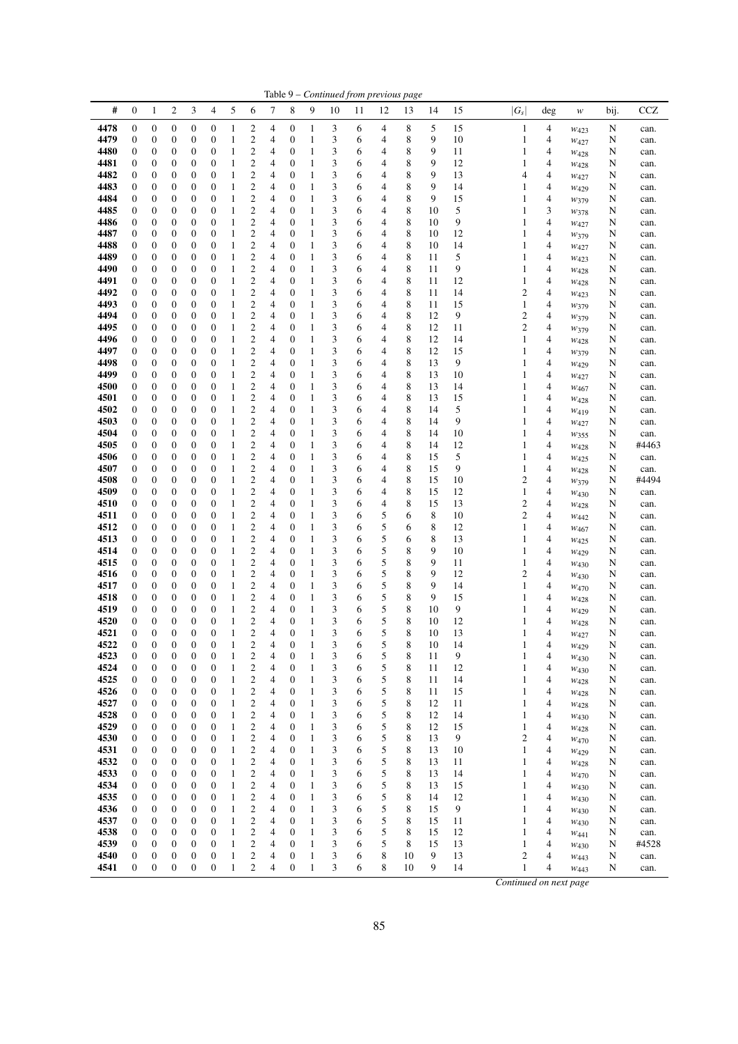|              | Table 9 - Continued from previous page |                                      |                       |                                      |                                      |                              |                                                    |                     |                                      |                              |        |        |        |                  |          |          |                                         |                |                          |        |               |
|--------------|----------------------------------------|--------------------------------------|-----------------------|--------------------------------------|--------------------------------------|------------------------------|----------------------------------------------------|---------------------|--------------------------------------|------------------------------|--------|--------|--------|------------------|----------|----------|-----------------------------------------|----------------|--------------------------|--------|---------------|
| #            | $\mathbf{0}$                           | $\mathbf{1}$                         | $\overline{c}$        | 3                                    | $\overline{\mathcal{A}}$             | 5                            | 6                                                  | 7                   | 8                                    | 9                            | 10     | 11     | 12     | 13               | 14       | 15       | $ G_s $                                 | deg            | w                        | bij.   | <b>CCZ</b>    |
| 4478         | $\boldsymbol{0}$                       | $\boldsymbol{0}$                     | 0                     | 0                                    | $\boldsymbol{0}$                     | $\mathbf{1}$                 | 2                                                  | 4                   | 0                                    | $\mathbf{1}$                 | 3      | 6      | 4      | 8                | 5        | 15       | $\mathbf{1}$                            | 4              | $w_{423}$                | N      | can.          |
| 4479         | $\boldsymbol{0}$                       | 0                                    | 0                     | 0                                    | $\boldsymbol{0}$                     | 1                            | 2                                                  | 4                   | 0                                    | $\mathbf{1}$                 | 3      | 6      | 4      | 8                | 9        | 10       | 1                                       | 4              | $W_{427}$                | N      | can.          |
| 4480         | $\boldsymbol{0}$                       | 0                                    | 0                     | 0                                    | $\boldsymbol{0}$                     | $\mathbf{1}$                 | $\overline{c}$                                     | 4                   | $\boldsymbol{0}$                     | 1                            | 3      | 6      | 4      | 8                | 9        | 11       | 1                                       | 4              | W428                     | N      | can.          |
| 4481         | $\boldsymbol{0}$                       | 0                                    | 0                     | 0                                    | $\mathbf{0}$                         | 1                            | $\overline{\mathbf{c}}$                            | 4                   | $\boldsymbol{0}$                     | 1                            | 3      | 6      | 4      | 8                | 9        | 12       | 1                                       | 4              | W428                     | N      | can.          |
| 4482<br>4483 | $\boldsymbol{0}$<br>$\boldsymbol{0}$   | 0<br>0                               | 0<br>0                | 0<br>0                               | $\mathbf{0}$<br>$\mathbf{0}$         | 1<br>$\,1$                   | $\overline{\mathbf{c}}$<br>$\overline{\mathbf{c}}$ | 4<br>4              | $\mathbf{0}$<br>$\mathbf{0}$         | $\mathbf{1}$<br>1            | 3<br>3 | 6<br>6 | 4<br>4 | 8<br>8           | 9<br>9   | 13<br>14 | 4<br>1                                  | 4<br>4         | $W_{427}$                | N<br>N | can.<br>can.  |
| 4484         | $\mathbf{0}$                           | 0                                    | 0                     | 0                                    | $\boldsymbol{0}$                     | 1                            | $\overline{\mathbf{c}}$                            | 4                   | $\boldsymbol{0}$                     | 1                            | 3      | 6      | 4      | 8                | 9        | 15       | 1                                       | 4              | $W_{429}$<br>W379        | N      | can.          |
| 4485         | $\boldsymbol{0}$                       | 0                                    | 0                     | 0                                    | $\boldsymbol{0}$                     | $\mathbf{1}$                 | $\overline{\mathbf{c}}$                            | 4                   | $\boldsymbol{0}$                     | 1                            | 3      | 6      | 4      | 8                | 10       | 5        | 1                                       | 3              | W378                     | N      | can.          |
| 4486         | $\boldsymbol{0}$                       | $\boldsymbol{0}$                     | 0                     | $\boldsymbol{0}$                     | $\boldsymbol{0}$                     | 1                            | $\boldsymbol{2}$                                   | 4                   | $\boldsymbol{0}$                     | 1                            | 3      | 6      | 4      | 8                | 10       | 9        | 1                                       | 4              | $W_{427}$                | N      | can.          |
| 4487         | $\boldsymbol{0}$                       | $\boldsymbol{0}$                     | 0                     | $\boldsymbol{0}$                     | $\boldsymbol{0}$                     | 1                            | $\overline{c}$                                     | 4                   | $\boldsymbol{0}$                     | 1                            | 3      | 6      | 4      | 8                | 10       | 12       | 1                                       | 4              | W379                     | N      | can.          |
| 4488         | $\boldsymbol{0}$                       | 0                                    | 0                     | 0                                    | $\boldsymbol{0}$                     | 1                            | $\overline{\mathbf{c}}$                            | 4                   | $\boldsymbol{0}$                     | $\mathbf{1}$                 | 3      | 6      | 4      | 8                | 10       | 14       | 1                                       | 4              | W427                     | N      | can.          |
| 4489<br>4490 | $\boldsymbol{0}$<br>$\boldsymbol{0}$   | 0<br>0                               | 0<br>0                | 0<br>0                               | $\boldsymbol{0}$<br>$\boldsymbol{0}$ | $\mathbf{1}$<br>1            | $\overline{c}$<br>$\overline{c}$                   | $\overline{4}$<br>4 | $\mathbf{0}$<br>$\mathbf{0}$         | 1<br>1                       | 3<br>3 | 6<br>6 | 4<br>4 | 8<br>8           | 11<br>11 | 5<br>9   | 1<br>1                                  | 4<br>4         | W423                     | N      | can.          |
| 4491         | $\mathbf{0}$                           | 0                                    | 0                     | 0                                    | $\mathbf{0}$                         | 1                            | $\overline{c}$                                     | 4                   | $\mathbf{0}$                         | 1                            | 3      | 6      | 4      | $\,$ 8 $\,$      | 11       | 12       | 1                                       | 4              | $w_{428}$<br>$w_{428}$   | N<br>N | can.<br>can.  |
| 4492         | $\boldsymbol{0}$                       | $\boldsymbol{0}$                     | 0                     | $\boldsymbol{0}$                     | $\boldsymbol{0}$                     | $\mathbf{1}$                 | $\overline{c}$                                     | 4                   | $\boldsymbol{0}$                     | $\mathbf{1}$                 | 3      | 6      | 4      | 8                | 11       | 14       | $\overline{c}$                          | $\overline{4}$ | W423                     | N      | can.          |
| 4493         | $\boldsymbol{0}$                       | $\boldsymbol{0}$                     | 0                     | 0                                    | $\boldsymbol{0}$                     | 1                            | $\mathbf{2}$                                       | 4                   | $\mathbf{0}$                         | 1                            | 3      | 6      | 4      | 8                | 11       | 15       | 1                                       | 4              | W379                     | N      | can.          |
| 4494         | $\boldsymbol{0}$                       | 0                                    | 0                     | 0                                    | $\mathbf{0}$                         | 1                            | 2                                                  | 4                   | $\mathbf{0}$                         | $\mathbf{1}$                 | 3      | 6      | 4      | 8                | 12       | 9        | $\overline{c}$                          | 4              | W379                     | N      | can.          |
| 4495         | $\boldsymbol{0}$                       | 0                                    | 0                     | 0                                    | $\mathbf{0}$                         | $\mathbf{1}$                 | $\overline{\mathbf{c}}$                            | 4                   | $\boldsymbol{0}$                     | $\mathbf{1}$                 | 3      | 6      | 4      | 8                | 12       | 11       | $\overline{c}$                          | 4              | W379                     | N      | can.          |
| 4496         | $\boldsymbol{0}$                       | 0                                    | 0                     | 0                                    | $\mathbf{0}$                         | 1                            | $\overline{c}$                                     | $\overline{4}$      | $\mathbf{0}$                         | 1                            | 3      | 6      | 4      | 8                | 12       | 14       | 1                                       | 4              | W428                     | N      | can.          |
| 4497<br>4498 | $\mathbf{0}$<br>$\boldsymbol{0}$       | 0<br>0                               | 0<br>0                | 0<br>0                               | $\mathbf{0}$<br>$\boldsymbol{0}$     | $\mathbf{1}$<br>1            | $\overline{\mathbf{c}}$<br>$\boldsymbol{2}$        | 4<br>4              | $\mathbf{0}$<br>$\boldsymbol{0}$     | 1<br>$\mathbf{1}$            | 3<br>3 | 6<br>6 | 4<br>4 | 8<br>8           | 12<br>13 | 15<br>9  | 1<br>1                                  | 4<br>4         | W379                     | N<br>N | can.<br>can.  |
| 4499         | $\boldsymbol{0}$                       | $\boldsymbol{0}$                     | 0                     | $\boldsymbol{0}$                     | $\boldsymbol{0}$                     | $\mathbf{1}$                 | $\overline{\mathbf{c}}$                            | 4                   | $\boldsymbol{0}$                     | 1                            | 3      | 6      | 4      | 8                | 13       | 10       | 1                                       | 4              | $W_{429}$<br>$w_{427}$   | N      | can.          |
| 4500         | $\boldsymbol{0}$                       | 0                                    | 0                     | 0                                    | $\boldsymbol{0}$                     | $\mathbf{1}$                 | $\overline{\mathbf{c}}$                            | 4                   | $\boldsymbol{0}$                     | 1                            | 3      | 6      | 4      | 8                | 13       | 14       | 1                                       | 4              | W <sub>467</sub>         | N      | can.          |
| 4501         | $\boldsymbol{0}$                       | 0                                    | 0                     | 0                                    | $\mathbf{0}$                         | 1                            | $\overline{\mathbf{c}}$                            | 4                   | $\mathbf{0}$                         | $\mathbf{1}$                 | 3      | 6      | 4      | 8                | 13       | 15       | 1                                       | 4              | W428                     | N      | can.          |
| 4502         | $\boldsymbol{0}$                       | 0                                    | 0                     | 0                                    | $\boldsymbol{0}$                     | $\mathbf{1}$                 | $\boldsymbol{2}$                                   | 4                   | $\boldsymbol{0}$                     | 1                            | 3      | 6      | 4      | 8                | 14       | 5        | 1                                       | 4              | $W_{419}$                | N      | can.          |
| 4503         | $\boldsymbol{0}$                       | 0                                    | 0                     | 0                                    | $\boldsymbol{0}$                     | 1                            | $\overline{\mathbf{c}}$                            | $\overline{4}$      | $\boldsymbol{0}$                     | 1                            | 3      | 6      | 4      | 8                | 14       | 9        | 1                                       | 4              | $W_{427}$                | N      | can.          |
| 4504<br>4505 | $\boldsymbol{0}$<br>$\boldsymbol{0}$   | 0<br>$\boldsymbol{0}$                | 0<br>0                | 0<br>$\boldsymbol{0}$                | $\boldsymbol{0}$<br>$\boldsymbol{0}$ | $\mathbf{1}$<br>1            | $\overline{\mathbf{c}}$<br>$\boldsymbol{2}$        | 4<br>4              | $\boldsymbol{0}$<br>$\boldsymbol{0}$ | 1<br>1                       | 3<br>3 | 6<br>6 | 4<br>4 | 8<br>8           | 14<br>14 | 10<br>12 | 1<br>1                                  | 4<br>4         | W355                     | N      | can.<br>#4463 |
| 4506         | $\boldsymbol{0}$                       | $\boldsymbol{0}$                     | 0                     | 0                                    | $\boldsymbol{0}$                     | $\mathbf{1}$                 | $\overline{c}$                                     | 4                   | $\mathbf{0}$                         | 1                            | 3      | 6      | 4      | 8                | 15       | 5        | 1                                       | 4              | W428<br>$w_{425}$        | N<br>N | can.          |
| 4507         | $\boldsymbol{0}$                       | 0                                    | 0                     | 0                                    | $\mathbf{0}$                         | 1                            | $\mathbf{2}$                                       | 4                   | $\mathbf{0}$                         | 1                            | 3      | 6      | 4      | 8                | 15       | 9        | 1                                       | 4              | $w_{428}$                | N      | can.          |
| 4508         | $\boldsymbol{0}$                       | 0                                    | 0                     | 0                                    | $\mathbf{0}$                         | $\mathbf{1}$                 | $\overline{c}$                                     | $\overline{4}$      | $\mathbf{0}$                         | 1                            | 3      | 6      | 4      | 8                | 15       | 10       | $\overline{c}$                          | 4              | W379                     | N      | #4494         |
| 4509         | $\mathbf{0}$                           | 0                                    | 0                     | 0                                    | $\mathbf{0}$                         | 1                            | $\overline{c}$                                     | 4                   | $\mathbf{0}$                         | 1                            | 3      | 6      | 4      | 8                | 15       | 12       | 1                                       | 4              | W430                     | N      | can.          |
| 4510         | $\mathbf{0}$                           | 0                                    | 0                     | 0                                    | $\mathbf{0}$                         | 1                            | $\overline{c}$                                     | 4                   | $\mathbf{0}$                         | 1                            | 3      | 6      | 4      | 8                | 15       | 13       | 2                                       | 4              | W428                     | N      | can.          |
| 4511         | $\boldsymbol{0}$                       | 0                                    | 0                     | 0                                    | $\boldsymbol{0}$                     | $\mathbf{1}$                 | $\overline{\mathbf{c}}$                            | 4                   | $\boldsymbol{0}$                     | 1                            | 3      | 6      | 5      | 6                | 8        | 10       | 2                                       | 4              | $W_{442}$                | N      | can.          |
| 4512<br>4513 | $\mathbf{0}$<br>$\mathbf{0}$           | 0<br>0                               | 0<br>0                | 0<br>0                               | $\boldsymbol{0}$<br>$\boldsymbol{0}$ | 1<br>1                       | $\mathfrak{2}$<br>2                                | 4<br>4              | $\mathbf{0}$<br>$\mathbf{0}$         | $\mathbf{1}$<br>1            | 3<br>3 | 6<br>6 | 5<br>5 | 6<br>6           | 8<br>8   | 12<br>13 | 1<br>1                                  | 4<br>4         | W <sub>467</sub><br>W425 | N<br>N | can.<br>can.  |
| 4514         | $\boldsymbol{0}$                       | 0                                    | 0                     | 0                                    | $\boldsymbol{0}$                     | $\mathbf{1}$                 | $\overline{\mathbf{c}}$                            | 4                   | $\boldsymbol{0}$                     | $\mathbf{1}$                 | 3      | 6      | 5      | 8                | 9        | 10       | 1                                       | 4              | W429                     | N      | can.          |
| 4515         | $\mathbf{0}$                           | 0                                    | 0                     | 0                                    | $\mathbf{0}$                         | 1                            | $\overline{c}$                                     | 4                   | $\mathbf{0}$                         | $\mathbf{1}$                 | 3      | 6      | 5      | 8                | 9        | 11       | 1                                       | 4              | $W_{430}$                | N      | can.          |
| 4516         | $\mathbf{0}$                           | 0                                    | 0                     | 0                                    | $\boldsymbol{0}$                     | $\mathbf{1}$                 | $\overline{\mathbf{c}}$                            | 4                   | $\mathbf{0}$                         | 1                            | 3      | 6      | 5      | 8                | 9        | 12       | 2                                       | 4              | W430                     | N      | can.          |
| 4517         | $\boldsymbol{0}$                       | 0                                    | 0                     | 0                                    | $\boldsymbol{0}$                     | 1                            | $\boldsymbol{2}$                                   | 4                   | $\boldsymbol{0}$                     | $\mathbf{1}$                 | 3      | 6      | 5      | 8                | 9        | 14       | 1                                       | 4              | W470                     | N      | can.          |
| 4518<br>4519 | $\boldsymbol{0}$<br>$\boldsymbol{0}$   | $\boldsymbol{0}$<br>0                | 0<br>0                | $\boldsymbol{0}$<br>0                | $\boldsymbol{0}$<br>$\boldsymbol{0}$ | $\mathbf{1}$<br>$\mathbf{1}$ | $\overline{\mathbf{c}}$<br>$\overline{\mathbf{c}}$ | 4<br>4              | $\boldsymbol{0}$<br>$\boldsymbol{0}$ | 1<br>1                       | 3<br>3 | 6<br>6 | 5<br>5 | 8<br>8           | 9<br>10  | 15<br>9  | 1<br>1                                  | 4<br>4         | W428                     | N      | can.          |
| 4520         | $\mathbf{0}$                           | $\mathbf{0}$                         | 0                     | $\boldsymbol{0}$                     | $\boldsymbol{0}$                     | 1                            | 2                                                  | $\overline{4}$      | $\mathbf{0}$                         | $\mathbf{1}$                 | 3      | 6      | 5      | 8                | 10       | 12       | 1                                       | 4              | $w_{429}$<br>W428        | N<br>N | can.<br>can.  |
| 4521         | $\mathbf{0}$                           | $\overline{0}$                       | $\boldsymbol{0}$      | $\overline{0}$                       | $\overline{0}$                       | $\mathbf{1}$                 | $\overline{c}$                                     | 4                   | $\mathbf{0}$                         | $\mathbf{1}$                 | 3      | 6      | 5      | 8                | 10       | 13       | 1                                       | 4              | W427                     | N      | can.          |
| 4522         | $\boldsymbol{0}$                       | $\boldsymbol{0}$                     | $\boldsymbol{0}$      | $\boldsymbol{0}$                     | $\boldsymbol{0}$                     | $\mathbf{1}$                 | $\mathbf{2}$                                       | 4                   | $\boldsymbol{0}$                     | 1                            | 3      | 6      | 5      | 8                | $10\,$   | 14       |                                         | 4              | W429                     | N      | can.          |
| 4523         | $\boldsymbol{0}$                       | $\boldsymbol{0}$                     | 0                     | $\boldsymbol{0}$                     | $\boldsymbol{0}$                     | 1                            | $\boldsymbol{2}$                                   | 4                   | $\boldsymbol{0}$                     | 1                            | 3      | 6      | 5      | 8                | 11       | 9        | 1                                       | 4              | W <sub>430</sub>         | N      | can.          |
| 4524         | $\boldsymbol{0}$                       | $\boldsymbol{0}$                     | $\boldsymbol{0}$      | $\boldsymbol{0}$                     | $\boldsymbol{0}$                     | $\mathbf{1}$                 | $\overline{\mathbf{c}}$                            | 4                   | $\boldsymbol{0}$                     | $\mathbf{1}$                 | 3      | 6      | 5      | 8                | 11       | 12       | 1                                       | 4              | W430                     | N      | can.          |
| 4525<br>4526 | $\boldsymbol{0}$<br>$\boldsymbol{0}$   | $\boldsymbol{0}$<br>$\boldsymbol{0}$ | $\boldsymbol{0}$<br>0 | $\boldsymbol{0}$<br>$\boldsymbol{0}$ | $\boldsymbol{0}$<br>$\boldsymbol{0}$ | $\mathbf{1}$<br>1            | $\boldsymbol{2}$<br>$\overline{\mathbf{c}}$        | 4<br>4              | $\boldsymbol{0}$<br>0                | $\mathbf{1}$<br>1            | 3<br>3 | 6<br>6 | 5<br>5 | 8<br>8           | 11<br>11 | 14<br>15 | 1<br>1                                  | 4<br>4         | W428                     | N<br>N | can.<br>can.  |
| 4527         | 0                                      | $\boldsymbol{0}$                     | 0                     | 0                                    | $\boldsymbol{0}$                     | 1                            | $\boldsymbol{2}$                                   | 4                   | $\boldsymbol{0}$                     | $\mathbf{1}$                 | 3      | 6      | 5      | 8                | 12       | 11       | 1                                       | 4              | W428<br>$w_{428}$        | N      | can.          |
| 4528         | $\boldsymbol{0}$                       | $\boldsymbol{0}$                     | 0                     | $\boldsymbol{0}$                     | $\boldsymbol{0}$                     | $\mathbf{1}$                 | $\boldsymbol{2}$                                   | 4                   | $\boldsymbol{0}$                     | $\mathbf{1}$                 | 3      | 6      | 5      | 8                | 12       | 14       | 1                                       | 4              | W430                     | N      | can.          |
| 4529         | $\boldsymbol{0}$                       | $\boldsymbol{0}$                     | $\boldsymbol{0}$      | $\boldsymbol{0}$                     | $\boldsymbol{0}$                     | 1                            | $\mathbf{2}$                                       | 4                   | $\boldsymbol{0}$                     | 1                            | 3      | 6      | 5      | $\,$ 8 $\,$      | 12       | 15       | 1                                       | 4              | W428                     | N      | can.          |
| 4530         | $\boldsymbol{0}$                       | 0                                    | 0                     | $\boldsymbol{0}$                     | $\boldsymbol{0}$                     | $\mathbf{1}$                 | $\boldsymbol{2}$                                   | 4                   | $\boldsymbol{0}$                     | 1                            | 3      | 6      | 5      | 8                | 13       | 9        | $\mathfrak{2}$                          | 4              | W <sub>470</sub>         | N      | can.          |
| 4531         | $\boldsymbol{0}$                       | $\boldsymbol{0}$                     | $\boldsymbol{0}$      | $\boldsymbol{0}$                     | $\boldsymbol{0}$                     | $\mathbf{1}$                 | $\overline{\mathbf{c}}$                            | 4                   | $\boldsymbol{0}$                     | 1                            | 3      | 6      | 5      | 8                | 13       | 10       | 1                                       | 4              | $W_{429}$                | N      | can.          |
| 4532<br>4533 | $\boldsymbol{0}$<br>$\boldsymbol{0}$   | $\boldsymbol{0}$<br>0                | $\boldsymbol{0}$<br>0 | $\boldsymbol{0}$<br>$\boldsymbol{0}$ | $\boldsymbol{0}$<br>$\boldsymbol{0}$ | 1<br>$\mathbf{1}$            | $\overline{c}$<br>$\overline{\mathbf{c}}$          | 4<br>4              | 0<br>0                               | $\mathbf{1}$<br>$\mathbf{1}$ | 3<br>3 | 6<br>6 | 5<br>5 | $\,$ 8 $\,$<br>8 | 13<br>13 | 11<br>14 | 1<br>1                                  | 4<br>4         | W428                     | N<br>N | can.          |
| 4534         | $\boldsymbol{0}$                       | $\boldsymbol{0}$                     | $\boldsymbol{0}$      | $\boldsymbol{0}$                     | $\boldsymbol{0}$                     | $\mathbf{1}$                 | $\boldsymbol{2}$                                   | 4                   | $\boldsymbol{0}$                     | $\mathbf{1}$                 | 3      | 6      | 5      | 8                | 13       | 15       | 1                                       | 4              | W470<br>W430             | N      | can.<br>can.  |
| 4535         | $\boldsymbol{0}$                       | $\boldsymbol{0}$                     | 0                     | $\boldsymbol{0}$                     | $\boldsymbol{0}$                     | $\mathbf{1}$                 | $\overline{\mathbf{c}}$                            | 4                   | $\boldsymbol{0}$                     | 1                            | 3      | 6      | 5      | 8                | 14       | 12       | 1                                       | 4              | $w_{430}$                | N      | can.          |
| 4536         | $\boldsymbol{0}$                       | $\boldsymbol{0}$                     | 0                     | $\boldsymbol{0}$                     | $\boldsymbol{0}$                     | 1                            | $\overline{\mathbf{c}}$                            | 4                   | $\boldsymbol{0}$                     | 1                            | 3      | 6      | 5      | $\,$ 8 $\,$      | 15       | 9        | 1                                       | 4              | W430                     | N      | can.          |
| 4537         | $\boldsymbol{0}$                       | $\boldsymbol{0}$                     | 0                     | $\boldsymbol{0}$                     | $\boldsymbol{0}$                     | $\mathbf{1}$                 | $\overline{\mathbf{c}}$                            | 4                   | $\boldsymbol{0}$                     | 1                            | 3      | 6      | 5      | 8                | 15       | 11       | 1                                       | 4              | W430                     | N      | can.          |
| 4538         | $\boldsymbol{0}$                       | $\boldsymbol{0}$                     | $\boldsymbol{0}$      | $\boldsymbol{0}$                     | $\boldsymbol{0}$                     | 1                            | $\boldsymbol{2}$                                   | 4                   | 0                                    | 1                            | 3      | 6      | 5      | 8                | 15       | 12       | 1                                       | 4              | W441                     | N      | can.          |
| 4539<br>4540 | $\boldsymbol{0}$<br>$\boldsymbol{0}$   | $\boldsymbol{0}$<br>$\boldsymbol{0}$ | 0                     | $\boldsymbol{0}$<br>$\boldsymbol{0}$ | $\boldsymbol{0}$<br>$\boldsymbol{0}$ | 1<br>$\,1$                   | $\boldsymbol{2}$                                   | 4                   | 0<br>$\boldsymbol{0}$                | $\mathbf{1}$                 | 3      | 6<br>6 | 5<br>8 | 8<br>10          | 15<br>9  | 13       | 1                                       | 4              | $w_{430}$                | N      | #4528         |
| 4541         | $\boldsymbol{0}$                       | $\boldsymbol{0}$                     | 0<br>$\boldsymbol{0}$ | $\boldsymbol{0}$                     | $\boldsymbol{0}$                     | $\mathbf{1}$                 | $\overline{\mathbf{c}}$<br>$\mathbf{2}$            | 4<br>4              | $\boldsymbol{0}$                     | $\mathbf{1}$<br>$\mathbf{1}$ | 3<br>3 | 6      | 8      | 10               | 9        | 13<br>14 | $\overline{\mathbf{c}}$<br>$\mathbf{1}$ | 4<br>4         | W443<br>W443             | N<br>N | can.<br>can.  |
|              |                                        |                                      |                       |                                      |                                      |                              |                                                    |                     |                                      |                              |        |        |        |                  |          |          |                                         |                |                          |        |               |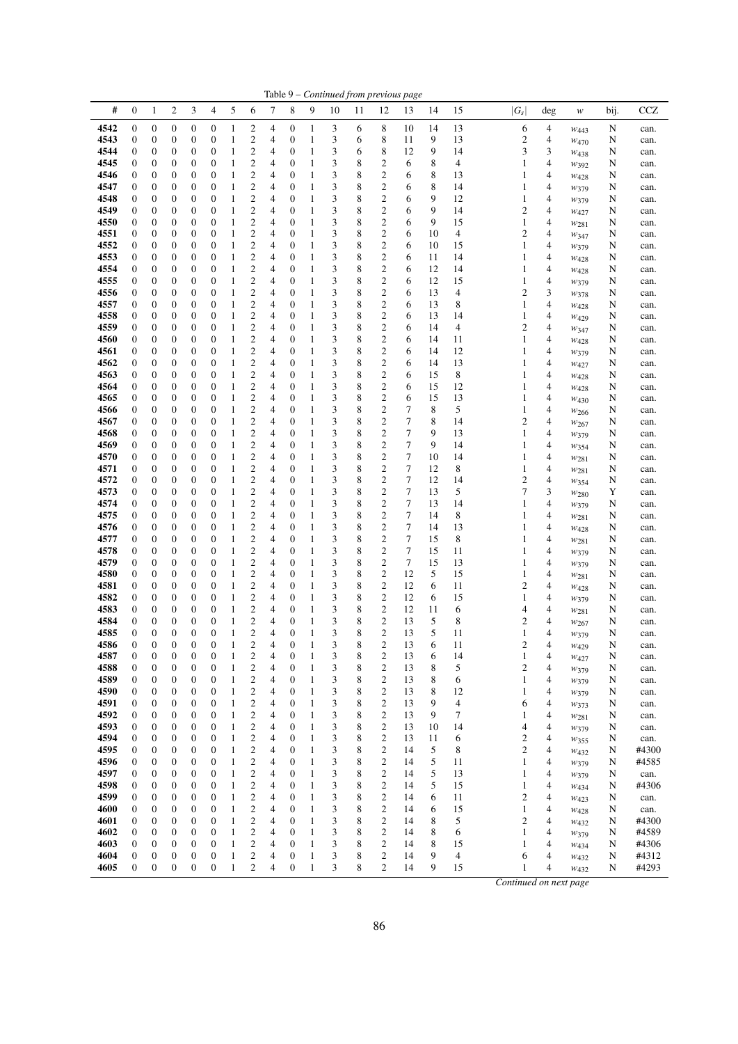| Table 9 – Continued from previous page |                       |                                      |                                      |                                      |                                      |                              |                                                    |        |                                      |                              |        |        |                                |          |          |          |                                  |                |                          |        |                |
|----------------------------------------|-----------------------|--------------------------------------|--------------------------------------|--------------------------------------|--------------------------------------|------------------------------|----------------------------------------------------|--------|--------------------------------------|------------------------------|--------|--------|--------------------------------|----------|----------|----------|----------------------------------|----------------|--------------------------|--------|----------------|
| #                                      | 0                     | 1                                    | 2                                    | 3                                    | 4                                    | 5                            | 6                                                  | 7      | 8                                    | 9                            | 10     | 11     | 12                             | 13       | 14       | 15       | $ G_s $                          | deg            | w                        | bij.   | CCZ            |
| 4542                                   | 0                     | $\boldsymbol{0}$                     | $\boldsymbol{0}$                     | $\boldsymbol{0}$                     | $\boldsymbol{0}$                     | 1                            | 2                                                  | 4      | $\boldsymbol{0}$                     | 1                            | 3      | 6      | 8                              | 10       | 14       | 13       | 6                                | 4              | $W_{443}$                | N      | can.           |
| 4543                                   | 0                     | $\boldsymbol{0}$                     | $\boldsymbol{0}$                     | $\boldsymbol{0}$                     | $\boldsymbol{0}$                     | 1                            | $\overline{c}$                                     | 4      | $\boldsymbol{0}$                     | $\mathbf{1}$                 | 3      | 6      | 8                              | 11       | 9        | 13       | $\sqrt{2}$                       | 4              | $W_{470}$                | N      | can.           |
| 4544                                   | 0                     | $\boldsymbol{0}$                     | $\boldsymbol{0}$                     | $\boldsymbol{0}$                     | 0                                    | $\mathbf{1}$                 | $\overline{\mathbf{c}}$                            | 4      | $\boldsymbol{0}$                     | $\mathbf{1}$                 | 3      | 6      | 8                              | 12       | 9        | 14       | 3                                | 3              | W438                     | N      | can.           |
| 4545                                   | $\boldsymbol{0}$      | $\boldsymbol{0}$                     | $\boldsymbol{0}$                     | $\boldsymbol{0}$                     | 0                                    | $\mathbf{1}$                 | $\boldsymbol{2}$                                   | 4      | $\mathbf{0}$                         | $\mathbf{1}$                 | 3      | 8      | $\overline{c}$                 | 6        | 8        | 4        | $\mathbf{1}$                     | 4              | W392                     | N      | can.           |
| 4546<br>4547                           | 0<br>0                | $\boldsymbol{0}$<br>$\boldsymbol{0}$ | $\boldsymbol{0}$<br>$\boldsymbol{0}$ | $\boldsymbol{0}$<br>$\boldsymbol{0}$ | 0<br>0                               | $\mathbf{1}$<br>$\mathbf{1}$ | $\overline{\mathbf{c}}$<br>$\boldsymbol{2}$        | 4<br>4 | $\boldsymbol{0}$<br>$\boldsymbol{0}$ | $\mathbf{1}$<br>$\mathbf{1}$ | 3<br>3 | 8<br>8 | $\boldsymbol{2}$<br>$\sqrt{2}$ | 6<br>6   | 8<br>8   | 13<br>14 | $\mathbf{1}$<br>$\mathbf{1}$     | 4<br>4         | $W_{428}$                | N<br>N | can.           |
| 4548                                   | 0                     | $\boldsymbol{0}$                     | $\boldsymbol{0}$                     | $\boldsymbol{0}$                     | 0                                    | $\mathbf{1}$                 | $\overline{\mathbf{c}}$                            | 4      | $\boldsymbol{0}$                     | $\mathbf{1}$                 | 3      | 8      | $\overline{c}$                 | 6        | 9        | 12       | $\mathbf{1}$                     | 4              | W379                     | N      | can.<br>can.   |
| 4549                                   | 0                     | $\boldsymbol{0}$                     | $\boldsymbol{0}$                     | $\boldsymbol{0}$                     | 0                                    | $\mathbf{1}$                 | $\overline{c}$                                     | 4      | $\boldsymbol{0}$                     | $\mathbf{1}$                 | 3      | 8      | $\overline{c}$                 | 6        | 9        | 14       | $\overline{c}$                   | 4              | W379<br>W427             | N      | can.           |
| 4550                                   | 0                     | 0                                    | $\boldsymbol{0}$                     | $\boldsymbol{0}$                     | 0                                    | 1                            | $\mathfrak{2}$                                     | 4      | $\boldsymbol{0}$                     | $\mathbf{1}$                 | 3      | 8      | $\sqrt{2}$                     | 6        | 9        | 15       | $\mathbf{1}$                     | 4              | $w_{281}$                | N      | can.           |
| 4551                                   | 0                     | 0                                    | $\boldsymbol{0}$                     | $\boldsymbol{0}$                     | 0                                    | $\mathbf{1}$                 | $\overline{c}$                                     | 4      | $\boldsymbol{0}$                     | $\mathbf{1}$                 | 3      | 8      | $\overline{c}$                 | 6        | 10       | 4        | $\overline{c}$                   | 4              | W347                     | N      | can.           |
| 4552                                   | $\boldsymbol{0}$      | $\boldsymbol{0}$                     | $\boldsymbol{0}$                     | $\boldsymbol{0}$                     | 0                                    | $\,1\,$                      | $\mathfrak{2}$                                     | 4      | $\mathbf{0}$                         | $\mathbf{1}$                 | 3      | 8      | $\sqrt{2}$                     | 6        | 10       | 15       | $\mathbf{1}$                     | $\overline{4}$ | W379                     | N      | can.           |
| 4553                                   | 0                     | $\boldsymbol{0}$                     | $\boldsymbol{0}$                     | $\boldsymbol{0}$                     | 0                                    | $\mathbf{1}$                 | $\boldsymbol{2}$                                   | 4      | $\boldsymbol{0}$                     | $\mathbf{1}$                 | 3      | 8      | $\boldsymbol{2}$               | 6        | 11       | 14       | $\mathbf{1}$                     | 4              | W428                     | N      | can.           |
| 4554                                   | 0                     | $\boldsymbol{0}$                     | $\boldsymbol{0}$                     | $\boldsymbol{0}$                     | 0                                    | $\mathbf{1}$                 | $\boldsymbol{2}$                                   | 4      | $\boldsymbol{0}$                     | $\mathbf{1}$                 | 3      | 8      | $\overline{c}$                 | 6        | 12       | 14       | $\mathbf{1}$                     | 4              | $W_{428}$                | N      | can.           |
| 4555                                   | 0                     | $\boldsymbol{0}$                     | $\boldsymbol{0}$                     | $\boldsymbol{0}$                     | 0                                    | $\mathbf{1}$                 | $\boldsymbol{2}$                                   | 4      | $\boldsymbol{0}$                     | $\mathbf{1}$                 | 3      | 8      | $\boldsymbol{2}$               | 6        | 12       | 15       | $\mathbf{1}$                     | 4              | W379                     | N      | can.           |
| 4556                                   | 0                     | $\boldsymbol{0}$                     | $\boldsymbol{0}$                     | $\boldsymbol{0}$                     | 0                                    | $\mathbf{1}$                 | $\boldsymbol{2}$                                   | 4      | $\boldsymbol{0}$                     | 1                            | 3      | 8      | $\boldsymbol{2}$               | 6        | 13       | 4        | $\boldsymbol{2}$                 | 3              | W378                     | N      | can.           |
| 4557                                   | $\boldsymbol{0}$      | 0                                    | $\boldsymbol{0}$                     | $\boldsymbol{0}$                     | 0                                    | $\mathbf{1}$                 | $\overline{c}$                                     | 4      | $\boldsymbol{0}$                     | 1                            | 3      | 8      | $\overline{c}$                 | 6        | 13       | 8        | $\mathbf{1}$                     | 4              | W428                     | N      | can.           |
| 4558<br>4559                           | 0<br>0                | $\boldsymbol{0}$<br>$\boldsymbol{0}$ | $\boldsymbol{0}$<br>$\boldsymbol{0}$ | $\boldsymbol{0}$<br>$\boldsymbol{0}$ | 0<br>$\boldsymbol{0}$                | $\mathbf{1}$<br>$\,1\,$      | $\overline{\mathbf{c}}$<br>$\mathfrak{2}$          | 4<br>4 | $\boldsymbol{0}$<br>$\boldsymbol{0}$ | $\mathbf{1}$<br>$\mathbf{1}$ | 3<br>3 | 8<br>8 | $\boldsymbol{2}$<br>$\sqrt{2}$ | 6<br>6   | 13<br>14 | 14<br>4  | $\mathbf{1}$<br>$\boldsymbol{2}$ | 4<br>4         | $W_{429}$                | N<br>N | can.<br>can.   |
| 4560                                   | 0                     | $\boldsymbol{0}$                     | $\boldsymbol{0}$                     | $\boldsymbol{0}$                     | 0                                    | $\mathbf{1}$                 | $\overline{c}$                                     | 4      | $\boldsymbol{0}$                     | $\mathbf{1}$                 | 3      | 8      | $\overline{c}$                 | 6        | 14       | 11       | $\mathbf{1}$                     | 4              | W347<br>W428             | N      | can.           |
| 4561                                   | 0                     | $\boldsymbol{0}$                     | $\boldsymbol{0}$                     | $\boldsymbol{0}$                     | 0                                    | $\mathbf{1}$                 | $\overline{c}$                                     | 4      | $\boldsymbol{0}$                     | $\mathbf{1}$                 | 3      | 8      | $\overline{c}$                 | 6        | 14       | 12       | $\mathbf{1}$                     | 4              | W379                     | N      | can.           |
| 4562                                   | 0                     | 0                                    | $\boldsymbol{0}$                     | $\boldsymbol{0}$                     | 0                                    | $\mathbf{1}$                 | $\mathfrak{2}$                                     | 4      | $\boldsymbol{0}$                     | $\mathbf{1}$                 | 3      | 8      | $\sqrt{2}$                     | 6        | 14       | 13       | $\mathbf{1}$                     | 4              | $w_{427}$                | N      | can.           |
| 4563                                   | 0                     | $\boldsymbol{0}$                     | $\boldsymbol{0}$                     | $\boldsymbol{0}$                     | 0                                    | $\mathbf{1}$                 | $\boldsymbol{2}$                                   | 4      | $\boldsymbol{0}$                     | $\mathbf{1}$                 | 3      | 8      | $\overline{c}$                 | 6        | 15       | 8        | $\mathbf{1}$                     | 4              | $W_{428}$                | N      | can.           |
| 4564                                   | $\boldsymbol{0}$      | $\boldsymbol{0}$                     | $\boldsymbol{0}$                     | $\boldsymbol{0}$                     | 0                                    | $\mathbf{1}$                 | $\mathfrak{2}$                                     | 4      | $\boldsymbol{0}$                     | $\mathbf{1}$                 | 3      | 8      | $\sqrt{2}$                     | 6        | 15       | 12       | $\mathbf{1}$                     | 4              | W428                     | N      | can.           |
| 4565                                   | 0                     | $\boldsymbol{0}$                     | $\boldsymbol{0}$                     | $\boldsymbol{0}$                     | 0                                    | $\mathbf{1}$                 | $\overline{\mathbf{c}}$                            | 4      | $\boldsymbol{0}$                     | $\mathbf{1}$                 | 3      | 8      | $\boldsymbol{2}$               | 6        | 15       | 13       | $\mathbf{1}$                     | 4              | W430                     | N      | can.           |
| 4566                                   | 0                     | $\boldsymbol{0}$                     | $\boldsymbol{0}$                     | $\boldsymbol{0}$                     | 0                                    | 1                            | $\overline{\mathbf{c}}$                            | 4      | $\boldsymbol{0}$                     | $\mathbf{1}$                 | 3      | 8      | $\sqrt{2}$                     | 7        | 8        | 5        | $\mathbf{1}$                     | 4              | W <sub>266</sub>         | N      | can.           |
| 4567                                   | 0                     | 0                                    | $\boldsymbol{0}$                     | $\boldsymbol{0}$                     | 0                                    | $\mathbf{1}$                 | $\overline{\mathbf{c}}$                            | 4      | $\boldsymbol{0}$                     | $\mathbf{1}$                 | 3      | 8      | $\overline{c}$                 | 7        | 8        | 14       | $\boldsymbol{2}$                 | 4              | W <sub>267</sub>         | N      | can.           |
| 4568                                   | 0                     | $\boldsymbol{0}$                     | $\boldsymbol{0}$                     | $\boldsymbol{0}$                     | 0                                    | $\mathbf{1}$                 | $\overline{\mathbf{c}}$                            | 4      | $\boldsymbol{0}$                     | $\mathbf{1}$                 | 3      | 8      | $\overline{c}$                 | 7        | 9        | 13       | $\mathbf{1}$                     | 4              | W379                     | N      | can.           |
| 4569<br>4570                           | 0<br>0                | 0<br>0                               | $\boldsymbol{0}$<br>$\boldsymbol{0}$ | $\boldsymbol{0}$<br>$\boldsymbol{0}$ | 0<br>0                               | 1<br>$\mathbf{1}$            | $\boldsymbol{2}$<br>$\overline{c}$                 | 4<br>4 | $\boldsymbol{0}$<br>$\boldsymbol{0}$ | 1<br>$\mathbf{1}$            | 3<br>3 | 8<br>8 | $\sqrt{2}$<br>$\boldsymbol{2}$ | 7<br>7   | 9<br>10  | 14<br>14 | $\mathbf{1}$<br>$\mathbf{1}$     | 4<br>4         | W354                     | N<br>N | can.           |
| 4571                                   | $\boldsymbol{0}$      | $\boldsymbol{0}$                     | $\boldsymbol{0}$                     | $\boldsymbol{0}$                     | 0                                    | $\mathbf{1}$                 | $\mathfrak{2}$                                     | 4      | $\mathbf{0}$                         | $\mathbf{1}$                 | 3      | 8      | $\sqrt{2}$                     | 7        | 12       | 8        | $\mathbf{1}$                     | 4              | W281                     | N      | can.<br>can.   |
| 4572                                   | 0                     | $\boldsymbol{0}$                     | $\boldsymbol{0}$                     | $\boldsymbol{0}$                     | 0                                    | $\mathbf{1}$                 | $\overline{c}$                                     | 4      | $\boldsymbol{0}$                     | $\mathbf{1}$                 | 3      | 8      | $\overline{c}$                 | 7        | 12       | 14       | $\sqrt{2}$                       | 4              | $w_{281}$<br>W354        | N      | can.           |
| 4573                                   | 0                     | $\boldsymbol{0}$                     | $\boldsymbol{0}$                     | $\boldsymbol{0}$                     | 0                                    | $\mathbf{1}$                 | $\boldsymbol{2}$                                   | 4      | $\boldsymbol{0}$                     | $\mathbf{1}$                 | 3      | 8      | $\overline{c}$                 | 7        | 13       | 5        | 7                                | 3              | W <sub>280</sub>         | Y      | can.           |
| 4574                                   | 0                     | 0                                    | $\boldsymbol{0}$                     | $\boldsymbol{0}$                     | 0                                    | $\mathbf{1}$                 | $\overline{c}$                                     | 4      | $\boldsymbol{0}$                     | $\mathbf{1}$                 | 3      | 8      | $\overline{c}$                 | 7        | 13       | 14       | $\mathbf{1}$                     | 4              | W379                     | N      | can.           |
| 4575                                   | 0                     | $\boldsymbol{0}$                     | $\boldsymbol{0}$                     | $\boldsymbol{0}$                     | 0                                    | $\mathbf{1}$                 | $\mathfrak{2}$                                     | 4      | $\boldsymbol{0}$                     | $\mathbf{1}$                 | 3      | 8      | $\sqrt{2}$                     | 7        | 14       | 8        | 1                                | 4              | $w_{281}$                | N      | can.           |
| 4576                                   | $\boldsymbol{0}$      | 0                                    | $\boldsymbol{0}$                     | $\boldsymbol{0}$                     | 0                                    | $\mathbf{1}$                 | $\boldsymbol{2}$                                   | 4      | $\boldsymbol{0}$                     | $\mathbf{1}$                 | 3      | 8      | $\sqrt{2}$                     | 7        | 14       | 13       | $\mathbf{1}$                     | 4              | W428                     | N      | can.           |
| 4577                                   | 0                     | $\boldsymbol{0}$                     | $\boldsymbol{0}$                     | $\boldsymbol{0}$                     | 0                                    | $\mathbf{1}$                 | $\boldsymbol{2}$                                   | 4      | $\boldsymbol{0}$                     | $\mathbf{1}$                 | 3      | 8      | $\boldsymbol{2}$               | 7        | 15       | 8        | $\mathbf{1}$                     | 4              | W281                     | N      | can.           |
| 4578                                   | 0                     | $\boldsymbol{0}$                     | $\boldsymbol{0}$                     | $\boldsymbol{0}$                     | $\boldsymbol{0}$                     | $\mathbf{1}$                 | $\boldsymbol{2}$                                   | 4      | $\boldsymbol{0}$                     | $\mathbf{1}$                 | 3      | 8      | $\sqrt{2}$                     | 7        | 15       | 11       | $\mathbf{1}$                     | 4              | W379                     | N      | can.           |
| 4579<br>4580                           | 0                     | $\boldsymbol{0}$                     | $\boldsymbol{0}$                     | $\boldsymbol{0}$                     | 0                                    | $\mathbf{1}$                 | $\boldsymbol{2}$                                   | 4      | $\boldsymbol{0}$                     | $\mathbf{1}$                 | 3      | 8      | $\overline{c}$                 | 7<br>12  | 15       | 13       | $\mathbf{1}$                     | 4              | W379                     | N      | can.           |
| 4581                                   | 0<br>0                | $\boldsymbol{0}$<br>0                | $\boldsymbol{0}$<br>$\boldsymbol{0}$ | $\boldsymbol{0}$<br>$\boldsymbol{0}$ | 0<br>0                               | $\mathbf{1}$<br>1            | $\overline{c}$<br>$\mathfrak{2}$                   | 4<br>4 | $\boldsymbol{0}$<br>$\boldsymbol{0}$ | $\mathbf{1}$<br>$\mathbf{1}$ | 3<br>3 | 8<br>8 | $\overline{c}$<br>$\sqrt{2}$   | 12       | 5<br>6   | 15<br>11 | $\mathbf{1}$<br>$\boldsymbol{2}$ | 4<br>4         | W281                     | N<br>N | can.<br>can.   |
| 4582                                   | 0                     | $\boldsymbol{0}$                     | $\boldsymbol{0}$                     | $\boldsymbol{0}$                     | 0                                    | $\mathbf{1}$                 | $\overline{c}$                                     | 4      | $\boldsymbol{0}$                     | $\mathbf{1}$                 | 3      | 8      | $\boldsymbol{2}$               | 12       | 6        | 15       | $\mathbf{1}$                     | 4              | W428<br>W379             | N      | can.           |
| 4583                                   | $\boldsymbol{0}$      | 0                                    | $\boldsymbol{0}$                     | $\boldsymbol{0}$                     | 0                                    | $\mathbf{1}$                 | $\boldsymbol{2}$                                   | 4      | $\boldsymbol{0}$                     | $\mathbf{1}$                 | 3      | 8      | $\overline{c}$                 | 12       | 11       | 6        | 4                                | 4              | $w_{281}$                | N      | can.           |
| 4584                                   | $\boldsymbol{0}$      | 0                                    | $\boldsymbol{0}$                     | $\boldsymbol{0}$                     | $\overline{0}$                       | 1                            | $\boldsymbol{2}$                                   | 4      | $\boldsymbol{0}$                     | $\mathbf{1}$                 | 3      | 8      | $\sqrt{2}$                     | 13       | 5        | 8        | $\boldsymbol{2}$                 | $\overline{4}$ | W267                     | N      | can.           |
| 4585                                   | $\overline{0}$        | $\overline{0}$                       | $\overline{0}$                       | $\mathbf{0}$                         | $\overline{0}$                       | 1                            | $\mathfrak{2}$                                     | 4      | $\overline{0}$                       | 1                            | 3      | 8      | $\mathfrak{2}$                 | 13       | 5        | 11       | 1                                | 4              | W379                     | N      | can.           |
| 4586                                   | $\boldsymbol{0}$      | $\boldsymbol{0}$                     | $\boldsymbol{0}$                     | $\boldsymbol{0}$                     | $\boldsymbol{0}$                     | $\mathbf{1}$                 | $\overline{c}$                                     | 4      | $\boldsymbol{0}$                     | 1                            | 3      | 8      | 2                              | 13       | 6        | 11       | 2                                | 4              | W429                     | N      | can.           |
| 4587                                   | $\boldsymbol{0}$      | $\boldsymbol{0}$                     | $\boldsymbol{0}$                     | $\boldsymbol{0}$                     | $\boldsymbol{0}$                     | $\mathbf{1}$                 | $\mathbf{2}$                                       | 4      | $\mathbf{0}$                         | $\mathbf{1}$                 | 3      | 8      | $\sqrt{2}$                     | 13       | 6        | 14       | $\mathbf{1}$                     | 4              | $W_{427}$                | N      | can.           |
| 4588                                   | 0                     | $\boldsymbol{0}$                     | $\boldsymbol{0}$                     | $\boldsymbol{0}$                     | 0                                    | $\mathbf{1}$                 | $\mathbf{2}$                                       | 4      | $\mathbf{0}$                         | $\mathbf{1}$                 | 3      | 8      | $\sqrt{2}$                     | 13       | 8        | 5        | $\boldsymbol{2}$                 | 4              | W379                     | N      | can.           |
| 4589<br>4590                           | 0<br>$\boldsymbol{0}$ | 0                                    | $\boldsymbol{0}$<br>$\boldsymbol{0}$ | $\boldsymbol{0}$                     | $\boldsymbol{0}$                     | $\mathbf{1}$                 | $\boldsymbol{2}$                                   | 4      | $\boldsymbol{0}$<br>$\boldsymbol{0}$ | $\mathbf{1}$<br>$\mathbf{1}$ | 3<br>3 | 8<br>8 | $\overline{c}$<br>$\sqrt{2}$   | 13       | 8<br>8   | 6        | $\mathbf{1}$                     | 4              | W379                     | N      | can.           |
| 4591                                   | 0                     | $\boldsymbol{0}$<br>$\boldsymbol{0}$ | $\boldsymbol{0}$                     | $\boldsymbol{0}$<br>$\boldsymbol{0}$ | $\boldsymbol{0}$<br>$\boldsymbol{0}$ | $\mathbf{1}$<br>$\mathbf{1}$ | $\overline{\mathbf{c}}$<br>$\overline{\mathbf{c}}$ | 4<br>4 | $\boldsymbol{0}$                     | $\mathbf{1}$                 | 3      | 8      | $\sqrt{2}$                     | 13<br>13 | 9        | 12<br>4  | $\mathbf{1}$<br>6                | 4<br>4         | W379                     | N<br>N | can.<br>can.   |
| 4592                                   | 0                     | $\boldsymbol{0}$                     | $\boldsymbol{0}$                     | $\boldsymbol{0}$                     | $\boldsymbol{0}$                     | $\mathbf{1}$                 | $\overline{\mathbf{c}}$                            | 4      | $\boldsymbol{0}$                     | $\mathbf{1}$                 | 3      | 8      | $\sqrt{2}$                     | 13       | 9        | 7        | $\mathbf{1}$                     | 4              | $w_{373}$<br>W281        | N      | can.           |
| 4593                                   | $\boldsymbol{0}$      | $\boldsymbol{0}$                     | $\boldsymbol{0}$                     | $\boldsymbol{0}$                     | $\boldsymbol{0}$                     | $\mathbf{1}$                 | $\overline{\mathbf{c}}$                            | 4      | $\boldsymbol{0}$                     | $\mathbf{1}$                 | 3      | 8      | $\sqrt{2}$                     | 13       | 10       | 14       | $\overline{4}$                   | 4              | W379                     | N      | can.           |
| 4594                                   | 0                     | $\boldsymbol{0}$                     | $\boldsymbol{0}$                     | $\boldsymbol{0}$                     | $\boldsymbol{0}$                     | $\mathbf{1}$                 | $\overline{\mathbf{c}}$                            | 4      | $\boldsymbol{0}$                     | $\mathbf{1}$                 | 3      | 8      | $\sqrt{2}$                     | 13       | 11       | 6        | $\boldsymbol{2}$                 | 4              | $w_{355}$                | N      | can.           |
| 4595                                   | 0                     | $\boldsymbol{0}$                     | $\boldsymbol{0}$                     | $\boldsymbol{0}$                     | $\boldsymbol{0}$                     | $\mathbf{1}$                 | $\sqrt{2}$                                         | 4      | $\boldsymbol{0}$                     | $\mathbf{1}$                 | 3      | 8      | $\sqrt{2}$                     | 14       | 5        | 8        | $\overline{c}$                   | 4              | W <sub>432</sub>         | N      | #4300          |
| 4596                                   | 0                     | $\boldsymbol{0}$                     | $\boldsymbol{0}$                     | $\boldsymbol{0}$                     | $\boldsymbol{0}$                     | $\mathbf{1}$                 | $\boldsymbol{2}$                                   | 4      | $\boldsymbol{0}$                     | $\mathbf{1}$                 | 3      | 8      | $\sqrt{2}$                     | 14       | 5        | 11       | $\mathbf{1}$                     | 4              | W379                     | N      | #4585          |
| 4597                                   | $\boldsymbol{0}$      | $\boldsymbol{0}$                     | $\boldsymbol{0}$                     | $\boldsymbol{0}$                     | $\boldsymbol{0}$                     | $\,1$                        | $\overline{\mathbf{c}}$                            | 4      | $\boldsymbol{0}$                     | $\mathbf{1}$                 | 3      | 8      | $\overline{c}$                 | 14       | 5        | 13       | $\mathbf{1}$                     | 4              | W379                     | N      | can.           |
| 4598                                   | 0                     | $\boldsymbol{0}$                     | $\boldsymbol{0}$                     | $\boldsymbol{0}$                     | $\boldsymbol{0}$                     | $\mathbf{1}$                 | $\overline{c}$                                     | 4      | $\boldsymbol{0}$                     | $\,1\,$                      | 3      | 8      | $\sqrt{2}$                     | 14       | 5        | 15       | $\mathbf{1}$                     | 4              | W434                     | N      | #4306          |
| 4599                                   | 0                     | $\boldsymbol{0}$                     | $\boldsymbol{0}$                     | $\boldsymbol{0}$                     | $\boldsymbol{0}$                     | $\mathbf{1}$                 | $\overline{c}$                                     | 4      | $\boldsymbol{0}$                     | $\mathbf{1}$                 | 3      | 8      | $\boldsymbol{2}$               | 14       | 6        | 11       | $\boldsymbol{2}$                 | 4              | $W_{423}$                | N      | can.           |
| 4600                                   | $\boldsymbol{0}$      | $\boldsymbol{0}$                     | $\boldsymbol{0}$                     | $\boldsymbol{0}$                     | $\boldsymbol{0}$                     | $\mathbf{1}$                 | $\mathbf{2}$                                       | 4      | $\boldsymbol{0}$                     | $\mathbf{1}$                 | 3      | 8      | $\sqrt{2}$                     | 14       | 6        | 15       | $\mathbf{1}$                     | 4              | W428                     | N      | can.           |
| 4601                                   | 0<br>$\boldsymbol{0}$ | $\boldsymbol{0}$<br>$\boldsymbol{0}$ | $\boldsymbol{0}$<br>$\boldsymbol{0}$ | $\boldsymbol{0}$<br>$\boldsymbol{0}$ | $\boldsymbol{0}$<br>$\overline{0}$   | $\mathbf{1}$<br>$\mathbf{1}$ | $\boldsymbol{2}$                                   | 4<br>4 | $\boldsymbol{0}$<br>$\boldsymbol{0}$ | $\mathbf{1}$<br>$\mathbf{1}$ | 3<br>3 | 8<br>8 | $\sqrt{2}$<br>$\sqrt{2}$       | 14<br>14 | 8<br>8   | 5<br>6   | $\overline{c}$<br>$\mathbf{1}$   | 4<br>4         | W432                     | N      | #4300          |
| 4602<br>4603                           | $\boldsymbol{0}$      | $\mathbf{0}$                         | $\boldsymbol{0}$                     | $\boldsymbol{0}$                     | $\boldsymbol{0}$                     | $\mathbf{1}$                 | $\boldsymbol{2}$<br>$\boldsymbol{2}$               | 4      | $\boldsymbol{0}$                     | $\mathbf{1}$                 | 3      | 8      | $\sqrt{2}$                     | 14       | 8        | 15       | $\mathbf{1}$                     | 4              | W379                     | N<br>N | #4589<br>#4306 |
| 4604                                   | $\boldsymbol{0}$      | $\mathbf{0}$                         | $\boldsymbol{0}$                     | $\boldsymbol{0}$                     | $\boldsymbol{0}$                     | $\mathbf{1}$                 | $\boldsymbol{2}$                                   | 4      | $\boldsymbol{0}$                     | $\mathbf{1}$                 | 3      | 8      | $\sqrt{2}$                     | 14       | 9        | 4        | 6                                | 4              | W <sub>434</sub><br>W432 | N      | #4312          |
| 4605                                   | $\boldsymbol{0}$      | $\boldsymbol{0}$                     | $\boldsymbol{0}$                     | $\boldsymbol{0}$                     | $\overline{0}$                       | $\mathbf{1}$                 | $\mathbf{2}$                                       | 4      | $\boldsymbol{0}$                     | $\mathbf{1}$                 | 3      | 8      | $\overline{c}$                 | 14       | 9        | 15       | $\mathbf{1}$                     | 4              | W432                     | N      | #4293          |
|                                        |                       |                                      |                                      |                                      |                                      |                              |                                                    |        |                                      |                              |        |        |                                |          |          |          |                                  |                |                          |        |                |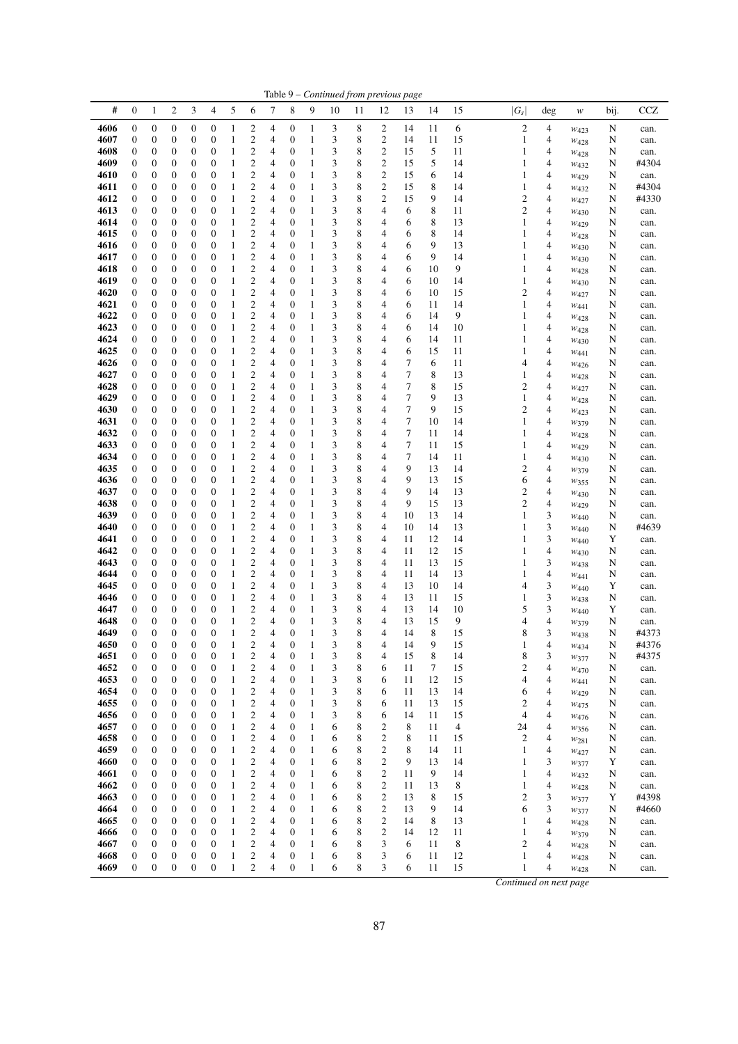|              |                       |                                      |                                      |                                      |                                      |                              |                                             |        |                                      |                              |        |                  | Table 9 – Continued from previous page |                |                  |                |                                  |                                  |                          |        |              |
|--------------|-----------------------|--------------------------------------|--------------------------------------|--------------------------------------|--------------------------------------|------------------------------|---------------------------------------------|--------|--------------------------------------|------------------------------|--------|------------------|----------------------------------------|----------------|------------------|----------------|----------------------------------|----------------------------------|--------------------------|--------|--------------|
| #            | 0                     | 1                                    | $\overline{\mathbf{c}}$              | 3                                    | 4                                    | 5                            | 6                                           | 7      | 8                                    | 9                            | 10     | 11               | 12                                     | 13             | 14               | 15             | $ G_{\scriptscriptstyle S} $     | deg                              | w                        | bij.   | <b>CCZ</b>   |
| 4606         | $\boldsymbol{0}$      | $\boldsymbol{0}$                     | $\boldsymbol{0}$                     | $\boldsymbol{0}$                     | 0                                    | $\mathbf{1}$                 | $\overline{\mathbf{c}}$                     | 4      | $\boldsymbol{0}$                     | $\mathbf{1}$                 | 3      | 8                | $\overline{c}$                         | 14             | 11               | 6              | $\sqrt{2}$                       | $\overline{4}$                   | $W_{423}$                | N      | can.         |
| 4607         | 0                     | $\boldsymbol{0}$                     | $\boldsymbol{0}$                     | $\boldsymbol{0}$                     | $\boldsymbol{0}$                     | $\mathbf{1}$                 | $\boldsymbol{2}$                            | 4      | $\boldsymbol{0}$                     | $\mathbf{1}$                 | 3      | 8                | $\boldsymbol{2}$                       | 14             | 11               | 15             | 1                                | $\overline{4}$                   | $W_{428}$                | N      | can.         |
| 4608         | 0                     | $\boldsymbol{0}$                     | $\boldsymbol{0}$                     | $\boldsymbol{0}$                     | $\boldsymbol{0}$                     | $\,1\,$                      | $\overline{\mathbf{c}}$                     | 4      | $\boldsymbol{0}$                     | $\mathbf{1}$                 | 3      | 8                | $\overline{\mathbf{c}}$                | 15             | 5                | 11             | $\mathbf{1}$                     | $\overline{4}$                   | W428                     | N      | can.         |
| 4609         | 0                     | $\boldsymbol{0}$                     | $\boldsymbol{0}$                     | $\boldsymbol{0}$                     | $\boldsymbol{0}$                     | $\mathbf{1}$                 | $\overline{\mathbf{c}}$                     | 4      | $\boldsymbol{0}$                     | $\mathbf{1}$                 | 3      | 8                | $\overline{\mathbf{c}}$                | 15             | 5                | 14             | $\mathbf{1}$                     | 4                                | W432                     | N      | #4304        |
| 4610         | $\boldsymbol{0}$      | $\boldsymbol{0}$                     | $\boldsymbol{0}$                     | $\boldsymbol{0}$                     | $\boldsymbol{0}$                     | $\,1\,$                      | $\overline{c}$                              | 4      | $\boldsymbol{0}$                     | $\mathbf{1}$                 | 3      | $\,$ 8 $\,$      | $\overline{c}$                         | 15             | 6                | 14             | $\mathbf{1}$                     | $\overline{\mathcal{A}}$         | $W_{429}$                | N      | can.         |
| 4611         | 0                     | $\boldsymbol{0}$                     | $\boldsymbol{0}$                     | $\boldsymbol{0}$                     | $\boldsymbol{0}$                     | 1                            | $\boldsymbol{2}$                            | 4      | $\boldsymbol{0}$                     | $\mathbf{1}$                 | 3      | 8                | $\sqrt{2}$                             | 15             | 8                | 14             | $\mathbf{1}$                     | $\overline{\mathcal{A}}$         | W <sub>432</sub>         | N      | #4304        |
| 4612         | $\boldsymbol{0}$      | $\boldsymbol{0}$                     | $\boldsymbol{0}$                     | $\boldsymbol{0}$                     | $\boldsymbol{0}$                     | $\mathbf{1}$                 | $\overline{\mathbf{c}}$                     | 4      | $\boldsymbol{0}$                     | $\mathbf{1}$                 | 3      | 8                | $\overline{\mathbf{c}}$                | 15             | 9                | 14             | $\boldsymbol{2}$                 | $\overline{\mathcal{A}}$         | W427                     | N      | #4330        |
| 4613<br>4614 | 0<br>0                | $\boldsymbol{0}$<br>$\boldsymbol{0}$ | $\boldsymbol{0}$<br>$\boldsymbol{0}$ | $\boldsymbol{0}$<br>$\boldsymbol{0}$ | $\boldsymbol{0}$<br>$\boldsymbol{0}$ | $\mathbf{1}$<br>$\mathbf{1}$ | $\boldsymbol{2}$<br>$\overline{\mathbf{c}}$ | 4      | $\boldsymbol{0}$<br>$\boldsymbol{0}$ | $\mathbf{1}$<br>$\mathbf{1}$ | 3<br>3 | 8                | $\overline{\mathcal{L}}$<br>4          | 6<br>6         | $\,$ 8 $\,$<br>8 | 11<br>13       | $\overline{c}$<br>$\mathbf{1}$   | $\overline{\mathcal{A}}$<br>4    | W430                     | N      | can.         |
| 4615         | 0                     | $\boldsymbol{0}$                     | $\boldsymbol{0}$                     | $\boldsymbol{0}$                     | 0                                    | $\,1\,$                      | $\mathfrak{2}$                              | 4<br>4 | $\boldsymbol{0}$                     | $\mathbf{1}$                 | 3      | 8<br>8           | 4                                      | 6              | 8                | 14             | $\mathbf{1}$                     | 4                                | $W_{429}$                | N<br>N | can.<br>can. |
| 4616         | 0                     | $\boldsymbol{0}$                     | $\boldsymbol{0}$                     | $\boldsymbol{0}$                     | $\boldsymbol{0}$                     | $\mathbf{1}$                 | $\overline{\mathbf{c}}$                     | 4      | $\boldsymbol{0}$                     | $\mathbf{1}$                 | 3      | 8                | 4                                      | 6              | 9                | 13             | $\mathbf{1}$                     | $\overline{\mathcal{A}}$         | $W_{428}$<br>W430        | N      | can.         |
| 4617         | $\boldsymbol{0}$      | $\boldsymbol{0}$                     | $\boldsymbol{0}$                     | $\boldsymbol{0}$                     | $\boldsymbol{0}$                     | $\mathbf{1}$                 | $\overline{\mathbf{c}}$                     | 4      | $\boldsymbol{0}$                     | $\mathbf{1}$                 | 3      | $\,$ 8 $\,$      | 4                                      | 6              | 9                | 14             | $\mathbf{1}$                     | $\overline{4}$                   | W430                     | N      | can.         |
| 4618         | 0                     | $\boldsymbol{0}$                     | $\boldsymbol{0}$                     | $\boldsymbol{0}$                     | $\boldsymbol{0}$                     | 1                            | $\boldsymbol{2}$                            | 4      | 0                                    | $\mathbf{1}$                 | 3      | 8                | 4                                      | 6              | 10               | 9              | $\mathbf{1}$                     | $\overline{4}$                   | $W_{428}$                | N      | can.         |
| 4619         | 0                     | $\boldsymbol{0}$                     | $\boldsymbol{0}$                     | $\boldsymbol{0}$                     | $\boldsymbol{0}$                     | $\mathbf{1}$                 | $\boldsymbol{2}$                            | 4      | $\boldsymbol{0}$                     | $\mathbf{1}$                 | 3      | 8                | 4                                      | 6              | 10               | 14             | $\mathbf{1}$                     | $\overline{4}$                   | W <sub>430</sub>         | N      | can.         |
| 4620         | 0                     | $\boldsymbol{0}$                     | $\boldsymbol{0}$                     | $\boldsymbol{0}$                     | 0                                    | $\mathbf{1}$                 | $\mathfrak{2}$                              | 4      | $\boldsymbol{0}$                     | $\mathbf{1}$                 | 3      | 8                | 4                                      | 6              | 10               | 15             | $\overline{c}$                   | $\overline{4}$                   | W427                     | N      | can.         |
| 4621         | 0                     | $\boldsymbol{0}$                     | $\boldsymbol{0}$                     | $\boldsymbol{0}$                     | 0                                    | $\mathbf{1}$                 | $\boldsymbol{2}$                            | 4      | $\boldsymbol{0}$                     | $\mathbf{1}$                 | 3      | 8                | 4                                      | 6              | 11               | 14             | $\mathbf{1}$                     | $\overline{4}$                   | W441                     | N      | can.         |
| 4622         | $\boldsymbol{0}$      | $\boldsymbol{0}$                     | $\boldsymbol{0}$                     | $\boldsymbol{0}$                     | $\boldsymbol{0}$                     | $\mathbf{1}$                 | $\overline{\mathbf{c}}$                     | 4      | $\boldsymbol{0}$                     | $\mathbf{1}$                 | 3      | $\,$ 8 $\,$      | 4                                      | 6              | 14               | 9              | $\mathbf{1}$                     | 4                                | $W_{428}$                | N      | can.         |
| 4623         | $\boldsymbol{0}$      | $\boldsymbol{0}$                     | $\boldsymbol{0}$                     | $\boldsymbol{0}$                     | $\boldsymbol{0}$                     | $\mathbf{1}$                 | $\overline{\mathbf{c}}$                     | 4      | $\boldsymbol{0}$                     | $\mathbf{1}$                 | 3      | 8                | 4                                      | 6              | 14               | 10             | $\mathbf{1}$                     | $\overline{4}$                   | $W_{428}$                | N      | can.         |
| 4624         | $\boldsymbol{0}$      | $\boldsymbol{0}$                     | $\boldsymbol{0}$                     | $\boldsymbol{0}$                     | $\boldsymbol{0}$                     | $\mathbf{1}$                 | $\boldsymbol{2}$                            | 4      | $\boldsymbol{0}$                     | $\mathbf{1}$                 | 3      | $\,$ 8 $\,$      | 4                                      | 6              | 14               | 11             | $\mathbf{1}$                     | $\overline{4}$                   | W430                     | N      | can.         |
| 4625         | $\boldsymbol{0}$      | $\boldsymbol{0}$                     | $\boldsymbol{0}$                     | $\boldsymbol{0}$                     | $\boldsymbol{0}$                     | $\mathbf{1}$                 | $\boldsymbol{2}$                            | 4      | $\boldsymbol{0}$                     | $\mathbf{1}$                 | 3      | 8                | 4                                      | 6              | 15               | 11             | $\mathbf{1}$                     | $\overline{4}$                   | W441                     | N      | can.         |
| 4626         | 0                     | $\boldsymbol{0}$                     | $\boldsymbol{0}$                     | $\boldsymbol{0}$                     | $\boldsymbol{0}$                     | 1                            | $\overline{\mathbf{c}}$                     | 4      | $\boldsymbol{0}$                     | $\mathbf{1}$                 | 3      | 8                | 4                                      | 7              | 6                | 11             | 4                                | $\overline{4}$                   | $W_{426}$                | N      | can.         |
| 4627<br>4628 | 0                     | $\boldsymbol{0}$                     | $\boldsymbol{0}$<br>$\boldsymbol{0}$ | $\boldsymbol{0}$                     | $\boldsymbol{0}$<br>$\boldsymbol{0}$ | $\mathbf{1}$<br>1            | $\boldsymbol{2}$                            | 4      | $\boldsymbol{0}$<br>$\boldsymbol{0}$ | $\mathbf{1}$<br>$\mathbf{1}$ | 3      | 8                | 4                                      | 7              | 8<br>8           | 13<br>15       | $\mathbf{1}$                     | $\overline{4}$                   | $W_{428}$                | N      | can.         |
| 4629         | 0<br>$\boldsymbol{0}$ | $\boldsymbol{0}$<br>$\boldsymbol{0}$ | $\boldsymbol{0}$                     | $\boldsymbol{0}$<br>$\boldsymbol{0}$ | $\boldsymbol{0}$                     | $\mathbf{1}$                 | $\overline{\mathbf{c}}$<br>$\overline{c}$   | 4<br>4 | $\boldsymbol{0}$                     | $\mathbf{1}$                 | 3<br>3 | 8<br>$\,$ 8 $\,$ | 4<br>$\overline{4}$                    | 7<br>7         | 9                | 13             | $\boldsymbol{2}$<br>$\mathbf{1}$ | 4<br>$\overline{\mathcal{A}}$    | W427                     | N<br>N | can.<br>can. |
| 4630         | 0                     | $\boldsymbol{0}$                     | $\boldsymbol{0}$                     | $\boldsymbol{0}$                     | $\boldsymbol{0}$                     | 1                            | $\overline{\mathbf{c}}$                     | 4      | 0                                    | $\mathbf{1}$                 | 3      | 8                | 4                                      | 7              | 9                | 15             | $\overline{\mathbf{c}}$          | $\overline{\mathcal{A}}$         | W428<br>$W_{423}$        | N      | can.         |
| 4631         | 0                     | $\boldsymbol{0}$                     | $\boldsymbol{0}$                     | $\boldsymbol{0}$                     | $\boldsymbol{0}$                     | $\mathbf{1}$                 | $\boldsymbol{2}$                            | 4      | $\boldsymbol{0}$                     | $\mathbf{1}$                 | 3      | 8                | 4                                      | 7              | 10               | 14             | $\mathbf{1}$                     | $\overline{4}$                   | W379                     | N      | can.         |
| 4632         | $\boldsymbol{0}$      | $\boldsymbol{0}$                     | $\boldsymbol{0}$                     | $\boldsymbol{0}$                     | $\boldsymbol{0}$                     | $\,1$                        | $\mathbf{2}$                                | 4      | $\boldsymbol{0}$                     | $\mathbf{1}$                 | 3      | 8                | 4                                      | $\overline{7}$ | 11               | 14             | $\mathbf{1}$                     | $\overline{4}$                   | W428                     | N      | can.         |
| 4633         | 0                     | $\boldsymbol{0}$                     | $\boldsymbol{0}$                     | $\boldsymbol{0}$                     | 0                                    | $\mathbf{1}$                 | $\mathbf{2}$                                | 4      | $\boldsymbol{0}$                     | $\mathbf{1}$                 | 3      | 8                | 4                                      | 7              | 11               | 15             | $\mathbf{1}$                     | 4                                | W429                     | N      | can.         |
| 4634         | 0                     | $\boldsymbol{0}$                     | $\boldsymbol{0}$                     | $\boldsymbol{0}$                     | 0                                    | $\mathbf{1}$                 | $\overline{\mathbf{c}}$                     | 4      | $\boldsymbol{0}$                     | $\mathbf{1}$                 | 3      | 8                | 4                                      | $\tau$         | 14               | 11             | $\mathbf{1}$                     | 4                                | W430                     | N      | can.         |
| 4635         | 0                     | $\boldsymbol{0}$                     | $\boldsymbol{0}$                     | $\boldsymbol{0}$                     | $\boldsymbol{0}$                     | 1                            | $\overline{\mathbf{c}}$                     | 4      | $\boldsymbol{0}$                     | $\mathbf{1}$                 | 3      | 8                | 4                                      | 9              | 13               | 14             | $\overline{\mathbf{c}}$          | 4                                | W379                     | N      | can.         |
| 4636         | $\boldsymbol{0}$      | $\boldsymbol{0}$                     | $\boldsymbol{0}$                     | $\boldsymbol{0}$                     | $\boldsymbol{0}$                     | $\mathbf{1}$                 | $\overline{\mathbf{c}}$                     | 4      | $\boldsymbol{0}$                     | $\mathbf{1}$                 | 3      | $\,$ 8 $\,$      | 4                                      | 9              | 13               | 15             | 6                                | $\overline{4}$                   | W355                     | N      | can.         |
| 4637         | 0                     | $\boldsymbol{0}$                     | $\boldsymbol{0}$                     | $\boldsymbol{0}$                     | $\boldsymbol{0}$                     | 1                            | $\boldsymbol{2}$                            | 4      | 0                                    | $\mathbf{1}$                 | 3      | 8                | 4                                      | 9              | 14               | 13             | $\boldsymbol{2}$                 | $\overline{4}$                   | W430                     | N      | can.         |
| 4638         | 0                     | $\boldsymbol{0}$                     | $\boldsymbol{0}$                     | $\boldsymbol{0}$                     | $\boldsymbol{0}$                     | $\mathbf{1}$                 | $\overline{c}$                              | 4      | $\boldsymbol{0}$                     | $\mathbf{1}$                 | 3      | 8                | 4                                      | 9              | 15               | 13             | $\overline{c}$                   | $\overline{4}$                   | W429                     | N      | can.         |
| 4639         | 0                     | $\boldsymbol{0}$                     | $\boldsymbol{0}$                     | $\boldsymbol{0}$                     | $\boldsymbol{0}$                     | $\mathbf{1}$                 | $\boldsymbol{2}$                            | 4      | $\boldsymbol{0}$                     | $\mathbf{1}$                 | 3      | 8                | 4                                      | 10             | 13               | 14             | $\mathbf{1}$                     | $\mathfrak{Z}$                   | $W_{440}$                | N      | can.         |
| 4640<br>4641 | 0<br>$\boldsymbol{0}$ | $\boldsymbol{0}$<br>$\boldsymbol{0}$ | $\boldsymbol{0}$<br>$\boldsymbol{0}$ | $\boldsymbol{0}$<br>$\boldsymbol{0}$ | $\boldsymbol{0}$<br>$\boldsymbol{0}$ | $\,1\,$<br>$\,1\,$           | $\boldsymbol{2}$<br>$\overline{c}$          | 4<br>4 | $\boldsymbol{0}$<br>$\boldsymbol{0}$ | $\mathbf{1}$<br>$\mathbf{1}$ | 3<br>3 | 8<br>$\,$ 8 $\,$ | 4<br>$\overline{4}$                    | 10<br>11       | 14<br>12         | 13<br>14       | $\mathbf{1}$<br>$\,1\,$          | $\mathfrak{Z}$<br>3              | W440                     | N<br>Y | #4639        |
| 4642         | $\boldsymbol{0}$      | $\boldsymbol{0}$                     | $\boldsymbol{0}$                     | $\boldsymbol{0}$                     | $\boldsymbol{0}$                     | $\mathbf{1}$                 | $\boldsymbol{2}$                            | 4      | $\boldsymbol{0}$                     | $\mathbf{1}$                 | 3      | 8                | 4                                      | 11             | 12               | 15             | $\mathbf{1}$                     | $\overline{\mathcal{A}}$         | W440                     | N      | can.<br>can. |
| 4643         | 0                     | $\boldsymbol{0}$                     | $\boldsymbol{0}$                     | $\boldsymbol{0}$                     | $\boldsymbol{0}$                     | $\,1$                        | $\overline{\mathbf{c}}$                     | 4      | $\boldsymbol{0}$                     | $\mathbf{1}$                 | 3      | $\,$ 8 $\,$      | $\overline{4}$                         | 11             | 13               | 15             | $\mathbf{1}$                     | 3                                | W430<br>W <sub>438</sub> | N      | can.         |
| 4644         | $\boldsymbol{0}$      | $\boldsymbol{0}$                     | $\boldsymbol{0}$                     | $\boldsymbol{0}$                     | $\boldsymbol{0}$                     | $\mathbf{1}$                 | $\overline{\mathbf{c}}$                     | 4      | $\boldsymbol{0}$                     | $\mathbf{1}$                 | 3      | 8                | $\overline{4}$                         | 11             | 14               | 13             | $\mathbf{1}$                     | $\overline{\mathcal{A}}$         | W441                     | N      | can.         |
| 4645         | 0                     | $\boldsymbol{0}$                     | $\boldsymbol{0}$                     | $\boldsymbol{0}$                     | $\boldsymbol{0}$                     | 1                            | $\boldsymbol{2}$                            | 4      | $\boldsymbol{0}$                     | $\mathbf{1}$                 | 3      | 8                | 4                                      | 13             | 10               | 14             | 4                                | $\ensuremath{\mathfrak{Z}}$      | W440                     | Y      | can.         |
| 4646         | 0                     | $\boldsymbol{0}$                     | $\boldsymbol{0}$                     | $\boldsymbol{0}$                     | $\boldsymbol{0}$                     | $\mathbf{1}$                 | $\mathbf{2}$                                | 4      | $\boldsymbol{0}$                     | $\mathbf{1}$                 | 3      | 8                | $\overline{4}$                         | 13             | 11               | 15             | $\mathbf{1}$                     | 3                                | W438                     | N      | can.         |
| 4647         | 0                     | $\boldsymbol{0}$                     | $\boldsymbol{0}$                     | $\boldsymbol{0}$                     | $\boldsymbol{0}$                     | $\mathbf{1}$                 | $\overline{\mathbf{c}}$                     | 4      | $\boldsymbol{0}$                     | $\mathbf{1}$                 | 3      | 8                | 4                                      | 13             | 14               | 10             | 5                                | 3                                | $W_{440}$                | Y      | can.         |
| 4648         | 0                     | $\boldsymbol{0}$                     | $\boldsymbol{0}$                     | $\boldsymbol{0}$                     | $\boldsymbol{0}$                     | $\mathbf{1}$                 | $\overline{\mathbf{c}}$                     | 4      | $\boldsymbol{0}$                     | $\mathbf{1}$                 | 3      | $\,$ 8 $\,$      | 4                                      | 13             | 15               | 9              | $\overline{4}$                   | $\overline{\mathcal{L}}$         | W379                     | N      | can.         |
| 4649         | 0                     | $\boldsymbol{0}$                     | $\mathbf{0}$                         | $\boldsymbol{0}$                     | $\overline{0}$                       | 1                            | $\overline{c}$                              | 4      | $\boldsymbol{0}$                     | $\mathbf{1}$                 | 3      | 8                | 4                                      | 14             | 8                | 15             | 8                                | 3                                | W438                     | N      | #4373        |
| 4650         | 0                     | $\boldsymbol{0}$                     | $\mathbf{0}$                         | $\boldsymbol{0}$                     | $\mathbf{0}$                         | 1                            | 2                                           | 4      | $\mathbf{0}$                         | I                            | 3      | 8                | 4                                      | 14             | 9                | 15             | 1                                | 4                                | W434                     | N      | #4376        |
| 4651         | $\boldsymbol{0}$      | $\boldsymbol{0}$                     | $\boldsymbol{0}$                     | $\boldsymbol{0}$                     | $\boldsymbol{0}$                     | 1                            | $\overline{\mathbf{c}}$                     | 4      | $\boldsymbol{0}$                     | $\mathbf{1}$                 | 3      | 8                | 4                                      | 15             | 8                | 14             | 8                                | 3                                | $w_{377}$                | N      | #4375        |
| 4652<br>4653 | 0<br>$\boldsymbol{0}$ | $\boldsymbol{0}$<br>$\boldsymbol{0}$ | $\boldsymbol{0}$<br>$\boldsymbol{0}$ | $\boldsymbol{0}$<br>$\boldsymbol{0}$ | $\boldsymbol{0}$<br>0                | 1<br>1                       | $\boldsymbol{2}$<br>$\boldsymbol{2}$        | 4<br>4 | $\boldsymbol{0}$<br>$\boldsymbol{0}$ | $\mathbf{1}$<br>$\mathbf{1}$ | 3<br>3 | 8<br>8           | 6<br>6                                 | 11<br>11       | 7<br>12          | 15<br>15       | $\boldsymbol{2}$<br>4            | $\overline{4}$<br>4              | W470                     | N<br>N | can.         |
| 4654         | 0                     | $\boldsymbol{0}$                     | $\boldsymbol{0}$                     | $\boldsymbol{0}$                     | $\boldsymbol{0}$                     | 1                            | $\overline{\mathbf{c}}$                     | 4      | $\boldsymbol{0}$                     | $\mathbf{1}$                 | 3      | 8                | 6                                      | 11             | 13               | 14             | 6                                | 4                                | W441<br>W429             | N      | can.<br>can. |
| 4655         | $\boldsymbol{0}$      | $\boldsymbol{0}$                     | $\boldsymbol{0}$                     | $\boldsymbol{0}$                     | $\boldsymbol{0}$                     | $\mathbf{1}$                 | $\boldsymbol{2}$                            | 4      | $\boldsymbol{0}$                     | $\mathbf{1}$                 | 3      | $\,$ 8 $\,$      | 6                                      | 11             | 13               | 15             | $\mathfrak{2}$                   | 4                                | W <sub>475</sub>         | N      | can.         |
| 4656         | 0                     | $\boldsymbol{0}$                     | $\boldsymbol{0}$                     | $\boldsymbol{0}$                     | $\boldsymbol{0}$                     | 1                            | $\overline{\mathbf{c}}$                     | 4      | $\boldsymbol{0}$                     | $\mathbf{1}$                 | 3      | 8                | 6                                      | 14             | 11               | 15             | $\overline{4}$                   | $\overline{4}$                   | W476                     | N      | can.         |
| 4657         | 0                     | $\boldsymbol{0}$                     | $\boldsymbol{0}$                     | $\boldsymbol{0}$                     | $\boldsymbol{0}$                     | 1                            | $\overline{\mathbf{c}}$                     | 4      | $\boldsymbol{0}$                     | $\mathbf{1}$                 | 6      | 8                | $\overline{\mathbf{c}}$                | 8              | 11               | $\overline{4}$ | 24                               | $\overline{4}$                   | W356                     | N      | can.         |
| 4658         | 0                     | $\boldsymbol{0}$                     | $\boldsymbol{0}$                     | $\boldsymbol{0}$                     | $\boldsymbol{0}$                     | 1                            | $\overline{\mathbf{c}}$                     | 4      | $\boldsymbol{0}$                     | $\mathbf{1}$                 | 6      | 8                | 2                                      | 8              | 11               | 15             | $\sqrt{2}$                       | $\overline{\mathcal{A}}$         | W281                     | N      | can.         |
| 4659         | 0                     | $\boldsymbol{0}$                     | $\boldsymbol{0}$                     | $\boldsymbol{0}$                     | $\boldsymbol{0}$                     | $\,1\,$                      | $\overline{\mathbf{c}}$                     | 4      | $\boldsymbol{0}$                     | $\mathbf{1}$                 | 6      | 8                | 2                                      | 8              | 14               | 11             | $\mathbf{1}$                     | 4                                | $w_{427}$                | N      | can.         |
| 4660         | $\boldsymbol{0}$      | $\boldsymbol{0}$                     | $\boldsymbol{0}$                     | $\boldsymbol{0}$                     | 0                                    | $\mathbf{1}$                 | $\overline{\mathbf{c}}$                     | 4      | $\boldsymbol{0}$                     | $\mathbf{1}$                 | 6      | $\,$ 8 $\,$      | $\sqrt{2}$                             | 9              | 13               | 14             | $\mathbf{1}$                     | 3                                | W377                     | Y      | can.         |
| 4661         | $\boldsymbol{0}$      | $\boldsymbol{0}$                     | $\boldsymbol{0}$                     | $\boldsymbol{0}$                     | $\boldsymbol{0}$                     | 1                            | $\overline{\mathbf{c}}$                     | 4      | $\boldsymbol{0}$                     | $\mathbf{1}$                 | 6      | 8                | $\overline{\mathbf{c}}$                | 11             | 9                | 14             | $\mathbf{1}$                     | $\overline{\mathcal{A}}$         | W432                     | N      | can.         |
| 4662         | $\boldsymbol{0}$      | $\boldsymbol{0}$                     | $\boldsymbol{0}$                     | $\boldsymbol{0}$                     | 0                                    | $\mathbf{1}$                 | $\overline{\mathbf{c}}$                     | 4      | $\boldsymbol{0}$                     | $\mathbf{1}$                 | 6      | $\,$ 8 $\,$      | $\boldsymbol{2}$                       | 11             | 13               | 8              | $\mathbf{1}$                     | $\overline{4}$                   | W428                     | N      | can.         |
| 4663         | 0                     | $\boldsymbol{0}$                     | $\boldsymbol{0}$                     | $\boldsymbol{0}$                     | $\boldsymbol{0}$                     | 1                            | $\overline{\mathbf{c}}$                     | 4      | 0                                    | $\mathbf{1}$                 | 6      | 8                | $\overline{c}$                         | 13             | 8                | 15             | $\overline{\mathbf{c}}$          | 3                                | W377                     | Y      | #4398        |
| 4664<br>4665 | 0<br>0                | $\boldsymbol{0}$<br>$\boldsymbol{0}$ | $\boldsymbol{0}$<br>$\boldsymbol{0}$ | $\boldsymbol{0}$<br>$\boldsymbol{0}$ | $\boldsymbol{0}$                     | 1                            | $\boldsymbol{2}$<br>$\boldsymbol{2}$        | 4      | $\boldsymbol{0}$<br>$\boldsymbol{0}$ | $\mathbf{1}$<br>$\mathbf{1}$ | 6      | 8                | $\overline{c}$<br>$\boldsymbol{2}$     | 13<br>14       | 9<br>8           | 14             | 6                                | $\mathfrak{Z}$<br>$\overline{4}$ | W377                     | N      | #4660        |
| 4666         | 0                     | $\boldsymbol{0}$                     | $\boldsymbol{0}$                     | $\boldsymbol{0}$                     | $\boldsymbol{0}$<br>$\boldsymbol{0}$ | $\mathbf{1}$<br>1            | $\boldsymbol{2}$                            | 4<br>4 | 0                                    | $\mathbf{1}$                 | 6<br>6 | 8<br>8           | $\boldsymbol{2}$                       | 14             | 12               | 13<br>11       | 1<br>$\mathbf{1}$                | 4                                | W428                     | N<br>N | can.<br>can. |
| 4667         | $\boldsymbol{0}$      | $\boldsymbol{0}$                     | $\boldsymbol{0}$                     | $\boldsymbol{0}$                     | $\boldsymbol{0}$                     | $\mathbf{1}$                 | $\boldsymbol{2}$                            | 4      | $\boldsymbol{0}$                     | $\mathbf{1}$                 | 6      | $\,$ 8 $\,$      | 3                                      | 6              | 11               | 8              | $\mathbf{2}$                     | 4                                | W379<br>$W_{428}$        | N      | can.         |
| 4668         | $\boldsymbol{0}$      | $\boldsymbol{0}$                     | $\boldsymbol{0}$                     | $\boldsymbol{0}$                     | $\boldsymbol{0}$                     | 1                            | $\overline{\mathbf{c}}$                     | 4      | $\boldsymbol{0}$                     | $\mathbf{1}$                 | 6      | 8                | 3                                      | 6              | 11               | 12             | $\mathbf{1}$                     | $\overline{4}$                   | W428                     | N      | can.         |
| 4669         | $\boldsymbol{0}$      | $\boldsymbol{0}$                     | $\boldsymbol{0}$                     | $\boldsymbol{0}$                     | $\boldsymbol{0}$                     | $\mathbf{1}$                 | $\mathbf{2}$                                | 4      | $\boldsymbol{0}$                     | $\mathbf{1}$                 | 6      | 8                | 3                                      | 6              | 11               | 15             | $\mathbf{1}$                     | 4                                | W428                     | N      | can.         |